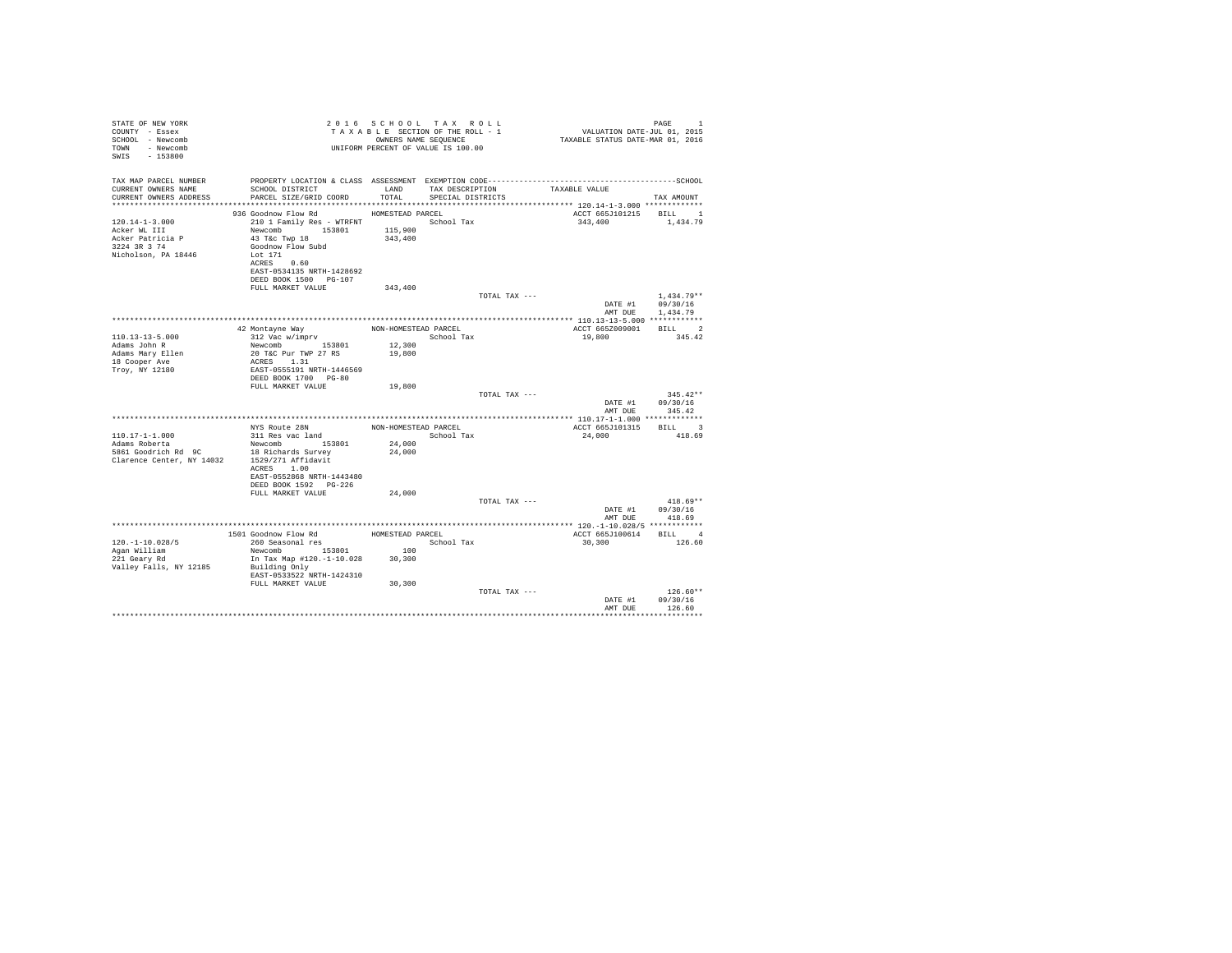| STATE OF NEW YORK<br>COUNTY - Essex<br>SCHOOL - Newcomb<br>TOWN - Newcomb<br>SWIS - 153800               |                                                                                                                                                                                                                |                      | UNIFORM PERCENT OF VALUE IS 100.00                 |                                            |                                                      |  |
|----------------------------------------------------------------------------------------------------------|----------------------------------------------------------------------------------------------------------------------------------------------------------------------------------------------------------------|----------------------|----------------------------------------------------|--------------------------------------------|------------------------------------------------------|--|
| TAX MAP PARCEL NUMBER<br>CURRENT OWNERS NAME<br>CURRENT OWNERS ADDRESS                                   | SCHOOL DISTRICT LAND<br>PARCEL SIZE/GRID COORD                                                                                                                                                                 | TOTAL                | TAX DESCRIPTION TAXABLE VALUE<br>SPECIAL DISTRICTS |                                            | TAX AMOUNT                                           |  |
|                                                                                                          |                                                                                                                                                                                                                |                      |                                                    |                                            |                                                      |  |
| $120.14 - 1 - 3.000$<br>Acker WL III<br>Acker Patricia P<br>3224 3R 3 74<br>Nicholson, PA 18446          | 936 Goodnow Flow Rd MOMESTEAD PARCEL<br>210 1 Family Res - WTRFNT             School Tax<br>Newcomb 153801 115,900<br>43 T&C Twp 18<br>Goodnow Flow Subd<br>Lot 171<br>ACRES 0.60<br>EAST-0534135 NRTH-1428692 | 343,400              |                                                    | ACCT 665J101215 BILL 1<br>343,400 1,434.79 |                                                      |  |
|                                                                                                          | DEED BOOK 1500 PG-107<br>FULL MARKET VALUE                                                                                                                                                                     | 343,400              |                                                    |                                            |                                                      |  |
|                                                                                                          |                                                                                                                                                                                                                |                      | TOTAL TAX ---                                      |                                            | $1.434.79**$<br>DATE #1 09/30/16<br>AMT DUE 1,434.79 |  |
|                                                                                                          |                                                                                                                                                                                                                |                      |                                                    |                                            |                                                      |  |
|                                                                                                          | 42 Montayne Way<br>312 Vac w/imprv                                                                                                                                                                             | NON-HOMESTEAD PARCEL |                                                    | ACCT 665Z009001 BILL 2                     |                                                      |  |
| $110.13 - 13 - 5.000$<br>Adams John R<br>Adams Mary Ellen<br>18 Cooper Ave<br>Troy, NY 12180             | Newcomb 153801<br>20 T&C Pur TWP 27 RS<br>ACRES 1.31<br>EAST-0555191 NRTH-1446569                                                                                                                              | 12,300<br>19,800     | School Tax                                         | 19,800                                     | 345.42                                               |  |
|                                                                                                          | DEED BOOK 1700 PG-80<br>FULL MARKET VALUE                                                                                                                                                                      | 19,800               |                                                    |                                            |                                                      |  |
|                                                                                                          |                                                                                                                                                                                                                |                      | TOTAL TAX ---                                      | DATE #1<br>AMT DUE                         | $345.42**$<br>09/30/16<br>345.42                     |  |
|                                                                                                          |                                                                                                                                                                                                                |                      |                                                    |                                            |                                                      |  |
|                                                                                                          |                                                                                                                                                                                                                |                      | NON-HOMESTEAD PARCEL                               | ACCT 665J101315 BILL 3                     |                                                      |  |
| $110.17 - 1 - 1.000$<br>Adams Roberta                                                                    |                                                                                                                                                                                                                | 24,000               | School Tax                                         | 24,000                                     | 418.69                                               |  |
| Example of the Magnus Cool is the Magnus Cool of the Magnus Clarence Center, NY 14032 1529/271 Affidavit | ACRES 1.00<br>EAST-0552868 NRTH-1443480                                                                                                                                                                        | 24,000               |                                                    |                                            |                                                      |  |
|                                                                                                          | DEED BOOK 1592 PG-226<br>FULL MARKET VALUE                                                                                                                                                                     | 24,000               |                                                    |                                            |                                                      |  |
|                                                                                                          |                                                                                                                                                                                                                |                      | TOTAL TAX ---                                      |                                            | $418.69**$                                           |  |
|                                                                                                          |                                                                                                                                                                                                                |                      |                                                    | AMT DUE                                    | DATE #1 09/30/16<br>418.69                           |  |
|                                                                                                          |                                                                                                                                                                                                                |                      |                                                    |                                            |                                                      |  |
|                                                                                                          |                                                                                                                                                                                                                |                      |                                                    | ACCT 665J100614 BILL 4                     |                                                      |  |
| $120. - 1 - 10.028/5$                                                                                    |                                                                                                                                                                                                                | 100                  | School Tax                                         | 30, 300                                    | 126.60                                               |  |
| Agan William<br>221 Geary Rd                                                                             | In Tax Map #120.-1-10.028 30,300                                                                                                                                                                               |                      |                                                    |                                            |                                                      |  |
| Valley Falls, NY 12185                                                                                   | Building Only<br>EAST-0533522 NRTH-1424310                                                                                                                                                                     |                      |                                                    |                                            |                                                      |  |
|                                                                                                          | FULL MARKET VALUE                                                                                                                                                                                              | 30,300               |                                                    |                                            |                                                      |  |
|                                                                                                          |                                                                                                                                                                                                                |                      | TOTAL TAX ---                                      |                                            | $126.60**$<br>DATE #1 09/30/16                       |  |
|                                                                                                          |                                                                                                                                                                                                                |                      |                                                    | AMT DUE                                    | 126.60                                               |  |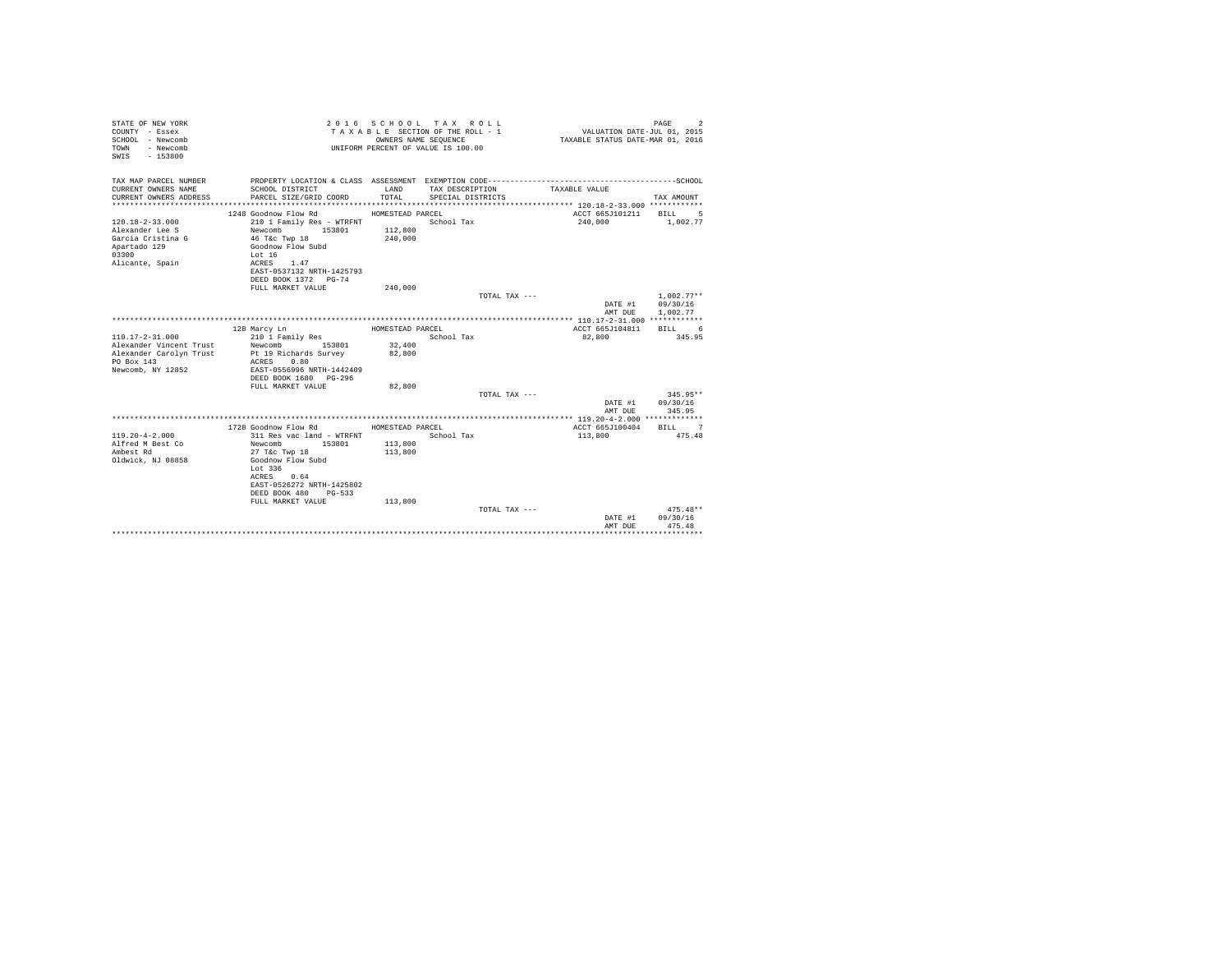| STATE OF NEW YORK<br>COUNTY - Essex<br>SCHOOL - Newcomb<br>TOWN<br>- Newcomb<br>SWIS<br>$-153800$ |                                                   |                  | 2016 SCHOOL TAX ROLL<br>TAXABLE SECTION OF THE ROLL - 1<br>OWNERS NAME SEQUENCE<br>UNIFORM PERCENT OF VALUE IS 100.00 | VALUATION DATE-JUL 01, 2015<br>TAXABLE STATUS DATE-MAR 01, 2016 | PAGE<br>$\overline{2}$ |
|---------------------------------------------------------------------------------------------------|---------------------------------------------------|------------------|-----------------------------------------------------------------------------------------------------------------------|-----------------------------------------------------------------|------------------------|
| TAX MAP PARCEL NUMBER                                                                             |                                                   |                  |                                                                                                                       |                                                                 |                        |
| CURRENT OWNERS NAME<br>CURRENT OWNERS ADDRESS                                                     | SCHOOL DISTRICT<br>PARCEL SIZE/GRID COORD         | LAND<br>TOTAL.   | TAX DESCRIPTION<br>SPECIAL DISTRICTS                                                                                  | TAXABLE VALUE                                                   | TAX AMOUNT             |
| ***********************                                                                           |                                                   |                  |                                                                                                                       |                                                                 |                        |
|                                                                                                   | 1248 Goodnow Flow Rd                              | HOMESTEAD PARCEL |                                                                                                                       | ACCT 665J101211                                                 | <b>BILL</b><br>- 5     |
| $120.18 - 2 - 33.000$                                                                             | 210 1 Family Res - WTRFNT                         |                  | School Tax                                                                                                            | 240,000                                                         | 1,002.77               |
| Alexander Lee S                                                                                   | Newcomb<br>153801                                 | 112,800          |                                                                                                                       |                                                                 |                        |
| Garcia Cristina G                                                                                 | 46 T&c Twp 18                                     | 240,000          |                                                                                                                       |                                                                 |                        |
| Apartado 129                                                                                      | Goodnow Flow Subd                                 |                  |                                                                                                                       |                                                                 |                        |
| 03300                                                                                             | Lot $16$<br>ACRES 1.47                            |                  |                                                                                                                       |                                                                 |                        |
| Alicante, Spain                                                                                   | EAST-0537132 NRTH-1425793                         |                  |                                                                                                                       |                                                                 |                        |
|                                                                                                   | DEED BOOK 1372 PG-74                              |                  |                                                                                                                       |                                                                 |                        |
|                                                                                                   | FULL MARKET VALUE                                 | 240,000          |                                                                                                                       |                                                                 |                        |
|                                                                                                   |                                                   |                  | TOTAL TAX ---                                                                                                         |                                                                 | $1.002.77**$           |
|                                                                                                   |                                                   |                  |                                                                                                                       | DATE #1                                                         | 09/30/16               |
|                                                                                                   |                                                   |                  |                                                                                                                       | AMT DUE                                                         | 1,002.77               |
|                                                                                                   |                                                   |                  |                                                                                                                       |                                                                 |                        |
|                                                                                                   | 128 Marcy Ln                                      | HOMESTEAD PARCEL |                                                                                                                       | ACCT 665J104811                                                 | BILL 6                 |
| $110.17 - 2 - 31.000$<br>Alexander Vincent Trust                                                  | 210 1 Family Res<br>Newcomb<br>153801             | 32,400           | School Tax                                                                                                            | 82,800                                                          | 345.95                 |
| Alexander Carolyn Trust                                                                           | Pt 19 Richards Survey                             | 82,800           |                                                                                                                       |                                                                 |                        |
| PO Box 143                                                                                        | ACRES 0.80                                        |                  |                                                                                                                       |                                                                 |                        |
| Newcomb, NY 12852                                                                                 | EAST-0556996 NRTH-1442409                         |                  |                                                                                                                       |                                                                 |                        |
|                                                                                                   | DEED BOOK 1680 PG-296                             |                  |                                                                                                                       |                                                                 |                        |
|                                                                                                   | FULL MARKET VALUE                                 | 82,800           |                                                                                                                       |                                                                 |                        |
|                                                                                                   |                                                   |                  | TOTAL TAX ---                                                                                                         |                                                                 | $345.95**$             |
|                                                                                                   |                                                   |                  |                                                                                                                       | DATE #1<br>AMT DUE                                              | 09/30/16<br>345.95     |
|                                                                                                   |                                                   |                  |                                                                                                                       |                                                                 |                        |
|                                                                                                   | 1728 Goodnow Flow Rd                              | HOMESTEAD PARCEL |                                                                                                                       | ACCT 665J100404                                                 | RTLL 7                 |
| $119.20 - 4 - 2.000$                                                                              | 311 Res vac land - WTRFNT                         |                  | School Tax                                                                                                            | 113,800                                                         | 475.48                 |
| Alfred M Best Co                                                                                  | Newcomb<br>153801                                 | 113,800          |                                                                                                                       |                                                                 |                        |
| Ambest Rd                                                                                         | 27 T&c Twp 18                                     | 113,800          |                                                                                                                       |                                                                 |                        |
| Oldwick, NJ 08858                                                                                 | Goodnow Flow Subd                                 |                  |                                                                                                                       |                                                                 |                        |
|                                                                                                   | Lot 336                                           |                  |                                                                                                                       |                                                                 |                        |
|                                                                                                   | ACRES 0.64                                        |                  |                                                                                                                       |                                                                 |                        |
|                                                                                                   | EAST-0526272 NRTH-1425802<br>DEED BOOK 480 PG-533 |                  |                                                                                                                       |                                                                 |                        |
|                                                                                                   | FULL MARKET VALUE                                 | 113,800          |                                                                                                                       |                                                                 |                        |
|                                                                                                   |                                                   |                  | TOTAL TAX ---                                                                                                         |                                                                 | $475.48**$             |
|                                                                                                   |                                                   |                  |                                                                                                                       |                                                                 |                        |
|                                                                                                   |                                                   |                  |                                                                                                                       |                                                                 |                        |
|                                                                                                   |                                                   |                  |                                                                                                                       | DATE #1<br>AMT DUE                                              | 09/30/16<br>475.48     |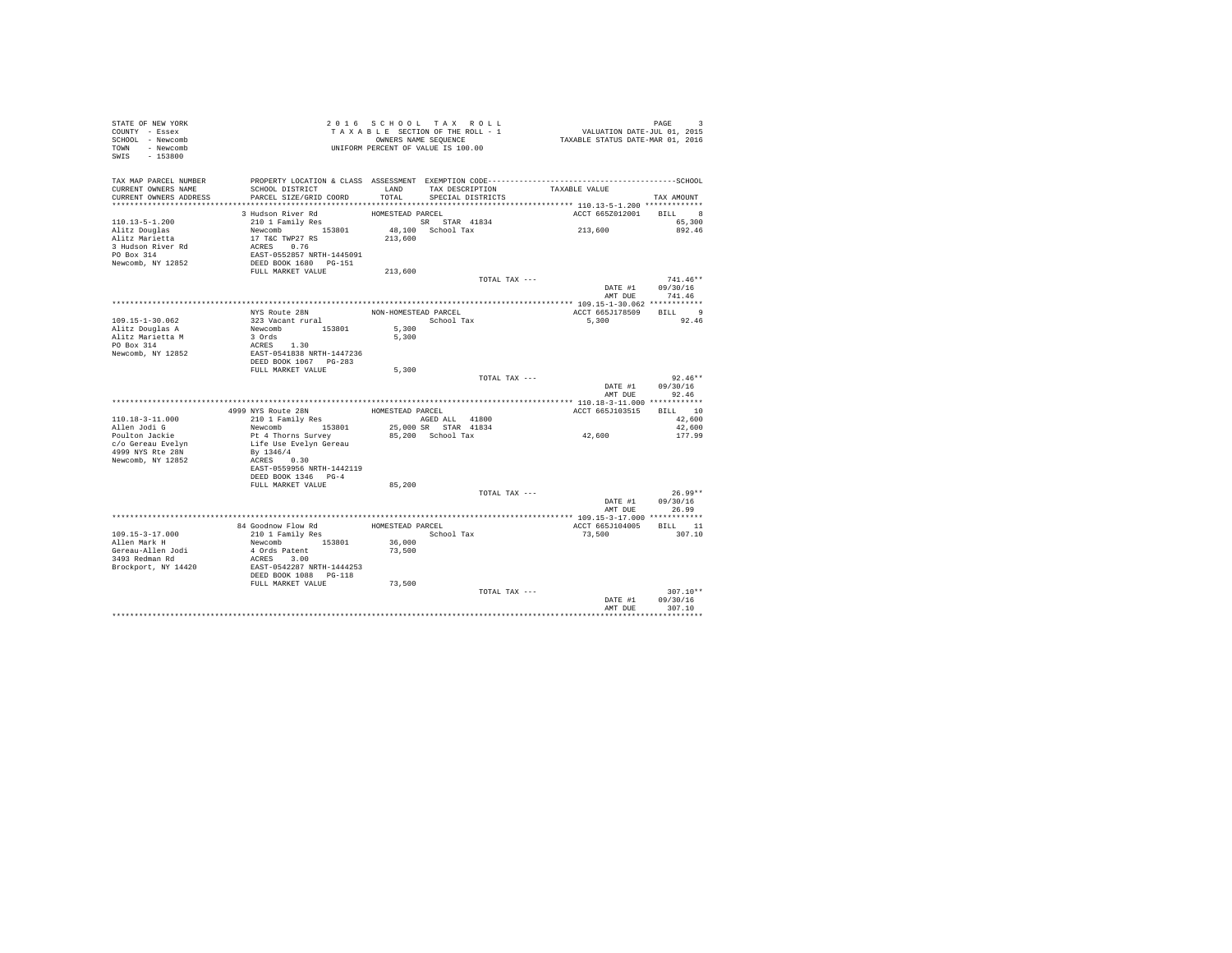| STATE OF NEW YORK<br>COUNTY - Essex |                                                                                                                                   | 2016 SCHOOL TAX ROLL<br>TAXABLE SECTION OF THE ROLL - 1 |                                           |               | PAGE 9<br>VALUATION DATE-JUL 01, 2015<br>TAXABLE STATUS DATE-MAR 01, 2016 |                  |
|-------------------------------------|-----------------------------------------------------------------------------------------------------------------------------------|---------------------------------------------------------|-------------------------------------------|---------------|---------------------------------------------------------------------------|------------------|
| SCHOOL - Newcomb                    |                                                                                                                                   | OWNERS NAME SEQUENCE                                    |                                           |               |                                                                           |                  |
| TOWN - Newcomb                      |                                                                                                                                   | UNIFORM PERCENT OF VALUE IS 100.00                      |                                           |               |                                                                           |                  |
| SWIS - 153800                       |                                                                                                                                   |                                                         |                                           |               |                                                                           |                  |
|                                     |                                                                                                                                   |                                                         |                                           |               |                                                                           |                  |
| TAX MAP PARCEL NUMBER               | PROPERTY LOCATION & CLASS ASSESSMENT EXEMPTION CODE-----------------------------------SCHOOL                                      |                                                         |                                           |               |                                                                           |                  |
| CURRENT OWNERS NAME                 | SCHOOL DISTRICT                                                                                                                   |                                                         |                                           |               | LAND TAX DESCRIPTION TAXABLE VALUE                                        |                  |
| CURRENT OWNERS ADDRESS              | PARCEL SIZE/GRID COORD                                                                                                            |                                                         | TOTAL SPECIAL DISTRICTS                   |               |                                                                           | TAX AMOUNT       |
|                                     |                                                                                                                                   |                                                         |                                           |               |                                                                           |                  |
|                                     | 3 Hudson River Rd                                                                                                                 | HOMESTEAD PARCEL                                        |                                           |               | ACCT 665Z012001 BILL                                                      | 8                |
| $110.13 - 5 - 1.200$                | 210 1 Family Res                                                                                                                  | SR STAR 41834                                           |                                           |               |                                                                           | 65,300           |
| Alitz Douglas                       |                                                                                                                                   | $48,100$ School Tax<br>213,600                          |                                           |               | 213,600                                                                   | 892.46           |
| Alitz Marietta                      | Newcomb<br>153801<br>17 T&C TWP27 RS<br>ACRES 0.76<br>EAST-0552857 NRTH-1445091<br>DEED BOOK 1680 PG-151<br>DEED BOOK 1680 PG-151 |                                                         |                                           |               |                                                                           |                  |
| 3 Hudson River Rd                   |                                                                                                                                   |                                                         |                                           |               |                                                                           |                  |
| PO Box 314                          |                                                                                                                                   |                                                         |                                           |               |                                                                           |                  |
| Newcomb, NY 12852                   |                                                                                                                                   |                                                         |                                           |               |                                                                           |                  |
|                                     | FULL MARKET VALUE                                                                                                                 | 213,600                                                 |                                           |               |                                                                           |                  |
|                                     |                                                                                                                                   |                                                         |                                           | TOTAL TAX --- |                                                                           | $741.46**$       |
|                                     |                                                                                                                                   |                                                         |                                           |               |                                                                           | DATE #1 09/30/16 |
|                                     |                                                                                                                                   |                                                         |                                           |               |                                                                           | AMT DUE 741.46   |
|                                     |                                                                                                                                   |                                                         |                                           |               |                                                                           |                  |
|                                     | NYS Route 28N                                                                                                                     | NON-HOMESTEAD PARCEL                                    | School Tax                                |               | ACCT 665J178509 BILL 9                                                    | 92.46            |
| 109.15-1-30.062                     | 223 Vacant rural<br>Newcomb 153801<br>3 Ords                                                                                      | 5,300                                                   |                                           |               | 5,300                                                                     |                  |
| Alitz Douglas A<br>Alitz Marietta M |                                                                                                                                   | 5,300                                                   |                                           |               |                                                                           |                  |
| PO Box 314                          |                                                                                                                                   |                                                         |                                           |               |                                                                           |                  |
| Newcomb, NY 12852                   |                                                                                                                                   |                                                         |                                           |               |                                                                           |                  |
|                                     | 3 Ords<br>ACRES 1.30<br>EAST-0541838 NRTH-1447236<br>DEED BOOK 1067 PG-283                                                        |                                                         |                                           |               |                                                                           |                  |
|                                     | FULL MARKET VALUE                                                                                                                 | 5,300                                                   |                                           |               |                                                                           |                  |
|                                     |                                                                                                                                   |                                                         |                                           |               |                                                                           |                  |
|                                     |                                                                                                                                   |                                                         |                                           |               |                                                                           | $92.46**$        |
|                                     |                                                                                                                                   |                                                         |                                           | TOTAL TAX --- |                                                                           | DATE #1 09/30/16 |
|                                     |                                                                                                                                   |                                                         |                                           |               | AMT DUE                                                                   | 92.46            |
|                                     |                                                                                                                                   |                                                         |                                           |               |                                                                           |                  |
|                                     | 4999 NYS Route 28N                                                                                                                | HOMESTEAD PARCEL                                        |                                           |               | ACCT 665J103515 BILL 10                                                   |                  |
| $110.18 - 3 - 11.000$               | 210 1 Family Res                                                                                                                  | AGED ALL 41800                                          |                                           |               |                                                                           | 42,600           |
| Allen Jodi G                        | Newcomb 153801                                                                                                                    |                                                         |                                           |               |                                                                           | 42,600           |
| Poulton Jackie                      | Pt 4 Thorns Survey                                                                                                                |                                                         | 25,000 SR STAR 41834<br>85,200 School Tax |               | 42,600                                                                    | 177.99           |
| c/o Gereau Evelyn                   | Life Use Evelyn Gereau                                                                                                            |                                                         |                                           |               |                                                                           |                  |
| 4999 NYS Rte 28N                    | By 1346/4                                                                                                                         |                                                         |                                           |               |                                                                           |                  |
| Newcomb, NY 12852                   | ACRES 0.30                                                                                                                        |                                                         |                                           |               |                                                                           |                  |
|                                     | EAST-0559956 NRTH-1442119                                                                                                         |                                                         |                                           |               |                                                                           |                  |
|                                     | DEED BOOK 1346 PG-4                                                                                                               |                                                         |                                           |               |                                                                           |                  |
|                                     | FULL MARKET VALUE                                                                                                                 | 85,200                                                  |                                           |               |                                                                           |                  |
|                                     |                                                                                                                                   |                                                         |                                           | TOTAL TAX --- |                                                                           | $26.99**$        |
|                                     |                                                                                                                                   |                                                         |                                           |               |                                                                           | DATE #1 09/30/16 |
|                                     |                                                                                                                                   |                                                         |                                           |               |                                                                           | AMT DUE 26.99    |
|                                     |                                                                                                                                   |                                                         |                                           |               | ACCT 665J104005 BILL 11                                                   |                  |
| $109.15 - 3 - 17.000$               |                                                                                                                                   |                                                         |                                           |               | 73,500                                                                    | 307.10           |
| Allen Mark H                        | Newcomb 153801                                                                                                                    |                                                         |                                           |               |                                                                           |                  |
| Gereau-Allen Jodi                   | 4 Ords Patent                                                                                                                     | 36,000<br>73,500                                        |                                           |               |                                                                           |                  |
| 3493 Redman Rd                      | ACRES 3.00                                                                                                                        |                                                         |                                           |               |                                                                           |                  |
| Brockport, NY 14420                 | EAST-0542287 NRTH-1444253                                                                                                         |                                                         |                                           |               |                                                                           |                  |
|                                     | DEED BOOK 1088 PG-118                                                                                                             |                                                         |                                           |               |                                                                           |                  |
|                                     | FULL MARKET VALUE                                                                                                                 | 73,500                                                  |                                           |               |                                                                           |                  |
|                                     |                                                                                                                                   |                                                         |                                           | TOTAL TAX --- |                                                                           | $307.10**$       |
|                                     |                                                                                                                                   |                                                         |                                           |               | DATE #1                                                                   | 09/30/16         |
|                                     |                                                                                                                                   |                                                         |                                           |               | AMT DUE                                                                   | 307.10           |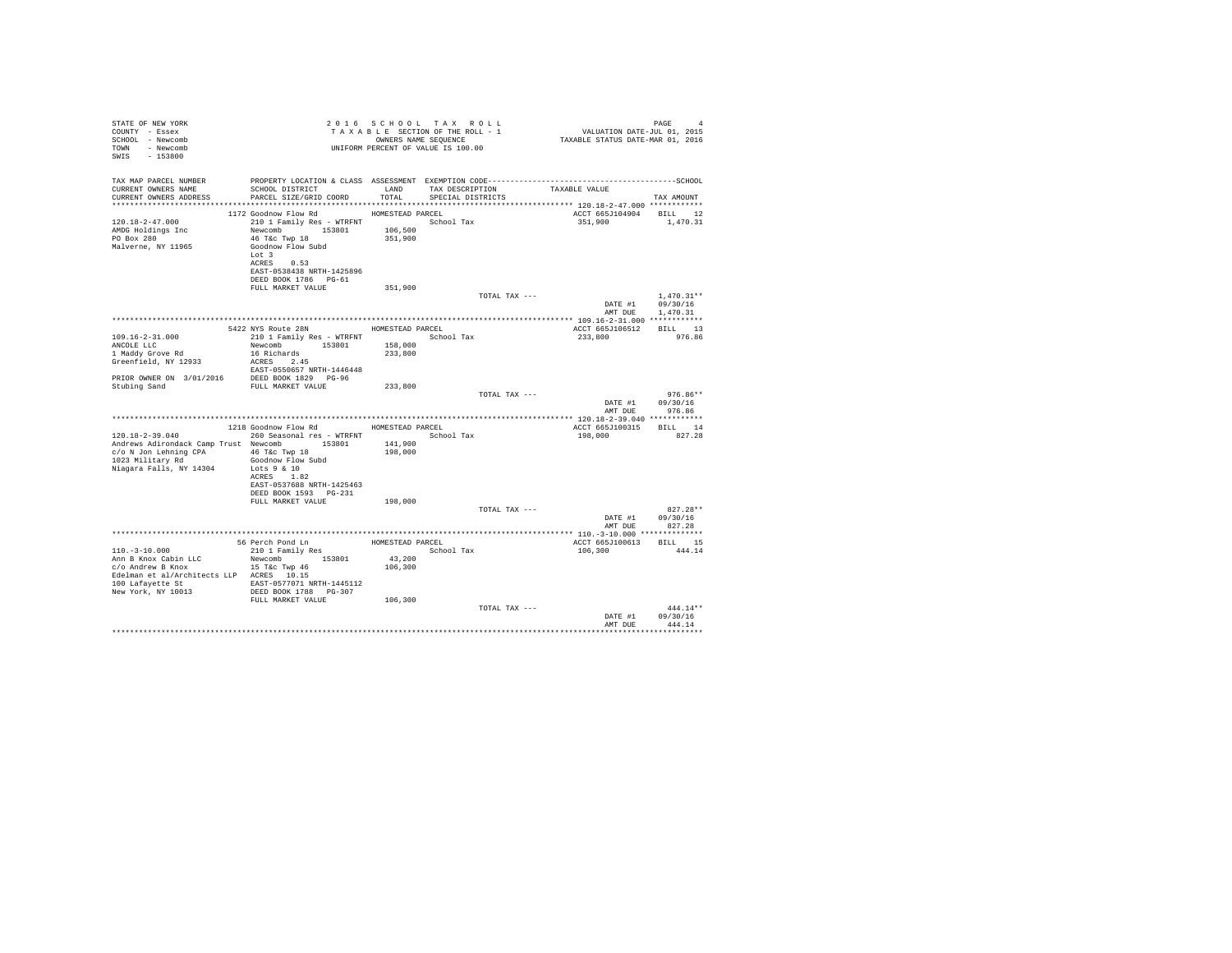| STATE OF NEW YORK                                       |                                                    |                   | 2016 SCHOOL TAX ROLL               |               |                         | PAGE<br>$\overline{4}$ |
|---------------------------------------------------------|----------------------------------------------------|-------------------|------------------------------------|---------------|-------------------------|------------------------|
| COUNTY - Essex                                          |                                                    |                   |                                    |               |                         |                        |
| SCHOOL - Newcomb<br>TOWN - Newcomb                      |                                                    |                   | UNIFORM PERCENT OF VALUE IS 100.00 |               |                         |                        |
| SWIS - 153800                                           |                                                    |                   |                                    |               |                         |                        |
|                                                         |                                                    |                   |                                    |               |                         |                        |
|                                                         |                                                    |                   |                                    |               |                         |                        |
| TAX MAP PARCEL NUMBER<br>CURRENT OWNERS NAME            | SCHOOL DISTRICT LAND                               |                   | TAX DESCRIPTION                    |               | TAXABLE VALUE           |                        |
| CURRENT OWNERS ADDRESS                                  | PARCEL SIZE/GRID COORD TOTAL                       |                   | SPECIAL DISTRICTS                  |               |                         | TAX AMOUNT             |
|                                                         |                                                    |                   |                                    |               |                         |                        |
|                                                         | 1172 Goodnow Flow Rd                               | HOMESTEAD PARCEL  |                                    |               | ACCT 665J104904 BILL 12 |                        |
| $120.18 - 2 - 47.000$                                   | 210 1 Family Res - WTRFNT                          |                   | School Tax                         |               | 351,900                 | 1,470.31               |
| AMDG Holdings Inc                                       | Newcomb 153801 106,500                             |                   |                                    |               |                         |                        |
| PO Box 280                                              | 46 T&c Twp 18                                      | 351,900           |                                    |               |                         |                        |
| Malverne, NY 11965                                      | Goodnow Flow Subd                                  |                   |                                    |               |                         |                        |
|                                                         | Lot 3<br>ACRES 0.53                                |                   |                                    |               |                         |                        |
|                                                         | EAST-0538438 NRTH-1425896                          |                   |                                    |               |                         |                        |
|                                                         | DEED BOOK 1786 PG-61                               |                   |                                    |               |                         |                        |
|                                                         | FULL MARKET VALUE                                  | 351,900           |                                    |               |                         |                        |
|                                                         |                                                    |                   |                                    | TOTAL TAX --- |                         | $1.470.31**$           |
|                                                         |                                                    |                   |                                    |               | DATE #1                 | 09/30/16               |
|                                                         |                                                    |                   |                                    |               | AMT DUE                 | 1,470.31               |
|                                                         |                                                    |                   |                                    |               |                         |                        |
|                                                         | 5422 NYS Route 28N                                 |                   | HOMESTEAD PARCEL                   |               | ACCT 665J106512         | BILL 13<br>976.86      |
| $109.16 - 2 - 31.000$<br>ANCOLE LLC                     | 210 1 Family Res - WTRFNT                          | 158,000           | School Tax                         |               | 233,800                 |                        |
| 1 Maddy Grove Rd                                        | Newcomb 153801<br>16 Richards                      | 233,800           |                                    |               |                         |                        |
| Greenfield, NY 12933                                    | ACRES 2.45                                         |                   |                                    |               |                         |                        |
|                                                         | EAST-0550657 NRTH-1446448                          |                   |                                    |               |                         |                        |
| PRIOR OWNER ON 3/01/2016 DEED BOOK 1829 PG-96           |                                                    |                   |                                    |               |                         |                        |
| Stubing Sand                                            | FULL MARKET VALUE                                  | 233,800           |                                    |               |                         |                        |
|                                                         |                                                    |                   |                                    | TOTAL TAX --- |                         | $976.86**$             |
|                                                         |                                                    |                   |                                    |               | DATE #1                 | 09/30/16               |
|                                                         |                                                    |                   |                                    |               | AMT DUE                 | 976.86                 |
|                                                         | 1218 Goodnow Flow Rd                               | HOMESTEAD PARCEL  |                                    |               | ACCT 665J100315 BILL 14 |                        |
| $120.18 - 2 - 39.040$                                   | 260 Seasonal res - WTRFNT                          |                   | School Tax                         |               | 198,000                 | 827.28                 |
| Andrews Adirondack Camp Trust Newcomb                   | 153801                                             | 141,900           |                                    |               |                         |                        |
| c/o N Jon Lehning CPA 46 T&c Twp 18                     |                                                    | 198,000           |                                    |               |                         |                        |
| 1023 Military Rd                                        | Goodnow Flow Subd                                  |                   |                                    |               |                         |                        |
| Niagara Falls, NY 14304                                 | Lots $9 & 10$                                      |                   |                                    |               |                         |                        |
|                                                         | ACRES 1.82                                         |                   |                                    |               |                         |                        |
|                                                         | EAST-0537688 NRTH-1425463<br>DEED BOOK 1593 PG-231 |                   |                                    |               |                         |                        |
|                                                         | FULL MARKET VALUE                                  | 198,000           |                                    |               |                         |                        |
|                                                         |                                                    |                   |                                    | TOTAL TAX --- |                         | $827.28**$             |
|                                                         |                                                    |                   |                                    |               | DATE #1                 | 09/30/16               |
|                                                         |                                                    |                   |                                    |               | AMT DUE                 | 827.28                 |
|                                                         |                                                    |                   |                                    |               |                         |                        |
|                                                         | 56 Perch Pond Ln                                   | HOMESTEAD PARCEL  |                                    |               | ACCT 665J100613         | BILL 15                |
| $110. - 3 - 10.000$                                     | 210 1 Family Res                                   |                   | School Tax                         |               | 106,300                 | 444.14                 |
| Ann B Knox Cabin LLC<br>c/o Andrew B Knox 15 T&c Twp 46 | Newcomb 153801                                     | 43,200<br>106,300 |                                    |               |                         |                        |
| Edelman et al/Architects LLP ACRES 10.15                |                                                    |                   |                                    |               |                         |                        |
| 100 Lafayette St EAST-0577071 NRTH-1445112              |                                                    |                   |                                    |               |                         |                        |
| New York, NY 10013                                      | DEED BOOK 1788 PG-307                              |                   |                                    |               |                         |                        |
|                                                         | FULL MARKET VALUE                                  | 106,300           |                                    |               |                         |                        |
|                                                         |                                                    |                   |                                    | TOTAL TAX --- |                         | $444.14**$             |
|                                                         |                                                    |                   |                                    |               | DATE #1                 | 09/30/16               |
|                                                         |                                                    |                   |                                    |               | AMT DHR                 | 444.14                 |
|                                                         |                                                    |                   |                                    |               |                         |                        |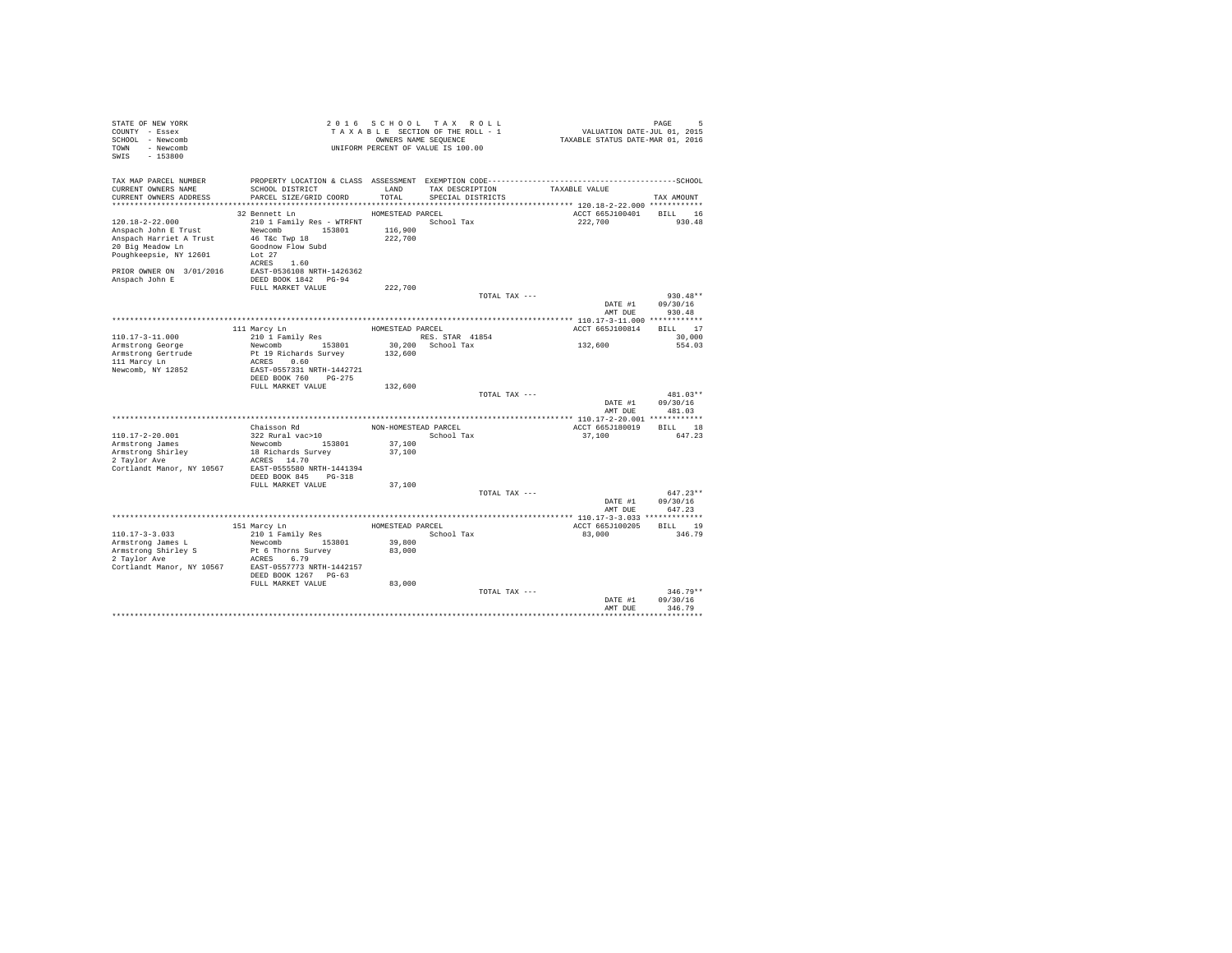| STATE OF NEW YORK<br>COUNTY - Essex<br>SCHOOL - Newcomb<br>TOWN - Newcomb<br>SWIS - 153800                             |                                                                                                                                                |                    | 2016 SCHOOL TAX ROLL<br>TAXABLE SECTION OF THE ROLL - 1<br>OWNERS NAME SEOUENCE<br>UNIFORM PERCENT OF VALUE IS 100.00 | 5<br>11, VALUATION DATE-JUL 01, 2015<br>2016, TAXABLE STATUS DATE-MAR 01 | PAGE<br>Б,                       |
|------------------------------------------------------------------------------------------------------------------------|------------------------------------------------------------------------------------------------------------------------------------------------|--------------------|-----------------------------------------------------------------------------------------------------------------------|--------------------------------------------------------------------------|----------------------------------|
| TAX MAP PARCEL NUMBER<br>CURRENT OWNERS NAME<br>CURRENT OWNERS ADDRESS                                                 | PROPERTY LOCATION & CLASS ASSESSMENT EXEMPTION CODE-----------------------------------SCHOOL<br>SCHOOL DISTRICT<br>PARCEL SIZE/GRID COORD      | LAND<br>TOTAL      | TAX DESCRIPTION<br>SPECIAL DISTRICTS                                                                                  | TAXABLE VALUE                                                            | TAX AMOUNT                       |
|                                                                                                                        |                                                                                                                                                |                    |                                                                                                                       |                                                                          |                                  |
| $120.18 - 2 - 22.000$<br>Anspach John E Trust<br>Anspach Harriet A Trust<br>20 Big Meadow Ln<br>Poughkeepsie, NY 12601 | HOMESTEAD PARCEL<br>32 Bennett Ln<br>210 1 Family Res - WTRFNT<br>Newcomb 153801<br>46 T&c Twp 18<br>Goodnow Flow Subd<br>Lot 27<br>ACRES 1.60 | 116,900<br>222,700 | School Tax                                                                                                            | ACCT 665J100401<br>222,700                                               | BILL 16<br>930.48                |
| PRIOR OWNER ON 3/01/2016 EAST-0536108 NRTH-1426362                                                                     |                                                                                                                                                |                    |                                                                                                                       |                                                                          |                                  |
| Anspach John E                                                                                                         | DEED BOOK 1842 PG-94<br>FULL MARKET VALUE                                                                                                      | 222,700            |                                                                                                                       |                                                                          |                                  |
|                                                                                                                        |                                                                                                                                                |                    | TOTAL TAX ---                                                                                                         | DATE #1<br>AMT DUE                                                       | $930.48**$<br>09/30/16<br>930.48 |
|                                                                                                                        |                                                                                                                                                |                    |                                                                                                                       |                                                                          |                                  |
|                                                                                                                        | 111 Marcy Ln                                                                                                                                   | HOMESTEAD PARCEL   |                                                                                                                       | ACCT 665J100814                                                          | BILL 17                          |
| $110.17 - 3 - 11.000$                                                                                                  | 210 1 Family Res                                                                                                                               |                    | RES. STAR 41854                                                                                                       |                                                                          | 30,000                           |
| Armstrong George<br>Armstrong Gertrude<br>111 Marcy Ln<br>Newcomb, NY 12852                                            | Newcomb 153801<br>Pt 19 Richards Survey<br>ACRES 0.60<br>EAST-0557331 NRTH-1442721                                                             | 132,600            | 30,200 School Tax                                                                                                     | 132,600                                                                  | 554.03                           |
|                                                                                                                        | DEED BOOK 760 PG-275<br>FULL MARKET VALUE                                                                                                      | 132,600            |                                                                                                                       |                                                                          |                                  |
|                                                                                                                        |                                                                                                                                                |                    | TOTAL TAX ---                                                                                                         | DATE #1                                                                  | 481.03**<br>09/30/16             |
|                                                                                                                        |                                                                                                                                                |                    |                                                                                                                       | AMT DUE                                                                  | 481.03                           |
|                                                                                                                        |                                                                                                                                                |                    | NON-HOMESTEAD PARCEL                                                                                                  |                                                                          |                                  |
| $110.17 - 2 - 20.001$                                                                                                  | Chaisson Rd<br>322 Rural vac>10                                                                                                                |                    | School Tax                                                                                                            | ACCT 665J180019 BILL 18<br>37,100                                        | 647.23                           |
| Armstrong James                                                                                                        | Newcomb 153801                                                                                                                                 | 37,100             |                                                                                                                       |                                                                          |                                  |
| Armstrong Shirley                                                                                                      | 18 Richards Survey                                                                                                                             | 37,100             |                                                                                                                       |                                                                          |                                  |
| 2 Taylor Ave<br>Cortlandt Manor, NY 10567 EAST-0555580 NRTH-1441394                                                    | ACRES 14.70<br>DEED BOOK 845 PG-318                                                                                                            |                    |                                                                                                                       |                                                                          |                                  |
|                                                                                                                        | FULL MARKET VALUE                                                                                                                              | 37,100             |                                                                                                                       |                                                                          |                                  |
|                                                                                                                        |                                                                                                                                                |                    | TOTAL TAX ---                                                                                                         | DATE #1<br>AMT DUE                                                       | $647.23**$<br>09/30/16<br>647.23 |
|                                                                                                                        |                                                                                                                                                |                    |                                                                                                                       |                                                                          |                                  |
|                                                                                                                        | 151 Marcy Ln                                                                                                                                   | HOMESTEAD PARCEL   |                                                                                                                       | ACCT 665J100205                                                          | BILL 19                          |
| $110.17 - 3 - 3.033$                                                                                                   | 210 1 Family Res                                                                                                                               |                    | School Tax                                                                                                            | 83,000                                                                   | 346.79                           |
| Armstrong James L<br>Armstrong Shirley S<br>2 Taylor Ave<br>Cortlandt Manor, NY 10567 EAST-0557773 NRTH-1442157        | Newcomb 153801<br>Pt 6 Thorns Survey<br>ACRES 6.79                                                                                             | 39,800<br>83,000   |                                                                                                                       |                                                                          |                                  |
|                                                                                                                        | DEED BOOK 1267 PG-63<br>FULL MARKET VALUE                                                                                                      | 83,000             |                                                                                                                       |                                                                          |                                  |
|                                                                                                                        |                                                                                                                                                |                    | TOTAL TAX ---                                                                                                         | DATE #1<br>AMT DUE                                                       | $346.79**$<br>09/30/16<br>346.79 |
|                                                                                                                        |                                                                                                                                                |                    |                                                                                                                       |                                                                          |                                  |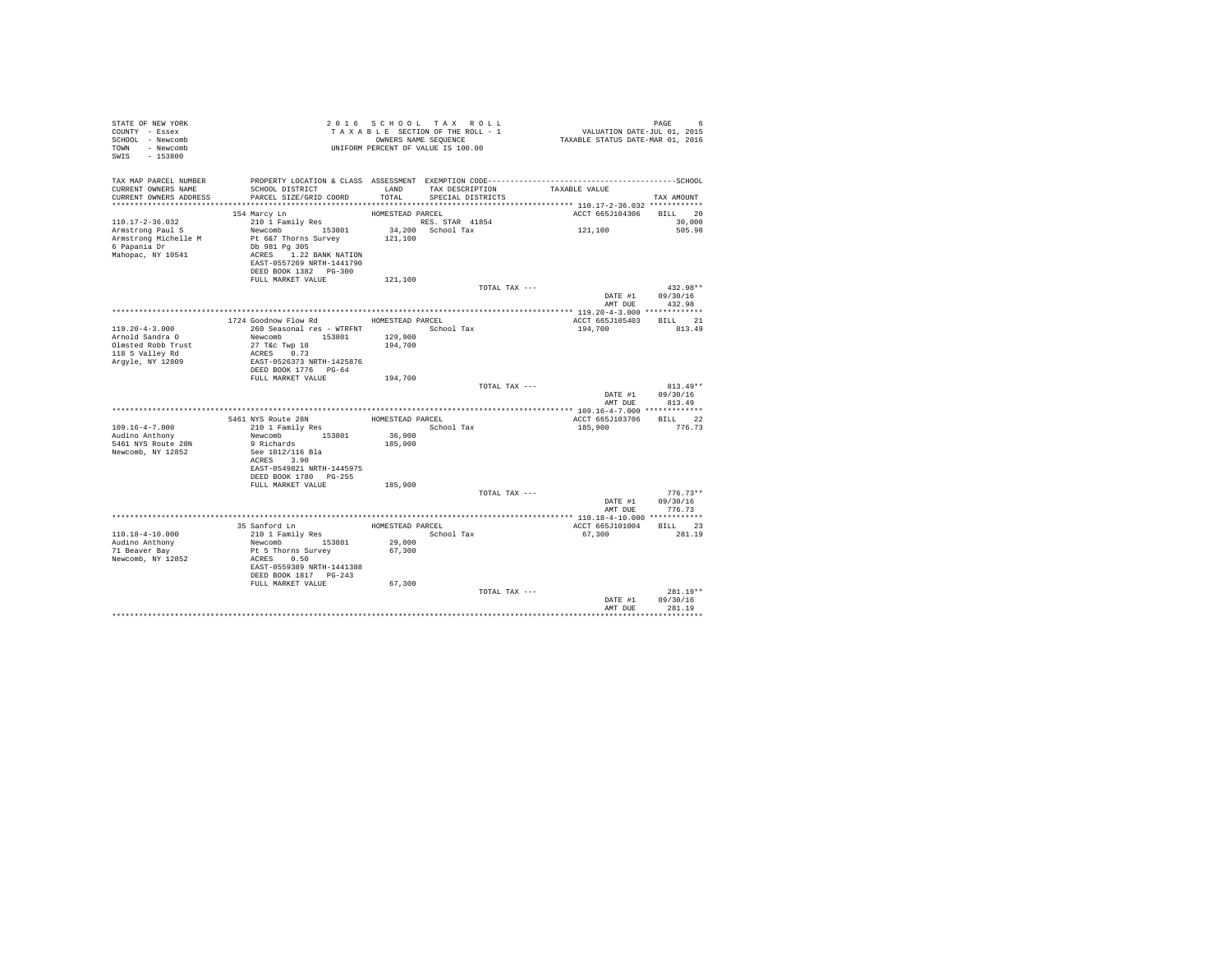| STATE OF NEW YORK<br>COUNTY - Essex<br>SCHOOL - Newcomb<br>TOWN - Newcomb<br>SWIS - 153800 | TAXABLE SECTION OF THE RULL - 1<br>OWNERS NAME SEQUENCE<br>UNIFORM PERCENT OF VALUE IS 100.00 |                    | TAXABLE SECTION OF THE ROLL - 1<br>OWNERS NAME SEQUENCE | PAGE 6<br>VALUATION DATE-JUL 01, 2015<br>TAXABLE STATUS DATE-MAR 01, 2016                    |                                |
|--------------------------------------------------------------------------------------------|-----------------------------------------------------------------------------------------------|--------------------|---------------------------------------------------------|----------------------------------------------------------------------------------------------|--------------------------------|
| TAX MAP PARCEL NUMBER                                                                      |                                                                                               |                    |                                                         | PROPERTY LOCATION & CLASS ASSESSMENT EXEMPTION CODE-----------------------------------SCHOOL |                                |
| CURRENT OWNERS NAME<br>CURRENT OWNERS ADDRESS                                              | SCHOOL DISTRICT<br>PARCEL SIZE/GRID COORD                                                     | TOTAL              | SPECIAL DISTRICTS                                       | LAND TAX DESCRIPTION TAXABLE VALUE                                                           | TAX AMOUNT                     |
|                                                                                            |                                                                                               |                    |                                                         |                                                                                              |                                |
|                                                                                            | 154 Marcy Ln                                                                                  | HOMESTEAD PARCEL   |                                                         |                                                                                              | ACCT 665J104306 BILL 20        |
| $110.17 - 2 - 36.032$                                                                      | 210 1 Family Res                                                                              |                    | RES. STAR 41854                                         |                                                                                              | 30,000                         |
| Armstrong Paul S                                                                           | Newcomb 153801                                                                                |                    | $34,200$ School Tax                                     | 121,100                                                                                      | 505.98                         |
| Armstrong Michelle M                                                                       | Pt 6&7 Thorns Survey<br>Db 981 Pg 305                                                         | 121,100            |                                                         |                                                                                              |                                |
| 6 Papania Dr<br>Mahopac, NY 10541                                                          | ACRES 1.22 BANK NATION                                                                        |                    |                                                         |                                                                                              |                                |
|                                                                                            | EAST-0557269 NRTH-1441790                                                                     |                    |                                                         |                                                                                              |                                |
|                                                                                            | DEED BOOK 1382 PG-300                                                                         |                    |                                                         |                                                                                              |                                |
|                                                                                            | FULL MARKET VALUE                                                                             | 121,100            |                                                         |                                                                                              |                                |
|                                                                                            |                                                                                               |                    |                                                         | TOTAL TAX ---                                                                                | $432.98**$<br>DATE #1 09/30/16 |
|                                                                                            |                                                                                               |                    |                                                         | AMT DUE                                                                                      | 432.98                         |
|                                                                                            |                                                                                               |                    |                                                         |                                                                                              |                                |
|                                                                                            | 1724 Goodnow Flow Rd                                                                          | HOMESTEAD PARCEL   |                                                         |                                                                                              | ACCT 665J105403 BILL 21        |
| $119.20 - 4 - 3.000$                                                                       | 260 Seasonal res - WTRFNT · School Tax                                                        |                    |                                                         | 194,700                                                                                      | 813.49                         |
| Arnold Sandra O<br>Olmsted Robb Trust                                                      | Newcomb 153801                                                                                | 129,900<br>194,700 |                                                         |                                                                                              |                                |
| 118 S Valley Rd                                                                            | 27 T&C Twp 18<br>ACRES 0.73                                                                   |                    |                                                         |                                                                                              |                                |
| Arqyle, NY 12809                                                                           | EAST-0526373 NRTH-1425876                                                                     |                    |                                                         |                                                                                              |                                |
|                                                                                            | DEED BOOK 1776 PG-64                                                                          |                    |                                                         |                                                                                              |                                |
|                                                                                            | FULL MARKET VALUE                                                                             | 194,700            |                                                         |                                                                                              | $813.49**$                     |
|                                                                                            |                                                                                               |                    |                                                         | TOTAL TAX ---                                                                                | DATE #1 09/30/16               |
|                                                                                            |                                                                                               |                    |                                                         |                                                                                              | AMT DUE 813.49                 |
|                                                                                            |                                                                                               |                    |                                                         |                                                                                              |                                |
|                                                                                            | 5461 NYS Route 28N<br>210 1 Family Res                                                        | HOMESTEAD PARCEL   |                                                         | ACCT 665J103706                                                                              | BILL 22                        |
| 109.16-4-7.000<br>Audino Anthony                                                           |                                                                                               | 36,900             | School Tax                                              | 185,900                                                                                      | 776.73                         |
| 5461 NYS Route 28N                                                                         | Newcomb 153801<br>9 Richards 153801                                                           | 185,900            |                                                         |                                                                                              |                                |
| Newcomb, NY 12852                                                                          | See 1012/116 Bla                                                                              |                    |                                                         |                                                                                              |                                |
|                                                                                            | ACRES 3.90                                                                                    |                    |                                                         |                                                                                              |                                |
|                                                                                            | EAST-0549821 NRTH-1445975<br>DEED BOOK 1780 PG-255                                            |                    |                                                         |                                                                                              |                                |
|                                                                                            | FULL MARKET VALUE                                                                             | 185,900            |                                                         |                                                                                              |                                |
|                                                                                            |                                                                                               |                    |                                                         | TOTAL TAX ---                                                                                | $776.73**$                     |
|                                                                                            |                                                                                               |                    |                                                         |                                                                                              | DATE #1 09/30/16               |
|                                                                                            |                                                                                               |                    |                                                         |                                                                                              | AMT DUE 776.73                 |
|                                                                                            |                                                                                               |                    | HOMESTEAD PARCEL                                        |                                                                                              | ACCT 665J101004 BILL 23        |
| 110.18-4-10.000                                                                            | 35 Sanford Ln<br>210 1 Family Res<br>Newcomb 153801                                           |                    | School Tax                                              | 67.300                                                                                       | 281.19                         |
| Audino Anthony                                                                             |                                                                                               | 29,000             |                                                         |                                                                                              |                                |
| 71 Beaver Bay                                                                              | Pt 5 Thorns Survey                                                                            | 67,300             |                                                         |                                                                                              |                                |
| Newcomb, NY 12852                                                                          | ACRES 0.50<br>EAST-0559389 NRTH-1441388                                                       |                    |                                                         |                                                                                              |                                |
|                                                                                            | DEED BOOK 1817 PG-243                                                                         |                    |                                                         |                                                                                              |                                |
|                                                                                            | FULL MARKET VALUE                                                                             | 67,300             |                                                         |                                                                                              |                                |
|                                                                                            |                                                                                               |                    |                                                         | TOTAL TAX ---                                                                                | $281.19**$                     |
|                                                                                            |                                                                                               |                    |                                                         | AMT DUE                                                                                      | DATE #1 09/30/16<br>281.19     |
|                                                                                            |                                                                                               |                    |                                                         |                                                                                              |                                |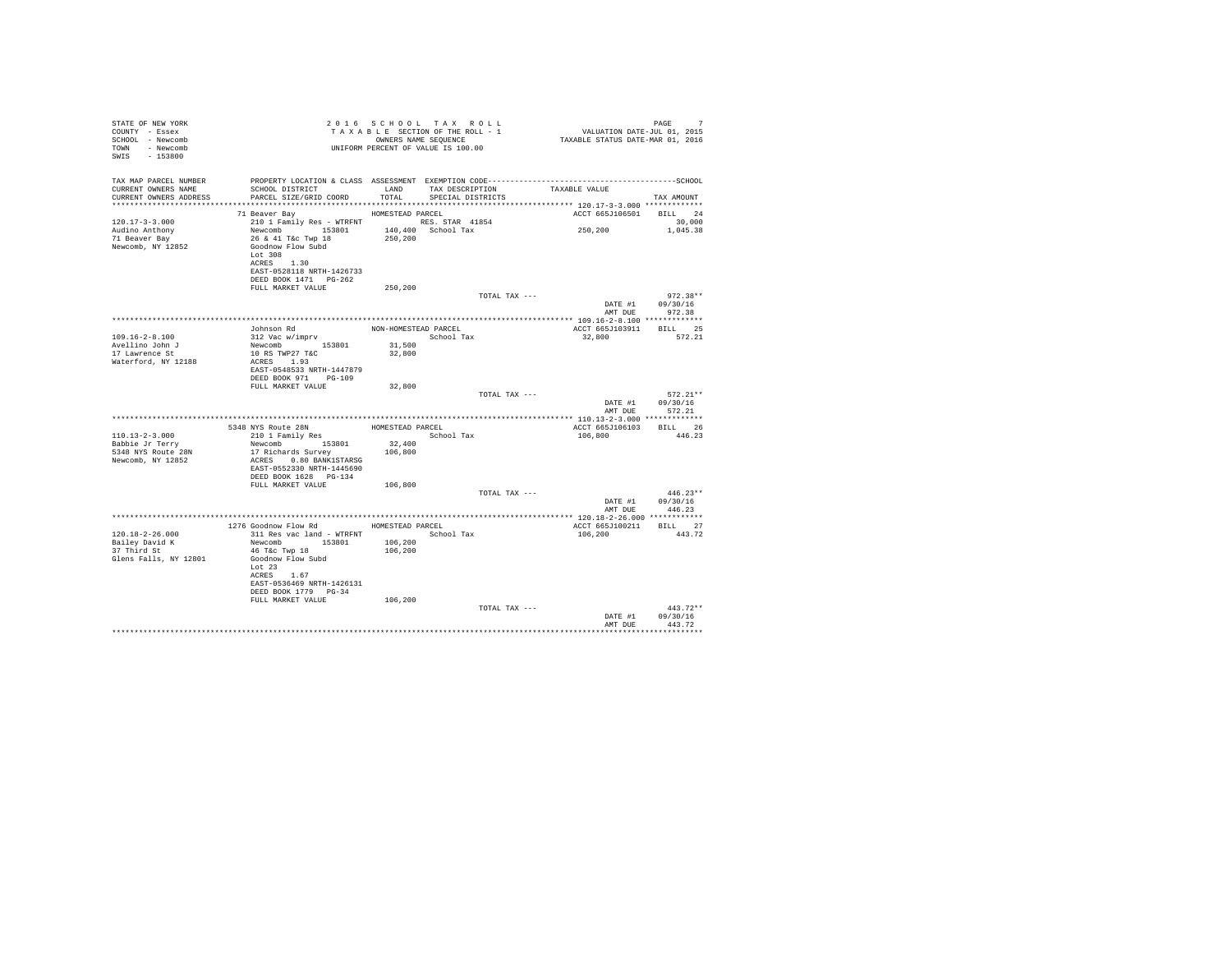| STATE OF NEW YORK                  |                                                                                                   |                      | 2016 SCHOOL TAX ROLL<br>TAXABLE SECTION OF THE ROLL - 1    |                                                                                              | PAGE<br>7  |
|------------------------------------|---------------------------------------------------------------------------------------------------|----------------------|------------------------------------------------------------|----------------------------------------------------------------------------------------------|------------|
| COUNTY - Essex                     |                                                                                                   |                      |                                                            | 1 PAGE<br>11, VALUATION DATE-JUL 01, 2015<br>2016 TAXABLE STATUS DATE-MAR 01, 2015           |            |
| SCHOOL - Newcomb<br>TOWN - Newcomb |                                                                                                   |                      | OWNERS NAME SEQUENCE<br>UNIFORM PERCENT OF VALUE IS 100.00 |                                                                                              |            |
| SWIS - 153800                      |                                                                                                   |                      |                                                            |                                                                                              |            |
|                                    |                                                                                                   |                      |                                                            |                                                                                              |            |
|                                    |                                                                                                   |                      |                                                            |                                                                                              |            |
| TAX MAP PARCEL NUMBER              |                                                                                                   |                      |                                                            | PROPERTY LOCATION & CLASS ASSESSMENT EXEMPTION CODE-----------------------------------SCHOOL |            |
| CURRENT OWNERS NAME                | SCHOOL DISTRICT                                                                                   | LAND                 | TAX DESCRIPTION                                            | TAXABLE VALUE                                                                                |            |
| CURRENT OWNERS ADDRESS             | PARCEL SIZE/GRID COORD TOTAL                                                                      |                      | SPECIAL DISTRICTS                                          |                                                                                              | TAX AMOUNT |
|                                    | HOMESTEAD PARCEL                                                                                  |                      |                                                            |                                                                                              |            |
| $120.17 - 3 - 3.000$               | 71 Beaver Bay<br>210 1 Family Res - WTRFNT RES. STAR 41854                                        |                      |                                                            | ACCT 665J106501 BILL 24                                                                      | 30,000     |
| Audino Anthony                     |                                                                                                   |                      |                                                            | 250,200                                                                                      | 1,045.38   |
| 71 Beaver Bay                      | Newcomb 153801 140,400 School Tax<br>26 & 41 T&c Twp 18 250,200                                   |                      |                                                            |                                                                                              |            |
| Newcomb, NY 12852                  | Goodnow Flow Subd                                                                                 |                      |                                                            |                                                                                              |            |
|                                    | Lot 308                                                                                           |                      |                                                            |                                                                                              |            |
|                                    | ACRES 1.30                                                                                        |                      |                                                            |                                                                                              |            |
|                                    | EAST-0528118 NRTH-1426733                                                                         |                      |                                                            |                                                                                              |            |
|                                    | DEED BOOK 1471 PG-262                                                                             |                      |                                                            |                                                                                              |            |
|                                    | FULL MARKET VALUE                                                                                 | 250,200              |                                                            |                                                                                              |            |
|                                    |                                                                                                   |                      | TOTAL TAX ---                                              |                                                                                              | $972.38**$ |
|                                    |                                                                                                   |                      |                                                            | DATE #1                                                                                      | 09/30/16   |
|                                    |                                                                                                   |                      |                                                            | AMT DUE                                                                                      | 972.38     |
|                                    |                                                                                                   |                      |                                                            |                                                                                              |            |
|                                    | Johnson Rd<br>312 Vac w/imprv                                                                     | NON-HOMESTEAD PARCEL |                                                            | ACCT 665J103911                                                                              | BILL 25    |
| $109.16 - 2 - 8.100$               |                                                                                                   |                      | School Tax                                                 | 32,800                                                                                       | 572.21     |
| Avellino John J                    | Newcomb 153801                                                                                    | 31,500               |                                                            |                                                                                              |            |
| 17 Lawrence St                     | 10 RS TWP27 T&C                                                                                   | 32,800               |                                                            |                                                                                              |            |
| Waterford, NY 12188                | ACRES 1.93                                                                                        |                      |                                                            |                                                                                              |            |
|                                    | EAST-0548533 NRTH-1447879<br>DEED BOOK 971 PG-109                                                 |                      |                                                            |                                                                                              |            |
|                                    | FULL MARKET VALUE                                                                                 | 32,800               |                                                            |                                                                                              |            |
|                                    |                                                                                                   |                      | TOTAL TAX ---                                              |                                                                                              | $572.21**$ |
|                                    |                                                                                                   |                      |                                                            | DATE #1                                                                                      | 09/30/16   |
|                                    |                                                                                                   |                      |                                                            | AMT DUR                                                                                      | 572.21     |
|                                    |                                                                                                   |                      |                                                            |                                                                                              |            |
|                                    |                                                                                                   |                      |                                                            | ACCT 665J106103                                                                              | BILL 26    |
| $110.13 - 2 - 3.000$               | ${\tt 5348\ NYS\ Route\ 28N}\ {\tt HOMESTEAD\ PARCH}\ 210\ 1\  \, {\tt Family\ Res}\ {\tt Schoc}$ |                      | School Tax                                                 | 106,800                                                                                      | 446.23     |
| Babbie Jr Terry                    | Newcomb 153801                                                                                    | 32,400               |                                                            |                                                                                              |            |
| 5348 NYS Route 28N                 | 17 Richards Survey                                                                                | 106,800              |                                                            |                                                                                              |            |
| Newcomb, NY 12852                  | ACRES 0.80 BANK1STARSG                                                                            |                      |                                                            |                                                                                              |            |
|                                    | EAST-0552330 NRTH-1445690                                                                         |                      |                                                            |                                                                                              |            |
|                                    | DEED BOOK 1628 PG-134                                                                             |                      |                                                            |                                                                                              |            |
|                                    | FULL MARKET VALUE                                                                                 | 106,800              |                                                            |                                                                                              |            |
|                                    |                                                                                                   |                      | TOTAL TAX ---                                              |                                                                                              | $446.23**$ |
|                                    |                                                                                                   |                      |                                                            | DATE #1                                                                                      | 09/30/16   |
|                                    |                                                                                                   |                      |                                                            | AMT DUE                                                                                      | 446.23     |
|                                    | 1276 Goodnow Flow Rd MOMESTEAD PARCEL                                                             |                      |                                                            | ACCT 665J100211 BILL 27                                                                      |            |
| $120.18 - 2 - 26.000$              | 311 Res vac land - WTRFNT                                                                         |                      | School Tax                                                 | 106,200                                                                                      | 443.72     |
| Bailey David K                     | Newcomb 153801                                                                                    | 106,200              |                                                            |                                                                                              |            |
| 37 Third St                        | 46 T&c Twp 18                                                                                     | 106,200              |                                                            |                                                                                              |            |
| Glens Falls, NY 12801              | Goodnow Flow Subd                                                                                 |                      |                                                            |                                                                                              |            |
|                                    | $T_0$ r 23                                                                                        |                      |                                                            |                                                                                              |            |
|                                    | ACRES 1.67                                                                                        |                      |                                                            |                                                                                              |            |
|                                    | EAST-0536469 NRTH-1426131                                                                         |                      |                                                            |                                                                                              |            |
|                                    | DEED BOOK 1779 PG-34                                                                              |                      |                                                            |                                                                                              |            |
|                                    | FULL MARKET VALUE                                                                                 | 106,200              |                                                            |                                                                                              |            |
|                                    |                                                                                                   |                      | TOTAL TAX ---                                              |                                                                                              | $443.72**$ |
|                                    |                                                                                                   |                      |                                                            | DATE #1                                                                                      | 09/30/16   |
|                                    |                                                                                                   |                      |                                                            | AMT DUE                                                                                      | 443.72     |
|                                    |                                                                                                   |                      |                                                            |                                                                                              |            |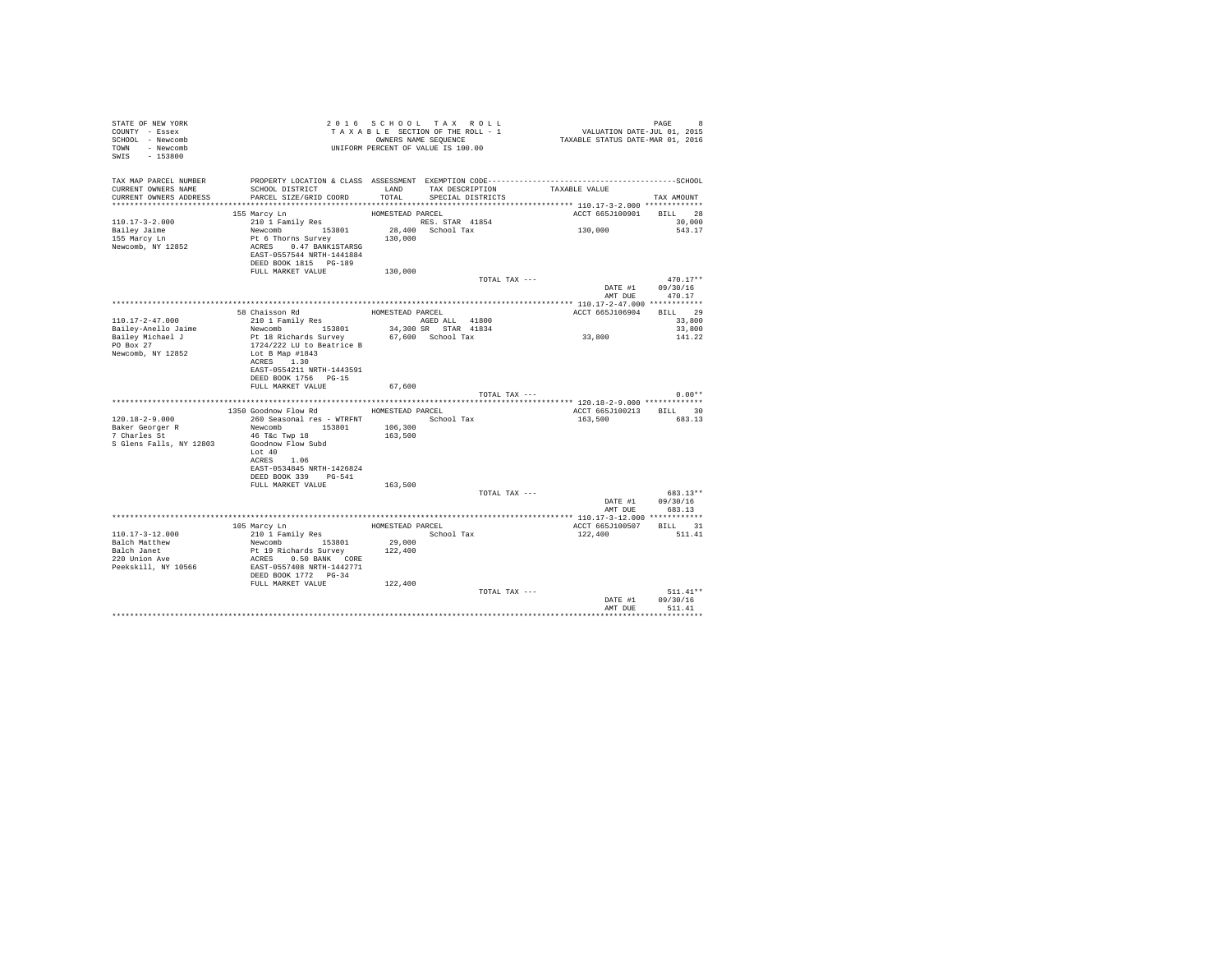| STATE OF NEW YORK<br>COUNTY - Essex<br>SCHOOL - Newcomb<br>TOWN - Newcomb<br>SWIS - 153800 | T A X A B L E SECTION OF THE STRIKE SEQUENCE<br>OWNERS NAME SEQUENCE<br>UNIFORM PERCENT OF VALUE IS 100.00 |                       | TAXABLE SECTION OF THE ROLL - 1<br>OWNERS NAME SEQUENCE | PAGE 8<br>VALUATION DATE-JUL 01, 2015<br>TAXABLE STATUS DATE-MAR 01, 2016                    |                                    |
|--------------------------------------------------------------------------------------------|------------------------------------------------------------------------------------------------------------|-----------------------|---------------------------------------------------------|----------------------------------------------------------------------------------------------|------------------------------------|
| TAX MAP PARCEL NUMBER                                                                      |                                                                                                            |                       |                                                         | PROPERTY LOCATION & CLASS ASSESSMENT EXEMPTION CODE-----------------------------------SCHOOL |                                    |
| CURRENT OWNERS NAME<br>CURRENT OWNERS ADDRESS                                              | SCHOOL DISTRICT<br>PARCEL SIZE/GRID COORD                                                                  | LAND<br>TOTAL.        | TAX DESCRIPTION<br>SPECIAL DISTRICTS                    | TAXABLE VALUE                                                                                | TAX AMOUNT                         |
|                                                                                            |                                                                                                            |                       |                                                         |                                                                                              |                                    |
|                                                                                            | 155 Marcy Ln                                                                                               | HOMESTEAD PARCEL      |                                                         | ACCT 665J100901 BILL 28                                                                      |                                    |
| $110.17 - 3 - 2.000$                                                                       | 210 1 Family Res                                                                                           |                       | RES. STAR 41854                                         |                                                                                              | 30,000                             |
| Bailey Jaime                                                                               | Newcomb 153801                                                                                             |                       | 28,400 School Tax                                       | 130,000                                                                                      | 543.17                             |
| 155 Marcy Ln                                                                               | Pt 6 Thorns Survey                                                                                         | 130,000               |                                                         |                                                                                              |                                    |
| Newcomb, NY 12852                                                                          | ACRES 0.47 BANK1STARSG<br>EAST-0557544 NRTH-1441884                                                        |                       |                                                         |                                                                                              |                                    |
|                                                                                            | DEED BOOK 1815 PG-189                                                                                      |                       |                                                         |                                                                                              |                                    |
|                                                                                            | FULL MARKET VALUE                                                                                          | 130,000               |                                                         | TOTAL TAX ---                                                                                | $470.17**$                         |
|                                                                                            |                                                                                                            |                       |                                                         |                                                                                              | DATE #1 09/30/16<br>AMT DUE 470.17 |
|                                                                                            |                                                                                                            |                       |                                                         |                                                                                              |                                    |
|                                                                                            | 58 Chaisson Rd                                                                                             | HOMESTEAD PARCEL      |                                                         | ACCT 665J106904                                                                              | BILL 29                            |
| 110.17-2-47.000                                                                            | 210 1 Family Res                                                                                           |                       | AGED ALL 41800                                          |                                                                                              | 33,800                             |
| Bailey-Anello Jaime                                                                        | Newcomb 153801                                                                                             |                       | 34,300 SR STAR 41834                                    |                                                                                              | 33,800                             |
| Bailey Michael J                                                                           | Pt 18 Richards Survey                                                                                      |                       | 67,600 School Tax                                       | 33,800                                                                                       | 141.22                             |
| $PO$ Box $27$                                                                              | 1724/222 LU to Beatrice B                                                                                  |                       |                                                         |                                                                                              |                                    |
| Newcomb, NY 12852                                                                          | Lot B Map #1843<br>ACRES 1.30                                                                              |                       |                                                         |                                                                                              |                                    |
|                                                                                            | EAST-0554211 NRTH-1443591                                                                                  |                       |                                                         |                                                                                              |                                    |
|                                                                                            | DEED BOOK 1756 PG-15                                                                                       |                       |                                                         |                                                                                              |                                    |
|                                                                                            | FULL MARKET VALUE                                                                                          | 67,600                |                                                         |                                                                                              |                                    |
|                                                                                            |                                                                                                            |                       |                                                         | TOTAL TAX ---                                                                                | $0.00**$                           |
|                                                                                            |                                                                                                            |                       |                                                         | ********************* 120.18-2-9.000 *************                                           |                                    |
|                                                                                            | 1350 Goodnow Flow Rd                                                                                       | HOMESTEAD PARCEL      |                                                         | ACCT 665J100213 BILL 30                                                                      |                                    |
| $120.18 - 2 - 9.000$                                                                       | 260 Seasonal res - WTRFNT                                                                                  |                       | School Tax                                              | 163,500                                                                                      | 683.13                             |
| Baker Georger R                                                                            | Newcomb 153801                                                                                             | 106,300               |                                                         |                                                                                              |                                    |
| 7 Charles St<br>S Glens Falls, NY 12803                                                    | 46 T&c Twp 18<br>Goodnow Flow Subd                                                                         | 163,500               |                                                         |                                                                                              |                                    |
|                                                                                            | Lot $40$                                                                                                   |                       |                                                         |                                                                                              |                                    |
|                                                                                            | ACRES 1.06                                                                                                 |                       |                                                         |                                                                                              |                                    |
|                                                                                            | EAST-0534845 NRTH-1426824                                                                                  |                       |                                                         |                                                                                              |                                    |
|                                                                                            | DEED BOOK 339 PG-541                                                                                       |                       |                                                         |                                                                                              |                                    |
|                                                                                            | FULL MARKET VALUE                                                                                          | 163,500               |                                                         |                                                                                              |                                    |
|                                                                                            |                                                                                                            |                       |                                                         | TOTAL TAX ---                                                                                | 683.13**                           |
|                                                                                            |                                                                                                            |                       |                                                         |                                                                                              | DATE #1 09/30/16                   |
|                                                                                            |                                                                                                            |                       |                                                         |                                                                                              | AMT DUE 683.13                     |
|                                                                                            | 105 Marcy Ln                                                                                               |                       | HOMESTEAD PARCEL                                        | ACCT 665J100507 BILL 31                                                                      |                                    |
| $110.17 - 3 - 12.000$                                                                      | 210 1 Family Res                                                                                           |                       | School Tax                                              | 122,400                                                                                      | 511.41                             |
| Balch Matthew                                                                              |                                                                                                            |                       |                                                         |                                                                                              |                                    |
|                                                                                            | Newcomb 153801<br>Pt 19 Richards Survey                                                                    | $29,000$<br>$122,400$ |                                                         |                                                                                              |                                    |
| Balch Janet<br>220 Union Ave                                                               | ACRES 0.50 BANK CORE                                                                                       |                       |                                                         |                                                                                              |                                    |
| Peekskill, NY 10566                                                                        | EAST-0557408 NRTH-1442771<br>DEED BOOK 1772 PG-34                                                          |                       |                                                         |                                                                                              |                                    |
|                                                                                            | FULL MARKET VALUE                                                                                          | 122,400               |                                                         |                                                                                              |                                    |
|                                                                                            |                                                                                                            |                       |                                                         | TOTAL TAX ---                                                                                | $511.41**$                         |
|                                                                                            |                                                                                                            |                       |                                                         | DATE #1                                                                                      | 09/30/16                           |
|                                                                                            |                                                                                                            |                       |                                                         | AMT DUE                                                                                      | 511.41                             |
|                                                                                            |                                                                                                            |                       |                                                         |                                                                                              |                                    |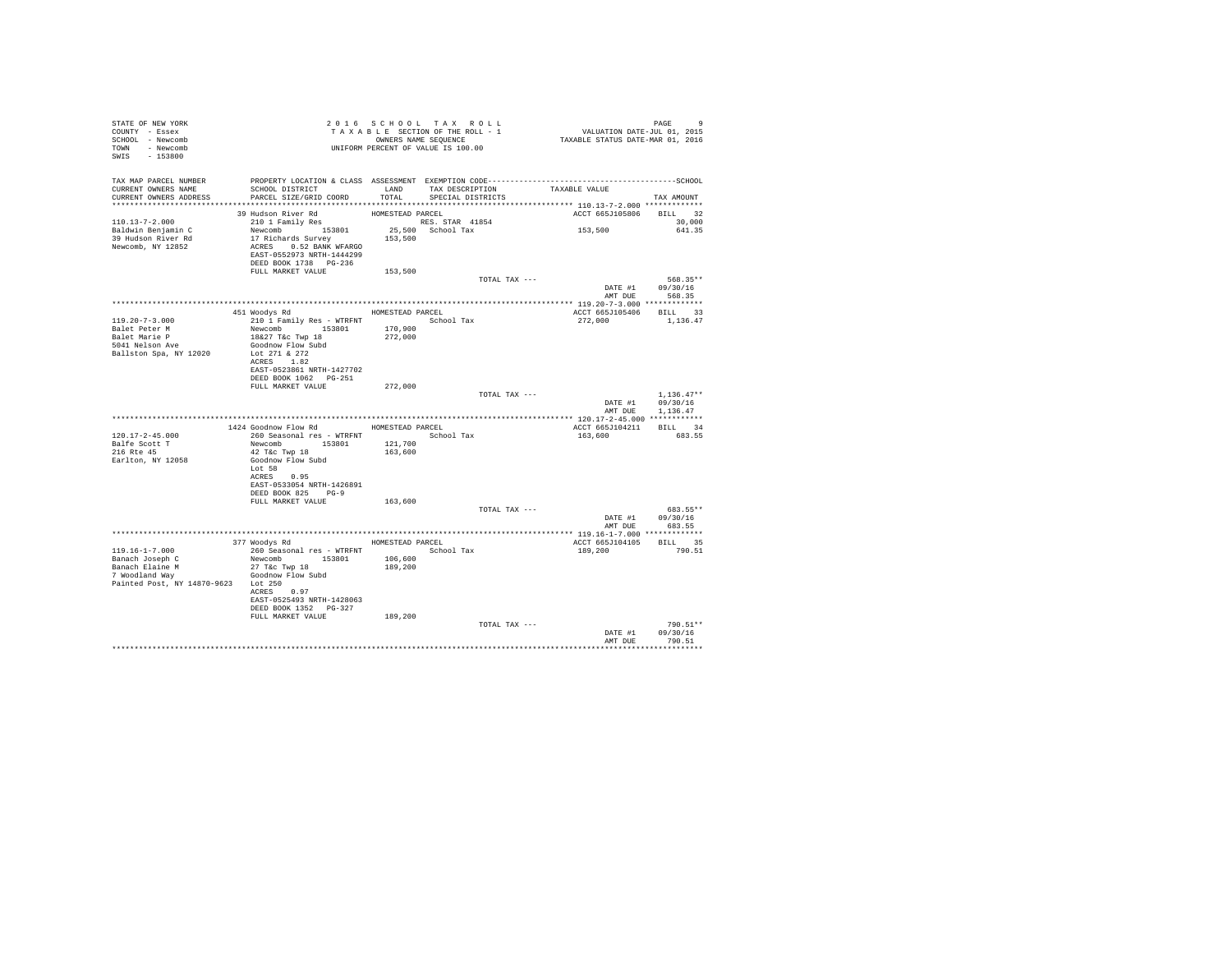| STATE OF NEW YORK                                                                                                                                                                                                             | 2010 SCROUNG SECTION OF THE ROLL - 1<br>TAXABLE SECTION OF THE ROLL - 1<br>OWNERS NAME SEQUENCE<br>UNIFORM PERCENT OF VALUE IS 100.00 |                  |                   |                         |                            |
|-------------------------------------------------------------------------------------------------------------------------------------------------------------------------------------------------------------------------------|---------------------------------------------------------------------------------------------------------------------------------------|------------------|-------------------|-------------------------|----------------------------|
| COUNTY - Essex                                                                                                                                                                                                                |                                                                                                                                       |                  |                   |                         |                            |
| SCHOOL - Newcomb                                                                                                                                                                                                              |                                                                                                                                       |                  |                   |                         |                            |
| TOWN - Newcomb                                                                                                                                                                                                                |                                                                                                                                       |                  |                   |                         |                            |
| SWIS - 153800                                                                                                                                                                                                                 |                                                                                                                                       |                  |                   |                         |                            |
|                                                                                                                                                                                                                               |                                                                                                                                       |                  |                   |                         |                            |
|                                                                                                                                                                                                                               |                                                                                                                                       |                  |                   |                         |                            |
| TAX MAP PARCEL NUMBER PROPERTY LOCATION & CLASS ASSESSMENT EXEMPTION CODE-----------------------------------SCHOOL                                                                                                            |                                                                                                                                       |                  |                   |                         |                            |
| CURRENT OWNERS NAME                                                                                                                                                                                                           | SCHOOL DISTRICT                       LAND        TAX DESCRIPTION                   TAXABLE VALUE                                     |                  |                   |                         |                            |
| CURRENT OWNERS ADDRESS                                                                                                                                                                                                        | PARCEL SIZE/GRID COORD                                                                                                                | TOTAL            | SPECIAL DISTRICTS |                         | TAX AMOUNT                 |
|                                                                                                                                                                                                                               |                                                                                                                                       |                  |                   |                         |                            |
| $110.13-7-2.000 \t\t 39 Hudson River Rd \t\t HOMESTEAD PARCEL \t\t 210 I Family Res \t\t Ba1dwin Benjamin C \t\t 210 II21S400 School Tax \t\t 25,500 School Tax \t\t 39 Hudson River Rd \t\t 17 Richards Survey \t\t 153,500$ | 39 Hudson River Rd                                                                                                                    | HOMESTEAD PARCEL |                   | ACCT 665J105806 BILL 32 |                            |
|                                                                                                                                                                                                                               |                                                                                                                                       |                  |                   |                         | 30,000                     |
|                                                                                                                                                                                                                               |                                                                                                                                       |                  |                   | 153,500                 | 641.35                     |
|                                                                                                                                                                                                                               |                                                                                                                                       |                  |                   |                         |                            |
| Newcomb, NY 12852                                                                                                                                                                                                             | ACRES 0.52 BANK WFARGO                                                                                                                |                  |                   |                         |                            |
|                                                                                                                                                                                                                               | EAST-0552973 NRTH-1444299                                                                                                             |                  |                   |                         |                            |
|                                                                                                                                                                                                                               | DEED BOOK 1738 PG-236                                                                                                                 |                  |                   |                         |                            |
|                                                                                                                                                                                                                               | FULL MARKET VALUE 153,500                                                                                                             |                  |                   |                         |                            |
|                                                                                                                                                                                                                               |                                                                                                                                       |                  | TOTAL TAX ---     |                         | 568.35**                   |
|                                                                                                                                                                                                                               |                                                                                                                                       |                  |                   |                         | DATA 09/30/16              |
|                                                                                                                                                                                                                               |                                                                                                                                       |                  |                   | AMT DUE                 | 568.35                     |
|                                                                                                                                                                                                                               |                                                                                                                                       |                  |                   |                         |                            |
|                                                                                                                                                                                                                               | 451 Woodys Rd MOMESTEAD PARCEL                                                                                                        |                  |                   | ACCT 665J105406 BILL 33 |                            |
| $119.20 - 7 - 3.000$                                                                                                                                                                                                          |                                                                                                                                       |                  |                   | 272,000 1,136.47        |                            |
| Balet Peter M                                                                                                                                                                                                                 |                                                                                                                                       |                  |                   |                         |                            |
| Balet Marie P                                                                                                                                                                                                                 |                                                                                                                                       |                  |                   |                         |                            |
| $5041$ Nelson Ave                                                                                                                                                                                                             | Goodnow Flow Subd                                                                                                                     |                  |                   |                         |                            |
| Ballston Spa, NY 12020                                                                                                                                                                                                        | Lot 271 & 272                                                                                                                         |                  |                   |                         |                            |
|                                                                                                                                                                                                                               | ACRES 1.82                                                                                                                            |                  |                   |                         |                            |
|                                                                                                                                                                                                                               | EAST-0523861 NRTH-1427702                                                                                                             |                  |                   |                         |                            |
|                                                                                                                                                                                                                               | DEED BOOK 1062 PG-251                                                                                                                 |                  |                   |                         |                            |
|                                                                                                                                                                                                                               | FULL MARKET VALUE                                                                                                                     | 272,000          |                   |                         |                            |
|                                                                                                                                                                                                                               |                                                                                                                                       |                  | TOTAL TAX ---     |                         | $1,136.47**$               |
|                                                                                                                                                                                                                               |                                                                                                                                       |                  |                   |                         | DATE #1 09/30/16           |
|                                                                                                                                                                                                                               |                                                                                                                                       |                  |                   |                         | AMT DUE 1,136.47           |
|                                                                                                                                                                                                                               |                                                                                                                                       |                  |                   |                         |                            |
|                                                                                                                                                                                                                               | 1424 Goodnow Flow Rd MOMESTEAD PARCEL                                                                                                 |                  |                   | ACCT 665J104211 BILL 34 |                            |
| 120.17-2-45.000                                                                                                                                                                                                               | 260 Seasonal res - WTRFNT                                                                                                             |                  | School Tax        | 163,600                 | 683.55                     |
| Balfe Scott T<br>216 Rte 45                                                                                                                                                                                                   | Newcomb 153801 121,700<br>42 T&c Twp 18 163,600<br>Goodnow Flow Subd                                                                  |                  |                   |                         |                            |
|                                                                                                                                                                                                                               |                                                                                                                                       |                  |                   |                         |                            |
| Earlton, NY 12058                                                                                                                                                                                                             |                                                                                                                                       |                  |                   |                         |                            |
|                                                                                                                                                                                                                               | Lot 58<br>ACRES 0.95                                                                                                                  |                  |                   |                         |                            |
|                                                                                                                                                                                                                               | EAST-0533054 NRTH-1426891                                                                                                             |                  |                   |                         |                            |
|                                                                                                                                                                                                                               | DEED BOOK 825 PG-9                                                                                                                    |                  |                   |                         |                            |
|                                                                                                                                                                                                                               | FULL MARKET VALUE                                                                                                                     | 163,600          |                   |                         |                            |
|                                                                                                                                                                                                                               |                                                                                                                                       |                  | TOTAL TAX ---     |                         | 683.55**                   |
|                                                                                                                                                                                                                               |                                                                                                                                       |                  |                   |                         |                            |
|                                                                                                                                                                                                                               |                                                                                                                                       |                  |                   | AMT DUE                 | DATE #1 09/30/16<br>683.55 |
|                                                                                                                                                                                                                               |                                                                                                                                       |                  |                   |                         |                            |
|                                                                                                                                                                                                                               | 377 Woodys Rd MOMESTEAD PARCEL                                                                                                        |                  |                   | ACCT 665J104105 BILL 35 |                            |
| 119.16-1-7.000                                                                                                                                                                                                                | 260 Seasonal res - WTRFNT School Tax                                                                                                  |                  |                   | 189,200                 | 790.51                     |
| Banach Joseph C                                                                                                                                                                                                               | Newcomb 153801 106,600                                                                                                                |                  |                   |                         |                            |
|                                                                                                                                                                                                                               | $27$ T&C Twp $18$                                                                                                                     | 189,200          |                   |                         |                            |
| Banach Elaine M<br>7 Woodland Way                                                                                                                                                                                             | Goodnow Flow Subd                                                                                                                     |                  |                   |                         |                            |
| Painted Post, NY 14870-9623 Lot 250                                                                                                                                                                                           |                                                                                                                                       |                  |                   |                         |                            |
|                                                                                                                                                                                                                               | ACRES 0.97                                                                                                                            |                  |                   |                         |                            |
|                                                                                                                                                                                                                               | EAST-0525493 NRTH-1428063                                                                                                             |                  |                   |                         |                            |
|                                                                                                                                                                                                                               | DEED BOOK 1352 PG-327                                                                                                                 |                  |                   |                         |                            |
|                                                                                                                                                                                                                               | FULL MARKET VALUE                                                                                                                     | 189,200          |                   |                         |                            |
|                                                                                                                                                                                                                               |                                                                                                                                       |                  | TOTAL TAX ---     |                         | $790.51**$                 |
|                                                                                                                                                                                                                               |                                                                                                                                       |                  |                   | DATE #1                 | 09/30/16                   |
|                                                                                                                                                                                                                               |                                                                                                                                       |                  |                   |                         | AMT DUE 790.51             |
|                                                                                                                                                                                                                               |                                                                                                                                       |                  |                   |                         |                            |
|                                                                                                                                                                                                                               |                                                                                                                                       |                  |                   |                         |                            |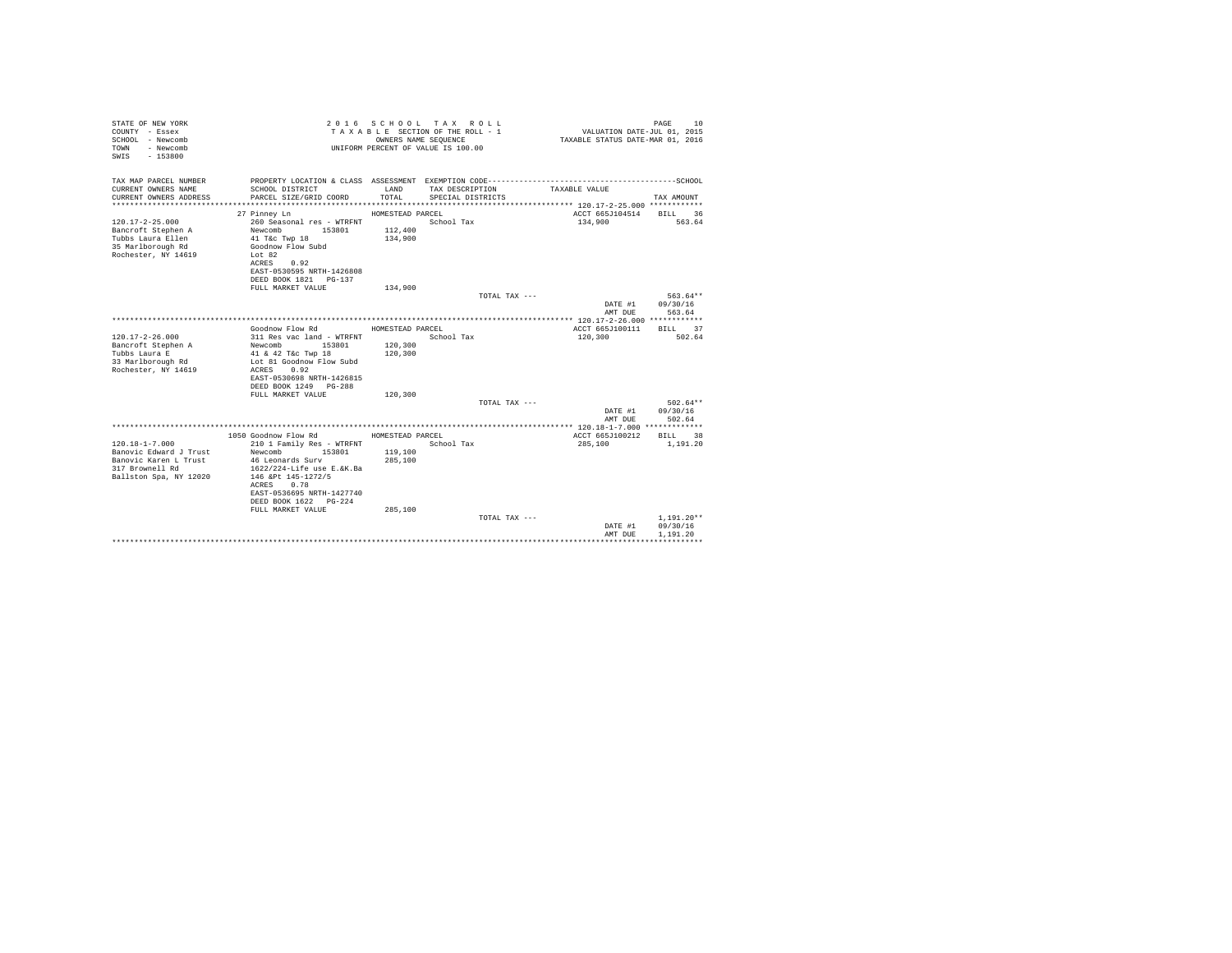| 2016 SCHOOL TAX ROLL<br>STATE OF NEW YORK<br>VALUATION DATE-JUL 01, 2015<br>TAXABLE SECTION OF THE ROLL - 1<br>COUNTY - Essex<br>SCHOOL - Newcomb<br>OWNERS NAME SEOUENCE<br>TAXABLE STATUS DATE-MAR 01, 2016<br>- Newcomb<br>UNIFORM PERCENT OF VALUE IS 100.00<br>TOWN<br>SWIS<br>$-153800$                                                                                                       | PAGE<br>10                       |
|-----------------------------------------------------------------------------------------------------------------------------------------------------------------------------------------------------------------------------------------------------------------------------------------------------------------------------------------------------------------------------------------------------|----------------------------------|
| TAX MAP PARCEL NUMBER                                                                                                                                                                                                                                                                                                                                                                               |                                  |
| CURRENT OWNERS NAME<br>SCHOOL DISTRICT<br>LAND<br>TAX DESCRIPTION<br>TAXABLE VALUE<br>CURRENT OWNERS ADDRESS<br>PARCEL SIZE/GRID COORD<br>TOTAL<br>SPECIAL DISTRICTS                                                                                                                                                                                                                                | TAX AMOUNT                       |
| 27 Pinney Ln<br>ACCT 665J104514<br>HOMESTEAD PARCEL                                                                                                                                                                                                                                                                                                                                                 | BILL<br>36                       |
| $120.17 - 2 - 25.000$<br>260 Seasonal res - WTRFNT<br>School Tax<br>134,900<br>Bancroft Stephen A<br>Newcomb<br>153801<br>112,400<br>Tubbs Laura Ellen<br>134,900<br>41 T&c Twp 18<br>35 Marlborough Rd<br>Goodnow Flow Subd<br>Rochester, NY 14619<br>Lot 82<br>0.92<br>ACRES<br>EAST-0530595 NRTH-1426808<br>DEED BOOK 1821   PG-137                                                              | 563.64                           |
| 134,900<br>FULL MARKET VALUE                                                                                                                                                                                                                                                                                                                                                                        |                                  |
| TOTAL TAX ---<br>DATE #1<br>AMT DUE                                                                                                                                                                                                                                                                                                                                                                 | 563.64**<br>09/30/16<br>563.64   |
|                                                                                                                                                                                                                                                                                                                                                                                                     |                                  |
| Goodnow Flow Rd<br>ACCT 665J100111<br>HOMESTEAD PARCEL<br>$120.17 - 2 - 26.000$<br>311 Res vac land - WTRFNT<br>School Tax<br>120,300<br>120,300<br>Bancroft Stephen A<br>153801<br>Newcomb<br>Tubbs Laura E<br>120,300<br>41 & 42 T&c Twp 18<br>33 Marlborough Rd<br>Lot 81 Goodnow Flow Subd<br>Rochester, NY 14619<br>0.92<br>ACRES<br>EAST-0530698 NRTH-1426815<br>DEED BOOK 1249 PG-288        | BILL 37<br>502.64                |
| 120,300<br>FULL MARKET VALUE                                                                                                                                                                                                                                                                                                                                                                        |                                  |
| TOTAL TAX ---<br>DATE #1<br>AMT DUE                                                                                                                                                                                                                                                                                                                                                                 | $502.64**$<br>09/30/16<br>502.64 |
| ********** 120.18-1-7.000 *************                                                                                                                                                                                                                                                                                                                                                             |                                  |
| 1050 Goodnow Flow Rd<br>ACCT 665J100212<br>HOMESTEAD PARCEL                                                                                                                                                                                                                                                                                                                                         | BILL.<br>38                      |
| $120.18 - 1 - 7.000$<br>210 1 Family Res - WTRFNT<br>School Tax<br>285,100<br>Banovic Edward J Trust<br>Newcomb<br>153801<br>119,100<br>Banovic Karen L Trust<br>46 Leonards Surv<br>285,100<br>1622/224-Life use E.&K.Ba<br>317 Brownell Rd<br>Ballston Spa, NY 12020<br>146 &Pt 145-1272/5<br>ACRES<br>0.78<br>EAST-0536695 NRTH-1427740<br>DEED BOOK 1622 PG-224<br>FULL MARKET VALUE<br>285,100 | 1,191.20                         |
| TOTAL TAX ---<br>DATE #1                                                                                                                                                                                                                                                                                                                                                                            | $1,191.20**$<br>09/30/16         |
| AMT DUE                                                                                                                                                                                                                                                                                                                                                                                             | 1,191.20                         |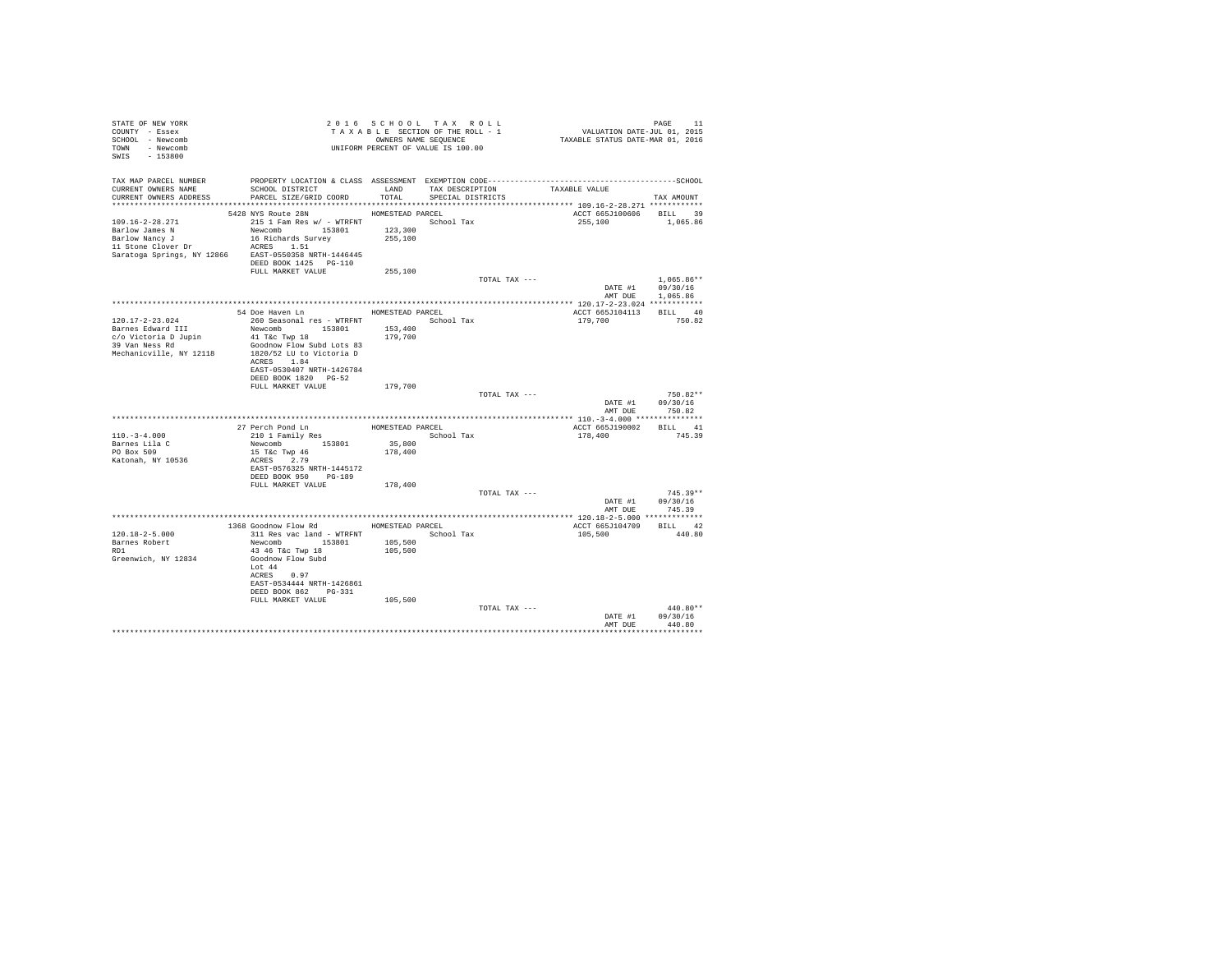| STATE OF NEW YORK<br>COUNTY - Essex<br>SCHOOL - Newcomb<br>TOWN - Newcomb<br>SWIS<br>$-153800$              | T A X A B B B B A SEQUENCE<br>UNIFORM PERCENT OF VALUE IS 100.00                                                                                                                                                                            |                                        | 2016 SCHOOL TAX ROLL<br>TAXABLE SECTION OF THE ROLL - 1<br>OWNERS NAME SEQUENCE | PAGE 11<br>VALUATION DATE-JUL 01, 2015<br>TAXABLE STATUS DATE-MAR 01, 2016                                                                                                   |                                          |
|-------------------------------------------------------------------------------------------------------------|---------------------------------------------------------------------------------------------------------------------------------------------------------------------------------------------------------------------------------------------|----------------------------------------|---------------------------------------------------------------------------------|------------------------------------------------------------------------------------------------------------------------------------------------------------------------------|------------------------------------------|
| TAX MAP PARCEL NUMBER<br>CURRENT OWNERS NAME<br>CURRENT OWNERS ADDRESS                                      | SCHOOL DISTRICT<br>PARCEL SIZE/GRID COORD                                                                                                                                                                                                   | LAND<br>TOTAL                          | TAX DESCRIPTION<br>SPECIAL DISTRICTS                                            | PROPERTY LOCATION & CLASS ASSESSMENT EXEMPTION CODE-----------------------------------SCHOOL<br>TAXABLE VALUE<br>****************************** 109.16-2-28.271 ************ | TAX AMOUNT                               |
| 109.16-2-28.271<br>Barlow James N<br>Barlow Nancy J<br>Saratoga Springs, NY 12866 EAST-0550358 NRTH-1446445 | 5428 NYS Route 28N<br>215 1 Fam Res w/ - WTRFNT School Tax<br>Newcomb 153801<br>16 Richards Survey<br>DEED BOOK 1425 PG-110                                                                                                                 | HOMESTEAD PARCEL<br>123,300<br>255,100 |                                                                                 | ACCT 665J100606 BILL 39<br>255,100                                                                                                                                           | 1,065.86                                 |
|                                                                                                             | FULL MARKET VALUE                                                                                                                                                                                                                           | 255,100                                | TOTAL TAX ---                                                                   | DATE #1 09/30/16<br>AMT DUE                                                                                                                                                  | $1.065.86**$<br>1,065.86                 |
| 120.17-2-23.024<br>Barnes Edward III<br>c/o Victoria D Jupin<br>39 Van Ness Rd<br>Mechanicville, NY 12118   | 54 Doe Haven Ln<br>260 Seasonal res - WTRFNT School Tax<br>Newcomb 153801<br>41 T&c Twp 18<br>Goodnow Flow Subd Lots 83<br>1820/52 LU to Victoria D<br>ACRES 1.84<br>EAST-0530407 NRTH-1426784<br>DEED BOOK 1820 PG-52<br>FULL MARKET VALUE | HOMESTEAD PARCEL<br>153,400<br>179,700 |                                                                                 | ACCT 665J104113<br>179,700                                                                                                                                                   | BILL 40<br>750.82                        |
|                                                                                                             |                                                                                                                                                                                                                                             | 179,700                                | TOTAL TAX ---                                                                   | DATE #1<br>AMT DUE                                                                                                                                                           | $750.82**$<br>09/30/16<br>750.82         |
| $110. -3 - 4.000$<br>Barnes Lila C<br>PO Box 509<br>Katonah, NY 10536                                       | 27 Perch Pond Ln<br>210 1 Family Res<br>Newcomb 153801<br>15 T&c Twp 46<br>ACRES 2.79<br>EAST-0576325 NRTH-1445172<br>DEED BOOK 950 PG-189                                                                                                  | HOMESTEAD PARCEL<br>35,800<br>178,400  | School Tax                                                                      | ACCT 665J190002<br>178,400                                                                                                                                                   | BILL 41<br>745.39                        |
|                                                                                                             | FULL MARKET VALUE                                                                                                                                                                                                                           | 178,400                                | TOTAL TAX ---                                                                   | DATE #1                                                                                                                                                                      | $745.39**$<br>09/30/16<br>AMT DUE 745.39 |
| $120.18 - 2 - 5.000$<br>Barnes Robert<br>RD1<br>Greenwich, NY 12834                                         | 1368 Goodnow Flow Rd HOMESTEAD PARCEL<br>311 Res vac land - WTRFNT<br>Newcomb 153801<br>43 46 T&C Twp 18<br>Goodnow Flow Subd<br>Lot 44<br>ACRES 0.97<br>EAST-0534444 NRTH-1426861<br>DEED BOOK 862 PG-331                                  | 105,500<br>105,500                     | School Tax                                                                      | ACCT 665J104709<br>105,500                                                                                                                                                   | BILL 42<br>440.80                        |
|                                                                                                             | FULL MARKET VALUE                                                                                                                                                                                                                           | 105,500                                | TOTAL TAX ---                                                                   | DATE #1<br>AMT DUE                                                                                                                                                           | $440.80**$<br>09/30/16<br>440.80         |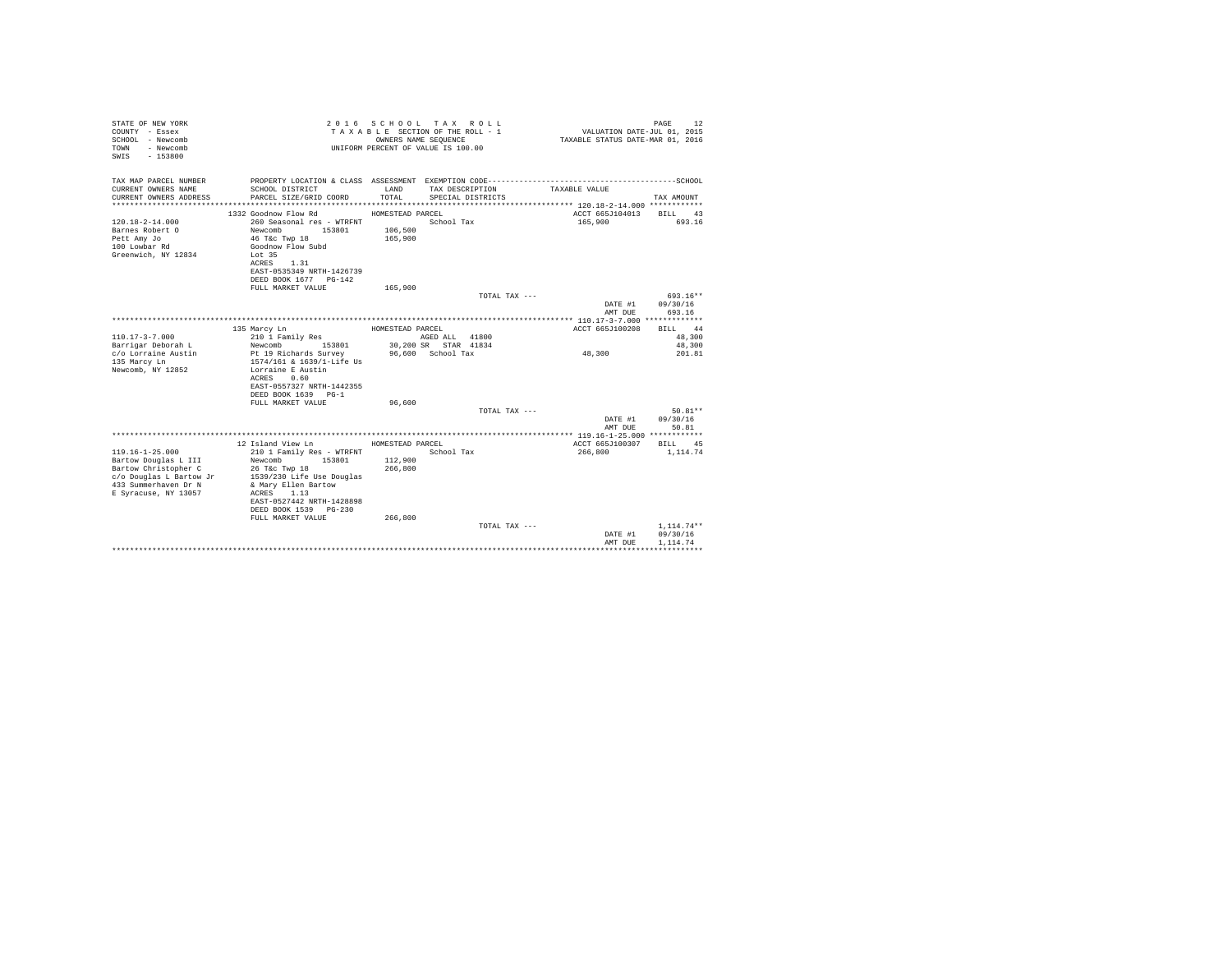| STATE OF NEW YORK<br>COUNTY - Essex<br>SCHOOL - Newcomb<br>- Newcomb<br>TOWN<br>SWIS - 153800 |                                                | 2016 SCHOOL TAX ROLL<br>TAXABLE SECTION OF THE ROLL - 1<br>UNIFORM PERCENT OF VALUE IS 100.00 | OWNERS NAME SEQUENCE |                   | VALUATION DATE-JUL $01$ , 2015<br>TAXABLE STATUS DATE-MAR 01, 2016 | PAGE<br>12               |
|-----------------------------------------------------------------------------------------------|------------------------------------------------|-----------------------------------------------------------------------------------------------|----------------------|-------------------|--------------------------------------------------------------------|--------------------------|
| TAX MAP PARCEL NUMBER<br>CURRENT OWNERS NAME                                                  | SCHOOL DISTRICT                                | LAND                                                                                          | TAX DESCRIPTION      |                   | TAXABLE VALUE                                                      |                          |
| CURRENT OWNERS ADDRESS                                                                        | PARCEL SIZE/GRID COORD                         | TOTAL.                                                                                        |                      | SPECIAL DISTRICTS |                                                                    | TAX AMOUNT               |
|                                                                                               |                                                |                                                                                               |                      |                   |                                                                    |                          |
|                                                                                               | 1332 Goodnow Flow Rd                           | HOMESTEAD PARCEL                                                                              |                      |                   | ACCT 665J104013                                                    | BILL 43                  |
| $120.18 - 2 - 14.000$                                                                         | 260 Seasonal res - WTRFNT                      |                                                                                               | School Tax           |                   | 165,900                                                            | 693.16                   |
| Barnes Robert O                                                                               | Newcomb<br>153801                              | 106,500                                                                                       |                      |                   |                                                                    |                          |
| Pett Amy Jo                                                                                   | 46 T&c Twp 18                                  | 165,900                                                                                       |                      |                   |                                                                    |                          |
| 100 Lowbar Rd                                                                                 | Goodnow Flow Subd                              |                                                                                               |                      |                   |                                                                    |                          |
| Greenwich, NY 12834                                                                           | Lot 35<br>1.31<br>ACRES                        |                                                                                               |                      |                   |                                                                    |                          |
|                                                                                               | EAST-0535349 NRTH-1426739                      |                                                                                               |                      |                   |                                                                    |                          |
|                                                                                               | DEED BOOK 1677 PG-142                          |                                                                                               |                      |                   |                                                                    |                          |
|                                                                                               | FULL MARKET VALUE                              | 165,900                                                                                       |                      |                   |                                                                    |                          |
|                                                                                               |                                                |                                                                                               |                      | TOTAL TAX ---     |                                                                    | 693.16**                 |
|                                                                                               |                                                |                                                                                               |                      |                   | DATE #1                                                            | 09/30/16                 |
|                                                                                               |                                                |                                                                                               |                      |                   | AMT DUE                                                            | 693.16                   |
|                                                                                               | 135 Marcy Ln                                   | HOMESTEAD PARCEL                                                                              |                      |                   | ACCT 665J100208                                                    | BILL 44                  |
| $110.17 - 3 - 7.000$                                                                          | 210 1 Family Res                               |                                                                                               | AGED ALL 41800       |                   |                                                                    | 48,300                   |
| Barrigar Deborah L                                                                            | 153801<br>Newcomb                              |                                                                                               | 30,200 SR STAR 41834 |                   |                                                                    | 48,300                   |
| c/o Lorraine Austin                                                                           | Pt 19 Richards Survey                          |                                                                                               | 96,600 School Tax    |                   | 48,300                                                             | 201.81                   |
| 135 Marcy Ln                                                                                  | 1574/161 & 1639/1-Life Us                      |                                                                                               |                      |                   |                                                                    |                          |
| Newcomb, NY 12852                                                                             | Lorraine E Austin                              |                                                                                               |                      |                   |                                                                    |                          |
|                                                                                               | ACRES 0.60<br>EAST-0557327 NRTH-1442355        |                                                                                               |                      |                   |                                                                    |                          |
|                                                                                               | DEED BOOK 1639 PG-1                            |                                                                                               |                      |                   |                                                                    |                          |
|                                                                                               | FULL MARKET VALUE                              | 96,600                                                                                        |                      |                   |                                                                    |                          |
|                                                                                               |                                                |                                                                                               |                      | TOTAL TAX ---     |                                                                    | $50.81**$                |
|                                                                                               |                                                |                                                                                               |                      |                   | DATE #1                                                            | 09/30/16                 |
|                                                                                               |                                                |                                                                                               |                      |                   | AMT DUE                                                            | 50.81                    |
|                                                                                               |                                                |                                                                                               |                      |                   |                                                                    |                          |
|                                                                                               | 12 Island View Ln                              | HOMESTEAD PARCEL                                                                              |                      |                   | ACCT 665J100307                                                    | BILL<br>45               |
| $119.16 - 1 - 25.000$<br>Bartow Douglas L III                                                 | 210 1 Family Res - WTRFNT<br>153801<br>Newcomb | 112,900                                                                                       | School Tax           |                   | 266,800                                                            | 1,114.74                 |
| Bartow Christopher C                                                                          | 26 T&c Twp 18                                  | 266,800                                                                                       |                      |                   |                                                                    |                          |
| c/o Douglas L Bartow Jr                                                                       | 1539/230 Life Use Douglas                      |                                                                                               |                      |                   |                                                                    |                          |
| 433 Summerhaven Dr N                                                                          | & Mary Ellen Bartow                            |                                                                                               |                      |                   |                                                                    |                          |
| E Syracuse, NY 13057                                                                          | ACRES 1.13                                     |                                                                                               |                      |                   |                                                                    |                          |
|                                                                                               | EAST-0527442 NRTH-1428898                      |                                                                                               |                      |                   |                                                                    |                          |
|                                                                                               | DEED BOOK 1539 PG-230                          |                                                                                               |                      |                   |                                                                    |                          |
|                                                                                               | FULL MARKET VALUE                              | 266,800                                                                                       |                      |                   |                                                                    |                          |
|                                                                                               |                                                |                                                                                               |                      | TOTAL TAX ---     | DATE #1                                                            | $1.114.74**$<br>09/30/16 |
|                                                                                               |                                                |                                                                                               |                      |                   | AMT DUE                                                            | 1.114.74                 |
|                                                                                               |                                                |                                                                                               |                      |                   |                                                                    | .                        |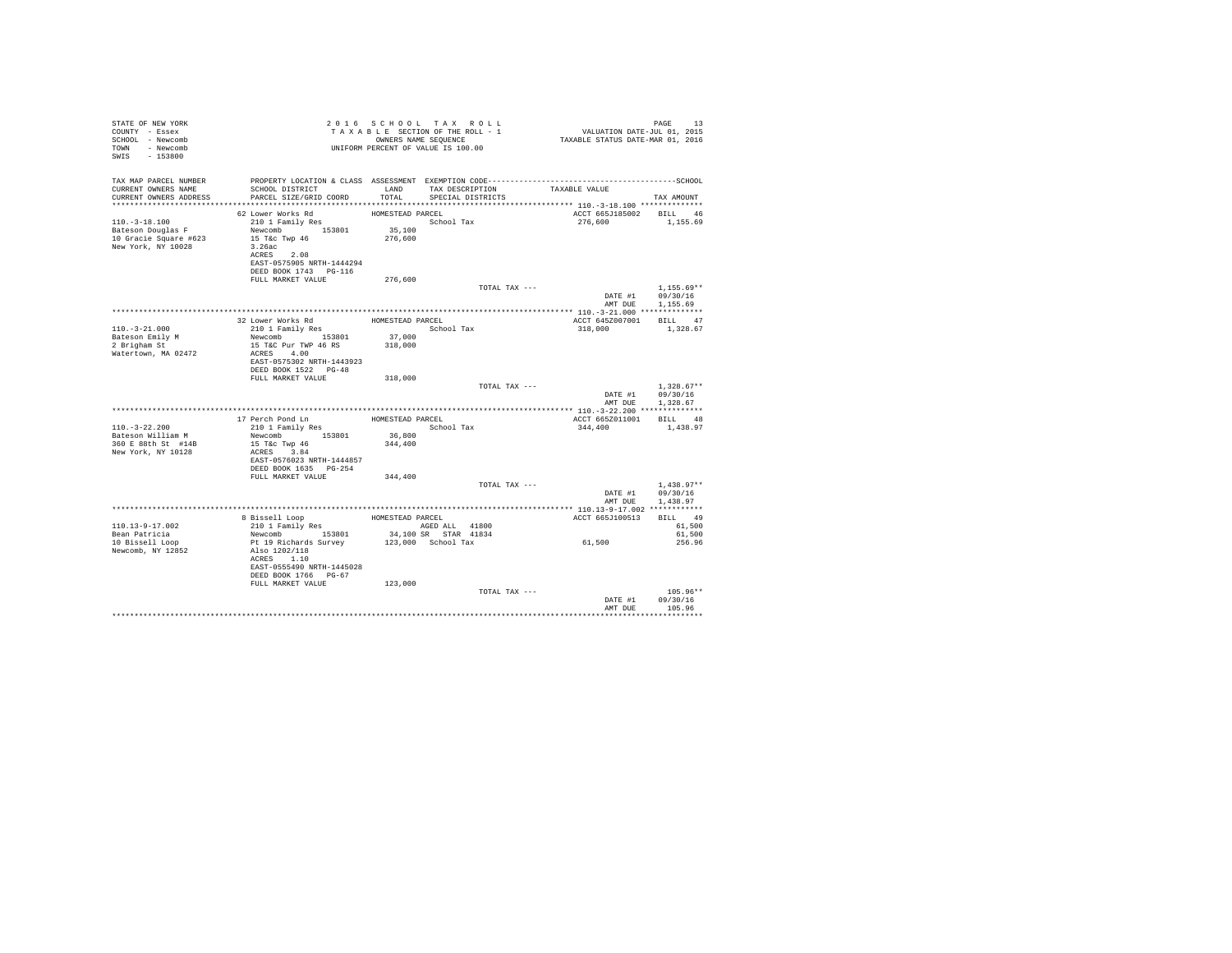| STATE OF NEW YORK<br>COUNTY - Essex<br>SCHOOL - Newcomb<br>TOWN - Newcomb<br>SWIS - 153800 | TAXABLE SECTION OF THE ROLL - 1<br>TAXABLE SECTION OF THE ROLL - 1<br>OWNERS NAME SEQUENCE<br>UNIFORM PERCENT OF VALUE IS 100.00                                                                                       |                             |                                                               | PAGE 13<br>VALUATION DATE-JUL 01, 2015<br>TAXABLE STATUS DATE-MAR 01, 2016                                          |                                                      |
|--------------------------------------------------------------------------------------------|------------------------------------------------------------------------------------------------------------------------------------------------------------------------------------------------------------------------|-----------------------------|---------------------------------------------------------------|---------------------------------------------------------------------------------------------------------------------|------------------------------------------------------|
| CURRENT OWNERS NAME<br>CURRENT OWNERS ADDRESS                                              | SCHOOL DISTRICT<br>PARCEL SIZE/GRID COORD                                                                                                                                                                              |                             | LAND TAX DESCRIPTION TAXABLE VALUE<br>TOTAL SPECIAL DISTRICTS | TAX MAP PARCEL NUMBER THE PROPERTY LOCATION & CLASS ASSESSMENT EXEMPTION CODE--------------------------------SCHOOL | TAX AMOUNT                                           |
| $110. - 3 - 18.100$<br>Bateson Douglas F<br>10 Gracie Square #623<br>New York, NY 10028    | 62 Lower Works Rd<br>210 1 Family Res<br>Newcomb 153801 35,100<br>15 T&c Twp 46<br>3.26ac<br>ACRES 2.08<br>EAST-0575905 NRTH-1444294<br>DEED BOOK 1743 PG-116                                                          | HOMESTEAD PARCEL<br>276,600 | School Tax                                                    | ACCT 665J185002 BILL 46<br>276,600 1,155.69                                                                         |                                                      |
|                                                                                            | FULL MARKET VALUE                                                                                                                                                                                                      | 276,600                     | TOTAL TAX ---                                                 |                                                                                                                     | $1,155.69**$<br>DATE #1 09/30/16<br>AMT DUE 1,155.69 |
| $110. - 3 - 21.000$<br>Bateson Emily M<br>2 Brigham St<br>Watertown, MA 02472              | $\begin{tabular}{llll} 32 Lower Works Rd & & \text{HOMESTBAD PARCEL} \\ 210 1 Family Res & & \text{Scho} \\ \end{tabular}$<br>Newcomb 153801 37,000<br>15 T&C Pur TWP 46 RS<br>ACRES 4.00<br>EAST-0575302 NRTH-1443923 | 318,000                     | School Tax                                                    | ACCT 645Z007001 BILL 47<br>318,000 1,328.67                                                                         |                                                      |
|                                                                                            | DEED BOOK 1522 PG-48<br>FULL MARKET VALUE                                                                                                                                                                              | 318,000                     | TOTAL TAX ---                                                 |                                                                                                                     | $1.328.67**$<br>DATE #1 09/30/16                     |
|                                                                                            | 17 Perch Pond Ln<br>210 1 Family Res                                                                                                                                                                                   | HOMESTEAD PARCEL            |                                                               | ACCT 665Z011001 BILL 48                                                                                             | AMT DUE 1,328.67                                     |
| $110.-3-22.200$<br>Bateson William M<br>360 E 88th St #14B<br>New York, NY 10128           | Newcomb 153801<br>15 T&C Twp 46<br>ACRES 3.84<br>EAST-0576023 NRTH-1444857<br>DEED BOOK 1635 PG-254                                                                                                                    | 36,800<br>344,400           | School Tax                                                    | 344,400                                                                                                             | 1,438.97                                             |
|                                                                                            | FULL MARKET VALUE 344,400                                                                                                                                                                                              |                             | TOTAL TAX ---                                                 |                                                                                                                     | $1.438.97**$<br>DATE #1 09/30/16<br>AMT DUE 1.438.97 |
|                                                                                            |                                                                                                                                                                                                                        |                             |                                                               |                                                                                                                     |                                                      |
| 110.13-9-17.002<br>Bean Patricia                                                           |                                                                                                                                                                                                                        |                             |                                                               | ACCT 665J100513 BILL 49                                                                                             | 61,500<br>61,500                                     |
| 10 Bissell Loop<br>Newcomb, NY 12852                                                       | ACRES 1.10<br>EAST-0555490 NRTH-1445028<br>DEED BOOK 1766 PG-67<br>FULL MARKET VALUE                                                                                                                                   | 123,000                     |                                                               | 61,500                                                                                                              | 256.96                                               |
|                                                                                            |                                                                                                                                                                                                                        |                             | TOTAL TAX ---                                                 | DATE #1<br>AMT DUE                                                                                                  | $105.96**$<br>09/30/16<br>105.96                     |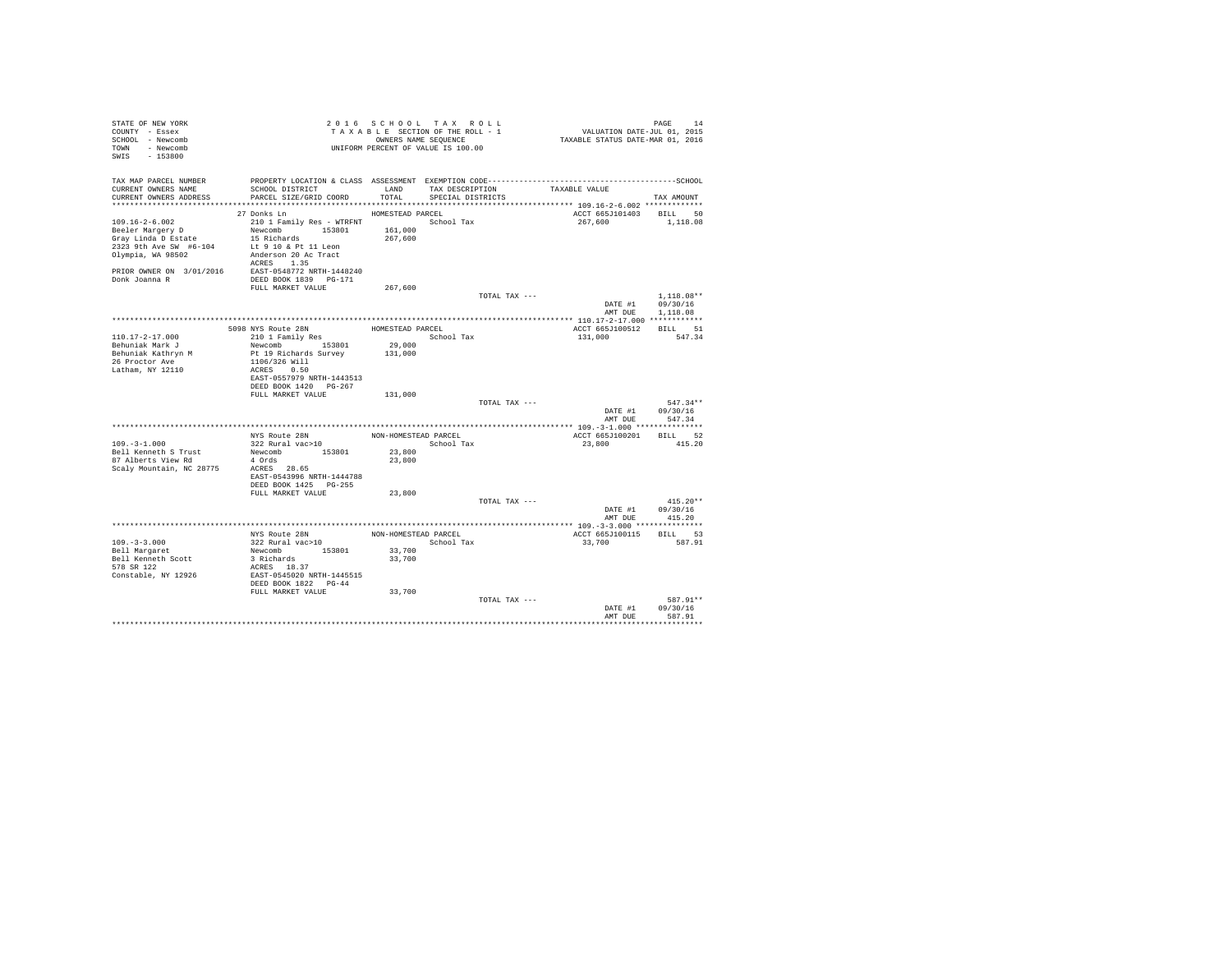| STATE OF NEW YORK<br>COUNTY - Essex<br>SCHOOL - Newcomb<br>TOWN - Newcomb<br>SWIS - 153800                                                                                            |                                                                                                                                                                  |                                        | 2016 SCHOOL TAX ROLL<br>TAXABLE SECTION OF THE ROLL - 1<br>OWNERS NAME SEOUENCE<br>UNIFORM PERCENT OF VALUE IS 100.00 |                 | 44 PAGE<br>7101, VALUATION DATE-JUL 01, 2015<br>712XABLE STATUS DATE-MAR 01, 2016 | PAGE<br>14                       |
|---------------------------------------------------------------------------------------------------------------------------------------------------------------------------------------|------------------------------------------------------------------------------------------------------------------------------------------------------------------|----------------------------------------|-----------------------------------------------------------------------------------------------------------------------|-----------------|-----------------------------------------------------------------------------------|----------------------------------|
| TAX MAP PARCEL NUMBER<br>CURRENT OWNERS NAME<br>CURRENT OWNERS ADDRESS                                                                                                                | SCHOOL DISTRICT<br>PARCEL SIZE/GRID COORD TOTAL                                                                                                                  | LAND                                   | SPECIAL DISTRICTS                                                                                                     | TAX DESCRIPTION | TAXABLE VALUE                                                                     | TAX AMOUNT                       |
| $109.16 - 2 - 6.002$<br>Beeler Margery D<br>Gray Linda D Estate<br>2323 9th Ave SW #6-104<br>Olympia, WA 98502<br>PRIOR OWNER ON 3/01/2016 EAST-0548772 NRTH-1448240<br>Donk Joanna R | 27 Donks Ln<br>210 1 Family Res - WTRFNT<br>Newcomb 153801<br>15 Richards<br>Lt 9 10 & Pt 11 Leon<br>Anderson 20 Ac Tract<br>ACRES 1.35<br>DEED BOOK 1839 PG-171 | HOMESTEAD PARCEL<br>161,000<br>267,600 | School Tax                                                                                                            |                 | ACCT 665J101403 BILL 50<br>267.600                                                | 1,118.08                         |
|                                                                                                                                                                                       | FULL MARKET VALUE                                                                                                                                                | 267,600                                |                                                                                                                       | TOTAL TAX ---   |                                                                                   | $1.118.08**$<br>DATE #1 09/30/16 |
|                                                                                                                                                                                       |                                                                                                                                                                  |                                        |                                                                                                                       |                 |                                                                                   | AMT DUE 1,118.08                 |
|                                                                                                                                                                                       | 5098 NYS Route 28N                                                                                                                                               | HOMESTEAD PARCEL                       |                                                                                                                       |                 | ACCT 665J100512                                                                   | BILL 51<br>547.34                |
| $110.17 - 2 - 17.000$<br>Behuniak Mark J                                                                                                                                              | 210 1 Family Res<br>Newcomb 153801                                                                                                                               | 29,000                                 | School Tax                                                                                                            |                 | 131,000                                                                           |                                  |
| Behuniak Kathryn M                                                                                                                                                                    | Pt 19 Richards Survey                                                                                                                                            | 131,000                                |                                                                                                                       |                 |                                                                                   |                                  |
| 26 Proctor Ave<br>Latham, NY 12110                                                                                                                                                    | 1106/326 Will<br>ACRES 0.50<br>EAST-0557979 NRTH-1443513<br>DEED BOOK 1420 PG-267                                                                                |                                        |                                                                                                                       |                 |                                                                                   |                                  |
|                                                                                                                                                                                       | FULL MARKET VALUE                                                                                                                                                | 131,000                                |                                                                                                                       |                 |                                                                                   |                                  |
|                                                                                                                                                                                       |                                                                                                                                                                  |                                        |                                                                                                                       | TOTAL TAX ---   | DATE #1<br>AMT DUE                                                                | $547.34**$<br>09/30/16<br>547.34 |
|                                                                                                                                                                                       |                                                                                                                                                                  |                                        |                                                                                                                       |                 |                                                                                   |                                  |
| $109. - 3 - 1.000$<br>Bell Kenneth S Trust                                                                                                                                            | NYS Route 28N<br>322 Rural vac>10<br>Newcomb 153801                                                                                                              | NON-HOMESTEAD PARCEL<br>23,800         | School Tax                                                                                                            |                 | ACCT 665J100201 BILL 52<br>23,800                                                 | 415.20                           |
| 87 Alberts View Rd<br>Scaly Mountain, NC 28775                                                                                                                                        | 4 Ords<br>ACRES 28.65<br>EAST-0543996 NRTH-1444788<br>DEED BOOK 1425 PG-255                                                                                      | 23,800                                 |                                                                                                                       |                 |                                                                                   |                                  |
|                                                                                                                                                                                       | FULL MARKET VALUE                                                                                                                                                | 23,800                                 |                                                                                                                       |                 |                                                                                   |                                  |
|                                                                                                                                                                                       |                                                                                                                                                                  |                                        |                                                                                                                       | TOTAL TAX ---   |                                                                                   | $415.20**$<br>DATE #1 09/30/16   |
|                                                                                                                                                                                       |                                                                                                                                                                  |                                        |                                                                                                                       |                 | AMT DUE                                                                           | 415.20                           |
|                                                                                                                                                                                       | NYS Route 28N                                                                                                                                                    | NON-HOMESTEAD PARCEL                   |                                                                                                                       |                 | ACCT 665J100115                                                                   | BILL 53                          |
| $109. - 3 - 3.000$                                                                                                                                                                    | 322 Rural vac>10                                                                                                                                                 |                                        | School Tax                                                                                                            |                 | 33,700                                                                            | 587.91                           |
| Bell Margaret                                                                                                                                                                         | Newcomb 153801                                                                                                                                                   | 33,700                                 |                                                                                                                       |                 |                                                                                   |                                  |
| Bell Kenneth Scott                                                                                                                                                                    | 3 Richards                                                                                                                                                       | 33,700                                 |                                                                                                                       |                 |                                                                                   |                                  |
| 578 SR 122<br>Constable, NY 12926                                                                                                                                                     | ACRES 18.37<br>EAST-0545020 NRTH-1445515<br>DEED BOOK 1822 PG-44                                                                                                 |                                        |                                                                                                                       |                 |                                                                                   |                                  |
|                                                                                                                                                                                       | FULL MARKET VALUE                                                                                                                                                | 33,700                                 |                                                                                                                       |                 |                                                                                   |                                  |
|                                                                                                                                                                                       |                                                                                                                                                                  |                                        |                                                                                                                       | TOTAL TAX ---   | DATE #1<br>AMT DHE                                                                | 587.91**<br>09/30/16<br>587.91   |
|                                                                                                                                                                                       |                                                                                                                                                                  |                                        |                                                                                                                       |                 |                                                                                   | ***********************          |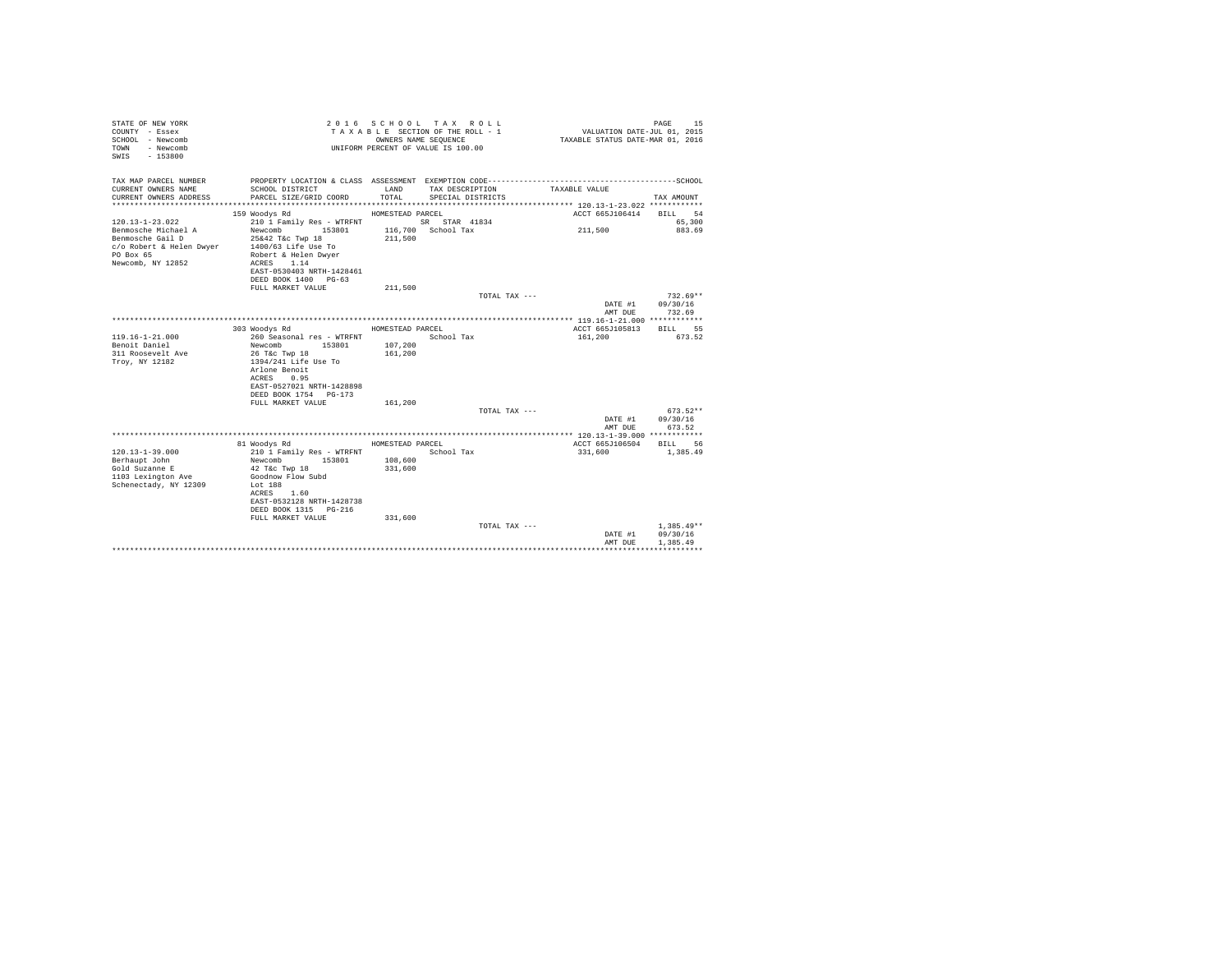| STATE OF NEW YORK<br>COUNTY - Essex<br>SCHOOL - Newcomb<br>- Newcomb<br>TOWN<br>$-153800$<br>SWTS       |                                                                                                                                                                                          |                               | 2016 SCHOOL TAX ROLL<br>TAXABLE SECTION OF THE ROLL - 1<br>OWNERS NAME SEQUENCE<br>UNIFORM PERCENT OF VALUE IS 100.00 | VALUATION DATE-JUL 01, 2015<br>TAXABLE STATUS DATE-MAR 01, 2016 | 15<br>PAGE                           |
|---------------------------------------------------------------------------------------------------------|------------------------------------------------------------------------------------------------------------------------------------------------------------------------------------------|-------------------------------|-----------------------------------------------------------------------------------------------------------------------|-----------------------------------------------------------------|--------------------------------------|
| TAX MAP PARCEL NUMBER                                                                                   |                                                                                                                                                                                          |                               |                                                                                                                       |                                                                 |                                      |
| CURRENT OWNERS NAME<br>CURRENT OWNERS ADDRESS                                                           | SCHOOL DISTRICT<br>PARCEL SIZE/GRID COORD                                                                                                                                                | LAND<br>TOTAL.                | TAX DESCRIPTION<br>SPECIAL DISTRICTS                                                                                  | TAXABLE VALUE                                                   | TAX AMOUNT                           |
|                                                                                                         | 159 Woodys Rd                                                                                                                                                                            | HOMESTEAD PARCEL              |                                                                                                                       | ACCT 665J106414                                                 | BILL 54                              |
| $120.13 - 1 - 23.022$                                                                                   | 210 1 Family Res - WTRFNT                                                                                                                                                                |                               | SR STAR 41834                                                                                                         |                                                                 | 65,300                               |
| Benmosche Michael A<br>Benmosche Gail D<br>c/o Robert & Helen Dwyer<br>PO Box 65<br>Newcomb, NY 12852   | 153801<br>Newcomb<br>25&42 T&c Twp 18<br>1400/63 Life Use To<br>Robert & Helen Dwyer<br>ACRES 1.14<br>EAST-0530403 NRTH-1428461                                                          | 211,500                       | 116,700 School Tax                                                                                                    | 211,500                                                         | 883.69                               |
|                                                                                                         | DEED BOOK 1400 PG-63                                                                                                                                                                     |                               |                                                                                                                       |                                                                 |                                      |
|                                                                                                         | FULL MARKET VALUE                                                                                                                                                                        | 211,500                       |                                                                                                                       |                                                                 |                                      |
|                                                                                                         |                                                                                                                                                                                          |                               | TOTAL TAX ---                                                                                                         |                                                                 | $732.69**$                           |
|                                                                                                         |                                                                                                                                                                                          |                               |                                                                                                                       | DATE #1                                                         | 09/30/16                             |
|                                                                                                         |                                                                                                                                                                                          |                               |                                                                                                                       | AMT DUE                                                         | 732.69                               |
|                                                                                                         | 303 Woodys Rd                                                                                                                                                                            | HOMESTEAD PARCEL              |                                                                                                                       | ACCT 665J105813                                                 | <b>BTLL</b> 55                       |
| $119.16 - 1 - 21.000$<br>Benoit Daniel<br>311 Roosevelt Ave<br>Troy, NY 12182                           | 260 Seasonal res - WTRFNT<br>Newcomb 153801<br>26 T&c Twp 18<br>1394/241 Life Use To<br>Arlone Benoit<br>ACRES 0.95<br>EAST-0527021 NRTH-1428898<br>DEED BOOK 1754 PG-173                | 107,200<br>161,200            | School Tax                                                                                                            | 161,200                                                         | 673.52                               |
|                                                                                                         | FULL MARKET VALUE                                                                                                                                                                        | 161,200                       |                                                                                                                       |                                                                 |                                      |
|                                                                                                         |                                                                                                                                                                                          |                               | TOTAL TAX ---                                                                                                         |                                                                 | $673.52**$<br>09/30/16               |
|                                                                                                         |                                                                                                                                                                                          |                               |                                                                                                                       | DATE #1<br>AMT DUE                                              | 673.52                               |
|                                                                                                         |                                                                                                                                                                                          |                               |                                                                                                                       |                                                                 |                                      |
|                                                                                                         | 81 Woodys Rd                                                                                                                                                                             | HOMESTEAD PARCEL              |                                                                                                                       | ACCT 665J106504                                                 | BILL 56                              |
| $120.13 - 1 - 39.000$<br>Berhaupt John<br>Gold Suzanne E<br>1103 Lexington Ave<br>Schenectady, NY 12309 | 210 1 Family Res - WTRFNT<br>153801<br>Newcomb<br>42 T&c Twp 18<br>Goodnow Flow Subd<br>Lot 188<br>ACRES 1.60<br>EAST-0532128 NRTH-1428738<br>DEED BOOK 1315 PG-216<br>FULL MARKET VALUE | 108,600<br>331,600<br>331,600 | School Tax                                                                                                            | 331,600                                                         | 1,385.49                             |
|                                                                                                         |                                                                                                                                                                                          |                               | TOTAL TAX ---                                                                                                         | DATE #1<br>AMT DUE                                              | $1.385.49**$<br>09/30/16<br>1,385.49 |
|                                                                                                         |                                                                                                                                                                                          |                               |                                                                                                                       |                                                                 |                                      |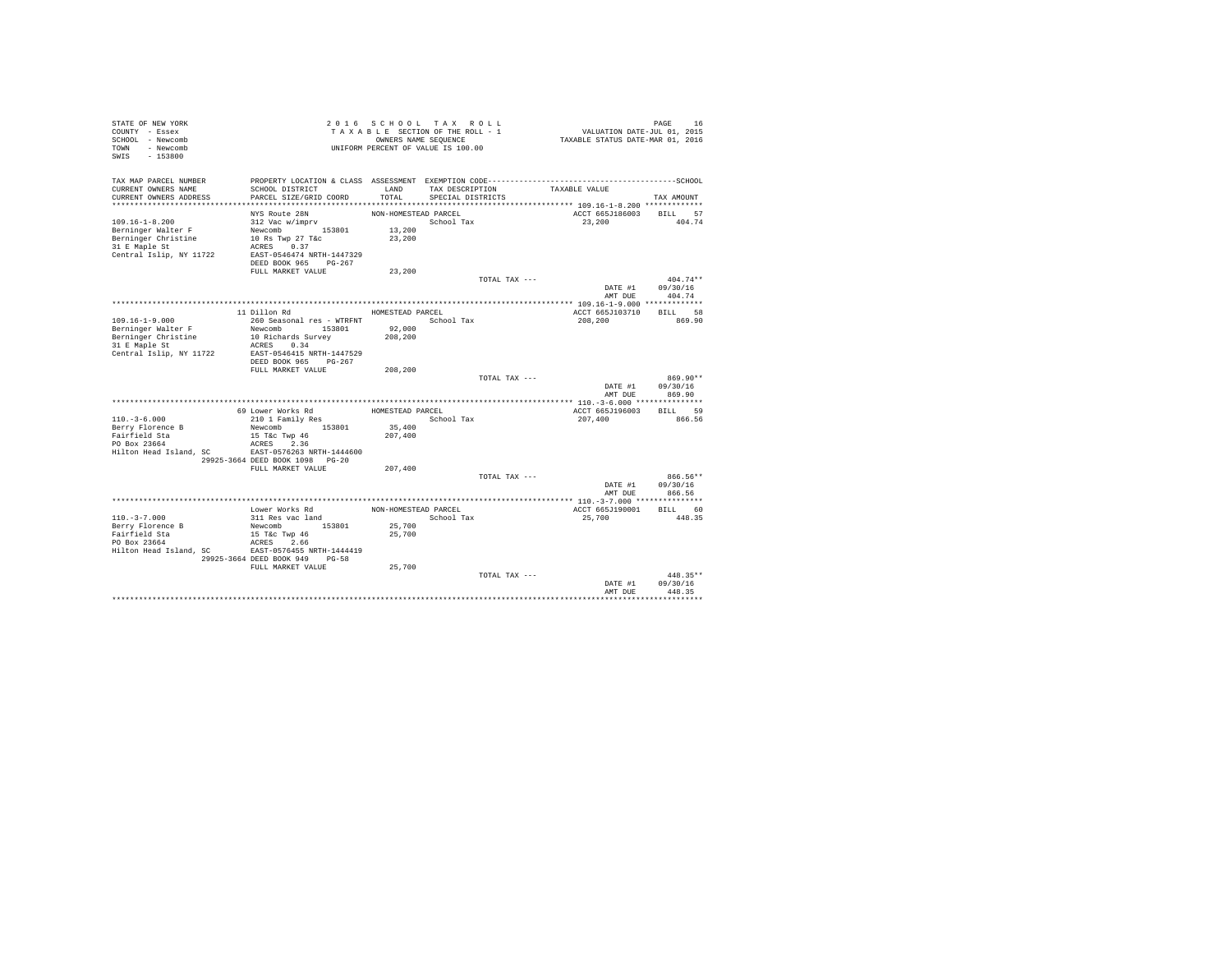| STATE OF NEW YORK<br>COUNTY - Essex<br>SCHOOL - Newcomb<br>- Newcomb<br>TOWN<br>$-153800$<br>SWIS             |                                                                                                                                                                                |                                                    | 2016 SCHOOL TAX ROLL<br>TAXABLE SECTION OF THE ROLL - 1<br>OWNERS NAME SEQUENCE<br>UNIFORM PERCENT OF VALUE IS 100.00 |               | VALUATION DATE-JUL 01, 2015<br>TAXABLE STATUS DATE-MAR 01, 2016 | PAGE<br>16                       |
|---------------------------------------------------------------------------------------------------------------|--------------------------------------------------------------------------------------------------------------------------------------------------------------------------------|----------------------------------------------------|-----------------------------------------------------------------------------------------------------------------------|---------------|-----------------------------------------------------------------|----------------------------------|
| TAX MAP PARCEL NUMBER<br>CURRENT OWNERS NAME<br>CURRENT OWNERS ADDRESS                                        | SCHOOL DISTRICT<br>PARCEL SIZE/GRID COORD                                                                                                                                      | LAND<br>TOTAL                                      | TAX DESCRIPTION<br>SPECIAL DISTRICTS                                                                                  |               | TAXABLE VALUE                                                   | TAX AMOUNT                       |
|                                                                                                               |                                                                                                                                                                                |                                                    |                                                                                                                       |               |                                                                 |                                  |
| $109.16 - 1 - 8.200$<br>Berninger Walter F<br>Berninger Christine<br>31 E Maple St<br>Central Islip, NY 11722 | NYS Route 28N<br>312 Vac w/imprv<br>Newcomb 153801<br>10 Rs Twp 27 T&c<br>0.37<br>ACRES<br>EAST-0546474 NRTH-1447329<br>DEED BOOK 965 PG-267<br>FULL MARKET VALUE              | NON-HOMESTEAD PARCEL<br>13,200<br>23,200<br>23,200 | School Tax                                                                                                            |               | ACCT 665J186003<br>23,200                                       | BILL 57<br>404.74                |
|                                                                                                               |                                                                                                                                                                                |                                                    |                                                                                                                       | TOTAL TAX --- |                                                                 | $404.74**$                       |
|                                                                                                               |                                                                                                                                                                                |                                                    |                                                                                                                       |               | DATE #1<br>AMT DUE                                              | 09/30/16<br>404.74               |
|                                                                                                               | 11 Dillon Rd                                                                                                                                                                   | HOMESTEAD PARCEL                                   |                                                                                                                       |               | ACCT 665J103710                                                 | BILL 58                          |
| $109.16 - 1 - 9.000$<br>Berninger Walter F<br>Berninger Christine<br>31 E Maple St<br>Central Islip, NY 11722 | 260 Seasonal res - WTRFNT<br>Newcomb 153801<br>10 Richards Survey<br>ACRES 0.34<br>EAST-0546415 NRTH-1447529<br>DEED BOOK 965 PG-267                                           | 92,000<br>208,200                                  | School Tax                                                                                                            |               | 208,200                                                         | 869.90                           |
|                                                                                                               | FULL MARKET VALUE                                                                                                                                                              | 208,200                                            |                                                                                                                       |               |                                                                 |                                  |
|                                                                                                               |                                                                                                                                                                                |                                                    |                                                                                                                       | TOTAL TAX --- | DATE #1<br>AMT DUE                                              | 869.90**<br>09/30/16<br>869.90   |
|                                                                                                               |                                                                                                                                                                                |                                                    |                                                                                                                       |               |                                                                 |                                  |
| $110.-3-6.000$<br>Berry Florence B<br>Fairfield Sta<br>PO Box 23664<br>Hilton Head Island, SC                 | 69 Lower Works Rd<br>210 1 Family Res<br>Newcomb 153801<br>15 T&c Twp 46<br>ACRES 2.36<br>EAST-0576263 NRTH-1444600                                                            | HOMESTEAD PARCEL<br>35,400<br>207,400              | School Tax                                                                                                            |               | ACCT 665J196003<br>207,400                                      | BILL 59<br>866.56                |
|                                                                                                               | 29925-3664 DEED BOOK 1098 PG-20<br>FULL MARKET VALUE                                                                                                                           | 207,400                                            |                                                                                                                       |               |                                                                 |                                  |
|                                                                                                               |                                                                                                                                                                                |                                                    |                                                                                                                       | TOTAL TAX --- | DATE #1<br>AMT DUE                                              | $866.56**$<br>09/30/16<br>866.56 |
|                                                                                                               |                                                                                                                                                                                |                                                    |                                                                                                                       |               |                                                                 |                                  |
| $110. - 3 - 7.000$<br>Berry Florence B<br>Fairfield Sta<br>PO Box 23664<br>Hilton Head Island, SC             | Lower Works Rd<br>311 Res vac land<br>Newcomb 153801<br>15 T&c Twp 46<br>ACRES 2.66<br>EAST-0576455 NRTH-1444419<br>29925-3664 DEED BOOK 949<br>$PG - 58$<br>FULL MARKET VALUE | NON-HOMESTEAD PARCEL<br>25,700<br>25,700<br>25,700 | School Tax                                                                                                            |               | ACCT 665J190001<br>25,700                                       | BILL 60<br>448.35                |
|                                                                                                               |                                                                                                                                                                                |                                                    |                                                                                                                       | TOTAL TAX --- | DATE #1<br>AMT DUE                                              | 448.35**<br>09/30/16<br>448.35   |
|                                                                                                               |                                                                                                                                                                                |                                                    |                                                                                                                       |               |                                                                 |                                  |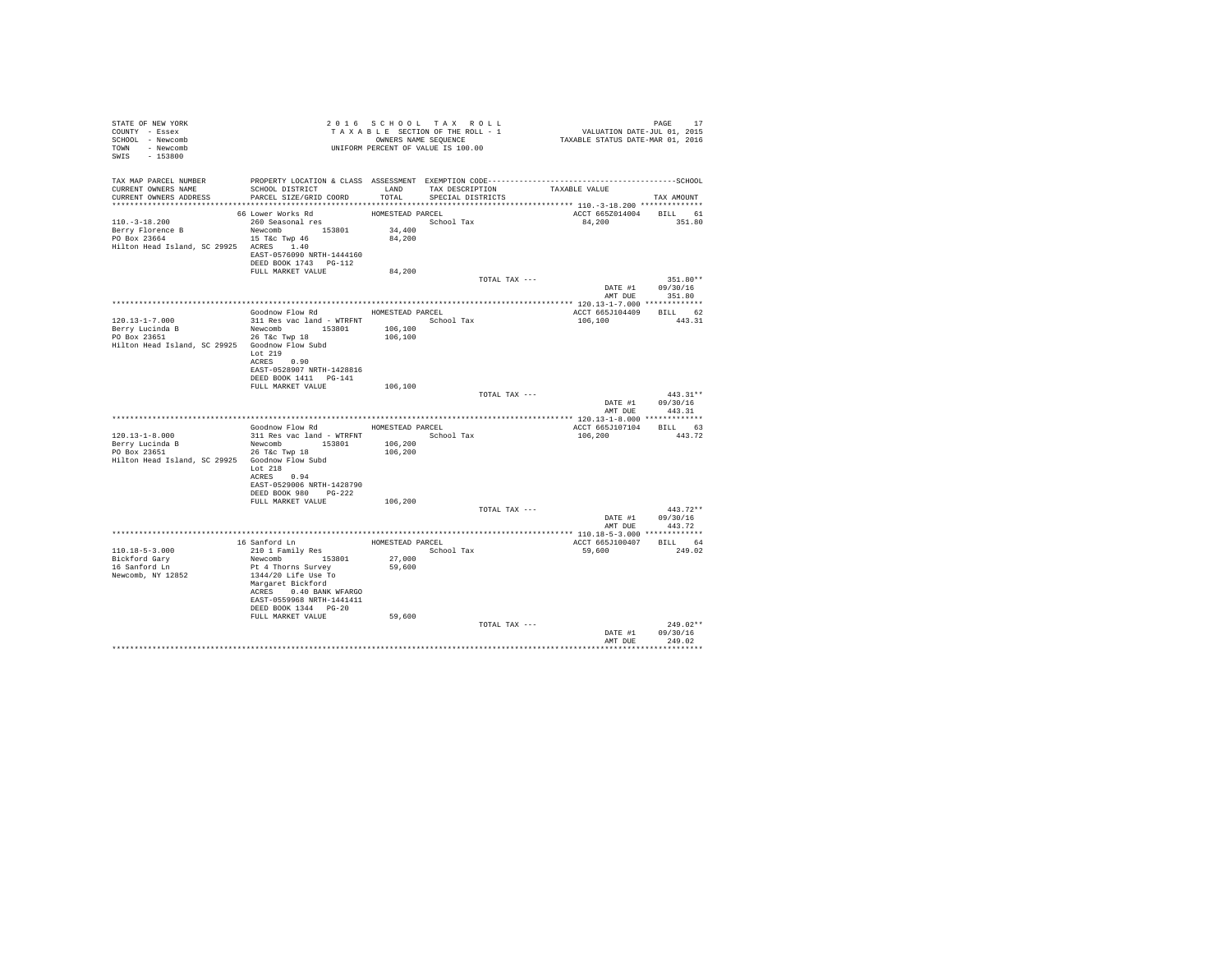| STATE OF NEW YORK                                                                                                                        | 2010 SCHOOL SECTION OF THE ROLL - 1<br>TAXABLE SECTION OF THE ROLL - 1<br>OWNERS NAME SEQUENCE<br>UNIFORM PERCENT OF VALUE IS 100.00 |                  | 2016 SCHOOL TAX ROLL |               | PAGE 17<br>VALUATION DATE-JUL 01, 2015<br>TAXABLE STATUS DATE-MAR 01, 2016 |                  |
|------------------------------------------------------------------------------------------------------------------------------------------|--------------------------------------------------------------------------------------------------------------------------------------|------------------|----------------------|---------------|----------------------------------------------------------------------------|------------------|
| COUNTY - Essex                                                                                                                           |                                                                                                                                      |                  |                      |               |                                                                            |                  |
| SCHOOL - Newcomb                                                                                                                         |                                                                                                                                      |                  |                      |               |                                                                            |                  |
| TOWN - Newcomb                                                                                                                           |                                                                                                                                      |                  |                      |               |                                                                            |                  |
| SWIS - 153800                                                                                                                            |                                                                                                                                      |                  |                      |               |                                                                            |                  |
|                                                                                                                                          |                                                                                                                                      |                  |                      |               |                                                                            |                  |
|                                                                                                                                          |                                                                                                                                      |                  |                      |               |                                                                            |                  |
| TAX MAP PARCEL NUMBER PROPERTY LOCATION & CLASS ASSESSMENT EXEMPTION CODE----------------------------------SCHOOL<br>CURRENT OWNERS NAME | SCHOOL DISTRICT TAND TAX DESCRIPTION                                                                                                 |                  |                      |               | TAXABLE VALUE                                                              |                  |
| CURRENT OWNERS ADDRESS                                                                                                                   | PARCEL SIZE/GRID COORD                                                                                                               | TOTAL            | SPECIAL DISTRICTS    |               |                                                                            | TAX AMOUNT       |
|                                                                                                                                          |                                                                                                                                      |                  |                      |               |                                                                            |                  |
|                                                                                                                                          | 66 Lower Works Rd                                                                                                                    | HOMESTEAD PARCEL |                      |               | ACCT 665Z014004 BILL 61                                                    |                  |
| $110.-3-18.200$                                                                                                                          | 260 Seasonal res                                                                                                                     |                  | School Tax           |               | 84,200 351.80                                                              |                  |
| Berry Florence B                                                                                                                         | Newcomb 153801                                                                                                                       | 34,400           |                      |               |                                                                            |                  |
| PO Box 23664                                                                                                                             | 15 T&c Twp 46                                                                                                                        | 84,200           |                      |               |                                                                            |                  |
| Hilton Head Island, SC 29925 ACRES 1.40                                                                                                  |                                                                                                                                      |                  |                      |               |                                                                            |                  |
|                                                                                                                                          | EAST-0576090 NRTH-1444160                                                                                                            |                  |                      |               |                                                                            |                  |
|                                                                                                                                          | DEED BOOK 1743 PG-112                                                                                                                |                  |                      |               |                                                                            |                  |
|                                                                                                                                          | FULL MARKET VALUE                                                                                                                    | 84,200           |                      |               |                                                                            |                  |
|                                                                                                                                          |                                                                                                                                      |                  |                      | TOTAL TAX --- |                                                                            | 351.80**         |
|                                                                                                                                          |                                                                                                                                      |                  |                      |               | DATE #1 09/30/16                                                           |                  |
|                                                                                                                                          |                                                                                                                                      |                  |                      |               |                                                                            | AMT DUE 351.80   |
|                                                                                                                                          |                                                                                                                                      |                  |                      |               |                                                                            |                  |
|                                                                                                                                          | Goodnow Flow Rd MOMESTEAD PARCEL                                                                                                     |                  |                      |               | ACCT 665J104409 BILL 62                                                    |                  |
| $120.13 - 1 - 7.000$                                                                                                                     | 311 Res vac land - WTRFNT                 School Tax                                                                                 |                  |                      |               | 106,100                                                                    | 443.31           |
|                                                                                                                                          |                                                                                                                                      |                  |                      |               |                                                                            |                  |
|                                                                                                                                          |                                                                                                                                      |                  |                      |               |                                                                            |                  |
| Hilton Head Island, SC 29925 Goodnow Flow Subd                                                                                           |                                                                                                                                      |                  |                      |               |                                                                            |                  |
|                                                                                                                                          | Lot 219                                                                                                                              |                  |                      |               |                                                                            |                  |
|                                                                                                                                          | ACRES 0.90                                                                                                                           |                  |                      |               |                                                                            |                  |
|                                                                                                                                          | EAST-0528907 NRTH-1428816<br>DEED BOOK 1411 PG-141                                                                                   |                  |                      |               |                                                                            |                  |
|                                                                                                                                          | FULL MARKET VALUE 106,100                                                                                                            |                  |                      |               |                                                                            |                  |
|                                                                                                                                          |                                                                                                                                      |                  |                      | TOTAL TAX --- |                                                                            | $443.31**$       |
|                                                                                                                                          |                                                                                                                                      |                  |                      |               |                                                                            | DATE #1 09/30/16 |
|                                                                                                                                          |                                                                                                                                      |                  |                      |               | AMT DUE                                                                    | 443.31           |
|                                                                                                                                          |                                                                                                                                      |                  |                      |               |                                                                            |                  |
|                                                                                                                                          | Goodnow Flow Rd MOMESTEAD PARCEL                                                                                                     |                  |                      |               | ACCT 665J107104 BILL 63                                                    |                  |
| $120.13 - 1 - 8.000$                                                                                                                     | 311 Res vac land - WTRFNT                                                                                                            |                  | School Tax           |               | 106,200                                                                    | 443.72           |
|                                                                                                                                          |                                                                                                                                      |                  |                      |               |                                                                            |                  |
|                                                                                                                                          |                                                                                                                                      |                  |                      |               |                                                                            |                  |
| Hilton Head Island, SC 29925 Goodnow Flow Subd                                                                                           |                                                                                                                                      |                  |                      |               |                                                                            |                  |
|                                                                                                                                          | Lot 218                                                                                                                              |                  |                      |               |                                                                            |                  |
|                                                                                                                                          | ACRES 0.94                                                                                                                           |                  |                      |               |                                                                            |                  |
|                                                                                                                                          | EAST-0529006 NRTH-1428790                                                                                                            |                  |                      |               |                                                                            |                  |
|                                                                                                                                          | DEED BOOK 980 PG-222                                                                                                                 |                  |                      |               |                                                                            |                  |
|                                                                                                                                          | FULL MARKET VALUE                                                                                                                    | 106,200          |                      |               |                                                                            |                  |
|                                                                                                                                          |                                                                                                                                      |                  |                      | TOTAL TAX --- |                                                                            | $443.72**$       |
|                                                                                                                                          |                                                                                                                                      |                  |                      |               |                                                                            | DATE #1 09/30/16 |
|                                                                                                                                          |                                                                                                                                      |                  |                      |               | AMT DUE                                                                    | 443.72           |
|                                                                                                                                          |                                                                                                                                      |                  |                      |               |                                                                            |                  |
| $110.18 - 5 - 3.000$                                                                                                                     | 16 Sanford Ln<br>210 1 Family Res                                                                                                    |                  | HOMESTEAD PARCEL     |               | ACCT 665J100407 BILL 64                                                    | 249.02           |
|                                                                                                                                          | Newcomb 153801 27,000                                                                                                                |                  | School Tax           |               | 59,600                                                                     |                  |
| Bickford Gary<br>16 Sanford Ln                                                                                                           | Pt 4 Thorns Survey                                                                                                                   | 59,600           |                      |               |                                                                            |                  |
| Newcomb, NY 12852                                                                                                                        | 1344/20 Life Use To                                                                                                                  |                  |                      |               |                                                                            |                  |
|                                                                                                                                          | Margaret Bickford                                                                                                                    |                  |                      |               |                                                                            |                  |
|                                                                                                                                          | ACRES 0.40 BANK WFARGO                                                                                                               |                  |                      |               |                                                                            |                  |
|                                                                                                                                          | EAST-0559968 NRTH-1441411                                                                                                            |                  |                      |               |                                                                            |                  |
|                                                                                                                                          | DEED BOOK 1344 PG-20                                                                                                                 |                  |                      |               |                                                                            |                  |
|                                                                                                                                          | FULL MARKET VALUE                                                                                                                    | 59,600           |                      |               |                                                                            |                  |
|                                                                                                                                          |                                                                                                                                      |                  |                      | TOTAL TAX --- |                                                                            | $249.02**$       |
|                                                                                                                                          |                                                                                                                                      |                  |                      |               | DATE #1                                                                    | 09/30/16         |
|                                                                                                                                          |                                                                                                                                      |                  |                      |               |                                                                            | AMT DUE 249.02   |
|                                                                                                                                          |                                                                                                                                      |                  |                      |               |                                                                            |                  |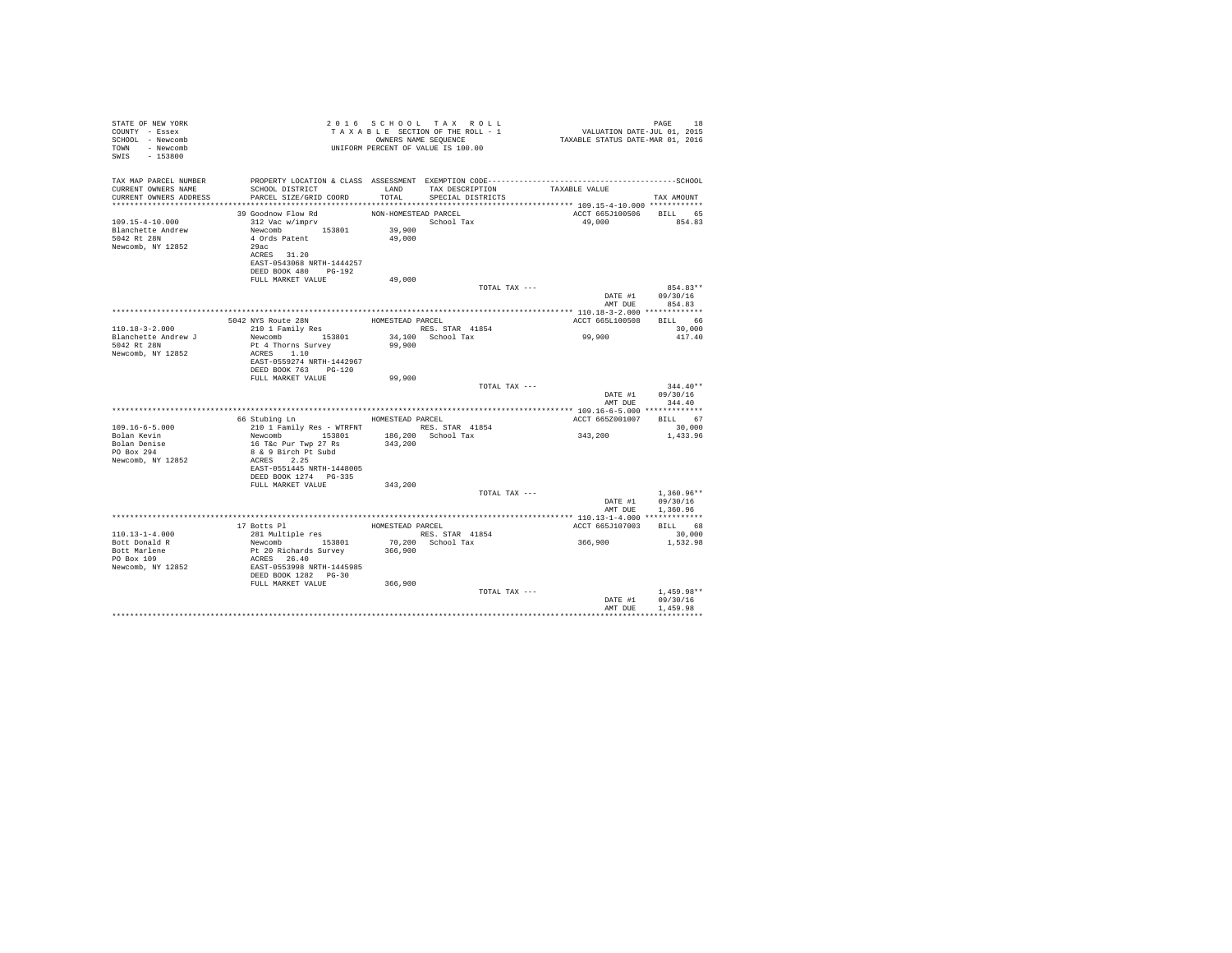| STATE OF NEW YORK<br>COUNTY - Essex<br>SCHOOL - Newcomb<br>TOWN - Newcomb<br>SWIS - 153800 | TAXABLE SECTION OF HER COMPRESS NAME SEQUENCE<br>OWNERS NAME SEQUENCE<br>UNIFORM PERCENT OF VALUE IS 100.00                                      |                      | TAXABLE SECTION OF THE ROLL - 1<br>OWNERS NAME SEQUENCE | PAGE 18<br>VALUATION DATE-JUL 01, 2015<br>TAXABLE STATUS DATE-MAR 01, 2016 |                            |
|--------------------------------------------------------------------------------------------|--------------------------------------------------------------------------------------------------------------------------------------------------|----------------------|---------------------------------------------------------|----------------------------------------------------------------------------|----------------------------|
| TAX MAP PARCEL NUMBER<br>CURRENT OWNERS NAME                                               | PROPERTY LOCATION & CLASS ASSESSMENT EXEMPTION CODE-----------------------------------SCHOOL<br>SCHOOL DISTRICT                                  |                      | LAND TAX DESCRIPTION                                    | TAXABLE VALUE                                                              |                            |
| CURRENT OWNERS ADDRESS                                                                     | PARCEL SIZE/GRID COORD                                                                                                                           | TOTAL                | SPECIAL DISTRICTS                                       |                                                                            | TAX AMOUNT                 |
|                                                                                            |                                                                                                                                                  |                      |                                                         |                                                                            |                            |
|                                                                                            | 39 Goodnow Flow Rd                                                                                                                               | NON-HOMESTEAD PARCEL |                                                         | ACCT 665J100506 BILL 65                                                    |                            |
| 109.15-4-10.000<br>Blanchette Andrew                                                       | 312 Vac w/imprv<br>Newcomb 153801 39,900                                                                                                         |                      | School Tax                                              | 49.000 854.83                                                              |                            |
| 5042 Rt 28N                                                                                | 4 Ords Patent                                                                                                                                    | 49,000               |                                                         |                                                                            |                            |
| Newcomb, NY 12852                                                                          | 29ac                                                                                                                                             |                      |                                                         |                                                                            |                            |
|                                                                                            | ACRES 31.20                                                                                                                                      |                      |                                                         |                                                                            |                            |
|                                                                                            | EAST-0543068 NRTH-1444257                                                                                                                        |                      |                                                         |                                                                            |                            |
|                                                                                            | DEED BOOK 480 PG-192                                                                                                                             |                      |                                                         |                                                                            |                            |
|                                                                                            | FULL MARKET VALUE                                                                                                                                | 49,000               |                                                         |                                                                            |                            |
|                                                                                            |                                                                                                                                                  |                      | TOTAL TAX ---                                           |                                                                            | 854.83**                   |
|                                                                                            |                                                                                                                                                  |                      |                                                         | AMT DUE                                                                    | DATE #1 09/30/16<br>854.83 |
|                                                                                            |                                                                                                                                                  |                      |                                                         |                                                                            |                            |
|                                                                                            | ANYS Route 28N<br>210 1 Family Res<br>Nurses Nurses<br>5042 NYS Route 28N                                                                        |                      |                                                         | ACCT 665L100508 BILL 66                                                    |                            |
| $110.18 - 3 - 2.000$<br>Blanchette Andrew J                                                | Newcomb 153801                                                                                                                                   |                      | RES. STAR 41854<br>34,100 School Tax                    | 99,900                                                                     | 30,000<br>417.40           |
| 5042 Rt 28N                                                                                | Pt 4 Thorns Survey                                                                                                                               | 99,900               |                                                         |                                                                            |                            |
| Newcomb, NY 12852                                                                          | ACRES 1.10                                                                                                                                       |                      |                                                         |                                                                            |                            |
|                                                                                            | EAST-0559274 NRTH-1442967                                                                                                                        |                      |                                                         |                                                                            |                            |
|                                                                                            | DEED BOOK 763 PG-120                                                                                                                             |                      |                                                         |                                                                            |                            |
|                                                                                            | FULL MARKET VALUE                                                                                                                                | 99,900               |                                                         |                                                                            |                            |
|                                                                                            |                                                                                                                                                  |                      | TOTAL TAX ---                                           |                                                                            | $344.40**$                 |
|                                                                                            |                                                                                                                                                  |                      |                                                         |                                                                            | DATE #1 09/30/16           |
|                                                                                            |                                                                                                                                                  |                      |                                                         |                                                                            | AMT DUE 344.40             |
|                                                                                            | 66 Stubing Ln MOMESTEAD PARCEL                                                                                                                   |                      |                                                         | ACCT 665Z001007 BILL 67                                                    |                            |
| 109.16-6-5.000                                                                             |                                                                                                                                                  |                      |                                                         |                                                                            | 30,000                     |
|                                                                                            |                                                                                                                                                  |                      |                                                         | 343,200                                                                    | 1,433.96                   |
| Bolan Kevin<br>Bolan Denise<br>PO Box 294                                                  |                                                                                                                                                  |                      |                                                         |                                                                            |                            |
|                                                                                            | 8 & 9 Birch Pt Subd                                                                                                                              |                      |                                                         |                                                                            |                            |
| Newcomb, NY 12852                                                                          | ACRES 2.25                                                                                                                                       |                      |                                                         |                                                                            |                            |
|                                                                                            | EAST-0551445 NRTH-1448005                                                                                                                        |                      |                                                         |                                                                            |                            |
|                                                                                            | DEED BOOK 1274 PG-335                                                                                                                            |                      |                                                         |                                                                            |                            |
|                                                                                            | FULL MARKET VALUE                                                                                                                                | 343,200              |                                                         |                                                                            |                            |
|                                                                                            |                                                                                                                                                  |                      | TOTAL TAX ---                                           |                                                                            | $1.360.96**$               |
|                                                                                            |                                                                                                                                                  |                      |                                                         | DATE #1                                                                    | 09/30/16                   |
|                                                                                            |                                                                                                                                                  |                      |                                                         |                                                                            | AMT DUE 1,360.96           |
|                                                                                            |                                                                                                                                                  |                      |                                                         |                                                                            |                            |
| $110.13 - 1 - 4.000$                                                                       |                                                                                                                                                  |                      | HOMESTEAD PARCEL<br>RES. STAR 41854                     | ACCT 665J107003 BILL 68                                                    | 30,000                     |
|                                                                                            |                                                                                                                                                  |                      |                                                         | $366,900$ 1,532.98                                                         |                            |
| Bott Donald R<br>Bott Marlene<br>PO Box 109                                                | 17 Botts Pl<br>17 Botts Pl<br>281 Multiple res<br>Newcomb<br>pr 20 Richards Survey<br>ACRES<br>285T-0553998 NRTH-1445985<br>DEED BOOK 1282 PG-30 |                      | 70,200 School Tax<br>366,900                            |                                                                            |                            |
|                                                                                            |                                                                                                                                                  |                      |                                                         |                                                                            |                            |
| Newcomb, NY 12852                                                                          |                                                                                                                                                  |                      |                                                         |                                                                            |                            |
|                                                                                            |                                                                                                                                                  |                      |                                                         |                                                                            |                            |
|                                                                                            | FULL MARKET VALUE                                                                                                                                | 366,900              |                                                         |                                                                            |                            |
|                                                                                            |                                                                                                                                                  |                      | TOTAL TAX ---                                           |                                                                            | $1.459.98**$               |
|                                                                                            |                                                                                                                                                  |                      |                                                         | DATE #1                                                                    | 09/30/16                   |
|                                                                                            |                                                                                                                                                  |                      |                                                         | AMT DUE                                                                    | 1,459.98                   |
|                                                                                            |                                                                                                                                                  |                      |                                                         |                                                                            |                            |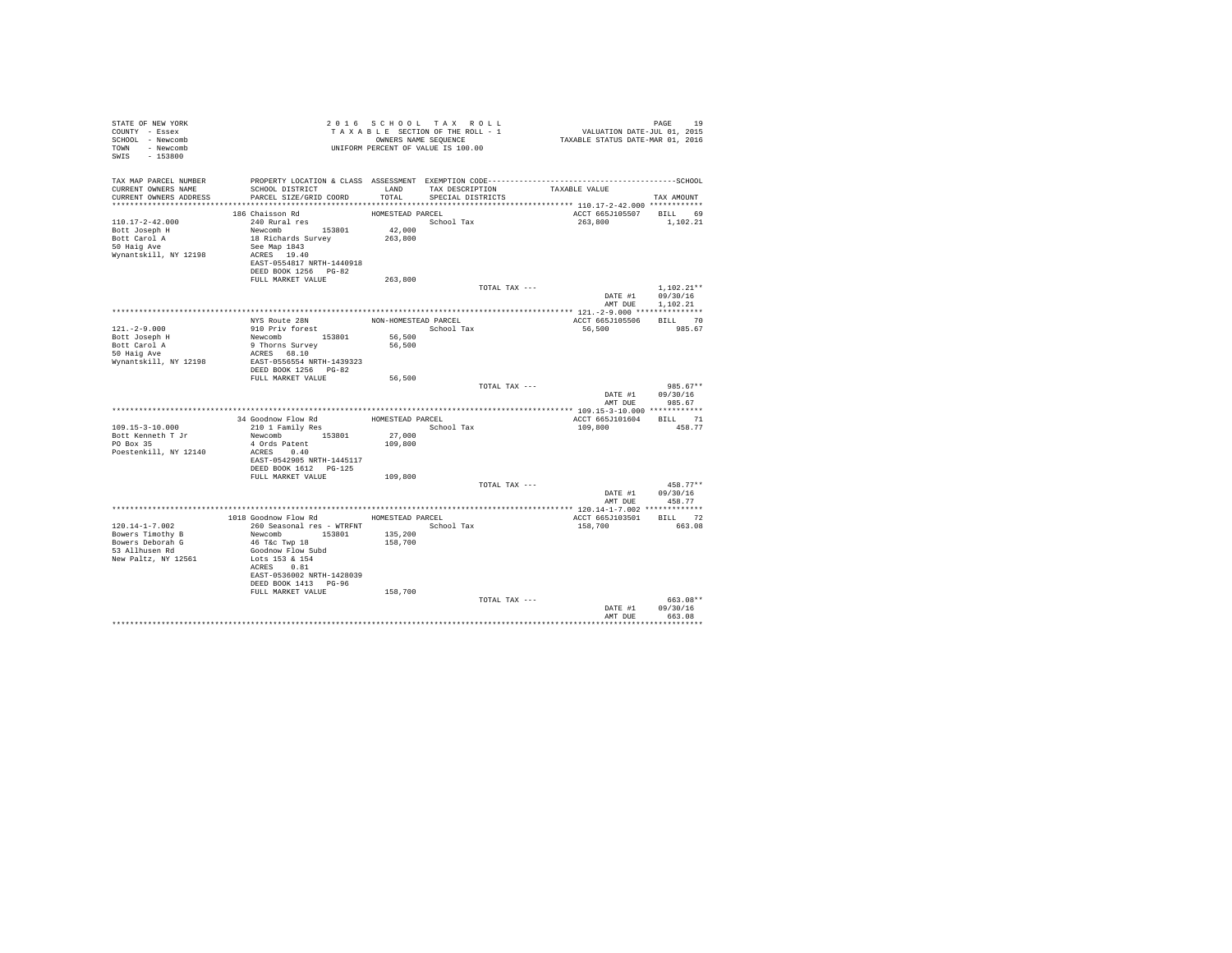| TAX MAP PARCEL NUMBER<br>SCHOOL DISTRICT<br>LAND TAX DESCRIPTION<br>CURRENT OWNERS NAME<br>TAXABLE VALUE<br>CURRENT OWNERS ADDRESS<br>PARCEL SIZE/GRID COORD<br>TOTAL<br>SPECIAL DISTRICTS<br>TAX AMOUNT<br>ACCT 665J105507 BILL 69<br>186 Chaisson Rd<br>HOMESTEAD PARCEL<br>$110.17 - 2 - 42.000$<br>School Tax<br>240 Rural res<br>263,800<br>1,102.21<br>Newcomb 153801<br>18 Richards Survey<br>42,000<br>Bott Joseph H<br>263,800<br>Bott Carol A<br>50 Haig Ave<br>See Map 1843<br>Wynantskill, NY 12198<br>ACRES 19.40<br>EAST-0554817 NRTH-1440918<br>DEED BOOK 1256 PG-82<br>FULL MARKET VALUE<br>263,800<br>$1.102.21**$<br>TOTAL TAX ---<br>DATE #1 09/30/16<br>AMT DUE<br>1,102.21<br>NYS Route 28N<br>910 Priv forest<br>NON-HOMESTEAD PARCEL<br>BILL 70<br>ACCT 665J105506<br>$121. - 2 - 9.000$<br>School Tax<br>56,500<br>985.67<br>Newcomb 153801<br>9 Thorns Survey<br>Bott Joseph H<br>56,500<br>56,500<br>Bott Carol A<br>50 Haig Ave<br>ACRES 68.10 | PAGE 19<br>VALUATION DATE-JUL 01, 2015<br>TAXABLE STATUS DATE-MAR 01, 2016 |
|---------------------------------------------------------------------------------------------------------------------------------------------------------------------------------------------------------------------------------------------------------------------------------------------------------------------------------------------------------------------------------------------------------------------------------------------------------------------------------------------------------------------------------------------------------------------------------------------------------------------------------------------------------------------------------------------------------------------------------------------------------------------------------------------------------------------------------------------------------------------------------------------------------------------------------------------------------------------------|----------------------------------------------------------------------------|
|                                                                                                                                                                                                                                                                                                                                                                                                                                                                                                                                                                                                                                                                                                                                                                                                                                                                                                                                                                           |                                                                            |
|                                                                                                                                                                                                                                                                                                                                                                                                                                                                                                                                                                                                                                                                                                                                                                                                                                                                                                                                                                           |                                                                            |
|                                                                                                                                                                                                                                                                                                                                                                                                                                                                                                                                                                                                                                                                                                                                                                                                                                                                                                                                                                           |                                                                            |
|                                                                                                                                                                                                                                                                                                                                                                                                                                                                                                                                                                                                                                                                                                                                                                                                                                                                                                                                                                           |                                                                            |
|                                                                                                                                                                                                                                                                                                                                                                                                                                                                                                                                                                                                                                                                                                                                                                                                                                                                                                                                                                           |                                                                            |
|                                                                                                                                                                                                                                                                                                                                                                                                                                                                                                                                                                                                                                                                                                                                                                                                                                                                                                                                                                           |                                                                            |
|                                                                                                                                                                                                                                                                                                                                                                                                                                                                                                                                                                                                                                                                                                                                                                                                                                                                                                                                                                           |                                                                            |
|                                                                                                                                                                                                                                                                                                                                                                                                                                                                                                                                                                                                                                                                                                                                                                                                                                                                                                                                                                           |                                                                            |
|                                                                                                                                                                                                                                                                                                                                                                                                                                                                                                                                                                                                                                                                                                                                                                                                                                                                                                                                                                           |                                                                            |
|                                                                                                                                                                                                                                                                                                                                                                                                                                                                                                                                                                                                                                                                                                                                                                                                                                                                                                                                                                           |                                                                            |
| EAST-0556554 NRTH-1439323<br>Wynantskill, NY 12198<br>DEED BOOK 1256 PG-82                                                                                                                                                                                                                                                                                                                                                                                                                                                                                                                                                                                                                                                                                                                                                                                                                                                                                                |                                                                            |
| FULL MARKET VALUE<br>56,500<br>TOTAL TAX ---<br>$985.67**$                                                                                                                                                                                                                                                                                                                                                                                                                                                                                                                                                                                                                                                                                                                                                                                                                                                                                                                |                                                                            |
| DATE #1<br>09/30/16<br>AMT DUE<br>985.67                                                                                                                                                                                                                                                                                                                                                                                                                                                                                                                                                                                                                                                                                                                                                                                                                                                                                                                                  |                                                                            |
|                                                                                                                                                                                                                                                                                                                                                                                                                                                                                                                                                                                                                                                                                                                                                                                                                                                                                                                                                                           |                                                                            |
| HOMESTEAD PARCEL<br>ACCT 665J101604 BILL 71<br>34 Goodnow Flow Rd<br>210 1 Family Res<br>109.15-3-10.000<br>109,800<br>458.77<br>School Tax<br>27,000<br>Newcomb 153801<br>Bott Kenneth T Jr                                                                                                                                                                                                                                                                                                                                                                                                                                                                                                                                                                                                                                                                                                                                                                              |                                                                            |
| PO Box 35<br>4 Ords Patent<br>109,800<br>Poestenkill, NY 12140<br>ACRES 0.40                                                                                                                                                                                                                                                                                                                                                                                                                                                                                                                                                                                                                                                                                                                                                                                                                                                                                              |                                                                            |
| EAST-0542905 NRTH-1445117<br>DEED BOOK 1612 PG-125                                                                                                                                                                                                                                                                                                                                                                                                                                                                                                                                                                                                                                                                                                                                                                                                                                                                                                                        |                                                                            |
| 109,800<br>FULL MARKET VALUE                                                                                                                                                                                                                                                                                                                                                                                                                                                                                                                                                                                                                                                                                                                                                                                                                                                                                                                                              |                                                                            |
| TOTAL TAX ---<br>$458.77**$<br>09/30/16<br>DATE #1                                                                                                                                                                                                                                                                                                                                                                                                                                                                                                                                                                                                                                                                                                                                                                                                                                                                                                                        |                                                                            |
| AMT DUE 458.77                                                                                                                                                                                                                                                                                                                                                                                                                                                                                                                                                                                                                                                                                                                                                                                                                                                                                                                                                            |                                                                            |
| 1018 Goodnow Flow Rd<br>ACCT 665J103501 BILL 72<br>HOMESTEAD PARCEL                                                                                                                                                                                                                                                                                                                                                                                                                                                                                                                                                                                                                                                                                                                                                                                                                                                                                                       |                                                                            |
| School Tax<br>$120.14 - 1 - 7.002$<br>260 Seasonal res - WTRFNT<br>158,700<br>663.08<br>Newcomb 153801<br>Bowers Timothy B<br>135,200<br>46 T&c Twp 18<br>Bowers Deborah G<br>158,700<br>53 Allhusen Rd<br>Goodnow Flow Subd<br>Lots 153 & 154                                                                                                                                                                                                                                                                                                                                                                                                                                                                                                                                                                                                                                                                                                                            |                                                                            |
| New Paltz, NY 12561<br>ACRES 0.81<br>EAST-0536002 NRTH-1428039<br>DEED BOOK 1413 PG-96<br>FULL MARKET VALUE<br>158,700                                                                                                                                                                                                                                                                                                                                                                                                                                                                                                                                                                                                                                                                                                                                                                                                                                                    |                                                                            |
| 663.08**<br>TOTAL TAX ---                                                                                                                                                                                                                                                                                                                                                                                                                                                                                                                                                                                                                                                                                                                                                                                                                                                                                                                                                 |                                                                            |
| DATE #1<br>09/30/16<br>AMT DUE<br>663.08<br>**************                                                                                                                                                                                                                                                                                                                                                                                                                                                                                                                                                                                                                                                                                                                                                                                                                                                                                                                |                                                                            |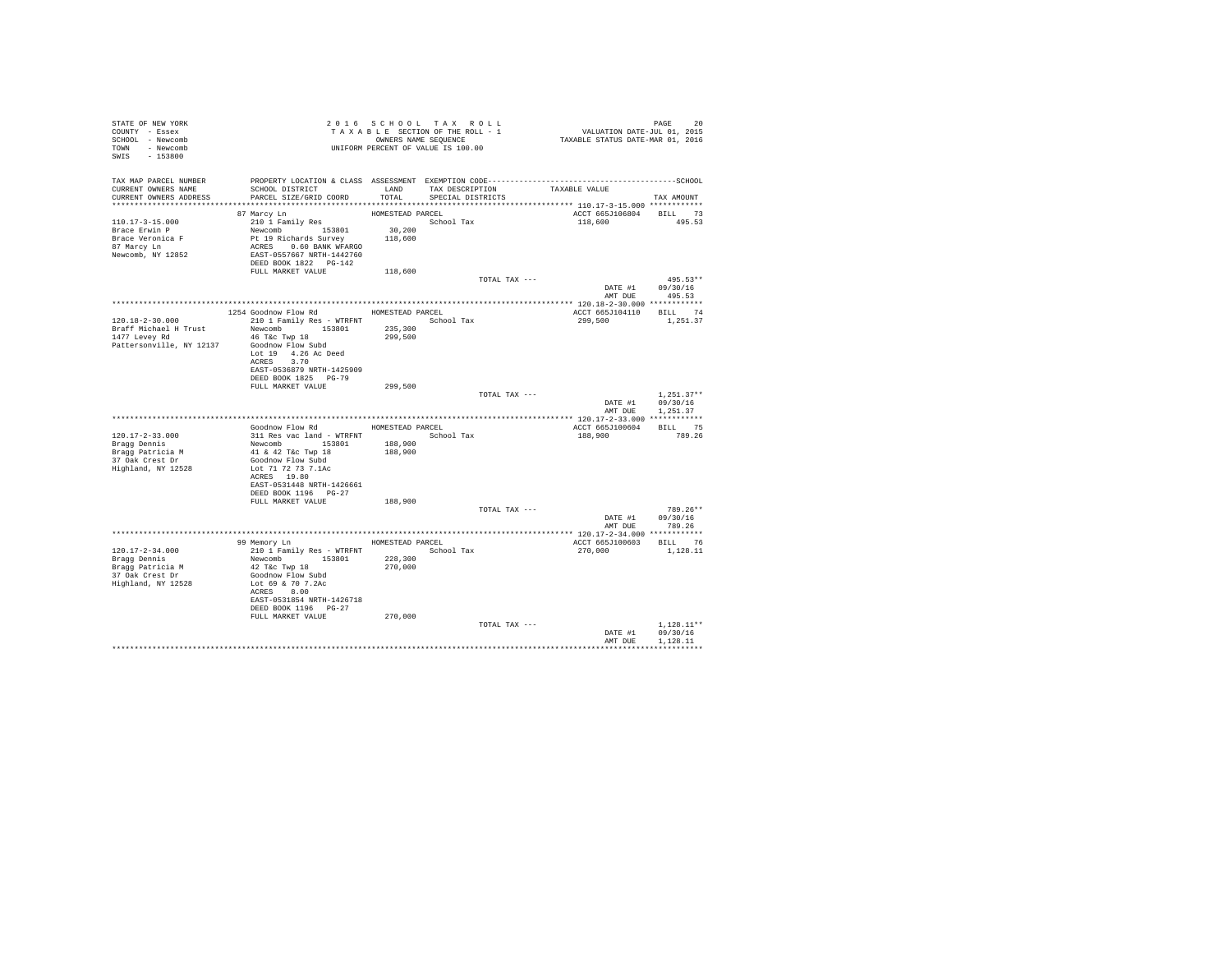| STATE OF NEW YORK                   | 2010 SCROUNG SECTION OF THE ROLL - 1<br>TAXABLE SECTION OF THE ROLL - 1<br>OWNERS NAME SEQUENCE<br>UNIFORM PERCENT OF VALUE IS 100.00 |                  | 2016 SCHOOL TAX ROLL | PAGE 20<br>VALUATION DATE-JUL 01, 2015<br>TAXABLE STATUS DATE-MAR 01, 2016 |                  |
|-------------------------------------|---------------------------------------------------------------------------------------------------------------------------------------|------------------|----------------------|----------------------------------------------------------------------------|------------------|
| COUNTY - Essex                      |                                                                                                                                       |                  |                      |                                                                            |                  |
| SCHOOL - Newcomb                    |                                                                                                                                       |                  |                      |                                                                            |                  |
| TOWN - Newcomb                      |                                                                                                                                       |                  |                      |                                                                            |                  |
| SWIS - 153800                       |                                                                                                                                       |                  |                      |                                                                            |                  |
|                                     |                                                                                                                                       |                  |                      |                                                                            |                  |
|                                     |                                                                                                                                       |                  |                      |                                                                            |                  |
|                                     |                                                                                                                                       |                  |                      |                                                                            |                  |
| CURRENT OWNERS ADDRESS              | SCHOOL DISTRICT                       LAND        TAX DESCRIPTION                  TAXABLE VALUE<br>PARCEL SIZE/GRID COORD            | TOTAL            | SPECIAL DISTRICTS    |                                                                            | TAX AMOUNT       |
|                                     |                                                                                                                                       |                  |                      |                                                                            |                  |
|                                     | 87 Marcy Ln                                                                                                                           | HOMESTEAD PARCEL |                      | ACCT 665J106804 BILL 73                                                    |                  |
| $110.17 - 3 - 15.000$               |                                                                                                                                       |                  | School Tax           | 118,600 495.53                                                             |                  |
| Brace Erwin P                       |                                                                                                                                       |                  |                      |                                                                            |                  |
| Brace Veronica F                    |                                                                                                                                       |                  |                      |                                                                            |                  |
| 87 Marcy Ln                         |                                                                                                                                       |                  |                      |                                                                            |                  |
| Newcomb, NY 12852                   |                                                                                                                                       |                  |                      |                                                                            |                  |
|                                     | DEED BOOK 1822 PG-142                                                                                                                 |                  |                      |                                                                            |                  |
|                                     | FULL MARKET VALUE 118,600                                                                                                             |                  |                      |                                                                            |                  |
|                                     |                                                                                                                                       |                  | TOTAL TAX ---        |                                                                            | $495.53**$       |
|                                     |                                                                                                                                       |                  |                      |                                                                            |                  |
|                                     |                                                                                                                                       |                  |                      | DATE #1 09/30/16<br>AMT DUE 495.53                                         |                  |
|                                     |                                                                                                                                       |                  |                      |                                                                            |                  |
|                                     | 1254 Goodnow Flow Rd MOMESTEAD PARCEL                                                                                                 |                  |                      | ACCT 665J104110 BILL 74                                                    |                  |
| 120.18-2-30.000                     | 210 1 Family Res - WTRFNT School Tax                                                                                                  |                  |                      | 299,500 1,251.37                                                           |                  |
|                                     |                                                                                                                                       |                  |                      |                                                                            |                  |
|                                     |                                                                                                                                       |                  |                      |                                                                            |                  |
| Pattersonville, NY 12137            | 46 T&C Twp 18<br>Goodnow Flow Subd                                                                                                    |                  |                      |                                                                            |                  |
|                                     | Lot 19 4.26 Ac Deed                                                                                                                   |                  |                      |                                                                            |                  |
|                                     | ACRES 3.70                                                                                                                            |                  |                      |                                                                            |                  |
|                                     | EAST-0536879 NRTH-1425909                                                                                                             |                  |                      |                                                                            |                  |
|                                     | DEED BOOK 1825 PG-79                                                                                                                  |                  |                      |                                                                            |                  |
|                                     | FULL MARKET VALUE                                                                                                                     | 299,500          |                      |                                                                            |                  |
|                                     |                                                                                                                                       |                  | TOTAL TAX ---        |                                                                            | $1.251.37**$     |
|                                     |                                                                                                                                       |                  |                      | DATE #1 09/30/16                                                           |                  |
|                                     |                                                                                                                                       |                  |                      |                                                                            | AMT DUE 1,251.37 |
|                                     |                                                                                                                                       |                  |                      |                                                                            |                  |
|                                     | Goodnow Flow Rd MOMESTEAD PARCEL                                                                                                      |                  |                      | ACCT 665J100604 BILL 75                                                    |                  |
| $120.17 - 2 - 33.000$               | 311 Res vac land - WTRFNT<br>Newcomb 153801 188,900<br>41 & 42 T&c Twp 18 188,900                                                     |                  |                      | 188.900 789.26                                                             |                  |
| Bragg Dennis                        |                                                                                                                                       |                  |                      |                                                                            |                  |
| Bragg Patricia M<br>37 Oak Crest Dr |                                                                                                                                       |                  |                      |                                                                            |                  |
|                                     | Goodnow Flow Subd                                                                                                                     |                  |                      |                                                                            |                  |
| Highland, NY 12528                  | Lot 71 72 73 7.1Ac                                                                                                                    |                  |                      |                                                                            |                  |
|                                     | ACRES 19.80                                                                                                                           |                  |                      |                                                                            |                  |
|                                     | EAST-0531448 NRTH-1426661                                                                                                             |                  |                      |                                                                            |                  |
|                                     | DEED BOOK 1196 PG-27                                                                                                                  |                  |                      |                                                                            |                  |
|                                     | FULL MARKET VALUE                                                                                                                     | 188,900          |                      |                                                                            |                  |
|                                     |                                                                                                                                       |                  | TOTAL TAX ---        |                                                                            | $789.26**$       |
|                                     |                                                                                                                                       |                  |                      |                                                                            | DATE #1 09/30/16 |
|                                     |                                                                                                                                       |                  |                      | AMT DUE                                                                    | 789.26           |
|                                     |                                                                                                                                       |                  |                      |                                                                            |                  |
|                                     | 99 Memory Ln MOMESTEAD PARCEL                                                                                                         |                  |                      | ACCT 665J100603 BILL 76                                                    |                  |
| 120.17-2-34.000                     | 210 1 Family Res - WTRFNT School Tax                                                                                                  |                  |                      | 270,000                                                                    | 1,128,11         |
| Bragg Dennis                        | Newcomb 153801 228,300<br>42 Tác Twp 18 270,000<br>Goodnow Flow Subd 270,000                                                          |                  |                      |                                                                            |                  |
| Bragg Patricia M<br>37 Oak Crest Dr |                                                                                                                                       |                  |                      |                                                                            |                  |
|                                     | Lot 69 & 70 7.2Ac                                                                                                                     |                  |                      |                                                                            |                  |
| Highland, NY 12528                  |                                                                                                                                       |                  |                      |                                                                            |                  |
|                                     | ACRES 8.00<br>EAST-0531854 NRTH-1426718                                                                                               |                  |                      |                                                                            |                  |
|                                     |                                                                                                                                       |                  |                      |                                                                            |                  |
|                                     | DEED BOOK 1196 PG-27<br>FULL MARKET VALUE                                                                                             |                  |                      |                                                                            |                  |
|                                     |                                                                                                                                       | 270,000          |                      |                                                                            |                  |
|                                     |                                                                                                                                       |                  | TOTAL TAX ---        |                                                                            | $1.128.11**$     |
|                                     |                                                                                                                                       |                  |                      | DATE #1 09/30/16<br>AMT DUE                                                | 1,128.11         |
|                                     |                                                                                                                                       |                  |                      |                                                                            |                  |
|                                     |                                                                                                                                       |                  |                      |                                                                            |                  |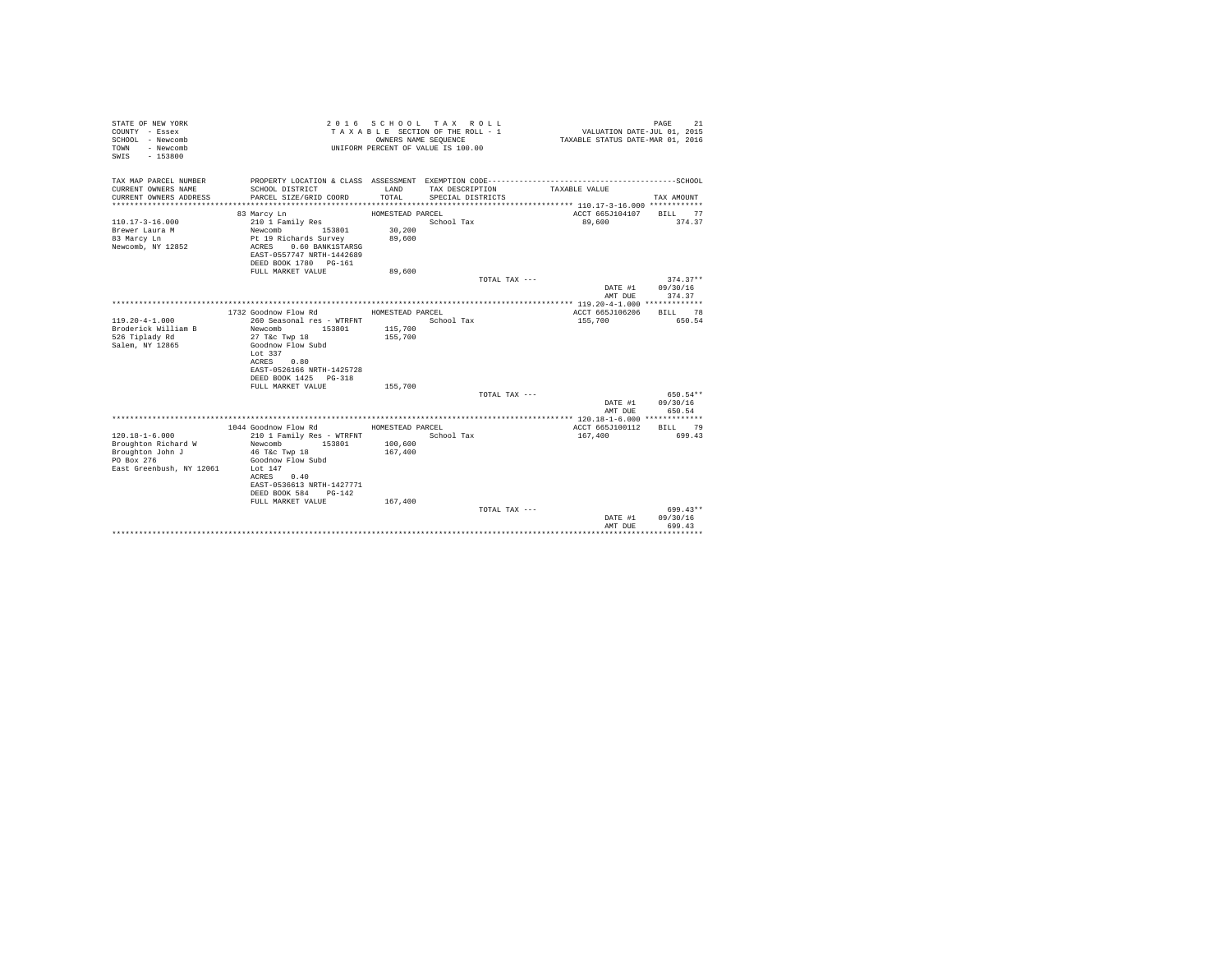| STATE OF NEW YORK<br>COUNTY - Essex<br>SCHOOL - Newcomb<br>- Newcomb<br>TOWN<br>$-153800$<br>SWIS         |                                                                                                                                                                                                                         | OWNERS NAME SEQUENCE                              | 2016 SCHOOL TAX ROLL<br>TAXABLE SECTION OF THE ROLL - 1<br>UNIFORM PERCENT OF VALUE IS 100.00 | VALUATION DATE-JUL 01, 2015<br>TAXABLE STATUS DATE-MAR 01, 2016 | 21<br>PAGE                       |
|-----------------------------------------------------------------------------------------------------------|-------------------------------------------------------------------------------------------------------------------------------------------------------------------------------------------------------------------------|---------------------------------------------------|-----------------------------------------------------------------------------------------------|-----------------------------------------------------------------|----------------------------------|
| TAX MAP PARCEL NUMBER<br>CURRENT OWNERS NAME<br>CURRENT OWNERS ADDRESS<br>*************************       | SCHOOL DISTRICT<br>PARCEL SIZE/GRID COORD                                                                                                                                                                               | LAND<br>TOTAL                                     | TAX DESCRIPTION<br>SPECIAL DISTRICTS                                                          | TAXABLE VALUE                                                   | TAX AMOUNT                       |
| $110.17 - 3 - 16.000$<br>Brewer Laura M<br>83 Marcy Ln<br>Newcomb, NY 12852                               | 83 Marcy Ln<br>210 1 Family Res<br>153801<br>Newcomb<br>Pt 19 Richards Survey<br>0.60 BANK1STARSG<br>ACRES<br>EAST-0557747 NRTH-1442689<br>DEED BOOK 1780 PG-161<br>FULL MARKET VALUE                                   | HOMESTEAD PARCEL<br>30,200<br>89,600<br>89,600    | School Tax                                                                                    | ACCT 665J104107<br>89,600                                       | BILL 77<br>374.37                |
|                                                                                                           |                                                                                                                                                                                                                         |                                                   | TOTAL TAX ---                                                                                 | DATE #1<br>AMT DUE                                              | $374.37**$<br>09/30/16<br>374.37 |
|                                                                                                           |                                                                                                                                                                                                                         |                                                   |                                                                                               |                                                                 |                                  |
| $119.20 - 4 - 1.000$<br>Broderick William B<br>526 Tiplady Rd<br>Salem, NY 12865                          | 1732 Goodnow Flow Rd<br>260 Seasonal res - WTRFNT<br>153801<br>Newcomb<br>27 T&c Twp 18<br>Goodnow Flow Subd<br>Lot 337<br>ACRES<br>0.80<br>EAST-0526166 NRTH-1425728<br>DEED BOOK 1425 PG-318<br>FULL MARKET VALUE     | HOMESTEAD PARCEL<br>115,700<br>155,700<br>155,700 | School Tax                                                                                    | ACCT 665J106206<br>155,700                                      | BILL 78<br>650.54                |
|                                                                                                           |                                                                                                                                                                                                                         |                                                   | TOTAL TAX ---                                                                                 |                                                                 | 650.54**                         |
|                                                                                                           |                                                                                                                                                                                                                         |                                                   |                                                                                               | DATE #1<br>AMT DUE                                              | 09/30/16<br>650.54               |
| $120.18 - 1 - 6.000$<br>Broughton Richard W<br>Broughton John J<br>PO Box 276<br>East Greenbush, NY 12061 | 1044 Goodnow Flow Rd<br>210 1 Family Res - WTRFNT<br>Newcomb<br>153801<br>46 T&c Twp 18<br>Goodnow Flow Subd<br>Lot $147$<br>0.40<br>ACRES<br>EAST-0536613 NRTH-1427771<br>DEED BOOK 584<br>PG-142<br>FULL MARKET VALUE | HOMESTEAD PARCEL<br>100,600<br>167,400<br>167,400 | School Tax                                                                                    | ACCT 665J100112<br>167,400                                      | BILL 79<br>699.43                |
|                                                                                                           |                                                                                                                                                                                                                         |                                                   | TOTAL TAX $---$                                                                               | DATE #1<br>AMT DUE                                              | 699.43**<br>09/30/16<br>699.43   |
|                                                                                                           |                                                                                                                                                                                                                         |                                                   |                                                                                               |                                                                 | .                                |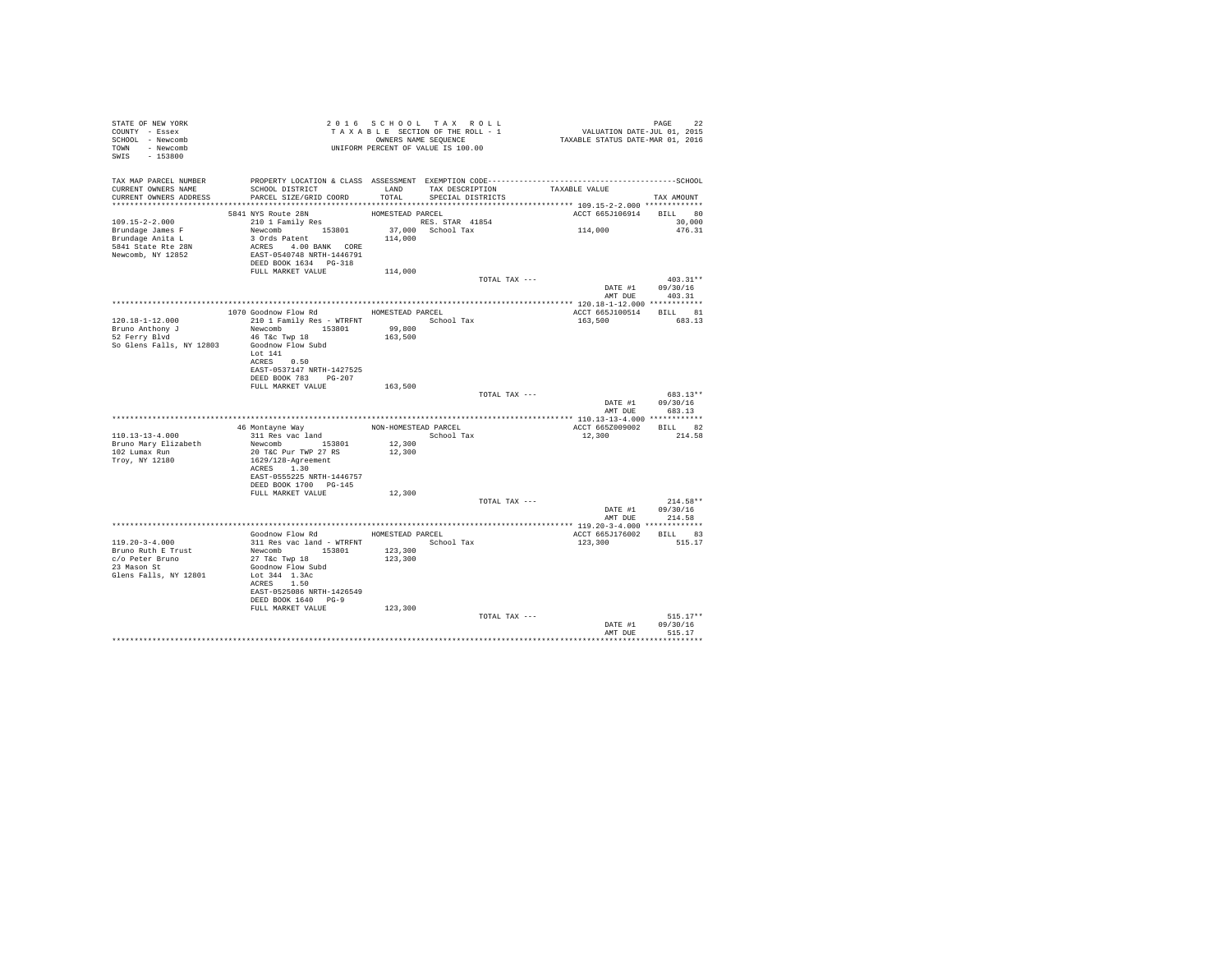| STATE OF NEW YORK<br>COUNTY - Essex<br>SCHOOL - Newcomb<br>TOWN - Newcomb<br>SWIS - 153800 | 2 0 1 0 S C A U OU A CA U A CA U A CA U A CA E ESCTION OF THE ROLL - 1<br>T A X A B L E SECTION OF THE ROLL - 1<br>UNIFORM PERCENT OF VALUE IS 100.00                                                                          |         | 2016 SCHOOL TAX ROLL               | PAGE 22<br>VALUATION DATE-JUL 01, 2015<br>TAXABLE STATUS DATE-MAR 01, 2016 |                                    |
|--------------------------------------------------------------------------------------------|--------------------------------------------------------------------------------------------------------------------------------------------------------------------------------------------------------------------------------|---------|------------------------------------|----------------------------------------------------------------------------|------------------------------------|
| CURRENT OWNERS NAME                                                                        | TAX MAP PARCEL NUMBER PROPERTY LOCATION & CLASS ASSESSMENT EXEMPTION CODE-----------------------------------SCHOOL<br>SCHOOL DISTRICT                                                                                          |         | LAND TAX DESCRIPTION TAXABLE VALUE |                                                                            |                                    |
| CURRENT OWNERS ADDRESS                                                                     | PARCEL SIZE/GRID COORD                                                                                                                                                                                                         | TOTAL   | SPECIAL DISTRICTS                  |                                                                            | TAX AMOUNT                         |
|                                                                                            |                                                                                                                                                                                                                                |         |                                    | ACCT 665J106914 BILL 80                                                    |                                    |
| $109.15 - 2 - 2.000$                                                                       | 5841 NYS Route 28N<br>210 1 Family Res                                                                                                                                                                                         |         |                                    |                                                                            | 30,000                             |
| Brundage James F                                                                           |                                                                                                                                                                                                                                |         |                                    | 114,000                                                                    | 476.31                             |
| Brundage Anita L<br>5841 State Rte 28N<br>Newcomb, NY 12852                                |                                                                                                                                                                                                                                |         |                                    |                                                                            |                                    |
|                                                                                            | HOMESTEAD PARCEL THE MANUS PARCEL RESOLUTION AND RESULT AND RESULT AND RESULT AND A STOCK AND RESULT AN ACCHET AND RESULT AN ACCHET AND RESULT ON THE PARTICULAR POST ON THE PARTICULAR POST ON THE PARTICULAR POST ON THE PAR |         |                                    |                                                                            |                                    |
|                                                                                            |                                                                                                                                                                                                                                |         |                                    |                                                                            |                                    |
|                                                                                            |                                                                                                                                                                                                                                |         | TOTAL TAX ---                      |                                                                            | $403.31**$                         |
|                                                                                            |                                                                                                                                                                                                                                |         |                                    | DATE #1 09/30/16<br>AMT DUE                                                | 403.31                             |
|                                                                                            |                                                                                                                                                                                                                                |         |                                    |                                                                            |                                    |
| $120.18 - 1 - 12.000$                                                                      | 1070 Goodnow Flow Rd MOMESTEAD PARCEL                                                                                                                                                                                          |         |                                    | ACCT 665J100514 BILL 81                                                    |                                    |
| Bruno Anthony J                                                                            | Newcomb 153801                                                                                                                                                                                                                 | 99,800  |                                    | 163,500 683.13                                                             |                                    |
| 52 Ferry Blvd                                                                              | 46 T&C Twp 18                                                                                                                                                                                                                  | 163,500 |                                    |                                                                            |                                    |
| So Glens Falls, NY 12803 Goodnow Flow Subd                                                 | Lot 141                                                                                                                                                                                                                        |         |                                    |                                                                            |                                    |
|                                                                                            | ACRES 0.50                                                                                                                                                                                                                     |         |                                    |                                                                            |                                    |
|                                                                                            | EAST-0537147 NRTH-1427525<br>DEED BOOK 783 PG-207                                                                                                                                                                              |         |                                    |                                                                            |                                    |
|                                                                                            | FULL MARKET VALUE                                                                                                                                                                                                              | 163,500 |                                    |                                                                            |                                    |
|                                                                                            |                                                                                                                                                                                                                                |         | TOTAL TAX ---                      |                                                                            | 683.13**                           |
|                                                                                            |                                                                                                                                                                                                                                |         |                                    |                                                                            | DATE #1 09/30/16<br>AMT DUE 683.13 |
|                                                                                            |                                                                                                                                                                                                                                |         |                                    |                                                                            |                                    |
| 110.13-13-4.000                                                                            | 46 Montayne Way MON-HOMESTEAD PARCEL<br>311 Res vac land                                                                                                                                                                       |         | School Tax                         | ACCT 665Z009002 BILL 82<br>12,300                                          | 214.58                             |
|                                                                                            | 1909 - 1909 - 1909 - 1910<br>Bruno Mary Elizabeth - Newcomb - 153801<br>102 Lumax Run - 20 T&C Pur TWP 27 RS                                                                                                                   | 12,300  |                                    |                                                                            |                                    |
| Troy, NY 12180                                                                             | 1629/128-Agreement                                                                                                                                                                                                             | 12,300  |                                    |                                                                            |                                    |
|                                                                                            | ACRES 1.30                                                                                                                                                                                                                     |         |                                    |                                                                            |                                    |
|                                                                                            | EAST-0555225 NRTH-1446757<br>DEED BOOK 1700 PG-145                                                                                                                                                                             |         |                                    |                                                                            |                                    |
|                                                                                            | FULL MARKET VALUE                                                                                                                                                                                                              | 12,300  |                                    |                                                                            |                                    |
|                                                                                            |                                                                                                                                                                                                                                |         | TOTAL TAX ---                      |                                                                            | $214.58**$                         |
|                                                                                            |                                                                                                                                                                                                                                |         |                                    | AMT DUE                                                                    | DATE #1 09/30/16<br>214.58         |
|                                                                                            |                                                                                                                                                                                                                                |         |                                    |                                                                            |                                    |
| $119.20 - 3 - 4.000$                                                                       | Goodnow Flow Rd MOMESTEAD PARCEL<br>311 Res vac land - WTRFNT School Tax                                                                                                                                                       |         |                                    | ACCT 665J176002 BILL 83<br>123,300                                         | 515.17                             |
| Bruno Ruth E Trust                                                                         | Sil Res vac Ianu - WIRENT<br>Newcomb 153801<br>27 T&c Twp 18                                                                                                                                                                   | 123,300 |                                    |                                                                            |                                    |
| c/o Peter Bruno<br>23 Mason St                                                             |                                                                                                                                                                                                                                | 123,300 |                                    |                                                                            |                                    |
| Glens Falls, NY 12801                                                                      | Goodnow Flow Subd<br>Lot 344 1.3Ac                                                                                                                                                                                             |         |                                    |                                                                            |                                    |
|                                                                                            | ACRES 1.50                                                                                                                                                                                                                     |         |                                    |                                                                            |                                    |
|                                                                                            | EAST-0525086 NRTH-1426549<br>DEED BOOK 1640 PG-9                                                                                                                                                                               |         |                                    |                                                                            |                                    |
|                                                                                            | FULL MARKET VALUE                                                                                                                                                                                                              | 123,300 |                                    |                                                                            |                                    |
|                                                                                            |                                                                                                                                                                                                                                |         | TOTAL TAX ---                      |                                                                            | $515.17**$<br>DATE #1 09/30/16     |
|                                                                                            |                                                                                                                                                                                                                                |         |                                    | AMT DHR                                                                    | 515.17                             |
|                                                                                            |                                                                                                                                                                                                                                |         |                                    |                                                                            | ***********                        |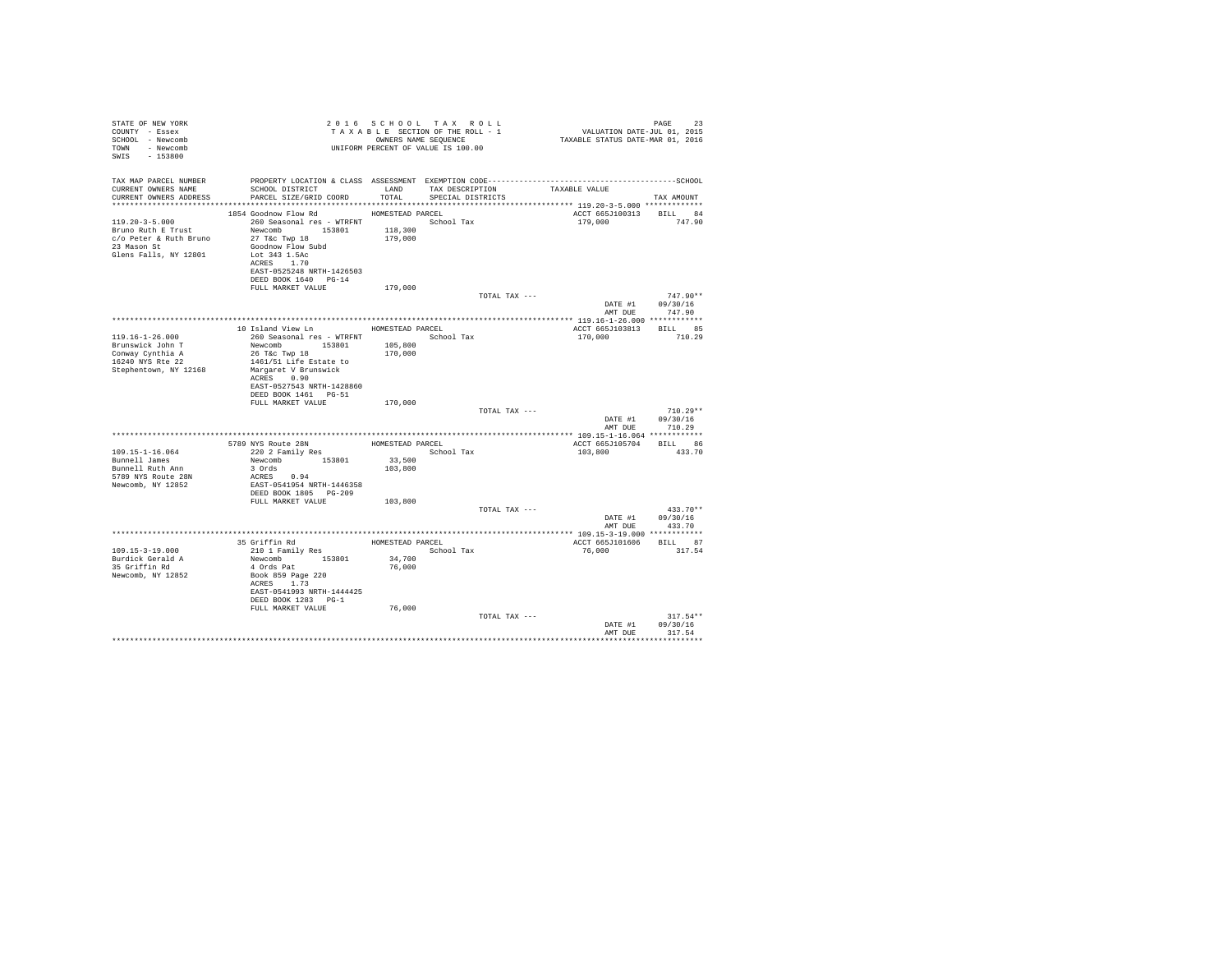| TAX MAP PARCEL NUMBER<br>SCHOOL DISTRICT LAND<br>CURRENT OWNERS NAME<br>TAX DESCRIPTION<br>TAXABLE VALUE | TAX AMOUNT              |
|----------------------------------------------------------------------------------------------------------|-------------------------|
|                                                                                                          |                         |
| TOTAL<br>PARCEL SIZE/GRID COORD<br>CURRENT OWNERS ADDRESS<br>SPECIAL DISTRICTS                           |                         |
|                                                                                                          |                         |
| 1854 Goodnow Flow Rd MOMESTEAD PARCEL                                                                    | ACCT 665J100313 BILL 84 |
| 260 Seasonal res - WTRFNT<br>119.20-3-5.000<br>School Tax                                                | 179,000 747.90          |
| Newcomb 153801<br>118,300<br>Bruno Ruth E Trust                                                          |                         |
| 27 T&c Twp 18<br>179,000<br>c/o Peter & Ruth Bruno<br>23 Mason St                                        |                         |
| Goodnow Flow Subd<br>Lot 343 1.5Ac<br>Glens Falls, NY 12801                                              |                         |
| ACRES 1.70                                                                                               |                         |
| EAST-0525248 NRTH-1426503                                                                                |                         |
| DEED BOOK 1640 PG-14                                                                                     |                         |
| FULL MARKET VALUE<br>179,000                                                                             |                         |
| TOTAL TAX ---<br>DATE #1                                                                                 | $747.90**$<br>09/30/16  |
| AMT DUE                                                                                                  | 747.90                  |
|                                                                                                          |                         |
| 10 Island View Ln<br>HOMESTEAD PARCEL                                                                    | ACCT 665J103813 BILL 85 |
| $119.16 - 1 - 26.000$<br>260 Seasonal res - WTRFNT Month School Tax<br>170,000                           | 710.29                  |
| Newcomb 153801<br>105,800<br>Brunswick John T                                                            |                         |
| Conway Cynthia A<br>26 T&C Twp 18<br>170,000<br>16240 NYS Rte 22<br>1461/51 Life Estate to               |                         |
| Stephentown, NY 12168<br>Margaret V Brunswick                                                            |                         |
| ACRES 0.90                                                                                               |                         |
| EAST-0527543 NRTH-1428860                                                                                |                         |
| DEED BOOK 1461    PG-51                                                                                  |                         |
| 170,000<br>FULL MARKET VALUE<br>TOTAL TAX ---                                                            | $710.29**$              |
| DATE #1                                                                                                  | 09/30/16                |
| AMT DUE                                                                                                  | 710.29                  |
|                                                                                                          |                         |
| 5789 NYS Route 28N<br>HOMESTEAD PARCEL                                                                   | ACCT 665J105704 BILL 86 |
| 220 2 Family Res<br>$109.15 - 1 - 16.064$<br>School Tax<br>103,800                                       | 433.70                  |
| Newcomb 153801<br>33,500<br>Bunnell James<br>3 Ords<br>103,800<br>Bunnell Ruth Ann                       |                         |
| 5789 NYS Route 28N<br>ACRES 0.94                                                                         |                         |
| Newcomb, NY 12852<br>EAST-0541954 NRTH-1446358                                                           |                         |
| DEED BOOK 1805 PG-209                                                                                    |                         |
| FULL MARKET VALUE<br>103,800                                                                             |                         |
| TOTAL TAX ---                                                                                            | $433.70**$              |
| DATE #1<br>AMT DUE                                                                                       | 09/30/16<br>433.70      |
|                                                                                                          |                         |
| 35 Griffin Rd<br>210 1 Family Res<br>HOMESTEAD PARCEL<br>ACCT 665J101606 BILL 87                         |                         |
| School Tax<br>$109.15 - 3 - 19.000$<br>76,000                                                            | 317.54                  |
| Newcomb 153801<br>34,700<br>Burdick Gerald A                                                             |                         |
| 4 Ords Pat<br>35 Griffin Rd<br>76,000                                                                    |                         |
| Newcomb, NY 12852<br>Book 859 Page 220<br>ACRES 1.73                                                     |                         |
| EAST-0541993 NRTH-1444425                                                                                |                         |
| DEED BOOK 1283 PG-1                                                                                      |                         |
| FULL MARKET VALUE<br>76,000                                                                              |                         |
| TOTAL TAX ---                                                                                            | $317.54**$              |
| DATE #1                                                                                                  | 09/30/16                |
| AMT DUE                                                                                                  | 317.54<br>              |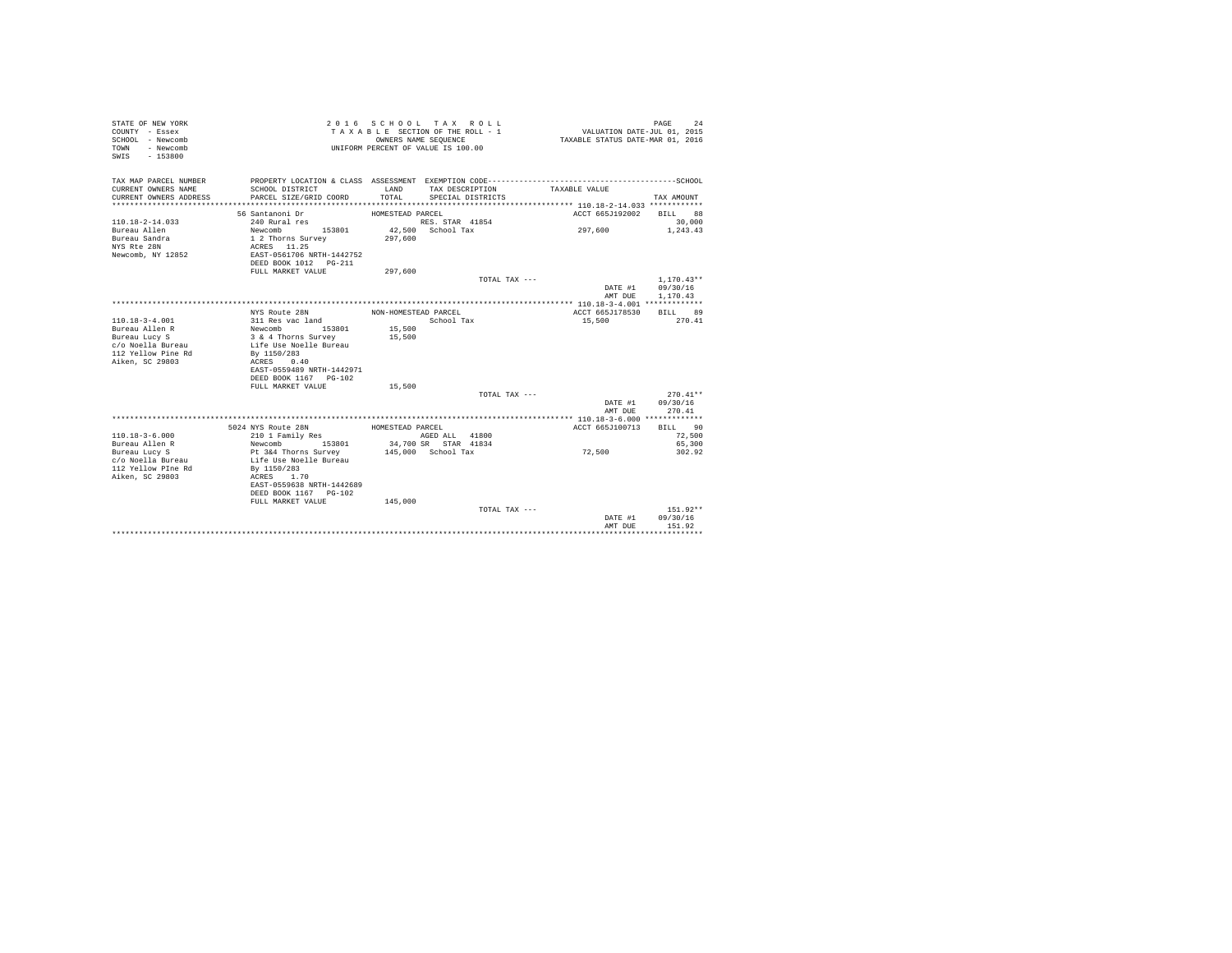| STATE OF NEW YORK<br>COUNTY - Essex<br>SCHOOL - Newcomb<br>- Newcomb<br>TOWN<br>$-153800$<br>SWIS |                           | OWNERS NAME SEOUENCE | 2016 SCHOOL TAX ROLL<br>TAXABLE SECTION OF THE ROLL - 1<br>UNIFORM PERCENT OF VALUE IS 100.00 | VALUATION DATE-JUL 01, 2015<br>TAXABLE STATUS DATE-MAR 01, 2016 | 24<br>PAGE               |
|---------------------------------------------------------------------------------------------------|---------------------------|----------------------|-----------------------------------------------------------------------------------------------|-----------------------------------------------------------------|--------------------------|
| TAX MAP PARCEL NUMBER<br>CURRENT OWNERS NAME                                                      | SCHOOL DISTRICT           | LAND                 | TAX DESCRIPTION                                                                               | TAXABLE VALUE                                                   |                          |
| CURRENT OWNERS ADDRESS<br>*************************                                               | PARCEL SIZE/GRID COORD    | TOTAL                | SPECIAL DISTRICTS                                                                             |                                                                 | TAX AMOUNT               |
|                                                                                                   | 56 Santanoni Dr           | HOMESTEAD PARCEL     |                                                                                               | ACCT 665J192002                                                 | BILL 88                  |
| $110.18 - 2 - 14.033$                                                                             | 240 Rural res             |                      | RES. STAR 41854                                                                               |                                                                 | 30,000                   |
| Bureau Allen                                                                                      | Newcomb<br>153801         |                      | 42,500 School Tax                                                                             | 297,600                                                         | 1,243.43                 |
| Bureau Sandra                                                                                     | 1 2 Thorns Survey         | 297,600              |                                                                                               |                                                                 |                          |
| NYS Rte 28N                                                                                       | ACRES 11.25               |                      |                                                                                               |                                                                 |                          |
| Newcomb, NY 12852                                                                                 | EAST-0561706 NRTH-1442752 |                      |                                                                                               |                                                                 |                          |
|                                                                                                   | DEED BOOK 1012 PG-211     |                      |                                                                                               |                                                                 |                          |
|                                                                                                   | FULL MARKET VALUE         | 297,600              |                                                                                               |                                                                 |                          |
|                                                                                                   |                           |                      | TOTAL TAX ---                                                                                 | DATE #1                                                         | $1.170.43**$<br>09/30/16 |
|                                                                                                   |                           |                      |                                                                                               | AMT DUE                                                         | 1,170.43                 |
|                                                                                                   |                           |                      |                                                                                               |                                                                 |                          |
|                                                                                                   | NYS Route 28N             | NON-HOMESTEAD PARCEL |                                                                                               | ACCT 665J178530                                                 | <b>BILL</b><br>89        |
| $110.18 - 3 - 4.001$                                                                              | 311 Res vac land          |                      | School Tax                                                                                    | 15,500                                                          | 270.41                   |
| Bureau Allen R                                                                                    | Newcomb<br>153801         | 15,500               |                                                                                               |                                                                 |                          |
| Bureau Lucy S                                                                                     | 3 & 4 Thorns Survey       | 15,500               |                                                                                               |                                                                 |                          |
| c/o Noella Bureau                                                                                 | Life Use Noelle Bureau    |                      |                                                                                               |                                                                 |                          |
| 112 Yellow Pine Rd                                                                                | By 1150/283               |                      |                                                                                               |                                                                 |                          |
| Aiken, SC 29803                                                                                   | ACRES<br>0.40             |                      |                                                                                               |                                                                 |                          |
|                                                                                                   | EAST-0559489 NRTH-1442971 |                      |                                                                                               |                                                                 |                          |
|                                                                                                   | DEED BOOK 1167 PG-102     |                      |                                                                                               |                                                                 |                          |
|                                                                                                   | FULL MARKET VALUE         | 15,500               |                                                                                               |                                                                 |                          |
|                                                                                                   |                           |                      | TOTAL TAX ---                                                                                 |                                                                 | $270.41**$               |
|                                                                                                   |                           |                      |                                                                                               | DATE #1                                                         | 09/30/16                 |
|                                                                                                   |                           |                      |                                                                                               | AMT DUE                                                         | 270.41                   |
|                                                                                                   | 5024 NYS Route 28N        | HOMESTEAD PARCEL     |                                                                                               | ACCT 665J100713                                                 | BILL 90                  |
| $110.18 - 3 - 6.000$                                                                              | 210 1 Family Res          |                      | AGED ALL 41800                                                                                |                                                                 | 72,500                   |
| Bureau Allen R                                                                                    | Newcomb<br>153801         |                      | 34,700 SR STAR 41834                                                                          |                                                                 | 65,300                   |
| Bureau Lucy S                                                                                     | Pt 3&4 Thorns Survey      |                      | 145,000 School Tax                                                                            | 72,500                                                          | 302.92                   |
| c/o Noella Bureau                                                                                 | Life Use Noelle Bureau    |                      |                                                                                               |                                                                 |                          |
| 112 Yellow PIne Rd                                                                                | By 1150/283               |                      |                                                                                               |                                                                 |                          |
| Aiken, SC 29803                                                                                   | ACRES 1.70                |                      |                                                                                               |                                                                 |                          |
|                                                                                                   | EAST-0559638 NRTH-1442689 |                      |                                                                                               |                                                                 |                          |
|                                                                                                   | DEED BOOK 1167 PG-102     |                      |                                                                                               |                                                                 |                          |
|                                                                                                   | FULL MARKET VALUE         | 145,000              |                                                                                               |                                                                 |                          |
|                                                                                                   |                           |                      | TOTAL TAX $---$                                                                               |                                                                 | $151.92**$               |
|                                                                                                   |                           |                      |                                                                                               | DATE #1                                                         | 09/30/16                 |
|                                                                                                   |                           |                      |                                                                                               | AMT DUE                                                         | 151.92<br>***********    |
|                                                                                                   |                           |                      |                                                                                               |                                                                 |                          |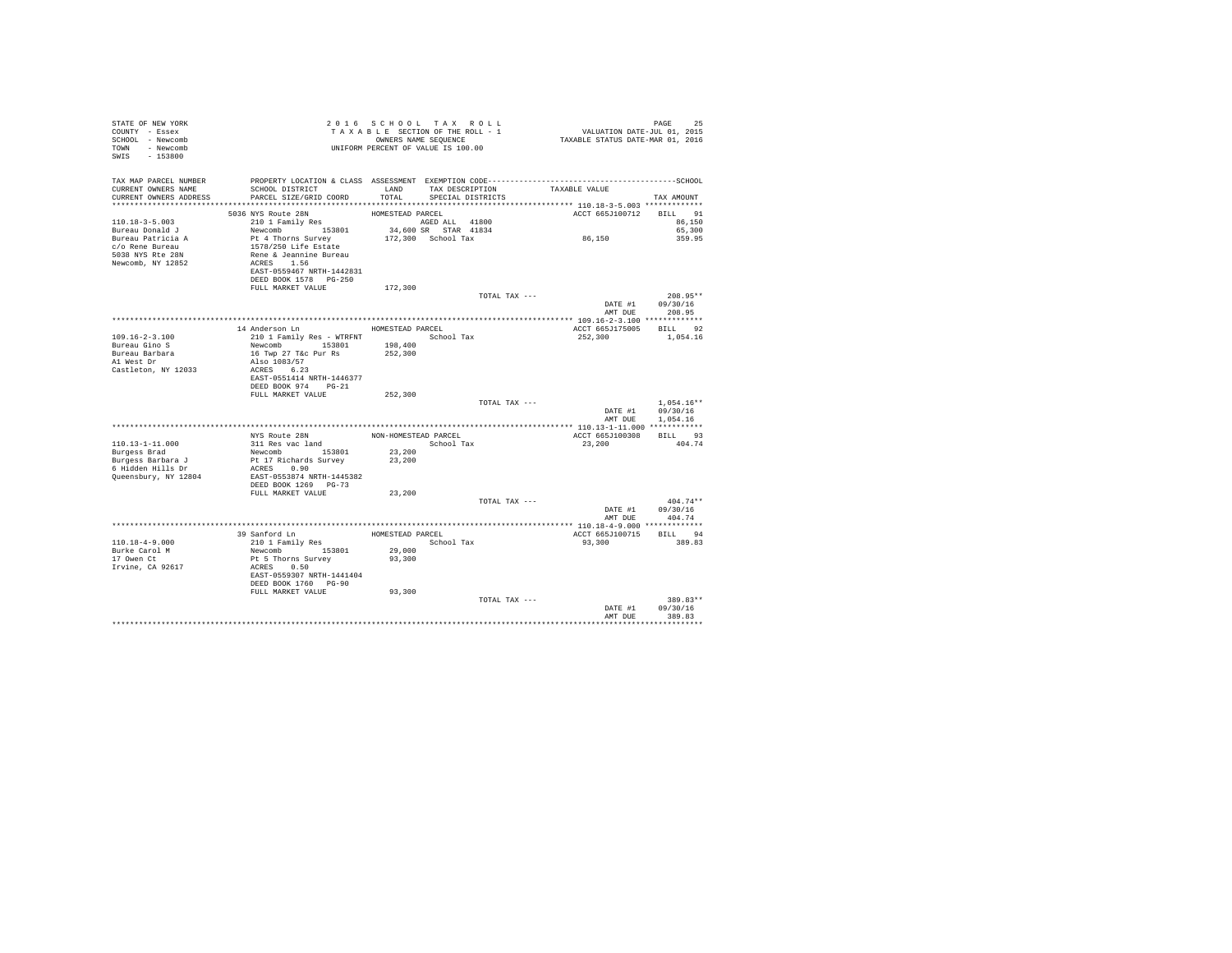| STATE OF NEW YORK<br>COUNTY - Essex<br>SCHOOL - Newcomb<br>TOWN - Newcomb<br>SWIS - 153800                               |                                                                                                                                                                   | $\begin{tabular}{ccccc} 2 & 0 & 1 & 6 & $\texttt{S} \texttt{ C} \texttt{ H} \texttt{O} \texttt{ D} \texttt{L}$ & \multicolumn{2}{c}{\texttt{N}}$ & \multicolumn{2}{c}{\texttt{N}}$ & \multicolumn{2}{c}{\texttt{N}}$ & \multicolumn{2}{c}{\texttt{N}}$ & \multicolumn{2}{c}{\texttt{N}}$ & \multicolumn{2}{c}{\texttt{N}}$ & \multicolumn{2}{c}{\texttt{N}}$ & \multicolumn{2}{c}{\texttt{N}}$ & \multicolumn{2}{c}{\texttt{N}}$ & \multicolumn{2}{c}{$<br>UNIFORM PERCENT OF VALUE IS 100.00 |                 |                                               |                                                  |
|--------------------------------------------------------------------------------------------------------------------------|-------------------------------------------------------------------------------------------------------------------------------------------------------------------|-----------------------------------------------------------------------------------------------------------------------------------------------------------------------------------------------------------------------------------------------------------------------------------------------------------------------------------------------------------------------------------------------------------------------------------------------------------------------------------------------|-----------------|-----------------------------------------------|--------------------------------------------------|
| TAX MAP PARCEL NUMBER<br>CURRENT OWNERS NAME<br>CURRENT OWNERS ADDRESS                                                   | PROPERTY LOCATION & CLASS ASSESSMENT EXEMPTION CODE-----------------------------------SCHOOL<br>SCHOOL DISTRICT<br>PARCEL SIZE/GRID COORD TOTAL SPECIAL DISTRICTS | LAND                                                                                                                                                                                                                                                                                                                                                                                                                                                                                          | TAX DESCRIPTION | TAXABLE VALUE                                 | TAX AMOUNT                                       |
|                                                                                                                          |                                                                                                                                                                   |                                                                                                                                                                                                                                                                                                                                                                                                                                                                                               |                 |                                               |                                                  |
| $110.18 - 3 - 5.003$<br>Bureau Donald J<br>Bureau Patricia A<br>c/o Rene Bureau<br>5038 NYS Rte 28N<br>Newcomb, NY 12852 | ACRES 1.56<br>EAST-0559467 NRTH-1442831<br>DEED BOOK 1578 PG-250                                                                                                  |                                                                                                                                                                                                                                                                                                                                                                                                                                                                                               |                 | ACCT 665J100712 BILL 91<br>$8\,6$ , $1\,5\,0$ | 86,150<br>65,300<br>359.95                       |
|                                                                                                                          | FULL MARKET VALUE                                                                                                                                                 | 172,300                                                                                                                                                                                                                                                                                                                                                                                                                                                                                       |                 |                                               |                                                  |
|                                                                                                                          |                                                                                                                                                                   |                                                                                                                                                                                                                                                                                                                                                                                                                                                                                               | TOTAL TAX ---   |                                               | $208.95**$<br>DATE #1 09/30/16<br>AMT DUE 208.95 |
|                                                                                                                          |                                                                                                                                                                   |                                                                                                                                                                                                                                                                                                                                                                                                                                                                                               |                 |                                               |                                                  |
| $109.16 - 2 - 3.100$<br>Bureau Gino S<br>Bureau Barbara                                                                  | 14 Anderson Ln MOMESTEAD PARCEL<br>210 1 Family Res - WTRFNT School Tax<br>Newcomb 153801 198,400<br>16 Twp 27 T&c Pur Rs 252,300                                 |                                                                                                                                                                                                                                                                                                                                                                                                                                                                                               |                 | ACCT 665J175005 BILL 92<br>252,300            | 1,054.16                                         |
| Al West Dr<br>Castleton, NY 12033                                                                                        | Also 1083/57<br>ACRES 6.23<br>EAST-0551414 NRTH-1446377<br>DEED BOOK 974 PG-21<br>FULL MARKET VALUE                                                               | 252,300                                                                                                                                                                                                                                                                                                                                                                                                                                                                                       |                 |                                               |                                                  |
|                                                                                                                          |                                                                                                                                                                   |                                                                                                                                                                                                                                                                                                                                                                                                                                                                                               | TOTAL TAX ---   | DATE #1<br>AMT DUE                            | $1.054.16**$<br>09/30/16<br>1.054.16             |
|                                                                                                                          |                                                                                                                                                                   |                                                                                                                                                                                                                                                                                                                                                                                                                                                                                               |                 |                                               |                                                  |
| $110.13 - 1 - 11.000$                                                                                                    |                                                                                                                                                                   |                                                                                                                                                                                                                                                                                                                                                                                                                                                                                               |                 | ACCT 665J100308<br>23,200                     | BILL 93<br>404.74                                |
| Burgess Brad<br>Burgess Barbara J<br>6 Hidden Hills Dr<br>Queensbury, NY 12804                                           | Newcomb 153801 23,200<br>Pt 17 Richards Survey 23,200<br>ACRES 0.90<br>EAST-0553874 NRTH-1445382<br>DEED BOOK 1269 PG-73                                          |                                                                                                                                                                                                                                                                                                                                                                                                                                                                                               |                 |                                               |                                                  |
|                                                                                                                          | FULL MARKET VALUE                                                                                                                                                 | 23,200                                                                                                                                                                                                                                                                                                                                                                                                                                                                                        | TOTAL TAX ---   | AMT DUE                                       | $404.74**$<br>DATE #1 09/30/16<br>404.74         |
|                                                                                                                          |                                                                                                                                                                   |                                                                                                                                                                                                                                                                                                                                                                                                                                                                                               |                 |                                               |                                                  |
| $110.18 - 4 - 9.000$                                                                                                     |                                                                                                                                                                   |                                                                                                                                                                                                                                                                                                                                                                                                                                                                                               |                 | ACCT 665J100715<br>93,300                     | BILL 94<br>389.83                                |
| Burke Carol M<br>17 Owen Ct<br>Irvine, CA 92617                                                                          | Newcomb 153801<br>Pt 5 Thorns Survey<br>ACRES 0.50<br>EAST-0559307 NRTH-1441404<br>DEED BOOK 1760 PG-90<br>FULL MARKET VALUE                                      | 29,000<br>93,300<br>93,300                                                                                                                                                                                                                                                                                                                                                                                                                                                                    |                 |                                               |                                                  |
|                                                                                                                          |                                                                                                                                                                   |                                                                                                                                                                                                                                                                                                                                                                                                                                                                                               | TOTAL TAX ---   | AMT DUR                                       | 389.83**<br>DATE #1 09/30/16<br>389.83           |
|                                                                                                                          |                                                                                                                                                                   |                                                                                                                                                                                                                                                                                                                                                                                                                                                                                               |                 |                                               |                                                  |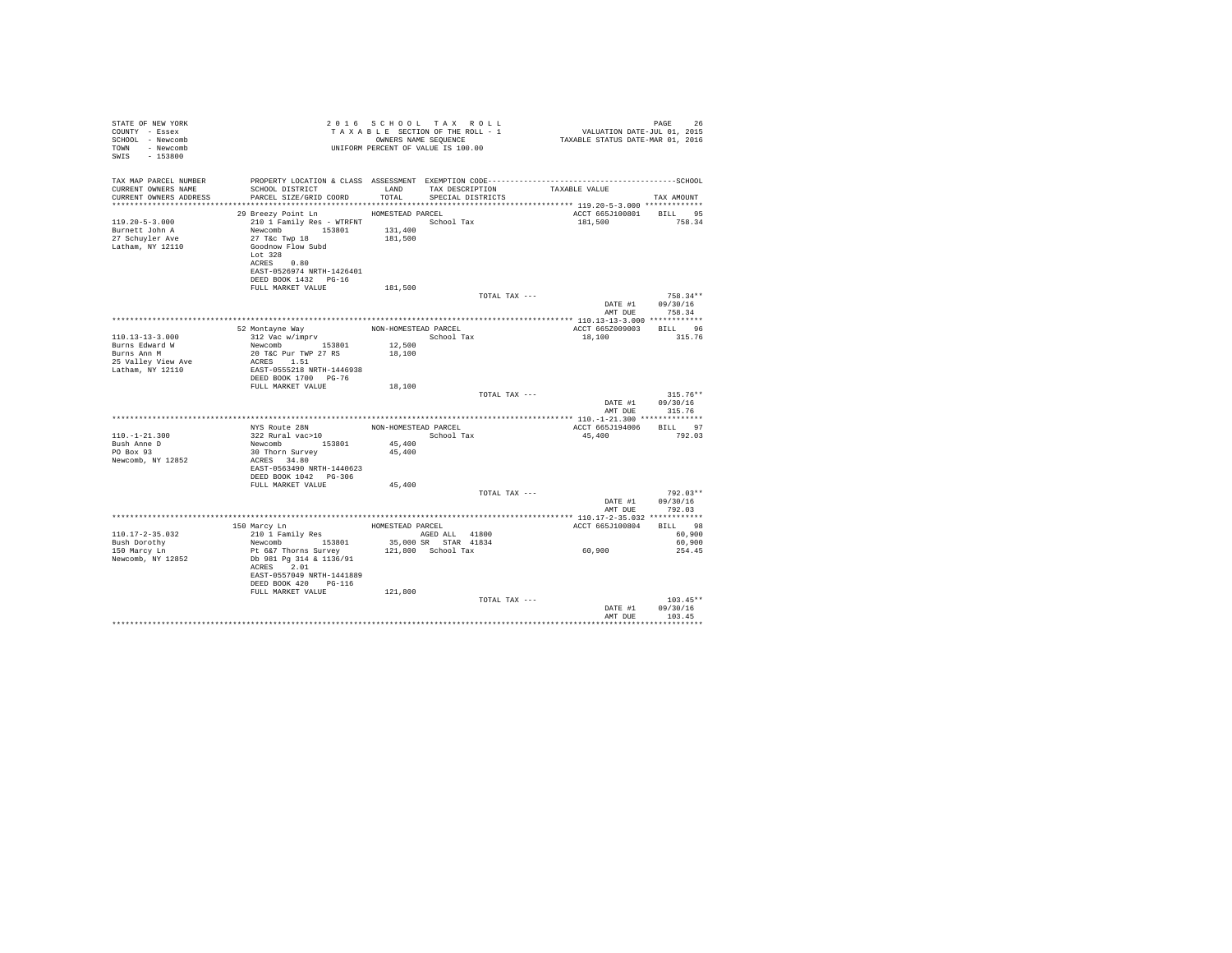| STATE OF NEW YORK<br>COUNTY - Essex<br>SCHOOL - Newcomb<br>TOWN - Newcomb<br>SWIS - 153800       |                                                                                                                                                                                                          |                                                    | 2016 SCHOOL TAX ROLL<br>TAXABLE SECTION OF THE ROLL - 1<br>OWNERS NAME SEOUENCE<br>UNIFORM PERCENT OF VALUE IS 100.00 | 26 FAGE<br>VALUATION DATE-JUL 01, 2015<br>TAXABLE STATUS DATE-MAR 01, 2016 | PAGE<br>26                                   |
|--------------------------------------------------------------------------------------------------|----------------------------------------------------------------------------------------------------------------------------------------------------------------------------------------------------------|----------------------------------------------------|-----------------------------------------------------------------------------------------------------------------------|----------------------------------------------------------------------------|----------------------------------------------|
| TAX MAP PARCEL NUMBER<br>CURRENT OWNERS NAME<br>CURRENT OWNERS ADDRESS                           | SCHOOL DISTRICT<br>PARCEL SIZE/GRID COORD                                                                                                                                                                | LAND<br>TOTAL                                      | TAX DESCRIPTION<br>SPECIAL DISTRICTS                                                                                  | TAXABLE VALUE                                                              | TAX AMOUNT                                   |
| $119.20 - 5 - 3.000$<br>Burnett John A<br>27 Schuyler Ave<br>Latham, NY 12110                    | 29 Breezy Point Ln HOMESTEAD PARCEL<br>210 1 Family Res - WTRFNT<br>Newcomb 153801<br>27 T&c Twp 18<br>Goodnow Flow Subd<br>Lot $328$<br>ACRES 0.80<br>EAST-0526974 NRTH-1426401<br>DEED BOOK 1432 PG-16 | 131,400<br>181,500                                 | School Tax                                                                                                            | ACCT 665J100801 BILL 95<br>181,500                                         | 758.34                                       |
|                                                                                                  | FULL MARKET VALUE                                                                                                                                                                                        | 181,500                                            | TOTAL TAX ---                                                                                                         | DATE #1<br>AMT DUE                                                         | $758.34**$<br>09/30/16<br>758.34             |
|                                                                                                  |                                                                                                                                                                                                          |                                                    |                                                                                                                       |                                                                            |                                              |
| $110.13 - 13 - 3.000$<br>Burns Edward W<br>Burns Ann M<br>25 Valley View Ave<br>Latham, NY 12110 | 52 Montayne Way<br>312 Vac w/imprv<br>Newcomb 153801<br>20 T&C Pur TWP 27 RS<br>ACRES 1.51<br>EAST-0555218 NRTH-1446938<br>DEED BOOK 1700 PG-76<br>FULL MARKET VALUE                                     | NON-HOMESTEAD PARCEL<br>12,500<br>18,100<br>18,100 | School Tax<br>TOTAL TAX ---                                                                                           | ACCT 665Z009003<br>18,100                                                  | RTLL 96<br>315.76<br>$315.76**$              |
|                                                                                                  |                                                                                                                                                                                                          |                                                    |                                                                                                                       | DATE #1<br>AMT DUE                                                         | 09/30/16<br>315.76                           |
|                                                                                                  |                                                                                                                                                                                                          |                                                    |                                                                                                                       |                                                                            |                                              |
| $110. - 1 - 21.300$<br>Bush Anne D<br>PO Box 93<br>Newcomb, NY 12852                             | NYS Route 28N NON-HOMESTEAD PARCEL<br>322 Rural vac>10<br>153801<br>Newcomb<br>30 Thorn Survey<br>ACRES 34.80<br>EAST-0563490 NRTH-1440623<br>DEED BOOK 1042 PG-306<br>FULL MARKET VALUE                 | 45,400<br>45,400<br>45,400                         | School Tax                                                                                                            | ACCT 665J194006 BILL 97<br>45,400                                          | 792.03                                       |
|                                                                                                  |                                                                                                                                                                                                          |                                                    | TOTAL TAX ---                                                                                                         | DATE #1<br>AMT DUE                                                         | $792.03**$<br>09/30/16<br>792.03             |
|                                                                                                  |                                                                                                                                                                                                          |                                                    |                                                                                                                       |                                                                            |                                              |
| $110.17 - 2 - 35.032$<br>Bush Dorothy<br>150 Marcy Ln<br>Newcomb, NY 12852                       | 150 Marcy Ln<br>210 1 Family Res<br>Newcomb 153801<br>Pt 6&7 Thorns Survey<br>Db 981 Pg 314 & 1136/91<br>ACRES 2.01                                                                                      | HOMESTEAD PARCEL                                   | AGED ALL 41800<br>35,000 SR STAR 41834<br>121,800 School Tax                                                          | ACCT 665J100804<br>60,900                                                  | <b>BTLL</b> 98<br>60,900<br>60,900<br>254.45 |
|                                                                                                  | EAST-0557049 NRTH-1441889<br>DEED BOOK 420 PG-116<br>FULL MARKET VALUE                                                                                                                                   | 121,800                                            | TOTAL TAX ---                                                                                                         | DATE #1<br>AMT DUR                                                         | $103.45**$<br>09/30/16<br>103.45<br>.        |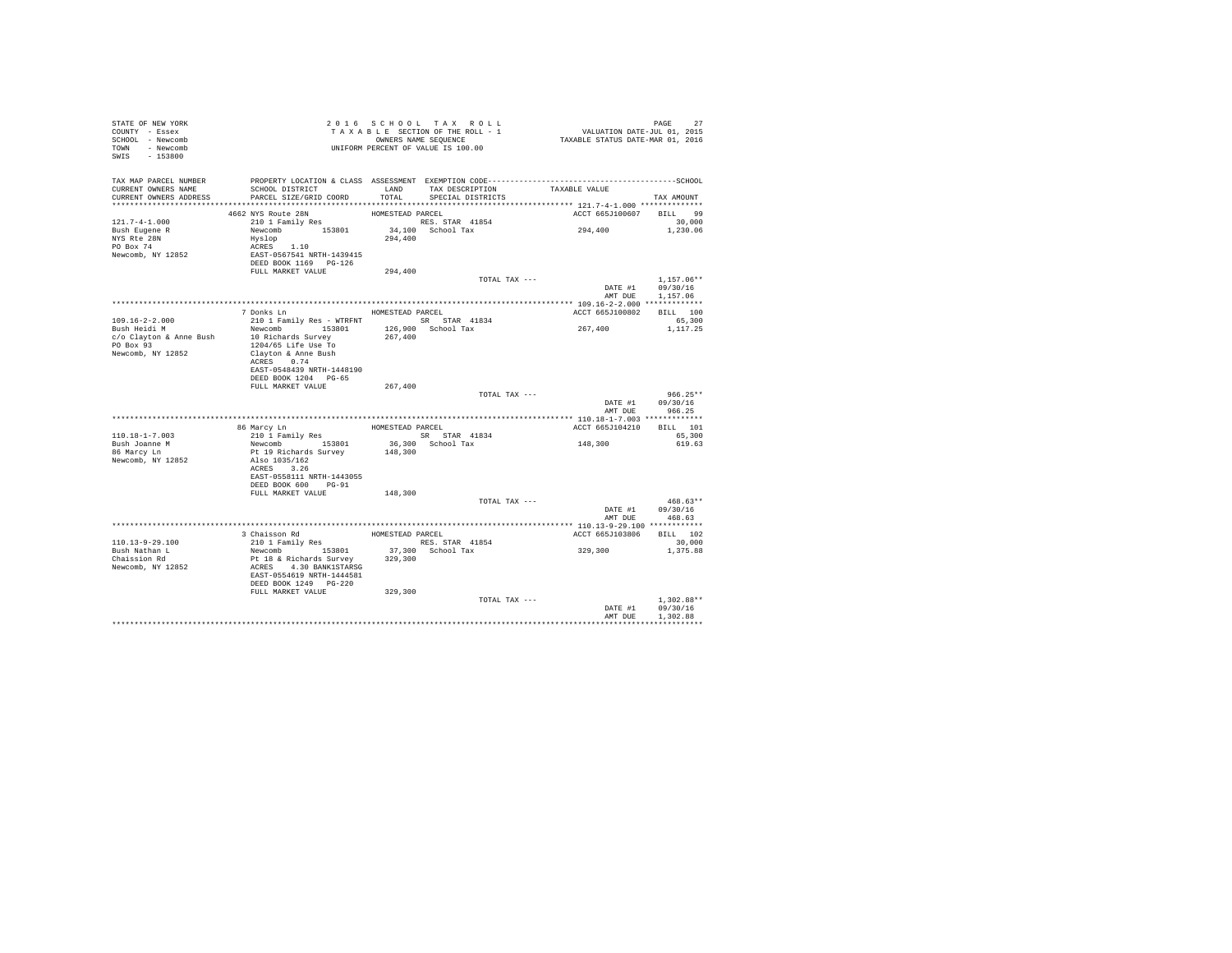| STATE OF NEW YORK<br>COUNTY - Essex<br>SCHOOL - Newcomb<br>TOWN - Newcomb<br>SWIS - 153800 | UNIFORM PERCENT OF VALUE IS 100.00                                                           |                  | 2016 SCHOOL TAX ROLL<br>TAXABLE SECTION OF THE ROLL - 1<br>OWNERS NAME SEQUENCE | PAGE 27<br>VALUATION DATE-JUL 01, 2015<br>TAXABLE STATUS DATE-MAR 01, 2016 |                  |
|--------------------------------------------------------------------------------------------|----------------------------------------------------------------------------------------------|------------------|---------------------------------------------------------------------------------|----------------------------------------------------------------------------|------------------|
| TAX MAP PARCEL NUMBER                                                                      | PROPERTY LOCATION & CLASS ASSESSMENT EXEMPTION CODE-----------------------------------SCHOOL |                  |                                                                                 |                                                                            |                  |
| CURRENT OWNERS NAME<br>CURRENT OWNERS ADDRESS                                              | SCHOOL DISTRICT<br>PARCEL SIZE/GRID COORD                                                    |                  | LAND TAX DESCRIPTION<br>TOTAL SPECIAL DISTRICTS                                 | TAXABLE VALUE                                                              | TAX AMOUNT       |
|                                                                                            |                                                                                              |                  |                                                                                 |                                                                            |                  |
|                                                                                            | 4662 NYS Route 28N                                                                           | HOMESTEAD PARCEL |                                                                                 | ACCT 665J100607 BILL 99                                                    |                  |
| $121.7 - 4 - 1.000$                                                                        | 210 1 Family Res                                                                             |                  | RES. STAR 41854                                                                 |                                                                            | 30,000           |
| Bush Eugene R                                                                              | Newcomb 153801                                                                               |                  | 34.100 School Tax                                                               | 294,400                                                                    | 1,230.06         |
|                                                                                            | Hyslop                                                                                       | 294,400          |                                                                                 |                                                                            |                  |
| NYS Rte 28N<br>PO Box 74                                                                   | Hyslop<br>ACRES 1.10<br>EAST-0567541 NRTH-1439415                                            |                  |                                                                                 |                                                                            |                  |
| Newcomb, NY 12852                                                                          |                                                                                              |                  |                                                                                 |                                                                            |                  |
|                                                                                            | DEED BOOK 1169 PG-126                                                                        |                  |                                                                                 |                                                                            |                  |
|                                                                                            | FULL MARKET VALUE                                                                            | 294,400          |                                                                                 |                                                                            |                  |
|                                                                                            |                                                                                              |                  | TOTAL TAX ---                                                                   |                                                                            | $1.157.06**$     |
|                                                                                            |                                                                                              |                  |                                                                                 | DATE #1                                                                    | 09/30/16         |
|                                                                                            |                                                                                              |                  |                                                                                 | AMT DUE                                                                    | 1,157.06         |
|                                                                                            | 7 Donks Ln                                                                                   | HOMESTEAD PARCEL |                                                                                 | ACCT 665J100802                                                            | BILL 100         |
| 109.16-2-2.000                                                                             | 210 1 Family Res - WTRFNT SR STAR 41834                                                      |                  |                                                                                 |                                                                            | 65,300           |
| Bush Heidi M                                                                               | Newcomb 153801                                                                               |                  | 126,900 School Tax                                                              | $267\,, 400$                                                               | 1,117.25         |
| c/o Clayton & Anne Bush                                                                    | 10 Richards Survey                                                                           | 267,400          |                                                                                 |                                                                            |                  |
| PO Box 93                                                                                  | 1204/65 Life Use To                                                                          |                  |                                                                                 |                                                                            |                  |
| Newcomb, NY 12852                                                                          | Clayton & Anne Bush                                                                          |                  |                                                                                 |                                                                            |                  |
|                                                                                            | ACRES 0.74                                                                                   |                  |                                                                                 |                                                                            |                  |
|                                                                                            | EAST-0548439 NRTH-1448190                                                                    |                  |                                                                                 |                                                                            |                  |
|                                                                                            | DEED BOOK 1204 PG-65                                                                         |                  |                                                                                 |                                                                            |                  |
|                                                                                            | FULL MARKET VALUE                                                                            | 267,400          |                                                                                 |                                                                            | $966.25**$       |
|                                                                                            |                                                                                              |                  | TOTAL TAX ---                                                                   |                                                                            | DATE #1 09/30/16 |
|                                                                                            |                                                                                              |                  |                                                                                 | AMT DUE                                                                    | 966.25           |
|                                                                                            |                                                                                              |                  |                                                                                 |                                                                            |                  |
|                                                                                            |                                                                                              |                  | HOMESTEAD PARCEL                                                                | ACCT 665J104210 BILL 101                                                   |                  |
| 110.18-1-7.003                                                                             | 86 Marcy Ln<br>210 1 Family Res                                                              |                  | SR STAR 41834                                                                   |                                                                            | 65,300           |
| Bush Joanne M                                                                              | Newcomb 153801<br>Pt 19 Richards Survey                                                      |                  | 36,300 School Tax                                                               | 148,300                                                                    | 619.63           |
| 86 Marcy Ln                                                                                |                                                                                              | 148,300          |                                                                                 |                                                                            |                  |
| Newcomb, NY 12852                                                                          | Also 1035/162                                                                                |                  |                                                                                 |                                                                            |                  |
|                                                                                            | ACRES 3.26                                                                                   |                  |                                                                                 |                                                                            |                  |
|                                                                                            | EAST-0558111 NRTH-1443055                                                                    |                  |                                                                                 |                                                                            |                  |
|                                                                                            | DEED BOOK 600 PG-91                                                                          | 148,300          |                                                                                 |                                                                            |                  |
|                                                                                            | FULL MARKET VALUE                                                                            |                  | TOTAL TAX ---                                                                   |                                                                            | $468.63**$       |
|                                                                                            |                                                                                              |                  |                                                                                 | DATE #1                                                                    | 09/30/16         |
|                                                                                            |                                                                                              |                  |                                                                                 | AMT DUE                                                                    | 468.63           |
|                                                                                            |                                                                                              |                  |                                                                                 |                                                                            |                  |
|                                                                                            | 3 Chaisson Rd<br>210 1 Family Res HOMESTEAD PARCEL<br>RES. STAN                              |                  |                                                                                 | ACCT 665J103806 BILL 102                                                   |                  |
| 110.13-9-29.100                                                                            |                                                                                              |                  | RES. STAR 41854                                                                 |                                                                            | 30,000           |
| Bush Nathan L                                                                              | Newcomb 153801                                                                               |                  | 37,300 School Tax                                                               | 329,300                                                                    | 1,375.88         |
| Chaission Rd                                                                               | Pt 18 & Richards Survey<br>ACRES 4.30 BANK1STARSG                                            | 329,300          |                                                                                 |                                                                            |                  |
| Newcomb, NY 12852                                                                          |                                                                                              |                  |                                                                                 |                                                                            |                  |
|                                                                                            | EAST-0554619 NRTH-1444581                                                                    |                  |                                                                                 |                                                                            |                  |
|                                                                                            | DEED BOOK 1249 PG-220<br>FULL MARKET VALUE                                                   |                  |                                                                                 |                                                                            |                  |
|                                                                                            |                                                                                              | 329,300          | TOTAL TAX ---                                                                   |                                                                            | $1.302.88**$     |
|                                                                                            |                                                                                              |                  |                                                                                 | DATE #1                                                                    | 09/30/16         |
|                                                                                            |                                                                                              |                  |                                                                                 | AMT DUE                                                                    | 1,302.88         |
|                                                                                            |                                                                                              |                  |                                                                                 |                                                                            |                  |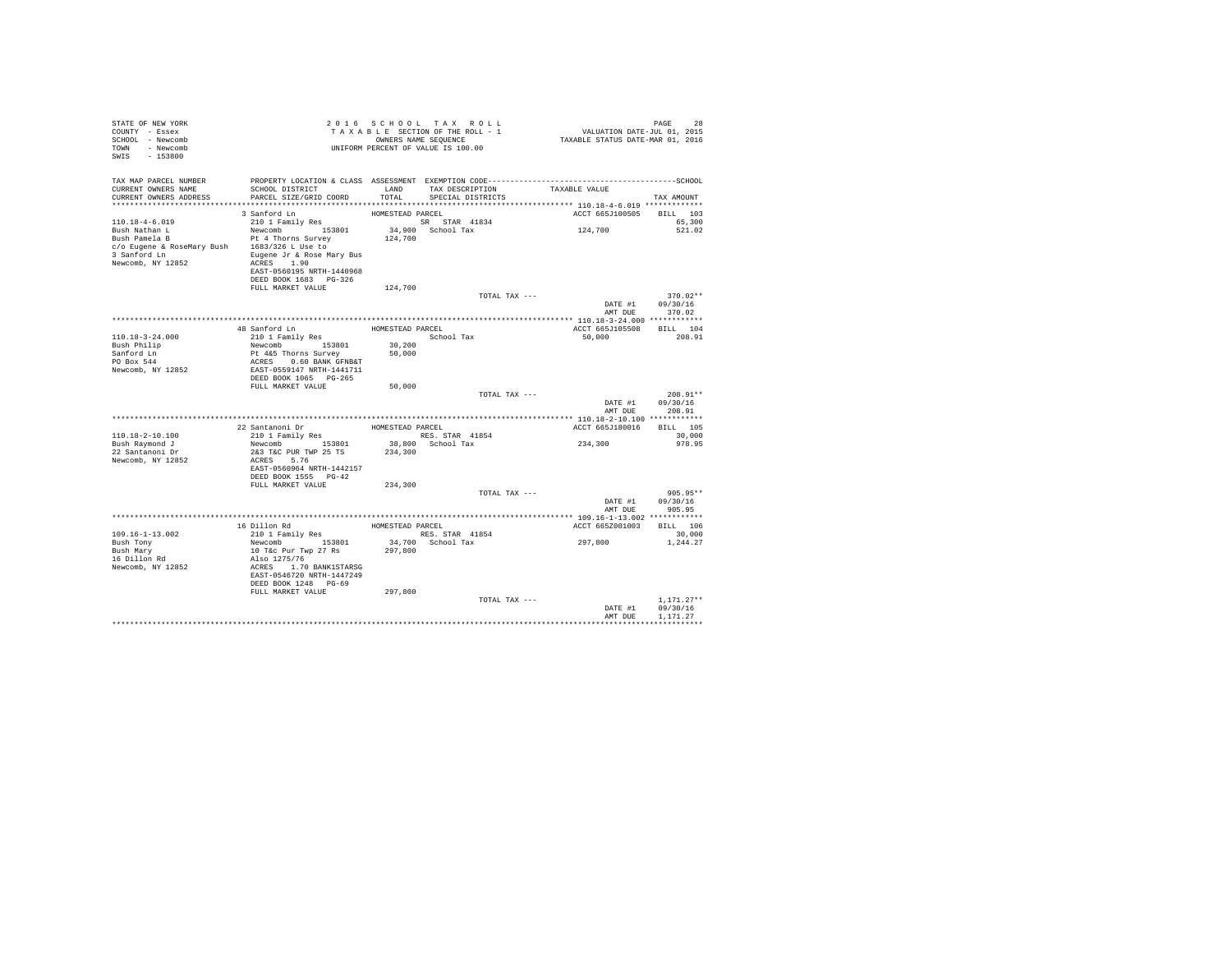| STATE OF NEW YORK<br>COUNTY - Essex<br>SCHOOL - Newcomb<br>TOWN - Newcomb<br>SWIS - 153800                                                  |                                                                                                                                                                                                |                  | 2016 SCHOOL TAX ROLL<br>TAXABLE SECTION OF THE ROLL - 1<br>OWNERS NAME SEOUENCE<br>UNIFORM PERCENT OF VALUE IS 100.00 |               | 28 PAGE<br>2015 VALUATION DATE-JUL<br>2016 TAXABLE STATUS DATE-MAR | PAGE<br>28                       |  |
|---------------------------------------------------------------------------------------------------------------------------------------------|------------------------------------------------------------------------------------------------------------------------------------------------------------------------------------------------|------------------|-----------------------------------------------------------------------------------------------------------------------|---------------|--------------------------------------------------------------------|----------------------------------|--|
| TAX MAP PARCEL NUMBER<br>CURRENT OWNERS NAME<br>CURRENT OWNERS ADDRESS                                                                      | PROPERTY LOCATION & CLASS ASSESSMENT EXEMPTION CODE-----------------------------------SCHOOL<br>SCHOOL DISTRICT<br>PARCEL SIZE/GRID COORD                                                      | LAND<br>TOTAL    | TAX DESCRIPTION<br>SPECIAL DISTRICTS                                                                                  |               | TAXABLE VALUE                                                      | TAX AMOUNT                       |  |
|                                                                                                                                             | 3 Sanford Ln                                                                                                                                                                                   | HOMESTEAD PARCEL |                                                                                                                       |               | ACCT 665J100505 BILL 103                                           |                                  |  |
| $110.18 - 4 - 6.019$<br>Bush Nathan L<br>Bush Pamela B<br>c/o Eugene & RoseMary Bush 1683/326 L Use to<br>3 Sanford Ln<br>Newcomb, NY 12852 | 3 Santon and the component component of SR STAR 41834<br>Newcomb 153801<br>Pt 4 Thorns Survey<br>Eugene Jr & Rose Mary Bus<br>ACRES 1.90<br>EAST-0560195 NRTH-1440968<br>DEED BOOK 1683 PG-326 | 124,700          | 34,900 School Tax                                                                                                     |               | 124,700                                                            | 65,300<br>521.02                 |  |
|                                                                                                                                             | FULL MARKET VALUE                                                                                                                                                                              | 124,700          |                                                                                                                       |               |                                                                    | $370.02**$                       |  |
|                                                                                                                                             |                                                                                                                                                                                                |                  |                                                                                                                       | TOTAL TAX --- | DATE #1<br>AMT DUE                                                 | 09/30/16<br>370.02               |  |
|                                                                                                                                             |                                                                                                                                                                                                |                  |                                                                                                                       |               |                                                                    |                                  |  |
| $110.18 - 3 - 24.000$<br>Bush Philip<br>Sanford Ln<br>PO Box 544<br>Newcomb, NY 12852                                                       | 48 Sanford Ln<br>210 1 Family Res<br>Newcomb 153801<br>Pt 4&5 Thorns Survey<br>ACRES 0.60 BANK GFNB&T<br>EAST-0559147 NRTH-1441711<br>DEED BOOK 1065 PG-265                                    | 30,200<br>50,000 | HOMESTEAD PARCEL<br>School Tax                                                                                        |               | ACCT 665J105508 BILL 104<br>50,000                                 | 208.91                           |  |
|                                                                                                                                             | FULL MARKET VALUE                                                                                                                                                                              | 50,000           |                                                                                                                       |               |                                                                    |                                  |  |
|                                                                                                                                             |                                                                                                                                                                                                |                  |                                                                                                                       | TOTAL TAX --- | DATE #1<br>AMT DUE                                                 | $208.91**$<br>09/30/16<br>208.91 |  |
|                                                                                                                                             |                                                                                                                                                                                                |                  |                                                                                                                       |               |                                                                    |                                  |  |
| $110.18 - 2 - 10.100$<br>Bush Raymond J                                                                                                     | 22 Santanoni Dr<br>210 1 Family Res<br>RES. STAR 41854<br>Newcomb 153801                                                                                                                       |                  | RES. STAR 41854<br>38,800 School Tax                                                                                  |               | ACCT 665J180016 BILL 105<br>234,300                                | 30,000<br>978.95                 |  |
| 22 Santanoni Dr<br>Newcomb, NY 12852                                                                                                        | 26.800 263 T&C PUR TWP 25 TS 234,300<br>ACRES 5.76<br>EAST-0560964 NRTH-1442157<br>DEED BOOK 1555 PG-42                                                                                        |                  |                                                                                                                       |               |                                                                    |                                  |  |
|                                                                                                                                             | FULL MARKET VALUE                                                                                                                                                                              | 234,300          |                                                                                                                       |               |                                                                    |                                  |  |
|                                                                                                                                             |                                                                                                                                                                                                |                  |                                                                                                                       | TOTAL TAX --- | DATE #1<br>AMT DUE                                                 | $905.95**$<br>09/30/16<br>905.95 |  |
|                                                                                                                                             |                                                                                                                                                                                                |                  |                                                                                                                       |               |                                                                    |                                  |  |
| $109.16 - 1 - 13.002$<br>Bush Tony<br>Bush Mary<br>16 Dillon Rd<br>Newcomb, NY 12852                                                        | 16 Dillon Rd<br>210 1 Family Res<br>Newcomb 153801<br>10 T&c Pur Twp 27 Rs<br>Also 1275/76<br>ACRES 1.70 BANK1STARSG<br>EAST-0546720 NRTH-1447249<br>DEED BOOK 1248 PG-69                      | 297,800          | HOMESTEAD PARCEL<br>RES. STAR 41854<br>34,700 School Tax                                                              |               | ACCT 665Z001003 BILL 106<br>297,800                                | 30,000<br>1,244.27               |  |
|                                                                                                                                             | FULL MARKET VALUE                                                                                                                                                                              | 297,800          |                                                                                                                       | TOTAL TAX --- | DATE #1                                                            | $1.171.27**$<br>09/30/16         |  |
|                                                                                                                                             |                                                                                                                                                                                                |                  |                                                                                                                       |               | AMT DUR                                                            | 1,171,27                         |  |
|                                                                                                                                             |                                                                                                                                                                                                |                  |                                                                                                                       |               |                                                                    |                                  |  |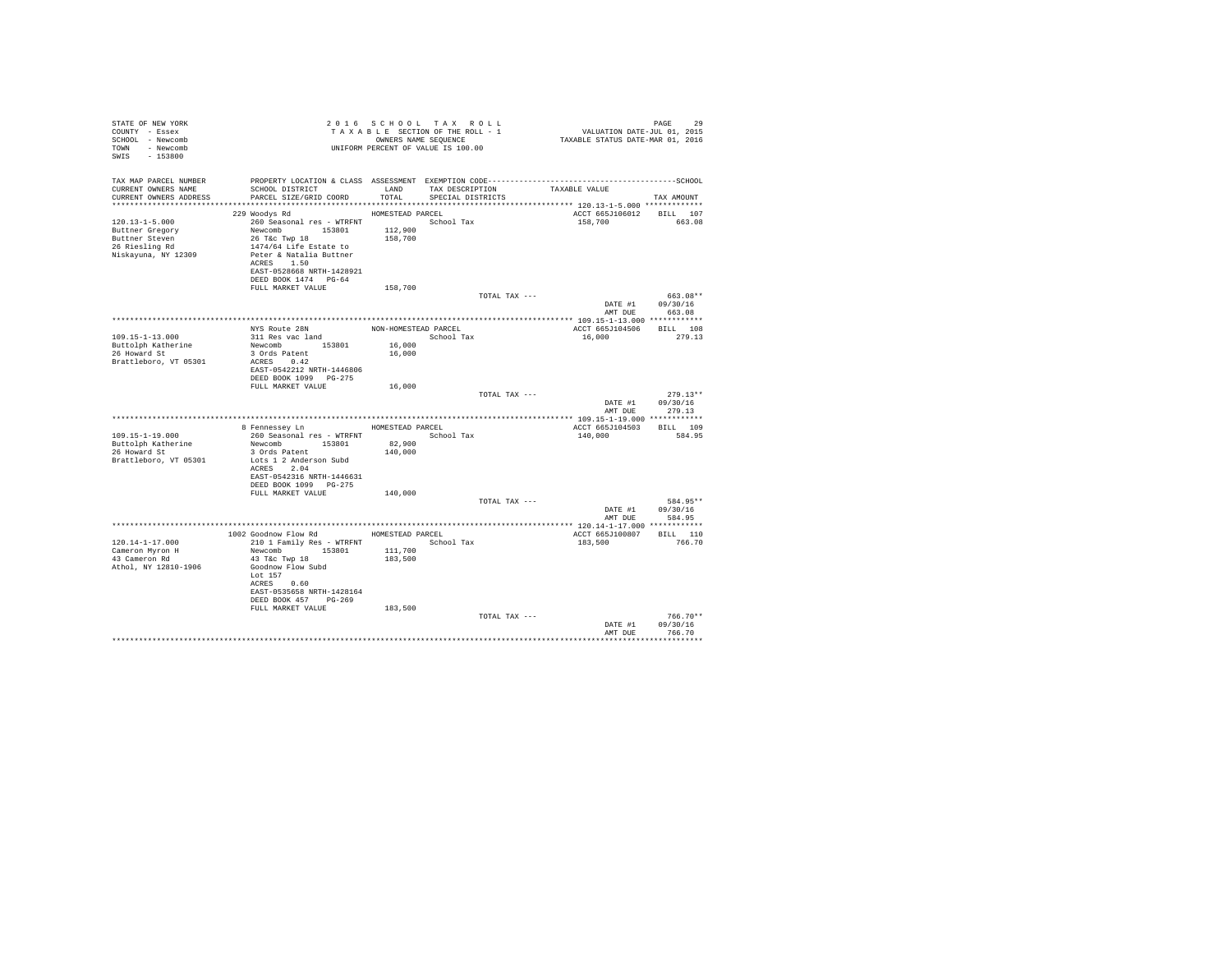| STATE OF NEW YORK<br>COUNTY - Essex<br>SCHOOL - Newcomb<br>TOWN<br>- Newcomb<br>SWIS<br>$-153800$ |                                                   |                      | 2016 SCHOOL TAX ROLL<br>TAXABLE SECTION OF THE ROLL - 1<br>OWNERS NAME SEOUENCE<br>UNIFORM PERCENT OF VALUE IS 100.00 | VALUATION DATE-JUL 01, 2015<br>TAXABLE STATUS DATE-MAR 01, 2016 | PAGE<br>29         |
|---------------------------------------------------------------------------------------------------|---------------------------------------------------|----------------------|-----------------------------------------------------------------------------------------------------------------------|-----------------------------------------------------------------|--------------------|
| TAX MAP PARCEL NUMBER                                                                             |                                                   |                      |                                                                                                                       |                                                                 |                    |
| CURRENT OWNERS NAME                                                                               | SCHOOL DISTRICT TAND TAX DESCRIPTION              |                      |                                                                                                                       | TAXABLE VALUE                                                   |                    |
| CURRENT OWNERS ADDRESS                                                                            | PARCEL SIZE/GRID COORD                            | TOTAL                | SPECIAL DISTRICTS                                                                                                     |                                                                 | TAX AMOUNT         |
|                                                                                                   |                                                   |                      |                                                                                                                       |                                                                 |                    |
| $120.13 - 1 - 5.000$                                                                              | 229 Woodys Rd<br>260 Seasonal res - WTRFNT        | HOMESTEAD PARCEL     |                                                                                                                       | ACCT 665J106012 BILL 107<br>158,700                             | 663.08             |
| Buttner Gregory                                                                                   | Newcomb 153801                                    | 112,900              | School Tax                                                                                                            |                                                                 |                    |
| Buttner Steven                                                                                    | 26 T&c Twp 18                                     | 158,700              |                                                                                                                       |                                                                 |                    |
| 26 Riesling Rd                                                                                    | 1474/64 Life Estate to                            |                      |                                                                                                                       |                                                                 |                    |
| Niskayuna, NY 12309                                                                               | Peter & Natalia Buttner                           |                      |                                                                                                                       |                                                                 |                    |
|                                                                                                   | ACRES 1.50                                        |                      |                                                                                                                       |                                                                 |                    |
|                                                                                                   | EAST-0528668 NRTH-1428921<br>DEED BOOK 1474 PG-64 |                      |                                                                                                                       |                                                                 |                    |
|                                                                                                   | FULL MARKET VALUE                                 | 158,700              |                                                                                                                       |                                                                 |                    |
|                                                                                                   |                                                   |                      | TOTAL TAX ---                                                                                                         |                                                                 | 663.08**           |
|                                                                                                   |                                                   |                      |                                                                                                                       | DATE #1<br>AMT DUE                                              | 09/30/16<br>663.08 |
|                                                                                                   |                                                   |                      |                                                                                                                       |                                                                 |                    |
| $109.15 - 1 - 13.000$                                                                             | NYS Route 28N                                     | NON-HOMESTEAD PARCEL |                                                                                                                       | ACCT 665J104506                                                 | BILL 108<br>279.13 |
| Buttolph Katherine                                                                                | 311 Res vac land<br>Newcomb 153801                | 16,000               | School Tax                                                                                                            | 16,000                                                          |                    |
| 26 Howard St                                                                                      | 3 Ords Patent                                     | 16,000               |                                                                                                                       |                                                                 |                    |
| Brattleboro, VT 05301                                                                             | ACRES 0.42                                        |                      |                                                                                                                       |                                                                 |                    |
|                                                                                                   | EAST-0542212 NRTH-1446806                         |                      |                                                                                                                       |                                                                 |                    |
|                                                                                                   | DEED BOOK 1099 PG-275                             |                      |                                                                                                                       |                                                                 |                    |
|                                                                                                   | FULL MARKET VALUE                                 | 16,000               | TOTAL TAX ---                                                                                                         |                                                                 | $279.13**$         |
|                                                                                                   |                                                   |                      |                                                                                                                       |                                                                 | DATE #1 09/30/16   |
|                                                                                                   |                                                   |                      |                                                                                                                       | AMT DUE                                                         | 279.13             |
|                                                                                                   |                                                   |                      |                                                                                                                       |                                                                 |                    |
|                                                                                                   | 8 Fennessey Ln                                    | HOMESTEAD PARCEL     |                                                                                                                       | ACCT 665J104503 BILL 109                                        |                    |
| $109.15 - 1 - 19.000$<br>Buttolph Katherine                                                       | 260 Seasonal res - WTRFNT<br>Newcomb 153801       | 82,900               | School Tax                                                                                                            | 140,000                                                         | 584.95             |
| 26 Howard St                                                                                      | 3 Ords Patent                                     | 140,000              |                                                                                                                       |                                                                 |                    |
| Brattleboro, VT 05301                                                                             | Lots 1 2 Anderson Subd                            |                      |                                                                                                                       |                                                                 |                    |
|                                                                                                   | ACRES 2.04                                        |                      |                                                                                                                       |                                                                 |                    |
|                                                                                                   | EAST-0542316 NRTH-1446631                         |                      |                                                                                                                       |                                                                 |                    |
|                                                                                                   | DEED BOOK 1099 PG-275                             |                      |                                                                                                                       |                                                                 |                    |
|                                                                                                   | FULL MARKET VALUE                                 | 140,000              | TOTAL TAX ---                                                                                                         |                                                                 | 584.95**           |
|                                                                                                   |                                                   |                      |                                                                                                                       | DATE #1                                                         | 09/30/16           |
|                                                                                                   |                                                   |                      |                                                                                                                       | AMT DUE                                                         | 584.95             |
|                                                                                                   |                                                   |                      |                                                                                                                       |                                                                 |                    |
|                                                                                                   | 1002 Goodnow Flow Rd                              | HOMESTEAD PARCEL     |                                                                                                                       | ACCT 665J100807                                                 | BILL 110           |
| $120.14 - 1 - 17.000$<br>Cameron Myron H                                                          | 210 1 Family Res - WTRFNT<br>153801<br>Newcomb    | 111,700              | School Tax                                                                                                            | 183,500                                                         | 766.70             |
| 43 Cameron Rd                                                                                     | 43 T&c Twp 18                                     | 183,500              |                                                                                                                       |                                                                 |                    |
| Athol. NY 12810-1906                                                                              | Goodnow Flow Subd                                 |                      |                                                                                                                       |                                                                 |                    |
|                                                                                                   | Lot 157                                           |                      |                                                                                                                       |                                                                 |                    |
|                                                                                                   | ACRES 0.60                                        |                      |                                                                                                                       |                                                                 |                    |
|                                                                                                   | EAST-0535658 NRTH-1428164                         |                      |                                                                                                                       |                                                                 |                    |
|                                                                                                   | DEED BOOK 457 PG-269<br>FULL MARKET VALUE         | 183,500              |                                                                                                                       |                                                                 |                    |
|                                                                                                   |                                                   |                      | TOTAL TAX ---                                                                                                         |                                                                 | $766.70**$         |
|                                                                                                   |                                                   |                      |                                                                                                                       | DATE #1                                                         | 09/30/16           |
|                                                                                                   |                                                   |                      |                                                                                                                       | AMT DUE                                                         | 766.70             |
|                                                                                                   |                                                   |                      |                                                                                                                       |                                                                 |                    |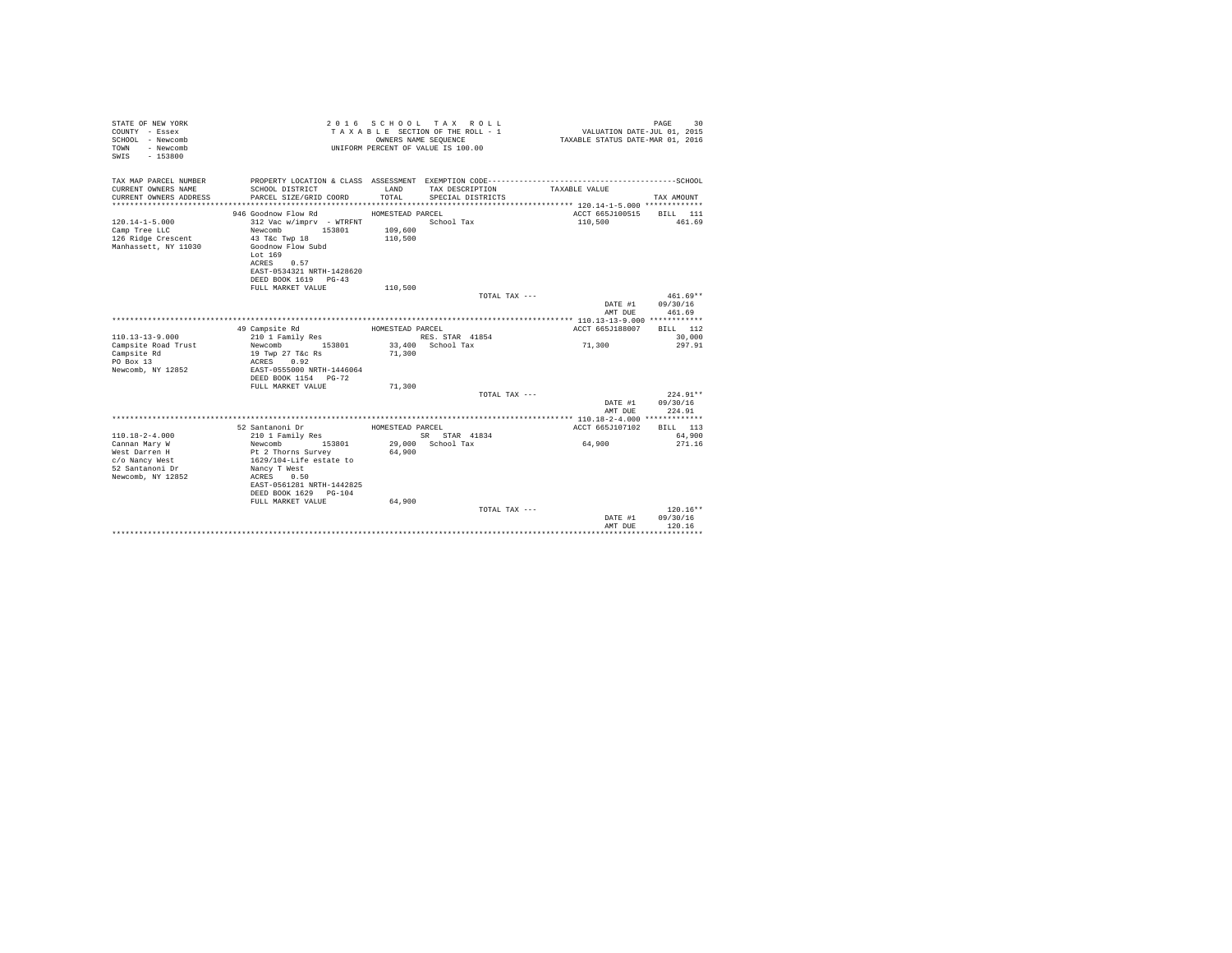| STATE OF NEW YORK<br>COUNTY - Essex<br>SCHOOL - Newcomb<br>- Newcomb<br><b>TOWN</b><br>$-153800$<br>SWIS         | 2 0 1 6                                                                                                                                                                                                               | OWNERS NAME SEQUENCE                              | SCHOOL TAX ROLL<br>TAXABLE SECTION OF THE ROLL - 1<br>UNIFORM PERCENT OF VALUE IS 100.00 |                 | VALUATION DATE-JUL 01, 2015<br>TAXABLE STATUS DATE-MAR 01, 2016 | PAGE<br>30                       |
|------------------------------------------------------------------------------------------------------------------|-----------------------------------------------------------------------------------------------------------------------------------------------------------------------------------------------------------------------|---------------------------------------------------|------------------------------------------------------------------------------------------|-----------------|-----------------------------------------------------------------|----------------------------------|
| TAX MAP PARCEL NUMBER<br>CURRENT OWNERS NAME<br>CURRENT OWNERS ADDRESS<br>**************************             | SCHOOL DISTRICT<br>PARCEL SIZE/GRID COORD                                                                                                                                                                             | LAND<br>TOTAL                                     | TAX DESCRIPTION<br>SPECIAL DISTRICTS                                                     | TAXABLE VALUE   |                                                                 | TAX AMOUNT                       |
| $120.14 - 1 - 5.000$<br>Camp Tree LLC<br>126 Ridge Crescent<br>Manhassett, NY 11030                              | 946 Goodnow Flow Rd<br>312 Vac w/imprv - WTRFNT<br>Newcomb<br>153801<br>43 T&C Twp 18<br>Goodnow Flow Subd<br>Lot 169<br>ACRES<br>0.57<br>EAST-0534321 NRTH-1428620<br>DEED BOOK 1619 PG-43<br>FULL MARKET VALUE      | HOMESTEAD PARCEL<br>109,600<br>110,500<br>110,500 | School Tax                                                                               |                 | ACCT 665J100515<br>110,500                                      | BILL 111<br>461.69               |
|                                                                                                                  |                                                                                                                                                                                                                       |                                                   |                                                                                          | TOTAL TAX ---   | DATE #1<br>AMT DUE                                              | 461.69**<br>09/30/16<br>461.69   |
| $110.13 - 13 - 9.000$<br>Campsite Road Trust<br>Campsite Rd<br>PO Box 13<br>Newcomb, NY 12852                    | 49 Campsite Rd<br>210 1 Family Res<br>153801<br>Newcomb<br>19 Twp 27 T&c Rs<br>ACRES<br>0.92<br>EAST-0555000 NRTH-1446064<br>DEED BOOK 1154 PG-72<br>FULL MARKET VALUE                                                | HOMESTEAD PARCEL<br>71,300<br>71,300              | RES. STAR 41854<br>33,400 School Tax                                                     |                 | ACCT 665J188007<br>71,300                                       | BILL 112<br>30,000<br>297.91     |
|                                                                                                                  |                                                                                                                                                                                                                       |                                                   |                                                                                          | TOTAL TAX ---   | DATE #1<br>AMT DUE                                              | $224.91**$<br>09/30/16<br>224.91 |
| $110.18 - 2 - 4.000$<br>Cannan Mary W<br>West Darren H<br>c/o Nancy West<br>52 Santanoni Dr<br>Newcomb, NY 12852 | 52 Santanoni Dr<br>210 1 Family Res<br>Newcomb<br>153801<br>Pt 2 Thorns Survey<br>1629/104-Life estate to<br>Nancy T West<br>ACRES<br>0.50<br>EAST-0561281 NRTH-1442825<br>DEED BOOK 1629 PG-104<br>FULL MARKET VALUE | HOMESTEAD PARCEL<br>64,900<br>64,900              | SR STAR 41834<br>29,000 School Tax                                                       | 64,900          | ACCT 665J107102                                                 | BILL 113<br>64,900<br>271.16     |
|                                                                                                                  |                                                                                                                                                                                                                       |                                                   |                                                                                          | TOTAL TAX $---$ | DATE #1<br>AMT DUE                                              | $120.16**$<br>09/30/16<br>120.16 |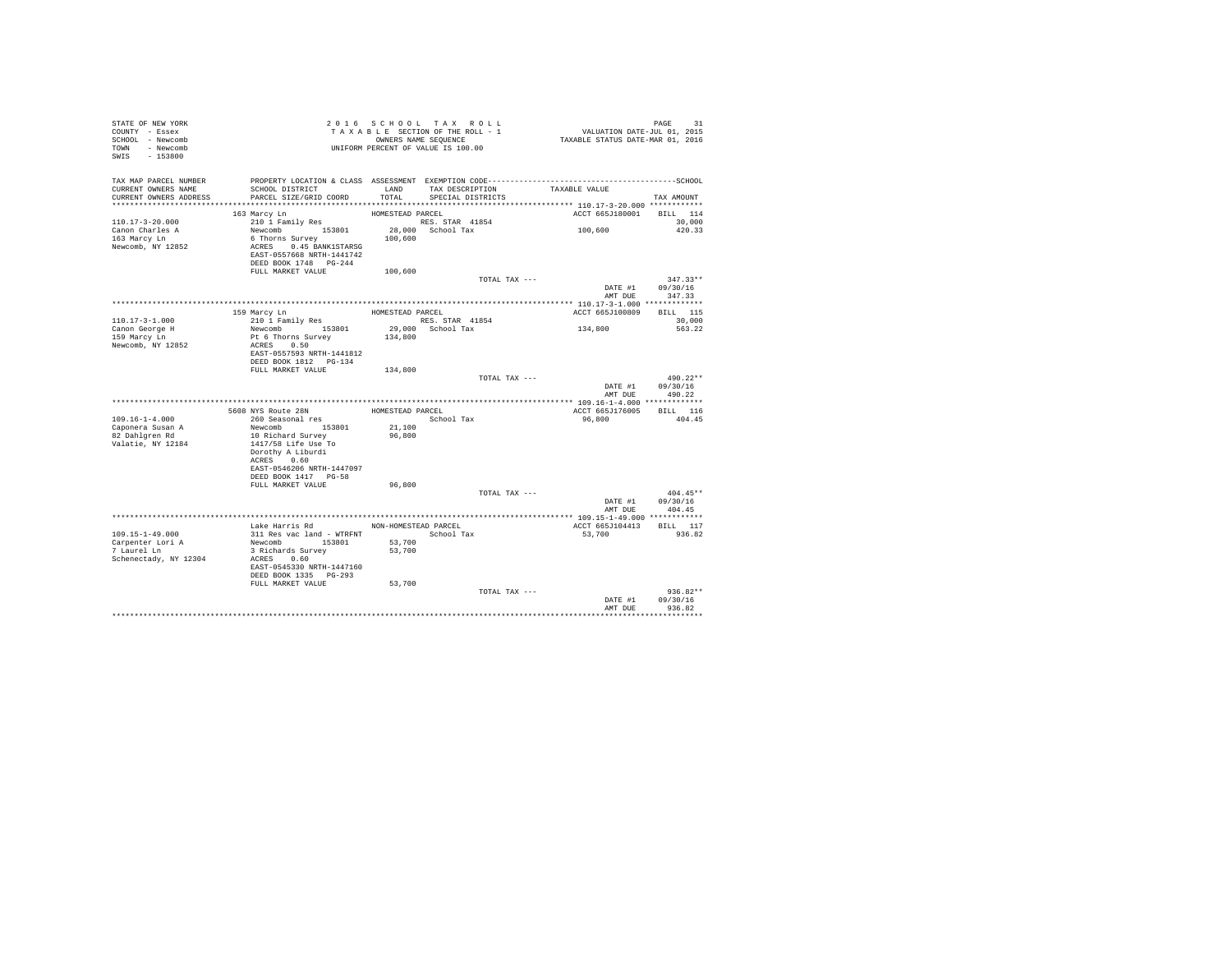| STATE OF NEW YORK<br>COUNTY - Essex<br>SCHOOL - Newcomb<br>TOWN - Newcomb<br>SWIS - 153800 | T A X A B L E SECTION.<br>OWNERS NAME SEQUENCE<br>UNIFORM PERCENT OF VALUE IS 100.00            |                  | TAXABLE SECTION OF THE ROLL - 1<br>OWNERS NAME SEQUENCE | PAGE 31<br>VALUATION DATE-JUL 01, 2015<br>TAXABLE STATUS DATE-MAR 01, 2016                   |                                    |
|--------------------------------------------------------------------------------------------|-------------------------------------------------------------------------------------------------|------------------|---------------------------------------------------------|----------------------------------------------------------------------------------------------|------------------------------------|
| TAX MAP PARCEL NUMBER                                                                      |                                                                                                 |                  |                                                         | PROPERTY LOCATION & CLASS ASSESSMENT EXEMPTION CODE-----------------------------------SCHOOL |                                    |
| CURRENT OWNERS NAME<br>CURRENT OWNERS ADDRESS                                              | SCHOOL DISTRICT<br>PARCEL SIZE/GRID COORD                                                       | LAND<br>TOTAL    | TAX DESCRIPTION<br>SPECIAL DISTRICTS                    | TAXABLE VALUE                                                                                | TAX AMOUNT                         |
|                                                                                            |                                                                                                 |                  |                                                         |                                                                                              |                                    |
|                                                                                            | 163 Marcy Ln                                                                                    | HOMESTEAD PARCEL |                                                         | ACCT 665J180001 BILL 114                                                                     |                                    |
| $110.17 - 3 - 20.000$                                                                      | 210 1 Family Res                                                                                |                  | RES. STAR 41854                                         |                                                                                              | 30,000                             |
| Canon Charles A                                                                            | Newcomb 153801 28,000 School Tax                                                                |                  |                                                         | 100,600                                                                                      | 420.33                             |
| 163 Marcy Ln<br>Newcomb, NY 12852                                                          | 6 Thorns Survey<br>ACRES 0.45 BANK1STARSG<br>EAST-0557668 NRTH-1441742<br>DEED BOOK 1748 PG-244 | 100,600          |                                                         |                                                                                              |                                    |
|                                                                                            | FULL MARKET VALUE                                                                               | 100,600          |                                                         |                                                                                              |                                    |
|                                                                                            |                                                                                                 |                  | TOTAL TAX ---                                           |                                                                                              | $347.33**$                         |
|                                                                                            |                                                                                                 |                  |                                                         |                                                                                              | DATE #1 09/30/16<br>AMT DUE 347.33 |
|                                                                                            |                                                                                                 |                  |                                                         |                                                                                              |                                    |
|                                                                                            | 159 Marcy Ln                                                                                    |                  | HOMESTEAD PARCEL                                        | ACCT 665J100809                                                                              | <b>BILL</b> 115                    |
| 110.17-3-1.000                                                                             | 210 1 Family Res                                                                                |                  | RES. STAR 41854                                         |                                                                                              | 30,000                             |
| Canon George H                                                                             | Newcomb 153801                                                                                  |                  |                                                         | 134,800                                                                                      | 563.22                             |
| 159 Marcy Ln                                                                               | Pt 6 Thorns Survey                                                                              |                  | 29,000 School Tax<br>134,800                            |                                                                                              |                                    |
| Newcomb, NY 12852                                                                          | ACRES 0.50                                                                                      |                  |                                                         |                                                                                              |                                    |
|                                                                                            | EAST-0557593 NRTH-1441812                                                                       |                  |                                                         |                                                                                              |                                    |
|                                                                                            | DEED BOOK 1812    PG-134                                                                        |                  |                                                         |                                                                                              |                                    |
|                                                                                            | FULL MARKET VALUE 134,800                                                                       |                  |                                                         | TOTAL TAX ---                                                                                | 490.22**                           |
|                                                                                            |                                                                                                 |                  |                                                         |                                                                                              | DATE #1 09/30/16                   |
|                                                                                            |                                                                                                 |                  |                                                         | AMT DUE                                                                                      | 490.22                             |
|                                                                                            |                                                                                                 |                  |                                                         |                                                                                              |                                    |
|                                                                                            | 5608 NYS Route 28N                                                                              |                  | HOMESTEAD PARCEL                                        | ACCT 665J176005                                                                              | BILL 116                           |
| $109.16 - 1 - 4.000$                                                                       | 260 Seasonal res                                                                                |                  | School Tax                                              | 96,800                                                                                       | 404.45                             |
| Caponera Susan A<br>82 Dahlgren Rd                                                         | Newcomb 153801                                                                                  | 21,100           |                                                         |                                                                                              |                                    |
| Valatie, NY 12184                                                                          | 10 Richard Survey<br>1417/58 Life Use To<br>Dorothy A Liburdi                                   | 96,800           |                                                         |                                                                                              |                                    |
|                                                                                            | ACRES 0.60                                                                                      |                  |                                                         |                                                                                              |                                    |
|                                                                                            | EAST-0546206 NRTH-1447097<br>DEED BOOK 1417 PG-58                                               |                  |                                                         |                                                                                              |                                    |
|                                                                                            | FULL MARKET VALUE                                                                               | 96,800           |                                                         |                                                                                              |                                    |
|                                                                                            |                                                                                                 |                  |                                                         | TOTAL TAX ---                                                                                | $404.45**$                         |
|                                                                                            |                                                                                                 |                  |                                                         | DATE #1                                                                                      | 09/30/16                           |
|                                                                                            |                                                                                                 |                  |                                                         |                                                                                              | AMT DUE 404.45                     |
|                                                                                            |                                                                                                 |                  |                                                         |                                                                                              |                                    |
|                                                                                            | Lake Harris Rd MON-HOMESTEAD PARCEL                                                             |                  |                                                         | ACCT 665J104413 BILL 117                                                                     |                                    |
| 109.15-1-49.000                                                                            | 311 Res vac land - WTRFNT               School Tax                                              |                  |                                                         | 53,700                                                                                       | 936.82                             |
| Carpenter Lori A<br>7 Laurel Ln                                                            | Newcomb 153801 53,700                                                                           |                  |                                                         |                                                                                              |                                    |
| Schenectady, NY 12304                                                                      | 3 Richards Survey<br>ACRES 0.60                                                                 | 53,700           |                                                         |                                                                                              |                                    |
|                                                                                            | EAST-0545330 NRTH-1447160                                                                       |                  |                                                         |                                                                                              |                                    |
|                                                                                            | DEED BOOK 1335 PG-293                                                                           |                  |                                                         |                                                                                              |                                    |
|                                                                                            | FULL MARKET VALUE                                                                               | 53,700           |                                                         |                                                                                              |                                    |
|                                                                                            |                                                                                                 |                  | TOTAL TAX ---                                           | DATE #1                                                                                      | $936.82**$<br>09/30/16             |
|                                                                                            |                                                                                                 |                  |                                                         | AMT DUE                                                                                      | 936.82                             |
|                                                                                            |                                                                                                 |                  |                                                         |                                                                                              |                                    |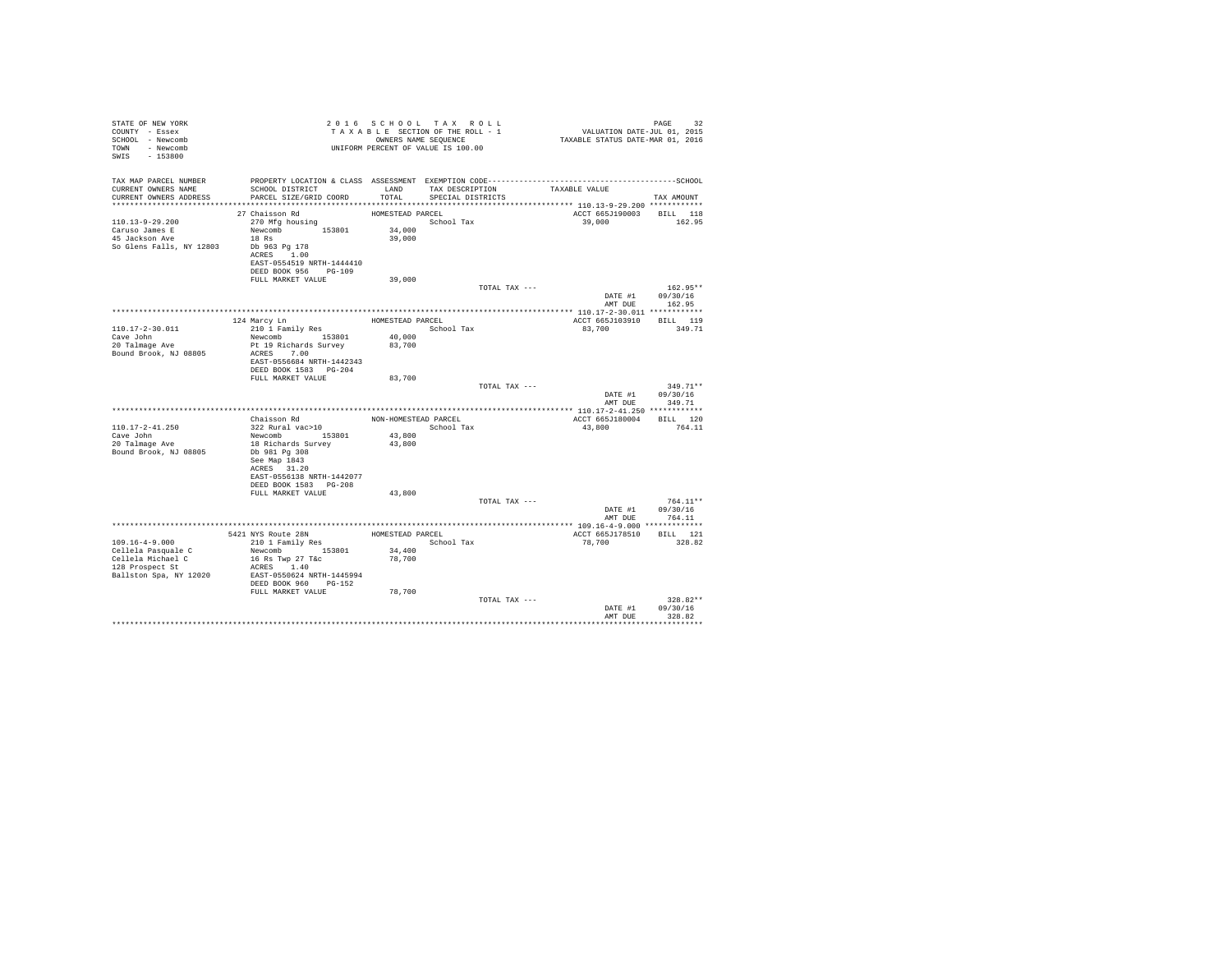| STATE OF NEW YORK<br>COUNTY - Essex<br>SCHOOL - Newcomb<br>- Newcomb<br>TOWN<br>SWIS<br>$-153800$ |                                                                                                                                                  |                                      | 2016 SCHOOL TAX ROLL<br>TAXABLE SECTION OF THE ROLL - 1<br>OWNERS NAME SEOUENCE<br>UNIFORM PERCENT OF VALUE IS 100.00 |               | VALUATION DATE-JUL 01, 2015<br>TAXABLE STATUS DATE-MAR 01, 2016 | PAGE<br>32                       |
|---------------------------------------------------------------------------------------------------|--------------------------------------------------------------------------------------------------------------------------------------------------|--------------------------------------|-----------------------------------------------------------------------------------------------------------------------|---------------|-----------------------------------------------------------------|----------------------------------|
| TAX MAP PARCEL NUMBER<br>CURRENT OWNERS NAME<br>CURRENT OWNERS ADDRESS                            | PROPERTY LOCATION & CLASS ASSESSMENT EXEMPTION CODE-----------------------------------SCHOOL<br>SCHOOL DISTRICT<br>PARCEL SIZE/GRID COORD        | LAND<br>TOTAL                        | TAX DESCRIPTION<br>SPECIAL DISTRICTS                                                                                  |               | TAXABLE VALUE                                                   | TAX AMOUNT                       |
|                                                                                                   |                                                                                                                                                  |                                      |                                                                                                                       |               |                                                                 |                                  |
| $110.13 - 9 - 29.200$<br>Caruso James E<br>45 Jackson Ave<br>So Glens Falls, NY 12803             | 27 Chaisson Rd<br>270 Mfg housing<br>Newcomb 153801<br>18 Rs<br>Db 963 Pg 178<br>ACRES 1.00<br>EAST-0554519 NRTH-1444410<br>DEED BOOK 956 PG-109 | HOMESTEAD PARCEL<br>34,000<br>39,000 | School Tax                                                                                                            |               | ACCT 665J190003 BILL 118<br>39,000                              | 162.95                           |
|                                                                                                   | FULL MARKET VALUE                                                                                                                                | 39,000                               |                                                                                                                       |               |                                                                 | $162.95**$                       |
|                                                                                                   |                                                                                                                                                  |                                      |                                                                                                                       | TOTAL TAX --- | DATE #1<br>AMT DUE                                              | 09/30/16<br>162.95               |
|                                                                                                   |                                                                                                                                                  |                                      |                                                                                                                       |               |                                                                 |                                  |
| $110.17 - 2 - 30.011$<br>Cave John                                                                | 124 Marcy Ln<br>210 1 Family Res<br>Newcomb 153801                                                                                               | HOMESTEAD PARCEL<br>40,000           | School Tax                                                                                                            |               | ACCT 665J103910<br>83,700                                       | BILL 119<br>349.71               |
| 20 Talmage Ave<br>Bound Brook, NJ 08805                                                           | Pt 19 Richards Survey<br>ACRES 7.00<br>EAST-0556684 NRTH-1442343<br>DEED BOOK 1583 PG-204                                                        | 83,700                               |                                                                                                                       |               |                                                                 |                                  |
|                                                                                                   | FULL MARKET VALUE                                                                                                                                | 83,700                               |                                                                                                                       |               |                                                                 |                                  |
|                                                                                                   |                                                                                                                                                  |                                      |                                                                                                                       | TOTAL TAX --- | DATE #1<br>AMT DUE                                              | $349.71**$<br>09/30/16<br>349.71 |
|                                                                                                   |                                                                                                                                                  |                                      |                                                                                                                       |               |                                                                 |                                  |
| $110.17 - 2 - 41.250$                                                                             | Chaisson Rd<br>322 Rural vac>10                                                                                                                  | NON-HOMESTEAD PARCEL                 | School Tax                                                                                                            |               | ACCT 665J180004 BILL 120<br>43,800                              | 764.11                           |
| Cave John<br>20 Talmage Ave<br>Bound Brook, NJ 08805                                              | Newcomb 153801<br>18 Richards Survey<br>Db 981 Pa 308<br>See Map 1843<br>ACRES 31.20<br>EAST-0556138 NRTH-1442077<br>DEED BOOK 1583 PG-208       | 43,800<br>43,800                     |                                                                                                                       |               |                                                                 |                                  |
|                                                                                                   | FULL MARKET VALUE                                                                                                                                | 43,800                               |                                                                                                                       |               |                                                                 |                                  |
|                                                                                                   |                                                                                                                                                  |                                      |                                                                                                                       | TOTAL TAX --- | DATE #1<br>AMT DUE                                              | $764.11**$<br>09/30/16<br>764.11 |
|                                                                                                   |                                                                                                                                                  |                                      |                                                                                                                       |               |                                                                 |                                  |
|                                                                                                   | 5421 NYS Route 28N                                                                                                                               |                                      | HOMESTEAD PARCEL                                                                                                      |               | ACCT 665J178510                                                 | BILL 121                         |
| $109.16 - 4 - 9.000$                                                                              | 210 1 Family Res                                                                                                                                 | 34,400                               | School Tax                                                                                                            |               | 78,700                                                          | 328.82                           |
| Cellela Pasquale C<br>Cellela Michael C<br>128 Prospect St<br>Ballston Spa, NY 12020              | Newcomb 153801<br>16 Rs Twp 27 T&c<br>ACRES 1.40<br>EAST-0550624 NRTH-1445994                                                                    | 78,700                               |                                                                                                                       |               |                                                                 |                                  |
|                                                                                                   | DEED BOOK 960 PG-152                                                                                                                             |                                      |                                                                                                                       |               |                                                                 |                                  |
|                                                                                                   | FULL MARKET VALUE                                                                                                                                | 78,700                               |                                                                                                                       | TOTAL TAX --- | DATE #1<br>AMT DUE                                              | 328.82**<br>09/30/16<br>328.82   |
|                                                                                                   |                                                                                                                                                  |                                      |                                                                                                                       |               |                                                                 |                                  |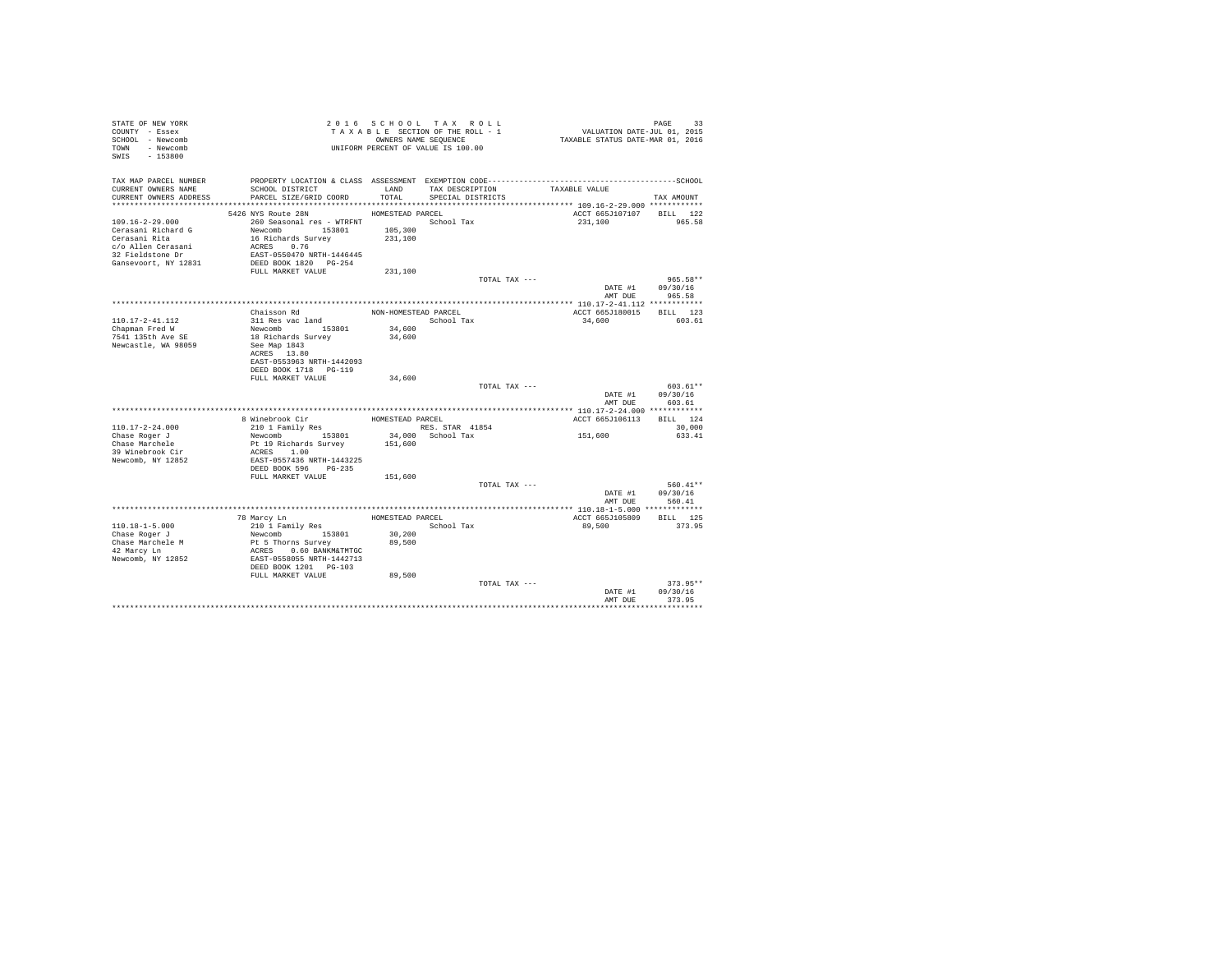| STATE OF NEW YORK                             |                                                                                                |                      | 2016 SCHOOL TAX ROLL                 | PAGE 93<br>VALUATION DATE-JUL 01, 2015            |                    |
|-----------------------------------------------|------------------------------------------------------------------------------------------------|----------------------|--------------------------------------|---------------------------------------------------|--------------------|
| COUNTY - Essex                                |                                                                                                |                      | TAXABLE SECTION OF THE ROLL - 1      |                                                   |                    |
| SCHOOL - Newcomb                              |                                                                                                |                      | OWNERS NAME SEQUENCE                 | TAXABLE STATUS DATE-MAR 01, 2016                  |                    |
| TOWN - Newcomb                                |                                                                                                |                      | UNIFORM PERCENT OF VALUE IS 100.00   |                                                   |                    |
| SWIS - 153800                                 |                                                                                                |                      |                                      |                                                   |                    |
|                                               |                                                                                                |                      |                                      |                                                   |                    |
| TAX MAP PARCEL NUMBER                         |                                                                                                |                      |                                      |                                                   |                    |
| CURRENT OWNERS NAME<br>CURRENT OWNERS ADDRESS | SCHOOL DISTRICT<br>PARCEL SIZE/GRID COORD                                                      | LAND<br>TOTAL        | TAX DESCRIPTION<br>SPECIAL DISTRICTS | TAXABLE VALUE                                     |                    |
|                                               |                                                                                                |                      |                                      |                                                   | TAX AMOUNT         |
|                                               | 5426 NYS Route 28N                                                                             | HOMESTEAD PARCEL     |                                      | ACCT 665J107107 BILL 122                          |                    |
| $109.16 - 2 - 29.000$                         | 260 Seasonal res - WTRFNT                                                                      |                      | School Tax                           | 231,100                                           | 965.58             |
| Cerasani Richard G                            |                                                                                                | 105,300              |                                      |                                                   |                    |
| Cerasani Rita                                 | Newcomb 153801<br>16 Richards Survey                                                           | 231,100              |                                      |                                                   |                    |
| c/o Allen Cerasani                            |                                                                                                |                      |                                      |                                                   |                    |
| 32 Fieldstone Dr                              | ACRES 0.76<br>EAST-0550470 NRTH-1446445                                                        |                      |                                      |                                                   |                    |
| Gansevoort, NY 12831                          | DEED BOOK 1820 PG-254                                                                          |                      |                                      |                                                   |                    |
|                                               | FULL MARKET VALUE                                                                              | 231,100              |                                      |                                                   |                    |
|                                               |                                                                                                |                      | TOTAL TAX ---                        |                                                   | 965.58**           |
|                                               |                                                                                                |                      |                                      |                                                   | DATE #1 09/30/16   |
|                                               |                                                                                                |                      |                                      | AMT DUE                                           | 965.58             |
|                                               |                                                                                                |                      |                                      |                                                   |                    |
|                                               | Chaisson Rd                                                                                    | NON-HOMESTEAD PARCEL |                                      | ACCT 665J180015                                   | BILL 123           |
| 110.17-2-41.112                               | 311 Res vac land                                                                               |                      | School Tax                           | 34,600                                            | 603.61             |
| Chapman Fred W                                | Newcomb 153801<br>18 Richards Survey                                                           | 34,600               |                                      |                                                   |                    |
| 7541 135th Ave SE                             |                                                                                                | 34,600               |                                      |                                                   |                    |
| Newcastle, WA 98059                           | See Map 1843                                                                                   |                      |                                      |                                                   |                    |
|                                               | ACRES 13.80                                                                                    |                      |                                      |                                                   |                    |
|                                               | EAST-0553963 NRTH-1442093                                                                      |                      |                                      |                                                   |                    |
|                                               | DEED BOOK 1718 PG-119                                                                          |                      |                                      |                                                   |                    |
|                                               | FULL MARKET VALUE                                                                              | 34,600               |                                      |                                                   |                    |
|                                               |                                                                                                |                      | TOTAL TAX ---                        |                                                   | 603.61**           |
|                                               |                                                                                                |                      |                                      |                                                   | DATE #1 09/30/16   |
|                                               |                                                                                                |                      |                                      | AMT DUE                                           | 603.61             |
|                                               | 8 Winebrook Cir                                                                                |                      |                                      | ACCT 665J106113                                   |                    |
| $110.17 - 2 - 24.000$                         |                                                                                                | HOMESTEAD PARCEL     | RES. STAR 41854                      |                                                   | BILL 124<br>30,000 |
| Chase Roger J                                 | 210 1 Family Res<br>Newcomb 153801                                                             |                      | 34,000 School Tax                    | 151,600                                           | 633.41             |
| Chase Marchele                                | Pt 19 Richards Survey 151,600                                                                  |                      |                                      |                                                   |                    |
| 39 Winebrook Cir                              | ACRES 1.00                                                                                     |                      |                                      |                                                   |                    |
| Newcomb, NY 12852                             | EAST-0557436 NRTH-1443225                                                                      |                      |                                      |                                                   |                    |
|                                               | DEED BOOK 596 PG-235                                                                           |                      |                                      |                                                   |                    |
|                                               | FULL MARKET VALUE                                                                              | 151,600              |                                      |                                                   |                    |
|                                               |                                                                                                |                      | TOTAL TAX ---                        |                                                   | 560.41**           |
|                                               |                                                                                                |                      |                                      |                                                   | DATE #1 09/30/16   |
|                                               |                                                                                                |                      |                                      | AMT DUE                                           | 560.41             |
|                                               |                                                                                                |                      |                                      | ******************** 110.18-1-5.000 ************* |                    |
|                                               | 78 Marcy Ln                                                                                    | HOMESTEAD PARCEL     |                                      | ACCT 665J105809                                   | BILL 125           |
| $110.18 - 1 - 5.000$                          | 210 1 Family Res                                                                               |                      | School Tax                           | 89,500                                            | 373.95             |
| Chase Roger J                                 |                                                                                                | 30,200               |                                      |                                                   |                    |
| Chase Marchele M                              |                                                                                                | 89,500               |                                      |                                                   |                    |
| 42 Marcy Ln                                   |                                                                                                |                      |                                      |                                                   |                    |
| Newcomb, NY 12852                             | Newcomb<br>153801<br>Pt 5 Thorns Survey<br>ACRES 0.60 BANKM&TMTGC<br>EAST-0558055 NRTH-1442713 |                      |                                      |                                                   |                    |
|                                               | DEED BOOK 1201 PG-103                                                                          |                      |                                      |                                                   |                    |
|                                               | FULL MARKET VALUE                                                                              | 89,500               |                                      |                                                   |                    |
|                                               |                                                                                                |                      | TOTAL TAX ---                        |                                                   | $373.95**$         |
|                                               |                                                                                                |                      |                                      | DATE #1                                           | 09/30/16           |
|                                               |                                                                                                |                      |                                      | AMT DUE                                           | 373.95             |
|                                               |                                                                                                |                      |                                      |                                                   |                    |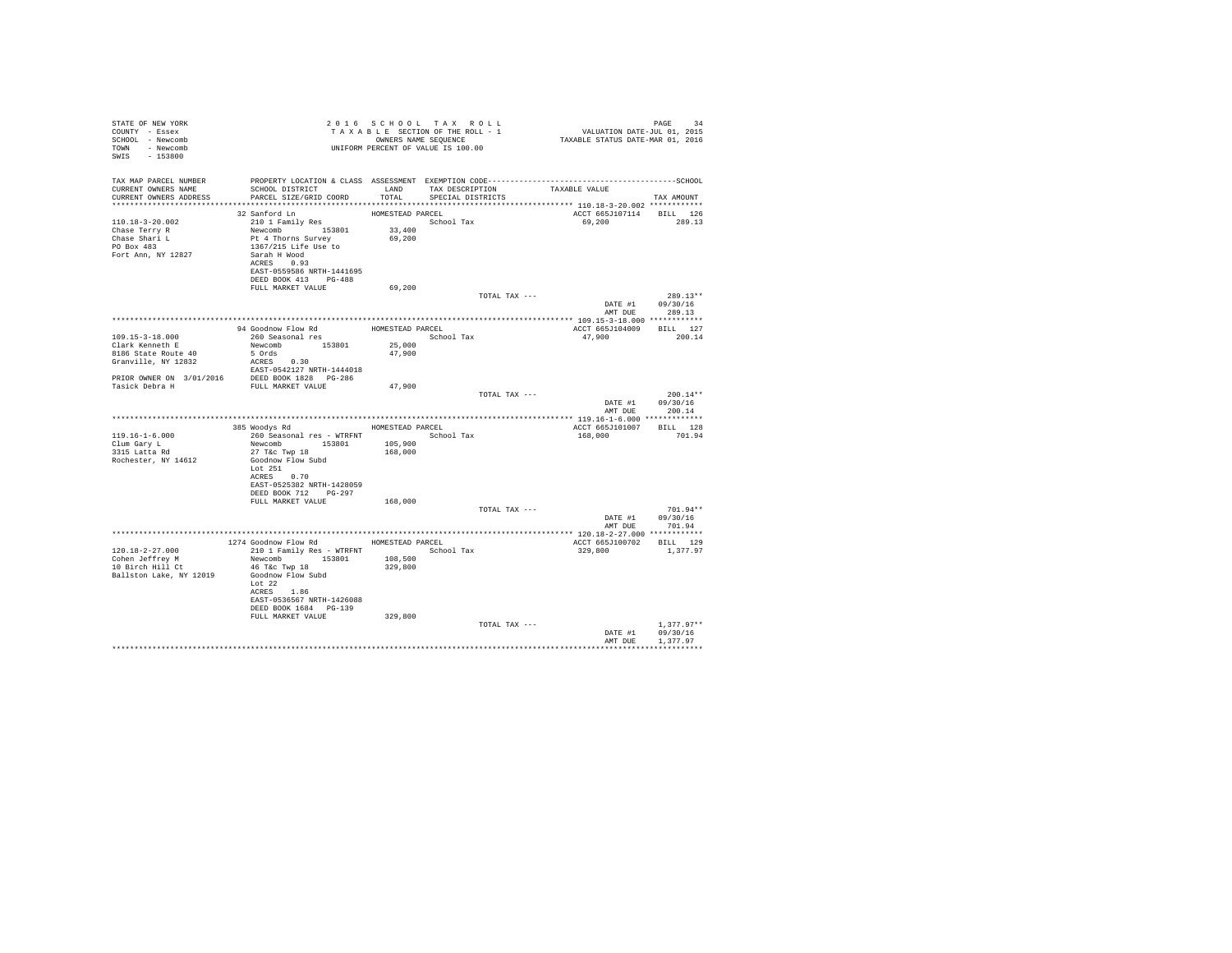| STATE OF NEW YORK            |                                                                                                                                                                                                                                                           |                  | 2016 SCHOOL TAX ROLL                                          |               | PAGE 34<br>VALUATION DATE-JUL 01, 2015<br>TAXABLE STATUS DATE-MAR 01, 2016 |                                    |
|------------------------------|-----------------------------------------------------------------------------------------------------------------------------------------------------------------------------------------------------------------------------------------------------------|------------------|---------------------------------------------------------------|---------------|----------------------------------------------------------------------------|------------------------------------|
| COUNTY - Essex               | T A X A B L E SECTION OF THE ROLL - 1<br>OWNERS NAME SANE SEQUENCE<br>UNIFORM PERCENT OF VALUE IS 100.00                                                                                                                                                  |                  | T A X A B L E SECTION OF THE ROLL - 1<br>OWNERS NAME SEQUENCE |               |                                                                            |                                    |
| SCHOOL - Newcomb             |                                                                                                                                                                                                                                                           |                  |                                                               |               |                                                                            |                                    |
| TOWN - Newcomb               |                                                                                                                                                                                                                                                           |                  |                                                               |               |                                                                            |                                    |
| SWIS - 153800                |                                                                                                                                                                                                                                                           |                  |                                                               |               |                                                                            |                                    |
|                              |                                                                                                                                                                                                                                                           |                  |                                                               |               |                                                                            |                                    |
|                              |                                                                                                                                                                                                                                                           |                  |                                                               |               |                                                                            |                                    |
|                              | SCHOOL DISTRICT                       LAND        TAX DESCRIPTION                  TAXABLE VALUE                                                                                                                                                          |                  |                                                               |               |                                                                            |                                    |
| CURRENT OWNERS ADDRESS       | PARCEL SIZE/GRID COORD                                                                                                                                                                                                                                    | TOTAL            | SPECIAL DISTRICTS                                             |               |                                                                            | TAX AMOUNT                         |
|                              |                                                                                                                                                                                                                                                           |                  |                                                               |               |                                                                            |                                    |
|                              | 32 Sanford Ln                                                                                                                                                                                                                                             |                  |                                                               |               |                                                                            |                                    |
| 110.18-3-20.002              | A sainterd Lm<br>210 1 Family Res<br>Newcomb 153801<br>Pt 4 Thorns Survey<br>1367/215 Life Use to<br>Sarah H Wood<br>news Company<br>News Company<br>News Company<br>News Company<br>News Company<br>News Company<br>News Company<br>News Company<br>News | HOMESTEAD PARCEL | School Tax                                                    |               | ACCT 665J107114 BILL 126<br>69,200 289.13                                  |                                    |
|                              |                                                                                                                                                                                                                                                           |                  |                                                               |               |                                                                            |                                    |
| Chase Terry R                |                                                                                                                                                                                                                                                           | 33,400           |                                                               |               |                                                                            |                                    |
| Chase Shari L<br>PO Box 483  |                                                                                                                                                                                                                                                           | 69,200           |                                                               |               |                                                                            |                                    |
| Fort Ann, NY 12827           |                                                                                                                                                                                                                                                           |                  |                                                               |               |                                                                            |                                    |
|                              | ACRES 0.93                                                                                                                                                                                                                                                |                  |                                                               |               |                                                                            |                                    |
|                              | EAST-0559586 NRTH-1441695                                                                                                                                                                                                                                 |                  |                                                               |               |                                                                            |                                    |
|                              |                                                                                                                                                                                                                                                           |                  |                                                               |               |                                                                            |                                    |
|                              | DEED BOOK 413 PG-488<br>FULL MARKET VALUE                                                                                                                                                                                                                 |                  |                                                               |               |                                                                            |                                    |
|                              |                                                                                                                                                                                                                                                           | 69,200           |                                                               |               |                                                                            |                                    |
|                              |                                                                                                                                                                                                                                                           |                  |                                                               | TOTAL TAX --- |                                                                            | $289.13**$                         |
|                              |                                                                                                                                                                                                                                                           |                  |                                                               |               |                                                                            | DATE #1 09/30/16                   |
|                              |                                                                                                                                                                                                                                                           |                  |                                                               |               | AMT DUE                                                                    | 289.13                             |
|                              |                                                                                                                                                                                                                                                           |                  |                                                               |               |                                                                            |                                    |
|                              |                                                                                                                                                                                                                                                           |                  |                                                               |               | ACCT 665J104009 BILL 127                                                   |                                    |
| 109.15-3-18.000              | 260 Seasonal res<br>Newcomb 153801 25,000                                                                                                                                                                                                                 |                  | School Tax                                                    |               | 47,900                                                                     | 200.14                             |
| Clark Kenneth E              |                                                                                                                                                                                                                                                           |                  |                                                               |               |                                                                            |                                    |
|                              |                                                                                                                                                                                                                                                           |                  |                                                               |               |                                                                            |                                    |
|                              |                                                                                                                                                                                                                                                           |                  |                                                               |               |                                                                            |                                    |
|                              |                                                                                                                                                                                                                                                           |                  |                                                               |               |                                                                            |                                    |
|                              |                                                                                                                                                                                                                                                           |                  |                                                               |               |                                                                            |                                    |
|                              |                                                                                                                                                                                                                                                           |                  |                                                               |               |                                                                            | $200.14**$                         |
|                              |                                                                                                                                                                                                                                                           |                  |                                                               | TOTAL TAX --- |                                                                            | DATE #1 09/30/16                   |
|                              |                                                                                                                                                                                                                                                           |                  |                                                               |               | AMT DUE                                                                    | 200.14                             |
|                              |                                                                                                                                                                                                                                                           |                  |                                                               |               |                                                                            |                                    |
|                              | 385 Woodys Rd Monte HOMESTEAD PARCEL                                                                                                                                                                                                                      |                  |                                                               |               | ACCT 665J101007 BILL 128                                                   |                                    |
|                              |                                                                                                                                                                                                                                                           |                  |                                                               |               |                                                                            |                                    |
| 119.16-1-6.000               | 260 Seasonal res - WTRFNT School Tax<br>Newcomb 153801 105,900                                                                                                                                                                                            |                  |                                                               |               | 168,000 701.94                                                             |                                    |
| Clum Gary L<br>3315 Latta Rd | 27 T&c Twp 18                                                                                                                                                                                                                                             |                  |                                                               |               |                                                                            |                                    |
|                              |                                                                                                                                                                                                                                                           | 168,000          |                                                               |               |                                                                            |                                    |
| Rochester, NY 14612          | Goodnow Flow Subd<br>Lot 251                                                                                                                                                                                                                              |                  |                                                               |               |                                                                            |                                    |
|                              | ACRES 0.70                                                                                                                                                                                                                                                |                  |                                                               |               |                                                                            |                                    |
|                              | EAST-0525382 NRTH-1428059                                                                                                                                                                                                                                 |                  |                                                               |               |                                                                            |                                    |
|                              | DEED BOOK 712 PG-297                                                                                                                                                                                                                                      |                  |                                                               |               |                                                                            |                                    |
|                              | FULL MARKET VALUE                                                                                                                                                                                                                                         | 168,000          |                                                               |               |                                                                            |                                    |
|                              |                                                                                                                                                                                                                                                           |                  |                                                               | TOTAL TAX --- |                                                                            | $701.94**$                         |
|                              |                                                                                                                                                                                                                                                           |                  |                                                               |               |                                                                            |                                    |
|                              |                                                                                                                                                                                                                                                           |                  |                                                               |               |                                                                            | DATE #1 09/30/16<br>AMT DUE 701.94 |
|                              |                                                                                                                                                                                                                                                           |                  |                                                               |               |                                                                            |                                    |
|                              | 1274 Goodnow Flow Rd MOMESTEAD PARCEL                                                                                                                                                                                                                     |                  |                                                               |               | ACCT 665J100702 BILL 129                                                   |                                    |
| 120.18-2-27.000              | 210 1 Family Res - WTRFNT                                                                                                                                                                                                                                 |                  | School Tax                                                    |               | 329,800                                                                    | 1,377.97                           |
| Cohen Jeffrey M              | Newcomb 153801 108,500                                                                                                                                                                                                                                    |                  |                                                               |               |                                                                            |                                    |
| $10$ Birch Hill Ct           | 46 T&C Twp 18                                                                                                                                                                                                                                             | 329,800          |                                                               |               |                                                                            |                                    |
| Ballston Lake, NY 12019      | Goodnow Flow Subd                                                                                                                                                                                                                                         |                  |                                                               |               |                                                                            |                                    |
|                              | Lot $22$                                                                                                                                                                                                                                                  |                  |                                                               |               |                                                                            |                                    |
|                              | ACRES 1.86                                                                                                                                                                                                                                                |                  |                                                               |               |                                                                            |                                    |
|                              | EAST-0536567 NRTH-1426088                                                                                                                                                                                                                                 |                  |                                                               |               |                                                                            |                                    |
|                              | DEED BOOK 1684 PG-139                                                                                                                                                                                                                                     |                  |                                                               |               |                                                                            |                                    |
|                              | FULL MARKET VALUE                                                                                                                                                                                                                                         | 329,800          |                                                               |               |                                                                            |                                    |
|                              |                                                                                                                                                                                                                                                           |                  |                                                               | TOTAL TAX --- |                                                                            | $1.377.97**$                       |
|                              |                                                                                                                                                                                                                                                           |                  |                                                               |               |                                                                            | DATE #1 09/30/16                   |
|                              |                                                                                                                                                                                                                                                           |                  |                                                               |               | AMT DUE                                                                    | 1,377.97                           |
|                              |                                                                                                                                                                                                                                                           |                  |                                                               |               |                                                                            |                                    |
|                              |                                                                                                                                                                                                                                                           |                  |                                                               |               |                                                                            |                                    |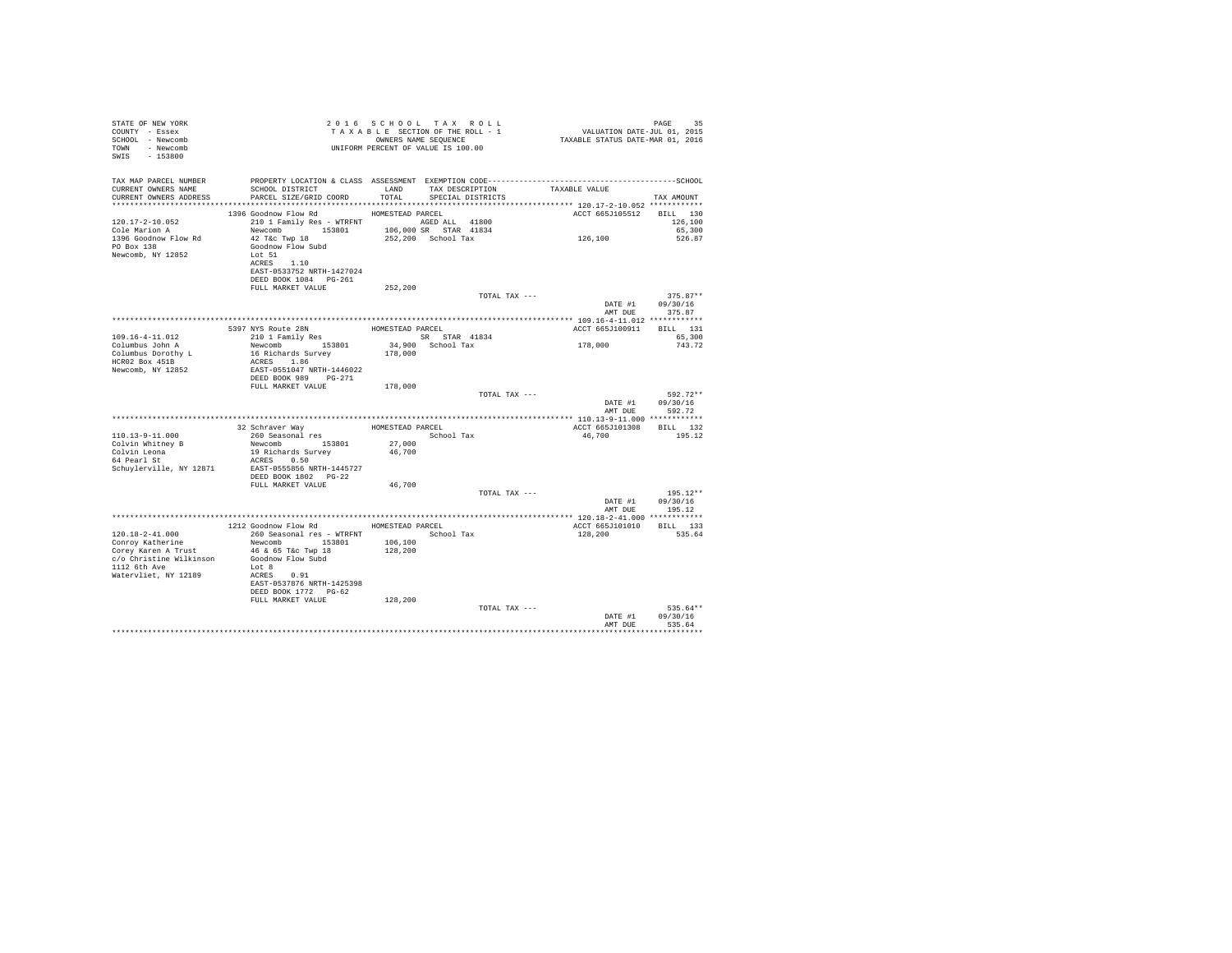| STATE OF NEW YORK<br>COUNTY - Essex<br>SCHOOL - Newcomb<br>TOWN - Newcomb<br>SWIS - 153800                                    |                                                                                                                                                                                                             | 2016 SCHOOL TAX ROLL<br>TAXABLE SECTION OF THE ROLL - 1<br>OWNERS NAME SEQUENCE |                                             | PAGE 35<br>VALUATION DATE-JUL 01, 2015<br>TAXABLE STATUS DATE-MAR 01, 2016 |                                          |
|-------------------------------------------------------------------------------------------------------------------------------|-------------------------------------------------------------------------------------------------------------------------------------------------------------------------------------------------------------|---------------------------------------------------------------------------------|---------------------------------------------|----------------------------------------------------------------------------|------------------------------------------|
| TAX MAP PARCEL NUMBER<br>CURRENT OWNERS NAME<br>CURRENT OWNERS ADDRESS                                                        | PROPERTY LOCATION & CLASS ASSESSMENT EXEMPTION CODE-----------------------------------SCHOOL<br>SCHOOL DISTRICT<br>PARCEL SIZE/GRID COORD                                                                   | LAND<br>TOTAL                                                                   | TAX DESCRIPTION<br>SPECIAL DISTRICTS        | TAXABLE VALUE                                                              | TAX AMOUNT                               |
| 120.17-2-10.052<br>Cole Marion A<br>1396 Goodnow Flow Rd<br>PO Box 138<br>Newcomb, NY 12852                                   | 1396 Goodnow Flow Rd<br>210 1 Family Res - WTRFNT AGED ALL 41800<br>Newcomb 153801<br>42 T&c Twp 18<br>Goodnow Flow Subd<br>Lot 51<br>ACRES 1.10<br>EAST-0533752 NRTH-1427024<br>DEED BOOK 1084 PG-261      | HOMESTEAD PARCEL                                                                | 106,000 SR STAR 41834<br>252,200 School Tax | ACCT 665J105512<br>126, 100                                                | BILL 130<br>126,100<br>65,300<br>526.87  |
|                                                                                                                               | FULL MARKET VALUE                                                                                                                                                                                           | 252,200                                                                         | TOTAL TAX ---                               | AMT DUE                                                                    | $375.87**$<br>DATE #1 09/30/16<br>375.87 |
|                                                                                                                               |                                                                                                                                                                                                             |                                                                                 |                                             |                                                                            |                                          |
|                                                                                                                               | 5397 NYS Route 28N                                                                                                                                                                                          | HOMESTEAD PARCEL                                                                |                                             | ACCT 665J100911 BILL 131                                                   |                                          |
| $109.16 - 4 - 11.012$<br>Columbus John A<br>Columbus Dorothy L<br>HCR02 Box 451B<br>Newcomb, NY 12852                         | 210 1 Family Res<br>Newcomb 153801<br>16 Richards Survey<br>ACRES 1.86<br>EAST-0551047 NRTH-1446022<br>DEED BOOK 989 PG-271                                                                                 | SR STAR 41834<br>34,900 School Tax<br>178,000                                   |                                             | 178,000                                                                    | 65,300<br>743.72                         |
|                                                                                                                               | FULL MARKET VALUE                                                                                                                                                                                           | 178,000                                                                         | TOTAL TAX ---                               | DATE #1<br>AMT DUE                                                         | 592.72**<br>09/30/16<br>592.72           |
|                                                                                                                               |                                                                                                                                                                                                             |                                                                                 |                                             |                                                                            |                                          |
| 110.13-9-11.000<br>Colvin Whitney B<br>Colvin Leona<br>64 Pearl St<br>Schuylerville, NY 12871                                 | 32 Schraver Way<br>260 Seasonal res<br>Newcomb 153801<br>19 Richards Survey<br>ACRES 0.50<br>EAST-0555856 NRTH-1445727<br>DEED BOOK 1802 PG-22                                                              | HOMESTEAD PARCEL<br>27,000<br>46,700                                            | School Tax                                  | ACCT 665J101308 BILL 132<br>46,700                                         | 195.12                                   |
|                                                                                                                               | FULL MARKET VALUE                                                                                                                                                                                           | 46,700                                                                          |                                             |                                                                            |                                          |
|                                                                                                                               |                                                                                                                                                                                                             |                                                                                 | TOTAL TAX ---                               | DATE #1                                                                    | $195.12**$<br>09/30/16<br>AMT DUE 195.12 |
|                                                                                                                               |                                                                                                                                                                                                             |                                                                                 |                                             |                                                                            |                                          |
| 120.18-2-41.000<br>Conroy Katherine<br>Corey Karen A Trust<br>c/o Christine Wilkinson<br>1112 6th Ave<br>Watervliet, NY 12189 | 1212 Goodnow Flow Rd MOMESTEAD PARCEL<br>260 Seasonal res - WTRFNT<br>Newcomb 153801<br>46 & 65 T&c Twp 18<br>Goodnow Flow Subd<br>Lot 8<br>ACRES 0.91<br>EAST-0537876 NRTH-1425398<br>DEED BOOK 1772 PG-62 | 106,100<br>128,200                                                              | School Tax                                  | ACCT 665J101010<br>128,200                                                 | BILL 133<br>535.64                       |
|                                                                                                                               | FULL MARKET VALUE                                                                                                                                                                                           | 128,200                                                                         | TOTAL TAX ---                               | DATE #1<br>AMT DUE                                                         | 535.64**<br>09/30/16<br>535.64           |
|                                                                                                                               |                                                                                                                                                                                                             |                                                                                 |                                             |                                                                            | **********                               |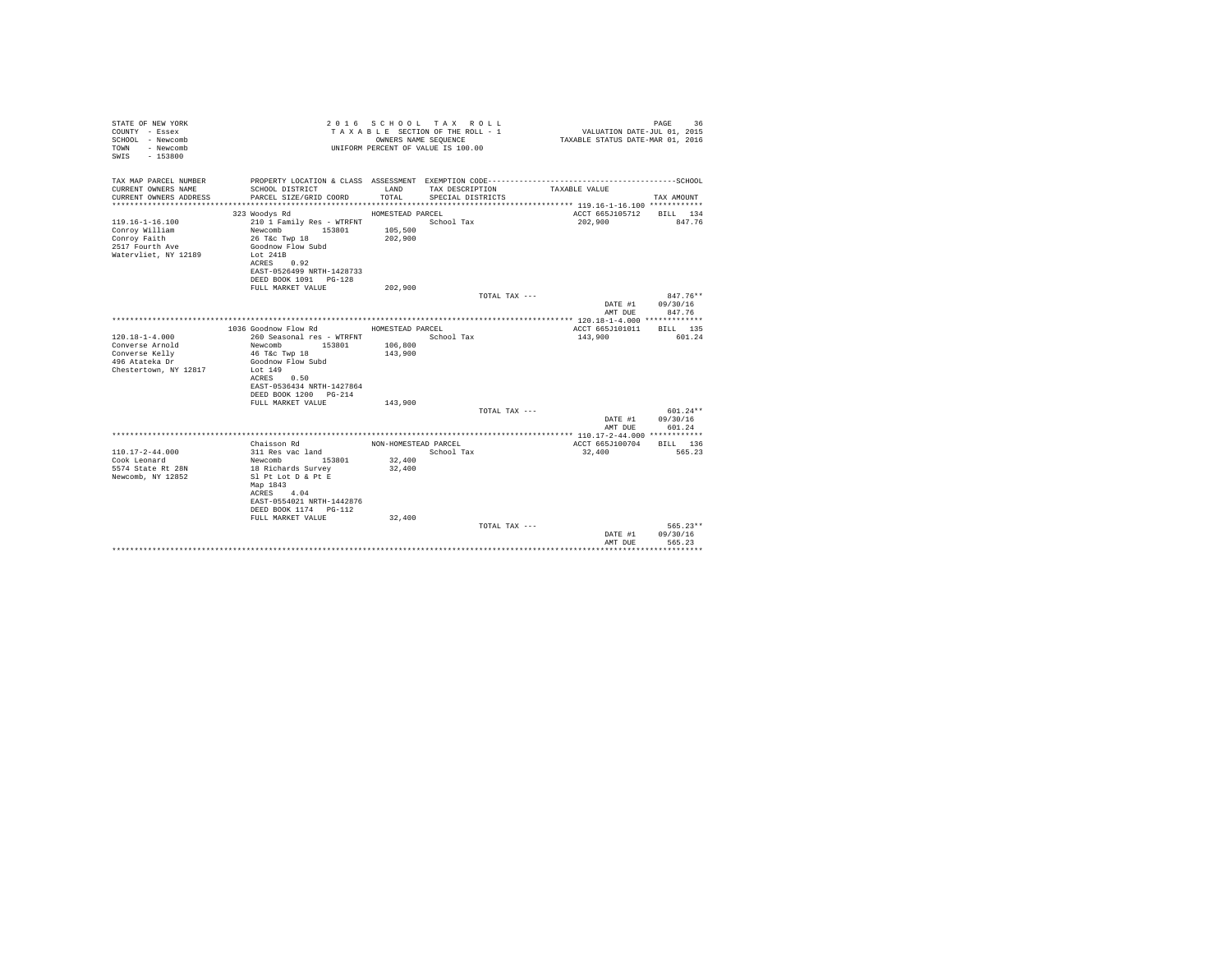| STATE OF NEW YORK<br>COUNTY - Essex<br>SCHOOL - Newcomb<br>- Newcomb<br>TOWN<br>$-153800$<br>SWTS |                                                                    | OWNERS NAME SEQUENCE | 2016 SCHOOL TAX ROLL<br>TAXABLE SECTION OF THE ROLL - 1<br>UNIFORM PERCENT OF VALUE IS 100.00 | VALUATION DATE-JUL 01, 2015<br>TAXABLE STATUS DATE-MAR 01, 2016 | 36<br>PAGE               |
|---------------------------------------------------------------------------------------------------|--------------------------------------------------------------------|----------------------|-----------------------------------------------------------------------------------------------|-----------------------------------------------------------------|--------------------------|
| TAX MAP PARCEL NUMBER                                                                             | PROPERTY LOCATION & CLASS ASSESSMENT EXEMPTION CODE--------------- |                      |                                                                                               |                                                                 | ------------------SCHOOL |
| CURRENT OWNERS NAME<br>CURRENT OWNERS ADDRESS                                                     | SCHOOL DISTRICT<br>PARCEL SIZE/GRID COORD                          | LAND<br>TOTAL.       | TAX DESCRIPTION<br>SPECIAL DISTRICTS                                                          | TAXABLE VALUE                                                   | TAX AMOUNT               |
|                                                                                                   |                                                                    |                      |                                                                                               |                                                                 |                          |
|                                                                                                   | 323 Woodys Rd                                                      | HOMESTEAD PARCEL     |                                                                                               | ACCT 665J105712                                                 | BILL 134                 |
| $119.16 - 1 - 16.100$                                                                             | 210 1 Family Res - WTRFNT                                          |                      | School Tax                                                                                    | 202,900                                                         | 847.76                   |
| Conroy William<br>Conroy Faith                                                                    | Newcomb<br>153801<br>26 T&C Twp 18                                 | 105,500<br>202,900   |                                                                                               |                                                                 |                          |
| 2517 Fourth Ave                                                                                   | Goodnow Flow Subd                                                  |                      |                                                                                               |                                                                 |                          |
| Watervliet, NY 12189                                                                              | Lot 241B                                                           |                      |                                                                                               |                                                                 |                          |
|                                                                                                   | ACRES 0.92                                                         |                      |                                                                                               |                                                                 |                          |
|                                                                                                   | EAST-0526499 NRTH-1428733                                          |                      |                                                                                               |                                                                 |                          |
|                                                                                                   | DEED BOOK 1091 PG-128<br>FULL MARKET VALUE                         | 202,900              |                                                                                               |                                                                 |                          |
|                                                                                                   |                                                                    |                      | TOTAL TAX ---                                                                                 |                                                                 | $847.76**$               |
|                                                                                                   |                                                                    |                      |                                                                                               | DATE #1                                                         | 09/30/16                 |
|                                                                                                   |                                                                    |                      |                                                                                               | AMT DUE                                                         | 847.76                   |
|                                                                                                   | 1036 Goodnow Flow Rd                                               | HOMESTEAD PARCEL     |                                                                                               | ACCT 665J101011                                                 | RTLL 135                 |
| $120.18 - 1 - 4.000$                                                                              | 260 Seasonal res - WTRFNT                                          |                      | School Tax                                                                                    | 143,900                                                         | 601.24                   |
| Converse Arnold                                                                                   | Newcomb 153801                                                     | 106,800              |                                                                                               |                                                                 |                          |
| Converse Kelly                                                                                    | 46 T&c Twp 18                                                      | 143,900              |                                                                                               |                                                                 |                          |
| 496 Atateka Dr                                                                                    | Goodnow Flow Subd<br>Lot $149$                                     |                      |                                                                                               |                                                                 |                          |
| Chestertown, NY 12817                                                                             | ACRES 0.50                                                         |                      |                                                                                               |                                                                 |                          |
|                                                                                                   | EAST-0536434 NRTH-1427864                                          |                      |                                                                                               |                                                                 |                          |
|                                                                                                   | DEED BOOK 1200 PG-214                                              |                      |                                                                                               |                                                                 |                          |
|                                                                                                   | FULL MARKET VALUE                                                  | 143,900              |                                                                                               |                                                                 |                          |
|                                                                                                   |                                                                    |                      | TOTAL TAX ---                                                                                 | DATE #1                                                         | $601.24**$<br>09/30/16   |
|                                                                                                   |                                                                    |                      |                                                                                               | AMT DUE                                                         | 601.24                   |
|                                                                                                   |                                                                    |                      |                                                                                               |                                                                 |                          |
|                                                                                                   | Chaisson Rd                                                        | NON-HOMESTEAD PARCEL |                                                                                               | ACCT 665J100704                                                 | BILL 136                 |
| $110.17 - 2 - 44.000$<br>Cook Leonard                                                             | 311 Res vac land<br>153801                                         | 32,400               | School Tax                                                                                    | 32,400                                                          | 565.23                   |
| 5574 State Rt 28N                                                                                 | Newcomb<br>18 Richards Survey                                      | 32,400               |                                                                                               |                                                                 |                          |
| Newcomb, NY 12852                                                                                 | Sl Pt Lot D & Pt E                                                 |                      |                                                                                               |                                                                 |                          |
|                                                                                                   | Map 1843                                                           |                      |                                                                                               |                                                                 |                          |
|                                                                                                   | ACRES 4.04                                                         |                      |                                                                                               |                                                                 |                          |
|                                                                                                   | EAST-0554021 NRTH-1442876<br>DEED BOOK 1174   PG-112               |                      |                                                                                               |                                                                 |                          |
|                                                                                                   | FULL MARKET VALUE                                                  | 32,400               |                                                                                               |                                                                 |                          |
|                                                                                                   |                                                                    |                      | TOTAL TAX ---                                                                                 |                                                                 | $565.23**$               |
|                                                                                                   |                                                                    |                      |                                                                                               | DATE #1                                                         | 09/30/16                 |
|                                                                                                   |                                                                    |                      |                                                                                               | AMT DUE                                                         | 565.23                   |
|                                                                                                   |                                                                    |                      |                                                                                               |                                                                 |                          |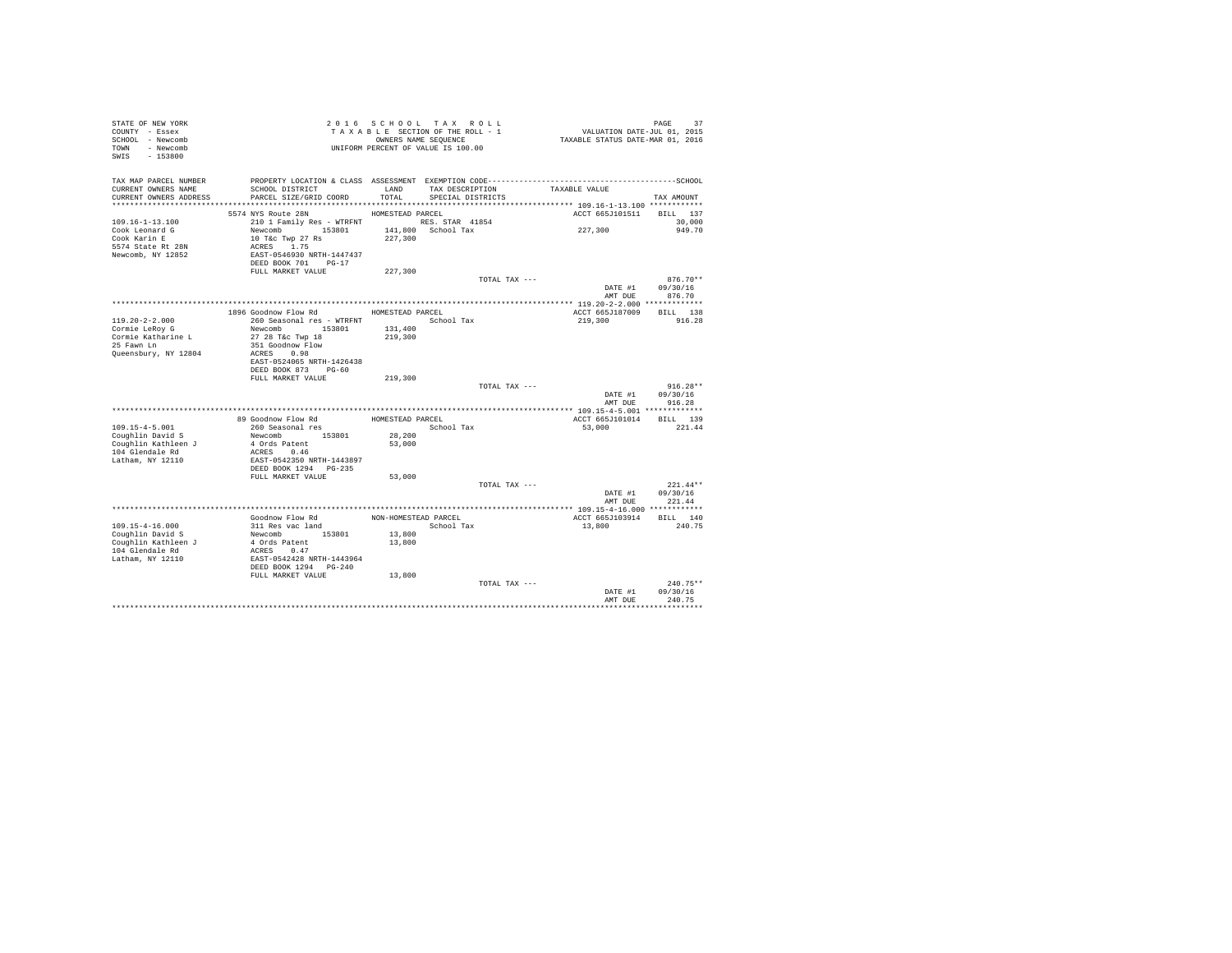| STATE OF NEW YORK<br>COUNTY - Essex<br>SCHOOL - Newcomb<br>TOWN - Newcomb |                                                  |                      | 2016 SCHOOL TAX ROLL<br>TAXABLE SECTION OF THE ROLL - 1<br>OWNERS NAME SEQUENCE<br>UNIFORM PERCENT OF VALUE IS 100.00 | PAGE 37<br>VALUATION DATE-JUL 01, 2015<br>TAXABLE STATUS DATE-MAR 01, 2016 |                    |
|---------------------------------------------------------------------------|--------------------------------------------------|----------------------|-----------------------------------------------------------------------------------------------------------------------|----------------------------------------------------------------------------|--------------------|
| SWIS - 153800                                                             |                                                  |                      |                                                                                                                       |                                                                            |                    |
| TAX MAP PARCEL NUMBER                                                     |                                                  |                      |                                                                                                                       |                                                                            |                    |
| CURRENT OWNERS NAME<br>CURRENT OWNERS ADDRESS                             | SCHOOL DISTRICT<br>PARCEL SIZE/GRID COORD        | LAND<br>TOTAL        | TAX DESCRIPTION<br>SPECIAL DISTRICTS                                                                                  | TAXABLE VALUE                                                              | TAX AMOUNT         |
|                                                                           |                                                  |                      |                                                                                                                       |                                                                            |                    |
|                                                                           | 5574 NYS Route 28N                               | HOMESTEAD PARCEL     |                                                                                                                       | ACCT 665J101511 BILL 137                                                   |                    |
| $109.16 - 1 - 13.100$                                                     | 210 1 Family Res - WTRFNT NES. STAR 41854        |                      |                                                                                                                       |                                                                            | 30,000             |
| Cook Leonard G                                                            | Newcomb 153801                                   |                      | 141,800 School Tax                                                                                                    | 227,300                                                                    | 949.70             |
| Cook Karin E                                                              | 10 T&c Twp 27 Rs                                 | 227,300              |                                                                                                                       |                                                                            |                    |
| 5574 State Rt 28N<br>Newcomb, NY 12852                                    | ACRES 1.75<br>EAST-0546930 NRTH-1447437          |                      |                                                                                                                       |                                                                            |                    |
|                                                                           | DEED BOOK 701 PG-17                              |                      |                                                                                                                       |                                                                            |                    |
|                                                                           | FULL MARKET VALUE                                | 227,300              |                                                                                                                       |                                                                            |                    |
|                                                                           |                                                  |                      | TOTAL TAX ---                                                                                                         |                                                                            | $876.70**$         |
|                                                                           |                                                  |                      |                                                                                                                       | DATE #1                                                                    | 09/30/16           |
|                                                                           |                                                  |                      |                                                                                                                       | AMT DUE                                                                    | 876.70             |
|                                                                           | 1896 Goodnow Flow Rd MOMESTEAD PARCEL            |                      |                                                                                                                       | ACCT 665J187009                                                            | BILL 138           |
| 119.20-2-2.000                                                            | 260 Seasonal res - WTRFNT             School Tax |                      |                                                                                                                       | 219,300                                                                    | 916.28             |
| Cormie LeRoy G                                                            | Newcomb 153801                                   | 131,400              |                                                                                                                       |                                                                            |                    |
| Cormie Katharine L                                                        | 27 28 T&c Twp 18                                 | 219,300              |                                                                                                                       |                                                                            |                    |
| 25 Fawn Ln                                                                | 351 Goodnow Flow                                 |                      |                                                                                                                       |                                                                            |                    |
| Queensbury, NY 12804                                                      | ACRES 0.98<br>EAST-0524065 NRTH-1426438          |                      |                                                                                                                       |                                                                            |                    |
|                                                                           | DEED BOOK 873 PG-60                              |                      |                                                                                                                       |                                                                            |                    |
|                                                                           | FULL MARKET VALUE                                | 219,300              |                                                                                                                       |                                                                            |                    |
|                                                                           |                                                  |                      | TOTAL TAX ---                                                                                                         |                                                                            | $916.28**$         |
|                                                                           |                                                  |                      |                                                                                                                       | DATE #1                                                                    | 09/30/16           |
|                                                                           |                                                  |                      |                                                                                                                       | AMT DUE                                                                    | 916.28             |
|                                                                           | 89 Goodnow Flow Rd                               | HOMESTEAD PARCEL     |                                                                                                                       | ACCT 665J101014                                                            | BILL 139           |
| $109.15 - 4 - 5.001$                                                      | 260 Seasonal res                                 |                      | School Tax                                                                                                            | 53,000                                                                     | 221.44             |
| Coughlin David S                                                          | Newcomb 153801                                   | 28,200               |                                                                                                                       |                                                                            |                    |
| Coughlin Kathleen J                                                       | 4 Ords Patent                                    | 53,000               |                                                                                                                       |                                                                            |                    |
| 104 Glendale Rd                                                           | ACRES 0.46                                       |                      |                                                                                                                       |                                                                            |                    |
| Latham, NY 12110                                                          | EAST-0542350 NRTH-1443897                        |                      |                                                                                                                       |                                                                            |                    |
|                                                                           | DEED BOOK 1294 PG-235<br>FULL MARKET VALUE       | 53,000               |                                                                                                                       |                                                                            |                    |
|                                                                           |                                                  |                      | TOTAL TAX ---                                                                                                         |                                                                            | $221.44**$         |
|                                                                           |                                                  |                      |                                                                                                                       |                                                                            | DATE #1 09/30/16   |
|                                                                           |                                                  |                      |                                                                                                                       | AMT DUE                                                                    | 221.44             |
| **********************                                                    | ************************************             |                      |                                                                                                                       | **************** 109.15-4-16.000 ************                              |                    |
|                                                                           | Goodnow Flow Rd<br>311 Res vac land              | NON-HOMESTEAD PARCEL | School Tax                                                                                                            | ACCT 665J103914                                                            | BILL 140<br>240.75 |
| 109.15-4-16.000<br>Coughlin David S                                       | Newcomb 153801                                   | 13,800               |                                                                                                                       | 13,800                                                                     |                    |
| Coughlin Kathleen J                                                       |                                                  | 13,800               |                                                                                                                       |                                                                            |                    |
| 104 Glendale Rd                                                           | 4 Ords Patent<br>ACRES 0.47                      |                      |                                                                                                                       |                                                                            |                    |
| Latham, NY 12110                                                          | EAST-0542428 NRTH-1443964                        |                      |                                                                                                                       |                                                                            |                    |
|                                                                           | DEED BOOK 1294 PG-240                            |                      |                                                                                                                       |                                                                            |                    |
|                                                                           | FULL MARKET VALUE                                | 13,800               | TOTAL TAX ---                                                                                                         |                                                                            | $240.75**$         |
|                                                                           |                                                  |                      |                                                                                                                       | DATE #1                                                                    | 09/30/16           |
|                                                                           |                                                  |                      |                                                                                                                       | AMT DUE                                                                    | 240.75             |
|                                                                           |                                                  |                      |                                                                                                                       |                                                                            |                    |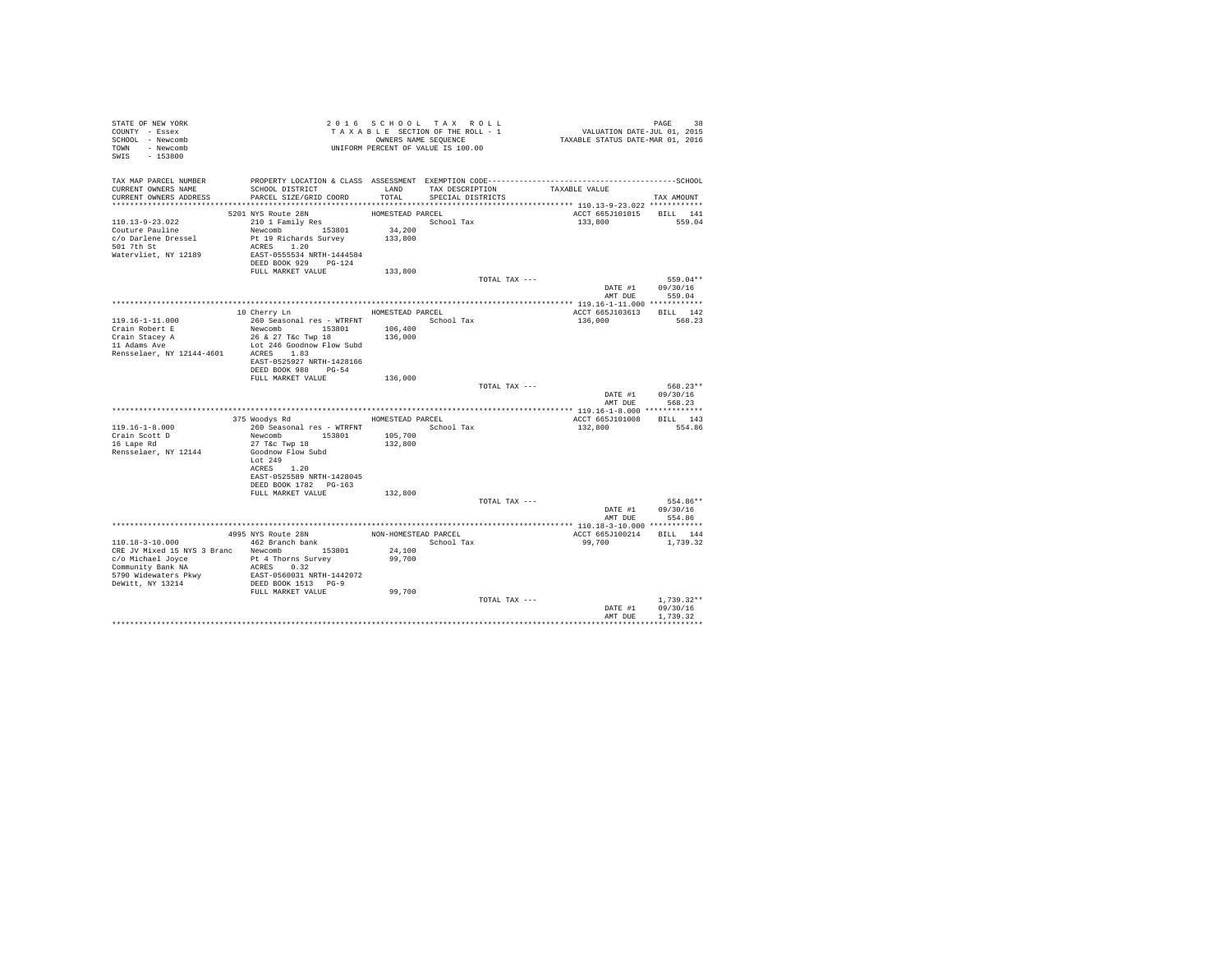| STATE OF NEW YORK<br>COUNTY - Essex<br>SCHOOL - Newcomb<br>TOWN - Newcomb<br>SWIS<br>$-153800$  |                                                                                                                                                              | 2016 SCHOOL TAX ROLL<br>TAXABLE SECTION OF THE ROLL - 1<br>OWNERS NAME SEQUENCE<br>UNIFORM PERCENT OF VALUE IS 100.00 |                                           |               | PAGE 38<br>VALUATION DATE-JUL 01, 2015<br>TAXABLE STATUS DATE-MAR 01, 2016 |                                      |
|-------------------------------------------------------------------------------------------------|--------------------------------------------------------------------------------------------------------------------------------------------------------------|-----------------------------------------------------------------------------------------------------------------------|-------------------------------------------|---------------|----------------------------------------------------------------------------|--------------------------------------|
| TAX MAP PARCEL NUMBER<br>CURRENT OWNERS NAME<br>CURRENT OWNERS ADDRESS                          | SCHOOL DISTRICT<br>PARCEL SIZE/GRID COORD                                                                                                                    | TOTAL                                                                                                                 | LAND TAX DESCRIPTION<br>SPECIAL DISTRICTS |               | TAXABLE VALUE                                                              | TAX AMOUNT                           |
|                                                                                                 |                                                                                                                                                              |                                                                                                                       |                                           |               |                                                                            |                                      |
| 110.13-9-23.022<br>Couture Pauline<br>c/o Darlene Dressel<br>501 7th St<br>Watervliet, NY 12189 | 5201 NYS Route 28N<br>210 1 Family Res<br>Newcomb 153801<br>Pt 19 Richards Survey 133,800<br>ACRES 1.20<br>EAST-0555534 NRTH-1444584<br>DEED BOOK 929 PG-124 | HOMESTEAD PARCEL<br>34,200                                                                                            | School Tax                                |               | ACCT 665J101015 BILL 141<br>133,800                                        | 559.04                               |
|                                                                                                 | FULL MARKET VALUE                                                                                                                                            | 133,800                                                                                                               |                                           |               |                                                                            |                                      |
|                                                                                                 |                                                                                                                                                              |                                                                                                                       |                                           | TOTAL TAX --- | DATE #1<br>AMT DUE                                                         | 559.04**<br>09/30/16<br>559.04       |
|                                                                                                 |                                                                                                                                                              |                                                                                                                       |                                           |               |                                                                            |                                      |
| 119.16-1-11.000                                                                                 | 10 Cherry Ln<br>260 Seasonal res - WTRFNT                                                                                                                    | HOMESTEAD PARCEL                                                                                                      | School Tax                                |               | ACCT 665J103613<br>136,000                                                 | BILL 142<br>568.23                   |
| Crain Robert E                                                                                  | Newcomb 153801                                                                                                                                               | 106,400                                                                                                               |                                           |               |                                                                            |                                      |
| Crain Stacey A<br>11 Adams Ave<br>Rensselaer, NY 12144-4601                                     | 26 & 27 T&c Twp 18<br>Lot 246 Goodnow Flow Subd<br>ACRES 1.83                                                                                                | 136,000                                                                                                               |                                           |               |                                                                            |                                      |
|                                                                                                 | EAST-0525927 NRTH-1428166<br>DEED BOOK 988 PG-54<br>FULL MARKET VALUE                                                                                        | 136,000                                                                                                               |                                           |               |                                                                            |                                      |
|                                                                                                 |                                                                                                                                                              |                                                                                                                       |                                           | TOTAL TAX --- | DATE #1<br>AMT DUE                                                         | 568.23**<br>09/30/16<br>568.23       |
|                                                                                                 |                                                                                                                                                              |                                                                                                                       |                                           |               |                                                                            |                                      |
|                                                                                                 | 375 Woodys Rd                                                                                                                                                | HOMESTEAD PARCEL                                                                                                      |                                           |               | ACCT 665J101008                                                            | BILL 143                             |
| $119.16 - 1 - 8.000$                                                                            |                                                                                                                                                              |                                                                                                                       |                                           |               |                                                                            |                                      |
| Crain Scott D                                                                                   | 260 Seasonal res - WTRFNT<br>Newcomb 153801                                                                                                                  | 105,700                                                                                                               | School Tax                                |               | 132,800                                                                    | 554.86                               |
| 16 Lape Rd                                                                                      | 27 T&c Twp 18                                                                                                                                                | 132,800                                                                                                               |                                           |               |                                                                            |                                      |
| Rensselaer, NY 12144                                                                            | Goodnow Flow Subd<br>Lot 249                                                                                                                                 |                                                                                                                       |                                           |               |                                                                            |                                      |
|                                                                                                 | ACRES 1.20<br>EAST-0525589 NRTH-1428045<br>DEED BOOK 1782 PG-163                                                                                             |                                                                                                                       |                                           |               |                                                                            |                                      |
|                                                                                                 | FULL MARKET VALUE                                                                                                                                            | 132,800                                                                                                               |                                           |               |                                                                            |                                      |
|                                                                                                 |                                                                                                                                                              |                                                                                                                       |                                           | TOTAL TAX --- | DATE #1<br>AMT DUE                                                         | 554.86**<br>09/30/16<br>554.86       |
|                                                                                                 |                                                                                                                                                              |                                                                                                                       |                                           |               |                                                                            |                                      |
| $110.18 - 3 - 10.000$                                                                           | 4995 NYS Route 28N<br>462 Branch bank                                                                                                                        | NON-HOMESTEAD PARCEL                                                                                                  | School Tax                                |               | ACCT 665J100214 BILL 144<br>99,700                                         | 1,739.32                             |
| CRE JV Mixed 15 NYS 3 Branc Newcomb 153801                                                      |                                                                                                                                                              | 24,100                                                                                                                |                                           |               |                                                                            |                                      |
| c/o Michael Joyce 5 Pt 4 Thorns Survey<br>Community Bank NA                                     | ACRES 0.32                                                                                                                                                   | 99,700                                                                                                                |                                           |               |                                                                            |                                      |
| 5790 Widewaters Pkwy<br>DeWitt, NY 13214                                                        | EAST-0560031 NRTH-1442072<br>DEED BOOK 1513 PG-9                                                                                                             |                                                                                                                       |                                           |               |                                                                            |                                      |
|                                                                                                 | FULL MARKET VALUE                                                                                                                                            | 99,700                                                                                                                |                                           |               |                                                                            |                                      |
|                                                                                                 |                                                                                                                                                              |                                                                                                                       |                                           | TOTAL TAX --- | DATE #1<br>AMT DUE                                                         | $1.739.32**$<br>09/30/16<br>1,739.32 |
|                                                                                                 |                                                                                                                                                              |                                                                                                                       |                                           |               |                                                                            |                                      |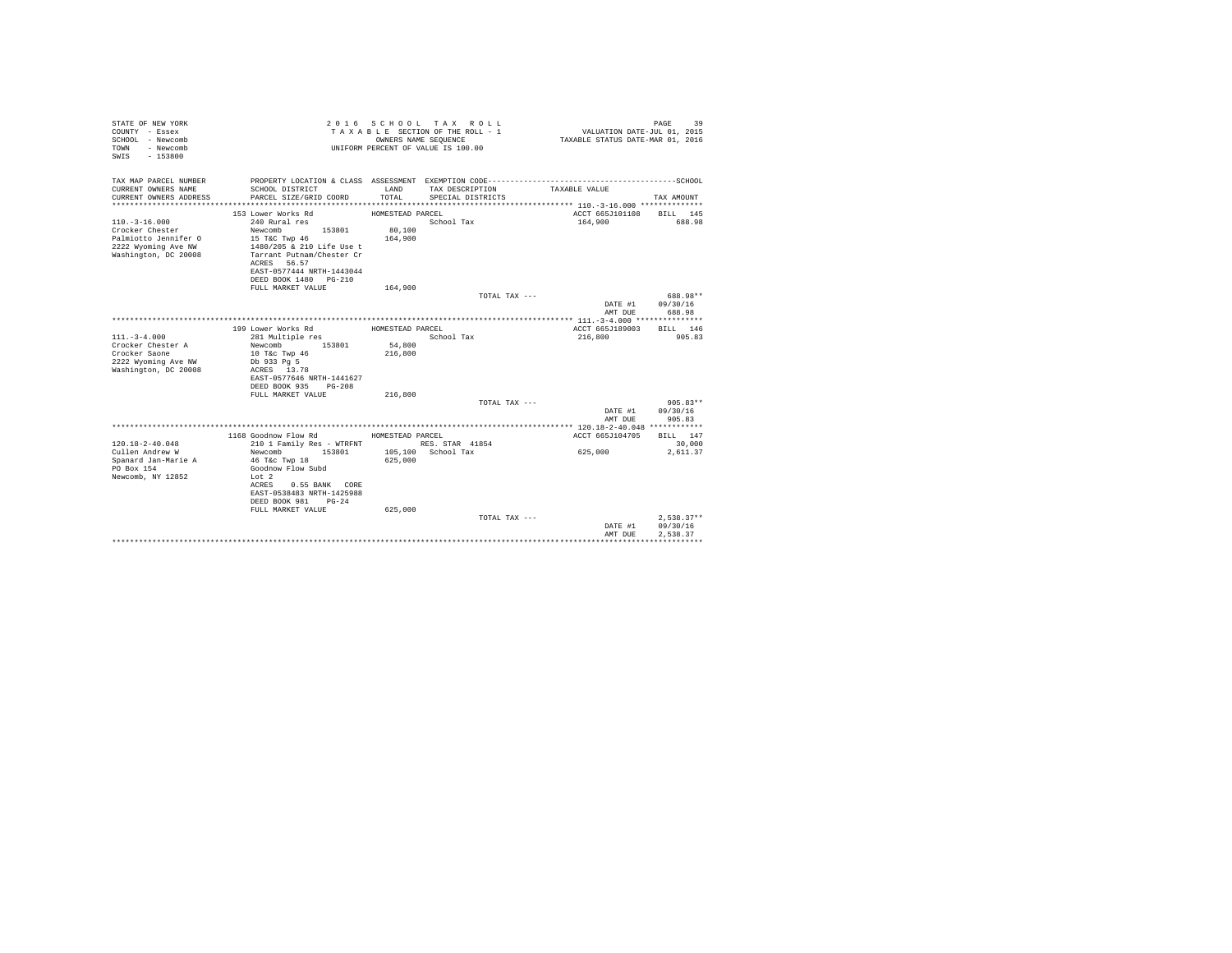| STATE OF NEW YORK<br>COUNTY - Essex<br>SCHOOL - Newcomb<br>- Newcomb<br>TOWN<br>$-153800$<br>SWIS |                                                        | OWNERS NAME SEOUENCE | 2016 SCHOOL TAX ROLL<br>TAXABLE SECTION OF THE ROLL - 1<br>UNIFORM PERCENT OF VALUE IS 100.00 | VALUATION DATE-JUL 01, 2015<br>TAXABLE STATUS DATE-MAR 01, 2016 | 39<br>PAGE         |
|---------------------------------------------------------------------------------------------------|--------------------------------------------------------|----------------------|-----------------------------------------------------------------------------------------------|-----------------------------------------------------------------|--------------------|
| TAX MAP PARCEL NUMBER                                                                             |                                                        |                      |                                                                                               |                                                                 |                    |
| CURRENT OWNERS NAME<br>CURRENT OWNERS ADDRESS                                                     | SCHOOL DISTRICT<br>PARCEL SIZE/GRID COORD              | LAND<br>TOTAL        | TAX DESCRIPTION<br>SPECIAL DISTRICTS                                                          | TAXABLE VALUE                                                   | TAX AMOUNT         |
|                                                                                                   |                                                        |                      |                                                                                               |                                                                 |                    |
|                                                                                                   | 153 Lower Works Rd                                     | HOMESTEAD PARCEL     |                                                                                               | ACCT 665J101108                                                 | BILL 145           |
| $110. - 3 - 16.000$                                                                               | 240 Rural res                                          |                      | School Tax                                                                                    | 164,900                                                         | 688.98             |
| Crocker Chester                                                                                   | Newcomb<br>153801                                      | 80,100               |                                                                                               |                                                                 |                    |
| Palmiotto Jennifer O                                                                              | 15 T&C Twp 46                                          | 164,900              |                                                                                               |                                                                 |                    |
| 2222 Wyoming Ave NW                                                                               | 1480/205 & 210 Life Use t<br>Tarrant Putnam/Chester Cr |                      |                                                                                               |                                                                 |                    |
| Washington, DC 20008                                                                              | ACRES 56.57                                            |                      |                                                                                               |                                                                 |                    |
|                                                                                                   | EAST-0577444 NRTH-1443044                              |                      |                                                                                               |                                                                 |                    |
|                                                                                                   | DEED BOOK 1480 PG-210                                  |                      |                                                                                               |                                                                 |                    |
|                                                                                                   | FULL MARKET VALUE                                      | 164,900              |                                                                                               |                                                                 |                    |
|                                                                                                   |                                                        |                      | TOTAL TAX ---                                                                                 |                                                                 | 688.98**           |
|                                                                                                   |                                                        |                      |                                                                                               | DATE #1                                                         | 09/30/16           |
|                                                                                                   |                                                        |                      |                                                                                               | AMT DUE                                                         | 688.98             |
|                                                                                                   | 199 Lower Works Rd                                     | HOMESTEAD PARCEL     |                                                                                               | ACCT 665J189003                                                 | BILL 146           |
| $111. - 3 - 4.000$                                                                                | 281 Multiple res                                       |                      | School Tax                                                                                    | 216,800                                                         | 905.83             |
| Crocker Chester A                                                                                 | Newcomb<br>153801                                      | 54,800               |                                                                                               |                                                                 |                    |
| Crocker Saone                                                                                     | 10 T&c Twp 46                                          | 216,800              |                                                                                               |                                                                 |                    |
| 2222 Wyoming Ave NW                                                                               | Db 933 Pq 5                                            |                      |                                                                                               |                                                                 |                    |
| Washington, DC 20008                                                                              | ACRES 13.78<br>EAST-0577646 NRTH-1441627               |                      |                                                                                               |                                                                 |                    |
|                                                                                                   | DEED BOOK 935 PG-208                                   |                      |                                                                                               |                                                                 |                    |
|                                                                                                   | FULL MARKET VALUE                                      | 216,800              |                                                                                               |                                                                 |                    |
|                                                                                                   |                                                        |                      | TOTAL TAX ---                                                                                 |                                                                 | $905.83**$         |
|                                                                                                   |                                                        |                      |                                                                                               | DATE #1                                                         | 09/30/16           |
|                                                                                                   |                                                        |                      |                                                                                               | AMT DUE                                                         | 905.83             |
|                                                                                                   |                                                        |                      |                                                                                               |                                                                 |                    |
| $120.18 - 2 - 40.048$                                                                             | 1168 Goodnow Flow Rd<br>210 1 Family Res - WTRFNT      | HOMESTEAD PARCEL     | RES. STAR 41854                                                                               | ACCT 665J104705                                                 | BILL 147<br>30,000 |
| Cullen Andrew W                                                                                   | Newcomb<br>153801                                      |                      | 105,100 School Tax                                                                            | 625,000                                                         | 2,611.37           |
| Spanard Jan-Marie A                                                                               | 46 T&c Twp 18                                          | 625,000              |                                                                                               |                                                                 |                    |
| PO Box 154                                                                                        | Goodnow Flow Subd                                      |                      |                                                                                               |                                                                 |                    |
| Newcomb, NY 12852                                                                                 | Lot 2                                                  |                      |                                                                                               |                                                                 |                    |
|                                                                                                   | ACRES<br>0.55 BANK CORE                                |                      |                                                                                               |                                                                 |                    |
|                                                                                                   | EAST-0538483 NRTH-1425988                              |                      |                                                                                               |                                                                 |                    |
|                                                                                                   | DEED BOOK 981<br>$PG-24$<br>FULL MARKET VALUE          | 625,000              |                                                                                               |                                                                 |                    |
|                                                                                                   |                                                        |                      | TOTAL TAX ---                                                                                 |                                                                 | $2.538.37**$       |
|                                                                                                   |                                                        |                      |                                                                                               | DATE #1                                                         | 09/30/16           |
|                                                                                                   |                                                        |                      |                                                                                               | AMT DUE                                                         | 2.538.37           |
|                                                                                                   |                                                        |                      |                                                                                               |                                                                 |                    |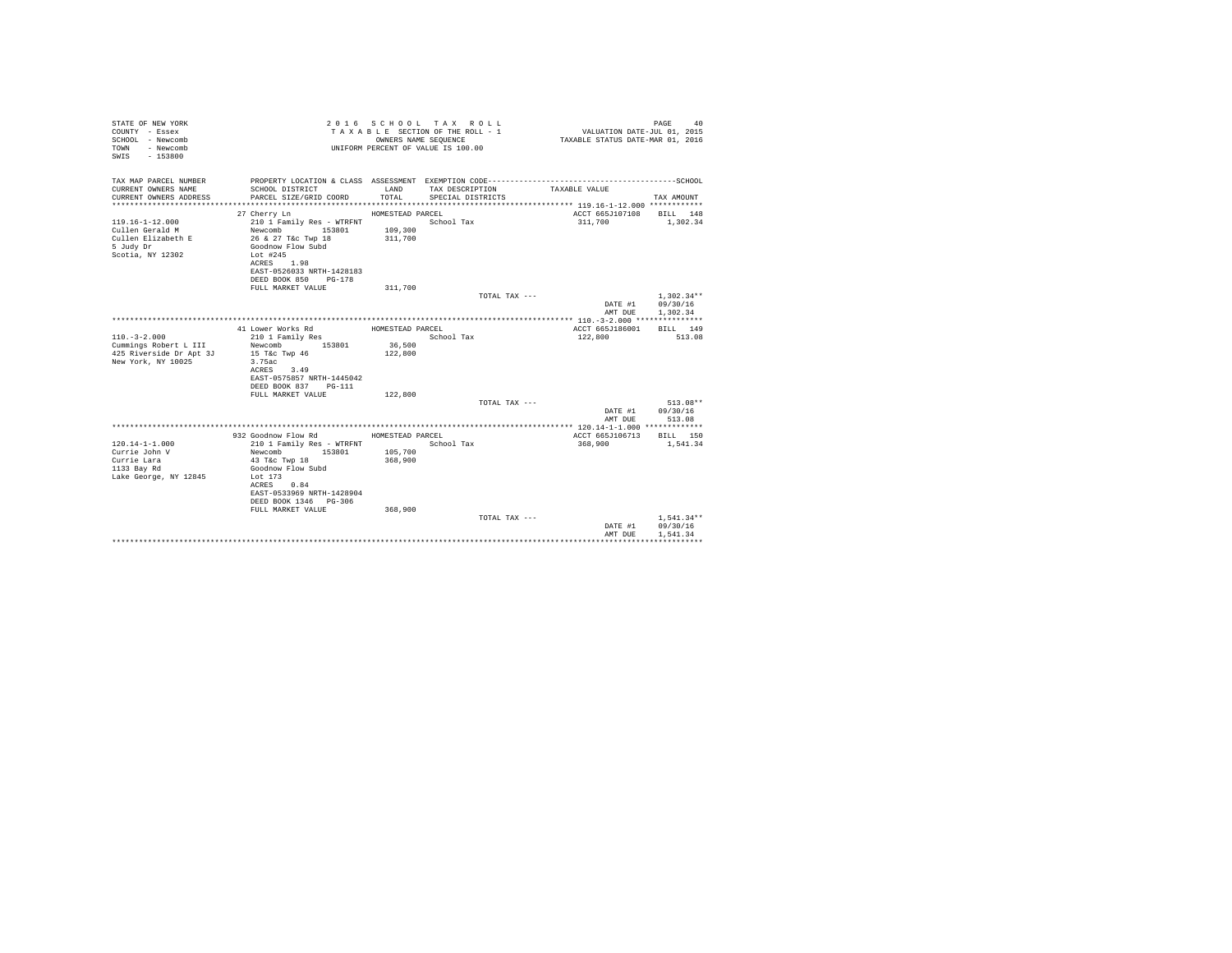| STATE OF NEW YORK<br>COUNTY - Essex<br>SCHOOL - Newcomb<br>- Newcomb<br>TOWN<br>SWIS<br>$-153800$ |                                                                                              | OWNERS NAME SEOUENCE | 2016 SCHOOL TAX ROLL<br>TAXABLE SECTION OF THE ROLL - 1<br>UNIFORM PERCENT OF VALUE IS 100.00 | VALUATION DATE-JUL 01, 2015<br>TAXABLE STATUS DATE-MAR 01, 2016 | PAGE<br>40   |
|---------------------------------------------------------------------------------------------------|----------------------------------------------------------------------------------------------|----------------------|-----------------------------------------------------------------------------------------------|-----------------------------------------------------------------|--------------|
| TAX MAP PARCEL NUMBER                                                                             | PROPERTY LOCATION & CLASS ASSESSMENT EXEMPTION CODE-----------------------------------SCHOOL |                      |                                                                                               |                                                                 |              |
| CURRENT OWNERS NAME                                                                               | SCHOOL DISTRICT                                                                              | LAND                 | TAX DESCRIPTION                                                                               | TAXABLE VALUE                                                   |              |
| CURRENT OWNERS ADDRESS                                                                            | PARCEL SIZE/GRID COORD                                                                       | TOTAL.               | SPECIAL DISTRICTS                                                                             |                                                                 | TAX AMOUNT   |
|                                                                                                   | 27 Cherry Ln                                                                                 | HOMESTEAD PARCEL     |                                                                                               | ACCT 665J107108                                                 | BILL 148     |
| $119.16 - 1 - 12.000$                                                                             | 210 1 Family Res - WTRFNT                                                                    |                      | School Tax                                                                                    | 311,700                                                         | 1,302.34     |
| Cullen Gerald M                                                                                   | Newcomb<br>153801                                                                            | 109,300              |                                                                                               |                                                                 |              |
| Cullen Elizabeth E                                                                                | 26 & 27 T&c Twp 18                                                                           | 311,700              |                                                                                               |                                                                 |              |
| 5 Judy Dr                                                                                         | Goodnow Flow Subd                                                                            |                      |                                                                                               |                                                                 |              |
| Scotia, NY 12302                                                                                  | Lot #245                                                                                     |                      |                                                                                               |                                                                 |              |
|                                                                                                   | ACRES 1.98                                                                                   |                      |                                                                                               |                                                                 |              |
|                                                                                                   | EAST-0526033 NRTH-1428183                                                                    |                      |                                                                                               |                                                                 |              |
|                                                                                                   | DEED BOOK 850 PG-178<br>FULL MARKET VALUE                                                    | 311,700              |                                                                                               |                                                                 |              |
|                                                                                                   |                                                                                              |                      | TOTAL TAX ---                                                                                 |                                                                 | $1.302.34**$ |
|                                                                                                   |                                                                                              |                      |                                                                                               | DATE #1                                                         | 09/30/16     |
|                                                                                                   |                                                                                              |                      |                                                                                               | AMT DUE                                                         | 1.302.34     |
|                                                                                                   |                                                                                              |                      |                                                                                               |                                                                 |              |
|                                                                                                   | 41 Lower Works Rd                                                                            | HOMESTEAD PARCEL     |                                                                                               | ACCT 665J186001                                                 | BILL 149     |
| $110. - 3 - 2.000$                                                                                | 210 1 Family Res                                                                             |                      | School Tax                                                                                    | 122,800                                                         | 513.08       |
| Cummings Robert L III<br>425 Riverside Dr Apt 3J                                                  | 153801<br>Newcomb                                                                            | 36,500               |                                                                                               |                                                                 |              |
| New York, NY 10025                                                                                | 15 T&c Twp 46<br>3.75ac                                                                      | 122,800              |                                                                                               |                                                                 |              |
|                                                                                                   | ACRES 3.49                                                                                   |                      |                                                                                               |                                                                 |              |
|                                                                                                   | EAST-0575857 NRTH-1445042                                                                    |                      |                                                                                               |                                                                 |              |
|                                                                                                   | DEED BOOK 837<br>PG-111                                                                      |                      |                                                                                               |                                                                 |              |
|                                                                                                   | FULL MARKET VALUE                                                                            | 122,800              |                                                                                               |                                                                 |              |
|                                                                                                   |                                                                                              |                      | TOTAL TAX ---                                                                                 |                                                                 | $513.08**$   |
|                                                                                                   |                                                                                              |                      |                                                                                               | DATE #1                                                         | 09/30/16     |
|                                                                                                   |                                                                                              |                      |                                                                                               | AMT DUR<br>************ 120.14-1-1.000 *************            | 513.08       |
|                                                                                                   | 932 Goodnow Flow Rd                                                                          | HOMESTEAD PARCEL     |                                                                                               | ACCT 665J106713                                                 | BILL 150     |
| $120.14 - 1 - 1.000$                                                                              | 210 1 Family Res - WTRFNT                                                                    |                      | School Tax                                                                                    | 368,900                                                         | 1,541.34     |
| Currie John V                                                                                     | 153801<br>Newcomb                                                                            | 105,700              |                                                                                               |                                                                 |              |
| Currie Lara                                                                                       | 43 T&c Twp 18                                                                                | 368,900              |                                                                                               |                                                                 |              |
| 1133 Bay Rd                                                                                       | Goodnow Flow Subd                                                                            |                      |                                                                                               |                                                                 |              |
| Lake George, NY 12845                                                                             | Lot 173                                                                                      |                      |                                                                                               |                                                                 |              |
|                                                                                                   | ACRES 0.84                                                                                   |                      |                                                                                               |                                                                 |              |
|                                                                                                   | EAST-0533969 NRTH-1428904                                                                    |                      |                                                                                               |                                                                 |              |
|                                                                                                   | DEED BOOK 1346 PG-306<br>FULL MARKET VALUE                                                   | 368,900              |                                                                                               |                                                                 |              |
|                                                                                                   |                                                                                              |                      | TOTAL TAX ---                                                                                 |                                                                 | $1,541.34**$ |
|                                                                                                   |                                                                                              |                      |                                                                                               | DATE #1                                                         | 09/30/16     |
|                                                                                                   |                                                                                              |                      |                                                                                               | AMT DUE                                                         | 1.541.34     |
|                                                                                                   |                                                                                              |                      |                                                                                               |                                                                 |              |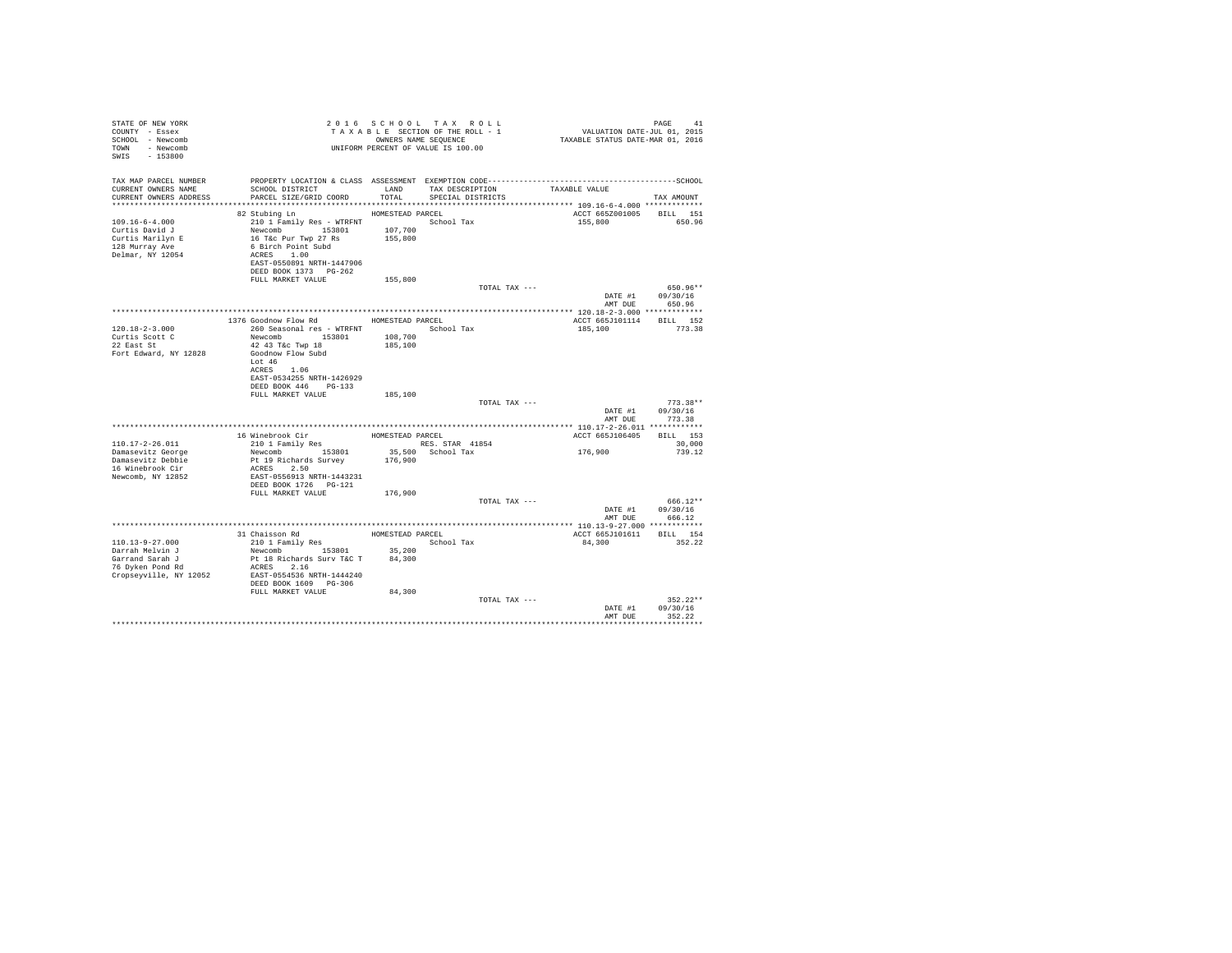| STATE OF NEW YORK<br>COUNTY - Essex<br>SCHOOL - Newcomb<br>TOWN - Newcomb<br>SWIS - 153800       |                                                                                                                                                                                                                        |                  | 2016 SCHOOL TAX ROLL<br>UNIFORM PERCENT OF VALUE IS 100.00 |               | PAGE 41 PAGE 41 ROLL TAX ROLL 2016 SCHOOL TAX ROLL 2015<br>TAXABLE SECTION OF THE ROLL - 1 VALUATION DATE-JUL 01, 2015<br>OWNERS NAME SEQUENCE 41 TAXABLE STATUS DATE-MAR 01, 2016 | PAGE<br>41                       |  |
|--------------------------------------------------------------------------------------------------|------------------------------------------------------------------------------------------------------------------------------------------------------------------------------------------------------------------------|------------------|------------------------------------------------------------|---------------|------------------------------------------------------------------------------------------------------------------------------------------------------------------------------------|----------------------------------|--|
| TAX MAP PARCEL NUMBER<br>CURRENT OWNERS NAME<br>CURRENT OWNERS ADDRESS                           |                                                                                                                                                                                                                        |                  | TAX DESCRIPTION TAXABLE VALUE<br>SPECIAL DISTRICTS         |               |                                                                                                                                                                                    | TAX AMOUNT                       |  |
|                                                                                                  | HOMESTEAD PARCEL                                                                                                                                                                                                       |                  |                                                            |               |                                                                                                                                                                                    |                                  |  |
| $109.16 - 6 - 4.000$<br>Curtis David J<br>Curtis Marilyn E<br>128 Murray Ave<br>Delmar, NY 12054 | 82 Stubing Ln<br>210 1 Family Res - WTRFNT<br>Newcomb 153801 107,700<br>16 T&c Pur Twp 27 Rs 155,800<br>16 T&c Pur Twp 27 Rs<br>6 Birch Point Subd<br>ACRES 1.00<br>EAST-0550891 NRTH-1447906<br>DEED BOOK 1373 PG-262 |                  | School Tax                                                 |               | ACCT 665Z001005 BILL 151<br>155,800 650.96                                                                                                                                         |                                  |  |
|                                                                                                  | FULL MARKET VALUE                                                                                                                                                                                                      | 155,800          |                                                            |               |                                                                                                                                                                                    |                                  |  |
|                                                                                                  |                                                                                                                                                                                                                        |                  |                                                            | TOTAL TAX --- |                                                                                                                                                                                    | 650.96**<br>DATE #1 09/30/16     |  |
|                                                                                                  |                                                                                                                                                                                                                        |                  |                                                            |               |                                                                                                                                                                                    | AMT DUE 650.96                   |  |
|                                                                                                  |                                                                                                                                                                                                                        |                  |                                                            |               |                                                                                                                                                                                    |                                  |  |
|                                                                                                  | 1376 Goodnow Flow Rd                                                                                                                                                                                                   | HOMESTEAD PARCEL |                                                            |               | ACCT 665J101114 BILL 152                                                                                                                                                           |                                  |  |
| $120.18 - 2 - 3.000$<br>Curtis Scott C<br>22 East St                                             | 260 Seasonal res - WTRFNT <a></a> School Tax<br>Newcomb 153801 108,700<br>42 43 T&c Twp 18 185,100                                                                                                                     |                  |                                                            |               | 185,100                                                                                                                                                                            | 773.38                           |  |
| Fort Edward, NY 12828                                                                            | Goodnow Flow Subd<br>Lot 46<br>ACRES 1.06<br>EAST-0534255 NRTH-1426929<br>DEED BOOK 446 PG-133                                                                                                                         |                  |                                                            |               |                                                                                                                                                                                    |                                  |  |
|                                                                                                  | FULL MARKET VALUE                                                                                                                                                                                                      | 185,100          |                                                            |               |                                                                                                                                                                                    |                                  |  |
|                                                                                                  |                                                                                                                                                                                                                        |                  |                                                            | TOTAL TAX --- | DATE #1<br>AMT DUR                                                                                                                                                                 | $773.38**$<br>09/30/16<br>773.38 |  |
|                                                                                                  |                                                                                                                                                                                                                        |                  |                                                            |               |                                                                                                                                                                                    |                                  |  |
|                                                                                                  |                                                                                                                                                                                                                        |                  |                                                            |               | ACCT 665J106405 BILL 153                                                                                                                                                           |                                  |  |
| 110.17-2-26.011                                                                                  |                                                                                                                                                                                                                        |                  |                                                            |               |                                                                                                                                                                                    | 30,000                           |  |
| Damasevitz George                                                                                |                                                                                                                                                                                                                        |                  |                                                            |               | 176,900                                                                                                                                                                            | 739.12                           |  |
| Damasevitz Debbie<br>16 Winebrook Cir                                                            | ACRES 2.50                                                                                                                                                                                                             |                  |                                                            |               |                                                                                                                                                                                    |                                  |  |
| Newcomb, NY 12852                                                                                | EAST-0556913 NRTH-1443231                                                                                                                                                                                              |                  |                                                            |               |                                                                                                                                                                                    |                                  |  |
|                                                                                                  | DEED BOOK 1726 PG-121                                                                                                                                                                                                  |                  |                                                            |               |                                                                                                                                                                                    |                                  |  |
|                                                                                                  | FULL MARKET VALUE 176,900                                                                                                                                                                                              |                  |                                                            | TOTAL TAX --- |                                                                                                                                                                                    | 666.12**                         |  |
|                                                                                                  |                                                                                                                                                                                                                        |                  |                                                            |               |                                                                                                                                                                                    | DATE #1 09/30/16                 |  |
|                                                                                                  |                                                                                                                                                                                                                        |                  |                                                            |               | AMT DUE                                                                                                                                                                            | 666.12                           |  |
|                                                                                                  |                                                                                                                                                                                                                        |                  |                                                            |               |                                                                                                                                                                                    |                                  |  |
|                                                                                                  | $\begin{tabular}{llllll} 31 Chaisson Rd & \multicolumn{2}{l}{{\small\textbf{HOMESTBAD PARCEL}}} \\ 210 1 Family Res & & & & & & & & & & \\ \end{tabular}$                                                              |                  |                                                            |               | ACCT 665J101611 BILL 154                                                                                                                                                           |                                  |  |
| 110.13-9-27.000                                                                                  | 210 1 Family Res<br>Newcomb 153801 35,200                                                                                                                                                                              |                  |                                                            |               | 84,300                                                                                                                                                                             | 352.22                           |  |
| Darrah Melvin J                                                                                  |                                                                                                                                                                                                                        |                  |                                                            |               |                                                                                                                                                                                    |                                  |  |
| Garrand Sarah J<br>76 Dyken Pond Rd                                                              | Pt 18 Richards Surv T&C T 84,300<br>ACRES 2.16                                                                                                                                                                         |                  |                                                            |               |                                                                                                                                                                                    |                                  |  |
| Cropseyville, NY 12052 EAST-0554536 NRTH-1444240                                                 |                                                                                                                                                                                                                        |                  |                                                            |               |                                                                                                                                                                                    |                                  |  |
|                                                                                                  | DEED BOOK 1609 PG-306                                                                                                                                                                                                  |                  |                                                            |               |                                                                                                                                                                                    |                                  |  |
|                                                                                                  | FULL MARKET VALUE                                                                                                                                                                                                      | 84,300           |                                                            |               |                                                                                                                                                                                    |                                  |  |
|                                                                                                  |                                                                                                                                                                                                                        |                  |                                                            | TOTAL TAX --- |                                                                                                                                                                                    | $352.22**$                       |  |
|                                                                                                  |                                                                                                                                                                                                                        |                  |                                                            |               |                                                                                                                                                                                    | DATE #1 09/30/16                 |  |
|                                                                                                  |                                                                                                                                                                                                                        |                  |                                                            |               | AMT DUR                                                                                                                                                                            | 352.22                           |  |
|                                                                                                  |                                                                                                                                                                                                                        |                  |                                                            |               |                                                                                                                                                                                    |                                  |  |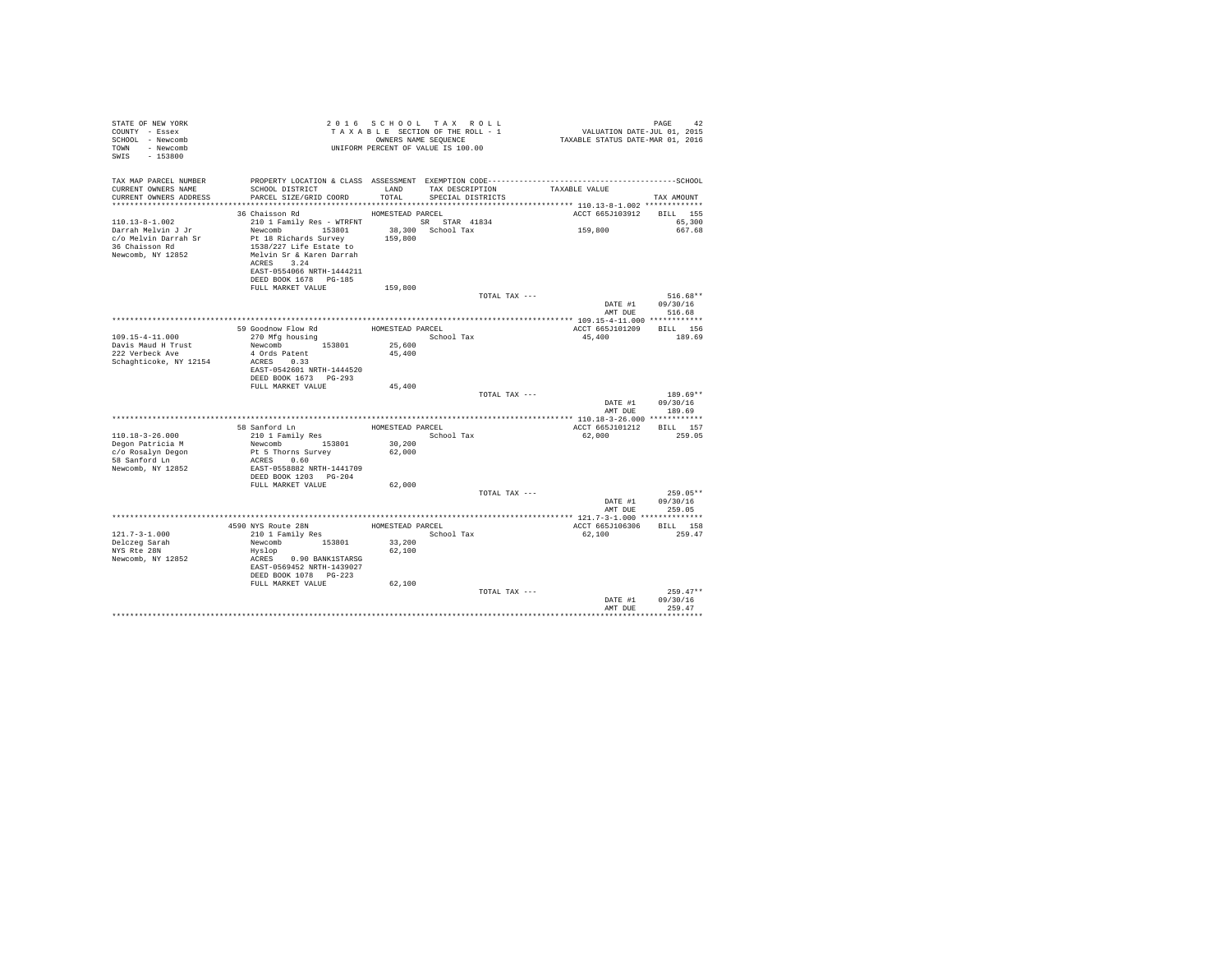| STATE OF NEW YORK<br>COUNTY - Essex<br>SCHOOL - Newcomb<br>TOWN - Newcomb<br>SWIS - 153800                |                                                                                                                                                                                            |                  | 2016 SCHOOL TAX ROLL<br>TAXABLE SECTION OF THE ROLL - 1<br>OWNERS NAME SEOUENCE<br>UNIFORM PERCENT OF VALUE IS 100.00 | 42<br>115. VALUATION DATE-JUL<br>11, 2015 TAXABLE STATUS DATE-MAR | PAGE<br>42                       |
|-----------------------------------------------------------------------------------------------------------|--------------------------------------------------------------------------------------------------------------------------------------------------------------------------------------------|------------------|-----------------------------------------------------------------------------------------------------------------------|-------------------------------------------------------------------|----------------------------------|
| TAX MAP PARCEL NUMBER<br>CURRENT OWNERS NAME<br>CURRENT OWNERS ADDRESS                                    | PROPERTY LOCATION & CLASS ASSESSMENT EXEMPTION CODE-----------------------------------SCHOOL<br>SCHOOL DISTRICT<br>PARCEL SIZE/GRID COORD                                                  | LAND<br>TOTAL    | TAX DESCRIPTION TAXABLE VALUE<br>SPECIAL DISTRICTS                                                                    |                                                                   | TAX AMOUNT                       |
|                                                                                                           |                                                                                                                                                                                            |                  |                                                                                                                       |                                                                   |                                  |
| $110.13 - 8 - 1.002$<br>Darrah Melvin J Jr<br>c/o Melvin Darrah Sr<br>36 Chaisson Rd<br>Newcomb, NY 12852 | 36 Chaisson Rd MOMESTEAD PARCEL<br>210 1 Family Res - WTRFNT SR STAR 41834<br>Newcomb 153801<br>Pt 18 Richards Survey<br>1538/227 Life Estate to<br>Melvin Sr & Karen Darrah<br>ACRES 3.24 | 159,800          | 38,300 School Tax                                                                                                     | ACCT 665J103912 BILL 155<br>159,800                               | 65,300<br>667.68                 |
|                                                                                                           | EAST-0554066 NRTH-1444211<br>DEED BOOK 1678 PG-185<br>FULL MARKET VALUE                                                                                                                    | 159,800          |                                                                                                                       |                                                                   |                                  |
|                                                                                                           |                                                                                                                                                                                            |                  | TOTAL TAX ---                                                                                                         | DATE #1<br>AMT DUE                                                | 516.68**<br>09/30/16<br>516.68   |
|                                                                                                           |                                                                                                                                                                                            |                  |                                                                                                                       |                                                                   |                                  |
|                                                                                                           | 59 Goodnow Flow Rd MOMESTEAD PARCEL                                                                                                                                                        |                  |                                                                                                                       | ACCT 665J101209 BILL 156                                          |                                  |
| $109.15 - 4 - 11.000$                                                                                     | 270 Mfg housing                                                                                                                                                                            |                  | School Tax                                                                                                            | 45,400                                                            | 189.69                           |
| Davis Maud H Trust                                                                                        | Newcomb 153801                                                                                                                                                                             | 25,600           |                                                                                                                       |                                                                   |                                  |
| 222 Verbeck Ave<br>Schaghticoke, NY 12154                                                                 | 4 Ords Patent<br>ACRES 0.33<br>EAST-0542601 NRTH-1444520<br>DEED BOOK 1673 PG-293                                                                                                          | 45,400           |                                                                                                                       |                                                                   |                                  |
|                                                                                                           | FULL MARKET VALUE                                                                                                                                                                          | 45,400           |                                                                                                                       |                                                                   |                                  |
|                                                                                                           |                                                                                                                                                                                            |                  | TOTAL TAX ---                                                                                                         | DATE #1<br>AMT DUE                                                | $189.69**$<br>09/30/16<br>189.69 |
|                                                                                                           |                                                                                                                                                                                            |                  |                                                                                                                       |                                                                   |                                  |
|                                                                                                           |                                                                                                                                                                                            |                  | HOMESTEAD PARCEL                                                                                                      | ACCT 665J101212 BILL 157                                          |                                  |
| $110.18 - 3 - 26.000$                                                                                     | 58 Sanford Ln<br>210 1 Family Res                                                                                                                                                          |                  | School Tax                                                                                                            | 62,000                                                            | 259.05                           |
| Degon Patricia M                                                                                          | Newcomb 153801                                                                                                                                                                             | 30,200           |                                                                                                                       |                                                                   |                                  |
| c/o Rosalyn Degon                                                                                         | Pt 5 Thorns Survey                                                                                                                                                                         | 62,000           |                                                                                                                       |                                                                   |                                  |
| 58 Sanford Ln<br>Newcomb, NY 12852                                                                        | ACRES 0.60<br>EAST-0558882 NRTH-1441709<br>DEED BOOK 1203 PG-204                                                                                                                           |                  |                                                                                                                       |                                                                   |                                  |
|                                                                                                           | FULL MARKET VALUE                                                                                                                                                                          | 62,000           |                                                                                                                       |                                                                   |                                  |
|                                                                                                           |                                                                                                                                                                                            |                  | TOTAL TAX ---                                                                                                         | DATE #1<br>AMT DUE                                                | $259.05**$<br>09/30/16<br>259.05 |
|                                                                                                           |                                                                                                                                                                                            |                  |                                                                                                                       |                                                                   |                                  |
|                                                                                                           | 4590 NYS Route 28N                                                                                                                                                                         | HOMESTEAD PARCEL |                                                                                                                       | ACCT 665J106306 BILL 158                                          |                                  |
| $121.7 - 3 - 1.000$                                                                                       | 210 1 Family Res                                                                                                                                                                           |                  | School Tax                                                                                                            | 62.100                                                            | 259.47                           |
| Delczeg Sarah<br>NYS Rte 28N                                                                              | Newcomb 153801<br>Hyslop                                                                                                                                                                   | 33,200<br>62,100 |                                                                                                                       |                                                                   |                                  |
| Newcomb, NY 12852                                                                                         | ACRES 0.90 BANK1STARSG<br>EAST-0569452 NRTH-1439027<br>DEED BOOK 1078 PG-223                                                                                                               |                  |                                                                                                                       |                                                                   |                                  |
|                                                                                                           | FULL MARKET VALUE                                                                                                                                                                          | 62,100           | TOTAL TAX ---                                                                                                         |                                                                   | $259.47**$                       |
|                                                                                                           |                                                                                                                                                                                            |                  |                                                                                                                       | DATE #1<br>AMT DUE                                                | 09/30/16<br>259.47               |
|                                                                                                           |                                                                                                                                                                                            |                  |                                                                                                                       |                                                                   |                                  |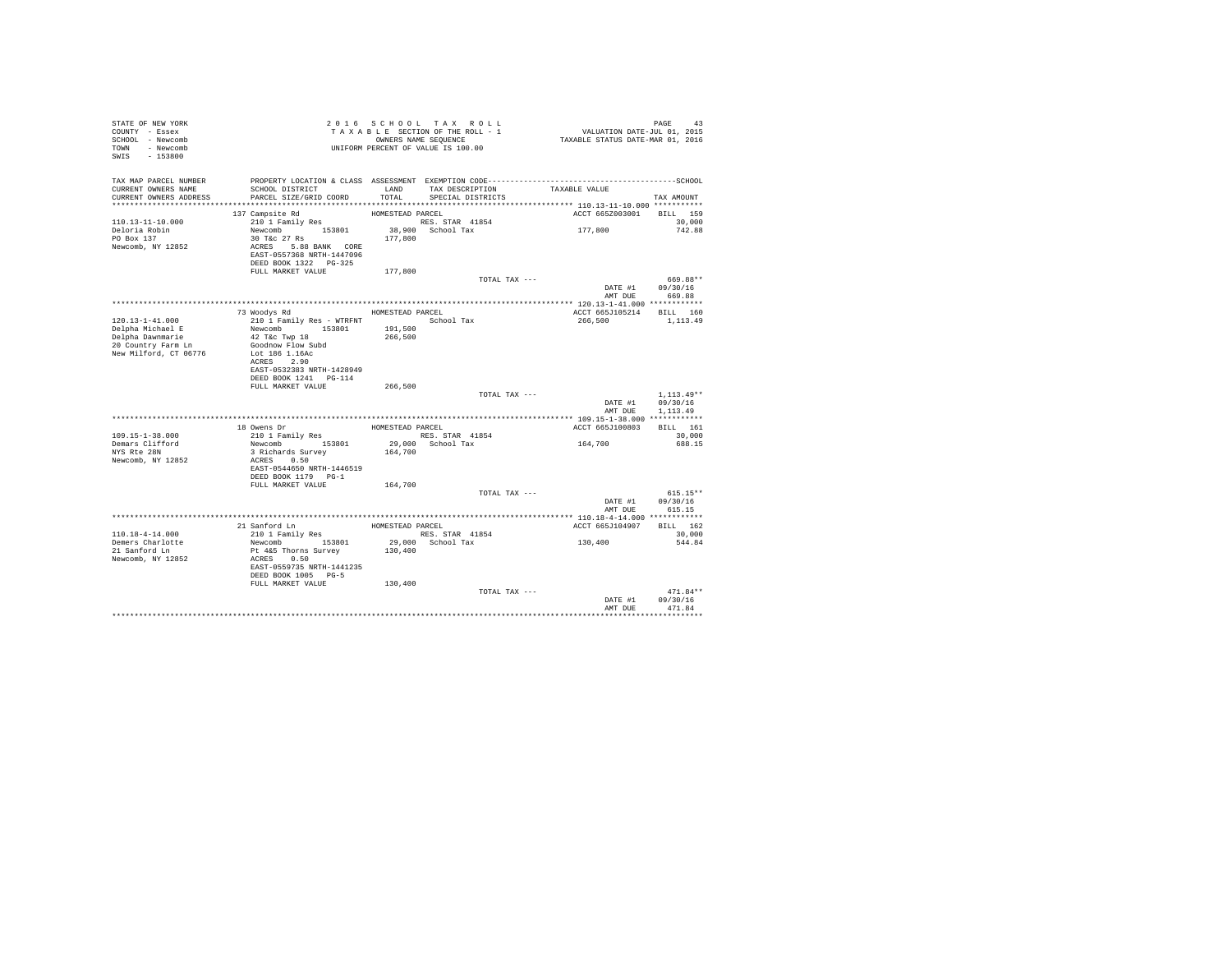| STATE OF NEW YORK<br>COUNTY - Essex<br>SCHOOL - Newcomb<br>TOWN - Newcomb<br>SWIS - 153800 | TAXABLE SECTION OF THE RULL -<br>OWNERS NAME SEQUENCE<br>UNIFORM PERCENT OF VALUE IS 100.00 |                    | TAXABLE SECTION OF THE ROLL - 1 | PAGE 43<br>VALUATION DATE-JUL 01, 2015<br>TAXABLE STATUS DATE-MAR 01, 2016                                    |                            |
|--------------------------------------------------------------------------------------------|---------------------------------------------------------------------------------------------|--------------------|---------------------------------|---------------------------------------------------------------------------------------------------------------|----------------------------|
| TAX MAP PARCEL NUMBER<br>CURRENT OWNERS NAME                                               | SCHOOL DISTRICT                                                                             | LAND               | TAX DESCRIPTION                 | PROPERTY LOCATION & CLASS ASSESSMENT EXEMPTION CODE-----------------------------------SCHOOL<br>TAXABLE VALUE |                            |
| CURRENT OWNERS ADDRESS                                                                     | PARCEL SIZE/GRID COORD                                                                      | TOTAL              | SPECIAL DISTRICTS               |                                                                                                               | TAX AMOUNT                 |
|                                                                                            | 137 Campsite Rd                                                                             | HOMESTEAD PARCEL   |                                 | ACCT 665Z003001 BILL 159                                                                                      |                            |
| $110.13 - 11 - 10.000$                                                                     | 210 1 Family Res                                                                            |                    | RES. STAR 41854                 |                                                                                                               | 30,000                     |
| Deloria Robin                                                                              | Newcomb 153801                                                                              |                    | 38,900 School Tax               | 177,800                                                                                                       | 742.88                     |
| PO Box 137                                                                                 |                                                                                             | 177,800            |                                 |                                                                                                               |                            |
| Newcomb, NY 12852                                                                          | $30 \text{ T\&C} 27 \text{ Rs}$<br>ACRES 5.88 BANK CORE                                     |                    |                                 |                                                                                                               |                            |
|                                                                                            | EAST-0557368 NRTH-1447096                                                                   |                    |                                 |                                                                                                               |                            |
|                                                                                            | DEED BOOK 1322 PG-325                                                                       |                    |                                 |                                                                                                               |                            |
|                                                                                            | FULL MARKET VALUE                                                                           | 177,800            | TOTAL TAX ---                   |                                                                                                               | 669.88**                   |
|                                                                                            |                                                                                             |                    |                                 |                                                                                                               | DATE #1 09/30/16           |
|                                                                                            |                                                                                             |                    |                                 |                                                                                                               | AMT DUE 669.88             |
|                                                                                            |                                                                                             |                    |                                 |                                                                                                               |                            |
|                                                                                            | 73 Woodys Rd                                                                                | HOMESTEAD PARCEL   |                                 | ACCT 665J105214 BILL 160                                                                                      |                            |
| 120.13-1-41.000                                                                            | 210 1 Family Res - WTRFNT                                                                   |                    | School Tax                      | 266,500                                                                                                       | 1,113.49                   |
| Delpha Michael E<br>Delpha Dawnmarie                                                       | Newcomb 153801<br>42 T&C Twp 18                                                             | 191,500<br>266,500 |                                 |                                                                                                               |                            |
| 20 Country Farm Ln                                                                         | Goodnow Flow Subd                                                                           |                    |                                 |                                                                                                               |                            |
| New Milford, CT 06776                                                                      | Lot 186 1.16Ac                                                                              |                    |                                 |                                                                                                               |                            |
|                                                                                            | ACRES 2.90                                                                                  |                    |                                 |                                                                                                               |                            |
|                                                                                            | EAST-0532383 NRTH-1428949                                                                   |                    |                                 |                                                                                                               |                            |
|                                                                                            | DEED BOOK 1241    PG-114                                                                    |                    |                                 |                                                                                                               |                            |
|                                                                                            | FULL MARKET VALUE                                                                           | 266,500            | TOTAL TAX ---                   |                                                                                                               | $1,113.49**$               |
|                                                                                            |                                                                                             |                    |                                 |                                                                                                               | DATE #1 09/30/16           |
|                                                                                            |                                                                                             |                    |                                 | AMT DUE                                                                                                       | 1,113,49                   |
|                                                                                            |                                                                                             |                    |                                 |                                                                                                               |                            |
|                                                                                            | 18 Owens Dr                                                                                 | HOMESTEAD PARCEL   |                                 | ACCT 665J100803 BILL 161                                                                                      |                            |
| $109.15 - 1 - 38.000$                                                                      | 210 1 Family Res<br>Newcomb 153801 29,000 School Tax                                        |                    | RES. STAR 41854                 |                                                                                                               | 30,000                     |
| Demars Clifford<br>NYS Rte 28N                                                             | 3 Richards Survey                                                                           | 164,700            |                                 | 164,700                                                                                                       | 688.15                     |
| Newcomb, NY 12852                                                                          | ACRES 0.50                                                                                  |                    |                                 |                                                                                                               |                            |
|                                                                                            | EAST-0544650 NRTH-1446519                                                                   |                    |                                 |                                                                                                               |                            |
|                                                                                            | DEED BOOK 1179 PG-1                                                                         |                    |                                 |                                                                                                               |                            |
|                                                                                            | FULL MARKET VALUE                                                                           | 164,700            |                                 |                                                                                                               |                            |
|                                                                                            |                                                                                             |                    | TOTAL TAX ---                   |                                                                                                               | $615.15**$                 |
|                                                                                            |                                                                                             |                    |                                 | DATE #1                                                                                                       | 09/30/16<br>AMT DUE 615.15 |
|                                                                                            |                                                                                             |                    |                                 |                                                                                                               |                            |
|                                                                                            | 21 Sanford Ln<br>210 1 Family Res<br>Newcomb 153801<br>Pt 4&5 Thorns Survey                 |                    | HOMESTEAD PARCEL                | ACCT 665J104907                                                                                               | BILL 162                   |
| 110.18-4-14.000                                                                            |                                                                                             |                    | RES. STAR 41854                 |                                                                                                               | 30,000                     |
| Demers Charlotte<br>21 Sanford Ln                                                          |                                                                                             |                    | 29,000 School Tax               | 130,400                                                                                                       | 544.84                     |
|                                                                                            |                                                                                             | 130,400            |                                 |                                                                                                               |                            |
| Newcomb, NY 12852                                                                          | ACRES 0.50                                                                                  |                    |                                 |                                                                                                               |                            |
|                                                                                            | EAST-0559735 NRTH-1441235<br>DEED BOOK 1005 PG-5                                            |                    |                                 |                                                                                                               |                            |
|                                                                                            | FULL MARKET VALUE                                                                           | 130,400            |                                 |                                                                                                               |                            |
|                                                                                            |                                                                                             |                    | TOTAL TAX ---                   |                                                                                                               | $471.84**$                 |
|                                                                                            |                                                                                             |                    |                                 | DATE #1                                                                                                       | 09/30/16                   |
|                                                                                            |                                                                                             |                    |                                 | AMT DUE                                                                                                       | 471.84                     |
|                                                                                            |                                                                                             |                    |                                 |                                                                                                               |                            |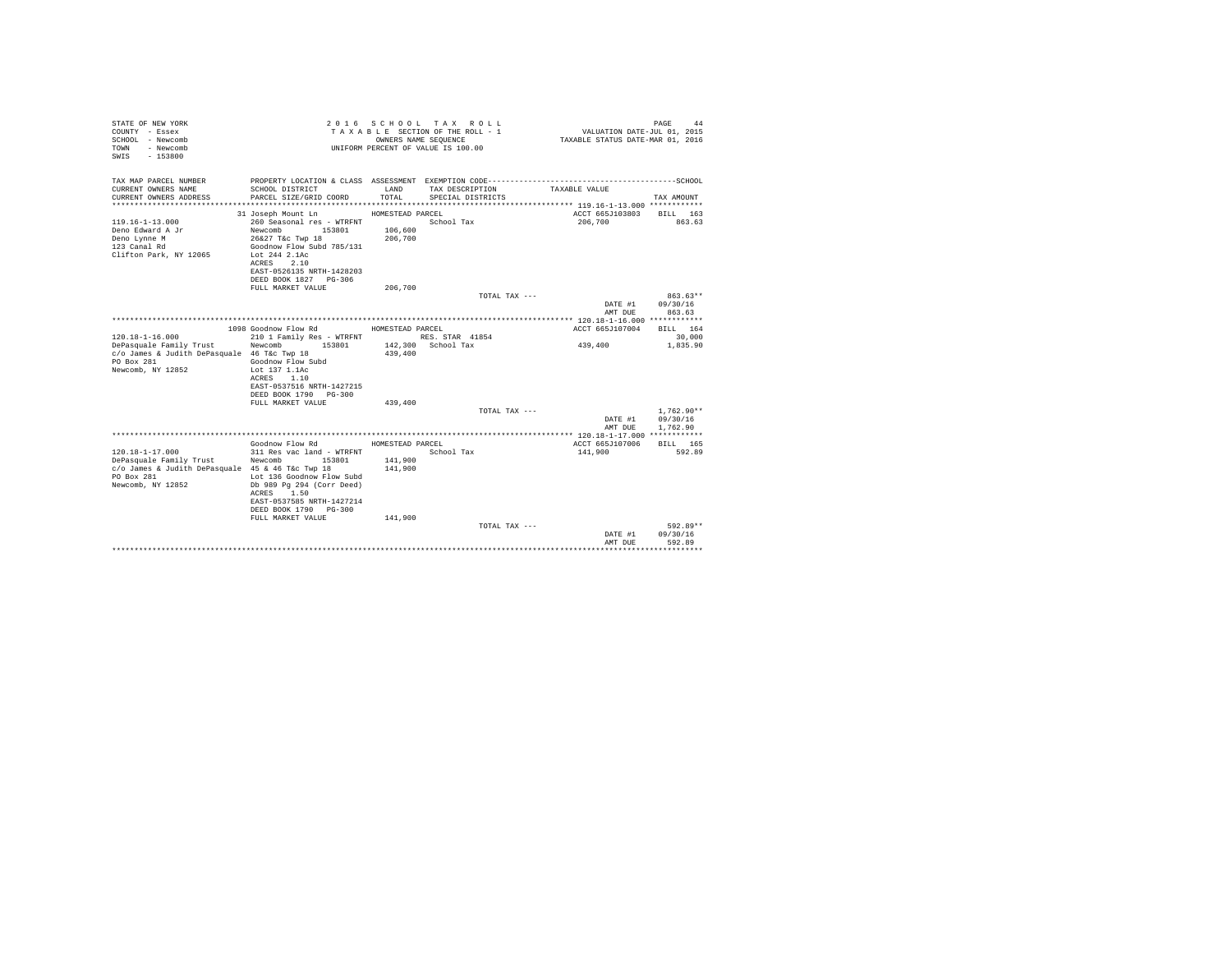| STATE OF NEW YORK<br>COUNTY - Essex<br>SCHOOL - Newcomb<br>- Newcomb<br>TOWN<br>$-153800$<br>SWTS |                                                    | OWNERS NAME SEQUENCE | 2016 SCHOOL TAX ROLL<br>TAXABLE SECTION OF THE ROLL - 1<br>UNIFORM PERCENT OF VALUE IS 100.00 | VALUATION DATE-JUL 01, 2015<br>TAXABLE STATUS DATE-MAR 01, 2016 | PAGE<br>44         |
|---------------------------------------------------------------------------------------------------|----------------------------------------------------|----------------------|-----------------------------------------------------------------------------------------------|-----------------------------------------------------------------|--------------------|
| TAX MAP PARCEL NUMBER                                                                             |                                                    |                      |                                                                                               |                                                                 |                    |
| CURRENT OWNERS NAME<br>CURRENT OWNERS ADDRESS                                                     | SCHOOL DISTRICT<br>PARCEL SIZE/GRID COORD          | LAND<br>TOTAL.       | TAX DESCRIPTION<br>SPECIAL DISTRICTS                                                          | TAXABLE VALUE                                                   | TAX AMOUNT         |
|                                                                                                   |                                                    |                      |                                                                                               |                                                                 |                    |
|                                                                                                   | 31 Joseph Mount Ln                                 | HOMESTEAD PARCEL     |                                                                                               | ACCT 665J103803                                                 | BILL 163           |
| $119.16 - 1 - 13.000$                                                                             | 260 Seasonal res - WTRFNT                          |                      | School Tax                                                                                    | 206,700                                                         | 863.63             |
| Deno Edward A Jr<br>Deno Lynne M                                                                  | Newcomb<br>153801<br>26&27 T&c Twp 18              | 106,600<br>206,700   |                                                                                               |                                                                 |                    |
| 123 Canal Rd                                                                                      | Goodnow Flow Subd 785/131                          |                      |                                                                                               |                                                                 |                    |
| Clifton Park, NY 12065                                                                            | Lot 244 2.1Ac                                      |                      |                                                                                               |                                                                 |                    |
|                                                                                                   | ACRES 2.10<br>EAST-0526135 NRTH-1428203            |                      |                                                                                               |                                                                 |                    |
|                                                                                                   | DEED BOOK 1827 PG-306                              |                      |                                                                                               |                                                                 |                    |
|                                                                                                   | FULL MARKET VALUE                                  | 206,700              |                                                                                               |                                                                 |                    |
|                                                                                                   |                                                    |                      | TOTAL TAX ---                                                                                 |                                                                 | $863.63**$         |
|                                                                                                   |                                                    |                      |                                                                                               | DATE #1<br>AMT DUE                                              | 09/30/16<br>863.63 |
|                                                                                                   |                                                    |                      |                                                                                               |                                                                 |                    |
|                                                                                                   | 1098 Goodnow Flow Rd                               | HOMESTEAD PARCEL     |                                                                                               | ACCT 665J107004                                                 | BILL 164           |
| $120.18 - 1 - 16.000$                                                                             | 210 1 Family Res - WTRFNT                          |                      | RES. STAR 41854                                                                               |                                                                 | 30,000             |
| DePasquale Family Trust<br>c/o James & Judith DePasquale 46 T&c Twp 18                            | Newcomb<br>153801                                  | 439,400              | 142,300 School Tax                                                                            | 439,400                                                         | 1,835.90           |
| PO Box 281                                                                                        | Goodnow Flow Subd                                  |                      |                                                                                               |                                                                 |                    |
| Newcomb, NY 12852                                                                                 | Lot 137 1.1Ac                                      |                      |                                                                                               |                                                                 |                    |
|                                                                                                   | 1.10<br>ACRES                                      |                      |                                                                                               |                                                                 |                    |
|                                                                                                   | EAST-0537516 NRTH-1427215<br>DEED BOOK 1790 PG-300 |                      |                                                                                               |                                                                 |                    |
|                                                                                                   | FULL MARKET VALUE                                  | 439,400              |                                                                                               |                                                                 |                    |
|                                                                                                   |                                                    |                      | TOTAL TAX ---                                                                                 |                                                                 | $1.762.90**$       |
|                                                                                                   |                                                    |                      |                                                                                               | DATE #1<br>AMT DUE                                              | 09/30/16           |
|                                                                                                   |                                                    |                      |                                                                                               |                                                                 | 1,762.90           |
|                                                                                                   | Goodnow Flow Rd                                    | HOMESTEAD PARCEL     |                                                                                               | ACCT 665J107006                                                 | BILL 165           |
| $120.18 - 1 - 17.000$                                                                             | 311 Res vac land - WTRFNT                          |                      | School Tax                                                                                    | 141,900                                                         | 592.89             |
| DePasquale Family Trust<br>c/o James & Judith DePasquale 45 & 46 T&c Twp 18                       | Newcomb<br>153801                                  | 141,900<br>141,900   |                                                                                               |                                                                 |                    |
| PO Box 281                                                                                        | Lot 136 Goodnow Flow Subd                          |                      |                                                                                               |                                                                 |                    |
| Newcomb, NY 12852                                                                                 | Db 989 Pg 294 (Corr Deed)                          |                      |                                                                                               |                                                                 |                    |
|                                                                                                   | 1.50<br>ACRES<br>EAST-0537585 NRTH-1427214         |                      |                                                                                               |                                                                 |                    |
|                                                                                                   | DEED BOOK 1790 PG-300                              |                      |                                                                                               |                                                                 |                    |
|                                                                                                   | FULL MARKET VALUE                                  | 141,900              |                                                                                               |                                                                 |                    |
|                                                                                                   |                                                    |                      | TOTAL TAX ---                                                                                 |                                                                 | 592.89**           |
|                                                                                                   |                                                    |                      |                                                                                               | DATE #1<br>AMT DUE                                              | 09/30/16<br>592.89 |
|                                                                                                   |                                                    |                      |                                                                                               |                                                                 | .                  |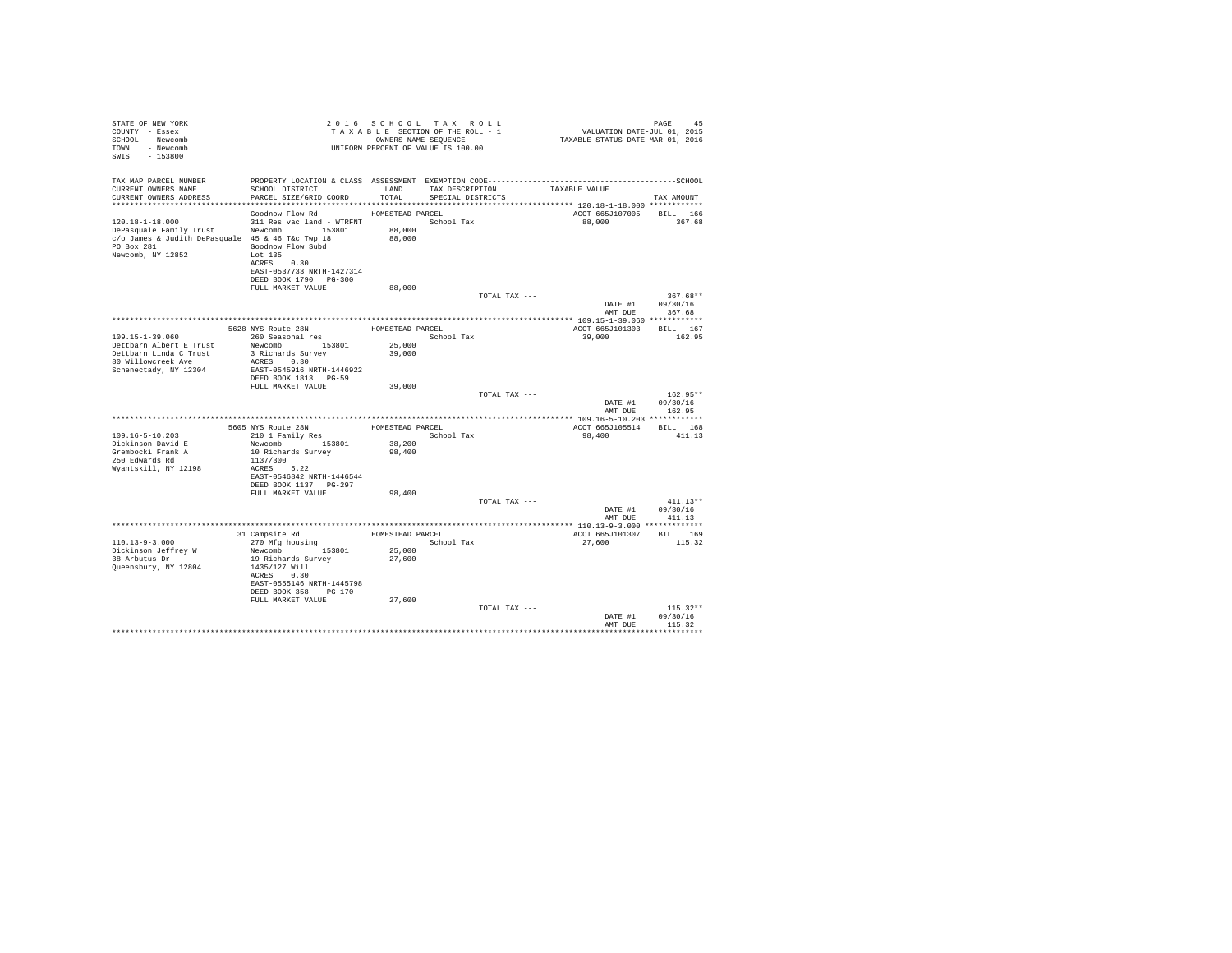| STATE OF NEW YORK<br>COUNTY - Essex<br>SCHOOL - Newcomb<br>TOWN - Newcomb<br>SWIS<br>$-153800$                                                   |                                                                                                                                                               | 2016 SCHOOL TAX ROLL<br>TAXABLE SECTION OF THE ROLL - 1<br>OWNERS NAME SEQUENCE<br>UNIFORM PERCENT OF VALUE IS 100.00 |                                      |               | PAGE 45<br>VALUATION DATE-JUL 01, 2015<br>TAXABLE STATUS DATE-MAR 01, 2016 |                                  |
|--------------------------------------------------------------------------------------------------------------------------------------------------|---------------------------------------------------------------------------------------------------------------------------------------------------------------|-----------------------------------------------------------------------------------------------------------------------|--------------------------------------|---------------|----------------------------------------------------------------------------|----------------------------------|
| TAX MAP PARCEL NUMBER                                                                                                                            | PROPERTY LOCATION & CLASS ASSESSMENT EXEMPTION CODE-----------------------------------SCHOOL                                                                  |                                                                                                                       |                                      |               |                                                                            |                                  |
| CURRENT OWNERS NAME<br>CURRENT OWNERS ADDRESS                                                                                                    | SCHOOL DISTRICT<br>PARCEL SIZE/GRID COORD                                                                                                                     | LAND<br>TOTAL                                                                                                         | TAX DESCRIPTION<br>SPECIAL DISTRICTS |               | TAXABLE VALUE                                                              | TAX AMOUNT                       |
|                                                                                                                                                  | ************************                                                                                                                                      | *********************                                                                                                 |                                      |               | *************************** 120.18-1-18.000 ************                   |                                  |
| 120.18-1-18.000<br>DePasquale Family Trust Newcomb 153801<br>c/o James & Judith DePasquale 45 & 46 T&c Twp 18<br>PO Box 281<br>Newcomb, NY 12852 | Goodnow Flow Rd<br>311 Res vac land - WTRFNT School Tax<br>Goodnow Flow Subd<br>Lot 135<br>ACRES 0.30<br>EAST-0537733 NRTH-1427314                            | HOMESTEAD PARCEL<br>88,000<br>88,000                                                                                  |                                      |               | ACCT 665J107005<br>88,000                                                  | <b>BILL</b> 166<br>367.68        |
|                                                                                                                                                  | DEED BOOK 1790 PG-300                                                                                                                                         |                                                                                                                       |                                      |               |                                                                            |                                  |
|                                                                                                                                                  | FULL MARKET VALUE                                                                                                                                             | 88,000                                                                                                                |                                      |               |                                                                            |                                  |
|                                                                                                                                                  |                                                                                                                                                               |                                                                                                                       |                                      | TOTAL TAX --- | DATE #1<br>AMT DUE                                                         | 367.68**<br>09/30/16<br>367.68   |
|                                                                                                                                                  |                                                                                                                                                               |                                                                                                                       |                                      |               |                                                                            |                                  |
| 109.15-1-39.060<br>Dettbarn Albert E Trust<br>Dettbarn Linda C Trust<br>80 Willowcreek Ave                                                       | 5628 NYS Route 28N<br>260 Seasonal res<br>Newcomb 153801<br>3 Richards Survey<br>ACRES 0.30                                                                   | HOMESTEAD PARCEL<br>25,000<br>39,000                                                                                  | School Tax                           |               | ACCT 665J101303<br>39,000                                                  | BILL 167<br>162.95               |
| Schenectady, NY 12304                                                                                                                            | EAST-0545916 NRTH-1446922<br>DEED BOOK 1813 PG-59<br>FULL MARKET VALUE                                                                                        | 39,000                                                                                                                |                                      |               |                                                                            |                                  |
|                                                                                                                                                  |                                                                                                                                                               |                                                                                                                       |                                      | TOTAL TAX --- | DATE #1<br>AMT DUE                                                         | $162.95**$<br>09/30/16<br>162.95 |
|                                                                                                                                                  |                                                                                                                                                               |                                                                                                                       |                                      |               |                                                                            |                                  |
|                                                                                                                                                  | 5605 NYS Route 28N                                                                                                                                            | HOMESTEAD PARCEL                                                                                                      |                                      |               | ACCT 665J105514                                                            | BILL 168                         |
| 109.16-5-10.203<br>Dickinson David E<br>Grembocki Frank A<br>250 Edwards Rd<br>Wyantskill, NY 12198                                              | 210 1 Family Res<br>Newcomb 153801<br>10 Richards Survey<br>1137/300<br>ACRES 5.22<br>EAST-0546842 NRTH-1446544<br>DEED BOOK 1137 PG-297                      | 38,200<br>98,400                                                                                                      | School Tax                           |               | 98,400                                                                     | 411.13                           |
|                                                                                                                                                  | FULL MARKET VALUE                                                                                                                                             | 98,400                                                                                                                |                                      |               |                                                                            |                                  |
|                                                                                                                                                  |                                                                                                                                                               |                                                                                                                       |                                      | TOTAL TAX --- | DATE #1<br>AMT DUE                                                         | $411.13**$<br>09/30/16<br>411.13 |
|                                                                                                                                                  |                                                                                                                                                               |                                                                                                                       |                                      |               |                                                                            |                                  |
| $110.13 - 9 - 3.000$<br>Dickinson Jeffrey W<br>38 Arbutus Dr<br>Queensbury, NY 12804                                                             | 31 Campsite Rd<br>270 Mfg housing<br>Newcomb 153801<br>19 Richards Survey<br>1435/127 Will<br>ACRES 0.30<br>EAST-0555146 NRTH-1445798<br>DEED BOOK 358 PG-170 | HOMESTEAD PARCEL<br>25,000<br>27,600                                                                                  | School Tax                           |               | ACCT 665J101307<br>27,600                                                  | BILL 169<br>115.32               |
|                                                                                                                                                  | FULL MARKET VALUE                                                                                                                                             | 27,600                                                                                                                |                                      | TOTAL TAX --- | DATE #1                                                                    | $115.32**$<br>09/30/16           |
|                                                                                                                                                  |                                                                                                                                                               |                                                                                                                       |                                      |               | AMT DUE                                                                    | 115.32                           |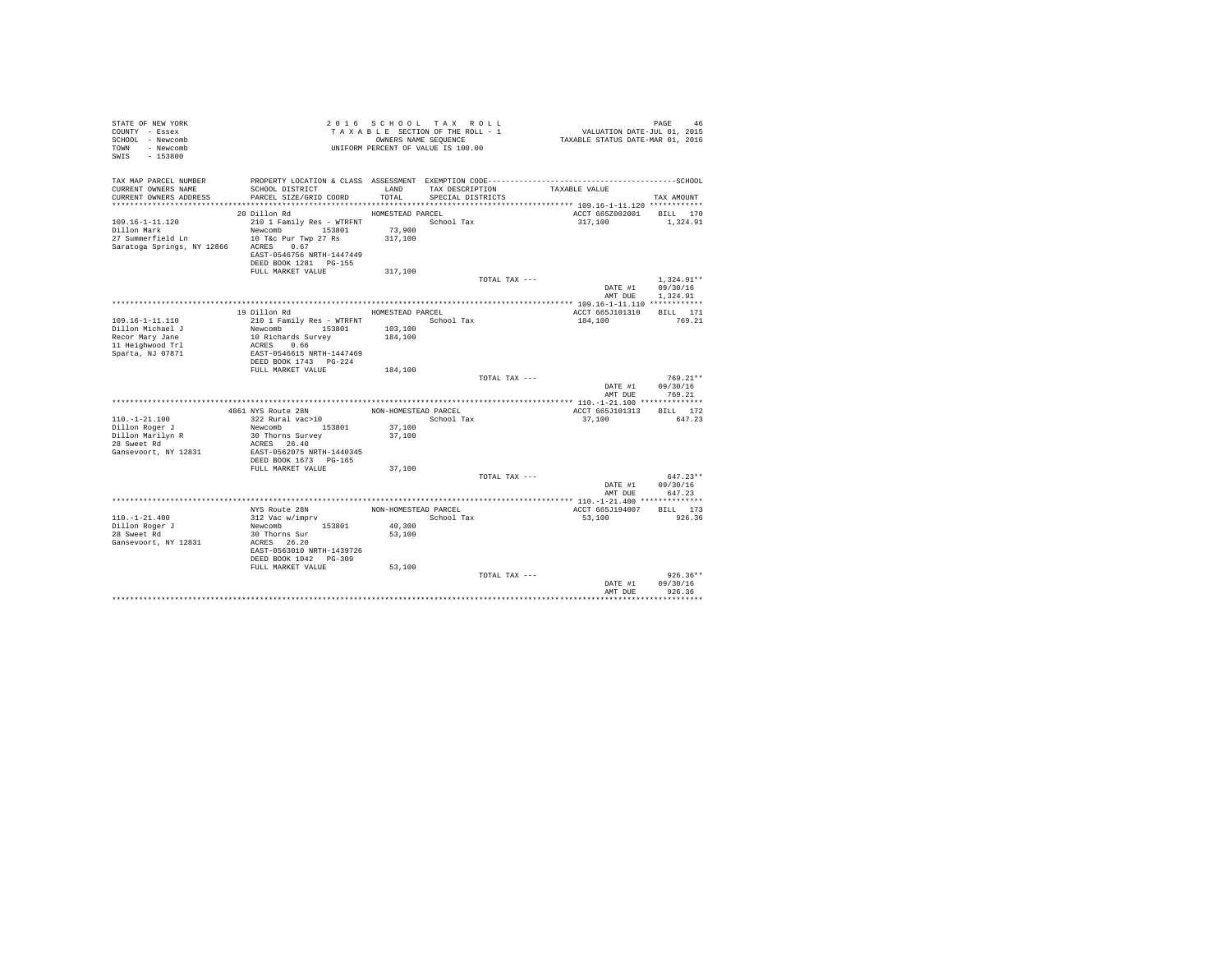| STATE OF NEW YORK<br>COUNTY - Essex<br>SCHOOL - Newcomb<br>TOWN - Newcomb<br>SWIS<br>$-153800$ |                                                                         |                                | 2016 SCHOOL TAX ROLL<br>TAXABLE SECTION OF THE ROLL - 1<br>OWNERS NAME SEQUENCE<br>UNIFORM PERCENT OF VALUE IS 100.00 | VALUATION DATE-JUL 01, 2015<br>TAXABLE STATUS DATE-MAR 01, 2016 | PAGE<br>46               |
|------------------------------------------------------------------------------------------------|-------------------------------------------------------------------------|--------------------------------|-----------------------------------------------------------------------------------------------------------------------|-----------------------------------------------------------------|--------------------------|
| TAX MAP PARCEL NUMBER<br>CURRENT OWNERS NAME<br>CURRENT OWNERS ADDRESS                         | SCHOOL DISTRICT<br>PARCEL SIZE/GRID COORD                               | LAND<br>TOTAL                  | TAX DESCRIPTION<br>SPECIAL DISTRICTS                                                                                  | TAXABLE VALUE                                                   | TAX AMOUNT               |
|                                                                                                |                                                                         |                                |                                                                                                                       |                                                                 |                          |
|                                                                                                | 20 Dillon Rd                                                            | HOMESTEAD PARCEL               |                                                                                                                       |                                                                 | ACCT 665Z002001 BILL 170 |
| $109.16 - 1 - 11.120$<br>Dillon Mark<br>27 Summerfield Ln 10 T&c Pur Twp 27 Rs                 | 210 1 Family Res - WTRFNT<br>Newcomb 153801                             | 73,900<br>317,100              | School Tax                                                                                                            | 317,100                                                         | 1,324.91                 |
| Saratoga Springs, NY 12866 ACRES 0.67                                                          | EAST-0546756 NRTH-1447449<br>DEED BOOK 1281 PG-155<br>FULL MARKET VALUE | 317,100                        |                                                                                                                       |                                                                 |                          |
|                                                                                                |                                                                         |                                | TOTAL TAX ---                                                                                                         |                                                                 | $1.324.91**$             |
|                                                                                                |                                                                         |                                |                                                                                                                       | DATE #1<br>AMT DUE                                              | 09/30/16<br>1,324.91     |
|                                                                                                |                                                                         |                                |                                                                                                                       |                                                                 |                          |
| 109.16-1-11.110                                                                                | 19 Dillon Rd<br>210 1 Family Res - WTRFNT                               | HOMESTEAD PARCEL<br>School Tax |                                                                                                                       | ACCT 665J101310<br>184,100                                      | BILL 171<br>769.21       |
| Dillon Michael J                                                                               | Newcomb 153801                                                          | 103,100                        |                                                                                                                       |                                                                 |                          |
| Recor Mary Jane                                                                                | 10 Richards Survey                                                      | 184,100                        |                                                                                                                       |                                                                 |                          |
| 11 Heighwood Trl<br>Sparta, NJ 07871                                                           | ACRES 0.66<br>EAST-0546615 NRTH-1447469                                 |                                |                                                                                                                       |                                                                 |                          |
|                                                                                                | DEED BOOK 1743 PG-224                                                   |                                |                                                                                                                       |                                                                 |                          |
|                                                                                                | FULL MARKET VALUE                                                       | 184,100                        |                                                                                                                       |                                                                 |                          |
|                                                                                                |                                                                         |                                | TOTAL TAX ---                                                                                                         |                                                                 | $769.21**$               |
|                                                                                                |                                                                         |                                |                                                                                                                       | DATE #1                                                         | 09/30/16                 |
|                                                                                                |                                                                         |                                |                                                                                                                       | AMT DUR                                                         | 769.21                   |
|                                                                                                |                                                                         |                                |                                                                                                                       |                                                                 |                          |
|                                                                                                | 4861 NYS Route 28N                                                      | NON-HOMESTEAD PARCEL           |                                                                                                                       | ACCT 665J101313                                                 | BILL 172                 |
| $110. - 1 - 21.100$                                                                            | 322 Rural vac>10                                                        |                                | School Tax                                                                                                            | 37,100                                                          | 647.23                   |
| Dillon Roger J                                                                                 | Newcomb 153801                                                          | 37,100                         |                                                                                                                       |                                                                 |                          |
| Dillon Marilyn R                                                                               | 30 Thorns Survey                                                        | 37,100                         |                                                                                                                       |                                                                 |                          |
| 28 Sweet Rd<br>Gansevoort, NY 12831                                                            | ACRES 26.40<br>EAST-0562075 NRTH-1440345                                |                                |                                                                                                                       |                                                                 |                          |
|                                                                                                | DEED BOOK 1673 PG-165                                                   |                                |                                                                                                                       |                                                                 |                          |
|                                                                                                | FULL MARKET VALUE                                                       | 37,100                         |                                                                                                                       |                                                                 |                          |
|                                                                                                |                                                                         |                                | TOTAL TAX ---                                                                                                         |                                                                 | $647.23**$               |
|                                                                                                |                                                                         |                                |                                                                                                                       | DATE #1                                                         | 09/30/16                 |
|                                                                                                |                                                                         |                                |                                                                                                                       | AMT DUE                                                         | 647.23                   |
|                                                                                                |                                                                         |                                |                                                                                                                       |                                                                 |                          |
|                                                                                                | NYS Route 28N                                                           | NON-HOMESTEAD PARCEL           |                                                                                                                       | ACCT 665J194007                                                 | BILL 173                 |
| $110. - 1 - 21.400$                                                                            | 312 Vac w/imprv                                                         |                                | School Tax                                                                                                            | 53,100                                                          | 926.36                   |
| Dillon Roger J                                                                                 | Newcomb 153801                                                          | 40,300                         |                                                                                                                       |                                                                 |                          |
| 28 Sweet Rd                                                                                    | 30 Thorns Sur<br>ACRES 26.20                                            | 53,100                         |                                                                                                                       |                                                                 |                          |
| Gansevoort, NY 12831                                                                           | EAST-0563010 NRTH-1439726                                               |                                |                                                                                                                       |                                                                 |                          |
|                                                                                                | DEED BOOK 1042 PG-309                                                   |                                |                                                                                                                       |                                                                 |                          |
|                                                                                                | FULL MARKET VALUE                                                       | 53,100                         |                                                                                                                       |                                                                 |                          |
|                                                                                                |                                                                         |                                | TOTAL TAX ---                                                                                                         |                                                                 | $926.36**$               |
|                                                                                                |                                                                         |                                |                                                                                                                       | DATE #1                                                         | 09/30/16                 |
|                                                                                                |                                                                         |                                |                                                                                                                       | AMT DUE                                                         | 926.36                   |
|                                                                                                |                                                                         |                                |                                                                                                                       |                                                                 |                          |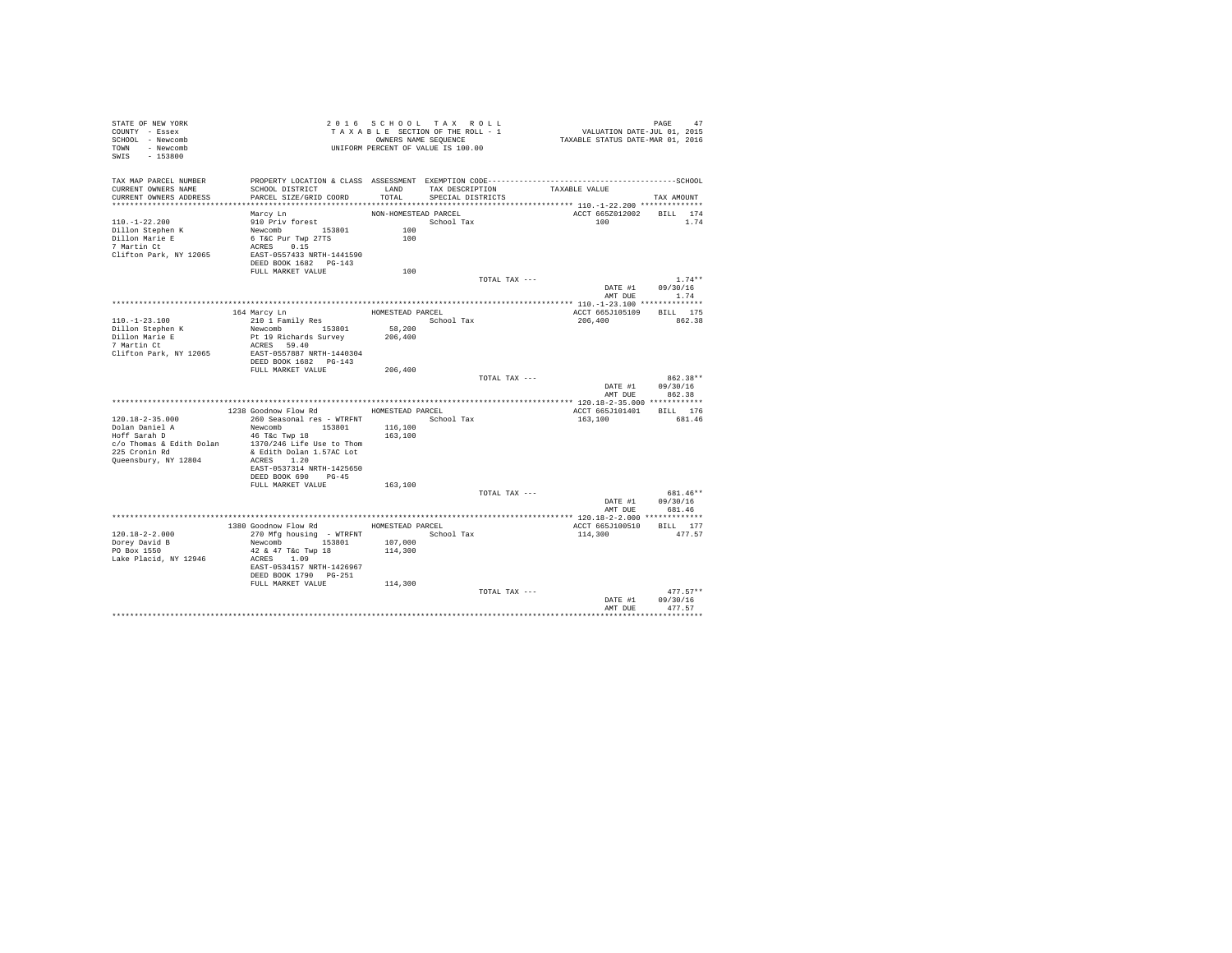| STATE OF NEW YORK<br>COUNTY - Essex<br>SCHOOL - Newcomb<br>TOWN - Newcomb<br>SWIS - 153800 |                                                                                                                 |                      | 2016 SCHOOL TAX ROLL<br>TAXABLE SECTION OF THE ROLL - 1<br>OWNERS NAME SEQUENCE<br>UNIFORM PERCENT OF VALUE IS 100.00 | PAGE 47<br>VALUATION DATE-JUL 01, 2015<br>TAXABLE STATUS DATE-MAR 01, 2016 |                                  |
|--------------------------------------------------------------------------------------------|-----------------------------------------------------------------------------------------------------------------|----------------------|-----------------------------------------------------------------------------------------------------------------------|----------------------------------------------------------------------------|----------------------------------|
| TAX MAP PARCEL NUMBER<br>CURRENT OWNERS NAME                                               | PROPERTY LOCATION & CLASS ASSESSMENT EXEMPTION CODE-----------------------------------SCHOOL<br>SCHOOL DISTRICT |                      | LAND TAX DESCRIPTION                                                                                                  | TAXABLE VALUE                                                              |                                  |
| CURRENT OWNERS ADDRESS                                                                     | PARCEL SIZE/GRID COORD                                                                                          | TOTAL.               | SPECIAL DISTRICTS                                                                                                     |                                                                            | TAX AMOUNT                       |
|                                                                                            |                                                                                                                 |                      |                                                                                                                       |                                                                            |                                  |
| $110. - 1 - 22.200$                                                                        | Marcy Ln<br>910 Priv forest                                                                                     | NON-HOMESTEAD PARCEL | School Tax                                                                                                            | ACCT 665Z012002 BILL 174<br>100                                            | 1.74                             |
| Dillon Stephen K                                                                           | Newcomb 153801                                                                                                  | 100                  |                                                                                                                       |                                                                            |                                  |
| Dillon Marie E                                                                             | 6 T&C Pur Twp 27TS                                                                                              | 100                  |                                                                                                                       |                                                                            |                                  |
| 7 Martin Ct                                                                                | ACRES 0.15                                                                                                      |                      |                                                                                                                       |                                                                            |                                  |
| Clifton Park, NY 12065                                                                     | EAST-0557433 NRTH-1441590                                                                                       |                      |                                                                                                                       |                                                                            |                                  |
|                                                                                            | DEED BOOK 1682 PG-143                                                                                           |                      |                                                                                                                       |                                                                            |                                  |
|                                                                                            | FULL MARKET VALUE                                                                                               | 100                  |                                                                                                                       |                                                                            |                                  |
|                                                                                            |                                                                                                                 |                      | TOTAL TAX ---                                                                                                         |                                                                            | $1.74**$                         |
|                                                                                            |                                                                                                                 |                      |                                                                                                                       |                                                                            | DATE #1 09/30/16<br>AMT DUE 1.74 |
|                                                                                            |                                                                                                                 |                      |                                                                                                                       |                                                                            |                                  |
|                                                                                            | 164 Marcy Ln                                                                                                    | HOMESTEAD PARCEL     |                                                                                                                       | ACCT 665J105109 BILL 175                                                   |                                  |
| $110.-1-23.100$                                                                            | 210 1 Family Res                                                                                                |                      | School Tax                                                                                                            | 206,400                                                                    | 862.38                           |
| Dillon Stephen K                                                                           | Newcomb 153801                                                                                                  | 58,200<br>206,400    |                                                                                                                       |                                                                            |                                  |
| Dillon Marie E<br>7 Martin Ct                                                              | Pt 19 Richards Survey                                                                                           |                      |                                                                                                                       |                                                                            |                                  |
|                                                                                            | ACRES 59.40                                                                                                     |                      |                                                                                                                       |                                                                            |                                  |
| Clifton Park, NY 12065                                                                     | EAST-0557887 NRTH-1440304<br>DEED BOOK 1682 PG-143                                                              |                      |                                                                                                                       |                                                                            |                                  |
|                                                                                            | FULL MARKET VALUE                                                                                               | 206,400              |                                                                                                                       |                                                                            |                                  |
|                                                                                            |                                                                                                                 |                      | TOTAL TAX ---                                                                                                         |                                                                            | 862.38**                         |
|                                                                                            |                                                                                                                 |                      |                                                                                                                       |                                                                            | DATE #1 09/30/16                 |
|                                                                                            |                                                                                                                 |                      |                                                                                                                       | AMT DUE                                                                    | 862.38                           |
|                                                                                            | 1238 Goodnow Flow Rd                                                                                            |                      |                                                                                                                       |                                                                            |                                  |
| $120.18 - 2 - 35.000$                                                                      |                                                                                                                 | HOMESTEAD PARCEL     |                                                                                                                       | ACCT 665J101401 BILL 176<br>163,100                                        | 681.46                           |
|                                                                                            | Newcomb 153801                                                                                                  | 116,100              |                                                                                                                       |                                                                            |                                  |
| Dolan Daniel A<br>Hoff Sarah D                                                             | 46 T&C Twp 18                                                                                                   | 163,100              |                                                                                                                       |                                                                            |                                  |
| $c$ /o Thomas & Edith Dolan 1370/246 Life Use to Thom                                      |                                                                                                                 |                      |                                                                                                                       |                                                                            |                                  |
| 225 Cronin Rd                                                                              | & Edith Dolan 1.57AC Lot                                                                                        |                      |                                                                                                                       |                                                                            |                                  |
| Queensbury, NY 12804                                                                       | ACRES 1.20                                                                                                      |                      |                                                                                                                       |                                                                            |                                  |
|                                                                                            | EAST-0537314 NRTH-1425650<br>DEED BOOK 690 PG-45                                                                |                      |                                                                                                                       |                                                                            |                                  |
|                                                                                            | FULL MARKET VALUE                                                                                               | 163,100              |                                                                                                                       |                                                                            |                                  |
|                                                                                            |                                                                                                                 |                      | TOTAL TAX ---                                                                                                         |                                                                            | 681.46**                         |
|                                                                                            |                                                                                                                 |                      |                                                                                                                       |                                                                            | DATE #1 09/30/16                 |
|                                                                                            |                                                                                                                 |                      |                                                                                                                       |                                                                            | AMT DUE 681.46                   |
|                                                                                            |                                                                                                                 |                      |                                                                                                                       |                                                                            |                                  |
|                                                                                            | 1380 Goodnow Flow Rd MOMESTEAD PARCEL                                                                           |                      |                                                                                                                       | ACCT 665J100510 BILL 177                                                   |                                  |
| $120.18 - 2 - 2.000$                                                                       | 270 Mfg housing - WTRFNT                                                                                        |                      | School Tax                                                                                                            | 114,300                                                                    | 477.57                           |
| Dorey David B<br>PO Box 1550                                                               | Newcomb 153801 107,000<br>42 & 47 T&C Twp 18 114,300                                                            |                      |                                                                                                                       |                                                                            |                                  |
| Lake Placid, NY 12946                                                                      | ACRES 1.09                                                                                                      |                      |                                                                                                                       |                                                                            |                                  |
|                                                                                            | EAST-0534157 NRTH-1426967                                                                                       |                      |                                                                                                                       |                                                                            |                                  |
|                                                                                            | DEED BOOK 1790 PG-251                                                                                           |                      |                                                                                                                       |                                                                            |                                  |
|                                                                                            | FULL MARKET VALUE                                                                                               | 114,300              |                                                                                                                       |                                                                            |                                  |
|                                                                                            |                                                                                                                 |                      | TOTAL TAX ---                                                                                                         |                                                                            | $477.57**$                       |
|                                                                                            |                                                                                                                 |                      |                                                                                                                       | DATE #1                                                                    | 09/30/16                         |
|                                                                                            |                                                                                                                 |                      |                                                                                                                       | AMT DUE                                                                    | 477.57                           |
|                                                                                            |                                                                                                                 |                      |                                                                                                                       |                                                                            |                                  |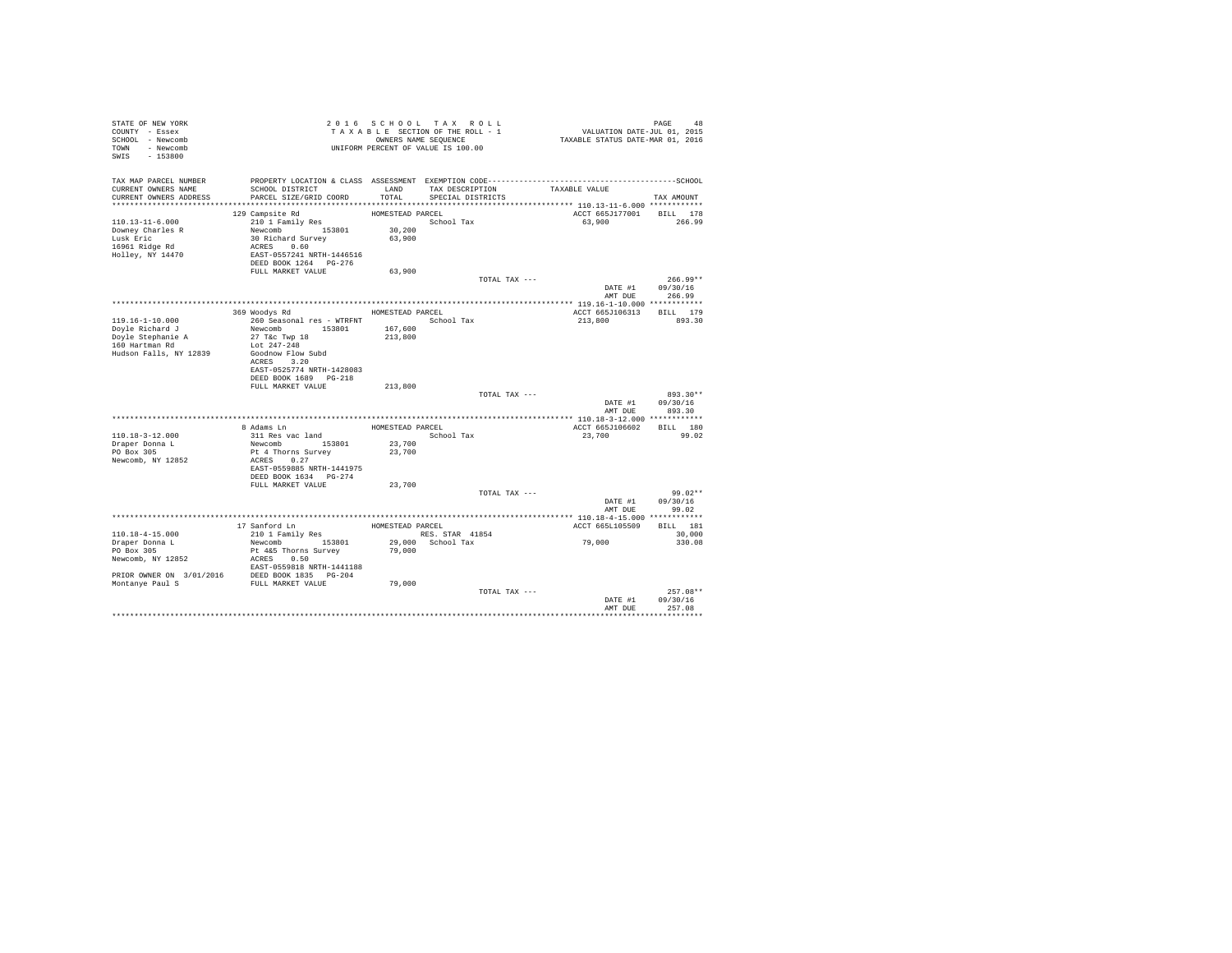| STATE OF NEW YORK<br>COUNTY - Essex<br>SCHOOL - Newcomb<br>TOWN - Newcomb<br>SWIS - 153800 |                                         |                  | 2016 SCHOOL TAX ROLL<br>TAXABLE SECTION OF THE ROLL - 1<br>OWNERS NAME SEQUENCE<br>UNIFORM PERCENT OF VALUE IS 100.00 | 48 PAGE 48<br>VALUATION DATE-JUL 01, 2015<br>TAXABLE STATUS DATE-MAR 01, 2016                                 |                        |
|--------------------------------------------------------------------------------------------|-----------------------------------------|------------------|-----------------------------------------------------------------------------------------------------------------------|---------------------------------------------------------------------------------------------------------------|------------------------|
| TAX MAP PARCEL NUMBER<br>CURRENT OWNERS NAME                                               | SCHOOL DISTRICT                         |                  | LAND TAX DESCRIPTION                                                                                                  | PROPERTY LOCATION & CLASS ASSESSMENT EXEMPTION CODE-----------------------------------SCHOOL<br>TAXABLE VALUE |                        |
| CURRENT OWNERS ADDRESS                                                                     | PARCEL SIZE/GRID COORD                  | TOTAL.           | SPECIAL DISTRICTS                                                                                                     |                                                                                                               | TAX AMOUNT             |
|                                                                                            | 129 Campsite Rd                         | HOMESTEAD PARCEL |                                                                                                                       | ACCT 665J177001 BILL 178                                                                                      |                        |
| $110.13 - 11 - 6.000$                                                                      | 210 1 Family Res                        |                  | School Tax                                                                                                            | 63,900                                                                                                        | 266.99                 |
| Downey Charles R                                                                           | Newcomb 153801                          | 30,200           |                                                                                                                       |                                                                                                               |                        |
| Lusk Eric                                                                                  | 30 Richard Survey                       | 63,900           |                                                                                                                       |                                                                                                               |                        |
| 16961 Ridge Rd                                                                             | ACRES 0.60                              |                  |                                                                                                                       |                                                                                                               |                        |
| Holley, NY 14470                                                                           | EAST-0557241 NRTH-1446516               |                  |                                                                                                                       |                                                                                                               |                        |
|                                                                                            | DEED BOOK 1264 PG-276                   |                  |                                                                                                                       |                                                                                                               |                        |
|                                                                                            | FULL MARKET VALUE                       | 63,900           |                                                                                                                       |                                                                                                               |                        |
|                                                                                            |                                         |                  | TOTAL TAX ---                                                                                                         | DATE #1                                                                                                       | $266.99**$<br>09/30/16 |
|                                                                                            |                                         |                  |                                                                                                                       |                                                                                                               | AMT DUE 266.99         |
|                                                                                            |                                         |                  |                                                                                                                       |                                                                                                               |                        |
|                                                                                            | 369 Woodys Rd                           | HOMESTEAD PARCEL |                                                                                                                       | ACCT 665J106313                                                                                               | BILL 179               |
| $119.16 - 1 - 10.000$                                                                      | 260 Seasonal res - WTRFNT               |                  | School Tax                                                                                                            | 213,800                                                                                                       | 893.30                 |
| Doyle Richard J                                                                            | Newcomb 153801                          | 167,600          |                                                                                                                       |                                                                                                               |                        |
| Doyle Stephanie A<br>160 Hartman Rd                                                        | 27 T&C Twp 18                           | 213,800          |                                                                                                                       |                                                                                                               |                        |
|                                                                                            | Lot 247-248                             |                  |                                                                                                                       |                                                                                                               |                        |
| Hudson Falls, NY 12839                                                                     | Goodnow Flow Subd                       |                  |                                                                                                                       |                                                                                                               |                        |
|                                                                                            | ACRES 3.20<br>EAST-0525774 NRTH-1428083 |                  |                                                                                                                       |                                                                                                               |                        |
|                                                                                            | DEED BOOK 1689 PG-218                   |                  |                                                                                                                       |                                                                                                               |                        |
|                                                                                            | FULL MARKET VALUE                       | 213,800          |                                                                                                                       |                                                                                                               |                        |
|                                                                                            |                                         |                  | TOTAL TAX ---                                                                                                         |                                                                                                               | 893.30**               |
|                                                                                            |                                         |                  |                                                                                                                       |                                                                                                               | DATE #1 09/30/16       |
|                                                                                            |                                         |                  |                                                                                                                       | AMT DUE                                                                                                       | 893.30                 |
|                                                                                            |                                         |                  |                                                                                                                       |                                                                                                               |                        |
| $110.18 - 3 - 12.000$                                                                      | 8 Adams Ln                              | HOMESTEAD PARCEL |                                                                                                                       | ACCT 665J106602                                                                                               | BILL 180               |
| Draper Donna L                                                                             | 311 Res vac land<br>Newcomb 153801      | 23,700           | School Tax                                                                                                            | 23,700                                                                                                        | 99.02                  |
| PO Box 305                                                                                 | Pt 4 Thorns Survey                      | 23,700           |                                                                                                                       |                                                                                                               |                        |
| Newcomb, NY 12852                                                                          | ACRES 0.27                              |                  |                                                                                                                       |                                                                                                               |                        |
|                                                                                            | EAST-0559885 NRTH-1441975               |                  |                                                                                                                       |                                                                                                               |                        |
|                                                                                            | DEED BOOK 1634 PG-274                   |                  |                                                                                                                       |                                                                                                               |                        |
|                                                                                            | FULL MARKET VALUE                       | 23,700           |                                                                                                                       |                                                                                                               |                        |
|                                                                                            |                                         |                  | TOTAL TAX ---                                                                                                         |                                                                                                               | $99.02**$              |
|                                                                                            |                                         |                  |                                                                                                                       | DATE #1                                                                                                       | 09/30/16               |
|                                                                                            |                                         |                  |                                                                                                                       |                                                                                                               | AMT DUE 99.02          |
|                                                                                            |                                         | HOMESTEAD PARCEL |                                                                                                                       | ACCT 665L105509                                                                                               | BILL 181               |
| $110.18 - 4 - 15.000$                                                                      | 17 Sanford Ln<br>210 1 Family Res       |                  | RES. STAR 41854                                                                                                       |                                                                                                               | 30,000                 |
|                                                                                            | Newcomb 153801                          |                  | 29,000 School Tax                                                                                                     | 79,000                                                                                                        | 330.08                 |
| Draper Donna L<br>PO Box 305                                                               | Pt 4&5 Thorns Survey                    | 79,000           |                                                                                                                       |                                                                                                               |                        |
| Newcomb, NY 12852                                                                          | ACRES 0.50                              |                  |                                                                                                                       |                                                                                                               |                        |
|                                                                                            | EAST-0559818 NRTH-1441188               |                  |                                                                                                                       |                                                                                                               |                        |
| PRIOR OWNER ON $3/01/2016$ DEED BOOK 1835 PG-204<br>Montanye Paul S FULL MARKET VALUE      |                                         |                  |                                                                                                                       |                                                                                                               |                        |
|                                                                                            |                                         | 79,000           |                                                                                                                       |                                                                                                               |                        |
|                                                                                            |                                         |                  | TOTAL TAX ---                                                                                                         | DATE #1                                                                                                       | $257.08**$<br>09/30/16 |
|                                                                                            |                                         |                  |                                                                                                                       | AMT DUE                                                                                                       | 257.08                 |
|                                                                                            |                                         |                  |                                                                                                                       |                                                                                                               |                        |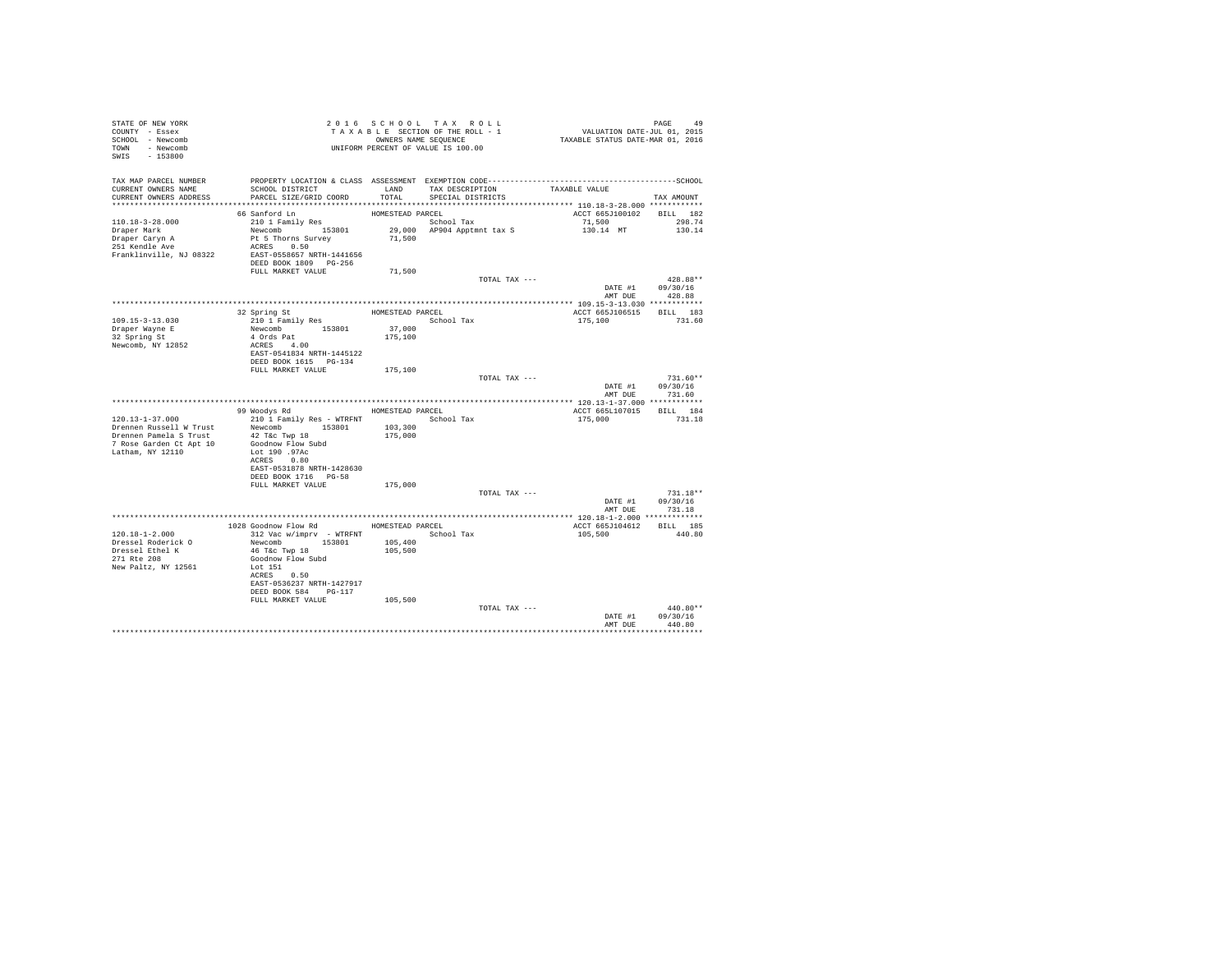| STATE OF NEW YORK<br>COUNTY - Essex<br>SCHOOL - Newcomb<br>TOWN - Newcomb<br>SWIS - 153800                                | T A X A B B B B B B SEQUENCE<br>UNIFORM PERCENT OF VALUE IS 100.00                                                                                                                                      |                                       | 2016 SCHOOL TAX ROLL<br>TAXABLE SECTION OF THE ROLL - 1<br>OWNERS NAME SEQUENCE | PAGE 49<br>VALUATION DATE-JUL 01, 2015<br>TAXABLE STATUS DATE-MAR 01, 2016 |                                          |
|---------------------------------------------------------------------------------------------------------------------------|---------------------------------------------------------------------------------------------------------------------------------------------------------------------------------------------------------|---------------------------------------|---------------------------------------------------------------------------------|----------------------------------------------------------------------------|------------------------------------------|
| TAX MAP PARCEL NUMBER<br>CURRENT OWNERS NAME<br>CURRENT OWNERS ADDRESS                                                    | SCHOOL DISTRICT<br>PARCEL SIZE/GRID COORD                                                                                                                                                               | LAND<br>TOTAL                         | TAX DESCRIPTION<br>SPECIAL DISTRICTS                                            | TAXABLE VALUE                                                              | TAX AMOUNT                               |
| 110.18-3-28.000<br>Draper Mark<br>Draper Caryn A<br>251 Kendle Ave<br>Franklinville, NJ 08322                             | 66 Sanford Ln<br>210 1 Family Res<br>Newcomb 153801<br>Pt 5 Thorns Survey<br>ACRES 0.50<br>EAST-0558657 NRTH-1441656<br>DEED BOOK 1809 PG-256                                                           | HOMESTEAD PARCEL<br>71,500            | School Tax<br>29,000 AP904 Apptmnt tax S                                        | ACCT 665J100102<br>71,500<br>130.14 MT                                     | BILL 182<br>298.74<br>130.14             |
|                                                                                                                           | FULL MARKET VALUE                                                                                                                                                                                       | 71,500                                | TOTAL TAX ---                                                                   | DATE #1 09/30/16                                                           | $428.88**$                               |
| 109.15-3-13.030<br>Draper Wayne E<br>32 Spring St<br>Newcomb, NY 12852                                                    | 32 Spring St<br>210 1 Family Res<br>Newcomb 153801<br>$CRES$ 4.00<br>$EAST-AFAAT$<br>EAST-0541834 NRTH-1445122<br>DEED BOOK 1615 PG-134                                                                 | HOMESTEAD PARCEL<br>37,000<br>175,100 | School Tax                                                                      | ACCT 665J106515 BILL 183<br>175,100                                        | AMT DUE 428.88<br>731.60                 |
|                                                                                                                           | FULL MARKET VALUE                                                                                                                                                                                       | 175,100                               | TOTAL TAX ---                                                                   | DATE #1<br>AMT DUE                                                         | $731.60**$<br>09/30/16<br>731.60         |
|                                                                                                                           |                                                                                                                                                                                                         |                                       |                                                                                 |                                                                            |                                          |
|                                                                                                                           | 99 Woodys Rd MOMESTEAD PARCEL                                                                                                                                                                           |                                       |                                                                                 | ACCT 665L107015 BILL 184                                                   |                                          |
| $120.13 - 1 - 37.000$<br>Drennen Russell W Trust<br>Drennen Pamela S Trust<br>7 Rose Garden Ct Apt 10<br>Latham, NY 12110 | 210 1 Family Res - WTRFNT<br>Newcomb 153801<br>42 T&c Twp 18<br>Goodnow Flow Subd<br>Lot 190 .97Ac<br>ACRES 0.80<br>EAST-0531878 NRTH-1428630<br>DEED BOOK 1716 PG-58                                   | 103,300<br>175,000                    | School Tax                                                                      | 175,000                                                                    | 731.18                                   |
|                                                                                                                           | FULL MARKET VALUE                                                                                                                                                                                       | 175,000                               |                                                                                 |                                                                            |                                          |
|                                                                                                                           |                                                                                                                                                                                                         |                                       | TOTAL TAX ---                                                                   | DATE #1                                                                    | $731.18**$<br>09/30/16<br>AMT DUE 731.18 |
|                                                                                                                           |                                                                                                                                                                                                         |                                       |                                                                                 |                                                                            |                                          |
| 120.18-1-2.000<br>Dressel Roderick O<br>Dressel Ethel K<br>271 Rte 208<br>New Paltz, NY 12561                             | 1028 Goodnow Flow Rd MOMESTEAD PARCEL<br>312 Vac w/imprv - WTRFNT<br>Newcomb 153801<br>46 T&C Twp 18<br>Goodnow Flow Subd<br>Lot 151<br>ACRES 0.50<br>EAST-0536237 NRTH-1427917<br>DEED BOOK 584 PG-117 | 105,400<br>105,500                    | School Tax                                                                      | ACCT 665J104612<br>105,500                                                 | <b>BILL</b> 185<br>440.80                |
|                                                                                                                           | FULL MARKET VALUE                                                                                                                                                                                       | 105,500                               | TOTAL TAX ---                                                                   | DATE #1<br>AMT DUE                                                         | $440.80**$<br>09/30/16<br>440.80         |
|                                                                                                                           |                                                                                                                                                                                                         |                                       |                                                                                 |                                                                            | **********                               |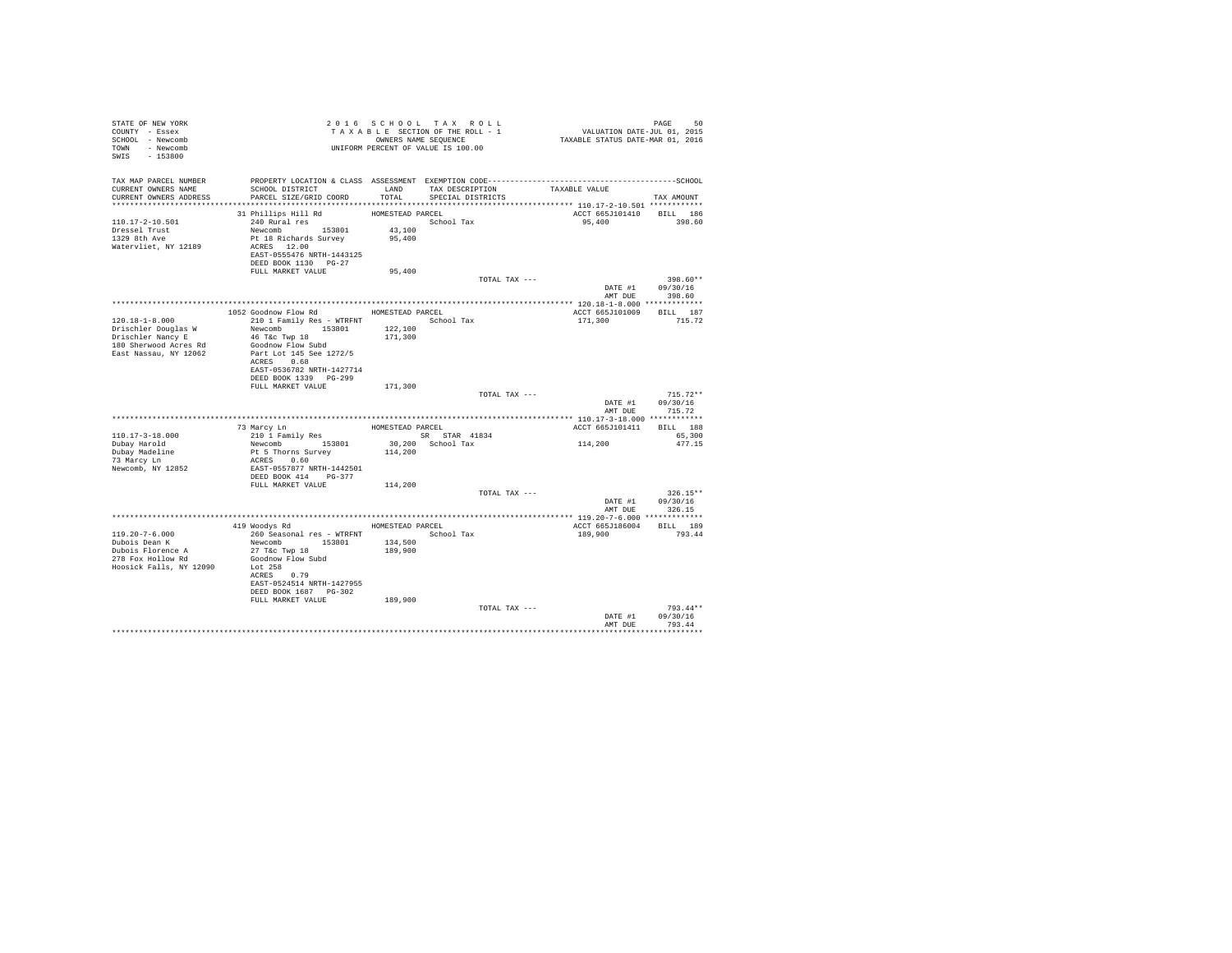| STATE OF NEW YORK<br>COUNTY - Essex<br>SCHOOL - Newcomb<br>TOWN - Newcomb<br>SWIS - 153800 |                                                                                                                                                     |                                      | 2016 SCHOOL TAX ROLL<br>TAXABLE SECTION OF THE ROLL - 1<br>OWNERS NAME SEQUENCE | PAGE 50<br>VALUATION DATE-JUL 01, 2015<br>TAXABLE STATUS DATE-MAR 01, 2016 |                                          |
|--------------------------------------------------------------------------------------------|-----------------------------------------------------------------------------------------------------------------------------------------------------|--------------------------------------|---------------------------------------------------------------------------------|----------------------------------------------------------------------------|------------------------------------------|
| TAX MAP PARCEL NUMBER<br>CURRENT OWNERS NAME<br>CURRENT OWNERS ADDRESS                     | SCHOOL DISTRICT<br>PARCEL SIZE/GRID COORD                                                                                                           | LAND<br>TOTAL                        | TAX DESCRIPTION<br>SPECIAL DISTRICTS                                            | TAXABLE VALUE                                                              | TAX AMOUNT                               |
| 110.17-2-10.501<br>Dressel Trust<br>1329 8th Ave<br>Watervliet, NY 12189                   | 31 Phillips Hill Rd<br>240 Rural res<br>Newcomb 153801<br>Pt 18 Richards Survey<br>ACRES 12.00<br>EAST-0555476 NRTH-1443125<br>DEED BOOK 1130 PG-27 | HOMESTEAD PARCEL<br>43,100<br>95,400 | School Tax                                                                      | ACCT 665J101410<br>95,400                                                  | BILL 186<br>398.60                       |
|                                                                                            | FULL MARKET VALUE                                                                                                                                   | 95,400                               |                                                                                 |                                                                            |                                          |
|                                                                                            |                                                                                                                                                     |                                      | TOTAL TAX ---                                                                   | DATE #1 09/30/16                                                           | 398.60**<br>AMT DUE 398.60               |
|                                                                                            |                                                                                                                                                     |                                      |                                                                                 |                                                                            |                                          |
|                                                                                            | 1052 Goodnow Flow Rd MOMESTEAD PARCEL                                                                                                               |                                      |                                                                                 | ACCT 665J101009 BILL 187                                                   |                                          |
| $120.18 - 1 - 8.000$<br>Drischler Douglas W<br>Drischler Nancy E<br>180 Sherwood Acres Rd  | 210 1 Family Res - WTRFNT School Tax<br>Newcomb 153801<br>46 T&c Twp 18<br>Goodnow Flow Subd                                                        | 122,100<br>171,300                   |                                                                                 | 171,300                                                                    | 715.72                                   |
| East Nassau, NY 12062                                                                      | Part Lot 145 See 1272/5<br>ACRES 0.68<br>EAST-0536782 NRTH-1427714<br>DEED BOOK 1339 PG-299                                                         |                                      |                                                                                 |                                                                            |                                          |
|                                                                                            | FULL MARKET VALUE                                                                                                                                   | 171,300                              |                                                                                 |                                                                            |                                          |
|                                                                                            |                                                                                                                                                     |                                      | TOTAL TAX ---                                                                   | DATE #1                                                                    | $715.72**$<br>09/30/16<br>AMT DUE 715.72 |
|                                                                                            |                                                                                                                                                     |                                      |                                                                                 |                                                                            |                                          |
|                                                                                            | 73 Marcy Ln<br>210 1 Family Res                                                                                                                     | HOMESTEAD PARCEL                     |                                                                                 | ACCT 665J101411                                                            | BILL 188                                 |
| $110.17 - 3 - 18.000$                                                                      |                                                                                                                                                     |                                      | SR STAR 41834                                                                   |                                                                            | 65,300                                   |
| Dubay Harold                                                                               | Newcomb 153801                                                                                                                                      |                                      | 30,200 School Tax                                                               | 114,200                                                                    | 477.15                                   |
| Dubay Madeline<br>73 Marcy Ln                                                              | Pt 5 Thorns Survey                                                                                                                                  | 114,200                              |                                                                                 |                                                                            |                                          |
| Newcomb, NY 12852                                                                          | ACRES 0.60<br>EAST-0557877 NRTH-1442501<br>DEED BOOK 414 PG-377                                                                                     |                                      |                                                                                 |                                                                            |                                          |
|                                                                                            | FULL MARKET VALUE                                                                                                                                   | 114,200                              |                                                                                 |                                                                            |                                          |
|                                                                                            |                                                                                                                                                     |                                      | TOTAL TAX ---                                                                   | DATE #1                                                                    | $326.15**$<br>09/30/16                   |
|                                                                                            |                                                                                                                                                     |                                      |                                                                                 |                                                                            | AMT DUE 326.15                           |
|                                                                                            |                                                                                                                                                     |                                      |                                                                                 |                                                                            |                                          |
|                                                                                            | 419 Woodys Rd MOMESTEAD PARCEL                                                                                                                      |                                      |                                                                                 | ACCT 665J186004                                                            | BILL 189                                 |
| $119.20 - 7 - 6.000$<br>Dubois Dean K                                                      | 260 Seasonal res - WTRFNT                                                                                                                           |                                      | School Tax                                                                      | 189,900                                                                    | 793.44                                   |
| Dubois Florence A                                                                          | Newcomb 153801<br>27 T&C Twp 18                                                                                                                     | 134,500<br>189,900                   |                                                                                 |                                                                            |                                          |
| 278 Fox Hollow Rd                                                                          | Goodnow Flow Subd                                                                                                                                   |                                      |                                                                                 |                                                                            |                                          |
| Hoosick Falls, NY 12090                                                                    | Lot 258                                                                                                                                             |                                      |                                                                                 |                                                                            |                                          |
|                                                                                            | ACRES 0.79<br>EAST-0524514 NRTH-1427955                                                                                                             |                                      |                                                                                 |                                                                            |                                          |
|                                                                                            | DEED BOOK 1687 PG-302<br>FULL MARKET VALUE                                                                                                          |                                      |                                                                                 |                                                                            |                                          |
|                                                                                            |                                                                                                                                                     | 189,900                              | TOTAL TAX ---                                                                   |                                                                            | $793.44**$                               |
|                                                                                            |                                                                                                                                                     |                                      |                                                                                 | DATE #1                                                                    | 09/30/16                                 |
|                                                                                            |                                                                                                                                                     |                                      |                                                                                 | AMT DUE                                                                    | 793.44                                   |
|                                                                                            |                                                                                                                                                     |                                      |                                                                                 |                                                                            |                                          |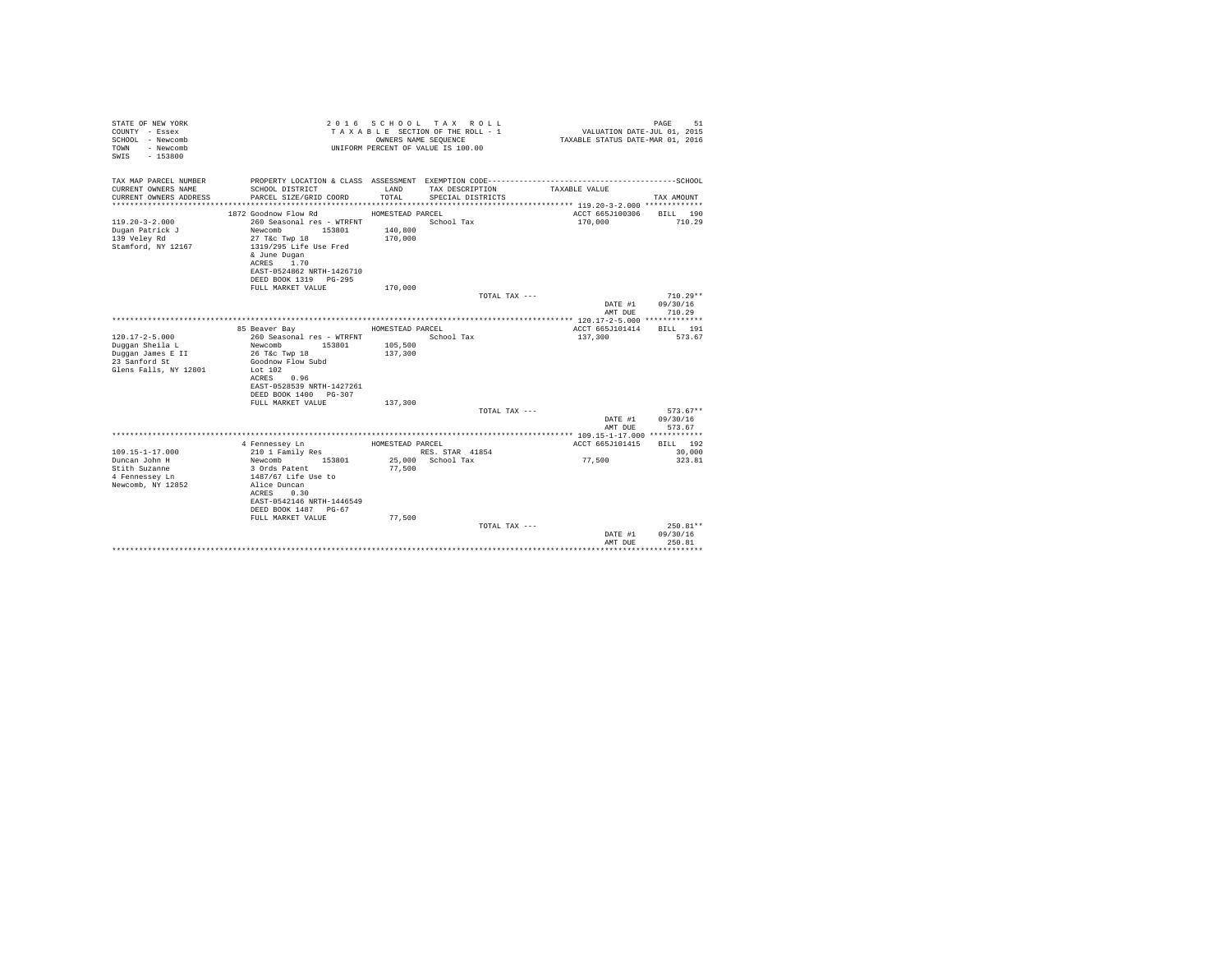| STATE OF NEW YORK<br>COUNTY - Essex<br>SCHOOL - Newcomb<br>- Newcomb<br>TOWN<br>SWIS - 153800<br>TAX MAP PARCEL NUMBER |                                            | OWNERS NAME SEQUENCE | 2016 SCHOOL TAX ROLL<br>TAXABLE SECTION OF THE ROLL - 1<br>UNIFORM PERCENT OF VALUE IS 100.00<br>PROPERTY LOCATION & CLASS ASSESSMENT EXEMPTION CODE-----------------------------------SCHOOL | VALUATION DATE-JUL $01$ , 2015<br>TAXABLE STATUS DATE-MAR 01, 2016 | PAGE<br>51 |
|------------------------------------------------------------------------------------------------------------------------|--------------------------------------------|----------------------|-----------------------------------------------------------------------------------------------------------------------------------------------------------------------------------------------|--------------------------------------------------------------------|------------|
| CURRENT OWNERS NAME                                                                                                    | SCHOOL DISTRICT                            | LAND                 | TAX DESCRIPTION                                                                                                                                                                               | TAXABLE VALUE                                                      |            |
| CURRENT OWNERS ADDRESS                                                                                                 | PARCEL SIZE/GRID COORD                     | TOTAL.               | SPECIAL DISTRICTS                                                                                                                                                                             |                                                                    | TAX AMOUNT |
|                                                                                                                        |                                            |                      |                                                                                                                                                                                               |                                                                    |            |
|                                                                                                                        | 1872 Goodnow Flow Rd                       | HOMESTEAD PARCEL     |                                                                                                                                                                                               | ACCT 665J100306                                                    | BILL 190   |
| $119.20 - 3 - 2.000$                                                                                                   | 260 Seasonal res - WTRFNT                  |                      | School Tax                                                                                                                                                                                    | 170,000                                                            | 710.29     |
| Dugan Patrick J                                                                                                        | Newcomb<br>153801                          | 140,800              |                                                                                                                                                                                               |                                                                    |            |
| 139 Veley Rd                                                                                                           | 27 T&c Twp 18                              | 170,000              |                                                                                                                                                                                               |                                                                    |            |
| Stamford, NY 12167                                                                                                     | 1319/295 Life Use Fred<br>& June Dugan     |                      |                                                                                                                                                                                               |                                                                    |            |
|                                                                                                                        | ACRES 1.70                                 |                      |                                                                                                                                                                                               |                                                                    |            |
|                                                                                                                        | EAST-0524862 NRTH-1426710                  |                      |                                                                                                                                                                                               |                                                                    |            |
|                                                                                                                        | DEED BOOK 1319 PG-295                      |                      |                                                                                                                                                                                               |                                                                    |            |
|                                                                                                                        | FULL MARKET VALUE                          | 170,000              |                                                                                                                                                                                               |                                                                    |            |
|                                                                                                                        |                                            |                      | TOTAL TAX ---                                                                                                                                                                                 |                                                                    | $710.29**$ |
|                                                                                                                        |                                            |                      |                                                                                                                                                                                               | DATE #1                                                            | 09/30/16   |
|                                                                                                                        |                                            |                      |                                                                                                                                                                                               | AMT DUE                                                            | 710.29     |
|                                                                                                                        | 85 Beaver Bay                              | HOMESTEAD PARCEL     |                                                                                                                                                                                               | ACCT 665J101414                                                    | BILL 191   |
| $120.17 - 2 - 5.000$                                                                                                   | 260 Seasonal res - WTRFNT                  |                      | School Tax                                                                                                                                                                                    | 137,300                                                            | 573.67     |
| Duggan Sheila L                                                                                                        | Newcomb<br>153801                          | 105,500              |                                                                                                                                                                                               |                                                                    |            |
| Duggan James E II                                                                                                      | 26 T&c Twp 18                              | 137,300              |                                                                                                                                                                                               |                                                                    |            |
| 23 Sanford St                                                                                                          | Goodnow Flow Subd                          |                      |                                                                                                                                                                                               |                                                                    |            |
| Glens Falls, NY 12801                                                                                                  | Lot 102                                    |                      |                                                                                                                                                                                               |                                                                    |            |
|                                                                                                                        | ACRES 0.96                                 |                      |                                                                                                                                                                                               |                                                                    |            |
|                                                                                                                        | EAST-0528539 NRTH-1427261                  |                      |                                                                                                                                                                                               |                                                                    |            |
|                                                                                                                        | DEED BOOK 1400 PG-307<br>FULL MARKET VALUE | 137,300              |                                                                                                                                                                                               |                                                                    |            |
|                                                                                                                        |                                            |                      | TOTAL TAX ---                                                                                                                                                                                 |                                                                    | $573.67**$ |
|                                                                                                                        |                                            |                      |                                                                                                                                                                                               | DATE #1                                                            | 09/30/16   |
|                                                                                                                        |                                            |                      |                                                                                                                                                                                               | AMT DUE                                                            | 573.67     |
|                                                                                                                        |                                            |                      |                                                                                                                                                                                               |                                                                    |            |
|                                                                                                                        | 4 Fennessey Ln                             | HOMESTEAD PARCEL     |                                                                                                                                                                                               | ACCT 665J101415                                                    | BILL 192   |
| $109.15 - 1 - 17.000$                                                                                                  | 210 1 Family Res                           |                      | RES. STAR 41854                                                                                                                                                                               |                                                                    | 30,000     |
| Duncan John H                                                                                                          | 153801<br>Newcomb                          |                      | 25.000 School Tax                                                                                                                                                                             | 77,500                                                             | 323.81     |
| Stith Suzanne                                                                                                          | 3 Ords Patent                              | 77.500               |                                                                                                                                                                                               |                                                                    |            |
| 4 Fennessey Ln<br>Newcomb, NY 12852                                                                                    | 1487/67 Life Use to<br>Alice Duncan        |                      |                                                                                                                                                                                               |                                                                    |            |
|                                                                                                                        | 0.30<br>ACRES                              |                      |                                                                                                                                                                                               |                                                                    |            |
|                                                                                                                        | EAST-0542146 NRTH-1446549                  |                      |                                                                                                                                                                                               |                                                                    |            |
|                                                                                                                        | DEED BOOK 1487 PG-67                       |                      |                                                                                                                                                                                               |                                                                    |            |
|                                                                                                                        | FULL MARKET VALUE                          | 77,500               |                                                                                                                                                                                               |                                                                    |            |
|                                                                                                                        |                                            |                      | TOTAL TAX ---                                                                                                                                                                                 |                                                                    | 250.81**   |
|                                                                                                                        |                                            |                      |                                                                                                                                                                                               | DATE #1                                                            | 09/30/16   |
|                                                                                                                        |                                            |                      |                                                                                                                                                                                               | AMT DUE                                                            | 250.81     |
|                                                                                                                        |                                            |                      |                                                                                                                                                                                               |                                                                    |            |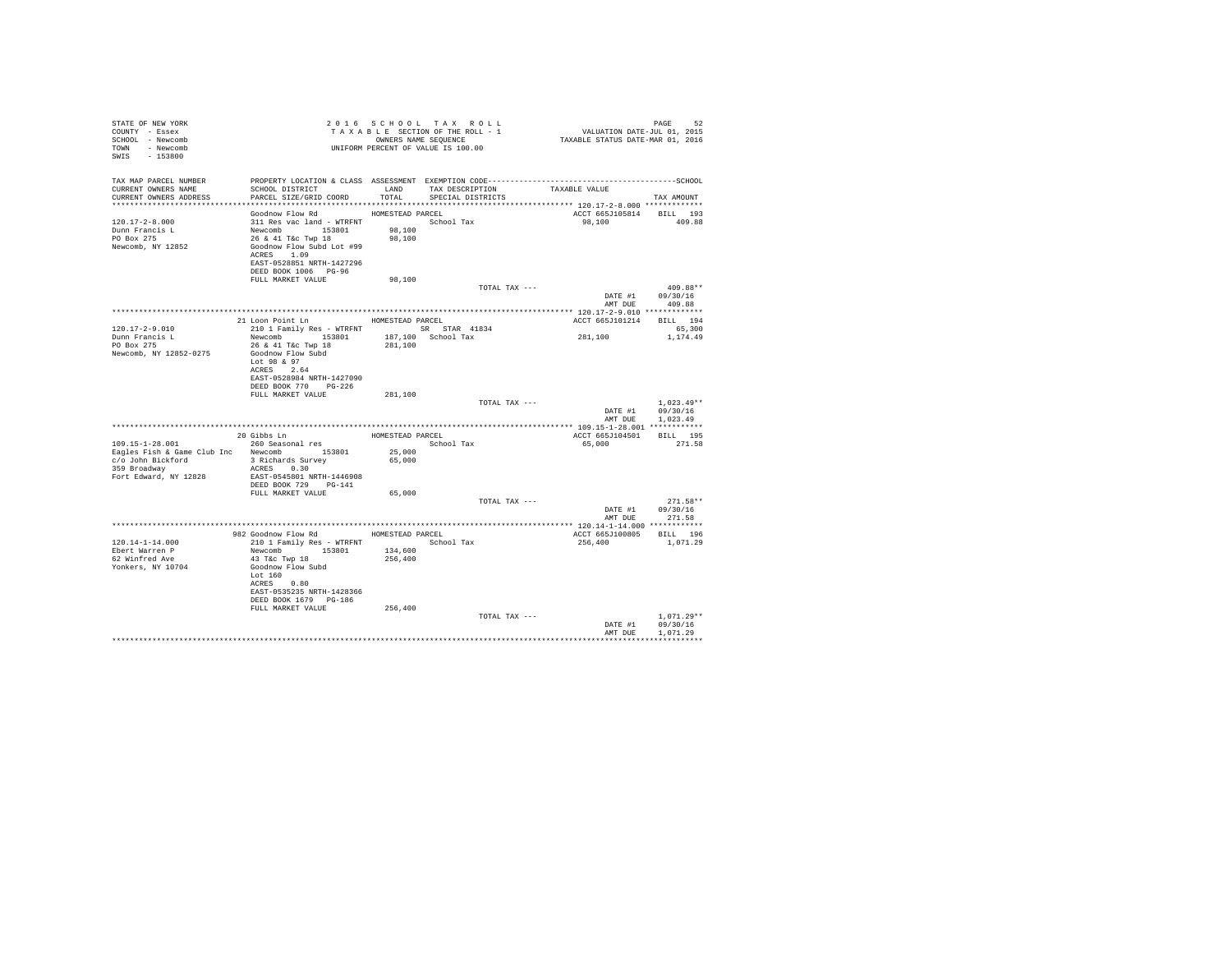| STATE OF NEW YORK<br>COUNTY - Essex<br>SCHOOL - Newcomb<br>TOWN - Newcomb<br>SWIS - 153800 |                                                                                                                                                                    |                  | 2016 SCHOOL TAX ROLL<br>TAXABLE SECTION OF THE ROLL - 1<br>OWNERS NAME SEQUENCE<br>UNIFORM PERCENT OF VALUE IS 100.00 | 24 PAGE<br>2015 VALUATION DATE-JUL<br>2016 TAXABLE STATUS DATE-MAR | PAGE<br>52                                           |
|--------------------------------------------------------------------------------------------|--------------------------------------------------------------------------------------------------------------------------------------------------------------------|------------------|-----------------------------------------------------------------------------------------------------------------------|--------------------------------------------------------------------|------------------------------------------------------|
| TAX MAP PARCEL NUMBER<br>CURRENT OWNERS NAME<br>CURRENT OWNERS ADDRESS                     | SCHOOL DISTRICT TAND TAX DESCRIPTION<br>PARCEL SIZE/GRID COORD TOTAL                                                                                               |                  | SPECIAL DISTRICTS                                                                                                     | TAXABLE VALUE                                                      | TAX AMOUNT                                           |
|                                                                                            |                                                                                                                                                                    |                  |                                                                                                                       |                                                                    |                                                      |
| 120.17-2-8.000<br>Dunn Francis L<br>PO Box 275<br>Newcomb, NY 12852                        | Goodnow Flow Rd MOMESTEAD PARCEL<br>311 Res vac land - WTRFNT<br>Newcomb 153801 98,100<br>26 & 41 T&c Twp 18 98,100<br>Goodnow Flow Subd Lot #99<br>ACRES 1.09     |                  |                                                                                                                       | ACCT 665J105814 BILL 193<br>98,100 409.88                          |                                                      |
|                                                                                            | EAST-0528851 NRTH-1427296<br>DEED BOOK 1006 PG-96                                                                                                                  |                  |                                                                                                                       |                                                                    |                                                      |
|                                                                                            | FULL MARKET VALUE                                                                                                                                                  | 98,100           | TOTAL TAX ---                                                                                                         |                                                                    | $409.88**$                                           |
|                                                                                            |                                                                                                                                                                    |                  |                                                                                                                       | DATE #1<br>AMT DUE                                                 | 09/30/16<br>409.88                                   |
|                                                                                            |                                                                                                                                                                    |                  |                                                                                                                       |                                                                    |                                                      |
|                                                                                            | 21 Loon Point Ln HOMESTEAD PARCEL                                                                                                                                  |                  |                                                                                                                       | ACCT 665J101214 BILL 194                                           |                                                      |
| $120.17 - 2 - 9.010$<br>Dunn Francis L                                                     | 210 1 Family Res - WTRFNT SR STAR 41834<br>Newcomb 153801 187,100 School Tax                                                                                       |                  |                                                                                                                       | 281, 100                                                           | 65,300<br>1,174.49                                   |
| PO Box 275<br>Newcomb, NY 12852-0275                                                       | 26 & 41 T&c Twp 18<br>Goodnow Flow Subd<br>Lot 98 & 97<br>ACRES 2.64<br>EAST-0528984 NRTH-1427090<br>DEED BOOK 770 PG-226                                          | 281,100          |                                                                                                                       |                                                                    |                                                      |
|                                                                                            | FULL MARKET VALUE                                                                                                                                                  | 281,100          |                                                                                                                       |                                                                    |                                                      |
|                                                                                            |                                                                                                                                                                    |                  | TOTAL TAX ---                                                                                                         |                                                                    | $1.023.49**$<br>DATE #1 09/30/16                     |
|                                                                                            |                                                                                                                                                                    |                  |                                                                                                                       |                                                                    | AMT DUE 1,023.49                                     |
|                                                                                            |                                                                                                                                                                    |                  |                                                                                                                       | ACCT 665J104501 BILL 195                                           |                                                      |
| 109.15-1-28.001                                                                            |                                                                                                                                                                    |                  | School Tax                                                                                                            | 65,000 271.58                                                      |                                                      |
| 359 Broadway<br>Fort Edward, NY 12828                                                      | $\verb Eagles Fish & Game Club Inc   \quad Newtonb    \quad 153801 \cro{John Bickford} \quad 3 {\rm Richards \ Survey}$<br>ACRES 0.30<br>EAST-0545801 NRTH-1446908 | 25,000<br>65,000 |                                                                                                                       |                                                                    |                                                      |
|                                                                                            | DEED BOOK 729 PG-141                                                                                                                                               |                  |                                                                                                                       |                                                                    |                                                      |
|                                                                                            | FULL MARKET VALUE                                                                                                                                                  | 65,000           |                                                                                                                       |                                                                    |                                                      |
|                                                                                            |                                                                                                                                                                    |                  | TOTAL TAX ---                                                                                                         |                                                                    | $271.58**$<br>DATE #1 09/30/16                       |
|                                                                                            |                                                                                                                                                                    |                  |                                                                                                                       | AMT DUE                                                            | 271.58                                               |
|                                                                                            | 982 Goodnow Flow Rd MOMESTEAD PARCEL                                                                                                                               |                  |                                                                                                                       | ACCT 665J100805 BILL 196                                           |                                                      |
| $120.14 - 1 - 14.000$                                                                      | 210 1 Family Res - WTRFNT School Tax                                                                                                                               |                  |                                                                                                                       | 256,400                                                            | 1,071.29                                             |
| Ebert Warren P<br>62 Winfred Ave<br>Yonkers, NY 10704                                      | Newcomb 153801 134,600<br>43 T&C Twp 18<br>Goodnow Flow Subd<br>Lot 160<br>ACRES 0.80<br>EAST-0535235 NRTH-1428366<br>DEED BOOK 1679 PG-186                        | 256,400          |                                                                                                                       |                                                                    |                                                      |
|                                                                                            | FULL MARKET VALUE                                                                                                                                                  | 256,400          |                                                                                                                       |                                                                    |                                                      |
|                                                                                            |                                                                                                                                                                    |                  | TOTAL TAX ---                                                                                                         |                                                                    | $1.071.29**$<br>DATE #1 09/30/16<br>AMT DUE 1,071.29 |
|                                                                                            |                                                                                                                                                                    |                  |                                                                                                                       |                                                                    |                                                      |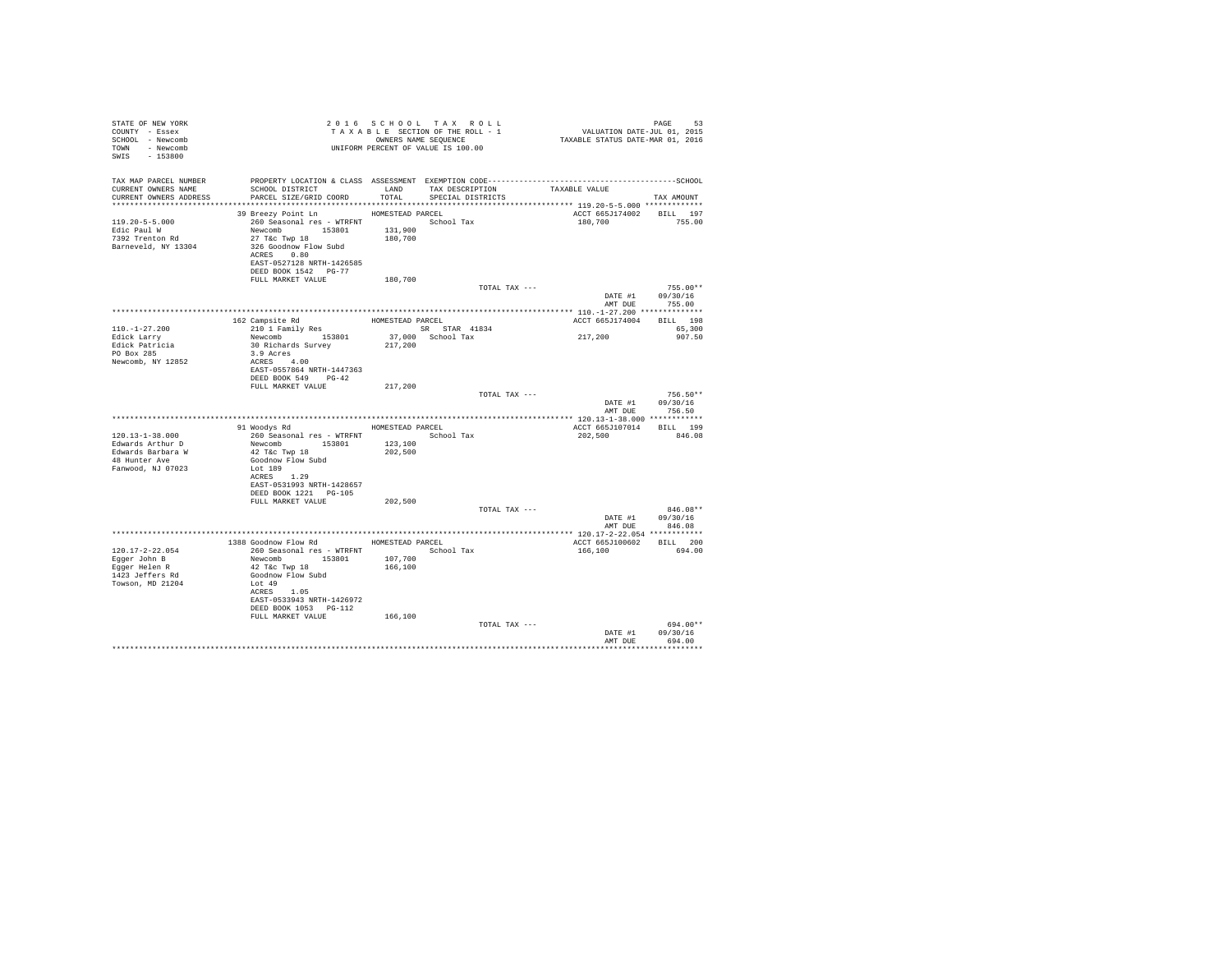| STATE OF NEW YORK<br>COUNTY - Essex<br>SCHOOL - Newcomb<br>TOWN - Newcomb<br>SWIS - 153800 |                                                                                                  |                    | 2016 SCHOOL TAX ROLL<br>UNIFORM PERCENT OF VALUE IS 100.00 |                                                                                              | PAGE<br>53       |  |
|--------------------------------------------------------------------------------------------|--------------------------------------------------------------------------------------------------|--------------------|------------------------------------------------------------|----------------------------------------------------------------------------------------------|------------------|--|
| TAX MAP PARCEL NUMBER                                                                      |                                                                                                  |                    |                                                            | PROPERTY LOCATION & CLASS ASSESSMENT EXEMPTION CODE-----------------------------------SCHOOL |                  |  |
| CURRENT OWNERS NAME                                                                        | SCHOOL DISTRICT                       LAND        TAX DESCRIPTION                  TAXABLE VALUE |                    |                                                            |                                                                                              |                  |  |
| CURRENT OWNERS ADDRESS                                                                     | PARCEL SIZE/GRID COORD                                                                           |                    | TOTAL SPECIAL DISTRICTS                                    |                                                                                              | TAX AMOUNT       |  |
|                                                                                            | 39 Breezy Point Ln MOMESTEAD PARCEL                                                              |                    |                                                            | ACCT 665J174002 BILL 197                                                                     |                  |  |
| $119.20 - 5 - 5.000$                                                                       | 260 Seasonal res - WTRFNT <a></a> School Tax                                                     |                    |                                                            | 180,700                                                                                      | 755.00           |  |
| Edic Paul W                                                                                | Newcomb 153801                                                                                   | 131,900<br>180,700 |                                                            |                                                                                              |                  |  |
| 7392 Trenton Rd<br>Barneveld, NY 13304                                                     | $27$ T&C Twp $18$<br>326 Goodnow Flow Subd                                                       |                    |                                                            |                                                                                              |                  |  |
|                                                                                            | ACRES 0.80                                                                                       |                    |                                                            |                                                                                              |                  |  |
|                                                                                            | EAST-0527128 NRTH-1426585                                                                        |                    |                                                            |                                                                                              |                  |  |
|                                                                                            | DEED BOOK 1542 PG-77<br>FULL MARKET VALUE                                                        | 180,700            |                                                            |                                                                                              |                  |  |
|                                                                                            |                                                                                                  |                    | TOTAL TAX ---                                              |                                                                                              | $755.00**$       |  |
|                                                                                            |                                                                                                  |                    |                                                            | DATE #1                                                                                      | 09/30/16         |  |
|                                                                                            |                                                                                                  |                    |                                                            | AMT DUE                                                                                      | 755.00           |  |
|                                                                                            |                                                                                                  |                    |                                                            | ACCT 665J174004 BILL 198                                                                     |                  |  |
| $110. - 1 - 27.200$                                                                        |                                                                                                  |                    |                                                            |                                                                                              | 65.300           |  |
| Edick Larry                                                                                | Newcomb 153801 37,000<br>30 Richards Survey 217,200                                              |                    |                                                            | 217,200                                                                                      | 907.50           |  |
| Edick Patricia<br>PO Box 285                                                               | 3.9 Acres                                                                                        |                    |                                                            |                                                                                              |                  |  |
| Newcomb, NY 12852                                                                          | ACRES 4.00                                                                                       |                    |                                                            |                                                                                              |                  |  |
|                                                                                            | EAST-0557864 NRTH-1447363                                                                        |                    |                                                            |                                                                                              |                  |  |
|                                                                                            | DEED BOOK 549 PG-42                                                                              |                    |                                                            |                                                                                              |                  |  |
|                                                                                            | FULL MARKET VALUE                                                                                | 217,200            | TOTAL TAX ---                                              |                                                                                              | $756.50**$       |  |
|                                                                                            |                                                                                                  |                    |                                                            |                                                                                              | DATE #1 09/30/16 |  |
|                                                                                            |                                                                                                  |                    |                                                            | AMT DUE                                                                                      | 756.50           |  |
|                                                                                            | 91 Woodys Rd MOMESTEAD PARCEL                                                                    |                    |                                                            | ACCT 665J107014 BILL 199                                                                     |                  |  |
| $120.13 - 1 - 38.000$                                                                      | 260 Seasonal res - WTRFNT <a>&gt; School Tax</a>                                                 |                    |                                                            | 202.500                                                                                      | 846.08           |  |
| Edwards Arthur D                                                                           | Newcomb 153801                                                                                   | 123,100            |                                                            |                                                                                              |                  |  |
| Edwards Barbara W                                                                          | 42 T&C Twp 18                                                                                    | 202,500            |                                                            |                                                                                              |                  |  |
| 48 Hunter Ave<br>Fanwood, NJ 07023                                                         | Goodnow Flow Subd<br>Lot 189                                                                     |                    |                                                            |                                                                                              |                  |  |
|                                                                                            | ACRES 1.29                                                                                       |                    |                                                            |                                                                                              |                  |  |
|                                                                                            | EAST-0531993 NRTH-1428657                                                                        |                    |                                                            |                                                                                              |                  |  |
|                                                                                            | DEED BOOK 1221 PG-105<br>FULL MARKET VALUE                                                       |                    |                                                            |                                                                                              |                  |  |
|                                                                                            |                                                                                                  | 202,500            | TOTAL TAX ---                                              |                                                                                              | $846.08**$       |  |
|                                                                                            |                                                                                                  |                    |                                                            |                                                                                              | DATE #1 09/30/16 |  |
|                                                                                            |                                                                                                  |                    |                                                            | AMT DUE                                                                                      | 846.08           |  |
|                                                                                            | 1388 Goodnow Flow Rd MOMESTEAD PARCEL                                                            |                    |                                                            | ACCT 665J100602 BILL 200                                                                     |                  |  |
| $120.17 - 2 - 22.054$                                                                      | 260 Seasonal res - WTRFNT                                                                        |                    | School Tax                                                 | 166,100                                                                                      | 694.00           |  |
| Egger John B                                                                               | Newcomb 153801                                                                                   | 107,700            |                                                            |                                                                                              |                  |  |
| Eqqer Helen R<br>1423 Jeffers Rd                                                           | 42 T&C Twp 18<br>Goodnow Flow Subd                                                               | 166,100            |                                                            |                                                                                              |                  |  |
| Towson, MD 21204                                                                           | Lot 49                                                                                           |                    |                                                            |                                                                                              |                  |  |
|                                                                                            | ACRES 1.05                                                                                       |                    |                                                            |                                                                                              |                  |  |
|                                                                                            | EAST-0533943 NRTH-1426972                                                                        |                    |                                                            |                                                                                              |                  |  |
|                                                                                            | DEED BOOK 1053 PG-112<br>FULL MARKET VALUE                                                       | 166,100            |                                                            |                                                                                              |                  |  |
|                                                                                            |                                                                                                  |                    | TOTAL TAX ---                                              |                                                                                              | 694.00**         |  |
|                                                                                            |                                                                                                  |                    |                                                            | DATE #1                                                                                      | 09/30/16         |  |
|                                                                                            |                                                                                                  |                    |                                                            | AMT DUR                                                                                      | 694.00           |  |
|                                                                                            |                                                                                                  |                    |                                                            |                                                                                              |                  |  |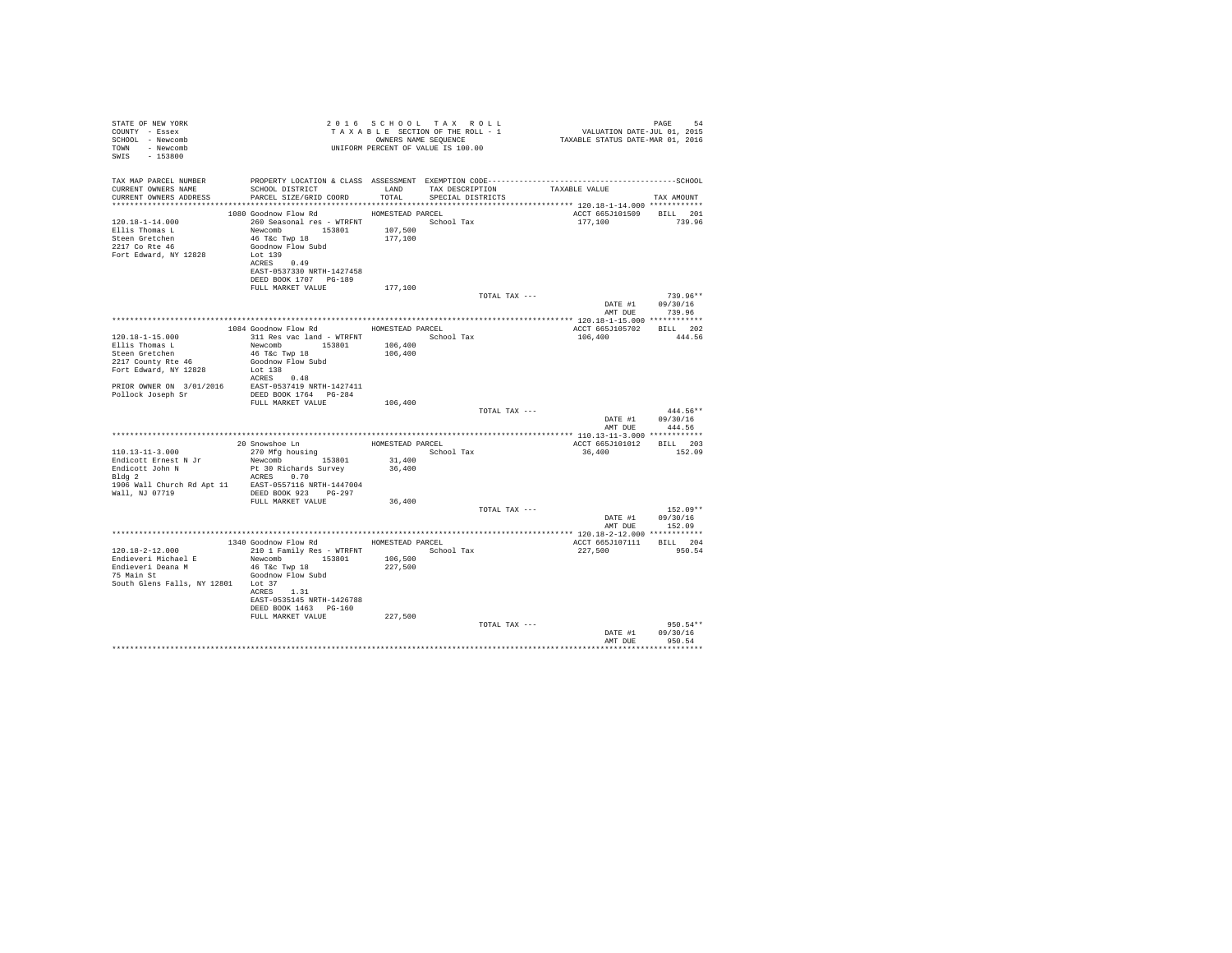| STATE OF NEW YORK                                                                                                                                                                                                                |                                                                      |                  | 2016 SCHOOL TAX ROLL                                       |                                                                            |                  |
|----------------------------------------------------------------------------------------------------------------------------------------------------------------------------------------------------------------------------------|----------------------------------------------------------------------|------------------|------------------------------------------------------------|----------------------------------------------------------------------------|------------------|
| COUNTY - Essex                                                                                                                                                                                                                   |                                                                      |                  | TAXABLE SECTION OF THE ROLL - 1                            | PAGE 54<br>VALUATION DATE-JUL 01, 2015<br>TAXABLE STATUS DATE-MAR 01, 2016 |                  |
| SCHOOL - Newcomb                                                                                                                                                                                                                 |                                                                      |                  |                                                            |                                                                            |                  |
| TOWN - Newcomb                                                                                                                                                                                                                   |                                                                      |                  | OWNERS NAME SEQUENCE<br>UNIFORM PERCENT OF VALUE IS 100.00 |                                                                            |                  |
| SWIS - 153800                                                                                                                                                                                                                    |                                                                      |                  |                                                            |                                                                            |                  |
|                                                                                                                                                                                                                                  |                                                                      |                  |                                                            |                                                                            |                  |
|                                                                                                                                                                                                                                  |                                                                      |                  |                                                            |                                                                            |                  |
|                                                                                                                                                                                                                                  |                                                                      |                  |                                                            |                                                                            |                  |
| CURRENT OWNERS NAME<br>CURRENT OWNERS ADDRESS                                                                                                                                                                                    | SCHOOL DISTRICT<br>LAND TAX DESCRIPTION<br>PARCEL SIZE/GRID COORD    | TOTAL            | SPECIAL DISTRICTS                                          | TAXABLE VALUE                                                              |                  |
|                                                                                                                                                                                                                                  |                                                                      |                  |                                                            |                                                                            | TAX AMOUNT       |
|                                                                                                                                                                                                                                  |                                                                      |                  |                                                            |                                                                            |                  |
| 120.18-1-14.000                                                                                                                                                                                                                  | 1080 Goodnow Flow Rd<br>260 Seasonal res - WTRFNT <a> School Tax</a> | HOMESTEAD PARCEL |                                                            | ACCT 665J101509 BILL 201<br>177,100 739.96                                 |                  |
| Ellis Thomas L                                                                                                                                                                                                                   | Newcomb 153801 107,500                                               |                  |                                                            |                                                                            |                  |
|                                                                                                                                                                                                                                  | 46 T&C Twp 18                                                        | 177,100          |                                                            |                                                                            |                  |
| Steen Gretchen<br>2217 Co Rte 46                                                                                                                                                                                                 | Goodnow Flow Subd                                                    |                  |                                                            |                                                                            |                  |
| Fort Edward, NY 12828                                                                                                                                                                                                            | Lot 139                                                              |                  |                                                            |                                                                            |                  |
|                                                                                                                                                                                                                                  | ACRES 0.49                                                           |                  |                                                            |                                                                            |                  |
|                                                                                                                                                                                                                                  | EAST-0537330 NRTH-1427458                                            |                  |                                                            |                                                                            |                  |
|                                                                                                                                                                                                                                  | DEED BOOK 1707 PG-189                                                |                  |                                                            |                                                                            |                  |
|                                                                                                                                                                                                                                  | FULL MARKET VALUE                                                    | 177,100          |                                                            |                                                                            |                  |
|                                                                                                                                                                                                                                  |                                                                      |                  | TOTAL TAX ---                                              |                                                                            | $739.96**$       |
|                                                                                                                                                                                                                                  |                                                                      |                  |                                                            |                                                                            | DATE #1 09/30/16 |
|                                                                                                                                                                                                                                  |                                                                      |                  |                                                            | AMT DUE                                                                    | 739.96           |
|                                                                                                                                                                                                                                  |                                                                      |                  |                                                            |                                                                            |                  |
|                                                                                                                                                                                                                                  | 1084 Goodnow Flow Rd MOMESTEAD PARCEL                                |                  |                                                            | ACCT 665J105702 BILL 202                                                   |                  |
| 120.18-1-15.000                                                                                                                                                                                                                  | 311 Res vac land - WTRFNT School Tax                                 |                  |                                                            | 106,400                                                                    | 444.56           |
| Ellis Thomas L                                                                                                                                                                                                                   | Newcomb 153801 106,400                                               |                  |                                                            |                                                                            |                  |
| Steen Gretchen                                                                                                                                                                                                                   | 46 T&c Twp 18                                                        | 106,400          |                                                            |                                                                            |                  |
| 2217 County Rte 46                                                                                                                                                                                                               | Goodnow Flow Subd                                                    |                  |                                                            |                                                                            |                  |
| Fort Edward, NY 12828                                                                                                                                                                                                            | Lot 138                                                              |                  |                                                            |                                                                            |                  |
|                                                                                                                                                                                                                                  | ACRES 0.48                                                           |                  |                                                            |                                                                            |                  |
|                                                                                                                                                                                                                                  |                                                                      |                  |                                                            |                                                                            |                  |
| $\begin{tabular}{lllll} \texttt{PRIOR} & \texttt{NNER} & \texttt{ON} & 3/01/2016 & \texttt{EAST-0537419} & \texttt{NRTH-1427411} \\ \texttt{Pollock Joseph Sr} & & & \texttt{DEED BOOK 1764} & \texttt{PG-284} \\ \end{tabular}$ |                                                                      |                  |                                                            |                                                                            |                  |
|                                                                                                                                                                                                                                  | FULL MARKET VALUE                                                    | 106,400          |                                                            |                                                                            |                  |
|                                                                                                                                                                                                                                  |                                                                      |                  | TOTAL TAX ---                                              |                                                                            | 444.56**         |
|                                                                                                                                                                                                                                  |                                                                      |                  |                                                            |                                                                            | DATE #1 09/30/16 |
|                                                                                                                                                                                                                                  |                                                                      |                  |                                                            |                                                                            | AMT DUE 444.56   |
|                                                                                                                                                                                                                                  |                                                                      |                  |                                                            |                                                                            |                  |
|                                                                                                                                                                                                                                  | 20 Snowshoe Ln<br>270 Mfg housing                                    | HOMESTEAD PARCEL |                                                            | ACCT 665J101012 BILL 203                                                   |                  |
| $110.13 - 11 - 3.000$                                                                                                                                                                                                            |                                                                      |                  | School Tax                                                 | 36,400                                                                     | 152.09           |
| Endicott Ernest N Jr                                                                                                                                                                                                             | Newcomb 153801                                                       | 31,400           |                                                            |                                                                            |                  |
|                                                                                                                                                                                                                                  | Pt 30 Richards Survey                                                | 36,400           |                                                            |                                                                            |                  |
| Endicott John N<br>Bldg 2                                                                                                                                                                                                        | ACRES 0.70                                                           |                  |                                                            |                                                                            |                  |
| 1906 Wall Church Rd Apt 11 EAST-0557116 NRTH-1447004                                                                                                                                                                             |                                                                      |                  |                                                            |                                                                            |                  |
| Wall, NJ 07719 DEED BOOK 923 PG-297                                                                                                                                                                                              |                                                                      |                  |                                                            |                                                                            |                  |
|                                                                                                                                                                                                                                  | FULL MARKET VALUE                                                    | 36,400           |                                                            |                                                                            |                  |
|                                                                                                                                                                                                                                  |                                                                      |                  | TOTAL TAX ---                                              |                                                                            | $152.09**$       |
|                                                                                                                                                                                                                                  |                                                                      |                  |                                                            |                                                                            | DATE #1 09/30/16 |
|                                                                                                                                                                                                                                  |                                                                      |                  |                                                            | AMT DUE                                                                    | 152.09           |
|                                                                                                                                                                                                                                  |                                                                      |                  |                                                            |                                                                            |                  |
|                                                                                                                                                                                                                                  | 1340 Goodnow Flow Rd MOMESTEAD PARCEL                                |                  |                                                            | ACCT 665J107111 BILL 204                                                   |                  |
| 120.18-2-12.000                                                                                                                                                                                                                  | 210 1 Family Res - WTRFNT School Tax                                 |                  |                                                            | 227,500                                                                    | 950.54           |
| Endieveri Michael E                                                                                                                                                                                                              | Newcomb 153801 106,500                                               |                  |                                                            |                                                                            |                  |
| Endieveri Deana M<br>Endieveri Deana M                                                                                                                                                                                           | 46 T&C Twp 18                                                        | 227,500          |                                                            |                                                                            |                  |
| 75 Main St                                                                                                                                                                                                                       | Goodnow Flow Subd                                                    |                  |                                                            |                                                                            |                  |
| South Glens Falls, NY 12801 Lot 37                                                                                                                                                                                               |                                                                      |                  |                                                            |                                                                            |                  |
|                                                                                                                                                                                                                                  | ACRES 1.31                                                           |                  |                                                            |                                                                            |                  |
|                                                                                                                                                                                                                                  | EAST-0535145 NRTH-1426788                                            |                  |                                                            |                                                                            |                  |
|                                                                                                                                                                                                                                  | DEED BOOK 1463 PG-160                                                |                  |                                                            |                                                                            |                  |
|                                                                                                                                                                                                                                  | FULL MARKET VALUE                                                    | 227,500          |                                                            |                                                                            |                  |
|                                                                                                                                                                                                                                  |                                                                      |                  | TOTAL TAX ---                                              |                                                                            | $950.54**$       |
|                                                                                                                                                                                                                                  |                                                                      |                  |                                                            | DATE #1                                                                    | 09/30/16         |
|                                                                                                                                                                                                                                  |                                                                      |                  |                                                            | AMT DUE                                                                    | 950.54           |
|                                                                                                                                                                                                                                  |                                                                      |                  |                                                            |                                                                            |                  |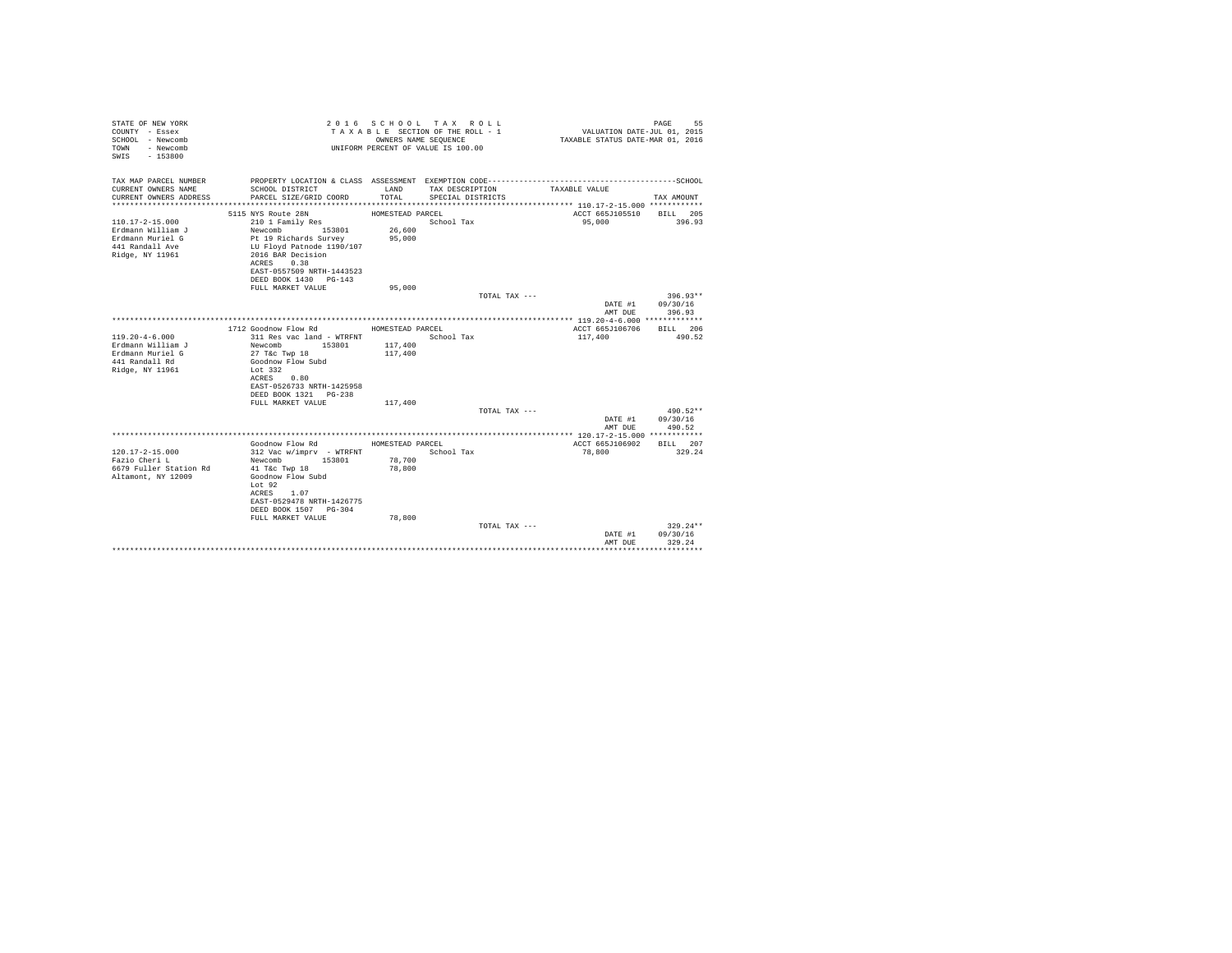| STATE OF NEW YORK<br>COUNTY - Essex<br>SCHOOL - Newcomb<br>- Newcomb<br>TOWN<br>$-153800$<br>SWTS    |                                                                                                                                | OWNERS NAME SEQUENCE | 2016 SCHOOL TAX ROLL<br>TAXABLE SECTION OF THE ROLL - 1<br>UNIFORM PERCENT OF VALUE IS 100.00 | VALUATION DATE-JUL 01, 2015<br>TAXABLE STATUS DATE-MAR 01, 2016 | PAGE<br>55         |
|------------------------------------------------------------------------------------------------------|--------------------------------------------------------------------------------------------------------------------------------|----------------------|-----------------------------------------------------------------------------------------------|-----------------------------------------------------------------|--------------------|
| TAX MAP PARCEL NUMBER                                                                                |                                                                                                                                |                      |                                                                                               |                                                                 |                    |
| CURRENT OWNERS NAME<br>CURRENT OWNERS ADDRESS                                                        | SCHOOL DISTRICT<br>PARCEL SIZE/GRID COORD                                                                                      | LAND<br>TOTAL.       | TAX DESCRIPTION<br>SPECIAL DISTRICTS                                                          | TAXABLE VALUE                                                   | TAX AMOUNT         |
|                                                                                                      | 5115 NYS Route 28N                                                                                                             | HOMESTEAD PARCEL     |                                                                                               | ACCT 665J105510                                                 | BILL 205           |
| $110.17 - 2 - 15.000$<br>Erdmann William J<br>Erdmann Muriel G<br>441 Randall Ave<br>Ridge, NY 11961 | 210 1 Family Res<br>Newcomb<br>153801<br>Pt 19 Richards Survey<br>LU Floyd Patnode 1190/107<br>2016 BAR Decision<br>ACRES 0.38 | 26,600<br>95,000     | School Tax                                                                                    | 95,000                                                          | 396.93             |
|                                                                                                      | EAST-0557509 NRTH-1443523                                                                                                      |                      |                                                                                               |                                                                 |                    |
|                                                                                                      | DEED BOOK 1430 PG-143<br>FULL MARKET VALUE                                                                                     | 95,000               |                                                                                               |                                                                 |                    |
|                                                                                                      |                                                                                                                                |                      | TOTAL TAX ---                                                                                 |                                                                 | $396.93**$         |
|                                                                                                      |                                                                                                                                |                      |                                                                                               | DATE #1                                                         | 09/30/16           |
|                                                                                                      |                                                                                                                                |                      |                                                                                               | AMT DUE                                                         | 396.93             |
|                                                                                                      |                                                                                                                                |                      |                                                                                               |                                                                 |                    |
|                                                                                                      | 1712 Goodnow Flow Rd                                                                                                           | HOMESTEAD PARCEL     |                                                                                               | ACCT 665J106706                                                 | RTLL 206           |
| $119.20 - 4 - 6.000$                                                                                 | 311 Res vac land - WTRFNT                                                                                                      |                      | School Tax                                                                                    | 117,400                                                         | 490.52             |
| Erdmann William J                                                                                    | Newcomb 153801                                                                                                                 | 117,400              |                                                                                               |                                                                 |                    |
| Erdmann Muriel G<br>441 Randall Rd                                                                   | 27 T&c Twp 18<br>Goodnow Flow Subd                                                                                             | 117,400              |                                                                                               |                                                                 |                    |
| Ridge, NY 11961                                                                                      | Lot 332                                                                                                                        |                      |                                                                                               |                                                                 |                    |
|                                                                                                      | ACRES 0.80                                                                                                                     |                      |                                                                                               |                                                                 |                    |
|                                                                                                      | EAST-0526733 NRTH-1425958                                                                                                      |                      |                                                                                               |                                                                 |                    |
|                                                                                                      | DEED BOOK 1321 PG-238                                                                                                          |                      |                                                                                               |                                                                 |                    |
|                                                                                                      | FULL MARKET VALUE                                                                                                              | 117,400              |                                                                                               |                                                                 |                    |
|                                                                                                      |                                                                                                                                |                      | TOTAL TAX ---                                                                                 |                                                                 | 490.52**           |
|                                                                                                      |                                                                                                                                |                      |                                                                                               | DATE #1                                                         | 09/30/16           |
|                                                                                                      |                                                                                                                                |                      |                                                                                               | AMT DUE                                                         | 490.52             |
|                                                                                                      |                                                                                                                                |                      |                                                                                               |                                                                 |                    |
|                                                                                                      | Goodnow Flow Rd                                                                                                                | HOMESTEAD PARCEL     |                                                                                               | ACCT 665J106902                                                 | BILL 207           |
| $120.17 - 2 - 15.000$<br>Fazio Cheri L                                                               | 312 Vac w/imprv - WTRFNT<br>153801<br>Newcomb                                                                                  | 78,700               | School Tax                                                                                    | 78,800                                                          | 329.24             |
| 6679 Fuller Station Rd                                                                               | 41 T&c Twp 18                                                                                                                  | 78,800               |                                                                                               |                                                                 |                    |
| Altamont, NY 12009                                                                                   | Goodnow Flow Subd                                                                                                              |                      |                                                                                               |                                                                 |                    |
|                                                                                                      | Lot 92                                                                                                                         |                      |                                                                                               |                                                                 |                    |
|                                                                                                      | ACRES 1.07                                                                                                                     |                      |                                                                                               |                                                                 |                    |
|                                                                                                      | EAST-0529478 NRTH-1426775                                                                                                      |                      |                                                                                               |                                                                 |                    |
|                                                                                                      | DEED BOOK 1507 PG-304                                                                                                          |                      |                                                                                               |                                                                 |                    |
|                                                                                                      | FULL MARKET VALUE                                                                                                              | 78,800               |                                                                                               |                                                                 |                    |
|                                                                                                      |                                                                                                                                |                      | TOTAL TAX ---                                                                                 |                                                                 | $329.24**$         |
|                                                                                                      |                                                                                                                                |                      |                                                                                               | DATE #1<br>AMT DUE                                              | 09/30/16<br>329.24 |
|                                                                                                      |                                                                                                                                |                      |                                                                                               |                                                                 |                    |
|                                                                                                      |                                                                                                                                |                      |                                                                                               |                                                                 |                    |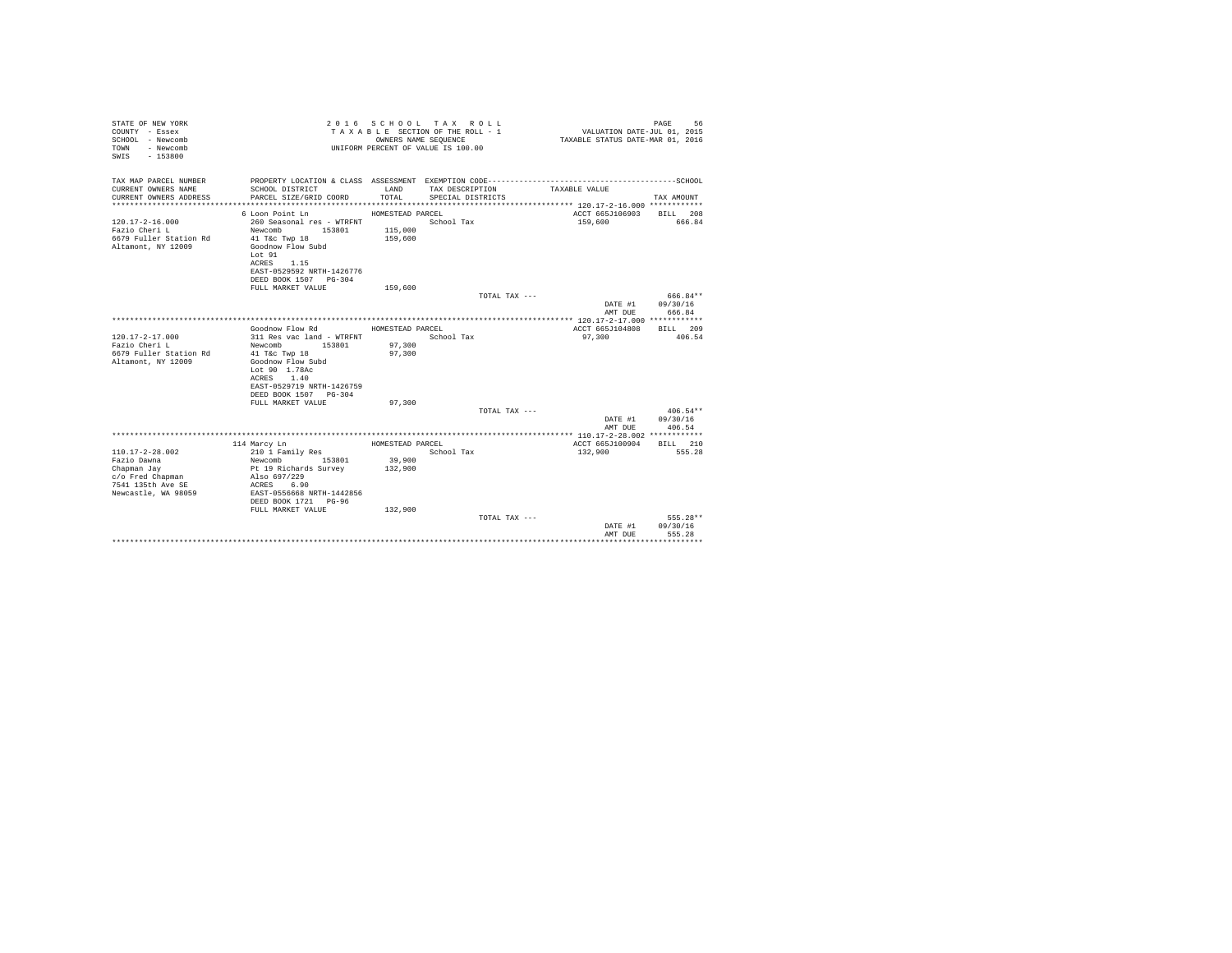| STATE OF NEW YORK<br>COUNTY - Essex<br>SCHOOL - Newcomb<br>- Newcomb<br>TOWN<br>$-153800$<br>SWIS |                                                             |                  | 2016 SCHOOL TAX ROLL<br>TAXABLE SECTION OF THE ROLL - 1<br>OWNERS NAME SEQUENCE<br>UNIFORM PERCENT OF VALUE IS 100.00 | VALUATION DATE-JUL 01, 2015<br>TAXABLE STATUS DATE-MAR 01, 2016 | PAGE<br>56                 |
|---------------------------------------------------------------------------------------------------|-------------------------------------------------------------|------------------|-----------------------------------------------------------------------------------------------------------------------|-----------------------------------------------------------------|----------------------------|
| TAX MAP PARCEL NUMBER                                                                             |                                                             |                  |                                                                                                                       |                                                                 |                            |
| CURRENT OWNERS NAME<br>CURRENT OWNERS ADDRESS                                                     | SCHOOL DISTRICT<br>PARCEL SIZE/GRID COORD                   | LAND<br>TOTAL.   | TAX DESCRIPTION<br>SPECIAL DISTRICTS                                                                                  | TAXABLE VALUE                                                   | TAX AMOUNT                 |
|                                                                                                   |                                                             |                  |                                                                                                                       |                                                                 |                            |
|                                                                                                   | 6 Loon Point Ln                                             | HOMESTEAD PARCEL |                                                                                                                       | ACCT 665J106903 BILL 208                                        |                            |
| $120.17 - 2 - 16.000$                                                                             | 260 Seasonal res - WTRFNT                                   |                  | School Tax                                                                                                            | 159,600                                                         | 666.84                     |
| Fazio Cheri L                                                                                     | Newcomb 153801                                              | 115,000          |                                                                                                                       |                                                                 |                            |
| 6679 Fuller Station Rd                                                                            | 41 T&C Twp 18                                               | 159,600          |                                                                                                                       |                                                                 |                            |
| Altamont, NY 12009                                                                                | Goodnow Flow Subd<br>Lot 91                                 |                  |                                                                                                                       |                                                                 |                            |
|                                                                                                   | ACRES 1.15                                                  |                  |                                                                                                                       |                                                                 |                            |
|                                                                                                   | EAST-0529592 NRTH-1426776                                   |                  |                                                                                                                       |                                                                 |                            |
|                                                                                                   | DEED BOOK 1507 PG-304                                       |                  |                                                                                                                       |                                                                 |                            |
|                                                                                                   | FULL MARKET VALUE                                           | 159,600          |                                                                                                                       |                                                                 |                            |
|                                                                                                   |                                                             |                  | TOTAL TAX ---                                                                                                         |                                                                 | 666.84**                   |
|                                                                                                   |                                                             |                  |                                                                                                                       | AMT DUE                                                         | DATE #1 09/30/16<br>666.84 |
|                                                                                                   |                                                             |                  |                                                                                                                       |                                                                 |                            |
|                                                                                                   | Goodnow Flow Rd                                             | HOMESTEAD PARCEL |                                                                                                                       | ACCT 665J104808                                                 | RTLL 209                   |
| $120.17 - 2 - 17.000$                                                                             | 311 Res vac land - WTRFNT                                   |                  | School Tax                                                                                                            | 97,300                                                          | 406.54                     |
| Fazio Cheri L                                                                                     | Newcomb<br>153801                                           | 97,300           |                                                                                                                       |                                                                 |                            |
| 6679 Fuller Station Rd                                                                            | 41 T&c Twp 18                                               | 97,300           |                                                                                                                       |                                                                 |                            |
| Altamont, NY 12009                                                                                | Goodnow Flow Subd<br>Lot 90 1.78Ac                          |                  |                                                                                                                       |                                                                 |                            |
|                                                                                                   | ACRES 1.40                                                  |                  |                                                                                                                       |                                                                 |                            |
|                                                                                                   | EAST-0529719 NRTH-1426759                                   |                  |                                                                                                                       |                                                                 |                            |
|                                                                                                   | DEED BOOK 1507 PG-304                                       |                  |                                                                                                                       |                                                                 |                            |
|                                                                                                   | FULL MARKET VALUE                                           | 97,300           |                                                                                                                       |                                                                 |                            |
|                                                                                                   |                                                             |                  | TOTAL TAX ---                                                                                                         |                                                                 | $406.54**$                 |
|                                                                                                   |                                                             |                  |                                                                                                                       |                                                                 | DATE #1 09/30/16           |
|                                                                                                   |                                                             |                  |                                                                                                                       | AMT DUE                                                         | 406.54                     |
|                                                                                                   | 114 Marcy Ln                                                | HOMESTEAD PARCEL |                                                                                                                       | ACCT 665J100904                                                 | BILL 210                   |
| $110.17 - 2 - 28.002$                                                                             | 210 1 Family Res<br>Newcomb 153801<br>Pt 19 Richards Survey |                  | School Tax                                                                                                            | 132,900                                                         | 555.28                     |
| Fazio Dawna                                                                                       |                                                             | 39,900           |                                                                                                                       |                                                                 |                            |
| Chapman Jay                                                                                       | Also 697/229                                                | 132,900          |                                                                                                                       |                                                                 |                            |
| c/o Fred Chapman<br>7541 135th Ave SE                                                             | ACRES 6.90                                                  |                  |                                                                                                                       |                                                                 |                            |
| Newcastle, WA 98059                                                                               | EAST-0556668 NRTH-1442856                                   |                  |                                                                                                                       |                                                                 |                            |
|                                                                                                   | DEED BOOK 1721 PG-96                                        |                  |                                                                                                                       |                                                                 |                            |
|                                                                                                   | FULL MARKET VALUE                                           | 132,900          |                                                                                                                       |                                                                 |                            |
|                                                                                                   |                                                             |                  | TOTAL TAX ---                                                                                                         |                                                                 | $555.28**$                 |
|                                                                                                   |                                                             |                  |                                                                                                                       | DATE #1                                                         | 09/30/16                   |
|                                                                                                   |                                                             |                  |                                                                                                                       | AMT DUE                                                         | 555.28                     |
|                                                                                                   |                                                             |                  |                                                                                                                       |                                                                 |                            |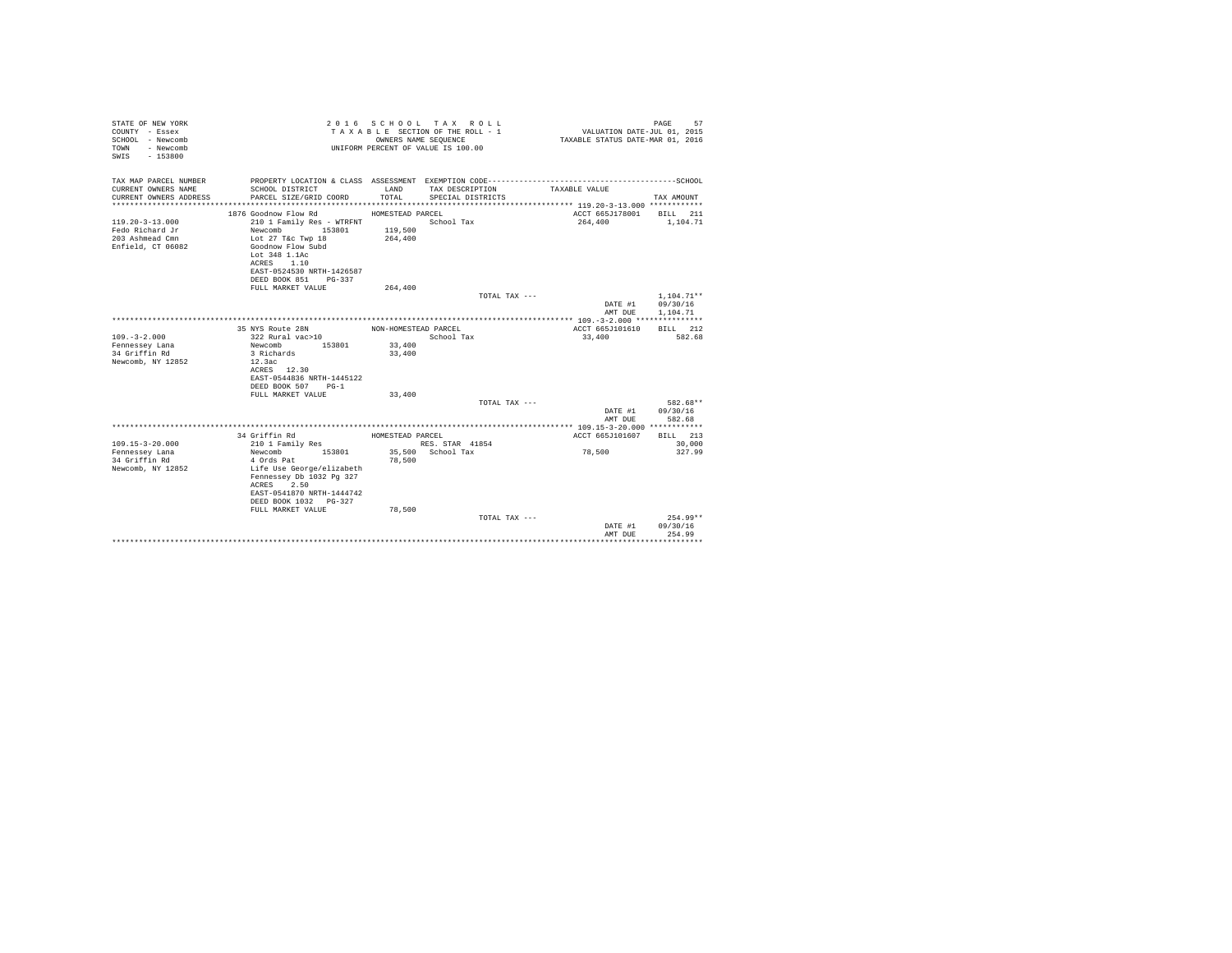| STATE OF NEW YORK<br>COUNTY - Essex<br>SCHOOL - Newcomb<br>- Newcomb<br>TOWN<br>SWIS - 153800 |                                                   |                      | 2016 SCHOOL TAX ROLL<br>TAXABLE SECTION OF THE ROLL - 1<br>OWNERS NAME SEQUENCE<br>UNIFORM PERCENT OF VALUE IS 100.00 | VALUATION DATE-JUL 01, 2015<br>TAXABLE STATUS DATE-MAR 01, 2016 | 57<br>PAGE   |  |
|-----------------------------------------------------------------------------------------------|---------------------------------------------------|----------------------|-----------------------------------------------------------------------------------------------------------------------|-----------------------------------------------------------------|--------------|--|
| TAX MAP PARCEL NUMBER                                                                         |                                                   |                      |                                                                                                                       |                                                                 |              |  |
| CURRENT OWNERS NAME                                                                           | SCHOOL DISTRICT                                   | LAND                 | TAX DESCRIPTION                                                                                                       | TAXABLE VALUE                                                   |              |  |
| CURRENT OWNERS ADDRESS                                                                        | PARCEL SIZE/GRID COORD                            | TOTAL                | SPECIAL DISTRICTS                                                                                                     |                                                                 | TAX AMOUNT   |  |
|                                                                                               | 1876 Goodnow Flow Rd                              | HOMESTEAD PARCEL     |                                                                                                                       | ACCT 665J178001                                                 | BILL 211     |  |
| $119.20 - 3 - 13.000$                                                                         | 210 1 Family Res - WTRFNT                         |                      | School Tax                                                                                                            | 264,400                                                         | 1,104.71     |  |
| Fedo Richard Jr                                                                               | 153801<br>Newcomb                                 | 119,500              |                                                                                                                       |                                                                 |              |  |
| 203 Ashmead Cmn                                                                               | Lot 27 T&c Twp 18                                 | 264,400              |                                                                                                                       |                                                                 |              |  |
| Enfield, CT 06082                                                                             | Goodnow Flow Subd                                 |                      |                                                                                                                       |                                                                 |              |  |
|                                                                                               | Lot 348 1.1Ac                                     |                      |                                                                                                                       |                                                                 |              |  |
|                                                                                               | ACRES 1.10                                        |                      |                                                                                                                       |                                                                 |              |  |
|                                                                                               | EAST-0524530 NRTH-1426587<br>DEED BOOK 851 PG-337 |                      |                                                                                                                       |                                                                 |              |  |
|                                                                                               | FULL MARKET VALUE                                 | 264,400              |                                                                                                                       |                                                                 |              |  |
|                                                                                               |                                                   |                      | TOTAL TAX ---                                                                                                         |                                                                 | $1.104.71**$ |  |
|                                                                                               |                                                   |                      |                                                                                                                       | DATE #1                                                         | 09/30/16     |  |
|                                                                                               |                                                   |                      |                                                                                                                       | AMT DUE                                                         | 1,104.71     |  |
|                                                                                               |                                                   |                      |                                                                                                                       |                                                                 |              |  |
|                                                                                               | 35 NYS Route 28N                                  | NON-HOMESTEAD PARCEL |                                                                                                                       | ACCT 665J101610                                                 | BILL 212     |  |
| $109. - 3 - 2.000$                                                                            | 322 Rural vac>10                                  |                      | School Tax                                                                                                            | 33,400                                                          | 582.68       |  |
| Fennessey Lana<br>34 Griffin Rd                                                               | Newcomb<br>153801<br>3 Richards                   | 33,400<br>33,400     |                                                                                                                       |                                                                 |              |  |
| Newcomb, NY 12852                                                                             | 12.3ac                                            |                      |                                                                                                                       |                                                                 |              |  |
|                                                                                               | ACRES 12.30                                       |                      |                                                                                                                       |                                                                 |              |  |
|                                                                                               | EAST-0544836 NRTH-1445122                         |                      |                                                                                                                       |                                                                 |              |  |
|                                                                                               | DEED BOOK 507 PG-1                                |                      |                                                                                                                       |                                                                 |              |  |
|                                                                                               | FULL MARKET VALUE                                 | 33,400               |                                                                                                                       |                                                                 |              |  |
|                                                                                               |                                                   |                      | TOTAL TAX ---                                                                                                         |                                                                 | 582.68**     |  |
|                                                                                               |                                                   |                      |                                                                                                                       | DATE #1                                                         | 09/30/16     |  |
|                                                                                               |                                                   |                      |                                                                                                                       | AMT DUE                                                         | 582.68       |  |
|                                                                                               | 34 Griffin Rd                                     | HOMESTEAD PARCEL     |                                                                                                                       | ACCT 665J101607                                                 | BILL 213     |  |
| $109.15 - 3 - 20.000$                                                                         | 210 1 Family Res                                  |                      | RES. STAR 41854                                                                                                       |                                                                 | 30,000       |  |
| Fennessey Lana                                                                                | Newcomb<br>153801                                 |                      | 35,500 School Tax                                                                                                     | 78,500                                                          | 327.99       |  |
| 34 Griffin Rd                                                                                 | 4 Ords Pat                                        | 78,500               |                                                                                                                       |                                                                 |              |  |
| Newcomb, NY 12852                                                                             | Life Use George/elizabeth                         |                      |                                                                                                                       |                                                                 |              |  |
|                                                                                               | Fennessey Db 1032 Pg 327                          |                      |                                                                                                                       |                                                                 |              |  |
|                                                                                               | ACRES 2.50<br>EAST-0541870 NRTH-1444742           |                      |                                                                                                                       |                                                                 |              |  |
|                                                                                               | DEED BOOK 1032 PG-327                             |                      |                                                                                                                       |                                                                 |              |  |
|                                                                                               | FULL MARKET VALUE                                 | 78,500               |                                                                                                                       |                                                                 |              |  |
|                                                                                               |                                                   |                      | TOTAL TAX ---                                                                                                         |                                                                 | $254.99**$   |  |
|                                                                                               |                                                   |                      |                                                                                                                       | DATE #1                                                         | 09/30/16     |  |
|                                                                                               |                                                   |                      |                                                                                                                       | AMT DUE                                                         | 254.99       |  |
|                                                                                               |                                                   |                      |                                                                                                                       |                                                                 | *********    |  |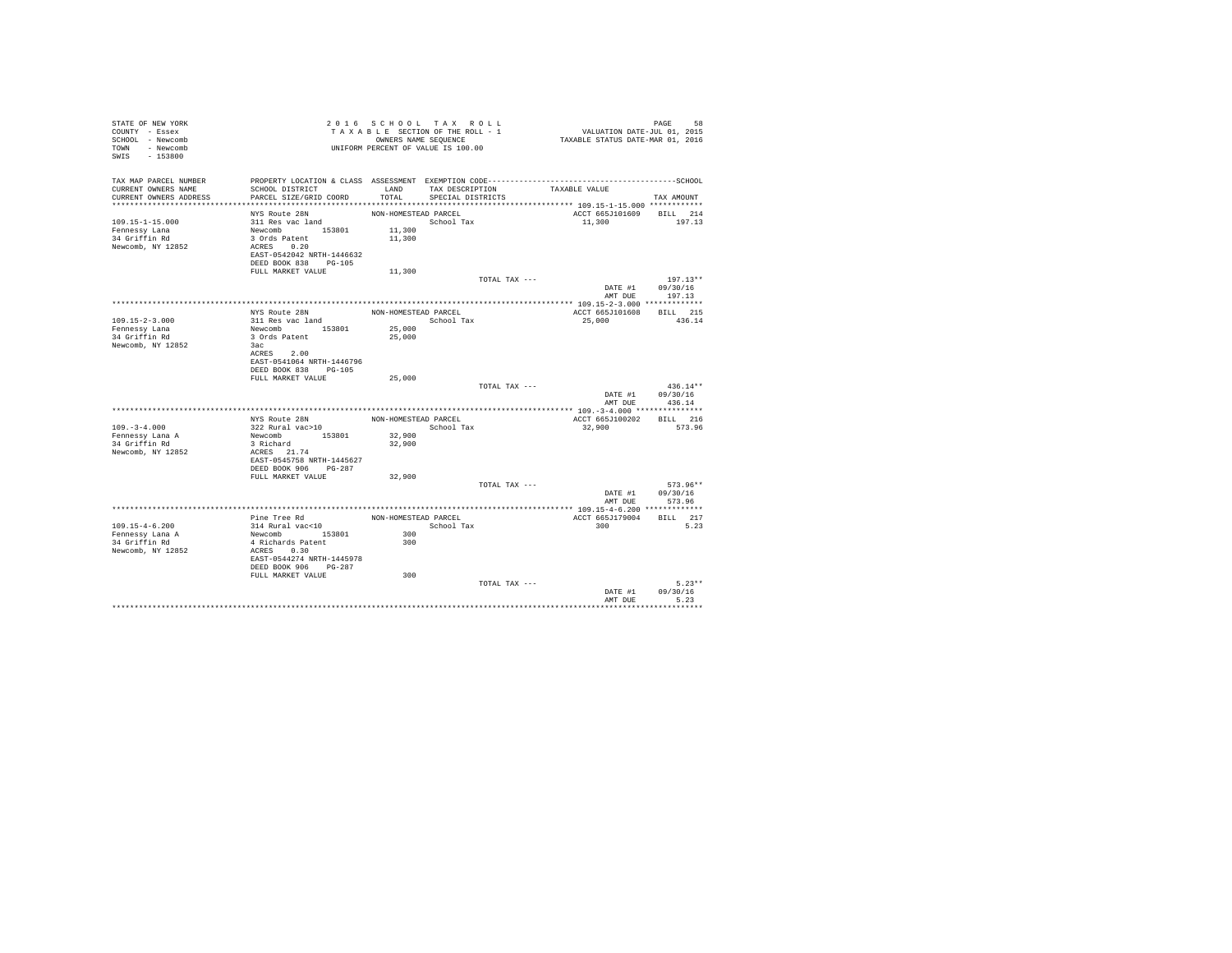| STATE OF NEW YORK<br>COUNTY - Essex<br>SCHOOL - Newcomb<br>TOWN - Newcomb<br>SWIS - 153800 |                                                   |                      | 2016 SCHOOL TAX ROLL<br>TAXABLE SECTION OF THE ROLL - 1<br>OWNERS NAME SEQUENCE<br>UNIFORM PERCENT OF VALUE IS 100.00 |               | 95 PAGE<br>2015, VALUATION DATE-JUL<br>TAXABLE STATUS DATE-MAR 01, 2016 | PAGE<br>58         |
|--------------------------------------------------------------------------------------------|---------------------------------------------------|----------------------|-----------------------------------------------------------------------------------------------------------------------|---------------|-------------------------------------------------------------------------|--------------------|
| TAX MAP PARCEL NUMBER                                                                      |                                                   |                      |                                                                                                                       |               |                                                                         |                    |
| CURRENT OWNERS NAME                                                                        | SCHOOL DISTRICT                                   |                      | LAND TAX DESCRIPTION                                                                                                  |               | TAXABLE VALUE                                                           |                    |
| CURRENT OWNERS ADDRESS                                                                     | PARCEL SIZE/GRID COORD                            | TOTAL                | SPECIAL DISTRICTS                                                                                                     |               |                                                                         | TAX AMOUNT         |
|                                                                                            | NYS Route 28N                                     | NON-HOMESTEAD PARCEL |                                                                                                                       |               | ACCT 665J101609 BILL 214                                                |                    |
| $109.15 - 1 - 15.000$                                                                      | 311 Res vac land                                  |                      | School Tax                                                                                                            |               | 11,300                                                                  | 197.13             |
| Fennessy Lana                                                                              | Newcomb 153801                                    | 11,300               |                                                                                                                       |               |                                                                         |                    |
| 34 Griffin Rd                                                                              | 3 Ords Patent                                     | 11,300               |                                                                                                                       |               |                                                                         |                    |
| Newcomb, NY 12852                                                                          | ACRES 0.20                                        |                      |                                                                                                                       |               |                                                                         |                    |
|                                                                                            | EAST-0542042 NRTH-1446632                         |                      |                                                                                                                       |               |                                                                         |                    |
|                                                                                            | DEED BOOK 838 PG-105                              |                      |                                                                                                                       |               |                                                                         |                    |
|                                                                                            | FULL MARKET VALUE                                 | 11,300               |                                                                                                                       |               |                                                                         |                    |
|                                                                                            |                                                   |                      |                                                                                                                       | TOTAL TAX --- |                                                                         | $197.13**$         |
|                                                                                            |                                                   |                      |                                                                                                                       |               | DATE #1<br>AMT DUE                                                      | 09/30/16<br>197.13 |
|                                                                                            |                                                   |                      |                                                                                                                       |               |                                                                         |                    |
|                                                                                            | NYS Route 28N                                     | NON-HOMESTEAD PARCEL |                                                                                                                       |               | ACCT 665J101608                                                         | BILL 215           |
| 109.15-2-3.000                                                                             | 311 Res vac land                                  |                      | School Tax                                                                                                            |               | 25,000                                                                  | 436.14             |
| Fennessy Lana                                                                              | Newcomb 153801                                    | 25,000               |                                                                                                                       |               |                                                                         |                    |
| 34 Griffin Rd                                                                              | 3 Ords Patent                                     | 25,000               |                                                                                                                       |               |                                                                         |                    |
| Newcomb, NY 12852                                                                          | 3ac                                               |                      |                                                                                                                       |               |                                                                         |                    |
|                                                                                            | ACRES 2.00                                        |                      |                                                                                                                       |               |                                                                         |                    |
|                                                                                            | EAST-0541064 NRTH-1446796<br>DEED BOOK 838 PG-105 |                      |                                                                                                                       |               |                                                                         |                    |
|                                                                                            | FULL MARKET VALUE                                 | 25,000               |                                                                                                                       |               |                                                                         |                    |
|                                                                                            |                                                   |                      |                                                                                                                       | TOTAL TAX --- |                                                                         | $436.14**$         |
|                                                                                            |                                                   |                      |                                                                                                                       |               |                                                                         | DATE #1 09/30/16   |
|                                                                                            |                                                   |                      |                                                                                                                       |               | AMT DUE                                                                 | 436.14             |
|                                                                                            |                                                   |                      |                                                                                                                       |               |                                                                         |                    |
|                                                                                            | NYS Route 28N                                     | NON-HOMESTEAD PARCEL |                                                                                                                       |               | ACCT 665J100202                                                         | BILL 216           |
| $109. - 3 - 4.000$                                                                         | 322 Rural vac>10                                  |                      | School Tax                                                                                                            |               | 32,900                                                                  | 573.96             |
| Fennessy Lana A                                                                            | Newcomb 153801                                    | 32,900               |                                                                                                                       |               |                                                                         |                    |
| 34 Griffin Rd<br>Newcomb, NY 12852                                                         | 3 Richard<br>ACRES 21.74                          | 32,900               |                                                                                                                       |               |                                                                         |                    |
|                                                                                            | EAST-0545758 NRTH-1445627                         |                      |                                                                                                                       |               |                                                                         |                    |
|                                                                                            | DEED BOOK 906 PG-287                              |                      |                                                                                                                       |               |                                                                         |                    |
|                                                                                            | FULL MARKET VALUE                                 | 32,900               |                                                                                                                       |               |                                                                         |                    |
|                                                                                            |                                                   |                      |                                                                                                                       | TOTAL TAX --- |                                                                         | 573.96**           |
|                                                                                            |                                                   |                      |                                                                                                                       |               |                                                                         | DATE #1 09/30/16   |
|                                                                                            |                                                   |                      |                                                                                                                       |               | AMT DUE                                                                 | 573.96             |
|                                                                                            | Pine Tree Rd                                      | NON-HOMESTEAD PARCEL |                                                                                                                       |               | **************** 109.15-4-6.200 *************<br>ACCT 665J179004        | BILL 217           |
| $109.15 - 4 - 6.200$                                                                       | 314 Rural vac<10                                  |                      | School Tax                                                                                                            |               | 300                                                                     | 5.23               |
| Fennessy Lana A                                                                            | Newcomb 153801                                    | 300                  |                                                                                                                       |               |                                                                         |                    |
| 34 Griffin Rd                                                                              | 4 Richards Patent                                 | 300                  |                                                                                                                       |               |                                                                         |                    |
| Newcomb, NY 12852                                                                          | ACRES 0.30                                        |                      |                                                                                                                       |               |                                                                         |                    |
|                                                                                            | EAST-0544274 NRTH-1445978                         |                      |                                                                                                                       |               |                                                                         |                    |
|                                                                                            | DEED BOOK 906 PG-287                              |                      |                                                                                                                       |               |                                                                         |                    |
|                                                                                            | FULL MARKET VALUE                                 | 300                  |                                                                                                                       |               |                                                                         |                    |
|                                                                                            |                                                   |                      |                                                                                                                       | TOTAL TAX --- |                                                                         | $5.23**$           |
|                                                                                            |                                                   |                      |                                                                                                                       |               | DATE #1<br>AMT DUE                                                      | 09/30/16<br>5.23   |
|                                                                                            |                                                   |                      |                                                                                                                       |               |                                                                         |                    |
|                                                                                            |                                                   |                      |                                                                                                                       |               |                                                                         |                    |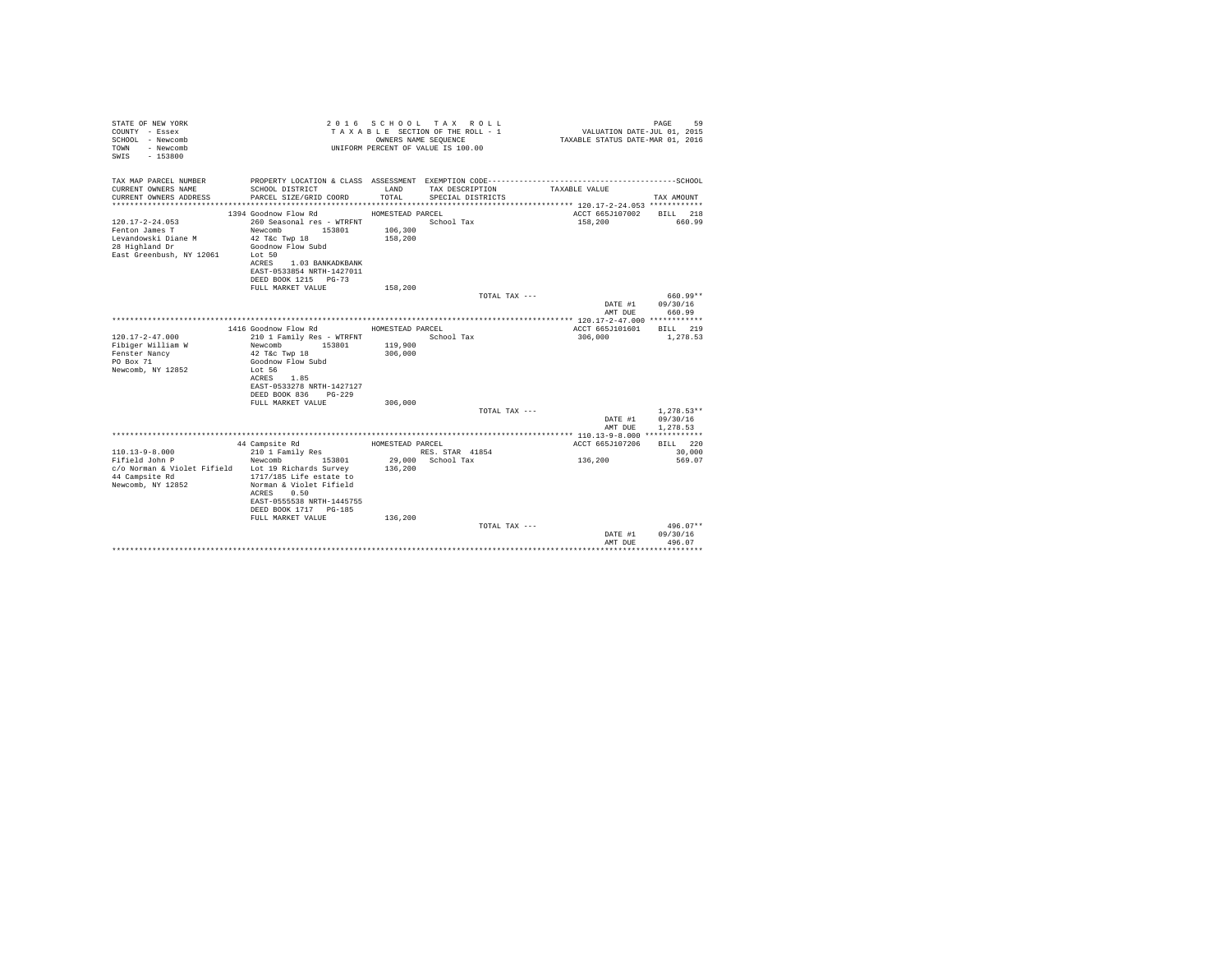| STATE OF NEW YORK<br>COUNTY - Essex<br>SCHOOL - Newcomb<br>- Newcomb<br>TOWN<br>$-153800$<br>SWTS            |                                                                                                                                                                                                    |                                        | 2016 SCHOOL TAX ROLL<br>TAXABLE SECTION OF THE ROLL - 1<br>OWNERS NAME SEQUENCE<br>UNIFORM PERCENT OF VALUE IS 100.00 | VALUATION DATE-JUL 01, 2015<br>TAXABLE STATUS DATE-MAR 01, 2016 | 59<br>PAGE                       |
|--------------------------------------------------------------------------------------------------------------|----------------------------------------------------------------------------------------------------------------------------------------------------------------------------------------------------|----------------------------------------|-----------------------------------------------------------------------------------------------------------------------|-----------------------------------------------------------------|----------------------------------|
| TAX MAP PARCEL NUMBER                                                                                        |                                                                                                                                                                                                    |                                        |                                                                                                                       |                                                                 |                                  |
| CURRENT OWNERS NAME<br>CURRENT OWNERS ADDRESS                                                                | SCHOOL DISTRICT<br>PARCEL SIZE/GRID COORD                                                                                                                                                          | LAND<br>TOTAL.                         | TAX DESCRIPTION<br>SPECIAL DISTRICTS                                                                                  | TAXABLE VALUE                                                   | TAX AMOUNT                       |
|                                                                                                              |                                                                                                                                                                                                    |                                        |                                                                                                                       |                                                                 |                                  |
| $120.17 - 2 - 24.053$<br>Fenton James T<br>Levandowski Diane M<br>28 Highland Dr<br>East Greenbush, NY 12061 | 1394 Goodnow Flow Rd<br>260 Seasonal res - WTRFNT<br>Newcomb 153801<br>42 T&c Twp 18<br>Goodnow Flow Subd<br>Lot 50<br>ACRES 1.03 BANKADKBANK<br>EAST-0533854 NRTH-1427011<br>DEED BOOK 1215 PG-73 | HOMESTEAD PARCEL<br>106,300<br>158,200 | School Tax                                                                                                            | ACCT 665J107002<br>158,200                                      | BILL 218<br>660.99               |
|                                                                                                              | FULL MARKET VALUE                                                                                                                                                                                  | 158,200                                |                                                                                                                       |                                                                 |                                  |
|                                                                                                              |                                                                                                                                                                                                    |                                        | TOTAL TAX ---                                                                                                         | DATE #1                                                         | 660.99**<br>09/30/16             |
|                                                                                                              |                                                                                                                                                                                                    |                                        |                                                                                                                       | AMT DUE                                                         | 660.99                           |
|                                                                                                              |                                                                                                                                                                                                    |                                        |                                                                                                                       |                                                                 |                                  |
|                                                                                                              | 1416 Goodnow Flow Rd                                                                                                                                                                               | HOMESTEAD PARCEL                       |                                                                                                                       | ACCT 665J101601                                                 | BTT.T. 219                       |
| $120.17 - 2 - 47.000$<br>Fibiger William W<br>Fenster Nancy<br>PO Box 71<br>Newcomb, NY 12852                | 210 1 Family Res - WTRFNT<br>Newcomb<br>153801<br>42 T&c Twp 18<br>Goodnow Flow Subd<br>Lot 56<br>ACRES 1.85<br>EAST-0533278 NRTH-1427127                                                          | 119,900<br>306,000                     | School Tax                                                                                                            | 306,000                                                         | 1,278.53                         |
|                                                                                                              | DEED BOOK 836<br>$PG-229$<br>FULL MARKET VALUE                                                                                                                                                     | 306,000                                |                                                                                                                       |                                                                 |                                  |
|                                                                                                              |                                                                                                                                                                                                    |                                        | TOTAL TAX ---                                                                                                         |                                                                 | $1.278.53**$                     |
|                                                                                                              |                                                                                                                                                                                                    |                                        |                                                                                                                       | DATE #1<br>AMT DUE                                              | 09/30/16<br>1,278.53             |
|                                                                                                              |                                                                                                                                                                                                    |                                        |                                                                                                                       |                                                                 |                                  |
| $110.13 - 9 - 8.000$                                                                                         | 44 Campsite Rd<br>210 1 Family Res                                                                                                                                                                 | HOMESTEAD PARCEL                       | RES. STAR 41854                                                                                                       | ACCT 665J107206                                                 | BILL 220<br>30,000               |
| Fifield John P                                                                                               | Newcomb<br>153801                                                                                                                                                                                  |                                        | 29.000 School Tax                                                                                                     | 136,200                                                         | 569.07                           |
| c/o Norman & Violet Fifield Lot 19 Richards Survey<br>44 Campsite Rd<br>Newcomb, NY 12852                    | 1717/185 Life estate to<br>Norman & Violet Fifield<br>0.50<br>ACRES<br>EAST-0555538 NRTH-1445755<br>DEED BOOK 1717 PG-185                                                                          | 136,200                                |                                                                                                                       |                                                                 |                                  |
|                                                                                                              | FULL MARKET VALUE                                                                                                                                                                                  | 136,200                                | TOTAL TAX ---                                                                                                         | DATE #1<br>AMT DUE                                              | $496.07**$<br>09/30/16<br>496.07 |
|                                                                                                              |                                                                                                                                                                                                    |                                        |                                                                                                                       |                                                                 |                                  |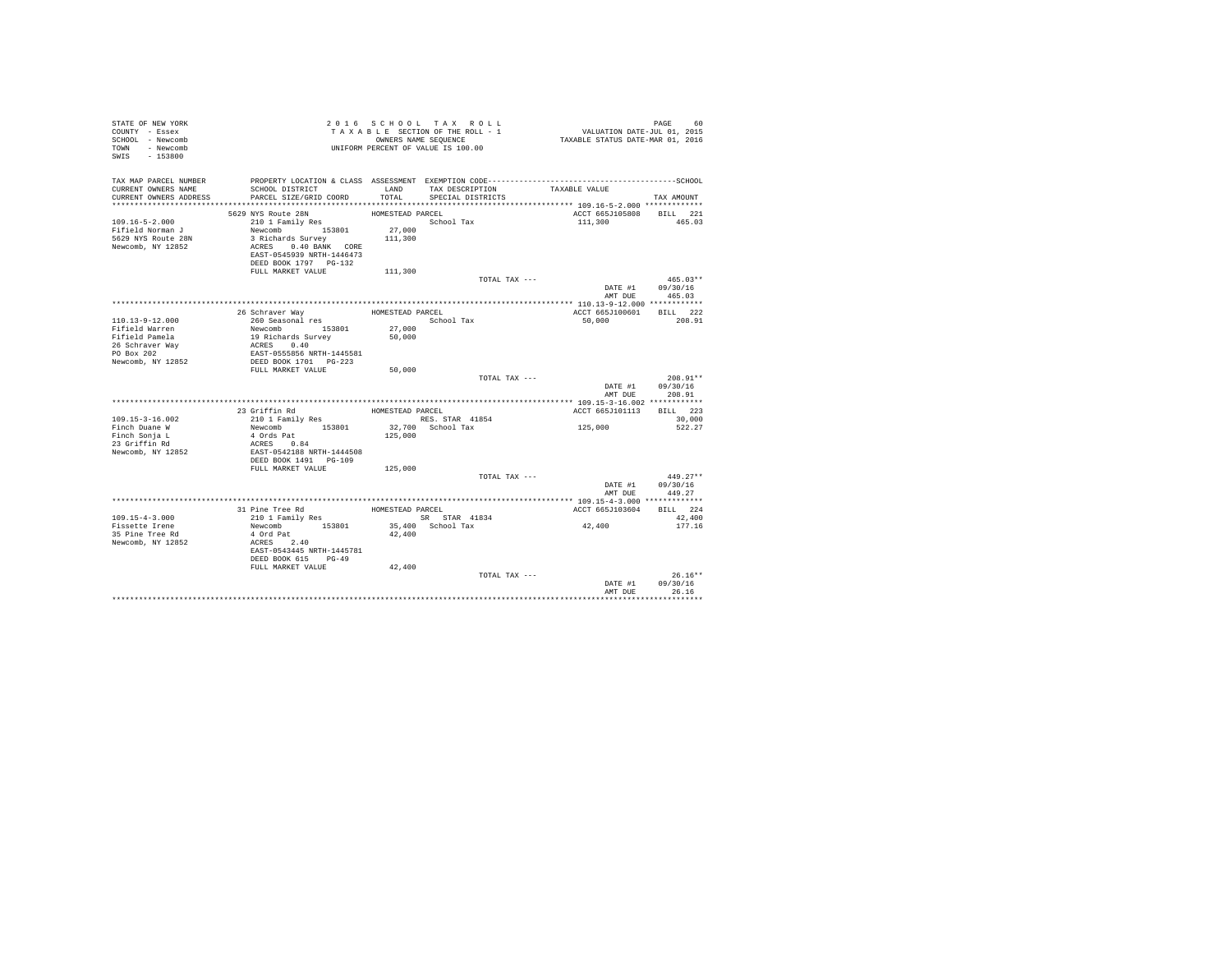| STATE OF NEW YORK<br>COUNTY - Essex<br>SCHOOL - Newcomb<br>TOWN - Newcomb<br>SWIS - 153800 |                                                                                                                                                                                          |                                       | 2016 SCHOOL TAX ROLL<br>TAXABLE SECTION OF THE ROLL - 1<br>OWNERS NAME SEQUENCE<br>UNIFORM PERCENT OF VALUE IS 100.00 | PAGE 60<br>VALUATION DATE-JUL 01, 2015<br>TAXABLE STATUS DATE-MAR 01, 2016 |                                |
|--------------------------------------------------------------------------------------------|------------------------------------------------------------------------------------------------------------------------------------------------------------------------------------------|---------------------------------------|-----------------------------------------------------------------------------------------------------------------------|----------------------------------------------------------------------------|--------------------------------|
| TAX MAP PARCEL NUMBER<br>CURRENT OWNERS NAME<br>CURRENT OWNERS ADDRESS                     | SCHOOL DISTRICT LAND<br>PARCEL SIZE/GRID COORD                                                                                                                                           | TOTAL                                 | TAX DESCRIPTION TAXABLE VALUE<br>SPECIAL DISTRICTS                                                                    |                                                                            | TAX AMOUNT                     |
|                                                                                            |                                                                                                                                                                                          |                                       |                                                                                                                       |                                                                            |                                |
| $109.16 - 5 - 2.000$<br>Fifield Norman J<br>5629 NYS Route 28N<br>Newcomb, NY 12852        | 5629 NYS Route 28N<br>210 1 Family Res<br>Newcomb 153801<br>3 Richards Survey 111,300<br>ACRES 0.40 BANK CORE<br>EAST-0545939 NRTH-1446473<br>DEED BOOK 1797 PG-132<br>FULL MARKET VALUE | HOMESTEAD PARCEL<br>27,000<br>111,300 | School Tax                                                                                                            | ACCT 665J105808 BILL 221<br>111,300                                        | 465.03                         |
|                                                                                            |                                                                                                                                                                                          |                                       | TOTAL TAX ---                                                                                                         |                                                                            | $465.03**$                     |
|                                                                                            |                                                                                                                                                                                          |                                       |                                                                                                                       | DATE #1 09/30/16                                                           | AMT DUE 465.03                 |
|                                                                                            |                                                                                                                                                                                          |                                       |                                                                                                                       |                                                                            |                                |
| 110.13-9-12.000<br>Fifield Warren                                                          |                                                                                                                                                                                          | 27,000                                |                                                                                                                       | ACCT 665J100601 BILL 222<br>50,000                                         | 208.91                         |
| Fifield Pamela<br>26 Schraver Way<br>PO Box 202<br>Newcomb, NY 12852                       | Newcomb<br>153801<br>19 Richards Survey<br>ACRES<br>EAST-0555856 NRTH-1445581<br>DEED BOOK 1701 PG-223<br>FULL MARKET VALUE                                                              | 50,000                                |                                                                                                                       |                                                                            |                                |
|                                                                                            |                                                                                                                                                                                          | 50,000                                | TOTAL TAX ---                                                                                                         | DATE #1 09/30/16                                                           | $208.91**$<br>AMT DUE 208.91   |
|                                                                                            |                                                                                                                                                                                          |                                       |                                                                                                                       |                                                                            |                                |
|                                                                                            | 23 Griffin Rd                                                                                                                                                                            | HOMESTEAD PARCEL                      |                                                                                                                       | ACCT 665J101113 BILL 223                                                   |                                |
| 109.15-3-16.002                                                                            |                                                                                                                                                                                          |                                       | RES. STAR 41854                                                                                                       |                                                                            | 30,000                         |
| Finch Duane W<br>Finch Sonja L<br>23 Griffin Rd                                            | 21011 Family Res<br>Newcomb 153801<br>4 Ords Pat<br>ACRS 0.84<br>EAST-0542188 NRTH-1444508                                                                                               | 125,000                               | 32,700 School Tax                                                                                                     | 125,000                                                                    | 522.27                         |
| Newcomb, NY 12852                                                                          | DEED BOOK 1491    PG-109<br>FULL MARKET VALUE                                                                                                                                            | 125,000                               | TOTAL TAX ---                                                                                                         |                                                                            | $449.27**$                     |
|                                                                                            |                                                                                                                                                                                          |                                       |                                                                                                                       | DATE #1<br>AMT DUE                                                         | 09/30/16<br>449.27             |
|                                                                                            |                                                                                                                                                                                          |                                       |                                                                                                                       |                                                                            |                                |
|                                                                                            | 31 Pine Tree Rd                                                                                                                                                                          | HOMESTEAD PARCEL                      |                                                                                                                       | ACCT 665J103604                                                            | BILL 224                       |
| 109.15-4-3.000<br>Fissette Irene<br>35 Pine Tree Rd<br>Newcomb, NY 12852                   | 210 1 Family Res<br>Newcomb 153801<br>4 Ord Pat<br>ACRES 2.40<br>EAST-0543445 NRTH-1445781<br>DEED BOOK 615 PG-49<br>FULL MARKET VALUE                                                   | 42,400<br>42,400                      | SR STAR 41834<br>35,400 School Tax                                                                                    | 42,400                                                                     | 42,400<br>177.16               |
|                                                                                            |                                                                                                                                                                                          |                                       | TOTAL TAX ---                                                                                                         | DATE #1<br>AMT DUE                                                         | $26.16**$<br>09/30/16<br>26.16 |
|                                                                                            |                                                                                                                                                                                          |                                       |                                                                                                                       |                                                                            |                                |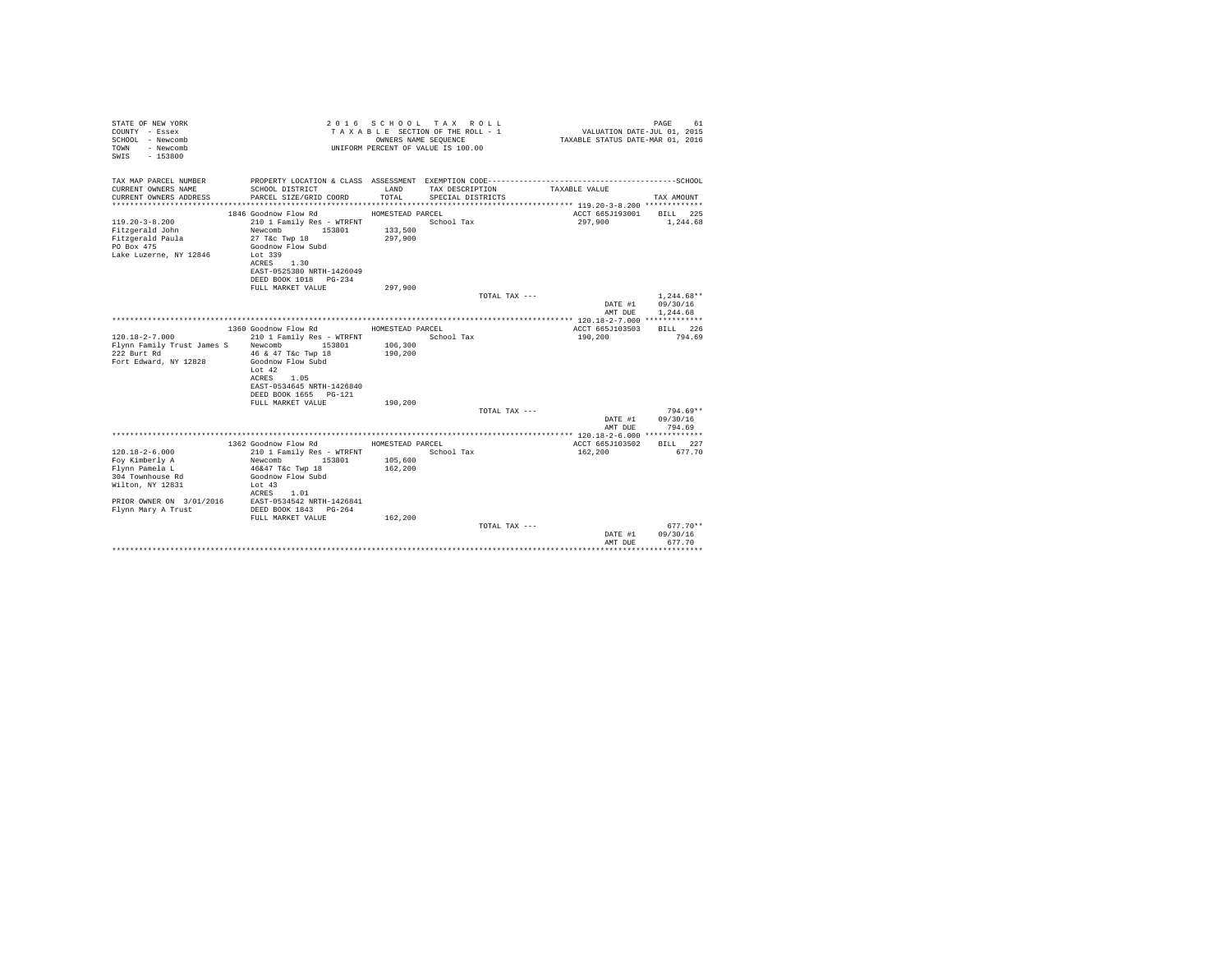| STATE OF NEW YORK<br>COUNTY - Essex<br>SCHOOL - Newcomb<br>- Newcomb<br>TOWN<br>$-153800$<br>SWTS |                                                   |                    | 2016 SCHOOL TAX ROLL<br>TAXABLE SECTION OF THE ROLL - 1<br>OWNERS NAME SEQUENCE<br>UNIFORM PERCENT OF VALUE IS 100.00 | VALUATION DATE-JUL 01, 2015<br>TAXABLE STATUS DATE-MAR 01, 2016 | PAGE<br>61         |
|---------------------------------------------------------------------------------------------------|---------------------------------------------------|--------------------|-----------------------------------------------------------------------------------------------------------------------|-----------------------------------------------------------------|--------------------|
| TAX MAP PARCEL NUMBER                                                                             |                                                   |                    |                                                                                                                       |                                                                 |                    |
| CURRENT OWNERS NAME<br>CURRENT OWNERS ADDRESS                                                     | SCHOOL DISTRICT<br>PARCEL SIZE/GRID COORD         | LAND<br>TOTAL.     | TAX DESCRIPTION<br>SPECIAL DISTRICTS                                                                                  | TAXABLE VALUE                                                   | TAX AMOUNT         |
|                                                                                                   |                                                   |                    |                                                                                                                       |                                                                 |                    |
|                                                                                                   | 1846 Goodnow Flow Rd                              | HOMESTEAD PARCEL   |                                                                                                                       | ACCT 665J193001                                                 | BILL 225           |
| $119.20 - 3 - 8.200$                                                                              | 210 1 Family Res - WTRFNT                         |                    | School Tax                                                                                                            | 297,900                                                         | 1,244.68           |
| Fitzgerald John                                                                                   | Newcomb<br>153801                                 | 133,500            |                                                                                                                       |                                                                 |                    |
| Fitzgerald Paula<br>PO Box 475                                                                    | 27 T&c Twp 18<br>Goodnow Flow Subd                | 297,900            |                                                                                                                       |                                                                 |                    |
| Lake Luzerne, NY 12846                                                                            | Lot 339                                           |                    |                                                                                                                       |                                                                 |                    |
|                                                                                                   | ACRES 1.30                                        |                    |                                                                                                                       |                                                                 |                    |
|                                                                                                   | EAST-0525380 NRTH-1426049                         |                    |                                                                                                                       |                                                                 |                    |
|                                                                                                   | DEED BOOK 1018 PG-234                             |                    |                                                                                                                       |                                                                 |                    |
|                                                                                                   | FULL MARKET VALUE                                 | 297.900            | TOTAL TAX ---                                                                                                         |                                                                 | $1.244.68**$       |
|                                                                                                   |                                                   |                    |                                                                                                                       | DATE #1                                                         | 09/30/16           |
|                                                                                                   |                                                   |                    |                                                                                                                       | AMT DUE                                                         | 1.244.68           |
|                                                                                                   |                                                   |                    |                                                                                                                       |                                                                 |                    |
| $120.18 - 2 - 7.000$                                                                              | 1360 Goodnow Flow Rd<br>210 1 Family Res - WTRFNT | HOMESTEAD PARCEL   | School Tax                                                                                                            | ACCT 665J103503<br>190,200                                      | RTLL 226<br>794.69 |
| Flynn Family Trust James S Newcomb                                                                | 153801                                            | 106,300            |                                                                                                                       |                                                                 |                    |
| 222 Burt Rd                                                                                       | 46 & 47 T&c Twp 18                                | 190,200            |                                                                                                                       |                                                                 |                    |
| Fort Edward, NY 12828                                                                             | Goodnow Flow Subd                                 |                    |                                                                                                                       |                                                                 |                    |
|                                                                                                   | Lot $42$<br>ACRES 1.05                            |                    |                                                                                                                       |                                                                 |                    |
|                                                                                                   | EAST-0534645 NRTH-1426840                         |                    |                                                                                                                       |                                                                 |                    |
|                                                                                                   | DEED BOOK 1655 PG-121                             |                    |                                                                                                                       |                                                                 |                    |
|                                                                                                   | FULL MARKET VALUE                                 | 190,200            |                                                                                                                       |                                                                 |                    |
|                                                                                                   |                                                   |                    | TOTAL TAX ---                                                                                                         |                                                                 | $794.69**$         |
|                                                                                                   |                                                   |                    |                                                                                                                       | DATE #1<br>AMT DUE                                              | 09/30/16<br>794.69 |
|                                                                                                   |                                                   |                    |                                                                                                                       |                                                                 |                    |
|                                                                                                   | 1362 Goodnow Flow Rd                              | HOMESTEAD PARCEL   |                                                                                                                       | ACCT 665J103502                                                 | BILL 227           |
| $120.18 - 2 - 6.000$                                                                              | 210 1 Family Res - WTRFNT                         |                    | School Tax                                                                                                            | 162,200                                                         | 677.70             |
| Foy Kimberly A                                                                                    | 153801<br>Newcomb                                 | 105,600<br>162,200 |                                                                                                                       |                                                                 |                    |
| Flynn Pamela L<br>304 Townhouse Rd                                                                | 46&47 T&c Twp 18<br>Goodnow Flow Subd             |                    |                                                                                                                       |                                                                 |                    |
| Wilton, NY 12831                                                                                  | Lot $43$                                          |                    |                                                                                                                       |                                                                 |                    |
|                                                                                                   | ACRES 1.01                                        |                    |                                                                                                                       |                                                                 |                    |
| PRIOR OWNER ON 3/01/2016                                                                          | EAST-0534542 NRTH-1426841                         |                    |                                                                                                                       |                                                                 |                    |
| Flynn Mary A Trust                                                                                | DEED BOOK 1843 PG-264<br>FULL MARKET VALUE        | 162,200            |                                                                                                                       |                                                                 |                    |
|                                                                                                   |                                                   |                    | TOTAL TAX ---                                                                                                         |                                                                 | $677.70**$         |
|                                                                                                   |                                                   |                    |                                                                                                                       | DATE #1                                                         | 09/30/16           |
|                                                                                                   |                                                   |                    |                                                                                                                       | AMT DUE                                                         | 677.70             |
|                                                                                                   |                                                   |                    |                                                                                                                       |                                                                 |                    |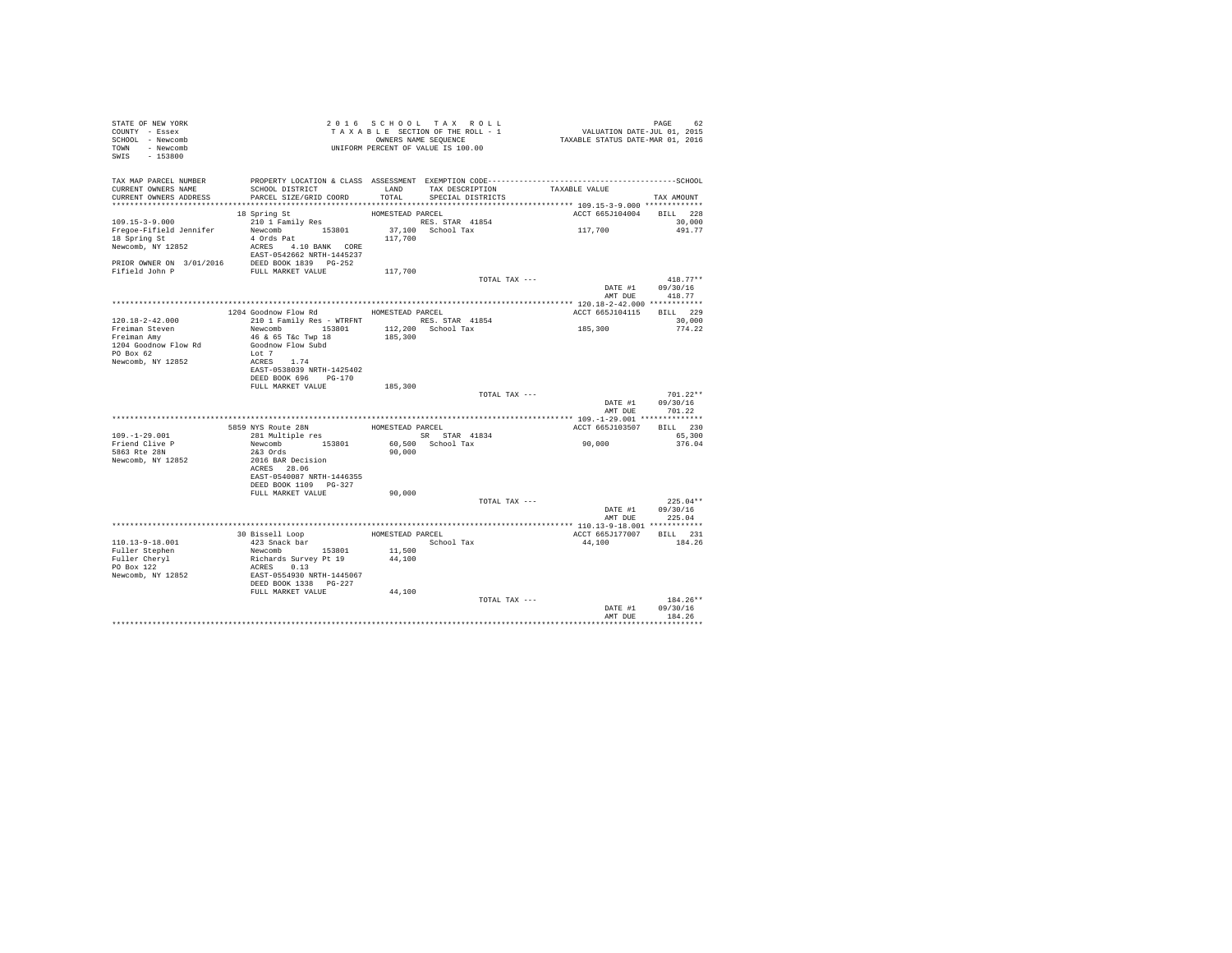| STATE OF NEW YORK<br>COUNTY - Essex<br>SCHOOL - Newcomb<br>TOWN - Newcomb<br>SWIS - 153800                                   |                                                                                                                                                                     |                                        | 2016 SCHOOL TAX ROLL<br>TAXABLE SECTION OF THE ROLL - 1<br>OWNERS NAME SEOUENCE<br>UNIFORM PERCENT OF VALUE IS 100.00 |               | VALUATION DATE-JUL 01, 2015<br>TAXABLE STATUS DATE-MAR 01, 2016 | PAGE<br>62                       |  |
|------------------------------------------------------------------------------------------------------------------------------|---------------------------------------------------------------------------------------------------------------------------------------------------------------------|----------------------------------------|-----------------------------------------------------------------------------------------------------------------------|---------------|-----------------------------------------------------------------|----------------------------------|--|
| TAX MAP PARCEL NUMBER<br>CURRENT OWNERS NAME<br>CURRENT OWNERS ADDRESS                                                       | SCHOOL DISTRICT<br>PARCEL SIZE/GRID COORD                                                                                                                           | LAND<br>TOTAL                          | TAX DESCRIPTION<br>SPECIAL DISTRICTS                                                                                  |               | TAXABLE VALUE                                                   | TAX AMOUNT                       |  |
| 109.15-3-9.000<br>Freqoe-Fifield Jennifer<br>18 Spring St<br>Newcomb, NY 12852<br>PRIOR OWNER ON 3/01/2016<br>Fifield John P | 18 Spring St<br>210 1 Family Res<br>Newcomb 153801<br>4 Ords Pat<br>ACRES 4.10 BANK CORE<br>EAST-0542662 NRTH-1445237<br>DEED BOOK 1839 PG-252<br>FULL MARKET VALUE | HOMESTEAD PARCEL<br>117,700<br>117,700 | RES. STAR 41854<br>37,100 School Tax                                                                                  |               | ACCT 665J104004<br>117,700                                      | BILL 228<br>30,000<br>491.77     |  |
|                                                                                                                              |                                                                                                                                                                     |                                        |                                                                                                                       | TOTAL TAX --- | DATE #1<br>AMT DUE                                              | $418.77**$<br>09/30/16<br>418.77 |  |
|                                                                                                                              |                                                                                                                                                                     |                                        |                                                                                                                       |               |                                                                 |                                  |  |
|                                                                                                                              | 1204 Goodnow Flow Rd MOMESTEAD PARCEL                                                                                                                               |                                        |                                                                                                                       |               | ACCT 665J104115                                                 | BILL 229                         |  |
| $120.18 - 2 - 42.000$<br>Freiman Steven<br>Freiman Amv                                                                       | 210 1 Family Res - WTRFNT<br>153801<br>Newcomb<br>46 & 65 T&c Twp 18                                                                                                | 185,300                                | RES. STAR 41854<br>$112.200$ School Tax                                                                               |               | 185,300                                                         | 30,000<br>774.22                 |  |
| 1204 Goodnow Flow Rd<br>PO Box 62<br>Newcomb, NY 12852                                                                       | Goodnow Flow Subd<br>Lot 7<br>ACRES 1.74                                                                                                                            |                                        |                                                                                                                       |               |                                                                 |                                  |  |
|                                                                                                                              | EAST-0538039 NRTH-1425402<br>DEED BOOK 696 PG-170<br>FULL MARKET VALUE                                                                                              | 185,300                                |                                                                                                                       |               |                                                                 |                                  |  |
|                                                                                                                              |                                                                                                                                                                     |                                        |                                                                                                                       | TOTAL TAX --- | DATE #1<br>AMT DUE                                              | $701.22**$<br>09/30/16<br>701.22 |  |
|                                                                                                                              |                                                                                                                                                                     |                                        |                                                                                                                       |               |                                                                 |                                  |  |
|                                                                                                                              | 5859 NYS Route 28N                                                                                                                                                  | HOMESTEAD PARCEL                       |                                                                                                                       |               | ACCT 665J103507                                                 | BILL 230                         |  |
| $109 - 1 - 29.001$                                                                                                           | 281 Multiple res                                                                                                                                                    |                                        | SR STAR 41834                                                                                                         |               |                                                                 | 65,300                           |  |
| Friend Clive P                                                                                                               | Newcomb 153801                                                                                                                                                      |                                        | 60.500 School Tax                                                                                                     |               | 90.000                                                          | 376.04                           |  |
| 5863 Rte 28N<br>Newcomb, NY 12852                                                                                            | $2&3$ Ords<br>2016 BAR Decision<br>ACRES 28.06<br>EAST-0540087 NRTH-1446355<br>DEED BOOK 1109 PG-327                                                                | 90,000                                 |                                                                                                                       |               |                                                                 |                                  |  |
|                                                                                                                              | FULL MARKET VALUE                                                                                                                                                   | 90,000                                 |                                                                                                                       |               |                                                                 |                                  |  |
|                                                                                                                              |                                                                                                                                                                     |                                        |                                                                                                                       | TOTAL TAX --- | DATE #1<br>AMT DUE                                              | $225.04**$<br>09/30/16<br>225.04 |  |
|                                                                                                                              |                                                                                                                                                                     |                                        |                                                                                                                       |               |                                                                 |                                  |  |
|                                                                                                                              | 30 Bissell Loop                                                                                                                                                     | HOMESTEAD PARCEL                       |                                                                                                                       |               | ACCT 665J177007                                                 | BILL 231                         |  |
| $110.13 - 9 - 18.001$                                                                                                        | 423 Snack bar                                                                                                                                                       |                                        | School Tax                                                                                                            |               | 44,100                                                          | 184.26                           |  |
| Fuller Stephen                                                                                                               | Newcomb 153801                                                                                                                                                      | 11,500                                 |                                                                                                                       |               |                                                                 |                                  |  |
| Fuller Cheryl                                                                                                                | Richards Survey Pt 19                                                                                                                                               | 44,100                                 |                                                                                                                       |               |                                                                 |                                  |  |
| PO Box 122                                                                                                                   | ACRES 0.13                                                                                                                                                          |                                        |                                                                                                                       |               |                                                                 |                                  |  |
| Newcomb, NY 12852                                                                                                            | EAST-0554930 NRTH-1445067<br>DEED BOOK 1338 PG-227<br>FULL MARKET VALUE                                                                                             | 44,100                                 |                                                                                                                       |               |                                                                 |                                  |  |
|                                                                                                                              |                                                                                                                                                                     |                                        |                                                                                                                       | TOTAL TAX --- |                                                                 | $184.26**$                       |  |
|                                                                                                                              |                                                                                                                                                                     |                                        |                                                                                                                       |               | DATE #1<br>AMT DUE                                              | 09/30/16<br>184.26               |  |
|                                                                                                                              |                                                                                                                                                                     |                                        |                                                                                                                       |               |                                                                 |                                  |  |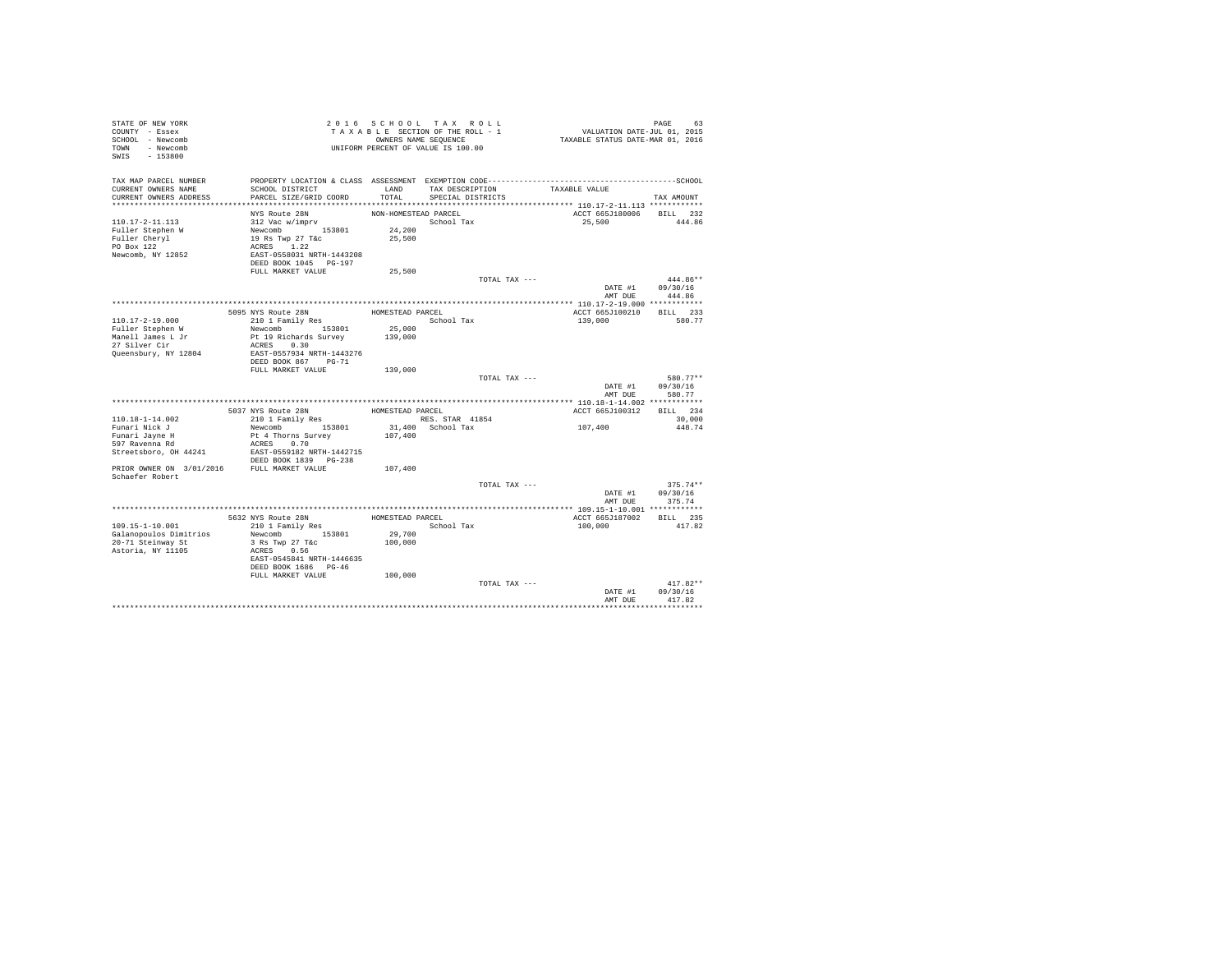| STATE OF NEW YORK<br>COUNTY - Essex<br>SCHOOL - Newcomb<br>TOWN - Newcomb<br>SWIS - 153800 |                                                                           |                      | 2016 SCHOOL TAX ROLL<br>TAXABLE SECTION OF THE ROLL - 1<br>OWNERS NAME SEQUENCE<br>UNIFORM PERCENT OF VALUE IS 100.00 | PAGE 63<br>VALUATION DATE-JUL 01, 2015<br>TAXABLE STATUS DATE-MAR 01, 2016 |                      |
|--------------------------------------------------------------------------------------------|---------------------------------------------------------------------------|----------------------|-----------------------------------------------------------------------------------------------------------------------|----------------------------------------------------------------------------|----------------------|
| TAX MAP PARCEL NUMBER                                                                      |                                                                           |                      |                                                                                                                       |                                                                            |                      |
| CURRENT OWNERS NAME<br>CURRENT OWNERS ADDRESS                                              | SCHOOL DISTRICT<br>PARCEL SIZE/GRID COORD                                 | TOTAL                | LAND TAX DESCRIPTION<br>SPECIAL DISTRICTS                                                                             | TAXABLE VALUE                                                              | TAX AMOUNT           |
|                                                                                            |                                                                           |                      |                                                                                                                       |                                                                            |                      |
|                                                                                            | NYS Route 28N                                                             | NON-HOMESTEAD PARCEL |                                                                                                                       | ACCT 665J180006 BILL 232                                                   |                      |
| 110.17-2-11.113                                                                            |                                                                           |                      | School Tax                                                                                                            | 25,500                                                                     | 444.86               |
| Fuller Stephen W                                                                           |                                                                           | 24,200               |                                                                                                                       |                                                                            |                      |
| Fuller Cheryl                                                                              | $312$ Vac w/imprv<br>Newcomb<br>19 Rs Twp 27 T&C<br>$\Delta P$ Twp 27 T&C | 25,500               |                                                                                                                       |                                                                            |                      |
| PO Box 122                                                                                 | ACRES 1.22                                                                |                      |                                                                                                                       |                                                                            |                      |
| Newcomb, NY 12852                                                                          | EAST-0558031 NRTH-1443208<br>DEED BOOK 1045 PG-197                        |                      |                                                                                                                       |                                                                            |                      |
|                                                                                            | FULL MARKET VALUE                                                         | 25,500               |                                                                                                                       |                                                                            |                      |
|                                                                                            |                                                                           |                      | TOTAL TAX ---                                                                                                         |                                                                            | 444.86**             |
|                                                                                            |                                                                           |                      |                                                                                                                       | DATE #1                                                                    | 09/30/16             |
|                                                                                            |                                                                           |                      |                                                                                                                       | AMT DUE                                                                    | 444.86               |
|                                                                                            |                                                                           |                      |                                                                                                                       |                                                                            |                      |
|                                                                                            | 5095 NYS Route 28N                                                        | HOMESTEAD PARCEL     |                                                                                                                       | ACCT 665J100210                                                            | BILL 233             |
| 110.17-2-19.000<br>Fuller Stephen W                                                        | $210$ 1 Family Res<br>Newcomb 153801                                      | 25,000               | School Tax                                                                                                            | 139,000                                                                    | 580.77               |
|                                                                                            | Pt 19 Richards Survey                                                     | 139,000              |                                                                                                                       |                                                                            |                      |
| Manell James L Jr<br>27 Silver Cir                                                         | ACRES 0.30                                                                |                      |                                                                                                                       |                                                                            |                      |
| Queensbury, NY 12804                                                                       | EAST-0557934 NRTH-1443276                                                 |                      |                                                                                                                       |                                                                            |                      |
|                                                                                            | DEED BOOK 867 PG-71                                                       |                      |                                                                                                                       |                                                                            |                      |
|                                                                                            | FULL MARKET VALUE                                                         | 139,000              |                                                                                                                       |                                                                            |                      |
|                                                                                            |                                                                           |                      | TOTAL TAX ---                                                                                                         | DATE #1                                                                    | 580.77**<br>09/30/16 |
|                                                                                            |                                                                           |                      |                                                                                                                       | AMT DUE                                                                    | 580.77               |
|                                                                                            |                                                                           |                      |                                                                                                                       |                                                                            |                      |
|                                                                                            | 5037 NYS Route 28N<br>210 1 Family Res                                    | HOMESTEAD PARCEL     |                                                                                                                       | ACCT 665J100312 BILL 234                                                   |                      |
| $110.18 - 1 - 14.002$                                                                      |                                                                           |                      | RES. STAR 41854                                                                                                       |                                                                            | 30,000               |
| Funari Nick J                                                                              | Newcomb 153801                                                            |                      | 31,400 School Tax                                                                                                     | 107,400                                                                    | 448.74               |
| Funari Jayne H<br>$597$ Ravenna Rd                                                         | Pt 4 Thorns Survey<br>ACRES 0.70                                          | 107,400              |                                                                                                                       |                                                                            |                      |
| Streetsboro, OH 44241                                                                      | EAST-0559182 NRTH-1442715                                                 |                      |                                                                                                                       |                                                                            |                      |
|                                                                                            | DEED BOOK 1839 PG-238                                                     |                      |                                                                                                                       |                                                                            |                      |
| PRIOR OWNER ON 3/01/2016 FULL MARKET VALUE                                                 |                                                                           | 107,400              |                                                                                                                       |                                                                            |                      |
| Schaefer Robert                                                                            |                                                                           |                      |                                                                                                                       |                                                                            |                      |
|                                                                                            |                                                                           |                      | TOTAL TAX ---                                                                                                         |                                                                            | $375.74**$           |
|                                                                                            |                                                                           |                      |                                                                                                                       | DATE #1<br>AMT DUE                                                         | 09/30/16<br>375.74   |
|                                                                                            |                                                                           |                      |                                                                                                                       |                                                                            |                      |
|                                                                                            | 5632 NYS Route 28N                                                        | HOMESTEAD PARCEL     |                                                                                                                       | ACCT 665J187002                                                            | BILL 235             |
| 109.15-1-10.001                                                                            | 210 1 Family Res                                                          |                      | School Tax                                                                                                            | 100,000                                                                    | 417.82               |
| Galanopoulos Dimitrios                                                                     | Newcomb 153801                                                            | 29,700               |                                                                                                                       |                                                                            |                      |
| 20-71 Steinway St                                                                          | 3 Rs Twp 27 T&c                                                           | 100,000              |                                                                                                                       |                                                                            |                      |
| Astoria, NY 11105                                                                          | ACRES 0.56                                                                |                      |                                                                                                                       |                                                                            |                      |
|                                                                                            | EAST-0545841 NRTH-1446635<br>DEED BOOK 1686 PG-46                         |                      |                                                                                                                       |                                                                            |                      |
|                                                                                            | FULL MARKET VALUE                                                         | 100,000              |                                                                                                                       |                                                                            |                      |
|                                                                                            |                                                                           |                      | TOTAL TAX ---                                                                                                         |                                                                            | $417.82**$           |
|                                                                                            |                                                                           |                      |                                                                                                                       | DATE #1                                                                    | 09/30/16             |
|                                                                                            |                                                                           |                      |                                                                                                                       | AMT DUE                                                                    | 417.82               |
|                                                                                            |                                                                           |                      |                                                                                                                       |                                                                            |                      |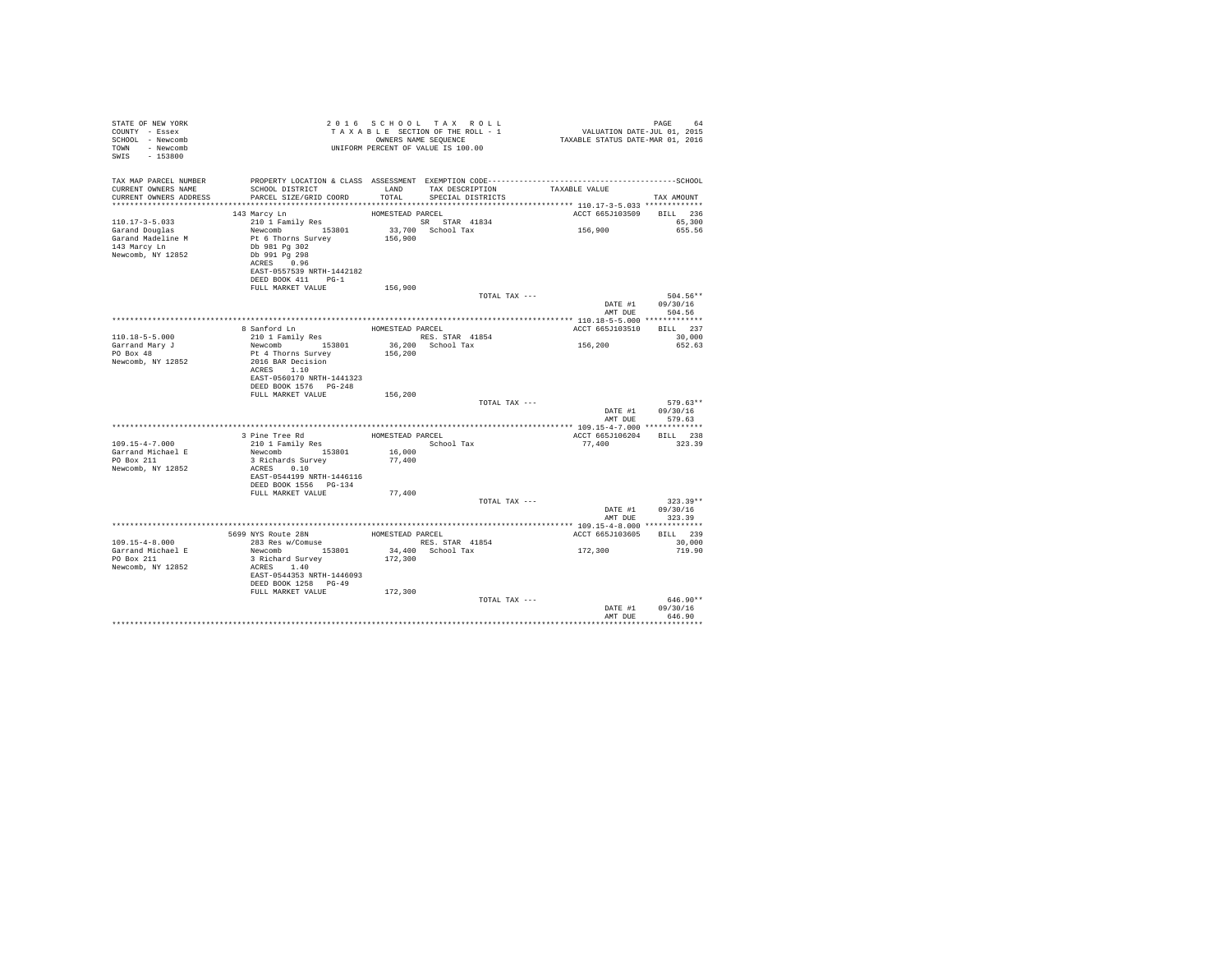| STATE OF NEW YORK<br>COUNTY - Essex<br>SCHOOL - Newcomb<br>- Newcomb<br>TOWN<br>$SWTS = 153800$      |                                                                                                                                       |                  | 2016 SCHOOL TAX ROLL<br>TAXABLE SECTION OF THE ROLL - 1<br>OWNERS NAME SEQUENCE<br>UNIFORM PERCENT OF VALUE IS 100.00                      | 94 FAGE<br>VALUATION DATE-JUL 01, 2015<br>TAXABLE STATUS DATE-MAR 01, 2016 | PAGE<br>64                             |
|------------------------------------------------------------------------------------------------------|---------------------------------------------------------------------------------------------------------------------------------------|------------------|--------------------------------------------------------------------------------------------------------------------------------------------|----------------------------------------------------------------------------|----------------------------------------|
| TAX MAP PARCEL NUMBER<br>CURRENT OWNERS NAME<br>CURRENT OWNERS ADDRESS<br>************************** | SCHOOL DISTRICT<br>PARCEL SIZE/GRID COORD                                                                                             | <b>T.AND</b>     | PROPERTY LOCATION & CLASS ASSESSMENT EXEMPTION CODE-----------------------------------SCHOOL<br>TAX DESCRIPTION<br>TOTAL SPECIAL DISTRICTS | TAXABLE VALUE                                                              | TAX AMOUNT                             |
|                                                                                                      | 143 Marcy Ln                                                                                                                          | HOMESTEAD PARCEL |                                                                                                                                            | ACCT 665J103509 BILL 236                                                   |                                        |
| $110.17 - 3 - 5.033$<br>Garand Douglas<br>Garand Madeline M<br>143 Marcy Ln<br>Newcomb, NY 12852     | 210 1 Family Res<br>Newcomb 153801<br>Pt 6 Thorns Survey<br>Db 981 Pa 302<br>Db 991 Pg 298<br>ACRES 0.96<br>EAST-0557539 NRTH-1442182 | 156,900          | SR STAR 41834<br>33,700 School Tax                                                                                                         | 156,900                                                                    | 65,300<br>655.56                       |
|                                                                                                      | DEED BOOK 411 PG-1<br>FULL MARKET VALUE                                                                                               | 156,900          |                                                                                                                                            |                                                                            |                                        |
|                                                                                                      |                                                                                                                                       |                  | TOTAL TAX ---                                                                                                                              | AMT DUE                                                                    | 504.56**<br>DATE #1 09/30/16<br>504.56 |
|                                                                                                      |                                                                                                                                       |                  |                                                                                                                                            |                                                                            |                                        |
| $110.18 - 5 - 5.000$                                                                                 | 8 Sanford Ln<br>210 1 Family Res                                                                                                      | HOMESTEAD PARCEL | RES. STAR 41854                                                                                                                            | ACCT 665J103510                                                            | BILL 237<br>30,000                     |
| Garrand Mary J<br>PO Box 48<br>Newcomb, NY 12852                                                     | Newcomb 153801<br>Pt 4 Thorns Survey<br>2016 BAR Decision<br>ACRES 1.10                                                               | 156,200          | 36,200 School Tax                                                                                                                          | 156,200                                                                    | 652.63                                 |
|                                                                                                      | EAST-0560170 NRTH-1441323<br>DEED BOOK 1576    PG-248<br>FULL MARKET VALUE                                                            | 156,200          |                                                                                                                                            |                                                                            |                                        |
|                                                                                                      |                                                                                                                                       |                  | TOTAL TAX ---                                                                                                                              | DATE #1<br>AMT DUE                                                         | $579.63**$<br>09/30/16<br>579.63       |
|                                                                                                      |                                                                                                                                       |                  |                                                                                                                                            |                                                                            |                                        |
| $109.15 - 4 - 7.000$                                                                                 | 3 Pine Tree Rd<br>210 1 Family Res                                                                                                    | HOMESTEAD PARCEL | School Tax                                                                                                                                 | ACCT 665J106204<br>77,400                                                  | BILL 238<br>323.39                     |
| Garrand Michael E<br>PO Box 211<br>Newcomb, NY 12852                                                 | Newcomb 153801<br>3 Richards Survey<br>ACRES 0.10<br>EAST-0544199 NRTH-1446116<br>DEED BOOK 1556 PG-134                               | 16,000<br>77,400 |                                                                                                                                            |                                                                            |                                        |
|                                                                                                      | FULL MARKET VALUE                                                                                                                     | 77,400           |                                                                                                                                            |                                                                            |                                        |
|                                                                                                      |                                                                                                                                       |                  | TOTAL TAX ---                                                                                                                              | DATE #1<br>AMT DUE                                                         | $323.39**$<br>09/30/16<br>323.39       |
|                                                                                                      |                                                                                                                                       |                  |                                                                                                                                            |                                                                            |                                        |
| $109.15 - 4 - 8.000$                                                                                 | 5699 NYS Route 28N<br>283 Res w/Comuse                                                                                                | HOMESTEAD PARCEL | RES. STAR 41854                                                                                                                            | ACCT 665J103605                                                            | BILL 239<br>30,000                     |
| Garrand Michael E<br>PO Box 211<br>Newcomb, NY 12852                                                 | Newcomb 153801<br>3 Richard Survey<br>ACRES 1.40<br>EAST-0544353 NRTH-1446093<br>DEED BOOK 1258 PG-49                                 | 172,300          | 34,400 School Tax                                                                                                                          | 172,300                                                                    | 719.90                                 |
|                                                                                                      | FULL MARKET VALUE                                                                                                                     | 172,300          |                                                                                                                                            |                                                                            |                                        |
|                                                                                                      |                                                                                                                                       |                  | TOTAL TAX ---                                                                                                                              | DATE #1<br>AMT DUE                                                         | $646.90**$<br>09/30/16<br>646.90       |
|                                                                                                      |                                                                                                                                       |                  |                                                                                                                                            |                                                                            |                                        |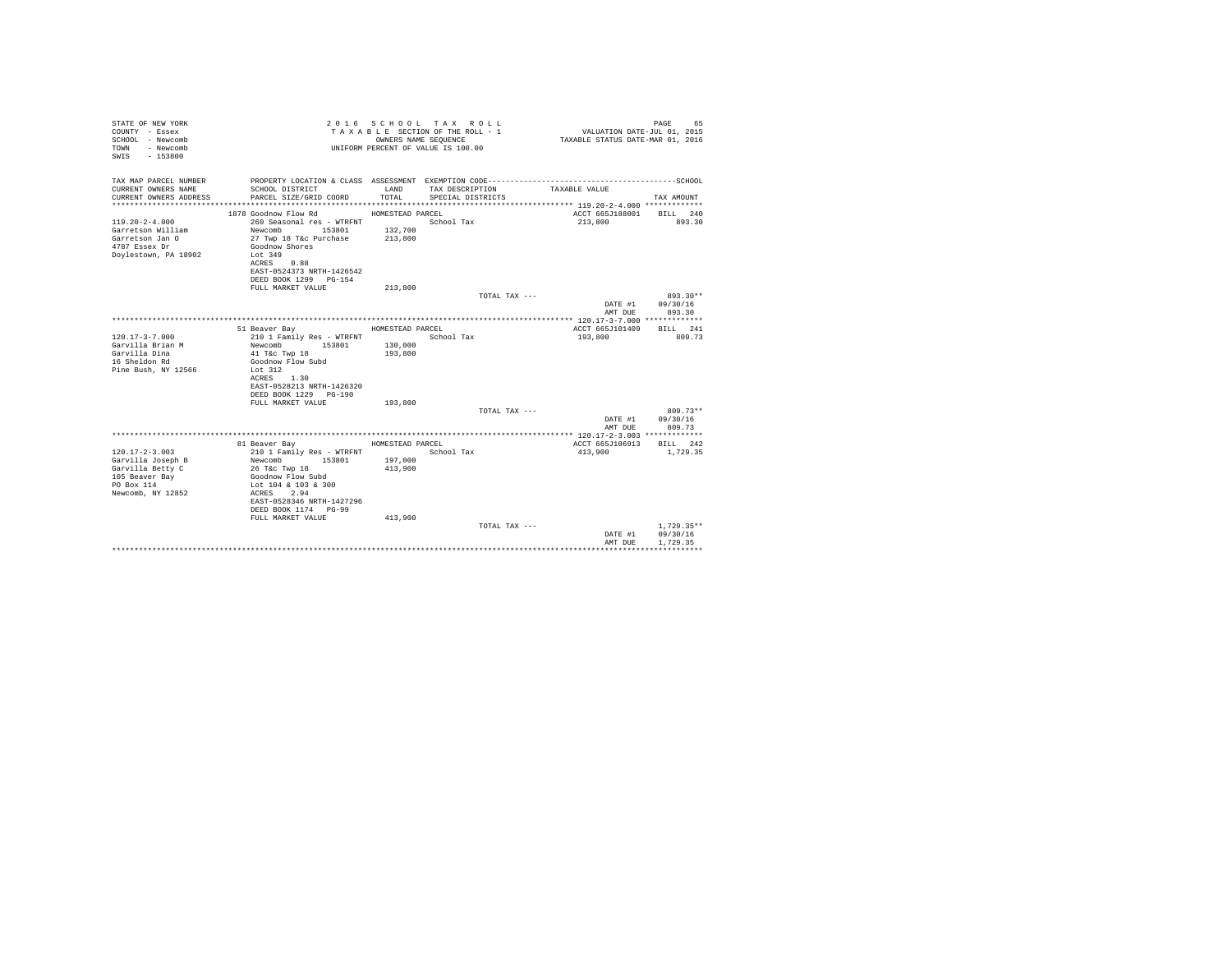| PROPERTY LOCATION & CLASS ASSESSMENT EXEMPTION CODE-----------------------------------SCHOOL<br>CURRENT OWNERS NAME<br>LAND<br>TAX DESCRIPTION<br>SCHOOL DISTRICT<br>TAXABLE VALUE<br>TOTAL<br>PARCEL SIZE/GRID COORD<br>SPECIAL DISTRICTS<br>TAX AMOUNT<br>HOMESTEAD PARCEL<br>ACCT 665J188001<br>1878 Goodnow Flow Rd<br>BILL 240<br>$119.20 - 2 - 4.000$<br>260 Seasonal res - WTRFNT<br>School Tax<br>213,800<br>893.30<br>132,700<br>Garretson William<br>Newcomb<br>153801<br>213,800<br>27 Twp 18 T&c Purchase<br>Goodnow Shores<br>Lot 349<br>ACRES<br>0.88<br>EAST-0524373 NRTH-1426542<br>DEED BOOK 1299 PG-154<br>FULL MARKET VALUE<br>213,800<br>893.30**<br>TOTAL TAX ---<br>09/30/16<br>DATE #1<br>AMT DUE<br>893.30<br>51 Beaver Bay<br>HOMESTEAD PARCEL<br>ACCT 665J101409<br>BILL 241<br>210 1 Family Res - WTRFNT<br>School Tax<br>193,800<br>809.73<br>Garvilla Brian M<br>Newcomb<br>153801<br>130,000<br>Garvilla Dina<br>193,800<br>41 T&c Twp 18<br>16 Sheldon Rd<br>Goodnow Flow Subd<br>Pine Bush, NY 12566<br>Lot 312<br>ACRES 1.30<br>EAST-0528213 NRTH-1426320<br>DEED BOOK 1229 PG-190<br>FULL MARKET VALUE<br>193,800<br>$809.73**$<br>TOTAL TAX ---<br>09/30/16<br>DATE #1<br>AMT DUE<br>809.73<br>81 Beaver Bay<br>HOMESTEAD PARCEL<br>ACCT 665J106913<br>BILL 242<br>$120.17 - 2 - 3.003$<br>210 1 Family Res - WTRFNT<br>School Tax<br>413,900<br>1,729.35<br>197,000<br>Garvilla Joseph B<br>Newcomb<br>153801<br>413,900<br>26 T&c Twp 18<br>Goodnow Flow Subd<br>Lot 104 & 103 & 300<br>2.94<br>ACRES<br>EAST-0528346 NRTH-1427296<br>DEED BOOK 1174 PG-99<br>FULL MARKET VALUE<br>413,900<br>$1.729.35**$<br>TOTAL TAX ---<br>09/30/16<br>DATE #1<br>1.729.35<br>AMT DUE | STATE OF NEW YORK<br>COUNTY - Essex<br>SCHOOL - Newcomb<br>- Newcomb<br><b>TOWN</b><br>$-153800$<br>SWIS |  | 2016 SCHOOL TAX ROLL<br>TAXABLE SECTION OF THE ROLL - 1<br>OWNERS NAME SEQUENCE<br>UNIFORM PERCENT OF VALUE IS 100.00 | VALUATION DATE-JUL 01, 2015<br>TAXABLE STATUS DATE-MAR 01, 2016 | PAGE<br>65 |
|----------------------------------------------------------------------------------------------------------------------------------------------------------------------------------------------------------------------------------------------------------------------------------------------------------------------------------------------------------------------------------------------------------------------------------------------------------------------------------------------------------------------------------------------------------------------------------------------------------------------------------------------------------------------------------------------------------------------------------------------------------------------------------------------------------------------------------------------------------------------------------------------------------------------------------------------------------------------------------------------------------------------------------------------------------------------------------------------------------------------------------------------------------------------------------------------------------------------------------------------------------------------------------------------------------------------------------------------------------------------------------------------------------------------------------------------------------------------------------------------------------------------------------------------------------------------------------------------------------------------------------------------------------------------------------------------------------------|----------------------------------------------------------------------------------------------------------|--|-----------------------------------------------------------------------------------------------------------------------|-----------------------------------------------------------------|------------|
|                                                                                                                                                                                                                                                                                                                                                                                                                                                                                                                                                                                                                                                                                                                                                                                                                                                                                                                                                                                                                                                                                                                                                                                                                                                                                                                                                                                                                                                                                                                                                                                                                                                                                                                | TAX MAP PARCEL NUMBER                                                                                    |  |                                                                                                                       |                                                                 |            |
|                                                                                                                                                                                                                                                                                                                                                                                                                                                                                                                                                                                                                                                                                                                                                                                                                                                                                                                                                                                                                                                                                                                                                                                                                                                                                                                                                                                                                                                                                                                                                                                                                                                                                                                | CURRENT OWNERS ADDRESS                                                                                   |  |                                                                                                                       |                                                                 |            |
|                                                                                                                                                                                                                                                                                                                                                                                                                                                                                                                                                                                                                                                                                                                                                                                                                                                                                                                                                                                                                                                                                                                                                                                                                                                                                                                                                                                                                                                                                                                                                                                                                                                                                                                |                                                                                                          |  |                                                                                                                       |                                                                 |            |
|                                                                                                                                                                                                                                                                                                                                                                                                                                                                                                                                                                                                                                                                                                                                                                                                                                                                                                                                                                                                                                                                                                                                                                                                                                                                                                                                                                                                                                                                                                                                                                                                                                                                                                                |                                                                                                          |  |                                                                                                                       |                                                                 |            |
|                                                                                                                                                                                                                                                                                                                                                                                                                                                                                                                                                                                                                                                                                                                                                                                                                                                                                                                                                                                                                                                                                                                                                                                                                                                                                                                                                                                                                                                                                                                                                                                                                                                                                                                |                                                                                                          |  |                                                                                                                       |                                                                 |            |
|                                                                                                                                                                                                                                                                                                                                                                                                                                                                                                                                                                                                                                                                                                                                                                                                                                                                                                                                                                                                                                                                                                                                                                                                                                                                                                                                                                                                                                                                                                                                                                                                                                                                                                                | Garretson Jan O                                                                                          |  |                                                                                                                       |                                                                 |            |
|                                                                                                                                                                                                                                                                                                                                                                                                                                                                                                                                                                                                                                                                                                                                                                                                                                                                                                                                                                                                                                                                                                                                                                                                                                                                                                                                                                                                                                                                                                                                                                                                                                                                                                                | 4787 Essex Dr                                                                                            |  |                                                                                                                       |                                                                 |            |
|                                                                                                                                                                                                                                                                                                                                                                                                                                                                                                                                                                                                                                                                                                                                                                                                                                                                                                                                                                                                                                                                                                                                                                                                                                                                                                                                                                                                                                                                                                                                                                                                                                                                                                                | Doylestown, PA 18902                                                                                     |  |                                                                                                                       |                                                                 |            |
|                                                                                                                                                                                                                                                                                                                                                                                                                                                                                                                                                                                                                                                                                                                                                                                                                                                                                                                                                                                                                                                                                                                                                                                                                                                                                                                                                                                                                                                                                                                                                                                                                                                                                                                |                                                                                                          |  |                                                                                                                       |                                                                 |            |
|                                                                                                                                                                                                                                                                                                                                                                                                                                                                                                                                                                                                                                                                                                                                                                                                                                                                                                                                                                                                                                                                                                                                                                                                                                                                                                                                                                                                                                                                                                                                                                                                                                                                                                                |                                                                                                          |  |                                                                                                                       |                                                                 |            |
|                                                                                                                                                                                                                                                                                                                                                                                                                                                                                                                                                                                                                                                                                                                                                                                                                                                                                                                                                                                                                                                                                                                                                                                                                                                                                                                                                                                                                                                                                                                                                                                                                                                                                                                |                                                                                                          |  |                                                                                                                       |                                                                 |            |
|                                                                                                                                                                                                                                                                                                                                                                                                                                                                                                                                                                                                                                                                                                                                                                                                                                                                                                                                                                                                                                                                                                                                                                                                                                                                                                                                                                                                                                                                                                                                                                                                                                                                                                                |                                                                                                          |  |                                                                                                                       |                                                                 |            |
|                                                                                                                                                                                                                                                                                                                                                                                                                                                                                                                                                                                                                                                                                                                                                                                                                                                                                                                                                                                                                                                                                                                                                                                                                                                                                                                                                                                                                                                                                                                                                                                                                                                                                                                |                                                                                                          |  |                                                                                                                       |                                                                 |            |
|                                                                                                                                                                                                                                                                                                                                                                                                                                                                                                                                                                                                                                                                                                                                                                                                                                                                                                                                                                                                                                                                                                                                                                                                                                                                                                                                                                                                                                                                                                                                                                                                                                                                                                                |                                                                                                          |  |                                                                                                                       |                                                                 |            |
|                                                                                                                                                                                                                                                                                                                                                                                                                                                                                                                                                                                                                                                                                                                                                                                                                                                                                                                                                                                                                                                                                                                                                                                                                                                                                                                                                                                                                                                                                                                                                                                                                                                                                                                |                                                                                                          |  |                                                                                                                       |                                                                 |            |
|                                                                                                                                                                                                                                                                                                                                                                                                                                                                                                                                                                                                                                                                                                                                                                                                                                                                                                                                                                                                                                                                                                                                                                                                                                                                                                                                                                                                                                                                                                                                                                                                                                                                                                                |                                                                                                          |  |                                                                                                                       |                                                                 |            |
|                                                                                                                                                                                                                                                                                                                                                                                                                                                                                                                                                                                                                                                                                                                                                                                                                                                                                                                                                                                                                                                                                                                                                                                                                                                                                                                                                                                                                                                                                                                                                                                                                                                                                                                | $120.17 - 3 - 7.000$                                                                                     |  |                                                                                                                       |                                                                 |            |
|                                                                                                                                                                                                                                                                                                                                                                                                                                                                                                                                                                                                                                                                                                                                                                                                                                                                                                                                                                                                                                                                                                                                                                                                                                                                                                                                                                                                                                                                                                                                                                                                                                                                                                                |                                                                                                          |  |                                                                                                                       |                                                                 |            |
|                                                                                                                                                                                                                                                                                                                                                                                                                                                                                                                                                                                                                                                                                                                                                                                                                                                                                                                                                                                                                                                                                                                                                                                                                                                                                                                                                                                                                                                                                                                                                                                                                                                                                                                |                                                                                                          |  |                                                                                                                       |                                                                 |            |
|                                                                                                                                                                                                                                                                                                                                                                                                                                                                                                                                                                                                                                                                                                                                                                                                                                                                                                                                                                                                                                                                                                                                                                                                                                                                                                                                                                                                                                                                                                                                                                                                                                                                                                                |                                                                                                          |  |                                                                                                                       |                                                                 |            |
|                                                                                                                                                                                                                                                                                                                                                                                                                                                                                                                                                                                                                                                                                                                                                                                                                                                                                                                                                                                                                                                                                                                                                                                                                                                                                                                                                                                                                                                                                                                                                                                                                                                                                                                |                                                                                                          |  |                                                                                                                       |                                                                 |            |
|                                                                                                                                                                                                                                                                                                                                                                                                                                                                                                                                                                                                                                                                                                                                                                                                                                                                                                                                                                                                                                                                                                                                                                                                                                                                                                                                                                                                                                                                                                                                                                                                                                                                                                                |                                                                                                          |  |                                                                                                                       |                                                                 |            |
|                                                                                                                                                                                                                                                                                                                                                                                                                                                                                                                                                                                                                                                                                                                                                                                                                                                                                                                                                                                                                                                                                                                                                                                                                                                                                                                                                                                                                                                                                                                                                                                                                                                                                                                |                                                                                                          |  |                                                                                                                       |                                                                 |            |
|                                                                                                                                                                                                                                                                                                                                                                                                                                                                                                                                                                                                                                                                                                                                                                                                                                                                                                                                                                                                                                                                                                                                                                                                                                                                                                                                                                                                                                                                                                                                                                                                                                                                                                                |                                                                                                          |  |                                                                                                                       |                                                                 |            |
|                                                                                                                                                                                                                                                                                                                                                                                                                                                                                                                                                                                                                                                                                                                                                                                                                                                                                                                                                                                                                                                                                                                                                                                                                                                                                                                                                                                                                                                                                                                                                                                                                                                                                                                |                                                                                                          |  |                                                                                                                       |                                                                 |            |
|                                                                                                                                                                                                                                                                                                                                                                                                                                                                                                                                                                                                                                                                                                                                                                                                                                                                                                                                                                                                                                                                                                                                                                                                                                                                                                                                                                                                                                                                                                                                                                                                                                                                                                                |                                                                                                          |  |                                                                                                                       |                                                                 |            |
|                                                                                                                                                                                                                                                                                                                                                                                                                                                                                                                                                                                                                                                                                                                                                                                                                                                                                                                                                                                                                                                                                                                                                                                                                                                                                                                                                                                                                                                                                                                                                                                                                                                                                                                |                                                                                                          |  |                                                                                                                       |                                                                 |            |
|                                                                                                                                                                                                                                                                                                                                                                                                                                                                                                                                                                                                                                                                                                                                                                                                                                                                                                                                                                                                                                                                                                                                                                                                                                                                                                                                                                                                                                                                                                                                                                                                                                                                                                                |                                                                                                          |  |                                                                                                                       |                                                                 |            |
|                                                                                                                                                                                                                                                                                                                                                                                                                                                                                                                                                                                                                                                                                                                                                                                                                                                                                                                                                                                                                                                                                                                                                                                                                                                                                                                                                                                                                                                                                                                                                                                                                                                                                                                |                                                                                                          |  |                                                                                                                       |                                                                 |            |
|                                                                                                                                                                                                                                                                                                                                                                                                                                                                                                                                                                                                                                                                                                                                                                                                                                                                                                                                                                                                                                                                                                                                                                                                                                                                                                                                                                                                                                                                                                                                                                                                                                                                                                                |                                                                                                          |  |                                                                                                                       |                                                                 |            |
|                                                                                                                                                                                                                                                                                                                                                                                                                                                                                                                                                                                                                                                                                                                                                                                                                                                                                                                                                                                                                                                                                                                                                                                                                                                                                                                                                                                                                                                                                                                                                                                                                                                                                                                | Garvilla Betty C                                                                                         |  |                                                                                                                       |                                                                 |            |
|                                                                                                                                                                                                                                                                                                                                                                                                                                                                                                                                                                                                                                                                                                                                                                                                                                                                                                                                                                                                                                                                                                                                                                                                                                                                                                                                                                                                                                                                                                                                                                                                                                                                                                                | 105 Beaver Bay                                                                                           |  |                                                                                                                       |                                                                 |            |
|                                                                                                                                                                                                                                                                                                                                                                                                                                                                                                                                                                                                                                                                                                                                                                                                                                                                                                                                                                                                                                                                                                                                                                                                                                                                                                                                                                                                                                                                                                                                                                                                                                                                                                                | PO Box 114                                                                                               |  |                                                                                                                       |                                                                 |            |
|                                                                                                                                                                                                                                                                                                                                                                                                                                                                                                                                                                                                                                                                                                                                                                                                                                                                                                                                                                                                                                                                                                                                                                                                                                                                                                                                                                                                                                                                                                                                                                                                                                                                                                                | Newcomb, NY 12852                                                                                        |  |                                                                                                                       |                                                                 |            |
|                                                                                                                                                                                                                                                                                                                                                                                                                                                                                                                                                                                                                                                                                                                                                                                                                                                                                                                                                                                                                                                                                                                                                                                                                                                                                                                                                                                                                                                                                                                                                                                                                                                                                                                |                                                                                                          |  |                                                                                                                       |                                                                 |            |
|                                                                                                                                                                                                                                                                                                                                                                                                                                                                                                                                                                                                                                                                                                                                                                                                                                                                                                                                                                                                                                                                                                                                                                                                                                                                                                                                                                                                                                                                                                                                                                                                                                                                                                                |                                                                                                          |  |                                                                                                                       |                                                                 |            |
|                                                                                                                                                                                                                                                                                                                                                                                                                                                                                                                                                                                                                                                                                                                                                                                                                                                                                                                                                                                                                                                                                                                                                                                                                                                                                                                                                                                                                                                                                                                                                                                                                                                                                                                |                                                                                                          |  |                                                                                                                       |                                                                 |            |
|                                                                                                                                                                                                                                                                                                                                                                                                                                                                                                                                                                                                                                                                                                                                                                                                                                                                                                                                                                                                                                                                                                                                                                                                                                                                                                                                                                                                                                                                                                                                                                                                                                                                                                                |                                                                                                          |  |                                                                                                                       |                                                                 |            |
|                                                                                                                                                                                                                                                                                                                                                                                                                                                                                                                                                                                                                                                                                                                                                                                                                                                                                                                                                                                                                                                                                                                                                                                                                                                                                                                                                                                                                                                                                                                                                                                                                                                                                                                |                                                                                                          |  |                                                                                                                       |                                                                 |            |
|                                                                                                                                                                                                                                                                                                                                                                                                                                                                                                                                                                                                                                                                                                                                                                                                                                                                                                                                                                                                                                                                                                                                                                                                                                                                                                                                                                                                                                                                                                                                                                                                                                                                                                                |                                                                                                          |  |                                                                                                                       |                                                                 |            |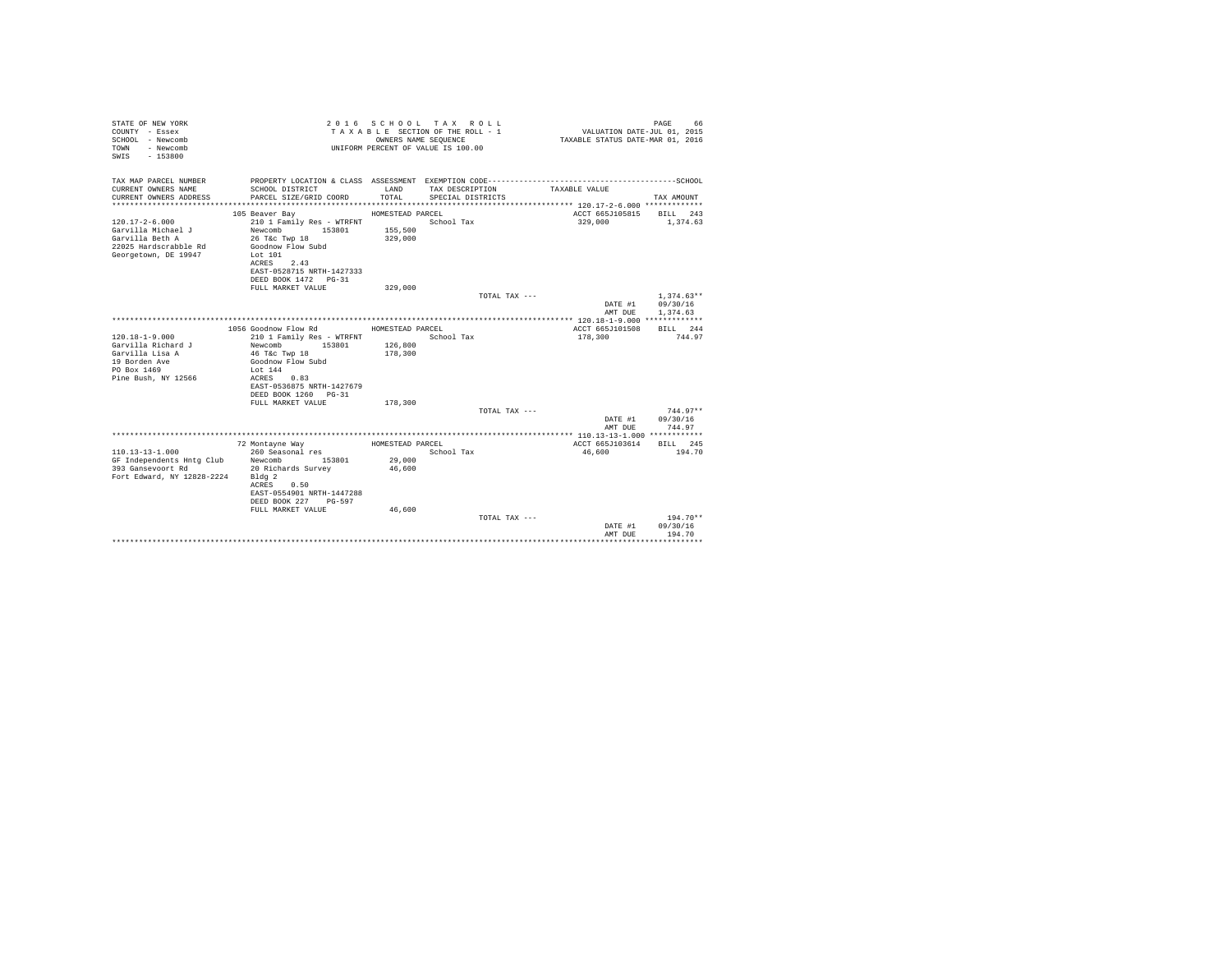| STATE OF NEW YORK<br>COUNTY - Essex<br>SCHOOL - Newcomb<br>- Newcomb<br>TOWN<br>$-153800$<br>SWIS |                                                   |                    | 2016 SCHOOL TAX ROLL<br>TAXABLE SECTION OF THE ROLL - 1<br>OWNERS NAME SEQUENCE<br>UNIFORM PERCENT OF VALUE IS 100.00 | VALUATION DATE-JUL 01, 2015<br>TAXABLE STATUS DATE-MAR 01, 2016 | PAGE<br>66         |
|---------------------------------------------------------------------------------------------------|---------------------------------------------------|--------------------|-----------------------------------------------------------------------------------------------------------------------|-----------------------------------------------------------------|--------------------|
| TAX MAP PARCEL NUMBER<br>CURRENT OWNERS NAME                                                      | SCHOOL DISTRICT                                   | LAND               | TAX DESCRIPTION                                                                                                       | TAXABLE VALUE                                                   |                    |
| CURRENT OWNERS ADDRESS                                                                            | PARCEL SIZE/GRID COORD                            | TOTAL              | SPECIAL DISTRICTS                                                                                                     |                                                                 | TAX AMOUNT         |
|                                                                                                   |                                                   |                    |                                                                                                                       |                                                                 |                    |
|                                                                                                   | 105 Beaver Bay                                    | HOMESTEAD PARCEL   |                                                                                                                       | ACCT 665J105815 BILL 243                                        |                    |
| $120.17 - 2 - 6.000$                                                                              | 210 1 Family Res - WTRFNT                         |                    | School Tax                                                                                                            | 329,000                                                         | 1,374.63           |
| Garvilla Michael J                                                                                | Newcomb 153801                                    | 155,500            |                                                                                                                       |                                                                 |                    |
| Garvilla Beth A                                                                                   | 26 T&c Twp 18                                     | 329,000            |                                                                                                                       |                                                                 |                    |
| 22025 Hardscrabble Rd<br>Georgetown, DE 19947                                                     | Goodnow Flow Subd<br>Lot 101                      |                    |                                                                                                                       |                                                                 |                    |
|                                                                                                   | ACRES 2.43                                        |                    |                                                                                                                       |                                                                 |                    |
|                                                                                                   | EAST-0528715 NRTH-1427333                         |                    |                                                                                                                       |                                                                 |                    |
|                                                                                                   | DEED BOOK 1472 PG-31                              |                    |                                                                                                                       |                                                                 |                    |
|                                                                                                   | FULL MARKET VALUE                                 | 329,000            | TOTAL TAX ---                                                                                                         |                                                                 | $1.374.63**$       |
|                                                                                                   |                                                   |                    |                                                                                                                       | DATE #1                                                         | 09/30/16           |
|                                                                                                   |                                                   |                    |                                                                                                                       | AMT DUE                                                         | 1,374.63           |
|                                                                                                   |                                                   |                    |                                                                                                                       |                                                                 |                    |
|                                                                                                   | 1056 Goodnow Flow Rd                              | HOMESTEAD PARCEL   |                                                                                                                       | ACCT 665J101508                                                 | BILL 244           |
| $120.18 - 1 - 9.000$                                                                              | 210 1 Family Res - WTRFNT                         |                    | School Tax                                                                                                            | 178,300                                                         | 744.97             |
| Garvilla Richard J<br>Garvilla Lisa A                                                             | 153801<br>Newcomb<br>46 T&c Twp 18                | 126,800<br>178,300 |                                                                                                                       |                                                                 |                    |
| 19 Borden Ave                                                                                     | Goodnow Flow Subd                                 |                    |                                                                                                                       |                                                                 |                    |
| PO Box 1469                                                                                       | Lot 144                                           |                    |                                                                                                                       |                                                                 |                    |
| Pine Bush, NY 12566                                                                               | ACRES 0.83                                        |                    |                                                                                                                       |                                                                 |                    |
|                                                                                                   | EAST-0536875 NRTH-1427679                         |                    |                                                                                                                       |                                                                 |                    |
|                                                                                                   | DEED BOOK 1260 PG-31<br>FULL MARKET VALUE         | 178,300            |                                                                                                                       |                                                                 |                    |
|                                                                                                   |                                                   |                    | TOTAL TAX ---                                                                                                         |                                                                 | $744.97**$         |
|                                                                                                   |                                                   |                    |                                                                                                                       |                                                                 | DATE #1 09/30/16   |
|                                                                                                   |                                                   |                    |                                                                                                                       | AMT DUE                                                         | 744.97             |
|                                                                                                   |                                                   |                    |                                                                                                                       |                                                                 |                    |
|                                                                                                   | 72 Montavne Wav                                   | HOMESTEAD PARCEL   | School Tax                                                                                                            | ACCT 665J103614<br>46,600                                       | BILL 245<br>194.70 |
|                                                                                                   |                                                   | 29,000             |                                                                                                                       |                                                                 |                    |
|                                                                                                   |                                                   | 46,600             |                                                                                                                       |                                                                 |                    |
| Fort Edward, NY 12828-2224 Bldg 2                                                                 |                                                   |                    |                                                                                                                       |                                                                 |                    |
|                                                                                                   | ACRES 0.50                                        |                    |                                                                                                                       |                                                                 |                    |
|                                                                                                   | EAST-0554901 NRTH-1447288<br>DEED BOOK 227 PG-597 |                    |                                                                                                                       |                                                                 |                    |
|                                                                                                   | FULL MARKET VALUE                                 | 46,600             |                                                                                                                       |                                                                 |                    |
|                                                                                                   |                                                   |                    | TOTAL TAX ---                                                                                                         |                                                                 | $194.70**$         |
|                                                                                                   |                                                   |                    |                                                                                                                       | DATE #1                                                         | 09/30/16           |
|                                                                                                   |                                                   |                    |                                                                                                                       | AMT DUE                                                         | 194.70             |
|                                                                                                   |                                                   |                    |                                                                                                                       |                                                                 |                    |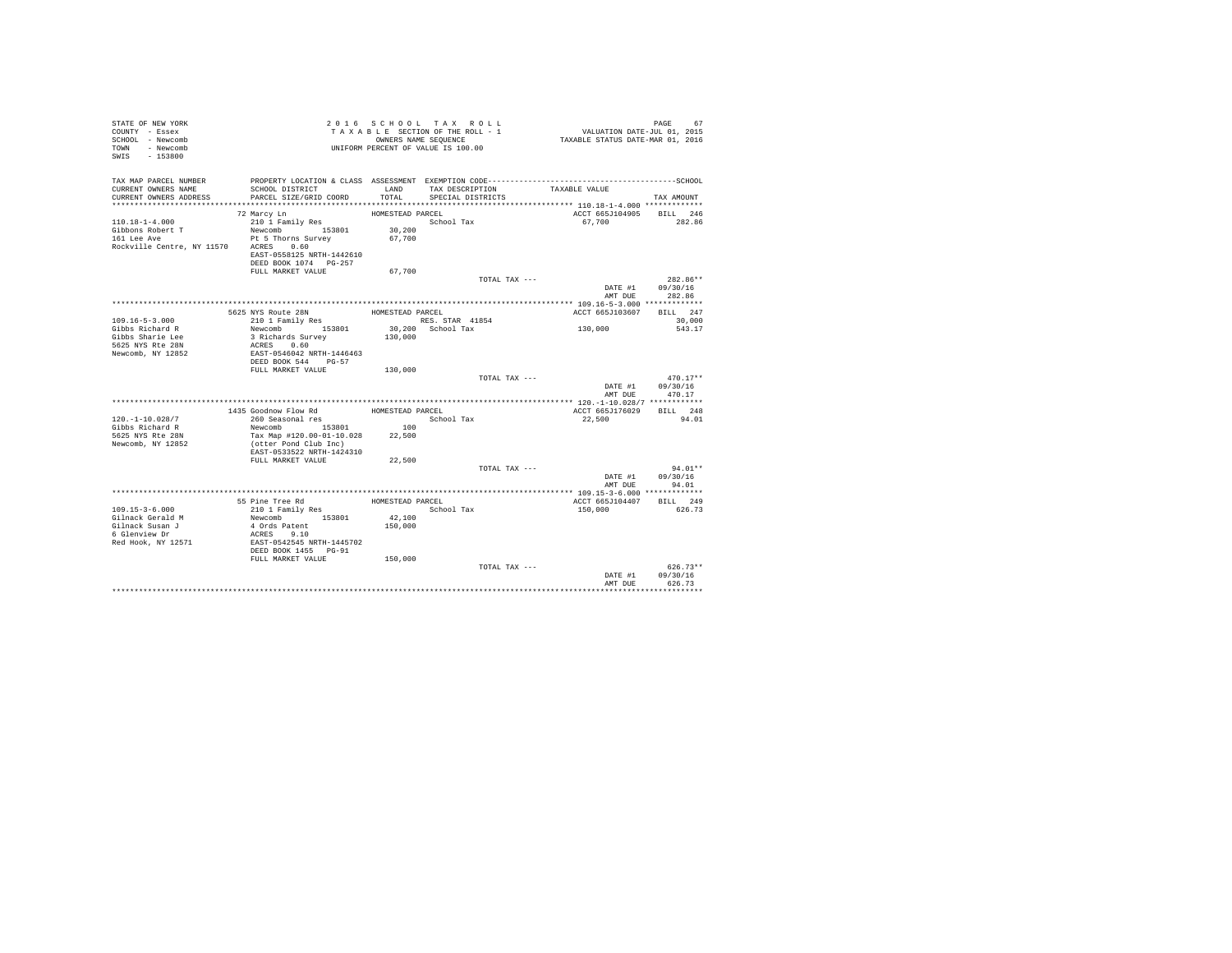| PROPERTY LOCATION & CLASS ASSESSMENT EXEMPTION CODE-----------------------------------SCHOOL<br>TAX DESCRIPTION<br>LAND<br>CURRENT OWNERS NAME<br>SCHOOL DISTRICT<br>TAXABLE VALUE<br>TOTAL<br>CURRENT OWNERS ADDRESS<br>PARCEL SIZE/GRID COORD<br>SPECIAL DISTRICTS<br>TAX AMOUNT<br>ACCT 665J104905 BILL 246<br>72 Marcy Ln<br>HOMESTEAD PARCEL<br>210 1 Family Res<br>School Tax<br>67,700<br>282.86<br>Newcomb 153801<br>30,200<br>161 Lee Ave<br>Pt 5 Thorns Survey<br>67,700<br>Rockville Centre, NY 11570 ACRES 0.60<br>EAST-0558125 NRTH-1442610<br>DEED BOOK 1074 PG-257<br>67.700<br>FULL MARKET VALUE<br>TOTAL TAX ---<br>$282.86**$<br>DATE #1<br>09/30/16<br>AMT DUE<br>282.86<br>5625 NYS Route 28N<br>BILL 247<br>HOMESTEAD PARCEL<br>ACCT 665J103607<br>210 1 Family Res<br>RES. STAR 41854<br>30,000<br>130,000<br>Newcomb 153801<br>30,200 School Tax<br>543.17<br>3 Richards Survey<br>130,000<br>ACRES 0.60<br>EAST-0546042 NRTH-1446463<br>DEED BOOK 544 PG-57<br>FULL MARKET VALUE<br>130,000<br>TOTAL TAX ---<br>$470.17**$<br>09/30/16<br>DATE #1<br>AMT DUE<br>470.17<br>1435 Goodnow Flow Rd<br>260 Seasonal res<br>ACCT 665J176029 BILL 248<br>HOMESTEAD PARCEL<br>$120. - 1 - 10.028/7$<br>School Tax<br>22,500<br>94.01<br>Newcomb 153801<br>100<br>Gibbs Richard R<br>5625 NYS Rte 28N<br>Tax Map #120.00-01-10.028<br>22,500<br>Newcomb, NY 12852<br>(otter Pond Club Inc)<br>EAST-0533522 NRTH-1424310<br>22,500<br>FULL MARKET VALUE<br>$94.01**$<br>TOTAL TAX ---<br>DATE #1<br>09/30/16<br>AMT DUR<br>94.01<br>BILL 249<br>55 Pine Tree Rd<br>HOMESTEAD PARCEL<br>ACCT 665J104407<br>210 1 Family Res<br>School Tax<br>150,000<br>626.73<br>Newcomb 153801<br>42,100<br>4 Ords Patent<br>150,000<br>6 Glenview Dr<br>ACRES 9.10<br>Red Hook, NY 12571<br>EAST-0542545 NRTH-1445702<br>DEED BOOK 1455 PG-91<br>FULL MARKET VALUE<br>150,000<br>$626.73**$<br>TOTAL TAX ---<br>DATE #1<br>09/30/16<br>626.73<br>AMT DUE | STATE OF NEW YORK<br>COUNTY - Essex<br>SCHOOL - Newcomb<br>TOWN - Newcomb<br>SWIS - 153800 |  | 2016 SCHOOL TAX ROLL<br>TAXABLE SECTION OF THE ROLL - 1<br>OWNERS NAME SEQUENCE<br>UNIFORM PERCENT OF VALUE IS 100.00 | VALUATION DATE-JUL 01, 2015<br>TAXABLE STATUS DATE-MAR 01, 2016 | PAGE<br>67 |
|----------------------------------------------------------------------------------------------------------------------------------------------------------------------------------------------------------------------------------------------------------------------------------------------------------------------------------------------------------------------------------------------------------------------------------------------------------------------------------------------------------------------------------------------------------------------------------------------------------------------------------------------------------------------------------------------------------------------------------------------------------------------------------------------------------------------------------------------------------------------------------------------------------------------------------------------------------------------------------------------------------------------------------------------------------------------------------------------------------------------------------------------------------------------------------------------------------------------------------------------------------------------------------------------------------------------------------------------------------------------------------------------------------------------------------------------------------------------------------------------------------------------------------------------------------------------------------------------------------------------------------------------------------------------------------------------------------------------------------------------------------------------------------------------------------------------------------------------------------------------------------------------------------------------------------------------------------|--------------------------------------------------------------------------------------------|--|-----------------------------------------------------------------------------------------------------------------------|-----------------------------------------------------------------|------------|
|                                                                                                                                                                                                                                                                                                                                                                                                                                                                                                                                                                                                                                                                                                                                                                                                                                                                                                                                                                                                                                                                                                                                                                                                                                                                                                                                                                                                                                                                                                                                                                                                                                                                                                                                                                                                                                                                                                                                                          | TAX MAP PARCEL NUMBER                                                                      |  |                                                                                                                       |                                                                 |            |
|                                                                                                                                                                                                                                                                                                                                                                                                                                                                                                                                                                                                                                                                                                                                                                                                                                                                                                                                                                                                                                                                                                                                                                                                                                                                                                                                                                                                                                                                                                                                                                                                                                                                                                                                                                                                                                                                                                                                                          |                                                                                            |  |                                                                                                                       |                                                                 |            |
|                                                                                                                                                                                                                                                                                                                                                                                                                                                                                                                                                                                                                                                                                                                                                                                                                                                                                                                                                                                                                                                                                                                                                                                                                                                                                                                                                                                                                                                                                                                                                                                                                                                                                                                                                                                                                                                                                                                                                          |                                                                                            |  |                                                                                                                       |                                                                 |            |
|                                                                                                                                                                                                                                                                                                                                                                                                                                                                                                                                                                                                                                                                                                                                                                                                                                                                                                                                                                                                                                                                                                                                                                                                                                                                                                                                                                                                                                                                                                                                                                                                                                                                                                                                                                                                                                                                                                                                                          |                                                                                            |  |                                                                                                                       |                                                                 |            |
|                                                                                                                                                                                                                                                                                                                                                                                                                                                                                                                                                                                                                                                                                                                                                                                                                                                                                                                                                                                                                                                                                                                                                                                                                                                                                                                                                                                                                                                                                                                                                                                                                                                                                                                                                                                                                                                                                                                                                          | $110.18 - 1 - 4.000$                                                                       |  |                                                                                                                       |                                                                 |            |
|                                                                                                                                                                                                                                                                                                                                                                                                                                                                                                                                                                                                                                                                                                                                                                                                                                                                                                                                                                                                                                                                                                                                                                                                                                                                                                                                                                                                                                                                                                                                                                                                                                                                                                                                                                                                                                                                                                                                                          | Gibbons Robert T                                                                           |  |                                                                                                                       |                                                                 |            |
|                                                                                                                                                                                                                                                                                                                                                                                                                                                                                                                                                                                                                                                                                                                                                                                                                                                                                                                                                                                                                                                                                                                                                                                                                                                                                                                                                                                                                                                                                                                                                                                                                                                                                                                                                                                                                                                                                                                                                          |                                                                                            |  |                                                                                                                       |                                                                 |            |
|                                                                                                                                                                                                                                                                                                                                                                                                                                                                                                                                                                                                                                                                                                                                                                                                                                                                                                                                                                                                                                                                                                                                                                                                                                                                                                                                                                                                                                                                                                                                                                                                                                                                                                                                                                                                                                                                                                                                                          |                                                                                            |  |                                                                                                                       |                                                                 |            |
|                                                                                                                                                                                                                                                                                                                                                                                                                                                                                                                                                                                                                                                                                                                                                                                                                                                                                                                                                                                                                                                                                                                                                                                                                                                                                                                                                                                                                                                                                                                                                                                                                                                                                                                                                                                                                                                                                                                                                          |                                                                                            |  |                                                                                                                       |                                                                 |            |
|                                                                                                                                                                                                                                                                                                                                                                                                                                                                                                                                                                                                                                                                                                                                                                                                                                                                                                                                                                                                                                                                                                                                                                                                                                                                                                                                                                                                                                                                                                                                                                                                                                                                                                                                                                                                                                                                                                                                                          |                                                                                            |  |                                                                                                                       |                                                                 |            |
|                                                                                                                                                                                                                                                                                                                                                                                                                                                                                                                                                                                                                                                                                                                                                                                                                                                                                                                                                                                                                                                                                                                                                                                                                                                                                                                                                                                                                                                                                                                                                                                                                                                                                                                                                                                                                                                                                                                                                          |                                                                                            |  |                                                                                                                       |                                                                 |            |
|                                                                                                                                                                                                                                                                                                                                                                                                                                                                                                                                                                                                                                                                                                                                                                                                                                                                                                                                                                                                                                                                                                                                                                                                                                                                                                                                                                                                                                                                                                                                                                                                                                                                                                                                                                                                                                                                                                                                                          |                                                                                            |  |                                                                                                                       |                                                                 |            |
|                                                                                                                                                                                                                                                                                                                                                                                                                                                                                                                                                                                                                                                                                                                                                                                                                                                                                                                                                                                                                                                                                                                                                                                                                                                                                                                                                                                                                                                                                                                                                                                                                                                                                                                                                                                                                                                                                                                                                          |                                                                                            |  |                                                                                                                       |                                                                 |            |
|                                                                                                                                                                                                                                                                                                                                                                                                                                                                                                                                                                                                                                                                                                                                                                                                                                                                                                                                                                                                                                                                                                                                                                                                                                                                                                                                                                                                                                                                                                                                                                                                                                                                                                                                                                                                                                                                                                                                                          |                                                                                            |  |                                                                                                                       |                                                                 |            |
|                                                                                                                                                                                                                                                                                                                                                                                                                                                                                                                                                                                                                                                                                                                                                                                                                                                                                                                                                                                                                                                                                                                                                                                                                                                                                                                                                                                                                                                                                                                                                                                                                                                                                                                                                                                                                                                                                                                                                          |                                                                                            |  |                                                                                                                       |                                                                 |            |
|                                                                                                                                                                                                                                                                                                                                                                                                                                                                                                                                                                                                                                                                                                                                                                                                                                                                                                                                                                                                                                                                                                                                                                                                                                                                                                                                                                                                                                                                                                                                                                                                                                                                                                                                                                                                                                                                                                                                                          | $109.16 - 5 - 3.000$                                                                       |  |                                                                                                                       |                                                                 |            |
|                                                                                                                                                                                                                                                                                                                                                                                                                                                                                                                                                                                                                                                                                                                                                                                                                                                                                                                                                                                                                                                                                                                                                                                                                                                                                                                                                                                                                                                                                                                                                                                                                                                                                                                                                                                                                                                                                                                                                          | Gibbs Richard R                                                                            |  |                                                                                                                       |                                                                 |            |
|                                                                                                                                                                                                                                                                                                                                                                                                                                                                                                                                                                                                                                                                                                                                                                                                                                                                                                                                                                                                                                                                                                                                                                                                                                                                                                                                                                                                                                                                                                                                                                                                                                                                                                                                                                                                                                                                                                                                                          | Gibbs Sharie Lee                                                                           |  |                                                                                                                       |                                                                 |            |
|                                                                                                                                                                                                                                                                                                                                                                                                                                                                                                                                                                                                                                                                                                                                                                                                                                                                                                                                                                                                                                                                                                                                                                                                                                                                                                                                                                                                                                                                                                                                                                                                                                                                                                                                                                                                                                                                                                                                                          | 5625 NYS Rte 28N                                                                           |  |                                                                                                                       |                                                                 |            |
|                                                                                                                                                                                                                                                                                                                                                                                                                                                                                                                                                                                                                                                                                                                                                                                                                                                                                                                                                                                                                                                                                                                                                                                                                                                                                                                                                                                                                                                                                                                                                                                                                                                                                                                                                                                                                                                                                                                                                          | Newcomb, NY 12852                                                                          |  |                                                                                                                       |                                                                 |            |
|                                                                                                                                                                                                                                                                                                                                                                                                                                                                                                                                                                                                                                                                                                                                                                                                                                                                                                                                                                                                                                                                                                                                                                                                                                                                                                                                                                                                                                                                                                                                                                                                                                                                                                                                                                                                                                                                                                                                                          |                                                                                            |  |                                                                                                                       |                                                                 |            |
|                                                                                                                                                                                                                                                                                                                                                                                                                                                                                                                                                                                                                                                                                                                                                                                                                                                                                                                                                                                                                                                                                                                                                                                                                                                                                                                                                                                                                                                                                                                                                                                                                                                                                                                                                                                                                                                                                                                                                          |                                                                                            |  |                                                                                                                       |                                                                 |            |
|                                                                                                                                                                                                                                                                                                                                                                                                                                                                                                                                                                                                                                                                                                                                                                                                                                                                                                                                                                                                                                                                                                                                                                                                                                                                                                                                                                                                                                                                                                                                                                                                                                                                                                                                                                                                                                                                                                                                                          |                                                                                            |  |                                                                                                                       |                                                                 |            |
|                                                                                                                                                                                                                                                                                                                                                                                                                                                                                                                                                                                                                                                                                                                                                                                                                                                                                                                                                                                                                                                                                                                                                                                                                                                                                                                                                                                                                                                                                                                                                                                                                                                                                                                                                                                                                                                                                                                                                          |                                                                                            |  |                                                                                                                       |                                                                 |            |
|                                                                                                                                                                                                                                                                                                                                                                                                                                                                                                                                                                                                                                                                                                                                                                                                                                                                                                                                                                                                                                                                                                                                                                                                                                                                                                                                                                                                                                                                                                                                                                                                                                                                                                                                                                                                                                                                                                                                                          |                                                                                            |  |                                                                                                                       |                                                                 |            |
|                                                                                                                                                                                                                                                                                                                                                                                                                                                                                                                                                                                                                                                                                                                                                                                                                                                                                                                                                                                                                                                                                                                                                                                                                                                                                                                                                                                                                                                                                                                                                                                                                                                                                                                                                                                                                                                                                                                                                          |                                                                                            |  |                                                                                                                       |                                                                 |            |
|                                                                                                                                                                                                                                                                                                                                                                                                                                                                                                                                                                                                                                                                                                                                                                                                                                                                                                                                                                                                                                                                                                                                                                                                                                                                                                                                                                                                                                                                                                                                                                                                                                                                                                                                                                                                                                                                                                                                                          |                                                                                            |  |                                                                                                                       |                                                                 |            |
|                                                                                                                                                                                                                                                                                                                                                                                                                                                                                                                                                                                                                                                                                                                                                                                                                                                                                                                                                                                                                                                                                                                                                                                                                                                                                                                                                                                                                                                                                                                                                                                                                                                                                                                                                                                                                                                                                                                                                          |                                                                                            |  |                                                                                                                       |                                                                 |            |
|                                                                                                                                                                                                                                                                                                                                                                                                                                                                                                                                                                                                                                                                                                                                                                                                                                                                                                                                                                                                                                                                                                                                                                                                                                                                                                                                                                                                                                                                                                                                                                                                                                                                                                                                                                                                                                                                                                                                                          |                                                                                            |  |                                                                                                                       |                                                                 |            |
|                                                                                                                                                                                                                                                                                                                                                                                                                                                                                                                                                                                                                                                                                                                                                                                                                                                                                                                                                                                                                                                                                                                                                                                                                                                                                                                                                                                                                                                                                                                                                                                                                                                                                                                                                                                                                                                                                                                                                          |                                                                                            |  |                                                                                                                       |                                                                 |            |
|                                                                                                                                                                                                                                                                                                                                                                                                                                                                                                                                                                                                                                                                                                                                                                                                                                                                                                                                                                                                                                                                                                                                                                                                                                                                                                                                                                                                                                                                                                                                                                                                                                                                                                                                                                                                                                                                                                                                                          |                                                                                            |  |                                                                                                                       |                                                                 |            |
|                                                                                                                                                                                                                                                                                                                                                                                                                                                                                                                                                                                                                                                                                                                                                                                                                                                                                                                                                                                                                                                                                                                                                                                                                                                                                                                                                                                                                                                                                                                                                                                                                                                                                                                                                                                                                                                                                                                                                          |                                                                                            |  |                                                                                                                       |                                                                 |            |
|                                                                                                                                                                                                                                                                                                                                                                                                                                                                                                                                                                                                                                                                                                                                                                                                                                                                                                                                                                                                                                                                                                                                                                                                                                                                                                                                                                                                                                                                                                                                                                                                                                                                                                                                                                                                                                                                                                                                                          |                                                                                            |  |                                                                                                                       |                                                                 |            |
|                                                                                                                                                                                                                                                                                                                                                                                                                                                                                                                                                                                                                                                                                                                                                                                                                                                                                                                                                                                                                                                                                                                                                                                                                                                                                                                                                                                                                                                                                                                                                                                                                                                                                                                                                                                                                                                                                                                                                          |                                                                                            |  |                                                                                                                       |                                                                 |            |
|                                                                                                                                                                                                                                                                                                                                                                                                                                                                                                                                                                                                                                                                                                                                                                                                                                                                                                                                                                                                                                                                                                                                                                                                                                                                                                                                                                                                                                                                                                                                                                                                                                                                                                                                                                                                                                                                                                                                                          |                                                                                            |  |                                                                                                                       |                                                                 |            |
|                                                                                                                                                                                                                                                                                                                                                                                                                                                                                                                                                                                                                                                                                                                                                                                                                                                                                                                                                                                                                                                                                                                                                                                                                                                                                                                                                                                                                                                                                                                                                                                                                                                                                                                                                                                                                                                                                                                                                          |                                                                                            |  |                                                                                                                       |                                                                 |            |
|                                                                                                                                                                                                                                                                                                                                                                                                                                                                                                                                                                                                                                                                                                                                                                                                                                                                                                                                                                                                                                                                                                                                                                                                                                                                                                                                                                                                                                                                                                                                                                                                                                                                                                                                                                                                                                                                                                                                                          |                                                                                            |  |                                                                                                                       |                                                                 |            |
|                                                                                                                                                                                                                                                                                                                                                                                                                                                                                                                                                                                                                                                                                                                                                                                                                                                                                                                                                                                                                                                                                                                                                                                                                                                                                                                                                                                                                                                                                                                                                                                                                                                                                                                                                                                                                                                                                                                                                          | $109.15 - 3 - 6.000$                                                                       |  |                                                                                                                       |                                                                 |            |
|                                                                                                                                                                                                                                                                                                                                                                                                                                                                                                                                                                                                                                                                                                                                                                                                                                                                                                                                                                                                                                                                                                                                                                                                                                                                                                                                                                                                                                                                                                                                                                                                                                                                                                                                                                                                                                                                                                                                                          | Gilnack Gerald M                                                                           |  |                                                                                                                       |                                                                 |            |
|                                                                                                                                                                                                                                                                                                                                                                                                                                                                                                                                                                                                                                                                                                                                                                                                                                                                                                                                                                                                                                                                                                                                                                                                                                                                                                                                                                                                                                                                                                                                                                                                                                                                                                                                                                                                                                                                                                                                                          | Gilnack Susan J                                                                            |  |                                                                                                                       |                                                                 |            |
|                                                                                                                                                                                                                                                                                                                                                                                                                                                                                                                                                                                                                                                                                                                                                                                                                                                                                                                                                                                                                                                                                                                                                                                                                                                                                                                                                                                                                                                                                                                                                                                                                                                                                                                                                                                                                                                                                                                                                          |                                                                                            |  |                                                                                                                       |                                                                 |            |
|                                                                                                                                                                                                                                                                                                                                                                                                                                                                                                                                                                                                                                                                                                                                                                                                                                                                                                                                                                                                                                                                                                                                                                                                                                                                                                                                                                                                                                                                                                                                                                                                                                                                                                                                                                                                                                                                                                                                                          |                                                                                            |  |                                                                                                                       |                                                                 |            |
|                                                                                                                                                                                                                                                                                                                                                                                                                                                                                                                                                                                                                                                                                                                                                                                                                                                                                                                                                                                                                                                                                                                                                                                                                                                                                                                                                                                                                                                                                                                                                                                                                                                                                                                                                                                                                                                                                                                                                          |                                                                                            |  |                                                                                                                       |                                                                 |            |
|                                                                                                                                                                                                                                                                                                                                                                                                                                                                                                                                                                                                                                                                                                                                                                                                                                                                                                                                                                                                                                                                                                                                                                                                                                                                                                                                                                                                                                                                                                                                                                                                                                                                                                                                                                                                                                                                                                                                                          |                                                                                            |  |                                                                                                                       |                                                                 |            |
|                                                                                                                                                                                                                                                                                                                                                                                                                                                                                                                                                                                                                                                                                                                                                                                                                                                                                                                                                                                                                                                                                                                                                                                                                                                                                                                                                                                                                                                                                                                                                                                                                                                                                                                                                                                                                                                                                                                                                          |                                                                                            |  |                                                                                                                       |                                                                 |            |
|                                                                                                                                                                                                                                                                                                                                                                                                                                                                                                                                                                                                                                                                                                                                                                                                                                                                                                                                                                                                                                                                                                                                                                                                                                                                                                                                                                                                                                                                                                                                                                                                                                                                                                                                                                                                                                                                                                                                                          |                                                                                            |  |                                                                                                                       |                                                                 |            |
|                                                                                                                                                                                                                                                                                                                                                                                                                                                                                                                                                                                                                                                                                                                                                                                                                                                                                                                                                                                                                                                                                                                                                                                                                                                                                                                                                                                                                                                                                                                                                                                                                                                                                                                                                                                                                                                                                                                                                          |                                                                                            |  |                                                                                                                       |                                                                 |            |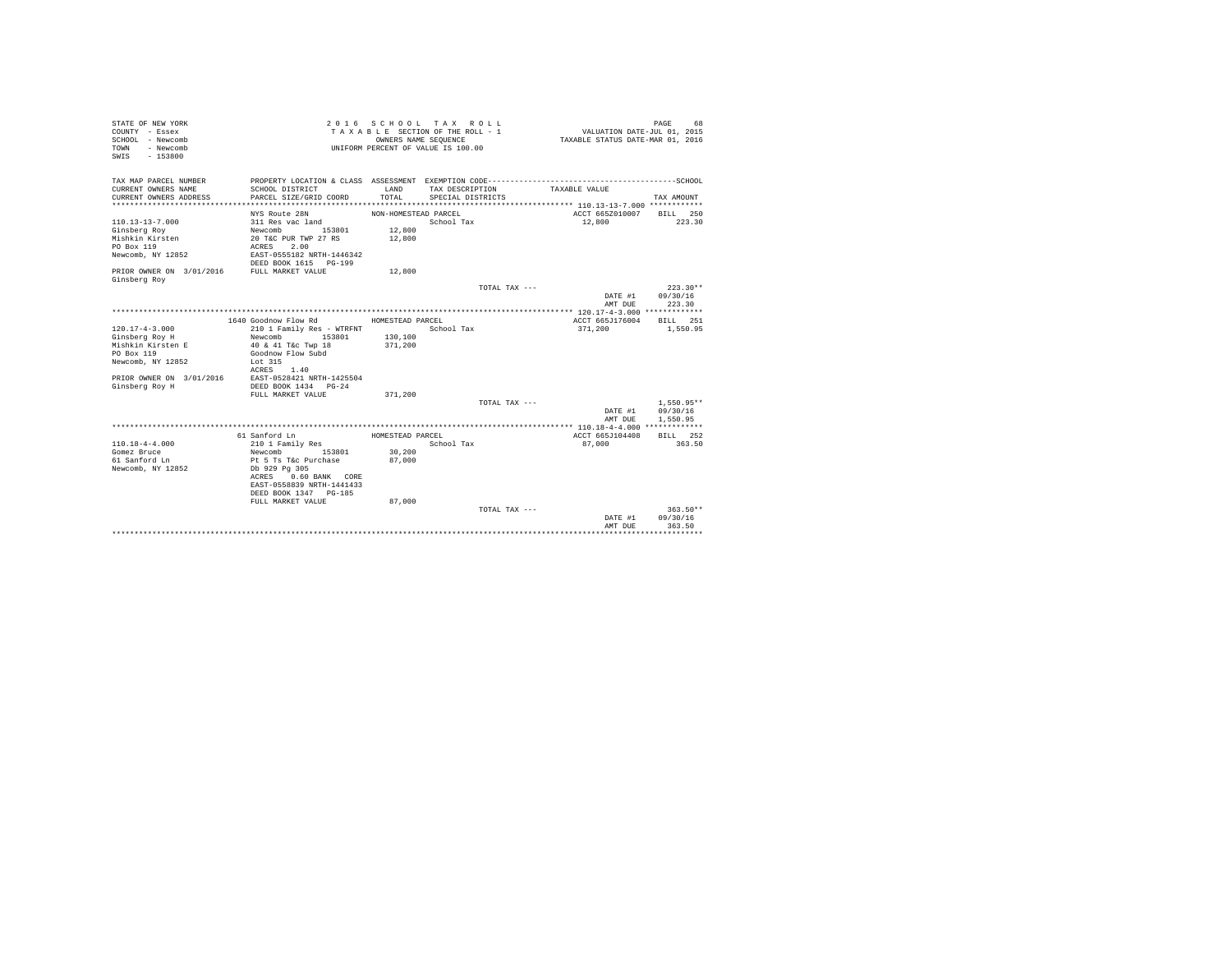| STATE OF NEW YORK<br>COUNTY - Essex<br>SCHOOL - Newcomb<br>- Newcomb<br><b>TOWN</b><br>$-153800$<br>SWIS                                  |                                                                                                                                                       | OWNERS NAME SEQUENCE                               | 2016 SCHOOL TAX ROLL<br>TAXABLE SECTION OF THE ROLL - 1<br>UNIFORM PERCENT OF VALUE IS 100.00 | VALUATION DATE-JUL 01, 2015<br>TAXABLE STATUS DATE-MAR 01, 2016 | PAGE<br>68                       |
|-------------------------------------------------------------------------------------------------------------------------------------------|-------------------------------------------------------------------------------------------------------------------------------------------------------|----------------------------------------------------|-----------------------------------------------------------------------------------------------|-----------------------------------------------------------------|----------------------------------|
| TAX MAP PARCEL NUMBER<br>CURRENT OWNERS NAME<br>CURRENT OWNERS ADDRESS                                                                    | SCHOOL DISTRICT<br>PARCEL SIZE/GRID COORD                                                                                                             | LAND<br>TOTAL                                      | TAX DESCRIPTION<br>SPECIAL DISTRICTS                                                          | TAXABLE VALUE                                                   | TAX AMOUNT                       |
| $110.13 - 13 - 7.000$<br>Ginsberg Roy<br>Mishkin Kirsten<br>PO Box 119<br>Newcomb, NY 12852<br>PRIOR OWNER ON 3/01/2016 FULL MARKET VALUE | NYS Route 28N<br>311 Res vac land<br>Newcomb<br>153801<br>20 T&C PUR TWP 27 RS<br>2.00<br>ACRES<br>EAST-0555182 NRTH-1446342<br>DEED BOOK 1615 PG-199 | NON-HOMESTEAD PARCEL<br>12,800<br>12,800<br>12,800 | School Tax                                                                                    | ACCT 665Z010007 BILL 250<br>12,800                              | 223.30                           |
| Ginsberg Roy                                                                                                                              |                                                                                                                                                       |                                                    | TOTAL TAX $---$                                                                               | DATE #1<br>AMT DUE                                              | $223.30**$<br>09/30/16<br>223.30 |
|                                                                                                                                           |                                                                                                                                                       |                                                    |                                                                                               |                                                                 |                                  |
|                                                                                                                                           | 1640 Goodnow Flow Rd                                                                                                                                  | HOMESTEAD PARCEL                                   |                                                                                               | ACCT 665J176004                                                 | BILL 251                         |
| $120.17 - 4 - 3.000$<br>Ginsberg Roy H<br>Mishkin Kirsten E<br>PO Box 119<br>Newcomb, NY 12852                                            | 210 1 Family Res - WTRFNT<br>153801<br>Newcomb<br>40 & 41 T&c Twp 18<br>Goodnow Flow Subd<br>Lot 315                                                  | 130,100<br>371,200                                 | School Tax                                                                                    | 371,200                                                         | 1,550.95                         |
| PRIOR OWNER ON 3/01/2016 EAST-0528421 NRTH-1425504<br>Ginsberg Roy H                                                                      | ACRES 1.40<br>DEED BOOK 1434 PG-24<br>FULL MARKET VALUE                                                                                               | 371,200                                            | TOTAL TAX ---                                                                                 | DATE #1                                                         | $1.550.95**$<br>09/30/16         |
|                                                                                                                                           |                                                                                                                                                       |                                                    |                                                                                               | AMT DUE                                                         | 1,550.95                         |
|                                                                                                                                           |                                                                                                                                                       |                                                    |                                                                                               |                                                                 |                                  |
| $110.18 - 4 - 4.000$<br>Gomez Bruce<br>61 Sanford Ln<br>Newcomb, NY 12852                                                                 | 61 Sanford Ln<br>210 1 Family Res<br>Newcomb 153801<br>Pt 5 Ts T&c Purchase<br>Db 929 Pg 305<br>ACRES 0.60 BANK CORE<br>EAST-0558839 NRTH-1441433     | HOMESTEAD PARCEL<br>30,200<br>87,000               | School Tax                                                                                    | ACCT 665J104408<br>87,000                                       | BILL 252<br>363.50               |
|                                                                                                                                           | DEED BOOK 1347 PG-185                                                                                                                                 |                                                    |                                                                                               |                                                                 |                                  |
|                                                                                                                                           | FULL MARKET VALUE                                                                                                                                     | 87,000                                             |                                                                                               |                                                                 |                                  |
|                                                                                                                                           |                                                                                                                                                       |                                                    | TOTAL TAX ---                                                                                 | DATE #1<br>AMT DUE                                              | $363.50**$<br>09/30/16<br>363.50 |
|                                                                                                                                           |                                                                                                                                                       |                                                    |                                                                                               |                                                                 |                                  |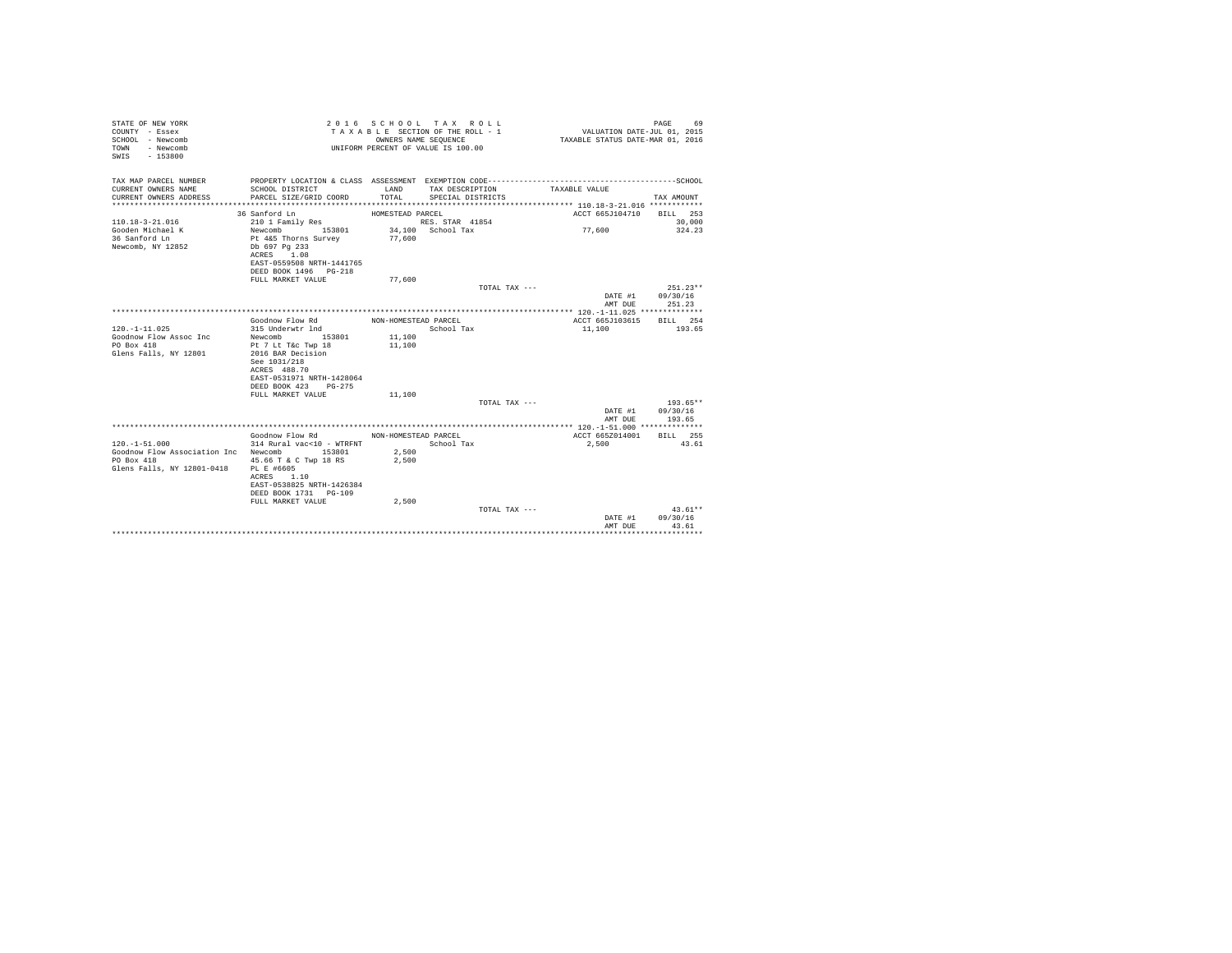| STATE OF NEW YORK<br>COUNTY - Essex<br>SCHOOL - Newcomb<br>- Newcomb<br>TOWN<br>SWIS - 153800                            |                                                                                                                                       |                      | 2016 SCHOOL TAX ROLL<br>TAXABLE SECTION OF THE ROLL - 1<br>OWNERS NAME SEOUENCE<br>UNIFORM PERCENT OF VALUE IS 100.00 | VALUATION DATE-JUL 01, 2015<br>TAXABLE STATUS DATE-MAR 01, 2016 | PAGE<br>69                               |
|--------------------------------------------------------------------------------------------------------------------------|---------------------------------------------------------------------------------------------------------------------------------------|----------------------|-----------------------------------------------------------------------------------------------------------------------|-----------------------------------------------------------------|------------------------------------------|
| TAX MAP PARCEL NUMBER                                                                                                    |                                                                                                                                       |                      |                                                                                                                       |                                                                 |                                          |
| CURRENT OWNERS NAME<br>CURRENT OWNERS ADDRESS                                                                            | SCHOOL DISTRICT<br>PARCEL SIZE/GRID COORD                                                                                             | LAND<br>TOTAL        | TAX DESCRIPTION<br>SPECIAL DISTRICTS                                                                                  | TAXABLE VALUE                                                   | TAX AMOUNT                               |
|                                                                                                                          |                                                                                                                                       |                      |                                                                                                                       |                                                                 |                                          |
|                                                                                                                          | 36 Sanford Ln                                                                                                                         | HOMESTEAD PARCEL     |                                                                                                                       | ACCT 665J104710 BILL 253                                        |                                          |
| $110.18 - 3 - 21.016$                                                                                                    | 210 1 Family Res                                                                                                                      |                      | RES. STAR 41854                                                                                                       |                                                                 | 30,000                                   |
| Gooden Michael K<br>36 Sanford Ln<br>Newcomb, NY 12852                                                                   | Newcomb 153801<br>Pt 4&5 Thorns Survey 77,600<br>Db 697 Pa 233<br>ACRES 1.08<br>EAST-0559508 NRTH-1441765<br>DEED BOOK 1496    PG-218 |                      | 34,100 School Tax                                                                                                     | 77,600                                                          | 324.23                                   |
|                                                                                                                          | FULL MARKET VALUE                                                                                                                     | 77,600               |                                                                                                                       |                                                                 |                                          |
|                                                                                                                          |                                                                                                                                       |                      | TOTAL TAX ---                                                                                                         | AMT DUE                                                         | $251.23**$<br>DATE #1 09/30/16<br>251.23 |
|                                                                                                                          |                                                                                                                                       |                      |                                                                                                                       |                                                                 |                                          |
|                                                                                                                          | Goodnow Flow Rd                                                                                                                       | NON-HOMESTEAD PARCEL |                                                                                                                       | ACCT 665J103615 BILL 254                                        |                                          |
| $120. -1 - 11.025$                                                                                                       | 315 Underwtr 1nd                                                                                                                      |                      | School Tax                                                                                                            | 11,100                                                          | 193.65                                   |
| Goodnow Flow Assoc Inc                                                                                                   | Newcomb 153801                                                                                                                        | 11,100               |                                                                                                                       |                                                                 |                                          |
| $PQ$ Box 418<br>Glens Falls, NY 12801                                                                                    | Pt 7 Lt T&c Twp 18<br>2016 BAR Decision<br>See 1031/218<br>ACRES 488.70<br>EAST-0531971 NRTH-1428064<br>DEED BOOK 423 PG-275          | 11,100               |                                                                                                                       |                                                                 |                                          |
|                                                                                                                          | FULL MARKET VALUE                                                                                                                     | 11,100               |                                                                                                                       |                                                                 | $193.65**$                               |
|                                                                                                                          |                                                                                                                                       |                      | TOTAL TAX ---                                                                                                         | AMT DUE                                                         | DATE #1 09/30/16<br>193.65               |
|                                                                                                                          |                                                                                                                                       |                      |                                                                                                                       |                                                                 |                                          |
|                                                                                                                          | Goodnow Flow Rd NON-HOMESTEAD PARCEL                                                                                                  |                      |                                                                                                                       | ACCT 665Z014001 BILL 255                                        |                                          |
| $120. -1 - 51.000$<br>Goodnow Flow Association Inc Newcomb 153801<br>PO Box 418<br>Glens Falls, NY 12801-0418 PL E #6605 | 314 Rural vac<10 - WTRFNT School Tax<br>45.66 T & C Twp 18 RS<br>ACRES 1.10<br>EAST-0538825 NRTH-1426384<br>DEED BOOK 1731 PG-109     | 2,500<br>2,500       |                                                                                                                       | 2,500                                                           | 43.61                                    |
|                                                                                                                          | FULL MARKET VALUE                                                                                                                     | 2,500                |                                                                                                                       |                                                                 |                                          |
|                                                                                                                          |                                                                                                                                       |                      | TOTAL TAX ---                                                                                                         | DATE #1<br>AMT DUR                                              | $43.61**$<br>09/30/16<br>43.61           |
|                                                                                                                          |                                                                                                                                       |                      |                                                                                                                       | ****************************                                    |                                          |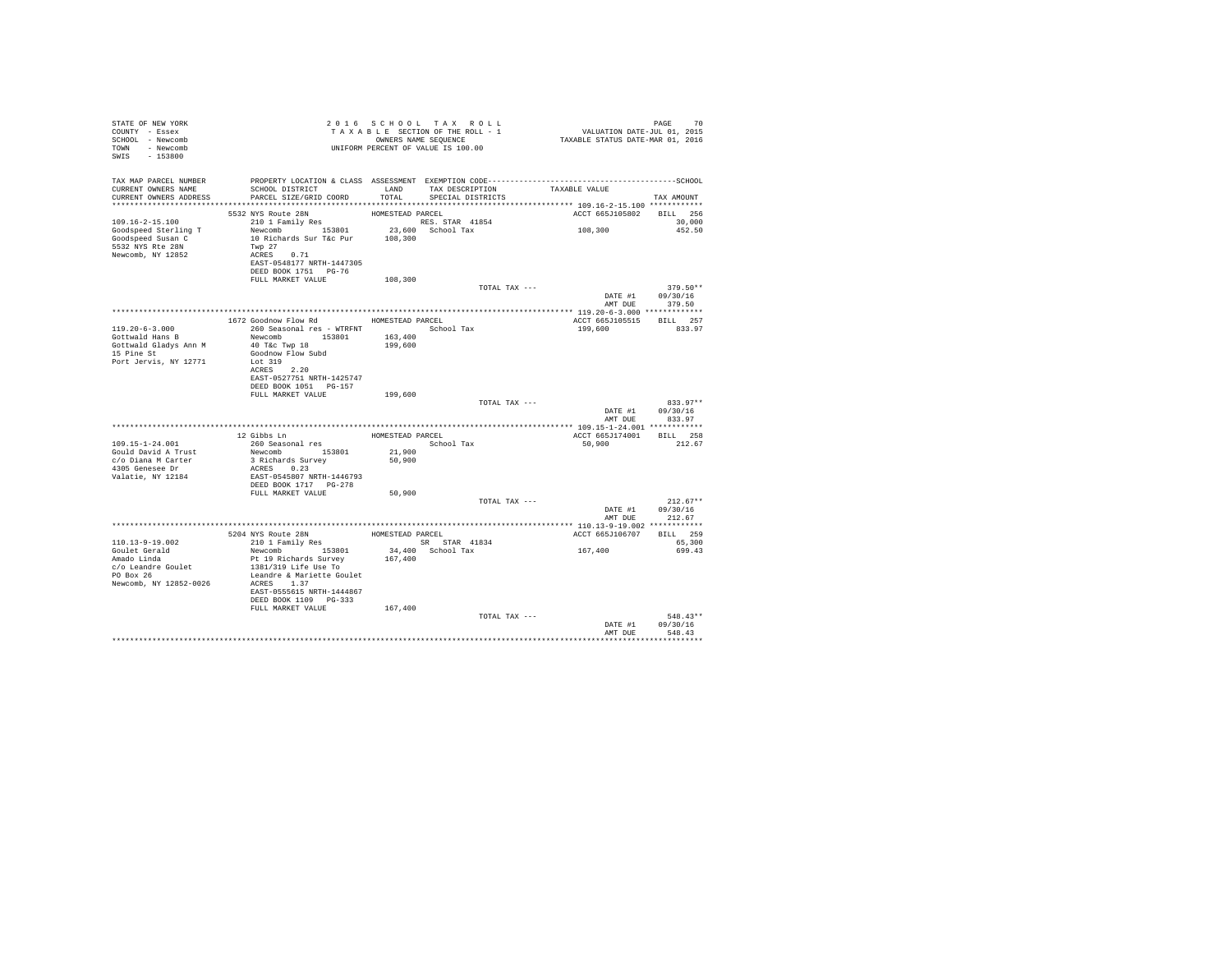| STATE OF NEW YORK<br>COUNTY - Essex<br>SCHOOL - Newcomb<br>TOWN - Newcomb<br>SWIS - 153800 |                                                                                                                  |                  |                                                         |                                    |                                |
|--------------------------------------------------------------------------------------------|------------------------------------------------------------------------------------------------------------------|------------------|---------------------------------------------------------|------------------------------------|--------------------------------|
|                                                                                            | TAX MAP PARCEL NUMBER PROPERTY LOCATION & CLASS ASSESSMENT EXEMPTION CODE---------------------------------SCHOOL |                  |                                                         |                                    |                                |
| CURRENT OWNERS NAME<br>CURRENT OWNERS ADDRESS                                              | SCHOOL DISTRICT<br>PARCEL SIZE/GRID COORD                                                                        | TOTAL            | LAND TAX DESCRIPTION TAXABLE VALUE<br>SPECIAL DISTRICTS |                                    |                                |
|                                                                                            |                                                                                                                  |                  |                                                         |                                    | TAX AMOUNT                     |
|                                                                                            | 5532 NYS Route 28N                                                                                               | HOMESTEAD PARCEL |                                                         | ACCT 665J105802 BILL 256           |                                |
|                                                                                            |                                                                                                                  |                  |                                                         | 108,300                            | 30,000                         |
|                                                                                            |                                                                                                                  |                  |                                                         |                                    | 452.50                         |
| 5532 NYS Rte 28N                                                                           |                                                                                                                  |                  |                                                         |                                    |                                |
| Newcomb, NY 12852                                                                          | Twp 27<br>ACRES 0.71<br>EAST-0548177 NRTH-1447305                                                                |                  |                                                         |                                    |                                |
|                                                                                            | DEED BOOK 1751 PG-76                                                                                             |                  |                                                         |                                    |                                |
|                                                                                            | FULL MARKET VALUE                                                                                                | 108,300          |                                                         |                                    |                                |
|                                                                                            |                                                                                                                  |                  | TOTAL TAX ---                                           | 579.30<br>DATE #1 09/30/16         | 379.50**                       |
|                                                                                            |                                                                                                                  |                  |                                                         | AMT DUE 379.50                     |                                |
|                                                                                            |                                                                                                                  |                  |                                                         |                                    |                                |
|                                                                                            | 1672 Goodnow Flow Rd MOMESTEAD PARCEL                                                                            |                  |                                                         | ACCT 665J105515 BILL 257           |                                |
| $119.20 - 6 - 3.000$                                                                       | 260 Seasonal res - WTRFNT             School Tax                                                                 |                  |                                                         | 199,600                            | 833.97                         |
| Gottwald Hans B<br>Gottwald Gladys Ann M                                                   | Newcomb 153801 163,400<br>40 T&c Twp 18                                                                          | 199,600          |                                                         |                                    |                                |
| 15 Pine St                                                                                 | Goodnow Flow Subd                                                                                                |                  |                                                         |                                    |                                |
| Port Jervis, NY 12771                                                                      | Lot 319                                                                                                          |                  |                                                         |                                    |                                |
|                                                                                            | ACRES 2.20<br>EAST-0527751 NRTH-1425747                                                                          |                  |                                                         |                                    |                                |
|                                                                                            | DEED BOOK 1051 PG-157                                                                                            |                  |                                                         |                                    |                                |
|                                                                                            | FULL MARKET VALUE 199,600                                                                                        |                  |                                                         |                                    |                                |
|                                                                                            |                                                                                                                  |                  | TOTAL TAX ---                                           |                                    | 833.97**<br>DATE #1 09/30/16   |
|                                                                                            |                                                                                                                  |                  |                                                         | AMT DUE                            | 833.97                         |
|                                                                                            |                                                                                                                  |                  | HOMESTEAD PARCEL                                        |                                    |                                |
| 109.15-1-24.001                                                                            | 12 Gibbs Ln<br>260 Seasonal res                                                                                  |                  | School Tax                                              | ACCT 665J174001 BILL 258<br>50,900 | 212.67                         |
| Gould David A Trust                                                                        | Newcomb 153801<br>3 Richards Survey                                                                              | 21,900           |                                                         |                                    |                                |
| c/o Diana M Carter                                                                         |                                                                                                                  | 50,900           |                                                         |                                    |                                |
| 4305 Genesee Dr<br>Valatie, NY 12184                                                       | ACRES 0.23<br>EAST-0545807 NRTH-1446793                                                                          |                  |                                                         |                                    |                                |
|                                                                                            |                                                                                                                  |                  |                                                         |                                    |                                |
|                                                                                            | FULL MARKET VALUE                                                                                                | 50,900           |                                                         |                                    |                                |
|                                                                                            |                                                                                                                  |                  | TOTAL TAX ---                                           |                                    | $212.67**$<br>DATE #1 09/30/16 |
|                                                                                            |                                                                                                                  |                  |                                                         | AMT DUE                            | 212.67                         |
|                                                                                            |                                                                                                                  |                  |                                                         |                                    |                                |
| 110.13-9-19.002                                                                            | 5204 NYS Route 28N<br>210 1 Family Res BOMESTEAD PARCEL SR STAR 41834                                            |                  | SR STAR 41834                                           | ACCT 665J106707 BILL 259           | 65,300                         |
|                                                                                            | Newcomb 153801                                                                                                   |                  | 34,400 School Tax                                       | 167,400                            | 699.43                         |
| Goulet Gerald<br>Amado Linda                                                               | Pt 19 Richards Survey                                                                                            | 167,400          |                                                         |                                    |                                |
| c/o Leandre Goulet<br>PO Box 26                                                            | 1381/319 Life Use To<br>Leandre & Mariette Goulet                                                                |                  |                                                         |                                    |                                |
| Newcomb, NY 12852-0026                                                                     | ACRES 1.37                                                                                                       |                  |                                                         |                                    |                                |
|                                                                                            | EAST-0555615 NRTH-1444867                                                                                        |                  |                                                         |                                    |                                |
|                                                                                            | DEED BOOK 1109 PG-333<br>FULL MARKET VALUE                                                                       | 167,400          |                                                         |                                    |                                |
|                                                                                            |                                                                                                                  |                  | TOTAL TAX ---                                           |                                    | $548.43**$                     |
|                                                                                            |                                                                                                                  |                  |                                                         |                                    | DATE #1 09/30/16               |
|                                                                                            |                                                                                                                  |                  |                                                         | AMT DHR                            | 548.43<br>***********          |
|                                                                                            |                                                                                                                  |                  |                                                         |                                    |                                |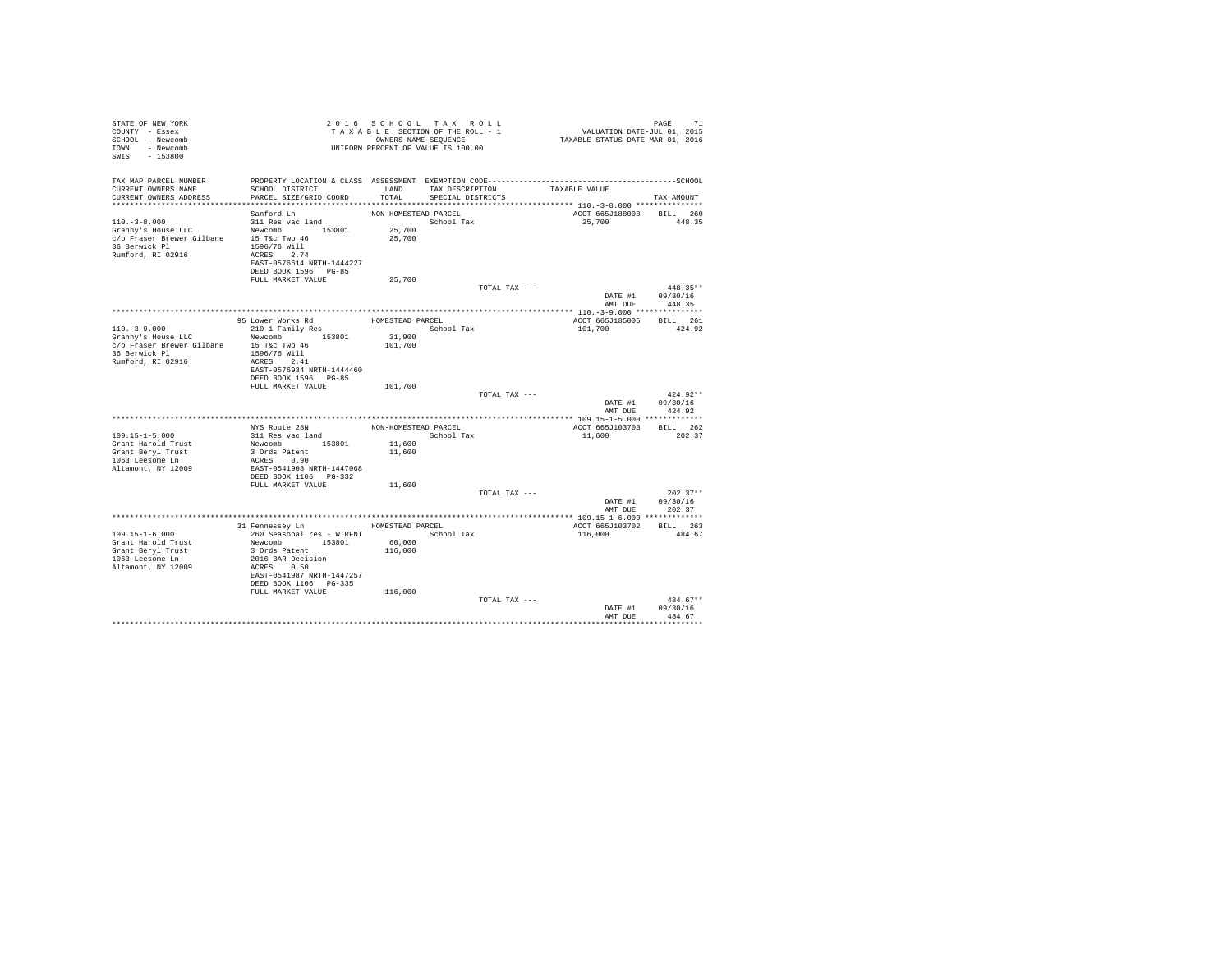| STATE OF NEW YORK<br>COUNTY - Essex<br>SCHOOL - Newcomb<br>TOWN - Newcomb<br>SWIS - 153800 |                                                    | 2016 SCHOOL TAX ROLL | TAXABLE SECTION OF THE ROLL - 1<br>OWNERS NAME SEQUENCE<br>UNIFORM PERCENT OF VALUE IS 100.00 |                                                                                              | TAXABLE STATUS DATE-MAR 01, 2016 | $\begin{tabular}{ccccc} \textbf{PAUE} & & \textbf{71} \\ \textbf{VALUATION DATE-JUL 01, 2015} \end{tabular}$ | PAGE               | 71         |
|--------------------------------------------------------------------------------------------|----------------------------------------------------|----------------------|-----------------------------------------------------------------------------------------------|----------------------------------------------------------------------------------------------|----------------------------------|--------------------------------------------------------------------------------------------------------------|--------------------|------------|
| TAX MAP PARCEL NUMBER<br>CURRENT OWNERS NAME<br>CURRENT OWNERS ADDRESS                     | SCHOOL DISTRICT<br>PARCEL SIZE/GRID COORD          |                      | LAND TAX DESCRIPTION<br>TOTAL SPECIAL DISTRICTS                                               | PROPERTY LOCATION & CLASS ASSESSMENT EXEMPTION CODE-----------------------------------SCHOOL | TAXABLE VALUE                    |                                                                                                              | TAX AMOUNT         |            |
|                                                                                            |                                                    |                      |                                                                                               |                                                                                              |                                  |                                                                                                              |                    |            |
| Sanford Ln                                                                                 |                                                    | NON-HOMESTEAD PARCEL |                                                                                               |                                                                                              |                                  | ACCT 665J188008 BILL 260                                                                                     |                    |            |
| $110.-3-8.000$<br>311 Res vac land                                                         |                                                    |                      | School Tax                                                                                    |                                                                                              |                                  | 25,700                                                                                                       | 448.35             |            |
|                                                                                            |                                                    | 25,700               |                                                                                               |                                                                                              |                                  |                                                                                                              |                    |            |
| Granny's House LLC<br>c/o Fraser Brewer Gilbane 15 T&c Twp 46                              |                                                    | 25,700               |                                                                                               |                                                                                              |                                  |                                                                                                              |                    |            |
| 36 Berwick Pl<br>1596/76 Will                                                              |                                                    |                      |                                                                                               |                                                                                              |                                  |                                                                                                              |                    |            |
| Rumford, RI 02916<br>ACRES 2.74                                                            |                                                    |                      |                                                                                               |                                                                                              |                                  |                                                                                                              |                    |            |
| DEED BOOK 1596 PG-85                                                                       | EAST-0576614 NRTH-1444227                          |                      |                                                                                               |                                                                                              |                                  |                                                                                                              |                    |            |
| FULL MARKET VALUE                                                                          |                                                    | 25,700               |                                                                                               |                                                                                              |                                  |                                                                                                              |                    |            |
|                                                                                            |                                                    |                      |                                                                                               | TOTAL TAX ---                                                                                |                                  |                                                                                                              | $448.35**$         |            |
|                                                                                            |                                                    |                      |                                                                                               |                                                                                              |                                  | DATE #1 09/30/16                                                                                             |                    |            |
|                                                                                            |                                                    |                      |                                                                                               |                                                                                              |                                  | AMT DUE                                                                                                      | 448.35             |            |
|                                                                                            |                                                    |                      |                                                                                               |                                                                                              |                                  |                                                                                                              |                    |            |
| 95 Lower Works Rd                                                                          |                                                    | HOMESTEAD PARCEL     |                                                                                               |                                                                                              |                                  | ACCT 665J185005                                                                                              | BILL 261           |            |
| $110. - 3 - 9.000$<br>210 1 Family Res                                                     |                                                    |                      | School Tax                                                                                    |                                                                                              |                                  | 101,700                                                                                                      | 424.92             |            |
| Granny's House LLC<br>c/o Fraser Brewer Gilbane 15 T&c Twp 46                              | Newcomb 153801                                     | 31,900<br>101,700    |                                                                                               |                                                                                              |                                  |                                                                                                              |                    |            |
| 36 Berwick Pl<br>1596/76 Will                                                              |                                                    |                      |                                                                                               |                                                                                              |                                  |                                                                                                              |                    |            |
| Rumford, RI 02916<br>ACRES 2.41                                                            |                                                    |                      |                                                                                               |                                                                                              |                                  |                                                                                                              |                    |            |
|                                                                                            | EAST-0576934 NRTH-1444460                          |                      |                                                                                               |                                                                                              |                                  |                                                                                                              |                    |            |
|                                                                                            | DEED BOOK 1596 PG-85                               |                      |                                                                                               |                                                                                              |                                  |                                                                                                              |                    |            |
| FULL MARKET VALUE                                                                          |                                                    | 101,700              |                                                                                               |                                                                                              |                                  |                                                                                                              |                    |            |
|                                                                                            |                                                    |                      |                                                                                               | TOTAL TAX ---                                                                                |                                  |                                                                                                              | $424.92**$         |            |
|                                                                                            |                                                    |                      |                                                                                               |                                                                                              |                                  | DATE #1 09/30/16<br>AMT DUE                                                                                  | 424.92             |            |
|                                                                                            |                                                    |                      |                                                                                               |                                                                                              |                                  |                                                                                                              |                    |            |
| NYS Route 28N                                                                              |                                                    |                      | NON-HOMESTEAD PARCEL                                                                          |                                                                                              |                                  | ACCT 665J103703                                                                                              | BILL 262           |            |
| 311 Res vac land<br>$109.15 - 1 - 5.000$                                                   |                                                    |                      | School Tax                                                                                    |                                                                                              | 11,600                           |                                                                                                              | 202.37             |            |
| Grant Harold Trust                                                                         | Newcomb 153801                                     | 11,600               |                                                                                               |                                                                                              |                                  |                                                                                                              |                    |            |
| Grant Beryl Trust<br>3 Ords Patent                                                         |                                                    | 11,600               |                                                                                               |                                                                                              |                                  |                                                                                                              |                    |            |
| 1063 Leesome Ln<br>ACRES 0.90                                                              |                                                    |                      |                                                                                               |                                                                                              |                                  |                                                                                                              |                    |            |
| Altamont, NY 12009                                                                         | EAST-0541908 NRTH-1447068<br>DEED BOOK 1106 PG-332 |                      |                                                                                               |                                                                                              |                                  |                                                                                                              |                    |            |
| FULL MARKET VALUE                                                                          |                                                    | 11,600               |                                                                                               |                                                                                              |                                  |                                                                                                              |                    |            |
|                                                                                            |                                                    |                      |                                                                                               | TOTAL TAX ---                                                                                |                                  |                                                                                                              |                    | $202.37**$ |
|                                                                                            |                                                    |                      |                                                                                               |                                                                                              |                                  | DATE #1 09/30/16                                                                                             |                    |            |
|                                                                                            |                                                    |                      |                                                                                               |                                                                                              |                                  | AMT DUE                                                                                                      | 202.37             |            |
|                                                                                            |                                                    |                      |                                                                                               |                                                                                              |                                  |                                                                                                              |                    |            |
|                                                                                            | 31 Fennessey Ln MOMESTEAD PARCEL                   |                      |                                                                                               |                                                                                              |                                  | ACCT 665J103702                                                                                              | BILL 263           |            |
| $109.15 - 1 - 6.000$                                                                       | 260 Seasonal res - WTRFNT Marshall Tax             |                      |                                                                                               |                                                                                              | 116,000                          |                                                                                                              | 484.67             |            |
| Grant Harold Trust<br>3 Ords Patent<br>Grant Beryl Trust                                   | Newcomb 153801                                     | 60,000<br>116,000    |                                                                                               |                                                                                              |                                  |                                                                                                              |                    |            |
| 1063 Leesome Ln<br>2016 BAR Decision                                                       |                                                    |                      |                                                                                               |                                                                                              |                                  |                                                                                                              |                    |            |
| Altamont, NY 12009<br>ACRES 0.50                                                           |                                                    |                      |                                                                                               |                                                                                              |                                  |                                                                                                              |                    |            |
|                                                                                            | EAST-0541987 NRTH-1447257                          |                      |                                                                                               |                                                                                              |                                  |                                                                                                              |                    |            |
| DEED BOOK 1106 PG-335                                                                      |                                                    |                      |                                                                                               |                                                                                              |                                  |                                                                                                              |                    |            |
| FULL MARKET VALUE                                                                          |                                                    | 116,000              |                                                                                               |                                                                                              |                                  |                                                                                                              |                    |            |
|                                                                                            |                                                    |                      |                                                                                               | TOTAL TAX ---                                                                                |                                  |                                                                                                              | $484.67**$         |            |
|                                                                                            |                                                    |                      |                                                                                               |                                                                                              |                                  | DATE #1<br>AMT DUE                                                                                           | 09/30/16<br>484.67 |            |
|                                                                                            |                                                    |                      |                                                                                               |                                                                                              |                                  |                                                                                                              |                    |            |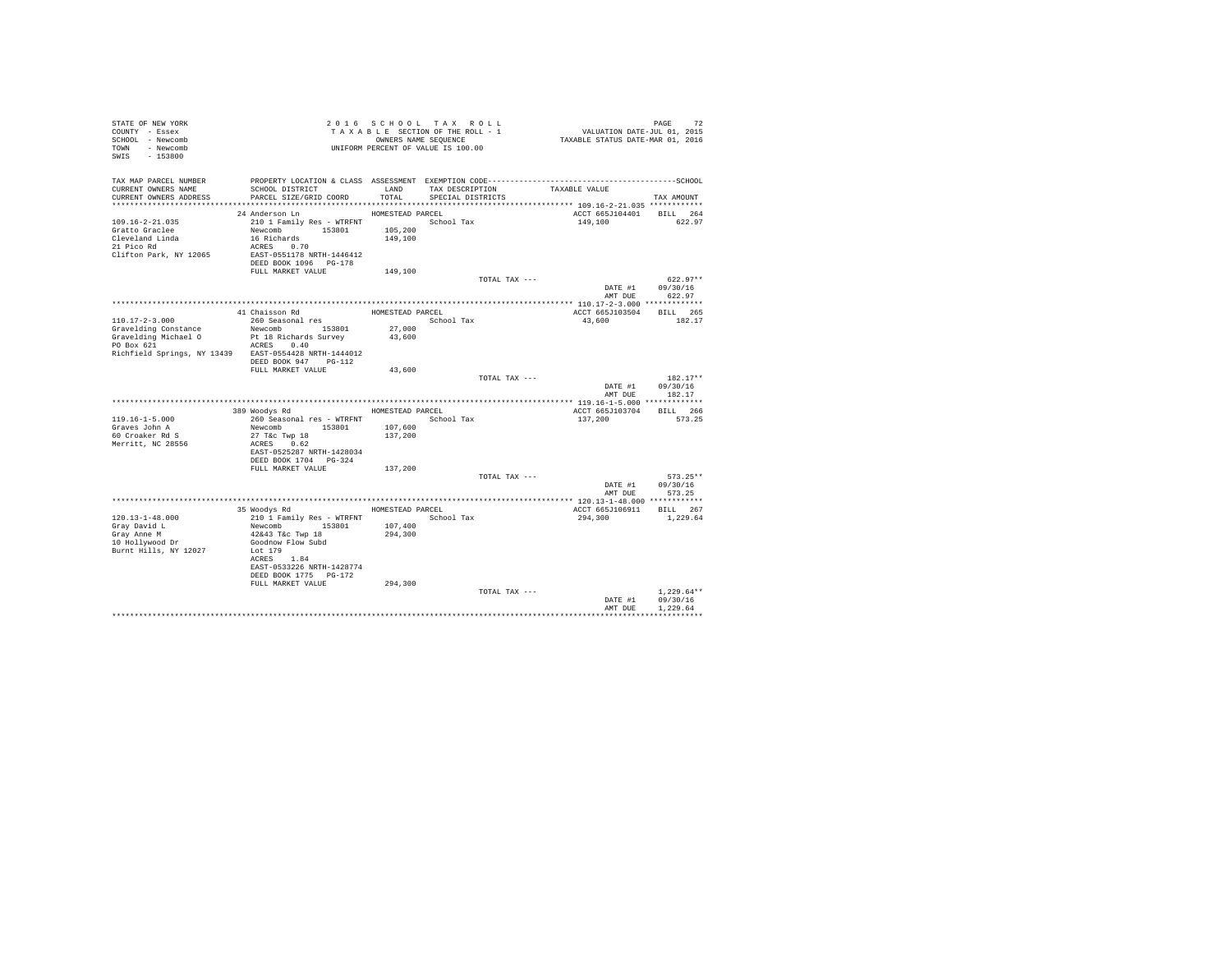| STATE OF NEW YORK                                     |                           |                  | 2016 SCHOOL TAX ROLL               |                                                                                              |                  |
|-------------------------------------------------------|---------------------------|------------------|------------------------------------|----------------------------------------------------------------------------------------------|------------------|
| COUNTY - Essex                                        |                           |                  | TAXABLE SECTION OF THE ROLL - 1    |                                                                                              |                  |
| SCHOOL - Newcomb                                      |                           |                  | OWNERS NAME SEQUENCE               | PAGE 72<br>VALUATION DATE-JUL 01, 2015<br>TAXABLE STATUS DATE-MAR 01, 2016                   |                  |
| TOWN - Newcomb                                        |                           |                  | UNIFORM PERCENT OF VALUE IS 100.00 |                                                                                              |                  |
| SWIS - 153800                                         |                           |                  |                                    |                                                                                              |                  |
|                                                       |                           |                  |                                    |                                                                                              |                  |
|                                                       |                           |                  |                                    |                                                                                              |                  |
| TAX MAP PARCEL NUMBER                                 |                           |                  |                                    | PROPERTY LOCATION & CLASS ASSESSMENT EXEMPTION CODE-----------------------------------SCHOOL |                  |
| CURRENT OWNERS NAME                                   | SCHOOL DISTRICT           | LAND             | TAX DESCRIPTION                    | TAXABLE VALUE                                                                                |                  |
| CURRENT OWNERS ADDRESS                                | PARCEL SIZE/GRID COORD    | TOTAL.           | SPECIAL DISTRICTS                  |                                                                                              | TAX AMOUNT       |
|                                                       |                           |                  |                                    |                                                                                              |                  |
|                                                       | 24 Anderson Ln            | HOMESTEAD PARCEL |                                    | ACCT 665J104401 BILL 264                                                                     |                  |
| $109.16 - 2 - 21.035$                                 | 210 1 Family Res - WTRFNT |                  | School Tax                         | 149,100                                                                                      | 622.97           |
|                                                       |                           |                  |                                    |                                                                                              |                  |
| Gratto Graclee                                        | Newcomb 153801            | 105,200          |                                    |                                                                                              |                  |
| Cleveland Linda                                       | 16 Richards               | 149,100          |                                    |                                                                                              |                  |
| 21 Pico Rd                                            | ACRES 0.70                |                  |                                    |                                                                                              |                  |
| Clifton Park, NY 12065                                | EAST-0551178 NRTH-1446412 |                  |                                    |                                                                                              |                  |
|                                                       | DEED BOOK 1096 PG-178     |                  |                                    |                                                                                              |                  |
|                                                       | FULL MARKET VALUE         | 149,100          |                                    |                                                                                              |                  |
|                                                       |                           |                  |                                    | TOTAL TAX ---                                                                                | $622.97**$       |
|                                                       |                           |                  |                                    | DATE #1                                                                                      | 09/30/16         |
|                                                       |                           |                  |                                    |                                                                                              | AMT DUE 622.97   |
|                                                       |                           |                  |                                    |                                                                                              |                  |
|                                                       | 41 Chaisson Rd            | HOMESTEAD PARCEL |                                    | ACCT 665J103504                                                                              | BILL 265         |
| 110.17-2-3.000                                        | 260 Seasonal res          |                  | School Tax                         | 43,600                                                                                       | 182.17           |
| Gravelding Constance                                  | Newcomb 153801            | 27,000           |                                    |                                                                                              |                  |
| Gravelding Michael O                                  | Pt 18 Richards Survey     | 43,600           |                                    |                                                                                              |                  |
| PO Box 621                                            | ACRES 0.40                |                  |                                    |                                                                                              |                  |
| Richfield Springs, NY 13439 EAST-0554428 NRTH-1444012 |                           |                  |                                    |                                                                                              |                  |
|                                                       | DEED BOOK 947 PG-112      |                  |                                    |                                                                                              |                  |
|                                                       | FULL MARKET VALUE         | 43,600           |                                    |                                                                                              |                  |
|                                                       |                           |                  |                                    | TOTAL TAX ---                                                                                | $182.17**$       |
|                                                       |                           |                  |                                    | DATE #1                                                                                      | 09/30/16         |
|                                                       |                           |                  |                                    |                                                                                              | 182.17           |
|                                                       |                           |                  |                                    | AMT DUE                                                                                      |                  |
|                                                       |                           |                  |                                    |                                                                                              |                  |
|                                                       | 389 Woodvs Rd             | HOMESTEAD PARCEL |                                    | ACCT 665J103704                                                                              | BILL 266         |
| $119.16 - 1 - 5.000$                                  | 260 Seasonal res - WTRFNT |                  | School Tax                         | 137,200                                                                                      | 573.25           |
| Graves John A                                         | Newcomb 153801            | 107,600          |                                    |                                                                                              |                  |
| 60 Croaker Rd S                                       | 27 T&c Twp 18             | 137,200          |                                    |                                                                                              |                  |
| Merritt, NC 28556                                     | ACRES 0.62                |                  |                                    |                                                                                              |                  |
|                                                       | EAST-0525287 NRTH-1428034 |                  |                                    |                                                                                              |                  |
|                                                       | DEED BOOK 1704 PG-324     |                  |                                    |                                                                                              |                  |
|                                                       | FULL MARKET VALUE         | 137,200          |                                    |                                                                                              |                  |
|                                                       |                           |                  |                                    | TOTAL TAX ---                                                                                | $573.25**$       |
|                                                       |                           |                  |                                    |                                                                                              | DATE #1 09/30/16 |
|                                                       |                           |                  |                                    | AMT DUE                                                                                      | 573.25           |
|                                                       |                           |                  |                                    |                                                                                              |                  |
|                                                       | 35 Woodys Rd              | HOMESTEAD PARCEL |                                    | ACCT 665J106911 BILL 267                                                                     |                  |
| $120.13 - 1 - 48.000$                                 | 210 1 Family Res - WTRFNT |                  | School Tax                         | 294,300                                                                                      | 1,229.64         |
| Gray David L                                          | Newcomb 153801            | 107,400          |                                    |                                                                                              |                  |
| Gray Anne M                                           | 42&43 T&c Twp 18          | 294,300          |                                    |                                                                                              |                  |
| 10 Hollywood Dr                                       |                           |                  |                                    |                                                                                              |                  |
|                                                       | Goodnow Flow Subd         |                  |                                    |                                                                                              |                  |
| Burnt Hills, NY 12027                                 | Lot 179                   |                  |                                    |                                                                                              |                  |
|                                                       | ACRES 1.84                |                  |                                    |                                                                                              |                  |
|                                                       | EAST-0533226 NRTH-1428774 |                  |                                    |                                                                                              |                  |
|                                                       | DEED BOOK 1775 PG-172     |                  |                                    |                                                                                              |                  |
|                                                       | FULL MARKET VALUE         | 294,300          |                                    |                                                                                              |                  |
|                                                       |                           |                  |                                    | TOTAL TAX ---                                                                                | $1.229.64**$     |
|                                                       |                           |                  |                                    | DATE #1                                                                                      | 09/30/16         |
|                                                       |                           |                  |                                    | AMT DUE                                                                                      | 1,229.64         |
|                                                       |                           |                  |                                    |                                                                                              |                  |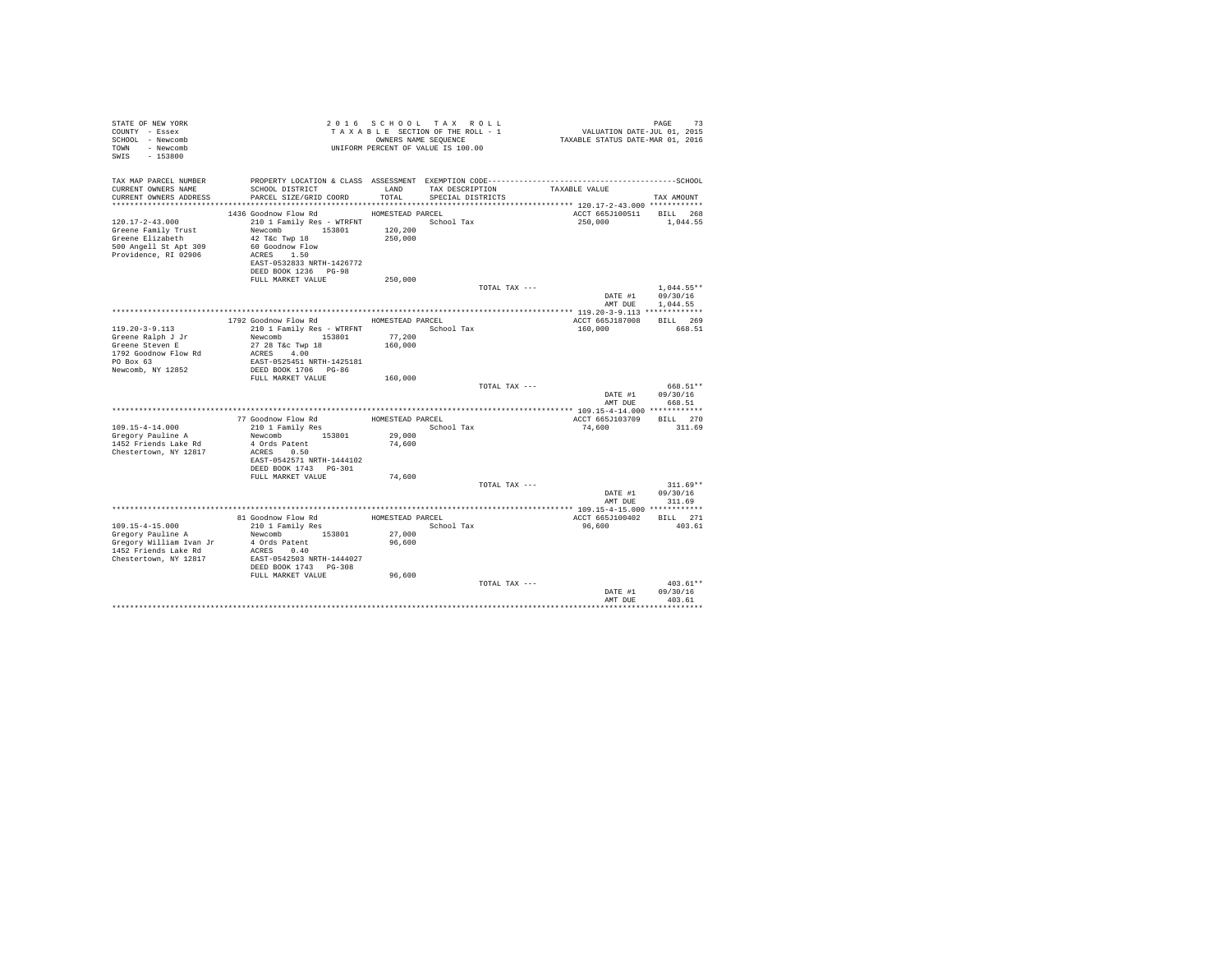| STATE OF NEW YORK<br>COUNTY - Essex<br>SCHOOL - Newcomb<br>TOWN - Newcomb<br>SWIS - 153800 |                                                   |                   | 2016 SCHOOL TAX ROLL<br>TAXABLE SECTION OF THE ROLL - 1<br>OWNERS NAME SEQUENCE<br>UNIFORM PERCENT OF VALUE IS 100.00 | PAGE 73<br>VALUATION DATE-JUL 01, 2015<br>TAXABLE STATUS DATE-MAR 01, 2016 |                    |
|--------------------------------------------------------------------------------------------|---------------------------------------------------|-------------------|-----------------------------------------------------------------------------------------------------------------------|----------------------------------------------------------------------------|--------------------|
| TAX MAP PARCEL NUMBER                                                                      |                                                   |                   |                                                                                                                       |                                                                            |                    |
| CURRENT OWNERS NAME<br>CURRENT OWNERS ADDRESS                                              | SCHOOL DISTRICT<br>PARCEL SIZE/GRID COORD         | LAND<br>TOTAL     | TAX DESCRIPTION<br>SPECIAL DISTRICTS                                                                                  | TAXABLE VALUE                                                              | TAX AMOUNT         |
|                                                                                            |                                                   |                   |                                                                                                                       |                                                                            |                    |
| $120.17 - 2 - 43.000$                                                                      | 1436 Goodnow Flow Rd                              | HOMESTEAD PARCEL  | School Tax                                                                                                            | ACCT 665J100511 BILL 268<br>250,000                                        | 1,044.55           |
| Greene Family Trust                                                                        | 210 1 Family Res - WTRFNT<br>Newcomb 153801       | 120,200           |                                                                                                                       |                                                                            |                    |
| Greene Elizabeth                                                                           | 42 T&c Twp 18                                     | 250,000           |                                                                                                                       |                                                                            |                    |
| 500 Angell St Apt 309                                                                      | 60 Goodnow Flow<br>ACRES 1.50                     |                   |                                                                                                                       |                                                                            |                    |
| Providence, RI 02906                                                                       |                                                   |                   |                                                                                                                       |                                                                            |                    |
|                                                                                            | EAST-0532833 NRTH-1426772                         |                   |                                                                                                                       |                                                                            |                    |
|                                                                                            | DEED BOOK 1236 PG-98<br>FULL MARKET VALUE         | 250,000           |                                                                                                                       |                                                                            |                    |
|                                                                                            |                                                   |                   | TOTAL TAX ---                                                                                                         |                                                                            | $1.044.55**$       |
|                                                                                            |                                                   |                   |                                                                                                                       |                                                                            | DATE #1 09/30/16   |
|                                                                                            |                                                   |                   |                                                                                                                       | AMT DUE                                                                    | 1,044.55           |
| ***********************************                                                        |                                                   |                   |                                                                                                                       |                                                                            |                    |
| $119.20 - 3 - 9.113$                                                                       | 1792 Goodnow Flow Rd<br>210 1 Family Res - WTRFNT | HOMESTEAD PARCEL  |                                                                                                                       | ACCT 665J187008                                                            | BILL 269<br>668.51 |
| Greene Ralph J Jr                                                                          | Newcomb 153801                                    |                   | School Tax                                                                                                            | 160,000                                                                    |                    |
| Greene Steven E                                                                            | 27 28 T&c Twp 18                                  | 77,200<br>160,000 |                                                                                                                       |                                                                            |                    |
| 1792 Goodnow Flow Rd                                                                       | ACRES 4.00                                        |                   |                                                                                                                       |                                                                            |                    |
| $PO$ Box $63$                                                                              | EAST-0525451 NRTH-1425181                         |                   |                                                                                                                       |                                                                            |                    |
| Newcomb, NY 12852                                                                          | DEED BOOK 1706 PG-86<br>FULL MARKET VALUE         | 160,000           |                                                                                                                       |                                                                            |                    |
|                                                                                            |                                                   |                   | TOTAL TAX ---                                                                                                         |                                                                            | 668.51**           |
|                                                                                            |                                                   |                   |                                                                                                                       |                                                                            | DATE #1 09/30/16   |
|                                                                                            |                                                   |                   |                                                                                                                       | AMT DUE                                                                    | 668.51             |
|                                                                                            |                                                   |                   |                                                                                                                       |                                                                            |                    |
| 109.15-4-14.000                                                                            | 77 Goodnow Flow Rd                                | HOMESTEAD PARCEL  | School Tax                                                                                                            | ACCT 665J103709<br>74.600                                                  | BILL 270<br>311.69 |
| Gregory Pauline A                                                                          | 210 1 Family Res<br>Newcomb 153801                | 29,000            |                                                                                                                       |                                                                            |                    |
| 1452 Friends Lake Rd                                                                       | 4 Ords Patent                                     | 74,600            |                                                                                                                       |                                                                            |                    |
| Chestertown, NY 12817                                                                      | ACRES 0.50                                        |                   |                                                                                                                       |                                                                            |                    |
|                                                                                            | EAST-0542571 NRTH-1444102                         |                   |                                                                                                                       |                                                                            |                    |
|                                                                                            | DEED BOOK 1743 PG-301                             |                   |                                                                                                                       |                                                                            |                    |
|                                                                                            | FULL MARKET VALUE                                 | 74,600            | TOTAL TAX ---                                                                                                         |                                                                            | $311.69**$         |
|                                                                                            |                                                   |                   |                                                                                                                       |                                                                            | DATE #1 09/30/16   |
|                                                                                            |                                                   |                   |                                                                                                                       |                                                                            | AMT DUE 311.69     |
|                                                                                            |                                                   |                   |                                                                                                                       | ********************* 109.15-4-15.000 ************                         |                    |
|                                                                                            | 81 Goodnow Flow Rd                                | HOMESTEAD PARCEL  |                                                                                                                       | ACCT 665J100402 BILL 271                                                   |                    |
| 109.15-4-15.000<br>Gregory Pauline A                                                       | 210 1 Family Res<br>Newcomb 153801                | 27,000            | School Tax                                                                                                            | 96,600                                                                     | 403.61             |
|                                                                                            |                                                   | 96,600            |                                                                                                                       |                                                                            |                    |
|                                                                                            |                                                   |                   |                                                                                                                       |                                                                            |                    |
| Chestertown, NY 12817                                                                      | EAST-0542503 NRTH-1444027                         |                   |                                                                                                                       |                                                                            |                    |
|                                                                                            | DEED BOOK 1743 PG-308                             |                   |                                                                                                                       |                                                                            |                    |
|                                                                                            | FULL MARKET VALUE                                 | 96,600            | TOTAL TAX ---                                                                                                         |                                                                            | $403.61**$         |
|                                                                                            |                                                   |                   |                                                                                                                       |                                                                            | DATE #1 09/30/16   |
|                                                                                            |                                                   |                   |                                                                                                                       | AMT DUE                                                                    | 403.61             |
|                                                                                            |                                                   |                   |                                                                                                                       |                                                                            |                    |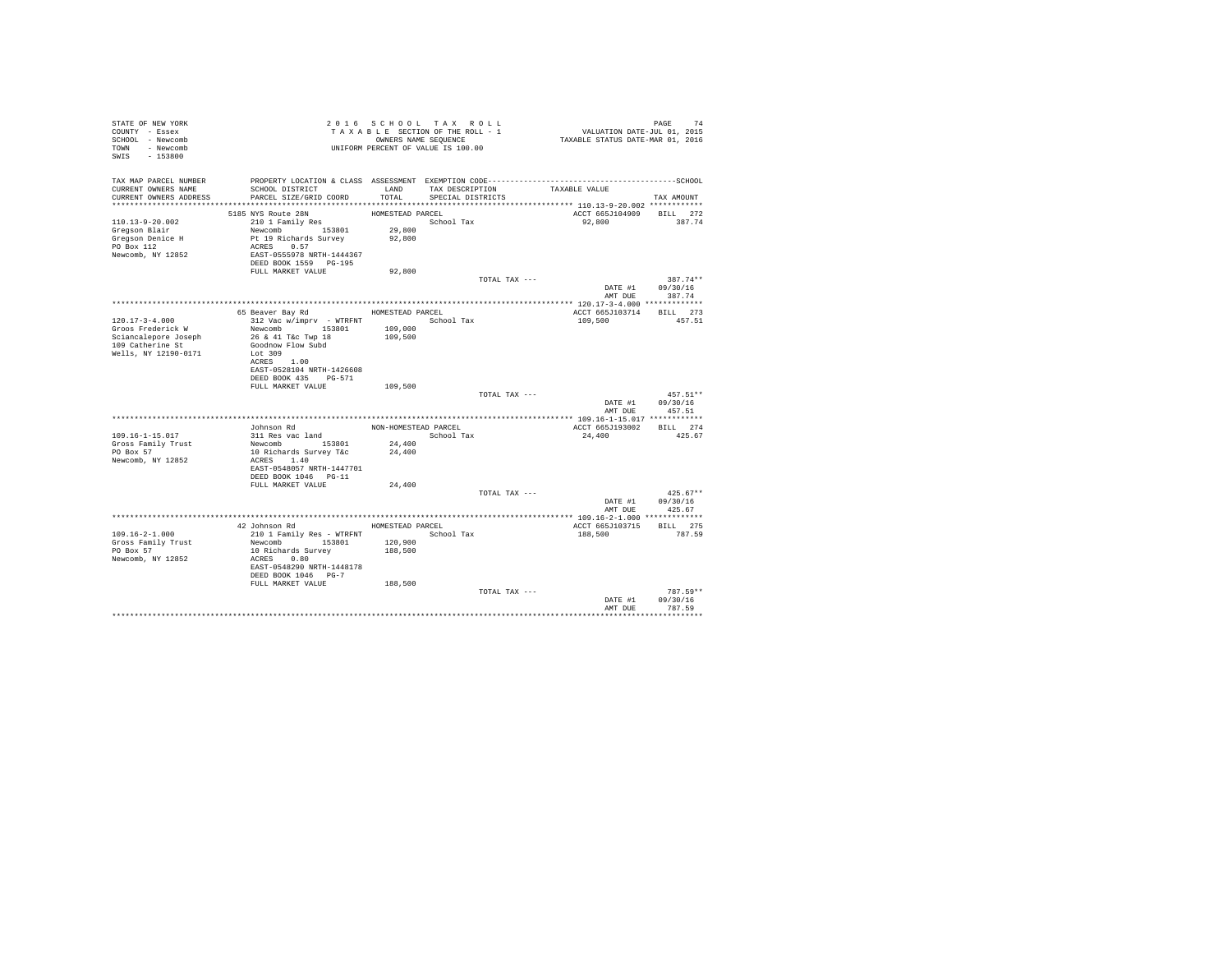| STATE OF NEW YORK<br>COUNTY - Essex<br>SCHOOL - Newcomb<br>TOWN - Newcomb<br>SWIS - 153800 |                                                                                              |                      | 2016 SCHOOL TAX ROLL<br>TAXABLE SECTION OF THE ROLL - 1<br>OWNERS NAME SEQUENCE<br>UNIFORM PERCENT OF VALUE IS 100.00 |               | PAGE 74<br>VALUATION DATE-JUL 01, 2015<br>TAXABLE STATUS DATE-MAR 01, 2016 |                      |  |
|--------------------------------------------------------------------------------------------|----------------------------------------------------------------------------------------------|----------------------|-----------------------------------------------------------------------------------------------------------------------|---------------|----------------------------------------------------------------------------|----------------------|--|
| TAX MAP PARCEL NUMBER                                                                      | PROPERTY LOCATION & CLASS ASSESSMENT EXEMPTION CODE-----------------------------------SCHOOL |                      |                                                                                                                       |               |                                                                            |                      |  |
| CURRENT OWNERS NAME<br>CURRENT OWNERS ADDRESS                                              | SCHOOL DISTRICT<br>PARCEL SIZE/GRID COORD                                                    | LAND<br>TOTAL.       | TAX DESCRIPTION<br>SPECIAL DISTRICTS                                                                                  |               | TAXABLE VALUE                                                              | TAX AMOUNT           |  |
|                                                                                            |                                                                                              |                      |                                                                                                                       |               |                                                                            |                      |  |
|                                                                                            | 5185 NYS Route 28N                                                                           | HOMESTEAD PARCEL     |                                                                                                                       |               | ACCT 665J104909 BILL 272                                                   |                      |  |
| $110.13 - 9 - 20.002$                                                                      | 210 1 Family Res                                                                             |                      | School Tax                                                                                                            |               | 92.800                                                                     | 387.74               |  |
| Gregson Blair                                                                              | Newcomb 153801                                                                               | 29,800               |                                                                                                                       |               |                                                                            |                      |  |
| Gregson Denice H<br>PO Box 112                                                             | Pt 19 Richards Survey<br>ACRES 0.57                                                          | 92,800               |                                                                                                                       |               |                                                                            |                      |  |
| Newcomb, NY 12852                                                                          | EAST-0555978 NRTH-1444367                                                                    |                      |                                                                                                                       |               |                                                                            |                      |  |
|                                                                                            | DEED BOOK 1559 PG-195                                                                        |                      |                                                                                                                       |               |                                                                            |                      |  |
|                                                                                            | FULL MARKET VALUE                                                                            | 92,800               |                                                                                                                       |               |                                                                            |                      |  |
|                                                                                            |                                                                                              |                      |                                                                                                                       | TOTAL TAX --- |                                                                            | 387.74**             |  |
|                                                                                            |                                                                                              |                      |                                                                                                                       |               | DATE #1 09/30/16                                                           |                      |  |
|                                                                                            |                                                                                              |                      |                                                                                                                       |               |                                                                            | AMT DUE 387.74       |  |
|                                                                                            |                                                                                              |                      |                                                                                                                       |               |                                                                            |                      |  |
| $120.17 - 3 - 4.000$                                                                       | 65 Beaver Bay Rd                                                                             | HOMESTEAD PARCEL     |                                                                                                                       |               | ACCT 665J103714                                                            | BILL 273<br>457.51   |  |
| Groos Frederick W                                                                          | 312 Vac w/imprv - WTRFNT<br>Newcomb 153801                                                   | 109,000              | School Tax                                                                                                            |               | 109,500                                                                    |                      |  |
| Sciancalepore Joseph                                                                       | 26 & 41 T&c Twp 18                                                                           | 109,500              |                                                                                                                       |               |                                                                            |                      |  |
| 109 Catherine St                                                                           | Goodnow Flow Subd                                                                            |                      |                                                                                                                       |               |                                                                            |                      |  |
| Wells, NY 12190-0171                                                                       | Lot 309                                                                                      |                      |                                                                                                                       |               |                                                                            |                      |  |
|                                                                                            | ACRES 1.00                                                                                   |                      |                                                                                                                       |               |                                                                            |                      |  |
|                                                                                            | EAST-0528104 NRTH-1426608                                                                    |                      |                                                                                                                       |               |                                                                            |                      |  |
|                                                                                            | DEED BOOK 435 PG-571                                                                         |                      |                                                                                                                       |               |                                                                            |                      |  |
|                                                                                            | FULL MARKET VALUE                                                                            | 109,500              |                                                                                                                       |               |                                                                            |                      |  |
|                                                                                            |                                                                                              |                      |                                                                                                                       | TOTAL TAX --- |                                                                            | $457.51**$           |  |
|                                                                                            |                                                                                              |                      |                                                                                                                       |               | DATE #1<br>AMT DUE                                                         | 09/30/16<br>457.51   |  |
|                                                                                            |                                                                                              |                      |                                                                                                                       |               |                                                                            |                      |  |
|                                                                                            | Johnson Rd                                                                                   | NON-HOMESTEAD PARCEL |                                                                                                                       |               | ACCT 665J193002 BILL 274                                                   |                      |  |
| 109.16-1-15.017                                                                            | 311 Res vac land                                                                             |                      | School Tax                                                                                                            |               | 24,400                                                                     | 425.67               |  |
| Gross Family Trust                                                                         | Newcomb 153801                                                                               | 24,400               |                                                                                                                       |               |                                                                            |                      |  |
| PO Box 57                                                                                  | 10 Richards Survey T&c                                                                       | 24,400               |                                                                                                                       |               |                                                                            |                      |  |
| Newcomb, NY 12852                                                                          | ACRES 1.40                                                                                   |                      |                                                                                                                       |               |                                                                            |                      |  |
|                                                                                            | EAST-0548057 NRTH-1447701                                                                    |                      |                                                                                                                       |               |                                                                            |                      |  |
|                                                                                            | DEED BOOK 1046 PG-11<br>FULL MARKET VALUE                                                    | 24,400               |                                                                                                                       |               |                                                                            |                      |  |
|                                                                                            |                                                                                              |                      |                                                                                                                       | TOTAL TAX --- |                                                                            | $425.67**$           |  |
|                                                                                            |                                                                                              |                      |                                                                                                                       |               | DATE #1                                                                    | 09/30/16             |  |
|                                                                                            |                                                                                              |                      |                                                                                                                       |               | AMT DUE                                                                    | 425.67               |  |
|                                                                                            |                                                                                              |                      |                                                                                                                       |               |                                                                            |                      |  |
|                                                                                            | 42 Johnson Rd                                                                                |                      | HOMESTEAD PARCEL                                                                                                      |               | ACCT 665J103715                                                            | BILL 275             |  |
| $109.16 - 2 - 1.000$                                                                       | 210 1 Family Res - WTRFNT                                                                    |                      | School Tax                                                                                                            |               | 188,500                                                                    | 787.59               |  |
| Gross Family Trust                                                                         | Newcomb 153801                                                                               | 120,900              |                                                                                                                       |               |                                                                            |                      |  |
| PO Box 57                                                                                  | 10 Richards Survey                                                                           | 188,500              |                                                                                                                       |               |                                                                            |                      |  |
| Newcomb, NY 12852                                                                          | ACRES 0.80                                                                                   |                      |                                                                                                                       |               |                                                                            |                      |  |
|                                                                                            | EAST-0548290 NRTH-1448178                                                                    |                      |                                                                                                                       |               |                                                                            |                      |  |
|                                                                                            | DEED BOOK 1046 PG-7                                                                          |                      |                                                                                                                       |               |                                                                            |                      |  |
|                                                                                            | FULL MARKET VALUE                                                                            | 188,500              |                                                                                                                       |               |                                                                            |                      |  |
|                                                                                            |                                                                                              |                      |                                                                                                                       | TOTAL TAX --- | DATE #1                                                                    | 787.59**<br>09/30/16 |  |
|                                                                                            |                                                                                              |                      |                                                                                                                       |               | AMT DUE                                                                    | 787.59               |  |
|                                                                                            |                                                                                              |                      |                                                                                                                       |               |                                                                            |                      |  |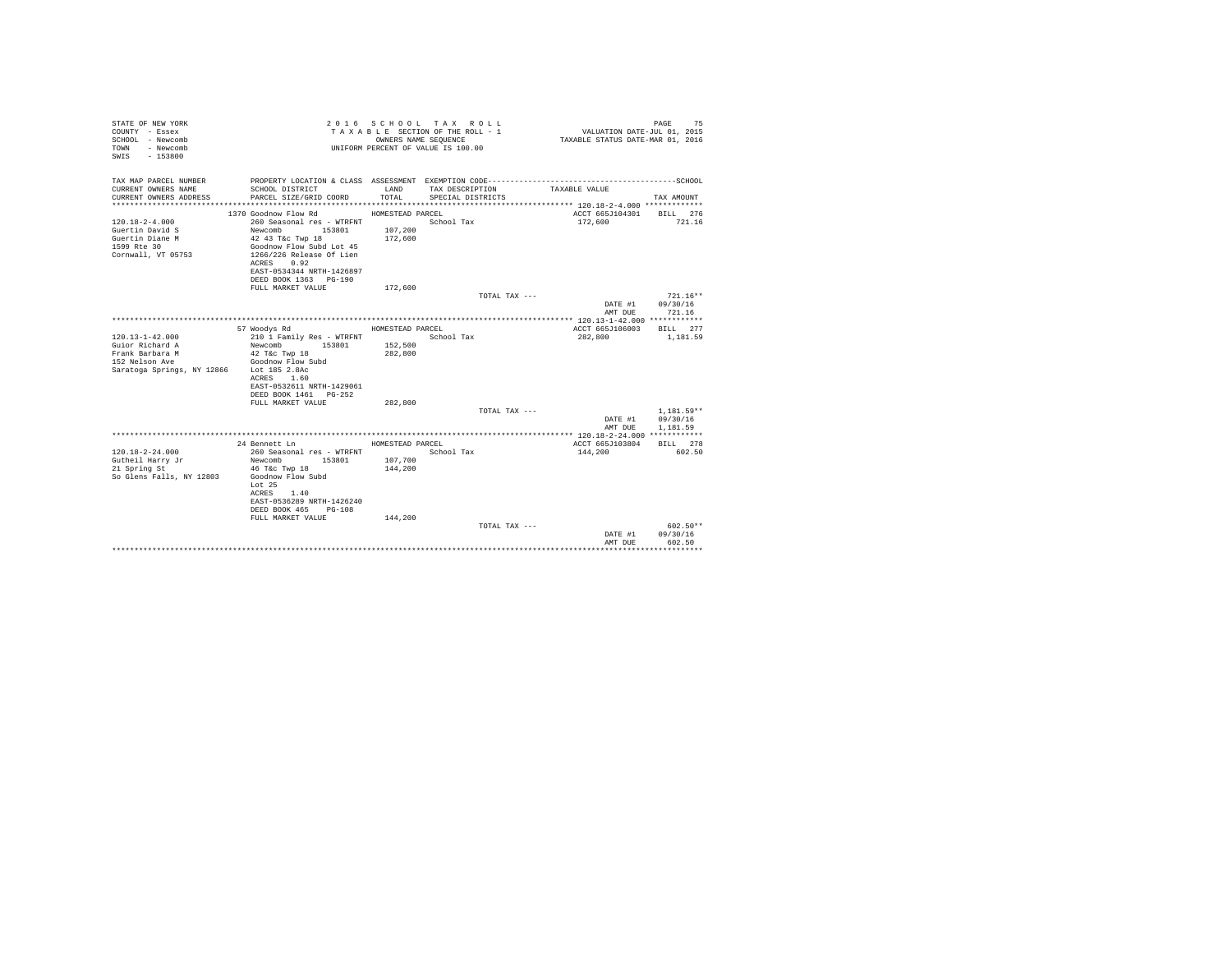| STATE OF NEW YORK<br>COUNTY - Essex<br>SCHOOL - Newcomb<br>- Newcomb<br>TOWN<br>$-153800$<br>SWTS                         |                                                                                                                                                                                             | OWNERS NAME SEQUENCE | 2016 SCHOOL TAX ROLL<br>TAXABLE SECTION OF THE ROLL - 1<br>UNIFORM PERCENT OF VALUE IS 100.00 | VALUATION DATE-JUL 01, 2015<br>TAXABLE STATUS DATE-MAR 01, 2016 | 75<br>PAGE                       |
|---------------------------------------------------------------------------------------------------------------------------|---------------------------------------------------------------------------------------------------------------------------------------------------------------------------------------------|----------------------|-----------------------------------------------------------------------------------------------|-----------------------------------------------------------------|----------------------------------|
| TAX MAP PARCEL NUMBER                                                                                                     |                                                                                                                                                                                             |                      |                                                                                               |                                                                 |                                  |
| CURRENT OWNERS NAME<br>CURRENT OWNERS ADDRESS                                                                             | SCHOOL DISTRICT<br>PARCEL SIZE/GRID COORD                                                                                                                                                   | LAND<br>TOTAL.       | TAX DESCRIPTION<br>SPECIAL DISTRICTS                                                          | TAXABLE VALUE                                                   | TAX AMOUNT                       |
|                                                                                                                           | 1370 Goodnow Flow Rd                                                                                                                                                                        | HOMESTEAD PARCEL     |                                                                                               | ACCT 665J104301                                                 | BILL 276                         |
| $120.18 - 2 - 4.000$<br>Guertin David S<br>Guertin Diane M<br>1599 Rte 30<br>Cornwall, VT 05753                           | 260 Seasonal res - WTRFNT<br>Newcomb 153801<br>42 43 T&c Twp 18<br>Goodnow Flow Subd Lot 45<br>1266/226 Release Of Lien<br>ACRES 0.92<br>EAST-0534344 NRTH-1426897<br>DEED BOOK 1363 PG-190 | 107,200<br>172,600   | School Tax                                                                                    | 172,600                                                         | 721.16                           |
|                                                                                                                           | FULL MARKET VALUE                                                                                                                                                                           | 172,600              |                                                                                               |                                                                 |                                  |
|                                                                                                                           |                                                                                                                                                                                             |                      | TOTAL TAX ---                                                                                 |                                                                 | $721.16**$                       |
|                                                                                                                           |                                                                                                                                                                                             |                      |                                                                                               | DATE #1                                                         | 09/30/16                         |
|                                                                                                                           |                                                                                                                                                                                             |                      |                                                                                               | AMT DUE                                                         | 721.16                           |
|                                                                                                                           | 57 Woodys Rd                                                                                                                                                                                | HOMESTEAD PARCEL     |                                                                                               | ACCT 665J106003                                                 | BTLL 277                         |
| $120.13 - 1 - 42.000$<br>Guior Richard A<br>Frank Barbara M<br>152 Nelson Ave<br>Saratoga Springs, NY 12866 Lot 185 2.8Ac | 210 1 Family Res - WTRFNT<br>Newcomb<br>153801<br>42 T&c Twp 18<br>Goodnow Flow Subd<br>1.60<br>ACRES                                                                                       | 152,500<br>282,800   | School Tax                                                                                    | 282,800                                                         | 1,181.59                         |
|                                                                                                                           | EAST-0532611 NRTH-1429061<br>DEED BOOK 1461 PG-252                                                                                                                                          |                      |                                                                                               |                                                                 |                                  |
|                                                                                                                           | FULL MARKET VALUE                                                                                                                                                                           | 282,800              |                                                                                               |                                                                 |                                  |
|                                                                                                                           |                                                                                                                                                                                             |                      | TOTAL TAX ---                                                                                 |                                                                 | $1.181.59**$                     |
|                                                                                                                           |                                                                                                                                                                                             |                      |                                                                                               | DATE #1<br>AMT DUE                                              | 09/30/16<br>1,181.59             |
|                                                                                                                           |                                                                                                                                                                                             |                      |                                                                                               |                                                                 |                                  |
|                                                                                                                           | 24 Bennett Ln                                                                                                                                                                               | HOMESTEAD PARCEL     |                                                                                               | ACCT 665J103804                                                 | BILL 278                         |
| $120.18 - 2 - 24.000$<br>Gutheil Harry Jr<br>21 Spring St                                                                 | 260 Seasonal res - WTRFNT<br>Newcomb<br>153801<br>46 T&c Twp 18                                                                                                                             | 107,700<br>144,200   | School Tax                                                                                    | 144,200                                                         | 602.50                           |
| So Glens Falls, NY 12803                                                                                                  | Goodnow Flow Subd<br>Lot 25<br>1.40<br>ACRES<br>EAST-0536289 NRTH-1426240<br>DEED BOOK 465<br>$PG-108$                                                                                      |                      |                                                                                               |                                                                 |                                  |
|                                                                                                                           | FULL MARKET VALUE                                                                                                                                                                           | 144,200              | TOTAL TAX ---                                                                                 | DATE #1<br>AMT DUE                                              | $602.50**$<br>09/30/16<br>602.50 |
|                                                                                                                           |                                                                                                                                                                                             |                      |                                                                                               |                                                                 |                                  |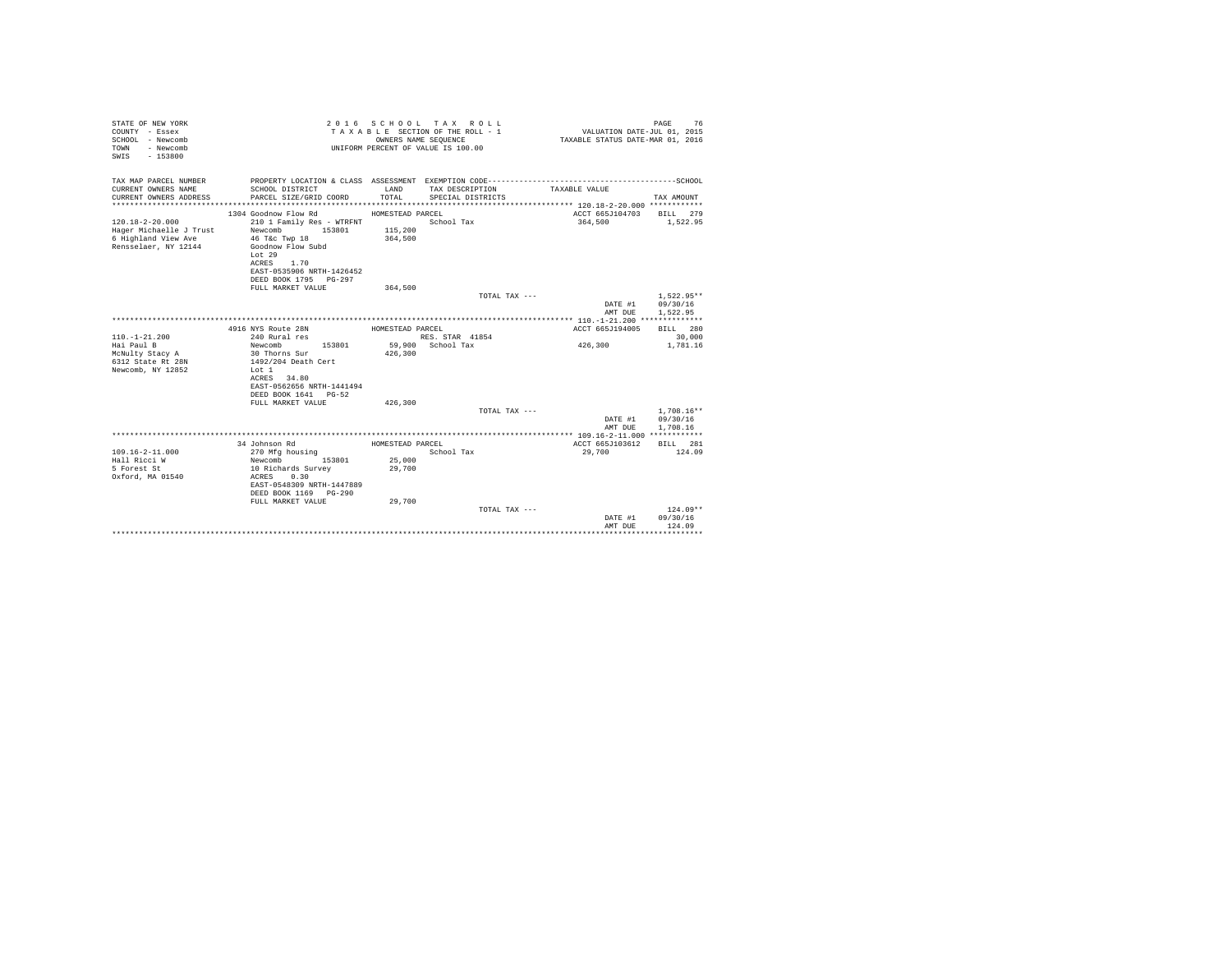| TAX MAP PARCEL NUMBER<br>CURRENT OWNERS NAME<br><b>T.AND</b><br>TAX DESCRIPTION<br>SCHOOL DISTRICT<br>TAXABLE VALUE<br>CURRENT OWNERS ADDRESS<br>PARCEL SIZE/GRID COORD<br>TOTAL.<br>SPECIAL DISTRICTS<br>TAX AMOUNT<br>**********************<br>ACCT 665J104703<br>1304 Goodnow Flow Rd<br>HOMESTEAD PARCEL<br>BILL 279<br>$120.18 - 2 - 20.000$<br>210 1 Family Res - WTRFNT<br>School Tax<br>364,500<br>1,522.95<br>Hager Michaelle J Trust<br>Newcomb 153801<br>115,200<br>6 Highland View Ave<br>46 T&c Twp 18<br>364,500<br>Rensselaer, NY 12144<br>Goodnow Flow Subd<br>Lot 29<br>ACRES 1.70<br>EAST-0535906 NRTH-1426452<br>DEED BOOK 1795 PG-297<br>FULL MARKET VALUE<br>364,500<br>$1.522.95**$<br>TOTAL TAX ---<br>DATE #1<br>09/30/16<br>AMT DUE<br>1,522.95<br>ACCT 665J194005<br>RTLL 280<br>4916 NYS Route 28N<br>HOMESTEAD PARCEL<br>$110. - 1 - 21.200$<br>240 Rural res<br>30,000<br>RES. STAR 41854<br>426,300<br>59,900 School Tax<br>Hai Paul B<br>Newcomb<br>153801<br>1,781.16<br>426,300<br>McNulty Stacy A<br>30 Thorns Sur<br>6312 State Rt 28N<br>1492/204 Death Cert<br>Newcomb, NY 12852<br>Lot 1<br>ACRES 34.80<br>EAST-0562656 NRTH-1441494<br>DEED BOOK 1641 PG-52<br>426,300<br>FULL MARKET VALUE<br>$1.708.16**$<br>TOTAL TAX $---$<br>09/30/16<br>DATE #1<br>1,708.16<br>AMT DUE<br>34 Johnson Rd<br>HOMESTEAD PARCEL<br>ACCT 665J103612<br><b>BILL</b> 281<br>$109.16 - 2 - 11.000$<br>270 Mfg housing<br>School Tax<br>29,700<br>124.09<br>Hall Ricci W<br>Newcomb 153801<br>25,000<br>5 Forest St<br>10 Richards Survey<br>29,700<br>Oxford, MA 01540<br>ACRES 0.30<br>EAST-0548309 NRTH-1447889<br>DEED BOOK 1169 PG-290<br>FULL MARKET VALUE<br>29,700<br>$124.09**$<br>TOTAL TAX ---<br>09/30/16<br>DATE #1<br>AMT DUE<br>124.09 | STATE OF NEW YORK<br>COUNTY - Essex<br>SCHOOL - Newcomb<br>TOWN<br>- Newcomb<br>SWTS<br>$-153800$ |  | 2016 SCHOOL TAX ROLL<br>TAXABLE SECTION OF THE ROLL - 1<br>OWNERS NAME SEOUENCE<br>UNIFORM PERCENT OF VALUE IS 100.00 | VALUATION DATE-JUL 01, 2015<br>TAXABLE STATUS DATE-MAR 01, 2016 | 76<br>PAGE |
|----------------------------------------------------------------------------------------------------------------------------------------------------------------------------------------------------------------------------------------------------------------------------------------------------------------------------------------------------------------------------------------------------------------------------------------------------------------------------------------------------------------------------------------------------------------------------------------------------------------------------------------------------------------------------------------------------------------------------------------------------------------------------------------------------------------------------------------------------------------------------------------------------------------------------------------------------------------------------------------------------------------------------------------------------------------------------------------------------------------------------------------------------------------------------------------------------------------------------------------------------------------------------------------------------------------------------------------------------------------------------------------------------------------------------------------------------------------------------------------------------------------------------------------------------------------------------------------------------------------------------------------------------------------------------------------------------------------------------------------------------------------------------|---------------------------------------------------------------------------------------------------|--|-----------------------------------------------------------------------------------------------------------------------|-----------------------------------------------------------------|------------|
|                                                                                                                                                                                                                                                                                                                                                                                                                                                                                                                                                                                                                                                                                                                                                                                                                                                                                                                                                                                                                                                                                                                                                                                                                                                                                                                                                                                                                                                                                                                                                                                                                                                                                                                                                                            |                                                                                                   |  |                                                                                                                       |                                                                 |            |
|                                                                                                                                                                                                                                                                                                                                                                                                                                                                                                                                                                                                                                                                                                                                                                                                                                                                                                                                                                                                                                                                                                                                                                                                                                                                                                                                                                                                                                                                                                                                                                                                                                                                                                                                                                            |                                                                                                   |  |                                                                                                                       |                                                                 |            |
|                                                                                                                                                                                                                                                                                                                                                                                                                                                                                                                                                                                                                                                                                                                                                                                                                                                                                                                                                                                                                                                                                                                                                                                                                                                                                                                                                                                                                                                                                                                                                                                                                                                                                                                                                                            |                                                                                                   |  |                                                                                                                       |                                                                 |            |
|                                                                                                                                                                                                                                                                                                                                                                                                                                                                                                                                                                                                                                                                                                                                                                                                                                                                                                                                                                                                                                                                                                                                                                                                                                                                                                                                                                                                                                                                                                                                                                                                                                                                                                                                                                            |                                                                                                   |  |                                                                                                                       |                                                                 |            |
|                                                                                                                                                                                                                                                                                                                                                                                                                                                                                                                                                                                                                                                                                                                                                                                                                                                                                                                                                                                                                                                                                                                                                                                                                                                                                                                                                                                                                                                                                                                                                                                                                                                                                                                                                                            |                                                                                                   |  |                                                                                                                       |                                                                 |            |
|                                                                                                                                                                                                                                                                                                                                                                                                                                                                                                                                                                                                                                                                                                                                                                                                                                                                                                                                                                                                                                                                                                                                                                                                                                                                                                                                                                                                                                                                                                                                                                                                                                                                                                                                                                            |                                                                                                   |  |                                                                                                                       |                                                                 |            |
|                                                                                                                                                                                                                                                                                                                                                                                                                                                                                                                                                                                                                                                                                                                                                                                                                                                                                                                                                                                                                                                                                                                                                                                                                                                                                                                                                                                                                                                                                                                                                                                                                                                                                                                                                                            |                                                                                                   |  |                                                                                                                       |                                                                 |            |
|                                                                                                                                                                                                                                                                                                                                                                                                                                                                                                                                                                                                                                                                                                                                                                                                                                                                                                                                                                                                                                                                                                                                                                                                                                                                                                                                                                                                                                                                                                                                                                                                                                                                                                                                                                            |                                                                                                   |  |                                                                                                                       |                                                                 |            |
|                                                                                                                                                                                                                                                                                                                                                                                                                                                                                                                                                                                                                                                                                                                                                                                                                                                                                                                                                                                                                                                                                                                                                                                                                                                                                                                                                                                                                                                                                                                                                                                                                                                                                                                                                                            |                                                                                                   |  |                                                                                                                       |                                                                 |            |
|                                                                                                                                                                                                                                                                                                                                                                                                                                                                                                                                                                                                                                                                                                                                                                                                                                                                                                                                                                                                                                                                                                                                                                                                                                                                                                                                                                                                                                                                                                                                                                                                                                                                                                                                                                            |                                                                                                   |  |                                                                                                                       |                                                                 |            |
|                                                                                                                                                                                                                                                                                                                                                                                                                                                                                                                                                                                                                                                                                                                                                                                                                                                                                                                                                                                                                                                                                                                                                                                                                                                                                                                                                                                                                                                                                                                                                                                                                                                                                                                                                                            |                                                                                                   |  |                                                                                                                       |                                                                 |            |
|                                                                                                                                                                                                                                                                                                                                                                                                                                                                                                                                                                                                                                                                                                                                                                                                                                                                                                                                                                                                                                                                                                                                                                                                                                                                                                                                                                                                                                                                                                                                                                                                                                                                                                                                                                            |                                                                                                   |  |                                                                                                                       |                                                                 |            |
|                                                                                                                                                                                                                                                                                                                                                                                                                                                                                                                                                                                                                                                                                                                                                                                                                                                                                                                                                                                                                                                                                                                                                                                                                                                                                                                                                                                                                                                                                                                                                                                                                                                                                                                                                                            |                                                                                                   |  |                                                                                                                       |                                                                 |            |
|                                                                                                                                                                                                                                                                                                                                                                                                                                                                                                                                                                                                                                                                                                                                                                                                                                                                                                                                                                                                                                                                                                                                                                                                                                                                                                                                                                                                                                                                                                                                                                                                                                                                                                                                                                            |                                                                                                   |  |                                                                                                                       |                                                                 |            |
|                                                                                                                                                                                                                                                                                                                                                                                                                                                                                                                                                                                                                                                                                                                                                                                                                                                                                                                                                                                                                                                                                                                                                                                                                                                                                                                                                                                                                                                                                                                                                                                                                                                                                                                                                                            |                                                                                                   |  |                                                                                                                       |                                                                 |            |
|                                                                                                                                                                                                                                                                                                                                                                                                                                                                                                                                                                                                                                                                                                                                                                                                                                                                                                                                                                                                                                                                                                                                                                                                                                                                                                                                                                                                                                                                                                                                                                                                                                                                                                                                                                            |                                                                                                   |  |                                                                                                                       |                                                                 | .          |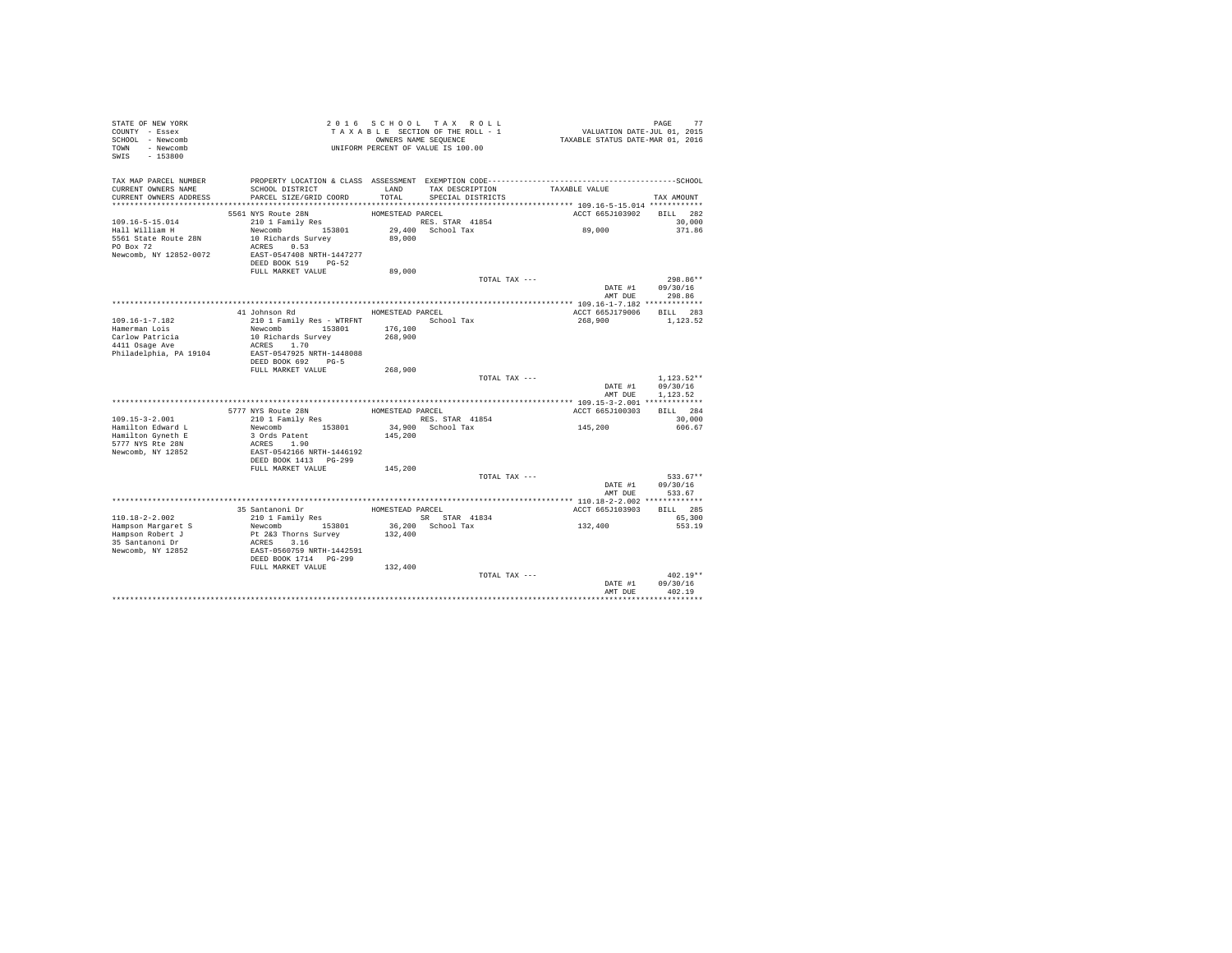| STATE OF NEW YORK<br>COUNTY - Essex<br>SCHOOL - Newcomb<br>TOWN - Newcomb<br>$-153800$<br>SWIS         |                                                                                                                                                                       |                                      | 2016 SCHOOL TAX ROLL<br>TAXABLE SECTION OF THE ROLL - 1<br>OWNERS NAME SEQUENCE<br>UNIFORM PERCENT OF VALUE IS 100.00 | PAGE 77<br>VALUATION DATE-JUL 01, 2015<br>TAXABLE STATUS DATE-MAR 01, 2016 |                                      |
|--------------------------------------------------------------------------------------------------------|-----------------------------------------------------------------------------------------------------------------------------------------------------------------------|--------------------------------------|-----------------------------------------------------------------------------------------------------------------------|----------------------------------------------------------------------------|--------------------------------------|
| TAX MAP PARCEL NUMBER<br>CURRENT OWNERS NAME<br>CURRENT OWNERS ADDRESS                                 | SCHOOL DISTRICT<br>PARCEL SIZE/GRID COORD                                                                                                                             | LAND<br>TOTAL                        | TAX DESCRIPTION<br>SPECIAL DISTRICTS                                                                                  | TAXABLE VALUE                                                              | TAX AMOUNT                           |
|                                                                                                        |                                                                                                                                                                       |                                      |                                                                                                                       |                                                                            |                                      |
| $109.16 - 5 - 15.014$<br>Hall William H<br>5561 State Route 28N<br>PO Box 72<br>Newcomb, NY 12852-0072 | 5561 NYS Route 28N<br>210 1 Family Res<br>Newcomb 153801<br>10 Richards Survey<br>ACRES 0.53<br>EAST-0547408 NRTH-1447277<br>DEED BOOK 519 PG-52<br>FULL MARKET VALUE | HOMESTEAD PARCEL<br>89,000<br>89,000 | RES. STAR 41854<br>29,400 School Tax                                                                                  | ACCT 665J103902<br>89,000                                                  | BILL 282<br>30,000<br>371.86         |
|                                                                                                        |                                                                                                                                                                       |                                      | TOTAL TAX ---                                                                                                         |                                                                            | 298.86**                             |
|                                                                                                        |                                                                                                                                                                       |                                      |                                                                                                                       |                                                                            | DATE #1 09/30/16<br>AMT DUE 298.86   |
|                                                                                                        | 41 Johnson Rd                                                                                                                                                         | HOMESTEAD PARCEL                     |                                                                                                                       | ACCT 665J179006 BILL 283                                                   |                                      |
| 109.16-1-7.182<br>Hamerman Lois<br>Carlow Patricia<br>4411 Osage Ave<br>Philadelphia, PA 19104         | 210 1 Family Res - WTRFNT School Tax<br>Newcomb 153801<br>10 Richards Survey<br>ACRES 1.70<br>EAST-0547925 NRTH-1448088<br>DEED BOOK 692 PG-5                         | 176,100<br>268,900                   |                                                                                                                       | 268,900                                                                    | 1,123.52                             |
|                                                                                                        | FULL MARKET VALUE                                                                                                                                                     | 268,900                              |                                                                                                                       |                                                                            |                                      |
|                                                                                                        |                                                                                                                                                                       |                                      | TOTAL TAX ---                                                                                                         | DATE #1<br>AMT DUE                                                         | $1.123.52**$<br>09/30/16<br>1.123.52 |
|                                                                                                        |                                                                                                                                                                       |                                      |                                                                                                                       |                                                                            |                                      |
|                                                                                                        | 5777 NYS Route 28N                                                                                                                                                    | HOMESTEAD PARCEL                     |                                                                                                                       | ACCT 665J100303                                                            | BILL 284                             |
| $109.15 - 3 - 2.001$                                                                                   | 210 1 Family Res                                                                                                                                                      |                                      | RES. STAR 41854                                                                                                       | 145,200                                                                    | 30,000                               |
| Hamilton Edward L<br>Hamilton Gyneth E<br>5777 NYS Rte 28N<br>Newcomb, NY 12852                        | Newcomb 153801<br>3 Ords Patent<br>ACRES 1.90<br>EAST-0542166 NRTH-1446192<br>DEED BOOK 1413 PG-299                                                                   | 145,200                              | 34,900 School Tax                                                                                                     |                                                                            | 606.67                               |
|                                                                                                        | FULL MARKET VALUE                                                                                                                                                     | 145,200                              |                                                                                                                       |                                                                            |                                      |
|                                                                                                        |                                                                                                                                                                       |                                      | TOTAL TAX ---                                                                                                         | DATE #1<br>AMT DUE                                                         | 533.67**<br>09/30/16<br>533.67       |
|                                                                                                        |                                                                                                                                                                       |                                      |                                                                                                                       |                                                                            |                                      |
| 110.18-2-2.002                                                                                         | 35 Santanoni Dr<br>210 1 Family Res                                                                                                                                   | HOMESTEAD PARCEL                     | SR STAR 41834                                                                                                         | ACCT 665J103903                                                            | BILL 285<br>65,300                   |
| Hampson Margaret S<br>Hampson Robert J<br>35 Santanoni Dr<br>Newcomb, NY 12852                         | Newcomb 153801<br>Pt 2&3 Thorns Survey<br>ACRES 3.16<br>EAST-0560759 NRTH-1442591<br>DEED BOOK 1714 PG-299<br>FULL MARKET VALUE                                       | 132,400<br>132,400                   | 36,200 School Tax                                                                                                     | 132,400                                                                    | 553.19                               |
|                                                                                                        |                                                                                                                                                                       |                                      | TOTAL TAX ---                                                                                                         | DATE #1<br>AMT DUE                                                         | $402.19**$<br>09/30/16<br>402.19     |
|                                                                                                        |                                                                                                                                                                       |                                      |                                                                                                                       |                                                                            |                                      |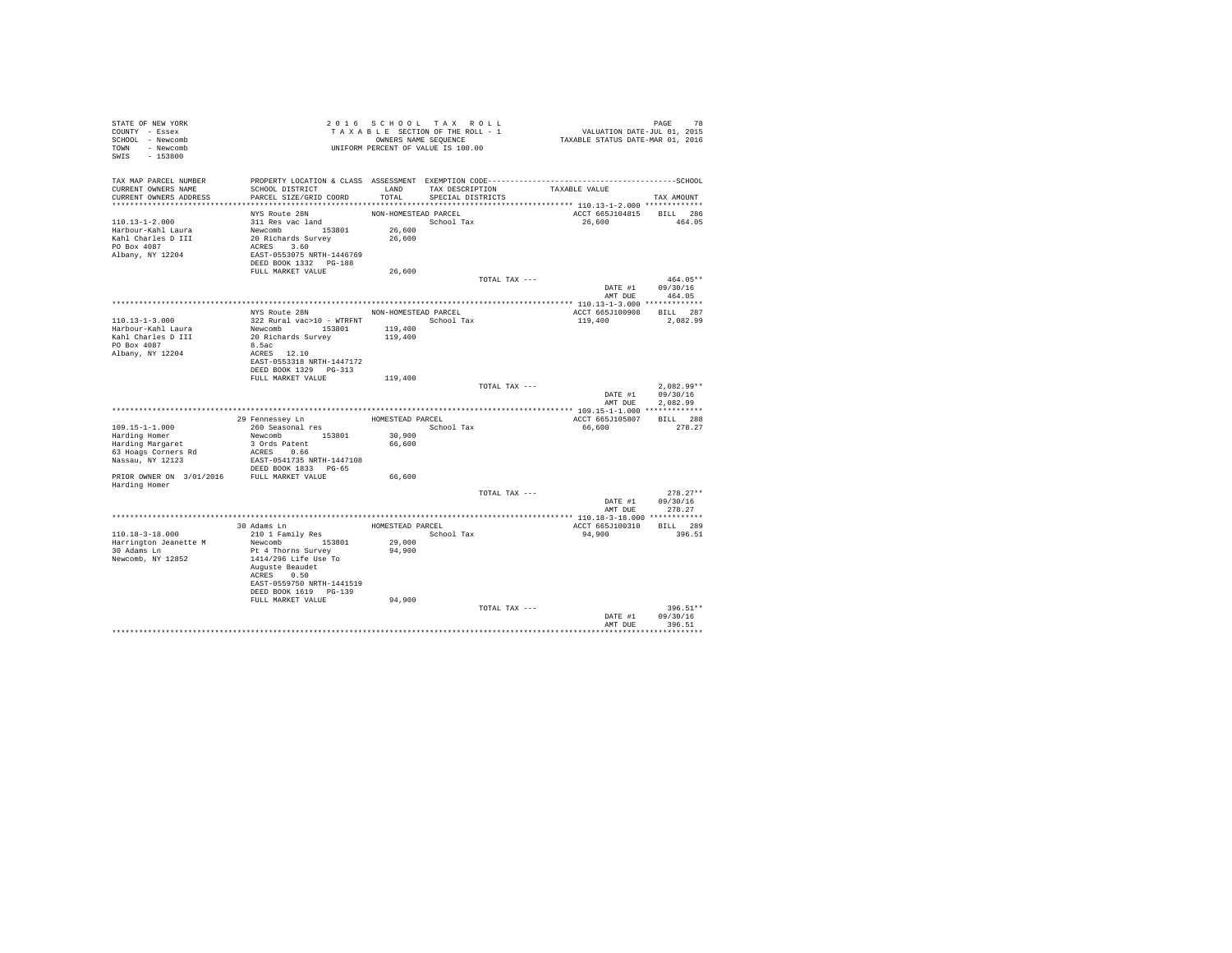| STATE OF NEW YORK<br>COUNTY - Essex<br>SCHOOL - Newcomb<br>TOWN - Newcomb<br>SWIS<br>$-153800$                                                     |                                                                                                                                                                                       |                                                       | 2016 SCHOOL TAX ROLL<br>TAXABLE SECTION OF THE ROLL - 1<br>OWNERS NAME SEQUENCE<br>UNIFORM PERCENT OF VALUE IS 100.00 | VALUATION DATE-JUL $01$ , 2015<br>TAXABLE STATUS DATE-MAR 01, 2016 | PAGE<br>78                                                   |
|----------------------------------------------------------------------------------------------------------------------------------------------------|---------------------------------------------------------------------------------------------------------------------------------------------------------------------------------------|-------------------------------------------------------|-----------------------------------------------------------------------------------------------------------------------|--------------------------------------------------------------------|--------------------------------------------------------------|
| TAX MAP PARCEL NUMBER<br>CURRENT OWNERS NAME<br>CURRENT OWNERS ADDRESS                                                                             | SCHOOL DISTRICT<br>PARCEL SIZE/GRID COORD<br>****************************                                                                                                             | LAND<br>TOTAL                                         | TAX DESCRIPTION<br>SPECIAL DISTRICTS                                                                                  | TAXABLE VALUE                                                      | TAX AMOUNT                                                   |
| $110.13 - 1 - 2.000$<br>Harbour-Kahl Laura<br>Kahl Charles D III<br>PO Box 4087<br>Albany, NY 12204                                                | NYS Route 28N<br>311 Res vac land<br>Newcomb 153801<br>20 Richards Survey<br>ACRES 3.60<br>EAST-0553075 NRTH-1446769<br>DEED BOOK 1332 PG-188                                         | NON-HOMESTEAD PARCEL<br>26,600<br>26,600              | School Tax                                                                                                            | ACCT 665J104815<br>26,600                                          | BILL 286<br>464.05                                           |
|                                                                                                                                                    | FULL MARKET VALUE                                                                                                                                                                     | 26,600                                                |                                                                                                                       |                                                                    |                                                              |
|                                                                                                                                                    |                                                                                                                                                                                       |                                                       | TOTAL TAX ---                                                                                                         | DATE #1<br>AMT DUE                                                 | 464.05**<br>09/30/16<br>464.05                               |
| 110.13-1-3.000<br>Harbour-Kahl Laura<br>Kahl Charles D III<br>PO Box 4087<br>Albany, NY 12204                                                      | NYS Route 28N<br>322 Rural vac>10 - WTRFNT<br>Newcomb 153801<br>20 Richards Survey<br>8.5ac<br>ACRES 12.10<br>EAST-0553318 NRTH-1447172<br>DEED BOOK 1329 PG-313<br>FULL MARKET VALUE | NON-HOMESTEAD PARCEL<br>119,400<br>119,400<br>119,400 | School Tax<br>TOTAL TAX ---                                                                                           | ACCT 665J100908<br>119,400<br>DATE #1<br>AMT DUE                   | BILL 287<br>2,082.99<br>$2.082.99**$<br>09/30/16<br>2.082.99 |
|                                                                                                                                                    | 29 Fennessey Ln                                                                                                                                                                       | HOMESTEAD PARCEL                                      |                                                                                                                       | ACCT 665J105807                                                    | BILL 288                                                     |
| $109.15 - 1 - 1.000$<br>Harding Homer<br>Harding Margaret<br>63 Hoags Corners Rd<br>Nassau, NY 12123<br>PRIOR OWNER ON 3/01/2016 FULL MARKET VALUE | 260 Seasonal res<br>Newcomb 153801<br>3 Ords Patent<br>ACRES 0.66<br>EAST-0541735 NRTH-1447108<br>DEED BOOK 1833 PG-65                                                                | 30,900<br>66,600<br>66,600                            | School Tax                                                                                                            | 66,600                                                             | 278.27                                                       |
| Harding Homer                                                                                                                                      |                                                                                                                                                                                       |                                                       | TOTAL TAX ---                                                                                                         | DATE #1                                                            | $278.27**$<br>09/30/16                                       |
|                                                                                                                                                    |                                                                                                                                                                                       |                                                       |                                                                                                                       | AMT DUE                                                            | 278.27                                                       |
| 110.18-3-18.000                                                                                                                                    | 30 Adams Ln<br>210 1 Family Res                                                                                                                                                       | HOMESTEAD PARCEL                                      | School Tax                                                                                                            | ACCT 665J100310<br>94,900                                          | BILL 289<br>396.51                                           |
| Harrington Jeanette M<br>30 Adams Ln<br>Newcomb, NY 12852                                                                                          | Newcomb 153801<br>Pt 4 Thorns Survey<br>1414/296 Life Use To<br>Auguste Beaudet<br>ACRES 0.50<br>EAST-0559750 NRTH-1441519<br>DEED BOOK 1619 PG-139<br>FULL MARKET VALUE              | 29,000<br>94,900<br>94,900                            |                                                                                                                       |                                                                    |                                                              |
|                                                                                                                                                    |                                                                                                                                                                                       |                                                       | TOTAL TAX ---                                                                                                         | DATE #1<br>AMT DUE                                                 | 396.51**<br>09/30/16<br>396.51                               |
|                                                                                                                                                    |                                                                                                                                                                                       |                                                       |                                                                                                                       |                                                                    |                                                              |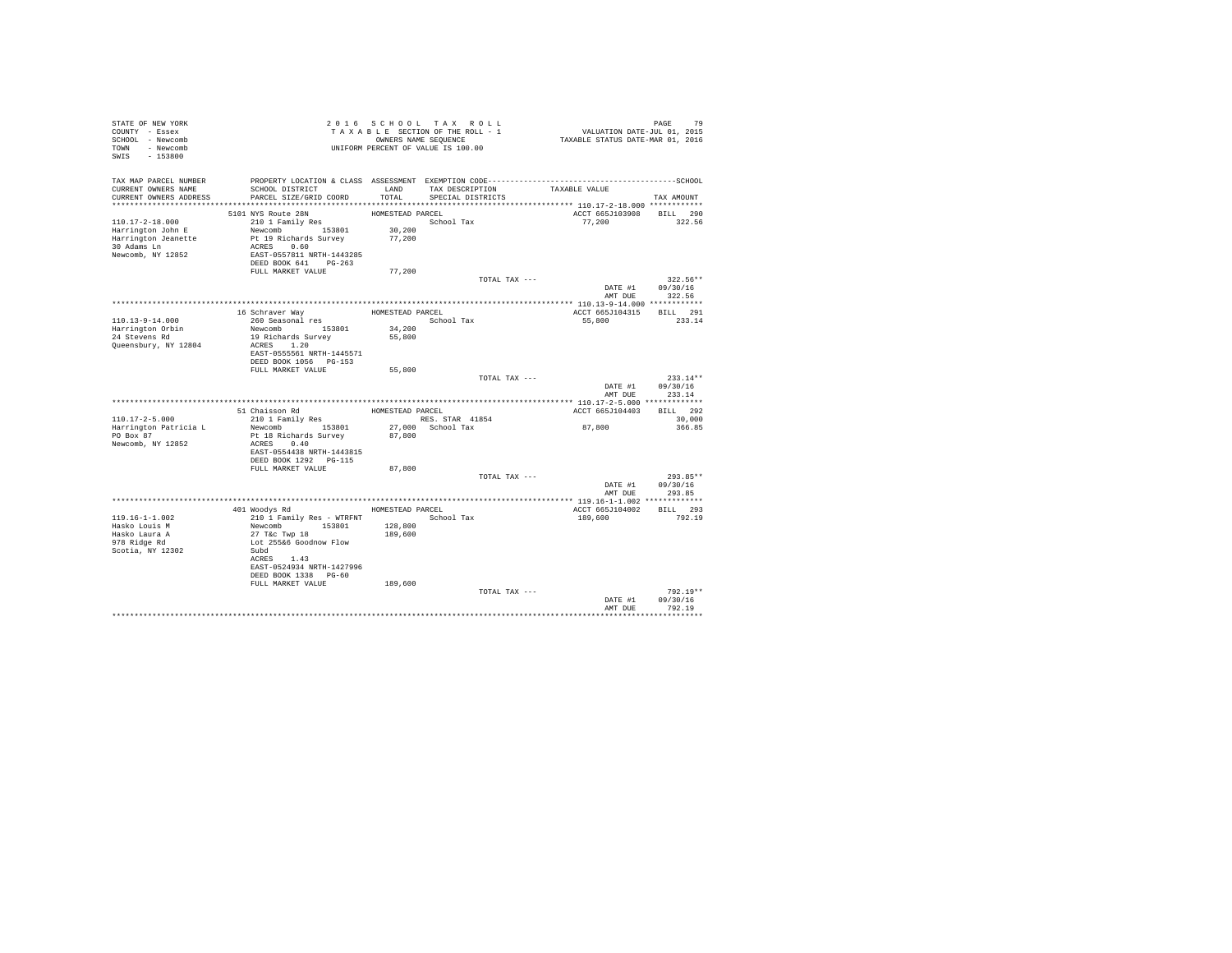| STATE OF NEW YORK<br>COUNTY - Essex<br>SCHOOL - Newcomb<br>TOWN - Newcomb |                                                                                                                 |                  | 2016 SCHOOL TAX ROLL<br>TAXABLE SECTION OF THE ROLL - 1<br>OWNERS NAME SEQUENCE<br>UNIFORM PERCENT OF VALUE IS 100.00 | PAGE 79<br>VALUATION DATE-JUL 01, 2015<br>TAXABLE STATUS DATE-MAR 01, 2016 |                            |
|---------------------------------------------------------------------------|-----------------------------------------------------------------------------------------------------------------|------------------|-----------------------------------------------------------------------------------------------------------------------|----------------------------------------------------------------------------|----------------------------|
| SWIS - 153800                                                             |                                                                                                                 |                  |                                                                                                                       |                                                                            |                            |
| TAX MAP PARCEL NUMBER<br>CURRENT OWNERS NAME                              | PROPERTY LOCATION & CLASS ASSESSMENT EXEMPTION CODE-----------------------------------SCHOOL<br>SCHOOL DISTRICT |                  | LAND TAX DESCRIPTION                                                                                                  | TAXABLE VALUE                                                              |                            |
| CURRENT OWNERS ADDRESS                                                    | PARCEL SIZE/GRID COORD                                                                                          | TOTAL.           | SPECIAL DISTRICTS                                                                                                     |                                                                            | TAX AMOUNT                 |
|                                                                           | 5101 NYS Route 28N                                                                                              | HOMESTEAD PARCEL |                                                                                                                       | ACCT 665J103908 BILL 290                                                   |                            |
| $110.17 - 2 - 18.000$                                                     | 210 1 Family Res                                                                                                |                  | School Tax                                                                                                            | 77.200                                                                     | 322.56                     |
| Harrington John E                                                         | Newcomb 153801 30,200                                                                                           |                  |                                                                                                                       |                                                                            |                            |
| Harrington Jeanette                                                       | Pt 19 Richards Survey                                                                                           | 77,200           |                                                                                                                       |                                                                            |                            |
| 30 Adams Ln                                                               | ACRES 0.60                                                                                                      |                  |                                                                                                                       |                                                                            |                            |
| Newcomb, NY 12852                                                         | EAST-0557811 NRTH-1443285                                                                                       |                  |                                                                                                                       |                                                                            |                            |
|                                                                           | DEED BOOK 641 PG-263                                                                                            |                  |                                                                                                                       |                                                                            |                            |
|                                                                           | FULL MARKET VALUE                                                                                               | 77,200           |                                                                                                                       |                                                                            |                            |
|                                                                           |                                                                                                                 |                  | TOTAL TAX ---                                                                                                         |                                                                            | 322.56**                   |
|                                                                           |                                                                                                                 |                  |                                                                                                                       | DATE #1                                                                    | 09/30/16<br>AMT DUE 322.56 |
|                                                                           |                                                                                                                 |                  |                                                                                                                       |                                                                            |                            |
|                                                                           | 16 Schraver Way                                                                                                 | HOMESTEAD PARCEL |                                                                                                                       | ACCT 665J104315 BILL 291                                                   |                            |
| 110.13-9-14.000                                                           | 260 Seasonal res                                                                                                |                  | School Tax                                                                                                            | 55,800                                                                     | 233.14                     |
|                                                                           | Newcomb 153801                                                                                                  | 34,200           |                                                                                                                       |                                                                            |                            |
| Harrington Orbin<br>24 Stevens Rd                                         | 19 Richards Survey                                                                                              | 55,800           |                                                                                                                       |                                                                            |                            |
| Queensbury, NY 12804                                                      | ACRES 1.20                                                                                                      |                  |                                                                                                                       |                                                                            |                            |
|                                                                           | EAST-0555561 NRTH-1445571                                                                                       |                  |                                                                                                                       |                                                                            |                            |
|                                                                           | DEED BOOK 1056 PG-153                                                                                           |                  |                                                                                                                       |                                                                            |                            |
|                                                                           | FULL MARKET VALUE                                                                                               | 55,800           | TOTAL TAX ---                                                                                                         |                                                                            | $233.14**$                 |
|                                                                           |                                                                                                                 |                  |                                                                                                                       | DATE #1                                                                    | 09/30/16                   |
|                                                                           |                                                                                                                 |                  |                                                                                                                       | AMT DUE                                                                    | 233.14                     |
|                                                                           |                                                                                                                 |                  |                                                                                                                       |                                                                            |                            |
|                                                                           | 51 Chaisson Rd                                                                                                  | HOMESTEAD PARCEL |                                                                                                                       | ACCT 665J104403                                                            | BILL 292                   |
| $110.17 - 2 - 5.000$                                                      | 210 1 Family Res                                                                                                |                  | RES. STAR 41854                                                                                                       |                                                                            | 30,000                     |
| Harrington Patricia L                                                     | Newcomb 153801                                                                                                  |                  | 27,000 School Tax                                                                                                     | 87,800                                                                     | 366.85                     |
| PO Box 87                                                                 | Pt 18 Richards Survey 87,800                                                                                    |                  |                                                                                                                       |                                                                            |                            |
| Newcomb, NY 12852                                                         | ACRES 0.40                                                                                                      |                  |                                                                                                                       |                                                                            |                            |
|                                                                           | EAST-0554438 NRTH-1443815<br>DEED BOOK 1292 PG-115                                                              |                  |                                                                                                                       |                                                                            |                            |
|                                                                           | FULL MARKET VALUE                                                                                               | 87,800           |                                                                                                                       |                                                                            |                            |
|                                                                           |                                                                                                                 |                  | TOTAL TAX ---                                                                                                         |                                                                            | $293.85**$                 |
|                                                                           |                                                                                                                 |                  |                                                                                                                       |                                                                            | DATE #1 09/30/16           |
|                                                                           |                                                                                                                 |                  |                                                                                                                       | AMT DUE                                                                    | 293.85                     |
|                                                                           |                                                                                                                 |                  |                                                                                                                       |                                                                            |                            |
|                                                                           | 401 Woodys Rd                                                                                                   | HOMESTEAD PARCEL |                                                                                                                       | ACCT 665J104002 BILL 293                                                   |                            |
| $119.16 - 1 - 1.002$                                                      | 210 1 Family Res - WTRFNT                                                                                       |                  | School Tax                                                                                                            | 189,600                                                                    | 792.19                     |
| Hasko Louis M                                                             | Newcomb 153801                                                                                                  | 128,800          |                                                                                                                       |                                                                            |                            |
| Hasko Laura A<br>978 Ridge Rd                                             | 27 T&C Twp 18                                                                                                   | 189,600          |                                                                                                                       |                                                                            |                            |
| Scotia, NY 12302                                                          | Lot 255&6 Goodnow Flow<br>Subd                                                                                  |                  |                                                                                                                       |                                                                            |                            |
|                                                                           | ACRES 1.43                                                                                                      |                  |                                                                                                                       |                                                                            |                            |
|                                                                           | EAST-0524934 NRTH-1427996                                                                                       |                  |                                                                                                                       |                                                                            |                            |
|                                                                           | DEED BOOK 1338 PG-60                                                                                            |                  |                                                                                                                       |                                                                            |                            |
|                                                                           | FULL MARKET VALUE                                                                                               | 189,600          |                                                                                                                       |                                                                            |                            |
|                                                                           |                                                                                                                 |                  | TOTAL TAX ---                                                                                                         |                                                                            | 792.19**                   |
|                                                                           |                                                                                                                 |                  |                                                                                                                       | DATE #1                                                                    | 09/30/16                   |
|                                                                           |                                                                                                                 |                  |                                                                                                                       | AMT DUE                                                                    | 792.19                     |
|                                                                           |                                                                                                                 |                  |                                                                                                                       |                                                                            |                            |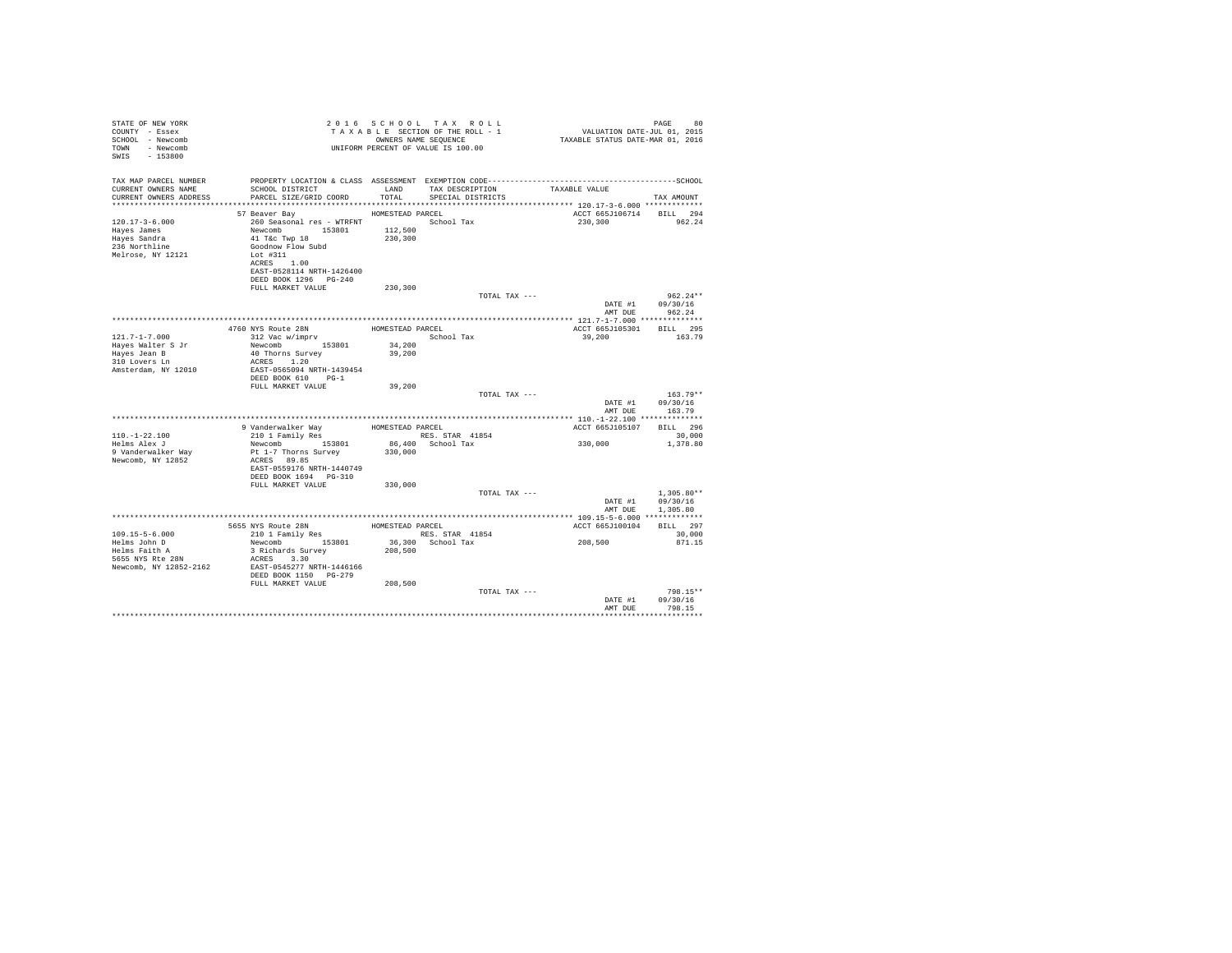| STATE OF NEW YORK<br>COUNTY - Essex<br>SCHOOL - Newcomb<br>TOWN - Newcomb<br>SWIS - 153800       |                                                                                                                                                                                                                                                                                                                                         |         | 2016 SCHOOL TAX ROLL<br>OWNERS NAME SEQUENCE<br>UNIFORM PERCENT OF VALUE IS 100.00 | 2016 SCHOOL TAX ROLL (2016 PAGE 80<br>TAXABLE SECTION OF THE ROLL - 1 VALUATION DATE-JUL 01, 2015<br>ONNERS NAME SEQUENCE (2016 TAXABLE STATUS DATE-MAR 01, 2016 | 80<br>PAGE                       |  |
|--------------------------------------------------------------------------------------------------|-----------------------------------------------------------------------------------------------------------------------------------------------------------------------------------------------------------------------------------------------------------------------------------------------------------------------------------------|---------|------------------------------------------------------------------------------------|------------------------------------------------------------------------------------------------------------------------------------------------------------------|----------------------------------|--|
| TAX MAP PARCEL NUMBER<br>CURRENT OWNERS NAME<br>CURRENT OWNERS ADDRESS                           | PROPERTY LOCATION & CLASS ASSESSMENT EXEMPTION CODE-----------------------------------SCHOOL<br>SCHOOL DISTRICT LAND<br>PARCEL SIZE/GRID COORD TOTAL                                                                                                                                                                                    |         | TAX DESCRIPTION TAXABLE VALUE SPECIAL DISTRICTS                                    |                                                                                                                                                                  | TAX AMOUNT                       |  |
|                                                                                                  | HOMESTEAD PARCEL<br>57 Beaver Bay                                                                                                                                                                                                                                                                                                       |         |                                                                                    | ACCT 665J106714 BILL 294                                                                                                                                         |                                  |  |
| $120.17 - 3 - 6.000$<br>Hayes James<br>Hayes Sandra<br>236 Northline<br>Melrose, NY 12121        | 260 Seasonal res - WTRFNT<br>Newcomb 153801 112,500<br>41 Tac Twp 18 230,300<br>Goodnow Flow Subd<br>Lot #311<br>ACRES 1.00<br>EAST-0528114 NRTH-1426400<br>DEED BOOK 1296    PG-240                                                                                                                                                    |         |                                                                                    | 230,300                                                                                                                                                          | 962.24                           |  |
|                                                                                                  | FULL MARKET VALUE                                                                                                                                                                                                                                                                                                                       | 230,300 |                                                                                    |                                                                                                                                                                  |                                  |  |
|                                                                                                  |                                                                                                                                                                                                                                                                                                                                         |         | TOTAL TAX ---                                                                      | DATE #1<br>AMT DUE                                                                                                                                               | $962.24**$<br>09/30/16<br>962.24 |  |
|                                                                                                  |                                                                                                                                                                                                                                                                                                                                         |         |                                                                                    |                                                                                                                                                                  |                                  |  |
|                                                                                                  | $\begin{tabular}{ll} 4760 NYS Route 28N & \multicolumn{2}{l}{} \multicolumn{2}{l}{} & \multicolumn{2}{l}{} \multicolumn{2}{l}{} & \multicolumn{2}{l}{} & \multicolumn{2}{l}{} & \multicolumn{2}{l}{} \\ 312 Yac W/imprv & & \multicolumn{2}{l}{} & \multicolumn{2}{l}{} & \multicolumn{2}{l}{} & \multicolumn{2}{l}{} \\ \end{tabular}$ |         |                                                                                    | ACCT 665J105301 BILL 295                                                                                                                                         |                                  |  |
| $121.7 - 1 - 7.000$<br>Hayes Walter S Jr<br>Hayes Jean B<br>310 Lovers Ln<br>Amsterdam, NY 12010 | Newcomb 153801 34,200<br>40 Thorns Survey<br>ACRES 1.20<br>EAST-0565094 NRTH-1439454                                                                                                                                                                                                                                                    | 39,200  | School Tax                                                                         | 39,200                                                                                                                                                           | 163.79                           |  |
|                                                                                                  | DEED BOOK 610 PG-1                                                                                                                                                                                                                                                                                                                      |         |                                                                                    |                                                                                                                                                                  |                                  |  |
|                                                                                                  | FULL MARKET VALUE                                                                                                                                                                                                                                                                                                                       | 39,200  |                                                                                    |                                                                                                                                                                  |                                  |  |
|                                                                                                  |                                                                                                                                                                                                                                                                                                                                         |         | TOTAL TAX ---                                                                      | DATE #1<br>AMT DUE                                                                                                                                               | $163.79**$<br>09/30/16<br>163.79 |  |
|                                                                                                  |                                                                                                                                                                                                                                                                                                                                         |         |                                                                                    |                                                                                                                                                                  |                                  |  |
|                                                                                                  |                                                                                                                                                                                                                                                                                                                                         |         |                                                                                    | ACCT 665J105107 BILL 296                                                                                                                                         |                                  |  |
| $110.-1-22.100$                                                                                  |                                                                                                                                                                                                                                                                                                                                         |         |                                                                                    | 330,000                                                                                                                                                          | 30,000                           |  |
| Helms Alex J<br>9 Vanderwalker Way<br>Newcomb, NY 12852                                          | ACRES 89.85<br>EAST-0559176 NRTH-1440749<br>DEED BOOK 1694 PG-310<br>FULL MARKET VALUE                                                                                                                                                                                                                                                  | 330,000 |                                                                                    |                                                                                                                                                                  | 1,378.80                         |  |
|                                                                                                  |                                                                                                                                                                                                                                                                                                                                         |         | TOTAL TAX ---                                                                      |                                                                                                                                                                  | $1.305.80**$                     |  |
|                                                                                                  |                                                                                                                                                                                                                                                                                                                                         |         |                                                                                    | DATE #1                                                                                                                                                          | 09/30/16<br>AMT DUE 1,305.80     |  |
|                                                                                                  |                                                                                                                                                                                                                                                                                                                                         |         |                                                                                    |                                                                                                                                                                  |                                  |  |
| $109.15 - 5 - 6.000$                                                                             |                                                                                                                                                                                                                                                                                                                                         |         |                                                                                    | ACCT 665J100104 BILL 297                                                                                                                                         | 30,000                           |  |
| Helms John D                                                                                     | ${\small \begin{tabular}{lcccc} 5655 NYS & \text{Route 28N} & \text{HOMESTEAD PARECL} \\ 210 & \text{Fami1y Res} & \text{RES} & \text{STAR} & 41854 \\ \text{Newcomb} & 153801 & 36,300 & \text{School Tax} \\ \end{tabular}}$                                                                                                          |         |                                                                                    | 208,500                                                                                                                                                          | 871.15                           |  |
| Helms Faith A<br>5655 NYS Rte 28N<br>Newcomb, NY 12852-2162 EAST-0545277 NRTH-1446166            | 3 Richards Survey<br>ACRES 3 30<br>ACRES 3.30<br>DEED BOOK 1150 PG-279                                                                                                                                                                                                                                                                  | 208,500 |                                                                                    |                                                                                                                                                                  |                                  |  |
|                                                                                                  | FULL MARKET VALUE                                                                                                                                                                                                                                                                                                                       | 208,500 | TOTAL TAX ---                                                                      | DATE #1                                                                                                                                                          | $798.15**$<br>09/30/16           |  |
|                                                                                                  |                                                                                                                                                                                                                                                                                                                                         |         |                                                                                    | AMT DUE                                                                                                                                                          | 798.15                           |  |
|                                                                                                  |                                                                                                                                                                                                                                                                                                                                         |         |                                                                                    |                                                                                                                                                                  |                                  |  |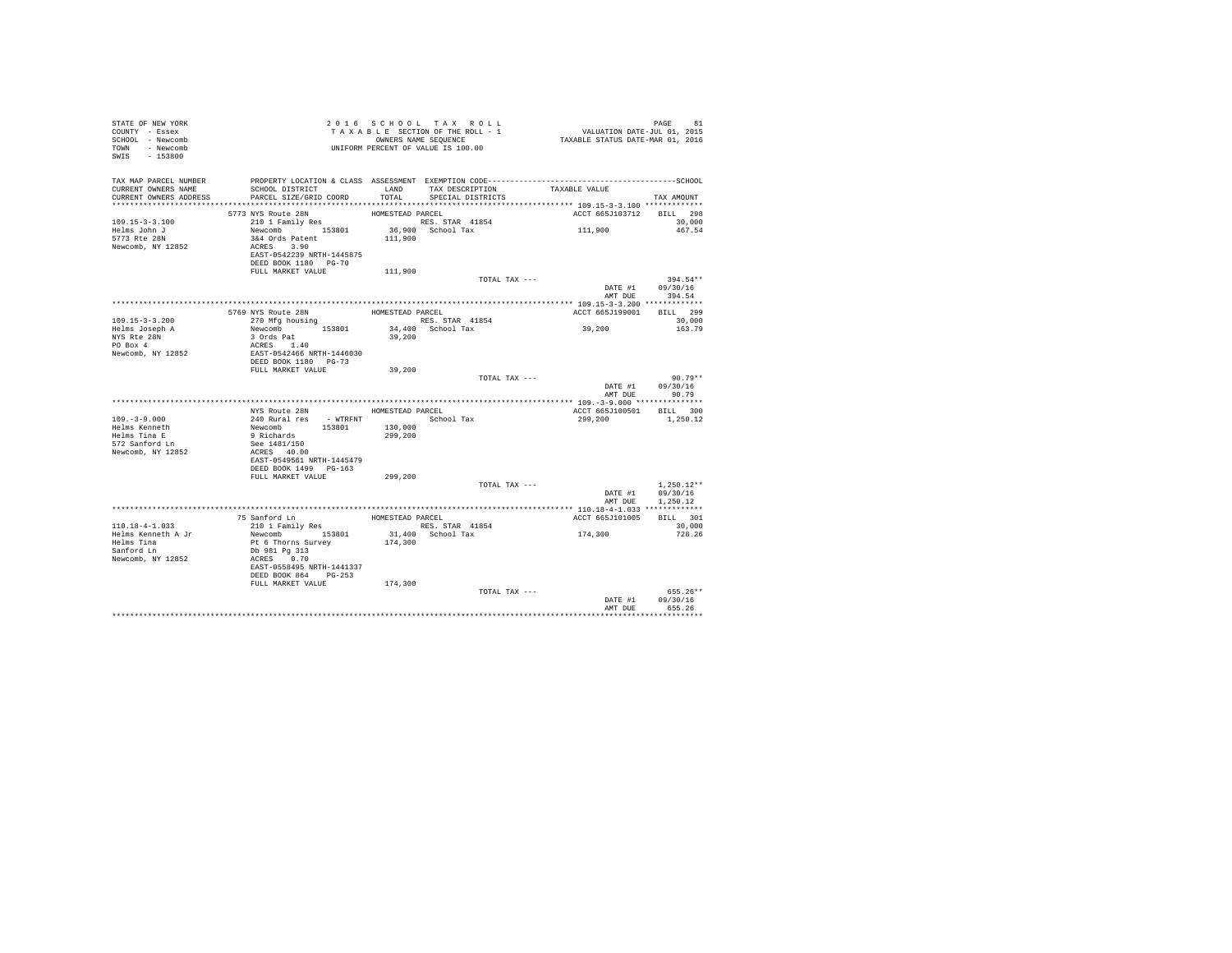| STATE OF NEW YORK<br>COUNTY - Essex<br>SCHOOL - Newcomb<br>TOWN - Newcomb<br>SWIS - 153800                                                                                                  | TAXABLE SECTION OF THE ROLL - 1<br>TAXABLE SECTION OF THE ROLL - 1<br>OWNERS NAME SEQUENCE<br>UNIFORM PERCENT OF VALUE IS 100.00                                                                 |                  |                                     | PAGE 81<br>VALUATION DATE-JUL 01, 2015<br>TAXABLE STATUS DATE-MAR 01, 2016 |                                                  |
|---------------------------------------------------------------------------------------------------------------------------------------------------------------------------------------------|--------------------------------------------------------------------------------------------------------------------------------------------------------------------------------------------------|------------------|-------------------------------------|----------------------------------------------------------------------------|--------------------------------------------------|
| TAX MAP PARCEL NUMBER THE PROPERTY LOCATION & CLASS ASSESSMENT EXEMPTION CODE--------------------------------SCHOOL<br>CURRENT OWNERS NAME<br>CURRENT OWNERS ADDRESS PARCEL SIZE/GRID COORD | SCHOOL DISTRICT                                                                                                                                                                                  |                  | TOTAL SPECIAL DISTRICTS             | LAND TAX DESCRIPTION TAXABLE VALUE                                         | TAX AMOUNT                                       |
|                                                                                                                                                                                             | 5773 NYS Route 28N<br>210 1 Family Res                                                                                                                                                           | HOMESTEAD PARCEL |                                     | ACCT 665J103712 BILL 298                                                   |                                                  |
| $109.15 - 3 - 3.100$<br>Helms John J<br>5773 Rte 28N<br>Newcomb, NY 12852                                                                                                                   | 210 1 Family Res 364 0128 153801<br>Newcomb 153801 36,900 School Tax<br>364 Ords Patent 111,900 School Tax<br>3&4 Ords Patent<br>ACRES 3.90<br>EAST-0542239 NRTH-1445875<br>DEED BOOK 1180 PG-70 |                  |                                     | 111,900                                                                    | 30,000<br>467.54                                 |
|                                                                                                                                                                                             | FULL MARKET VALUE                                                                                                                                                                                | 111,900          |                                     |                                                                            |                                                  |
|                                                                                                                                                                                             |                                                                                                                                                                                                  |                  | TOTAL TAX ---                       |                                                                            | $394.54**$<br>DATE #1 09/30/16<br>AMT DUE 394.54 |
|                                                                                                                                                                                             |                                                                                                                                                                                                  |                  |                                     |                                                                            |                                                  |
| $109.15 - 3 - 3.200$                                                                                                                                                                        | 5769 NYS Route 28N<br>270 Mfg housing                                                                                                                                                            |                  | HOMESTEAD PARCEL<br>RES. STAR 41854 | ACCT 665J199001 BILL 299                                                   | 30,000                                           |
| Helms Joseph A<br>NYS Rte 28N<br>PO Box 4<br>Newcomb, NY 12852                                                                                                                              | 270 WHY HOUSING<br>3 Ords Pat<br>3 Ords Pat<br>ACRES 1.40<br>EAST-0542466 NRTH-1446030<br>DEED BOOK 1180 PG-73<br>FULL MARKET VALUE                                                              |                  | 34,400 School Tax<br>39,200         | 39,200                                                                     | 163.79                                           |
|                                                                                                                                                                                             |                                                                                                                                                                                                  | 39,200           |                                     |                                                                            |                                                  |
|                                                                                                                                                                                             |                                                                                                                                                                                                  |                  |                                     | TOTAL TAX ---                                                              | $90.79**$<br>DATE #1 09/30/16<br>AMT DUE 90.79   |
|                                                                                                                                                                                             | NYS Route 28N HOMESTEAD PARCEL                                                                                                                                                                   |                  |                                     | ACCT 665J100501 BILL 300                                                   |                                                  |
| $109. - 3 - 9.000$<br>Helms Kenneth<br>Helms Tina E<br>572 Sanford Ln<br>Newcomb, NY 12852                                                                                                  | 240 Rural Fes - WTRFNT<br>Newcomb 153801 130,000<br>School Tax<br>9 Richards 153801 130,000<br>9 Rec 1481/150<br>299,200<br>See 140.00<br>ACRES 40.00<br>EAST-0549561 NRTH-1445479               |                  |                                     | 299.200 1.250.12                                                           |                                                  |
|                                                                                                                                                                                             | DEED BOOK 1499     PG-163<br>FULL MARKET VALUE 299,200                                                                                                                                           |                  |                                     |                                                                            |                                                  |
|                                                                                                                                                                                             |                                                                                                                                                                                                  |                  |                                     | TOTAL TAX ---                                                              | $1.250.12**$<br>DATE #1 09/30/16                 |
|                                                                                                                                                                                             |                                                                                                                                                                                                  |                  |                                     |                                                                            | AMT DUE 1,250.12                                 |
|                                                                                                                                                                                             |                                                                                                                                                                                                  |                  |                                     | ACCT 665J101005                                                            | BILL 301<br>30,000                               |
|                                                                                                                                                                                             | EAST-0558495 NRTH-1441337<br>DEED BOOK 864 PG-253                                                                                                                                                |                  |                                     | 174,300                                                                    | 728.26                                           |
|                                                                                                                                                                                             | FULL MARKET VALUE 174,300                                                                                                                                                                        |                  | TOTAL TAX ---                       |                                                                            | $655.26**$<br>DATE #1 09/30/16                   |
|                                                                                                                                                                                             |                                                                                                                                                                                                  |                  |                                     |                                                                            | AMT DUE 655.26                                   |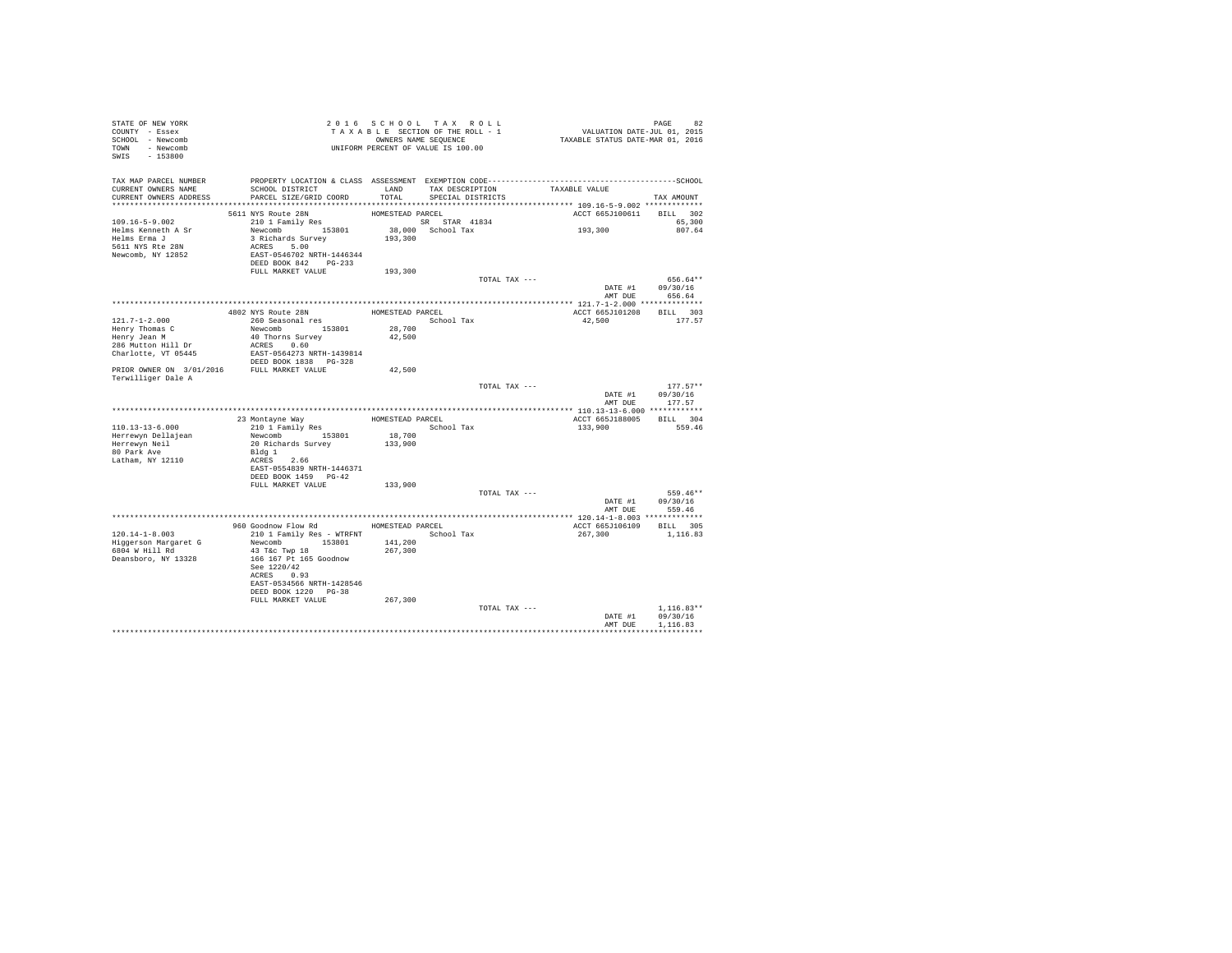| STATE OF NEW YORK<br>COUNTY - Essex<br>SCHOOL - Newcomb<br>TOWN - Newcomb<br>SWIS<br>$-153800$ |                                                                                                                                                                          |                    | 2016 SCHOOL TAX ROLL<br>TAXABLE SECTION OF THE ROLL - 1<br>OWNERS NAME SEQUENCE<br>UNIFORM PERCENT OF VALUE IS 100.00 | 82 PAGE 82<br>VALUATION DATE-JUL 01, 2015<br>TAXABLE STATUS DATE-MAR 01, 2016 |                                      |
|------------------------------------------------------------------------------------------------|--------------------------------------------------------------------------------------------------------------------------------------------------------------------------|--------------------|-----------------------------------------------------------------------------------------------------------------------|-------------------------------------------------------------------------------|--------------------------------------|
| TAX MAP PARCEL NUMBER<br>CURRENT OWNERS NAME<br>CURRENT OWNERS ADDRESS                         | SCHOOL DISTRICT<br>PARCEL SIZE/GRID COORD                                                                                                                                | LAND<br>TOTAL      | TAX DESCRIPTION<br>SPECIAL DISTRICTS                                                                                  | TAXABLE VALUE                                                                 | TAX AMOUNT                           |
|                                                                                                | 5611 NYS Route 28N                                                                                                                                                       | HOMESTEAD PARCEL   |                                                                                                                       | ACCT 665J100611                                                               | BILL 302                             |
| 109.16-5-9.002<br>Helms Kenneth A Sr<br>Helms Erma J<br>5611 NYS Rte 28N<br>Newcomb, NY 12852  | 210 1 Family Res<br>Newcomb 153801<br>3 Richards Survey<br>ACRES 5.00<br>EAST-0546702 NRTH-1446344<br>DEED BOOK 842 PG-233                                               | 193,300            | SR STAR 41834<br>38,000 School Tax                                                                                    | 193,300                                                                       | 65,300<br>807.64                     |
|                                                                                                | FULL MARKET VALUE                                                                                                                                                        | 193,300            |                                                                                                                       |                                                                               |                                      |
|                                                                                                |                                                                                                                                                                          |                    | TOTAL TAX ---                                                                                                         | DATE #1<br>AMT DUE                                                            | 656.64**<br>09/30/16<br>656.64       |
|                                                                                                |                                                                                                                                                                          |                    |                                                                                                                       |                                                                               |                                      |
| $121.7 - 1 - 2.000$                                                                            | 4802 NYS Route 28N<br>260 Seasonal res                                                                                                                                   | HOMESTEAD PARCEL   | School Tax                                                                                                            | ACCT 665J101208<br>42,500                                                     | BILL 303<br>177.57                   |
| Henry Thomas C                                                                                 | Newcomb 153801                                                                                                                                                           | 28,700             |                                                                                                                       |                                                                               |                                      |
| Henry Jean M                                                                                   | 40 Thorns Survey                                                                                                                                                         | 42,500             |                                                                                                                       |                                                                               |                                      |
| 286 Mutton Hill Dr<br>Charlotte, VT 05445                                                      | ACRES 0.60<br>EAST-0564273 NRTH-1439814<br>DEED BOOK 1838 PG-328                                                                                                         |                    |                                                                                                                       |                                                                               |                                      |
| PRIOR OWNER ON 3/01/2016 FULL MARKET VALUE                                                     |                                                                                                                                                                          | 42,500             |                                                                                                                       |                                                                               |                                      |
| Terwilliger Dale A                                                                             |                                                                                                                                                                          |                    |                                                                                                                       |                                                                               |                                      |
|                                                                                                |                                                                                                                                                                          |                    | TOTAL TAX ---                                                                                                         | DATE #1<br>AMT DUE                                                            | $177.57**$<br>09/30/16<br>177.57     |
|                                                                                                |                                                                                                                                                                          |                    |                                                                                                                       |                                                                               |                                      |
|                                                                                                | 23 Montayne Way                                                                                                                                                          | HOMESTEAD PARCEL   |                                                                                                                       | ACCT 665J188005                                                               | BILL 304                             |
| 110.13-13-6.000                                                                                | 210 1 Family Res                                                                                                                                                         |                    | School Tax                                                                                                            | 133,900                                                                       | 559.46                               |
| Herrewyn Dellajean<br>Herrewyn Neil                                                            | Newcomb 153801<br>20 Richards Survey                                                                                                                                     | 18,700<br>133,900  |                                                                                                                       |                                                                               |                                      |
| 80 Park Ave<br>Latham, NY 12110                                                                | Bldg 1<br>ACRES 2.66<br>EAST-0554839 NRTH-1446371                                                                                                                        |                    |                                                                                                                       |                                                                               |                                      |
|                                                                                                | DEED BOOK 1459 PG-42                                                                                                                                                     |                    |                                                                                                                       |                                                                               |                                      |
|                                                                                                | FULL MARKET VALUE                                                                                                                                                        | 133,900            | TOTAL TAX ---                                                                                                         |                                                                               | 559.46**                             |
|                                                                                                |                                                                                                                                                                          |                    |                                                                                                                       | DATE #1<br>AMT DUE                                                            | 09/30/16<br>559.46                   |
|                                                                                                |                                                                                                                                                                          |                    |                                                                                                                       |                                                                               |                                      |
|                                                                                                | 960 Goodnow Flow Rd                                                                                                                                                      |                    | HOMESTEAD PARCEL                                                                                                      | ACCT 665J106109 BILL 305                                                      |                                      |
| 120.14-1-8.003<br>Higgerson Margaret G<br>6804 W Hill Rd<br>Deansboro, NY 13328                | 210 1 Family Res - WTRFNT<br>Newcomb 153801<br>43 T&C Twp 18<br>166 167 Pt 165 Goodnow<br>See 1220/42<br>ACRES 0.93<br>EAST-0534566 NRTH-1428546<br>DEED BOOK 1220 PG-38 | 141,200<br>267,300 | School Tax                                                                                                            | 267,300                                                                       | 1,116.83                             |
|                                                                                                | FULL MARKET VALUE                                                                                                                                                        | 267,300            |                                                                                                                       |                                                                               |                                      |
|                                                                                                |                                                                                                                                                                          |                    | TOTAL TAX ---                                                                                                         | DATE #1<br>AMT DUE                                                            | $1.116.83**$<br>09/30/16<br>1,116.83 |
|                                                                                                |                                                                                                                                                                          |                    |                                                                                                                       |                                                                               | ***********                          |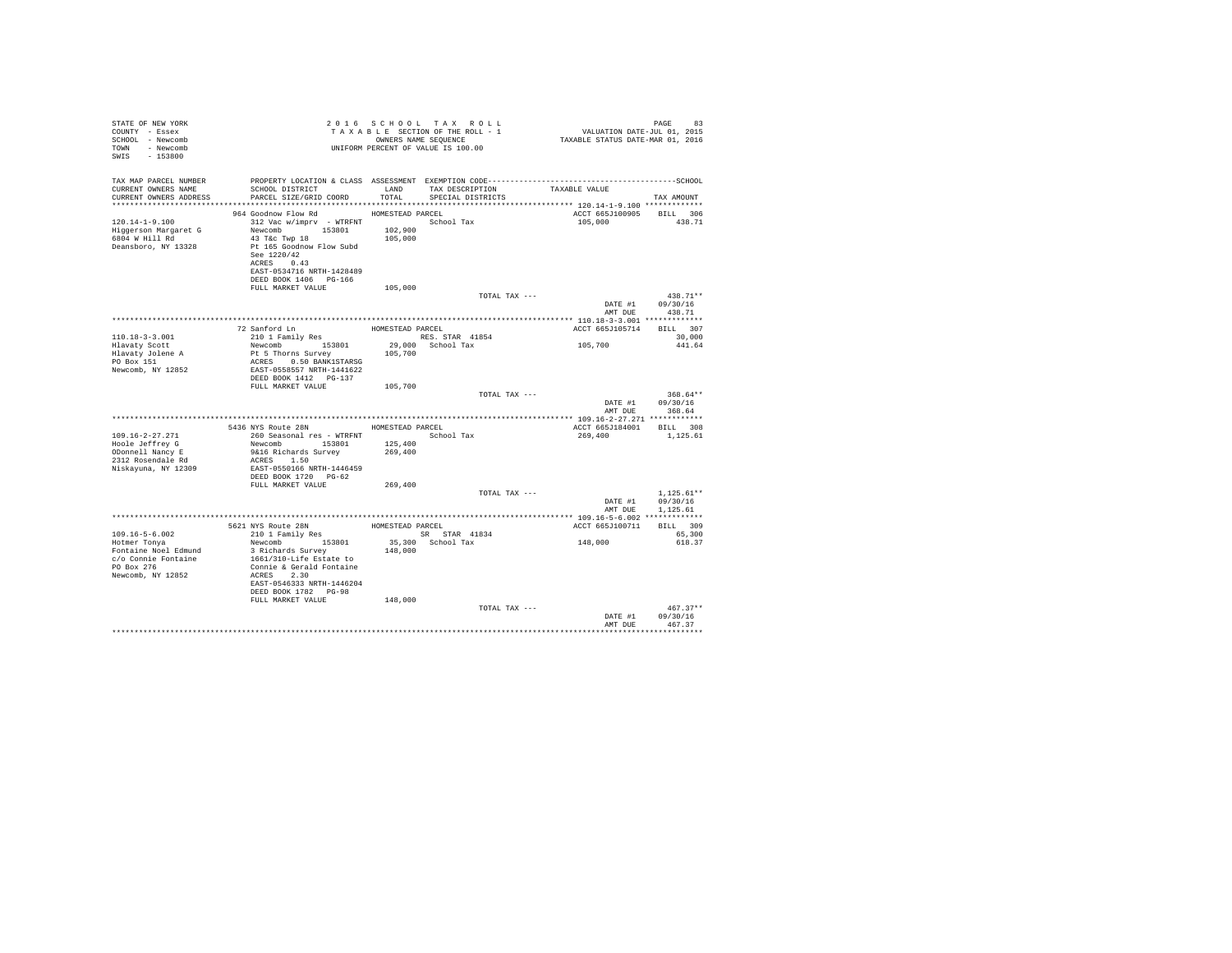| STATE OF NEW YORK<br>COUNTY - Essex<br>SCHOOL - Newcomb<br>TOWN - Newcomb<br>SWIS<br>$-153800$           |                                                                                                                                                                                                            |                               | 2016 SCHOOL TAX ROLL<br>TAXABLE SECTION OF THE ROLL - 1<br>OWNERS NAME SEQUENCE<br>UNIFORM PERCENT OF VALUE IS 100.00 | VALUATION DATE-JUL 01, 2015<br>TAXABLE STATUS DATE-MAR 01, 2016 | 83<br>PAGE               |
|----------------------------------------------------------------------------------------------------------|------------------------------------------------------------------------------------------------------------------------------------------------------------------------------------------------------------|-------------------------------|-----------------------------------------------------------------------------------------------------------------------|-----------------------------------------------------------------|--------------------------|
| TAX MAP PARCEL NUMBER<br>CURRENT OWNERS NAME<br>CURRENT OWNERS ADDRESS                                   | SCHOOL DISTRICT TAND TAX DESCRIPTION<br>PARCEL SIZE/GRID COORD TOTAL                                                                                                                                       |                               | SPECIAL DISTRICTS                                                                                                     | TAXABLE VALUE                                                   | TAX AMOUNT               |
|                                                                                                          | 964 Goodnow Flow Rd MOMESTEAD PARCEL                                                                                                                                                                       |                               |                                                                                                                       | ACCT 665J100905 BILL 306                                        |                          |
| $120.14 - 1 - 9.100$<br>Higgerson Margaret G<br>6804 W Hill Rd<br>Deansboro, NY 13328                    | 312 Vac w/imprv - WTRFNT School Tax<br>Newcomb 153801<br>43 T&c Twp 18<br>Pt 165 Goodnow Flow Subd<br>See 1220/42<br>ACRES 0.43<br>EAST-0534716 NRTH-1428489<br>DEED BOOK 1406 PG-166<br>FULL MARKET VALUE | 102,900<br>105,000<br>105,000 |                                                                                                                       | 105,000                                                         | 438.71                   |
|                                                                                                          |                                                                                                                                                                                                            |                               | TOTAL TAX ---                                                                                                         |                                                                 | $438.71**$               |
|                                                                                                          |                                                                                                                                                                                                            |                               |                                                                                                                       | DATE #1                                                         | 09/30/16                 |
|                                                                                                          |                                                                                                                                                                                                            |                               |                                                                                                                       | AMT DUE                                                         | 438.71                   |
|                                                                                                          |                                                                                                                                                                                                            |                               |                                                                                                                       |                                                                 |                          |
| $110.18 - 3 - 3.001$                                                                                     |                                                                                                                                                                                                            |                               | RES. STAR 41854                                                                                                       | ACCT 665J105714 BILL 307                                        | 30,000                   |
| Hlavaty Scott                                                                                            | Newcomb 153801                                                                                                                                                                                             |                               | 29,000 School Tax                                                                                                     | 105,700                                                         | 441.64                   |
| Hlavaty Jolene A<br>PO Box 151<br>Newcomb, NY 12852                                                      | Pt 5 Thorns Survey<br>ACRES 0.50 BANK1STARSG<br>EAST-0558557 NRTH-1441622<br>DEED BOOK 1412   PG-137                                                                                                       | 105,700                       |                                                                                                                       |                                                                 |                          |
|                                                                                                          | FULL MARKET VALUE                                                                                                                                                                                          | 105,700                       | TOTAL TAX ---                                                                                                         |                                                                 | $368.64**$               |
|                                                                                                          |                                                                                                                                                                                                            |                               |                                                                                                                       | DATE #1<br>AMT DUE                                              | 09/30/16<br>368.64       |
|                                                                                                          |                                                                                                                                                                                                            |                               |                                                                                                                       |                                                                 |                          |
|                                                                                                          | 5436 NYS Route 28N HOMESTEAD PARCEL                                                                                                                                                                        |                               |                                                                                                                       | ACCT 665J184001 BILL 308                                        |                          |
| $109.16 - 2 - 27.271$<br>Hoole Jeffrey G<br>ODonnell Nancy E<br>2312 Rosendale Rd<br>Niskayuna, NY 12309 | 260 Seasonal res - WTRFNT<br>Newcomb 153801<br>9&16 Richards Survey<br>ACRES 1.50<br>EAST-0550166 NRTH-1446459                                                                                             | 125,400<br>269,400            | School Tax                                                                                                            | 269,400                                                         | 1,125.61                 |
|                                                                                                          | DEED BOOK 1720 PG-62<br>FULL MARKET VALUE                                                                                                                                                                  | 269,400                       |                                                                                                                       |                                                                 |                          |
|                                                                                                          |                                                                                                                                                                                                            |                               | TOTAL TAX ---                                                                                                         | DATE #1                                                         | $1.125.61**$<br>09/30/16 |
|                                                                                                          |                                                                                                                                                                                                            |                               |                                                                                                                       | AMT DUE                                                         | 1.125.61                 |
|                                                                                                          |                                                                                                                                                                                                            |                               |                                                                                                                       |                                                                 | BILL 309                 |
| $109.16 - 5 - 6.002$                                                                                     | 5621 NYS Route 28N HOMESTEAD PARCEL<br>210 1 Family Res SR S                                                                                                                                               |                               | SR STAR 41834                                                                                                         | ACCT 665J100711                                                 | 65,300                   |
| Hotmer Tonya<br>Fontaine Noel Edmund<br>c/o Connie Fontaine<br>PO Box 276<br>Newcomb, NY 12852           | Newcomb 153801<br>3 Richards Survey<br>1661/310-Life Estate to<br>Connie & Gerald Fontaine<br>ACRES 2.30<br>EAST-0546333 NRTH-1446204<br>DEED BOOK 1782 PG-98<br>FULL MARKET VALUE                         | 148,000<br>148,000            | 35,300 School Tax                                                                                                     | 148,000                                                         | 618.37                   |
|                                                                                                          |                                                                                                                                                                                                            |                               | TOTAL TAX ---                                                                                                         | DATE #1                                                         | $467.37**$<br>09/30/16   |
|                                                                                                          |                                                                                                                                                                                                            |                               |                                                                                                                       | AMT DUE                                                         | 467.37<br>               |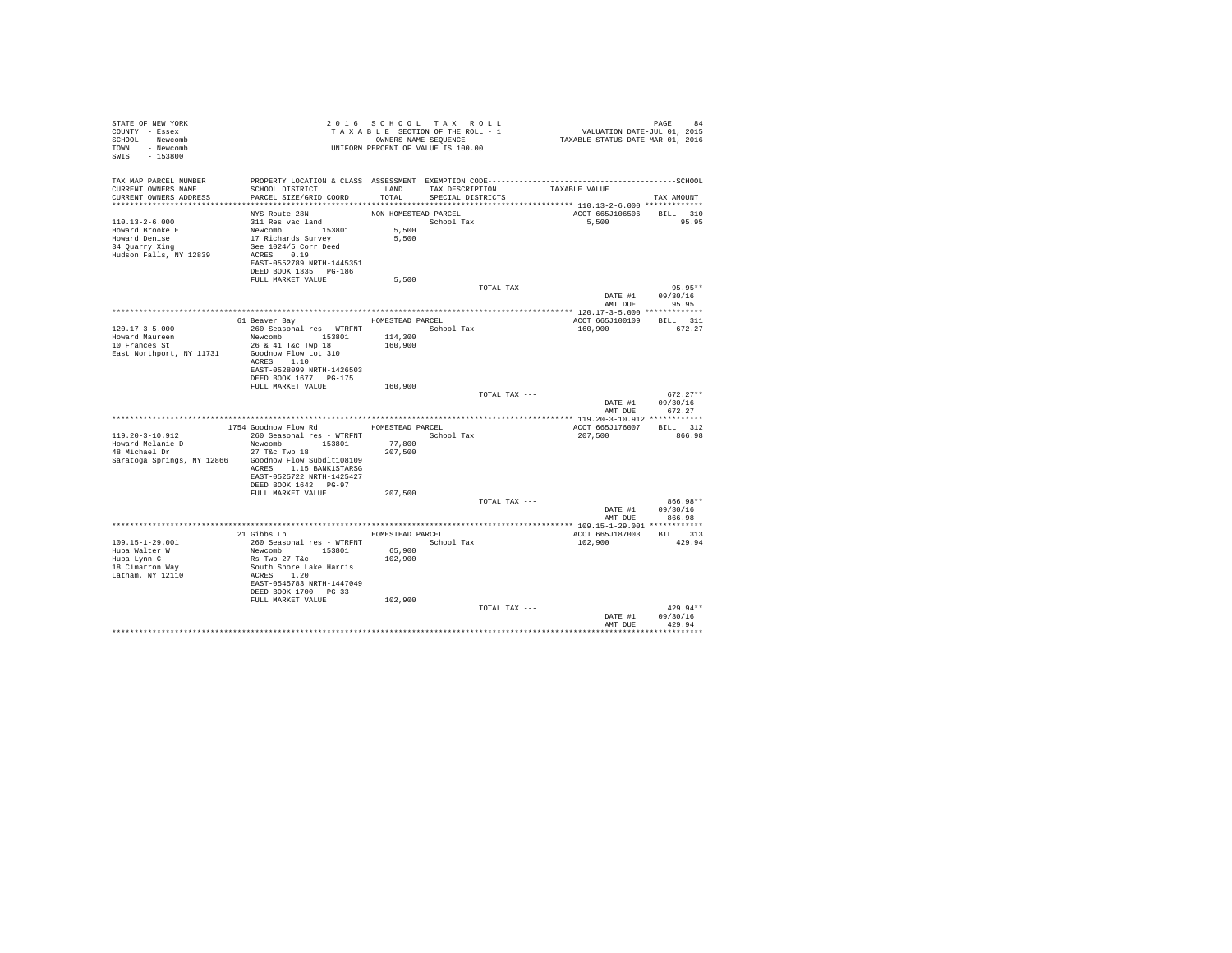| STATE OF NEW YORK<br>COUNTY - Essex<br>SCHOOL - Newcomb<br>TOWN - Newcomb<br>SWIS - 153800                   | T A X A B B B B B B SEQUENCE<br>OWNERS NAME SEQUENCE<br>UNIFORM PERCENT OF VALUE IS 100.00                                                                                                        | 2016 SCHOOL TAX ROLL<br>TAXABLE SECTION OF THE ROLL - 1<br>OWNERS NAME SEQUENCE |                                      |               | PAGE 84<br>VALUATION DATE-JUL 01, 2015<br>TAXABLE STATUS DATE-MAR 01, 2016 |                                        |
|--------------------------------------------------------------------------------------------------------------|---------------------------------------------------------------------------------------------------------------------------------------------------------------------------------------------------|---------------------------------------------------------------------------------|--------------------------------------|---------------|----------------------------------------------------------------------------|----------------------------------------|
| TAX MAP PARCEL NUMBER<br>CURRENT OWNERS NAME<br>CURRENT OWNERS ADDRESS PARCEL SIZE/GRID COORD                | SCHOOL DISTRICT                                                                                                                                                                                   | LAND<br>TOTAL                                                                   | TAX DESCRIPTION<br>SPECIAL DISTRICTS |               | TAXABLE VALUE                                                              | TAX AMOUNT                             |
| 110.13-2-6.000<br>Howard Brooke E<br>Howard Denise<br>34 Quarry Xing<br>Hudson Falls, NY 12839               | NYS Route 28N<br>311 Res vac land<br>Newcomb<br>Newcomb<br>17 Richards Survey<br>See 1024/5 Corr Deed<br>ACRES 0.19<br>EAST-0552789 NRTH-1445351<br>DEED BOOK 1335 PG-186<br>FULL MARKET VALUE    | NON-HOMESTEAD PARCEL<br>School Tax<br>5,500<br>5,500<br>5,500                   |                                      |               | ACCT 665J106506<br>5,500 95.95                                             | BILL 310                               |
|                                                                                                              |                                                                                                                                                                                                   |                                                                                 |                                      | TOTAL TAX --- | DATE #1<br>AMT DUE                                                         | 95.95**<br>09/30/16<br>95.95           |
|                                                                                                              |                                                                                                                                                                                                   |                                                                                 |                                      |               |                                                                            |                                        |
| $120.17 - 3 - 5.000$<br>Howard Maureen<br>10 Frances St<br>East Northport, NY 11731                          | 61 Beaver Bay MOMESTEAD PARCEL<br>260 Seasonal res - WTRFNT<br>Newcomb 153801<br>26 & 41 T&c Twp 18<br>Goodnow Flow Lot 310<br>ACRES 1.10<br>EAST-0528099 NRTH-1426503                            | 114,300<br>160,900                                                              | School Tax                           |               | ACCT 665J100109 BILL 311<br>160,900                                        | 672.27                                 |
|                                                                                                              | DEED BOOK 1677 PG-175<br>FULL MARKET VALUE                                                                                                                                                        | 160,900                                                                         |                                      | TOTAL TAX --- |                                                                            | $672.27**$                             |
|                                                                                                              |                                                                                                                                                                                                   |                                                                                 |                                      |               |                                                                            | DATE #1 09/30/16<br>AMT DUE 672.27     |
|                                                                                                              | 1754 Goodnow Flow Rd                                                                                                                                                                              | HOMESTEAD PARCEL                                                                |                                      |               | ACCT 665J176007 BILL 312                                                   |                                        |
| 119.20-3-10.912<br>Howard Melanie D<br>48 Michael Dr<br>Saratoga Springs, NY 12866 Goodnow Flow Subdlt108109 | 260 Seasonal res - WTRFNT<br>Newcomb 153801<br>27 T&C Twp 18<br>ACRES 1.15 BANK1STARSG<br>EAST-0525722 NRTH-1425427<br>DEED BOOK 1642    PG-97<br>FULL MARKET VALUE                               | 77,800<br>207,500<br>207,500                                                    | School Tax                           |               | 207,500                                                                    | 866.98                                 |
|                                                                                                              |                                                                                                                                                                                                   |                                                                                 |                                      | TOTAL TAX --- | AMT DUE                                                                    | 866.98**<br>DATE #1 09/30/16<br>866.98 |
|                                                                                                              |                                                                                                                                                                                                   |                                                                                 |                                      |               |                                                                            |                                        |
| $109.15 - 1 - 29.001$<br>Huba Walter W<br>Huba Lynn C<br>18 Cimarron Way<br>Latham, NY 12110                 | 21 Gibbs Ln MOMESTEAD PARCEL<br>260 Seasonal res - WTRFNT<br>Newcomb 153801 65,900<br>Rs Twp 27 T&c<br>South Shore Lake Harris<br>ACRES 1.20<br>EAST-0545783 NRTH-1447049<br>DEED BOOK 1700 PG-33 | 102,900                                                                         | School Tax                           |               | ACCT 665J187003 BILL 313<br>102,900                                        | 429.94                                 |
|                                                                                                              | FULL MARKET VALUE                                                                                                                                                                                 | 102,900                                                                         |                                      | TOTAL TAX --- | DATE #1<br>AMT DUE                                                         | $429.94**$<br>09/30/16<br>429.94       |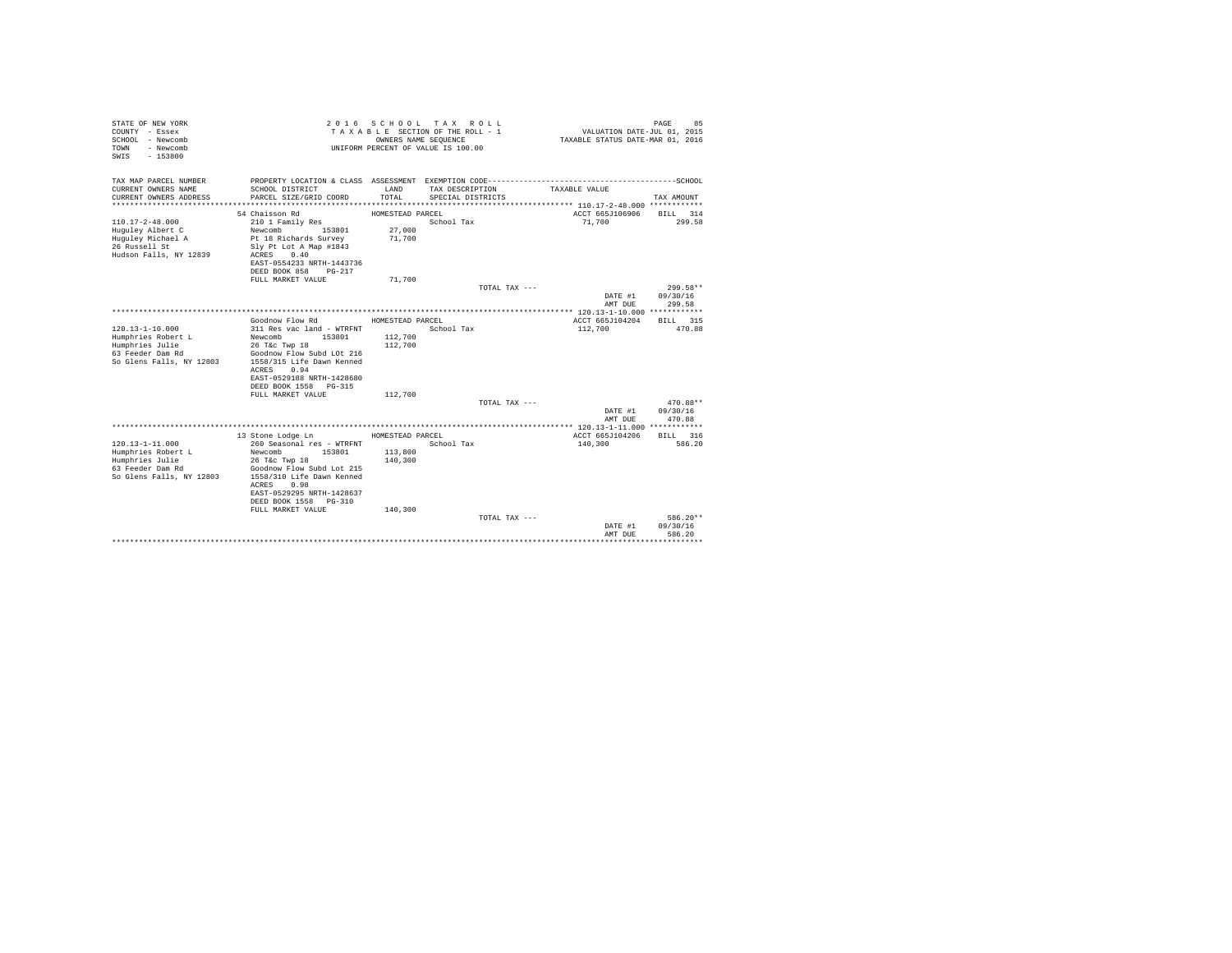| STATE OF NEW YORK<br>COUNTY - Essex<br>SCHOOL - Newcomb<br>- Newcomb<br>TOWN<br>$-153800$<br>SWIS |                                                        | OWNERS NAME SEQUENCE | 2016 SCHOOL TAX ROLL<br>TAXABLE SECTION OF THE ROLL - 1<br>UNIFORM PERCENT OF VALUE IS 100.00 | VALUATION DATE-JUL 01, 2015<br>TAXABLE STATUS DATE-MAR 01, 2016 | PAGE<br>85           |
|---------------------------------------------------------------------------------------------------|--------------------------------------------------------|----------------------|-----------------------------------------------------------------------------------------------|-----------------------------------------------------------------|----------------------|
| TAX MAP PARCEL NUMBER                                                                             |                                                        |                      |                                                                                               |                                                                 |                      |
| CURRENT OWNERS NAME<br>CURRENT OWNERS ADDRESS                                                     | SCHOOL DISTRICT<br>PARCEL SIZE/GRID COORD              | LAND<br>TOTAL        | TAX DESCRIPTION<br>SPECIAL DISTRICTS                                                          | TAXABLE VALUE                                                   | TAX AMOUNT           |
|                                                                                                   |                                                        |                      |                                                                                               |                                                                 |                      |
|                                                                                                   | 54 Chaisson Rd                                         | HOMESTEAD PARCEL     |                                                                                               | ACCT 665J106906                                                 | BILL 314             |
| $110.17 - 2 - 48.000$                                                                             | 210 1 Family Res                                       |                      | School Tax                                                                                    | 71,700                                                          | 299.58               |
| Huguley Albert C                                                                                  | 153801<br>Newcomb                                      | 27,000               |                                                                                               |                                                                 |                      |
| Huguley Michael A                                                                                 | Pt 18 Richards Survey                                  | 71,700               |                                                                                               |                                                                 |                      |
| 26 Russell St                                                                                     | Slv Pt Lot A Map #1843                                 |                      |                                                                                               |                                                                 |                      |
| Hudson Falls, NY 12839                                                                            | ACRES<br>0.40                                          |                      |                                                                                               |                                                                 |                      |
|                                                                                                   | EAST-0554233 NRTH-1443736<br>DEED BOOK 858<br>$PG-217$ |                      |                                                                                               |                                                                 |                      |
|                                                                                                   | FULL MARKET VALUE                                      | 71,700               |                                                                                               |                                                                 |                      |
|                                                                                                   |                                                        |                      | TOTAL TAX ---                                                                                 |                                                                 | 299.58**             |
|                                                                                                   |                                                        |                      |                                                                                               | DATE #1                                                         | 09/30/16             |
|                                                                                                   |                                                        |                      |                                                                                               | AMT DUR                                                         | 299.58               |
|                                                                                                   |                                                        |                      |                                                                                               |                                                                 |                      |
|                                                                                                   | Goodnow Flow Rd                                        | HOMESTEAD PARCEL     |                                                                                               | ACCT 665J104204                                                 | BILL 315             |
| $120.13 - 1 - 10.000$                                                                             | 311 Res vac land - WTRFNT                              |                      | School Tax                                                                                    | 112,700                                                         | 470.88               |
| Humphries Robert L                                                                                | Newcomb<br>153801                                      | 112,700              |                                                                                               |                                                                 |                      |
| Humphries Julie<br>63 Feeder Dam Rd                                                               | 26 T&c Twp 18<br>Goodnow Flow Subd LOt 216             | 112,700              |                                                                                               |                                                                 |                      |
| So Glens Falls, NY 12803                                                                          | 1558/315 Life Dawn Kenned                              |                      |                                                                                               |                                                                 |                      |
|                                                                                                   | 0.94<br>ACRES                                          |                      |                                                                                               |                                                                 |                      |
|                                                                                                   | EAST-0529188 NRTH-1428680                              |                      |                                                                                               |                                                                 |                      |
|                                                                                                   | DEED BOOK 1558 PG-315                                  |                      |                                                                                               |                                                                 |                      |
|                                                                                                   | FULL MARKET VALUE                                      | 112,700              |                                                                                               |                                                                 |                      |
|                                                                                                   |                                                        |                      | TOTAL TAX ---                                                                                 |                                                                 | 470.88**             |
|                                                                                                   |                                                        |                      |                                                                                               | DATE #1                                                         | 09/30/16             |
|                                                                                                   |                                                        |                      |                                                                                               | AMT DUE                                                         | 470.88               |
|                                                                                                   | 13 Stone Lodge Ln                                      | HOMESTEAD PARCEL     |                                                                                               | ACCT 665J104206                                                 | BILL 316             |
| $120.13 - 1 - 11.000$                                                                             | 260 Seasonal res - WTRFNT                              |                      | School Tax                                                                                    | 140,300                                                         | 586.20               |
| Humphries Robert L                                                                                | Newcomb<br>153801                                      | 113,800              |                                                                                               |                                                                 |                      |
| Humphries Julie                                                                                   | 26 T&C Twp 18                                          | 140,300              |                                                                                               |                                                                 |                      |
| 63 Feeder Dam Rd                                                                                  | Goodnow Flow Subd Lot 215                              |                      |                                                                                               |                                                                 |                      |
| So Glens Falls, NY 12803                                                                          | 1558/310 Life Dawn Kenned                              |                      |                                                                                               |                                                                 |                      |
|                                                                                                   | ACRES<br>0.98                                          |                      |                                                                                               |                                                                 |                      |
|                                                                                                   | EAST-0529295 NRTH-1428637                              |                      |                                                                                               |                                                                 |                      |
|                                                                                                   | DEED BOOK 1558 PG-310                                  |                      |                                                                                               |                                                                 |                      |
|                                                                                                   | FULL MARKET VALUE                                      | 140,300              |                                                                                               |                                                                 |                      |
|                                                                                                   |                                                        |                      | TOTAL TAX ---                                                                                 | DATE #1                                                         | 586.20**<br>09/30/16 |
|                                                                                                   |                                                        |                      |                                                                                               | AMT DUE                                                         | 586.20               |
|                                                                                                   |                                                        |                      |                                                                                               |                                                                 |                      |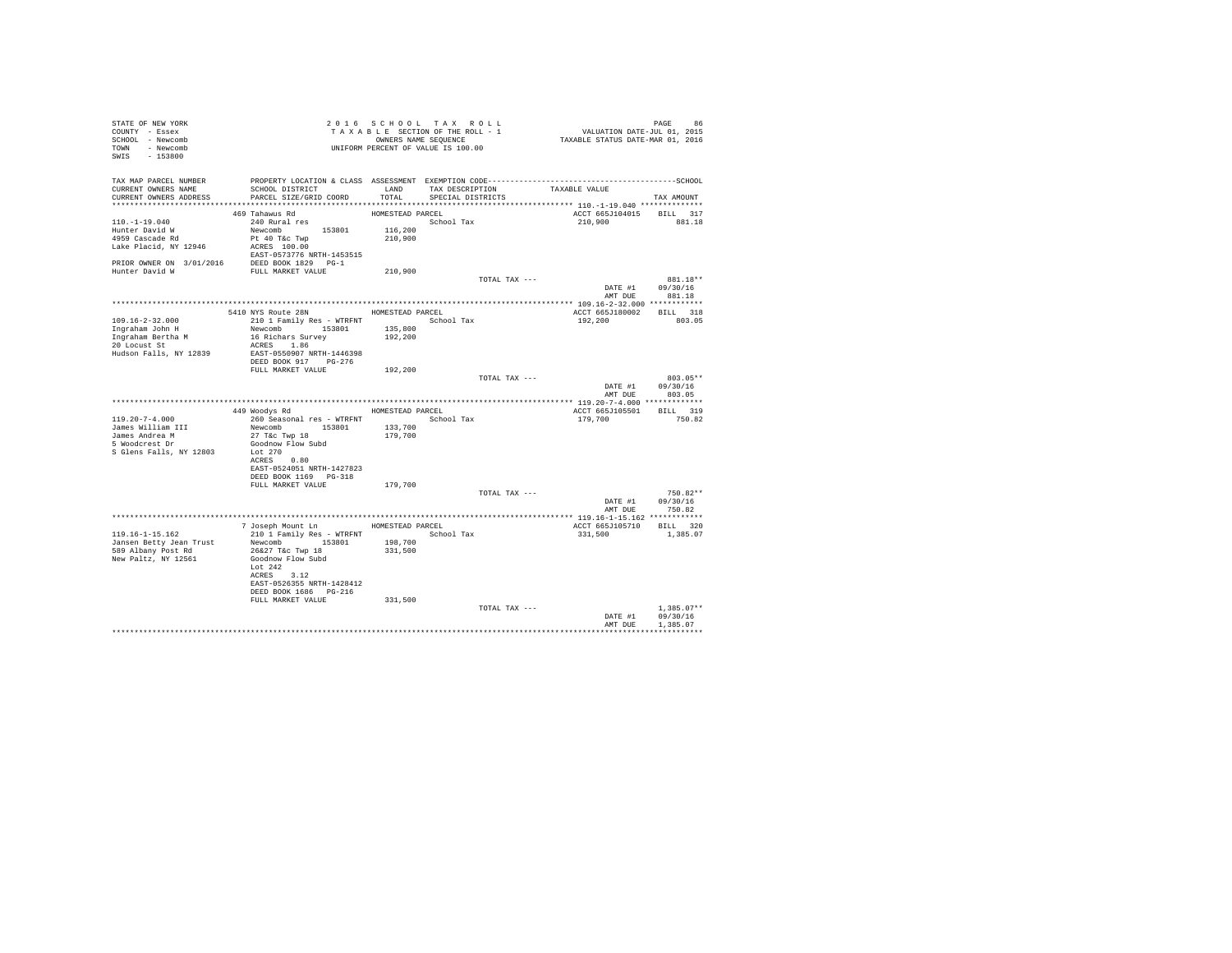| STATE OF NEW YORK<br>COUNTY - Essex<br>SCHOOL - Newcomb<br>TOWN - Newcomb<br>SWIS - 153800                                    | T A X A B L E SECTION OF THE ROOM<br>OWNERS NAME SEQUENCE<br>UNIFORM PERCENT OF VALUE IS 100.00                                                                                             |                                        |                                      | 96 PAGE 96<br>VALUATION DATE-JUL 01, 2015<br>TAXABLE STATUS DATE-MAR 01, 2016 |                                      |
|-------------------------------------------------------------------------------------------------------------------------------|---------------------------------------------------------------------------------------------------------------------------------------------------------------------------------------------|----------------------------------------|--------------------------------------|-------------------------------------------------------------------------------|--------------------------------------|
| TAX MAP PARCEL NUMBER<br>CURRENT OWNERS NAME<br>CURRENT OWNERS ADDRESS                                                        | PROPERTY LOCATION & CLASS ASSESSMENT EXEMPTION CODE-----------------------------------SCHOOL<br>SCHOOL DISTRICT<br>PARCEL SIZE/GRID COORD                                                   | LAND<br>TOTAL                          | TAX DESCRIPTION<br>SPECIAL DISTRICTS | TAXABLE VALUE                                                                 | TAX AMOUNT                           |
| $110.-1-19.040$<br>Hunter David W<br>4959 Cascade Rd<br>Lake Placid, NY 12946<br>PRIOR OWNER ON 3/01/2016 DEED BOOK 1829 PG-1 | 469 Tahawus Rd<br>240 Rural res<br>Newcomb 153801<br>Pt 40 T&c Twp<br>ACRES 100.00<br>EAST-0573776 NRTH-1453515                                                                             | HOMESTEAD PARCEL<br>116,200<br>210,900 | School Tax                           | ACCT 665J104015 BILL 317<br>210,900                                           | 881.18                               |
| Hunter David W                                                                                                                | FULL MARKET VALUE                                                                                                                                                                           | 210,900                                |                                      |                                                                               | 881.18**                             |
|                                                                                                                               |                                                                                                                                                                                             |                                        | TOTAL TAX ---                        | DATE #1 09/30/16                                                              | AMT DUE 881.18                       |
| 109.16-2-32.000<br>Ingraham John H<br>Ingraham Bertha M<br>20 Locust St<br>Hudson Falls, NY 12839                             | 5410 NYS Route 28N<br>210 1 Family Res - WTRFNT School Tax<br>Newcomb 153801<br>16 Richars Survey<br>ACRES 1.86<br>EAST-0550907 NRTH-1446398<br>DEED BOOK 917 PG-276                        | HOMESTEAD PARCEL<br>135,800<br>192,200 |                                      | ACCT 665J180002 BILL 318<br>192,200                                           | 803.05                               |
|                                                                                                                               | FULL MARKET VALUE                                                                                                                                                                           | 192,200                                | TOTAL TAX ---                        | DATE #1 09/30/16<br>AMT DUE                                                   | 803.05**<br>803.05                   |
|                                                                                                                               |                                                                                                                                                                                             |                                        |                                      | ACCT 665J105501 BILL 319                                                      |                                      |
| $119.20 - 7 - 4.000$<br>James William III<br>James Andrea M<br>5 Woodcrest Dr<br>S Glens Falls, NY 12803                      | 449 Woodys Rd MOMESTEAD PARCEL<br>260 Seasonal res - WTRFNT<br>Newcomb 153801<br>27 T&c Twp 18<br>Goodnow Flow Subd<br>Lot 270<br>ACRES 0.80<br>EAST-0524051 NRTH-1427823                   | 133,700<br>179,700                     | School Tax                           | 179,700                                                                       | 750.82                               |
|                                                                                                                               | FULL MARKET VALUE                                                                                                                                                                           | 179,700                                |                                      |                                                                               |                                      |
|                                                                                                                               |                                                                                                                                                                                             |                                        | TOTAL TAX ---                        | DATE #1 09/30/16                                                              | $750.82**$<br>AMT DUE 750.82         |
|                                                                                                                               | 7 Joseph Mount Ln MOMESTEAD PARCEL                                                                                                                                                          |                                        |                                      | ACCT 665J105710 BILL 320                                                      |                                      |
| 119.16-1-15.162<br>Jansen Betty Jean Trust<br>589 Albany Post Rd<br>New Paltz, NY 12561                                       | 210 1 Family Res - WTRFNT<br>Newcomb 153801<br>26&27 T&c Twp 18<br>Goodnow Flow Subd<br>Lot 242<br>ACRES 3.12<br>EAST-0526355 NRTH-1428412<br>DEED BOOK 1686    PG-216<br>FULL MARKET VALUE | 198,700<br>331,500<br>331,500          | School Tax                           | 331,500                                                                       | 1,385.07                             |
|                                                                                                                               |                                                                                                                                                                                             |                                        | TOTAL TAX ---                        | DATE #1<br>AMT DUE                                                            | $1.385.07**$<br>09/30/16<br>1,385.07 |
|                                                                                                                               |                                                                                                                                                                                             |                                        |                                      |                                                                               |                                      |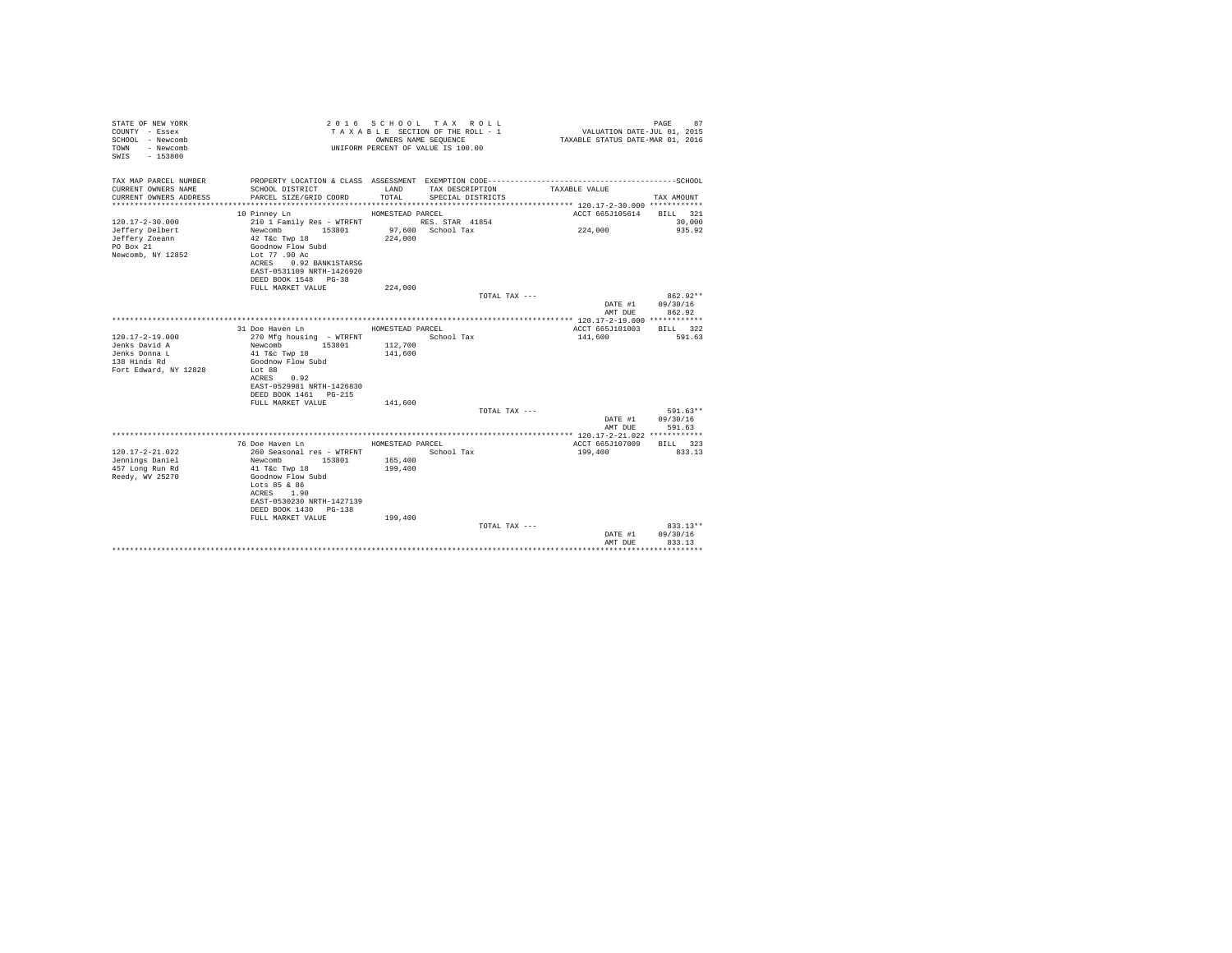| STATE OF NEW YORK<br>COUNTY - Essex<br>SCHOOL - Newcomb<br>- Newcomb<br>TOWN<br>$-153800$<br>SWTS |                                                    | OWNERS NAME SEQUENCE | 2016 SCHOOL TAX ROLL<br>TAXABLE SECTION OF THE ROLL - 1<br>UNIFORM PERCENT OF VALUE IS 100.00 | VALUATION DATE-JUL 01, 2015<br>TAXABLE STATUS DATE-MAR 01, 2016 | 87<br>PAGE           |
|---------------------------------------------------------------------------------------------------|----------------------------------------------------|----------------------|-----------------------------------------------------------------------------------------------|-----------------------------------------------------------------|----------------------|
| TAX MAP PARCEL NUMBER                                                                             |                                                    |                      |                                                                                               |                                                                 |                      |
| CURRENT OWNERS NAME<br>CURRENT OWNERS ADDRESS                                                     | SCHOOL DISTRICT<br>PARCEL SIZE/GRID COORD          | LAND<br>TOTAL.       | TAX DESCRIPTION<br>SPECIAL DISTRICTS                                                          | TAXABLE VALUE                                                   | TAX AMOUNT           |
|                                                                                                   |                                                    |                      |                                                                                               |                                                                 |                      |
|                                                                                                   | 10 Pinney Ln                                       | HOMESTEAD PARCEL     |                                                                                               | ACCT 665J105614                                                 | BILL 321             |
| $120.17 - 2 - 30.000$                                                                             | 210 1 Family Res - WTRFNT                          |                      | RES. STAR 41854                                                                               |                                                                 | 30,000               |
| Jeffery Delbert<br>Jeffery Zoeann                                                                 | Newcomb<br>153801<br>42 T&c Twp 18                 | 224,000              | 97,600 School Tax                                                                             | 224,000                                                         | 935.92               |
| PO Box 21                                                                                         | Goodnow Flow Subd                                  |                      |                                                                                               |                                                                 |                      |
| Newcomb, NY 12852                                                                                 | Lot 77,90 Ac                                       |                      |                                                                                               |                                                                 |                      |
|                                                                                                   | 0.92 BANK1STARSG<br>ACRES                          |                      |                                                                                               |                                                                 |                      |
|                                                                                                   | EAST-0531109 NRTH-1426920                          |                      |                                                                                               |                                                                 |                      |
|                                                                                                   | DEED BOOK 1548 PG-38<br>FULL MARKET VALUE          | 224,000              |                                                                                               |                                                                 |                      |
|                                                                                                   |                                                    |                      | TOTAL TAX ---                                                                                 |                                                                 | $862.92**$           |
|                                                                                                   |                                                    |                      |                                                                                               | DATE #1                                                         | 09/30/16             |
|                                                                                                   |                                                    |                      |                                                                                               | AMT DUE                                                         | 862.92               |
|                                                                                                   | 31 Doe Haven Ln                                    | HOMESTEAD PARCEL     |                                                                                               | ACCT 665J101003                                                 | BTLL 322             |
| $120.17 - 2 - 19.000$                                                                             | 270 Mfg housing - WTRFNT                           |                      | School Tax                                                                                    | 141,600                                                         | 591.63               |
| Jenks David A                                                                                     | Newcomb<br>153801                                  | 112,700              |                                                                                               |                                                                 |                      |
| Jenks Donna L                                                                                     | 41 T&c Twp 18                                      | 141,600              |                                                                                               |                                                                 |                      |
| 138 Hinds Rd                                                                                      | Goodnow Flow Subd                                  |                      |                                                                                               |                                                                 |                      |
| Fort Edward, NY 12828                                                                             | Lot 88<br>ACRES<br>0.92                            |                      |                                                                                               |                                                                 |                      |
|                                                                                                   | EAST-0529981 NRTH-1426830                          |                      |                                                                                               |                                                                 |                      |
|                                                                                                   | DEED BOOK 1461 PG-215                              |                      |                                                                                               |                                                                 |                      |
|                                                                                                   | FULL MARKET VALUE                                  | 141,600              |                                                                                               |                                                                 |                      |
|                                                                                                   |                                                    |                      | TOTAL TAX ---                                                                                 |                                                                 | 591.63**<br>09/30/16 |
|                                                                                                   |                                                    |                      |                                                                                               | DATE #1<br>AMT DUE                                              | 591.63               |
|                                                                                                   |                                                    |                      |                                                                                               |                                                                 |                      |
|                                                                                                   | 76 Doe Haven Ln                                    | HOMESTEAD PARCEL     |                                                                                               | ACCT 665J107009                                                 | BILL 323             |
| $120.17 - 2 - 21.022$                                                                             | 260 Seasonal res - WTRFNT                          |                      | School Tax                                                                                    | 199,400                                                         | 833.13               |
| Jennings Daniel<br>457 Long Run Rd                                                                | Newcomb 153801<br>41 T&c Twp 18                    | 165,400<br>199,400   |                                                                                               |                                                                 |                      |
| Reedy, WV 25270                                                                                   | Goodnow Flow Subd                                  |                      |                                                                                               |                                                                 |                      |
|                                                                                                   | Lots 85 & 86                                       |                      |                                                                                               |                                                                 |                      |
|                                                                                                   | ACRES 1.90                                         |                      |                                                                                               |                                                                 |                      |
|                                                                                                   | EAST-0530230 NRTH-1427139<br>DEED BOOK 1430 PG-138 |                      |                                                                                               |                                                                 |                      |
|                                                                                                   | FULL MARKET VALUE                                  | 199,400              |                                                                                               |                                                                 |                      |
|                                                                                                   |                                                    |                      | TOTAL TAX ---                                                                                 |                                                                 | $833.13**$           |
|                                                                                                   |                                                    |                      |                                                                                               | DATE #1                                                         | 09/30/16             |
|                                                                                                   |                                                    |                      |                                                                                               | AMT DUE                                                         | 833.13               |
|                                                                                                   |                                                    |                      |                                                                                               |                                                                 |                      |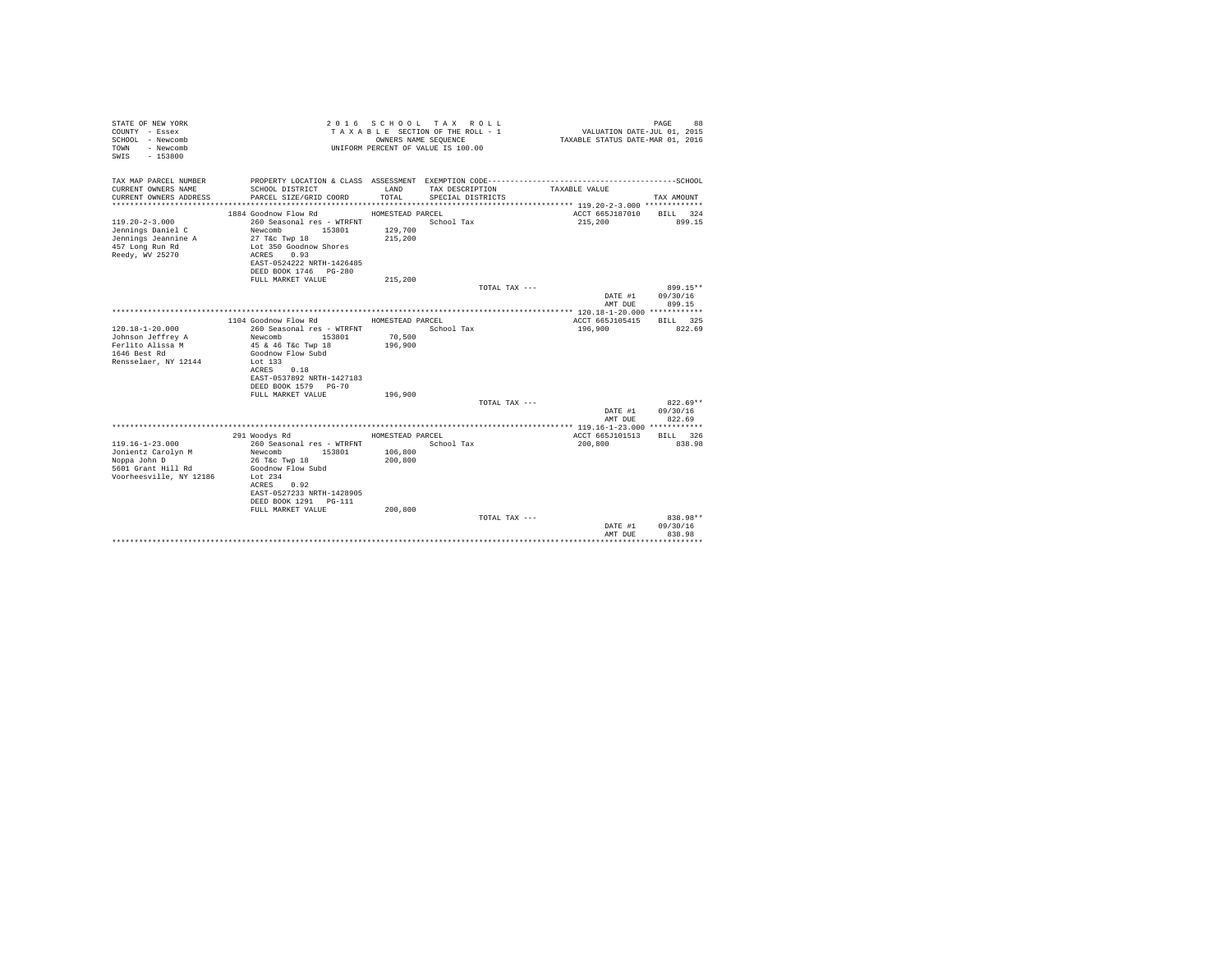| STATE OF NEW YORK<br>COUNTY - Essex<br>SCHOOL - Newcomb<br>- Newcomb<br>TOWN<br>$-153800$<br>SWIS |                                                   | OWNERS NAME SEOUENCE | 2016 SCHOOL TAX ROLL<br>TAXABLE SECTION OF THE ROLL - 1<br>UNIFORM PERCENT OF VALUE IS 100.00 | VALUATION DATE-JUL 01, 2015<br>TAXABLE STATUS DATE-MAR 01, 2016 | PAGE<br>88             |
|---------------------------------------------------------------------------------------------------|---------------------------------------------------|----------------------|-----------------------------------------------------------------------------------------------|-----------------------------------------------------------------|------------------------|
| TAX MAP PARCEL NUMBER<br>CURRENT OWNERS NAME                                                      | SCHOOL DISTRICT                                   | LAND                 | TAX DESCRIPTION                                                                               | TAXABLE VALUE                                                   |                        |
| CURRENT OWNERS ADDRESS                                                                            | PARCEL SIZE/GRID COORD                            | TOTAL                | SPECIAL DISTRICTS                                                                             |                                                                 | TAX AMOUNT             |
|                                                                                                   |                                                   |                      |                                                                                               |                                                                 |                        |
|                                                                                                   | 1884 Goodnow Flow Rd                              | HOMESTEAD PARCEL     |                                                                                               | ACCT 665J187010                                                 | BILL 324               |
| $119.20 - 2 - 3.000$                                                                              | 260 Seasonal res - WTRFNT                         |                      | School Tax                                                                                    | 215,200                                                         | 899.15                 |
| Jennings Daniel C                                                                                 | Newcomb<br>153801                                 | 129,700              |                                                                                               |                                                                 |                        |
| Jennings Jeannine A                                                                               | 27 T&c Twp 18                                     | 215,200              |                                                                                               |                                                                 |                        |
| 457 Long Run Rd<br>Reedy, WV 25270                                                                | Lot 350 Goodnow Shores<br>0.93<br>ACRES           |                      |                                                                                               |                                                                 |                        |
|                                                                                                   | EAST-0524222 NRTH-1426485                         |                      |                                                                                               |                                                                 |                        |
|                                                                                                   | DEED BOOK 1746 PG-280                             |                      |                                                                                               |                                                                 |                        |
|                                                                                                   | FULL MARKET VALUE                                 | 215,200              |                                                                                               |                                                                 |                        |
|                                                                                                   |                                                   |                      | TOTAL TAX ---                                                                                 |                                                                 | 899.15**               |
|                                                                                                   |                                                   |                      |                                                                                               | DATE #1                                                         | 09/30/16               |
|                                                                                                   |                                                   |                      |                                                                                               | AMT DUE                                                         | 899.15                 |
|                                                                                                   |                                                   |                      |                                                                                               |                                                                 |                        |
| $120.18 - 1 - 20.000$                                                                             | 1104 Goodnow Flow Rd<br>260 Seasonal res - WTRFNT | HOMESTEAD PARCEL     | School Tax                                                                                    | ACCT 665J105415<br>196,900                                      | BILL 325<br>822.69     |
| Johnson Jeffrey A                                                                                 | 153801<br>Newcomb                                 | 70,500               |                                                                                               |                                                                 |                        |
| Ferlito Alissa M                                                                                  | 45 & 46 T&c Twp 18                                | 196,900              |                                                                                               |                                                                 |                        |
| 1646 Best Rd                                                                                      | Goodnow Flow Subd                                 |                      |                                                                                               |                                                                 |                        |
| Rensselaer, NY 12144                                                                              | Lot 133                                           |                      |                                                                                               |                                                                 |                        |
|                                                                                                   | 0.18<br>ACRES                                     |                      |                                                                                               |                                                                 |                        |
|                                                                                                   | EAST-0537892 NRTH-1427183                         |                      |                                                                                               |                                                                 |                        |
|                                                                                                   | DEED BOOK 1579 PG-70                              |                      |                                                                                               |                                                                 |                        |
|                                                                                                   | FULL MARKET VALUE                                 | 196,900              |                                                                                               |                                                                 |                        |
|                                                                                                   |                                                   |                      | TOTAL TAX ---                                                                                 | DATE #1                                                         | $822.69**$<br>09/30/16 |
|                                                                                                   |                                                   |                      |                                                                                               | AMT DUE                                                         | 822.69                 |
|                                                                                                   |                                                   |                      |                                                                                               |                                                                 |                        |
|                                                                                                   | 291 Woodys Rd                                     | HOMESTEAD PARCEL     |                                                                                               | ACCT 665J101513                                                 | BILL 326               |
| $119.16 - 1 - 23.000$                                                                             | 260 Seasonal res - WTRFNT                         |                      | School Tax                                                                                    | 200,800                                                         | 838.98                 |
| Jonientz Carolyn M                                                                                | Newcomb<br>153801                                 | 106,800              |                                                                                               |                                                                 |                        |
| Noppa John D                                                                                      | 26 T&c Twp 18                                     | 200,800              |                                                                                               |                                                                 |                        |
| 5601 Grant Hill Rd                                                                                | Goodnow Flow Subd                                 |                      |                                                                                               |                                                                 |                        |
| Voorheesville, NY 12186                                                                           | Lot $234$                                         |                      |                                                                                               |                                                                 |                        |
|                                                                                                   | 0.92<br>ACRES<br>EAST-0527233 NRTH-1428905        |                      |                                                                                               |                                                                 |                        |
|                                                                                                   | DEED BOOK 1291 PG-111                             |                      |                                                                                               |                                                                 |                        |
|                                                                                                   | FULL MARKET VALUE                                 | 200,800              |                                                                                               |                                                                 |                        |
|                                                                                                   |                                                   |                      | TOTAL TAX ---                                                                                 |                                                                 | $838.98**$             |
|                                                                                                   |                                                   |                      |                                                                                               | DATE #1                                                         | 09/30/16               |
|                                                                                                   |                                                   |                      |                                                                                               | AMT DUE                                                         | 838.98                 |
|                                                                                                   |                                                   |                      |                                                                                               |                                                                 |                        |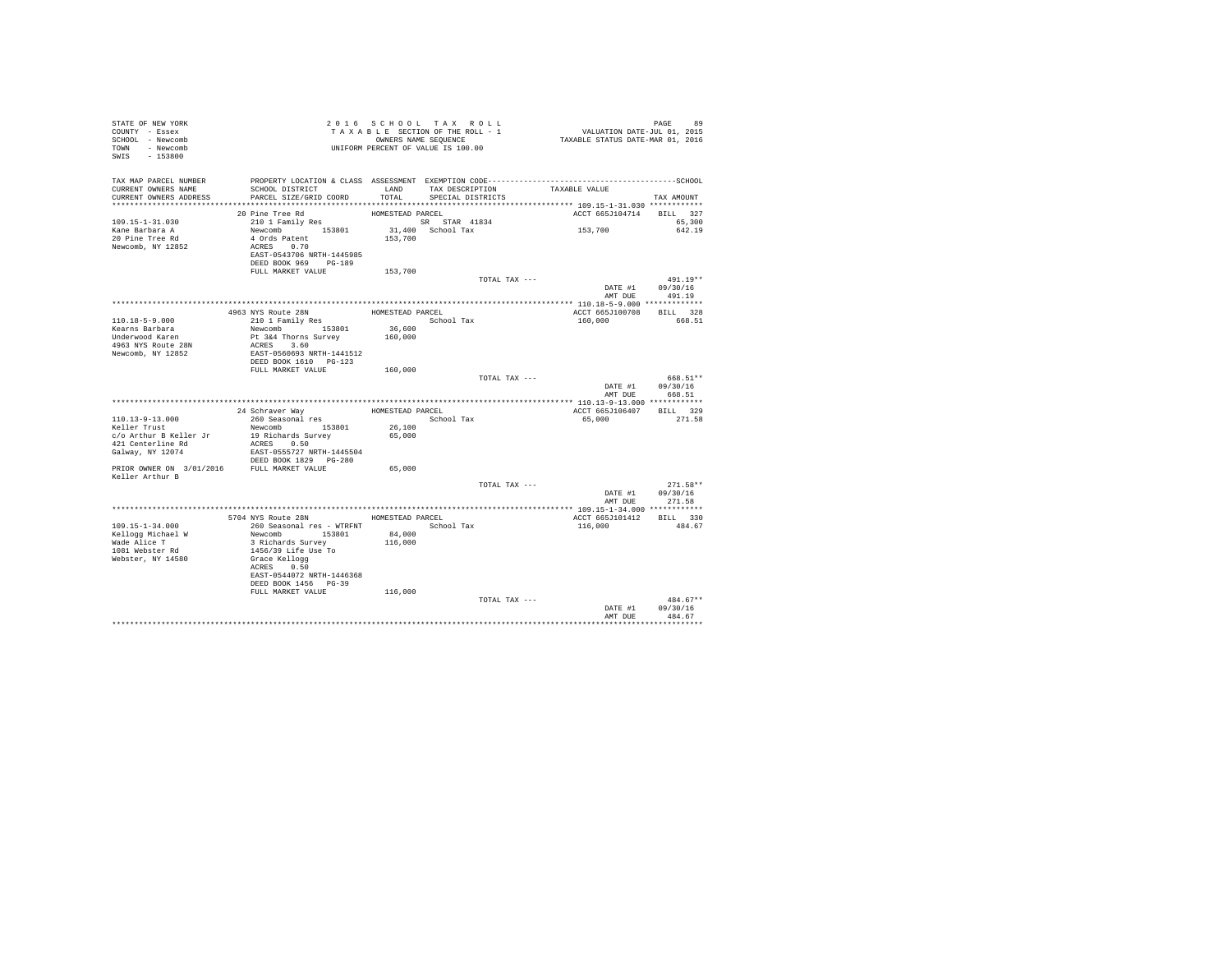| STATE OF NEW YORK<br>COUNTY - Essex<br>SCHOOL - Newcomb<br>TOWN - Newcomb<br>SWIS - 153800 | T A X A B L 2<br>OWNERS NAME SEQUENCE<br>UNIFORM PERCENT OF VALUE IS 100.00 |                  | 2016 SCHOOL TAX ROLL<br>TAXABLE SECTION OF THE ROLL - 1<br>OWNERS NAME SEQUENCE | 99 PAGE 99<br>VALUATION DATE-JUL 01, 2015<br>TAXABLE STATUS DATE-MAR 01, 2016 |                                |
|--------------------------------------------------------------------------------------------|-----------------------------------------------------------------------------|------------------|---------------------------------------------------------------------------------|-------------------------------------------------------------------------------|--------------------------------|
| TAX MAP PARCEL NUMBER<br>CURRENT OWNERS NAME<br>CURRENT OWNERS ADDRESS                     | SCHOOL DISTRICT<br>PARCEL SIZE/GRID COORD                                   |                  | LAND TAX DESCRIPTION<br>TOTAL SPECIAL DISTRICTS                                 | TAXABLE VALUE                                                                 | TAX AMOUNT                     |
|                                                                                            |                                                                             |                  |                                                                                 |                                                                               |                                |
|                                                                                            | 20 Pine Tree Rd                                                             | HOMESTEAD PARCEL |                                                                                 | ACCT 665J104714 BILL 327                                                      |                                |
| 109.15-1-31.030                                                                            | 210 1 Family Res                                                            |                  | SR STAR 41834                                                                   |                                                                               | 65.300                         |
| Kane Barbara A<br>20 Pine Tree Rd                                                          | Newcomb 153801<br>4 Ords Patent                                             | 153,700          | 31,400 School Tax                                                               | 153,700                                                                       | 642.19                         |
| Newcomb, NY 12852                                                                          | ACRES 0.70                                                                  |                  |                                                                                 |                                                                               |                                |
|                                                                                            | EAST-0543706 NRTH-1445985                                                   |                  |                                                                                 |                                                                               |                                |
|                                                                                            | DEED BOOK 969 PG-189                                                        |                  |                                                                                 |                                                                               |                                |
|                                                                                            | FULL MARKET VALUE                                                           | 153,700          |                                                                                 |                                                                               |                                |
|                                                                                            |                                                                             |                  | TOTAL TAX ---                                                                   |                                                                               | $491.19**$<br>DATE #1 09/30/16 |
|                                                                                            |                                                                             |                  |                                                                                 | AMT DUE                                                                       | 491.19                         |
|                                                                                            |                                                                             |                  |                                                                                 |                                                                               |                                |
|                                                                                            | 4963 NYS Route 28N                                                          | HOMESTEAD PARCEL |                                                                                 | ACCT 665J100708 BILL 328                                                      |                                |
| 110.18-5-9.000                                                                             | 210 1 Family Res                                                            |                  | School Tax                                                                      | 160,000                                                                       | 668.51                         |
| Kearns Barbara                                                                             | Newcomb 153801                                                              | 36,600           |                                                                                 |                                                                               |                                |
| Underwood Karen                                                                            | Pt 3&4 Thorns Survey                                                        | 160,000          |                                                                                 |                                                                               |                                |
| 4963 NYS Route 28N<br>Newcomb, NY 12852                                                    | ACRES 3.60<br>EAST-0560693 NRTH-1441512                                     |                  |                                                                                 |                                                                               |                                |
|                                                                                            | DEED BOOK 1610 PG-123                                                       |                  |                                                                                 |                                                                               |                                |
|                                                                                            | FULL MARKET VALUE                                                           | 160,000          |                                                                                 |                                                                               |                                |
|                                                                                            |                                                                             |                  | TOTAL TAX ---                                                                   | 000.31"<br>DATE #1 09/30/16                                                   | 668.51**                       |
|                                                                                            |                                                                             |                  |                                                                                 |                                                                               | AMT DUE 668.51                 |
|                                                                                            |                                                                             |                  |                                                                                 |                                                                               |                                |
|                                                                                            | 24 Schraver Way                                                             | HOMESTEAD PARCEL |                                                                                 | ACCT 665J106407 BILL 329                                                      |                                |
| 110.13-9-13.000                                                                            | 260 Seasonal res                                                            |                  | School Tax                                                                      | 65,000                                                                        | 271.58                         |
| Keller Trust                                                                               | Newcomb 153801                                                              | $26\,,100$       |                                                                                 |                                                                               |                                |
| c/o Arthur B Keller Jr<br>421 Centerline Rd                                                | 19 Richards Survey<br>ACRES 0.50                                            | 65,000           |                                                                                 |                                                                               |                                |
| 421 Cencers<br>Galway, NY 12074                                                            | EAST-0555727 NRTH-1445504                                                   |                  |                                                                                 |                                                                               |                                |
|                                                                                            | DEED BOOK 1829 PG-280                                                       |                  |                                                                                 |                                                                               |                                |
|                                                                                            | PRIOR OWNER ON 3/01/2016 FULL MARKET VALUE                                  | 65,000           |                                                                                 |                                                                               |                                |
| Keller Arthur B                                                                            |                                                                             |                  |                                                                                 |                                                                               |                                |
|                                                                                            |                                                                             |                  | TOTAL TAX ---                                                                   | DATE #1 09/30/16                                                              | $271.58**$                     |
|                                                                                            |                                                                             |                  |                                                                                 |                                                                               | AMT DUE 271.58                 |
|                                                                                            |                                                                             |                  |                                                                                 |                                                                               |                                |
|                                                                                            | 5704 NYS Route 28N                                                          | HOMESTEAD PARCEL |                                                                                 | ACCT 665J101412 BILL 330                                                      |                                |
| $109.15 - 1 - 34.000$                                                                      |                                                                             |                  |                                                                                 | 116,000                                                                       | 484.67                         |
| Kellogg Michael W                                                                          | Newcomb 153801                                                              | 84,000           |                                                                                 |                                                                               |                                |
| Wade Alice T                                                                               | 3 Richards Survey<br>1456/39 Life Use To                                    | 116,000          |                                                                                 |                                                                               |                                |
| 1081 Webster Rd<br>Webster, NY 14580                                                       | Grace Kellogg                                                               |                  |                                                                                 |                                                                               |                                |
|                                                                                            | ACRES 0.50                                                                  |                  |                                                                                 |                                                                               |                                |
|                                                                                            | EAST-0544072 NRTH-1446368                                                   |                  |                                                                                 |                                                                               |                                |
|                                                                                            | DEED BOOK 1456 PG-39                                                        |                  |                                                                                 |                                                                               |                                |
|                                                                                            | FULL MARKET VALUE                                                           | 116,000          |                                                                                 |                                                                               | $484.67**$                     |
|                                                                                            |                                                                             |                  | TOTAL TAX ---                                                                   |                                                                               | DATE #1 09/30/16               |
|                                                                                            |                                                                             |                  |                                                                                 | AMT DUE                                                                       | 484.67                         |
|                                                                                            |                                                                             |                  |                                                                                 |                                                                               | *************                  |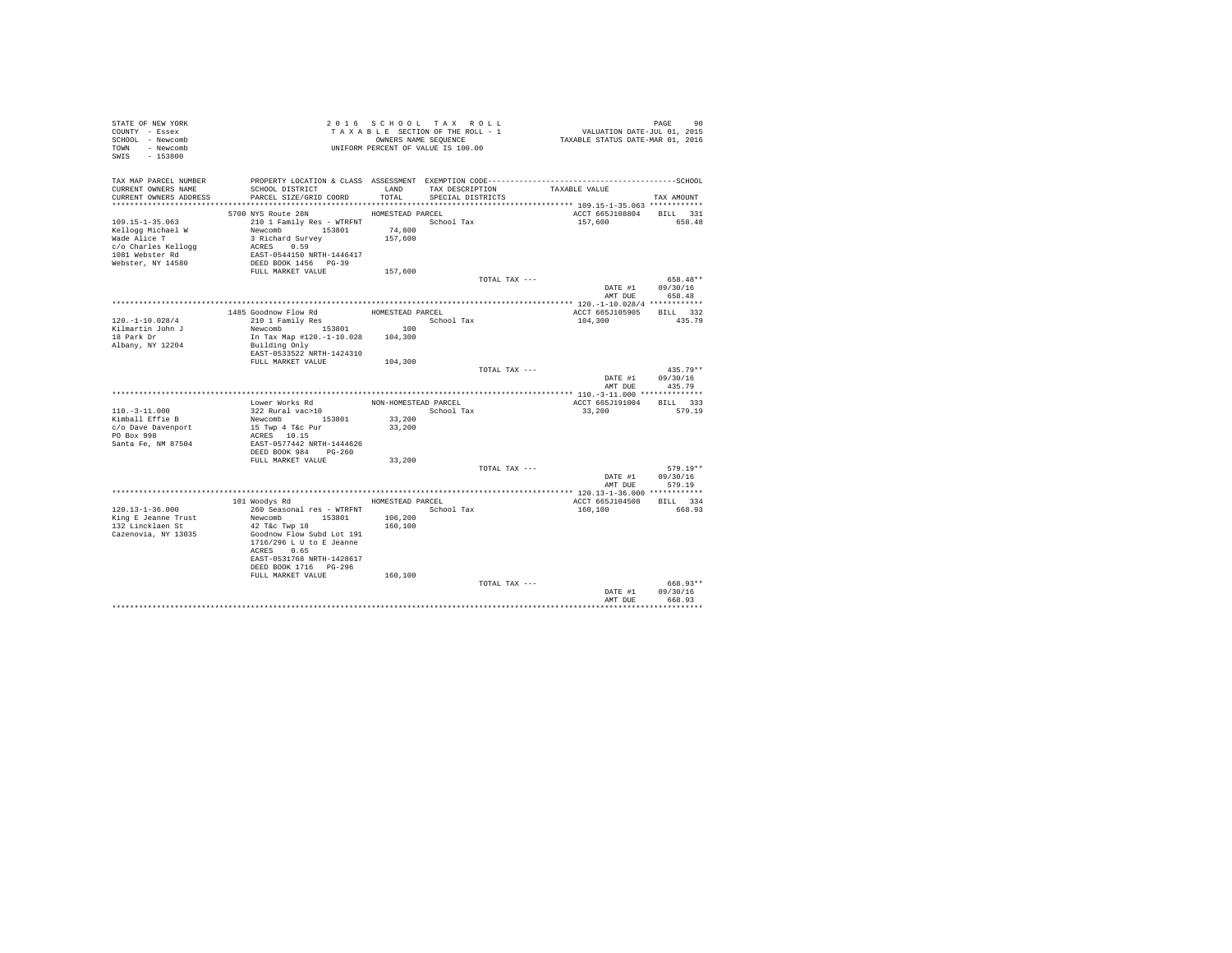| STATE OF NEW YORK<br>COUNTY - Essex<br>SCHOOL - Newcomb<br>TOWN - Newcomb<br>SWIS - 153800 |                                          |                      | 2016 SCHOOL TAX ROLL<br>TAXABLE SECTION OF THE ROLL - 1<br>OWNERS NAME SEQUENCE<br>UNIFORM PERCENT OF VALUE IS 100.00 |               | 90 PAGE 90<br>VALUATION DATE-JUL 01, 2015<br>TAXABLE STATUS DATE-MAR 01, 2016 |                    |            |
|--------------------------------------------------------------------------------------------|------------------------------------------|----------------------|-----------------------------------------------------------------------------------------------------------------------|---------------|-------------------------------------------------------------------------------|--------------------|------------|
| TAX MAP PARCEL NUMBER                                                                      |                                          |                      |                                                                                                                       |               |                                                                               |                    |            |
| CURRENT OWNERS NAME                                                                        | SCHOOL DISTRICT                          | LAND                 | TAX DESCRIPTION                                                                                                       | TAXABLE VALUE |                                                                               |                    |            |
| CURRENT OWNERS ADDRESS                                                                     | PARCEL SIZE/GRID COORD                   | TOTAL                | SPECIAL DISTRICTS                                                                                                     |               |                                                                               | TAX AMOUNT         |            |
|                                                                                            | 5700 NYS Route 28N                       | HOMESTEAD PARCEL     |                                                                                                                       |               | ACCT 665J108804 BILL 331                                                      |                    |            |
| $109.15 - 1 - 35.063$                                                                      | 210 1 Family Res - WTRFNT                |                      | School Tax                                                                                                            |               | 157,600                                                                       | 658.48             |            |
| Kellogg Michael W                                                                          | Newcomb 153801                           | 74,800               |                                                                                                                       |               |                                                                               |                    |            |
| Wade Alice T                                                                               | 3 Richard Survey                         | 157,600              |                                                                                                                       |               |                                                                               |                    |            |
| c/o Charles Kellogg                                                                        | ACRES 0.59                               |                      |                                                                                                                       |               |                                                                               |                    |            |
| 1081 Webster Rd                                                                            | EAST-0544150 NRTH-1446417                |                      |                                                                                                                       |               |                                                                               |                    |            |
| Webster, NY 14580                                                                          | DEED BOOK 1456 PG-39                     |                      |                                                                                                                       |               |                                                                               |                    |            |
|                                                                                            | FULL MARKET VALUE                        | 157,600              |                                                                                                                       |               |                                                                               |                    |            |
|                                                                                            |                                          |                      |                                                                                                                       | TOTAL TAX --- |                                                                               | $658.48**$         |            |
|                                                                                            |                                          |                      |                                                                                                                       |               | DATE #1                                                                       | 09/30/16           |            |
|                                                                                            |                                          |                      |                                                                                                                       |               | AMT DUE                                                                       | 658.48             |            |
|                                                                                            |                                          | HOMESTEAD PARCEL     |                                                                                                                       |               | ACCT 665J105905                                                               | BILL 332           |            |
| $120. - 1 - 10.028/4$                                                                      | 1485 Goodnow Flow Rd<br>210 1 Family Res |                      | School Tax                                                                                                            |               | 104,300                                                                       | 435.79             |            |
| Kilmartin John J                                                                           | 210 1 Family Res<br>Newcomb 153801 100   |                      |                                                                                                                       |               |                                                                               |                    |            |
| 18 Park Dr                                                                                 | In Tax Map #120.-1-10.028 104,300        |                      |                                                                                                                       |               |                                                                               |                    |            |
| Albany, NY 12204                                                                           | Building Only                            |                      |                                                                                                                       |               |                                                                               |                    |            |
|                                                                                            | EAST-0533522 NRTH-1424310                |                      |                                                                                                                       |               |                                                                               |                    |            |
|                                                                                            | FULL MARKET VALUE                        | 104,300              |                                                                                                                       |               |                                                                               |                    |            |
|                                                                                            |                                          |                      |                                                                                                                       | TOTAL TAX --- |                                                                               |                    | $435.79**$ |
|                                                                                            |                                          |                      |                                                                                                                       |               | DATE #1<br>AMT DUR                                                            | 09/30/16<br>435.79 |            |
|                                                                                            |                                          |                      |                                                                                                                       |               |                                                                               |                    |            |
|                                                                                            | Lower Works Rd                           | NON-HOMESTEAD PARCEL |                                                                                                                       |               | ACCT 665J191004                                                               | BILL 333           |            |
| $110. - 3 - 11.000$                                                                        | 322 Rural vac>10                         |                      | School Tax                                                                                                            |               | 33,200                                                                        | 579.19             |            |
| Kimball Effie B                                                                            | Newcomb 153801                           | 33,200               |                                                                                                                       |               |                                                                               |                    |            |
| c/o Dave Davenport                                                                         | 15 Twp 4 T&c Pur                         | 33,200               |                                                                                                                       |               |                                                                               |                    |            |
| PO Box 998                                                                                 | ACRES 10.15                              |                      |                                                                                                                       |               |                                                                               |                    |            |
| Santa Fe, NM 87504                                                                         | EAST-0577442 NRTH-1444626                |                      |                                                                                                                       |               |                                                                               |                    |            |
|                                                                                            | DEED BOOK 984 PG-260                     |                      |                                                                                                                       |               |                                                                               |                    |            |
|                                                                                            | FULL MARKET VALUE                        | 33,200               |                                                                                                                       | TOTAL TAX --- |                                                                               |                    | $579.19**$ |
|                                                                                            |                                          |                      |                                                                                                                       |               | DATE #1                                                                       | 09/30/16           |            |
|                                                                                            |                                          |                      |                                                                                                                       |               | AMT DUR                                                                       | 579.19             |            |
|                                                                                            |                                          |                      |                                                                                                                       |               |                                                                               |                    |            |
|                                                                                            | 101 Woodys Rd MOMESTEAD PARCEL           |                      |                                                                                                                       |               | ACCT 665J104508                                                               | BILL 334           |            |
| $120.13 - 1 - 36.000$                                                                      | 260 Seasonal res - WTRFNT                |                      | School Tax                                                                                                            |               | 160,100                                                                       | 668.93             |            |
| King E Jeanne Trust                                                                        | Newcomb 153801                           | 106,200              |                                                                                                                       |               |                                                                               |                    |            |
| 132 Lincklaen St                                                                           | 42 T&c Twp 18                            | 160,100              |                                                                                                                       |               |                                                                               |                    |            |
| Cazenovia, NY 13035                                                                        | Goodnow Flow Subd Lot 191                |                      |                                                                                                                       |               |                                                                               |                    |            |
|                                                                                            | 1716/296 L U to E Jeanne                 |                      |                                                                                                                       |               |                                                                               |                    |            |
|                                                                                            | ACRES 0.65<br>EAST-0531768 NRTH-1428617  |                      |                                                                                                                       |               |                                                                               |                    |            |
|                                                                                            | DEED BOOK 1716    PG-296                 |                      |                                                                                                                       |               |                                                                               |                    |            |
|                                                                                            | FULL MARKET VALUE                        | 160,100              |                                                                                                                       |               |                                                                               |                    |            |
|                                                                                            |                                          |                      |                                                                                                                       | TOTAL TAX --- |                                                                               |                    | 668.93**   |
|                                                                                            |                                          |                      |                                                                                                                       |               | DATE #1                                                                       | 09/30/16           |            |
|                                                                                            |                                          |                      |                                                                                                                       |               | AMT DUR                                                                       | 668.93             |            |
|                                                                                            |                                          |                      |                                                                                                                       |               |                                                                               | ***********        |            |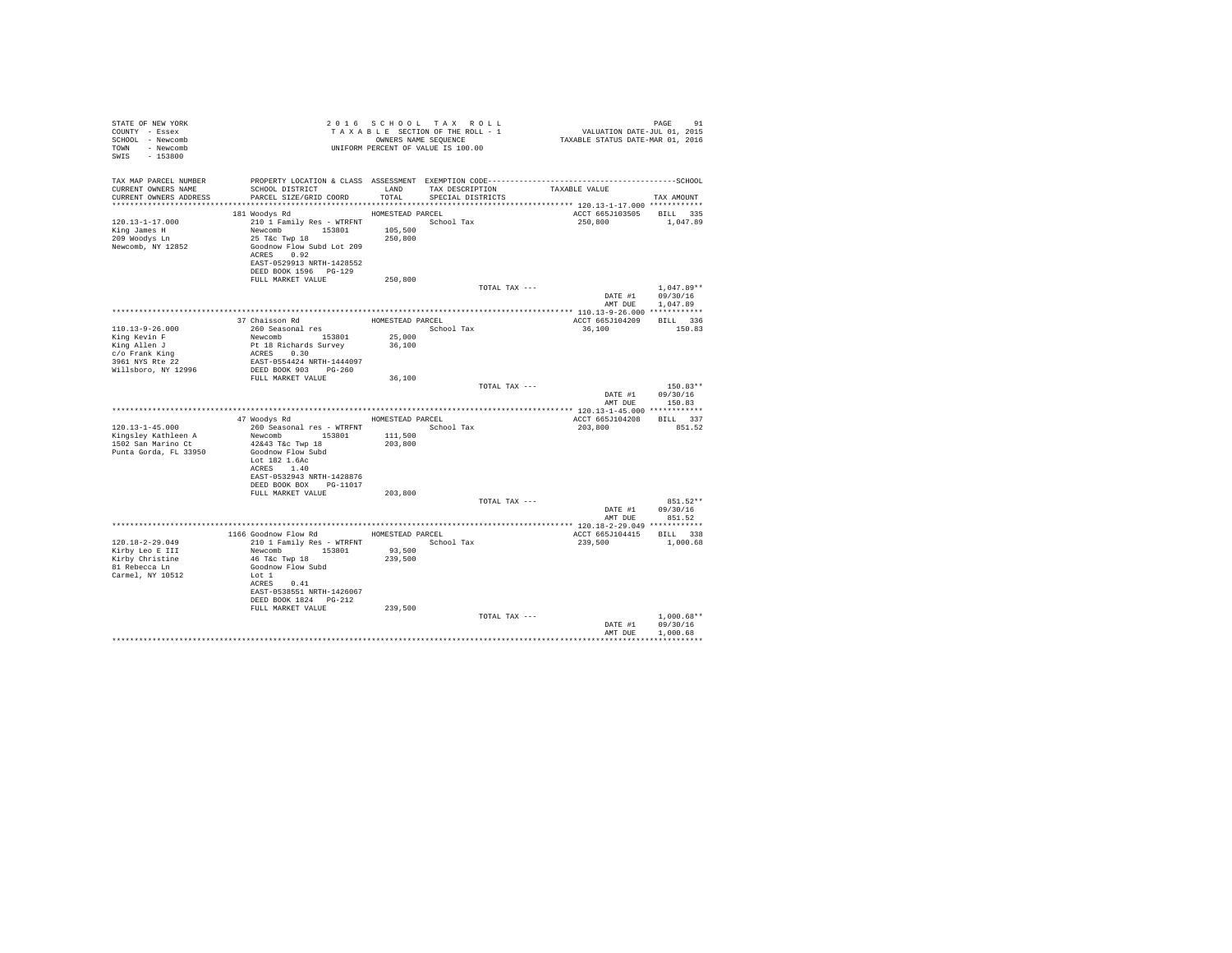| STATE OF NEW YORK<br>COUNTY - Essex<br>SCHOOL - Newcomb<br>TOWN - Newcomb<br>SWIS - 153800 |                                                                                                                                                                                   |                  | 2016 SCHOOL TAX ROLL<br>TAXABLE SECTION OF THE ROLL - 1<br>OWNERS NAME SEQUENCE | PAGE 91<br>VALUATION DATE-JUL 01, 2015<br>TAXABLE STATUS DATE-MAR 01, 2016 |                  |
|--------------------------------------------------------------------------------------------|-----------------------------------------------------------------------------------------------------------------------------------------------------------------------------------|------------------|---------------------------------------------------------------------------------|----------------------------------------------------------------------------|------------------|
|                                                                                            | TAX MAP PARCEL NUMBER PROPERTY LOCATION & CLASS ASSESSMENT EXEMPTION CODE-----------------------------------SCHOOL                                                                |                  |                                                                                 |                                                                            |                  |
| CURRENT OWNERS NAME<br>CURRENT OWNERS ADDRESS                                              | SCHOOL DISTRICT<br>PARCEL SIZE/GRID COORD                                                                                                                                         | TOTAL            | LAND TAX DESCRIPTION TAXABLE VALUE<br>SPECIAL DISTRICTS                         |                                                                            | TAX AMOUNT       |
|                                                                                            |                                                                                                                                                                                   |                  |                                                                                 |                                                                            |                  |
|                                                                                            | 181 Woodys Rd                                                                                                                                                                     | HOMESTEAD PARCEL |                                                                                 | ACCT 665J103505 BILL 335                                                   |                  |
| 120.13-1-17.000                                                                            | 210 1 Family Res - WTRFNT                                                                                                                                                         |                  | School Tax                                                                      | 250,800                                                                    | 1,047.89         |
| King James H<br>209 Woodys Ln                                                              |                                                                                                                                                                                   |                  |                                                                                 |                                                                            |                  |
| Newcomb, NY 12852                                                                          | Newcomb 153801 165,500<br>25 T&c Twp 18 250,800<br>Goodnow Flow Subd Lot 209                                                                                                      |                  |                                                                                 |                                                                            |                  |
|                                                                                            | ACRES 0.92                                                                                                                                                                        |                  |                                                                                 |                                                                            |                  |
|                                                                                            | EAST-0529913 NRTH-1428552<br>DEED BOOK 1596 PG-129                                                                                                                                |                  |                                                                                 |                                                                            |                  |
|                                                                                            | FULL MARKET VALUE                                                                                                                                                                 | 250,800          |                                                                                 |                                                                            |                  |
|                                                                                            |                                                                                                                                                                                   |                  | TOTAL TAX ---                                                                   |                                                                            | $1.047.89**$     |
|                                                                                            |                                                                                                                                                                                   |                  |                                                                                 | DATE #1                                                                    | 09/30/16         |
|                                                                                            |                                                                                                                                                                                   |                  |                                                                                 |                                                                            | AMT DUE 1,047.89 |
|                                                                                            |                                                                                                                                                                                   |                  | HOMESTEAD PARCEL                                                                | ACCT 665J104209 BILL 336                                                   |                  |
| 110.13-9-26.000                                                                            |                                                                                                                                                                                   |                  | School Tax                                                                      | 36,100                                                                     | 150.83           |
| King Kevin F                                                                               |                                                                                                                                                                                   | 25,000           |                                                                                 |                                                                            |                  |
|                                                                                            |                                                                                                                                                                                   | 36,100           |                                                                                 |                                                                            |                  |
| King Allen J<br>c/o Frank King<br>3961 NYS Rte 22<br>Willsboro, NY 12996                   |                                                                                                                                                                                   |                  |                                                                                 |                                                                            |                  |
|                                                                                            | 37 Chaisson Rd<br>260 Seasonal response 153801<br>260 Seasonal response 153801<br>Pt 18 Richards Survey<br>REXES 0.30<br>REXES 0.30<br>DEXED BOOK 903 PG-260<br>PULL MARKET VALUE |                  |                                                                                 |                                                                            |                  |
|                                                                                            |                                                                                                                                                                                   | 36,100           | TOTAL TAX ---                                                                   |                                                                            | 150.83**         |
|                                                                                            |                                                                                                                                                                                   |                  |                                                                                 | DATE #1 $09/30/16$                                                         |                  |
|                                                                                            |                                                                                                                                                                                   |                  |                                                                                 |                                                                            | AMT DUE 150.83   |
|                                                                                            | 47 Woodys Rd MOMESTEAD PARCEL                                                                                                                                                     |                  |                                                                                 |                                                                            |                  |
| $120.13 - 1 - 45.000$                                                                      |                                                                                                                                                                                   |                  |                                                                                 | ACCT 665J104208 BILL 337<br>203,800                                        | 851.52           |
| 120.13-1-45.000<br>Kingsley Kathleen A<br>1502 San Marino Ct                               | 260 Seasonal res - WTRFNT<br>Newcomb 153801 11,500<br>42643 Tac Twp 18 11,500<br>42643 Tac Twp 18                                                                                 |                  |                                                                                 |                                                                            |                  |
|                                                                                            |                                                                                                                                                                                   |                  |                                                                                 |                                                                            |                  |
| Punta Gorda, FL 33950                                                                      | Goodnow Flow Subd<br>Lot 182 1.6Ac                                                                                                                                                |                  |                                                                                 |                                                                            |                  |
|                                                                                            | ACRES 1.40                                                                                                                                                                        |                  |                                                                                 |                                                                            |                  |
|                                                                                            | EAST-0532943 NRTH-1428876                                                                                                                                                         |                  |                                                                                 |                                                                            |                  |
|                                                                                            | DEED BOOK BOX PG-11017<br>FULL MARKET VALUE 203,800                                                                                                                               |                  |                                                                                 |                                                                            |                  |
|                                                                                            |                                                                                                                                                                                   |                  | TOTAL TAX ---                                                                   |                                                                            | $851.52**$       |
|                                                                                            |                                                                                                                                                                                   |                  |                                                                                 |                                                                            | DATE #1 09/30/16 |
|                                                                                            |                                                                                                                                                                                   |                  |                                                                                 | AMT DUE                                                                    | 851.52           |
|                                                                                            | 1166 Goodnow Flow Rd MOMESTEAD PARCEL                                                                                                                                             |                  |                                                                                 | ACCT 665J104415 BILL 338                                                   |                  |
| 120.18-2-29.049                                                                            | 210 1 Family Res - WTRFNT                                                                                                                                                         |                  | School Tax                                                                      | 239,500 1,000.68                                                           |                  |
| Kirby Leo E III                                                                            | Newcomb 153801<br>46 T&c Twp 18                                                                                                                                                   | 93,500           |                                                                                 |                                                                            |                  |
| Kirby Christine                                                                            |                                                                                                                                                                                   | 239,500          |                                                                                 |                                                                            |                  |
| 81 Rebecca Ln<br>Carmel, NY 10512                                                          | Goodnow Flow Subd<br>Lot 1                                                                                                                                                        |                  |                                                                                 |                                                                            |                  |
|                                                                                            | ACRES 0.41                                                                                                                                                                        |                  |                                                                                 |                                                                            |                  |
|                                                                                            | EAST-0538551 NRTH-1426067                                                                                                                                                         |                  |                                                                                 |                                                                            |                  |
|                                                                                            | DEED BOOK 1824   PG-212<br>FULL MARKET VALUE                                                                                                                                      | 239,500          |                                                                                 |                                                                            |                  |
|                                                                                            |                                                                                                                                                                                   |                  | TOTAL TAX ---                                                                   |                                                                            | $1.000.68**$     |
|                                                                                            |                                                                                                                                                                                   |                  |                                                                                 |                                                                            | DATE #1 09/30/16 |
|                                                                                            |                                                                                                                                                                                   |                  |                                                                                 | AMT DUE                                                                    | 1,000.68         |
|                                                                                            |                                                                                                                                                                                   |                  |                                                                                 |                                                                            |                  |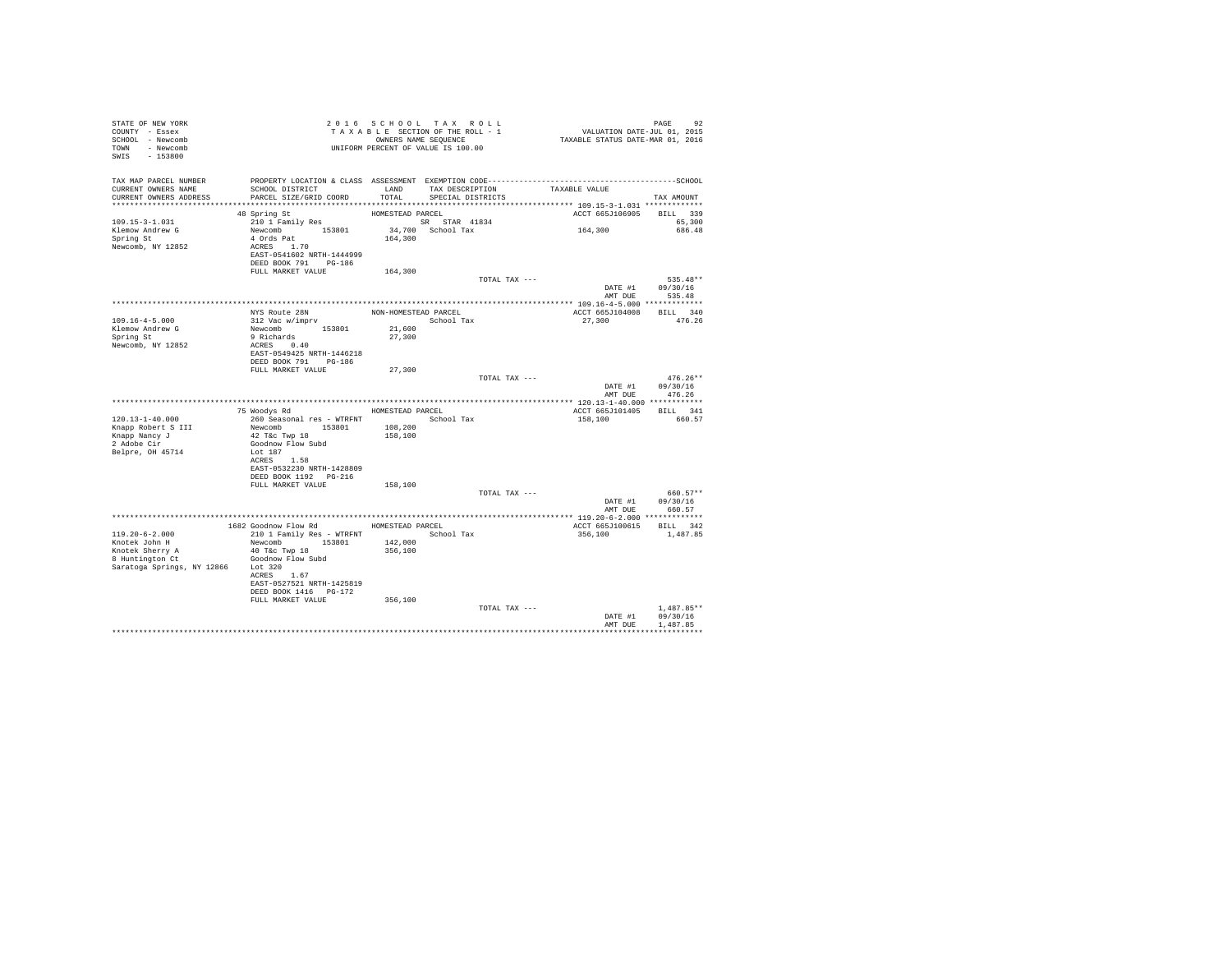| STATE OF NEW YORK<br>COUNTY - Essex<br>SCHOOL - Newcomb<br>TOWN - Newcomb<br>SWIS - 153800                        | UNIFORM PERCENT OF VALUE IS 100.00                                                                                                                                    |                                | 2016 SCHOOL TAX ROLL<br>TAXABLE SECTION OF THE ROLL - 1<br>OWNERS NAME SEQUENCE | PAGE 92<br>VALUATION DATE-JUL 01, 2015<br>TAXABLE STATUS DATE-MAR 01, 2016 |                                          |
|-------------------------------------------------------------------------------------------------------------------|-----------------------------------------------------------------------------------------------------------------------------------------------------------------------|--------------------------------|---------------------------------------------------------------------------------|----------------------------------------------------------------------------|------------------------------------------|
| TAX MAP PARCEL NUMBER<br>CURRENT OWNERS NAME<br>CURRENT OWNERS ADDRESS                                            | SCHOOL DISTRICT<br>PARCEL SIZE/GRID COORD                                                                                                                             | LAND<br>TOTAL                  | TAX DESCRIPTION<br>SPECIAL DISTRICTS                                            | TAXABLE VALUE                                                              | TAX AMOUNT                               |
| 109.15-3-1.031<br>Klemow Andrew G<br>Spring St<br>Newcomb, NY 12852                                               | 48 Spring St<br>210 1 Family Res<br>Newcomb 153801<br>4 Ords Pat<br>ACRES 1.70<br>EAST-0541602 NRTH-1444999<br>DEED BOOK 791 PG-186                                   | HOMESTEAD PARCEL<br>164,300    | SR STAR 41834<br>34,700 School Tax                                              | ACCT 665J106905<br>164,300                                                 | BILL 339<br>65,300<br>686.48             |
|                                                                                                                   | FULL MARKET VALUE                                                                                                                                                     | 164,300                        | TOTAL TAX ---                                                                   | DATE #1                                                                    | 535.48**<br>09/30/16                     |
| $109.16 - 4 - 5.000$<br>Klemow Andrew G<br>Spring St<br>Newcomb, NY 12852                                         | NYS Route 28N<br>$312$ Vac $w/imprv$<br>Newcomb 153801<br>Example 108<br>ACRES 0.40<br>Racm of 10<br>EAST-0549425 NRTH-1446218<br>DEED BOOK 791 PG-186                | School Tax<br>21,600<br>27,300 | NON-HOMESTEAD PARCEL                                                            | ACCT 665J104008 BILL 340<br>27,300                                         | AMT DUE 535.48<br>476.26                 |
|                                                                                                                   | FULL MARKET VALUE                                                                                                                                                     | 27,300                         | TOTAL TAX ---                                                                   | AMT DUE                                                                    | $476.26**$<br>DATE #1 09/30/16<br>476.26 |
|                                                                                                                   |                                                                                                                                                                       |                                |                                                                                 |                                                                            |                                          |
|                                                                                                                   | 75 Woodys Rd MOMESTEAD PARCEL                                                                                                                                         |                                |                                                                                 | ACCT 665J101405 BILL 341                                                   |                                          |
| 120.13-1-40.000<br>Knapp Robert S III<br>Knapp Nancy J<br>2 Adobe Cir<br>Belpre, OH 45714                         | 260 Seasonal res - WTRFNT<br>Newcomb 153801<br>42 T&c Twp 18<br>Goodnow Flow Subd<br>Lot 187<br>ACRES 1.58                                                            | 108,200<br>158,100             | School Tax                                                                      | 158,100                                                                    | 660.57                                   |
|                                                                                                                   | EAST-0532230 NRTH-1428809<br>DEED BOOK 1192 PG-216<br>FULL MARKET VALUE                                                                                               | 158,100                        |                                                                                 |                                                                            |                                          |
|                                                                                                                   |                                                                                                                                                                       |                                | TOTAL TAX ---                                                                   | DATE #1<br>AMT DUE                                                         | 660.57**<br>09/30/16<br>660.57           |
|                                                                                                                   |                                                                                                                                                                       |                                |                                                                                 |                                                                            |                                          |
| $119.20 - 6 - 2.000$<br>Knotek John H<br>Knotek Sherry A<br>8 Huntington Ct<br>Saratoga Springs, NY 12866 Lot 320 | 1682 Goodnow Flow Rd MOMESTEAD PARCEL<br>210 1 Family Res - WTRFNT<br>Newcomb 153801<br>40 T&C Twp 18<br>Goodnow Flow Subd<br>ACRES 1.67<br>EAST-0527521 NRTH-1425819 | 142,000<br>356,100             | School Tax                                                                      | ACCT 665J100615 BILL 342<br>356,100                                        | 1,487.85                                 |
|                                                                                                                   | DEED BOOK 1416    PG-172<br>FULL MARKET VALUE                                                                                                                         | 356,100                        | TOTAL TAX ---                                                                   | DATE #1<br>AMT DUE                                                         | $1.487.85**$<br>09/30/16<br>1,487.85     |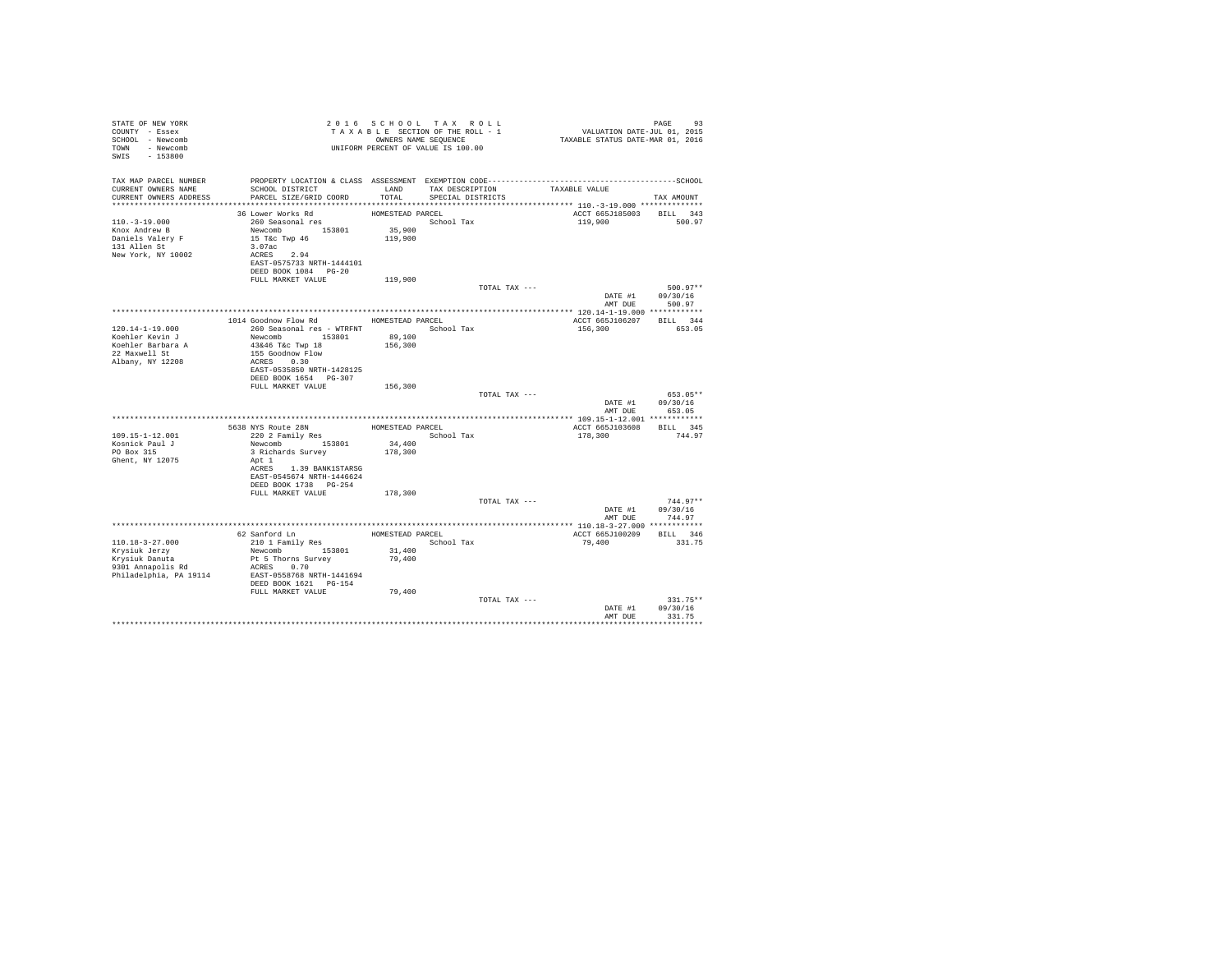| STATE OF NEW YORK<br>COUNTY - Essex<br>SCHOOL - Newcomb<br>TOWN - Newcomb<br>SWIS - 153800 |                                                                                                                 |                    | 2016 SCHOOL TAX ROLL<br>TAXABLE SECTION OF THE ROLL - 1<br>OWNERS NAME SEQUENCE | PAGE 93<br>VALUATION DATE-JUL 01, 2015<br>TAXABLE STATUS DATE-MAR 01, 2016 | PAGE<br>93       |
|--------------------------------------------------------------------------------------------|-----------------------------------------------------------------------------------------------------------------|--------------------|---------------------------------------------------------------------------------|----------------------------------------------------------------------------|------------------|
| TAX MAP PARCEL NUMBER<br>CURRENT OWNERS NAME                                               | PROPERTY LOCATION & CLASS ASSESSMENT EXEMPTION CODE-----------------------------------SCHOOL<br>SCHOOL DISTRICT |                    | LAND TAX DESCRIPTION TAXABLE VALUE                                              |                                                                            |                  |
| CURRENT OWNERS ADDRESS                                                                     | PARCEL SIZE/GRID COORD                                                                                          | TOTAL              | SPECIAL DISTRICTS                                                               |                                                                            | TAX AMOUNT       |
|                                                                                            |                                                                                                                 |                    |                                                                                 |                                                                            |                  |
| $110. - 3 - 19.000$                                                                        | 36 Lower Works Rd<br>260 Seasonal res                                                                           | HOMESTEAD PARCEL   | School Tax                                                                      | ACCT 665J185003 BILL 343<br>119,900                                        | 500.97           |
| Knox Andrew B                                                                              |                                                                                                                 |                    |                                                                                 |                                                                            |                  |
| Daniels Valery F                                                                           | Newcomb 153801 35,900<br>15 T&c Twp 46 119,900                                                                  |                    |                                                                                 |                                                                            |                  |
| 131 Allen St                                                                               | 3.07ac                                                                                                          |                    |                                                                                 |                                                                            |                  |
| New York, NY 10002                                                                         | ACRES 2.94                                                                                                      |                    |                                                                                 |                                                                            |                  |
|                                                                                            | EAST-0575733 NRTH-1444101                                                                                       |                    |                                                                                 |                                                                            |                  |
|                                                                                            | DEED BOOK 1084 PG-20<br>FULL MARKET VALUE                                                                       | 119,900            |                                                                                 |                                                                            |                  |
|                                                                                            |                                                                                                                 |                    | TOTAL TAX ---                                                                   |                                                                            | 500.97**         |
|                                                                                            |                                                                                                                 |                    |                                                                                 |                                                                            | DATE #1 09/30/16 |
|                                                                                            |                                                                                                                 |                    |                                                                                 | AMT DUE                                                                    | 500.97           |
|                                                                                            |                                                                                                                 |                    |                                                                                 |                                                                            |                  |
| $120.14 - 1 - 19.000$                                                                      | 1014 Goodnow Flow Rd<br>260 Seasonal res - WTRFNT <a>&gt; School Tax</a>                                        | HOMESTEAD PARCEL   |                                                                                 | ACCT 665J106207 BILL 344                                                   | 653.05           |
| Koehler Kevin J                                                                            | Newcomb 153801                                                                                                  | 89,100             |                                                                                 | 156,300                                                                    |                  |
|                                                                                            | 43&46 T&c Twp 18                                                                                                | 156,300            |                                                                                 |                                                                            |                  |
| Koehler Barbara A<br>22 Maxwell St<br>Albany, NY 12208                                     | 155 Goodnow Flow                                                                                                |                    |                                                                                 |                                                                            |                  |
|                                                                                            | ACRES 0.30                                                                                                      |                    |                                                                                 |                                                                            |                  |
|                                                                                            | EAST-0535850 NRTH-1428125                                                                                       |                    |                                                                                 |                                                                            |                  |
|                                                                                            | DEED BOOK 1654 PG-307<br>FULL MARKET VALUE                                                                      | 156,300            |                                                                                 |                                                                            |                  |
|                                                                                            |                                                                                                                 |                    | TOTAL TAX ---                                                                   |                                                                            | 653.05**         |
|                                                                                            |                                                                                                                 |                    |                                                                                 |                                                                            | DATE #1 09/30/16 |
|                                                                                            |                                                                                                                 |                    |                                                                                 | AMT DUE                                                                    | 653.05           |
|                                                                                            |                                                                                                                 |                    |                                                                                 |                                                                            |                  |
| $109.15 - 1 - 12.001$                                                                      | xxxx Route 28N<br>220 2 Family Res                                                                              |                    | HOMESTEAD PARCEL<br>School Tax                                                  | ACCT 665J103608 BILL 345<br>178,300                                        | 744.97           |
| Kosnick Paul J                                                                             | Newcomb 153801                                                                                                  | $3\,4$ , $4\,0\,0$ |                                                                                 |                                                                            |                  |
| PO Box 315                                                                                 | 3 Richards Survey                                                                                               | 178,300            |                                                                                 |                                                                            |                  |
| Ghent, NY 12075                                                                            | Apt 1                                                                                                           |                    |                                                                                 |                                                                            |                  |
|                                                                                            | ACRES 1.39 BANK1STARSG                                                                                          |                    |                                                                                 |                                                                            |                  |
|                                                                                            | EAST-0545674 NRTH-1446624<br>DEED BOOK 1738 PG-254                                                              |                    |                                                                                 |                                                                            |                  |
|                                                                                            | FULL MARKET VALUE                                                                                               | 178,300            |                                                                                 |                                                                            |                  |
|                                                                                            |                                                                                                                 |                    | TOTAL TAX ---                                                                   |                                                                            | $744.97**$       |
|                                                                                            |                                                                                                                 |                    |                                                                                 |                                                                            | DATE #1 09/30/16 |
|                                                                                            |                                                                                                                 |                    |                                                                                 |                                                                            | AMT DUE 744.97   |
|                                                                                            |                                                                                                                 | HOMESTEAD PARCEL   |                                                                                 |                                                                            |                  |
| $110.18 - 3 - 27.000$                                                                      | 62 Sanford Ln<br>210 1 Family Res<br>Newcomb 153801                                                             |                    | School Tax                                                                      | ACCT 665J100209 BILL 346<br>79,400                                         | 331.75           |
|                                                                                            |                                                                                                                 | 31,400             |                                                                                 |                                                                            |                  |
| Krysiuk Jerzy<br>Krysiuk Danuta                                                            | Pt 5 Thorns Survey                                                                                              | 79,400             |                                                                                 |                                                                            |                  |
| 9301 Annapolis Rd                                                                          | ACRES 0.70                                                                                                      |                    |                                                                                 |                                                                            |                  |
| Philadelphia, PA 19114                                                                     | EAST-0558768 NRTH-1441694                                                                                       |                    |                                                                                 |                                                                            |                  |
|                                                                                            | DEED BOOK 1621 PG-154<br>FULL MARKET VALUE                                                                      | 79,400             |                                                                                 |                                                                            |                  |
|                                                                                            |                                                                                                                 |                    | TOTAL TAX ---                                                                   |                                                                            | $331.75**$       |
|                                                                                            |                                                                                                                 |                    |                                                                                 |                                                                            | DATE #1 09/30/16 |
|                                                                                            |                                                                                                                 |                    |                                                                                 | AMT DUE                                                                    | 331.75           |
|                                                                                            |                                                                                                                 |                    |                                                                                 |                                                                            |                  |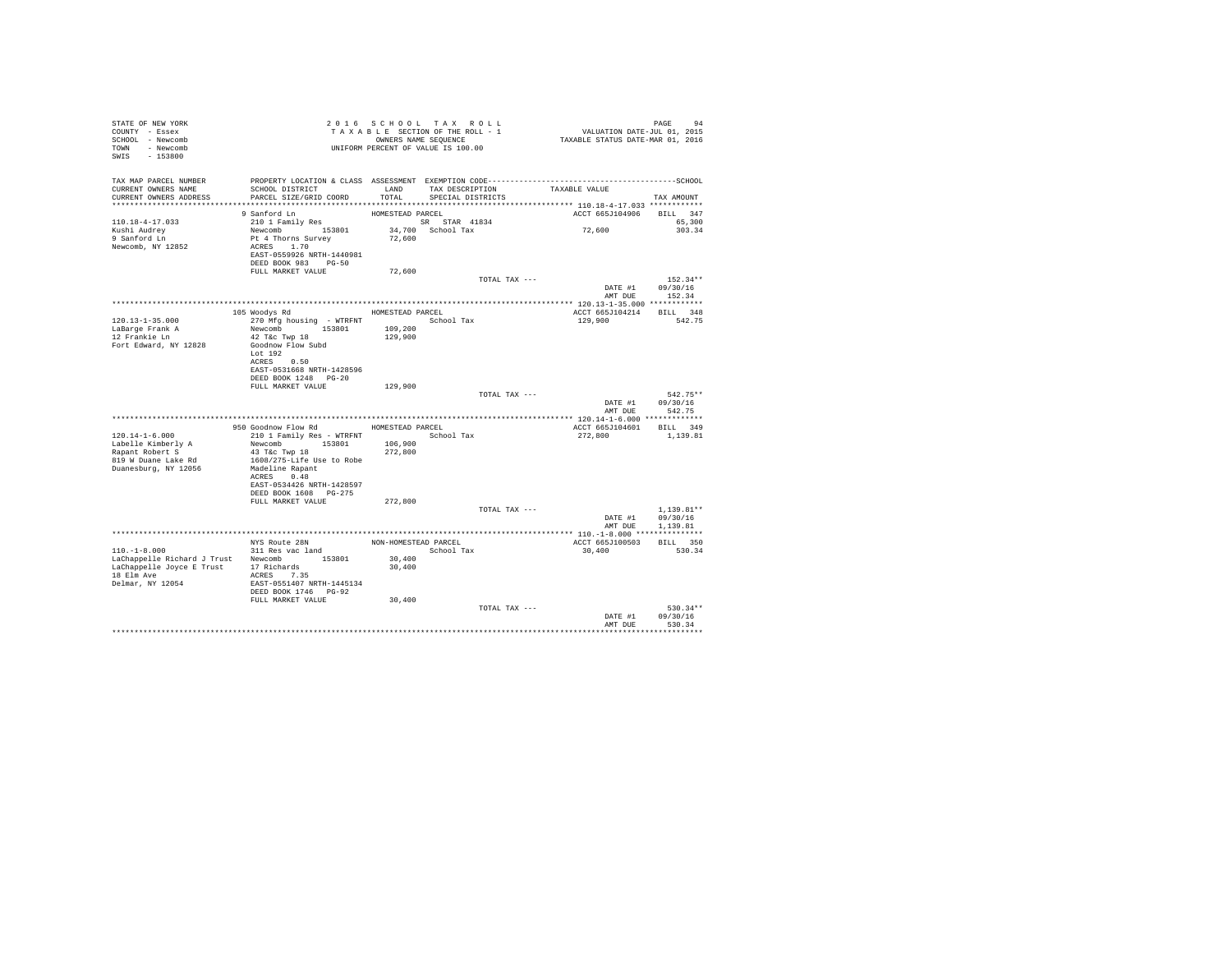| STATE OF NEW YORK<br>COUNTY - Essex<br>SCHOOL - Newcomb<br>TOWN - Newcomb<br>SWIS - 153800                                                 |                                                                                                                                                                                                        | 2016 SCHOOL TAX ROLL<br>TAXABLE SECTION OF THE ROLL - 1<br>OWNERS NAME SEQUENCE |                                      |               | PAGE 94<br>VALUATION DATE-JUL 01, 2015<br>TAXABLE STATUS DATE-MAR 01, 2016 |                                                                |
|--------------------------------------------------------------------------------------------------------------------------------------------|--------------------------------------------------------------------------------------------------------------------------------------------------------------------------------------------------------|---------------------------------------------------------------------------------|--------------------------------------|---------------|----------------------------------------------------------------------------|----------------------------------------------------------------|
| TAX MAP PARCEL NUMBER<br>CURRENT OWNERS NAME<br>CURRENT OWNERS ADDRESS<br>************************                                         | SCHOOL DISTRICT<br>PARCEL SIZE/GRID COORD                                                                                                                                                              | LAND<br>TOTAL                                                                   | TAX DESCRIPTION<br>SPECIAL DISTRICTS |               | TAXABLE VALUE                                                              | TAX AMOUNT                                                     |
| 110.18-4-17.033<br>Kushi Audrey<br>9 Sanford Ln<br>Newcomb, NY 12852                                                                       | 9 Sanford Ln<br>210 1 Family Res<br>Newcomb 153801<br>Pt 4 Thorns Survey<br>ACRES 1.70<br>EAST-0559926 NRTH-1440981<br>DEED BOOK 983 PG-50                                                             | HOMESTEAD PARCEL<br>SR STAR 41834<br>72,600                                     | 34,700 School Tax                    |               | ACCT 665J104906<br>72,600                                                  | BILL 347<br>65,300<br>303.34                                   |
|                                                                                                                                            | FULL MARKET VALUE                                                                                                                                                                                      | 72,600                                                                          |                                      |               |                                                                            |                                                                |
|                                                                                                                                            |                                                                                                                                                                                                        |                                                                                 |                                      | TOTAL TAX --- | DATE #1                                                                    | $152.34**$<br>09/30/16<br>AMT DUE 152.34                       |
| $120.13 - 1 - 35.000$<br>LaBarge Frank A<br>12 Frankie Ln<br>Fort Edward, NY 12828                                                         | 105 Woodys Rd<br>270 Mfg housing - WTRFNT<br>Newcomb 153801<br>42 T&c Twp 18<br>Goodnow Flow Subd<br>Lot $192$<br>ACRES 0.50<br>EAST-0531668 NRTH-1428596<br>DEED BOOK 1248 PG-20<br>FULL MARKET VALUE | HOMESTEAD PARCEL<br>109,200<br>129,900<br>129,900                               | School Tax                           | TOTAL TAX --- | ACCT 665J104214<br>129,900<br>DATE #1                                      | BILL 348<br>542.75<br>$542.75**$<br>09/30/16<br>AMT DUE 542.75 |
|                                                                                                                                            | 950 Goodnow Flow Rd                                                                                                                                                                                    | HOMESTEAD PARCEL                                                                |                                      |               | ACCT 665J104601 BILL 349                                                   |                                                                |
| $120.14 - 1 - 6.000$<br>Labelle Kimberly A<br>Rapant Robert S<br>819 W Duane Lake Rd<br>Duanesburg, NY 12056                               | 210 1 Family Res - WTRFNT<br>Newcomb 153801<br>43 T&c Twp 18<br>1608/275-Life Use to Robe<br>Madeline Rapant<br>ACRES 0.48<br>EAST-0534426 NRTH-1428597<br>DEED BOOK 1608 PG-275                       | 106,900<br>272,800                                                              | School Tax                           |               | 272,800                                                                    | 1,139.81                                                       |
|                                                                                                                                            | FULL MARKET VALUE                                                                                                                                                                                      | 272,800                                                                         |                                      | TOTAL TAX --- | DATE #1                                                                    | $1.139.81**$<br>09/30/16                                       |
|                                                                                                                                            |                                                                                                                                                                                                        |                                                                                 |                                      |               | AMT DUE                                                                    | 1,139.81                                                       |
| $110. -1 - 8.000$<br>LaChappelle Richard J Trust Newcomb 153801<br>LaChappelle Joyce E Trust 17 Richards<br>18 Elm Ave<br>Delmar, NY 12054 | NYS Route 28N<br>311 Res vac land<br>ACRES 7.35<br>EAST-0551407 NRTH-1445134<br>DEED BOOK 1746 PG-92                                                                                                   | 30,400<br>30,400                                                                | NON-HOMESTEAD PARCEL<br>School Tax   |               | ACCT 665J100503<br>30,400                                                  | BILL 350<br>530.34                                             |
|                                                                                                                                            | FULL MARKET VALUE                                                                                                                                                                                      | 30,400                                                                          |                                      | TOTAL TAX --- | DATE #1<br>AMT DUE                                                         | $530.34**$<br>09/30/16<br>530.34                               |
|                                                                                                                                            |                                                                                                                                                                                                        |                                                                                 |                                      |               |                                                                            |                                                                |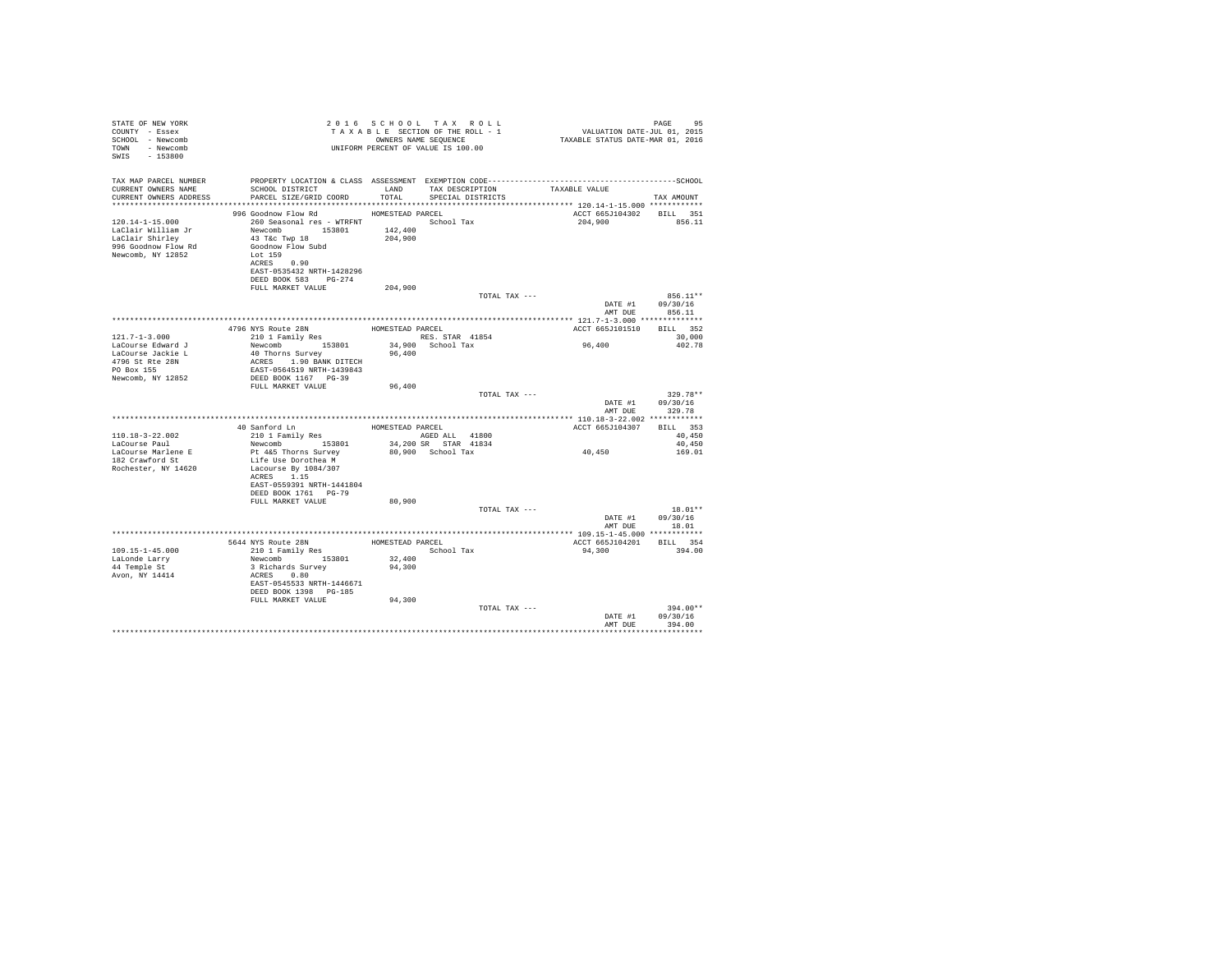| STATE OF NEW YORK<br>COUNTY - Essex<br>SCHOOL - Newcomb<br>- Newcomb<br><b>TOWN</b><br>$-153800$<br>SWIS |                                                   |                  | 2016 SCHOOL TAX ROLL<br>TAXABLE SECTION OF THE ROLL - 1<br>OWNERS NAME SEOUENCE<br>UNIFORM PERCENT OF VALUE IS 100.00 | VALUATION DATE-JUL 01, 2015<br>TAXABLE STATUS DATE-MAR 01, 2016 | PAGE<br>95         |
|----------------------------------------------------------------------------------------------------------|---------------------------------------------------|------------------|-----------------------------------------------------------------------------------------------------------------------|-----------------------------------------------------------------|--------------------|
| TAX MAP PARCEL NUMBER                                                                                    |                                                   |                  |                                                                                                                       |                                                                 |                    |
| CURRENT OWNERS NAME<br>CURRENT OWNERS ADDRESS                                                            | SCHOOL DISTRICT LAND<br>PARCEL SIZE/GRID COORD    | TOTAL            | TAX DESCRIPTION<br>SPECIAL DISTRICTS                                                                                  | TAXABLE VALUE                                                   | TAX AMOUNT         |
|                                                                                                          |                                                   |                  |                                                                                                                       |                                                                 |                    |
|                                                                                                          | 996 Goodnow Flow Rd                               | HOMESTEAD PARCEL |                                                                                                                       | ACCT 665J104302 BILL 351                                        |                    |
| $120.14 - 1 - 15.000$                                                                                    | 260 Seasonal res - WTRFNT                         |                  | School Tax                                                                                                            | 204,900                                                         | 856.11             |
| LaClair William Jr                                                                                       | Newcomb 153801                                    | 142,400          |                                                                                                                       |                                                                 |                    |
| LaClair Shirley                                                                                          | 43 T&C Twp 18                                     | 204,900          |                                                                                                                       |                                                                 |                    |
| 996 Goodnow Flow Rd                                                                                      | Goodnow Flow Subd                                 |                  |                                                                                                                       |                                                                 |                    |
| Newcomb, NY 12852                                                                                        | Lot 159                                           |                  |                                                                                                                       |                                                                 |                    |
|                                                                                                          | ACRES 0.90                                        |                  |                                                                                                                       |                                                                 |                    |
|                                                                                                          | EAST-0535432 NRTH-1428296                         |                  |                                                                                                                       |                                                                 |                    |
|                                                                                                          | DEED BOOK 583 PG-274                              |                  |                                                                                                                       |                                                                 |                    |
|                                                                                                          | FULL MARKET VALUE                                 | 204,900          | TOTAL TAX ---                                                                                                         |                                                                 | 856.11**           |
|                                                                                                          |                                                   |                  |                                                                                                                       | DATE #1                                                         | 09/30/16           |
|                                                                                                          |                                                   |                  |                                                                                                                       | AMT DUE                                                         | 856.11             |
|                                                                                                          |                                                   |                  |                                                                                                                       |                                                                 |                    |
|                                                                                                          | 4796 NYS Route 28N<br>210 1 Family Res            | HOMESTEAD PARCEL |                                                                                                                       | ACCT 665J101510                                                 | BILL 352           |
| $121.7 - 1 - 3.000$                                                                                      |                                                   |                  | RES. STAR 41854                                                                                                       |                                                                 | 30,000             |
| LaCourse Edward J                                                                                        | Newcomb 153801                                    |                  | 34,900 School Tax                                                                                                     | 96,400                                                          | 402.78             |
| LaCourse Jackie L                                                                                        | 40 Thorns Survey                                  | 96,400           |                                                                                                                       |                                                                 |                    |
| 4796 St Rte 28N                                                                                          | ACRES 1.90 BANK DITECH                            |                  |                                                                                                                       |                                                                 |                    |
| PO Box 155<br>Newcomb, NY 12852                                                                          | EAST-0564519 NRTH-1439843<br>DEED BOOK 1167 PG-39 |                  |                                                                                                                       |                                                                 |                    |
|                                                                                                          | FIILL MARKET VALUE                                | 96,400           |                                                                                                                       |                                                                 |                    |
|                                                                                                          |                                                   |                  | TOTAL TAX ---                                                                                                         |                                                                 | 329.78**           |
|                                                                                                          |                                                   |                  |                                                                                                                       | DATE #1                                                         | 09/30/16           |
|                                                                                                          |                                                   |                  |                                                                                                                       | AMT DUR                                                         | 329.78             |
|                                                                                                          |                                                   |                  |                                                                                                                       |                                                                 |                    |
|                                                                                                          | 40 Sanford Ln                                     | HOMESTEAD PARCEL |                                                                                                                       | ACCT 665J104307                                                 | BILL 353           |
| $110.18 - 3 - 22.002$                                                                                    | 210 1 Family Res                                  |                  | AGED ALL 41800                                                                                                        |                                                                 | 40,450             |
| LaCourse Paul                                                                                            | Newcomb 153801                                    |                  | 34,200 SR STAR 41834                                                                                                  |                                                                 | 40.450             |
| LaCourse Marlene E<br>182 Crawford St                                                                    | Pt 4&5 Thorns Survey                              |                  | 80.900 School Tax                                                                                                     | 40,450                                                          | 169.01             |
| Rochester, NY 14620                                                                                      | Life Use Dorothea M<br>Lacourse By 1084/307       |                  |                                                                                                                       |                                                                 |                    |
|                                                                                                          | ACRES 1.15                                        |                  |                                                                                                                       |                                                                 |                    |
|                                                                                                          | EAST-0559391 NRTH-1441804                         |                  |                                                                                                                       |                                                                 |                    |
|                                                                                                          | DEED BOOK 1761 PG-79                              |                  |                                                                                                                       |                                                                 |                    |
|                                                                                                          | FULL MARKET VALUE                                 | 80,900           |                                                                                                                       |                                                                 |                    |
|                                                                                                          |                                                   |                  | TOTAL TAX ---                                                                                                         |                                                                 | $18.01**$          |
|                                                                                                          |                                                   |                  |                                                                                                                       | DATE #1                                                         | 09/30/16           |
|                                                                                                          |                                                   |                  |                                                                                                                       | AMT DUE                                                         | 18.01              |
|                                                                                                          |                                                   |                  |                                                                                                                       |                                                                 | BILL 354           |
| $109.15 - 1 - 45.000$                                                                                    | 5644 NYS Route 28N<br>210 1 Family Res            | HOMESTEAD PARCEL | School Tax                                                                                                            | ACCT 665J104201<br>94,300                                       | 394.00             |
| LaLonde Larry                                                                                            | Newcomb 153801                                    | 32,400           |                                                                                                                       |                                                                 |                    |
| 44 Temple St                                                                                             | 3 Richards Survey                                 | 94,300           |                                                                                                                       |                                                                 |                    |
| Avon, NY 14414                                                                                           | ACRES 0.80                                        |                  |                                                                                                                       |                                                                 |                    |
|                                                                                                          | EAST-0545533 NRTH-1446671                         |                  |                                                                                                                       |                                                                 |                    |
|                                                                                                          | DEED BOOK 1398 PG-185                             |                  |                                                                                                                       |                                                                 |                    |
|                                                                                                          | FULL MARKET VALUE                                 | 94,300           |                                                                                                                       |                                                                 |                    |
|                                                                                                          |                                                   |                  | TOTAL TAX ---                                                                                                         |                                                                 | 394.00**           |
|                                                                                                          |                                                   |                  |                                                                                                                       | DATE #1<br>AMT DUE                                              | 09/30/16<br>394.00 |
|                                                                                                          |                                                   |                  |                                                                                                                       |                                                                 |                    |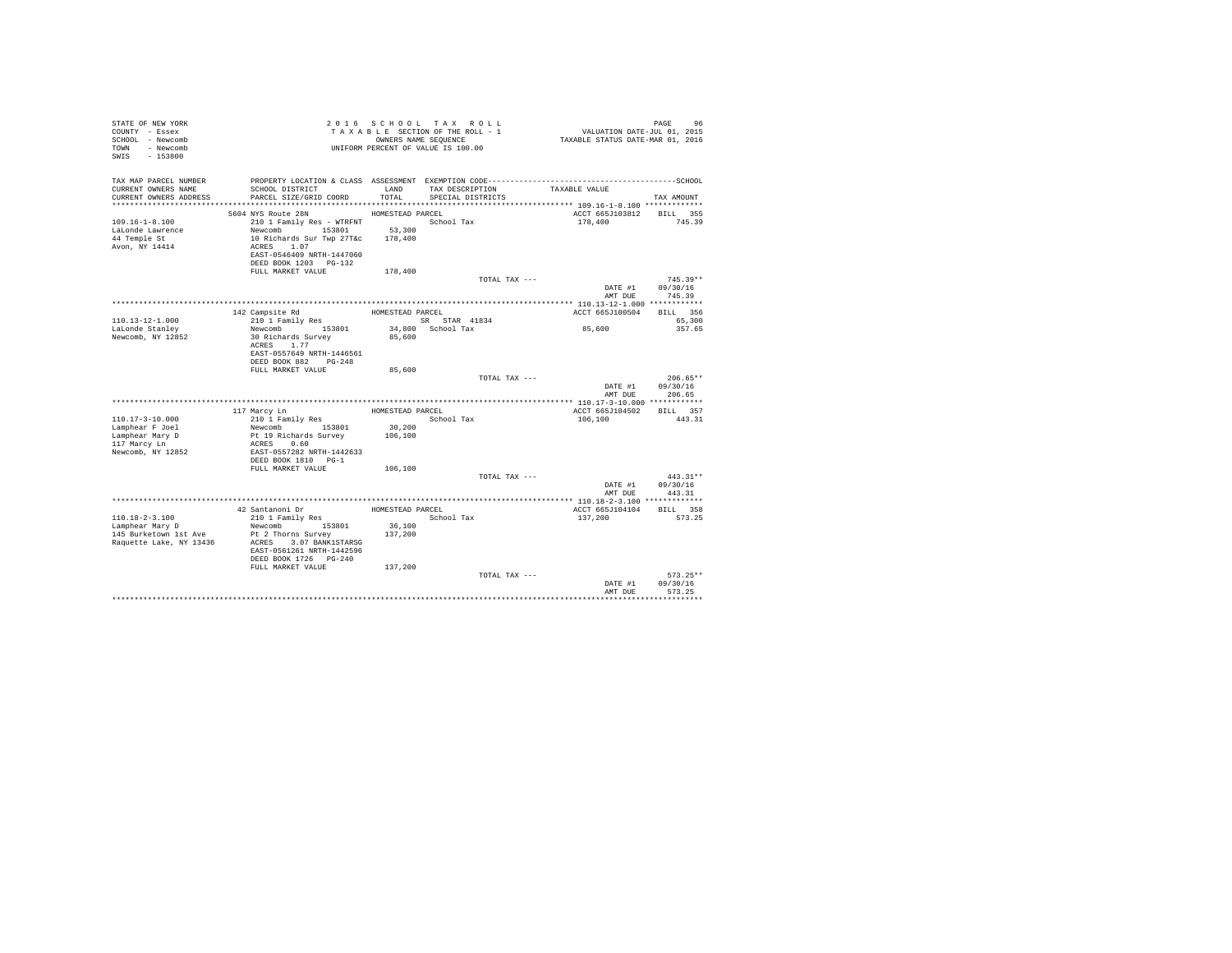| STATE OF NEW YORK<br>COUNTY - Essex<br>SCHOOL - Newcomb<br>TOWN - Newcomb<br>$-153800$<br>SWIS |                                                                                                                                                      |                   | 2016 SCHOOL TAX ROLL<br>TAXABLE SECTION OF THE ROLL - 1<br>OWNERS NAME SEQUENCE<br>UNIFORM PERCENT OF VALUE IS 100.00 | PAGE 96<br>VALUATION DATE-JUL 01, 2015<br>TAXABLE STATUS DATE-MAR 01, 2016 |                    |
|------------------------------------------------------------------------------------------------|------------------------------------------------------------------------------------------------------------------------------------------------------|-------------------|-----------------------------------------------------------------------------------------------------------------------|----------------------------------------------------------------------------|--------------------|
| TAX MAP PARCEL NUMBER<br>CURRENT OWNERS NAME<br>CURRENT OWNERS ADDRESS                         | SCHOOL DISTRICT<br>PARCEL SIZE/GRID COORD                                                                                                            | LAND<br>TOTAL     | TAX DESCRIPTION<br>SPECIAL DISTRICTS                                                                                  | TAXABLE VALUE                                                              | TAX AMOUNT         |
|                                                                                                |                                                                                                                                                      |                   |                                                                                                                       |                                                                            |                    |
|                                                                                                | 5604 NYS Route 28N                                                                                                                                   | HOMESTEAD PARCEL  |                                                                                                                       | ACCT 665J103812 BILL 355                                                   |                    |
| $109.16 - 1 - 8.100$<br>LaLonde Lawrence<br>44 Temple St<br>Avon, NY 14414                     | 210 1 Family Res - WTRFNT<br>Newcomb 153801<br>10 Richards Sur Twp 27T&c 178.400<br>ACRES 1.07<br>EAST-0546409 NRTH-1447060<br>DEED BOOK 1203 PG-132 | 53,300            | School Tax                                                                                                            | 178,400                                                                    | 745.39             |
|                                                                                                | FULL MARKET VALUE                                                                                                                                    | 178,400           |                                                                                                                       |                                                                            |                    |
|                                                                                                |                                                                                                                                                      |                   | TOTAL TAX ---                                                                                                         |                                                                            | $745.39**$         |
|                                                                                                |                                                                                                                                                      |                   |                                                                                                                       | DATE #1<br>AMT DUE                                                         | 09/30/16<br>745.39 |
|                                                                                                |                                                                                                                                                      |                   |                                                                                                                       |                                                                            |                    |
| $110.13 - 12 - 1.000$                                                                          | 142 Campsite Rd<br>210 1 Family Res                                                                                                                  | HOMESTEAD PARCEL  | SR STAR 41834                                                                                                         | ACCT 665J100504                                                            | BILL 356<br>65,300 |
| LaLonde Stanley                                                                                | Newcomb 153801                                                                                                                                       |                   | 34,800 School Tax                                                                                                     | 85,600                                                                     | 357.65             |
| Newcomb, NY 12852                                                                              | 30 Richards Survey<br>ACRES 1.77<br>EAST-0557649 NRTH-1446561<br>DEED BOOK 882 PG-248                                                                | 85,600            |                                                                                                                       |                                                                            |                    |
|                                                                                                | FULL MARKET VALUE                                                                                                                                    | 85,600            |                                                                                                                       |                                                                            |                    |
|                                                                                                |                                                                                                                                                      |                   | TOTAL TAX ---                                                                                                         |                                                                            | $206.65**$         |
|                                                                                                |                                                                                                                                                      |                   |                                                                                                                       | DATE #1<br>AMT DUE                                                         | 09/30/16<br>206.65 |
|                                                                                                |                                                                                                                                                      |                   |                                                                                                                       |                                                                            |                    |
|                                                                                                | 117 Marcy Ln                                                                                                                                         | HOMESTEAD PARCEL  |                                                                                                                       | ACCT 665J104502                                                            | BILL 357           |
| $110.17 - 3 - 10.000$                                                                          | 210 1 Family Res                                                                                                                                     |                   | School Tax                                                                                                            | 106,100                                                                    | 443.31             |
| Lamphear F Joel                                                                                | Newcomb 153801                                                                                                                                       | 30,200<br>106,100 |                                                                                                                       |                                                                            |                    |
| Lamphear Mary D<br>117 Marcy Ln<br>Newcomb, NY 12852                                           | Pt 19 Richards Survey<br>ACRES 0.60<br>EAST-0557282 NRTH-1442633<br>DEED BOOK 1810 PG-1                                                              |                   |                                                                                                                       |                                                                            |                    |
|                                                                                                | FULL MARKET VALUE                                                                                                                                    | 106,100           |                                                                                                                       |                                                                            |                    |
|                                                                                                |                                                                                                                                                      |                   | TOTAL TAX ---                                                                                                         |                                                                            | $443.31**$         |
|                                                                                                |                                                                                                                                                      |                   |                                                                                                                       | DATE #1                                                                    | 09/30/16           |
|                                                                                                |                                                                                                                                                      |                   |                                                                                                                       | AMT DUE                                                                    | 443.31             |
|                                                                                                |                                                                                                                                                      |                   |                                                                                                                       |                                                                            |                    |
|                                                                                                | 42 Santanoni Dr                                                                                                                                      | HOMESTEAD PARCEL  |                                                                                                                       | ACCT 665J104104                                                            | BILL 358           |
| 110.18-2-3.100<br>Lamphear Mary D<br>145 Burketown 1st Ave<br>Raquette Lake, NY 13436          | 210 1 Family Res<br>Newcomb 153801<br>Pt 2 Thorns Survey<br>ACRES 3.07 BANK1STARSG<br>EAST-0561261 NRTH-1442596<br>DEED BOOK 1726 PG-240             | 36,100<br>137,200 | School Tax                                                                                                            | 137,200                                                                    | 573.25             |
|                                                                                                | FULL MARKET VALUE                                                                                                                                    | 137,200           | TOTAL TAX ---                                                                                                         |                                                                            | $573.25**$         |
|                                                                                                |                                                                                                                                                      |                   |                                                                                                                       | DATE #1<br>AMT DUE                                                         | 09/30/16<br>573.25 |
|                                                                                                |                                                                                                                                                      |                   |                                                                                                                       |                                                                            |                    |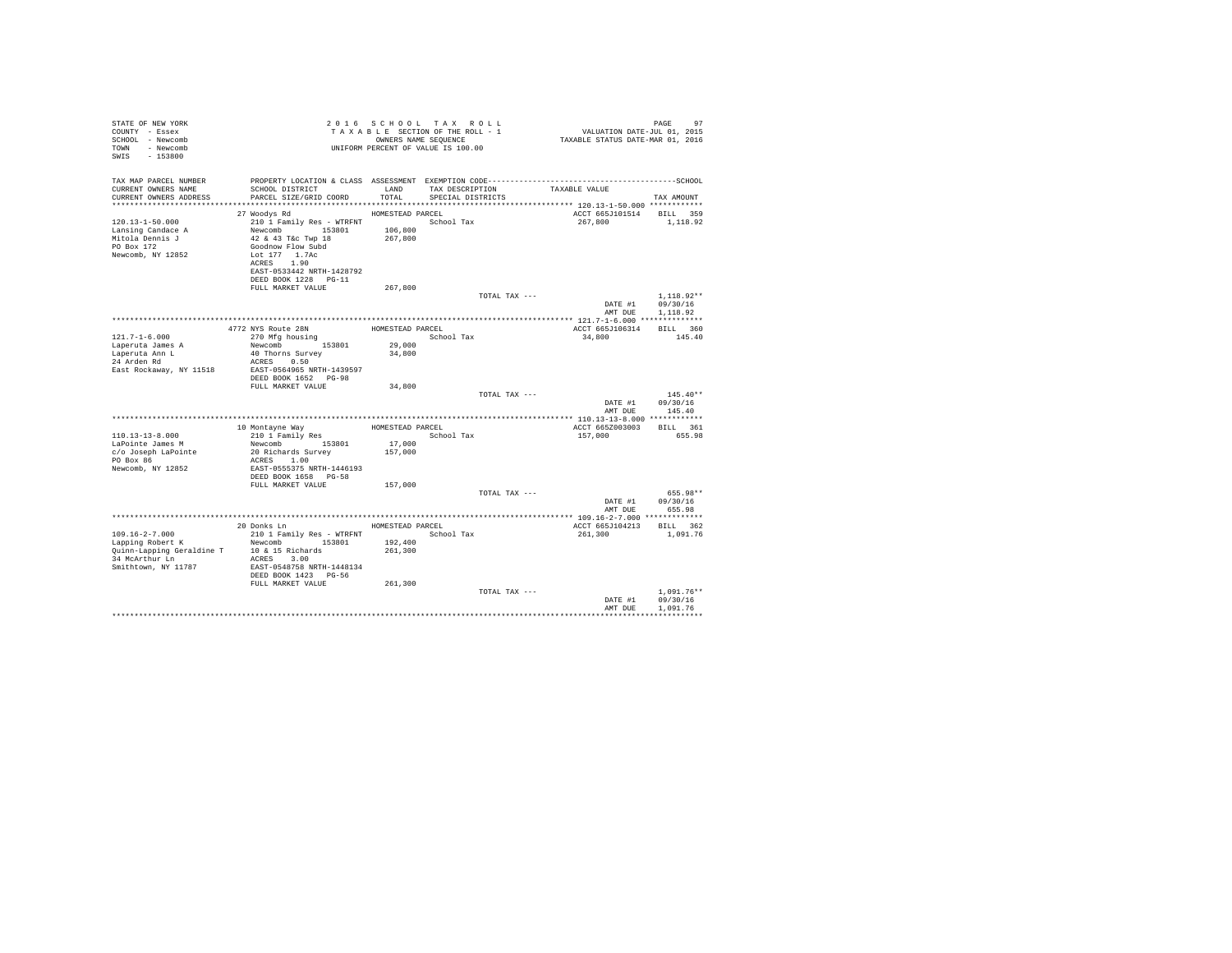| STATE OF NEW YORK<br>COUNTY - Essex<br>SCHOOL - Newcomb<br>TOWN<br>- Newcomb<br>SWIS<br>$-153800$ |                                                                                                                                                                                            |                                        | 2016 SCHOOL TAX ROLL<br>TAXABLE SECTION OF THE ROLL - 1<br>OWNERS NAME SEOUENCE<br>UNIFORM PERCENT OF VALUE IS 100.00 | 17<br>VALUATION DATE-JUL 01, 2015<br>TAXABLE STATUS DATE-MAR 01, 2016 | PAGE<br>97                           |
|---------------------------------------------------------------------------------------------------|--------------------------------------------------------------------------------------------------------------------------------------------------------------------------------------------|----------------------------------------|-----------------------------------------------------------------------------------------------------------------------|-----------------------------------------------------------------------|--------------------------------------|
| TAX MAP PARCEL NUMBER<br>CURRENT OWNERS NAME<br>CURRENT OWNERS ADDRESS                            | SCHOOL DISTRICT<br>PARCEL SIZE/GRID COORD                                                                                                                                                  | LAND<br>TOTAL                          | TAX DESCRIPTION<br>SPECIAL DISTRICTS                                                                                  | TAXABLE VALUE                                                         | TAX AMOUNT                           |
|                                                                                                   |                                                                                                                                                                                            |                                        |                                                                                                                       |                                                                       |                                      |
| $120.13 - 1 - 50.000$<br>Lansing Candace A<br>Mitola Dennis J<br>PO Box 172<br>Newcomb, NY 12852  | 27 Woodys Rd<br>210 1 Family Res - WTRFNT<br>Newcomb 153801<br>42 & 43 T&c Twp 18<br>Goodnow Flow Subd<br>Lot 177 1.7Ac<br>ACRES 1.90<br>EAST-0533442 NRTH-1428792<br>DEED BOOK 1228 PG-11 | HOMESTEAD PARCEL<br>106,800<br>267,800 | School Tax                                                                                                            | ACCT 665J101514 BILL 359<br>267,800                                   | 1,118.92                             |
|                                                                                                   | FULL MARKET VALUE                                                                                                                                                                          | 267,800                                |                                                                                                                       |                                                                       |                                      |
|                                                                                                   |                                                                                                                                                                                            |                                        | TOTAL TAX ---                                                                                                         | DATE #1<br>AMT DUE                                                    | $1.118.92**$<br>09/30/16<br>1,118.92 |
|                                                                                                   |                                                                                                                                                                                            |                                        |                                                                                                                       |                                                                       |                                      |
| $121.7 - 1 - 6.000$                                                                               | 4772 NYS Route 28N<br>270 Mfg housing                                                                                                                                                      | HOMESTEAD PARCEL                       | School Tax                                                                                                            | ACCT 665J106314<br>34,800                                             | BILL 360<br>145.40                   |
| Laperuta James A                                                                                  | Newcomb 153801                                                                                                                                                                             | 29,000                                 |                                                                                                                       |                                                                       |                                      |
| Laperuta Ann L                                                                                    | 40 Thorns Survey                                                                                                                                                                           | 34,800                                 |                                                                                                                       |                                                                       |                                      |
| 24 Arden Rd                                                                                       | ACRES 0.50                                                                                                                                                                                 |                                        |                                                                                                                       |                                                                       |                                      |
| East Rockaway, NY 11518                                                                           | EAST-0564965 NRTH-1439597<br>DEED BOOK 1652 PG-98<br>FULL MARKET VALUE                                                                                                                     | 34,800                                 |                                                                                                                       |                                                                       |                                      |
|                                                                                                   |                                                                                                                                                                                            |                                        | TOTAL TAX ---                                                                                                         |                                                                       | $145.40**$                           |
|                                                                                                   |                                                                                                                                                                                            |                                        |                                                                                                                       | DATE #1<br>AMT DUE                                                    | 09/30/16<br>145.40                   |
|                                                                                                   |                                                                                                                                                                                            |                                        |                                                                                                                       | ***************** 110.13-13-8.000 ************                        |                                      |
|                                                                                                   | 10 Montavne Wav                                                                                                                                                                            | HOMESTEAD PARCEL                       |                                                                                                                       | ACCT 665Z003003                                                       | BILL 361                             |
| $110.13 - 13 - 8.000$                                                                             | 210 1 Family Res                                                                                                                                                                           |                                        | School Tax                                                                                                            | 157,000                                                               | 655.98                               |
| LaPointe James M<br>c/o Joseph LaPointe                                                           | Newcomb 153801<br>20 Richards Survey                                                                                                                                                       | 17,000<br>157,000                      |                                                                                                                       |                                                                       |                                      |
| PO Box 86                                                                                         | ACRES 1.00                                                                                                                                                                                 |                                        |                                                                                                                       |                                                                       |                                      |
| Newcomb, NY 12852                                                                                 | EAST-0555375 NRTH-1446193<br>DEED BOOK 1658 PG-58                                                                                                                                          |                                        |                                                                                                                       |                                                                       |                                      |
|                                                                                                   | FULL MARKET VALUE                                                                                                                                                                          | 157,000                                |                                                                                                                       |                                                                       |                                      |
|                                                                                                   |                                                                                                                                                                                            |                                        | TOTAL TAX ---                                                                                                         | DATE #1<br>AMT DUE                                                    | 655.98**<br>09/30/16<br>655.98       |
|                                                                                                   |                                                                                                                                                                                            |                                        |                                                                                                                       |                                                                       |                                      |
|                                                                                                   | 20 Donks Ln                                                                                                                                                                                | HOMESTEAD PARCEL                       |                                                                                                                       | ACCT 665J104213                                                       | BILL 362                             |
| $109.16 - 2 - 7.000$                                                                              | 210 1 Family Res - WTRFNT                                                                                                                                                                  |                                        | School Tax                                                                                                            | 261,300                                                               | 1,091.76                             |
| Lapping Robert K                                                                                  | Newcomb 153801                                                                                                                                                                             | 192,400                                |                                                                                                                       |                                                                       |                                      |
| Quinn-Lapping Geraldine T<br>34 McArthur Ln                                                       | 10 & 15 Richards<br>ACRES 3.00                                                                                                                                                             | 261,300                                |                                                                                                                       |                                                                       |                                      |
| Smithtown, NY 11787                                                                               | EAST-0548758 NRTH-1448134<br>DEED BOOK 1423 PG-56                                                                                                                                          |                                        |                                                                                                                       |                                                                       |                                      |
|                                                                                                   | FULL MARKET VALUE                                                                                                                                                                          | 261,300                                |                                                                                                                       |                                                                       |                                      |
|                                                                                                   |                                                                                                                                                                                            |                                        | TOTAL TAX ---                                                                                                         | DATE #1<br>AMT DUE                                                    | $1.091.76**$<br>09/30/16<br>1,091.76 |
|                                                                                                   |                                                                                                                                                                                            |                                        |                                                                                                                       |                                                                       |                                      |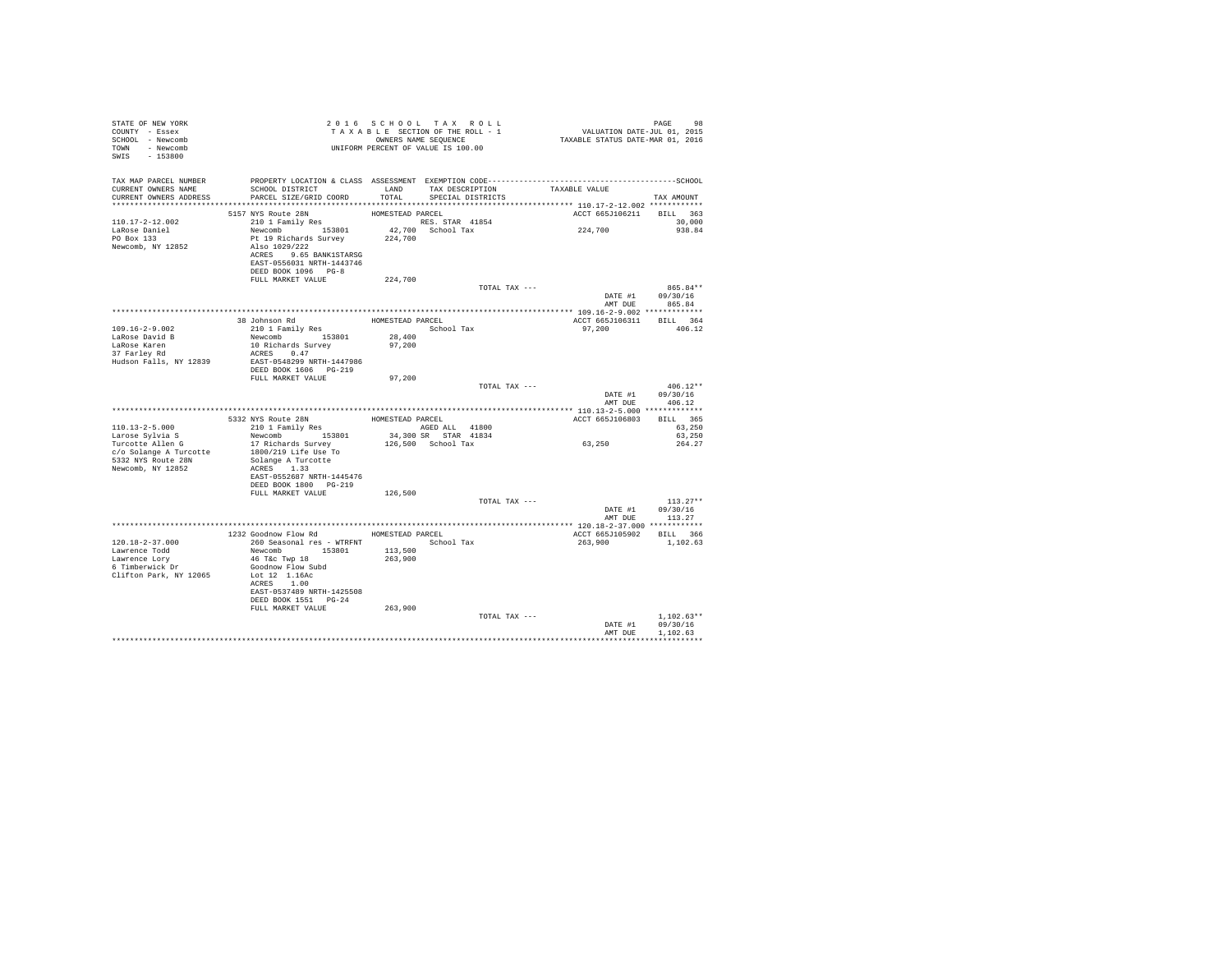| STATE OF NEW YORK<br>COUNTY - Essex<br>SCHOOL - Newcomb<br>TOWN - Newcomb<br>SWIS - 153800 |                                                                                                                                                                                                                                                                                                                                                                                                                                                                                                                      | 2016 SCHOOL TAX ROLL<br>UNIFORM PERCENT OF VALUE IS 100.00 |                                      |               | FARS 98 2016 SCHOOL TAX ROLL<br>TAXABLE SECTION OF THE ROLL - 1 VALUATION DATE-JUL 01, 2015<br>ONNERS NAME SEQUENCE - 1 TAXABLE STATUS DATE-MAR 01, 2016 | PAGE<br>98       |
|--------------------------------------------------------------------------------------------|----------------------------------------------------------------------------------------------------------------------------------------------------------------------------------------------------------------------------------------------------------------------------------------------------------------------------------------------------------------------------------------------------------------------------------------------------------------------------------------------------------------------|------------------------------------------------------------|--------------------------------------|---------------|----------------------------------------------------------------------------------------------------------------------------------------------------------|------------------|
| TAX MAP PARCEL NUMBER<br>CURRENT OWNERS NAME<br>CURRENT OWNERS ADDRESS                     | SCHOOL DISTRICT LAND<br>PARCEL SIZE/GRID COORD                                                                                                                                                                                                                                                                                                                                                                                                                                                                       | TOTAL                                                      | TAX DESCRIPTION<br>SPECIAL DISTRICTS |               | TAXABLE VALUE                                                                                                                                            | TAX AMOUNT       |
|                                                                                            |                                                                                                                                                                                                                                                                                                                                                                                                                                                                                                                      |                                                            |                                      |               |                                                                                                                                                          |                  |
| $110.17 - 2 - 12.002$                                                                      | 5157 NYS Route 28N<br>210 1 Family Res                                                                                                                                                                                                                                                                                                                                                                                                                                                                               | HOMESTEAD PARCEL                                           |                                      |               | ACCT 665J106211 BILL 363                                                                                                                                 |                  |
| LaRose Daniel                                                                              | 210 1 Family Res (RES. STAR 41854)<br>Newcomb 153801 42,700 School Tax                                                                                                                                                                                                                                                                                                                                                                                                                                               |                                                            |                                      |               | 224,700                                                                                                                                                  | 30,000<br>938.84 |
| PO Box 133                                                                                 | Pt 19 Richards Survey                                                                                                                                                                                                                                                                                                                                                                                                                                                                                                | 224,700                                                    |                                      |               |                                                                                                                                                          |                  |
| Newcomb, NY 12852                                                                          | Also 1029/222                                                                                                                                                                                                                                                                                                                                                                                                                                                                                                        |                                                            |                                      |               |                                                                                                                                                          |                  |
|                                                                                            | ACRES 9.65 BANK1STARSG                                                                                                                                                                                                                                                                                                                                                                                                                                                                                               |                                                            |                                      |               |                                                                                                                                                          |                  |
|                                                                                            | EAST-0556031 NRTH-1443746                                                                                                                                                                                                                                                                                                                                                                                                                                                                                            |                                                            |                                      |               |                                                                                                                                                          |                  |
|                                                                                            | DEED BOOK 1096 PG-8                                                                                                                                                                                                                                                                                                                                                                                                                                                                                                  |                                                            |                                      |               |                                                                                                                                                          |                  |
|                                                                                            | FULL MARKET VALUE                                                                                                                                                                                                                                                                                                                                                                                                                                                                                                    | 224,700                                                    |                                      |               |                                                                                                                                                          |                  |
|                                                                                            |                                                                                                                                                                                                                                                                                                                                                                                                                                                                                                                      |                                                            |                                      | TOTAL TAX --- |                                                                                                                                                          | 865.84**         |
|                                                                                            |                                                                                                                                                                                                                                                                                                                                                                                                                                                                                                                      |                                                            |                                      |               |                                                                                                                                                          | DATE #1 09/30/16 |
|                                                                                            |                                                                                                                                                                                                                                                                                                                                                                                                                                                                                                                      |                                                            |                                      |               | AMT DUE                                                                                                                                                  | 865.84           |
|                                                                                            |                                                                                                                                                                                                                                                                                                                                                                                                                                                                                                                      |                                                            |                                      |               |                                                                                                                                                          |                  |
|                                                                                            | 38 Johnson Rd<br>210 1 Family Res                                                                                                                                                                                                                                                                                                                                                                                                                                                                                    | HOMESTEAD PARCEL                                           |                                      |               | ACCT 665J106311 BILL 364                                                                                                                                 |                  |
| $109.16 - 2 - 9.002$                                                                       | 210 1 Family Res 5chool Tax<br>Newcomb 153801 28,400                                                                                                                                                                                                                                                                                                                                                                                                                                                                 |                                                            |                                      |               | 97,200                                                                                                                                                   | 406.12           |
| LaRose David B                                                                             |                                                                                                                                                                                                                                                                                                                                                                                                                                                                                                                      |                                                            |                                      |               |                                                                                                                                                          |                  |
| LaRose Karen<br>37 Farley Rd                                                               | 10 Richards Survey<br>ACRES 0.47                                                                                                                                                                                                                                                                                                                                                                                                                                                                                     | 97,200                                                     |                                      |               |                                                                                                                                                          |                  |
| Hudson Falls, NY 12839                                                                     | EAST-0548299 NRTH-1447986                                                                                                                                                                                                                                                                                                                                                                                                                                                                                            |                                                            |                                      |               |                                                                                                                                                          |                  |
|                                                                                            | DEED BOOK 1606 PG-219                                                                                                                                                                                                                                                                                                                                                                                                                                                                                                |                                                            |                                      |               |                                                                                                                                                          |                  |
|                                                                                            | FULL MARKET VALUE                                                                                                                                                                                                                                                                                                                                                                                                                                                                                                    | 97,200                                                     |                                      |               |                                                                                                                                                          |                  |
|                                                                                            |                                                                                                                                                                                                                                                                                                                                                                                                                                                                                                                      |                                                            |                                      | TOTAL TAX --- |                                                                                                                                                          | $406.12**$       |
|                                                                                            |                                                                                                                                                                                                                                                                                                                                                                                                                                                                                                                      |                                                            |                                      |               |                                                                                                                                                          | DATE #1 09/30/16 |
|                                                                                            |                                                                                                                                                                                                                                                                                                                                                                                                                                                                                                                      |                                                            |                                      |               | AMT DUE                                                                                                                                                  | 406.12           |
|                                                                                            |                                                                                                                                                                                                                                                                                                                                                                                                                                                                                                                      |                                                            |                                      |               |                                                                                                                                                          |                  |
|                                                                                            | ${\small\texttt{HOMESTEAD PARCH}} \begin{minipage}{0.9\linewidth} \texttt{HOMESTEAD PARCH} \end{minipage} \begin{minipage}{0.9\linewidth} \texttt{HOMESTEAD PARCH} \end{minipage} \begin{minipage}{0.9\linewidth} \texttt{HOMESTEAD PARCH} \end{minipage} \begin{minipage}{0.9\linewidth} \texttt{HOMESTEAD PARCH} \end{minipage} \begin{minipage}{0.9\linewidth} \texttt{HOMESTEAD PARCH} \end{minipage} \begin{minipage}{0.9\linewidth} \texttt{HOMESTEAD PARCH} \end{minipage} \begin{minipage}{0.9\linewidth} \$ |                                                            |                                      |               | ACCT 665J106803 BILL 365<br>63,250<br>63,250                                                                                                             |                  |
| $110.13 - 2 - 5.000$                                                                       |                                                                                                                                                                                                                                                                                                                                                                                                                                                                                                                      |                                                            |                                      |               |                                                                                                                                                          |                  |
| Larose Sylvia S<br>Turcotte Allen G                                                        | Newcomb 153801                                                                                                                                                                                                                                                                                                                                                                                                                                                                                                       |                                                            | 34,300 SR STAR 41834                 |               |                                                                                                                                                          | 63,250           |
|                                                                                            | 17 Richards Survey                                                                                                                                                                                                                                                                                                                                                                                                                                                                                                   |                                                            | 126,500 School Tax                   |               | 63,250                                                                                                                                                   | 264.27           |
| c/o Solange A Turcotte                                                                     | 1800/219 Life Use To                                                                                                                                                                                                                                                                                                                                                                                                                                                                                                 |                                                            |                                      |               |                                                                                                                                                          |                  |
| 5332 NYS Route 28N                                                                         | Solange A Turcotte                                                                                                                                                                                                                                                                                                                                                                                                                                                                                                   |                                                            |                                      |               |                                                                                                                                                          |                  |
| Newcomb, NY 12852                                                                          | ACRES 1.33                                                                                                                                                                                                                                                                                                                                                                                                                                                                                                           |                                                            |                                      |               |                                                                                                                                                          |                  |
|                                                                                            | EAST-0552687 NRTH-1445476                                                                                                                                                                                                                                                                                                                                                                                                                                                                                            |                                                            |                                      |               |                                                                                                                                                          |                  |
|                                                                                            | DEED BOOK 1800 PG-219                                                                                                                                                                                                                                                                                                                                                                                                                                                                                                |                                                            |                                      |               |                                                                                                                                                          |                  |
|                                                                                            | FULL MARKET VALUE                                                                                                                                                                                                                                                                                                                                                                                                                                                                                                    | 126,500                                                    |                                      | TOTAL TAX --- |                                                                                                                                                          | $113.27**$       |
|                                                                                            |                                                                                                                                                                                                                                                                                                                                                                                                                                                                                                                      |                                                            |                                      |               |                                                                                                                                                          | DATE #1 09/30/16 |
|                                                                                            |                                                                                                                                                                                                                                                                                                                                                                                                                                                                                                                      |                                                            |                                      |               | AMT DUE                                                                                                                                                  | 113.27           |
|                                                                                            |                                                                                                                                                                                                                                                                                                                                                                                                                                                                                                                      |                                                            |                                      |               |                                                                                                                                                          |                  |
|                                                                                            | 1232 Goodnow Flow Rd HOMESTEAD PARCEL                                                                                                                                                                                                                                                                                                                                                                                                                                                                                |                                                            |                                      |               | ACCT 665J105902 BILL 366                                                                                                                                 |                  |
| $120.18 - 2 - 37.000$                                                                      | 260 Seasonal res - WTRFNT                                                                                                                                                                                                                                                                                                                                                                                                                                                                                            | School Tax                                                 |                                      |               | 263,900                                                                                                                                                  | 1,102.63         |
| Lawrence Todd                                                                              | Newcomb 153801                                                                                                                                                                                                                                                                                                                                                                                                                                                                                                       | 113,500                                                    |                                      |               |                                                                                                                                                          |                  |
| Lawrence Lorv                                                                              | 46 T&c Twp 18                                                                                                                                                                                                                                                                                                                                                                                                                                                                                                        | 263,900                                                    |                                      |               |                                                                                                                                                          |                  |
| 6 Timberwick Dr                                                                            | Goodnow Flow Subd                                                                                                                                                                                                                                                                                                                                                                                                                                                                                                    |                                                            |                                      |               |                                                                                                                                                          |                  |
| Clifton Park, NY 12065                                                                     | Lot 12 1.16Ac                                                                                                                                                                                                                                                                                                                                                                                                                                                                                                        |                                                            |                                      |               |                                                                                                                                                          |                  |
|                                                                                            | ACRES 1.00                                                                                                                                                                                                                                                                                                                                                                                                                                                                                                           |                                                            |                                      |               |                                                                                                                                                          |                  |
|                                                                                            |                                                                                                                                                                                                                                                                                                                                                                                                                                                                                                                      |                                                            |                                      |               |                                                                                                                                                          |                  |
|                                                                                            | EAST-0537489 NRTH-1425508                                                                                                                                                                                                                                                                                                                                                                                                                                                                                            |                                                            |                                      |               |                                                                                                                                                          |                  |
|                                                                                            | DEED BOOK 1551 PG-24                                                                                                                                                                                                                                                                                                                                                                                                                                                                                                 |                                                            |                                      |               |                                                                                                                                                          |                  |
|                                                                                            | FULL MARKET VALUE                                                                                                                                                                                                                                                                                                                                                                                                                                                                                                    | 263,900                                                    |                                      |               |                                                                                                                                                          |                  |
|                                                                                            |                                                                                                                                                                                                                                                                                                                                                                                                                                                                                                                      |                                                            |                                      | TOTAL TAX --- |                                                                                                                                                          | $1.102.63**$     |
|                                                                                            |                                                                                                                                                                                                                                                                                                                                                                                                                                                                                                                      |                                                            |                                      |               | DATE #1                                                                                                                                                  | 09/30/16         |
|                                                                                            |                                                                                                                                                                                                                                                                                                                                                                                                                                                                                                                      |                                                            |                                      |               | AMT DUE<br>****************************                                                                                                                  | 1,102.63         |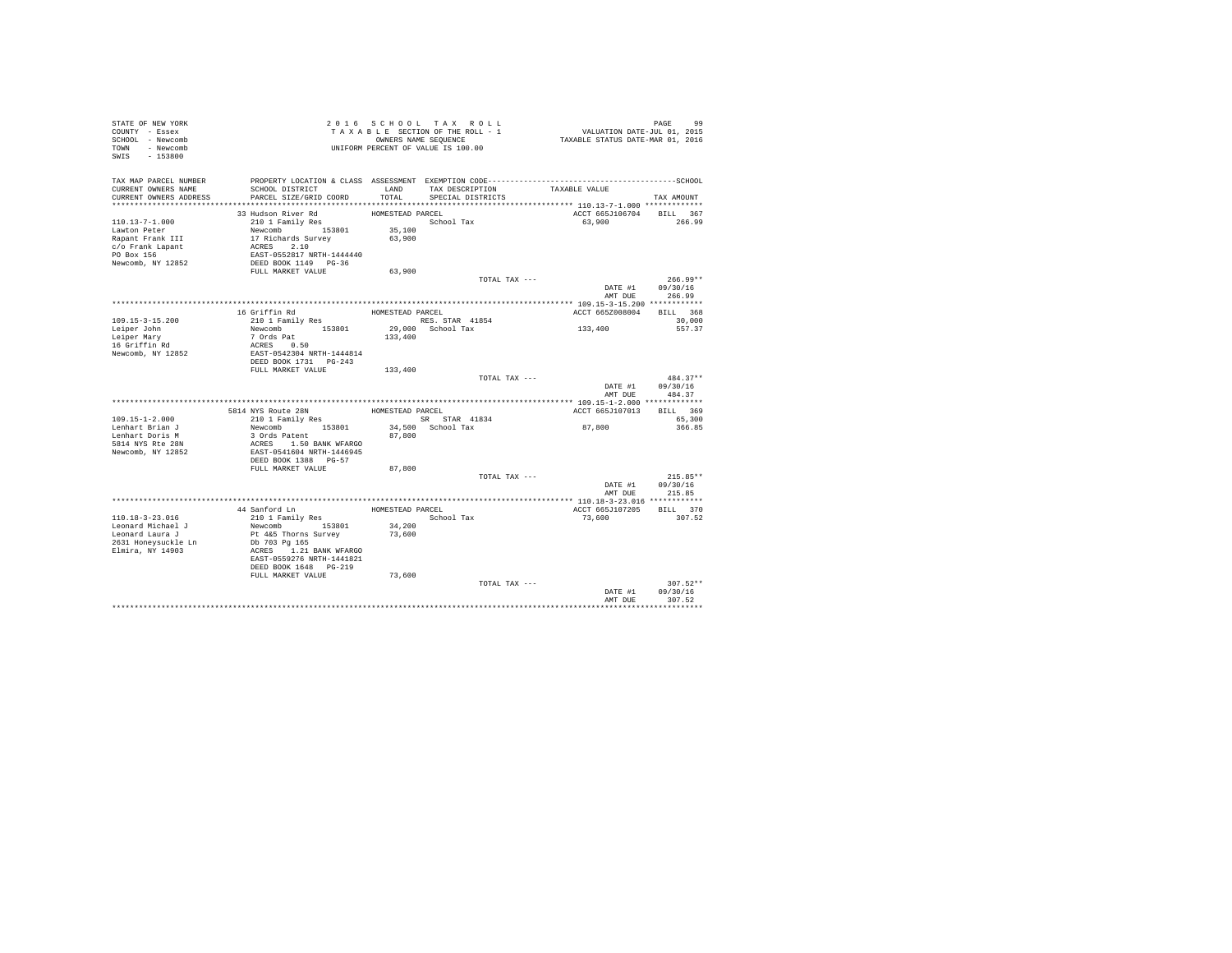| STATE OF NEW YORK<br>COUNTY - Essex |                                                                 |                  | 2016 SCHOOL TAX ROLL<br>TAXABLE SECTION OF THE ROLL - 1 | PAGE 99<br>VALUATION DATE-JUL 01, 2015<br>TAXABLE STATUS DATE-MAR 01, 2016 |                          |
|-------------------------------------|-----------------------------------------------------------------|------------------|---------------------------------------------------------|----------------------------------------------------------------------------|--------------------------|
| SCHOOL - Newcomb                    |                                                                 |                  | OWNERS NAME SEQUENCE                                    |                                                                            |                          |
| TOWN - Newcomb                      |                                                                 |                  | UNIFORM PERCENT OF VALUE IS 100.00                      |                                                                            |                          |
| SWIS - 153800                       |                                                                 |                  |                                                         |                                                                            |                          |
|                                     |                                                                 |                  |                                                         |                                                                            |                          |
| TAX MAP PARCEL NUMBER               |                                                                 |                  |                                                         |                                                                            |                          |
| CURRENT OWNERS NAME                 | SCHOOL DISTRICT                                                 |                  | LAND TAX DESCRIPTION                                    | TAXABLE VALUE                                                              |                          |
| CURRENT OWNERS ADDRESS              | PARCEL SIZE/GRID COORD                                          | TOTAL            | SPECIAL DISTRICTS                                       |                                                                            | TAX AMOUNT               |
|                                     |                                                                 |                  |                                                         |                                                                            |                          |
|                                     | 33 Hudson River Rd                                              | HOMESTEAD PARCEL |                                                         |                                                                            | ACCT 665J106704 BILL 367 |
| $110.13 - 7 - 1.000$                | $210$ 1 Family Res                                              |                  | School Tax                                              | 63,900                                                                     | 266.99                   |
| Lawton Peter                        |                                                                 | 35,100           |                                                         |                                                                            |                          |
| Rapant Frank III                    | Newcomb 153801<br>17 Richards Survey                            | 63,900           |                                                         |                                                                            |                          |
| c/o Frank Lapant                    | ACRES 2.10<br>EAST-0552817 NRTH-1444440<br>DEED BOOK 1149 PG-36 |                  |                                                         |                                                                            |                          |
| PO Box 156                          |                                                                 |                  |                                                         |                                                                            |                          |
| Newcomb, NY 12852                   |                                                                 |                  |                                                         |                                                                            |                          |
|                                     | FULL MARKET VALUE                                               | 63,900           |                                                         |                                                                            |                          |
|                                     |                                                                 |                  |                                                         | TOTAL TAX ---                                                              | $266.99**$               |
|                                     |                                                                 |                  |                                                         | DATE #1                                                                    | 09/30/16                 |
|                                     |                                                                 |                  |                                                         | AMT DUR                                                                    | 266.99                   |
|                                     |                                                                 |                  |                                                         |                                                                            |                          |
|                                     | 16 Griffin Rd                                                   | HOMESTEAD PARCEL |                                                         | ACCT 665Z008004                                                            | BILL 368                 |
| 109.15-3-15.200                     | 210 1 Family Res                                                |                  | RES. STAR 41854                                         |                                                                            | 30,000                   |
| Leiper John                         | Newcomb 153801                                                  |                  | 29,000 School Tax                                       | 133,400                                                                    | 557.37                   |
| Leiper Mary                         | 7 Ords Pat                                                      | 133,400          |                                                         |                                                                            |                          |
| 16 Griffin Rd                       | ACRES 0.50                                                      |                  |                                                         |                                                                            |                          |
| Newcomb, NY 12852                   | EAST-0542304 NRTH-1444814                                       |                  |                                                         |                                                                            |                          |
|                                     | DEED BOOK 1731 PG-243                                           |                  |                                                         |                                                                            |                          |
|                                     | FULL MARKET VALUE                                               | 133,400          |                                                         |                                                                            |                          |
|                                     |                                                                 |                  |                                                         | TOTAL TAX ---                                                              | 484.37**                 |
|                                     |                                                                 |                  |                                                         |                                                                            | DATE #1<br>09/30/16      |
|                                     |                                                                 |                  |                                                         | AMT DUE                                                                    | 484.37                   |
|                                     |                                                                 |                  |                                                         |                                                                            |                          |
|                                     | 5814 NYS Route 28N                                              | HOMESTEAD PARCEL |                                                         | ACCT 665J107013                                                            | BILL 369                 |
| 109.15-1-2.000                      | 210 1 Family Res                                                |                  | SR STAR 41834                                           |                                                                            | 65,300                   |
| Lenhart Brian J                     | Newcomb 153801                                                  |                  | 34.500 School Tax                                       | 87,800                                                                     | 366.85                   |
| Lenhart Doris M                     | 3 Ords Patent                                                   | 87,800           |                                                         |                                                                            |                          |
| 5814 NYS Rte 28N                    | ACRES 1.50 BANK WFARGO                                          |                  |                                                         |                                                                            |                          |
| Newcomb, NY 12852                   | EAST-0541604 NRTH-1446945                                       |                  |                                                         |                                                                            |                          |
|                                     | DEED BOOK 1388 PG-57                                            |                  |                                                         |                                                                            |                          |
|                                     | FULL MARKET VALUE                                               | 87,800           |                                                         |                                                                            | $215.85**$               |
|                                     |                                                                 |                  |                                                         | TOTAL TAX ---                                                              | DATE #1<br>09/30/16      |
|                                     |                                                                 |                  |                                                         | AMT DUE                                                                    | 215.85                   |
|                                     |                                                                 |                  |                                                         |                                                                            |                          |
|                                     | 44 Sanford Ln                                                   | HOMESTEAD PARCEL |                                                         | ACCT 665J107205                                                            | BILL 370                 |
| 110.18-3-23.016                     | 210 1 Family Res                                                |                  | School Tax                                              | 73,600                                                                     | 307.52                   |
| Leonard Michael J                   | Newcomb 153801                                                  | 34,200           |                                                         |                                                                            |                          |
| Leonard Laura J                     | Pt 4&5 Thorns Survey                                            | 73,600           |                                                         |                                                                            |                          |
| 2631 Honeysuckle Ln                 | Db 703 Pg 165                                                   |                  |                                                         |                                                                            |                          |
| Elmira, NY 14903                    | ACRES 1.21 BANK WFARGO                                          |                  |                                                         |                                                                            |                          |
|                                     | EAST-0559276 NRTH-1441821                                       |                  |                                                         |                                                                            |                          |
|                                     | DEED BOOK 1648 PG-219                                           |                  |                                                         |                                                                            |                          |
|                                     | FULL MARKET VALUE                                               | 73,600           |                                                         |                                                                            |                          |
|                                     |                                                                 |                  |                                                         | TOTAL TAX ---                                                              | $307.52**$               |
|                                     |                                                                 |                  |                                                         | DATE #1                                                                    | 09/30/16                 |
|                                     |                                                                 |                  |                                                         | AMT DUE                                                                    | 307.52                   |
|                                     |                                                                 |                  |                                                         |                                                                            |                          |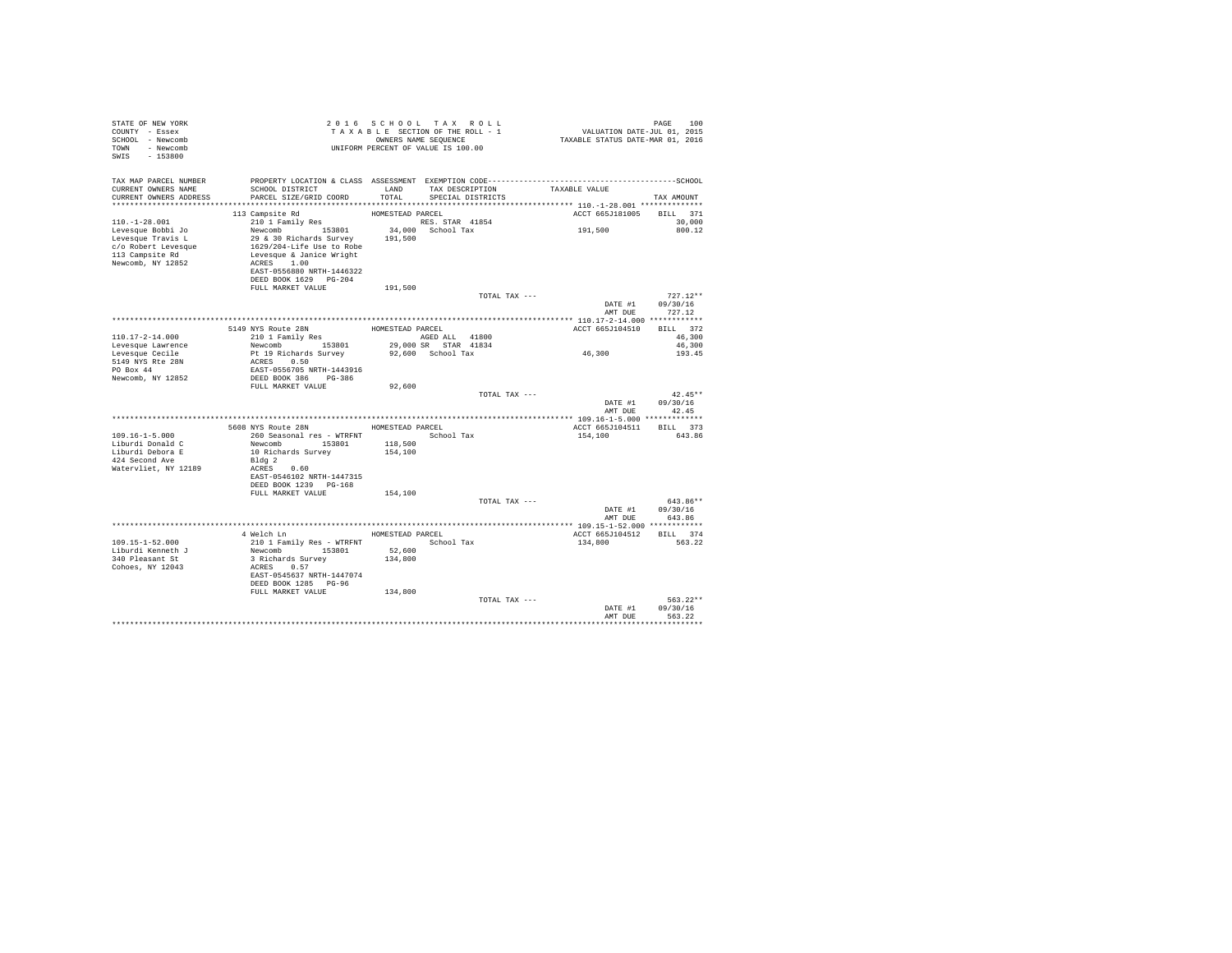| STATE OF NEW YORK<br>COUNTY - Essex<br>SCHOOL - Newcomb<br>TOWN - Newcomb<br>SWIS<br>$-153800$                               |                                                                                                                                                                                                                                                                      | 2016 SCHOOL TAX ROLL<br>TAXABLE SECTION OF THE ROLL - 1<br>UNIFORM PERCENT OF VALUE IS 100.00 | OWNERS NAME SEOUENCE |                                      | PAGE 100<br>VALUATION DATE-JUL 01, 2015<br>TAXABLE STATUS DATE-MAR 01, 2016 | PAGE<br>100                      |
|------------------------------------------------------------------------------------------------------------------------------|----------------------------------------------------------------------------------------------------------------------------------------------------------------------------------------------------------------------------------------------------------------------|-----------------------------------------------------------------------------------------------|----------------------|--------------------------------------|-----------------------------------------------------------------------------|----------------------------------|
| TAX MAP PARCEL NUMBER<br>CURRENT OWNERS NAME<br>CURRENT OWNERS ADDRESS                                                       | SCHOOL DISTRICT<br>PARCEL SIZE/GRID COORD                                                                                                                                                                                                                            | LAND<br>TOTAL                                                                                 |                      | TAX DESCRIPTION<br>SPECIAL DISTRICTS | TAXABLE VALUE                                                               | TAX AMOUNT                       |
| $110. - 1 - 28.001$<br>Levesque Bobbi Jo<br>Levesque Travis L<br>c/o Robert Levesque<br>113 Campsite Rd<br>Newcomb, NY 12852 | 113 Campsite Rd<br>210 1 Family Res RES. STAR 41854<br>Newcomb 153801<br>153801 - 153801 - 191,000<br>29 & 30 Richards Survey - 191,500<br>1629/204-Life Use to Robe<br>Levesque & Janice Wright<br>ACRES 1.00<br>EAST-0556880 NRTH-1446322<br>DEED BOOK 1629 PG-204 | HOMESTEAD PARCEL                                                                              | 34.000 School Tax    |                                      | ACCT 665J181005 BILL 371<br>191,500                                         | 30,000<br>800.12                 |
|                                                                                                                              | FULL MARKET VALUE                                                                                                                                                                                                                                                    | 191,500                                                                                       |                      | TOTAL TAX ---                        | DATE #1<br>AMT DUE                                                          | $727.12**$<br>09/30/16<br>727.12 |
|                                                                                                                              |                                                                                                                                                                                                                                                                      |                                                                                               |                      |                                      |                                                                             |                                  |
| $110.17 - 2 - 14.000$<br>Levesque Lawrence                                                                                   | 5149 NYS Route 28N<br>210 1 Family Res<br>Newcomb 153801                                                                                                                                                                                                             | HOMESTEAD PARCEL<br>AGED ALL 41800                                                            | 29,000 SR STAR 41834 |                                      | ACCT 665J104510                                                             | BILL 372<br>46,300<br>46,300     |
| Levesque Cecile<br>5149 NYS Rte 28N<br>$PO$ $Rox$ 44                                                                         | Pt 19 Richards Survey<br>ACRES 0.50<br>EAST-0556705 NRTH-1443916                                                                                                                                                                                                     |                                                                                               | 92,600 School Tax    |                                      | 46,300                                                                      | 193.45                           |
| Newcomb, NY 12852                                                                                                            | DEED BOOK 386 PG-386<br>FULL MARKET VALUE                                                                                                                                                                                                                            | 92,600                                                                                        |                      | TOTAL TAX ---                        | DATE #1<br>AMT DUE                                                          | $42.45**$<br>09/30/16<br>42.45   |
|                                                                                                                              |                                                                                                                                                                                                                                                                      |                                                                                               |                      |                                      |                                                                             |                                  |
|                                                                                                                              | 5608 NYS Route 28N HOMESTEAD PARCEL                                                                                                                                                                                                                                  |                                                                                               |                      |                                      | ACCT 665J104511 BILL 373                                                    |                                  |
| $109.16 - 1 - 5.000$<br>Liburdi Donald C<br>Liburdi Debora E                                                                 | 260 Seasonal res - WTRFNT MODEL School Tax<br>Newcomb 153801 118,500<br>10 Richards Survey                                                                                                                                                                           | 154,100                                                                                       |                      |                                      | 154,100                                                                     | 643.86                           |
| 424 Second Ave<br>Watervliet, NY 12189                                                                                       | Bldq 2<br>ACRES 0.60<br>EAST-0546102 NRTH-1447315<br>DEED BOOK 1239 PG-168                                                                                                                                                                                           |                                                                                               |                      |                                      |                                                                             |                                  |
|                                                                                                                              | FULL MARKET VALUE                                                                                                                                                                                                                                                    | 154,100                                                                                       |                      | TOTAL TAX ---                        | DATE #1<br>AMT DUE                                                          | $643.86**$<br>09/30/16<br>643.86 |
|                                                                                                                              |                                                                                                                                                                                                                                                                      |                                                                                               |                      |                                      |                                                                             |                                  |
|                                                                                                                              | 4 Welch Ln                                                                                                                                                                                                                                                           | HOMESTEAD PARCEL                                                                              |                      |                                      | ACCT 665J104512                                                             | BILL 374                         |
| $109.15 - 1 - 52.000$<br>Liburdi Kenneth J                                                                                   | 210 1 Family Res - WTRFNT<br>Newcomb 153801                                                                                                                                                                                                                          | 52,600                                                                                        | School Tax           |                                      | 134,800                                                                     | 563.22                           |
| 340 Pleasant St<br>Cohoes, NY 12043                                                                                          | 3 Richards Survey<br>ACRES 0.57<br>EAST-0545637 NRTH-1447074<br>DEED BOOK 1285 PG-96<br>FULL MARKET VALUE                                                                                                                                                            | 134,800<br>134,800                                                                            |                      |                                      |                                                                             |                                  |
|                                                                                                                              |                                                                                                                                                                                                                                                                      |                                                                                               |                      | TOTAL TAX ---                        | DATE #1<br>AMT DUR                                                          | $563.22**$<br>09/30/16<br>563.22 |
|                                                                                                                              |                                                                                                                                                                                                                                                                      |                                                                                               |                      |                                      |                                                                             |                                  |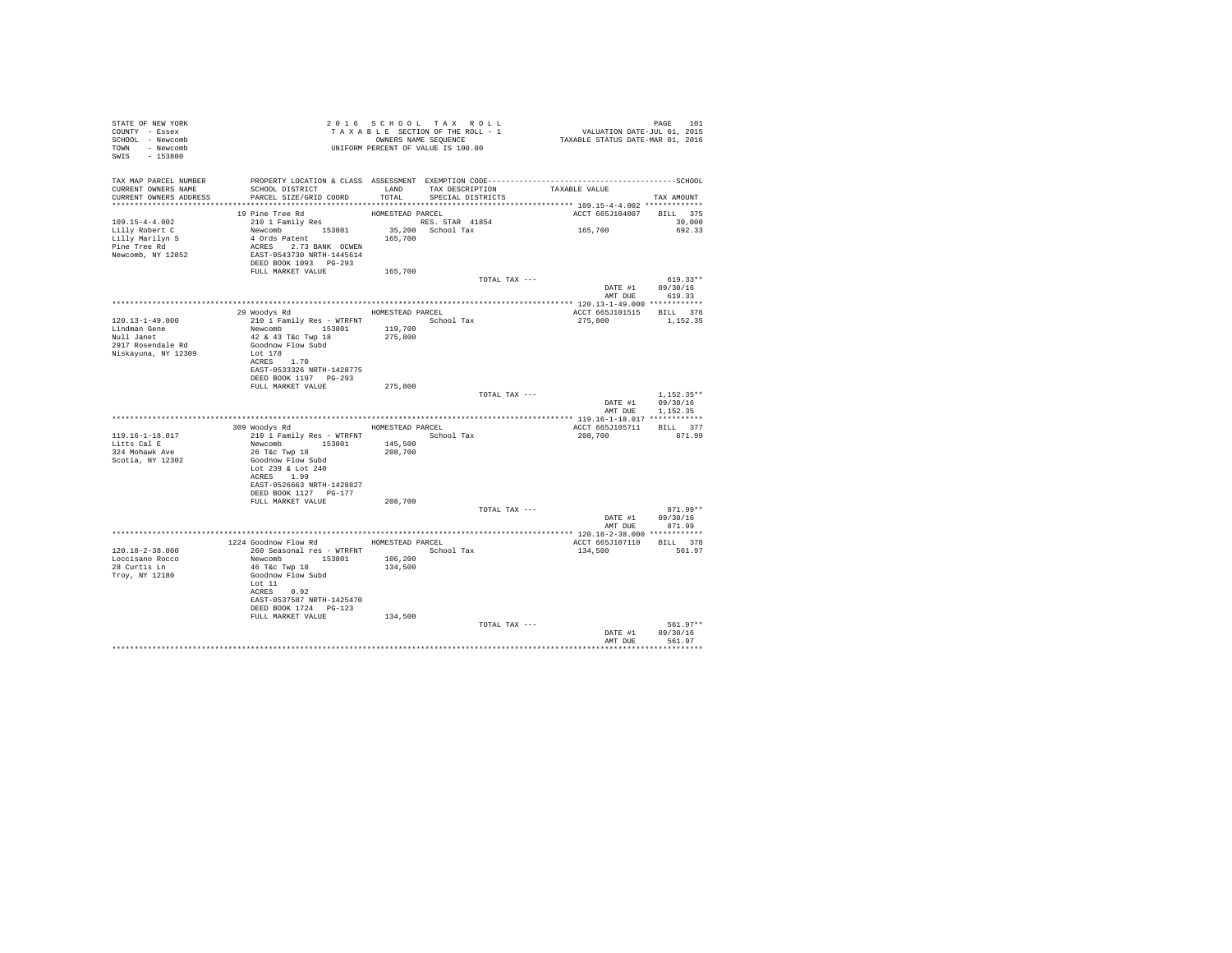| STATE OF NEW YORK               |                                                                                                                                       |         |                              |                          |                                    |
|---------------------------------|---------------------------------------------------------------------------------------------------------------------------------------|---------|------------------------------|--------------------------|------------------------------------|
| COUNTY - Essex                  |                                                                                                                                       |         |                              |                          |                                    |
| SCHOOL - Newcomb                |                                                                                                                                       |         |                              |                          |                                    |
| TOWN - Newcomb                  | 2016 SCROUNG SECTION OF THE ROLL - 1<br>TAXABLE SECTION OF THE ROLL - 1<br>ONNERS NAME SEQUENCE<br>UNIFORM PERCENT OF VALUE IS 100.00 |         |                              |                          |                                    |
| SWIS - 153800                   |                                                                                                                                       |         |                              |                          |                                    |
|                                 |                                                                                                                                       |         |                              |                          |                                    |
|                                 |                                                                                                                                       |         |                              |                          |                                    |
| CURRENT OWNERS NAME             | TAX MAP PARCEL NUMBER PROPERTY LOCATION & CLASS ASSESSMENT EXEMPTION CODE----------------------------------SCHOOL                     |         |                              |                          |                                    |
| CURRENT OWNERS ADDRESS          | SCHOOL DISTRICT                       LAND        TAX DESCRIPTION                  TAXABLE VALUE<br>PARCEL SIZE/GRID COORD            | TOTAL   | SPECIAL DISTRICTS            |                          | TAX AMOUNT                         |
|                                 |                                                                                                                                       |         |                              |                          |                                    |
|                                 |                                                                                                                                       |         |                              | ACCT 665J104007 BILL 375 |                                    |
| 109.15-4-4.002                  |                                                                                                                                       |         |                              |                          | 30,000                             |
| Lus.10-4<br>Lilly Robert C      |                                                                                                                                       |         |                              | 165,700                  | 692.33                             |
|                                 |                                                                                                                                       |         | 35,200 School Tax<br>165,700 |                          |                                    |
| Lilly Marilyn S<br>Pine Tree Rd |                                                                                                                                       |         |                              |                          |                                    |
| Newcomb, NY 12852               |                                                                                                                                       |         |                              |                          |                                    |
|                                 | DEED BOOK 1093 PG-293                                                                                                                 |         |                              |                          |                                    |
|                                 | FULL MARKET VALUE 165,700                                                                                                             |         |                              |                          |                                    |
|                                 |                                                                                                                                       |         | TOTAL TAX ---                |                          | $619.33**$                         |
|                                 |                                                                                                                                       |         |                              |                          | DATE #1 09/30/16<br>AMT DUE 619.33 |
|                                 |                                                                                                                                       |         |                              |                          |                                    |
|                                 |                                                                                                                                       |         |                              |                          |                                    |
|                                 | 29 Woodys Rd MOMESTEAD PARCEL                                                                                                         |         |                              | ACCT 665J101515 BILL 376 |                                    |
| 120.13-1-49.000                 |                                                                                                                                       |         |                              | 275,800 1,152.35         |                                    |
| Lindman Gene<br>Null Janet      |                                                                                                                                       |         |                              |                          |                                    |
|                                 |                                                                                                                                       |         |                              |                          |                                    |
| 2917 Rosendale Rd               |                                                                                                                                       |         |                              |                          |                                    |
| Niskayuna, NY 12309             | Lot 178<br>ACRES 1.70                                                                                                                 |         |                              |                          |                                    |
|                                 | EAST-0533326 NRTH-1428775                                                                                                             |         |                              |                          |                                    |
|                                 | DEED BOOK 1197 PG-293                                                                                                                 |         |                              |                          |                                    |
|                                 | FULL MARKET VALUE 275,800                                                                                                             |         |                              |                          |                                    |
|                                 |                                                                                                                                       |         | TOTAL TAX ---                |                          | $1,152.35**$                       |
|                                 |                                                                                                                                       |         |                              |                          | DATE #1 09/30/16                   |
|                                 |                                                                                                                                       |         |                              |                          | AMT DUE 1,152.35                   |
|                                 |                                                                                                                                       |         |                              |                          |                                    |
|                                 | 309 Woodys Rd HOMESTEAD PARCEL                                                                                                        |         |                              | ACCT 665J105711 BILL 377 |                                    |
| 119.16-1-18.017                 | 210 1 Family Res - WTRFNT School Tax                                                                                                  |         |                              | 208,700                  | 871.99                             |
| Litts Cal E<br>324 Mohawk Ave   |                                                                                                                                       |         |                              |                          |                                    |
|                                 | Newcomb 153801 145,500<br>26 T&c Twp 18 208,700                                                                                       |         |                              |                          |                                    |
| Scotia, NY 12302                | Goodnow Flow Subd                                                                                                                     |         |                              |                          |                                    |
|                                 | Lot 239 & Lot 240                                                                                                                     |         |                              |                          |                                    |
|                                 | ACRES 1.99                                                                                                                            |         |                              |                          |                                    |
|                                 | EAST-0526663 NRTH-1428827                                                                                                             |         |                              |                          |                                    |
|                                 | DEED BOOK 1127 PG-177                                                                                                                 |         |                              |                          |                                    |
|                                 | FULL MARKET VALUE 208,700                                                                                                             |         | TOTAL TAX ---                |                          | $871.99**$                         |
|                                 |                                                                                                                                       |         |                              |                          |                                    |
|                                 |                                                                                                                                       |         |                              | AMT DUE                  | DATE #1 09/30/16<br>871.99         |
|                                 |                                                                                                                                       |         |                              |                          |                                    |
|                                 | 1224 Goodnow Flow Rd MOMESTEAD PARCEL                                                                                                 |         |                              | ACCT 665J107110 BILL 378 |                                    |
| $120.18 - 2 - 38.000$           | 260 Seasonal res - WTRFNT School Tax                                                                                                  |         |                              | 134,500                  | 561.97                             |
| Loccisano Rocco                 | Newcomb<br>Newcomb 153801 106,200<br>46 T&c Twp 18 134,500<br>Goodnow Flow Subd                                                       |         |                              |                          |                                    |
| 28 Curtis Ln                    |                                                                                                                                       |         |                              |                          |                                    |
| Troy, NY 12180                  |                                                                                                                                       |         |                              |                          |                                    |
|                                 | Lot 11                                                                                                                                |         |                              |                          |                                    |
|                                 | ACRES 0.92                                                                                                                            |         |                              |                          |                                    |
|                                 | EAST-0537587 NRTH-1425470                                                                                                             |         |                              |                          |                                    |
|                                 | DEED BOOK 1724 PG-123                                                                                                                 |         |                              |                          |                                    |
|                                 | FULL MARKET VALUE                                                                                                                     | 134,500 |                              |                          |                                    |
|                                 |                                                                                                                                       |         | TOTAL TAX ---                |                          | $561.97**$                         |
|                                 |                                                                                                                                       |         |                              | DATE #1                  | 09/30/16                           |
|                                 |                                                                                                                                       |         |                              |                          | AMT DUE 561.97                     |
|                                 |                                                                                                                                       |         |                              |                          |                                    |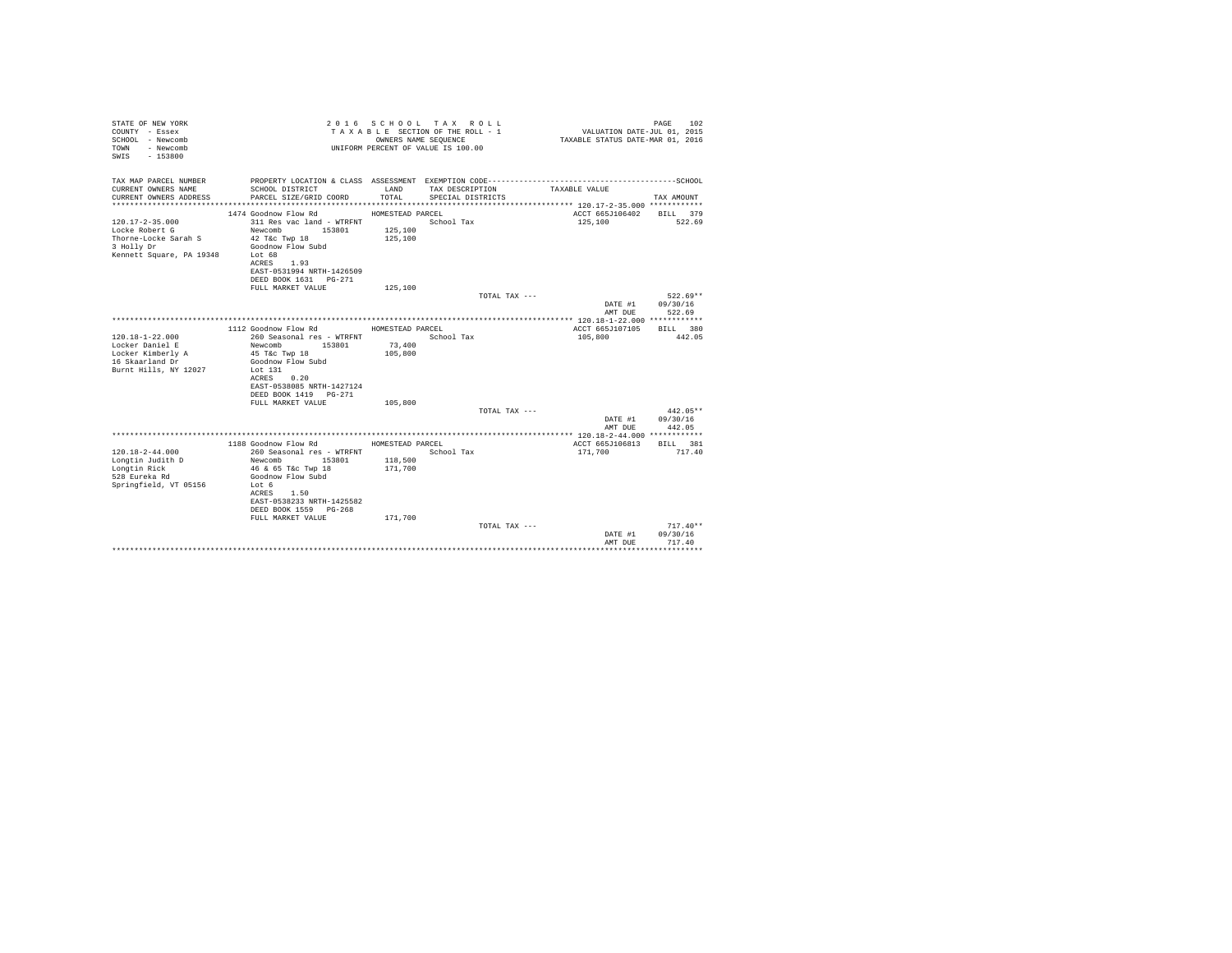| STATE OF NEW YORK<br>COUNTY - Essex<br>SCHOOL - Newcomb<br>- Newcomb<br>TOWN<br>$-153800$<br>SWTS         |                                                                                                                                   | OWNERS NAME SEQUENCE                   | 2016 SCHOOL TAX ROLL<br>TAXABLE SECTION OF THE ROLL - 1<br>UNIFORM PERCENT OF VALUE IS 100.00 | VALUATION DATE-JUL 01, 2015<br>TAXABLE STATUS DATE-MAR 01, 2016 | 102<br>PAGE                      |
|-----------------------------------------------------------------------------------------------------------|-----------------------------------------------------------------------------------------------------------------------------------|----------------------------------------|-----------------------------------------------------------------------------------------------|-----------------------------------------------------------------|----------------------------------|
| TAX MAP PARCEL NUMBER                                                                                     |                                                                                                                                   |                                        |                                                                                               |                                                                 |                                  |
| CURRENT OWNERS NAME<br>CURRENT OWNERS ADDRESS                                                             | SCHOOL DISTRICT<br>PARCEL SIZE/GRID COORD                                                                                         | LAND<br>TOTAL.                         | TAX DESCRIPTION<br>SPECIAL DISTRICTS                                                          | TAXABLE VALUE                                                   | TAX AMOUNT                       |
|                                                                                                           |                                                                                                                                   |                                        |                                                                                               |                                                                 |                                  |
| $120.17 - 2 - 35.000$<br>Locke Robert G<br>Thorne-Locke Sarah S<br>3 Holly Dr<br>Kennett Square, PA 19348 | 1474 Goodnow Flow Rd<br>311 Res vac land - WTRFNT<br>Newcomb 153801<br>42 T&c Twp 18<br>Goodnow Flow Subd<br>Lot 68<br>ACRES 1.93 | HOMESTEAD PARCEL<br>125,100<br>125,100 | School Tax                                                                                    | ACCT 665J106402<br>125,100                                      | BILL 379<br>522.69               |
|                                                                                                           | EAST-0531994 NRTH-1426509<br>DEED BOOK 1631 PG-271                                                                                |                                        |                                                                                               |                                                                 |                                  |
|                                                                                                           | FULL MARKET VALUE                                                                                                                 | 125,100                                |                                                                                               |                                                                 |                                  |
|                                                                                                           |                                                                                                                                   |                                        | TOTAL TAX ---                                                                                 | DATE #1                                                         | $522.69**$<br>09/30/16           |
|                                                                                                           |                                                                                                                                   |                                        |                                                                                               | AMT DUE                                                         | 522.69                           |
|                                                                                                           |                                                                                                                                   |                                        |                                                                                               |                                                                 |                                  |
|                                                                                                           | 1112 Goodnow Flow Rd                                                                                                              | HOMESTEAD PARCEL                       |                                                                                               | ACCT 665J107105                                                 | BTLL 380                         |
| $120.18 - 1 - 22.000$<br>Locker Daniel E                                                                  | 260 Seasonal res - WTRFNT<br>Newcomb 153801                                                                                       | 73,400                                 | School Tax                                                                                    | 105,800                                                         | 442.05                           |
| Locker Kimberly A                                                                                         | 45 T&c Twp 18                                                                                                                     | 105,800                                |                                                                                               |                                                                 |                                  |
| 16 Skaarland Dr                                                                                           | Goodnow Flow Subd                                                                                                                 |                                        |                                                                                               |                                                                 |                                  |
| Burnt Hills, NY 12027                                                                                     | Lot 131<br>0.20<br>ACRES<br>EAST-0538085 NRTH-1427124<br>DEED BOOK 1419 PG-271                                                    |                                        |                                                                                               |                                                                 |                                  |
|                                                                                                           | FULL MARKET VALUE                                                                                                                 | 105,800                                | TOTAL TAX ---                                                                                 |                                                                 | 442.05**                         |
|                                                                                                           |                                                                                                                                   |                                        |                                                                                               | DATE #1                                                         | 09/30/16                         |
|                                                                                                           |                                                                                                                                   |                                        |                                                                                               | AMT DUE                                                         | 442.05                           |
|                                                                                                           |                                                                                                                                   |                                        |                                                                                               |                                                                 |                                  |
|                                                                                                           | 1188 Goodnow Flow Rd                                                                                                              | HOMESTEAD PARCEL                       |                                                                                               | ACCT 665J106813                                                 | BILL 381                         |
| $120.18 - 2 - 44.000$<br>Longtin Judith D                                                                 | 260 Seasonal res - WTRFNT<br>Newcomb<br>153801                                                                                    | 118,500                                | School Tax                                                                                    | 171,700                                                         | 717.40                           |
| Longtin Rick                                                                                              | 46 & 65 T&c Twp 18                                                                                                                | 171,700                                |                                                                                               |                                                                 |                                  |
| 528 Eureka Rd                                                                                             | Goodnow Flow Subd                                                                                                                 |                                        |                                                                                               |                                                                 |                                  |
| Springfield, VT 05156                                                                                     | Lot 6<br>ACRES 1.50<br>EAST-0538233 NRTH-1425582<br>DEED BOOK 1559 PG-268                                                         |                                        |                                                                                               |                                                                 |                                  |
|                                                                                                           | FULL MARKET VALUE                                                                                                                 | 171,700                                |                                                                                               |                                                                 |                                  |
|                                                                                                           |                                                                                                                                   |                                        | TOTAL TAX ---                                                                                 | DATE #1<br>AMT DUE                                              | $717.40**$<br>09/30/16<br>717.40 |
|                                                                                                           |                                                                                                                                   |                                        |                                                                                               |                                                                 |                                  |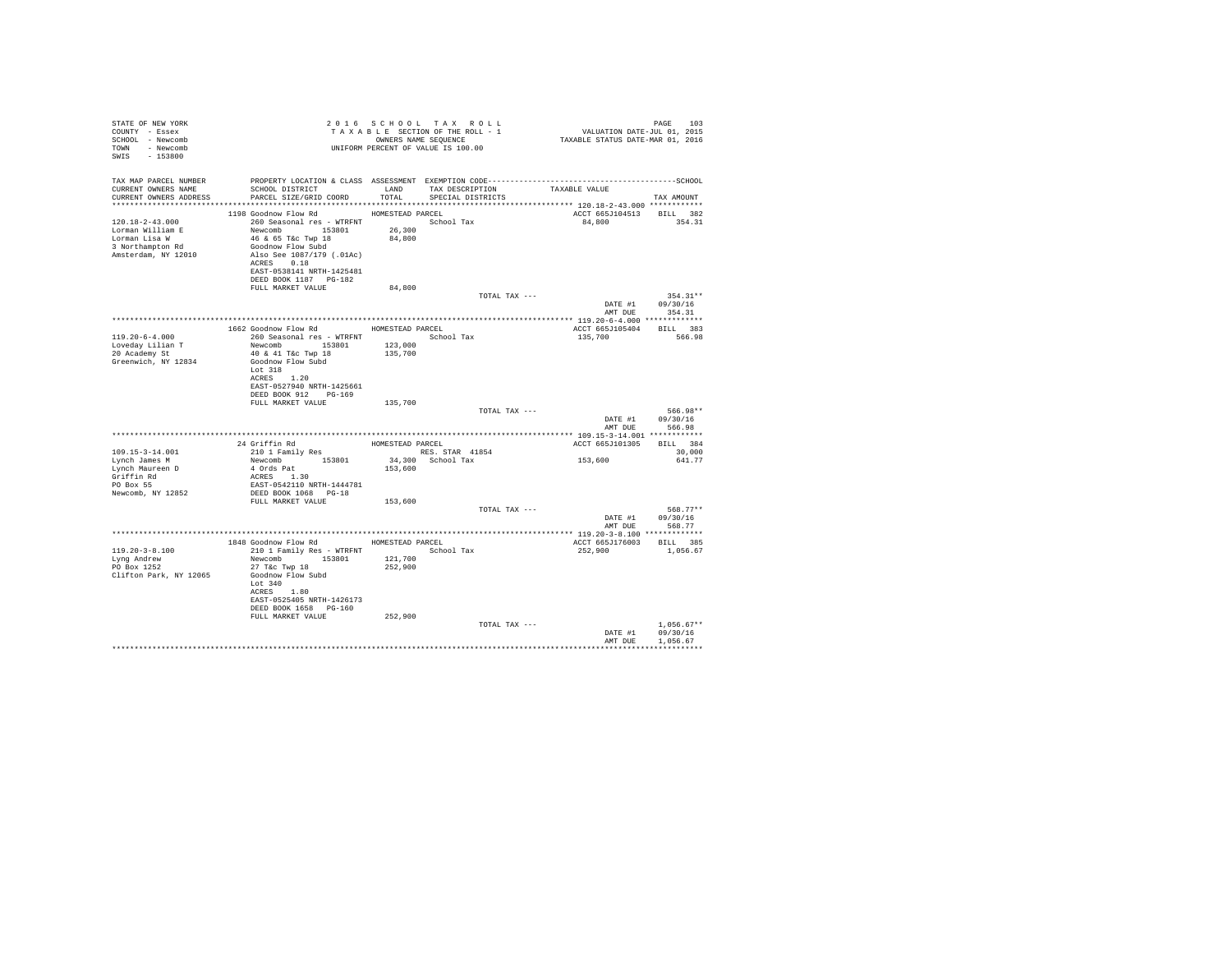| STATE OF NEW YORK<br>COUNTY - Essex<br>SCHOOL - Newcomb<br>TOWN - Newcomb<br>SWIS - 153800            |                                                                                                                                                                                                                             |         | 2016 SCHOOL TAX ROLL<br>UNIFORM PERCENT OF VALUE IS 100.00 |                                           | PAGE<br>103                    |
|-------------------------------------------------------------------------------------------------------|-----------------------------------------------------------------------------------------------------------------------------------------------------------------------------------------------------------------------------|---------|------------------------------------------------------------|-------------------------------------------|--------------------------------|
| TAX MAP PARCEL NUMBER                                                                                 | SCHOOL DISTRICT TAND TAX DESCRIPTION                                                                                                                                                                                        |         |                                                            |                                           |                                |
| CURRENT OWNERS NAME<br>CURRENT OWNERS ADDRESS                                                         | PARCEL SIZE/GRID COORD                                                                                                                                                                                                      |         | TOTAL SPECIAL DISTRICTS                                    | TAXABLE VALUE                             | TAX AMOUNT                     |
|                                                                                                       | 1198 Goodnow Flow Rd MOMESTEAD PARCEL                                                                                                                                                                                       |         |                                                            |                                           |                                |
| $120.18 - 2 - 43.000$<br>Lorman William E<br>Lorman Lisa W<br>3 Northampton Rd<br>Amsterdam, NY 12010 | 260 Seasonal res - WTRFNT School Tax<br>260 Seasonal res - WTRFNT<br>Newcomb 153801 26,300<br>46 & 65 T&c Twp 18<br>Goodnow Flow Subd<br>Also See 1087/179 (.01Ac)<br>ACRES 0.18                                            | 84,800  |                                                            | ACCT 665J104513 BILL 382<br>84,800 354.31 |                                |
|                                                                                                       | EAST-0538141 NRTH-1425481<br>DEED BOOK 1187 PG-182                                                                                                                                                                          |         |                                                            |                                           |                                |
|                                                                                                       | FULL MARKET VALUE                                                                                                                                                                                                           | 84,800  |                                                            |                                           |                                |
|                                                                                                       |                                                                                                                                                                                                                             |         | TOTAL TAX ---                                              |                                           | $354.31**$<br>DATE #1 09/30/16 |
|                                                                                                       |                                                                                                                                                                                                                             |         |                                                            | AMT DUE                                   | 354.31                         |
|                                                                                                       | 1662 Goodnow Flow Rd MOMESTEAD PARCEL                                                                                                                                                                                       |         |                                                            | ACCT 665J105404 BILL 383                  |                                |
| $119.20 - 6 - 4.000$                                                                                  |                                                                                                                                                                                                                             |         |                                                            | 135,700 566.98                            |                                |
| Loveday Lilian T                                                                                      | Newcomb 153801 123,000                                                                                                                                                                                                      |         |                                                            |                                           |                                |
| 20 Academy St<br>Greenwich, NY 12834                                                                  | 40 & 41 T&c Twp 18<br>Goodnow Flow Subd                                                                                                                                                                                     | 135,700 |                                                            |                                           |                                |
|                                                                                                       | Lot 318<br>ACRES 1.20<br>EAST-0527940 NRTH-1425661<br>DEED BOOK 912 PG-169                                                                                                                                                  |         |                                                            |                                           |                                |
|                                                                                                       | FULL MARKET VALUE                                                                                                                                                                                                           | 135,700 |                                                            |                                           |                                |
|                                                                                                       |                                                                                                                                                                                                                             |         | TOTAL TAX ---                                              |                                           | 566.98**                       |
|                                                                                                       |                                                                                                                                                                                                                             |         |                                                            | AMT DUE                                   | DATE #1 09/30/16<br>566.98     |
|                                                                                                       |                                                                                                                                                                                                                             |         |                                                            |                                           |                                |
| $109.15 - 3 - 14.001$                                                                                 |                                                                                                                                                                                                                             |         |                                                            | ACCT 665J101305 BILL 384                  | 30,000                         |
| Lynch James M                                                                                         |                                                                                                                                                                                                                             |         |                                                            | 153,600                                   | 641.77                         |
| Lynch Maureen D<br>Griffin Rd<br>PO Box 55                                                            | 24 Griffin Rd<br>210 1 Family Res<br>210 1 Family Res<br>RES. STAR 41854<br>24 Griffin Rd<br>153801 34,300<br>20 School Tax<br>4 Ords Pat<br>4 Ords Pat<br>ULUS PAT<br>ACRES 1.30<br>EAST-AFIC<br>EAST-0542110 NRTH-1444781 |         |                                                            |                                           |                                |
| Newcomb, NY 12852                                                                                     | DEED BOOK 1068 PG-18                                                                                                                                                                                                        |         |                                                            |                                           |                                |
|                                                                                                       | FULL MARKET VALUE                                                                                                                                                                                                           | 153,600 |                                                            |                                           |                                |
|                                                                                                       |                                                                                                                                                                                                                             |         | TOTAL TAX ---                                              |                                           | 568.77**<br>DATE #1 09/30/16   |
|                                                                                                       |                                                                                                                                                                                                                             |         |                                                            |                                           | AMT DUE 568.77                 |
|                                                                                                       |                                                                                                                                                                                                                             |         |                                                            |                                           |                                |
|                                                                                                       | 1848 Goodnow Flow Rd MOMESTEAD PARCEL                                                                                                                                                                                       |         |                                                            | ACCT 665J176003 BILL 385                  |                                |
| $119.20 - 3 - 8.100$<br>Lyng Andrew                                                                   | 210 1 Family Res - WTRFNT<br>Newcomb 153801                                                                                                                                                                                 | 121,700 | School Tax                                                 | 252.900                                   | 1,056.67                       |
| PO Box 1252<br>Clifton Park, NY 12065                                                                 | $27$ T&C Twp $18$<br>Goodnow Flow Subd<br>Lot $340$<br>ACRES 1.80                                                                                                                                                           | 252,900 |                                                            |                                           |                                |
|                                                                                                       | EAST-0525405 NRTH-1426173                                                                                                                                                                                                   |         |                                                            |                                           |                                |
|                                                                                                       | DEED BOOK 1658 PG-160<br>FULL MARKET VALUE                                                                                                                                                                                  | 252,900 |                                                            |                                           |                                |
|                                                                                                       |                                                                                                                                                                                                                             |         | TOTAL TAX ---                                              |                                           | $1,056.67**$                   |
|                                                                                                       |                                                                                                                                                                                                                             |         |                                                            |                                           | DATE #1 09/30/16               |
|                                                                                                       |                                                                                                                                                                                                                             |         |                                                            |                                           | AMT DUE 1,056.67               |
|                                                                                                       |                                                                                                                                                                                                                             |         |                                                            |                                           |                                |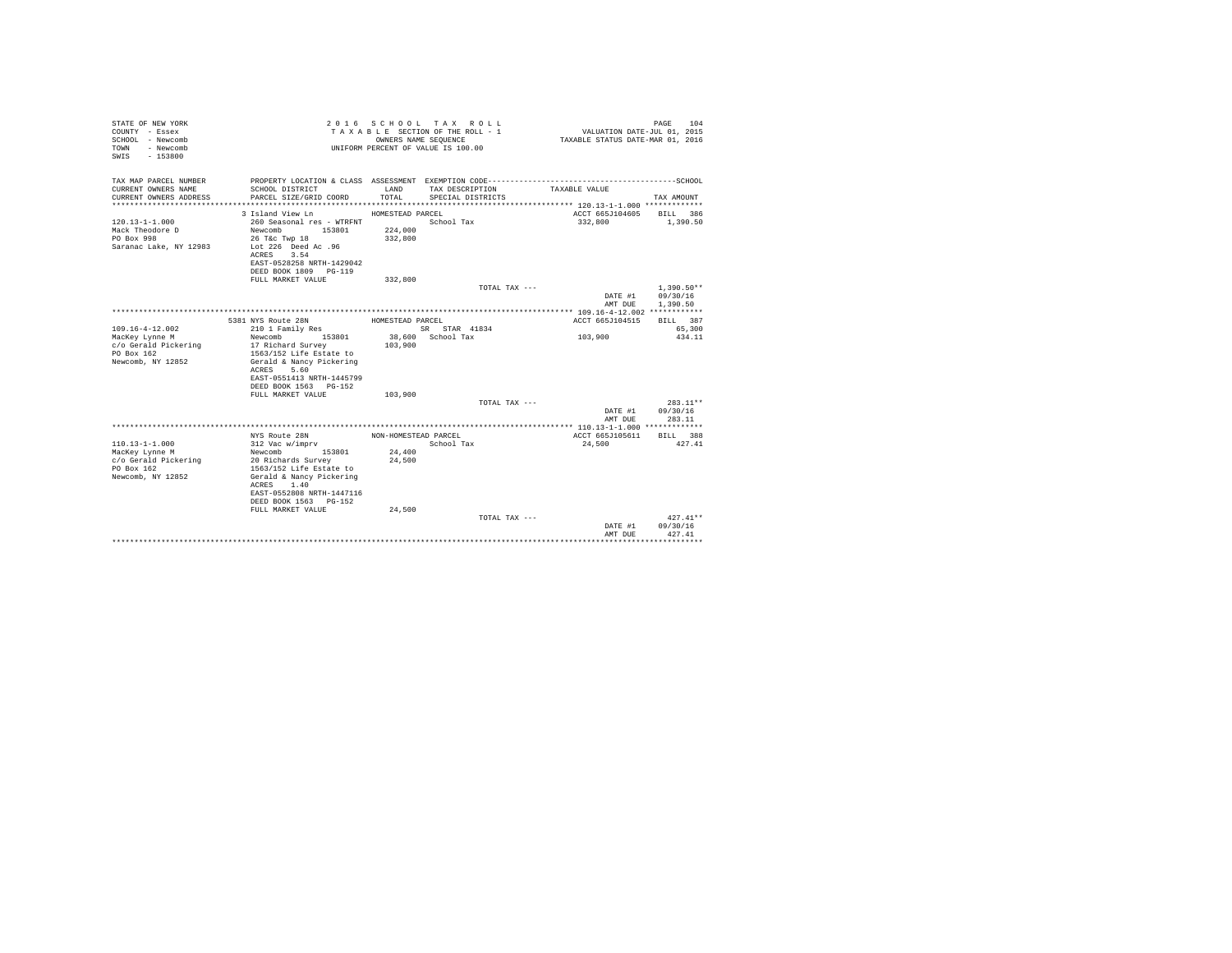| STATE OF NEW YORK<br>COUNTY - Essex<br>SCHOOL - Newcomb<br>- Newcomb<br>TOWN<br>SWIS - 153800 |                                            |                      | 2016 SCHOOL TAX ROLL<br>TAXABLE SECTION OF THE ROLL - 1<br>OWNERS NAME SEQUENCE<br>UNIFORM PERCENT OF VALUE IS 100.00 | VALUATION DATE-JUL 01, 2015<br>TAXABLE STATUS DATE-MAR 01, 2016 | PAGE 104     |
|-----------------------------------------------------------------------------------------------|--------------------------------------------|----------------------|-----------------------------------------------------------------------------------------------------------------------|-----------------------------------------------------------------|--------------|
| TAX MAP PARCEL NUMBER                                                                         |                                            |                      |                                                                                                                       |                                                                 |              |
| CURRENT OWNERS NAME<br>CURRENT OWNERS ADDRESS                                                 | SCHOOL DISTRICT<br>PARCEL SIZE/GRID COORD  | LAND<br>TOTAL        | TAX DESCRIPTION<br>SPECIAL DISTRICTS                                                                                  | TAXABLE VALUE                                                   | TAX AMOUNT   |
|                                                                                               |                                            |                      |                                                                                                                       |                                                                 |              |
|                                                                                               | 3 Island View Ln                           | HOMESTEAD PARCEL     |                                                                                                                       | ACCT 665J104605                                                 | BILL 386     |
| $120.13 - 1 - 1.000$                                                                          | 260 Seasonal res - WTRFNT                  |                      | School Tax                                                                                                            | 332,800                                                         | 1,390.50     |
| Mack Theodore D                                                                               | Newcomb<br>153801                          | 224,000              |                                                                                                                       |                                                                 |              |
| PO Box 998                                                                                    | 26 T&c Twp 18                              | 332,800              |                                                                                                                       |                                                                 |              |
| Saranac Lake, NY 12983                                                                        | Lot 226 Deed Ac .96                        |                      |                                                                                                                       |                                                                 |              |
|                                                                                               | ACRES<br>3.54                              |                      |                                                                                                                       |                                                                 |              |
|                                                                                               | EAST-0528258 NRTH-1429042                  |                      |                                                                                                                       |                                                                 |              |
|                                                                                               | DEED BOOK 1809 PG-119<br>FULL MARKET VALUE | 332,800              |                                                                                                                       |                                                                 |              |
|                                                                                               |                                            |                      | TOTAL TAX ---                                                                                                         |                                                                 | $1.390.50**$ |
|                                                                                               |                                            |                      |                                                                                                                       | DATE #1                                                         | 09/30/16     |
|                                                                                               |                                            |                      |                                                                                                                       | AMT DUE                                                         | 1,390.50     |
|                                                                                               |                                            |                      |                                                                                                                       |                                                                 |              |
|                                                                                               | 5381 NYS Route 28N                         | HOMESTEAD PARCEL     |                                                                                                                       | ACCT 665J104515                                                 | BILL 387     |
| $109.16 - 4 - 12.002$                                                                         | 210 1 Family Res                           |                      | SR STAR 41834                                                                                                         |                                                                 | 65,300       |
| MacKey Lynne M                                                                                | 153801<br>Newcomb                          |                      | 38,600 School Tax                                                                                                     | 103,900                                                         | 434.11       |
| c/o Gerald Pickering                                                                          | 17 Richard Survey                          | 103,900              |                                                                                                                       |                                                                 |              |
| PO Box 162                                                                                    | 1563/152 Life Estate to                    |                      |                                                                                                                       |                                                                 |              |
| Newcomb, NY 12852                                                                             | Gerald & Nancy Pickering<br>5.60<br>ACRES  |                      |                                                                                                                       |                                                                 |              |
|                                                                                               | EAST-0551413 NRTH-1445799                  |                      |                                                                                                                       |                                                                 |              |
|                                                                                               | DEED BOOK 1563 PG-152                      |                      |                                                                                                                       |                                                                 |              |
|                                                                                               | FULL MARKET VALUE                          | 103,900              |                                                                                                                       |                                                                 |              |
|                                                                                               |                                            |                      | TOTAL TAX ---                                                                                                         |                                                                 | 283.11**     |
|                                                                                               |                                            |                      |                                                                                                                       | DATE #1                                                         | 09/30/16     |
|                                                                                               |                                            |                      |                                                                                                                       | AMT DUE                                                         | 283.11       |
|                                                                                               |                                            |                      |                                                                                                                       |                                                                 |              |
|                                                                                               | NYS Route 28N                              | NON-HOMESTEAD PARCEL |                                                                                                                       | ACCT 665J105611                                                 | BILL 388     |
| $110.13 - 1 - 1.000$                                                                          | 312 Vac w/imprv                            |                      | School Tax                                                                                                            | 24,500                                                          | 427.41       |
| MacKey Lynne M                                                                                | 153801<br>Newcomb<br>20 Richards Survey    | 24,400<br>24,500     |                                                                                                                       |                                                                 |              |
| c/o Gerald Pickering<br>PO Box 162                                                            | 1563/152 Life Estate to                    |                      |                                                                                                                       |                                                                 |              |
| Newcomb, NY 12852                                                                             | Gerald & Nancy Pickering                   |                      |                                                                                                                       |                                                                 |              |
|                                                                                               | ACRES 1.40                                 |                      |                                                                                                                       |                                                                 |              |
|                                                                                               | EAST-0552808 NRTH-1447116                  |                      |                                                                                                                       |                                                                 |              |
|                                                                                               | DEED BOOK 1563 PG-152                      |                      |                                                                                                                       |                                                                 |              |
|                                                                                               | FULL MARKET VALUE                          | 24,500               |                                                                                                                       |                                                                 |              |
|                                                                                               |                                            |                      | TOTAL TAX ---                                                                                                         |                                                                 | $427.41**$   |
|                                                                                               |                                            |                      |                                                                                                                       | DATE #1                                                         | 09/30/16     |
|                                                                                               |                                            |                      |                                                                                                                       | AMT DUE                                                         | 427.41       |
|                                                                                               |                                            |                      |                                                                                                                       |                                                                 |              |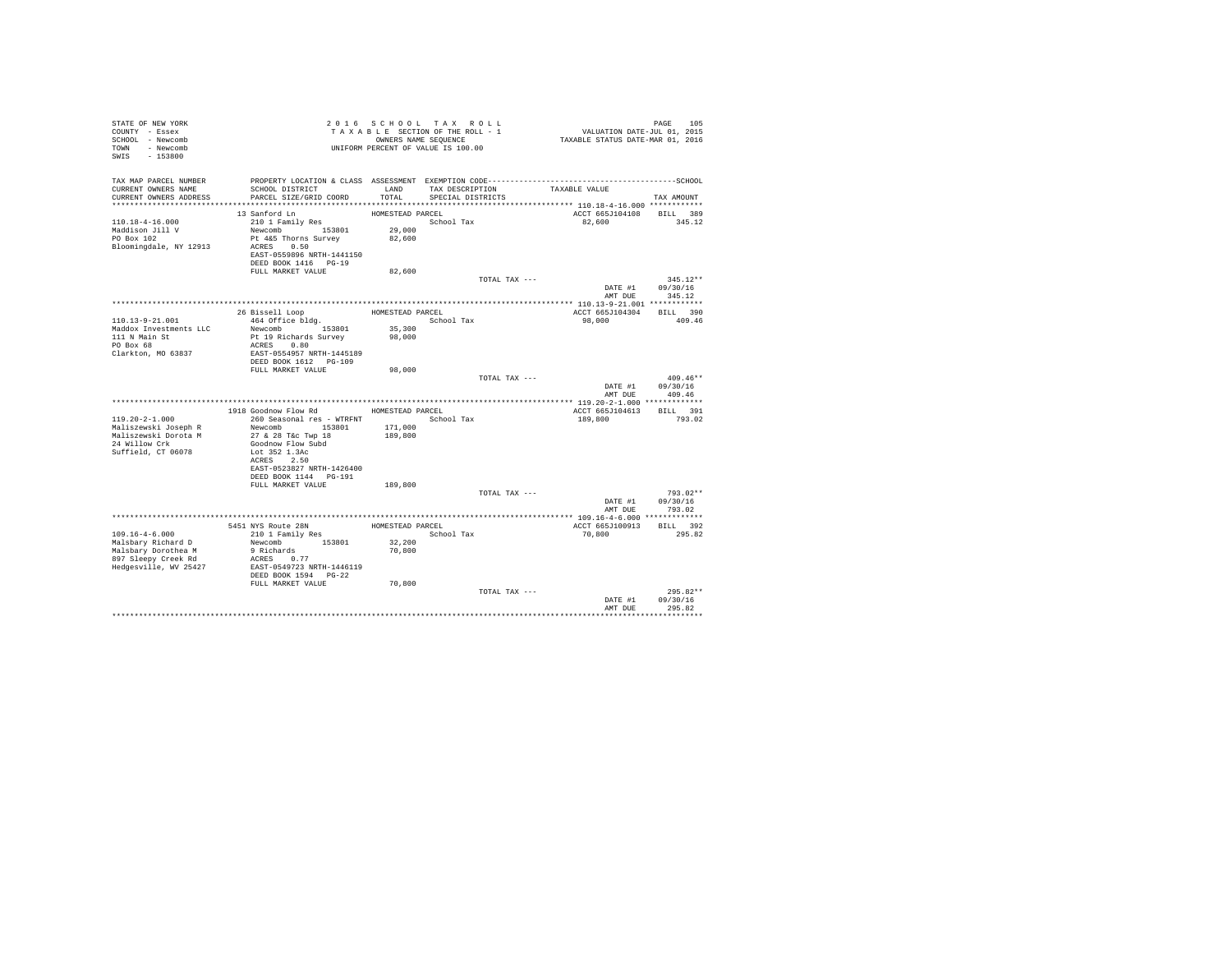| STATE OF NEW YORK<br>COUNTY - Essex<br>SCHOOL - Newcomb<br>TOWN - Newcomb<br>SWIS - 153800 |                                                   |                  | 2016 SCHOOL TAX ROLL<br>TAXABLE SECTION OF THE ROLL - 1<br>OWNERS NAME SEQUENCE<br>UNIFORM PERCENT OF VALUE IS 100.00 | PAGE 105<br>VALUATION DATE-JUL 01, 2015<br>TAXABLE STATUS DATE-MAR 01, 2016                  |                                    |
|--------------------------------------------------------------------------------------------|---------------------------------------------------|------------------|-----------------------------------------------------------------------------------------------------------------------|----------------------------------------------------------------------------------------------|------------------------------------|
| TAX MAP PARCEL NUMBER                                                                      |                                                   |                  |                                                                                                                       | PROPERTY LOCATION & CLASS ASSESSMENT EXEMPTION CODE-----------------------------------SCHOOL |                                    |
| CURRENT OWNERS NAME<br>CURRENT OWNERS ADDRESS                                              | SCHOOL DISTRICT<br>PARCEL SIZE/GRID COORD         | LAND<br>TOTAL.   | TAX DESCRIPTION<br>SPECIAL DISTRICTS                                                                                  | TAXABLE VALUE                                                                                | TAX AMOUNT                         |
|                                                                                            |                                                   |                  |                                                                                                                       |                                                                                              |                                    |
|                                                                                            | 13 Sanford Ln                                     | HOMESTEAD PARCEL |                                                                                                                       | ACCT 665J104108 BILL 389                                                                     |                                    |
| $110.18 - 4 - 16.000$                                                                      | 210 1 Family Res                                  |                  | School Tax                                                                                                            | 82.600                                                                                       | 345.12                             |
| Maddison Jill V                                                                            | Newcomb 153801                                    | 29,000           |                                                                                                                       |                                                                                              |                                    |
| PO Box 102                                                                                 | Pt 4&5 Thorns Survey                              | 82,600           |                                                                                                                       |                                                                                              |                                    |
| Bloomingdale, NY 12913                                                                     | ACRES 0.50<br>EAST-0559896 NRTH-1441150           |                  |                                                                                                                       |                                                                                              |                                    |
|                                                                                            | DEED BOOK 1416 PG-19                              |                  |                                                                                                                       |                                                                                              |                                    |
|                                                                                            | FULL MARKET VALUE                                 | 82,600           |                                                                                                                       |                                                                                              |                                    |
|                                                                                            |                                                   |                  | TOTAL TAX ---                                                                                                         |                                                                                              | $345.12**$                         |
|                                                                                            |                                                   |                  |                                                                                                                       |                                                                                              | DATE #1 09/30/16<br>AMT DUE 345.12 |
|                                                                                            |                                                   |                  |                                                                                                                       |                                                                                              |                                    |
|                                                                                            | 26 Bissell Loop                                   | HOMESTEAD PARCEL |                                                                                                                       | ACCT 665J104304 BILL 390                                                                     |                                    |
| 110.13-9-21.001                                                                            | 464 Office bldg.                                  |                  | School Tax                                                                                                            | 98,000                                                                                       | 409.46                             |
| Maddox Investments LLC                                                                     | Newcomb 153801                                    | 35,300<br>98,000 |                                                                                                                       |                                                                                              |                                    |
| 111 N Main St<br>PO Box 68                                                                 | Pt 19 Richards Survey                             |                  |                                                                                                                       |                                                                                              |                                    |
|                                                                                            | ACRES 0.80                                        |                  |                                                                                                                       |                                                                                              |                                    |
| Clarkton, MO 63837                                                                         | EAST-0554957 NRTH-1445189                         |                  |                                                                                                                       |                                                                                              |                                    |
|                                                                                            | DEED BOOK 1612 PG-109<br>FULL MARKET VALUE        | 98,000           |                                                                                                                       |                                                                                              |                                    |
|                                                                                            |                                                   |                  | TOTAL TAX ---                                                                                                         |                                                                                              | $409.46**$                         |
|                                                                                            |                                                   |                  |                                                                                                                       | AMT DUE                                                                                      | DATE #1 09/30/16<br>409.46         |
|                                                                                            |                                                   |                  |                                                                                                                       |                                                                                              |                                    |
|                                                                                            | 1918 Goodnow Flow Rd                              | HOMESTEAD PARCEL |                                                                                                                       | ACCT 665J104613                                                                              | BILL 391                           |
| $119.20 - 2 - 1.000$                                                                       | 260 Seasonal res - WTRFNT                         |                  | School Tax                                                                                                            | 189,800                                                                                      | 793.02                             |
| Maliszewski Joseph R                                                                       | Newcomb 153801                                    | 171,000          |                                                                                                                       |                                                                                              |                                    |
| Maliszewski Dorota M                                                                       | 27 & 28 T&c Twp 18                                | 189,800          |                                                                                                                       |                                                                                              |                                    |
| 24 Willow Crk                                                                              | Goodnow Flow Subd                                 |                  |                                                                                                                       |                                                                                              |                                    |
| Suffield, CT 06078                                                                         | Lot 352 1.3Ac                                     |                  |                                                                                                                       |                                                                                              |                                    |
|                                                                                            | ACRES 2.50                                        |                  |                                                                                                                       |                                                                                              |                                    |
|                                                                                            | EAST-0523827 NRTH-1426400                         |                  |                                                                                                                       |                                                                                              |                                    |
|                                                                                            | DEED BOOK 1144 PG-191<br>FULL MARKET VALUE        | 189,800          |                                                                                                                       |                                                                                              |                                    |
|                                                                                            |                                                   |                  | TOTAL TAX ---                                                                                                         |                                                                                              | $793.02**$                         |
|                                                                                            |                                                   |                  |                                                                                                                       | DATE #1                                                                                      | 09/30/16                           |
|                                                                                            |                                                   |                  |                                                                                                                       |                                                                                              | AMT DUE 793.02                     |
|                                                                                            |                                                   |                  |                                                                                                                       |                                                                                              |                                    |
|                                                                                            | 5451 NYS Route 28N<br>210 1 Family Res            |                  | HOMESTEAD PARCEL                                                                                                      | ACCT 665J100913 BILL 392                                                                     |                                    |
| $109.16 - 4 - 6.000$                                                                       |                                                   |                  | School Tax                                                                                                            | 70,800                                                                                       | 295.82                             |
| Malsbary Richard D                                                                         | Newcomb 153801<br>9 Richards                      | 32,200           |                                                                                                                       |                                                                                              |                                    |
| Malsbary Dorothea M                                                                        |                                                   | 70,800           |                                                                                                                       |                                                                                              |                                    |
| 897 Sleepy Creek Rd                                                                        | ACRES 0.77                                        |                  |                                                                                                                       |                                                                                              |                                    |
| Hedgesville, WV 25427                                                                      | EAST-0549723 NRTH-1446119<br>DEED BOOK 1594 PG-22 |                  |                                                                                                                       |                                                                                              |                                    |
|                                                                                            | FULL MARKET VALUE                                 | 70,800           |                                                                                                                       |                                                                                              |                                    |
|                                                                                            |                                                   |                  | TOTAL TAX ---                                                                                                         |                                                                                              | $295.82**$                         |
|                                                                                            |                                                   |                  |                                                                                                                       | DATE #1                                                                                      | 09/30/16                           |
|                                                                                            |                                                   |                  |                                                                                                                       | AMT DUE                                                                                      | 295.82                             |
|                                                                                            |                                                   |                  |                                                                                                                       |                                                                                              |                                    |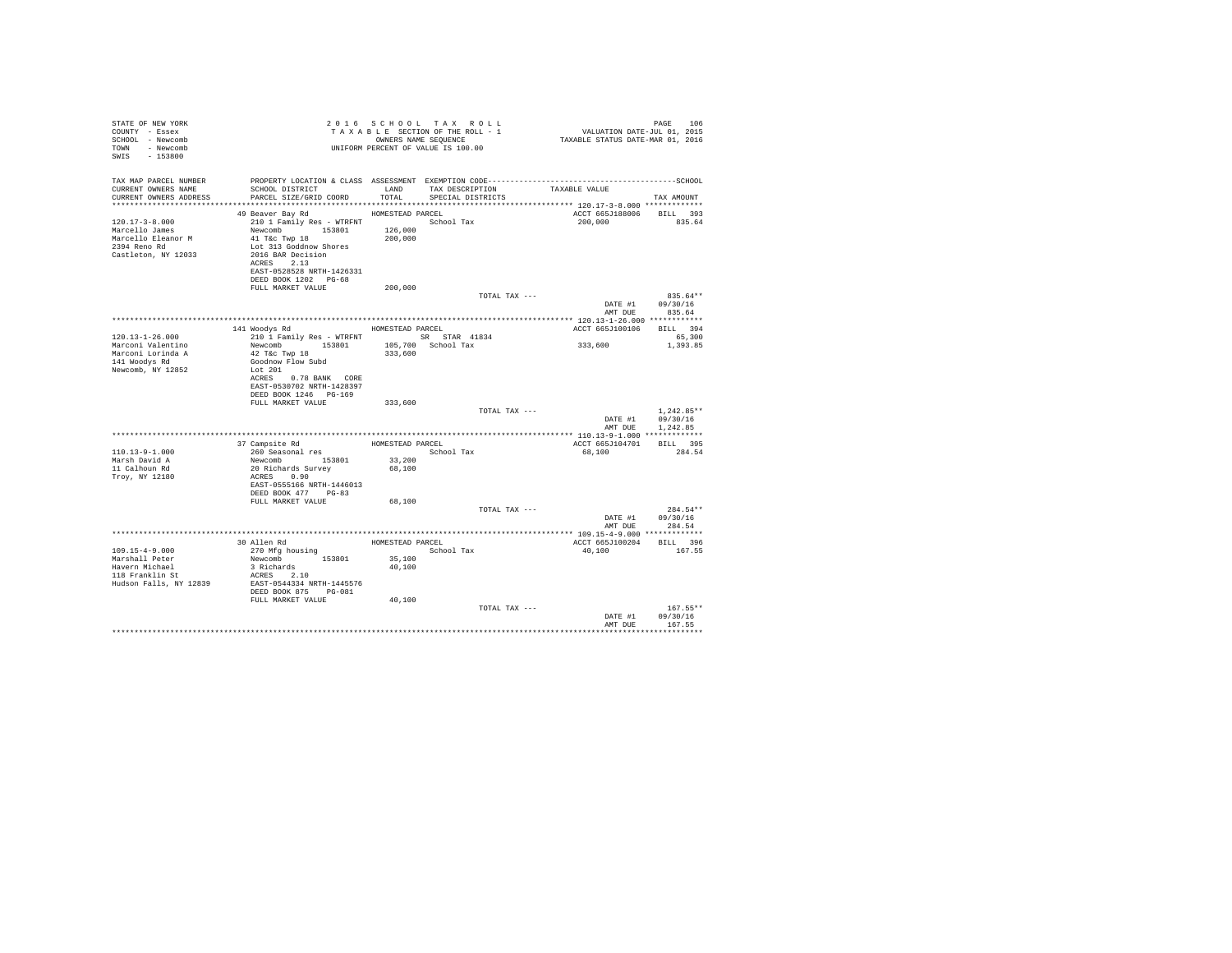| STATE OF NEW YORK<br>COUNTY - Essex<br>SCHOOL - Newcomb<br>TOWN - Newcomb<br>SWIS - 153800                                |                                                                                                                                                                                                                                                          |         | 2016 SCHOOL TAX ROLL<br>TAXABLE SECTION OF THE ROLL - 1<br>OWNERS NAME SEQUENCE<br>UNIFORM PERCENT OF VALUE IS 100.00 | PAGE 106<br>101, VALUATION DATE-JUL 01, 2015<br>2016 TAXABLE STATUS DATE-MAR 01, 2016 | PAGE<br>106                                          |
|---------------------------------------------------------------------------------------------------------------------------|----------------------------------------------------------------------------------------------------------------------------------------------------------------------------------------------------------------------------------------------------------|---------|-----------------------------------------------------------------------------------------------------------------------|---------------------------------------------------------------------------------------|------------------------------------------------------|
| TAX MAP PARCEL NUMBER<br>CURRENT OWNERS NAME<br>CURRENT OWNERS ADDRESS                                                    | SCHOOL DISTRICT                     LAND        TAX DESCRIPTION                   TAXABLE VALUE<br>PARCEL SIZE/GRID COORD                                                                                                                                |         | TOTAL SPECIAL DISTRICTS                                                                                               |                                                                                       | TAX AMOUNT                                           |
| $120.17 - 3 - 8.000$<br>Marcello James<br>Marcello Eleanor M<br>2394 Reno Rd<br>Castleton, NY 12033                       | 49 Beaver Bay Rd MOMESTEAD PARCEL<br>210 1 Family Res - WTRFNT<br>Newcomb 153801 126,000<br>41 T&C Twp 18 200,000<br>Lot 313 Goddnow Shores<br>2016 BAR Decision<br>ACRES 2.13<br>EAST-0528528 NRTH-1426331<br>DEED BOOK 1202 PG-68<br>FULL MARKET VALUE | 200,000 | School Tax                                                                                                            | ACCT 665J188006 BILL 393<br>200,000 835.64                                            |                                                      |
|                                                                                                                           |                                                                                                                                                                                                                                                          |         | TOTAL TAX ---                                                                                                         |                                                                                       | 835.64**<br>DATE #1 09/30/16<br>AMT DUR 835.64       |
|                                                                                                                           | 141 Woodys Rd MOMESTEAD PARCEL                                                                                                                                                                                                                           |         |                                                                                                                       | ACCT 665J100106 BILL 394                                                              |                                                      |
| $120.13 - 1 - 26.000$<br>Marconi Valentino<br>Marconi Lorinda A<br>141 Woodys Rd<br>Newcomb, NY 12852                     | 210 1 Family Res - WTRFNT SR STAR 41834<br>Newcomb 153801 105,700 School Tax<br>42 T&c Twp 18 333,600<br>Goodnow Flow Subd<br>Lot 201<br>ACRES 0.78 BANK CORE<br>EAST-0530702 NRTH-1428397<br>DEED BOOK 1246    PG-169                                   |         |                                                                                                                       | $333,600$ $1,393.85$                                                                  | 65,300                                               |
|                                                                                                                           | FULL MARKET VALUE 333,600                                                                                                                                                                                                                                |         | TOTAL TAX ---                                                                                                         |                                                                                       | $1,242.85**$<br>DATE #1 09/30/16<br>AMT DUE 1,242.85 |
|                                                                                                                           |                                                                                                                                                                                                                                                          |         |                                                                                                                       |                                                                                       |                                                      |
| 110.13-9-1.000<br>Marsh David A<br>11 Calhoun Rd<br>Troy, NY 12180                                                        | $260$ Seasonal res<br>Newcomb 153801 33,200<br>20 Richards Survey<br>ACRES 0.90<br>EAST-0555166 NRTH-1446013<br>DEED BOOK 477 PG-83                                                                                                                      | 68,100  |                                                                                                                       | ACCT 665J104701 BILL 395<br>68,100                                                    | 284.54                                               |
|                                                                                                                           | FULL MARKET VALUE                                                                                                                                                                                                                                        | 68,100  | TOTAL TAX ---                                                                                                         |                                                                                       | 284.54**<br>DATE #1 09/30/16                         |
|                                                                                                                           |                                                                                                                                                                                                                                                          |         |                                                                                                                       | AMT DUE                                                                               | 284.54                                               |
| 109.15-4-9.000<br>Marshall Peter<br>Havern Michael<br>118 Franklin St<br>Hudson Falls, NY 12839 EAST-0544334 NRTH-1445576 | 30 Allen R<br>d $200 \text{ MJen Rd}$ HOMESTEAD PARCEL 270 Meg housing Bowled School Tax Richards Newcomb 153801 35,100<br>3 Review 153801 40,100<br>ACRES 2.10 40,100<br>                                                                               | 40,100  |                                                                                                                       | ACCT 665J100204<br>40,100                                                             | BILL 396<br>167.55                                   |
|                                                                                                                           |                                                                                                                                                                                                                                                          |         | TOTAL TAX ---                                                                                                         | AMT DUR                                                                               | $167.55**$<br>DATE #1 09/30/16<br>167.55             |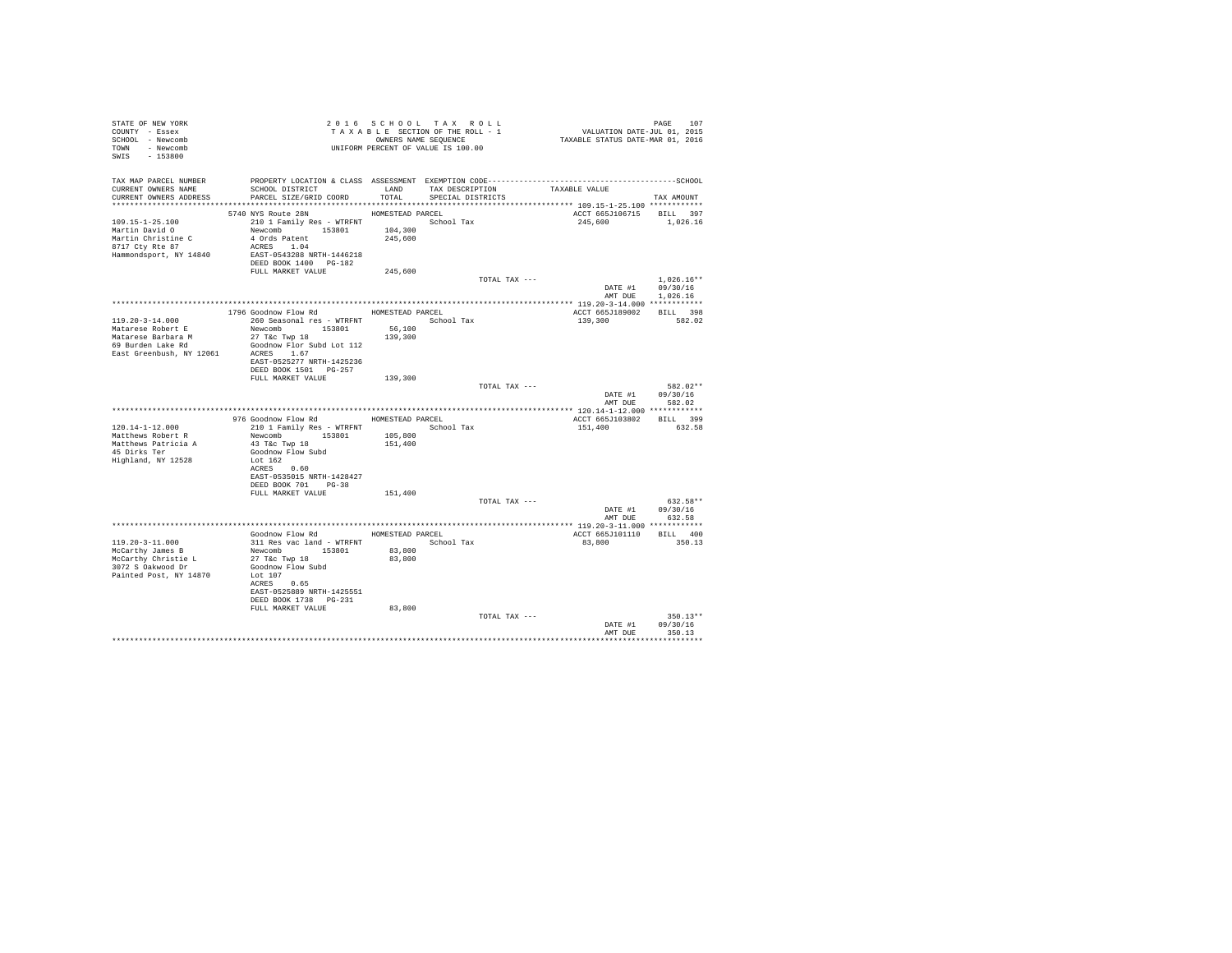| STATE OF NEW YORK<br>COUNTY - Essex<br>SCHOOL - Newcomb<br>TOWN - Newcomb<br>SWIS - 153800           |                                                                                                                  |                  | 2016 SCHOOL TAX ROLL<br>TAXABLE SECTION OF THE ROLL - 1<br>OWNERS NAME SEQUENCE | PAGE 107<br>VALUATION DATE-JUL 01, 2015<br>TAXABLE STATUS DATE-MAR 01, 2016 |                                    |
|------------------------------------------------------------------------------------------------------|------------------------------------------------------------------------------------------------------------------|------------------|---------------------------------------------------------------------------------|-----------------------------------------------------------------------------|------------------------------------|
|                                                                                                      | TAX MAP PARCEL NUMBER PROPERTY LOCATION & CLASS ASSESSMENT EXEMPTION CODE---------------------------------SCHOOL |                  |                                                                                 |                                                                             |                                    |
| CURRENT OWNERS NAME<br>CURRENT OWNERS ADDRESS                                                        | SCHOOL DISTRICT<br>PARCEL SIZE/GRID COORD                                                                        | LAND<br>TOTAL    | TAX DESCRIPTION TAXABLE VALUE<br>SPECIAL DISTRICTS                              |                                                                             | TAX AMOUNT                         |
|                                                                                                      |                                                                                                                  |                  |                                                                                 |                                                                             |                                    |
|                                                                                                      | 5740 NYS Route 28N                                                                                               | HOMESTEAD PARCEL |                                                                                 | ACCT 665J106715                                                             | BILL 397                           |
| 109.15-1-25.100<br>Martin David O<br>Martin Christine C<br>8717 Cty Rte 87<br>Hammondsport, NY 14840 | 210 1 Family Res - WTRFNT<br>Newcomb 153801 104,300<br>4 Ords Patent<br>ACRES 1.04<br>EAST-0543288 NRTH-1446218  | 245,600          | School Tax                                                                      | 245,600                                                                     | 1,026.16                           |
|                                                                                                      | DEED BOOK 1400 PG-182                                                                                            |                  |                                                                                 |                                                                             |                                    |
|                                                                                                      | FULL MARKET VALUE                                                                                                | 245,600          |                                                                                 |                                                                             |                                    |
|                                                                                                      |                                                                                                                  |                  | TOTAL TAX ---                                                                   | DATE #1 09/30/16<br>AMT DUE                                                 | $1.026.16**$<br>1,026.16           |
|                                                                                                      |                                                                                                                  |                  |                                                                                 |                                                                             |                                    |
| $119.20 - 3 - 14.000$                                                                                | 1796 Goodnow Flow Rd MOMESTEAD PARCEL<br>260 Seasonal res - WTRFNT                 School Tax                    |                  |                                                                                 | ACCT 665J189002<br>139,300                                                  | BILL 398<br>582.02                 |
| Matarese Robert E                                                                                    | Newcomb 153801                                                                                                   | 56,100           |                                                                                 |                                                                             |                                    |
| Matarese Barbara M<br>69 Burden Lake Rd                                                              | 27 T&C Twp 18                                                                                                    | 139,300          |                                                                                 |                                                                             |                                    |
| East Greenbush, NY 12061 ACRES 1.67                                                                  | Goodnow Flor Subd Lot 112                                                                                        |                  |                                                                                 |                                                                             |                                    |
|                                                                                                      | EAST-0525277 NRTH-1425236                                                                                        |                  |                                                                                 |                                                                             |                                    |
|                                                                                                      | DEED BOOK 1501 PG-257                                                                                            |                  |                                                                                 |                                                                             |                                    |
|                                                                                                      | FULL MARKET VALUE                                                                                                | 139,300          | TOTAL TAX ---                                                                   |                                                                             | 582.02**                           |
|                                                                                                      |                                                                                                                  |                  |                                                                                 |                                                                             | DATE #1 09/30/16<br>AMT DUE 582.02 |
|                                                                                                      |                                                                                                                  |                  |                                                                                 |                                                                             |                                    |
| $120.14 - 1 - 12.000$                                                                                | 976 Goodnow Flow Rd MOMESTEAD PARCEL                                                                             |                  |                                                                                 | ACCT 665J103802 BILL 399<br>151,400                                         | 632.58                             |
| Matthews Robert R                                                                                    | Newcomb 153801                                                                                                   | 105,800          |                                                                                 |                                                                             |                                    |
| Matthews Patricia A                                                                                  | 43 T&C Twp 18                                                                                                    | 151,400          |                                                                                 |                                                                             |                                    |
| 45 Dirks Ter<br>Highland, NY 12528                                                                   | Goodnow Flow Subd<br>Lot 162                                                                                     |                  |                                                                                 |                                                                             |                                    |
|                                                                                                      | ACRES 0.60                                                                                                       |                  |                                                                                 |                                                                             |                                    |
|                                                                                                      | EAST-0535015 NRTH-1428427                                                                                        |                  |                                                                                 |                                                                             |                                    |
|                                                                                                      | DEED BOOK 701 PG-38<br>FULL MARKET VALUE                                                                         | 151,400          |                                                                                 |                                                                             |                                    |
|                                                                                                      |                                                                                                                  |                  | TOTAL TAX ---                                                                   |                                                                             | 632.58**                           |
|                                                                                                      |                                                                                                                  |                  |                                                                                 |                                                                             | DATE #1 09/30/16                   |
|                                                                                                      |                                                                                                                  |                  |                                                                                 | AMT DUE                                                                     | 632.58                             |
|                                                                                                      | Goodnow Flow Rd                                                                                                  |                  | HOMESTEAD PARCEL                                                                | ACCT 665J101110 BILL 400                                                    |                                    |
| 119.20-3-11.000                                                                                      | 311 Res vac land - WTRFNT                                                                                        |                  | School Tax                                                                      | 83,800                                                                      | 350.13                             |
| McCarthy James B                                                                                     | Newcomb 153801<br>27 T&c Twp 18                                                                                  | 83,800<br>83,800 |                                                                                 |                                                                             |                                    |
| McCarthy Christie L<br>3072 S Oakwood Dr                                                             | Goodnow Flow Subd                                                                                                |                  |                                                                                 |                                                                             |                                    |
| Painted Post, NY 14870                                                                               | Lot 107                                                                                                          |                  |                                                                                 |                                                                             |                                    |
|                                                                                                      | ACRES 0.65<br>EAST-0525889 NRTH-1425551                                                                          |                  |                                                                                 |                                                                             |                                    |
|                                                                                                      | DEED BOOK 1738 PG-231                                                                                            |                  |                                                                                 |                                                                             |                                    |
|                                                                                                      | FULL MARKET VALUE                                                                                                | 83,800           |                                                                                 |                                                                             |                                    |
|                                                                                                      |                                                                                                                  |                  | TOTAL TAX ---                                                                   | DATE #1                                                                     | $350.13**$<br>09/30/16             |
|                                                                                                      |                                                                                                                  |                  |                                                                                 | AMT DUE                                                                     | 350.13                             |
|                                                                                                      |                                                                                                                  |                  |                                                                                 |                                                                             | **********                         |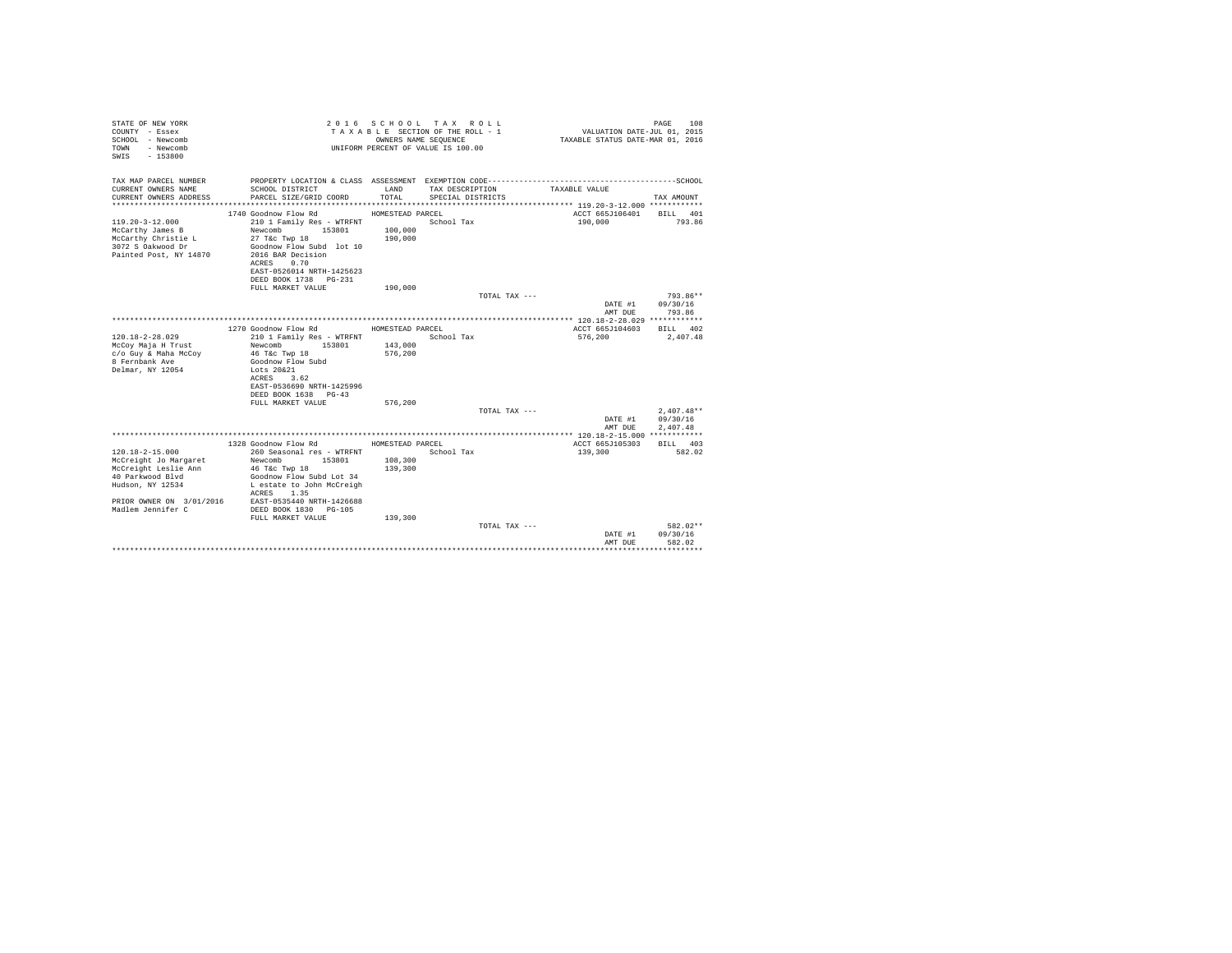| STATE OF NEW YORK<br>COUNTY - Essex<br>SCHOOL - Newcomb<br>- Newcomb<br>TOWN<br>$-153800$<br>SWIS                                                               |                                                                                                                                                                                                 |                                        | 2016 SCHOOL TAX ROLL<br>TAXABLE SECTION OF THE ROLL - 1<br>OWNERS NAME SEQUENCE<br>UNIFORM PERCENT OF VALUE IS 100.00 | VALUATION DATE-JUL $01$ , 2015<br>TAXABLE STATUS DATE-MAR 01, 2016 | PAGE<br>108          |
|-----------------------------------------------------------------------------------------------------------------------------------------------------------------|-------------------------------------------------------------------------------------------------------------------------------------------------------------------------------------------------|----------------------------------------|-----------------------------------------------------------------------------------------------------------------------|--------------------------------------------------------------------|----------------------|
| TAX MAP PARCEL NUMBER<br>CURRENT OWNERS NAME                                                                                                                    | SCHOOL DISTRICT                                                                                                                                                                                 | LAND                                   | TAX DESCRIPTION                                                                                                       | TAXABLE VALUE                                                      |                      |
| CURRENT OWNERS ADDRESS                                                                                                                                          | PARCEL SIZE/GRID COORD                                                                                                                                                                          | TOTAL                                  | SPECIAL DISTRICTS                                                                                                     |                                                                    | TAX AMOUNT           |
|                                                                                                                                                                 |                                                                                                                                                                                                 |                                        |                                                                                                                       | ACCT 665J106401                                                    | BILL 401             |
| $119.20 - 3 - 12.000$<br>McCarthy James B<br>McCarthy Christie L<br>3072 S Oakwood Dr                                                                           | 1740 Goodnow Flow Rd<br>210 1 Family Res - WTRFNT<br>Newcomb<br>153801<br>27 T&c Twp 18<br>Goodnow Flow Subd lot 10                                                                             | HOMESTEAD PARCEL<br>100,000<br>190,000 | School Tax                                                                                                            | 190,000                                                            | 793.86               |
| Painted Post, NY 14870                                                                                                                                          | 2016 BAR Decision<br>ACRES 0.70<br>EAST-0526014 NRTH-1425623<br>DEED BOOK 1738 PG-231                                                                                                           |                                        |                                                                                                                       |                                                                    |                      |
|                                                                                                                                                                 | FULL MARKET VALUE                                                                                                                                                                               | 190,000                                |                                                                                                                       |                                                                    | $793.86**$           |
|                                                                                                                                                                 |                                                                                                                                                                                                 |                                        | TOTAL TAX ---                                                                                                         | DATE #1<br>AMT DUE                                                 | 09/30/16<br>793.86   |
|                                                                                                                                                                 |                                                                                                                                                                                                 |                                        |                                                                                                                       |                                                                    |                      |
|                                                                                                                                                                 | 1270 Goodnow Flow Rd                                                                                                                                                                            | HOMESTEAD PARCEL                       |                                                                                                                       | ACCT 665J104603                                                    | BILL 402             |
| $120.18 - 2 - 28.029$<br>McCoy Maja H Trust<br>c/o Guy & Maha McCoy<br>8 Fernbank Ave<br>Delmar, NY 12054                                                       | 210 1 Family Res - WTRFNT<br>Newcomb<br>153801<br>46 T&c Twp 18<br>Goodnow Flow Subd<br>Lots 20&21<br>ACRES<br>3.62<br>EAST-0536690 NRTH-1425996<br>DEED BOOK 1638 PG-43                        | 143,000<br>576.200                     | School Tax                                                                                                            | 576,200                                                            | 2,407.48             |
|                                                                                                                                                                 | FULL MARKET VALUE                                                                                                                                                                               | 576,200                                |                                                                                                                       |                                                                    |                      |
|                                                                                                                                                                 |                                                                                                                                                                                                 |                                        | TOTAL TAX ---                                                                                                         |                                                                    | $2.407.48**$         |
|                                                                                                                                                                 |                                                                                                                                                                                                 |                                        |                                                                                                                       | DATE #1<br>AMT DUE                                                 | 09/30/16<br>2.407.48 |
|                                                                                                                                                                 |                                                                                                                                                                                                 |                                        |                                                                                                                       |                                                                    |                      |
|                                                                                                                                                                 | 1328 Goodnow Flow Rd                                                                                                                                                                            | HOMESTEAD PARCEL                       |                                                                                                                       | ACCT 665J105303                                                    | BILL 403             |
| $120.18 - 2 - 15.000$<br>McCreight Jo Margaret<br>McCreight Leslie Ann<br>40 Parkwood Blvd<br>Hudson, NY 12534<br>PRIOR OWNER ON 3/01/2016<br>Madlem Jennifer C | 260 Seasonal res - WTRFNT<br>Newcomb<br>153801<br>46 T&c Twp 18<br>Goodnow Flow Subd Lot 34<br>L estate to John McCreigh<br>1.35<br>ACRES<br>EAST-0535440 NRTH-1426688<br>DEED BOOK 1830 PG-105 | 108,300<br>139,300                     | School Tax                                                                                                            | 139,300                                                            | 582.02               |
|                                                                                                                                                                 | FULL MARKET VALUE                                                                                                                                                                               | 139,300                                | TOTAL TAX ---                                                                                                         | DATE #1                                                            | 582.02**<br>09/30/16 |
|                                                                                                                                                                 |                                                                                                                                                                                                 |                                        |                                                                                                                       | AMT DUE                                                            | 582.02               |
|                                                                                                                                                                 |                                                                                                                                                                                                 |                                        |                                                                                                                       |                                                                    | *************        |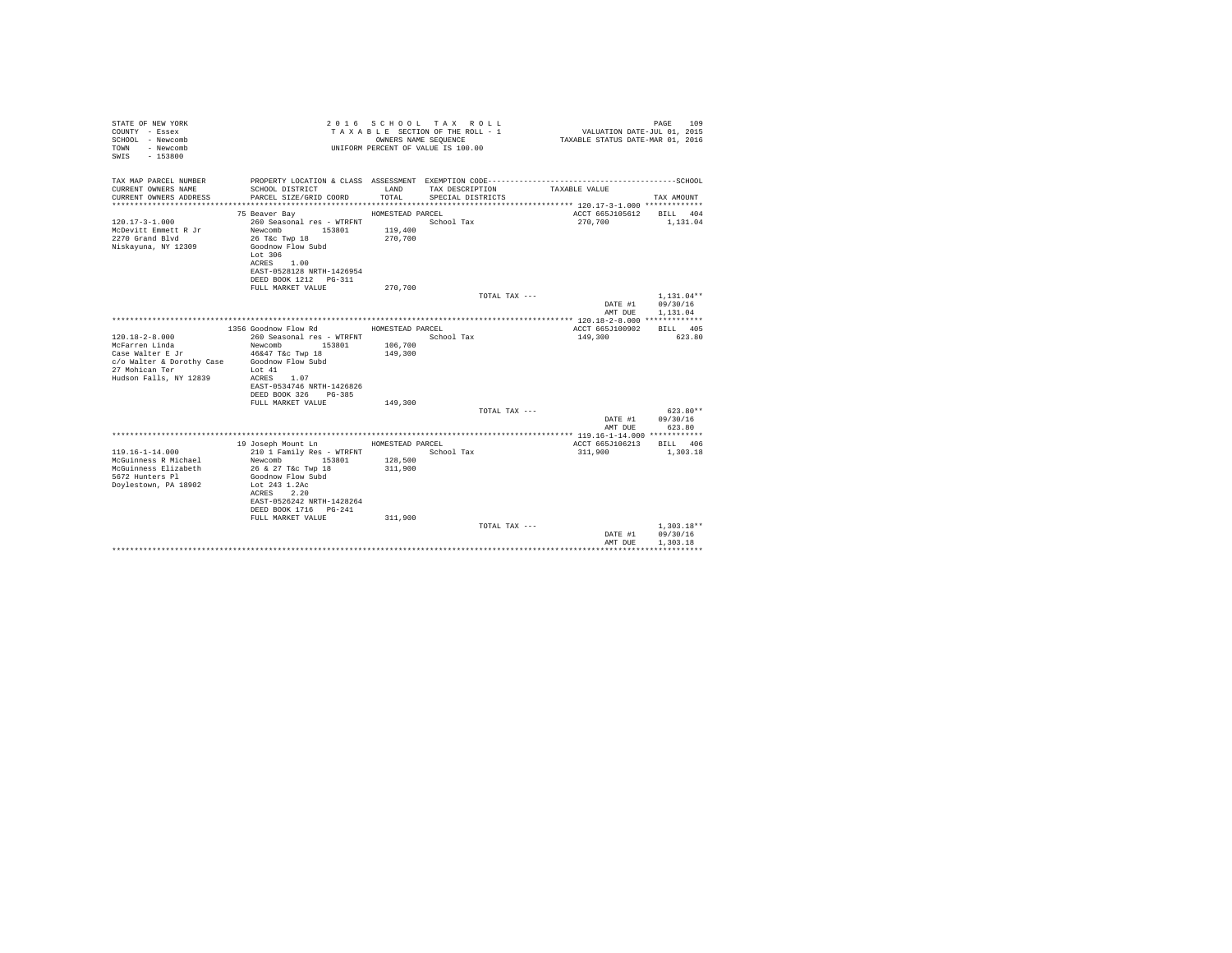| STATE OF NEW YORK<br>COUNTY - Essex<br>SCHOOL - Newcomb<br>- Newcomb<br>TOWN<br>$-153800$<br>SWTS |                                                | OWNERS NAME SEQUENCE | 2016 SCHOOL TAX ROLL<br>TAXABLE SECTION OF THE ROLL - 1<br>UNIFORM PERCENT OF VALUE IS 100.00 | VALUATION DATE-JUL 01, 2015<br>TAXABLE STATUS DATE-MAR 01, 2016 | 109<br>PAGE              |
|---------------------------------------------------------------------------------------------------|------------------------------------------------|----------------------|-----------------------------------------------------------------------------------------------|-----------------------------------------------------------------|--------------------------|
| TAX MAP PARCEL NUMBER                                                                             |                                                |                      |                                                                                               |                                                                 |                          |
| CURRENT OWNERS NAME<br>CURRENT OWNERS ADDRESS                                                     | SCHOOL DISTRICT<br>PARCEL SIZE/GRID COORD      | LAND<br>TOTAL.       | TAX DESCRIPTION<br>SPECIAL DISTRICTS                                                          | TAXABLE VALUE                                                   | TAX AMOUNT               |
|                                                                                                   |                                                |                      |                                                                                               |                                                                 |                          |
|                                                                                                   | 75 Beaver Bay                                  | HOMESTEAD PARCEL     |                                                                                               | ACCT 665J105612                                                 | BILL 404                 |
| $120.17 - 3 - 1.000$<br>McDevitt Emmett R Jr                                                      | 260 Seasonal res - WTRFNT<br>Newcomb 153801    | 119,400              | School Tax                                                                                    | 270,700                                                         | 1,131.04                 |
| 2270 Grand Blvd                                                                                   | 26 T&c Twp 18                                  | 270,700              |                                                                                               |                                                                 |                          |
| Niskayuna, NY 12309                                                                               | Goodnow Flow Subd                              |                      |                                                                                               |                                                                 |                          |
|                                                                                                   | Lot 306                                        |                      |                                                                                               |                                                                 |                          |
|                                                                                                   | ACRES 1.00<br>EAST-0528128 NRTH-1426954        |                      |                                                                                               |                                                                 |                          |
|                                                                                                   | DEED BOOK 1212 PG-311                          |                      |                                                                                               |                                                                 |                          |
|                                                                                                   | FULL MARKET VALUE                              | 270,700              |                                                                                               |                                                                 |                          |
|                                                                                                   |                                                |                      | TOTAL TAX ---                                                                                 | DATE #1                                                         | $1.131.04**$<br>09/30/16 |
|                                                                                                   |                                                |                      |                                                                                               | AMT DUE                                                         | 1,131.04                 |
|                                                                                                   |                                                |                      |                                                                                               |                                                                 |                          |
|                                                                                                   | 1356 Goodnow Flow Rd                           | HOMESTEAD PARCEL     |                                                                                               | ACCT 665J100902                                                 | BTT.T. 405               |
| $120.18 - 2 - 8.000$<br>McFarren Linda                                                            | 260 Seasonal res - WTRFNT<br>Newcomb 153801    | 106,700              | School Tax                                                                                    | 149,300                                                         | 623.80                   |
| Case Walter E Jr                                                                                  | 46&47 T&c Twp 18                               | 149,300              |                                                                                               |                                                                 |                          |
| c/o Walter & Dorothy Case                                                                         | Goodnow Flow Subd                              |                      |                                                                                               |                                                                 |                          |
| 27 Mohican Ter                                                                                    | Lot 41<br>ACRES 1.07                           |                      |                                                                                               |                                                                 |                          |
| Hudson Falls, NY 12839                                                                            | EAST-0534746 NRTH-1426826                      |                      |                                                                                               |                                                                 |                          |
|                                                                                                   | DEED BOOK 326<br>PG-385                        |                      |                                                                                               |                                                                 |                          |
|                                                                                                   | FULL MARKET VALUE                              | 149,300              |                                                                                               |                                                                 |                          |
|                                                                                                   |                                                |                      | TOTAL TAX ---                                                                                 | DATE #1                                                         | $623.80**$<br>09/30/16   |
|                                                                                                   |                                                |                      |                                                                                               | AMT DUE                                                         | 623.80                   |
|                                                                                                   |                                                |                      |                                                                                               |                                                                 |                          |
|                                                                                                   | 19 Joseph Mount Ln                             | HOMESTEAD PARCEL     |                                                                                               | ACCT 665J106213                                                 | BILL 406                 |
| $119.16 - 1 - 14.000$<br>McGuinness R Michael                                                     | 210 1 Family Res - WTRFNT<br>Newcomb<br>153801 | 128,500              | School Tax                                                                                    | 311,900                                                         | 1,303.18                 |
| McGuinness Elizabeth                                                                              | 26 & 27 T&c Twp 18                             | 311,900              |                                                                                               |                                                                 |                          |
| 5672 Hunters Pl                                                                                   | Goodnow Flow Subd                              |                      |                                                                                               |                                                                 |                          |
| Doylestown, PA 18902                                                                              | Lot 243 1.2Ac                                  |                      |                                                                                               |                                                                 |                          |
|                                                                                                   | ACRES 2.20<br>EAST-0526242 NRTH-1428264        |                      |                                                                                               |                                                                 |                          |
|                                                                                                   | DEED BOOK 1716 PG-241                          |                      |                                                                                               |                                                                 |                          |
|                                                                                                   | FULL MARKET VALUE                              | 311,900              |                                                                                               |                                                                 |                          |
|                                                                                                   |                                                |                      | TOTAL TAX ---                                                                                 | DATE #1                                                         | $1.303.18**$<br>09/30/16 |
|                                                                                                   |                                                |                      |                                                                                               | AMT DUE                                                         | 1,303.18                 |
|                                                                                                   |                                                |                      |                                                                                               |                                                                 |                          |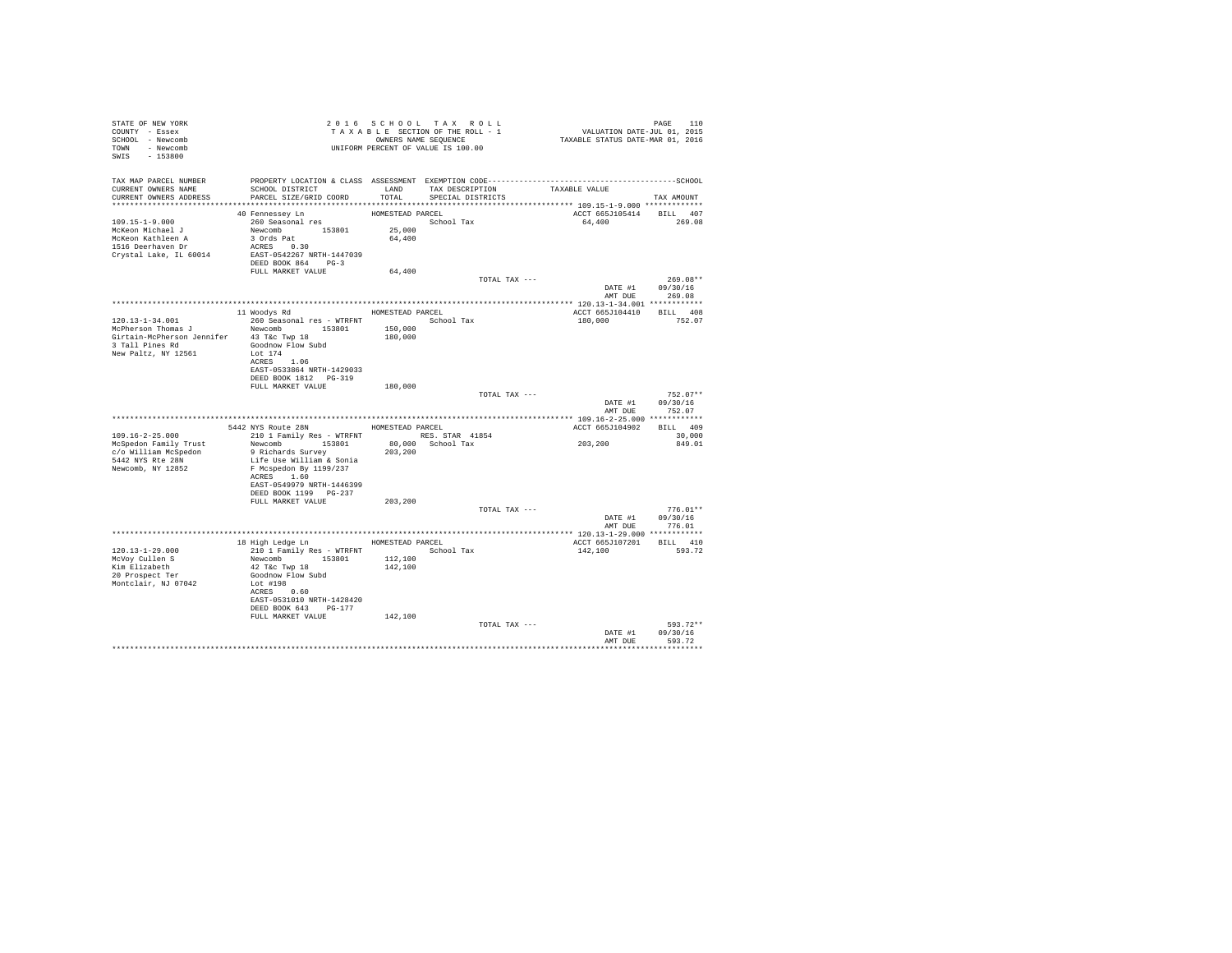| STATE OF NEW YORK                 |                                                                                                                                       |                  |                   |                          |                                    |
|-----------------------------------|---------------------------------------------------------------------------------------------------------------------------------------|------------------|-------------------|--------------------------|------------------------------------|
| COUNTY - Essex                    |                                                                                                                                       |                  |                   |                          |                                    |
| SCHOOL - Newcomb                  |                                                                                                                                       |                  |                   |                          |                                    |
| TOWN - Newcomb                    | 2010 SCROUNG SECTION OF THE ROLL - 1<br>TAXABLE SECTION OF THE ROLL - 1<br>OWNERS NAME SEQUENCE<br>UNIFORM PERCENT OF VALUE IS 100.00 |                  |                   |                          |                                    |
| SWIS - 153800                     |                                                                                                                                       |                  |                   |                          |                                    |
|                                   |                                                                                                                                       |                  |                   |                          |                                    |
|                                   |                                                                                                                                       |                  |                   |                          |                                    |
|                                   | SCHOOL DISTRICT<br>LAND TAX DESCRIPTION                                                                                               |                  |                   |                          |                                    |
| CURRENT OWNERS ADDRESS            | PARCEL SIZE/GRID COORD                                                                                                                | TOTAL            | SPECIAL DISTRICTS |                          | TAX AMOUNT                         |
|                                   |                                                                                                                                       |                  |                   |                          |                                    |
|                                   | 40 Fennessey Ln                                                                                                                       | HOMESTEAD PARCEL |                   | ACCT 665J105414 BILL 407 |                                    |
|                                   |                                                                                                                                       |                  | School Tax        | 64,400 269.08            |                                    |
|                                   |                                                                                                                                       |                  |                   |                          |                                    |
|                                   |                                                                                                                                       |                  |                   |                          |                                    |
|                                   |                                                                                                                                       |                  |                   |                          |                                    |
| Crystal Lake, IL 60014            | EAST-0542267 NRTH-1447039                                                                                                             |                  |                   |                          |                                    |
|                                   | DEED BOOK 864 PG-3                                                                                                                    |                  |                   |                          |                                    |
|                                   | FULL MARKET VALUE 64,400                                                                                                              |                  |                   |                          |                                    |
|                                   |                                                                                                                                       |                  | TOTAL TAX ---     |                          | $269.08**$                         |
|                                   |                                                                                                                                       |                  |                   |                          |                                    |
|                                   |                                                                                                                                       |                  |                   |                          | DATE #1 09/30/16<br>AMT DUE 269.08 |
|                                   |                                                                                                                                       |                  |                   |                          |                                    |
|                                   | 11 Woodys Rd MOMESTEAD PARCEL                                                                                                         |                  |                   | ACCT 665J104410 BILL 408 |                                    |
| $120.13 - 1 - 34.001$             | 260 Seasonal res - WTRFNT                                                                                                             |                  | School Tax        | 180,000                  | 752.07                             |
|                                   |                                                                                                                                       |                  |                   |                          |                                    |
|                                   | Girtain-McPherson Jennifer 43 T&c Twp 18                                                                                              |                  |                   |                          |                                    |
| 3 Tall Pines Rd Goodnow Flow Subd |                                                                                                                                       |                  |                   |                          |                                    |
| New Paltz, NY 12561               | Lot 174                                                                                                                               |                  |                   |                          |                                    |
|                                   | ACRES 1.06                                                                                                                            |                  |                   |                          |                                    |
|                                   | EAST-0533864 NRTH-1429033                                                                                                             |                  |                   |                          |                                    |
|                                   | DEED BOOK 1812    PG-319                                                                                                              |                  |                   |                          |                                    |
|                                   | FULL MARKET VALUE 180,000                                                                                                             |                  |                   |                          |                                    |
|                                   |                                                                                                                                       |                  | TOTAL TAX ---     |                          | $752.07**$                         |
|                                   |                                                                                                                                       |                  |                   |                          | DATE #1 09/30/16                   |
|                                   |                                                                                                                                       |                  |                   | AMT DUE                  | 752.07                             |
|                                   |                                                                                                                                       |                  |                   |                          |                                    |
|                                   |                                                                                                                                       |                  |                   | ACCT 665J104902 BILL 409 |                                    |
|                                   |                                                                                                                                       |                  |                   |                          | 30,000                             |
|                                   |                                                                                                                                       |                  |                   | 203,200                  | 849.01                             |
|                                   |                                                                                                                                       |                  |                   |                          |                                    |
|                                   |                                                                                                                                       |                  |                   |                          |                                    |
| Newcomb, NY 12852                 | F Mcspedon By 1199/237                                                                                                                |                  |                   |                          |                                    |
|                                   | ACRES 1.60                                                                                                                            |                  |                   |                          |                                    |
|                                   | EAST-0549979 NRTH-1446399                                                                                                             |                  |                   |                          |                                    |
|                                   |                                                                                                                                       |                  |                   |                          |                                    |
|                                   | FULL MARKET VALUE                                                                                                                     | 203,200          |                   |                          |                                    |
|                                   |                                                                                                                                       |                  | TOTAL TAX ---     |                          | $776.01**$                         |
|                                   |                                                                                                                                       |                  |                   |                          | DATE #1 09/30/16                   |
|                                   |                                                                                                                                       |                  |                   | AMT DUE                  | 776.01                             |
|                                   | 18 High Ledge Ln MOMESTEAD PARCEL                                                                                                     |                  |                   |                          |                                    |
|                                   |                                                                                                                                       |                  |                   | ACCT 665J107201 BILL 410 | 593.72                             |
| 120.13-1-29.000                   | $210 1 Family Res - WTRFNT \hspace{1.5cm} School \hspace{1.5cm} Tax \hspace{1.5cm}$ Newcomb $153801 \hspace{1.5cm} 112,100$           |                  |                   | 142,100                  |                                    |
| McVoy Cullen S<br>Kim Elizabeth   | 42 T&C Twp 18                                                                                                                         | 142,100          |                   |                          |                                    |
| 20 Prospect Ter                   | Goodnow Flow Subd                                                                                                                     |                  |                   |                          |                                    |
|                                   | Lot #198                                                                                                                              |                  |                   |                          |                                    |
| Montclair, NJ 07042               | ACRES 0.60                                                                                                                            |                  |                   |                          |                                    |
|                                   | EAST-0531010 NRTH-1428420                                                                                                             |                  |                   |                          |                                    |
|                                   | DEED BOOK 643 PG-177                                                                                                                  |                  |                   |                          |                                    |
|                                   | FULL MARKET VALUE                                                                                                                     | 142,100          |                   |                          |                                    |
|                                   |                                                                                                                                       |                  | TOTAL TAX ---     |                          | 593.72**                           |
|                                   |                                                                                                                                       |                  |                   | DATE #1                  | 09/30/16                           |
|                                   |                                                                                                                                       |                  |                   |                          | AMT DUE 593.72                     |
|                                   |                                                                                                                                       |                  |                   |                          |                                    |
|                                   |                                                                                                                                       |                  |                   |                          |                                    |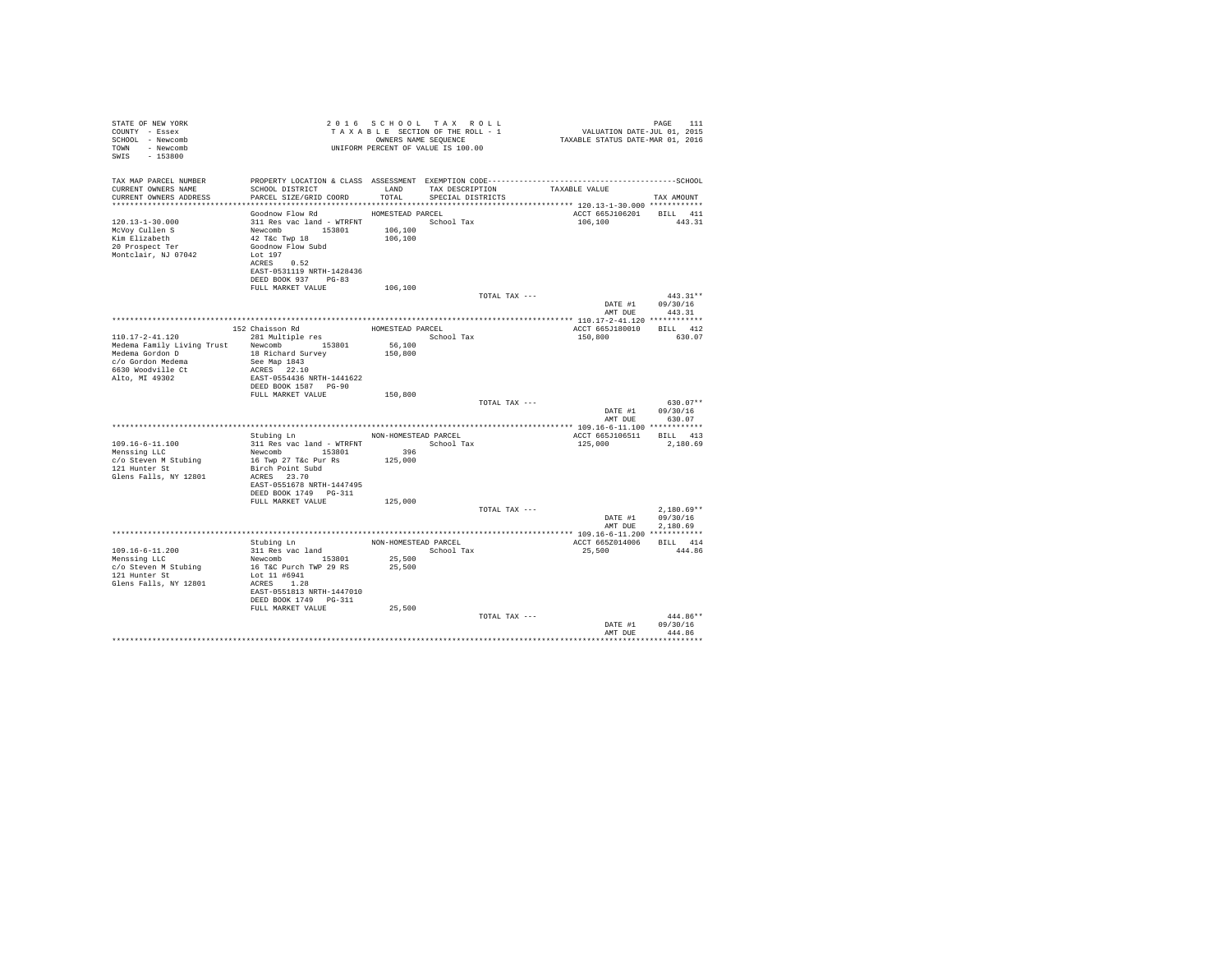| STATE OF NEW YORK<br>COUNTY - Essex<br>SCHOOL - Newcomb<br>TOWN - Newcomb<br>SWIS - 153800 |                                                                                                   |                | 2016 SCHOOL TAX ROLL<br>2010 SCHOOL TAX ROLL 20 VALUATION DATE-JUL 2015 PAGE 111<br>TAXABLE SECTION OF THE ROLL - 1<br>TAXABLE STATUS DATE-MAR 01, 2016<br>UNIFORM PERCENT OF VALUE IS 100.00 |               |                                     | PAGE<br>111      |
|--------------------------------------------------------------------------------------------|---------------------------------------------------------------------------------------------------|----------------|-----------------------------------------------------------------------------------------------------------------------------------------------------------------------------------------------|---------------|-------------------------------------|------------------|
| TAX MAP PARCEL NUMBER                                                                      | PROPERTY LOCATION & CLASS ASSESSMENT EXEMPTION CODE-----------------------------------SCHOOL      |                |                                                                                                                                                                                               |               |                                     |                  |
| CURRENT OWNERS NAME                                                                        | SCHOOL DISTRICT TAND TAX DESCRIPTION<br>PARCEL SIZE/GRID COORD TOTAL                              |                |                                                                                                                                                                                               |               | TAXABLE VALUE                       |                  |
| CURRENT OWNERS ADDRESS                                                                     |                                                                                                   |                | SPECIAL DISTRICTS                                                                                                                                                                             |               |                                     | TAX AMOUNT       |
|                                                                                            | Goodnow Flow Rd MOMESTEAD PARCEL                                                                  |                |                                                                                                                                                                                               |               | ACCT 665J106201 BILL 411            |                  |
| 120.13-1-30.000                                                                            |                                                                                                   |                |                                                                                                                                                                                               |               | 106,100 443.31                      |                  |
| McVoy Cullen S                                                                             |                                                                                                   |                |                                                                                                                                                                                               |               |                                     |                  |
| Kim Elizabeth                                                                              |                                                                                                   |                |                                                                                                                                                                                               |               |                                     |                  |
| 20 Prospect Ter                                                                            | 311 Res vac land - WTRFNT<br>Newcomb 153801 106,100<br>42 Téc Twp 18 106,100<br>600dnow Flow Subd |                |                                                                                                                                                                                               |               |                                     |                  |
| Montclair. NJ 07042                                                                        | Lot 197                                                                                           |                |                                                                                                                                                                                               |               |                                     |                  |
|                                                                                            | ACRES 0.52<br>EAST-0531119 NRTH-1428436                                                           |                |                                                                                                                                                                                               |               |                                     |                  |
|                                                                                            | DEED BOOK 937 PG-83                                                                               |                |                                                                                                                                                                                               |               |                                     |                  |
|                                                                                            | FULL MARKET VALUE                                                                                 | 106,100        |                                                                                                                                                                                               |               |                                     |                  |
|                                                                                            |                                                                                                   |                |                                                                                                                                                                                               | TOTAL TAX --- |                                     | $443.31**$       |
|                                                                                            |                                                                                                   |                |                                                                                                                                                                                               |               |                                     | DATE #1 09/30/16 |
|                                                                                            |                                                                                                   |                |                                                                                                                                                                                               |               | AMT DUE                             | 443.31           |
|                                                                                            |                                                                                                   |                |                                                                                                                                                                                               |               |                                     |                  |
| 110.17-2-41.120                                                                            |                                                                                                   |                |                                                                                                                                                                                               |               | ACCT 665J180010 BILL 412<br>150,800 | 630.07           |
| Medema Family Living Trust Newcomb 153801                                                  |                                                                                                   | 56,100         |                                                                                                                                                                                               |               |                                     |                  |
| Medema Gordon D 18 Richard Survey                                                          |                                                                                                   | 150,800        |                                                                                                                                                                                               |               |                                     |                  |
|                                                                                            |                                                                                                   |                |                                                                                                                                                                                               |               |                                     |                  |
|                                                                                            |                                                                                                   |                |                                                                                                                                                                                               |               |                                     |                  |
|                                                                                            |                                                                                                   |                |                                                                                                                                                                                               |               |                                     |                  |
|                                                                                            | DEED BOOK 1587 PG-90<br>FULL MARKET VALUE                                                         |                |                                                                                                                                                                                               |               |                                     |                  |
|                                                                                            |                                                                                                   | 150,800        |                                                                                                                                                                                               | TOTAL TAX --- |                                     | $630.07**$       |
|                                                                                            |                                                                                                   |                |                                                                                                                                                                                               |               |                                     | DATE #1 09/30/16 |
|                                                                                            |                                                                                                   |                |                                                                                                                                                                                               |               |                                     | AMT DUR 630.07   |
|                                                                                            |                                                                                                   |                |                                                                                                                                                                                               |               |                                     |                  |
|                                                                                            | Stubing Ln MON-HOMESTEAD PARCEL                                                                   |                |                                                                                                                                                                                               |               | ACCT 665J106511 BILL 413            |                  |
| 109.16-6-11.100                                                                            | $311$ Res vac land - WTRFNT $\hfill$ School Tax                                                   |                |                                                                                                                                                                                               |               | 125,000                             | 2,180.69         |
| Menssing LLC                                                                               | Newcomb 153801<br>16 Twp 27 T&c Pur Rs                                                            | 396<br>125,000 |                                                                                                                                                                                               |               |                                     |                  |
| c/o Steven M Stubing<br>121 Hunter St                                                      | Birch Point Subd                                                                                  |                |                                                                                                                                                                                               |               |                                     |                  |
| Glens Falls, NY 12801                                                                      | ACRES 23.70                                                                                       |                |                                                                                                                                                                                               |               |                                     |                  |
|                                                                                            | EAST-0551678 NRTH-1447495                                                                         |                |                                                                                                                                                                                               |               |                                     |                  |
|                                                                                            | DEED BOOK 1749 PG-311                                                                             |                |                                                                                                                                                                                               |               |                                     |                  |
|                                                                                            | FULL MARKET VALUE                                                                                 | 125,000        |                                                                                                                                                                                               |               |                                     |                  |
|                                                                                            |                                                                                                   |                |                                                                                                                                                                                               | TOTAL TAX --- |                                     | $2.180.69**$     |
|                                                                                            |                                                                                                   |                |                                                                                                                                                                                               |               |                                     | DATE #1 09/30/16 |
|                                                                                            |                                                                                                   |                |                                                                                                                                                                                               |               | AMT DUE                             | 2.180.69         |
|                                                                                            |                                                                                                   |                |                                                                                                                                                                                               |               | ACCT 665Z014006 BILL 414            |                  |
| $109.16 - 6 - 11.200$                                                                      | Stubing Ln<br>311 Res vac land MON-HOMESTEAD PARCEL<br>Newcomb 153801 25,500                      |                |                                                                                                                                                                                               |               | 25,500                              | 444.86           |
| Menssing LLC                                                                               |                                                                                                   |                |                                                                                                                                                                                               |               |                                     |                  |
| c/o Steven M Stubing                                                                       | 16 T&C Purch TWP 29 RS                                                                            | 25,500         |                                                                                                                                                                                               |               |                                     |                  |
| 121 Hunter St                                                                              | Lot 11 #6941                                                                                      |                |                                                                                                                                                                                               |               |                                     |                  |
| Glens Falls, NY 12801                                                                      | ACRES 1.28                                                                                        |                |                                                                                                                                                                                               |               |                                     |                  |
|                                                                                            | EAST-0551813 NRTH-1447010<br>DEED BOOK 1749 PG-311                                                |                |                                                                                                                                                                                               |               |                                     |                  |
|                                                                                            | FULL MARKET VALUE                                                                                 | 25,500         |                                                                                                                                                                                               |               |                                     |                  |
|                                                                                            |                                                                                                   |                |                                                                                                                                                                                               | TOTAL TAX --- |                                     | $444.86**$       |
|                                                                                            |                                                                                                   |                |                                                                                                                                                                                               |               | DATE #1                             | 09/30/16         |
|                                                                                            |                                                                                                   |                |                                                                                                                                                                                               |               | AMT DUE                             | 444 86           |
|                                                                                            |                                                                                                   |                |                                                                                                                                                                                               |               |                                     |                  |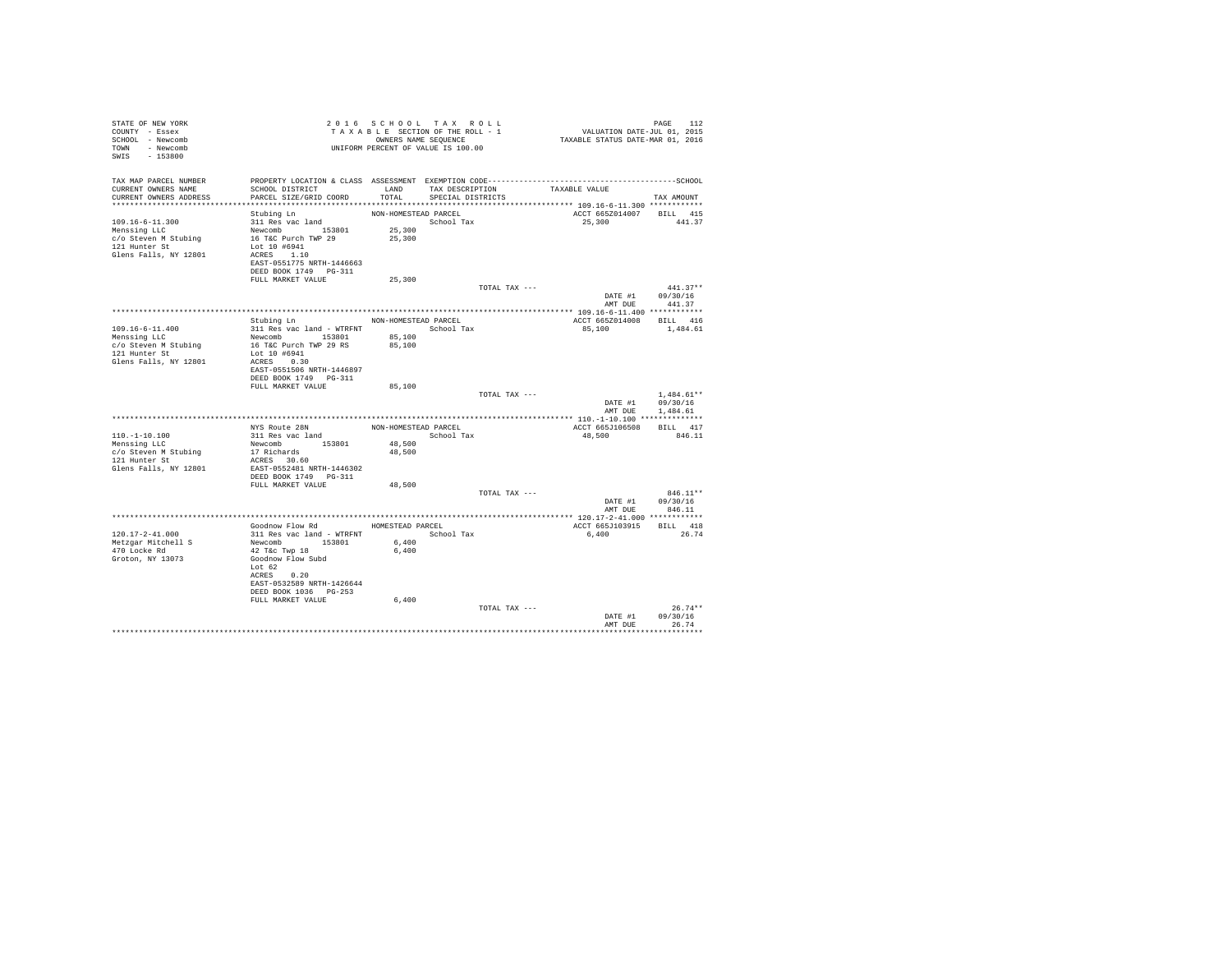| STATE OF NEW YORK<br>COUNTY - Essex<br>SCHOOL - Newcomb<br>TOWN - Newcomb<br>SWIS - 153800              | T A X A B B B B ANNE SEQUENCE<br>UNIFORM PERCENT OF VALUE IS 100.00                                                                                                                                    | 2016 SCHOOL TAX ROLL<br>TAXABLE SECTION OF THE ROLL - 1<br>OWNERS NAME SEQUENCE |                                           |               | PAGE 112<br>VALUATION DATE-JUL 01, 2015<br>TAXABLE STATUS DATE-MAR 01, 2016 |                                              |
|---------------------------------------------------------------------------------------------------------|--------------------------------------------------------------------------------------------------------------------------------------------------------------------------------------------------------|---------------------------------------------------------------------------------|-------------------------------------------|---------------|-----------------------------------------------------------------------------|----------------------------------------------|
| TAX MAP PARCEL NUMBER<br>CURRENT OWNERS NAME<br>CURRENT OWNERS ADDRESS                                  | PROPERTY LOCATION & CLASS ASSESSMENT EXEMPTION CODE-----------------------------------SCHOOL<br>SCHOOL DISTRICT<br>PARCEL SIZE/GRID COORD                                                              | TOTAL                                                                           | LAND TAX DESCRIPTION<br>SPECIAL DISTRICTS |               | TAXABLE VALUE                                                               | TAX AMOUNT                                   |
| 109.16-6-11.300<br>Menssing LLC<br>c/o Steven M Stubing<br>121 Hunter St<br>Glens Falls, NY 12801       | Stubing Ln<br>311 Res vac land<br>Newcomb<br>16 T&C Purch TWP 29<br>Lot 10 #6941<br>ACRES 1.10<br>EAST-0551775 NRTH-1446663<br>DEED BOOK 1749    PG-311<br>FULL MARKET VALUE                           | NON-HOMESTEAD PARCEL<br>School Tax<br>25,300<br>25,300<br>25,300                |                                           |               | ACCT 665Z014007 BILL 415<br>25,300                                          | 441.37                                       |
|                                                                                                         |                                                                                                                                                                                                        |                                                                                 |                                           | TOTAL TAX --- | DATE #1 09/30/16<br>AMT DUE                                                 | $441.37**$<br>441.37                         |
| $109.16 - 6 - 11.400$<br>Menssing LLC<br>c/o Steven M Stubing<br>121 Hunter St<br>Glens Falls, NY 12801 | Stubing Ln<br>311 Res vac land - WTRFNT                 School Tax<br>Newcomb 153801<br>16 T&C Purch TWP 29 RS<br>Lot 10 #6941<br>ACRES 0.30<br>EAST-0551506 NRTH-1446897<br>DEED BOOK 1749 PG-311     | NON-HOMESTEAD PARCEL<br>85,100<br>85,100                                        |                                           |               | ACCT 665Z014008 BILL 416<br>85,100 1,484.61                                 |                                              |
|                                                                                                         | FULL MARKET VALUE                                                                                                                                                                                      | 85,100                                                                          |                                           | TOTAL TAX --- | DATE #1<br>AMT DUE                                                          | $1.484.61**$<br>09/30/16<br>1,484.61         |
| $110. - 1 - 10.100$<br>Menssing LLC<br>c/o Steven M Stubing<br>121 Hunter St<br>Glens Falls, NY 12801   | NYS Route 28N<br>311 Res vac land<br>Newcomb 153801<br>17 Richards<br>ACRES 30.60<br>EAST-0552481 NRTH-1446302                                                                                         | NON-HOMESTEAD PARCEL<br>48,500<br>48,500                                        | School Tax                                |               | ACCT 665J106508<br>48,500                                                   | BILL 417<br>846.11                           |
|                                                                                                         | FULL MARKET VALUE                                                                                                                                                                                      | 48,500                                                                          |                                           | TOTAL TAX --- | DATE #1 09/30/16                                                            | $846.11**$<br>AMT DUE 846.11                 |
| 120.17-2-41.000<br>Metzgar Mitchell S<br>470 Locke Rd<br>Groton, NY 13073                               | Goodnow Flow Rd MOMESTEAD PARCEL<br>311 Res vac land - WTRFNT<br>Newcomb 153801<br>42 T&C Twp 18<br>Goodnow Flow Subd<br>Lot 62<br>ACRES 0.20<br>EAST-0532589 NRTH-1426644<br>DEED BOOK 1036    PG-253 | 6,400<br>6.400                                                                  | School Tax                                |               | ACCT 665J103915 BILL 418<br>6,400                                           | 26.74                                        |
|                                                                                                         | FULL MARKET VALUE                                                                                                                                                                                      | 6,400                                                                           |                                           | TOTAL TAX --- | DATE #1<br>AMT DUE                                                          | $26.74**$<br>09/30/16<br>26.74<br>********** |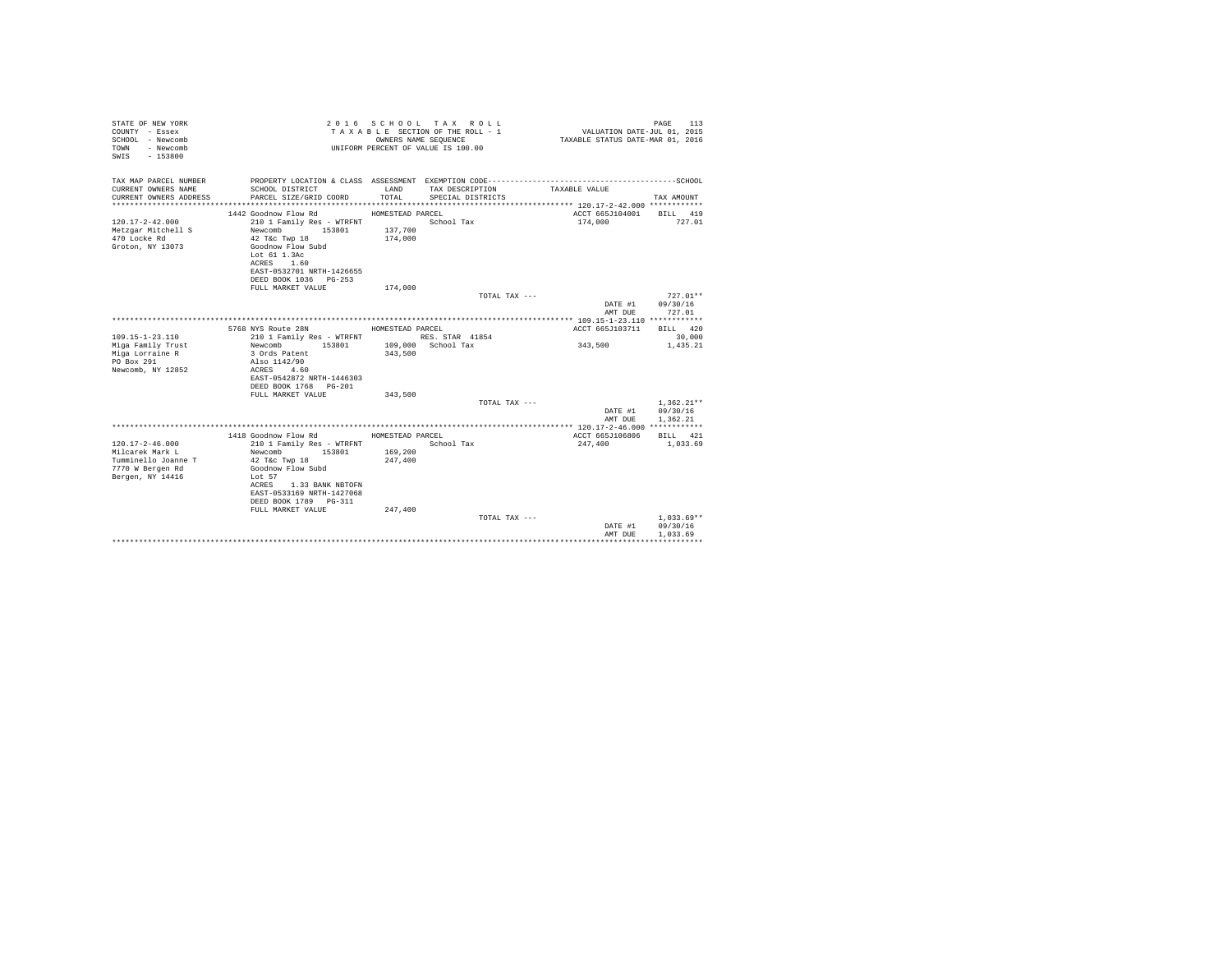| STATE OF NEW YORK<br>COUNTY - Essex<br>SCHOOL - Newcomb<br>- Newcomb<br>TOWN<br>SWIS<br>$-153800$ |                                                     | OWNERS NAME SEOUENCE | 2016 SCHOOL TAX ROLL<br>TAXABLE SECTION OF THE ROLL - 1<br>UNIFORM PERCENT OF VALUE IS 100.00 | VALUATION DATE-JUL 01, 2015<br>TAXABLE STATUS DATE-MAR 01, 2016 | PAGE<br>113  |
|---------------------------------------------------------------------------------------------------|-----------------------------------------------------|----------------------|-----------------------------------------------------------------------------------------------|-----------------------------------------------------------------|--------------|
| TAX MAP PARCEL NUMBER                                                                             |                                                     |                      | PROPERTY LOCATION & CLASS ASSESSMENT EXEMPTION CODE-----------------------------------SCHOOL  |                                                                 |              |
| CURRENT OWNERS NAME                                                                               | SCHOOL DISTRICT                                     | LAND                 | TAX DESCRIPTION                                                                               | TAXABLE VALUE                                                   |              |
| CURRENT OWNERS ADDRESS                                                                            | PARCEL SIZE/GRID COORD                              | TOTAL.               | SPECIAL DISTRICTS                                                                             |                                                                 | TAX AMOUNT   |
|                                                                                                   | 1442 Goodnow Flow Rd                                | HOMESTEAD PARCEL     |                                                                                               | ACCT 665J104001                                                 | BILL 419     |
| $120.17 - 2 - 42.000$                                                                             | 210 1 Family Res - WTRFNT                           |                      | School Tax                                                                                    | 174,000                                                         | 727.01       |
| Metzgar Mitchell S                                                                                | Newcomb<br>153801                                   | 137,700              |                                                                                               |                                                                 |              |
| 470 Locke Rd                                                                                      | $42$ T&c Twp $18$                                   | 174,000              |                                                                                               |                                                                 |              |
| Groton, NY 13073                                                                                  | Goodnow Flow Subd                                   |                      |                                                                                               |                                                                 |              |
|                                                                                                   | Lot 61 1.3Ac<br>ACRES<br>1.60                       |                      |                                                                                               |                                                                 |              |
|                                                                                                   | EAST-0532701 NRTH-1426655                           |                      |                                                                                               |                                                                 |              |
|                                                                                                   | DEED BOOK 1036 PG-253                               |                      |                                                                                               |                                                                 |              |
|                                                                                                   | FULL MARKET VALUE                                   | 174,000              |                                                                                               |                                                                 |              |
|                                                                                                   |                                                     |                      | TOTAL TAX ---                                                                                 |                                                                 | $727.01**$   |
|                                                                                                   |                                                     |                      |                                                                                               | DATE #1                                                         | 09/30/16     |
|                                                                                                   |                                                     |                      |                                                                                               | AMT DUE                                                         | 727.01       |
|                                                                                                   | 5768 NYS Route 28N                                  | HOMESTEAD PARCEL     |                                                                                               | ACCT 665J103711                                                 | BILL 420     |
| $109.15 - 1 - 23.110$                                                                             | 210 1 Family Res - WTRFNT                           |                      | RES. STAR 41854                                                                               |                                                                 | 30,000       |
| Miga Family Trust                                                                                 | Newcomb<br>153801                                   |                      | 109,000 School Tax                                                                            | 343,500                                                         | 1,435.21     |
| Miga Lorraine R                                                                                   | 3 Ords Patent                                       | 343,500              |                                                                                               |                                                                 |              |
| PO Box 291                                                                                        | Also 1142/90                                        |                      |                                                                                               |                                                                 |              |
| Newcomb, NY 12852                                                                                 | ACRES<br>4.60<br>EAST-0542872 NRTH-1446303          |                      |                                                                                               |                                                                 |              |
|                                                                                                   | DEED BOOK 1768 PG-201                               |                      |                                                                                               |                                                                 |              |
|                                                                                                   | FULL MARKET VALUE                                   | 343,500              |                                                                                               |                                                                 |              |
|                                                                                                   |                                                     |                      | TOTAL TAX ---                                                                                 |                                                                 | $1.362.21**$ |
|                                                                                                   |                                                     |                      |                                                                                               | DATE #1                                                         | 09/30/16     |
|                                                                                                   |                                                     |                      |                                                                                               | AMT DUE                                                         | 1.362.21     |
|                                                                                                   | 1418 Goodnow Flow Rd                                | HOMESTEAD PARCEL     |                                                                                               | ACCT 665J106806                                                 | BILL 421     |
| $120.17 - 2 - 46.000$                                                                             | 210 1 Family Res - WTRFNT                           |                      | School Tax                                                                                    | 247,400                                                         | 1,033.69     |
| Milcarek Mark L                                                                                   | 153801<br>Newcomb                                   | 169,200              |                                                                                               |                                                                 |              |
| Tumminello Joanne T                                                                               | 42 T&c Twp 18                                       | 247.400              |                                                                                               |                                                                 |              |
| 7770 W Bergen Rd                                                                                  | Goodnow Flow Subd                                   |                      |                                                                                               |                                                                 |              |
| Bergen, NY 14416                                                                                  | Lot 57                                              |                      |                                                                                               |                                                                 |              |
|                                                                                                   | ACRES 1.33 BANK NBTOFN<br>EAST-0533169 NRTH-1427068 |                      |                                                                                               |                                                                 |              |
|                                                                                                   | DEED BOOK 1789 PG-311                               |                      |                                                                                               |                                                                 |              |
|                                                                                                   | FULL MARKET VALUE                                   | 247,400              |                                                                                               |                                                                 |              |
|                                                                                                   |                                                     |                      | TOTAL TAX ---                                                                                 |                                                                 | $1,033.69**$ |
|                                                                                                   |                                                     |                      |                                                                                               | DATE #1                                                         | 09/30/16     |
|                                                                                                   |                                                     |                      |                                                                                               | AMT DUE                                                         | 1,033.69     |
|                                                                                                   |                                                     |                      |                                                                                               |                                                                 |              |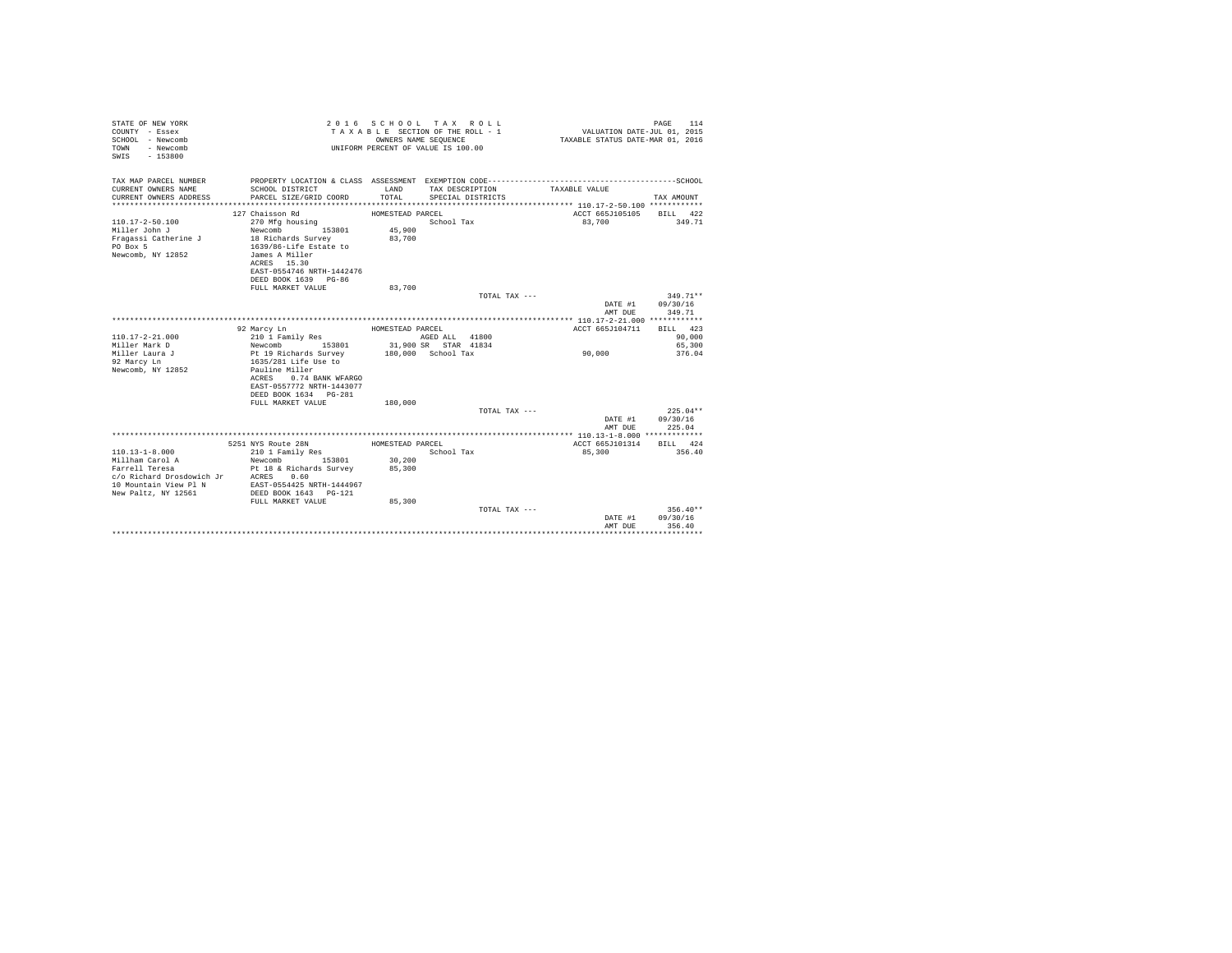| STATE OF NEW YORK<br>COUNTY - Essex<br>SCHOOL - Newcomb<br>- Newcomb<br>TOWN<br>$-153800$<br>SWIS |                                       | OWNERS NAME SEQUENCE | 2016 SCHOOL TAX ROLL<br>TAXABLE SECTION OF THE ROLL - 1<br>UNIFORM PERCENT OF VALUE IS 100.00 | VALUATION DATE-JUL 01, 2015<br>TAXABLE STATUS DATE-MAR 01, 2016 | PAGE<br>114 |
|---------------------------------------------------------------------------------------------------|---------------------------------------|----------------------|-----------------------------------------------------------------------------------------------|-----------------------------------------------------------------|-------------|
| TAX MAP PARCEL NUMBER                                                                             |                                       |                      |                                                                                               |                                                                 |             |
| CURRENT OWNERS NAME                                                                               | SCHOOL DISTRICT                       | LAND                 | TAX DESCRIPTION                                                                               | TAXABLE VALUE                                                   |             |
| CURRENT OWNERS ADDRESS                                                                            | PARCEL SIZE/GRID COORD                | TOTAL.               | SPECIAL DISTRICTS                                                                             |                                                                 | TAX AMOUNT  |
|                                                                                                   |                                       |                      |                                                                                               |                                                                 |             |
|                                                                                                   | 127 Chaisson Rd                       | HOMESTEAD PARCEL     |                                                                                               | ACCT 665J105105                                                 | BILL 422    |
| $110.17 - 2 - 50.100$                                                                             | 270 Mfg housing                       |                      | School Tax                                                                                    | 83,700                                                          | 349.71      |
| Miller John J                                                                                     | 153801<br>Newcomb                     | 45,900               |                                                                                               |                                                                 |             |
| Fragassi Catherine J                                                                              | 18 Richards Survey                    | 83,700               |                                                                                               |                                                                 |             |
| PO Box 5                                                                                          | 1639/86-Life Estate to                |                      |                                                                                               |                                                                 |             |
| Newcomb, NY 12852                                                                                 | James A Miller                        |                      |                                                                                               |                                                                 |             |
|                                                                                                   | ACRES 15.30                           |                      |                                                                                               |                                                                 |             |
|                                                                                                   | EAST-0554746 NRTH-1442476             |                      |                                                                                               |                                                                 |             |
|                                                                                                   | DEED BOOK 1639 PG-86                  |                      |                                                                                               |                                                                 |             |
|                                                                                                   | FULL MARKET VALUE                     | 83,700               |                                                                                               |                                                                 |             |
|                                                                                                   |                                       |                      | TOTAL TAX ---                                                                                 |                                                                 | $349.71**$  |
|                                                                                                   |                                       |                      |                                                                                               | DATE #1                                                         | 09/30/16    |
|                                                                                                   |                                       |                      |                                                                                               | AMT DUE                                                         | 349.71      |
|                                                                                                   | 92 Marcy Ln                           | HOMESTEAD PARCEL     |                                                                                               | ACCT 665J104711                                                 | BILL 423    |
| $110.17 - 2 - 21.000$                                                                             | 210 1 Family Res                      |                      | AGED ALL 41800                                                                                |                                                                 | 90,000      |
| Miller Mark D                                                                                     | Newcomb<br>153801                     |                      | 31,900 SR STAR 41834                                                                          |                                                                 | 65,300      |
| Miller Laura J                                                                                    | Pt 19 Richards Survey                 |                      | 180.000 School Tax                                                                            | 90,000                                                          | 376.04      |
| 92 Marcy Ln                                                                                       | 1635/281 Life Use to                  |                      |                                                                                               |                                                                 |             |
| Newcomb, NY 12852                                                                                 | Pauline Miller                        |                      |                                                                                               |                                                                 |             |
|                                                                                                   | 0.74 BANK WFARGO<br>ACRES             |                      |                                                                                               |                                                                 |             |
|                                                                                                   | EAST-0557772 NRTH-1443077             |                      |                                                                                               |                                                                 |             |
|                                                                                                   | DEED BOOK 1634 PG-281                 |                      |                                                                                               |                                                                 |             |
|                                                                                                   | FULL MARKET VALUE                     | 180,000              |                                                                                               |                                                                 |             |
|                                                                                                   |                                       |                      | TOTAL TAX $---$                                                                               |                                                                 | $225.04**$  |
|                                                                                                   |                                       |                      |                                                                                               | DATE #1                                                         | 09/30/16    |
|                                                                                                   |                                       |                      |                                                                                               | AMT DUE                                                         | 225.04      |
|                                                                                                   |                                       |                      |                                                                                               |                                                                 |             |
| $110.13 - 1 - 8.000$                                                                              | 5251 NYS Route 28N                    | HOMESTEAD PARCEL     | School Tax                                                                                    | ACCT 665J101314<br>85,300                                       | BILL 424    |
| Millham Carol A                                                                                   | 210 1 Family Res<br>Newcomb<br>153801 | 30,200               |                                                                                               |                                                                 | 356.40      |
| Farrell Teresa                                                                                    | Pt 18 & Richards Survey               | 85,300               |                                                                                               |                                                                 |             |
| c/o Richard Drosdowich Jr ACRES 0.60                                                              |                                       |                      |                                                                                               |                                                                 |             |
| 10 Mountain View Pl N                                                                             | EAST-0554425 NRTH-1444967             |                      |                                                                                               |                                                                 |             |
| New Paltz, NY 12561                                                                               | DEED BOOK 1643 PG-121                 |                      |                                                                                               |                                                                 |             |
|                                                                                                   | FULL MARKET VALUE                     | 85,300               |                                                                                               |                                                                 |             |
|                                                                                                   |                                       |                      | TOTAL TAX ---                                                                                 |                                                                 | $356.40**$  |
|                                                                                                   |                                       |                      |                                                                                               | DATE #1                                                         | 09/30/16    |
|                                                                                                   |                                       |                      |                                                                                               | AMT DUE                                                         | 356.40      |
|                                                                                                   |                                       |                      |                                                                                               |                                                                 |             |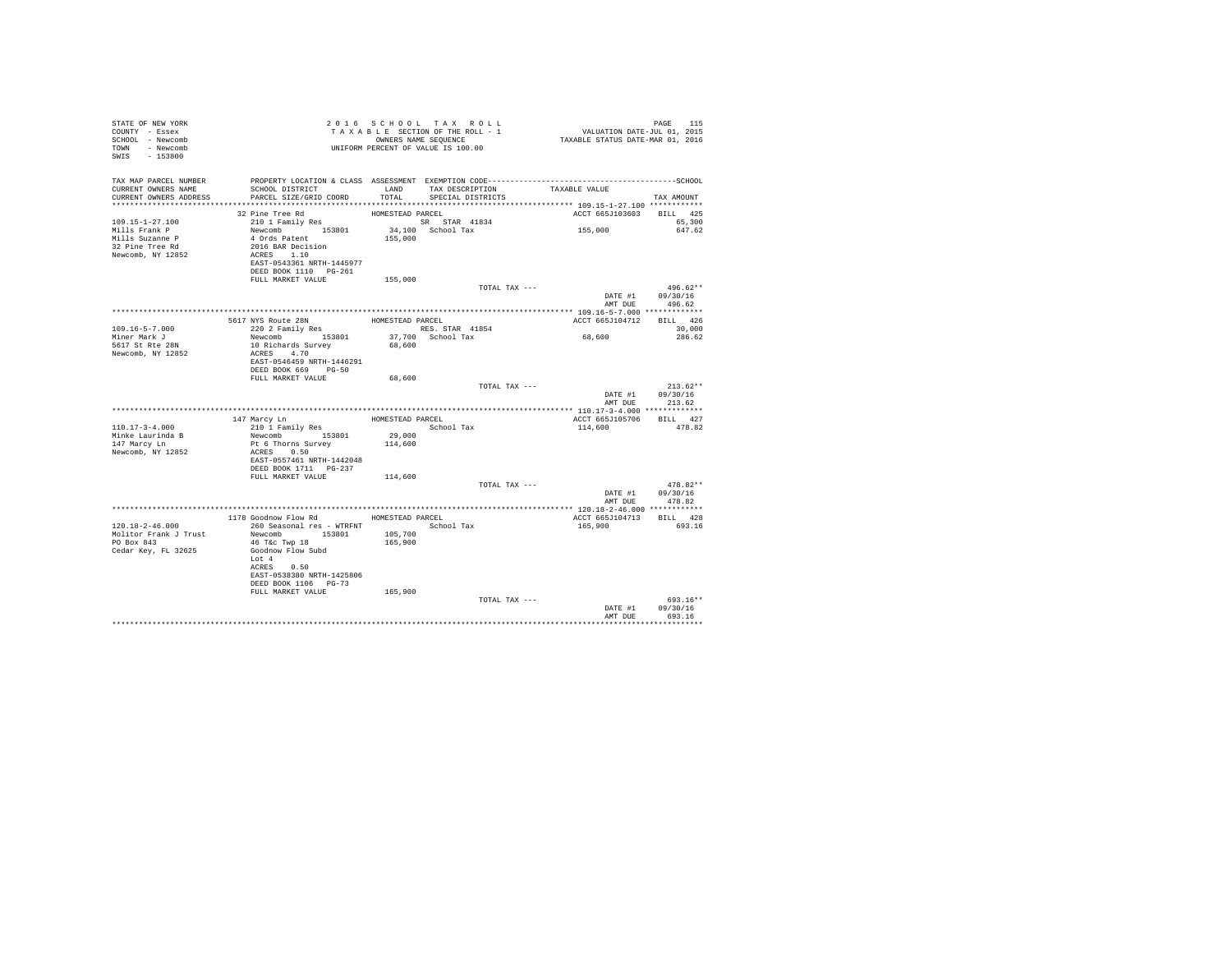| STATE OF NEW YORK<br>COUNTY - Essex<br>SCHOOL - Newcomb<br>TOWN - Newcomb<br>SWIS - 153800 | T A X A B B B B B B B SEQUENCE<br>UNIFORM PERCENT OF VALUE IS 100.00 |                  | 2016 SCHOOL TAX ROLL<br>TAXABLE SECTION OF THE ROLL - 1<br>OWNERS NAME SEQUENCE | PAGE 115<br>VALUATION DATE-JUL 01, 2015<br>TAXABLE STATUS DATE-MAR 01, 2016 |                                    |
|--------------------------------------------------------------------------------------------|----------------------------------------------------------------------|------------------|---------------------------------------------------------------------------------|-----------------------------------------------------------------------------|------------------------------------|
| TAX MAP PARCEL NUMBER<br>CURRENT OWNERS NAME                                               | SCHOOL DISTRICT                                                      |                  | LAND TAX DESCRIPTION TAXABLE VALUE                                              |                                                                             |                                    |
| CURRENT OWNERS ADDRESS                                                                     | PARCEL SIZE/GRID COORD                                               |                  | TOTAL SPECIAL DISTRICTS                                                         |                                                                             | TAX AMOUNT                         |
|                                                                                            | 32 Pine Tree Rd                                                      | HOMESTEAD PARCEL |                                                                                 | ACCT 665J103603 BILL 425                                                    |                                    |
| 109.15-1-27.100                                                                            | 210 1 Family Res                                                     |                  | SR STAR 41834                                                                   |                                                                             | 65,300                             |
| Mills Frank P                                                                              |                                                                      |                  | 34,100 School Tax                                                               | 155,000                                                                     | 647.62                             |
| Mills Suzanne P                                                                            |                                                                      | 155,000          |                                                                                 |                                                                             |                                    |
| 32 Pine Tree Rd<br>Newcomb, NY 12852                                                       | Newcomb 153801<br>4 Ords Patent<br>2016 BAR Decision<br>ACRES 1.10   |                  |                                                                                 |                                                                             |                                    |
|                                                                                            | EAST-0543361 NRTH-1445977<br>DEED BOOK 1110 PG-261                   |                  |                                                                                 |                                                                             |                                    |
|                                                                                            | FULL MARKET VALUE                                                    | 155,000          |                                                                                 |                                                                             |                                    |
|                                                                                            |                                                                      |                  | TOTAL TAX ---                                                                   |                                                                             | $496.62**$                         |
|                                                                                            |                                                                      |                  |                                                                                 |                                                                             | DATE #1 09/30/16<br>AMT DUE 496.62 |
|                                                                                            |                                                                      |                  |                                                                                 |                                                                             |                                    |
|                                                                                            | 5617 NYS Route 28N HOMESTEAD PARCEL<br>220 2 Family Res RES. STAR    |                  |                                                                                 | ACCT 665J104712 BILL 426                                                    |                                    |
| $109.16 - 5 - 7.000$                                                                       |                                                                      |                  | RES. STAR 41854                                                                 |                                                                             | 30,000                             |
| Miner Mark J                                                                               | Newcomb 153801                                                       |                  | 37,700 School Tax                                                               | 68,600                                                                      | 286.62                             |
| 5617 St Rte 28N<br>Newcomb, NY 12852                                                       | 10 Richards Survey<br>ACRES 4.70                                     | 68,600           |                                                                                 |                                                                             |                                    |
|                                                                                            | EAST-0546459 NRTH-1446291                                            |                  |                                                                                 |                                                                             |                                    |
|                                                                                            | DEED BOOK 669 PG-50                                                  |                  |                                                                                 |                                                                             |                                    |
|                                                                                            | FULL MARKET VALUE                                                    | 68,600           |                                                                                 |                                                                             |                                    |
|                                                                                            |                                                                      |                  | TOTAL TAX ---                                                                   |                                                                             | $213.62**$<br>DATE #1 09/30/16     |
|                                                                                            |                                                                      |                  |                                                                                 | AMT DUE                                                                     | 213.62                             |
|                                                                                            |                                                                      |                  |                                                                                 |                                                                             |                                    |
|                                                                                            | 147 Marcy Ln                                                         | HOMESTEAD PARCEL |                                                                                 | ACCT 665J105706 BILL 427                                                    |                                    |
| 110.17-3-4.000<br>Minke Laurinda B                                                         | 210 1 Family Res<br>Newcomb 153801 29,000                            |                  | School Tax                                                                      | 114,600                                                                     | 478.82                             |
| 147 Marcy Ln                                                                               | Pt 6 Thorns Survey                                                   | 114,600          |                                                                                 |                                                                             |                                    |
| Newcomb, NY 12852                                                                          | ACRES 0.50                                                           |                  |                                                                                 |                                                                             |                                    |
|                                                                                            | EAST-0557461 NRTH-1442048                                            |                  |                                                                                 |                                                                             |                                    |
|                                                                                            | DEED BOOK 1711    PG-237<br>FULL MARKET VALUE                        | 114,600          |                                                                                 |                                                                             |                                    |
|                                                                                            |                                                                      |                  | TOTAL TAX ---                                                                   |                                                                             | $478.82**$                         |
|                                                                                            |                                                                      |                  |                                                                                 |                                                                             | DATE #1 09/30/16                   |
|                                                                                            |                                                                      |                  |                                                                                 |                                                                             | AMT DUE 478.82                     |
|                                                                                            | 1178 Goodnow Flow Rd MOMESTEAD PARCEL                                |                  |                                                                                 | ACCT 665J104713 BILL 428                                                    |                                    |
| 120.18-2-46.000                                                                            | 260 Seasonal res - WTRFNT <a></a> School Tax                         |                  |                                                                                 | 165,900                                                                     | 693.16                             |
|                                                                                            | Molitor Frank J Trust Mewcomb 153801 105,700                         |                  |                                                                                 |                                                                             |                                    |
| PO Box 843                                                                                 | 46 T&C Twp 18                                                        | 165,900          |                                                                                 |                                                                             |                                    |
| Cedar Key, FL 32625                                                                        | Goodnow Flow Subd<br>Lot 4                                           |                  |                                                                                 |                                                                             |                                    |
|                                                                                            | ACRES 0.50                                                           |                  |                                                                                 |                                                                             |                                    |
|                                                                                            | EAST-0538380 NRTH-1425806                                            |                  |                                                                                 |                                                                             |                                    |
|                                                                                            | DEED BOOK 1106 PG-73                                                 |                  |                                                                                 |                                                                             |                                    |
|                                                                                            | FULL MARKET VALUE                                                    | 165,900          | TOTAL TAX ---                                                                   |                                                                             | 693.16**                           |
|                                                                                            |                                                                      |                  |                                                                                 | DATE #1                                                                     | 09/30/16                           |
|                                                                                            |                                                                      |                  |                                                                                 | AMT DUE                                                                     | 693.16                             |
|                                                                                            |                                                                      |                  |                                                                                 |                                                                             |                                    |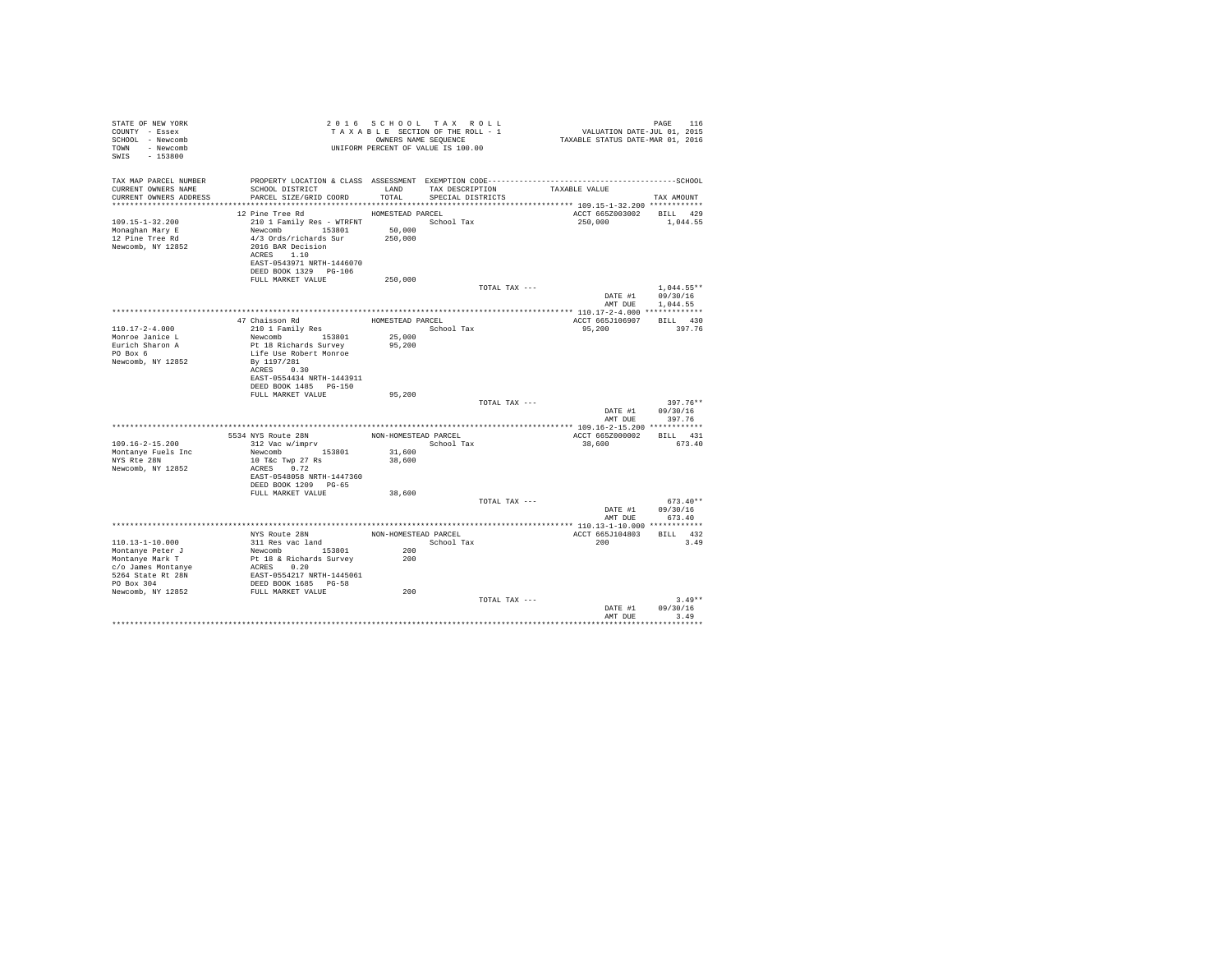| STATE OF NEW YORK<br>COUNTY - Essex<br>SCHOOL - Newcomb<br>TOWN - Newcomb<br>SWIS - 153800 |                                                                                                                                                               |                      | 2016 SCHOOL TAX ROLL<br>TAXABLE SECTION OF THE ROLL - 1<br>OWNERS NAME SEOUENCE<br>UNIFORM PERCENT OF VALUE IS 100.00 |               | VALUATION DATE-JUL 01, 2015<br>TAXABLE STATUS DATE-MAR 01, 2016 | PAGE<br>116                      |  |
|--------------------------------------------------------------------------------------------|---------------------------------------------------------------------------------------------------------------------------------------------------------------|----------------------|-----------------------------------------------------------------------------------------------------------------------|---------------|-----------------------------------------------------------------|----------------------------------|--|
| TAX MAP PARCEL NUMBER<br>CURRENT OWNERS NAME<br>CURRENT OWNERS ADDRESS                     | PROPERTY LOCATION & CLASS ASSESSMENT EXEMPTION CODE-----------------------------------SCHOOL<br>SCHOOL DISTRICT<br>PARCEL SIZE/GRID COORD                     | LAND<br>TOTAL        | TAX DESCRIPTION<br>SPECIAL DISTRICTS                                                                                  |               | TAXABLE VALUE                                                   | TAX AMOUNT                       |  |
|                                                                                            | 12 Pine Tree Rd                                                                                                                                               | HOMESTEAD PARCEL     |                                                                                                                       |               | ACCT 665Z003002 BILL 429                                        |                                  |  |
| $109.15 - 1 - 32.200$<br>Monaghan Mary E<br>12 Pine Tree Rd<br>Newcomb, NY 12852           | 210 1 Family Res - WTRFNT<br>Newcomb 153801<br>4/3 Ords/richards Sur<br>2016 BAR Decision<br>ACRES 1.10<br>EAST-0543971 NRTH-1446070<br>DEED BOOK 1329 PG-106 | 50,000<br>250,000    | School Tax                                                                                                            |               | 250,000                                                         | 1,044.55                         |  |
|                                                                                            | FULL MARKET VALUE                                                                                                                                             | 250,000              |                                                                                                                       |               |                                                                 |                                  |  |
|                                                                                            |                                                                                                                                                               |                      |                                                                                                                       | TOTAL TAX --- | DATE #1                                                         | $1.044.55**$<br>09/30/16         |  |
|                                                                                            |                                                                                                                                                               |                      |                                                                                                                       |               | AMT DUE                                                         | 1,044.55                         |  |
|                                                                                            |                                                                                                                                                               |                      |                                                                                                                       |               |                                                                 |                                  |  |
|                                                                                            | 47 Chaisson Rd                                                                                                                                                | HOMESTEAD PARCEL     |                                                                                                                       |               | ACCT 665J106907                                                 | BILL 430                         |  |
| $110.17 - 2 - 4.000$                                                                       | 210 1 Family Res                                                                                                                                              |                      | School Tax                                                                                                            |               | 95,200                                                          | 397.76                           |  |
| Monroe Janice L                                                                            | Newcomb 153801                                                                                                                                                | 25,000               |                                                                                                                       |               |                                                                 |                                  |  |
| Eurich Sharon A                                                                            | Pt 18 Richards Survey                                                                                                                                         | 95,200               |                                                                                                                       |               |                                                                 |                                  |  |
| PO Box 6                                                                                   | Life Use Robert Monroe                                                                                                                                        |                      |                                                                                                                       |               |                                                                 |                                  |  |
| Newcomb, NY 12852                                                                          | By 1197/281<br>ACRES 0.30<br>EAST-0554434 NRTH-1443911                                                                                                        |                      |                                                                                                                       |               |                                                                 |                                  |  |
|                                                                                            | DEED BOOK 1485 PG-150                                                                                                                                         |                      |                                                                                                                       |               |                                                                 |                                  |  |
|                                                                                            | FULL MARKET VALUE                                                                                                                                             | 95,200               |                                                                                                                       |               |                                                                 |                                  |  |
|                                                                                            |                                                                                                                                                               |                      |                                                                                                                       | TOTAL TAX --- | DATE #1<br>AMT DUE                                              | $397.76**$<br>09/30/16<br>397.76 |  |
|                                                                                            |                                                                                                                                                               |                      |                                                                                                                       |               |                                                                 |                                  |  |
|                                                                                            | NYS Route 28N<br>312 Vac w/imprv<br>5534 NYS Route 28N                                                                                                        | NON-HOMESTEAD PARCEL |                                                                                                                       |               | ACCT 665Z000002                                                 | BILL 431                         |  |
| $109.16 - 2 - 15.200$                                                                      |                                                                                                                                                               |                      | School Tax                                                                                                            |               | 38,600                                                          | 673.40                           |  |
| Montanye Fuels Inc                                                                         | Newcomb 153801                                                                                                                                                | 31,600               |                                                                                                                       |               |                                                                 |                                  |  |
| NYS Rte 28N                                                                                | 10 T&c Twp 27 Rs                                                                                                                                              | 38,600               |                                                                                                                       |               |                                                                 |                                  |  |
| Newcomb, NY 12852                                                                          | ACRES 0.72<br>EAST-0548058 NRTH-1447360<br>DEED BOOK 1209 PG-65                                                                                               |                      |                                                                                                                       |               |                                                                 |                                  |  |
|                                                                                            | FULL MARKET VALUE                                                                                                                                             | 38,600               |                                                                                                                       |               |                                                                 |                                  |  |
|                                                                                            |                                                                                                                                                               |                      |                                                                                                                       | TOTAL TAX --- |                                                                 | $673.40**$                       |  |
|                                                                                            |                                                                                                                                                               |                      |                                                                                                                       |               | DATE #1                                                         | 09/30/16                         |  |
|                                                                                            |                                                                                                                                                               |                      |                                                                                                                       |               | AMT DUE                                                         | 673.40                           |  |
|                                                                                            |                                                                                                                                                               |                      |                                                                                                                       |               |                                                                 |                                  |  |
|                                                                                            | NYS Route 28N                                                                                                                                                 | NON-HOMESTEAD PARCEL |                                                                                                                       |               | ACCT 665J104803                                                 | BILL 432                         |  |
| $110.13 - 1 - 10.000$                                                                      | 311 Res vac land                                                                                                                                              |                      | School Tax                                                                                                            |               | 200                                                             | 3.49                             |  |
| Montanye Peter J                                                                           | Newcomb 153801                                                                                                                                                | 200                  |                                                                                                                       |               |                                                                 |                                  |  |
| Montanye Mark T                                                                            | Pt 18 & Richards Survey                                                                                                                                       | 200                  |                                                                                                                       |               |                                                                 |                                  |  |
| c/o James Montanye                                                                         | ACRES 0.20                                                                                                                                                    |                      |                                                                                                                       |               |                                                                 |                                  |  |
| 5264 State Rt 28N<br>PO Box 304                                                            | EAST-0554217 NRTH-1445061                                                                                                                                     |                      |                                                                                                                       |               |                                                                 |                                  |  |
| Newcomb, NY 12852                                                                          | DEED BOOK 1685 PG-58<br>FULL MARKET VALUE                                                                                                                     | 200                  |                                                                                                                       |               |                                                                 |                                  |  |
|                                                                                            |                                                                                                                                                               |                      |                                                                                                                       | TOTAL TAX --- |                                                                 | $3.49**$                         |  |
|                                                                                            |                                                                                                                                                               |                      |                                                                                                                       |               | DATE #1                                                         | 09/30/16                         |  |
|                                                                                            |                                                                                                                                                               |                      |                                                                                                                       |               | AMT DUR                                                         | 3.49                             |  |
|                                                                                            |                                                                                                                                                               |                      |                                                                                                                       |               |                                                                 | .                                |  |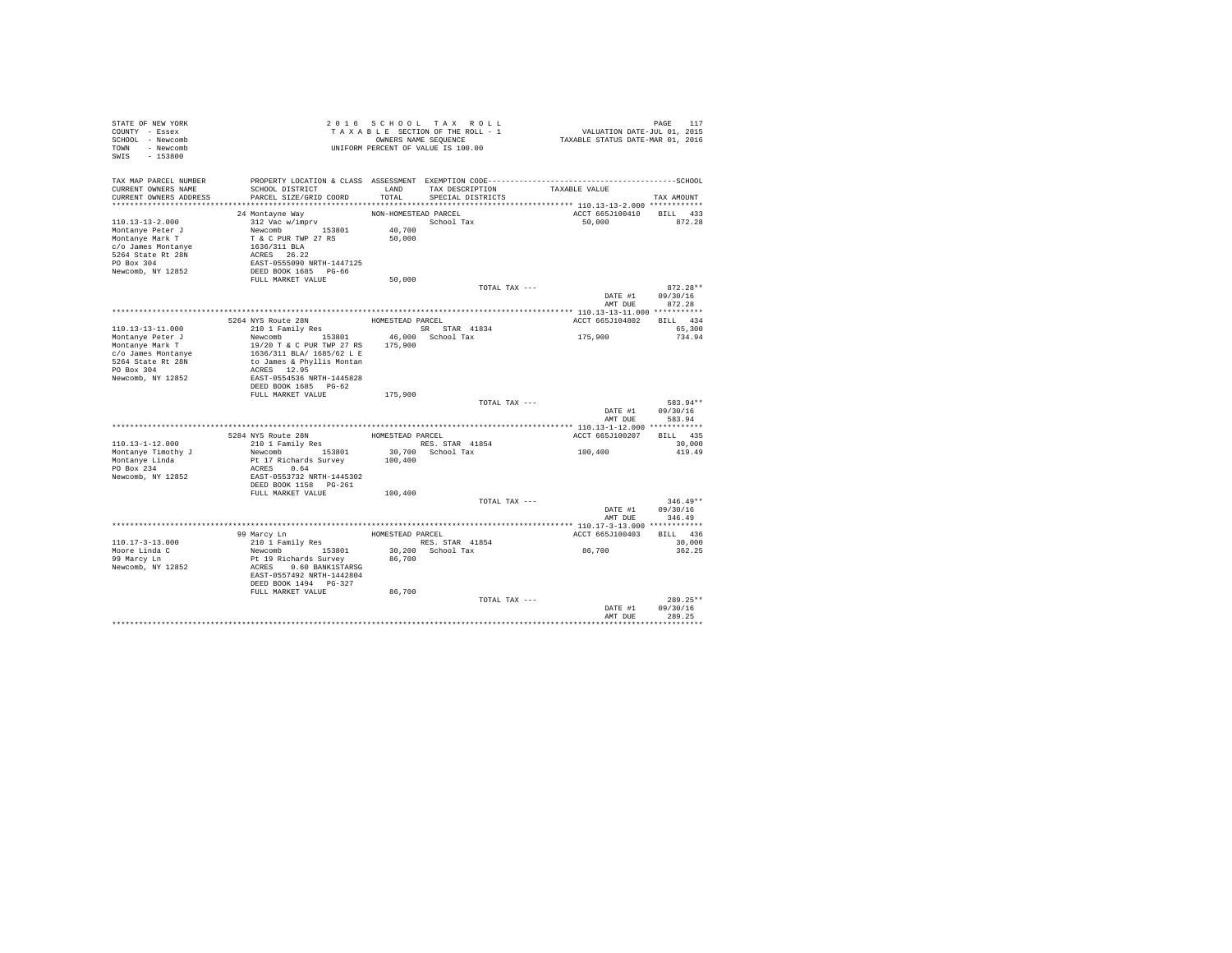| STATE OF NEW YORK<br>COUNTY - Essex<br>SCHOOL - Newcomb<br>- Newcomb<br>TOWN<br>$-153800$<br>SWIS                                          |                                                                                                                                                                 |                                          | 2016 SCHOOL TAX ROLL<br>TAXABLE SECTION OF THE ROLL - 1<br>OWNERS NAME SEOUENCE<br>UNIFORM PERCENT OF VALUE IS 100.00 | PAGE 117<br>101, VALUATION DATE-JUL 01<br>2016 TAXABLE STATUS DATE-MAR | PAGE<br>117                      |
|--------------------------------------------------------------------------------------------------------------------------------------------|-----------------------------------------------------------------------------------------------------------------------------------------------------------------|------------------------------------------|-----------------------------------------------------------------------------------------------------------------------|------------------------------------------------------------------------|----------------------------------|
| TAX MAP PARCEL NUMBER<br>CURRENT OWNERS NAME<br>CURRENT OWNERS ADDRESS                                                                     | SCHOOL DISTRICT<br>PARCEL SIZE/GRID COORD                                                                                                                       | LAND<br>TOTAL                            | TAX DESCRIPTION<br>SPECIAL DISTRICTS                                                                                  | TAXABLE VALUE                                                          | TAX AMOUNT                       |
| $110.13 - 13 - 2.000$<br>Montanye Peter J<br>Montanye Mark T<br>c/o James Montanye<br>5264 State Rt 28N<br>PO Box 304<br>Newcomb, NY 12852 | 24 Montavne Wav<br>312 Vac w/imprv<br>Newcomb 153801<br>T & C PUR TWP 27 RS<br>1636/311 BLA<br>ACRES 26.22<br>EAST-0555090 NRTH-1447125<br>DEED BOOK 1685 PG-66 | NON-HOMESTEAD PARCEL<br>40,700<br>50,000 | School Tax                                                                                                            | ACCT 665J100410<br>50,000                                              | BILL 433<br>872.28               |
|                                                                                                                                            | FULL MARKET VALUE                                                                                                                                               | 50,000                                   | TOTAL TAX ---                                                                                                         | DATE #1                                                                | $872.28**$<br>09/30/16           |
|                                                                                                                                            |                                                                                                                                                                 |                                          |                                                                                                                       | AMT DUE                                                                | 872.28                           |
|                                                                                                                                            | 5264 NYS Route 28N                                                                                                                                              |                                          |                                                                                                                       |                                                                        | BILL 434                         |
| $110.13 - 13 - 11.000$                                                                                                                     | 210 1 Family Res                                                                                                                                                | HOMESTEAD PARCEL                         |                                                                                                                       | ACCT 665J104802                                                        |                                  |
| Montanye Peter J                                                                                                                           | Newcomb 153801                                                                                                                                                  |                                          | SR STAR 41834<br>46,000 School Tax                                                                                    | 175,900                                                                | 65,300<br>734.94                 |
| Montanye Mark T<br>c/o James Montanye<br>5264 State Rt 28N<br>PO Box 304<br>Newcomb, NY 12852                                              | 19/20 T & C PUR TWP 27 RS<br>1636/311 BLA/ 1685/62 L E<br>to James & Phyllis Montan<br>ACRES 12.95<br>EAST-0554536 NRTH-1445828                                 | 175,900                                  |                                                                                                                       |                                                                        |                                  |
|                                                                                                                                            | DEED BOOK 1685 PG-62                                                                                                                                            |                                          |                                                                                                                       |                                                                        |                                  |
|                                                                                                                                            | FULL MARKET VALUE                                                                                                                                               | 175,900                                  |                                                                                                                       |                                                                        |                                  |
|                                                                                                                                            |                                                                                                                                                                 |                                          | TOTAL TAX ---                                                                                                         | DATE #1<br>AMT DUE                                                     | 583.94**<br>09/30/16<br>583.94   |
|                                                                                                                                            |                                                                                                                                                                 |                                          |                                                                                                                       |                                                                        |                                  |
|                                                                                                                                            |                                                                                                                                                                 |                                          |                                                                                                                       | ACCT 665J100207                                                        | BILL 435                         |
| $110.13 - 1 - 12.000$<br>Montanye Timothy J                                                                                                | Newcomb 153801                                                                                                                                                  |                                          | RES. STAR 41854<br>30.700 School Tax                                                                                  | 100,400                                                                | 30,000<br>419.49                 |
| Montanve Linda<br>PO Box 234<br>Newcomb, NY 12852                                                                                          | Pt 17 Richards Survey<br>ACRES 0.64<br>EAST-0553732 NRTH-1445302<br>DEED BOOK 1158 PG-261                                                                       | 100,400                                  |                                                                                                                       |                                                                        |                                  |
|                                                                                                                                            | FULL MARKET VALUE                                                                                                                                               | 100,400                                  |                                                                                                                       |                                                                        |                                  |
|                                                                                                                                            |                                                                                                                                                                 |                                          | TOTAL TAX ---                                                                                                         | DATE #1<br>AMT DUE                                                     | $346.49**$<br>09/30/16<br>346.49 |
|                                                                                                                                            |                                                                                                                                                                 |                                          |                                                                                                                       |                                                                        |                                  |
|                                                                                                                                            | 99 Marcy Ln                                                                                                                                                     | HOMESTEAD PARCEL                         |                                                                                                                       | ACCT 665J100403                                                        | BILL 436                         |
| $110.17 - 3 - 13.000$                                                                                                                      | 210 1 Family Res                                                                                                                                                |                                          | RES. STAR 41854                                                                                                       |                                                                        | 30,000                           |
| Moore Linda C                                                                                                                              | Newcomb 153801                                                                                                                                                  |                                          | 30,200 School Tax                                                                                                     | 86,700                                                                 | 362.25                           |
| 99 Marcy Ln<br>Newcomb, NY 12852                                                                                                           | Pt 19 Richards Survey<br>ACRES 0.60 BANK1STARSG<br>EAST-0557492 NRTH-1442804<br>DEED BOOK 1494 PG-327<br>FULL MARKET VALUE                                      | 86,700<br>86,700                         |                                                                                                                       |                                                                        |                                  |
|                                                                                                                                            |                                                                                                                                                                 |                                          | TOTAL TAX ---                                                                                                         |                                                                        | $289.25**$                       |
|                                                                                                                                            |                                                                                                                                                                 |                                          |                                                                                                                       | DATE #1                                                                | 09/30/16                         |
|                                                                                                                                            |                                                                                                                                                                 |                                          |                                                                                                                       | AMT DUE                                                                | 289.25                           |
|                                                                                                                                            |                                                                                                                                                                 |                                          |                                                                                                                       |                                                                        |                                  |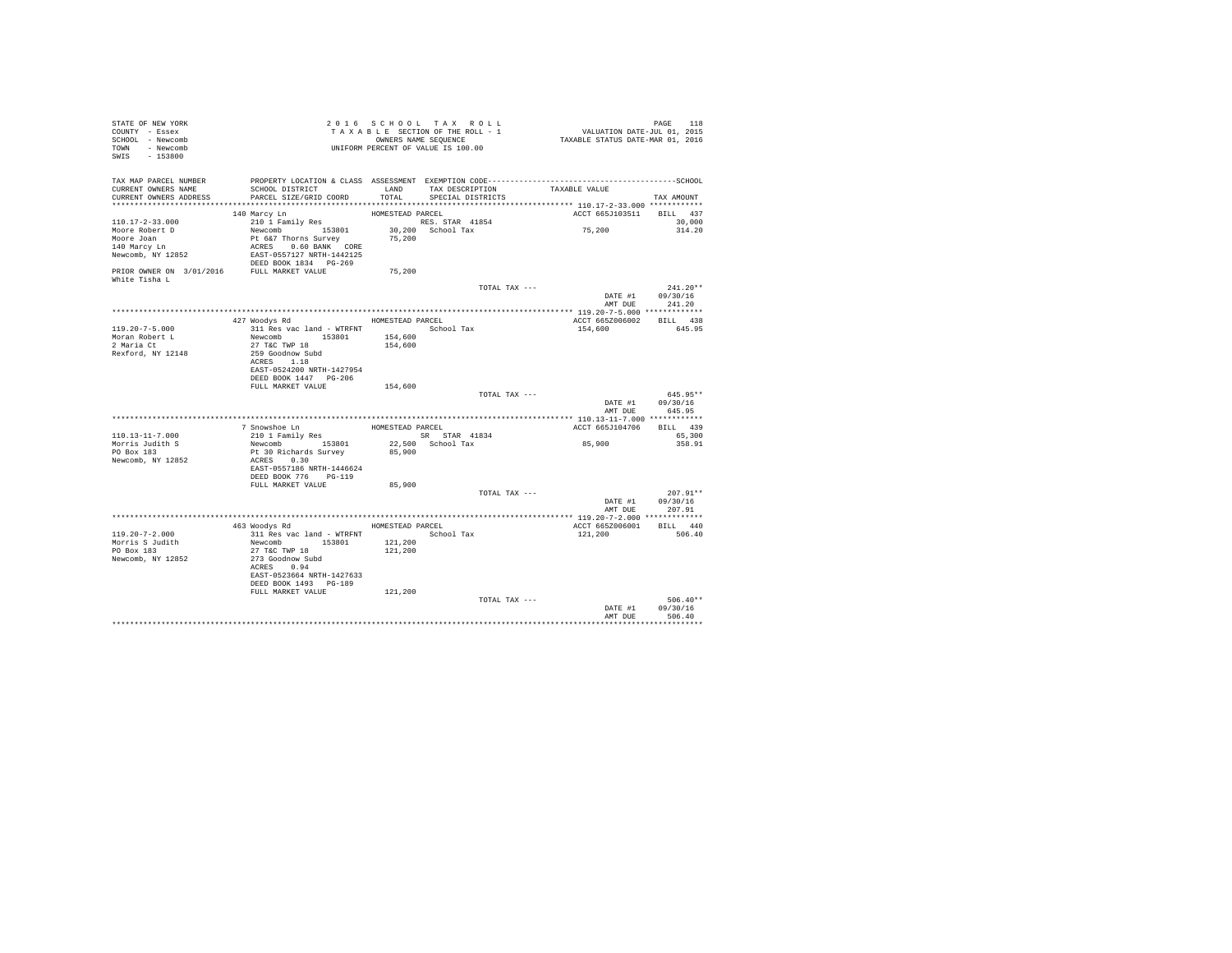| STATE OF NEW YORK<br>COUNTY - Essex<br>SCHOOL - Newcomb<br>TOWN - Newcomb<br>SWIS - 153800 |                                                                                                                                               |                  | 2016 SCHOOL TAX ROLL<br>TAXABLE SECTION OF THE ROLL - 1<br>OWNERS NAME SEQUENCE<br>UNIFORM PERCENT OF VALUE IS 100.00 | PAGE 118<br>VALUATION DATE-JUL 01, 2015<br>TAXABLE STATUS DATE-MAR 01, 2016 | PAGE<br>118                        |
|--------------------------------------------------------------------------------------------|-----------------------------------------------------------------------------------------------------------------------------------------------|------------------|-----------------------------------------------------------------------------------------------------------------------|-----------------------------------------------------------------------------|------------------------------------|
| TAX MAP PARCEL NUMBER<br>CURRENT OWNERS NAME<br>CURRENT OWNERS ADDRESS                     | SCHOOL DISTRICT<br>PARCEL SIZE/GRID COORD                                                                                                     |                  | LAND TAX DESCRIPTION<br>TOTAL SPECIAL DISTRICTS                                                                       | TAXABLE VALUE                                                               | TAX AMOUNT                         |
|                                                                                            |                                                                                                                                               |                  |                                                                                                                       |                                                                             |                                    |
| $110.17 - 2 - 33.000$<br>Moore Robert D                                                    | 140 Marcy Ln<br>210 1 Family Res                                                                                                              | HOMESTEAD PARCEL | RES. STAR 41854                                                                                                       | ACCT 665J103511 BILL 437<br>75,200                                          | 30,000<br>314.20                   |
| Moore Joan<br>140 Marcy Ln<br>Newcomb, $NY$ 12852                                          | Newcomb 153801 30,200 School Tax<br>Pt 6&7 Thorns Survey 75,200<br>ACRES 0.60 BANK CORE<br>EAST-0557127 NRTH-1442125<br>DEED BOOK 1834 PG-269 |                  |                                                                                                                       |                                                                             |                                    |
| PRIOR OWNER ON 3/01/2016 FULL MARKET VALUE<br>White Tisha L                                |                                                                                                                                               | 75,200           |                                                                                                                       |                                                                             |                                    |
|                                                                                            |                                                                                                                                               |                  | TOTAL TAX ---                                                                                                         | DATE #1<br>AMT DUE                                                          | $241.20**$<br>09/30/16             |
|                                                                                            | 427 Woodys Rd                                                                                                                                 |                  | HOMESTEAD PARCEL                                                                                                      | ACCT 665Z006002                                                             | 241.20<br>RTT.T. 438               |
| $119.20 - 7 - 5.000$                                                                       | 311 Res vac land - WTRFNT School Tax                                                                                                          |                  |                                                                                                                       | 154,600                                                                     | 645.95                             |
| Moran Robert L                                                                             | Newcomb 153801                                                                                                                                | 154,600          |                                                                                                                       |                                                                             |                                    |
| 2 Maria Ct                                                                                 | 27 T&C TWP 18                                                                                                                                 | 154,600          |                                                                                                                       |                                                                             |                                    |
| Rexford, NY 12148                                                                          | 259 Goodnow Subd                                                                                                                              |                  |                                                                                                                       |                                                                             |                                    |
|                                                                                            | ACRES 1.18                                                                                                                                    |                  |                                                                                                                       |                                                                             |                                    |
|                                                                                            | EAST-0524200 NRTH-1427954                                                                                                                     |                  |                                                                                                                       |                                                                             |                                    |
|                                                                                            | DEED BOOK 1447 PG-206                                                                                                                         |                  |                                                                                                                       |                                                                             |                                    |
|                                                                                            | FULL MARKET VALUE                                                                                                                             | 154,600          |                                                                                                                       |                                                                             |                                    |
|                                                                                            |                                                                                                                                               |                  | TOTAL TAX ---                                                                                                         |                                                                             | $645.95**$                         |
|                                                                                            |                                                                                                                                               |                  |                                                                                                                       | AMT DUR                                                                     | DATE #1 09/30/16<br>645.95         |
|                                                                                            |                                                                                                                                               |                  |                                                                                                                       |                                                                             |                                    |
|                                                                                            | / Snowshoe Ln<br>210 1 Family Res                                                                                                             |                  | HOMESTEAD PARCEL                                                                                                      | ACCT 665J104706 BILL 439                                                    |                                    |
| $110.13 - 11 - 7.000$                                                                      |                                                                                                                                               |                  | SR STAR 41834                                                                                                         |                                                                             | 65,300                             |
| Morris Judith S                                                                            | Newcomb 153801                                                                                                                                |                  | 22,500 School Tax                                                                                                     | 85,900                                                                      | 358.91                             |
| PO Box 183                                                                                 | Pt 30 Richards Survey                                                                                                                         | 85,900           |                                                                                                                       |                                                                             |                                    |
| Newcomb, NY 12852                                                                          | ACRES 0.30<br>EAST-0557186 NRTH-1446624                                                                                                       |                  |                                                                                                                       |                                                                             |                                    |
|                                                                                            | DEED BOOK 776 PG-119<br>FULL MARKET VALUE                                                                                                     | 85,900           |                                                                                                                       |                                                                             |                                    |
|                                                                                            |                                                                                                                                               |                  | TOTAL TAX ---                                                                                                         |                                                                             | $207.91**$                         |
|                                                                                            |                                                                                                                                               |                  |                                                                                                                       |                                                                             | DATE #1 09/30/16<br>AMT DUE 207.91 |
|                                                                                            |                                                                                                                                               |                  |                                                                                                                       |                                                                             |                                    |
|                                                                                            | 463 Woodys Rd MOMESTEAD PARCEL                                                                                                                |                  |                                                                                                                       | ACCT 665Z006001 BILL 440                                                    |                                    |
| $119.20 - 7 - 2.000$                                                                       | 311 Res vac land - WTRFNT School Tax                                                                                                          |                  |                                                                                                                       | 121,200                                                                     | 506.40                             |
| Morris S Judith                                                                            | Newcomb 153801<br>27 T&C TWP 18                                                                                                               | 121,200          |                                                                                                                       |                                                                             |                                    |
| PO Box 183                                                                                 |                                                                                                                                               | 121,200          |                                                                                                                       |                                                                             |                                    |
| Newcomb, NY 12852                                                                          | 273 Goodnow Subd                                                                                                                              |                  |                                                                                                                       |                                                                             |                                    |
|                                                                                            | ACRES 0.94                                                                                                                                    |                  |                                                                                                                       |                                                                             |                                    |
|                                                                                            | EAST-0523664 NRTH-1427633                                                                                                                     |                  |                                                                                                                       |                                                                             |                                    |
|                                                                                            | DEED BOOK 1493 PG-189                                                                                                                         |                  |                                                                                                                       |                                                                             |                                    |
|                                                                                            | FULL MARKET VALUE 121,200                                                                                                                     |                  |                                                                                                                       |                                                                             |                                    |
|                                                                                            |                                                                                                                                               |                  | TOTAL TAX ---                                                                                                         |                                                                             | $506.40**$                         |
|                                                                                            |                                                                                                                                               |                  |                                                                                                                       | DATE #1<br>AMT DUE                                                          | 09/30/16<br>506.40                 |
|                                                                                            |                                                                                                                                               |                  |                                                                                                                       |                                                                             |                                    |
|                                                                                            |                                                                                                                                               |                  |                                                                                                                       |                                                                             |                                    |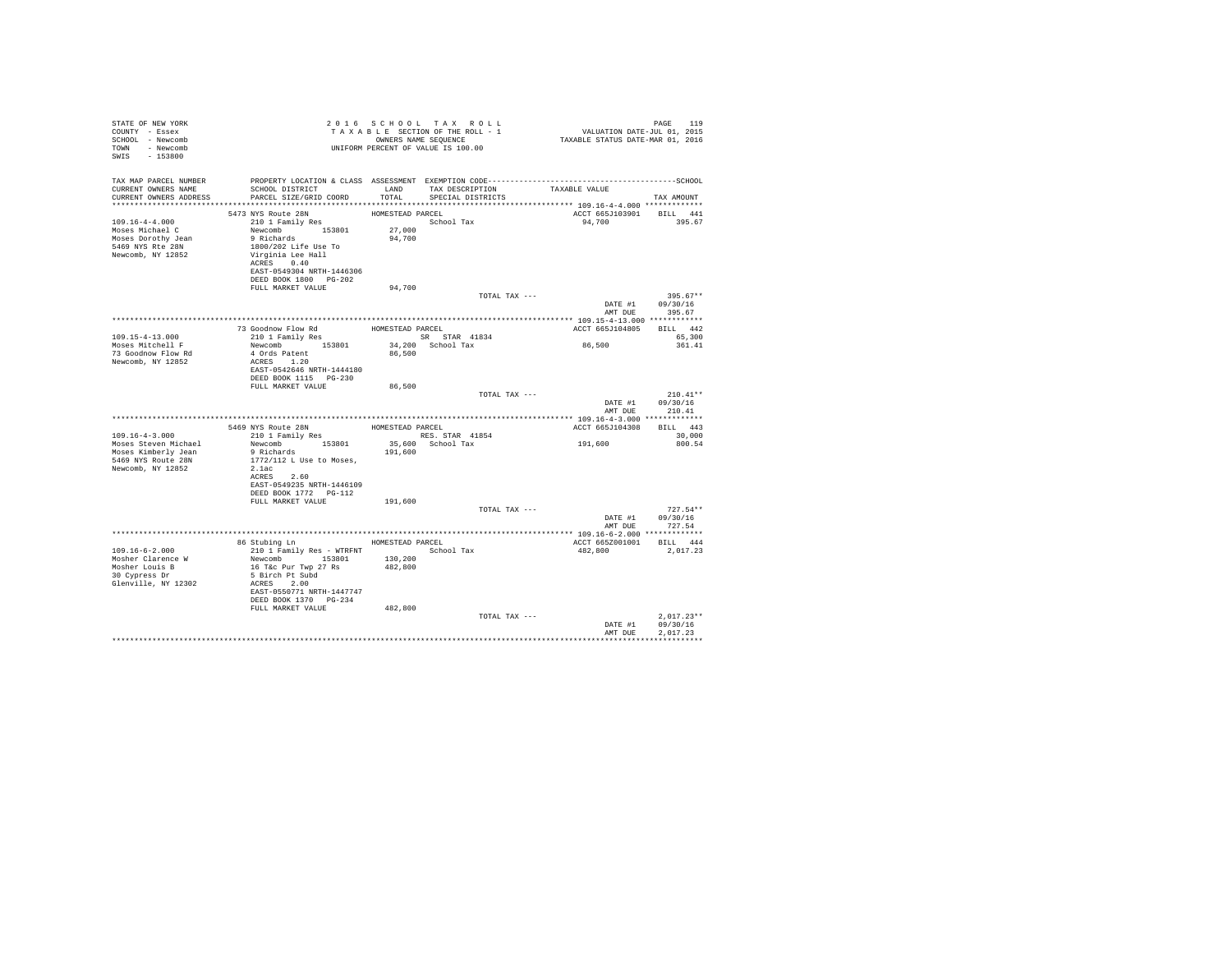| STATE OF NEW YORK<br>COUNTY - Essex<br>SCHOOL - Newcomb<br>TOWN - Newcomb<br>SWIS - 153800             |                                                                                                                                                                                                                                                  |                            | 2016 SCHOOL TAX ROLL<br>UNIFORM PERCENT OF VALUE IS 100.00 |                                           | PAGE<br>119                              |
|--------------------------------------------------------------------------------------------------------|--------------------------------------------------------------------------------------------------------------------------------------------------------------------------------------------------------------------------------------------------|----------------------------|------------------------------------------------------------|-------------------------------------------|------------------------------------------|
| CURRENT OWNERS NAME<br>CURRENT OWNERS ADDRESS                                                          | TAX MAP PARCEL NUMBER PROPERTY LOCATION & CLASS ASSESSMENT EXEMPTION CODE-----------------------------------SCHOOL<br>SCHOOL DISTRICT                       LAND         TAX DESCRIPTION                 TAXABLE VALUE<br>PARCEL SIZE/GRID COORD |                            | TOTAL SPECIAL DISTRICTS                                    |                                           | TAX AMOUNT                               |
| $109.16 - 4 - 4.000$<br>Moses Michael C<br>Moses Dorothy Jean<br>5469 NYS Rte 28N<br>Newcomb, NY 12852 | 5473 NYS Route 28N<br>210 1 Family Res<br>Newcomb 153801 27,000<br>9 Richards<br>1800/202 Life Use To<br>Virginia Lee Hall<br>ACRES 0.40<br>EAST-0549304 NRTH-1446306<br>DEED BOOK 1800 PG-202                                                   | HOMESTEAD PARCEL<br>94,700 | School Tax                                                 | ACCT 665J103901 BILL 441<br>94,700 395.67 |                                          |
|                                                                                                        | FULL MARKET VALUE                                                                                                                                                                                                                                | 94,700                     | TOTAL TAX ---                                              |                                           | $395.67**$                               |
|                                                                                                        |                                                                                                                                                                                                                                                  |                            |                                                            | DATE #1 09/30/16                          | AMT DUE 395.67                           |
|                                                                                                        |                                                                                                                                                                                                                                                  |                            |                                                            |                                           |                                          |
|                                                                                                        | 73 Goodnow Flow Rd                                                                                                                                                                                                                               |                            | HOMESTEAD PARCEL                                           | ACCT 665J104805 BILL 442                  |                                          |
| $109.15 - 4 - 13.000$<br>Moses Mitchell F                                                              | 210 1 Family Res<br>210 1 Family Res<br>Newcomb 153801 34,200 School Tax<br>A Owde Batter, 153801 34,200 School Tax                                                                                                                              |                            |                                                            | 86,500                                    | 65,300<br>361.41                         |
| 73 Goodnow Flow Rd<br>Newcomb, NY 12852                                                                | 4 Ords Patent<br>ACRES 1.20<br>EAST-0542646 NRTH-1444180<br>DEED BOOK 1115 PG-230                                                                                                                                                                | 86,500                     |                                                            |                                           |                                          |
|                                                                                                        | FULL MARKET VALUE                                                                                                                                                                                                                                | 86,500                     |                                                            |                                           |                                          |
|                                                                                                        |                                                                                                                                                                                                                                                  |                            | TOTAL TAX ---                                              | AMT DUE                                   | $210.41**$<br>DATE #1 09/30/16<br>210.41 |
|                                                                                                        |                                                                                                                                                                                                                                                  |                            |                                                            |                                           |                                          |
|                                                                                                        | 5469 NYS Route 28N HOMESTEAD PARCEL                                                                                                                                                                                                              |                            |                                                            | ACCT 665J104308 BILL 443                  |                                          |
| $109.16 - 4 - 3.000$                                                                                   | 210 1 Family Res                                                                                                                                                                                                                                 |                            |                                                            |                                           | 30,000                                   |
| Moses Steven Michael                                                                                   | 210 1 Family Res RES. STAR 41854<br>Newcomb 153801 35,600 School Tax                                                                                                                                                                             |                            |                                                            | 191,600                                   | 800.54                                   |
| Moses Kimberly Jean<br>5469 NYS Route 28N<br>Newcomb, NY 12852                                         | 9 Richards<br>1772/112 L Use to Moses,<br>2.1ac                                                                                                                                                                                                  | 191,600                    |                                                            |                                           |                                          |
|                                                                                                        | ACRES 2.60<br>EAST-0549235 NRTH-1446109                                                                                                                                                                                                          |                            |                                                            |                                           |                                          |
|                                                                                                        |                                                                                                                                                                                                                                                  |                            |                                                            |                                           |                                          |
|                                                                                                        | FULL MARKET VALUE                                                                                                                                                                                                                                | 191,600                    |                                                            |                                           |                                          |
|                                                                                                        |                                                                                                                                                                                                                                                  |                            | TOTAL TAX ---                                              |                                           | $727.54**$                               |
|                                                                                                        |                                                                                                                                                                                                                                                  |                            |                                                            |                                           | DATE #1 09/30/16<br>AMT DUE 727.54       |
|                                                                                                        | 86 Stubing Ln MESTEAD PARCEL                                                                                                                                                                                                                     |                            |                                                            | ACCT 665Z001001 BILL 444                  |                                          |
| $109.16 - 6 - 2.000$                                                                                   | 210 1 Family Res - WTRFNT School Tax                                                                                                                                                                                                             |                            |                                                            | 482,800 2,017.23                          |                                          |
| Mosher Clarence W<br>Mosher Louis B<br>30 Cypress Dr<br>Glenville, NY 12302                            | Newcomb 153801 130,200<br>16 T&c Pur Twp 27 Rs<br>5 Birch Pt Subd<br>ACRES 2.00<br>EAST-0550771 NRTH-1447747<br>DEED BOOK 1370 PG-234                                                                                                            | 482,800                    |                                                            |                                           |                                          |
|                                                                                                        | FULL MARKET VALUE                                                                                                                                                                                                                                | 482,800                    |                                                            |                                           |                                          |
|                                                                                                        |                                                                                                                                                                                                                                                  |                            | TOTAL TAX ---                                              |                                           | $2,017.23**$                             |
|                                                                                                        |                                                                                                                                                                                                                                                  |                            |                                                            | AMT DUE                                   | DATE #1 09/30/16<br>2.017.23             |
|                                                                                                        |                                                                                                                                                                                                                                                  |                            |                                                            |                                           | ************                             |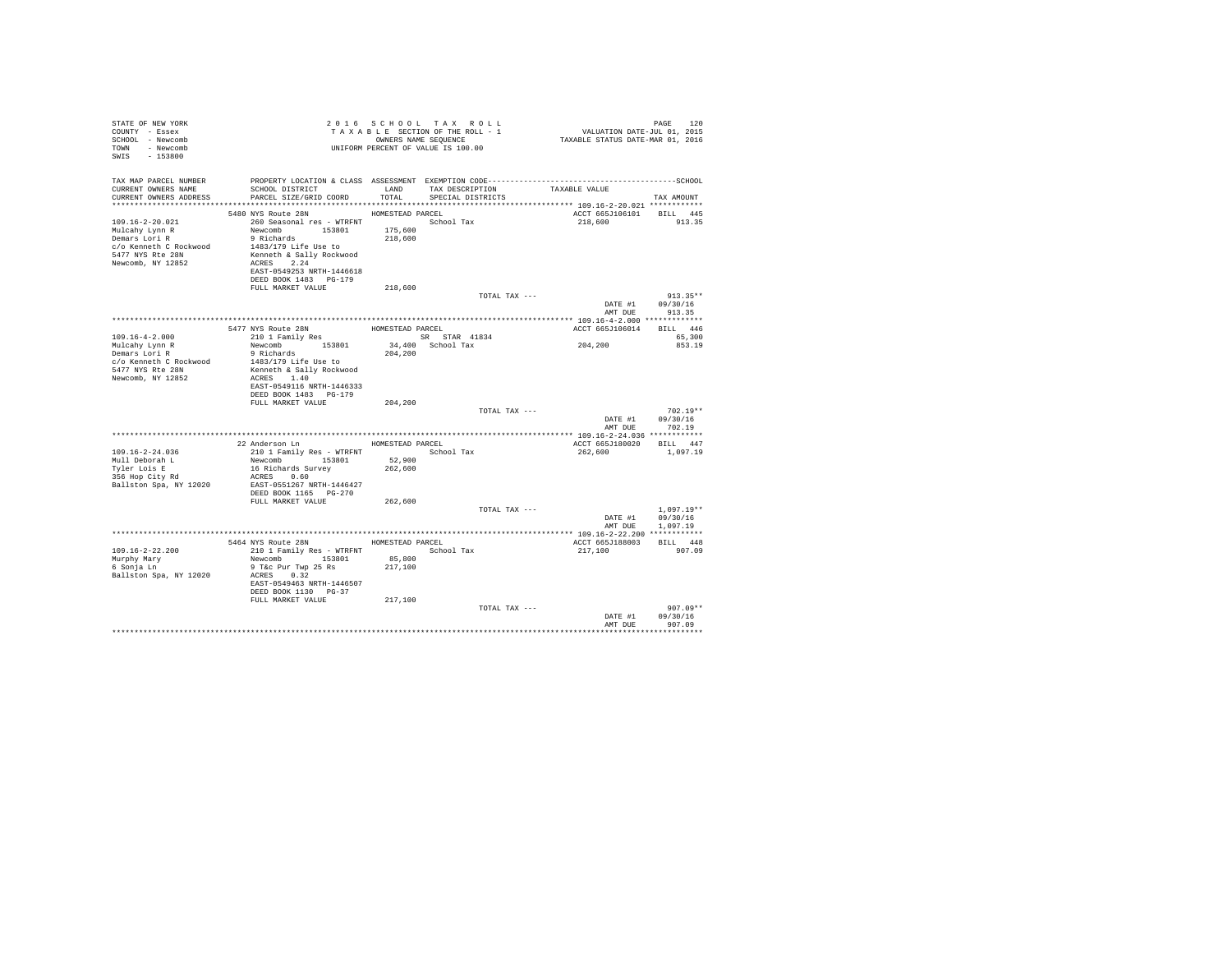| STATE OF NEW YORK<br>COUNTY - Essex<br>SCHOOL - Newcomb<br>TOWN - Newcomb<br>SWIS - 153800         |                                                                                                                                                                                                                                 |                   | 2016 SCHOOL TAX ROLL<br>TAXABLE SECTION OF THE ROLL - 1<br>OWNERS NAME SEOUENCE<br>UNIFORM PERCENT OF VALUE IS 100.00 | PAGE 120<br>VALUATION DATE-JUL 01, 2015<br>TAXABLE STATUS DATE-MAR 01, 2016 | PAGE<br>1.20                                         |
|----------------------------------------------------------------------------------------------------|---------------------------------------------------------------------------------------------------------------------------------------------------------------------------------------------------------------------------------|-------------------|-----------------------------------------------------------------------------------------------------------------------|-----------------------------------------------------------------------------|------------------------------------------------------|
| TAX MAP PARCEL NUMBER<br>CURRENT OWNERS NAME                                                       | SCHOOL DISTRICT TAND TAX DESCRIPTION<br>CURRENT OWNERS ADDRESS PARCEL SIZE/GRID COORD TOTAL SPECIAL DISTRICTS                                                                                                                   |                   | PROPERTY LOCATION & CLASS ASSESSMENT EXEMPTION CODE-----------------------------------SCHOOL                          | TAXABLE VALUE                                                               | TAX AMOUNT                                           |
| 109.16-2-20.021<br>5477 NYS Rte 28N<br>Newcomb, NY 12852                                           | 5480 NYS Route 28N HOMESTEAD PARCEL<br>260 Seasonal res - WTRFNT <a></a> School Tax<br>Newcomb 153801 175,600<br>9 Richards 200<br>Kenneth & Sally Rockwood<br>ACRES 2.24<br>EAST-0549253 NRTH-1446618<br>DEED BOOK 1483 PG-179 | 218,600           |                                                                                                                       | ACCT 665J106101 BILL 445<br>218,600                                         | 913.35                                               |
|                                                                                                    | FULL MARKET VALUE                                                                                                                                                                                                               | 218,600           | TOTAL TAX ---                                                                                                         |                                                                             | $913.35**$<br>DATE #1 09/30/16                       |
|                                                                                                    |                                                                                                                                                                                                                                 |                   |                                                                                                                       |                                                                             | AMT DUE 913.35                                       |
|                                                                                                    |                                                                                                                                                                                                                                 |                   |                                                                                                                       | ACCT 665J106014 BILL 446                                                    |                                                      |
| 109.16-4-2.000                                                                                     |                                                                                                                                                                                                                                 |                   |                                                                                                                       |                                                                             | 65,300                                               |
| Mulcahy Lynn R<br>Demars Lori R<br>c/o Kenneth C Rockwood<br>5477 NYS Rte 28N<br>Newcomb, NY 12852 | Newcomb 153801 34,400 School Tax<br>9 Richards 204,200<br>1483/179 Life Use to<br>Kenneth & Sally Rockwood<br>ACRES 1.40<br>EAST-0549116 NRTH-1446333                                                                           |                   |                                                                                                                       | 204,200                                                                     | 853.19                                               |
|                                                                                                    | DEED BOOK 1483 PG-179                                                                                                                                                                                                           |                   |                                                                                                                       |                                                                             |                                                      |
|                                                                                                    | FULL MARKET VALUE                                                                                                                                                                                                               | 204,200           | TOTAL TAX ---                                                                                                         | AMT DUE                                                                     | $702.19**$<br>DATE #1 09/30/16<br>702.19             |
|                                                                                                    |                                                                                                                                                                                                                                 |                   |                                                                                                                       |                                                                             |                                                      |
| 109.16-2-24.036<br>Mull Deborah L<br>Tyler Lois E<br>356 Hop City Rd                               | 22 Anderson Ln MOMESTEAD PARCEL<br>210 1 Family Res - WTRFNT School Tax<br>Newcomb 153801<br>16 Richards Survey<br>ACRES 0.60<br>Ballston Spa, NY 12020 EAST-0551267 NRTH-1446427<br>DEED BOOK 1165 PG-270                      | 52,900<br>262,600 |                                                                                                                       | ACCT 665J180020 BILL 447<br>262,600 1,097.19                                |                                                      |
|                                                                                                    | FULL MARKET VALUE                                                                                                                                                                                                               | 262,600           | TOTAL TAX ---                                                                                                         |                                                                             | $1.097.19**$<br>DATE #1 09/30/16<br>AMT DUE 1,097.19 |
|                                                                                                    |                                                                                                                                                                                                                                 |                   |                                                                                                                       |                                                                             |                                                      |
| $109.16 - 2 - 22.200$<br>Murphy Mary<br>6 Sonja Ln<br>Ballston Spa, NY 12020                       | 5464 NYS Route 28N HOMESTEAD PARCEL<br>210 1 Family Res - WTRFNT<br>Newcomb 153801<br>9 T&c Pur Twp 25 Rs 217,100<br>ACRES 0.32<br>EAST-0549463 NRTH-1446507<br>DEED BOOK 1130 PG-37<br>FULL MARKET VALUE                       | 85,800<br>217,100 | School Tax                                                                                                            | ACCT 665J188003 BILL 448<br>217,100 907.09                                  |                                                      |
|                                                                                                    |                                                                                                                                                                                                                                 |                   | TOTAL TAX ---                                                                                                         |                                                                             | $907.09**$<br>DATE #1 09/30/16<br>AMT DUE 907.09     |
|                                                                                                    |                                                                                                                                                                                                                                 |                   |                                                                                                                       |                                                                             |                                                      |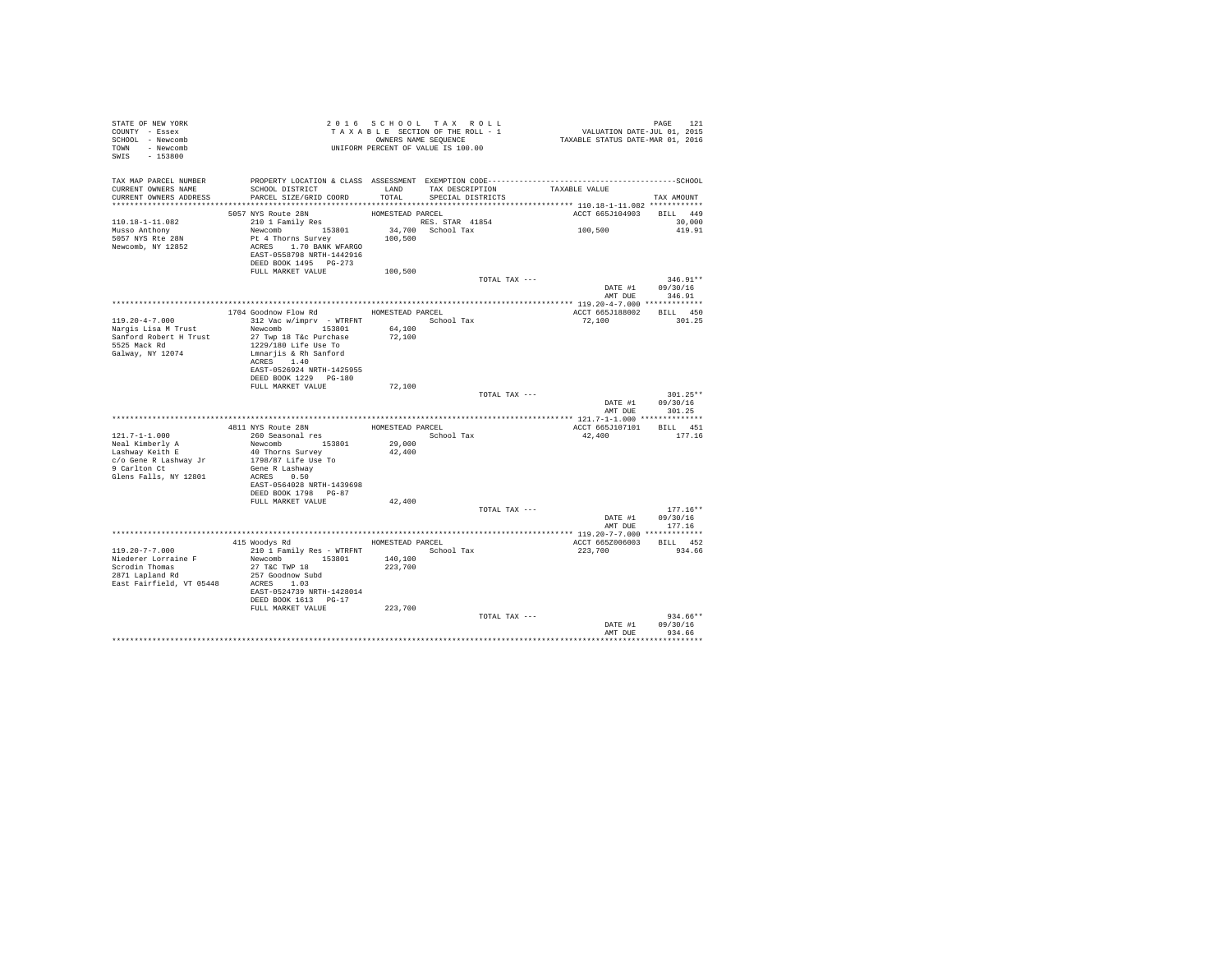| STATE OF NEW YORK<br>COUNTY - Essex<br>SCHOOL - Newcomb<br>TOWN - Newcomb<br>$-153800$<br>SWIS | T A X A B B B B WARE SEQUENCE<br>UNIFORM PERCENT OF VALUE IS 100.00       |                  | 2016 SCHOOL TAX ROLL<br>TAXABLE SECTION OF THE ROLL - 1<br>OWNERS NAME SEQUENCE | PAGE 121<br>VALUATION DATE-JUL 01, 2015<br>TAXABLE STATUS DATE-MAR 01, 2016                  |                                |
|------------------------------------------------------------------------------------------------|---------------------------------------------------------------------------|------------------|---------------------------------------------------------------------------------|----------------------------------------------------------------------------------------------|--------------------------------|
| TAX MAP PARCEL NUMBER                                                                          |                                                                           |                  |                                                                                 | PROPERTY LOCATION & CLASS ASSESSMENT EXEMPTION CODE-----------------------------------SCHOOL |                                |
| CURRENT OWNERS NAME<br>CURRENT OWNERS ADDRESS                                                  | SCHOOL DISTRICT<br>PARCEL SIZE/GRID COORD                                 | LAND<br>TOTAL    | TAX DESCRIPTION<br>SPECIAL DISTRICTS                                            | TAXABLE VALUE                                                                                | TAX AMOUNT                     |
|                                                                                                |                                                                           |                  |                                                                                 |                                                                                              |                                |
|                                                                                                | 5057 NYS Route 28N                                                        | HOMESTEAD PARCEL |                                                                                 | ACCT 665J104903                                                                              | BILL 449                       |
| 110.18-1-11.082<br>Musso Anthony                                                               | 210 1 Family Res<br>Newcomb 153801                                        |                  | RES. STAR 41854<br>34,700 School Tax                                            | 100,500                                                                                      | 30,000<br>419.91               |
| 5057 NYS Rte 28N<br>Newcomb, NY 12852                                                          | Pt 4 Thorns Survey<br>ACRES 1.70 BANK WFARGO<br>EAST-0558798 NRTH-1442916 | 100,500          |                                                                                 |                                                                                              |                                |
|                                                                                                | DEED BOOK 1495 PG-273                                                     |                  |                                                                                 |                                                                                              |                                |
|                                                                                                | FULL MARKET VALUE                                                         | 100,500          | TOTAL TAX ---                                                                   |                                                                                              | $346.91**$                     |
|                                                                                                |                                                                           |                  |                                                                                 | DATE #1<br>AMT DUE                                                                           | 09/30/16<br>346.91             |
|                                                                                                | 1704 Goodnow Flow Rd                                                      |                  | HOMESTEAD PARCEL                                                                | ACCT 665J188002                                                                              | BILL 450                       |
| $119.20 - 4 - 7.000$                                                                           | 312 Vac w/imprv - WTRFNT             School Tax                           |                  |                                                                                 | 72,100                                                                                       | 301.25                         |
| Nargis Lisa M Trust                                                                            | Newcomb 153801                                                            | 64,100           |                                                                                 |                                                                                              |                                |
| Sanford Robert H Trust<br>5525 Mack Rd                                                         | 27 Twp 18 T&c Purchase<br>1229/180 Life Use To                            | 72,100           |                                                                                 |                                                                                              |                                |
| Galway, NY 12074                                                                               | Lmnarjis & Rh Sanford                                                     |                  |                                                                                 |                                                                                              |                                |
|                                                                                                | ACRES 1.40<br>EAST-0526924 NRTH-1425955                                   |                  |                                                                                 |                                                                                              |                                |
|                                                                                                | DEED BOOK 1229 PG-180                                                     |                  |                                                                                 |                                                                                              |                                |
|                                                                                                | FULL MARKET VALUE                                                         | 72,100           |                                                                                 | TOTAL TAX ---                                                                                | $301.25**$                     |
|                                                                                                |                                                                           |                  |                                                                                 | DATE #1                                                                                      | 09/30/16                       |
|                                                                                                |                                                                           |                  |                                                                                 | AMT DUE                                                                                      | 301.25                         |
|                                                                                                | 4811 NYS Route 28N MOMESTEAD PARCEL                                       |                  |                                                                                 |                                                                                              | ACCT 665J107101 BILL 451       |
| $121.7 - 1 - 1.000$                                                                            | 260 Seasonal res                                                          |                  | School Tax                                                                      | 42,400                                                                                       | 177.16                         |
| Neal Kimberly A<br>Lashway Keith E                                                             | Newcomb 153801                                                            | 29,000           |                                                                                 |                                                                                              |                                |
| c/o Gene R Lashway Jr                                                                          | 40 Thorns Survey<br>1798/87 Life Use To                                   | 42,400           |                                                                                 |                                                                                              |                                |
| 9 Carlton Ct                                                                                   | Gene R Lashway                                                            |                  |                                                                                 |                                                                                              |                                |
| Glens Falls, NY 12801                                                                          | ACRES 0.50<br>EAST-0564028 NRTH-1439698                                   |                  |                                                                                 |                                                                                              |                                |
|                                                                                                | DEED BOOK 1798    PG-87                                                   |                  |                                                                                 |                                                                                              |                                |
|                                                                                                | FULL MARKET VALUE                                                         | 42,400           |                                                                                 |                                                                                              |                                |
|                                                                                                |                                                                           |                  |                                                                                 | TOTAL TAX ---                                                                                | $177.16**$<br>DATE #1 09/30/16 |
|                                                                                                |                                                                           |                  |                                                                                 | AMT DUE                                                                                      | 177.16                         |
|                                                                                                | 415 Woodys Rd                                                             |                  |                                                                                 |                                                                                              | BILL 452                       |
| $119.20 - 7 - 7.000$                                                                           | 210 1 Family Res - WTRFNT                                                 | HOMESTEAD PARCEL | School Tax                                                                      | ACCT 665Z006003<br>223,700                                                                   | 934.66                         |
| Niederer Lorraine F                                                                            | Newcomb 153801                                                            | 140,100          |                                                                                 |                                                                                              |                                |
| Scrodin Thomas<br>2871 Lapland Rd                                                              | 27 T&C TWP 18<br>257 Goodnow Subd                                         | 223,700          |                                                                                 |                                                                                              |                                |
| East Fairfield, VT 05448 ACRES 1.03                                                            |                                                                           |                  |                                                                                 |                                                                                              |                                |
|                                                                                                | EAST-0524739 NRTH-1428014                                                 |                  |                                                                                 |                                                                                              |                                |
|                                                                                                | DEED BOOK 1613 PG-17<br>FULL MARKET VALUE                                 | 223,700          |                                                                                 |                                                                                              |                                |
|                                                                                                |                                                                           |                  |                                                                                 | TOTAL TAX ---                                                                                | $934.66**$                     |
|                                                                                                |                                                                           |                  |                                                                                 | DATE #1<br>AMT DUE                                                                           | 09/30/16<br>934.66             |
|                                                                                                |                                                                           |                  |                                                                                 |                                                                                              | **********                     |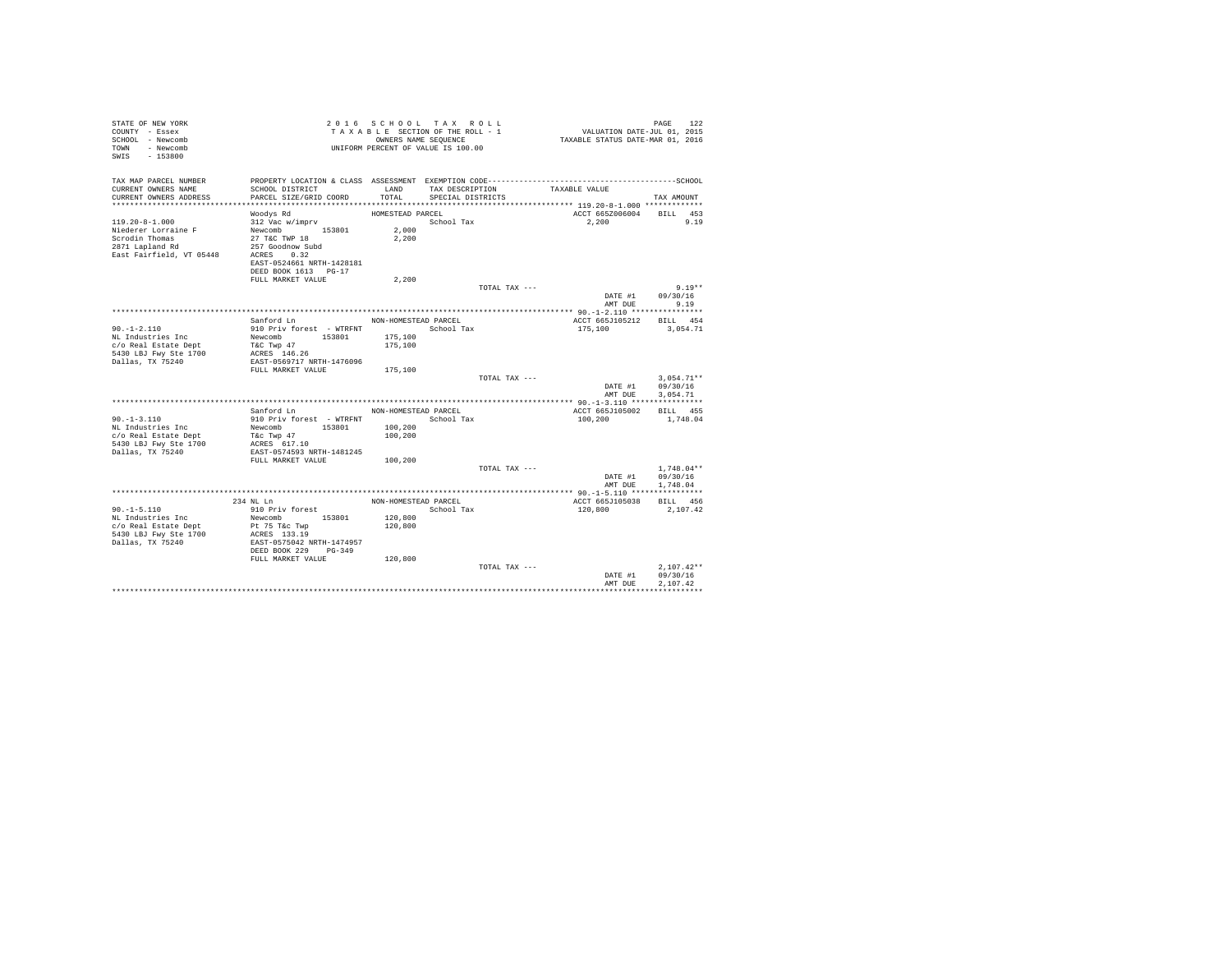| STATE OF NEW YORK<br>COUNTY - Essex<br>SCHOOL - Newcomb<br>- Newcomb<br>TOWN<br>$-153800$<br>SWIS |                                                   | 2016 SCHOOL TAX ROLL<br>TAXABLE SECTION OF THE ROLL - 1<br>OWNERS NAME SEQUENCE<br>UNIFORM PERCENT OF VALUE IS 100.00 |                   |               | VALUATION DATE-JUL 01, 2015<br>TAXABLE STATUS DATE-MAR 01, 2016 | PAGE<br>122              |
|---------------------------------------------------------------------------------------------------|---------------------------------------------------|-----------------------------------------------------------------------------------------------------------------------|-------------------|---------------|-----------------------------------------------------------------|--------------------------|
| TAX MAP PARCEL NUMBER<br>CURRENT OWNERS NAME                                                      | SCHOOL DISTRICT                                   | LAND                                                                                                                  | TAX DESCRIPTION   |               | TAXABLE VALUE                                                   |                          |
| CURRENT OWNERS ADDRESS                                                                            | PARCEL SIZE/GRID COORD                            | TOTAL                                                                                                                 | SPECIAL DISTRICTS |               |                                                                 | TAX AMOUNT               |
| **************************                                                                        |                                                   |                                                                                                                       |                   |               |                                                                 |                          |
|                                                                                                   | Woodys Rd                                         | HOMESTEAD PARCEL                                                                                                      |                   |               | ACCT 665Z006004 BILL 453                                        |                          |
| $119.20 - 8 - 1.000$<br>Niederer Lorraine F                                                       | 312 Vac w/imprv<br>Newcomb 153801                 | 2,000                                                                                                                 | School Tax        |               | 2,200                                                           | 9.19                     |
| Scrodin Thomas                                                                                    | 27 T&C TWP 18                                     | 2,200                                                                                                                 |                   |               |                                                                 |                          |
| 2871 Lapland Rd                                                                                   | 257 Goodnow Subd                                  |                                                                                                                       |                   |               |                                                                 |                          |
| East Fairfield, VT 05448                                                                          | ACRES 0.32                                        |                                                                                                                       |                   |               |                                                                 |                          |
|                                                                                                   | EAST-0524661 NRTH-1428181<br>DEED BOOK 1613 PG-17 |                                                                                                                       |                   |               |                                                                 |                          |
|                                                                                                   | FULL MARKET VALUE                                 | 2,200                                                                                                                 |                   |               |                                                                 |                          |
|                                                                                                   |                                                   |                                                                                                                       |                   | TOTAL TAX --- |                                                                 | $9.19**$                 |
|                                                                                                   |                                                   |                                                                                                                       |                   |               |                                                                 | DATE #1 09/30/16         |
|                                                                                                   |                                                   |                                                                                                                       |                   |               | AMT DUE                                                         | 9.19                     |
|                                                                                                   | Sanford Ln                                        | NON-HOMESTEAD PARCEL                                                                                                  |                   |               | ACCT 665J105212                                                 | BILL 454                 |
| $90. - 1 - 2.110$                                                                                 | 910 Priv forest - WTRFNT                          | School Tax                                                                                                            |                   |               | 175,100                                                         | 3.054.71                 |
| NL Industries Inc                                                                                 | Newcomb 153801                                    | 175,100                                                                                                               |                   |               |                                                                 |                          |
| c/o Real Estate Dept<br>5430 LBJ Fwy Ste 1700                                                     | T&C Twp 47<br>ACRES 146.26                        | 175,100                                                                                                               |                   |               |                                                                 |                          |
| Dallas, TX 75240                                                                                  | EAST-0569717 NRTH-1476096                         |                                                                                                                       |                   |               |                                                                 |                          |
|                                                                                                   | FULL MARKET VALUE                                 | 175,100                                                                                                               |                   |               |                                                                 |                          |
|                                                                                                   |                                                   |                                                                                                                       |                   | TOTAL TAX --- |                                                                 | $3.054.71**$             |
|                                                                                                   |                                                   |                                                                                                                       |                   |               | DATE #1<br>AMT DUE                                              | 09/30/16<br>3.054.71     |
|                                                                                                   |                                                   |                                                                                                                       |                   |               |                                                                 |                          |
|                                                                                                   | Sanford Ln                                        | NON-HOMESTEAD PARCEL                                                                                                  |                   |               | ACCT 665J105002 BILL 455                                        |                          |
| $90. - 1 - 3.110$                                                                                 | 910 Priv forest - WTRFNT                          | School Tax                                                                                                            |                   |               | 100,200                                                         | 1,748.04                 |
| NL Industries Inc<br>c/o Real Estate Dept                                                         | Newcomb 153801<br>T&c Twp 47                      | 100,200<br>100,200                                                                                                    |                   |               |                                                                 |                          |
| 5430 LBJ Fwy Ste 1700                                                                             | ACRES 617.10                                      |                                                                                                                       |                   |               |                                                                 |                          |
| Dallas, TX 75240                                                                                  | EAST-0574593 NRTH-1481245                         |                                                                                                                       |                   |               |                                                                 |                          |
|                                                                                                   | FULL MARKET VALUE                                 | 100,200                                                                                                               |                   |               |                                                                 |                          |
|                                                                                                   |                                                   |                                                                                                                       |                   | TOTAL TAX --- | DATE #1                                                         | $1.748.04**$<br>09/30/16 |
|                                                                                                   |                                                   |                                                                                                                       |                   |               | AMT DUE                                                         | 1,748.04                 |
|                                                                                                   |                                                   |                                                                                                                       |                   |               |                                                                 |                          |
|                                                                                                   | 234 NL Ln                                         | NON-HOMESTEAD PARCEL                                                                                                  |                   |               | ACCT 665J105038                                                 | BILL 456                 |
| $90. -1 - 5.110$<br>NL Industries Inc                                                             | 910 Priv forest<br>Newcomb 153801                 | 120,800                                                                                                               | School Tax        |               | 120,800                                                         | 2.107.42                 |
| c/o Real Estate Dept                                                                              | Pt 75 T&c Twp                                     | 120,800                                                                                                               |                   |               |                                                                 |                          |
| 5430 LBJ Fwy Ste 1700                                                                             | ACRES 133.19                                      |                                                                                                                       |                   |               |                                                                 |                          |
| Dallas, TX 75240                                                                                  | EAST-0575042 NRTH-1474957                         |                                                                                                                       |                   |               |                                                                 |                          |
|                                                                                                   | DEED BOOK 229 PG-349<br>FULL MARKET VALUE         | 120,800                                                                                                               |                   |               |                                                                 |                          |
|                                                                                                   |                                                   |                                                                                                                       |                   | TOTAL TAX --- |                                                                 | $2.107.42**$             |
|                                                                                                   |                                                   |                                                                                                                       |                   |               | DATE #1                                                         | 09/30/16                 |
|                                                                                                   |                                                   |                                                                                                                       |                   |               | AMT DUE                                                         | 2.107.42                 |
|                                                                                                   |                                                   |                                                                                                                       |                   |               |                                                                 |                          |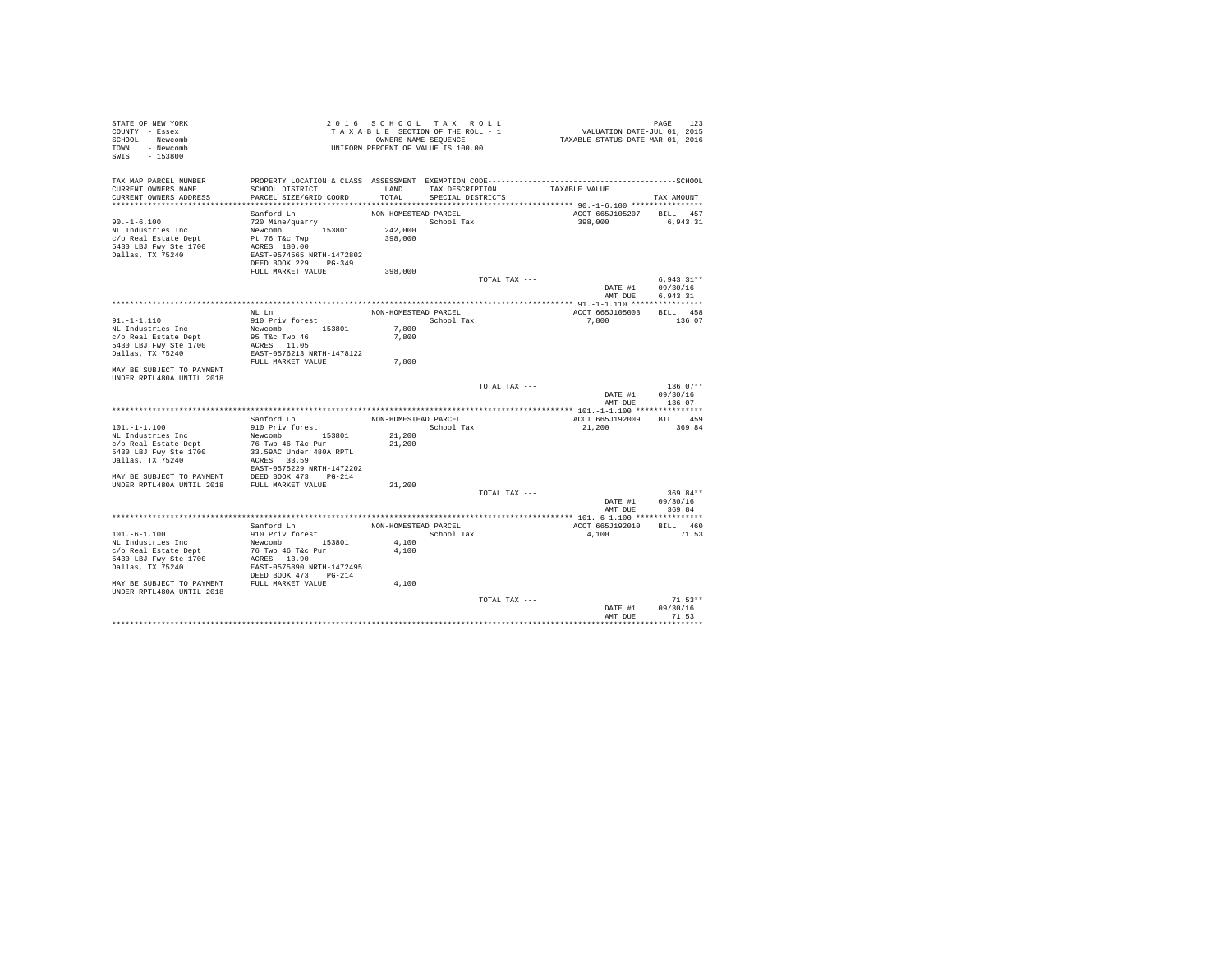| STATE OF NEW YORK<br>COUNTY - Essex<br>SCHOOL - Newcomb<br>TOWN - Newcomb<br>SWIS - 153800                                                                     |                                                                                                                                             | 2016 SCHOOL TAX ROLL<br>TAXABLE SECTION OF THE ROLL - 1<br>OWNERS NAME SEQUENCE<br>UNIFORM PERCENT OF VALUE IS 100.00 |                                           |               | PAGE 123<br>VALUATION DATE-JUL 01, 2015<br>TAXABLE STATUS DATE-MAR 01, 2016 |                                      |
|----------------------------------------------------------------------------------------------------------------------------------------------------------------|---------------------------------------------------------------------------------------------------------------------------------------------|-----------------------------------------------------------------------------------------------------------------------|-------------------------------------------|---------------|-----------------------------------------------------------------------------|--------------------------------------|
| TAX MAP PARCEL NUMBER<br>CURRENT OWNERS NAME<br>CURRENT OWNERS ADDRESS                                                                                         | SCHOOL DISTRICT<br>PARCEL SIZE/GRID COORD                                                                                                   | TOTAL                                                                                                                 | LAND TAX DESCRIPTION<br>SPECIAL DISTRICTS |               | TAXABLE VALUE                                                               | TAX AMOUNT                           |
|                                                                                                                                                                |                                                                                                                                             |                                                                                                                       |                                           |               |                                                                             |                                      |
| $90. - 1 - 6.100$<br>NL Industries Inc<br>c/o Real Estate Dept<br>5430 LBJ Fwy Ste 1700<br>Dallas, TX 75240                                                    | Sanford Ln<br>720 Mine/quarry<br>Newcomb 153801<br>Pt 76 T&c Twp<br>ACRES 180.00<br>EAST-0574565 NRTH-1472802<br>DEED BOOK 229 PG-349       | NON-HOMESTEAD PARCEL<br>School Tax<br>242,000<br>398,000                                                              |                                           |               | ACCT 665J105207 BILL 457<br>398,000                                         | 6,943.31                             |
|                                                                                                                                                                | FULL MARKET VALUE                                                                                                                           | 398,000                                                                                                               |                                           |               |                                                                             |                                      |
|                                                                                                                                                                |                                                                                                                                             |                                                                                                                       |                                           | TOTAL TAX --- | DATE #1<br>AMT DUE                                                          | $6.943.31**$<br>09/30/16<br>6.943.31 |
|                                                                                                                                                                |                                                                                                                                             |                                                                                                                       |                                           |               |                                                                             |                                      |
| $91. - 1 - 1.110$<br>NL Industries Inc<br>c/o Real Estate Dept                                                                                                 | NL Ln<br>910 Priv forest<br>Newcomb 153801<br>95 T&c Twp 46                                                                                 | NON-HOMESTEAD PARCEL<br>7.800<br>7,800                                                                                | School Tax                                |               | ACCT 665J105003<br>7,800                                                    | BILL 458<br>136.07                   |
| 5430 LBJ Fwy Ste 1700<br>Dallas, TX 75240                                                                                                                      | ACRES 11.05<br>EAST-0576213 NRTH-1478122                                                                                                    | 7,800                                                                                                                 |                                           |               |                                                                             |                                      |
| MAY BE SUBJECT TO PAYMENT<br>UNDER RPTL480A UNTIL 2018                                                                                                         | FULL MARKET VALUE                                                                                                                           |                                                                                                                       |                                           |               |                                                                             |                                      |
|                                                                                                                                                                |                                                                                                                                             |                                                                                                                       |                                           | TOTAL TAX --- | DATE #1<br>AMT DUE                                                          | $136.07**$<br>09/30/16<br>136.07     |
|                                                                                                                                                                |                                                                                                                                             |                                                                                                                       |                                           |               |                                                                             |                                      |
| $101. - 1 - 1.100$<br>NL Industries Inc<br>c/o Real Estate Dept<br>5430 LBJ Fwy Ste 1700<br>Dallas, TX 75240<br>MAY BE SUBJECT TO PAYMENT DEED BOOK 473 PG-214 | Sanford Ln<br>910 Priv forest<br>Newcomb 153801<br>76 Twp 46 T&c Pur<br>33.59AC Under 480A RPTL<br>ACRES 33.59<br>EAST-0575229 NRTH-1472202 | NON-HOMESTEAD PARCEL<br>21,200<br>21,200                                                                              | School Tax                                |               | ACCT 665J192009<br>21,200                                                   | BILL 459<br>369.84                   |
| UNDER RPTL480A UNTIL 2018 FULL MARKET VALUE                                                                                                                    |                                                                                                                                             | 21,200                                                                                                                |                                           |               |                                                                             |                                      |
|                                                                                                                                                                |                                                                                                                                             |                                                                                                                       |                                           | TOTAL TAX --- | DATE #1<br>AMT DUE                                                          | 369.84**<br>09/30/16<br>369.84       |
|                                                                                                                                                                |                                                                                                                                             |                                                                                                                       |                                           |               |                                                                             |                                      |
| $101. -6 - 1.100$<br>NL Industries Inc<br>c/o Real Estate Dept<br>5430 LBJ Fwy Ste 1700<br>Dallas, TX 75240                                                    | Sanford Ln<br>910 Priv forest<br>Newcomb 153801<br>76 Twp 46 T&c Pur<br>ACRES 13.90<br>EAST-0575890 NRTH-1472495<br>DEED BOOK 473 PG-214    | NON-HOMESTEAD PARCEL<br>4,100<br>4,100                                                                                | School Tax                                |               | ACCT 665J192010<br>4.100                                                    | BILL 460<br>71.53                    |
| MAY BE SUBJECT TO PAYMENT FULL MARKET VALUE<br>UNDER RPTL480A UNTIL 2018                                                                                       |                                                                                                                                             | 4,100                                                                                                                 |                                           |               |                                                                             |                                      |
|                                                                                                                                                                |                                                                                                                                             |                                                                                                                       |                                           | TOTAL TAX --- | DATE #1<br>AMT DUE                                                          | $71.53**$<br>09/30/16<br>71.53       |
|                                                                                                                                                                |                                                                                                                                             |                                                                                                                       |                                           |               |                                                                             | .                                    |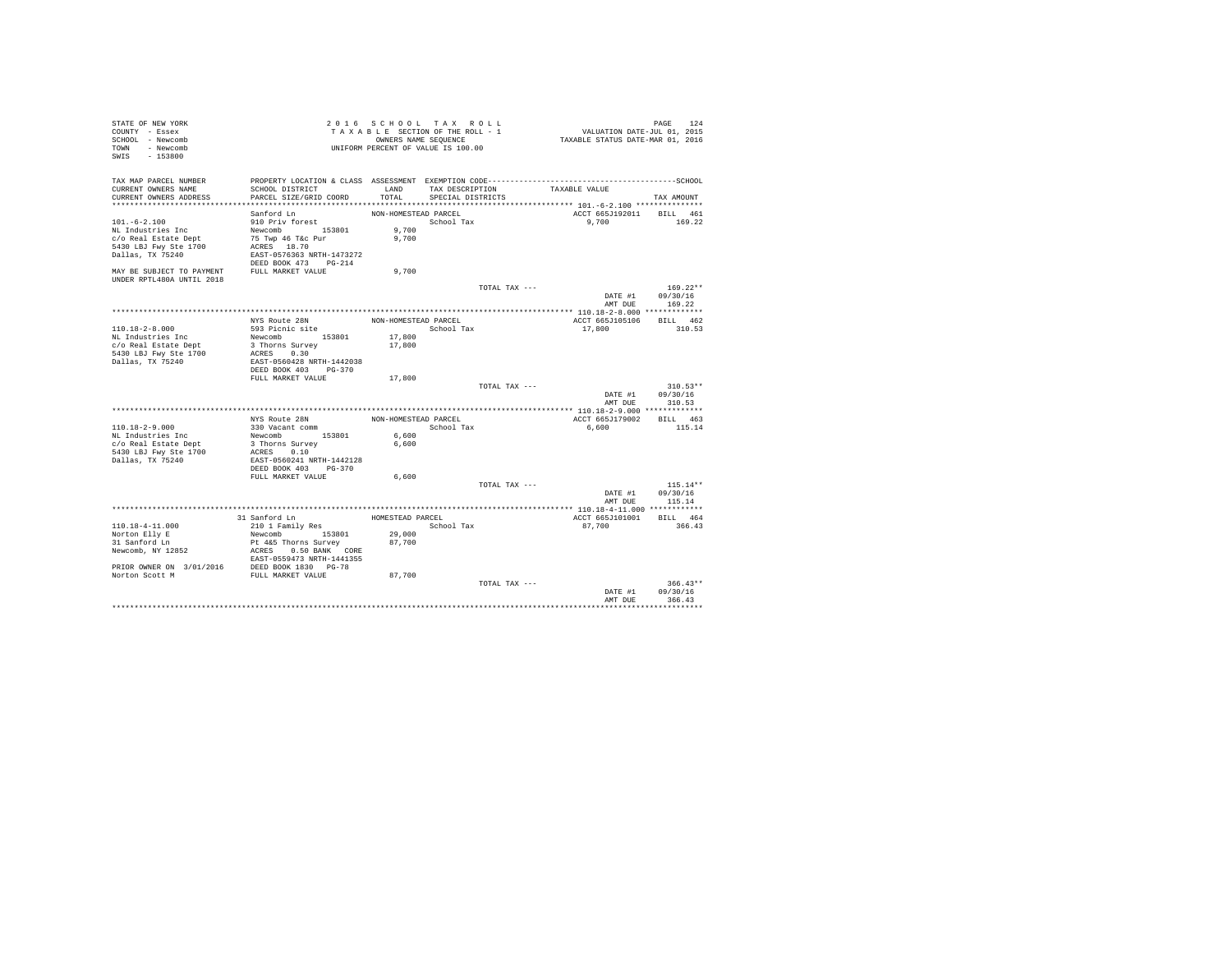| STATE OF NEW YORK<br>COUNTY - Essex<br>SCHOOL - Newcomb<br>TOWN - Newcomb<br>SWIS - 153800 |                                                                    |                      | 2016 SCHOOL TAX ROLL<br>TAXABLE SECTION OF THE ROLL - 1<br>OWNERS NAME SEQUENCE<br>UNIFORM PERCENT OF VALUE IS 100.00 |                                    | PAGE 124<br>VALUATION DATE-JUL 01, 2015<br>TAXABLE STATUS DATE-MAR 01, 2016 |            |            |
|--------------------------------------------------------------------------------------------|--------------------------------------------------------------------|----------------------|-----------------------------------------------------------------------------------------------------------------------|------------------------------------|-----------------------------------------------------------------------------|------------|------------|
| TAX MAP PARCEL NUMBER                                                                      |                                                                    |                      |                                                                                                                       | LAND TAX DESCRIPTION TAXABLE VALUE |                                                                             |            |            |
| CURRENT OWNERS NAME<br>CURRENT OWNERS ADDRESS                                              | SCHOOL DISTRICT<br>PARCEL SIZE/GRID COORD                          |                      | TOTAL SPECIAL DISTRICTS                                                                                               |                                    |                                                                             | TAX AMOUNT |            |
|                                                                                            |                                                                    |                      |                                                                                                                       |                                    |                                                                             |            |            |
|                                                                                            | Sanford Ln                                                         | NON-HOMESTEAD PARCEL |                                                                                                                       |                                    | ACCT 665J192011 BILL 461                                                    |            |            |
| $101.-6-2.100$                                                                             | 910 Priv forest                                                    |                      | School Tax                                                                                                            |                                    | 9.700 169.22                                                                |            |            |
| NL Industries Inc                                                                          | Newcomb<br>75 Twp 46 T&c Pur                                       | 9,700                |                                                                                                                       |                                    |                                                                             |            |            |
| c/o Real Estate Dept                                                                       |                                                                    | 9,700                |                                                                                                                       |                                    |                                                                             |            |            |
| 5430 LBJ Fwy Ste 1700                                                                      | ACRES 18.70                                                        |                      |                                                                                                                       |                                    |                                                                             |            |            |
| Dallas, TX 75240                                                                           | EAST-0576363 NRTH-1473272                                          |                      |                                                                                                                       |                                    |                                                                             |            |            |
| MAY BE SUBJECT TO PAYMENT FULL MARKET VALUE<br>UNDER RPTL480A UNTIL 2018                   | DEED BOOK 473 PG-214                                               | 9,700                |                                                                                                                       |                                    |                                                                             |            |            |
|                                                                                            |                                                                    |                      |                                                                                                                       | TOTAL TAX ---                      |                                                                             | $169.22**$ |            |
|                                                                                            |                                                                    |                      |                                                                                                                       |                                    | DATE #1 09/30/16<br>AMT DUE                                                 | 169.22     |            |
|                                                                                            |                                                                    |                      |                                                                                                                       |                                    |                                                                             |            |            |
|                                                                                            | NYS Route 28N                                                      | NON-HOMESTEAD PARCEL |                                                                                                                       |                                    | ACCT 665J105106 BILL 462                                                    |            |            |
| $110.18 - 2 - 8.000$                                                                       | 593 Picnic site                                                    |                      | School Tax                                                                                                            |                                    | 17,800                                                                      | 310.53     |            |
| NL Industries Inc                                                                          | Newcomb 153801                                                     | 17,800               |                                                                                                                       |                                    |                                                                             |            |            |
| c/o Real Estate Dept<br>5430 LBJ Fwy Ste 1700                                              | 3 Thorns Survey<br>ACRES 0.30                                      | 17,800               |                                                                                                                       |                                    |                                                                             |            |            |
| Dallas, TX 75240                                                                           | EAST-0560428 NRTH-1442038                                          |                      |                                                                                                                       |                                    |                                                                             |            |            |
|                                                                                            | DEED BOOK 403 PG-370                                               |                      |                                                                                                                       |                                    |                                                                             |            |            |
|                                                                                            | FULL MARKET VALUE                                                  | 17,800               |                                                                                                                       |                                    |                                                                             |            |            |
|                                                                                            |                                                                    |                      |                                                                                                                       | TOTAL TAX ---                      |                                                                             | $310.53**$ |            |
|                                                                                            |                                                                    |                      |                                                                                                                       |                                    | DATE #1 09/30/16                                                            |            |            |
|                                                                                            |                                                                    |                      |                                                                                                                       |                                    | AMT DUE                                                                     | 310.53     |            |
|                                                                                            | NYS Route 28N                                                      |                      | NON-HOMESTEAD PARCEL                                                                                                  |                                    | ACCT 665J179002                                                             | BILL 463   |            |
| $110.18 - 2 - 9.000$                                                                       |                                                                    |                      | School Tax                                                                                                            |                                    | 6,600                                                                       | 115.14     |            |
|                                                                                            |                                                                    | 6,600                |                                                                                                                       |                                    |                                                                             |            |            |
|                                                                                            |                                                                    | 6,600                |                                                                                                                       |                                    |                                                                             |            |            |
| NL Industries Inc<br>c/o Real Estate Dept<br>5430 LBJ Fwy Ste 1700                         | 330 Vacant comm<br>Newcomb 153801<br>3 Thorns Survey<br>ACRES 0.10 |                      |                                                                                                                       |                                    |                                                                             |            |            |
| Dallas, TX 75240                                                                           | EAST-0560241 NRTH-1442128                                          |                      |                                                                                                                       |                                    |                                                                             |            |            |
|                                                                                            | DEED BOOK 403 PG-370                                               |                      |                                                                                                                       |                                    |                                                                             |            |            |
|                                                                                            | FULL MARKET VALUE                                                  | 6,600                |                                                                                                                       |                                    |                                                                             | $115.14**$ |            |
|                                                                                            |                                                                    |                      |                                                                                                                       | TOTAL TAX ---                      | DATE #1 09/30/16                                                            |            |            |
|                                                                                            |                                                                    |                      |                                                                                                                       |                                    | AMT DUE 115.14                                                              |            |            |
|                                                                                            |                                                                    |                      |                                                                                                                       |                                    |                                                                             |            |            |
|                                                                                            | 31 Sanford Ln<br>210 1 Family Res                                  | HOMESTEAD PARCEL     |                                                                                                                       |                                    | ACCT 665J101001 BILL 464                                                    |            |            |
| 110.18-4-11.000                                                                            |                                                                    |                      | School Tax                                                                                                            |                                    | 87,700                                                                      | 366.43     |            |
|                                                                                            | Newcomb 153801                                                     | 29,000               |                                                                                                                       |                                    |                                                                             |            |            |
|                                                                                            | Pt 4&5 Thorns Survey 87,700<br>ACRES 0.50 BANK CORE                |                      |                                                                                                                       |                                    |                                                                             |            |            |
| Norton Elly E<br>31 Sanford Ln<br>Newcomb, NY 12852                                        |                                                                    |                      |                                                                                                                       |                                    |                                                                             |            |            |
|                                                                                            |                                                                    |                      |                                                                                                                       |                                    |                                                                             |            |            |
|                                                                                            |                                                                    | 87,700               |                                                                                                                       |                                    |                                                                             |            |            |
|                                                                                            |                                                                    |                      |                                                                                                                       | TOTAL TAX ---                      |                                                                             |            | $366.43**$ |
|                                                                                            |                                                                    |                      |                                                                                                                       |                                    | DATE #1 09/30/16                                                            |            |            |
|                                                                                            |                                                                    |                      |                                                                                                                       |                                    | AMT DUE                                                                     | 366.43     |            |
|                                                                                            |                                                                    |                      |                                                                                                                       |                                    |                                                                             |            |            |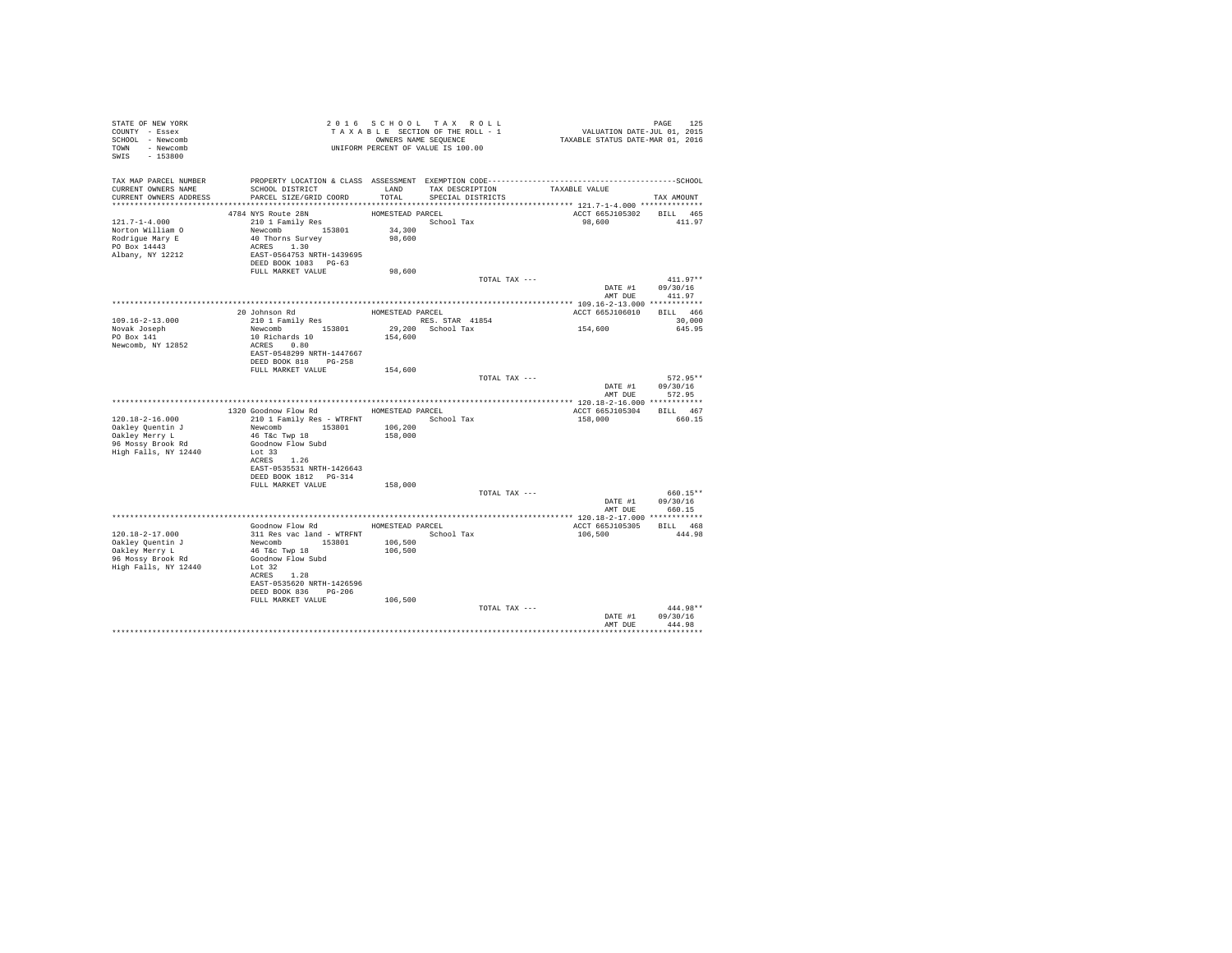| STATE OF NEW YORK<br>COUNTY - Essex<br>SCHOOL - Newcomb<br>TOWN - Newcomb<br>SWIS - 153800         |                                                                                                                                                                                     |                                      | 2016 SCHOOL TAX ROLL<br>TAXABLE SECTION OF THE ROLL - 1<br>OWNERS NAME SEQUENCE |               | PAGE 125<br>VALUATION DATE-JUL 01, 2015<br>TAXABLE STATUS DATE-MAR 01, 2016 |                                    |
|----------------------------------------------------------------------------------------------------|-------------------------------------------------------------------------------------------------------------------------------------------------------------------------------------|--------------------------------------|---------------------------------------------------------------------------------|---------------|-----------------------------------------------------------------------------|------------------------------------|
| TAX MAP PARCEL NUMBER<br>CURRENT OWNERS NAME<br>CURRENT OWNERS ADDRESS                             | SCHOOL DISTRICT<br>PARCEL SIZE/GRID COORD                                                                                                                                           | LAND<br>TOTAL                        | TAX DESCRIPTION<br>SPECIAL DISTRICTS                                            |               | TAXABLE VALUE                                                               | TAX AMOUNT                         |
| $121.7 - 1 - 4.000$<br>Norton William O<br>Rodrigue Mary E<br>PO Box 14443<br>Albany, NY 12212     | 4784 NYS Route 28N<br>210 1 Family Res<br>Newcomb 153801<br>40 Thorns Survey<br>ACRES 1.30<br>EAST-0564753 NRTH-1439695<br>DEED BOOK 1083 PG-63                                     | HOMESTEAD PARCEL<br>34,300<br>98,600 | School Tax                                                                      |               | ACCT 665J105302<br>98,600                                                   | BILL 465<br>411.97                 |
|                                                                                                    | FULL MARKET VALUE                                                                                                                                                                   | 98,600                               |                                                                                 | TOTAL TAX --- | DATE #1 09/30/16                                                            | $411.97**$                         |
| $109.16 - 2 - 13.000$<br>Novak Joseph<br>PO Box 141<br>Newcomb, NY 12852                           | 20 Johnson Rd<br>210 1 Family Res<br>RES. STAR 41854<br>Newcomb 153801<br>10 Richards 10<br>ACRES 0.80<br>EAST-0548299 NRTH-1447667<br>DEED BOOK 818 PG-258                         | 154,600                              | 29,200 School Tax                                                               |               | ACCT 665J106010 BILL 466<br>154,600                                         | AMT DUE 411.97<br>30,000<br>645.95 |
|                                                                                                    | FULL MARKET VALUE                                                                                                                                                                   | 154,600                              |                                                                                 | TOTAL TAX --- | DATE #1<br>AMT DUE                                                          | $572.95**$<br>09/30/16<br>572.95   |
|                                                                                                    |                                                                                                                                                                                     |                                      |                                                                                 |               |                                                                             |                                    |
|                                                                                                    | 1320 Goodnow Flow Rd MOMESTEAD PARCEL                                                                                                                                               |                                      |                                                                                 |               | ACCT 665J105304 BILL 467                                                    |                                    |
| 120.18-2-16.000<br>Oakley Quentin J<br>Oakley Merry L<br>96 Mossy Brook Rd<br>High Falls, NY 12440 | 210 1 Family Res - WTRFNT<br>Newcomb 153801<br>46 T&C Twp 18<br>Goodnow Flow Subd<br>Lot 33<br>ACRES 1.26<br>EAST-0535531 NRTH-1426643<br>DEED BOOK 1812    PG-314                  | 106,200<br>158,000                   | School Tax                                                                      |               | 158,000                                                                     | 660.15                             |
|                                                                                                    | FULL MARKET VALUE                                                                                                                                                                   | 158,000                              |                                                                                 | TOTAL TAX --- | DATE #1                                                                     | 660.15**<br>09/30/16               |
|                                                                                                    |                                                                                                                                                                                     |                                      |                                                                                 |               |                                                                             | AMT DUE 660.15                     |
|                                                                                                    | Goodnow Flow Rd MOMESTEAD PARCEL                                                                                                                                                    |                                      |                                                                                 |               | ACCT 665J105305 BILL 468                                                    |                                    |
| 120.18-2-17.000<br>Oakley Quentin J<br>Oakley Merry L<br>96 Mossy Brook Rd<br>High Falls, NY 12440 | 311 Res vac land - WTRFNT<br>Newcomb 153801<br>46 T&C Twp 18<br>Goodnow Flow Subd<br>Lot 32<br>ACRES 1.28<br>EAST-0535620 NRTH-1426596<br>DEED BOOK 836 PG-206<br>FULL MARKET VALUE | 106,500<br>106,500<br>106,500        | School Tax                                                                      |               | 106,500                                                                     | 444.98                             |
|                                                                                                    |                                                                                                                                                                                     |                                      |                                                                                 | TOTAL TAX --- | DATE #1<br>AMT DUE                                                          | 444.98**<br>09/30/16<br>444.98     |
|                                                                                                    |                                                                                                                                                                                     |                                      |                                                                                 |               |                                                                             |                                    |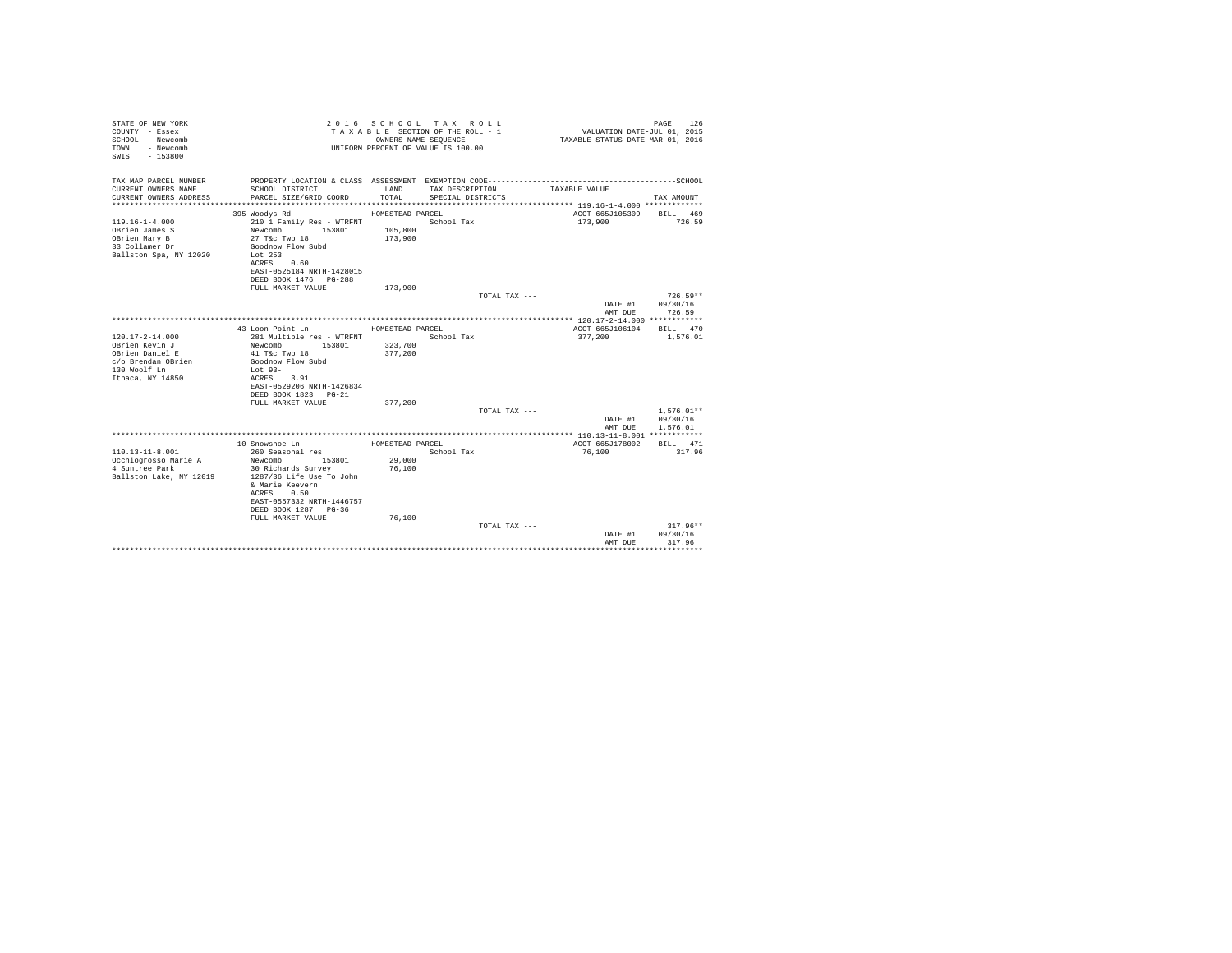| STATE OF NEW YORK<br>COUNTY - Essex<br>SCHOOL - Newcomb<br>- Newcomb<br>TOWN<br>$-153800$<br>SWTS   |                                                                                                                                              | OWNERS NAME SEQUENCE | 2016 SCHOOL TAX ROLL<br>TAXABLE SECTION OF THE ROLL - 1<br>UNIFORM PERCENT OF VALUE IS 100.00 | VALUATION DATE-JUL 01, 2015<br>TAXABLE STATUS DATE-MAR 01, 2016 | PAGE<br>126              |
|-----------------------------------------------------------------------------------------------------|----------------------------------------------------------------------------------------------------------------------------------------------|----------------------|-----------------------------------------------------------------------------------------------|-----------------------------------------------------------------|--------------------------|
| TAX MAP PARCEL NUMBER                                                                               | PROPERTY LOCATION & CLASS ASSESSMENT EXEMPTION CODE----------------------                                                                    |                      |                                                                                               |                                                                 | ------------------SCHOOL |
| CURRENT OWNERS NAME<br>CURRENT OWNERS ADDRESS                                                       | SCHOOL DISTRICT<br>PARCEL SIZE/GRID COORD                                                                                                    | LAND<br>TOTAL.       | TAX DESCRIPTION<br>SPECIAL DISTRICTS                                                          | TAXABLE VALUE                                                   | TAX AMOUNT               |
|                                                                                                     | 395 Woodys Rd                                                                                                                                | HOMESTEAD PARCEL     |                                                                                               | ACCT 665J105309                                                 | BILL 469                 |
| $119.16 - 1 - 4.000$<br>OBrien James S<br>OBrien Mary B<br>33 Collamer Dr<br>Ballston Spa, NY 12020 | 210 1 Family Res - WTRFNT<br>Newcomb<br>153801<br>27 T&c Twp 18<br>Goodnow Flow Subd<br>Lot $253$<br>ACRES 0.60<br>EAST-0525184 NRTH-1428015 | 105,800<br>173,900   | School Tax                                                                                    | 173,900                                                         | 726.59                   |
|                                                                                                     | DEED BOOK 1476 PG-288                                                                                                                        |                      |                                                                                               |                                                                 |                          |
|                                                                                                     | FULL MARKET VALUE                                                                                                                            | 173,900              | TOTAL TAX ---                                                                                 |                                                                 | $726.59**$               |
|                                                                                                     |                                                                                                                                              |                      |                                                                                               | DATE #1                                                         | 09/30/16                 |
|                                                                                                     |                                                                                                                                              |                      |                                                                                               | AMT DUE                                                         | 726.59                   |
|                                                                                                     |                                                                                                                                              |                      |                                                                                               |                                                                 |                          |
|                                                                                                     | 43 Loon Point Ln                                                                                                                             | HOMESTEAD PARCEL     |                                                                                               | ACCT 665J106104                                                 | BTLL 470                 |
| $120.17 - 2 - 14.000$                                                                               | 281 Multiple res - WTRFNT                                                                                                                    |                      | School Tax                                                                                    | 377,200                                                         | 1,576.01                 |
| OBrien Kevin J<br>OBrien Daniel E                                                                   | Newcomb<br>153801<br>41 T&c Twp 18                                                                                                           | 323,700<br>377.200   |                                                                                               |                                                                 |                          |
| c/o Brendan OBrien                                                                                  | Goodnow Flow Subd                                                                                                                            |                      |                                                                                               |                                                                 |                          |
| 130 Woolf Ln                                                                                        | Lot $93-$                                                                                                                                    |                      |                                                                                               |                                                                 |                          |
| Ithaca, NY 14850                                                                                    | ACRES 3.91                                                                                                                                   |                      |                                                                                               |                                                                 |                          |
|                                                                                                     | EAST-0529206 NRTH-1426834                                                                                                                    |                      |                                                                                               |                                                                 |                          |
|                                                                                                     | DEED BOOK 1823 PG-21                                                                                                                         |                      |                                                                                               |                                                                 |                          |
|                                                                                                     | FULL MARKET VALUE                                                                                                                            | 377,200              |                                                                                               |                                                                 |                          |
|                                                                                                     |                                                                                                                                              |                      | TOTAL TAX ---                                                                                 | DATE #1                                                         | $1.576.01**$<br>09/30/16 |
|                                                                                                     |                                                                                                                                              |                      |                                                                                               | AMT DUE                                                         | 1,576.01                 |
|                                                                                                     |                                                                                                                                              |                      |                                                                                               |                                                                 |                          |
|                                                                                                     | 10 Snowshoe Ln                                                                                                                               | HOMESTEAD PARCEL     |                                                                                               | ACCT 665J178002                                                 | BILL 471                 |
| $110.13 - 11 - 8.001$                                                                               | 260 Seasonal res                                                                                                                             |                      | School Tax                                                                                    | 76,100                                                          | 317.96                   |
| Occhiogrosso Marie A                                                                                | 153801<br>Newcomb                                                                                                                            | 29,000               |                                                                                               |                                                                 |                          |
| 4 Suntree Park                                                                                      | 30 Richards Survey                                                                                                                           | 76,100               |                                                                                               |                                                                 |                          |
| Ballston Lake, NY 12019                                                                             | 1287/36 Life Use To John<br>& Marie Keevern<br>ACRES 0.50<br>EAST-0557332 NRTH-1446757<br>DEED BOOK 1287 PG-36                               |                      |                                                                                               |                                                                 |                          |
|                                                                                                     | FULL MARKET VALUE                                                                                                                            | 76,100               | TOTAL TAX ---                                                                                 |                                                                 | $317.96**$               |
|                                                                                                     |                                                                                                                                              |                      |                                                                                               | DATE #1                                                         | 09/30/16                 |
|                                                                                                     |                                                                                                                                              |                      |                                                                                               | AMT DUE                                                         | 317.96                   |
|                                                                                                     |                                                                                                                                              |                      |                                                                                               |                                                                 |                          |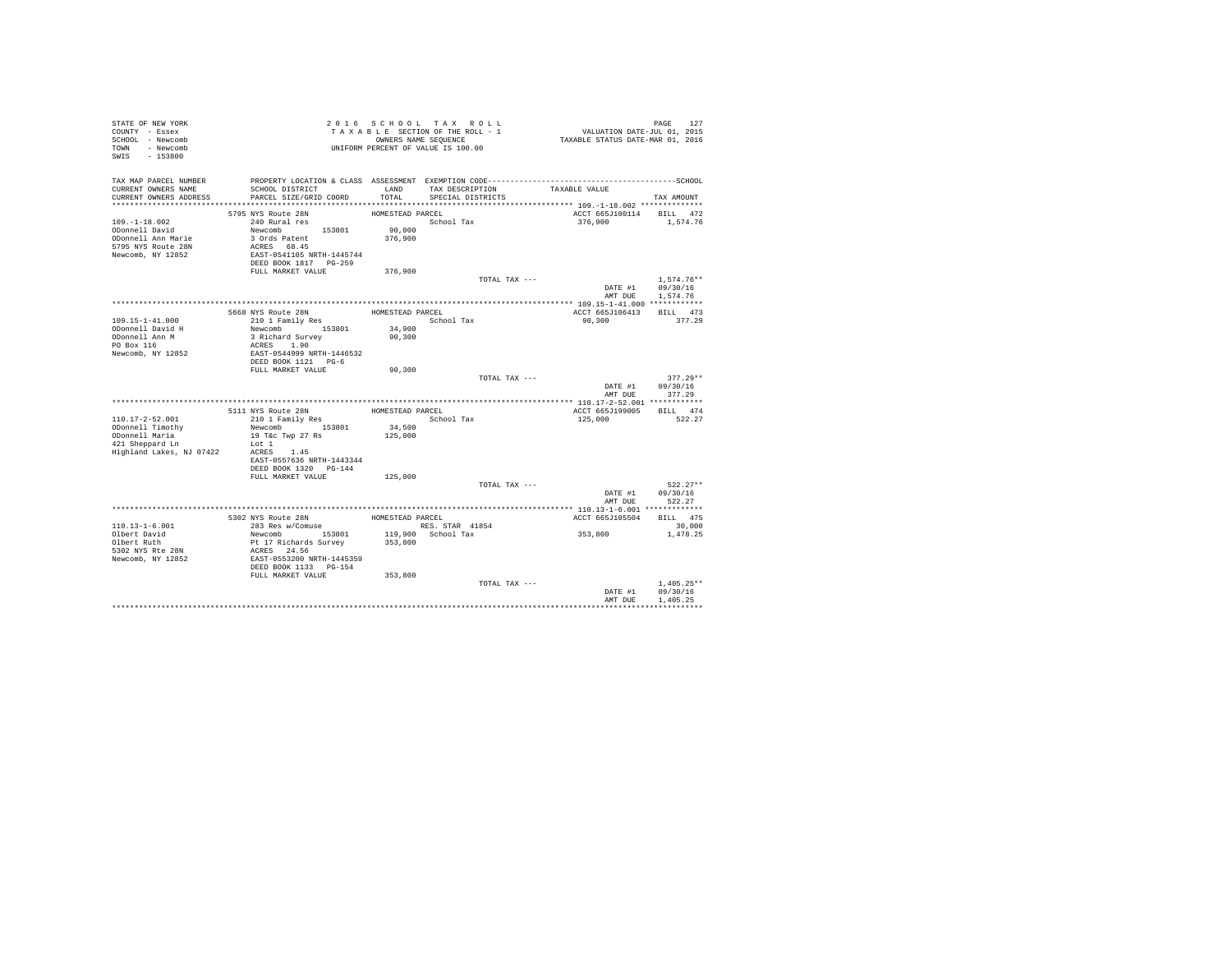| STATE OF NEW YORK<br>COUNTY - Essex<br>SCHOOL - Newcomb<br>TOWN - Newcomb<br>SWIS - 153800 |                                                    |                  | 2016 SCHOOL TAX ROLL<br>TAXABLE SECTION OF THE ROLL - 1<br>OWNERS NAME SEQUENCE<br>UNIFORM PERCENT OF VALUE IS 100.00 | PAGE 127<br>VALUATION DATE-JUL 01, 2015<br>TAXABLE STATUS DATE-MAR 01, 2016 |                                  |
|--------------------------------------------------------------------------------------------|----------------------------------------------------|------------------|-----------------------------------------------------------------------------------------------------------------------|-----------------------------------------------------------------------------|----------------------------------|
| TAX MAP PARCEL NUMBER                                                                      |                                                    |                  |                                                                                                                       |                                                                             |                                  |
| CURRENT OWNERS NAME<br>CURRENT OWNERS ADDRESS                                              | SCHOOL DISTRICT<br>PARCEL SIZE/GRID COORD          | LAND<br>TOTAL    | TAX DESCRIPTION<br>SPECIAL DISTRICTS                                                                                  | TAXABLE VALUE                                                               |                                  |
|                                                                                            |                                                    |                  |                                                                                                                       |                                                                             | TAX AMOUNT                       |
|                                                                                            | 5795 NYS Route 28N                                 | HOMESTEAD PARCEL |                                                                                                                       | ACCT 665J100114 BILL 472                                                    |                                  |
| $109. - 1 - 18.002$                                                                        | 240 Rural res                                      |                  | School Tax                                                                                                            | 376,900                                                                     | 1,574.76                         |
| ODonnell David                                                                             | Newcomb 153801                                     | 90,000           |                                                                                                                       |                                                                             |                                  |
| ODonnell Ann Marie                                                                         | 3 Ords Patent                                      | 376,900          |                                                                                                                       |                                                                             |                                  |
| 5795 NYS Route 28N                                                                         | ACRES 68.45                                        |                  |                                                                                                                       |                                                                             |                                  |
| Newcomb, NY 12852                                                                          | EAST-0541105 NRTH-1445744<br>DEED BOOK 1817 PG-259 |                  |                                                                                                                       |                                                                             |                                  |
|                                                                                            | FULL MARKET VALUE                                  | 376,900          |                                                                                                                       |                                                                             |                                  |
|                                                                                            |                                                    |                  | TOTAL TAX ---                                                                                                         |                                                                             | $1.574.76**$                     |
|                                                                                            |                                                    |                  |                                                                                                                       |                                                                             | DATE #1 09/30/16                 |
|                                                                                            |                                                    |                  |                                                                                                                       | AMT DUE                                                                     | 1,574.76                         |
|                                                                                            |                                                    |                  |                                                                                                                       |                                                                             |                                  |
| 109.15-1-41.000                                                                            | 5668 NYS Route 28N<br>210 1 Family Res             | HOMESTEAD PARCEL | School Tax                                                                                                            | ACCT 665J106413<br>90,300                                                   | BILL 473<br>377.29               |
| ODonnell David H                                                                           | Newcomb 153801                                     | 34,900           |                                                                                                                       |                                                                             |                                  |
| ODonnell Ann M                                                                             | 3 Richard Survey                                   | 90,300           |                                                                                                                       |                                                                             |                                  |
| PO Box 116                                                                                 | ACRES 1.90                                         |                  |                                                                                                                       |                                                                             |                                  |
| Newcomb, NY 12852                                                                          | EAST-0544999 NRTH-1446532                          |                  |                                                                                                                       |                                                                             |                                  |
|                                                                                            | DEED BOOK 1121 PG-6<br>FULL MARKET VALUE           | 90,300           |                                                                                                                       |                                                                             |                                  |
|                                                                                            |                                                    |                  | TOTAL TAX ---                                                                                                         |                                                                             | $377.29**$                       |
|                                                                                            |                                                    |                  |                                                                                                                       | DATE #1                                                                     | 09/30/16                         |
|                                                                                            |                                                    |                  |                                                                                                                       | AMT DUE                                                                     | 377.29                           |
|                                                                                            |                                                    |                  |                                                                                                                       |                                                                             |                                  |
|                                                                                            | 5111 NYS Route 28N                                 | HOMESTEAD PARCEL |                                                                                                                       | ACCT 665J199005 BILL 474                                                    |                                  |
| $110.17 - 2 - 52.001$<br>ODonnell Timothy                                                  | 210 1 Family Res<br>Newcomb 153801                 | 34,500           | School Tax                                                                                                            | 125,000                                                                     | 522.27                           |
| ODonnell Maria                                                                             | 19 T&c Twp 27 Rs                                   | 125,000          |                                                                                                                       |                                                                             |                                  |
| 421 Sheppard Ln                                                                            | Lot 1                                              |                  |                                                                                                                       |                                                                             |                                  |
| Highland Lakes, NJ 07422                                                                   | ACRES 1.45                                         |                  |                                                                                                                       |                                                                             |                                  |
|                                                                                            | EAST-0557636 NRTH-1443344                          |                  |                                                                                                                       |                                                                             |                                  |
|                                                                                            | DEED BOOK 1320 PG-144                              |                  |                                                                                                                       |                                                                             |                                  |
|                                                                                            | FULL MARKET VALUE                                  | 125,000          | TOTAL TAX ---                                                                                                         |                                                                             | $522.27**$                       |
|                                                                                            |                                                    |                  |                                                                                                                       |                                                                             | DATE #1 09/30/16                 |
|                                                                                            |                                                    |                  |                                                                                                                       | AMT DUE                                                                     | 522.27                           |
|                                                                                            |                                                    |                  |                                                                                                                       | ******************* 110.13-1-6.001 *************                            |                                  |
|                                                                                            | 5302 NYS Route 28N                                 | HOMESTEAD PARCEL |                                                                                                                       | ACCT 665J105504                                                             | BILL 475                         |
| $110.13 - 1 - 6.001$<br>Olbert David                                                       | 283 Res w/Comuse                                   |                  | RES. STAR 41854                                                                                                       | 353,800                                                                     | 30,000                           |
| Olbert Ruth                                                                                |                                                    | 353,800          | 119,900 School Tax                                                                                                    |                                                                             | 1,478.25                         |
| 5302 NYS Rte 28N                                                                           | Newcomb<br>Pt 17 Richards Survey<br>ACRES 24.56    |                  |                                                                                                                       |                                                                             |                                  |
| Newcomb, NY 12852                                                                          | EAST-0553200 NRTH-1445359                          |                  |                                                                                                                       |                                                                             |                                  |
|                                                                                            | DEED BOOK 1133 PG-154                              |                  |                                                                                                                       |                                                                             |                                  |
|                                                                                            | FULL MARKET VALUE                                  | 353,800          |                                                                                                                       |                                                                             |                                  |
|                                                                                            |                                                    |                  | TOTAL TAX ---                                                                                                         |                                                                             | $1.405.25**$<br>DATE #1 09/30/16 |
|                                                                                            |                                                    |                  |                                                                                                                       | AMT DUE                                                                     | 1,405.25                         |
|                                                                                            |                                                    |                  |                                                                                                                       |                                                                             |                                  |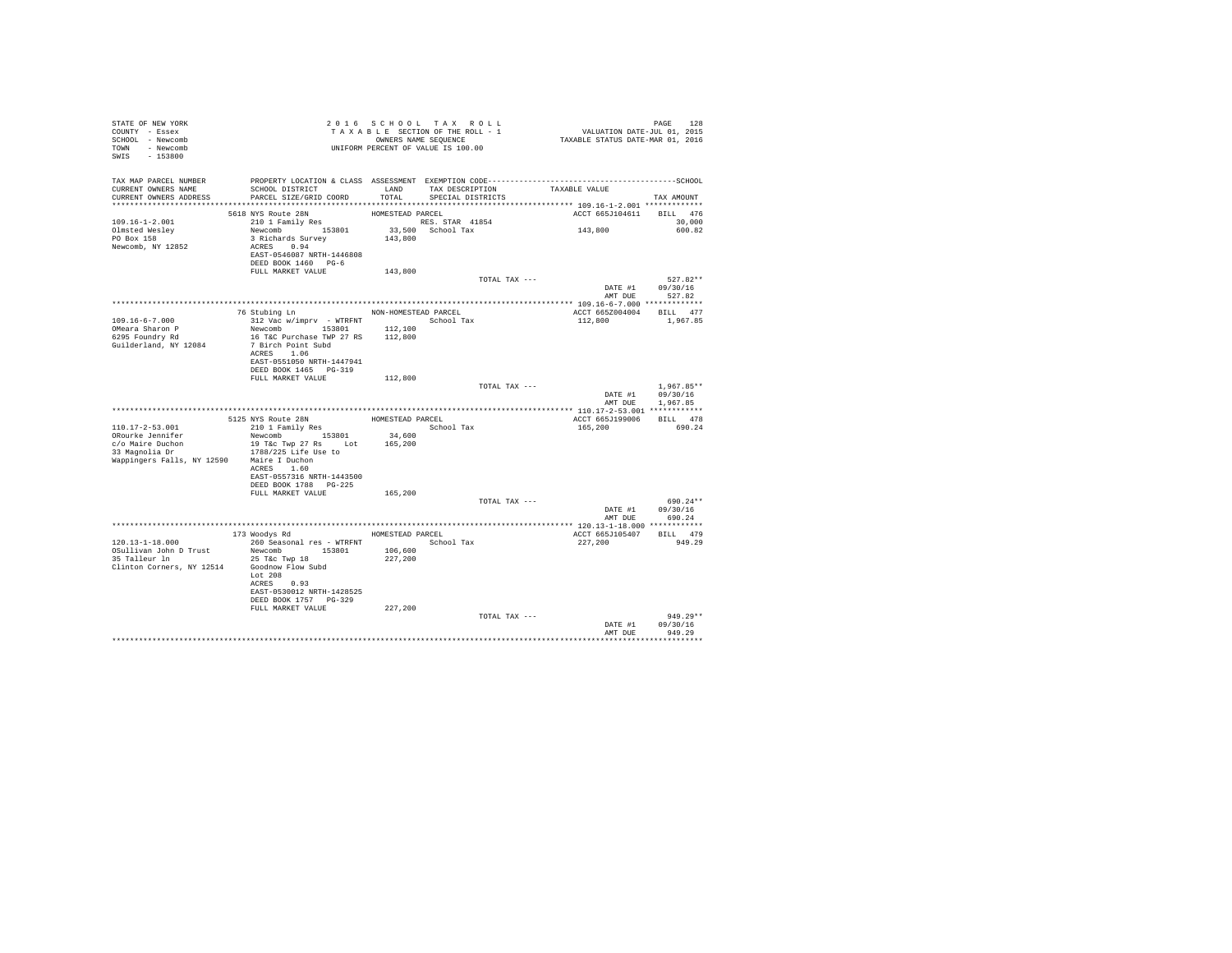| STATE OF NEW YORK<br>COUNTY - Essex<br>SCHOOL - Newcomb<br>TOWN - Newcomb<br>$-153800$<br>SWIS | T A X A B B B B B B SEQUENCE<br>UNIFORM PERCENT OF VALUE IS 100.00                           |                   | 2016 SCHOOL TAX ROLL<br>TAXABLE SECTION OF THE ROLL - 1<br>OWNERS NAME SEQUENCE |                               | PAGE 128<br>VALUATION DATE-JUL 01, 2015<br>TAXABLE STATUS DATE-MAR 01, 2016 |                              |
|------------------------------------------------------------------------------------------------|----------------------------------------------------------------------------------------------|-------------------|---------------------------------------------------------------------------------|-------------------------------|-----------------------------------------------------------------------------|------------------------------|
| TAX MAP PARCEL NUMBER                                                                          | PROPERTY LOCATION & CLASS ASSESSMENT EXEMPTION CODE-----------------------------------SCHOOL |                   |                                                                                 |                               |                                                                             |                              |
| CURRENT OWNERS NAME<br>CURRENT OWNERS ADDRESS                                                  | SCHOOL DISTRICT<br>PARCEL SIZE/GRID COORD                                                    | LAND<br>TOTAL     | SPECIAL DISTRICTS                                                               | TAX DESCRIPTION TAXABLE VALUE |                                                                             |                              |
|                                                                                                |                                                                                              |                   |                                                                                 |                               |                                                                             | TAX AMOUNT                   |
|                                                                                                | 5618 NYS Route 28N                                                                           | HOMESTEAD PARCEL  |                                                                                 |                               | ACCT 665J104611 BILL 476                                                    |                              |
| 109.16-1-2.001                                                                                 | 210 1 Family Res                                                                             |                   | RES. STAR 41854                                                                 |                               |                                                                             | 30,000                       |
| Olmsted Wesley                                                                                 | Newcomb 153801                                                                               |                   | 33,500 School Tax                                                               |                               | 143,800                                                                     | 600.82                       |
| PO Box 158<br>Newcomb, NY 12852                                                                | $3$ Richards Survey<br>ACRES 0.94<br>EAST-0546087 NRTH-1446808<br>DEED BOOK 1460 PG-6        | 143,800           |                                                                                 |                               |                                                                             |                              |
|                                                                                                | FULL MARKET VALUE                                                                            | 143,800           |                                                                                 |                               |                                                                             |                              |
|                                                                                                |                                                                                              |                   |                                                                                 | TOTAL TAX ---                 |                                                                             | $527.82**$                   |
|                                                                                                |                                                                                              |                   |                                                                                 |                               | AMT DUE                                                                     | DATE #1 09/30/16<br>527.82   |
|                                                                                                |                                                                                              |                   |                                                                                 |                               |                                                                             |                              |
| $109.16 - 6 - 7.000$                                                                           | 76 Stubing Ln MON-HOMESTEAD PARCEL<br>312 Vac w/imprv - WTRFNT School Tax                    |                   |                                                                                 |                               | ACCT 665Z004004<br>112,800                                                  | BILL 477<br>1,967.85         |
| OMeara Sharon P                                                                                | Newcomb 153801                                                                               | 112,100           |                                                                                 |                               |                                                                             |                              |
| 6295 Foundry Rd                                                                                | 16 T&C Purchase TWP 27 RS 112,800                                                            |                   |                                                                                 |                               |                                                                             |                              |
| Guilderland, NY 12084                                                                          | 7 Birch Point Subd                                                                           |                   |                                                                                 |                               |                                                                             |                              |
|                                                                                                | ACRES 1.06<br>EAST-0551050 NRTH-1447941                                                      |                   |                                                                                 |                               |                                                                             |                              |
|                                                                                                | DEED BOOK 1465 PG-319                                                                        |                   |                                                                                 |                               |                                                                             |                              |
|                                                                                                | FULL MARKET VALUE                                                                            | 112,800           |                                                                                 |                               |                                                                             |                              |
|                                                                                                |                                                                                              |                   |                                                                                 | TOTAL TAX ---                 |                                                                             | $1.967.85**$                 |
|                                                                                                |                                                                                              |                   |                                                                                 |                               | AMT DUE                                                                     | DATE #1 09/30/16<br>1,967.85 |
|                                                                                                |                                                                                              |                   |                                                                                 |                               |                                                                             |                              |
|                                                                                                | 5125 NYS Route 28N<br>210 1 Family Res                                                       | HOMESTEAD PARCEL  |                                                                                 |                               | ACCT 665J199006 BILL 478                                                    |                              |
| 110.17-2-53.001                                                                                |                                                                                              |                   | School Tax                                                                      |                               | 165,200                                                                     | 690.24                       |
| ORourke Jennifer                                                                               | Newcomb 153801<br>19 T&c Twp 27 Rs Lot                                                       | 34,600<br>165,200 |                                                                                 |                               |                                                                             |                              |
| c/o Maire Duchon<br>33 Magnolia Dr                                                             | 1788/225 Life Use to                                                                         |                   |                                                                                 |                               |                                                                             |                              |
| Wappingers Falls, NY 12590 Maire I Duchon                                                      |                                                                                              |                   |                                                                                 |                               |                                                                             |                              |
|                                                                                                | ACRES 1.60                                                                                   |                   |                                                                                 |                               |                                                                             |                              |
|                                                                                                | EAST-0557316 NRTH-1443500<br>DEED BOOK 1788 PG-225                                           |                   |                                                                                 |                               |                                                                             |                              |
|                                                                                                | FULL MARKET VALUE                                                                            | 165,200           |                                                                                 |                               |                                                                             |                              |
|                                                                                                |                                                                                              |                   |                                                                                 | TOTAL TAX ---                 |                                                                             | 690.24**                     |
|                                                                                                |                                                                                              |                   |                                                                                 |                               |                                                                             | DATE #1 09/30/16             |
|                                                                                                |                                                                                              |                   |                                                                                 |                               | AMT DUE                                                                     | 690.24                       |
|                                                                                                | 173 Woodys Rd MomesTEAD PARCEL                                                               |                   |                                                                                 |                               | ACCT 665J105407                                                             | BILL 479                     |
| 120.13-1-18.000                                                                                | 260 Seasonal res - WTRFNT                                                                    |                   | School Tax                                                                      |                               | 227,200                                                                     | 949.29                       |
| OSullivan John D Trust                                                                         | Newcomb 153801                                                                               | 106,600           |                                                                                 |                               |                                                                             |                              |
| 35 Talleur ln<br>Clinton Corners, NY 12514                                                     | 25 T&C Twp 18<br>Goodnow Flow Subd                                                           | 227,200           |                                                                                 |                               |                                                                             |                              |
|                                                                                                | Lot 208                                                                                      |                   |                                                                                 |                               |                                                                             |                              |
|                                                                                                | ACRES 0.93                                                                                   |                   |                                                                                 |                               |                                                                             |                              |
|                                                                                                | EAST-0530012 NRTH-1428525<br>DEED BOOK 1757 PG-329                                           |                   |                                                                                 |                               |                                                                             |                              |
|                                                                                                | FULL MARKET VALUE                                                                            | 227,200           |                                                                                 |                               |                                                                             |                              |
|                                                                                                |                                                                                              |                   |                                                                                 | TOTAL TAX ---                 |                                                                             | $949.29**$                   |
|                                                                                                |                                                                                              |                   |                                                                                 |                               | DATE #1                                                                     | 09/30/16                     |
|                                                                                                |                                                                                              |                   |                                                                                 |                               | AMT DHR                                                                     | 949.29<br>**********         |
|                                                                                                |                                                                                              |                   |                                                                                 |                               |                                                                             |                              |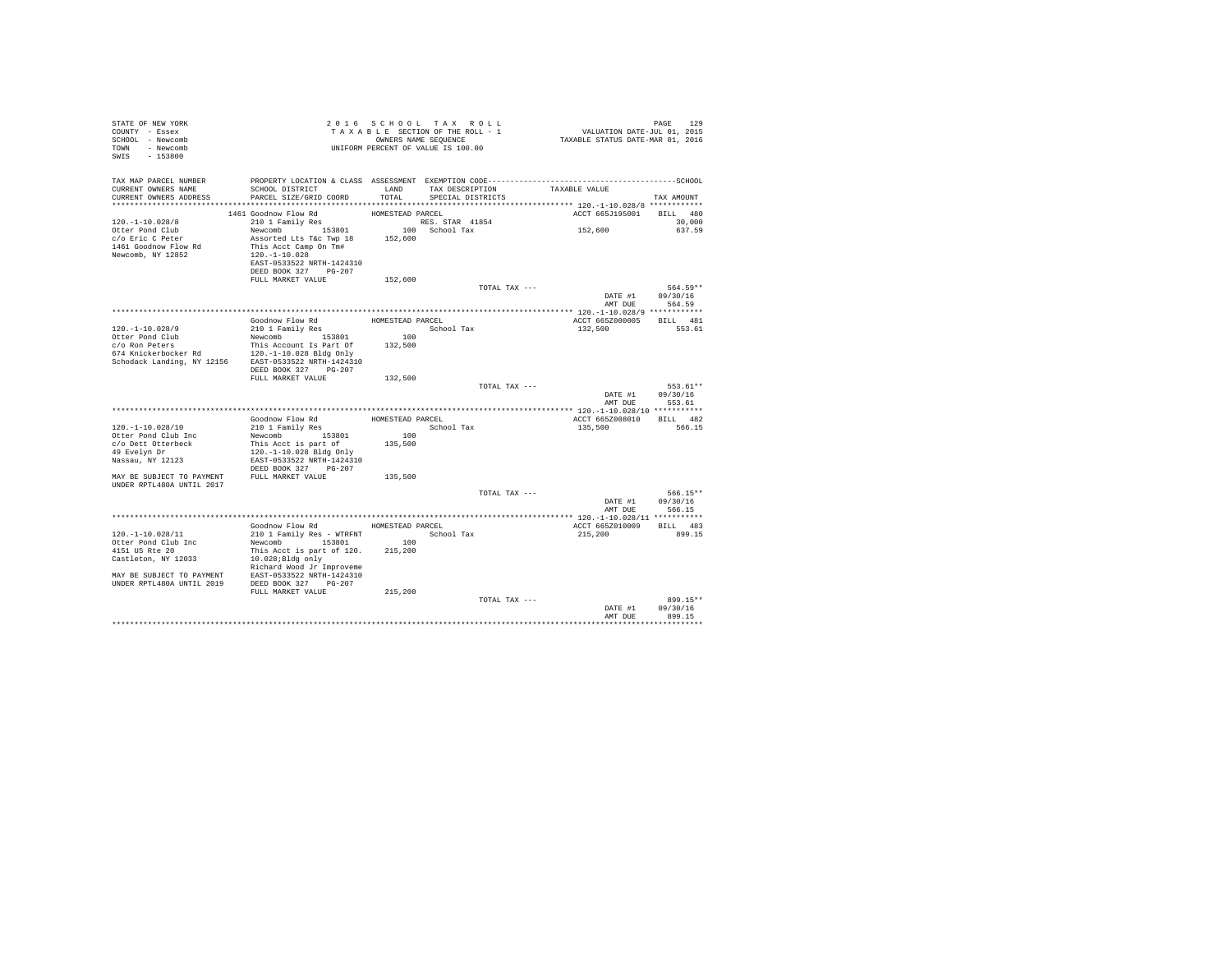| STATE OF NEW YORK<br>COUNTY - Essex<br>SCHOOL - Newcomb<br>TOWN - Newcomb<br>SWIS - 153800                                                                           |                                                      |                  | 2016 SCHOOL TAX ROLL<br>TAXABLE SECTION OF THE ROLL - 1<br>OWNERS NAME SEQUENCE<br>UNIFORM PERCENT OF VALUE IS 100.00 |               | PAGE 129<br>VALUATION DATE-JUL 01, 2015<br>TAXABLE STATUS DATE-MAR 01, 2016 |                      |
|----------------------------------------------------------------------------------------------------------------------------------------------------------------------|------------------------------------------------------|------------------|-----------------------------------------------------------------------------------------------------------------------|---------------|-----------------------------------------------------------------------------|----------------------|
| TAX MAP PARCEL NUMBER<br>CURRENT OWNERS NAME                                                                                                                         | SCHOOL DISTRICT                                      |                  | LAND TAX DESCRIPTION                                                                                                  |               | TAXABLE VALUE                                                               |                      |
| CURRENT OWNERS ADDRESS                                                                                                                                               | PARCEL SIZE/GRID COORD                               | TOTAL            | SPECIAL DISTRICTS                                                                                                     |               |                                                                             | TAX AMOUNT           |
|                                                                                                                                                                      |                                                      |                  |                                                                                                                       |               |                                                                             |                      |
|                                                                                                                                                                      | 1461 Goodnow Flow Rd                                 | HOMESTEAD PARCEL |                                                                                                                       |               | ACCT 665J195001 BILL 480                                                    |                      |
| $120. - 1 - 10.028/8$                                                                                                                                                | 210 1 Family Res                                     |                  | RES. STAR 41854                                                                                                       |               |                                                                             | 30,000               |
| Otter Pond Club                                                                                                                                                      | Newcomb 153801                                       |                  | 100 School Tax                                                                                                        |               | 152,600                                                                     | 637.59               |
| c/o Eric C Peter                                                                                                                                                     | Assorted Lts T&c Twp 18 152,600                      |                  |                                                                                                                       |               |                                                                             |                      |
| 1461 Goodnow Flow Rd                                                                                                                                                 | This Acct Camp On Tm#                                |                  |                                                                                                                       |               |                                                                             |                      |
| Newcomb, NY 12852                                                                                                                                                    | 120.-1-10.028<br>EAST-0533522 NRTH-1424310           |                  |                                                                                                                       |               |                                                                             |                      |
|                                                                                                                                                                      | DEED BOOK 327 PG-207                                 |                  |                                                                                                                       |               |                                                                             |                      |
|                                                                                                                                                                      | FULL MARKET VALUE                                    | 152,600          |                                                                                                                       |               |                                                                             |                      |
|                                                                                                                                                                      |                                                      |                  |                                                                                                                       | TOTAL TAX --- |                                                                             | 564.59**             |
|                                                                                                                                                                      |                                                      |                  |                                                                                                                       |               |                                                                             | DATE #1 09/30/16     |
|                                                                                                                                                                      |                                                      |                  |                                                                                                                       |               | AMT DUE                                                                     | 564.59               |
|                                                                                                                                                                      |                                                      |                  |                                                                                                                       |               |                                                                             |                      |
|                                                                                                                                                                      | Goodnow Flow Rd                                      |                  | HOMESTEAD PARCEL<br>School Tax                                                                                        |               | ACCT 665Z000005 BILL 481<br>132,500                                         | 553.61               |
| 120. -1-10.028/9<br>Otter Pond Club                                                                                                                                  | 210 1 Family Res<br>Newcomb 153801                   | 100              |                                                                                                                       |               |                                                                             |                      |
| c/o Ron Peters                                                                                                                                                       |                                                      |                  |                                                                                                                       |               |                                                                             |                      |
|                                                                                                                                                                      |                                                      |                  |                                                                                                                       |               |                                                                             |                      |
| $c/o$ Ron Peters $$\tt This$ Account Is Part Of $132,500$ 674 Knickerbocker Rd $120,-1-10.028$ Bldg Only Schodack Landing, NY 12156 $$\tt EAST-0533522$ NRTH-1424310 |                                                      |                  |                                                                                                                       |               |                                                                             |                      |
|                                                                                                                                                                      | DEED BOOK 327 PG-207                                 |                  |                                                                                                                       |               |                                                                             |                      |
|                                                                                                                                                                      | FULL MARKET VALUE                                    | 132,500          |                                                                                                                       |               |                                                                             |                      |
|                                                                                                                                                                      |                                                      |                  |                                                                                                                       | TOTAL TAX --- | DATE #1                                                                     | 553.61**<br>09/30/16 |
|                                                                                                                                                                      |                                                      |                  |                                                                                                                       |               | AMT DUE                                                                     | 553.61               |
|                                                                                                                                                                      |                                                      |                  |                                                                                                                       |               |                                                                             |                      |
|                                                                                                                                                                      | Goodnow Flow Rd                                      | HOMESTEAD PARCEL |                                                                                                                       |               | ACCT 665Z008010 BILL 482                                                    |                      |
| 120. -1-10.028/10                                                                                                                                                    | 210 1 Family Res                                     |                  | School Tax                                                                                                            |               | 135,500                                                                     | 566.15               |
| Otter Pond Club Inc                                                                                                                                                  | Newcomb 153801                                       | 100              |                                                                                                                       |               |                                                                             |                      |
| c/o Dett Otterbeck                                                                                                                                                   | This Acct is part of                                 | 135,500          |                                                                                                                       |               |                                                                             |                      |
| 49 Evelyn Dr                                                                                                                                                         | 120.-1-10.028 Bldg Only<br>EAST-0533522 NRTH-1424310 |                  |                                                                                                                       |               |                                                                             |                      |
| Nassau, NY 12123                                                                                                                                                     | DEED BOOK 327 PG-207                                 |                  |                                                                                                                       |               |                                                                             |                      |
| MAY BE SUBJECT TO PAYMENT FULL MARKET VALUE                                                                                                                          |                                                      | 135,500          |                                                                                                                       |               |                                                                             |                      |
| UNDER RPTL480A UNTIL 2017                                                                                                                                            |                                                      |                  |                                                                                                                       |               |                                                                             |                      |
|                                                                                                                                                                      |                                                      |                  |                                                                                                                       | TOTAL TAX --- |                                                                             | 566.15**             |
|                                                                                                                                                                      |                                                      |                  |                                                                                                                       |               | DATE #1                                                                     | 09/30/16             |
|                                                                                                                                                                      |                                                      |                  |                                                                                                                       |               | AMT DUE                                                                     | 566.15               |
|                                                                                                                                                                      | Goodnow Flow Rd MOMESTEAD PARCEL                     |                  |                                                                                                                       |               |                                                                             | BILL 483             |
| 120. -1-10.028/11                                                                                                                                                    | 210 1 Family Res - WTRFNT School Tax                 |                  |                                                                                                                       |               | ACCT 665Z010009<br>215,200                                                  | 899.15               |
| Otter Pond Club Inc                                                                                                                                                  | Newcomb 153801                                       | 100              |                                                                                                                       |               |                                                                             |                      |
| 4151 US Rte 20                                                                                                                                                       | This Acct is part of 120.                            | 215,200          |                                                                                                                       |               |                                                                             |                      |
| Castleton, NY 12033                                                                                                                                                  | 10.028;Bldg only                                     |                  |                                                                                                                       |               |                                                                             |                      |
|                                                                                                                                                                      | Richard Wood Jr Improveme                            |                  |                                                                                                                       |               |                                                                             |                      |
| MAY BE SUBJECT TO PAYMENT EAST-0533522 NRTH-1424310                                                                                                                  |                                                      |                  |                                                                                                                       |               |                                                                             |                      |
| UNDER RPTL480A UNTIL 2019 DEED BOOK 327 PG-207                                                                                                                       |                                                      |                  |                                                                                                                       |               |                                                                             |                      |
|                                                                                                                                                                      | FULL MARKET VALUE                                    | 215,200          |                                                                                                                       | TOTAL TAX --- |                                                                             | 899.15**             |
|                                                                                                                                                                      |                                                      |                  |                                                                                                                       |               | DATE #1                                                                     | 09/30/16             |
|                                                                                                                                                                      |                                                      |                  |                                                                                                                       |               | AMT DUE                                                                     | 899.15               |
|                                                                                                                                                                      |                                                      |                  |                                                                                                                       |               |                                                                             | ************         |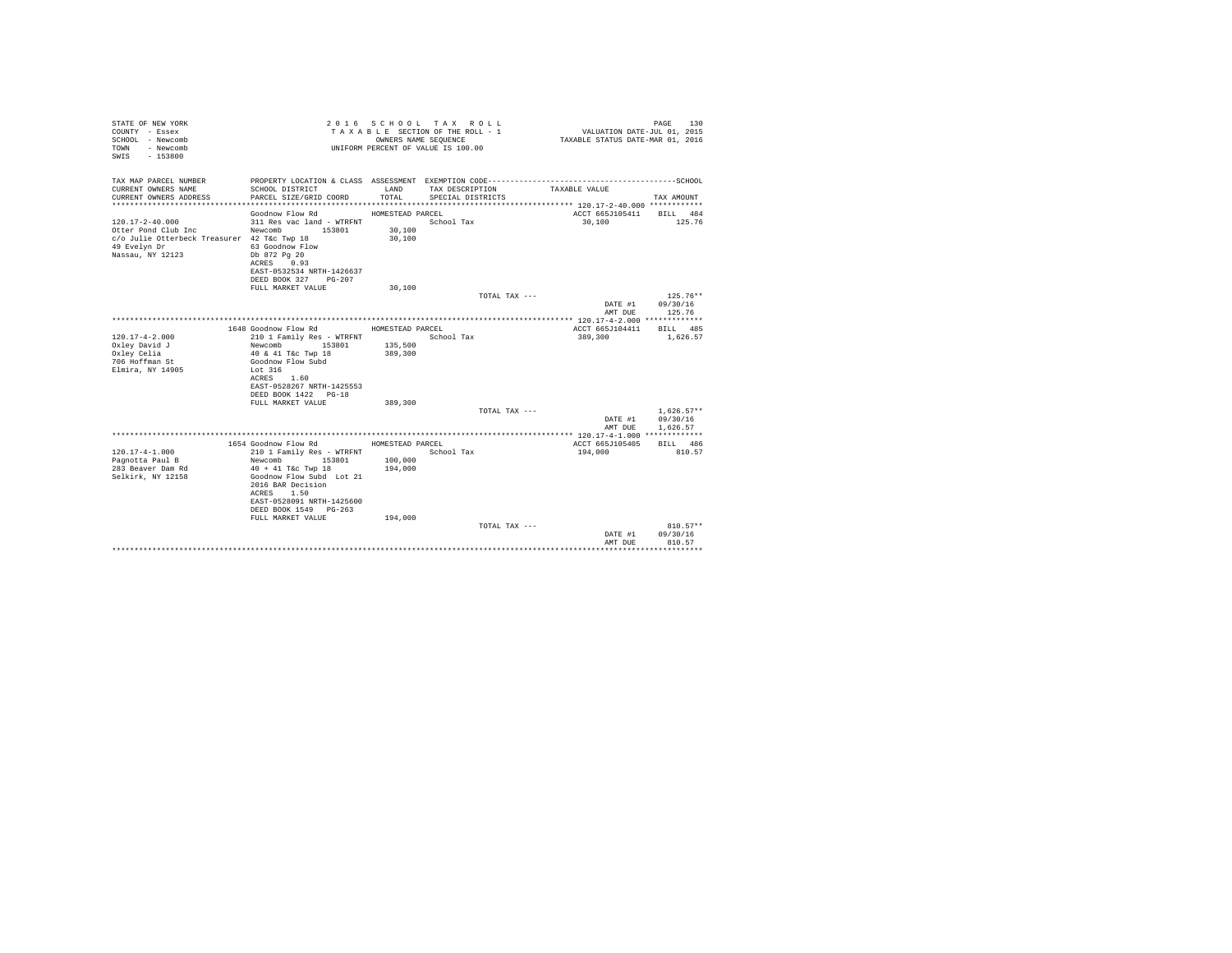| STATE OF NEW YORK<br>COUNTY - Essex<br>SCHOOL - Newcomb<br>- Newcomb<br>TOWN<br>$-153800$<br>SWTS                               |                                                                                                                                                   | OWNERS NAME SEQUENCE | 2016 SCHOOL TAX ROLL<br>TAXABLE SECTION OF THE ROLL - 1<br>UNIFORM PERCENT OF VALUE IS 100.00 | VALUATION DATE-JUL 01, 2015<br>TAXABLE STATUS DATE-MAR 01, 2016 | PAGE<br>130  |
|---------------------------------------------------------------------------------------------------------------------------------|---------------------------------------------------------------------------------------------------------------------------------------------------|----------------------|-----------------------------------------------------------------------------------------------|-----------------------------------------------------------------|--------------|
| TAX MAP PARCEL NUMBER<br>CURRENT OWNERS NAME                                                                                    | SCHOOL DISTRICT                                                                                                                                   | LAND                 | TAX DESCRIPTION                                                                               | TAXABLE VALUE                                                   |              |
| CURRENT OWNERS ADDRESS                                                                                                          | PARCEL SIZE/GRID COORD                                                                                                                            | TOTAL                | SPECIAL DISTRICTS                                                                             |                                                                 | TAX AMOUNT   |
|                                                                                                                                 | Goodnow Flow Rd                                                                                                                                   | HOMESTEAD PARCEL     |                                                                                               | ACCT 665J105411                                                 | BILL 484     |
| $120.17 - 2 - 40.000$<br>Otter Pond Club Inc<br>c/o Julie Otterbeck Treasurer 42 T&c Twp 18<br>49 Evelyn Dr<br>Nassau, NY 12123 | 311 Res vac land - WTRFNT<br>Newcomb 153801<br>63 Goodnow Flow<br>Db 872 Pg 20<br>ACRES 0.93<br>EAST-0532534 NRTH-1426637<br>DEED BOOK 327 PG-207 | 30,100<br>30,100     | School Tax                                                                                    | 30,100                                                          | 125.76       |
|                                                                                                                                 | FULL MARKET VALUE                                                                                                                                 | 30,100               |                                                                                               |                                                                 |              |
|                                                                                                                                 |                                                                                                                                                   |                      | TOTAL TAX ---                                                                                 |                                                                 | $125.76**$   |
|                                                                                                                                 |                                                                                                                                                   |                      |                                                                                               | DATE #1                                                         | 09/30/16     |
|                                                                                                                                 |                                                                                                                                                   |                      |                                                                                               | AMT DUE                                                         | 125.76       |
|                                                                                                                                 |                                                                                                                                                   |                      |                                                                                               |                                                                 |              |
|                                                                                                                                 | 1648 Goodnow Flow Rd                                                                                                                              | HOMESTEAD PARCEL     |                                                                                               | ACCT 665J104411                                                 | BTT.T. 485   |
| $120.17 - 4 - 2.000$                                                                                                            | 210 1 Family Res - WTRFNT                                                                                                                         |                      | School Tax                                                                                    | 389,300                                                         | 1,626.57     |
| Oxley David J<br>Oxley Celia                                                                                                    | Newcomb<br>153801<br>40 & 41 T&c Twp 18                                                                                                           | 135,500<br>389,300   |                                                                                               |                                                                 |              |
| 706 Hoffman St                                                                                                                  | Goodnow Flow Subd                                                                                                                                 |                      |                                                                                               |                                                                 |              |
| Elmira, NY 14905                                                                                                                | Lot 316                                                                                                                                           |                      |                                                                                               |                                                                 |              |
|                                                                                                                                 | ACRES 1.60                                                                                                                                        |                      |                                                                                               |                                                                 |              |
|                                                                                                                                 | EAST-0528267 NRTH-1425553                                                                                                                         |                      |                                                                                               |                                                                 |              |
|                                                                                                                                 | DEED BOOK 1422 PG-18                                                                                                                              |                      |                                                                                               |                                                                 |              |
|                                                                                                                                 | FULL MARKET VALUE                                                                                                                                 | 389,300              |                                                                                               |                                                                 |              |
|                                                                                                                                 |                                                                                                                                                   |                      | TOTAL TAX ---                                                                                 |                                                                 | $1.626.57**$ |
|                                                                                                                                 |                                                                                                                                                   |                      |                                                                                               | DATE #1                                                         | 09/30/16     |
|                                                                                                                                 |                                                                                                                                                   |                      |                                                                                               | AMT DUE                                                         | 1,626.57     |
|                                                                                                                                 | 1654 Goodnow Flow Rd                                                                                                                              | HOMESTEAD PARCEL     |                                                                                               | ACCT 665J105405                                                 | BILL 486     |
| $120.17 - 4 - 1.000$                                                                                                            | 210 1 Family Res - WTRFNT                                                                                                                         |                      | School Tax                                                                                    | 194,000                                                         | 810.57       |
| Pagnotta Paul B                                                                                                                 | Newcomb<br>153801                                                                                                                                 | 100,000              |                                                                                               |                                                                 |              |
| 283 Beaver Dam Rd                                                                                                               | $40 + 41$ T&c Twp 18                                                                                                                              | 194,000              |                                                                                               |                                                                 |              |
| Selkirk, NY 12158                                                                                                               | Goodnow Flow Subd Lot 21                                                                                                                          |                      |                                                                                               |                                                                 |              |
|                                                                                                                                 | 2016 BAR Decision                                                                                                                                 |                      |                                                                                               |                                                                 |              |
|                                                                                                                                 | ACRES 1.50<br>EAST-0528091 NRTH-1425600                                                                                                           |                      |                                                                                               |                                                                 |              |
|                                                                                                                                 | DEED BOOK 1549 PG-263                                                                                                                             |                      |                                                                                               |                                                                 |              |
|                                                                                                                                 | FULL MARKET VALUE                                                                                                                                 | 194,000              |                                                                                               |                                                                 |              |
|                                                                                                                                 |                                                                                                                                                   |                      | TOTAL TAX ---                                                                                 |                                                                 | $810.57**$   |
|                                                                                                                                 |                                                                                                                                                   |                      |                                                                                               | DATE #1                                                         | 09/30/16     |
|                                                                                                                                 |                                                                                                                                                   |                      |                                                                                               | AMT DUE                                                         | 810.57       |
|                                                                                                                                 |                                                                                                                                                   |                      |                                                                                               |                                                                 |              |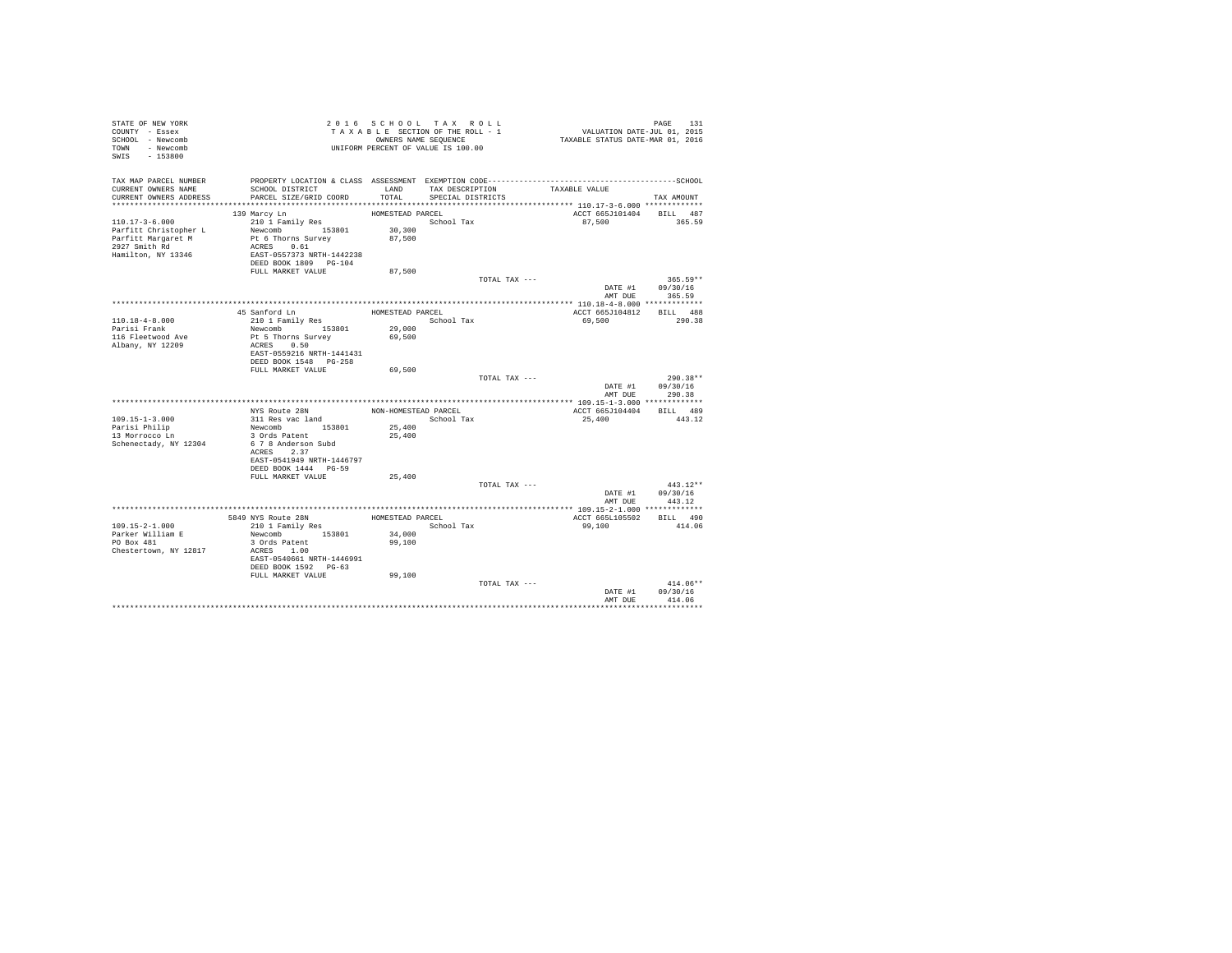| STATE OF NEW YORK<br>COUNTY - Essex<br>SCHOOL - Newcomb<br>TOWN - Newcomb<br>SWIS - 153800 |                                                    |                      | 2016 SCHOOL TAX ROLL<br>TAXABLE SECTION OF THE ROLL - 1<br>OWNERS NAME SEQUENCE<br>UNIFORM PERCENT OF VALUE IS 100.00 |               | PAGE 131<br>VALUATION DATE-JUL 01, 2015<br>TAXABLE STATUS DATE-MAR 01, 2016 |                                |
|--------------------------------------------------------------------------------------------|----------------------------------------------------|----------------------|-----------------------------------------------------------------------------------------------------------------------|---------------|-----------------------------------------------------------------------------|--------------------------------|
| TAX MAP PARCEL NUMBER                                                                      |                                                    |                      |                                                                                                                       |               |                                                                             |                                |
| CURRENT OWNERS NAME                                                                        | SCHOOL DISTRICT                                    | LAND                 | TAX DESCRIPTION TAXABLE VALUE                                                                                         |               |                                                                             |                                |
| CURRENT OWNERS ADDRESS                                                                     | PARCEL SIZE/GRID COORD                             | TOTAL                | SPECIAL DISTRICTS                                                                                                     |               |                                                                             | TAX AMOUNT                     |
|                                                                                            | 139 Marcy Ln                                       | HOMESTEAD PARCEL     |                                                                                                                       |               | ACCT 665J101404 BILL 487                                                    |                                |
| $110.17 - 3 - 6.000$                                                                       | 210 1 Family Res                                   |                      | School Tax                                                                                                            |               | 87,500                                                                      | 365.59                         |
| Parfitt Christopher L                                                                      | Newcomb 153801                                     | 30,300               |                                                                                                                       |               |                                                                             |                                |
| Parfitt Margaret M                                                                         | Pt 6 Thorns Survey                                 | 87,500               |                                                                                                                       |               |                                                                             |                                |
| 2927 Smith Rd                                                                              | ACRES 0.61                                         |                      |                                                                                                                       |               |                                                                             |                                |
| Hamilton, NY 13346                                                                         | EAST-0557373 NRTH-1442238                          |                      |                                                                                                                       |               |                                                                             |                                |
|                                                                                            | DEED BOOK 1809 PG-104                              |                      |                                                                                                                       |               |                                                                             |                                |
|                                                                                            | FULL MARKET VALUE                                  | 87,500               |                                                                                                                       |               |                                                                             |                                |
|                                                                                            |                                                    |                      |                                                                                                                       | TOTAL TAX --- |                                                                             | $365.59**$<br>DATE #1 09/30/16 |
|                                                                                            |                                                    |                      |                                                                                                                       |               | AMT DUR                                                                     | 365.59                         |
|                                                                                            |                                                    |                      |                                                                                                                       |               |                                                                             |                                |
|                                                                                            | 45 Sanford Ln                                      | HOMESTEAD PARCEL     |                                                                                                                       |               | ACCT 665J104812                                                             | BILL 488                       |
| 110.18-4-8.000                                                                             | 210 1 Family Res                                   |                      | School Tax                                                                                                            |               | 69,500                                                                      | 290.38                         |
| Parisi Frank                                                                               | Newcomb 153801                                     | 29,000               |                                                                                                                       |               |                                                                             |                                |
| 116 Fleetwood Ave                                                                          | Pt 5 Thorns Survey                                 | 69,500               |                                                                                                                       |               |                                                                             |                                |
| Albany, NY 12209                                                                           | ACRES 0.50                                         |                      |                                                                                                                       |               |                                                                             |                                |
|                                                                                            | EAST-0559216 NRTH-1441431<br>DEED BOOK 1548 PG-258 |                      |                                                                                                                       |               |                                                                             |                                |
|                                                                                            | FULL MARKET VALUE                                  | 69,500               |                                                                                                                       |               |                                                                             |                                |
|                                                                                            |                                                    |                      |                                                                                                                       | TOTAL TAX --- |                                                                             | 290.38**                       |
|                                                                                            |                                                    |                      |                                                                                                                       |               | DATE #1                                                                     | 09/30/16                       |
|                                                                                            |                                                    |                      |                                                                                                                       |               | AMT DUE                                                                     | 290.38                         |
|                                                                                            |                                                    |                      |                                                                                                                       |               |                                                                             |                                |
|                                                                                            | NYS Route 28N                                      | NON-HOMESTEAD PARCEL |                                                                                                                       |               | ACCT 665J104404 BILL 489                                                    |                                |
| $109.15 - 1 - 3.000$                                                                       | 311 Res vac land                                   | 25,400               | School Tax                                                                                                            |               | 25,400                                                                      | 443.12                         |
| Parisi Philip<br>13 Morrocco Ln                                                            | Newcomb 153801<br>3 Ords Patent                    | 25,400               |                                                                                                                       |               |                                                                             |                                |
| Schenectady, NY 12304                                                                      | 6 7 8 Anderson Subd                                |                      |                                                                                                                       |               |                                                                             |                                |
|                                                                                            | ACRES 2.37                                         |                      |                                                                                                                       |               |                                                                             |                                |
|                                                                                            | EAST-0541949 NRTH-1446797                          |                      |                                                                                                                       |               |                                                                             |                                |
|                                                                                            | DEED BOOK 1444 PG-59                               |                      |                                                                                                                       |               |                                                                             |                                |
|                                                                                            | FULL MARKET VALUE                                  | 25,400               |                                                                                                                       |               |                                                                             |                                |
|                                                                                            |                                                    |                      |                                                                                                                       | TOTAL TAX --- |                                                                             | $443.12**$                     |
|                                                                                            |                                                    |                      |                                                                                                                       |               | AMT DUE                                                                     | DATE #1 09/30/16<br>443.12     |
|                                                                                            |                                                    |                      |                                                                                                                       |               |                                                                             |                                |
|                                                                                            | 5849 NYS Route 28N                                 | HOMESTEAD PARCEL     |                                                                                                                       |               | ACCT 665L105502                                                             | BILL 490                       |
| 109.15-2-1.000                                                                             | 210 1 Family Res                                   |                      | School Tax                                                                                                            |               | 99,100                                                                      | 414.06                         |
| Parker William E                                                                           | Newcomb 153801                                     | 34,000               |                                                                                                                       |               |                                                                             |                                |
| PO Box 481                                                                                 | 3 Ords Patent                                      | 99,100               |                                                                                                                       |               |                                                                             |                                |
| Chestertown, NY 12817                                                                      | ACRES 1.00                                         |                      |                                                                                                                       |               |                                                                             |                                |
|                                                                                            | EAST-0540661 NRTH-1446991                          |                      |                                                                                                                       |               |                                                                             |                                |
|                                                                                            | DEED BOOK 1592 PG-63<br>FULL MARKET VALUE          | 99,100               |                                                                                                                       |               |                                                                             |                                |
|                                                                                            |                                                    |                      |                                                                                                                       | TOTAL TAX --- |                                                                             | $414.06**$                     |
|                                                                                            |                                                    |                      |                                                                                                                       |               |                                                                             | DATE #1 09/30/16               |
|                                                                                            |                                                    |                      |                                                                                                                       |               | AMT DUE                                                                     | 414.06                         |
|                                                                                            |                                                    |                      |                                                                                                                       |               |                                                                             |                                |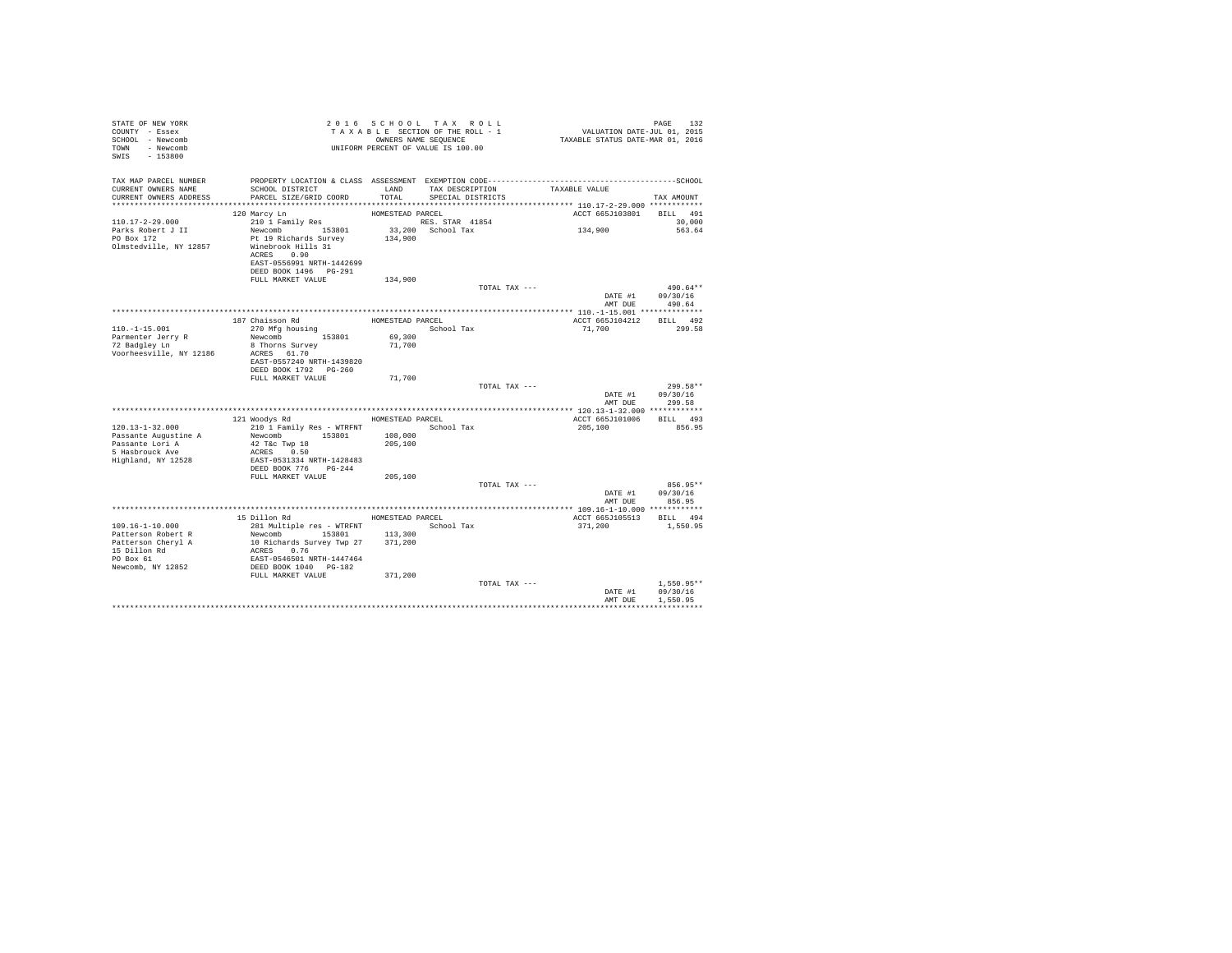| STATE OF NEW YORK<br>COUNTY - Essex<br>SCHOOL - Newcomb<br>- Newcomb<br>TOWN<br>SWIS - 153800                       | 2016 SCHOOL TAX ROLL<br>UNIFORM PERCENT OF VALUE IS 100.00 | TAXABLE SECTION OF THE ROLL - 1<br>OWNERS NAME SEQUENCE |                 | PAGE<br>132  |
|---------------------------------------------------------------------------------------------------------------------|------------------------------------------------------------|---------------------------------------------------------|-----------------|--------------|
| TAX MAP PARCEL NUMBER<br>CURRENT OWNERS NAME<br>SCHOOL DISTRICT<br>PARCEL SIZE/GRID COORD<br>CURRENT OWNERS ADDRESS | LAND<br>TOTAL                                              | TAX DESCRIPTION<br>SPECIAL DISTRICTS                    | TAXABLE VALUE   | TAX AMOUNT   |
|                                                                                                                     |                                                            |                                                         |                 |              |
| 120 Marcy Ln                                                                                                        | HOMESTEAD PARCEL                                           |                                                         | ACCT 665J103801 | BILL 491     |
| $110.17 - 2 - 29.000$<br>210 1 Family Res                                                                           |                                                            | RES. STAR 41854                                         |                 | 30,000       |
| Newcomb 153801<br>Parks Robert J II                                                                                 |                                                            | 33,200 School Tax                                       | 134,900         | 563.64       |
| PO Box 172<br>Pt 19 Richards Survey<br>Olmstedville, NY 12857<br>Winebrook Hills 31<br>0.90<br>ACRES                | 134,900                                                    |                                                         |                 |              |
| EAST-0556991 NRTH-1442699<br>DEED BOOK 1496   PG-291                                                                |                                                            |                                                         |                 |              |
| FULL MARKET VALUE                                                                                                   | 134,900                                                    |                                                         |                 |              |
|                                                                                                                     |                                                            | TOTAL TAX ---                                           |                 | 490.64**     |
|                                                                                                                     |                                                            |                                                         | DATE #1         | 09/30/16     |
|                                                                                                                     |                                                            |                                                         | AMT DUE         | 490.64       |
|                                                                                                                     |                                                            |                                                         |                 |              |
| 187 Chaisson Rd                                                                                                     |                                                            | HOMESTEAD PARCEL                                        | ACCT 665J104212 | BILL 492     |
| $110. -1 - 15.001$<br>270 Mfg housing                                                                               |                                                            | School Tax                                              | 71,700          | 299.58       |
| Parmenter Jerry R<br>Newcomb 153801                                                                                 | 69,300                                                     |                                                         |                 |              |
| 72 Badgley Ln<br>8 Thorns Survey<br>Voorheesville, NY 12186<br>ACRES 61.70                                          | 71,700                                                     |                                                         |                 |              |
| EAST-0557240 NRTH-1439820                                                                                           |                                                            |                                                         |                 |              |
| DEED BOOK 1792 PG-260                                                                                               |                                                            |                                                         |                 |              |
| FULL MARKET VALUE                                                                                                   | 71,700                                                     |                                                         |                 |              |
|                                                                                                                     |                                                            | TOTAL TAX ---                                           |                 | 299.58**     |
|                                                                                                                     |                                                            |                                                         | DATE #1         | 09/30/16     |
|                                                                                                                     |                                                            |                                                         | AMT DUE         | 299.58       |
|                                                                                                                     |                                                            |                                                         |                 |              |
| 121 Woodys Rd                                                                                                       | HOMESTEAD PARCEL                                           |                                                         | ACCT 665J101006 | BILL 493     |
| $120.13 - 1 - 32.000$<br>210 1 Family Res - WTRFNT<br>Newcomb 153801<br>Passante Augustine A                        | 108,000                                                    | School Tax                                              | 205,100         | 856.95       |
| Passante Lori A<br>42 T&c Twp 18                                                                                    | 205,100                                                    |                                                         |                 |              |
| 5 Hasbrouck Ave<br>ACRES 0.50                                                                                       |                                                            |                                                         |                 |              |
| Highland, NY 12528<br>EAST-0531334 NRTH-1428483                                                                     |                                                            |                                                         |                 |              |
| DEED BOOK 776 PG-244                                                                                                |                                                            |                                                         |                 |              |
| FULL MARKET VALUE                                                                                                   | 205,100                                                    |                                                         |                 |              |
|                                                                                                                     |                                                            | TOTAL TAX ---                                           |                 | 856.95**     |
|                                                                                                                     |                                                            |                                                         | DATE #1         | 09/30/16     |
|                                                                                                                     |                                                            |                                                         | AMT DUE         | 856.95       |
| 15 Dillon Rd                                                                                                        | HOMESTEAD PARCEL                                           |                                                         | ACCT 665J105513 | BILL 494     |
| $109.16 - 1 - 10.000$<br>281 Multiple res - WTRFNT                                                                  |                                                            | School Tax                                              | 371,200         | 1,550.95     |
| Patterson Robert R<br>Newcomb                                                                                       | 113,300<br>153801                                          |                                                         |                 |              |
| 10 Richards Survey Twp 27<br>Patterson Cheryl A                                                                     | 371,200                                                    |                                                         |                 |              |
| 15 Dillon Rd<br>ACRES 0.76                                                                                          |                                                            |                                                         |                 |              |
| EAST-0546501 NRTH-1447464<br>PO Box 61                                                                              |                                                            |                                                         |                 |              |
| Newcomb, NY 12852<br>DEED BOOK 1040 PG-182                                                                          |                                                            |                                                         |                 |              |
| FULL MARKET VALUE                                                                                                   | 371,200                                                    |                                                         |                 |              |
|                                                                                                                     |                                                            | TOTAL TAX ---                                           |                 | $1.550.95**$ |
|                                                                                                                     |                                                            |                                                         | DATE #1         | 09/30/16     |
|                                                                                                                     |                                                            |                                                         | AMT DUE         | 1,550.95     |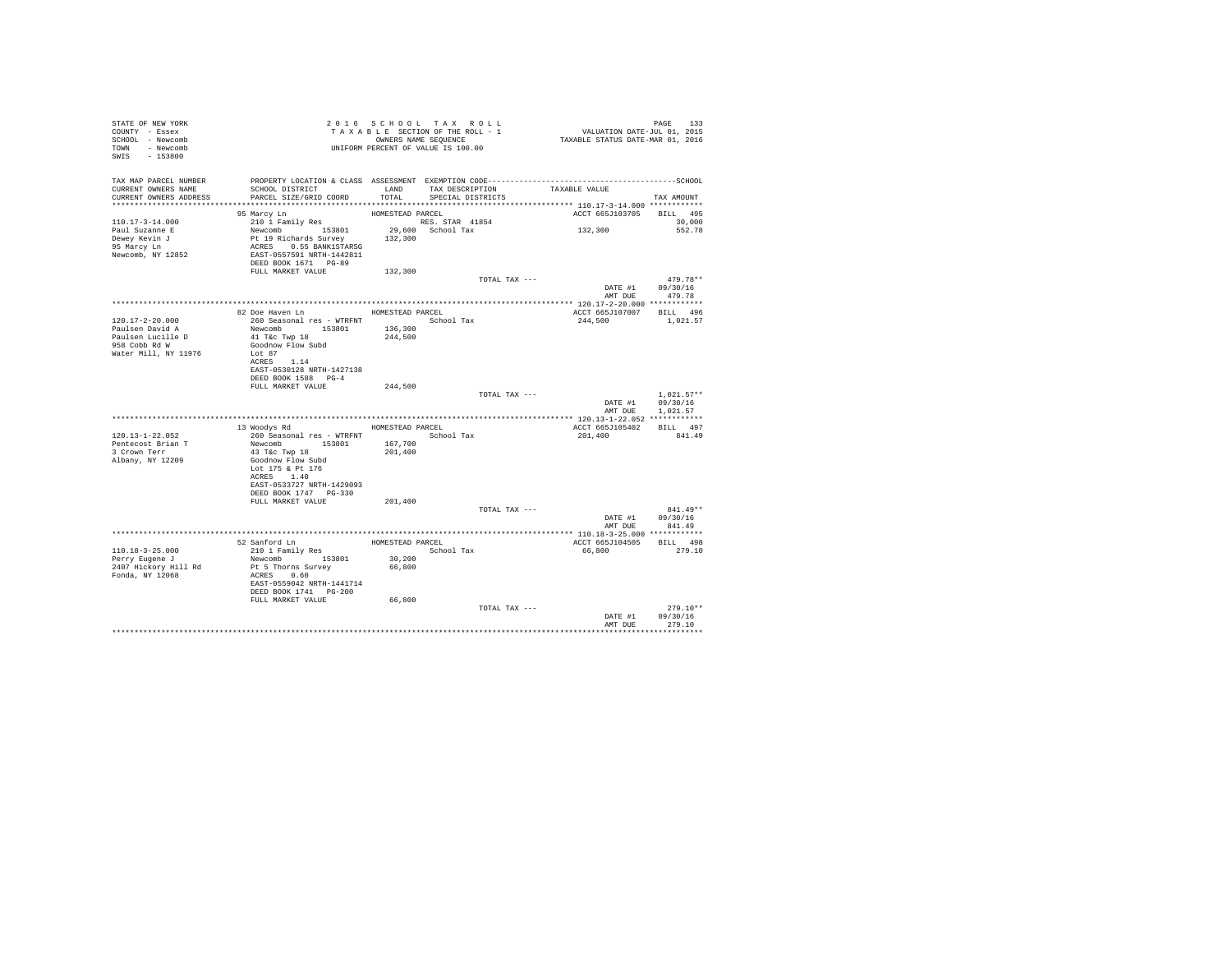| STATE OF NEW YORK<br>COUNTY - Essex<br>SCHOOL - Newcomb<br>TOWN - Newcomb<br>SWIS - 153800       |                                                                                                                                                                                           | 2016 SCHOOL TAX ROLL<br>TAXABLE SECTION OF THE ROLL - 1<br>OWNERS NAME SEQUENCE |                                      |               | PAGE 133<br>VALUATION DATE-JUL 01, 2015<br>TAXABLE STATUS DATE-MAR 01, 2016 |                                          |
|--------------------------------------------------------------------------------------------------|-------------------------------------------------------------------------------------------------------------------------------------------------------------------------------------------|---------------------------------------------------------------------------------|--------------------------------------|---------------|-----------------------------------------------------------------------------|------------------------------------------|
| TAX MAP PARCEL NUMBER<br>CURRENT OWNERS NAME<br>CURRENT OWNERS ADDRESS                           | SCHOOL DISTRICT<br>PARCEL SIZE/GRID COORD                                                                                                                                                 | LAND<br>TOTAL                                                                   | TAX DESCRIPTION<br>SPECIAL DISTRICTS |               | TAXABLE VALUE                                                               | TAX AMOUNT                               |
|                                                                                                  | 95 Marcy Ln                                                                                                                                                                               | HOMESTEAD PARCEL                                                                |                                      |               | ACCT 665J103705                                                             | BILL 495                                 |
| 110.17-3-14.000<br>Paul Suzanne E<br>Dewey Kevin J<br>95 Marcy Ln<br>Newcomb, NY 12852           | 210 1 Family Res<br>Newcomb<br>Newcomb<br>Pt 19 Richards Survey<br>ACRES 0.55 BANK1STARSG<br>EAST-0557591 NRTH-1442811<br>THE-1442811<br>DEED BOOK 1671 PG-89                             | RES. STAR 41854<br>132,300                                                      | 29,600 School Tax                    |               | 132,300                                                                     | 30,000<br>552.78                         |
|                                                                                                  | FULL MARKET VALUE                                                                                                                                                                         | 132,300                                                                         |                                      |               |                                                                             |                                          |
|                                                                                                  |                                                                                                                                                                                           |                                                                                 |                                      | TOTAL TAX --- | DATE #1 09/30/16                                                            | 479.78**<br>AMT DUE 479.78               |
|                                                                                                  |                                                                                                                                                                                           |                                                                                 |                                      |               |                                                                             |                                          |
| 120.17-2-20.000<br>Paulsen David A<br>Paulsen Lucille D<br>958 Cobb Rd W<br>Water Mill, NY 11976 | 82 Doe Haven Ln MESTEAD PARCEL<br>260 Seasonal res - WTRFNT School Tax<br>Newcomb 153801<br>41 T&c Twp 18<br>Goodnow Flow Subd<br>Lot 87<br>ACRES 1.14                                    | 136,300<br>244,500                                                              |                                      |               | ACCT 665J107007 BILL 496<br>244,500                                         | 1,021.57                                 |
|                                                                                                  | EAST-0530128 NRTH-1427138<br>DEED BOOK 1588 PG-4<br>FULL MARKET VALUE                                                                                                                     | 244,500                                                                         |                                      |               |                                                                             |                                          |
|                                                                                                  |                                                                                                                                                                                           |                                                                                 |                                      | TOTAL TAX --- | DATE #1<br>AMT DUE                                                          | $1.021.57**$<br>09/30/16<br>1,021.57     |
|                                                                                                  |                                                                                                                                                                                           |                                                                                 |                                      |               |                                                                             |                                          |
| 120.13-1-22.052<br>Pentecost Brian T<br>3 Crown Terr<br>Albany, NY 12209                         | 13 Woodys Rd<br>260 Seasonal res - WTRFNT<br>Newcomb 153801<br>43 T&C Twp 18<br>Goodnow Flow Subd<br>Lot 175 & Pt 176<br>ACRES 1.40<br>EAST-0533727 NRTH-1429093<br>DEED BOOK 1747 PG-330 | HOMESTEAD PARCEL<br>167,700<br>201,400                                          | School Tax                           |               | ACCT 665J105402<br>201,400                                                  | BILL 497<br>841.49                       |
|                                                                                                  | FULL MARKET VALUE                                                                                                                                                                         | 201,400                                                                         |                                      |               |                                                                             |                                          |
|                                                                                                  |                                                                                                                                                                                           |                                                                                 |                                      | TOTAL TAX --- | AMT DUE                                                                     | $841.49**$<br>DATE #1 09/30/16<br>841.49 |
|                                                                                                  |                                                                                                                                                                                           |                                                                                 |                                      |               |                                                                             |                                          |
| 110.18-3-25.000<br>Perry Eugene J<br>2407 Hickory Hill Rd<br>Fonda, NY 12068                     | 52 Sanford Ln<br>210 1 Family Res<br>Newcomb 153801<br>Pt 5 Thorns Survey<br>ACRES 0.60<br>EAST-0559042 NRTH-1441714<br>DEED BOOK 1741 PG-200                                             | HOMESTEAD PARCEL<br>30,200<br>66,800                                            | School Tax                           |               | ACCT 665J104505<br>66.800                                                   | RTT.T. 498<br>279.10                     |
|                                                                                                  | FULL MARKET VALUE                                                                                                                                                                         | 66,800                                                                          |                                      | TOTAL TAX --- | DATE #1<br>AMT DUE                                                          | $279.10**$<br>09/30/16<br>279.10         |
|                                                                                                  |                                                                                                                                                                                           |                                                                                 |                                      |               |                                                                             |                                          |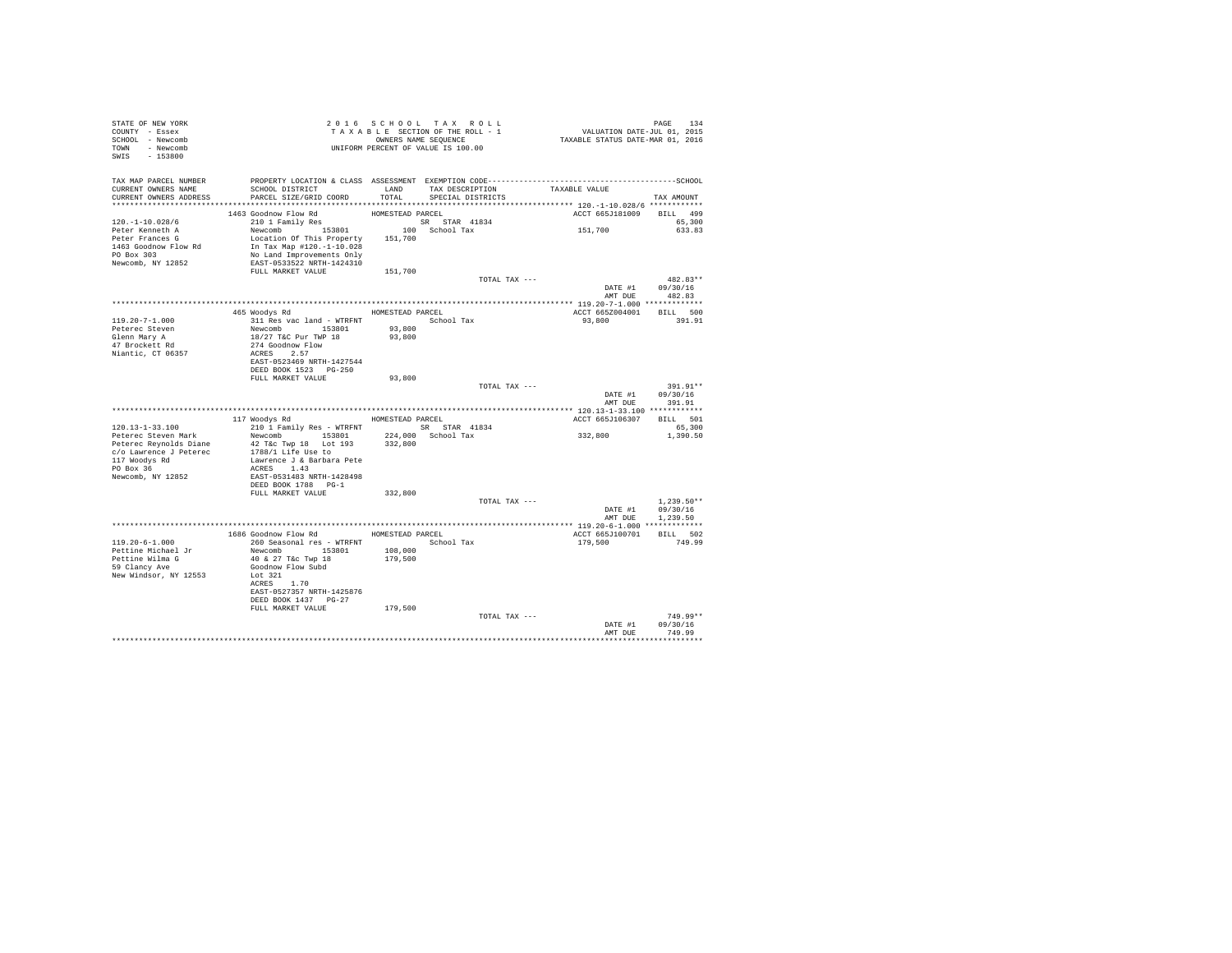| STATE OF NEW YORK<br>COUNTY - Essex<br>SCHOOL - Newcomb<br>TOWN - Newcomb<br>SWIS - 153800 | TAXABLE SECTION OF THE ROLL - 1<br>TAXABLE SECTION OF THE ROLL - 1<br>OWNERS NAME SEQUENCE<br>UNIFORM PERCENT OF VALUE IS 100.00                                                                                                                           |                  |                                    | PAGE 134<br>VALUATION DATE-JUL 01, 2015<br>TAXABLE STATUS DATE-MAR 01, 2016 |                  |
|--------------------------------------------------------------------------------------------|------------------------------------------------------------------------------------------------------------------------------------------------------------------------------------------------------------------------------------------------------------|------------------|------------------------------------|-----------------------------------------------------------------------------|------------------|
|                                                                                            | TAX MAP PARCEL NUMBER PROPERTY LOCATION & CLASS ASSESSMENT EXEMPTION CODE---------------------------------SCHOOL                                                                                                                                           |                  |                                    |                                                                             |                  |
| CURRENT OWNERS NAME                                                                        | SCHOOL DISTRICT                                                                                                                                                                                                                                            |                  | LAND TAX DESCRIPTION TAXABLE VALUE |                                                                             |                  |
| CURRENT OWNERS ADDRESS                                                                     | PARCEL SIZE/GRID COORD                                                                                                                                                                                                                                     | TOTAL            | SPECIAL DISTRICTS                  |                                                                             | TAX AMOUNT       |
|                                                                                            |                                                                                                                                                                                                                                                            | HOMESTEAD PARCEL |                                    | ACCT 665J181009 BILL 499                                                    |                  |
| $120. -1 - 10.028/6$                                                                       | 1463 Goodnow Flow Rd<br>210 1 Family Res                                                                                                                                                                                                                   |                  |                                    |                                                                             | 65,300           |
| Peter Kenneth A                                                                            |                                                                                                                                                                                                                                                            |                  |                                    | 151,700                                                                     | 633.83           |
|                                                                                            | Location Of This Property 151,700                                                                                                                                                                                                                          |                  |                                    |                                                                             |                  |
|                                                                                            |                                                                                                                                                                                                                                                            |                  |                                    |                                                                             |                  |
| Newcomb, NY 12852                                                                          | EAST-0533522 NRTH-1424310                                                                                                                                                                                                                                  |                  |                                    |                                                                             |                  |
|                                                                                            | FULL MARKET VALUE                                                                                                                                                                                                                                          | 151,700          |                                    |                                                                             |                  |
|                                                                                            |                                                                                                                                                                                                                                                            |                  | TOTAL TAX ---                      | DATE #1 09/30/16                                                            | $482.83**$       |
|                                                                                            |                                                                                                                                                                                                                                                            |                  |                                    | AMT DUE                                                                     | 482.83           |
|                                                                                            |                                                                                                                                                                                                                                                            |                  |                                    |                                                                             |                  |
|                                                                                            | 465 Woodys Rd MOMESTEAD PARCEL                                                                                                                                                                                                                             |                  |                                    | ACCT 665Z004001                                                             | BILL 500         |
| $119.20 - 7 - 1.000$<br>Peterec Steven                                                     |                                                                                                                                                                                                                                                            |                  |                                    | 93,800 391.91                                                               |                  |
| Glenn Mary A                                                                               |                                                                                                                                                                                                                                                            |                  |                                    |                                                                             |                  |
| 47 Brockett Rd                                                                             | 311 Res vac land - WTRFNT<br>Newcomb 153801 93,800<br>18/27 T&C Pur TWP 18 93,800<br>274 Goodnow Flow                                                                                                                                                      |                  |                                    |                                                                             |                  |
| Niantic, CT 06357                                                                          | ACRES 2.57                                                                                                                                                                                                                                                 |                  |                                    |                                                                             |                  |
|                                                                                            | EAST-0523469 NRTH-1427544<br>DEED BOOK 1523    PG-250                                                                                                                                                                                                      |                  |                                    |                                                                             |                  |
|                                                                                            | FULL MARKET VALUE                                                                                                                                                                                                                                          | 93,800           |                                    |                                                                             |                  |
|                                                                                            |                                                                                                                                                                                                                                                            |                  | TOTAL TAX ---                      |                                                                             | 391.91**         |
|                                                                                            |                                                                                                                                                                                                                                                            |                  |                                    | DATE #1 09/30/16                                                            | AMT DUE 391.91   |
|                                                                                            | 117 Woodys Rd MOMESTEAD PARCEL                                                                                                                                                                                                                             |                  |                                    | ACCT 665J106307 BILL 501                                                    |                  |
| $120.13 - 1 - 33.100$                                                                      | 210 1 Family Res - WTRFNT SR STAR 41834                                                                                                                                                                                                                    |                  |                                    |                                                                             | 65,300           |
| Peterec Steven Mark                                                                        | Newcomb 153801 224,000 School Tax                                                                                                                                                                                                                          |                  |                                    | 332,800                                                                     | 1,390.50         |
|                                                                                            | Peterec Steven wars<br>Peterec Reynolds Diane<br>$Q$ C/o Lawrence J Peterec<br>$Q$ Peterec<br>$Q$ Peterec<br>$Q$ Peterec<br>$Q$ Peterec<br>$Q$ Peterec<br>$Q$ Peterec<br>$Q$ Peterec<br>$Q$ Peterec<br>$Q$ Peterec<br>$Q$ Peterec<br>$Q$ Peterec<br>$Q$ Pe |                  |                                    |                                                                             |                  |
|                                                                                            | Lawrence J & Barbara Pete                                                                                                                                                                                                                                  |                  |                                    |                                                                             |                  |
| 117 Woodys Rd<br>PO Box 36                                                                 | ACRES 1.43                                                                                                                                                                                                                                                 |                  |                                    |                                                                             |                  |
| Newcomb, NY 12852                                                                          | EAST-0531483 NRTH-1428498                                                                                                                                                                                                                                  |                  |                                    |                                                                             |                  |
|                                                                                            | DEED BOOK 1788 PG-1<br>FULL MARKET VALUE                                                                                                                                                                                                                   | 332,800          |                                    |                                                                             |                  |
|                                                                                            |                                                                                                                                                                                                                                                            |                  | TOTAL TAX ---                      |                                                                             | $1.239.50**$     |
|                                                                                            |                                                                                                                                                                                                                                                            |                  |                                    |                                                                             | DATE #1 09/30/16 |
|                                                                                            |                                                                                                                                                                                                                                                            |                  |                                    |                                                                             | AMT DUE 1,239.50 |
|                                                                                            | 1686 Goodnow Flow Rd MOMESTEAD PARCEL                                                                                                                                                                                                                      |                  |                                    | ACCT 665J100701                                                             | BILL 502         |
| 119.20-6-1.000                                                                             | 260 Seasonal res - WTRFNT                                                                                                                                                                                                                                  |                  | School Tax                         | 179,500                                                                     | 749.99           |
| Pettine Michael Jr                                                                         | Newcomb 153801                                                                                                                                                                                                                                             | 108,000          |                                    |                                                                             |                  |
| Pettine Wilma G<br>59 Clancy Ave                                                           | 40 & 27 T&c Twp 18                                                                                                                                                                                                                                         | 179,500          |                                    |                                                                             |                  |
| New Windsor, NY 12553                                                                      | Goodnow Flow Subd<br>Lot 321                                                                                                                                                                                                                               |                  |                                    |                                                                             |                  |
|                                                                                            | ACRES 1.70                                                                                                                                                                                                                                                 |                  |                                    |                                                                             |                  |
|                                                                                            | EAST-0527357 NRTH-1425876                                                                                                                                                                                                                                  |                  |                                    |                                                                             |                  |
|                                                                                            | DEED BOOK 1437 PG-27                                                                                                                                                                                                                                       |                  |                                    |                                                                             |                  |
|                                                                                            | FULL MARKET VALUE                                                                                                                                                                                                                                          | 179,500          | TOTAL TAX ---                      |                                                                             | 749.99**         |
|                                                                                            |                                                                                                                                                                                                                                                            |                  |                                    | DATE #1                                                                     | 09/30/16         |
|                                                                                            |                                                                                                                                                                                                                                                            |                  |                                    | AMT DUE                                                                     | 749.99           |
|                                                                                            |                                                                                                                                                                                                                                                            |                  |                                    |                                                                             | .                |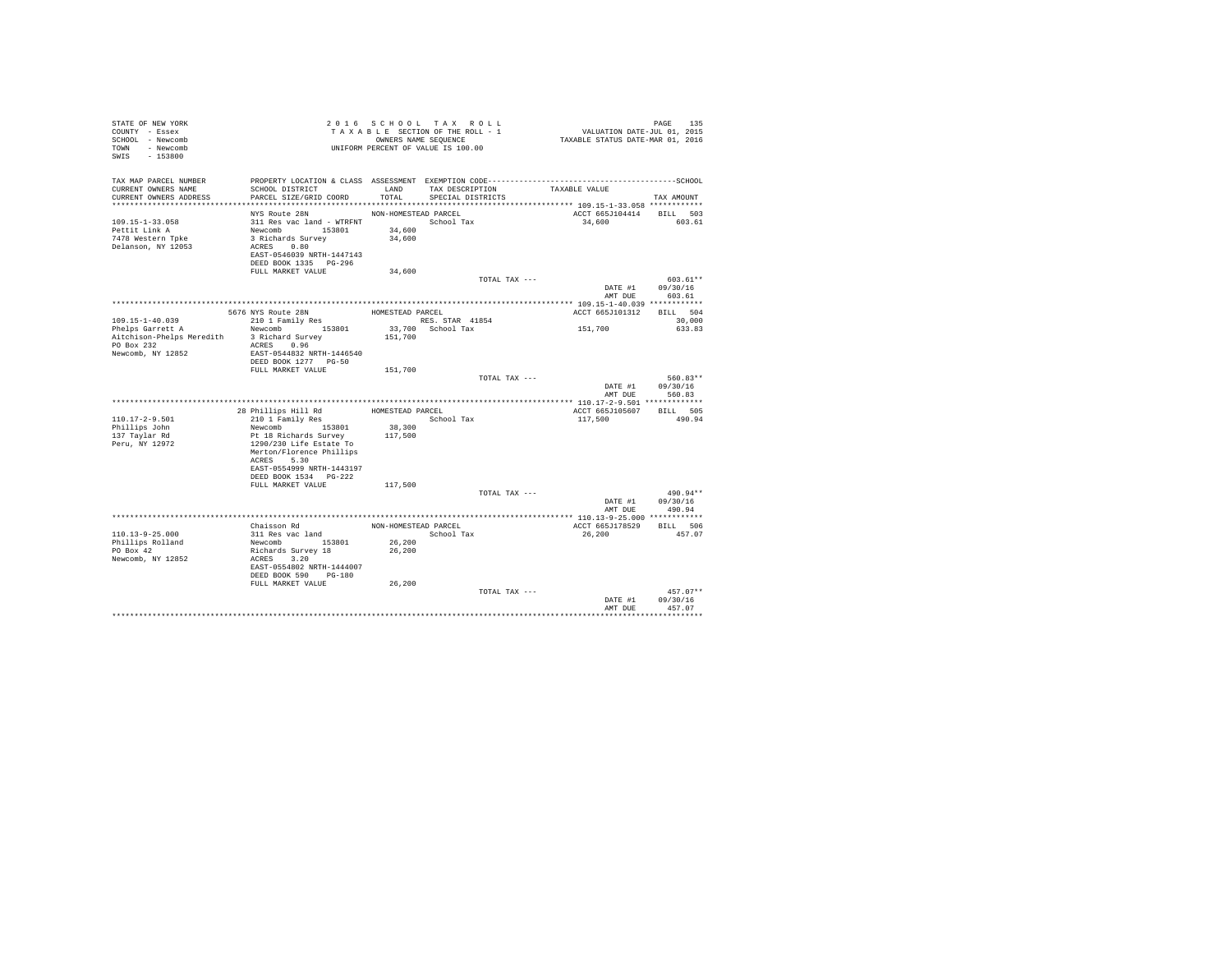| STATE OF NEW YORK<br>COUNTY - Essex<br>SCHOOL - Newcomb<br>TOWN - Newcomb<br>SWIS - 153800 |                                                        |                      | 2016 SCHOOL TAX ROLL<br>TAXABLE SECTION OF THE ROLL - 1<br>OWNERS NAME SEQUENCE<br>UNIFORM PERCENT OF VALUE IS 100.00 | PAGE 135<br>VALUATION DATE-JUL 01, 2015<br>TAXABLE STATUS DATE-MAR 01, 2016                                   |                |
|--------------------------------------------------------------------------------------------|--------------------------------------------------------|----------------------|-----------------------------------------------------------------------------------------------------------------------|---------------------------------------------------------------------------------------------------------------|----------------|
| TAX MAP PARCEL NUMBER<br>CURRENT OWNERS NAME                                               | SCHOOL DISTRICT                                        | LAND                 | TAX DESCRIPTION                                                                                                       | PROPERTY LOCATION & CLASS ASSESSMENT EXEMPTION CODE-----------------------------------SCHOOL<br>TAXABLE VALUE |                |
| CURRENT OWNERS ADDRESS                                                                     | PARCEL SIZE/GRID COORD                                 | TOTAL.               | SPECIAL DISTRICTS                                                                                                     |                                                                                                               | TAX AMOUNT     |
|                                                                                            |                                                        |                      |                                                                                                                       |                                                                                                               |                |
|                                                                                            | NYS Route 28N                                          | NON-HOMESTEAD PARCEL |                                                                                                                       | ACCT 665J104414 BILL 503                                                                                      |                |
| $109.15 - 1 - 33.058$                                                                      |                                                        |                      |                                                                                                                       | 34,600                                                                                                        | 603.61         |
| Pettit Link A                                                                              | Newcomb 153801<br>3 Richards Survey                    | 34,600               |                                                                                                                       |                                                                                                               |                |
| 7478 Western Toke<br>Delanson, NY 12053                                                    | ACRES 0.80                                             | 34,600               |                                                                                                                       |                                                                                                               |                |
|                                                                                            | EAST-0546039 NRTH-1447143                              |                      |                                                                                                                       |                                                                                                               |                |
|                                                                                            | DEED BOOK 1335 PG-296                                  |                      |                                                                                                                       |                                                                                                               |                |
|                                                                                            | FULL MARKET VALUE                                      | 34,600               |                                                                                                                       |                                                                                                               |                |
|                                                                                            |                                                        |                      | TOTAL TAX ---                                                                                                         |                                                                                                               | $603.61**$     |
|                                                                                            |                                                        |                      |                                                                                                                       | DATE #1                                                                                                       | 09/30/16       |
|                                                                                            |                                                        |                      |                                                                                                                       | AMT DUE                                                                                                       | 603.61         |
|                                                                                            |                                                        |                      |                                                                                                                       |                                                                                                               |                |
|                                                                                            | 5676 NYS Route 28N                                     |                      | HOMESTEAD PARCEL                                                                                                      | ACCT 665J101312                                                                                               | BILL 504       |
| 109.15-1-40.039                                                                            | % > 76 NYS Route 28N<br>210 1 Family Res               |                      | RES. STAR 41854                                                                                                       |                                                                                                               | 30,000         |
| Phelps Garrett A                                                                           | Newcomb 153801                                         |                      | 33,700 School Tax                                                                                                     | 151,700                                                                                                       | 633.83         |
| Aitchison-Phelps Meredith                                                                  | 3 Richard Survey                                       | 151,700              |                                                                                                                       |                                                                                                               |                |
| PO Box 232<br>Newcomb, NY 12852                                                            | ACRES 0.96                                             |                      |                                                                                                                       |                                                                                                               |                |
|                                                                                            | EAST-0544832 NRTH-1446540<br>DEED BOOK 1277 PG-50      |                      |                                                                                                                       |                                                                                                               |                |
|                                                                                            | FULL MARKET VALUE                                      | 151,700              |                                                                                                                       |                                                                                                               |                |
|                                                                                            |                                                        |                      | TOTAL TAX ---                                                                                                         |                                                                                                               | $560.83**$     |
|                                                                                            |                                                        |                      |                                                                                                                       | DATE #1                                                                                                       | 09/30/16       |
|                                                                                            |                                                        |                      |                                                                                                                       | AMT DUE                                                                                                       | 560.83         |
|                                                                                            |                                                        |                      |                                                                                                                       |                                                                                                               |                |
|                                                                                            | 28 Phillips Hill Rd                                    |                      | HOMESTEAD PARCEL                                                                                                      | ACCT 665J105607                                                                                               | BILL 505       |
| $110.17 - 2 - 9.501$                                                                       | 210 1 Family Res                                       |                      | School Tax                                                                                                            | 117,500                                                                                                       | 490.94         |
| Phillips John                                                                              | Newcomb 153801                                         | 38,300               |                                                                                                                       |                                                                                                               |                |
| 137 Taylar Rd                                                                              | Pt 18 Richards Survey                                  | 117,500              |                                                                                                                       |                                                                                                               |                |
| Peru, NY 12972                                                                             | 1290/230 Life Estate To<br>Merton/Florence Phillips    |                      |                                                                                                                       |                                                                                                               |                |
|                                                                                            | ACRES 5.30                                             |                      |                                                                                                                       |                                                                                                               |                |
|                                                                                            | EAST-0554999 NRTH-1443197                              |                      |                                                                                                                       |                                                                                                               |                |
|                                                                                            | DEED BOOK 1534 PG-222                                  |                      |                                                                                                                       |                                                                                                               |                |
|                                                                                            | FULL MARKET VALUE                                      | 117,500              |                                                                                                                       |                                                                                                               |                |
|                                                                                            |                                                        |                      | TOTAL TAX ---                                                                                                         |                                                                                                               | 490.94**       |
|                                                                                            |                                                        |                      |                                                                                                                       | DATE #1                                                                                                       | 09/30/16       |
|                                                                                            |                                                        |                      |                                                                                                                       |                                                                                                               | AMT DUE 490.94 |
|                                                                                            |                                                        |                      |                                                                                                                       |                                                                                                               |                |
|                                                                                            | Chaisson Rd                                            |                      | NON-HOMESTEAD PARCEL                                                                                                  | ACCT 665J178529 BILL 506                                                                                      |                |
| $110.13 - 9 - 25.000$                                                                      | 311 Res vac land                                       |                      | School Tax                                                                                                            | 26,200                                                                                                        | 457.07         |
| Phillips Rolland<br>PO Box 42                                                              | Newcomb<br>Newcomb<br>Richards Survey 18<br>ACRES 3.20 | 26,200<br>26,200     |                                                                                                                       |                                                                                                               |                |
| Newcomb, NY 12852                                                                          |                                                        |                      |                                                                                                                       |                                                                                                               |                |
|                                                                                            | EAST-0554802 NRTH-1444007                              |                      |                                                                                                                       |                                                                                                               |                |
|                                                                                            | DEED BOOK 590 PG-180                                   |                      |                                                                                                                       |                                                                                                               |                |
|                                                                                            | FULL MARKET VALUE                                      | 26,200               |                                                                                                                       |                                                                                                               |                |
|                                                                                            |                                                        |                      | TOTAL TAX ---                                                                                                         |                                                                                                               | $457.07**$     |
|                                                                                            |                                                        |                      |                                                                                                                       | DATE #1                                                                                                       | 09/30/16       |
|                                                                                            |                                                        |                      |                                                                                                                       | AMT DUE                                                                                                       | 457.07         |
|                                                                                            |                                                        |                      |                                                                                                                       |                                                                                                               |                |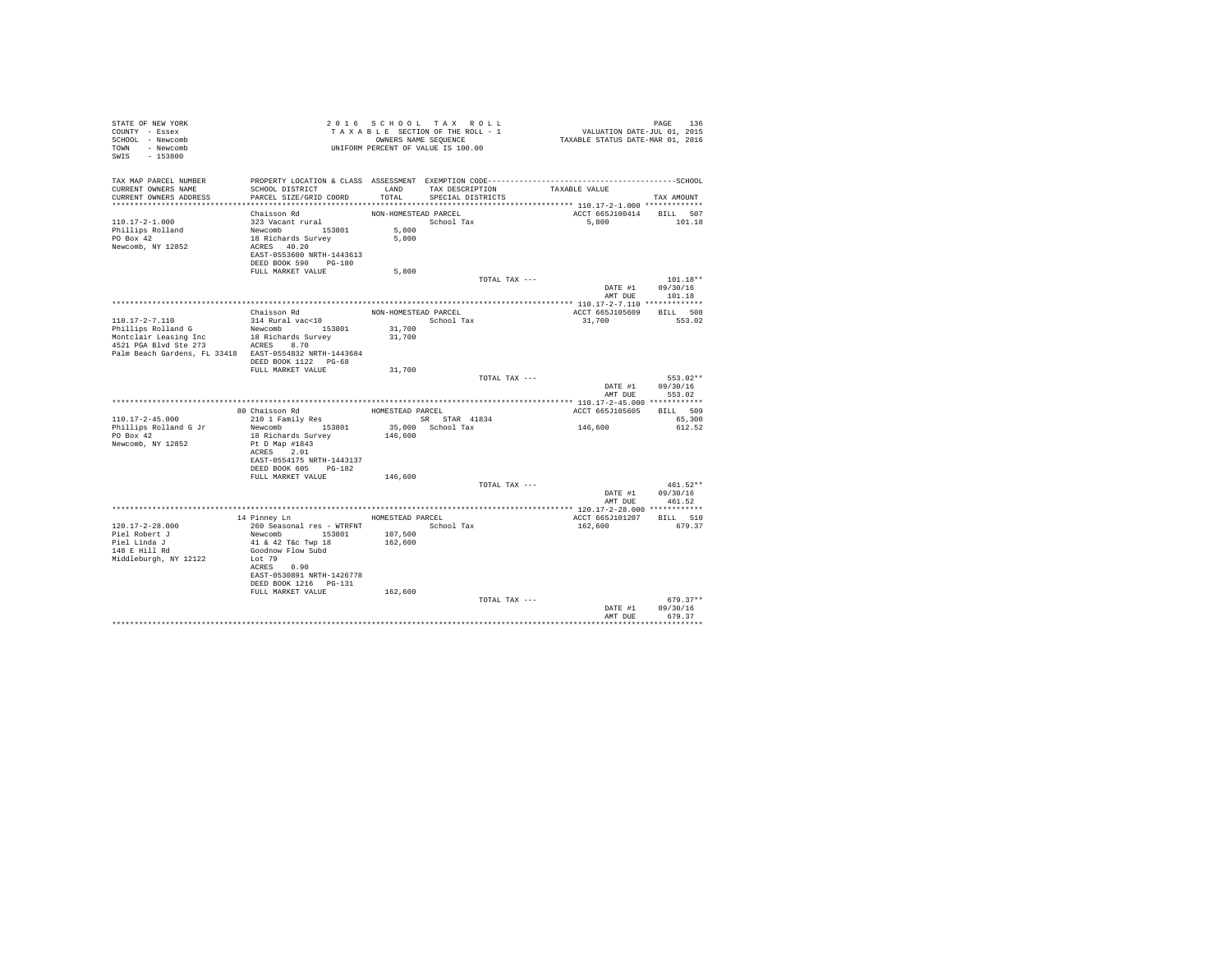| STATE OF NEW YORK<br>COUNTY - Essex<br>SCHOOL - Newcomb<br>TOWN - Newcomb<br>SWIS - 153800                                            | UNIFORM PERCENT OF VALUE IS 100.00                                                                                                                                                   |                                        | 2016 SCHOOL TAX ROLL<br>TAXABLE SECTION OF THE ROLL - 1<br>OWNERS NAME SEQUENCE | PAGE 136<br>VALUATION DATE-JUL 01, 2015<br>TAXABLE STATUS DATE-MAR 01, 2016 |                                                  |
|---------------------------------------------------------------------------------------------------------------------------------------|--------------------------------------------------------------------------------------------------------------------------------------------------------------------------------------|----------------------------------------|---------------------------------------------------------------------------------|-----------------------------------------------------------------------------|--------------------------------------------------|
| TAX MAP PARCEL NUMBER<br>CURRENT OWNERS NAME<br>CURRENT OWNERS ADDRESS                                                                | PROPERTY LOCATION & CLASS ASSESSMENT EXEMPTION CODE-------------------------<br>SCHOOL DISTRICT<br>PARCEL SIZE/GRID COORD                                                            | TOTAL                                  | LAND TAX DESCRIPTION<br>SPECIAL DISTRICTS                                       | TAXABLE VALUE                                                               | ----------------SCHOOL<br>TAX AMOUNT             |
| $110.17 - 2 - 1.000$<br>Phillips Rolland<br>PO Box 42<br>Newcomb, NY 12852                                                            | Chaisson Rd<br>323 Vacant rural<br>Newcomb 153801<br>18 Richards Survey<br>ACRES 40.20<br>EAST-0553600 NRTH-1443613<br>DEED BOOK 590 PG-180                                          | NON-HOMESTEAD PARCEL<br>5,800<br>5,800 | School Tax                                                                      | ACCT 665J100414 BILL 507<br>5,800                                           | 101.18                                           |
|                                                                                                                                       | FULL MARKET VALUE                                                                                                                                                                    | 5,800                                  |                                                                                 | TOTAL TAX ---<br>AMT DUE                                                    | $101.18**$<br>DATE #1 09/30/16<br>101.18         |
|                                                                                                                                       |                                                                                                                                                                                      |                                        |                                                                                 |                                                                             |                                                  |
| 110.17-2-7.110<br>Phillips Rolland G                                                                                                  | Chaisson Rd<br>314 Rural vac<10<br>Newcomb 153801                                                                                                                                    | NON-HOMESTEAD PARCEL<br>31,700         | School Tax                                                                      | ACCT 665J105609 BILL 508<br>31,700                                          | 553.02                                           |
| Montclair Leasing Inc 18 Richards Surve<br>4521 PGA Blvd Ste 273 ACRES 8.70<br>Palm Beach Gardens, FL 33418 EAST-0554832 NRTH-1443684 | 18 Richards Survey                                                                                                                                                                   | 31,700                                 |                                                                                 |                                                                             |                                                  |
|                                                                                                                                       | DEED BOOK 1122 PG-68<br>FULL MARKET VALUE                                                                                                                                            | 31,700                                 |                                                                                 | TOTAL TAX ---                                                               | 553.02**                                         |
|                                                                                                                                       |                                                                                                                                                                                      |                                        |                                                                                 | DATE #1                                                                     | 09/30/16<br>AMT DUE 553.02                       |
|                                                                                                                                       |                                                                                                                                                                                      |                                        |                                                                                 |                                                                             |                                                  |
|                                                                                                                                       | 80 Chaisson Rd<br>210 1 Family Res                                                                                                                                                   |                                        | HOMESTEAD PARCEL                                                                | ACCT 665J105605                                                             | BILL 509                                         |
| 110.17-2-45.000                                                                                                                       |                                                                                                                                                                                      |                                        | SR STAR 41834                                                                   |                                                                             | 65,300                                           |
| Phillips Rolland G Jr<br>PO Box 42<br>Newcomb, NY 12852                                                                               | Newcomb 153801<br>18 Richards Survey<br>Pt D Map #1843<br>ACRES 2.01<br>EAST-0554175 NRTH-1443137<br>DEED BOOK 605 PG-182                                                            | 146,600                                | 35,000 School Tax                                                               | 146,600                                                                     | 612.52                                           |
|                                                                                                                                       | FULL MARKET VALUE                                                                                                                                                                    | 146,600                                |                                                                                 |                                                                             |                                                  |
|                                                                                                                                       |                                                                                                                                                                                      |                                        |                                                                                 | TOTAL TAX ---                                                               | $461.52**$<br>DATE #1 09/30/16<br>AMT DUE 461.52 |
|                                                                                                                                       |                                                                                                                                                                                      |                                        |                                                                                 |                                                                             |                                                  |
| 120.17-2-28.000<br>Piel Robert J<br>Piel Linda J<br>148 E Hill Rd<br>Middleburgh, NY 12122                                            | 14 Pinney Ln<br>260 Seasonal res - WTRFNT<br>Newcomb 153801<br>41 & 42 T&c Twp 18<br>Goodnow Flow Subd<br>Lot 79<br>ACRES 0.90<br>EAST-0530891 NRTH-1426778<br>DEED BOOK 1216 PG-131 | HOMESTEAD PARCEL<br>107,500<br>162,600 | School Tax                                                                      | ACCT 665J101207 BILL 510<br>162,600                                         | 679.37                                           |
|                                                                                                                                       | FULL MARKET VALUE                                                                                                                                                                    | 162,600                                |                                                                                 | TOTAL TAX ---<br>DATE #1                                                    | $679.37**$<br>09/30/16                           |
|                                                                                                                                       |                                                                                                                                                                                      |                                        |                                                                                 | AMT DUE                                                                     | 679.37<br>************                           |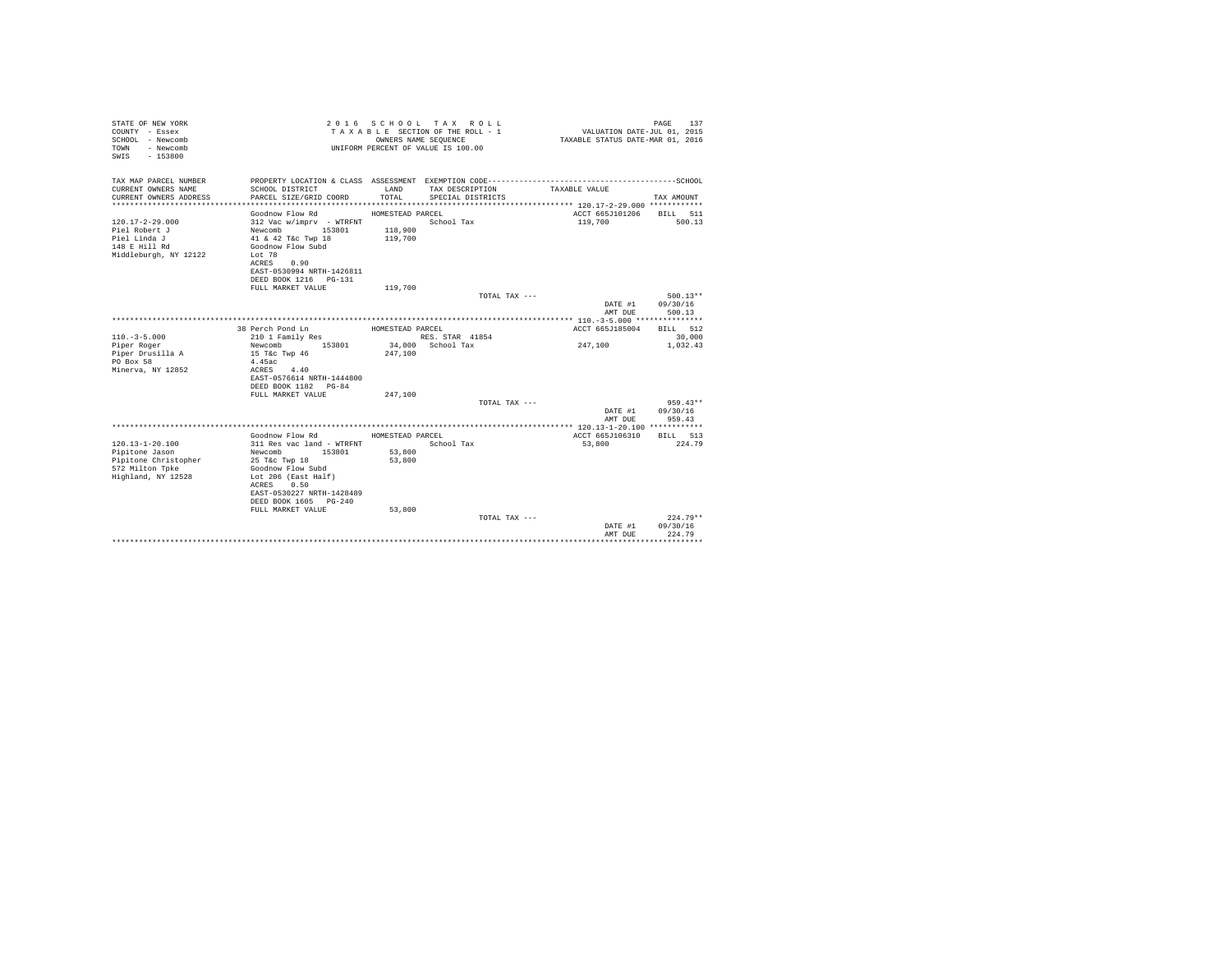| STATE OF NEW YORK<br>COUNTY - Essex<br>SCHOOL - Newcomb<br>- Newcomb<br>TOWN<br>$-153800$<br>SWIS |                                           | OWNERS NAME SEOUENCE | 2016 SCHOOL TAX ROLL<br>TAXABLE SECTION OF THE ROLL - 1<br>UNIFORM PERCENT OF VALUE IS 100.00 | VALUATION DATE-JUL 01, 2015<br>TAXABLE STATUS DATE-MAR 01, 2016 | 137<br>PAGE         |
|---------------------------------------------------------------------------------------------------|-------------------------------------------|----------------------|-----------------------------------------------------------------------------------------------|-----------------------------------------------------------------|---------------------|
| TAX MAP PARCEL NUMBER                                                                             |                                           |                      |                                                                                               |                                                                 |                     |
| CURRENT OWNERS NAME<br>CURRENT OWNERS ADDRESS                                                     | SCHOOL DISTRICT<br>PARCEL SIZE/GRID COORD | LAND<br>TOTAL.       | TAX DESCRIPTION<br>SPECIAL DISTRICTS                                                          | TAXABLE VALUE                                                   | TAX AMOUNT          |
|                                                                                                   |                                           |                      |                                                                                               |                                                                 |                     |
|                                                                                                   | Goodnow Flow Rd                           | HOMESTEAD PARCEL     |                                                                                               | ACCT 665J101206 BILL 511                                        |                     |
| $120.17 - 2 - 29.000$                                                                             | 312 Vac w/imprv - WTRFNT                  |                      | School Tax                                                                                    | 119,700                                                         | 500.13              |
| Piel Robert J                                                                                     | Newcomb 153801                            | 118,900              |                                                                                               |                                                                 |                     |
| Piel Linda J                                                                                      | 41 & 42 T&c Twp 18                        | 119,700              |                                                                                               |                                                                 |                     |
| 148 E Hill Rd                                                                                     | Goodnow Flow Subd                         |                      |                                                                                               |                                                                 |                     |
| Middleburgh, NY 12122                                                                             | Lot 78<br>ACRES<br>0.90                   |                      |                                                                                               |                                                                 |                     |
|                                                                                                   | EAST-0530994 NRTH-1426811                 |                      |                                                                                               |                                                                 |                     |
|                                                                                                   | DEED BOOK 1216 PG-131                     |                      |                                                                                               |                                                                 |                     |
|                                                                                                   | FULL MARKET VALUE                         | 119,700              |                                                                                               |                                                                 |                     |
|                                                                                                   |                                           |                      | TOTAL TAX ---                                                                                 |                                                                 | $500.13**$          |
|                                                                                                   |                                           |                      |                                                                                               | DATE #1                                                         | 09/30/16            |
|                                                                                                   |                                           |                      |                                                                                               | AMT DUE                                                         | 500.13              |
|                                                                                                   | 38 Perch Pond Ln                          | HOMESTEAD PARCEL     |                                                                                               | ACCT 665J185004                                                 | BILL 512            |
| $110. -3 - 5.000$                                                                                 | 210 1 Family Res                          |                      | RES. STAR 41854                                                                               |                                                                 | 30,000              |
| Piper Roger                                                                                       | Newcomb<br>153801                         |                      | 34,000 School Tax                                                                             | 247,100                                                         | 1,032.43            |
| Piper Drusilla A                                                                                  | 15 T&c Twp 46                             | 247,100              |                                                                                               |                                                                 |                     |
| PO Box 58                                                                                         | 4.45ac                                    |                      |                                                                                               |                                                                 |                     |
| Minerva, NY 12852                                                                                 | ACRES 4.40<br>EAST-0576614 NRTH-1444800   |                      |                                                                                               |                                                                 |                     |
|                                                                                                   | DEED BOOK 1182 PG-84                      |                      |                                                                                               |                                                                 |                     |
|                                                                                                   | FULL MARKET VALUE                         | 247,100              |                                                                                               |                                                                 |                     |
|                                                                                                   |                                           |                      | TOTAL TAX ---                                                                                 |                                                                 | $959.43**$          |
|                                                                                                   |                                           |                      |                                                                                               | DATE #1                                                         | 09/30/16            |
|                                                                                                   |                                           |                      |                                                                                               | AMT DUE                                                         | 959.43              |
|                                                                                                   | Goodnow Flow Rd                           | HOMESTEAD PARCEL     |                                                                                               | ACCT 665J106310                                                 | BILL 513            |
| $120.13 - 1 - 20.100$                                                                             | 311 Res vac land - WTRFNT                 |                      | School Tax                                                                                    | 53,800                                                          | 224.79              |
| Pipitone Jason                                                                                    | Newcomb 153801                            | 53,800               |                                                                                               |                                                                 |                     |
| Pipitone Christopher                                                                              | 25 T&c Twp 18                             | 53,800               |                                                                                               |                                                                 |                     |
| 572 Milton Tpke                                                                                   | Goodnow Flow Subd                         |                      |                                                                                               |                                                                 |                     |
| Highland, NY 12528                                                                                | Lot 206 (East Half)                       |                      |                                                                                               |                                                                 |                     |
|                                                                                                   | ACRES 0.50<br>EAST-0530227 NRTH-1428489   |                      |                                                                                               |                                                                 |                     |
|                                                                                                   | DEED BOOK 1605 PG-240                     |                      |                                                                                               |                                                                 |                     |
|                                                                                                   | FULL MARKET VALUE                         | 53,800               |                                                                                               |                                                                 |                     |
|                                                                                                   |                                           |                      | TOTAL TAX ---                                                                                 |                                                                 | $224.79**$          |
|                                                                                                   |                                           |                      |                                                                                               | DATE #1                                                         | 09/30/16            |
|                                                                                                   |                                           |                      |                                                                                               | AMT DUE                                                         | 224.79<br>********* |
|                                                                                                   |                                           |                      |                                                                                               |                                                                 |                     |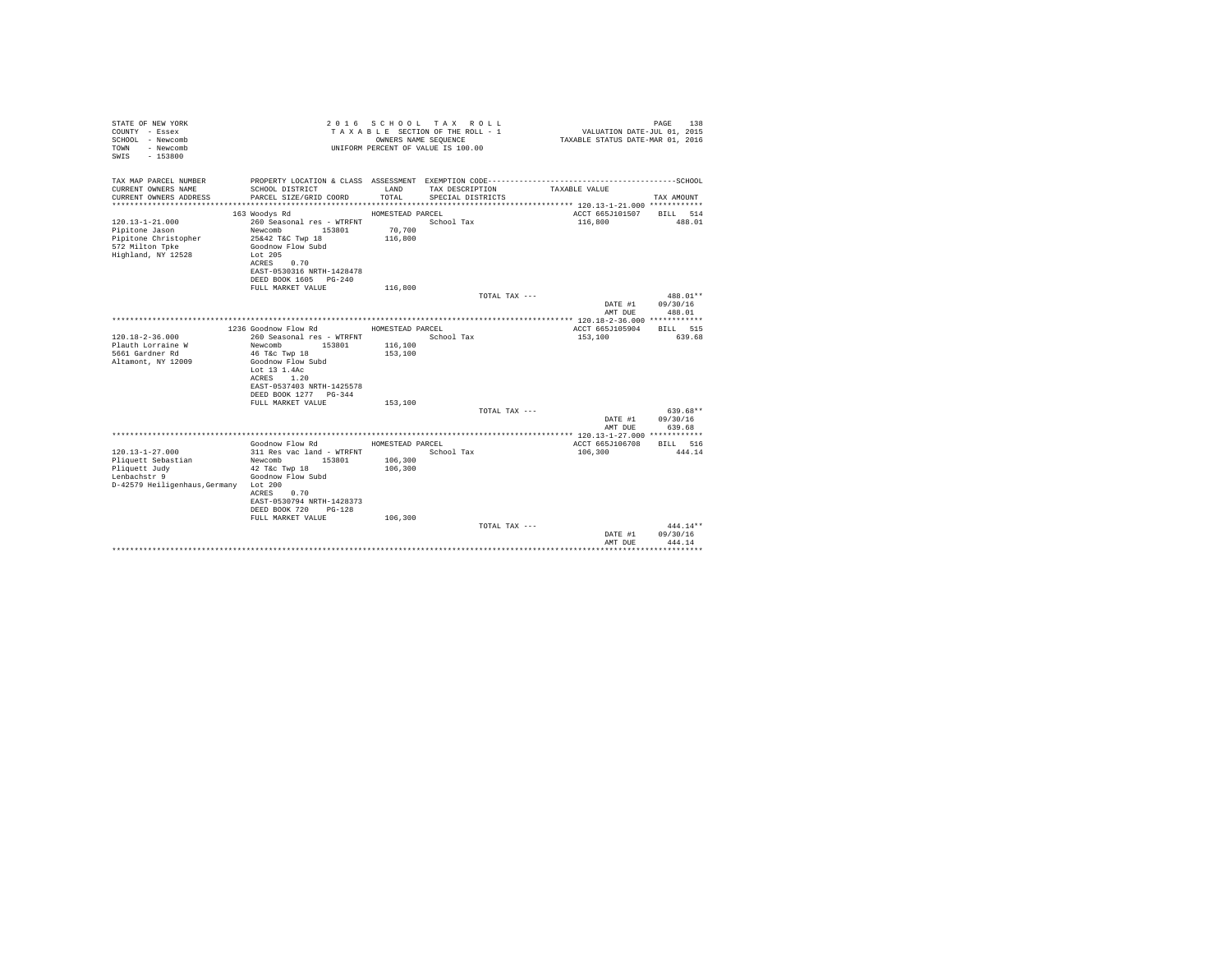| STATE OF NEW YORK<br>COUNTY - Essex<br>SCHOOL - Newcomb<br>- Newcomb<br>TOWN<br>$-153800$<br>SWTS |                                                                     | OWNERS NAME SEQUENCE | 2016 SCHOOL TAX ROLL<br>TAXABLE SECTION OF THE ROLL - 1<br>UNIFORM PERCENT OF VALUE IS 100.00 | VALUATION DATE-JUL 01, 2015<br>TAXABLE STATUS DATE-MAR 01, 2016 | 138<br>PAGE               |
|---------------------------------------------------------------------------------------------------|---------------------------------------------------------------------|----------------------|-----------------------------------------------------------------------------------------------|-----------------------------------------------------------------|---------------------------|
| TAX MAP PARCEL NUMBER                                                                             | PROPERTY LOCATION & CLASS ASSESSMENT EXEMPTION CODE---------------- |                      |                                                                                               |                                                                 | -------------------SCHOOL |
| CURRENT OWNERS NAME<br>CURRENT OWNERS ADDRESS                                                     | SCHOOL DISTRICT<br>PARCEL SIZE/GRID COORD                           | LAND<br>TOTAL.       | TAX DESCRIPTION<br>SPECIAL DISTRICTS                                                          | TAXABLE VALUE                                                   | TAX AMOUNT                |
|                                                                                                   |                                                                     |                      |                                                                                               |                                                                 |                           |
|                                                                                                   | 163 Woodys Rd                                                       | HOMESTEAD PARCEL     |                                                                                               | ACCT 665J101507                                                 | BILL 514                  |
| $120.13 - 1 - 21.000$                                                                             | 260 Seasonal res - WTRFNT                                           |                      | School Tax                                                                                    | 116,800                                                         | 488.01                    |
| Pipitone Jason<br>Pipitone Christopher                                                            | Newcomb<br>153801<br>25&42 T&C Twp 18                               | 70,700<br>116,800    |                                                                                               |                                                                 |                           |
| 572 Milton Tpke                                                                                   | Goodnow Flow Subd                                                   |                      |                                                                                               |                                                                 |                           |
| Highland, NY 12528                                                                                | Lot 205                                                             |                      |                                                                                               |                                                                 |                           |
|                                                                                                   | 0.70<br>ACRES                                                       |                      |                                                                                               |                                                                 |                           |
|                                                                                                   | EAST-0530316 NRTH-1428478                                           |                      |                                                                                               |                                                                 |                           |
|                                                                                                   | DEED BOOK 1605 PG-240                                               |                      |                                                                                               |                                                                 |                           |
|                                                                                                   | FULL MARKET VALUE                                                   | 116,800              | TOTAL TAX ---                                                                                 |                                                                 | $488.01**$                |
|                                                                                                   |                                                                     |                      |                                                                                               | DATE #1                                                         | 09/30/16                  |
|                                                                                                   |                                                                     |                      |                                                                                               | AMT DUE                                                         | 488.01                    |
|                                                                                                   |                                                                     |                      |                                                                                               |                                                                 |                           |
|                                                                                                   | 1236 Goodnow Flow Rd                                                | HOMESTEAD PARCEL     |                                                                                               | ACCT 665J105904                                                 | RTLL 515                  |
| $120.18 - 2 - 36.000$<br>Plauth Lorraine W                                                        | 260 Seasonal res - WTRFNT<br>Newcomb<br>153801                      | 116,100              | School Tax                                                                                    | 153,100                                                         | 639.68                    |
| 5661 Gardner Rd                                                                                   | 46 T&c Twp 18                                                       | 153,100              |                                                                                               |                                                                 |                           |
| Altamont, NY 12009                                                                                | Goodnow Flow Subd                                                   |                      |                                                                                               |                                                                 |                           |
|                                                                                                   | Lot 13 1.4Ac                                                        |                      |                                                                                               |                                                                 |                           |
|                                                                                                   | 1.20<br>ACRES                                                       |                      |                                                                                               |                                                                 |                           |
|                                                                                                   | EAST-0537403 NRTH-1425578                                           |                      |                                                                                               |                                                                 |                           |
|                                                                                                   | DEED BOOK 1277 PG-344<br>FULL MARKET VALUE                          | 153,100              |                                                                                               |                                                                 |                           |
|                                                                                                   |                                                                     |                      | TOTAL TAX ---                                                                                 |                                                                 | 639.68**                  |
|                                                                                                   |                                                                     |                      |                                                                                               | DATE #1                                                         | 09/30/16                  |
|                                                                                                   |                                                                     |                      |                                                                                               | AMT DUE                                                         | 639.68                    |
|                                                                                                   |                                                                     |                      |                                                                                               |                                                                 |                           |
|                                                                                                   | Goodnow Flow Rd                                                     | HOMESTEAD PARCEL     |                                                                                               | ACCT 665J106708                                                 | BILL 516                  |
| $120.13 - 1 - 27.000$<br>Pliquett Sebastian                                                       | 311 Res vac land - WTRFNT<br>Newcomb<br>153801                      | 106,300              | School Tax                                                                                    | 106,300                                                         | 444.14                    |
| Pliquett Judy                                                                                     | 42 T&c Twp 18                                                       | 106,300              |                                                                                               |                                                                 |                           |
| Lenbachstr 9                                                                                      | Goodnow Flow Subd                                                   |                      |                                                                                               |                                                                 |                           |
| D-42579 Heiligenhaus, Germany Lot 200                                                             |                                                                     |                      |                                                                                               |                                                                 |                           |
|                                                                                                   | 0.70<br>ACRES                                                       |                      |                                                                                               |                                                                 |                           |
|                                                                                                   | EAST-0530794 NRTH-1428373                                           |                      |                                                                                               |                                                                 |                           |
|                                                                                                   | DEED BOOK 720<br>PG-128<br>FULL MARKET VALUE                        | 106,300              |                                                                                               |                                                                 |                           |
|                                                                                                   |                                                                     |                      | TOTAL TAX ---                                                                                 |                                                                 | 444.14**                  |
|                                                                                                   |                                                                     |                      |                                                                                               | DATE #1                                                         | 09/30/16                  |
|                                                                                                   |                                                                     |                      |                                                                                               | AMT DUE                                                         | 444.14                    |
|                                                                                                   |                                                                     |                      |                                                                                               |                                                                 | *********                 |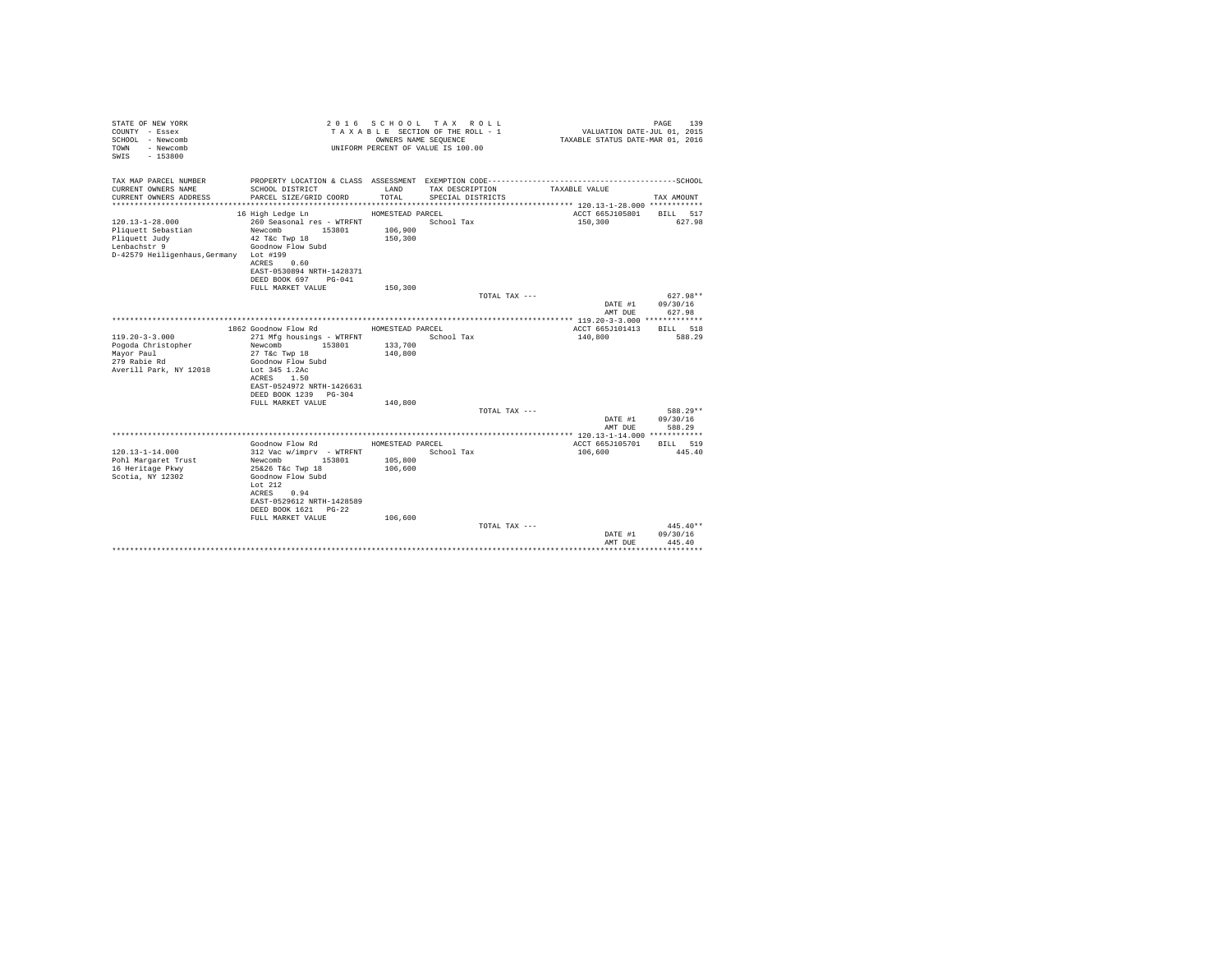| STATE OF NEW YORK<br>COUNTY - Essex<br>SCHOOL - Newcomb<br>- Newcomb<br>TOWN<br>$-153800$<br>SWTS |                                                   | OWNERS NAME SEQUENCE | 2016 SCHOOL TAX ROLL<br>TAXABLE SECTION OF THE ROLL - 1<br>UNIFORM PERCENT OF VALUE IS 100.00 | TAXABLE STATUS DATE-MAR 01, 2016 | 139<br>PAGE<br>VALUATION DATE-JUL 01, 2015 |
|---------------------------------------------------------------------------------------------------|---------------------------------------------------|----------------------|-----------------------------------------------------------------------------------------------|----------------------------------|--------------------------------------------|
| TAX MAP PARCEL NUMBER                                                                             |                                                   |                      |                                                                                               |                                  |                                            |
| CURRENT OWNERS NAME<br>CURRENT OWNERS ADDRESS                                                     | SCHOOL DISTRICT<br>PARCEL SIZE/GRID COORD         | LAND<br>TOTAL.       | TAX DESCRIPTION<br>SPECIAL DISTRICTS                                                          | TAXABLE VALUE                    | TAX AMOUNT                                 |
|                                                                                                   |                                                   |                      |                                                                                               |                                  |                                            |
| $120.13 - 1 - 28.000$                                                                             | 16 High Ledge Ln<br>260 Seasonal res - WTRFNT     | HOMESTEAD PARCEL     | School Tax                                                                                    | ACCT 665J105801<br>150,300       | BILL 517<br>627.98                         |
| Pliquett Sebastian                                                                                | Newcomb<br>153801                                 | 106,900              |                                                                                               |                                  |                                            |
| Pliquett Judy                                                                                     | 42 T&c Twp 18                                     | 150,300              |                                                                                               |                                  |                                            |
| Lenbachstr 9                                                                                      | Goodnow Flow Subd                                 |                      |                                                                                               |                                  |                                            |
| D-42579 Heiligenhaus.Germany Lot #199                                                             |                                                   |                      |                                                                                               |                                  |                                            |
|                                                                                                   | ACRES<br>0.60                                     |                      |                                                                                               |                                  |                                            |
|                                                                                                   | EAST-0530894 NRTH-1428371                         |                      |                                                                                               |                                  |                                            |
|                                                                                                   | DEED BOOK 697 PG-041                              |                      |                                                                                               |                                  |                                            |
|                                                                                                   | FULL MARKET VALUE                                 | 150,300              |                                                                                               |                                  |                                            |
|                                                                                                   |                                                   |                      | TOTAL TAX ---                                                                                 |                                  | $627.98**$                                 |
|                                                                                                   |                                                   |                      |                                                                                               | DATE #1                          | 09/30/16                                   |
|                                                                                                   |                                                   |                      |                                                                                               | AMT DUE                          | 627.98                                     |
|                                                                                                   | 1862 Goodnow Flow Rd                              | HOMESTEAD PARCEL     |                                                                                               | ACCT 665J101413                  | <b>BTLL</b> 518                            |
| $119.20 - 3 - 3.000$                                                                              | 271 Mfg housings - WTRFNT                         |                      | School Tax                                                                                    | 140,800                          | 588.29                                     |
| Pogoda Christopher                                                                                | Newcomb<br>153801                                 | 133,700              |                                                                                               |                                  |                                            |
| Mayor Paul                                                                                        | 27 T&c Twp 18                                     | 140,800              |                                                                                               |                                  |                                            |
| 279 Rabie Rd                                                                                      | Goodnow Flow Subd                                 |                      |                                                                                               |                                  |                                            |
| Averill Park, NY 12018                                                                            | Lot 345 1.2Ac                                     |                      |                                                                                               |                                  |                                            |
|                                                                                                   | 1.50<br>ACRES                                     |                      |                                                                                               |                                  |                                            |
|                                                                                                   | EAST-0524972 NRTH-1426631                         |                      |                                                                                               |                                  |                                            |
|                                                                                                   | DEED BOOK 1239 PG-304                             |                      |                                                                                               |                                  |                                            |
|                                                                                                   | FULL MARKET VALUE                                 | 140,800              | TOTAL TAX ---                                                                                 |                                  | 588.29**                                   |
|                                                                                                   |                                                   |                      |                                                                                               | DATE #1                          | 09/30/16                                   |
|                                                                                                   |                                                   |                      |                                                                                               | AMT DUE                          | 588.29                                     |
|                                                                                                   |                                                   |                      |                                                                                               |                                  |                                            |
|                                                                                                   | Goodnow Flow Rd                                   | HOMESTEAD PARCEL     |                                                                                               | ACCT 665J105701                  | BILL 519                                   |
| $120.13 - 1 - 14.000$                                                                             | 312 Vac w/imprv - WTRFNT                          |                      | School Tax                                                                                    | 106,600                          | 445.40                                     |
| Pohl Margaret Trust                                                                               | 153801<br>Newcomb                                 | 105,800              |                                                                                               |                                  |                                            |
| 16 Heritage Pkwy                                                                                  | 25&26 T&c Twp 18                                  | 106,600              |                                                                                               |                                  |                                            |
| Scotia, NY 12302                                                                                  | Goodnow Flow Subd                                 |                      |                                                                                               |                                  |                                            |
|                                                                                                   | Lot $212$                                         |                      |                                                                                               |                                  |                                            |
|                                                                                                   | ACRES<br>0.94                                     |                      |                                                                                               |                                  |                                            |
|                                                                                                   | EAST-0529612 NRTH-1428589<br>DEED BOOK 1621 PG-22 |                      |                                                                                               |                                  |                                            |
|                                                                                                   | FULL MARKET VALUE                                 | 106,600              |                                                                                               |                                  |                                            |
|                                                                                                   |                                                   |                      | TOTAL TAX ---                                                                                 |                                  | $445.40**$                                 |
|                                                                                                   |                                                   |                      |                                                                                               | DATE #1                          | 09/30/16                                   |
|                                                                                                   |                                                   |                      |                                                                                               | AMT DUE                          | 445.40                                     |
|                                                                                                   |                                                   |                      |                                                                                               |                                  | <b>********</b> *                          |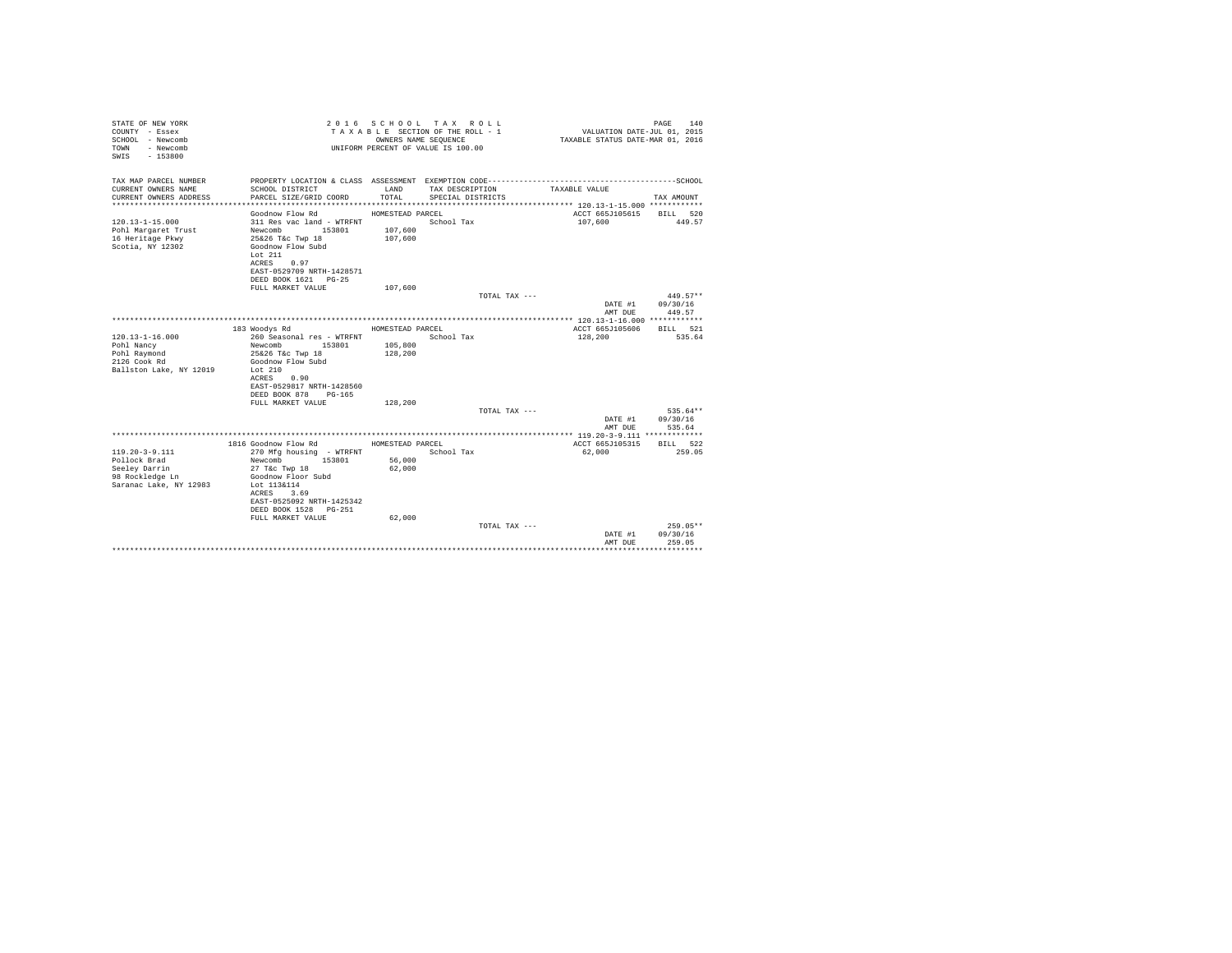| STATE OF NEW YORK<br>COUNTY - Essex<br>SCHOOL - Newcomb<br>- Newcomb<br>TOWN<br>$-153800$<br>SWTS |                                                                                                   | OWNERS NAME SEQUENCE | 2016 SCHOOL TAX ROLL<br>TAXABLE SECTION OF THE ROLL - 1<br>UNIFORM PERCENT OF VALUE IS 100.00 | VALUATION DATE-JUL 01, 2015<br>TAXABLE STATUS DATE-MAR 01, 2016 | 140<br>PAGE                    |
|---------------------------------------------------------------------------------------------------|---------------------------------------------------------------------------------------------------|----------------------|-----------------------------------------------------------------------------------------------|-----------------------------------------------------------------|--------------------------------|
| TAX MAP PARCEL NUMBER                                                                             |                                                                                                   |                      |                                                                                               |                                                                 |                                |
| CURRENT OWNERS NAME<br>CURRENT OWNERS ADDRESS                                                     | SCHOOL DISTRICT<br>PARCEL SIZE/GRID COORD                                                         | LAND<br>TOTAL.       | TAX DESCRIPTION<br>SPECIAL DISTRICTS                                                          | TAXABLE VALUE                                                   | TAX AMOUNT                     |
|                                                                                                   |                                                                                                   |                      |                                                                                               |                                                                 |                                |
|                                                                                                   | Goodnow Flow Rd                                                                                   | HOMESTEAD PARCEL     |                                                                                               | ACCT 665J105615                                                 | BILL 520                       |
| $120.13 - 1 - 15.000$<br>Pohl Margaret Trust<br>16 Heritage Pkwy<br>Scotia, NY 12302              | 311 Res vac land - WTRFNT<br>Newcomb 153801<br>25&26 T&c Twp 18<br>Goodnow Flow Subd<br>Lot $211$ | 107,600<br>107,600   | School Tax                                                                                    | 107,600                                                         | 449.57                         |
|                                                                                                   | 0.97<br>ACRES<br>EAST-0529709 NRTH-1428571<br>DEED BOOK 1621 PG-25                                |                      |                                                                                               |                                                                 |                                |
|                                                                                                   | FULL MARKET VALUE                                                                                 | 107,600              |                                                                                               |                                                                 |                                |
|                                                                                                   |                                                                                                   |                      | TOTAL TAX ---                                                                                 |                                                                 | $449.57**$                     |
|                                                                                                   |                                                                                                   |                      |                                                                                               | DATE #1<br>AMT DUE                                              | 09/30/16<br>449.57             |
|                                                                                                   |                                                                                                   |                      |                                                                                               |                                                                 |                                |
|                                                                                                   | 183 Woodys Rd                                                                                     | HOMESTEAD PARCEL     |                                                                                               | ACCT 665J105606                                                 | RTLL 521                       |
| $120.13 - 1 - 16.000$                                                                             | 260 Seasonal res - WTRFNT                                                                         |                      | School Tax                                                                                    | 128,200                                                         | 535.64                         |
| Pohl Nancy                                                                                        | Newcomb<br>153801<br>25&26 T&c Twp 18                                                             | 105,800<br>128,200   |                                                                                               |                                                                 |                                |
| Pohl Raymond<br>2126 Cook Rd                                                                      | Goodnow Flow Subd                                                                                 |                      |                                                                                               |                                                                 |                                |
| Ballston Lake, NY 12019                                                                           | Lot $210$<br>ACRES<br>0.90<br>EAST-0529817 NRTH-1428560                                           |                      |                                                                                               |                                                                 |                                |
|                                                                                                   | DEED BOOK 878<br>$PG-165$                                                                         |                      |                                                                                               |                                                                 |                                |
|                                                                                                   | FULL MARKET VALUE                                                                                 | 128,200              |                                                                                               |                                                                 |                                |
|                                                                                                   |                                                                                                   |                      | TOTAL TAX ---                                                                                 |                                                                 | 535.64**                       |
|                                                                                                   |                                                                                                   |                      |                                                                                               | DATE #1<br>AMT DUE                                              | 09/30/16<br>535.64             |
|                                                                                                   |                                                                                                   |                      |                                                                                               |                                                                 |                                |
|                                                                                                   | 1816 Goodnow Flow Rd                                                                              | HOMESTEAD PARCEL     |                                                                                               | ACCT 665J105315                                                 | BILL 522                       |
| $119.20 - 3 - 9.111$                                                                              | 270 Mfg housing - WTRFNT                                                                          |                      | School Tax                                                                                    | 62,000                                                          | 259.05                         |
| Pollock Brad<br>Seeley Darrin                                                                     | 153801<br>Newcomb<br>27 T&c Twp 18                                                                | 56,000<br>62,000     |                                                                                               |                                                                 |                                |
| 98 Rockledge Ln                                                                                   | Goodnow Floor Subd                                                                                |                      |                                                                                               |                                                                 |                                |
| Saranac Lake, NY 12983                                                                            | Lot 113&114<br>ACRES<br>3.69<br>EAST-0525092 NRTH-1425342                                         |                      |                                                                                               |                                                                 |                                |
|                                                                                                   | DEED BOOK 1528 PG-251                                                                             |                      |                                                                                               |                                                                 |                                |
|                                                                                                   | FULL MARKET VALUE                                                                                 | 62,000               |                                                                                               |                                                                 |                                |
|                                                                                                   |                                                                                                   |                      | TOTAL TAX ---                                                                                 | DATE #1<br>AMT DUE                                              | 259.05**<br>09/30/16<br>259.05 |
|                                                                                                   |                                                                                                   |                      |                                                                                               |                                                                 |                                |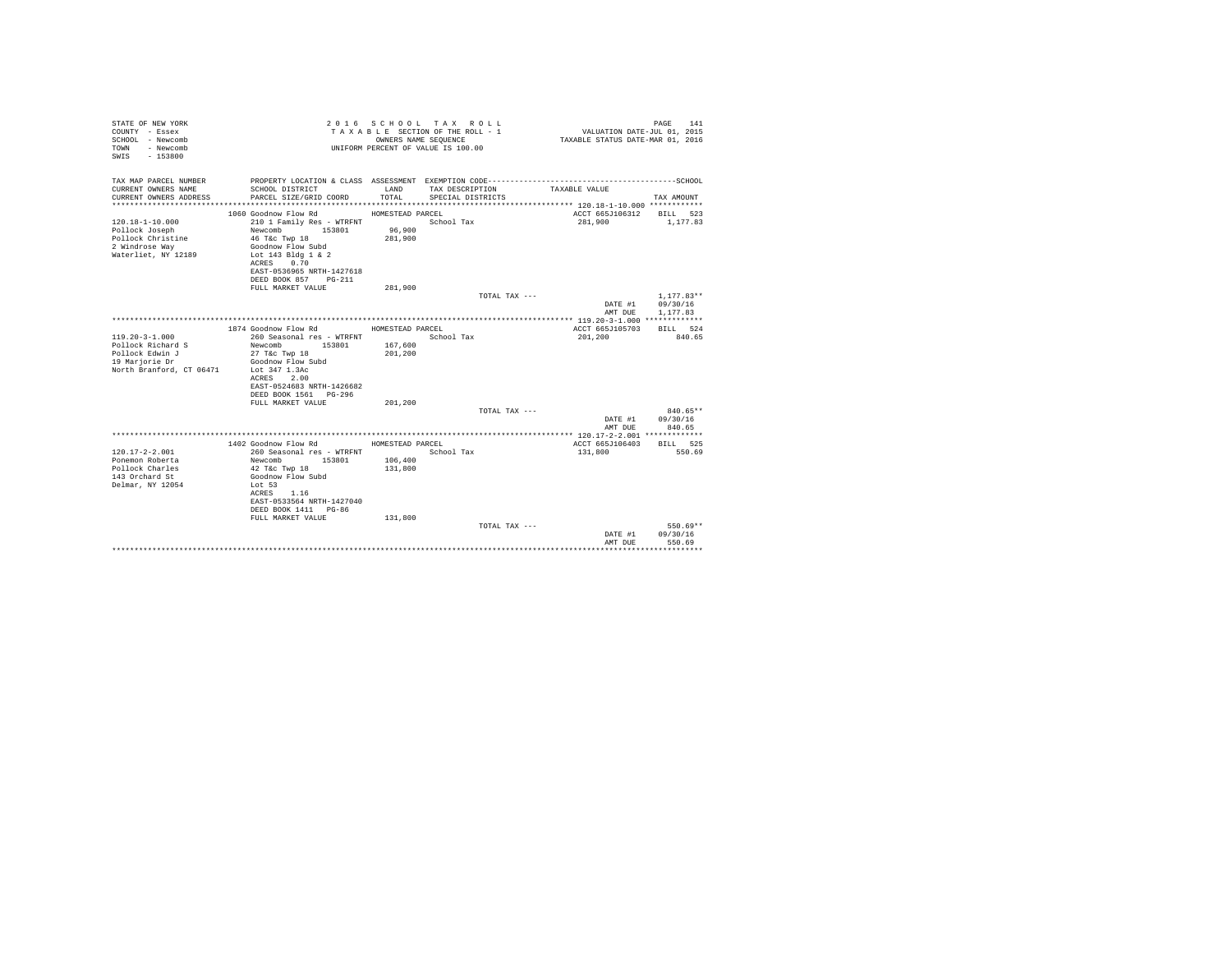| STATE OF NEW YORK<br>COUNTY - Essex<br>SCHOOL - Newcomb<br>- Newcomb<br>TOWN<br>$-153800$<br>SWTS     |                                                                                                                                                       | OWNERS NAME SEQUENCE | 2016 SCHOOL TAX ROLL<br>TAXABLE SECTION OF THE ROLL - 1<br>UNIFORM PERCENT OF VALUE IS 100.00 | VALUATION DATE-JUL 01, 2015<br>TAXABLE STATUS DATE-MAR 01, 2016 | 141<br>PAGE          |
|-------------------------------------------------------------------------------------------------------|-------------------------------------------------------------------------------------------------------------------------------------------------------|----------------------|-----------------------------------------------------------------------------------------------|-----------------------------------------------------------------|----------------------|
| TAX MAP PARCEL NUMBER                                                                                 |                                                                                                                                                       |                      |                                                                                               |                                                                 |                      |
| CURRENT OWNERS NAME<br>CURRENT OWNERS ADDRESS                                                         | SCHOOL DISTRICT<br>PARCEL SIZE/GRID COORD                                                                                                             | LAND<br>TOTAL.       | TAX DESCRIPTION<br>SPECIAL DISTRICTS                                                          | TAXABLE VALUE                                                   | TAX AMOUNT           |
|                                                                                                       | 1060 Goodnow Flow Rd                                                                                                                                  | HOMESTEAD PARCEL     |                                                                                               | ACCT 665J106312                                                 | BILL 523             |
| $120.18 - 1 - 10.000$<br>Pollock Joseph<br>Pollock Christine<br>2 Windrose Way<br>Waterliet, NY 12189 | 210 1 Family Res - WTRFNT<br>Newcomb<br>153801<br>46 T&C Twp 18<br>Goodnow Flow Subd<br>Lot 143 Bldg 1 & 2<br>ACRES 0.70<br>EAST-0536965 NRTH-1427618 | 96,900<br>281,900    | School Tax                                                                                    | 281,900                                                         | 1,177.83             |
|                                                                                                       | DEED BOOK 857 PG-211                                                                                                                                  |                      |                                                                                               |                                                                 |                      |
|                                                                                                       | FULL MARKET VALUE                                                                                                                                     | 281,900              |                                                                                               |                                                                 |                      |
|                                                                                                       |                                                                                                                                                       |                      | TOTAL TAX ---                                                                                 |                                                                 | $1.177.83**$         |
|                                                                                                       |                                                                                                                                                       |                      |                                                                                               | DATE #1<br>AMT DUE                                              | 09/30/16<br>1,177.83 |
|                                                                                                       |                                                                                                                                                       |                      |                                                                                               |                                                                 |                      |
|                                                                                                       | 1874 Goodnow Flow Rd                                                                                                                                  | HOMESTEAD PARCEL     |                                                                                               | ACCT 665J105703                                                 | <b>BTLL</b> 524      |
| $119.20 - 3 - 1.000$                                                                                  | 260 Seasonal res - WTRFNT                                                                                                                             |                      | School Tax                                                                                    | 201,200                                                         | 840.65               |
| Pollock Richard S                                                                                     | Newcomb 153801                                                                                                                                        | 167,600              |                                                                                               |                                                                 |                      |
| Pollock Edwin J                                                                                       | 27 T&c Twp 18                                                                                                                                         | 201,200              |                                                                                               |                                                                 |                      |
| 19 Marjorie Dr                                                                                        | Goodnow Flow Subd                                                                                                                                     |                      |                                                                                               |                                                                 |                      |
| North Branford, CT 06471                                                                              | Lot 347 1.3Ac<br>2.00<br>ACRES                                                                                                                        |                      |                                                                                               |                                                                 |                      |
|                                                                                                       | EAST-0524683 NRTH-1426682                                                                                                                             |                      |                                                                                               |                                                                 |                      |
|                                                                                                       | DEED BOOK 1561 PG-296                                                                                                                                 |                      |                                                                                               |                                                                 |                      |
|                                                                                                       | FULL MARKET VALUE                                                                                                                                     | 201,200              |                                                                                               |                                                                 |                      |
|                                                                                                       |                                                                                                                                                       |                      | TOTAL TAX ---                                                                                 |                                                                 | $840.65**$           |
|                                                                                                       |                                                                                                                                                       |                      |                                                                                               | DATE #1                                                         | 09/30/16             |
|                                                                                                       |                                                                                                                                                       |                      |                                                                                               | AMT DUE                                                         | 840.65               |
|                                                                                                       | 1402 Goodnow Flow Rd                                                                                                                                  | HOMESTEAD PARCEL     |                                                                                               | ACCT 665J106403                                                 | BILL 525             |
| $120.17 - 2 - 2.001$                                                                                  | 260 Seasonal res - WTRFNT                                                                                                                             |                      | School Tax                                                                                    | 131,800                                                         | 550.69               |
| Ponemon Roberta                                                                                       | Newcomb<br>153801                                                                                                                                     | 106,400              |                                                                                               |                                                                 |                      |
| Pollock Charles                                                                                       | 42 T&c Twp 18                                                                                                                                         | 131,800              |                                                                                               |                                                                 |                      |
| 143 Orchard St                                                                                        | Goodnow Flow Subd                                                                                                                                     |                      |                                                                                               |                                                                 |                      |
| Delmar, NY 12054                                                                                      | Lot 53                                                                                                                                                |                      |                                                                                               |                                                                 |                      |
|                                                                                                       | ACRES 1.16                                                                                                                                            |                      |                                                                                               |                                                                 |                      |
|                                                                                                       | EAST-0533564 NRTH-1427040                                                                                                                             |                      |                                                                                               |                                                                 |                      |
|                                                                                                       | DEED BOOK 1411 PG-86<br>FULL MARKET VALUE                                                                                                             | 131,800              |                                                                                               |                                                                 |                      |
|                                                                                                       |                                                                                                                                                       |                      | TOTAL TAX ---                                                                                 |                                                                 | 550.69**             |
|                                                                                                       |                                                                                                                                                       |                      |                                                                                               | DATE #1                                                         | 09/30/16             |
|                                                                                                       |                                                                                                                                                       |                      |                                                                                               | AMT DUE                                                         | 550.69               |
|                                                                                                       |                                                                                                                                                       |                      |                                                                                               |                                                                 |                      |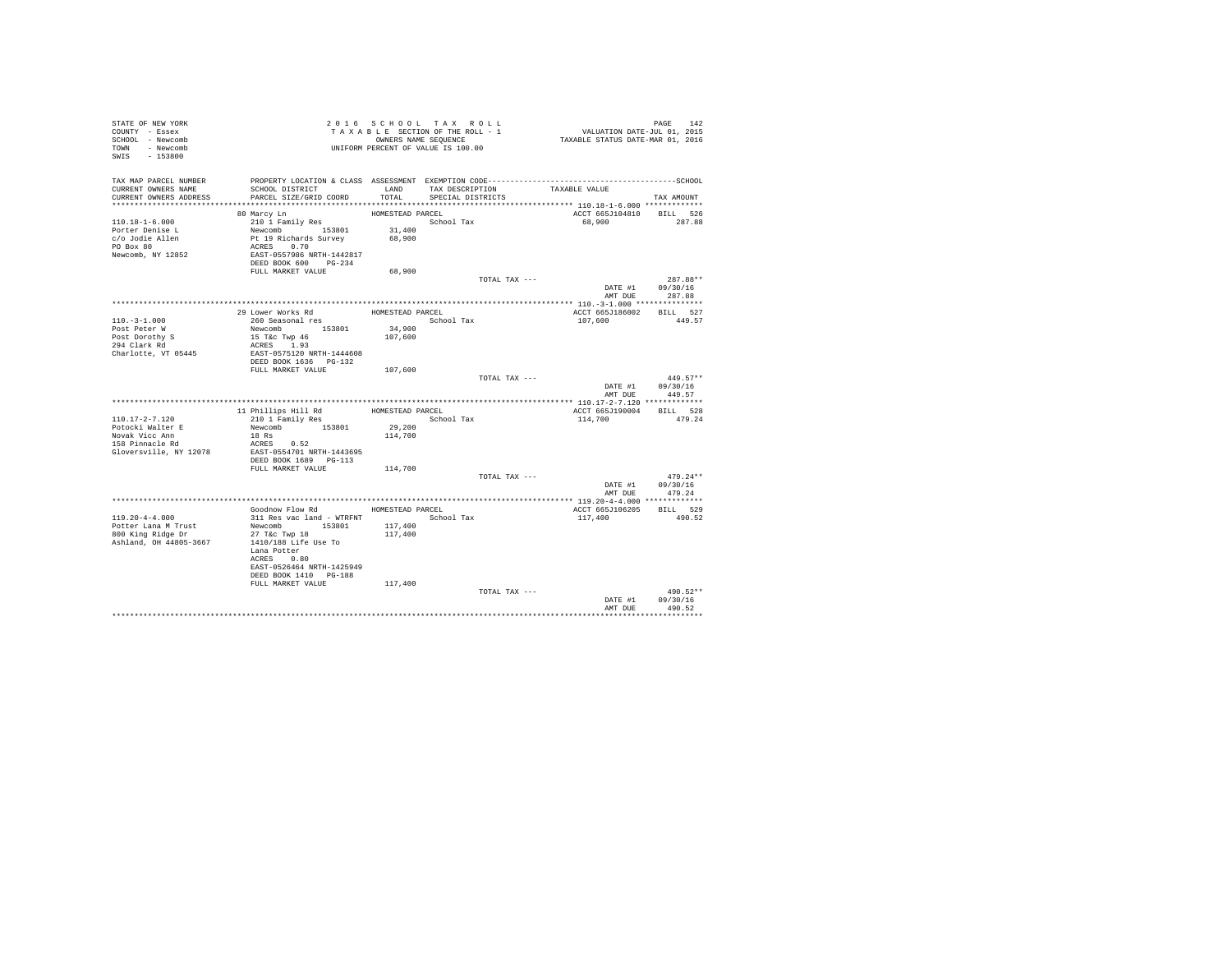| STATE OF NEW YORK<br>COUNTY - Essex      |                                                                                              |                   | 2016 SCHOOL TAX ROLL<br>TAXABLE SECTION OF THE ROLL - 1 |                                    | PAGE 142<br>VALUATION DATE-JUL 01, 2015<br>TAXABLE STATUS DATE-MAR 01, 2016 |
|------------------------------------------|----------------------------------------------------------------------------------------------|-------------------|---------------------------------------------------------|------------------------------------|-----------------------------------------------------------------------------|
| SCHOOL - Newcomb                         |                                                                                              |                   |                                                         |                                    |                                                                             |
| TOWN - Newcomb                           | OWNERS NAME SEQUENCE<br>UNIFORM PERCENT OF VALUE IS 100.00                                   |                   |                                                         |                                    |                                                                             |
| SWIS - 153800                            |                                                                                              |                   |                                                         |                                    |                                                                             |
|                                          |                                                                                              |                   |                                                         |                                    |                                                                             |
| TAX MAP PARCEL NUMBER                    | PROPERTY LOCATION & CLASS ASSESSMENT EXEMPTION CODE-----------------------------------SCHOOL |                   |                                                         |                                    |                                                                             |
| CURRENT OWNERS NAME                      | SCHOOL DISTRICT                                                                              |                   |                                                         | LAND TAX DESCRIPTION TAXABLE VALUE |                                                                             |
| CURRENT OWNERS ADDRESS                   | PARCEL SIZE/GRID COORD                                                                       | TOTAL             | SPECIAL DISTRICTS                                       |                                    | TAX AMOUNT                                                                  |
|                                          |                                                                                              |                   |                                                         |                                    |                                                                             |
|                                          | 80 Marcy Ln                                                                                  | HOMESTEAD PARCEL  |                                                         |                                    | ACCT 665J104810 BILL 526                                                    |
| $110.18 - 1 - 6.000$                     | 210 1 Family Res                                                                             |                   | School Tax                                              |                                    | 68,900<br>287.88                                                            |
| Porter Denise L                          | Newcomb 153801 31,400                                                                        |                   |                                                         |                                    |                                                                             |
| c/o Jodie Allen                          | Pt 19 Richards Survey<br>ACRES 0.70                                                          | 68,900            |                                                         |                                    |                                                                             |
| PO Box 80                                |                                                                                              |                   |                                                         |                                    |                                                                             |
| Newcomb, NY 12852                        | EAST-0557986 NRTH-1442817                                                                    |                   |                                                         |                                    |                                                                             |
|                                          | DEED BOOK 600 PG-234                                                                         |                   |                                                         |                                    |                                                                             |
|                                          | FULL MARKET VALUE                                                                            | 68,900            |                                                         |                                    |                                                                             |
|                                          |                                                                                              |                   |                                                         | TOTAL TAX ---                      | 287.88**                                                                    |
|                                          |                                                                                              |                   |                                                         |                                    | DATE #1 09/30/16<br>AMT DUE 287.88                                          |
|                                          |                                                                                              |                   |                                                         |                                    |                                                                             |
|                                          |                                                                                              | HOMESTEAD PARCEL  |                                                         |                                    | ACCT 665J186002 BILL 527                                                    |
| $110. - 3 - 1.000$                       | 29 Lower Works Rd<br>260 Seasonal res                                                        |                   | School Tax                                              |                                    | 107,600<br>449.57                                                           |
| Post Peter W                             | Newcomb 153801                                                                               |                   |                                                         |                                    |                                                                             |
|                                          | 15 T&c Twp 46                                                                                | 34,900<br>107,600 |                                                         |                                    |                                                                             |
| Post Dorothy S<br>294 Clark Rd           | ACRES 1.93                                                                                   |                   |                                                         |                                    |                                                                             |
| Charlotte, VT 05445                      | EAST-0575120 NRTH-1444608                                                                    |                   |                                                         |                                    |                                                                             |
|                                          | DEED BOOK 1636    PG-132                                                                     |                   |                                                         |                                    |                                                                             |
|                                          | FULL MARKET VALUE 107,600                                                                    |                   |                                                         |                                    |                                                                             |
|                                          |                                                                                              |                   |                                                         | TOTAL TAX ---                      | $449.57**$                                                                  |
|                                          |                                                                                              |                   |                                                         |                                    | DATE #1 09/30/16                                                            |
|                                          |                                                                                              |                   |                                                         |                                    | 449.57<br>AMT DUE                                                           |
|                                          |                                                                                              |                   |                                                         |                                    |                                                                             |
|                                          | 11 Phillips Hill Rd                                                                          |                   | HOMESTEAD PARCEL                                        |                                    | BILL 528<br>ACCT 665J190004                                                 |
| $110.17 - 2 - 7.120$<br>Potocki Walter E | 210 1 Family Res                                                                             | 29,200            | School Tax                                              |                                    | 114,700<br>479.24                                                           |
| Novak Vicc Ann                           | Newcomb 153801<br>18 Rs                                                                      | 114,700           |                                                         |                                    |                                                                             |
| $158$ Pinnacle Rd                        | ACRES 0.52                                                                                   |                   |                                                         |                                    |                                                                             |
| Gloversville, NY 12078                   | EAST-0554701 NRTH-1443695                                                                    |                   |                                                         |                                    |                                                                             |
|                                          | DEED BOOK 1689 PG-113                                                                        |                   |                                                         |                                    |                                                                             |
|                                          | FULL MARKET VALUE                                                                            | 114,700           |                                                         |                                    |                                                                             |
|                                          |                                                                                              |                   |                                                         | TOTAL TAX ---                      | $479.24**$                                                                  |
|                                          |                                                                                              |                   |                                                         |                                    | DATE #1 09/30/16                                                            |
|                                          |                                                                                              |                   |                                                         |                                    | AMT DUE<br>479.24                                                           |
|                                          |                                                                                              |                   |                                                         |                                    |                                                                             |
|                                          | Goodnow Flow Rd MOMESTEAD PARCEL                                                             |                   |                                                         |                                    | ACCT 665J106205 BILL 529                                                    |
| $119.20 - 4 - 4.000$                     | 311 Res vac land - WTRFNT                                                                    |                   | School Tax                                              | 117,400                            | 490.52                                                                      |
| Potter Lana M Trust<br>800 King Ridge Dr | Newcomb 153801                                                                               | 117,400           |                                                         |                                    |                                                                             |
|                                          | 27 T&c Twp 18                                                                                | 117,400           |                                                         |                                    |                                                                             |
| Ashland, OH 44805-3667                   | 1410/188 Life Use To<br>Lana Potter                                                          |                   |                                                         |                                    |                                                                             |
|                                          | ACRES 0.80                                                                                   |                   |                                                         |                                    |                                                                             |
|                                          | EAST-0526464 NRTH-1425949                                                                    |                   |                                                         |                                    |                                                                             |
|                                          | DEED BOOK 1410 PG-188                                                                        |                   |                                                         |                                    |                                                                             |
|                                          | FULL MARKET VALUE                                                                            | 117,400           |                                                         |                                    |                                                                             |
|                                          |                                                                                              |                   |                                                         | TOTAL TAX ---                      | 490.52**                                                                    |
|                                          |                                                                                              |                   |                                                         |                                    | DATE #1 09/30/16                                                            |
|                                          |                                                                                              |                   |                                                         |                                    | 490.52<br>AMT DUE                                                           |
|                                          |                                                                                              |                   |                                                         |                                    |                                                                             |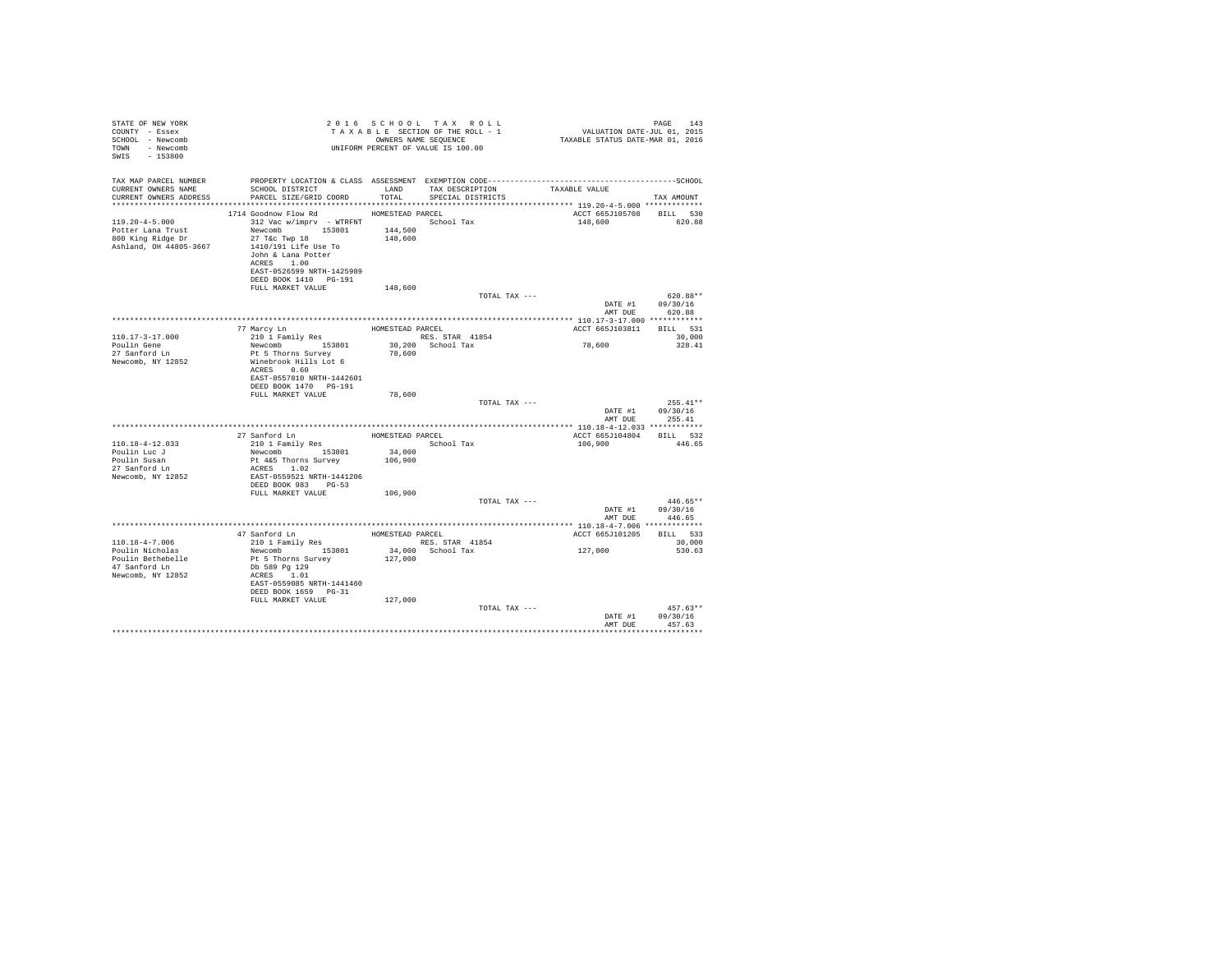| STATE OF NEW YORK<br>COUNTY - Essex<br>SCHOOL - Newcomb<br>TOWN - Newcomb<br>SWIS - 153800         |                                                                                                                                                                                                                                                        |                              | 2016 SCHOOL TAX ROLL<br>UNIFORM PERCENT OF VALUE IS 100.00 |                                     | PAGE<br>143                                     |
|----------------------------------------------------------------------------------------------------|--------------------------------------------------------------------------------------------------------------------------------------------------------------------------------------------------------------------------------------------------------|------------------------------|------------------------------------------------------------|-------------------------------------|-------------------------------------------------|
| TAX MAP PARCEL NUMBER<br>CURRENT OWNERS NAME<br>CURRENT OWNERS ADDRESS                             | SCHOOL DISTRICT TAND TAX DESCRIPTION<br>PARCEL SIZE/GRID COORD                                                                                                                                                                                         | TOTAL                        | SPECIAL DISTRICTS                                          | TAXABLE VALUE                       | TAX AMOUNT                                      |
| $119.20 - 4 - 5.000$<br>Potter Lana Trust<br>800 King Ridge Dr<br>Ashland, OH 44805-3667           | 1714 Goodnow Flow Rd HOMESTEAD PARCEL<br>312 Vac w/imprv - WTRFNT<br>Newcomb 153801 144,500<br>27 T&C Twp 18<br>1410/191 Life Use To<br>John & Lana Potter<br>ACRES 1.00<br>EAST-0526599 NRTH-1425989<br>DEED BOOK 1410    PG-191<br>FULL MARKET VALUE | 148,600<br>148,600           | School Tax                                                 | ACCT 665J105708 BILL 530<br>148,600 | 620.88                                          |
|                                                                                                    |                                                                                                                                                                                                                                                        |                              | TOTAL TAX ---                                              |                                     | $620.88**$<br>DATE #1 09/30/16                  |
| 110.17-3-17.000<br>Poulin Gene<br>27 Sanford Ln<br>Newcomb, NY 12852                               | 77 Marcy Ln<br>210 1 Family Res<br>Newcomb 153801<br>Pt 5 Thorne Summing<br>Pt 5 Thorns Survey<br>Winebrook Hills Lot 6<br>ACRES 0.60<br>EAST-0557810 NRTH-1442601<br>DEED BOOK 1470 PG-191                                                            | 78,600                       | HOMESTEAD PARCEL<br>RES. STAR 41854<br>30,200 School Tax   | ACCT 665J103811 BILL 531<br>78,600  | AMT DUE 620.88<br>30,000<br>328.41              |
|                                                                                                    | FULL MARKET VALUE                                                                                                                                                                                                                                      | 78,600                       | TOTAL TAX ---                                              | AMT DUE                             | $255.41**$<br>DATE #1 09/30/16<br>255.41        |
| 110.18-4-12.033<br>Poulin Luc J<br>Poulin Susan<br>27 Sanford Ln<br>Newcomb, NY 12852              | 27 Sanford Ln HOMESTEAD PARCEL<br>210 1 Family Res<br>Newcomb 153801<br>Pt 4&5 Thorns Survey<br>ACRES 1.02<br>EAST-0559521 NRTH-1441206<br>DEED BOOK 983 PG-53<br>FULL MARKET VALUE                                                                    | 34,000<br>106,900<br>106,900 | School Tax<br>TOTAL TAX ---                                | ACCT 665J104804 BILL 532<br>106,900 | 446.65<br>$446.65**$                            |
|                                                                                                    |                                                                                                                                                                                                                                                        |                              |                                                            | AMT DUE                             | DATE #1 09/30/16<br>446.65                      |
| $110.18 - 4 - 7.006$<br>Poulin Nicholas<br>Poulin Bethebelle<br>47 Sanford Ln<br>Newcomb, NY 12852 | ${\small \begin{tabular}{lcccccc} 210 & 1 & Family & Res & & RES. & STR & 41854 \\ Newtonb & 153801 & 34,000 & School & Tax \end{tabular}}$<br>Pt 5 Thorns Survey<br>Db 589 Pg 129<br>ACRES 1.01<br>EAST-0559085 NRTH-1441460<br>DEED BOOK 1659 PG-31  | 127,000                      |                                                            | ACCT 665J101205 BILL 533<br>127,000 | 30,000<br>530.63                                |
|                                                                                                    | FULL MARKET VALUE                                                                                                                                                                                                                                      | 127,000                      | TOTAL TAX ---                                              | DATE #1<br>AMT DUE                  | $457.63**$<br>09/30/16<br>457.63<br>*********** |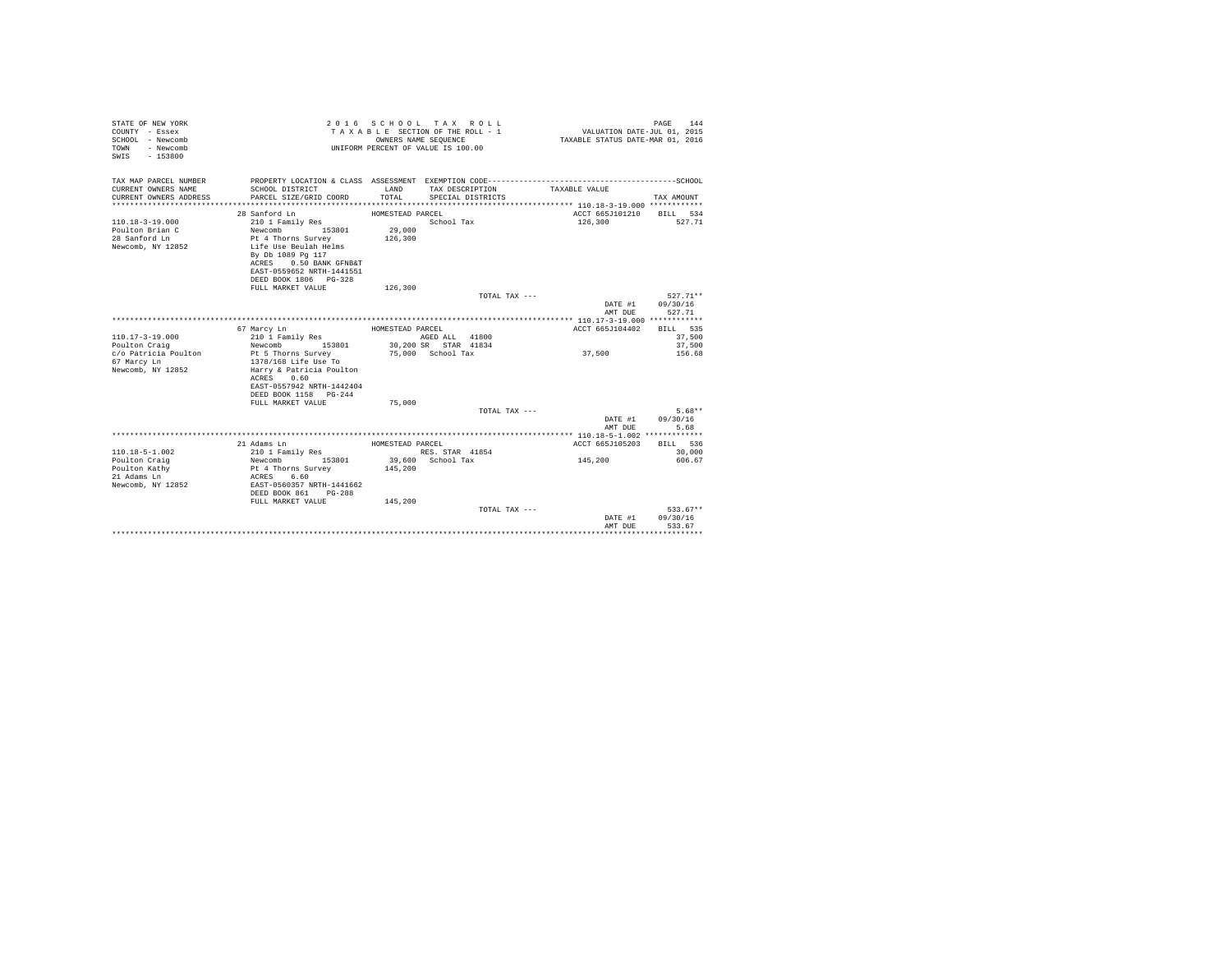| STATE OF NEW YORK<br>COUNTY - Essex<br>SCHOOL - Newcomb<br>- Newcomb<br>TOWN<br>$-153800$<br>SWIS |                                             |                  | 2016 SCHOOL TAX ROLL<br>TAXABLE SECTION OF THE ROLL - 1<br>OWNERS NAME SEQUENCE<br>UNIFORM PERCENT OF VALUE IS 100.00 | VALUATION DATE-JUL 01, 2015<br>TAXABLE STATUS DATE-MAR 01, 2016 | PAGE<br>144 |
|---------------------------------------------------------------------------------------------------|---------------------------------------------|------------------|-----------------------------------------------------------------------------------------------------------------------|-----------------------------------------------------------------|-------------|
| TAX MAP PARCEL NUMBER                                                                             |                                             |                  |                                                                                                                       |                                                                 |             |
| CURRENT OWNERS NAME                                                                               | SCHOOL DISTRICT                             | LAND             | TAX DESCRIPTION                                                                                                       | TAXABLE VALUE                                                   |             |
| CURRENT OWNERS ADDRESS                                                                            | PARCEL SIZE/GRID COORD                      | TOTAL            | SPECIAL DISTRICTS                                                                                                     |                                                                 | TAX AMOUNT  |
|                                                                                                   |                                             |                  |                                                                                                                       |                                                                 |             |
|                                                                                                   | 28 Sanford Ln                               | HOMESTEAD PARCEL |                                                                                                                       | ACCT 665J101210 BILL 534                                        |             |
| $110.18 - 3 - 19.000$                                                                             | 210 1 Family Res                            |                  | School Tax                                                                                                            | 126,300                                                         | 527.71      |
| Poulton Brian C                                                                                   | Newcomb<br>153801                           | 29,000           |                                                                                                                       |                                                                 |             |
| 28 Sanford Ln<br>Newcomb, NY 12852                                                                | Pt 4 Thorns Survey<br>Life Use Beulah Helms | 126,300          |                                                                                                                       |                                                                 |             |
|                                                                                                   | By Db 1089 Pg 117                           |                  |                                                                                                                       |                                                                 |             |
|                                                                                                   | ACRES 0.50 BANK GFNB&T                      |                  |                                                                                                                       |                                                                 |             |
|                                                                                                   | EAST-0559652 NRTH-1441551                   |                  |                                                                                                                       |                                                                 |             |
|                                                                                                   | DEED BOOK 1806 PG-328                       |                  |                                                                                                                       |                                                                 |             |
|                                                                                                   | FULL MARKET VALUE                           | 126,300          |                                                                                                                       |                                                                 |             |
|                                                                                                   |                                             |                  | TOTAL TAX ---                                                                                                         |                                                                 | 527.71**    |
|                                                                                                   |                                             |                  |                                                                                                                       | DATE #1                                                         | 09/30/16    |
|                                                                                                   |                                             |                  |                                                                                                                       | AMT DUE                                                         | 527.71      |
|                                                                                                   | 67 Marcy Ln                                 | HOMESTEAD PARCEL |                                                                                                                       | ACCT 665J104402 BILL 535                                        |             |
| $110.17 - 3 - 19.000$                                                                             | 210 1 Family Res                            |                  | AGED ALL 41800                                                                                                        |                                                                 | 37,500      |
| Poulton Craig                                                                                     | Newcomb 153801                              |                  | 30,200 SR STAR 41834                                                                                                  |                                                                 | 37,500      |
| c/o Patricia Poulton                                                                              | Pt 5 Thorns Survey                          |                  | 75,000 School Tax                                                                                                     | 37,500                                                          | 156.68      |
| 67 Marcy Ln                                                                                       | 1378/168 Life Use To                        |                  |                                                                                                                       |                                                                 |             |
| Newcomb, NY 12852                                                                                 | Harry & Patricia Poulton                    |                  |                                                                                                                       |                                                                 |             |
|                                                                                                   | ACRES 0.60                                  |                  |                                                                                                                       |                                                                 |             |
|                                                                                                   | EAST-0557942 NRTH-1442404                   |                  |                                                                                                                       |                                                                 |             |
|                                                                                                   | DEED BOOK 1158 PG-244<br>FULL MARKET VALUE  | 75,000           |                                                                                                                       |                                                                 |             |
|                                                                                                   |                                             |                  | TOTAL TAX $---$                                                                                                       |                                                                 | $5.68**$    |
|                                                                                                   |                                             |                  |                                                                                                                       | DATE #1                                                         | 09/30/16    |
|                                                                                                   |                                             |                  |                                                                                                                       | AMT DUE                                                         | 5.68        |
|                                                                                                   |                                             |                  |                                                                                                                       |                                                                 |             |
|                                                                                                   | 21 Adams Ln                                 | HOMESTEAD PARCEL |                                                                                                                       | ACCT 665J105203                                                 | BILL 536    |
| $110.18 - 5 - 1.002$                                                                              | 210 1 Family Res                            |                  | RES. STAR 41854                                                                                                       |                                                                 | 30,000      |
| Poulton Craig                                                                                     | Newcomb 153801                              |                  | 39,600 School Tax                                                                                                     | 145,200                                                         | 606.67      |
| Poulton Kathy                                                                                     | Pt 4 Thorns Survey                          | 145,200          |                                                                                                                       |                                                                 |             |
| 21 Adams Ln<br>Newcomb, NY 12852                                                                  | ACRES 6.60<br>EAST-0560357 NRTH-1441662     |                  |                                                                                                                       |                                                                 |             |
|                                                                                                   | DEED BOOK 861 PG-288                        |                  |                                                                                                                       |                                                                 |             |
|                                                                                                   | FULL MARKET VALUE                           | 145,200          |                                                                                                                       |                                                                 |             |
|                                                                                                   |                                             |                  | TOTAL TAX ---                                                                                                         |                                                                 | $533.67**$  |
|                                                                                                   |                                             |                  |                                                                                                                       | DATE #1                                                         | 09/30/16    |
|                                                                                                   |                                             |                  |                                                                                                                       | AMT DUE                                                         | 533.67      |
|                                                                                                   |                                             |                  |                                                                                                                       |                                                                 |             |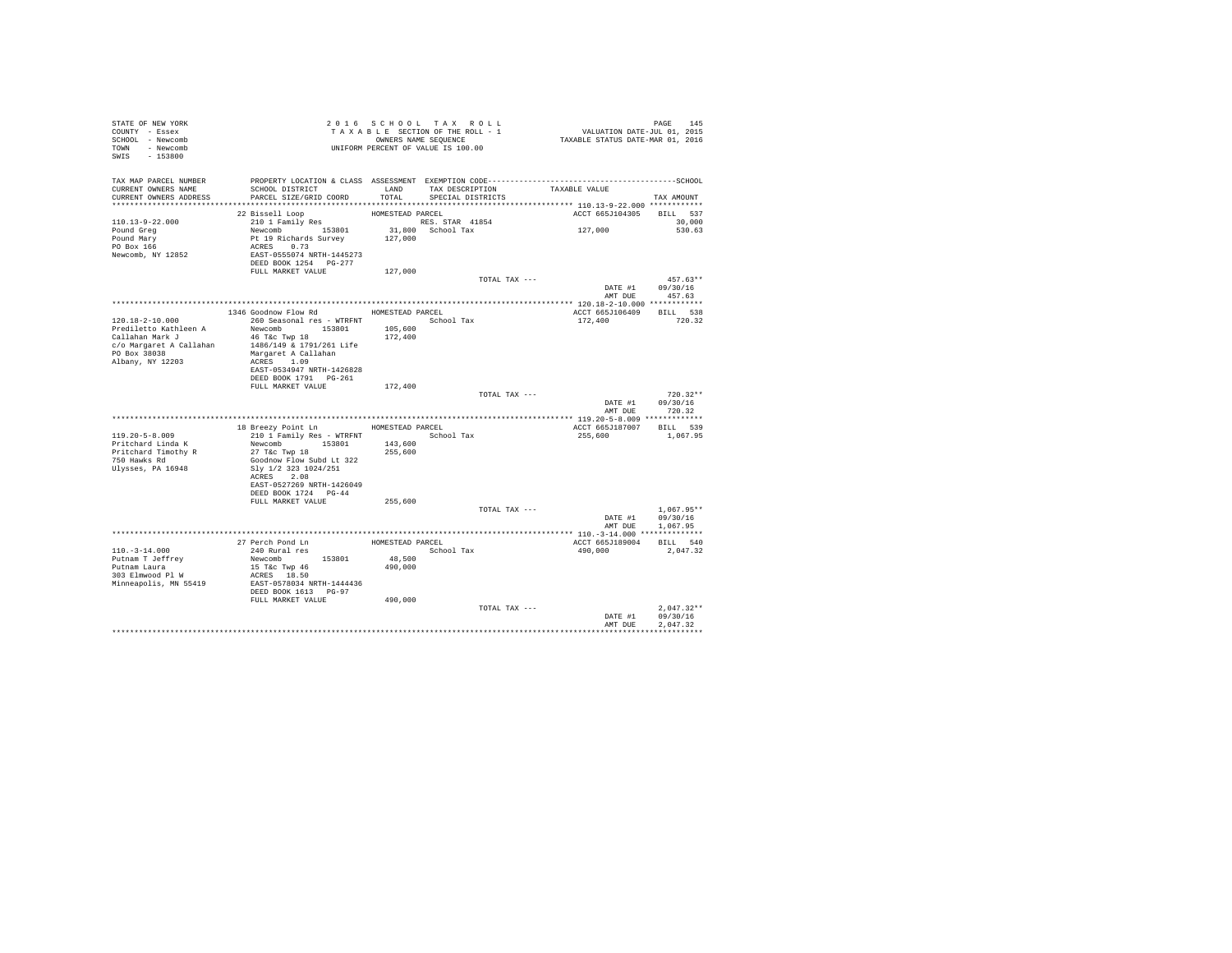| STATE OF NEW YORK<br>COUNTY - Essex<br>SCHOOL - Newcomb<br>TOWN - Newcomb<br>SWIS - 153800 | T A X A B L L _ _ _ _ _ _ _ _ OWNERS NAME SEQUENCE<br>UNIFORM PERCENT OF VALUE IS 100.00 |                  | 2016 SCHOOL TAX ROLL<br>TAXABLE SECTION OF THE ROLL - 1<br>OWNERS NAME SEQUENCE |               | PAGE 145<br>VALUATION DATE-JUL 01, 2015<br>TAXABLE STATUS DATE-MAR 01, 2016 |                                    |
|--------------------------------------------------------------------------------------------|------------------------------------------------------------------------------------------|------------------|---------------------------------------------------------------------------------|---------------|-----------------------------------------------------------------------------|------------------------------------|
| TAX MAP PARCEL NUMBER<br>CURRENT OWNERS NAME<br>CURRENT OWNERS ADDRESS                     | SCHOOL DISTRICT<br>PARCEL SIZE/GRID COORD                                                | LAND<br>TOTAL    | TAX DESCRIPTION<br>SPECIAL DISTRICTS                                            |               | TAXABLE VALUE                                                               | TAX AMOUNT                         |
|                                                                                            |                                                                                          |                  |                                                                                 |               |                                                                             |                                    |
|                                                                                            | 22 Bissell Loop                                                                          | HOMESTEAD PARCEL |                                                                                 |               | ACCT 665J104305                                                             | BILL 537                           |
| 110.13-9-22.000                                                                            | 210 1 Family Res                                                                         |                  | RES. STAR 41854                                                                 |               |                                                                             | 30,000                             |
| Pound Greg<br>Pound Mary<br>PO Box 166                                                     | Newcomb 153801<br>Pt 19 Richards Survey                                                  | 127,000          | 31,800 School Tax                                                               |               | 127,000                                                                     | 530.63                             |
| Newcomb, NY 12852                                                                          | ACRES 0.73<br>EAST-0555074 NRTH-1445273<br>DEED BOOK 1254 PG-277<br>FULL MARKET VALUE    | 127,000          |                                                                                 |               |                                                                             |                                    |
|                                                                                            |                                                                                          |                  |                                                                                 | TOTAL TAX --- |                                                                             | $457.63**$                         |
|                                                                                            |                                                                                          |                  |                                                                                 |               |                                                                             | DATE #1 09/30/16<br>AMT DUE 457.63 |
|                                                                                            |                                                                                          |                  |                                                                                 |               |                                                                             |                                    |
|                                                                                            | 1346 Goodnow Flow Rd HOMESTEAD PARCEL                                                    |                  |                                                                                 |               | ACCT 665J106409 BILL 538                                                    |                                    |
| 120.18-2-10.000                                                                            | 260 Seasonal res - WTRFNT School Tax                                                     |                  |                                                                                 |               | 172,400                                                                     | 720.32                             |
| Prediletto Kathleen A                                                                      | Newcomb 153801                                                                           | 105,600          |                                                                                 |               |                                                                             |                                    |
| Callahan Mark J<br>c/o Margaret A Callahan                                                 | 46 T&C Twp 18<br>1486/149 & 1791/261 Life                                                | 172,400          |                                                                                 |               |                                                                             |                                    |
| PO Box 38038                                                                               | Margaret A Callahan                                                                      |                  |                                                                                 |               |                                                                             |                                    |
| Albany, NY 12203                                                                           | ACRES 1.09                                                                               |                  |                                                                                 |               |                                                                             |                                    |
|                                                                                            | EAST-0534947 NRTH-1426828                                                                |                  |                                                                                 |               |                                                                             |                                    |
|                                                                                            | DEED BOOK 1791    PG-261                                                                 |                  |                                                                                 |               |                                                                             |                                    |
|                                                                                            | FULL MARKET VALUE                                                                        | 172,400          |                                                                                 |               |                                                                             |                                    |
|                                                                                            |                                                                                          |                  |                                                                                 | TOTAL TAX --- |                                                                             | $720.32**$                         |
|                                                                                            |                                                                                          |                  |                                                                                 |               |                                                                             | DATE #1 09/30/16                   |
|                                                                                            |                                                                                          |                  |                                                                                 |               |                                                                             | AMT DUE 720.32                     |
|                                                                                            | 18 Breezy Point Ln                                                                       | HOMESTEAD PARCEL |                                                                                 |               | ACCT 665J187007 BILL 539                                                    |                                    |
| $119.20 - 5 - 8.009$                                                                       | 210 1 Family Res - WTRFNT                                                                |                  | School Tax                                                                      |               | 255,600                                                                     | 1,067.95                           |
| Pritchard Linda K                                                                          | Newcomb 153801                                                                           | 143,600          |                                                                                 |               |                                                                             |                                    |
| Pritchard Timothy R                                                                        | 27 T&C Twp 18                                                                            | 255,600          |                                                                                 |               |                                                                             |                                    |
| 750 Hawks Rd                                                                               | Goodnow Flow Subd Lt 322                                                                 |                  |                                                                                 |               |                                                                             |                                    |
| Ulysses, PA 16948                                                                          | Sly 1/2 323 1024/251                                                                     |                  |                                                                                 |               |                                                                             |                                    |
|                                                                                            | ACRES 2.08                                                                               |                  |                                                                                 |               |                                                                             |                                    |
|                                                                                            | EAST-0527269 NRTH-1426049<br>DEED BOOK 1724 PG-44                                        |                  |                                                                                 |               |                                                                             |                                    |
|                                                                                            | FULL MARKET VALUE                                                                        | 255,600          |                                                                                 |               |                                                                             |                                    |
|                                                                                            |                                                                                          |                  |                                                                                 | TOTAL TAX --- |                                                                             | $1.067.95**$                       |
|                                                                                            |                                                                                          |                  |                                                                                 |               |                                                                             | DATE #1 09/30/16                   |
|                                                                                            |                                                                                          |                  |                                                                                 |               | AMT DUE                                                                     | 1,067.95                           |
|                                                                                            |                                                                                          |                  |                                                                                 |               |                                                                             |                                    |
|                                                                                            | 27 Perch Pond Ln                                                                         |                  | HOMESTEAD PARCEL                                                                |               | ACCT 665J189004 BILL 540                                                    |                                    |
| $110. - 3 - 14.000$                                                                        | 240 Rural res                                                                            |                  |                                                                                 | School Tax    | 490,000                                                                     | 2.047.32                           |
| Putnam T Jeffrey                                                                           | Newcomb 153801                                                                           | 48,500           |                                                                                 |               |                                                                             |                                    |
| Putnam Laura<br>303 Elmwood Pl W                                                           | 15 T&c Twp 46                                                                            | 490,000          |                                                                                 |               |                                                                             |                                    |
| Minneapolis, MN 55419                                                                      | ACRES 18.50<br>EAST-0578034 NRTH-1444436                                                 |                  |                                                                                 |               |                                                                             |                                    |
|                                                                                            | DEED BOOK 1613 PG-97                                                                     |                  |                                                                                 |               |                                                                             |                                    |
|                                                                                            | FULL MARKET VALUE                                                                        | 490,000          |                                                                                 |               |                                                                             |                                    |
|                                                                                            |                                                                                          |                  |                                                                                 | TOTAL TAX --- |                                                                             | $2.047.32**$                       |
|                                                                                            |                                                                                          |                  |                                                                                 |               | DATE #1                                                                     | 09/30/16                           |
|                                                                                            |                                                                                          |                  |                                                                                 |               | AMT DUE                                                                     | 2.047.32                           |
|                                                                                            |                                                                                          |                  |                                                                                 |               |                                                                             | ************                       |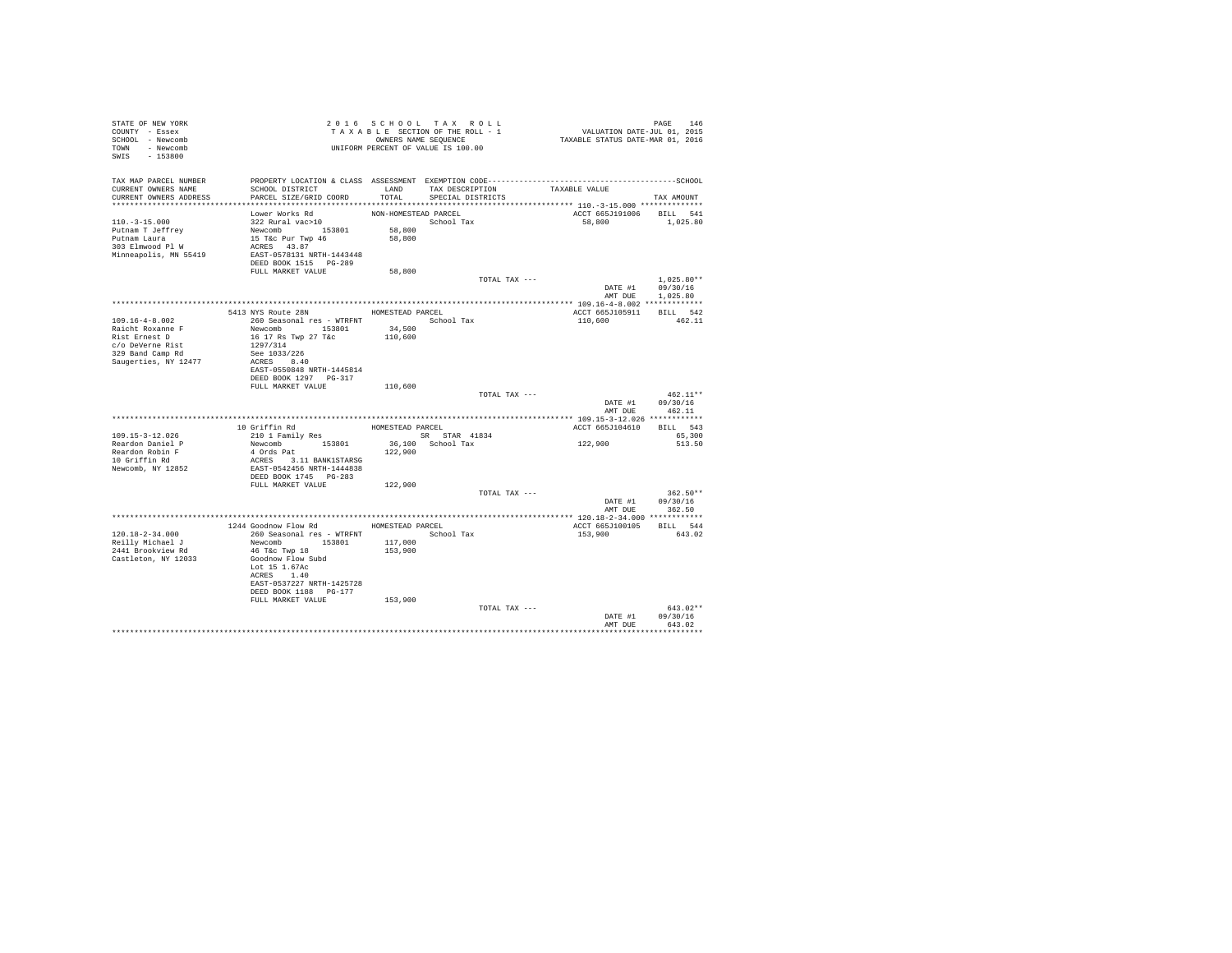| STATE OF NEW YORK<br>COUNTY - Essex<br>SCHOOL - Newcomb<br>TOWN - Newcomb<br>SWIS - 153800           | T A X A B B B B B B B SEQUENCE<br>UNIFORM PERCENT OF VALUE IS 100.00                                                                                           |                                          | 2016 SCHOOL TAX ROLL<br>TAXABLE SECTION OF THE ROLL - 1<br>OWNERS NAME SEQUENCE | PAGE 146<br>VALUATION DATE-JUL 01, 2015<br>TAXABLE STATUS DATE-MAR 01, 2016 |                                      |
|------------------------------------------------------------------------------------------------------|----------------------------------------------------------------------------------------------------------------------------------------------------------------|------------------------------------------|---------------------------------------------------------------------------------|-----------------------------------------------------------------------------|--------------------------------------|
| TAX MAP PARCEL NUMBER<br>CURRENT OWNERS NAME<br>CURRENT OWNERS ADDRESS                               | SCHOOL DISTRICT<br>PARCEL SIZE/GRID COORD                                                                                                                      | TOTAL                                    | LAND TAX DESCRIPTION<br>SPECIAL DISTRICTS                                       | TAXABLE VALUE                                                               | TAX AMOUNT                           |
| $110. - 3 - 15.000$<br>Putnam T Jeffrey<br>Putnam Laura<br>303 Elmwood Pl W<br>Minneapolis, MN 55419 | Lower Works Rd<br>322 Rural vac>10<br>Newcomb 153801<br>15 T&c Pur Twp 46<br>ACRES 43.87<br>EAST-0578131 NRTH-1443448                                          | NON-HOMESTEAD PARCEL<br>58,800<br>58,800 | School Tax                                                                      | ACCT 665J191006 BILL 541<br>58,800                                          | 1,025.80                             |
|                                                                                                      | FULL MARKET VALUE                                                                                                                                              | 58,800                                   |                                                                                 |                                                                             |                                      |
|                                                                                                      |                                                                                                                                                                |                                          | TOTAL TAX ---                                                                   | DATE #1<br>AMT DUE                                                          | $1.025.80**$<br>09/30/16<br>1,025.80 |
|                                                                                                      |                                                                                                                                                                |                                          |                                                                                 |                                                                             |                                      |
| 109.16-4-8.002<br>Raicht Roxanne F                                                                   | 5413 NYS Route 28N HOMESTEAD PARCEL<br>260 Seasonal res - WTRFNT <a></a> School Tax<br>Newcomb 153801                                                          | 34,500                                   |                                                                                 | ACCT 665J105911 BILL 542<br>110,600                                         | 462.11                               |
| Rist Ernest D<br>c/o DeVerne Rist<br>329 Band Camp Rd<br>Saugerties, NY 12477                        | 16 17 Rs Twp 27 T&c<br>1297/314<br>See 1033/226<br>ACRES 8.40<br>EAST-0550848 NRTH-1445814<br>DEED BOOK 1297 PG-317<br>FULL MARKET VALUE                       | 110,600<br>110,600                       |                                                                                 |                                                                             |                                      |
|                                                                                                      |                                                                                                                                                                |                                          | TOTAL TAX ---                                                                   | DATE #1 09/30/16<br>AMT DUE                                                 | $462.11**$<br>462.11                 |
|                                                                                                      |                                                                                                                                                                |                                          |                                                                                 |                                                                             |                                      |
| 109.15-3-12.026<br>Reardon Daniel P<br>Reardon Robin F                                               | 10 Griffin Rd<br>210 1 Family Res<br>Newcomb 153801<br>4 Ords Pat                                                                                              | HOMESTEAD PARCEL<br>122,900              | SR STAR 41834<br>36,100 School Tax                                              | ACCT 665J104610<br>122,900                                                  | BILL 543<br>65,300<br>513.50         |
| 10 Griffin Rd<br>Newcomb, NY 12852                                                                   | ACRES 3.11 BANK1STARSG<br>EAST-0542456 NRTH-1444838<br>DEED BOOK 1745 PG-283<br>FULL MARKET VALUE                                                              | 122,900                                  |                                                                                 |                                                                             |                                      |
|                                                                                                      |                                                                                                                                                                |                                          | TOTAL TAX ---                                                                   | DATE #1<br>AMT DUE 362.50                                                   | $362.50**$<br>09/30/16               |
|                                                                                                      |                                                                                                                                                                |                                          |                                                                                 |                                                                             |                                      |
| 120.18-2-34.000                                                                                      | 1244 Goodnow Flow Rd MOMESTEAD PARCEL<br>260 Seasonal res - WTRFNT                                                                                             |                                          | School Tax                                                                      | ACCT 665J100105 BILL 544<br>153,900                                         | 643.02                               |
| Reilly Michael J<br>2441 Brookview Rd<br>Castleton, NY 12033                                         | Newcomb 153801<br>46 T&C Twp 18<br>Goodnow Flow Subd<br>Lot 15 1.67Ac<br>ACRES 1.40<br>EAST-0537227 NRTH-1425728<br>DEED BOOK 1188 PG-177<br>FULL MARKET VALUE | 117,000<br>153,900<br>153,900            |                                                                                 |                                                                             |                                      |
|                                                                                                      |                                                                                                                                                                |                                          | TOTAL TAX ---                                                                   |                                                                             | $643.02**$                           |
|                                                                                                      |                                                                                                                                                                |                                          |                                                                                 | DATE #1<br>AMT DUE                                                          | 09/30/16<br>643.02<br>***********    |
|                                                                                                      |                                                                                                                                                                |                                          |                                                                                 |                                                                             |                                      |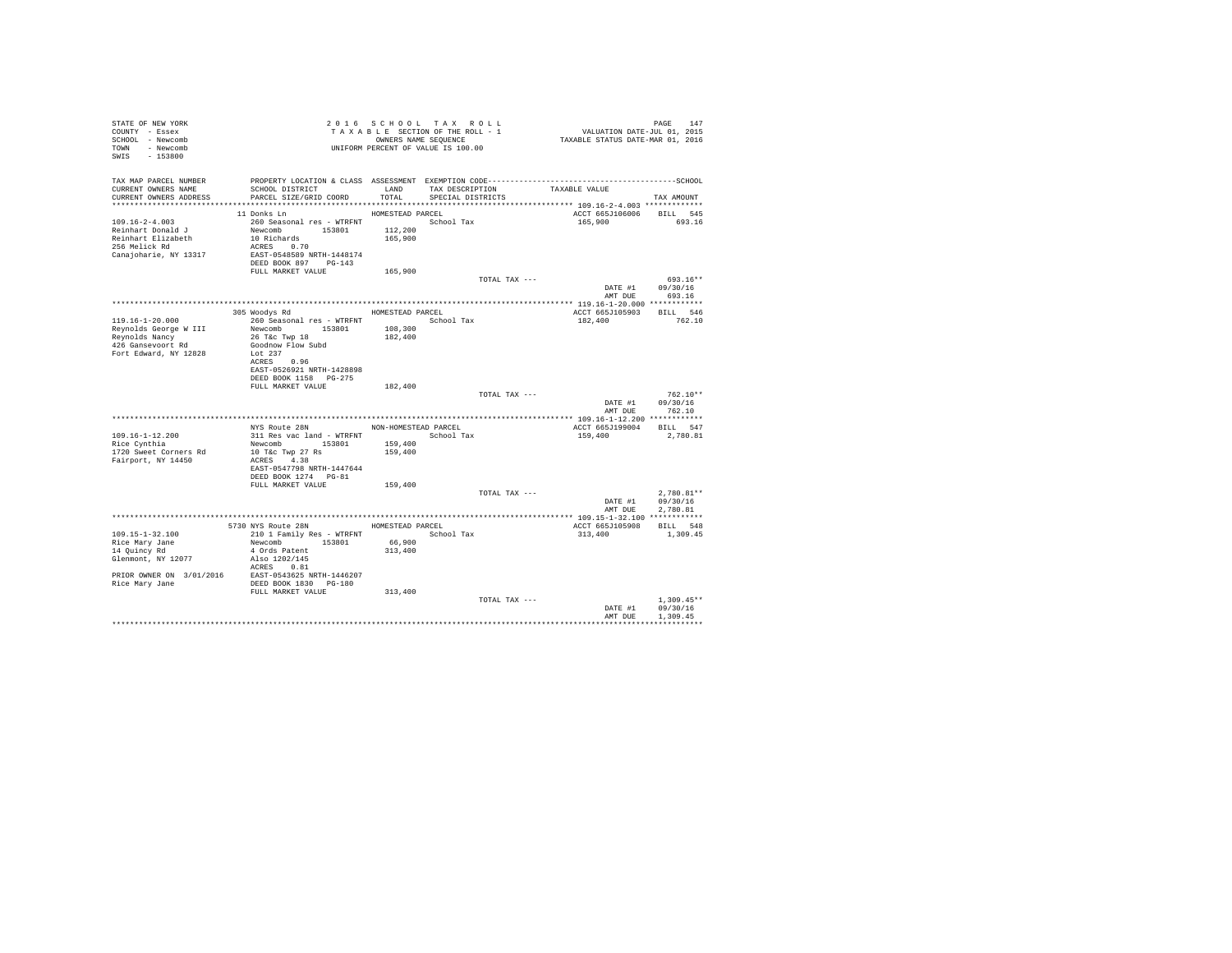| STATE OF NEW YORK<br>COUNTY - Essex<br>SCHOOL - Newcomb                                                                                                                                         |                                           |                  | 2016 SCHOOL TAX ROLL<br>TAXABLE SECTION OF THE ROLL - 1<br>OWNERS NAME SEQUENCE | PAGE 147<br>VALUATION DATE-JUL 01, 2015<br>TAXABLE STATUS DATE-MAR 01, 2016 | PAGE<br>147        |
|-------------------------------------------------------------------------------------------------------------------------------------------------------------------------------------------------|-------------------------------------------|------------------|---------------------------------------------------------------------------------|-----------------------------------------------------------------------------|--------------------|
| TOWN<br>- Newcomb<br>$-153800$<br>SWIS                                                                                                                                                          |                                           |                  | UNIFORM PERCENT OF VALUE IS 100.00                                              |                                                                             |                    |
| TAX MAP PARCEL NUMBER                                                                                                                                                                           |                                           |                  |                                                                                 |                                                                             |                    |
| CURRENT OWNERS NAME<br>CURRENT OWNERS ADDRESS                                                                                                                                                   | SCHOOL DISTRICT<br>PARCEL SIZE/GRID COORD | LAND<br>TOTAL    | TAX DESCRIPTION<br>SPECIAL DISTRICTS                                            | TAXABLE VALUE                                                               | TAX AMOUNT         |
|                                                                                                                                                                                                 |                                           |                  |                                                                                 |                                                                             |                    |
|                                                                                                                                                                                                 | 11 Donks Ln                               | HOMESTEAD PARCEL |                                                                                 | ACCT 665J106006                                                             | BILL 545           |
| $109.16 - 2 - 4.003$                                                                                                                                                                            | 260 Seasonal res - WTRFNT                 |                  | School Tax                                                                      | 165,900                                                                     | 693.16             |
| Reinhart Donald J                                                                                                                                                                               | Newcomb 153801                            | 112,200          |                                                                                 |                                                                             |                    |
| Reinhart Elizabeth                                                                                                                                                                              | 10 Richards                               | 165,900          |                                                                                 |                                                                             |                    |
| 256 Melick Rd                                                                                                                                                                                   | ACRES 0.70<br>EAST-0548589 NRTH-1448174   |                  |                                                                                 |                                                                             |                    |
| Canajoharie, NY 13317                                                                                                                                                                           | DEED BOOK 897 PG-143                      |                  |                                                                                 |                                                                             |                    |
|                                                                                                                                                                                                 | FULL MARKET VALUE                         | 165,900          |                                                                                 |                                                                             |                    |
|                                                                                                                                                                                                 |                                           |                  | TOTAL TAX ---                                                                   |                                                                             | $693.16**$         |
|                                                                                                                                                                                                 |                                           |                  |                                                                                 | DATE #1                                                                     | 09/30/16           |
|                                                                                                                                                                                                 |                                           |                  |                                                                                 | AMT DUE                                                                     | 693.16             |
|                                                                                                                                                                                                 |                                           |                  |                                                                                 |                                                                             |                    |
|                                                                                                                                                                                                 | 305 Woodys Rd                             | HOMESTEAD PARCEL |                                                                                 | ACCT 665J105903                                                             | BILL 546           |
| 119.16-1-20.000                                                                                                                                                                                 | 260 Seasonal res - WTRFNT                 |                  | School Tax                                                                      | 182,400                                                                     | 762.10             |
| Reynolds George W III                                                                                                                                                                           | Newcomb 153801                            | 108,300          |                                                                                 |                                                                             |                    |
| Reynolds Nancy<br>426 Gansevoort Rd                                                                                                                                                             | 26 T&c Twp 18<br>Goodnow Flow Subd        | 182,400          |                                                                                 |                                                                             |                    |
| Fort Edward, NY 12828                                                                                                                                                                           | Lot 237                                   |                  |                                                                                 |                                                                             |                    |
|                                                                                                                                                                                                 | ACRES 0.96                                |                  |                                                                                 |                                                                             |                    |
|                                                                                                                                                                                                 | EAST-0526921 NRTH-1428898                 |                  |                                                                                 |                                                                             |                    |
|                                                                                                                                                                                                 | DEED BOOK 1158 PG-275                     |                  |                                                                                 |                                                                             |                    |
|                                                                                                                                                                                                 | FULL MARKET VALUE                         | 182,400          |                                                                                 |                                                                             |                    |
|                                                                                                                                                                                                 |                                           |                  | TOTAL TAX ---                                                                   |                                                                             | $762.10**$         |
|                                                                                                                                                                                                 |                                           |                  |                                                                                 | DATE #1<br>AMT DUE                                                          | 09/30/16<br>762.10 |
|                                                                                                                                                                                                 |                                           |                  |                                                                                 |                                                                             |                    |
|                                                                                                                                                                                                 | NYS Route 28N                             |                  | NON-HOMESTEAD PARCEL                                                            | ACCT 665J199004                                                             | BILL 547           |
| 109.16-1-12.200                                                                                                                                                                                 | 311 Res vac land - WTRFNT                 |                  | School Tax                                                                      | 159,400                                                                     | 2,780.81           |
| Rice Cynthia                                                                                                                                                                                    | Newcomb 153801                            | 159,400          |                                                                                 |                                                                             |                    |
| 1720 Sweet Corners Rd                                                                                                                                                                           | 10 T&c Twp 27 Rs                          | 159,400          |                                                                                 |                                                                             |                    |
| Fairport, NY 14450                                                                                                                                                                              | ACRES 4.38                                |                  |                                                                                 |                                                                             |                    |
|                                                                                                                                                                                                 | EAST-0547798 NRTH-1447644                 |                  |                                                                                 |                                                                             |                    |
|                                                                                                                                                                                                 | DEED BOOK 1274 PG-81                      |                  |                                                                                 |                                                                             |                    |
|                                                                                                                                                                                                 | FULL MARKET VALUE                         | 159,400          | TOTAL TAX ---                                                                   |                                                                             | $2.780.81**$       |
|                                                                                                                                                                                                 |                                           |                  |                                                                                 | DATE #1                                                                     | 09/30/16           |
|                                                                                                                                                                                                 |                                           |                  |                                                                                 | AMT DUE                                                                     | 2,780.81           |
|                                                                                                                                                                                                 |                                           |                  |                                                                                 |                                                                             |                    |
|                                                                                                                                                                                                 | 5730 NYS Route 28N HOMESTEAD PARCEL       |                  |                                                                                 | ACCT 665J105908                                                             | BILL 548           |
| $109.15 - 1 - 32.100$                                                                                                                                                                           | 210 1 Family Res - WTRFNT                 |                  | School Tax                                                                      | 313,400                                                                     | 1,309.45           |
| Rice Mary Jane                                                                                                                                                                                  | Newcomb<br>153801                         | 66,900           |                                                                                 |                                                                             |                    |
| 14 Quincy Rd                                                                                                                                                                                    | 4 Ords Patent                             | 313,400          |                                                                                 |                                                                             |                    |
| Glenmont, NY 12077                                                                                                                                                                              | Also 1202/145<br>ACRES 0.81               |                  |                                                                                 |                                                                             |                    |
|                                                                                                                                                                                                 |                                           |                  |                                                                                 |                                                                             |                    |
| $\begin{tabular}{lllllll} \texttt{PRIOR} & \texttt{OWNER} & 3/01/2016 & \texttt{EAST-0543625 NRTH-1446207} \\ \texttt{Rice Mary Jane} & \texttt{DEED BOK 1830} & \texttt{PG-180} \end{tabular}$ |                                           |                  |                                                                                 |                                                                             |                    |
|                                                                                                                                                                                                 | FULL MARKET VALUE                         | 313,400          |                                                                                 |                                                                             |                    |
|                                                                                                                                                                                                 |                                           |                  | TOTAL TAX ---                                                                   |                                                                             | $1.309.45**$       |
|                                                                                                                                                                                                 |                                           |                  |                                                                                 | DATE #1                                                                     | 09/30/16           |
|                                                                                                                                                                                                 |                                           |                  |                                                                                 | AMT DUE                                                                     | 1,309.45           |
|                                                                                                                                                                                                 |                                           |                  |                                                                                 |                                                                             |                    |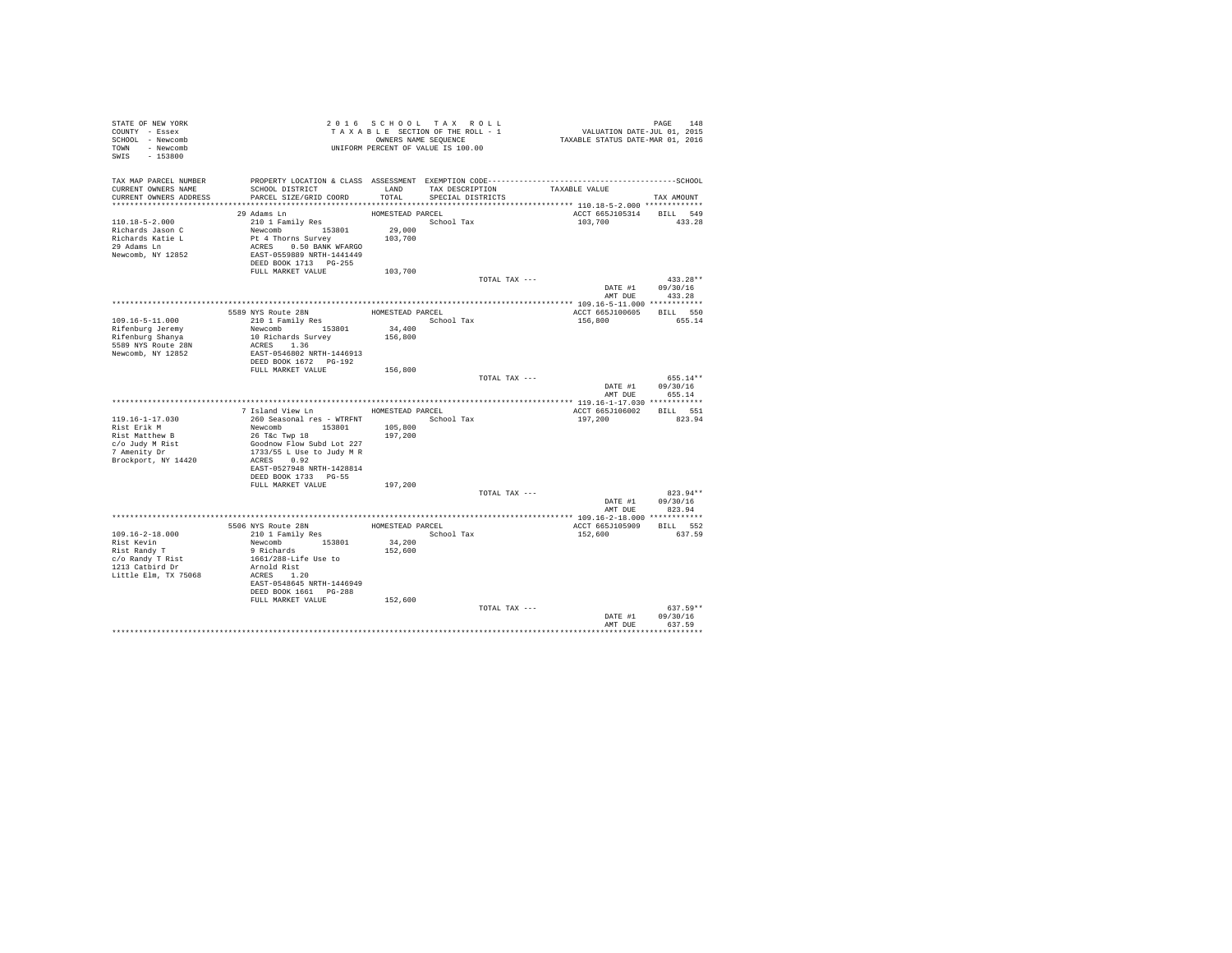| STATE OF NEW YORK<br>COUNTY - Essex<br>SCHOOL - Newcomb<br>TOWN - Newcomb<br>SWIS - 153800                   | UNIFORM PERCENT OF VALUE IS 100.00                                                                                                                                     |                                       | 2016 SCHOOL TAX ROLL<br>TAXABLE SECTION OF THE ROLL - 1<br>OWNERS NAME SEQUENCE |               | PAGE 148<br>VALUATION DATE-JUL 01, 2015<br>TAXABLE STATUS DATE-MAR 01, 2016 |                                                  |
|--------------------------------------------------------------------------------------------------------------|------------------------------------------------------------------------------------------------------------------------------------------------------------------------|---------------------------------------|---------------------------------------------------------------------------------|---------------|-----------------------------------------------------------------------------|--------------------------------------------------|
| TAX MAP PARCEL NUMBER<br>CURRENT OWNERS NAME<br>CURRENT OWNERS ADDRESS                                       | SCHOOL DISTRICT<br>PARCEL SIZE/GRID COORD                                                                                                                              | LAND<br>TOTAL                         | TAX DESCRIPTION<br>SPECIAL DISTRICTS                                            |               | TAXABLE VALUE                                                               | TAX AMOUNT                                       |
| 110.18-5-2.000<br>Richards Jason C<br>Richards Katie L<br>29 Adams Ln<br>Newcomb, NY 12852                   | 29 Adams Ln<br>210 1 Family Res<br>Newcomb 153801<br>Pt 4 Thorns Survey<br>ACRES 0.50 BANK WFARGO<br>EAST-0559889 NRTH-1441449<br>DEED BOOK 1713 PG-255                | HOMESTEAD PARCEL<br>29,000<br>103,700 | School Tax                                                                      |               | ACCT 665J105314<br>103,700                                                  | BILL 549<br>433.28                               |
|                                                                                                              | FULL MARKET VALUE                                                                                                                                                      | 103,700                               |                                                                                 |               |                                                                             |                                                  |
|                                                                                                              |                                                                                                                                                                        |                                       |                                                                                 | TOTAL TAX --- |                                                                             | $433.28**$<br>DATE #1 09/30/16<br>AMT DUE 433.28 |
|                                                                                                              |                                                                                                                                                                        |                                       |                                                                                 |               |                                                                             |                                                  |
| 109.16-5-11.000<br>Rifenburg Jeremy<br>Rifenburg Shanya<br>5589 NYS Route 28N<br>Newcomb, NY 12852           | 589 NYS Route 28N HOMESTEAD PARCEL<br>210 1 Family Res School<br>5589 NYS Route 28N<br>Newcomb 153801<br>10 Richards Survey<br>ACRES 1.36<br>EAST-0546802 NRTH-1446913 | School Tax<br>34,400<br>156,800       |                                                                                 |               | ACCT 665J100605<br>156,800                                                  | BILL 550<br>655.14                               |
|                                                                                                              | DEED BOOK 1672    PG-192                                                                                                                                               |                                       |                                                                                 |               |                                                                             |                                                  |
|                                                                                                              | FULL MARKET VALUE                                                                                                                                                      | 156,800                               |                                                                                 | TOTAL TAX --- | DATE #1<br>AMT DUE                                                          | 655.14**<br>09/30/16<br>655.14                   |
|                                                                                                              |                                                                                                                                                                        |                                       |                                                                                 |               |                                                                             |                                                  |
|                                                                                                              | 7 Island View Ln MOMESTEAD PARCEL                                                                                                                                      |                                       |                                                                                 |               | ACCT 665J106002 BILL 551                                                    |                                                  |
| $119.16 - 1 - 17.030$                                                                                        | 260 Seasonal res - WTRFNT                                                                                                                                              |                                       | School Tax                                                                      |               | 197,200                                                                     | 823.94                                           |
| Rist Erik M                                                                                                  | Newcomb 153801                                                                                                                                                         | 105,800                               |                                                                                 |               |                                                                             |                                                  |
| Rist Matthew B<br>c/o Judy M Rist<br>7 Amenity Dr<br>Brockport, NY 14420                                     | 26 T&c Twp 18<br>Goodnow Flow Subd Lot 227<br>1733/55 L Use to Judy M R<br>ACRES 0.92<br>EAST-0527948 NRTH-1428814<br>DEED BOOK 1733 PG-55                             | 197,200                               |                                                                                 |               |                                                                             |                                                  |
|                                                                                                              | FULL MARKET VALUE                                                                                                                                                      | 197,200                               |                                                                                 |               |                                                                             |                                                  |
|                                                                                                              |                                                                                                                                                                        |                                       |                                                                                 | TOTAL TAX --- | DATE #1<br>AMT DUE                                                          | 823.94**<br>09/30/16<br>823.94                   |
|                                                                                                              |                                                                                                                                                                        |                                       |                                                                                 |               |                                                                             |                                                  |
|                                                                                                              | 5506 NYS Route 28N<br>210 1 Family Res                                                                                                                                 |                                       | HOMESTEAD PARCEL                                                                |               | ACCT 665J105909                                                             | BILL 552                                         |
| 109.16-2-18.000<br>Rist Kevin<br>Rist Randy T<br>c/o Randy T Rist<br>1213 Catbird Dr<br>Little Elm, TX 75068 | Newcomb 153801<br>9 Richards<br>1661/288-Life Use to<br>Arnold Rist<br>ACRES 1.20<br>EAST-0548645 NRTH-1446949<br>DEED BOOK 1661 PG-288                                | 34,200<br>152,600                     | School Tax                                                                      |               | 152,600                                                                     | 637.59                                           |
|                                                                                                              | FULL MARKET VALUE                                                                                                                                                      | 152,600                               |                                                                                 | TOTAL TAX --- |                                                                             | 637.59**                                         |
|                                                                                                              |                                                                                                                                                                        |                                       |                                                                                 |               | DATE #1<br>AMT DUE                                                          | 09/30/16<br>637.59                               |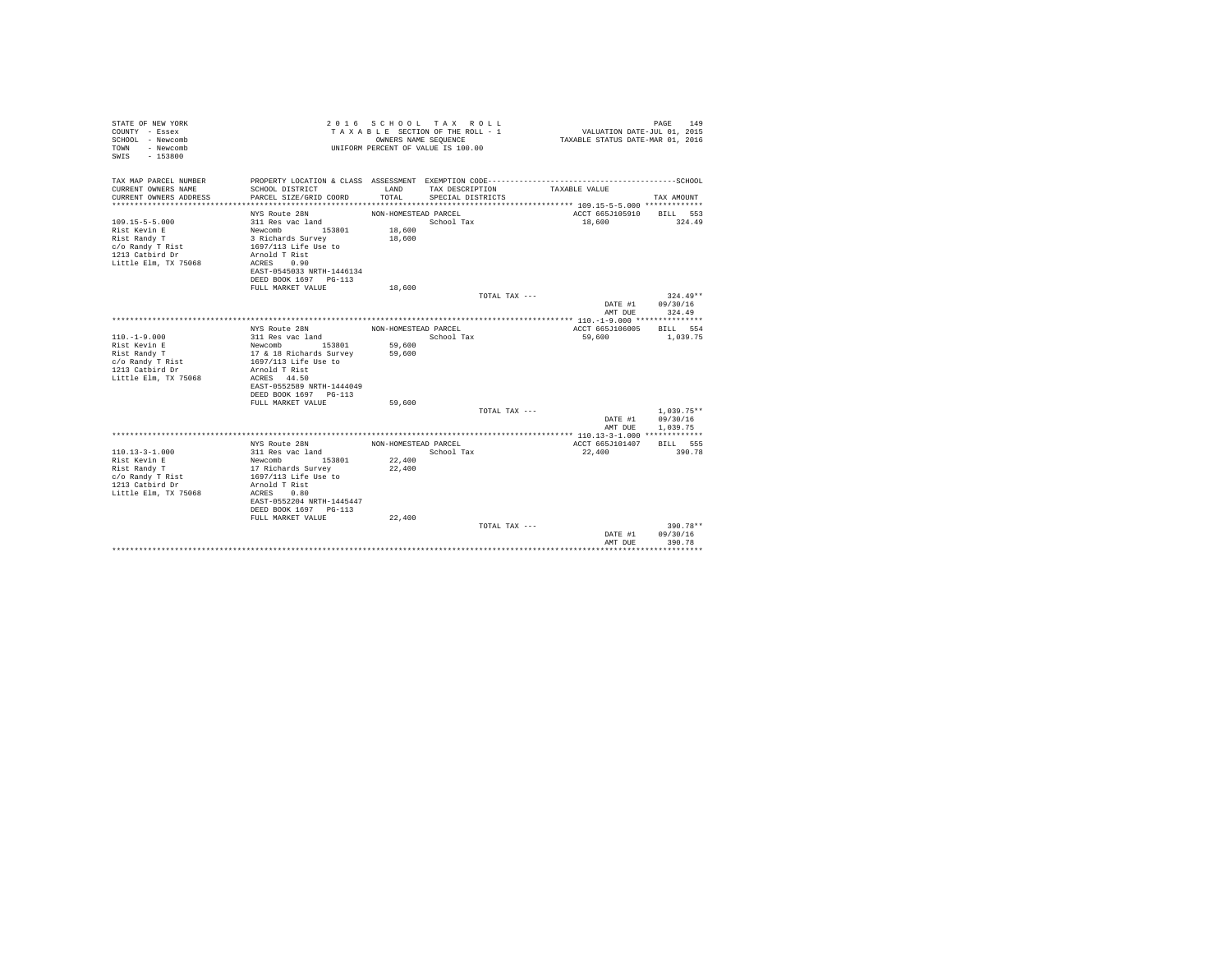| STATE OF NEW YORK<br>COUNTY - Essex<br>SCHOOL - Newcomb<br>- Newcomb<br>TOWN<br>$-153800$<br>SWTS |                                          | OWNERS NAME SEQUENCE | 2016 SCHOOL TAX ROLL<br>TAXABLE SECTION OF THE ROLL - 1<br>UNIFORM PERCENT OF VALUE IS 100.00 |               | VALUATION DATE-JUL 01, 2015<br>TAXABLE STATUS DATE-MAR 01, 2016 | 149<br>PAGE  |
|---------------------------------------------------------------------------------------------------|------------------------------------------|----------------------|-----------------------------------------------------------------------------------------------|---------------|-----------------------------------------------------------------|--------------|
| TAX MAP PARCEL NUMBER<br>CURRENT OWNERS NAME                                                      | SCHOOL DISTRICT                          | LAND                 | TAX DESCRIPTION                                                                               |               | TAXABLE VALUE                                                   |              |
| CURRENT OWNERS ADDRESS                                                                            | PARCEL SIZE/GRID COORD                   | TOTAL.               | SPECIAL DISTRICTS                                                                             |               |                                                                 | TAX AMOUNT   |
|                                                                                                   |                                          |                      |                                                                                               |               |                                                                 |              |
|                                                                                                   | NYS Route 28N                            | NON-HOMESTEAD PARCEL |                                                                                               |               | ACCT 665J105910                                                 | BILL 553     |
| $109.15 - 5 - 5.000$                                                                              | 311 Res vac land                         |                      | School Tax                                                                                    |               | 18,600                                                          | 324.49       |
| Rist Kevin E<br>Rist Randy T                                                                      | Newcomb 153801<br>3 Richards Survey      | 18,600<br>18,600     |                                                                                               |               |                                                                 |              |
| c/o Randy T Rist                                                                                  | 1697/113 Life Use to                     |                      |                                                                                               |               |                                                                 |              |
| 1213 Catbird Dr                                                                                   | Arnold T Rist                            |                      |                                                                                               |               |                                                                 |              |
| Little Elm, TX 75068                                                                              | ACRES 0.90                               |                      |                                                                                               |               |                                                                 |              |
|                                                                                                   | EAST-0545033 NRTH-1446134                |                      |                                                                                               |               |                                                                 |              |
|                                                                                                   | DEED BOOK 1697 PG-113                    |                      |                                                                                               |               |                                                                 |              |
|                                                                                                   | FULL MARKET VALUE                        | 18,600               |                                                                                               |               |                                                                 |              |
|                                                                                                   |                                          |                      |                                                                                               | TOTAL TAX --- |                                                                 | $324.49**$   |
|                                                                                                   |                                          |                      |                                                                                               |               | DATE #1                                                         | 09/30/16     |
|                                                                                                   |                                          |                      |                                                                                               |               | AMT DUE                                                         | 324.49       |
|                                                                                                   |                                          |                      |                                                                                               |               |                                                                 |              |
|                                                                                                   | NYS Route 28N                            | NON-HOMESTEAD PARCEL |                                                                                               |               | ACCT 665J106005                                                 | BTT.T. 554   |
| $110. -1 - 9.000$                                                                                 | 311 Res vac land                         |                      | School Tax                                                                                    |               | 59,600                                                          | 1,039.75     |
| Rist Kevin E                                                                                      | Newcomb 153801                           | 59,600               |                                                                                               |               |                                                                 |              |
| Rist Randy T                                                                                      | 17 & 18 Richards Survey                  | 59,600               |                                                                                               |               |                                                                 |              |
| c/o Randy T Rist                                                                                  | 1697/113 Life Use to                     |                      |                                                                                               |               |                                                                 |              |
| 1213 Catbird Dr                                                                                   | Arnold T Rist                            |                      |                                                                                               |               |                                                                 |              |
| Little Elm, TX 75068                                                                              | ACRES 44.50<br>EAST-0552589 NRTH-1444049 |                      |                                                                                               |               |                                                                 |              |
|                                                                                                   | DEED BOOK 1697 PG-113                    |                      |                                                                                               |               |                                                                 |              |
|                                                                                                   | FULL MARKET VALUE                        | 59,600               |                                                                                               |               |                                                                 |              |
|                                                                                                   |                                          |                      |                                                                                               | TOTAL TAX --- |                                                                 | $1.039.75**$ |
|                                                                                                   |                                          |                      |                                                                                               |               | DATE #1                                                         | 09/30/16     |
|                                                                                                   |                                          |                      |                                                                                               |               | AMT DUE                                                         | 1,039.75     |
|                                                                                                   |                                          |                      |                                                                                               |               |                                                                 |              |
|                                                                                                   | NYS Route 28N                            | NON-HOMESTEAD PARCEL |                                                                                               |               | ACCT 665J101407                                                 | BILL 555     |
| $110.13 - 3 - 1.000$                                                                              | 311 Res vac land                         |                      | School Tax                                                                                    |               | 22,400                                                          | 390.78       |
| Rist Kevin E                                                                                      | 153801<br>Newcomb                        | 22,400               |                                                                                               |               |                                                                 |              |
| Rist Randy T                                                                                      | 17 Richards Survey                       | 22,400               |                                                                                               |               |                                                                 |              |
| c/o Randy T Rist                                                                                  | 1697/113 Life Use to                     |                      |                                                                                               |               |                                                                 |              |
| 1213 Catbird Dr                                                                                   | Arnold T Rist                            |                      |                                                                                               |               |                                                                 |              |
| Little Elm, TX 75068                                                                              | ACRES 0.80                               |                      |                                                                                               |               |                                                                 |              |
|                                                                                                   | EAST-0552204 NRTH-1445447                |                      |                                                                                               |               |                                                                 |              |
|                                                                                                   | DEED BOOK 1697 PG-113                    |                      |                                                                                               |               |                                                                 |              |
|                                                                                                   | FULL MARKET VALUE                        | 22,400               |                                                                                               |               |                                                                 | $390.78**$   |
|                                                                                                   |                                          |                      |                                                                                               | TOTAL TAX --- | DATE #1                                                         | 09/30/16     |
|                                                                                                   |                                          |                      |                                                                                               |               | AMT DUE                                                         | 390.78       |
|                                                                                                   |                                          |                      |                                                                                               |               |                                                                 |              |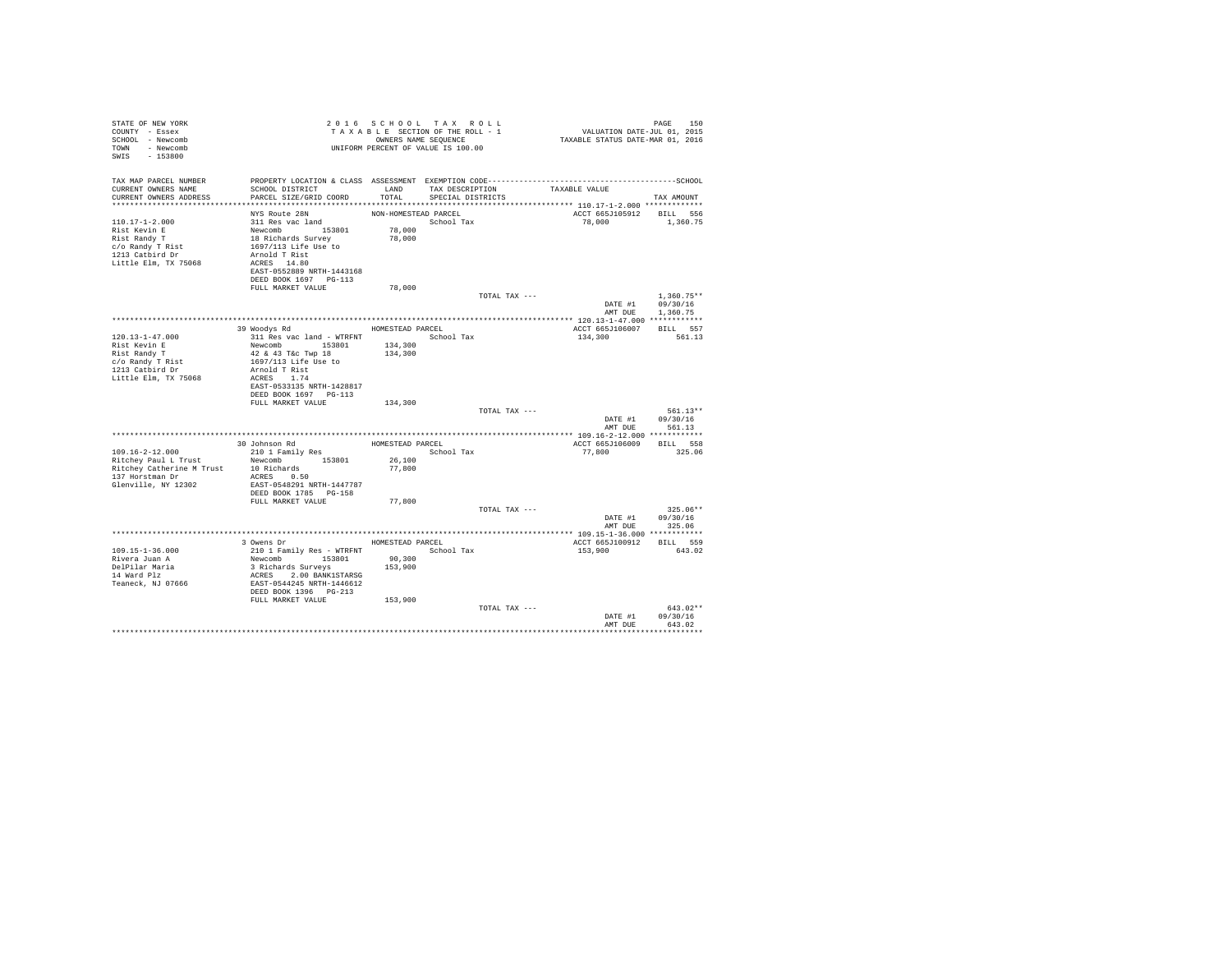| STATE OF NEW YORK<br>COUNTY - Essex<br>SCHOOL - Newcomb<br>TOWN - Newcomb<br>$-153800$<br>SWIS                       | UNIFORM PERCENT OF VALUE IS 100.00                                                                                                                                        |                      | 2016 SCHOOL TAX ROLL<br>TAXABLE SECTION OF THE ROLL - 1<br>OWNERS NAME SEQUENCE |               | PAGE 150<br>VALUATION DATE-JUL 01, 2015<br>TAXABLE STATUS DATE-MAR 01, 2016 |                                          |
|----------------------------------------------------------------------------------------------------------------------|---------------------------------------------------------------------------------------------------------------------------------------------------------------------------|----------------------|---------------------------------------------------------------------------------|---------------|-----------------------------------------------------------------------------|------------------------------------------|
| TAX MAP PARCEL NUMBER<br>CURRENT OWNERS NAME                                                                         | PROPERTY LOCATION & CLASS ASSESSMENT EXEMPTION CODE-----------------------------------SCHOOL<br>SCHOOL DISTRICT                                                           | LAND                 | TAX DESCRIPTION                                                                 |               | TAXABLE VALUE                                                               |                                          |
| CURRENT OWNERS ADDRESS                                                                                               | PARCEL SIZE/GRID COORD<br>******************************                                                                                                                  | TOTAL                | SPECIAL DISTRICTS                                                               |               |                                                                             | TAX AMOUNT                               |
|                                                                                                                      | NYS Route 28N                                                                                                                                                             | NON-HOMESTEAD PARCEL |                                                                                 |               | ACCT 665J105912 BILL 556                                                    |                                          |
| 110.17-1-2.000<br>Rist Kevin E<br>Rist Randy T<br>c/o Randy T Rist<br>1213 Catbird Dr<br>Little Elm, TX 75068        | 311 Res vac land<br>Newcomb<br>153801<br>18 Richards Survey<br>1697/113 Life Use to<br>Arnold T Rist<br>ACRES 14.80<br>EAST-0552889 NRTH-1443168<br>DEED BOOK 1697 PG-113 | 78,000<br>78,000     | School Tax                                                                      |               | 78,000                                                                      | 1,360.75                                 |
|                                                                                                                      | FULL MARKET VALUE                                                                                                                                                         | 78,000               |                                                                                 | TOTAL TAX --- |                                                                             | $1.360.75**$                             |
|                                                                                                                      |                                                                                                                                                                           |                      |                                                                                 |               | DATE #1<br>AMT DUE                                                          | 09/30/16<br>1,360.75                     |
|                                                                                                                      | 39 Woodys Rd                                                                                                                                                              | HOMESTEAD PARCEL     |                                                                                 |               | ACCT 665J106007                                                             | BILL 557                                 |
| $120.13 - 1 - 47.000$<br>Rist Kevin E<br>Rist Randy T<br>c/o Randy T Rist<br>1213 Catbird Dr<br>Little Elm, TX 75068 | 311 Res vac land - WTRFNT<br>Newcomb 153801<br>42 & 43 T&c Twp 18<br>1697/113 Life Use to<br>Arnold T Rist<br>ACRES 1.74<br>EAST-0533135 NRTH-1428817                     | 134,300<br>134,300   | School Tax                                                                      |               | 134,300                                                                     | 561.13                                   |
|                                                                                                                      | DEED BOOK 1697 PG-113<br>FULL MARKET VALUE                                                                                                                                | 134,300              |                                                                                 |               |                                                                             |                                          |
|                                                                                                                      |                                                                                                                                                                           |                      |                                                                                 | TOTAL TAX --- | DATE #1<br>AMT DUE                                                          | $561.13**$<br>09/30/16<br>561.13         |
|                                                                                                                      |                                                                                                                                                                           |                      |                                                                                 |               |                                                                             |                                          |
| 109.16-2-12.000                                                                                                      | 30 Johnson Rd<br>210 1 Family Res                                                                                                                                         | HOMESTEAD PARCEL     | School Tax                                                                      |               | ACCT 665J106009<br>77,800                                                   | BILL 558<br>325.06                       |
| Ritchey Paul L Trust<br>Ritchey Catherine M Trust<br>137 Horstman Dr<br>Glenville, NY 12302                          | Newcomb 153801<br>10 Richards<br>ACRES 0.50<br>EAST-0548291 NRTH-1447787<br>DEED BOOK 1785 PG-158                                                                         | 26,100<br>77,800     |                                                                                 |               |                                                                             |                                          |
|                                                                                                                      | FULL MARKET VALUE                                                                                                                                                         | 77,800               |                                                                                 |               |                                                                             |                                          |
|                                                                                                                      |                                                                                                                                                                           |                      |                                                                                 | TOTAL TAX --- | AMT DUE                                                                     | $325.06**$<br>DATE #1 09/30/16<br>325.06 |
|                                                                                                                      |                                                                                                                                                                           |                      |                                                                                 |               |                                                                             |                                          |
| 109.15-1-36.000<br>Rivera Juan A<br>DelPilar Maria<br>14 Ward Plz<br>Teaneck, NJ 07666                               | 3 Owens Dr<br>210 1 Family Res - WTRFNT<br>Newcomb 153801<br>3 Richards Surveys<br>ACRES 2.00 BANK1STARSG<br>EAST-0544245 NRTH-1446612<br>DEED BOOK 1396 PG-213           | 90,300<br>153,900    | HOMESTEAD PARCEL<br>School Tax                                                  |               | ACCT 665J100912<br>153,900                                                  | BTT.T. 559<br>643.02                     |
|                                                                                                                      | FULL MARKET VALUE                                                                                                                                                         | 153,900              |                                                                                 | TOTAL TAX --- | DATE #1<br>AMT DUE                                                          | $643.02**$<br>09/30/16<br>643.02         |
|                                                                                                                      |                                                                                                                                                                           |                      |                                                                                 |               |                                                                             |                                          |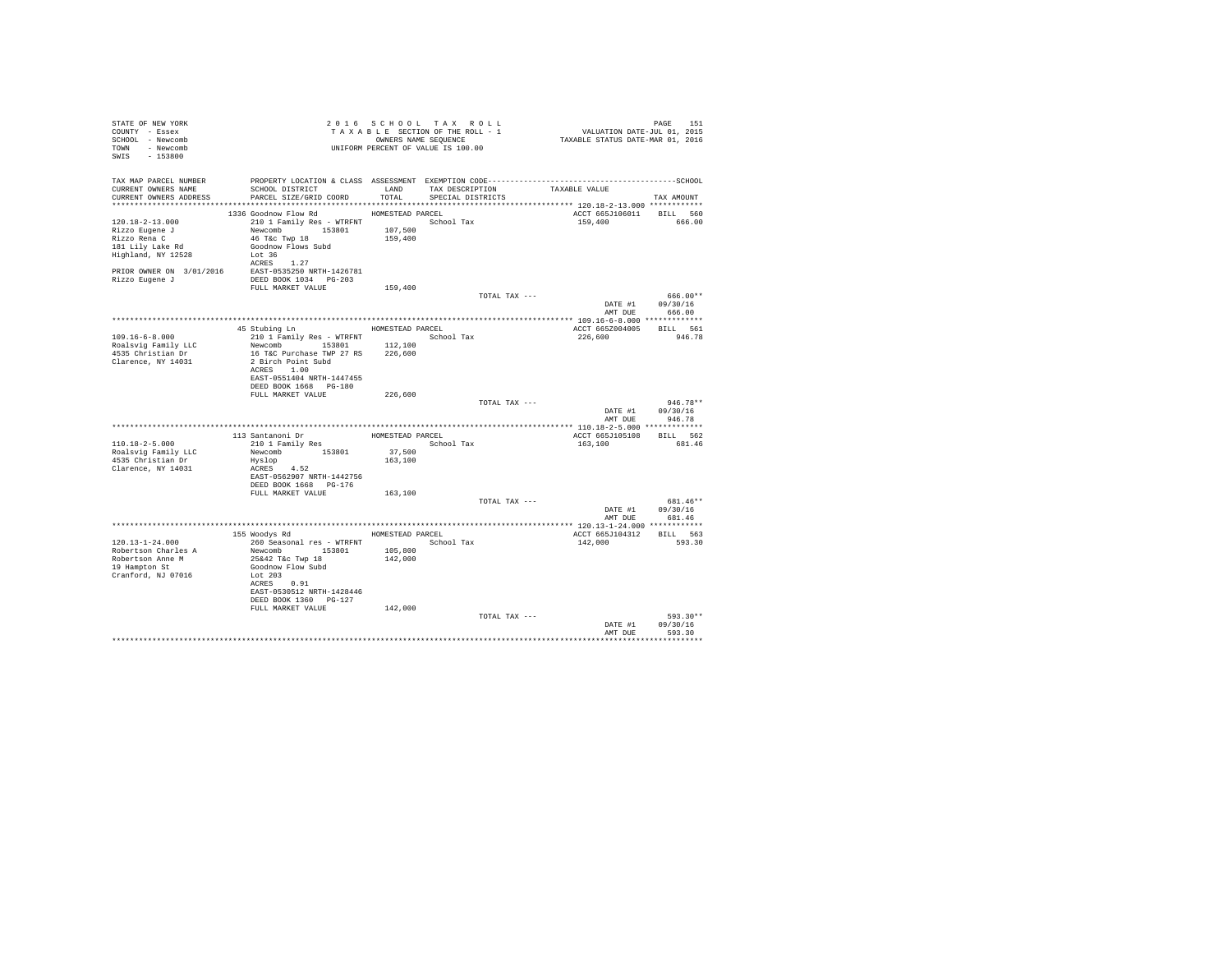| STATE OF NEW YORK<br>COUNTY - Essex<br>SCHOOL - Newcomb<br>TOWN - Newcomb<br>SWIS - 153800                  |                                                                                                                                                                                                                  |         | 2016 SCHOOL TAX ROLL<br>T A X A B L E SECTION OF THE ROLL - 1<br>OWNERS NAME SEQUENCE<br>UNIFORM PERCENT OF VALUE IS 100.00 | PAGE 151<br>VALUATION DATE-JUL 01, 2015<br>TAXABLE STATUS DATE-MAR 01, 2016 | <b>PAGE 151</b>                    |
|-------------------------------------------------------------------------------------------------------------|------------------------------------------------------------------------------------------------------------------------------------------------------------------------------------------------------------------|---------|-----------------------------------------------------------------------------------------------------------------------------|-----------------------------------------------------------------------------|------------------------------------|
| TAX MAP PARCEL NUMBER<br>CURRENT OWNERS NAME                                                                | PROPERTY LOCATION & CLASS ASSESSMENT EXEMPTION CODE-----------------------------------SCHOOL<br>SCHOOL DISTRICT<br>LAND TAX DESCRIPTION<br>CURRENT OWNERS ADDRESS PARCEL SIZE/GRID COORD TOTAL SPECIAL DISTRICTS |         |                                                                                                                             | TAXABLE VALUE                                                               | TAX AMOUNT                         |
|                                                                                                             |                                                                                                                                                                                                                  |         |                                                                                                                             |                                                                             |                                    |
| 120.18-2-13.000<br>Rizzo Eugene J<br>Rizzo Rena C<br>Rizzo kena u<br>181 Lily Lake Rd<br>Highland, NY 12528 | 1336 Goodnow Flow Rd MOMESTEAD PARCEL<br>210 1 Family Res - WTRFNT School Tax                                                                                                                                    |         |                                                                                                                             | ACCT 665J106011 BILL 560<br>159,400 666.00                                  |                                    |
|                                                                                                             | ACRES 1.27<br>PRIOR OWNER ON 3/01/2016 EAST-0535250 NRTH-1426781<br>Rizzo Eugene J DEED BOOK 1034 PG-203<br>FULL MARKET VALUE                                                                                    | 159,400 |                                                                                                                             |                                                                             |                                    |
|                                                                                                             |                                                                                                                                                                                                                  |         | TOTAL TAX ---                                                                                                               |                                                                             | 666.00**                           |
|                                                                                                             |                                                                                                                                                                                                                  |         |                                                                                                                             |                                                                             | DATE #1 09/30/16                   |
|                                                                                                             |                                                                                                                                                                                                                  |         |                                                                                                                             |                                                                             | AMT DUE 666.00                     |
|                                                                                                             | 45 Stubing Ln MOMESTEAD PARCEL                                                                                                                                                                                   |         |                                                                                                                             | ACCT 665Z004005 BILL 561                                                    |                                    |
| $109.16 - 6 - 8.000$                                                                                        | 210 1 Family Res - WTRFNT School Tax                                                                                                                                                                             |         |                                                                                                                             | 226,600                                                                     | 946.78                             |
| Roalsvig Family LLC                                                                                         | Newcomb 153801 112,100                                                                                                                                                                                           |         |                                                                                                                             |                                                                             |                                    |
| 4535 Christian Dr                                                                                           | 16 T&C Purchase TWP 27 RS 226,600                                                                                                                                                                                |         |                                                                                                                             |                                                                             |                                    |
| Clarence, NY 14031                                                                                          | 2 Birch Point Subd<br>ACRES 1.00<br>EAST-0551404 NRTH-1447455                                                                                                                                                    |         |                                                                                                                             |                                                                             |                                    |
|                                                                                                             | DEED BOOK 1668 PG-180                                                                                                                                                                                            |         |                                                                                                                             |                                                                             |                                    |
|                                                                                                             | FULL MARKET VALUE                                                                                                                                                                                                | 226,600 |                                                                                                                             |                                                                             | $946.78**$                         |
|                                                                                                             |                                                                                                                                                                                                                  |         | TOTAL TAX ---                                                                                                               |                                                                             | DATE #1 09/30/16                   |
|                                                                                                             |                                                                                                                                                                                                                  |         |                                                                                                                             |                                                                             | AMT DUE 946.78                     |
|                                                                                                             |                                                                                                                                                                                                                  |         |                                                                                                                             |                                                                             |                                    |
|                                                                                                             | 113 Santanoni Dr<br>210 1 Family Res<br>Newcomb<br>153801 37,500<br>162 100<br>162 100                                                                                                                           |         |                                                                                                                             | ACCT 665J105108 BILL 562                                                    |                                    |
| $110.18 - 2 - 5.000$                                                                                        |                                                                                                                                                                                                                  |         | School Tax                                                                                                                  | 163,100                                                                     | 681.46                             |
| Roalsvig Family LLC                                                                                         |                                                                                                                                                                                                                  |         |                                                                                                                             |                                                                             |                                    |
| 4535 Christian Dr<br>Clarence, NY 14031                                                                     | Hyslop<br>ACRES 4.52                                                                                                                                                                                             | 163,100 |                                                                                                                             |                                                                             |                                    |
|                                                                                                             | EAST-0562907 NRTH-1442756                                                                                                                                                                                        |         |                                                                                                                             |                                                                             |                                    |
|                                                                                                             | DEED BOOK 1668 PG-176                                                                                                                                                                                            |         |                                                                                                                             |                                                                             |                                    |
|                                                                                                             | FULL MARKET VALUE                                                                                                                                                                                                | 163,100 |                                                                                                                             |                                                                             |                                    |
|                                                                                                             |                                                                                                                                                                                                                  |         | TOTAL TAX ---                                                                                                               |                                                                             | 681.46**                           |
|                                                                                                             |                                                                                                                                                                                                                  |         |                                                                                                                             |                                                                             | DATE #1 09/30/16<br>AMT DUE 681.46 |
|                                                                                                             |                                                                                                                                                                                                                  |         |                                                                                                                             |                                                                             |                                    |
|                                                                                                             | 155 Woodys Rd MOMESTEAD PARCEL                                                                                                                                                                                   |         |                                                                                                                             | ACCT 665J104312                                                             | BILL 563                           |
| 120.13-1-24.000                                                                                             | 260 Seasonal res - WTRFNT                                                                                                                                                                                        |         | School Tax                                                                                                                  | 142,000                                                                     | 593.30                             |
| Robertson Charles A                                                                                         | Newcomb 153801 105,800<br>25&42 T&c Twp 18 142,000                                                                                                                                                               |         |                                                                                                                             |                                                                             |                                    |
| Robertson Anne M<br>19 Hampton St<br>Cranford, NJ 07016                                                     | Goodnow Flow Subd<br>Lot 203                                                                                                                                                                                     |         |                                                                                                                             |                                                                             |                                    |
|                                                                                                             | ACRES 0.91<br>EAST-0530512 NRTH-1428446<br>DEED BOOK 1360 PG-127                                                                                                                                                 |         |                                                                                                                             |                                                                             |                                    |
|                                                                                                             | FULL MARKET VALUE                                                                                                                                                                                                | 142,000 |                                                                                                                             |                                                                             |                                    |
|                                                                                                             |                                                                                                                                                                                                                  |         | TOTAL TAX ---                                                                                                               |                                                                             | 593.30**                           |
|                                                                                                             |                                                                                                                                                                                                                  |         |                                                                                                                             |                                                                             | DATE #1 09/30/16                   |
|                                                                                                             |                                                                                                                                                                                                                  |         |                                                                                                                             |                                                                             | AMT DUE 593.30                     |
|                                                                                                             |                                                                                                                                                                                                                  |         |                                                                                                                             |                                                                             |                                    |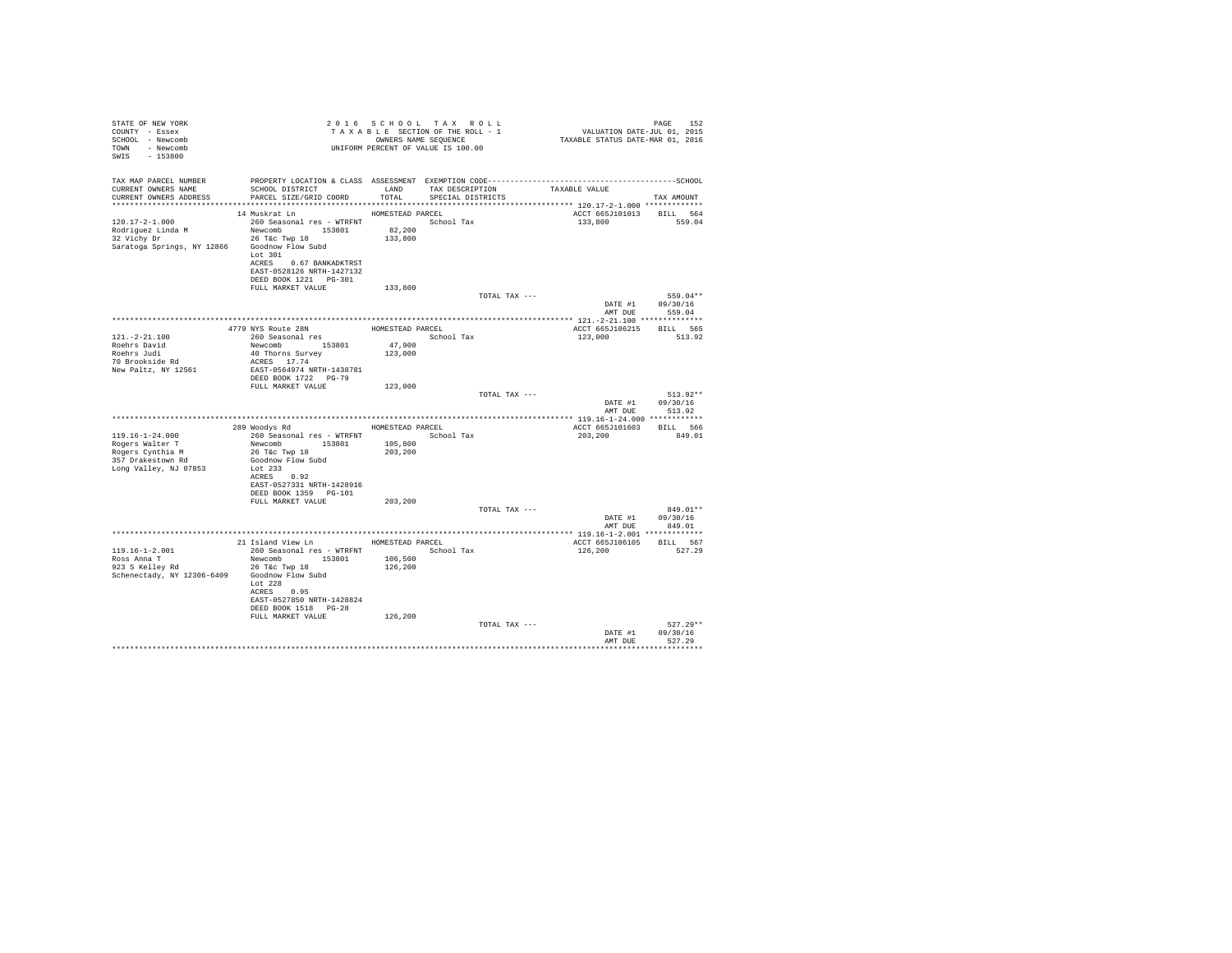| STATE OF NEW YORK<br>COUNTY - Essex<br>SCHOOL - Newcomb<br>TOWN - Newcomb<br>SWIS - 153800 |                                                                        |         | 2016 SCHOOL TAX ROLL<br>UNIFORM PERCENT OF VALUE IS 100.00 |                                     | PAGE<br>152                |
|--------------------------------------------------------------------------------------------|------------------------------------------------------------------------|---------|------------------------------------------------------------|-------------------------------------|----------------------------|
| TAX MAP PARCEL NUMBER                                                                      |                                                                        |         |                                                            |                                     |                            |
| CURRENT OWNERS NAME<br>CURRENT OWNERS ADDRESS                                              | SCHOOL DISTRICT<br>LAND TAX DESCRIPTION<br>PARCEL SIZE/GRID COORD      |         | TOTAL SPECIAL DISTRICTS                                    | TAXABLE VALUE                       | TAX AMOUNT                 |
|                                                                                            |                                                                        |         |                                                            |                                     |                            |
|                                                                                            |                                                                        |         |                                                            | ACCT 665J101013 BILL 564            |                            |
|                                                                                            |                                                                        |         |                                                            | 133,800 559.04                      |                            |
|                                                                                            |                                                                        |         |                                                            |                                     |                            |
| Saratoga Springs, NY 12866 Goodnow Flow Subd                                               |                                                                        |         |                                                            |                                     |                            |
|                                                                                            | Lot $301$                                                              |         |                                                            |                                     |                            |
|                                                                                            | ACRES 0.67 BANKADKTRST                                                 |         |                                                            |                                     |                            |
|                                                                                            | EAST-0528126 NRTH-1427132                                              |         |                                                            |                                     |                            |
|                                                                                            | DEED BOOK 1221   PG-301                                                |         |                                                            |                                     |                            |
|                                                                                            | FULL MARKET VALUE                                                      | 133,800 | TOTAL TAX ---                                              |                                     | 559.04**                   |
|                                                                                            |                                                                        |         |                                                            |                                     | DATE #1 09/30/16           |
|                                                                                            |                                                                        |         |                                                            | AMT DUE                             | 559.04                     |
|                                                                                            |                                                                        |         |                                                            |                                     |                            |
| $121. - 2 - 21.100$                                                                        | A<br>4779 NYS Route 28N<br>260 Seasonal res Alexandres School Tay      |         |                                                            | ACCT 665J106215 BILL 565<br>123,000 | 513.92                     |
|                                                                                            |                                                                        |         |                                                            |                                     |                            |
| Roehrs David<br>Roehrs Judi                                                                | Newcomb 153801 47,900<br>40 Thorns Survey 123,000                      |         |                                                            |                                     |                            |
| 70 Brookside Rd                                                                            | ACRES 17.74                                                            |         |                                                            |                                     |                            |
| New Paltz, NY 12561                                                                        | EAST-0564974 NRTH-1438781                                              |         |                                                            |                                     |                            |
|                                                                                            | DEED BOOK 1722 PG-79<br>FULL MARKET VALUE                              | 123,000 |                                                            |                                     |                            |
|                                                                                            |                                                                        |         | TOTAL TAX ---                                              |                                     | $513.92**$                 |
|                                                                                            |                                                                        |         |                                                            |                                     | DATE #1 09/30/16           |
|                                                                                            |                                                                        |         |                                                            |                                     | AMT DUE 513.92             |
|                                                                                            |                                                                        |         |                                                            |                                     |                            |
| $119.16 - 1 - 24.000$                                                                      | 289 Woodys Rd MOMESTEAD PARCEL<br>260 Seasonal res - WTRFNT School Tax |         |                                                            | ACCT 665J101603 BILL 566<br>203,200 | 849.01                     |
|                                                                                            |                                                                        | 105,800 |                                                            |                                     |                            |
|                                                                                            |                                                                        | 203,200 |                                                            |                                     |                            |
|                                                                                            |                                                                        |         |                                                            |                                     |                            |
| Long Valley, NJ 07853                                                                      | Lot 233                                                                |         |                                                            |                                     |                            |
|                                                                                            | ACRES 0.92<br>EAST-0527331 NRTH-1428916                                |         |                                                            |                                     |                            |
|                                                                                            | DEED BOOK 1359 PG-101                                                  |         |                                                            |                                     |                            |
|                                                                                            | FULL MARKET VALUE 203,200                                              |         |                                                            |                                     |                            |
|                                                                                            |                                                                        |         | TOTAL TAX ---                                              |                                     | 849.01**                   |
|                                                                                            |                                                                        |         |                                                            | DATE #1                             | 09/30/16<br>AMT DUE 849.01 |
|                                                                                            |                                                                        |         |                                                            |                                     |                            |
|                                                                                            | 21 Island View Ln MOMESTEAD PARCEL                                     |         |                                                            | ACCT 665J106105 BILL 567            |                            |
| $119.16 - 1 - 2.001$                                                                       | 260 Seasonal res - WTRFNT               School Tax                     |         |                                                            | 126,200                             | 527.29                     |
| Ross Anna T<br>923 S Kelley Rd                                                             | Newcomb 153801                                                         | 106,500 |                                                            |                                     |                            |
| Schenectady, NY 12306-6409 Goodnow Flow Subd                                               | 26 T&C Twp 18                                                          | 126,200 |                                                            |                                     |                            |
|                                                                                            | Lot $228$                                                              |         |                                                            |                                     |                            |
|                                                                                            | ACRES 0.95                                                             |         |                                                            |                                     |                            |
|                                                                                            | EAST-0527850 NRTH-1428824                                              |         |                                                            |                                     |                            |
|                                                                                            | DEED BOOK 1518 PG-28                                                   |         |                                                            |                                     |                            |
|                                                                                            | FULL MARKET VALUE                                                      | 126,200 | TOTAL TAX ---                                              |                                     | $527.29**$                 |
|                                                                                            |                                                                        |         |                                                            | DATE #1                             | 09/30/16                   |
|                                                                                            |                                                                        |         |                                                            | AMT DUR                             | 527.29                     |
|                                                                                            |                                                                        |         |                                                            |                                     | .                          |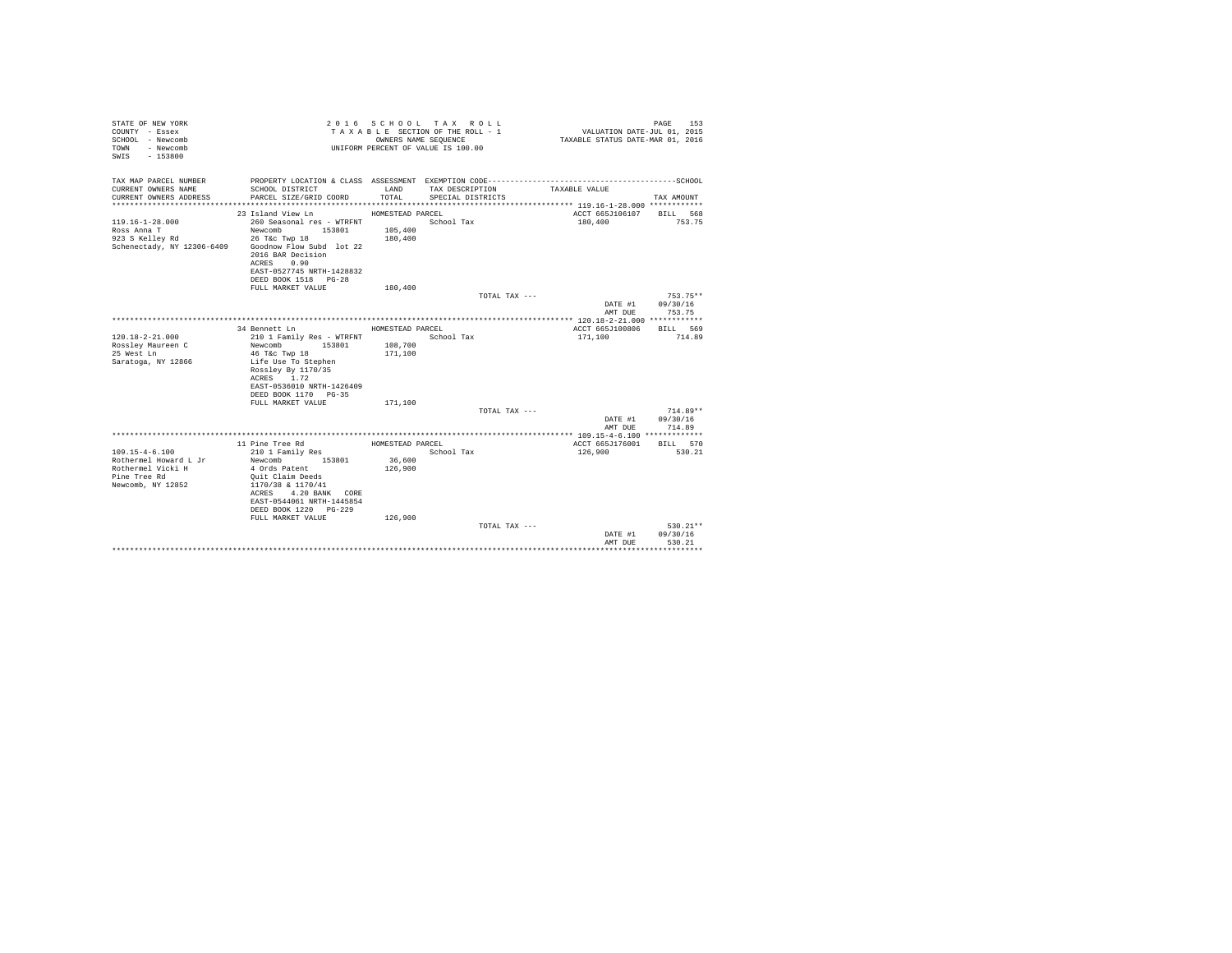| STATE OF NEW YORK<br>COUNTY - Essex<br>SCHOOL - Newcomb<br>- Newcomb<br>TOWN<br>$-153800$<br>SWIS       |                                                                                                                                                                                                                              |                                        | 2016 SCHOOL TAX ROLL<br>TAXABLE SECTION OF THE ROLL - 1<br>OWNERS NAME SEQUENCE<br>UNIFORM PERCENT OF VALUE IS 100.00 | VALUATION DATE-JUL 01, 2015<br>TAXABLE STATUS DATE-MAR 01, 2016 | PAGE<br>153                      |
|---------------------------------------------------------------------------------------------------------|------------------------------------------------------------------------------------------------------------------------------------------------------------------------------------------------------------------------------|----------------------------------------|-----------------------------------------------------------------------------------------------------------------------|-----------------------------------------------------------------|----------------------------------|
| TAX MAP PARCEL NUMBER<br>CURRENT OWNERS NAME<br>CURRENT OWNERS ADDRESS                                  | PROPERTY LOCATION & CLASS ASSESSMENT EXEMPTION CODE-----------------------------------SCHOOL<br>SCHOOL DISTRICT<br>PARCEL SIZE/GRID COORD                                                                                    | LAND<br>TOTAL                          | TAX DESCRIPTION<br>SPECIAL DISTRICTS                                                                                  | TAXABLE VALUE                                                   | TAX AMOUNT                       |
|                                                                                                         |                                                                                                                                                                                                                              |                                        |                                                                                                                       |                                                                 |                                  |
| $119.16 - 1 - 28.000$<br>Ross Anna T<br>923 S Kelley Rd<br>Schenectady, NY 12306-6409                   | 23 Island View Ln MOMESTEAD PARCEL<br>260 Seasonal res - WTRFNT<br>153801<br>Newcomb<br>26 T&c Twp 18<br>Goodnow Flow Subd lot 22<br>2016 BAR Decision<br>0.90<br>ACRES<br>EAST-0527745 NRTH-1428832<br>DEED BOOK 1518 PG-28 | 105,400<br>180,400                     | School Tax                                                                                                            | ACCT 665J106107<br>180,400                                      | BILL 568<br>753.75               |
|                                                                                                         | FULL MARKET VALUE                                                                                                                                                                                                            | 180,400                                |                                                                                                                       |                                                                 |                                  |
|                                                                                                         |                                                                                                                                                                                                                              |                                        | TOTAL TAX ---                                                                                                         | DATE #1<br>AMT DUE                                              | $753.75**$<br>09/30/16<br>753.75 |
|                                                                                                         |                                                                                                                                                                                                                              |                                        |                                                                                                                       |                                                                 |                                  |
| $120.18 - 2 - 21.000$<br>Rossley Maureen C<br>25 West Ln<br>Saratoga, NY 12866                          | 34 Bennett Ln<br>210 1 Family Res - WTRFNT<br>Newcomb<br>153801<br>46 T&c Twp 18<br>Life Use To Stephen<br>Rosslev By 1170/35<br>ACRES 1.72<br>EAST-0536010 NRTH-1426409                                                     | HOMESTEAD PARCEL<br>108,700<br>171,100 | School Tax                                                                                                            | ACCT 665J100806<br>171,100                                      | BILL 569<br>714.89               |
|                                                                                                         | DEED BOOK 1170 PG-35                                                                                                                                                                                                         |                                        |                                                                                                                       |                                                                 |                                  |
|                                                                                                         | FULL MARKET VALUE                                                                                                                                                                                                            | 171,100                                |                                                                                                                       |                                                                 |                                  |
|                                                                                                         |                                                                                                                                                                                                                              |                                        | TOTAL TAX ---                                                                                                         | DATE #1<br>AMT DUE                                              | $714.89**$<br>09/30/16<br>714.89 |
|                                                                                                         |                                                                                                                                                                                                                              |                                        |                                                                                                                       |                                                                 |                                  |
| $109.15 - 4 - 6.100$<br>Rothermel Howard L Jr<br>Rothermel Vicki H<br>Pine Tree Rd<br>Newcomb, NY 12852 | 11 Pine Tree Rd<br>210 1 Family Res<br>Newcomb<br>153801<br>4 Ords Patent<br>Quit Claim Deeds<br>1170/38 & 1170/41<br>4.20 BANK CORE<br>ACRES<br>EAST-0544061 NRTH-1445854                                                   | HOMESTEAD PARCEL<br>36,600<br>126,900  | School Tax                                                                                                            | ACCT 665J176001<br>126,900                                      | BILL 570<br>530.21               |
|                                                                                                         | DEED BOOK 1220 PG-229                                                                                                                                                                                                        |                                        |                                                                                                                       |                                                                 |                                  |
|                                                                                                         | FULL MARKET VALUE                                                                                                                                                                                                            | 126,900                                | TOTAL TAX ---                                                                                                         | DATE #1<br>AMT DUE                                              | $530.21**$<br>09/30/16<br>530.21 |
|                                                                                                         |                                                                                                                                                                                                                              |                                        |                                                                                                                       |                                                                 | .                                |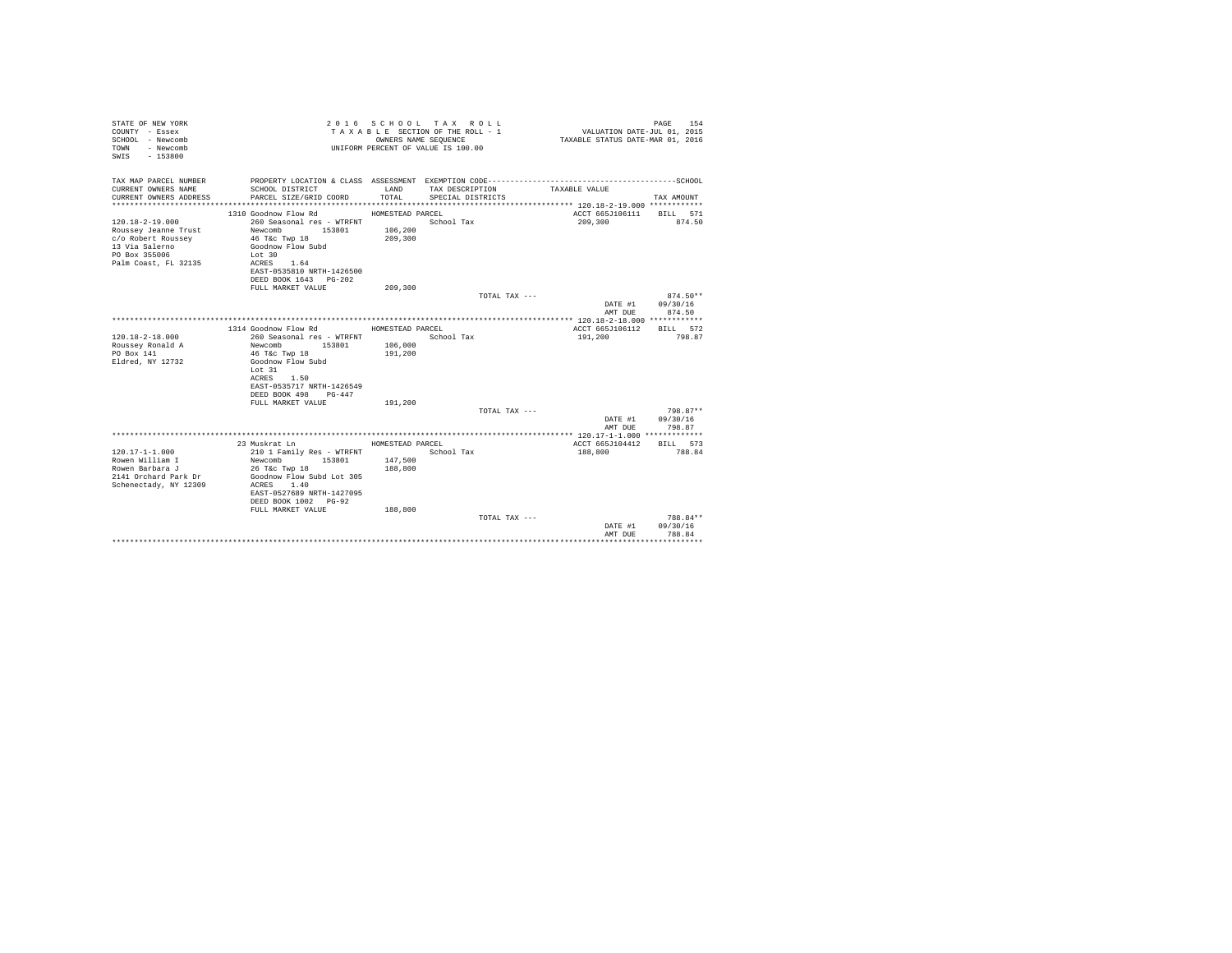| STATE OF NEW YORK<br>COUNTY - Essex<br>SCHOOL - Newcomb<br>- Newcomb<br>TOWN<br>$-153800$<br>SWIS |                                             |                  | 2016 SCHOOL TAX ROLL<br>TAXABLE SECTION OF THE ROLL - 1<br>OWNERS NAME SEQUENCE<br>UNIFORM PERCENT OF VALUE IS 100.00 | VALUATION DATE-JUL 01, 2015<br>TAXABLE STATUS DATE-MAR 01, 2016 | PAGE<br>154      |
|---------------------------------------------------------------------------------------------------|---------------------------------------------|------------------|-----------------------------------------------------------------------------------------------------------------------|-----------------------------------------------------------------|------------------|
| TAX MAP PARCEL NUMBER                                                                             |                                             | LAND             |                                                                                                                       |                                                                 |                  |
| CURRENT OWNERS NAME<br>CURRENT OWNERS ADDRESS                                                     | SCHOOL DISTRICT<br>PARCEL SIZE/GRID COORD   | TOTAL.           | TAX DESCRIPTION<br>SPECIAL DISTRICTS                                                                                  | TAXABLE VALUE                                                   | TAX AMOUNT       |
|                                                                                                   |                                             |                  |                                                                                                                       |                                                                 |                  |
|                                                                                                   | 1310 Goodnow Flow Rd                        | HOMESTEAD PARCEL |                                                                                                                       | ACCT 665J106111 BILL 571                                        |                  |
| $120.18 - 2 - 19.000$                                                                             | 260 Seasonal res - WTRFNT                   |                  | School Tax                                                                                                            | 209,300                                                         | 874.50           |
| Roussey Jeanne Trust                                                                              | Newcomb 153801                              | 106,200          |                                                                                                                       |                                                                 |                  |
| c/o Robert Roussey                                                                                | 46 T&c Twp 18                               | 209,300          |                                                                                                                       |                                                                 |                  |
| 13 Via Salerno                                                                                    | Goodnow Flow Subd                           |                  |                                                                                                                       |                                                                 |                  |
| PO Box 355006<br>Palm Coast, FL 32135                                                             | Lot 30<br>ACRES 1.64                        |                  |                                                                                                                       |                                                                 |                  |
|                                                                                                   | EAST-0535810 NRTH-1426500                   |                  |                                                                                                                       |                                                                 |                  |
|                                                                                                   | DEED BOOK 1643 PG-202                       |                  |                                                                                                                       |                                                                 |                  |
|                                                                                                   | FULL MARKET VALUE                           | 209,300          |                                                                                                                       |                                                                 |                  |
|                                                                                                   |                                             |                  | TOTAL TAX ---                                                                                                         |                                                                 | $874.50**$       |
|                                                                                                   |                                             |                  |                                                                                                                       |                                                                 | DATE #1 09/30/16 |
|                                                                                                   |                                             |                  |                                                                                                                       | AMT DUE                                                         | 874.50           |
|                                                                                                   | 1314 Goodnow Flow Rd                        | HOMESTEAD PARCEL |                                                                                                                       | ACCT 665J106112 BILL 572                                        |                  |
| $120.18 - 2 - 18.000$                                                                             | 260 Seasonal res - WTRFNT                   |                  | School Tax                                                                                                            | 191,200                                                         | 798.87           |
| Roussey Ronald A                                                                                  | Newcomb<br>153801                           | 106,000          |                                                                                                                       |                                                                 |                  |
| PO Box 141                                                                                        | 46 T&c Twp 18                               | 191,200          |                                                                                                                       |                                                                 |                  |
| Eldred, NY 12732                                                                                  | Goodnow Flow Subd                           |                  |                                                                                                                       |                                                                 |                  |
|                                                                                                   | Lot 31                                      |                  |                                                                                                                       |                                                                 |                  |
|                                                                                                   | ACRES 1.50<br>EAST-0535717 NRTH-1426549     |                  |                                                                                                                       |                                                                 |                  |
|                                                                                                   | DEED BOOK 498 PG-447                        |                  |                                                                                                                       |                                                                 |                  |
|                                                                                                   | FULL MARKET VALUE                           | 191,200          |                                                                                                                       |                                                                 |                  |
|                                                                                                   |                                             |                  | TOTAL TAX ---                                                                                                         |                                                                 | 798.87**         |
|                                                                                                   |                                             |                  |                                                                                                                       |                                                                 | DATE #1 09/30/16 |
|                                                                                                   |                                             |                  |                                                                                                                       | AMT DUE                                                         | 798.87           |
|                                                                                                   |                                             |                  |                                                                                                                       |                                                                 |                  |
|                                                                                                   | 23 Muskrat Ln                               | HOMESTEAD PARCEL |                                                                                                                       | ACCT 665J104412                                                 | BILL 573         |
| 120.17-1-1.000<br>Rowen William I                                                                 | 210 1 Family Res - WTRFNT<br>Newcomb 153801 | 147,500          | School Tax                                                                                                            | 188,800                                                         | 788.84           |
| Rowen Barbara J                                                                                   | 26 T&C Twp 18                               | 188,800          |                                                                                                                       |                                                                 |                  |
| 2141 Orchard Park Dr                                                                              | Goodnow Flow Subd Lot 305                   |                  |                                                                                                                       |                                                                 |                  |
| Schenectady, NY 12309                                                                             | ACRES 1.40                                  |                  |                                                                                                                       |                                                                 |                  |
|                                                                                                   | EAST-0527689 NRTH-1427095                   |                  |                                                                                                                       |                                                                 |                  |
|                                                                                                   | DEED BOOK 1002 PG-92                        |                  |                                                                                                                       |                                                                 |                  |
|                                                                                                   | FULL MARKET VALUE                           | 188,800          | TOTAL TAX ---                                                                                                         |                                                                 | 788.84**         |
|                                                                                                   |                                             |                  |                                                                                                                       | DATE #1                                                         | 09/30/16         |
|                                                                                                   |                                             |                  |                                                                                                                       | AMT DUE                                                         | 788.84           |
|                                                                                                   |                                             |                  |                                                                                                                       |                                                                 | .                |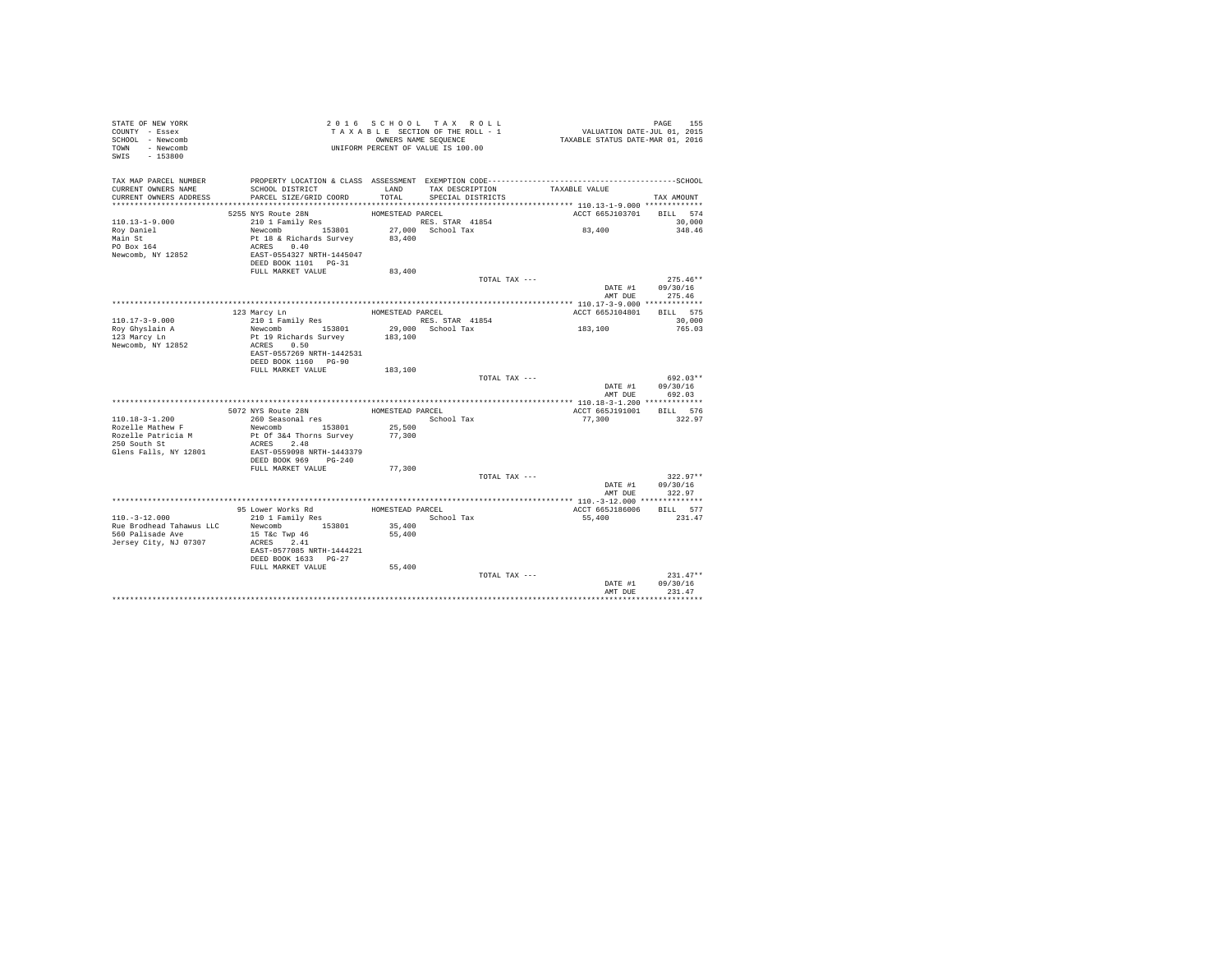| STATE OF NEW YORK<br>COUNTY - Essex<br>SCHOOL - Newcomb<br>TOWN - Newcomb<br>SWIS - 153800   |                                                                                                                                                      |                            | 2016 SCHOOL TAX ROLL<br>TAXABLE SECTION OF THE ROLL - 1<br>OWNERS NAME SEQUENCE<br>UNIFORM PERCENT OF VALUE IS 100.00 | PAGE 155<br>VALUATION DATE-JUL 01, 2015<br>TAXABLE STATUS DATE-MAR 01, 2016 |                                                  |
|----------------------------------------------------------------------------------------------|------------------------------------------------------------------------------------------------------------------------------------------------------|----------------------------|-----------------------------------------------------------------------------------------------------------------------|-----------------------------------------------------------------------------|--------------------------------------------------|
| TAX MAP PARCEL NUMBER<br>CURRENT OWNERS NAME<br>CURRENT OWNERS ADDRESS                       | SCHOOL DISTRICT<br>PARCEL SIZE/GRID COORD                                                                                                            | LAND<br>TOTAL              | TAX DESCRIPTION<br>SPECIAL DISTRICTS                                                                                  | TAXABLE VALUE                                                               | TAX AMOUNT                                       |
|                                                                                              | 5255 NYS Route 28N                                                                                                                                   | HOMESTEAD PARCEL           |                                                                                                                       | ACCT 665J103701 BILL 574                                                    |                                                  |
| $110.13 - 1 - 9.000$<br>Roy Daniel<br>Main St<br>PO Box 164<br>Newcomb, NY 12852             | 210 1 Family Res<br>Newcomb<br>153801 27,000<br>Pt 18 & Richards Survey 83,400<br>ACRES 0.40<br>EAST-0554327 NRTH-1445047<br>DEED BOOK 1101    PG-31 |                            | RES. STAR 41854<br>27,000 School Tax                                                                                  | 83,400                                                                      | 30,000<br>348.46                                 |
|                                                                                              | FULL MARKET VALUE                                                                                                                                    | 83,400                     |                                                                                                                       |                                                                             |                                                  |
|                                                                                              |                                                                                                                                                      |                            | TOTAL TAX ---                                                                                                         |                                                                             | $275.46**$<br>DATE #1 09/30/16<br>AMT DUE 275.46 |
|                                                                                              | 123 Marcy Ln                                                                                                                                         | HOMESTEAD PARCEL           |                                                                                                                       | ACCT 665J104801 BILL 575                                                    |                                                  |
| $110.17 - 3 - 9.000$                                                                         | 210 1 Family Res                                                                                                                                     |                            | RES. STAR 41854                                                                                                       |                                                                             | 30,000                                           |
| Roy Ghyslain A<br>123 Marcy Ln                                                               | Newcomb 153801<br>Pt 19 Richards Survey                                                                                                              | 183,100                    | $29,000$ School Tax                                                                                                   | 183,100                                                                     | 765.03                                           |
| Newcomb, NY 12852                                                                            | ACRES 0.50<br>EAST-0557269 NRTH-1442531<br>DEED BOOK 1160 PG-90<br>FULL MARKET VALUE                                                                 | 183,100                    |                                                                                                                       |                                                                             |                                                  |
|                                                                                              |                                                                                                                                                      |                            | TOTAL TAX ---                                                                                                         |                                                                             | 692.03**                                         |
|                                                                                              |                                                                                                                                                      |                            |                                                                                                                       | DATE #1                                                                     | 09/30/16<br>AMT DUR 692.03                       |
|                                                                                              |                                                                                                                                                      |                            |                                                                                                                       |                                                                             |                                                  |
|                                                                                              | 5072 NYS Route 28N                                                                                                                                   | HOMESTEAD PARCEL           |                                                                                                                       | ACCT 665J191001                                                             | BILL 576                                         |
| $110.18 - 3 - 1.200$<br>Rozelle Mathew F                                                     | 260 Seasonal res<br>Newcomb 153801                                                                                                                   | 25,500                     | School Tax                                                                                                            | 77,300                                                                      | 322.97                                           |
| Rozelle Patricia M<br>250 South St                                                           | Pt Of 3&4 Thorns Survey                                                                                                                              | 77,300                     |                                                                                                                       |                                                                             |                                                  |
| Glens Falls, NY 12801                                                                        | ACRES 2.48<br>EAST-0559098 NRTH-1443379                                                                                                              |                            |                                                                                                                       |                                                                             |                                                  |
|                                                                                              | DEED BOOK 969 PG-240<br>FULL MARKET VALUE                                                                                                            | 77,300                     |                                                                                                                       |                                                                             |                                                  |
|                                                                                              |                                                                                                                                                      |                            | TOTAL TAX ---                                                                                                         |                                                                             | $322.97**$                                       |
|                                                                                              |                                                                                                                                                      |                            |                                                                                                                       | AMT DUE                                                                     | DATE #1 09/30/16<br>322.97                       |
|                                                                                              |                                                                                                                                                      |                            |                                                                                                                       |                                                                             |                                                  |
|                                                                                              | 95 Lower Works Rd                                                                                                                                    | HOMESTEAD PARCEL           |                                                                                                                       | ACCT 665J186006                                                             | BILL 577                                         |
| $110. - 3 - 12.000$<br>Rue Brodhead Tahawus LLC<br>560 Palisade Ave<br>Jersey City, NJ 07307 | 210 1 Family Res<br>Newcomb 153801<br>15 T&c Twp 46<br>ACRES 2.41<br>EAST-0577085 NRTH-1444221<br>DEED BOOK 1633 PG-27<br>FULL MARKET VALUE          | 35,400<br>55,400<br>55,400 | School Tax                                                                                                            | 55,400                                                                      | 231.47                                           |
|                                                                                              |                                                                                                                                                      |                            | TOTAL TAX ---                                                                                                         |                                                                             | $231.47**$                                       |
|                                                                                              |                                                                                                                                                      |                            |                                                                                                                       | DATE #1<br>AMT DUE                                                          | 09/30/16<br>231.47                               |
|                                                                                              |                                                                                                                                                      |                            |                                                                                                                       |                                                                             |                                                  |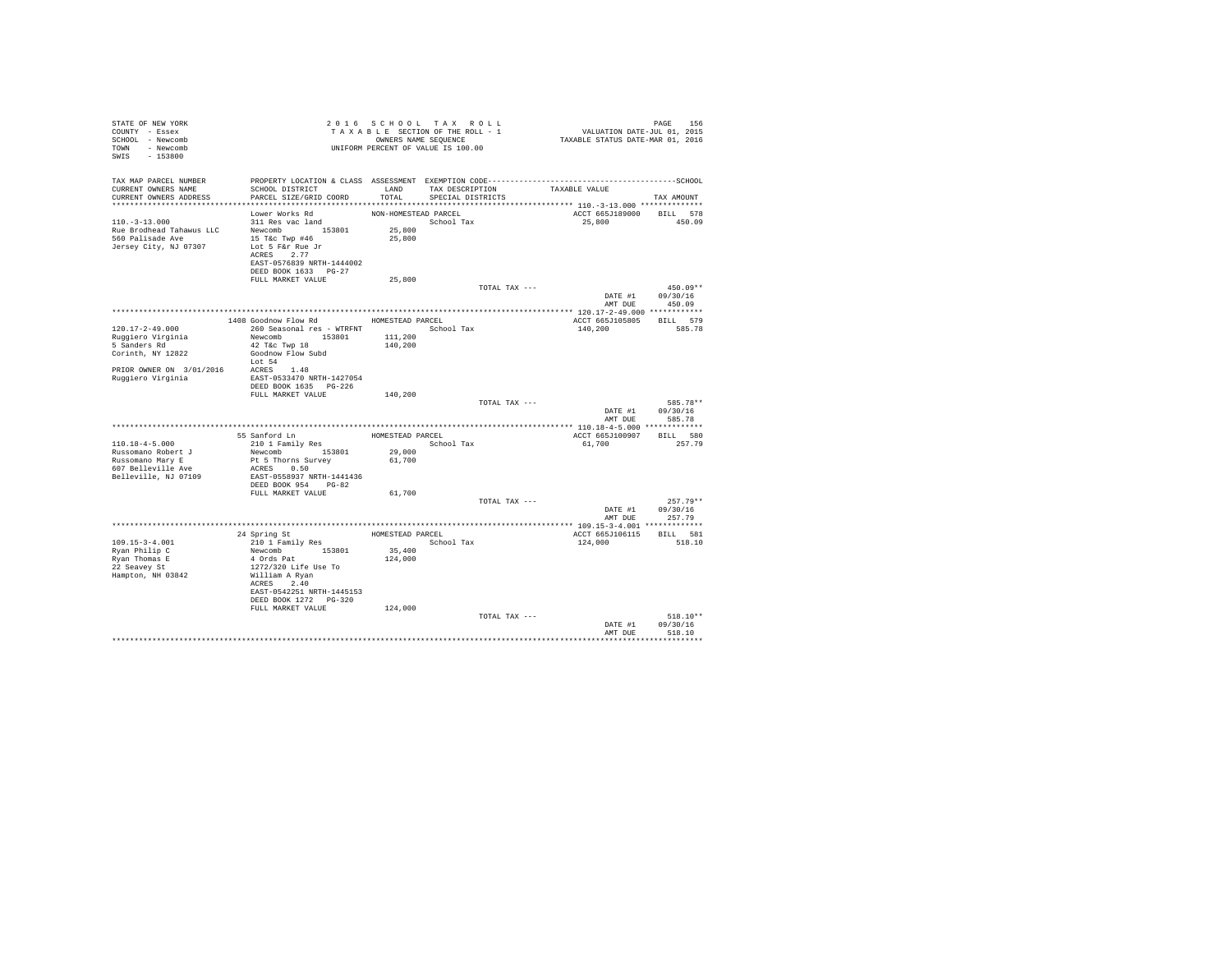| STATE OF NEW YORK<br>COUNTY - Essex<br>SCHOOL - Newcomb<br>TOWN - Newcomb<br>SWIS - 153800 | T A X A B L L _ _ _ _ _ _ _ _ OWNERS NAME SEQUENCE<br>UNIFORM PERCENT OF VALUE IS 100.00 |                      | 2016 SCHOOL TAX ROLL<br>TAXABLE SECTION OF THE ROLL - 1<br>OWNERS NAME SEQUENCE | PAGE 156<br>VALUATION DATE-JUL 01, 2015<br>TAXABLE STATUS DATE-MAR 01, 2016 |                  |
|--------------------------------------------------------------------------------------------|------------------------------------------------------------------------------------------|----------------------|---------------------------------------------------------------------------------|-----------------------------------------------------------------------------|------------------|
| TAX MAP PARCEL NUMBER                                                                      |                                                                                          |                      |                                                                                 |                                                                             |                  |
| CURRENT OWNERS NAME                                                                        | SCHOOL DISTRICT                                                                          |                      | LAND TAX DESCRIPTION TAXABLE VALUE                                              |                                                                             |                  |
| CURRENT OWNERS ADDRESS                                                                     | PARCEL SIZE/GRID COORD                                                                   | TOTAL                | SPECIAL DISTRICTS                                                               |                                                                             | TAX AMOUNT       |
|                                                                                            | Lower Works Rd                                                                           | NON-HOMESTEAD PARCEL |                                                                                 | ACCT 665J189000 BILL 578                                                    |                  |
| $110.-3-13.000$                                                                            | $311$ Res vac land                                                                       |                      | School Tax                                                                      | 25,800 450.09                                                               |                  |
| Rue Brodhead Tahawus LLC                                                                   | Newcomb 153801                                                                           | 25,800               |                                                                                 |                                                                             |                  |
| 560 Palisade Ave                                                                           | 15 T&c Twp #46                                                                           | 25,800               |                                                                                 |                                                                             |                  |
| Jersey City, NJ 07307                                                                      | Lot 5 F&r Rue Jr<br>ACRES 2.77                                                           |                      |                                                                                 |                                                                             |                  |
|                                                                                            | EAST-0576839 NRTH-1444002                                                                |                      |                                                                                 |                                                                             |                  |
|                                                                                            | DEED BOOK 1633 PG-27                                                                     |                      |                                                                                 |                                                                             |                  |
|                                                                                            | FULL MARKET VALUE                                                                        | 25,800               |                                                                                 |                                                                             |                  |
|                                                                                            |                                                                                          |                      | TOTAL TAX ---                                                                   |                                                                             | $450.09**$       |
|                                                                                            |                                                                                          |                      |                                                                                 | DATE #1 $09/30/16$                                                          |                  |
|                                                                                            |                                                                                          |                      |                                                                                 | AMT DUE 450.09                                                              |                  |
|                                                                                            | 1408 Goodnow Flow Rd MOMESTEAD PARCEL                                                    |                      |                                                                                 | ACCT 665J105805 BILL 579                                                    |                  |
| 120.17-2-49.000                                                                            | 260 Seasonal res - WTRFNT                                                                |                      | School Tax                                                                      | 140,200                                                                     | 585.78           |
| Ruggiero Virginia                                                                          | Newcomb 153801                                                                           | 111,200              |                                                                                 |                                                                             |                  |
| 5 Sanders Rd                                                                               | 42 T&c Twp 18                                                                            | 140,200              |                                                                                 |                                                                             |                  |
| Corinth, NY 12822                                                                          | Goodnow Flow Subd<br>Lot 54                                                              |                      |                                                                                 |                                                                             |                  |
| $\verb PRIOR OWNER ON  3/01/2016                ~ 1.48$                                    |                                                                                          |                      |                                                                                 |                                                                             |                  |
| Ruggiero Virginia                                                                          | EAST-0533470 NRTH-1427054                                                                |                      |                                                                                 |                                                                             |                  |
|                                                                                            | DEED BOOK 1635 PG-226                                                                    |                      |                                                                                 |                                                                             |                  |
|                                                                                            | FULL MARKET VALUE                                                                        | 140,200              | TOTAL TAX ---                                                                   |                                                                             | 585.78**         |
|                                                                                            |                                                                                          |                      |                                                                                 |                                                                             | DATE #1 09/30/16 |
|                                                                                            |                                                                                          |                      |                                                                                 | AMT DUE                                                                     | 585.78           |
|                                                                                            |                                                                                          |                      |                                                                                 |                                                                             |                  |
|                                                                                            | 55 Sanford Ln<br>210 1 Family Res                                                        |                      | HOMESTEAD PARCEL                                                                | ACCT 665J100907 BILL 580                                                    |                  |
| 110.18-4-5.000                                                                             |                                                                                          |                      | School Tax                                                                      | 61,700 257.79                                                               |                  |
| Russomano Robert J<br>Russomano Mary E                                                     | 210 1 ramiiy Act<br>Newcomb 153801 29,000<br>Dt 5 Thorns Survey 61,700                   |                      |                                                                                 |                                                                             |                  |
| 607 Belleville Ave                                                                         | ACRES 0.50                                                                               |                      |                                                                                 |                                                                             |                  |
| Belleville, NJ 07109                                                                       | EAST-0558937 NRTH-1441436                                                                |                      |                                                                                 |                                                                             |                  |
|                                                                                            | DEED BOOK 954 PG-82                                                                      |                      |                                                                                 |                                                                             |                  |
|                                                                                            | FULL MARKET VALUE                                                                        | 61,700               | TOTAL TAX ---                                                                   |                                                                             | $257.79**$       |
|                                                                                            |                                                                                          |                      |                                                                                 |                                                                             | DATE #1 09/30/16 |
|                                                                                            |                                                                                          |                      |                                                                                 | AMT DUE                                                                     | 257.79           |
|                                                                                            |                                                                                          |                      |                                                                                 |                                                                             |                  |
|                                                                                            | 24 Spring St<br>210 1 Family Res<br>Newcomb 153801<br>4 Ords Pat                         |                      | HOMESTEAD PARCEL                                                                | ACCT 665J106115 BILL 581                                                    |                  |
| 109.15-3-4.001<br>Ryan Philip C<br>Ryan Thomas E<br>22 Seavey St                           |                                                                                          | 35,400               | School Tax                                                                      | 124,000                                                                     | 518.10           |
|                                                                                            |                                                                                          | 124,000              |                                                                                 |                                                                             |                  |
|                                                                                            | 1272/320 Life Use To                                                                     |                      |                                                                                 |                                                                             |                  |
| Hampton, NH 03842                                                                          | William A Ryan                                                                           |                      |                                                                                 |                                                                             |                  |
|                                                                                            | ACRES 2.40                                                                               |                      |                                                                                 |                                                                             |                  |
|                                                                                            | EAST-0542251 NRTH-1445153<br>DEED BOOK 1272   PG-320                                     |                      |                                                                                 |                                                                             |                  |
|                                                                                            | FULL MARKET VALUE                                                                        | 124,000              |                                                                                 |                                                                             |                  |
|                                                                                            |                                                                                          |                      | TOTAL TAX ---                                                                   |                                                                             | $518.10**$       |
|                                                                                            |                                                                                          |                      |                                                                                 |                                                                             | DATE #1 09/30/16 |
|                                                                                            |                                                                                          |                      |                                                                                 | AMT DUE                                                                     | 518.10           |
|                                                                                            |                                                                                          |                      |                                                                                 |                                                                             | ***********      |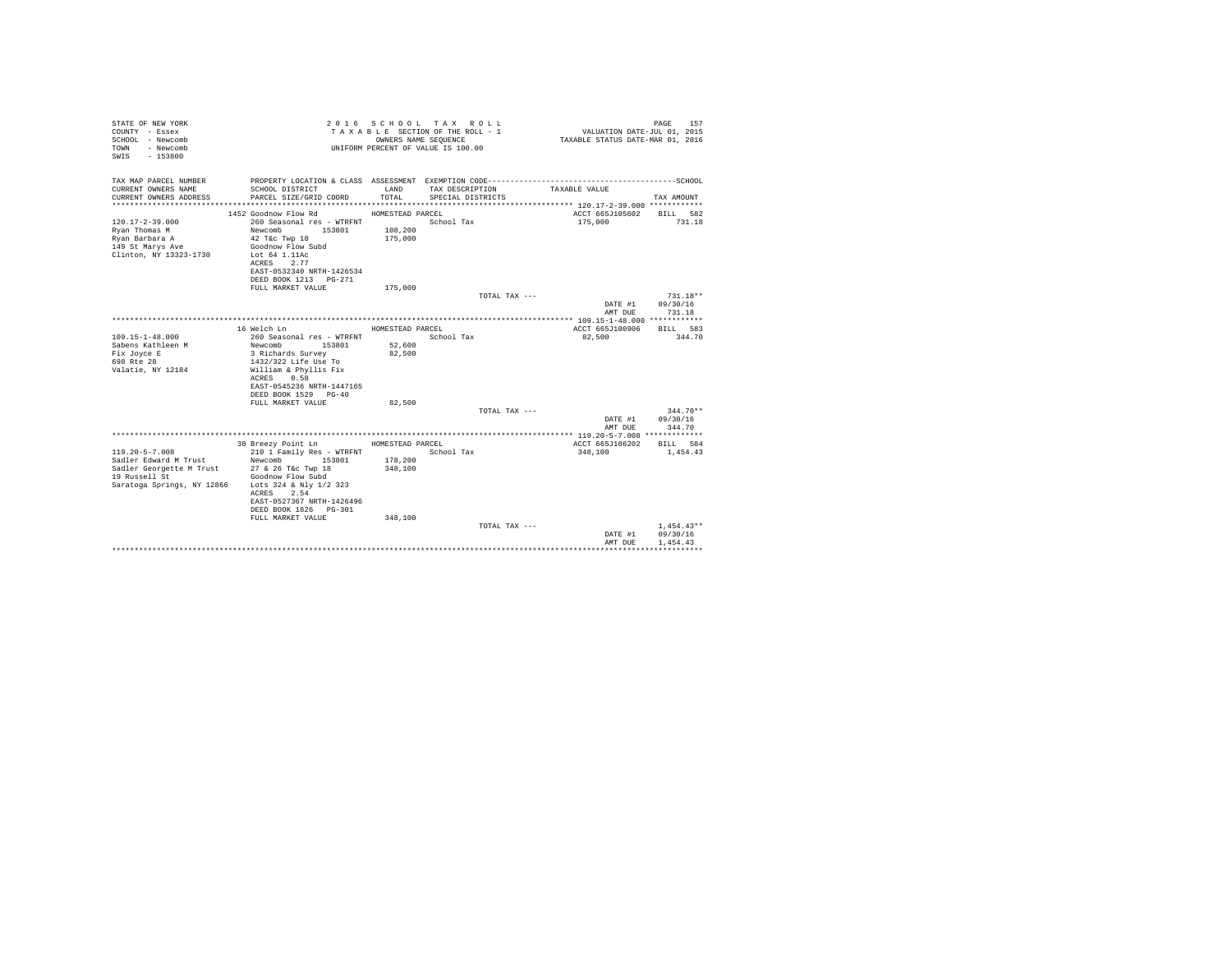| STATE OF NEW YORK<br>COUNTY - Essex<br>SCHOOL - Newcomb<br>- Newcomb<br>TOWN<br>$-153800$<br>SWTS      |                                                                                                                                                                            | OWNERS NAME SEQUENCE | 2016 SCHOOL TAX ROLL<br>TAXABLE SECTION OF THE ROLL - 1<br>UNIFORM PERCENT OF VALUE IS 100.00 | VALUATION DATE-JUL 01, 2015<br>TAXABLE STATUS DATE-MAR 01, 2016 | PAGE<br>157                          |
|--------------------------------------------------------------------------------------------------------|----------------------------------------------------------------------------------------------------------------------------------------------------------------------------|----------------------|-----------------------------------------------------------------------------------------------|-----------------------------------------------------------------|--------------------------------------|
| TAX MAP PARCEL NUMBER                                                                                  |                                                                                                                                                                            |                      |                                                                                               |                                                                 |                                      |
| CURRENT OWNERS NAME<br>CURRENT OWNERS ADDRESS                                                          | SCHOOL DISTRICT<br>PARCEL SIZE/GRID COORD                                                                                                                                  | LAND<br>TOTAL.       | TAX DESCRIPTION<br>SPECIAL DISTRICTS                                                          | TAXABLE VALUE                                                   | TAX AMOUNT                           |
|                                                                                                        | 1452 Goodnow Flow Rd                                                                                                                                                       | HOMESTEAD PARCEL     |                                                                                               | ACCT 665J105602                                                 | BILL 582                             |
| $120.17 - 2 - 39.000$<br>Rvan Thomas M<br>Rvan Barbara A<br>149 St Marys Ave<br>Clinton, NY 13323-1730 | 260 Seasonal res - WTRFNT<br>Newcomb 153801<br>$42$ T&c Twp $18$<br>Goodnow Flow Subd<br>Lot 64 1.11Ac<br>ACRES 2.77<br>EAST-0532340 NRTH-1426534<br>DEED BOOK 1213 PG-271 | 108,200<br>175,000   | School Tax                                                                                    | 175,000                                                         | 731.18                               |
|                                                                                                        | FULL MARKET VALUE                                                                                                                                                          | 175,000              |                                                                                               |                                                                 |                                      |
|                                                                                                        |                                                                                                                                                                            |                      | TOTAL TAX ---                                                                                 |                                                                 | $731.18**$                           |
|                                                                                                        |                                                                                                                                                                            |                      |                                                                                               | DATE #1                                                         | 09/30/16                             |
|                                                                                                        |                                                                                                                                                                            |                      |                                                                                               | AMT DUE                                                         | 731.18                               |
|                                                                                                        | 16 Welch Ln                                                                                                                                                                |                      |                                                                                               |                                                                 | BTLL 583                             |
| $109.15 - 1 - 48.000$                                                                                  | 260 Seasonal res - WTRFNT                                                                                                                                                  | HOMESTEAD PARCEL     | School Tax                                                                                    | ACCT 665J100906<br>82,500                                       | 344.70                               |
| Sabens Kathleen M                                                                                      | Newcomb 153801                                                                                                                                                             | 52,600               |                                                                                               |                                                                 |                                      |
| Fix Joyce E                                                                                            | 3 Richards Survey                                                                                                                                                          | 82,500               |                                                                                               |                                                                 |                                      |
| 698 Rte 28                                                                                             | 1432/322 Life Use To                                                                                                                                                       |                      |                                                                                               |                                                                 |                                      |
| Valatie, NY 12184                                                                                      | William & Phyllis Fix<br>ACRES 0.58<br>EAST-0545236 NRTH-1447165<br>DEED BOOK 1529 PG-40                                                                                   |                      |                                                                                               |                                                                 |                                      |
|                                                                                                        | FULL MARKET VALUE                                                                                                                                                          | 82,500               |                                                                                               |                                                                 |                                      |
|                                                                                                        |                                                                                                                                                                            |                      | TOTAL TAX ---                                                                                 |                                                                 | $344.70**$                           |
|                                                                                                        |                                                                                                                                                                            |                      |                                                                                               | DATE #1<br>AMT DUE                                              | 09/30/16<br>344.70                   |
|                                                                                                        |                                                                                                                                                                            |                      |                                                                                               |                                                                 |                                      |
| $119.20 - 5 - 7.008$                                                                                   | 30 Breezy Point Ln                                                                                                                                                         | HOMESTEAD PARCEL     | School Tax                                                                                    | ACCT 665J106202<br>348,100                                      | BILL 584<br>1,454.43                 |
| Sadler Edward M Trust                                                                                  | 210 1 Family Res - WTRFNT<br>Newcomb<br>153801                                                                                                                             | 178,200              |                                                                                               |                                                                 |                                      |
| Sadler Georgette M Trust                                                                               | 27 & 26 T&c Twp 18                                                                                                                                                         | 348,100              |                                                                                               |                                                                 |                                      |
| 19 Russell St                                                                                          | Goodnow Flow Subd                                                                                                                                                          |                      |                                                                                               |                                                                 |                                      |
| Saratoga Springs, NY 12866                                                                             | Lots 324 & Nly 1/2 323<br>ACRES 2.54<br>EAST-0527367 NRTH-1426496<br>DEED BOOK 1826 PG-301                                                                                 |                      |                                                                                               |                                                                 |                                      |
|                                                                                                        | FULL MARKET VALUE                                                                                                                                                          | 348,100              |                                                                                               |                                                                 |                                      |
|                                                                                                        |                                                                                                                                                                            |                      | TOTAL TAX ---                                                                                 | DATE #1<br>AMT DUE                                              | $1.454.43**$<br>09/30/16<br>1.454.43 |
|                                                                                                        |                                                                                                                                                                            |                      |                                                                                               |                                                                 |                                      |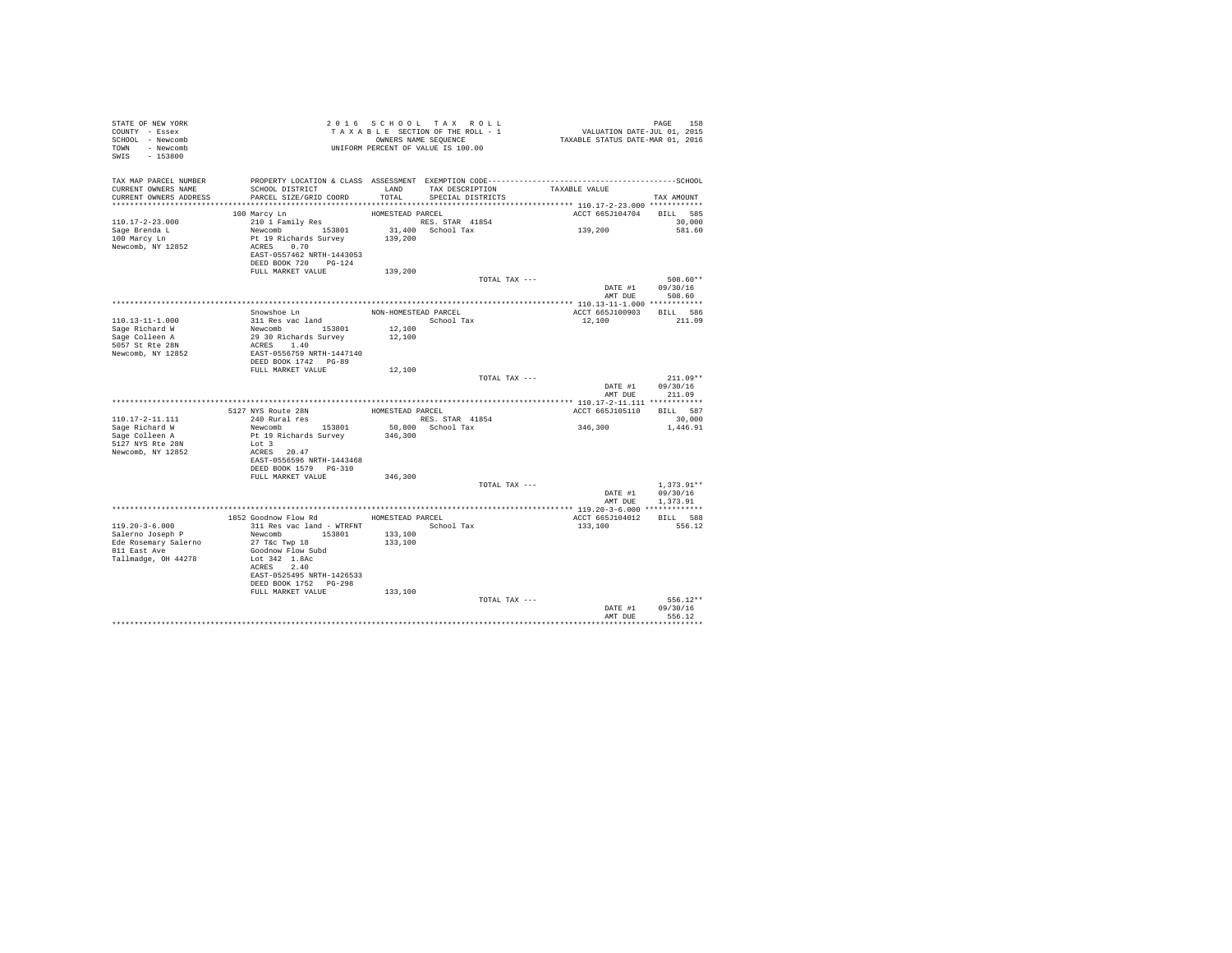| PROPERTY LOCATION & CLASS ASSESSMENT EXEMPTION CODE-----------------------------------SCHOOL<br>TAX MAP PARCEL NUMBER<br>LAND TAX DESCRIPTION<br>CURRENT OWNERS NAME<br>SCHOOL DISTRICT<br>TAXABLE VALUE<br>CURRENT OWNERS ADDRESS<br>PARCEL SIZE/GRID COORD<br>TOTAL<br>SPECIAL DISTRICTS<br>TAX AMOUNT<br>ACCT 665J104704<br>BILL 585<br>100 Marcy Ln<br>HOMESTEAD PARCEL<br>210 1 Family Res<br>RES. STAR 41854<br>110.17-2-23.000<br>30,000<br>31,400 School Tax<br>Newcomb 153801<br>139,200<br>Sage Brenda L<br>581.60<br>100 Marcy Ln<br>Pt 19 Richards Survey 139,200<br>ACRES 0.70<br>Newcomb, NY 12852<br>EAST-0557462 NRTH-1443053<br>DEED BOOK 720 PG-124<br>FULL MARKET VALUE<br>139,200<br>TOTAL TAX ---<br>508.60**<br>DATE #1 09/30/16<br>AMT DUE<br>508.60<br>Snowshoe Ln<br>BILL 586<br>NON-HOMESTEAD PARCEL<br>ACCT 665J100903<br>311 Res vac land<br>110.13-11-1.000<br>School Tax<br>12,100<br>211.09<br>Newcomb 153801<br>Sage Richard W<br>12,100<br>29 30 Richards Survey<br>Sage Colleen A<br>12,100<br>ACRES 1.40<br>5057 St Rte 28N<br>EAST-0556759 NRTH-1447140<br>Newcomb, NY 12852<br>DEED BOOK 1742 PG-89<br>12,100<br>FULL MARKET VALUE<br>TOTAL TAX ---<br>$211.09**$<br>DATE #1<br>09/30/16<br>AMT DUE<br>211.09<br>HOMESTEAD PARCEL<br>BILL 587<br>5127 NYS Route 28N<br>ACCT 665J105110<br>RES. STAR 41854<br>110.17-2-11.111<br>240 Rural res<br>30,000<br>346,300<br>Newcomb 153801<br>50,800 School Tax<br>Sage Richard W<br>1,446.91<br>Sage Colleen A<br>Pt 19 Richards Survey<br>346,300<br>5127 NYS Rte 28N<br>Lot 3<br>Newcomb, NY 12852<br>ACRES 20.47<br>EAST-0556596 NRTH-1443468<br>DEED BOOK 1579 PG-310<br>FULL MARKET VALUE<br>346,300<br>TOTAL TAX ---<br>$1,373.91**$<br>09/30/16<br>DATE #1<br>AMT DUE<br>1,373.91<br>1852 Goodnow Flow Rd<br>HOMESTEAD PARCEL<br>ACCT 665J104012<br>BILL 588<br>$119.20 - 3 - 6.000$<br>School Tax<br>311 Res vac land - WTRFNT<br>133,100<br>556.12<br>Salerno Joseph P<br>Newcomb 153801<br>133,100<br>Ede Rosemary Salerno<br>27 T&c Twp 18<br>133,100<br>811 East Ave<br>Goodnow Flow Subd<br>Tallmadge, OH 44278<br>Lot 342 1.8Ac<br>ACRES 2.40<br>EAST-0525495 NRTH-1426533<br>DEED BOOK 1752 PG-298<br>FULL MARKET VALUE<br>133,100<br>$556.12**$<br>TOTAL TAX ---<br>DATE #1<br>09/30/16<br>556.12<br>AMT DUE<br>************ | STATE OF NEW YORK<br>COUNTY - Essex<br>SCHOOL - Newcomb<br>TOWN - Newcomb<br>SWIS - 153800 | 2016 SCHOOL TAX ROLL<br>TAXABLE SECTION OF THE ROLL - 1<br>OWNERS NAME SEQUENCE<br>UNIFORM PERCENT OF VALUE IS 100.00 |  | PAGE 158<br>VALUATION DATE-JUL 01, 2015<br>TAXABLE STATUS DATE-MAR 01, 2016 |  |
|------------------------------------------------------------------------------------------------------------------------------------------------------------------------------------------------------------------------------------------------------------------------------------------------------------------------------------------------------------------------------------------------------------------------------------------------------------------------------------------------------------------------------------------------------------------------------------------------------------------------------------------------------------------------------------------------------------------------------------------------------------------------------------------------------------------------------------------------------------------------------------------------------------------------------------------------------------------------------------------------------------------------------------------------------------------------------------------------------------------------------------------------------------------------------------------------------------------------------------------------------------------------------------------------------------------------------------------------------------------------------------------------------------------------------------------------------------------------------------------------------------------------------------------------------------------------------------------------------------------------------------------------------------------------------------------------------------------------------------------------------------------------------------------------------------------------------------------------------------------------------------------------------------------------------------------------------------------------------------------------------------------------------------------------------------------------------------------------------------------------------------------------------------------------------------------------------------------------------------------------------------------------------------------------------------------------------|--------------------------------------------------------------------------------------------|-----------------------------------------------------------------------------------------------------------------------|--|-----------------------------------------------------------------------------|--|
|                                                                                                                                                                                                                                                                                                                                                                                                                                                                                                                                                                                                                                                                                                                                                                                                                                                                                                                                                                                                                                                                                                                                                                                                                                                                                                                                                                                                                                                                                                                                                                                                                                                                                                                                                                                                                                                                                                                                                                                                                                                                                                                                                                                                                                                                                                                              |                                                                                            |                                                                                                                       |  |                                                                             |  |
|                                                                                                                                                                                                                                                                                                                                                                                                                                                                                                                                                                                                                                                                                                                                                                                                                                                                                                                                                                                                                                                                                                                                                                                                                                                                                                                                                                                                                                                                                                                                                                                                                                                                                                                                                                                                                                                                                                                                                                                                                                                                                                                                                                                                                                                                                                                              |                                                                                            |                                                                                                                       |  |                                                                             |  |
|                                                                                                                                                                                                                                                                                                                                                                                                                                                                                                                                                                                                                                                                                                                                                                                                                                                                                                                                                                                                                                                                                                                                                                                                                                                                                                                                                                                                                                                                                                                                                                                                                                                                                                                                                                                                                                                                                                                                                                                                                                                                                                                                                                                                                                                                                                                              |                                                                                            |                                                                                                                       |  |                                                                             |  |
|                                                                                                                                                                                                                                                                                                                                                                                                                                                                                                                                                                                                                                                                                                                                                                                                                                                                                                                                                                                                                                                                                                                                                                                                                                                                                                                                                                                                                                                                                                                                                                                                                                                                                                                                                                                                                                                                                                                                                                                                                                                                                                                                                                                                                                                                                                                              |                                                                                            |                                                                                                                       |  |                                                                             |  |
|                                                                                                                                                                                                                                                                                                                                                                                                                                                                                                                                                                                                                                                                                                                                                                                                                                                                                                                                                                                                                                                                                                                                                                                                                                                                                                                                                                                                                                                                                                                                                                                                                                                                                                                                                                                                                                                                                                                                                                                                                                                                                                                                                                                                                                                                                                                              |                                                                                            |                                                                                                                       |  |                                                                             |  |
|                                                                                                                                                                                                                                                                                                                                                                                                                                                                                                                                                                                                                                                                                                                                                                                                                                                                                                                                                                                                                                                                                                                                                                                                                                                                                                                                                                                                                                                                                                                                                                                                                                                                                                                                                                                                                                                                                                                                                                                                                                                                                                                                                                                                                                                                                                                              |                                                                                            |                                                                                                                       |  |                                                                             |  |
|                                                                                                                                                                                                                                                                                                                                                                                                                                                                                                                                                                                                                                                                                                                                                                                                                                                                                                                                                                                                                                                                                                                                                                                                                                                                                                                                                                                                                                                                                                                                                                                                                                                                                                                                                                                                                                                                                                                                                                                                                                                                                                                                                                                                                                                                                                                              |                                                                                            |                                                                                                                       |  |                                                                             |  |
|                                                                                                                                                                                                                                                                                                                                                                                                                                                                                                                                                                                                                                                                                                                                                                                                                                                                                                                                                                                                                                                                                                                                                                                                                                                                                                                                                                                                                                                                                                                                                                                                                                                                                                                                                                                                                                                                                                                                                                                                                                                                                                                                                                                                                                                                                                                              |                                                                                            |                                                                                                                       |  |                                                                             |  |
|                                                                                                                                                                                                                                                                                                                                                                                                                                                                                                                                                                                                                                                                                                                                                                                                                                                                                                                                                                                                                                                                                                                                                                                                                                                                                                                                                                                                                                                                                                                                                                                                                                                                                                                                                                                                                                                                                                                                                                                                                                                                                                                                                                                                                                                                                                                              |                                                                                            |                                                                                                                       |  |                                                                             |  |
|                                                                                                                                                                                                                                                                                                                                                                                                                                                                                                                                                                                                                                                                                                                                                                                                                                                                                                                                                                                                                                                                                                                                                                                                                                                                                                                                                                                                                                                                                                                                                                                                                                                                                                                                                                                                                                                                                                                                                                                                                                                                                                                                                                                                                                                                                                                              |                                                                                            |                                                                                                                       |  |                                                                             |  |
|                                                                                                                                                                                                                                                                                                                                                                                                                                                                                                                                                                                                                                                                                                                                                                                                                                                                                                                                                                                                                                                                                                                                                                                                                                                                                                                                                                                                                                                                                                                                                                                                                                                                                                                                                                                                                                                                                                                                                                                                                                                                                                                                                                                                                                                                                                                              |                                                                                            |                                                                                                                       |  |                                                                             |  |
|                                                                                                                                                                                                                                                                                                                                                                                                                                                                                                                                                                                                                                                                                                                                                                                                                                                                                                                                                                                                                                                                                                                                                                                                                                                                                                                                                                                                                                                                                                                                                                                                                                                                                                                                                                                                                                                                                                                                                                                                                                                                                                                                                                                                                                                                                                                              |                                                                                            |                                                                                                                       |  |                                                                             |  |
|                                                                                                                                                                                                                                                                                                                                                                                                                                                                                                                                                                                                                                                                                                                                                                                                                                                                                                                                                                                                                                                                                                                                                                                                                                                                                                                                                                                                                                                                                                                                                                                                                                                                                                                                                                                                                                                                                                                                                                                                                                                                                                                                                                                                                                                                                                                              |                                                                                            |                                                                                                                       |  |                                                                             |  |
|                                                                                                                                                                                                                                                                                                                                                                                                                                                                                                                                                                                                                                                                                                                                                                                                                                                                                                                                                                                                                                                                                                                                                                                                                                                                                                                                                                                                                                                                                                                                                                                                                                                                                                                                                                                                                                                                                                                                                                                                                                                                                                                                                                                                                                                                                                                              |                                                                                            |                                                                                                                       |  |                                                                             |  |
|                                                                                                                                                                                                                                                                                                                                                                                                                                                                                                                                                                                                                                                                                                                                                                                                                                                                                                                                                                                                                                                                                                                                                                                                                                                                                                                                                                                                                                                                                                                                                                                                                                                                                                                                                                                                                                                                                                                                                                                                                                                                                                                                                                                                                                                                                                                              |                                                                                            |                                                                                                                       |  |                                                                             |  |
|                                                                                                                                                                                                                                                                                                                                                                                                                                                                                                                                                                                                                                                                                                                                                                                                                                                                                                                                                                                                                                                                                                                                                                                                                                                                                                                                                                                                                                                                                                                                                                                                                                                                                                                                                                                                                                                                                                                                                                                                                                                                                                                                                                                                                                                                                                                              |                                                                                            |                                                                                                                       |  |                                                                             |  |
|                                                                                                                                                                                                                                                                                                                                                                                                                                                                                                                                                                                                                                                                                                                                                                                                                                                                                                                                                                                                                                                                                                                                                                                                                                                                                                                                                                                                                                                                                                                                                                                                                                                                                                                                                                                                                                                                                                                                                                                                                                                                                                                                                                                                                                                                                                                              |                                                                                            |                                                                                                                       |  |                                                                             |  |
|                                                                                                                                                                                                                                                                                                                                                                                                                                                                                                                                                                                                                                                                                                                                                                                                                                                                                                                                                                                                                                                                                                                                                                                                                                                                                                                                                                                                                                                                                                                                                                                                                                                                                                                                                                                                                                                                                                                                                                                                                                                                                                                                                                                                                                                                                                                              |                                                                                            |                                                                                                                       |  |                                                                             |  |
|                                                                                                                                                                                                                                                                                                                                                                                                                                                                                                                                                                                                                                                                                                                                                                                                                                                                                                                                                                                                                                                                                                                                                                                                                                                                                                                                                                                                                                                                                                                                                                                                                                                                                                                                                                                                                                                                                                                                                                                                                                                                                                                                                                                                                                                                                                                              |                                                                                            |                                                                                                                       |  |                                                                             |  |
|                                                                                                                                                                                                                                                                                                                                                                                                                                                                                                                                                                                                                                                                                                                                                                                                                                                                                                                                                                                                                                                                                                                                                                                                                                                                                                                                                                                                                                                                                                                                                                                                                                                                                                                                                                                                                                                                                                                                                                                                                                                                                                                                                                                                                                                                                                                              |                                                                                            |                                                                                                                       |  |                                                                             |  |
|                                                                                                                                                                                                                                                                                                                                                                                                                                                                                                                                                                                                                                                                                                                                                                                                                                                                                                                                                                                                                                                                                                                                                                                                                                                                                                                                                                                                                                                                                                                                                                                                                                                                                                                                                                                                                                                                                                                                                                                                                                                                                                                                                                                                                                                                                                                              |                                                                                            |                                                                                                                       |  |                                                                             |  |
|                                                                                                                                                                                                                                                                                                                                                                                                                                                                                                                                                                                                                                                                                                                                                                                                                                                                                                                                                                                                                                                                                                                                                                                                                                                                                                                                                                                                                                                                                                                                                                                                                                                                                                                                                                                                                                                                                                                                                                                                                                                                                                                                                                                                                                                                                                                              |                                                                                            |                                                                                                                       |  |                                                                             |  |
|                                                                                                                                                                                                                                                                                                                                                                                                                                                                                                                                                                                                                                                                                                                                                                                                                                                                                                                                                                                                                                                                                                                                                                                                                                                                                                                                                                                                                                                                                                                                                                                                                                                                                                                                                                                                                                                                                                                                                                                                                                                                                                                                                                                                                                                                                                                              |                                                                                            |                                                                                                                       |  |                                                                             |  |
|                                                                                                                                                                                                                                                                                                                                                                                                                                                                                                                                                                                                                                                                                                                                                                                                                                                                                                                                                                                                                                                                                                                                                                                                                                                                                                                                                                                                                                                                                                                                                                                                                                                                                                                                                                                                                                                                                                                                                                                                                                                                                                                                                                                                                                                                                                                              |                                                                                            |                                                                                                                       |  |                                                                             |  |
|                                                                                                                                                                                                                                                                                                                                                                                                                                                                                                                                                                                                                                                                                                                                                                                                                                                                                                                                                                                                                                                                                                                                                                                                                                                                                                                                                                                                                                                                                                                                                                                                                                                                                                                                                                                                                                                                                                                                                                                                                                                                                                                                                                                                                                                                                                                              |                                                                                            |                                                                                                                       |  |                                                                             |  |
|                                                                                                                                                                                                                                                                                                                                                                                                                                                                                                                                                                                                                                                                                                                                                                                                                                                                                                                                                                                                                                                                                                                                                                                                                                                                                                                                                                                                                                                                                                                                                                                                                                                                                                                                                                                                                                                                                                                                                                                                                                                                                                                                                                                                                                                                                                                              |                                                                                            |                                                                                                                       |  |                                                                             |  |
|                                                                                                                                                                                                                                                                                                                                                                                                                                                                                                                                                                                                                                                                                                                                                                                                                                                                                                                                                                                                                                                                                                                                                                                                                                                                                                                                                                                                                                                                                                                                                                                                                                                                                                                                                                                                                                                                                                                                                                                                                                                                                                                                                                                                                                                                                                                              |                                                                                            |                                                                                                                       |  |                                                                             |  |
|                                                                                                                                                                                                                                                                                                                                                                                                                                                                                                                                                                                                                                                                                                                                                                                                                                                                                                                                                                                                                                                                                                                                                                                                                                                                                                                                                                                                                                                                                                                                                                                                                                                                                                                                                                                                                                                                                                                                                                                                                                                                                                                                                                                                                                                                                                                              |                                                                                            |                                                                                                                       |  |                                                                             |  |
|                                                                                                                                                                                                                                                                                                                                                                                                                                                                                                                                                                                                                                                                                                                                                                                                                                                                                                                                                                                                                                                                                                                                                                                                                                                                                                                                                                                                                                                                                                                                                                                                                                                                                                                                                                                                                                                                                                                                                                                                                                                                                                                                                                                                                                                                                                                              |                                                                                            |                                                                                                                       |  |                                                                             |  |
|                                                                                                                                                                                                                                                                                                                                                                                                                                                                                                                                                                                                                                                                                                                                                                                                                                                                                                                                                                                                                                                                                                                                                                                                                                                                                                                                                                                                                                                                                                                                                                                                                                                                                                                                                                                                                                                                                                                                                                                                                                                                                                                                                                                                                                                                                                                              |                                                                                            |                                                                                                                       |  |                                                                             |  |
|                                                                                                                                                                                                                                                                                                                                                                                                                                                                                                                                                                                                                                                                                                                                                                                                                                                                                                                                                                                                                                                                                                                                                                                                                                                                                                                                                                                                                                                                                                                                                                                                                                                                                                                                                                                                                                                                                                                                                                                                                                                                                                                                                                                                                                                                                                                              |                                                                                            |                                                                                                                       |  |                                                                             |  |
|                                                                                                                                                                                                                                                                                                                                                                                                                                                                                                                                                                                                                                                                                                                                                                                                                                                                                                                                                                                                                                                                                                                                                                                                                                                                                                                                                                                                                                                                                                                                                                                                                                                                                                                                                                                                                                                                                                                                                                                                                                                                                                                                                                                                                                                                                                                              |                                                                                            |                                                                                                                       |  |                                                                             |  |
|                                                                                                                                                                                                                                                                                                                                                                                                                                                                                                                                                                                                                                                                                                                                                                                                                                                                                                                                                                                                                                                                                                                                                                                                                                                                                                                                                                                                                                                                                                                                                                                                                                                                                                                                                                                                                                                                                                                                                                                                                                                                                                                                                                                                                                                                                                                              |                                                                                            |                                                                                                                       |  |                                                                             |  |
|                                                                                                                                                                                                                                                                                                                                                                                                                                                                                                                                                                                                                                                                                                                                                                                                                                                                                                                                                                                                                                                                                                                                                                                                                                                                                                                                                                                                                                                                                                                                                                                                                                                                                                                                                                                                                                                                                                                                                                                                                                                                                                                                                                                                                                                                                                                              |                                                                                            |                                                                                                                       |  |                                                                             |  |
|                                                                                                                                                                                                                                                                                                                                                                                                                                                                                                                                                                                                                                                                                                                                                                                                                                                                                                                                                                                                                                                                                                                                                                                                                                                                                                                                                                                                                                                                                                                                                                                                                                                                                                                                                                                                                                                                                                                                                                                                                                                                                                                                                                                                                                                                                                                              |                                                                                            |                                                                                                                       |  |                                                                             |  |
|                                                                                                                                                                                                                                                                                                                                                                                                                                                                                                                                                                                                                                                                                                                                                                                                                                                                                                                                                                                                                                                                                                                                                                                                                                                                                                                                                                                                                                                                                                                                                                                                                                                                                                                                                                                                                                                                                                                                                                                                                                                                                                                                                                                                                                                                                                                              |                                                                                            |                                                                                                                       |  |                                                                             |  |
|                                                                                                                                                                                                                                                                                                                                                                                                                                                                                                                                                                                                                                                                                                                                                                                                                                                                                                                                                                                                                                                                                                                                                                                                                                                                                                                                                                                                                                                                                                                                                                                                                                                                                                                                                                                                                                                                                                                                                                                                                                                                                                                                                                                                                                                                                                                              |                                                                                            |                                                                                                                       |  |                                                                             |  |
|                                                                                                                                                                                                                                                                                                                                                                                                                                                                                                                                                                                                                                                                                                                                                                                                                                                                                                                                                                                                                                                                                                                                                                                                                                                                                                                                                                                                                                                                                                                                                                                                                                                                                                                                                                                                                                                                                                                                                                                                                                                                                                                                                                                                                                                                                                                              |                                                                                            |                                                                                                                       |  |                                                                             |  |
|                                                                                                                                                                                                                                                                                                                                                                                                                                                                                                                                                                                                                                                                                                                                                                                                                                                                                                                                                                                                                                                                                                                                                                                                                                                                                                                                                                                                                                                                                                                                                                                                                                                                                                                                                                                                                                                                                                                                                                                                                                                                                                                                                                                                                                                                                                                              |                                                                                            |                                                                                                                       |  |                                                                             |  |
|                                                                                                                                                                                                                                                                                                                                                                                                                                                                                                                                                                                                                                                                                                                                                                                                                                                                                                                                                                                                                                                                                                                                                                                                                                                                                                                                                                                                                                                                                                                                                                                                                                                                                                                                                                                                                                                                                                                                                                                                                                                                                                                                                                                                                                                                                                                              |                                                                                            |                                                                                                                       |  |                                                                             |  |
|                                                                                                                                                                                                                                                                                                                                                                                                                                                                                                                                                                                                                                                                                                                                                                                                                                                                                                                                                                                                                                                                                                                                                                                                                                                                                                                                                                                                                                                                                                                                                                                                                                                                                                                                                                                                                                                                                                                                                                                                                                                                                                                                                                                                                                                                                                                              |                                                                                            |                                                                                                                       |  |                                                                             |  |
|                                                                                                                                                                                                                                                                                                                                                                                                                                                                                                                                                                                                                                                                                                                                                                                                                                                                                                                                                                                                                                                                                                                                                                                                                                                                                                                                                                                                                                                                                                                                                                                                                                                                                                                                                                                                                                                                                                                                                                                                                                                                                                                                                                                                                                                                                                                              |                                                                                            |                                                                                                                       |  |                                                                             |  |
|                                                                                                                                                                                                                                                                                                                                                                                                                                                                                                                                                                                                                                                                                                                                                                                                                                                                                                                                                                                                                                                                                                                                                                                                                                                                                                                                                                                                                                                                                                                                                                                                                                                                                                                                                                                                                                                                                                                                                                                                                                                                                                                                                                                                                                                                                                                              |                                                                                            |                                                                                                                       |  |                                                                             |  |
|                                                                                                                                                                                                                                                                                                                                                                                                                                                                                                                                                                                                                                                                                                                                                                                                                                                                                                                                                                                                                                                                                                                                                                                                                                                                                                                                                                                                                                                                                                                                                                                                                                                                                                                                                                                                                                                                                                                                                                                                                                                                                                                                                                                                                                                                                                                              |                                                                                            |                                                                                                                       |  |                                                                             |  |
|                                                                                                                                                                                                                                                                                                                                                                                                                                                                                                                                                                                                                                                                                                                                                                                                                                                                                                                                                                                                                                                                                                                                                                                                                                                                                                                                                                                                                                                                                                                                                                                                                                                                                                                                                                                                                                                                                                                                                                                                                                                                                                                                                                                                                                                                                                                              |                                                                                            |                                                                                                                       |  |                                                                             |  |
|                                                                                                                                                                                                                                                                                                                                                                                                                                                                                                                                                                                                                                                                                                                                                                                                                                                                                                                                                                                                                                                                                                                                                                                                                                                                                                                                                                                                                                                                                                                                                                                                                                                                                                                                                                                                                                                                                                                                                                                                                                                                                                                                                                                                                                                                                                                              |                                                                                            |                                                                                                                       |  |                                                                             |  |
|                                                                                                                                                                                                                                                                                                                                                                                                                                                                                                                                                                                                                                                                                                                                                                                                                                                                                                                                                                                                                                                                                                                                                                                                                                                                                                                                                                                                                                                                                                                                                                                                                                                                                                                                                                                                                                                                                                                                                                                                                                                                                                                                                                                                                                                                                                                              |                                                                                            |                                                                                                                       |  |                                                                             |  |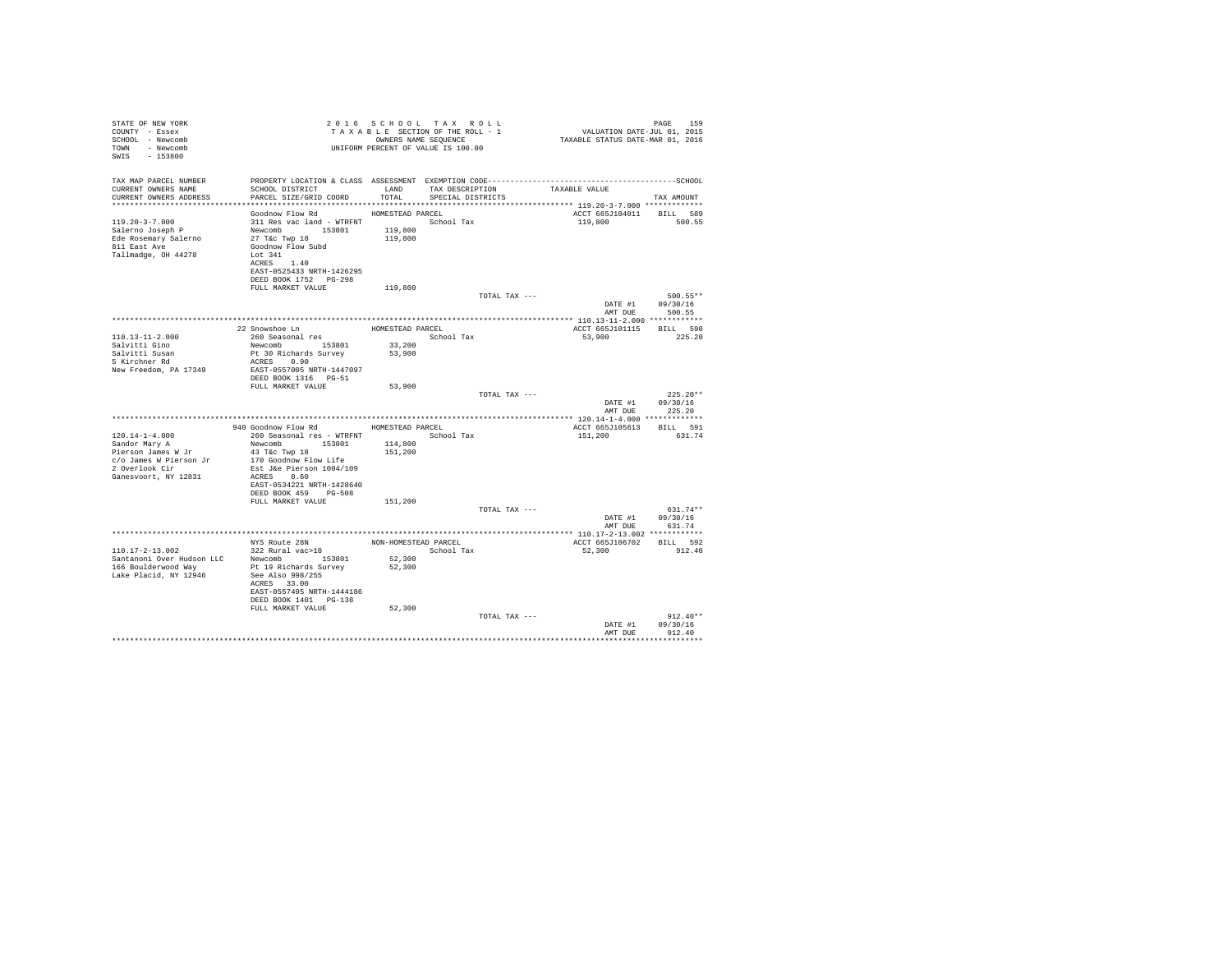| STATE OF NEW YORK<br>COUNTY - Essex<br>SCHOOL - Newcomb<br>TOWN - Newcomb<br>$-153800$<br>SWIS          | T A X A B L E SECTED.<br>OWNERS NAME SEQUENCE<br>UNIFORM PERCENT OF VALUE IS 100.00                                                                                                   | 2016 SCHOOL TAX ROLL<br>TAXABLE SECTION OF THE ROLL - 1<br>OWNERS NAME SEQUENCE |                   |               | PAGE 159<br>VALUATION DATE-JUL 01, 2015<br>TAXABLE STATUS DATE-MAR 01, 2016 |                                    |                    |            |
|---------------------------------------------------------------------------------------------------------|---------------------------------------------------------------------------------------------------------------------------------------------------------------------------------------|---------------------------------------------------------------------------------|-------------------|---------------|-----------------------------------------------------------------------------|------------------------------------|--------------------|------------|
| TAX MAP PARCEL NUMBER<br>CURRENT OWNERS NAME                                                            | SCHOOL DISTRICT                                                                                                                                                                       | LAND                                                                            | TAX DESCRIPTION   |               | TAXABLE VALUE                                                               |                                    |                    |            |
| CURRENT OWNERS ADDRESS                                                                                  | PARCEL SIZE/GRID COORD                                                                                                                                                                | TOTAL                                                                           | SPECIAL DISTRICTS |               |                                                                             |                                    | TAX AMOUNT         |            |
|                                                                                                         | Goodnow Flow Rd                                                                                                                                                                       | HOMESTEAD PARCEL                                                                |                   |               |                                                                             | ACCT 665J104011                    | BILL 589           |            |
| $119.20 - 3 - 7.000$<br>Salerno Joseph P<br>Ede Rosemary Salerno<br>811 East Ave<br>Tallmadge, OH 44278 | 311 Res vac land - WTRFNT<br>Newcomb 153801<br>27 T&C Twp 18<br>Goodnow Flow Subd<br>Lot 341<br>ACRES 1.40<br>EAST-0525433 NRTH-1426295<br>DEED BOOK 1752 PG-298<br>FULL MARKET VALUE | 119,800<br>119,800                                                              | School Tax        |               |                                                                             | 119,800                            | 500.55             |            |
|                                                                                                         |                                                                                                                                                                                       | 119,800                                                                         |                   | TOTAL TAX --- |                                                                             |                                    | 500.55**           |            |
|                                                                                                         |                                                                                                                                                                                       |                                                                                 |                   |               |                                                                             | DATE #1 09/30/16<br>AMT DUE        | 500.55             |            |
|                                                                                                         |                                                                                                                                                                                       |                                                                                 |                   |               |                                                                             |                                    |                    |            |
| $110.13 - 11 - 2.000$                                                                                   | 22 Snowshoe Ln<br>260 Seasonal res                                                                                                                                                    | HOMESTEAD PARCEL<br>School Tax                                                  |                   |               |                                                                             | ACCT 665J101115 BILL 590<br>53,900 | 225.20             |            |
| Salvitti Gino                                                                                           |                                                                                                                                                                                       | 33,200                                                                          |                   |               |                                                                             |                                    |                    |            |
| Salvitti Susan<br>5 Kirchner Rd                                                                         | Newcomb 153801<br>Pt 30 Richards Survey                                                                                                                                               | 53,900                                                                          |                   |               |                                                                             |                                    |                    |            |
|                                                                                                         | ACRES 0.90                                                                                                                                                                            |                                                                                 |                   |               |                                                                             |                                    |                    |            |
| New Freedom, PA 17349                                                                                   | EAST-0557005 NRTH-1447097<br>DEED BOOK 1316 PG-51                                                                                                                                     |                                                                                 |                   |               |                                                                             |                                    |                    |            |
|                                                                                                         | FULL MARKET VALUE                                                                                                                                                                     | 53,900                                                                          |                   | TOTAL TAX --- |                                                                             |                                    |                    | $225.20**$ |
|                                                                                                         |                                                                                                                                                                                       |                                                                                 |                   |               |                                                                             | DATE #1<br>AMT DUE                 | 09/30/16<br>225.20 |            |
|                                                                                                         |                                                                                                                                                                                       |                                                                                 |                   |               |                                                                             |                                    |                    |            |
|                                                                                                         | 940 Goodnow Flow Rd MOMESTEAD PARCEL                                                                                                                                                  |                                                                                 |                   |               |                                                                             | ACCT 665J105613                    | BILL 591           |            |
| $120.14 - 1 - 4.000$                                                                                    | 260 Seasonal res - WTRFNT                                                                                                                                                             |                                                                                 | School Tax        |               | 151,200                                                                     |                                    | 631.74             |            |
| Sandor Mary A<br>Pierson James W Jr                                                                     | Newcomb 153801<br>43 T&C Twp 18                                                                                                                                                       | 114,800<br>151,200                                                              |                   |               |                                                                             |                                    |                    |            |
| c/o James W Pierson Jr                                                                                  | 170 Goodnow Flow Life                                                                                                                                                                 |                                                                                 |                   |               |                                                                             |                                    |                    |            |
| 2 Overlook Cir                                                                                          | Est J&e Pierson 1004/109                                                                                                                                                              |                                                                                 |                   |               |                                                                             |                                    |                    |            |
| Ganesvoort, NY 12831                                                                                    | ACRES 0.60<br>EAST-0534221 NRTH-1428640                                                                                                                                               |                                                                                 |                   |               |                                                                             |                                    |                    |            |
|                                                                                                         | DEED BOOK 459 PG-508                                                                                                                                                                  |                                                                                 |                   |               |                                                                             |                                    |                    |            |
|                                                                                                         | FULL MARKET VALUE                                                                                                                                                                     | 151,200                                                                         |                   |               |                                                                             |                                    |                    |            |
|                                                                                                         |                                                                                                                                                                                       |                                                                                 |                   | TOTAL TAX --- |                                                                             |                                    |                    | 631.74**   |
|                                                                                                         |                                                                                                                                                                                       |                                                                                 |                   |               |                                                                             | DATE #1 09/30/16<br>AMT DUE        | 631.74             |            |
|                                                                                                         |                                                                                                                                                                                       |                                                                                 |                   |               |                                                                             |                                    |                    |            |
|                                                                                                         | NYS Route 28N                                                                                                                                                                         | NON-HOMESTEAD PARCEL                                                            |                   |               |                                                                             | ACCT 665J106702 BILL 592           |                    |            |
| 110.17-2-13.002<br>Santanoni Over Hudson LLC                                                            | 322 Rural vac>10<br>Newcomb 153801                                                                                                                                                    | 52,300                                                                          | School Tax        |               | 52,300                                                                      |                                    | 912.40             |            |
| 166 Boulderwood Way                                                                                     | Pt 19 Richards Survey                                                                                                                                                                 | 52,300                                                                          |                   |               |                                                                             |                                    |                    |            |
| Lake Placid, NY 12946                                                                                   | See Also 998/255                                                                                                                                                                      |                                                                                 |                   |               |                                                                             |                                    |                    |            |
|                                                                                                         | ACRES 33.00<br>EAST-0557495 NRTH-1444186                                                                                                                                              |                                                                                 |                   |               |                                                                             |                                    |                    |            |
|                                                                                                         | DEED BOOK 1401 PG-138                                                                                                                                                                 |                                                                                 |                   |               |                                                                             |                                    |                    |            |
|                                                                                                         | FULL MARKET VALUE                                                                                                                                                                     | 52,300                                                                          |                   |               |                                                                             |                                    |                    |            |
|                                                                                                         |                                                                                                                                                                                       |                                                                                 |                   | TOTAL TAX --- |                                                                             |                                    | 09/30/16           | $912.40**$ |
|                                                                                                         |                                                                                                                                                                                       |                                                                                 |                   |               |                                                                             | DATE #1<br>AMT DUE                 | 912.40             |            |
|                                                                                                         |                                                                                                                                                                                       |                                                                                 |                   |               |                                                                             |                                    |                    |            |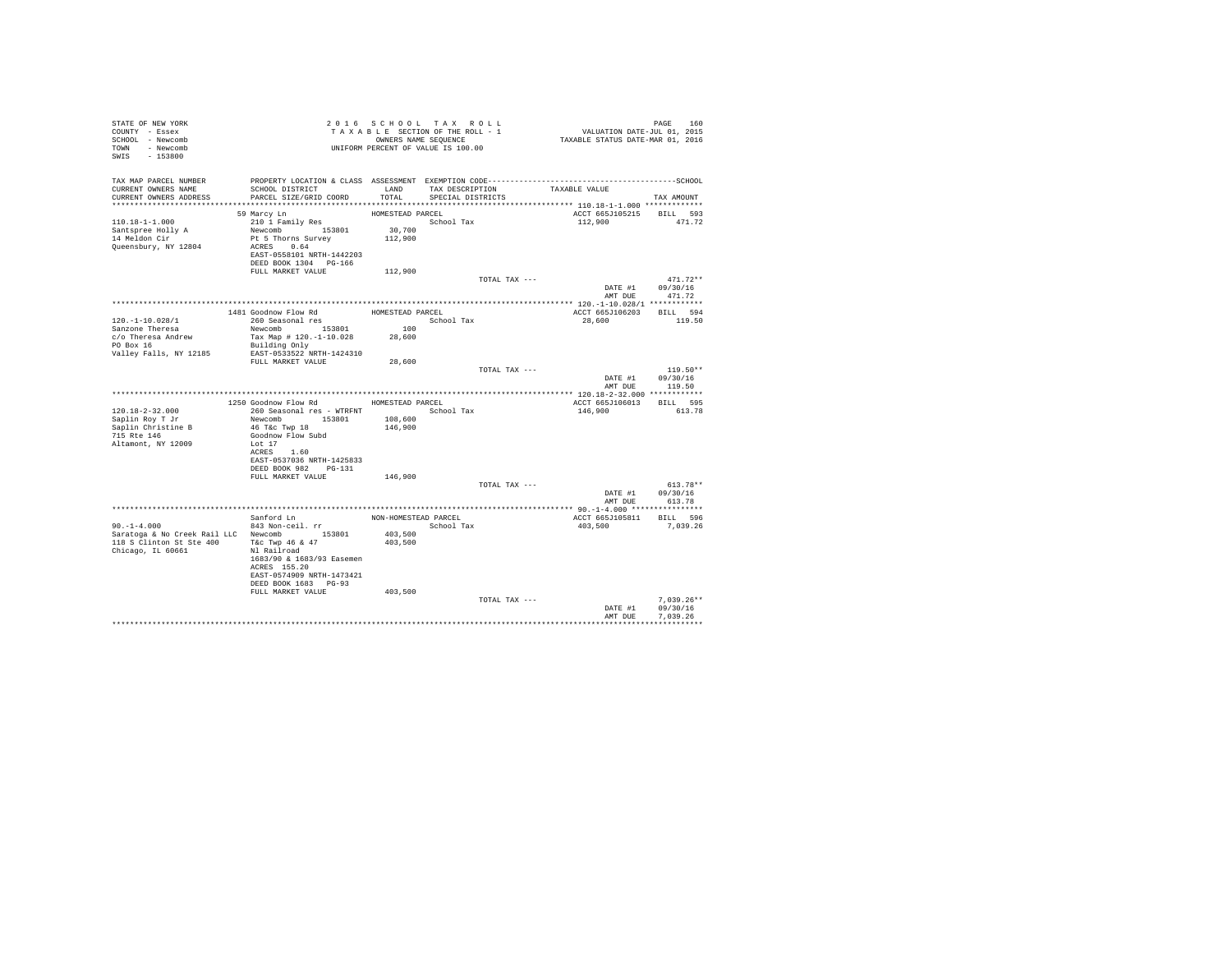| STATE OF NEW YORK<br>COUNTY - Essex<br>SCHOOL - Newcomb<br>TOWN - Newcomb<br>SWIS - 153800                                       |                                                                                                                                                                                   |                                                                  | 2016 SCHOOL TAX ROLL<br>TAXABLE SECTION OF THE ROLL - 1<br>OWNERS NAME SEQUENCE<br>UNIFORM PERCENT OF VALUE IS 100.00 | PAGE 160<br>VALUATION DATE-JUL 01, 2015<br>TAXABLE STATUS DATE-MAR 01, 2016 |                                                  |
|----------------------------------------------------------------------------------------------------------------------------------|-----------------------------------------------------------------------------------------------------------------------------------------------------------------------------------|------------------------------------------------------------------|-----------------------------------------------------------------------------------------------------------------------|-----------------------------------------------------------------------------|--------------------------------------------------|
| TAX MAP PARCEL NUMBER<br>CURRENT OWNERS NAME<br>CURRENT OWNERS ADDRESS                                                           | SCHOOL DISTRICT<br>PARCEL SIZE/GRID COORD                                                                                                                                         | TOTAL                                                            | LAND TAX DESCRIPTION<br>SPECIAL DISTRICTS                                                                             | TAXABLE VALUE                                                               | TAX AMOUNT                                       |
| $110.18 - 1 - 1.000$<br>Santspree Holly A<br>14 Meldon Cir<br>Queensbury, NY 12804                                               | 59 Marcy Ln<br>210 1 Family Res<br>Newcomb 153801<br>Pt 5 Thorns Survey<br>ACRES 0.64<br>EAST-0558101 NRTH-1442203<br>DEED BOOK 1304 PG-166<br>FULL MARKET VALUE                  | HOMESTEAD PARCEL<br>School Tax<br>30,700<br>112,900<br>112,900   |                                                                                                                       | ACCT 665J105215<br>112,900                                                  | BILL 593<br>471.72                               |
|                                                                                                                                  |                                                                                                                                                                                   |                                                                  |                                                                                                                       | TOTAL TAX ---<br>AMT DUE                                                    | $471.72**$<br>DATE #1 09/30/16<br>471.72         |
|                                                                                                                                  |                                                                                                                                                                                   |                                                                  |                                                                                                                       |                                                                             |                                                  |
| $120. - 1 - 10.028/1$<br>Sanzone Theresa<br>c/o Theresa Andrew<br>PO Box 16                                                      | 1481 Goodnow Flow Rd<br>260 Seasonal res<br>Newcomb 153801<br>Tax Map # 120.-1-10.028<br>Building Only                                                                            | HOMESTEAD PARCEL<br>$\begin{array}{c} 100 \end{array}$<br>28,600 | School Tax                                                                                                            | ACCT 665J106203 BILL 594<br>28,600                                          | 119.50                                           |
| Valley Falls, NY 12185                                                                                                           | EAST-0533522 NRTH-1424310<br>FULL MARKET VALUE                                                                                                                                    | 28,600                                                           |                                                                                                                       | TOTAL TAX ---                                                               | $119.50**$<br>DATE #1 09/30/16                   |
|                                                                                                                                  |                                                                                                                                                                                   |                                                                  |                                                                                                                       |                                                                             | AMT DUE 119.50                                   |
|                                                                                                                                  | 1250 Goodnow Flow Rd HOMESTEAD PARCEL                                                                                                                                             |                                                                  |                                                                                                                       | ACCT 665J106013                                                             | BILL 595                                         |
| 120.18-2-32.000<br>Saplin Roy T Jr<br>Saplin Christine B<br>715 Rte 146<br>Altamont, NY 12009                                    | 260 Seasonal res - WTRFNT <a></a> School Tax<br>Newcomb 153801<br>46 T&C Twp 18<br>Goodnow Flow Subd<br>Lot 17<br>ACRES 1.60<br>EAST-0537036 NRTH-1425833<br>DEED BOOK 982 PG-131 | 108,600<br>146,900                                               |                                                                                                                       | 146,900                                                                     | 613.78                                           |
|                                                                                                                                  | FULL MARKET VALUE                                                                                                                                                                 | 146,900                                                          |                                                                                                                       |                                                                             |                                                  |
|                                                                                                                                  |                                                                                                                                                                                   |                                                                  |                                                                                                                       | TOTAL TAX ---                                                               | $613.78**$<br>DATE #1 09/30/16<br>AMT DUE 613.78 |
|                                                                                                                                  |                                                                                                                                                                                   |                                                                  |                                                                                                                       |                                                                             |                                                  |
| $90. -1 - 4.000$<br>Saratoga & No Creek Rail LLC Newcomb 153801<br>118 S Clinton St Ste 400 T&c Twp 46 & 47<br>Chicago, IL 60661 | Sanford Ln<br>843 Non-ceil. rr<br>Nl Railroad<br>1683/90 & 1683/93 Easemen<br>ACRES 155.20<br>EAST-0574909 NRTH-1473421<br>DEED BOOK 1683 PG-93                                   | NON-HOMESTEAD PARCEL<br>403,500<br>403,500                       | School Tax                                                                                                            | ACCT 665J105811 BILL 596<br>403,500                                         | 7,039.26                                         |
|                                                                                                                                  | FULL MARKET VALUE                                                                                                                                                                 | 403,500                                                          |                                                                                                                       | TOTAL TAX ---<br>DATE #1<br>AMT DUE                                         | $7,039.26**$<br>09/30/16<br>7.039.26             |
|                                                                                                                                  |                                                                                                                                                                                   |                                                                  |                                                                                                                       |                                                                             |                                                  |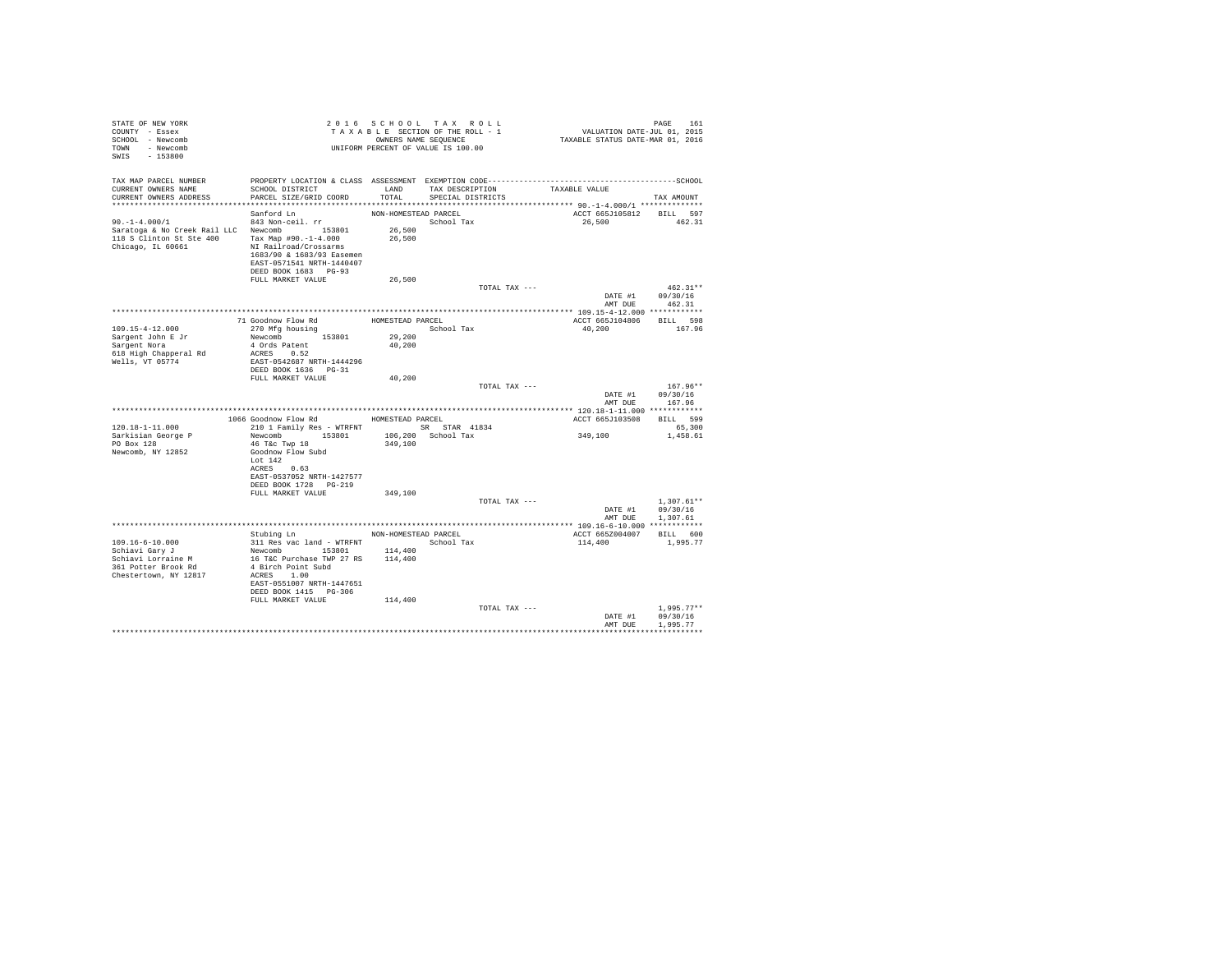| STATE OF NEW YORK<br>COUNTY - Essex<br>SCHOOL - Newcomb<br>TOWN - Newcomb<br>SWIS<br>$-153800$                                          |                                                                                                                                                                                                               |                                      | 2016 SCHOOL TAX ROLL<br>TAXABLE SECTION OF THE ROLL - 1<br>OWNERS NAME SEOUENCE<br>UNIFORM PERCENT OF VALUE IS 100.00 | PAGE 161<br>VALUATION DATE-JUL 01, 2015<br>TAXABLE STATUS DATE-MAR 01, 2016 | PAGE<br>161                          |
|-----------------------------------------------------------------------------------------------------------------------------------------|---------------------------------------------------------------------------------------------------------------------------------------------------------------------------------------------------------------|--------------------------------------|-----------------------------------------------------------------------------------------------------------------------|-----------------------------------------------------------------------------|--------------------------------------|
| TAX MAP PARCEL NUMBER<br>CURRENT OWNERS NAME<br>CURRENT OWNERS ADDRESS                                                                  | SCHOOL DISTRICT TAND TAX DESCRIPTION<br>PARCEL SIZE/GRID COORD TOTAL SPECIAL DISTRICTS                                                                                                                        |                                      |                                                                                                                       | TAXABLE VALUE                                                               | TAX AMOUNT                           |
|                                                                                                                                         | Sanford Ln                                                                                                                                                                                                    | NON-HOMESTEAD PARCEL                 |                                                                                                                       | ACCT 665J105812 BILL 597                                                    |                                      |
| $90. -1 - 4.000/1$<br>Saratoga & No Creek Rail LLC Newcomb 153801<br>118 S Clinton St Ste 400 Tax Map #90.-1-4.000<br>Chicago, IL 60661 | 843 Non-ceil. rr<br>NI Railroad/Crossarms<br>1683/90 & 1683/93 Easemen<br>EAST-0571541 NRTH-1440407<br>DEED BOOK 1683 PG-93                                                                                   | 26,500<br>26,500                     | School Tax                                                                                                            | 26,500                                                                      | 462.31                               |
|                                                                                                                                         | FULL MARKET VALUE                                                                                                                                                                                             | 26,500                               |                                                                                                                       |                                                                             | $462.31**$                           |
|                                                                                                                                         |                                                                                                                                                                                                               |                                      | TOTAL TAX ---                                                                                                         | DATE #1<br>AMT DUE                                                          | 09/30/16<br>462.31                   |
|                                                                                                                                         |                                                                                                                                                                                                               |                                      |                                                                                                                       |                                                                             |                                      |
| $109.15 - 4 - 12.000$<br>Sargent John E Jr<br>Sargent Nora<br>618 High Chapperal Rd                                                     | 71 Goodnow Flow Rd<br>270 Mfg housing<br>Newcomb 153801<br>4 Ords Patent<br>ACRES 0.52                                                                                                                        | HOMESTEAD PARCEL<br>29,200<br>40,200 | School Tax                                                                                                            | ACCT 665J104806<br>40,200                                                   | BILL 598<br>167.96                   |
| Wells, VT 05774                                                                                                                         | EAST-0542687 NRTH-1444296<br>DEED BOOK 1636    PG-31                                                                                                                                                          |                                      |                                                                                                                       |                                                                             |                                      |
|                                                                                                                                         | FULL MARKET VALUE                                                                                                                                                                                             | 40,200                               |                                                                                                                       |                                                                             |                                      |
|                                                                                                                                         |                                                                                                                                                                                                               |                                      | TOTAL TAX ---                                                                                                         | DATE #1<br>AMT DUR                                                          | $167.96**$<br>09/30/16<br>167.96     |
|                                                                                                                                         |                                                                                                                                                                                                               |                                      |                                                                                                                       |                                                                             |                                      |
|                                                                                                                                         | 1066 Goodnow Flow Rd MOMESTEAD PARCEL                                                                                                                                                                         |                                      |                                                                                                                       | ACCT 665J103508                                                             | BILL 599                             |
| $120.18 - 1 - 11.000$<br>Sarkisian George P<br>PO Box 128<br>Newcomb, NY 12852                                                          | 210 1 Family Res - WTRFNT SR STAR 41834<br>Newcomb 153801<br>46 T&C Twp 18<br>Goodnow Flow Subd<br>Lot $142$<br>ACRES 0.63                                                                                    | 349,100                              | 106,200 School Tax                                                                                                    | 349,100                                                                     | 65,300<br>1,458.61                   |
|                                                                                                                                         | EAST-0537052 NRTH-1427577<br>DEED BOOK 1728 PG-219                                                                                                                                                            |                                      |                                                                                                                       |                                                                             |                                      |
|                                                                                                                                         | FULL MARKET VALUE                                                                                                                                                                                             | 349,100                              |                                                                                                                       |                                                                             |                                      |
|                                                                                                                                         |                                                                                                                                                                                                               |                                      | TOTAL TAX ---                                                                                                         | DATE #1<br>AMT DUE                                                          | $1.307.61**$<br>09/30/16<br>1,307.61 |
|                                                                                                                                         |                                                                                                                                                                                                               |                                      |                                                                                                                       |                                                                             |                                      |
| $109.16 - 6 - 10.000$<br>Schiavi Gary J<br>Schiavi Lorraine M<br>361 Potter Brook Rd<br>Chestertown, NY 12817                           | Stubing Ln NON-HOMESTEAD PARCEL<br>311 Res vac land - WTRFNT<br>Newcomb 153801<br>16 T&C Purchase TWP 27 RS 114,400<br>4 Birch Point Subd<br>ACRES 1.00<br>EAST-0551007 NRTH-1447651<br>DEED BOOK 1415 PG-306 | 114,400                              | School Tax                                                                                                            | ACCT 665Z004007<br>114,400                                                  | BILL 600<br>1,995.77                 |
|                                                                                                                                         | FULL MARKET VALUE                                                                                                                                                                                             | 114,400                              | TOTAL TAX ---                                                                                                         | DATE #1                                                                     | $1,995.77**$<br>09/30/16             |
|                                                                                                                                         |                                                                                                                                                                                                               |                                      |                                                                                                                       | AMT DUE                                                                     | 1,995.77<br>*********************    |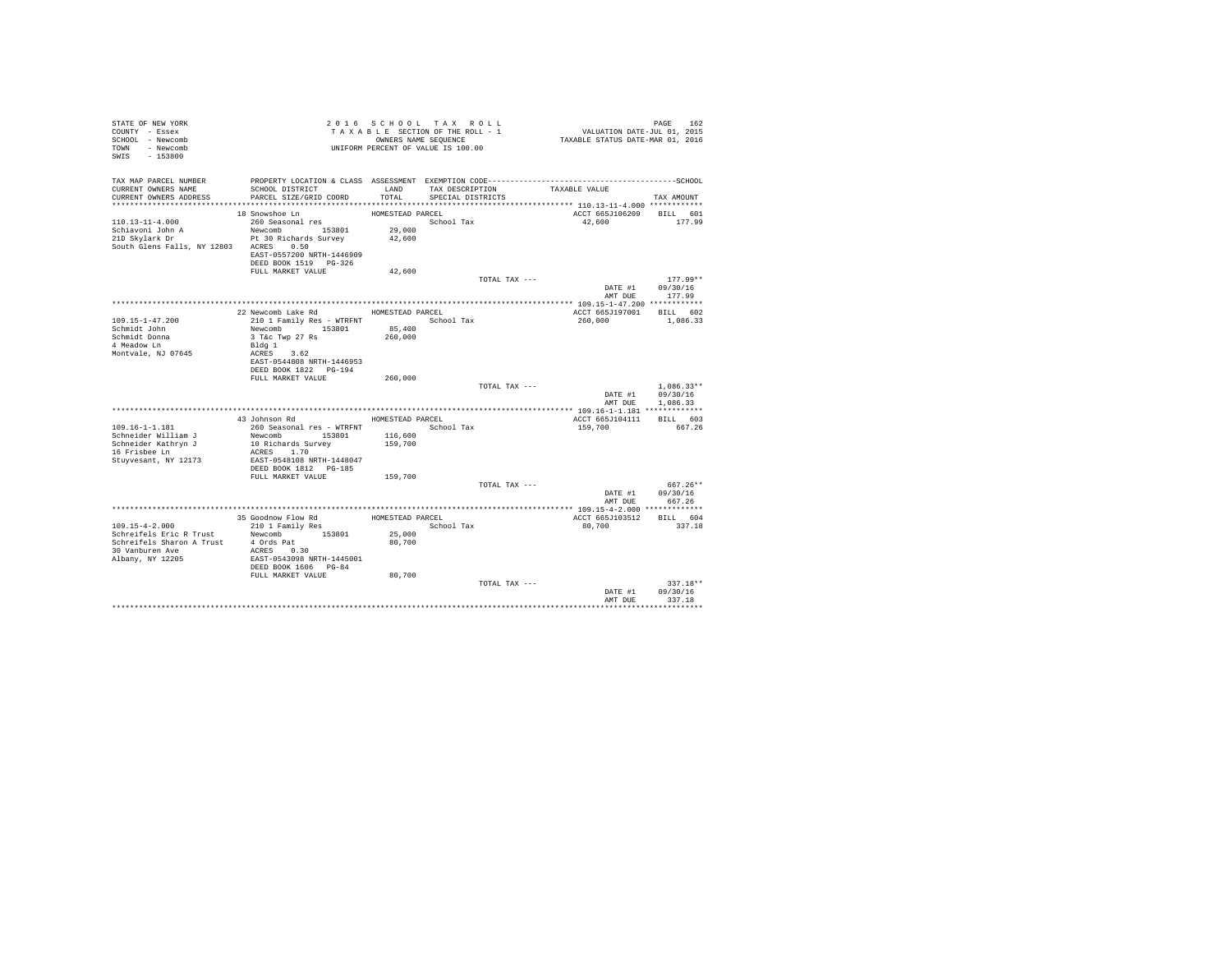| STATE OF NEW YORK<br>COUNTY - Essex<br>SCHOOL - Newcomb<br>TOWN - Newcomb<br>SWIS - 153800 |                                             |                    | 2016 SCHOOL TAX ROLL<br>TAXABLE SECTION OF THE ROLL - 1<br>OWNERS NAME SEQUENCE<br>UNIFORM PERCENT OF VALUE IS 100.00 | PAGE 162<br>VALUATION DATE-JUL 01, 2015<br>TAXABLE STATUS DATE-MAR 01, 2016 |                            |
|--------------------------------------------------------------------------------------------|---------------------------------------------|--------------------|-----------------------------------------------------------------------------------------------------------------------|-----------------------------------------------------------------------------|----------------------------|
| TAX MAP PARCEL NUMBER                                                                      |                                             |                    |                                                                                                                       |                                                                             |                            |
| CURRENT OWNERS NAME                                                                        | SCHOOL DISTRICT                             | LAND               | TAX DESCRIPTION                                                                                                       | TAXABLE VALUE                                                               |                            |
| CURRENT OWNERS ADDRESS                                                                     | PARCEL SIZE/GRID COORD                      | TOTAL              | SPECIAL DISTRICTS                                                                                                     |                                                                             | TAX AMOUNT                 |
|                                                                                            | 18 Snowshoe Ln                              | HOMESTEAD PARCEL   |                                                                                                                       | ACCT 665J106209 BILL 601                                                    |                            |
| $110.13 - 11 - 4.000$                                                                      | 260 Seasonal res                            |                    | School Tax                                                                                                            | 42,600                                                                      | 177.99                     |
| Schiavoni John A                                                                           | Newcomb 153801                              | 29,000             |                                                                                                                       |                                                                             |                            |
| 21D Skylark Dr                                                                             | Pt 30 Richards Survey                       | 42,600             |                                                                                                                       |                                                                             |                            |
| South Glens Falls, NY 12803 ACRES 0.50                                                     |                                             |                    |                                                                                                                       |                                                                             |                            |
|                                                                                            | EAST-0557200 NRTH-1446909                   |                    |                                                                                                                       |                                                                             |                            |
|                                                                                            | DEED BOOK 1519 PG-326<br>FULL MARKET VALUE  | 42,600             |                                                                                                                       |                                                                             |                            |
|                                                                                            |                                             |                    | TOTAL TAX ---                                                                                                         |                                                                             | $177.99**$                 |
|                                                                                            |                                             |                    |                                                                                                                       | DATE #1                                                                     | 09/30/16                   |
|                                                                                            |                                             |                    |                                                                                                                       | AMT DUE                                                                     | 177.99                     |
|                                                                                            |                                             |                    |                                                                                                                       |                                                                             |                            |
|                                                                                            | 22 Newcomb Lake Rd                          | HOMESTEAD PARCEL   |                                                                                                                       | ACCT 665J197001                                                             | BILL 602                   |
| 109.15-1-47.200<br>Schmidt John                                                            | 210 1 Family Res - WTRFNT<br>Newcomb 153801 | 85,400             | School Tax                                                                                                            | 260,000                                                                     | 1,086.33                   |
| Schmidt Donna                                                                              | 3 T&c Twp 27 Rs                             | 260,000            |                                                                                                                       |                                                                             |                            |
| 4 Meadow Ln                                                                                | Bldg 1                                      |                    |                                                                                                                       |                                                                             |                            |
| Montvale, NJ 07645                                                                         | ACRES 3.62                                  |                    |                                                                                                                       |                                                                             |                            |
|                                                                                            | EAST-0544808 NRTH-1446953                   |                    |                                                                                                                       |                                                                             |                            |
|                                                                                            | DEED BOOK 1822 PG-194                       |                    |                                                                                                                       |                                                                             |                            |
|                                                                                            | FULL MARKET VALUE                           | 260,000            | TOTAL TAX ---                                                                                                         |                                                                             | $1.086.33**$               |
|                                                                                            |                                             |                    |                                                                                                                       | DATE #1                                                                     | 09/30/16                   |
|                                                                                            |                                             |                    |                                                                                                                       | AMT DUE                                                                     | 1,086.33                   |
|                                                                                            |                                             |                    |                                                                                                                       |                                                                             |                            |
|                                                                                            | 43 Johnson Rd                               | HOMESTEAD PARCEL   |                                                                                                                       | ACCT 665J104111                                                             | BILL 603                   |
| $109.16 - 1 - 1.181$                                                                       | 260 Seasonal res - WTRFNT School Tax        |                    |                                                                                                                       | 159,700                                                                     | 667.26                     |
| Schneider William J<br>Schneider Kathryn J                                                 | Newcomb 153801<br>10 Richards Survey        | 116,600<br>159,700 |                                                                                                                       |                                                                             |                            |
| 16 Frisbee Ln                                                                              | ACRES 1.70                                  |                    |                                                                                                                       |                                                                             |                            |
| Stuyvesant, NY 12173                                                                       | EAST-0548108 NRTH-1448047                   |                    |                                                                                                                       |                                                                             |                            |
|                                                                                            | DEED BOOK 1812 PG-185                       |                    |                                                                                                                       |                                                                             |                            |
|                                                                                            | FULL MARKET VALUE                           | 159,700            |                                                                                                                       |                                                                             |                            |
|                                                                                            |                                             |                    | TOTAL TAX ---                                                                                                         |                                                                             | 667.26**                   |
|                                                                                            |                                             |                    |                                                                                                                       | AMT DUE                                                                     | DATE #1 09/30/16<br>667.26 |
|                                                                                            |                                             | **************     |                                                                                                                       | **************** 109.15-4-2.000 *************                               |                            |
|                                                                                            | 35 Goodnow Flow Rd                          | HOMESTEAD PARCEL   |                                                                                                                       | ACCT 665J103512                                                             | BILL 604                   |
| 109.15-4-2.000                                                                             | 210 1 Family Res                            |                    | School Tax                                                                                                            | 80,700                                                                      | 337.18                     |
| Schreifels Eric R Trust                                                                    | Newcomb 153801                              | 25,000             |                                                                                                                       |                                                                             |                            |
| Schreifels Sharon A Trust                                                                  | 4 Ords Pat                                  | 80,700             |                                                                                                                       |                                                                             |                            |
| 30 Vanburen Ave<br>Albany, NY 12205                                                        | ACRES 0.30<br>EAST-0543098 NRTH-1445001     |                    |                                                                                                                       |                                                                             |                            |
|                                                                                            | DEED BOOK 1606 PG-84                        |                    |                                                                                                                       |                                                                             |                            |
|                                                                                            | FULL MARKET VALUE                           | 80,700             |                                                                                                                       |                                                                             |                            |
|                                                                                            |                                             |                    | TOTAL TAX ---                                                                                                         |                                                                             | 337.18**                   |
|                                                                                            |                                             |                    |                                                                                                                       | DATE #1                                                                     | 09/30/16                   |
|                                                                                            |                                             |                    |                                                                                                                       | AMT DUE                                                                     | 337.18                     |
|                                                                                            |                                             |                    |                                                                                                                       |                                                                             |                            |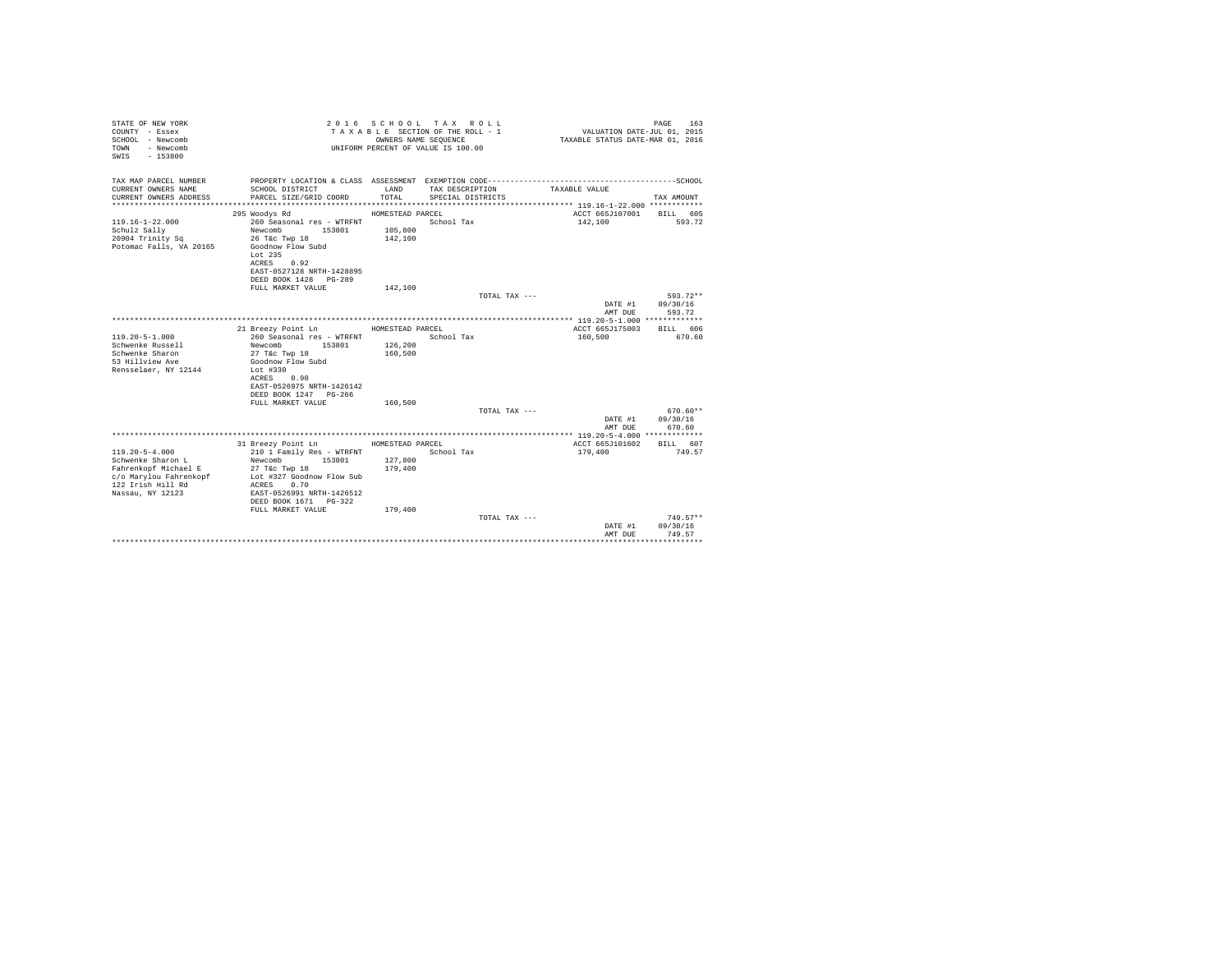| STATE OF NEW YORK<br>COUNTY - Essex<br>SCHOOL - Newcomb<br>- Newcomb<br>TOWN<br>$-153800$<br>SWIS |                                               |                  | 2016 SCHOOL TAX ROLL<br>TAXABLE SECTION OF THE ROLL - 1<br>OWNERS NAME SEOUENCE<br>UNIFORM PERCENT OF VALUE IS 100.00 | VALUATION DATE-JUL 01, 2015<br>TAXABLE STATUS DATE-MAR 01, 2016 | PAGE<br>163                    |
|---------------------------------------------------------------------------------------------------|-----------------------------------------------|------------------|-----------------------------------------------------------------------------------------------------------------------|-----------------------------------------------------------------|--------------------------------|
| TAX MAP PARCEL NUMBER<br>CURRENT OWNERS NAME                                                      | SCHOOL DISTRICT                               | LAND             | TAX DESCRIPTION                                                                                                       | TAXABLE VALUE                                                   |                                |
| CURRENT OWNERS ADDRESS                                                                            | PARCEL SIZE/GRID COORD                        | TOTAL            | SPECIAL DISTRICTS                                                                                                     |                                                                 | TAX AMOUNT                     |
|                                                                                                   |                                               |                  |                                                                                                                       |                                                                 |                                |
|                                                                                                   | 295 Woodys Rd                                 | HOMESTEAD PARCEL |                                                                                                                       | ACCT 665J107001 BILL 605                                        |                                |
| $119.16 - 1 - 22.000$                                                                             | 260 Seasonal res - WTRFNT                     |                  | School Tax                                                                                                            | 142,100                                                         | 593.72                         |
| Schulz Sally                                                                                      | Newcomb<br>153801                             | 105,800          |                                                                                                                       |                                                                 |                                |
| 20904 Trinity Sq<br>Potomac Falls, VA 20165                                                       | 26 T&c Twp 18<br>Goodnow Flow Subd<br>Lot 235 | 142,100          |                                                                                                                       |                                                                 |                                |
|                                                                                                   | ACRES 0.92<br>EAST-0527128 NRTH-1428895       |                  |                                                                                                                       |                                                                 |                                |
|                                                                                                   | DEED BOOK 1428 PG-289                         |                  |                                                                                                                       |                                                                 |                                |
|                                                                                                   | FULL MARKET VALUE                             | 142,100          |                                                                                                                       |                                                                 |                                |
|                                                                                                   |                                               |                  | TOTAL TAX ---                                                                                                         | DATE #1<br>AMT DUE                                              | 593.72**<br>09/30/16<br>593.72 |
|                                                                                                   |                                               |                  |                                                                                                                       |                                                                 |                                |
|                                                                                                   | 21 Breezy Point Ln                            | HOMESTEAD PARCEL |                                                                                                                       | ACCT 665J175003                                                 | BILL 606                       |
| $119.20 - 5 - 1.000$                                                                              | 260 Seasonal res - WTRFNT                     |                  | School Tax                                                                                                            | 160,500                                                         | 670.60                         |
| Schwenke Russell                                                                                  | 153801<br>Newcomb                             | 126,200          |                                                                                                                       |                                                                 |                                |
| Schwenke Sharon                                                                                   | 27 T&c Twp 18                                 | 160,500          |                                                                                                                       |                                                                 |                                |
| 53 Hillview Ave<br>Rensselaer, NY 12144                                                           | Goodnow Flow Subd<br>Lot $#330$               |                  |                                                                                                                       |                                                                 |                                |
|                                                                                                   | ACRES 0.90                                    |                  |                                                                                                                       |                                                                 |                                |
|                                                                                                   | EAST-0526975 NRTH-1426142                     |                  |                                                                                                                       |                                                                 |                                |
|                                                                                                   | DEED BOOK 1247 PG-266                         |                  |                                                                                                                       |                                                                 |                                |
|                                                                                                   | FULL MARKET VALUE                             | 160,500          |                                                                                                                       |                                                                 |                                |
|                                                                                                   |                                               |                  | TOTAL TAX ---                                                                                                         |                                                                 | $670.60**$                     |
|                                                                                                   |                                               |                  |                                                                                                                       | AMT DUE                                                         | DATE #1 09/30/16<br>670.60     |
|                                                                                                   |                                               |                  |                                                                                                                       |                                                                 |                                |
|                                                                                                   | 31 Breezy Point Ln                            | HOMESTEAD PARCEL |                                                                                                                       | ACCT 665J101602                                                 | BILL 607                       |
| $119.20 - 5 - 4.000$                                                                              | 210 1 Family Res - WTRFNT                     |                  | School Tax                                                                                                            | 179,400                                                         | 749.57                         |
| Schwenke Sharon L                                                                                 | Newcomb<br>153801                             | 127,800          |                                                                                                                       |                                                                 |                                |
| Fahrenkopf Michael E<br>c/o Marylou Fahrenkopf                                                    | 27 T&c Twp 18<br>Lot #327 Goodnow Flow Sub    | 179,400          |                                                                                                                       |                                                                 |                                |
| 122 Irish Hill Rd                                                                                 | ACRES 0.70                                    |                  |                                                                                                                       |                                                                 |                                |
| Nassau, NY 12123                                                                                  | EAST-0526991 NRTH-1426512                     |                  |                                                                                                                       |                                                                 |                                |
|                                                                                                   | DEED BOOK 1671 PG-322                         |                  |                                                                                                                       |                                                                 |                                |
|                                                                                                   | FULL MARKET VALUE                             | 179,400          |                                                                                                                       |                                                                 |                                |
|                                                                                                   |                                               |                  | TOTAL TAX ---                                                                                                         |                                                                 | $749.57**$                     |
|                                                                                                   |                                               |                  |                                                                                                                       | DATE #1<br>AMT DUE                                              | 09/30/16<br>749.57             |
|                                                                                                   |                                               |                  |                                                                                                                       |                                                                 | ***********                    |
|                                                                                                   |                                               |                  |                                                                                                                       |                                                                 |                                |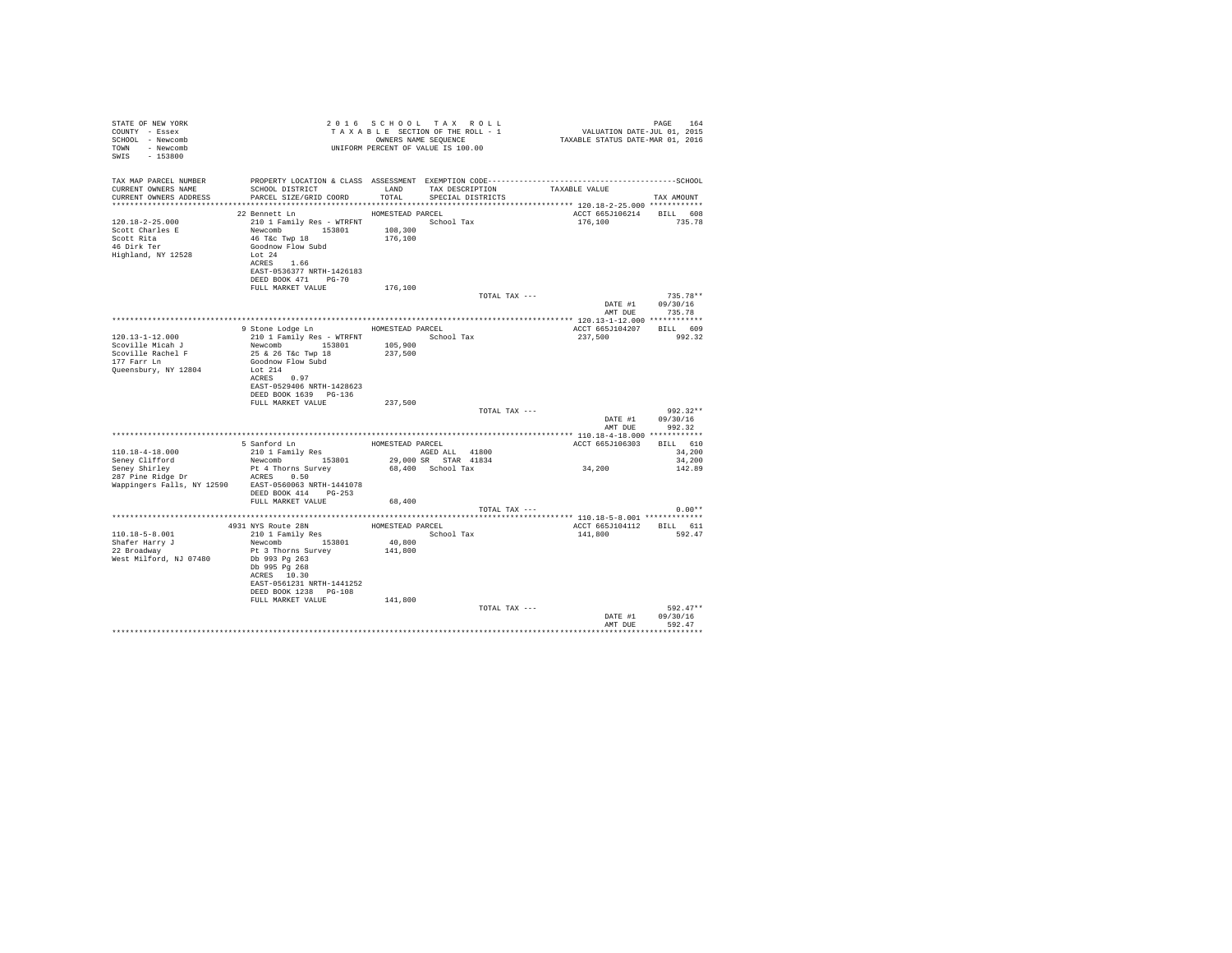| TAX MAP PARCEL NUMBER<br>SCHOOL DISTRICT                    LAND       TAX DESCRIPTION                  TAXABLE VALUE<br>CURRENT OWNERS NAME<br>CURRENT OWNERS ADDRESS PARCEL SIZE/GRID COORD TOTAL SPECIAL DISTRICTS<br>TAX AMOUNT<br>22 Bennett Ln MOMESTEAD PARCEL<br>ACCT 665J106214 BILL 608<br>2010 1 Family Res - WTRFNT<br>Newcomb 153801 108,300<br>Newcomb 153801 108,300<br>46 T4c Twp 18 176,100<br>Goodnow Flow Subd 176,100<br>Lot 24<br>120.18-2-25.000<br>176,100<br>735.78<br>Scott Charles E<br>Scott Rita<br>46 Dirk Ter<br>Highland, NY 12528<br>ACRES 1.66<br>EAST-0536377 NRTH-1426183<br>DEED BOOK 471 PG-70<br>FULL MARKET VALUE<br>176,100<br>$735.78**$<br>TOTAL TAX ---<br>DATE #1 09/30/16<br>AMT DUE 735.78<br>9 Stone Lodge Ln MOMESTEAD PARCEL<br>ACCT 665J104207 BILL 609<br>210 1 Family Res - WTRFNT School Tax<br>$120.13 - 1 - 12.000$<br>237,500 992.32<br>Newcomb 153801 105,900<br>25 & 26 T&c Twp 18 237,500<br>Scoville Micah J<br>Scoville Rachel F<br>177 Farr Ln<br>Goodnow Flow Subd<br>Queensbury, NY 12804<br>Lot 214<br>ACRES 0.97<br>EAST-0529406 NRTH-1428623<br>DEED BOOK 1639 PG-136<br>FULL MARKET VALUE<br>237,500<br>TOTAL TAX ---<br>$992.32**$<br>DATE #1 09/30/16<br>AMT DUE<br>992.32<br>ACCT 6655106303<br>BILL 610<br>34,200<br>34,200<br>34,200<br>142.89<br>Wappingers Falls, NY 12590 EAST-0560063 NRTH-1441078<br>DEED BOOK 414 PG-253<br>FULL MARKET VALUE 68,400<br>TOTAL TAX ---<br>$0.00**$<br>4931 NYS Route 28N HOMESTEAD PARCEL<br>210 1 Family Res Schoo<br>ACCT 665J104112 BILL 611<br>$110.18 - 5 - 8.001$<br>141,800<br>School Tax<br>592.47<br>Newcomb 153801 40,800<br>Shafer Harry J<br>22 Broadway<br>Pt 3 Thorns Survey<br>141,800<br>West Milford, NJ 07480<br>Db 993 Pg 263<br>Db 995 Pa 268<br>ACRES 10.30<br>EAST-0561231 NRTH-1441252<br>DEED BOOK 1238 PG-108<br>FULL MARKET VALUE<br>141,800<br>$592.47**$<br>TOTAL TAX ---<br>DATE #1<br>09/30/16<br>AMT DUE<br>592.47 | STATE OF NEW YORK<br>COUNTY - Essex<br>SCHOOL - Newcomb<br>TOWN - Newcomb<br>SWIS - 153800 |  | 2016 SCHOOL TAX ROLL<br>UNIFORM PERCENT OF VALUE IS 100.00 | PAGE 164<br>VALUATION DATE-JUL 01, 2015<br>TAXABLE STATUS DATE-MAR 01, 2016 | PAGE 164 |
|-----------------------------------------------------------------------------------------------------------------------------------------------------------------------------------------------------------------------------------------------------------------------------------------------------------------------------------------------------------------------------------------------------------------------------------------------------------------------------------------------------------------------------------------------------------------------------------------------------------------------------------------------------------------------------------------------------------------------------------------------------------------------------------------------------------------------------------------------------------------------------------------------------------------------------------------------------------------------------------------------------------------------------------------------------------------------------------------------------------------------------------------------------------------------------------------------------------------------------------------------------------------------------------------------------------------------------------------------------------------------------------------------------------------------------------------------------------------------------------------------------------------------------------------------------------------------------------------------------------------------------------------------------------------------------------------------------------------------------------------------------------------------------------------------------------------------------------------------------------------------------------------------------------------------------------------------------------------|--------------------------------------------------------------------------------------------|--|------------------------------------------------------------|-----------------------------------------------------------------------------|----------|
|                                                                                                                                                                                                                                                                                                                                                                                                                                                                                                                                                                                                                                                                                                                                                                                                                                                                                                                                                                                                                                                                                                                                                                                                                                                                                                                                                                                                                                                                                                                                                                                                                                                                                                                                                                                                                                                                                                                                                                 |                                                                                            |  |                                                            |                                                                             |          |
|                                                                                                                                                                                                                                                                                                                                                                                                                                                                                                                                                                                                                                                                                                                                                                                                                                                                                                                                                                                                                                                                                                                                                                                                                                                                                                                                                                                                                                                                                                                                                                                                                                                                                                                                                                                                                                                                                                                                                                 |                                                                                            |  |                                                            |                                                                             |          |
|                                                                                                                                                                                                                                                                                                                                                                                                                                                                                                                                                                                                                                                                                                                                                                                                                                                                                                                                                                                                                                                                                                                                                                                                                                                                                                                                                                                                                                                                                                                                                                                                                                                                                                                                                                                                                                                                                                                                                                 |                                                                                            |  |                                                            |                                                                             |          |
|                                                                                                                                                                                                                                                                                                                                                                                                                                                                                                                                                                                                                                                                                                                                                                                                                                                                                                                                                                                                                                                                                                                                                                                                                                                                                                                                                                                                                                                                                                                                                                                                                                                                                                                                                                                                                                                                                                                                                                 |                                                                                            |  |                                                            |                                                                             |          |
|                                                                                                                                                                                                                                                                                                                                                                                                                                                                                                                                                                                                                                                                                                                                                                                                                                                                                                                                                                                                                                                                                                                                                                                                                                                                                                                                                                                                                                                                                                                                                                                                                                                                                                                                                                                                                                                                                                                                                                 |                                                                                            |  |                                                            |                                                                             |          |
|                                                                                                                                                                                                                                                                                                                                                                                                                                                                                                                                                                                                                                                                                                                                                                                                                                                                                                                                                                                                                                                                                                                                                                                                                                                                                                                                                                                                                                                                                                                                                                                                                                                                                                                                                                                                                                                                                                                                                                 |                                                                                            |  |                                                            |                                                                             |          |
|                                                                                                                                                                                                                                                                                                                                                                                                                                                                                                                                                                                                                                                                                                                                                                                                                                                                                                                                                                                                                                                                                                                                                                                                                                                                                                                                                                                                                                                                                                                                                                                                                                                                                                                                                                                                                                                                                                                                                                 |                                                                                            |  |                                                            |                                                                             |          |
|                                                                                                                                                                                                                                                                                                                                                                                                                                                                                                                                                                                                                                                                                                                                                                                                                                                                                                                                                                                                                                                                                                                                                                                                                                                                                                                                                                                                                                                                                                                                                                                                                                                                                                                                                                                                                                                                                                                                                                 |                                                                                            |  |                                                            |                                                                             |          |
|                                                                                                                                                                                                                                                                                                                                                                                                                                                                                                                                                                                                                                                                                                                                                                                                                                                                                                                                                                                                                                                                                                                                                                                                                                                                                                                                                                                                                                                                                                                                                                                                                                                                                                                                                                                                                                                                                                                                                                 |                                                                                            |  |                                                            |                                                                             |          |
|                                                                                                                                                                                                                                                                                                                                                                                                                                                                                                                                                                                                                                                                                                                                                                                                                                                                                                                                                                                                                                                                                                                                                                                                                                                                                                                                                                                                                                                                                                                                                                                                                                                                                                                                                                                                                                                                                                                                                                 |                                                                                            |  |                                                            |                                                                             |          |
|                                                                                                                                                                                                                                                                                                                                                                                                                                                                                                                                                                                                                                                                                                                                                                                                                                                                                                                                                                                                                                                                                                                                                                                                                                                                                                                                                                                                                                                                                                                                                                                                                                                                                                                                                                                                                                                                                                                                                                 |                                                                                            |  |                                                            |                                                                             |          |
|                                                                                                                                                                                                                                                                                                                                                                                                                                                                                                                                                                                                                                                                                                                                                                                                                                                                                                                                                                                                                                                                                                                                                                                                                                                                                                                                                                                                                                                                                                                                                                                                                                                                                                                                                                                                                                                                                                                                                                 |                                                                                            |  |                                                            |                                                                             |          |
|                                                                                                                                                                                                                                                                                                                                                                                                                                                                                                                                                                                                                                                                                                                                                                                                                                                                                                                                                                                                                                                                                                                                                                                                                                                                                                                                                                                                                                                                                                                                                                                                                                                                                                                                                                                                                                                                                                                                                                 |                                                                                            |  |                                                            |                                                                             |          |
|                                                                                                                                                                                                                                                                                                                                                                                                                                                                                                                                                                                                                                                                                                                                                                                                                                                                                                                                                                                                                                                                                                                                                                                                                                                                                                                                                                                                                                                                                                                                                                                                                                                                                                                                                                                                                                                                                                                                                                 |                                                                                            |  |                                                            |                                                                             |          |
|                                                                                                                                                                                                                                                                                                                                                                                                                                                                                                                                                                                                                                                                                                                                                                                                                                                                                                                                                                                                                                                                                                                                                                                                                                                                                                                                                                                                                                                                                                                                                                                                                                                                                                                                                                                                                                                                                                                                                                 |                                                                                            |  |                                                            |                                                                             |          |
|                                                                                                                                                                                                                                                                                                                                                                                                                                                                                                                                                                                                                                                                                                                                                                                                                                                                                                                                                                                                                                                                                                                                                                                                                                                                                                                                                                                                                                                                                                                                                                                                                                                                                                                                                                                                                                                                                                                                                                 |                                                                                            |  |                                                            |                                                                             |          |
|                                                                                                                                                                                                                                                                                                                                                                                                                                                                                                                                                                                                                                                                                                                                                                                                                                                                                                                                                                                                                                                                                                                                                                                                                                                                                                                                                                                                                                                                                                                                                                                                                                                                                                                                                                                                                                                                                                                                                                 |                                                                                            |  |                                                            |                                                                             |          |
|                                                                                                                                                                                                                                                                                                                                                                                                                                                                                                                                                                                                                                                                                                                                                                                                                                                                                                                                                                                                                                                                                                                                                                                                                                                                                                                                                                                                                                                                                                                                                                                                                                                                                                                                                                                                                                                                                                                                                                 |                                                                                            |  |                                                            |                                                                             |          |
|                                                                                                                                                                                                                                                                                                                                                                                                                                                                                                                                                                                                                                                                                                                                                                                                                                                                                                                                                                                                                                                                                                                                                                                                                                                                                                                                                                                                                                                                                                                                                                                                                                                                                                                                                                                                                                                                                                                                                                 |                                                                                            |  |                                                            |                                                                             |          |
|                                                                                                                                                                                                                                                                                                                                                                                                                                                                                                                                                                                                                                                                                                                                                                                                                                                                                                                                                                                                                                                                                                                                                                                                                                                                                                                                                                                                                                                                                                                                                                                                                                                                                                                                                                                                                                                                                                                                                                 |                                                                                            |  |                                                            |                                                                             |          |
|                                                                                                                                                                                                                                                                                                                                                                                                                                                                                                                                                                                                                                                                                                                                                                                                                                                                                                                                                                                                                                                                                                                                                                                                                                                                                                                                                                                                                                                                                                                                                                                                                                                                                                                                                                                                                                                                                                                                                                 |                                                                                            |  |                                                            |                                                                             |          |
|                                                                                                                                                                                                                                                                                                                                                                                                                                                                                                                                                                                                                                                                                                                                                                                                                                                                                                                                                                                                                                                                                                                                                                                                                                                                                                                                                                                                                                                                                                                                                                                                                                                                                                                                                                                                                                                                                                                                                                 |                                                                                            |  |                                                            |                                                                             |          |
|                                                                                                                                                                                                                                                                                                                                                                                                                                                                                                                                                                                                                                                                                                                                                                                                                                                                                                                                                                                                                                                                                                                                                                                                                                                                                                                                                                                                                                                                                                                                                                                                                                                                                                                                                                                                                                                                                                                                                                 |                                                                                            |  |                                                            |                                                                             |          |
|                                                                                                                                                                                                                                                                                                                                                                                                                                                                                                                                                                                                                                                                                                                                                                                                                                                                                                                                                                                                                                                                                                                                                                                                                                                                                                                                                                                                                                                                                                                                                                                                                                                                                                                                                                                                                                                                                                                                                                 |                                                                                            |  |                                                            |                                                                             |          |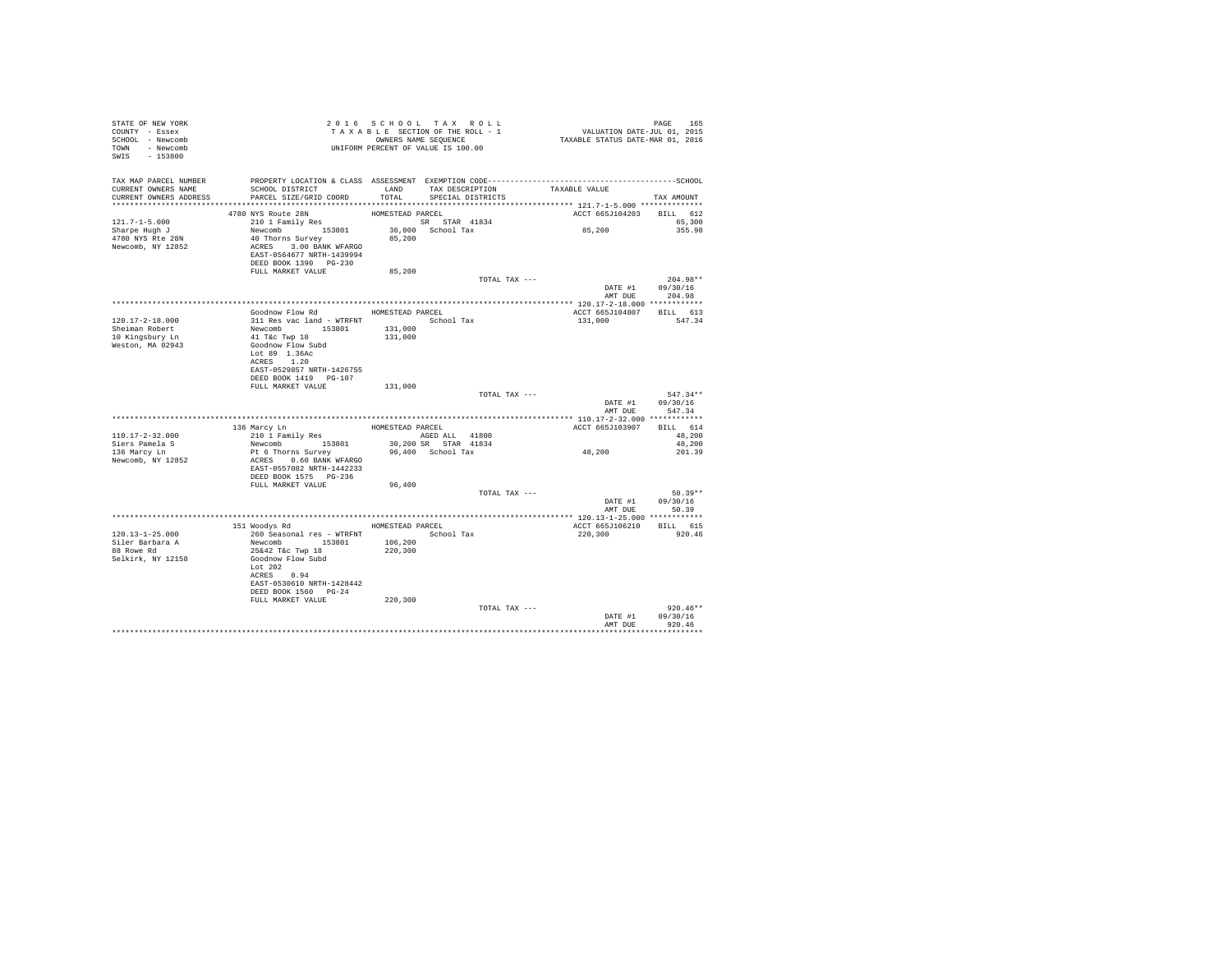| STATE OF NEW YORK<br>COUNTY - Essex<br>SCHOOL - Newcomb<br>TOWN - Newcomb<br>SWIS - 153800 | TAXABLE SEQUENCE<br>OWNERS NAME SEQUENCE<br>UNIFORM PERCENT OF VALUE IS 100.00                                                                                       |                    | 2016 SCHOOL TAX ROLL<br>TAXABLE SECTION OF THE ROLL - 1<br>OWNERS NAME SEQUENCE | PAGE 165<br>VALUATION DATE-JUL 01, 2015<br>TAXABLE STATUS DATE-MAR 01, 2016 |                                  |
|--------------------------------------------------------------------------------------------|----------------------------------------------------------------------------------------------------------------------------------------------------------------------|--------------------|---------------------------------------------------------------------------------|-----------------------------------------------------------------------------|----------------------------------|
| TAX MAP PARCEL NUMBER<br>CURRENT OWNERS NAME<br>CURRENT OWNERS ADDRESS                     | PROPERTY LOCATION & CLASS ASSESSMENT EXEMPTION CODE-----------------------------------SCHOOL<br>SCHOOL DISTRICT<br>PARCEL SIZE/GRID COORD                            | LAND<br>TOTAL      | TAX DESCRIPTION<br>SPECIAL DISTRICTS                                            | TAXABLE VALUE                                                               | TAX AMOUNT                       |
|                                                                                            | 4780 NYS Route 28N                                                                                                                                                   | HOMESTEAD PARCEL   |                                                                                 | ACCT 665J104203 BILL 612                                                    |                                  |
| $121.7 - 1 - 5.000$<br>Sharpe Hugh J<br>4780 NYS Rte 28N<br>Newcomb, NY 12852              | 210 1 Family Res<br>Newcomb 153801<br>40 Thorns Survey<br>ACRES 3.00 BANK WFARGO<br>EAST-0564677 NRTH-1439994<br>DEED BOOK 1390 PG-230                               | 85,200             | SR STAR 41834<br>36,000 School Tax                                              | and the state of the<br>85,200                                              | 65,300<br>355.98                 |
|                                                                                            | FULL MARKET VALUE                                                                                                                                                    | 85,200             |                                                                                 |                                                                             |                                  |
|                                                                                            |                                                                                                                                                                      |                    | TOTAL TAX ---                                                                   | DATE #1 09/30/16                                                            | $204.98**$<br>AMT DUE 204.98     |
|                                                                                            |                                                                                                                                                                      |                    |                                                                                 |                                                                             |                                  |
| 120.17-2-18.000<br>Sheiman Robert                                                          | Goodnow Flow Rd MOMESTEAD PARCEL<br>HOMESTEAD PARCEL 311 Res vac land - WTRFNT 301 Res vac land - WTRFNT 5chool Tax<br>Newcomb 153801 131,000 131 Tac Twp 18 131.000 |                    |                                                                                 | ACCT 665J104807 BILL 613<br>131,000                                         | 547.34                           |
| 10 Kingsbury Ln<br>Weston, MA 02943                                                        | Goodnow Flow Subd<br>Lot 89 1.36Ac<br>ACRES 1.20<br>EAST-0529857 NRTH-1426755<br>DEED BOOK 1419    PG-107<br>FULL MARKET VALUE                                       | 131,000            |                                                                                 |                                                                             |                                  |
|                                                                                            |                                                                                                                                                                      |                    | TOTAL TAX ---                                                                   | DATE #1                                                                     | $547.34**$<br>09/30/16           |
|                                                                                            |                                                                                                                                                                      |                    |                                                                                 | AMT DUE                                                                     | 547.34                           |
|                                                                                            |                                                                                                                                                                      | HOMESTEAD PARCEL   |                                                                                 | ACCT 665J103907                                                             | BILL 614                         |
| $110.17 - 2 - 32.000$                                                                      | 136 Marcy Ln<br>210 1 Family Res                                                                                                                                     |                    | AGED ALL 41800                                                                  |                                                                             | 48,200                           |
| Siers Pamela S<br>136 Marcy Ln                                                             | Newcomb 153801<br>Pt 6 Thorns Survey                                                                                                                                 |                    | 30,200 SR STAR 41834<br>96,400 School Tax                                       | 48,200                                                                      | 48,200<br>201.39                 |
| Newcomb, NY 12852                                                                          | ACRES 0.60 BANK WFARGO<br>EAST-0557082 NRTH-1442233<br>DEED BOOK 1575 PG-236                                                                                         |                    |                                                                                 |                                                                             |                                  |
|                                                                                            | FULL MARKET VALUE                                                                                                                                                    | 96,400             | TOTAL TAX ---                                                                   |                                                                             | $50.39**$                        |
|                                                                                            |                                                                                                                                                                      |                    |                                                                                 | DATE #1<br>AMT DUE                                                          | 09/30/16<br>50.39                |
|                                                                                            |                                                                                                                                                                      |                    |                                                                                 |                                                                             |                                  |
|                                                                                            | 151 Woodys Rd MOMESTEAD PARCEL                                                                                                                                       |                    |                                                                                 | ACCT 665J106210 BILL 615                                                    |                                  |
| $120.13 - 1 - 25.000$<br>Siler Barbara A<br>88 Rowe Rd<br>Selkirk, NY 12158                | 260 Seasonal res - WTRFNT<br>Newcomb<br>25&42 T&c Twp 18<br>3601<br>Goodnow Flow Subd<br>Lot 202<br>ACRES 0.94<br>EAST-0530610 NRTH-1428442<br>DEED BOOK 1560 PG-24  | 106,200<br>220,300 | School Tax                                                                      | 220,300                                                                     | 920.46                           |
|                                                                                            | FULL MARKET VALUE                                                                                                                                                    | 220,300            |                                                                                 |                                                                             |                                  |
|                                                                                            |                                                                                                                                                                      |                    | TOTAL TAX ---                                                                   | DATE #1<br>AMT DUE                                                          | $920.46**$<br>09/30/16<br>920.46 |
|                                                                                            |                                                                                                                                                                      |                    |                                                                                 |                                                                             |                                  |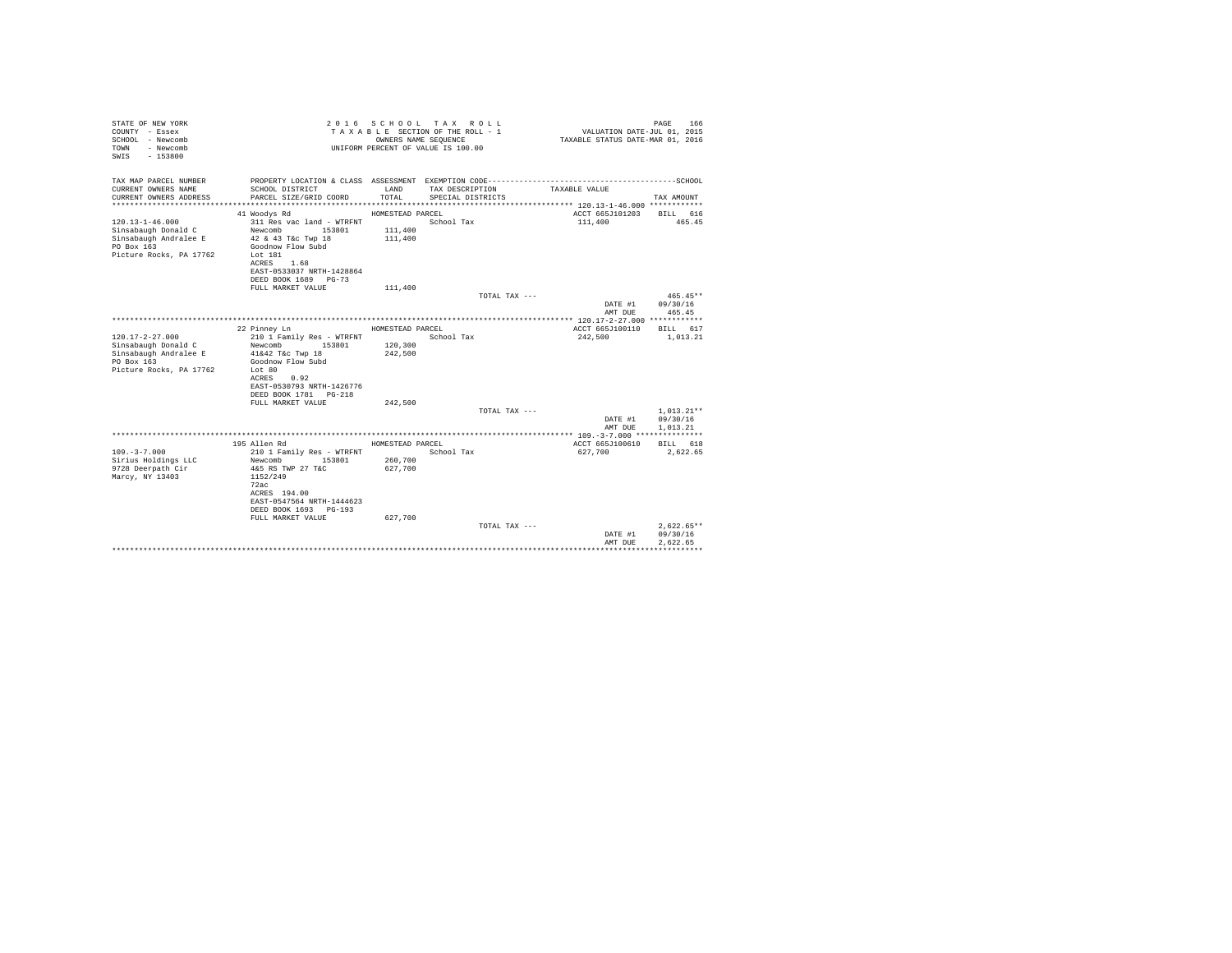| STATE OF NEW YORK<br>COUNTY - Essex<br>SCHOOL - Newcomb<br>- Newcomb<br>TOWN<br>$-153800$<br>SWIS |                                                                                              |                                        | 2016 SCHOOL TAX ROLL<br>TAXABLE SECTION OF THE ROLL - 1<br>OWNERS NAME SEQUENCE<br>UNIFORM PERCENT OF VALUE IS 100.00 | VALUATION DATE-JUL 01, 2015<br>TAXABLE STATUS DATE-MAR 01, 2016 | 166<br>PAGE            |
|---------------------------------------------------------------------------------------------------|----------------------------------------------------------------------------------------------|----------------------------------------|-----------------------------------------------------------------------------------------------------------------------|-----------------------------------------------------------------|------------------------|
| TAX MAP PARCEL NUMBER                                                                             | PROPERTY LOCATION & CLASS ASSESSMENT EXEMPTION CODE-----------------------------------SCHOOL |                                        |                                                                                                                       |                                                                 |                        |
| CURRENT OWNERS NAME<br>CURRENT OWNERS ADDRESS                                                     | SCHOOL DISTRICT<br>PARCEL SIZE/GRID COORD                                                    | LAND<br>TOTAL                          | TAX DESCRIPTION<br>SPECIAL DISTRICTS                                                                                  | TAXABLE VALUE                                                   | TAX AMOUNT             |
|                                                                                                   |                                                                                              |                                        |                                                                                                                       |                                                                 |                        |
| $120.13 - 1 - 46.000$<br>Sinsabaugh Donald C<br>Sinsabaugh Andralee E                             | 41 Woodys Rd<br>311 Res vac land - WTRFNT<br>Newcomb<br>153801<br>42 & 43 T&c Twp 18         | HOMESTEAD PARCEL<br>111,400<br>111,400 | School Tax                                                                                                            | ACCT 665J101203<br>111,400                                      | BILL 616<br>465.45     |
| PO Box 163<br>Picture Rocks, PA 17762                                                             | Goodnow Flow Subd<br>Lot 181<br>1.68<br>ACRES                                                |                                        |                                                                                                                       |                                                                 |                        |
|                                                                                                   | EAST-0533037 NRTH-1428864<br>DEED BOOK 1689 PG-73                                            |                                        |                                                                                                                       |                                                                 |                        |
|                                                                                                   | FULL MARKET VALUE                                                                            | 111,400                                |                                                                                                                       |                                                                 |                        |
|                                                                                                   |                                                                                              |                                        | TOTAL TAX ---                                                                                                         | DATE #1                                                         | $465.45**$<br>09/30/16 |
|                                                                                                   |                                                                                              |                                        |                                                                                                                       | AMT DUE                                                         | 465.45                 |
|                                                                                                   |                                                                                              |                                        |                                                                                                                       |                                                                 |                        |
|                                                                                                   | 22 Pinney Ln                                                                                 | HOMESTEAD PARCEL                       |                                                                                                                       | ACCT 665J100110                                                 | BILL 617               |
| $120.17 - 2 - 27.000$<br>Sinsabaugh Donald C                                                      | 210 1 Family Res - WTRFNT<br>Newcomb<br>153801                                               | 120,300                                | School Tax                                                                                                            | 242,500                                                         | 1,013.21               |
| Sinsabaugh Andralee E                                                                             | 41&42 T&c Twp 18                                                                             | 242.500                                |                                                                                                                       |                                                                 |                        |
| PO Box 163                                                                                        | Goodnow Flow Subd                                                                            |                                        |                                                                                                                       |                                                                 |                        |
| Picture Rocks, PA 17762                                                                           | Lot 80                                                                                       |                                        |                                                                                                                       |                                                                 |                        |
|                                                                                                   | ACRES<br>0.92                                                                                |                                        |                                                                                                                       |                                                                 |                        |
|                                                                                                   | EAST-0530793 NRTH-1426776                                                                    |                                        |                                                                                                                       |                                                                 |                        |
|                                                                                                   | DEED BOOK 1781   PG-218                                                                      |                                        |                                                                                                                       |                                                                 |                        |
|                                                                                                   | FULL MARKET VALUE                                                                            | 242.500                                |                                                                                                                       |                                                                 |                        |
|                                                                                                   |                                                                                              |                                        | TOTAL TAX ---                                                                                                         |                                                                 | $1.013.21**$           |
|                                                                                                   |                                                                                              |                                        |                                                                                                                       | DATE #1                                                         | 09/30/16<br>1,013.21   |
|                                                                                                   |                                                                                              |                                        |                                                                                                                       | AMT DUE                                                         |                        |
|                                                                                                   | 195 Allen Rd                                                                                 | HOMESTEAD PARCEL                       |                                                                                                                       | ACCT 665J100610                                                 | BILL 618               |
| $109. - 3 - 7.000$                                                                                | 210 1 Family Res - WTRFNT                                                                    |                                        | School Tax                                                                                                            | 627,700                                                         | 2,622.65               |
| Sirius Holdings LLC                                                                               | Newcomb<br>153801                                                                            | 260,700                                |                                                                                                                       |                                                                 |                        |
| 9728 Deerpath Cir                                                                                 | 4&5 RS TWP 27 T&C                                                                            | 627.700                                |                                                                                                                       |                                                                 |                        |
| Marcy, NY 13403                                                                                   | 1152/249                                                                                     |                                        |                                                                                                                       |                                                                 |                        |
|                                                                                                   | 72ac                                                                                         |                                        |                                                                                                                       |                                                                 |                        |
|                                                                                                   | ACRES 194.00                                                                                 |                                        |                                                                                                                       |                                                                 |                        |
|                                                                                                   | EAST-0547564 NRTH-1444623                                                                    |                                        |                                                                                                                       |                                                                 |                        |
|                                                                                                   | DEED BOOK 1693 PG-193                                                                        |                                        |                                                                                                                       |                                                                 |                        |
|                                                                                                   | FULL MARKET VALUE                                                                            | 627,700                                |                                                                                                                       |                                                                 |                        |
|                                                                                                   |                                                                                              |                                        | TOTAL TAX ---                                                                                                         |                                                                 | $2.622.65**$           |
|                                                                                                   |                                                                                              |                                        |                                                                                                                       | DATE #1                                                         | 09/30/16               |
|                                                                                                   |                                                                                              |                                        |                                                                                                                       | AMT DUE                                                         | 2.622.65               |
|                                                                                                   |                                                                                              |                                        |                                                                                                                       |                                                                 |                        |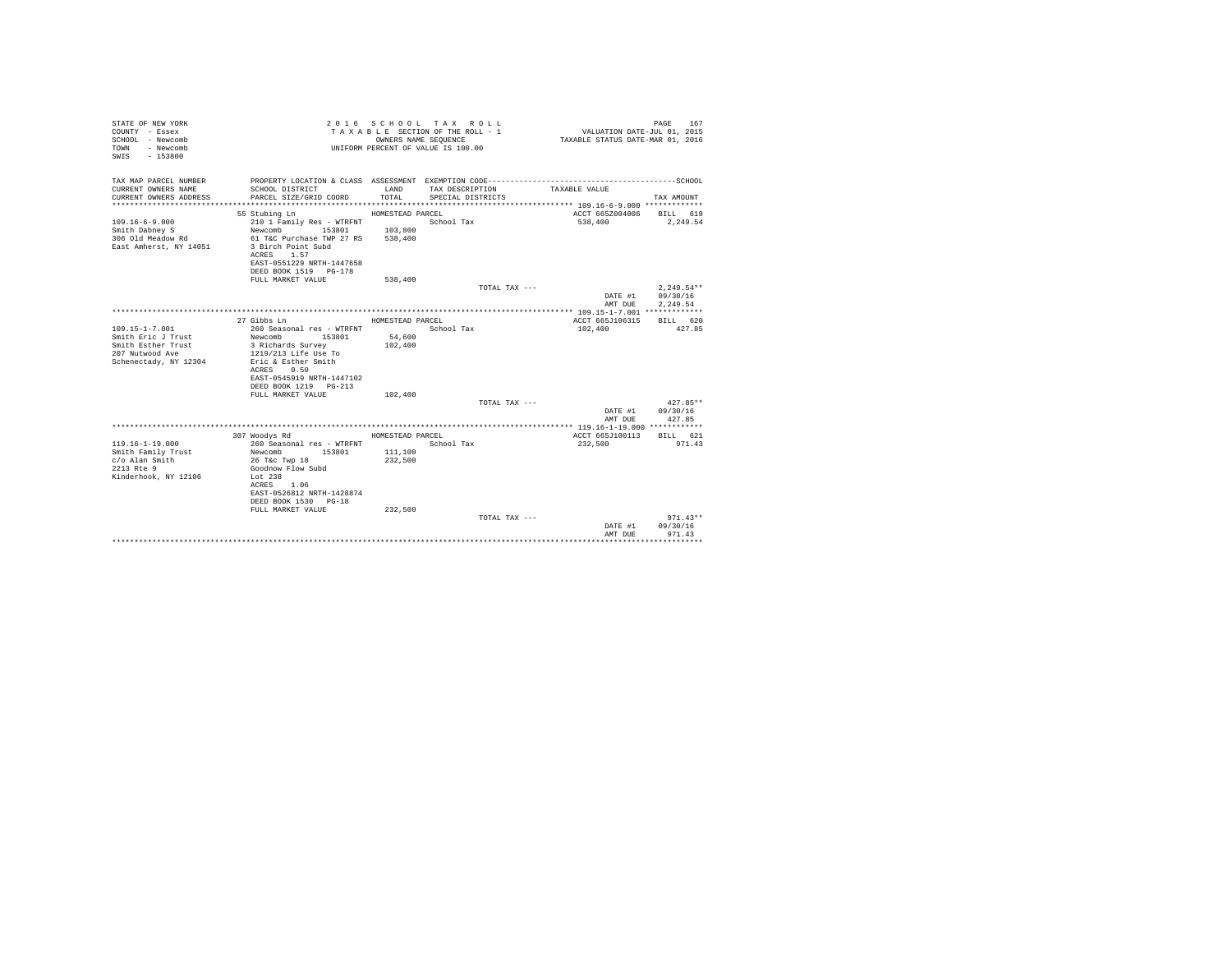| STATE OF NEW YORK<br>COUNTY - Essex<br>SCHOOL - Newcomb<br>- Newcomb<br>TOWN<br>$-153800$<br>SWIS |                                                               | OWNERS NAME SEOUENCE | 2016 SCHOOL TAX ROLL<br>TAXABLE SECTION OF THE ROLL - 1<br>UNIFORM PERCENT OF VALUE IS 100.00 | VALUATION DATE-JUL 01, 2015<br>TAXABLE STATUS DATE-MAR 01, 2016 | PAGE<br>167          |
|---------------------------------------------------------------------------------------------------|---------------------------------------------------------------|----------------------|-----------------------------------------------------------------------------------------------|-----------------------------------------------------------------|----------------------|
| TAX MAP PARCEL NUMBER<br>CURRENT OWNERS NAME                                                      | SCHOOL DISTRICT                                               | LAND                 | TAX DESCRIPTION                                                                               | TAXABLE VALUE                                                   |                      |
| CURRENT OWNERS ADDRESS                                                                            | PARCEL SIZE/GRID COORD                                        | TOTAL                | SPECIAL DISTRICTS                                                                             |                                                                 | TAX AMOUNT           |
|                                                                                                   |                                                               |                      |                                                                                               |                                                                 |                      |
|                                                                                                   | 55 Stubing Ln                                                 | HOMESTEAD PARCEL     |                                                                                               | ACCT 665Z004006 BILL 619                                        |                      |
| $109.16 - 6 - 9.000$                                                                              | 210 1 Family Res - WTRFNT                                     |                      | School Tax                                                                                    | 538,400                                                         | 2,249.54             |
| Smith Dabney S<br>306 Old Meadow Rd                                                               | Newcomb 153801<br>61 T&C Purchase TWP 27 RS                   | 103,800<br>538,400   |                                                                                               |                                                                 |                      |
| East Amherst, NY 14051                                                                            | 3 Birch Point Subd<br>ACRES 1.57<br>EAST-0551229 NRTH-1447658 |                      |                                                                                               |                                                                 |                      |
|                                                                                                   | DEED BOOK 1519 PG-178                                         |                      |                                                                                               |                                                                 |                      |
|                                                                                                   | FULL MARKET VALUE                                             | 538,400              | TOTAL TAX ---                                                                                 |                                                                 | $2.249.54**$         |
|                                                                                                   |                                                               |                      |                                                                                               | DATE #1<br>AMT DUE                                              | 09/30/16<br>2.249.54 |
|                                                                                                   |                                                               |                      |                                                                                               |                                                                 |                      |
|                                                                                                   | 27 Gibbs Ln                                                   | HOMESTEAD PARCEL     |                                                                                               | ACCT 665J106315                                                 | BILL 620             |
| 109.15-1-7.001                                                                                    | 260 Seasonal res - WTRFNT                                     |                      | School Tax                                                                                    | 102,400                                                         | 427.85               |
| Smith Eric J Trust<br>Smith Esther Trust                                                          | Newcomb 153801                                                | 54,600               |                                                                                               |                                                                 |                      |
| 207 Nutwood Ave                                                                                   | 3 Richards Survey<br>1219/213 Life Use To                     | 102,400              |                                                                                               |                                                                 |                      |
| Schenectady, NY 12304                                                                             | Eric & Esther Smith                                           |                      |                                                                                               |                                                                 |                      |
|                                                                                                   | ACRES 0.50                                                    |                      |                                                                                               |                                                                 |                      |
|                                                                                                   | EAST-0545919 NRTH-1447102                                     |                      |                                                                                               |                                                                 |                      |
|                                                                                                   | DEED BOOK 1219 PG-213                                         |                      |                                                                                               |                                                                 |                      |
|                                                                                                   | FULL MARKET VALUE                                             | 102,400              |                                                                                               |                                                                 |                      |
|                                                                                                   |                                                               |                      | TOTAL TAX ---                                                                                 |                                                                 | $427.85**$           |
|                                                                                                   |                                                               |                      |                                                                                               | DATE #1                                                         | 09/30/16             |
|                                                                                                   |                                                               |                      |                                                                                               | AMT DUE                                                         | 427.85               |
|                                                                                                   | 307 Woodys Rd                                                 | HOMESTEAD PARCEL     |                                                                                               | ACCT 665J100113                                                 | BILL 621             |
| $119.16 - 1 - 19.000$                                                                             | 260 Seasonal res - WTRFNT                                     |                      | School Tax                                                                                    | 232,500                                                         | 971.43               |
| Smith Family Trust                                                                                | Newcomb 153801                                                | 111,100              |                                                                                               |                                                                 |                      |
| c/o Alan Smith                                                                                    | 26 T&c Twp 18                                                 | 232,500              |                                                                                               |                                                                 |                      |
| 2213 Rte 9                                                                                        | Goodnow Flow Subd                                             |                      |                                                                                               |                                                                 |                      |
| Kinderhook, NY 12106                                                                              | Lot 238                                                       |                      |                                                                                               |                                                                 |                      |
|                                                                                                   | ACRES 1.06                                                    |                      |                                                                                               |                                                                 |                      |
|                                                                                                   | EAST-0526812 NRTH-1428874<br>DEED BOOK 1530 PG-18             |                      |                                                                                               |                                                                 |                      |
|                                                                                                   | FULL MARKET VALUE                                             | 232.500              |                                                                                               |                                                                 |                      |
|                                                                                                   |                                                               |                      | TOTAL TAX ---                                                                                 |                                                                 | $971.43**$           |
|                                                                                                   |                                                               |                      |                                                                                               | DATE #1                                                         | 09/30/16             |
|                                                                                                   |                                                               |                      |                                                                                               | AMT DUE                                                         | 971.43               |
|                                                                                                   |                                                               |                      |                                                                                               |                                                                 | ***********          |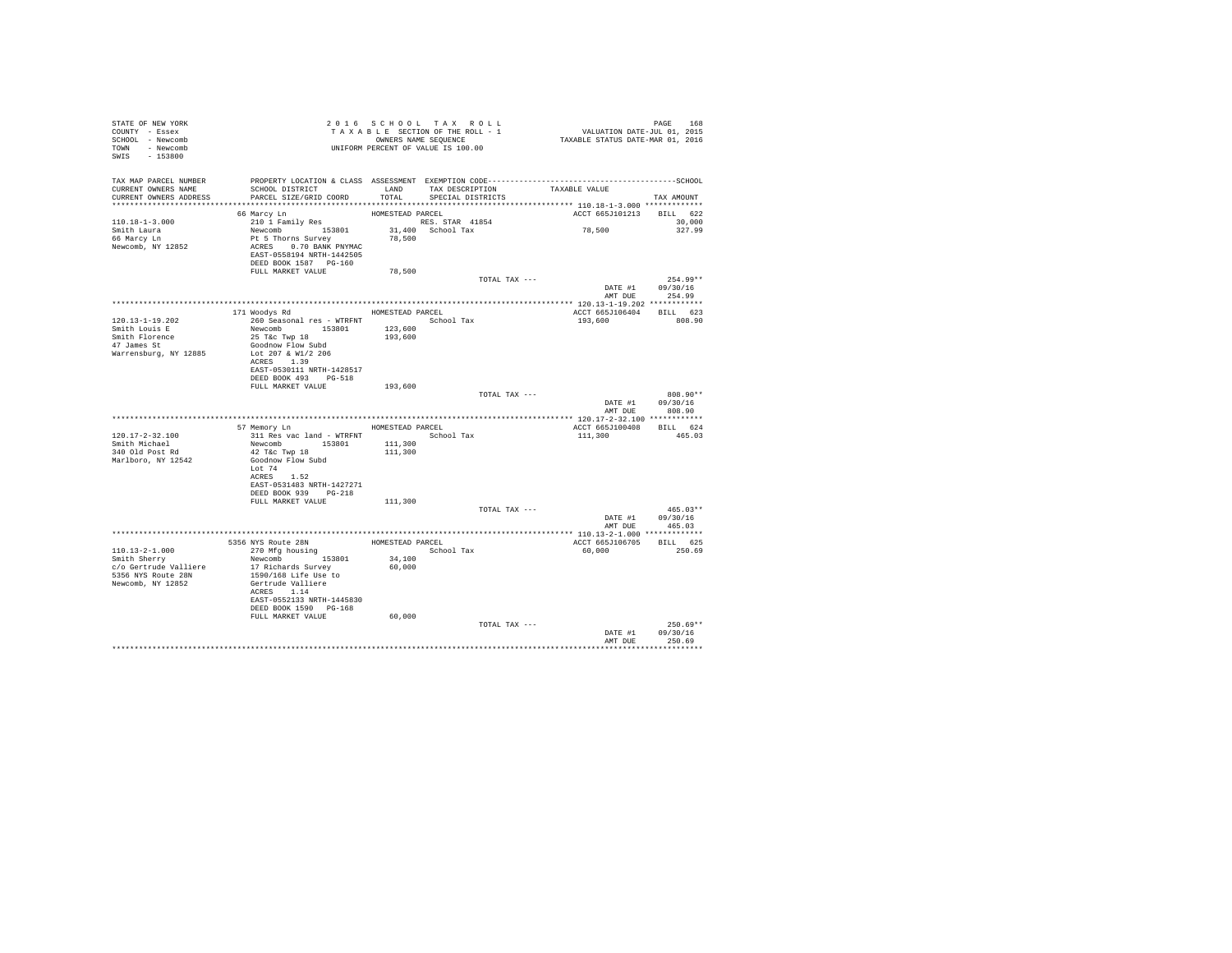| STATE OF NEW YORK             |                                                                                                                                                                                                                                                                                                                                                                  |                  |                                                               |                          |                                    |
|-------------------------------|------------------------------------------------------------------------------------------------------------------------------------------------------------------------------------------------------------------------------------------------------------------------------------------------------------------------------------------------------------------|------------------|---------------------------------------------------------------|--------------------------|------------------------------------|
| COUNTY - Essex                |                                                                                                                                                                                                                                                                                                                                                                  |                  | T A X A B L E SECTION OF THE ROLL - 1<br>OWNERS NAME SEQUENCE |                          |                                    |
| SCHOOL - Newcomb              |                                                                                                                                                                                                                                                                                                                                                                  |                  |                                                               |                          |                                    |
| TOWN - Newcomb                |                                                                                                                                                                                                                                                                                                                                                                  |                  |                                                               |                          |                                    |
| SWIS - 153800                 | - .<br>OWNERS NAME SEQUENCE<br>UNIFORM PERCENT OF VALUE IS 100.00                                                                                                                                                                                                                                                                                                |                  |                                                               |                          |                                    |
|                               |                                                                                                                                                                                                                                                                                                                                                                  |                  |                                                               |                          |                                    |
|                               |                                                                                                                                                                                                                                                                                                                                                                  |                  |                                                               |                          |                                    |
| CURRENT OWNERS NAME           | TAX MAP PARCEL NUMBER PROPERTY LOCATION & CLASS ASSESSMENT EXEMPTION CODE----------------------------------SCHOOL<br>SCHOOL DISTRICT                      LAND        TAX DESCRIPTION                TAXABLE VALUE                                                                                                                                               |                  |                                                               |                          |                                    |
| CURRENT OWNERS ADDRESS        | PARCEL SIZE/GRID COORD                                                                                                                                                                                                                                                                                                                                           | TOTAL            | SPECIAL DISTRICTS                                             |                          | TAX AMOUNT                         |
|                               |                                                                                                                                                                                                                                                                                                                                                                  |                  |                                                               |                          |                                    |
|                               | 66 Marcy Ln                                                                                                                                                                                                                                                                                                                                                      | HOMESTEAD PARCEL |                                                               | ACCT 665J101213 BILL 622 |                                    |
| 110.18-1-3.000                |                                                                                                                                                                                                                                                                                                                                                                  |                  |                                                               |                          | 30,000                             |
|                               |                                                                                                                                                                                                                                                                                                                                                                  |                  |                                                               | 78,500                   | 327.99                             |
| Smith Laura<br>66 Marcy Ln    | % MARCY LAND FRANCE RESTAND PARCEL THE STAR 41854<br>Newcomb 153801 31,400 School Tax<br>Pt 5 Thorns Survey 78,500<br>ACRES 0.70 BANK PNYMAC 78,500                                                                                                                                                                                                              |                  |                                                               |                          |                                    |
| Newcomb, NY 12852             |                                                                                                                                                                                                                                                                                                                                                                  |                  |                                                               |                          |                                    |
|                               | EAST-0558194 NRTH-1442505                                                                                                                                                                                                                                                                                                                                        |                  |                                                               |                          |                                    |
|                               | DEED BOOK 1587 PG-160                                                                                                                                                                                                                                                                                                                                            |                  |                                                               |                          |                                    |
|                               | FULL MARKET VALUE                                                                                                                                                                                                                                                                                                                                                | 78,500           |                                                               |                          |                                    |
|                               |                                                                                                                                                                                                                                                                                                                                                                  |                  | TOTAL TAX ---                                                 |                          | $254.99**$                         |
|                               |                                                                                                                                                                                                                                                                                                                                                                  |                  |                                                               |                          | DATE #1 09/30/16<br>AMT DUE 254.99 |
|                               |                                                                                                                                                                                                                                                                                                                                                                  |                  |                                                               |                          |                                    |
|                               |                                                                                                                                                                                                                                                                                                                                                                  |                  |                                                               |                          |                                    |
|                               | 171 Woodys Rd MOMESTEAD PARCEL                                                                                                                                                                                                                                                                                                                                   |                  |                                                               | ACCT 665J106404 BILL 623 |                                    |
| $120.13 - 1 - 19.202$         | 260 Seasonal res - WTRFNT School Tax                                                                                                                                                                                                                                                                                                                             |                  |                                                               | 193,600                  | 808.90                             |
| Smith Louis E                 | Newcomb 153801 123,600<br>25 T&c Twp 18 193,600                                                                                                                                                                                                                                                                                                                  |                  |                                                               |                          |                                    |
| Smith Florence<br>47 James St |                                                                                                                                                                                                                                                                                                                                                                  | 193,600          |                                                               |                          |                                    |
|                               | Goodnow Flow Subd                                                                                                                                                                                                                                                                                                                                                |                  |                                                               |                          |                                    |
| Warrensburg, NY 12885         | Lot 207 & W1/2 206                                                                                                                                                                                                                                                                                                                                               |                  |                                                               |                          |                                    |
|                               | ACRES 1.39                                                                                                                                                                                                                                                                                                                                                       |                  |                                                               |                          |                                    |
|                               | EAST-0530111 NRTH-1428517<br>DEED BOOK 493 PG-518                                                                                                                                                                                                                                                                                                                |                  |                                                               |                          |                                    |
|                               | FULL MARKET VALUE 193,600                                                                                                                                                                                                                                                                                                                                        |                  |                                                               |                          |                                    |
|                               |                                                                                                                                                                                                                                                                                                                                                                  |                  | TOTAL TAX ---                                                 |                          | 808.90**                           |
|                               |                                                                                                                                                                                                                                                                                                                                                                  |                  |                                                               |                          | DATE #1 09/30/16                   |
|                               |                                                                                                                                                                                                                                                                                                                                                                  |                  |                                                               | AMT DUE                  | 808.90                             |
|                               |                                                                                                                                                                                                                                                                                                                                                                  |                  |                                                               |                          |                                    |
|                               | 57 Memory Ln HOMESTEAD PARCEL                                                                                                                                                                                                                                                                                                                                    |                  |                                                               | ACCT 665J100408 BILL 624 |                                    |
| 120.17-2-32.100               |                                                                                                                                                                                                                                                                                                                                                                  |                  |                                                               | 111,300 465.03           |                                    |
| Smith Michael                 |                                                                                                                                                                                                                                                                                                                                                                  |                  |                                                               |                          |                                    |
| 340 Old Post Rd               | 42 T&C Twp 18                                                                                                                                                                                                                                                                                                                                                    | 111,300          |                                                               |                          |                                    |
| Marlboro, NY 12542            | Goodnow Flow Subd                                                                                                                                                                                                                                                                                                                                                |                  |                                                               |                          |                                    |
|                               | Lot 74                                                                                                                                                                                                                                                                                                                                                           |                  |                                                               |                          |                                    |
|                               | ACRES 1.52                                                                                                                                                                                                                                                                                                                                                       |                  |                                                               |                          |                                    |
|                               | EAST-0531483 NRTH-1427271                                                                                                                                                                                                                                                                                                                                        |                  |                                                               |                          |                                    |
|                               | DEED BOOK 939 PG-218                                                                                                                                                                                                                                                                                                                                             |                  |                                                               |                          |                                    |
|                               | FULL MARKET VALUE 111,300                                                                                                                                                                                                                                                                                                                                        |                  |                                                               |                          |                                    |
|                               |                                                                                                                                                                                                                                                                                                                                                                  |                  | TOTAL TAX ---                                                 |                          | $465.03**$                         |
|                               |                                                                                                                                                                                                                                                                                                                                                                  |                  |                                                               |                          | DATE #1 09/30/16                   |
|                               |                                                                                                                                                                                                                                                                                                                                                                  |                  |                                                               | AMT DUE                  | 465.03                             |
|                               |                                                                                                                                                                                                                                                                                                                                                                  |                  |                                                               |                          |                                    |
|                               |                                                                                                                                                                                                                                                                                                                                                                  |                  |                                                               | ACCT 665J106705 BILL 625 |                                    |
|                               |                                                                                                                                                                                                                                                                                                                                                                  |                  |                                                               | 60,000                   | 250.69                             |
|                               | $110.13-2-1.000$ $5356 NYS \text{ RODE}$ $110.13-2-1.000$ $5356 NYS \text{ RODE}$ $11.3-2-1.000$ $270 Mfg \text{ housing}$ $1000 \text{ Sigma}$<br>$1000 \text{ Sigma}$ $1000 \text{ Sigma}$<br>$100 \text{ Sigma}$ $100 \text{ Sigma}$<br>$100 \text{ Sigma}$ $100 \text{ Sigma}$<br>$100 \text{ Sigma}$ $100 \text{ Sigma}$<br>$100 \text{ Sigma}$ $100 \text$ |                  |                                                               |                          |                                    |
|                               |                                                                                                                                                                                                                                                                                                                                                                  |                  |                                                               |                          |                                    |
| 5356 NYS Route 28N            | Newcomb<br>17 Richards Survey<br>1590/168 Life Use to<br>Gertrude Valliere<br>200FS                                                                                                                                                                                                                                                                              |                  |                                                               |                          |                                    |
| Newcomb, NY 12852             | ACRES 1.14                                                                                                                                                                                                                                                                                                                                                       |                  |                                                               |                          |                                    |
|                               | EAST-0552133 NRTH-1445830                                                                                                                                                                                                                                                                                                                                        |                  |                                                               |                          |                                    |
|                               | DEED BOOK 1590 PG-168                                                                                                                                                                                                                                                                                                                                            |                  |                                                               |                          |                                    |
|                               | FULL MARKET VALUE                                                                                                                                                                                                                                                                                                                                                | 60,000           |                                                               |                          |                                    |
|                               |                                                                                                                                                                                                                                                                                                                                                                  |                  | TOTAL TAX ---                                                 |                          | $250.69**$                         |
|                               |                                                                                                                                                                                                                                                                                                                                                                  |                  |                                                               | DATE #1                  | 09/30/16                           |
|                               |                                                                                                                                                                                                                                                                                                                                                                  |                  |                                                               |                          | AMT DUE 250.69                     |
|                               |                                                                                                                                                                                                                                                                                                                                                                  |                  |                                                               |                          |                                    |
|                               |                                                                                                                                                                                                                                                                                                                                                                  |                  |                                                               |                          |                                    |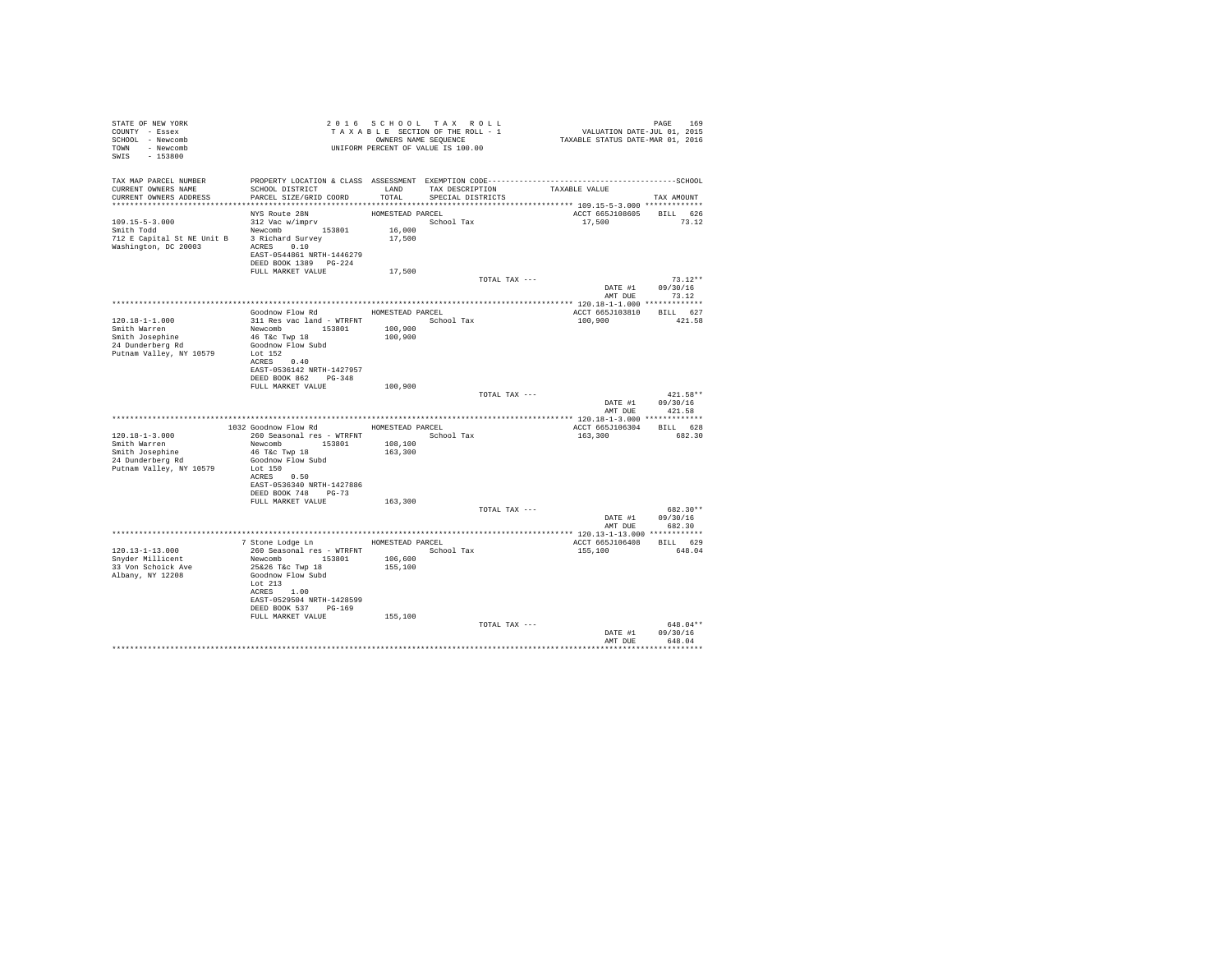| STATE OF NEW YORK                                            |                                                                                               |                  | 2016 SCHOOL TAX ROLL                                                                                      | PAGE 169<br>VALUATION DATE-JUL 01, 2015<br>TAXABLE STATUS DATE-MAR 01, 2016 |                    |
|--------------------------------------------------------------|-----------------------------------------------------------------------------------------------|------------------|-----------------------------------------------------------------------------------------------------------|-----------------------------------------------------------------------------|--------------------|
| COUNTY - Essex                                               |                                                                                               |                  |                                                                                                           |                                                                             |                    |
| SCHOOL - Newcomb                                             |                                                                                               |                  | T A X A B L E SECTION OF THE ROLL - 1<br>OWNERS NAMES NAME SEQUENCE<br>UNIFORM PERCENT OF VALUE IS 100.00 |                                                                             |                    |
| TOWN - Newcomb                                               |                                                                                               |                  |                                                                                                           |                                                                             |                    |
| SWIS - 153800                                                |                                                                                               |                  |                                                                                                           |                                                                             |                    |
|                                                              |                                                                                               |                  |                                                                                                           |                                                                             |                    |
|                                                              |                                                                                               |                  |                                                                                                           |                                                                             |                    |
| CURRENT OWNERS NAME                                          | SCHOOL DISTRICT TAND TAX DESCRIPTION                                                          |                  |                                                                                                           | TAXABLE VALUE                                                               |                    |
| CURRENT OWNERS ADDRESS                                       | PARCEL SIZE/GRID COORD                                                                        | TOTAL            | SPECIAL DISTRICTS                                                                                         |                                                                             | TAX AMOUNT         |
|                                                              |                                                                                               |                  |                                                                                                           |                                                                             |                    |
|                                                              | NYS Route 28N                                                                                 | HOMESTEAD PARCEL |                                                                                                           | ACCT 665J108605 BILL 626                                                    |                    |
|                                                              |                                                                                               |                  | School Tax                                                                                                | 17,500 73.12                                                                |                    |
|                                                              |                                                                                               | $16\,,000$       |                                                                                                           |                                                                             |                    |
| 712 E Capital St NE Unit B 3 Richard Survey                  |                                                                                               | 17,500           |                                                                                                           |                                                                             |                    |
|                                                              |                                                                                               |                  |                                                                                                           |                                                                             |                    |
| Washington, DC 20003 ACRES 0.10<br>EAST-0544861 NRTH-1446279 |                                                                                               |                  |                                                                                                           |                                                                             |                    |
|                                                              | DEED BOOK 1389 PG-224                                                                         |                  |                                                                                                           |                                                                             |                    |
|                                                              | FULL MARKET VALUE                                                                             | 17,500           |                                                                                                           |                                                                             |                    |
|                                                              |                                                                                               |                  | TOTAL TAX ---                                                                                             |                                                                             | $73.12**$          |
|                                                              |                                                                                               |                  |                                                                                                           |                                                                             | DATE #1 09/30/16   |
|                                                              |                                                                                               |                  |                                                                                                           |                                                                             | AMT DUE 73.12      |
|                                                              |                                                                                               |                  |                                                                                                           |                                                                             |                    |
|                                                              | Goodnow Flow Rd MOMESTEAD PARCEL                                                              |                  |                                                                                                           | ACCT 665J103810 BILL 627                                                    |                    |
| $120.18 - 1 - 1.000$                                         |                                                                                               |                  | School Tax                                                                                                | 100,900                                                                     | 421.58             |
| Smith Warren                                                 | 311 Res vac land - WTRFNT<br>Newcomb 153801 100,900<br>46 T&c Twp 18 100,900                  |                  |                                                                                                           |                                                                             |                    |
| Smith Josephine                                              | 46 T&C Twp 18                                                                                 |                  |                                                                                                           |                                                                             |                    |
| 24 Dunderberg Rd                                             | Goodnow Flow Subd                                                                             |                  |                                                                                                           |                                                                             |                    |
| Putnam Valley, NY 10579                                      | Lot 152                                                                                       |                  |                                                                                                           |                                                                             |                    |
|                                                              | ACRES 0.40                                                                                    |                  |                                                                                                           |                                                                             |                    |
|                                                              | EAST-0536142 NRTH-1427957                                                                     |                  |                                                                                                           |                                                                             |                    |
|                                                              | DEED BOOK 862 PG-348                                                                          |                  |                                                                                                           |                                                                             |                    |
|                                                              | FULL MARKET VALUE 100,900                                                                     |                  |                                                                                                           |                                                                             |                    |
|                                                              |                                                                                               |                  | TOTAL TAX ---                                                                                             |                                                                             | $421.58**$         |
|                                                              |                                                                                               |                  |                                                                                                           |                                                                             | DATE #1 09/30/16   |
|                                                              |                                                                                               |                  |                                                                                                           | AMT DUE                                                                     | 421.58             |
|                                                              |                                                                                               |                  |                                                                                                           |                                                                             |                    |
| $120.18 - 1 - 3.000$                                         | 1032 Goodnow Flow Rd MOMESTEAD PARCEL<br>260 Seasonal res - WTRFNT                 School Tax |                  |                                                                                                           | ACCT 665J106304 BILL 628<br>163,300                                         | 682.30             |
| Smith Warren                                                 |                                                                                               | 108,100          |                                                                                                           |                                                                             |                    |
| Smith Josephine                                              | Newcomb 153801<br>46 T&c Twp 18                                                               | 163,300          |                                                                                                           |                                                                             |                    |
| 24 Dunderberg Rd                                             | Goodnow Flow Subd                                                                             |                  |                                                                                                           |                                                                             |                    |
| Putnam Valley, NY 10579                                      | Lot 150                                                                                       |                  |                                                                                                           |                                                                             |                    |
|                                                              | ACRES 0.50                                                                                    |                  |                                                                                                           |                                                                             |                    |
|                                                              | EAST-0536340 NRTH-1427886                                                                     |                  |                                                                                                           |                                                                             |                    |
|                                                              | DEED BOOK 748 PG-73                                                                           |                  |                                                                                                           |                                                                             |                    |
|                                                              | FULL MARKET VALUE                                                                             | 163,300          |                                                                                                           |                                                                             |                    |
|                                                              |                                                                                               |                  | TOTAL TAX ---                                                                                             |                                                                             | 682.30**           |
|                                                              |                                                                                               |                  |                                                                                                           |                                                                             | DATE #1 09/30/16   |
|                                                              |                                                                                               |                  |                                                                                                           | AMT DUE                                                                     | 682.30             |
|                                                              |                                                                                               |                  |                                                                                                           |                                                                             |                    |
|                                                              | 7 Stone Lodge Ln MOMESTEAD PARCEL                                                             |                  |                                                                                                           | ACCT 665J106408 BILL 629                                                    |                    |
| 120.13-1-13.000                                              | 260 Seasonal res - WTRFNT Month School Tax                                                    |                  |                                                                                                           | 155,100                                                                     | 648.04             |
| Snyder Millicent                                             | Newcomb 153801 106,600                                                                        |                  |                                                                                                           |                                                                             |                    |
| 33 Von Schoick Ave                                           | 25&26 T&c Twp 18                                                                              | 155,100          |                                                                                                           |                                                                             |                    |
| Albany, NY 12208                                             | Goodnow Flow Subd                                                                             |                  |                                                                                                           |                                                                             |                    |
|                                                              | Lot 213                                                                                       |                  |                                                                                                           |                                                                             |                    |
|                                                              | ACRES 1.00                                                                                    |                  |                                                                                                           |                                                                             |                    |
|                                                              | EAST-0529504 NRTH-1428599                                                                     |                  |                                                                                                           |                                                                             |                    |
|                                                              | DEED BOOK 537 PG-169                                                                          |                  |                                                                                                           |                                                                             |                    |
|                                                              | FULL MARKET VALUE                                                                             | 155,100          |                                                                                                           |                                                                             |                    |
|                                                              |                                                                                               |                  | TOTAL TAX ---                                                                                             |                                                                             | 648.04**           |
|                                                              |                                                                                               |                  |                                                                                                           | DATE #1<br>AMT DUE                                                          | 09/30/16<br>648.04 |
|                                                              |                                                                                               |                  |                                                                                                           |                                                                             |                    |
|                                                              |                                                                                               |                  |                                                                                                           |                                                                             |                    |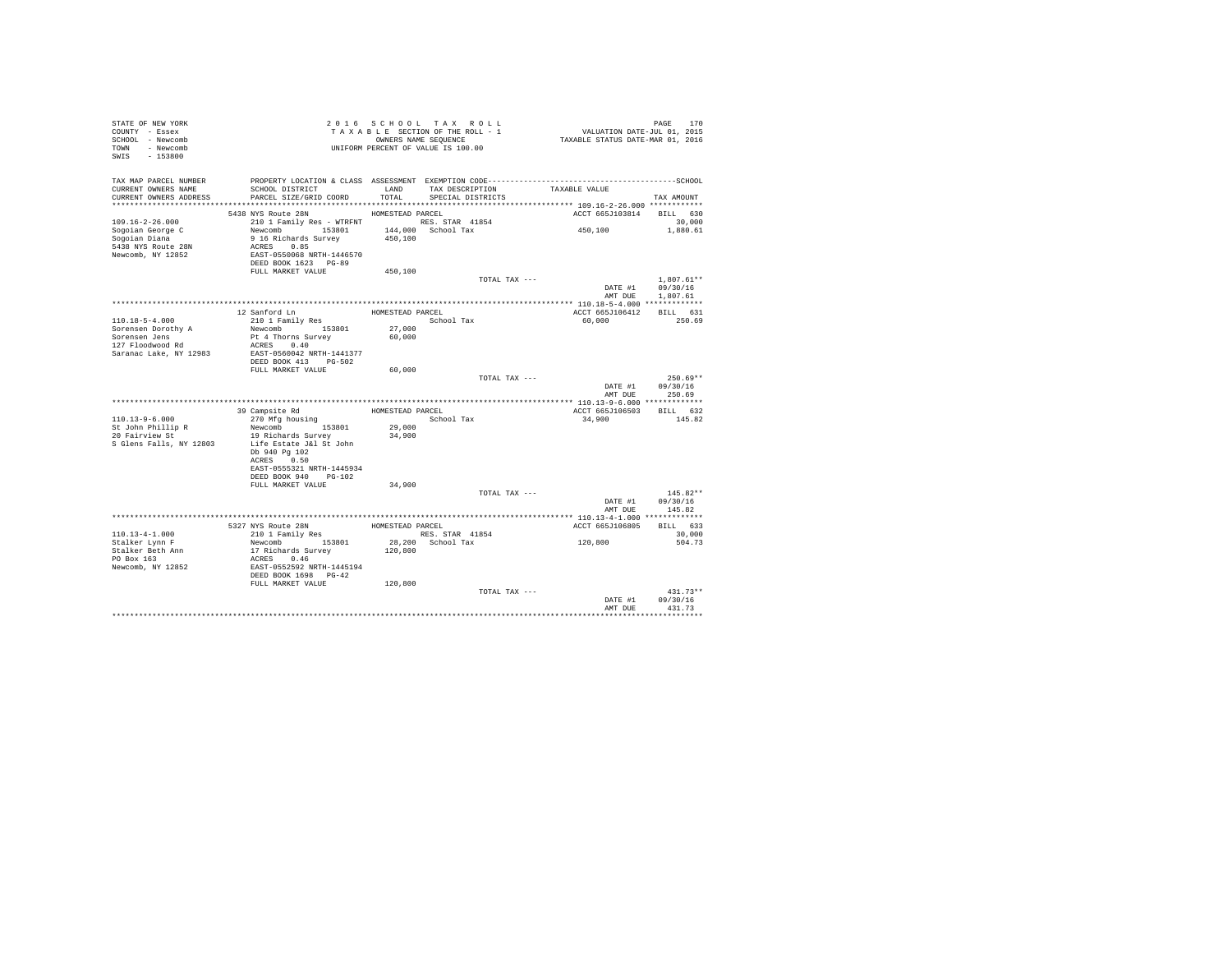| STATE OF NEW YORK<br>COUNTY - Essex<br>SCHOOL - Newcomb<br>TOWN - Newcomb<br>SWIS - 153800 | TAXABLE SECTION OF SECTION OF THE SEQUENCE UNIFORM PERCENT OF VALUE IS 100.00                |                  | TAXABLE SECTION OF THE ROLL - 1<br>OWNERS NAME SEQUENCE | PAGE 170<br>VALUATION DATE-JUL 01, 2015<br>TAXABLE STATUS DATE-MAR 01, 2016 |                            |
|--------------------------------------------------------------------------------------------|----------------------------------------------------------------------------------------------|------------------|---------------------------------------------------------|-----------------------------------------------------------------------------|----------------------------|
| TAX MAP PARCEL NUMBER                                                                      | PROPERTY LOCATION & CLASS ASSESSMENT EXEMPTION CODE-----------------------------------SCHOOL |                  |                                                         |                                                                             |                            |
| CURRENT OWNERS NAME<br>CURRENT OWNERS ADDRESS                                              | SCHOOL DISTRICT<br>PARCEL SIZE/GRID COORD                                                    | TOTAL            | LAND TAX DESCRIPTION<br>SPECIAL DISTRICTS               | TAXABLE VALUE                                                               | TAX AMOUNT                 |
|                                                                                            |                                                                                              |                  |                                                         |                                                                             |                            |
| $109.16 - 2 - 26.000$                                                                      | 5438 NYS Route 28N                                                                           | HOMESTEAD PARCEL |                                                         | ACCT 665J103814 BILL 630                                                    |                            |
|                                                                                            | 210 1 Family Res - WTRFNT RES. STAR 41854<br>Newcomb 153801 144,000 School Tax               |                  |                                                         | 450,100                                                                     | 30,000<br>1,880.61         |
| Sogoian George C<br>Sogoian Diana                                                          | 9 16 Richards Survey                                                                         | 450,100          |                                                         |                                                                             |                            |
| 5438 NYS Route 28N                                                                         | ACRES 0.85                                                                                   |                  |                                                         |                                                                             |                            |
| Newcomb, NY 12852                                                                          | EAST-0550068 NRTH-1446570                                                                    |                  |                                                         |                                                                             |                            |
|                                                                                            | DEED BOOK 1623 PG-89                                                                         |                  |                                                         |                                                                             |                            |
|                                                                                            | FULL MARKET VALUE                                                                            | 450,100          |                                                         |                                                                             |                            |
|                                                                                            |                                                                                              |                  | TOTAL TAX ---                                           |                                                                             | $1.807.61**$               |
|                                                                                            |                                                                                              |                  |                                                         | DATE #1                                                                     | 09/30/16                   |
|                                                                                            |                                                                                              |                  |                                                         |                                                                             | AMT DUE 1,807.61           |
|                                                                                            | 12 Sanford Ln                                                                                | HOMESTEAD PARCEL |                                                         | ACCT 665J106412 BILL 631                                                    |                            |
| 110.18-5-4.000                                                                             | 210 1 Family Res                                                                             |                  | School Tax                                              | 60,000                                                                      | 250.69                     |
|                                                                                            | Newcomb 153801                                                                               |                  |                                                         |                                                                             |                            |
| Sorensen Dorothy A<br>Sorensen Jens<br>127 Floodwood Rd                                    | Pt 4 Thorns Survey                                                                           | 27,000<br>60,000 |                                                         |                                                                             |                            |
|                                                                                            | ACRES 0.40                                                                                   |                  |                                                         |                                                                             |                            |
| Saranac Lake, NY 12983                                                                     | EAST-0560042 NRTH-1441377                                                                    |                  |                                                         |                                                                             |                            |
|                                                                                            | DEED BOOK 413 PG-502                                                                         |                  |                                                         |                                                                             |                            |
|                                                                                            | FULL MARKET VALUE                                                                            | 60,000           |                                                         |                                                                             | $250.69**$                 |
|                                                                                            |                                                                                              |                  | TOTAL TAX ---                                           |                                                                             | DATE #1 09/30/16           |
|                                                                                            |                                                                                              |                  |                                                         | AMT DUE                                                                     | 250.69                     |
|                                                                                            |                                                                                              |                  |                                                         |                                                                             |                            |
|                                                                                            | 39 Campsite Rd                                                                               |                  | HOMESTEAD PARCEL                                        | ACCT 665J106503                                                             | BILL 632                   |
| $110.13 - 9 - 6.000$                                                                       | 270 Mfg housing                                                                              |                  | School Tax                                              | 34,900                                                                      | 145.82                     |
| St John Phillip R<br>20 Fairview St                                                        | Newcomb 153801                                                                               | 29,000           |                                                         |                                                                             |                            |
|                                                                                            | 19 Richards Survey                                                                           | 34,900           |                                                         |                                                                             |                            |
| S Glens Falls, NY 12803                                                                    | Life Estate J&l St John<br>Db 940 Pg 102                                                     |                  |                                                         |                                                                             |                            |
|                                                                                            | ACRES 0.50                                                                                   |                  |                                                         |                                                                             |                            |
|                                                                                            | EAST-0555321 NRTH-1445934                                                                    |                  |                                                         |                                                                             |                            |
|                                                                                            | DEED BOOK 940 PG-102                                                                         |                  |                                                         |                                                                             |                            |
|                                                                                            | FULL MARKET VALUE                                                                            | 34,900           |                                                         |                                                                             |                            |
|                                                                                            |                                                                                              |                  | TOTAL TAX ---                                           |                                                                             | $145.82**$                 |
|                                                                                            |                                                                                              |                  |                                                         | DATE #1 09/30/16                                                            |                            |
|                                                                                            |                                                                                              |                  |                                                         |                                                                             | AMT DUE 145.82             |
|                                                                                            |                                                                                              |                  | HOMESTEAD PARCEL                                        |                                                                             |                            |
| $110.13 - 4 - 1.000$                                                                       | 5327 NYS Route 28N<br>210 1 Family Res                                                       |                  | RES. STAR 41854                                         | ACCT 665J106805 BILL 633                                                    | 30,000                     |
| Stalker Lynn F                                                                             |                                                                                              |                  |                                                         | 120,800                                                                     | 504.73                     |
| Stalker Beth Ann                                                                           | Newcomb 153801<br>17 Richards Survey                                                         |                  | 28,200 School Tax<br>120,800                            |                                                                             |                            |
| PO Box 163                                                                                 |                                                                                              |                  |                                                         |                                                                             |                            |
| Newcomb, NY 12852                                                                          | ACRES 0.46<br>EAST-0552592 NRTH-1445194<br>DEED BOOK 1698 PG-42                              |                  |                                                         |                                                                             |                            |
|                                                                                            |                                                                                              |                  |                                                         |                                                                             |                            |
|                                                                                            | FULL MARKET VALUE                                                                            | 120,800          |                                                         |                                                                             |                            |
|                                                                                            |                                                                                              |                  |                                                         |                                                                             |                            |
|                                                                                            |                                                                                              |                  | TOTAL TAX ---                                           |                                                                             | $431.73**$                 |
|                                                                                            |                                                                                              |                  |                                                         | AMT DUE                                                                     | DATE #1 09/30/16<br>431.73 |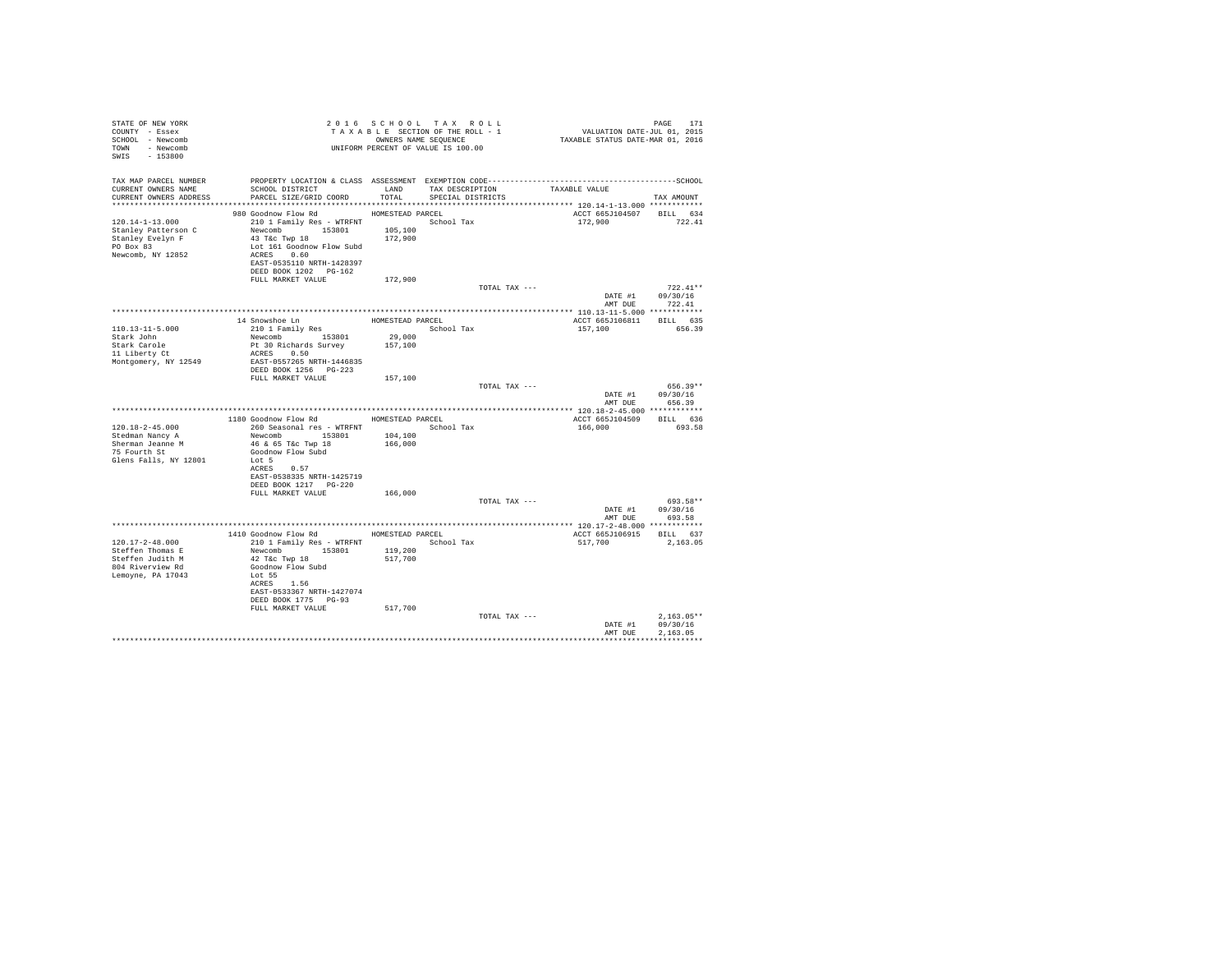| STATE OF NEW YORK<br>COUNTY - Essex<br>SCHOOL - Newcomb<br>TOWN - Newcomb<br>SWIS - 153800   | T A X A B B B B B B SEQUENCE<br>UNIFORM PERCENT OF VALUE IS 100.00                                                                                                    |                   | 2016 SCHOOL TAX ROLL<br>TAXABLE SECTION OF THE ROLL - 1<br>OWNERS NAME SEQUENCE |                                    | PAGE 171<br>VALUATION DATE-JUL 01, 2015<br>TAXABLE STATUS DATE-MAR 01, 2016 |                                    |                      |  |
|----------------------------------------------------------------------------------------------|-----------------------------------------------------------------------------------------------------------------------------------------------------------------------|-------------------|---------------------------------------------------------------------------------|------------------------------------|-----------------------------------------------------------------------------|------------------------------------|----------------------|--|
| TAX MAP PARCEL NUMBER                                                                        | PROPERTY LOCATION & CLASS ASSESSMENT EXEMPTION CODE-----------------------------------SCHOOL                                                                          |                   |                                                                                 |                                    |                                                                             |                                    |                      |  |
| CURRENT OWNERS NAME<br>CURRENT OWNERS ADDRESS                                                | SCHOOL DISTRICT<br>PARCEL SIZE/GRID COORD                                                                                                                             | TOTAL             | SPECIAL DISTRICTS                                                               | LAND TAX DESCRIPTION TAXABLE VALUE |                                                                             |                                    |                      |  |
|                                                                                              |                                                                                                                                                                       |                   |                                                                                 |                                    |                                                                             |                                    | TAX AMOUNT           |  |
|                                                                                              | 980 Goodnow Flow Rd MOMESTEAD PARCEL                                                                                                                                  |                   |                                                                                 |                                    | ACCT 665J104507                                                             |                                    | BILL 634             |  |
| 120.14-1-13.000<br>Stanley Patterson C<br>Stanley Evelyn F<br>PO Box 83<br>Newcomb, NY 12852 | 210 1 Family Res - WTRFNT<br>Newcomb 153801 105,100<br>43 T&C Twp 18<br>Lot 161 Goodnow Flow Subd<br>ACRES 0.60<br>EAST-0535110 NRTH-1428397<br>DEED BOOK 1202 PG-162 | 172,900           | School Tax                                                                      |                                    | 172,900                                                                     |                                    | 722.41               |  |
|                                                                                              | FULL MARKET VALUE                                                                                                                                                     | 172,900           |                                                                                 |                                    |                                                                             |                                    |                      |  |
|                                                                                              |                                                                                                                                                                       |                   |                                                                                 | TOTAL TAX ---                      |                                                                             | DATE #1 09/30/16<br>AMT DUE 722.41 | $722.41**$           |  |
|                                                                                              |                                                                                                                                                                       |                   |                                                                                 |                                    |                                                                             |                                    |                      |  |
|                                                                                              | 14 Snowshoe Ln<br>210 1 Family Res                                                                                                                                    | HOMESTEAD PARCEL  |                                                                                 |                                    | ACCT 665J106811 BILL 635                                                    |                                    |                      |  |
| 110.13-11-5.000                                                                              |                                                                                                                                                                       |                   | School Tax                                                                      |                                    | 157,100                                                                     |                                    | 656.39               |  |
| Stark John<br>Stark Carole                                                                   | Newcomb 153801<br>Pt 30 Richards Survey                                                                                                                               | 29,000<br>157,100 |                                                                                 |                                    |                                                                             |                                    |                      |  |
| 11 Liberty Ct                                                                                | ACRES 0.50                                                                                                                                                            |                   |                                                                                 |                                    |                                                                             |                                    |                      |  |
| Montgomery, NY 12549                                                                         | EAST-0557265 NRTH-1446835                                                                                                                                             |                   |                                                                                 |                                    |                                                                             |                                    |                      |  |
|                                                                                              | DEED BOOK 1256 PG-223                                                                                                                                                 |                   |                                                                                 |                                    |                                                                             |                                    |                      |  |
|                                                                                              | FULL MARKET VALUE                                                                                                                                                     | 157,100           |                                                                                 | TOTAL TAX ---                      |                                                                             |                                    | $656.39**$           |  |
|                                                                                              |                                                                                                                                                                       |                   |                                                                                 |                                    |                                                                             | DATE #1 09/30/16<br>AMT DUE 656.39 |                      |  |
|                                                                                              |                                                                                                                                                                       |                   |                                                                                 |                                    |                                                                             |                                    |                      |  |
|                                                                                              | 1180 Goodnow Flow Rd MOMESTEAD PARCEL                                                                                                                                 |                   |                                                                                 |                                    | ACCT 665J104509 BILL 636                                                    |                                    |                      |  |
| 120.18-2-45.000<br>Stedman Nancy A                                                           | 260 Seasonal res - WTRFNT <a></a> School Tax<br>Newcomb 153801 104,100                                                                                                |                   |                                                                                 |                                    | 166,000                                                                     |                                    | 693.58               |  |
| Sherman Jeanne M                                                                             | 46 & 65 T&c Twp 18                                                                                                                                                    | 166,000           |                                                                                 |                                    |                                                                             |                                    |                      |  |
| $75$ Fourth St                                                                               | Goodnow Flow Subd                                                                                                                                                     |                   |                                                                                 |                                    |                                                                             |                                    |                      |  |
| Glens Falls, NY 12801                                                                        | Lot 5<br>ACRES 0.57                                                                                                                                                   |                   |                                                                                 |                                    |                                                                             |                                    |                      |  |
|                                                                                              | EAST-0538335 NRTH-1425719                                                                                                                                             |                   |                                                                                 |                                    |                                                                             |                                    |                      |  |
|                                                                                              | DEED BOOK 1217 PG-220                                                                                                                                                 |                   |                                                                                 |                                    |                                                                             |                                    |                      |  |
|                                                                                              | FULL MARKET VALUE                                                                                                                                                     | 166,000           |                                                                                 | TOTAL TAX ---                      |                                                                             |                                    | 693.58**             |  |
|                                                                                              |                                                                                                                                                                       |                   |                                                                                 |                                    |                                                                             | DATE #1 09/30/16                   |                      |  |
|                                                                                              |                                                                                                                                                                       |                   |                                                                                 |                                    |                                                                             | AMT DUE                            | 693.58               |  |
|                                                                                              |                                                                                                                                                                       |                   |                                                                                 |                                    |                                                                             |                                    |                      |  |
|                                                                                              | 1410 Goodnow Flow Rd MOMESTEAD PARCEL                                                                                                                                 |                   |                                                                                 |                                    | ACCT 665J106915 BILL 637                                                    |                                    |                      |  |
| 120.17-2-48.000<br>Steffen Thomas E                                                          | 210 1 Family Res - WTRFNT                                                                                                                                             | 119,200           | School Tax                                                                      |                                    | 517,700                                                                     |                                    | 2,163.05             |  |
| Steffen Judith M                                                                             | Newcomb 153801<br>42 T&c Twp 18                                                                                                                                       | 517,700           |                                                                                 |                                    |                                                                             |                                    |                      |  |
| 804 Riverview Rd                                                                             | Goodnow Flow Subd                                                                                                                                                     |                   |                                                                                 |                                    |                                                                             |                                    |                      |  |
| Lemoyne, PA 17043                                                                            | Lot 55<br>ACRES 1.56                                                                                                                                                  |                   |                                                                                 |                                    |                                                                             |                                    |                      |  |
|                                                                                              | EAST-0533367 NRTH-1427074<br>DEED BOOK 1775 PG-93                                                                                                                     |                   |                                                                                 |                                    |                                                                             |                                    |                      |  |
|                                                                                              | FULL MARKET VALUE                                                                                                                                                     | 517,700           |                                                                                 |                                    |                                                                             |                                    |                      |  |
|                                                                                              |                                                                                                                                                                       |                   |                                                                                 | TOTAL TAX ---                      |                                                                             |                                    | $2,163.05**$         |  |
|                                                                                              |                                                                                                                                                                       |                   |                                                                                 |                                    |                                                                             | DATE #1<br>AMT DUE                 | 09/30/16<br>2.163.05 |  |
|                                                                                              |                                                                                                                                                                       |                   |                                                                                 |                                    |                                                                             |                                    | ***********          |  |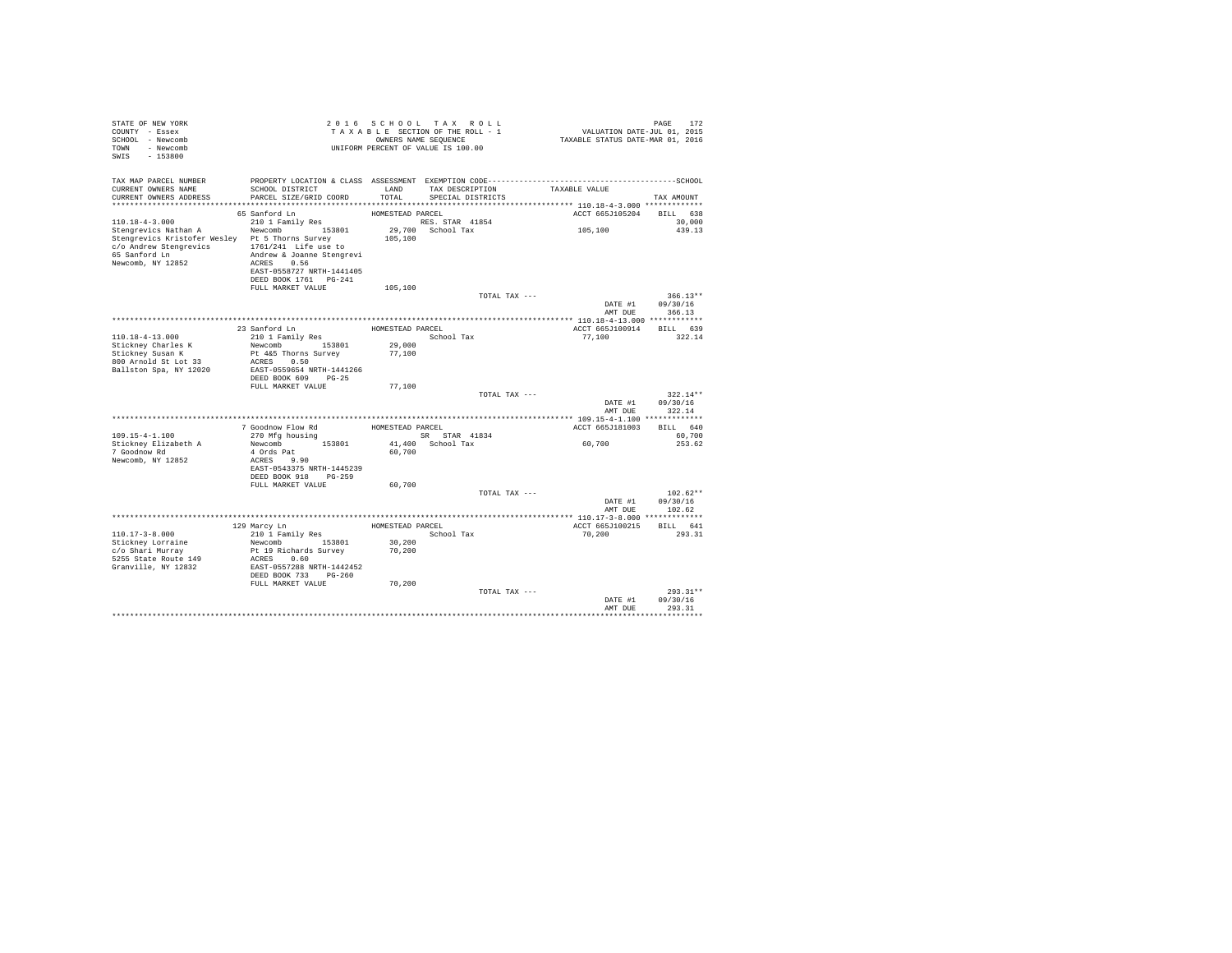| STATE OF NEW YORK<br>COUNTY - Essex<br>SCHOOL - Newcomb<br>TOWN<br>- Newcomb<br>$-153800$<br>SWIS                                                               |                                                                                                                                                             |                                      | 2016 SCHOOL TAX ROLL<br>TAXABLE SECTION OF THE ROLL - 1<br>OWNERS NAME SEQUENCE<br>UNIFORM PERCENT OF VALUE IS 100.00 | 172 FAGE<br>701, VALUATION DATE-JUL 01, 2015<br>712XABLE STATUS DATE-MAR 01, 2016 | PAGE<br>172                      |
|-----------------------------------------------------------------------------------------------------------------------------------------------------------------|-------------------------------------------------------------------------------------------------------------------------------------------------------------|--------------------------------------|-----------------------------------------------------------------------------------------------------------------------|-----------------------------------------------------------------------------------|----------------------------------|
| TAX MAP PARCEL NUMBER<br>CURRENT OWNERS NAME<br>CURRENT OWNERS ADDRESS                                                                                          | SCHOOL DISTRICT<br>PARCEL SIZE/GRID COORD                                                                                                                   | LAND<br>TOTAL                        | TAX DESCRIPTION<br>SPECIAL DISTRICTS                                                                                  | TAXABLE VALUE                                                                     | TAX AMOUNT                       |
|                                                                                                                                                                 | 65 Sanford Ln                                                                                                                                               | HOMESTEAD PARCEL                     |                                                                                                                       | ACCT 665J105204 BILL 638                                                          |                                  |
| $110.18 - 4 - 3.000$<br>Stengrevics Nathan A<br>Stengrevics Kristofer Wesley Pt 5 Thorns Survey<br>c/o Andrew Stengrevics<br>65 Sanford Ln<br>Newcomb, NY 12852 | 210 1 Family Res<br>Newcomb 153801<br>1761/241 Life use to<br>Andrew & Joanne Stengrevi<br>ACRES 0.56<br>EAST-0558727 NRTH-1441405<br>DEED BOOK 1761 PG-241 | 105,100                              | RES. STAR 41854<br>29,700 School Tax                                                                                  | 105,100                                                                           | 30,000<br>439.13                 |
|                                                                                                                                                                 | FULL MARKET VALUE                                                                                                                                           | 105,100                              |                                                                                                                       |                                                                                   |                                  |
|                                                                                                                                                                 |                                                                                                                                                             |                                      | TOTAL TAX ---                                                                                                         | DATE #1<br>AMT DUE                                                                | $366.13**$<br>09/30/16<br>366.13 |
|                                                                                                                                                                 |                                                                                                                                                             |                                      |                                                                                                                       |                                                                                   |                                  |
|                                                                                                                                                                 | 23 Sanford Ln                                                                                                                                               | HOMESTEAD PARCEL                     |                                                                                                                       | ACCT 665J100914 BILL 639                                                          |                                  |
| $110.18 - 4 - 13.000$<br>Stickney Charles K                                                                                                                     | 210 1 Family Res<br>Newcomb 153801                                                                                                                          | 29,000                               | School Tax                                                                                                            | 77,100                                                                            | 322.14                           |
| Stickney Susan K<br>800 Arnold St Lot 33<br>Ballston Spa, NY 12020                                                                                              | Pt 4&5 Thorns Survey<br>ACRES 0.50<br>EAST-0559654 NRTH-1441266                                                                                             | 77,100                               |                                                                                                                       |                                                                                   |                                  |
|                                                                                                                                                                 | DEED BOOK 609 PG-25<br>FULL MARKET VALUE                                                                                                                    | 77,100                               |                                                                                                                       |                                                                                   |                                  |
|                                                                                                                                                                 |                                                                                                                                                             |                                      | TOTAL TAX ---                                                                                                         | DATE #1<br>AMT DUE                                                                | $322.14**$<br>09/30/16<br>322.14 |
|                                                                                                                                                                 |                                                                                                                                                             |                                      |                                                                                                                       |                                                                                   |                                  |
|                                                                                                                                                                 | 7 Goodnow Flow Rd                                                                                                                                           | HOMESTEAD PARCEL                     |                                                                                                                       | ACCT 665J181003                                                                   | BILL 640                         |
| $109.15 - 4 - 1.100$                                                                                                                                            | 270 Mfg housing                                                                                                                                             |                                      | SR STAR 41834                                                                                                         | 60,700                                                                            | 60,700                           |
| Stickney Elizabeth A<br>7 Goodnow Rd<br>Newcomb, NY 12852                                                                                                       | Newcomb 153801<br>4 Ords Pat<br>ACRES 9.90<br>EAST-0543375 NRTH-1445239<br>DEED BOOK 918 PG-259                                                             | 60,700                               | 41,400 School Tax                                                                                                     |                                                                                   | 253.62                           |
|                                                                                                                                                                 | FULL MARKET VALUE                                                                                                                                           | 60,700                               |                                                                                                                       |                                                                                   |                                  |
|                                                                                                                                                                 |                                                                                                                                                             |                                      | TOTAL TAX ---                                                                                                         | DATE #1<br>AMT DUE                                                                | $102.62**$<br>09/30/16<br>102.62 |
|                                                                                                                                                                 |                                                                                                                                                             |                                      |                                                                                                                       |                                                                                   |                                  |
| $110.17 - 3 - 8.000$<br>Stickney Lorraine<br>c/o Shari Murrav<br>5255 State Route 149                                                                           | 129 Marcy Ln<br>210 1 Family Res<br>Newcomb 153801<br>Pt 19 Richards Survey<br>ACRES 0.60                                                                   | HOMESTEAD PARCEL<br>30,200<br>70,200 | School Tax                                                                                                            | ACCT 665J100215<br>70,200                                                         | BILL 641<br>293.31               |
| Granville, NY 12832                                                                                                                                             | EAST-0557288 NRTH-1442452                                                                                                                                   |                                      |                                                                                                                       |                                                                                   |                                  |
|                                                                                                                                                                 | DEED BOOK 733 PG-260<br>FULL MARKET VALUE                                                                                                                   | 70,200                               | TOTAL TAX ---                                                                                                         | DATE #1<br>AMT DUE                                                                | $293.31**$<br>09/30/16<br>293.31 |
|                                                                                                                                                                 |                                                                                                                                                             |                                      |                                                                                                                       |                                                                                   |                                  |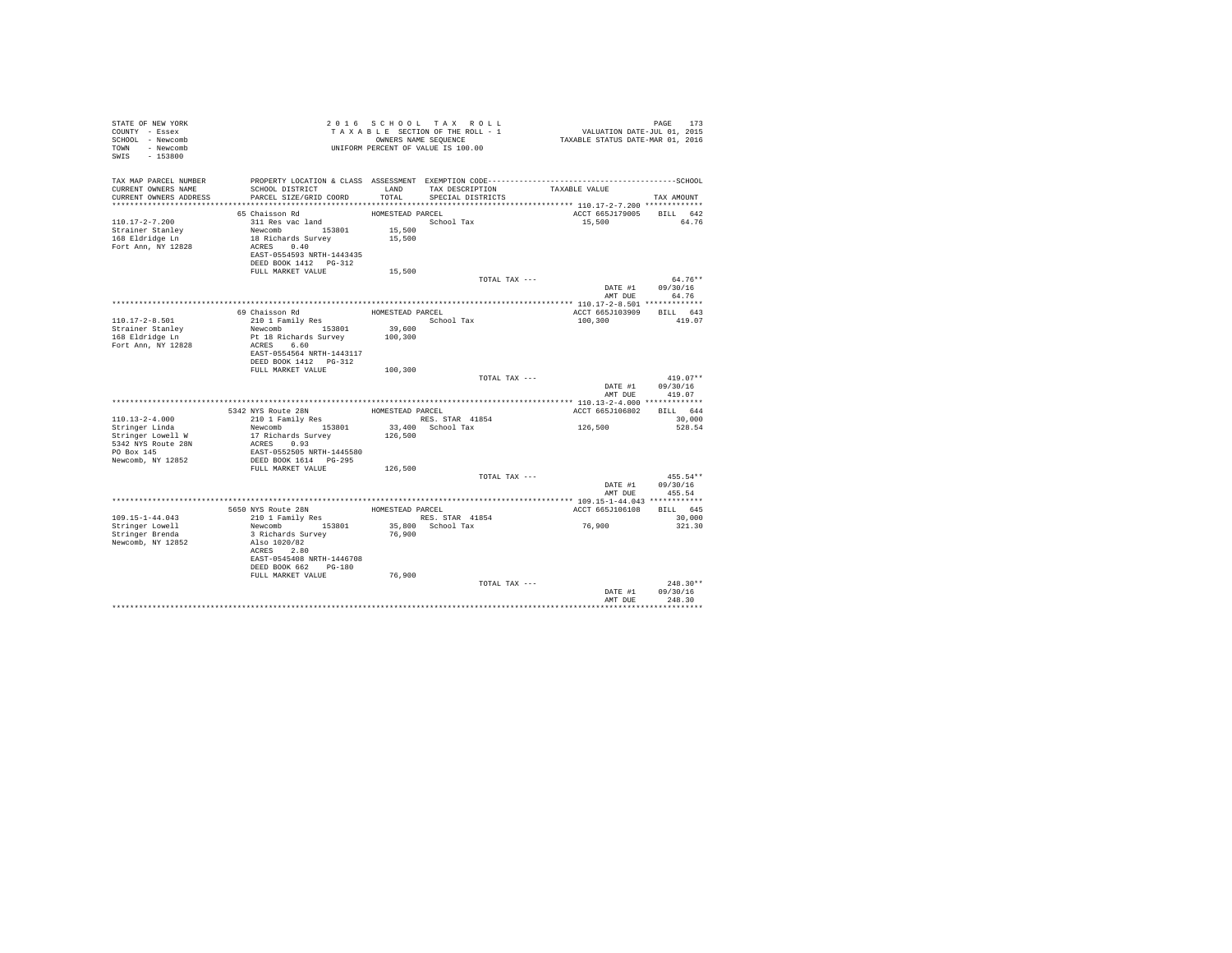| TAX MAP PARCEL NUMBER<br>TAX DESCRIPTION TAXABLE VALUE<br>CURRENT OWNERS NAME<br>SCHOOL DISTRICT<br>LAND<br>CURRENT OWNERS ADDRESS<br>PARCEL SIZE/GRID COORD<br>TOTAL<br>SPECIAL DISTRICTS<br>TAX AMOUNT<br>ACCT 665J179005<br>BILL 642<br>65 Chaisson Rd<br>HOMESTEAD PARCEL<br>$110.17 - 2 - 7.200$<br>311 Res vac land<br>School Tax<br>15,500<br>64.76<br>Newcomb 153801<br>15,500<br>Strainer Stanley<br>18 Richards Survey<br>15,500<br>168 Eldridge Ln<br>Fort Ann, NY 12828<br>ACRES 0.40<br>EAST-0554593 NRTH-1443435<br>DEED BOOK 1412   PG-312<br>FULL MARKET VALUE<br>15,500<br>$64.76**$<br>TOTAL TAX ---<br>09/30/16<br>DATE #1<br>AMT DUE<br>64.76<br>69 Chaisson Rd<br>ACCT 665J103909 BILL 643<br>HOMESTEAD PARCEL<br>$110.17 - 2 - 8.501$<br>210 1 Family Res<br>School Tax<br>100,300<br>419.07<br>Strainer Stanley<br>Newcomb 153801<br>39,600<br>168 Eldridge Ln<br>Pt 18 Richards Survey<br>100,300<br>Fort Ann, NY 12828<br>ACRES 6.60<br>EAST-0554564 NRTH-1443117<br>DEED BOOK 1412   PG-312<br>FULL MARKET VALUE<br>100,300<br>TOTAL TAX ---<br>$419.07**$<br>DATE #1<br>09/30/16<br>AMT DUE<br>419.07<br>5342 NYS Route 28N<br>BILL 644<br>HOMESTEAD PARCEL<br>ACCT 665J106802<br>210 1 Family Res<br>RES. STAR 41854<br>$110.13 - 2 - 4.000$<br>30,000<br>Newcomb 153801<br>33,400 School Tax<br>126,500<br>528.54<br>Stringer Linda<br>Stringer Lowell W<br>17 Richards Survey<br>126,500<br>5342 NYS Route 28N<br>ACRES 0.93<br>EAST-0552505 NRTH-1445580<br>PO Box 145<br>Newcomb, NY 12852<br>DEED BOOK 1614 PG-295<br>FULL MARKET VALUE<br>126,500<br>TOTAL TAX ---<br>$455.54**$<br>DATE #1<br>09/30/16<br>AMT DUE<br>455.54<br>5650 NYS Route 28N<br>HOMESTEAD PARCEL<br>ACCT 665J106108 BILL 645<br>$109.15 - 1 - 44.043$<br>30,000<br>210 1 Family Res<br>RES. STAR 41854<br>76,900<br>Stringer Lowell<br>Newcomb 153801<br>35,800 School Tax<br>321.30<br>Stringer Brenda<br>3 Richards Survey<br>76,900<br>Newcomb, NY 12852<br>Also 1020/82<br>ACRES 2.80<br>EAST-0545408 NRTH-1446708<br>DEED BOOK 662 PG-180<br>FULL MARKET VALUE<br>76,900<br>$248.30**$<br>TOTAL TAX --- | STATE OF NEW YORK<br>COUNTY - Essex<br>SCHOOL - Newcomb<br>TOWN<br>- Newcomb<br>SWIS<br>$-153800$ |  | 2016 SCHOOL TAX ROLL<br>TAXABLE SECTION OF THE ROLL - 1<br>OWNERS NAME SEQUENCE<br>UNIFORM PERCENT OF VALUE IS 100.00 | VALUATION DATE-JUL 01, 2015<br>TAXABLE STATUS DATE-MAR 01, 2016 | PAGE<br>173 |
|----------------------------------------------------------------------------------------------------------------------------------------------------------------------------------------------------------------------------------------------------------------------------------------------------------------------------------------------------------------------------------------------------------------------------------------------------------------------------------------------------------------------------------------------------------------------------------------------------------------------------------------------------------------------------------------------------------------------------------------------------------------------------------------------------------------------------------------------------------------------------------------------------------------------------------------------------------------------------------------------------------------------------------------------------------------------------------------------------------------------------------------------------------------------------------------------------------------------------------------------------------------------------------------------------------------------------------------------------------------------------------------------------------------------------------------------------------------------------------------------------------------------------------------------------------------------------------------------------------------------------------------------------------------------------------------------------------------------------------------------------------------------------------------------------------------------------------------------------------------------------------------------------------------------------------------------------------------------------------------------------------------------------------------------------------------------------------------------------------------------|---------------------------------------------------------------------------------------------------|--|-----------------------------------------------------------------------------------------------------------------------|-----------------------------------------------------------------|-------------|
|                                                                                                                                                                                                                                                                                                                                                                                                                                                                                                                                                                                                                                                                                                                                                                                                                                                                                                                                                                                                                                                                                                                                                                                                                                                                                                                                                                                                                                                                                                                                                                                                                                                                                                                                                                                                                                                                                                                                                                                                                                                                                                                      |                                                                                                   |  |                                                                                                                       |                                                                 |             |
|                                                                                                                                                                                                                                                                                                                                                                                                                                                                                                                                                                                                                                                                                                                                                                                                                                                                                                                                                                                                                                                                                                                                                                                                                                                                                                                                                                                                                                                                                                                                                                                                                                                                                                                                                                                                                                                                                                                                                                                                                                                                                                                      |                                                                                                   |  |                                                                                                                       |                                                                 |             |
|                                                                                                                                                                                                                                                                                                                                                                                                                                                                                                                                                                                                                                                                                                                                                                                                                                                                                                                                                                                                                                                                                                                                                                                                                                                                                                                                                                                                                                                                                                                                                                                                                                                                                                                                                                                                                                                                                                                                                                                                                                                                                                                      |                                                                                                   |  |                                                                                                                       |                                                                 |             |
|                                                                                                                                                                                                                                                                                                                                                                                                                                                                                                                                                                                                                                                                                                                                                                                                                                                                                                                                                                                                                                                                                                                                                                                                                                                                                                                                                                                                                                                                                                                                                                                                                                                                                                                                                                                                                                                                                                                                                                                                                                                                                                                      |                                                                                                   |  |                                                                                                                       |                                                                 |             |
|                                                                                                                                                                                                                                                                                                                                                                                                                                                                                                                                                                                                                                                                                                                                                                                                                                                                                                                                                                                                                                                                                                                                                                                                                                                                                                                                                                                                                                                                                                                                                                                                                                                                                                                                                                                                                                                                                                                                                                                                                                                                                                                      |                                                                                                   |  |                                                                                                                       |                                                                 |             |
|                                                                                                                                                                                                                                                                                                                                                                                                                                                                                                                                                                                                                                                                                                                                                                                                                                                                                                                                                                                                                                                                                                                                                                                                                                                                                                                                                                                                                                                                                                                                                                                                                                                                                                                                                                                                                                                                                                                                                                                                                                                                                                                      |                                                                                                   |  |                                                                                                                       |                                                                 |             |
|                                                                                                                                                                                                                                                                                                                                                                                                                                                                                                                                                                                                                                                                                                                                                                                                                                                                                                                                                                                                                                                                                                                                                                                                                                                                                                                                                                                                                                                                                                                                                                                                                                                                                                                                                                                                                                                                                                                                                                                                                                                                                                                      |                                                                                                   |  |                                                                                                                       |                                                                 |             |
|                                                                                                                                                                                                                                                                                                                                                                                                                                                                                                                                                                                                                                                                                                                                                                                                                                                                                                                                                                                                                                                                                                                                                                                                                                                                                                                                                                                                                                                                                                                                                                                                                                                                                                                                                                                                                                                                                                                                                                                                                                                                                                                      |                                                                                                   |  |                                                                                                                       |                                                                 |             |
|                                                                                                                                                                                                                                                                                                                                                                                                                                                                                                                                                                                                                                                                                                                                                                                                                                                                                                                                                                                                                                                                                                                                                                                                                                                                                                                                                                                                                                                                                                                                                                                                                                                                                                                                                                                                                                                                                                                                                                                                                                                                                                                      |                                                                                                   |  |                                                                                                                       |                                                                 |             |
|                                                                                                                                                                                                                                                                                                                                                                                                                                                                                                                                                                                                                                                                                                                                                                                                                                                                                                                                                                                                                                                                                                                                                                                                                                                                                                                                                                                                                                                                                                                                                                                                                                                                                                                                                                                                                                                                                                                                                                                                                                                                                                                      |                                                                                                   |  |                                                                                                                       |                                                                 |             |
|                                                                                                                                                                                                                                                                                                                                                                                                                                                                                                                                                                                                                                                                                                                                                                                                                                                                                                                                                                                                                                                                                                                                                                                                                                                                                                                                                                                                                                                                                                                                                                                                                                                                                                                                                                                                                                                                                                                                                                                                                                                                                                                      |                                                                                                   |  |                                                                                                                       |                                                                 |             |
|                                                                                                                                                                                                                                                                                                                                                                                                                                                                                                                                                                                                                                                                                                                                                                                                                                                                                                                                                                                                                                                                                                                                                                                                                                                                                                                                                                                                                                                                                                                                                                                                                                                                                                                                                                                                                                                                                                                                                                                                                                                                                                                      |                                                                                                   |  |                                                                                                                       |                                                                 |             |
|                                                                                                                                                                                                                                                                                                                                                                                                                                                                                                                                                                                                                                                                                                                                                                                                                                                                                                                                                                                                                                                                                                                                                                                                                                                                                                                                                                                                                                                                                                                                                                                                                                                                                                                                                                                                                                                                                                                                                                                                                                                                                                                      |                                                                                                   |  |                                                                                                                       |                                                                 |             |
|                                                                                                                                                                                                                                                                                                                                                                                                                                                                                                                                                                                                                                                                                                                                                                                                                                                                                                                                                                                                                                                                                                                                                                                                                                                                                                                                                                                                                                                                                                                                                                                                                                                                                                                                                                                                                                                                                                                                                                                                                                                                                                                      |                                                                                                   |  |                                                                                                                       |                                                                 |             |
|                                                                                                                                                                                                                                                                                                                                                                                                                                                                                                                                                                                                                                                                                                                                                                                                                                                                                                                                                                                                                                                                                                                                                                                                                                                                                                                                                                                                                                                                                                                                                                                                                                                                                                                                                                                                                                                                                                                                                                                                                                                                                                                      |                                                                                                   |  |                                                                                                                       |                                                                 |             |
|                                                                                                                                                                                                                                                                                                                                                                                                                                                                                                                                                                                                                                                                                                                                                                                                                                                                                                                                                                                                                                                                                                                                                                                                                                                                                                                                                                                                                                                                                                                                                                                                                                                                                                                                                                                                                                                                                                                                                                                                                                                                                                                      |                                                                                                   |  |                                                                                                                       |                                                                 |             |
|                                                                                                                                                                                                                                                                                                                                                                                                                                                                                                                                                                                                                                                                                                                                                                                                                                                                                                                                                                                                                                                                                                                                                                                                                                                                                                                                                                                                                                                                                                                                                                                                                                                                                                                                                                                                                                                                                                                                                                                                                                                                                                                      |                                                                                                   |  |                                                                                                                       |                                                                 |             |
|                                                                                                                                                                                                                                                                                                                                                                                                                                                                                                                                                                                                                                                                                                                                                                                                                                                                                                                                                                                                                                                                                                                                                                                                                                                                                                                                                                                                                                                                                                                                                                                                                                                                                                                                                                                                                                                                                                                                                                                                                                                                                                                      |                                                                                                   |  |                                                                                                                       |                                                                 |             |
|                                                                                                                                                                                                                                                                                                                                                                                                                                                                                                                                                                                                                                                                                                                                                                                                                                                                                                                                                                                                                                                                                                                                                                                                                                                                                                                                                                                                                                                                                                                                                                                                                                                                                                                                                                                                                                                                                                                                                                                                                                                                                                                      |                                                                                                   |  |                                                                                                                       |                                                                 |             |
|                                                                                                                                                                                                                                                                                                                                                                                                                                                                                                                                                                                                                                                                                                                                                                                                                                                                                                                                                                                                                                                                                                                                                                                                                                                                                                                                                                                                                                                                                                                                                                                                                                                                                                                                                                                                                                                                                                                                                                                                                                                                                                                      |                                                                                                   |  |                                                                                                                       |                                                                 |             |
|                                                                                                                                                                                                                                                                                                                                                                                                                                                                                                                                                                                                                                                                                                                                                                                                                                                                                                                                                                                                                                                                                                                                                                                                                                                                                                                                                                                                                                                                                                                                                                                                                                                                                                                                                                                                                                                                                                                                                                                                                                                                                                                      |                                                                                                   |  |                                                                                                                       |                                                                 |             |
|                                                                                                                                                                                                                                                                                                                                                                                                                                                                                                                                                                                                                                                                                                                                                                                                                                                                                                                                                                                                                                                                                                                                                                                                                                                                                                                                                                                                                                                                                                                                                                                                                                                                                                                                                                                                                                                                                                                                                                                                                                                                                                                      |                                                                                                   |  |                                                                                                                       |                                                                 |             |
| AMT DUR<br>248.30                                                                                                                                                                                                                                                                                                                                                                                                                                                                                                                                                                                                                                                                                                                                                                                                                                                                                                                                                                                                                                                                                                                                                                                                                                                                                                                                                                                                                                                                                                                                                                                                                                                                                                                                                                                                                                                                                                                                                                                                                                                                                                    |                                                                                                   |  |                                                                                                                       | DATE #1                                                         | 09/30/16    |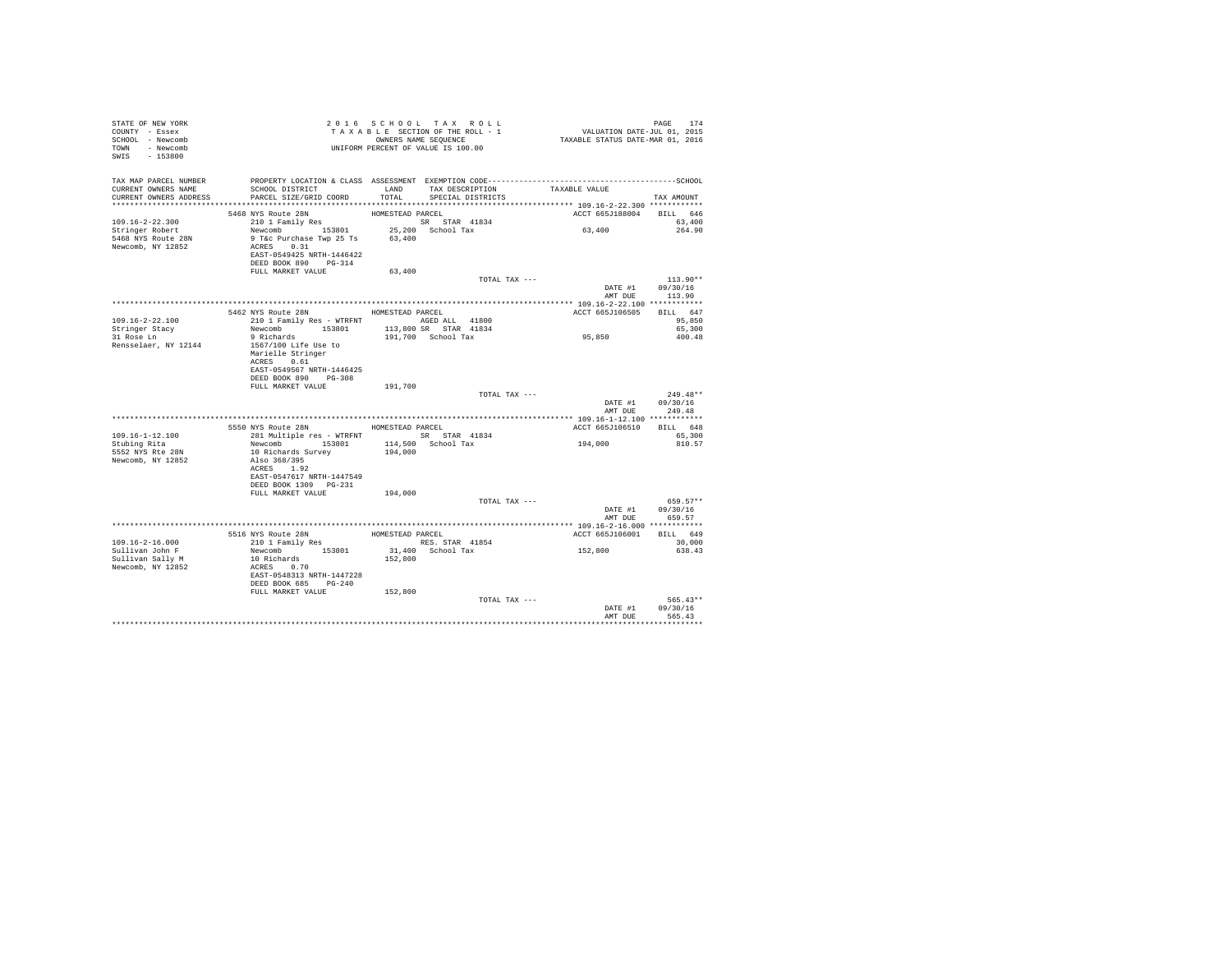| STATE OF NEW YORK<br>COUNTY - Essex<br>SCHOOL - Newcomb<br>TOWN - Newcomb<br>SWIS - 153800    | T A X A B B B B B B B SEQUENCE<br>ONNERS NAME SEQUENCE<br>UNIFORM PERCENT OF VALUE IS 100.00                                                                                        |                  | TAXABLE SECTION OF THE ROLL - 1<br>OWNERS NAME SEQUENCE | PAGE 174<br>VALUATION DATE-JUL 01, 2015<br>TAXABLE STATUS DATE-MAR 01, 2016 |                              |
|-----------------------------------------------------------------------------------------------|-------------------------------------------------------------------------------------------------------------------------------------------------------------------------------------|------------------|---------------------------------------------------------|-----------------------------------------------------------------------------|------------------------------|
| TAX MAP PARCEL NUMBER<br>CURRENT OWNERS NAME<br>CURRENT OWNERS ADDRESS PARCEL SIZE/GRID COORD | SCHOOL DISTRICT                                                                                                                                                                     |                  | LAND TAX DESCRIPTION<br>TOTAL SPECIAL DISTRICTS         | TAXABLE VALUE                                                               | TAX AMOUNT                   |
|                                                                                               |                                                                                                                                                                                     |                  |                                                         |                                                                             |                              |
|                                                                                               | 5468 NYS Route 28N                                                                                                                                                                  | HOMESTEAD PARCEL |                                                         | ACCT 665J188004 BILL 646                                                    |                              |
| 109.16-2-22.300<br>Stringer Robert<br>5468 NYS Route 28N<br>Newcomb, NY 12852                 | 210 1 Family Res<br>Newcomb 153801 25,200 School Tax<br>9 T&c Purchase Twp 25 Ts 63,400<br>ACRES 0.31<br>EAST-0549425 NRTH-1446422<br>DEED BOOK 890 PG-314                          |                  | SR STAR 41834                                           | 63,400                                                                      | 63,400<br>264.90             |
|                                                                                               | FULL MARKET VALUE                                                                                                                                                                   | 63,400           |                                                         |                                                                             |                              |
|                                                                                               |                                                                                                                                                                                     |                  | TOTAL TAX ---                                           | DATE #1 09/30/16<br>AMT DUE                                                 | $113.90**$<br>113.90         |
|                                                                                               |                                                                                                                                                                                     |                  |                                                         |                                                                             |                              |
| 109.16-2-22.100                                                                               | 5462 NYS Route 28N HOMESTEAD PARCEL<br>210 1 Family Res - WTRFNT AGED ALL 41800                                                                                                     |                  | 113,800 SR STAR 41834                                   | ACCT 665J106505                                                             | BILL 647<br>95,850<br>65,300 |
| Stringer Stacy<br>31 Rose Ln                                                                  | Newcomb 153801<br>9 Richards                                                                                                                                                        |                  | 191,700 School Tax                                      | $95\,,\,850$                                                                | 400.48                       |
| Rensselaer, NY 12144                                                                          | 1567/100 Life Use to<br>Marielle Stringer<br>ACRES 0.61<br>EAST-0549567 NRTH-1446425<br>DEED BOOK 890 PG-308                                                                        |                  |                                                         |                                                                             |                              |
|                                                                                               | FULL MARKET VALUE                                                                                                                                                                   | 191,700          | TOTAL TAX ---                                           |                                                                             | $249.48**$                   |
|                                                                                               |                                                                                                                                                                                     |                  |                                                         | DATE #1 09/30/16<br>AMT DUE                                                 | 249.48                       |
|                                                                                               |                                                                                                                                                                                     |                  |                                                         |                                                                             |                              |
|                                                                                               | 5550 NYS Route 28N MOMESTEAD PARCEL                                                                                                                                                 |                  |                                                         | ACCT 665J106510 BILL 648                                                    |                              |
| 109.16-1-12.100<br>Stubing Rita                                                               | 281 Multiple res - WTRFNT SR STAR 41834                                                                                                                                             |                  |                                                         | 194,000                                                                     | 65,300<br>810.57             |
| 5552 NYS Rte 28N<br>Newcomb, NY 12852                                                         | Newcomb 153801 114,500 School Tax<br>10 Richards Survey 194,000 3chool Tax<br>Also 368/395<br>ACRES 1.92<br>EAST-0547617 NRTH-1447549<br>DEED BOOK 1309 PG-231<br>FULL MARKET VALUE |                  |                                                         |                                                                             |                              |
|                                                                                               |                                                                                                                                                                                     | 194,000          | TOTAL TAX ---                                           |                                                                             | $659.57**$                   |
|                                                                                               |                                                                                                                                                                                     |                  |                                                         | DATE #1 09/30/16                                                            | AMT DUE 659.57               |
|                                                                                               |                                                                                                                                                                                     |                  |                                                         |                                                                             |                              |
| $109.16 - 2 - 16.000$                                                                         | 5516 NYS Route 28N<br>210 1 Family Res                                                                                                                                              | HOMESTEAD PARCEL |                                                         | ACCT 665J106001 BILL 649                                                    | 30,000                       |
| Sullivan John F                                                                               |                                                                                                                                                                                     |                  | RES. STAR 41854<br>31,400 School Tax 152,800            |                                                                             | 638.43                       |
| Sullivan Sally M<br>Newcomb, NY 12852                                                         | Newcomb 153801<br>10 Richards<br>ACRES 0.70<br>EAST-0548313 NRTH-1447228<br>DEED BOOK 685 PG-240                                                                                    | 152,800          |                                                         |                                                                             |                              |
|                                                                                               | FULL MARKET VALUE 152,800                                                                                                                                                           |                  | TOTAL TAX ---                                           |                                                                             | 565.43**                     |
|                                                                                               |                                                                                                                                                                                     |                  |                                                         | DATE #1 09/30/16<br>AMT DUE                                                 | 565.43<br>                   |
|                                                                                               |                                                                                                                                                                                     |                  |                                                         |                                                                             |                              |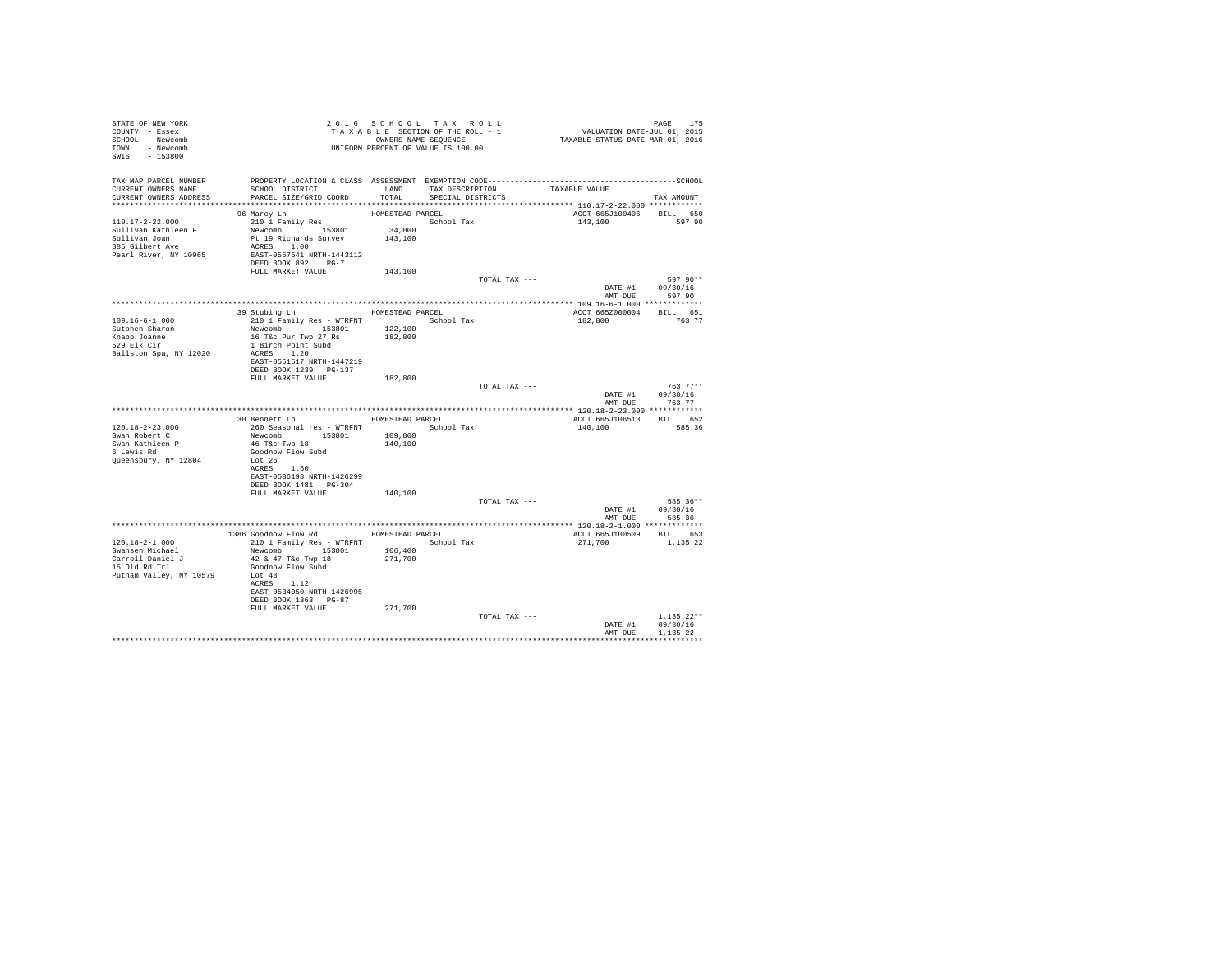| STATE OF NEW YORK<br>COUNTY - Essex<br>SCHOOL - Newcomb<br>TOWN - Newcomb<br>SWIS - 153800 | T A X A B L L LONDERS NAME SEQUENCE<br>UNIFORM PERCENT OF VALUE IS 100.00<br>2016 SCHOOL TAX ROLL<br>PAGE 175<br>VALUATION DATE-JUL 01, 2015<br>TAXABLE STATUS DATE-MAR 01, 2016<br>TAXABLE SECTION OF THE ROLL - 1<br>OWNERS NAME SEQUENCE |                   |                                                    |               |                          |                      |
|--------------------------------------------------------------------------------------------|---------------------------------------------------------------------------------------------------------------------------------------------------------------------------------------------------------------------------------------------|-------------------|----------------------------------------------------|---------------|--------------------------|----------------------|
| TAX MAP PARCEL NUMBER                                                                      | PROPERTY LOCATION & CLASS ASSESSMENT EXEMPTION CODE-----------------------------------SCHOOL                                                                                                                                                |                   |                                                    |               |                          |                      |
| CURRENT OWNERS NAME<br>CURRENT OWNERS ADDRESS                                              | SCHOOL DISTRICT<br>PARCEL SIZE/GRID COORD                                                                                                                                                                                                   | LAND<br>TOTAL     | TAX DESCRIPTION TAXABLE VALUE<br>SPECIAL DISTRICTS |               |                          |                      |
|                                                                                            |                                                                                                                                                                                                                                             |                   |                                                    |               |                          | TAX AMOUNT           |
|                                                                                            | 96 Marcy Ln                                                                                                                                                                                                                                 | HOMESTEAD PARCEL  |                                                    |               | ACCT 665J100406          | BILL 650             |
| 110.17-2-22.000                                                                            | 210 1 Family Res                                                                                                                                                                                                                            |                   | School Tax                                         |               | 143,100                  | 597.90               |
| Sullivan Kathleen F<br>Sullivan Joan                                                       | Newcomb 153801<br>Pt 19 Richards Survey                                                                                                                                                                                                     | 34,000<br>143,100 |                                                    |               |                          |                      |
| 385 Gilbert Ave                                                                            | ACRES 1.00                                                                                                                                                                                                                                  |                   |                                                    |               |                          |                      |
| Pearl River, NY 10965                                                                      | EAST-0557641 NRTH-1443112                                                                                                                                                                                                                   |                   |                                                    |               |                          |                      |
|                                                                                            | DEED BOOK 892 PG-7<br>FULL MARKET VALUE                                                                                                                                                                                                     | 143,100           |                                                    |               |                          |                      |
|                                                                                            |                                                                                                                                                                                                                                             |                   |                                                    | TOTAL TAX --- |                          | 597.90**             |
|                                                                                            |                                                                                                                                                                                                                                             |                   |                                                    |               | DATE #1 09/30/16         |                      |
|                                                                                            |                                                                                                                                                                                                                                             |                   |                                                    |               | AMT DUE                  | 597.90               |
|                                                                                            | 39 Stubing Ln                                                                                                                                                                                                                               |                   | HOMESTEAD PARCEL                                   |               | ACCT 665Z000004          | BILL 651             |
| $109.16 - 6 - 1.000$                                                                       | 210 1 Family Res - WTRFNT School Tax                                                                                                                                                                                                        |                   |                                                    |               | 182,800                  | 763.77               |
| Sutphen Sharon                                                                             | Newcomb 153801                                                                                                                                                                                                                              | 122,100           |                                                    |               |                          |                      |
| Knapp Joanne<br>529 Elk Cir                                                                | 16 T&c Pur Twp 27 Rs<br>1 Birch Point Subd                                                                                                                                                                                                  | 182,800           |                                                    |               |                          |                      |
| Ballston Spa, NY 12020                                                                     | ACRES 1.20                                                                                                                                                                                                                                  |                   |                                                    |               |                          |                      |
|                                                                                            | EAST-0551517 NRTH-1447219                                                                                                                                                                                                                   |                   |                                                    |               |                          |                      |
|                                                                                            | DEED BOOK 1239 PG-137                                                                                                                                                                                                                       |                   |                                                    |               |                          |                      |
|                                                                                            | FULL MARKET VALUE                                                                                                                                                                                                                           | 182,800           |                                                    | TOTAL TAX --- |                          | $763.77**$           |
|                                                                                            |                                                                                                                                                                                                                                             |                   |                                                    |               | DATE #1 09/30/16         |                      |
|                                                                                            |                                                                                                                                                                                                                                             |                   |                                                    |               |                          | AMT DUE 763.77       |
|                                                                                            | 30 Bennett Ln                                                                                                                                                                                                                               |                   | HOMESTEAD PARCEL                                   |               | ACCT 665J106513 BILL 652 |                      |
| $120.18 - 2 - 23.000$                                                                      |                                                                                                                                                                                                                                             |                   | School Tax                                         |               | 140,100                  | 585.36               |
| Swan Robert C                                                                              | 260 Seasonal res - WTRFNT<br>Newcomb 153801                                                                                                                                                                                                 | 109,800           |                                                    |               |                          |                      |
| Swan Kathleen P<br>6 Lewis Rd                                                              | 46 T&C Twp 18                                                                                                                                                                                                                               | 140,100           |                                                    |               |                          |                      |
| Queensbury, NY 12804                                                                       | Goodnow Flow Subd<br>Lot 26                                                                                                                                                                                                                 |                   |                                                    |               |                          |                      |
|                                                                                            | ACRES 1.50                                                                                                                                                                                                                                  |                   |                                                    |               |                          |                      |
|                                                                                            | EAST-0536198 NRTH-1426299                                                                                                                                                                                                                   |                   |                                                    |               |                          |                      |
|                                                                                            | DEED BOOK 1481 PG-304<br>FULL MARKET VALUE                                                                                                                                                                                                  | 140,100           |                                                    |               |                          |                      |
|                                                                                            |                                                                                                                                                                                                                                             |                   |                                                    | TOTAL TAX --- |                          | 585.36**             |
|                                                                                            |                                                                                                                                                                                                                                             |                   |                                                    |               | DATE #1 09/30/16         |                      |
|                                                                                            |                                                                                                                                                                                                                                             |                   |                                                    |               | AMT DUE                  | 585.36               |
|                                                                                            | 1386 Goodnow Flow Rd MOMESTEAD PARCEL                                                                                                                                                                                                       |                   |                                                    |               | ACCT 665J100509 BILL 653 |                      |
| 120.18-2-1.000                                                                             | 210 1 Family Res - WTRFNT                                                                                                                                                                                                                   |                   | School Tax                                         |               | 271,700                  | 1,135.22             |
| Swansen Michael                                                                            | Newcomb 153801                                                                                                                                                                                                                              | 106,400           |                                                    |               |                          |                      |
| Carroll Daniel J<br>15 Old Rd Trl                                                          | 42 & 47 T&c Twp 18<br>Goodnow Flow Subd                                                                                                                                                                                                     | 271,700           |                                                    |               |                          |                      |
| Putnam Valley, NY 10579                                                                    | Lot 48                                                                                                                                                                                                                                      |                   |                                                    |               |                          |                      |
|                                                                                            | ACRES 1.12                                                                                                                                                                                                                                  |                   |                                                    |               |                          |                      |
|                                                                                            | EAST-0534050 NRTH-1426995<br>DEED BOOK 1363 PG-87                                                                                                                                                                                           |                   |                                                    |               |                          |                      |
|                                                                                            | FULL MARKET VALUE                                                                                                                                                                                                                           | 271,700           |                                                    |               |                          |                      |
|                                                                                            |                                                                                                                                                                                                                                             |                   |                                                    | TOTAL TAX --- |                          | $1,135.22**$         |
|                                                                                            |                                                                                                                                                                                                                                             |                   |                                                    |               | DATE #1<br>AMT DUE       | 09/30/16<br>1.135.22 |
|                                                                                            |                                                                                                                                                                                                                                             |                   |                                                    |               |                          |                      |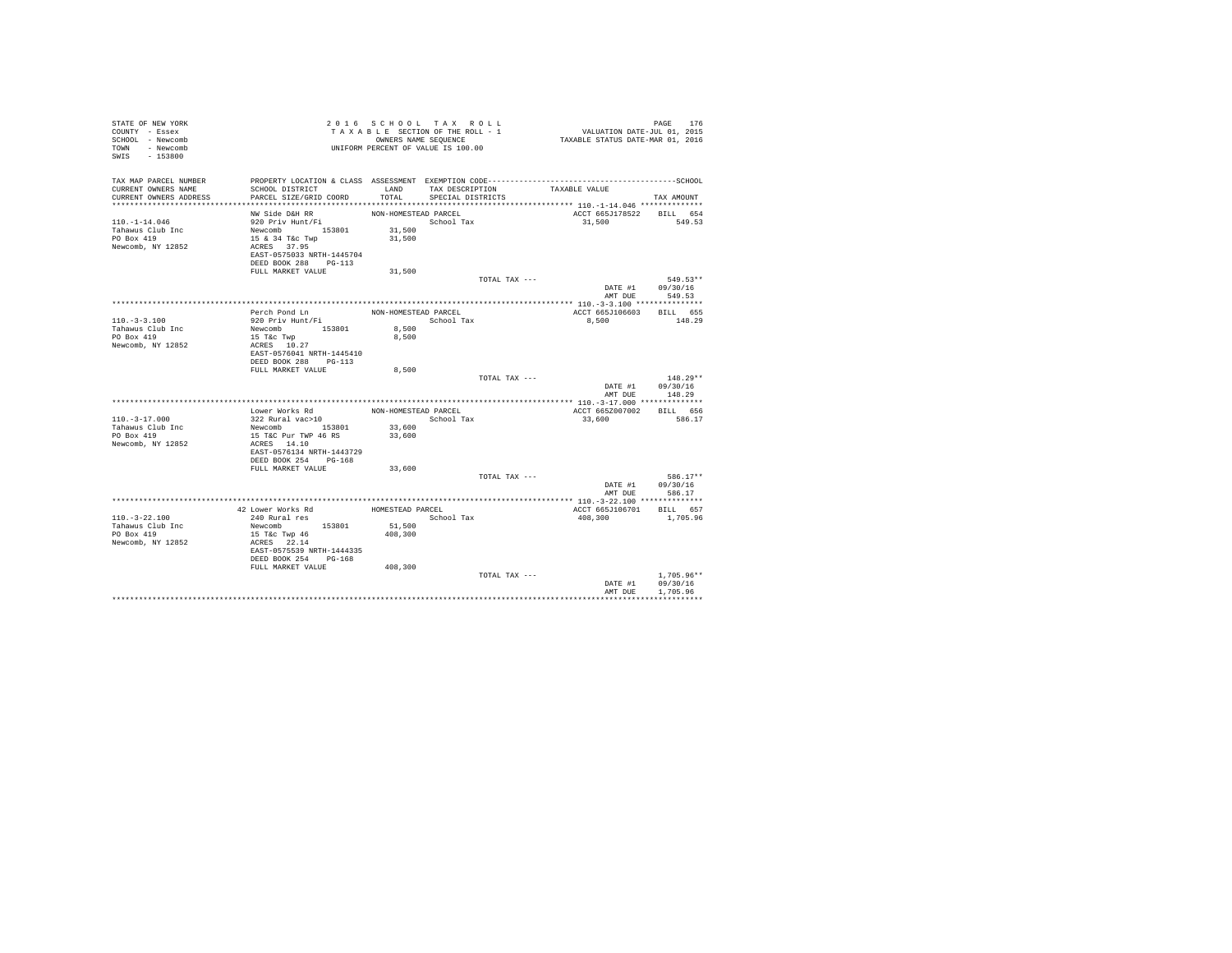| STATE OF NEW YORK<br>COUNTY - Essex<br>SCHOOL - Newcomb<br>TOWN - Newcomb<br>$-153800$<br>SWIS |                                                                  |                      | 2016 SCHOOL TAX ROLL<br>TAXABLE SECTION OF THE ROLL - 1<br>OWNERS NAME SEQUENCE<br>UNIFORM PERCENT OF VALUE IS 100.00 |               | PAGE 176<br>VALUATION DATE-JUL 01, 2015<br>TAXABLE STATUS DATE-MAR 01, 2016 |                    |
|------------------------------------------------------------------------------------------------|------------------------------------------------------------------|----------------------|-----------------------------------------------------------------------------------------------------------------------|---------------|-----------------------------------------------------------------------------|--------------------|
| TAX MAP PARCEL NUMBER<br>CURRENT OWNERS NAME                                                   | SCHOOL DISTRICT                                                  | LAND                 | TAX DESCRIPTION                                                                                                       |               | TAXABLE VALUE                                                               |                    |
| CURRENT OWNERS ADDRESS                                                                         | PARCEL SIZE/GRID COORD                                           | TOTAL                | SPECIAL DISTRICTS                                                                                                     |               |                                                                             | TAX AMOUNT         |
|                                                                                                | NW Side D&H RR                                                   | NON-HOMESTEAD PARCEL |                                                                                                                       |               | ACCT 665J178522 BILL 654                                                    |                    |
| $110. - 1 - 14.046$                                                                            | 920 Priv Hunt/Fi                                                 |                      | School Tax                                                                                                            |               | 31,500                                                                      | 549.53             |
| Tahawus Club Inc                                                                               | Newcomb 153801                                                   | 31,500               |                                                                                                                       |               |                                                                             |                    |
| PO Box 419                                                                                     | 15 & 34 T&C Twp                                                  | 31,500               |                                                                                                                       |               |                                                                             |                    |
| Newcomb, NY 12852                                                                              | ACRES 37.95<br>EAST-0575033 NRTH-1445704<br>DEED BOOK 288 PG-113 |                      |                                                                                                                       |               |                                                                             |                    |
|                                                                                                | FULL MARKET VALUE                                                | 31,500               |                                                                                                                       |               |                                                                             |                    |
|                                                                                                |                                                                  |                      |                                                                                                                       | TOTAL TAX --- |                                                                             | 549.53**           |
|                                                                                                |                                                                  |                      |                                                                                                                       |               | DATE #1 09/30/16<br>AMT DUE 549.53                                          |                    |
|                                                                                                |                                                                  |                      |                                                                                                                       |               |                                                                             |                    |
|                                                                                                | Perch Pond Ln                                                    | NON-HOMESTEAD PARCEL |                                                                                                                       |               | ACCT 665J106603 BILL 655                                                    |                    |
| $110. - 3 - 3.100$                                                                             | 920 Priv Hunt/Fi                                                 |                      | School Tax                                                                                                            |               | 8,500                                                                       | 148.29             |
| Tahawus Club Inc                                                                               | Newcomb 153801                                                   | 8,500                |                                                                                                                       |               |                                                                             |                    |
| PO Box 419<br>Newcomb, NY 12852                                                                | 15 T&c Twp<br>ACRES 10.27                                        | 8,500                |                                                                                                                       |               |                                                                             |                    |
|                                                                                                | EAST-0576041 NRTH-1445410                                        |                      |                                                                                                                       |               |                                                                             |                    |
|                                                                                                | DEED BOOK 288 PG-113                                             |                      |                                                                                                                       |               |                                                                             |                    |
|                                                                                                | FULL MARKET VALUE                                                | 8,500                |                                                                                                                       |               |                                                                             |                    |
|                                                                                                |                                                                  |                      |                                                                                                                       | TOTAL TAX --- |                                                                             | $148.29**$         |
|                                                                                                |                                                                  |                      |                                                                                                                       |               | DATE #1<br>AMT DUR                                                          | 09/30/16<br>148.29 |
|                                                                                                |                                                                  |                      |                                                                                                                       |               |                                                                             |                    |
|                                                                                                | Lower Works Rd                                                   | NON-HOMESTEAD PARCEL |                                                                                                                       |               | ACCT 665Z007002                                                             | BILL 656           |
| $110. - 3 - 17.000$                                                                            | 322 Rural vac>10                                                 |                      | School Tax                                                                                                            |               | 33,600                                                                      | 586.17             |
| Tahawus Club Inc                                                                               | Newcomb 153801                                                   | 33,600               |                                                                                                                       |               |                                                                             |                    |
| PO Box 419                                                                                     | 15 T&C Pur TWP 46 RS                                             | 33,600               |                                                                                                                       |               |                                                                             |                    |
| Newcomb, NY 12852                                                                              | ACRES 14.10<br>EAST-0576134 NRTH-1443729                         |                      |                                                                                                                       |               |                                                                             |                    |
|                                                                                                | DEED BOOK 254 PG-168                                             |                      |                                                                                                                       |               |                                                                             |                    |
|                                                                                                | FULL MARKET VALUE                                                | 33,600               |                                                                                                                       |               |                                                                             |                    |
|                                                                                                |                                                                  |                      |                                                                                                                       | TOTAL TAX --- |                                                                             | 586.17**           |
|                                                                                                |                                                                  |                      |                                                                                                                       |               | DATE #1                                                                     | 09/30/16           |
|                                                                                                |                                                                  |                      |                                                                                                                       |               | AMT DUE                                                                     | 586.17             |
|                                                                                                | 42 Lower Works Rd                                                | HOMESTEAD PARCEL     |                                                                                                                       |               | ACCT 665J106701 BILL 657                                                    |                    |
| $110. - 3 - 22.100$                                                                            | 240 Rural res                                                    |                      | School Tax                                                                                                            |               | 408,300                                                                     | 1,705.96           |
| Tahawus Club Inc                                                                               | Newcomb<br>153801                                                | 51,500               |                                                                                                                       |               |                                                                             |                    |
| PO Box 419                                                                                     | 15 T&c Twp 46                                                    | 408,300              |                                                                                                                       |               |                                                                             |                    |
| Newcomb, NY 12852                                                                              | ACRES 22.14                                                      |                      |                                                                                                                       |               |                                                                             |                    |
|                                                                                                | EAST-0575539 NRTH-1444335<br>DEED BOOK 254 PG-168                |                      |                                                                                                                       |               |                                                                             |                    |
|                                                                                                | FULL MARKET VALUE                                                | 408,300              |                                                                                                                       |               |                                                                             |                    |
|                                                                                                |                                                                  |                      |                                                                                                                       | TOTAL TAX --- |                                                                             | $1.705.96**$       |
|                                                                                                |                                                                  |                      |                                                                                                                       |               | DATE #1                                                                     | 09/30/16           |
|                                                                                                |                                                                  |                      |                                                                                                                       |               | AMT DUE                                                                     | 1,705.96           |
|                                                                                                |                                                                  |                      |                                                                                                                       |               |                                                                             |                    |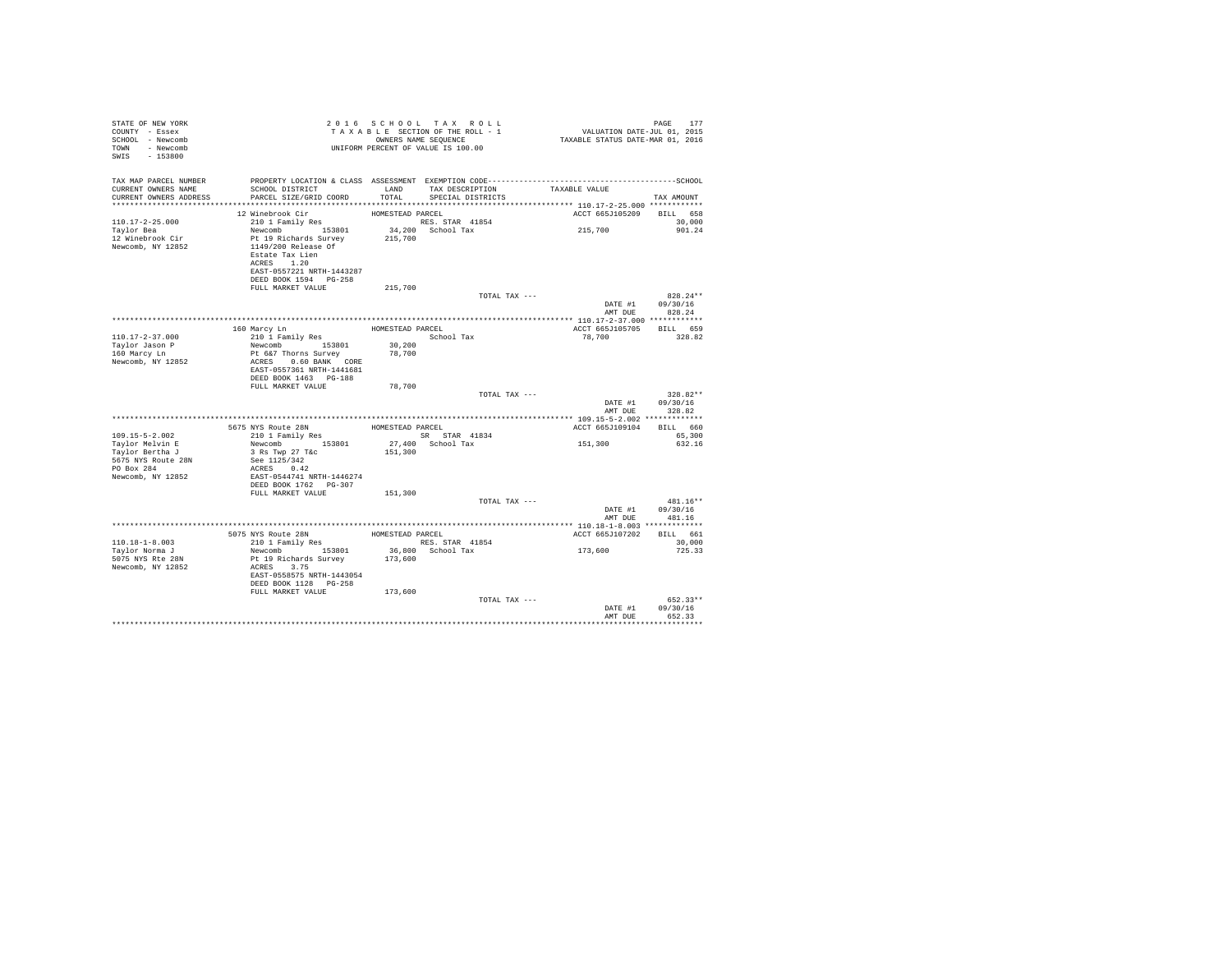| STATE OF NEW YORK<br>COUNTY - Essex<br>SCHOOL - Newcomb<br>TOWN - Newcomb<br>SWIS<br>$-153800$ |                                                                                                                                                                                               |                             | 2016 SCHOOL TAX ROLL<br>TAXABLE SECTION OF THE ROLL - 1<br>OWNERS NAME SEOUENCE<br>UNIFORM PERCENT OF VALUE IS 100.00 | PAGE<br>177<br>VALUATION DATE-JUL 01, 2015<br>TAXABLE STATUS DATE-MAR 01, 2016 |                                  |  |
|------------------------------------------------------------------------------------------------|-----------------------------------------------------------------------------------------------------------------------------------------------------------------------------------------------|-----------------------------|-----------------------------------------------------------------------------------------------------------------------|--------------------------------------------------------------------------------|----------------------------------|--|
| TAX MAP PARCEL NUMBER<br>CURRENT OWNERS NAME<br>CURRENT OWNERS ADDRESS                         | SCHOOL DISTRICT<br>PARCEL SIZE/GRID COORD                                                                                                                                                     | <b>T.AND</b><br>TOTAL       | TAX DESCRIPTION<br>SPECIAL DISTRICTS                                                                                  | TAXABLE VALUE                                                                  | TAX AMOUNT                       |  |
| $110.17 - 2 - 25.000$<br>Taylor Bea<br>12 Winebrook Cir<br>Newcomb, NY 12852                   | 12 Winebrook Cir<br>210 1 Family Res<br>Newcomb 153801<br>Pt 19 Richards Survey<br>1149/200 Release Of<br>Estate Tax Lien<br>ACRES 1.20<br>EAST-0557221 NRTH-1443287<br>DEED BOOK 1594 PG-258 | HOMESTEAD PARCEL<br>215,700 | RES. STAR 41854<br>34,200 School Tax                                                                                  | ACCT 665J105209<br>215,700                                                     | BILL 658<br>30,000<br>901.24     |  |
|                                                                                                | FULL MARKET VALUE                                                                                                                                                                             | 215,700                     | TOTAL TAX ---                                                                                                         | DATE #1<br>AMT DUE                                                             | $828.24**$<br>09/30/16<br>828.24 |  |
|                                                                                                |                                                                                                                                                                                               |                             |                                                                                                                       |                                                                                |                                  |  |
| $110.17 - 2 - 37.000$<br>Taylor Jason P<br>160 Marcy Ln<br>Newcomb, NY 12852                   | 160 Marcy Ln<br>210 1 Family Res<br>Newcomb 153801<br>Pt 6&7 Thorns Survey<br>ACRES 0.60 BANK CORE<br>EAST-0557361 NRTH-1441681                                                               | 30,200<br>78,700            | HOMESTEAD PARCEL<br>School Tax                                                                                        | ACCT 665J105705<br>78,700                                                      | BTLL 659<br>328.82               |  |
|                                                                                                | DEED BOOK 1463 PG-188<br>FULL MARKET VALUE                                                                                                                                                    | 78,700                      | TOTAL TAX ---                                                                                                         | DATE #1<br>AMT DUE                                                             | $328.82**$<br>09/30/16<br>328.82 |  |
|                                                                                                |                                                                                                                                                                                               |                             |                                                                                                                       |                                                                                |                                  |  |
|                                                                                                |                                                                                                                                                                                               |                             |                                                                                                                       | ACCT 665J109104                                                                | BILL 660                         |  |
| $109.15 - 5 - 2.002$                                                                           |                                                                                                                                                                                               |                             | SR STAR 41834                                                                                                         |                                                                                | 65,300                           |  |
| Taylor Melvin E<br>Taylor Bertha J<br>5675 NYS Route 28N<br>PO Box 284<br>Newcomb, NY 12852    | Newcomb 153801<br>3 Rs Twp 27 T&c<br>See 1125/342<br>ACRES 0.42<br>EAST-0544741 NRTH-1446274<br>DEED BOOK 1762 PG-307                                                                         | 151,300                     | 27,400 School Tax                                                                                                     | 151,300                                                                        | 632.16                           |  |
|                                                                                                | FULL MARKET VALUE                                                                                                                                                                             | 151,300                     |                                                                                                                       |                                                                                |                                  |  |
|                                                                                                |                                                                                                                                                                                               |                             | TOTAL TAX ---                                                                                                         | DATE #1<br>AMT DUE                                                             | 481.16**<br>09/30/16<br>481.16   |  |
|                                                                                                |                                                                                                                                                                                               |                             |                                                                                                                       |                                                                                |                                  |  |
|                                                                                                | 5075 NYS Route 28N<br>ROUTE 28N<br>210 1 Family Res                                                                                                                                           | HOMESTEAD PARCEL            |                                                                                                                       | ACCT 665J107202                                                                | BILL 661                         |  |
| $110.18 - 1 - 8.003$                                                                           |                                                                                                                                                                                               |                             | RES. STAR 41854                                                                                                       |                                                                                | 30,000                           |  |
| Taylor Norma J<br>5075 NYS Rte 28N<br>Newcomb, NY 12852                                        | Newcomb 153801<br>Pt 19 Richards Survey<br>ACRES 3.75<br>EAST-0558575 NRTH-1443054<br>DEED BOOK 1128 PG-258                                                                                   | 173,600                     | 36,800 School Tax                                                                                                     | 173,600                                                                        | 725.33                           |  |
|                                                                                                | FULL MARKET VALUE                                                                                                                                                                             | 173,600                     |                                                                                                                       |                                                                                |                                  |  |
|                                                                                                |                                                                                                                                                                                               |                             | TOTAL TAX ---                                                                                                         | DATE #1<br>AMT DUE                                                             | 652.33**<br>09/30/16<br>652.33   |  |
|                                                                                                |                                                                                                                                                                                               |                             |                                                                                                                       |                                                                                |                                  |  |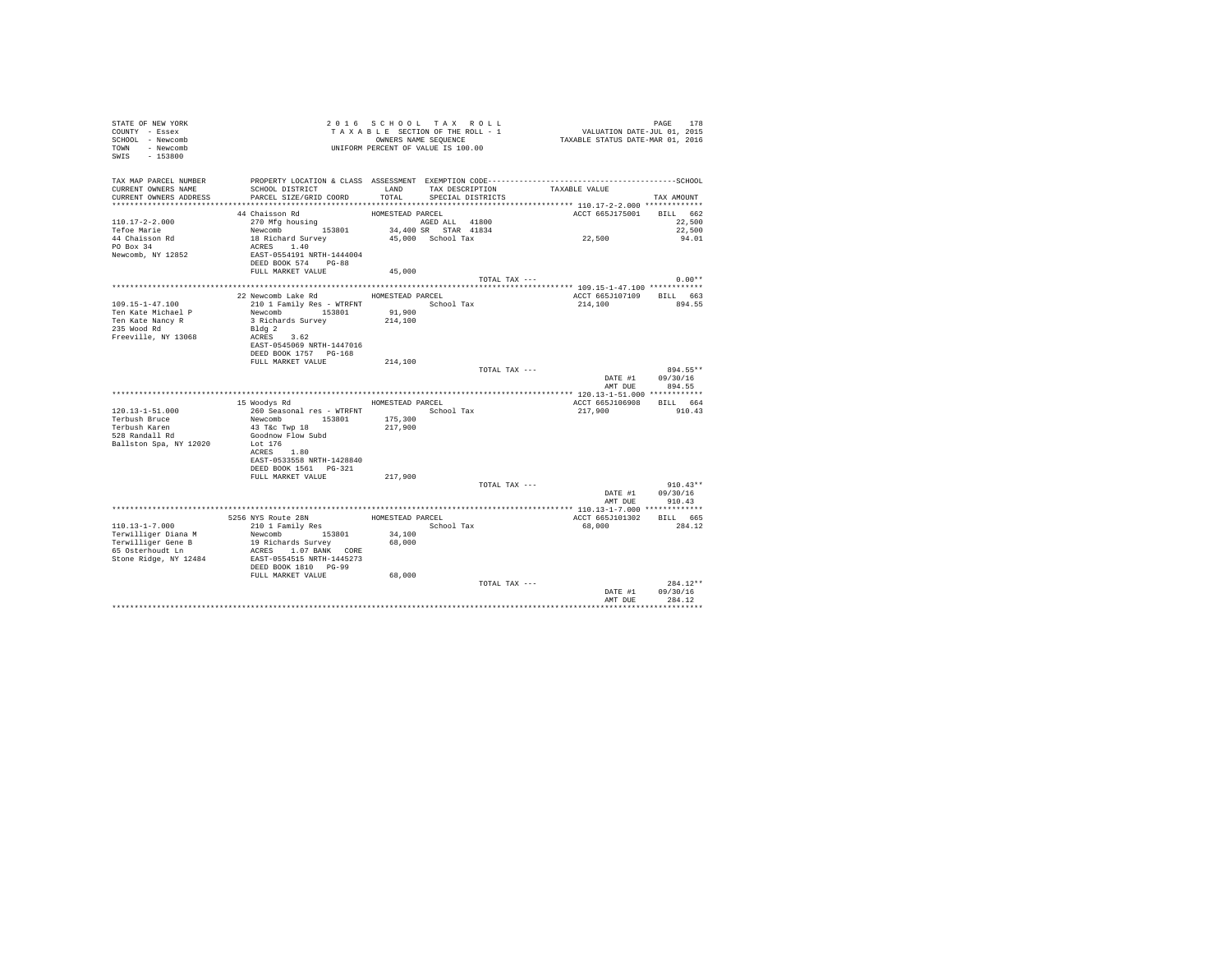| STATE OF NEW YORK<br>COUNTY - Essex<br>SCHOOL - Newcomb<br>TOWN - Newcomb<br>SWIS - 153800 |                                                                              |                  | 2016 SCHOOL TAX ROLL<br>TAXABLE SECTION OF THE ROLL - 1<br>OWNERS NAME SEQUENCE<br>UNIFORM PERCENT OF VALUE IS 100.00 | PAGE 178<br>VALUATION DATE-JUL 01, 2015<br>TAXABLE STATUS DATE-MAR 01, 2016 |                                    |
|--------------------------------------------------------------------------------------------|------------------------------------------------------------------------------|------------------|-----------------------------------------------------------------------------------------------------------------------|-----------------------------------------------------------------------------|------------------------------------|
| TAX MAP PARCEL NUMBER<br>CURRENT OWNERS NAME                                               | SCHOOL DISTRICT                                                              |                  |                                                                                                                       | LAND TAX DESCRIPTION TAXABLE VALUE                                          |                                    |
| CURRENT OWNERS ADDRESS                                                                     | PARCEL SIZE/GRID COORD                                                       | TOTAL            | SPECIAL DISTRICTS                                                                                                     |                                                                             | TAX AMOUNT                         |
|                                                                                            | 44 Chaisson Rd                                                               | HOMESTEAD PARCEL |                                                                                                                       | ACCT 665J175001 BILL 662                                                    |                                    |
| $110.17 - 2 - 2.000$                                                                       | 270 Mfg housing                                                              |                  | AGED ALL 41800                                                                                                        |                                                                             | 22,500                             |
| Tefoe Marie                                                                                |                                                                              |                  | 34,400 SR STAR 41834                                                                                                  | 22,500                                                                      | 22,500                             |
| 44 Chaisson Rd                                                                             | Newcomb 153801<br>18 Richard Survey                                          |                  | 45,000 School Tax                                                                                                     |                                                                             | 94.01                              |
| PO Box 34                                                                                  | ACRES 1.40                                                                   |                  |                                                                                                                       |                                                                             |                                    |
| Newcomb, NY 12852                                                                          | EAST-0554191 NRTH-1444004                                                    |                  |                                                                                                                       |                                                                             |                                    |
|                                                                                            | DEED BOOK 574 PG-88                                                          |                  |                                                                                                                       |                                                                             |                                    |
|                                                                                            | FULL MARKET VALUE                                                            | 45,000           |                                                                                                                       | TOTAL TAX ---                                                               | $0.00**$                           |
|                                                                                            |                                                                              |                  |                                                                                                                       |                                                                             |                                    |
|                                                                                            | 22 Newcomb Lake Rd MOMESTEAD PARCEL                                          |                  |                                                                                                                       | ACCT 665J107109 BILL 663                                                    |                                    |
| $109.15 - 1 - 47.100$                                                                      | 210 1 Family Res - WTRFNT School Tax                                         |                  |                                                                                                                       | 214,100                                                                     | 894.55                             |
| Ten Kate Michael P                                                                         | Newcomb 153801 91,900<br>3 Richards Survey 214,100                           |                  |                                                                                                                       |                                                                             |                                    |
| Ten Kate Nancy R                                                                           |                                                                              |                  |                                                                                                                       |                                                                             |                                    |
| 235 Wood Rd<br>Freeville, NY 13068                                                         | Bldg 2<br>ACRES 3.62                                                         |                  |                                                                                                                       |                                                                             |                                    |
|                                                                                            | EAST-0545069 NRTH-1447016                                                    |                  |                                                                                                                       |                                                                             |                                    |
|                                                                                            | DEED BOOK 1757 PG-168                                                        |                  |                                                                                                                       |                                                                             |                                    |
|                                                                                            | FULL MARKET VALUE                                                            | 214,100          |                                                                                                                       |                                                                             |                                    |
|                                                                                            |                                                                              |                  |                                                                                                                       | TOTAL TAX ---                                                               | 894.55**                           |
|                                                                                            |                                                                              |                  |                                                                                                                       |                                                                             | DATE #1 09/30/16<br>AMT DUE 894.55 |
|                                                                                            |                                                                              |                  |                                                                                                                       |                                                                             |                                    |
|                                                                                            | 15 Woodys Rd MOMESTEAD PARCEL                                                |                  |                                                                                                                       | ACCT 665J106908 BILL 664                                                    |                                    |
| 120.13-1-51.000                                                                            | 260 Seasonal res - WTRFNT<br>Newcomb 153801 175,300<br>43 T&c Twp 18 217,900 |                  |                                                                                                                       | 217,900                                                                     | 910.43                             |
| Terbush Bruce                                                                              |                                                                              |                  |                                                                                                                       |                                                                             |                                    |
| Terbush Karen<br>ierbush Karen<br>528 Randall Rd                                           |                                                                              |                  |                                                                                                                       |                                                                             |                                    |
|                                                                                            | Goodnow Flow Subd<br>Lot 176                                                 |                  |                                                                                                                       |                                                                             |                                    |
| Ballston Spa, NY 12020                                                                     | ACRES 1.80                                                                   |                  |                                                                                                                       |                                                                             |                                    |
|                                                                                            | EAST-0533558 NRTH-1428840                                                    |                  |                                                                                                                       |                                                                             |                                    |
|                                                                                            | DEED BOOK 1561 PG-321                                                        |                  |                                                                                                                       |                                                                             |                                    |
|                                                                                            | FULL MARKET VALUE                                                            | 217,900          |                                                                                                                       |                                                                             |                                    |
|                                                                                            |                                                                              |                  |                                                                                                                       | TOTAL TAX ---                                                               | $910.43**$                         |
|                                                                                            |                                                                              |                  |                                                                                                                       | AMT DUE                                                                     | DATE #1 09/30/16<br>910.43         |
|                                                                                            |                                                                              |                  |                                                                                                                       | ********************** 110.13-1-7.000 *************                         |                                    |
|                                                                                            | 5256 NYS Route 28N<br>210 1 Family Res                                       | HOMESTEAD PARCEL |                                                                                                                       | ACCT 665J101302                                                             | BILL 665                           |
| 110.13-1-7.000                                                                             |                                                                              |                  | School Tax                                                                                                            | 68,000                                                                      | 284.12                             |
| Terwilliger Diana M                                                                        | Newcomb 153801<br>19 Richards Survey                                         | 34,100           |                                                                                                                       |                                                                             |                                    |
| Terwilliger Gene B<br>65 Osterhoudt Ln                                                     |                                                                              | 68,000           |                                                                                                                       |                                                                             |                                    |
| Stone Ridge, NY 12484                                                                      | ACRES 1.07 BANK CORE<br>EAST-0554515 NRTH-1445273                            |                  |                                                                                                                       |                                                                             |                                    |
|                                                                                            | DEED BOOK 1810 PG-99                                                         |                  |                                                                                                                       |                                                                             |                                    |
|                                                                                            | FULL MARKET VALUE                                                            | 68,000           |                                                                                                                       |                                                                             |                                    |
|                                                                                            |                                                                              |                  |                                                                                                                       | TOTAL TAX ---                                                               | $284.12**$                         |
|                                                                                            |                                                                              |                  |                                                                                                                       |                                                                             | DATE #1 09/30/16                   |
|                                                                                            |                                                                              |                  |                                                                                                                       | AMT DUE                                                                     | 284.12                             |
|                                                                                            |                                                                              |                  |                                                                                                                       |                                                                             |                                    |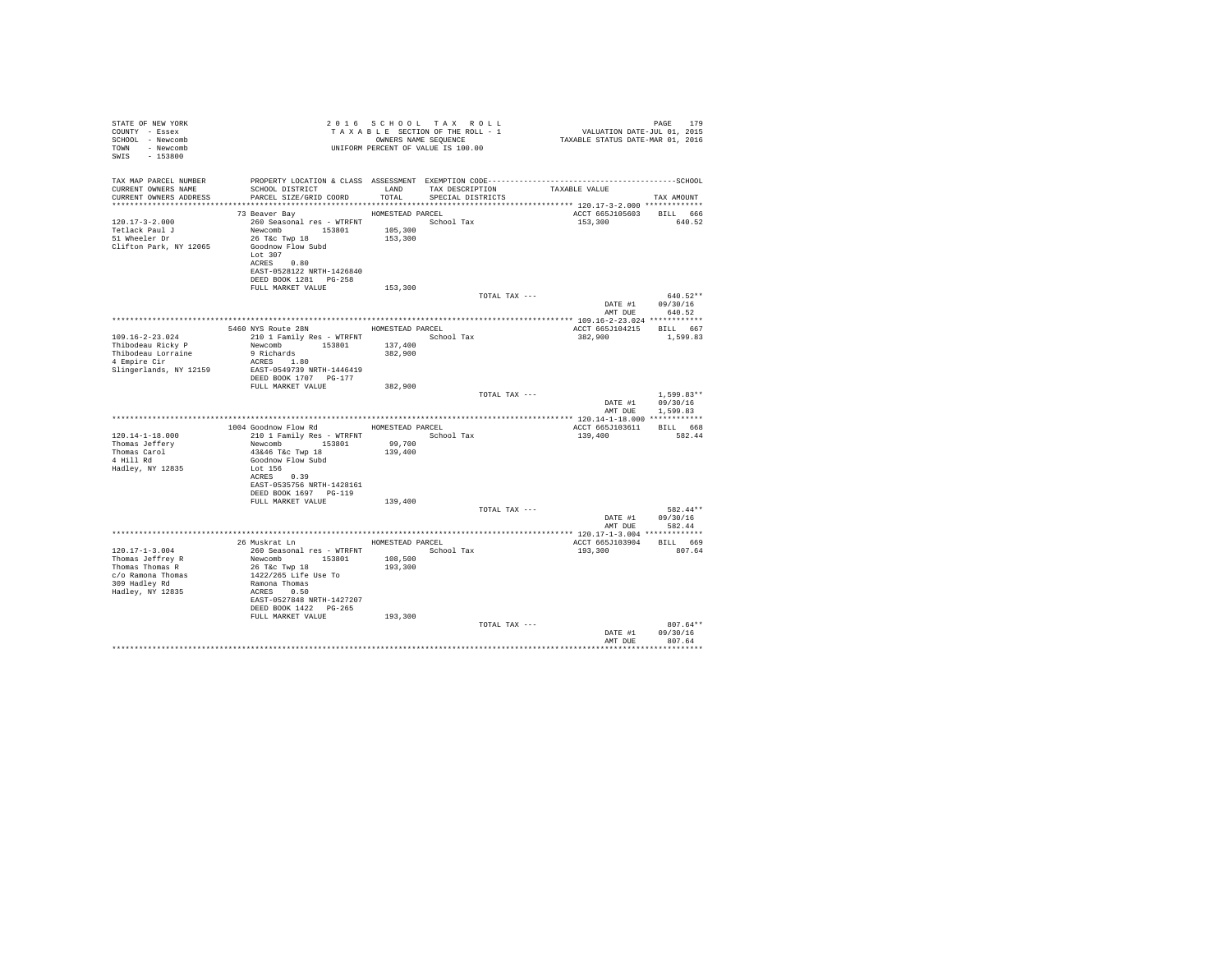| STATE OF NEW YORK<br>COUNTY - Essex<br>SCHOOL - Newcomb<br>TOWN - Newcomb<br>SWIS - 153800                                                                           |                                                                                                                                                                                   |                                        | 2016 SCHOOL TAX ROLL<br>TAXABLE SECTION OF THE ROLL - 1<br>OWNERS NAME SEOUENCE<br>UNIFORM PERCENT OF VALUE IS 100.00 |               | PAGE 179<br>VALUATION DATE-JUL 01, 2015<br>TAXABLE STATUS DATE-MAR 01, 2016 | PAGE<br>179                      |
|----------------------------------------------------------------------------------------------------------------------------------------------------------------------|-----------------------------------------------------------------------------------------------------------------------------------------------------------------------------------|----------------------------------------|-----------------------------------------------------------------------------------------------------------------------|---------------|-----------------------------------------------------------------------------|----------------------------------|
| TAX MAP PARCEL NUMBER                                                                                                                                                | PROPERTY LOCATION & CLASS ASSESSMENT EXEMPTION CODE-----------------------------------SCHOOL                                                                                      |                                        |                                                                                                                       |               |                                                                             |                                  |
| CURRENT OWNERS NAME<br>CURRENT OWNERS ADDRESS                                                                                                                        | SCHOOL DISTRICT LAND<br>PARCEL SIZE/GRID COORD                                                                                                                                    | TOTAL                                  | TAX DESCRIPTION<br>SPECIAL DISTRICTS                                                                                  |               | TAXABLE VALUE                                                               | TAX AMOUNT                       |
|                                                                                                                                                                      |                                                                                                                                                                                   |                                        |                                                                                                                       |               |                                                                             |                                  |
| $120.17 - 3 - 2.000$<br>$\begin{array}{cc}\n & \text{and} & \text{if} \\ 51 \text{ Wheeler Dr} \\ \text{Cliff} & \text{if} \\ \end{array}$<br>Clifton Park, NY 12065 | 73 Beaver Bay<br>260 Seasonal res - WTRFNT<br>Newcomb 153801<br>26 T&c Twp 18<br>Goodnow Flow Subd<br>Lot 307<br>ACRES 0.80<br>EAST-0528122 NRTH-1426840<br>DEED BOOK 1281 PG-258 | HOMESTEAD PARCEL<br>105,300<br>153,300 | School Tax                                                                                                            |               | ACCT 665J105603 BILL 666<br>153,300                                         | 640.52                           |
|                                                                                                                                                                      | FULL MARKET VALUE                                                                                                                                                                 | 153,300                                |                                                                                                                       |               |                                                                             |                                  |
|                                                                                                                                                                      |                                                                                                                                                                                   |                                        |                                                                                                                       | TOTAL TAX --- |                                                                             | 640.52**<br>DATE #1 09/30/16     |
|                                                                                                                                                                      |                                                                                                                                                                                   |                                        |                                                                                                                       |               | AMT DUE                                                                     | 640.52                           |
|                                                                                                                                                                      |                                                                                                                                                                                   |                                        |                                                                                                                       |               |                                                                             |                                  |
| $109.16 - 2 - 23.024$                                                                                                                                                | 5460 NYS Route 28N<br>210 1 Family Res - WTRFNT                                                                                                                                   | HOMESTEAD PARCEL                       | School Tax                                                                                                            |               | ACCT 665J104215 BILL 667<br>382,900                                         | 1,599.83                         |
| Thibodeau Ricky P                                                                                                                                                    | Newcomb 153801                                                                                                                                                                    | 137,400                                |                                                                                                                       |               |                                                                             |                                  |
| Thibodeau Lorraine                                                                                                                                                   | 9 Richards                                                                                                                                                                        | 382,900                                |                                                                                                                       |               |                                                                             |                                  |
| 4 Empire Cir                                                                                                                                                         | ACRES 1.80                                                                                                                                                                        |                                        |                                                                                                                       |               |                                                                             |                                  |
| Slingerlands, NY 12159                                                                                                                                               | EAST-0549739 NRTH-1446419<br>DEED BOOK 1707 PG-177                                                                                                                                |                                        |                                                                                                                       |               |                                                                             |                                  |
|                                                                                                                                                                      | FULL MARKET VALUE                                                                                                                                                                 | 382,900                                |                                                                                                                       |               |                                                                             |                                  |
|                                                                                                                                                                      |                                                                                                                                                                                   |                                        |                                                                                                                       | TOTAL TAX --- |                                                                             | $1.599.83**$<br>DATE #1 09/30/16 |
|                                                                                                                                                                      |                                                                                                                                                                                   |                                        |                                                                                                                       |               |                                                                             | AMT DUE 1,599.83                 |
|                                                                                                                                                                      |                                                                                                                                                                                   |                                        |                                                                                                                       |               |                                                                             |                                  |
|                                                                                                                                                                      | 1004 Goodnow Flow Rd                                                                                                                                                              | HOMESTEAD PARCEL                       |                                                                                                                       |               | ACCT 665J103611 BILL 668                                                    |                                  |
| $120.14 - 1 - 18.000$                                                                                                                                                | 210 1 Family Res - WTRFNT                                                                                                                                                         |                                        | School Tax                                                                                                            |               | 139,400                                                                     | 582.44                           |
| Thomas Jeffery<br>Thomas Carol                                                                                                                                       | Newcomb 153801<br>43&46 T&c Twp 18                                                                                                                                                | 99,700<br>139,400                      |                                                                                                                       |               |                                                                             |                                  |
| 4 Hill Rd                                                                                                                                                            | Goodnow Flow Subd                                                                                                                                                                 |                                        |                                                                                                                       |               |                                                                             |                                  |
| Hadley, NY 12835                                                                                                                                                     | Lot 156                                                                                                                                                                           |                                        |                                                                                                                       |               |                                                                             |                                  |
|                                                                                                                                                                      | ACRES 0.39                                                                                                                                                                        |                                        |                                                                                                                       |               |                                                                             |                                  |
|                                                                                                                                                                      | EAST-0535756 NRTH-1428161                                                                                                                                                         |                                        |                                                                                                                       |               |                                                                             |                                  |
|                                                                                                                                                                      | DEED BOOK 1697 PG-119<br>FULL MARKET VALUE                                                                                                                                        | 139,400                                |                                                                                                                       |               |                                                                             |                                  |
|                                                                                                                                                                      |                                                                                                                                                                                   |                                        |                                                                                                                       | TOTAL TAX --- |                                                                             | 582.44**                         |
|                                                                                                                                                                      |                                                                                                                                                                                   |                                        |                                                                                                                       |               |                                                                             | DATE #1 09/30/16                 |
|                                                                                                                                                                      |                                                                                                                                                                                   |                                        |                                                                                                                       |               |                                                                             | AMT DUE 582.44                   |
|                                                                                                                                                                      |                                                                                                                                                                                   |                                        |                                                                                                                       |               |                                                                             |                                  |
| $120.17 - 1 - 3.004$                                                                                                                                                 | 26 Muskrat Ln<br>260 Seasonal res - WTRFNT                                                                                                                                        | HOMESTEAD PARCEL                       | School Tax                                                                                                            |               | ACCT 665J103904 BILL 669<br>193,300                                         | 807.64                           |
| Thomas Jeffrey R                                                                                                                                                     |                                                                                                                                                                                   | 108,500                                |                                                                                                                       |               |                                                                             |                                  |
| Thomas Thomas R                                                                                                                                                      | Newcomb 153801<br>26 T&c Twp 18                                                                                                                                                   | 193,300                                |                                                                                                                       |               |                                                                             |                                  |
| c/o Ramona Thomas                                                                                                                                                    | 1422/265 Life Use To                                                                                                                                                              |                                        |                                                                                                                       |               |                                                                             |                                  |
| 309 Hadley Rd                                                                                                                                                        | Ramona Thomas                                                                                                                                                                     |                                        |                                                                                                                       |               |                                                                             |                                  |
| Hadley, NY 12835                                                                                                                                                     | ACRES 0.50<br>EAST-0527848 NRTH-1427207                                                                                                                                           |                                        |                                                                                                                       |               |                                                                             |                                  |
|                                                                                                                                                                      | DEED BOOK 1422 PG-265                                                                                                                                                             |                                        |                                                                                                                       |               |                                                                             |                                  |
|                                                                                                                                                                      | FULL MARKET VALUE                                                                                                                                                                 | 193,300                                |                                                                                                                       |               |                                                                             |                                  |
|                                                                                                                                                                      |                                                                                                                                                                                   |                                        |                                                                                                                       | TOTAL TAX --- |                                                                             | $807.64**$                       |
|                                                                                                                                                                      |                                                                                                                                                                                   |                                        |                                                                                                                       |               | DATE #1                                                                     | 09/30/16                         |
|                                                                                                                                                                      |                                                                                                                                                                                   |                                        |                                                                                                                       |               | AMT DUE                                                                     | 807.64                           |
|                                                                                                                                                                      |                                                                                                                                                                                   |                                        |                                                                                                                       |               |                                                                             |                                  |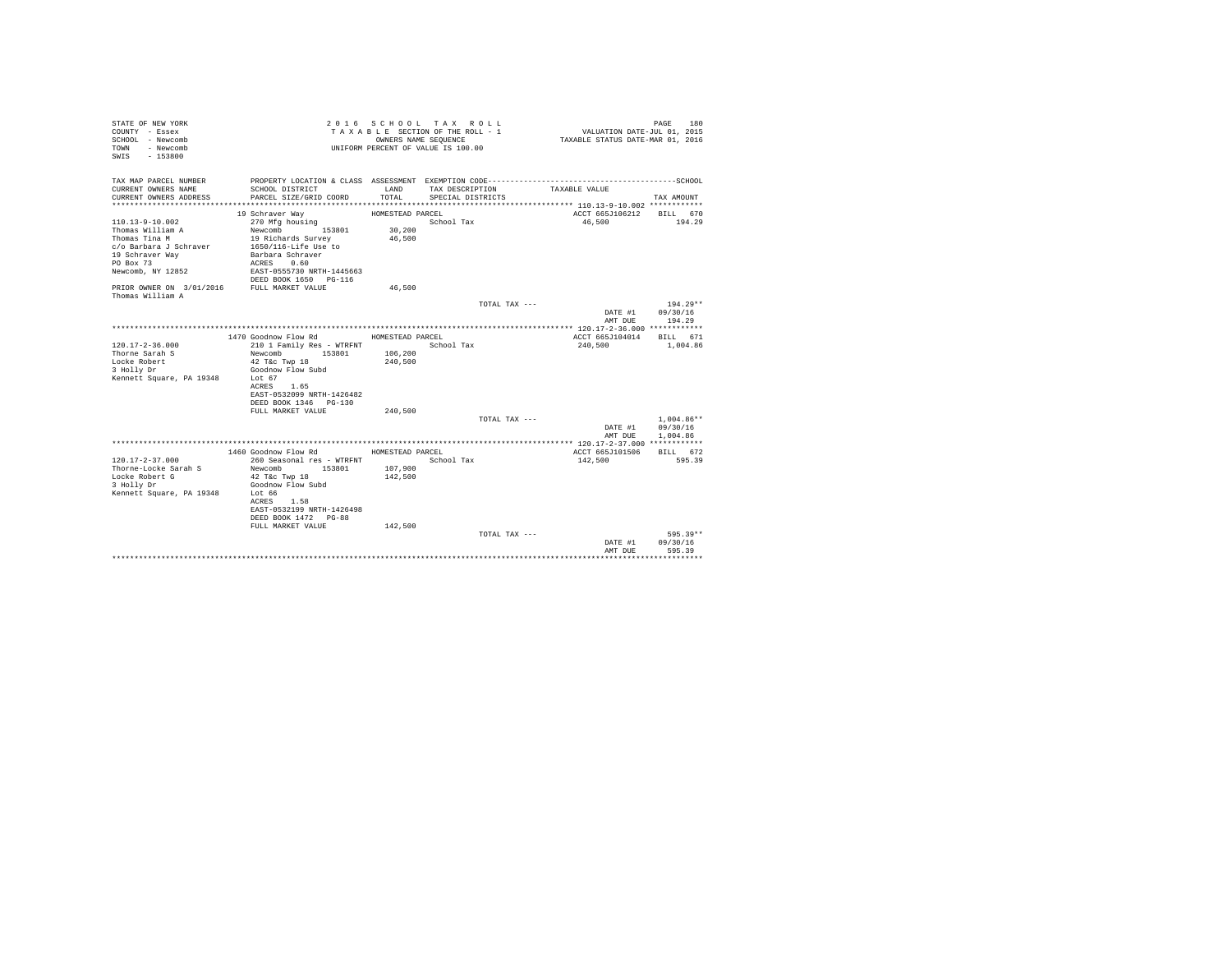| STATE OF NEW YORK<br>COUNTY - Essex<br>SCHOOL - Newcomb<br>TOWN - Newcomb<br>$-153800$<br>SWIS |                                           |                  | 2016 SCHOOL TAX ROLL<br>TAXABLE SECTION OF THE ROLL - 1<br>OWNERS NAME SEQUENCE<br>UNIFORM PERCENT OF VALUE IS 100.00 |               | VALUATION DATE-JUL 01, 2015<br>TAXABLE STATUS DATE-MAR 01, 2016 | PAGE<br>180  |
|------------------------------------------------------------------------------------------------|-------------------------------------------|------------------|-----------------------------------------------------------------------------------------------------------------------|---------------|-----------------------------------------------------------------|--------------|
| TAX MAP PARCEL NUMBER<br>CURRENT OWNERS NAME                                                   | SCHOOL DISTRICT                           | LAND             | TAX DESCRIPTION                                                                                                       |               | TAXABLE VALUE                                                   |              |
| CURRENT OWNERS ADDRESS                                                                         | PARCEL SIZE/GRID COORD                    | TOTAL.           | SPECIAL DISTRICTS                                                                                                     |               |                                                                 | TAX AMOUNT   |
|                                                                                                | 19 Schraver Way                           | HOMESTEAD PARCEL |                                                                                                                       |               | ACCT 665J106212 BILL 670                                        |              |
| $110.13 - 9 - 10.002$                                                                          | 270 Mfg housing                           |                  | School Tax                                                                                                            |               | 46,500                                                          | 194.29       |
| Thomas William A                                                                               | Newcomb 153801                            | 30,200           |                                                                                                                       |               |                                                                 |              |
| Thomas Tina M                                                                                  | 19 Richards Survey                        | 46,500           |                                                                                                                       |               |                                                                 |              |
| c/o Barbara J Schraver                                                                         | 1650/116-Life Use to                      |                  |                                                                                                                       |               |                                                                 |              |
| 19 Schraver Way                                                                                | Barbara Schraver                          |                  |                                                                                                                       |               |                                                                 |              |
| PO Box 73                                                                                      | ACRES 0.60                                |                  |                                                                                                                       |               |                                                                 |              |
| Newcomb, NY 12852                                                                              | EAST-0555730 NRTH-1445663                 |                  |                                                                                                                       |               |                                                                 |              |
|                                                                                                | DEED BOOK 1650 PG-116                     |                  |                                                                                                                       |               |                                                                 |              |
| PRIOR OWNER ON 3/01/2016 FULL MARKET VALUE                                                     |                                           | 46,500           |                                                                                                                       |               |                                                                 |              |
| Thomas William A                                                                               |                                           |                  |                                                                                                                       |               |                                                                 |              |
|                                                                                                |                                           |                  |                                                                                                                       | TOTAL TAX --- |                                                                 | $194.29**$   |
|                                                                                                |                                           |                  |                                                                                                                       |               | DATE #1 09/30/16                                                |              |
|                                                                                                |                                           |                  |                                                                                                                       |               | AMT DUR                                                         | 194.29       |
|                                                                                                | 1470 Goodnow Flow Rd                      |                  |                                                                                                                       |               |                                                                 |              |
| $120.17 - 2 - 36.000$                                                                          | 210 1 Family Res - WTRFNT                 | HOMESTEAD PARCEL | School Tax                                                                                                            |               | ACCT 665J104014 BILL 671<br>240,500                             | 1,004.86     |
| Thorne Sarah S                                                                                 | Newcomb<br>153801                         | 106,200          |                                                                                                                       |               |                                                                 |              |
| Locke Robert                                                                                   | 42 T&c Twp 18                             | 240,500          |                                                                                                                       |               |                                                                 |              |
| 3 Holly Dr                                                                                     | Goodnow Flow Subd                         |                  |                                                                                                                       |               |                                                                 |              |
| Kennett Square, PA 19348                                                                       | Lot 67                                    |                  |                                                                                                                       |               |                                                                 |              |
|                                                                                                | ACRES 1.65                                |                  |                                                                                                                       |               |                                                                 |              |
|                                                                                                | EAST-0532099 NRTH-1426482                 |                  |                                                                                                                       |               |                                                                 |              |
|                                                                                                | DEED BOOK 1346 PG-130                     |                  |                                                                                                                       |               |                                                                 |              |
|                                                                                                | FULL MARKET VALUE                         | 240,500          |                                                                                                                       |               |                                                                 |              |
|                                                                                                |                                           |                  |                                                                                                                       | TOTAL TAX --- |                                                                 | $1.004.86**$ |
|                                                                                                |                                           |                  |                                                                                                                       |               | DATE #1                                                         | 09/30/16     |
|                                                                                                |                                           |                  |                                                                                                                       |               | AMT DUE                                                         | 1,004.86     |
|                                                                                                |                                           |                  |                                                                                                                       |               |                                                                 |              |
|                                                                                                | 1460 Goodnow Flow Rd                      | HOMESTEAD PARCEL |                                                                                                                       |               | ACCT 665J101506 BILL 672                                        |              |
| $120.17 - 2 - 37.000$                                                                          | 260 Seasonal res - WTRFNT                 |                  | School Tax                                                                                                            |               | 142,500                                                         | 595.39       |
| Thorne-Locke Sarah S                                                                           | Newcomb 153801                            | 107,900          |                                                                                                                       |               |                                                                 |              |
| Locke Robert G                                                                                 | 42 T&c Twp 18                             | 142,500          |                                                                                                                       |               |                                                                 |              |
| 3 Holly Dr                                                                                     | Goodnow Flow Subd                         |                  |                                                                                                                       |               |                                                                 |              |
| Kennett Square, PA 19348                                                                       | Lot 66                                    |                  |                                                                                                                       |               |                                                                 |              |
|                                                                                                | ACRES 1.58<br>EAST-0532199 NRTH-1426498   |                  |                                                                                                                       |               |                                                                 |              |
|                                                                                                |                                           |                  |                                                                                                                       |               |                                                                 |              |
|                                                                                                | DEED BOOK 1472 PG-88<br>FULL MARKET VALUE | 142,500          |                                                                                                                       |               |                                                                 |              |
|                                                                                                |                                           |                  |                                                                                                                       | TOTAL TAX --- |                                                                 | 595.39**     |
|                                                                                                |                                           |                  |                                                                                                                       |               | DATE #1                                                         | 09/30/16     |
|                                                                                                |                                           |                  |                                                                                                                       |               | AMT DUE                                                         | 595.39       |
|                                                                                                |                                           |                  |                                                                                                                       |               |                                                                 |              |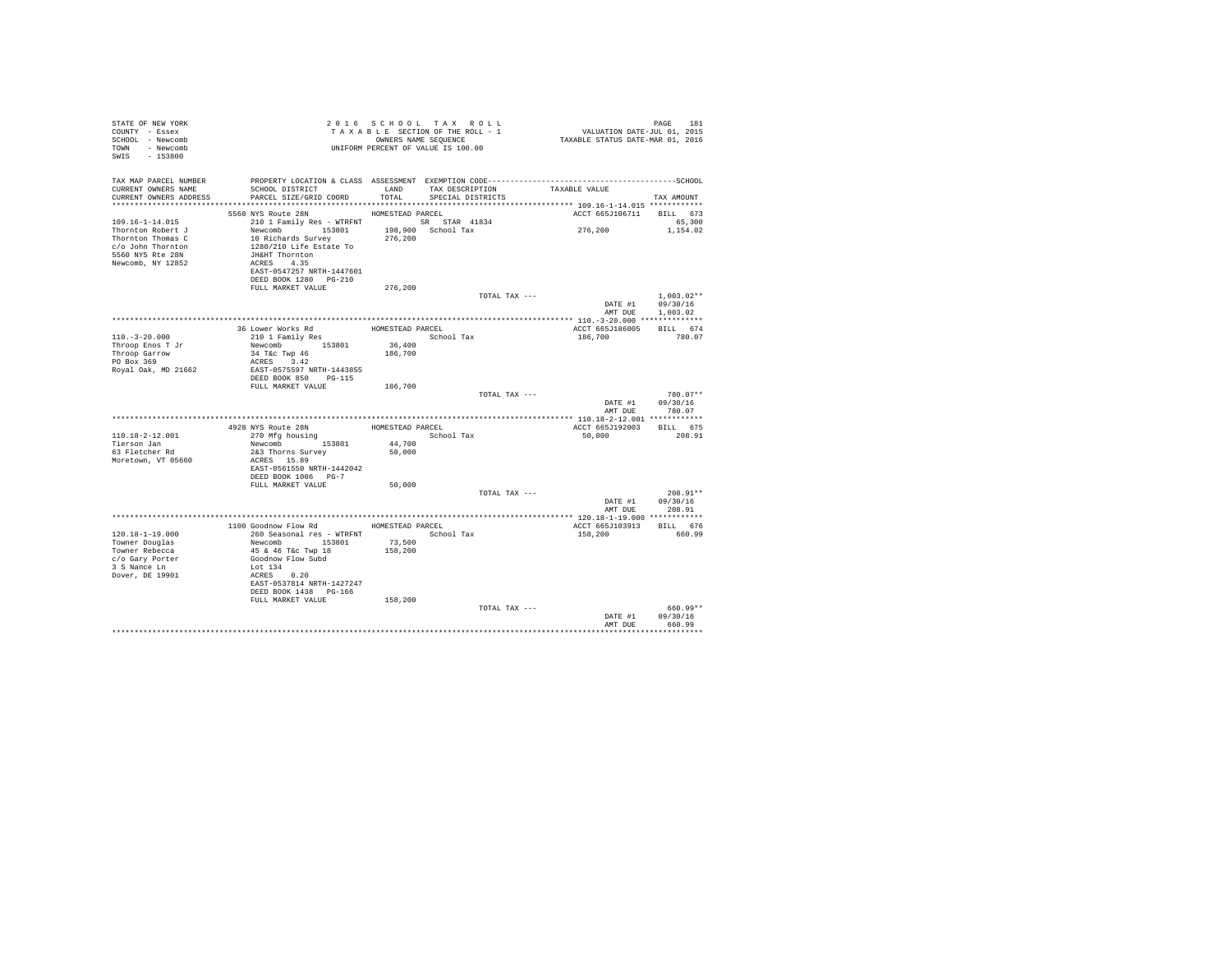| STATE OF NEW YORK<br>COUNTY - Essex<br>SCHOOL - Newcomb<br>TOWN - Newcomb<br>SWIS - 153800                                                                                                                                                                                                                                                                                                                                  |                                                                         |         | 2016 SCHOOL TAX ROLL<br>TAXABLE SECTION OF THE ROLL - 1<br>OWNERS NAME SEQUENCE<br>UNIFORM PERCENT OF VALUE IS 100.00 | PAGE 181<br>VALUATION DATE-JUL 01, 2015<br>TAXABLE STATUS DATE-MAR 01, 2016                                   | PAGE<br>181                        |
|-----------------------------------------------------------------------------------------------------------------------------------------------------------------------------------------------------------------------------------------------------------------------------------------------------------------------------------------------------------------------------------------------------------------------------|-------------------------------------------------------------------------|---------|-----------------------------------------------------------------------------------------------------------------------|---------------------------------------------------------------------------------------------------------------|------------------------------------|
| TAX MAP PARCEL NUMBER<br>CURRENT OWNERS NAME<br>CURRENT OWNERS ADDRESS PARCEL SIZE/GRID COORD TOTAL SPECIAL DISTRICTS                                                                                                                                                                                                                                                                                                       | SCHOOL DISTRICT TAND TAX DESCRIPTION                                    |         |                                                                                                                       | PROPERTY LOCATION & CLASS ASSESSMENT EXEMPTION CODE-----------------------------------SCHOOL<br>TAXABLE VALUE | TAX AMOUNT                         |
|                                                                                                                                                                                                                                                                                                                                                                                                                             | 5560 NYS Route 28N HOMESTEAD PARCEL                                     |         |                                                                                                                       |                                                                                                               |                                    |
| 109.16-1-14.015                                                                                                                                                                                                                                                                                                                                                                                                             | 210 1 Family Res - WTRFNT SR STAR 41834                                 |         |                                                                                                                       | ACCT 665J106711 BILL 673<br>276,200                                                                           | 65,300<br>1,154.02                 |
| $\begin{tabular}{l c c c c c} \multicolumn{1}{c}{\textbf{Trormon Robert J}} & \multicolumn{1}{c}{\textbf{New-comb}} & \multicolumn{1}{c}{\textbf{1-98.01}} & \multicolumn{1}{c}{\textbf{1-98.01}} & \multicolumn{1}{c}{\textbf{1-98.02}} & \multicolumn{1}{c}{\textbf{1-98.03}} & \multicolumn{1}{c}{\textbf{1-98.04}} & \multicolumn{1}{c}{\textbf{1-98.04}} & \multicolumn{1}{c}{\textbf{1-98.04}} & \multicolumn{1}{c}{$ | EAST-0547257 NRTH-1447601<br>DEED BOOK 1280 PG-210<br>FULL MARKET VALUE | 276,200 |                                                                                                                       |                                                                                                               |                                    |
|                                                                                                                                                                                                                                                                                                                                                                                                                             |                                                                         |         | TOTAL TAX ---                                                                                                         |                                                                                                               | $1.003.02**$                       |
|                                                                                                                                                                                                                                                                                                                                                                                                                             |                                                                         |         |                                                                                                                       | DATE #1                                                                                                       | 09/30/16                           |
|                                                                                                                                                                                                                                                                                                                                                                                                                             |                                                                         |         |                                                                                                                       | AMT DUE                                                                                                       | 1,003.02                           |
|                                                                                                                                                                                                                                                                                                                                                                                                                             |                                                                         |         |                                                                                                                       |                                                                                                               |                                    |
| $110. - 3 - 20.000$                                                                                                                                                                                                                                                                                                                                                                                                         |                                                                         |         |                                                                                                                       | ACCT 665J186005<br>186,700                                                                                    | BILL 674<br>780.07                 |
| Throop Enos T Jr                                                                                                                                                                                                                                                                                                                                                                                                            | Newcomb 153801                                                          | 36,400  |                                                                                                                       |                                                                                                               |                                    |
|                                                                                                                                                                                                                                                                                                                                                                                                                             | 34 T&C Twp 46                                                           | 186,700 |                                                                                                                       |                                                                                                               |                                    |
| Throop Garrow<br>PO Box 369                                                                                                                                                                                                                                                                                                                                                                                                 | ACRES 3.42                                                              |         |                                                                                                                       |                                                                                                               |                                    |
| Royal Oak, MD 21662                                                                                                                                                                                                                                                                                                                                                                                                         | EAST-0575597 NRTH-1443855                                               |         |                                                                                                                       |                                                                                                               |                                    |
|                                                                                                                                                                                                                                                                                                                                                                                                                             | DEED BOOK 850 PG-115                                                    |         |                                                                                                                       |                                                                                                               |                                    |
|                                                                                                                                                                                                                                                                                                                                                                                                                             | FULL MARKET VALUE 186,700                                               |         |                                                                                                                       |                                                                                                               |                                    |
|                                                                                                                                                                                                                                                                                                                                                                                                                             |                                                                         |         | TOTAL TAX ---                                                                                                         |                                                                                                               | 780.07**                           |
|                                                                                                                                                                                                                                                                                                                                                                                                                             |                                                                         |         |                                                                                                                       |                                                                                                               | DATE #1 09/30/16<br>AMT DUE 780.07 |
|                                                                                                                                                                                                                                                                                                                                                                                                                             |                                                                         |         |                                                                                                                       |                                                                                                               |                                    |
|                                                                                                                                                                                                                                                                                                                                                                                                                             |                                                                         |         |                                                                                                                       | ACCT 665J192003 BILL 675                                                                                      |                                    |
| 110.18-2-12.001                                                                                                                                                                                                                                                                                                                                                                                                             |                                                                         |         |                                                                                                                       | 50,000                                                                                                        | 208.91                             |
| Tierson Jan                                                                                                                                                                                                                                                                                                                                                                                                                 | Newcomb 153801 44,700                                                   |         |                                                                                                                       |                                                                                                               |                                    |
| 63 Fletcher Rd                                                                                                                                                                                                                                                                                                                                                                                                              | 2&3 Thorns Survey                                                       | 50,000  |                                                                                                                       |                                                                                                               |                                    |
| Moretown, VT 05660                                                                                                                                                                                                                                                                                                                                                                                                          | ACRES 15.89                                                             |         |                                                                                                                       |                                                                                                               |                                    |
|                                                                                                                                                                                                                                                                                                                                                                                                                             | EAST-0561550 NRTH-1442042                                               |         |                                                                                                                       |                                                                                                               |                                    |
|                                                                                                                                                                                                                                                                                                                                                                                                                             | DEED BOOK 1006 PG-7<br>FULL MARKET VALUE                                | 50,000  |                                                                                                                       |                                                                                                               |                                    |
|                                                                                                                                                                                                                                                                                                                                                                                                                             |                                                                         |         | TOTAL TAX ---                                                                                                         |                                                                                                               | $208.91**$                         |
|                                                                                                                                                                                                                                                                                                                                                                                                                             |                                                                         |         |                                                                                                                       |                                                                                                               | DATE #1 09/30/16                   |
|                                                                                                                                                                                                                                                                                                                                                                                                                             |                                                                         |         |                                                                                                                       | AMT DUE                                                                                                       | 208.91                             |
|                                                                                                                                                                                                                                                                                                                                                                                                                             |                                                                         |         |                                                                                                                       |                                                                                                               |                                    |
| $120.18 - 1 - 19.000$                                                                                                                                                                                                                                                                                                                                                                                                       | 1100 Goodnow Flow Rd MOMESTEAD PARCEL<br>260 Seasonal res - WTRFNT      |         | School Tax                                                                                                            | ACCT 665J103913 BILL 676<br>158,200                                                                           | 660.99                             |
| Towner Douglas                                                                                                                                                                                                                                                                                                                                                                                                              | Newcomb 153801                                                          | 73,500  |                                                                                                                       |                                                                                                               |                                    |
| Towner Rebecca                                                                                                                                                                                                                                                                                                                                                                                                              | 45 & 46 T&c Twp 18                                                      | 158,200 |                                                                                                                       |                                                                                                               |                                    |
| c/o Gary Porter                                                                                                                                                                                                                                                                                                                                                                                                             | Goodnow Flow Subd                                                       |         |                                                                                                                       |                                                                                                               |                                    |
| 3 S Nance Ln                                                                                                                                                                                                                                                                                                                                                                                                                | Lot 134                                                                 |         |                                                                                                                       |                                                                                                               |                                    |
| Dover, DE 19901                                                                                                                                                                                                                                                                                                                                                                                                             | ACRES 0.20                                                              |         |                                                                                                                       |                                                                                                               |                                    |
|                                                                                                                                                                                                                                                                                                                                                                                                                             | EAST-0537814 NRTH-1427247                                               |         |                                                                                                                       |                                                                                                               |                                    |
|                                                                                                                                                                                                                                                                                                                                                                                                                             | DEED BOOK 1438 PG-166                                                   |         |                                                                                                                       |                                                                                                               |                                    |
|                                                                                                                                                                                                                                                                                                                                                                                                                             | FULL MARKET VALUE                                                       | 158,200 | TOTAL TAX ---                                                                                                         |                                                                                                               | 660.99**                           |
|                                                                                                                                                                                                                                                                                                                                                                                                                             |                                                                         |         |                                                                                                                       | DATE #1                                                                                                       | 09/30/16                           |
|                                                                                                                                                                                                                                                                                                                                                                                                                             |                                                                         |         |                                                                                                                       | AMT DHR                                                                                                       | 660.99                             |
|                                                                                                                                                                                                                                                                                                                                                                                                                             |                                                                         |         |                                                                                                                       |                                                                                                               | .                                  |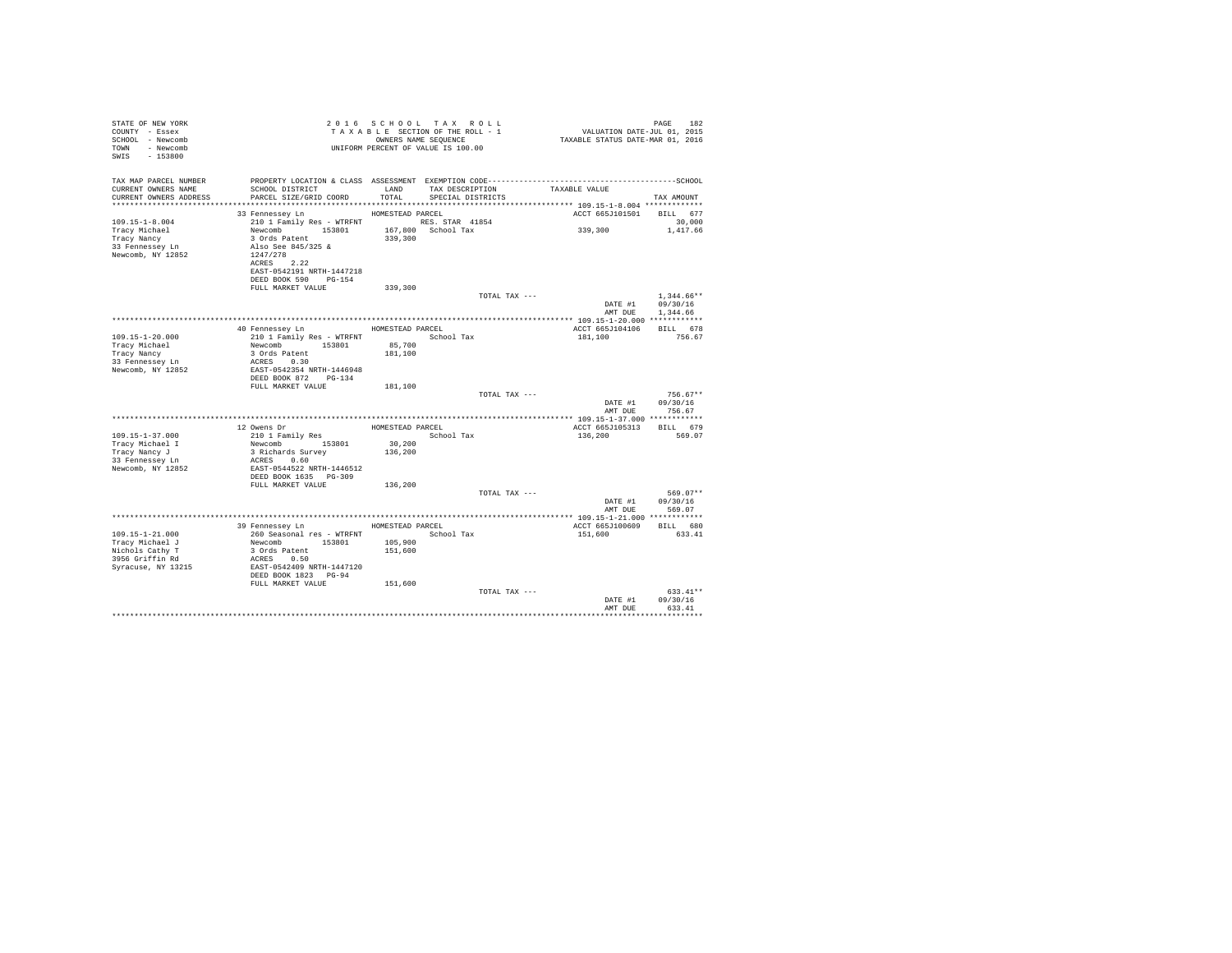| STATE OF NEW YORK<br>COUNTY - Essex<br>SCHOOL - Newcomb<br>TOWN - Newcomb<br>$-153800$<br>SWIS |                                                                                                                                                                                   |                   | 2016 SCHOOL TAX ROLL<br>TAXABLE SECTION OF THE ROLL - 1<br>OWNERS NAME SEQUENCE<br>UNIFORM PERCENT OF VALUE IS 100.00 |                                     | PAGE<br>182                          |
|------------------------------------------------------------------------------------------------|-----------------------------------------------------------------------------------------------------------------------------------------------------------------------------------|-------------------|-----------------------------------------------------------------------------------------------------------------------|-------------------------------------|--------------------------------------|
| TAX MAP PARCEL NUMBER<br>CURRENT OWNERS NAME<br>CURRENT OWNERS ADDRESS                         | SCHOOL DISTRICT<br>PARCEL SIZE/GRID COORD                                                                                                                                         | LAND<br>TOTAL     | TAX DESCRIPTION<br>SPECIAL DISTRICTS                                                                                  | TAXABLE VALUE                       | TAX AMOUNT                           |
|                                                                                                | 33 Fennessev Ln                                                                                                                                                                   | HOMESTEAD PARCEL  |                                                                                                                       | ACCT 665J101501 BILL 677            |                                      |
| $109.15 - 1 - 8.004$<br>Tracy Michael<br>Tracy Nancy<br>33 Fennessey Ln<br>Newcomb, NY 12852   | 210 1 Family Res - WTRFNT RES. STAR 41854<br>Newcomb 153801<br>3 Ords Patent<br>Also See 845/325 &<br>1247/278<br>ACRES 2.22<br>EAST-0542191 NRTH-1447218<br>DEED BOOK 590 PG-154 | 339,300           | 167,800 School Tax                                                                                                    | 339,300                             | 30,000<br>1,417.66                   |
|                                                                                                | FULL MARKET VALUE                                                                                                                                                                 | 339,300           |                                                                                                                       |                                     |                                      |
|                                                                                                |                                                                                                                                                                                   |                   | TOTAL TAX ---                                                                                                         | DATE #1<br>AMT DUE                  | $1.344.66**$<br>09/30/16<br>1,344.66 |
|                                                                                                |                                                                                                                                                                                   |                   |                                                                                                                       |                                     |                                      |
| $109.15 - 1 - 20.000$<br>Tracy Michael<br>Tracy Nancy<br>33 Fennessey Ln                       | 40 Fennessey Ln HOMESTEAD PARCEL<br>210 1 Family Res - WTRFNT<br>Newcomb 153801<br>3 Ords Patent<br>ACRES 0.30                                                                    | 85,700<br>181,100 | School Tax                                                                                                            | ACCT 665J104106 BILL 678<br>181,100 | 756.67                               |
| Newcomb, NY 12852                                                                              | EAST-0542354 NRTH-1446948<br>DEED BOOK 872 PG-134<br>FULL MARKET VALUE                                                                                                            | 181,100           |                                                                                                                       |                                     |                                      |
|                                                                                                |                                                                                                                                                                                   |                   | TOTAL TAX ---                                                                                                         | DATE #1<br>AMT DUE                  | $756.67**$<br>09/30/16<br>756.67     |
|                                                                                                |                                                                                                                                                                                   |                   |                                                                                                                       |                                     |                                      |
|                                                                                                | 12 Owens Dr                                                                                                                                                                       |                   | HOMESTEAD PARCEL                                                                                                      | ACCT 665J105313 BILL 679            |                                      |
| 109.15-1-37.000                                                                                | 210 1 Family Res                                                                                                                                                                  |                   | School Tax                                                                                                            | 136,200                             | 569.07                               |
| Tracy Michael I                                                                                | Newcomb 153801                                                                                                                                                                    | 30,200            |                                                                                                                       |                                     |                                      |
| Tracy Nancy J<br>33 Fennessey Ln                                                               | 3 Richards Survey<br>ACRES 0.60                                                                                                                                                   | 136,200           |                                                                                                                       |                                     |                                      |
| Newcomb, NY 12852                                                                              | EAST-0544522 NRTH-1446512<br>DEED BOOK 1635 PG-309                                                                                                                                |                   |                                                                                                                       |                                     |                                      |
|                                                                                                | FULL MARKET VALUE                                                                                                                                                                 | 136,200           |                                                                                                                       |                                     |                                      |
|                                                                                                |                                                                                                                                                                                   |                   | TOTAL TAX ---                                                                                                         | DATE #1<br>AMT DUE                  | 569.07**<br>09/30/16<br>569.07       |
|                                                                                                |                                                                                                                                                                                   |                   |                                                                                                                       |                                     |                                      |
|                                                                                                | 39 Fennessey Ln                                                                                                                                                                   | HOMESTEAD PARCEL  |                                                                                                                       | ACCT 665J100609                     | BILL 680                             |
| $109.15 - 1 - 21.000$<br>Tracy Michael J                                                       | 260 Seasonal res - WTRFNT<br>153801<br>Newcomb                                                                                                                                    | 105,900           | School Tax                                                                                                            | 151,600                             | 633.41                               |
| Nichols Cathy T                                                                                | 3 Ords Patent                                                                                                                                                                     | 151,600           |                                                                                                                       |                                     |                                      |
| 3956 Griffin Rd                                                                                | ACRES 0.50                                                                                                                                                                        |                   |                                                                                                                       |                                     |                                      |
| Syracuse, NY 13215                                                                             | EAST-0542409 NRTH-1447120<br>DEED BOOK 1823 PG-94                                                                                                                                 |                   |                                                                                                                       |                                     |                                      |
|                                                                                                | FULL MARKET VALUE                                                                                                                                                                 | 151,600           | TOTAL TAX ---                                                                                                         | DATE #1                             | $633.41**$<br>09/30/16               |
|                                                                                                |                                                                                                                                                                                   |                   |                                                                                                                       | AMT DUE                             | 633.41                               |
|                                                                                                |                                                                                                                                                                                   |                   |                                                                                                                       |                                     |                                      |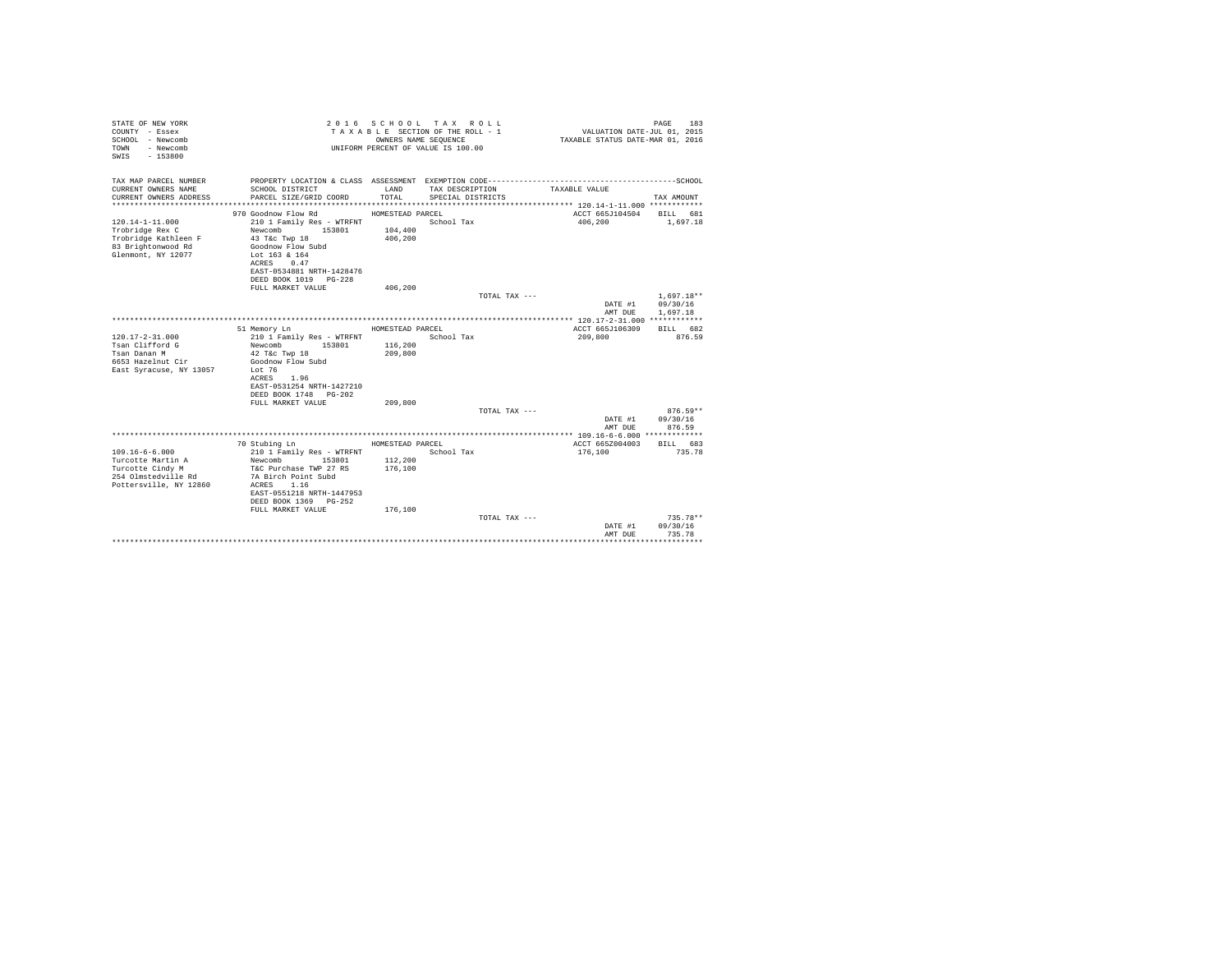| STATE OF NEW YORK<br>COUNTY - Essex<br>SCHOOL - Newcomb<br>- Newcomb<br>TOWN<br>$-153800$<br>SWIS |                                            |                  | 2016 SCHOOL TAX ROLL<br>TAXABLE SECTION OF THE ROLL - 1<br>OWNERS NAME SEOUENCE<br>UNIFORM PERCENT OF VALUE IS 100.00 | VALUATION DATE-JUL 01, 2015<br>TAXABLE STATUS DATE-MAR 01, 2016 | PAGE<br>183        |
|---------------------------------------------------------------------------------------------------|--------------------------------------------|------------------|-----------------------------------------------------------------------------------------------------------------------|-----------------------------------------------------------------|--------------------|
| TAX MAP PARCEL NUMBER<br>CURRENT OWNERS NAME                                                      | SCHOOL DISTRICT                            | LAND             | TAX DESCRIPTION                                                                                                       | TAXABLE VALUE                                                   |                    |
| CURRENT OWNERS ADDRESS                                                                            | PARCEL SIZE/GRID COORD                     | TOTAL            | SPECIAL DISTRICTS                                                                                                     |                                                                 | TAX AMOUNT         |
|                                                                                                   |                                            |                  |                                                                                                                       |                                                                 |                    |
|                                                                                                   | 970 Goodnow Flow Rd                        | HOMESTEAD PARCEL |                                                                                                                       | ACCT 665J104504 BILL 681                                        |                    |
| $120.14 - 1 - 11.000$                                                                             | 210 1 Family Res - WTRFNT                  |                  | School Tax                                                                                                            | 406,200                                                         | 1,697.18           |
| Trobridge Rex C                                                                                   | 153801<br>Newcomb                          | 104,400          |                                                                                                                       |                                                                 |                    |
| Trobridge Kathleen F                                                                              | 43 T&c Twp 18                              | 406,200          |                                                                                                                       |                                                                 |                    |
| 83 Brightonwood Rd                                                                                | Goodnow Flow Subd                          |                  |                                                                                                                       |                                                                 |                    |
| Glenmont, NY 12077                                                                                | Lot 163 & 164<br>ACRES 0.47                |                  |                                                                                                                       |                                                                 |                    |
|                                                                                                   | EAST-0534881 NRTH-1428476                  |                  |                                                                                                                       |                                                                 |                    |
|                                                                                                   | DEED BOOK 1019 PG-228                      |                  |                                                                                                                       |                                                                 |                    |
|                                                                                                   | FULL MARKET VALUE                          | 406,200          |                                                                                                                       |                                                                 |                    |
|                                                                                                   |                                            |                  | TOTAL TAX ---                                                                                                         |                                                                 | $1.697.18**$       |
|                                                                                                   |                                            |                  |                                                                                                                       | DATE #1                                                         | 09/30/16           |
|                                                                                                   |                                            |                  |                                                                                                                       | AMT DUE                                                         | 1,697.18           |
|                                                                                                   | 51 Memory Ln                               | HOMESTEAD PARCEL |                                                                                                                       | ACCT 665J106309                                                 | BILL 682           |
| $120.17 - 2 - 31.000$                                                                             | 210 1 Family Res - WTRFNT                  |                  | School Tax                                                                                                            | 209,800                                                         | 876.59             |
| Tsan Clifford G                                                                                   | 153801<br>Newcomb                          | 116,200          |                                                                                                                       |                                                                 |                    |
| Tsan Danan M                                                                                      | 42 T&c Twp 18                              | 209,800          |                                                                                                                       |                                                                 |                    |
| 6653 Hazelnut Cir                                                                                 | Goodnow Flow Subd                          |                  |                                                                                                                       |                                                                 |                    |
| East Syracuse, NY 13057                                                                           | Lot 76                                     |                  |                                                                                                                       |                                                                 |                    |
|                                                                                                   | ACRES<br>1.96<br>EAST-0531254 NRTH-1427210 |                  |                                                                                                                       |                                                                 |                    |
|                                                                                                   | DEED BOOK 1748 PG-202                      |                  |                                                                                                                       |                                                                 |                    |
|                                                                                                   | FULL MARKET VALUE                          | 209,800          |                                                                                                                       |                                                                 |                    |
|                                                                                                   |                                            |                  | TOTAL TAX ---                                                                                                         |                                                                 | $876.59**$         |
|                                                                                                   |                                            |                  |                                                                                                                       |                                                                 | DATE #1 09/30/16   |
|                                                                                                   |                                            |                  |                                                                                                                       | AMT DUE                                                         | 876.59             |
|                                                                                                   |                                            |                  |                                                                                                                       |                                                                 |                    |
| $109.16 - 6 - 6.000$                                                                              | 70 Stubing Ln<br>210 1 Family Res - WTRFNT | HOMESTEAD PARCEL | School Tax                                                                                                            | ACCT 665Z004003<br>176,100                                      | BILL 683<br>735.78 |
| Turcotte Martin A                                                                                 | Newcomb 153801                             | 112,200          |                                                                                                                       |                                                                 |                    |
| Turcotte Cindy M                                                                                  | T&C Purchase TWP 27 RS                     | 176,100          |                                                                                                                       |                                                                 |                    |
| 254 Olmstedville Rd                                                                               | 7A Birch Point Subd                        |                  |                                                                                                                       |                                                                 |                    |
| Pottersville, NY 12860                                                                            | ACRES 1.16                                 |                  |                                                                                                                       |                                                                 |                    |
|                                                                                                   | EAST-0551218 NRTH-1447953                  |                  |                                                                                                                       |                                                                 |                    |
|                                                                                                   | DEED BOOK 1369 PG-252                      |                  |                                                                                                                       |                                                                 |                    |
|                                                                                                   | FULL MARKET VALUE                          | 176,100          | TOTAL TAX ---                                                                                                         |                                                                 | $735.78**$         |
|                                                                                                   |                                            |                  |                                                                                                                       | DATE #1                                                         | 09/30/16           |
|                                                                                                   |                                            |                  |                                                                                                                       | AMT DUE                                                         | 735.78             |
|                                                                                                   |                                            |                  |                                                                                                                       |                                                                 | .                  |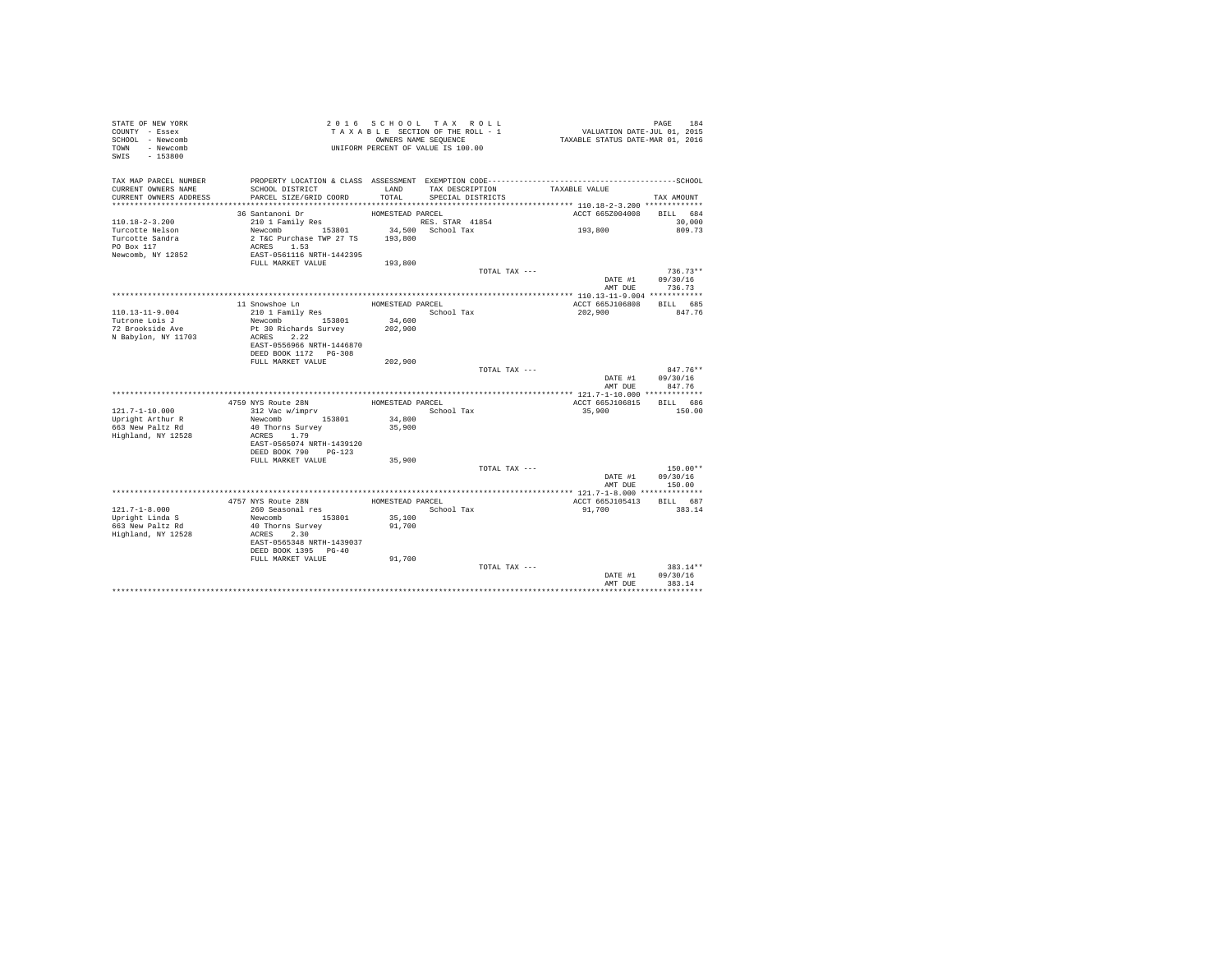| STATE OF NEW YORK<br>COUNTY - Essex<br>SCHOOL - Newcomb<br>- Newcomb<br>TOWN<br>SWIS<br>$-153800$ |                                           |                  | 2016 SCHOOL TAX ROLL<br>TAXABLE SECTION OF THE ROLL - 1<br>OWNERS NAME SEQUENCE<br>UNIFORM PERCENT OF VALUE IS 100.00 |                 | PAGE<br>184<br>VALUATION DATE-JUL 01, 2015<br>TAXABLE STATUS DATE-MAR 01, 2016 |
|---------------------------------------------------------------------------------------------------|-------------------------------------------|------------------|-----------------------------------------------------------------------------------------------------------------------|-----------------|--------------------------------------------------------------------------------|
| TAX MAP PARCEL NUMBER                                                                             |                                           |                  |                                                                                                                       |                 |                                                                                |
| CURRENT OWNERS NAME<br>CURRENT OWNERS ADDRESS                                                     | SCHOOL DISTRICT<br>PARCEL SIZE/GRID COORD | LAND<br>TOTAL    | TAX DESCRIPTION<br>SPECIAL DISTRICTS                                                                                  | TAXABLE VALUE   | TAX AMOUNT                                                                     |
| ************************                                                                          |                                           |                  |                                                                                                                       |                 |                                                                                |
|                                                                                                   | 36 Santanoni Dr                           | HOMESTEAD PARCEL |                                                                                                                       | ACCT 665Z004008 | BILL 684                                                                       |
| $110.18 - 2 - 3.200$                                                                              | 210 1 Family Res                          |                  | RES. STAR 41854                                                                                                       |                 | 30,000                                                                         |
| Turcotte Nelson                                                                                   | Newcomb 153801                            |                  | 34,500 School Tax                                                                                                     | 193,800         | 809.73                                                                         |
| Turcotte Sandra<br>PO Box 117                                                                     | 2 T&C Purchase TWP 27 TS<br>ACRES 1.53    | 193,800          |                                                                                                                       |                 |                                                                                |
| Newcomb, NY 12852                                                                                 | EAST-0561116 NRTH-1442395                 |                  |                                                                                                                       |                 |                                                                                |
|                                                                                                   | FULL MARKET VALUE                         | 193,800          |                                                                                                                       |                 |                                                                                |
|                                                                                                   |                                           |                  |                                                                                                                       | TOTAL TAX ---   | $736.73**$                                                                     |
|                                                                                                   |                                           |                  |                                                                                                                       |                 | DATE #1<br>09/30/16<br>AMT DUE<br>736.73                                       |
|                                                                                                   |                                           |                  |                                                                                                                       |                 |                                                                                |
|                                                                                                   | 11 Snowshoe Ln                            | HOMESTEAD PARCEL |                                                                                                                       | ACCT 665J106808 | BILL 685                                                                       |
| $110.13 - 11 - 9.004$                                                                             | 210 1 Family Res                          |                  | School Tax                                                                                                            | 202,900         | 847.76                                                                         |
| Tutrone Lois J                                                                                    | Newcomb 153801                            | 34,600           |                                                                                                                       |                 |                                                                                |
| 72 Brookside Ave<br>N Babylon, NY 11703                                                           | Pt 30 Richards Survey<br>ACRES 2.22       | 202,900          |                                                                                                                       |                 |                                                                                |
|                                                                                                   | EAST-0556966 NRTH-1446870                 |                  |                                                                                                                       |                 |                                                                                |
|                                                                                                   | DEED BOOK 1172 PG-308                     |                  |                                                                                                                       |                 |                                                                                |
|                                                                                                   | FULL MARKET VALUE                         | 202,900          |                                                                                                                       |                 |                                                                                |
|                                                                                                   |                                           |                  |                                                                                                                       | TOTAL TAX ---   | $847.76**$                                                                     |
|                                                                                                   |                                           |                  |                                                                                                                       |                 | DATE #1<br>09/30/16<br>AMT DUE<br>847.76                                       |
|                                                                                                   |                                           |                  |                                                                                                                       |                 |                                                                                |
|                                                                                                   | 4759 NYS Route 28N                        | HOMESTEAD PARCEL |                                                                                                                       | ACCT 665J106815 | BILL 686                                                                       |
| 121.7-1-10.000                                                                                    | 312 Vac w/imprv                           |                  | School Tax                                                                                                            | 35,900          | 150.00                                                                         |
| Upright Arthur R<br>663 New Paltz Rd                                                              | Newcomb 153801<br>40 Thorns Survey        | 34,800<br>35,900 |                                                                                                                       |                 |                                                                                |
| Highland, NY 12528                                                                                | ACRES 1.79                                |                  |                                                                                                                       |                 |                                                                                |
|                                                                                                   | EAST-0565074 NRTH-1439120                 |                  |                                                                                                                       |                 |                                                                                |
|                                                                                                   | DEED BOOK 790 PG-123                      |                  |                                                                                                                       |                 |                                                                                |
|                                                                                                   | FULL MARKET VALUE                         | 35,900           |                                                                                                                       |                 |                                                                                |
|                                                                                                   |                                           |                  |                                                                                                                       | TOTAL TAX ---   | 150.00**<br>09/30/16<br>DATE #1                                                |
|                                                                                                   |                                           |                  |                                                                                                                       |                 | AMT DUE<br>150.00                                                              |
|                                                                                                   |                                           |                  |                                                                                                                       |                 |                                                                                |
|                                                                                                   | 4757 NYS Route 28N                        | HOMESTEAD PARCEL |                                                                                                                       | ACCT 665J105413 | BILL 687                                                                       |
| $121.7 - 1 - 8.000$                                                                               | 260 Seasonal res                          |                  | School Tax                                                                                                            | 91,700          | 383.14                                                                         |
| Upright Linda S<br>663 New Paltz Rd                                                               | Newcomb 153801<br>40 Thorns Survey        | 35,100<br>91,700 |                                                                                                                       |                 |                                                                                |
| Highland, NY 12528                                                                                | ACRES 2.30                                |                  |                                                                                                                       |                 |                                                                                |
|                                                                                                   | EAST-0565348 NRTH-1439037                 |                  |                                                                                                                       |                 |                                                                                |
|                                                                                                   | DEED BOOK 1395 PG-40                      |                  |                                                                                                                       |                 |                                                                                |
|                                                                                                   | FULL MARKET VALUE                         | 91,700           |                                                                                                                       |                 | 383.14**                                                                       |
|                                                                                                   |                                           |                  |                                                                                                                       | TOTAL TAX ---   | DATE #1<br>09/30/16                                                            |
|                                                                                                   |                                           |                  |                                                                                                                       |                 | AMT DUE<br>383.14                                                              |
|                                                                                                   |                                           |                  |                                                                                                                       |                 |                                                                                |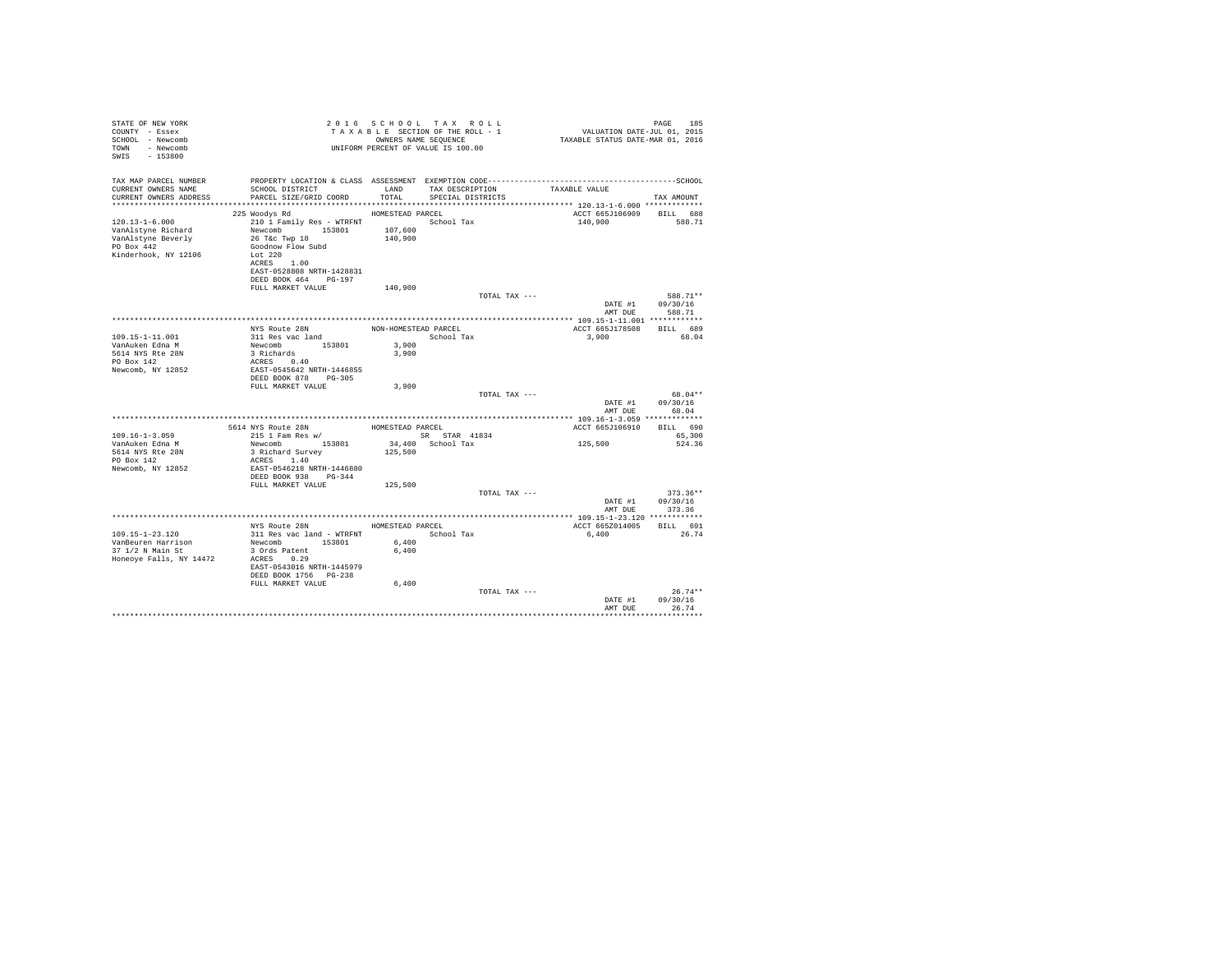| STATE OF NEW YORK<br>COUNTY - Essex<br>SCHOOL - Newcomb<br>TOWN - Newcomb<br>SWIS - 153800             |                                                                                                                                                                         |                      | 2016 SCHOOL TAX ROLL<br>2010 PAGE 185<br>TAXABLE SECTION OF THE ROLL - 1 VALUATION DATE-JUL 01, 2015<br>ONNERS NAME SEQUENCE – 1 TAXABLE STATUS DATE-MAR 01, 2016<br>UNIFORM PERCENT OF VALUE IS 100.00 |                          | PAGE<br>185                          |
|--------------------------------------------------------------------------------------------------------|-------------------------------------------------------------------------------------------------------------------------------------------------------------------------|----------------------|---------------------------------------------------------------------------------------------------------------------------------------------------------------------------------------------------------|--------------------------|--------------------------------------|
| TAX MAP PARCEL NUMBER<br>CURRENT OWNERS NAME<br>CURRENT OWNERS ADDRESS                                 | SCHOOL DISTRICT<br>PARCEL SIZE/GRID COORD                                                                                                                               | TOTAL                | PROPERTY LOCATION & CLASS ASSESSMENT EXEMPTION CODE-----------------------------------SCHOOL<br>LAND TAX DESCRIPTION<br>SPECIAL DISTRICTS                                                               | TAXABLE VALUE            | TAX AMOUNT                           |
|                                                                                                        | 225 Woodys Rd                                                                                                                                                           | HOMESTEAD PARCEL     |                                                                                                                                                                                                         | ACCT 665J106909 BILL 688 |                                      |
| $120.13 - 1 - 6.000$<br>VanAlstyne Richard<br>VanAlstyne Beverly<br>PO Box 442<br>Kinderhook, NY 12106 | 210 1 Family Res - WTRFNT<br>Newcomb 153801 107,600<br>26 T&C Twp 18<br>Goodnow Flow Subd<br>Lot 220<br>ACRES 1.00<br>EAST-0528808 NRTH-1428831<br>DEED BOOK 464 PG-197 | 140,900              | School Tax                                                                                                                                                                                              | 140,900                  | 588.71                               |
|                                                                                                        | FULL MARKET VALUE                                                                                                                                                       | 140,900              |                                                                                                                                                                                                         |                          |                                      |
|                                                                                                        |                                                                                                                                                                         |                      | TOTAL TAX ---                                                                                                                                                                                           | DATE #1<br>AMT DUE       | 588.71 **<br>09/30/16<br>588.71      |
|                                                                                                        |                                                                                                                                                                         |                      |                                                                                                                                                                                                         |                          |                                      |
|                                                                                                        | NYS Route 28N                                                                                                                                                           | NON-HOMESTEAD PARCEL |                                                                                                                                                                                                         | ACCT 665J178508 BILL 689 |                                      |
| 109.15-1-11.001<br>VanAuken Edna M<br>5614 NYS Rte 28N<br>PO Box 142<br>Newcomb, NY 12852              | 311 Res vac land<br>Newcomb 153801<br>3 Richards<br>ACRES 0.40<br>EAST-0545642 NRTH-1446855                                                                             | 3,900<br>3,900       | School Tax                                                                                                                                                                                              | 3,900                    | 68.04                                |
|                                                                                                        | DEED BOOK 878 PG-305<br>FULL MARKET VALUE                                                                                                                               | 3,900                |                                                                                                                                                                                                         |                          |                                      |
|                                                                                                        |                                                                                                                                                                         |                      | TOTAL TAX ---                                                                                                                                                                                           | AMT DUE                  | 68.04**<br>DATE #1 09/30/16<br>68.04 |
|                                                                                                        |                                                                                                                                                                         |                      |                                                                                                                                                                                                         |                          |                                      |
|                                                                                                        | ${\tt 5614\; NYS\; Route\; 28N}\; {\tt HOMESTEAD\; PARCEL} \\ {\tt 215\; 1\; Fam\; Res\; w/} {\tt SRR\; ST}$                                                            |                      |                                                                                                                                                                                                         | ACCT 665J106910 BILL 690 |                                      |
| $109.16 - 1 - 3.059$                                                                                   |                                                                                                                                                                         |                      | SR STAR 41834                                                                                                                                                                                           | 125,500                  | 65,300                               |
| VanAuken Edna M<br>5614 NYS Rte 28N<br>PO Box 142<br>Newcomb, NY 12852                                 | Newcomb 153801<br>3 Richard Survey<br>ACRES 1.40<br>EAST-0546218 NRTH-1446880                                                                                           | 125,500              | 34,400 School Tax                                                                                                                                                                                       |                          | 524.36                               |
|                                                                                                        | DEED BOOK 938 PG-344                                                                                                                                                    |                      |                                                                                                                                                                                                         |                          |                                      |
|                                                                                                        | FULL MARKET VALUE                                                                                                                                                       | 125,500              | TOTAL TAX ---                                                                                                                                                                                           | DATE #1<br>AMT DUE       | $373.36**$<br>09/30/16<br>373.36     |
|                                                                                                        |                                                                                                                                                                         |                      |                                                                                                                                                                                                         |                          |                                      |
|                                                                                                        | NYS Route 28N                                                                                                                                                           | HOMESTEAD PARCEL     |                                                                                                                                                                                                         | ACCT 665Z014005          | BILL 691                             |
|                                                                                                        | 311 Res vac land - WTRFNT                                                                                                                                               |                      | School Tax                                                                                                                                                                                              | 6,400                    | 26.74                                |
|                                                                                                        |                                                                                                                                                                         | 6,400                |                                                                                                                                                                                                         |                          |                                      |
| Honeoye Falls, NY 14472                                                                                | ACRES 0.29<br>EAST-0543016 NRTH-1445979<br>DEED BOOK 1756 PG-238<br>FULL MARKET VALUE                                                                                   | 6,400<br>6,400       |                                                                                                                                                                                                         |                          |                                      |
|                                                                                                        |                                                                                                                                                                         |                      | TOTAL TAX ---                                                                                                                                                                                           | DATE #1                  | $26.74**$<br>09/30/16                |
|                                                                                                        |                                                                                                                                                                         |                      |                                                                                                                                                                                                         | AMT DUE                  | 26.74                                |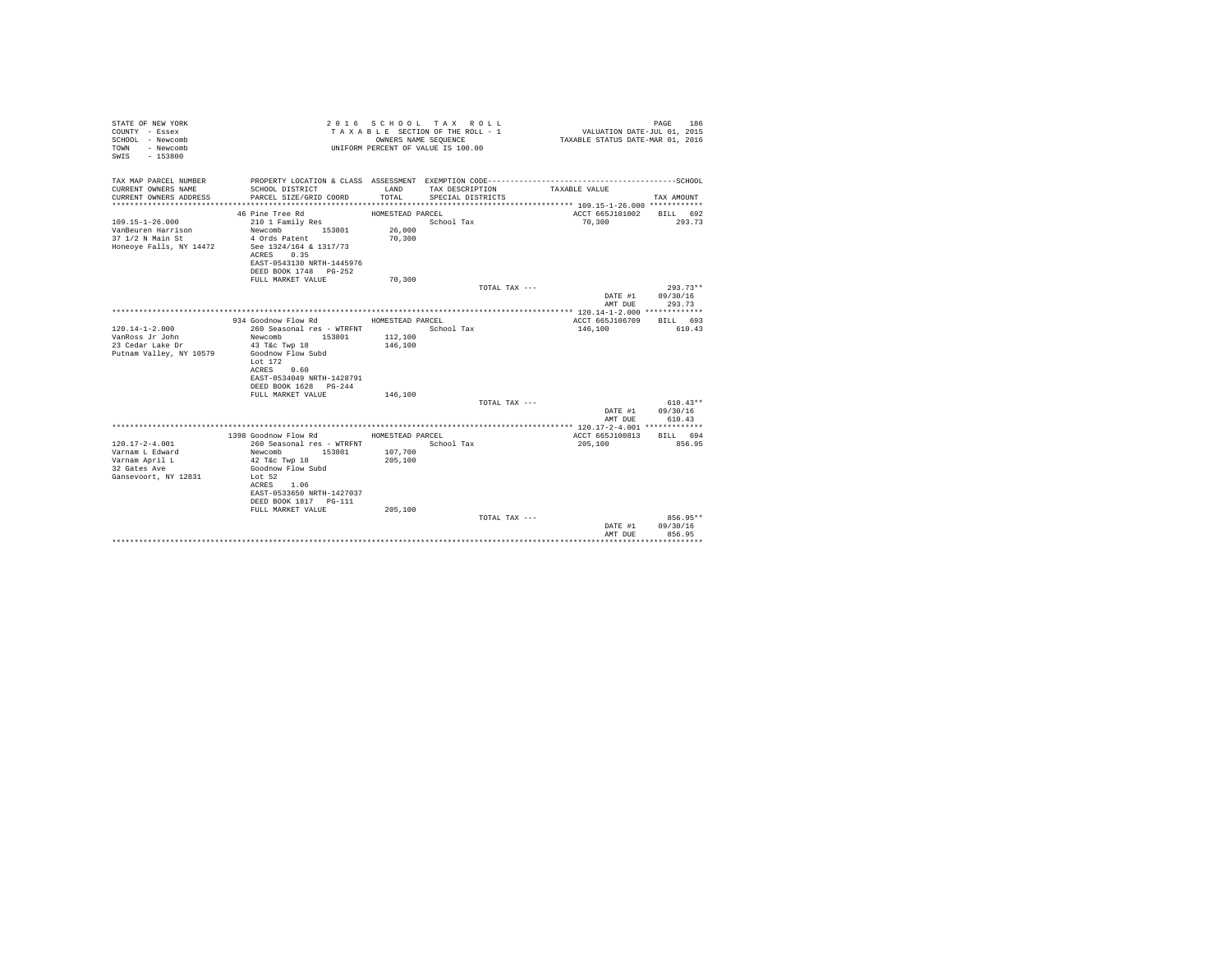| STATE OF NEW YORK<br>COUNTY - Essex<br>SCHOOL - Newcomb<br>- Newcomb<br>TOWN<br>$-153800$<br>SWIS |                                                | OWNERS NAME SEQUENCE | 2016 SCHOOL TAX ROLL<br>TAXABLE SECTION OF THE ROLL - 1<br>UNIFORM PERCENT OF VALUE IS 100.00 | VALUATION DATE-JUL 01, 2015<br>TAXABLE STATUS DATE-MAR 01, 2016 | 186<br>PAGE        |
|---------------------------------------------------------------------------------------------------|------------------------------------------------|----------------------|-----------------------------------------------------------------------------------------------|-----------------------------------------------------------------|--------------------|
| TAX MAP PARCEL NUMBER<br>CURRENT OWNERS NAME                                                      | SCHOOL DISTRICT                                | LAND                 | TAX DESCRIPTION                                                                               | TAXABLE VALUE                                                   |                    |
| CURRENT OWNERS ADDRESS                                                                            | PARCEL SIZE/GRID COORD                         | TOTAL                | SPECIAL DISTRICTS                                                                             |                                                                 | TAX AMOUNT         |
|                                                                                                   |                                                |                      |                                                                                               |                                                                 |                    |
| $109.15 - 1 - 26.000$                                                                             | 46 Pine Tree Rd                                | HOMESTEAD PARCEL     | School Tax                                                                                    | ACCT 665J101002<br>70,300                                       | BILL 692<br>293.73 |
| VanBeuren Harrison                                                                                | 210 1 Family Res<br>Newcomb<br>153801          | 26,000               |                                                                                               |                                                                 |                    |
| 37 1/2 N Main St                                                                                  | 4 Ords Patent                                  | 70,300               |                                                                                               |                                                                 |                    |
| Honeove Falls, NY 14472                                                                           | See 1324/164 & 1317/73                         |                      |                                                                                               |                                                                 |                    |
|                                                                                                   | ACRES<br>0.35                                  |                      |                                                                                               |                                                                 |                    |
|                                                                                                   | EAST-0543130 NRTH-1445976                      |                      |                                                                                               |                                                                 |                    |
|                                                                                                   | DEED BOOK 1748 PG-252                          |                      |                                                                                               |                                                                 |                    |
|                                                                                                   | FULL MARKET VALUE                              | 70,300               |                                                                                               |                                                                 |                    |
|                                                                                                   |                                                |                      | TOTAL TAX ---                                                                                 |                                                                 | $293.73**$         |
|                                                                                                   |                                                |                      |                                                                                               | DATE #1                                                         | 09/30/16           |
|                                                                                                   |                                                |                      |                                                                                               | AMT DUE                                                         | 293.73             |
|                                                                                                   |                                                |                      |                                                                                               |                                                                 |                    |
|                                                                                                   | 934 Goodnow Flow Rd                            | HOMESTEAD PARCEL     |                                                                                               | ACCT 665J106709                                                 | BILL 693           |
| $120.14 - 1 - 2.000$<br>VanRoss Jr John                                                           | 260 Seasonal res - WTRFNT                      | 112,100              | School Tax                                                                                    | 146,100                                                         | 610.43             |
| 23 Cedar Lake Dr                                                                                  | Newcomb<br>153801<br>43 T&c Twp 18             | 146,100              |                                                                                               |                                                                 |                    |
| Putnam Valley, NY 10579                                                                           | Goodnow Flow Subd                              |                      |                                                                                               |                                                                 |                    |
|                                                                                                   | Lot $172$                                      |                      |                                                                                               |                                                                 |                    |
|                                                                                                   | 0.60<br>ACRES                                  |                      |                                                                                               |                                                                 |                    |
|                                                                                                   | EAST-0534049 NRTH-1428791                      |                      |                                                                                               |                                                                 |                    |
|                                                                                                   | DEED BOOK 1628 PG-244                          |                      |                                                                                               |                                                                 |                    |
|                                                                                                   | FULL MARKET VALUE                              | 146,100              |                                                                                               |                                                                 |                    |
|                                                                                                   |                                                |                      | TOTAL TAX ---                                                                                 |                                                                 | $610.43**$         |
|                                                                                                   |                                                |                      |                                                                                               | DATE #1                                                         | 09/30/16           |
|                                                                                                   |                                                |                      |                                                                                               | AMT DUE                                                         | 610.43             |
|                                                                                                   |                                                |                      |                                                                                               |                                                                 |                    |
|                                                                                                   | 1398 Goodnow Flow Rd                           | HOMESTEAD PARCEL     |                                                                                               | ACCT 665J100813                                                 | BILL 694           |
| $120.17 - 2 - 4.001$<br>Varnam L Edward                                                           | 260 Seasonal res - WTRFNT<br>Newcomb<br>153801 | 107,700              | School Tax                                                                                    | 205,100                                                         | 856.95             |
| Varnam April L                                                                                    | 42 T&c Twp 18                                  | 205,100              |                                                                                               |                                                                 |                    |
| 32 Gates Ave                                                                                      | Goodnow Flow Subd                              |                      |                                                                                               |                                                                 |                    |
| Gansevoort, NY 12831                                                                              | Lot 52                                         |                      |                                                                                               |                                                                 |                    |
|                                                                                                   | ACRES 1.06                                     |                      |                                                                                               |                                                                 |                    |
|                                                                                                   | EAST-0533650 NRTH-1427037                      |                      |                                                                                               |                                                                 |                    |
|                                                                                                   | DEED BOOK 1817 PG-111                          |                      |                                                                                               |                                                                 |                    |
|                                                                                                   | FULL MARKET VALUE                              | 205,100              |                                                                                               |                                                                 |                    |
|                                                                                                   |                                                |                      | TOTAL TAX ---                                                                                 |                                                                 | 856.95**           |
|                                                                                                   |                                                |                      |                                                                                               | DATE #1                                                         | 09/30/16           |
|                                                                                                   |                                                |                      |                                                                                               | AMT DUE                                                         | 856.95             |
|                                                                                                   |                                                |                      |                                                                                               |                                                                 | .                  |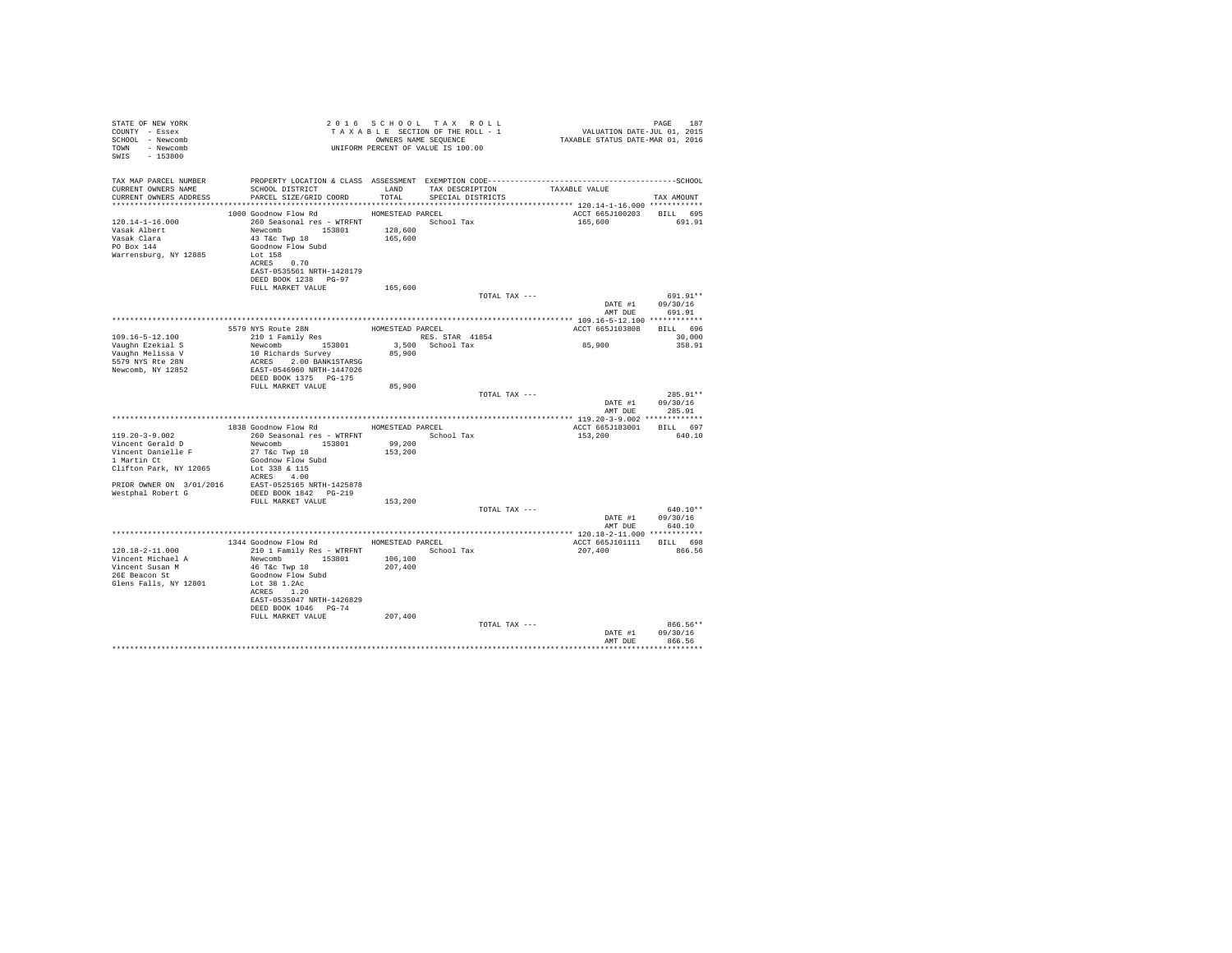| STATE OF NEW YORK<br>COUNTY - Essex<br>SCHOOL - Newcomb<br>TOWN - Newcomb<br>SWIS - 153800  |                                                                                                                                                                                         | 2016 SCHOOL TAX ROLL<br>TAXABLE SECTION OF THE ROLL - 1<br>UNIFORM PERCENT OF VALUE IS 100.00 |                    | OWNERS NAME SEOUENCE                 |               |               | PAGE 187<br>VALUATION DATE-JUL 01, 2015<br>TAXABLE STATUS DATE-MAR 01, 2016 | PAGE<br>187                            |
|---------------------------------------------------------------------------------------------|-----------------------------------------------------------------------------------------------------------------------------------------------------------------------------------------|-----------------------------------------------------------------------------------------------|--------------------|--------------------------------------|---------------|---------------|-----------------------------------------------------------------------------|----------------------------------------|
| TAX MAP PARCEL NUMBER                                                                       | PROPERTY LOCATION & CLASS ASSESSMENT EXEMPTION CODE-----------------------------------SCHOOL                                                                                            |                                                                                               |                    |                                      |               |               |                                                                             |                                        |
| CURRENT OWNERS NAME<br>CURRENT OWNERS ADDRESS                                               | SCHOOL DISTRICT LAND<br>PARCEL SIZE/GRID COORD                                                                                                                                          |                                                                                               | TOTAL              | TAX DESCRIPTION<br>SPECIAL DISTRICTS |               | TAXABLE VALUE |                                                                             | TAX AMOUNT                             |
|                                                                                             |                                                                                                                                                                                         |                                                                                               |                    |                                      |               |               |                                                                             |                                        |
| $120.14 - 1 - 16.000$<br>Vasak Albert<br>Vasak Clara<br>PO Box 144<br>Warrensburg, NY 12885 | 1000 Goodnow Flow Rd<br>260 Seasonal res - WTRFNT<br>Newcomb 153801<br>43 T&C Twp 18<br>Goodnow Flow Subd<br>Lot 158<br>ACRES 0.70<br>EAST-0535561 NRTH-1428179<br>DEED BOOK 1238 PG-97 | HOMESTEAD PARCEL                                                                              | 128,600<br>165,600 | School Tax                           |               |               | ACCT 665J100203 BILL 695<br>165,600                                         | 691.91                                 |
|                                                                                             | FULL MARKET VALUE                                                                                                                                                                       |                                                                                               | 165,600            |                                      |               |               |                                                                             |                                        |
|                                                                                             |                                                                                                                                                                                         |                                                                                               |                    |                                      | TOTAL TAX --- |               | DATE #1<br>AMT DUE                                                          | 691.91**<br>09/30/16                   |
|                                                                                             |                                                                                                                                                                                         |                                                                                               |                    |                                      |               |               |                                                                             | 691.91                                 |
|                                                                                             | 5579 NYS Route 28N HOMESTEAD PARCEL<br>210 1 Family Res RES. ST                                                                                                                         |                                                                                               |                    |                                      |               |               | ACCT 665J103808 BILL 696                                                    |                                        |
| $109.16 - 5 - 12.100$                                                                       |                                                                                                                                                                                         |                                                                                               |                    | RES. STAR 41854                      |               |               |                                                                             | 30,000                                 |
| Vaughn Ezekial S                                                                            | Newcomb 153801<br>10 Richards Survey                                                                                                                                                    |                                                                                               |                    | 3.500 School Tax                     |               |               | 85,900                                                                      | 358.91                                 |
| Vaughn Melissa V<br>5579 NYS Rte 28N<br>Newcomb, NY 12852                                   | ACRES 2.00 BANK1STARSG<br>EAST-0546960 NRTH-1447026<br>DEED BOOK 1375 PG-175                                                                                                            |                                                                                               | 85,900             |                                      |               |               |                                                                             |                                        |
|                                                                                             | FULL MARKET VALUE                                                                                                                                                                       |                                                                                               | 85,900             |                                      |               |               |                                                                             |                                        |
|                                                                                             |                                                                                                                                                                                         |                                                                                               |                    |                                      | TOTAL TAX --- |               | DATE #1                                                                     | 285.91**<br>09/30/16<br>AMT DUE 285.91 |
|                                                                                             |                                                                                                                                                                                         |                                                                                               |                    |                                      |               |               |                                                                             |                                        |
|                                                                                             | 1838 Goodnow Flow Rd                                                                                                                                                                    |                                                                                               | HOMESTEAD PARCEL   |                                      |               |               | ACCT 665J183001 BILL 697                                                    |                                        |
| $119.20 - 3 - 9.002$                                                                        | 260 Seasonal res - WTRFNT                                                                                                                                                               |                                                                                               |                    | School Tax                           |               |               | 153,200                                                                     | 640.10                                 |
| Vincent Gerald D<br>Vincent Danielle F                                                      | Newcomb 153801<br>27 T&c Twp 18                                                                                                                                                         |                                                                                               | 99,200<br>153,200  |                                      |               |               |                                                                             |                                        |
| 1 Martin Ct                                                                                 | Goodnow Flow Subd                                                                                                                                                                       |                                                                                               |                    |                                      |               |               |                                                                             |                                        |
| Clifton Park, NY 12065                                                                      | Lot 338 & 115                                                                                                                                                                           |                                                                                               |                    |                                      |               |               |                                                                             |                                        |
|                                                                                             | ACRES 4.00<br>EAST-0525165 NRTH-1425878                                                                                                                                                 |                                                                                               |                    |                                      |               |               |                                                                             |                                        |
| PRIOR OWNER ON 3/01/2016<br>Westphal Robert G                                               | DEED BOOK 1842 PG-219                                                                                                                                                                   |                                                                                               |                    |                                      |               |               |                                                                             |                                        |
|                                                                                             | FULL MARKET VALUE                                                                                                                                                                       |                                                                                               | 153,200            |                                      |               |               |                                                                             |                                        |
|                                                                                             |                                                                                                                                                                                         |                                                                                               |                    |                                      | TOTAL TAX --- |               |                                                                             | $640.10**$                             |
|                                                                                             |                                                                                                                                                                                         |                                                                                               |                    |                                      |               |               |                                                                             | DATE #1 09/30/16<br>AMT DUE 640.10     |
|                                                                                             |                                                                                                                                                                                         |                                                                                               |                    |                                      |               |               |                                                                             |                                        |
|                                                                                             | 1344 Goodnow Flow Rd MOMESTEAD PARCEL                                                                                                                                                   |                                                                                               |                    |                                      |               |               | ACCT 665J101111 BILL 698                                                    |                                        |
| $120.18 - 2 - 11.000$                                                                       | 210 1 Family Res - WTRFNT School Tax                                                                                                                                                    |                                                                                               |                    |                                      |               |               | 207,400                                                                     | 866.56                                 |
| Vincent Michael A<br>Vincent Susan M<br>26E Beacon St<br>Glens Falls, NY 12801              | Newcomb 153801<br>46 T&C Twp 18<br>Goodnow Flow Subd<br>Lot 38 1.2Ac<br>ACRES 1.20<br>EAST-0535047 NRTH-1426829<br>DEED BOOK 1046 PG-74                                                 |                                                                                               | 106,100<br>207,400 |                                      |               |               |                                                                             |                                        |
|                                                                                             | FULL MARKET VALUE                                                                                                                                                                       |                                                                                               | 207,400            |                                      | TOTAL TAX --- |               |                                                                             | 866.56**                               |
|                                                                                             |                                                                                                                                                                                         |                                                                                               |                    |                                      |               |               | DATE #1<br>AMT DUE                                                          | 09/30/16<br>866.56                     |
|                                                                                             |                                                                                                                                                                                         |                                                                                               |                    |                                      |               |               | **************************                                                  |                                        |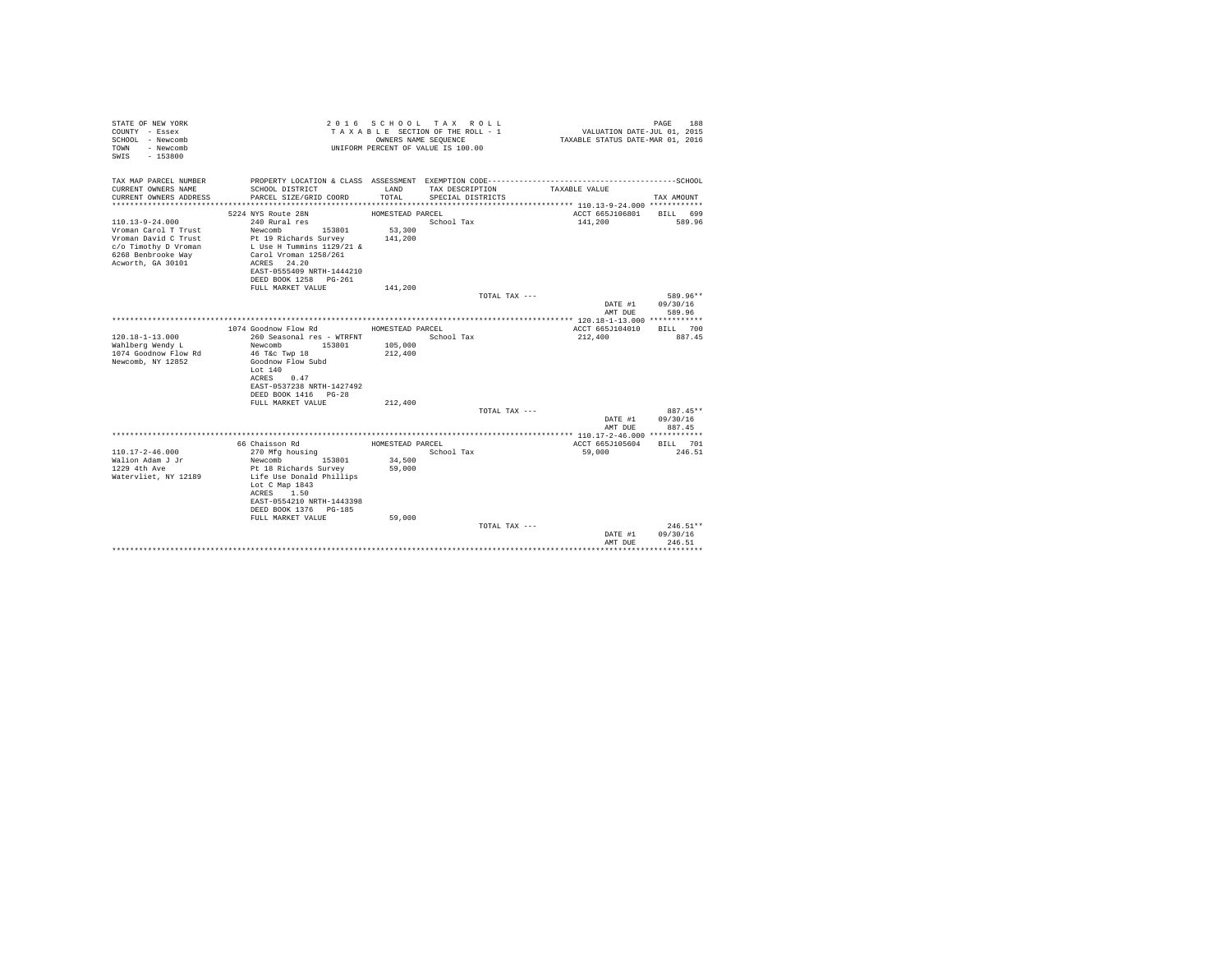| STATE OF NEW YORK<br>COUNTY - Essex<br>SCHOOL - Newcomb<br>- Newcomb<br>TOWN<br>$-153800$<br>SWTS                                        |                                                                                                                                  | OWNERS NAME SEQUENCE | 2016 SCHOOL TAX ROLL<br>TAXABLE SECTION OF THE ROLL - 1<br>UNIFORM PERCENT OF VALUE IS 100.00 | VALUATION DATE-JUL 01, 2015<br>TAXABLE STATUS DATE-MAR 01, 2016 | PAGE<br>188                      |
|------------------------------------------------------------------------------------------------------------------------------------------|----------------------------------------------------------------------------------------------------------------------------------|----------------------|-----------------------------------------------------------------------------------------------|-----------------------------------------------------------------|----------------------------------|
| TAX MAP PARCEL NUMBER<br>CURRENT OWNERS NAME                                                                                             |                                                                                                                                  |                      |                                                                                               |                                                                 |                                  |
| CURRENT OWNERS ADDRESS                                                                                                                   | SCHOOL DISTRICT<br>PARCEL SIZE/GRID COORD                                                                                        | LAND<br>TOTAL.       | TAX DESCRIPTION<br>SPECIAL DISTRICTS                                                          | TAXABLE VALUE                                                   | TAX AMOUNT                       |
|                                                                                                                                          | 5224 NYS Route 28N                                                                                                               | HOMESTEAD PARCEL     |                                                                                               | ACCT 665J106801                                                 | BILL 699                         |
| $110.13 - 9 - 24.000$<br>Vroman Carol T Trust<br>Vroman David C Trust<br>c/o Timothy D Vroman<br>6268 Benbrooke Way<br>Acworth, GA 30101 | 240 Rural res<br>Newcomb<br>153801<br>Pt 19 Richards Survey<br>L Use H Tummins 1129/21 &<br>Carol Vroman 1258/261<br>ACRES 24.20 | 53,300<br>141,200    | School Tax                                                                                    | 141,200                                                         | 589.96                           |
|                                                                                                                                          | EAST-0555409 NRTH-1444210                                                                                                        |                      |                                                                                               |                                                                 |                                  |
|                                                                                                                                          | DEED BOOK 1258 PG-261                                                                                                            |                      |                                                                                               |                                                                 |                                  |
|                                                                                                                                          | FULL MARKET VALUE                                                                                                                | 141,200              | TOTAL TAX ---                                                                                 |                                                                 | 589.96**                         |
|                                                                                                                                          |                                                                                                                                  |                      |                                                                                               | DATE #1                                                         | 09/30/16                         |
|                                                                                                                                          |                                                                                                                                  |                      |                                                                                               | AMT DUE                                                         | 589.96                           |
|                                                                                                                                          |                                                                                                                                  |                      |                                                                                               |                                                                 |                                  |
|                                                                                                                                          | 1074 Goodnow Flow Rd                                                                                                             | HOMESTEAD PARCEL     |                                                                                               | ACCT 665J104010                                                 | BTLL 700                         |
| $120.18 - 1 - 13.000$                                                                                                                    | 260 Seasonal res - WTRFNT                                                                                                        |                      | School Tax                                                                                    | 212,400                                                         | 887.45                           |
| Wahlberg Wendy L                                                                                                                         | Newcomb 153801                                                                                                                   | 105,000              |                                                                                               |                                                                 |                                  |
| 1074 Goodnow Flow Rd                                                                                                                     | 46 T&c Twp 18<br>Goodnow Flow Subd                                                                                               | 212,400              |                                                                                               |                                                                 |                                  |
| Newcomb, NY 12852                                                                                                                        | Lot $140$                                                                                                                        |                      |                                                                                               |                                                                 |                                  |
|                                                                                                                                          | ACRES<br>0.47                                                                                                                    |                      |                                                                                               |                                                                 |                                  |
|                                                                                                                                          | EAST-0537238 NRTH-1427492                                                                                                        |                      |                                                                                               |                                                                 |                                  |
|                                                                                                                                          | DEED BOOK 1416 PG-28                                                                                                             |                      |                                                                                               |                                                                 |                                  |
|                                                                                                                                          | FULL MARKET VALUE                                                                                                                | 212,400              |                                                                                               |                                                                 |                                  |
|                                                                                                                                          |                                                                                                                                  |                      | TOTAL TAX ---                                                                                 |                                                                 | 887.45**                         |
|                                                                                                                                          |                                                                                                                                  |                      |                                                                                               | DATE #1<br>AMT DUE                                              | 09/30/16<br>887.45               |
|                                                                                                                                          |                                                                                                                                  |                      |                                                                                               |                                                                 |                                  |
|                                                                                                                                          | 66 Chaisson Rd                                                                                                                   | HOMESTEAD PARCEL     |                                                                                               | ACCT 665J105604                                                 | BILL 701                         |
| $110.17 - 2 - 46.000$                                                                                                                    | 270 Mfg housing                                                                                                                  |                      | School Tax                                                                                    | 59,000                                                          | 246.51                           |
| Walion Adam J Jr                                                                                                                         | Newcomb<br>153801                                                                                                                | 34,500               |                                                                                               |                                                                 |                                  |
| 1229 4th Ave                                                                                                                             | Pt 18 Richards Survey                                                                                                            | 59,000               |                                                                                               |                                                                 |                                  |
| Watervliet, NY 12189                                                                                                                     | Life Use Donald Phillips<br>Lot C Map 1843<br>ACRES 1.50<br>EAST-0554210 NRTH-1443398<br>DEED BOOK 1376 PG-185                   |                      |                                                                                               |                                                                 |                                  |
|                                                                                                                                          | FULL MARKET VALUE                                                                                                                | 59,000               |                                                                                               |                                                                 |                                  |
|                                                                                                                                          |                                                                                                                                  |                      | TOTAL TAX ---                                                                                 | DATE #1<br>AMT DUE                                              | $246.51**$<br>09/30/16<br>246.51 |
|                                                                                                                                          |                                                                                                                                  |                      |                                                                                               |                                                                 | ***********                      |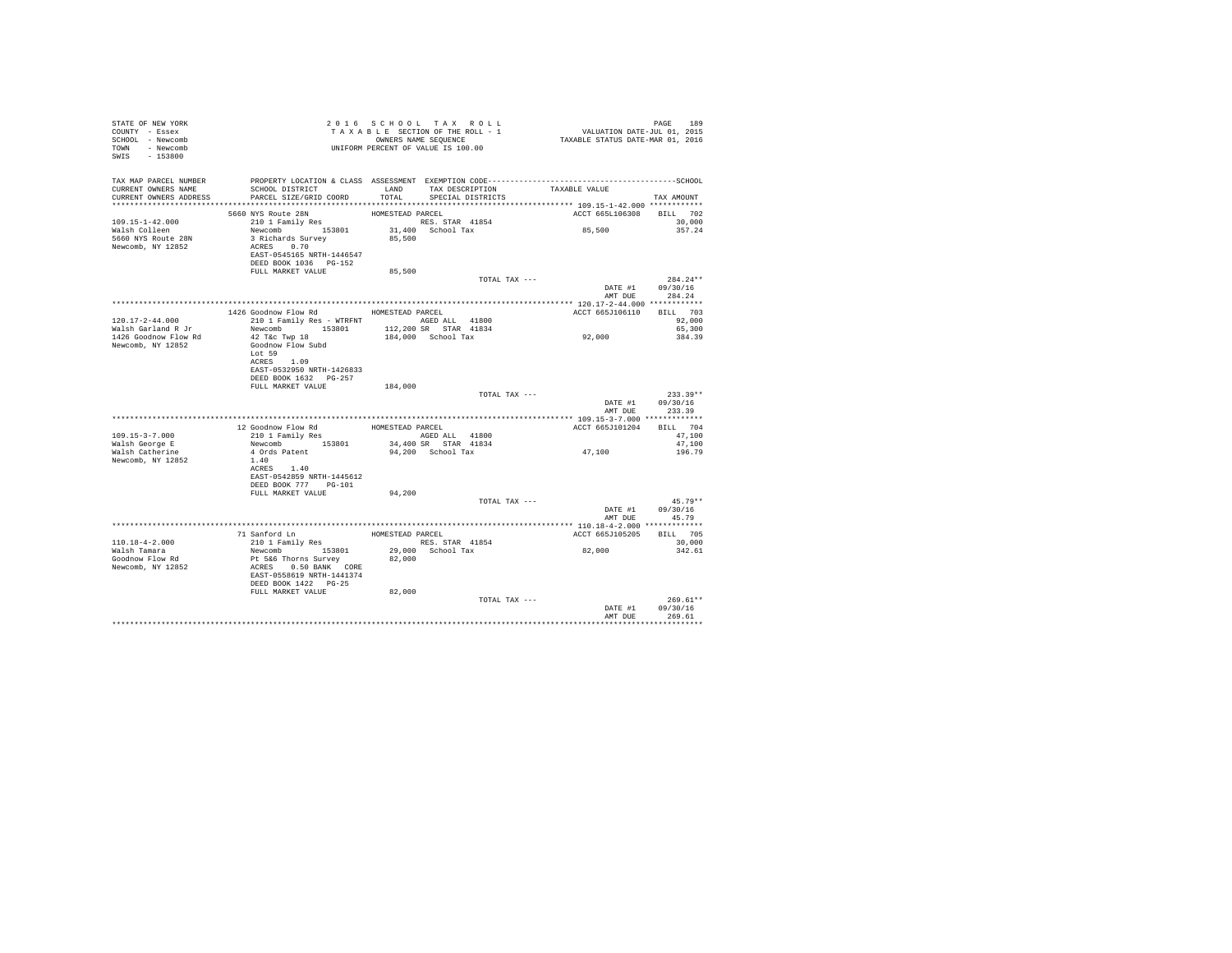| STATE OF NEW YORK<br>COUNTY - Essex<br>SCHOOL - Newcomb<br>TOWN - Newcomb<br>SWIS<br>$-153800$ |                                                                                                                                                                               | 2016 SCHOOL TAX ROLL<br>UNIFORM PERCENT OF VALUE IS 100.00                       |                           | PAGE<br>189                      |
|------------------------------------------------------------------------------------------------|-------------------------------------------------------------------------------------------------------------------------------------------------------------------------------|----------------------------------------------------------------------------------|---------------------------|----------------------------------|
| TAX MAP PARCEL NUMBER<br>CURRENT OWNERS NAME<br>CURRENT OWNERS ADDRESS                         | SCHOOL DISTRICT<br>PARCEL SIZE/GRID COORD                                                                                                                                     | TAX DESCRIPTION<br>LAND<br>TOTAL<br>SPECIAL DISTRICTS                            | TAXABLE VALUE             | TAX AMOUNT                       |
| $109.15 - 1 - 42.000$<br>Walsh Colleen<br>5660 NYS Route 28N<br>Newcomb, NY 12852              | 5660 NYS Route 28N<br>210 1 Family Res<br>Newcomb 153801<br>3 Richards Survey<br>ACRES 0.70<br>EAST-0545165 NRTH-1446547<br>DEED BOOK 1036 PG-152<br>FULL MARKET VALUE        | HOMESTEAD PARCEL<br>RES. STAR 41854<br>31,400 School Tax<br>85,500<br>85,500     | ACCT 665L106308<br>85,500 | BILL 702<br>30,000<br>357.24     |
|                                                                                                |                                                                                                                                                                               | TOTAL TAX ---                                                                    |                           | $284.24**$                       |
|                                                                                                |                                                                                                                                                                               |                                                                                  | DATE #1<br>AMT DUE        | 09/30/16<br>284.24               |
|                                                                                                |                                                                                                                                                                               |                                                                                  |                           |                                  |
|                                                                                                | 1426 Goodnow Flow Rd MOMESTEAD PARCEL                                                                                                                                         |                                                                                  | ACCT 665J106110           | BILL 703                         |
| $120.17 - 2 - 44.000$<br>Walsh Garland R Jr                                                    |                                                                                                                                                                               | 210 1 Family Res - WTRFNT AGED ALL 41800<br>Newcomb 153801 112,200 SR STAR 41834 |                           | 92,000<br>65,300                 |
| 1426 Goodnow Flow Rd<br>Newcomb, NY 12852                                                      | $42$ T&c Twp $18$<br>Goodnow Flow Subd<br>Lot 59<br>ACRES 1.09<br>EAST-0532950 NRTH-1426833                                                                                   | 184,000 School Tax                                                               | 92,000                    | 384.39                           |
|                                                                                                | DEED BOOK 1632 PG-257                                                                                                                                                         |                                                                                  |                           |                                  |
|                                                                                                | FULL MARKET VALUE                                                                                                                                                             | 184,000<br>TOTAL TAX ---                                                         | DATE #1                   | $233.39**$<br>09/30/16           |
|                                                                                                |                                                                                                                                                                               |                                                                                  | AMT DUE                   | 233.39                           |
|                                                                                                |                                                                                                                                                                               |                                                                                  | ACCT 665J101204           | BILL 704                         |
| $109.15 - 3 - 7.000$                                                                           | $\begin{tabular}{lllllllllll} 12 & \texttt{Goodnow Flow Rd} & & & \texttt{HOMESTEAD PARCH} \\ 210 & 1 & \texttt{Family Res} & & & \texttt{AGED ALL} & 41800 \\ \end{tabular}$ |                                                                                  |                           | 47.100                           |
| Walsh George E                                                                                 | Newcomb 153801                                                                                                                                                                | 34,400 SR STAR 41834                                                             |                           | 47,100                           |
| Walsh Catherine<br>Newcomb, NY 12852                                                           | 4 Ords Patent<br>1.40<br>ACRES 1.40<br>EAST-0542859 NRTH-1445612<br>DEED BOOK 777 PG-101                                                                                      | 94,200 School Tax                                                                | 47,100                    | 196.79                           |
|                                                                                                | FULL MARKET VALUE                                                                                                                                                             | 94,200                                                                           |                           |                                  |
|                                                                                                |                                                                                                                                                                               | TOTAL TAX ---                                                                    | DATE #1<br>AMT DUE        | $45.79**$<br>09/30/16<br>45.79   |
|                                                                                                |                                                                                                                                                                               |                                                                                  |                           |                                  |
|                                                                                                | 71 Sanford Ln                                                                                                                                                                 | HOMESTEAD PARCEL                                                                 | ACCT 665J105205           | BILL 705                         |
| $110.18 - 4 - 2.000$                                                                           | 210 1 Family Res                                                                                                                                                              | RES. STAR 41854                                                                  |                           | 30,000                           |
| Walsh Tamara<br>Goodnow Flow Rd<br>Newcomb, NY 12852                                           | Newcomb 153801<br>Pt 5&6 Thorns Survey<br>ACRES 0.50 BANK CORE<br>EAST-0558619 NRTH-1441374<br>DEED BOOK 1422 PG-25                                                           | 29,000 School Tax<br>82,000                                                      | 82,000                    | 342.61                           |
|                                                                                                | FULL MARKET VALUE                                                                                                                                                             | 82,000                                                                           |                           |                                  |
|                                                                                                |                                                                                                                                                                               | TOTAL TAX ---                                                                    | DATE #1<br>AMT DUR        | $269.61**$<br>09/30/16<br>269.61 |
|                                                                                                |                                                                                                                                                                               |                                                                                  |                           |                                  |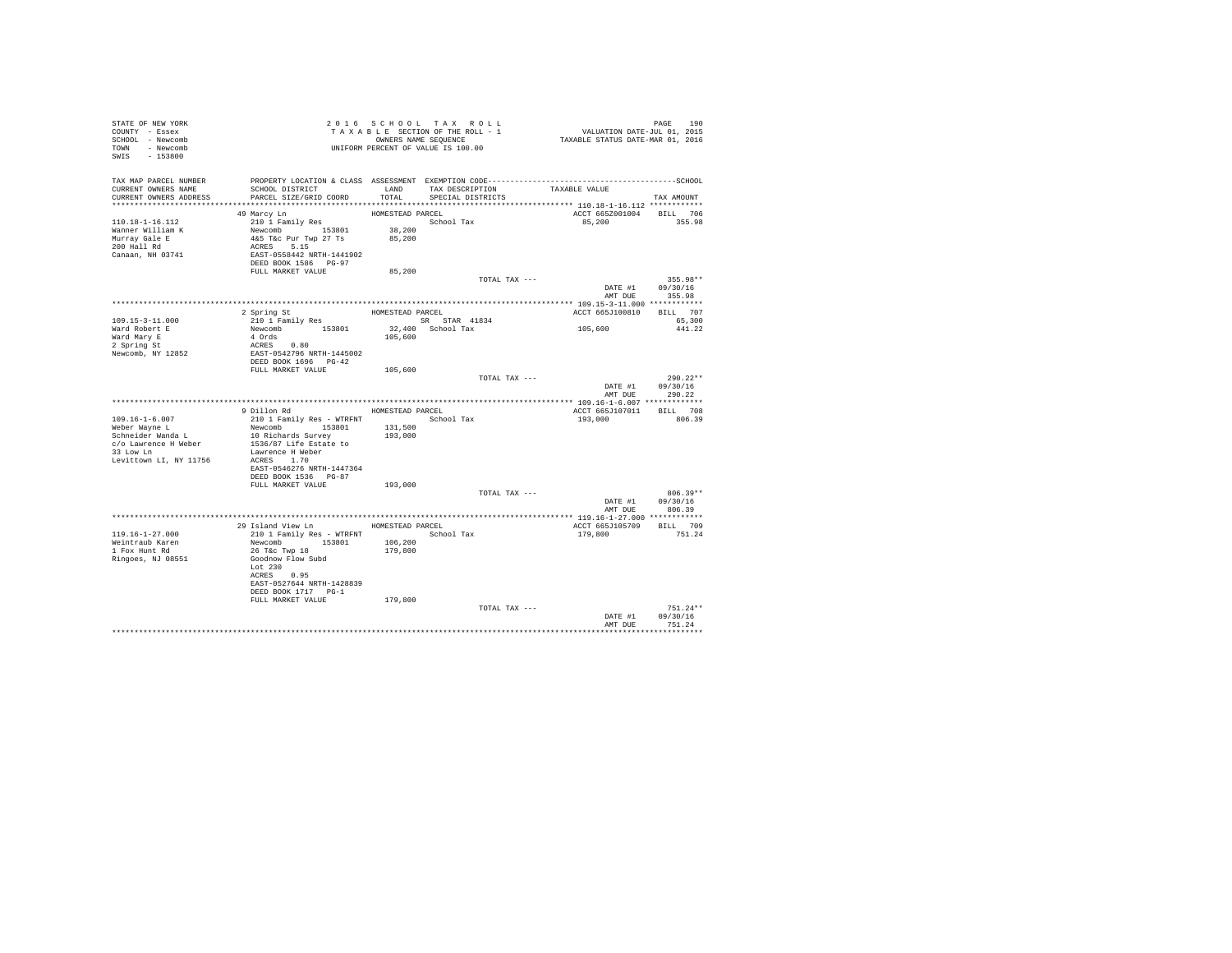| STATE OF NEW YORK<br>COUNTY - Essex<br>SCHOOL - Newcomb<br>TOWN - Newcomb<br>SWIS - 153800 | UNIFORM PERCENT OF VALUE IS 100.00                                                                                                                             |                    | 2016 SCHOOL TAX ROLL<br>TAXABLE SECTION OF THE ROLL - 1<br>OWNERS NAME SEQUENCE | PAGE 190<br>VALUATION DATE-JUL 01, 2015<br>TAXABLE STATUS DATE-MAR 01, 2016 |                                        |
|--------------------------------------------------------------------------------------------|----------------------------------------------------------------------------------------------------------------------------------------------------------------|--------------------|---------------------------------------------------------------------------------|-----------------------------------------------------------------------------|----------------------------------------|
| TAX MAP PARCEL NUMBER<br>CURRENT OWNERS NAME<br>CURRENT OWNERS ADDRESS                     | SCHOOL DISTRICT<br>PARCEL SIZE/GRID COORD<br>********************************                                                                                  | LAND<br>TOTAL      | TAX DESCRIPTION<br>SPECIAL DISTRICTS                                            | TAXABLE VALUE                                                               | TAX AMOUNT                             |
|                                                                                            | 49 Marcy Ln                                                                                                                                                    | HOMESTEAD PARCEL   |                                                                                 | ACCT 665Z001004                                                             | BILL 706                               |
| 110.18-1-16.112<br>Wanner William K<br>Murray Gale E<br>200 Hall Rd<br>Canaan, NH 03741    | 210 1 Family Res<br>Newcomb 153801<br>4&5 T&c Pur Twp 27 Ts<br>ACRES 5.15<br>EAST-0558442 NRTH-1441902<br>DEED BOOK 1586 PG-97                                 | 38,200<br>85,200   | School Tax                                                                      | 85,200                                                                      | 355.98                                 |
|                                                                                            | FULL MARKET VALUE                                                                                                                                              | 85,200             |                                                                                 |                                                                             |                                        |
|                                                                                            |                                                                                                                                                                |                    | TOTAL TAX ---                                                                   | AMT DUE                                                                     | 355.98**<br>DATE #1 09/30/16<br>355.98 |
|                                                                                            |                                                                                                                                                                |                    |                                                                                 |                                                                             |                                        |
|                                                                                            | 2 Spring St<br>210 1 Family Res                                                                                                                                | HOMESTEAD PARCEL   | SR STAR 41834                                                                   | ACCT 665J100810                                                             | BILL 707                               |
| 109.15-3-11.000<br>Ward Robert E<br>Ward Mary E<br>2 Spring St                             | Newcomb 153801                                                                                                                                                 | 105,600            | 32,400 School Tax                                                               | 105,600                                                                     | 65,300<br>441.22                       |
| Newcomb, NY 12852                                                                          | EAST-0542796 NRTH-1445002<br>DEED BOOK 1696 PG-42                                                                                                              |                    |                                                                                 |                                                                             |                                        |
|                                                                                            | FULL MARKET VALUE                                                                                                                                              | 105,600            |                                                                                 |                                                                             | $290.22**$                             |
|                                                                                            |                                                                                                                                                                |                    | TOTAL TAX ---                                                                   | DATE #1<br>AMT DUE                                                          | 09/30/16<br>290.22                     |
|                                                                                            |                                                                                                                                                                |                    |                                                                                 |                                                                             |                                        |
|                                                                                            | 9 Dillon Rd MOMESTEAD PARCEL                                                                                                                                   |                    |                                                                                 | ACCT 665J107011 BILL 708                                                    |                                        |
| $109.16 - 1 - 6.007$<br>Weber Wayne L                                                      | 210 1 Family Res - WTRFNT<br>Newcomb 153801                                                                                                                    | 131,500            | School Tax                                                                      | 193,000                                                                     | 806.39                                 |
| Schneider Wanda L<br>c/o Lawrence H Weber<br>33 Low Ln<br>Levittown LI, NY 11756           | 10 Richards Survey<br>1536/87 Life Estate to<br>Lawrence H Weber<br>ACRES 1.70                                                                                 | 193,000            |                                                                                 |                                                                             |                                        |
|                                                                                            | EAST-0546276 NRTH-1447364<br>DEED BOOK 1536    PG-87                                                                                                           |                    |                                                                                 |                                                                             |                                        |
|                                                                                            | FULL MARKET VALUE                                                                                                                                              | 193,000            | TOTAL TAX ---                                                                   |                                                                             | $806.39**$                             |
|                                                                                            |                                                                                                                                                                |                    |                                                                                 | DATE #1<br>AMT DUE                                                          | 09/30/16<br>806.39                     |
|                                                                                            |                                                                                                                                                                |                    |                                                                                 |                                                                             |                                        |
|                                                                                            | 29 Island View Ln MOMESTEAD PARCEL                                                                                                                             |                    |                                                                                 | ACCT 665J105709                                                             | BILL 709                               |
| 119.16-1-27.000<br>Weintraub Karen<br>1 Fox Hunt Rd<br>Ringoes, NJ 08551                   | 210 1 Family Res - WTRFNT<br>Newcomb 153801<br>26 T&C Twp 18<br>Goodnow Flow Subd<br>Lot 230<br>ACRES 0.95<br>EAST-0527644 NRTH-1428839<br>DEED BOOK 1717 PG-1 | 106,200<br>179,800 | School Tax                                                                      | 179,800                                                                     | 751.24                                 |
|                                                                                            | FULL MARKET VALUE                                                                                                                                              | 179,800            |                                                                                 |                                                                             |                                        |
|                                                                                            |                                                                                                                                                                |                    | TOTAL TAX ---                                                                   | DATE #1<br>AMT DUE                                                          | $751.24**$<br>09/30/16<br>751.24       |
|                                                                                            |                                                                                                                                                                |                    |                                                                                 |                                                                             |                                        |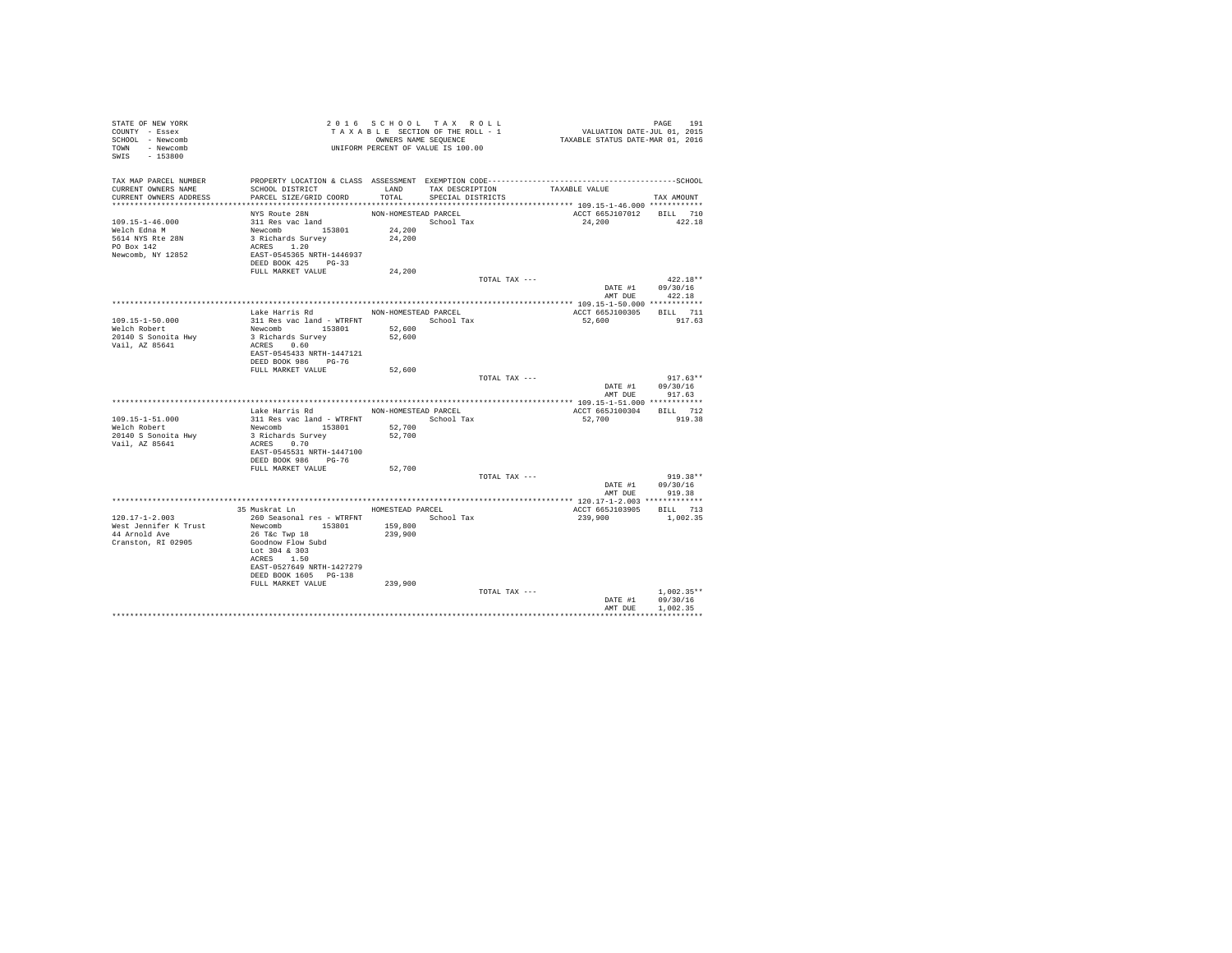| STATE OF NEW YORK<br>COUNTY - Essex<br>SCHOOL - Newcomb |                                                                                              | TAXABLE SECTION OF THE ROLL - 1<br>OWNERS NAME SEQUENCE |                   |                 | PAGE 191<br>VALUATION DATE-JUL 01, 2015<br>TAXABLE STATUS DATE-MAR 01, 2016 |                  |
|---------------------------------------------------------|----------------------------------------------------------------------------------------------|---------------------------------------------------------|-------------------|-----------------|-----------------------------------------------------------------------------|------------------|
| TOWN - Newcomb<br>SWIS - 153800                         |                                                                                              |                                                         |                   |                 |                                                                             |                  |
| TAX MAP PARCEL NUMBER                                   | PROPERTY LOCATION & CLASS ASSESSMENT EXEMPTION CODE-----------------------------------SCHOOL |                                                         |                   |                 |                                                                             |                  |
| CURRENT OWNERS NAME<br>CURRENT OWNERS ADDRESS           | SCHOOL DISTRICT<br>PARCEL SIZE/GRID COORD                                                    | LAND<br>TOTAL                                           | SPECIAL DISTRICTS | TAX DESCRIPTION | TAXABLE VALUE                                                               | TAX AMOUNT       |
|                                                         |                                                                                              |                                                         |                   |                 |                                                                             |                  |
|                                                         | NYS Route 28N                                                                                | NON-HOMESTEAD PARCEL                                    |                   |                 | ACCT 665J107012 BILL 710                                                    |                  |
| $109.15 - 1 - 46.000$                                   | 311 Res vac land                                                                             |                                                         | School Tax        |                 | 24,200                                                                      | 422.18           |
| Welch Edna M                                            |                                                                                              | 24,200                                                  |                   |                 |                                                                             |                  |
| 5614 NYS Rte 28N<br>PO Box 142                          | Newcomb<br>3 Richards Survey<br>ACRES 1.20                                                   | 24,200                                                  |                   |                 |                                                                             |                  |
| Newcomb, NY 12852                                       | EAST-0545365 NRTH-1446937                                                                    |                                                         |                   |                 |                                                                             |                  |
|                                                         | DEED BOOK 425 PG-33                                                                          |                                                         |                   |                 |                                                                             |                  |
|                                                         | FULL MARKET VALUE                                                                            | 24,200                                                  |                   |                 |                                                                             |                  |
|                                                         |                                                                                              |                                                         |                   | TOTAL TAX ---   |                                                                             | $422.18**$       |
|                                                         |                                                                                              |                                                         |                   |                 |                                                                             | DATE #1 09/30/16 |
|                                                         |                                                                                              |                                                         |                   |                 |                                                                             | AMT DUE 422.18   |
|                                                         | Lake Harris Rd MON-HOMESTEAD PARCEL                                                          |                                                         |                   |                 | ACCT 665J100305 BILL 711                                                    |                  |
| 109.15-1-50.000                                         | 311 Res vac land - WTRFNT                       School Tax                                   |                                                         |                   |                 | 52,600                                                                      | 917.63           |
| Welch Robert                                            | Newcomb 153801 52,600                                                                        |                                                         |                   |                 |                                                                             |                  |
| 20140 S Sonoita Hwy                                     | 3 Richards Survey                                                                            | 52,600                                                  |                   |                 |                                                                             |                  |
| Vail, AZ 85641                                          | ACRES 0.60                                                                                   |                                                         |                   |                 |                                                                             |                  |
|                                                         | EAST-0545433 NRTH-1447121<br>DEED BOOK 986 PG-76                                             |                                                         |                   |                 |                                                                             |                  |
|                                                         | FULL MARKET VALUE                                                                            | 52,600                                                  |                   |                 |                                                                             |                  |
|                                                         |                                                                                              |                                                         |                   | TOTAL TAX ---   |                                                                             | $917.63**$       |
|                                                         |                                                                                              |                                                         |                   |                 |                                                                             | DATE #1 09/30/16 |
|                                                         |                                                                                              |                                                         |                   |                 | AMT DUE                                                                     | 917.63           |
|                                                         | Lake Harris Rd                                                                               | NON-HOMESTEAD PARCEL                                    |                   |                 | ACCT 665J100304                                                             | BILL 712         |
| 109.15-1-51.000                                         |                                                                                              |                                                         |                   |                 | 52,700                                                                      | 919.38           |
| Welch Robert                                            | 311 Res vac land - WTRFNT School Tax<br>Newcomb 153801 52,700                                |                                                         |                   |                 |                                                                             |                  |
| 20140 S Sonoita Hwy                                     | 3 Richards Survey                                                                            | 52,700                                                  |                   |                 |                                                                             |                  |
| Vail, AZ 85641                                          | ACRES 0.70                                                                                   |                                                         |                   |                 |                                                                             |                  |
|                                                         | EAST-0545531 NRTH-1447100<br>DEED BOOK 986 PG-76                                             |                                                         |                   |                 |                                                                             |                  |
|                                                         | FULL MARKET VALUE                                                                            | 52,700                                                  |                   |                 |                                                                             |                  |
|                                                         |                                                                                              |                                                         |                   | TOTAL TAX ---   |                                                                             | $919.38**$       |
|                                                         |                                                                                              |                                                         |                   |                 |                                                                             | DATE #1 09/30/16 |
|                                                         |                                                                                              |                                                         |                   |                 | AMT DUE                                                                     | 919.38           |
|                                                         | 35 Muskrat Ln                                                                                |                                                         |                   |                 |                                                                             |                  |
| $120.17 - 1 - 2.003$                                    | 260 Seasonal res - WTRFNT                                                                    | HOMESTEAD PARCEL                                        | School Tax        |                 | ACCT 665J103905 BILL 713<br>239,900                                         | 1,002.35         |
| West Jennifer K Trust                                   | Newcomb 153801                                                                               | 159,800                                                 |                   |                 |                                                                             |                  |
| 44 Arnold Ave                                           | 26 T&c Twp 18                                                                                | 239,900                                                 |                   |                 |                                                                             |                  |
| Cranston, RI 02905                                      | Goodnow Flow Subd                                                                            |                                                         |                   |                 |                                                                             |                  |
|                                                         | Lot 304 & 303                                                                                |                                                         |                   |                 |                                                                             |                  |
|                                                         | ACRES 1.50<br>EAST-0527649 NRTH-1427279                                                      |                                                         |                   |                 |                                                                             |                  |
|                                                         | DEED BOOK 1605 PG-138                                                                        |                                                         |                   |                 |                                                                             |                  |
|                                                         | FULL MARKET VALUE                                                                            | 239,900                                                 |                   |                 |                                                                             |                  |
|                                                         |                                                                                              |                                                         |                   | TOTAL TAX ---   |                                                                             | $1.002.35**$     |
|                                                         |                                                                                              |                                                         |                   |                 | DATE #1                                                                     | 09/30/16         |
|                                                         |                                                                                              |                                                         |                   |                 | AMT DUE                                                                     | 1,002.35         |
|                                                         |                                                                                              |                                                         |                   |                 |                                                                             |                  |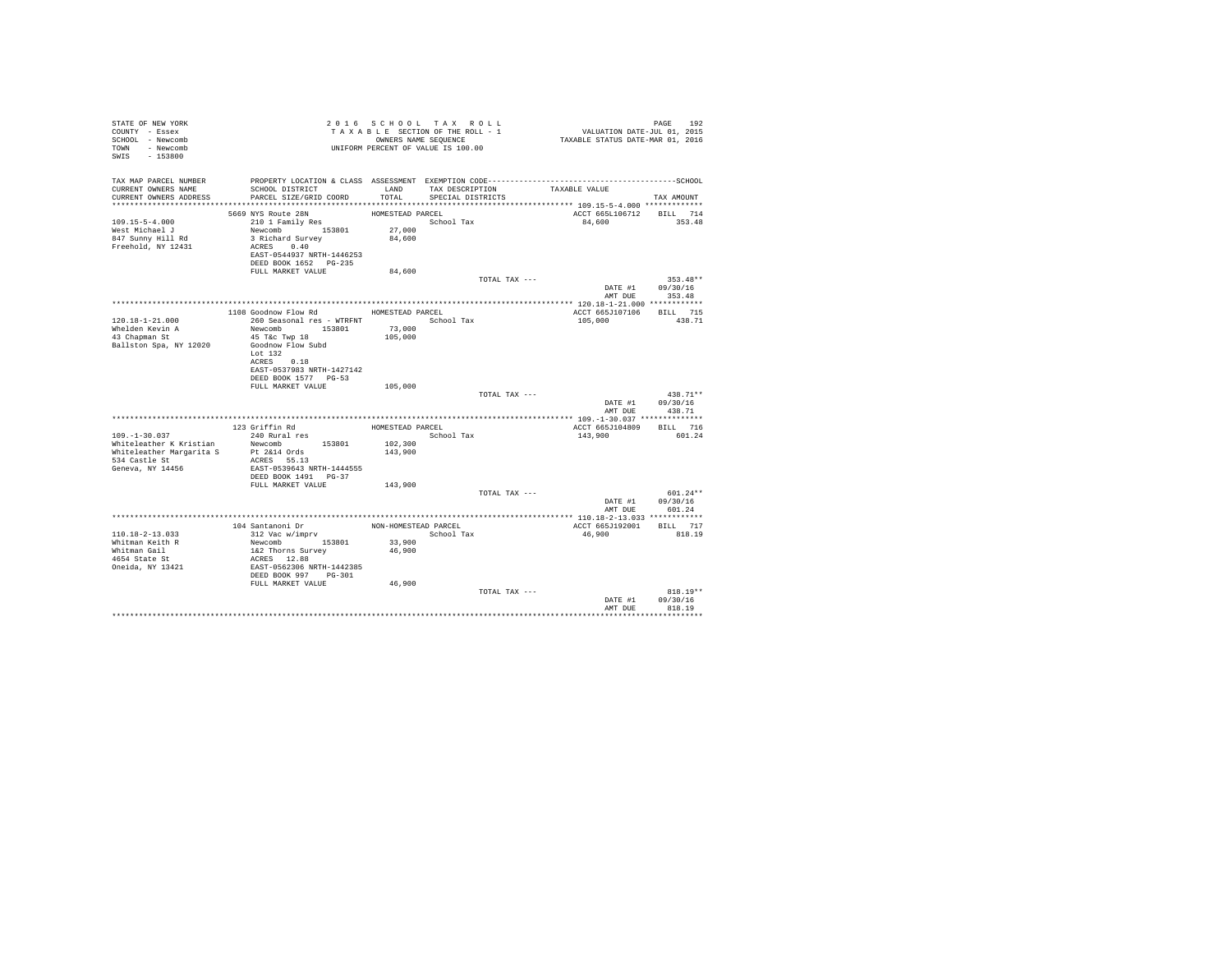| STATE OF NEW YORK<br>COUNTY - Essex<br>SCHOOL - Newcomb<br>TOWN - Newcomb<br>SWIS - 153800                      |                                                                                                                                                                                           |                                        | 2016 SCHOOL TAX ROLL<br>TAXABLE SECTION OF THE ROLL - 1<br>OWNERS NAME SEQUENCE<br>UNIFORM PERCENT OF VALUE IS 100.00 | PAGE 192<br>VALUATION DATE-JUL 01, 2015<br>TAXABLE STATUS DATE-MAR 01, 2016 |                                                  |
|-----------------------------------------------------------------------------------------------------------------|-------------------------------------------------------------------------------------------------------------------------------------------------------------------------------------------|----------------------------------------|-----------------------------------------------------------------------------------------------------------------------|-----------------------------------------------------------------------------|--------------------------------------------------|
| TAX MAP PARCEL NUMBER<br>CURRENT OWNERS NAME<br>CURRENT OWNERS ADDRESS                                          | PROPERTY LOCATION & CLASS ASSESSMENT EXEMPTION CODE-----------------------------------SCHOOL<br>SCHOOL DISTRICT<br>PARCEL SIZE/GRID COORD                                                 | LAND<br>TOTAL.                         | TAX DESCRIPTION<br>SPECIAL DISTRICTS                                                                                  | TAXABLE VALUE                                                               | TAX AMOUNT                                       |
|                                                                                                                 |                                                                                                                                                                                           |                                        |                                                                                                                       |                                                                             |                                                  |
| $109.15 - 5 - 4.000$<br>West Michael J<br>847 Sunny Hill Rd<br>Freehold, NY 12431                               | 5669 NYS Route 28N<br>210 1 Family Res<br>Newcomb 153801 27,000<br>3 Richard Survey<br>ACRES 0.40<br>EAST-0544937 NRTH-1446253<br>DEED BOOK 1652 PG-235                                   | HOMESTEAD PARCEL<br>84,600             | School Tax                                                                                                            | ACCT 665L106712 BILL 714<br>84,600                                          | 353.48                                           |
|                                                                                                                 | FULL MARKET VALUE                                                                                                                                                                         | 84,600                                 |                                                                                                                       |                                                                             |                                                  |
|                                                                                                                 |                                                                                                                                                                                           |                                        | TOTAL TAX ---                                                                                                         |                                                                             | $353.48**$<br>DATE #1 09/30/16<br>AMT DUE 353.48 |
|                                                                                                                 |                                                                                                                                                                                           |                                        |                                                                                                                       |                                                                             |                                                  |
| $120.18 - 1 - 21.000$<br>Whelden Kevin A<br>$43$ Chapman St<br>Ballston Spa, NY 12020                           | 1108 Goodnow Flow Rd<br>260 Seasonal res - WTRFNT<br>Newcomb 153801<br>45 T&C Twp 18<br>Goodnow Flow Subd<br>Lot $132$<br>ACRES 0.18<br>EAST-0537983 NRTH-1427142<br>DEED BOOK 1577 PG-53 | HOMESTEAD PARCEL<br>73,000<br>105,000  | School Tax                                                                                                            | ACCT 665J107106 BILL 715<br>105,000                                         | 438.71                                           |
|                                                                                                                 | FULL MARKET VALUE                                                                                                                                                                         | 105,000                                |                                                                                                                       |                                                                             |                                                  |
|                                                                                                                 |                                                                                                                                                                                           |                                        | TOTAL TAX ---                                                                                                         | AMT DUE                                                                     | $438.71**$<br>DATE #1 09/30/16<br>438.71         |
|                                                                                                                 |                                                                                                                                                                                           |                                        |                                                                                                                       |                                                                             |                                                  |
| $109. - 1 - 30.037$<br>Whiteleather K Kristian<br>Whiteleather Margarita S<br>534 Castle St<br>Geneva, NY 14456 | 123 Griffin Rd<br>240 Rural res<br>Newcomb 153801<br>Pt 2&14 Ords<br>ACRES 55.13<br>EAST-0539643 NRTH-1444555<br>DEED BOOK 1491   PG-37                                                   | HOMESTEAD PARCEL<br>102,300<br>143,900 | School Tax                                                                                                            | ACCT 665J104809 BILL 716<br>143,900                                         | 601.24                                           |
|                                                                                                                 | FULL MARKET VALUE                                                                                                                                                                         | 143,900                                | TOTAL TAX ---                                                                                                         |                                                                             | $601.24**$                                       |
|                                                                                                                 |                                                                                                                                                                                           |                                        |                                                                                                                       | DATE #1                                                                     | 09/30/16<br>AMT DUE 601.24                       |
|                                                                                                                 |                                                                                                                                                                                           |                                        |                                                                                                                       |                                                                             |                                                  |
| $110.18 - 2 - 13.033$<br>Whitman Keith R<br>Whitman Gail<br>4654 State St<br>Oneida, NY 13421                   | 104 Santanoni Dr<br>312 Vac w/imprv<br>Newcomb 153801<br>1&2 Thorns Survey<br>ACRES 12.88<br>EAST-0562306 NRTH-1442385<br>DEED BOOK 997 PG-301                                            | 33,900<br>46,900                       | NON-HOMESTEAD PARCEL<br>School Tax                                                                                    | ACCT 665J192001 BILL 717<br>46,900                                          | 818.19                                           |
|                                                                                                                 | FULL MARKET VALUE                                                                                                                                                                         | 46,900                                 | TOTAL TAX ---                                                                                                         | DATE #1<br>AMT DUE                                                          | $818.19**$<br>09/30/16<br>818.19                 |
|                                                                                                                 |                                                                                                                                                                                           |                                        |                                                                                                                       |                                                                             |                                                  |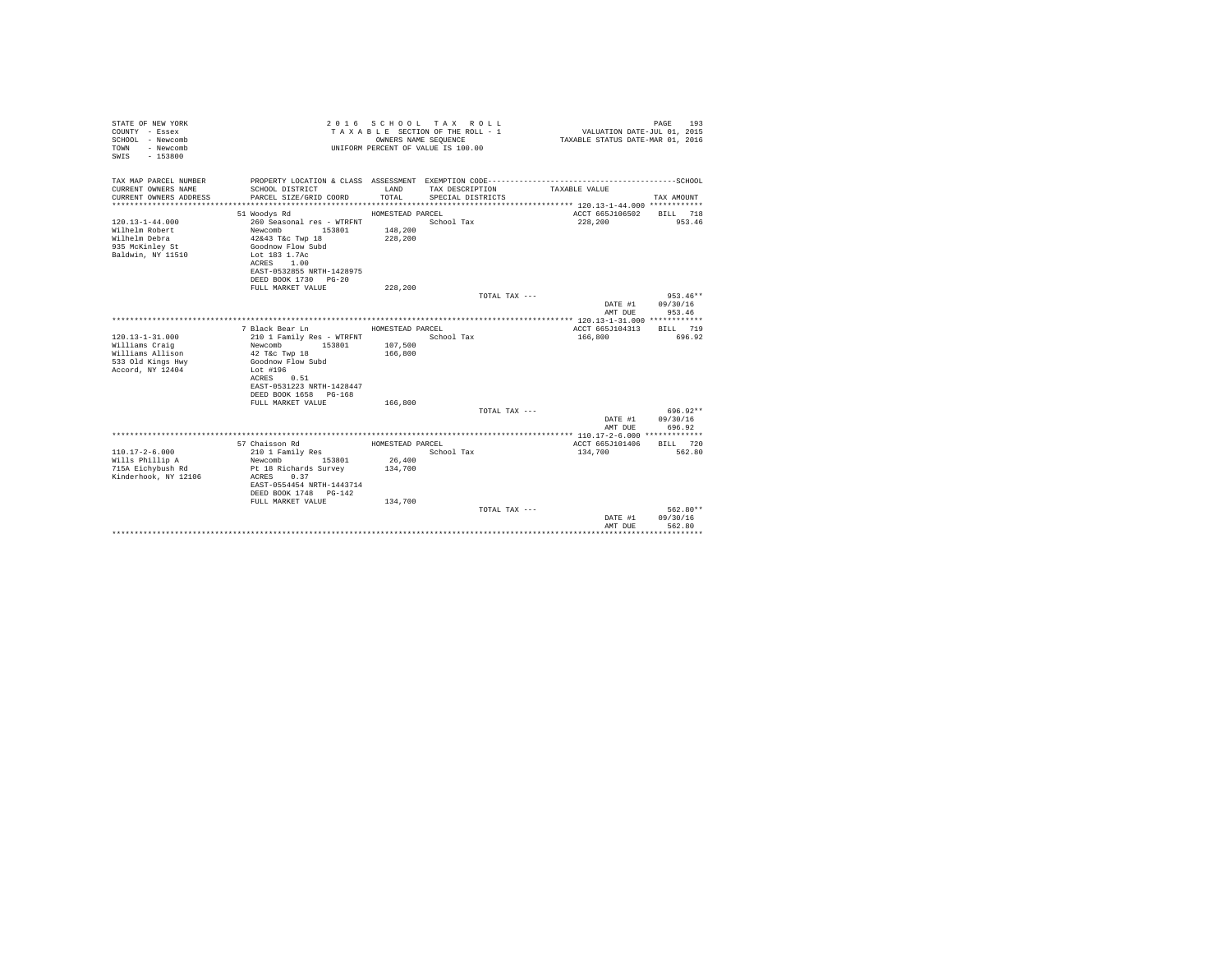| STATE OF NEW YORK<br>COUNTY - Essex<br>SCHOOL - Newcomb<br>- Newcomb<br>TOWN<br>$-153800$<br>SWIS     |                                                                                                                                                                                                | OWNERS NAME SEQUENCE                             | 2016 SCHOOL TAX ROLL<br>TAXABLE SECTION OF THE ROLL - 1<br>UNIFORM PERCENT OF VALUE IS 100.00 | VALUATION DATE-JUL 01, 2015<br>TAXABLE STATUS DATE-MAR 01, 2016 | 193<br>PAGE                      |
|-------------------------------------------------------------------------------------------------------|------------------------------------------------------------------------------------------------------------------------------------------------------------------------------------------------|--------------------------------------------------|-----------------------------------------------------------------------------------------------|-----------------------------------------------------------------|----------------------------------|
| TAX MAP PARCEL NUMBER<br>CURRENT OWNERS NAME<br>CURRENT OWNERS ADDRESS<br>*************************** | SCHOOL DISTRICT<br>PARCEL SIZE/GRID COORD                                                                                                                                                      | LAND<br>TOTAL                                    | TAX DESCRIPTION<br>SPECIAL DISTRICTS                                                          | TAXABLE VALUE                                                   | TAX AMOUNT                       |
| $120.13 - 1 - 44.000$<br>Wilhelm Robert<br>Wilhelm Debra<br>935 McKinley St<br>Baldwin, NY 11510      | 51 Woodys Rd<br>260 Seasonal res - WTRFNT<br>Newcomb<br>153801<br>42&43 T&c Twp 18<br>Goodnow Flow Subd<br>Lot 183 1.7Ac<br>1.00<br>ACRES<br>EAST-0532855 NRTH-1428975<br>DEED BOOK 1730 PG-20 | HOMESTEAD PARCEL<br>148,200<br>228,200           | School Tax                                                                                    | ACCT 665J106502<br>228,200                                      | <b>BILL</b> 718<br>953.46        |
|                                                                                                       | FULL MARKET VALUE                                                                                                                                                                              | 228,200                                          | TOTAL TAX ---                                                                                 | DATE #1<br>AMT DUE                                              | $953.46**$<br>09/30/16<br>953.46 |
| $120.13 - 1 - 31.000$<br>Williams Craig<br>Williams Allison<br>533 Old Kings Hwy<br>Accord, NY 12404  | 7 Black Bear Ln<br>210 1 Family Res - WTRFNT<br>Newcomb<br>153801<br>42 T&c Twp 18<br>Goodnow Flow Subd<br>Lot #196<br>ACRES 0.51<br>EAST-0531223 NRTH-1428447<br>DEED BOOK 1658 PG-168        | HOMESTEAD PARCEL<br>107,500<br>166,800           | School Tax                                                                                    | ACCT 665J104313<br>166,800                                      | BILL 719<br>696.92               |
|                                                                                                       | FULL MARKET VALUE                                                                                                                                                                              | 166,800                                          | TOTAL TAX ---                                                                                 | DATE #1<br>AMT DUE                                              | 696.92**<br>09/30/16<br>696.92   |
|                                                                                                       |                                                                                                                                                                                                |                                                  |                                                                                               |                                                                 |                                  |
| $110.17 - 2 - 6.000$<br>Wills Phillip A<br>715A Eichybush Rd<br>Kinderhook, NY 12106                  | 57 Chaisson Rd<br>210 1 Family Res<br>153801<br>Newcomb<br>Pt 18 Richards Survey<br>ACRES 0.37<br>EAST-0554454 NRTH-1443714<br>DEED BOOK 1748 PG-142<br>FULL MARKET VALUE                      | HOMESTEAD PARCEL<br>26,400<br>134,700<br>134,700 | School Tax                                                                                    | ACCT 665J101406<br>134,700                                      | BILL 720<br>562.80               |
|                                                                                                       |                                                                                                                                                                                                |                                                  | TOTAL TAX $---$                                                                               | DATE #1<br>AMT DUE                                              | $562.80**$<br>09/30/16<br>562.80 |
|                                                                                                       |                                                                                                                                                                                                |                                                  |                                                                                               |                                                                 |                                  |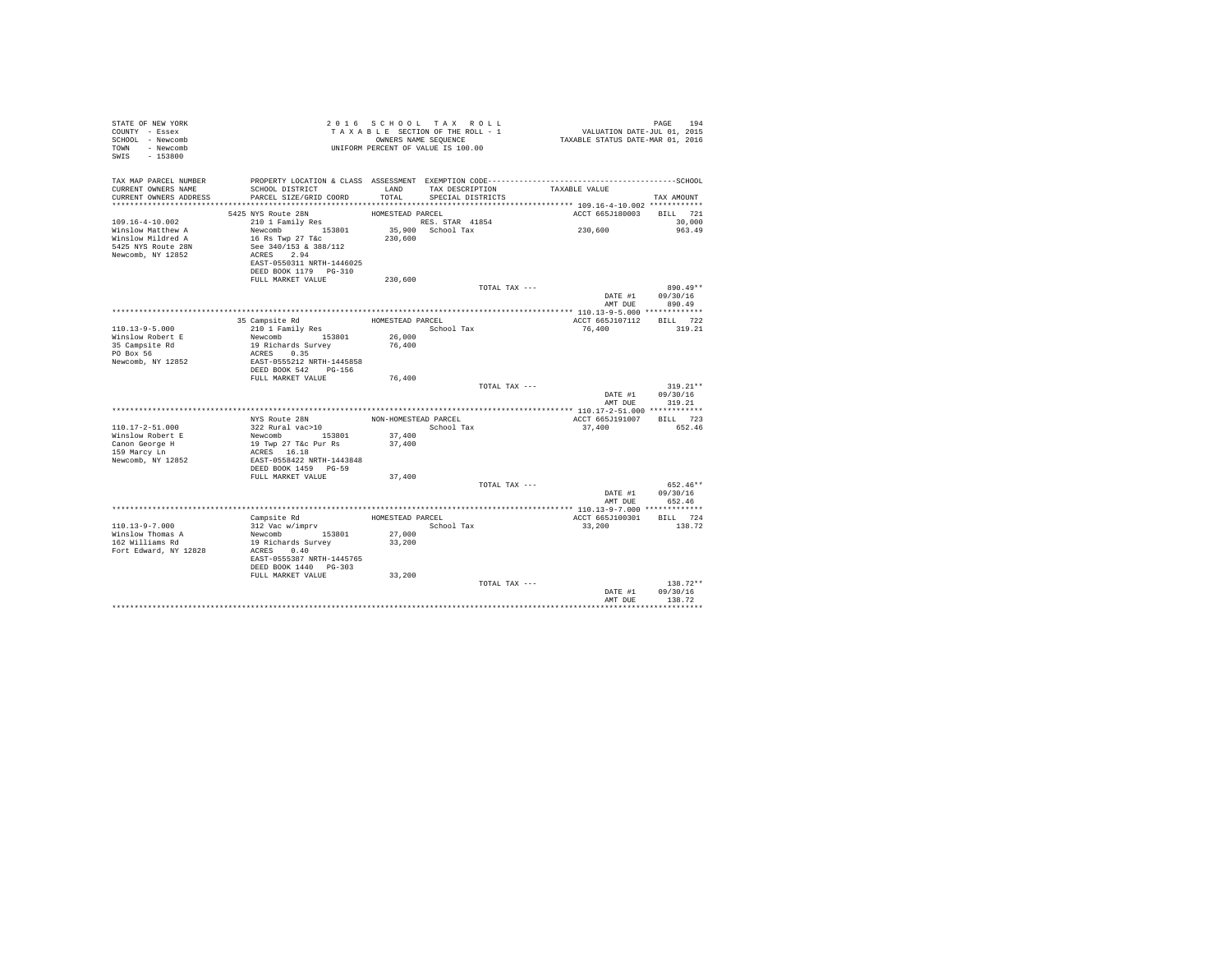| TAX DESCRIPTION<br>TAXABLE VALUE<br>SCHOOL DISTRICT<br>CURRENT OWNERS NAME<br>LAND<br>CURRENT OWNERS ADDRESS<br>PARCEL SIZE/GRID COORD<br>TOTAL<br>SPECIAL DISTRICTS<br>TAX AMOUNT<br>ACCT 665J180003 BILL 721<br>5425 NYS Route 28N<br>HOMESTEAD PARCEL<br>210 1 Family Res<br>RES. STAR 41854<br>30,000<br>35,900 School Tax<br>230,600<br>Newcomb 153801<br>963.49<br>16 Rs Twp 27 T&c<br>230,600<br>Winslow Mildred A<br>5425 NYS Route 28N<br>See 340/153 & 388/112<br>ACRES 2.94<br>Newcomb, NY 12852<br>EAST-0550311 NRTH-1446025<br>DEED BOOK 1179 PG-310<br>FULL MARKET VALUE<br>230,600<br>TOTAL TAX ---<br>$890.49**$<br>DATE #1 09/30/16<br>AMT DUE<br>890.49<br>35 Campsite Rd<br>ACCT 665J107112 BILL 722<br>HOMESTEAD PARCEL<br>210 1 Family Res<br>School Tax<br>76,400<br>319.21<br>Newcomb 153801<br>26,000<br>19 Richards Survey<br>35 Campsite Rd<br>PO Box 56<br>76,400<br>ACRES 0.35<br>EAST-0555212 NRTH-1445858<br>Newcomb, NY 12852<br>DEED BOOK 542 PG-156<br>FULL MARKET VALUE<br>76,400<br>TOTAL TAX ---<br>$319.21**$<br>DATE #1 09/30/16<br>AMT DUE<br>319.21<br>NYS Route 28N<br>NON-HOMESTEAD PARCEL<br>ACCT 665J191007<br>BILL 723<br>322 Rural vac>10<br>School Tax<br>37.400<br>652.46<br>Newcomb 153801 37,400<br>19 Twp 27 T&c Pur Rs 37,400<br>37,400<br>Canon George H<br>159 Marcy Ln<br>ACRES 16.18<br>EAST-0558422 NRTH-1443848<br>Newcomb, NY 12852<br>DEED BOOK 1459 PG-59<br>FULL MARKET VALUE<br>37,400<br>TOTAL TAX ---<br>652.46**<br>DATE #1 09/30/16<br>AMT DUE<br>652.46<br>***************** 110.13-9-7.000 *************<br>Campsite Rd<br>HOMESTEAD PARCEL<br>ACCT 665J100301<br>BILL 724<br>312 Vac w/imprv<br>Newcomb 153801<br>School Tax<br>33,200<br>138.72<br>27,000<br>162 Williams Rd<br>19 Richards Survey<br>33,200<br>ACRES 0.40<br>Fort Edward, NY 12828<br>EAST-0555387 NRTH-1445765<br>DEED BOOK 1440 PG-303<br>FULL MARKET VALUE<br>33,200<br>$138.72**$<br>TOTAL TAX ---<br>DATE #1 09/30/16<br>AMT DUE<br>138.72 | STATE OF NEW YORK<br>COUNTY - Essex<br>SCHOOL - Newcomb<br>TOWN - Newcomb<br>SWIS - 153800 |  | 2016 SCHOOL TAX ROLL<br>TAXABLE SECTION OF THE ROLL - 1<br>OWNERS NAME SEQUENCE<br>UNIFORM PERCENT OF VALUE IS 100.00 | PAGE 194<br>VALUATION DATE-JUL 01, 2015<br>TAXABLE STATUS DATE-MAR 01, 2016 |  |
|-----------------------------------------------------------------------------------------------------------------------------------------------------------------------------------------------------------------------------------------------------------------------------------------------------------------------------------------------------------------------------------------------------------------------------------------------------------------------------------------------------------------------------------------------------------------------------------------------------------------------------------------------------------------------------------------------------------------------------------------------------------------------------------------------------------------------------------------------------------------------------------------------------------------------------------------------------------------------------------------------------------------------------------------------------------------------------------------------------------------------------------------------------------------------------------------------------------------------------------------------------------------------------------------------------------------------------------------------------------------------------------------------------------------------------------------------------------------------------------------------------------------------------------------------------------------------------------------------------------------------------------------------------------------------------------------------------------------------------------------------------------------------------------------------------------------------------------------------------------------------------------------------------------------------------------------------------------------------------------------|--------------------------------------------------------------------------------------------|--|-----------------------------------------------------------------------------------------------------------------------|-----------------------------------------------------------------------------|--|
|                                                                                                                                                                                                                                                                                                                                                                                                                                                                                                                                                                                                                                                                                                                                                                                                                                                                                                                                                                                                                                                                                                                                                                                                                                                                                                                                                                                                                                                                                                                                                                                                                                                                                                                                                                                                                                                                                                                                                                                         | TAX MAP PARCEL NUMBER                                                                      |  |                                                                                                                       |                                                                             |  |
|                                                                                                                                                                                                                                                                                                                                                                                                                                                                                                                                                                                                                                                                                                                                                                                                                                                                                                                                                                                                                                                                                                                                                                                                                                                                                                                                                                                                                                                                                                                                                                                                                                                                                                                                                                                                                                                                                                                                                                                         |                                                                                            |  |                                                                                                                       |                                                                             |  |
|                                                                                                                                                                                                                                                                                                                                                                                                                                                                                                                                                                                                                                                                                                                                                                                                                                                                                                                                                                                                                                                                                                                                                                                                                                                                                                                                                                                                                                                                                                                                                                                                                                                                                                                                                                                                                                                                                                                                                                                         |                                                                                            |  |                                                                                                                       |                                                                             |  |
|                                                                                                                                                                                                                                                                                                                                                                                                                                                                                                                                                                                                                                                                                                                                                                                                                                                                                                                                                                                                                                                                                                                                                                                                                                                                                                                                                                                                                                                                                                                                                                                                                                                                                                                                                                                                                                                                                                                                                                                         |                                                                                            |  |                                                                                                                       |                                                                             |  |
|                                                                                                                                                                                                                                                                                                                                                                                                                                                                                                                                                                                                                                                                                                                                                                                                                                                                                                                                                                                                                                                                                                                                                                                                                                                                                                                                                                                                                                                                                                                                                                                                                                                                                                                                                                                                                                                                                                                                                                                         | 109.16-4-10.002                                                                            |  |                                                                                                                       |                                                                             |  |
|                                                                                                                                                                                                                                                                                                                                                                                                                                                                                                                                                                                                                                                                                                                                                                                                                                                                                                                                                                                                                                                                                                                                                                                                                                                                                                                                                                                                                                                                                                                                                                                                                                                                                                                                                                                                                                                                                                                                                                                         | Winslow Matthew A                                                                          |  |                                                                                                                       |                                                                             |  |
|                                                                                                                                                                                                                                                                                                                                                                                                                                                                                                                                                                                                                                                                                                                                                                                                                                                                                                                                                                                                                                                                                                                                                                                                                                                                                                                                                                                                                                                                                                                                                                                                                                                                                                                                                                                                                                                                                                                                                                                         |                                                                                            |  |                                                                                                                       |                                                                             |  |
|                                                                                                                                                                                                                                                                                                                                                                                                                                                                                                                                                                                                                                                                                                                                                                                                                                                                                                                                                                                                                                                                                                                                                                                                                                                                                                                                                                                                                                                                                                                                                                                                                                                                                                                                                                                                                                                                                                                                                                                         |                                                                                            |  |                                                                                                                       |                                                                             |  |
|                                                                                                                                                                                                                                                                                                                                                                                                                                                                                                                                                                                                                                                                                                                                                                                                                                                                                                                                                                                                                                                                                                                                                                                                                                                                                                                                                                                                                                                                                                                                                                                                                                                                                                                                                                                                                                                                                                                                                                                         |                                                                                            |  |                                                                                                                       |                                                                             |  |
|                                                                                                                                                                                                                                                                                                                                                                                                                                                                                                                                                                                                                                                                                                                                                                                                                                                                                                                                                                                                                                                                                                                                                                                                                                                                                                                                                                                                                                                                                                                                                                                                                                                                                                                                                                                                                                                                                                                                                                                         |                                                                                            |  |                                                                                                                       |                                                                             |  |
|                                                                                                                                                                                                                                                                                                                                                                                                                                                                                                                                                                                                                                                                                                                                                                                                                                                                                                                                                                                                                                                                                                                                                                                                                                                                                                                                                                                                                                                                                                                                                                                                                                                                                                                                                                                                                                                                                                                                                                                         |                                                                                            |  |                                                                                                                       |                                                                             |  |
|                                                                                                                                                                                                                                                                                                                                                                                                                                                                                                                                                                                                                                                                                                                                                                                                                                                                                                                                                                                                                                                                                                                                                                                                                                                                                                                                                                                                                                                                                                                                                                                                                                                                                                                                                                                                                                                                                                                                                                                         |                                                                                            |  |                                                                                                                       |                                                                             |  |
|                                                                                                                                                                                                                                                                                                                                                                                                                                                                                                                                                                                                                                                                                                                                                                                                                                                                                                                                                                                                                                                                                                                                                                                                                                                                                                                                                                                                                                                                                                                                                                                                                                                                                                                                                                                                                                                                                                                                                                                         |                                                                                            |  |                                                                                                                       |                                                                             |  |
|                                                                                                                                                                                                                                                                                                                                                                                                                                                                                                                                                                                                                                                                                                                                                                                                                                                                                                                                                                                                                                                                                                                                                                                                                                                                                                                                                                                                                                                                                                                                                                                                                                                                                                                                                                                                                                                                                                                                                                                         |                                                                                            |  |                                                                                                                       |                                                                             |  |
|                                                                                                                                                                                                                                                                                                                                                                                                                                                                                                                                                                                                                                                                                                                                                                                                                                                                                                                                                                                                                                                                                                                                                                                                                                                                                                                                                                                                                                                                                                                                                                                                                                                                                                                                                                                                                                                                                                                                                                                         |                                                                                            |  |                                                                                                                       |                                                                             |  |
|                                                                                                                                                                                                                                                                                                                                                                                                                                                                                                                                                                                                                                                                                                                                                                                                                                                                                                                                                                                                                                                                                                                                                                                                                                                                                                                                                                                                                                                                                                                                                                                                                                                                                                                                                                                                                                                                                                                                                                                         | 110.13-9-5.000                                                                             |  |                                                                                                                       |                                                                             |  |
|                                                                                                                                                                                                                                                                                                                                                                                                                                                                                                                                                                                                                                                                                                                                                                                                                                                                                                                                                                                                                                                                                                                                                                                                                                                                                                                                                                                                                                                                                                                                                                                                                                                                                                                                                                                                                                                                                                                                                                                         | Winslow Robert E                                                                           |  |                                                                                                                       |                                                                             |  |
|                                                                                                                                                                                                                                                                                                                                                                                                                                                                                                                                                                                                                                                                                                                                                                                                                                                                                                                                                                                                                                                                                                                                                                                                                                                                                                                                                                                                                                                                                                                                                                                                                                                                                                                                                                                                                                                                                                                                                                                         |                                                                                            |  |                                                                                                                       |                                                                             |  |
|                                                                                                                                                                                                                                                                                                                                                                                                                                                                                                                                                                                                                                                                                                                                                                                                                                                                                                                                                                                                                                                                                                                                                                                                                                                                                                                                                                                                                                                                                                                                                                                                                                                                                                                                                                                                                                                                                                                                                                                         |                                                                                            |  |                                                                                                                       |                                                                             |  |
|                                                                                                                                                                                                                                                                                                                                                                                                                                                                                                                                                                                                                                                                                                                                                                                                                                                                                                                                                                                                                                                                                                                                                                                                                                                                                                                                                                                                                                                                                                                                                                                                                                                                                                                                                                                                                                                                                                                                                                                         |                                                                                            |  |                                                                                                                       |                                                                             |  |
|                                                                                                                                                                                                                                                                                                                                                                                                                                                                                                                                                                                                                                                                                                                                                                                                                                                                                                                                                                                                                                                                                                                                                                                                                                                                                                                                                                                                                                                                                                                                                                                                                                                                                                                                                                                                                                                                                                                                                                                         |                                                                                            |  |                                                                                                                       |                                                                             |  |
|                                                                                                                                                                                                                                                                                                                                                                                                                                                                                                                                                                                                                                                                                                                                                                                                                                                                                                                                                                                                                                                                                                                                                                                                                                                                                                                                                                                                                                                                                                                                                                                                                                                                                                                                                                                                                                                                                                                                                                                         |                                                                                            |  |                                                                                                                       |                                                                             |  |
|                                                                                                                                                                                                                                                                                                                                                                                                                                                                                                                                                                                                                                                                                                                                                                                                                                                                                                                                                                                                                                                                                                                                                                                                                                                                                                                                                                                                                                                                                                                                                                                                                                                                                                                                                                                                                                                                                                                                                                                         |                                                                                            |  |                                                                                                                       |                                                                             |  |
|                                                                                                                                                                                                                                                                                                                                                                                                                                                                                                                                                                                                                                                                                                                                                                                                                                                                                                                                                                                                                                                                                                                                                                                                                                                                                                                                                                                                                                                                                                                                                                                                                                                                                                                                                                                                                                                                                                                                                                                         |                                                                                            |  |                                                                                                                       |                                                                             |  |
|                                                                                                                                                                                                                                                                                                                                                                                                                                                                                                                                                                                                                                                                                                                                                                                                                                                                                                                                                                                                                                                                                                                                                                                                                                                                                                                                                                                                                                                                                                                                                                                                                                                                                                                                                                                                                                                                                                                                                                                         |                                                                                            |  |                                                                                                                       |                                                                             |  |
|                                                                                                                                                                                                                                                                                                                                                                                                                                                                                                                                                                                                                                                                                                                                                                                                                                                                                                                                                                                                                                                                                                                                                                                                                                                                                                                                                                                                                                                                                                                                                                                                                                                                                                                                                                                                                                                                                                                                                                                         | $110.17 - 2 - 51.000$                                                                      |  |                                                                                                                       |                                                                             |  |
|                                                                                                                                                                                                                                                                                                                                                                                                                                                                                                                                                                                                                                                                                                                                                                                                                                                                                                                                                                                                                                                                                                                                                                                                                                                                                                                                                                                                                                                                                                                                                                                                                                                                                                                                                                                                                                                                                                                                                                                         | Winslow Robert E                                                                           |  |                                                                                                                       |                                                                             |  |
|                                                                                                                                                                                                                                                                                                                                                                                                                                                                                                                                                                                                                                                                                                                                                                                                                                                                                                                                                                                                                                                                                                                                                                                                                                                                                                                                                                                                                                                                                                                                                                                                                                                                                                                                                                                                                                                                                                                                                                                         |                                                                                            |  |                                                                                                                       |                                                                             |  |
|                                                                                                                                                                                                                                                                                                                                                                                                                                                                                                                                                                                                                                                                                                                                                                                                                                                                                                                                                                                                                                                                                                                                                                                                                                                                                                                                                                                                                                                                                                                                                                                                                                                                                                                                                                                                                                                                                                                                                                                         |                                                                                            |  |                                                                                                                       |                                                                             |  |
|                                                                                                                                                                                                                                                                                                                                                                                                                                                                                                                                                                                                                                                                                                                                                                                                                                                                                                                                                                                                                                                                                                                                                                                                                                                                                                                                                                                                                                                                                                                                                                                                                                                                                                                                                                                                                                                                                                                                                                                         |                                                                                            |  |                                                                                                                       |                                                                             |  |
|                                                                                                                                                                                                                                                                                                                                                                                                                                                                                                                                                                                                                                                                                                                                                                                                                                                                                                                                                                                                                                                                                                                                                                                                                                                                                                                                                                                                                                                                                                                                                                                                                                                                                                                                                                                                                                                                                                                                                                                         |                                                                                            |  |                                                                                                                       |                                                                             |  |
|                                                                                                                                                                                                                                                                                                                                                                                                                                                                                                                                                                                                                                                                                                                                                                                                                                                                                                                                                                                                                                                                                                                                                                                                                                                                                                                                                                                                                                                                                                                                                                                                                                                                                                                                                                                                                                                                                                                                                                                         |                                                                                            |  |                                                                                                                       |                                                                             |  |
|                                                                                                                                                                                                                                                                                                                                                                                                                                                                                                                                                                                                                                                                                                                                                                                                                                                                                                                                                                                                                                                                                                                                                                                                                                                                                                                                                                                                                                                                                                                                                                                                                                                                                                                                                                                                                                                                                                                                                                                         |                                                                                            |  |                                                                                                                       |                                                                             |  |
|                                                                                                                                                                                                                                                                                                                                                                                                                                                                                                                                                                                                                                                                                                                                                                                                                                                                                                                                                                                                                                                                                                                                                                                                                                                                                                                                                                                                                                                                                                                                                                                                                                                                                                                                                                                                                                                                                                                                                                                         |                                                                                            |  |                                                                                                                       |                                                                             |  |
|                                                                                                                                                                                                                                                                                                                                                                                                                                                                                                                                                                                                                                                                                                                                                                                                                                                                                                                                                                                                                                                                                                                                                                                                                                                                                                                                                                                                                                                                                                                                                                                                                                                                                                                                                                                                                                                                                                                                                                                         |                                                                                            |  |                                                                                                                       |                                                                             |  |
|                                                                                                                                                                                                                                                                                                                                                                                                                                                                                                                                                                                                                                                                                                                                                                                                                                                                                                                                                                                                                                                                                                                                                                                                                                                                                                                                                                                                                                                                                                                                                                                                                                                                                                                                                                                                                                                                                                                                                                                         | 110.13-9-7.000                                                                             |  |                                                                                                                       |                                                                             |  |
|                                                                                                                                                                                                                                                                                                                                                                                                                                                                                                                                                                                                                                                                                                                                                                                                                                                                                                                                                                                                                                                                                                                                                                                                                                                                                                                                                                                                                                                                                                                                                                                                                                                                                                                                                                                                                                                                                                                                                                                         | Winslow Thomas A                                                                           |  |                                                                                                                       |                                                                             |  |
|                                                                                                                                                                                                                                                                                                                                                                                                                                                                                                                                                                                                                                                                                                                                                                                                                                                                                                                                                                                                                                                                                                                                                                                                                                                                                                                                                                                                                                                                                                                                                                                                                                                                                                                                                                                                                                                                                                                                                                                         |                                                                                            |  |                                                                                                                       |                                                                             |  |
|                                                                                                                                                                                                                                                                                                                                                                                                                                                                                                                                                                                                                                                                                                                                                                                                                                                                                                                                                                                                                                                                                                                                                                                                                                                                                                                                                                                                                                                                                                                                                                                                                                                                                                                                                                                                                                                                                                                                                                                         |                                                                                            |  |                                                                                                                       |                                                                             |  |
|                                                                                                                                                                                                                                                                                                                                                                                                                                                                                                                                                                                                                                                                                                                                                                                                                                                                                                                                                                                                                                                                                                                                                                                                                                                                                                                                                                                                                                                                                                                                                                                                                                                                                                                                                                                                                                                                                                                                                                                         |                                                                                            |  |                                                                                                                       |                                                                             |  |
|                                                                                                                                                                                                                                                                                                                                                                                                                                                                                                                                                                                                                                                                                                                                                                                                                                                                                                                                                                                                                                                                                                                                                                                                                                                                                                                                                                                                                                                                                                                                                                                                                                                                                                                                                                                                                                                                                                                                                                                         |                                                                                            |  |                                                                                                                       |                                                                             |  |
|                                                                                                                                                                                                                                                                                                                                                                                                                                                                                                                                                                                                                                                                                                                                                                                                                                                                                                                                                                                                                                                                                                                                                                                                                                                                                                                                                                                                                                                                                                                                                                                                                                                                                                                                                                                                                                                                                                                                                                                         |                                                                                            |  |                                                                                                                       |                                                                             |  |
|                                                                                                                                                                                                                                                                                                                                                                                                                                                                                                                                                                                                                                                                                                                                                                                                                                                                                                                                                                                                                                                                                                                                                                                                                                                                                                                                                                                                                                                                                                                                                                                                                                                                                                                                                                                                                                                                                                                                                                                         |                                                                                            |  |                                                                                                                       |                                                                             |  |
|                                                                                                                                                                                                                                                                                                                                                                                                                                                                                                                                                                                                                                                                                                                                                                                                                                                                                                                                                                                                                                                                                                                                                                                                                                                                                                                                                                                                                                                                                                                                                                                                                                                                                                                                                                                                                                                                                                                                                                                         |                                                                                            |  |                                                                                                                       |                                                                             |  |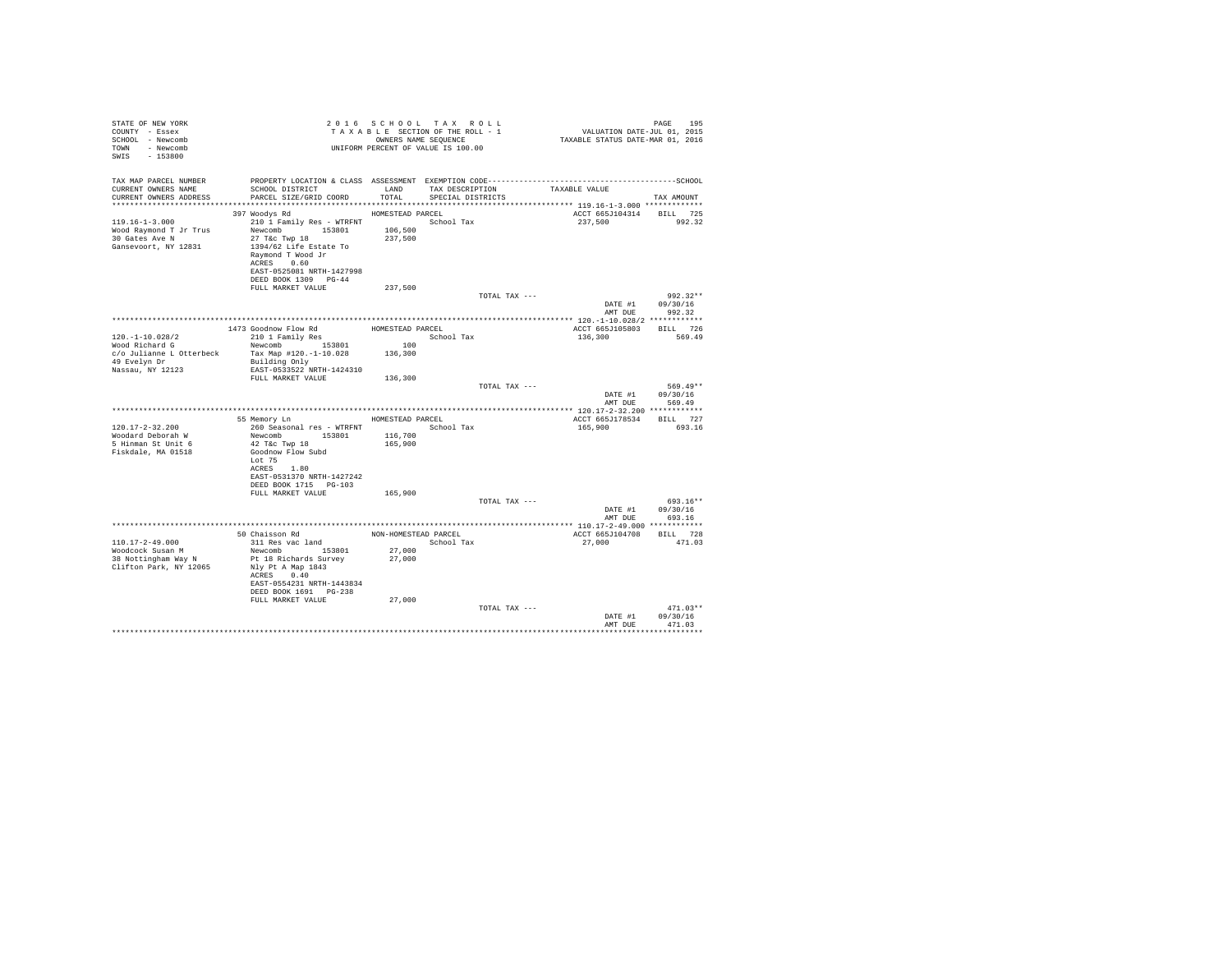| STATE OF NEW YORK<br>COUNTY - Essex<br>SCHOOL - Newcomb<br>TOWN - Newcomb<br>SWIS<br>$-153800$ |                                                                                                                                                                                                     |                    | 2016 SCHOOL TAX ROLL<br>TAXABLE SECTION OF THE ROLL - 1<br>OWNERS NAME SEOUENCE<br>UNIFORM PERCENT OF VALUE IS 100.00 | PAGE 195<br>2015 VALUATION DATE-JUL<br>2016 TAXABLE STATUS DATE-MAR | PAGE<br>195                      |
|------------------------------------------------------------------------------------------------|-----------------------------------------------------------------------------------------------------------------------------------------------------------------------------------------------------|--------------------|-----------------------------------------------------------------------------------------------------------------------|---------------------------------------------------------------------|----------------------------------|
| TAX MAP PARCEL NUMBER<br>CURRENT OWNERS NAME<br>CURRENT OWNERS ADDRESS                         | SCHOOL DISTRICT TAND TAX DESCRIPTION<br>PARCEL SIZE/GRID COORD TOTAL SPECIAL DISTRICTS                                                                                                              |                    |                                                                                                                       | TAXABLE VALUE                                                       | TAX AMOUNT                       |
|                                                                                                | HOMESTEAD PARCEL<br>397 Woodys Rd                                                                                                                                                                   |                    |                                                                                                                       | ACCT 665J104314 BILL 725                                            |                                  |
| 119.16-1-3.000<br>Wood Raymond T Jr Trus<br>30 Gates Ave N<br>Gansevoort, NY 12831             | 210 1 Family Res - WTRFNT<br>Newcomb 153801<br>27 T&c Twp 18<br>1394/62 Life Estate To<br>Raymond T Wood Jr<br>ACRES 0.60<br>EAST-0525081 NRTH-1427998<br>DEED BOOK 1309 PG-44<br>FULL MARKET VALUE | 106,500<br>237.500 | School Tax                                                                                                            | 237,500                                                             | 992.32                           |
|                                                                                                |                                                                                                                                                                                                     | 237,500            | TOTAL TAX ---                                                                                                         |                                                                     | $992.32**$                       |
|                                                                                                |                                                                                                                                                                                                     |                    |                                                                                                                       | DATE #1<br>AMT DUE                                                  | 09/30/16<br>992.32               |
|                                                                                                |                                                                                                                                                                                                     |                    |                                                                                                                       |                                                                     |                                  |
| $120. - 1 - 10.028/2$                                                                          |                                                                                                                                                                                                     |                    | School Tax                                                                                                            | ACCT 665J105803 BILL 726<br>136,300                                 | 569.49                           |
| Wood Richard G                                                                                 | Newcomb 153801                                                                                                                                                                                      | 100                |                                                                                                                       |                                                                     |                                  |
| c/o Julianne L Otterbeck                                                                       | Tax Map #120.-1-10.028                                                                                                                                                                              | 136,300            |                                                                                                                       |                                                                     |                                  |
| 49 Evelyn Dr<br>Nassau, NY 12123                                                               | Building Only<br>EAST-0533522 NRTH-1424310                                                                                                                                                          |                    |                                                                                                                       |                                                                     |                                  |
|                                                                                                | FULL MARKET VALUE                                                                                                                                                                                   | 136,300            |                                                                                                                       |                                                                     |                                  |
|                                                                                                |                                                                                                                                                                                                     |                    | TOTAL TAX ---                                                                                                         | DATE #1<br>AMT DUR                                                  | 569.49**<br>09/30/16<br>569.49   |
|                                                                                                |                                                                                                                                                                                                     |                    |                                                                                                                       |                                                                     |                                  |
|                                                                                                | HOMESTEAD PARCEL<br>55 Memory Ln                                                                                                                                                                    |                    |                                                                                                                       | ACCT 665J178534 BILL 727                                            |                                  |
| $120.17 - 2 - 32.200$<br>Woodard Deborah W<br>5 Hinman St Unit 6                               | 260 Seasonal res - WTRFNT<br>Newcomb 153801<br>$42$ T&c Twp $18$                                                                                                                                    | 116,700<br>165,900 | School Tax                                                                                                            | 165,900                                                             | 693.16                           |
| Fiskdale, MA 01518                                                                             | Goodnow Flow Subd<br>Lot 75<br>ACRES 1.80                                                                                                                                                           |                    |                                                                                                                       |                                                                     |                                  |
|                                                                                                | EAST-0531370 NRTH-1427242<br>DEED BOOK 1715 PG-103                                                                                                                                                  |                    |                                                                                                                       |                                                                     |                                  |
|                                                                                                | FULL MARKET VALUE                                                                                                                                                                                   | 165,900            |                                                                                                                       |                                                                     | 693.16**                         |
|                                                                                                |                                                                                                                                                                                                     |                    | TOTAL TAX ---                                                                                                         | AMT DUE                                                             | DATE #1 09/30/16<br>693.16       |
|                                                                                                |                                                                                                                                                                                                     |                    |                                                                                                                       |                                                                     |                                  |
|                                                                                                | 50 Chaisson Rd                                                                                                                                                                                      |                    | NON-HOMESTEAD PARCEL                                                                                                  | ACCT 665J104708 BILL 728                                            |                                  |
| $110.17 - 2 - 49.000$<br>Woodcock Susan M<br>38 Nottingham Way N<br>Clifton Park, NY 12065     | 311 Res vac land<br>Newcomb 153801<br>Pt 18 Richards Survey<br>Nly Pt A Map 1843<br>ACRES 0.40<br>EAST-0554231 NRTH-1443834                                                                         | 27,000<br>27,000   | School Tax                                                                                                            | 27,000                                                              | 471.03                           |
|                                                                                                | DEED BOOK 1691 PG-238                                                                                                                                                                               |                    |                                                                                                                       |                                                                     |                                  |
|                                                                                                | FULL MARKET VALUE                                                                                                                                                                                   | 27,000             | TOTAL TAX ---                                                                                                         | DATE #1<br>AMT DHR                                                  | $471.03**$<br>09/30/16<br>471.03 |
|                                                                                                |                                                                                                                                                                                                     |                    |                                                                                                                       |                                                                     |                                  |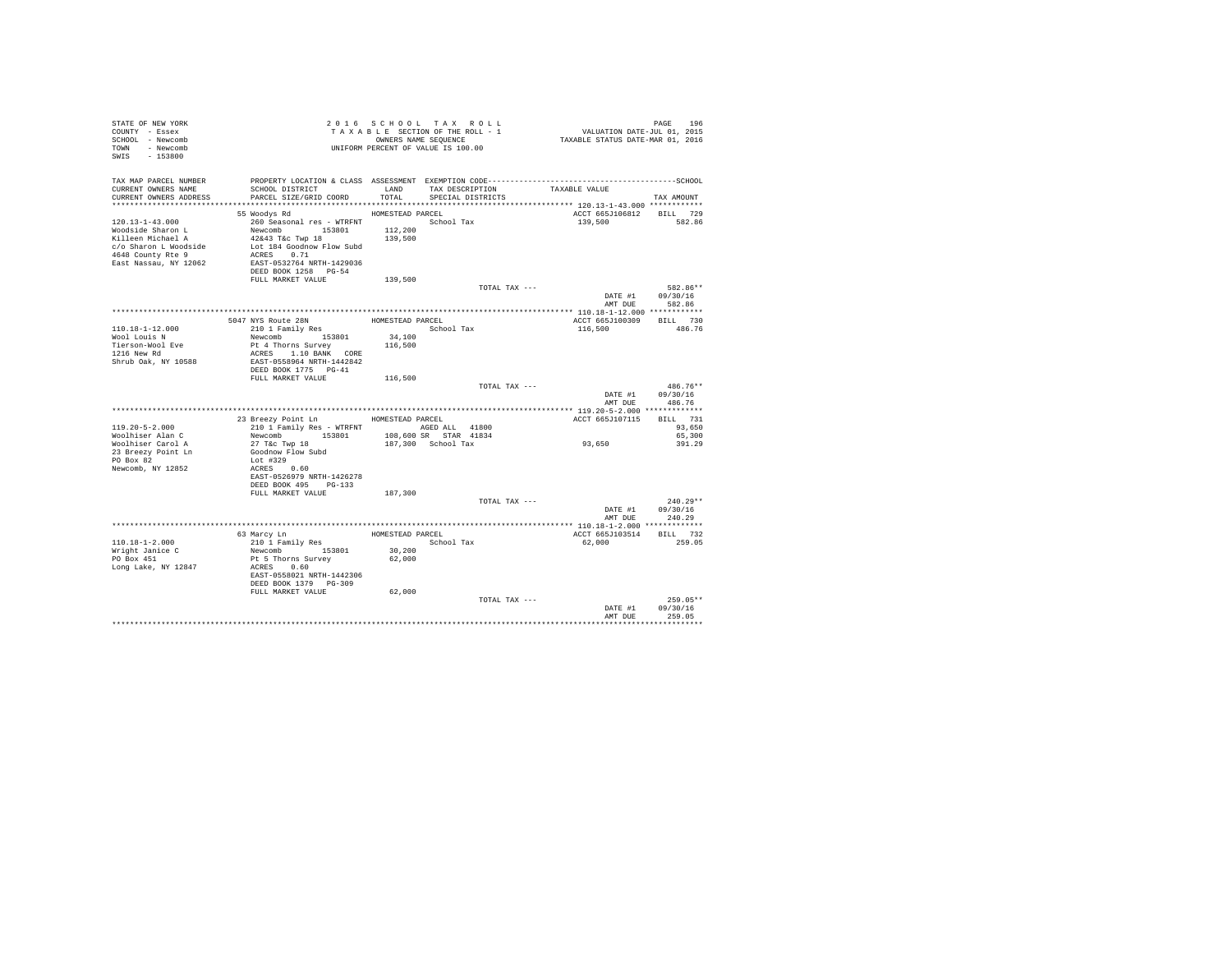| STATE OF NEW YORK<br>COUNTY - Essex<br>SCHOOL - Newcomb<br>TOWN - Newcomb<br>SWIS - 153800                                             | TAXABLE SANE SEQUENCE<br>OWNERS NAME SEQUENCE<br>UNIFORM PERCENT OF VALUE IS 100.00                                                                                                                 |                                        | 2016 SCHOOL TAX ROLL<br>TAXABLE SECTION OF THE ROLL - 1<br>OWNERS NAME SEQUENCE | PAGE 196<br>VALUATION DATE-JUL 01, 2015<br>TAXABLE STATUS DATE-MAR 01, 2016 |                            |
|----------------------------------------------------------------------------------------------------------------------------------------|-----------------------------------------------------------------------------------------------------------------------------------------------------------------------------------------------------|----------------------------------------|---------------------------------------------------------------------------------|-----------------------------------------------------------------------------|----------------------------|
| CURRENT OWNERS NAME<br>CURRENT OWNERS ADDRESS PARCEL SIZE/GRID COORD                                                                   | SCHOOL DISTRICT                                                                                                                                                                                     |                                        | LAND TAX DESCRIPTION TAXABLE VALUE<br>TOTAL SPECIAL DISTRICTS                   |                                                                             | TAX AMOUNT                 |
|                                                                                                                                        |                                                                                                                                                                                                     |                                        |                                                                                 |                                                                             |                            |
| $120.13 - 1 - 43.000$<br>Woodside Sharon L<br>Killeen Michael A<br>c/o Sharon L Woodside<br>4648 County Rte 9<br>East Nassau, NY 12062 | 55 Woodys Rd<br>260 Seasonal res - WTRFNT                 School Tax<br>Newcomb<br>42&43 T&c Twp 18<br>Lot 184 Goodnow Flow Subd<br>ACRES 0.71<br>EAST-0532764 NRTH-1429036<br>DEED BOOK 1258 PG-54 | HOMESTEAD PARCEL<br>112,200<br>139,500 |                                                                                 | ACCT 665J106812 BILL 729<br>139,500                                         | 582.86                     |
|                                                                                                                                        | FULL MARKET VALUE                                                                                                                                                                                   | 139,500                                |                                                                                 |                                                                             |                            |
|                                                                                                                                        |                                                                                                                                                                                                     |                                        | TOTAL TAX ---                                                                   |                                                                             | 582.86**                   |
|                                                                                                                                        |                                                                                                                                                                                                     |                                        |                                                                                 | DATE #1 09/30/16<br>AMT DUE                                                 | 582.86                     |
|                                                                                                                                        |                                                                                                                                                                                                     |                                        |                                                                                 |                                                                             |                            |
|                                                                                                                                        | 5047 NYS Route 28N<br>210 1 Family Res                                                                                                                                                              |                                        | HOMESTEAD PARCEL                                                                | ACCT 665J100309                                                             | BILL 730                   |
| 110.18-1-12.000                                                                                                                        |                                                                                                                                                                                                     |                                        | School Tax                                                                      | 116,500                                                                     | 486.76                     |
| Wool Louis N                                                                                                                           | Newcomb 153801                                                                                                                                                                                      | 34,100                                 |                                                                                 |                                                                             |                            |
| Tierson-Wool Eve<br>1216 New Rd                                                                                                        | Pt 4 Thorns Survey                                                                                                                                                                                  | 116,500                                |                                                                                 |                                                                             |                            |
|                                                                                                                                        | ACRES 1.10 BANK CORE<br>EAST-0558964 NRTH-1442842                                                                                                                                                   |                                        |                                                                                 |                                                                             |                            |
| Shrub Oak, NY 10588                                                                                                                    |                                                                                                                                                                                                     |                                        |                                                                                 |                                                                             |                            |
|                                                                                                                                        | DEED BOOK 1775 PG-41                                                                                                                                                                                |                                        |                                                                                 |                                                                             |                            |
|                                                                                                                                        | FULL MARKET VALUE                                                                                                                                                                                   | 116,500                                |                                                                                 |                                                                             |                            |
|                                                                                                                                        |                                                                                                                                                                                                     |                                        | TOTAL TAX ---                                                                   | DATE #1 09/30/16                                                            | 486.76**                   |
|                                                                                                                                        |                                                                                                                                                                                                     |                                        |                                                                                 | AMT DUE                                                                     | 486.76                     |
|                                                                                                                                        | 23 Breezy Point Ln HOMESTEAD PARCEL                                                                                                                                                                 |                                        |                                                                                 | ACCT 665J107115 BILL 731                                                    |                            |
| $119.20 - 5 - 2.000$                                                                                                                   | 210 1 Family Res - WTRFNT AGED ALL 41800                                                                                                                                                            |                                        |                                                                                 |                                                                             | 93,650                     |
| Woolhiser Alan C                                                                                                                       | Newcomb 153801                                                                                                                                                                                      |                                        | 108,600 SR STAR 41834                                                           |                                                                             | 65,300                     |
| Woolhiser Carol A                                                                                                                      | 27 T&c Twp 18                                                                                                                                                                                       |                                        | 187,300 School Tax                                                              | 93,650                                                                      | 391.29                     |
| 23 Breezy Point Ln<br>PO Box 82                                                                                                        | Goodnow Flow Subd<br>Lot #329                                                                                                                                                                       |                                        |                                                                                 |                                                                             |                            |
| Newcomb, NY 12852                                                                                                                      | ACRES 0.60<br>EAST-0526979 NRTH-1426278                                                                                                                                                             |                                        |                                                                                 |                                                                             |                            |
|                                                                                                                                        | DEED BOOK 495 PG-133<br>FULL MARKET VALUE                                                                                                                                                           | 187,300                                |                                                                                 |                                                                             |                            |
|                                                                                                                                        |                                                                                                                                                                                                     |                                        | TOTAL TAX ---                                                                   |                                                                             | $240.29**$                 |
|                                                                                                                                        |                                                                                                                                                                                                     |                                        |                                                                                 | DATE #1                                                                     | 09/30/16<br>AMT DUE 240.29 |
|                                                                                                                                        |                                                                                                                                                                                                     |                                        |                                                                                 |                                                                             |                            |
|                                                                                                                                        |                                                                                                                                                                                                     |                                        | HOMESTEAD PARCEL                                                                | ACCT 665J103514 BILL 732                                                    |                            |
| 110.18-1-2.000                                                                                                                         | 63 Marcy Ln<br>210 1 Family Res<br>Newcomb 153801                                                                                                                                                   |                                        | School Tax                                                                      | 62,000                                                                      | 259.05                     |
|                                                                                                                                        |                                                                                                                                                                                                     | 30,200                                 |                                                                                 |                                                                             |                            |
| Wright Janice C<br>PO Box 451                                                                                                          | Pt 5 Thorns Survey                                                                                                                                                                                  | 62,000                                 |                                                                                 |                                                                             |                            |
| Long Lake, NY 12847                                                                                                                    | ACRES 0.60                                                                                                                                                                                          |                                        |                                                                                 |                                                                             |                            |
|                                                                                                                                        | EAST-0558021 NRTH-1442306<br>DEED BOOK 1379 PG-309                                                                                                                                                  |                                        |                                                                                 |                                                                             |                            |
|                                                                                                                                        | FULL MARKET VALUE 62,000                                                                                                                                                                            |                                        |                                                                                 |                                                                             |                            |
|                                                                                                                                        |                                                                                                                                                                                                     |                                        | TOTAL TAX ---                                                                   |                                                                             | $259.05**$                 |
|                                                                                                                                        |                                                                                                                                                                                                     |                                        |                                                                                 | DATE #1 09/30/16                                                            |                            |
|                                                                                                                                        |                                                                                                                                                                                                     |                                        |                                                                                 | AMT DUE                                                                     | 259.05                     |
|                                                                                                                                        |                                                                                                                                                                                                     |                                        |                                                                                 |                                                                             |                            |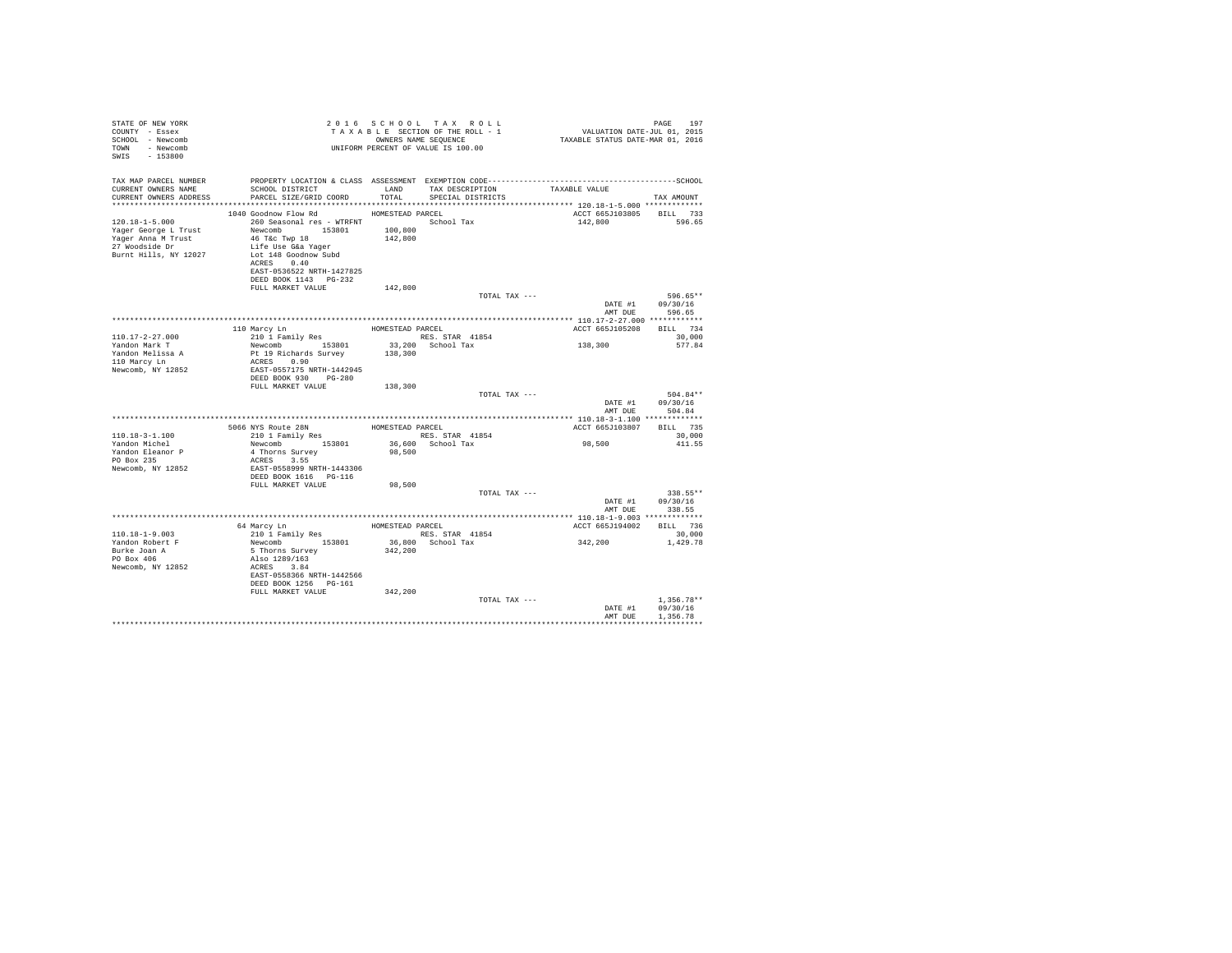| STATE OF NEW YORK<br>COUNTY - Essex<br>SCHOOL - Newcomb<br>TOWN - Newcomb<br>$-153800$<br>SWIS                |                                                                                                                                                                                                                                 |                                        | 2016 SCHOOL TAX ROLL<br>TAXABLE SECTION OF THE ROLL - 1<br>OWNERS NAME SEOUENCE<br>UNIFORM PERCENT OF VALUE IS 100.00                              | PAGE 197<br>VALUATION DATE-JUL 01, 2015<br>TAXABLE STATUS DATE-MAR 01, 2016 | PAGE<br>197                          |
|---------------------------------------------------------------------------------------------------------------|---------------------------------------------------------------------------------------------------------------------------------------------------------------------------------------------------------------------------------|----------------------------------------|----------------------------------------------------------------------------------------------------------------------------------------------------|-----------------------------------------------------------------------------|--------------------------------------|
| TAX MAP PARCEL NUMBER<br>CURRENT OWNERS NAME<br>CURRENT OWNERS ADDRESS                                        | SCHOOL DISTRICT<br>PARCEL SIZE/GRID COORD TOTAL                                                                                                                                                                                 | LAND                                   | PROPERTY LOCATION & CLASS ASSESSMENT EXEMPTION CODE-----------------------------------SCHOOL<br>TAX DESCRIPTION TAXABLE VALUE<br>SPECIAL DISTRICTS |                                                                             | TAX AMOUNT                           |
| $120.18 - 1 - 5.000$<br>Yager George L Trust<br>Yager Anna M Trust<br>27 Woodside Dr<br>Burnt Hills, NY 12027 | 1040 Goodnow Flow Rd<br>260 Seasonal res - WTRFNT               School Tax<br>Newcomb 153801<br>46 T&c Twp 18<br>Life Use G&a Yaqer<br>Lot 148 Goodnow Subd<br>ACRES 0.40<br>EAST-0536522 NRTH-1427825<br>DEED BOOK 1143 PG-232 | HOMESTEAD PARCEL<br>100,800<br>142,800 |                                                                                                                                                    | ACCT 665J103805 BILL 733<br>142,800                                         | 596.65                               |
|                                                                                                               | FULL MARKET VALUE                                                                                                                                                                                                               | 142,800                                | TOTAL TAX ---                                                                                                                                      |                                                                             | 596.65**<br>DATE #1 09/30/16         |
|                                                                                                               |                                                                                                                                                                                                                                 |                                        |                                                                                                                                                    |                                                                             | AMT DUE 596.65                       |
|                                                                                                               |                                                                                                                                                                                                                                 |                                        |                                                                                                                                                    |                                                                             |                                      |
| $110.17 - 2 - 27.000$                                                                                         | 110 Marcy Ln<br>210 1 Family Res                                                                                                                                                                                                | HOMESTEAD PARCEL                       | RES. STAR 41854                                                                                                                                    | ACCT 665J105208                                                             | BILL 734<br>30.000                   |
| Yandon Mark T                                                                                                 | Newcomb 153801                                                                                                                                                                                                                  |                                        | 33,200 School Tax                                                                                                                                  | 138,300                                                                     | 577.84                               |
| Yandon Melissa A<br>110 Marcy Ln<br>Newcomb, NY 12852                                                         | Pt 19 Richards Survey<br>ACRES 0.90<br>EAST-0557175 NRTH-1442945<br>DEED BOOK 930 PG-280                                                                                                                                        | 138,300                                |                                                                                                                                                    |                                                                             |                                      |
|                                                                                                               | FULL MARKET VALUE                                                                                                                                                                                                               | 138,300                                |                                                                                                                                                    |                                                                             |                                      |
|                                                                                                               |                                                                                                                                                                                                                                 |                                        | TOTAL TAX ---                                                                                                                                      | DATE #1<br>AMT DUE                                                          | $504.84**$<br>09/30/16<br>504.84     |
|                                                                                                               |                                                                                                                                                                                                                                 |                                        |                                                                                                                                                    |                                                                             |                                      |
|                                                                                                               | 5066 NYS Route 28N<br>210 1 Family Res HOMESTEAD PARCEL                                                                                                                                                                         |                                        |                                                                                                                                                    | ACCT 665J103807 BILL 735                                                    |                                      |
| $110.18 - 3 - 1.100$<br>Yandon Michel                                                                         | Newcomb 153801                                                                                                                                                                                                                  |                                        | RES. STAR 41854<br>36,600 School Tax                                                                                                               | 98,500                                                                      | 30,000<br>411.55                     |
| Yandon Eleanor P<br>PO Box 235<br>Newcomb, NY 12852                                                           | 4 Thorns Survey<br>ACRES 3.55<br>EAST-0558999 NRTH-1443306                                                                                                                                                                      | 98,500                                 |                                                                                                                                                    |                                                                             |                                      |
|                                                                                                               | DEED BOOK 1616 PG-116                                                                                                                                                                                                           | 98,500                                 |                                                                                                                                                    |                                                                             |                                      |
|                                                                                                               | FULL MARKET VALUE                                                                                                                                                                                                               |                                        | TOTAL TAX ---                                                                                                                                      |                                                                             | 338.55**                             |
|                                                                                                               |                                                                                                                                                                                                                                 |                                        |                                                                                                                                                    | DATE #1<br>AMT DUE                                                          | 09/30/16<br>338.55                   |
|                                                                                                               | 64 Marcy Ln                                                                                                                                                                                                                     |                                        | HOMESTEAD PARCEL                                                                                                                                   | ACCT 665J194002 BILL 736                                                    |                                      |
| $110.18 - 1 - 9.003$<br>Yandon Robert F                                                                       | 210 1 Family Res<br>Newcomb 153801                                                                                                                                                                                              |                                        | RES. STAR 41854<br>36,800 School Tax                                                                                                               | 342,200                                                                     | 30,000<br>1,429.78                   |
| Burke Joan A<br>PO Box 406<br>Newcomb, NY 12852                                                               | 5 Thorns Survey<br>Also 1289/163<br>ACRES 3.84<br>EAST-0558366 NRTH-1442566<br>DEED BOOK 1256 PG-161                                                                                                                            | 342,200                                |                                                                                                                                                    |                                                                             |                                      |
|                                                                                                               | FULL MARKET VALUE                                                                                                                                                                                                               | 342,200                                |                                                                                                                                                    |                                                                             |                                      |
|                                                                                                               |                                                                                                                                                                                                                                 |                                        | TOTAL TAX ---                                                                                                                                      | DATE #1<br>AMT DUR                                                          | $1.356.78**$<br>09/30/16<br>1.356.78 |
|                                                                                                               |                                                                                                                                                                                                                                 |                                        |                                                                                                                                                    |                                                                             |                                      |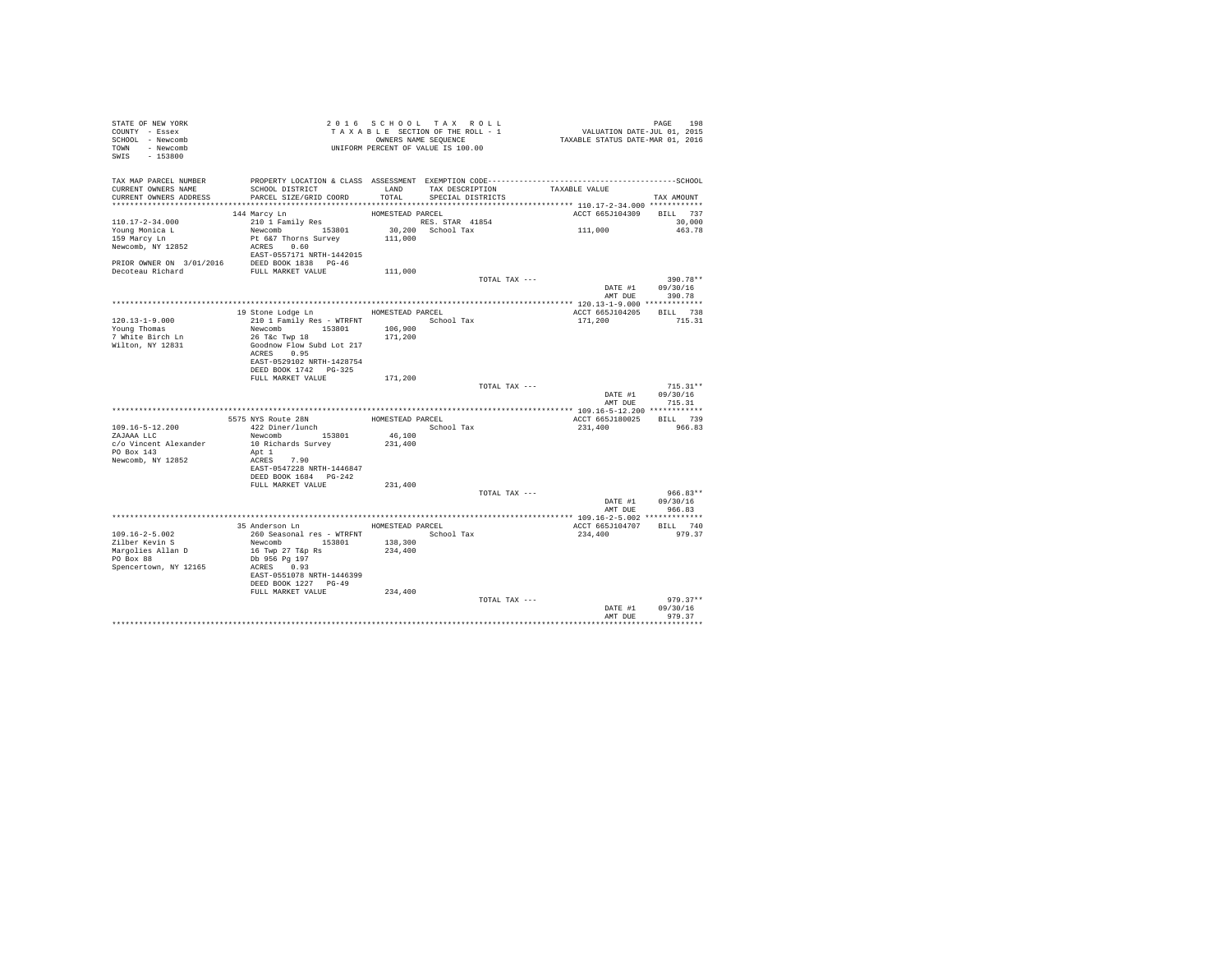| STATE OF NEW YORK<br>COUNTY - Essex<br>SCHOOL - Newcomb<br>TOWN - Newcomb<br>SWIS - 153800 | UNIFORM PERCENT OF VALUE IS 100.00                 |                  | 2016 SCHOOL TAX ROLL<br>TAXABLE SECTION OF THE ROLL - 1<br>OWNERS NAME SEQUENCE | PAGE 198<br>VALUATION DATE-JUL 01, 2015<br>TAXABLE STATUS DATE-MAR 01, 2016 |                    |
|--------------------------------------------------------------------------------------------|----------------------------------------------------|------------------|---------------------------------------------------------------------------------|-----------------------------------------------------------------------------|--------------------|
| TAX MAP PARCEL NUMBER<br>CURRENT OWNERS NAME<br>CURRENT OWNERS ADDRESS                     | SCHOOL DISTRICT<br>PARCEL SIZE/GRID COORD          | TOTAL            | LAND TAX DESCRIPTION<br>SPECIAL DISTRICTS                                       | TAXABLE VALUE                                                               | TAX AMOUNT         |
|                                                                                            |                                                    |                  |                                                                                 |                                                                             |                    |
|                                                                                            | 144 Marcy Ln                                       | HOMESTEAD PARCEL |                                                                                 | ACCT 665J104309                                                             | BILL 737           |
| $110.17 - 2 - 34.000$                                                                      | 210 1 Family Res                                   |                  | RES. STAR 41854                                                                 |                                                                             | 30,000             |
| Young Monica L<br>159 Marcy Ln                                                             | Newcomb 153801                                     |                  | 30,200 School Tax                                                               | 111,000                                                                     | 463.78             |
|                                                                                            | Pt 6&7 Thorns Survey                               | 111,000          |                                                                                 |                                                                             |                    |
| Newcomb, NY 12852                                                                          | ACRES 0.60                                         |                  |                                                                                 |                                                                             |                    |
|                                                                                            | EAST-0557171 NRTH-1442015                          |                  |                                                                                 |                                                                             |                    |
| PRIOR OWNER ON $3/01/2016$ DEED BOOK 1838 PG-46<br>Decoteau Richard FULL MARKET VALUE      |                                                    |                  |                                                                                 |                                                                             |                    |
|                                                                                            |                                                    | 111,000          | TOTAL TAX ---                                                                   |                                                                             | 390.78**           |
|                                                                                            |                                                    |                  |                                                                                 | DATE #1                                                                     | 09/30/16           |
|                                                                                            |                                                    |                  |                                                                                 | AMT DUE                                                                     | 390.78             |
|                                                                                            |                                                    |                  |                                                                                 |                                                                             |                    |
|                                                                                            | 19 Stone Lodge Ln MOMESTEAD PARCEL                 |                  |                                                                                 | ACCT 665J104205                                                             | BILL 738           |
| $120.13 - 1 - 9.000$                                                                       | 210 1 Family Res - WTRFNT                          |                  | School Tax                                                                      | 171,200                                                                     | 715.31             |
| Young Thomas                                                                               | Newcomb 153801                                     | 106,900          |                                                                                 |                                                                             |                    |
| 7 White Birch Ln                                                                           | 26 T&c Twp 18                                      | 171,200          |                                                                                 |                                                                             |                    |
| Wilton, NY 12831                                                                           | Goodnow Flow Subd Lot 217<br>ACRES 0.95            |                  |                                                                                 |                                                                             |                    |
|                                                                                            | EAST-0529102 NRTH-1428754                          |                  |                                                                                 |                                                                             |                    |
|                                                                                            | DEED BOOK 1742 PG-325                              |                  |                                                                                 |                                                                             |                    |
|                                                                                            | FULL MARKET VALUE                                  | 171,200          |                                                                                 |                                                                             |                    |
|                                                                                            |                                                    |                  | TOTAL TAX ---                                                                   |                                                                             | $715.31**$         |
|                                                                                            |                                                    |                  |                                                                                 | DATE #1                                                                     | 09/30/16           |
|                                                                                            |                                                    |                  |                                                                                 | AMT DUE                                                                     | 715.31             |
|                                                                                            |                                                    |                  |                                                                                 |                                                                             |                    |
| 109.16-5-12.200                                                                            | 5575 NYS Route 28N<br>422 Diner/lunch              | HOMESTEAD PARCEL | School Tax                                                                      | ACCT 665J180025<br>231,400                                                  | BILL 739<br>966.83 |
| ZAJAAA LLC                                                                                 | Newcomb 153801                                     | 46,100           |                                                                                 |                                                                             |                    |
| c/o Vincent Alexander                                                                      | 10 Richards Survey                                 | 231,400          |                                                                                 |                                                                             |                    |
| PO Box 143                                                                                 | Apt 1                                              |                  |                                                                                 |                                                                             |                    |
| Newcomb, NY 12852                                                                          | ACRES 7.90                                         |                  |                                                                                 |                                                                             |                    |
|                                                                                            | EAST-0547228 NRTH-1446847                          |                  |                                                                                 |                                                                             |                    |
|                                                                                            | DEED BOOK 1684 PG-242                              |                  |                                                                                 |                                                                             |                    |
|                                                                                            | FULL MARKET VALUE                                  | 231,400          | TOTAL TAX ---                                                                   |                                                                             | $966.83**$         |
|                                                                                            |                                                    |                  |                                                                                 | DATE #1                                                                     | 09/30/16           |
|                                                                                            |                                                    |                  |                                                                                 | AMT DUE                                                                     | 966.83             |
|                                                                                            |                                                    |                  |                                                                                 |                                                                             |                    |
|                                                                                            | 35 Anderson Ln MOMESTEAD PARCEL                    |                  |                                                                                 | ACCT 665J104707                                                             | BILL 740           |
| $109.16 - 2 - 5.002$                                                                       | 260 Seasonal res - WTRFNT               School Tax |                  |                                                                                 | 234,400                                                                     | 979.37             |
| Zilber Kevin S                                                                             | Newcomb 153801                                     | 138,300          |                                                                                 |                                                                             |                    |
| Margolies Allan D                                                                          | 16 Twp 27 T&p Rs                                   | 234,400          |                                                                                 |                                                                             |                    |
| PO Box 88                                                                                  | Db 956 Pg 197<br>ACRES 0.93                        |                  |                                                                                 |                                                                             |                    |
| Spencertown, NY 12165                                                                      | EAST-0551078 NRTH-1446399                          |                  |                                                                                 |                                                                             |                    |
|                                                                                            | DEED BOOK 1227 PG-49                               |                  |                                                                                 |                                                                             |                    |
|                                                                                            | FULL MARKET VALUE                                  | 234,400          |                                                                                 |                                                                             |                    |
|                                                                                            |                                                    |                  | TOTAL TAX ---                                                                   |                                                                             | $979.37**$         |
|                                                                                            |                                                    |                  |                                                                                 | DATE #1                                                                     | 09/30/16           |
|                                                                                            |                                                    |                  |                                                                                 | AMT DUE                                                                     | 979.37             |
|                                                                                            |                                                    |                  |                                                                                 |                                                                             | ************       |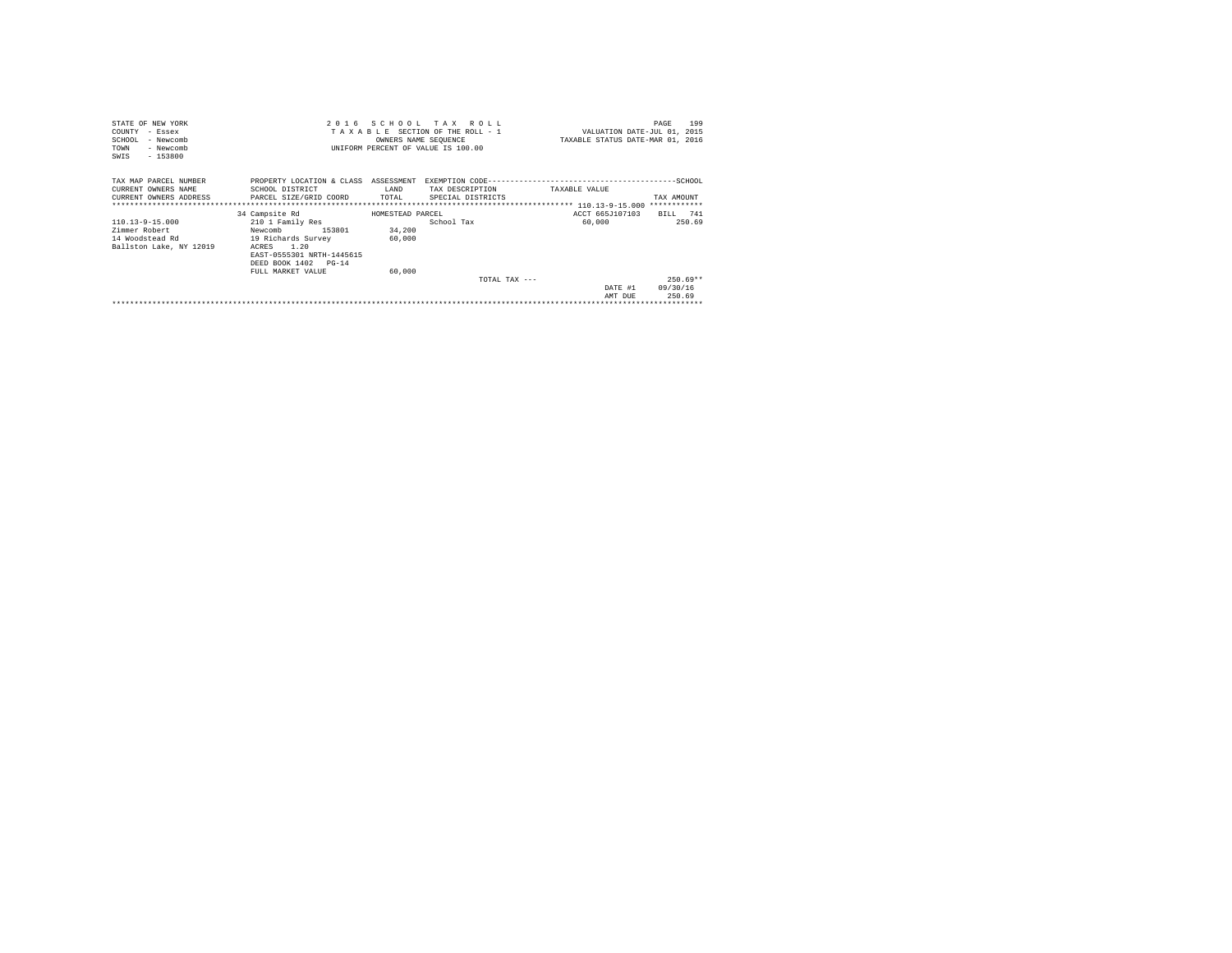| STATE OF NEW YORK       |                                                     |                  | 2016 SCHOOL TAX ROLL               |                                  | 199<br>PAGE |
|-------------------------|-----------------------------------------------------|------------------|------------------------------------|----------------------------------|-------------|
| COUNTY - Essex          |                                                     |                  | TAXABLE SECTION OF THE ROLL - 1    | VALUATION DATE-JUL 01, 2015      |             |
| SCHOOL<br>- Newcomb     |                                                     |                  | OWNERS NAME SEQUENCE               | TAXABLE STATUS DATE-MAR 01, 2016 |             |
| - Newcomb<br>TOWN       |                                                     |                  | UNIFORM PERCENT OF VALUE IS 100.00 |                                  |             |
| $-153800$<br>SWIS       |                                                     |                  |                                    |                                  |             |
|                         |                                                     |                  |                                    |                                  |             |
| TAX MAP PARCEL NUMBER   | PROPERTY LOCATION & CLASS ASSESSMENT                |                  |                                    |                                  |             |
| CURRENT OWNERS NAME     | SCHOOL DISTRICT                                     | LAND             | TAX DESCRIPTION                    | TAXABLE VALUE                    |             |
|                         | CURRENT OWNERS ADDRESS PARCEL SIZE/GRID COORD TOTAL |                  | SPECIAL DISTRICTS                  |                                  | TAX AMOUNT  |
|                         |                                                     |                  |                                    |                                  |             |
|                         | 34 Campsite Rd                                      | HOMESTEAD PARCEL |                                    | ACCT 665J107103                  | BILL 741    |
| 110.13-9-15.000         | 210 1 Family Res                                    |                  | School Tax                         | 60,000                           | 250.69      |
| Zimmer Robert           | Newcomb 153801                                      | 34,200           |                                    |                                  |             |
| 14 Woodstead Rd         | 19 Richards Survey                                  | 60,000           |                                    |                                  |             |
| Ballston Lake, NY 12019 | ACRES 1.20                                          |                  |                                    |                                  |             |
|                         | EAST-0555301 NRTH-1445615                           |                  |                                    |                                  |             |
|                         | DEED BOOK 1402 PG-14                                |                  |                                    |                                  |             |
|                         | FULL MARKET VALUE                                   | 60,000           |                                    |                                  |             |
|                         |                                                     |                  | TOTAL TAX $---$                    |                                  | $250.69**$  |
|                         |                                                     |                  |                                    | DATE #1                          | 09/30/16    |
|                         |                                                     |                  |                                    | AMT DUE                          | 250.69      |
|                         |                                                     |                  |                                    |                                  |             |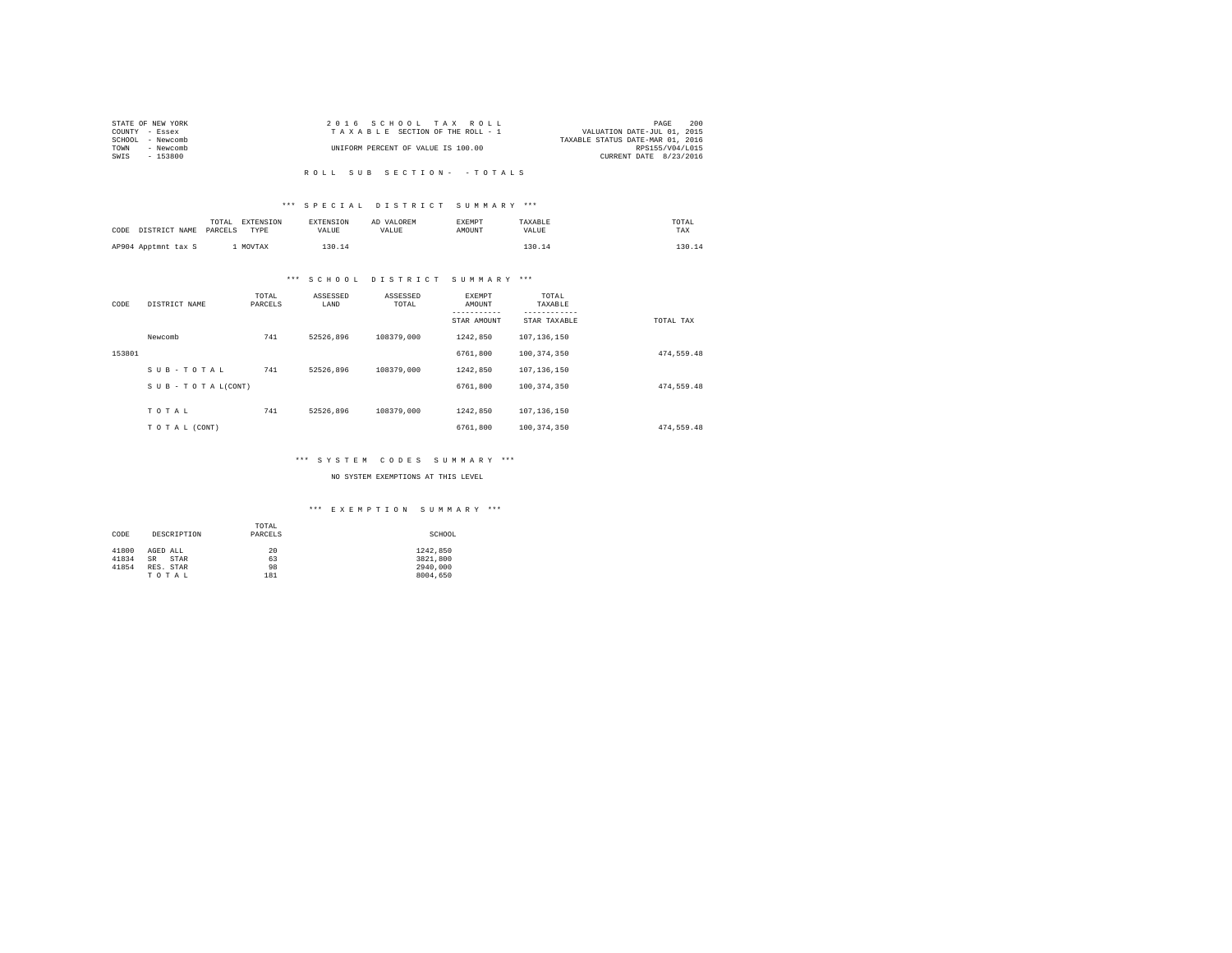| STATE OF NEW YORK | 2016 SCHOOL TAX ROLL               | 2.00<br>PAGE                     |
|-------------------|------------------------------------|----------------------------------|
| COUNTY - Essex    | TAXABLE SECTION OF THE ROLL - 1    | VALUATION DATE-JUL 01, 2015      |
| SCHOOL - Newcomb  |                                    | TAXABLE STATUS DATE-MAR 01, 2016 |
| TOWN<br>- Newcomb | UNIFORM PERCENT OF VALUE IS 100.00 | RPS155/V04/L015                  |
| SWIS<br>- 153800  |                                    | CURRENT DATE 8/23/2016           |
|                   |                                    |                                  |

R O L L S U B S E C T I O N - - T O T A L S

## \*\*\* S P E C I A L D I S T R I C T S U M M A R Y \*\*\*

| CODE DISTRICT NAME  | EXTENSION<br>TOTAL<br>PARCELS<br>TYPE | <b>EXTENSION</b><br><b>VALUE</b> | AD VALOREM<br>VALIJE. | <b>EXEMPT</b><br>AMOUNT | TAXABLE<br><b>VALUE</b> | TOTAL<br>TAX |
|---------------------|---------------------------------------|----------------------------------|-----------------------|-------------------------|-------------------------|--------------|
| AP904 Apptmnt tax S | MOVTAX                                | 130.14                           |                       |                         | 130 14                  | 130.14       |

## \*\*\* S C H O O L D I S T R I C T S U M M A R Y \*\*\*

| CODE   | DISTRICT NAME   | TOTAL<br>PARCELS | ASSESSED<br>LAND | ASSESSED<br>TOTAL | EXEMPT<br>AMOUNT | TOTAL<br>TAXABLE |            |
|--------|-----------------|------------------|------------------|-------------------|------------------|------------------|------------|
|        |                 |                  |                  |                   | STAR AMOUNT      | STAR TAXABLE     | TOTAL TAX  |
|        | Newcomb         | 741              | 52526.896        | 108379,000        | 1242.850         | 107.136.150      |            |
| 153801 |                 |                  |                  |                   | 6761,800         | 100.374.350      | 474.559.48 |
|        | SUB-TOTAL       | 741              | 52526.896        | 108379,000        | 1242.850         | 107.136.150      |            |
|        | SUB-TOTAL(CONT) |                  |                  |                   | 6761,800         | 100.374.350      | 474.559.48 |
|        | TOTAL           | 741              | 52526.896        | 108379,000        | 1242.850         | 107.136.150      |            |
|        | TO TAL (CONT)   |                  |                  |                   | 6761,800         | 100.374.350      | 474.559.48 |

## \*\*\* S Y S T E M C O D E S S U M M A R Y \*\*\*

#### NO SYSTEM EXEMPTIONS AT THIS LEVEL

## \*\*\* E X E M P T I O N S U M M A R Y \*\*\*

|                     |                   | TOTAL   |          |
|---------------------|-------------------|---------|----------|
| DESCRIPTION<br>CODE |                   | PARCELS | SCHOOL   |
|                     |                   |         |          |
| 41800               | AGED ALL          | 20      | 1242.850 |
| 41834               | <b>SR</b><br>STAR | 63      | 3821,800 |
| 41854               | RES. STAR         | 98      | 2940.000 |
|                     | TOTAL             | 181     | 8004,650 |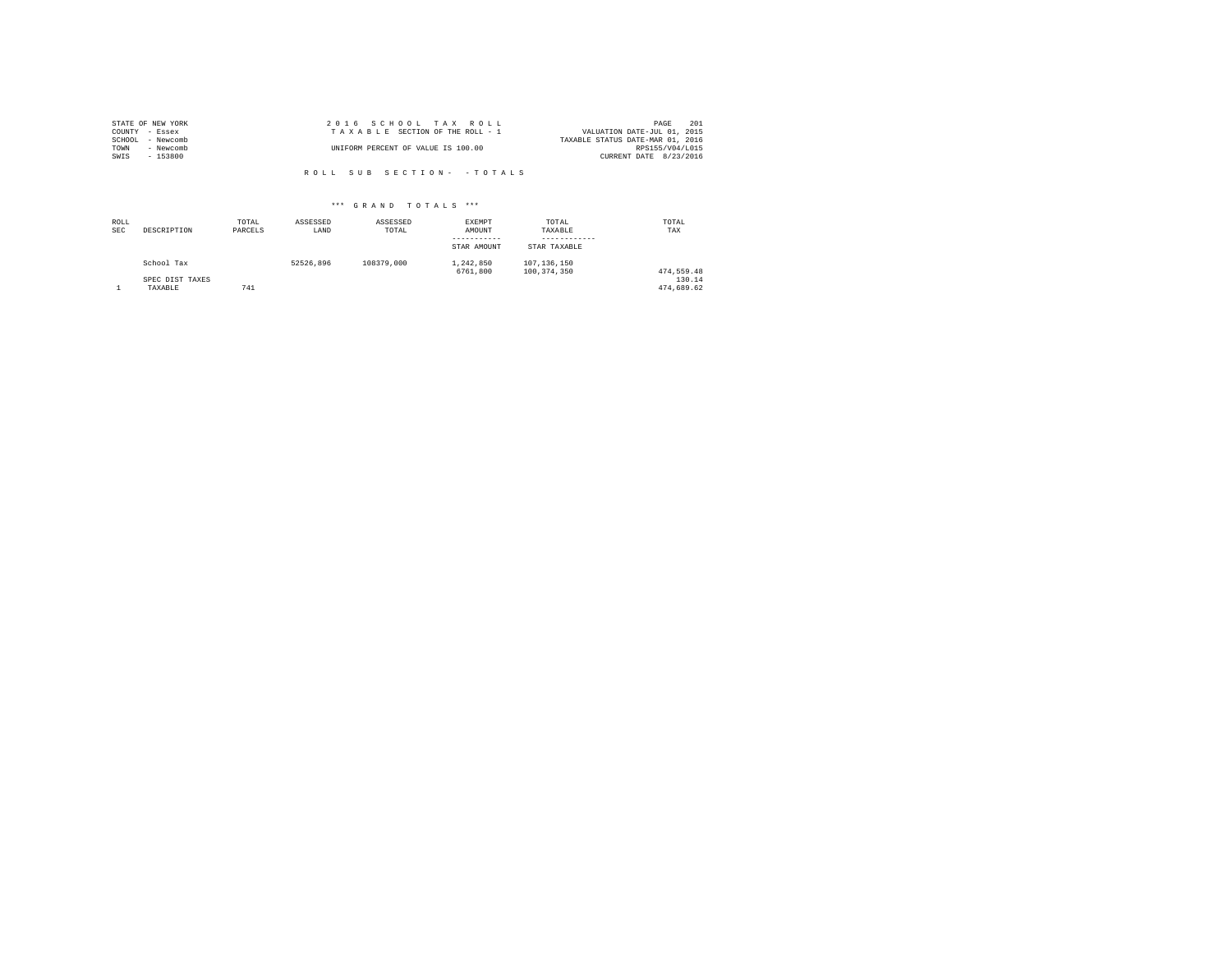|        | STATE OF NEW YORK | 2016 SCHOOL TAX ROLL               |                                  | PAGE            | 201 |
|--------|-------------------|------------------------------------|----------------------------------|-----------------|-----|
|        | COUNTY - Essex    | TAXABLE SECTION OF THE ROLL - 1    | VALUATION DATE-JUL 01, 2015      |                 |     |
| SCHOOL | - Newcomb         |                                    | TAXABLE STATUS DATE-MAR 01, 2016 |                 |     |
| TOWN   | - Newcomb         | UNIFORM PERCENT OF VALUE IS 100.00 |                                  | RPS155/V04/L015 |     |
| SWIS   | $-153800$         |                                    | CURRENT DATE 8/23/2016           |                 |     |
|        |                   |                                    |                                  |                 |     |

R O L L S U B S E C T I O N - - T O T A L S

# \*\*\* G R A N D T O T A L S \*\*\*

| ROLL<br><b>SEC</b> | DESCRIPTION     | TOTAL<br>PARCELS | ASSESSED<br>LAND | ASSESSED<br>TOTAL | EXEMPT<br>AMOUNT<br>STAR AMOUNT | TOTAL<br>TAXABLE<br>STAR TAXABLE | TOTAL<br>TAX |
|--------------------|-----------------|------------------|------------------|-------------------|---------------------------------|----------------------------------|--------------|
|                    | School Tax      |                  | 52526.896        | 108379,000        | 1,242,850<br>6761,800           | 107.136.150<br>100.374.350       | 474.559.48   |
|                    | SPEC DIST TAXES |                  |                  |                   |                                 |                                  | 130.14       |
|                    | TAXABLE         | 741              |                  |                   |                                 |                                  | 474.689.62   |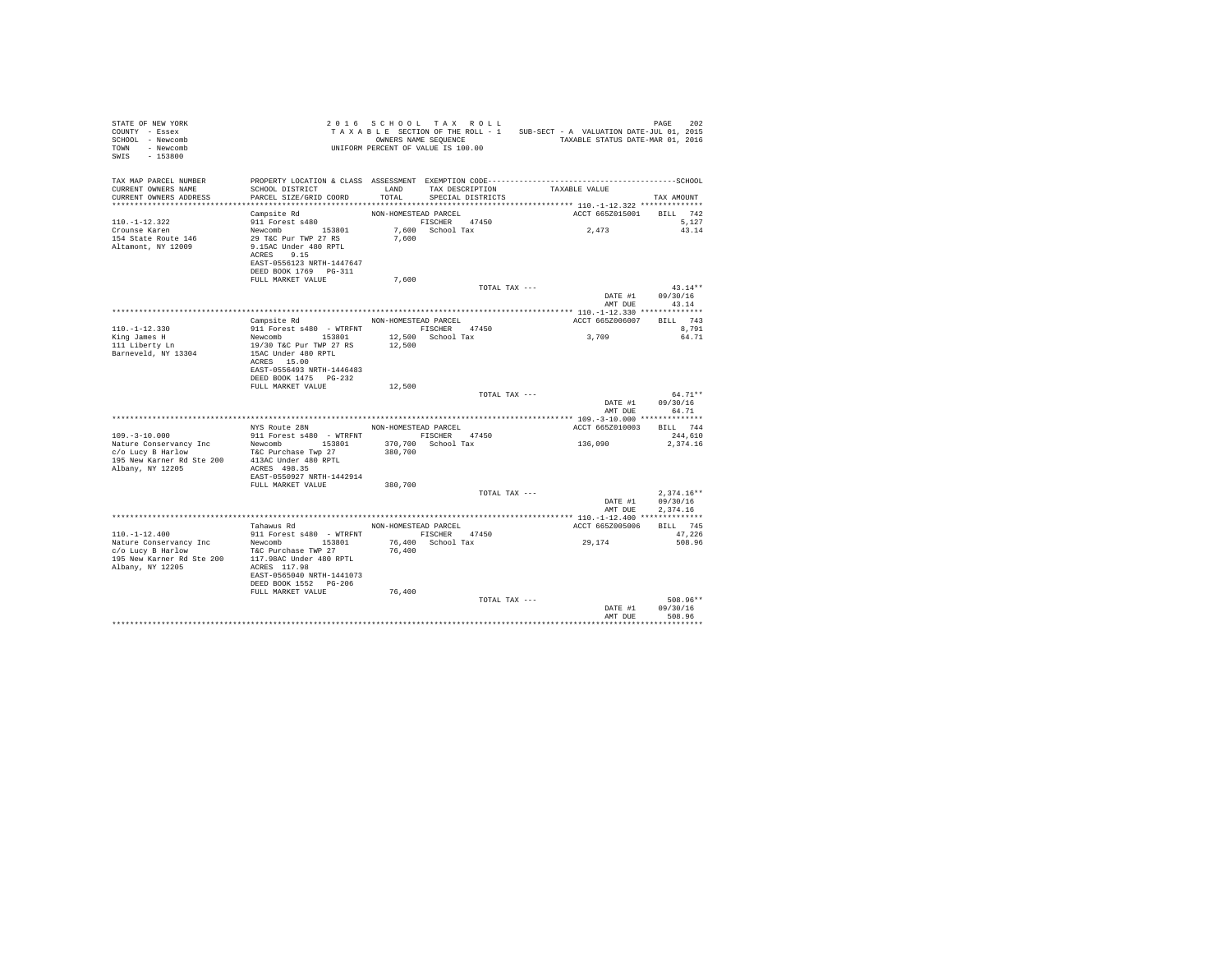| STATE OF NEW YORK<br>COUNTY - Essex<br>SCHOOL - Newcomb<br>TOWN - Newcomb<br>$-153800$<br>SWIS |                                                                               |                      | 2016 SCHOOL TAX ROLL<br>UNIFORM PERCENT OF VALUE IS 100.00 | TAXABLE SECTION OF THE ROLL - 1 SUB-SECT - A VALUATION DATE-JUL 01, 2015<br>OWNERS NAME SEQUENCE TAXABLE STATUS DATE-MAR 01, 2016 | PAGE<br>202           |
|------------------------------------------------------------------------------------------------|-------------------------------------------------------------------------------|----------------------|------------------------------------------------------------|-----------------------------------------------------------------------------------------------------------------------------------|-----------------------|
| TAX MAP PARCEL NUMBER                                                                          |                                                                               |                      |                                                            | PROPERTY LOCATION & CLASS ASSESSMENT EXEMPTION CODE-----------------------------------SCHOOL                                      |                       |
| CURRENT OWNERS NAME<br>CURRENT OWNERS ADDRESS                                                  | SCHOOL DISTRICT<br>PARCEL SIZE/GRID COORD                                     | TOTAL                | LAND TAX DESCRIPTION<br>SPECIAL DISTRICTS                  | TAXABLE VALUE                                                                                                                     | TAX AMOUNT            |
| *************************                                                                      |                                                                               |                      |                                                            |                                                                                                                                   |                       |
|                                                                                                | Campsite Rd                                                                   | NON-HOMESTEAD PARCEL |                                                            | ACCT 665Z015001                                                                                                                   | BILL 742              |
| $110. -1 - 12.322$                                                                             | 911 Forest s480                                                               |                      | FISCHER 47450                                              |                                                                                                                                   | 5,127                 |
| Crounse Karen                                                                                  |                                                                               |                      | 7,600 School Tax                                           | 2,473                                                                                                                             | 43.14                 |
| 154 State Route 146<br>Altamont, NY 12009                                                      | Newcomb 153801<br>29 T&C Pur TWP 27 RS<br>9.15AC Under 480 RPTL<br>ACRES 9.15 | 7,600                |                                                            |                                                                                                                                   |                       |
|                                                                                                | EAST-0556123 NRTH-1447647<br>DEED BOOK 1769 PG-311                            |                      |                                                            |                                                                                                                                   |                       |
|                                                                                                | FULL MARKET VALUE                                                             | 7.600                |                                                            |                                                                                                                                   |                       |
|                                                                                                |                                                                               |                      | TOTAL TAX ---                                              |                                                                                                                                   | $43.14**$             |
|                                                                                                |                                                                               |                      |                                                            | DATE #1<br>AMT DUE                                                                                                                | 09/30/16<br>43.14     |
|                                                                                                |                                                                               |                      |                                                            |                                                                                                                                   |                       |
|                                                                                                | Campsite Rd                                                                   |                      | NON-HOMESTEAD PARCEL                                       | ACCT 665Z006007                                                                                                                   | BILL 743              |
| $110. -1 - 12.330$<br>King James H                                                             | 911 Forest s480 - WTRFNT FISCHER 47450                                        |                      | 12,500 School Tax                                          | 3,709                                                                                                                             | 8,791<br>64.71        |
| 111 Liberty Ln                                                                                 | Newcomb 153801<br>19/30 T&C Pur TWP 27 RS                                     | 12,500               |                                                            |                                                                                                                                   |                       |
| Barneveld, NY 13304                                                                            | 15AC Under 480 RPTL                                                           |                      |                                                            |                                                                                                                                   |                       |
|                                                                                                | ACRES 15.00                                                                   |                      |                                                            |                                                                                                                                   |                       |
|                                                                                                | EAST-0556493 NRTH-1446483                                                     |                      |                                                            |                                                                                                                                   |                       |
|                                                                                                | DEED BOOK 1475 PG-232                                                         |                      |                                                            |                                                                                                                                   |                       |
|                                                                                                | FULL MARKET VALUE                                                             | 12,500               | TOTAL TAX ---                                              |                                                                                                                                   | $64.71**$             |
|                                                                                                |                                                                               |                      |                                                            | DATE #1<br>AMT DUE                                                                                                                | 09/30/16<br>64.71     |
|                                                                                                |                                                                               |                      |                                                            |                                                                                                                                   |                       |
|                                                                                                | NYS Route 28N                                                                 | NON-HOMESTEAD PARCEL |                                                            | ACCT 665Z010003                                                                                                                   | BILL 744              |
| $109. - 3 - 10.000$                                                                            | 911 Forest s480 - WTRFNT                                                      |                      | FISCHER 47450                                              |                                                                                                                                   | 244,610               |
| Nature Conservancy Inc                                                                         | Newcomb 153801                                                                |                      | 370,700 School Tax                                         | 136,090                                                                                                                           | 2,374.16              |
| c/o Lucy B Harlow<br>195 New Karner Rd Ste 200                                                 | T&C Purchase Twp 27<br>413AC Under 480 RPTL                                   | 380,700              |                                                            |                                                                                                                                   |                       |
| Albany, NY 12205                                                                               | ACRES 498.35                                                                  |                      |                                                            |                                                                                                                                   |                       |
|                                                                                                | EAST-0550927 NRTH-1442914                                                     |                      |                                                            |                                                                                                                                   |                       |
|                                                                                                | FULL MARKET VALUE                                                             | 380,700              |                                                            |                                                                                                                                   |                       |
|                                                                                                |                                                                               |                      | TOTAL TAX ---                                              |                                                                                                                                   | $2.374.16**$          |
|                                                                                                |                                                                               |                      |                                                            | DATE #1                                                                                                                           | 09/30/16              |
|                                                                                                |                                                                               |                      |                                                            | AMT DUE                                                                                                                           | 2,374.16              |
|                                                                                                | Tahawus Rd NON-HOMESTEAD PARCEL                                               |                      |                                                            | ACCT 665Z005006                                                                                                                   | BILL 745              |
| $110. - 1 - 12.400$                                                                            | 911 Forest s480 - WTRFNT                                                      |                      | FISCHER 47450                                              |                                                                                                                                   | 47.226                |
| Nature Conservancy Inc                                                                         | Newcomb 153801                                                                |                      | 76,400 School Tax                                          | 29,174                                                                                                                            | 508.96                |
| c/o Lucy B Harlow                                                                              | T&C Purchase TWP 27                                                           | 76,400               |                                                            |                                                                                                                                   |                       |
| 195 New Karner Rd Ste 200<br>Albany, NY 12205                                                  | 117.98AC Under 480 RPTL<br>ACRES 117.98                                       |                      |                                                            |                                                                                                                                   |                       |
|                                                                                                | EAST-0565040 NRTH-1441073                                                     |                      |                                                            |                                                                                                                                   |                       |
|                                                                                                | DEED BOOK 1552 PG-206                                                         |                      |                                                            |                                                                                                                                   |                       |
|                                                                                                | FULL MARKET VALUE                                                             | 76,400               |                                                            |                                                                                                                                   |                       |
|                                                                                                |                                                                               |                      | TOTAL TAX ---                                              |                                                                                                                                   | $508.96**$            |
|                                                                                                |                                                                               |                      |                                                            | DATE #1                                                                                                                           | 09/30/16              |
|                                                                                                |                                                                               |                      |                                                            | AMT DUE                                                                                                                           | 508.96<br>*********** |
|                                                                                                |                                                                               |                      |                                                            |                                                                                                                                   |                       |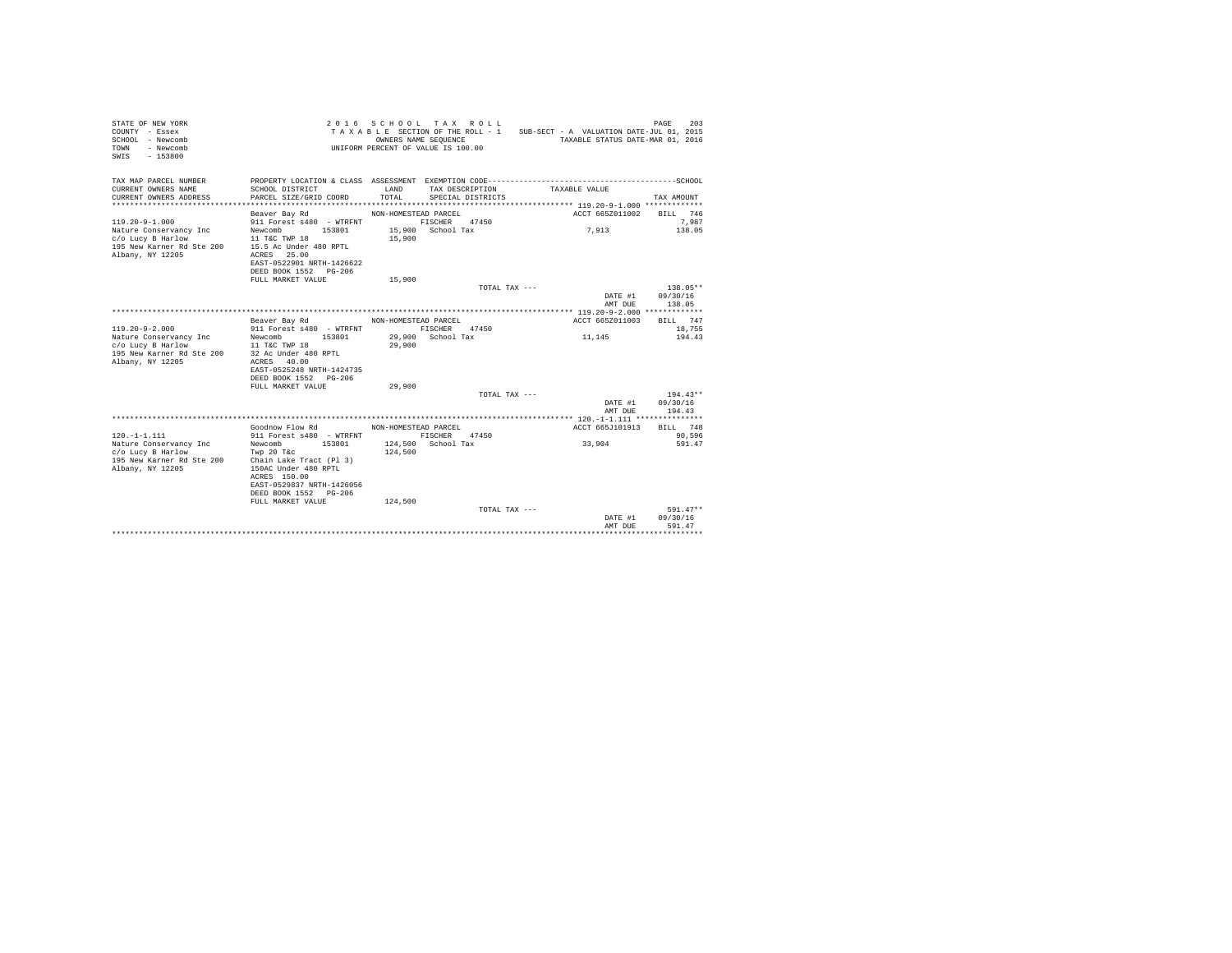| STATE OF NEW YORK<br>COUNTY - Essex<br>SCHOOL - Newcomb<br>- Newcomb<br>TOWN<br>$-153800$<br>SWTS |                                                                                                                                                        | OWNERS NAME SEQUENCE | 2016 SCHOOL TAX ROLL<br>UNIFORM PERCENT OF VALUE IS 100.00 |                 | TAXABLE SECTION OF THE ROLL - 1 SUB-SECT - A VALUATION DATE-JUL 01, 2015<br>TAXABLE STATUS DATE-MAR 01, 2016 | 203<br>PAGE                  |
|---------------------------------------------------------------------------------------------------|--------------------------------------------------------------------------------------------------------------------------------------------------------|----------------------|------------------------------------------------------------|-----------------|--------------------------------------------------------------------------------------------------------------|------------------------------|
| TAX MAP PARCEL NUMBER<br>CURRENT OWNERS NAME<br>CURRENT OWNERS ADDRESS                            | SCHOOL DISTRICT<br>PARCEL SIZE/GRID COORD                                                                                                              | LAND<br>TOTAL        | TAX DESCRIPTION<br>SPECIAL DISTRICTS                       |                 | TAXABLE VALUE                                                                                                | TAX AMOUNT                   |
|                                                                                                   | Beaver Bay Rd                                                                                                                                          | NON-HOMESTEAD PARCEL |                                                            |                 | ACCT 665Z011002                                                                                              | BILL 746                     |
| $119.20 - 9 - 1.000$                                                                              | 911 Forest s480 - WTRFNT                                                                                                                               |                      | FISCHER<br>47450                                           |                 |                                                                                                              | 7.987                        |
| Nature Conservancy Inc<br>c/o Lucy B Harlow<br>195 New Karner Rd Ste 200<br>Albany, NY 12205      | 153801<br>Newcomb<br>11 T&C TWP 18<br>15.5 Ac Under 480 RPTL<br>ACRES 25.00<br>EAST-0522901 NRTH-1426622<br>DEED BOOK 1552 PG-206<br>FULL MARKET VALUE | 15,900<br>15,900     | 15,900 School Tax                                          |                 | 7,913                                                                                                        | 138.05                       |
|                                                                                                   |                                                                                                                                                        |                      |                                                            | TOTAL TAX $---$ |                                                                                                              | 138.05**                     |
|                                                                                                   |                                                                                                                                                        |                      |                                                            |                 | DATE #1<br>AMT DUE                                                                                           | 09/30/16<br>138.05           |
|                                                                                                   |                                                                                                                                                        |                      |                                                            |                 |                                                                                                              |                              |
| $119.20 - 9 - 2.000$<br>Nature Conservancy Inc                                                    | Beaver Bay Rd<br>911 Forest s480 - WTRFNT<br>Newcomb 153801                                                                                            | NON-HOMESTEAD PARCEL | FISCHER 47450<br>29,900 School Tax                         |                 | ACCT 665Z011003<br>11,145                                                                                    | BILL 747<br>18,755<br>194.43 |
| c/o Lucy B Harlow<br>195 New Karner Rd Ste 200<br>Albany, NY 12205                                | 11 T&C TWP 18<br>32 Ac Under 480 RPTL<br>ACRES 40.00<br>EAST-0525248 NRTH-1424735                                                                      | 29,900               |                                                            |                 |                                                                                                              |                              |
|                                                                                                   | DEED BOOK 1552 PG-206                                                                                                                                  |                      |                                                            |                 |                                                                                                              |                              |
|                                                                                                   | FULL MARKET VALUE                                                                                                                                      | 29,900               |                                                            |                 |                                                                                                              |                              |
|                                                                                                   |                                                                                                                                                        |                      |                                                            | TOTAL TAX ---   |                                                                                                              | $194.43**$                   |
|                                                                                                   |                                                                                                                                                        |                      |                                                            |                 | DATE #1<br>AMT DUE                                                                                           | 09/30/16<br>194.43           |
|                                                                                                   |                                                                                                                                                        |                      |                                                            |                 |                                                                                                              |                              |
| $120. -1 - 1.111$                                                                                 | Goodnow Flow Rd<br>911 Forest s480 - WTRFNT                                                                                                            | NON-HOMESTEAD PARCEL | FISCHER 47450                                              |                 | ACCT 665J101913                                                                                              | BILL 748<br>90,596           |
| Nature Conservancy Inc                                                                            | Newcomb<br>153801                                                                                                                                      |                      | 124.500 School Tax                                         |                 | 33,904                                                                                                       | 591.47                       |
| c/o Lucy B Harlow                                                                                 | Twp 20 T&c                                                                                                                                             | 124,500              |                                                            |                 |                                                                                                              |                              |
| 195 New Karner Rd Ste 200<br>Albany, NY 12205                                                     | Chain Lake Tract (Pl 3)<br>150AC Under 480 RPTL<br>ACRES 150.00<br>EAST-0529837 NRTH-1426056<br>DEED BOOK 1552 PG-206                                  |                      |                                                            |                 |                                                                                                              |                              |
|                                                                                                   | FULL MARKET VALUE                                                                                                                                      | 124,500              |                                                            | TOTAL TAX ---   |                                                                                                              | $591.47**$                   |
|                                                                                                   |                                                                                                                                                        |                      |                                                            |                 | DATE #1<br>AMT DUE                                                                                           | 09/30/16<br>591.47           |
|                                                                                                   |                                                                                                                                                        |                      |                                                            |                 | ******************************                                                                               |                              |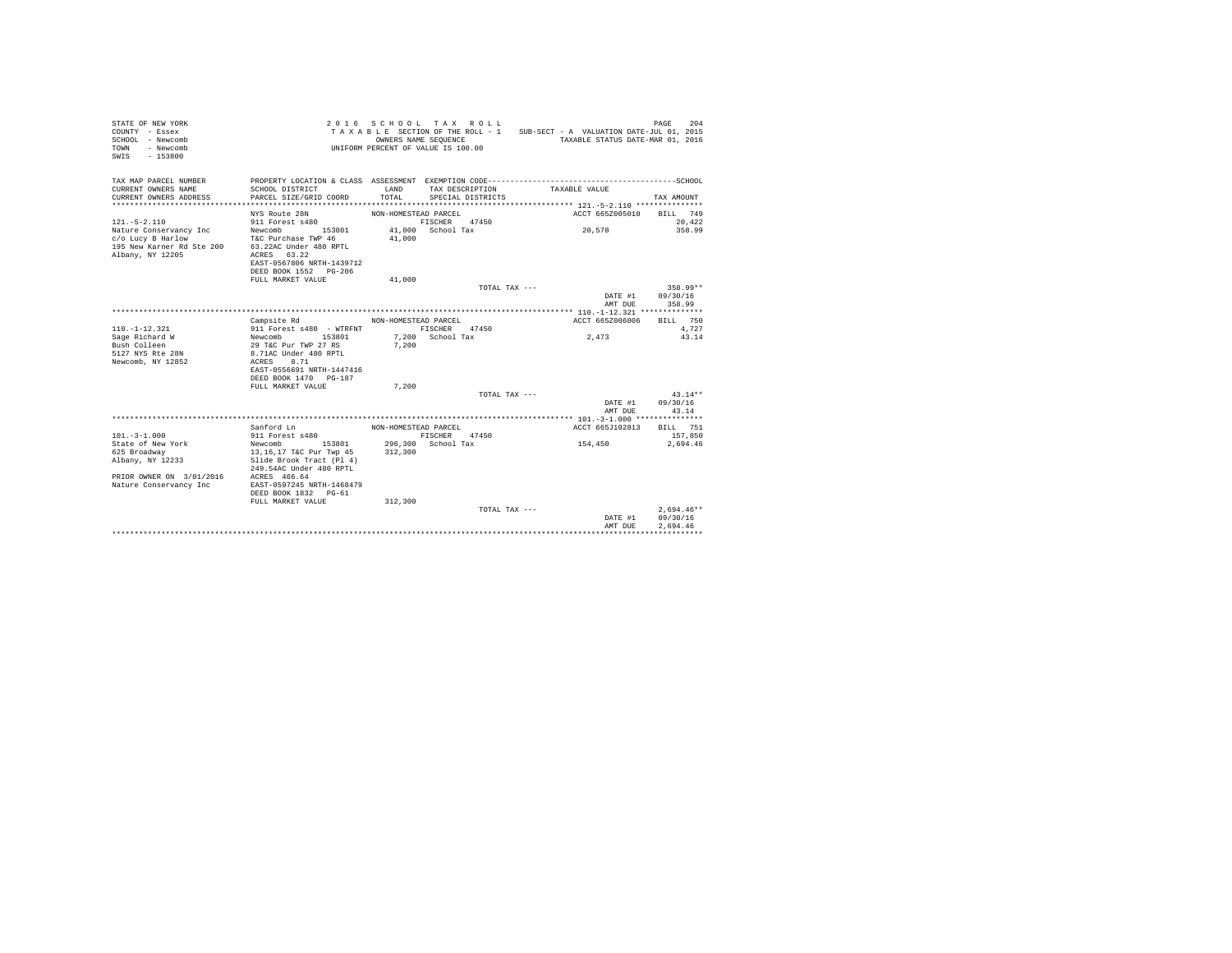| STATE OF NEW YORK<br>COUNTY - Essex<br>SCHOOL - Newcomb<br>TOWN<br>- Newcomb<br>$-153800$<br>SWIS |                                                                                                                    |                      | 2016 SCHOOL TAX ROLL<br>TAXABLE SECTION OF THE ROLL - 1<br>OWNERS NAME SEQUENCE<br>UNIFORM PERCENT OF VALUE IS 100.00 | SUB-SECT - A VALUATION DATE-JUL 01, 2015 | PAGE<br>TAXABLE STATUS DATE-MAR 01, 2016 | 204       |
|---------------------------------------------------------------------------------------------------|--------------------------------------------------------------------------------------------------------------------|----------------------|-----------------------------------------------------------------------------------------------------------------------|------------------------------------------|------------------------------------------|-----------|
| TAX MAP PARCEL NUMBER                                                                             |                                                                                                                    |                      |                                                                                                                       |                                          |                                          |           |
| CURRENT OWNERS NAME                                                                               | SCHOOL DISTRICT                                                                                                    | LAND                 | TAX DESCRIPTION                                                                                                       | TAXABLE VALUE                            |                                          |           |
| CURRENT OWNERS ADDRESS                                                                            | PARCEL SIZE/GRID COORD                                                                                             | TOTAL                | SPECIAL DISTRICTS                                                                                                     |                                          | TAX AMOUNT                               |           |
|                                                                                                   | NYS Route 28N                                                                                                      |                      |                                                                                                                       | ACCT 665Z005010                          | BILL 749                                 |           |
| $121. - 5 - 2.110$                                                                                | 911 Forest s480                                                                                                    | NON-HOMESTEAD PARCEL | FISCHER 47450                                                                                                         |                                          |                                          | 20.422    |
| Nature Conservancy Inc                                                                            | Newcomb<br>153801                                                                                                  |                      | 41,000 School Tax                                                                                                     | 20,578                                   |                                          | 358.99    |
| c/o Lucy B Harlow<br>195 New Karner Rd Ste 200<br>Albany, NY 12205                                | T&C Purchase TWP 46<br>63.22AC Under 480 RPTL<br>ACRES 63.22<br>EAST-0567806 NRTH-1439712<br>DEED BOOK 1552 PG-206 | 41,000               |                                                                                                                       |                                          |                                          |           |
|                                                                                                   | FULL MARKET VALUE                                                                                                  | 41,000               |                                                                                                                       |                                          |                                          |           |
|                                                                                                   |                                                                                                                    |                      | TOTAL TAX ---                                                                                                         |                                          | 09/30/16<br>DATE #1                      | 358.99**  |
|                                                                                                   |                                                                                                                    |                      |                                                                                                                       |                                          | 358.99<br>AMT DUE                        |           |
|                                                                                                   |                                                                                                                    |                      |                                                                                                                       |                                          |                                          |           |
|                                                                                                   | Campsite Rd                                                                                                        | NON-HOMESTEAD PARCEL |                                                                                                                       | ACCT 665Z006006                          | BILL 750                                 |           |
| $110. -1 - 12.321$                                                                                | 911 Forest s480 - WTRFNT                                                                                           |                      | FISCHER 47450                                                                                                         |                                          |                                          | 4.727     |
| Sage Richard W<br>Bush Colleen                                                                    | Newcomb<br>153801                                                                                                  | 7.200                | 7.200 School Tax                                                                                                      | 2.473                                    |                                          | 43.14     |
| 5127 NYS Rte 28N                                                                                  | 29 T&C Pur TWP 27 RS<br>8.71AC Under 480 RPTL                                                                      |                      |                                                                                                                       |                                          |                                          |           |
| Newcomb, NY 12852                                                                                 | 8.71<br>ACRES                                                                                                      |                      |                                                                                                                       |                                          |                                          |           |
|                                                                                                   | EAST-0556691 NRTH-1447416                                                                                          |                      |                                                                                                                       |                                          |                                          |           |
|                                                                                                   | DEED BOOK 1470 PG-187                                                                                              |                      |                                                                                                                       |                                          |                                          |           |
|                                                                                                   | FULL MARKET VALUE                                                                                                  | 7.200                |                                                                                                                       |                                          |                                          |           |
|                                                                                                   |                                                                                                                    |                      | TOTAL TAX ---                                                                                                         |                                          | 09/30/16<br>DATE #1                      | $43.14**$ |
|                                                                                                   |                                                                                                                    |                      |                                                                                                                       |                                          | 43.14<br>AMT DUE                         |           |
|                                                                                                   |                                                                                                                    |                      |                                                                                                                       |                                          |                                          |           |
|                                                                                                   | Sanford Ln                                                                                                         | NON-HOMESTEAD PARCEL |                                                                                                                       | ACCT 665J102813                          | BILL 751                                 |           |
| $101. - 3 - 1.000$                                                                                | 911 Forest s480                                                                                                    |                      | FISCHER 47450                                                                                                         |                                          |                                          | 157.850   |
| State of New York                                                                                 | Newcomb<br>153801                                                                                                  |                      | 296,300 School Tax                                                                                                    | 154,450                                  |                                          | 2.694.46  |
| 625 Broadway<br>Albany, NY 12233                                                                  | 13,16,17 T&C Pur Twp 45<br>Slide Brook Tract (Pl 4)                                                                | 312,300              |                                                                                                                       |                                          |                                          |           |
|                                                                                                   | 249.54AC Under 480 RPTL                                                                                            |                      |                                                                                                                       |                                          |                                          |           |
| PRIOR OWNER ON 3/01/2016                                                                          | ACRES 466.64                                                                                                       |                      |                                                                                                                       |                                          |                                          |           |
| Nature Conservancy Inc                                                                            | EAST-0597245 NRTH-1468479                                                                                          |                      |                                                                                                                       |                                          |                                          |           |
|                                                                                                   | DEED BOOK 1832 PG-61                                                                                               |                      |                                                                                                                       |                                          |                                          |           |
|                                                                                                   | FULL MARKET VALUE                                                                                                  | 312,300              |                                                                                                                       |                                          |                                          |           |
|                                                                                                   |                                                                                                                    |                      | TOTAL TAX ---                                                                                                         |                                          | $2,694.46**$<br>09/30/16                 |           |
|                                                                                                   |                                                                                                                    |                      |                                                                                                                       |                                          | DATE #1<br>AMT DUE<br>2.694.46           |           |
|                                                                                                   |                                                                                                                    |                      |                                                                                                                       |                                          |                                          |           |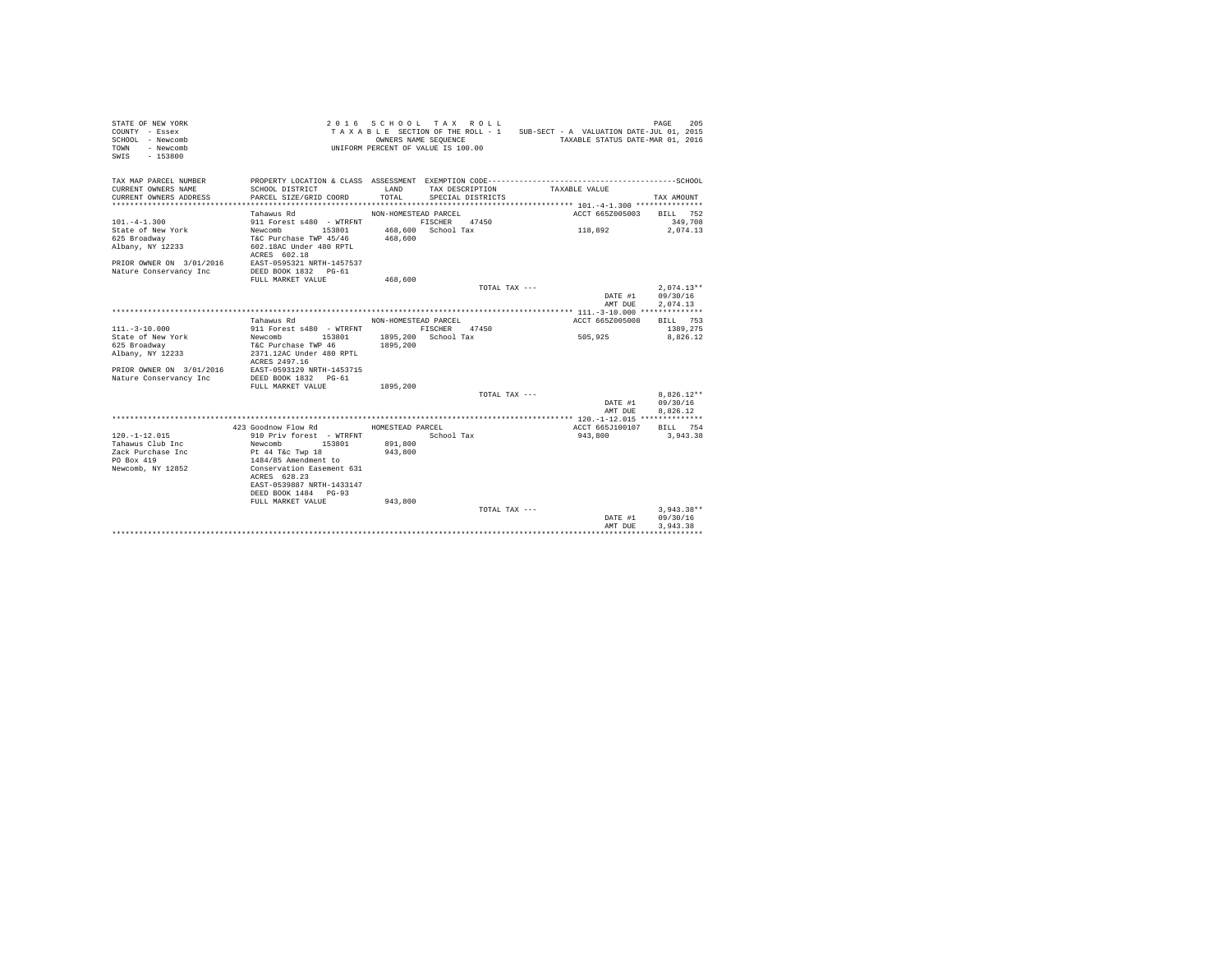| STATE OF NEW YORK<br>COUNTY - Essex<br>SCHOOL - Newcomb<br>- Newcomb<br>TOWN<br>SWIS<br>$-153800$ |                                                   |                      | 2016 SCHOOL TAX ROLL<br>OWNERS NAME SEQUENCE<br>UNIFORM PERCENT OF VALUE IS 100.00 | TAXABLE SECTION OF THE ROLL - 1 SUB-SECT - A VALUATION DATE-JUL 01, 2015<br>TAXABLE STATUS DATE-MAR 01, 2016 | 205<br>PAGE  |
|---------------------------------------------------------------------------------------------------|---------------------------------------------------|----------------------|------------------------------------------------------------------------------------|--------------------------------------------------------------------------------------------------------------|--------------|
| TAX MAP PARCEL NUMBER                                                                             |                                                   |                      |                                                                                    |                                                                                                              |              |
| CURRENT OWNERS NAME                                                                               | SCHOOL DISTRICT                                   | LAND                 | TAX DESCRIPTION                                                                    | TAXABLE VALUE                                                                                                |              |
| CURRENT OWNERS ADDRESS                                                                            | PARCEL SIZE/GRID COORD                            | TOTAL                | SPECIAL DISTRICTS                                                                  |                                                                                                              | TAX AMOUNT   |
|                                                                                                   |                                                   |                      |                                                                                    |                                                                                                              |              |
|                                                                                                   | Tahawus Rd                                        | NON-HOMESTEAD PARCEL |                                                                                    | ACCT 665Z005003                                                                                              | BILL 752     |
| $101. -4 - 1.300$                                                                                 | 911 Forest s480 - WTRFNT                          |                      | FISCHER 47450                                                                      |                                                                                                              | 349,708      |
| State of New York                                                                                 | 153801<br>Newcomb                                 |                      | 468,600 School Tax                                                                 | 118,892                                                                                                      | 2,074.13     |
| 625 Broadway<br>Albany, NY 12233                                                                  | T&C Purchase TWP 45/46<br>602.18AC Under 480 RPTL | 468,600              |                                                                                    |                                                                                                              |              |
|                                                                                                   | ACRES 602.18                                      |                      |                                                                                    |                                                                                                              |              |
| PRIOR OWNER ON 3/01/2016                                                                          | EAST-0595321 NRTH-1457537                         |                      |                                                                                    |                                                                                                              |              |
| Nature Conservancy Inc                                                                            | DEED BOOK 1832 PG-61                              |                      |                                                                                    |                                                                                                              |              |
|                                                                                                   | FULL MARKET VALUE                                 | 468,600              |                                                                                    |                                                                                                              |              |
|                                                                                                   |                                                   |                      | TOTAL TAX ---                                                                      |                                                                                                              | $2.074.13**$ |
|                                                                                                   |                                                   |                      |                                                                                    | DATE #1                                                                                                      | 09/30/16     |
|                                                                                                   |                                                   |                      |                                                                                    | AMT DUE                                                                                                      | 2.074.13     |
|                                                                                                   |                                                   |                      |                                                                                    |                                                                                                              |              |
|                                                                                                   | Tahawus Rd                                        | NON-HOMESTEAD PARCEL |                                                                                    | ACCT 665Z005008                                                                                              | BILL 753     |
| $111. - 3 - 10.000$                                                                               | 911 Forest s480 - WTRFNT                          |                      | FISCHER 47450                                                                      |                                                                                                              | 1389.275     |
| State of New York                                                                                 | Newcomb 153801                                    |                      | 1895,200 School Tax                                                                | 505,925                                                                                                      | 8.826.12     |
| 625 Broadway<br>Albany, NY 12233                                                                  | T&C Purchase TWP 46<br>2371.12AC Under 480 RPTL   | 1895,200             |                                                                                    |                                                                                                              |              |
|                                                                                                   | ACRES 2497.16                                     |                      |                                                                                    |                                                                                                              |              |
| PRIOR OWNER ON 3/01/2016                                                                          | EAST-0593129 NRTH-1453715                         |                      |                                                                                    |                                                                                                              |              |
| Nature Conservancy Inc                                                                            | DEED BOOK 1832 PG-61                              |                      |                                                                                    |                                                                                                              |              |
|                                                                                                   | FULL MARKET VALUE                                 | 1895,200             |                                                                                    |                                                                                                              |              |
|                                                                                                   |                                                   |                      | TOTAL TAX ---                                                                      |                                                                                                              | $8.826.12**$ |
|                                                                                                   |                                                   |                      |                                                                                    | DATE #1                                                                                                      | 09/30/16     |
|                                                                                                   |                                                   |                      |                                                                                    | AMT DHE                                                                                                      | 8.826.12     |
|                                                                                                   |                                                   |                      |                                                                                    |                                                                                                              |              |
|                                                                                                   | 423 Goodnow Flow Rd                               | HOMESTEAD PARCEL     |                                                                                    | ACCT 665J100107                                                                                              | BILL 754     |
| $120. -1 - 12.015$<br>Tahawus Club Inc                                                            | 910 Priv forest - WTRFNT<br>153801                | 891,800              | School Tax                                                                         | 943,800                                                                                                      | 3,943,38     |
| Zack Purchase Inc                                                                                 | Newcomb<br>Pt 44 T&c Twp 18                       | 943,800              |                                                                                    |                                                                                                              |              |
| PO Box 419                                                                                        | 1484/85 Amendment to                              |                      |                                                                                    |                                                                                                              |              |
| Newcomb, NY 12852                                                                                 | Conservation Easement 631                         |                      |                                                                                    |                                                                                                              |              |
|                                                                                                   | ACRES 628.23                                      |                      |                                                                                    |                                                                                                              |              |
|                                                                                                   | EAST-0539887 NRTH-1433147                         |                      |                                                                                    |                                                                                                              |              |
|                                                                                                   | DEED BOOK 1484 PG-93                              |                      |                                                                                    |                                                                                                              |              |
|                                                                                                   | FULL MARKET VALUE                                 | 943,800              |                                                                                    |                                                                                                              |              |
|                                                                                                   |                                                   |                      | TOTAL TAX ---                                                                      |                                                                                                              | $3,943.38**$ |
|                                                                                                   |                                                   |                      |                                                                                    | DATE #1                                                                                                      | 09/30/16     |
|                                                                                                   |                                                   |                      |                                                                                    | AMT DUE                                                                                                      | 3.943.38     |
|                                                                                                   |                                                   |                      |                                                                                    |                                                                                                              |              |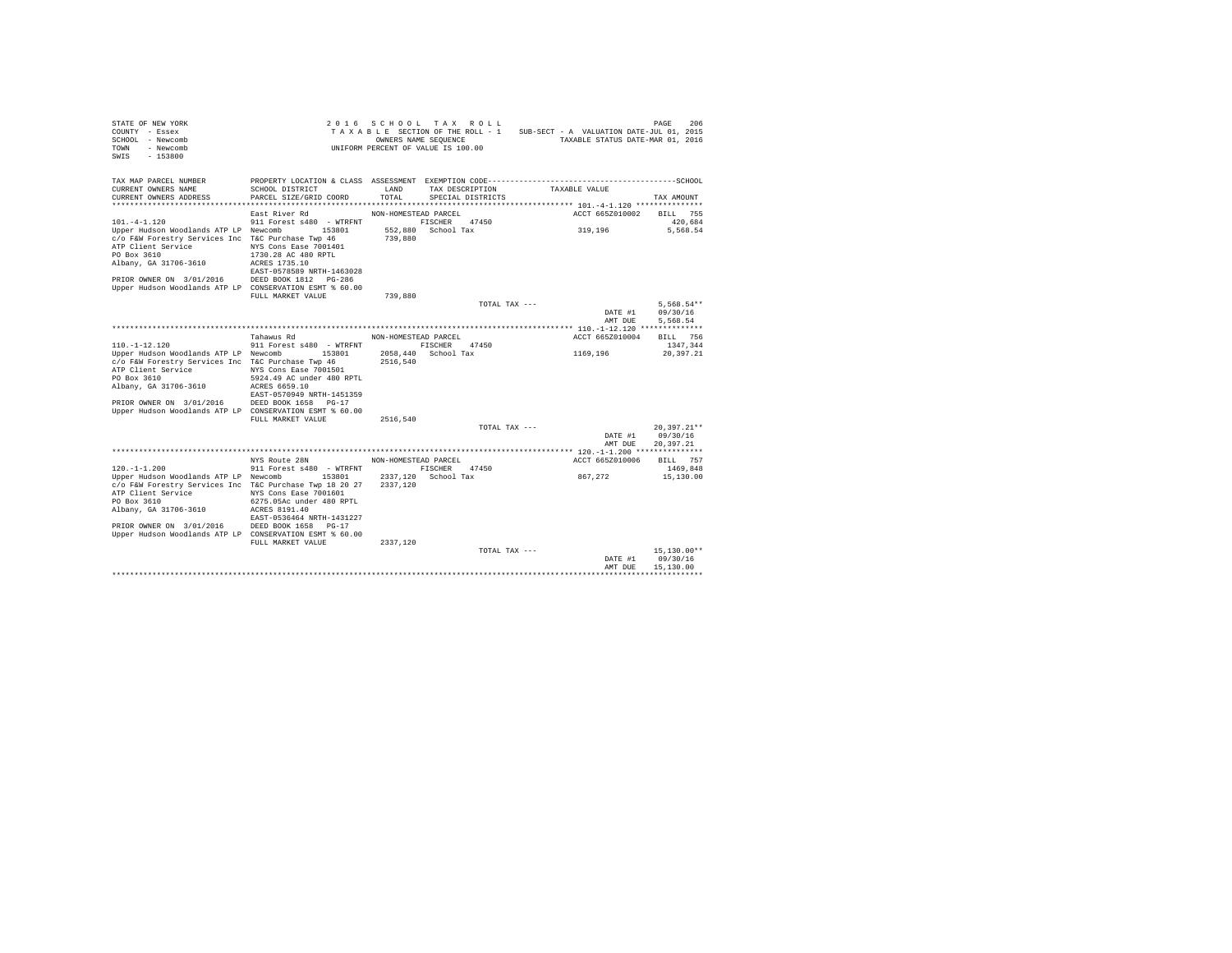| STATE OF NEW YORK<br>COUNTY - Essex<br>SCHOOL - Newcomb<br>TOWN - Newcomb<br>SWIS - 153800                                                                                                                                                                                                        | UNIFORM PERCENT OF VALUE IS 100.00                                                                                                                                                      |                                              | 2016 SCHOOL TAX ROLL<br>TAXABLE SECTION OF THE ROLL - 1 SUB-SECT - A VALUATION DATE-JUL 01, 2015<br>OWNERS NAME SEQUENCE |               | TAXABLE STATUS DATE-MAR 01, 2016 | 206<br>PAGE                            |
|---------------------------------------------------------------------------------------------------------------------------------------------------------------------------------------------------------------------------------------------------------------------------------------------------|-----------------------------------------------------------------------------------------------------------------------------------------------------------------------------------------|----------------------------------------------|--------------------------------------------------------------------------------------------------------------------------|---------------|----------------------------------|----------------------------------------|
| TAX MAP PARCEL NUMBER<br>CURRENT OWNERS NAME<br>CURRENT OWNERS ADDRESS                                                                                                                                                                                                                            | SCHOOL DISTRICT<br>PARCEL SIZE/GRID COORD                                                                                                                                               | LAND<br>TOTAL.                               | TAX DESCRIPTION<br>SPECIAL DISTRICTS                                                                                     |               | TAXABLE VALUE                    | TAX AMOUNT                             |
| $101. -4 - 1.120$<br>Upper Hudson Woodlands ATP LP Newcomb 153801<br>c/o F&W Forestry Services Inc T&C Purchase Twp 46<br>ATP Client Service<br>PO Box 3610<br>Albany, GA 31706-3610<br>PRIOR OWNER ON 3/01/2016 DEED BOOK 1812 PG-286<br>Upper Hudson Woodlands ATP LP CONSERVATION ESMT % 60.00 | East River Rd<br>911 Forest s480 - WTRFNT<br>NYS Cons Ease 7001401<br>1730.28 AC 480 RPTL<br>ACRES 1735.10<br>EAST-0578589 NRTH-1463028                                                 | NON-HOMESTEAD PARCEL<br>739,880              | FISCHER 47450<br>552.880 School Tax                                                                                      |               | ACCT 665Z010002<br>319,196       | <b>BILL</b> 755<br>420.684<br>5,568.54 |
|                                                                                                                                                                                                                                                                                                   | FULL MARKET VALUE                                                                                                                                                                       | 739,880                                      |                                                                                                                          |               |                                  |                                        |
|                                                                                                                                                                                                                                                                                                   |                                                                                                                                                                                         |                                              |                                                                                                                          | TOTAL TAX --- | DATE #1<br>AMT DUE               | $5.568.54**$<br>09/30/16<br>5.568.54   |
|                                                                                                                                                                                                                                                                                                   |                                                                                                                                                                                         |                                              |                                                                                                                          |               |                                  |                                        |
| $110. - 1 - 12.120$<br>Upper Hudson Woodlands ATP LP Newcomb 153801<br>c/o F&W Forestry Services Inc T&C Purchase Twp 46<br>ATP Client Service<br>PO Box 3610<br>Albany, GA 31706-3610<br>PRIOR OWNER ON 3/01/2016<br>Upper Hudson Woodlands ATP LP CONSERVATION ESMT % 60.00                     | Tahawus Rd<br>911 Forest s480 - WTRFNT<br>NYS Cons Ease 7001501<br>5924.49 AC under 480 RPTL<br>ACRES 6659.10<br>EAST-0570949 NRTH-1451359<br>DEED BOOK 1658 PG-17<br>FULL MARKET VALUE | NON-HOMESTEAD PARCEL<br>2516,540<br>2516,540 | FISCHER 47450<br>2058,440 School Tax                                                                                     |               | ACCT 665Z010004<br>1169,196      | BILL 756<br>1347.344<br>20.397.21      |
|                                                                                                                                                                                                                                                                                                   |                                                                                                                                                                                         |                                              |                                                                                                                          | TOTAL TAX --- |                                  | $20.397.21**$                          |
|                                                                                                                                                                                                                                                                                                   |                                                                                                                                                                                         |                                              |                                                                                                                          |               | DATE #1<br>AMT DUE               | 09/30/16<br>20.397.21                  |
|                                                                                                                                                                                                                                                                                                   |                                                                                                                                                                                         |                                              |                                                                                                                          |               |                                  |                                        |
|                                                                                                                                                                                                                                                                                                   | NYS Route 28N                                                                                                                                                                           | NON-HOMESTEAD PARCEL                         |                                                                                                                          |               | ACCT 665Z010006                  | BILL 757                               |
| $120. -1 - 1.200$<br>Upper Hudson Woodlands ATP LP Newcomb 153801<br>c/o F&W Forestry Services Inc T&C Purchase Twp 18 20 27<br>ATP Client Service<br>PO Box 3610<br>Albany, GA 31706-3610<br>PRIOR OWNER ON 3/01/2016<br>Upper Hudson Woodlands ATP LP CONSERVATION ESMT % 60.00                 | 911 Forest s480 - WTRFNT<br>NYS Cons Ease 7001601<br>6275.05Ac under 480 RPTL<br>ACRES 8191.40<br>EAST-0536464 NRTH-1431227<br>DEED BOOK 1658 PG-17<br>FULL MARKET VALUE                | 2337.120<br>2337,120                         | FISCHER 47450<br>2337.120 School Tax                                                                                     |               | 867,272                          | 1469.848<br>15,130.00                  |
|                                                                                                                                                                                                                                                                                                   |                                                                                                                                                                                         |                                              | TOTAL TAX ---                                                                                                            |               | DATE #1                          | $15, 130.00**$<br>09/30/16             |
|                                                                                                                                                                                                                                                                                                   |                                                                                                                                                                                         |                                              |                                                                                                                          |               | AMT DUR                          | 15,130.00                              |
|                                                                                                                                                                                                                                                                                                   |                                                                                                                                                                                         |                                              |                                                                                                                          |               |                                  |                                        |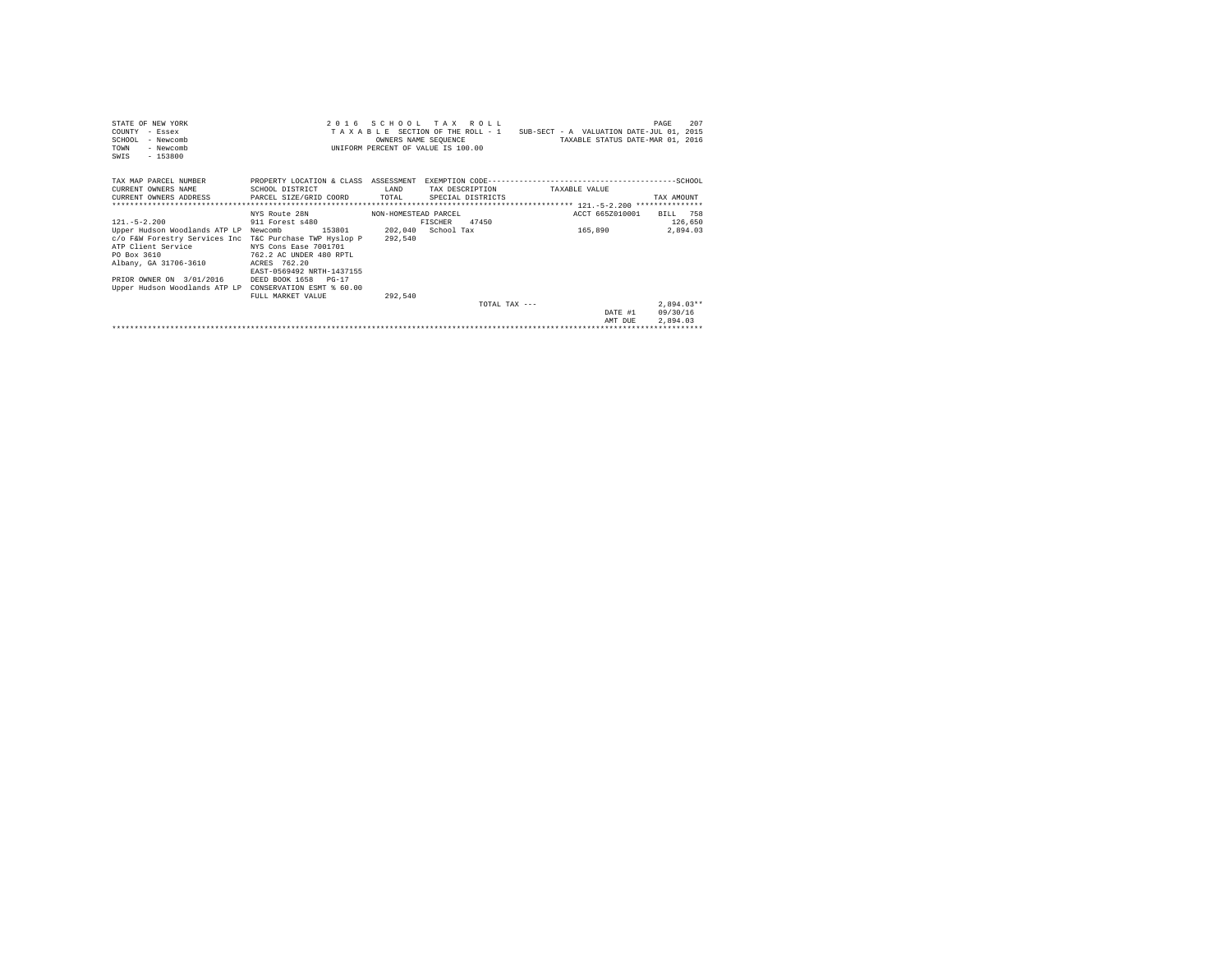| STATE OF NEW YORK<br>- Essex<br>COUNTY<br>SCHOOL.<br>- Newcomb<br>- Newcomb<br><b>TOWN</b><br>$-153800$<br>SWTS |                                                   | OWNERS NAME SEOUENCE | 2016 SCHOOL TAX ROLL<br>INIFORM PERCENT OF VALUE IS 100.00 | TAXABLE SECTION OF THE ROLL - 1 SUB-SECT - A VALUATION DATE-JUL 01, 2015<br>TAXABLE STATUS DATE-MAR 01, 2016 | 207<br>PAGE          |
|-----------------------------------------------------------------------------------------------------------------|---------------------------------------------------|----------------------|------------------------------------------------------------|--------------------------------------------------------------------------------------------------------------|----------------------|
| TAX MAP PARCEL NUMBER                                                                                           |                                                   |                      |                                                            |                                                                                                              |                      |
| CURRENT OWNERS NAME                                                                                             | SCHOOL DISTRICT                                   | T.AND                | TAX DESCRIPTION                                            | TAXARLE VALUE                                                                                                |                      |
| CURRENT OWNERS ADDRESS                                                                                          | PARCEL SIZE/GRID COORD                            | TOTAL.               | SPECIAL DISTRICTS                                          |                                                                                                              | TAX AMOUNT           |
|                                                                                                                 |                                                   |                      |                                                            |                                                                                                              |                      |
|                                                                                                                 | NYS Route 28N                                     | NON-HOMESTEAD PARCEL |                                                            | ACCT 665Z010001                                                                                              | BILL 758             |
| $121 - 5 - 2$ , 200                                                                                             | 911 Forest s480                                   |                      | 47450<br>FISCHER                                           |                                                                                                              | 126,650              |
| Upper Hudson Woodlands ATP LP Newcomb                                                                           | 153801                                            |                      | 202.040 School Tax                                         | 165,890                                                                                                      | 2.894.03             |
| c/o F&W Forestry Services Inc T&C Purchase TWP Hyslop P                                                         |                                                   | 292,540              |                                                            |                                                                                                              |                      |
| ATP Client Service                                                                                              | NYS Cons Ease 7001701                             |                      |                                                            |                                                                                                              |                      |
| PO Box 3610                                                                                                     | 762.2 AC UNDER 480 RPTL                           |                      |                                                            |                                                                                                              |                      |
| Albany, GA 31706-3610                                                                                           | ACRES 762.20                                      |                      |                                                            |                                                                                                              |                      |
|                                                                                                                 | EAST-0569492 NRTH-1437155                         |                      |                                                            |                                                                                                              |                      |
| PRIOR OWNER ON 3/01/2016                                                                                        | DEED BOOK 1658 PG-17<br>CONSERVATION ESMT & 60.00 |                      |                                                            |                                                                                                              |                      |
| Upper Hudson Woodlands ATP LP                                                                                   |                                                   |                      |                                                            |                                                                                                              |                      |
|                                                                                                                 | FULL MARKET VALUE                                 | 292.540              | TOTAL TAX $---$                                            |                                                                                                              | $2.894.03**$         |
|                                                                                                                 |                                                   |                      |                                                            |                                                                                                              |                      |
|                                                                                                                 |                                                   |                      |                                                            | DATE #1<br>AMT DUE                                                                                           | 09/30/16<br>2.894.03 |
|                                                                                                                 |                                                   |                      |                                                            |                                                                                                              |                      |
|                                                                                                                 |                                                   |                      |                                                            |                                                                                                              |                      |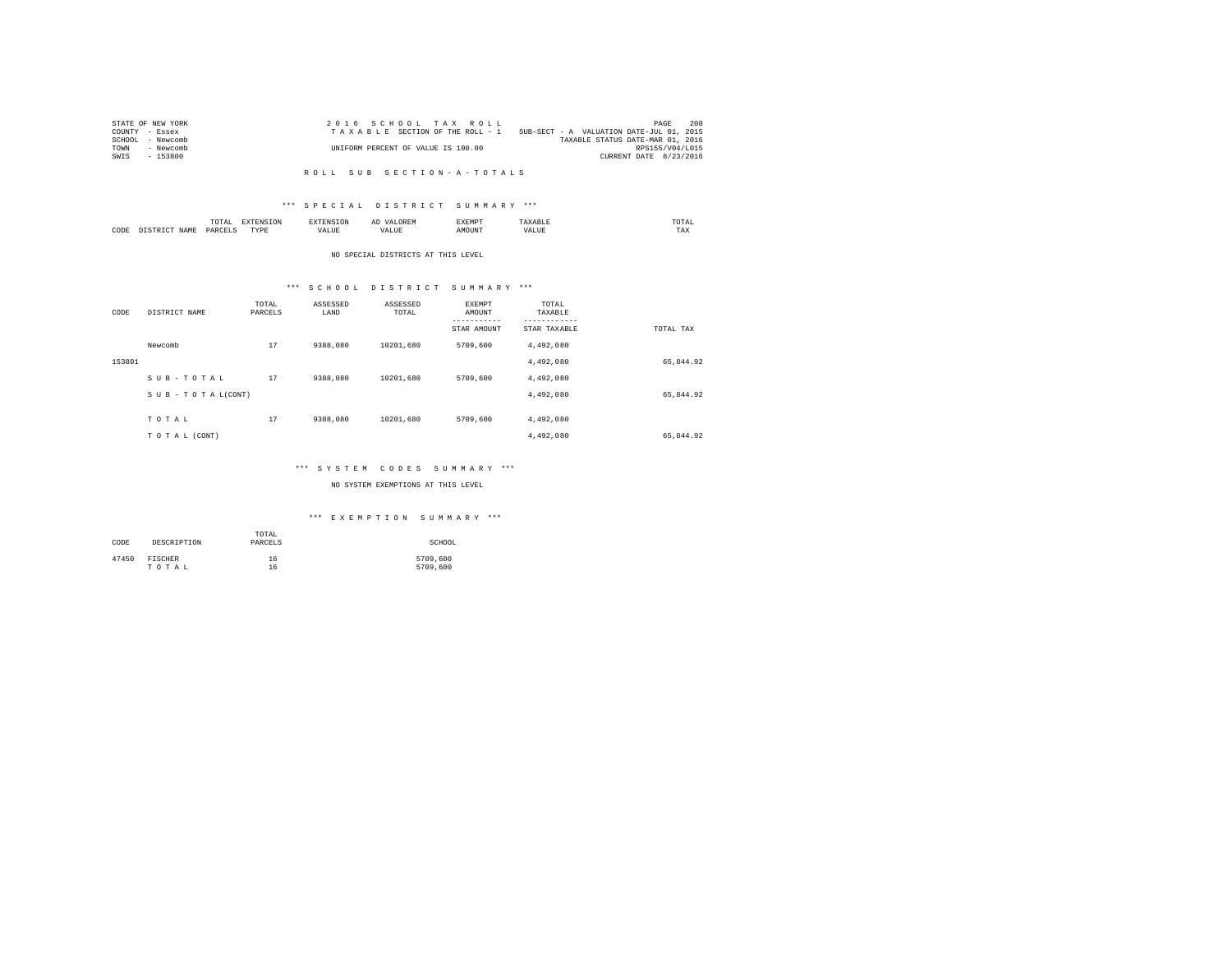| STATE OF NEW YORK | 2016 SCHOOL TAX ROLL               | 208<br>PAGE                              |
|-------------------|------------------------------------|------------------------------------------|
| COUNTY - Essex    | TAXABLE SECTION OF THE ROLL - 1    | SUB-SECT - A VALUATION DATE-JUL 01, 2015 |
| SCHOOL - Newcomb  |                                    | TAXABLE STATUS DATE-MAR 01, 2016         |
| TOWN<br>- Newcomb | UNIFORM PERCENT OF VALUE IS 100.00 | RPS155/V04/L015                          |
| - 153800<br>SWIS  |                                    | CURRENT DATE 8/23/2016                   |
|                   |                                    |                                          |

#### R O L L S U B S E C T I O N - A - T O T A L S

## \*\*\* S P E C I A L D I S T R I C T S U M M A R Y \*\*\*

|      |            | ۰д.<br>. | the contract of the contract of the contract of the contract of the contract of the contract of the contract of |          | АΙ | w n.<br>. | mome<br>the contract of the contract of the contract of |
|------|------------|----------|-----------------------------------------------------------------------------------------------------------------|----------|----|-----------|---------------------------------------------------------|
| CODE | 1 A M<br>. | PARC     | TVDI<br>.                                                                                                       | - ئاتلىد | .  | MOUNT     | $- - -$<br>1 A.A                                        |

#### NO SPECIAL DISTRICTS AT THIS LEVEL

# \*\*\* S C H O O L D I S T R I C T S U M M A R Y \*\*\*

| CODE   | DISTRICT NAME   | TOTAL<br>PARCELS | ASSESSED<br>LAND | ASSESSED<br>TOTAL | <b>EXEMPT</b><br>AMOUNT<br>---------<br>STAR AMOUNT | TOTAL<br>TAXABLE<br>---------<br>STAR TAXABLE | TOTAL TAX |
|--------|-----------------|------------------|------------------|-------------------|-----------------------------------------------------|-----------------------------------------------|-----------|
|        | Newcomb         | 17               | 9388,080         | 10201.680         | 5709,600                                            | 4,492,080                                     |           |
| 153801 |                 |                  |                  |                   |                                                     | 4,492,080                                     | 65,844.92 |
|        | SUB-TOTAL       | 17               | 9388,080         | 10201.680         | 5709,600                                            | 4,492,080                                     |           |
|        | SUB-TOTAL(CONT) |                  |                  |                   |                                                     | 4,492,080                                     | 65,844.92 |
|        | TOTAL           | 17               | 9388,080         | 10201.680         | 5709,600                                            | 4,492,080                                     |           |
|        | TO TAL (CONT)   |                  |                  |                   |                                                     | 4,492,080                                     | 65,844.92 |

## \*\*\* S Y S T E M C O D E S S U M M A R Y \*\*\*

## NO SYSTEM EXEMPTIONS AT THIS LEVEL

## \*\*\* E X E M P T I O N S U M M A R Y \*\*\*

| CODE  | DESCRIPTION | TOTAL<br>PARCELS | SCHOOL   |
|-------|-------------|------------------|----------|
| 47450 | FISCHER     | 16               | 5709,600 |
|       | TOTAL       | 16               | 5709,600 |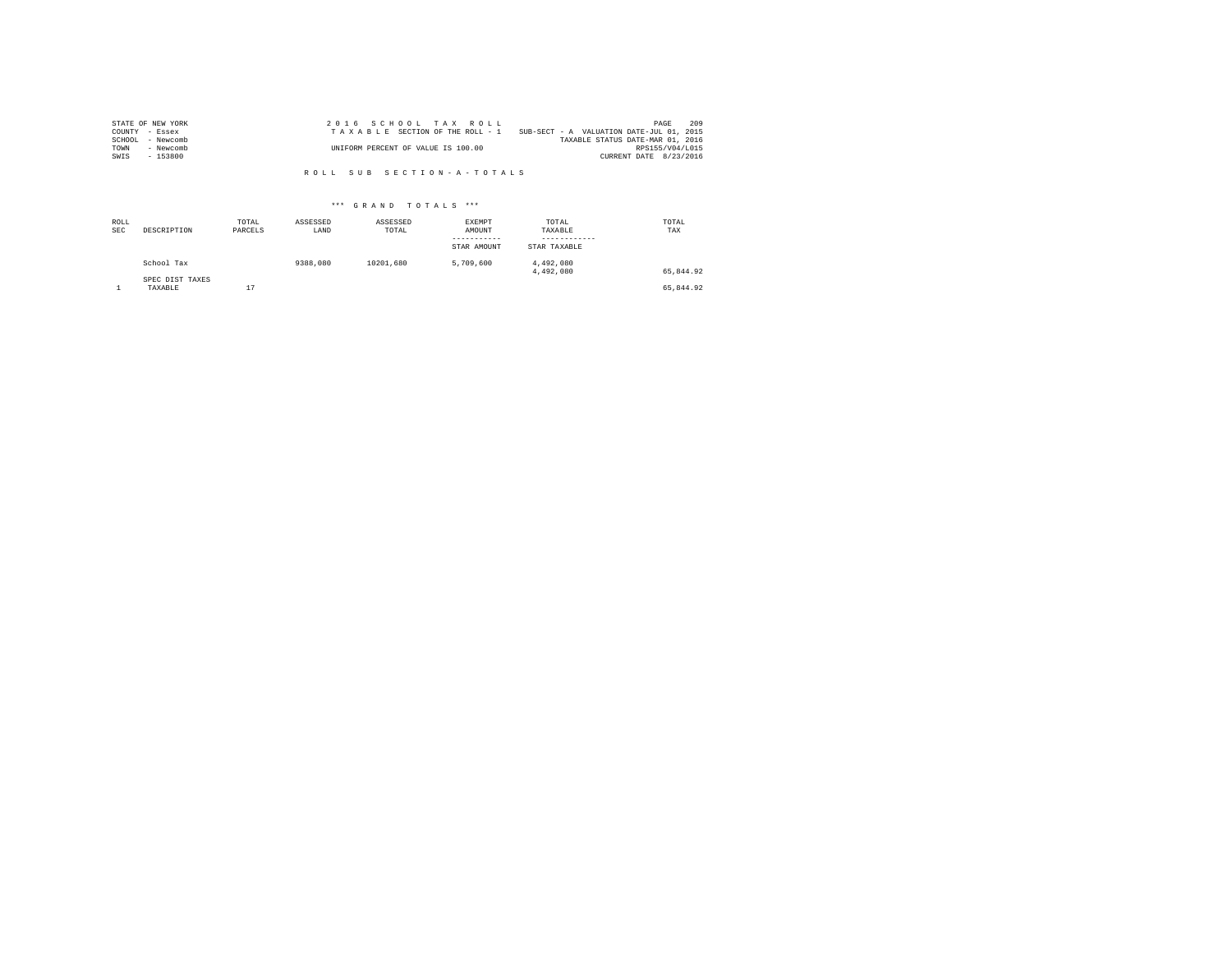| STATE OF NEW YORK   | 2016 SCHOOL TAX ROLL                                                        | PAGE            | 209 |
|---------------------|-----------------------------------------------------------------------------|-----------------|-----|
| COUNTY - Essex      | SUB-SECT - A VALUATION DATE-JUL 01, 2015<br>TAXABLE SECTION OF THE ROLL - 1 |                 |     |
| SCHOOL<br>- Newcomb | TAXABLE STATUS DATE-MAR 01, 2016                                            |                 |     |
| TOWN<br>- Newcomb   | UNIFORM PERCENT OF VALUE IS 100.00                                          | RPS155/V04/L015 |     |
| $-153800$<br>SWIS   | CURRENT DATE 8/23/2016                                                      |                 |     |

R O L L S U B S E C T I O N - A - T O T A L S

## \*\*\* G R A N D T O T A L S \*\*\*

| ROLL<br><b>SEC</b> | DESCRIPTION                | TOTAL<br>PARCELS | ASSESSED<br>LAND | ASSESSED<br>TOTAL | EXEMPT<br>AMOUNT<br>-----------<br>STAR AMOUNT | TOTAL<br>TAXABLE<br>------------<br>STAR TAXABLE | TOTAL<br>TAX |
|--------------------|----------------------------|------------------|------------------|-------------------|------------------------------------------------|--------------------------------------------------|--------------|
|                    | School Tax                 |                  | 9388,080         | 10201.680         | 5,709,600                                      | 4,492,080<br>4,492,080                           | 65.844.92    |
|                    | SPEC DIST TAXES<br>TAXABLE | 17               |                  |                   |                                                |                                                  | 65.844.92    |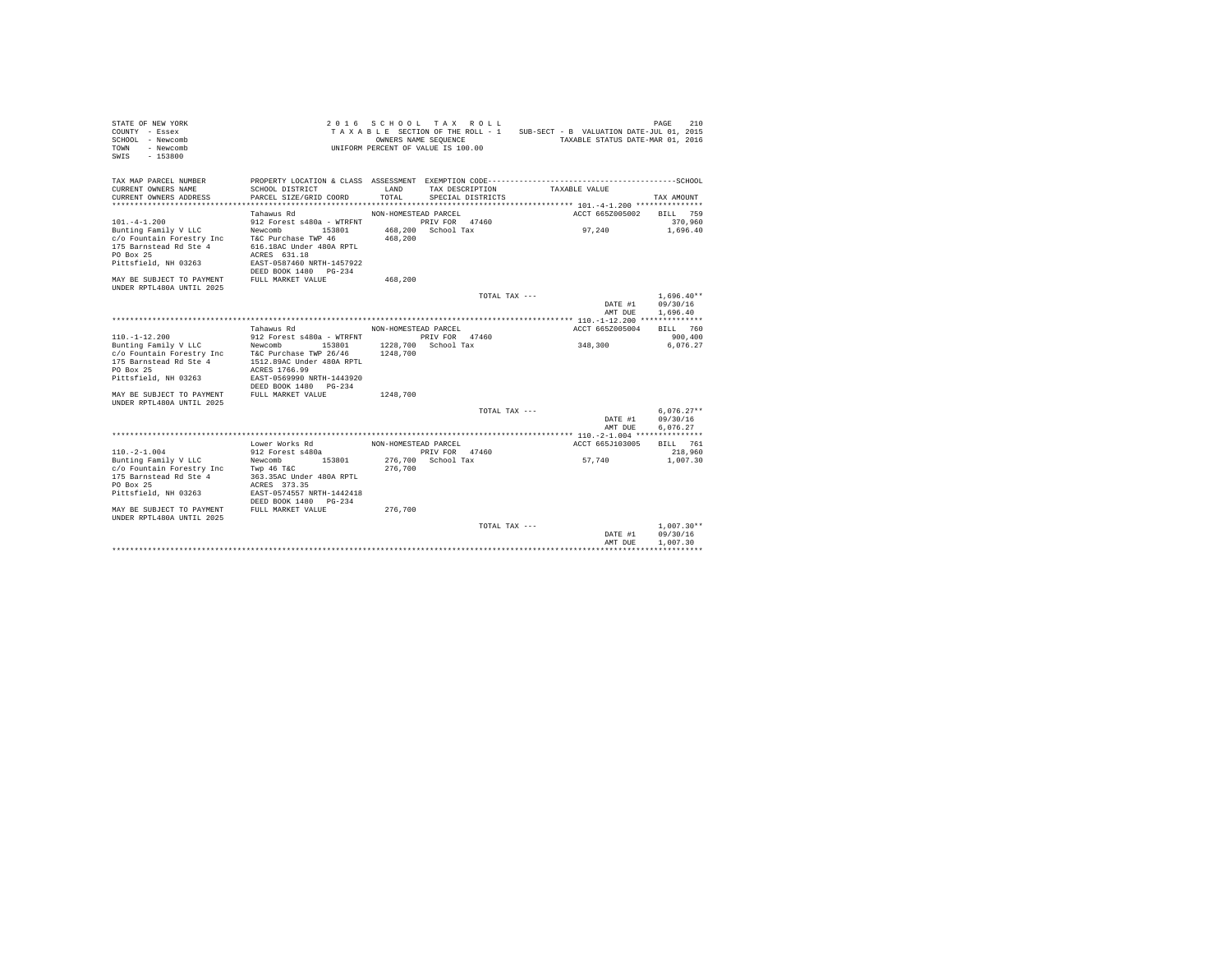| STATE OF NEW YORK<br>COUNTY - Essex<br>SCHOOL - Newcomb<br>- Newcomb<br>TOWN<br>$-153800$<br>SWIS                                     |                                                                                                                                                | OWNERS NAME SEQUENCE | 2016 SCHOOL TAX ROLL<br>TAXABLE SECTION OF THE ROLL - 1<br>UNIFORM PERCENT OF VALUE IS 100.00 |               | SUB-SECT - B VALUATION DATE-JUL 01, 2015<br>TAXABLE STATUS DATE-MAR 01, 2016 | PAGE<br>210                          |
|---------------------------------------------------------------------------------------------------------------------------------------|------------------------------------------------------------------------------------------------------------------------------------------------|----------------------|-----------------------------------------------------------------------------------------------|---------------|------------------------------------------------------------------------------|--------------------------------------|
| TAX MAP PARCEL NUMBER<br>CURRENT OWNERS NAME<br>CURRENT OWNERS ADDRESS                                                                | SCHOOL DISTRICT<br>PARCEL SIZE/GRID COORD                                                                                                      | LAND<br>TOTAL.       | TAX DESCRIPTION<br>SPECIAL DISTRICTS                                                          |               | TAXABLE VALUE                                                                | TAX AMOUNT                           |
|                                                                                                                                       | Tahawus Rd                                                                                                                                     | NON-HOMESTEAD PARCEL |                                                                                               |               | ACCT 665Z005002                                                              | RTLL 759                             |
| $101. -4 - 1.200$<br>Bunting Family V LLC<br>c/o Fountain Forestry Inc<br>175 Barnstead Rd Ste 4<br>PO Box 25<br>Pittsfield, NH 03263 | 912 Forest s480a - WTRFNT<br>Newcomb<br>153801<br>T&C Purchase TWP 46<br>616.18AC Under 480A RPTL<br>ACRES 631.18<br>EAST-0587460 NRTH-1457922 | 468,200              | PRIV FOR 47460<br>468.200 School Tax                                                          |               | 97.240                                                                       | 370,960<br>1,696.40                  |
| MAY BE SUBJECT TO PAYMENT                                                                                                             | DEED BOOK 1480 PG-234<br>FULL MARKET VALUE                                                                                                     | 468,200              |                                                                                               |               |                                                                              |                                      |
| <b>IINDER RPTL480A IINTIL 2025</b>                                                                                                    |                                                                                                                                                |                      |                                                                                               | TOTAL TAX --- |                                                                              | $1.696.40**$                         |
|                                                                                                                                       |                                                                                                                                                |                      |                                                                                               |               | DATE #1<br>AMT DUE                                                           | 09/30/16<br>1,696.40                 |
|                                                                                                                                       |                                                                                                                                                |                      |                                                                                               |               |                                                                              |                                      |
| $110. - 1 - 12.200$                                                                                                                   | Tahawus Rd<br>912 Forest s480a - WTRFNT                                                                                                        | NON-HOMESTEAD PARCEL | PRIV FOR 47460                                                                                |               | ACCT 665Z005004                                                              | BTLL 760<br>900,400                  |
| Bunting Family V LLC<br>c/o Fountain Forestry Inc<br>175 Barnstead Rd Ste 4<br>PO Box 25<br>Pittsfield, NH 03263                      | Newcomb 153801<br>T&C Purchase TWP 26/46<br>1512.89AC Under 480A RPTL<br>ACRES 1766.99<br>EAST-0569990 NRTH-1443920<br>DEED BOOK 1480 PG-234   | 1248,700             | 1228,700 School Tax                                                                           |               | 348,300                                                                      | 6.076.27                             |
| MAY BE SUBJECT TO PAYMENT<br>UNDER RPTL480A UNTIL 2025                                                                                | FULL MARKET VALUE                                                                                                                              | 1248,700             |                                                                                               |               |                                                                              |                                      |
|                                                                                                                                       |                                                                                                                                                |                      |                                                                                               | TOTAL TAX --- |                                                                              | $6.076.27**$                         |
|                                                                                                                                       |                                                                                                                                                |                      |                                                                                               |               | DATE #1                                                                      | 09/30/16                             |
|                                                                                                                                       |                                                                                                                                                |                      |                                                                                               |               | AMT DUE                                                                      | 6.076.27                             |
|                                                                                                                                       | Lower Works Rd                                                                                                                                 | NON-HOMESTEAD PARCEL |                                                                                               |               | ACCT 665J103005                                                              | BILL 761                             |
| $110. -2 - 1.004$<br>Bunting Family V LLC                                                                                             | 912 Forest s480a<br>Newcomb<br>153801                                                                                                          |                      | PRIV FOR 47460<br>276,700 School Tax                                                          |               | 57.740                                                                       | 218,960<br>1,007.30                  |
| c/o Fountain Forestry Inc<br>175 Barnstead Rd Ste 4<br>PO Box 25<br>Pittsfield, NH 03263                                              | Twp 46 T&C<br>363.35AC Under 480A RPTL<br>ACRES 373.35<br>EAST-0574557 NRTH-1442418<br>DEED BOOK 1480 PG-234                                   | 276,700              |                                                                                               |               |                                                                              |                                      |
| MAY BE SUBJECT TO PAYMENT                                                                                                             | FULL MARKET VALUE                                                                                                                              | 276,700              |                                                                                               |               |                                                                              |                                      |
| IINDER RPTL480A IINTIL 2025                                                                                                           |                                                                                                                                                |                      |                                                                                               | TOTAL TAX --- | DATE #1<br>AMT DUE                                                           | $1.007.30**$<br>09/30/16<br>1,007.30 |
|                                                                                                                                       |                                                                                                                                                |                      |                                                                                               |               |                                                                              |                                      |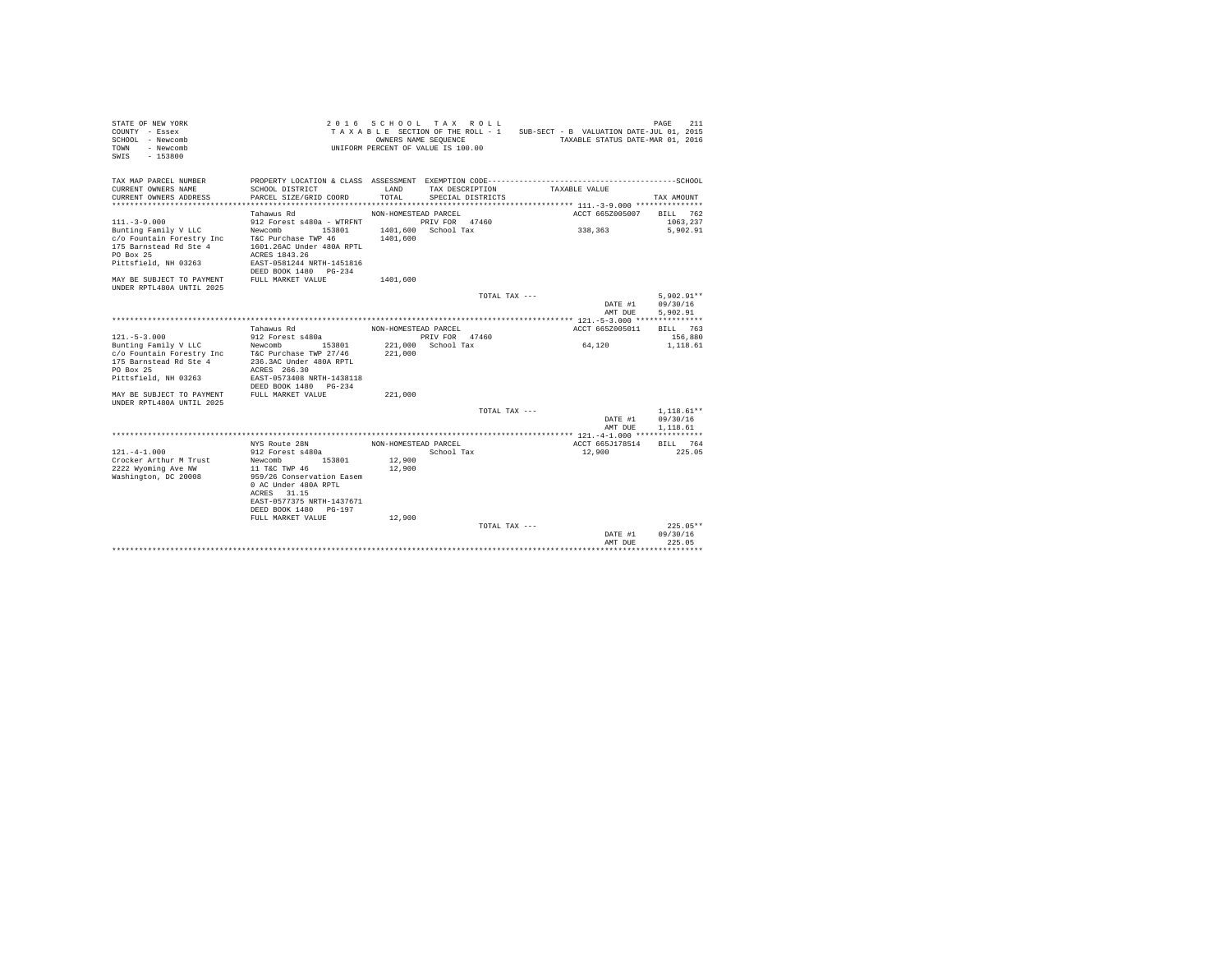| STATE OF NEW YORK<br>COUNTY - Essex<br>SCHOOL - Newcomb<br>- Newcomb<br><b>TOWN</b><br>$-153800$<br>SWIS |                                            | 2016 SCHOOL TAX ROLL<br>TAXABLE SECTION OF THE ROLL - 1<br>OWNERS NAME SEQUENCE<br>UNIFORM PERCENT OF VALUE IS 100.00 |                                      |               |                 | PAGE<br>211<br>SUB-SECT - B VALUATION DATE-JUL 01, 2015<br>TAXABLE STATUS DATE-MAR 01, 2016 |
|----------------------------------------------------------------------------------------------------------|--------------------------------------------|-----------------------------------------------------------------------------------------------------------------------|--------------------------------------|---------------|-----------------|---------------------------------------------------------------------------------------------|
| TAX MAP PARCEL NUMBER<br>CURRENT OWNERS NAME<br>CURRENT OWNERS ADDRESS                                   | SCHOOL DISTRICT<br>PARCEL SIZE/GRID COORD  | LAND<br>TOTAL                                                                                                         | TAX DESCRIPTION<br>SPECIAL DISTRICTS |               | TAXABLE VALUE   | TAX AMOUNT                                                                                  |
| *************************                                                                                |                                            |                                                                                                                       |                                      |               |                 |                                                                                             |
|                                                                                                          | Tahawus Rd                                 | NON-HOMESTEAD PARCEL                                                                                                  |                                      |               | ACCT 665Z005007 | BILL 762                                                                                    |
| $111. - 3 - 9.000$                                                                                       | 912 Forest s480a - WTRFNT                  |                                                                                                                       | PRIV FOR 47460                       |               |                 | 1063.237                                                                                    |
| Bunting Family V LLC                                                                                     | Newcomb<br>153801                          |                                                                                                                       | 1401,600 School Tax                  |               | 338,363         | 5,902.91                                                                                    |
| c/o Fountain Forestry Inc                                                                                | T&C Purchase TWP 46                        | 1401,600                                                                                                              |                                      |               |                 |                                                                                             |
| 175 Barnstead Rd Ste 4                                                                                   | 1601.26AC Under 480A RPTL                  |                                                                                                                       |                                      |               |                 |                                                                                             |
| PO Box 25<br>Pittsfield, NH 03263                                                                        | ACRES 1843.26<br>EAST-0581244 NRTH-1451816 |                                                                                                                       |                                      |               |                 |                                                                                             |
|                                                                                                          | DEED BOOK 1480 PG-234                      |                                                                                                                       |                                      |               |                 |                                                                                             |
| MAY BE SUBJECT TO PAYMENT                                                                                | FULL MARKET VALUE                          | 1401,600                                                                                                              |                                      |               |                 |                                                                                             |
| UNDER RPTL480A UNTIL 2025                                                                                |                                            |                                                                                                                       |                                      |               |                 |                                                                                             |
|                                                                                                          |                                            |                                                                                                                       |                                      | TOTAL TAX --- |                 | $5.902.91**$                                                                                |
|                                                                                                          |                                            |                                                                                                                       |                                      |               | DATE #1         | 09/30/16                                                                                    |
|                                                                                                          |                                            |                                                                                                                       |                                      |               | AMT DUE         | 5,902.91                                                                                    |
|                                                                                                          |                                            |                                                                                                                       |                                      |               |                 |                                                                                             |
|                                                                                                          | Tahawus Rd                                 | NON-HOMESTEAD PARCEL                                                                                                  |                                      |               | ACCT 665Z005011 | BTLL 763                                                                                    |
| $121. - 5 - 3.000$                                                                                       | 912 Forest s480a                           |                                                                                                                       | PRIV FOR 47460                       |               |                 | 156,880                                                                                     |
| Bunting Family V LLC                                                                                     | Newcomb<br>153801                          | 221,000                                                                                                               | School Tax                           |               | 64,120          | 1,118.61                                                                                    |
| c/o Fountain Forestry Inc                                                                                | T&C Purchase TWP 27/46                     | 221,000                                                                                                               |                                      |               |                 |                                                                                             |
| 175 Barnstead Rd Ste 4<br>PO Box 25                                                                      | 236.3AC Under 480A RPTL<br>ACRES 266.30    |                                                                                                                       |                                      |               |                 |                                                                                             |
| Pittsfield, NH 03263                                                                                     | EAST-0573408 NRTH-1438118                  |                                                                                                                       |                                      |               |                 |                                                                                             |
|                                                                                                          | DEED BOOK 1480<br>$PG-234$                 |                                                                                                                       |                                      |               |                 |                                                                                             |
| MAY BE SUBJECT TO PAYMENT                                                                                | FULL MARKET VALUE                          | 221,000                                                                                                               |                                      |               |                 |                                                                                             |
| UNDER RPTL480A UNTIL 2025                                                                                |                                            |                                                                                                                       |                                      |               |                 |                                                                                             |
|                                                                                                          |                                            |                                                                                                                       |                                      | TOTAL TAX --- |                 | $1.118.61**$                                                                                |
|                                                                                                          |                                            |                                                                                                                       |                                      |               | DATE #1         | 09/30/16                                                                                    |
|                                                                                                          |                                            |                                                                                                                       |                                      |               | AMT DUE         | 1,118.61                                                                                    |
|                                                                                                          |                                            |                                                                                                                       |                                      |               |                 |                                                                                             |
|                                                                                                          | NYS Route 28N                              | NON-HOMESTEAD PARCEL                                                                                                  |                                      |               | ACCT 665J178514 | 764<br>BILL                                                                                 |
| $121 - 4 - 1.000$                                                                                        | 912 Forest s480a                           |                                                                                                                       | School Tax                           |               | 12,900          | 225.05                                                                                      |
| Crocker Arthur M Trust<br>2222 Wyoming Ave NW                                                            | Newcomb<br>153801<br>11 T&C TWP 46         | 12,900<br>12,900                                                                                                      |                                      |               |                 |                                                                                             |
| Washington, DC 20008                                                                                     | 959/26 Conservation Easem                  |                                                                                                                       |                                      |               |                 |                                                                                             |
|                                                                                                          | 0 AC Under 480A RPTL                       |                                                                                                                       |                                      |               |                 |                                                                                             |
|                                                                                                          | 31.15<br>ACRES                             |                                                                                                                       |                                      |               |                 |                                                                                             |
|                                                                                                          | EAST-0577375 NRTH-1437671                  |                                                                                                                       |                                      |               |                 |                                                                                             |
|                                                                                                          | DEED BOOK 1480<br>PG-197                   |                                                                                                                       |                                      |               |                 |                                                                                             |
|                                                                                                          | FULL MARKET VALUE                          | 12,900                                                                                                                |                                      |               |                 |                                                                                             |
|                                                                                                          |                                            |                                                                                                                       |                                      | TOTAL TAX --- |                 | $225.05**$                                                                                  |
|                                                                                                          |                                            |                                                                                                                       |                                      |               | DATE #1         | 09/30/16                                                                                    |
|                                                                                                          |                                            |                                                                                                                       |                                      |               | AMT DUE         | 225.05<br>.                                                                                 |
|                                                                                                          |                                            |                                                                                                                       |                                      |               |                 |                                                                                             |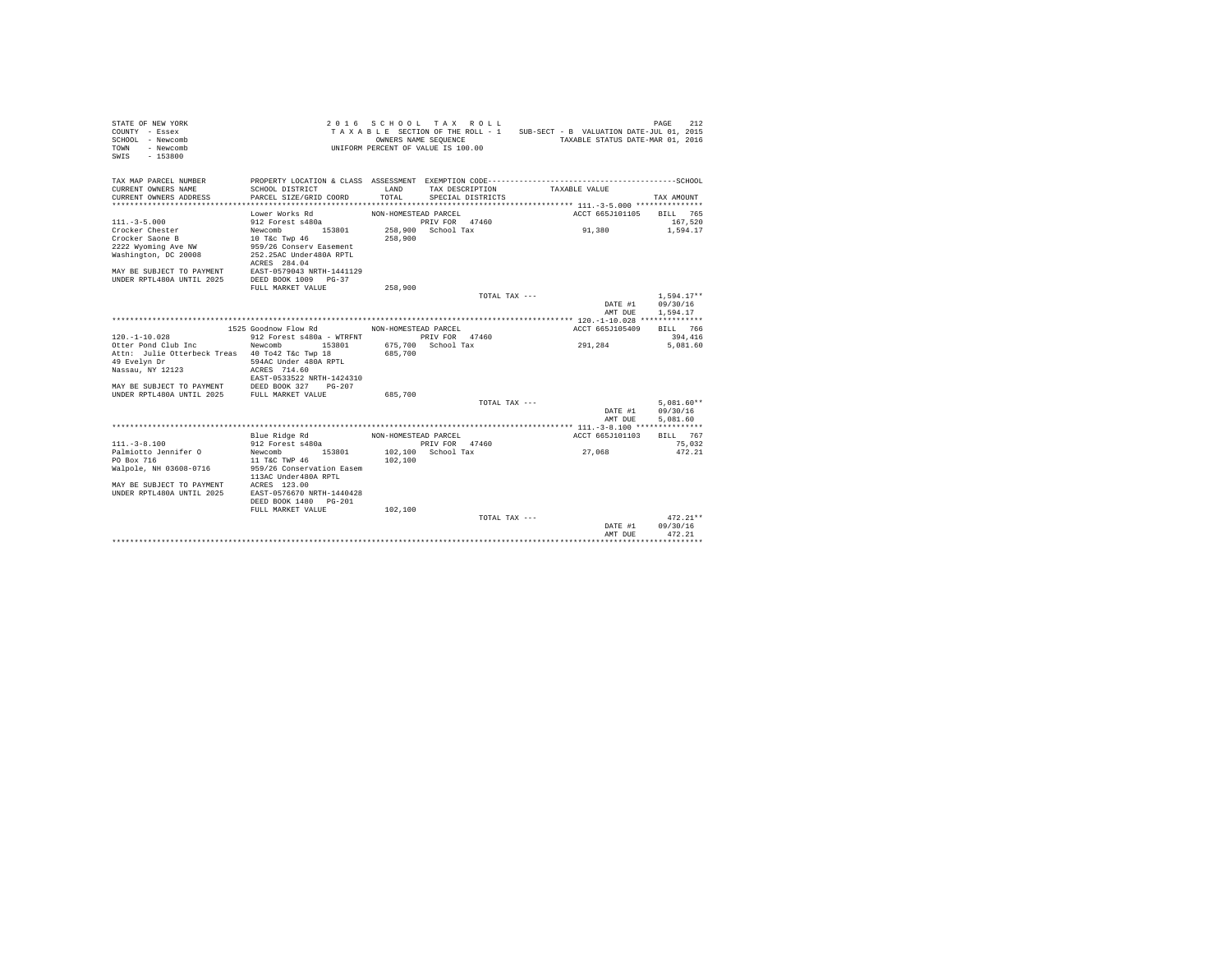| STATE OF NEW YORK<br>COUNTY - Essex<br>SCHOOL - Newcomb<br>TOWN - Newcomb<br>$SWTS = 153800$  |                                                            |                      | 2016 SCHOOL TAX ROLL<br>OWNERS NAME SEQUENCE<br>UNIFORM PERCENT OF VALUE IS 100.00 | TAXABLE SECTION OF THE ROLL - 1 SUB-SECT - B VALUATION DATE-JUL 01, 2015<br>TAXABLE STATUS DATE-MAR 01, 2016 | 212<br>PAGE         |
|-----------------------------------------------------------------------------------------------|------------------------------------------------------------|----------------------|------------------------------------------------------------------------------------|--------------------------------------------------------------------------------------------------------------|---------------------|
| TAX MAP PARCEL NUMBER                                                                         |                                                            |                      |                                                                                    | PROPERTY LOCATION & CLASS ASSESSMENT EXEMPTION CODE-----------------------------------SCHOOL                 |                     |
| CURRENT OWNERS NAME                                                                           | SCHOOL DISTRICT                                            | LAND                 | TAX DESCRIPTION                                                                    | TAXABLE VALUE                                                                                                |                     |
| CURRENT OWNERS ADDRESS                                                                        | PARCEL SIZE/GRID COORD                                     | TOTAL                | SPECIAL DISTRICTS                                                                  |                                                                                                              | TAX AMOUNT          |
|                                                                                               |                                                            |                      |                                                                                    |                                                                                                              |                     |
|                                                                                               | Lower Works Rd                                             | NON-HOMESTEAD PARCEL |                                                                                    | ACCT 665J101105                                                                                              | BILL 765            |
| $111 - 3 - 5.000$<br>Crocker Chester                                                          | 912 Forest s480a<br>Newcomb 153801                         |                      | PRIV FOR 47460<br>258,900 School Tax                                               | 91,380                                                                                                       | 167.520<br>1,594.17 |
| Crocker Saone B                                                                               | 10 T&C Twp 46                                              | 258,900              |                                                                                    |                                                                                                              |                     |
| 2222 Wyoming Ave NW                                                                           | 959/26 Conserv Easement                                    |                      |                                                                                    |                                                                                                              |                     |
| Washington, DC 20008                                                                          | 252.25AC Under480A RPTL                                    |                      |                                                                                    |                                                                                                              |                     |
|                                                                                               | ACRES 284.04                                               |                      |                                                                                    |                                                                                                              |                     |
| MAY BE SUBJECT TO PAYMENT EAST-0579043 NRTH-1441129                                           |                                                            |                      |                                                                                    |                                                                                                              |                     |
| UNDER RPTL480A UNTIL 2025                                                                     | DEED BOOK 1009 PG-37                                       |                      |                                                                                    |                                                                                                              |                     |
|                                                                                               | FULL MARKET VALUE                                          | 258,900              |                                                                                    |                                                                                                              |                     |
|                                                                                               |                                                            |                      | TOTAL TAX $---$                                                                    |                                                                                                              | $1.594.17**$        |
|                                                                                               |                                                            |                      |                                                                                    | DATE #1                                                                                                      | 09/30/16            |
|                                                                                               |                                                            |                      |                                                                                    | AMT DUE                                                                                                      | 1,594.17            |
|                                                                                               |                                                            |                      |                                                                                    |                                                                                                              |                     |
|                                                                                               | 1525 Goodnow Flow Rd                                       | NON-HOMESTEAD PARCEL |                                                                                    | ACCT 665J105409                                                                                              | BILL 766            |
| $120. - 1 - 10.028$<br>Otter Pond Club Inc                                                    | 912 Forest s480a - WTRFNT PRIV FOR 47460<br>Newcomb 153801 |                      | 675.700 School Tax                                                                 | 291,284                                                                                                      | 394,416<br>5,081,60 |
| Attn: Julie Otterbeck Treas 40 To42 T&c Twp 18                                                |                                                            | 685,700              |                                                                                    |                                                                                                              |                     |
| 49 Evelyn Dr                                                                                  | 594AC Under 480A RPTL                                      |                      |                                                                                    |                                                                                                              |                     |
| Nassau, NY 12123                                                                              | ACRES 714.60                                               |                      |                                                                                    |                                                                                                              |                     |
|                                                                                               | EAST-0533522 NRTH-1424310                                  |                      |                                                                                    |                                                                                                              |                     |
|                                                                                               |                                                            |                      |                                                                                    |                                                                                                              |                     |
|                                                                                               |                                                            | 685,700              |                                                                                    |                                                                                                              |                     |
|                                                                                               |                                                            |                      | TOTAL TAX ---                                                                      |                                                                                                              | $5.081.60**$        |
|                                                                                               |                                                            |                      |                                                                                    | DATE #1                                                                                                      | 09/30/16            |
|                                                                                               |                                                            |                      |                                                                                    | AMT DUE                                                                                                      | 5,081.60            |
|                                                                                               |                                                            |                      |                                                                                    |                                                                                                              |                     |
| $111. - 3 - 8.100$                                                                            | Blue Ridge Rd<br>912 Forest s480a                          | NON-HOMESTEAD PARCEL | PRIV FOR 47460                                                                     | ACCT 665J101103                                                                                              | BTLL 767<br>75,032  |
| Palmiotto Jennifer O                                                                          | Newcomb 153801                                             |                      | $102.100$ School Tax                                                               | 27,068                                                                                                       | 472.21              |
| PO Box 716                                                                                    | 11 T&C TWP 46                                              | 102,100              |                                                                                    |                                                                                                              |                     |
| Walpole, NH 03608-0716                                                                        | 959/26 Conservation Easem                                  |                      |                                                                                    |                                                                                                              |                     |
|                                                                                               | 113AC Under480A RPTL                                       |                      |                                                                                    |                                                                                                              |                     |
| MAY BE SUBJECT TO PAYMENT ACRES 123.00<br>UNDER RPTL480A UNTIL 2025 EAST-0576670 NRTH-1440428 |                                                            |                      |                                                                                    |                                                                                                              |                     |
|                                                                                               |                                                            |                      |                                                                                    |                                                                                                              |                     |
|                                                                                               | DEED BOOK 1480 PG-201                                      |                      |                                                                                    |                                                                                                              |                     |
|                                                                                               | FULL MARKET VALUE                                          | 102,100              |                                                                                    |                                                                                                              |                     |
|                                                                                               |                                                            |                      | TOTAL TAX $---$                                                                    |                                                                                                              | $472.21**$          |
|                                                                                               |                                                            |                      |                                                                                    | DATE #1                                                                                                      | 09/30/16            |
|                                                                                               |                                                            |                      |                                                                                    | AMT DUE                                                                                                      | 472.21              |
|                                                                                               |                                                            |                      |                                                                                    |                                                                                                              |                     |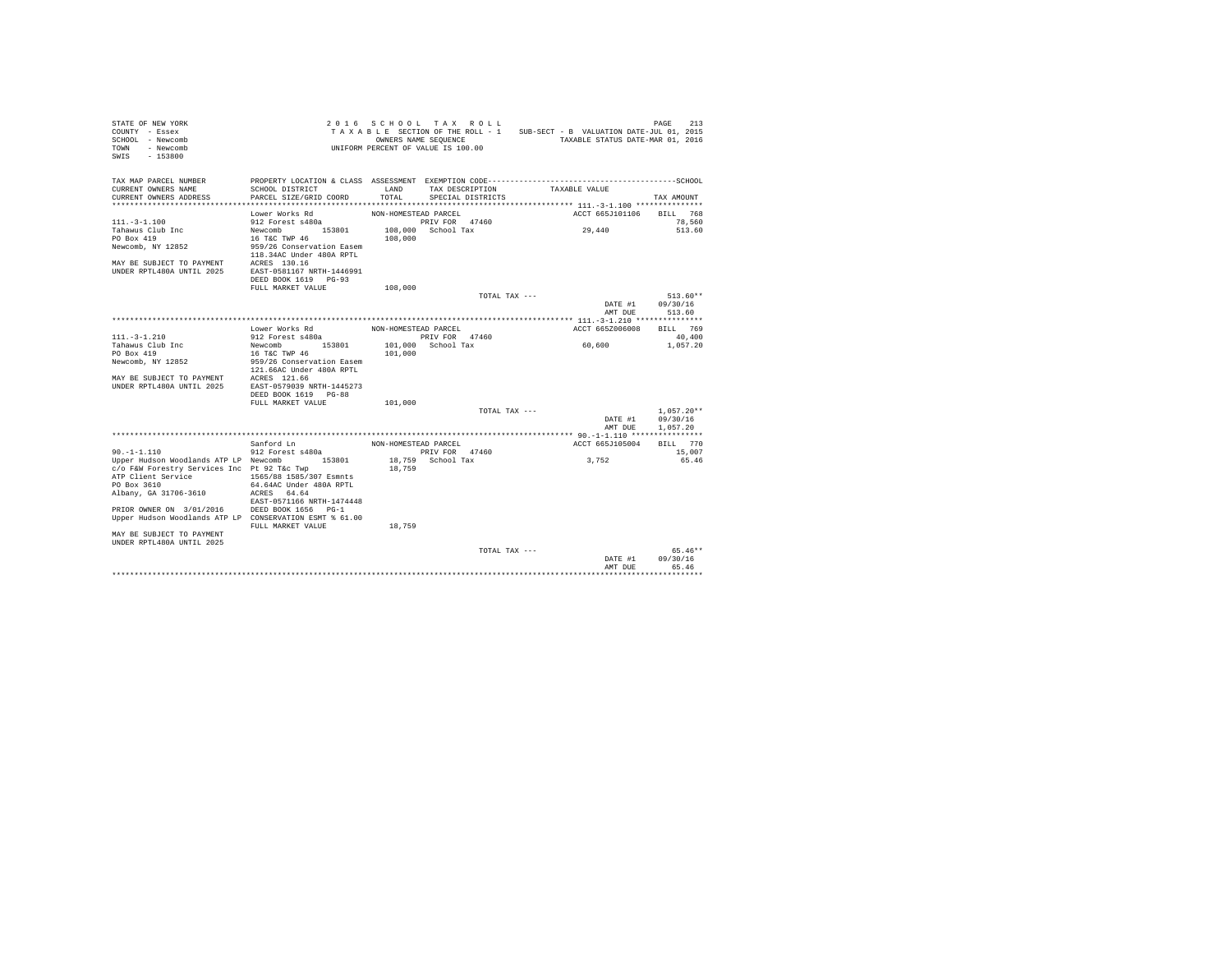| STATE OF NEW YORK<br>COUNTY - Essex<br>SCHOOL - Newcomb<br>TOWN<br>- Newcomb<br>$-153800$<br>SWIS |                           |                      | 2016 SCHOOL TAX ROLL<br>OWNERS NAME SEQUENCE<br>UNIFORM PERCENT OF VALUE IS 100.00 | TAXABLE SECTION OF THE ROLL - 1 SUB-SECT - B VALUATION DATE-JUL 01, 2015<br>TAXABLE STATUS DATE-MAR 01, 2016 | PAGE<br>213     |
|---------------------------------------------------------------------------------------------------|---------------------------|----------------------|------------------------------------------------------------------------------------|--------------------------------------------------------------------------------------------------------------|-----------------|
| TAX MAP PARCEL NUMBER<br>CURRENT OWNERS NAME                                                      | SCHOOL DISTRICT           | <b>T.AND</b>         | TAX DESCRIPTION                                                                    | TAXABLE VALUE                                                                                                |                 |
| CURRENT OWNERS ADDRESS                                                                            | PARCEL SIZE/GRID COORD    | TOTAL.               | SPECIAL DISTRICTS                                                                  |                                                                                                              | TAX AMOUNT      |
|                                                                                                   | Lower Works Rd            | NON-HOMESTEAD PARCEL |                                                                                    | ACCT 665J101106                                                                                              | BILL 768        |
| $111. - 3 - 1.100$                                                                                | 912 Forest s480a          |                      | PRIV FOR 47460                                                                     |                                                                                                              | 78,560          |
| Tahawus Club Inc                                                                                  | Newcomb 153801            |                      | 108,000 School Tax                                                                 | 29,440                                                                                                       | 513.60          |
| PO Box 419                                                                                        | 16 T&C TWP 46             | 108,000              |                                                                                    |                                                                                                              |                 |
| Newcomb, NY 12852                                                                                 | 959/26 Conservation Easem |                      |                                                                                    |                                                                                                              |                 |
|                                                                                                   | 118.34AC Under 480A RPTL  |                      |                                                                                    |                                                                                                              |                 |
| MAY BE SUBJECT TO PAYMENT ACRES 130.16<br>UNDER RPTL480A UNTIL 2025 EAST-0581167 NRTH-1446991     |                           |                      |                                                                                    |                                                                                                              |                 |
|                                                                                                   |                           |                      |                                                                                    |                                                                                                              |                 |
|                                                                                                   | DEED BOOK 1619 PG-93      |                      |                                                                                    |                                                                                                              |                 |
|                                                                                                   | FULL MARKET VALUE         | 108,000              |                                                                                    |                                                                                                              | $513.60**$      |
|                                                                                                   |                           |                      | TOTAL TAX ---                                                                      | DATE #1                                                                                                      | 09/30/16        |
|                                                                                                   |                           |                      |                                                                                    | AMT DUE                                                                                                      | 513.60          |
|                                                                                                   |                           |                      |                                                                                    |                                                                                                              |                 |
|                                                                                                   | Lower Works Rd            | NON-HOMESTEAD PARCEL |                                                                                    | ACCT 665Z006008                                                                                              | BILL 769        |
| $111. - 3 - 1.210$                                                                                | 912 Forest s480a          |                      | PRIV FOR 47460                                                                     |                                                                                                              | 40,400          |
| Tahawus Club Inc                                                                                  | Newcomb 153801            |                      | 101,000 School Tax                                                                 | 60,600                                                                                                       | 1,057.20        |
| PO Box 419                                                                                        | 16 T&C TWP 46             | 101,000              |                                                                                    |                                                                                                              |                 |
| Newcomb, NY 12852                                                                                 | 959/26 Conservation Easem |                      |                                                                                    |                                                                                                              |                 |
|                                                                                                   | 121.66AC Under 480A RPTL  |                      |                                                                                    |                                                                                                              |                 |
| MAY BE SUBJECT TO PAYMENT ACRES 121.66<br>UNDER RPTL480A UNTIL 2025 EAST-0579039 NRTH-1445273     |                           |                      |                                                                                    |                                                                                                              |                 |
|                                                                                                   | DEED BOOK 1619 PG-88      |                      |                                                                                    |                                                                                                              |                 |
|                                                                                                   | FULL MARKET VALUE         | 101,000              |                                                                                    |                                                                                                              |                 |
|                                                                                                   |                           |                      | TOTAL TAX ---                                                                      |                                                                                                              | $1,057.20**$    |
|                                                                                                   |                           |                      |                                                                                    | DATE #1                                                                                                      | 09/30/16        |
|                                                                                                   |                           |                      |                                                                                    | AMT DUE                                                                                                      | 1.057.20        |
|                                                                                                   |                           |                      |                                                                                    |                                                                                                              |                 |
|                                                                                                   | Sanford Ln                | NON-HOMESTEAD PARCEL |                                                                                    | ACCT 665J105004                                                                                              | BILL 770        |
| $90. -1 - 1.110$                                                                                  | 912 Forest s480a          |                      | PRIV FOR 47460                                                                     | 3,752                                                                                                        | 15,007<br>65.46 |
| Upper Hudson Woodlands ATP LP Newcomb 153801<br>c/o F&W Forestry Services Inc Pt 92 T&c Twp       |                           | 18,759               | 18,759 School Tax                                                                  |                                                                                                              |                 |
| ATP Client Service                                                                                | 1565/88 1585/307 Esmnts   |                      |                                                                                    |                                                                                                              |                 |
| PO Box 3610                                                                                       | 64.64AC Under 480A RPTL   |                      |                                                                                    |                                                                                                              |                 |
| Albany, GA 31706-3610                                                                             | ACRES 64.64               |                      |                                                                                    |                                                                                                              |                 |
|                                                                                                   | EAST-0571166 NRTH-1474448 |                      |                                                                                    |                                                                                                              |                 |
| PRIOR OWNER ON 3/01/2016 DEED BOOK 1656 PG-1                                                      |                           |                      |                                                                                    |                                                                                                              |                 |
| Upper Hudson Woodlands ATP LP CONSERVATION ESMT % 61.00                                           |                           |                      |                                                                                    |                                                                                                              |                 |
|                                                                                                   | FULL MARKET VALUE         | 18,759               |                                                                                    |                                                                                                              |                 |
| MAY BE SUBJECT TO PAYMENT<br><b>IINDER RPTL480A IINTIL 2025</b>                                   |                           |                      |                                                                                    |                                                                                                              |                 |
|                                                                                                   |                           |                      | TOTAL TAX ---                                                                      |                                                                                                              | $65.46**$       |
|                                                                                                   |                           |                      |                                                                                    | DATE #1                                                                                                      | 09/30/16        |
|                                                                                                   |                           |                      |                                                                                    | AMT DUE                                                                                                      | 65.46           |
|                                                                                                   |                           |                      |                                                                                    |                                                                                                              | .               |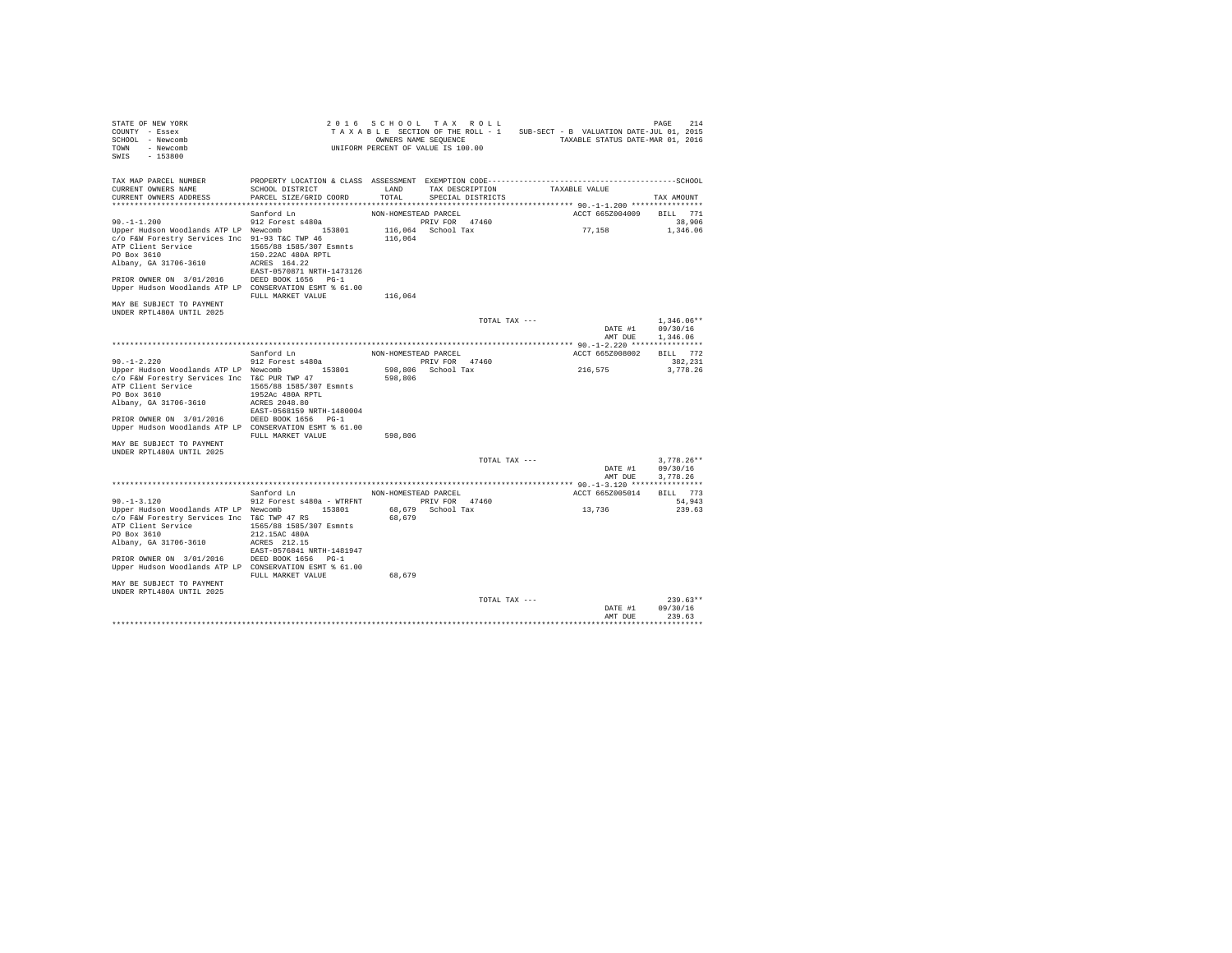| STATE OF NEW YORK<br>COUNTY - Essex<br>SCHOOL - Newcomb<br>- Newcomb<br>TOWN<br>SWIS<br>$-153800$                                                                                                                                                 |                                                                                                                              |                                 | 2016 SCHOOL TAX ROLL<br>TAXABLE SECTION OF THE ROLL - 1<br>OWNERS NAME SEQUENCE<br>UNIFORM PERCENT OF VALUE IS 100.00 | SUB-SECT - B VALUATION DATE-JUL 01, 2015<br>TAXABLE STATUS DATE-MAR 01, 2016 | 214<br>PAGE                          |
|---------------------------------------------------------------------------------------------------------------------------------------------------------------------------------------------------------------------------------------------------|------------------------------------------------------------------------------------------------------------------------------|---------------------------------|-----------------------------------------------------------------------------------------------------------------------|------------------------------------------------------------------------------|--------------------------------------|
| TAX MAP PARCEL NUMBER<br>CURRENT OWNERS NAME<br>CURRENT OWNERS ADDRESS                                                                                                                                                                            | SCHOOL DISTRICT<br>PARCEL SIZE/GRID COORD                                                                                    | LAND<br>TOTAL                   | TAX DESCRIPTION<br>SPECIAL DISTRICTS                                                                                  | TAXABLE VALUE                                                                | TAX AMOUNT                           |
|                                                                                                                                                                                                                                                   |                                                                                                                              |                                 |                                                                                                                       |                                                                              |                                      |
| $90. -1 - 1.200$<br>Upper Hudson Woodlands ATP LP Newcomb 153801<br>c/o F&W Forestry Services Inc 91-93 T&C TWP 46<br>ATP Client Service<br>PO Box 3610<br>Albany, GA 31706-3610                                                                  | Sanford Ln<br>912 Forest s480a<br>1565/88 1585/307 Esmnts<br>150.22AC 480A RPTL<br>ACRES 164.22<br>EAST-0570871 NRTH-1473126 | NON-HOMESTEAD PARCEL<br>116,064 | PRIV FOR 47460<br>116,064 School Tax                                                                                  | ACCT 665Z004009<br>77.158                                                    | BILL 771<br>38,906<br>1,346.06       |
| PRIOR OWNER ON 3/01/2016 DEED BOOK 1656 PG-1<br>Upper Hudson Woodlands ATP LP CONSERVATION ESMT % 61.00<br>MAY BE SUBJECT TO PAYMENT                                                                                                              | FULL MARKET VALUE                                                                                                            | 116,064                         |                                                                                                                       |                                                                              |                                      |
| UNDER RPTL480A UNTIL 2025                                                                                                                                                                                                                         |                                                                                                                              |                                 | TOTAL TAX ---                                                                                                         | DATE #1<br>AMT DUE                                                           | $1.346.06**$<br>09/30/16<br>1,346.06 |
|                                                                                                                                                                                                                                                   |                                                                                                                              |                                 |                                                                                                                       |                                                                              |                                      |
|                                                                                                                                                                                                                                                   | Sanford Ln                                                                                                                   | NON-HOMESTEAD PARCEL            |                                                                                                                       | ACCT 665Z008002                                                              | BILL 772                             |
| $90. -1 - 2.220$                                                                                                                                                                                                                                  | 912 Forest s480a                                                                                                             |                                 | PRIV FOR 47460                                                                                                        |                                                                              | 382.231                              |
| Upper Hudson Woodlands ATP LP Newcomb 153801<br>c/o F&W Forestry Services Inc T&C PUR TWP 47<br>ATP Client Service<br>PO Box 3610<br>Albany, GA 31706-3610<br>PRIOR OWNER ON 3/01/2016<br>Upper Hudson Woodlands ATP LP CONSERVATION ESMT % 61.00 | 1565/88 1585/307 Esmnts<br>1952Ac 480A RPTL<br>ACRES 2048.80<br>EAST-0568159 NRTH-1480004<br>DEED BOOK 1656 PG-1             | 598,806                         | 598.806 School Tax                                                                                                    | 216,575                                                                      | 3.778.26                             |
| MAY BE SUBJECT TO PAYMENT<br>UNDER RPTL480A UNTIL 2025                                                                                                                                                                                            | FULL MARKET VALUE                                                                                                            | 598,806                         |                                                                                                                       |                                                                              |                                      |
|                                                                                                                                                                                                                                                   |                                                                                                                              |                                 | TOTAL TAX ---                                                                                                         | DATE #1<br>AMT DUE                                                           | $3.778.26**$<br>09/30/16<br>3.778.26 |
|                                                                                                                                                                                                                                                   | Sanford Ln                                                                                                                   | NON-HOMESTEAD PARCEL            |                                                                                                                       | ACCT 665Z005014                                                              | BILL 773                             |
| $90. -1 - 3.120$<br>Upper Hudson Woodlands ATP LP Newcomb 153801<br>c/o F&W Forestry Services Inc T&C TWP 47 RS<br>ATP Client Service<br>PO Box 3610<br>Albany, GA 31706-3610                                                                     | 912 Forest s480a - WTRFNT<br>1565/88 1585/307 Esmnts<br>212.15AC 480A<br>ACRES 212.15                                        | 68,679                          | PRIV FOR 47460<br>68,679 School Tax                                                                                   | 13,736                                                                       | 54,943<br>239.63                     |
| PRIOR OWNER ON 3/01/2016 DEED BOOK 1656 PG-1<br>Upper Hudson Woodlands ATP LP CONSERVATION ESMT % 61.00<br>MAY BE SUBJECT TO PAYMENT                                                                                                              | EAST-0576841 NRTH-1481947<br>FULL MARKET VALUE                                                                               | 68,679                          |                                                                                                                       |                                                                              |                                      |
| UNDER RPTL480A UNTIL 2025                                                                                                                                                                                                                         |                                                                                                                              |                                 | TOTAL TAX ---                                                                                                         | DATE #1                                                                      | $239.63**$<br>09/30/16               |
|                                                                                                                                                                                                                                                   |                                                                                                                              |                                 |                                                                                                                       | AMT DUE                                                                      | 239.63<br>                           |
|                                                                                                                                                                                                                                                   |                                                                                                                              |                                 |                                                                                                                       |                                                                              |                                      |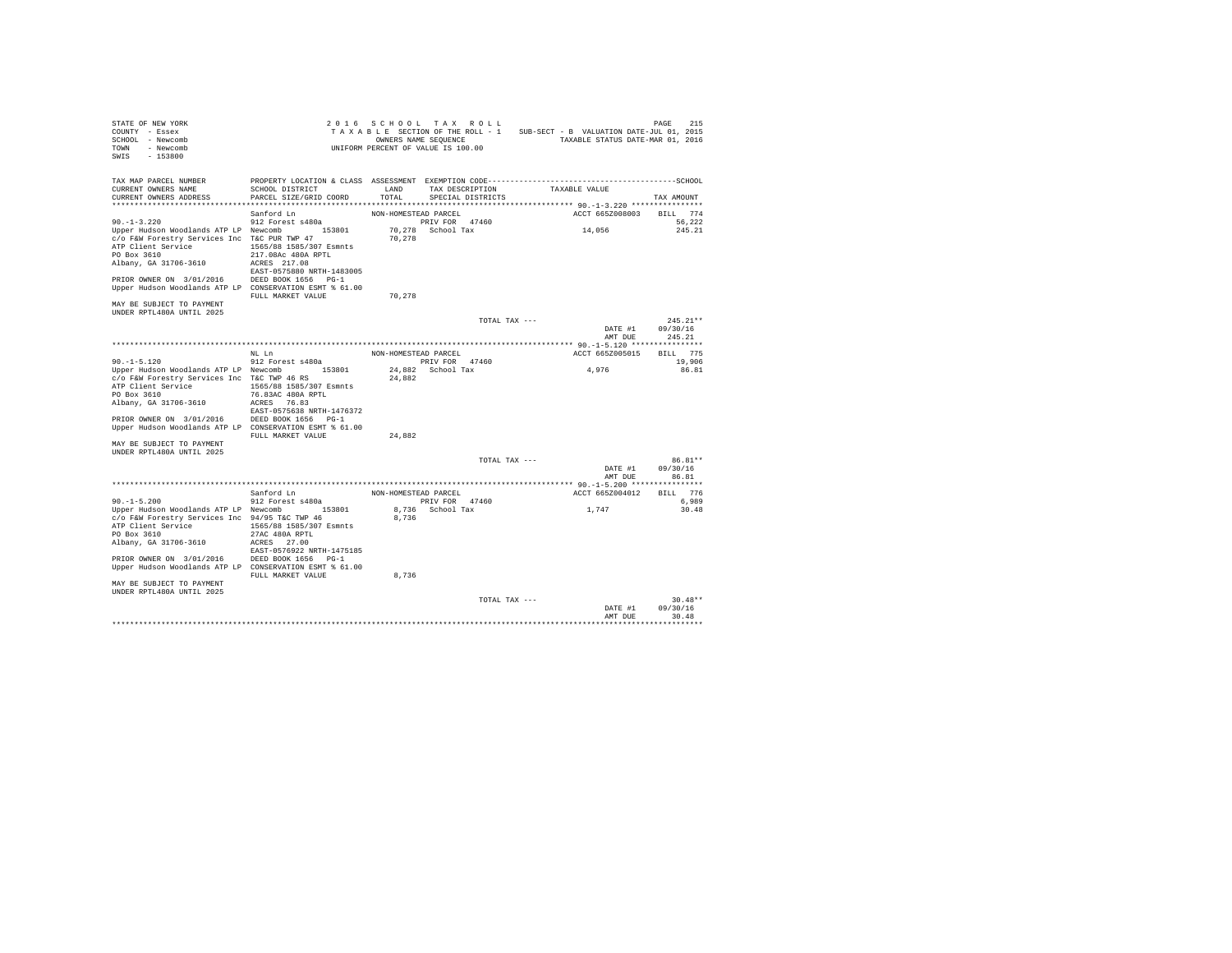| STATE OF NEW YORK<br>COUNTY - Essex<br>SCHOOL - Newcomb<br>TOWN<br>- Newcomb<br>SWIS<br>$-153800$                                                                                                                              |                                                                                                                                           |                      | 2016 SCHOOL TAX ROLL<br>TAXABLE SECTION OF THE ROLL - 1<br>OWNERS NAME SEQUENCE<br>UNIFORM PERCENT OF VALUE IS 100.00 | SUB-SECT - B VALUATION DATE-JUL 01, 2015<br>TAXABLE STATUS DATE-MAR 01, 2016 | PAGE<br>215                                            |
|--------------------------------------------------------------------------------------------------------------------------------------------------------------------------------------------------------------------------------|-------------------------------------------------------------------------------------------------------------------------------------------|----------------------|-----------------------------------------------------------------------------------------------------------------------|------------------------------------------------------------------------------|--------------------------------------------------------|
| TAX MAP PARCEL NUMBER<br>CURRENT OWNERS NAME<br>CURRENT OWNERS ADDRESS                                                                                                                                                         | PROPERTY LOCATION & CLASS ASSESSMENT EXEMPTION CODE-----------------------------------SCHOOL<br>SCHOOL DISTRICT<br>PARCEL SIZE/GRID COORD | LAND<br>TOTAL        | TAX DESCRIPTION<br>SPECIAL DISTRICTS                                                                                  | TAXABLE VALUE                                                                | TAX AMOUNT                                             |
|                                                                                                                                                                                                                                | Sanford Ln                                                                                                                                | NON-HOMESTEAD PARCEL |                                                                                                                       | ACCT 665Z008003                                                              | BILL 774                                               |
| $90. -1 - 3.220$<br>Upper Hudson Woodlands ATP LP Newcomb 153801<br>c/o F&W Forestry Services Inc T&C PUR TWP 47<br>ATP Client Service<br>PO Box 3610<br>Albany, GA 31706-3610<br>PRIOR OWNER ON 3/01/2016 DEED BOOK 1656 PG-1 | 912 Forest s480a<br>1565/88 1585/307 Esmnts<br>217.08Ac 480A RPTL<br>ACRES 217.08<br>EAST-0575880 NRTH-1483005                            | 70.278               | PRIV FOR 47460<br>70.278 School Tax                                                                                   | 14,056                                                                       | 56.222<br>245.21                                       |
| Upper Hudson Woodlands ATP LP CONSERVATION ESMT % 61.00                                                                                                                                                                        | FULL MARKET VALUE                                                                                                                         | 70,278               |                                                                                                                       |                                                                              |                                                        |
| MAY BE SUBJECT TO PAYMENT<br>UNDER RPTL480A UNTIL 2025                                                                                                                                                                         |                                                                                                                                           |                      |                                                                                                                       |                                                                              |                                                        |
|                                                                                                                                                                                                                                |                                                                                                                                           |                      | TOTAL TAX ---                                                                                                         |                                                                              | $245.21**$<br>DATE #1<br>09/30/16<br>AMT DUE<br>245.21 |
|                                                                                                                                                                                                                                |                                                                                                                                           |                      |                                                                                                                       |                                                                              |                                                        |
|                                                                                                                                                                                                                                | NT. T.n                                                                                                                                   | NON-HOMESTEAD PARCEL |                                                                                                                       | ACCT 665Z005015                                                              | BILL 775                                               |
| $90. -1 - 5.120$                                                                                                                                                                                                               | 912 Forest s480a                                                                                                                          |                      | PRIV FOR 47460                                                                                                        |                                                                              | 19,906                                                 |
| Upper Hudson Woodlands ATP LP Newcomb 153801<br>c/o F&W Forestry Services Inc T&C TWP 46 RS<br>ATP Client Service<br>PO Box 3610<br>Albany, GA 31706-3610<br>PRIOR OWNER ON 3/01/2016                                          | 1565/88 1585/307 Esmnts<br>76.83AC 480A RPTL<br>ACRES 76.83<br>EAST-0575638 NRTH-1476372<br>DEED BOOK 1656 PG-1                           | 24,882               | 24,882 School Tax                                                                                                     | 4,976                                                                        | 86.81                                                  |
| Upper Hudson Woodlands ATP LP CONSERVATION ESMT % 61.00                                                                                                                                                                        | FULL MARKET VALUE                                                                                                                         | 24,882               |                                                                                                                       |                                                                              |                                                        |
| MAY BE SUBJECT TO PAYMENT<br>UNDER RPTL480A UNTIL 2025                                                                                                                                                                         |                                                                                                                                           |                      |                                                                                                                       |                                                                              |                                                        |
|                                                                                                                                                                                                                                |                                                                                                                                           |                      | TOTAL TAX ---                                                                                                         |                                                                              | 86.81**<br>09/30/16<br>DATE #1<br>86.81<br>AMT DUE     |
|                                                                                                                                                                                                                                | Sanford Ln                                                                                                                                | NON-HOMESTEAD PARCEL |                                                                                                                       | ACCT 665Z004012                                                              | BILL 776                                               |
| $90. -1 - 5.200$                                                                                                                                                                                                               | 912 Forest s480a                                                                                                                          |                      | PRIV FOR 47460                                                                                                        |                                                                              | 6,989                                                  |
| Upper Hudson Woodlands ATP LP Newcomb 153801<br>c/o F&W Forestry Services Inc 94/95 T&C TWP 46<br>ATP Client Service<br>PO Box 3610<br>Albany, GA 31706-3610                                                                   | 1565/88 1585/307 Esmnts<br>27AC 480A RPTL<br>ACRES 27.00<br>EAST-0576922 NRTH-1475185                                                     | 8,736                | 8,736 School Tax                                                                                                      | 1,747                                                                        | 30.48                                                  |
| PRIOR OWNER ON 3/01/2016 DEED BOOK 1656 PG-1<br>Upper Hudson Woodlands ATP LP CONSERVATION ESMT % 61.00                                                                                                                        | FULL MARKET VALUE                                                                                                                         | 8,736                |                                                                                                                       |                                                                              |                                                        |
| MAY BE SUBJECT TO PAYMENT<br>UNDER RPTL480A UNTIL 2025                                                                                                                                                                         |                                                                                                                                           |                      |                                                                                                                       |                                                                              |                                                        |
|                                                                                                                                                                                                                                |                                                                                                                                           |                      | TOTAL TAX ---                                                                                                         |                                                                              | $30.48**$<br>09/30/16<br>DATE #1<br>AMT DUE<br>30.48   |
|                                                                                                                                                                                                                                |                                                                                                                                           |                      |                                                                                                                       |                                                                              |                                                        |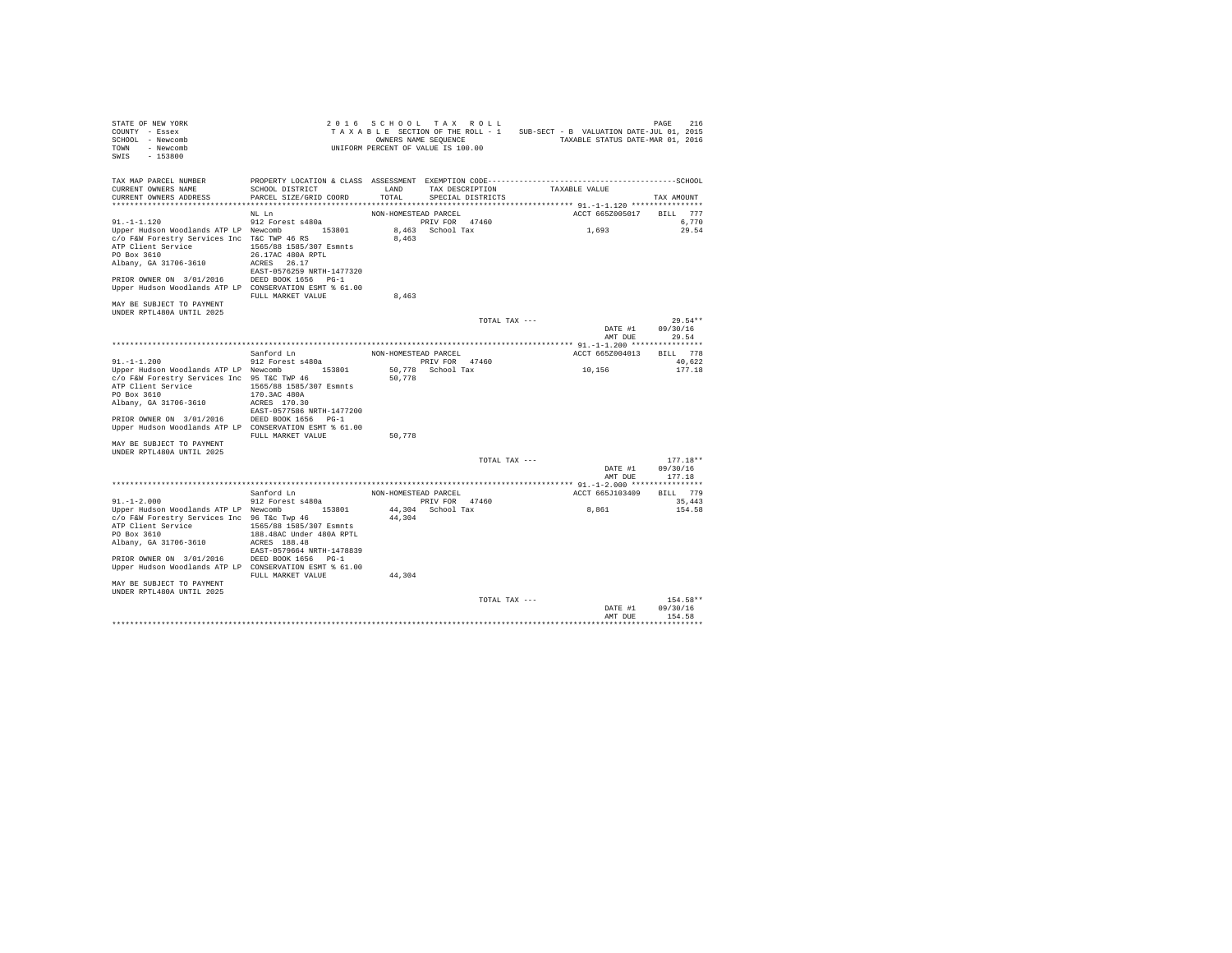| STATE OF NEW YORK                                       |                                |                      | 2016 SCHOOL TAX ROLL               |               |                                          | 216<br>PAGE |
|---------------------------------------------------------|--------------------------------|----------------------|------------------------------------|---------------|------------------------------------------|-------------|
| COUNTY - Essex                                          |                                |                      | TAXABLE SECTION OF THE ROLL - 1    |               | SUB-SECT - B VALUATION DATE-JUL 01, 2015 |             |
| SCHOOL - Newcomb                                        |                                |                      | OWNERS NAME SEQUENCE               |               | TAXABLE STATUS DATE-MAR 01, 2016         |             |
| TOWN<br>- Newcomb                                       |                                |                      | UNIFORM PERCENT OF VALUE IS 100.00 |               |                                          |             |
| $-153800$<br>SWIS                                       |                                |                      |                                    |               |                                          |             |
|                                                         |                                |                      |                                    |               |                                          |             |
| TAX MAP PARCEL NUMBER                                   |                                |                      |                                    |               |                                          |             |
| CURRENT OWNERS NAME                                     | SCHOOL DISTRICT                | LAND                 | TAX DESCRIPTION                    |               | TAXABLE VALUE                            |             |
| CURRENT OWNERS ADDRESS                                  | PARCEL SIZE/GRID COORD         | TOTAL.               | SPECIAL DISTRICTS                  |               |                                          | TAX AMOUNT  |
| *************************                               | ****************************** |                      |                                    |               |                                          |             |
|                                                         | NL Ln                          | NON-HOMESTEAD PARCEL |                                    |               | ACCT 665Z005017                          | BILL 777    |
| $91. -1 -1.120$                                         | 912 Forest s480a               |                      | PRIV FOR 47460                     |               |                                          | 6.770       |
| Upper Hudson Woodlands ATP LP Newcomb                   | 153801                         |                      | 8,463 School Tax                   |               | 1,693                                    | 29.54       |
| c/o F&W Forestry Services Inc T&C TWP 46 RS             |                                | 8,463                |                                    |               |                                          |             |
| ATP Client Service                                      | 1565/88 1585/307 Esmnts        |                      |                                    |               |                                          |             |
| PO Box 3610                                             | 26.17AC 480A RPTL              |                      |                                    |               |                                          |             |
| Albany, GA 31706-3610                                   | ACRES 26.17                    |                      |                                    |               |                                          |             |
|                                                         | EAST-0576259 NRTH-1477320      |                      |                                    |               |                                          |             |
| PRIOR OWNER ON 3/01/2016 DEED BOOK 1656 PG-1            |                                |                      |                                    |               |                                          |             |
| Upper Hudson Woodlands ATP LP CONSERVATION ESMT % 61.00 |                                |                      |                                    |               |                                          |             |
|                                                         | FULL MARKET VALUE              | 8,463                |                                    |               |                                          |             |
| MAY BE SUBJECT TO PAYMENT                               |                                |                      |                                    |               |                                          |             |
| UNDER RPTL480A UNTIL 2025                               |                                |                      |                                    |               |                                          |             |
|                                                         |                                |                      |                                    | TOTAL TAX --- |                                          | $29.54**$   |
|                                                         |                                |                      |                                    |               | DATE #1                                  | 09/30/16    |
|                                                         |                                |                      |                                    |               | AMT DUE                                  | 29.54       |
|                                                         | Sanford Ln                     |                      |                                    |               | ACCT 665Z004013                          | BILL 778    |
| $91. - 1 - 1.200$                                       | 912 Forest s480a               | NON-HOMESTEAD PARCEL | PRIV FOR 47460                     |               |                                          | 40.622      |
| Upper Hudson Woodlands ATP LP Newcomb 153801            |                                |                      | 50.778 School Tax                  |               | 10,156                                   | 177.18      |
| c/o F&W Forestry Services Inc 95 T&C TWP 46             |                                | 50.778               |                                    |               |                                          |             |
| ATP Client Service                                      | 1565/88 1585/307 Esmnts        |                      |                                    |               |                                          |             |
| PO Box 3610                                             | 170.3AC 480A                   |                      |                                    |               |                                          |             |
| Albany, GA 31706-3610                                   | ACRES 170.30                   |                      |                                    |               |                                          |             |
|                                                         | EAST-0577586 NRTH-1477200      |                      |                                    |               |                                          |             |
| PRIOR OWNER ON 3/01/2016                                | DEED BOOK 1656 PG-1            |                      |                                    |               |                                          |             |
| Upper Hudson Woodlands ATP LP CONSERVATION ESMT % 61.00 |                                |                      |                                    |               |                                          |             |
|                                                         | FULL MARKET VALUE              | 50.778               |                                    |               |                                          |             |
| MAY BE SUBJECT TO PAYMENT                               |                                |                      |                                    |               |                                          |             |
| UNDER RPTL480A UNTIL 2025                               |                                |                      |                                    |               |                                          |             |
|                                                         |                                |                      |                                    | TOTAL TAX --- |                                          | $177.18**$  |
|                                                         |                                |                      |                                    |               | DATE #1                                  | 09/30/16    |
|                                                         |                                |                      |                                    |               | AMT DUE                                  | 177.18      |
|                                                         |                                |                      |                                    |               |                                          |             |
|                                                         | Sanford Ln                     | NON-HOMESTEAD PARCEL |                                    |               | ACCT 665J103409                          | BILL 779    |
| $91. - 1 - 2.000$                                       | 912 Forest s480a               |                      | PRIV FOR 47460                     |               |                                          | 35,443      |
| Upper Hudson Woodlands ATP LP Newcomb 153801            |                                |                      | 44,304 School Tax                  |               | 8,861                                    | 154.58      |
| c/o F&W Forestry Services Inc 96 T&c Twp 46             |                                | 44.304               |                                    |               |                                          |             |
| ATP Client Service                                      | 1565/88 1585/307 Esmnts        |                      |                                    |               |                                          |             |
| PO Box 3610                                             | 188.48AC Under 480A RPTL       |                      |                                    |               |                                          |             |
| Albany, GA 31706-3610                                   | ACRES 188.48                   |                      |                                    |               |                                          |             |
|                                                         | EAST-0579664 NRTH-1478839      |                      |                                    |               |                                          |             |
| PRIOR OWNER ON 3/01/2016                                | DEED BOOK 1656 PG-1            |                      |                                    |               |                                          |             |
| Upper Hudson Woodlands ATP LP CONSERVATION ESMT % 61.00 |                                |                      |                                    |               |                                          |             |
|                                                         | FULL MARKET VALUE              | 44.304               |                                    |               |                                          |             |
| MAY BE SUBJECT TO PAYMENT                               |                                |                      |                                    |               |                                          |             |
| UNDER RPTL480A UNTIL 2025                               |                                |                      |                                    |               |                                          | 154.58**    |
|                                                         |                                |                      |                                    | TOTAL TAX --- | DATE #1                                  | 09/30/16    |
|                                                         |                                |                      |                                    |               | AMT DUE                                  | 154.58      |
|                                                         |                                |                      |                                    |               |                                          | .           |
|                                                         |                                |                      |                                    |               |                                          |             |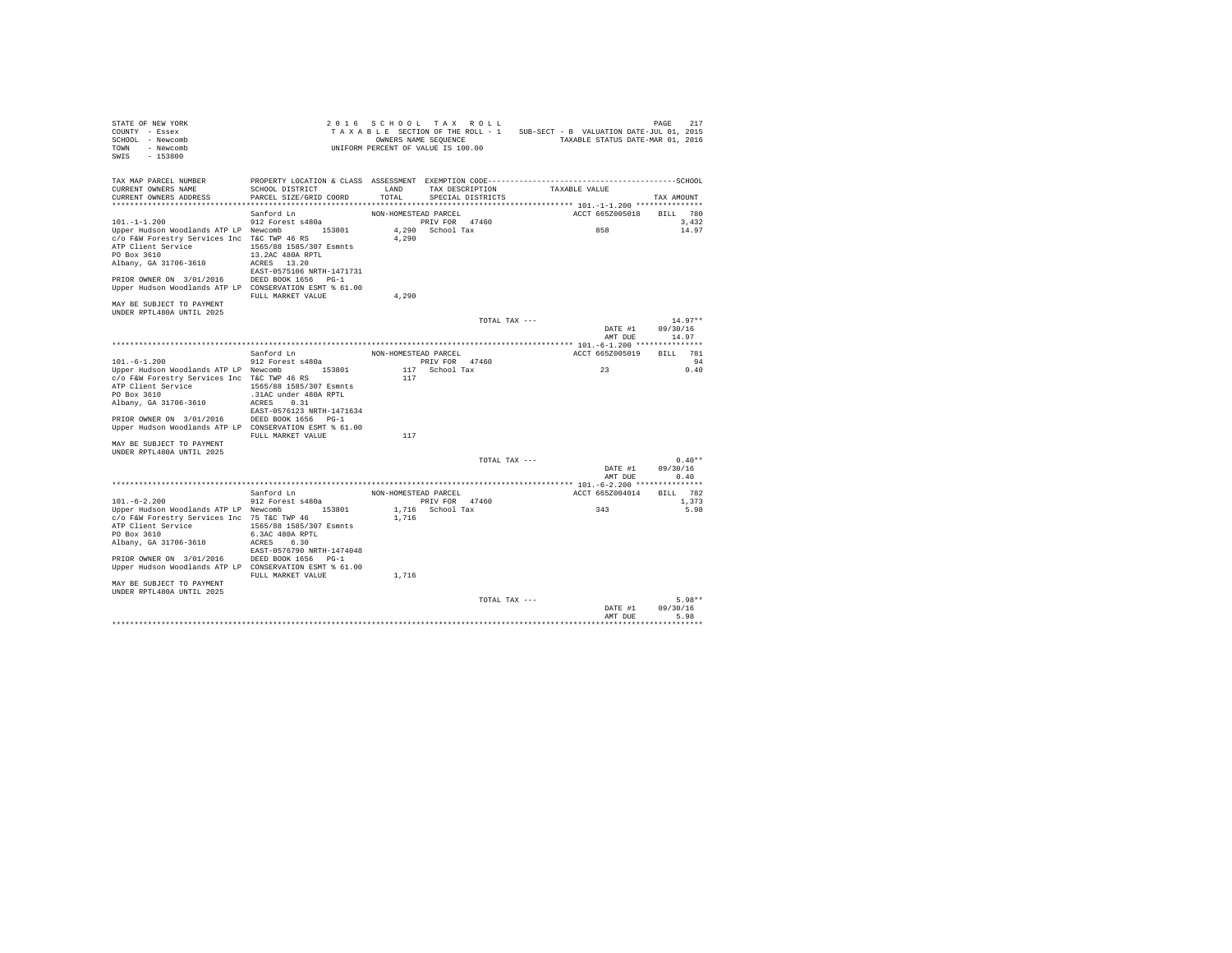| STATE OF NEW YORK<br>COUNTY - Essex<br>SCHOOL - Newcomb<br>TOWN<br>- Newcomb<br>$-153800$<br>SWIS                                                                                                                                                 |                                                                                                                                              |                      | 2016 SCHOOL TAX ROLL<br>TAXABLE SECTION OF THE ROLL - 1<br>OWNERS NAME SEQUENCE<br>UNIFORM PERCENT OF VALUE IS 100.00 |               | SUB-SECT - B VALUATION DATE-JUL 01, 2015<br>TAXABLE STATUS DATE-MAR 01, 2016 | PAGE<br>217                  |
|---------------------------------------------------------------------------------------------------------------------------------------------------------------------------------------------------------------------------------------------------|----------------------------------------------------------------------------------------------------------------------------------------------|----------------------|-----------------------------------------------------------------------------------------------------------------------|---------------|------------------------------------------------------------------------------|------------------------------|
| TAX MAP PARCEL NUMBER<br>CURRENT OWNERS NAME<br>CURRENT OWNERS ADDRESS                                                                                                                                                                            | SCHOOL DISTRICT<br>PARCEL SIZE/GRID COORD                                                                                                    | LAND<br>TOTAL.       | TAX DESCRIPTION<br>SPECIAL DISTRICTS                                                                                  |               | TAXABLE VALUE                                                                | TAX AMOUNT                   |
|                                                                                                                                                                                                                                                   | Sanford Ln                                                                                                                                   | NON-HOMESTEAD PARCEL |                                                                                                                       |               | ACCT 665Z005018                                                              | BILL 780                     |
| $101. -1 - 1.200$<br>Upper Hudson Woodlands ATP LP Newcomb<br>c/o F&W Forestry Services Inc T&C TWP 46 RS<br>ATP Client Service<br>PO Box 3610<br>Albany, GA 31706-3610<br>PRIOR OWNER ON 3/01/2016                                               | 912 Forest s480a<br>153801<br>1565/88 1585/307 Esmnts<br>13.2AC 480A RPTL<br>ACRES 13.20<br>EAST-0575106 NRTH-1471731<br>DEED BOOK 1656 PG-1 | 4,290                | PRIV FOR 47460<br>4,290 School Tax                                                                                    |               | 858                                                                          | 3,432<br>14.97               |
| Upper Hudson Woodlands ATP LP CONSERVATION ESMT % 61.00<br>MAY BE SUBJECT TO PAYMENT                                                                                                                                                              | FULL MARKET VALUE                                                                                                                            | 4.290                |                                                                                                                       |               |                                                                              |                              |
| UNDER RPTL480A UNTIL 2025                                                                                                                                                                                                                         |                                                                                                                                              |                      |                                                                                                                       | TOTAL TAX --- | DATE #1                                                                      | $14.97**$<br>09/30/16        |
|                                                                                                                                                                                                                                                   |                                                                                                                                              |                      |                                                                                                                       |               | AMT DUE                                                                      | 14.97                        |
|                                                                                                                                                                                                                                                   |                                                                                                                                              |                      |                                                                                                                       |               |                                                                              |                              |
|                                                                                                                                                                                                                                                   | Sanford Ln                                                                                                                                   | NON-HOMESTEAD PARCEL |                                                                                                                       |               | ACCT 665Z005019                                                              | 781<br>RTT.T.                |
| $101. - 6 - 1.200$                                                                                                                                                                                                                                | 912 Forest s480a                                                                                                                             |                      | PRIV FOR 47460                                                                                                        |               |                                                                              | 94                           |
| Upper Hudson Woodlands ATP LP Newcomb 153801<br>c/o F&W Forestry Services Inc T&C TWP 46 RS<br>ATP Client Service<br>PO Box 3610<br>Albany, GA 31706-3610<br>PRIOR OWNER ON 3/01/2016<br>Upper Hudson Woodlands ATP LP CONSERVATION ESMT \$ 61.00 | 1565/88 1585/307 Esmnts<br>.31AC under 480A RPTL<br>ACRES 0.31<br>EAST-0576123 NRTH-1471634<br>DEED BOOK 1656 PG-1                           | 117                  | 117 School Tax                                                                                                        |               | 23                                                                           | 0.40                         |
| MAY BE SUBJECT TO PAYMENT                                                                                                                                                                                                                         | FULL MARKET VALUE                                                                                                                            | 117                  |                                                                                                                       |               |                                                                              |                              |
| UNDER RPTL480A UNTIL 2025                                                                                                                                                                                                                         |                                                                                                                                              |                      |                                                                                                                       |               |                                                                              |                              |
|                                                                                                                                                                                                                                                   |                                                                                                                                              |                      |                                                                                                                       | TOTAL TAX --- | DATE #1<br>AMT DUE                                                           | $0.40**$<br>09/30/16<br>0.40 |
|                                                                                                                                                                                                                                                   | Sanford Ln                                                                                                                                   | NON-HOMESTEAD PARCEL |                                                                                                                       |               | ACCT 665Z004014                                                              | BILL 782                     |
| $101. - 6 - 2.200$                                                                                                                                                                                                                                | 912 Forest s480a                                                                                                                             |                      | PRIV FOR 47460                                                                                                        |               |                                                                              | 1,373                        |
| Upper Hudson Woodlands ATP LP Newcomb 153801<br>c/o F&W Forestry Services Inc 75 T&C TWP 46<br>ATP Client Service<br>PO Box 3610<br>Albany, GA 31706-3610                                                                                         | 1565/88 1585/307 Esmnts<br>6.3AC 480A RPTL<br>ACRES 6.30<br>EAST-0576790 NRTH-1474048                                                        | 1,716                | 1,716 School Tax                                                                                                      |               | 343                                                                          | 5.98                         |
| PRIOR OWNER ON 3/01/2016<br>Upper Hudson Woodlands ATP LP CONSERVATION ESMT % 61.00                                                                                                                                                               | DEED BOOK 1656 PG-1<br>FULL MARKET VALUE                                                                                                     | 1,716                |                                                                                                                       |               |                                                                              |                              |
| MAY BE SUBJECT TO PAYMENT<br>UNDER RPTL480A UNTIL 2025                                                                                                                                                                                            |                                                                                                                                              |                      |                                                                                                                       | TOTAL TAX --- |                                                                              | $5.98**$                     |
|                                                                                                                                                                                                                                                   |                                                                                                                                              |                      |                                                                                                                       |               | DATE #1<br>AMT DUE                                                           | 09/30/16<br>5.98             |
|                                                                                                                                                                                                                                                   |                                                                                                                                              |                      |                                                                                                                       |               |                                                                              |                              |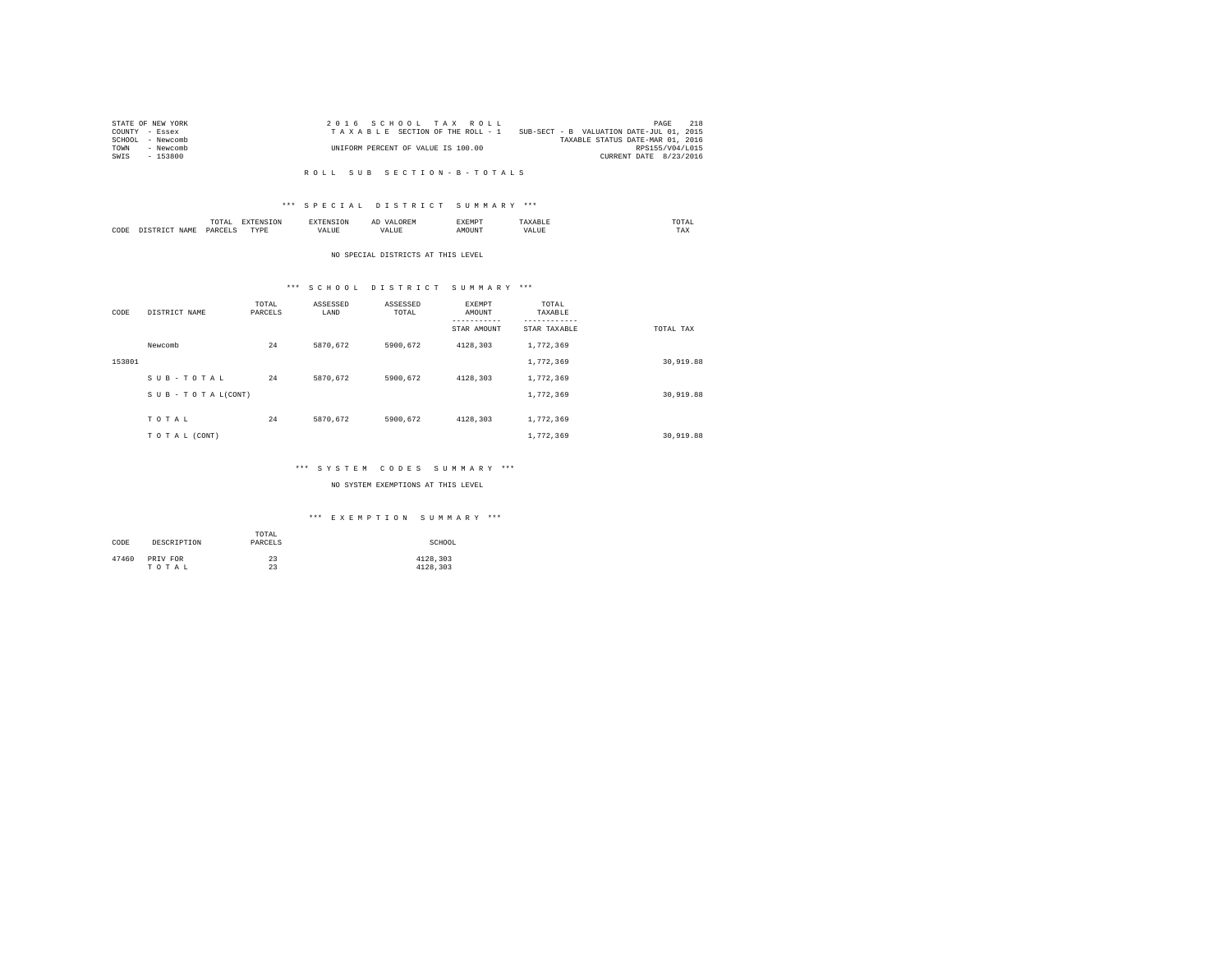| STATE OF NEW YORK | 2016 SCHOOL TAX ROLL               | 2.18<br>PAGE                             |
|-------------------|------------------------------------|------------------------------------------|
| COUNTY - Essex    | TAXABLE SECTION OF THE ROLL - 1    | SUB-SECT - B VALUATION DATE-JUL 01, 2015 |
| SCHOOL - Newcomb  |                                    | TAXABLE STATUS DATE-MAR 01, 2016         |
| TOWN<br>- Newcomb | UNIFORM PERCENT OF VALUE IS 100.00 | RPS155/V04/L015                          |
| - 153800<br>SWIS  |                                    | CURRENT DATE 8/23/2016                   |
|                   |                                    |                                          |

### R O L L S U B S E C T I O N - B - T O T A L S

# \*\*\* S P E C I A L D I S T R I C T S U M M A R Y \*\*\*

|      | ----<br>/ L A L<br>the contract of the contract of the contract of | ----       | $\cdots$ | .     | moms:<br>the contract of the contract of the contract of |
|------|--------------------------------------------------------------------|------------|----------|-------|----------------------------------------------------------|
| CODE | <b>DAR</b><br>$\sim$                                               | TVD's<br>. |          | MOUN. | 1'AX                                                     |

#### NO SPECIAL DISTRICTS AT THIS LEVEL

# \*\*\* S C H O O L D I S T R I C T S U M M A R Y \*\*\*

| CODE   | DISTRICT NAME   | TOTAL<br>PARCELS | ASSESSED<br>LAND | ASSESSED<br>TOTAL | EXEMPT<br>AMOUNT<br>---------<br>STAR AMOUNT | TOTAL<br>TAXABLE<br>---------<br>STAR TAXABLE | TOTAL TAX |
|--------|-----------------|------------------|------------------|-------------------|----------------------------------------------|-----------------------------------------------|-----------|
|        | Newcomb         | 24               | 5870.672         | 5900.672          | 4128.303                                     | 1,772,369                                     |           |
| 153801 |                 |                  |                  |                   |                                              | 1,772,369                                     | 30,919.88 |
|        | SUB-TOTAL       | 24               | 5870.672         | 5900.672          | 4128.303                                     | 1,772,369                                     |           |
|        | SUB-TOTAL(CONT) |                  |                  |                   |                                              | 1,772,369                                     | 30,919.88 |
|        | TOTAL           | 24               | 5870.672         | 5900.672          | 4128.303                                     | 1,772,369                                     |           |
|        | TO TAL (CONT)   |                  |                  |                   |                                              | 1,772,369                                     | 30,919.88 |

# \*\*\* S Y S T E M C O D E S S U M M A R Y \*\*\*

# NO SYSTEM EXEMPTIONS AT THIS LEVEL

# \*\*\* E X E M P T I O N S U M M A R Y \*\*\*

| CODE  | DESCRIPTION | TOTAL<br>PARCELS | SCHOOL   |
|-------|-------------|------------------|----------|
| 47460 | PRIV FOR    | 23               | 4128.303 |
|       | TOTAL       | 23               | 4128.303 |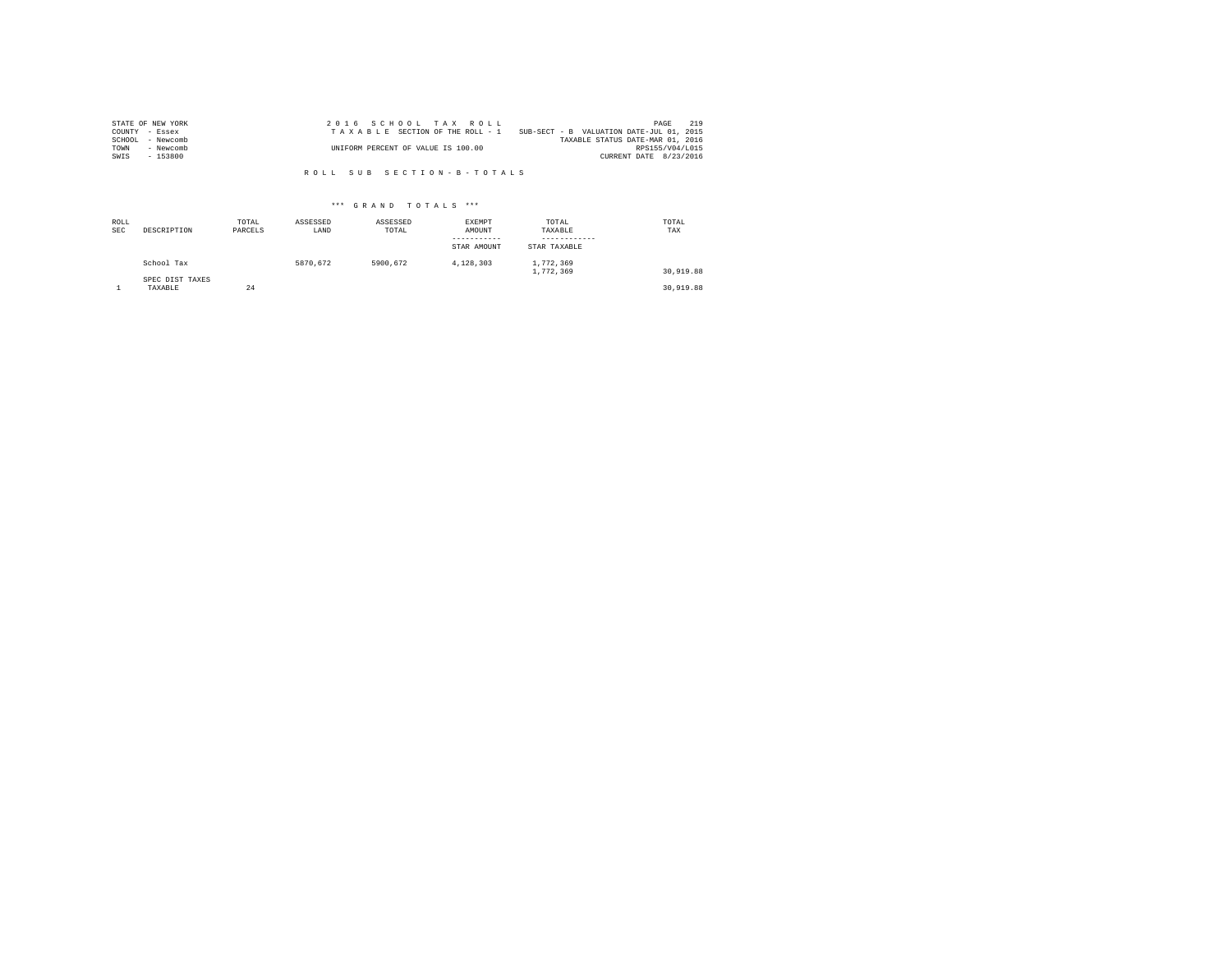| STATE OF NEW YORK |           | 2016 SCHOOL TAX ROLL                                                        | PAGE            | 219 |
|-------------------|-----------|-----------------------------------------------------------------------------|-----------------|-----|
| COUNTY - Essex    |           | SUB-SECT - B VALUATION DATE-JUL 01, 2015<br>TAXABLE SECTION OF THE ROLL - 1 |                 |     |
| SCHOOL            | - Newcomb | TAXABLE STATUS DATE-MAR 01, 2016                                            |                 |     |
| TOWN              | - Newcomb | UNIFORM PERCENT OF VALUE IS 100.00                                          | RPS155/V04/L015 |     |
| SWIS              | - 153800  | CURRENT DATE 8/23/2016                                                      |                 |     |

R O L L S U B S E C T I O N - B - T O T A L S

# \*\*\* G R A N D T O T A L S \*\*\*

| ROLL<br><b>SEC</b> | DESCRIPTION                | TOTAL<br>PARCELS | ASSESSED<br>LAND | ASSESSED<br>TOTAL | EXEMPT<br>AMOUNT<br>-----------<br>STAR AMOUNT | TOTAL<br>TAXABLE<br>------------<br>STAR TAXABLE | TOTAL<br>TAX |
|--------------------|----------------------------|------------------|------------------|-------------------|------------------------------------------------|--------------------------------------------------|--------------|
|                    | School Tax                 |                  | 5870.672         | 5900.672          | 4.128.303                                      | 1,772,369<br>1,772,369                           | 30,919.88    |
|                    | SPEC DIST TAXES<br>TAXABLE | 24               |                  |                   |                                                |                                                  | 30,919.88    |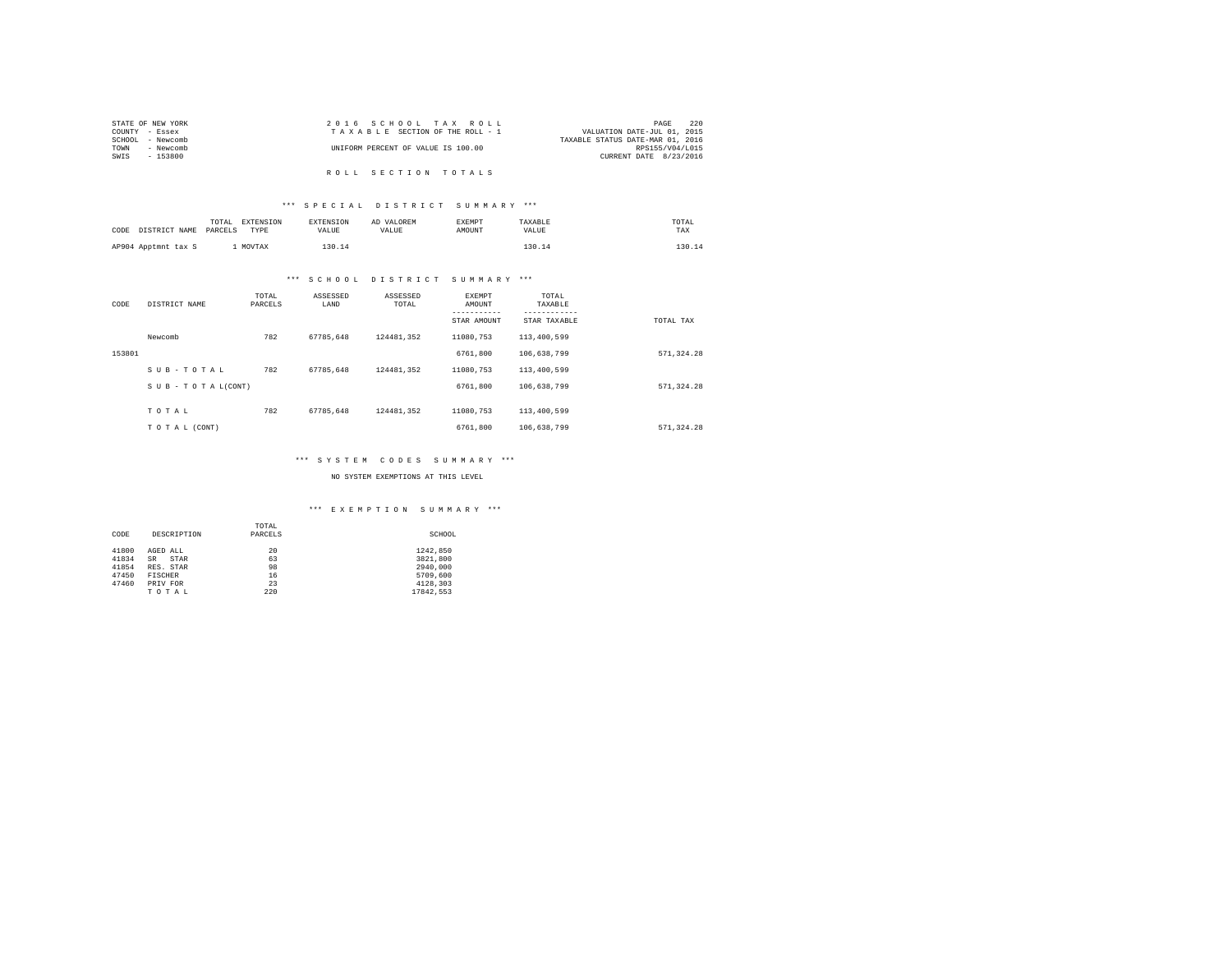| STATE OF NEW YORK | 2016 SCHOOL TAX ROLL               | 220<br>PAGE                      |  |
|-------------------|------------------------------------|----------------------------------|--|
| COUNTY - Essex    | TAXABLE SECTION OF THE ROLL - 1    | VALUATION DATE-JUL 01, 2015      |  |
| SCHOOL - Newcomb  |                                    | TAXABLE STATUS DATE-MAR 01, 2016 |  |
| TOWN<br>- Newcomb | UNIFORM PERCENT OF VALUE IS 100.00 | RPS155/V04/L015                  |  |
| SWIS<br>- 153800  |                                    | CURRENT DATE 8/23/2016           |  |
|                   |                                    |                                  |  |
|                   | ROLL SECTION TOTALS                |                                  |  |

# \*\*\* S P E C I A L D I S T R I C T S U M M A R Y \*\*\*

|                     |               | TOTAL   | EXTENSION | <b>EXTENSION</b> | AD VALOREM | EXEMPT | TAXABLE | TOTAL  |
|---------------------|---------------|---------|-----------|------------------|------------|--------|---------|--------|
| CODE                | DISTRICT NAME | PARCELS | TYPE      | VALUE            | VALUE      | AMOUNT | VALUE   | TAX    |
|                     |               |         |           |                  |            |        |         |        |
| AP904 Apptmnt tax S |               |         | MOVTAX    | 130.14           |            |        | 130.14  | 130.11 |

# \*\*\* S C H O O L D I S T R I C T S U M M A R Y \*\*\*

| CODE   | DISTRICT NAME                 | TOTAL<br>PARCELS | ASSESSED<br>LAND | ASSESSED<br>TOTAL | <b>EXEMPT</b><br>AMOUNT<br>-----------<br>STAR AMOUNT | TOTAL<br>TAXABLE<br>STAR TAXABLE | TOTAL TAX  |
|--------|-------------------------------|------------------|------------------|-------------------|-------------------------------------------------------|----------------------------------|------------|
|        | Newcomb                       | 782              | 67785.648        | 124481.352        | 11080.753                                             | 113,400,599                      |            |
| 153801 |                               |                  |                  |                   | 6761,800                                              | 106,638,799                      | 571.324.28 |
|        | SUB-TOTAL                     | 782              | 67785.648        | 124481.352        | 11080.753                                             | 113,400,599                      |            |
|        | $S \cup B - T O T A L (CONT)$ |                  |                  |                   | 6761,800                                              | 106,638,799                      | 571.324.28 |
|        | TOTAL                         | 782              | 67785.648        | 124481.352        | 11080.753                                             | 113,400,599                      |            |
|        | TO TAL (CONT)                 |                  |                  |                   | 6761,800                                              | 106,638,799                      | 571.324.28 |

# \*\*\* S Y S T E M C O D E S S U M M A R Y \*\*\*

#### NO SYSTEM EXEMPTIONS AT THIS LEVEL

# \*\*\* E X E M P T I O N S U M M A R Y \*\*\*

|       |                | TOTAL   |           |
|-------|----------------|---------|-----------|
| CODE  | DESCRIPTION    | PARCELS | SCHOOL    |
|       |                |         |           |
| 41800 | AGED ALL       | 20      | 1242,850  |
| 41834 | STAR<br>SR     | 63      | 3821,800  |
| 41854 | RES. STAR      | 98      | 2940.000  |
| 47450 | <b>FISCHER</b> | 16      | 5709,600  |
| 47460 | PRIV FOR       | 23      | 4128.303  |
|       | TOTAL          | 220     | 17842.553 |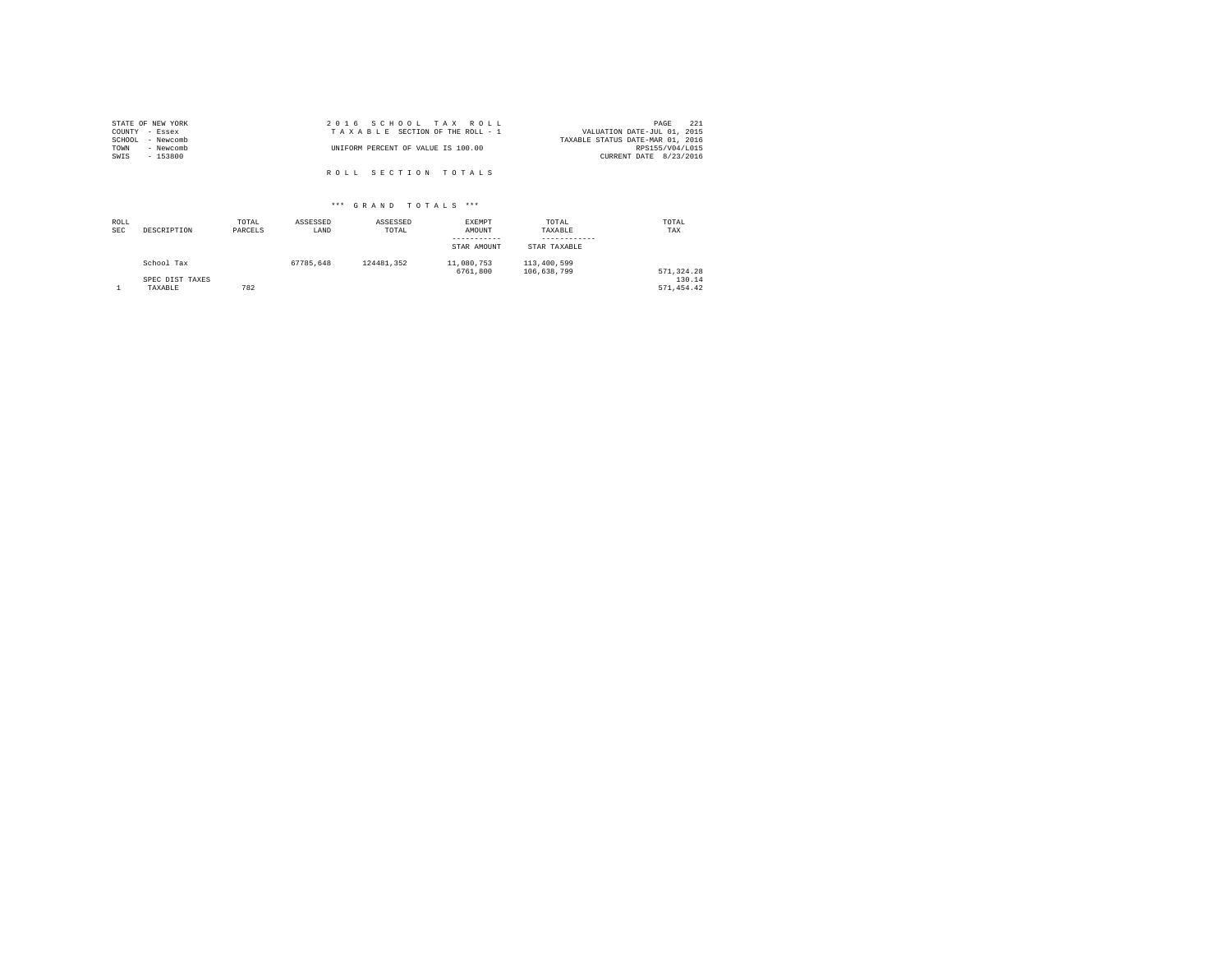| STATE OF NEW YORK |           | 2016 SCHOOL TAX ROLL               |  |                                  | PAGE                   | 221 |
|-------------------|-----------|------------------------------------|--|----------------------------------|------------------------|-----|
| COUNTY - Essex    |           | TAXABLE SECTION OF THE ROLL - 1    |  | VALUATION DATE-JUL 01, 2015      |                        |     |
| SCHOOL - Newcomb  |           |                                    |  | TAXABLE STATUS DATE-MAR 01, 2016 |                        |     |
| TOWN              | - Newcomb | UNIFORM PERCENT OF VALUE IS 100.00 |  |                                  | RPS155/V04/L015        |     |
| SWIS              | $-153800$ |                                    |  |                                  | CURRENT DATE 8/23/2016 |     |
|                   |           |                                    |  |                                  |                        |     |
|                   |           | ROLL SECTION TOTALS                |  |                                  |                        |     |

# \*\*\* G R A N D T O T A L S \*\*\*

| ROLL<br><b>SEC</b> | DESCRIPTION     | TOTAL<br>PARCELS | ASSESSED<br>LAND | ASSESSED<br>TOTAL | EXEMPT<br>AMOUNT<br>-----------<br>STAR AMOUNT | TOTAL<br>TAXABLE<br>STAR TAXABLE | TOTAL<br>TAX |
|--------------------|-----------------|------------------|------------------|-------------------|------------------------------------------------|----------------------------------|--------------|
|                    | School Tax      |                  | 67785.648        | 124481.352        | 11,080,753<br>6761,800                         | 113,400,599<br>106.638.799       | 571,324.28   |
|                    | SPEC DIST TAXES |                  |                  |                   |                                                |                                  | 130.14       |
|                    | TAXABLE         | 782              |                  |                   |                                                |                                  | 571.454.42   |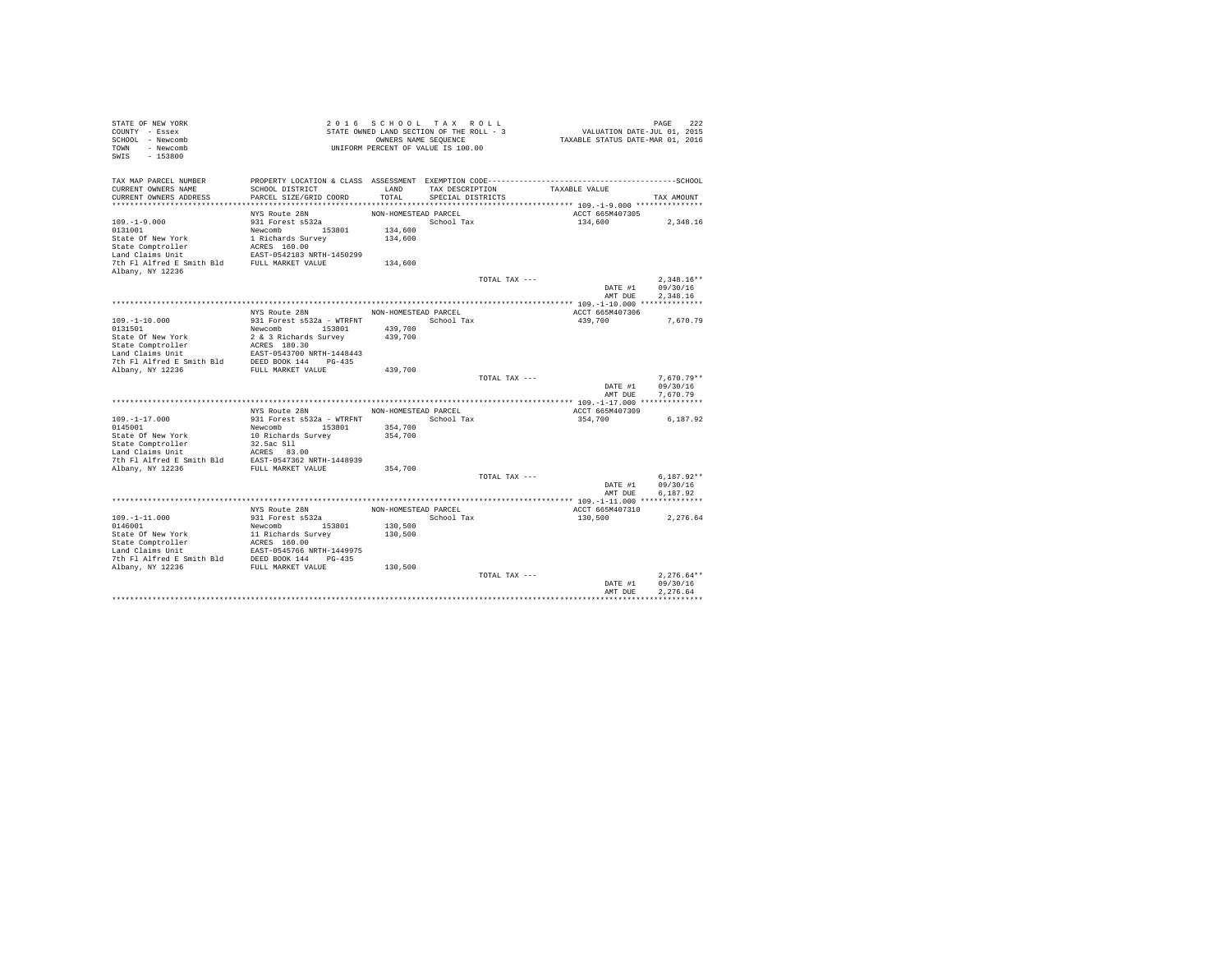| STATE OF NEW YORK<br>COUNTY - Essex<br>SCHOOL - Newcomb<br>- Newcomb<br>TOWN<br>$-153800$<br>SWIS |                                                 | 2016 SCHOOL TAX ROLL<br>STATE OWNED LAND SECTION OF THE ROLL - 3<br>UNIFORM PERCENT OF VALUE IS 100.00 | OWNERS NAME SEQUENCE                 |               | VALUATION DATE-JUL 01, 2015<br>TAXABLE STATUS DATE-MAR 01, 2016 | PAGE       | 222                  |
|---------------------------------------------------------------------------------------------------|-------------------------------------------------|--------------------------------------------------------------------------------------------------------|--------------------------------------|---------------|-----------------------------------------------------------------|------------|----------------------|
| TAX MAP PARCEL NUMBER<br>CURRENT OWNERS NAME<br>CURRENT OWNERS ADDRESS                            | SCHOOL DISTRICT<br>PARCEL SIZE/GRID COORD       | LAND<br>TOTAL                                                                                          | TAX DESCRIPTION<br>SPECIAL DISTRICTS |               | TAXABLE VALUE                                                   | TAX AMOUNT |                      |
|                                                                                                   |                                                 |                                                                                                        |                                      |               |                                                                 |            |                      |
|                                                                                                   | NYS Route 28N                                   | NON-HOMESTEAD PARCEL                                                                                   |                                      |               | ACCT 665M407305                                                 |            |                      |
| $109. - 1 - 9.000$                                                                                | 931 Forest s532a                                |                                                                                                        | School Tax                           |               | 134,600                                                         |            | 2,348.16             |
| 0131001                                                                                           | Newcomb 153801                                  | 134,600                                                                                                |                                      |               |                                                                 |            |                      |
| State Of New York                                                                                 | 1 Richards Survey                               | 134,600                                                                                                |                                      |               |                                                                 |            |                      |
| State Comptroller                                                                                 | ACRES 160.00                                    |                                                                                                        |                                      |               |                                                                 |            |                      |
| Land Claims Unit<br>7th Fl Alfred E Smith Bld FULL MARKET VALUE                                   | EAST-0542183 NRTH-1450299                       |                                                                                                        |                                      |               |                                                                 |            |                      |
| Albany, NY 12236                                                                                  |                                                 | 134,600                                                                                                |                                      |               |                                                                 |            |                      |
|                                                                                                   |                                                 |                                                                                                        |                                      | TOTAL TAX --- |                                                                 |            | $2.348.16**$         |
|                                                                                                   |                                                 |                                                                                                        |                                      |               | DATE #1                                                         |            | 09/30/16             |
|                                                                                                   |                                                 |                                                                                                        |                                      |               | AMT DUE                                                         |            | 2,348.16             |
|                                                                                                   |                                                 |                                                                                                        |                                      |               |                                                                 |            |                      |
|                                                                                                   | NYS Route 28N                                   | NON-HOMESTEAD PARCEL                                                                                   |                                      |               | ACCT 665M407306                                                 |            |                      |
| $109. - 1 - 10.000$<br>0131501                                                                    | 931 Forest s532a - WTRFNT<br>Newcomb 153801     | School Tax<br>439,700                                                                                  |                                      |               | 439,700                                                         |            | 7.670.79             |
| State Of New York                                                                                 | 2 & 3 Richards Survey                           | 439,700                                                                                                |                                      |               |                                                                 |            |                      |
| State Comptroller                                                                                 | ACRES 180.30                                    |                                                                                                        |                                      |               |                                                                 |            |                      |
| Land Claims Unit                                                                                  | EAST-0543700 NRTH-1448443                       |                                                                                                        |                                      |               |                                                                 |            |                      |
| 7th Fl Alfred E Smith Bld                                                                         | DEED BOOK 144 PG-435                            |                                                                                                        |                                      |               |                                                                 |            |                      |
| Albany, NY 12236                                                                                  | FULL MARKET VALUE                               | 439,700                                                                                                |                                      |               |                                                                 |            |                      |
|                                                                                                   |                                                 |                                                                                                        |                                      | TOTAL TAX --- |                                                                 |            | $7.670.79**$         |
|                                                                                                   |                                                 |                                                                                                        |                                      |               | DATE #1<br>AMT DUE                                              |            | 09/30/16<br>7.670.79 |
|                                                                                                   |                                                 |                                                                                                        |                                      |               |                                                                 |            |                      |
|                                                                                                   | NYS Route 28N                                   | NON-HOMESTEAD PARCEL                                                                                   |                                      |               | ACCT 665M407309                                                 |            |                      |
| $109. -1 - 17.000$                                                                                | 931 Forest s532a - WTRFNT                       |                                                                                                        | School Tax                           |               | 354,700                                                         |            | 6,187.92             |
| 0145001                                                                                           | Newcomb 153801                                  | 354,700                                                                                                |                                      |               |                                                                 |            |                      |
| State Of New York                                                                                 | 10 Richards Survey                              | 354,700                                                                                                |                                      |               |                                                                 |            |                      |
| State Comptroller                                                                                 | 32.5ac Sll                                      |                                                                                                        |                                      |               |                                                                 |            |                      |
| Land Claims Unit<br>7th Fl Alfred E Smith Bld EAST-0547362 NRTH-1448939                           | ACRES 83.00                                     |                                                                                                        |                                      |               |                                                                 |            |                      |
| Albany, NY 12236                                                                                  | FULL MARKET VALUE                               | 354,700                                                                                                |                                      |               |                                                                 |            |                      |
|                                                                                                   |                                                 |                                                                                                        |                                      | TOTAL TAX --- |                                                                 |            | $6.187.92**$         |
|                                                                                                   |                                                 |                                                                                                        |                                      |               | DATE #1                                                         |            | 09/30/16             |
|                                                                                                   |                                                 |                                                                                                        |                                      |               | AMT DUE                                                         |            | 6.187.92             |
|                                                                                                   |                                                 |                                                                                                        |                                      |               |                                                                 |            |                      |
|                                                                                                   | NYS Route 28N                                   | NON-HOMESTEAD PARCEL                                                                                   |                                      |               | ACCT 665M407310                                                 |            |                      |
| $109. - 1 - 11.000$                                                                               | 931 Forest s532a<br>Newcomb 153801              | 130,500                                                                                                | School Tax                           |               | 130,500                                                         |            | 2.276.64             |
| 0146001<br>State Of New York                                                                      |                                                 | 130,500                                                                                                |                                      |               |                                                                 |            |                      |
| State Comptroller                                                                                 | 1938<br>11 Richards Survey<br>2006 ACRES 160.00 |                                                                                                        |                                      |               |                                                                 |            |                      |
| Land Claims Unit                                                                                  | EAST-0545766 NRTH-1449975                       |                                                                                                        |                                      |               |                                                                 |            |                      |
| 7th Fl Alfred E Smith Bld                                                                         | DEED BOOK 144 PG-435                            |                                                                                                        |                                      |               |                                                                 |            |                      |
| Albany, NY 12236                                                                                  | FULL MARKET VALUE                               | 130,500                                                                                                |                                      |               |                                                                 |            |                      |
|                                                                                                   |                                                 |                                                                                                        |                                      | TOTAL TAX --- |                                                                 |            | $2.276.64**$         |
|                                                                                                   |                                                 |                                                                                                        |                                      |               | DATE #1<br>AMT DUE                                              |            | 09/30/16<br>2.276.64 |
|                                                                                                   |                                                 |                                                                                                        |                                      |               |                                                                 |            |                      |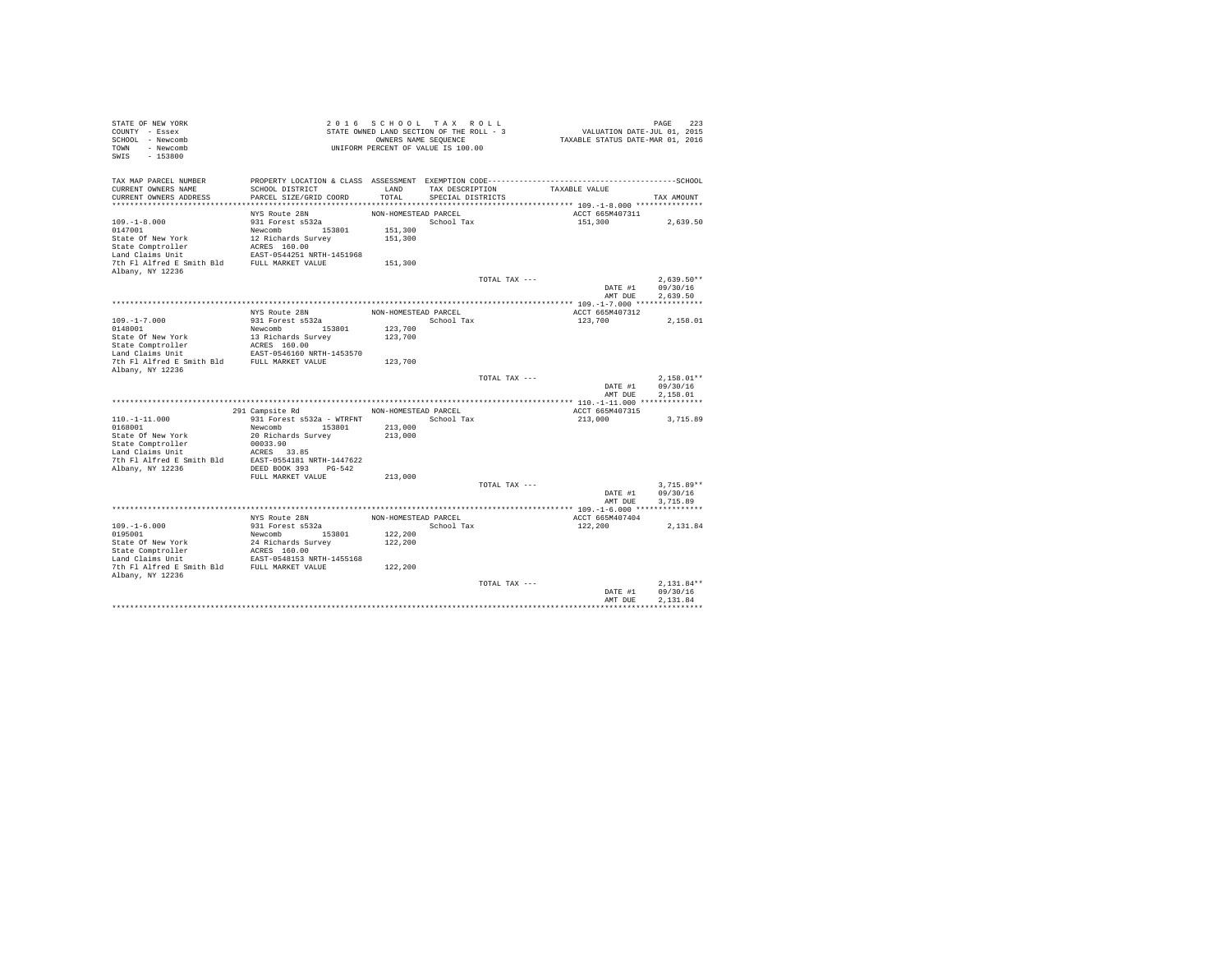| STATE OF NEW YORK<br>COUNTY - Essex                                     |                                                           | 2016 SCHOOL TAX ROLL<br>STATE OWNED LAND SECTION OF THE ROLL - 3 |                   |               | VALUATION DATE-JUL 01, 2015      | PAGE<br>223  |
|-------------------------------------------------------------------------|-----------------------------------------------------------|------------------------------------------------------------------|-------------------|---------------|----------------------------------|--------------|
| SCHOOL - Newcomb<br>TOWN - Newcomb<br>SWIS<br>$-153800$                 |                                                           | OWNERS NAME SEQUENCE<br>UNIFORM PERCENT OF VALUE IS 100.00       |                   |               | TAXABLE STATUS DATE-MAR 01, 2016 |              |
| TAX MAP PARCEL NUMBER                                                   |                                                           |                                                                  |                   |               |                                  |              |
| CURRENT OWNERS NAME                                                     | SCHOOL DISTRICT                                           | LAND                                                             | TAX DESCRIPTION   |               | TAXABLE VALUE                    |              |
| CURRENT OWNERS ADDRESS                                                  | PARCEL SIZE/GRID COORD                                    | TOTAL                                                            | SPECIAL DISTRICTS |               |                                  | TAX AMOUNT   |
|                                                                         | NYS Route 28N                                             | NON-HOMESTEAD PARCEL                                             |                   |               | ACCT 665M407311                  |              |
| $109. - 1 - 8.000$                                                      | 931 Forest s532a                                          |                                                                  | School Tax        |               | 151,300                          | 2.639.50     |
| 0147001                                                                 | Newcomb 153801                                            | 151,300                                                          |                   |               |                                  |              |
| State Of New York                                                       | 12 Richards Survey                                        | 151,300                                                          |                   |               |                                  |              |
|                                                                         |                                                           |                                                                  |                   |               |                                  |              |
|                                                                         |                                                           |                                                                  |                   |               |                                  |              |
| Albany, NY 12236                                                        |                                                           | 151,300                                                          |                   |               |                                  |              |
|                                                                         |                                                           |                                                                  |                   | TOTAL TAX --- |                                  | $2.639.50**$ |
|                                                                         |                                                           |                                                                  |                   |               | DATE #1                          | 09/30/16     |
|                                                                         |                                                           |                                                                  |                   |               | AMT DUE                          | 2.639.50     |
|                                                                         |                                                           |                                                                  |                   |               |                                  |              |
|                                                                         | NYS Route 28N                                             | NON-HOMESTEAD PARCEL                                             |                   |               | ACCT 665M407312                  |              |
| $109. -1 - 7.000$<br>0148001                                            | 931 Forest s532a                                          | 123,700                                                          | School Tax        |               | 123,700                          | 2,158.01     |
| State Of New York                                                       | Newcomb 153801<br>13 Richards Survey                      | 123,700                                                          |                   |               |                                  |              |
|                                                                         |                                                           |                                                                  |                   |               |                                  |              |
| State Comptroller<br>Land Claims Unit                                   | ACRES 160.00<br>ACRES 160.00<br>EAST-0546160 NRTH-1453570 |                                                                  |                   |               |                                  |              |
| 7th Fl Alfred E Smith Bld FULL MARKET VALUE<br>Albany, NY 12236         |                                                           | 123,700                                                          |                   |               |                                  |              |
|                                                                         |                                                           |                                                                  |                   | TOTAL TAX --- |                                  | $2.158.01**$ |
|                                                                         |                                                           |                                                                  |                   |               | DATE #1                          | 09/30/16     |
|                                                                         |                                                           |                                                                  |                   |               | AMT DUE                          | 2,158.01     |
|                                                                         | 291 Campsite Rd NON-HOMESTEAD PARCEL                      |                                                                  |                   |               | ACCT 665M407315                  |              |
| $110. - 1 - 11.000$                                                     | 931 Forest s532a - WTRFNT                                 |                                                                  | School Tax        |               | 213,000                          | 3,715.89     |
| 0168001                                                                 | Newcomb 153801                                            | 213,000                                                          |                   |               |                                  |              |
| State Of New York                                                       | 20 Richards Survey                                        | 213,000                                                          |                   |               |                                  |              |
| State Comptroller                                                       | 00033.90                                                  |                                                                  |                   |               |                                  |              |
| Land Claims Unit                                                        | ACRES 33.85                                               |                                                                  |                   |               |                                  |              |
| 7th Fl Alfred E Smith Bld EAST-0554181 NRTH-1447622<br>Albany, NY 12236 | DEED BOOK 393 PG-542                                      |                                                                  |                   |               |                                  |              |
|                                                                         | FULL MARKET VALUE                                         | 213,000                                                          |                   |               |                                  |              |
|                                                                         |                                                           |                                                                  |                   | TOTAL TAX --- |                                  | $3,715.89**$ |
|                                                                         |                                                           |                                                                  |                   |               | DATE #1                          | 09/30/16     |
|                                                                         |                                                           |                                                                  |                   |               | AMT DUE                          | 3,715.89     |
|                                                                         | NYS Route 28N                                             | NON-HOMESTEAD PARCEL                                             |                   |               |                                  |              |
| $109. - 1 - 6.000$                                                      | 931 Forest s532a                                          |                                                                  | School Tax        |               | ACCT 665M407404<br>122,200       | 2,131.84     |
| 0195001                                                                 | Newcomb 153801                                            | 122,200                                                          |                   |               |                                  |              |
| State Of New York                                                       |                                                           | 122,200                                                          |                   |               |                                  |              |
| State Comptroller                                                       | 24 Richards Survey<br>ACRES 160.00                        |                                                                  |                   |               |                                  |              |
| Land Claims Unit                                                        | EAST-0548153 NRTH-1455168                                 |                                                                  |                   |               |                                  |              |
| 7th Fl Alfred E Smith Bld FULL MARKET VALUE<br>Albany, NY 12236         |                                                           | 122,200                                                          |                   |               |                                  |              |
|                                                                         |                                                           |                                                                  |                   | TOTAL TAX --- |                                  | $2.131.84**$ |
|                                                                         |                                                           |                                                                  |                   |               | DATE #1                          | 09/30/16     |
|                                                                         |                                                           |                                                                  |                   |               | AMT DUE                          | 2.131.84     |
|                                                                         |                                                           |                                                                  |                   |               |                                  |              |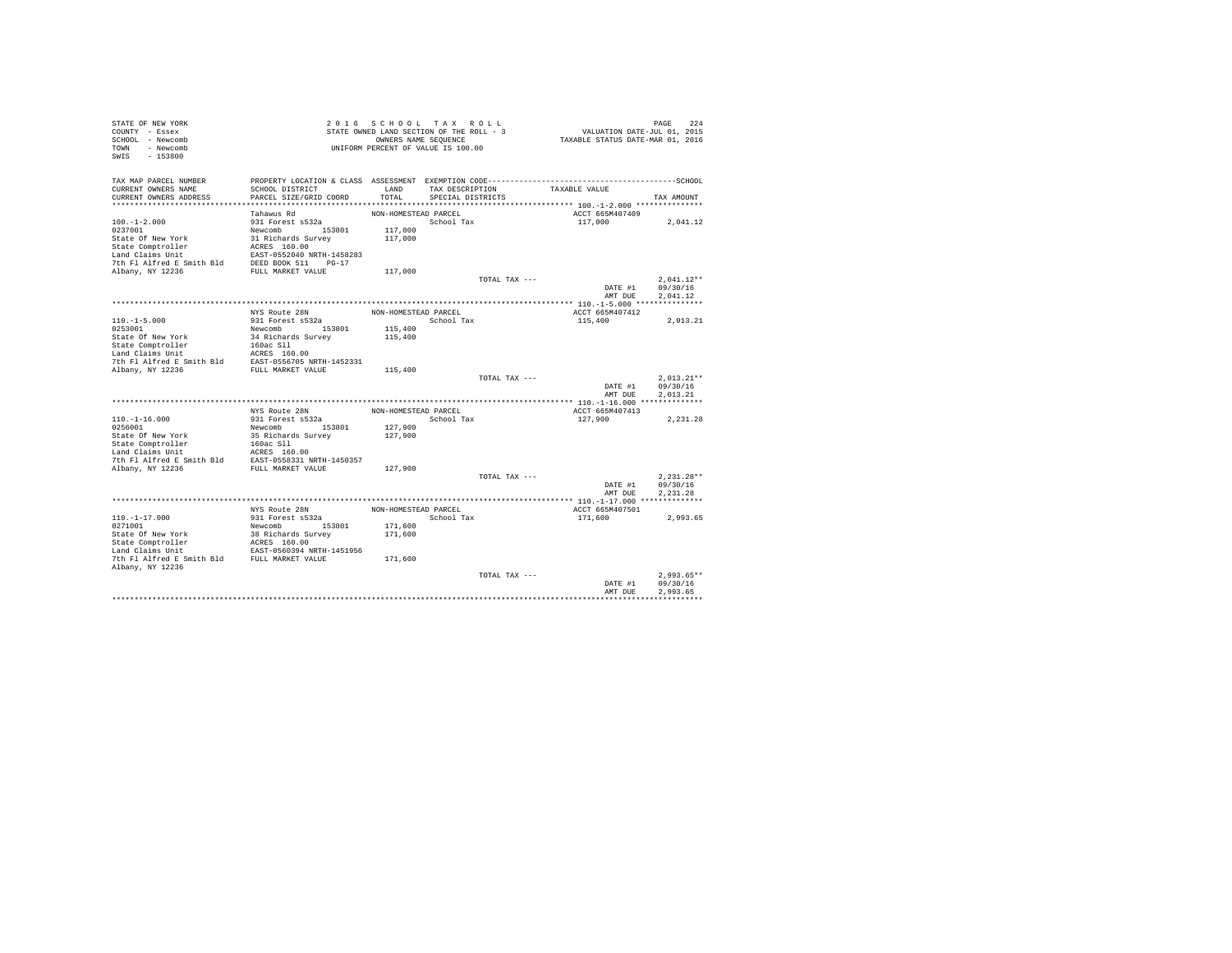| STATE OF NEW YORK<br>COUNTY - Essex<br>SCHOOL - Newcomb<br>TOWN - Newcomb<br>$-153800$<br>SWIS |                                                |                      | 2016 SCHOOL TAX ROLL<br>STATE OWNED LAND SECTION OF THE ROLL - 3<br>OWNERS NAME SEQUENCE<br>UNIFORM PERCENT OF VALUE IS 100.00 |               | VALUATION DATE-JUL 01, 2015<br>TAXABLE STATUS DATE-MAR 01, 2016 | PAGE<br>224          |
|------------------------------------------------------------------------------------------------|------------------------------------------------|----------------------|--------------------------------------------------------------------------------------------------------------------------------|---------------|-----------------------------------------------------------------|----------------------|
| TAX MAP PARCEL NUMBER<br>CURRENT OWNERS NAME                                                   | SCHOOL DISTRICT                                | LAND                 | TAX DESCRIPTION                                                                                                                |               | TAXABLE VALUE                                                   |                      |
| CURRENT OWNERS ADDRESS                                                                         | PARCEL SIZE/GRID COORD                         | TOTAL                | SPECIAL DISTRICTS                                                                                                              |               |                                                                 | TAX AMOUNT           |
|                                                                                                |                                                |                      |                                                                                                                                |               |                                                                 |                      |
|                                                                                                | Tahawus Rd                                     | NON-HOMESTEAD PARCEL |                                                                                                                                |               | ACCT 665M407409                                                 |                      |
| $100. -1 - 2.000$                                                                              | 931 Forest s532a                               |                      | School Tax                                                                                                                     |               | 117,000                                                         | 2,041.12             |
| 0237001<br>State Of New York                                                                   | Newcomb 153801<br>31 Richards Survey           | 117,000<br>117,000   |                                                                                                                                |               |                                                                 |                      |
| State Comptroller                                                                              |                                                |                      |                                                                                                                                |               |                                                                 |                      |
| Land Claims Unit                                                                               | ACRES 160.00<br>EAST-0552040 NRTH-1458283      |                      |                                                                                                                                |               |                                                                 |                      |
| 7th Fl Alfred E Smith Bld                                                                      | DEED BOOK 511 PG-17                            |                      |                                                                                                                                |               |                                                                 |                      |
| Albany, NY 12236                                                                               | FULL MARKET VALUE                              | 117,000              |                                                                                                                                |               |                                                                 |                      |
|                                                                                                |                                                |                      |                                                                                                                                | TOTAL TAX --- |                                                                 | $2.041.12**$         |
|                                                                                                |                                                |                      |                                                                                                                                |               | DATE #1                                                         | 09/30/16             |
|                                                                                                |                                                |                      |                                                                                                                                |               | AMT DUE                                                         | 2.041.12             |
|                                                                                                | NYS Route 28N                                  | NON-HOMESTEAD PARCEL |                                                                                                                                |               | ACCT 665M407412                                                 |                      |
| $110. -1 - 5.000$                                                                              | 931 Forest s532a                               |                      | School Tax                                                                                                                     |               | 115,400                                                         | 2.013.21             |
| 0253001                                                                                        | Newcomb 153801                                 | 115,400              |                                                                                                                                |               |                                                                 |                      |
| State Of New York                                                                              | 34 Richards Survey                             | 115,400              |                                                                                                                                |               |                                                                 |                      |
| State Comptroller                                                                              | 160ac Sll                                      |                      |                                                                                                                                |               |                                                                 |                      |
| Land Claims Unit                                                                               | ACRES 160.00                                   |                      |                                                                                                                                |               |                                                                 |                      |
| 7th Fl Alfred E Smith Bld                                                                      | EAST-0556705 NRTH-1452331<br>FULL MARKET VALUE |                      |                                                                                                                                |               |                                                                 |                      |
| Albany, NY 12236                                                                               |                                                | 115,400              |                                                                                                                                | TOTAL TAX --- |                                                                 | $2.013.21**$         |
|                                                                                                |                                                |                      |                                                                                                                                |               | DATE #1                                                         | 09/30/16             |
|                                                                                                |                                                |                      |                                                                                                                                |               | AMT DUE                                                         | 2.013.21             |
|                                                                                                |                                                |                      |                                                                                                                                |               |                                                                 |                      |
|                                                                                                | NYS Route 28N                                  | NON-HOMESTEAD PARCEL |                                                                                                                                |               | ACCT 665M407413                                                 |                      |
| $110. -1 - 16.000$                                                                             | 931 Forest s532a                               |                      | School Tax                                                                                                                     |               | 127,900                                                         | 2,231.28             |
| 0256001<br>State Of New York                                                                   | Newcomb 153801<br>35 Richards Survey           | 127,900<br>127,900   |                                                                                                                                |               |                                                                 |                      |
| State Comptroller                                                                              | 160ac Sll                                      |                      |                                                                                                                                |               |                                                                 |                      |
| Land Claims Unit                                                                               | ACRES 160.00                                   |                      |                                                                                                                                |               |                                                                 |                      |
| 7th Fl Alfred E Smith Bld                                                                      | EAST-0558331 NRTH-1450357                      |                      |                                                                                                                                |               |                                                                 |                      |
| Albany, NY 12236                                                                               | FULL MARKET VALUE                              | 127,900              |                                                                                                                                |               |                                                                 |                      |
|                                                                                                |                                                |                      |                                                                                                                                | TOTAL TAX --- |                                                                 | $2.231.28**$         |
|                                                                                                |                                                |                      |                                                                                                                                |               | DATE #1<br>AMT DUE                                              | 09/30/16<br>2.231.28 |
|                                                                                                |                                                |                      |                                                                                                                                |               |                                                                 |                      |
|                                                                                                | NYS Route 28N                                  | NON-HOMESTEAD PARCEL |                                                                                                                                |               | ACCT 665M407501                                                 |                      |
| $110. - 1 - 17.000$                                                                            | 931 Forest s532a                               |                      | School Tax                                                                                                                     |               | 171,600                                                         | 2.993.65             |
| 0271001                                                                                        | Newcomb 153801                                 | 171,600              |                                                                                                                                |               |                                                                 |                      |
| State Of New York                                                                              | 38 Richards Survey                             | 171,600              |                                                                                                                                |               |                                                                 |                      |
| State Comptroller                                                                              | ACRES 160.00                                   |                      |                                                                                                                                |               |                                                                 |                      |
| Land Claims Unit<br>7th Fl Alfred E Smith Bld FULL MARKET VALUE                                | EAST-0560394 NRTH-1451956                      |                      |                                                                                                                                |               |                                                                 |                      |
| Albany, NY 12236                                                                               |                                                | 171,600              |                                                                                                                                |               |                                                                 |                      |
|                                                                                                |                                                |                      |                                                                                                                                | TOTAL TAX --- |                                                                 | $2,993.65**$         |
|                                                                                                |                                                |                      |                                                                                                                                |               | DATE #1                                                         | 09/30/16             |
|                                                                                                |                                                |                      |                                                                                                                                |               | AMT DUE                                                         | 2.993.65             |
|                                                                                                |                                                |                      |                                                                                                                                |               |                                                                 |                      |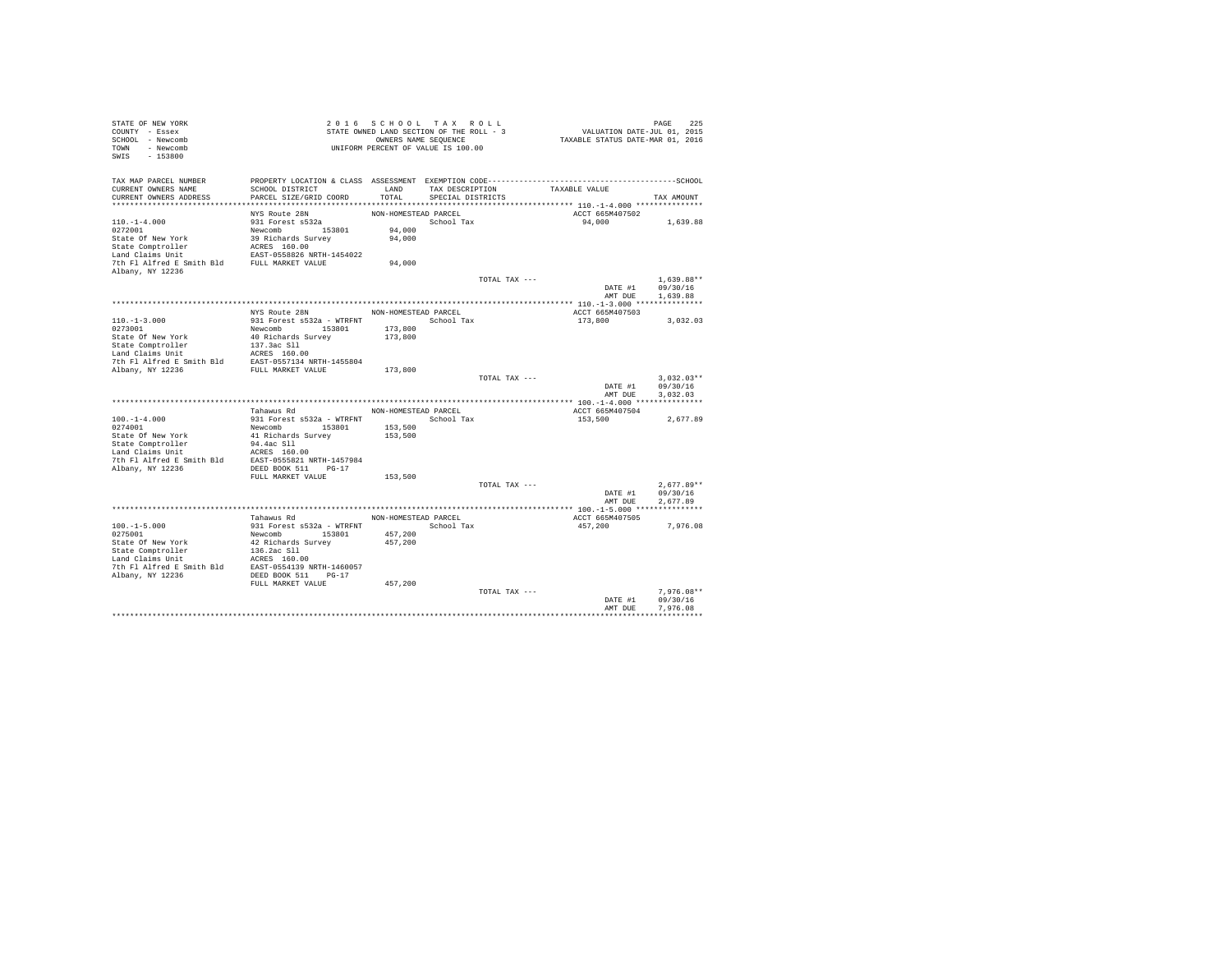| STATE OF NEW YORK                                                                                                                                                                                                                                    |                                                                                                 | 2016 SCHOOL TAX ROLL |                                          |               |                                         |                  |
|------------------------------------------------------------------------------------------------------------------------------------------------------------------------------------------------------------------------------------------------------|-------------------------------------------------------------------------------------------------|----------------------|------------------------------------------|---------------|-----------------------------------------|------------------|
| COUNTY - Essex                                                                                                                                                                                                                                       |                                                                                                 |                      | STATE OWNED LAND SECTION OF THE ROLL - 3 |               | PAGE 225<br>VALUATION DATE-JUL 01, 2015 |                  |
| SCHOOL - Newcomb                                                                                                                                                                                                                                     |                                                                                                 |                      | OWNERS NAME SEQUENCE                     |               | TAXABLE STATUS DATE-MAR 01, 2016        |                  |
| TOWN - Newcomb                                                                                                                                                                                                                                       | UNIFORM PERCENT OF VALUE IS 100.00                                                              |                      |                                          |               |                                         |                  |
| SWIS - 153800                                                                                                                                                                                                                                        |                                                                                                 |                      |                                          |               |                                         |                  |
|                                                                                                                                                                                                                                                      |                                                                                                 |                      |                                          |               |                                         |                  |
|                                                                                                                                                                                                                                                      |                                                                                                 |                      |                                          |               |                                         |                  |
| TAX MAP PARCEL NUMBER                                                                                                                                                                                                                                | PROPERTY LOCATION & CLASS ASSESSMENT EXEMPTION CODE-----------------------------------SCHOOL    |                      |                                          |               |                                         |                  |
| CURRENT OWNERS NAME                                                                                                                                                                                                                                  | SCHOOL DISTRICT                                                                                 | LAND                 | TAX DESCRIPTION                          |               | TAXABLE VALUE                           |                  |
| CURRENT OWNERS ADDRESS                                                                                                                                                                                                                               | PARCEL SIZE/GRID COORD                                                                          | TOTAL                | SPECIAL DISTRICTS                        |               |                                         | TAX AMOUNT       |
|                                                                                                                                                                                                                                                      |                                                                                                 |                      |                                          |               |                                         |                  |
|                                                                                                                                                                                                                                                      | NYS Route 28N                                                                                   | NON-HOMESTEAD PARCEL |                                          |               | ACCT 665M407502                         |                  |
| $110. - 1 - 4.000$                                                                                                                                                                                                                                   | 931 Forest s532a                                                                                |                      | School Tax                               |               | 94,000 1,639.88                         |                  |
| 0272001                                                                                                                                                                                                                                              |                                                                                                 | 94,000               |                                          |               |                                         |                  |
|                                                                                                                                                                                                                                                      |                                                                                                 | 94,000               |                                          |               |                                         |                  |
|                                                                                                                                                                                                                                                      |                                                                                                 |                      |                                          |               |                                         |                  |
| 1971-1970<br>20221011-1990<br>20221011-1991-1991-1992<br>State Offew York 39 Richards Survey<br>39 Richard Claims Diff<br>1980-1992<br>2022 101 PL ALITED EXAMPLE POLID MARKET VALUE<br>2023 1992<br>2023 1992<br>2023 1992<br>2023 1992<br>2023 199 |                                                                                                 |                      |                                          |               |                                         |                  |
|                                                                                                                                                                                                                                                      |                                                                                                 | 94,000               |                                          |               |                                         |                  |
| Albany, NY 12236                                                                                                                                                                                                                                     |                                                                                                 |                      |                                          |               |                                         |                  |
|                                                                                                                                                                                                                                                      |                                                                                                 |                      |                                          | TOTAL TAX --- |                                         | $1.639.88**$     |
|                                                                                                                                                                                                                                                      |                                                                                                 |                      |                                          |               | DATE #1                                 | 09/30/16         |
|                                                                                                                                                                                                                                                      |                                                                                                 |                      |                                          |               |                                         | AMT DUE 1,639.88 |
|                                                                                                                                                                                                                                                      |                                                                                                 |                      |                                          |               |                                         |                  |
|                                                                                                                                                                                                                                                      |                                                                                                 | NON-HOMESTEAD PARCEL |                                          |               |                                         |                  |
|                                                                                                                                                                                                                                                      | NYS Route 28N                                                                                   |                      |                                          |               | ACCT 665M407503                         |                  |
| $110.-1-3.000$<br>0273001                                                                                                                                                                                                                            | 931 Forest s532a - WTRFNT School Tax                                                            |                      |                                          |               | 173,800                                 | 3,032.03         |
|                                                                                                                                                                                                                                                      | Newcomb 153801 173,800                                                                          |                      |                                          |               |                                         |                  |
|                                                                                                                                                                                                                                                      |                                                                                                 |                      |                                          |               |                                         |                  |
|                                                                                                                                                                                                                                                      |                                                                                                 |                      |                                          |               |                                         |                  |
|                                                                                                                                                                                                                                                      |                                                                                                 |                      |                                          |               |                                         |                  |
|                                                                                                                                                                                                                                                      |                                                                                                 |                      |                                          |               |                                         |                  |
|                                                                                                                                                                                                                                                      |                                                                                                 |                      |                                          |               |                                         |                  |
|                                                                                                                                                                                                                                                      |                                                                                                 |                      |                                          | TOTAL TAX --- |                                         | $3,032.03**$     |
|                                                                                                                                                                                                                                                      |                                                                                                 |                      |                                          |               |                                         | DATE #1 09/30/16 |
|                                                                                                                                                                                                                                                      |                                                                                                 |                      |                                          |               | AMT DUE                                 | 3,032.03         |
|                                                                                                                                                                                                                                                      |                                                                                                 |                      |                                          |               |                                         |                  |
|                                                                                                                                                                                                                                                      | Tahawus Rd                                                                                      |                      | NON-HOMESTEAD PARCEL                     |               | ACCT 665M407504                         |                  |
| $100. -1 - 4.000$                                                                                                                                                                                                                                    | 931 Forest s532a - WTRFNT<br>Newcomb 153801 153,500<br>41 Richards Survey 153,500<br>44.4ac S11 |                      |                                          |               | 153,500                                 | 2,677.89         |
| 0274001                                                                                                                                                                                                                                              |                                                                                                 |                      |                                          |               |                                         |                  |
|                                                                                                                                                                                                                                                      |                                                                                                 |                      |                                          |               |                                         |                  |
| State Of New York<br>State Comptroller                                                                                                                                                                                                               |                                                                                                 |                      |                                          |               |                                         |                  |
|                                                                                                                                                                                                                                                      |                                                                                                 |                      |                                          |               |                                         |                  |
|                                                                                                                                                                                                                                                      |                                                                                                 |                      |                                          |               |                                         |                  |
| Land Claims Unit MCRES 160.00<br>7th F1 Alfred E Smith Bld EAST-0555821 NRTH-1457984<br>Albany, NY 12236 DEED BOOK 511 PG-17                                                                                                                         |                                                                                                 |                      |                                          |               |                                         |                  |
|                                                                                                                                                                                                                                                      | FULL MARKET VALUE                                                                               | 153,500              |                                          |               |                                         |                  |
|                                                                                                                                                                                                                                                      |                                                                                                 |                      |                                          | TOTAL TAX --- |                                         | $2.677.89**$     |
|                                                                                                                                                                                                                                                      |                                                                                                 |                      |                                          |               |                                         |                  |
|                                                                                                                                                                                                                                                      |                                                                                                 |                      |                                          |               | DATE #1                                 | 09/30/16         |
|                                                                                                                                                                                                                                                      |                                                                                                 |                      |                                          |               | AMT DUE                                 | 2.677.89         |
|                                                                                                                                                                                                                                                      |                                                                                                 |                      |                                          |               |                                         |                  |
|                                                                                                                                                                                                                                                      | Tahawus Rd                                                                                      |                      | NON-HOMESTEAD PARCEL                     |               | ACCT 665M407505                         |                  |
| $100 - 1 - 5.000$                                                                                                                                                                                                                                    |                                                                                                 |                      |                                          |               | 457,200                                 | 7,976.08         |
|                                                                                                                                                                                                                                                      |                                                                                                 |                      |                                          |               |                                         |                  |
|                                                                                                                                                                                                                                                      |                                                                                                 |                      |                                          |               |                                         |                  |
|                                                                                                                                                                                                                                                      |                                                                                                 |                      |                                          |               |                                         |                  |
|                                                                                                                                                                                                                                                      |                                                                                                 |                      |                                          |               |                                         |                  |
|                                                                                                                                                                                                                                                      |                                                                                                 |                      |                                          |               |                                         |                  |
|                                                                                                                                                                                                                                                      |                                                                                                 |                      |                                          |               |                                         |                  |
|                                                                                                                                                                                                                                                      | FULL MARKET VALUE                                                                               | 457,200              |                                          |               |                                         |                  |
|                                                                                                                                                                                                                                                      |                                                                                                 |                      |                                          | TOTAL TAX --- |                                         | $7.976.08**$     |
|                                                                                                                                                                                                                                                      |                                                                                                 |                      |                                          |               | DATE #1                                 | 09/30/16         |
|                                                                                                                                                                                                                                                      |                                                                                                 |                      |                                          |               | AMT DUE                                 | 7.976.08         |
|                                                                                                                                                                                                                                                      |                                                                                                 |                      |                                          |               |                                         | ************     |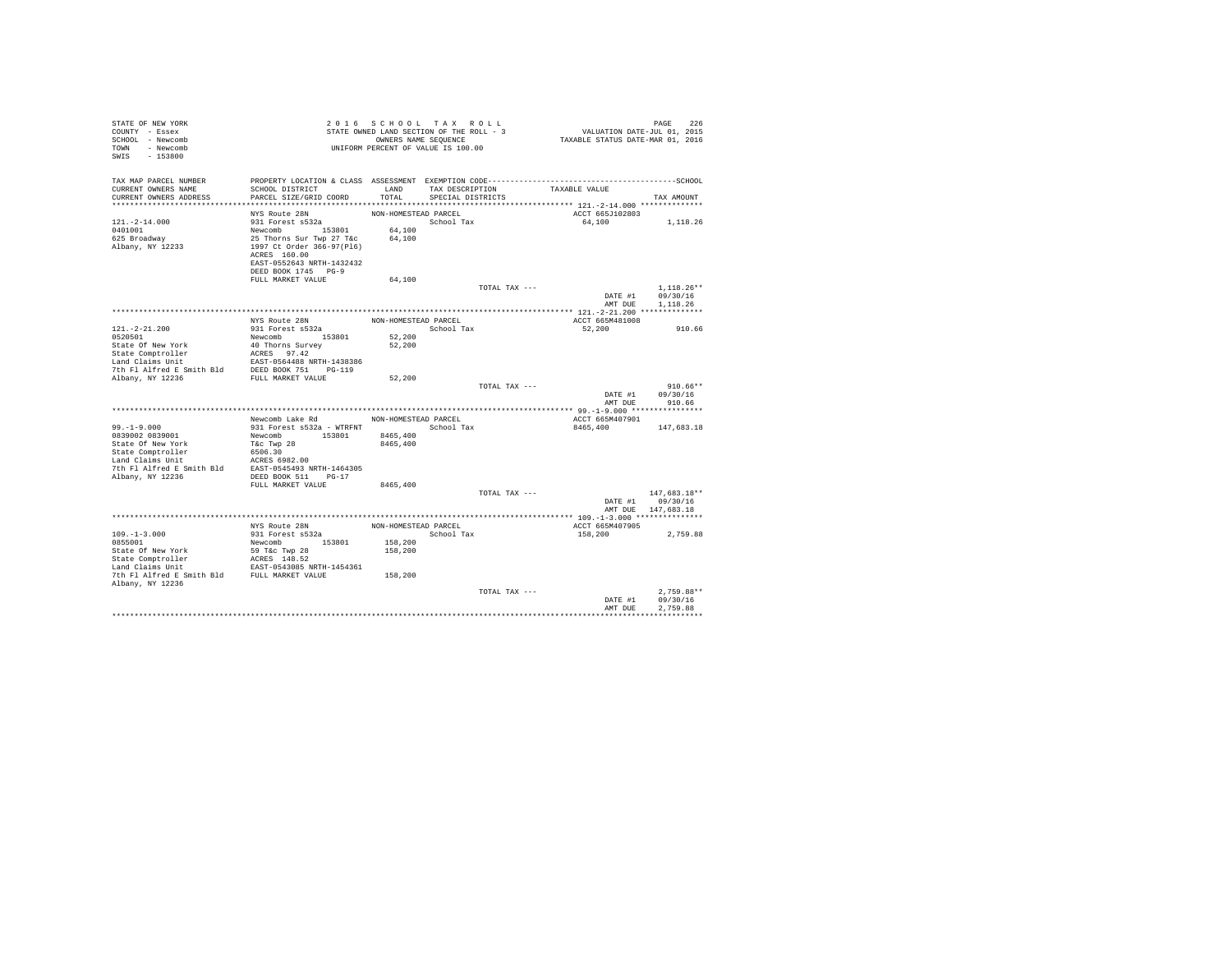| STATE OF NEW YORK<br>COUNTY - Essex<br>SCHOOL - Newcomb<br>TOWN - Newcomb<br>$-153800$<br>SWIS                                                                                                                                                                                            |                                                                                       |                      | 2016 SCHOOL TAX ROLL<br>STATE OWNED LAND SECTION OF THE ROLL - 3<br>OWNERS NAME SEQUENCE<br>UNIFORM PERCENT OF VALUE IS 100.00 |                           | PAGE 226<br>VALUATION DATE-JUL 01, 2015<br>TAXABLE STATUS DATE-MAR 01, 2016 |
|-------------------------------------------------------------------------------------------------------------------------------------------------------------------------------------------------------------------------------------------------------------------------------------------|---------------------------------------------------------------------------------------|----------------------|--------------------------------------------------------------------------------------------------------------------------------|---------------------------|-----------------------------------------------------------------------------|
| TAX MAP PARCEL NUMBER                                                                                                                                                                                                                                                                     |                                                                                       |                      |                                                                                                                                |                           |                                                                             |
| CURRENT OWNERS NAME<br>CURRENT OWNERS ADDRESS                                                                                                                                                                                                                                             | SCHOOL DISTRICT                                                                       | LAND<br>TOTAL        | TAX DESCRIPTION<br>SPECIAL DISTRICTS                                                                                           | TAXABLE VALUE             |                                                                             |
|                                                                                                                                                                                                                                                                                           | PARCEL SIZE/GRID COORD                                                                |                      |                                                                                                                                |                           | TAX AMOUNT                                                                  |
|                                                                                                                                                                                                                                                                                           | NYS Route 28N                                                                         | NON-HOMESTEAD PARCEL |                                                                                                                                | ACCT 665J102803           |                                                                             |
| $121. - 2 - 14.000$                                                                                                                                                                                                                                                                       | 931 Forest s532a                                                                      |                      | School Tax                                                                                                                     |                           | 64.100 1.118.26                                                             |
| 0401001                                                                                                                                                                                                                                                                                   |                                                                                       |                      |                                                                                                                                |                           |                                                                             |
| 625 Broadway                                                                                                                                                                                                                                                                              | Newcomb 153801 64,100<br>25 Thorns Sur Twp 27 T&c 64,100<br>1997 Ct Order 366-97(P16) |                      |                                                                                                                                |                           |                                                                             |
| Albany, NY 12233                                                                                                                                                                                                                                                                          | ACRES 160.00                                                                          |                      |                                                                                                                                |                           |                                                                             |
|                                                                                                                                                                                                                                                                                           | EAST-0552643 NRTH-1432432                                                             |                      |                                                                                                                                |                           |                                                                             |
|                                                                                                                                                                                                                                                                                           | DEED BOOK 1745 PG-9                                                                   |                      |                                                                                                                                |                           |                                                                             |
|                                                                                                                                                                                                                                                                                           | FULL MARKET VALUE                                                                     | 64,100               |                                                                                                                                |                           |                                                                             |
|                                                                                                                                                                                                                                                                                           |                                                                                       |                      |                                                                                                                                | TOTAL TAX ---             | $1,118.26**$                                                                |
|                                                                                                                                                                                                                                                                                           |                                                                                       |                      |                                                                                                                                |                           | DATE #1 09/30/16<br>AMT DUE<br>1.118.26                                     |
|                                                                                                                                                                                                                                                                                           |                                                                                       |                      |                                                                                                                                |                           |                                                                             |
| $121. - 2 - 21.200$                                                                                                                                                                                                                                                                       | NYS Route 28N<br>931 Forest s532a                                                     | NON-HOMESTEAD PARCEL | School Tax                                                                                                                     | ACCT 665M481008<br>52,200 | 910.66                                                                      |
|                                                                                                                                                                                                                                                                                           |                                                                                       | 52,200               |                                                                                                                                |                           |                                                                             |
|                                                                                                                                                                                                                                                                                           |                                                                                       | 52,200               |                                                                                                                                |                           |                                                                             |
|                                                                                                                                                                                                                                                                                           |                                                                                       |                      |                                                                                                                                |                           |                                                                             |
|                                                                                                                                                                                                                                                                                           |                                                                                       |                      |                                                                                                                                |                           |                                                                             |
|                                                                                                                                                                                                                                                                                           |                                                                                       | 52,200               |                                                                                                                                |                           |                                                                             |
|                                                                                                                                                                                                                                                                                           |                                                                                       |                      | TOTAL TAX ---                                                                                                                  |                           | $910.66**$                                                                  |
|                                                                                                                                                                                                                                                                                           |                                                                                       |                      |                                                                                                                                |                           | DATE #1<br>09/30/16<br>AMT DUE 910.66                                       |
|                                                                                                                                                                                                                                                                                           |                                                                                       |                      |                                                                                                                                |                           |                                                                             |
|                                                                                                                                                                                                                                                                                           | Newcomb Lake Rd NON-HOMESTEAD PARCEL                                                  |                      |                                                                                                                                | ACCT 665M407901           |                                                                             |
| $99. -1 - 9.000$                                                                                                                                                                                                                                                                          | 931 Forest s532a - WTRFNT School Tax                                                  |                      |                                                                                                                                | 8465,400                  | 147,683.18                                                                  |
| 0839002 0839001<br>State Of New York                                                                                                                                                                                                                                                      | Newcomb 153801 8465,400<br>T&c Twp 28                                                 | 8465,400             |                                                                                                                                |                           |                                                                             |
| State Omptroller (1996)<br>Land Claims Unit<br>Land Claims Unit<br>2006 100 1 ACRES 6982.00<br>2007 1 Alfred E Smith Bld<br>2008 1008 511 196-17<br>2019 1008 511 196-17                                                                                                                  |                                                                                       |                      |                                                                                                                                |                           |                                                                             |
|                                                                                                                                                                                                                                                                                           |                                                                                       |                      |                                                                                                                                |                           |                                                                             |
|                                                                                                                                                                                                                                                                                           |                                                                                       |                      |                                                                                                                                |                           |                                                                             |
|                                                                                                                                                                                                                                                                                           |                                                                                       |                      |                                                                                                                                |                           |                                                                             |
|                                                                                                                                                                                                                                                                                           | FULL MARKET VALUE                                                                     | 8465,400             |                                                                                                                                |                           |                                                                             |
|                                                                                                                                                                                                                                                                                           |                                                                                       |                      |                                                                                                                                | TOTAL TAX ---             | 147,683.18**<br>DATE #1 09/30/16                                            |
|                                                                                                                                                                                                                                                                                           |                                                                                       |                      |                                                                                                                                |                           | AMT DUE 147,683.18                                                          |
|                                                                                                                                                                                                                                                                                           |                                                                                       |                      |                                                                                                                                |                           |                                                                             |
|                                                                                                                                                                                                                                                                                           | NYS Route 28N<br>931 Forest s532a                                                     |                      | NON-HOMESTEAD PARCEL                                                                                                           | ACCT 665M407905           |                                                                             |
| $109. - 1 - 3.000$                                                                                                                                                                                                                                                                        |                                                                                       |                      | School Tax                                                                                                                     | 158,200                   | 2,759.88                                                                    |
| 0855001                                                                                                                                                                                                                                                                                   | Newcomb 153801                                                                        | 158,200<br>158,200   |                                                                                                                                |                           |                                                                             |
|                                                                                                                                                                                                                                                                                           |                                                                                       |                      |                                                                                                                                |                           |                                                                             |
| $\begin{tabular}{lllllllllllll} \texttt{State Of New York} & \texttt{59 T&c Two 28}\\ \texttt{State Comprooller} & \texttt{ACRES 148.52}\\ \texttt{Land Calims Unit} & \texttt{RAST-0543085 NRTH-1454361}\\ \texttt{7th Fl Alfred E Smith Bild & \texttt{FUL MARKET VALUE} \end{tabular}$ |                                                                                       |                      |                                                                                                                                |                           |                                                                             |
|                                                                                                                                                                                                                                                                                           |                                                                                       | 158,200              |                                                                                                                                |                           |                                                                             |
| Albany, NY 12236                                                                                                                                                                                                                                                                          |                                                                                       |                      |                                                                                                                                |                           |                                                                             |
|                                                                                                                                                                                                                                                                                           |                                                                                       |                      | TOTAL TAX ---                                                                                                                  |                           | $2.759.88**$                                                                |
|                                                                                                                                                                                                                                                                                           |                                                                                       |                      |                                                                                                                                |                           | 09/30/16<br>DATE #1<br>AMT DUE<br>2.759.88                                  |
|                                                                                                                                                                                                                                                                                           |                                                                                       |                      |                                                                                                                                |                           |                                                                             |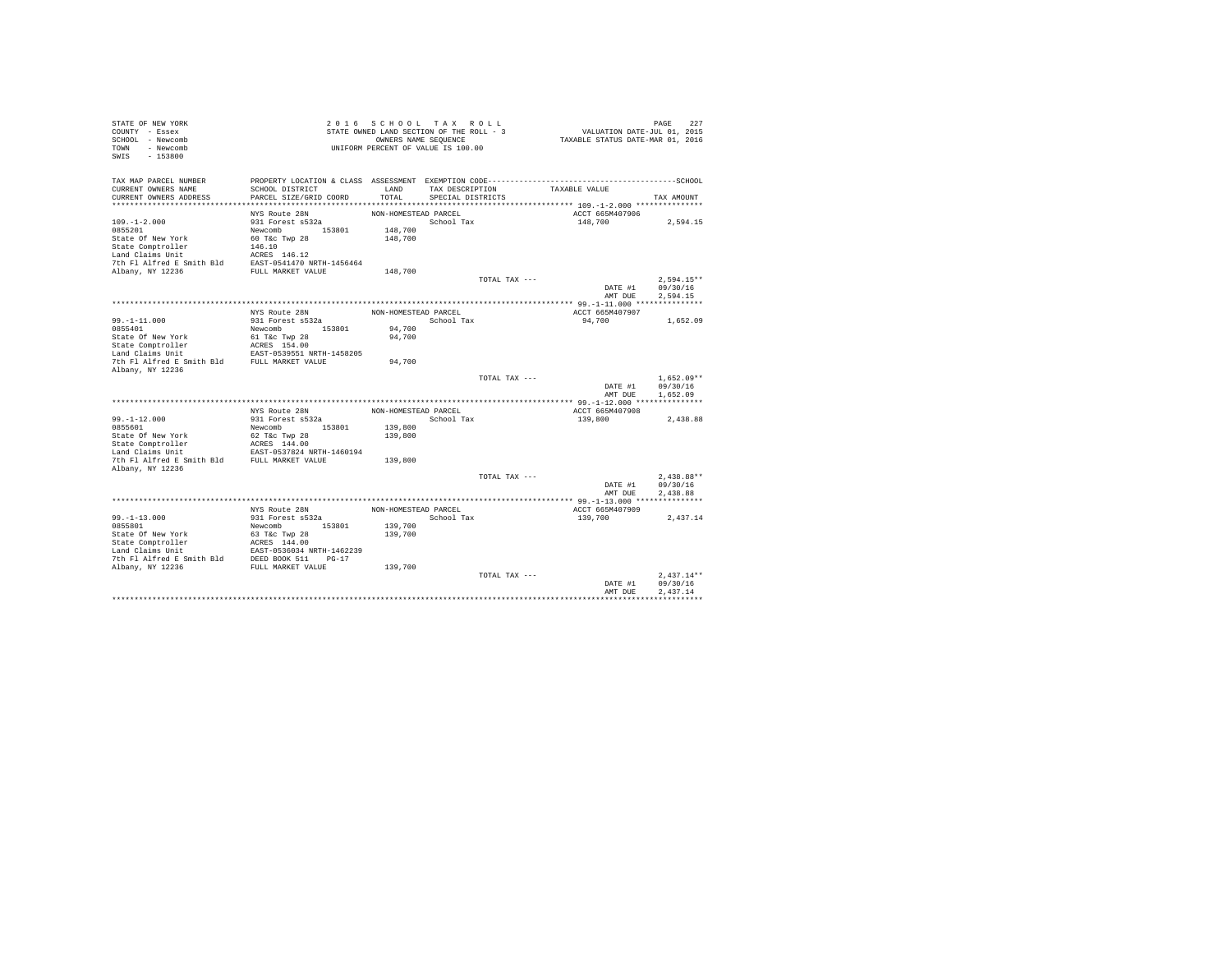| STATE OF NEW YORK<br>COUNTY - Essex<br>SCHOOL - Newcomb<br>TOWN - Newcomb<br>SWIS<br>$-153800$  |                                                            |                      | 2016 SCHOOL TAX ROLL<br>STATE OWNED LAND SECTION OF THE ROLL - 3<br>OWNERS NAME SEQUENCE<br>UNIFORM PERCENT OF VALUE IS 100.00 |               | VALUATION DATE-JUL 01, 2015<br>TAXABLE STATUS DATE-MAR 01, 2016 | PAGE         | 227 |
|-------------------------------------------------------------------------------------------------|------------------------------------------------------------|----------------------|--------------------------------------------------------------------------------------------------------------------------------|---------------|-----------------------------------------------------------------|--------------|-----|
| TAX MAP PARCEL NUMBER                                                                           |                                                            |                      |                                                                                                                                |               |                                                                 |              |     |
| CURRENT OWNERS NAME                                                                             | SCHOOL DISTRICT                                            | LAND                 | TAX DESCRIPTION                                                                                                                |               | TAXABLE VALUE                                                   |              |     |
| CURRENT OWNERS ADDRESS                                                                          | PARCEL SIZE/GRID COORD                                     | TOTAL                | SPECIAL DISTRICTS                                                                                                              |               |                                                                 | TAX AMOUNT   |     |
|                                                                                                 | NYS Route 28N                                              | NON-HOMESTEAD PARCEL |                                                                                                                                |               | ACCT 665M407906                                                 |              |     |
| $109. - 1 - 2.000$                                                                              | 931 Forest s532a                                           |                      | School Tax                                                                                                                     |               | 148,700                                                         | 2,594.15     |     |
| 0855201                                                                                         | Newcomb 153801                                             | 148,700              |                                                                                                                                |               |                                                                 |              |     |
| State Of New York                                                                               | 60 T&c Twp 28                                              | 148,700              |                                                                                                                                |               |                                                                 |              |     |
| State Comptroller                                                                               | 146.10                                                     |                      |                                                                                                                                |               |                                                                 |              |     |
| Land Claims Unit                                                                                | ACRES 146.12                                               |                      |                                                                                                                                |               |                                                                 |              |     |
| 7th Fl Alfred E Smith Bld EAST-0541470 NRTH-1456464                                             |                                                            |                      |                                                                                                                                |               |                                                                 |              |     |
| Albany, NY 12236                                                                                | FULL MARKET VALUE                                          | 148,700              |                                                                                                                                |               |                                                                 |              |     |
|                                                                                                 |                                                            |                      |                                                                                                                                | TOTAL TAX --- |                                                                 | $2.594.15**$ |     |
|                                                                                                 |                                                            |                      |                                                                                                                                |               | DATE #1                                                         | 09/30/16     |     |
|                                                                                                 |                                                            |                      |                                                                                                                                |               | AMT DUE                                                         | 2.594.15     |     |
|                                                                                                 | NYS Route 28N                                              | NON-HOMESTEAD PARCEL |                                                                                                                                |               | ACCT 665M407907                                                 |              |     |
| $99. - 1 - 11.000$                                                                              | 931 Forest s532a                                           |                      | School Tax                                                                                                                     |               | 94,700                                                          | 1,652.09     |     |
| 0855401                                                                                         | Newcomb 153801                                             | 94,700               |                                                                                                                                |               |                                                                 |              |     |
| State Of New York                                                                               | 61 T&c Twp 28                                              | 94,700               |                                                                                                                                |               |                                                                 |              |     |
| State Comptroller                                                                               | ACRES 154.00                                               |                      |                                                                                                                                |               |                                                                 |              |     |
| Land Claims Unit<br>EAST-0539551 NRTH-1458205<br>7th Fl Alfred E Smith Bld<br>FULL MARKET VALUE |                                                            |                      |                                                                                                                                |               |                                                                 |              |     |
|                                                                                                 |                                                            | 94,700               |                                                                                                                                |               |                                                                 |              |     |
| Albany, NY 12236                                                                                |                                                            |                      |                                                                                                                                | TOTAL TAX --- |                                                                 | $1.652.09**$ |     |
|                                                                                                 |                                                            |                      |                                                                                                                                |               | DATE #1                                                         | 09/30/16     |     |
|                                                                                                 |                                                            |                      |                                                                                                                                |               | AMT DUR                                                         | 1,652.09     |     |
|                                                                                                 |                                                            |                      |                                                                                                                                |               |                                                                 |              |     |
|                                                                                                 | NYS Route 28N                                              | NON-HOMESTEAD PARCEL |                                                                                                                                |               | ACCT 665M407908                                                 |              |     |
| $99. -1 - 12.000$                                                                               | 931 Forest s532a                                           |                      | School Tax                                                                                                                     |               | 139,800                                                         | 2,438.88     |     |
| 0855601                                                                                         | Newcomb 153801                                             | 139,800              |                                                                                                                                |               |                                                                 |              |     |
| State Of New York                                                                               | 62 T&c Twp 28                                              | 139,800              |                                                                                                                                |               |                                                                 |              |     |
| State Comptroller                                                                               | ACRES 144.00                                               |                      |                                                                                                                                |               |                                                                 |              |     |
| Land Claims Unit<br>7th Fl Alfred E Smith Bld FULL MARKET VALUE                                 | EAST-0537824 NRTH-1460194                                  | 139,800              |                                                                                                                                |               |                                                                 |              |     |
| Albany, NY 12236                                                                                |                                                            |                      |                                                                                                                                |               |                                                                 |              |     |
|                                                                                                 |                                                            |                      |                                                                                                                                | TOTAL TAX --- |                                                                 | $2.438.88**$ |     |
|                                                                                                 |                                                            |                      |                                                                                                                                |               | DATE #1                                                         | 09/30/16     |     |
|                                                                                                 |                                                            |                      |                                                                                                                                |               | AMT DUE                                                         | 2.438.88     |     |
|                                                                                                 |                                                            |                      |                                                                                                                                |               |                                                                 |              |     |
|                                                                                                 | NYS Route 28N                                              | NON-HOMESTEAD PARCEL |                                                                                                                                |               | ACCT 665M407909                                                 |              |     |
| $99. - 1 - 13.000$                                                                              | 931 Forest s532a                                           |                      | School Tax                                                                                                                     |               | 139,700                                                         | 2.437.14     |     |
| 0855801                                                                                         | Newcomb 153801                                             | 139,700              |                                                                                                                                |               |                                                                 |              |     |
| State Or New<br>State Comptroller                                                               | 63 T&c Twp 28                                              | 139,700              |                                                                                                                                |               |                                                                 |              |     |
|                                                                                                 | 35 Tac Twp 20<br>ACRES 144.00<br>EAST-0536034 NRTH-1462239 |                      |                                                                                                                                |               |                                                                 |              |     |
| 7th Fl Alfred E Smith Bld DEED BOOK 511 PG-17                                                   |                                                            |                      |                                                                                                                                |               |                                                                 |              |     |
| Albany, NY 12236                                                                                | FULL MARKET VALUE                                          | 139,700              |                                                                                                                                |               |                                                                 |              |     |
|                                                                                                 |                                                            |                      |                                                                                                                                | TOTAL TAX --- |                                                                 | $2.437.14**$ |     |
|                                                                                                 |                                                            |                      |                                                                                                                                |               | DATE #1                                                         | 09/30/16     |     |
|                                                                                                 |                                                            |                      |                                                                                                                                |               | AMT DUE                                                         | 2.437.14     |     |
|                                                                                                 |                                                            |                      |                                                                                                                                |               |                                                                 |              |     |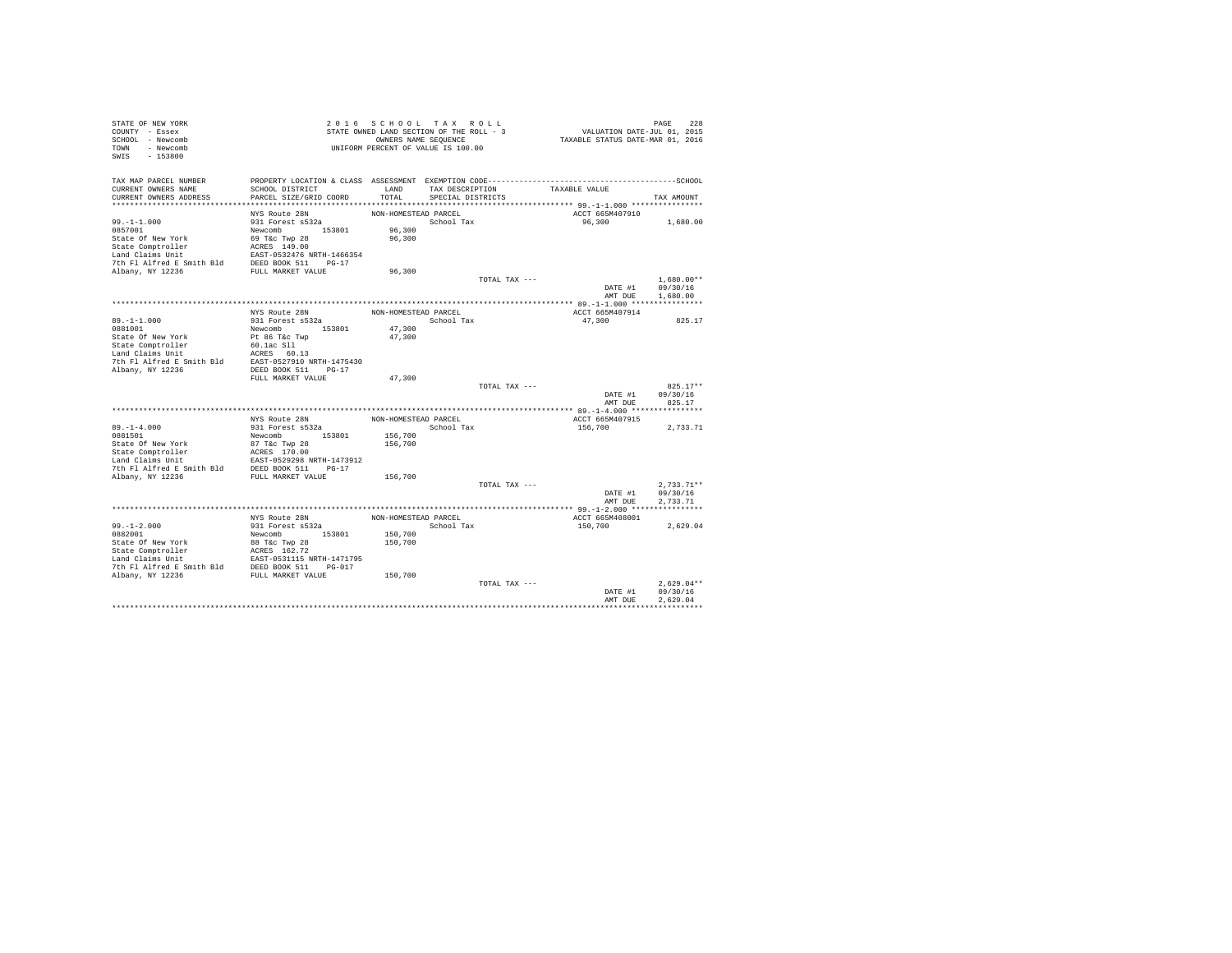| STATE OF NEW YORK<br>COUNTY - Essex<br>SCHOOL - Newcomb<br>TOWN - Newcomb<br>SWIS - 153800                                                                                      |                                   |                      | 2016 SCHOOL TAX ROLL<br>STATE OWNED LAND SECTION OF THE ROLL - 3<br>OWNERS NAME SEQUENCE<br>UNIFORM PERCENT OF VALUE IS 100.00 |               | PAGE 228<br>VALUATION DATE-JUL 01, 2015<br>TAXABLE STATUS DATE-MAR 01, 2016 |                        |  |
|---------------------------------------------------------------------------------------------------------------------------------------------------------------------------------|-----------------------------------|----------------------|--------------------------------------------------------------------------------------------------------------------------------|---------------|-----------------------------------------------------------------------------|------------------------|--|
| TAX MAP PARCEL NUMBER                                                                                                                                                           |                                   |                      |                                                                                                                                |               |                                                                             |                        |  |
| CURRENT OWNERS NAME                                                                                                                                                             | SCHOOL DISTRICT                   |                      | LAND TAX DESCRIPTION                                                                                                           |               | TAXABLE VALUE                                                               |                        |  |
| CURRENT OWNERS ADDRESS                                                                                                                                                          | PARCEL SIZE/GRID COORD            | TOTAL                | SPECIAL DISTRICTS                                                                                                              |               |                                                                             | TAX AMOUNT             |  |
|                                                                                                                                                                                 | NYS Route 28N                     | NON-HOMESTEAD PARCEL |                                                                                                                                |               | ACCT 665M407910                                                             |                        |  |
| $99. - 1 - 1.000$                                                                                                                                                               | 931 Forest s532a                  |                      | School Tax                                                                                                                     |               | 96,300                                                                      | 1,680.00               |  |
| 0857001                                                                                                                                                                         | Newcomb 153801<br>69 T&c Twp 28   | 96,300               |                                                                                                                                |               |                                                                             |                        |  |
| State Of New York                                                                                                                                                               |                                   | 96,300               |                                                                                                                                |               |                                                                             |                        |  |
| State Comptroller MCRES 149.00<br>Land Claims Unit 1466354 76 PM P1 Alfred E Smith Bld<br>7th F1 Alfred E Smith Bld<br>PED BOOK 511 PG-17<br>Albany, NY 12236 PULL MARKET VALUE |                                   |                      |                                                                                                                                |               |                                                                             |                        |  |
|                                                                                                                                                                                 |                                   |                      |                                                                                                                                |               |                                                                             |                        |  |
|                                                                                                                                                                                 |                                   | 96,300               |                                                                                                                                |               |                                                                             |                        |  |
|                                                                                                                                                                                 |                                   |                      |                                                                                                                                | TOTAL TAX --- |                                                                             | $1,680.00**$           |  |
|                                                                                                                                                                                 |                                   |                      |                                                                                                                                |               |                                                                             | DATE #1 09/30/16       |  |
|                                                                                                                                                                                 |                                   |                      |                                                                                                                                |               | AMT DUE                                                                     | 1,680.00               |  |
|                                                                                                                                                                                 |                                   |                      |                                                                                                                                |               |                                                                             |                        |  |
|                                                                                                                                                                                 | NYS Route 28N<br>931 Forest s532a | NON-HOMESTEAD PARCEL |                                                                                                                                |               | ACCT 665M407914                                                             |                        |  |
| $89. -1 - 1.000$                                                                                                                                                                |                                   |                      | School Tax                                                                                                                     |               | 47,300                                                                      | 825.17                 |  |
| 0881001<br>State Of New York                                                                                                                                                    | Newcomb 153801<br>Pt 86 T&c Twp   | 47,300<br>47,300     |                                                                                                                                |               |                                                                             |                        |  |
|                                                                                                                                                                                 | $60.1ac$ $S11$                    |                      |                                                                                                                                |               |                                                                             |                        |  |
| State Comptroller<br>Land Claims Unit                                                                                                                                           | ACRES 60.13                       |                      |                                                                                                                                |               |                                                                             |                        |  |
| 7th Fl Alfred E Smith Bld EAST-0527910 NRTH-1475430                                                                                                                             |                                   |                      |                                                                                                                                |               |                                                                             |                        |  |
| Albany, NY 12236                                                                                                                                                                | DEED BOOK 511 PG-17               |                      |                                                                                                                                |               |                                                                             |                        |  |
|                                                                                                                                                                                 | FULL MARKET VALUE                 | 47,300               |                                                                                                                                |               |                                                                             |                        |  |
|                                                                                                                                                                                 |                                   |                      |                                                                                                                                | TOTAL TAX --- | DATE #1                                                                     | $825.17**$<br>09/30/16 |  |
|                                                                                                                                                                                 |                                   |                      |                                                                                                                                |               | AMT DUE                                                                     | 825.17                 |  |
|                                                                                                                                                                                 |                                   |                      |                                                                                                                                |               |                                                                             |                        |  |
|                                                                                                                                                                                 | NYS Route 28N                     |                      | NON-HOMESTEAD PARCEL                                                                                                           |               | ACCT 665M407915                                                             |                        |  |
| $89 - 1 - 4.000$                                                                                                                                                                | 931 Forest s532a                  |                      | School Tax                                                                                                                     |               | 156,700                                                                     | 2,733.71               |  |
| 0881501                                                                                                                                                                         | Newcomb 153801                    | 156,700              |                                                                                                                                |               |                                                                             |                        |  |
|                                                                                                                                                                                 |                                   | 156,700              |                                                                                                                                |               |                                                                             |                        |  |
|                                                                                                                                                                                 |                                   |                      |                                                                                                                                |               |                                                                             |                        |  |
|                                                                                                                                                                                 |                                   |                      |                                                                                                                                |               |                                                                             |                        |  |
|                                                                                                                                                                                 |                                   | 156,700              |                                                                                                                                |               |                                                                             |                        |  |
|                                                                                                                                                                                 |                                   |                      |                                                                                                                                | TOTAL TAX --- |                                                                             | $2,733.71**$           |  |
|                                                                                                                                                                                 |                                   |                      |                                                                                                                                |               | DATE #1                                                                     | 09/30/16               |  |
|                                                                                                                                                                                 |                                   |                      |                                                                                                                                |               | AMT DUE                                                                     | 2.733.71               |  |
|                                                                                                                                                                                 |                                   |                      |                                                                                                                                |               |                                                                             |                        |  |
| $99. - 1 - 2.000$                                                                                                                                                               | NYS Route 28N<br>931 Forest s532a | NON-HOMESTEAD PARCEL | School Tax                                                                                                                     |               | ACCT 665M408001<br>150,700                                                  | 2,629.04               |  |
| 0882001                                                                                                                                                                         | Newcomb 153801                    | 150,700              |                                                                                                                                |               |                                                                             |                        |  |
|                                                                                                                                                                                 |                                   | 150,700              |                                                                                                                                |               |                                                                             |                        |  |
|                                                                                                                                                                                 |                                   |                      |                                                                                                                                |               |                                                                             |                        |  |
|                                                                                                                                                                                 |                                   |                      |                                                                                                                                |               |                                                                             |                        |  |
|                                                                                                                                                                                 |                                   |                      |                                                                                                                                |               |                                                                             |                        |  |
|                                                                                                                                                                                 |                                   | 150,700              |                                                                                                                                | TOTAL TAX --- |                                                                             | $2.629.04**$           |  |
|                                                                                                                                                                                 |                                   |                      |                                                                                                                                |               | DATE #1                                                                     | 09/30/16               |  |
|                                                                                                                                                                                 |                                   |                      |                                                                                                                                |               | AMT DUE                                                                     | 2.629.04               |  |
|                                                                                                                                                                                 |                                   |                      |                                                                                                                                |               |                                                                             |                        |  |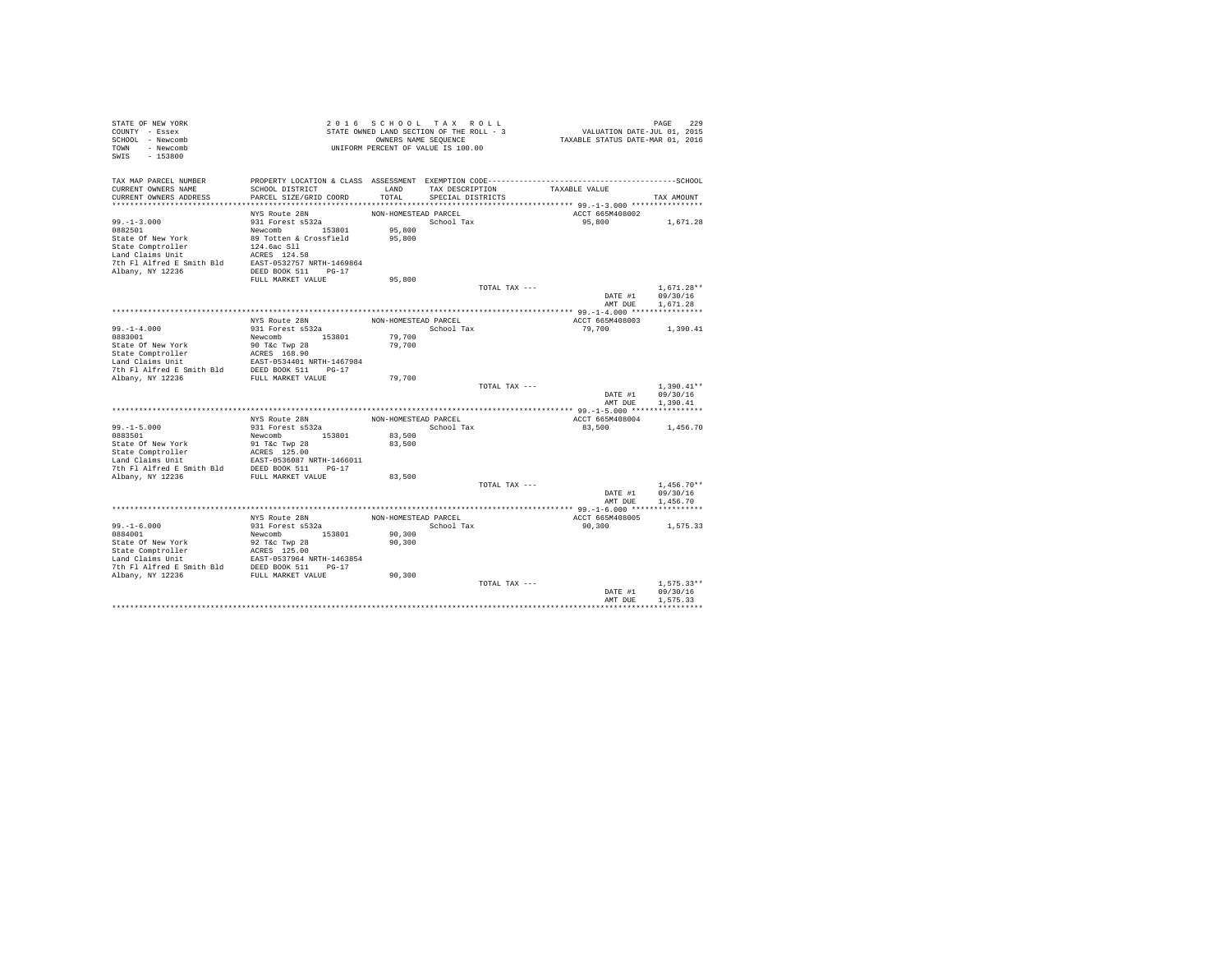| STATE OF NEW YORK<br>COUNTY - Essex<br>SCHOOL - Newcomb<br>TOWN - Newcomb<br>SWIS - 153800                                                                                                                                           |                                                        |                      | 2016 SCHOOL TAX ROLL<br>STATE OWNED LAND SECTION OF THE ROLL - 3<br>OWNERS NAME SEQUENCE<br>UNIFORM PERCENT OF VALUE IS 100.00 | PAGE 229<br>VALUATION DATE-JUL 01, 2015<br>TAXABLE STATUS DATE-MAR 01, 2016 |                                                                                                |
|--------------------------------------------------------------------------------------------------------------------------------------------------------------------------------------------------------------------------------------|--------------------------------------------------------|----------------------|--------------------------------------------------------------------------------------------------------------------------------|-----------------------------------------------------------------------------|------------------------------------------------------------------------------------------------|
| TAX MAP PARCEL NUMBER                                                                                                                                                                                                                |                                                        |                      |                                                                                                                                |                                                                             |                                                                                                |
| CURRENT OWNERS NAME<br>CURRENT OWNERS ADDRESS                                                                                                                                                                                        | SCHOOL DISTRICT<br>PARCEL SIZE/GRID COORD              |                      | LAND TAX DESCRIPTION TAXABLE VALUE<br>TOTAL SPECIAL DISTRICTS                                                                  |                                                                             | TAX AMOUNT                                                                                     |
|                                                                                                                                                                                                                                      |                                                        |                      |                                                                                                                                |                                                                             |                                                                                                |
|                                                                                                                                                                                                                                      | NYS Route 28N                                          | NON-HOMESTEAD PARCEL |                                                                                                                                | ACCT 665M408002                                                             |                                                                                                |
| $99. - 1 - 3.000$                                                                                                                                                                                                                    |                                                        |                      | School Tax                                                                                                                     | 95,800 1,671.28                                                             |                                                                                                |
| 0882501                                                                                                                                                                                                                              | Newcomb 153801 95,800<br>89 Totten & Crossfield 95,800 | 95,800               |                                                                                                                                |                                                                             |                                                                                                |
| State Of New York                                                                                                                                                                                                                    |                                                        |                      |                                                                                                                                |                                                                             |                                                                                                |
| State Comptroller and the state of the state of the state Comptroller and Claims Unit and Claims of the Platform of the SAST of Albany, NY 12236 and the SAST DEED BOOK 511 PG-17 and DEED BOOK 511 PG-17 and DEED BOOK 511 PG       |                                                        |                      |                                                                                                                                |                                                                             |                                                                                                |
|                                                                                                                                                                                                                                      |                                                        |                      |                                                                                                                                |                                                                             |                                                                                                |
|                                                                                                                                                                                                                                      |                                                        |                      |                                                                                                                                |                                                                             |                                                                                                |
|                                                                                                                                                                                                                                      | FULL MARKET VALUE                                      | 95,800               |                                                                                                                                |                                                                             |                                                                                                |
|                                                                                                                                                                                                                                      |                                                        |                      | TOTAL TAX ---                                                                                                                  |                                                                             | $1.671.28**$                                                                                   |
|                                                                                                                                                                                                                                      |                                                        |                      |                                                                                                                                | AMT DUE                                                                     | DATE #1 09/30/16<br>1,671.28                                                                   |
|                                                                                                                                                                                                                                      |                                                        |                      |                                                                                                                                |                                                                             |                                                                                                |
|                                                                                                                                                                                                                                      | NYS Route 28N                                          | NON-HOMESTEAD PARCEL |                                                                                                                                | ACCT 665M408003                                                             |                                                                                                |
| $99. - 1 - 4.000$                                                                                                                                                                                                                    | 931 Forest s532a                                       |                      | School Tax                                                                                                                     | 79,700                                                                      | 1,390.41                                                                                       |
| 0883001                                                                                                                                                                                                                              | Newcomb 153801                                         | 79,700<br>79,700     |                                                                                                                                |                                                                             |                                                                                                |
|                                                                                                                                                                                                                                      |                                                        |                      |                                                                                                                                |                                                                             |                                                                                                |
|                                                                                                                                                                                                                                      |                                                        |                      |                                                                                                                                |                                                                             |                                                                                                |
|                                                                                                                                                                                                                                      |                                                        |                      |                                                                                                                                |                                                                             |                                                                                                |
|                                                                                                                                                                                                                                      |                                                        | 79,700               |                                                                                                                                |                                                                             |                                                                                                |
|                                                                                                                                                                                                                                      |                                                        |                      | TOTAL TAX ---                                                                                                                  |                                                                             | $\begin{tabular}{ll} 1,390.41*\\ \texttt{DATE #1} & 09/30/16 \\ \end{tabular}$<br>$1.390.41**$ |
|                                                                                                                                                                                                                                      |                                                        |                      |                                                                                                                                |                                                                             |                                                                                                |
|                                                                                                                                                                                                                                      |                                                        |                      |                                                                                                                                | AMT DUE                                                                     | 1,390.41                                                                                       |
|                                                                                                                                                                                                                                      | NYS Route 28N                                          |                      | NON-HOMESTEAD PARCEL                                                                                                           | ACCT 665M408004                                                             |                                                                                                |
| $99. -1 - 5.000$                                                                                                                                                                                                                     |                                                        |                      | School Tax                                                                                                                     | 83,500                                                                      | 1,456.70                                                                                       |
|                                                                                                                                                                                                                                      |                                                        | 83,500               |                                                                                                                                |                                                                             |                                                                                                |
|                                                                                                                                                                                                                                      |                                                        | 83,500               |                                                                                                                                |                                                                             |                                                                                                |
|                                                                                                                                                                                                                                      |                                                        |                      |                                                                                                                                |                                                                             |                                                                                                |
|                                                                                                                                                                                                                                      |                                                        |                      |                                                                                                                                |                                                                             |                                                                                                |
|                                                                                                                                                                                                                                      |                                                        |                      |                                                                                                                                |                                                                             |                                                                                                |
|                                                                                                                                                                                                                                      |                                                        | 83,500               | TOTAL TAX ---                                                                                                                  |                                                                             | $1,456.70**$                                                                                   |
|                                                                                                                                                                                                                                      |                                                        |                      |                                                                                                                                | DATE #1 $09/30/16$                                                          |                                                                                                |
|                                                                                                                                                                                                                                      |                                                        |                      |                                                                                                                                | AMT DUE                                                                     | 1,456.70                                                                                       |
|                                                                                                                                                                                                                                      |                                                        |                      |                                                                                                                                |                                                                             |                                                                                                |
|                                                                                                                                                                                                                                      | NYS Route 28N                                          | NON-HOMESTEAD PARCEL |                                                                                                                                | ACCT 665M408005                                                             |                                                                                                |
| $99. -1 - 6.000$                                                                                                                                                                                                                     | 931 Forest s532a                                       |                      | School Tax                                                                                                                     | 90,300                                                                      | 1,575.33                                                                                       |
| 0884001                                                                                                                                                                                                                              | Newcomb 153801                                         | 90, 300              |                                                                                                                                |                                                                             |                                                                                                |
|                                                                                                                                                                                                                                      |                                                        | 90,300               |                                                                                                                                |                                                                             |                                                                                                |
|                                                                                                                                                                                                                                      |                                                        |                      |                                                                                                                                |                                                                             |                                                                                                |
|                                                                                                                                                                                                                                      |                                                        |                      |                                                                                                                                |                                                                             |                                                                                                |
| State of New York and State Company and State Company and CREA and CREA LAST 125.00<br>State Company and CREA Example 2019 1979 11 11 12 12 13 14 1463854<br>7th P1 Aifred E Smith Bld DEED BOOK 511 Po-17<br>2019 2019 12 1236 FULL |                                                        | 90,300               |                                                                                                                                |                                                                             |                                                                                                |
|                                                                                                                                                                                                                                      |                                                        |                      | TOTAL TAX ---                                                                                                                  |                                                                             | $1.575.33**$                                                                                   |
|                                                                                                                                                                                                                                      |                                                        |                      |                                                                                                                                |                                                                             | DATE #1 09/30/16                                                                               |
|                                                                                                                                                                                                                                      |                                                        |                      |                                                                                                                                | AMT DUE                                                                     | 1.575.33                                                                                       |
|                                                                                                                                                                                                                                      |                                                        |                      |                                                                                                                                |                                                                             |                                                                                                |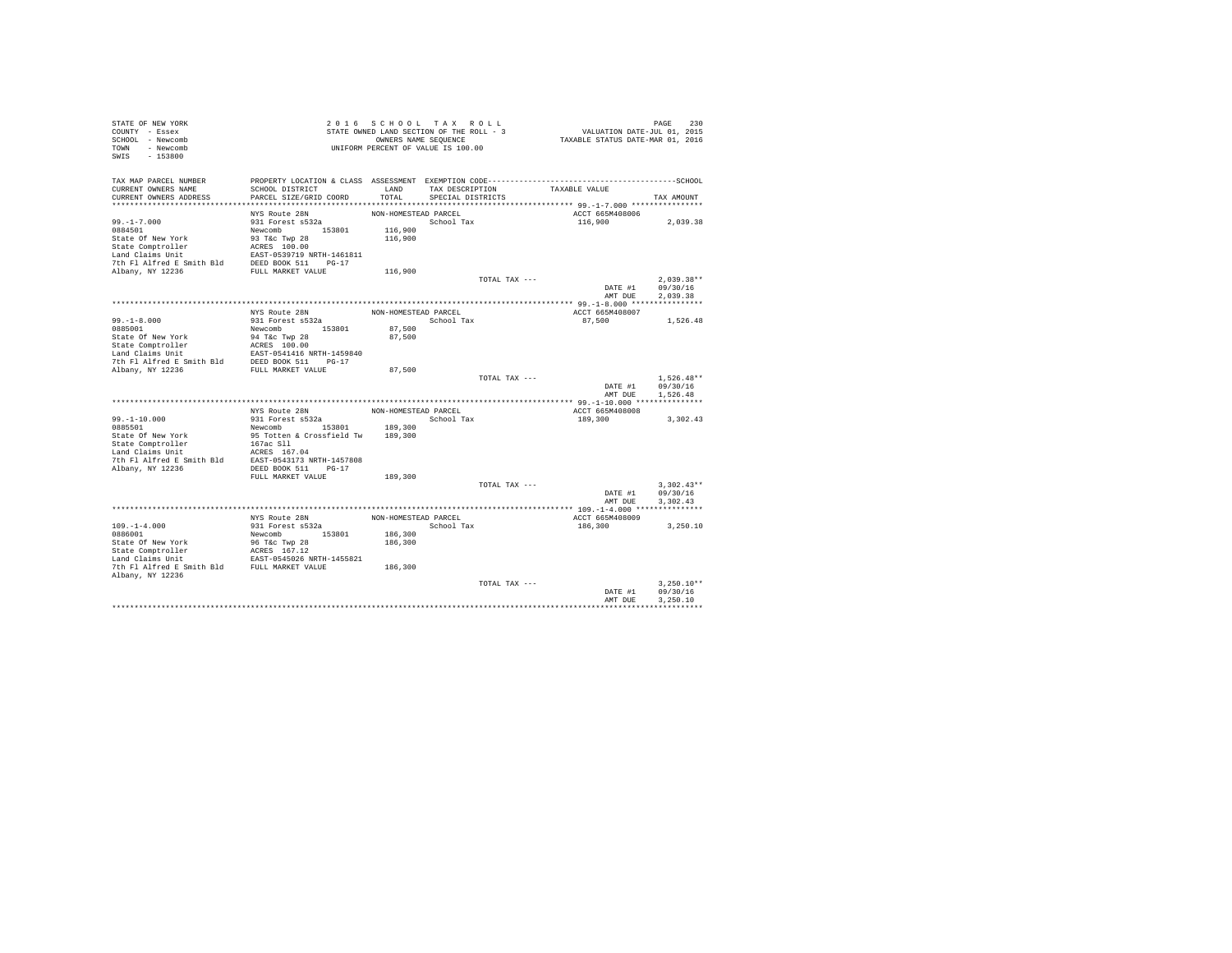| STATE OF NEW YORK                                                                                                                                                                                                                                 |                                            |                      | 2016 SCHOOL TAX ROLL                                       |               | PAGE 230<br>VALUATION DATE-JUL 01, 2015<br>TAXABLE STATUS DATE-MAR 01, 2016 |                              |  |
|---------------------------------------------------------------------------------------------------------------------------------------------------------------------------------------------------------------------------------------------------|--------------------------------------------|----------------------|------------------------------------------------------------|---------------|-----------------------------------------------------------------------------|------------------------------|--|
| COUNTY - Essex<br>SCHOOL - Newcomb                                                                                                                                                                                                                |                                            |                      | STATE OWNED LAND SECTION OF THE ROLL - 3                   |               |                                                                             |                              |  |
| TOWN - Newcomb                                                                                                                                                                                                                                    |                                            |                      | OWNERS NAME SEQUENCE<br>UNIFORM PERCENT OF VALUE IS 100.00 |               |                                                                             |                              |  |
| SWIS - 153800                                                                                                                                                                                                                                     |                                            |                      |                                                            |               |                                                                             |                              |  |
|                                                                                                                                                                                                                                                   |                                            |                      |                                                            |               |                                                                             |                              |  |
| TAX MAP PARCEL NUMBER                                                                                                                                                                                                                             |                                            |                      |                                                            |               |                                                                             |                              |  |
| CURRENT OWNERS NAME                                                                                                                                                                                                                               | SCHOOL DISTRICT                            |                      |                                                            |               | LAND TAX DESCRIPTION TAXABLE VALUE                                          |                              |  |
| CURRENT OWNERS ADDRESS                                                                                                                                                                                                                            | PARCEL SIZE/GRID COORD                     | TOTAL                | SPECIAL DISTRICTS                                          |               |                                                                             | TAX AMOUNT                   |  |
|                                                                                                                                                                                                                                                   |                                            |                      |                                                            |               |                                                                             |                              |  |
|                                                                                                                                                                                                                                                   | NYS Route 28N                              | NON-HOMESTEAD PARCEL |                                                            |               | ACCT 665M408006                                                             |                              |  |
| $99. - 1 - 7.000$                                                                                                                                                                                                                                 | $931$ Forest $\frac{20N}{322}$             |                      | School Tax                                                 |               | 116,900 2,039.38                                                            |                              |  |
|                                                                                                                                                                                                                                                   |                                            | 116,900              |                                                            |               |                                                                             |                              |  |
|                                                                                                                                                                                                                                                   |                                            | 116,900              |                                                            |               |                                                                             |                              |  |
|                                                                                                                                                                                                                                                   |                                            |                      |                                                            |               |                                                                             |                              |  |
|                                                                                                                                                                                                                                                   |                                            |                      |                                                            |               |                                                                             |                              |  |
|                                                                                                                                                                                                                                                   |                                            |                      |                                                            |               |                                                                             |                              |  |
|                                                                                                                                                                                                                                                   |                                            | 116,900              |                                                            |               |                                                                             |                              |  |
|                                                                                                                                                                                                                                                   |                                            |                      |                                                            | TOTAL TAX --- |                                                                             | $2,039.38**$                 |  |
|                                                                                                                                                                                                                                                   |                                            |                      |                                                            |               |                                                                             | DATE #1 09/30/16             |  |
|                                                                                                                                                                                                                                                   |                                            |                      |                                                            |               | AMT DUE                                                                     | 2.039.38                     |  |
|                                                                                                                                                                                                                                                   |                                            |                      |                                                            |               |                                                                             |                              |  |
|                                                                                                                                                                                                                                                   | NYS Route 28N<br>931 Forest s532a          |                      | NON-HOMESTEAD PARCEL                                       |               | ACCT 665M408007                                                             |                              |  |
| $99. -1 - 8.000$                                                                                                                                                                                                                                  |                                            |                      | School Tax                                                 |               | 87,500 1,526.48                                                             |                              |  |
| 9985001<br>2021 - 2022 - 2022 - 2022 - 2023<br>State Of New York<br>State Comptroller<br>2023 - 2023 - 2023<br>2023 - 2023 - 2023 - 2023 - 2023<br>2023 - 2024 - 2023<br>2023 - 2024 - 2023<br>2023 - 2024 - 2023<br>2022 - 2024 - 2023<br>2022 - |                                            | 87,500               |                                                            |               |                                                                             |                              |  |
|                                                                                                                                                                                                                                                   |                                            | 87,500               |                                                            |               |                                                                             |                              |  |
|                                                                                                                                                                                                                                                   |                                            |                      |                                                            |               |                                                                             |                              |  |
|                                                                                                                                                                                                                                                   |                                            |                      |                                                            |               |                                                                             |                              |  |
|                                                                                                                                                                                                                                                   |                                            |                      |                                                            |               |                                                                             |                              |  |
|                                                                                                                                                                                                                                                   |                                            | 87,500               |                                                            |               |                                                                             | $1.526.48**$                 |  |
|                                                                                                                                                                                                                                                   |                                            |                      |                                                            | TOTAL TAX --- |                                                                             |                              |  |
|                                                                                                                                                                                                                                                   |                                            |                      |                                                            |               | AMT DUE                                                                     | DATE #1 09/30/16<br>1,526.48 |  |
|                                                                                                                                                                                                                                                   |                                            |                      |                                                            |               |                                                                             |                              |  |
|                                                                                                                                                                                                                                                   | NYS Route 28N                              | NON-HOMESTEAD PARCEL |                                                            |               | ACCT 665M408008                                                             |                              |  |
| $99. - 1 - 10.000$                                                                                                                                                                                                                                | 931 Forest s532a<br>Newcomb 153801 189,300 |                      | School Tax                                                 |               | 189,300                                                                     | 3,302.43                     |  |
| 0885501                                                                                                                                                                                                                                           |                                            |                      |                                                            |               |                                                                             |                              |  |
| State Of New York                                                                                                                                                                                                                                 | 95 Totten & Crossfield Tw 189,300          |                      |                                                            |               |                                                                             |                              |  |
|                                                                                                                                                                                                                                                   |                                            |                      |                                                            |               |                                                                             |                              |  |
| State Comptroller<br>167ac Sll<br>167ac Sll<br>167ac Sll<br>167ac Sll<br>167ac Sll<br>167ac Sll<br>167ac Sll<br>16857-0543173 NRTH-1457808<br>20215 NRTH-1457808<br>20216 NRTH-1457808<br>20216 NRTH-1457808                                      |                                            |                      |                                                            |               |                                                                             |                              |  |
|                                                                                                                                                                                                                                                   |                                            |                      |                                                            |               |                                                                             |                              |  |
|                                                                                                                                                                                                                                                   |                                            |                      |                                                            |               |                                                                             |                              |  |
|                                                                                                                                                                                                                                                   | FULL MARKET VALUE                          | 189,300              |                                                            |               |                                                                             |                              |  |
|                                                                                                                                                                                                                                                   |                                            |                      |                                                            | TOTAL TAX --- |                                                                             | $3,302.43**$                 |  |
|                                                                                                                                                                                                                                                   |                                            |                      |                                                            |               |                                                                             | DATE #1 09/30/16             |  |
|                                                                                                                                                                                                                                                   |                                            |                      |                                                            |               | AMT DUE                                                                     | 3.302.43                     |  |
|                                                                                                                                                                                                                                                   |                                            |                      |                                                            |               |                                                                             |                              |  |
|                                                                                                                                                                                                                                                   | NYS Route 28N                              | NON-HOMESTEAD PARCEL |                                                            |               | ACCT 665M408009                                                             |                              |  |
| $109. -1 - 4.000$                                                                                                                                                                                                                                 | 931 Forest s532a                           |                      | School Tax                                                 |               | 186,300                                                                     | 3,250.10                     |  |
| 0886001                                                                                                                                                                                                                                           | Newcomb 153801                             | 186,300              |                                                            |               |                                                                             |                              |  |
| State of New York<br>State Comptroller<br>State Compton and CRESS 167.12<br>Land Claims Unit<br>The Planet E Smith Bld<br>The Planet E Smith Bld<br>FULL MARKET VALUE                                                                             |                                            | 186,300              |                                                            |               |                                                                             |                              |  |
|                                                                                                                                                                                                                                                   |                                            |                      |                                                            |               |                                                                             |                              |  |
|                                                                                                                                                                                                                                                   |                                            |                      |                                                            |               |                                                                             |                              |  |
|                                                                                                                                                                                                                                                   |                                            | 186,300              |                                                            |               |                                                                             |                              |  |
| Albany, NY 12236                                                                                                                                                                                                                                  |                                            |                      |                                                            |               |                                                                             |                              |  |
|                                                                                                                                                                                                                                                   |                                            |                      |                                                            | TOTAL TAX --- |                                                                             | $3.250.10**$                 |  |
|                                                                                                                                                                                                                                                   |                                            |                      |                                                            |               | DATE #1                                                                     | 09/30/16                     |  |
|                                                                                                                                                                                                                                                   |                                            |                      |                                                            |               | AMT DUE                                                                     | 3,250,10                     |  |
|                                                                                                                                                                                                                                                   |                                            |                      |                                                            |               |                                                                             |                              |  |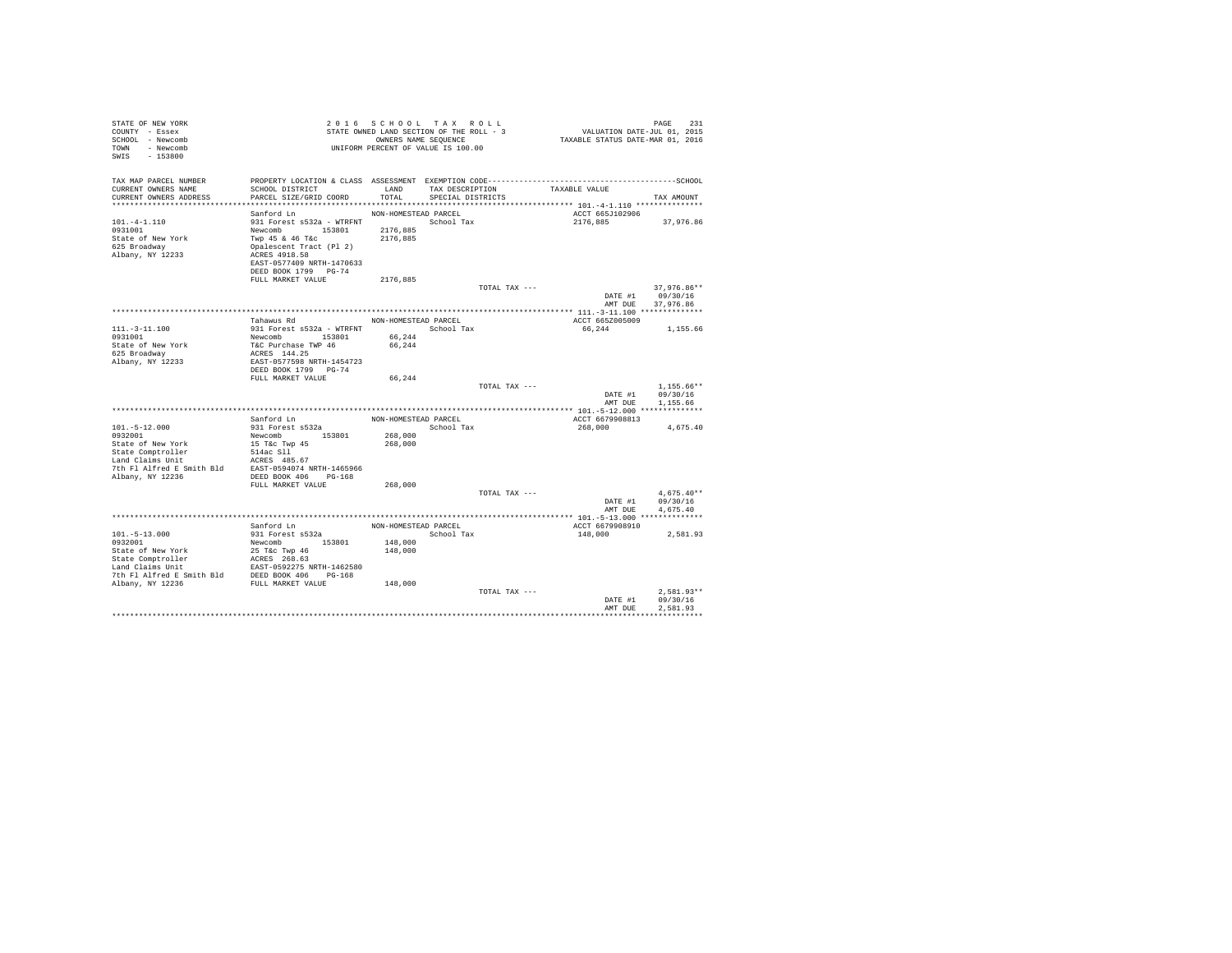| STATE OF NEW YORK<br>COUNTY - Essex                                                                                                                                                                 |                                                              |                      | 2016 SCHOOL TAX ROLL<br>STATE OWNED LAND SECTION OF THE ROLL - 3 | PAGE 231<br>VALUATION DATE-JUL 01, 2015<br>TAXABLE STATUS DATE-MAR 01, 2016                  |                      |
|-----------------------------------------------------------------------------------------------------------------------------------------------------------------------------------------------------|--------------------------------------------------------------|----------------------|------------------------------------------------------------------|----------------------------------------------------------------------------------------------|----------------------|
| SCHOOL - Newcomb                                                                                                                                                                                    |                                                              |                      | OWNERS NAME SEQUENCE                                             |                                                                                              |                      |
| TOWN - Newcomb                                                                                                                                                                                      |                                                              |                      | UNIFORM PERCENT OF VALUE IS 100.00                               |                                                                                              |                      |
| $-153800$<br>SWIS                                                                                                                                                                                   |                                                              |                      |                                                                  |                                                                                              |                      |
|                                                                                                                                                                                                     |                                                              |                      |                                                                  |                                                                                              |                      |
| TAX MAP PARCEL NUMBER                                                                                                                                                                               |                                                              |                      |                                                                  | PROPERTY LOCATION & CLASS ASSESSMENT EXEMPTION CODE-----------------------------------SCHOOL |                      |
| CURRENT OWNERS NAME                                                                                                                                                                                 | SCHOOL DISTRICT                                              | LAND                 | TAX DESCRIPTION                                                  | TAXABLE VALUE                                                                                |                      |
| CURRENT OWNERS ADDRESS                                                                                                                                                                              | PARCEL SIZE/GRID COORD                                       | TOTAL.               | SPECIAL DISTRICTS                                                |                                                                                              | TAX AMOUNT           |
|                                                                                                                                                                                                     |                                                              |                      |                                                                  |                                                                                              |                      |
|                                                                                                                                                                                                     | Sanford Ln                                                   | NON-HOMESTEAD PARCEL |                                                                  | ACCT 665J102906                                                                              |                      |
| $101. -4 - 1.110$                                                                                                                                                                                   | 931 Forest s532a - WTRFNT                                    |                      | School Tax                                                       | 2176,885 37,976.86                                                                           |                      |
| 0931001                                                                                                                                                                                             | Newcomb 153801<br>Twp 45 & 46 T&c<br>Opalescent Tract (Pl 2) | 2176,885             |                                                                  |                                                                                              |                      |
| State of New York                                                                                                                                                                                   |                                                              | 2176.885             |                                                                  |                                                                                              |                      |
| 625 Broadway                                                                                                                                                                                        |                                                              |                      |                                                                  |                                                                                              |                      |
| Albany, NY 12233                                                                                                                                                                                    | ACRES 4918.58<br>EAST-0577409 NRTH-1470633                   |                      |                                                                  |                                                                                              |                      |
|                                                                                                                                                                                                     | DEED BOOK 1799 PG-74                                         |                      |                                                                  |                                                                                              |                      |
|                                                                                                                                                                                                     | FULL MARKET VALUE                                            | 2176,885             |                                                                  |                                                                                              |                      |
|                                                                                                                                                                                                     |                                                              |                      | TOTAL TAX ---                                                    |                                                                                              | 37,976.86**          |
|                                                                                                                                                                                                     |                                                              |                      |                                                                  |                                                                                              | DATE #1 09/30/16     |
|                                                                                                                                                                                                     |                                                              |                      |                                                                  | AMT DUE                                                                                      | 37.976.86            |
|                                                                                                                                                                                                     |                                                              |                      |                                                                  |                                                                                              |                      |
|                                                                                                                                                                                                     | Tahawus Rd                                                   | NON-HOMESTEAD PARCEL |                                                                  | ACCT 665Z005009                                                                              |                      |
| $111. - 3 - 11.100$                                                                                                                                                                                 | 931 Forest s532a - WTRFNT                                    |                      | School Tax                                                       | 66,244                                                                                       | 1,155.66             |
| 0931001                                                                                                                                                                                             | Newcomb<br>T&C Purchase TWP 46<br>ACRES 144.25               | 66,244               |                                                                  |                                                                                              |                      |
| State of New York                                                                                                                                                                                   |                                                              | 66,244               |                                                                  |                                                                                              |                      |
| 625 Broadway                                                                                                                                                                                        |                                                              |                      |                                                                  |                                                                                              |                      |
| Albany, NY 12233                                                                                                                                                                                    | EAST-0577598 NRTH-1454723                                    |                      |                                                                  |                                                                                              |                      |
|                                                                                                                                                                                                     | DEED BOOK 1799 PG-74                                         |                      |                                                                  |                                                                                              |                      |
|                                                                                                                                                                                                     | FULL MARKET VALUE                                            | 66,244               |                                                                  |                                                                                              | $1.155.66**$         |
|                                                                                                                                                                                                     |                                                              |                      | TOTAL TAX ---                                                    | DATE #1                                                                                      | 09/30/16             |
|                                                                                                                                                                                                     |                                                              |                      |                                                                  |                                                                                              | AMT DUE 1,155.66     |
|                                                                                                                                                                                                     |                                                              |                      |                                                                  |                                                                                              |                      |
|                                                                                                                                                                                                     | Sanford Ln                                                   | NON-HOMESTEAD PARCEL |                                                                  | ACCT 6679908813                                                                              |                      |
| $101.-5-12.000$                                                                                                                                                                                     | 931 Forest s532a                                             |                      | School Tax                                                       | 268,000                                                                                      | 4,675.40             |
| 0932001                                                                                                                                                                                             | Newcomb 153801                                               | 268,000              |                                                                  |                                                                                              |                      |
| State of New York                                                                                                                                                                                   | 15 T&C Twp 45                                                | 268,000              |                                                                  |                                                                                              |                      |
| State Comptroller                                                                                                                                                                                   | 514ac S11<br>ACRES 485.67                                    |                      |                                                                  |                                                                                              |                      |
| Land Claims Unit                                                                                                                                                                                    |                                                              |                      |                                                                  |                                                                                              |                      |
| 7th Fl Alfred E Smith Bld EAST-0594074 NRTH-1465966                                                                                                                                                 |                                                              |                      |                                                                  |                                                                                              |                      |
| Albany, NY 12236                                                                                                                                                                                    | DEED BOOK 406 PG-168                                         |                      |                                                                  |                                                                                              |                      |
|                                                                                                                                                                                                     | FULL MARKET VALUE                                            | 268,000              |                                                                  |                                                                                              |                      |
|                                                                                                                                                                                                     |                                                              |                      | TOTAL TAX ---                                                    |                                                                                              | $4,675.40**$         |
|                                                                                                                                                                                                     |                                                              |                      |                                                                  | DATE #1<br>AMT DUE                                                                           | 09/30/16<br>4,675.40 |
|                                                                                                                                                                                                     |                                                              |                      |                                                                  |                                                                                              |                      |
|                                                                                                                                                                                                     | Sanford Ln                                                   |                      | NON-HOMESTEAD PARCEL                                             | ACCT 6679908910                                                                              |                      |
| $101. - 5 - 13.000$                                                                                                                                                                                 | 931 Forest s532a                                             |                      | School Tax                                                       | 148,000                                                                                      | 2,581.93             |
| 0932001                                                                                                                                                                                             | Newcomb 153801                                               | 148,000              |                                                                  |                                                                                              |                      |
|                                                                                                                                                                                                     |                                                              | 148,000              |                                                                  |                                                                                              |                      |
|                                                                                                                                                                                                     |                                                              |                      |                                                                  |                                                                                              |                      |
|                                                                                                                                                                                                     |                                                              |                      |                                                                  |                                                                                              |                      |
|                                                                                                                                                                                                     |                                                              |                      |                                                                  |                                                                                              |                      |
| State of New York<br>25 TEC Twp 46<br>State Comptroller<br>20215 268.63<br>Land Claims Unit<br>20215 202275 NRTH-1462580<br>2010 20236<br>202216 PULL MARKET VALUE<br>20216 20216 PULL MARKET VALUE |                                                              | 148,000              |                                                                  |                                                                                              |                      |
|                                                                                                                                                                                                     |                                                              |                      | TOTAL TAX ---                                                    |                                                                                              | $2.581.93**$         |
|                                                                                                                                                                                                     |                                                              |                      |                                                                  | DATE #1                                                                                      | 09/30/16             |
|                                                                                                                                                                                                     |                                                              |                      |                                                                  | AMT DUE                                                                                      | 2.581.93             |
|                                                                                                                                                                                                     |                                                              |                      |                                                                  |                                                                                              |                      |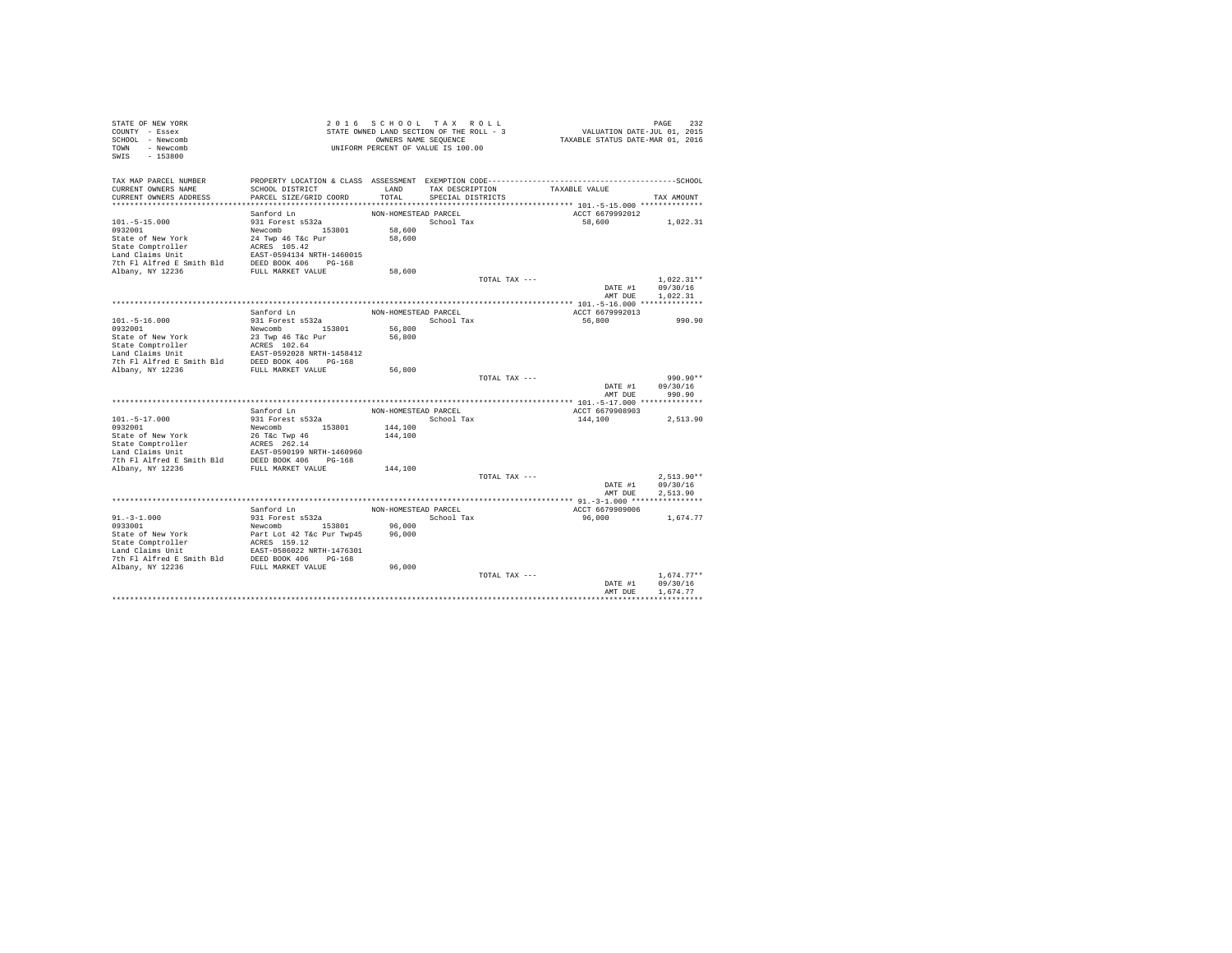| STATE OF NEW YORK<br>COUNTY - Essex<br>SCHOOL - Newcomb<br>TOWN - Newcomb<br>SWIS<br>$-153800$       |                                                   | 2016 SCHOOL TAX ROLL<br>STATE OWNED LAND SECTION OF THE ROLL - 3<br>UNIFORM PERCENT OF VALUE IS 100.00 | OWNERS NAME SEQUENCE |               | VALUATION DATE-JUL 01, 2015<br>TAXABLE STATUS DATE-MAR 01, 2016 | PAGE<br>232              |
|------------------------------------------------------------------------------------------------------|---------------------------------------------------|--------------------------------------------------------------------------------------------------------|----------------------|---------------|-----------------------------------------------------------------|--------------------------|
| TAX MAP PARCEL NUMBER<br>CURRENT OWNERS NAME                                                         | SCHOOL DISTRICT                                   | LAND                                                                                                   | TAX DESCRIPTION      |               | TAXABLE VALUE                                                   |                          |
| CURRENT OWNERS ADDRESS                                                                               | PARCEL SIZE/GRID COORD                            | TOTAL                                                                                                  | SPECIAL DISTRICTS    |               |                                                                 | TAX AMOUNT               |
|                                                                                                      |                                                   |                                                                                                        |                      |               |                                                                 |                          |
| $101. - 5 - 15.000$                                                                                  | Sanford Ln<br>931 Forest s532a                    | NON-HOMESTEAD PARCEL                                                                                   | School Tax           |               | ACCT 6679992012<br>58,600                                       | 1,022.31                 |
| 0932001                                                                                              | Newcomb 153801                                    | 58,600                                                                                                 |                      |               |                                                                 |                          |
| State of New York                                                                                    | 24 Twp 46 T&c Pur                                 | 58,600                                                                                                 |                      |               |                                                                 |                          |
| State Comptroller                                                                                    | ACRES 105.42<br>EAST-0594134 NRTH-1460015         |                                                                                                        |                      |               |                                                                 |                          |
| Land Claims Unit                                                                                     |                                                   |                                                                                                        |                      |               |                                                                 |                          |
| For the same of the Smith Bld<br>The Fl Alfred E Smith Bld<br>FULL MARKET VALUE<br>FULL MARKET VALUE |                                                   |                                                                                                        |                      |               |                                                                 |                          |
|                                                                                                      |                                                   | 58,600                                                                                                 |                      | TOTAL TAX --- |                                                                 | $1.022.31**$             |
|                                                                                                      |                                                   |                                                                                                        |                      |               | DATE #1                                                         | 09/30/16                 |
|                                                                                                      |                                                   |                                                                                                        |                      |               | AMT DUE                                                         | 1,022.31                 |
|                                                                                                      |                                                   |                                                                                                        |                      |               |                                                                 |                          |
|                                                                                                      | Sanford Ln                                        | NON-HOMESTEAD PARCEL                                                                                   |                      |               | ACCT 6679992013                                                 |                          |
| $101. - 5 - 16.000$                                                                                  | 931 Forest s532a                                  |                                                                                                        | School Tax           |               | 56,800                                                          | 990.90                   |
| 0932001                                                                                              | Newcomb 153801                                    | 56,800                                                                                                 |                      |               |                                                                 |                          |
| State of New York                                                                                    | 23 Twp 46 T&c Pur<br>ACRES 102.64                 | 56,800                                                                                                 |                      |               |                                                                 |                          |
| State Comptroller<br>Land Claims Unit                                                                |                                                   |                                                                                                        |                      |               |                                                                 |                          |
| 7th Fl Alfred E Smith Bld                                                                            | EAST-0592028 NRTH-1458412<br>DEED BOOK 406 PG-168 |                                                                                                        |                      |               |                                                                 |                          |
| Albany, NY 12236                                                                                     | FULL MARKET VALUE                                 | 56,800                                                                                                 |                      |               |                                                                 |                          |
|                                                                                                      |                                                   |                                                                                                        |                      | TOTAL TAX --- |                                                                 | 990.90**                 |
|                                                                                                      |                                                   |                                                                                                        |                      |               | DATE #1                                                         | 09/30/16                 |
|                                                                                                      |                                                   |                                                                                                        |                      |               | AMT DUE                                                         | 990.90                   |
|                                                                                                      | Sanford Ln                                        | NON-HOMESTEAD PARCEL                                                                                   |                      |               | ACCT 6679908903                                                 |                          |
| $101.-5-17.000$                                                                                      | 931 Forest s532a                                  |                                                                                                        | School Tax           |               | 144,100                                                         | 2,513.90                 |
| 0932001                                                                                              | Newcomb 153801                                    | 144,100                                                                                                |                      |               |                                                                 |                          |
| State of New York                                                                                    | 26 T&c Twp 46                                     | 144,100                                                                                                |                      |               |                                                                 |                          |
|                                                                                                      |                                                   |                                                                                                        |                      |               |                                                                 |                          |
|                                                                                                      |                                                   |                                                                                                        |                      |               |                                                                 |                          |
| Albany, NY 12236                                                                                     | FULL MARKET VALUE                                 | 144,100                                                                                                |                      |               |                                                                 |                          |
|                                                                                                      |                                                   |                                                                                                        |                      | TOTAL TAX --- |                                                                 | $2.513.90**$             |
|                                                                                                      |                                                   |                                                                                                        |                      |               | DATE #1                                                         | 09/30/16                 |
|                                                                                                      |                                                   |                                                                                                        |                      |               | AMT DUE                                                         | 2.513.90                 |
|                                                                                                      |                                                   |                                                                                                        |                      |               |                                                                 |                          |
|                                                                                                      | Sanford Ln                                        | NON-HOMESTEAD PARCEL                                                                                   |                      |               | ACCT 6679909006                                                 |                          |
| $91. - 3 - 1.000$<br>0933001                                                                         | 931 Forest s532a<br>Newcomb 153801                | 96,000                                                                                                 | School Tax           |               | 96,000                                                          | 1,674.77                 |
|                                                                                                      | Part Lot 42 T&c Pur Twp45                         | 96,000                                                                                                 |                      |               |                                                                 |                          |
| State of New Your<br>State Comptroller                                                               |                                                   |                                                                                                        |                      |               |                                                                 |                          |
| Land Claims Unit                                                                                     | ACRES 159.12<br>EAST-0586022 NRTH-1476301         |                                                                                                        |                      |               |                                                                 |                          |
| 7th Fl Alfred E Smith Bld DEED BOOK 406 PG-168                                                       |                                                   |                                                                                                        |                      |               |                                                                 |                          |
| Albany, NY 12236                                                                                     | FULL MARKET VALUE                                 | 96,000                                                                                                 |                      |               |                                                                 |                          |
|                                                                                                      |                                                   |                                                                                                        |                      | TOTAL TAX --- | DATE #1                                                         | $1.674.77**$<br>09/30/16 |
|                                                                                                      |                                                   |                                                                                                        |                      |               | AMT DUE                                                         | 1.674.77                 |
|                                                                                                      |                                                   |                                                                                                        |                      |               |                                                                 |                          |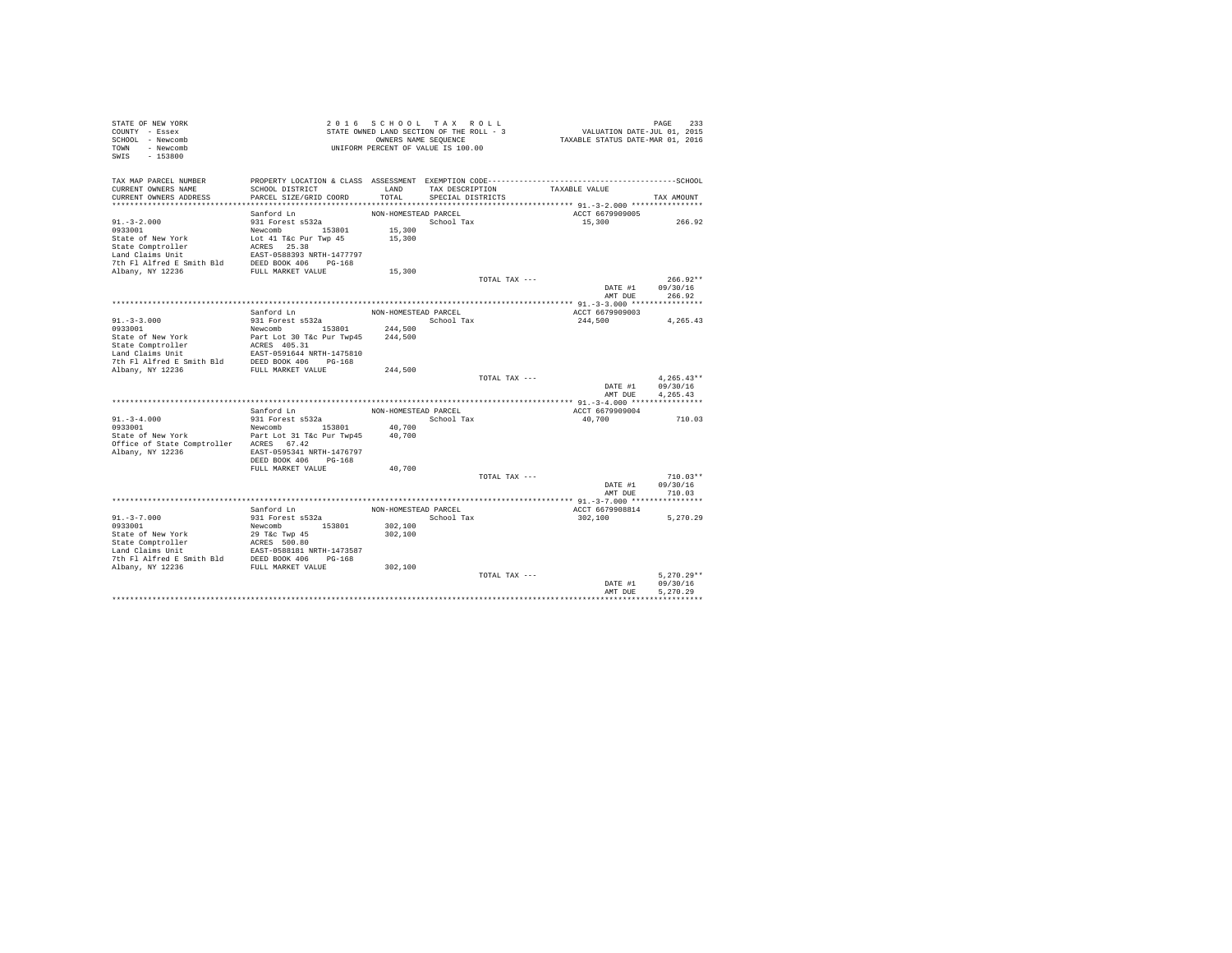| STATE OF NEW YORK<br>COUNTY - Essex<br>SCHOOL - Newcomb<br>TOWN - Newcomb<br>SWIS<br>$-153800$                                                                                                                                                       |                                    | 2016 SCHOOL TAX ROLL<br>STATE OWNED LAND SECTION OF THE ROLL - 3<br>OWNERS NAME SEQUENCE<br>UNIFORM PERCENT OF VALUE IS 100.00 |                   |               | PAGE 233<br>VALUATION DATE-JUL 01, 2015<br>TAXABLE STATUS DATE-MAR 01, 2016 | PAGE<br>233          |
|------------------------------------------------------------------------------------------------------------------------------------------------------------------------------------------------------------------------------------------------------|------------------------------------|--------------------------------------------------------------------------------------------------------------------------------|-------------------|---------------|-----------------------------------------------------------------------------|----------------------|
| TAX MAP PARCEL NUMBER                                                                                                                                                                                                                                |                                    |                                                                                                                                |                   |               |                                                                             |                      |
| CURRENT OWNERS NAME                                                                                                                                                                                                                                  | SCHOOL DISTRICT                    | LAND                                                                                                                           | TAX DESCRIPTION   |               | TAXABLE VALUE                                                               |                      |
| CURRENT OWNERS ADDRESS                                                                                                                                                                                                                               | PARCEL SIZE/GRID COORD             | TOTAL                                                                                                                          | SPECIAL DISTRICTS |               |                                                                             | TAX AMOUNT           |
|                                                                                                                                                                                                                                                      |                                    |                                                                                                                                |                   |               |                                                                             |                      |
| $91. - 3 - 2.000$                                                                                                                                                                                                                                    | Sanford Ln<br>931 Forest s532a     | NON-HOMESTEAD PARCEL                                                                                                           | School Tax        |               | ACCT 6679909005<br>15,300                                                   | 266.92               |
| 0933001                                                                                                                                                                                                                                              | Newcomb 153801                     | 15,300                                                                                                                         |                   |               |                                                                             |                      |
| State of New York                                                                                                                                                                                                                                    | Lot 41 T&c Pur Twp 45              | 15,300                                                                                                                         |                   |               |                                                                             |                      |
|                                                                                                                                                                                                                                                      |                                    |                                                                                                                                |                   |               |                                                                             |                      |
| State Comptroller ACRES 25.38<br>Land Claims Unit EAST-0588393 NRTH-1477797<br>7th Fl Alfred E Smith Bld<br>DEED BOOK 406 PG-168<br>Albany, NY 12236<br>PULL MARKET VALUE                                                                            |                                    |                                                                                                                                |                   |               |                                                                             |                      |
|                                                                                                                                                                                                                                                      |                                    |                                                                                                                                |                   |               |                                                                             |                      |
|                                                                                                                                                                                                                                                      |                                    | 15,300                                                                                                                         |                   |               |                                                                             |                      |
|                                                                                                                                                                                                                                                      |                                    |                                                                                                                                |                   | TOTAL TAX --- |                                                                             | $266.92**$           |
|                                                                                                                                                                                                                                                      |                                    |                                                                                                                                |                   |               | DATE #1                                                                     | 09/30/16             |
|                                                                                                                                                                                                                                                      |                                    |                                                                                                                                |                   |               | AMT DUE                                                                     | 266.92               |
|                                                                                                                                                                                                                                                      |                                    |                                                                                                                                |                   |               |                                                                             |                      |
|                                                                                                                                                                                                                                                      | Sanford Ln                         | NON-HOMESTEAD PARCEL                                                                                                           |                   |               | ACCT 6679909003                                                             |                      |
| $91. - 3 - 3.000$<br>0933001                                                                                                                                                                                                                         | 931 Forest s532a<br>Newcomb 153801 | 244,500                                                                                                                        | School Tax        |               | 244,500                                                                     | 4.265.43             |
| State of New York                                                                                                                                                                                                                                    | Part Lot 30 T&c Pur Twp45          | 244,500                                                                                                                        |                   |               |                                                                             |                      |
| State Comptroller                                                                                                                                                                                                                                    | ACRES 405.31                       |                                                                                                                                |                   |               |                                                                             |                      |
|                                                                                                                                                                                                                                                      |                                    |                                                                                                                                |                   |               |                                                                             |                      |
| State computering the state of the state of the state of the state of the state of the state of the pass of the pass state of the state of the state of the state of the state of the state of the state of the state of the                         |                                    |                                                                                                                                |                   |               |                                                                             |                      |
| Albany, NY 12236                                                                                                                                                                                                                                     | FULL MARKET VALUE                  | 244,500                                                                                                                        |                   |               |                                                                             |                      |
|                                                                                                                                                                                                                                                      |                                    |                                                                                                                                |                   | TOTAL TAX --- |                                                                             | $4.265.43**$         |
|                                                                                                                                                                                                                                                      |                                    |                                                                                                                                |                   |               | DATE #1                                                                     | 09/30/16             |
|                                                                                                                                                                                                                                                      |                                    |                                                                                                                                |                   |               | AMT DUR                                                                     | 4.265.43             |
|                                                                                                                                                                                                                                                      | Sanford Ln                         | NON-HOMESTEAD PARCEL                                                                                                           |                   |               | ACCT 6679909004                                                             |                      |
| $91. -3 - 4.000$                                                                                                                                                                                                                                     | 931 Forest s532a                   |                                                                                                                                | School Tax        |               | 40,700                                                                      | 710.03               |
| 0933001                                                                                                                                                                                                                                              | Newcomb 153801                     | 40,700                                                                                                                         |                   |               |                                                                             |                      |
| State of New York                                                                                                                                                                                                                                    | Part Lot 31 T&c Pur Twp45          | 40,700                                                                                                                         |                   |               |                                                                             |                      |
| Office of State Comptroller ACRES 67.42                                                                                                                                                                                                              |                                    |                                                                                                                                |                   |               |                                                                             |                      |
| Albany, NY 12236                                                                                                                                                                                                                                     | EAST-0595341 NRTH-1476797          |                                                                                                                                |                   |               |                                                                             |                      |
|                                                                                                                                                                                                                                                      | DEED BOOK 406 PG-168               |                                                                                                                                |                   |               |                                                                             |                      |
|                                                                                                                                                                                                                                                      | FULL MARKET VALUE                  | 40,700                                                                                                                         |                   |               |                                                                             |                      |
|                                                                                                                                                                                                                                                      |                                    |                                                                                                                                |                   | TOTAL TAX --- |                                                                             | $710.03**$           |
|                                                                                                                                                                                                                                                      |                                    |                                                                                                                                |                   |               | DATE #1                                                                     | 09/30/16             |
|                                                                                                                                                                                                                                                      |                                    |                                                                                                                                |                   |               | AMT DUE                                                                     | 710.03               |
|                                                                                                                                                                                                                                                      | Sanford Ln                         | NON-HOMESTEAD PARCEL                                                                                                           |                   |               | ACCT 6679908814                                                             |                      |
| $91. - 3 - 7.000$                                                                                                                                                                                                                                    | 931 Forest s532a                   |                                                                                                                                | School Tax        |               | 302,100                                                                     | 5.270.29             |
| 0933001                                                                                                                                                                                                                                              | Newcomb 153801                     | 302,100                                                                                                                        |                   |               |                                                                             |                      |
| State of New York                                                                                                                                                                                                                                    | 29 T&c Twp 45                      | 302,100                                                                                                                        |                   |               |                                                                             |                      |
|                                                                                                                                                                                                                                                      |                                    |                                                                                                                                |                   |               |                                                                             |                      |
|                                                                                                                                                                                                                                                      |                                    |                                                                                                                                |                   |               |                                                                             |                      |
| State Or Mew York (2008)<br>State Comptroller (2008)<br>Land Claims Unit (2008)<br>Land Claims Unit (2008)<br>The Fl Alfred E Smith Bld (2008)<br>2008 (2008)<br>2008 (2008)<br>2008 (2008)<br>2008 (2008)<br>2008 (2018)<br>2008 (2018)<br>2018 (20 |                                    |                                                                                                                                |                   |               |                                                                             |                      |
|                                                                                                                                                                                                                                                      |                                    | 302,100                                                                                                                        |                   |               |                                                                             |                      |
|                                                                                                                                                                                                                                                      |                                    |                                                                                                                                |                   | TOTAL TAX --- |                                                                             | $5.270.29**$         |
|                                                                                                                                                                                                                                                      |                                    |                                                                                                                                |                   |               | DATE #1<br>AMT DUE                                                          | 09/30/16<br>5.270.29 |
|                                                                                                                                                                                                                                                      |                                    |                                                                                                                                |                   |               |                                                                             |                      |
|                                                                                                                                                                                                                                                      |                                    |                                                                                                                                |                   |               |                                                                             |                      |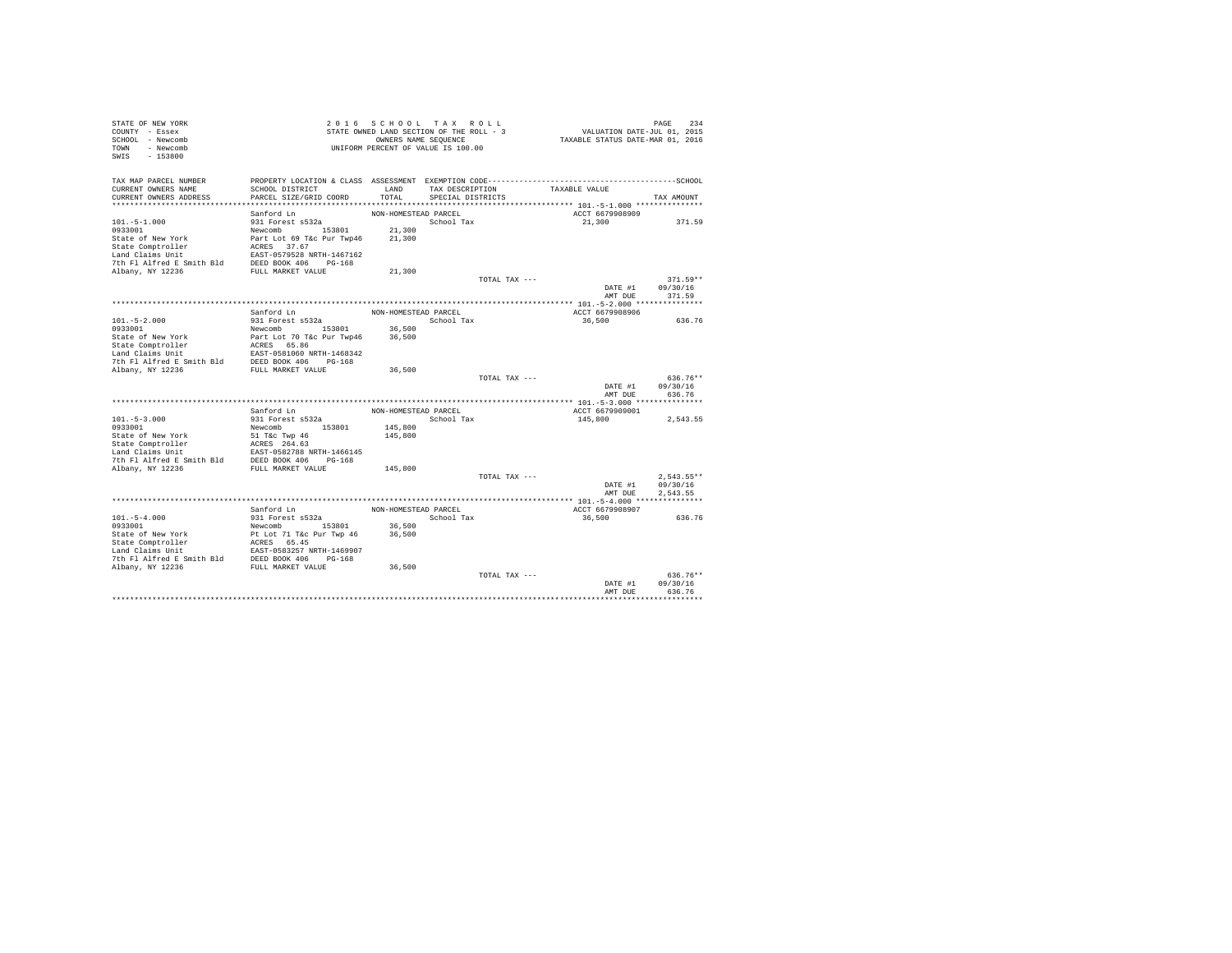| STATE OF NEW YORK<br>COUNTY - Essex<br>SCHOOL - Newcomb<br>TOWN - Newcomb<br>$-153800$<br>SWIS      |                                                                                                                 |                      | 2016 SCHOOL TAX ROLL<br>STATE OWNED LAND SECTION OF THE ROLL - 3<br>OWNERS NAME SEQUENCE<br>UNIFORM PERCENT OF VALUE IS 100.00 |               | VALUATION DATE-JUL 01, 2015<br>TAXABLE STATUS DATE-MAR 01, 2016 | PAGE<br>234          |
|-----------------------------------------------------------------------------------------------------|-----------------------------------------------------------------------------------------------------------------|----------------------|--------------------------------------------------------------------------------------------------------------------------------|---------------|-----------------------------------------------------------------|----------------------|
| TAX MAP PARCEL NUMBER<br>CURRENT OWNERS NAME                                                        | PROPERTY LOCATION & CLASS ASSESSMENT EXEMPTION CODE-----------------------------------SCHOOL<br>SCHOOL DISTRICT | LAND                 | TAX DESCRIPTION                                                                                                                |               | TAXABLE VALUE                                                   |                      |
| CURRENT OWNERS ADDRESS                                                                              | PARCEL SIZE/GRID COORD                                                                                          | TOTAL                | SPECIAL DISTRICTS                                                                                                              |               |                                                                 | TAX AMOUNT           |
|                                                                                                     |                                                                                                                 |                      |                                                                                                                                |               |                                                                 |                      |
|                                                                                                     | Sanford Ln                                                                                                      | NON-HOMESTEAD PARCEL |                                                                                                                                |               | ACCT 6679908909                                                 |                      |
| $101. - 5 - 1.000$                                                                                  | 931 Forest s532a                                                                                                |                      | School Tax                                                                                                                     |               | 21,300                                                          | 371.59               |
| 0933001<br>State of New York                                                                        | Newcomb 153801                                                                                                  | 21,300<br>21,300     |                                                                                                                                |               |                                                                 |                      |
| State Comptroller                                                                                   | Part Lot 69 T&c Pur Twp46                                                                                       |                      |                                                                                                                                |               |                                                                 |                      |
| Land Claims Unit                                                                                    | ACRES 37.67<br>EAST-0579528 NRTH-1467162                                                                        |                      |                                                                                                                                |               |                                                                 |                      |
|                                                                                                     |                                                                                                                 |                      |                                                                                                                                |               |                                                                 |                      |
| For the same of the Smith Bld<br>The Fl Alfred E Smith Bld<br>Ribany, NY 12236<br>FULL MARKET VALUE |                                                                                                                 | 21,300               |                                                                                                                                |               |                                                                 |                      |
|                                                                                                     |                                                                                                                 |                      |                                                                                                                                | TOTAL TAX --- |                                                                 | $371.59**$           |
|                                                                                                     |                                                                                                                 |                      |                                                                                                                                |               | DATE #1                                                         | 09/30/16             |
|                                                                                                     |                                                                                                                 |                      |                                                                                                                                |               | AMT DUE                                                         | 371.59               |
|                                                                                                     | Sanford Ln                                                                                                      | NON-HOMESTEAD PARCEL |                                                                                                                                |               | ACCT 6679908906                                                 |                      |
| $101. - 5 - 2.000$                                                                                  | 931 Forest s532a                                                                                                |                      | School Tax                                                                                                                     |               | 36,500                                                          | 636.76               |
| 0933001                                                                                             | Newcomb 153801                                                                                                  | 36,500               |                                                                                                                                |               |                                                                 |                      |
| State of New York                                                                                   | Part Lot 70 T&c Pur Twp46                                                                                       | 36,500               |                                                                                                                                |               |                                                                 |                      |
| State Comptroller                                                                                   | ACRES 65.86                                                                                                     |                      |                                                                                                                                |               |                                                                 |                      |
| Land Claims Unit                                                                                    |                                                                                                                 |                      |                                                                                                                                |               |                                                                 |                      |
| 7th Fl Alfred E Smith Bld<br>Albany, NY 12236                                                       | EAST-0581060 NRTH-1468342<br>DEED BOOK 406 PG-168<br>FULL MARKET VALUE                                          | 36,500               |                                                                                                                                |               |                                                                 |                      |
|                                                                                                     |                                                                                                                 |                      |                                                                                                                                | TOTAL TAX --- |                                                                 | 636.76**             |
|                                                                                                     |                                                                                                                 |                      |                                                                                                                                |               | DATE #1                                                         | 09/30/16             |
|                                                                                                     |                                                                                                                 |                      |                                                                                                                                |               | AMT DUE                                                         | 636.76               |
|                                                                                                     |                                                                                                                 |                      |                                                                                                                                |               |                                                                 |                      |
|                                                                                                     | Sanford Ln                                                                                                      | NON-HOMESTEAD PARCEL |                                                                                                                                |               | ACCT 6679909001                                                 |                      |
| $101. - 5 - 3.000$<br>0933001                                                                       | 931 Forest s532a<br>Newcomb 153801                                                                              | 145,800              | School Tax                                                                                                                     |               | 145,800                                                         | 2,543.55             |
| State of New York                                                                                   | 51 T&c Twp 46                                                                                                   | 145,800              |                                                                                                                                |               |                                                                 |                      |
|                                                                                                     |                                                                                                                 |                      |                                                                                                                                |               |                                                                 |                      |
|                                                                                                     |                                                                                                                 |                      |                                                                                                                                |               |                                                                 |                      |
|                                                                                                     |                                                                                                                 |                      |                                                                                                                                |               |                                                                 |                      |
| Albany, NY 12236                                                                                    | FULL MARKET VALUE                                                                                               | 145,800              |                                                                                                                                |               |                                                                 |                      |
|                                                                                                     |                                                                                                                 |                      |                                                                                                                                | TOTAL TAX --- |                                                                 | $2.543.55**$         |
|                                                                                                     |                                                                                                                 |                      |                                                                                                                                |               | DATE #1<br>AMT DUE                                              | 09/30/16<br>2.543.55 |
|                                                                                                     |                                                                                                                 |                      |                                                                                                                                |               |                                                                 |                      |
|                                                                                                     | Sanford Ln                                                                                                      | NON-HOMESTEAD PARCEL |                                                                                                                                |               | ACCT 6679908907                                                 |                      |
| $101. - 5 - 4.000$                                                                                  | 931 Forest s532a                                                                                                |                      | School Tax                                                                                                                     |               | 36,500                                                          | 636.76               |
| 0933001                                                                                             | Newcomb 153801                                                                                                  | 36,500               |                                                                                                                                |               |                                                                 |                      |
| State of New York                                                                                   | Pt Lot 71 T&c Pur Twp 46                                                                                        | 36,500               |                                                                                                                                |               |                                                                 |                      |
| State of New York<br>State Comptroller                                                              | ACRES 65.45                                                                                                     |                      |                                                                                                                                |               |                                                                 |                      |
| Land Claims Unit<br>7th Fl Alfred E Smith Bld DEED BOOK 406 PG-168                                  | EAST-0583257 NRTH-1469907                                                                                       |                      |                                                                                                                                |               |                                                                 |                      |
| Albany, NY 12236                                                                                    | FULL MARKET VALUE                                                                                               | 36,500               |                                                                                                                                |               |                                                                 |                      |
|                                                                                                     |                                                                                                                 |                      |                                                                                                                                | TOTAL TAX --- |                                                                 | $636.76**$           |
|                                                                                                     |                                                                                                                 |                      |                                                                                                                                |               | DATE #1                                                         | 09/30/16             |
|                                                                                                     |                                                                                                                 |                      |                                                                                                                                |               | AMT DUE                                                         | 636.76               |
|                                                                                                     |                                                                                                                 |                      |                                                                                                                                |               |                                                                 |                      |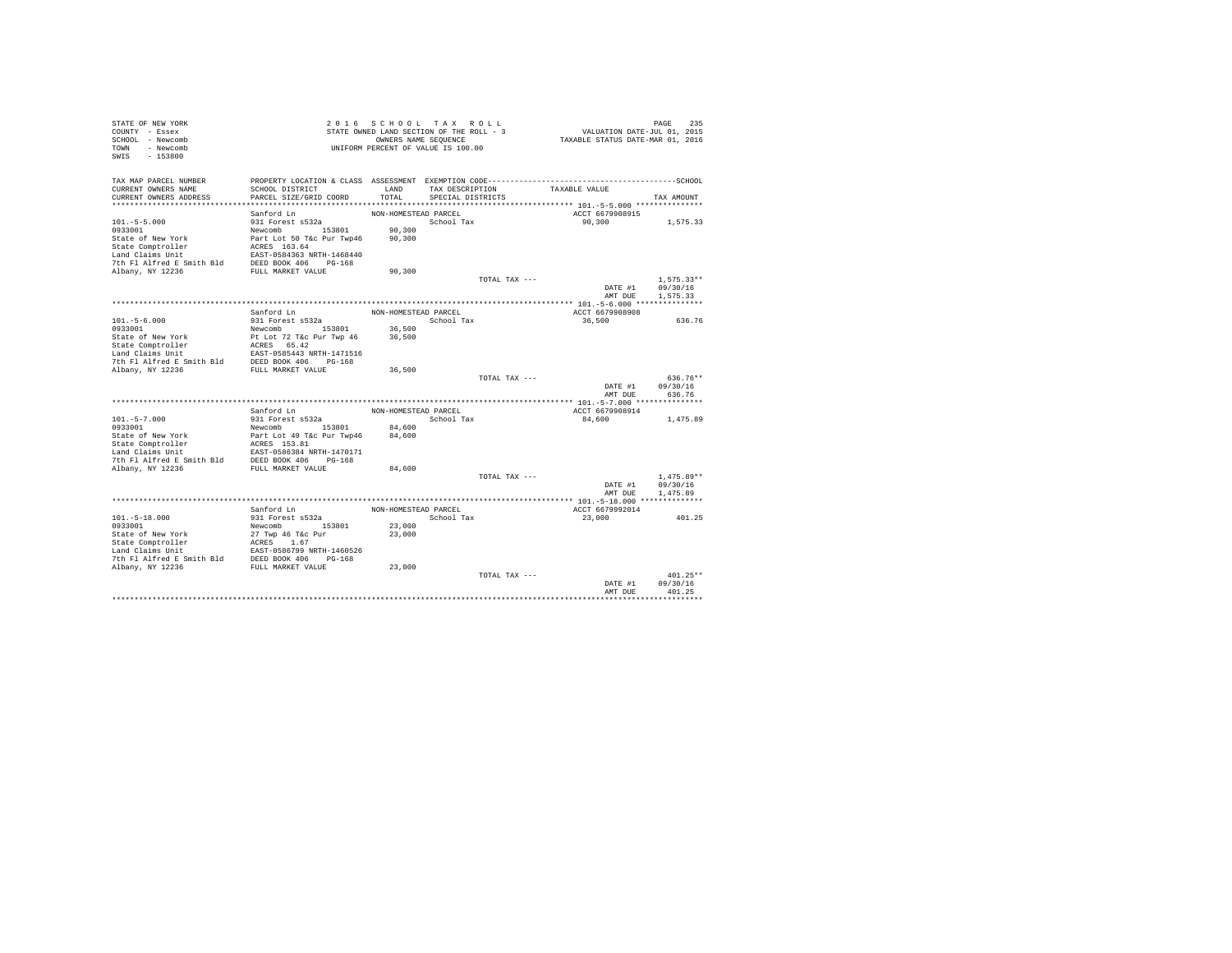| STATE OF NEW YORK<br>COUNTY - Essex<br>SCHOOL - Newcomb<br>TOWN - Newcomb | 2 0 1 6                                    | SCHOOL TAX ROLL<br>STATE OWNED LAND SECTION OF THE ROLL - 3<br>UNIFORM PERCENT OF VALUE IS 100.00 | OWNERS NAME SEQUENCE                 |               | VALUATION DATE-JUL 01, 2015<br>TAXABLE STATUS DATE-MAR 01, 2016 | 235<br>PAGE        |
|---------------------------------------------------------------------------|--------------------------------------------|---------------------------------------------------------------------------------------------------|--------------------------------------|---------------|-----------------------------------------------------------------|--------------------|
| $-153800$<br>SWIS                                                         |                                            |                                                                                                   |                                      |               |                                                                 |                    |
| TAX MAP PARCEL NUMBER                                                     |                                            |                                                                                                   |                                      |               |                                                                 |                    |
| CURRENT OWNERS NAME<br>CURRENT OWNERS ADDRESS                             | SCHOOL DISTRICT<br>PARCEL SIZE/GRID COORD  | LAND<br>TOTAL                                                                                     | TAX DESCRIPTION<br>SPECIAL DISTRICTS |               | TAXABLE VALUE                                                   | TAX AMOUNT         |
|                                                                           |                                            |                                                                                                   |                                      |               |                                                                 |                    |
|                                                                           | Sanford Ln                                 | NON-HOMESTEAD PARCEL                                                                              |                                      |               | ACCT 6679908915                                                 |                    |
| $101. - 5 - 5.000$                                                        | 931 Forest s532a                           |                                                                                                   | School Tax                           |               | 90,300                                                          | 1,575.33           |
| 0933001                                                                   | Newcomb 153801                             | 90,300                                                                                            |                                      |               |                                                                 |                    |
| State of New York                                                         | Part Lot 50 T&c Pur Twp46                  | 90,300                                                                                            |                                      |               |                                                                 |                    |
| State Comptroller                                                         | ACRES 163.64                               |                                                                                                   |                                      |               |                                                                 |                    |
| Land Claims Unit<br>7th Fl Alfred E Smith Bld                             | EAST-0584363 NRTH-1468440                  |                                                                                                   |                                      |               |                                                                 |                    |
| Albany, NY 12236                                                          | DEED BOOK 406 PG-168<br>FULL MARKET VALUE  | 90,300                                                                                            |                                      |               |                                                                 |                    |
|                                                                           |                                            |                                                                                                   |                                      | TOTAL TAX --- |                                                                 | $1.575.33**$       |
|                                                                           |                                            |                                                                                                   |                                      |               | DATE #1                                                         | 09/30/16           |
|                                                                           |                                            |                                                                                                   |                                      |               | AMT DUE                                                         | 1,575.33           |
|                                                                           |                                            |                                                                                                   |                                      |               |                                                                 |                    |
|                                                                           | Sanford Ln                                 | NON-HOMESTEAD PARCEL                                                                              |                                      |               | ACCT 6679908908                                                 |                    |
| $101. - 5 - 6.000$                                                        | 931 Forest s532a                           |                                                                                                   | School Tax                           |               | 36,500                                                          | 636.76             |
| 0933001<br>State of New York                                              | Newcomb 153801<br>Pt Lot 72 T&c Pur Twp 46 | 36,500<br>36,500                                                                                  |                                      |               |                                                                 |                    |
| State Comptroller                                                         | ACRES 65.42                                |                                                                                                   |                                      |               |                                                                 |                    |
| Land Claims Unit                                                          | EAST-0585443 NRTH-1471516                  |                                                                                                   |                                      |               |                                                                 |                    |
| 7th Fl Alfred E Smith Bld                                                 | DEED BOOK 406 PG-168                       |                                                                                                   |                                      |               |                                                                 |                    |
| Albany, NY 12236                                                          | FULL MARKET VALUE                          | 36,500                                                                                            |                                      |               |                                                                 |                    |
|                                                                           |                                            |                                                                                                   |                                      | TOTAL TAX --- |                                                                 | 636.76**           |
|                                                                           |                                            |                                                                                                   |                                      |               | DATE #1<br>AMT DUE                                              | 09/30/16<br>636.76 |
|                                                                           |                                            |                                                                                                   |                                      |               |                                                                 |                    |
|                                                                           | Sanford Ln                                 | NON-HOMESTEAD PARCEL                                                                              |                                      |               | ACCT 6679908914                                                 |                    |
| $101. - 5 - 7.000$                                                        | 931 Forest s532a                           |                                                                                                   | School Tax                           |               | 84,600                                                          | 1,475.89           |
| 0933001                                                                   | Newcomb 153801                             | 84,600                                                                                            |                                      |               |                                                                 |                    |
| State of New York                                                         | Part Lot 49 T&c Pur Twp46                  | 84,600                                                                                            |                                      |               |                                                                 |                    |
| State Comptroller                                                         | ACRES 153.81                               |                                                                                                   |                                      |               |                                                                 |                    |
| Land Claims Unit<br>7th Fl Alfred E Smith Bld DEED BOOK 406 PG-168        | EAST-0586384 NRTH-1470171                  |                                                                                                   |                                      |               |                                                                 |                    |
| Albany, NY 12236                                                          | FULL MARKET VALUE                          | 84,600                                                                                            |                                      |               |                                                                 |                    |
|                                                                           |                                            |                                                                                                   |                                      | TOTAL TAX --- |                                                                 | $1.475.89**$       |
|                                                                           |                                            |                                                                                                   |                                      |               | DATE #1                                                         | 09/30/16           |
|                                                                           |                                            |                                                                                                   |                                      |               | AMT DUE                                                         | 1,475.89           |
|                                                                           |                                            |                                                                                                   |                                      |               |                                                                 |                    |
|                                                                           | Sanford Ln                                 | NON-HOMESTEAD PARCEL                                                                              |                                      |               | ACCT 6679992014                                                 |                    |
| $101. - 5 - 18.000$                                                       | 931 Forest s532a<br>Newcomb 153801         | 23,000                                                                                            | School Tax                           |               | 23,000                                                          | 401.25             |
| 0933001<br>State of New York                                              | 27 Twp 46 T&c Pur                          | 23,000                                                                                            |                                      |               |                                                                 |                    |
| State Comptroller                                                         | ACRES 1.67                                 |                                                                                                   |                                      |               |                                                                 |                    |
| Land Claims Unit                                                          | EAST-0586799 NRTH-1460526                  |                                                                                                   |                                      |               |                                                                 |                    |
| 7th Fl Alfred E Smith Bld DEED BOOK 406 PG-168                            |                                            |                                                                                                   |                                      |               |                                                                 |                    |
| Albany, NY 12236                                                          | FULL MARKET VALUE                          | 23,000                                                                                            |                                      |               |                                                                 |                    |
|                                                                           |                                            |                                                                                                   |                                      | TOTAL TAX --- |                                                                 | $401.25**$         |
|                                                                           |                                            |                                                                                                   |                                      |               | DATE #1<br>AMT DUE                                              | 09/30/16<br>401.25 |
|                                                                           |                                            |                                                                                                   |                                      |               |                                                                 |                    |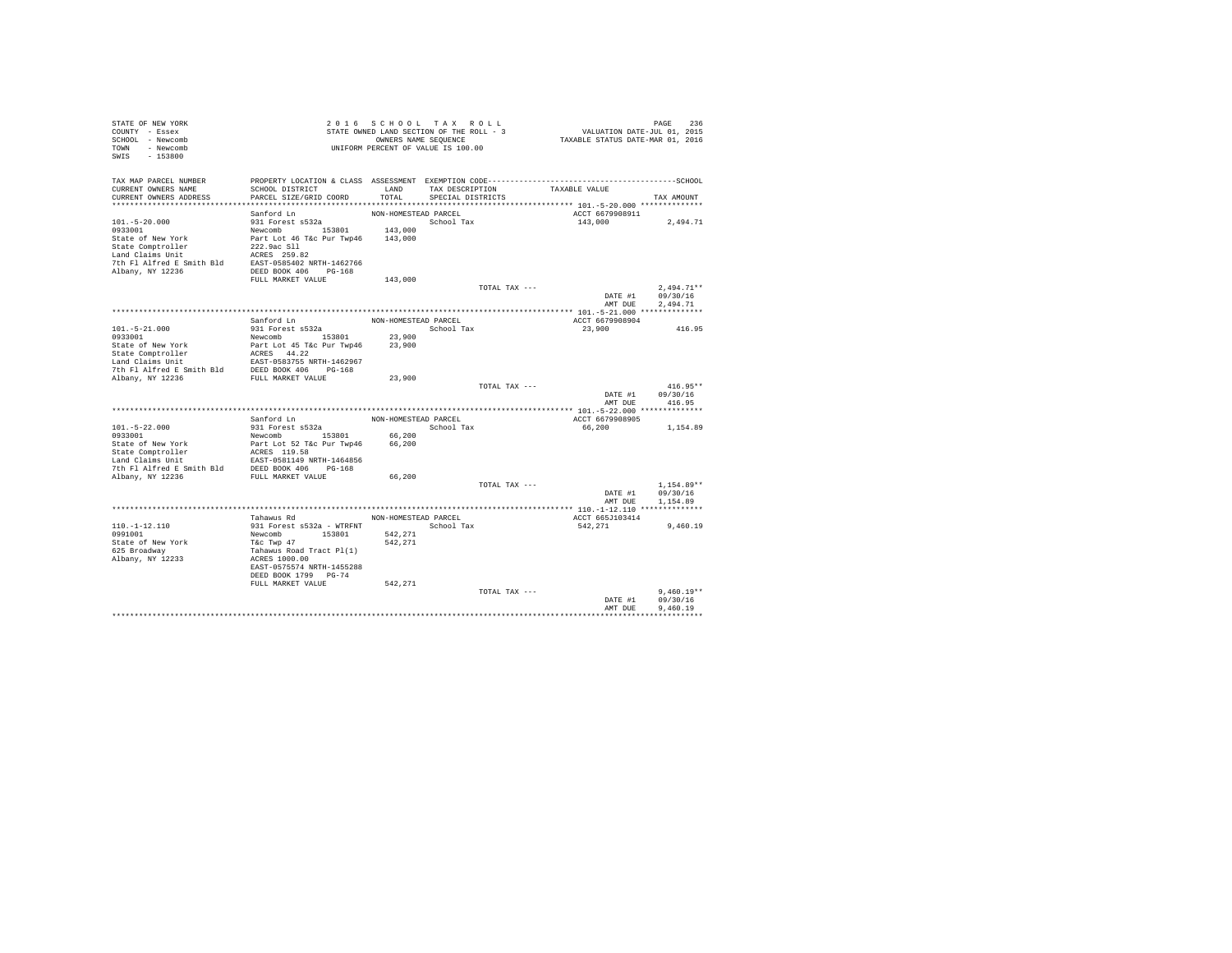| STATE OF NEW YORK                                                                                                                                                                                                                            |                                                                                              |                      | 2016 SCHOOL TAX ROLL                     |                 |                                         |                  |
|----------------------------------------------------------------------------------------------------------------------------------------------------------------------------------------------------------------------------------------------|----------------------------------------------------------------------------------------------|----------------------|------------------------------------------|-----------------|-----------------------------------------|------------------|
| COUNTY - Essex                                                                                                                                                                                                                               |                                                                                              |                      | STATE OWNED LAND SECTION OF THE ROLL - 3 |                 | PAGE 236<br>VALUATION DATE-JUL 01, 2015 |                  |
| SCHOOL - Newcomb                                                                                                                                                                                                                             |                                                                                              |                      | OWNERS NAME SEQUENCE                     |                 | TAXABLE STATUS DATE-MAR 01, 2016        |                  |
| TOWN - Newcomb                                                                                                                                                                                                                               |                                                                                              |                      | UNIFORM PERCENT OF VALUE IS 100.00       |                 |                                         |                  |
| $-153800$<br>SWIS                                                                                                                                                                                                                            |                                                                                              |                      |                                          |                 |                                         |                  |
|                                                                                                                                                                                                                                              |                                                                                              |                      |                                          |                 |                                         |                  |
|                                                                                                                                                                                                                                              |                                                                                              |                      |                                          |                 |                                         |                  |
| TAX MAP PARCEL NUMBER                                                                                                                                                                                                                        | PROPERTY LOCATION & CLASS ASSESSMENT EXEMPTION CODE-----------------------------------SCHOOL |                      |                                          |                 |                                         |                  |
| CURRENT OWNERS NAME                                                                                                                                                                                                                          | SCHOOL DISTRICT                                                                              | LAND                 |                                          | TAX DESCRIPTION | TAXABLE VALUE                           |                  |
| CURRENT OWNERS ADDRESS                                                                                                                                                                                                                       | PARCEL SIZE/GRID COORD                                                                       | TOTAL                | SPECIAL DISTRICTS                        |                 |                                         | TAX AMOUNT       |
|                                                                                                                                                                                                                                              |                                                                                              |                      |                                          |                 |                                         |                  |
|                                                                                                                                                                                                                                              | Sanford Ln                                                                                   | NON-HOMESTEAD PARCEL |                                          |                 | ACCT 6679908911                         |                  |
| $101. - 5 - 20.000$                                                                                                                                                                                                                          | 931 Forest s532a                                                                             |                      | School Tax                               |                 | 143,000 2,494.71                        |                  |
|                                                                                                                                                                                                                                              |                                                                                              |                      |                                          |                 |                                         |                  |
|                                                                                                                                                                                                                                              |                                                                                              |                      |                                          |                 |                                         |                  |
|                                                                                                                                                                                                                                              |                                                                                              |                      |                                          |                 |                                         |                  |
| 9933001 143,000<br>9933001 143,000<br>State of New York Part Lot 46 Tac Pur Twp46 143,000<br>State Comptroller 222.9ac S11<br>Land Claims Unit<br>Land Claims United Example 255.82<br>Albany, NY 12236 DEED BOOK 406 PG-168<br>Albany, NY 1 |                                                                                              |                      |                                          |                 |                                         |                  |
|                                                                                                                                                                                                                                              |                                                                                              |                      |                                          |                 |                                         |                  |
|                                                                                                                                                                                                                                              |                                                                                              |                      |                                          |                 |                                         |                  |
|                                                                                                                                                                                                                                              |                                                                                              |                      |                                          |                 |                                         |                  |
|                                                                                                                                                                                                                                              | FULL MARKET VALUE                                                                            | 143,000              |                                          |                 |                                         |                  |
|                                                                                                                                                                                                                                              |                                                                                              |                      |                                          | TOTAL TAX ---   |                                         | $2,494.71**$     |
|                                                                                                                                                                                                                                              |                                                                                              |                      |                                          |                 |                                         | DATE #1 09/30/16 |
|                                                                                                                                                                                                                                              |                                                                                              |                      |                                          |                 | AMT DUE                                 | 2.494.71         |
|                                                                                                                                                                                                                                              |                                                                                              |                      |                                          |                 |                                         |                  |
|                                                                                                                                                                                                                                              | Sanford Ln                                                                                   | NON-HOMESTEAD PARCEL |                                          |                 | ACCT 6679908904                         |                  |
|                                                                                                                                                                                                                                              | 931 Forest s532a                                                                             |                      | School Tax                               |                 | 23,900                                  | 416.95           |
| 101.-5-21.000<br>0933001                                                                                                                                                                                                                     |                                                                                              |                      |                                          |                 |                                         |                  |
|                                                                                                                                                                                                                                              |                                                                                              |                      |                                          |                 |                                         |                  |
|                                                                                                                                                                                                                                              |                                                                                              |                      |                                          |                 |                                         |                  |
|                                                                                                                                                                                                                                              |                                                                                              |                      |                                          |                 |                                         |                  |
|                                                                                                                                                                                                                                              |                                                                                              |                      |                                          |                 |                                         |                  |
|                                                                                                                                                                                                                                              |                                                                                              |                      |                                          |                 |                                         |                  |
|                                                                                                                                                                                                                                              |                                                                                              |                      |                                          | TOTAL TAX ---   |                                         | $416.95**$       |
|                                                                                                                                                                                                                                              |                                                                                              |                      |                                          |                 | DATE #1                                 | 09/30/16         |
|                                                                                                                                                                                                                                              |                                                                                              |                      |                                          |                 |                                         | AMT DUE 416.95   |
|                                                                                                                                                                                                                                              |                                                                                              |                      |                                          |                 |                                         |                  |
|                                                                                                                                                                                                                                              | Sanford Ln                                                                                   | NON-HOMESTEAD PARCEL |                                          |                 | ACCT 6679908905                         |                  |
|                                                                                                                                                                                                                                              | 931 Forest s532a                                                                             |                      | School Tax                               |                 | 66,200                                  | 1,154.89         |
| 101.-5-22.000<br>0933001                                                                                                                                                                                                                     |                                                                                              |                      |                                          |                 |                                         |                  |
|                                                                                                                                                                                                                                              | Newcomb 153801 66,200<br>Part Lot 52 T&c Pur Twp46 66,200                                    |                      |                                          |                 |                                         |                  |
|                                                                                                                                                                                                                                              |                                                                                              | 66,200               |                                          |                 |                                         |                  |
|                                                                                                                                                                                                                                              |                                                                                              |                      |                                          |                 |                                         |                  |
|                                                                                                                                                                                                                                              |                                                                                              |                      |                                          |                 |                                         |                  |
|                                                                                                                                                                                                                                              |                                                                                              |                      |                                          |                 |                                         |                  |
|                                                                                                                                                                                                                                              |                                                                                              | 66,200               |                                          |                 |                                         |                  |
|                                                                                                                                                                                                                                              |                                                                                              |                      |                                          | TOTAL TAX ---   |                                         | $1.154.89**$     |
|                                                                                                                                                                                                                                              |                                                                                              |                      |                                          |                 | DATE #1                                 | 09/30/16         |
|                                                                                                                                                                                                                                              |                                                                                              |                      |                                          |                 | AMT DUE                                 | 1,154.89         |
|                                                                                                                                                                                                                                              |                                                                                              |                      |                                          |                 |                                         |                  |
|                                                                                                                                                                                                                                              | Tahawus Rd                                                                                   |                      | NON-HOMESTEAD PARCEL                     |                 | ACCT 665J103414                         |                  |
| $110. - 1 - 12.110$                                                                                                                                                                                                                          |                                                                                              |                      | School Tax                               |                 | 542,271                                 | 9,460.19         |
| 0991001                                                                                                                                                                                                                                      | 931 Forest s532a - WTRFNT<br>Newcomb 153801                                                  | 542,271              |                                          |                 |                                         |                  |
| State of New York                                                                                                                                                                                                                            |                                                                                              | 542,271              |                                          |                 |                                         |                  |
| 625 Broadway                                                                                                                                                                                                                                 | rkc Twp 47<br>T&c Twp 47<br>Tahawus Road Tract Pl(1)<br>ACRES 1000.00                        |                      |                                          |                 |                                         |                  |
| Albany, NY 12233                                                                                                                                                                                                                             |                                                                                              |                      |                                          |                 |                                         |                  |
|                                                                                                                                                                                                                                              | EAST-0575574 NRTH-1455288                                                                    |                      |                                          |                 |                                         |                  |
|                                                                                                                                                                                                                                              | DEED BOOK 1799 PG-74                                                                         |                      |                                          |                 |                                         |                  |
|                                                                                                                                                                                                                                              | FULL MARKET VALUE                                                                            | 542,271              |                                          |                 |                                         |                  |
|                                                                                                                                                                                                                                              |                                                                                              |                      |                                          | TOTAL TAX ---   |                                         | $9.460.19**$     |
|                                                                                                                                                                                                                                              |                                                                                              |                      |                                          |                 |                                         | 09/30/16         |
|                                                                                                                                                                                                                                              |                                                                                              |                      |                                          |                 | DATE #1                                 |                  |
|                                                                                                                                                                                                                                              |                                                                                              |                      |                                          |                 | AMT DUE                                 | 9,460.19         |
|                                                                                                                                                                                                                                              |                                                                                              |                      |                                          |                 |                                         |                  |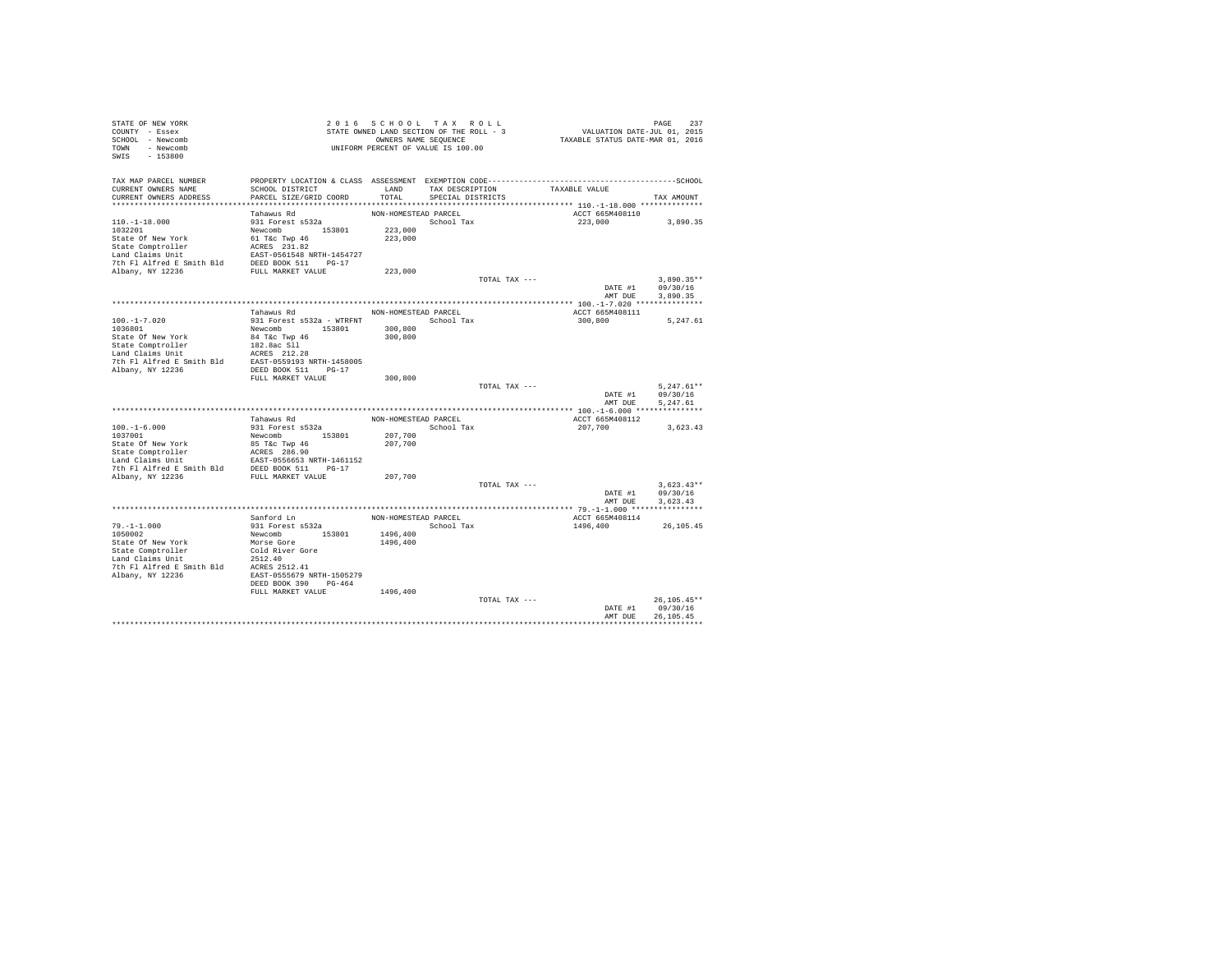| STATE OF NEW YORK<br>COUNTY - Essex                                                                             |                                          | 2016 SCHOOL TAX ROLL<br>STATE OWNED LAND SECTION OF THE ROLL - 3 |                      |               |               |                    | PAGE 237<br>VALUATION DATE-JUL 01, 2015 |
|-----------------------------------------------------------------------------------------------------------------|------------------------------------------|------------------------------------------------------------------|----------------------|---------------|---------------|--------------------|-----------------------------------------|
| SCHOOL - Newcomb<br>TOWN - Newcomb                                                                              |                                          | OWNERS NAME SEQUENCE<br>UNIFORM PERCENT OF VALUE IS 100.00       |                      |               |               |                    | TAXABLE STATUS DATE-MAR 01, 2016        |
| $-153800$<br>SWIS                                                                                               |                                          |                                                                  |                      |               |               |                    |                                         |
| TAX MAP PARCEL NUMBER                                                                                           |                                          |                                                                  |                      |               |               |                    |                                         |
| CURRENT OWNERS NAME                                                                                             | SCHOOL DISTRICT                          |                                                                  | LAND TAX DESCRIPTION |               | TAXABLE VALUE |                    |                                         |
| CURRENT OWNERS ADDRESS                                                                                          | PARCEL SIZE/GRID COORD                   | TOTAL                                                            | SPECIAL DISTRICTS    |               |               |                    | TAX AMOUNT                              |
|                                                                                                                 | Tahawus Rd                               | NON-HOMESTEAD PARCEL                                             |                      |               |               | ACCT 665M408110    |                                         |
| $110. -1 - 18.000$                                                                                              | 931 Forest s532a                         |                                                                  | School Tax           |               |               | 223,000            | 3,890.35                                |
| 1032201                                                                                                         | Newcomb 153801                           | 223,000                                                          |                      |               |               |                    |                                         |
| State Of New York                                                                                               | 61 T&c Twp 46<br>ACRES 231.82            | 223,000                                                          |                      |               |               |                    |                                         |
| State Comptroller                                                                                               |                                          |                                                                  |                      |               |               |                    |                                         |
| Land Claims Unit                                                                                                | EAST-0561548 NRTH-1454727                |                                                                  |                      |               |               |                    |                                         |
|                                                                                                                 |                                          |                                                                  |                      |               |               |                    |                                         |
| Albany, NY 12236                                                                                                |                                          | 223,000                                                          |                      |               |               |                    |                                         |
|                                                                                                                 |                                          |                                                                  |                      | TOTAL TAX --- |               |                    | $3.890.35**$                            |
|                                                                                                                 |                                          |                                                                  |                      |               |               | DATE #1<br>AMT DUE | 09/30/16<br>3.890.35                    |
|                                                                                                                 |                                          |                                                                  |                      |               |               |                    |                                         |
|                                                                                                                 | Tahawus Rd                               | NON-HOMESTEAD PARCEL                                             |                      |               |               | ACCT 665M408111    |                                         |
| $100. -1 - 7.020$                                                                                               | 931 Forest s532a - WTRFNT                |                                                                  | School Tax           |               | 300,800       |                    | 5,247.61                                |
| 1036801                                                                                                         | Newcomb 153801                           | 300,800                                                          |                      |               |               |                    |                                         |
| State Of New York                                                                                               | 84 T&c Twp 46                            | 300,800                                                          |                      |               |               |                    |                                         |
| State Comptroller                                                                                               | 182.8ac Sll                              |                                                                  |                      |               |               |                    |                                         |
| Land Claims Unit                                                                                                | ACRES 212.28                             |                                                                  |                      |               |               |                    |                                         |
| 7th Fl Alfred E Smith Bld EAST-0559193 NRTH-1458005                                                             |                                          |                                                                  |                      |               |               |                    |                                         |
| Albany, NY 12236                                                                                                | DEED BOOK 511 PG-17<br>FULL MARKET VALUE |                                                                  |                      |               |               |                    |                                         |
|                                                                                                                 |                                          | 300,800                                                          |                      | TOTAL TAX --- |               |                    | $5.247.61**$                            |
|                                                                                                                 |                                          |                                                                  |                      |               |               | DATE #1            | 09/30/16                                |
|                                                                                                                 |                                          |                                                                  |                      |               |               | AMT DUE            | 5,247.61                                |
|                                                                                                                 |                                          |                                                                  |                      |               |               |                    |                                         |
|                                                                                                                 | Tahawus Rd                               | NON-HOMESTEAD PARCEL                                             |                      |               |               | ACCT 665M408112    |                                         |
| $100.-1-6.000$                                                                                                  | 931 Forest s532a                         |                                                                  | School Tax           |               | 207,700       |                    | 3,623.43                                |
| 1037001                                                                                                         | Newcomb 153801                           | 207,700                                                          |                      |               |               |                    |                                         |
| State Of New York                                                                                               | 85 T&c Twp 46                            | 207,700                                                          |                      |               |               |                    |                                         |
| State Comptroller<br>Land Claims Unit                                                                           | ACRES 286.90                             |                                                                  |                      |               |               |                    |                                         |
|                                                                                                                 |                                          |                                                                  |                      |               |               |                    |                                         |
| Land Claims Unit EAST-0556653 NRTH-1461152<br>7th Fl Alfred E Smith Bld DEED BOOK 511 PG-17<br>Albany, NY 12236 |                                          | 207,700                                                          |                      |               |               |                    |                                         |
|                                                                                                                 |                                          |                                                                  |                      | TOTAL TAX --- |               |                    | $3,623.43**$                            |
|                                                                                                                 |                                          |                                                                  |                      |               |               | DATE #1            | 09/30/16                                |
|                                                                                                                 |                                          |                                                                  |                      |               |               | AMT DUE            | 3.623.43                                |
|                                                                                                                 |                                          |                                                                  |                      |               |               |                    |                                         |
|                                                                                                                 | Sanford Ln                               | NON-HOMESTEAD PARCEL                                             |                      |               |               | ACCT 665M408114    |                                         |
| $79. - 1 - 1.000$                                                                                               | 931 Forest s532a                         |                                                                  | School Tax           |               | 1496,400      |                    | 26,105.45                               |
| 1050002                                                                                                         | Newcomb 153801                           | 1496,400                                                         |                      |               |               |                    |                                         |
| State Of New York<br>State Comptroller                                                                          | Morse Gore<br>Cold River Gore            | 1496,400                                                         |                      |               |               |                    |                                         |
| Land Claims Unit                                                                                                | 2512.40                                  |                                                                  |                      |               |               |                    |                                         |
| 7th Fl Alfred E Smith Bld ACRES 2512.41                                                                         |                                          |                                                                  |                      |               |               |                    |                                         |
| Albany, NY 12236                                                                                                | EAST-0555679 NRTH-1505279                |                                                                  |                      |               |               |                    |                                         |
|                                                                                                                 | DEED BOOK 390 PG-464                     |                                                                  |                      |               |               |                    |                                         |
|                                                                                                                 | FULL MARKET VALUE                        | 1496,400                                                         |                      |               |               |                    |                                         |
|                                                                                                                 |                                          |                                                                  |                      | TOTAL TAX --- |               |                    | $26.105.45**$                           |
|                                                                                                                 |                                          |                                                                  |                      |               |               | DATE #1            | 09/30/16                                |
|                                                                                                                 |                                          |                                                                  |                      |               |               | AMT DUE            | 26.105.45<br>*****************          |
|                                                                                                                 |                                          |                                                                  |                      |               |               |                    |                                         |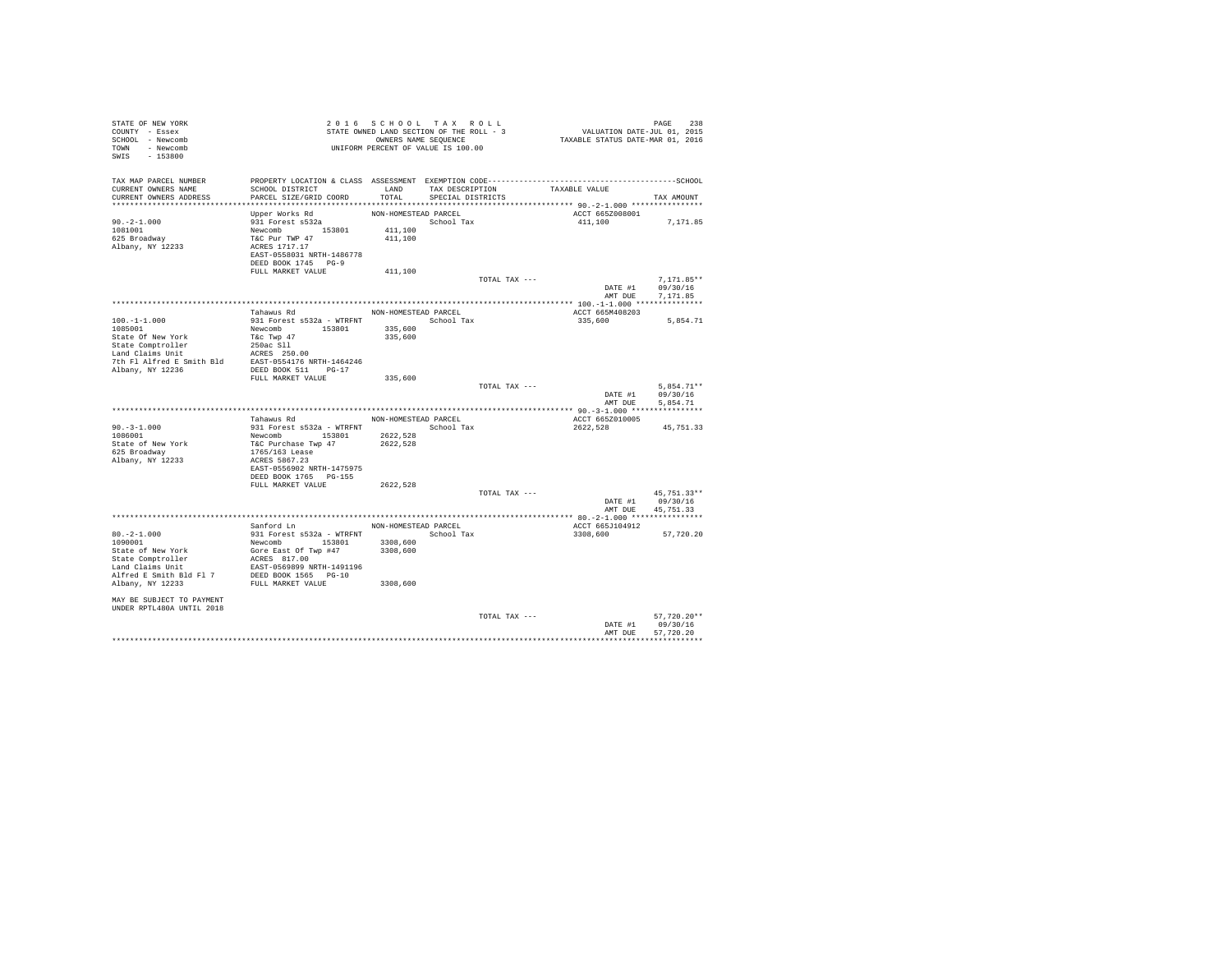| STATE OF NEW YORK<br>COUNTY - Essex<br>SCHOOL - Newcomb<br>TOWN - Newcomb<br>$-153800$<br>SWIS | - THE ROLL - STATE OWNED LAND SECTION OF THE ROLL - 5<br>OWNERS NAME SEQUENCE<br>UNIFORM PERCENT OF VALUE IS 100.00 |                      |                      |                 | PAGE 238<br>VALUATION DATE-JUL 01, 2015<br>TAXABLE STATUS DATE-MAR 01, 2016 |               |  |
|------------------------------------------------------------------------------------------------|---------------------------------------------------------------------------------------------------------------------|----------------------|----------------------|-----------------|-----------------------------------------------------------------------------|---------------|--|
| TAX MAP PARCEL NUMBER                                                                          |                                                                                                                     |                      |                      |                 |                                                                             |               |  |
| CURRENT OWNERS NAME                                                                            | SCHOOL DISTRICT                                                                                                     | LAND                 |                      | TAX DESCRIPTION | TAXABLE VALUE                                                               |               |  |
| CURRENT OWNERS ADDRESS                                                                         | PARCEL SIZE/GRID COORD                                                                                              | TOTAL                | SPECIAL DISTRICTS    |                 |                                                                             | TAX AMOUNT    |  |
|                                                                                                | Upper Works Rd                                                                                                      | NON-HOMESTEAD PARCEL |                      |                 | ACCT 665Z008001                                                             |               |  |
| $90. -2 - 1.000$                                                                               | 931 Forest s532a                                                                                                    |                      | School Tax           |                 | 411,100                                                                     | 7,171.85      |  |
| 1081001                                                                                        |                                                                                                                     | 411,100              |                      |                 |                                                                             |               |  |
| 625 Broadway                                                                                   |                                                                                                                     | 411,100              |                      |                 |                                                                             |               |  |
| Albany, NY 12233                                                                               | Newcomb 153801<br>T&C Pur TWP 47<br>ACRES 1717.17                                                                   |                      |                      |                 |                                                                             |               |  |
|                                                                                                | EAST-0558031 NRTH-1486778                                                                                           |                      |                      |                 |                                                                             |               |  |
|                                                                                                | DEED BOOK 1745 PG-9<br>FULL MARKET VALUE                                                                            | 411,100              |                      |                 |                                                                             |               |  |
|                                                                                                |                                                                                                                     |                      |                      | TOTAL TAX ---   |                                                                             | $7.171.85**$  |  |
|                                                                                                |                                                                                                                     |                      |                      |                 | DATE #1                                                                     | 09/30/16      |  |
|                                                                                                |                                                                                                                     |                      |                      |                 | AMT DUE                                                                     | 7,171.85      |  |
|                                                                                                |                                                                                                                     |                      |                      |                 |                                                                             |               |  |
|                                                                                                | Tahawus Rd                                                                                                          |                      | NON-HOMESTEAD PARCEL |                 | ACCT 665M408203                                                             |               |  |
| $100. -1 - 1.000$<br>1085001                                                                   | 931 Forest s532a - WTRFNT School Tax<br>Newcomb 153801                                                              | 335,600              |                      |                 | 335,600                                                                     | 5,854.71      |  |
| State Of New York                                                                              | T&c Twp 47                                                                                                          | 335,600              |                      |                 |                                                                             |               |  |
| State Comptroller                                                                              | 250ac Sll                                                                                                           |                      |                      |                 |                                                                             |               |  |
| Land Claims Unit                                                                               | ACRES 250.00                                                                                                        |                      |                      |                 |                                                                             |               |  |
| 7th Fl Alfred E Smith Bld                                                                      | EAST-0554176 NRTH-1464246                                                                                           |                      |                      |                 |                                                                             |               |  |
| Albany, NY 12236                                                                               | DEED BOOK 511 PG-17                                                                                                 |                      |                      |                 |                                                                             |               |  |
|                                                                                                | FULL MARKET VALUE                                                                                                   | 335,600              |                      | TOTAL TAX ---   |                                                                             | $5.854.71**$  |  |
|                                                                                                |                                                                                                                     |                      |                      |                 | DATE #1                                                                     | 09/30/16      |  |
|                                                                                                |                                                                                                                     |                      |                      |                 | AMT DUE                                                                     | 5,854.71      |  |
|                                                                                                |                                                                                                                     |                      |                      |                 |                                                                             |               |  |
|                                                                                                | Tahawus Rd                                                                                                          | NON-HOMESTEAD PARCEL |                      |                 | ACCT 665Z010005                                                             |               |  |
| $90. -3 - 1.000$<br>1086001                                                                    | 931 Forest s532a - WTRFNT<br>Newcomb 153801 2622,528<br>T&C Purchase Twp 47 2622,528<br>1765/163 Lease              | School Tax           |                      |                 | 2622,528                                                                    | 45,751.33     |  |
| State of New York                                                                              |                                                                                                                     |                      |                      |                 |                                                                             |               |  |
| 625 Broadway                                                                                   |                                                                                                                     |                      |                      |                 |                                                                             |               |  |
| Albany, NY 12233                                                                               | ACRES 5867.23                                                                                                       |                      |                      |                 |                                                                             |               |  |
|                                                                                                | EAST-0556902 NRTH-1475975                                                                                           |                      |                      |                 |                                                                             |               |  |
|                                                                                                | DEED BOOK 1765 PG-155                                                                                               |                      |                      |                 |                                                                             |               |  |
|                                                                                                | FULL MARKET VALUE                                                                                                   | 2622,528             |                      | TOTAL TAX ---   |                                                                             | 45.751.33**   |  |
|                                                                                                |                                                                                                                     |                      |                      |                 | DATE #1                                                                     | 09/30/16      |  |
|                                                                                                |                                                                                                                     |                      |                      |                 | AMT DUE                                                                     | 45,751.33     |  |
|                                                                                                |                                                                                                                     |                      |                      |                 |                                                                             |               |  |
|                                                                                                | Sanford Ln                                                                                                          | NON-HOMESTEAD PARCEL |                      |                 | ACCT 665J104912                                                             |               |  |
| $80\,,-2\,\text{--}\,1\,.000$                                                                  |                                                                                                                     |                      |                      |                 | 3308,600                                                                    | 57,720,20     |  |
| 1090001<br>State of New York                                                                   |                                                                                                                     |                      |                      |                 |                                                                             |               |  |
|                                                                                                | 931 Forest \$532a - WTRFNT<br>Newcomb 153801 3308,600<br>Gree East Of Twp #47 3308,600<br>ACRES 817.00              |                      |                      |                 |                                                                             |               |  |
| State Comptroller<br>Land Claims Unit                                                          | EAST-0569899 NRTH-1491196                                                                                           |                      |                      |                 |                                                                             |               |  |
| Alfred E Smith Bld Fl 7 DEED BOOK 1565 PG-10<br>Albany, NY 12233 FULL MARKET VALUE             |                                                                                                                     |                      |                      |                 |                                                                             |               |  |
|                                                                                                |                                                                                                                     | 3308,600             |                      |                 |                                                                             |               |  |
|                                                                                                |                                                                                                                     |                      |                      |                 |                                                                             |               |  |
| MAY BE SUBJECT TO PAYMENT<br>UNDER RPTL480A UNTIL 2018                                         |                                                                                                                     |                      |                      |                 |                                                                             |               |  |
|                                                                                                |                                                                                                                     |                      |                      | TOTAL TAX ---   |                                                                             | $57,720.20**$ |  |
|                                                                                                |                                                                                                                     |                      |                      |                 | DATE #1                                                                     | 09/30/16      |  |
|                                                                                                |                                                                                                                     |                      |                      |                 | AMT DUR                                                                     | 57,720.20     |  |
|                                                                                                |                                                                                                                     |                      |                      |                 |                                                                             | ************  |  |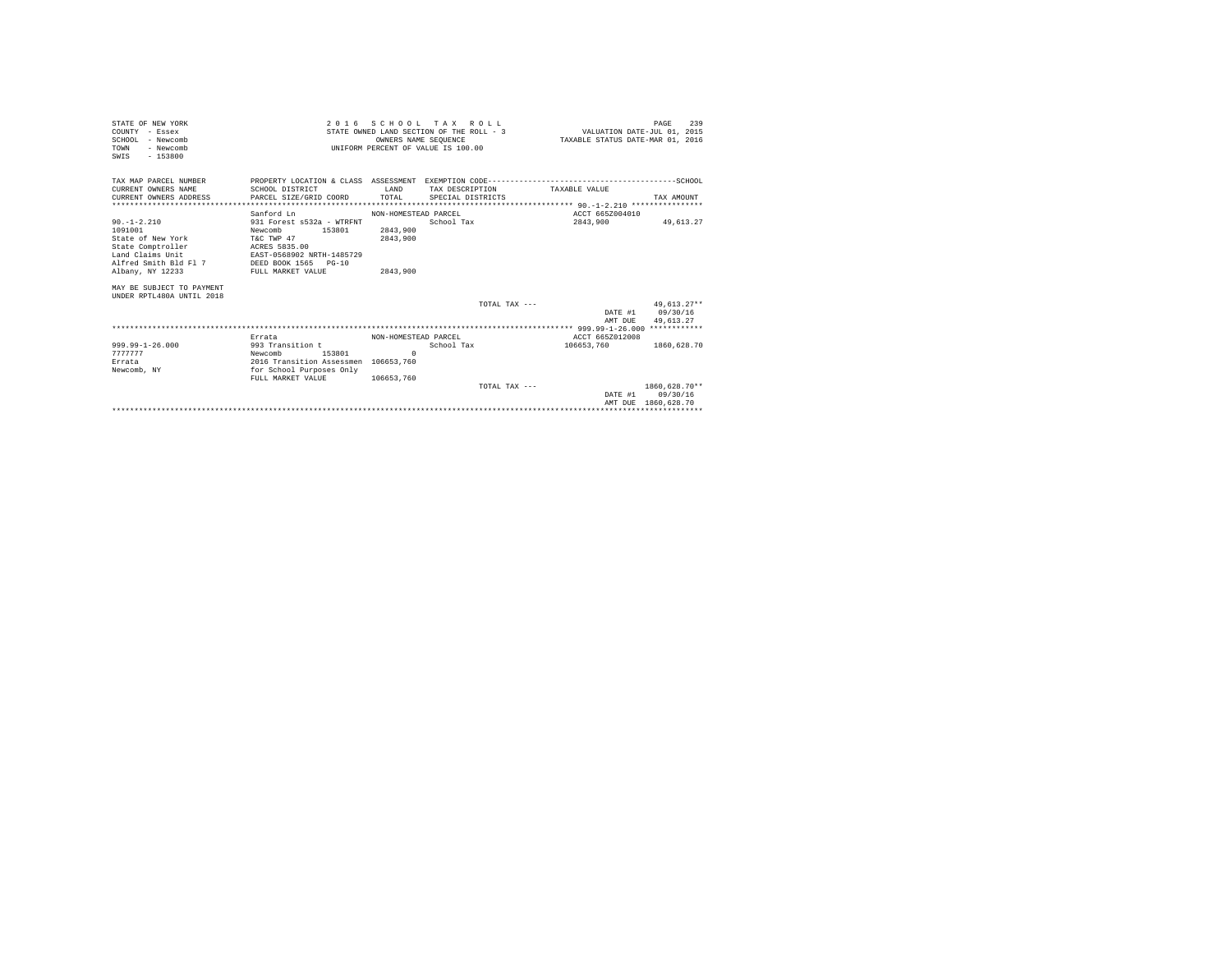| STATE OF NEW YORK                          |                                      | 2016 SCHOOL TAX ROLL                     |                   |                 |                                  |                 | PAGE                        | 239 |
|--------------------------------------------|--------------------------------------|------------------------------------------|-------------------|-----------------|----------------------------------|-----------------|-----------------------------|-----|
| COUNTY - Essex                             |                                      | STATE OWNED LAND SECTION OF THE ROLL - 3 |                   |                 |                                  |                 | VALUATION DATE-JUL 01, 2015 |     |
| SCHOOL - Newcomb                           |                                      | OWNERS NAME SEOUENCE                     |                   |                 | TAXABLE STATUS DATE-MAR 01, 2016 |                 |                             |     |
| - Newcomb<br>TOWN                          |                                      | UNIFORM PERCENT OF VALUE IS 100.00       |                   |                 |                                  |                 |                             |     |
| $-153800$<br>SWIS                          |                                      |                                          |                   |                 |                                  |                 |                             |     |
|                                            |                                      |                                          |                   |                 |                                  |                 |                             |     |
|                                            |                                      |                                          |                   |                 |                                  |                 |                             |     |
| TAX MAP PARCEL NUMBER                      |                                      |                                          |                   |                 |                                  |                 |                             |     |
| CURRENT OWNERS NAME                        | SCHOOL DISTRICT                      | LAND<br>TOTAL                            |                   | TAX DESCRIPTION | TAXABLE VALUE                    |                 |                             |     |
| CURRENT OWNERS ADDRESS                     | PARCEL SIZE/GRID COORD               |                                          | SPECIAL DISTRICTS |                 |                                  |                 | TAX AMOUNT                  |     |
|                                            | Sanford Ln                           | NON-HOMESTEAD PARCEL                     |                   |                 |                                  | ACCT 665Z004010 |                             |     |
| $90. -1 - 2.210$                           | 931 Forest s532a - WTRFNT            |                                          | School Tax        |                 |                                  |                 | 2843.900 49.613.27          |     |
| 1091001                                    | 153801<br>Newcomb                    | 2843,900                                 |                   |                 |                                  |                 |                             |     |
| State of New York                          | T&C TWP 47                           | 2843,900                                 |                   |                 |                                  |                 |                             |     |
| State Comptroller ACRES 5835.00            |                                      |                                          |                   |                 |                                  |                 |                             |     |
| Land Claims Unit                           | EAST-0568902 NRTH-1485729            |                                          |                   |                 |                                  |                 |                             |     |
| Alfred Smith Bld Fl 7 DEED BOOK 1565 PG-10 |                                      |                                          |                   |                 |                                  |                 |                             |     |
| Albany, NY 12233                           | FULL MARKET VALUE                    | 2843,900                                 |                   |                 |                                  |                 |                             |     |
| MAY BE SUBJECT TO PAYMENT                  |                                      |                                          |                   |                 |                                  |                 |                             |     |
| UNDER RPTL480A UNTIL 2018                  |                                      |                                          |                   |                 |                                  |                 |                             |     |
|                                            |                                      |                                          |                   | TOTAL TAX $---$ |                                  |                 | $49.613.27**$               |     |
|                                            |                                      |                                          |                   |                 |                                  |                 | DATE #1 09/30/16            |     |
|                                            |                                      |                                          |                   |                 |                                  | AMT DUE         | 49.613.27                   |     |
|                                            |                                      |                                          |                   |                 |                                  |                 |                             |     |
|                                            | Errata                               | NON-HOMESTEAD PARCEL                     |                   |                 |                                  | ACCT 665Z012008 |                             |     |
| $999.99 - 1 - 26.000$                      | 993 Transition t                     |                                          | School Tax        |                 |                                  | 106653.760      | 1860.628.70                 |     |
| 7777777                                    | 153801<br>Newcomb                    | $\Omega$                                 |                   |                 |                                  |                 |                             |     |
| Errata                                     | 2016 Transition Assessmen 106653.760 |                                          |                   |                 |                                  |                 |                             |     |
| Newcomb, NY                                | for School Purposes Only             |                                          |                   |                 |                                  |                 |                             |     |
|                                            | FULL MARKET VALUE                    | 106653.760                               |                   |                 |                                  |                 |                             |     |
|                                            |                                      |                                          |                   | TOTAL TAX $---$ |                                  |                 | 1860.628.70**               |     |
|                                            |                                      |                                          |                   |                 |                                  |                 | DATE #1 09/30/16            |     |
|                                            |                                      |                                          |                   |                 |                                  |                 | AMT DUE 1860.628.70         |     |
|                                            |                                      |                                          |                   |                 |                                  |                 |                             |     |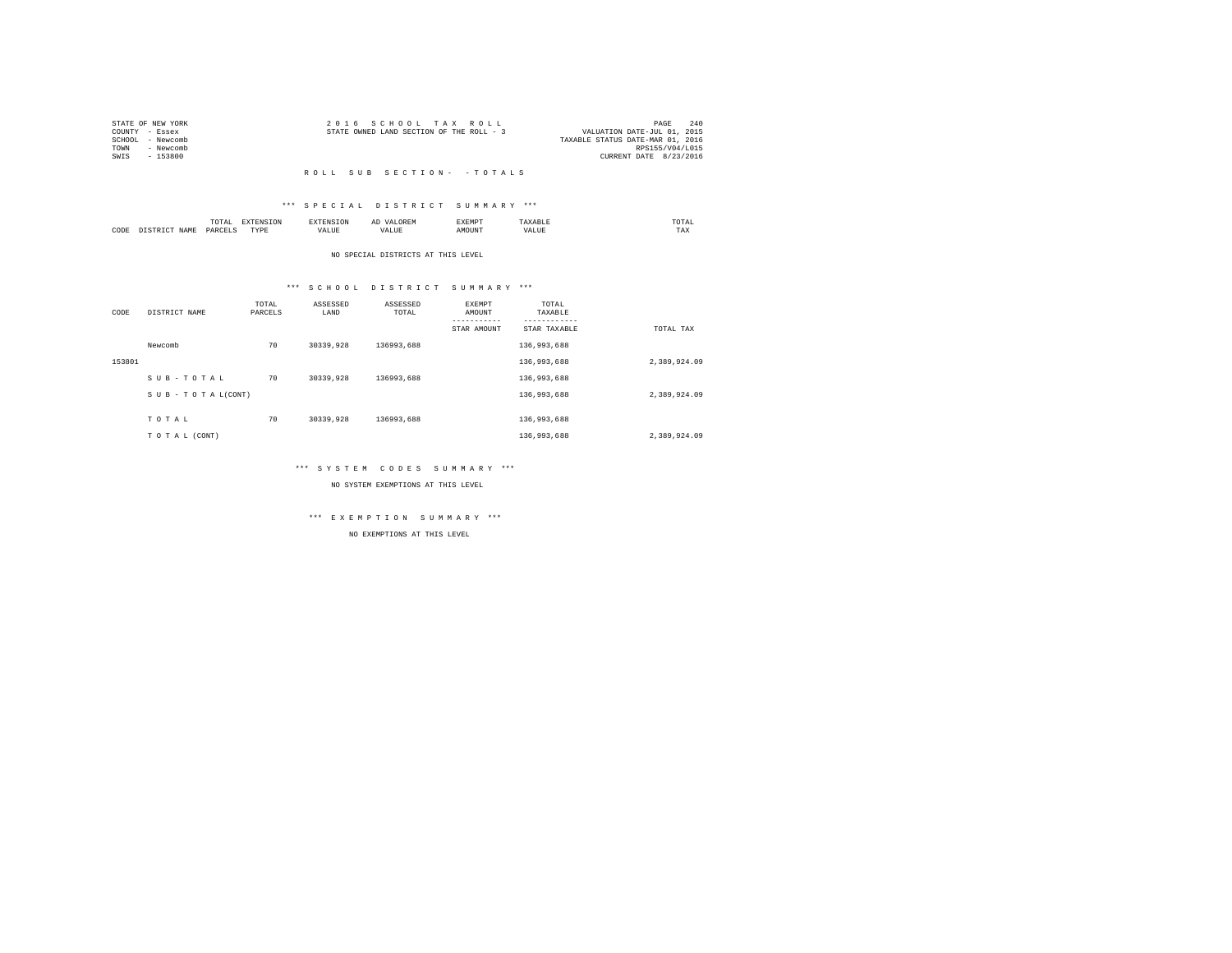|      | STATE OF NEW YORK | 2016 SCHOOL TAX ROLL                     | PAGE                             | 240 |
|------|-------------------|------------------------------------------|----------------------------------|-----|
|      | COUNTY - Essex    | STATE OWNED LAND SECTION OF THE ROLL - 3 | VALUATION DATE-JUL 01, 2015      |     |
|      | SCHOOL - Newcomb  |                                          | TAXABLE STATUS DATE-MAR 01, 2016 |     |
| TOWN | - Newcomb         |                                          | RPS155/V04/L015                  |     |
| SWTS | - 153800          |                                          | CURRENT DATE 8/23/2016           |     |
|      |                   |                                          |                                  |     |

#### R O L L S U B S E C T I O N - - T O T A L S

# \*\*\* S P E C I A L D I S T R I C T S U M M A R Y \*\*\*

|      |     |    | the contract of the contract of the contract of the contract of the contract of the contract of the contract of | . . | AEMP   |  | the contract of the contract of the contract of |
|------|-----|----|-----------------------------------------------------------------------------------------------------------------|-----|--------|--|-------------------------------------------------|
| CODE | J∆M | ັ້ | markets.<br>.                                                                                                   |     | .)TIN' |  | ---<br>1 A.A                                    |

#### NO SPECIAL DISTRICTS AT THIS LEVEL

# \*\*\* S C H O O L D I S T R I C T S U M M A R Y \*\*\*

| CODE   | DISTRICT NAME   | TOTAL<br>PARCELS | ASSESSED<br>LAND | ASSESSED<br>TOTAL | <b>EXEMPT</b><br>AMOUNT | TOTAL<br>TAXABLE |              |
|--------|-----------------|------------------|------------------|-------------------|-------------------------|------------------|--------------|
|        |                 |                  |                  |                   | STAR AMOUNT             | STAR TAXABLE     | TOTAL TAX    |
|        | Newcomb         | 70               | 30339,928        | 136993.688        |                         | 136,993,688      |              |
| 153801 |                 |                  |                  |                   |                         | 136,993,688      | 2.389.924.09 |
|        | SUB-TOTAL       | 70               | 30339,928        | 136993.688        |                         | 136,993,688      |              |
|        | SUB-TOTAL(CONT) |                  |                  |                   |                         | 136,993,688      | 2,389,924.09 |
|        |                 |                  |                  |                   |                         |                  |              |
|        | TOTAL           | 70               | 30339,928        | 136993.688        |                         | 136,993,688      |              |
|        | TO TAL (CONT)   |                  |                  |                   |                         | 136,993,688      | 2,389,924.09 |

# \*\*\* S Y S T E M C O D E S S U M M A R Y \*\*\*

NO SYSTEM EXEMPTIONS AT THIS LEVEL

# \*\*\* E X E M P T I O N S U M M A R Y \*\*\*

NO EXEMPTIONS AT THIS LEVEL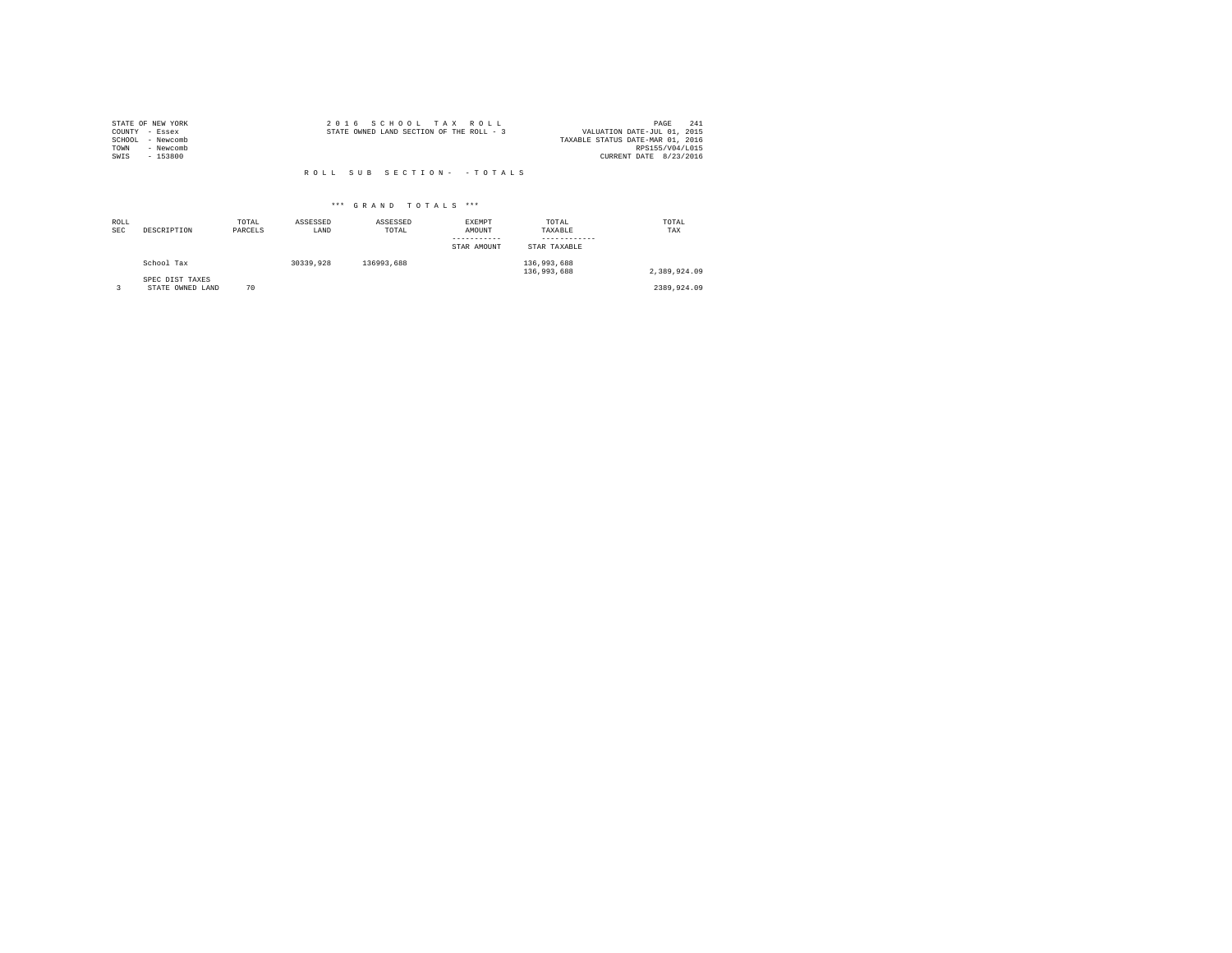|        | STATE OF NEW YORK | 2016 SCHOOL TAX ROLL                     |                                  | PAGE | 241 |
|--------|-------------------|------------------------------------------|----------------------------------|------|-----|
|        | COUNTY - Essex    | STATE OWNED LAND SECTION OF THE ROLL - 3 | VALUATION DATE-JUL 01, 2015      |      |     |
| SCHOOL | - Newcomb         |                                          | TAXABLE STATUS DATE-MAR 01, 2016 |      |     |
| TOWN   | - Newcomb         |                                          | RPS155/V04/L015                  |      |     |
| SWIS   | $-153800$         |                                          | CURRENT DATE 8/23/2016           |      |     |
|        |                   |                                          |                                  |      |     |

# R O L L S U B S E C T I O N - - T O T A L S

# \*\*\* G R A N D T O T A L S \*\*\*

| ROLL<br><b>SEC</b> | DESCRIPTION                         | TOTAL<br>PARCELS | ASSESSED<br>LAND | ASSESSED<br>TOTAL | EXEMPT<br>AMOUNT<br>-----------<br>STAR AMOUNT | TOTAL<br>TAXABLE<br>STAR TAXABLE | TOTAL<br>TAX |
|--------------------|-------------------------------------|------------------|------------------|-------------------|------------------------------------------------|----------------------------------|--------------|
|                    | School Tax                          |                  | 30339,928        | 136993.688        |                                                | 136,993,688<br>136,993,688       | 2.389.924.09 |
|                    | SPEC DIST TAXES<br>STATE OWNED LAND | 70               |                  |                   |                                                |                                  | 2389.924.09  |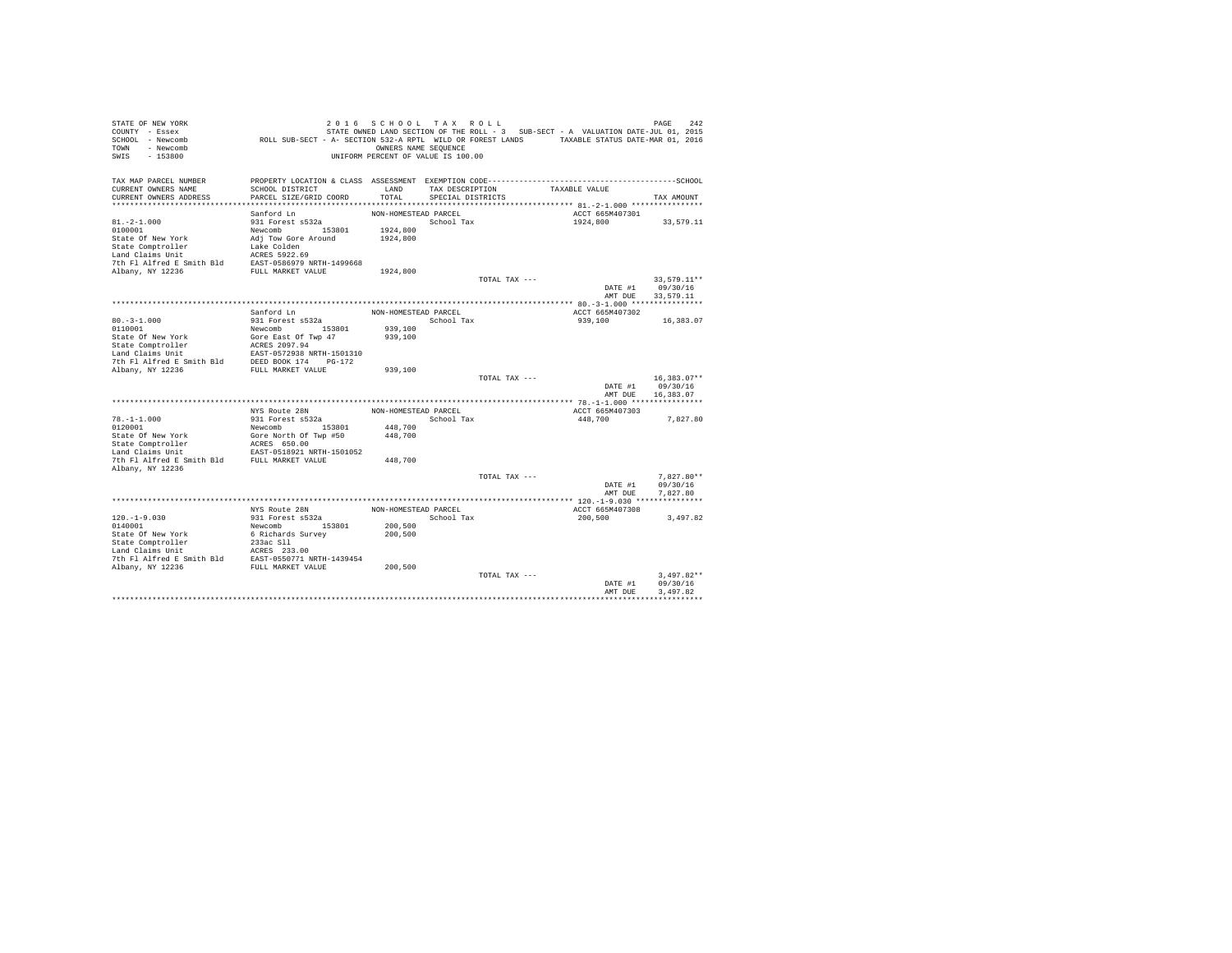| PROPERTY LOCATION & CLASS ASSESSMENT EXEMPTION CODE-----------------------------------SCHOOL<br>TAX MAP PARCEL NUMBER<br>CURRENT OWNERS NAME<br>SCHOOL DISTRICT<br>LAND<br>TAXABLE VALUE<br>TAX DESCRIPTION<br>PARCEL SIZE/GRID COORD<br>TOTAL<br>CURRENT OWNERS ADDRESS<br>SPECIAL DISTRICTS<br>TAX AMOUNT<br>Sanford Ln<br>NON-HOMESTEAD PARCEL<br>ACCT 665M407301<br>$81. -2 - 1.000$<br>931 Forest s532a<br>School Tax<br>1924,800<br>33,579.11<br>Newcomb 153801<br>0100001<br>1924,800<br>State Of New York<br>Adj Tow Gore Around<br>1924,800<br>State Comptroller<br>Lake Colden<br>ACRES 5922.69<br>Land Claims Unit<br>7th Fl Alfred E Smith Bld<br>EAST-0586979 NRTH-1499668<br>Albany, NY 12236<br>FULL MARKET VALUE<br>1924,800<br>33,579.11**<br>TOTAL TAX ---<br>09/30/16<br>DATE #1<br>AMT DUE<br>33,579.11<br>Sanford Ln<br>NON-HOMESTEAD PARCEL<br>ACCT 665M407302<br>$80. -3 - 1.000$<br>931 Forest s532a<br>School Tax<br>939,100<br>16,383.07<br>0110001<br>939,100<br>Newcomb<br>153801<br>State Of New York<br>Gore East Of Twp 47<br>939,100<br>ACRES 2097.94<br>State Comptroller<br>Land Claims Unit<br>EAST-0572938 NRTH-1501310<br>DEED BOOK 174 PG-172<br>7th Fl Alfred E Smith Bld<br>Albany, NY 12236<br>FULL MARKET VALUE<br>939,100<br>$16.383.07**$<br>TOTAL TAX ---<br>DATE #1<br>09/30/16<br>AMT DUE<br>16,383.07<br>NYS Route 28N<br>NON-HOMESTEAD PARCEL<br>ACCT 665M407303<br>$78. - 1 - 1.000$<br>931 Forest s532a<br>School Tax<br>448,700<br>7,827.80<br>0120001<br>153801<br>448,700<br>Newcomb<br>State Of New York<br>Gore North Of Twp #50<br>448,700<br>State Comptroller<br>ACRES 650.00<br>EAST-0518921 NRTH-1501052<br>7th Fl Alfred E Smith Bld<br>FULL MARKET VALUE<br>448,700<br>TOTAL TAX ---<br>$7.827.80**$<br>09/30/16<br>DATE #1<br>AMT DUE<br>7.827.80<br>NYS Route 28N<br>NON-HOMESTEAD PARCEL<br>ACCT 665M407308<br>$120. -1 - 9.030$<br>931 Forest s532a<br>School Tax<br>200,500<br>3,497.82<br>0140001<br>Newcomb 153801<br>200,500<br>State Of New York<br>6 Richards Survey<br>200,500<br>State Comptroller<br>233ac S11<br>ACRES 233.00<br>7th Fl Alfred E Smith Bld<br>EAST-0550771 NRTH-1439454<br>Albany, NY 12236<br>FULL MARKET VALUE<br>200,500<br>$3.497.82**$<br>TOTAL TAX ---<br>09/30/16<br>DATE #1<br>3.497.82<br>AMT DUE | STATE OF NEW YORK<br>COUNTY - Essex<br>SCHOOL - Newcomb<br>- Newcomb<br>TOWN<br>$-153800$<br>SWIS | ROLL SUB-SECT - A- SECTION 532-A RPTL WILD OR FOREST LANDS TAXABLE STATUS DATE-MAR 01, 2016 | 2016 SCHOOL TAX ROLL<br>OWNERS NAME SEQUENCE<br>UNIFORM PERCENT OF VALUE IS 100.00 |  | STATE OWNED LAND SECTION OF THE ROLL - 3 SUB-SECT - A VALUATION DATE-JUL 01, 2015 | 242<br>PAGE |
|---------------------------------------------------------------------------------------------------------------------------------------------------------------------------------------------------------------------------------------------------------------------------------------------------------------------------------------------------------------------------------------------------------------------------------------------------------------------------------------------------------------------------------------------------------------------------------------------------------------------------------------------------------------------------------------------------------------------------------------------------------------------------------------------------------------------------------------------------------------------------------------------------------------------------------------------------------------------------------------------------------------------------------------------------------------------------------------------------------------------------------------------------------------------------------------------------------------------------------------------------------------------------------------------------------------------------------------------------------------------------------------------------------------------------------------------------------------------------------------------------------------------------------------------------------------------------------------------------------------------------------------------------------------------------------------------------------------------------------------------------------------------------------------------------------------------------------------------------------------------------------------------------------------------------------------------------------------------------------------------------------------------------------------------------------------------------------------------------------------------------------------------------------------------------------------------------------------------------------------------------------------------------------------------------------|---------------------------------------------------------------------------------------------------|---------------------------------------------------------------------------------------------|------------------------------------------------------------------------------------|--|-----------------------------------------------------------------------------------|-------------|
|                                                                                                                                                                                                                                                                                                                                                                                                                                                                                                                                                                                                                                                                                                                                                                                                                                                                                                                                                                                                                                                                                                                                                                                                                                                                                                                                                                                                                                                                                                                                                                                                                                                                                                                                                                                                                                                                                                                                                                                                                                                                                                                                                                                                                                                                                                         |                                                                                                   |                                                                                             |                                                                                    |  |                                                                                   |             |
|                                                                                                                                                                                                                                                                                                                                                                                                                                                                                                                                                                                                                                                                                                                                                                                                                                                                                                                                                                                                                                                                                                                                                                                                                                                                                                                                                                                                                                                                                                                                                                                                                                                                                                                                                                                                                                                                                                                                                                                                                                                                                                                                                                                                                                                                                                         |                                                                                                   |                                                                                             |                                                                                    |  |                                                                                   |             |
|                                                                                                                                                                                                                                                                                                                                                                                                                                                                                                                                                                                                                                                                                                                                                                                                                                                                                                                                                                                                                                                                                                                                                                                                                                                                                                                                                                                                                                                                                                                                                                                                                                                                                                                                                                                                                                                                                                                                                                                                                                                                                                                                                                                                                                                                                                         |                                                                                                   |                                                                                             |                                                                                    |  |                                                                                   |             |
|                                                                                                                                                                                                                                                                                                                                                                                                                                                                                                                                                                                                                                                                                                                                                                                                                                                                                                                                                                                                                                                                                                                                                                                                                                                                                                                                                                                                                                                                                                                                                                                                                                                                                                                                                                                                                                                                                                                                                                                                                                                                                                                                                                                                                                                                                                         |                                                                                                   |                                                                                             |                                                                                    |  |                                                                                   |             |
|                                                                                                                                                                                                                                                                                                                                                                                                                                                                                                                                                                                                                                                                                                                                                                                                                                                                                                                                                                                                                                                                                                                                                                                                                                                                                                                                                                                                                                                                                                                                                                                                                                                                                                                                                                                                                                                                                                                                                                                                                                                                                                                                                                                                                                                                                                         |                                                                                                   |                                                                                             |                                                                                    |  |                                                                                   |             |
|                                                                                                                                                                                                                                                                                                                                                                                                                                                                                                                                                                                                                                                                                                                                                                                                                                                                                                                                                                                                                                                                                                                                                                                                                                                                                                                                                                                                                                                                                                                                                                                                                                                                                                                                                                                                                                                                                                                                                                                                                                                                                                                                                                                                                                                                                                         |                                                                                                   |                                                                                             |                                                                                    |  |                                                                                   |             |
|                                                                                                                                                                                                                                                                                                                                                                                                                                                                                                                                                                                                                                                                                                                                                                                                                                                                                                                                                                                                                                                                                                                                                                                                                                                                                                                                                                                                                                                                                                                                                                                                                                                                                                                                                                                                                                                                                                                                                                                                                                                                                                                                                                                                                                                                                                         |                                                                                                   |                                                                                             |                                                                                    |  |                                                                                   |             |
|                                                                                                                                                                                                                                                                                                                                                                                                                                                                                                                                                                                                                                                                                                                                                                                                                                                                                                                                                                                                                                                                                                                                                                                                                                                                                                                                                                                                                                                                                                                                                                                                                                                                                                                                                                                                                                                                                                                                                                                                                                                                                                                                                                                                                                                                                                         |                                                                                                   |                                                                                             |                                                                                    |  |                                                                                   |             |
|                                                                                                                                                                                                                                                                                                                                                                                                                                                                                                                                                                                                                                                                                                                                                                                                                                                                                                                                                                                                                                                                                                                                                                                                                                                                                                                                                                                                                                                                                                                                                                                                                                                                                                                                                                                                                                                                                                                                                                                                                                                                                                                                                                                                                                                                                                         |                                                                                                   |                                                                                             |                                                                                    |  |                                                                                   |             |
|                                                                                                                                                                                                                                                                                                                                                                                                                                                                                                                                                                                                                                                                                                                                                                                                                                                                                                                                                                                                                                                                                                                                                                                                                                                                                                                                                                                                                                                                                                                                                                                                                                                                                                                                                                                                                                                                                                                                                                                                                                                                                                                                                                                                                                                                                                         |                                                                                                   |                                                                                             |                                                                                    |  |                                                                                   |             |
|                                                                                                                                                                                                                                                                                                                                                                                                                                                                                                                                                                                                                                                                                                                                                                                                                                                                                                                                                                                                                                                                                                                                                                                                                                                                                                                                                                                                                                                                                                                                                                                                                                                                                                                                                                                                                                                                                                                                                                                                                                                                                                                                                                                                                                                                                                         |                                                                                                   |                                                                                             |                                                                                    |  |                                                                                   |             |
|                                                                                                                                                                                                                                                                                                                                                                                                                                                                                                                                                                                                                                                                                                                                                                                                                                                                                                                                                                                                                                                                                                                                                                                                                                                                                                                                                                                                                                                                                                                                                                                                                                                                                                                                                                                                                                                                                                                                                                                                                                                                                                                                                                                                                                                                                                         |                                                                                                   |                                                                                             |                                                                                    |  |                                                                                   |             |
|                                                                                                                                                                                                                                                                                                                                                                                                                                                                                                                                                                                                                                                                                                                                                                                                                                                                                                                                                                                                                                                                                                                                                                                                                                                                                                                                                                                                                                                                                                                                                                                                                                                                                                                                                                                                                                                                                                                                                                                                                                                                                                                                                                                                                                                                                                         |                                                                                                   |                                                                                             |                                                                                    |  |                                                                                   |             |
|                                                                                                                                                                                                                                                                                                                                                                                                                                                                                                                                                                                                                                                                                                                                                                                                                                                                                                                                                                                                                                                                                                                                                                                                                                                                                                                                                                                                                                                                                                                                                                                                                                                                                                                                                                                                                                                                                                                                                                                                                                                                                                                                                                                                                                                                                                         |                                                                                                   |                                                                                             |                                                                                    |  |                                                                                   |             |
|                                                                                                                                                                                                                                                                                                                                                                                                                                                                                                                                                                                                                                                                                                                                                                                                                                                                                                                                                                                                                                                                                                                                                                                                                                                                                                                                                                                                                                                                                                                                                                                                                                                                                                                                                                                                                                                                                                                                                                                                                                                                                                                                                                                                                                                                                                         |                                                                                                   |                                                                                             |                                                                                    |  |                                                                                   |             |
|                                                                                                                                                                                                                                                                                                                                                                                                                                                                                                                                                                                                                                                                                                                                                                                                                                                                                                                                                                                                                                                                                                                                                                                                                                                                                                                                                                                                                                                                                                                                                                                                                                                                                                                                                                                                                                                                                                                                                                                                                                                                                                                                                                                                                                                                                                         |                                                                                                   |                                                                                             |                                                                                    |  |                                                                                   |             |
|                                                                                                                                                                                                                                                                                                                                                                                                                                                                                                                                                                                                                                                                                                                                                                                                                                                                                                                                                                                                                                                                                                                                                                                                                                                                                                                                                                                                                                                                                                                                                                                                                                                                                                                                                                                                                                                                                                                                                                                                                                                                                                                                                                                                                                                                                                         |                                                                                                   |                                                                                             |                                                                                    |  |                                                                                   |             |
|                                                                                                                                                                                                                                                                                                                                                                                                                                                                                                                                                                                                                                                                                                                                                                                                                                                                                                                                                                                                                                                                                                                                                                                                                                                                                                                                                                                                                                                                                                                                                                                                                                                                                                                                                                                                                                                                                                                                                                                                                                                                                                                                                                                                                                                                                                         |                                                                                                   |                                                                                             |                                                                                    |  |                                                                                   |             |
|                                                                                                                                                                                                                                                                                                                                                                                                                                                                                                                                                                                                                                                                                                                                                                                                                                                                                                                                                                                                                                                                                                                                                                                                                                                                                                                                                                                                                                                                                                                                                                                                                                                                                                                                                                                                                                                                                                                                                                                                                                                                                                                                                                                                                                                                                                         |                                                                                                   |                                                                                             |                                                                                    |  |                                                                                   |             |
|                                                                                                                                                                                                                                                                                                                                                                                                                                                                                                                                                                                                                                                                                                                                                                                                                                                                                                                                                                                                                                                                                                                                                                                                                                                                                                                                                                                                                                                                                                                                                                                                                                                                                                                                                                                                                                                                                                                                                                                                                                                                                                                                                                                                                                                                                                         |                                                                                                   |                                                                                             |                                                                                    |  |                                                                                   |             |
|                                                                                                                                                                                                                                                                                                                                                                                                                                                                                                                                                                                                                                                                                                                                                                                                                                                                                                                                                                                                                                                                                                                                                                                                                                                                                                                                                                                                                                                                                                                                                                                                                                                                                                                                                                                                                                                                                                                                                                                                                                                                                                                                                                                                                                                                                                         |                                                                                                   |                                                                                             |                                                                                    |  |                                                                                   |             |
|                                                                                                                                                                                                                                                                                                                                                                                                                                                                                                                                                                                                                                                                                                                                                                                                                                                                                                                                                                                                                                                                                                                                                                                                                                                                                                                                                                                                                                                                                                                                                                                                                                                                                                                                                                                                                                                                                                                                                                                                                                                                                                                                                                                                                                                                                                         |                                                                                                   |                                                                                             |                                                                                    |  |                                                                                   |             |
|                                                                                                                                                                                                                                                                                                                                                                                                                                                                                                                                                                                                                                                                                                                                                                                                                                                                                                                                                                                                                                                                                                                                                                                                                                                                                                                                                                                                                                                                                                                                                                                                                                                                                                                                                                                                                                                                                                                                                                                                                                                                                                                                                                                                                                                                                                         |                                                                                                   |                                                                                             |                                                                                    |  |                                                                                   |             |
|                                                                                                                                                                                                                                                                                                                                                                                                                                                                                                                                                                                                                                                                                                                                                                                                                                                                                                                                                                                                                                                                                                                                                                                                                                                                                                                                                                                                                                                                                                                                                                                                                                                                                                                                                                                                                                                                                                                                                                                                                                                                                                                                                                                                                                                                                                         |                                                                                                   |                                                                                             |                                                                                    |  |                                                                                   |             |
|                                                                                                                                                                                                                                                                                                                                                                                                                                                                                                                                                                                                                                                                                                                                                                                                                                                                                                                                                                                                                                                                                                                                                                                                                                                                                                                                                                                                                                                                                                                                                                                                                                                                                                                                                                                                                                                                                                                                                                                                                                                                                                                                                                                                                                                                                                         |                                                                                                   |                                                                                             |                                                                                    |  |                                                                                   |             |
|                                                                                                                                                                                                                                                                                                                                                                                                                                                                                                                                                                                                                                                                                                                                                                                                                                                                                                                                                                                                                                                                                                                                                                                                                                                                                                                                                                                                                                                                                                                                                                                                                                                                                                                                                                                                                                                                                                                                                                                                                                                                                                                                                                                                                                                                                                         |                                                                                                   |                                                                                             |                                                                                    |  |                                                                                   |             |
|                                                                                                                                                                                                                                                                                                                                                                                                                                                                                                                                                                                                                                                                                                                                                                                                                                                                                                                                                                                                                                                                                                                                                                                                                                                                                                                                                                                                                                                                                                                                                                                                                                                                                                                                                                                                                                                                                                                                                                                                                                                                                                                                                                                                                                                                                                         |                                                                                                   |                                                                                             |                                                                                    |  |                                                                                   |             |
|                                                                                                                                                                                                                                                                                                                                                                                                                                                                                                                                                                                                                                                                                                                                                                                                                                                                                                                                                                                                                                                                                                                                                                                                                                                                                                                                                                                                                                                                                                                                                                                                                                                                                                                                                                                                                                                                                                                                                                                                                                                                                                                                                                                                                                                                                                         |                                                                                                   |                                                                                             |                                                                                    |  |                                                                                   |             |
|                                                                                                                                                                                                                                                                                                                                                                                                                                                                                                                                                                                                                                                                                                                                                                                                                                                                                                                                                                                                                                                                                                                                                                                                                                                                                                                                                                                                                                                                                                                                                                                                                                                                                                                                                                                                                                                                                                                                                                                                                                                                                                                                                                                                                                                                                                         |                                                                                                   |                                                                                             |                                                                                    |  |                                                                                   |             |
|                                                                                                                                                                                                                                                                                                                                                                                                                                                                                                                                                                                                                                                                                                                                                                                                                                                                                                                                                                                                                                                                                                                                                                                                                                                                                                                                                                                                                                                                                                                                                                                                                                                                                                                                                                                                                                                                                                                                                                                                                                                                                                                                                                                                                                                                                                         | Land Claims Unit                                                                                  |                                                                                             |                                                                                    |  |                                                                                   |             |
|                                                                                                                                                                                                                                                                                                                                                                                                                                                                                                                                                                                                                                                                                                                                                                                                                                                                                                                                                                                                                                                                                                                                                                                                                                                                                                                                                                                                                                                                                                                                                                                                                                                                                                                                                                                                                                                                                                                                                                                                                                                                                                                                                                                                                                                                                                         |                                                                                                   |                                                                                             |                                                                                    |  |                                                                                   |             |
|                                                                                                                                                                                                                                                                                                                                                                                                                                                                                                                                                                                                                                                                                                                                                                                                                                                                                                                                                                                                                                                                                                                                                                                                                                                                                                                                                                                                                                                                                                                                                                                                                                                                                                                                                                                                                                                                                                                                                                                                                                                                                                                                                                                                                                                                                                         | Albany, NY 12236                                                                                  |                                                                                             |                                                                                    |  |                                                                                   |             |
|                                                                                                                                                                                                                                                                                                                                                                                                                                                                                                                                                                                                                                                                                                                                                                                                                                                                                                                                                                                                                                                                                                                                                                                                                                                                                                                                                                                                                                                                                                                                                                                                                                                                                                                                                                                                                                                                                                                                                                                                                                                                                                                                                                                                                                                                                                         |                                                                                                   |                                                                                             |                                                                                    |  |                                                                                   |             |
|                                                                                                                                                                                                                                                                                                                                                                                                                                                                                                                                                                                                                                                                                                                                                                                                                                                                                                                                                                                                                                                                                                                                                                                                                                                                                                                                                                                                                                                                                                                                                                                                                                                                                                                                                                                                                                                                                                                                                                                                                                                                                                                                                                                                                                                                                                         |                                                                                                   |                                                                                             |                                                                                    |  |                                                                                   |             |
|                                                                                                                                                                                                                                                                                                                                                                                                                                                                                                                                                                                                                                                                                                                                                                                                                                                                                                                                                                                                                                                                                                                                                                                                                                                                                                                                                                                                                                                                                                                                                                                                                                                                                                                                                                                                                                                                                                                                                                                                                                                                                                                                                                                                                                                                                                         |                                                                                                   |                                                                                             |                                                                                    |  |                                                                                   |             |
|                                                                                                                                                                                                                                                                                                                                                                                                                                                                                                                                                                                                                                                                                                                                                                                                                                                                                                                                                                                                                                                                                                                                                                                                                                                                                                                                                                                                                                                                                                                                                                                                                                                                                                                                                                                                                                                                                                                                                                                                                                                                                                                                                                                                                                                                                                         |                                                                                                   |                                                                                             |                                                                                    |  |                                                                                   |             |
|                                                                                                                                                                                                                                                                                                                                                                                                                                                                                                                                                                                                                                                                                                                                                                                                                                                                                                                                                                                                                                                                                                                                                                                                                                                                                                                                                                                                                                                                                                                                                                                                                                                                                                                                                                                                                                                                                                                                                                                                                                                                                                                                                                                                                                                                                                         |                                                                                                   |                                                                                             |                                                                                    |  |                                                                                   |             |
|                                                                                                                                                                                                                                                                                                                                                                                                                                                                                                                                                                                                                                                                                                                                                                                                                                                                                                                                                                                                                                                                                                                                                                                                                                                                                                                                                                                                                                                                                                                                                                                                                                                                                                                                                                                                                                                                                                                                                                                                                                                                                                                                                                                                                                                                                                         |                                                                                                   |                                                                                             |                                                                                    |  |                                                                                   |             |
|                                                                                                                                                                                                                                                                                                                                                                                                                                                                                                                                                                                                                                                                                                                                                                                                                                                                                                                                                                                                                                                                                                                                                                                                                                                                                                                                                                                                                                                                                                                                                                                                                                                                                                                                                                                                                                                                                                                                                                                                                                                                                                                                                                                                                                                                                                         |                                                                                                   |                                                                                             |                                                                                    |  |                                                                                   |             |
|                                                                                                                                                                                                                                                                                                                                                                                                                                                                                                                                                                                                                                                                                                                                                                                                                                                                                                                                                                                                                                                                                                                                                                                                                                                                                                                                                                                                                                                                                                                                                                                                                                                                                                                                                                                                                                                                                                                                                                                                                                                                                                                                                                                                                                                                                                         |                                                                                                   |                                                                                             |                                                                                    |  |                                                                                   |             |
|                                                                                                                                                                                                                                                                                                                                                                                                                                                                                                                                                                                                                                                                                                                                                                                                                                                                                                                                                                                                                                                                                                                                                                                                                                                                                                                                                                                                                                                                                                                                                                                                                                                                                                                                                                                                                                                                                                                                                                                                                                                                                                                                                                                                                                                                                                         | Land Claims Unit                                                                                  |                                                                                             |                                                                                    |  |                                                                                   |             |
|                                                                                                                                                                                                                                                                                                                                                                                                                                                                                                                                                                                                                                                                                                                                                                                                                                                                                                                                                                                                                                                                                                                                                                                                                                                                                                                                                                                                                                                                                                                                                                                                                                                                                                                                                                                                                                                                                                                                                                                                                                                                                                                                                                                                                                                                                                         |                                                                                                   |                                                                                             |                                                                                    |  |                                                                                   |             |
|                                                                                                                                                                                                                                                                                                                                                                                                                                                                                                                                                                                                                                                                                                                                                                                                                                                                                                                                                                                                                                                                                                                                                                                                                                                                                                                                                                                                                                                                                                                                                                                                                                                                                                                                                                                                                                                                                                                                                                                                                                                                                                                                                                                                                                                                                                         |                                                                                                   |                                                                                             |                                                                                    |  |                                                                                   |             |
|                                                                                                                                                                                                                                                                                                                                                                                                                                                                                                                                                                                                                                                                                                                                                                                                                                                                                                                                                                                                                                                                                                                                                                                                                                                                                                                                                                                                                                                                                                                                                                                                                                                                                                                                                                                                                                                                                                                                                                                                                                                                                                                                                                                                                                                                                                         |                                                                                                   |                                                                                             |                                                                                    |  |                                                                                   |             |
|                                                                                                                                                                                                                                                                                                                                                                                                                                                                                                                                                                                                                                                                                                                                                                                                                                                                                                                                                                                                                                                                                                                                                                                                                                                                                                                                                                                                                                                                                                                                                                                                                                                                                                                                                                                                                                                                                                                                                                                                                                                                                                                                                                                                                                                                                                         |                                                                                                   |                                                                                             |                                                                                    |  |                                                                                   |             |
|                                                                                                                                                                                                                                                                                                                                                                                                                                                                                                                                                                                                                                                                                                                                                                                                                                                                                                                                                                                                                                                                                                                                                                                                                                                                                                                                                                                                                                                                                                                                                                                                                                                                                                                                                                                                                                                                                                                                                                                                                                                                                                                                                                                                                                                                                                         |                                                                                                   |                                                                                             |                                                                                    |  |                                                                                   |             |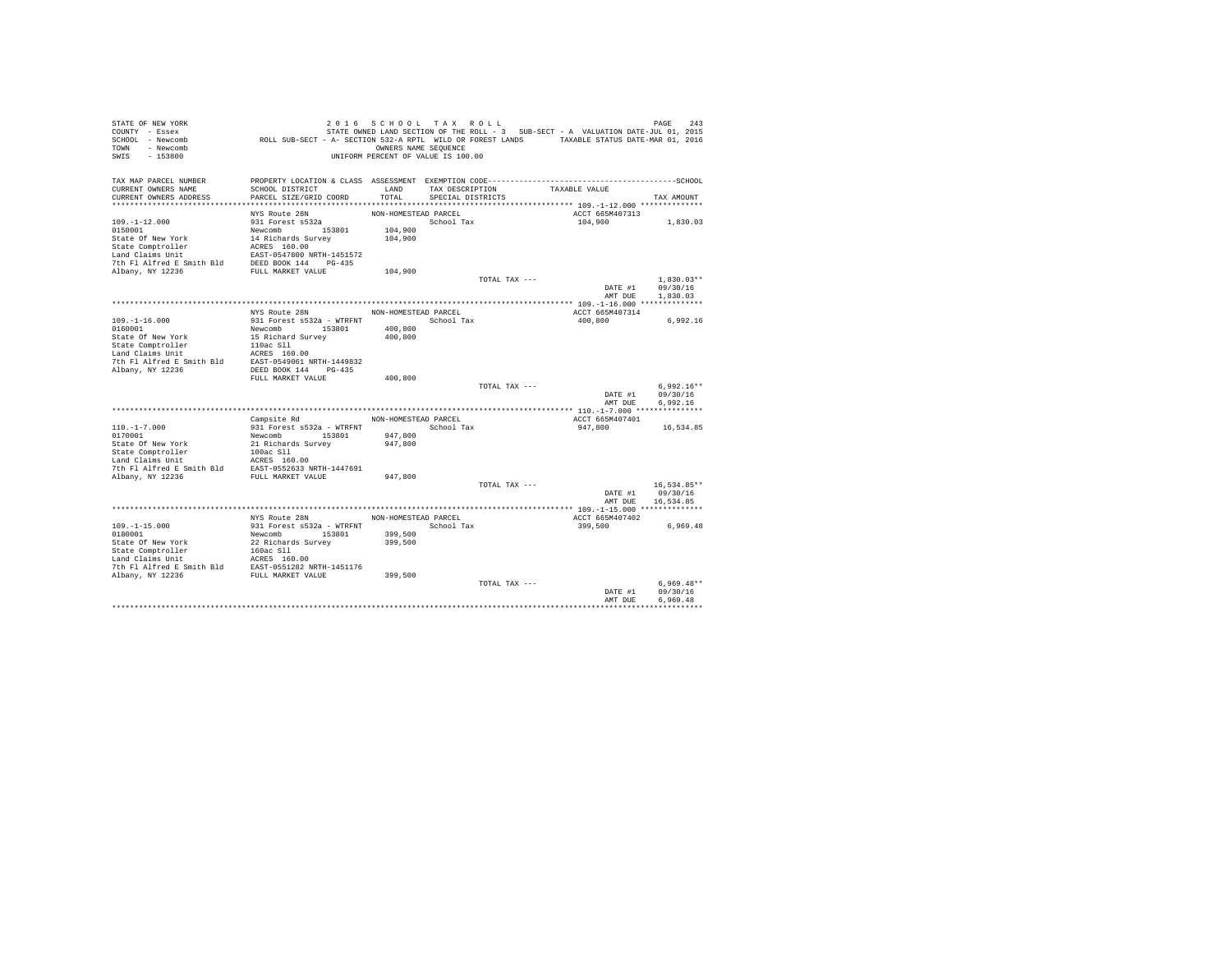| STATE OF NEW YORK                                                                                                                                                                                                                                                                                                                                                                         |                                                                                                                                                                                  | 2016 SCHOOL TAX ROLL               |                   |               |                                                                                   | PAGE<br>243   |
|-------------------------------------------------------------------------------------------------------------------------------------------------------------------------------------------------------------------------------------------------------------------------------------------------------------------------------------------------------------------------------------------|----------------------------------------------------------------------------------------------------------------------------------------------------------------------------------|------------------------------------|-------------------|---------------|-----------------------------------------------------------------------------------|---------------|
| COUNTY - Essex                                                                                                                                                                                                                                                                                                                                                                            | STATE OWNED LAND SECTION OF THE ROLL - 3 SUB-SECT - A VALUATION DATE-JUL 01, 2015<br>ROLL SUB-SECT - A- SECTION 532-A RPTL WILD OR FOREST LANDS TAXABLE STATUS DATE-MAR 01, 2016 |                                    |                   |               | STATE OWNED LAND SECTION OF THE ROLL - 3 SUB-SECT - A VALUATION DATE-JUL 01, 2015 |               |
| SCHOOL - Newcomb                                                                                                                                                                                                                                                                                                                                                                          |                                                                                                                                                                                  |                                    |                   |               |                                                                                   |               |
| TOWN - Newcomb                                                                                                                                                                                                                                                                                                                                                                            |                                                                                                                                                                                  | OWNERS NAME SEQUENCE               |                   |               |                                                                                   |               |
| SWIS<br>$-153800$                                                                                                                                                                                                                                                                                                                                                                         |                                                                                                                                                                                  | UNIFORM PERCENT OF VALUE IS 100.00 |                   |               |                                                                                   |               |
|                                                                                                                                                                                                                                                                                                                                                                                           |                                                                                                                                                                                  |                                    |                   |               |                                                                                   |               |
| TAX MAP PARCEL NUMBER<br>CURRENT OWNERS NAME                                                                                                                                                                                                                                                                                                                                              | SCHOOL DISTRICT                                                                                                                                                                  | LAND                               | TAX DESCRIPTION   |               | TAXABLE VALUE                                                                     |               |
| CURRENT OWNERS ADDRESS                                                                                                                                                                                                                                                                                                                                                                    | PARCEL SIZE/GRID COORD                                                                                                                                                           | TOTAL                              | SPECIAL DISTRICTS |               |                                                                                   | TAX AMOUNT    |
|                                                                                                                                                                                                                                                                                                                                                                                           |                                                                                                                                                                                  |                                    |                   |               |                                                                                   |               |
|                                                                                                                                                                                                                                                                                                                                                                                           | NYS Route 28N                                                                                                                                                                    | NON-HOMESTEAD PARCEL               |                   |               | ACCT 665M407313                                                                   |               |
| $109. - 1 - 12.000$                                                                                                                                                                                                                                                                                                                                                                       | 931 Forest s532a                                                                                                                                                                 |                                    | School Tax        |               | 104,900                                                                           | 1,830.03      |
|                                                                                                                                                                                                                                                                                                                                                                                           |                                                                                                                                                                                  | 104,900                            |                   |               |                                                                                   |               |
|                                                                                                                                                                                                                                                                                                                                                                                           |                                                                                                                                                                                  | 104,900                            |                   |               |                                                                                   |               |
|                                                                                                                                                                                                                                                                                                                                                                                           |                                                                                                                                                                                  |                                    |                   |               |                                                                                   |               |
|                                                                                                                                                                                                                                                                                                                                                                                           |                                                                                                                                                                                  |                                    |                   |               |                                                                                   |               |
|                                                                                                                                                                                                                                                                                                                                                                                           |                                                                                                                                                                                  |                                    |                   |               |                                                                                   |               |
| 1951-11<br>1958001<br>State Of New York<br>State Of New York<br>14 Richards Survey<br>195801<br>State Comptroller<br>14 Richards Smith Bld<br>2000 NRTH-1451572<br>2000 NRTH-1451572<br>2000 NRTH-1451572<br>2000 NRTH-1451572<br>2000 NRTH-1451572                                                                                                                                       |                                                                                                                                                                                  | 104,900                            |                   |               |                                                                                   |               |
|                                                                                                                                                                                                                                                                                                                                                                                           |                                                                                                                                                                                  |                                    |                   | TOTAL TAX --- |                                                                                   | $1.830.03**$  |
|                                                                                                                                                                                                                                                                                                                                                                                           |                                                                                                                                                                                  |                                    |                   |               | DATE #1                                                                           | 09/30/16      |
|                                                                                                                                                                                                                                                                                                                                                                                           |                                                                                                                                                                                  |                                    |                   |               | AMT DUE                                                                           | 1,830.03      |
|                                                                                                                                                                                                                                                                                                                                                                                           |                                                                                                                                                                                  |                                    |                   |               |                                                                                   |               |
|                                                                                                                                                                                                                                                                                                                                                                                           | NYS Route 28N                                                                                                                                                                    | NON-HOMESTEAD PARCEL               |                   |               | ACCT 665M407314                                                                   |               |
| $109. - 1 - 16.000$                                                                                                                                                                                                                                                                                                                                                                       | 931 Forest s532a - WTRFNT School Tax                                                                                                                                             |                                    |                   |               | 400,800                                                                           | 6,992.16      |
|                                                                                                                                                                                                                                                                                                                                                                                           |                                                                                                                                                                                  | 400,800                            |                   |               |                                                                                   |               |
| $\begin{tabular}{l c c c} \hline\texttt{0160001} & \texttt{Newcomb} & \texttt{153801} \\ \hline \texttt{State Of New York} & \texttt{15} \texttt{Richard Survey} \\ \texttt{State Comprtoiler} & \texttt{10ac S11} \\ \texttt{Land Cialms Unit} & \texttt{ACKS} & \texttt{160.00} \\ \hline \texttt{The PL Alfred B Smith Bld} & \texttt{EXF} & \texttt{1690.00} \\ \hline \end{tabular}$ |                                                                                                                                                                                  | 400,800                            |                   |               |                                                                                   |               |
|                                                                                                                                                                                                                                                                                                                                                                                           |                                                                                                                                                                                  |                                    |                   |               |                                                                                   |               |
|                                                                                                                                                                                                                                                                                                                                                                                           |                                                                                                                                                                                  |                                    |                   |               |                                                                                   |               |
|                                                                                                                                                                                                                                                                                                                                                                                           |                                                                                                                                                                                  |                                    |                   |               |                                                                                   |               |
| Albany, NY 12236                                                                                                                                                                                                                                                                                                                                                                          | DEED BOOK 144 PG-435                                                                                                                                                             |                                    |                   |               |                                                                                   |               |
|                                                                                                                                                                                                                                                                                                                                                                                           | FULL MARKET VALUE                                                                                                                                                                | 400,800                            |                   |               |                                                                                   |               |
|                                                                                                                                                                                                                                                                                                                                                                                           |                                                                                                                                                                                  |                                    |                   | TOTAL TAX --- |                                                                                   | $6.992.16**$  |
|                                                                                                                                                                                                                                                                                                                                                                                           |                                                                                                                                                                                  |                                    |                   |               | DATE #1                                                                           | 09/30/16      |
|                                                                                                                                                                                                                                                                                                                                                                                           |                                                                                                                                                                                  |                                    |                   |               | AMT DUE                                                                           | 6.992.16      |
|                                                                                                                                                                                                                                                                                                                                                                                           |                                                                                                                                                                                  |                                    |                   |               |                                                                                   |               |
|                                                                                                                                                                                                                                                                                                                                                                                           | Campsite Rd                                                                                                                                                                      | NON-HOMESTEAD PARCEL               |                   |               | ACCT 665M407401                                                                   |               |
|                                                                                                                                                                                                                                                                                                                                                                                           |                                                                                                                                                                                  |                                    | School Tax        |               | 947.800                                                                           | 16,534.85     |
|                                                                                                                                                                                                                                                                                                                                                                                           |                                                                                                                                                                                  | 947,800                            |                   |               |                                                                                   |               |
|                                                                                                                                                                                                                                                                                                                                                                                           |                                                                                                                                                                                  | 947,800                            |                   |               |                                                                                   |               |
|                                                                                                                                                                                                                                                                                                                                                                                           |                                                                                                                                                                                  |                                    |                   |               |                                                                                   |               |
|                                                                                                                                                                                                                                                                                                                                                                                           |                                                                                                                                                                                  |                                    |                   |               |                                                                                   |               |
|                                                                                                                                                                                                                                                                                                                                                                                           |                                                                                                                                                                                  |                                    |                   |               |                                                                                   |               |
|                                                                                                                                                                                                                                                                                                                                                                                           |                                                                                                                                                                                  | 947,800                            |                   | TOTAL TAX --- |                                                                                   | $16,534.85**$ |
|                                                                                                                                                                                                                                                                                                                                                                                           |                                                                                                                                                                                  |                                    |                   |               | DATE #1                                                                           | 09/30/16      |
|                                                                                                                                                                                                                                                                                                                                                                                           |                                                                                                                                                                                  |                                    |                   |               | AMT DUE                                                                           | 16.534.85     |
|                                                                                                                                                                                                                                                                                                                                                                                           |                                                                                                                                                                                  |                                    |                   |               |                                                                                   |               |
|                                                                                                                                                                                                                                                                                                                                                                                           | NYS Route 28N                                                                                                                                                                    | NON-HOMESTEAD PARCEL               |                   |               | ACCT 665M407402                                                                   |               |
| $109. -1 - 15.000$                                                                                                                                                                                                                                                                                                                                                                        | 931 Forest s532a - WTRFNT                                                                                                                                                        |                                    | School Tax        |               | 399,500                                                                           | 6,969.48      |
| 0180001                                                                                                                                                                                                                                                                                                                                                                                   | Newcomb 153801                                                                                                                                                                   | 399,500                            |                   |               |                                                                                   |               |
|                                                                                                                                                                                                                                                                                                                                                                                           |                                                                                                                                                                                  | 399,500                            |                   |               |                                                                                   |               |
|                                                                                                                                                                                                                                                                                                                                                                                           |                                                                                                                                                                                  |                                    |                   |               |                                                                                   |               |
| State Of New York<br>State Comptroller<br>State Comptoning<br>Land Claims Unit<br>Land Claims Unit<br>Land Claims Unit<br>The Plaificed E Smith Bld<br>RAD BAST-0551282 NRTH-1451176<br>Albany, NY 12236<br>PULL MARKET VALUE                                                                                                                                                             |                                                                                                                                                                                  |                                    |                   |               |                                                                                   |               |
|                                                                                                                                                                                                                                                                                                                                                                                           |                                                                                                                                                                                  |                                    |                   |               |                                                                                   |               |
|                                                                                                                                                                                                                                                                                                                                                                                           |                                                                                                                                                                                  | 399,500                            |                   |               |                                                                                   |               |
|                                                                                                                                                                                                                                                                                                                                                                                           |                                                                                                                                                                                  |                                    |                   | TOTAL TAX --- |                                                                                   | $6.969.48**$  |
|                                                                                                                                                                                                                                                                                                                                                                                           |                                                                                                                                                                                  |                                    |                   |               | DATE #1                                                                           | 09/30/16      |
|                                                                                                                                                                                                                                                                                                                                                                                           |                                                                                                                                                                                  |                                    |                   |               | AMT DUE                                                                           | 6.969.48      |
|                                                                                                                                                                                                                                                                                                                                                                                           |                                                                                                                                                                                  |                                    |                   |               |                                                                                   |               |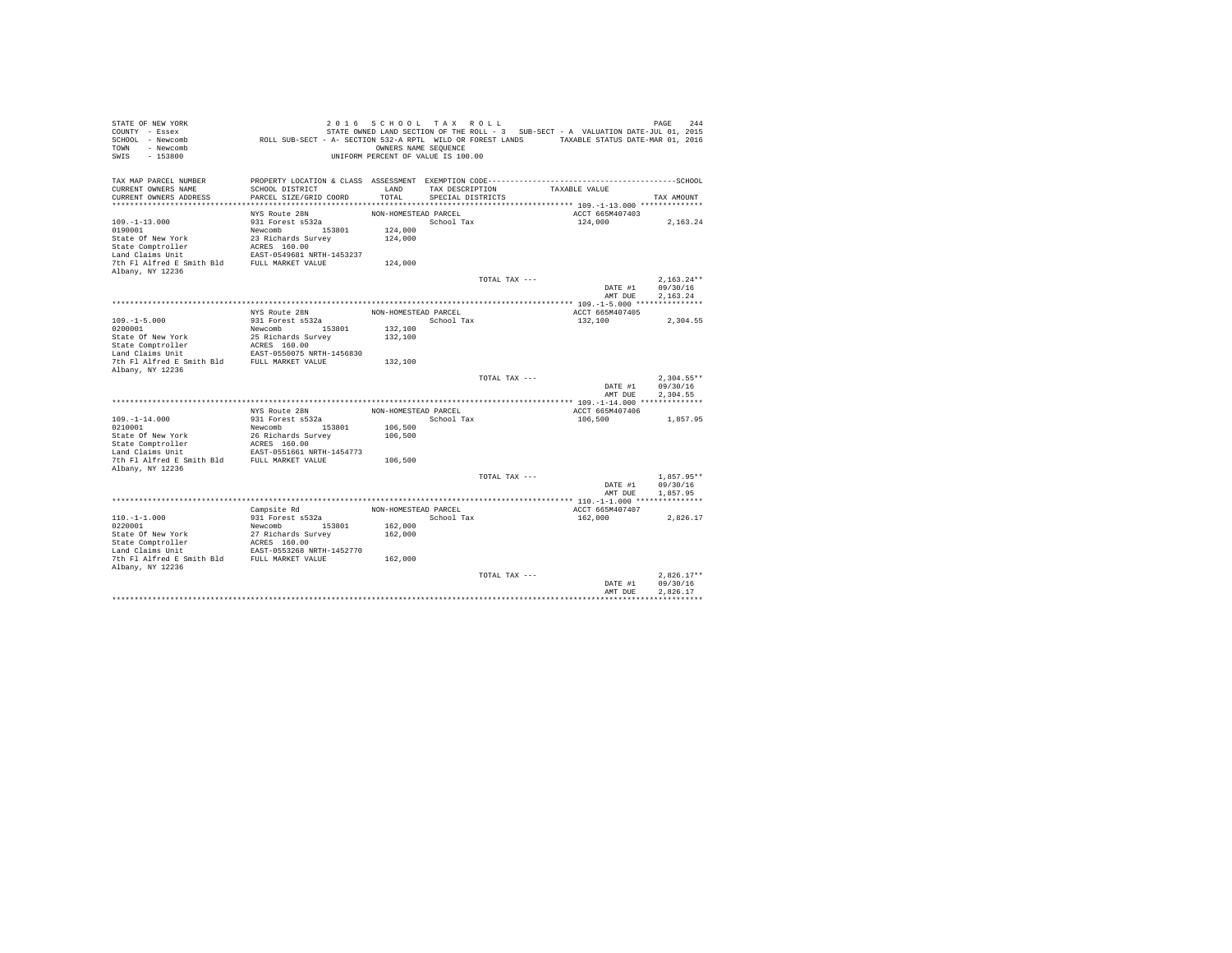| STATE OF NEW YORK<br>COUNTY - Essex<br>SCHOOL - Newcomb<br>- Newcomb<br><b>TOWN</b><br>$-153800$<br>SWIS | 2 0 1 6<br>ROLL SUB-SECT - A- SECTION 532-A RPTL WILD OR FOREST LANDS TAXABLE STATUS DATE-MAR 01, 2016 | SCHOOL TAX ROLL<br>OWNERS NAME SEQUENCE<br>UNIFORM PERCENT OF VALUE IS 100.00 |                                      |               | STATE OWNED LAND SECTION OF THE ROLL - 3 SUB-SECT - A VALUATION DATE-JUL 01, 2015 | PAGE<br>244  |
|----------------------------------------------------------------------------------------------------------|--------------------------------------------------------------------------------------------------------|-------------------------------------------------------------------------------|--------------------------------------|---------------|-----------------------------------------------------------------------------------|--------------|
| TAX MAP PARCEL NUMBER                                                                                    | PROPERTY LOCATION & CLASS ASSESSMENT EXEMPTION CODE-----------------------------------SCHOOL           |                                                                               |                                      |               |                                                                                   |              |
| CURRENT OWNERS NAME<br>CURRENT OWNERS ADDRESS                                                            | SCHOOL DISTRICT<br>PARCEL SIZE/GRID COORD                                                              | LAND<br>TOTAL                                                                 | TAX DESCRIPTION<br>SPECIAL DISTRICTS |               | TAXABLE VALUE                                                                     | TAX AMOUNT   |
|                                                                                                          |                                                                                                        |                                                                               |                                      |               |                                                                                   |              |
|                                                                                                          | NYS Route 28N                                                                                          | NON-HOMESTEAD PARCEL                                                          |                                      |               | ACCT 665M407403                                                                   |              |
| $109. - 1 - 13.000$                                                                                      | 931 Forest s532a                                                                                       |                                                                               | School Tax                           |               | 124,000                                                                           | 2,163.24     |
| 0190001                                                                                                  | Newcomb 153801                                                                                         | 124,000                                                                       |                                      |               |                                                                                   |              |
| State Of New York                                                                                        | 23 Richards Survey                                                                                     | 124,000                                                                       |                                      |               |                                                                                   |              |
| State Comptroller                                                                                        | ACRES 160.00                                                                                           |                                                                               |                                      |               |                                                                                   |              |
| Land Claims Unit<br>7th Fl Alfred E Smith Bld                                                            | EAST-0549681 NRTH-1453237                                                                              |                                                                               |                                      |               |                                                                                   |              |
| Albany, NY 12236                                                                                         | FULL MARKET VALUE                                                                                      | 124,000                                                                       |                                      |               |                                                                                   |              |
|                                                                                                          |                                                                                                        |                                                                               |                                      | TOTAL TAX --- |                                                                                   | $2.163.24**$ |
|                                                                                                          |                                                                                                        |                                                                               |                                      |               | DATE #1                                                                           | 09/30/16     |
|                                                                                                          |                                                                                                        |                                                                               |                                      |               | AMT DUE                                                                           | 2.163.24     |
|                                                                                                          |                                                                                                        |                                                                               |                                      |               |                                                                                   |              |
|                                                                                                          | NYS Route 28N                                                                                          | NON-HOMESTEAD PARCEL                                                          |                                      |               | ACCT 665M407405                                                                   |              |
| $109. -1 - 5.000$                                                                                        | 931 Forest s532a                                                                                       |                                                                               | School Tax                           |               | 132,100                                                                           | 2.304.55     |
| 0200001                                                                                                  | Newcomb<br>153801                                                                                      | 132,100                                                                       |                                      |               |                                                                                   |              |
| State Of New York<br>State Comptroller                                                                   | 25 Richards Survey<br>ACRES 160.00                                                                     | 132,100                                                                       |                                      |               |                                                                                   |              |
| Land Claims Unit                                                                                         | EAST-0550075 NRTH-1456830                                                                              |                                                                               |                                      |               |                                                                                   |              |
| 7th Fl Alfred E Smith Bld                                                                                | FULL MARKET VALUE                                                                                      | 132,100                                                                       |                                      |               |                                                                                   |              |
| Albany, NY 12236                                                                                         |                                                                                                        |                                                                               |                                      |               |                                                                                   |              |
|                                                                                                          |                                                                                                        |                                                                               |                                      | TOTAL TAX --- |                                                                                   | $2.304.55**$ |
|                                                                                                          |                                                                                                        |                                                                               |                                      |               | DATE #1                                                                           | 09/30/16     |
|                                                                                                          |                                                                                                        |                                                                               |                                      |               | AMT DUE                                                                           | 2.304.55     |
|                                                                                                          | NYS Route 28N                                                                                          | NON-HOMESTEAD PARCEL                                                          |                                      |               | ACCT 665M407406                                                                   |              |
| $109. -1 - 14.000$                                                                                       | 931 Forest s532a                                                                                       |                                                                               | School Tax                           |               | 106,500                                                                           | 1,857.95     |
| 0210001                                                                                                  | Newcomb<br>153801                                                                                      | 106,500                                                                       |                                      |               |                                                                                   |              |
| State Of New York                                                                                        | 26 Richards Survey                                                                                     | 106,500                                                                       |                                      |               |                                                                                   |              |
| State Comptroller                                                                                        | ACRES 160.00                                                                                           |                                                                               |                                      |               |                                                                                   |              |
| Land Claims Unit                                                                                         | EAST-0551661 NRTH-1454773                                                                              |                                                                               |                                      |               |                                                                                   |              |
| 7th Fl Alfred E Smith Bld                                                                                | FULL MARKET VALUE                                                                                      | 106,500                                                                       |                                      |               |                                                                                   |              |
| Albany, NY 12236                                                                                         |                                                                                                        |                                                                               |                                      | TOTAL TAX --- |                                                                                   | $1.857.95**$ |
|                                                                                                          |                                                                                                        |                                                                               |                                      |               | DATE #1                                                                           | 09/30/16     |
|                                                                                                          |                                                                                                        |                                                                               |                                      |               | AMT DUE                                                                           | 1,857.95     |
|                                                                                                          |                                                                                                        |                                                                               |                                      |               |                                                                                   |              |
|                                                                                                          | Campsite Rd                                                                                            | NON-HOMESTEAD PARCEL                                                          |                                      |               | ACCT 665M407407                                                                   |              |
| $110. -1 - 1.000$                                                                                        | 931 Forest s532a                                                                                       |                                                                               | School Tax                           |               | 162,000                                                                           | 2.826.17     |
| 0220001                                                                                                  | Newcomb 153801                                                                                         | 162,000                                                                       |                                      |               |                                                                                   |              |
| State Of New York                                                                                        | 27 Richards Survey                                                                                     | 162,000                                                                       |                                      |               |                                                                                   |              |
| State Comptroller                                                                                        | ACRES 160.00                                                                                           |                                                                               |                                      |               |                                                                                   |              |
| Land Claims Unit<br>7th Fl Alfred E Smith Bld                                                            | EAST-0553268 NRTH-1452770<br>FULL MARKET VALUE                                                         | 162,000                                                                       |                                      |               |                                                                                   |              |
| Albany, NY 12236                                                                                         |                                                                                                        |                                                                               |                                      |               |                                                                                   |              |
|                                                                                                          |                                                                                                        |                                                                               |                                      | TOTAL TAX --- |                                                                                   | $2.826.17**$ |
|                                                                                                          |                                                                                                        |                                                                               |                                      |               | DATE #1                                                                           | 09/30/16     |
|                                                                                                          |                                                                                                        |                                                                               |                                      |               | AMT DUE                                                                           | 2.826.17     |
|                                                                                                          |                                                                                                        |                                                                               |                                      |               |                                                                                   |              |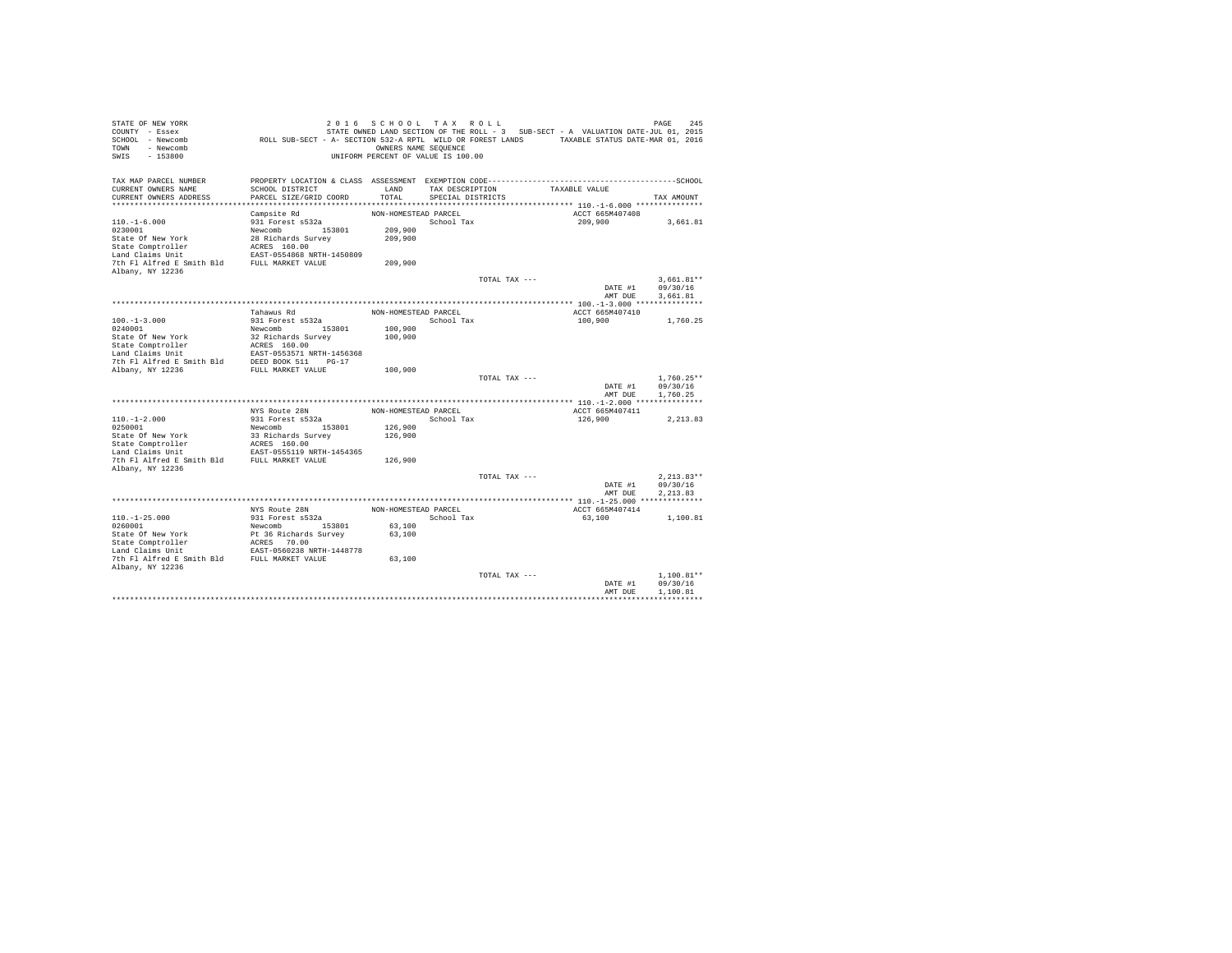| STATE OF NEW YORK<br>COUNTY - Essex<br>SCHOOL - Newcomb<br>- Newcomb<br>TOWN<br>$-153800$<br>SWIS | 2 0 1 6<br>ROLL SUB-SECT - A- SECTION 532-A RPTL WILD OR FOREST LANDS TAXABLE STATUS DATE-MAR 01, 2016          | SCHOOL TAX ROLL<br>OWNERS NAME SEQUENCE<br>UNIFORM PERCENT OF VALUE IS 100.00 |                   |               | STATE OWNED LAND SECTION OF THE ROLL - 3 SUB-SECT - A VALUATION DATE-JUL 01, 2015 | PAGE<br>245  |
|---------------------------------------------------------------------------------------------------|-----------------------------------------------------------------------------------------------------------------|-------------------------------------------------------------------------------|-------------------|---------------|-----------------------------------------------------------------------------------|--------------|
| TAX MAP PARCEL NUMBER<br>CURRENT OWNERS NAME                                                      | PROPERTY LOCATION & CLASS ASSESSMENT EXEMPTION CODE-----------------------------------SCHOOL<br>SCHOOL DISTRICT | LAND                                                                          | TAX DESCRIPTION   |               | TAXABLE VALUE                                                                     |              |
| CURRENT OWNERS ADDRESS                                                                            | PARCEL SIZE/GRID COORD                                                                                          | TOTAL                                                                         | SPECIAL DISTRICTS |               |                                                                                   | TAX AMOUNT   |
|                                                                                                   |                                                                                                                 |                                                                               |                   |               |                                                                                   |              |
|                                                                                                   | Campsite Rd                                                                                                     | NON-HOMESTEAD PARCEL                                                          |                   |               | ACCT 665M407408                                                                   |              |
| $110. - 1 - 6.000$                                                                                | 931 Forest s532a                                                                                                |                                                                               | School Tax        |               | 209,900                                                                           | 3,661.81     |
| 0230001                                                                                           | Newcomb<br>153801                                                                                               | 209,900                                                                       |                   |               |                                                                                   |              |
| State Of New York                                                                                 | 28 Richards Survey                                                                                              | 209,900                                                                       |                   |               |                                                                                   |              |
| State Comptroller                                                                                 | ACRES 160.00                                                                                                    |                                                                               |                   |               |                                                                                   |              |
| Land Claims Unit                                                                                  | EAST-0554868 NRTH-1450809                                                                                       |                                                                               |                   |               |                                                                                   |              |
| 7th Fl Alfred E Smith Bld                                                                         | FULL MARKET VALUE                                                                                               | 209,900                                                                       |                   |               |                                                                                   |              |
| Albany, NY 12236                                                                                  |                                                                                                                 |                                                                               |                   | TOTAL TAX --- |                                                                                   | $3.661.81**$ |
|                                                                                                   |                                                                                                                 |                                                                               |                   |               | DATE #1                                                                           | 09/30/16     |
|                                                                                                   |                                                                                                                 |                                                                               |                   |               | AMT DUE                                                                           | 3.661.81     |
|                                                                                                   |                                                                                                                 |                                                                               |                   |               |                                                                                   |              |
|                                                                                                   | Tahawus Rd                                                                                                      | NON-HOMESTEAD PARCEL                                                          |                   |               | ACCT 665M407410                                                                   |              |
| $100. -1 - 3.000$                                                                                 | 931 Forest s532a                                                                                                |                                                                               | School Tax        |               | 100,900                                                                           | 1,760.25     |
| 0240001                                                                                           | Newcomb<br>153801                                                                                               | 100,900                                                                       |                   |               |                                                                                   |              |
| State Of New York                                                                                 | 32 Richards Survey                                                                                              | 100,900                                                                       |                   |               |                                                                                   |              |
| State Comptroller                                                                                 | ACRES 160.00                                                                                                    |                                                                               |                   |               |                                                                                   |              |
| Land Claims Unit                                                                                  | EAST-0553571 NRTH-1456368                                                                                       |                                                                               |                   |               |                                                                                   |              |
| 7th Fl Alfred E Smith Bld                                                                         | DEED BOOK 511<br>$PG-17$                                                                                        |                                                                               |                   |               |                                                                                   |              |
| Albany, NY 12236                                                                                  | FULL MARKET VALUE                                                                                               | 100,900                                                                       |                   | TOTAL TAX --- |                                                                                   | $1.760.25**$ |
|                                                                                                   |                                                                                                                 |                                                                               |                   |               | DATE #1                                                                           | 09/30/16     |
|                                                                                                   |                                                                                                                 |                                                                               |                   |               | AMT DUE                                                                           | 1.760.25     |
|                                                                                                   |                                                                                                                 |                                                                               |                   |               |                                                                                   |              |
|                                                                                                   | NYS Route 28N                                                                                                   | NON-HOMESTEAD PARCEL                                                          |                   |               | ACCT 665M407411                                                                   |              |
| $110. - 1 - 2.000$                                                                                | 931 Forest s532a                                                                                                |                                                                               | School Tax        |               | 126,900                                                                           | 2, 213.83    |
| 0250001                                                                                           | Newcomb<br>153801                                                                                               | 126,900                                                                       |                   |               |                                                                                   |              |
| State Of New York                                                                                 | 33 Richards Survey                                                                                              | 126,900                                                                       |                   |               |                                                                                   |              |
| State Comptroller                                                                                 | ACRES 160.00                                                                                                    |                                                                               |                   |               |                                                                                   |              |
| Land Claims Unit<br>7th Fl Alfred E Smith Bld                                                     | EAST-0555119 NRTH-1454365<br>FULL MARKET VALUE                                                                  | 126,900                                                                       |                   |               |                                                                                   |              |
| Albany, NY 12236                                                                                  |                                                                                                                 |                                                                               |                   |               |                                                                                   |              |
|                                                                                                   |                                                                                                                 |                                                                               |                   | TOTAL TAX --- |                                                                                   | $2.213.83**$ |
|                                                                                                   |                                                                                                                 |                                                                               |                   |               | DATE #1                                                                           | 09/30/16     |
|                                                                                                   |                                                                                                                 |                                                                               |                   |               | AMT DUE                                                                           | 2.213.83     |
|                                                                                                   |                                                                                                                 |                                                                               |                   |               |                                                                                   |              |
|                                                                                                   | NYS Route 28N                                                                                                   | NON-HOMESTEAD PARCEL                                                          |                   |               | ACCT 665M407414                                                                   |              |
| $110. - 1 - 25.000$                                                                               | 931 Forest s532a                                                                                                |                                                                               | School Tax        |               | 63,100                                                                            | 1,100.81     |
| 0260001                                                                                           | Newcomb 153801                                                                                                  | 63,100                                                                        |                   |               |                                                                                   |              |
| State Of New York                                                                                 | Pt 36 Richards Survey                                                                                           | 63,100                                                                        |                   |               |                                                                                   |              |
| State Comptroller                                                                                 | ACRES 70.00                                                                                                     |                                                                               |                   |               |                                                                                   |              |
| Land Claims Unit                                                                                  | EAST-0560238 NRTH-1448778                                                                                       |                                                                               |                   |               |                                                                                   |              |
| 7th Fl Alfred E Smith Bld<br>Albany, NY 12236                                                     | FULL MARKET VALUE                                                                                               | 63,100                                                                        |                   |               |                                                                                   |              |
|                                                                                                   |                                                                                                                 |                                                                               |                   | TOTAL TAX --- |                                                                                   | $1.100.81**$ |
|                                                                                                   |                                                                                                                 |                                                                               |                   |               | DATE #1                                                                           | 09/30/16     |
|                                                                                                   |                                                                                                                 |                                                                               |                   |               | AMT DUE                                                                           | 1,100.81     |
|                                                                                                   |                                                                                                                 |                                                                               |                   |               |                                                                                   |              |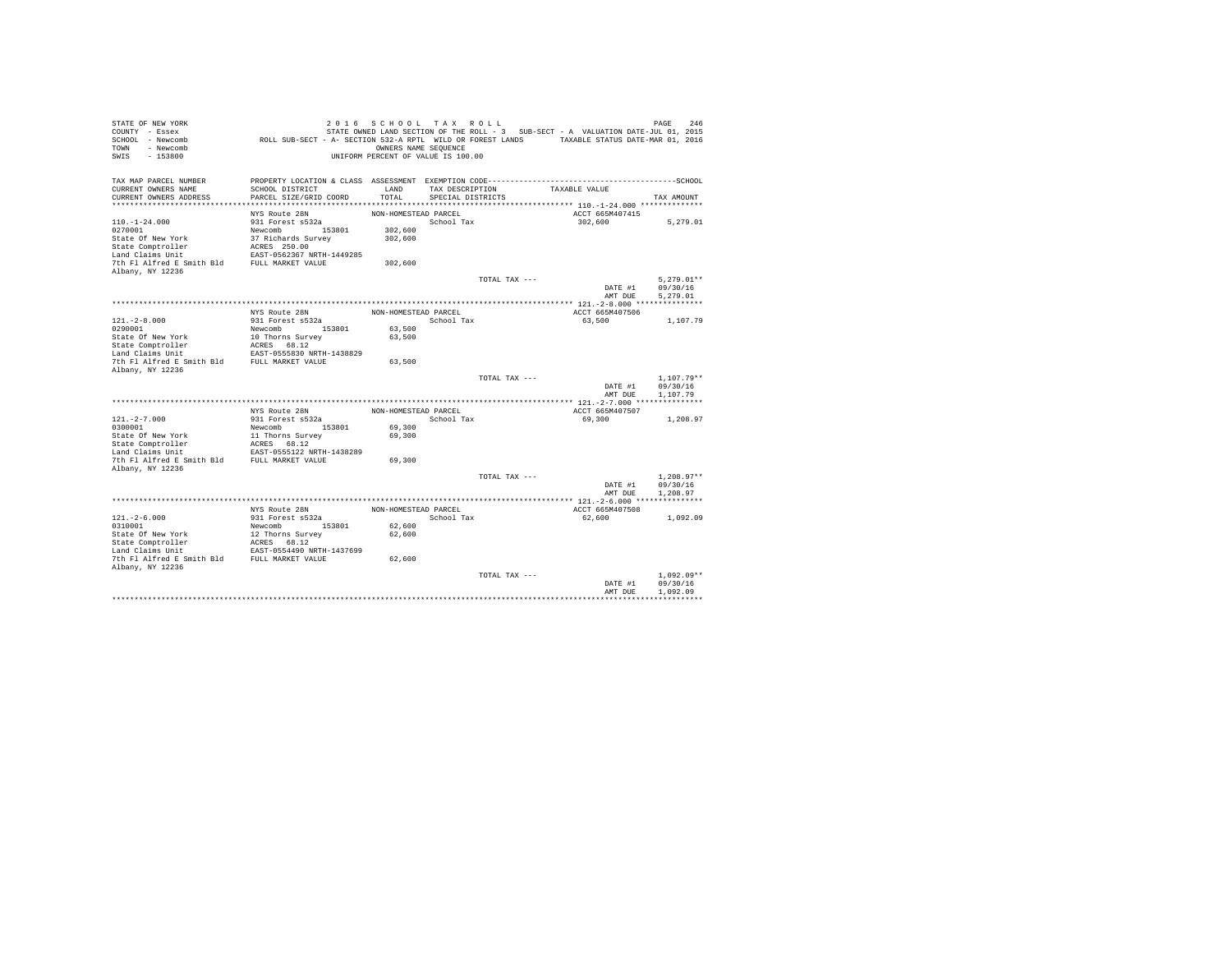| STATE OF NEW YORK<br>COUNTY - Essex<br>SCHOOL - Newcomb<br>- Newcomb<br>TOWN<br>$-153800$<br>SWIS | ROLL SUB-SECT - A- SECTION 532-A RPTL WILD OR FOREST LANDS TAXABLE STATUS DATE-MAR 01, 2016  | OWNERS NAME SEQUENCE | 2016 SCHOOL TAX ROLL<br>UNIFORM PERCENT OF VALUE IS 100.00 |               | STATE OWNED LAND SECTION OF THE ROLL - 3 SUB-SECT - A VALUATION DATE-JUL 01, 2015 | 246<br>PAGE  |
|---------------------------------------------------------------------------------------------------|----------------------------------------------------------------------------------------------|----------------------|------------------------------------------------------------|---------------|-----------------------------------------------------------------------------------|--------------|
| TAX MAP PARCEL NUMBER                                                                             | PROPERTY LOCATION & CLASS ASSESSMENT EXEMPTION CODE-----------------------------------SCHOOL |                      |                                                            |               |                                                                                   |              |
| CURRENT OWNERS NAME<br>CURRENT OWNERS ADDRESS                                                     | SCHOOL DISTRICT<br>PARCEL SIZE/GRID COORD                                                    | LAND<br>TOTAL        | TAX DESCRIPTION<br>SPECIAL DISTRICTS                       |               | TAXABLE VALUE                                                                     | TAX AMOUNT   |
|                                                                                                   |                                                                                              |                      |                                                            |               |                                                                                   |              |
|                                                                                                   | NYS Route 28N                                                                                | NON-HOMESTEAD PARCEL |                                                            |               | ACCT 665M407415                                                                   |              |
| $110. - 1 - 24.000$                                                                               | 931 Forest s532a                                                                             |                      | School Tax                                                 |               | 302,600                                                                           | 5,279.01     |
| 0270001                                                                                           | Newcomb 153801                                                                               | 302,600              |                                                            |               |                                                                                   |              |
| State Of New York                                                                                 | 37 Richards Survey                                                                           | 302,600              |                                                            |               |                                                                                   |              |
| State Comptroller                                                                                 | ACRES 250.00                                                                                 |                      |                                                            |               |                                                                                   |              |
| Land Claims Unit                                                                                  | EAST-0562367 NRTH-1449285                                                                    |                      |                                                            |               |                                                                                   |              |
| 7th Fl Alfred E Smith Bld                                                                         | FULL MARKET VALUE                                                                            | 302,600              |                                                            |               |                                                                                   |              |
| Albany, NY 12236                                                                                  |                                                                                              |                      |                                                            |               |                                                                                   |              |
|                                                                                                   |                                                                                              |                      |                                                            | TOTAL TAX --- |                                                                                   | $5.279.01**$ |
|                                                                                                   |                                                                                              |                      |                                                            |               | DATE #1                                                                           | 09/30/16     |
|                                                                                                   |                                                                                              |                      |                                                            |               | AMT DUE                                                                           | 5,279.01     |
|                                                                                                   |                                                                                              |                      |                                                            |               | ACCT 665M407506                                                                   |              |
| $121. -2 - 8.000$                                                                                 | NYS Route 28N<br>931 Forest s532a                                                            | NON-HOMESTEAD PARCEL | School Tax                                                 |               | 63,500                                                                            | 1,107.79     |
| 0290001                                                                                           | Newcomb<br>153801                                                                            | 63,500               |                                                            |               |                                                                                   |              |
| State Of New York                                                                                 | 10 Thorns Survey                                                                             | 63,500               |                                                            |               |                                                                                   |              |
| State Comptroller                                                                                 | ACRES 68.12                                                                                  |                      |                                                            |               |                                                                                   |              |
| Land Claims Unit                                                                                  | EAST-0555830 NRTH-1438829                                                                    |                      |                                                            |               |                                                                                   |              |
| 7th Fl Alfred E Smith Bld                                                                         | FULL MARKET VALUE                                                                            | 63,500               |                                                            |               |                                                                                   |              |
| Albany, NY 12236                                                                                  |                                                                                              |                      |                                                            |               |                                                                                   |              |
|                                                                                                   |                                                                                              |                      |                                                            | TOTAL TAX --- |                                                                                   | $1.107.79**$ |
|                                                                                                   |                                                                                              |                      |                                                            |               | DATE #1                                                                           | 09/30/16     |
|                                                                                                   |                                                                                              |                      |                                                            |               | AMT DUE                                                                           | 1,107.79     |
|                                                                                                   | NYS Route 28N                                                                                | NON-HOMESTEAD PARCEL |                                                            |               | ACCT 665M407507                                                                   |              |
| $121. -2 - 7.000$                                                                                 | 931 Forest s532a                                                                             |                      | School Tax                                                 |               | 69,300                                                                            | 1,208.97     |
| 0300001                                                                                           | 153801<br>Newcomb                                                                            | 69,300               |                                                            |               |                                                                                   |              |
| State Of New York                                                                                 | 11 Thorns Survey                                                                             | 69,300               |                                                            |               |                                                                                   |              |
| State Comptroller                                                                                 | ACRES 68.12                                                                                  |                      |                                                            |               |                                                                                   |              |
| Land Claims Unit                                                                                  | EAST-0555122 NRTH-1438289                                                                    |                      |                                                            |               |                                                                                   |              |
| 7th Fl Alfred E Smith Bld                                                                         | FULL MARKET VALUE                                                                            | 69,300               |                                                            |               |                                                                                   |              |
| Albany, NY 12236                                                                                  |                                                                                              |                      |                                                            |               |                                                                                   |              |
|                                                                                                   |                                                                                              |                      |                                                            | TOTAL TAX --- |                                                                                   | $1.208.97**$ |
|                                                                                                   |                                                                                              |                      |                                                            |               | DATE #1                                                                           | 09/30/16     |
|                                                                                                   |                                                                                              |                      |                                                            |               | AMT DUE                                                                           | 1,208.97     |
|                                                                                                   | NYS Route 28N                                                                                | NON-HOMESTEAD PARCEL |                                                            |               | ACCT 665M407508                                                                   |              |
| $121. - 2 - 6.000$                                                                                | 931 Forest s532a                                                                             |                      | School Tax                                                 |               | 62,600                                                                            | 1,092.09     |
| 0310001                                                                                           | Newcomb 153801                                                                               | 62,600               |                                                            |               |                                                                                   |              |
| State Of New York                                                                                 | 12 Thorns Survey                                                                             | 62,600               |                                                            |               |                                                                                   |              |
| State Comptroller                                                                                 | ACRES 68.12                                                                                  |                      |                                                            |               |                                                                                   |              |
| Land Claims Unit                                                                                  | EAST-0554490 NRTH-1437699                                                                    |                      |                                                            |               |                                                                                   |              |
| 7th Fl Alfred E Smith Bld FULL MARKET VALUE                                                       |                                                                                              | 62,600               |                                                            |               |                                                                                   |              |
| Albany, NY 12236                                                                                  |                                                                                              |                      |                                                            |               |                                                                                   |              |
|                                                                                                   |                                                                                              |                      |                                                            | TOTAL TAX --- |                                                                                   | $1.092.09**$ |
|                                                                                                   |                                                                                              |                      |                                                            |               | DATE #1                                                                           | 09/30/16     |
|                                                                                                   |                                                                                              |                      |                                                            |               | AMT DUE                                                                           | 1,092.09     |
|                                                                                                   |                                                                                              |                      |                                                            |               |                                                                                   |              |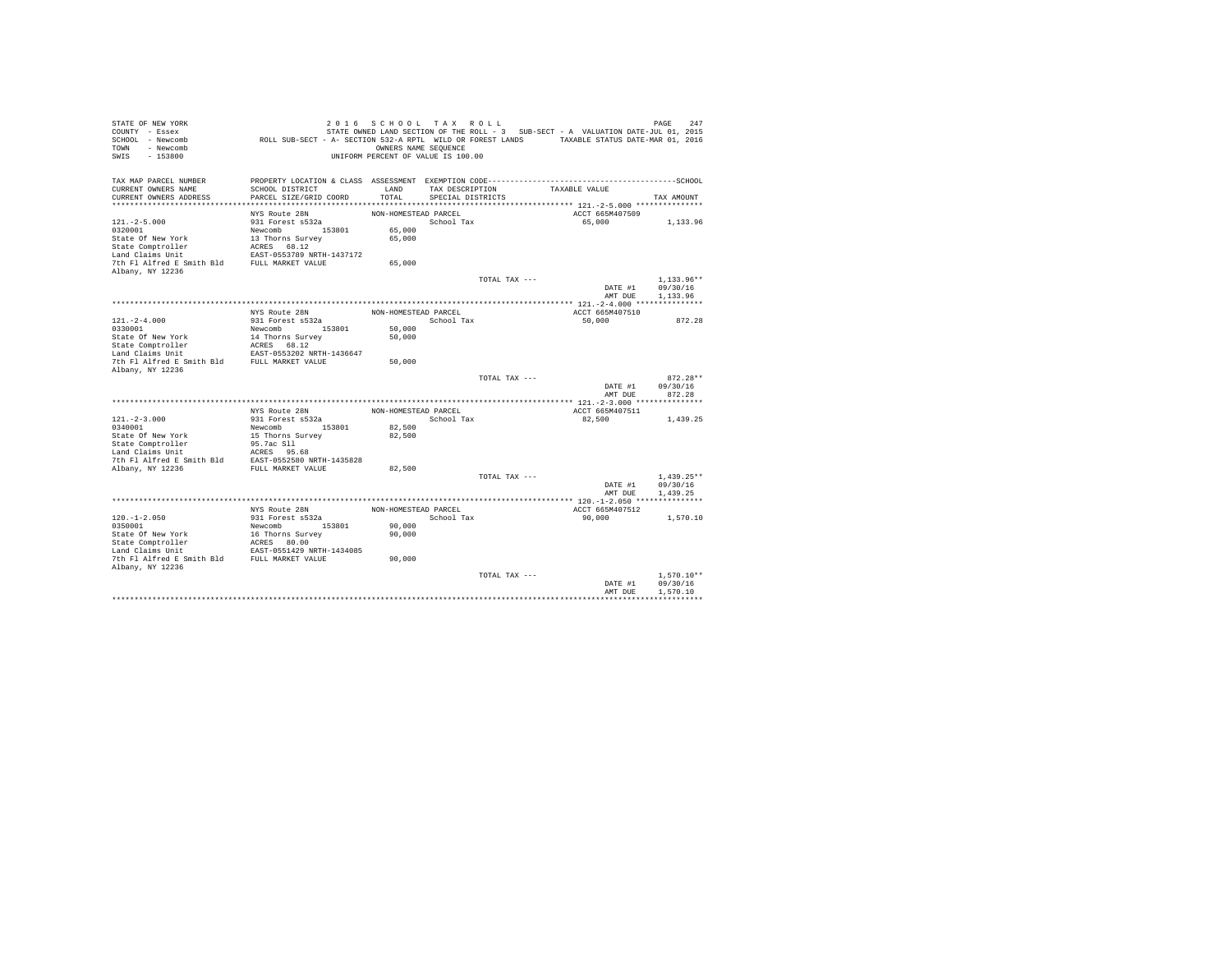| STATE OF NEW YORK<br>COUNTY - Essex<br>SCHOOL - Newcomb<br>- Newcomb<br>TOWN<br>$-153800$<br>SWIS | ROLL SUB-SECT - A- SECTION 532-A RPTL WILD OR FOREST LANDS TAXABLE STATUS DATE-MAR 01, 2016                     | 2016 SCHOOL TAX ROLL<br>OWNERS NAME SEQUENCE<br>UNIFORM PERCENT OF VALUE IS 100.00 |                   |               | STATE OWNED LAND SECTION OF THE ROLL - 3 SUB-SECT - A VALUATION DATE-JUL 01, 2015 | PAGE<br>247              |
|---------------------------------------------------------------------------------------------------|-----------------------------------------------------------------------------------------------------------------|------------------------------------------------------------------------------------|-------------------|---------------|-----------------------------------------------------------------------------------|--------------------------|
| TAX MAP PARCEL NUMBER<br>CURRENT OWNERS NAME                                                      | PROPERTY LOCATION & CLASS ASSESSMENT EXEMPTION CODE-----------------------------------SCHOOL<br>SCHOOL DISTRICT | LAND                                                                               | TAX DESCRIPTION   |               | TAXABLE VALUE                                                                     |                          |
| CURRENT OWNERS ADDRESS                                                                            | PARCEL SIZE/GRID COORD                                                                                          | TOTAL                                                                              | SPECIAL DISTRICTS |               |                                                                                   | TAX AMOUNT               |
|                                                                                                   | NYS Route 28N                                                                                                   | NON-HOMESTEAD PARCEL                                                               |                   |               | ACCT 665M407509                                                                   |                          |
| $121. -2 - 5.000$                                                                                 | 931 Forest s532a                                                                                                |                                                                                    | School Tax        |               | 65,000                                                                            | 1,133.96                 |
| 0320001                                                                                           | Newcomb 153801                                                                                                  | 65,000                                                                             |                   |               |                                                                                   |                          |
| State Of New York                                                                                 | 13 Thorns Survey                                                                                                | 65,000                                                                             |                   |               |                                                                                   |                          |
| State Comptroller                                                                                 | ACRES 68.12                                                                                                     |                                                                                    |                   |               |                                                                                   |                          |
| Land Claims Unit                                                                                  | EAST-0553789 NRTH-1437172                                                                                       |                                                                                    |                   |               |                                                                                   |                          |
| 7th Fl Alfred E Smith Bld FULL MARKET VALUE                                                       |                                                                                                                 | 65,000                                                                             |                   |               |                                                                                   |                          |
| Albany, NY 12236                                                                                  |                                                                                                                 |                                                                                    |                   |               |                                                                                   |                          |
|                                                                                                   |                                                                                                                 |                                                                                    |                   | TOTAL TAX --- |                                                                                   | $1.133.96**$             |
|                                                                                                   |                                                                                                                 |                                                                                    |                   |               | DATE #1                                                                           | 09/30/16                 |
|                                                                                                   |                                                                                                                 |                                                                                    |                   |               | AMT DUE                                                                           | 1,133.96                 |
|                                                                                                   |                                                                                                                 |                                                                                    |                   |               |                                                                                   |                          |
| $121. - 2 - 4.000$                                                                                | NYS Route 28N<br>931 Forest s532a                                                                               | NON-HOMESTEAD PARCEL                                                               | School Tax        |               | ACCT 665M407510<br>50,000                                                         | 872.28                   |
| 0330001                                                                                           | Newcomb<br>153801                                                                                               | 50,000                                                                             |                   |               |                                                                                   |                          |
| State Of New York                                                                                 | 14 Thorns Survey                                                                                                | 50,000                                                                             |                   |               |                                                                                   |                          |
| State Comptroller                                                                                 | ACRES 68.12                                                                                                     |                                                                                    |                   |               |                                                                                   |                          |
| Land Claims Unit                                                                                  | EAST-0553202 NRTH-1436647                                                                                       |                                                                                    |                   |               |                                                                                   |                          |
| 7th Fl Alfred E Smith Bld                                                                         | FULL MARKET VALUE                                                                                               | 50,000                                                                             |                   |               |                                                                                   |                          |
| Albany, NY 12236                                                                                  |                                                                                                                 |                                                                                    |                   |               |                                                                                   |                          |
|                                                                                                   |                                                                                                                 |                                                                                    |                   | TOTAL TAX --- |                                                                                   | $872.28**$               |
|                                                                                                   |                                                                                                                 |                                                                                    |                   |               | DATE #1                                                                           | 09/30/16                 |
|                                                                                                   |                                                                                                                 |                                                                                    |                   |               | AMT DUE                                                                           | 872.28                   |
|                                                                                                   | NYS Route 28N                                                                                                   | NON-HOMESTEAD PARCEL                                                               |                   |               | ACCT 665M407511                                                                   |                          |
| $121. -2 - 3.000$                                                                                 | 931 Forest s532a                                                                                                |                                                                                    | School Tax        |               | 82,500                                                                            | 1,439.25                 |
| 0340001                                                                                           | Newcomb 153801                                                                                                  | 82,500                                                                             |                   |               |                                                                                   |                          |
| State Of New York                                                                                 | 15 Thorns Survey                                                                                                | 82,500                                                                             |                   |               |                                                                                   |                          |
| State Comptroller                                                                                 | 95.7ac S11                                                                                                      |                                                                                    |                   |               |                                                                                   |                          |
| Land Claims Unit                                                                                  | ACRES 95.68                                                                                                     |                                                                                    |                   |               |                                                                                   |                          |
| 7th Fl Alfred E Smith Bld                                                                         | EAST-0552580 NRTH-1435828                                                                                       |                                                                                    |                   |               |                                                                                   |                          |
| Albany, NY 12236                                                                                  | FULL MARKET VALUE                                                                                               | 82,500                                                                             |                   |               |                                                                                   |                          |
|                                                                                                   |                                                                                                                 |                                                                                    |                   | TOTAL TAX --- |                                                                                   | $1.439.25**$             |
|                                                                                                   |                                                                                                                 |                                                                                    |                   |               | DATE #1                                                                           | 09/30/16                 |
|                                                                                                   |                                                                                                                 |                                                                                    |                   |               | AMT DUE                                                                           | 1.439.25                 |
|                                                                                                   | NYS Route 28N                                                                                                   | NON-HOMESTEAD PARCEL                                                               |                   |               | ACCT 665M407512                                                                   |                          |
| $120. -1 - 2.050$                                                                                 | 931 Forest s532a                                                                                                |                                                                                    | School Tax        |               | 90,000                                                                            | 1,570.10                 |
| 0350001                                                                                           | Newcomb 153801                                                                                                  | 90,000                                                                             |                   |               |                                                                                   |                          |
| State Of New York                                                                                 | 16 Thorns Survey                                                                                                | 90,000                                                                             |                   |               |                                                                                   |                          |
| State Comptroller                                                                                 | ACRES 80.00                                                                                                     |                                                                                    |                   |               |                                                                                   |                          |
| Land Claims Unit                                                                                  | EAST-0551429 NRTH-1434085                                                                                       |                                                                                    |                   |               |                                                                                   |                          |
| 7th Fl Alfred E Smith Bld FULL MARKET VALUE                                                       |                                                                                                                 | 90,000                                                                             |                   |               |                                                                                   |                          |
| Albany, NY 12236                                                                                  |                                                                                                                 |                                                                                    |                   |               |                                                                                   |                          |
|                                                                                                   |                                                                                                                 |                                                                                    |                   | TOTAL TAX --- | DATE #1                                                                           | $1.570.10**$<br>09/30/16 |
|                                                                                                   |                                                                                                                 |                                                                                    |                   |               | AMT DUE                                                                           | 1,570.10                 |
|                                                                                                   |                                                                                                                 |                                                                                    |                   |               |                                                                                   |                          |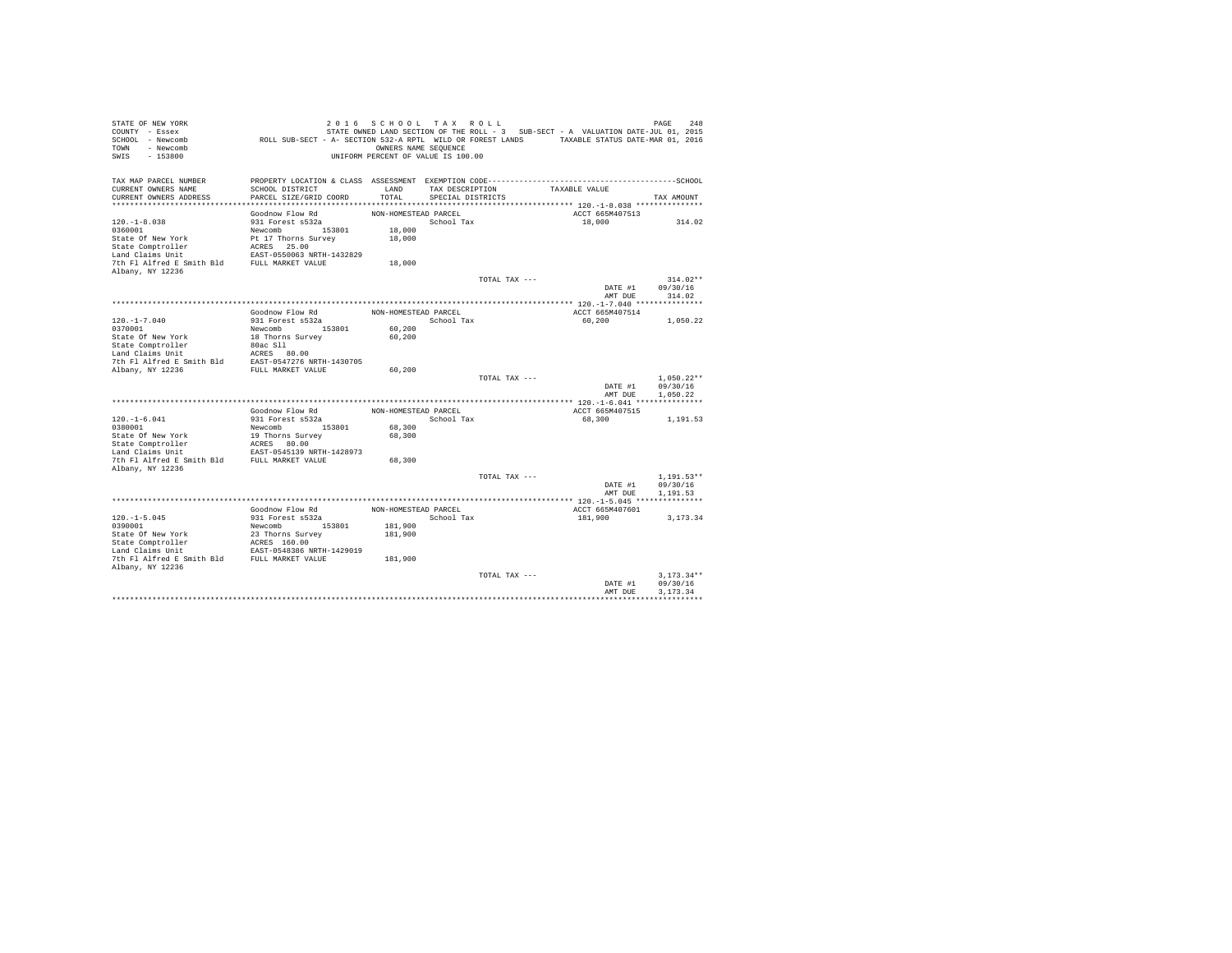| STATE OF NEW YORK<br>COUNTY - Essex<br>SCHOOL - Newcomb<br>- Newcomb<br>TOWN<br>$-153800$<br>SWIS | ROLL SUB-SECT - A- SECTION 532-A RPTL WILD OR FOREST LANDS TAXABLE STATUS DATE-MAR 01, 2016  | 2016 SCHOOL TAX ROLL<br>OWNERS NAME SEQUENCE<br>UNIFORM PERCENT OF VALUE IS 100.00 |                                      |               | STATE OWNED LAND SECTION OF THE ROLL - 3 SUB-SECT - A VALUATION DATE-JUL 01, 2015 | 248<br>PAGE              |
|---------------------------------------------------------------------------------------------------|----------------------------------------------------------------------------------------------|------------------------------------------------------------------------------------|--------------------------------------|---------------|-----------------------------------------------------------------------------------|--------------------------|
| TAX MAP PARCEL NUMBER                                                                             | PROPERTY LOCATION & CLASS ASSESSMENT EXEMPTION CODE-----------------------------------SCHOOL |                                                                                    |                                      |               |                                                                                   |                          |
| CURRENT OWNERS NAME<br>CURRENT OWNERS ADDRESS                                                     | SCHOOL DISTRICT<br>PARCEL SIZE/GRID COORD                                                    | LAND<br>TOTAL                                                                      | TAX DESCRIPTION<br>SPECIAL DISTRICTS |               | TAXABLE VALUE                                                                     | TAX AMOUNT               |
|                                                                                                   |                                                                                              |                                                                                    |                                      |               |                                                                                   |                          |
|                                                                                                   | Goodnow Flow Rd                                                                              | NON-HOMESTEAD PARCEL                                                               |                                      |               | ACCT 665M407513                                                                   |                          |
| $120. - 1 - 8.038$                                                                                | 931 Forest s532a                                                                             |                                                                                    | School Tax                           |               | 18,000                                                                            | 314.02                   |
| 0360001                                                                                           | Newcomb 153801                                                                               | 18,000                                                                             |                                      |               |                                                                                   |                          |
| State Of New York                                                                                 | Pt 17 Thorns Survey                                                                          | 18,000                                                                             |                                      |               |                                                                                   |                          |
| State Comptroller                                                                                 | ACRES 25.00                                                                                  |                                                                                    |                                      |               |                                                                                   |                          |
| Land Claims Unit                                                                                  | EAST-0550063 NRTH-1432829                                                                    |                                                                                    |                                      |               |                                                                                   |                          |
| 7th Fl Alfred E Smith Bld                                                                         | FULL MARKET VALUE                                                                            | 18,000                                                                             |                                      |               |                                                                                   |                          |
| Albany, NY 12236                                                                                  |                                                                                              |                                                                                    |                                      |               |                                                                                   |                          |
|                                                                                                   |                                                                                              |                                                                                    |                                      | TOTAL TAX --- |                                                                                   | $314.02**$               |
|                                                                                                   |                                                                                              |                                                                                    |                                      |               | DATE #1<br>AMT DUE                                                                | 09/30/16<br>314.02       |
|                                                                                                   |                                                                                              |                                                                                    |                                      |               |                                                                                   |                          |
|                                                                                                   | Goodnow Flow Rd                                                                              | NON-HOMESTEAD PARCEL                                                               |                                      |               | ACCT 665M407514                                                                   |                          |
| $120. - 1 - 7.040$                                                                                | 931 Forest s532a                                                                             |                                                                                    | School Tax                           |               | 60.200                                                                            | 1,050.22                 |
| 0370001                                                                                           | Newcomb<br>153801                                                                            | 60,200                                                                             |                                      |               |                                                                                   |                          |
| State Of New York                                                                                 | 18 Thorns Survey                                                                             | 60,200                                                                             |                                      |               |                                                                                   |                          |
| State Comptroller                                                                                 | 80ac S11                                                                                     |                                                                                    |                                      |               |                                                                                   |                          |
| Land Claims Unit                                                                                  | ACRES 80.00                                                                                  |                                                                                    |                                      |               |                                                                                   |                          |
| 7th Fl Alfred E Smith Bld                                                                         | EAST-0547276 NRTH-1430705                                                                    |                                                                                    |                                      |               |                                                                                   |                          |
| Albany, NY 12236                                                                                  | FULL MARKET VALUE                                                                            | 60,200                                                                             |                                      |               |                                                                                   |                          |
|                                                                                                   |                                                                                              |                                                                                    |                                      | TOTAL TAX --- | DATE #1                                                                           | $1.050.22**$<br>09/30/16 |
|                                                                                                   |                                                                                              |                                                                                    |                                      |               | AMT DUE                                                                           | 1,050.22                 |
|                                                                                                   |                                                                                              |                                                                                    |                                      |               |                                                                                   |                          |
|                                                                                                   | Goodnow Flow Rd                                                                              | NON-HOMESTEAD PARCEL                                                               |                                      |               | ACCT 665M407515                                                                   |                          |
| $120. - 1 - 6.041$                                                                                | 931 Forest s532a                                                                             |                                                                                    | School Tax                           |               | 68,300                                                                            | 1,191.53                 |
| 0380001                                                                                           | 153801<br>Newcomb                                                                            | 68,300                                                                             |                                      |               |                                                                                   |                          |
| State Of New York                                                                                 | 19 Thorns Survey                                                                             | 68,300                                                                             |                                      |               |                                                                                   |                          |
| State Comptroller                                                                                 | ACRES 80.00                                                                                  |                                                                                    |                                      |               |                                                                                   |                          |
| Land Claims Unit                                                                                  | EAST-0545139 NRTH-1428973                                                                    |                                                                                    |                                      |               |                                                                                   |                          |
| 7th Fl Alfred E Smith Bld                                                                         | FULL MARKET VALUE                                                                            | 68,300                                                                             |                                      |               |                                                                                   |                          |
| Albany, NY 12236                                                                                  |                                                                                              |                                                                                    |                                      | TOTAL TAX --- |                                                                                   | $1.191.53**$             |
|                                                                                                   |                                                                                              |                                                                                    |                                      |               | DATE #1                                                                           | 09/30/16                 |
|                                                                                                   |                                                                                              |                                                                                    |                                      |               | AMT DUE                                                                           | 1,191.53                 |
|                                                                                                   |                                                                                              |                                                                                    |                                      |               |                                                                                   |                          |
|                                                                                                   | Goodnow Flow Rd                                                                              | NON-HOMESTEAD PARCEL                                                               |                                      |               | ACCT 665M407601                                                                   |                          |
| $120. -1 - 5.045$                                                                                 | 931 Forest s532a                                                                             |                                                                                    | School Tax                           |               | 181,900                                                                           | 3.173.34                 |
| 0390001                                                                                           | Newcomb 153801                                                                               | 181,900                                                                            |                                      |               |                                                                                   |                          |
| State Of New York                                                                                 | 23 Thorns Survey                                                                             | 181,900                                                                            |                                      |               |                                                                                   |                          |
| State Comptroller                                                                                 | ACRES 160.00                                                                                 |                                                                                    |                                      |               |                                                                                   |                          |
| Land Claims Unit                                                                                  | EAST-0548386 NRTH-1429019                                                                    |                                                                                    |                                      |               |                                                                                   |                          |
| 7th Fl Alfred E Smith Bld FULL MARKET VALUE                                                       |                                                                                              | 181,900                                                                            |                                      |               |                                                                                   |                          |
| Albany, NY 12236                                                                                  |                                                                                              |                                                                                    |                                      | TOTAL TAX --- |                                                                                   | $3.173.34**$             |
|                                                                                                   |                                                                                              |                                                                                    |                                      |               | DATE #1                                                                           | 09/30/16                 |
|                                                                                                   |                                                                                              |                                                                                    |                                      |               | AMT DUE                                                                           | 3.173.34                 |
|                                                                                                   |                                                                                              |                                                                                    |                                      |               |                                                                                   |                          |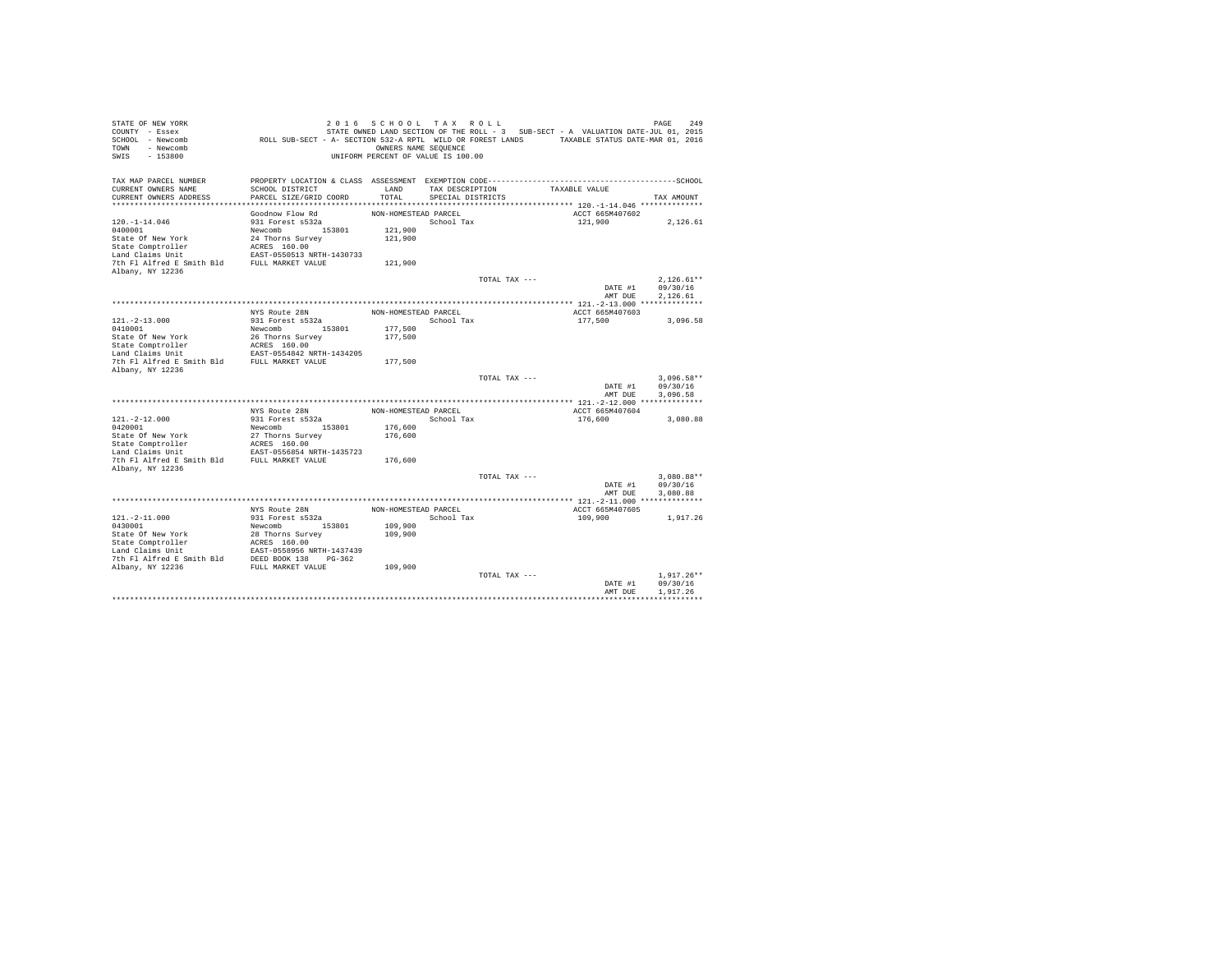| STATE OF NEW YORK<br>COUNTY - Essex<br>SCHOOL - Newcomb<br>- Newcomb<br>TOWN<br>$-153800$<br>SWIS | ROLL SUB-SECT - A- SECTION 532-A RPTL WILD OR FOREST LANDS TAXABLE STATUS DATE-MAR 01, 2016                     | 2016 SCHOOL TAX ROLL<br>OWNERS NAME SEQUENCE<br>UNIFORM PERCENT OF VALUE IS 100.00 |                                      |               | STATE OWNED LAND SECTION OF THE ROLL - 3 SUB-SECT - A VALUATION DATE-JUL 01, 2015 | 249<br>PAGE  |
|---------------------------------------------------------------------------------------------------|-----------------------------------------------------------------------------------------------------------------|------------------------------------------------------------------------------------|--------------------------------------|---------------|-----------------------------------------------------------------------------------|--------------|
| TAX MAP PARCEL NUMBER                                                                             | PROPERTY LOCATION & CLASS ASSESSMENT EXEMPTION CODE-----------------------------------SCHOOL<br>SCHOOL DISTRICT | LAND                                                                               |                                      |               | TAXABLE VALUE                                                                     |              |
| CURRENT OWNERS NAME<br>CURRENT OWNERS ADDRESS                                                     | PARCEL SIZE/GRID COORD                                                                                          | TOTAL                                                                              | TAX DESCRIPTION<br>SPECIAL DISTRICTS |               |                                                                                   | TAX AMOUNT   |
|                                                                                                   |                                                                                                                 |                                                                                    |                                      |               |                                                                                   |              |
|                                                                                                   | Goodnow Flow Rd                                                                                                 | NON-HOMESTEAD PARCEL                                                               |                                      |               | ACCT 665M407602                                                                   |              |
| $120. - 1 - 14.046$                                                                               | 931 Forest s532a                                                                                                |                                                                                    | School Tax                           |               | 121,900                                                                           | 2,126.61     |
| 0400001                                                                                           | Newcomb 153801                                                                                                  | 121,900                                                                            |                                      |               |                                                                                   |              |
| State Of New York                                                                                 | 24 Thorns Survey                                                                                                | 121,900                                                                            |                                      |               |                                                                                   |              |
| State Comptroller                                                                                 | ACRES 160.00                                                                                                    |                                                                                    |                                      |               |                                                                                   |              |
| Land Claims Unit                                                                                  | EAST-0550513 NRTH-1430733                                                                                       |                                                                                    |                                      |               |                                                                                   |              |
| 7th Fl Alfred E Smith Bld<br>Albany, NY 12236                                                     | FULL MARKET VALUE                                                                                               | 121,900                                                                            |                                      |               |                                                                                   |              |
|                                                                                                   |                                                                                                                 |                                                                                    |                                      | TOTAL TAX --- |                                                                                   | $2.126.61**$ |
|                                                                                                   |                                                                                                                 |                                                                                    |                                      |               | DATE #1                                                                           | 09/30/16     |
|                                                                                                   |                                                                                                                 |                                                                                    |                                      |               | AMT DUE                                                                           | 2,126.61     |
|                                                                                                   |                                                                                                                 |                                                                                    |                                      |               |                                                                                   |              |
|                                                                                                   | NYS Route 28N                                                                                                   | NON-HOMESTEAD PARCEL                                                               |                                      |               | ACCT 665M407603                                                                   |              |
| $121. - 2 - 13.000$                                                                               | 931 Forest s532a                                                                                                |                                                                                    | School Tax                           |               | 177.500                                                                           | 3.096.58     |
| 0410001                                                                                           | Newcomb<br>153801                                                                                               | 177,500                                                                            |                                      |               |                                                                                   |              |
| State Of New York<br>State Comptroller                                                            | 26 Thorns Survey<br>ACRES 160.00                                                                                | 177,500                                                                            |                                      |               |                                                                                   |              |
| Land Claims Unit                                                                                  | EAST-0554842 NRTH-1434205                                                                                       |                                                                                    |                                      |               |                                                                                   |              |
| 7th Fl Alfred E Smith Bld                                                                         | FULL MARKET VALUE                                                                                               | 177,500                                                                            |                                      |               |                                                                                   |              |
| Albany, NY 12236                                                                                  |                                                                                                                 |                                                                                    |                                      |               |                                                                                   |              |
|                                                                                                   |                                                                                                                 |                                                                                    |                                      | TOTAL TAX --- |                                                                                   | $3.096.58**$ |
|                                                                                                   |                                                                                                                 |                                                                                    |                                      |               | DATE #1                                                                           | 09/30/16     |
|                                                                                                   |                                                                                                                 |                                                                                    |                                      |               | AMT DUE                                                                           | 3.096.58     |
|                                                                                                   | NYS Route 28N                                                                                                   | NON-HOMESTEAD PARCEL                                                               |                                      |               | ACCT 665M407604                                                                   |              |
| $121. -2 - 12.000$                                                                                | 931 Forest s532a                                                                                                |                                                                                    | School Tax                           |               | 176,600                                                                           | 3,080.88     |
| 0420001                                                                                           | 153801<br>Newcomb                                                                                               | 176,600                                                                            |                                      |               |                                                                                   |              |
| State Of New York                                                                                 | 27 Thorns Survey                                                                                                | 176,600                                                                            |                                      |               |                                                                                   |              |
| State Comptroller                                                                                 | ACRES 160.00                                                                                                    |                                                                                    |                                      |               |                                                                                   |              |
| Land Claims Unit                                                                                  | EAST-0556854 NRTH-1435723                                                                                       |                                                                                    |                                      |               |                                                                                   |              |
| 7th Fl Alfred E Smith Bld                                                                         | FULL MARKET VALUE                                                                                               | 176,600                                                                            |                                      |               |                                                                                   |              |
| Albany, NY 12236                                                                                  |                                                                                                                 |                                                                                    |                                      | TOTAL TAX --- |                                                                                   | $3.080.88**$ |
|                                                                                                   |                                                                                                                 |                                                                                    |                                      |               | DATE #1                                                                           | 09/30/16     |
|                                                                                                   |                                                                                                                 |                                                                                    |                                      |               | AMT DUE                                                                           | 3,080.88     |
|                                                                                                   |                                                                                                                 |                                                                                    |                                      |               |                                                                                   |              |
|                                                                                                   | NYS Route 28N                                                                                                   | NON-HOMESTEAD PARCEL                                                               |                                      |               | ACCT 665M407605                                                                   |              |
| $121. - 2 - 11.000$                                                                               | 931 Forest s532a                                                                                                |                                                                                    | School Tax                           |               | 109,900                                                                           | 1,917.26     |
| 0430001                                                                                           | Newcomb 153801                                                                                                  | 109,900                                                                            |                                      |               |                                                                                   |              |
| State Of New York                                                                                 | 28 Thorns Survey                                                                                                | 109,900                                                                            |                                      |               |                                                                                   |              |
| State Comptroller                                                                                 | ACRES 160.00                                                                                                    |                                                                                    |                                      |               |                                                                                   |              |
| Land Claims Unit<br>7th Fl Alfred E Smith Bld                                                     | EAST-0558956 NRTH-1437439<br>DEED BOOK 138 PG-362                                                               |                                                                                    |                                      |               |                                                                                   |              |
| Albany, NY 12236                                                                                  | FULL MARKET VALUE                                                                                               | 109,900                                                                            |                                      |               |                                                                                   |              |
|                                                                                                   |                                                                                                                 |                                                                                    |                                      | TOTAL TAX --- |                                                                                   | $1.917.26**$ |
|                                                                                                   |                                                                                                                 |                                                                                    |                                      |               | DATE #1                                                                           | 09/30/16     |
|                                                                                                   |                                                                                                                 |                                                                                    |                                      |               | AMT DUE                                                                           | 1.917.26     |
|                                                                                                   |                                                                                                                 |                                                                                    |                                      |               |                                                                                   |              |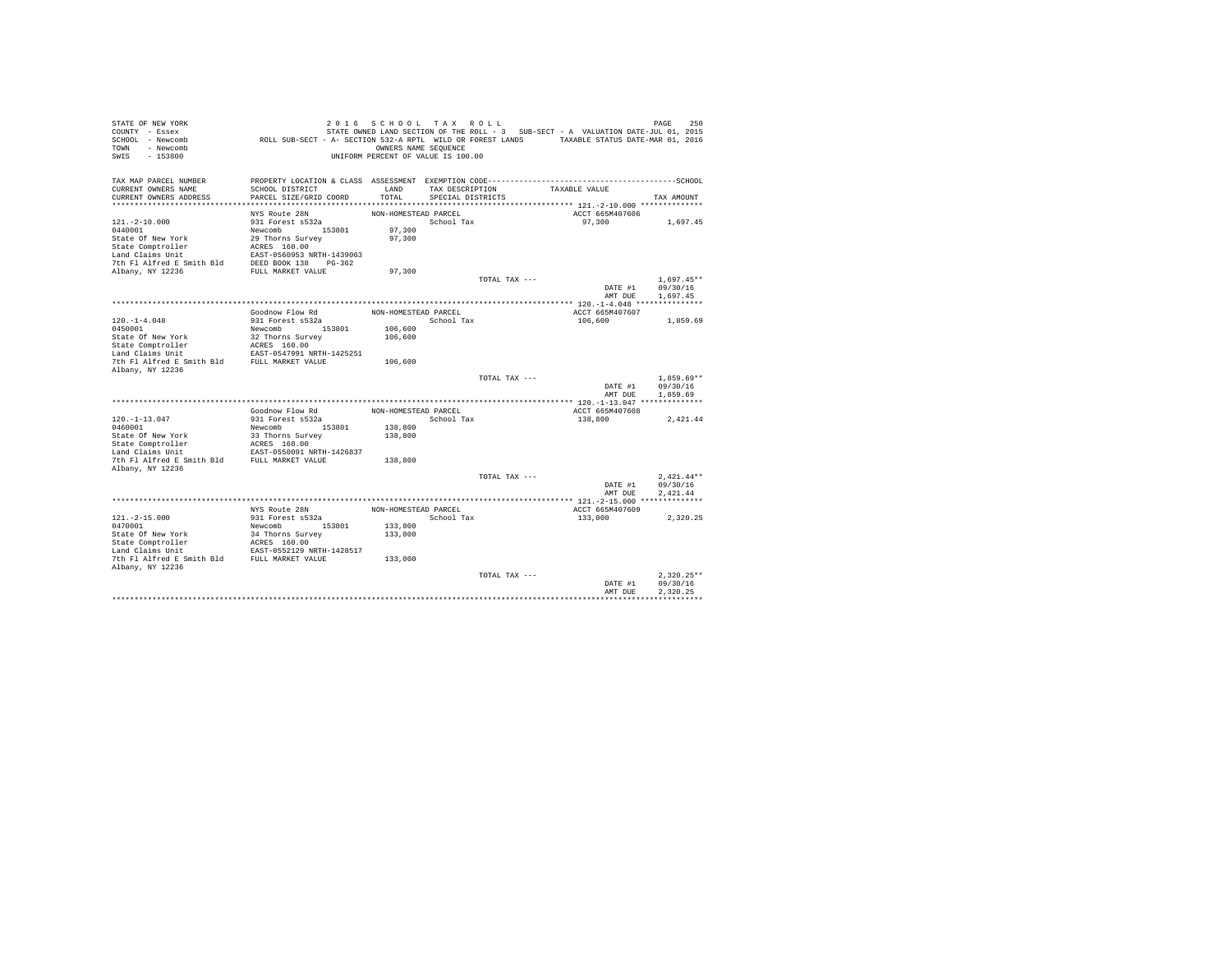| STATE OF NEW YORK<br>COUNTY - Essex           |                                                                                              | 2016 SCHOOL TAX ROLL               |                   |               | STATE OWNED LAND SECTION OF THE ROLL - 3 SUB-SECT - A VALUATION DATE-JUL 01, 2015 | 250<br>PAGE  |
|-----------------------------------------------|----------------------------------------------------------------------------------------------|------------------------------------|-------------------|---------------|-----------------------------------------------------------------------------------|--------------|
| SCHOOL - Newcomb                              | ROLL SUB-SECT - A- SECTION 532-A RPTL WILD OR FOREST LANDS TAXABLE STATUS DATE-MAR 01, 2016  |                                    |                   |               |                                                                                   |              |
| - Newcomb<br>TOWN                             |                                                                                              | OWNERS NAME SEQUENCE               |                   |               |                                                                                   |              |
| $-153800$<br>SWIS                             |                                                                                              | UNIFORM PERCENT OF VALUE IS 100.00 |                   |               |                                                                                   |              |
| TAX MAP PARCEL NUMBER                         | PROPERTY LOCATION & CLASS ASSESSMENT EXEMPTION CODE-----------------------------------SCHOOL |                                    |                   |               |                                                                                   |              |
| CURRENT OWNERS NAME                           | SCHOOL DISTRICT                                                                              | LAND                               | TAX DESCRIPTION   |               | TAXABLE VALUE                                                                     |              |
| CURRENT OWNERS ADDRESS                        | PARCEL SIZE/GRID COORD                                                                       | TOTAL                              | SPECIAL DISTRICTS |               |                                                                                   | TAX AMOUNT   |
|                                               |                                                                                              |                                    |                   |               |                                                                                   |              |
|                                               | NYS Route 28N                                                                                | NON-HOMESTEAD PARCEL               |                   |               | ACCT 665M407606                                                                   |              |
| $121. - 2 - 10.000$                           | 931 Forest s532a                                                                             |                                    | School Tax        |               | 97,300                                                                            | 1,697.45     |
| 0440001                                       | Newcomb 153801                                                                               | 97,300                             |                   |               |                                                                                   |              |
| State Of New York                             | 29 Thorns Survey                                                                             | 97,300                             |                   |               |                                                                                   |              |
| State Comptroller                             | ACRES 160.00                                                                                 |                                    |                   |               |                                                                                   |              |
| Land Claims Unit                              | EAST-0560953 NRTH-1439063<br>DEED BOOK 138 PG-362                                            |                                    |                   |               |                                                                                   |              |
| 7th Fl Alfred E Smith Bld<br>Albany, NY 12236 | FULL MARKET VALUE                                                                            | 97,300                             |                   |               |                                                                                   |              |
|                                               |                                                                                              |                                    |                   | TOTAL TAX --- |                                                                                   | $1.697.45**$ |
|                                               |                                                                                              |                                    |                   |               | DATE #1                                                                           | 09/30/16     |
|                                               |                                                                                              |                                    |                   |               | AMT DUE                                                                           | 1,697.45     |
|                                               |                                                                                              |                                    |                   |               |                                                                                   |              |
|                                               | Goodnow Flow Rd                                                                              | NON-HOMESTEAD PARCEL               |                   |               | ACCT 665M407607                                                                   |              |
| $120. -1 - 4.048$                             | 931 Forest s532a                                                                             |                                    | School Tax        |               | 106,600                                                                           | 1,859.69     |
| 0450001                                       | Newcomb<br>153801                                                                            | 106,600                            |                   |               |                                                                                   |              |
| State Of New York                             | 32 Thorns Survey                                                                             | 106,600                            |                   |               |                                                                                   |              |
| State Comptroller                             | ACRES 160.00                                                                                 |                                    |                   |               |                                                                                   |              |
| Land Claims Unit<br>7th Fl Alfred E Smith Bld | EAST-0547991 NRTH-1425251<br>FULL MARKET VALUE                                               | 106,600                            |                   |               |                                                                                   |              |
| Albany, NY 12236                              |                                                                                              |                                    |                   |               |                                                                                   |              |
|                                               |                                                                                              |                                    |                   | TOTAL TAX --- |                                                                                   | $1.859.69**$ |
|                                               |                                                                                              |                                    |                   |               | DATE #1                                                                           | 09/30/16     |
|                                               |                                                                                              |                                    |                   |               | AMT DUE                                                                           | 1,859.69     |
|                                               |                                                                                              |                                    |                   |               |                                                                                   |              |
|                                               | Goodnow Flow Rd                                                                              | NON-HOMESTEAD PARCEL               |                   |               | ACCT 665M407608                                                                   |              |
| $120. -1 - 13.047$                            | 931 Forest s532a                                                                             |                                    | School Tax        |               | 138,800                                                                           | 2,421.44     |
| 0460001                                       | Newcomb 153801                                                                               | 138,800                            |                   |               |                                                                                   |              |
| State Of New York                             | 33 Thorns Survey                                                                             | 138,800                            |                   |               |                                                                                   |              |
| State Comptroller<br>Land Claims Unit         | ACRES 160.00<br>EAST-0550091 NRTH-1426837                                                    |                                    |                   |               |                                                                                   |              |
| 7th Fl Alfred E Smith Bld                     | FULL MARKET VALUE                                                                            | 138,800                            |                   |               |                                                                                   |              |
| Albany, NY 12236                              |                                                                                              |                                    |                   |               |                                                                                   |              |
|                                               |                                                                                              |                                    |                   | TOTAL TAX --- |                                                                                   | $2.421.44**$ |
|                                               |                                                                                              |                                    |                   |               | DATE #1                                                                           | 09/30/16     |
|                                               |                                                                                              |                                    |                   |               | AMT DUE                                                                           | 2.421.44     |
|                                               |                                                                                              |                                    |                   |               |                                                                                   |              |
|                                               | NYS Route 28N                                                                                | NON-HOMESTEAD PARCEL               |                   |               | ACCT 665M407609                                                                   |              |
| $121. -2 - 15.000$<br>0470001                 | 931 Forest s532a<br>Newcomb 153801                                                           |                                    | School Tax        |               | 133,000                                                                           | 2.320.25     |
| State Of New York                             |                                                                                              | 133,000                            |                   |               |                                                                                   |              |
| State Comptroller                             | 34 Thorns Survey<br>ACRES 160.00                                                             | 133,000                            |                   |               |                                                                                   |              |
| Land Claims Unit                              | EAST-0552129 NRTH-1428517                                                                    |                                    |                   |               |                                                                                   |              |
| 7th Fl Alfred E Smith Bld FULL MARKET VALUE   |                                                                                              | 133,000                            |                   |               |                                                                                   |              |
| Albany, NY 12236                              |                                                                                              |                                    |                   |               |                                                                                   |              |
|                                               |                                                                                              |                                    |                   | TOTAL TAX --- |                                                                                   | $2.320.25**$ |
|                                               |                                                                                              |                                    |                   |               | DATE #1                                                                           | 09/30/16     |
|                                               |                                                                                              |                                    |                   |               | AMT DUE                                                                           | 2.320.25     |
|                                               |                                                                                              |                                    |                   |               |                                                                                   |              |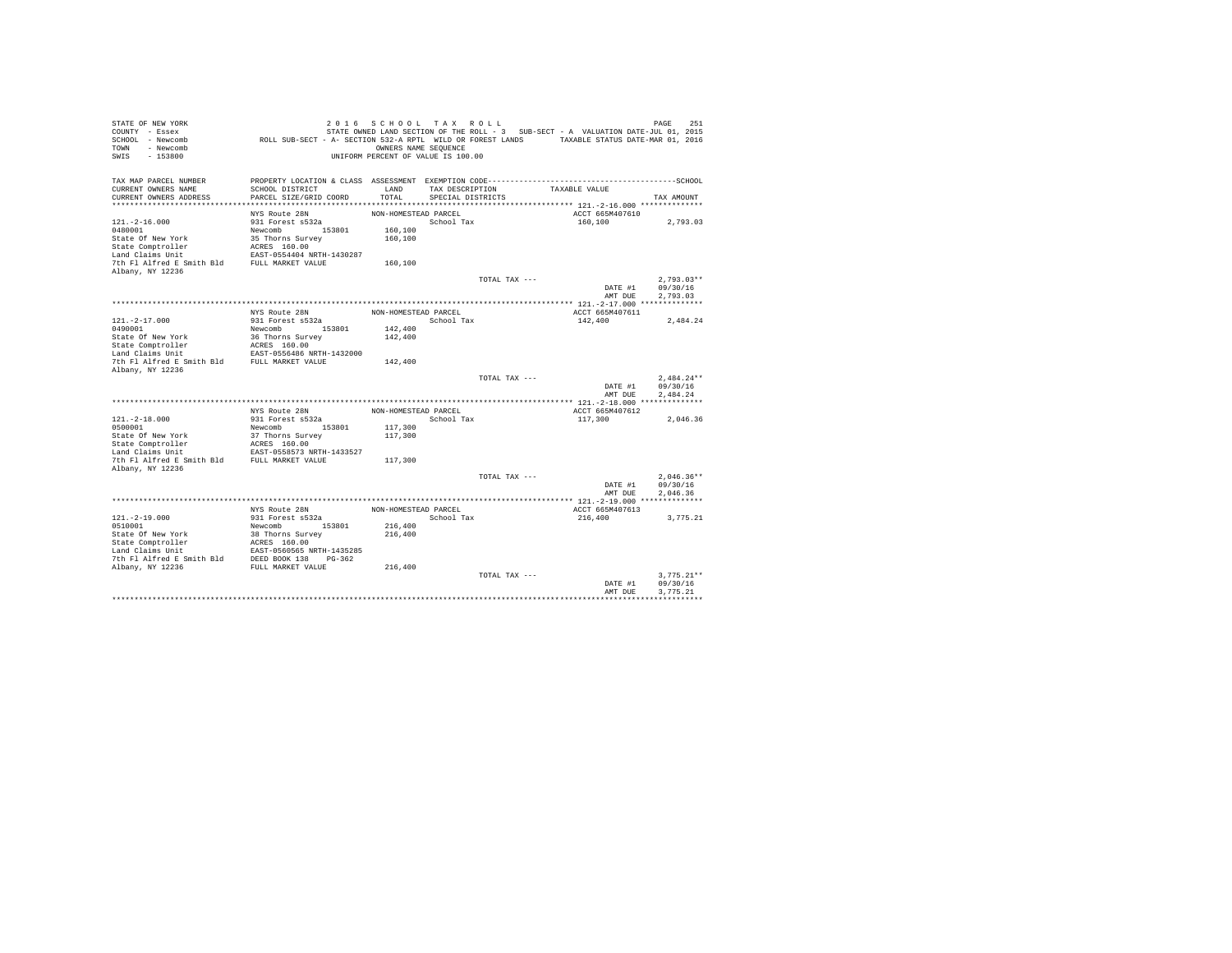| STATE OF NEW YORK<br>COUNTY - Essex<br>SCHOOL - Newcomb<br>- Newcomb<br>TOWN<br>$-153800$<br>SWIS | ROLL SUB-SECT - A- SECTION 532-A RPTL WILD OR FOREST LANDS TAXABLE STATUS DATE-MAR 01, 2016                     | 2016 SCHOOL TAX ROLL<br>OWNERS NAME SEQUENCE<br>UNIFORM PERCENT OF VALUE IS 100.00 |                   |               | STATE OWNED LAND SECTION OF THE ROLL - 3 SUB-SECT - A VALUATION DATE-JUL 01, 2015 | 251<br>PAGE          |
|---------------------------------------------------------------------------------------------------|-----------------------------------------------------------------------------------------------------------------|------------------------------------------------------------------------------------|-------------------|---------------|-----------------------------------------------------------------------------------|----------------------|
| TAX MAP PARCEL NUMBER<br>CURRENT OWNERS NAME                                                      | PROPERTY LOCATION & CLASS ASSESSMENT EXEMPTION CODE-----------------------------------SCHOOL<br>SCHOOL DISTRICT | LAND                                                                               | TAX DESCRIPTION   |               | TAXABLE VALUE                                                                     |                      |
| CURRENT OWNERS ADDRESS                                                                            | PARCEL SIZE/GRID COORD                                                                                          | TOTAL                                                                              | SPECIAL DISTRICTS |               |                                                                                   | TAX AMOUNT           |
|                                                                                                   |                                                                                                                 |                                                                                    |                   |               |                                                                                   |                      |
|                                                                                                   | NYS Route 28N                                                                                                   | NON-HOMESTEAD PARCEL                                                               |                   |               | ACCT 665M407610                                                                   |                      |
| $121. - 2 - 16.000$                                                                               | 931 Forest s532a                                                                                                |                                                                                    | School Tax        |               | 160,100                                                                           | 2,793.03             |
| 0480001                                                                                           | Newcomb 153801                                                                                                  | 160,100                                                                            |                   |               |                                                                                   |                      |
| State Of New York                                                                                 | 35 Thorns Survey                                                                                                | 160,100                                                                            |                   |               |                                                                                   |                      |
| State Comptroller                                                                                 | ACRES 160.00                                                                                                    |                                                                                    |                   |               |                                                                                   |                      |
| Land Claims Unit<br>7th Fl Alfred E Smith Bld                                                     | EAST-0554404 NRTH-1430287<br>FULL MARKET VALUE                                                                  |                                                                                    |                   |               |                                                                                   |                      |
| Albany, NY 12236                                                                                  |                                                                                                                 | 160,100                                                                            |                   |               |                                                                                   |                      |
|                                                                                                   |                                                                                                                 |                                                                                    |                   | TOTAL TAX --- |                                                                                   | $2.793.03**$         |
|                                                                                                   |                                                                                                                 |                                                                                    |                   |               | DATE #1                                                                           | 09/30/16             |
|                                                                                                   |                                                                                                                 |                                                                                    |                   |               | AMT DUE                                                                           | 2,793.03             |
|                                                                                                   |                                                                                                                 |                                                                                    |                   |               |                                                                                   |                      |
|                                                                                                   | NYS Route 28N                                                                                                   | NON-HOMESTEAD PARCEL                                                               |                   |               | ACCT 665M407611                                                                   |                      |
| $121. -2 - 17.000$                                                                                | 931 Forest s532a                                                                                                |                                                                                    | School Tax        |               | 142,400                                                                           | 2.484.24             |
| 0490001                                                                                           | Newcomb<br>153801                                                                                               | 142,400                                                                            |                   |               |                                                                                   |                      |
| State Of New York                                                                                 | 36 Thorns Survey<br>ACRES 160.00                                                                                | 142,400                                                                            |                   |               |                                                                                   |                      |
| State Comptroller<br>Land Claims Unit                                                             | EAST-0556486 NRTH-1432000                                                                                       |                                                                                    |                   |               |                                                                                   |                      |
| 7th Fl Alfred E Smith Bld                                                                         | FULL MARKET VALUE                                                                                               | 142,400                                                                            |                   |               |                                                                                   |                      |
| Albany, NY 12236                                                                                  |                                                                                                                 |                                                                                    |                   |               |                                                                                   |                      |
|                                                                                                   |                                                                                                                 |                                                                                    |                   | TOTAL TAX --- |                                                                                   | $2.484.24**$         |
|                                                                                                   |                                                                                                                 |                                                                                    |                   |               | DATE #1                                                                           | 09/30/16             |
|                                                                                                   |                                                                                                                 |                                                                                    |                   |               | AMT DUE                                                                           | 2.484.24             |
|                                                                                                   |                                                                                                                 |                                                                                    |                   |               |                                                                                   |                      |
| $121. - 2 - 18.000$                                                                               | NYS Route 28N<br>931 Forest s532a                                                                               | NON-HOMESTEAD PARCEL                                                               | School Tax        |               | ACCT 665M407612<br>117,300                                                        |                      |
| 0500001                                                                                           | 153801<br>Newcomb                                                                                               | 117,300                                                                            |                   |               |                                                                                   | 2,046.36             |
| State Of New York                                                                                 | 37 Thorns Survey                                                                                                | 117,300                                                                            |                   |               |                                                                                   |                      |
| State Comptroller                                                                                 | ACRES 160.00                                                                                                    |                                                                                    |                   |               |                                                                                   |                      |
| Land Claims Unit                                                                                  | EAST-0558573 NRTH-1433527                                                                                       |                                                                                    |                   |               |                                                                                   |                      |
| 7th Fl Alfred E Smith Bld                                                                         | FULL MARKET VALUE                                                                                               | 117,300                                                                            |                   |               |                                                                                   |                      |
| Albany, NY 12236                                                                                  |                                                                                                                 |                                                                                    |                   |               |                                                                                   |                      |
|                                                                                                   |                                                                                                                 |                                                                                    |                   | TOTAL TAX --- |                                                                                   | $2.046.36**$         |
|                                                                                                   |                                                                                                                 |                                                                                    |                   |               | DATE #1<br>AMT DUE                                                                | 09/30/16<br>2.046.36 |
|                                                                                                   |                                                                                                                 |                                                                                    |                   |               |                                                                                   |                      |
|                                                                                                   | NYS Route 28N                                                                                                   | NON-HOMESTEAD PARCEL                                                               |                   |               | ACCT 665M407613                                                                   |                      |
| $121. - 2 - 19.000$                                                                               | 931 Forest s532a                                                                                                |                                                                                    | School Tax        |               | 216,400                                                                           | 3.775.21             |
| 0510001                                                                                           | Newcomb 153801                                                                                                  | 216,400                                                                            |                   |               |                                                                                   |                      |
| State Of New York                                                                                 | 38 Thorns Survey                                                                                                | 216,400                                                                            |                   |               |                                                                                   |                      |
| State Comptroller                                                                                 | ACRES 160.00                                                                                                    |                                                                                    |                   |               |                                                                                   |                      |
| Land Claims Unit                                                                                  | EAST-0560565 NRTH-1435285                                                                                       |                                                                                    |                   |               |                                                                                   |                      |
| 7th Fl Alfred E Smith Bld                                                                         | DEED BOOK 138 PG-362<br>FULL MARKET VALUE                                                                       | 216,400                                                                            |                   |               |                                                                                   |                      |
| Albany, NY 12236                                                                                  |                                                                                                                 |                                                                                    |                   | TOTAL TAX --- |                                                                                   | $3.775.21**$         |
|                                                                                                   |                                                                                                                 |                                                                                    |                   |               | DATE #1                                                                           | 09/30/16             |
|                                                                                                   |                                                                                                                 |                                                                                    |                   |               | AMT DUE                                                                           | 3.775.21             |
|                                                                                                   |                                                                                                                 |                                                                                    |                   |               |                                                                                   |                      |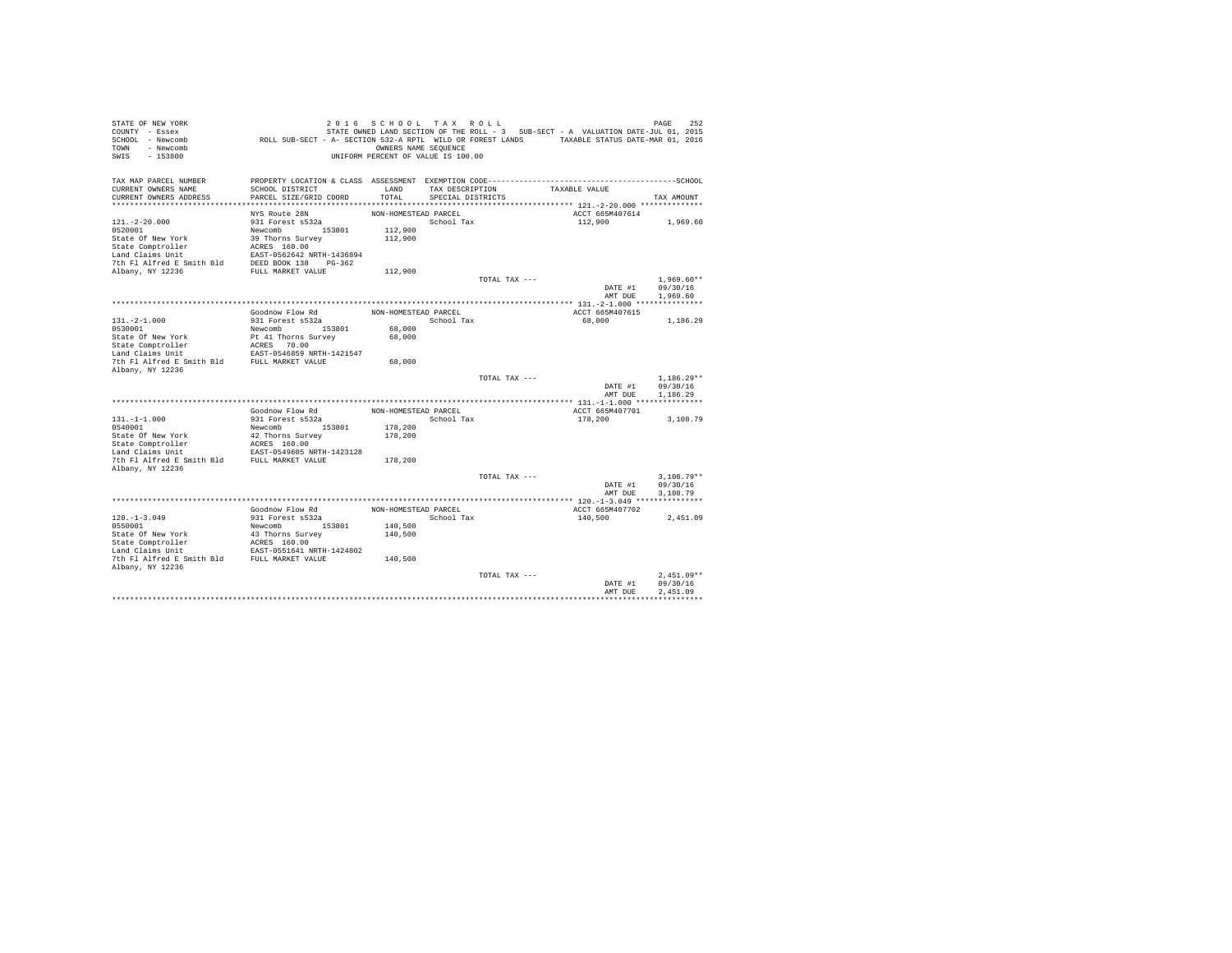| STATE OF NEW YORK<br>COUNTY - Essex         |                                                                                              | 2016 SCHOOL TAX ROLL               |                   |               |                                                                                   |         | 252<br>PAGE  |
|---------------------------------------------|----------------------------------------------------------------------------------------------|------------------------------------|-------------------|---------------|-----------------------------------------------------------------------------------|---------|--------------|
| SCHOOL - Newcomb                            | ROLL SUB-SECT - A- SECTION 532-A RPTL WILD OR FOREST LANDS TAXABLE STATUS DATE-MAR 01, 2016  |                                    |                   |               | STATE OWNED LAND SECTION OF THE ROLL - 3 SUB-SECT - A VALUATION DATE-JUL 01, 2015 |         |              |
| - Newcomb<br>TOWN                           |                                                                                              | OWNERS NAME SEQUENCE               |                   |               |                                                                                   |         |              |
| $-153800$<br>SWIS                           |                                                                                              | UNIFORM PERCENT OF VALUE IS 100.00 |                   |               |                                                                                   |         |              |
|                                             |                                                                                              |                                    |                   |               |                                                                                   |         |              |
| TAX MAP PARCEL NUMBER                       | PROPERTY LOCATION & CLASS ASSESSMENT EXEMPTION CODE-----------------------------------SCHOOL |                                    |                   |               |                                                                                   |         |              |
| CURRENT OWNERS NAME                         | SCHOOL DISTRICT                                                                              | LAND                               | TAX DESCRIPTION   |               | TAXABLE VALUE                                                                     |         |              |
| CURRENT OWNERS ADDRESS                      | PARCEL SIZE/GRID COORD                                                                       | TOTAL                              | SPECIAL DISTRICTS |               |                                                                                   |         | TAX AMOUNT   |
|                                             |                                                                                              |                                    |                   |               |                                                                                   |         |              |
|                                             | NYS Route 28N                                                                                | NON-HOMESTEAD PARCEL               |                   |               | ACCT 665M407614                                                                   |         |              |
| $121. - 2 - 20.000$                         | 931 Forest s532a                                                                             |                                    | School Tax        |               | 112,900                                                                           |         | 1,969.60     |
| 0520001                                     | Newcomb 153801                                                                               | 112,900                            |                   |               |                                                                                   |         |              |
| State Of New York                           | 39 Thorns Survey                                                                             | 112,900                            |                   |               |                                                                                   |         |              |
| State Comptroller                           | ACRES 160.00                                                                                 |                                    |                   |               |                                                                                   |         |              |
| Land Claims Unit                            | EAST-0562642 NRTH-1436894                                                                    |                                    |                   |               |                                                                                   |         |              |
| 7th Fl Alfred E Smith Bld                   | DEED BOOK 138 PG-362                                                                         |                                    |                   |               |                                                                                   |         |              |
| Albany, NY 12236                            | FULL MARKET VALUE                                                                            | 112,900                            |                   |               |                                                                                   |         |              |
|                                             |                                                                                              |                                    |                   | TOTAL TAX --- |                                                                                   |         | $1.969.60**$ |
|                                             |                                                                                              |                                    |                   |               |                                                                                   | DATE #1 | 09/30/16     |
|                                             |                                                                                              |                                    |                   |               |                                                                                   | AMT DUE | 1,969.60     |
|                                             |                                                                                              |                                    |                   |               |                                                                                   |         |              |
|                                             | Goodnow Flow Rd                                                                              | NON-HOMESTEAD PARCEL               |                   |               | ACCT 665M407615                                                                   |         |              |
| $131. -2 - 1.000$                           | 931 Forest s532a                                                                             |                                    | School Tax        |               | 68,000                                                                            |         | 1,186.29     |
| 0530001                                     | Newcomb<br>153801                                                                            | 68,000                             |                   |               |                                                                                   |         |              |
| State Of New York                           | Pt 41 Thorns Survey                                                                          | 68,000                             |                   |               |                                                                                   |         |              |
| State Comptroller<br>Land Claims Unit       | ACRES 70.00<br>EAST-0546859 NRTH-1421547                                                     |                                    |                   |               |                                                                                   |         |              |
| 7th Fl Alfred E Smith Bld                   |                                                                                              | 68,000                             |                   |               |                                                                                   |         |              |
| Albany, NY 12236                            | FULL MARKET VALUE                                                                            |                                    |                   |               |                                                                                   |         |              |
|                                             |                                                                                              |                                    |                   | TOTAL TAX --- |                                                                                   |         | $1.186.29**$ |
|                                             |                                                                                              |                                    |                   |               |                                                                                   | DATE #1 | 09/30/16     |
|                                             |                                                                                              |                                    |                   |               |                                                                                   | AMT DUE | 1,186.29     |
|                                             |                                                                                              |                                    |                   |               |                                                                                   |         |              |
|                                             | Goodnow Flow Rd                                                                              | NON-HOMESTEAD PARCEL               |                   |               | ACCT 665M407701                                                                   |         |              |
| $131. -1 -1.000$                            | 931 Forest s532a                                                                             |                                    | School Tax        |               | 178,200                                                                           |         | 3,108.79     |
| 0540001                                     | Newcomb 153801                                                                               | 178,200                            |                   |               |                                                                                   |         |              |
| State Of New York                           | 42 Thorns Survey                                                                             | 178,200                            |                   |               |                                                                                   |         |              |
| State Comptroller                           | ACRES 160.00                                                                                 |                                    |                   |               |                                                                                   |         |              |
| Land Claims Unit                            | EAST-0549605 NRTH-1423128                                                                    |                                    |                   |               |                                                                                   |         |              |
| 7th Fl Alfred E Smith Bld                   | FULL MARKET VALUE                                                                            | 178,200                            |                   |               |                                                                                   |         |              |
| Albany, NY 12236                            |                                                                                              |                                    |                   |               |                                                                                   |         |              |
|                                             |                                                                                              |                                    |                   | TOTAL TAX --- |                                                                                   |         | $3.108.79**$ |
|                                             |                                                                                              |                                    |                   |               |                                                                                   | DATE #1 | 09/30/16     |
|                                             |                                                                                              |                                    |                   |               |                                                                                   | AMT DUE | 3,108.79     |
|                                             | Goodnow Flow Rd                                                                              | NON-HOMESTEAD PARCEL               |                   |               | ACCT 665M407702                                                                   |         |              |
| $120. - 1 - 3.049$                          | 931 Forest s532a                                                                             |                                    | School Tax        |               | 140,500                                                                           |         | 2.451.09     |
| 0550001                                     | Newcomb 153801                                                                               | 140,500                            |                   |               |                                                                                   |         |              |
| State Of New York                           | 43 Thorns Survey                                                                             | 140,500                            |                   |               |                                                                                   |         |              |
| State Comptroller                           |                                                                                              |                                    |                   |               |                                                                                   |         |              |
| Land Claims Unit                            | ACRES 160.00<br>EAST-0551641 NRTH-1424802                                                    |                                    |                   |               |                                                                                   |         |              |
| 7th Fl Alfred E Smith Bld FULL MARKET VALUE |                                                                                              | 140,500                            |                   |               |                                                                                   |         |              |
| Albany, NY 12236                            |                                                                                              |                                    |                   |               |                                                                                   |         |              |
|                                             |                                                                                              |                                    |                   | TOTAL TAX --- |                                                                                   |         | $2.451.09**$ |
|                                             |                                                                                              |                                    |                   |               |                                                                                   | DATE #1 | 09/30/16     |
|                                             |                                                                                              |                                    |                   |               |                                                                                   | AMT DUE | 2.451.09     |
|                                             |                                                                                              |                                    |                   |               |                                                                                   |         |              |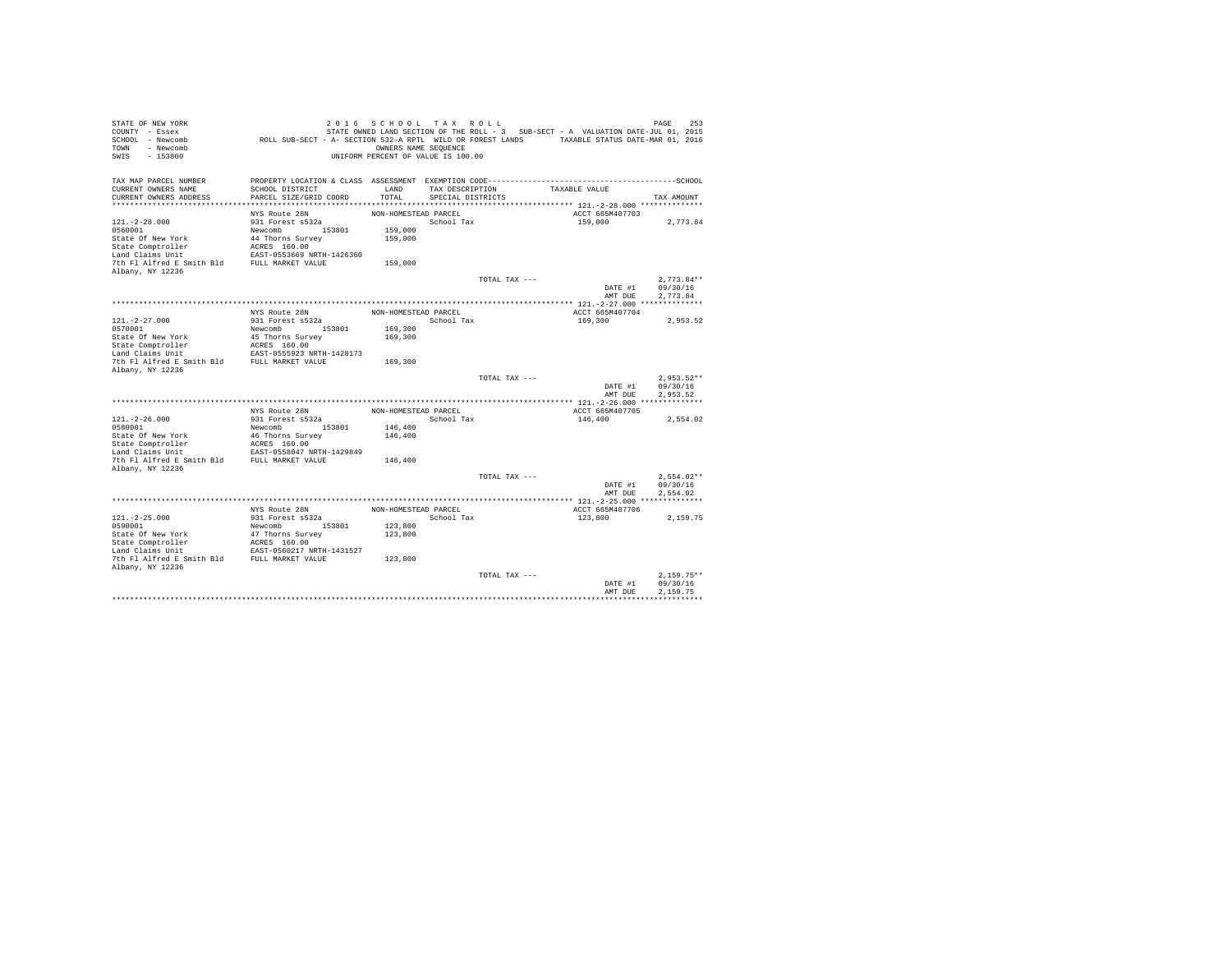| STATE OF NEW YORK<br>COUNTY - Essex<br>SCHOOL - Newcomb<br>- Newcomb<br>TOWN<br>$-153800$<br>SWIS | ROLL SUB-SECT - A- SECTION 532-A RPTL WILD OR FOREST LANDS TAXABLE STATUS DATE-MAR 01, 2016                     | 2016 SCHOOL TAX ROLL<br>OWNERS NAME SEQUENCE<br>UNIFORM PERCENT OF VALUE IS 100.00 |                   |               | STATE OWNED LAND SECTION OF THE ROLL - 3 SUB-SECT - A VALUATION DATE-JUL 01, 2015 | 253<br>PAGE          |
|---------------------------------------------------------------------------------------------------|-----------------------------------------------------------------------------------------------------------------|------------------------------------------------------------------------------------|-------------------|---------------|-----------------------------------------------------------------------------------|----------------------|
| TAX MAP PARCEL NUMBER<br>CURRENT OWNERS NAME                                                      | PROPERTY LOCATION & CLASS ASSESSMENT EXEMPTION CODE-----------------------------------SCHOOL<br>SCHOOL DISTRICT | LAND                                                                               | TAX DESCRIPTION   |               | TAXABLE VALUE                                                                     |                      |
| CURRENT OWNERS ADDRESS                                                                            | PARCEL SIZE/GRID COORD                                                                                          | TOTAL                                                                              | SPECIAL DISTRICTS |               |                                                                                   | TAX AMOUNT           |
|                                                                                                   |                                                                                                                 |                                                                                    |                   |               |                                                                                   |                      |
|                                                                                                   | NYS Route 28N                                                                                                   | NON-HOMESTEAD PARCEL                                                               |                   |               | ACCT 665M407703                                                                   |                      |
| $121. - 2 - 28.000$                                                                               | 931 Forest s532a                                                                                                |                                                                                    | School Tax        |               | 159,000                                                                           | 2,773.84             |
| 0560001                                                                                           | Newcomb 153801                                                                                                  | 159,000                                                                            |                   |               |                                                                                   |                      |
| State Of New York                                                                                 | 44 Thorns Survey                                                                                                | 159,000                                                                            |                   |               |                                                                                   |                      |
| State Comptroller                                                                                 | ACRES 160.00<br>EAST-0553669 NRTH-1426360                                                                       |                                                                                    |                   |               |                                                                                   |                      |
| Land Claims Unit<br>7th Fl Alfred E Smith Bld                                                     | FULL MARKET VALUE                                                                                               | 159,000                                                                            |                   |               |                                                                                   |                      |
| Albany, NY 12236                                                                                  |                                                                                                                 |                                                                                    |                   |               |                                                                                   |                      |
|                                                                                                   |                                                                                                                 |                                                                                    |                   | TOTAL TAX --- |                                                                                   | $2.773.84**$         |
|                                                                                                   |                                                                                                                 |                                                                                    |                   |               | DATE #1                                                                           | 09/30/16             |
|                                                                                                   |                                                                                                                 |                                                                                    |                   |               | AMT DUE                                                                           | 2,773.84             |
|                                                                                                   |                                                                                                                 |                                                                                    |                   |               |                                                                                   |                      |
|                                                                                                   | NYS Route 28N                                                                                                   | NON-HOMESTEAD PARCEL                                                               |                   |               | ACCT 665M407704                                                                   |                      |
| $121. - 2 - 27.000$<br>0570001                                                                    | 931 Forest s532a                                                                                                |                                                                                    | School Tax        |               | 169,300                                                                           | 2.953.52             |
| State Of New York                                                                                 | Newcomb<br>153801<br>45 Thorns Survey                                                                           | 169,300<br>169,300                                                                 |                   |               |                                                                                   |                      |
| State Comptroller                                                                                 | ACRES 160.00                                                                                                    |                                                                                    |                   |               |                                                                                   |                      |
| Land Claims Unit                                                                                  | EAST-0555923 NRTH-1428173                                                                                       |                                                                                    |                   |               |                                                                                   |                      |
| 7th Fl Alfred E Smith Bld                                                                         | FULL MARKET VALUE                                                                                               | 169,300                                                                            |                   |               |                                                                                   |                      |
| Albany, NY 12236                                                                                  |                                                                                                                 |                                                                                    |                   |               |                                                                                   |                      |
|                                                                                                   |                                                                                                                 |                                                                                    |                   | TOTAL TAX --- |                                                                                   | $2.953.52**$         |
|                                                                                                   |                                                                                                                 |                                                                                    |                   |               | DATE #1<br>AMT DUE                                                                | 09/30/16<br>2.953.52 |
|                                                                                                   |                                                                                                                 |                                                                                    |                   |               |                                                                                   |                      |
|                                                                                                   | NYS Route 28N                                                                                                   | NON-HOMESTEAD PARCEL                                                               |                   |               | ACCT 665M407705                                                                   |                      |
| $121. -2 - 26.000$                                                                                | 931 Forest s532a                                                                                                |                                                                                    | School Tax        |               | 146,400                                                                           | 2,554.02             |
| 0580001                                                                                           | 153801<br>Newcomb                                                                                               | 146,400                                                                            |                   |               |                                                                                   |                      |
| State Of New York                                                                                 | 46 Thorns Survey                                                                                                | 146,400                                                                            |                   |               |                                                                                   |                      |
| State Comptroller                                                                                 | ACRES 160.00                                                                                                    |                                                                                    |                   |               |                                                                                   |                      |
| Land Claims Unit<br>7th Fl Alfred E Smith Bld                                                     | EAST-0558047 NRTH-1429849<br>FULL MARKET VALUE                                                                  | 146,400                                                                            |                   |               |                                                                                   |                      |
| Albany, NY 12236                                                                                  |                                                                                                                 |                                                                                    |                   |               |                                                                                   |                      |
|                                                                                                   |                                                                                                                 |                                                                                    |                   | TOTAL TAX --- |                                                                                   | $2.554.02**$         |
|                                                                                                   |                                                                                                                 |                                                                                    |                   |               | DATE #1                                                                           | 09/30/16             |
|                                                                                                   |                                                                                                                 |                                                                                    |                   |               | AMT DUE                                                                           | 2.554.02             |
|                                                                                                   |                                                                                                                 |                                                                                    |                   |               |                                                                                   |                      |
|                                                                                                   | NYS Route 28N                                                                                                   | NON-HOMESTEAD PARCEL                                                               |                   |               | ACCT 665M407706                                                                   |                      |
| $121. -2 - 25.000$                                                                                | 931 Forest s532a                                                                                                |                                                                                    | School Tax        |               | 123,800                                                                           | 2.159.75             |
| 0590001<br>State Of New York                                                                      | Newcomb 153801                                                                                                  | 123,800                                                                            |                   |               |                                                                                   |                      |
| State Comptroller                                                                                 | 47 Thorns Survey<br>ACRES 160.00                                                                                | 123,800                                                                            |                   |               |                                                                                   |                      |
| Land Claims Unit                                                                                  | EAST-0560217 NRTH-1431527                                                                                       |                                                                                    |                   |               |                                                                                   |                      |
| 7th Fl Alfred E Smith Bld FULL MARKET VALUE                                                       |                                                                                                                 | 123,800                                                                            |                   |               |                                                                                   |                      |
| Albany, NY 12236                                                                                  |                                                                                                                 |                                                                                    |                   |               |                                                                                   |                      |
|                                                                                                   |                                                                                                                 |                                                                                    |                   | TOTAL TAX --- |                                                                                   | $2.159.75**$         |
|                                                                                                   |                                                                                                                 |                                                                                    |                   |               | DATE #1                                                                           | 09/30/16             |
|                                                                                                   |                                                                                                                 |                                                                                    |                   |               | AMT DUE                                                                           | 2.159.75             |
|                                                                                                   |                                                                                                                 |                                                                                    |                   |               |                                                                                   |                      |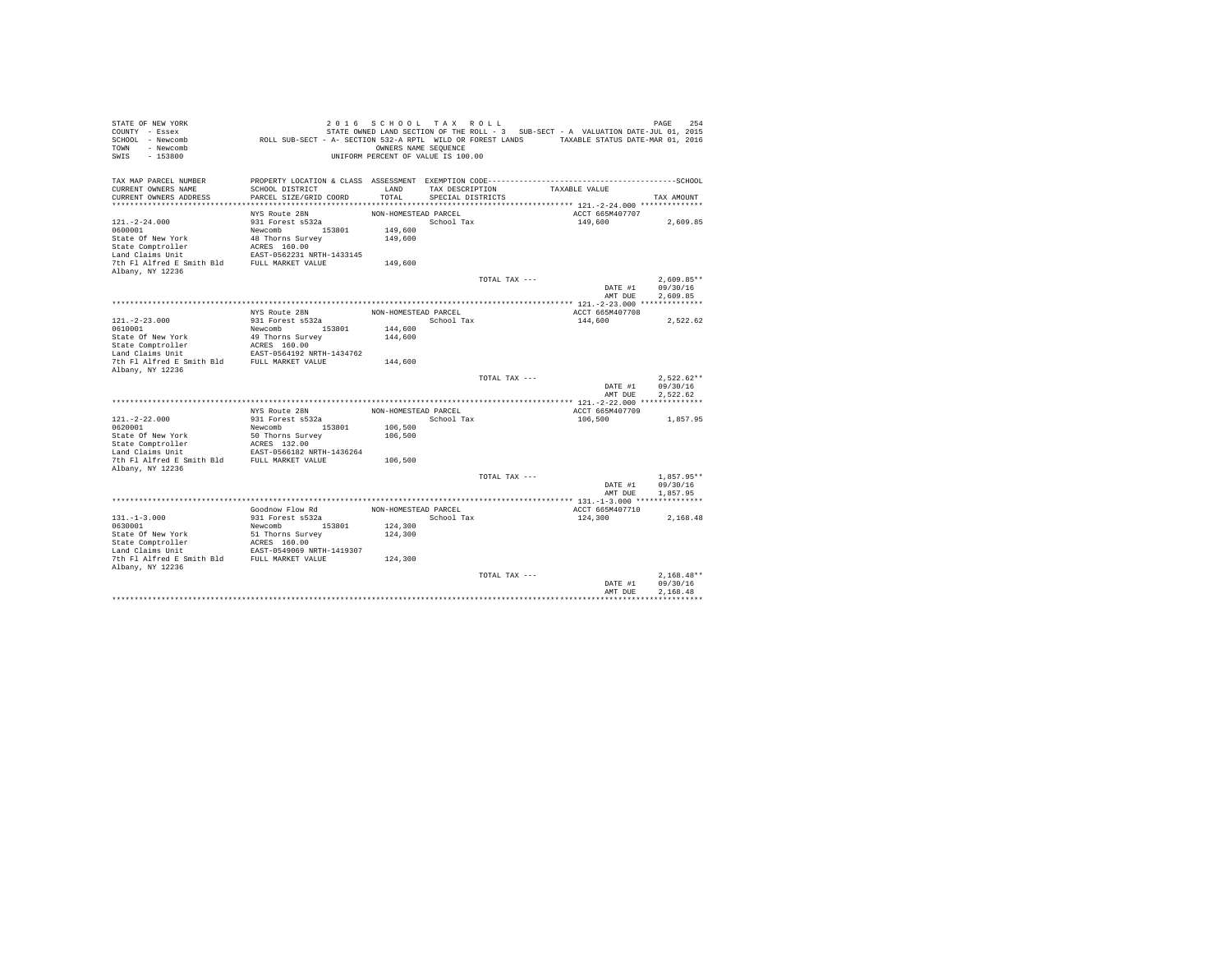| STATE OF NEW YORK<br>COUNTY - Essex<br>SCHOOL - Newcomb<br>- Newcomb<br>TOWN<br>$-153800$<br>SWIS | ROLL SUB-SECT - A- SECTION 532-A RPTL WILD OR FOREST LANDS TAXABLE STATUS DATE-MAR 01, 2016                     | OWNERS NAME SEQUENCE | 2016 SCHOOL TAX ROLL<br>UNIFORM PERCENT OF VALUE IS 100.00 |               | STATE OWNED LAND SECTION OF THE ROLL - 3 SUB-SECT - A VALUATION DATE-JUL 01, 2015 | 254<br>PAGE          |
|---------------------------------------------------------------------------------------------------|-----------------------------------------------------------------------------------------------------------------|----------------------|------------------------------------------------------------|---------------|-----------------------------------------------------------------------------------|----------------------|
| TAX MAP PARCEL NUMBER<br>CURRENT OWNERS NAME                                                      | PROPERTY LOCATION & CLASS ASSESSMENT EXEMPTION CODE-----------------------------------SCHOOL<br>SCHOOL DISTRICT | LAND                 | TAX DESCRIPTION                                            |               | TAXABLE VALUE                                                                     |                      |
| CURRENT OWNERS ADDRESS                                                                            | PARCEL SIZE/GRID COORD                                                                                          | TOTAL                | SPECIAL DISTRICTS                                          |               |                                                                                   | TAX AMOUNT           |
|                                                                                                   |                                                                                                                 |                      |                                                            |               |                                                                                   |                      |
|                                                                                                   | NYS Route 28N                                                                                                   | NON-HOMESTEAD PARCEL |                                                            |               | ACCT 665M407707                                                                   |                      |
| $121. - 2 - 24.000$<br>0600001                                                                    | 931 Forest s532a<br>Newcomb 153801                                                                              | 149,600              | School Tax                                                 |               | 149,600                                                                           | 2,609.85             |
| State Of New York                                                                                 | 48 Thorns Survey                                                                                                | 149,600              |                                                            |               |                                                                                   |                      |
| State Comptroller                                                                                 | ACRES 160.00                                                                                                    |                      |                                                            |               |                                                                                   |                      |
| Land Claims Unit                                                                                  | EAST-0562231 NRTH-1433145                                                                                       |                      |                                                            |               |                                                                                   |                      |
| 7th Fl Alfred E Smith Bld                                                                         | FULL MARKET VALUE                                                                                               | 149,600              |                                                            |               |                                                                                   |                      |
| Albany, NY 12236                                                                                  |                                                                                                                 |                      |                                                            |               |                                                                                   |                      |
|                                                                                                   |                                                                                                                 |                      |                                                            | TOTAL TAX --- |                                                                                   | $2.609.85**$         |
|                                                                                                   |                                                                                                                 |                      |                                                            |               | DATE #1                                                                           | 09/30/16             |
|                                                                                                   |                                                                                                                 |                      |                                                            |               | AMT DUE                                                                           | 2.609.85             |
|                                                                                                   | NYS Route 28N                                                                                                   | NON-HOMESTEAD PARCEL |                                                            |               | ACCT 665M407708                                                                   |                      |
| $121. - 2 - 23.000$                                                                               | 931 Forest s532a                                                                                                |                      | School Tax                                                 |               | 144,600                                                                           | 2.522.62             |
| 0610001                                                                                           | Newcomb<br>153801                                                                                               | 144,600              |                                                            |               |                                                                                   |                      |
| State Of New York                                                                                 | 49 Thorns Survey                                                                                                | 144,600              |                                                            |               |                                                                                   |                      |
| State Comptroller                                                                                 | ACRES 160.00                                                                                                    |                      |                                                            |               |                                                                                   |                      |
| Land Claims Unit<br>7th Fl Alfred E Smith Bld                                                     | EAST-0564192 NRTH-1434762                                                                                       |                      |                                                            |               |                                                                                   |                      |
| Albany, NY 12236                                                                                  | FULL MARKET VALUE                                                                                               | 144,600              |                                                            |               |                                                                                   |                      |
|                                                                                                   |                                                                                                                 |                      |                                                            | TOTAL TAX --- |                                                                                   | $2.522.62**$         |
|                                                                                                   |                                                                                                                 |                      |                                                            |               | DATE #1                                                                           | 09/30/16             |
|                                                                                                   |                                                                                                                 |                      |                                                            |               | AMT DUE                                                                           | 2.522.62             |
|                                                                                                   |                                                                                                                 |                      |                                                            |               |                                                                                   |                      |
|                                                                                                   | NYS Route 28N                                                                                                   | NON-HOMESTEAD PARCEL |                                                            |               | ACCT 665M407709                                                                   |                      |
| $121. -2 - 22.000$<br>0620001                                                                     | 931 Forest s532a<br>153801<br>Newcomb                                                                           | 106,500              | School Tax                                                 |               | 106,500                                                                           | 1,857.95             |
| State Of New York                                                                                 | 50 Thorns Survey                                                                                                | 106,500              |                                                            |               |                                                                                   |                      |
| State Comptroller                                                                                 | ACRES 132.00                                                                                                    |                      |                                                            |               |                                                                                   |                      |
| Land Claims Unit                                                                                  | EAST-0566182 NRTH-1436264                                                                                       |                      |                                                            |               |                                                                                   |                      |
| 7th Fl Alfred E Smith Bld                                                                         | FULL MARKET VALUE                                                                                               | 106,500              |                                                            |               |                                                                                   |                      |
| Albany, NY 12236                                                                                  |                                                                                                                 |                      |                                                            |               |                                                                                   |                      |
|                                                                                                   |                                                                                                                 |                      |                                                            | TOTAL TAX --- |                                                                                   | $1.857.95**$         |
|                                                                                                   |                                                                                                                 |                      |                                                            |               | DATE #1<br>AMT DUE                                                                | 09/30/16<br>1,857.95 |
|                                                                                                   |                                                                                                                 |                      |                                                            |               |                                                                                   |                      |
|                                                                                                   | Goodnow Flow Rd                                                                                                 | NON-HOMESTEAD PARCEL |                                                            |               | ACCT 665M407710                                                                   |                      |
| $131. -1 - 3.000$                                                                                 | 931 Forest s532a                                                                                                |                      | School Tax                                                 |               | 124,300                                                                           | 2.168.48             |
| 0630001                                                                                           | Newcomb 153801                                                                                                  | 124,300              |                                                            |               |                                                                                   |                      |
| State Of New York                                                                                 | 51 Thorns Survey                                                                                                | 124,300              |                                                            |               |                                                                                   |                      |
| State Comptroller                                                                                 | ACRES 160.00                                                                                                    |                      |                                                            |               |                                                                                   |                      |
| Land Claims Unit<br>7th Fl Alfred E Smith Bld FULL MARKET VALUE                                   | EAST-0549069 NRTH-1419307                                                                                       |                      |                                                            |               |                                                                                   |                      |
| Albany, NY 12236                                                                                  |                                                                                                                 | 124,300              |                                                            |               |                                                                                   |                      |
|                                                                                                   |                                                                                                                 |                      |                                                            | TOTAL TAX --- |                                                                                   | $2.168.48**$         |
|                                                                                                   |                                                                                                                 |                      |                                                            |               | DATE #1                                                                           | 09/30/16             |
|                                                                                                   |                                                                                                                 |                      |                                                            |               | AMT DUE                                                                           | 2.168.48             |
|                                                                                                   |                                                                                                                 |                      |                                                            |               |                                                                                   |                      |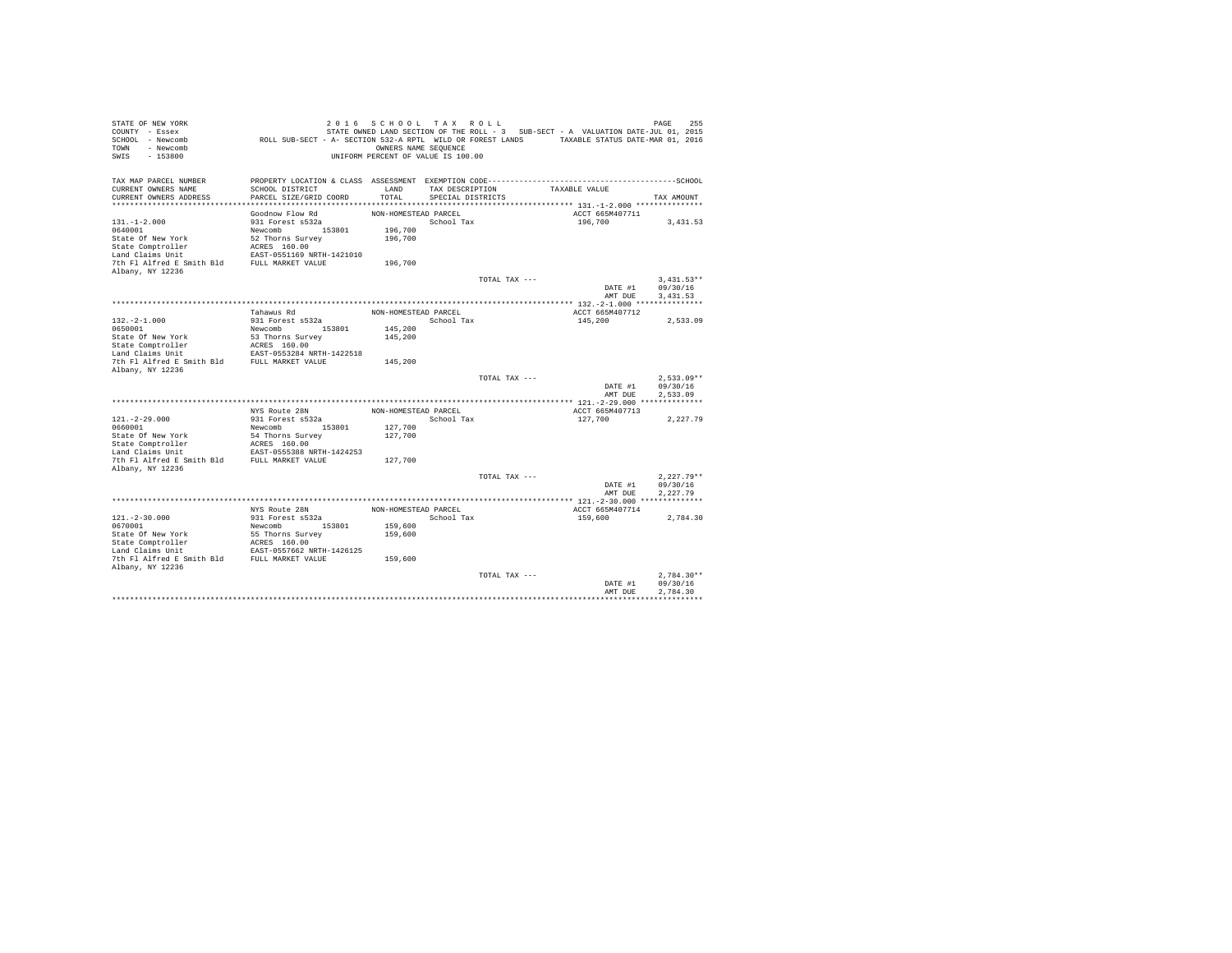| STATE OF NEW YORK<br>COUNTY - Essex<br>SCHOOL - Newcomb<br>- Newcomb<br>TOWN<br>$-153800$<br>SWIS | ROLL SUB-SECT - A- SECTION 532-A RPTL WILD OR FOREST LANDS TAXABLE STATUS DATE-MAR 01, 2016                                               | 2016 SCHOOL TAX ROLL<br>OWNERS NAME SEQUENCE<br>UNIFORM PERCENT OF VALUE IS 100.00 |                                      |               | STATE OWNED LAND SECTION OF THE ROLL - 3 SUB-SECT - A VALUATION DATE-JUL 01, 2015 | 255<br>PAGE  |
|---------------------------------------------------------------------------------------------------|-------------------------------------------------------------------------------------------------------------------------------------------|------------------------------------------------------------------------------------|--------------------------------------|---------------|-----------------------------------------------------------------------------------|--------------|
| TAX MAP PARCEL NUMBER<br>CURRENT OWNERS NAME<br>CURRENT OWNERS ADDRESS                            | PROPERTY LOCATION & CLASS ASSESSMENT EXEMPTION CODE-----------------------------------SCHOOL<br>SCHOOL DISTRICT<br>PARCEL SIZE/GRID COORD | LAND<br>TOTAL                                                                      | TAX DESCRIPTION<br>SPECIAL DISTRICTS |               | TAXABLE VALUE                                                                     | TAX AMOUNT   |
|                                                                                                   |                                                                                                                                           |                                                                                    |                                      |               |                                                                                   |              |
|                                                                                                   | Goodnow Flow Rd                                                                                                                           | NON-HOMESTEAD PARCEL                                                               |                                      |               | ACCT 665M407711                                                                   |              |
| $131. - 1 - 2.000$                                                                                | 931 Forest s532a                                                                                                                          |                                                                                    | School Tax                           |               | 196,700                                                                           | 3,431.53     |
| 0640001                                                                                           | Newcomb 153801                                                                                                                            | 196,700                                                                            |                                      |               |                                                                                   |              |
| State Of New York                                                                                 | 52 Thorns Survey                                                                                                                          | 196,700                                                                            |                                      |               |                                                                                   |              |
| State Comptroller                                                                                 | ACRES 160.00                                                                                                                              |                                                                                    |                                      |               |                                                                                   |              |
| Land Claims Unit                                                                                  | EAST-0551169 NRTH-1421010                                                                                                                 |                                                                                    |                                      |               |                                                                                   |              |
| 7th Fl Alfred E Smith Bld                                                                         | FULL MARKET VALUE                                                                                                                         | 196,700                                                                            |                                      |               |                                                                                   |              |
| Albany, NY 12236                                                                                  |                                                                                                                                           |                                                                                    |                                      | TOTAL TAX --- |                                                                                   | $3.431.53**$ |
|                                                                                                   |                                                                                                                                           |                                                                                    |                                      |               | DATE #1                                                                           | 09/30/16     |
|                                                                                                   |                                                                                                                                           |                                                                                    |                                      |               | AMT DUE                                                                           | 3,431.53     |
|                                                                                                   |                                                                                                                                           |                                                                                    |                                      |               |                                                                                   |              |
|                                                                                                   | Tahawus Rd                                                                                                                                | NON-HOMESTEAD PARCEL                                                               |                                      |               | ACCT 665M407712                                                                   |              |
| $132. -2 - 1.000$                                                                                 | 931 Forest s532a                                                                                                                          |                                                                                    | School Tax                           |               | 145,200                                                                           | 2.533.09     |
| 0650001                                                                                           | Newcomb<br>153801                                                                                                                         | 145,200                                                                            |                                      |               |                                                                                   |              |
| State Of New York                                                                                 | 53 Thorns Survey                                                                                                                          | 145,200                                                                            |                                      |               |                                                                                   |              |
| State Comptroller<br>Land Claims Unit                                                             | ACRES 160.00<br>EAST-0553284 NRTH-1422518                                                                                                 |                                                                                    |                                      |               |                                                                                   |              |
| 7th Fl Alfred E Smith Bld                                                                         | FULL MARKET VALUE                                                                                                                         | 145,200                                                                            |                                      |               |                                                                                   |              |
| Albany, NY 12236                                                                                  |                                                                                                                                           |                                                                                    |                                      |               |                                                                                   |              |
|                                                                                                   |                                                                                                                                           |                                                                                    |                                      | TOTAL TAX --- |                                                                                   | $2.533.09**$ |
|                                                                                                   |                                                                                                                                           |                                                                                    |                                      |               | DATE #1                                                                           | 09/30/16     |
|                                                                                                   |                                                                                                                                           |                                                                                    |                                      |               | AMT DUE                                                                           | 2.533.09     |
|                                                                                                   | NYS Route 28N                                                                                                                             | NON-HOMESTEAD PARCEL                                                               |                                      |               | ACCT 665M407713                                                                   |              |
| $121. - 2 - 29.000$                                                                               | 931 Forest s532a                                                                                                                          |                                                                                    | School Tax                           |               | 127,700                                                                           | 2,227.79     |
| 0660001                                                                                           | 153801<br>Newcomb                                                                                                                         | 127,700                                                                            |                                      |               |                                                                                   |              |
| State Of New York                                                                                 | 54 Thorns Survey                                                                                                                          | 127,700                                                                            |                                      |               |                                                                                   |              |
| State Comptroller                                                                                 | ACRES 160.00                                                                                                                              |                                                                                    |                                      |               |                                                                                   |              |
| Land Claims Unit                                                                                  | EAST-0555388 NRTH-1424253                                                                                                                 |                                                                                    |                                      |               |                                                                                   |              |
| 7th Fl Alfred E Smith Bld                                                                         | FULL MARKET VALUE                                                                                                                         | 127,700                                                                            |                                      |               |                                                                                   |              |
| Albany, NY 12236                                                                                  |                                                                                                                                           |                                                                                    |                                      | TOTAL TAX --- |                                                                                   | $2.227.79**$ |
|                                                                                                   |                                                                                                                                           |                                                                                    |                                      |               | DATE #1                                                                           | 09/30/16     |
|                                                                                                   |                                                                                                                                           |                                                                                    |                                      |               | AMT DUE                                                                           | 2.227.79     |
|                                                                                                   |                                                                                                                                           |                                                                                    |                                      |               |                                                                                   |              |
|                                                                                                   | NYS Route 28N                                                                                                                             | NON-HOMESTEAD PARCEL                                                               |                                      |               | ACCT 665M407714                                                                   |              |
| $121. - 2 - 30.000$                                                                               | 931 Forest s532a                                                                                                                          |                                                                                    | School Tax                           |               | 159,600                                                                           | 2.784.30     |
| 0670001                                                                                           | Newcomb 153801                                                                                                                            | 159,600                                                                            |                                      |               |                                                                                   |              |
| State Of New York                                                                                 | 55 Thorns Survey                                                                                                                          | 159,600                                                                            |                                      |               |                                                                                   |              |
| State Comptroller<br>Land Claims Unit                                                             | ACRES 160.00<br>EAST-0557662 NRTH-1426125                                                                                                 |                                                                                    |                                      |               |                                                                                   |              |
| 7th Fl Alfred E Smith Bld FULL MARKET VALUE                                                       |                                                                                                                                           | 159,600                                                                            |                                      |               |                                                                                   |              |
| Albany, NY 12236                                                                                  |                                                                                                                                           |                                                                                    |                                      |               |                                                                                   |              |
|                                                                                                   |                                                                                                                                           |                                                                                    |                                      | TOTAL TAX --- |                                                                                   | $2.784.30**$ |
|                                                                                                   |                                                                                                                                           |                                                                                    |                                      |               | DATE #1                                                                           | 09/30/16     |
|                                                                                                   |                                                                                                                                           |                                                                                    |                                      |               | AMT DUE                                                                           | 2.784.30     |
|                                                                                                   |                                                                                                                                           |                                                                                    |                                      |               |                                                                                   |              |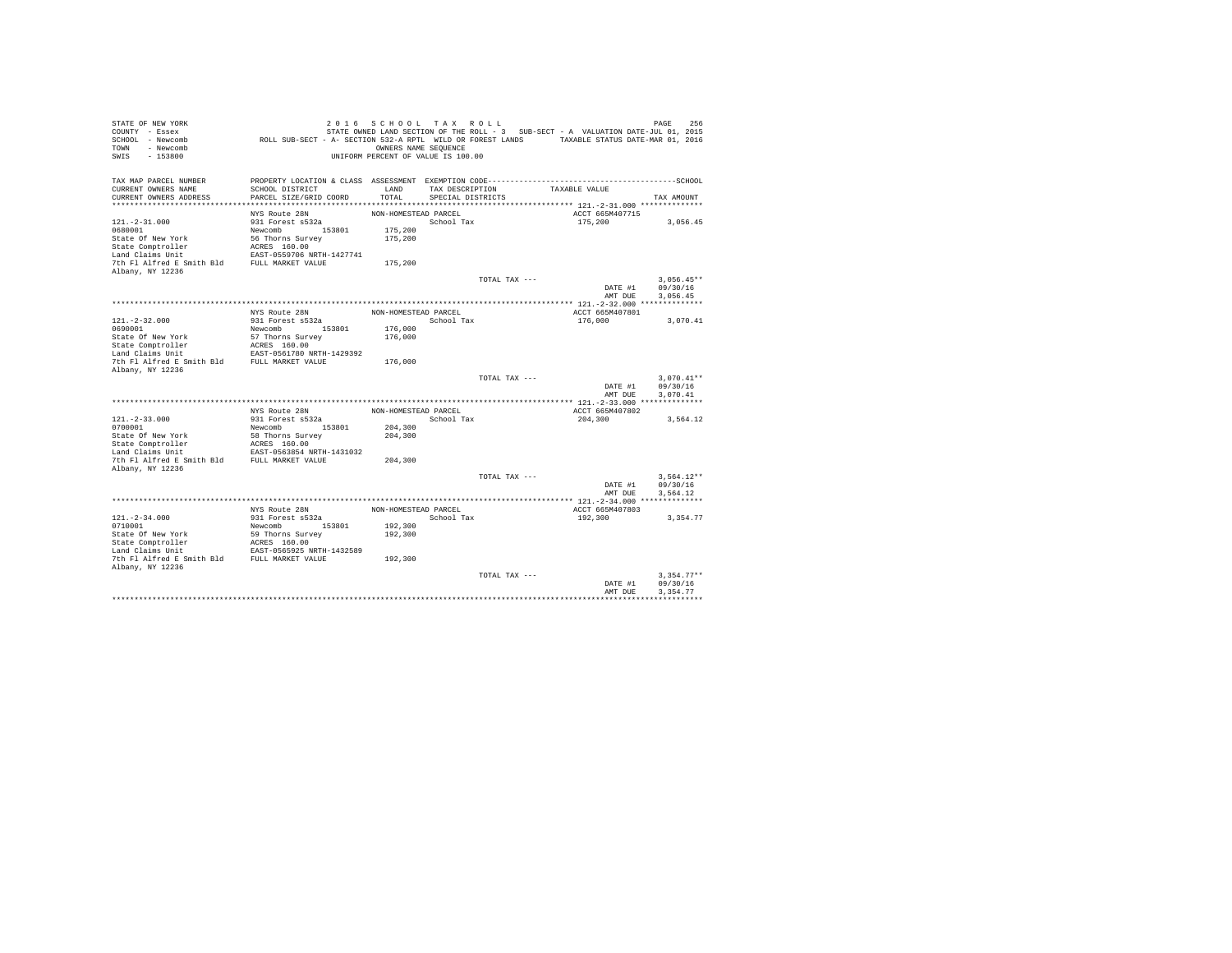| STATE OF NEW YORK<br>COUNTY - Essex<br>SCHOOL - Newcomb<br>- Newcomb<br>TOWN<br>$-153800$<br>SWIS | ROLL SUB-SECT - A- SECTION 532-A RPTL WILD OR FOREST LANDS TAXABLE STATUS DATE-MAR 01, 2016                     | 2016 SCHOOL TAX ROLL<br>OWNERS NAME SEQUENCE<br>UNIFORM PERCENT OF VALUE IS 100.00 |                   |               | STATE OWNED LAND SECTION OF THE ROLL - 3 SUB-SECT - A VALUATION DATE-JUL 01, 2015 | 256<br>PAGE              |
|---------------------------------------------------------------------------------------------------|-----------------------------------------------------------------------------------------------------------------|------------------------------------------------------------------------------------|-------------------|---------------|-----------------------------------------------------------------------------------|--------------------------|
| TAX MAP PARCEL NUMBER<br>CURRENT OWNERS NAME                                                      | PROPERTY LOCATION & CLASS ASSESSMENT EXEMPTION CODE-----------------------------------SCHOOL<br>SCHOOL DISTRICT | LAND                                                                               | TAX DESCRIPTION   |               | TAXABLE VALUE                                                                     |                          |
| CURRENT OWNERS ADDRESS                                                                            | PARCEL SIZE/GRID COORD                                                                                          | TOTAL                                                                              | SPECIAL DISTRICTS |               |                                                                                   | TAX AMOUNT               |
|                                                                                                   |                                                                                                                 |                                                                                    |                   |               |                                                                                   |                          |
|                                                                                                   | NYS Route 28N                                                                                                   | NON-HOMESTEAD PARCEL                                                               |                   |               | ACCT 665M407715                                                                   |                          |
| $121. - 2 - 31.000$                                                                               | 931 Forest s532a                                                                                                |                                                                                    | School Tax        |               | 175,200                                                                           | 3,056.45                 |
| 0680001                                                                                           | Newcomb 153801                                                                                                  | 175,200                                                                            |                   |               |                                                                                   |                          |
| State Of New York                                                                                 | 56 Thorns Survey                                                                                                | 175,200                                                                            |                   |               |                                                                                   |                          |
| State Comptroller                                                                                 | ACRES 160.00                                                                                                    |                                                                                    |                   |               |                                                                                   |                          |
| Land Claims Unit                                                                                  | EAST-0559706 NRTH-1427741                                                                                       |                                                                                    |                   |               |                                                                                   |                          |
| 7th Fl Alfred E Smith Bld<br>Albany, NY 12236                                                     | FULL MARKET VALUE                                                                                               | 175,200                                                                            |                   |               |                                                                                   |                          |
|                                                                                                   |                                                                                                                 |                                                                                    |                   | TOTAL TAX --- |                                                                                   | $3.056.45**$             |
|                                                                                                   |                                                                                                                 |                                                                                    |                   |               | DATE #1                                                                           | 09/30/16                 |
|                                                                                                   |                                                                                                                 |                                                                                    |                   |               | AMT DUE                                                                           | 3,056.45                 |
|                                                                                                   |                                                                                                                 |                                                                                    |                   |               |                                                                                   |                          |
|                                                                                                   | NYS Route 28N                                                                                                   | NON-HOMESTEAD PARCEL                                                               |                   |               | ACCT 665M407801                                                                   |                          |
| $121. - 2 - 32.000$                                                                               | 931 Forest s532a                                                                                                |                                                                                    | School Tax        |               | 176,000                                                                           | 3,070.41                 |
| 0690001                                                                                           | Newcomb<br>153801                                                                                               | 176,000                                                                            |                   |               |                                                                                   |                          |
| State Of New York                                                                                 | 57 Thorns Survey<br>ACRES 160.00                                                                                | 176,000                                                                            |                   |               |                                                                                   |                          |
| State Comptroller<br>Land Claims Unit                                                             | EAST-0561780 NRTH-1429392                                                                                       |                                                                                    |                   |               |                                                                                   |                          |
| 7th Fl Alfred E Smith Bld                                                                         | FULL MARKET VALUE                                                                                               | 176,000                                                                            |                   |               |                                                                                   |                          |
| Albany, NY 12236                                                                                  |                                                                                                                 |                                                                                    |                   |               |                                                                                   |                          |
|                                                                                                   |                                                                                                                 |                                                                                    |                   | TOTAL TAX --- |                                                                                   | $3.070.41**$             |
|                                                                                                   |                                                                                                                 |                                                                                    |                   |               | DATE #1                                                                           | 09/30/16                 |
|                                                                                                   |                                                                                                                 |                                                                                    |                   |               | AMT DUE                                                                           | 3.070.41                 |
|                                                                                                   | NYS Route 28N                                                                                                   | NON-HOMESTEAD PARCEL                                                               |                   |               | ACCT 665M407802                                                                   |                          |
| $121. -2 - 33.000$                                                                                | 931 Forest s532a                                                                                                |                                                                                    | School Tax        |               | 204,300                                                                           | 3,564.12                 |
| 0700001                                                                                           | 153801<br>Newcomb                                                                                               | 204,300                                                                            |                   |               |                                                                                   |                          |
| State Of New York                                                                                 | 58 Thorns Survey                                                                                                | 204,300                                                                            |                   |               |                                                                                   |                          |
| State Comptroller                                                                                 | ACRES 160.00                                                                                                    |                                                                                    |                   |               |                                                                                   |                          |
| Land Claims Unit                                                                                  | EAST-0563854 NRTH-1431032                                                                                       |                                                                                    |                   |               |                                                                                   |                          |
| 7th Fl Alfred E Smith Bld                                                                         | FULL MARKET VALUE                                                                                               | 204,300                                                                            |                   |               |                                                                                   |                          |
| Albany, NY 12236                                                                                  |                                                                                                                 |                                                                                    |                   |               |                                                                                   |                          |
|                                                                                                   |                                                                                                                 |                                                                                    |                   | TOTAL TAX --- | DATE #1                                                                           | $3.564.12**$<br>09/30/16 |
|                                                                                                   |                                                                                                                 |                                                                                    |                   |               | AMT DUE                                                                           | 3.564.12                 |
|                                                                                                   |                                                                                                                 |                                                                                    |                   |               |                                                                                   |                          |
|                                                                                                   | NYS Route 28N                                                                                                   | NON-HOMESTEAD PARCEL                                                               |                   |               | ACCT 665M407803                                                                   |                          |
| $121. - 2 - 34.000$                                                                               | 931 Forest s532a                                                                                                |                                                                                    | School Tax        |               | 192,300                                                                           | 3.354.77                 |
| 0710001                                                                                           | Newcomb 153801                                                                                                  | 192,300                                                                            |                   |               |                                                                                   |                          |
| State Of New York                                                                                 | 59 Thorns Survey                                                                                                | 192,300                                                                            |                   |               |                                                                                   |                          |
| State Comptroller                                                                                 | ACRES 160.00                                                                                                    |                                                                                    |                   |               |                                                                                   |                          |
| Land Claims Unit<br>7th Fl Alfred E Smith Bld FULL MARKET VALUE                                   | EAST-0565925 NRTH-1432589                                                                                       |                                                                                    |                   |               |                                                                                   |                          |
| Albany, NY 12236                                                                                  |                                                                                                                 | 192,300                                                                            |                   |               |                                                                                   |                          |
|                                                                                                   |                                                                                                                 |                                                                                    |                   | TOTAL TAX --- |                                                                                   | $3.354.77**$             |
|                                                                                                   |                                                                                                                 |                                                                                    |                   |               | DATE #1                                                                           | 09/30/16                 |
|                                                                                                   |                                                                                                                 |                                                                                    |                   |               | AMT DUE                                                                           | 3.354.77                 |
|                                                                                                   |                                                                                                                 |                                                                                    |                   |               |                                                                                   |                          |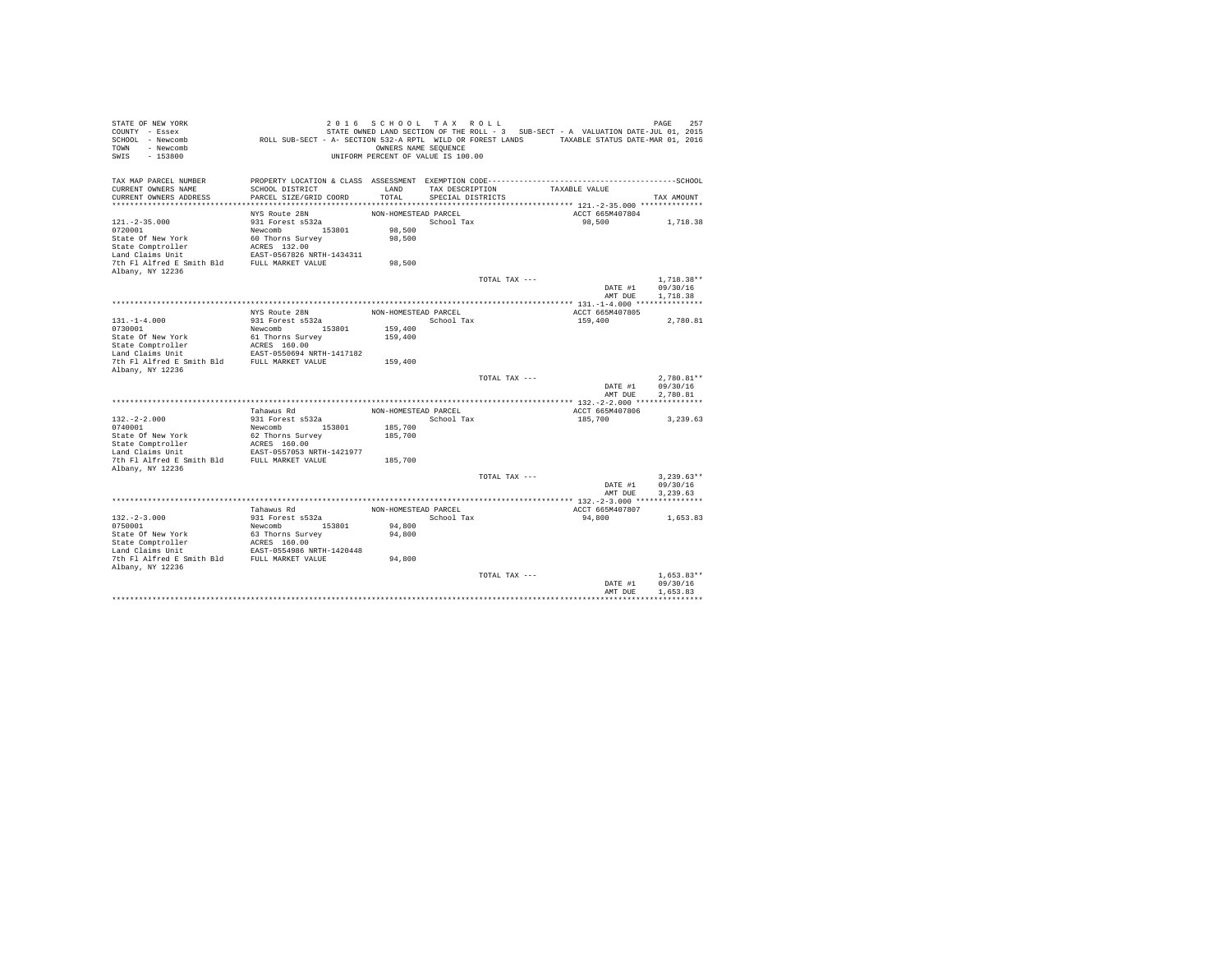| STATE OF NEW YORK<br>COUNTY - Essex<br>SCHOOL - Newcomb<br>- Newcomb<br>TOWN<br>$-153800$<br>SWIS | ROLL SUB-SECT - A- SECTION 532-A RPTL WILD OR FOREST LANDS TAXABLE STATUS DATE-MAR 01, 2016                     | 2016 SCHOOL TAX ROLL<br>OWNERS NAME SEQUENCE<br>UNIFORM PERCENT OF VALUE IS 100.00 |                   |               | STATE OWNED LAND SECTION OF THE ROLL - 3 SUB-SECT - A VALUATION DATE-JUL 01, 2015 | 257<br>PAGE          |
|---------------------------------------------------------------------------------------------------|-----------------------------------------------------------------------------------------------------------------|------------------------------------------------------------------------------------|-------------------|---------------|-----------------------------------------------------------------------------------|----------------------|
| TAX MAP PARCEL NUMBER<br>CURRENT OWNERS NAME                                                      | PROPERTY LOCATION & CLASS ASSESSMENT EXEMPTION CODE-----------------------------------SCHOOL<br>SCHOOL DISTRICT | LAND                                                                               | TAX DESCRIPTION   |               | TAXABLE VALUE                                                                     |                      |
| CURRENT OWNERS ADDRESS                                                                            | PARCEL SIZE/GRID COORD                                                                                          | TOTAL                                                                              | SPECIAL DISTRICTS |               |                                                                                   | TAX AMOUNT           |
|                                                                                                   |                                                                                                                 |                                                                                    |                   |               |                                                                                   |                      |
|                                                                                                   | NYS Route 28N                                                                                                   | NON-HOMESTEAD PARCEL                                                               |                   |               | ACCT 665M407804                                                                   |                      |
| $121. -2 - 35.000$                                                                                | 931 Forest s532a                                                                                                |                                                                                    | School Tax        |               | 98,500                                                                            | 1,718.38             |
| 0720001                                                                                           | Newcomb 153801                                                                                                  | 98,500                                                                             |                   |               |                                                                                   |                      |
| State Of New York<br>State Comptroller                                                            | 60 Thorns Survey<br>ACRES 132.00                                                                                | 98,500                                                                             |                   |               |                                                                                   |                      |
| Land Claims Unit                                                                                  | EAST-0567826 NRTH-1434311                                                                                       |                                                                                    |                   |               |                                                                                   |                      |
| 7th Fl Alfred E Smith Bld                                                                         | FULL MARKET VALUE                                                                                               | 98,500                                                                             |                   |               |                                                                                   |                      |
| Albany, NY 12236                                                                                  |                                                                                                                 |                                                                                    |                   |               |                                                                                   |                      |
|                                                                                                   |                                                                                                                 |                                                                                    |                   | TOTAL TAX --- |                                                                                   | $1.718.38**$         |
|                                                                                                   |                                                                                                                 |                                                                                    |                   |               | DATE #1                                                                           | 09/30/16             |
|                                                                                                   |                                                                                                                 |                                                                                    |                   |               | AMT DUE                                                                           | 1,718.38             |
|                                                                                                   | NYS Route 28N                                                                                                   | NON-HOMESTEAD PARCEL                                                               |                   |               | ACCT 665M407805                                                                   |                      |
| $131. -1 - 4.000$                                                                                 | 931 Forest s532a                                                                                                |                                                                                    | School Tax        |               | 159,400                                                                           | 2.780.81             |
| 0730001                                                                                           | Newcomb<br>153801                                                                                               | 159,400                                                                            |                   |               |                                                                                   |                      |
| State Of New York                                                                                 | 61 Thorns Survey                                                                                                | 159,400                                                                            |                   |               |                                                                                   |                      |
| State Comptroller                                                                                 | ACRES 160.00                                                                                                    |                                                                                    |                   |               |                                                                                   |                      |
| Land Claims Unit                                                                                  | EAST-0550694 NRTH-1417182                                                                                       |                                                                                    |                   |               |                                                                                   |                      |
| 7th Fl Alfred E Smith Bld<br>Albany, NY 12236                                                     | FULL MARKET VALUE                                                                                               | 159,400                                                                            |                   |               |                                                                                   |                      |
|                                                                                                   |                                                                                                                 |                                                                                    |                   | TOTAL TAX --- |                                                                                   | $2.780.81**$         |
|                                                                                                   |                                                                                                                 |                                                                                    |                   |               | DATE #1                                                                           | 09/30/16             |
|                                                                                                   |                                                                                                                 |                                                                                    |                   |               | AMT DUE                                                                           | 2.780.81             |
|                                                                                                   |                                                                                                                 |                                                                                    |                   |               |                                                                                   |                      |
|                                                                                                   | Tahawus Rd                                                                                                      | NON-HOMESTEAD PARCEL                                                               |                   |               | ACCT 665M407806                                                                   |                      |
| $132. -2 - 2.000$<br>0740001                                                                      | 931 Forest s532a<br>153801<br>Newcomb                                                                           | 185,700                                                                            | School Tax        |               | 185,700                                                                           | 3,239.63             |
| State Of New York                                                                                 | 62 Thorns Survey                                                                                                | 185,700                                                                            |                   |               |                                                                                   |                      |
| State Comptroller                                                                                 | ACRES 160.00                                                                                                    |                                                                                    |                   |               |                                                                                   |                      |
| Land Claims Unit                                                                                  | EAST-0557053 NRTH-1421977                                                                                       |                                                                                    |                   |               |                                                                                   |                      |
| 7th Fl Alfred E Smith Bld                                                                         | FULL MARKET VALUE                                                                                               | 185,700                                                                            |                   |               |                                                                                   |                      |
| Albany, NY 12236                                                                                  |                                                                                                                 |                                                                                    |                   |               |                                                                                   |                      |
|                                                                                                   |                                                                                                                 |                                                                                    |                   | TOTAL TAX --- |                                                                                   | $3.239.63**$         |
|                                                                                                   |                                                                                                                 |                                                                                    |                   |               | DATE #1<br>AMT DUE                                                                | 09/30/16<br>3.239.63 |
|                                                                                                   |                                                                                                                 |                                                                                    |                   |               |                                                                                   |                      |
|                                                                                                   | Tahawus Rd                                                                                                      | NON-HOMESTEAD PARCEL                                                               |                   |               | ACCT 665M407807                                                                   |                      |
| $132. -2 - 3.000$                                                                                 | 931 Forest s532a                                                                                                |                                                                                    | School Tax        |               | 94,800                                                                            | 1,653.83             |
| 0750001                                                                                           | Newcomb 153801                                                                                                  | 94,800                                                                             |                   |               |                                                                                   |                      |
| State Of New York                                                                                 | 63 Thorns Survey                                                                                                | 94,800                                                                             |                   |               |                                                                                   |                      |
| State Comptroller<br>Land Claims Unit                                                             | ACRES 160.00<br>EAST-0554986 NRTH-1420448                                                                       |                                                                                    |                   |               |                                                                                   |                      |
| 7th Fl Alfred E Smith Bld FULL MARKET VALUE                                                       |                                                                                                                 | 94,800                                                                             |                   |               |                                                                                   |                      |
| Albany, NY 12236                                                                                  |                                                                                                                 |                                                                                    |                   |               |                                                                                   |                      |
|                                                                                                   |                                                                                                                 |                                                                                    |                   | TOTAL TAX --- |                                                                                   | $1.653.83**$         |
|                                                                                                   |                                                                                                                 |                                                                                    |                   |               | DATE #1                                                                           | 09/30/16             |
|                                                                                                   |                                                                                                                 |                                                                                    |                   |               | AMT DUE                                                                           | 1,653.83             |
|                                                                                                   |                                                                                                                 |                                                                                    |                   |               |                                                                                   |                      |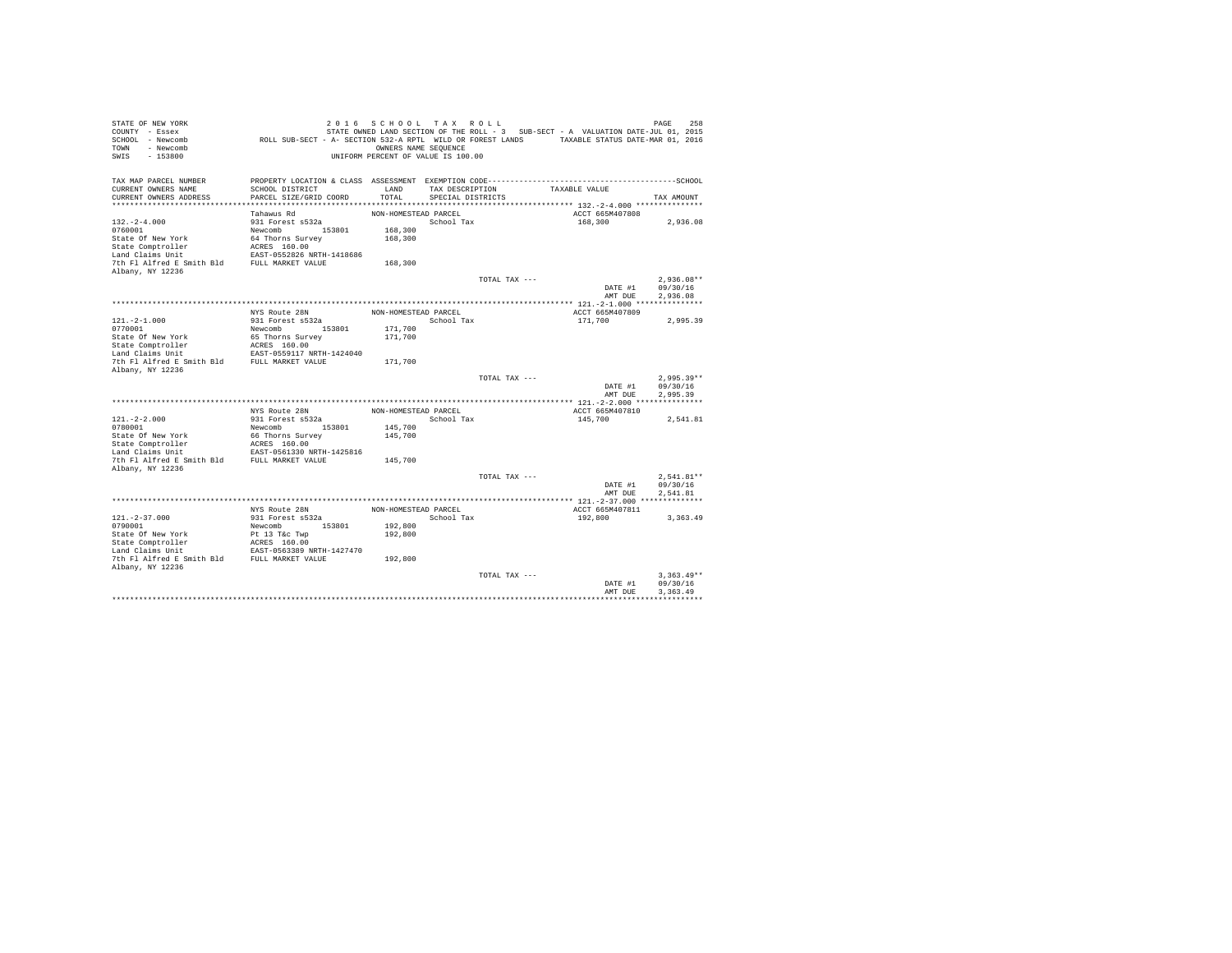| STATE OF NEW YORK<br>COUNTY - Essex<br>SCHOOL - Newcomb<br>- Newcomb<br>TOWN<br>$-153800$<br>SWIS | ROLL SUB-SECT - A- SECTION 532-A RPTL WILD OR FOREST LANDS TAXABLE STATUS DATE-MAR 01, 2016                     | 2016 SCHOOL TAX ROLL<br>OWNERS NAME SEQUENCE<br>UNIFORM PERCENT OF VALUE IS 100.00 |                   |               | STATE OWNED LAND SECTION OF THE ROLL - 3 SUB-SECT - A VALUATION DATE-JUL 01, 2015 | 258<br>PAGE          |
|---------------------------------------------------------------------------------------------------|-----------------------------------------------------------------------------------------------------------------|------------------------------------------------------------------------------------|-------------------|---------------|-----------------------------------------------------------------------------------|----------------------|
| TAX MAP PARCEL NUMBER<br>CURRENT OWNERS NAME                                                      | PROPERTY LOCATION & CLASS ASSESSMENT EXEMPTION CODE-----------------------------------SCHOOL<br>SCHOOL DISTRICT | LAND                                                                               | TAX DESCRIPTION   |               | TAXABLE VALUE                                                                     |                      |
| CURRENT OWNERS ADDRESS                                                                            | PARCEL SIZE/GRID COORD                                                                                          | TOTAL                                                                              | SPECIAL DISTRICTS |               |                                                                                   | TAX AMOUNT           |
|                                                                                                   |                                                                                                                 |                                                                                    |                   |               |                                                                                   |                      |
|                                                                                                   | Tahawus Rd                                                                                                      | NON-HOMESTEAD PARCEL                                                               |                   |               | ACCT 665M407808                                                                   |                      |
| $132. - 2 - 4.000$                                                                                | 931 Forest s532a                                                                                                |                                                                                    | School Tax        |               | 168,300                                                                           | 2,936.08             |
| 0760001                                                                                           | Newcomb 153801                                                                                                  | 168,300                                                                            |                   |               |                                                                                   |                      |
| State Of New York<br>State Comptroller                                                            | 64 Thorns Survey<br>ACRES 160.00                                                                                | 168,300                                                                            |                   |               |                                                                                   |                      |
| Land Claims Unit                                                                                  | EAST-0552826 NRTH-1418686                                                                                       |                                                                                    |                   |               |                                                                                   |                      |
| 7th Fl Alfred E Smith Bld                                                                         | FULL MARKET VALUE                                                                                               | 168,300                                                                            |                   |               |                                                                                   |                      |
| Albany, NY 12236                                                                                  |                                                                                                                 |                                                                                    |                   |               |                                                                                   |                      |
|                                                                                                   |                                                                                                                 |                                                                                    |                   | TOTAL TAX --- |                                                                                   | $2.936.08**$         |
|                                                                                                   |                                                                                                                 |                                                                                    |                   |               | DATE #1                                                                           | 09/30/16             |
|                                                                                                   |                                                                                                                 |                                                                                    |                   |               | AMT DUE                                                                           | 2.936.08             |
|                                                                                                   | NYS Route 28N                                                                                                   | NON-HOMESTEAD PARCEL                                                               |                   |               | ACCT 665M407809                                                                   |                      |
| $121. -2 - 1.000$                                                                                 | 931 Forest s532a                                                                                                |                                                                                    | School Tax        |               | 171,700                                                                           | 2.995.39             |
| 0770001                                                                                           | Newcomb<br>153801                                                                                               | 171,700                                                                            |                   |               |                                                                                   |                      |
| State Of New York                                                                                 | 65 Thorns Survey                                                                                                | 171,700                                                                            |                   |               |                                                                                   |                      |
| State Comptroller                                                                                 | ACRES 160.00                                                                                                    |                                                                                    |                   |               |                                                                                   |                      |
| Land Claims Unit                                                                                  | EAST-0559117 NRTH-1424040                                                                                       |                                                                                    |                   |               |                                                                                   |                      |
| 7th Fl Alfred E Smith Bld<br>Albany, NY 12236                                                     | FULL MARKET VALUE                                                                                               | 171,700                                                                            |                   |               |                                                                                   |                      |
|                                                                                                   |                                                                                                                 |                                                                                    |                   | TOTAL TAX --- |                                                                                   | $2.995.39**$         |
|                                                                                                   |                                                                                                                 |                                                                                    |                   |               | DATE #1                                                                           | 09/30/16             |
|                                                                                                   |                                                                                                                 |                                                                                    |                   |               | AMT DUE                                                                           | 2.995.39             |
|                                                                                                   |                                                                                                                 |                                                                                    |                   |               |                                                                                   |                      |
|                                                                                                   | NYS Route 28N                                                                                                   | NON-HOMESTEAD PARCEL                                                               |                   |               | ACCT 665M407810                                                                   |                      |
| $121. -2 - 2.000$                                                                                 | 931 Forest s532a                                                                                                |                                                                                    | School Tax        |               | 145,700                                                                           | 2,541.81             |
| 0780001<br>State Of New York                                                                      | Newcomb<br>153801<br>66 Thorns Survey                                                                           | 145,700<br>145,700                                                                 |                   |               |                                                                                   |                      |
| State Comptroller                                                                                 | ACRES 160.00                                                                                                    |                                                                                    |                   |               |                                                                                   |                      |
| Land Claims Unit                                                                                  | EAST-0561330 NRTH-1425816                                                                                       |                                                                                    |                   |               |                                                                                   |                      |
| 7th Fl Alfred E Smith Bld                                                                         | FULL MARKET VALUE                                                                                               | 145,700                                                                            |                   |               |                                                                                   |                      |
| Albany, NY 12236                                                                                  |                                                                                                                 |                                                                                    |                   |               |                                                                                   |                      |
|                                                                                                   |                                                                                                                 |                                                                                    |                   | TOTAL TAX --- |                                                                                   | $2.541.81**$         |
|                                                                                                   |                                                                                                                 |                                                                                    |                   |               | DATE #1<br>AMT DUE                                                                | 09/30/16<br>2.541.81 |
|                                                                                                   |                                                                                                                 |                                                                                    |                   |               |                                                                                   |                      |
|                                                                                                   | NYS Route 28N                                                                                                   | NON-HOMESTEAD PARCEL                                                               |                   |               | ACCT 665M407811                                                                   |                      |
| $121. - 2 - 37.000$                                                                               | 931 Forest s532a                                                                                                |                                                                                    | School Tax        |               | 192,800                                                                           | 3, 363, 49           |
| 0790001                                                                                           | 153801<br>Newcomb                                                                                               | 192,800                                                                            |                   |               |                                                                                   |                      |
| State Of New York                                                                                 | Pt 13 T&c Twp                                                                                                   | 192,800                                                                            |                   |               |                                                                                   |                      |
| State Comptroller                                                                                 | ACRES 160.00                                                                                                    |                                                                                    |                   |               |                                                                                   |                      |
| Land Claims Unit<br>7th Fl Alfred E Smith Bld FULL MARKET VALUE                                   | EAST-0563389 NRTH-1427470                                                                                       | 192,800                                                                            |                   |               |                                                                                   |                      |
| Albany, NY 12236                                                                                  |                                                                                                                 |                                                                                    |                   |               |                                                                                   |                      |
|                                                                                                   |                                                                                                                 |                                                                                    |                   | TOTAL TAX --- |                                                                                   | $3.363.49**$         |
|                                                                                                   |                                                                                                                 |                                                                                    |                   |               | DATE #1                                                                           | 09/30/16             |
|                                                                                                   |                                                                                                                 |                                                                                    |                   |               | AMT DUE                                                                           | 3.363.49             |
|                                                                                                   |                                                                                                                 |                                                                                    |                   |               |                                                                                   |                      |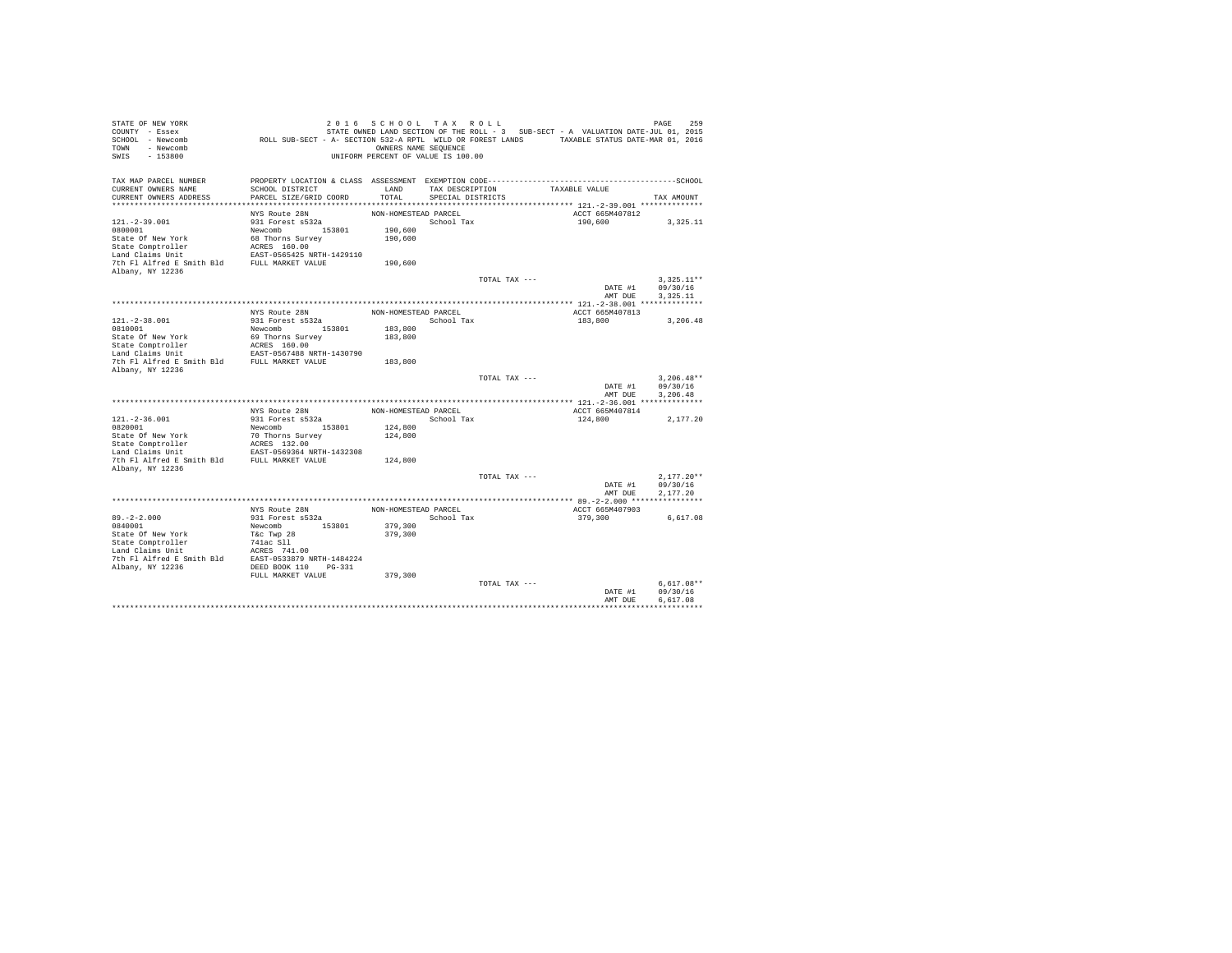| STATE OF NEW YORK                            |                                                                                             | 2016 SCHOOL TAX ROLL               |                                      |               |                                                                                   | 259<br>PAGE  |
|----------------------------------------------|---------------------------------------------------------------------------------------------|------------------------------------|--------------------------------------|---------------|-----------------------------------------------------------------------------------|--------------|
| COUNTY - Essex                               |                                                                                             |                                    |                                      |               | STATE OWNED LAND SECTION OF THE ROLL - 3 SUB-SECT - A VALUATION DATE-JUL 01, 2015 |              |
| SCHOOL - Newcomb                             | ROLL SUB-SECT - A- SECTION 532-A RPTL WILD OR FOREST LANDS TAXABLE STATUS DATE-MAR 01, 2016 |                                    |                                      |               |                                                                                   |              |
| TOWN - Newcomb                               |                                                                                             | OWNERS NAME SEQUENCE               |                                      |               |                                                                                   |              |
| SWIS<br>$-153800$                            |                                                                                             | UNIFORM PERCENT OF VALUE IS 100.00 |                                      |               |                                                                                   |              |
|                                              |                                                                                             |                                    |                                      |               |                                                                                   |              |
|                                              |                                                                                             |                                    |                                      |               |                                                                                   |              |
| TAX MAP PARCEL NUMBER<br>CURRENT OWNERS NAME | SCHOOL DISTRICT                                                                             | LAND                               |                                      |               | TAXABLE VALUE                                                                     |              |
| CURRENT OWNERS ADDRESS                       | PARCEL SIZE/GRID COORD                                                                      | TOTAL                              | TAX DESCRIPTION<br>SPECIAL DISTRICTS |               |                                                                                   | TAX AMOUNT   |
|                                              |                                                                                             |                                    |                                      |               |                                                                                   |              |
|                                              | NYS Route 28N                                                                               | NON-HOMESTEAD PARCEL               |                                      |               | ACCT 665M407812                                                                   |              |
| $121. -2 - 39.001$                           | 931 Forest s532a                                                                            |                                    | School Tax                           |               | 190,600                                                                           | 3.325.11     |
| 0800001                                      | Newcomb 153801                                                                              | 190,600                            |                                      |               |                                                                                   |              |
| State Of New York                            | 68 Thorns Survey                                                                            | 190,600                            |                                      |               |                                                                                   |              |
| State Comptroller                            | ACRES 160.00                                                                                |                                    |                                      |               |                                                                                   |              |
| Land Claims Unit                             | EAST-0565425 NRTH-1429110                                                                   |                                    |                                      |               |                                                                                   |              |
| 7th Fl Alfred E Smith Bld FULL MARKET VALUE  |                                                                                             | 190,600                            |                                      |               |                                                                                   |              |
| Albany, NY 12236                             |                                                                                             |                                    |                                      |               |                                                                                   |              |
|                                              |                                                                                             |                                    |                                      | TOTAL TAX --- |                                                                                   | $3.325.11**$ |
|                                              |                                                                                             |                                    |                                      |               | DATE #1                                                                           | 09/30/16     |
|                                              |                                                                                             |                                    |                                      |               | AMT DUE                                                                           | 3.325.11     |
|                                              |                                                                                             |                                    |                                      |               |                                                                                   |              |
|                                              | NYS Route 28N                                                                               | NON-HOMESTEAD PARCEL               |                                      |               | ACCT 665M407813                                                                   |              |
| $121. -2 - 38.001$                           | 931 Forest s532a                                                                            |                                    | School Tax                           |               | 183,800                                                                           | 3,206.48     |
| 0810001                                      | Newcomb<br>153801                                                                           | 183,800                            |                                      |               |                                                                                   |              |
| State Of New York                            | 69 Thorns Survey                                                                            | 183,800                            |                                      |               |                                                                                   |              |
| State Comptroller                            | ACRES 160.00                                                                                |                                    |                                      |               |                                                                                   |              |
| Land Claims Unit                             | EAST-0567488 NRTH-1430790                                                                   |                                    |                                      |               |                                                                                   |              |
| 7th Fl Alfred E Smith Bld                    | FULL MARKET VALUE                                                                           | 183,800                            |                                      |               |                                                                                   |              |
| Albany, NY 12236                             |                                                                                             |                                    |                                      |               |                                                                                   |              |
|                                              |                                                                                             |                                    |                                      | TOTAL TAX --- |                                                                                   | $3.206.48**$ |
|                                              |                                                                                             |                                    |                                      |               | DATE #1                                                                           | 09/30/16     |
|                                              |                                                                                             |                                    |                                      |               | AMT DUE                                                                           | 3.206.48     |
|                                              |                                                                                             |                                    |                                      |               |                                                                                   |              |
|                                              | NYS Route 28N                                                                               | NON-HOMESTEAD PARCEL               |                                      |               | ACCT 665M407814                                                                   |              |
| $121. - 2 - 36.001$                          | 931 Forest s532a                                                                            |                                    | School Tax                           |               | 124,800                                                                           | 2.177.20     |
| 0820001                                      | Newcomb 153801                                                                              | 124,800                            |                                      |               |                                                                                   |              |
| State Of New York                            | 70 Thorns Survey                                                                            | 124,800                            |                                      |               |                                                                                   |              |
| State Comptroller                            | ACRES 132.00                                                                                |                                    |                                      |               |                                                                                   |              |
| Land Claims Unit                             | EAST-0569364 NRTH-1432308                                                                   |                                    |                                      |               |                                                                                   |              |
| 7th Fl Alfred E Smith Bld FULL MARKET VALUE  |                                                                                             | 124,800                            |                                      |               |                                                                                   |              |
| Albany, NY 12236                             |                                                                                             |                                    |                                      | TOTAL TAX --- |                                                                                   | $2,177.20**$ |
|                                              |                                                                                             |                                    |                                      |               | DATE #1                                                                           | 09/30/16     |
|                                              |                                                                                             |                                    |                                      |               | AMT DUE                                                                           | 2,177.20     |
|                                              |                                                                                             |                                    |                                      |               |                                                                                   |              |
|                                              | NYS Route 28N                                                                               | NON-HOMESTEAD PARCEL               |                                      |               | ACCT 665M407903                                                                   |              |
| $89. -2 - 2.000$                             | 931 Forest s532a                                                                            |                                    | School Tax                           |               | 379,300                                                                           | 6,617.08     |
| 0840001                                      | 153801<br>Newcomb                                                                           | 379,300                            |                                      |               |                                                                                   |              |
| State Of New York                            | T&c Twp 28                                                                                  | 379,300                            |                                      |               |                                                                                   |              |
| State Comptroller                            | 741ac Sll                                                                                   |                                    |                                      |               |                                                                                   |              |
| Land Claims Unit                             | ACRES 741.00                                                                                |                                    |                                      |               |                                                                                   |              |
| 7th Fl Alfred E Smith Bld                    | EAST-0533879 NRTH-1484224                                                                   |                                    |                                      |               |                                                                                   |              |
| Albany, NY 12236                             | DEED BOOK 110 PG-331                                                                        |                                    |                                      |               |                                                                                   |              |
|                                              | FULL MARKET VALUE                                                                           | 379,300                            |                                      |               |                                                                                   |              |
|                                              |                                                                                             |                                    |                                      | TOTAL TAX --- |                                                                                   | $6.617.08**$ |
|                                              |                                                                                             |                                    |                                      |               | DATE #1                                                                           | 09/30/16     |
|                                              |                                                                                             |                                    |                                      |               | AMT DUE                                                                           | 6.617.08     |
|                                              |                                                                                             |                                    |                                      |               |                                                                                   |              |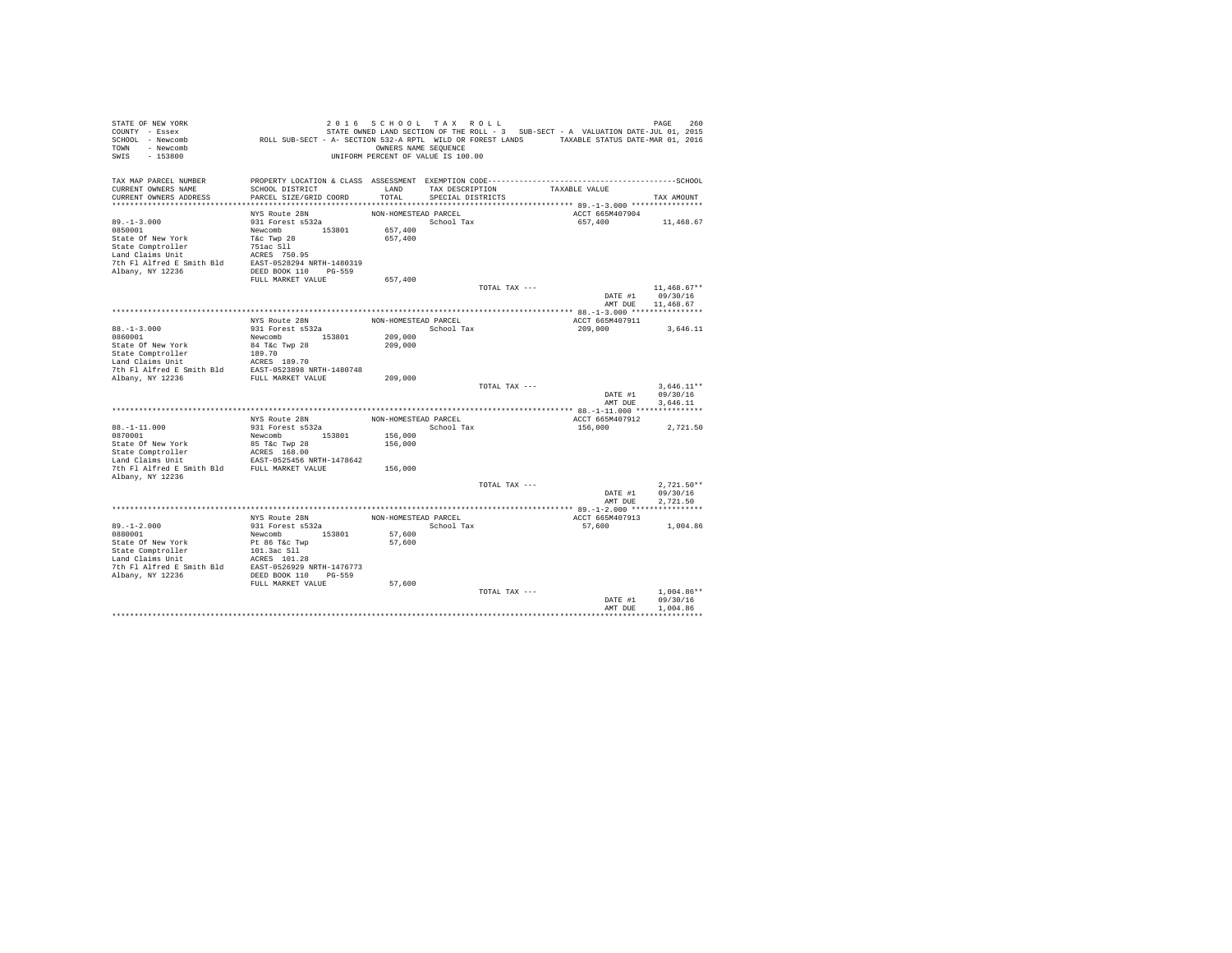| STATE OF NEW YORK<br>COUNTY - Essex<br>SCHOOL - Newcomb<br>- Newcomb<br>TOWN<br>$-153800$<br>SWIS | ROLL SUB-SECT - A- SECTION 532-A RPTL WILD OR FOREST LANDS TAXABLE STATUS DATE-MAR 01, 2016 | 2016 SCHOOL TAX ROLL<br>OWNERS NAME SEQUENCE<br>UNIFORM PERCENT OF VALUE IS 100.00 |                   |               | STATE OWNED LAND SECTION OF THE ROLL - 3 SUB-SECT - A VALUATION DATE-JUL 01, 2015 | PAGE                                   | 260 |
|---------------------------------------------------------------------------------------------------|---------------------------------------------------------------------------------------------|------------------------------------------------------------------------------------|-------------------|---------------|-----------------------------------------------------------------------------------|----------------------------------------|-----|
| TAX MAP PARCEL NUMBER                                                                             |                                                                                             |                                                                                    |                   |               |                                                                                   |                                        |     |
| CURRENT OWNERS NAME                                                                               | SCHOOL DISTRICT                                                                             | LAND                                                                               | TAX DESCRIPTION   |               | TAXABLE VALUE                                                                     |                                        |     |
| CURRENT OWNERS ADDRESS                                                                            | PARCEL SIZE/GRID COORD                                                                      | TOTAL                                                                              | SPECIAL DISTRICTS |               |                                                                                   | TAX AMOUNT                             |     |
|                                                                                                   | NYS Route 28N                                                                               | NON-HOMESTEAD PARCEL                                                               |                   |               | ACCT 665M407904                                                                   |                                        |     |
| $89. -1 - 3.000$                                                                                  | 931 Forest s532a                                                                            |                                                                                    | School Tax        |               | 657,400                                                                           | 11,468.67                              |     |
| 0850001                                                                                           | Newcomb 153801                                                                              | 657,400                                                                            |                   |               |                                                                                   |                                        |     |
| State Of New York                                                                                 | T&c Twp 28                                                                                  | 657,400                                                                            |                   |               |                                                                                   |                                        |     |
| State Comptroller                                                                                 | 751ac Sll                                                                                   |                                                                                    |                   |               |                                                                                   |                                        |     |
| Land Claims Unit                                                                                  | ACRES 750.95                                                                                |                                                                                    |                   |               |                                                                                   |                                        |     |
| 7th Fl Alfred E Smith Bld                                                                         | EAST-0528294 NRTH-1480319                                                                   |                                                                                    |                   |               |                                                                                   |                                        |     |
| Albany, NY 12236                                                                                  | DEED BOOK 110 PG-559                                                                        |                                                                                    |                   |               |                                                                                   |                                        |     |
|                                                                                                   | FULL MARKET VALUE                                                                           | 657,400                                                                            |                   | TOTAL TAX --- |                                                                                   |                                        |     |
|                                                                                                   |                                                                                             |                                                                                    |                   |               | DATE #1<br>AMT DUE                                                                | $11,468.67**$<br>09/30/16<br>11,468.67 |     |
|                                                                                                   |                                                                                             |                                                                                    |                   |               |                                                                                   |                                        |     |
|                                                                                                   | NYS Route 28N                                                                               | NON-HOMESTEAD PARCEL                                                               |                   |               | ACCT 665M407911                                                                   |                                        |     |
| $88. - 1 - 3.000$                                                                                 | 931 Forest s532a                                                                            |                                                                                    | School Tax        |               | 209,000                                                                           | 3,646.11                               |     |
| 0860001                                                                                           | Newcomb 153801                                                                              | 209,000                                                                            |                   |               |                                                                                   |                                        |     |
| State Of New York                                                                                 | 84 T&c Twp 28                                                                               | 209,000                                                                            |                   |               |                                                                                   |                                        |     |
| State Comptroller<br>Land Claims Unit                                                             | 189.70                                                                                      |                                                                                    |                   |               |                                                                                   |                                        |     |
|                                                                                                   | ACRES 189.70                                                                                |                                                                                    |                   |               |                                                                                   |                                        |     |
| The F1 Alfred E Smith Bld<br>The F1 Alfred E Smith Bld<br>FULL MARKET VALUE<br>FULL MARKET VALUE  |                                                                                             | 209,000                                                                            |                   |               |                                                                                   |                                        |     |
|                                                                                                   |                                                                                             |                                                                                    |                   | TOTAL TAX --- |                                                                                   | $3.646.11**$                           |     |
|                                                                                                   |                                                                                             |                                                                                    |                   |               | DATE #1                                                                           | 09/30/16                               |     |
|                                                                                                   |                                                                                             |                                                                                    |                   |               | AMT DUE                                                                           | 3,646.11                               |     |
|                                                                                                   |                                                                                             |                                                                                    |                   |               |                                                                                   |                                        |     |
|                                                                                                   | NYS Route 28N                                                                               | NON-HOMESTEAD PARCEL                                                               |                   |               | ACCT 665M407912                                                                   |                                        |     |
| $88. - 1 - 11.000$                                                                                | 931 Forest s532a                                                                            |                                                                                    | School Tax        |               | 156,000                                                                           | 2,721.50                               |     |
| 0870001<br>State Of New York                                                                      | Newcomb 153801<br>85 T&c Twp 28                                                             | 156,000<br>156,000                                                                 |                   |               |                                                                                   |                                        |     |
| State Comptroller                                                                                 | ACRES 168.00                                                                                |                                                                                    |                   |               |                                                                                   |                                        |     |
| Land Claims Unit                                                                                  | EAST-0525456 NRTH-1478642                                                                   |                                                                                    |                   |               |                                                                                   |                                        |     |
| 7th Fl Alfred E Smith Bld FULL MARKET VALUE<br>Albany, NY 12236                                   |                                                                                             | 156,000                                                                            |                   |               |                                                                                   |                                        |     |
|                                                                                                   |                                                                                             |                                                                                    |                   | TOTAL TAX --- |                                                                                   | $2.721.50**$                           |     |
|                                                                                                   |                                                                                             |                                                                                    |                   |               | DATE #1                                                                           | 09/30/16                               |     |
|                                                                                                   |                                                                                             |                                                                                    |                   |               | AMT DUE                                                                           | 2.721.50                               |     |
|                                                                                                   |                                                                                             |                                                                                    |                   |               |                                                                                   |                                        |     |
|                                                                                                   | NYS Route 28N                                                                               | NON-HOMESTEAD PARCEL                                                               |                   |               | ACCT 665M407913                                                                   |                                        |     |
| $89. - 1 - 2.000$                                                                                 | 931 Forest s532a                                                                            |                                                                                    | School Tax        |               | 57,600                                                                            | 1,004.86                               |     |
| 0880001<br>State Of New York                                                                      | Newcomb 153801<br>Pt 86 T&c Twp                                                             | 57,600<br>57,600                                                                   |                   |               |                                                                                   |                                        |     |
| State Comptroller                                                                                 | 101.3ac Sll                                                                                 |                                                                                    |                   |               |                                                                                   |                                        |     |
| Land Claims Unit                                                                                  | ACRES 101.28                                                                                |                                                                                    |                   |               |                                                                                   |                                        |     |
| 7th Fl Alfred E Smith Bld                                                                         | EAST-0526929 NRTH-1476773                                                                   |                                                                                    |                   |               |                                                                                   |                                        |     |
| Albany, NY 12236                                                                                  | DEED BOOK 110 PG-559                                                                        |                                                                                    |                   |               |                                                                                   |                                        |     |
|                                                                                                   | FULL MARKET VALUE                                                                           | 57,600                                                                             |                   |               |                                                                                   |                                        |     |
|                                                                                                   |                                                                                             |                                                                                    |                   | TOTAL TAX --- |                                                                                   | $1.004.86**$                           |     |
|                                                                                                   |                                                                                             |                                                                                    |                   |               | DATE #1                                                                           | 09/30/16                               |     |
|                                                                                                   |                                                                                             |                                                                                    |                   |               | AMT DUE                                                                           | 1,004.86                               |     |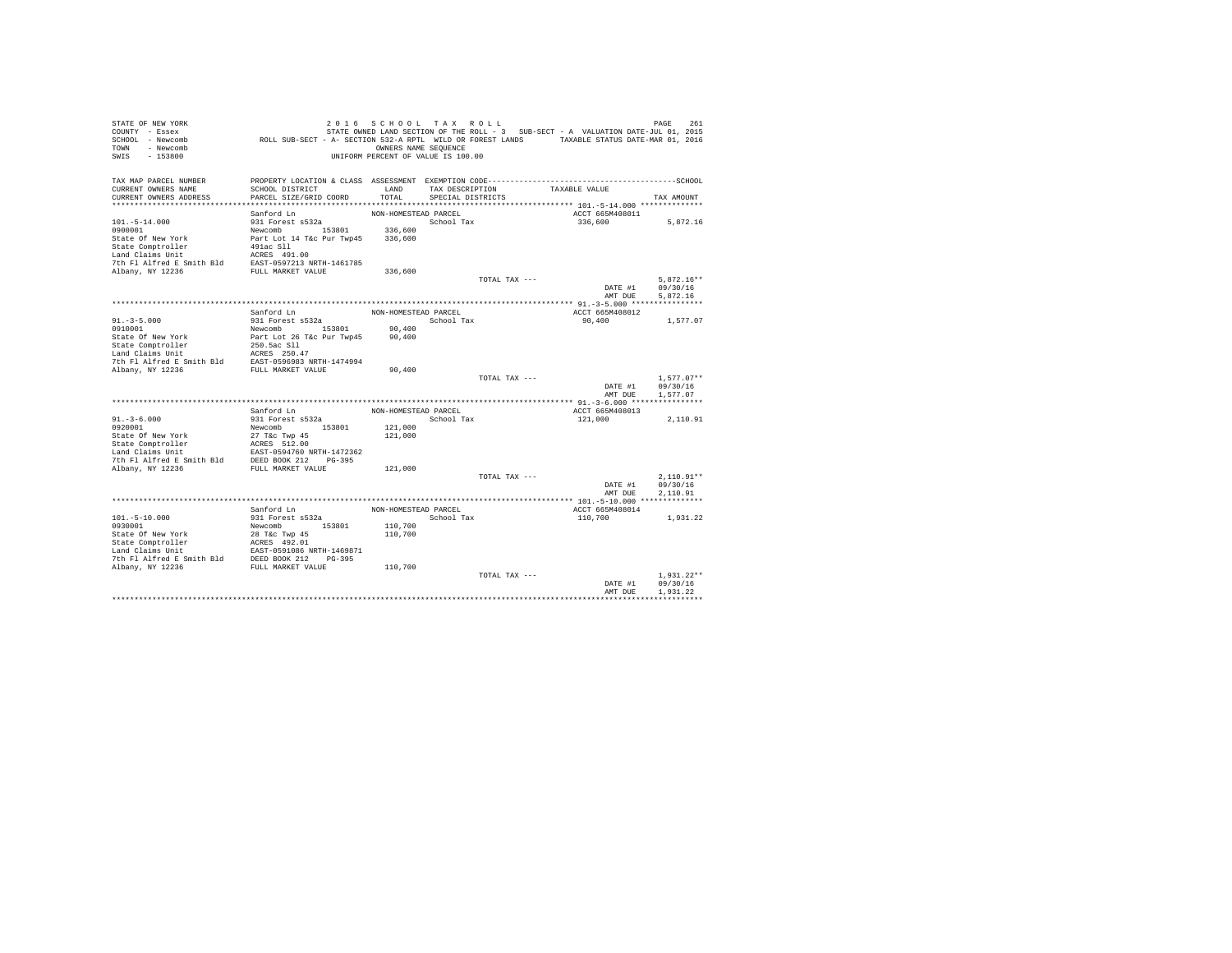| STATE OF NEW YORK<br>COUNTY - Essex<br>SCHOOL - Newcomb<br>TOWN - Newcomb<br>SWIS<br>$-153800$                                                                                                           | ROLL SUB-SECT - A- SECTION 532-A RPTL WILD OR FOREST LANDS TAXABLE STATUS DATE-MAR 01, 2016 | 2016 SCHOOL TAX ROLL<br>OWNERS NAME SEQUENCE<br>UNIFORM PERCENT OF VALUE IS 100.00 |                   |               | STATE OWNED LAND SECTION OF THE ROLL - 3 SUB-SECT - A VALUATION DATE-JUL 01, 2015 | 261<br>PAGE              |
|----------------------------------------------------------------------------------------------------------------------------------------------------------------------------------------------------------|---------------------------------------------------------------------------------------------|------------------------------------------------------------------------------------|-------------------|---------------|-----------------------------------------------------------------------------------|--------------------------|
| TAX MAP PARCEL NUMBER                                                                                                                                                                                    |                                                                                             |                                                                                    |                   |               |                                                                                   |                          |
| CURRENT OWNERS NAME                                                                                                                                                                                      | SCHOOL DISTRICT                                                                             | LAND                                                                               | TAX DESCRIPTION   |               | TAXABLE VALUE                                                                     |                          |
| CURRENT OWNERS ADDRESS                                                                                                                                                                                   | PARCEL SIZE/GRID COORD                                                                      | TOTAL                                                                              | SPECIAL DISTRICTS |               |                                                                                   | TAX AMOUNT               |
|                                                                                                                                                                                                          | Sanford Ln                                                                                  | NON-HOMESTEAD PARCEL                                                               |                   |               | ACCT 665M408011                                                                   |                          |
| $101. - 5 - 14.000$                                                                                                                                                                                      | 931 Forest s532a                                                                            |                                                                                    | School Tax        |               | 336,600                                                                           | 5,872.16                 |
| 0900001                                                                                                                                                                                                  | Newcomb 153801                                                                              | 336,600                                                                            |                   |               |                                                                                   |                          |
| State Of New York                                                                                                                                                                                        | Part Lot 14 T&c Pur Twp45                                                                   | 336,600                                                                            |                   |               |                                                                                   |                          |
| State Comptroller                                                                                                                                                                                        | 491ac Sll                                                                                   |                                                                                    |                   |               |                                                                                   |                          |
| Land Claims Unit                                                                                                                                                                                         | ACRES 491.00                                                                                |                                                                                    |                   |               |                                                                                   |                          |
| Land Claims ould be and the control of the Table 7th F1 Alfred E Smith Bld EAST-0597213 NRTH-1461785                                                                                                     |                                                                                             |                                                                                    |                   |               |                                                                                   |                          |
|                                                                                                                                                                                                          |                                                                                             | 336,600                                                                            |                   |               |                                                                                   |                          |
|                                                                                                                                                                                                          |                                                                                             |                                                                                    |                   | TOTAL TAX --- |                                                                                   | $5.872.16**$             |
|                                                                                                                                                                                                          |                                                                                             |                                                                                    |                   |               | DATE #1                                                                           | 09/30/16                 |
|                                                                                                                                                                                                          |                                                                                             |                                                                                    |                   |               | AMT DUE                                                                           | 5.872.16                 |
|                                                                                                                                                                                                          | Sanford Ln                                                                                  | NON-HOMESTEAD PARCEL                                                               |                   |               | ACCT 665M408012                                                                   |                          |
| $91. - 3 - 5.000$                                                                                                                                                                                        | 931 Forest s532a                                                                            |                                                                                    | School Tax        |               | 90,400                                                                            | 1,577.07                 |
| 0910001                                                                                                                                                                                                  | Newcomb 153801                                                                              | 90,400                                                                             |                   |               |                                                                                   |                          |
| State Of New York                                                                                                                                                                                        | Part Lot 26 T&c Pur Twp45                                                                   | 90,400                                                                             |                   |               |                                                                                   |                          |
| State Comptroller                                                                                                                                                                                        | 250.5ac Sll                                                                                 |                                                                                    |                   |               |                                                                                   |                          |
| Land Claims Unit                                                                                                                                                                                         | ACRES 250.47                                                                                |                                                                                    |                   |               |                                                                                   |                          |
| 7th Fl Alfred E Smith Bld                                                                                                                                                                                | EAST-0596983 NRTH-1474994                                                                   |                                                                                    |                   |               |                                                                                   |                          |
| Albany, NY 12236                                                                                                                                                                                         | FULL MARKET VALUE                                                                           | 90,400                                                                             |                   |               |                                                                                   |                          |
|                                                                                                                                                                                                          |                                                                                             |                                                                                    |                   | TOTAL TAX --- |                                                                                   | $1.577.07**$             |
|                                                                                                                                                                                                          |                                                                                             |                                                                                    |                   |               | DATE #1<br>AMT DUE                                                                | 09/30/16<br>1.577.07     |
|                                                                                                                                                                                                          |                                                                                             |                                                                                    |                   |               |                                                                                   |                          |
|                                                                                                                                                                                                          | Sanford Ln                                                                                  | NON-HOMESTEAD PARCEL                                                               |                   |               | ACCT 665M408013                                                                   |                          |
| $91. - 3 - 6.000$                                                                                                                                                                                        | 931 Forest s532a                                                                            |                                                                                    | School Tax        |               | 121,000                                                                           | 2,110.91                 |
| 0920001                                                                                                                                                                                                  | Newcomb 153801                                                                              | 121,000                                                                            |                   |               |                                                                                   |                          |
| State Of New York                                                                                                                                                                                        | 27 T&c Twp 45                                                                               | 121,000                                                                            |                   |               |                                                                                   |                          |
| State Comptroller                                                                                                                                                                                        | ACRES 512.00                                                                                |                                                                                    |                   |               |                                                                                   |                          |
| Land Claims Unit                                                                                                                                                                                         | EAST-0594760 NRTH-1472362                                                                   |                                                                                    |                   |               |                                                                                   |                          |
| 7th Fl Alfred E Smith Bld DEED BOOK 212 PG-395                                                                                                                                                           |                                                                                             |                                                                                    |                   |               |                                                                                   |                          |
| Albany, NY 12236                                                                                                                                                                                         | FULL MARKET VALUE                                                                           | 121,000                                                                            |                   |               |                                                                                   |                          |
|                                                                                                                                                                                                          |                                                                                             |                                                                                    |                   | TOTAL TAX --- | DATE #1                                                                           | $2.110.91**$<br>09/30/16 |
|                                                                                                                                                                                                          |                                                                                             |                                                                                    |                   |               | AMT DUE                                                                           | 2.110.91                 |
|                                                                                                                                                                                                          |                                                                                             |                                                                                    |                   |               |                                                                                   |                          |
|                                                                                                                                                                                                          | Sanford Ln                                                                                  | NON-HOMESTEAD PARCEL                                                               |                   |               | ACCT 665M408014                                                                   |                          |
| $101. - 5 - 10.000$                                                                                                                                                                                      | 931 Forest s532a                                                                            |                                                                                    | School Tax        |               | 110,700                                                                           | 1,931.22                 |
| 0930001                                                                                                                                                                                                  | Newcomb 153801                                                                              | 110,700                                                                            |                   |               |                                                                                   |                          |
| State Of New York                                                                                                                                                                                        | 28 T&c Twp 45                                                                               | 110,700                                                                            |                   |               |                                                                                   |                          |
|                                                                                                                                                                                                          |                                                                                             |                                                                                    |                   |               |                                                                                   |                          |
| State Comptroller and MCRES 492.01<br>Land Claims Unit 2AST-0591086 NRTH-1469871<br>The Fl Alfred E Smith Bld DEED BOOK 212 PG-395<br>7th Fl Alfred E Smith Bld DEED BOOK 212 PG-395<br>Albany, NY 12236 |                                                                                             |                                                                                    |                   |               |                                                                                   |                          |
|                                                                                                                                                                                                          |                                                                                             |                                                                                    |                   |               |                                                                                   |                          |
|                                                                                                                                                                                                          |                                                                                             | 110,700                                                                            |                   | TOTAL TAX --- |                                                                                   | $1.931.22**$             |
|                                                                                                                                                                                                          |                                                                                             |                                                                                    |                   |               | DATE #1                                                                           | 09/30/16                 |
|                                                                                                                                                                                                          |                                                                                             |                                                                                    |                   |               | AMT DUE                                                                           | 1.931.22                 |
|                                                                                                                                                                                                          |                                                                                             |                                                                                    |                   |               |                                                                                   |                          |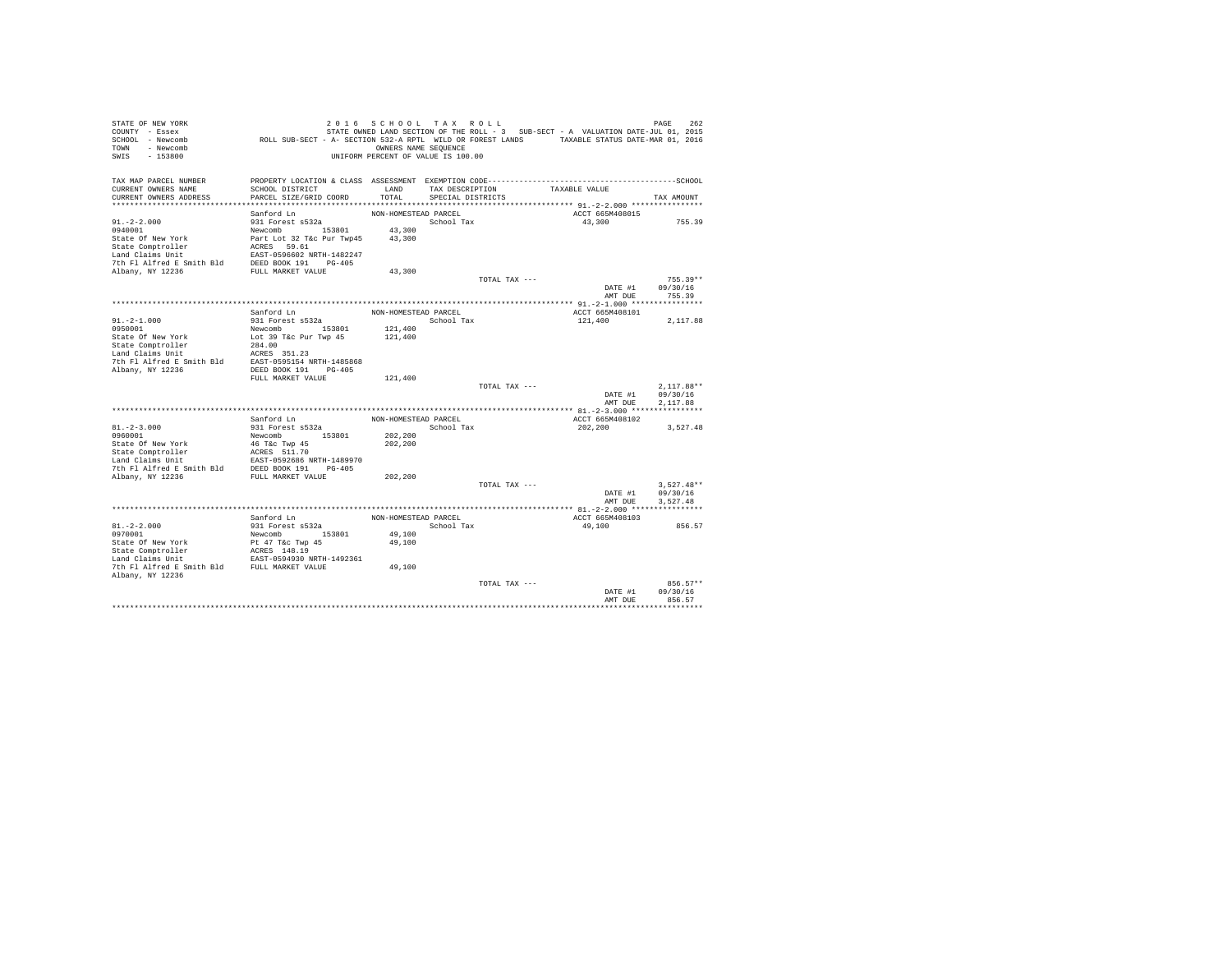| STATE OF NEW YORK                                                                                                                                                                                                                             |                                                                                             | 2016 SCHOOL TAX ROLL               |                   |               |                                                                                   | PAGE<br>262  |
|-----------------------------------------------------------------------------------------------------------------------------------------------------------------------------------------------------------------------------------------------|---------------------------------------------------------------------------------------------|------------------------------------|-------------------|---------------|-----------------------------------------------------------------------------------|--------------|
| COUNTY - Essex                                                                                                                                                                                                                                |                                                                                             |                                    |                   |               | STATE OWNED LAND SECTION OF THE ROLL - 3 SUB-SECT - A VALUATION DATE-JUL 01, 2015 |              |
| SCHOOL - Newcomb                                                                                                                                                                                                                              | ROLL SUB-SECT - A- SECTION 532-A RPTL WILD OR FOREST LANDS TAXABLE STATUS DATE-MAR 01, 2016 |                                    |                   |               |                                                                                   |              |
| TOWN - Newcomb                                                                                                                                                                                                                                |                                                                                             | OWNERS NAME SEQUENCE               |                   |               |                                                                                   |              |
| SWIS<br>$-153800$                                                                                                                                                                                                                             |                                                                                             | UNIFORM PERCENT OF VALUE IS 100.00 |                   |               |                                                                                   |              |
|                                                                                                                                                                                                                                               |                                                                                             |                                    |                   |               |                                                                                   |              |
| TAX MAP PARCEL NUMBER                                                                                                                                                                                                                         |                                                                                             |                                    |                   |               |                                                                                   |              |
| CURRENT OWNERS NAME                                                                                                                                                                                                                           | SCHOOL DISTRICT                                                                             | LAND                               | TAX DESCRIPTION   |               | TAXABLE VALUE                                                                     |              |
| CURRENT OWNERS ADDRESS                                                                                                                                                                                                                        | PARCEL SIZE/GRID COORD                                                                      | TOTAL                              | SPECIAL DISTRICTS |               |                                                                                   | TAX AMOUNT   |
|                                                                                                                                                                                                                                               |                                                                                             |                                    |                   |               |                                                                                   |              |
|                                                                                                                                                                                                                                               | Sanford Ln                                                                                  | NON-HOMESTEAD PARCEL               |                   |               | ACCT 665M408015                                                                   |              |
| $91. -2 - 2.000$                                                                                                                                                                                                                              | 931 Forest s532a                                                                            |                                    | School Tax        |               | 43,300                                                                            | 755.39       |
|                                                                                                                                                                                                                                               |                                                                                             |                                    |                   |               |                                                                                   |              |
|                                                                                                                                                                                                                                               |                                                                                             |                                    |                   |               |                                                                                   |              |
|                                                                                                                                                                                                                                               |                                                                                             |                                    |                   |               |                                                                                   |              |
|                                                                                                                                                                                                                                               |                                                                                             |                                    |                   |               |                                                                                   |              |
|                                                                                                                                                                                                                                               |                                                                                             |                                    |                   |               |                                                                                   |              |
|                                                                                                                                                                                                                                               |                                                                                             |                                    |                   |               |                                                                                   |              |
|                                                                                                                                                                                                                                               |                                                                                             |                                    |                   | TOTAL TAX --- |                                                                                   | $755.39**$   |
|                                                                                                                                                                                                                                               |                                                                                             |                                    |                   |               | DATE #1                                                                           | 09/30/16     |
|                                                                                                                                                                                                                                               |                                                                                             |                                    |                   |               | AMT DUE                                                                           | 755.39       |
|                                                                                                                                                                                                                                               |                                                                                             |                                    |                   |               |                                                                                   |              |
|                                                                                                                                                                                                                                               | Sanford Ln                                                                                  | NON-HOMESTEAD PARCEL               |                   |               | ACCT 665M408101                                                                   |              |
| $91. -2 - 1.000$                                                                                                                                                                                                                              | 931 Forest s532a                                                                            |                                    | School Tax        |               | 121,400                                                                           | 2,117.88     |
| 0950001                                                                                                                                                                                                                                       |                                                                                             | 121,400                            |                   |               |                                                                                   |              |
|                                                                                                                                                                                                                                               | Newcomb 153801<br>Lot 39 T&c Pur Twp 45<br>284.00                                           | 121,400                            |                   |               |                                                                                   |              |
| State Of New York<br>State Comptroller<br>Land Claims Unit                                                                                                                                                                                    |                                                                                             |                                    |                   |               |                                                                                   |              |
|                                                                                                                                                                                                                                               |                                                                                             |                                    |                   |               |                                                                                   |              |
|                                                                                                                                                                                                                                               |                                                                                             |                                    |                   |               |                                                                                   |              |
| Land Claims Unit MERES 351.23<br>7th F1 Alfred E Smith Bld BAST-0595154 NRTH-1485868<br>Albany, NY 12236 ADEED BOOK 191 PG-405                                                                                                                |                                                                                             |                                    |                   |               |                                                                                   |              |
|                                                                                                                                                                                                                                               | FULL MARKET VALUE                                                                           | 121,400                            |                   |               |                                                                                   |              |
|                                                                                                                                                                                                                                               |                                                                                             |                                    |                   | TOTAL TAX --- |                                                                                   | $2,117.88**$ |
|                                                                                                                                                                                                                                               |                                                                                             |                                    |                   |               | DATE #1                                                                           | 09/30/16     |
|                                                                                                                                                                                                                                               |                                                                                             |                                    |                   |               | AMT DUE                                                                           | 2.117.88     |
|                                                                                                                                                                                                                                               |                                                                                             |                                    |                   |               |                                                                                   |              |
|                                                                                                                                                                                                                                               | Sanford Ln                                                                                  | NON-HOMESTEAD PARCEL               |                   |               | ACCT 665M408102                                                                   |              |
| $81. - 2 - 3.000$                                                                                                                                                                                                                             | 931 Forest s532a                                                                            |                                    | School Tax        |               | 202,200                                                                           | 3,527.48     |
| 0960001                                                                                                                                                                                                                                       | Newcomb 153801                                                                              | 202,200                            |                   |               |                                                                                   |              |
|                                                                                                                                                                                                                                               |                                                                                             | 202,200                            |                   |               |                                                                                   |              |
|                                                                                                                                                                                                                                               |                                                                                             |                                    |                   |               |                                                                                   |              |
|                                                                                                                                                                                                                                               |                                                                                             |                                    |                   |               |                                                                                   |              |
|                                                                                                                                                                                                                                               |                                                                                             |                                    |                   |               |                                                                                   |              |
| State of New York<br>State Comptroller<br>State Comptroller<br>And Claims Unit<br>Land Claims Unit<br>The Platform RANGES S11.70<br>7th Platform Night (PSP) BON NDESD BON NDESD POTARY<br>The PLUL MARKET VALUE<br>NDESD BON NDESD BON NDESD |                                                                                             | 202,200                            |                   |               |                                                                                   |              |
|                                                                                                                                                                                                                                               |                                                                                             |                                    |                   | TOTAL TAX --- |                                                                                   | $3.527.48**$ |
|                                                                                                                                                                                                                                               |                                                                                             |                                    |                   |               | DATE #1                                                                           | 09/30/16     |
|                                                                                                                                                                                                                                               |                                                                                             |                                    |                   |               | AMT DUE                                                                           | 3,527.48     |
|                                                                                                                                                                                                                                               |                                                                                             |                                    |                   |               |                                                                                   |              |
|                                                                                                                                                                                                                                               | Sanford Ln                                                                                  | NON-HOMESTEAD PARCEL               |                   |               | ACCT 665M408103                                                                   |              |
| $81. - 2 - 2.000$                                                                                                                                                                                                                             | 931 Forest s532a                                                                            |                                    | School Tax        |               | 49,100                                                                            | 856.57       |
| 0970001                                                                                                                                                                                                                                       | Newcomb 153801                                                                              | 49,100                             |                   |               |                                                                                   |              |
| State Of New York                                                                                                                                                                                                                             |                                                                                             | 49,100                             |                   |               |                                                                                   |              |
| State Comptroller<br>Tand Claims Unit                                                                                                                                                                                                         | Pt 47 T&c Twp 45<br>ACRES 148.19<br>EAST-0594930 NRTH-1492361                               |                                    |                   |               |                                                                                   |              |
|                                                                                                                                                                                                                                               |                                                                                             |                                    |                   |               |                                                                                   |              |
| 7th Fl Alfred E Smith Bld FULL MARKET VALUE                                                                                                                                                                                                   |                                                                                             | 49,100                             |                   |               |                                                                                   |              |
| Albany, NY 12236                                                                                                                                                                                                                              |                                                                                             |                                    |                   |               |                                                                                   |              |
|                                                                                                                                                                                                                                               |                                                                                             |                                    |                   | TOTAL TAX --- |                                                                                   | 856.57**     |
|                                                                                                                                                                                                                                               |                                                                                             |                                    |                   |               | DATE #1                                                                           | 09/30/16     |
|                                                                                                                                                                                                                                               |                                                                                             |                                    |                   |               | AMT DUE                                                                           | 856.57       |
|                                                                                                                                                                                                                                               |                                                                                             |                                    |                   |               |                                                                                   |              |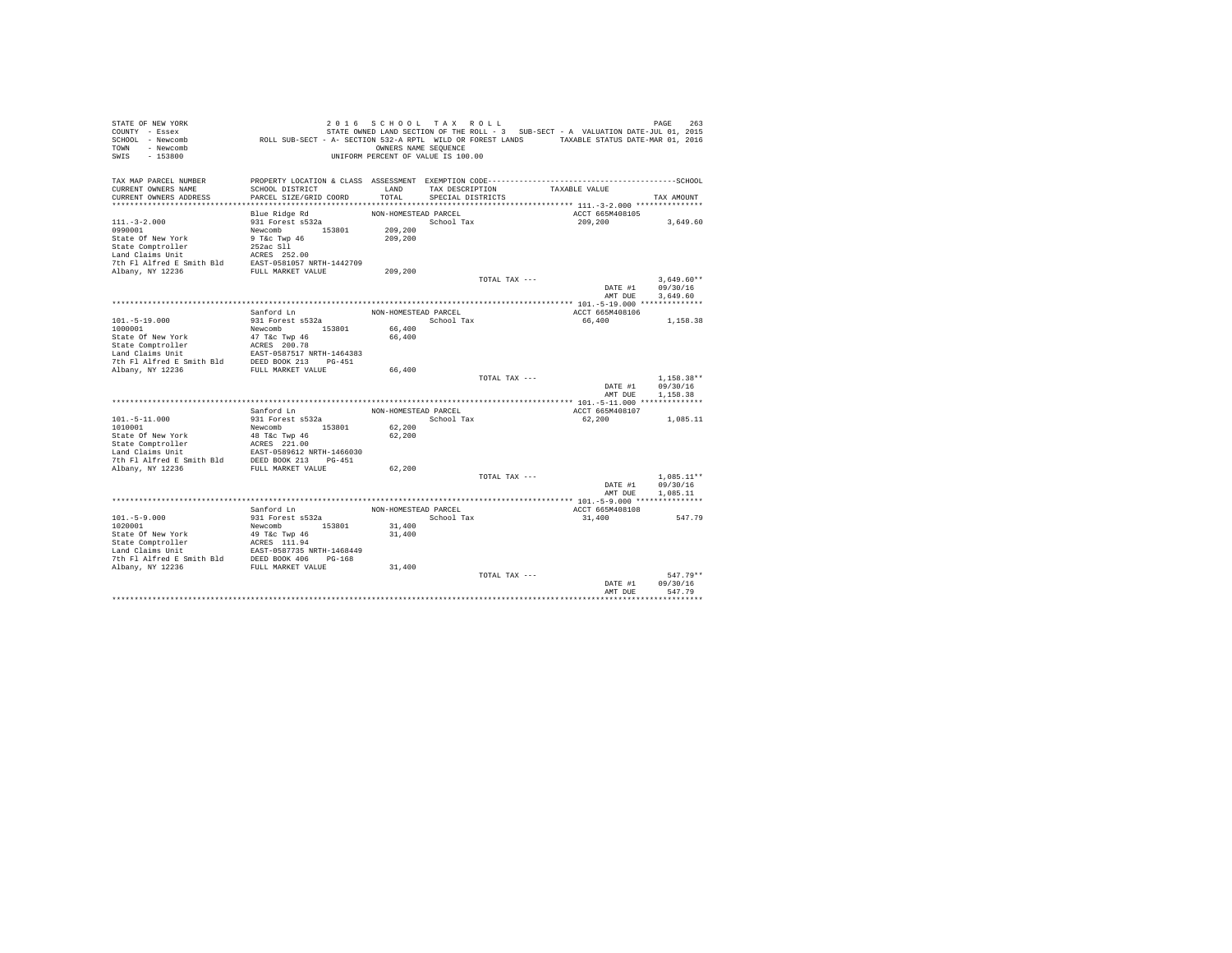| STATE OWNED LAND SECTION OF THE ROLL - 3 SUB-SECT - A VALUATION DATE-JUL 01, 2015<br>ROLL SUB-SECT - A- SECTION 532-A RPTL WILD OR FOREST LANDS TAXABLE STATUS DATE-MAR 01, 2016<br>SCHOOL - Newcomb<br>- Newcomb<br>OWNERS NAME SEQUENCE<br>TOWN<br>$-153800$<br>UNIFORM PERCENT OF VALUE IS 100.00<br>SWIS<br>TAX MAP PARCEL NUMBER<br>SCHOOL DISTRICT<br>LAND<br>TAXABLE VALUE<br>CURRENT OWNERS NAME<br>TAX DESCRIPTION<br>PARCEL SIZE/GRID COORD<br>TOTAL<br>CURRENT OWNERS ADDRESS<br>SPECIAL DISTRICTS<br>TAX AMOUNT<br>Blue Ridge Rd<br>NON-HOMESTEAD PARCEL<br>ACCT 665M408105<br>931 Forest s532a<br>School Tax<br>209,200<br>3,649.60<br>Newcomb 153801<br>0990001<br>209,200<br>State Of New York<br>9 T&c Twp 46<br>209,200<br>State Comptroller<br>252ac Sll<br>Land Claims Unit<br>The Unit Screen and Claims Unit<br>7th Fl Alfred E Smith Bld<br>EAST-0581057 NRTH-1442709<br>Albany, NY 12236 FULL MARKET VALUE<br>209,200<br>$3.649.60**$<br>TOTAL TAX ---<br>09/30/16<br>DATE #1<br>AMT DUE<br>3,649.60<br>Sanford Ln<br>NON-HOMESTEAD PARCEL<br>ACCT 665M408106<br>$101. - 5 - 19.000$<br>931 Forest s532a<br>School Tax<br>66,400<br>1,158.38<br>Newcomb 153801<br>66,400<br>1000001<br>State Of New York<br>47 T&c Twp 46<br>66,400<br>ACRES 200.78<br>State Comptroller<br>EAST-0587517 NRTH-1464383<br>DEED BOOK 213 PG-451<br>FULL MARKET VALUE<br>7th Fl Alfred E Smith Bld<br>66,400<br>$1.158.38**$<br>TOTAL TAX ---<br>DATE #1<br>09/30/16<br>1,158.38<br>AMT DUE<br>Sanford Ln<br>NON-HOMESTEAD PARCEL<br>ACCT 665M408107<br>$101. - 5 - 11.000$<br>931 Forest s532a<br>School Tax<br>62,200<br>1,085.11<br>1010001<br>Newcomb<br>153801<br>62,200<br>State Of New York<br>48 T&C Twp 46<br>62,200<br>State Comptroller<br>ACRES 221.00<br>EAST-0589612 NRTH-1466030<br>Land Claims Unit<br>7th Fl Alfred E Smith Bld DEED BOOK 213 PG-451<br>Albany, NY 12236<br>FULL MARKET VALUE<br>62,200<br>TOTAL TAX ---<br>$1.085.11**$<br>09/30/16<br>DATE #1<br>AMT DUE<br>1,085.11<br>Sanford Ln<br>NON-HOMESTEAD PARCEL<br>ACCT 665M408108<br>$101. - 5 - 9.000$<br>931 Forest s532a<br>School Tax<br>31,400<br>547.79<br>Newcomb 153801<br>31,400<br>1020001<br>State Of New York<br>49 T&c Twp 46<br>31,400<br>31,400<br>$547.79**$<br>TOTAL TAX ---<br>DATE #1<br>09/30/16<br>547.79<br>AMT DUE | STATE OF NEW YORK  | 2016 SCHOOL TAX ROLL |  | PAGE<br>263 |
|------------------------------------------------------------------------------------------------------------------------------------------------------------------------------------------------------------------------------------------------------------------------------------------------------------------------------------------------------------------------------------------------------------------------------------------------------------------------------------------------------------------------------------------------------------------------------------------------------------------------------------------------------------------------------------------------------------------------------------------------------------------------------------------------------------------------------------------------------------------------------------------------------------------------------------------------------------------------------------------------------------------------------------------------------------------------------------------------------------------------------------------------------------------------------------------------------------------------------------------------------------------------------------------------------------------------------------------------------------------------------------------------------------------------------------------------------------------------------------------------------------------------------------------------------------------------------------------------------------------------------------------------------------------------------------------------------------------------------------------------------------------------------------------------------------------------------------------------------------------------------------------------------------------------------------------------------------------------------------------------------------------------------------------------------------------------------------------------------------------------------------------------------------------------------------------------------------------------------------------------------------------------------------------------------------------------------|--------------------|----------------------|--|-------------|
|                                                                                                                                                                                                                                                                                                                                                                                                                                                                                                                                                                                                                                                                                                                                                                                                                                                                                                                                                                                                                                                                                                                                                                                                                                                                                                                                                                                                                                                                                                                                                                                                                                                                                                                                                                                                                                                                                                                                                                                                                                                                                                                                                                                                                                                                                                                              | COUNTY - Essex     |                      |  |             |
|                                                                                                                                                                                                                                                                                                                                                                                                                                                                                                                                                                                                                                                                                                                                                                                                                                                                                                                                                                                                                                                                                                                                                                                                                                                                                                                                                                                                                                                                                                                                                                                                                                                                                                                                                                                                                                                                                                                                                                                                                                                                                                                                                                                                                                                                                                                              |                    |                      |  |             |
|                                                                                                                                                                                                                                                                                                                                                                                                                                                                                                                                                                                                                                                                                                                                                                                                                                                                                                                                                                                                                                                                                                                                                                                                                                                                                                                                                                                                                                                                                                                                                                                                                                                                                                                                                                                                                                                                                                                                                                                                                                                                                                                                                                                                                                                                                                                              |                    |                      |  |             |
|                                                                                                                                                                                                                                                                                                                                                                                                                                                                                                                                                                                                                                                                                                                                                                                                                                                                                                                                                                                                                                                                                                                                                                                                                                                                                                                                                                                                                                                                                                                                                                                                                                                                                                                                                                                                                                                                                                                                                                                                                                                                                                                                                                                                                                                                                                                              |                    |                      |  |             |
|                                                                                                                                                                                                                                                                                                                                                                                                                                                                                                                                                                                                                                                                                                                                                                                                                                                                                                                                                                                                                                                                                                                                                                                                                                                                                                                                                                                                                                                                                                                                                                                                                                                                                                                                                                                                                                                                                                                                                                                                                                                                                                                                                                                                                                                                                                                              |                    |                      |  |             |
|                                                                                                                                                                                                                                                                                                                                                                                                                                                                                                                                                                                                                                                                                                                                                                                                                                                                                                                                                                                                                                                                                                                                                                                                                                                                                                                                                                                                                                                                                                                                                                                                                                                                                                                                                                                                                                                                                                                                                                                                                                                                                                                                                                                                                                                                                                                              |                    |                      |  |             |
|                                                                                                                                                                                                                                                                                                                                                                                                                                                                                                                                                                                                                                                                                                                                                                                                                                                                                                                                                                                                                                                                                                                                                                                                                                                                                                                                                                                                                                                                                                                                                                                                                                                                                                                                                                                                                                                                                                                                                                                                                                                                                                                                                                                                                                                                                                                              |                    |                      |  |             |
|                                                                                                                                                                                                                                                                                                                                                                                                                                                                                                                                                                                                                                                                                                                                                                                                                                                                                                                                                                                                                                                                                                                                                                                                                                                                                                                                                                                                                                                                                                                                                                                                                                                                                                                                                                                                                                                                                                                                                                                                                                                                                                                                                                                                                                                                                                                              |                    |                      |  |             |
|                                                                                                                                                                                                                                                                                                                                                                                                                                                                                                                                                                                                                                                                                                                                                                                                                                                                                                                                                                                                                                                                                                                                                                                                                                                                                                                                                                                                                                                                                                                                                                                                                                                                                                                                                                                                                                                                                                                                                                                                                                                                                                                                                                                                                                                                                                                              |                    |                      |  |             |
|                                                                                                                                                                                                                                                                                                                                                                                                                                                                                                                                                                                                                                                                                                                                                                                                                                                                                                                                                                                                                                                                                                                                                                                                                                                                                                                                                                                                                                                                                                                                                                                                                                                                                                                                                                                                                                                                                                                                                                                                                                                                                                                                                                                                                                                                                                                              | $111. - 3 - 2.000$ |                      |  |             |
|                                                                                                                                                                                                                                                                                                                                                                                                                                                                                                                                                                                                                                                                                                                                                                                                                                                                                                                                                                                                                                                                                                                                                                                                                                                                                                                                                                                                                                                                                                                                                                                                                                                                                                                                                                                                                                                                                                                                                                                                                                                                                                                                                                                                                                                                                                                              |                    |                      |  |             |
|                                                                                                                                                                                                                                                                                                                                                                                                                                                                                                                                                                                                                                                                                                                                                                                                                                                                                                                                                                                                                                                                                                                                                                                                                                                                                                                                                                                                                                                                                                                                                                                                                                                                                                                                                                                                                                                                                                                                                                                                                                                                                                                                                                                                                                                                                                                              |                    |                      |  |             |
|                                                                                                                                                                                                                                                                                                                                                                                                                                                                                                                                                                                                                                                                                                                                                                                                                                                                                                                                                                                                                                                                                                                                                                                                                                                                                                                                                                                                                                                                                                                                                                                                                                                                                                                                                                                                                                                                                                                                                                                                                                                                                                                                                                                                                                                                                                                              |                    |                      |  |             |
|                                                                                                                                                                                                                                                                                                                                                                                                                                                                                                                                                                                                                                                                                                                                                                                                                                                                                                                                                                                                                                                                                                                                                                                                                                                                                                                                                                                                                                                                                                                                                                                                                                                                                                                                                                                                                                                                                                                                                                                                                                                                                                                                                                                                                                                                                                                              |                    |                      |  |             |
|                                                                                                                                                                                                                                                                                                                                                                                                                                                                                                                                                                                                                                                                                                                                                                                                                                                                                                                                                                                                                                                                                                                                                                                                                                                                                                                                                                                                                                                                                                                                                                                                                                                                                                                                                                                                                                                                                                                                                                                                                                                                                                                                                                                                                                                                                                                              |                    |                      |  |             |
|                                                                                                                                                                                                                                                                                                                                                                                                                                                                                                                                                                                                                                                                                                                                                                                                                                                                                                                                                                                                                                                                                                                                                                                                                                                                                                                                                                                                                                                                                                                                                                                                                                                                                                                                                                                                                                                                                                                                                                                                                                                                                                                                                                                                                                                                                                                              |                    |                      |  |             |
|                                                                                                                                                                                                                                                                                                                                                                                                                                                                                                                                                                                                                                                                                                                                                                                                                                                                                                                                                                                                                                                                                                                                                                                                                                                                                                                                                                                                                                                                                                                                                                                                                                                                                                                                                                                                                                                                                                                                                                                                                                                                                                                                                                                                                                                                                                                              |                    |                      |  |             |
|                                                                                                                                                                                                                                                                                                                                                                                                                                                                                                                                                                                                                                                                                                                                                                                                                                                                                                                                                                                                                                                                                                                                                                                                                                                                                                                                                                                                                                                                                                                                                                                                                                                                                                                                                                                                                                                                                                                                                                                                                                                                                                                                                                                                                                                                                                                              |                    |                      |  |             |
|                                                                                                                                                                                                                                                                                                                                                                                                                                                                                                                                                                                                                                                                                                                                                                                                                                                                                                                                                                                                                                                                                                                                                                                                                                                                                                                                                                                                                                                                                                                                                                                                                                                                                                                                                                                                                                                                                                                                                                                                                                                                                                                                                                                                                                                                                                                              |                    |                      |  |             |
|                                                                                                                                                                                                                                                                                                                                                                                                                                                                                                                                                                                                                                                                                                                                                                                                                                                                                                                                                                                                                                                                                                                                                                                                                                                                                                                                                                                                                                                                                                                                                                                                                                                                                                                                                                                                                                                                                                                                                                                                                                                                                                                                                                                                                                                                                                                              |                    |                      |  |             |
|                                                                                                                                                                                                                                                                                                                                                                                                                                                                                                                                                                                                                                                                                                                                                                                                                                                                                                                                                                                                                                                                                                                                                                                                                                                                                                                                                                                                                                                                                                                                                                                                                                                                                                                                                                                                                                                                                                                                                                                                                                                                                                                                                                                                                                                                                                                              |                    |                      |  |             |
|                                                                                                                                                                                                                                                                                                                                                                                                                                                                                                                                                                                                                                                                                                                                                                                                                                                                                                                                                                                                                                                                                                                                                                                                                                                                                                                                                                                                                                                                                                                                                                                                                                                                                                                                                                                                                                                                                                                                                                                                                                                                                                                                                                                                                                                                                                                              |                    |                      |  |             |
|                                                                                                                                                                                                                                                                                                                                                                                                                                                                                                                                                                                                                                                                                                                                                                                                                                                                                                                                                                                                                                                                                                                                                                                                                                                                                                                                                                                                                                                                                                                                                                                                                                                                                                                                                                                                                                                                                                                                                                                                                                                                                                                                                                                                                                                                                                                              |                    |                      |  |             |
|                                                                                                                                                                                                                                                                                                                                                                                                                                                                                                                                                                                                                                                                                                                                                                                                                                                                                                                                                                                                                                                                                                                                                                                                                                                                                                                                                                                                                                                                                                                                                                                                                                                                                                                                                                                                                                                                                                                                                                                                                                                                                                                                                                                                                                                                                                                              |                    |                      |  |             |
|                                                                                                                                                                                                                                                                                                                                                                                                                                                                                                                                                                                                                                                                                                                                                                                                                                                                                                                                                                                                                                                                                                                                                                                                                                                                                                                                                                                                                                                                                                                                                                                                                                                                                                                                                                                                                                                                                                                                                                                                                                                                                                                                                                                                                                                                                                                              | Land Claims Unit   |                      |  |             |
|                                                                                                                                                                                                                                                                                                                                                                                                                                                                                                                                                                                                                                                                                                                                                                                                                                                                                                                                                                                                                                                                                                                                                                                                                                                                                                                                                                                                                                                                                                                                                                                                                                                                                                                                                                                                                                                                                                                                                                                                                                                                                                                                                                                                                                                                                                                              |                    |                      |  |             |
|                                                                                                                                                                                                                                                                                                                                                                                                                                                                                                                                                                                                                                                                                                                                                                                                                                                                                                                                                                                                                                                                                                                                                                                                                                                                                                                                                                                                                                                                                                                                                                                                                                                                                                                                                                                                                                                                                                                                                                                                                                                                                                                                                                                                                                                                                                                              | Albany, NY 12236   |                      |  |             |
|                                                                                                                                                                                                                                                                                                                                                                                                                                                                                                                                                                                                                                                                                                                                                                                                                                                                                                                                                                                                                                                                                                                                                                                                                                                                                                                                                                                                                                                                                                                                                                                                                                                                                                                                                                                                                                                                                                                                                                                                                                                                                                                                                                                                                                                                                                                              |                    |                      |  |             |
|                                                                                                                                                                                                                                                                                                                                                                                                                                                                                                                                                                                                                                                                                                                                                                                                                                                                                                                                                                                                                                                                                                                                                                                                                                                                                                                                                                                                                                                                                                                                                                                                                                                                                                                                                                                                                                                                                                                                                                                                                                                                                                                                                                                                                                                                                                                              |                    |                      |  |             |
|                                                                                                                                                                                                                                                                                                                                                                                                                                                                                                                                                                                                                                                                                                                                                                                                                                                                                                                                                                                                                                                                                                                                                                                                                                                                                                                                                                                                                                                                                                                                                                                                                                                                                                                                                                                                                                                                                                                                                                                                                                                                                                                                                                                                                                                                                                                              |                    |                      |  |             |
|                                                                                                                                                                                                                                                                                                                                                                                                                                                                                                                                                                                                                                                                                                                                                                                                                                                                                                                                                                                                                                                                                                                                                                                                                                                                                                                                                                                                                                                                                                                                                                                                                                                                                                                                                                                                                                                                                                                                                                                                                                                                                                                                                                                                                                                                                                                              |                    |                      |  |             |
|                                                                                                                                                                                                                                                                                                                                                                                                                                                                                                                                                                                                                                                                                                                                                                                                                                                                                                                                                                                                                                                                                                                                                                                                                                                                                                                                                                                                                                                                                                                                                                                                                                                                                                                                                                                                                                                                                                                                                                                                                                                                                                                                                                                                                                                                                                                              |                    |                      |  |             |
|                                                                                                                                                                                                                                                                                                                                                                                                                                                                                                                                                                                                                                                                                                                                                                                                                                                                                                                                                                                                                                                                                                                                                                                                                                                                                                                                                                                                                                                                                                                                                                                                                                                                                                                                                                                                                                                                                                                                                                                                                                                                                                                                                                                                                                                                                                                              |                    |                      |  |             |
|                                                                                                                                                                                                                                                                                                                                                                                                                                                                                                                                                                                                                                                                                                                                                                                                                                                                                                                                                                                                                                                                                                                                                                                                                                                                                                                                                                                                                                                                                                                                                                                                                                                                                                                                                                                                                                                                                                                                                                                                                                                                                                                                                                                                                                                                                                                              |                    |                      |  |             |
|                                                                                                                                                                                                                                                                                                                                                                                                                                                                                                                                                                                                                                                                                                                                                                                                                                                                                                                                                                                                                                                                                                                                                                                                                                                                                                                                                                                                                                                                                                                                                                                                                                                                                                                                                                                                                                                                                                                                                                                                                                                                                                                                                                                                                                                                                                                              |                    |                      |  |             |
|                                                                                                                                                                                                                                                                                                                                                                                                                                                                                                                                                                                                                                                                                                                                                                                                                                                                                                                                                                                                                                                                                                                                                                                                                                                                                                                                                                                                                                                                                                                                                                                                                                                                                                                                                                                                                                                                                                                                                                                                                                                                                                                                                                                                                                                                                                                              |                    |                      |  |             |
|                                                                                                                                                                                                                                                                                                                                                                                                                                                                                                                                                                                                                                                                                                                                                                                                                                                                                                                                                                                                                                                                                                                                                                                                                                                                                                                                                                                                                                                                                                                                                                                                                                                                                                                                                                                                                                                                                                                                                                                                                                                                                                                                                                                                                                                                                                                              |                    |                      |  |             |
|                                                                                                                                                                                                                                                                                                                                                                                                                                                                                                                                                                                                                                                                                                                                                                                                                                                                                                                                                                                                                                                                                                                                                                                                                                                                                                                                                                                                                                                                                                                                                                                                                                                                                                                                                                                                                                                                                                                                                                                                                                                                                                                                                                                                                                                                                                                              |                    |                      |  |             |
|                                                                                                                                                                                                                                                                                                                                                                                                                                                                                                                                                                                                                                                                                                                                                                                                                                                                                                                                                                                                                                                                                                                                                                                                                                                                                                                                                                                                                                                                                                                                                                                                                                                                                                                                                                                                                                                                                                                                                                                                                                                                                                                                                                                                                                                                                                                              |                    |                      |  |             |
|                                                                                                                                                                                                                                                                                                                                                                                                                                                                                                                                                                                                                                                                                                                                                                                                                                                                                                                                                                                                                                                                                                                                                                                                                                                                                                                                                                                                                                                                                                                                                                                                                                                                                                                                                                                                                                                                                                                                                                                                                                                                                                                                                                                                                                                                                                                              |                    |                      |  |             |
|                                                                                                                                                                                                                                                                                                                                                                                                                                                                                                                                                                                                                                                                                                                                                                                                                                                                                                                                                                                                                                                                                                                                                                                                                                                                                                                                                                                                                                                                                                                                                                                                                                                                                                                                                                                                                                                                                                                                                                                                                                                                                                                                                                                                                                                                                                                              |                    |                      |  |             |
|                                                                                                                                                                                                                                                                                                                                                                                                                                                                                                                                                                                                                                                                                                                                                                                                                                                                                                                                                                                                                                                                                                                                                                                                                                                                                                                                                                                                                                                                                                                                                                                                                                                                                                                                                                                                                                                                                                                                                                                                                                                                                                                                                                                                                                                                                                                              |                    |                      |  |             |
|                                                                                                                                                                                                                                                                                                                                                                                                                                                                                                                                                                                                                                                                                                                                                                                                                                                                                                                                                                                                                                                                                                                                                                                                                                                                                                                                                                                                                                                                                                                                                                                                                                                                                                                                                                                                                                                                                                                                                                                                                                                                                                                                                                                                                                                                                                                              |                    |                      |  |             |
|                                                                                                                                                                                                                                                                                                                                                                                                                                                                                                                                                                                                                                                                                                                                                                                                                                                                                                                                                                                                                                                                                                                                                                                                                                                                                                                                                                                                                                                                                                                                                                                                                                                                                                                                                                                                                                                                                                                                                                                                                                                                                                                                                                                                                                                                                                                              |                    |                      |  |             |
|                                                                                                                                                                                                                                                                                                                                                                                                                                                                                                                                                                                                                                                                                                                                                                                                                                                                                                                                                                                                                                                                                                                                                                                                                                                                                                                                                                                                                                                                                                                                                                                                                                                                                                                                                                                                                                                                                                                                                                                                                                                                                                                                                                                                                                                                                                                              |                    |                      |  |             |
|                                                                                                                                                                                                                                                                                                                                                                                                                                                                                                                                                                                                                                                                                                                                                                                                                                                                                                                                                                                                                                                                                                                                                                                                                                                                                                                                                                                                                                                                                                                                                                                                                                                                                                                                                                                                                                                                                                                                                                                                                                                                                                                                                                                                                                                                                                                              |                    |                      |  |             |
|                                                                                                                                                                                                                                                                                                                                                                                                                                                                                                                                                                                                                                                                                                                                                                                                                                                                                                                                                                                                                                                                                                                                                                                                                                                                                                                                                                                                                                                                                                                                                                                                                                                                                                                                                                                                                                                                                                                                                                                                                                                                                                                                                                                                                                                                                                                              |                    |                      |  |             |
|                                                                                                                                                                                                                                                                                                                                                                                                                                                                                                                                                                                                                                                                                                                                                                                                                                                                                                                                                                                                                                                                                                                                                                                                                                                                                                                                                                                                                                                                                                                                                                                                                                                                                                                                                                                                                                                                                                                                                                                                                                                                                                                                                                                                                                                                                                                              |                    |                      |  |             |
|                                                                                                                                                                                                                                                                                                                                                                                                                                                                                                                                                                                                                                                                                                                                                                                                                                                                                                                                                                                                                                                                                                                                                                                                                                                                                                                                                                                                                                                                                                                                                                                                                                                                                                                                                                                                                                                                                                                                                                                                                                                                                                                                                                                                                                                                                                                              |                    |                      |  |             |
|                                                                                                                                                                                                                                                                                                                                                                                                                                                                                                                                                                                                                                                                                                                                                                                                                                                                                                                                                                                                                                                                                                                                                                                                                                                                                                                                                                                                                                                                                                                                                                                                                                                                                                                                                                                                                                                                                                                                                                                                                                                                                                                                                                                                                                                                                                                              |                    |                      |  |             |
|                                                                                                                                                                                                                                                                                                                                                                                                                                                                                                                                                                                                                                                                                                                                                                                                                                                                                                                                                                                                                                                                                                                                                                                                                                                                                                                                                                                                                                                                                                                                                                                                                                                                                                                                                                                                                                                                                                                                                                                                                                                                                                                                                                                                                                                                                                                              |                    |                      |  |             |
|                                                                                                                                                                                                                                                                                                                                                                                                                                                                                                                                                                                                                                                                                                                                                                                                                                                                                                                                                                                                                                                                                                                                                                                                                                                                                                                                                                                                                                                                                                                                                                                                                                                                                                                                                                                                                                                                                                                                                                                                                                                                                                                                                                                                                                                                                                                              |                    |                      |  |             |
|                                                                                                                                                                                                                                                                                                                                                                                                                                                                                                                                                                                                                                                                                                                                                                                                                                                                                                                                                                                                                                                                                                                                                                                                                                                                                                                                                                                                                                                                                                                                                                                                                                                                                                                                                                                                                                                                                                                                                                                                                                                                                                                                                                                                                                                                                                                              |                    |                      |  |             |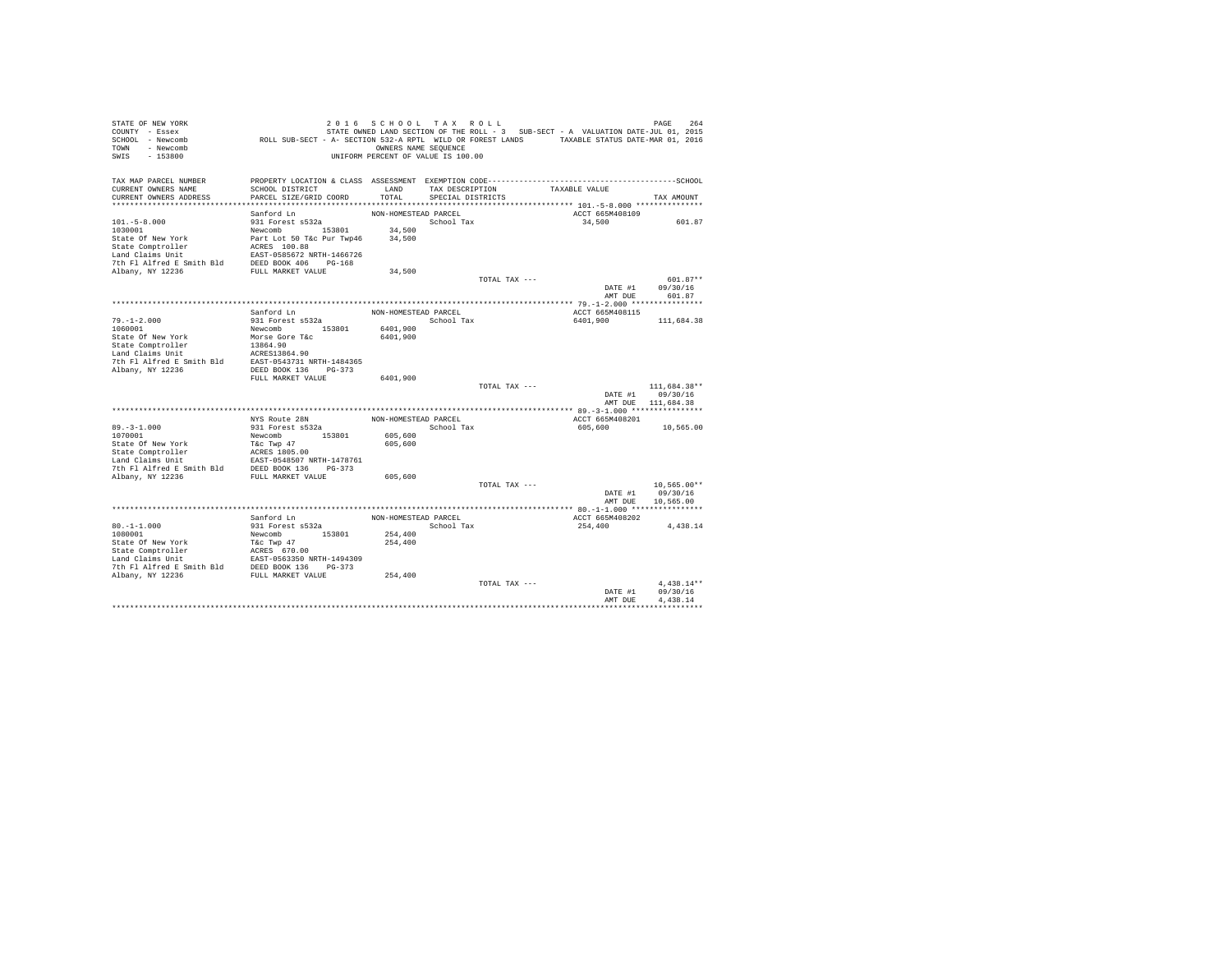| STATE OF NEW YORK<br>COUNTY - Essex<br>SCHOOL - Newcomb<br>- Newcomb<br>TOWN<br>SWIS<br>$-153800$ | ROLL SUB-SECT - A- SECTION 532-A RPTL WILD OR FOREST LANDS TAXABLE STATUS DATE-MAR 01, 2016 | 2016 SCHOOL TAX ROLL<br>OWNERS NAME SEQUENCE<br>UNIFORM PERCENT OF VALUE IS 100.00 |                   |               | STATE OWNED LAND SECTION OF THE ROLL - 3 SUB-SECT - A VALUATION DATE-JUL 01, 2015 | PAGE<br>264              |
|---------------------------------------------------------------------------------------------------|---------------------------------------------------------------------------------------------|------------------------------------------------------------------------------------|-------------------|---------------|-----------------------------------------------------------------------------------|--------------------------|
| TAX MAP PARCEL NUMBER                                                                             |                                                                                             |                                                                                    |                   |               |                                                                                   |                          |
| CURRENT OWNERS NAME                                                                               | SCHOOL DISTRICT                                                                             | LAND                                                                               | TAX DESCRIPTION   |               | TAXABLE VALUE                                                                     |                          |
| CURRENT OWNERS ADDRESS                                                                            | PARCEL SIZE/GRID COORD                                                                      | TOTAL                                                                              | SPECIAL DISTRICTS |               |                                                                                   | TAX AMOUNT               |
|                                                                                                   | Sanford Ln                                                                                  | NON-HOMESTEAD PARCEL                                                               |                   |               | ACCT 665M408109                                                                   |                          |
| $101. - 5 - 8.000$                                                                                | 931 Forest s532a                                                                            |                                                                                    | School Tax        |               | 34,500                                                                            | 601.87                   |
| 1030001                                                                                           | Newcomb 153801                                                                              | 34,500                                                                             |                   |               |                                                                                   |                          |
| State Of New York                                                                                 | Part Lot 50 T&c Pur Twp46                                                                   | 34,500                                                                             |                   |               |                                                                                   |                          |
| State Comptroller                                                                                 | ACRES 100.88                                                                                |                                                                                    |                   |               |                                                                                   |                          |
| Land Claims Unit                                                                                  | EAST-0585672 NRTH-1466726                                                                   |                                                                                    |                   |               |                                                                                   |                          |
| 7th Fl Alfred E Smith Bld                                                                         | DEED BOOK 406 PG-168                                                                        |                                                                                    |                   |               |                                                                                   |                          |
| Albany, NY 12236                                                                                  | FULL MARKET VALUE                                                                           | 34,500                                                                             |                   | TOTAL TAX --- |                                                                                   | 601.87**                 |
|                                                                                                   |                                                                                             |                                                                                    |                   |               | DATE #1                                                                           | 09/30/16                 |
|                                                                                                   |                                                                                             |                                                                                    |                   |               | AMT DUE                                                                           | 601.87                   |
|                                                                                                   |                                                                                             |                                                                                    |                   |               |                                                                                   |                          |
|                                                                                                   | Sanford Ln                                                                                  | NON-HOMESTEAD PARCEL                                                               |                   |               | ACCT 665M408115                                                                   |                          |
| $79. - 1 - 2.000$                                                                                 | 931 Forest s532a                                                                            |                                                                                    | School Tax        |               | 6401,900                                                                          | 111,684.38               |
| 1060001<br>State Of New York                                                                      | Newcomb 153801<br>Morse Gore T&c                                                            | 6401,900<br>6401,900                                                               |                   |               |                                                                                   |                          |
| State Comptroller                                                                                 | 13864.90                                                                                    |                                                                                    |                   |               |                                                                                   |                          |
| Land Claims Unit                                                                                  | ACRES13864.90                                                                               |                                                                                    |                   |               |                                                                                   |                          |
| 7th Fl Alfred E Smith Bld                                                                         | EAST-0543731 NRTH-1484365                                                                   |                                                                                    |                   |               |                                                                                   |                          |
| Albany, NY 12236                                                                                  | DEED BOOK 136 PG-373                                                                        |                                                                                    |                   |               |                                                                                   |                          |
|                                                                                                   | FULL MARKET VALUE                                                                           | 6401,900                                                                           |                   |               |                                                                                   |                          |
|                                                                                                   |                                                                                             |                                                                                    |                   | TOTAL TAX --- | DATE #1                                                                           | 111,684.38**<br>09/30/16 |
|                                                                                                   |                                                                                             |                                                                                    |                   |               |                                                                                   | AMT DUE 111,684.38       |
|                                                                                                   |                                                                                             |                                                                                    |                   |               |                                                                                   |                          |
|                                                                                                   | NYS Route 28N                                                                               | NON-HOMESTEAD PARCEL                                                               |                   |               | ACCT 665M408201                                                                   |                          |
| $89. - 3 - 1.000$                                                                                 | 931 Forest s532a                                                                            |                                                                                    | School Tax        |               | 605,600                                                                           | 10,565.00                |
| 1070001                                                                                           | Newcomb<br>153801                                                                           | 605,600                                                                            |                   |               |                                                                                   |                          |
| State Of New York                                                                                 | T&c Twp 47                                                                                  | 605,600                                                                            |                   |               |                                                                                   |                          |
| State Comptroller<br>Land Claims Unit                                                             | ACRES 1805.00<br>EAST-0548507 NRTH-1478761                                                  |                                                                                    |                   |               |                                                                                   |                          |
| 7th Fl Alfred E Smith Bld DEED BOOK 136 PG-373                                                    |                                                                                             |                                                                                    |                   |               |                                                                                   |                          |
| Albany, NY 12236                                                                                  | FULL MARKET VALUE                                                                           | 605,600                                                                            |                   |               |                                                                                   |                          |
|                                                                                                   |                                                                                             |                                                                                    |                   | TOTAL TAX --- |                                                                                   | $10,565.00**$            |
|                                                                                                   |                                                                                             |                                                                                    |                   |               | DATE #1                                                                           | 09/30/16                 |
|                                                                                                   |                                                                                             |                                                                                    |                   |               | AMT DUE                                                                           | 10,565.00                |
|                                                                                                   | Sanford Ln                                                                                  | NON-HOMESTEAD PARCEL                                                               |                   |               | ACCT 665M408202                                                                   |                          |
| $80. -1 - 1.000$                                                                                  | 931 Forest s532a                                                                            |                                                                                    | School Tax        |               | 254,400                                                                           | 4,438.14                 |
| 1080001                                                                                           | 153801<br>Newcomb                                                                           | 254,400                                                                            |                   |               |                                                                                   |                          |
| State Of New York                                                                                 | T&c Twp 47                                                                                  | 254,400                                                                            |                   |               |                                                                                   |                          |
| State Comptroller                                                                                 | ACRES 670.00                                                                                |                                                                                    |                   |               |                                                                                   |                          |
| Land Claims Unit                                                                                  | EAST-0563350 NRTH-1494309                                                                   |                                                                                    |                   |               |                                                                                   |                          |
| 7th Fl Alfred E Smith Bld DEED BOOK 136 PG-373<br>Albany, NY 12236                                | FULL MARKET VALUE                                                                           | 254,400                                                                            |                   |               |                                                                                   |                          |
|                                                                                                   |                                                                                             |                                                                                    |                   | TOTAL TAX --- |                                                                                   | $4.438.14**$             |
|                                                                                                   |                                                                                             |                                                                                    |                   |               | DATE #1                                                                           | 09/30/16                 |
|                                                                                                   |                                                                                             |                                                                                    |                   |               | AMT DUE                                                                           | 4.438.14                 |
|                                                                                                   |                                                                                             |                                                                                    |                   |               |                                                                                   |                          |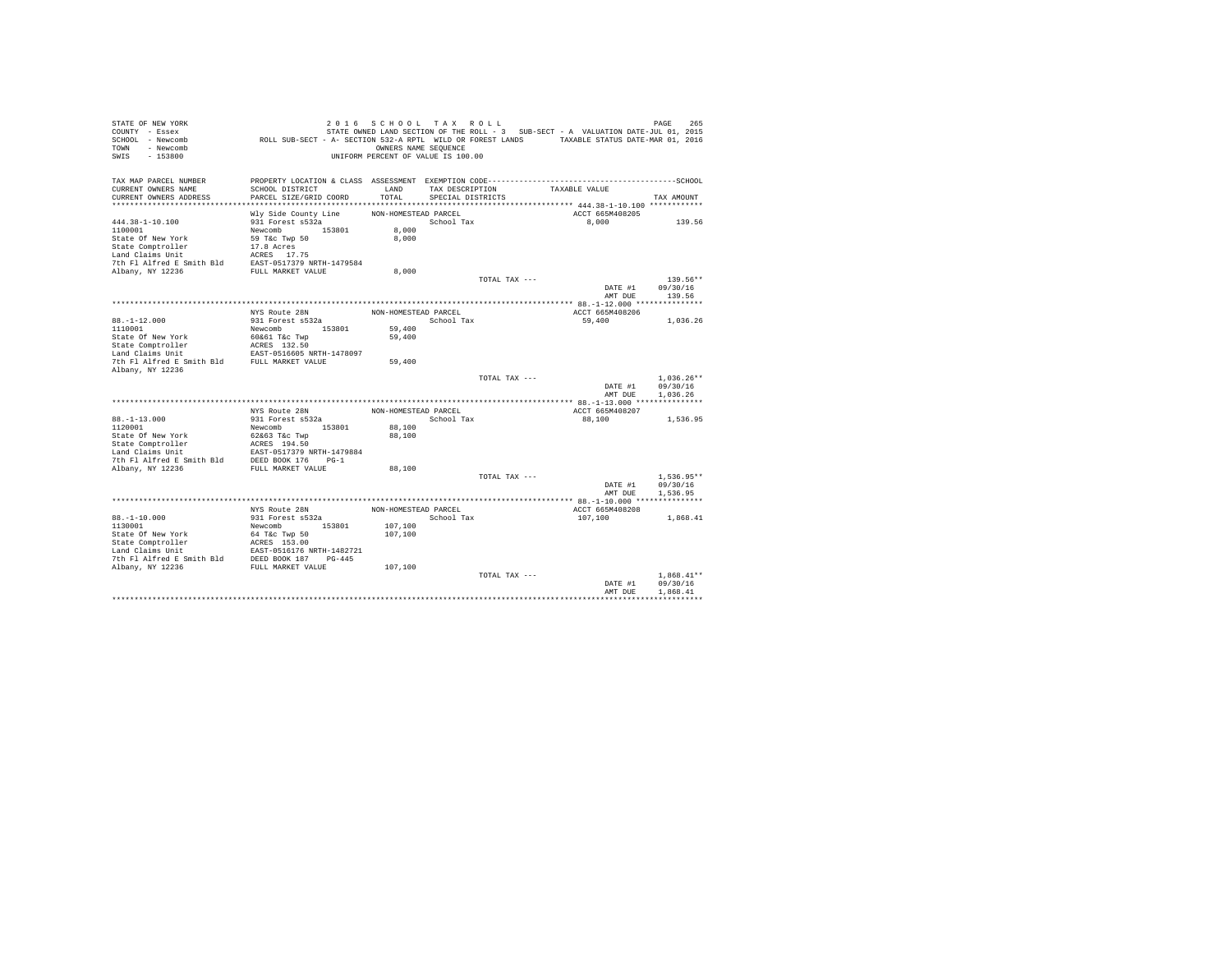| STATE OF NEW YORK<br>COUNTY - Essex                                                                                                                                     |                                                                                             | 2016 SCHOOL TAX ROLL               |                   |               | STATE OWNED LAND SECTION OF THE ROLL - 3 SUB-SECT - A VALUATION DATE-JUL 01, 2015 | PAGE<br>265  |
|-------------------------------------------------------------------------------------------------------------------------------------------------------------------------|---------------------------------------------------------------------------------------------|------------------------------------|-------------------|---------------|-----------------------------------------------------------------------------------|--------------|
| SCHOOL - Newcomb                                                                                                                                                        | ROLL SUB-SECT - A- SECTION 532-A RPTL WILD OR FOREST LANDS TAXABLE STATUS DATE-MAR 01, 2016 |                                    |                   |               |                                                                                   |              |
| TOWN - Newcomb<br>SWIS<br>$-153800$                                                                                                                                     |                                                                                             | OWNERS NAME SEQUENCE               |                   |               |                                                                                   |              |
|                                                                                                                                                                         |                                                                                             | UNIFORM PERCENT OF VALUE IS 100.00 |                   |               |                                                                                   |              |
| TAX MAP PARCEL NUMBER                                                                                                                                                   |                                                                                             |                                    |                   |               |                                                                                   |              |
| CURRENT OWNERS NAME                                                                                                                                                     | SCHOOL DISTRICT                                                                             | LAND                               | TAX DESCRIPTION   |               | TAXABLE VALUE                                                                     |              |
| CURRENT OWNERS ADDRESS                                                                                                                                                  | PARCEL SIZE/GRID COORD                                                                      | TOTAL                              | SPECIAL DISTRICTS |               |                                                                                   | TAX AMOUNT   |
|                                                                                                                                                                         |                                                                                             |                                    |                   |               |                                                                                   |              |
|                                                                                                                                                                         | Wly Side County Line                                                                        | NON-HOMESTEAD PARCEL               |                   |               | ACCT 665M408205                                                                   |              |
| $444.38 - 1 - 10.100$                                                                                                                                                   | 931 Forest s532a                                                                            |                                    | School Tax        |               | 8,000                                                                             | 139.56       |
| 1100001                                                                                                                                                                 | Newcomb 153801                                                                              | 8,000                              |                   |               |                                                                                   |              |
| State Of New York<br>State Comptroller                                                                                                                                  | 59 T&c Twp 50<br>17.8 Acres                                                                 | 8,000                              |                   |               |                                                                                   |              |
| Land Claims Unit                                                                                                                                                        | ACRES 17.75                                                                                 |                                    |                   |               |                                                                                   |              |
| 7th Fl Alfred E Smith Bld                                                                                                                                               | EAST-0517379 NRTH-1479584                                                                   |                                    |                   |               |                                                                                   |              |
| Albany, NY 12236                                                                                                                                                        | FULL MARKET VALUE                                                                           | 8,000                              |                   |               |                                                                                   |              |
|                                                                                                                                                                         |                                                                                             |                                    |                   | TOTAL TAX --- |                                                                                   | 139.56**     |
|                                                                                                                                                                         |                                                                                             |                                    |                   |               | DATE #1                                                                           | 09/30/16     |
|                                                                                                                                                                         |                                                                                             |                                    |                   |               | AMT DUE                                                                           | 139.56       |
|                                                                                                                                                                         |                                                                                             |                                    |                   |               |                                                                                   |              |
|                                                                                                                                                                         | NYS Route 28N                                                                               | NON-HOMESTEAD PARCEL               |                   |               | ACCT 665M408206                                                                   |              |
| $88. - 1 - 12.000$                                                                                                                                                      | 931 Forest s532a                                                                            |                                    | School Tax        |               | 59,400                                                                            | 1.036.26     |
| 1110001                                                                                                                                                                 | Newcomb 153801                                                                              | 59,400                             |                   |               |                                                                                   |              |
| State Of New York                                                                                                                                                       | 60&61 T&c Twp                                                                               | 59,400                             |                   |               |                                                                                   |              |
| State Comptroller                                                                                                                                                       | ACRES 132.50                                                                                |                                    |                   |               |                                                                                   |              |
| $\begin{tabular}{lllll} \texttt{Land Claus Unit} & \texttt{EAST-0516605 NRTH-1478097} \\ \texttt{7th Fl Alfred E Smith Bld} & \texttt{FULL MARKET VALUE} \end{tabular}$ |                                                                                             | 59,400                             |                   |               |                                                                                   |              |
| Albany, NY 12236                                                                                                                                                        |                                                                                             |                                    |                   |               |                                                                                   |              |
|                                                                                                                                                                         |                                                                                             |                                    |                   | TOTAL TAX --- |                                                                                   | $1.036.26**$ |
|                                                                                                                                                                         |                                                                                             |                                    |                   |               | DATE #1                                                                           | 09/30/16     |
|                                                                                                                                                                         |                                                                                             |                                    |                   |               | AMT DUE                                                                           | 1.036.26     |
|                                                                                                                                                                         |                                                                                             |                                    |                   |               |                                                                                   |              |
|                                                                                                                                                                         | NYS Route 28N                                                                               | NON-HOMESTEAD PARCEL               |                   |               | ACCT 665M408207                                                                   |              |
| $88. - 1 - 13.000$                                                                                                                                                      | 931 Forest s532a                                                                            |                                    | School Tax        |               | 88,100                                                                            | 1,536.95     |
| 1120001                                                                                                                                                                 | 153801<br>Newcomb                                                                           | 88,100                             |                   |               |                                                                                   |              |
| State Of New York                                                                                                                                                       | 62&63 T&c Twp                                                                               | 88,100                             |                   |               |                                                                                   |              |
| State Comptroller<br>Land Claims Unit                                                                                                                                   | ACRES 194.50<br>EAST-0517379 NRTH-1479884                                                   |                                    |                   |               |                                                                                   |              |
| 7th Fl Alfred E Smith Bld DEED BOOK 176 PG-1                                                                                                                            |                                                                                             |                                    |                   |               |                                                                                   |              |
| Albany, NY 12236                                                                                                                                                        | FULL MARKET VALUE                                                                           | 88,100                             |                   |               |                                                                                   |              |
|                                                                                                                                                                         |                                                                                             |                                    |                   | TOTAL TAX --- |                                                                                   | $1.536.95**$ |
|                                                                                                                                                                         |                                                                                             |                                    |                   |               | DATE #1                                                                           | 09/30/16     |
|                                                                                                                                                                         |                                                                                             |                                    |                   |               | AMT DUE                                                                           | 1,536.95     |
|                                                                                                                                                                         |                                                                                             |                                    |                   |               |                                                                                   |              |
|                                                                                                                                                                         | NYS Route 28N                                                                               | NON-HOMESTEAD PARCEL               |                   |               | ACCT 665M408208                                                                   |              |
| $88. - 1 - 10.000$                                                                                                                                                      | 931 Forest s532a                                                                            |                                    | School Tax        |               | 107,100                                                                           | 1,868.41     |
| 1130001                                                                                                                                                                 | Newcomb 153801                                                                              | 107,100                            |                   |               |                                                                                   |              |
|                                                                                                                                                                         |                                                                                             | 107,100                            |                   |               |                                                                                   |              |
|                                                                                                                                                                         |                                                                                             |                                    |                   |               |                                                                                   |              |
|                                                                                                                                                                         |                                                                                             |                                    |                   |               |                                                                                   |              |
|                                                                                                                                                                         |                                                                                             |                                    |                   |               |                                                                                   |              |
|                                                                                                                                                                         |                                                                                             | 107,100                            |                   | TOTAL TAX --- |                                                                                   | $1.868.41**$ |
|                                                                                                                                                                         |                                                                                             |                                    |                   |               | DATE #1                                                                           | 09/30/16     |
|                                                                                                                                                                         |                                                                                             |                                    |                   |               | AMT DUE                                                                           | 1,868.41     |
|                                                                                                                                                                         |                                                                                             |                                    |                   |               |                                                                                   |              |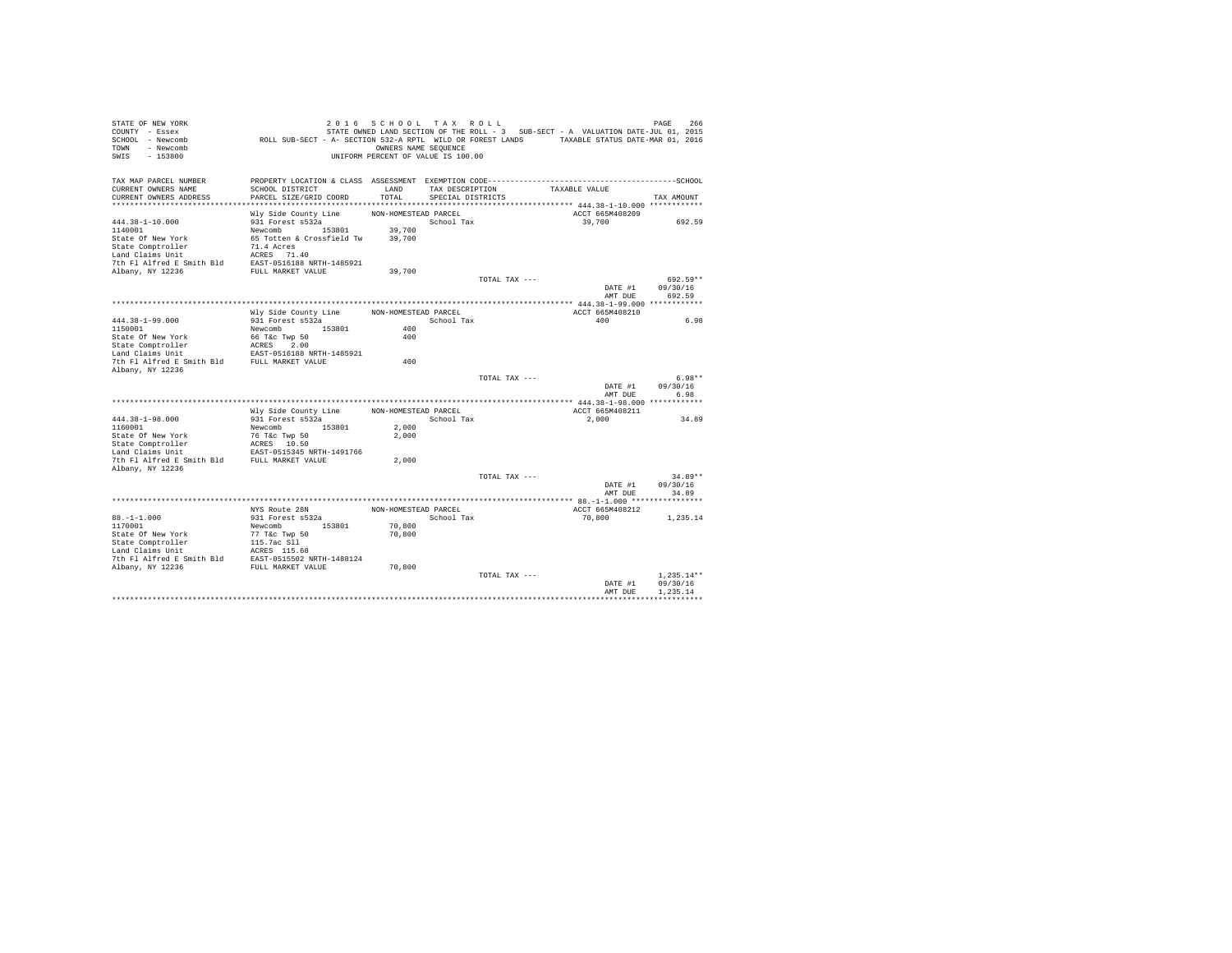| STATE OF NEW YORK<br>COUNTY - Essex<br>SCHOOL - Newcomb<br>TOWN - Newcomb<br>SWIS<br>$-153800$ | ROLL SUB-SECT - A- SECTION 532-A RPTL WILD OR FOREST LANDS TAXABLE STATUS DATE-MAR 01, 2016 | 2016 SCHOOL TAX ROLL<br>OWNERS NAME SEQUENCE<br>UNIFORM PERCENT OF VALUE IS 100.00 |                   |               | STATE OWNED LAND SECTION OF THE ROLL - 3 SUB-SECT - A VALUATION DATE-JUL 01, 2015 |                    | 266<br>PAGE      |
|------------------------------------------------------------------------------------------------|---------------------------------------------------------------------------------------------|------------------------------------------------------------------------------------|-------------------|---------------|-----------------------------------------------------------------------------------|--------------------|------------------|
| TAX MAP PARCEL NUMBER                                                                          |                                                                                             |                                                                                    |                   |               |                                                                                   |                    |                  |
| CURRENT OWNERS NAME                                                                            | SCHOOL DISTRICT                                                                             | LAND                                                                               | TAX DESCRIPTION   |               | TAXABLE VALUE                                                                     |                    |                  |
| CURRENT OWNERS ADDRESS                                                                         | PARCEL SIZE/GRID COORD                                                                      | TOTAL                                                                              | SPECIAL DISTRICTS |               |                                                                                   |                    | TAX AMOUNT       |
|                                                                                                |                                                                                             | NON-HOMESTEAD PARCEL                                                               |                   |               |                                                                                   | ACCT 665M408209    |                  |
| $444.38 - 1 - 10.000$                                                                          | Wly Side County Line<br>931 Forest s532a                                                    |                                                                                    | School Tax        |               |                                                                                   | 39,700             | 692.59           |
| 1140001                                                                                        | Newcomb 153801                                                                              | 39,700                                                                             |                   |               |                                                                                   |                    |                  |
| State Of New York                                                                              | 65 Totten & Crossfield Tw                                                                   | 39,700                                                                             |                   |               |                                                                                   |                    |                  |
| State Comptroller                                                                              | 71.4 Acres                                                                                  |                                                                                    |                   |               |                                                                                   |                    |                  |
| Land Claims Unit                                                                               | ACRES 71.40                                                                                 |                                                                                    |                   |               |                                                                                   |                    |                  |
| 7th Fl Alfred E Smith Bld EAST-0516188 NRTH-1485921                                            |                                                                                             |                                                                                    |                   |               |                                                                                   |                    |                  |
| Albany, NY 12236                                                                               | FULL MARKET VALUE                                                                           | 39,700                                                                             |                   |               |                                                                                   |                    |                  |
|                                                                                                |                                                                                             |                                                                                    |                   | TOTAL TAX --- |                                                                                   |                    | 692.59**         |
|                                                                                                |                                                                                             |                                                                                    |                   |               |                                                                                   | DATE #1            | 09/30/16         |
|                                                                                                |                                                                                             |                                                                                    |                   |               |                                                                                   | AMT DUE            | 692.59           |
|                                                                                                | Wly Side County Line                                                                        | NON-HOMESTEAD PARCEL                                                               |                   |               |                                                                                   | ACCT 665M408210    |                  |
| $444.38 - 1 - 99.000$                                                                          | 931 Forest s532a                                                                            |                                                                                    | School Tax        |               |                                                                                   | 400                | 6.98             |
| 1150001                                                                                        | Newcomb 153801                                                                              | 400                                                                                |                   |               |                                                                                   |                    |                  |
| State Of New York                                                                              | 66 T&c Twp 50                                                                               | 400                                                                                |                   |               |                                                                                   |                    |                  |
| State Comptroller                                                                              | ACRES 2.00                                                                                  |                                                                                    |                   |               |                                                                                   |                    |                  |
| Land Claims Unit                                                                               | EAST-0516188 NRTH-1485921                                                                   |                                                                                    |                   |               |                                                                                   |                    |                  |
| 7th Fl Alfred E Smith Bld                                                                      | FULL MARKET VALUE                                                                           | 400                                                                                |                   |               |                                                                                   |                    |                  |
| Albany, NY 12236                                                                               |                                                                                             |                                                                                    |                   |               |                                                                                   |                    |                  |
|                                                                                                |                                                                                             |                                                                                    |                   | TOTAL TAX --- |                                                                                   |                    | $6.98**$         |
|                                                                                                |                                                                                             |                                                                                    |                   |               |                                                                                   | DATE #1<br>AMT DUE | 09/30/16<br>6.98 |
|                                                                                                |                                                                                             |                                                                                    |                   |               |                                                                                   |                    |                  |
|                                                                                                | Wly Side County Line                                                                        | NON-HOMESTEAD PARCEL                                                               |                   |               |                                                                                   | ACCT 665M408211    |                  |
| 444.38-1-98.000                                                                                | 931 Forest s532a                                                                            |                                                                                    | School Tax        |               |                                                                                   | 2,000              | 34.89            |
| 1160001                                                                                        | 153801<br>Newcomb                                                                           | 2,000                                                                              |                   |               |                                                                                   |                    |                  |
| State Of New York                                                                              | 76 T&c Twp 50                                                                               | 2,000                                                                              |                   |               |                                                                                   |                    |                  |
| State Comptroller                                                                              | ACRES 10.50                                                                                 |                                                                                    |                   |               |                                                                                   |                    |                  |
| Land Claims Unit                                                                               | EAST-0515345 NRTH-1491766                                                                   |                                                                                    |                   |               |                                                                                   |                    |                  |
| 7th Fl Alfred E Smith Bld FULL MARKET VALUE                                                    |                                                                                             | 2,000                                                                              |                   |               |                                                                                   |                    |                  |
| Albany, NY 12236                                                                               |                                                                                             |                                                                                    |                   | TOTAL TAX --- |                                                                                   |                    | $34.89**$        |
|                                                                                                |                                                                                             |                                                                                    |                   |               |                                                                                   | DATE #1            | 09/30/16         |
|                                                                                                |                                                                                             |                                                                                    |                   |               |                                                                                   | AMT DUE            | 34.89            |
|                                                                                                |                                                                                             |                                                                                    |                   |               |                                                                                   |                    |                  |
|                                                                                                | NYS Route 28N                                                                               | NON-HOMESTEAD PARCEL                                                               |                   |               |                                                                                   | ACCT 665M408212    |                  |
| $88. - 1 - 1.000$                                                                              | 931 Forest s532a                                                                            |                                                                                    | School Tax        |               |                                                                                   | 70,800             | 1.235.14         |
| 1170001                                                                                        | Newcomb 153801                                                                              | 70,800                                                                             |                   |               |                                                                                   |                    |                  |
| State Of New York                                                                              | 77 T&c Twp 50                                                                               | 70,800                                                                             |                   |               |                                                                                   |                    |                  |
| State Comptroller                                                                              | 115.7ac Sll                                                                                 |                                                                                    |                   |               |                                                                                   |                    |                  |
| Land Claims Unit<br>7th Fl Alfred E Smith Bld EAST-0515502 NRTH-1488124                        | ACRES 115.68                                                                                |                                                                                    |                   |               |                                                                                   |                    |                  |
| Albany, NY 12236                                                                               | FULL MARKET VALUE                                                                           | 70,800                                                                             |                   |               |                                                                                   |                    |                  |
|                                                                                                |                                                                                             |                                                                                    |                   | TOTAL TAX --- |                                                                                   |                    | $1.235.14**$     |
|                                                                                                |                                                                                             |                                                                                    |                   |               |                                                                                   | DATE #1            | 09/30/16         |
|                                                                                                |                                                                                             |                                                                                    |                   |               |                                                                                   | AMT DUE            | 1.235.14         |
|                                                                                                |                                                                                             |                                                                                    |                   |               |                                                                                   |                    |                  |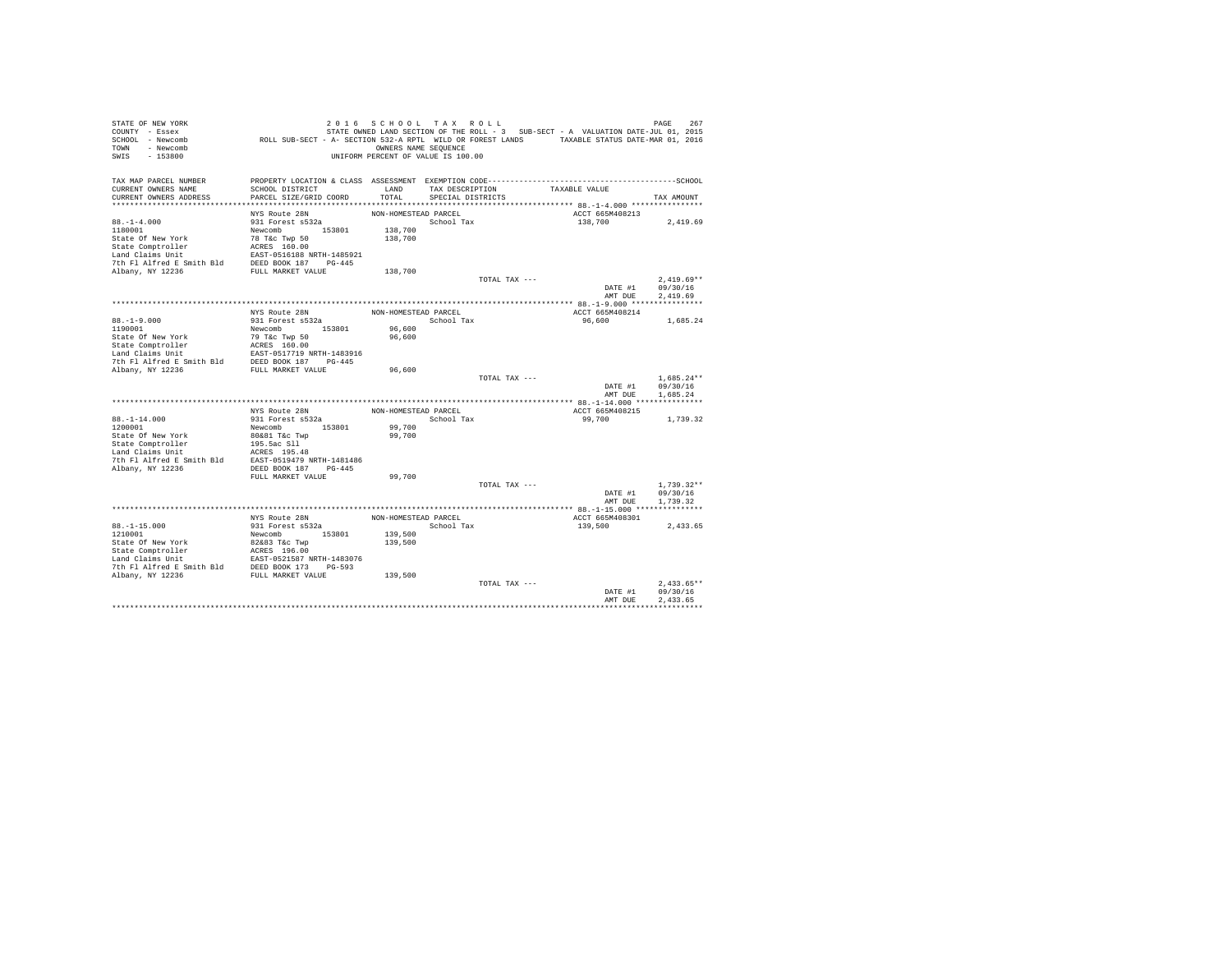| STATE OF NEW YORK                                                                                                                                                                                                                                |                                                                                                                                                                                  | 2016 SCHOOL TAX ROLL               |                         |                 |                 | 267<br>PAGE      |
|--------------------------------------------------------------------------------------------------------------------------------------------------------------------------------------------------------------------------------------------------|----------------------------------------------------------------------------------------------------------------------------------------------------------------------------------|------------------------------------|-------------------------|-----------------|-----------------|------------------|
| COUNTY - Essex                                                                                                                                                                                                                                   | STATE OWNED LAND SECTION OF THE ROLL - 3 SUB-SECT - A VALUATION DATE-JUL 01, 2015<br>ROLL SUB-SECT - A- SECTION 532-A RPTL WILD OR FOREST LANDS TAXABLE STATUS DATE-MAR 01, 2016 |                                    |                         |                 |                 |                  |
| SCHOOL - Newcomb                                                                                                                                                                                                                                 |                                                                                                                                                                                  |                                    |                         |                 |                 |                  |
| TOWN - Newcomb                                                                                                                                                                                                                                   |                                                                                                                                                                                  | OWNERS NAME SEQUENCE               |                         |                 |                 |                  |
| SWIS<br>$-153800$                                                                                                                                                                                                                                |                                                                                                                                                                                  | UNIFORM PERCENT OF VALUE IS 100.00 |                         |                 |                 |                  |
|                                                                                                                                                                                                                                                  |                                                                                                                                                                                  |                                    |                         |                 |                 |                  |
| TAX MAP PARCEL NUMBER                                                                                                                                                                                                                            |                                                                                                                                                                                  |                                    |                         |                 |                 |                  |
| CURRENT OWNERS NAME                                                                                                                                                                                                                              | SCHOOL DISTRICT                                                                                                                                                                  | LAND                               |                         | TAX DESCRIPTION | TAXABLE VALUE   |                  |
| CURRENT OWNERS ADDRESS                                                                                                                                                                                                                           | PARCEL SIZE/GRID COORD                                                                                                                                                           |                                    | TOTAL SPECIAL DISTRICTS |                 |                 | TAX AMOUNT       |
|                                                                                                                                                                                                                                                  |                                                                                                                                                                                  |                                    |                         |                 |                 |                  |
|                                                                                                                                                                                                                                                  | NYS Route 28N                                                                                                                                                                    | NON-HOMESTEAD PARCEL               |                         |                 | ACCT 665M408213 |                  |
| $88. - 1 - 4.000$                                                                                                                                                                                                                                | 931 Forest s532a                                                                                                                                                                 |                                    | School Tax              |                 | 138,700         | 2,419.69         |
|                                                                                                                                                                                                                                                  |                                                                                                                                                                                  | 138,700                            |                         |                 |                 |                  |
|                                                                                                                                                                                                                                                  |                                                                                                                                                                                  | 138,700                            |                         |                 |                 |                  |
|                                                                                                                                                                                                                                                  |                                                                                                                                                                                  |                                    |                         |                 |                 |                  |
|                                                                                                                                                                                                                                                  |                                                                                                                                                                                  |                                    |                         |                 |                 |                  |
|                                                                                                                                                                                                                                                  |                                                                                                                                                                                  |                                    |                         |                 |                 |                  |
|                                                                                                                                                                                                                                                  |                                                                                                                                                                                  | 138,700                            |                         |                 |                 |                  |
|                                                                                                                                                                                                                                                  |                                                                                                                                                                                  |                                    |                         | TOTAL TAX ---   |                 | $2.419.69**$     |
|                                                                                                                                                                                                                                                  |                                                                                                                                                                                  |                                    |                         |                 |                 | DATE #1 09/30/16 |
|                                                                                                                                                                                                                                                  |                                                                                                                                                                                  |                                    |                         |                 | AMT DUE         | 2,419.69         |
|                                                                                                                                                                                                                                                  |                                                                                                                                                                                  |                                    |                         |                 |                 |                  |
|                                                                                                                                                                                                                                                  |                                                                                                                                                                                  | NON-HOMESTEAD PARCEL               |                         |                 | ACCT 665M408214 |                  |
| $88. -1 - 9.000$                                                                                                                                                                                                                                 | NYS Route 28N<br>931 Forest s532a                                                                                                                                                |                                    | School Tax              |                 | 96,600          | 1,685.24         |
| 1190001                                                                                                                                                                                                                                          | Newcomb 153801                                                                                                                                                                   | 96,600                             |                         |                 |                 |                  |
|                                                                                                                                                                                                                                                  |                                                                                                                                                                                  | 96,600                             |                         |                 |                 |                  |
|                                                                                                                                                                                                                                                  |                                                                                                                                                                                  |                                    |                         |                 |                 |                  |
|                                                                                                                                                                                                                                                  |                                                                                                                                                                                  |                                    |                         |                 |                 |                  |
|                                                                                                                                                                                                                                                  |                                                                                                                                                                                  |                                    |                         |                 |                 |                  |
| Albany, NY 12236                                                                                                                                                                                                                                 | FULL MARKET VALUE                                                                                                                                                                | 96,600                             |                         |                 |                 |                  |
|                                                                                                                                                                                                                                                  |                                                                                                                                                                                  |                                    |                         | TOTAL TAX ---   |                 | $1.685.24**$     |
|                                                                                                                                                                                                                                                  |                                                                                                                                                                                  |                                    |                         |                 |                 | DATE #1 09/30/16 |
|                                                                                                                                                                                                                                                  |                                                                                                                                                                                  |                                    |                         |                 | AMT DUE         | 1,685.24         |
|                                                                                                                                                                                                                                                  |                                                                                                                                                                                  |                                    |                         |                 |                 |                  |
|                                                                                                                                                                                                                                                  | NYS Route 28N                                                                                                                                                                    | NON-HOMESTEAD PARCEL               |                         |                 | ACCT 665M408215 |                  |
| $88. - 1 - 14.000$                                                                                                                                                                                                                               | 931 Forest s532a<br>Newcomb 153801                                                                                                                                               |                                    | School Tax              |                 | 99,700          | 1,739.32         |
| 1200001                                                                                                                                                                                                                                          |                                                                                                                                                                                  | 99,700                             |                         |                 |                 |                  |
| State Of New York                                                                                                                                                                                                                                | 80&81 T&c Twp                                                                                                                                                                    | 99,700                             |                         |                 |                 |                  |
|                                                                                                                                                                                                                                                  |                                                                                                                                                                                  |                                    |                         |                 |                 |                  |
|                                                                                                                                                                                                                                                  |                                                                                                                                                                                  |                                    |                         |                 |                 |                  |
|                                                                                                                                                                                                                                                  |                                                                                                                                                                                  |                                    |                         |                 |                 |                  |
| State Comptroller (195.5ac S11)<br>Land Claims Unit (195.5ac S11)<br>Land Claims Unit (195.48)<br>7th F1 Alfred E Smith Bld (2019)<br>2021 (197.445 (2019)<br>2021 (197.445 (2019)                                                               |                                                                                                                                                                                  |                                    |                         |                 |                 |                  |
|                                                                                                                                                                                                                                                  | FULL MARKET VALUE                                                                                                                                                                | 99,700                             |                         |                 |                 |                  |
|                                                                                                                                                                                                                                                  |                                                                                                                                                                                  |                                    |                         | TOTAL TAX ---   |                 | $1,739.32**$     |
|                                                                                                                                                                                                                                                  |                                                                                                                                                                                  |                                    |                         |                 | DATE #1         | 09/30/16         |
|                                                                                                                                                                                                                                                  |                                                                                                                                                                                  |                                    |                         |                 | AMT DUE         | 1,739.32         |
|                                                                                                                                                                                                                                                  |                                                                                                                                                                                  |                                    |                         |                 |                 |                  |
|                                                                                                                                                                                                                                                  | NYS Route 28N                                                                                                                                                                    | NON-HOMESTEAD PARCEL               |                         |                 | ACCT 665M408301 |                  |
| $88. - 1 - 15.000$                                                                                                                                                                                                                               | 931 Forest s532a                                                                                                                                                                 |                                    | School Tax              |                 | 139,500         | 2,433.65         |
| 1210001                                                                                                                                                                                                                                          | Newcomb 153801                                                                                                                                                                   | 139,500                            |                         |                 |                 |                  |
|                                                                                                                                                                                                                                                  |                                                                                                                                                                                  | 139,500                            |                         |                 |                 |                  |
|                                                                                                                                                                                                                                                  |                                                                                                                                                                                  |                                    |                         |                 |                 |                  |
|                                                                                                                                                                                                                                                  |                                                                                                                                                                                  |                                    |                         |                 |                 |                  |
|                                                                                                                                                                                                                                                  |                                                                                                                                                                                  |                                    |                         |                 |                 |                  |
| State Of New York (2008)<br>State Comptroller (2008)<br>State Comptroller (2008)<br>State Comptroller (2008)<br>EXEC 1999 12474 (2008)<br>The Plant (2008)<br>2008 1259 2008 (2008)<br>2008 2008 2008 (2008)<br>2008 2008 2008 2008 (2008)<br>20 |                                                                                                                                                                                  | 139,500                            |                         |                 |                 |                  |
|                                                                                                                                                                                                                                                  |                                                                                                                                                                                  |                                    |                         | TOTAL TAX ---   |                 | $2.433.65**$     |
|                                                                                                                                                                                                                                                  |                                                                                                                                                                                  |                                    |                         |                 | DATE #1         | 09/30/16         |
|                                                                                                                                                                                                                                                  |                                                                                                                                                                                  |                                    |                         |                 | AMT DUE         | 2.433.65         |
|                                                                                                                                                                                                                                                  |                                                                                                                                                                                  |                                    |                         |                 |                 |                  |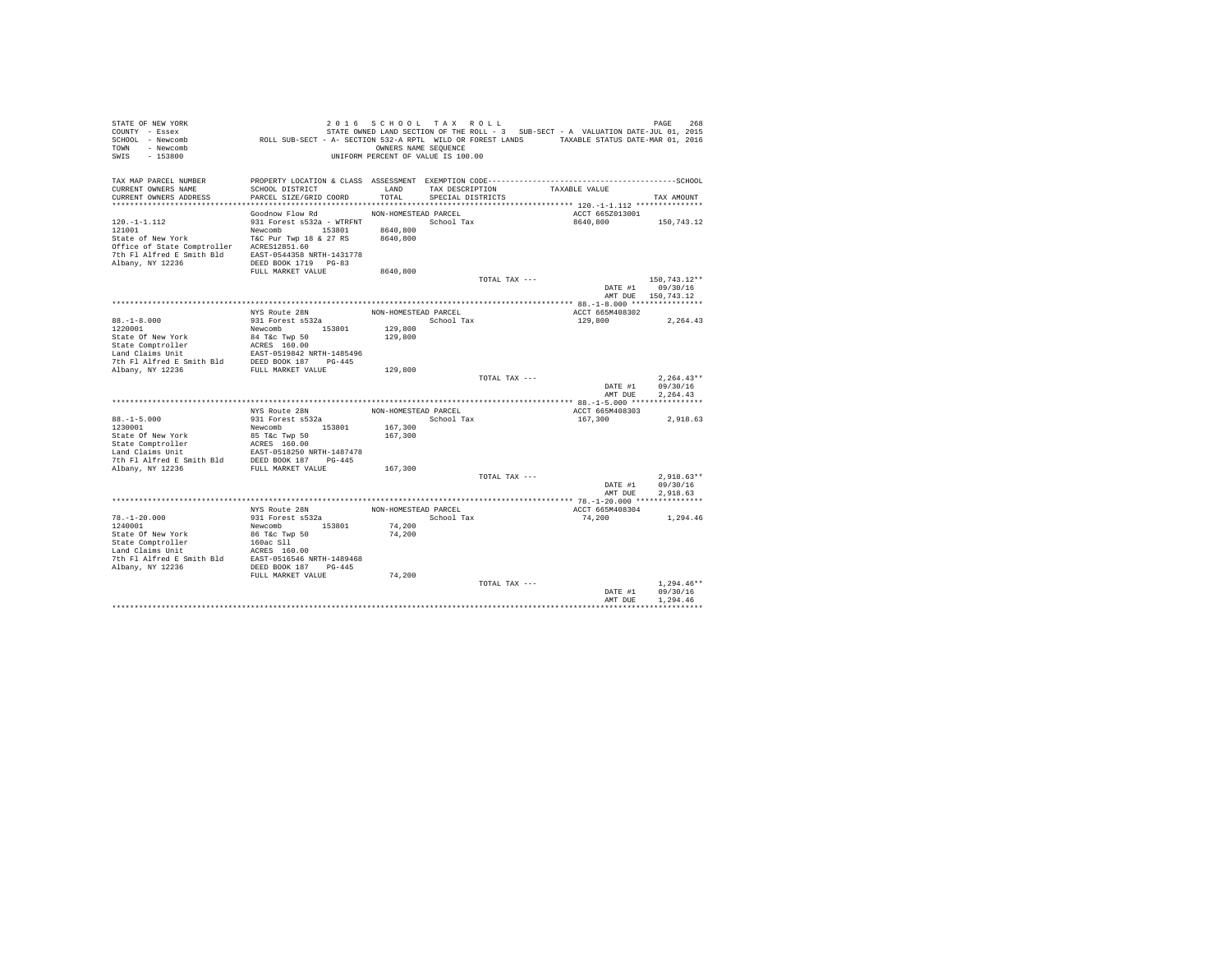| STATE OF NEW YORK                                                                                                                                                                                                                                                          |                                                                                             | 2016 SCHOOL TAX ROLL               |                   |               |                                                                                   | PAGE<br>268         |
|----------------------------------------------------------------------------------------------------------------------------------------------------------------------------------------------------------------------------------------------------------------------------|---------------------------------------------------------------------------------------------|------------------------------------|-------------------|---------------|-----------------------------------------------------------------------------------|---------------------|
| COUNTY - Essex<br>SCHOOL - Newcomb                                                                                                                                                                                                                                         | ROLL SUB-SECT - A- SECTION 532-A RPTL WILD OR FOREST LANDS TAXABLE STATUS DATE-MAR 01, 2016 |                                    |                   |               | STATE OWNED LAND SECTION OF THE ROLL - 3 SUB-SECT - A VALUATION DATE-JUL 01, 2015 |                     |
| TOWN - Newcomb                                                                                                                                                                                                                                                             |                                                                                             | OWNERS NAME SEQUENCE               |                   |               |                                                                                   |                     |
| SWIS<br>$-153800$                                                                                                                                                                                                                                                          |                                                                                             | UNIFORM PERCENT OF VALUE IS 100.00 |                   |               |                                                                                   |                     |
|                                                                                                                                                                                                                                                                            |                                                                                             |                                    |                   |               |                                                                                   |                     |
|                                                                                                                                                                                                                                                                            |                                                                                             |                                    |                   |               |                                                                                   |                     |
| TAX MAP PARCEL NUMBER<br>CURRENT OWNERS NAME                                                                                                                                                                                                                               | SCHOOL DISTRICT                                                                             | LAND                               | TAX DESCRIPTION   |               | TAXABLE VALUE                                                                     |                     |
| CURRENT OWNERS ADDRESS                                                                                                                                                                                                                                                     | PARCEL SIZE/GRID COORD                                                                      | TOTAL                              | SPECIAL DISTRICTS |               |                                                                                   | TAX AMOUNT          |
|                                                                                                                                                                                                                                                                            |                                                                                             |                                    |                   |               |                                                                                   |                     |
|                                                                                                                                                                                                                                                                            | Goodnow Flow Rd                                                                             | NON-HOMESTEAD PARCEL               |                   |               | ACCT 665Z013001                                                                   |                     |
| $120. -1 - 1.112$                                                                                                                                                                                                                                                          | 931 Forest s532a - WTRFNT                                                                   |                                    | School Tax        |               | 8640,800                                                                          | 150,743.12          |
| 121001                                                                                                                                                                                                                                                                     | Newcomb 153801 8640,800                                                                     |                                    |                   |               |                                                                                   |                     |
| State of New York                                                                                                                                                                                                                                                          | T&C Pur Twp 18 & 27 RS 8640,800                                                             |                                    |                   |               |                                                                                   |                     |
| Office of State Comptroller ACRES12851.60                                                                                                                                                                                                                                  |                                                                                             |                                    |                   |               |                                                                                   |                     |
| 7th Fl Alfred E Smith Bld EAST-0544358 NRTH-1431778                                                                                                                                                                                                                        |                                                                                             |                                    |                   |               |                                                                                   |                     |
| Albany, NY 12236                                                                                                                                                                                                                                                           | DEED BOOK 1719 PG-83                                                                        |                                    |                   |               |                                                                                   |                     |
|                                                                                                                                                                                                                                                                            | FULL MARKET VALUE                                                                           | 8640,800                           |                   |               |                                                                                   |                     |
|                                                                                                                                                                                                                                                                            |                                                                                             |                                    |                   | TOTAL TAX --- |                                                                                   | 150,743.12**        |
|                                                                                                                                                                                                                                                                            |                                                                                             |                                    |                   |               |                                                                                   | DATE #1 09/30/16    |
|                                                                                                                                                                                                                                                                            |                                                                                             |                                    |                   |               |                                                                                   | AMT DUE 150, 743.12 |
|                                                                                                                                                                                                                                                                            |                                                                                             |                                    |                   |               |                                                                                   |                     |
|                                                                                                                                                                                                                                                                            | NYS Route 28N                                                                               | NON-HOMESTEAD PARCEL               |                   |               | ACCT 665M408302                                                                   |                     |
| $88. -1 - 8.000$                                                                                                                                                                                                                                                           | 931 Forest s532a                                                                            |                                    | School Tax        |               | 129,800                                                                           | 2,264.43            |
| 1220001                                                                                                                                                                                                                                                                    | Newcomb 153801                                                                              | 129,800                            |                   |               |                                                                                   |                     |
| State of New York $84$ T&C Twp 50<br>State Comptroller ACRES 160.00<br>Land Claims Unit<br>$\frac{1085 \times 1000 \times 187}{1000 \times 1000 \times 187} = 0.0081 \times 1000 \times 187$<br>The Fl Alfred E Smith Bld DEED BOOK 187<br>THE MENTER THE MENTER THE SERVI |                                                                                             | 129,800                            |                   |               |                                                                                   |                     |
|                                                                                                                                                                                                                                                                            |                                                                                             |                                    |                   |               |                                                                                   |                     |
|                                                                                                                                                                                                                                                                            |                                                                                             |                                    |                   |               |                                                                                   |                     |
|                                                                                                                                                                                                                                                                            | FULL MARKET VALUE                                                                           | 129,800                            |                   |               |                                                                                   |                     |
| Albany, NY 12236                                                                                                                                                                                                                                                           |                                                                                             |                                    |                   | TOTAL TAX --- |                                                                                   | $2.264.43**$        |
|                                                                                                                                                                                                                                                                            |                                                                                             |                                    |                   |               | DATE #1                                                                           | 09/30/16            |
|                                                                                                                                                                                                                                                                            |                                                                                             |                                    |                   |               | AMT DUE                                                                           | 2.264.43            |
|                                                                                                                                                                                                                                                                            |                                                                                             |                                    |                   |               |                                                                                   |                     |
|                                                                                                                                                                                                                                                                            | NYS Route 28N                                                                               | NON-HOMESTEAD PARCEL               |                   |               | ACCT 665M408303                                                                   |                     |
| $88. - 1 - 5.000$                                                                                                                                                                                                                                                          | 931 Forest s532a                                                                            |                                    | School Tax        |               | 167,300                                                                           | 2,918.63            |
| 1230001                                                                                                                                                                                                                                                                    | Newcomb 153801                                                                              | 167,300                            |                   |               |                                                                                   |                     |
| State Of New York                                                                                                                                                                                                                                                          | 85 T&c Twp 50                                                                               | 167,300                            |                   |               |                                                                                   |                     |
|                                                                                                                                                                                                                                                                            |                                                                                             |                                    |                   |               |                                                                                   |                     |
|                                                                                                                                                                                                                                                                            |                                                                                             |                                    |                   |               |                                                                                   |                     |
|                                                                                                                                                                                                                                                                            |                                                                                             |                                    |                   |               |                                                                                   |                     |
| State Comptroller<br>State Comptroller<br>Land Claims Unit<br>2007-0518250 NRTH-1487478<br>7th Fl Alfred E Smith Bld<br>2008 NDER NRTH TAILUE<br>2008-008 NB PULL MARKET VALUE                                                                                             |                                                                                             | 167,300                            |                   |               |                                                                                   |                     |
|                                                                                                                                                                                                                                                                            |                                                                                             |                                    |                   | TOTAL TAX --- |                                                                                   | $2.918.63**$        |
|                                                                                                                                                                                                                                                                            |                                                                                             |                                    |                   |               | DATE #1                                                                           | 09/30/16            |
|                                                                                                                                                                                                                                                                            |                                                                                             |                                    |                   |               | AMT DUE                                                                           | 2.918.63            |
|                                                                                                                                                                                                                                                                            |                                                                                             |                                    |                   |               |                                                                                   |                     |
|                                                                                                                                                                                                                                                                            | NYS Route 28N                                                                               | NON-HOMESTEAD PARCEL               |                   |               | ACCT 665M408304                                                                   |                     |
| $78. - 1 - 20.000$                                                                                                                                                                                                                                                         | 931 Forest s532a                                                                            |                                    | School Tax        |               | 74,200                                                                            | 1,294.46            |
| 1240001                                                                                                                                                                                                                                                                    | Newcomb 153801                                                                              | 74,200                             |                   |               |                                                                                   |                     |
|                                                                                                                                                                                                                                                                            |                                                                                             | 74,200                             |                   |               |                                                                                   |                     |
|                                                                                                                                                                                                                                                                            |                                                                                             |                                    |                   |               |                                                                                   |                     |
|                                                                                                                                                                                                                                                                            |                                                                                             |                                    |                   |               |                                                                                   |                     |
|                                                                                                                                                                                                                                                                            |                                                                                             |                                    |                   |               |                                                                                   |                     |
| Albany, NY 12236                                                                                                                                                                                                                                                           | DEED BOOK 187 PG-445                                                                        | 74,200                             |                   |               |                                                                                   |                     |
|                                                                                                                                                                                                                                                                            | FULL MARKET VALUE                                                                           |                                    |                   | TOTAL TAX --- |                                                                                   | $1.294.46**$        |
|                                                                                                                                                                                                                                                                            |                                                                                             |                                    |                   |               | DATE #1                                                                           | 09/30/16            |
|                                                                                                                                                                                                                                                                            |                                                                                             |                                    |                   |               | AMT DUE                                                                           | 1,294.46            |
|                                                                                                                                                                                                                                                                            |                                                                                             |                                    |                   |               |                                                                                   |                     |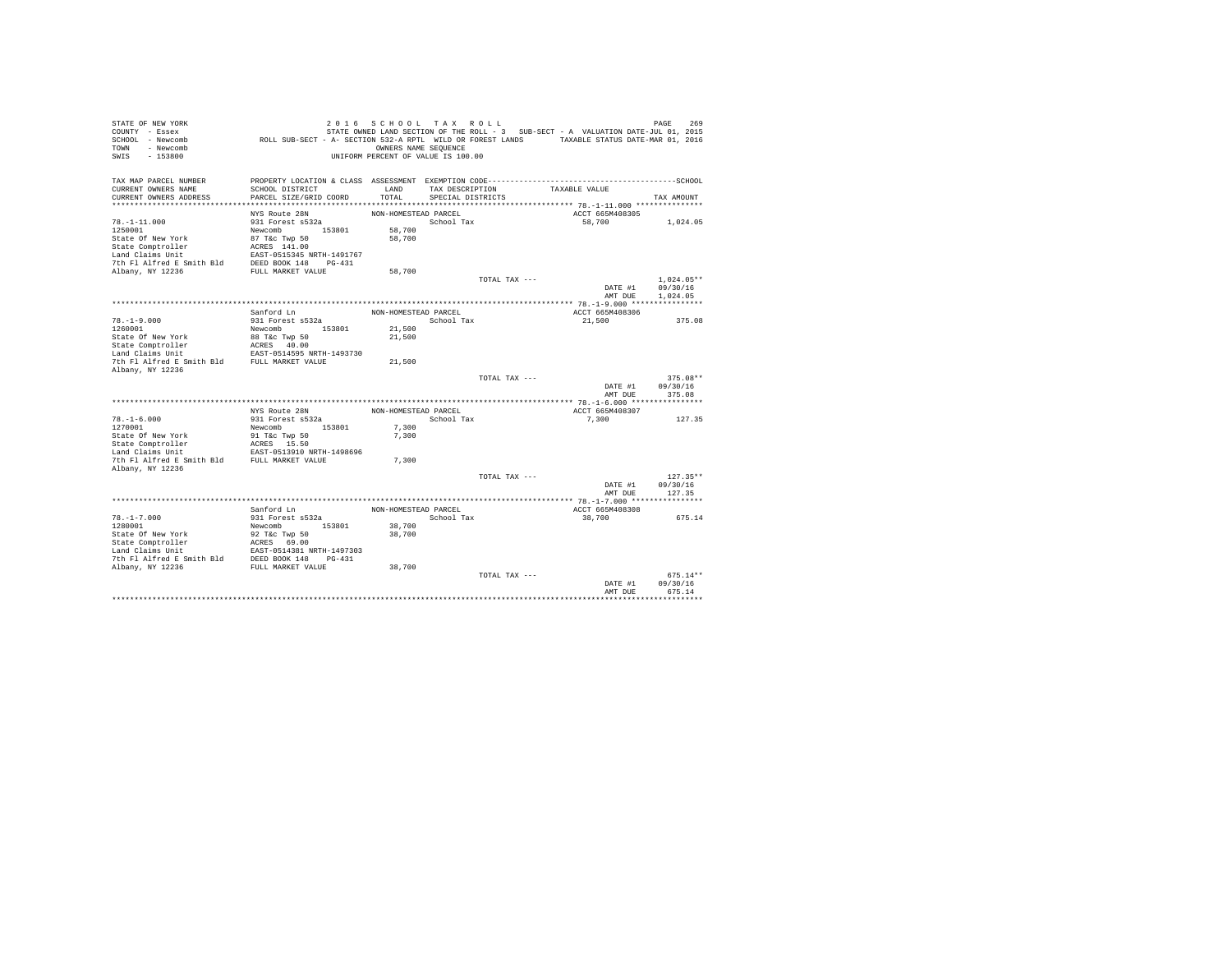| STATE OF NEW YORK<br>COUNTY - Essex<br>SCHOOL - Newcomb | ROLL SUB-SECT - A- SECTION 532-A RPTL WILD OR FOREST LANDS TAXABLE STATUS DATE-MAR 01, 2016 |                      | 2016 SCHOOL TAX ROLL                 |               | STATE OWNED LAND SECTION OF THE ROLL - 3 SUB-SECT - A VALUATION DATE-JUL 01, 2015 | PAGE<br>269  |
|---------------------------------------------------------|---------------------------------------------------------------------------------------------|----------------------|--------------------------------------|---------------|-----------------------------------------------------------------------------------|--------------|
| - Newcomb<br>TOWN<br>$-153800$<br>SWIS                  |                                                                                             | OWNERS NAME SEQUENCE | UNIFORM PERCENT OF VALUE IS 100.00   |               |                                                                                   |              |
| TAX MAP PARCEL NUMBER                                   |                                                                                             | LAND                 |                                      |               | TAXABLE VALUE                                                                     |              |
| CURRENT OWNERS NAME<br>CURRENT OWNERS ADDRESS           | SCHOOL DISTRICT<br>PARCEL SIZE/GRID COORD                                                   | TOTAL                | TAX DESCRIPTION<br>SPECIAL DISTRICTS |               |                                                                                   | TAX AMOUNT   |
|                                                         |                                                                                             |                      |                                      |               |                                                                                   |              |
|                                                         | NYS Route 28N                                                                               | NON-HOMESTEAD PARCEL |                                      |               | ACCT 665M408305                                                                   |              |
| $78. - 1 - 11.000$                                      | 931 Forest s532a                                                                            |                      | School Tax                           |               | 58,700                                                                            | 1,024.05     |
| 1250001                                                 | Newcomb 153801                                                                              | 58,700               |                                      |               |                                                                                   |              |
| State Of New York                                       | 87 T&c Twp 50                                                                               | 58,700               |                                      |               |                                                                                   |              |
| State Comptroller                                       | ACRES 141.00                                                                                |                      |                                      |               |                                                                                   |              |
| Land Claims Unit                                        | EAST-0515345 NRTH-1491767                                                                   |                      |                                      |               |                                                                                   |              |
| 7th Fl Alfred E Smith Bld                               | DEED BOOK 148 PG-431                                                                        |                      |                                      |               |                                                                                   |              |
| Albany, NY 12236                                        | FULL MARKET VALUE                                                                           | 58,700               |                                      |               |                                                                                   |              |
|                                                         |                                                                                             |                      |                                      | TOTAL TAX --- |                                                                                   | $1.024.05**$ |
|                                                         |                                                                                             |                      |                                      |               | DATE #1                                                                           | 09/30/16     |
|                                                         |                                                                                             |                      |                                      |               | AMT DUE                                                                           | 1,024.05     |
|                                                         |                                                                                             |                      |                                      |               | ACCT 665M408306                                                                   |              |
| $78. - 1 - 9.000$                                       | Sanford Ln<br>931 Forest s532a                                                              | NON-HOMESTEAD PARCEL | School Tax                           |               | 21,500                                                                            | 375.08       |
| 1260001                                                 | Newcomb 153801                                                                              | 21,500               |                                      |               |                                                                                   |              |
| State Of New York                                       | 88 T&c Twp 50                                                                               | 21,500               |                                      |               |                                                                                   |              |
| State Comptroller                                       | ACRES 40.00                                                                                 |                      |                                      |               |                                                                                   |              |
| Land Claims Unit                                        | EAST-0514595 NRTH-1493730                                                                   |                      |                                      |               |                                                                                   |              |
| 7th Fl Alfred E Smith Bld                               | FULL MARKET VALUE                                                                           | 21,500               |                                      |               |                                                                                   |              |
| Albany, NY 12236                                        |                                                                                             |                      |                                      |               |                                                                                   |              |
|                                                         |                                                                                             |                      |                                      | TOTAL TAX --- |                                                                                   | $375.08**$   |
|                                                         |                                                                                             |                      |                                      |               | DATE #1                                                                           | 09/30/16     |
|                                                         |                                                                                             |                      |                                      |               | AMT DUE                                                                           | 375.08       |
|                                                         |                                                                                             |                      |                                      |               |                                                                                   |              |
| $78. - 1 - 6.000$                                       | NYS Route 28N<br>931 Forest s532a                                                           | NON-HOMESTEAD PARCEL | School Tax                           |               | ACCT 665M408307<br>7.300                                                          | 127.35       |
| 1270001                                                 | 153801<br>Newcomb                                                                           | 7,300                |                                      |               |                                                                                   |              |
| State Of New York                                       | 91 T&c Twp 50                                                                               | 7.300                |                                      |               |                                                                                   |              |
| State Comptroller                                       | ACRES 15.50                                                                                 |                      |                                      |               |                                                                                   |              |
| Land Claims Unit                                        | EAST-0513910 NRTH-1498696                                                                   |                      |                                      |               |                                                                                   |              |
| 7th Fl Alfred E Smith Bld                               | FULL MARKET VALUE                                                                           | 7.300                |                                      |               |                                                                                   |              |
| Albany, NY 12236                                        |                                                                                             |                      |                                      |               |                                                                                   |              |
|                                                         |                                                                                             |                      |                                      | TOTAL TAX --- |                                                                                   | $127.35**$   |
|                                                         |                                                                                             |                      |                                      |               | DATE #1                                                                           | 09/30/16     |
|                                                         |                                                                                             |                      |                                      |               | AMT DUE                                                                           | 127.35       |
|                                                         |                                                                                             |                      |                                      |               |                                                                                   |              |
|                                                         | Sanford Ln                                                                                  | NON-HOMESTEAD PARCEL |                                      |               | ACCT 665M408308                                                                   |              |
| $78. - 1 - 7.000$<br>1280001                            | 931 Forest s532a<br>Newcomb 153801                                                          | 38,700               | School Tax                           |               | 38,700                                                                            | 675.14       |
| State Of New York                                       | 92 T&c Twp 50                                                                               | 38,700               |                                      |               |                                                                                   |              |
| State Comptroller                                       |                                                                                             |                      |                                      |               |                                                                                   |              |
| Land Claims Unit                                        | ACRES 69.00<br>EAST-0514381 NRTH-1497303                                                    |                      |                                      |               |                                                                                   |              |
| 7th Fl Alfred E Smith Bld                               | DEED BOOK 148 PG-431                                                                        |                      |                                      |               |                                                                                   |              |
| Albany, NY 12236                                        | FULL MARKET VALUE                                                                           | 38,700               |                                      |               |                                                                                   |              |
|                                                         |                                                                                             |                      |                                      | TOTAL TAX --- |                                                                                   | $675.14**$   |
|                                                         |                                                                                             |                      |                                      |               | DATE #1                                                                           | 09/30/16     |
|                                                         |                                                                                             |                      |                                      |               | AMT DUE                                                                           | 675.14       |
|                                                         |                                                                                             |                      |                                      |               |                                                                                   |              |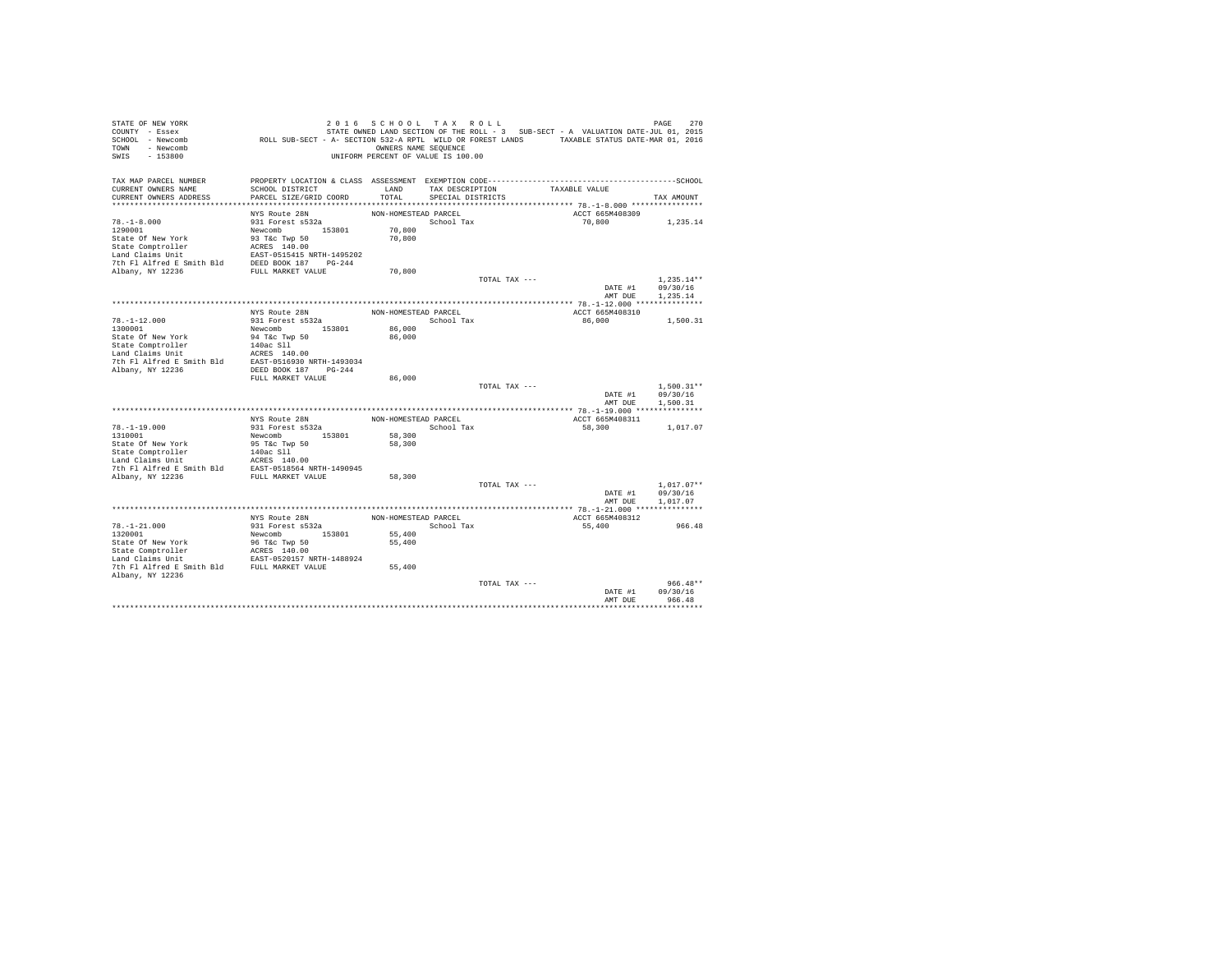| STATE OF NEW YORK<br>COUNTY - Essex                                                                                                                                                                                                      |                                                                                             | 2016 SCHOOL TAX ROLL               |                   |               | STATE OWNED LAND SECTION OF THE ROLL - 3 SUB-SECT - A VALUATION DATE-JUL 01, 2015 | 270<br>PAGE                  |
|------------------------------------------------------------------------------------------------------------------------------------------------------------------------------------------------------------------------------------------|---------------------------------------------------------------------------------------------|------------------------------------|-------------------|---------------|-----------------------------------------------------------------------------------|------------------------------|
| SCHOOL - Newcomb                                                                                                                                                                                                                         | ROLL SUB-SECT - A- SECTION 532-A RPTL WILD OR FOREST LANDS TAXABLE STATUS DATE-MAR 01, 2016 |                                    |                   |               |                                                                                   |                              |
| TOWN - Newcomb                                                                                                                                                                                                                           |                                                                                             | OWNERS NAME SEQUENCE               |                   |               |                                                                                   |                              |
| SWIS<br>$-153800$                                                                                                                                                                                                                        |                                                                                             | UNIFORM PERCENT OF VALUE IS 100.00 |                   |               |                                                                                   |                              |
|                                                                                                                                                                                                                                          |                                                                                             |                                    |                   |               |                                                                                   |                              |
| TAX MAP PARCEL NUMBER                                                                                                                                                                                                                    |                                                                                             |                                    |                   |               |                                                                                   |                              |
| CURRENT OWNERS NAME                                                                                                                                                                                                                      | SCHOOL DISTRICT                                                                             | LAND                               | TAX DESCRIPTION   |               | TAXABLE VALUE                                                                     |                              |
| CURRENT OWNERS ADDRESS                                                                                                                                                                                                                   | PARCEL SIZE/GRID COORD                                                                      | TOTAL                              | SPECIAL DISTRICTS |               |                                                                                   | TAX AMOUNT                   |
|                                                                                                                                                                                                                                          |                                                                                             |                                    |                   |               |                                                                                   |                              |
|                                                                                                                                                                                                                                          | NYS Route 28N                                                                               | NON-HOMESTEAD PARCEL               |                   |               | ACCT 665M408309                                                                   |                              |
| $78. - 1 - 8.000$                                                                                                                                                                                                                        | 931 Forest s532a                                                                            |                                    | School Tax        |               | 70,800                                                                            | 1,235.14                     |
| 1290001                                                                                                                                                                                                                                  | Newcomb 153801<br>93 T&c Twp 50                                                             | 70,800                             |                   |               |                                                                                   |                              |
| State Of New York                                                                                                                                                                                                                        |                                                                                             | 70,800                             |                   |               |                                                                                   |                              |
| State Comptroller Package 140.00<br>Land Claims Unit EAST-0515415 NRTH-1495202<br>7th F1 Alfred E Smith Bld DEED BOOK 187<br>7th F1 Alfred E Smith Bld DEED BOOK 187<br>2h<br>Albany, NY 12236                                           |                                                                                             |                                    |                   |               |                                                                                   |                              |
|                                                                                                                                                                                                                                          |                                                                                             |                                    |                   |               |                                                                                   |                              |
|                                                                                                                                                                                                                                          |                                                                                             |                                    |                   |               |                                                                                   |                              |
|                                                                                                                                                                                                                                          |                                                                                             | 70,800                             |                   |               |                                                                                   |                              |
|                                                                                                                                                                                                                                          |                                                                                             |                                    |                   | TOTAL TAX --- |                                                                                   | $1.235.14**$                 |
|                                                                                                                                                                                                                                          |                                                                                             |                                    |                   |               |                                                                                   | DATE #1 09/30/16<br>1.235.14 |
|                                                                                                                                                                                                                                          |                                                                                             |                                    |                   |               | AMT DUE                                                                           |                              |
|                                                                                                                                                                                                                                          |                                                                                             |                                    |                   |               |                                                                                   |                              |
| $78. - 1 - 12.000$                                                                                                                                                                                                                       | $NYS$ Route $28N$<br>931 Forest s532a                                                       | NON-HOMESTEAD PARCEL               | School Tax        |               | ACCT 665M408310<br>86,000                                                         | 1,500.31                     |
|                                                                                                                                                                                                                                          |                                                                                             | 86,000                             |                   |               |                                                                                   |                              |
|                                                                                                                                                                                                                                          |                                                                                             | 86,000                             |                   |               |                                                                                   |                              |
|                                                                                                                                                                                                                                          |                                                                                             |                                    |                   |               |                                                                                   |                              |
|                                                                                                                                                                                                                                          |                                                                                             |                                    |                   |               |                                                                                   |                              |
|                                                                                                                                                                                                                                          |                                                                                             |                                    |                   |               |                                                                                   |                              |
| Albany, NY 12236                                                                                                                                                                                                                         | DEED BOOK 187 PG-244                                                                        |                                    |                   |               |                                                                                   |                              |
|                                                                                                                                                                                                                                          | FULL MARKET VALUE                                                                           | 86,000                             |                   |               |                                                                                   |                              |
|                                                                                                                                                                                                                                          |                                                                                             |                                    |                   | TOTAL TAX --- |                                                                                   | $1.500.31**$                 |
|                                                                                                                                                                                                                                          |                                                                                             |                                    |                   |               |                                                                                   | DATE #1 09/30/16             |
|                                                                                                                                                                                                                                          |                                                                                             |                                    |                   |               | AMT DUE                                                                           | 1,500.31                     |
|                                                                                                                                                                                                                                          |                                                                                             |                                    |                   |               |                                                                                   |                              |
|                                                                                                                                                                                                                                          | NYS Route 28N                                                                               | NON-HOMESTEAD PARCEL               |                   |               | ACCT 665M408311                                                                   |                              |
| $78. - 1 - 19.000$                                                                                                                                                                                                                       | 931 Forest s532a                                                                            |                                    | School Tax        |               | 58,300                                                                            | 1,017.07                     |
| 1310001                                                                                                                                                                                                                                  | Newcomb 153801                                                                              | 58,300                             |                   |               |                                                                                   |                              |
|                                                                                                                                                                                                                                          |                                                                                             | 58,300                             |                   |               |                                                                                   |                              |
| State Of New York (SITE TWP 50<br>State Comptroller (SITE 140ac SI1<br>State Comptroller (SITE 140ac SI1<br>Land Claims Unit (SITE 1405 140.00)<br>7th Pl Alfred E Smith Bld EAST-0518564 NRTH-1490945<br>7th Pl Alfred E SMith Bld EAST |                                                                                             |                                    |                   |               |                                                                                   |                              |
|                                                                                                                                                                                                                                          |                                                                                             |                                    |                   |               |                                                                                   |                              |
|                                                                                                                                                                                                                                          |                                                                                             |                                    |                   |               |                                                                                   |                              |
|                                                                                                                                                                                                                                          |                                                                                             | 58,300                             |                   | TOTAL TAX --- |                                                                                   | $1,017.07**$                 |
|                                                                                                                                                                                                                                          |                                                                                             |                                    |                   |               | DATE #1                                                                           | 09/30/16                     |
|                                                                                                                                                                                                                                          |                                                                                             |                                    |                   |               | AMT DUE                                                                           | 1,017.07                     |
|                                                                                                                                                                                                                                          |                                                                                             |                                    |                   |               |                                                                                   |                              |
|                                                                                                                                                                                                                                          | NYS Route 28N                                                                               | NON-HOMESTEAD PARCEL               |                   |               | ACCT 665M408312                                                                   |                              |
| $78. - 1 - 21.000$                                                                                                                                                                                                                       | 931 Forest s532a                                                                            |                                    | School Tax        |               | 55,400                                                                            | 966.48                       |
| 1320001                                                                                                                                                                                                                                  | Newcomb 153801                                                                              | 55,400                             |                   |               |                                                                                   |                              |
|                                                                                                                                                                                                                                          |                                                                                             | 55,400                             |                   |               |                                                                                   |                              |
| State Of New York and So Tac Twp 50<br>State Comptroller and CRESS 140.00<br>Land Claims Unit EAST-0520157 NRTH-1488924<br>The F1 Alfred E Smith Bld FULL MARKET VALUE                                                                   |                                                                                             |                                    |                   |               |                                                                                   |                              |
|                                                                                                                                                                                                                                          |                                                                                             |                                    |                   |               |                                                                                   |                              |
|                                                                                                                                                                                                                                          |                                                                                             | 55,400                             |                   |               |                                                                                   |                              |
| Albany, NY 12236                                                                                                                                                                                                                         |                                                                                             |                                    |                   |               |                                                                                   |                              |
|                                                                                                                                                                                                                                          |                                                                                             |                                    |                   | TOTAL TAX --- |                                                                                   | $966.48**$                   |
|                                                                                                                                                                                                                                          |                                                                                             |                                    |                   |               | DATE #1                                                                           | 09/30/16                     |
|                                                                                                                                                                                                                                          |                                                                                             |                                    |                   |               | AMT DUE                                                                           | 966.48                       |
|                                                                                                                                                                                                                                          |                                                                                             |                                    |                   |               |                                                                                   |                              |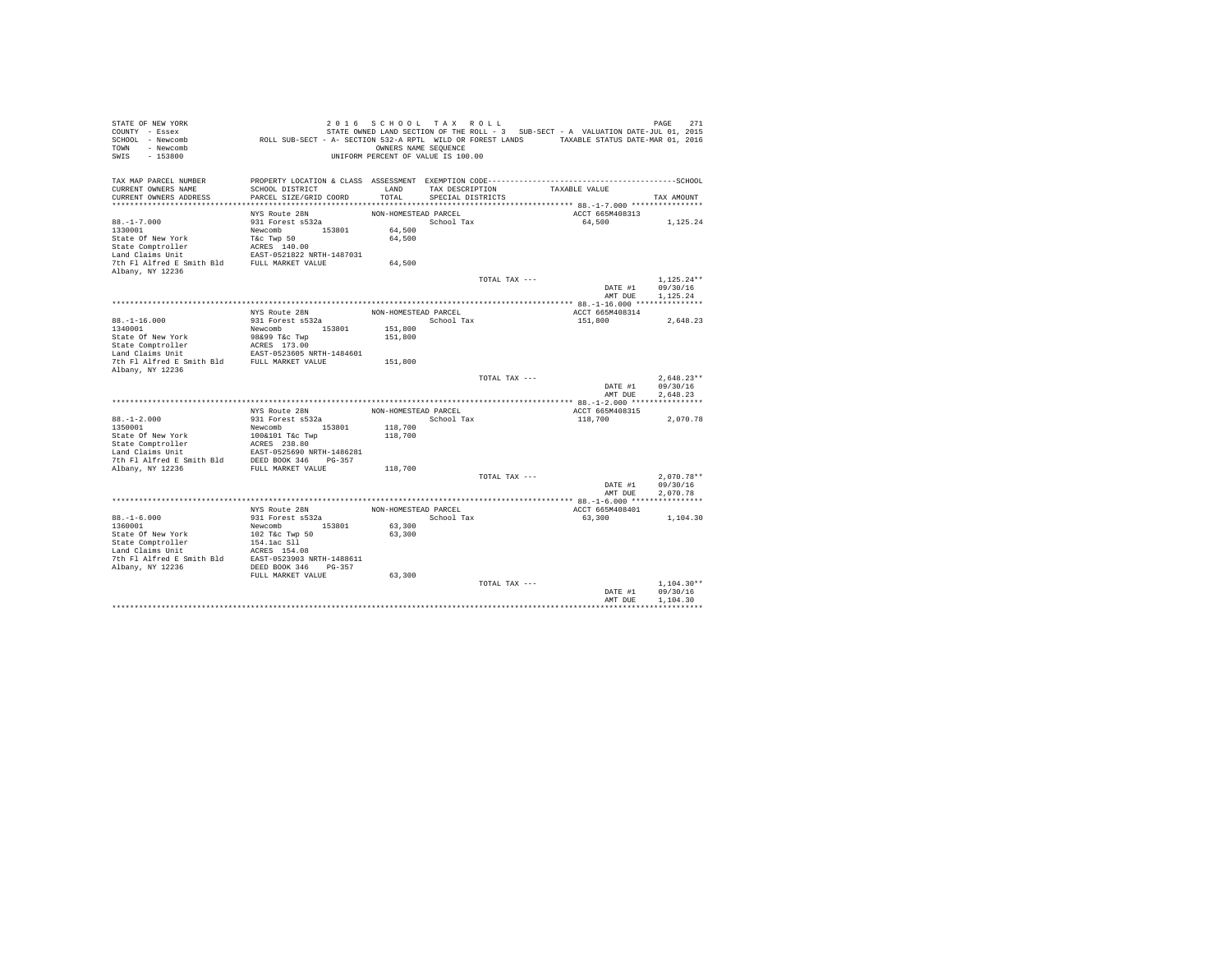| STATE OF NEW YORK                              |                                                                                             | 2016 SCHOOL TAX ROLL               |                   |               |                                                                                   | 271<br>PAGE  |
|------------------------------------------------|---------------------------------------------------------------------------------------------|------------------------------------|-------------------|---------------|-----------------------------------------------------------------------------------|--------------|
| COUNTY - Essex                                 |                                                                                             |                                    |                   |               | STATE OWNED LAND SECTION OF THE ROLL - 3 SUB-SECT - A VALUATION DATE-JUL 01, 2015 |              |
| SCHOOL - Newcomb                               | ROLL SUB-SECT - A- SECTION 532-A RPTL WILD OR FOREST LANDS TAXABLE STATUS DATE-MAR 01, 2016 |                                    |                   |               |                                                                                   |              |
| TOWN - Newcomb                                 |                                                                                             | OWNERS NAME SEQUENCE               |                   |               |                                                                                   |              |
| SWIS<br>$-153800$                              |                                                                                             | UNIFORM PERCENT OF VALUE IS 100.00 |                   |               |                                                                                   |              |
|                                                |                                                                                             |                                    |                   |               |                                                                                   |              |
|                                                |                                                                                             |                                    |                   |               |                                                                                   |              |
| TAX MAP PARCEL NUMBER<br>CURRENT OWNERS NAME   | SCHOOL DISTRICT                                                                             | LAND                               |                   |               | TAXABLE VALUE                                                                     |              |
|                                                |                                                                                             |                                    | TAX DESCRIPTION   |               |                                                                                   |              |
| CURRENT OWNERS ADDRESS                         | PARCEL SIZE/GRID COORD                                                                      | TOTAL                              | SPECIAL DISTRICTS |               |                                                                                   | TAX AMOUNT   |
|                                                | NYS Route 28N                                                                               | NON-HOMESTEAD PARCEL               |                   |               | ACCT 665M408313                                                                   |              |
|                                                |                                                                                             |                                    |                   |               |                                                                                   |              |
| $88. - 1 - 7.000$                              | 931 Forest s532a                                                                            |                                    | School Tax        |               | 64,500                                                                            | 1.125.24     |
| 1330001                                        | Newcomb 153801                                                                              | 64,500                             |                   |               |                                                                                   |              |
| State Of New York                              | T&c Twp 50                                                                                  | 64,500                             |                   |               |                                                                                   |              |
| State Comptroller                              | ACRES 140.00                                                                                |                                    |                   |               |                                                                                   |              |
| Land Claims Unit                               | EAST-0521822 NRTH-1487031                                                                   |                                    |                   |               |                                                                                   |              |
| 7th Fl Alfred E Smith Bld FULL MARKET VALUE    |                                                                                             | 64,500                             |                   |               |                                                                                   |              |
| Albany, NY 12236                               |                                                                                             |                                    |                   |               |                                                                                   |              |
|                                                |                                                                                             |                                    |                   | TOTAL TAX --- |                                                                                   | $1.125.24**$ |
|                                                |                                                                                             |                                    |                   |               | DATE #1                                                                           | 09/30/16     |
|                                                |                                                                                             |                                    |                   |               | AMT DUE                                                                           | 1.125.24     |
|                                                |                                                                                             |                                    |                   |               |                                                                                   |              |
|                                                | NYS Route 28N                                                                               | NON-HOMESTEAD PARCEL               |                   |               | ACCT 665M408314                                                                   |              |
| $88. -1 - 16.000$                              | 931 Forest s532a                                                                            |                                    | School Tax        |               | 151,800                                                                           | 2,648.23     |
| 1340001                                        | Newcomb 153801                                                                              | 151,800                            |                   |               |                                                                                   |              |
| State Of New York                              | 98&99 T&c Twp                                                                               | 151,800                            |                   |               |                                                                                   |              |
| State Comptroller                              | ACRES 173.00                                                                                |                                    |                   |               |                                                                                   |              |
| Land Claims Unit                               | EAST-0523605 NRTH-1484601                                                                   |                                    |                   |               |                                                                                   |              |
| 7th Fl Alfred E Smith Bld FULL MARKET VALUE    |                                                                                             | 151,800                            |                   |               |                                                                                   |              |
| Albany, NY 12236                               |                                                                                             |                                    |                   |               |                                                                                   |              |
|                                                |                                                                                             |                                    |                   | TOTAL TAX --- |                                                                                   | $2.648.23**$ |
|                                                |                                                                                             |                                    |                   |               | DATE #1                                                                           | 09/30/16     |
|                                                |                                                                                             |                                    |                   |               | AMT DUE                                                                           | 2.648.23     |
|                                                |                                                                                             |                                    |                   |               |                                                                                   |              |
|                                                | NYS Route 28N                                                                               | NON-HOMESTEAD PARCEL               |                   |               | ACCT 665M408315                                                                   |              |
| $88. - 1 - 2.000$                              | 931 Forest s532a                                                                            |                                    | School Tax        |               | 118,700                                                                           | 2.070.78     |
| 1350001                                        | Newcomb 153801                                                                              | 118,700                            |                   |               |                                                                                   |              |
| State Of New York                              | 100&101 T&c Twp                                                                             | 118,700                            |                   |               |                                                                                   |              |
|                                                | ACRES 238.80                                                                                |                                    |                   |               |                                                                                   |              |
| State Comptroller<br>Land Claims Unit          | EAST-0525690 NRTH-1486281                                                                   |                                    |                   |               |                                                                                   |              |
| 7th Fl Alfred E Smith Bld DEED BOOK 346 PG-357 |                                                                                             |                                    |                   |               |                                                                                   |              |
| Albany, NY 12236                               | FULL MARKET VALUE                                                                           | 118,700                            |                   |               |                                                                                   |              |
|                                                |                                                                                             |                                    |                   | TOTAL TAX --- |                                                                                   | $2,070.78**$ |
|                                                |                                                                                             |                                    |                   |               | DATE #1                                                                           | 09/30/16     |
|                                                |                                                                                             |                                    |                   |               | AMT DUE                                                                           | 2.070.78     |
|                                                |                                                                                             |                                    |                   |               |                                                                                   |              |
|                                                | NYS Route 28N                                                                               | NON-HOMESTEAD PARCEL               |                   |               | ACCT 665M408401                                                                   |              |
| $88. - 1 - 6.000$                              | 931 Forest s532a                                                                            |                                    | School Tax        |               | 63,300                                                                            | 1,104.30     |
| 1360001                                        | Newcomb 153801                                                                              | 63,300                             |                   |               |                                                                                   |              |
| State Of New York                              | 102 T&c Twp 50                                                                              | 63,300                             |                   |               |                                                                                   |              |
| State Comptroller                              | 154.1ac Sll                                                                                 |                                    |                   |               |                                                                                   |              |
| Land Claims Unit                               | ACRES 154.08                                                                                |                                    |                   |               |                                                                                   |              |
| 7th Fl Alfred E Smith Bld                      | EAST-0523903 NRTH-1488611                                                                   |                                    |                   |               |                                                                                   |              |
| Albany, NY 12236                               | DEED BOOK 346 PG-357                                                                        |                                    |                   |               |                                                                                   |              |
|                                                | FULL MARKET VALUE                                                                           | 63,300                             |                   |               |                                                                                   |              |
|                                                |                                                                                             |                                    |                   | TOTAL TAX --- |                                                                                   | $1.104.30**$ |
|                                                |                                                                                             |                                    |                   |               | DATE #1                                                                           | 09/30/16     |
|                                                |                                                                                             |                                    |                   |               | AMT DUE                                                                           | 1,104.30     |
|                                                |                                                                                             |                                    |                   |               |                                                                                   |              |
|                                                |                                                                                             |                                    |                   |               |                                                                                   |              |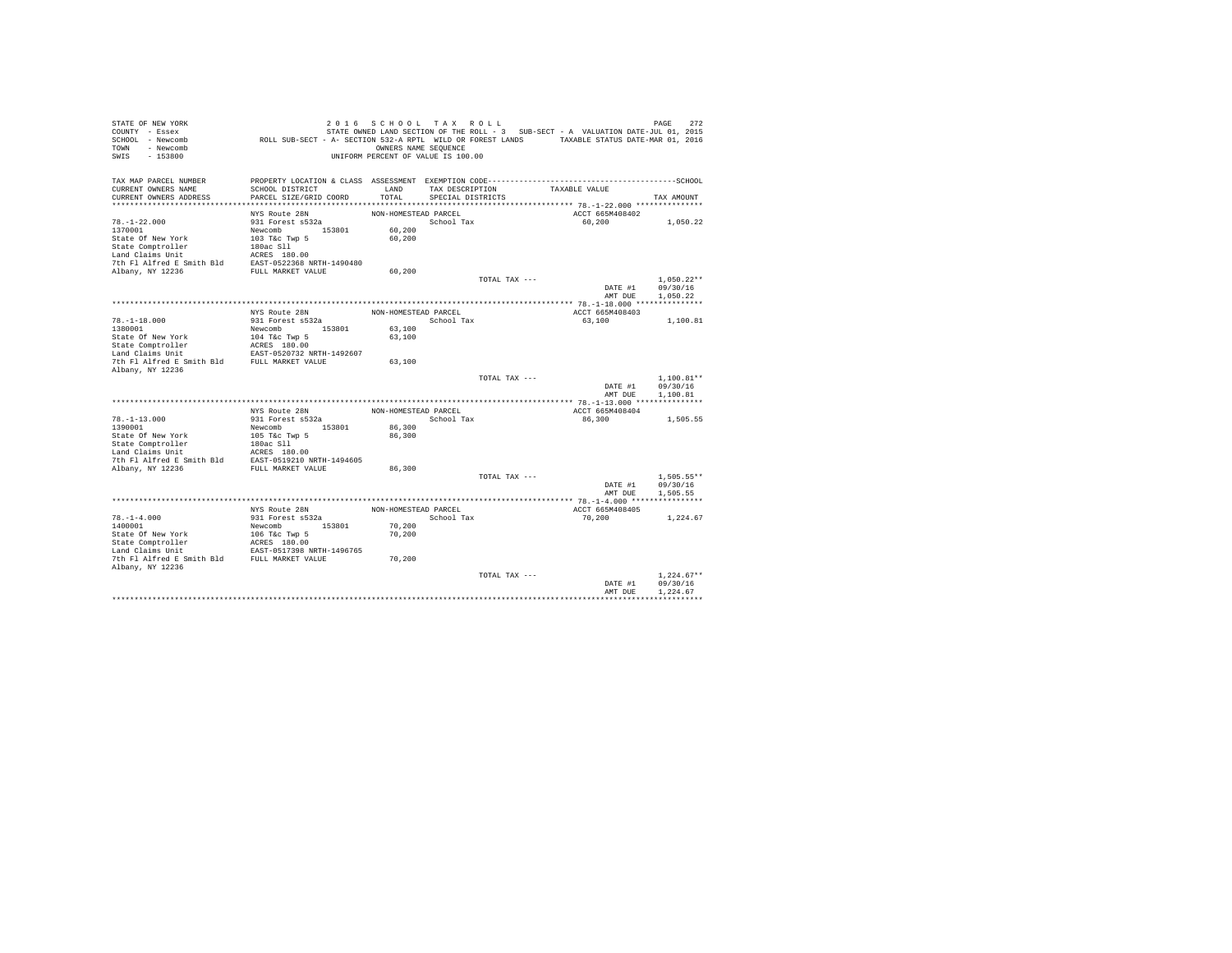| STATE OF NEW YORK<br>COUNTY - Essex<br>SCHOOL - Newcomb<br>TOWN - Newcomb<br>SWIS<br>$-153800$                                                                          | ROLL SUB-SECT - A- SECTION 532-A RPTL WILD OR FOREST LANDS TAXABLE STATUS DATE-MAR 01, 2016 | 2016 SCHOOL TAX ROLL<br>OWNERS NAME SEQUENCE<br>UNIFORM PERCENT OF VALUE IS 100.00 |                   |               | STATE OWNED LAND SECTION OF THE ROLL - 3 SUB-SECT - A VALUATION DATE-JUL 01, 2015 | 272<br>PAGE  |
|-------------------------------------------------------------------------------------------------------------------------------------------------------------------------|---------------------------------------------------------------------------------------------|------------------------------------------------------------------------------------|-------------------|---------------|-----------------------------------------------------------------------------------|--------------|
| TAX MAP PARCEL NUMBER                                                                                                                                                   |                                                                                             |                                                                                    |                   |               |                                                                                   |              |
| CURRENT OWNERS NAME                                                                                                                                                     | SCHOOL DISTRICT                                                                             | LAND                                                                               | TAX DESCRIPTION   |               | TAXABLE VALUE                                                                     |              |
| CURRENT OWNERS ADDRESS                                                                                                                                                  | PARCEL SIZE/GRID COORD                                                                      | TOTAL                                                                              | SPECIAL DISTRICTS |               |                                                                                   | TAX AMOUNT   |
|                                                                                                                                                                         |                                                                                             |                                                                                    |                   |               |                                                                                   |              |
| $78. - 1 - 22.000$                                                                                                                                                      | NYS Route 28N<br>931 Forest s532a                                                           | NON-HOMESTEAD PARCEL                                                               | School Tax        |               | ACCT 665M408402<br>60,200                                                         |              |
| 1370001                                                                                                                                                                 | Newcomb 153801                                                                              | 60,200                                                                             |                   |               |                                                                                   | 1,050.22     |
| State Of New York                                                                                                                                                       | 103 T&c Twp 5                                                                               | 60,200                                                                             |                   |               |                                                                                   |              |
| State Comptroller                                                                                                                                                       | 180ac Sll                                                                                   |                                                                                    |                   |               |                                                                                   |              |
| Land Claims Unit                                                                                                                                                        | ACRES 180.00                                                                                |                                                                                    |                   |               |                                                                                   |              |
| 7th Fl Alfred E Smith Bld EAST-0522368 NRTH-1490480                                                                                                                     |                                                                                             |                                                                                    |                   |               |                                                                                   |              |
| Albany, NY 12236                                                                                                                                                        | FULL MARKET VALUE                                                                           | 60,200                                                                             |                   |               |                                                                                   |              |
|                                                                                                                                                                         |                                                                                             |                                                                                    |                   | TOTAL TAX --- |                                                                                   | $1.050.22**$ |
|                                                                                                                                                                         |                                                                                             |                                                                                    |                   |               | DATE #1                                                                           | 09/30/16     |
|                                                                                                                                                                         |                                                                                             |                                                                                    |                   |               | AMT DUE                                                                           | 1,050.22     |
|                                                                                                                                                                         |                                                                                             |                                                                                    |                   |               |                                                                                   |              |
|                                                                                                                                                                         | NYS Route 28N                                                                               | NON-HOMESTEAD PARCEL                                                               |                   |               | ACCT 665M408403                                                                   |              |
| $78. - 1 - 18.000$<br>1380001                                                                                                                                           | 931 Forest s532a<br>Newcomb 153801                                                          | 63,100                                                                             | School Tax        |               | 63,100                                                                            | 1,100.81     |
| State Of New York                                                                                                                                                       | 104 T&c Twp 5                                                                               | 63,100                                                                             |                   |               |                                                                                   |              |
| State Comptroller                                                                                                                                                       | ACRES 180.00                                                                                |                                                                                    |                   |               |                                                                                   |              |
|                                                                                                                                                                         |                                                                                             |                                                                                    |                   |               |                                                                                   |              |
| $\begin{tabular}{lllll} \texttt{Land Claus Unit} & \texttt{EAST-0520732 NRTH-1492607} \\ \texttt{7th Fl Alfred E Smith Bld} & \texttt{FULL MARKET VALUE} \end{tabular}$ |                                                                                             | 63,100                                                                             |                   |               |                                                                                   |              |
| Albany, NY 12236                                                                                                                                                        |                                                                                             |                                                                                    |                   |               |                                                                                   |              |
|                                                                                                                                                                         |                                                                                             |                                                                                    |                   | TOTAL TAX --- |                                                                                   | $1.100.81**$ |
|                                                                                                                                                                         |                                                                                             |                                                                                    |                   |               | DATE #1                                                                           | 09/30/16     |
|                                                                                                                                                                         |                                                                                             |                                                                                    |                   |               | AMT DUE                                                                           | 1,100.81     |
|                                                                                                                                                                         | NYS Route 28N                                                                               | NON-HOMESTEAD PARCEL                                                               |                   |               | ACCT 665M408404                                                                   |              |
| $78. - 1 - 13.000$                                                                                                                                                      | 931 Forest s532a                                                                            |                                                                                    | School Tax        |               | 86,300                                                                            | 1,505.55     |
| 1390001                                                                                                                                                                 | Newcomb 153801                                                                              | 86,300                                                                             |                   |               |                                                                                   |              |
| State Of New York                                                                                                                                                       | 105 T&c Twp 5                                                                               | 86,300                                                                             |                   |               |                                                                                   |              |
| State Comptroller                                                                                                                                                       | 180ac Sll                                                                                   |                                                                                    |                   |               |                                                                                   |              |
| Land Claims Unit                                                                                                                                                        | ACRES 180.00                                                                                |                                                                                    |                   |               |                                                                                   |              |
| 7th Fl Alfred E Smith Bld EAST-0519210 NRTH-1494605                                                                                                                     |                                                                                             |                                                                                    |                   |               |                                                                                   |              |
| Albany, NY 12236                                                                                                                                                        | FULL MARKET VALUE                                                                           | 86,300                                                                             |                   |               |                                                                                   |              |
|                                                                                                                                                                         |                                                                                             |                                                                                    |                   | TOTAL TAX --- |                                                                                   | $1.505.55**$ |
|                                                                                                                                                                         |                                                                                             |                                                                                    |                   |               | DATE #1                                                                           | 09/30/16     |
|                                                                                                                                                                         |                                                                                             |                                                                                    |                   |               | AMT DUE                                                                           | 1,505.55     |
|                                                                                                                                                                         | NYS Route 28N                                                                               | NON-HOMESTEAD PARCEL                                                               |                   |               | ACCT 665M408405                                                                   |              |
| $78. - 1 - 4.000$                                                                                                                                                       | 931 Forest s532a                                                                            |                                                                                    | School Tax        |               | 70,200                                                                            | 1,224.67     |
| 1400001                                                                                                                                                                 | Newcomb 153801                                                                              | 70,200                                                                             |                   |               |                                                                                   |              |
| State Of New York                                                                                                                                                       |                                                                                             | 70,200                                                                             |                   |               |                                                                                   |              |
| State Comptroller                                                                                                                                                       |                                                                                             |                                                                                    |                   |               |                                                                                   |              |
| Land Claims Unit                                                                                                                                                        | 106 T&c Twp 5<br>ACRES 180.00<br>EAST-0517398 NRTH-1496765                                  |                                                                                    |                   |               |                                                                                   |              |
| 7th Fl Alfred E Smith Bld FULL MARKET VALUE                                                                                                                             |                                                                                             | 70,200                                                                             |                   |               |                                                                                   |              |
| Albany, NY 12236                                                                                                                                                        |                                                                                             |                                                                                    |                   |               |                                                                                   |              |
|                                                                                                                                                                         |                                                                                             |                                                                                    |                   | TOTAL TAX --- |                                                                                   | $1.224.67**$ |
|                                                                                                                                                                         |                                                                                             |                                                                                    |                   |               | DATE #1                                                                           | 09/30/16     |
|                                                                                                                                                                         |                                                                                             |                                                                                    |                   |               | AMT DUE                                                                           | 1.224.67     |
|                                                                                                                                                                         |                                                                                             |                                                                                    |                   |               |                                                                                   |              |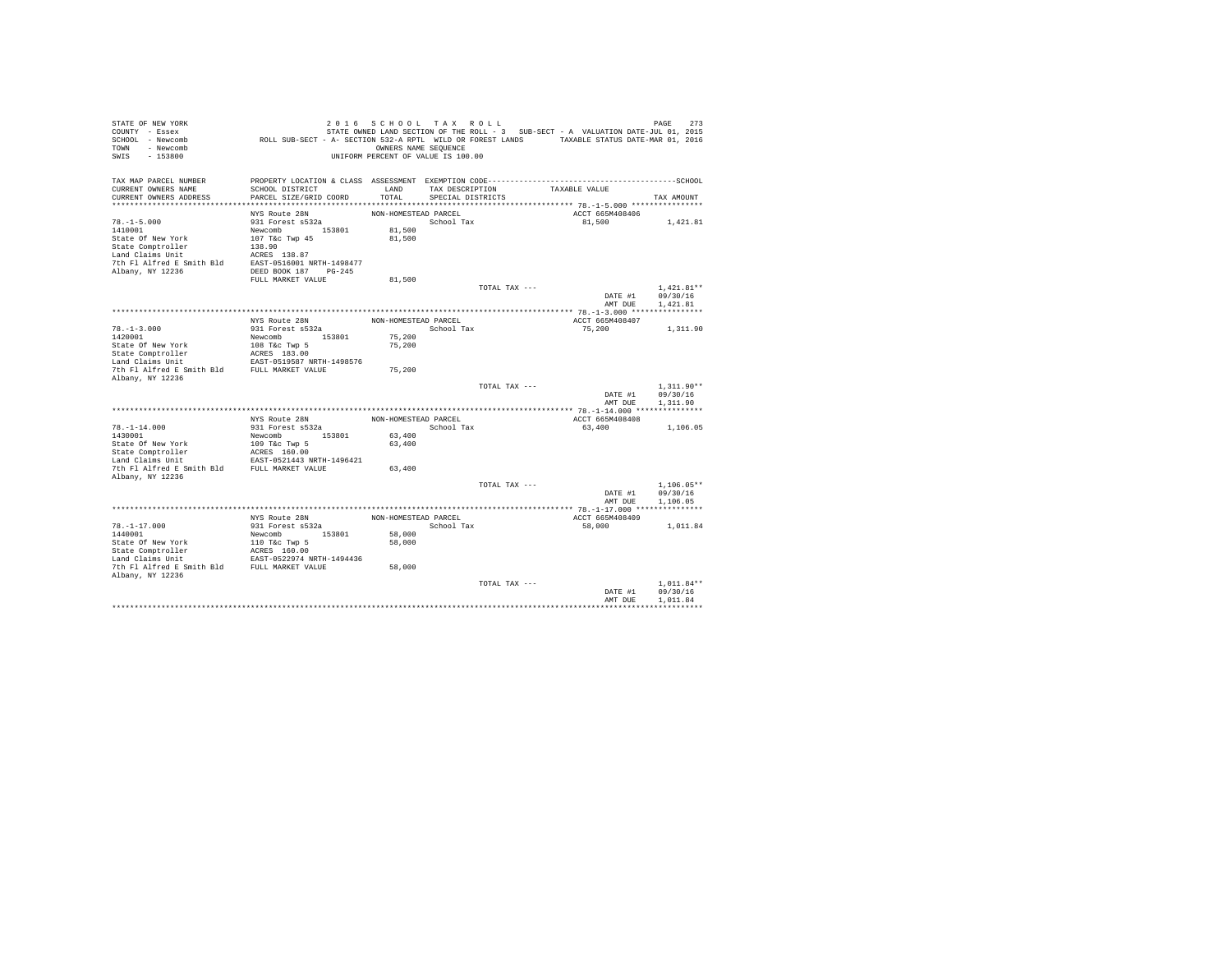| STATE OF NEW YORK<br>COUNTY - Essex<br>SCHOOL - Newcomb<br>TOWN - Newcomb<br>SWIS<br>$-153800$ |                                                            | 2016 SCHOOL TAX ROLL<br>OWNERS NAME SEOUENCE<br>UNIFORM PERCENT OF VALUE IS 100.00 |                                      |               | STATE OWNED LAND SECTION OF THE ROLL - 3 SUB-SECT - A VALUATION DATE-JUL 01, 2015<br>ROLL SUB-SECT - A- SECTION 532-A RPTL WILD OR FOREST LANDS TAXABLE STATUS DATE-MAR 01, 2016 | PAGE<br>273                          |
|------------------------------------------------------------------------------------------------|------------------------------------------------------------|------------------------------------------------------------------------------------|--------------------------------------|---------------|----------------------------------------------------------------------------------------------------------------------------------------------------------------------------------|--------------------------------------|
| TAX MAP PARCEL NUMBER<br>CURRENT OWNERS NAME<br>CURRENT OWNERS ADDRESS                         | SCHOOL DISTRICT<br>PARCEL SIZE/GRID COORD                  | LAND<br>TOTAL                                                                      | TAX DESCRIPTION<br>SPECIAL DISTRICTS |               | TAXABLE VALUE                                                                                                                                                                    | TAX AMOUNT                           |
|                                                                                                |                                                            |                                                                                    |                                      |               |                                                                                                                                                                                  |                                      |
| $78. - 1 - 5.000$                                                                              | NYS Route 28N<br>931 Forest s532a                          | NON-HOMESTEAD PARCEL                                                               | School Tax                           |               | ACCT 665M408406<br>81,500                                                                                                                                                        | 1,421.81                             |
| 1410001                                                                                        | Newcomb 153801                                             | 81,500                                                                             |                                      |               |                                                                                                                                                                                  |                                      |
| State Of New York                                                                              | 107 T&c Twp 45                                             | 81,500                                                                             |                                      |               |                                                                                                                                                                                  |                                      |
| State Comptroller                                                                              | 138.90                                                     |                                                                                    |                                      |               |                                                                                                                                                                                  |                                      |
| Land Claims Unit                                                                               | ACRES 138.87                                               |                                                                                    |                                      |               |                                                                                                                                                                                  |                                      |
| 7th Fl Alfred E Smith Bld EAST-0516001 NRTH-1498477                                            |                                                            |                                                                                    |                                      |               |                                                                                                                                                                                  |                                      |
| Albany, NY 12236                                                                               | DEED BOOK 187 PG-245                                       |                                                                                    |                                      |               |                                                                                                                                                                                  |                                      |
|                                                                                                | FULL MARKET VALUE                                          | 81,500                                                                             |                                      | TOTAL TAX --- |                                                                                                                                                                                  | $1.421.81**$                         |
|                                                                                                |                                                            |                                                                                    |                                      |               | DATE #1                                                                                                                                                                          | 09/30/16                             |
|                                                                                                |                                                            |                                                                                    |                                      |               | AMT DUE                                                                                                                                                                          | 1,421.81                             |
|                                                                                                |                                                            |                                                                                    |                                      |               |                                                                                                                                                                                  |                                      |
|                                                                                                | NYS Route 28N                                              | NON-HOMESTEAD PARCEL                                                               |                                      |               | ACCT 665M408407                                                                                                                                                                  |                                      |
| $78. - 1 - 3.000$                                                                              | 931 Forest s532a                                           |                                                                                    | School Tax                           |               | 75,200                                                                                                                                                                           | 1,311.90                             |
| 1420001<br>State Of New York                                                                   | Newcomb 153801<br>108 T&c Twp 5                            | 75,200<br>75,200                                                                   |                                      |               |                                                                                                                                                                                  |                                      |
| State Comptroller                                                                              |                                                            |                                                                                    |                                      |               |                                                                                                                                                                                  |                                      |
| Land Claims Unit                                                                               | ACRES 183.00<br>EAST-0519587 NRTH-1498576                  |                                                                                    |                                      |               |                                                                                                                                                                                  |                                      |
| 7th Fl Alfred E Smith Bld FULL MARKET VALUE                                                    |                                                            | 75,200                                                                             |                                      |               |                                                                                                                                                                                  |                                      |
| Albany, NY 12236                                                                               |                                                            |                                                                                    |                                      |               |                                                                                                                                                                                  |                                      |
|                                                                                                |                                                            |                                                                                    |                                      | TOTAL TAX --- | DATE #1<br>AMT DUE                                                                                                                                                               | $1.311.90**$<br>09/30/16<br>1,311.90 |
|                                                                                                |                                                            |                                                                                    |                                      |               |                                                                                                                                                                                  |                                      |
|                                                                                                | NYS Route 28N                                              | NON-HOMESTEAD PARCEL                                                               |                                      |               | ACCT 665M408408                                                                                                                                                                  |                                      |
| $78. - 1 - 14.000$                                                                             | 931 Forest s532a                                           |                                                                                    | School Tax                           |               | 63,400                                                                                                                                                                           | 1,106.05                             |
| 1430001                                                                                        | Newcomb 153801                                             | 63,400                                                                             |                                      |               |                                                                                                                                                                                  |                                      |
| State Of New York<br>State Comptroller                                                         | 109 T&c Twp 5<br>ACRES 160.00                              | 63,400                                                                             |                                      |               |                                                                                                                                                                                  |                                      |
| Land Claims Unit                                                                               | EAST-0521443 NRTH-1496421                                  |                                                                                    |                                      |               |                                                                                                                                                                                  |                                      |
| 7th Fl Alfred E Smith Bld FULL MARKET VALUE                                                    |                                                            | 63,400                                                                             |                                      |               |                                                                                                                                                                                  |                                      |
| Albany, NY 12236                                                                               |                                                            |                                                                                    |                                      |               |                                                                                                                                                                                  |                                      |
|                                                                                                |                                                            |                                                                                    |                                      | TOTAL TAX --- |                                                                                                                                                                                  | $1.106.05**$                         |
|                                                                                                |                                                            |                                                                                    |                                      |               | DATE #1<br>AMT DUE                                                                                                                                                               | 09/30/16<br>1,106.05                 |
|                                                                                                |                                                            |                                                                                    |                                      |               |                                                                                                                                                                                  |                                      |
|                                                                                                | NYS Route 28N                                              | NON-HOMESTEAD PARCEL                                                               |                                      |               | ACCT 665M408409                                                                                                                                                                  |                                      |
| $78. - 1 - 17.000$                                                                             | 931 Forest s532a                                           |                                                                                    | School Tax                           |               | 58,000                                                                                                                                                                           | 1,011.84                             |
| 1440001                                                                                        | Newcomb 153801                                             | 58,000                                                                             |                                      |               |                                                                                                                                                                                  |                                      |
| State Of New York                                                                              | 110 T&c Twp 5<br>ACRES 160.00<br>EAST-0522974 NRTH-1494436 | 58,000                                                                             |                                      |               |                                                                                                                                                                                  |                                      |
| State Comptroller                                                                              |                                                            |                                                                                    |                                      |               |                                                                                                                                                                                  |                                      |
| Land Claims Unit<br>7th Fl Alfred E Smith Bld FULL MARKET VALUE                                |                                                            | 58,000                                                                             |                                      |               |                                                                                                                                                                                  |                                      |
| Albany, NY 12236                                                                               |                                                            |                                                                                    |                                      |               |                                                                                                                                                                                  |                                      |
|                                                                                                |                                                            |                                                                                    |                                      | TOTAL TAX --- |                                                                                                                                                                                  | $1.011.84**$                         |
|                                                                                                |                                                            |                                                                                    |                                      |               | DATE #1                                                                                                                                                                          | 09/30/16                             |
|                                                                                                |                                                            |                                                                                    |                                      |               | AMT DUE                                                                                                                                                                          | 1.011.84                             |
|                                                                                                |                                                            |                                                                                    |                                      |               |                                                                                                                                                                                  |                                      |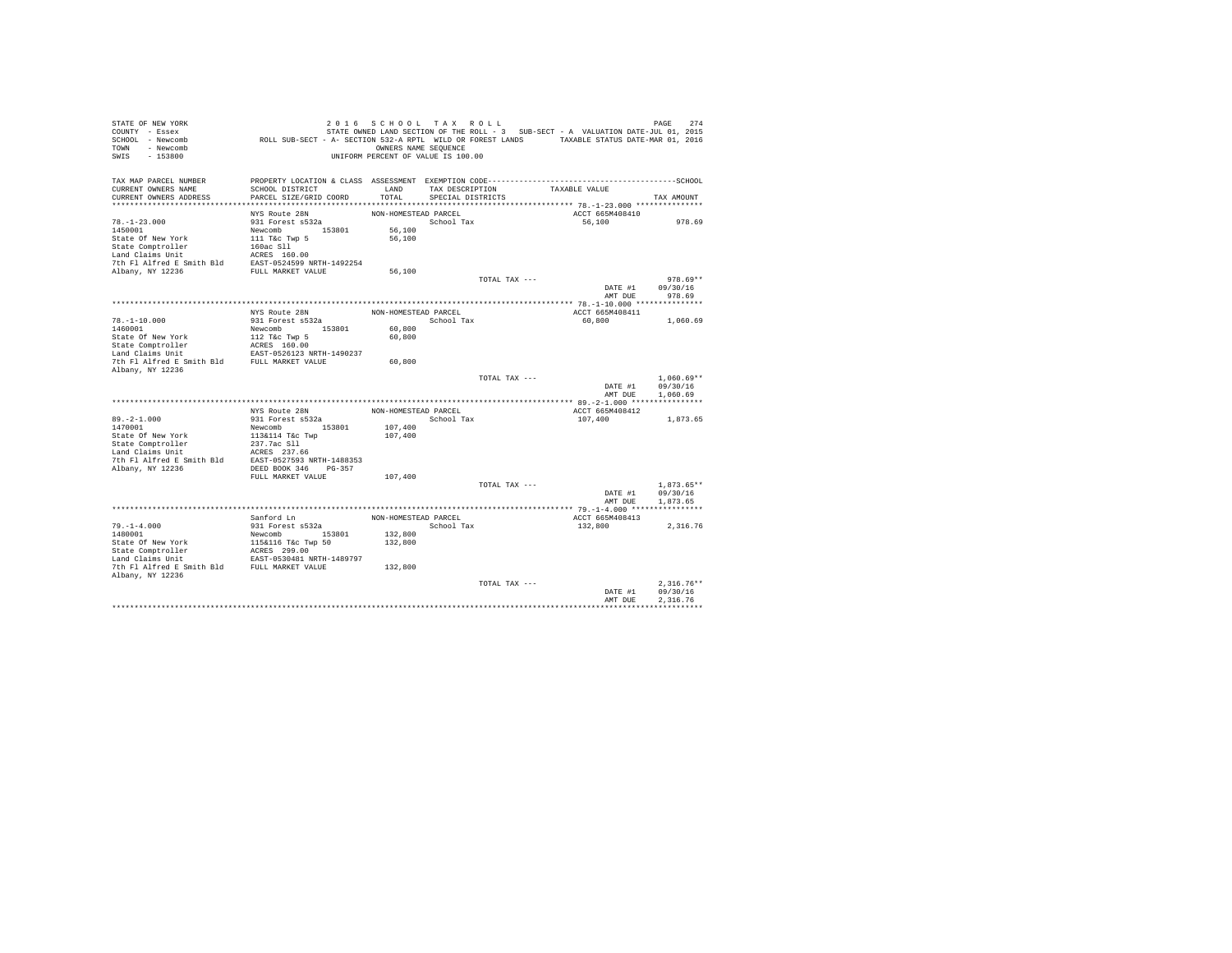| STATE OF NEW YORK<br>COUNTY - Essex                                                                                                                                             |                                                                                             | 2016 SCHOOL TAX ROLL               |                   |               | STATE OWNED LAND SECTION OF THE ROLL - 3 SUB-SECT - A VALUATION DATE-JUL 01, 2015 | 274<br>PAGE          |
|---------------------------------------------------------------------------------------------------------------------------------------------------------------------------------|---------------------------------------------------------------------------------------------|------------------------------------|-------------------|---------------|-----------------------------------------------------------------------------------|----------------------|
| SCHOOL - Newcomb                                                                                                                                                                | ROLL SUB-SECT - A- SECTION 532-A RPTL WILD OR FOREST LANDS TAXABLE STATUS DATE-MAR 01, 2016 |                                    |                   |               |                                                                                   |                      |
| TOWN - Newcomb                                                                                                                                                                  |                                                                                             | OWNERS NAME SEQUENCE               |                   |               |                                                                                   |                      |
| SWIS<br>$-153800$                                                                                                                                                               |                                                                                             | UNIFORM PERCENT OF VALUE IS 100.00 |                   |               |                                                                                   |                      |
| TAX MAP PARCEL NUMBER                                                                                                                                                           |                                                                                             |                                    |                   |               |                                                                                   |                      |
| CURRENT OWNERS NAME                                                                                                                                                             | SCHOOL DISTRICT                                                                             | LAND                               | TAX DESCRIPTION   |               | TAXABLE VALUE                                                                     |                      |
| CURRENT OWNERS ADDRESS                                                                                                                                                          | PARCEL SIZE/GRID COORD                                                                      | TOTAL                              | SPECIAL DISTRICTS |               |                                                                                   | TAX AMOUNT           |
|                                                                                                                                                                                 | NYS Route 28N                                                                               | NON-HOMESTEAD PARCEL               |                   |               | ACCT 665M408410                                                                   |                      |
| $78. - 1 - 23.000$                                                                                                                                                              | 931 Forest s532a                                                                            |                                    | School Tax        |               | 56,100                                                                            | 978.69               |
| 1450001                                                                                                                                                                         |                                                                                             | 56,100                             |                   |               |                                                                                   |                      |
| State Of New York                                                                                                                                                               | Newcomb 153801<br>111 T&c Twp 5                                                             | 56,100                             |                   |               |                                                                                   |                      |
|                                                                                                                                                                                 |                                                                                             |                                    |                   |               |                                                                                   |                      |
|                                                                                                                                                                                 |                                                                                             |                                    |                   |               |                                                                                   |                      |
|                                                                                                                                                                                 |                                                                                             |                                    |                   |               |                                                                                   |                      |
|                                                                                                                                                                                 |                                                                                             | 56,100                             |                   |               |                                                                                   |                      |
|                                                                                                                                                                                 |                                                                                             |                                    |                   | TOTAL TAX --- |                                                                                   | $978.69**$           |
|                                                                                                                                                                                 |                                                                                             |                                    |                   |               | DATE #1                                                                           | 09/30/16             |
|                                                                                                                                                                                 |                                                                                             |                                    |                   |               | AMT DUE                                                                           | 978.69               |
|                                                                                                                                                                                 | NYS Route 28N                                                                               | NON-HOMESTEAD PARCEL               |                   |               | ACCT 665M408411                                                                   |                      |
| $78. - 1 - 10.000$                                                                                                                                                              | 931 Forest s532a                                                                            |                                    | School Tax        |               | 60,800                                                                            | 1,060.69             |
| 1460001                                                                                                                                                                         | Newcomb 153801                                                                              | 60,800                             |                   |               |                                                                                   |                      |
| State Of New York                                                                                                                                                               | 112 T&C Twp 5<br>ACRES 160.00<br>EAST-0526123 NRTH-1490237                                  | 60,800                             |                   |               |                                                                                   |                      |
| State Comptroller<br>Land Claims Unit                                                                                                                                           |                                                                                             |                                    |                   |               |                                                                                   |                      |
|                                                                                                                                                                                 |                                                                                             |                                    |                   |               |                                                                                   |                      |
| 7th Fl Alfred E Smith Bld FULL MARKET VALUE<br>Albany, NY 12236                                                                                                                 |                                                                                             | 60,800                             |                   |               |                                                                                   |                      |
|                                                                                                                                                                                 |                                                                                             |                                    |                   | TOTAL TAX --- |                                                                                   | $1.060.69**$         |
|                                                                                                                                                                                 |                                                                                             |                                    |                   |               |                                                                                   | DATE #1 09/30/16     |
|                                                                                                                                                                                 |                                                                                             |                                    |                   |               | AMT DUE                                                                           | 1,060.69             |
|                                                                                                                                                                                 | NYS Route 28N                                                                               | NON-HOMESTEAD PARCEL               |                   |               | ACCT 665M408412                                                                   |                      |
| $89. -2 - 1.000$                                                                                                                                                                | 931 Forest s532a                                                                            |                                    | School Tax        |               | 107,400                                                                           | 1,873.65             |
| 1470001                                                                                                                                                                         | Newcomb 153801                                                                              | 107,400                            |                   |               |                                                                                   |                      |
| State Of New York                                                                                                                                                               | 113&114 T&c Twp                                                                             | 107,400                            |                   |               |                                                                                   |                      |
| State Comptroller 237.7ac S11<br>Land Claims Unit 237.7ac S11<br>Land Claims Unit 25.857.56<br>7th F1 Alfred E Smith B1d<br>237.568 PMTH-1488353<br>21.2apr 20236<br>246 PG-357 |                                                                                             |                                    |                   |               |                                                                                   |                      |
|                                                                                                                                                                                 |                                                                                             |                                    |                   |               |                                                                                   |                      |
|                                                                                                                                                                                 |                                                                                             |                                    |                   |               |                                                                                   |                      |
|                                                                                                                                                                                 |                                                                                             |                                    |                   |               |                                                                                   |                      |
|                                                                                                                                                                                 | FULL MARKET VALUE                                                                           | 107,400                            |                   |               |                                                                                   |                      |
|                                                                                                                                                                                 |                                                                                             |                                    |                   | TOTAL TAX --- |                                                                                   | $1,873.65**$         |
|                                                                                                                                                                                 |                                                                                             |                                    |                   |               | DATE #1                                                                           | 09/30/16<br>1,873.65 |
|                                                                                                                                                                                 |                                                                                             |                                    |                   |               | AMT DUE                                                                           |                      |
|                                                                                                                                                                                 | Sanford Ln                                                                                  | NON-HOMESTEAD PARCEL               |                   |               | ACCT 665M408413                                                                   |                      |
| $79. - 1 - 4.000$                                                                                                                                                               | 931 Forest s532a                                                                            |                                    | School Tax        |               | 132,800                                                                           | 2,316.76             |
| 1480001                                                                                                                                                                         | Newcomb 153801                                                                              | 132,800                            |                   |               |                                                                                   |                      |
|                                                                                                                                                                                 |                                                                                             | 132,800                            |                   |               |                                                                                   |                      |
| State Of New York<br>State Comptroller<br>Land Claims Unit                                                                                                                      | 115&116 T&c Twp 50<br>ACRES 299.00<br>EAST-0530481 NRTH-1489797                             |                                    |                   |               |                                                                                   |                      |
|                                                                                                                                                                                 |                                                                                             |                                    |                   |               |                                                                                   |                      |
| 7th F1 Alfred E Smith Bld FULL MARKET VALUE                                                                                                                                     |                                                                                             | 132,800                            |                   |               |                                                                                   |                      |
| Albany, NY 12236                                                                                                                                                                |                                                                                             |                                    |                   |               |                                                                                   |                      |
|                                                                                                                                                                                 |                                                                                             |                                    |                   | TOTAL TAX --- |                                                                                   | $2.316.76**$         |
|                                                                                                                                                                                 |                                                                                             |                                    |                   |               | DATE #1                                                                           | 09/30/16<br>2.316.76 |
|                                                                                                                                                                                 |                                                                                             |                                    |                   |               | AMT DUE                                                                           |                      |
|                                                                                                                                                                                 |                                                                                             |                                    |                   |               |                                                                                   |                      |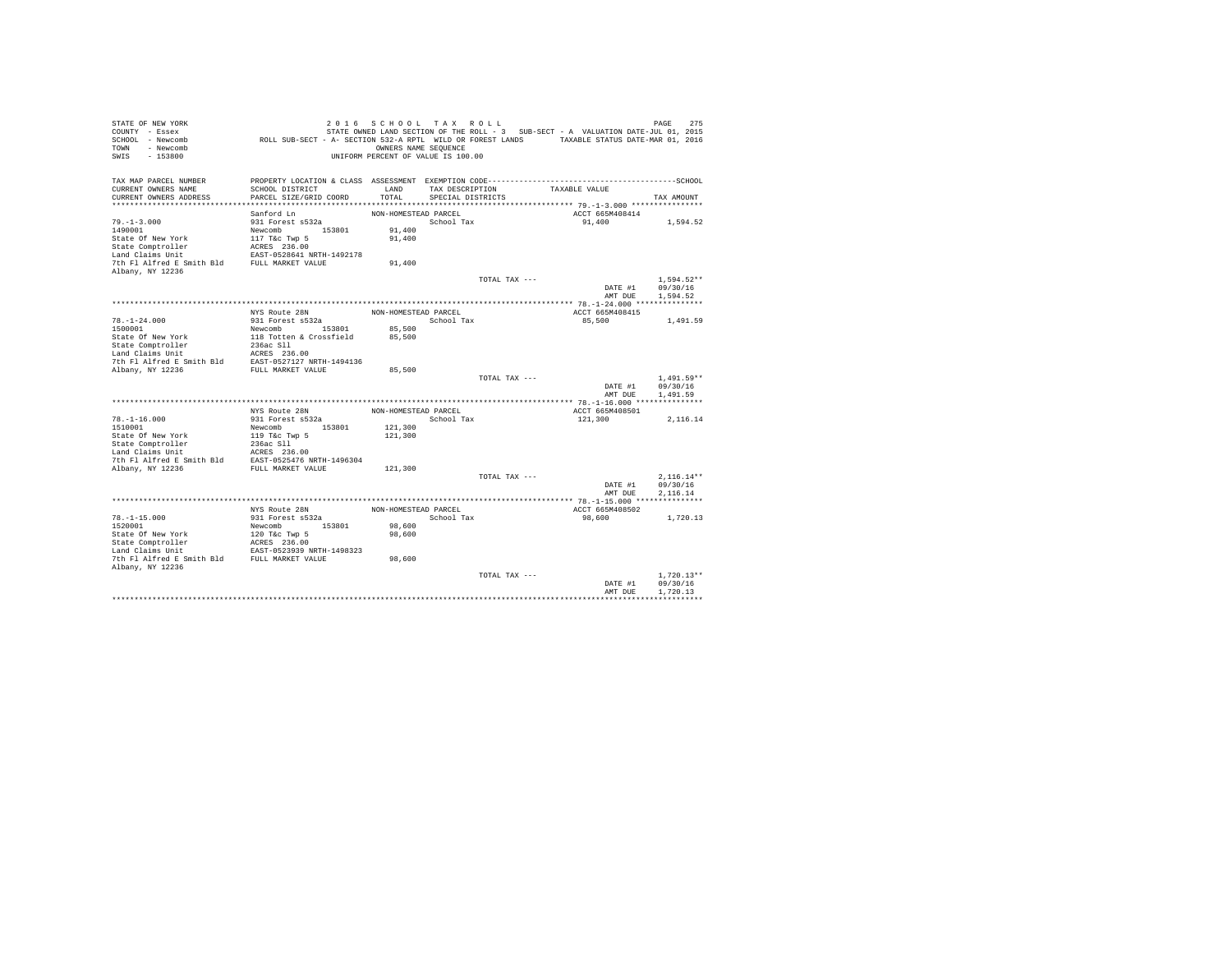| STATE OF NEW YORK<br>COUNTY - Essex<br>SCHOOL - Newcomb<br>- Newcomb<br>TOWN<br>$-153800$<br>SWIS |                                                            | OWNERS NAME SEQUENCE | 2016 SCHOOL TAX ROLL<br>UNIFORM PERCENT OF VALUE IS 100.00 | STATE OWNED LAND SECTION OF THE ROLL - 3 SUB-SECT - A VALUATION DATE-JUL 01, 2015<br>ROLL SUB-SECT - A- SECTION 532-A RPTL WILD OR FOREST LANDS TAXABLE STATUS DATE-MAR 01, 2016 | 275<br>PAGE  |
|---------------------------------------------------------------------------------------------------|------------------------------------------------------------|----------------------|------------------------------------------------------------|----------------------------------------------------------------------------------------------------------------------------------------------------------------------------------|--------------|
| TAX MAP PARCEL NUMBER<br>CURRENT OWNERS NAME                                                      | SCHOOL DISTRICT                                            | LAND                 | TAX DESCRIPTION                                            | PROPERTY LOCATION & CLASS ASSESSMENT EXEMPTION CODE-----------------------------------SCHOOL<br>TAXABLE VALUE                                                                    |              |
| CURRENT OWNERS ADDRESS                                                                            | PARCEL SIZE/GRID COORD                                     | TOTAL                | SPECIAL DISTRICTS                                          |                                                                                                                                                                                  | TAX AMOUNT   |
|                                                                                                   |                                                            |                      |                                                            |                                                                                                                                                                                  |              |
|                                                                                                   | Sanford Ln                                                 | NON-HOMESTEAD PARCEL |                                                            | ACCT 665M408414                                                                                                                                                                  |              |
| $79. - 1 - 3.000$                                                                                 | 931 Forest s532a                                           |                      | School Tax                                                 | 91,400                                                                                                                                                                           | 1,594.52     |
| 1490001                                                                                           | Newcomb 153801                                             | 91,400               |                                                            |                                                                                                                                                                                  |              |
| State Of New York                                                                                 | 117 T&c Twp 5                                              | 91,400               |                                                            |                                                                                                                                                                                  |              |
| State Comptroller                                                                                 | ACRES 236.00                                               |                      |                                                            |                                                                                                                                                                                  |              |
| Land Claims Unit                                                                                  | EAST-0528641 NRTH-1492178                                  |                      |                                                            |                                                                                                                                                                                  |              |
| 7th Fl Alfred E Smith Bld FULL MARKET VALUE<br>Albany, NY 12236                                   |                                                            | 91,400               |                                                            |                                                                                                                                                                                  |              |
|                                                                                                   |                                                            |                      | TOTAL TAX ---                                              |                                                                                                                                                                                  | $1.594.52**$ |
|                                                                                                   |                                                            |                      |                                                            | DATE #1                                                                                                                                                                          | 09/30/16     |
|                                                                                                   |                                                            |                      |                                                            | AMT DUE                                                                                                                                                                          | 1,594.52     |
|                                                                                                   |                                                            |                      |                                                            |                                                                                                                                                                                  |              |
|                                                                                                   | NYS Route 28N                                              | NON-HOMESTEAD PARCEL |                                                            | ACCT 665M408415                                                                                                                                                                  |              |
| $78. - 1 - 24.000$                                                                                | 931 Forest s532a                                           |                      | School Tax                                                 | 85,500                                                                                                                                                                           | 1,491.59     |
| 1500001                                                                                           | Newcomb 153801                                             | 85,500               |                                                            |                                                                                                                                                                                  |              |
| State Of New York                                                                                 | 118 Totten & Crossfield                                    | 85,500               |                                                            |                                                                                                                                                                                  |              |
| State Comptroller                                                                                 | 236ac S11                                                  |                      |                                                            |                                                                                                                                                                                  |              |
| Land Claims Unit                                                                                  | ACRES 236.00                                               |                      |                                                            |                                                                                                                                                                                  |              |
| 7th Fl Alfred E Smith Bld                                                                         | EAST-0527127 NRTH-1494136<br>FULL MARKET VALUE             | 85,500               |                                                            |                                                                                                                                                                                  |              |
| Albany, NY 12236                                                                                  |                                                            |                      | TOTAL TAX ---                                              |                                                                                                                                                                                  | $1.491.59**$ |
|                                                                                                   |                                                            |                      |                                                            | DATE #1                                                                                                                                                                          | 09/30/16     |
|                                                                                                   |                                                            |                      |                                                            | AMT DUE                                                                                                                                                                          | 1,491.59     |
|                                                                                                   |                                                            |                      |                                                            |                                                                                                                                                                                  |              |
|                                                                                                   | NYS Route 28N                                              | NON-HOMESTEAD PARCEL |                                                            | ACCT 665M408501                                                                                                                                                                  |              |
| $78. - 1 - 16.000$                                                                                | 931 Forest s532a                                           |                      | School Tax                                                 | 121,300                                                                                                                                                                          | 2,116.14     |
| 1510001                                                                                           | Newcomb 153801                                             | 121,300              |                                                            |                                                                                                                                                                                  |              |
| State Of New York<br>State Comptroller                                                            | 119 T&c Twp 5<br>236ac Sll                                 | 121,300              |                                                            |                                                                                                                                                                                  |              |
| Land Claims Unit                                                                                  | ACRES 236.00                                               |                      |                                                            |                                                                                                                                                                                  |              |
| 7th Fl Alfred E Smith Bld                                                                         | EAST-0525476 NRTH-1496304                                  |                      |                                                            |                                                                                                                                                                                  |              |
| Albany, NY 12236                                                                                  | FULL MARKET VALUE                                          | 121,300              |                                                            |                                                                                                                                                                                  |              |
|                                                                                                   |                                                            |                      | TOTAL TAX ---                                              |                                                                                                                                                                                  | $2.116.14**$ |
|                                                                                                   |                                                            |                      |                                                            | DATE #1                                                                                                                                                                          | 09/30/16     |
|                                                                                                   |                                                            |                      |                                                            | AMT DUE                                                                                                                                                                          | 2.116.14     |
|                                                                                                   |                                                            |                      |                                                            |                                                                                                                                                                                  |              |
|                                                                                                   | NYS Route 28N                                              | NON-HOMESTEAD PARCEL |                                                            | ACCT 665M408502                                                                                                                                                                  |              |
| $78. - 1 - 15.000$                                                                                | 931 Forest s532a                                           |                      | School Tax                                                 | 98,600                                                                                                                                                                           | 1,720.13     |
| 1520001                                                                                           | Newcomb 153801                                             | 98,600               |                                                            |                                                                                                                                                                                  |              |
| State Of New York<br>State Comptroller                                                            | 120 T&c Twp 5<br>ACRES 236.00<br>EAST-0523939 NRTH-1498323 | 98,600               |                                                            |                                                                                                                                                                                  |              |
| Land Claims Unit                                                                                  |                                                            |                      |                                                            |                                                                                                                                                                                  |              |
| 7th Fl Alfred E Smith Bld FULL MARKET VALUE                                                       |                                                            | 98,600               |                                                            |                                                                                                                                                                                  |              |
| Albany, NY 12236                                                                                  |                                                            |                      |                                                            |                                                                                                                                                                                  |              |
|                                                                                                   |                                                            |                      | TOTAL TAX ---                                              |                                                                                                                                                                                  | $1.720.13**$ |
|                                                                                                   |                                                            |                      |                                                            | DATE #1                                                                                                                                                                          | 09/30/16     |
|                                                                                                   |                                                            |                      |                                                            | AMT DUE                                                                                                                                                                          | 1,720.13     |
|                                                                                                   |                                                            |                      |                                                            |                                                                                                                                                                                  |              |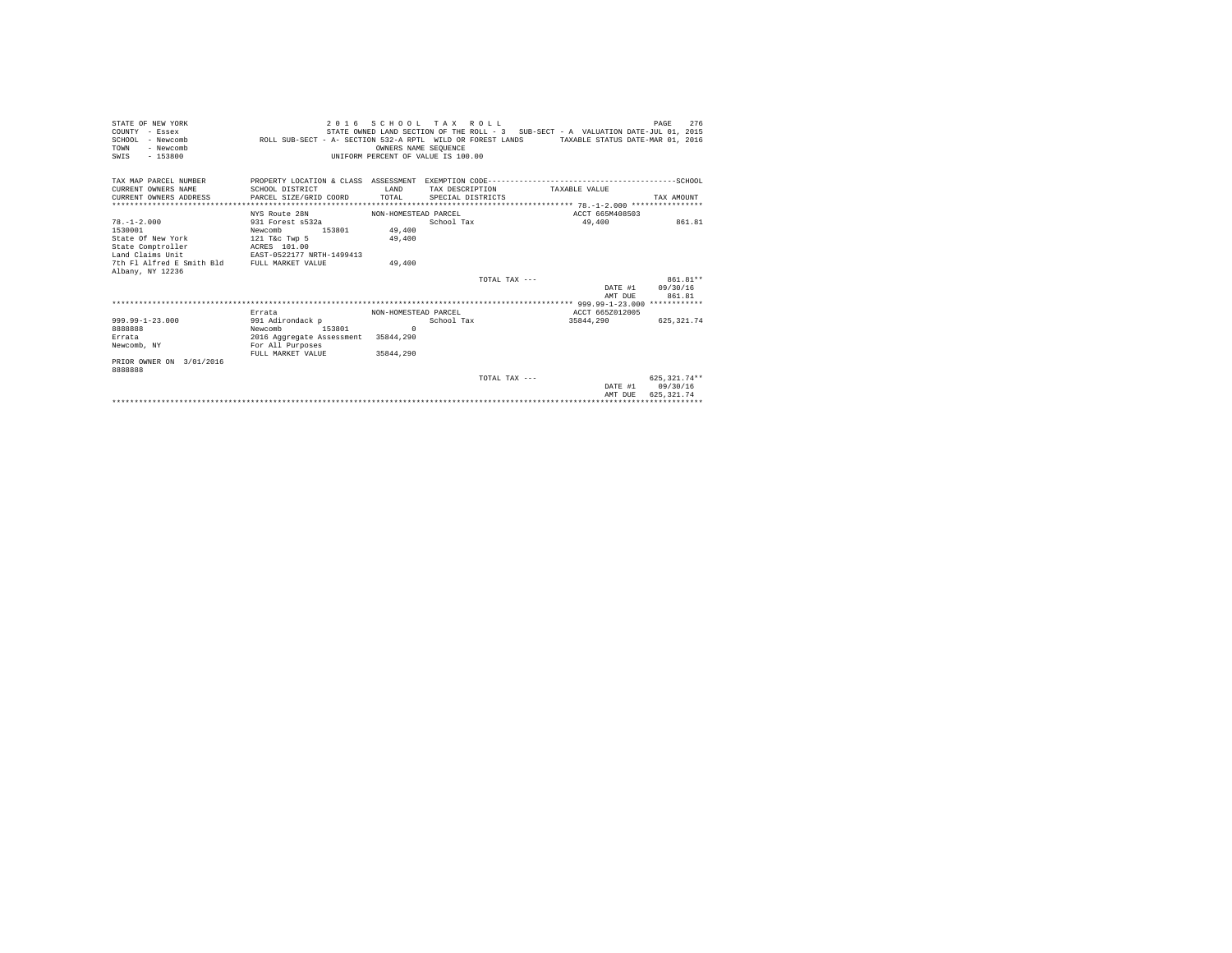| STATE OF NEW YORK<br>COUNTY - Essex<br>SCHOOL - Newcomb<br>TOWN<br>- Newcomb<br>$-153800$<br>SWIS | 2 0 1 6                               | OWNERS NAME SEOUENCE<br>INIFORM PERCENT OF VALUE IS 100.00 | SCHOOL TAX ROLL<br>STATE OWNED LAND SECTION OF THE ROLL - 3 SUB-SECT - A VALUATION DATE-JUL 01, 2015<br>ROLL SUB-SECT - A- SECTION 532-A RPTL WILD OR FOREST LANDS TAXABLE STATUS DATE-MAR 01, 2016 |                 | 276<br>PAGE      |  |
|---------------------------------------------------------------------------------------------------|---------------------------------------|------------------------------------------------------------|-----------------------------------------------------------------------------------------------------------------------------------------------------------------------------------------------------|-----------------|------------------|--|
| TAX MAP PARCEL NUMBER<br>CURRENT OWNERS NAME                                                      | SCHOOL DISTRICT                       | T.AND                                                      | TAX DESCRIPTION                                                                                                                                                                                     | TAXABLE VALUE   |                  |  |
| CURRENT OWNERS ADDRESS                                                                            | PARCEL SIZE/GRID COORD                | TOTAL                                                      | SPECIAL DISTRICTS                                                                                                                                                                                   |                 | TAX AMOUNT       |  |
|                                                                                                   | NYS Route 28N                         | NON-HOMESTEAD PARCEL                                       |                                                                                                                                                                                                     | ACCT 665M408503 |                  |  |
| $78. - 1 - 2.000$                                                                                 | 931 Forest s532a                      |                                                            | School Tax                                                                                                                                                                                          | 49,400          | 861.81           |  |
| 1530001                                                                                           | Newcomb<br>153801                     | 49,400                                                     |                                                                                                                                                                                                     |                 |                  |  |
| State Of New York                                                                                 | 121 T&C Twp 5                         | 49,400                                                     |                                                                                                                                                                                                     |                 |                  |  |
| State Comptroller                                                                                 | ACRES 101.00                          |                                                            |                                                                                                                                                                                                     |                 |                  |  |
| Land Claims Unit                                                                                  | EAST-0522177 NRTH-1499413             |                                                            |                                                                                                                                                                                                     |                 |                  |  |
| 7th Fl Alfred E Smith Bld FULL MARKET VALUE<br>Albany, NY 12236                                   |                                       | 49,400                                                     |                                                                                                                                                                                                     |                 |                  |  |
|                                                                                                   |                                       |                                                            | TOTAL TAX $---$                                                                                                                                                                                     |                 | 861.81**         |  |
|                                                                                                   |                                       |                                                            |                                                                                                                                                                                                     | DATE #1         | 09/30/16         |  |
|                                                                                                   |                                       |                                                            |                                                                                                                                                                                                     | AMT DUE         | 861.81           |  |
|                                                                                                   |                                       |                                                            |                                                                                                                                                                                                     |                 |                  |  |
|                                                                                                   | NON-HOMESTEAD PARCEL<br>Errata        |                                                            |                                                                                                                                                                                                     | ACCT 665Z012005 |                  |  |
| $999.99 - 1 - 23.000$<br>8888888                                                                  | 991 Adirondack p<br>Newcomb<br>153801 | $\Omega$                                                   | School Tax                                                                                                                                                                                          | 35844.290       | 625, 321, 74     |  |
| Errata                                                                                            | 2016 Aggregate Assessment 35844, 290  |                                                            |                                                                                                                                                                                                     |                 |                  |  |
| Newcomb, NY                                                                                       | For All Purposes                      |                                                            |                                                                                                                                                                                                     |                 |                  |  |
|                                                                                                   | FULL MARKET VALUE                     | 35844,290                                                  |                                                                                                                                                                                                     |                 |                  |  |
| PRIOR OWNER ON 3/01/2016<br>8888888                                                               |                                       |                                                            |                                                                                                                                                                                                     |                 |                  |  |
|                                                                                                   |                                       |                                                            | TOTAL TAX ---                                                                                                                                                                                       |                 | 625.321.74**     |  |
|                                                                                                   |                                       |                                                            |                                                                                                                                                                                                     |                 | DATE #1 09/30/16 |  |
| 625.321.74<br>AMT DUE                                                                             |                                       |                                                            |                                                                                                                                                                                                     |                 |                  |  |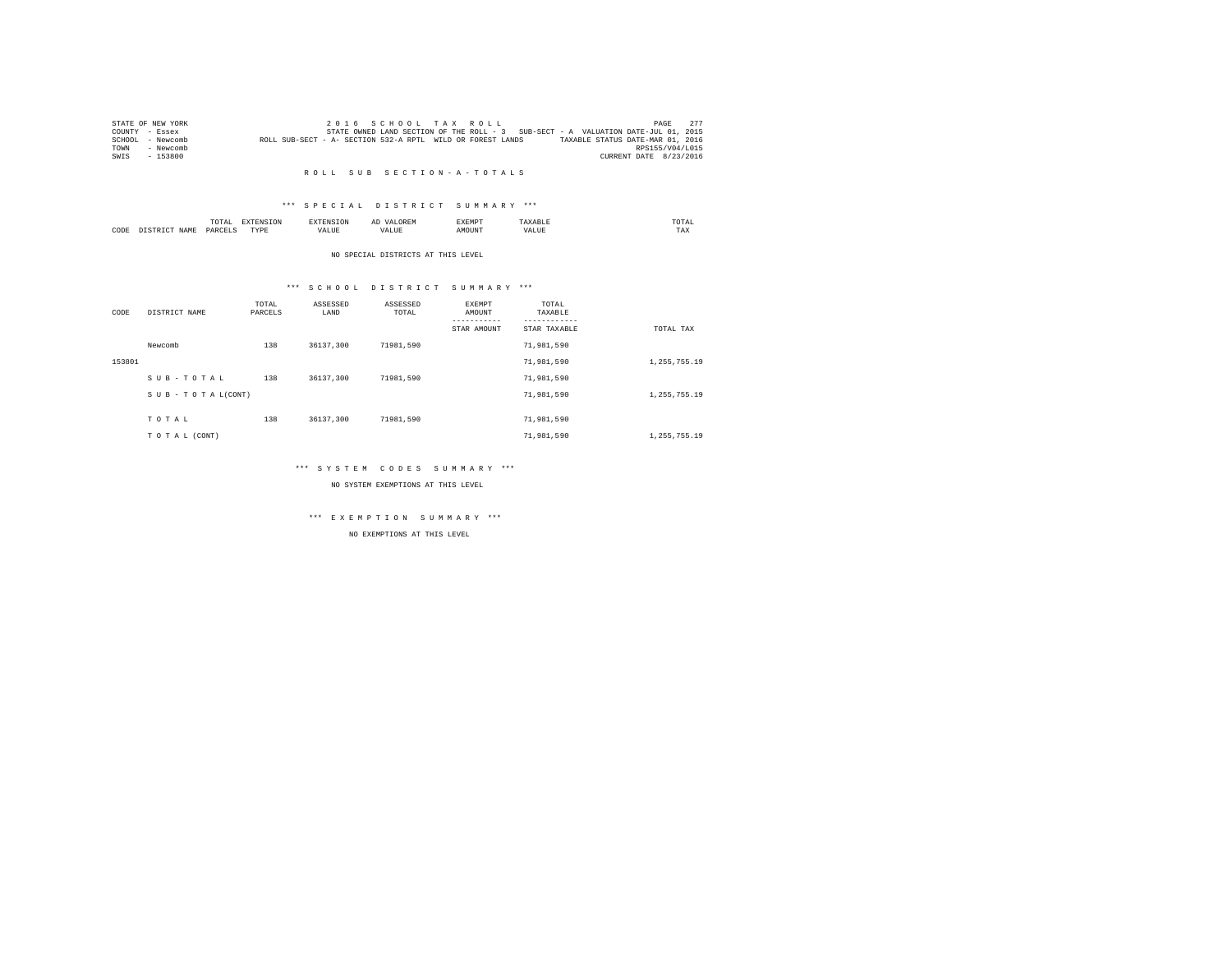|        | STATE OF NEW YORK |                                                            |  |  | 2016 SCHOOL TAX ROLL |                                                                                   |                                  | PAGE                   | 277 |
|--------|-------------------|------------------------------------------------------------|--|--|----------------------|-----------------------------------------------------------------------------------|----------------------------------|------------------------|-----|
|        | COUNTY - Essex    |                                                            |  |  |                      | STATE OWNED LAND SECTION OF THE ROLL - 3 SUB-SECT - A VALUATION DATE-JUL 01, 2015 |                                  |                        |     |
| SCHOOL | - Newcomb         | ROLL SUB-SECT - A- SECTION 532-A RPTL WILD OR FOREST LANDS |  |  |                      |                                                                                   | TAXABLE STATUS DATE-MAR 01, 2016 |                        |     |
| TOWN   | - Newcomb         |                                                            |  |  |                      |                                                                                   |                                  | RPS155/V04/L015        |     |
| SWIS   | - 153800          |                                                            |  |  |                      |                                                                                   |                                  | CURRENT DATE 8/23/2016 |     |

#### R O L L S U B S E C T I O N - A - T O T A L S

#### \*\*\* S P E C I A L D I S T R I C T S U M M A R Y \*\*\*

|      |             | moms:<br>IUIAI     |           |   | $\sim$ | :XEMP' |       | UIAI<br>the contract of the contract of the contract of |  |
|------|-------------|--------------------|-----------|---|--------|--------|-------|---------------------------------------------------------|--|
| CODE | <b>NAME</b> | DADCET<br>________ | PVDI<br>. | . |        |        | . ۱ ۵ | 1 A.A                                                   |  |

#### NO SPECIAL DISTRICTS AT THIS LEVEL

#### \*\*\* S C H O O L D I S T R I C T S U M M A R Y \*\*\*

| CODE   | DISTRICT NAME      | TOTAL<br>PARCELS | ASSESSED<br>LAND | ASSESSED<br>TOTAL | EXEMPT<br>AMOUNT | TOTAL<br>TAXABLE |              |
|--------|--------------------|------------------|------------------|-------------------|------------------|------------------|--------------|
|        |                    |                  |                  |                   | STAR AMOUNT      | STAR TAXABLE     | TOTAL TAX    |
|        | Newcomb            | 138              | 36137,300        | 71981.590         |                  | 71,981,590       |              |
| 153801 |                    |                  |                  |                   |                  | 71,981,590       | 1,255,755.19 |
|        | SUB-TOTAL          | 138              | 36137.300        | 71981.590         |                  | 71,981,590       |              |
|        | SUB - TO TAL(CONT) |                  |                  |                   |                  | 71,981,590       | 1,255,755.19 |
|        |                    |                  |                  |                   |                  |                  |              |
|        | TOTAL              | 138              | 36137.300        | 71981.590         |                  | 71,981,590       |              |
|        | TO TAL (CONT)      |                  |                  |                   |                  | 71,981,590       | 1,255,755.19 |

#### \*\*\* S Y S T E M C O D E S S U M M A R Y \*\*\*

NO SYSTEM EXEMPTIONS AT THIS LEVEL

# \*\*\* E X E M P T I O N S U M M A R Y \*\*\*

NO EXEMPTIONS AT THIS LEVEL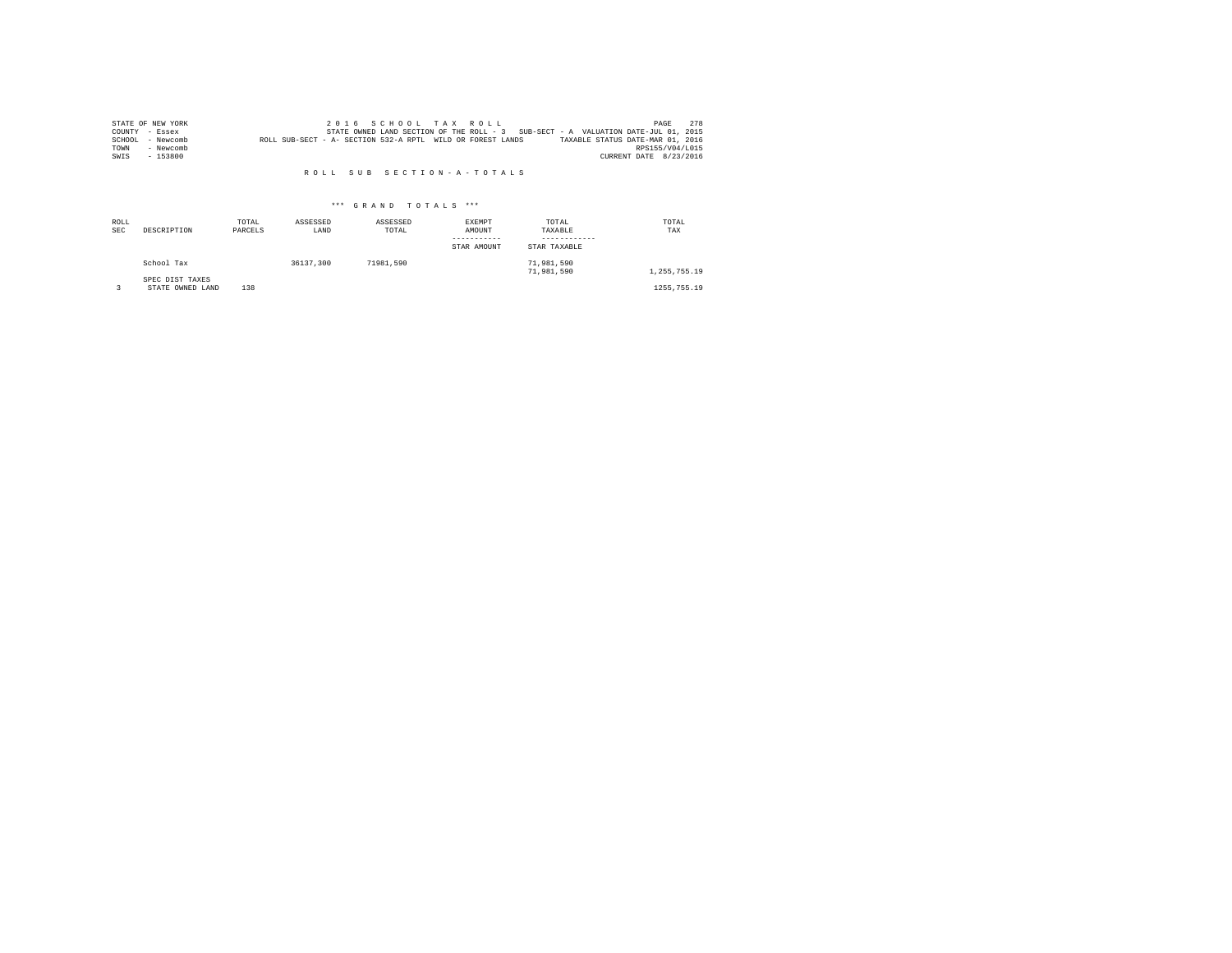|      | STATE OF NEW YORK |                                                            |  |  | 2016 SCHOOL TAX ROLL |  |                                                                                   |                        | PAGE | 2.78 |
|------|-------------------|------------------------------------------------------------|--|--|----------------------|--|-----------------------------------------------------------------------------------|------------------------|------|------|
|      | COUNTY - Essex    |                                                            |  |  |                      |  | STATE OWNED LAND SECTION OF THE ROLL - 3 SUB-SECT - A VALUATION DATE-JUL 01, 2015 |                        |      |      |
|      | SCHOOL - Newcomb  | ROLL SUB-SECT - A- SECTION 532-A RPTL WILD OR FOREST LANDS |  |  |                      |  | TAXABLE STATUS DATE-MAR 01, 2016                                                  |                        |      |      |
| TOWN | - Newcomb         |                                                            |  |  |                      |  |                                                                                   | RPS155/V04/L015        |      |      |
| SWIS | - 153800          |                                                            |  |  |                      |  |                                                                                   | CURRENT DATE 8/23/2016 |      |      |

#### R O L L S U B S E C T I O N - A - T O T A L S

## \*\*\* G R A N D T O T A L S \*\*\*

| ROLL<br><b>SEC</b> | DESCRIPTION                         | TOTAL<br>PARCELS | ASSESSED<br>LAND | ASSESSED<br>TOTAL | EXEMPT<br>AMOUNT<br>STAR AMOUNT | TOTAL<br>TAXABLE<br>STAR TAXABLE | TOTAL<br>TAX  |
|--------------------|-------------------------------------|------------------|------------------|-------------------|---------------------------------|----------------------------------|---------------|
|                    | School Tax                          |                  | 36137,300        | 71981.590         |                                 | 71,981,590<br>71,981,590         | 1.255.755.19  |
|                    | SPEC DIST TAXES<br>STATE OWNED LAND | 138              |                  |                   |                                 |                                  | 1255, 755, 19 |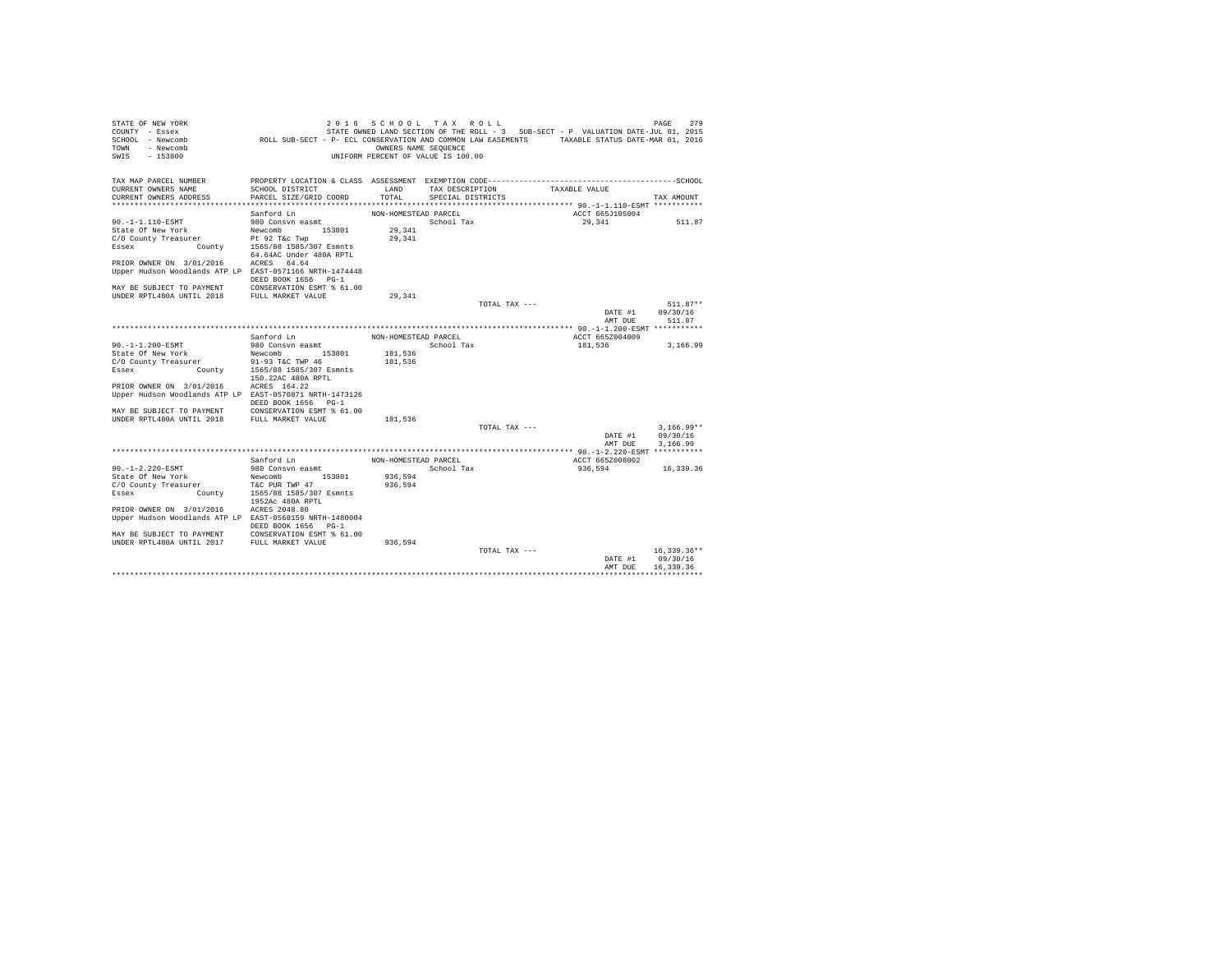| STATE OF NEW YORK<br>COUNTY - Essex                     |                                                                                               | 2016 SCHOOL TAX ROLL               |                   |               | STATE OWNED LAND SECTION OF THE ROLL - 3 SUB-SECT - P VALUATION DATE-JUL 01, 2015 | 279<br>PAGE               |
|---------------------------------------------------------|-----------------------------------------------------------------------------------------------|------------------------------------|-------------------|---------------|-----------------------------------------------------------------------------------|---------------------------|
| SCHOOL - Newcomb                                        | ROLL SUB-SECT - P- ECL CONSERVATION AND COMMON LAW EASEMENTS TAXABLE STATUS DATE-MAR 01, 2016 |                                    |                   |               |                                                                                   |                           |
| - Newcomb<br>TOWN                                       |                                                                                               | OWNERS NAME SEOUENCE               |                   |               |                                                                                   |                           |
| SWTS<br>$-153800$                                       |                                                                                               | UNIFORM PERCENT OF VALUE IS 100.00 |                   |               |                                                                                   |                           |
|                                                         |                                                                                               |                                    |                   |               |                                                                                   |                           |
| TAX MAP PARCEL NUMBER                                   | PROPERTY LOCATION & CLASS ASSESSMENT EXEMPTION CODE-----------------------                    |                                    |                   |               |                                                                                   | ----------------SCHOOL    |
| CURRENT OWNERS NAME                                     | SCHOOL DISTRICT                                                                               | LAND                               | TAX DESCRIPTION   |               | TAXABLE VALUE                                                                     |                           |
| CURRENT OWNERS ADDRESS                                  | PARCEL SIZE/GRID COORD                                                                        | TOTAL                              | SPECIAL DISTRICTS |               |                                                                                   | TAX AMOUNT                |
|                                                         |                                                                                               |                                    |                   |               |                                                                                   |                           |
|                                                         | Sanford Ln                                                                                    | NON-HOMESTEAD PARCEL               |                   |               | ACCT 665J105004                                                                   |                           |
| 90. -1-1.110-ESMT                                       | 980 Consyn easmt                                                                              |                                    | School Tax        |               | 29,341                                                                            | 511.87                    |
| State Of New York<br>C/O County Treasurer               | Newcomb<br>153801                                                                             | 29,341<br>29.341                   |                   |               |                                                                                   |                           |
| County<br>Essex                                         | Pt 92 T&c Twp<br>1565/88 1585/307 Esmnts                                                      |                                    |                   |               |                                                                                   |                           |
|                                                         | 64.64AC Under 480A RPTL                                                                       |                                    |                   |               |                                                                                   |                           |
| PRIOR OWNER ON 3/01/2016                                | ACRES 64.64                                                                                   |                                    |                   |               |                                                                                   |                           |
| Upper Hudson Woodlands ATP LP EAST-0571166 NRTH-1474448 |                                                                                               |                                    |                   |               |                                                                                   |                           |
|                                                         | DEED BOOK 1656 PG-1                                                                           |                                    |                   |               |                                                                                   |                           |
| MAY BE SUBJECT TO PAYMENT                               | CONSERVATION ESMT % 61.00                                                                     |                                    |                   |               |                                                                                   |                           |
| UNDER RPTL480A UNTIL 2018                               | FULL MARKET VALUE                                                                             | 29.341                             |                   |               |                                                                                   |                           |
|                                                         |                                                                                               |                                    |                   | TOTAL TAX --- |                                                                                   | $511.87**$                |
|                                                         |                                                                                               |                                    |                   |               | DATE #1                                                                           | 09/30/16                  |
|                                                         |                                                                                               |                                    |                   |               | AMT DUE                                                                           | 511.87                    |
|                                                         | Sanford Ln                                                                                    | NON-HOMESTEAD PARCEL               |                   |               | ACCT 665Z004009                                                                   |                           |
| 90.-1-1.200-ESMT                                        | 980 Consvn easmt                                                                              |                                    | School Tax        |               | 181,536                                                                           | 3,166.99                  |
| State Of New York                                       | 153801<br>Newcomb                                                                             | 181,536                            |                   |               |                                                                                   |                           |
| C/O County Treasurer                                    | er 91-93 T&C TWP 46<br>County 1565/88 1585/307 Esmnts                                         | 181,536                            |                   |               |                                                                                   |                           |
| Essex                                                   |                                                                                               |                                    |                   |               |                                                                                   |                           |
|                                                         | 150.22AC 480A RPTL                                                                            |                                    |                   |               |                                                                                   |                           |
| PRIOR OWNER ON 3/01/2016                                | ACRES 164.22                                                                                  |                                    |                   |               |                                                                                   |                           |
| Upper Hudson Woodlands ATP LP EAST-0570871 NRTH-1473126 | DEED BOOK 1656 PG-1                                                                           |                                    |                   |               |                                                                                   |                           |
| MAY BE SUBJECT TO PAYMENT                               | CONSERVATION ESMT % 61.00                                                                     |                                    |                   |               |                                                                                   |                           |
| UNDER RPTL480A UNTIL 2018                               | FULL MARKET VALUE                                                                             | 181.536                            |                   |               |                                                                                   |                           |
|                                                         |                                                                                               |                                    |                   | TOTAL TAX --- |                                                                                   | $3.166.99**$              |
|                                                         |                                                                                               |                                    |                   |               | DATE #1                                                                           | 09/30/16                  |
|                                                         |                                                                                               |                                    |                   |               | AMT DUE                                                                           | 3.166.99                  |
|                                                         |                                                                                               |                                    |                   |               |                                                                                   |                           |
|                                                         | Sanford Ln                                                                                    | NON-HOMESTEAD PARCEL               |                   |               | ACCT 665Z008002                                                                   |                           |
| $90. -1 - 2.220 - ESMT$                                 | 980 Consvn easmt<br>153801                                                                    | 936.594                            | School Tax        |               | 936.594                                                                           | 16,339.36                 |
| State Of New York<br>C/O County Treasurer               | Newcomb<br>T&C PUR TWP 47                                                                     | 936,594                            |                   |               |                                                                                   |                           |
| Essex<br>County                                         | 1565/88 1585/307 Esmnts                                                                       |                                    |                   |               |                                                                                   |                           |
|                                                         | 1952Ac 480A RPTL                                                                              |                                    |                   |               |                                                                                   |                           |
| PRIOR OWNER ON 3/01/2016                                | ACRES 2048.80                                                                                 |                                    |                   |               |                                                                                   |                           |
| Upper Hudson Woodlands ATP LP EAST-0568159 NRTH-1480004 |                                                                                               |                                    |                   |               |                                                                                   |                           |
|                                                         | DEED BOOK 1656 PG-1                                                                           |                                    |                   |               |                                                                                   |                           |
| MAY BE SUBJECT TO PAYMENT                               | CONSERVATION ESMT % 61.00                                                                     |                                    |                   |               |                                                                                   |                           |
| UNDER RPTL480A UNTIL 2017                               | FULL MARKET VALUE                                                                             | 936,594                            |                   |               |                                                                                   |                           |
|                                                         |                                                                                               |                                    |                   | TOTAL TAX --- | DATE #1                                                                           | $16,339.36**$<br>09/30/16 |
|                                                         |                                                                                               |                                    |                   |               | AMT DHE                                                                           | 16,339.36                 |
|                                                         |                                                                                               |                                    |                   |               |                                                                                   |                           |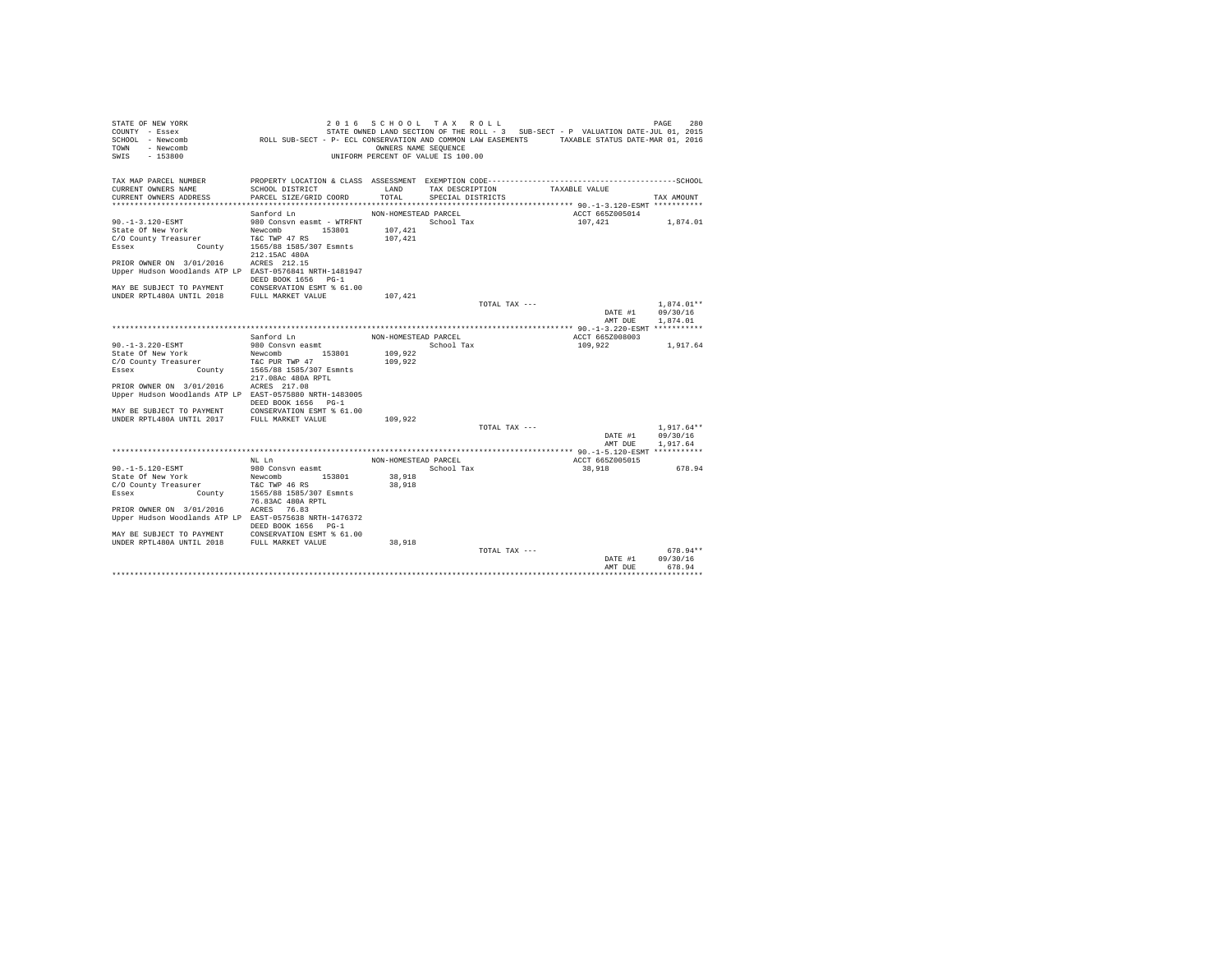| STATE OF NEW YORK<br>COUNTY - Essex                        |                                                                                               | 2016 SCHOOL TAX ROLL                                       |                   |               | STATE OWNED LAND SECTION OF THE ROLL - 3 SUB-SECT - P VALUATION DATE-JUL 01, 2015 | 280<br>PAGE  |
|------------------------------------------------------------|-----------------------------------------------------------------------------------------------|------------------------------------------------------------|-------------------|---------------|-----------------------------------------------------------------------------------|--------------|
| SCHOOL - Newcomb<br>TOWN<br>- Newcomb<br>SWTS<br>$-153800$ | ROLL SUB-SECT - P- ECL CONSERVATION AND COMMON LAW EASEMENTS TAXABLE STATUS DATE-MAR 01, 2016 | OWNERS NAME SEQUENCE<br>UNIFORM PERCENT OF VALUE IS 100.00 |                   |               |                                                                                   |              |
|                                                            |                                                                                               |                                                            |                   |               |                                                                                   |              |
| TAX MAP PARCEL NUMBER                                      |                                                                                               |                                                            |                   |               |                                                                                   |              |
| CURRENT OWNERS NAME                                        | SCHOOL DISTRICT                                                                               | LAND                                                       | TAX DESCRIPTION   |               | TAXABLE VALUE                                                                     |              |
| CURRENT OWNERS ADDRESS                                     | PARCEL SIZE/GRID COORD                                                                        | TOTAL                                                      | SPECIAL DISTRICTS |               |                                                                                   | TAX AMOUNT   |
|                                                            |                                                                                               |                                                            |                   |               |                                                                                   |              |
|                                                            | Sanford Ln                                                                                    | NON-HOMESTEAD PARCEL                                       |                   |               | ACCT 665Z005014                                                                   |              |
| 90.-1-3.120-ESMT                                           | 980 Consvn easmt - WTRFNT                                                                     |                                                            | School Tax        |               | 107,421                                                                           | 1,874.01     |
| State Of New York                                          | 153801<br>Newcomb                                                                             | 107,421                                                    |                   |               |                                                                                   |              |
| C/O County Treasurer<br>Essex                              | ty Treasurer TEC TWP 47 RS<br>County 1565/88 1585/307 Esmnts                                  | 107,421                                                    |                   |               |                                                                                   |              |
|                                                            | 212.15AC 480A                                                                                 |                                                            |                   |               |                                                                                   |              |
| PRIOR OWNER ON 3/01/2016                                   | ACRES 212.15                                                                                  |                                                            |                   |               |                                                                                   |              |
| Upper Hudson Woodlands ATP LP EAST-0576841 NRTH-1481947    |                                                                                               |                                                            |                   |               |                                                                                   |              |
|                                                            | DEED BOOK 1656 PG-1                                                                           |                                                            |                   |               |                                                                                   |              |
| MAY BE SUBJECT TO PAYMENT                                  | CONSERVATION ESMT % 61.00                                                                     |                                                            |                   |               |                                                                                   |              |
| UNDER RPTL480A UNTIL 2018                                  | FULL MARKET VALUE                                                                             | 107,421                                                    |                   |               |                                                                                   |              |
|                                                            |                                                                                               |                                                            |                   | TOTAL TAX --- |                                                                                   | $1,874.01**$ |
|                                                            |                                                                                               |                                                            |                   |               | DATE #1                                                                           | 09/30/16     |
|                                                            |                                                                                               |                                                            |                   |               | AMT DUE                                                                           | 1,874.01     |
|                                                            | Sanford Ln                                                                                    | NON-HOMESTEAD PARCEL                                       |                   |               | ACCT 665Z008003                                                                   |              |
| $90. -1 - 3.220 - ESMT$                                    | 980 Consvn easmt                                                                              |                                                            | School Tax        |               | 109,922                                                                           | 1,917.64     |
| State Of New York                                          | Newcomb 153801                                                                                | 109,922                                                    |                   |               |                                                                                   |              |
| C/O County Treasurer                                       | T&C PUR TWP 47                                                                                | 109,922                                                    |                   |               |                                                                                   |              |
| Essex                                                      | County 1565/88 1585/307 Esmnts                                                                |                                                            |                   |               |                                                                                   |              |
|                                                            | 217.08Ac 480A RPTL                                                                            |                                                            |                   |               |                                                                                   |              |
| PRIOR OWNER ON 3/01/2016                                   | ACRES 217.08                                                                                  |                                                            |                   |               |                                                                                   |              |
| Upper Hudson Woodlands ATP LP EAST-0575880 NRTH-1483005    |                                                                                               |                                                            |                   |               |                                                                                   |              |
|                                                            | DEED BOOK 1656 PG-1                                                                           |                                                            |                   |               |                                                                                   |              |
| MAY BE SUBJECT TO PAYMENT<br>UNDER RPTL480A UNTIL 2017     | CONSERVATION ESMT % 61.00<br>FULL MARKET VALUE                                                |                                                            |                   |               |                                                                                   |              |
|                                                            |                                                                                               | 109,922                                                    |                   | TOTAL TAX --- |                                                                                   | $1.917.64**$ |
|                                                            |                                                                                               |                                                            |                   |               | DATE #1                                                                           | 09/30/16     |
|                                                            |                                                                                               |                                                            |                   |               | AMT DUE                                                                           | 1,917.64     |
|                                                            |                                                                                               |                                                            |                   |               |                                                                                   |              |
|                                                            | NL Ln                                                                                         | NON-HOMESTEAD PARCEL                                       |                   |               | ACCT 665Z005015                                                                   |              |
| 90. -1-5.120-ESMT                                          | 980 Consvn easmt                                                                              |                                                            | School Tax        |               | 38,918                                                                            | 678.94       |
| State Of New York                                          | Newcomb<br>153801                                                                             | 38,918                                                     |                   |               |                                                                                   |              |
| C/O County Treasurer                                       | T&C TWP 46 RS                                                                                 | 38,918                                                     |                   |               |                                                                                   |              |
| Essex<br>County                                            | 1565/88 1585/307 Esmnts<br>76.83AC 480A RPTL                                                  |                                                            |                   |               |                                                                                   |              |
| PRIOR OWNER ON 3/01/2016                                   | ACRES 76.83                                                                                   |                                                            |                   |               |                                                                                   |              |
| Upper Hudson Woodlands ATP LP EAST-0575638 NRTH-1476372    |                                                                                               |                                                            |                   |               |                                                                                   |              |
|                                                            | DEED BOOK 1656 PG-1                                                                           |                                                            |                   |               |                                                                                   |              |
| MAY BE SUBJECT TO PAYMENT                                  | CONSERVATION ESMT % 61.00                                                                     |                                                            |                   |               |                                                                                   |              |
| UNDER RPTL480A UNTIL 2018                                  | FULL MARKET VALUE                                                                             | 38,918                                                     |                   |               |                                                                                   |              |
|                                                            |                                                                                               |                                                            |                   | TOTAL TAX --- |                                                                                   | 678.94**     |
|                                                            |                                                                                               |                                                            |                   |               | DATE #1                                                                           | 09/30/16     |
|                                                            |                                                                                               |                                                            |                   |               | AMT DUE                                                                           | 678.94       |
|                                                            |                                                                                               |                                                            |                   |               |                                                                                   |              |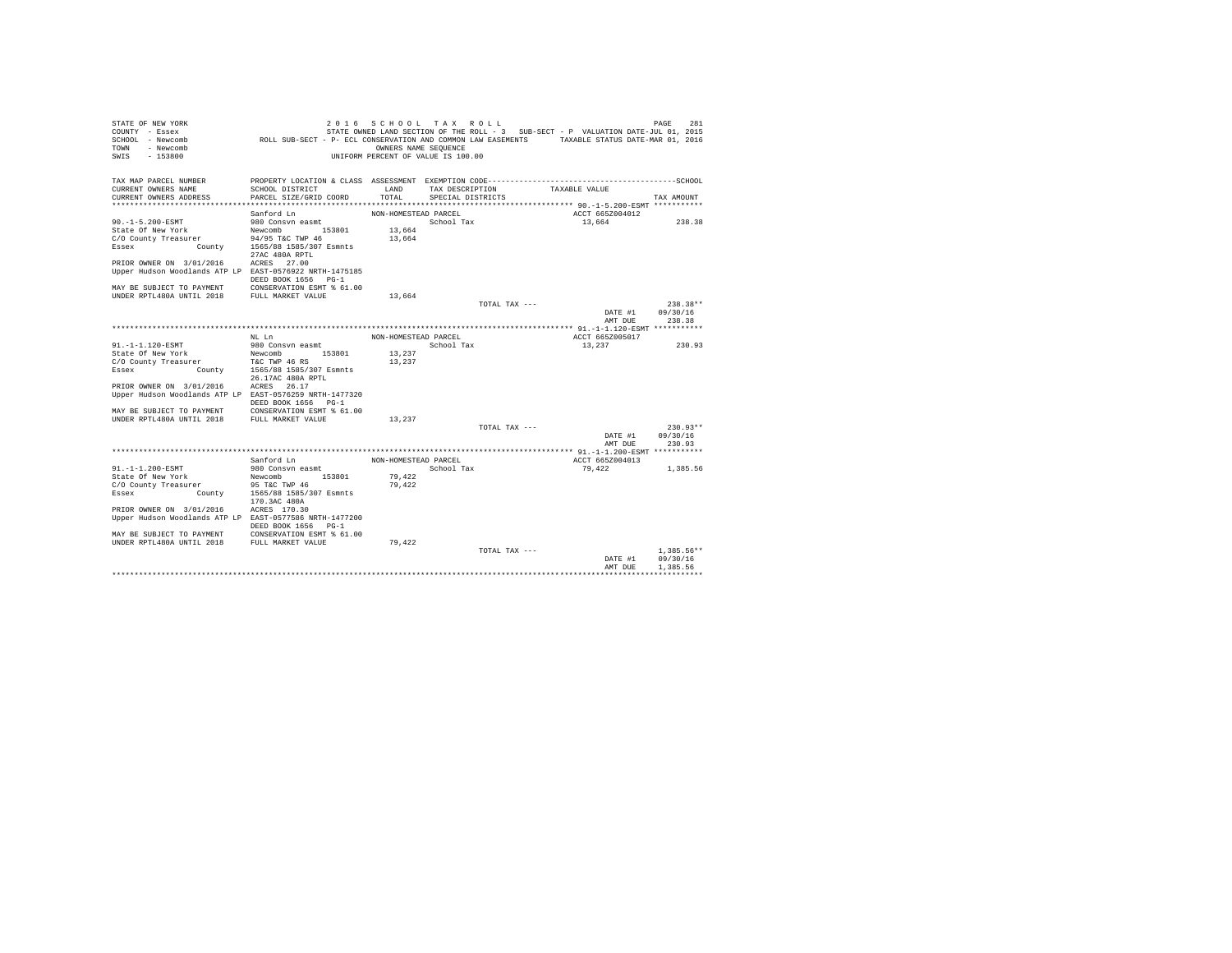| STATE OF NEW YORK<br>COUNTY - Essex                                                                                        |                                                                                               |                      | 2016 SCHOOL TAX ROLL               |               | STATE OWNED LAND SECTION OF THE ROLL - 3 SUB-SECT - P VALUATION DATE-JUL 01, 2015 | 281<br>PAGE  |
|----------------------------------------------------------------------------------------------------------------------------|-----------------------------------------------------------------------------------------------|----------------------|------------------------------------|---------------|-----------------------------------------------------------------------------------|--------------|
| SCHOOL - Newcomb<br>TOWN - Newcomb                                                                                         | ROLL SUB-SECT - P- ECL CONSERVATION AND COMMON LAW EASEMENTS TAXABLE STATUS DATE-MAR 01, 2016 | OWNERS NAME SEQUENCE |                                    |               |                                                                                   |              |
| SWIS<br>$-153800$                                                                                                          |                                                                                               |                      | UNIFORM PERCENT OF VALUE IS 100.00 |               |                                                                                   |              |
| TAX MAP PARCEL NUMBER                                                                                                      |                                                                                               |                      |                                    |               |                                                                                   |              |
| CURRENT OWNERS NAME                                                                                                        | SCHOOL DISTRICT                                                                               | LAND                 | TAX DESCRIPTION                    |               | TAXABLE VALUE                                                                     |              |
| CURRENT OWNERS ADDRESS                                                                                                     | PARCEL SIZE/GRID COORD                                                                        | TOTAL                | SPECIAL DISTRICTS                  |               |                                                                                   | TAX AMOUNT   |
|                                                                                                                            |                                                                                               |                      |                                    |               |                                                                                   |              |
|                                                                                                                            | Sanford Ln                                                                                    | NON-HOMESTEAD PARCEL |                                    |               | ACCT 665Z004012                                                                   |              |
| 90.-1-5.200-ESMT                                                                                                           | 980 Consvn easmt                                                                              |                      | School Tax                         |               | 13,664                                                                            | 238.38       |
| State Of New York                                                                                                          | 153801<br>Newcomb                                                                             | 13,664               |                                    |               |                                                                                   |              |
| CONSTRUCT DESCRIPTION COUNTY Treasurer<br>Essex County Treasurer 194/95 T&C TWP 46<br>Essex County 1565/88 1585/307 Esmnts |                                                                                               | 13,664               |                                    |               |                                                                                   |              |
|                                                                                                                            | 27AC 480A RPTL                                                                                |                      |                                    |               |                                                                                   |              |
| PRIOR OWNER ON 3/01/2016                                                                                                   | ACRES 27.00                                                                                   |                      |                                    |               |                                                                                   |              |
| Upper Hudson Woodlands ATP LP EAST-0576922 NRTH-1475185                                                                    |                                                                                               |                      |                                    |               |                                                                                   |              |
|                                                                                                                            | DEED BOOK 1656 PG-1                                                                           |                      |                                    |               |                                                                                   |              |
| MAY BE SUBJECT TO PAYMENT                                                                                                  | CONSERVATION ESMT % 61.00                                                                     |                      |                                    |               |                                                                                   |              |
| UNDER RPTL480A UNTIL 2018                                                                                                  | FULL MARKET VALUE                                                                             | 13,664               |                                    | TOTAL TAX --- |                                                                                   | $238.38**$   |
|                                                                                                                            |                                                                                               |                      |                                    |               | DATE #1 09/30/16                                                                  |              |
|                                                                                                                            |                                                                                               |                      |                                    |               | AMT DUE                                                                           | 238.38       |
|                                                                                                                            |                                                                                               |                      |                                    |               |                                                                                   |              |
|                                                                                                                            | NL Ln                                                                                         | NON-HOMESTEAD PARCEL |                                    |               | ACCT 665Z005017                                                                   |              |
| 91.-1-1.120-ESMT                                                                                                           | 980 Consvn easmt                                                                              |                      | School Tax                         |               | 13,237                                                                            | 230.93       |
| State Of New York                                                                                                          | Newcomb 153801                                                                                | 13,237               |                                    |               |                                                                                   |              |
| C/O County Treasurer                                                                                                       | ty Treasurer TEC TWP 46 RS<br>County 1565/88 1585/307 Esmnts                                  | 13,237               |                                    |               |                                                                                   |              |
| Essex                                                                                                                      | 26.17AC 480A RPTL                                                                             |                      |                                    |               |                                                                                   |              |
| PRIOR OWNER ON 3/01/2016                                                                                                   | ACRES 26.17                                                                                   |                      |                                    |               |                                                                                   |              |
| Upper Hudson Woodlands ATP LP EAST-0576259 NRTH-1477320                                                                    |                                                                                               |                      |                                    |               |                                                                                   |              |
|                                                                                                                            | DEED BOOK 1656 PG-1                                                                           |                      |                                    |               |                                                                                   |              |
| MAY BE SUBJECT TO PAYMENT                                                                                                  | CONSERVATION ESMT % 61.00                                                                     |                      |                                    |               |                                                                                   |              |
| UNDER RPTL480A UNTIL 2018                                                                                                  | FULL MARKET VALUE                                                                             | 13,237               |                                    |               |                                                                                   |              |
|                                                                                                                            |                                                                                               |                      |                                    | TOTAL TAX --- |                                                                                   | $230.93**$   |
|                                                                                                                            |                                                                                               |                      |                                    |               | DATE #1 09/30/16                                                                  |              |
|                                                                                                                            |                                                                                               |                      |                                    |               | AMT DUE                                                                           | 230.93       |
|                                                                                                                            |                                                                                               |                      |                                    |               |                                                                                   |              |
|                                                                                                                            | Sanford Ln                                                                                    | NON-HOMESTEAD PARCEL |                                    |               | ACCT 665Z004013                                                                   |              |
| 91. -1-1.200-ESMT                                                                                                          | 980 Consvn easmt<br>153801                                                                    |                      | School Tax                         |               | 79.422                                                                            | 1,385.56     |
| State Of New York<br>C/O County Treasurer                                                                                  | Newcomb<br>95 T&C TWP 46                                                                      | 79,422<br>79.422     |                                    |               |                                                                                   |              |
| County<br>Essex                                                                                                            | 1565/88 1585/307 Esmnts                                                                       |                      |                                    |               |                                                                                   |              |
|                                                                                                                            | 170.3AC 480A                                                                                  |                      |                                    |               |                                                                                   |              |
| PRIOR OWNER ON 3/01/2016                                                                                                   | ACRES 170.30                                                                                  |                      |                                    |               |                                                                                   |              |
| Upper Hudson Woodlands ATP LP EAST-0577586 NRTH-1477200                                                                    | DEED BOOK 1656 PG-1                                                                           |                      |                                    |               |                                                                                   |              |
| MAY BE SUBJECT TO PAYMENT                                                                                                  | CONSERVATION ESMT % 61.00                                                                     |                      |                                    |               |                                                                                   |              |
| UNDER RPTL480A UNTIL 2018                                                                                                  | FULL MARKET VALUE                                                                             | 79,422               |                                    |               |                                                                                   |              |
|                                                                                                                            |                                                                                               |                      |                                    | TOTAL TAX --- |                                                                                   | $1.385.56**$ |
|                                                                                                                            |                                                                                               |                      |                                    |               | DATE #1                                                                           | 09/30/16     |
|                                                                                                                            |                                                                                               |                      |                                    |               | AMT DUE                                                                           | 1.385.56     |
|                                                                                                                            |                                                                                               |                      |                                    |               |                                                                                   |              |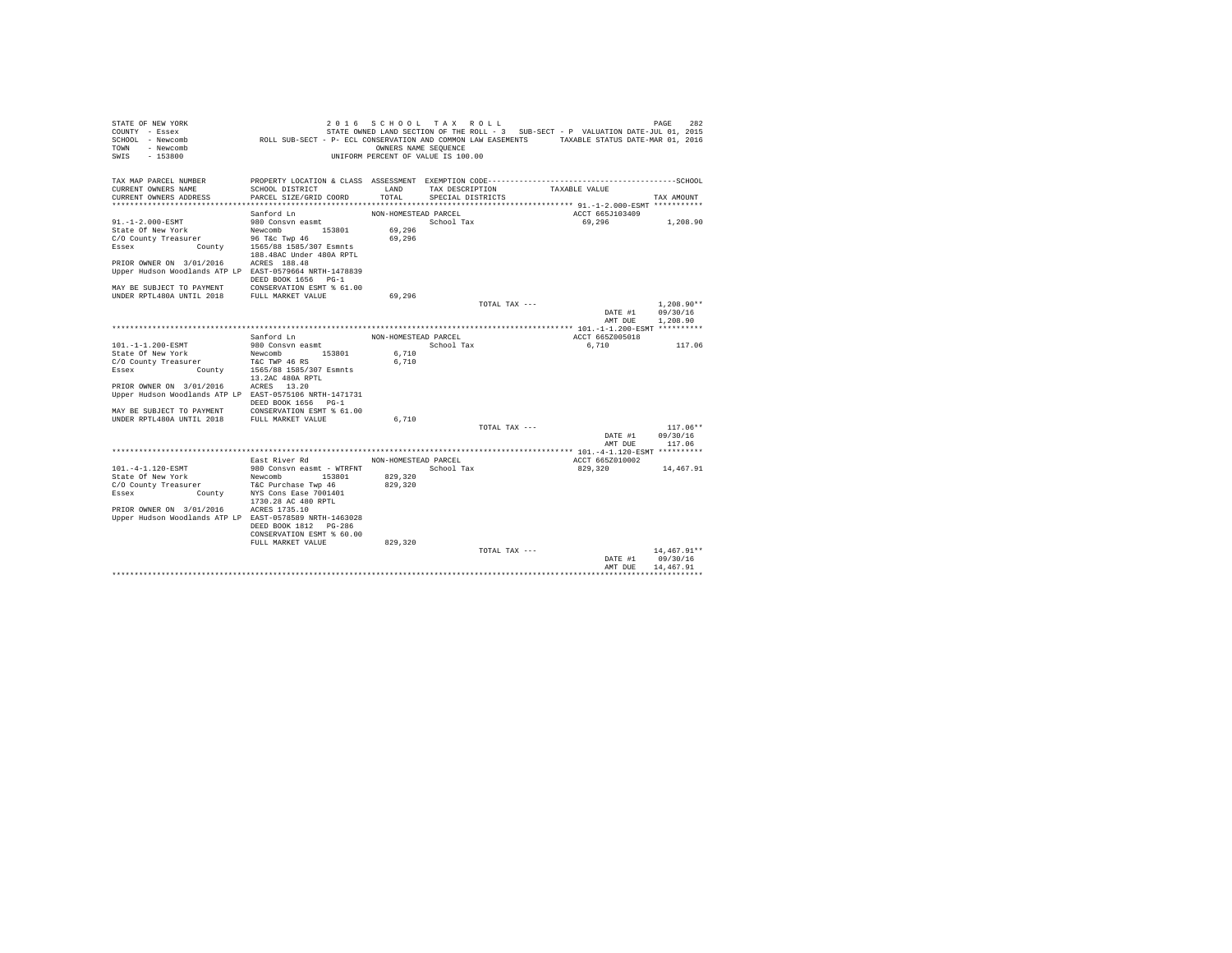| STATE OF NEW YORK<br>COUNTY - Essex                                                 |                                                                                               | 2016 SCHOOL TAX ROLL                                       |                   | STATE OWNED LAND SECTION OF THE ROLL - 3 SUB-SECT - P VALUATION DATE-JUL 01, 2015 |                            |                 | 282<br>PAGE               |
|-------------------------------------------------------------------------------------|-----------------------------------------------------------------------------------------------|------------------------------------------------------------|-------------------|-----------------------------------------------------------------------------------|----------------------------|-----------------|---------------------------|
| SCHOOL - Newcomb<br><b>TOWN</b><br>- Newcomb<br>SWIS<br>$-153800$                   | ROLL SUB-SECT - P- ECL CONSERVATION AND COMMON LAW EASEMENTS TAXABLE STATUS DATE-MAR 01, 2016 | OWNERS NAME SEQUENCE<br>UNIFORM PERCENT OF VALUE IS 100.00 |                   |                                                                                   |                            |                 |                           |
|                                                                                     |                                                                                               |                                                            |                   |                                                                                   |                            |                 |                           |
| TAX MAP PARCEL NUMBER                                                               |                                                                                               |                                                            |                   |                                                                                   |                            |                 |                           |
| CURRENT OWNERS NAME                                                                 | SCHOOL DISTRICT                                                                               | LAND                                                       | TAX DESCRIPTION   |                                                                                   | TAXABLE VALUE              |                 |                           |
| CURRENT OWNERS ADDRESS                                                              | PARCEL SIZE/GRID COORD                                                                        | TOTAL                                                      | SPECIAL DISTRICTS |                                                                                   |                            |                 | TAX AMOUNT                |
|                                                                                     |                                                                                               |                                                            |                   |                                                                                   |                            |                 |                           |
| 91.-1-2.000-ESMT                                                                    | Sanford Ln<br>980 Consvn easmt                                                                | NON-HOMESTEAD PARCEL                                       | School Tax        |                                                                                   | 69,296                     | ACCT 665J103409 | 1,208.90                  |
| State Of New York                                                                   | 153801<br>Newcomb                                                                             | 69,296                                                     |                   |                                                                                   |                            |                 |                           |
| C/O County Treasurer                                                                |                                                                                               | 69,296                                                     |                   |                                                                                   |                            |                 |                           |
| Essex                                                                               | y Treasurer 96 T&c Twp 46<br>County 1565/88 1585/307 Esmnts                                   |                                                            |                   |                                                                                   |                            |                 |                           |
|                                                                                     | 188.48AC Under 480A RPTL                                                                      |                                                            |                   |                                                                                   |                            |                 |                           |
| PRIOR OWNER ON 3/01/2016                                                            | ACRES 188.48                                                                                  |                                                            |                   |                                                                                   |                            |                 |                           |
| Upper Hudson Woodlands ATP LP EAST-0579664 NRTH-1478839                             |                                                                                               |                                                            |                   |                                                                                   |                            |                 |                           |
|                                                                                     | DEED BOOK 1656 PG-1                                                                           |                                                            |                   |                                                                                   |                            |                 |                           |
| MAY BE SUBJECT TO PAYMENT                                                           | CONSERVATION ESMT % 61.00                                                                     |                                                            |                   |                                                                                   |                            |                 |                           |
| UNDER RPTL480A UNTIL 2018                                                           | FULL MARKET VALUE                                                                             | 69.296                                                     |                   | TOTAL TAX ---                                                                     |                            |                 |                           |
|                                                                                     |                                                                                               |                                                            |                   |                                                                                   |                            | DATE #1         | $1,208.90**$<br>09/30/16  |
|                                                                                     |                                                                                               |                                                            |                   |                                                                                   |                            | AMT DUE         | 1,208.90                  |
|                                                                                     |                                                                                               |                                                            |                   |                                                                                   |                            |                 |                           |
|                                                                                     | Sanford Ln                                                                                    | NON-HOMESTEAD PARCEL                                       |                   |                                                                                   |                            | ACCT 665Z005018 |                           |
| 101.-1-1.200-ESMT                                                                   | 980 Consvn easmt                                                                              |                                                            | School Tax        |                                                                                   | 6,710                      |                 | 117.06                    |
| State Of New York                                                                   | 153801<br>Newcomb                                                                             | 6,710                                                      |                   |                                                                                   |                            |                 |                           |
| C/O County Treasurer                                                                | T&C TWP 46 RS                                                                                 | 6.710                                                      |                   |                                                                                   |                            |                 |                           |
| County<br>Essex                                                                     | 1565/88 1585/307 Esmnts                                                                       |                                                            |                   |                                                                                   |                            |                 |                           |
|                                                                                     | 13.2AC 480A RPTL                                                                              |                                                            |                   |                                                                                   |                            |                 |                           |
| PRIOR OWNER ON 3/01/2016<br>Upper Hudson Woodlands ATP LP EAST-0575106 NRTH-1471731 | ACRES 13.20                                                                                   |                                                            |                   |                                                                                   |                            |                 |                           |
|                                                                                     | DEED BOOK 1656 PG-1                                                                           |                                                            |                   |                                                                                   |                            |                 |                           |
| MAY BE SUBJECT TO PAYMENT                                                           | CONSERVATION ESMT % 61.00                                                                     |                                                            |                   |                                                                                   |                            |                 |                           |
| UNDER RPTL480A UNTIL 2018                                                           | FULL MARKET VALUE                                                                             | 6,710                                                      |                   |                                                                                   |                            |                 |                           |
|                                                                                     |                                                                                               |                                                            |                   | TOTAL TAX ---                                                                     |                            |                 | $117.06**$                |
|                                                                                     |                                                                                               |                                                            |                   |                                                                                   |                            | DATE #1         | 09/30/16                  |
|                                                                                     |                                                                                               |                                                            |                   |                                                                                   |                            | AMT DUE         | 117.06                    |
|                                                                                     |                                                                                               |                                                            |                   |                                                                                   |                            |                 |                           |
| 101. - 4-1.120-ESMT                                                                 | East River Rd                                                                                 | NON-HOMESTEAD PARCEL                                       |                   |                                                                                   | ACCT 665Z010002<br>829,320 |                 | 14,467.91                 |
| State Of New York                                                                   | 980 Consvn easmt - WTRFNT<br>Newcomb<br>153801                                                | 829,320                                                    | School Tax        |                                                                                   |                            |                 |                           |
| C/O County Treasurer                                                                | T&C Purchase Twp 46                                                                           | 829,320                                                    |                   |                                                                                   |                            |                 |                           |
| Essex<br>County                                                                     | NYS Cons Ease 7001401                                                                         |                                                            |                   |                                                                                   |                            |                 |                           |
|                                                                                     | 1730.28 AC 480 RPTL                                                                           |                                                            |                   |                                                                                   |                            |                 |                           |
| PRIOR OWNER ON 3/01/2016                                                            | ACRES 1735.10                                                                                 |                                                            |                   |                                                                                   |                            |                 |                           |
| Upper Hudson Woodlands ATP LP EAST-0578589 NRTH-1463028                             |                                                                                               |                                                            |                   |                                                                                   |                            |                 |                           |
|                                                                                     | DEED BOOK 1812 PG-286                                                                         |                                                            |                   |                                                                                   |                            |                 |                           |
|                                                                                     | CONSERVATION ESMT % 60.00                                                                     |                                                            |                   |                                                                                   |                            |                 |                           |
|                                                                                     | FULL MARKET VALUE                                                                             | 829,320                                                    |                   |                                                                                   |                            |                 |                           |
|                                                                                     |                                                                                               |                                                            |                   | TOTAL TAX ---                                                                     |                            | DATE #1         | $14.467.91**$<br>09/30/16 |
|                                                                                     |                                                                                               |                                                            |                   |                                                                                   |                            | AMT DUE         | 14,467.91                 |
|                                                                                     |                                                                                               |                                                            |                   |                                                                                   |                            |                 |                           |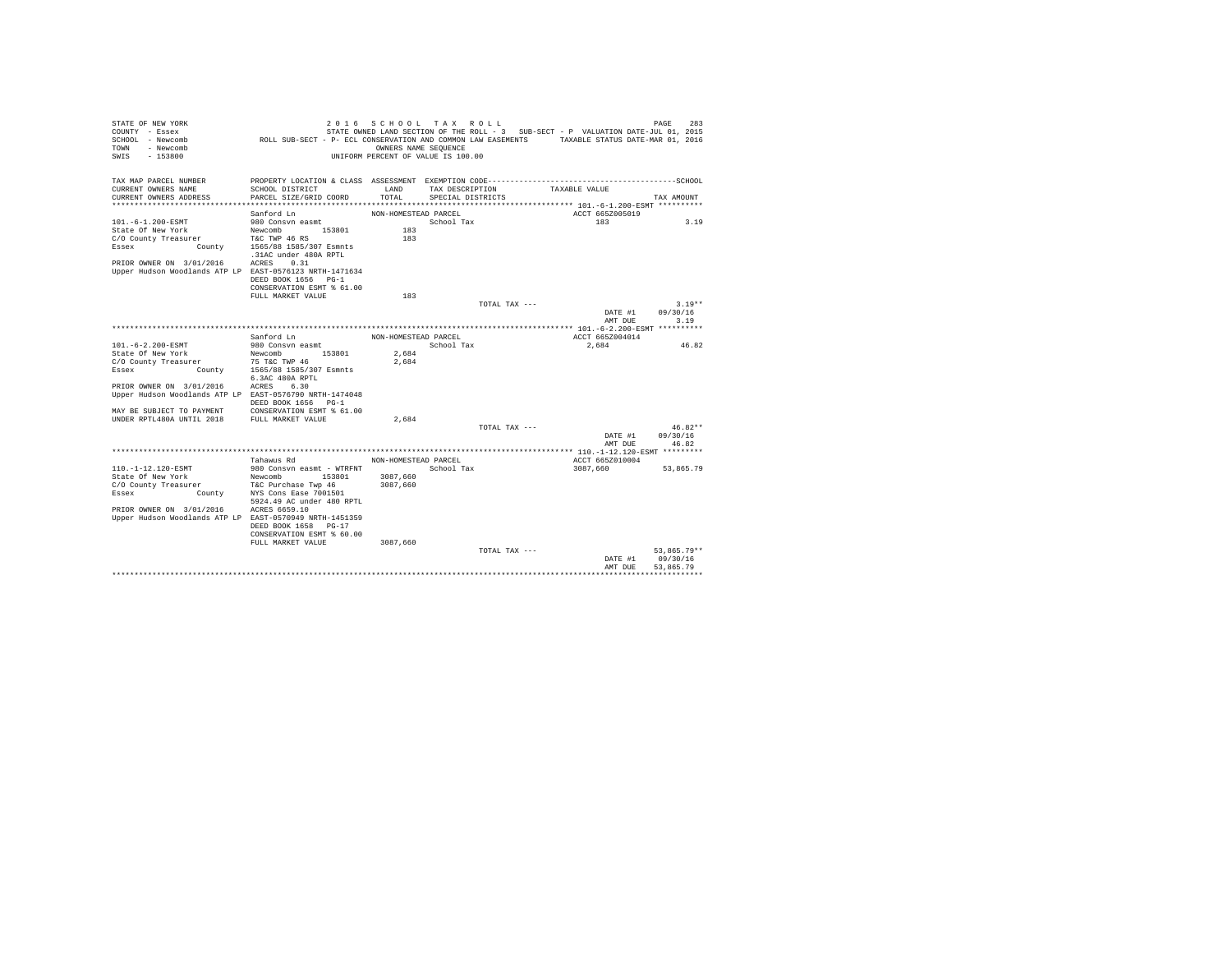| STATE OF NEW YORK<br>COUNTY - Essex<br>SCHOOL - Newcomb | ROLL SUB-SECT - P- ECL CONSERVATION AND COMMON LAW EASEMENTS TAXABLE STATUS DATE-MAR 01, 2016 |                      | 2016 SCHOOL TAX ROLL               |               | STATE OWNED LAND SECTION OF THE ROLL - 3 SUB-SECT - P VALUATION DATE-JUL 01, 2015 | 283<br>PAGE           |
|---------------------------------------------------------|-----------------------------------------------------------------------------------------------|----------------------|------------------------------------|---------------|-----------------------------------------------------------------------------------|-----------------------|
| <b>TOWN</b><br>- Newcomb<br>SWIS<br>$-153800$           |                                                                                               | OWNERS NAME SEQUENCE | UNIFORM PERCENT OF VALUE IS 100.00 |               |                                                                                   |                       |
| TAX MAP PARCEL NUMBER                                   |                                                                                               |                      |                                    |               |                                                                                   |                       |
| CURRENT OWNERS NAME                                     | SCHOOL DISTRICT                                                                               | LAND                 | TAX DESCRIPTION                    |               | TAXABLE VALUE                                                                     |                       |
| CURRENT OWNERS ADDRESS                                  | PARCEL SIZE/GRID COORD                                                                        | TOTAL                | SPECIAL DISTRICTS                  |               |                                                                                   | TAX AMOUNT            |
|                                                         |                                                                                               |                      |                                    |               |                                                                                   |                       |
|                                                         | Sanford Ln                                                                                    | NON-HOMESTEAD PARCEL | School Tax                         |               | ACCT 665Z005019<br>183                                                            | 3.19                  |
| 101.-6-1.200-ESMT<br>State Of New York                  | 980 Consvn easmt<br>153801<br>Newcomb                                                         | 183                  |                                    |               |                                                                                   |                       |
| C/O County Treasurer                                    | T&C TWP 46 RS                                                                                 | 183                  |                                    |               |                                                                                   |                       |
| Essex                                                   | County 1565/88 1585/307 Esmnts<br>.31AC under 480A RPTL                                       |                      |                                    |               |                                                                                   |                       |
| PRIOR OWNER ON 3/01/2016                                | ACRES 0.31                                                                                    |                      |                                    |               |                                                                                   |                       |
| Upper Hudson Woodlands ATP LP EAST-0576123 NRTH-1471634 |                                                                                               |                      |                                    |               |                                                                                   |                       |
|                                                         | DEED BOOK 1656 PG-1                                                                           |                      |                                    |               |                                                                                   |                       |
|                                                         | CONSERVATION ESMT % 61.00                                                                     |                      |                                    |               |                                                                                   |                       |
|                                                         | FULL MARKET VALUE                                                                             | 183                  |                                    |               |                                                                                   |                       |
|                                                         |                                                                                               |                      |                                    | TOTAL TAX --- |                                                                                   | $3.19**$              |
|                                                         |                                                                                               |                      |                                    |               | DATE #1                                                                           | 09/30/16              |
|                                                         |                                                                                               |                      |                                    |               | AMT DUE                                                                           | 3.19                  |
|                                                         | Sanford Ln                                                                                    | NON-HOMESTEAD PARCEL |                                    |               | ACCT 665Z004014                                                                   |                       |
| 101.-6-2.200-ESMT                                       | 980 Consvn easmt                                                                              |                      | School Tax                         |               | 2.684                                                                             | 46.82                 |
| State Of New York                                       | 153801<br>Newcomb                                                                             | 2.684                |                                    |               |                                                                                   |                       |
| C/O County Treasurer                                    | 75 T&C TWP 46                                                                                 | 2.684                |                                    |               |                                                                                   |                       |
| County<br>Essex                                         | 1565/88 1585/307 Esmnts                                                                       |                      |                                    |               |                                                                                   |                       |
|                                                         | 6.3AC 480A RPTL                                                                               |                      |                                    |               |                                                                                   |                       |
| PRIOR OWNER ON 3/01/2016                                | ACRES 6.30                                                                                    |                      |                                    |               |                                                                                   |                       |
| Upper Hudson Woodlands ATP LP EAST-0576790 NRTH-1474048 |                                                                                               |                      |                                    |               |                                                                                   |                       |
|                                                         | DEED BOOK 1656 PG-1                                                                           |                      |                                    |               |                                                                                   |                       |
| MAY BE SUBJECT TO PAYMENT                               | CONSERVATION ESMT % 61.00                                                                     |                      |                                    |               |                                                                                   |                       |
| UNDER RPTL480A UNTIL 2018                               | FULL MARKET VALUE                                                                             | 2.684                |                                    |               |                                                                                   |                       |
|                                                         |                                                                                               |                      |                                    | TOTAL TAX --- | DATE #1                                                                           | $46.82**$<br>09/30/16 |
|                                                         |                                                                                               |                      |                                    |               | AMT DUE                                                                           | 46.82                 |
|                                                         | Tahawus Rd                                                                                    | NON-HOMESTEAD PARCEL |                                    |               | ACCT 665Z010004                                                                   |                       |
| 110. -1-12.120-ESMT                                     | 980 Consyn easmt - WTRFNT                                                                     |                      | School Tax                         |               | 3087.660                                                                          | 53,865.79             |
| State Of New York                                       | Newcomb<br>153801                                                                             | 3087,660             |                                    |               |                                                                                   |                       |
| C/O County Treasurer                                    | T&C Purchase Twp 46                                                                           | 3087.660             |                                    |               |                                                                                   |                       |
| County<br>Essex                                         | NYS Cons Ease 7001501<br>5924.49 AC under 480 RPTL                                            |                      |                                    |               |                                                                                   |                       |
| PRIOR OWNER ON 3/01/2016                                | ACRES 6659.10                                                                                 |                      |                                    |               |                                                                                   |                       |
| Upper Hudson Woodlands ATP LP EAST-0570949 NRTH-1451359 |                                                                                               |                      |                                    |               |                                                                                   |                       |
|                                                         | DEED BOOK 1658 PG-17                                                                          |                      |                                    |               |                                                                                   |                       |
|                                                         | CONSERVATION ESMT % 60.00                                                                     |                      |                                    |               |                                                                                   |                       |
|                                                         | FULL MARKET VALUE                                                                             | 3087,660             |                                    | TOTAL TAX --- |                                                                                   | 53.865.79**           |
|                                                         |                                                                                               |                      |                                    |               | DATE #1                                                                           | 09/30/16              |
|                                                         |                                                                                               |                      |                                    |               | AMT DHE                                                                           | 53.865.79             |
|                                                         |                                                                                               |                      |                                    |               |                                                                                   |                       |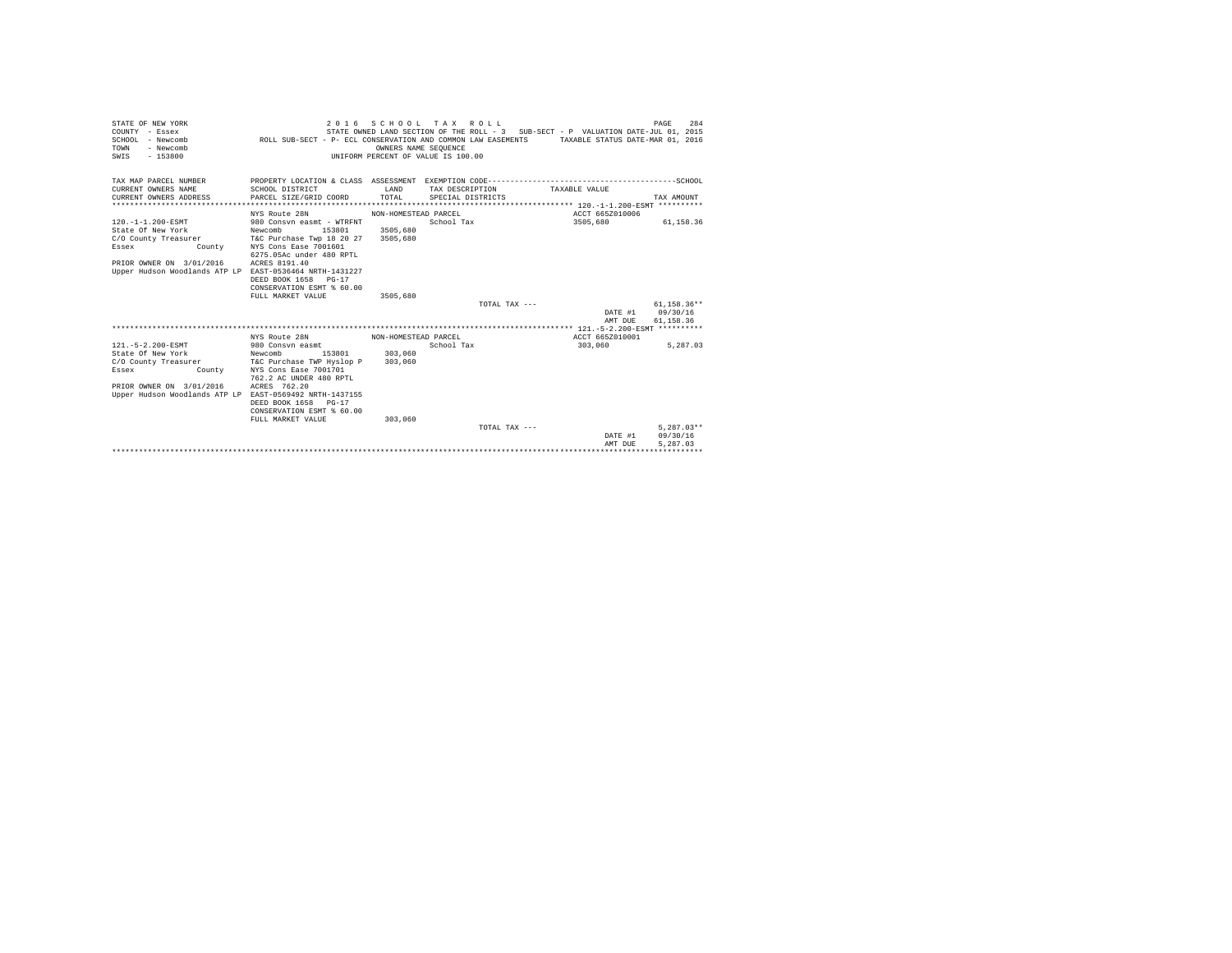| STATE OF NEW YORK<br>COUNTY - Essex<br>SCHOOL - Newcomb<br>- Newcomb<br>TOWN<br>$-153800$<br>SWIS                                                                              | 2 0 1 6<br>ROLL SUB-SECT - P- ECL CONSERVATION AND COMMON LAW EASEMENTS                                                                                                                                       | OWNERS NAME SEOUENCE  | SCHOOL TAX ROLL<br>UNIFORM PERCENT OF VALUE IS 100.00 | STATE OWNED LAND SECTION OF THE ROLL - 3 SUB-SECT - P VALUATION DATE-JUL 01, 2015<br>TAXABLE STATUS DATE-MAR 01, 2016 | 284<br>PAGE                          |
|--------------------------------------------------------------------------------------------------------------------------------------------------------------------------------|---------------------------------------------------------------------------------------------------------------------------------------------------------------------------------------------------------------|-----------------------|-------------------------------------------------------|-----------------------------------------------------------------------------------------------------------------------|--------------------------------------|
| TAX MAP PARCEL NUMBER<br>CURRENT OWNERS NAME<br>CURRENT OWNERS ADDRESS                                                                                                         | SCHOOL DISTRICT<br>PARCEL SIZE/GRID COORD                                                                                                                                                                     | <b>T.AND</b><br>TOTAL | TAX DESCRIPTION<br>SPECIAL DISTRICTS                  | TAXABLE VALUE                                                                                                         | TAX AMOUNT                           |
|                                                                                                                                                                                |                                                                                                                                                                                                               |                       |                                                       |                                                                                                                       |                                      |
|                                                                                                                                                                                | NYS Route 28N                                                                                                                                                                                                 | NON-HOMESTEAD PARCEL  |                                                       | ACCT 665Z010006                                                                                                       |                                      |
| 120.-1-1.200-ESMT<br>State Of New York<br>C/O County Treasurer<br>Essex<br>PRIOR OWNER ON 3/01/2016<br>Upper Hudson Woodlands ATP LP EAST-0536464 NRTH-1431227                 | 980 Consyn easmt - WTRFNT<br>Newcomb<br>153801<br>T&C Purchase Twp 18 20 27<br>County NYS Cons Ease 7001601<br>6275.05Ac under 480 RPTL<br>ACRES 8191.40<br>DEED BOOK 1658 PG-17<br>CONSERVATION ESMT % 60.00 | 3505,680<br>3505,680  | School Tax                                            | 3505,680                                                                                                              | 61,158.36                            |
|                                                                                                                                                                                | FULL MARKET VALUE                                                                                                                                                                                             | 3505,680              |                                                       |                                                                                                                       |                                      |
|                                                                                                                                                                                |                                                                                                                                                                                                               |                       | TOTAL TAX ---                                         |                                                                                                                       | $61, 158.36**$                       |
|                                                                                                                                                                                |                                                                                                                                                                                                               |                       |                                                       | DATE #1<br>AMT DUE                                                                                                    | 09/30/16<br>61.158.36                |
|                                                                                                                                                                                | NYS Route 28N                                                                                                                                                                                                 | NON-HOMESTEAD PARCEL  |                                                       | ACCT 665Z010001                                                                                                       |                                      |
| 121. - 5 - 2.200 - ESMT<br>State Of New York<br>C/O County Treasurer<br>Essex<br>County<br>PRIOR OWNER ON 3/01/2016<br>Upper Hudson Woodlands ATP LP EAST-0569492 NRTH-1437155 | 980 Consyn easmt<br>Newcomb<br>153801<br>T&C Purchase TWP Hyslop P 303,060<br>NYS Cons Ease 7001701<br>762.2 AC UNDER 480 RPTL<br>ACRES 762.20<br>DEED BOOK 1658 PG-17<br>CONSERVATION ESMT % 60.00           | 303,060               | School Tax                                            | 303,060                                                                                                               | 5.287.03                             |
|                                                                                                                                                                                | FULL MARKET VALUE                                                                                                                                                                                             | 303,060               |                                                       |                                                                                                                       |                                      |
|                                                                                                                                                                                |                                                                                                                                                                                                               |                       | TOTAL TAX ---                                         | DATE #1<br>AMT DUE                                                                                                    | $5.287.03**$<br>09/30/16<br>5.287.03 |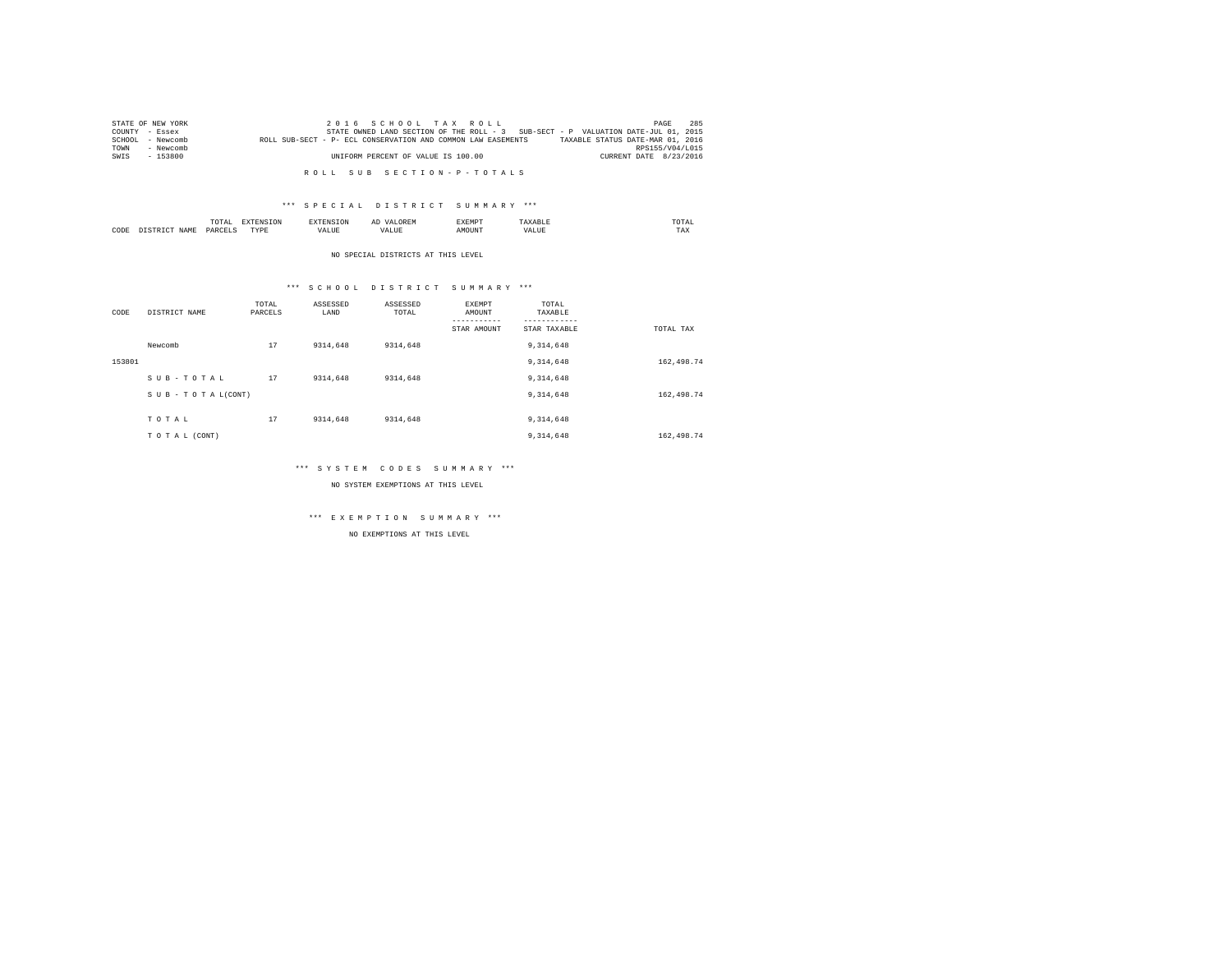|      | STATE OF NEW YORK | 2016 SCHOOL TAX ROLL                                                                             | PAGE            | 285 |
|------|-------------------|--------------------------------------------------------------------------------------------------|-----------------|-----|
|      | COUNTY - Essex    | STATE OWNED LAND SECTION OF THE ROLL - 3 SUB-SECT - P VALUATION DATE-JUL 01, 2015                |                 |     |
|      | SCHOOL - Newcomb  | TAXABLE STATUS DATE-MAR 01, 2016<br>ROLL SUB-SECT - P- ECL CONSERVATION AND COMMON LAW EASEMENTS |                 |     |
| TOWN | - Newcomb         |                                                                                                  | RPS155/V04/L015 |     |
| SWTS | $-153800$         | CURRENT DATE 8/23/2016<br>UNIFORM PERCENT OF VALUE IS 100.00                                     |                 |     |
|      |                   |                                                                                                  |                 |     |

R O L L S U B S E C T I O N - P - T O T A L S

#### \*\*\* S P E C I A L D I S T R I C T S U M M A R Y \*\*\*

|      |     | moms:<br>TOTAL<br>the contract of the contract of the contract of the contract of the contract of | the contract of the contract of the contract of the contract of the contract of |      |                              | 'XEMP' |              | TOTAL<br>the contract of the contract of the contract of |
|------|-----|---------------------------------------------------------------------------------------------------|---------------------------------------------------------------------------------|------|------------------------------|--------|--------------|----------------------------------------------------------|
| CODE | ⊿W. | <b>DARCET</b>                                                                                     | TVD<br>.                                                                        | ALUL | $ +$ $+$ $-$<br>, ,<br>נטבמי |        | -----<br>ه ۱ | ---<br>1 A.A                                             |

NO SPECIAL DISTRICTS AT THIS LEVEL

#### \*\*\* S C H O O L D I S T R I C T S U M M A R Y \*\*\*

| CODE   | DISTRICT NAME   | TOTAL<br>PARCELS | ASSESSED<br>LAND | ASSESSED<br>TOTAL | EXEMPT<br>AMOUNT | TOTAL<br>TAXABLE |             |
|--------|-----------------|------------------|------------------|-------------------|------------------|------------------|-------------|
|        |                 |                  |                  |                   | STAR AMOUNT      | STAR TAXABLE     | TOTAL TAX   |
|        | Newcomb         | 17               | 9314,648         | 9314,648          |                  | 9, 314, 648      |             |
| 153801 |                 |                  |                  |                   |                  | 9, 314, 648      | 162,498.74  |
|        | SUB-TOTAL       | 17               | 9314,648         | 9314,648          |                  | 9, 314, 648      |             |
|        | SUB-TOTAL(CONT) |                  |                  |                   |                  | 9, 314, 648      | 162,498.74  |
|        | TOTAL           | 17               | 9314,648         | 9314,648          |                  | 9, 314, 648      |             |
|        | TO TAL (CONT)   |                  |                  |                   |                  | 9, 314, 648      | 162, 498.74 |

#### \*\*\* S Y S T E M C O D E S S U M M A R Y \*\*\*

NO SYSTEM EXEMPTIONS AT THIS LEVEL

# \*\*\* E X E M P T I O N S U M M A R Y \*\*\*

NO EXEMPTIONS AT THIS LEVEL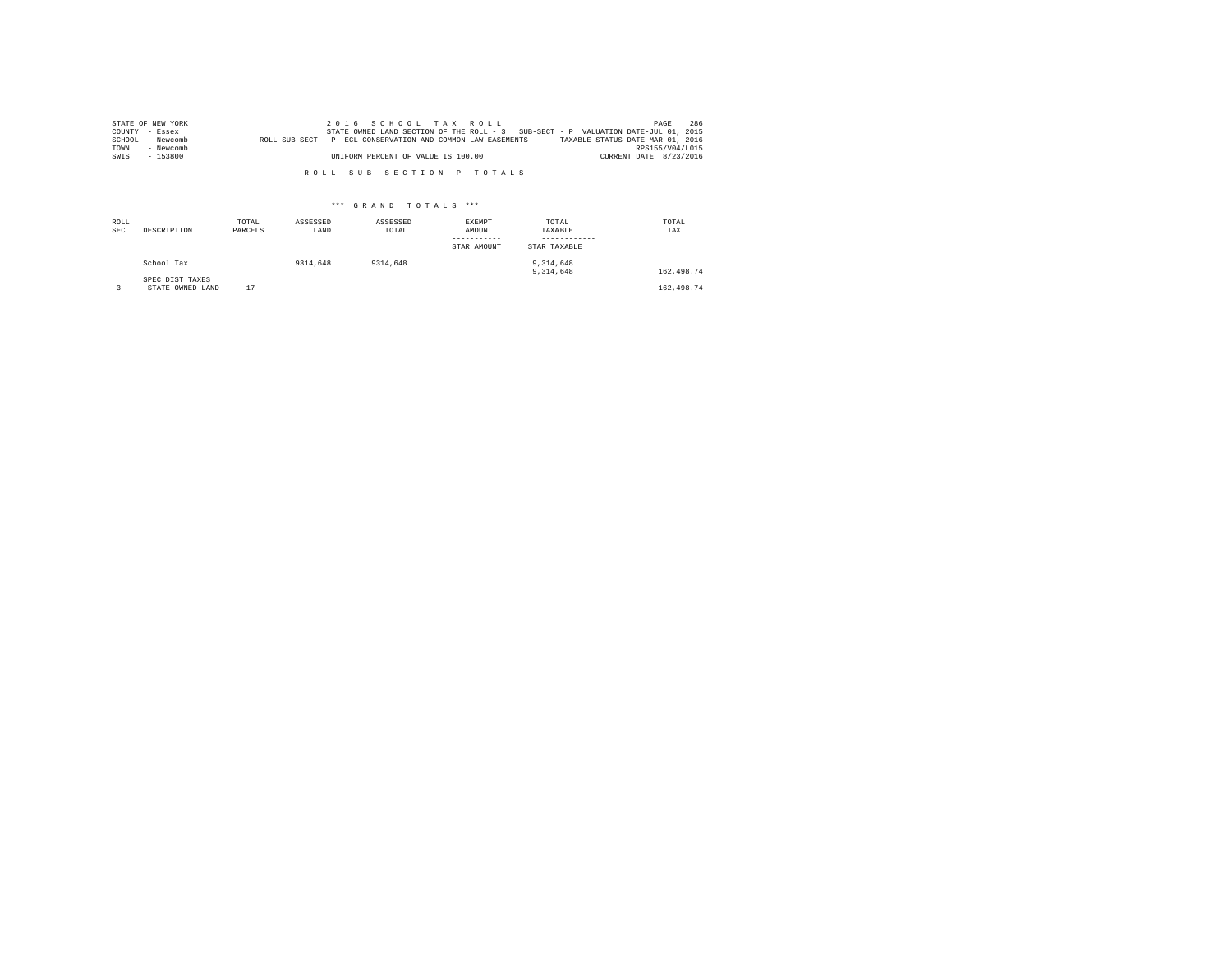|        | STATE OF NEW YORK |                                                              | 2016 SCHOOL TAX ROLL                                                              |  |                                  | PAGE                   | 286 |
|--------|-------------------|--------------------------------------------------------------|-----------------------------------------------------------------------------------|--|----------------------------------|------------------------|-----|
|        | COUNTY - Essex    |                                                              | STATE OWNED LAND SECTION OF THE ROLL - 3 SUB-SECT - P VALUATION DATE-JUL 01, 2015 |  |                                  |                        |     |
| SCHOOL | - Newcomb         | ROLL SUB-SECT - P- ECL CONSERVATION AND COMMON LAW EASEMENTS |                                                                                   |  | TAXABLE STATUS DATE-MAR 01, 2016 |                        |     |
| TOWN   | - Newcomb         |                                                              |                                                                                   |  |                                  | RPS155/V04/1015        |     |
| SWIS   | - 153800          |                                                              | UNIFORM PERCENT OF VALUE IS 100.00                                                |  |                                  | CURRENT DATE 8/23/2016 |     |

R O L L S U B S E C T I O N - P - T O T A L S

## \*\*\* G R A N D T O T A L S \*\*\*

| ROLL<br><b>SEC</b> | DESCRIPTION                         | TOTAL<br>PARCELS | ASSESSED<br>LAND | ASSESSED<br>TOTAL | EXEMPT<br>AMOUNT<br>-----------<br>STAR AMOUNT | TOTAL<br>TAXABLE<br>------------<br>STAR TAXABLE | TOTAL<br>TAX |
|--------------------|-------------------------------------|------------------|------------------|-------------------|------------------------------------------------|--------------------------------------------------|--------------|
|                    | School Tax                          |                  | 9314,648         | 9314,648          |                                                | 9.314.648<br>9.314.648                           | 162,498.74   |
|                    | SPEC DIST TAXES<br>STATE OWNED LAND | 17               |                  |                   |                                                |                                                  | 162,498.74   |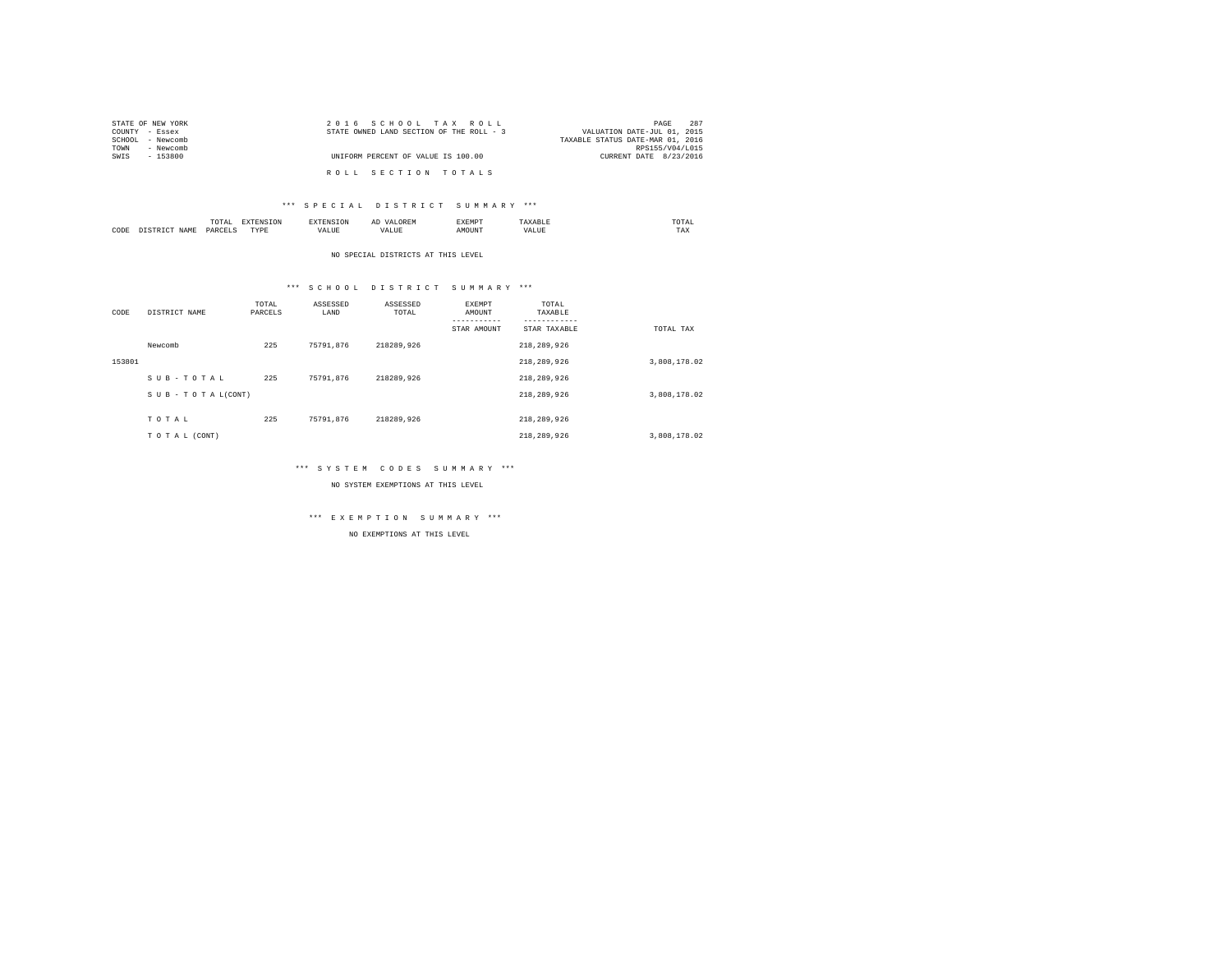| STATE OF NEW YORK | 2016 SCHOOL TAX ROLL                     | 287<br>PAGE                      |
|-------------------|------------------------------------------|----------------------------------|
| COUNTY - Essex    | STATE OWNED LAND SECTION OF THE ROLL - 3 | VALUATION DATE-JUL 01, 2015      |
| SCHOOL - Newcomb  |                                          | TAXABLE STATUS DATE-MAR 01, 2016 |
| - Newcomb<br>TOWN |                                          | RPS155/V04/L015                  |
| SWIS<br>- 153800  | UNIFORM PERCENT OF VALUE IS 100.00       | CURRENT DATE 8/23/2016           |
|                   | ROLL SECTION TOTALS                      |                                  |

#### \*\*\* S P E C I A L D I S T R I C T S U M M A R Y \*\*\*

|      | /1 A I<br>the contract of the contract of the contract of | ----<br>the contract of the contract of the contract of the contract of the contract of |  | ----- | $m \wedge m \wedge$<br>the contract of the contract of the contract of |
|------|-----------------------------------------------------------|-----------------------------------------------------------------------------------------|--|-------|------------------------------------------------------------------------|
| CODE | DAR:<br>$\sim$                                            | TVD'E<br>.                                                                              |  | MOUN. | 1'AX                                                                   |

#### NO SPECIAL DISTRICTS AT THIS LEVEL

#### \*\*\* S C H O O L D I S T R I C T S U M M A R Y \*\*\*

| CODE   | DISTRICT NAME   | TOTAL<br>PARCELS | ASSESSED<br>LAND | ASSESSED<br>TOTAL | EXEMPT<br>AMOUNT | TOTAL<br>TAXABLE<br>-------- |              |
|--------|-----------------|------------------|------------------|-------------------|------------------|------------------------------|--------------|
|        |                 |                  |                  |                   | STAR AMOUNT      | STAR TAXABLE                 | TOTAL TAX    |
|        | Newcomb         | 225              | 75791.876        | 218289.926        |                  | 218,289,926                  |              |
| 153801 |                 |                  |                  |                   |                  | 218,289,926                  | 3,808,178.02 |
|        | SUB-TOTAL       | 225              | 75791.876        | 218289.926        |                  | 218,289,926                  |              |
|        | SUB-TOTAL(CONT) |                  |                  |                   |                  | 218,289,926                  | 3,808,178.02 |
|        |                 |                  |                  |                   |                  |                              |              |
|        | TOTAL           | 225              | 75791.876        | 218289.926        |                  | 218,289,926                  |              |
|        | TO TAL (CONT)   |                  |                  |                   |                  | 218,289,926                  | 3,808,178.02 |

#### \*\*\* S Y S T E M C O D E S S U M M A R Y \*\*\*

NO SYSTEM EXEMPTIONS AT THIS LEVEL

## \*\*\* E X E M P T I O N S U M M A R Y \*\*\*

NO EXEMPTIONS AT THIS LEVEL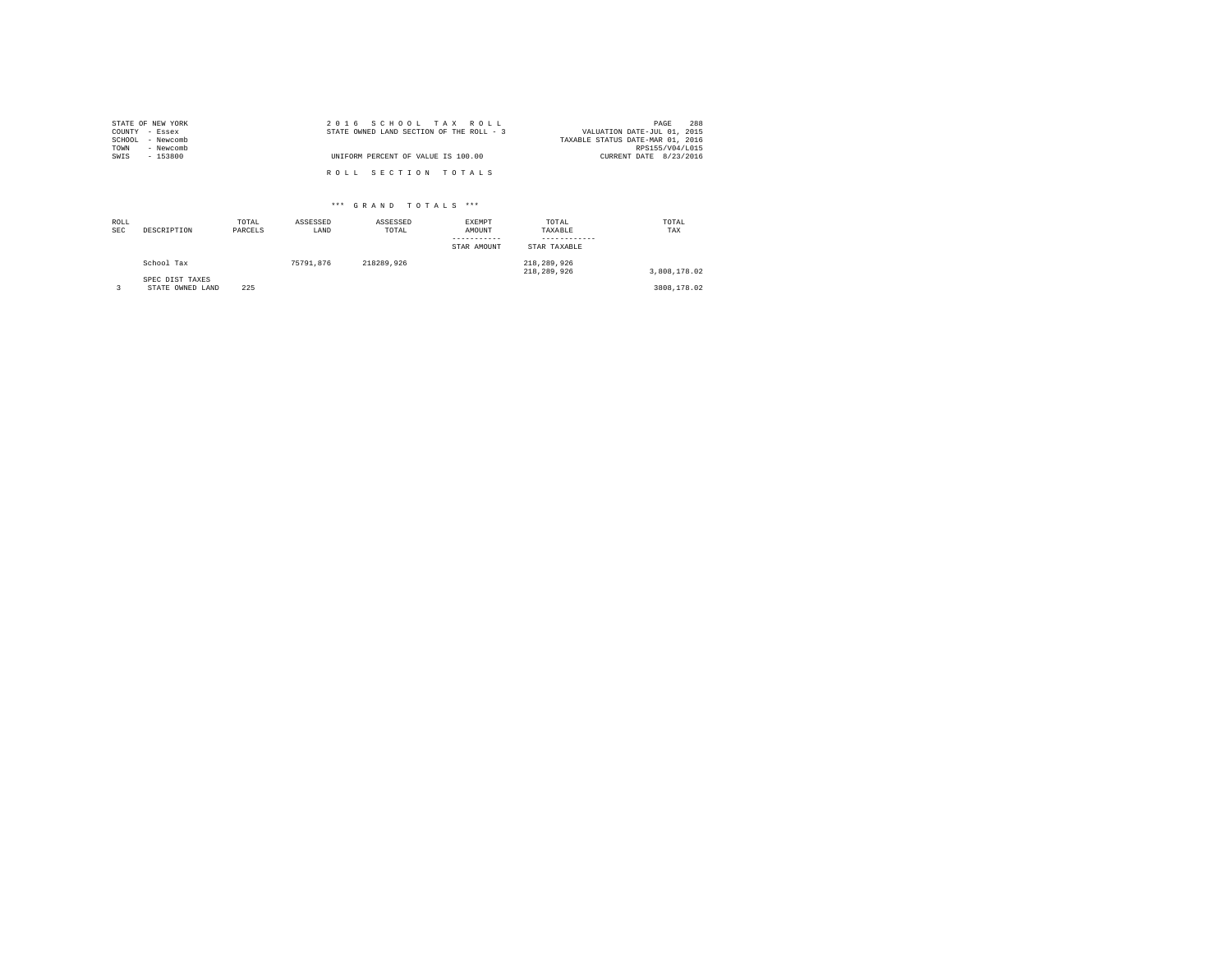|                | STATE OF NEW YORK | 2016 SCHOOL TAX ROLL                                                    | PAGE            | 288 |
|----------------|-------------------|-------------------------------------------------------------------------|-----------------|-----|
| COUNTY - Essex |                   | STATE OWNED LAND SECTION OF THE ROLL - 3<br>VALUATION DATE-JUL 01, 2015 |                 |     |
|                | SCHOOL - Newcomb  | TAXABLE STATUS DATE-MAR 01, 2016                                        |                 |     |
| TOWN           | - Newcomb         |                                                                         | RPS155/V04/L015 |     |
| SWIS           | $-153800$         | UNIFORM PERCENT OF VALUE IS 100.00<br>CURRENT DATE 8/23/2016            |                 |     |
|                |                   |                                                                         |                 |     |
|                |                   | ROLL SECTION TOTALS                                                     |                 |     |

## \*\*\* G R A N D T O T A L S \*\*\*

| ROLL<br><b>SEC</b> | DESCRIPTION                         | TOTAL<br>PARCELS | ASSESSED<br>LAND | ASSESSED<br>TOTAL | EXEMPT<br>AMOUNT<br>-----------<br>STAR AMOUNT | TOTAL<br>TAXABLE<br>------------<br>STAR TAXABLE | TOTAL<br>TAX |
|--------------------|-------------------------------------|------------------|------------------|-------------------|------------------------------------------------|--------------------------------------------------|--------------|
|                    | School Tax                          |                  | 75791.876        | 218289.926        |                                                | 218,289,926<br>218,289,926                       | 3,808,178.02 |
|                    | SPEC DIST TAXES<br>STATE OWNED LAND | 225              |                  |                   |                                                |                                                  | 3808,178.02  |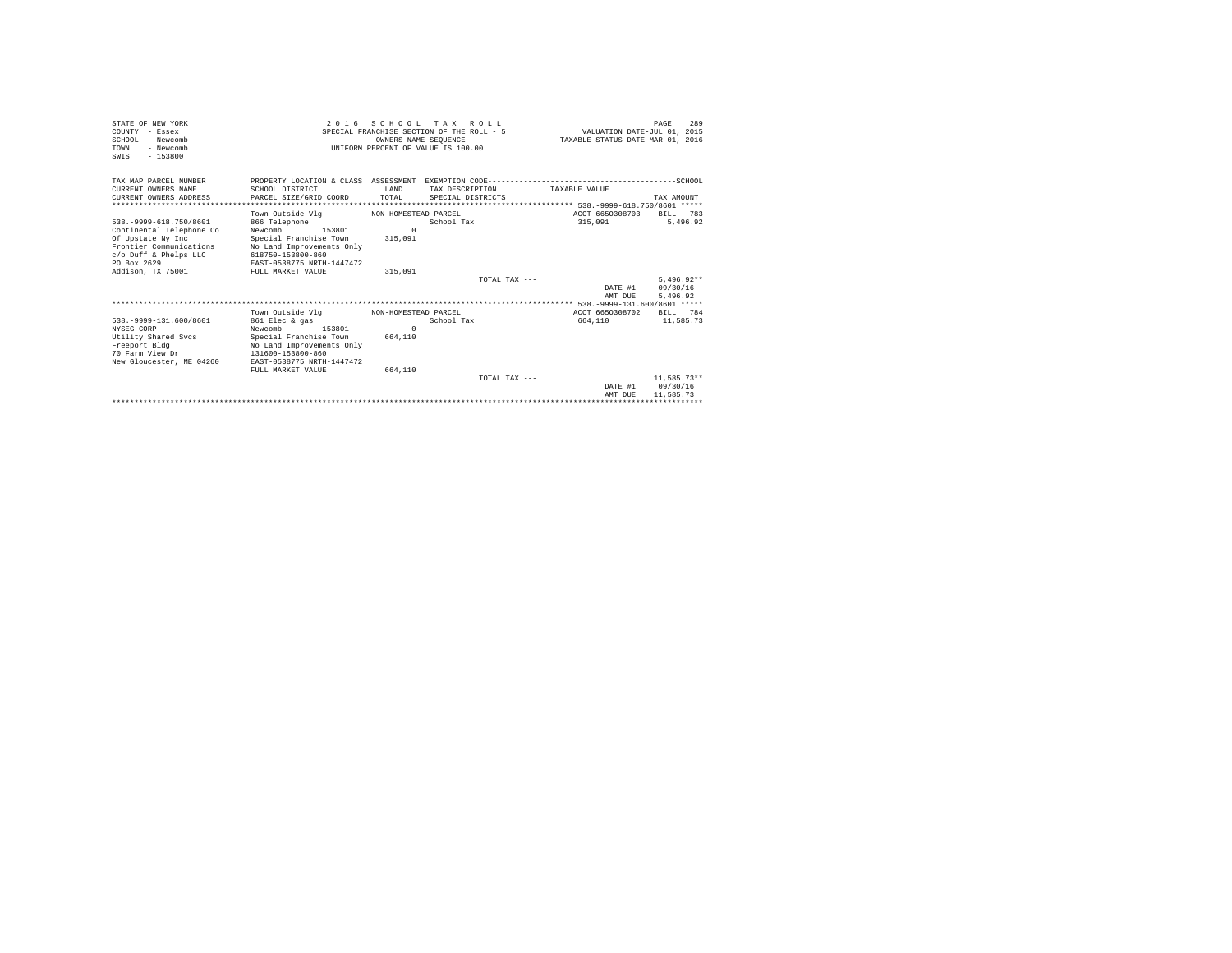| STATE OF NEW YORK<br>COUNTY - Essex<br>SCHOOL - Newcomb<br>- Newcomb<br>TOWN<br>$-153800$<br>SWIS | 2016 SCHOOL TAX ROLL<br>SPECIAL FRANCHISE SECTION OF THE ROLL - 5<br>INIFORM PERCENT OF VALUE IS 100.00 | VALUATION DATE-JUL 01, 2015<br>TAXABLE STATUS DATE-MAR 01, 2016 | 289<br>PAGE       |                 |                                |                      |
|---------------------------------------------------------------------------------------------------|---------------------------------------------------------------------------------------------------------|-----------------------------------------------------------------|-------------------|-----------------|--------------------------------|----------------------|
| TAX MAP PARCEL NUMBER                                                                             |                                                                                                         |                                                                 |                   |                 |                                |                      |
| CURRENT OWNERS NAME                                                                               | SCHOOL DISTRICT                                                                                         | <b>T.AND</b>                                                    | TAX DESCRIPTION   |                 | TAXABLE VALUE                  |                      |
| CURRENT OWNERS ADDRESS                                                                            | PARCEL SIZE/GRID COORD                                                                                  | TOTAL                                                           | SPECIAL DISTRICTS |                 |                                | TAX AMOUNT           |
|                                                                                                   |                                                                                                         |                                                                 |                   |                 |                                |                      |
|                                                                                                   | Town Outside Vlg                                                                                        | NON-HOMESTEAD PARCEL                                            |                   |                 | ACCT 6650308703                | 783<br>BILL          |
| 538. - 9999-618. 750/8601                                                                         | 866 Telephone                                                                                           |                                                                 | School Tax        |                 | 315,091                        | 5.496.92             |
| Continental Telephone Co                                                                          | Newcomb<br>153801                                                                                       | $\Omega$                                                        |                   |                 |                                |                      |
| Of Upstate Ny Inc                                                                                 | Special Franchise Town                                                                                  | 315,091                                                         |                   |                 |                                |                      |
| Frontier Communications                                                                           | No Land Improvements Only                                                                               |                                                                 |                   |                 |                                |                      |
| c/o Duff & Phelps LLC                                                                             | 618750-153800-860                                                                                       |                                                                 |                   |                 |                                |                      |
| PO Box 2629                                                                                       | EAST-0538775 NRTH-1447472                                                                               |                                                                 |                   |                 |                                |                      |
| Addison, TX 75001                                                                                 | FULL MARKET VALUE                                                                                       | 315,091                                                         |                   |                 |                                |                      |
|                                                                                                   |                                                                                                         |                                                                 |                   | TOTAL TAX $---$ |                                | $5.496.92**$         |
|                                                                                                   |                                                                                                         |                                                                 |                   |                 | DATE #1<br>AMT DUE             | 09/30/16<br>5.496.92 |
|                                                                                                   |                                                                                                         |                                                                 |                   |                 |                                |                      |
|                                                                                                   | Town Outside Vlg                                                                                        | NON-HOMESTEAD PARCEL                                            |                   |                 | ACCT 6650308702                | RTT.T. 784           |
| 538. - 9999-131.600/8601                                                                          | 861 Elec & gas                                                                                          |                                                                 | School Tax        |                 | 664,110                        | 11,585.73            |
| NYSEG CORP                                                                                        | Newcomb<br>153801                                                                                       | $\Omega$                                                        |                   |                 |                                |                      |
| Utility Shared Sycs                                                                               | Special Franchise Town                                                                                  | 664,110                                                         |                   |                 |                                |                      |
| Freeport Bldg                                                                                     | No Land Improvements Only                                                                               |                                                                 |                   |                 |                                |                      |
| 70 Farm View Dr                                                                                   | 131600-153800-860                                                                                       |                                                                 |                   |                 |                                |                      |
| New Gloucester, ME 04260                                                                          | EAST-0538775 NRTH-1447472                                                                               |                                                                 |                   |                 |                                |                      |
|                                                                                                   | FULL MARKET VALUE                                                                                       | 664,110                                                         |                   |                 |                                |                      |
|                                                                                                   |                                                                                                         |                                                                 |                   | TOTAL TAX $---$ |                                | 11,585.73**          |
|                                                                                                   |                                                                                                         |                                                                 |                   |                 | DATE #1                        | 09/30/16             |
|                                                                                                   |                                                                                                         |                                                                 |                   |                 | AMT DUE                        | 11,585.73            |
|                                                                                                   |                                                                                                         |                                                                 |                   |                 | ****************************** |                      |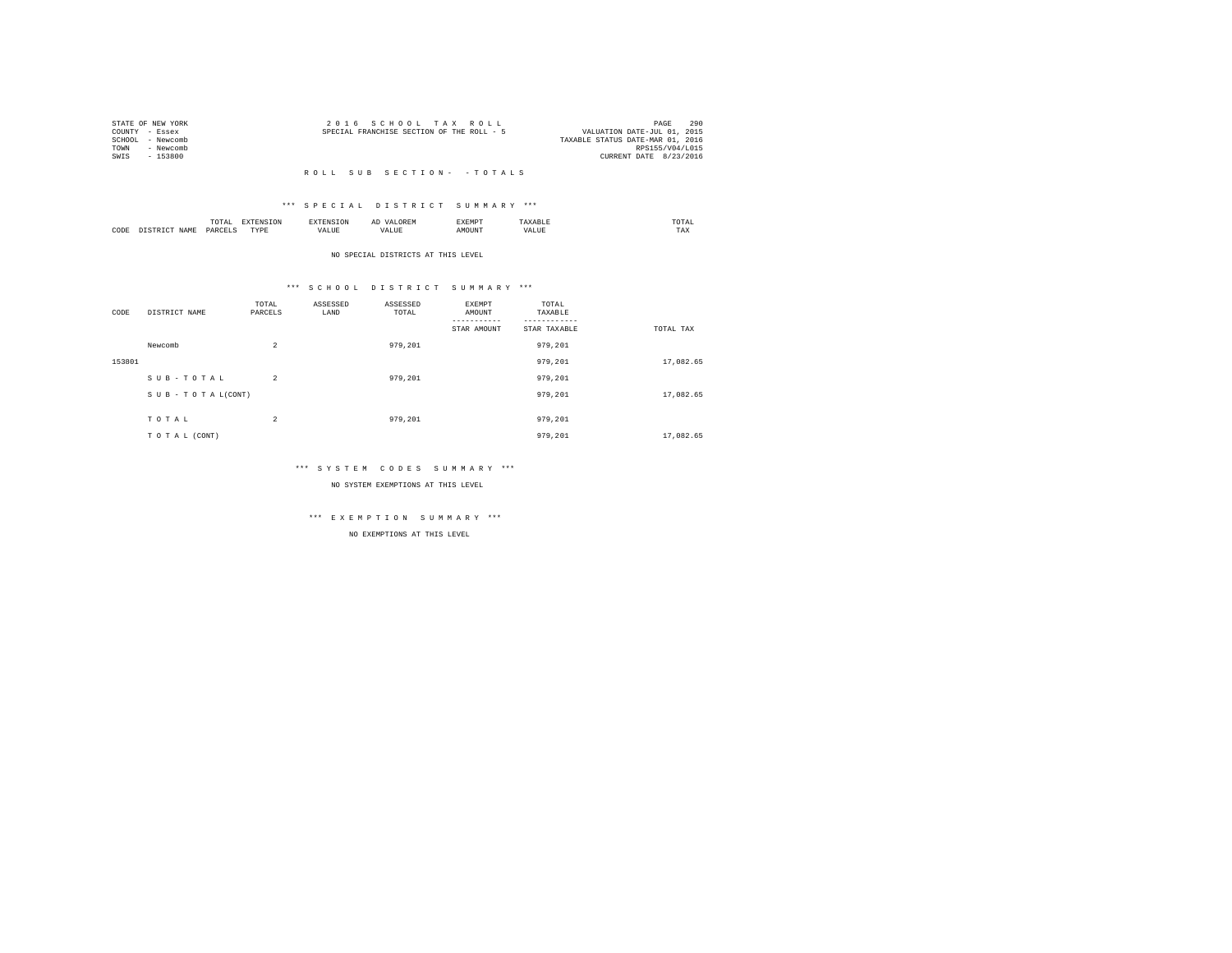| STATE OF NEW YORK |           | 2016 SCHOOL TAX ROLL                      |  |                                  | PAGE            | 290 |
|-------------------|-----------|-------------------------------------------|--|----------------------------------|-----------------|-----|
| COUNTY - Essex    |           | SPECIAL FRANCHISE SECTION OF THE ROLL - 5 |  | VALUATION DATE-JUL 01, 2015      |                 |     |
| SCHOOL - Newcomb  |           |                                           |  | TAXABLE STATUS DATE-MAR 01, 2016 |                 |     |
| TOWN              | - Newcomb |                                           |  |                                  | RPS155/V04/L015 |     |
| SWTS              | - 153800  |                                           |  | CURRENT DATE 8/23/2016           |                 |     |
|                   |           |                                           |  |                                  |                 |     |

## \*\*\* S P E C I A L D I S T R I C T S U M M A R Y \*\*\*

|      |      | 10171    |           |       | $\cdots$ | .XEMP" | 1 A.L<br>the contract of the contract of the contract of |
|------|------|----------|-----------|-------|----------|--------|----------------------------------------------------------|
| CODE | ч∆м. | DΔR<br>. | ----<br>. | - --- | , ,      |        | 1 A.A                                                    |

#### NO SPECIAL DISTRICTS AT THIS LEVEL

## \*\*\* S C H O O L D I S T R I C T S U M M A R Y \*\*\*

| CODE   | DISTRICT NAME   | TOTAL<br>PARCELS | ASSESSED<br>LAND | ASSESSED<br>TOTAL | EXEMPT<br>AMOUNT<br>STAR AMOUNT | TOTAL<br>TAXABLE<br>STAR TAXABLE | TOTAL TAX |
|--------|-----------------|------------------|------------------|-------------------|---------------------------------|----------------------------------|-----------|
|        | Newcomb         | $\overline{a}$   |                  | 979.201           |                                 | 979,201                          |           |
| 153801 |                 |                  |                  |                   |                                 | 979,201                          | 17,082.65 |
|        | SUB-TOTAL       | $\overline{2}$   |                  | 979,201           |                                 | 979,201                          |           |
|        | SUB-TOTAL(CONT) |                  |                  |                   |                                 | 979,201                          | 17,082.65 |
|        | TOTAL           | $\overline{2}$   |                  | 979,201           |                                 | 979.201                          |           |
|        | TO TAL (CONT)   |                  |                  |                   |                                 | 979,201                          | 17.082.65 |

## \*\*\* S Y S T E M C O D E S S U M M A R Y \*\*\*

NO SYSTEM EXEMPTIONS AT THIS LEVEL

## \*\*\* E X E M P T I O N S U M M A R Y \*\*\*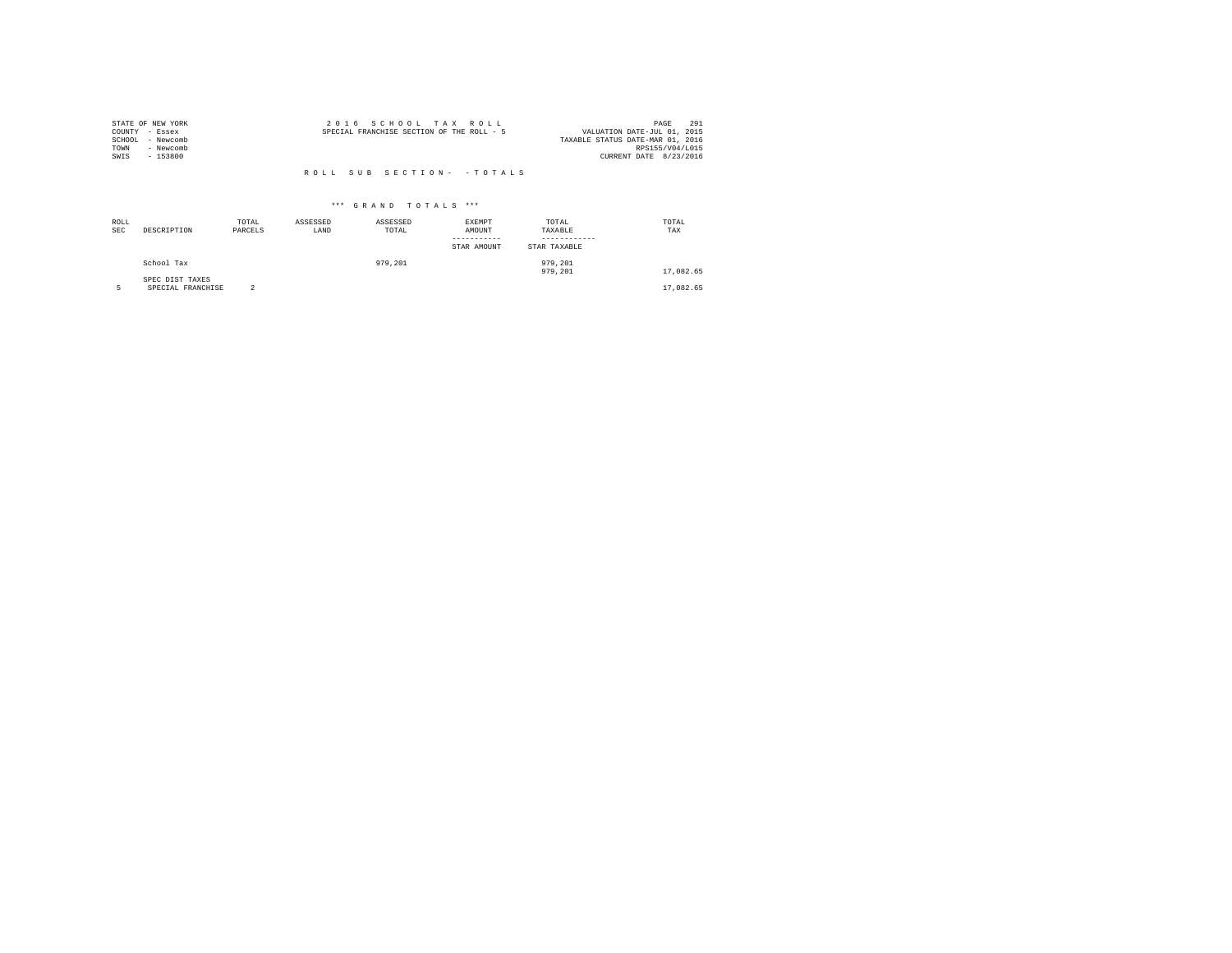|                | STATE OF NEW YORK | 2016 SCHOOL TAX ROLL                      | 291<br>PAGE                 |
|----------------|-------------------|-------------------------------------------|-----------------------------|
| COUNTY - Essex |                   | SPECIAL FRANCHISE SECTION OF THE ROLL - 5 | VALUATION DATE-JUL 01, 2015 |
| SCHOOL         | - Newcomb         | TAXABLE STATUS DATE-MAR 01, 2016          |                             |
| TOWN           | - Newcomb         |                                           | RPS155/V04/L015             |
| SWIS           | $-153800$         |                                           | CURRENT DATE 8/23/2016      |
|                |                   |                                           |                             |
|                |                   | ROLL SUB SECTION- - TOTALS                |                             |

| ROLL<br><b>SEC</b> | DESCRIPTION                          | TOTAL<br>PARCELS | ASSESSED<br>LAND | ASSESSED<br>TOTAL | <b>EXEMPT</b><br>AMOUNT<br>-----------<br>STAR AMOUNT | TOTAL<br>TAXABLE<br>------------<br>STAR TAXABLE | TOTAL<br>TAX |  |
|--------------------|--------------------------------------|------------------|------------------|-------------------|-------------------------------------------------------|--------------------------------------------------|--------------|--|
|                    | School Tax                           |                  |                  | 979.201           |                                                       | 979,201<br>979,201                               | 17,082.65    |  |
|                    | SPEC DIST TAXES<br>SPECIAL FRANCHISE | $\overline{2}$   |                  |                   |                                                       |                                                  | 17,082.65    |  |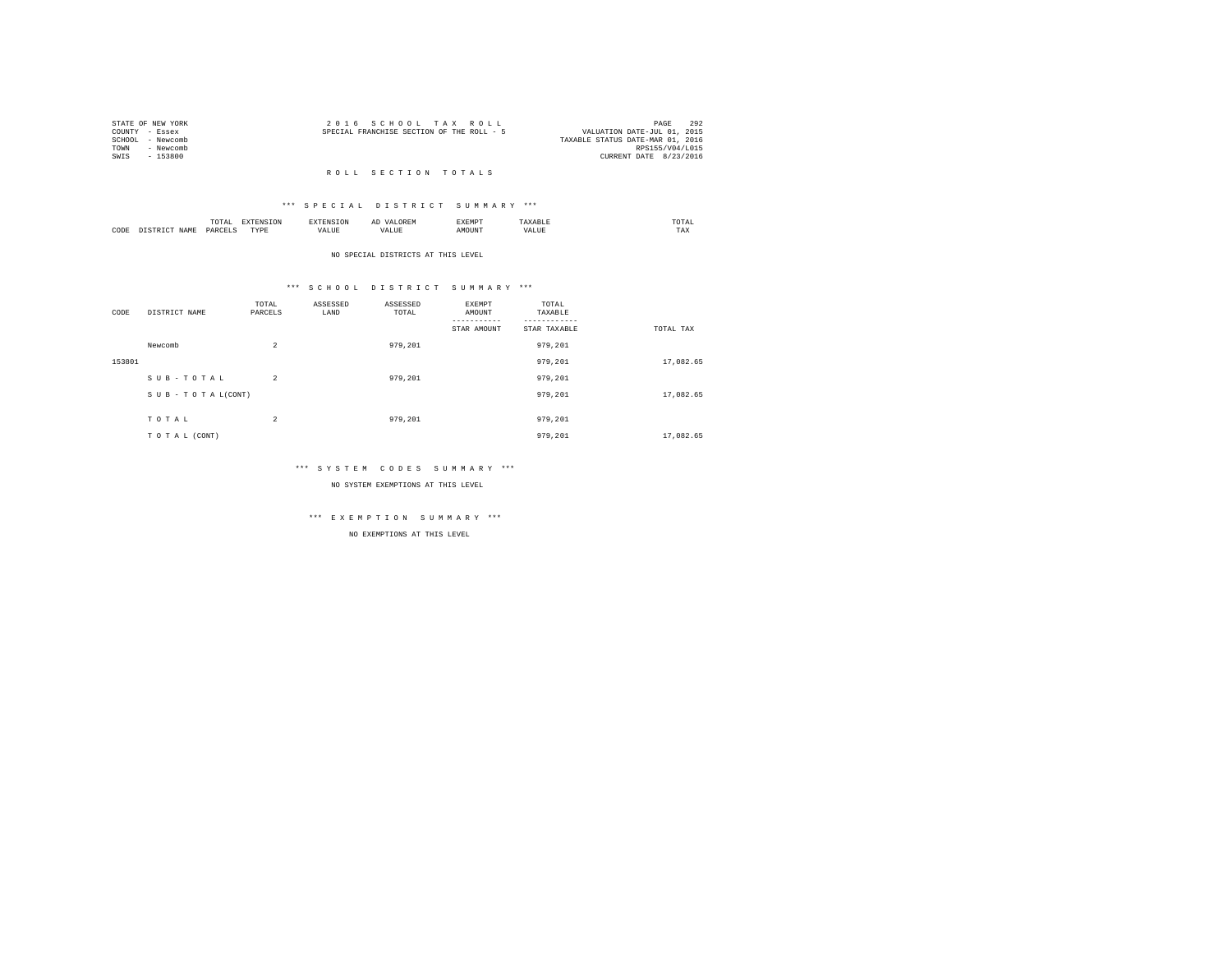|                | STATE OF NEW YORK | 2016 SCHOOL TAX ROLL                      |  |                                  | PAGE            | 292 |
|----------------|-------------------|-------------------------------------------|--|----------------------------------|-----------------|-----|
| COUNTY - Essex |                   | SPECIAL FRANCHISE SECTION OF THE ROLL - 5 |  | VALUATION DATE-JUL 01, 2015      |                 |     |
|                | SCHOOL - Newcomb  |                                           |  | TAXABLE STATUS DATE-MAR 01, 2016 |                 |     |
| TOWN           | - Newcomb         |                                           |  |                                  | RPS155/V04/L015 |     |
| SWIS           | - 153800          |                                           |  | CURRENT DATE 8/23/2016           |                 |     |
|                |                   |                                           |  |                                  |                 |     |

## R O L L S E C T I O N T O T A L S

## \*\*\* S P E C I A L D I S T R I C T S U M M A R Y \*\*\*

|      |      | 10171<br>the contract of the contract of the contract of the contract of the contract of | the contract of the contract of the contract of the contract of the contract of |     | $\cdots$<br>-- | -----<br>:XEMP" | 'I Al<br>the contract of the contract of the contract of |
|------|------|------------------------------------------------------------------------------------------|---------------------------------------------------------------------------------|-----|----------------|-----------------|----------------------------------------------------------|
| CODE | 17.M | DΔ⊧                                                                                      | ----<br>.                                                                       | --- | $\mathbf{A}$   |                 | 1 A.A                                                    |

NO SPECIAL DISTRICTS AT THIS LEVEL

## \*\*\* S C H O O L D I S T R I C T S U M M A R Y \*\*\*

| CODE   | DISTRICT NAME   | TOTAL<br>PARCELS | ASSESSED<br>LAND | ASSESSED<br>TOTAL | EXEMPT<br>AMOUNT<br>STAR AMOUNT | TOTAL<br>TAXABLE<br>STAR TAXABLE | TOTAL TAX |
|--------|-----------------|------------------|------------------|-------------------|---------------------------------|----------------------------------|-----------|
|        | Newcomb         | $\overline{2}$   |                  | 979.201           |                                 | 979,201                          |           |
| 153801 |                 |                  |                  |                   |                                 | 979,201                          | 17,082.65 |
|        | SUB-TOTAL       | $\overline{2}$   |                  | 979,201           |                                 | 979,201                          |           |
|        | SUB-TOTAL(CONT) |                  |                  |                   |                                 | 979,201                          | 17,082.65 |
|        | TOTAL           | $\overline{2}$   |                  | 979,201           |                                 | 979.201                          |           |
|        | TO TAL (CONT)   |                  |                  |                   |                                 | 979,201                          | 17.082.65 |

## \*\*\* S Y S T E M C O D E S S U M M A R Y \*\*\*

NO SYSTEM EXEMPTIONS AT THIS LEVEL

## \*\*\* E X E M P T I O N S U M M A R Y \*\*\*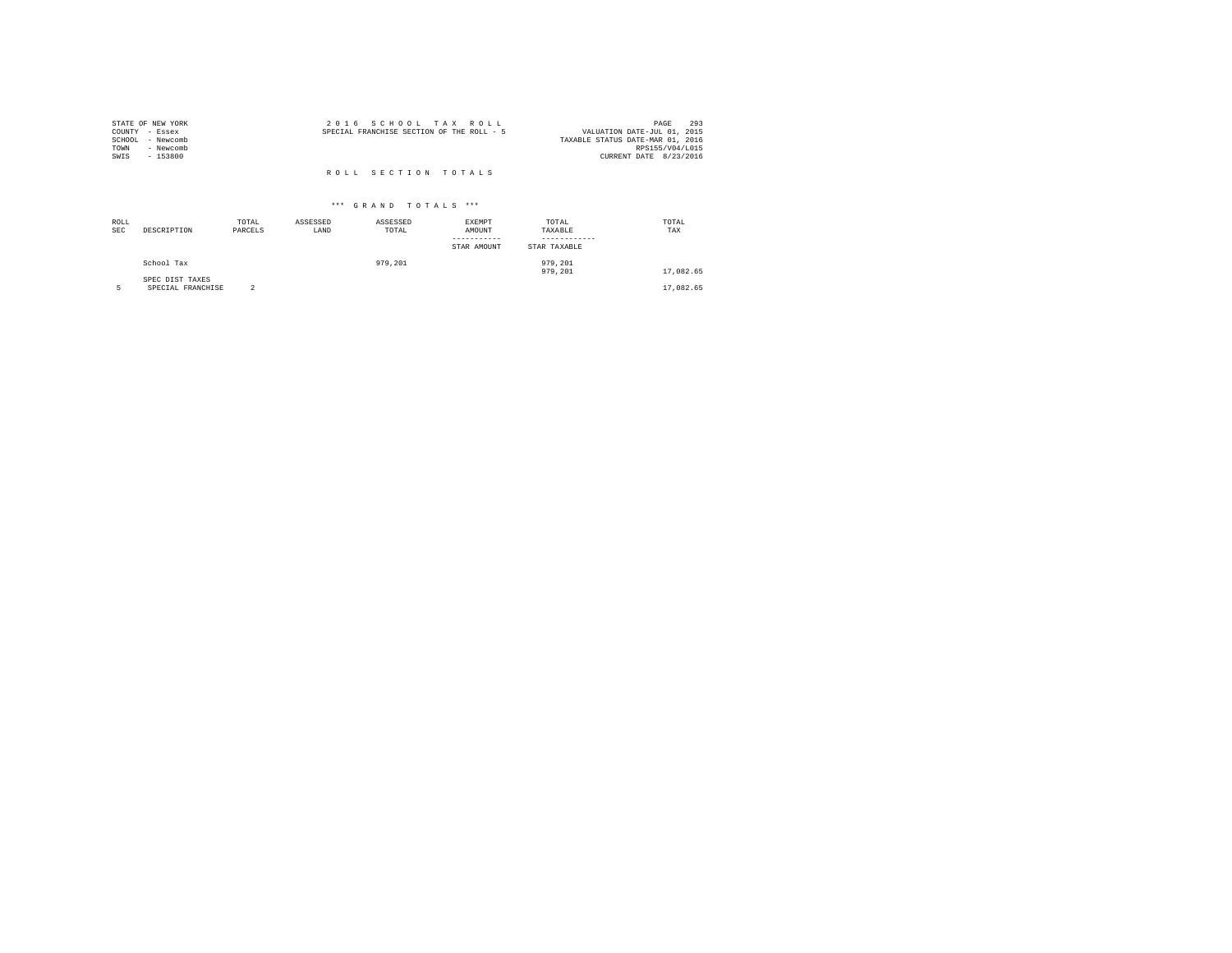| STATE OF NEW YORK | 2016 SCHOOL TAX ROLL                      | 293<br>PAGE                      |
|-------------------|-------------------------------------------|----------------------------------|
| COUNTY - Essex    | SPECIAL FRANCHISE SECTION OF THE ROLL - 5 | VALUATION DATE-JUL 01, 2015      |
| SCHOOL - Newcomb  |                                           | TAXABLE STATUS DATE-MAR 01, 2016 |
| TOWN<br>- Newcomb |                                           | RPS155/V04/L015                  |
| SWIS<br>$-153800$ |                                           | CURRENT DATE 8/23/2016           |
|                   |                                           |                                  |
|                   | ROLL SECTION TOTALS                       |                                  |

| ROLL<br><b>SEC</b> | DESCRIPTION                          | TOTAL<br>PARCELS | ASSESSED<br>LAND | ASSESSED<br>TOTAL | <b>EXEMPT</b><br>AMOUNT<br>--------<br>STAR AMOUNT | TOTAL<br>TAXABLE<br>STAR TAXABLE | TOTAL<br>TAX |
|--------------------|--------------------------------------|------------------|------------------|-------------------|----------------------------------------------------|----------------------------------|--------------|
|                    | School Tax                           |                  |                  | 979,201           |                                                    | 979,201<br>979,201               | 17.082.65    |
|                    | SPEC DIST TAXES<br>SPECIAL FRANCHISE | n                |                  |                   |                                                    |                                  | 17,082.65    |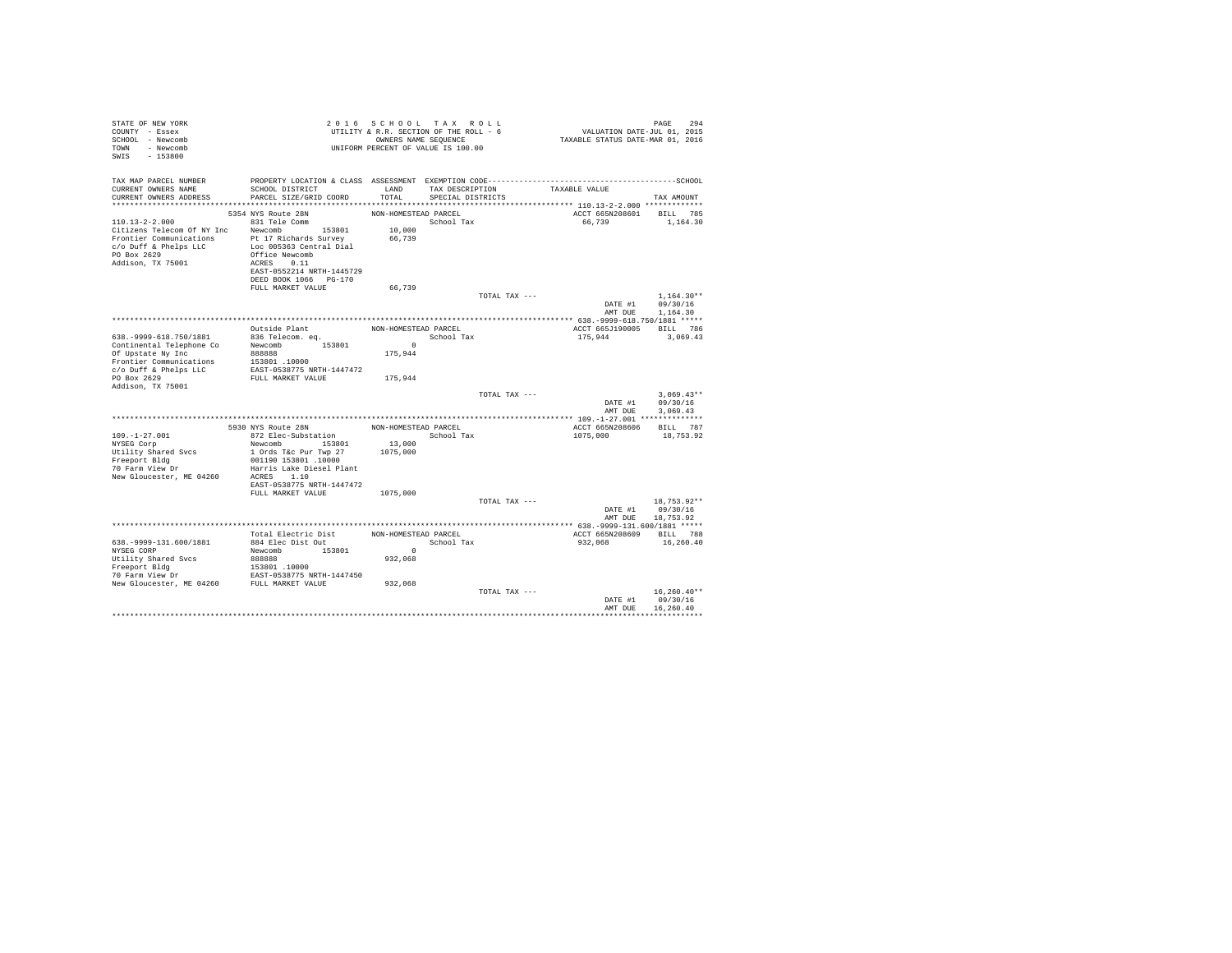| STATE OF NEW YORK<br>COUNTY - Essex<br>SCHOOL - Newcomb<br>TOWN - Newcomb<br>SWIS - 153800                                                                                                                             |                                                                                                                                           |                                          | 2016 SCHOOL TAX ROLL<br>UNIFORM PERCENT OF VALUE IS 100.00 |               |                                              | PAGE<br>294                          |  |
|------------------------------------------------------------------------------------------------------------------------------------------------------------------------------------------------------------------------|-------------------------------------------------------------------------------------------------------------------------------------------|------------------------------------------|------------------------------------------------------------|---------------|----------------------------------------------|--------------------------------------|--|
| TAX MAP PARCEL NUMBER<br>CURRENT OWNERS NAME<br>CURRENT OWNERS ADDRESS                                                                                                                                                 | PROPERTY LOCATION & CLASS ASSESSMENT EXEMPTION CODE-----------------------------------SCHOOL<br>SCHOOL DISTRICT<br>PARCEL SIZE/GRID COORD | LAND<br>TOTAL                            | TAX DESCRIPTION TAXABLE VALUE<br>SPECIAL DISTRICTS         |               |                                              | TAX AMOUNT                           |  |
| $110.13 - 2 - 2.000$<br>Citizens Telecom Of NY Inc Newcomb 153801<br>Frontier Communications<br>$Pt$ 17 Richards Survey<br>$C/O$ Duff & Phelps LLC<br>$DC$ Dec 005363 Central Dial<br>PO Box 2629<br>Addison, TX 75001 | 5354 NYS Route 28N<br>831 Tele Comm<br>Office Newcomb<br>ACRES 0.11<br>EAST-0552214 NRTH-1445729<br>DEED BOOK 1066 PG-170                 | NON-HOMESTEAD PARCEL<br>10,000<br>66,739 | School Tax                                                 |               | ACCT 665N208601 BILL 785<br>66,739           | 1,164.30                             |  |
|                                                                                                                                                                                                                        | FULL MARKET VALUE                                                                                                                         | 66,739                                   |                                                            | TOTAL TAX --- | DATE #1<br>AMT DUE 1,164.30                  | $1.164.30**$<br>09/30/16             |  |
|                                                                                                                                                                                                                        |                                                                                                                                           |                                          |                                                            |               |                                              |                                      |  |
|                                                                                                                                                                                                                        |                                                                                                                                           |                                          | School Tax                                                 |               | ACCT 665J190005 BILL 786<br>175.944 3.069.43 |                                      |  |
| Frontier Communications 153801 .10000<br>c/o Duff & Phelps LLC EAST-0538775 NRTH-1447472                                                                                                                               |                                                                                                                                           |                                          |                                                            |               |                                              |                                      |  |
| PO Box 2629<br>Addison, TX 75001                                                                                                                                                                                       | FULL MARKET VALUE 175,944                                                                                                                 |                                          |                                                            |               |                                              |                                      |  |
|                                                                                                                                                                                                                        |                                                                                                                                           |                                          |                                                            | TOTAL TAX --- | DATE #1<br>AMT DUE                           | $3.069.43**$<br>09/30/16<br>3.069.43 |  |
|                                                                                                                                                                                                                        |                                                                                                                                           |                                          |                                                            |               |                                              |                                      |  |
|                                                                                                                                                                                                                        | 5930 NYS Route 28N NON-HOMESTEAD PARCEL                                                                                                   |                                          |                                                            |               | ACCT 665N208606 BILL 787                     |                                      |  |
| $109. - 1 - 27.001$<br>NYSEG Corp<br>Utility Shared Svcs<br>Freeport Bldg                                                                                                                                              | 872 Elec-Substation<br>Newcomb 153801<br>1 Ords T&c Pur Twp 27 1075,000<br>001190 153801 .10000                                           | School Tax<br>13,000                     |                                                            |               | 1075,000                                     | 18,753.92                            |  |
| 70 Farm View Dr<br>New Gloucester, ME 04260 ACRES 1.10                                                                                                                                                                 | Harris Lake Diesel Plant<br>EAST-0538775 NRTH-1447472<br>FULL MARKET VALUE                                                                | 1075,000                                 |                                                            |               |                                              |                                      |  |
|                                                                                                                                                                                                                        |                                                                                                                                           |                                          |                                                            |               |                                              |                                      |  |
|                                                                                                                                                                                                                        |                                                                                                                                           |                                          |                                                            | TOTAL TAX --- | DATE #1 09/30/16<br>AMT DUE 18,753.92        | 18,753.92**                          |  |
|                                                                                                                                                                                                                        |                                                                                                                                           |                                          |                                                            |               |                                              |                                      |  |
|                                                                                                                                                                                                                        | Total Electric Dist                                                                                                                       | NON-HOMESTEAD PARCEL                     |                                                            |               | ACCT 665N208609 BILL 788                     |                                      |  |
| 638. - 9999-131. 600/1881                                                                                                                                                                                              | 884 Elec Dist Out                                                                                                                         |                                          | School Tax                                                 |               | 932,068                                      | 16,260.40                            |  |
| NYSEG CORP                                                                                                                                                                                                             | Newcomb 153801                                                                                                                            | $\sim$ 0                                 |                                                            |               |                                              |                                      |  |
| Utility Shared Svcs<br>Freeport Bldg<br>The District Construct COSS (10000<br>The District COSS (2000)<br>New Gloucester, ME 04260<br>FULL MARKET VALUE 932,068                                                        | 888888                                                                                                                                    | 932,068                                  |                                                            |               |                                              |                                      |  |
|                                                                                                                                                                                                                        |                                                                                                                                           |                                          |                                                            |               |                                              |                                      |  |
|                                                                                                                                                                                                                        |                                                                                                                                           |                                          |                                                            | TOTAL TAX --- | DATE #1 09/30/16<br>AMT DUE                  | $16,260,40**$<br>16,260.40           |  |
|                                                                                                                                                                                                                        |                                                                                                                                           |                                          |                                                            |               |                                              |                                      |  |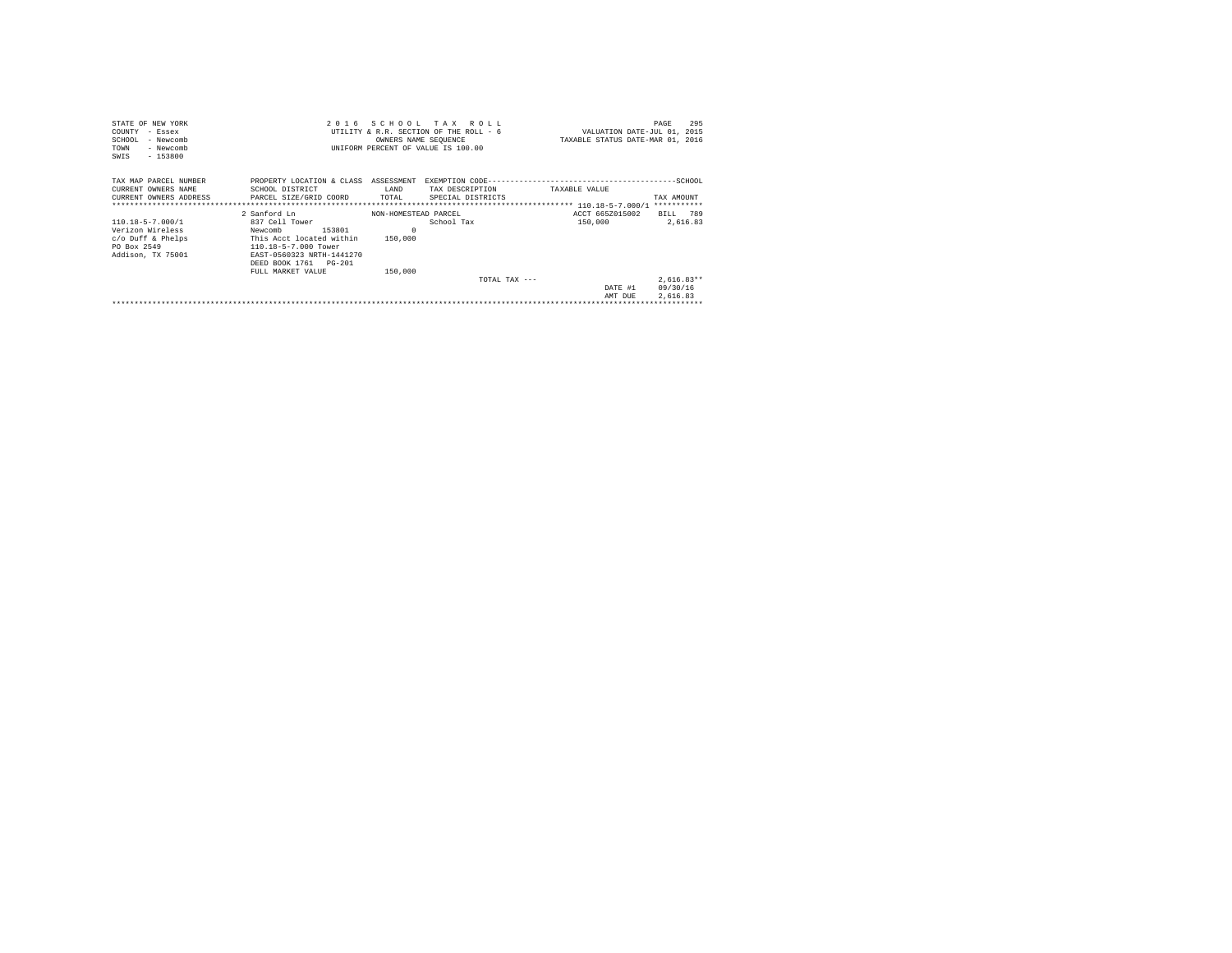| STATE OF NEW YORK                                                                                   |                                                                                                                                                                    |                                | 2016 SCHOOL TAX ROLL                                           |                                                                 | 295<br>PAGE                          |
|-----------------------------------------------------------------------------------------------------|--------------------------------------------------------------------------------------------------------------------------------------------------------------------|--------------------------------|----------------------------------------------------------------|-----------------------------------------------------------------|--------------------------------------|
| COUNTY - Essex<br>SCHOOL<br>- Newcomb                                                               |                                                                                                                                                                    |                                | UTILITY & R.R. SECTION OF THE ROLL - 6<br>OWNERS NAME SEQUENCE | VALUATION DATE-JUL 01, 2015<br>TAXABLE STATUS DATE-MAR 01, 2016 |                                      |
| - Newcomb<br>TOWN<br>$-153800$<br>SWIS                                                              |                                                                                                                                                                    |                                | UNIFORM PERCENT OF VALUE IS 100.00                             |                                                                 |                                      |
| TAX MAP PARCEL NUMBER<br>CURRENT OWNERS NAME<br>CURRENT OWNERS ADDRESS PARCEL SIZE/GRID COORD TOTAL | PROPERTY LOCATION & CLASS<br>SCHOOL DISTRICT                                                                                                                       | ASSESSMENT<br>LAND             | TAX DESCRIPTION<br>SPECIAL DISTRICTS                           | TAXABLE VALUE                                                   | TAX AMOUNT<br>***********            |
|                                                                                                     | 2 Sanford Ln                                                                                                                                                       | NON-HOMESTEAD PARCEL           |                                                                | ACCT 665Z015002                                                 | BILL 789                             |
| 110.18-5-7.000/1<br>Verizon Wireless<br>c/o Duff & Phelps<br>PO Box 2549<br>Addison, TX 75001       | 837 Cell Tower<br>153801<br>Newcomb<br>This Acct located within<br>110.18-5-7.000 Tower<br>EAST-0560323 NRTH-1441270<br>DEED BOOK 1761 PG-201<br>FULL MARKET VALUE | $\Omega$<br>150,000<br>150,000 | School Tax                                                     | 150,000                                                         | 2,616.83                             |
|                                                                                                     |                                                                                                                                                                    |                                | TOTAL TAX $---$                                                | DATE #1<br>AMT DUE                                              | $2.616.83**$<br>09/30/16<br>2.616.83 |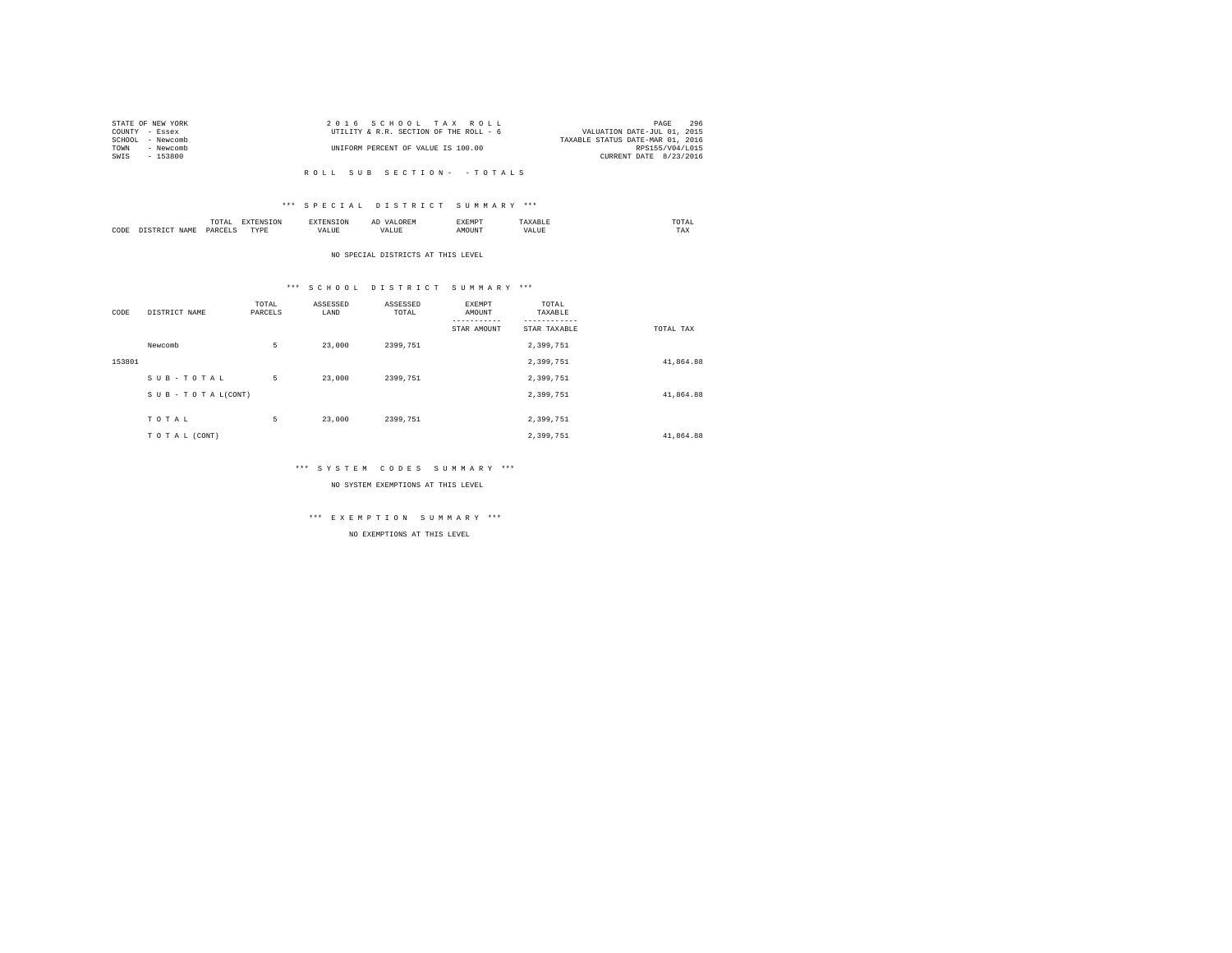| STATE OF NEW YORK   | 2016 SCHOOL TAX ROLL                   | 296<br>PAGE                      |
|---------------------|----------------------------------------|----------------------------------|
| COUNTY - Essex      | UTILITY & R.R. SECTION OF THE ROLL - 6 | VALUATION DATE-JUL 01, 2015      |
| SCHOOL<br>- Newcomb |                                        | TAXABLE STATUS DATE-MAR 01, 2016 |
| TOWN<br>- Newcomb   | UNIFORM PERCENT OF VALUE IS 100.00     | RPS155/V04/L015                  |
| SWIS<br>$-153800$   |                                        | CURRENT DATE 8/23/2016           |
|                     |                                        |                                  |

## \*\*\* S P E C I A L D I S T R I C T S U M M A R Y \*\*\*

|      | ----<br>IUIAL<br>the contract of the contract of the contract of | the contract of the contract of the contract of the contract of the contract of |                | ΑΙ | EXEMP. |      | $m \wedge m \wedge$<br>the contract of the contract of the contract of |
|------|------------------------------------------------------------------|---------------------------------------------------------------------------------|----------------|----|--------|------|------------------------------------------------------------------------|
| CODE | DARCELS<br>.                                                     | <b>TVD's</b><br>.                                                               | - ---<br>'ALUL | 'n | וא ב   | ALUE | ---<br>TAX                                                             |

NO SPECIAL DISTRICTS AT THIS LEVEL

## \*\*\* S C H O O L D I S T R I C T S U M M A R Y \*\*\*

| CODE   | DISTRICT NAME   | TOTAL<br>PARCELS | ASSESSED<br>LAND | ASSESSED<br>TOTAL | <b>EXEMPT</b><br>AMOUNT<br>STAR AMOUNT | TOTAL<br>TAXABLE<br>STAR TAXABLE | TOTAL TAX |
|--------|-----------------|------------------|------------------|-------------------|----------------------------------------|----------------------------------|-----------|
|        | Newcomb         | 5                | 23,000           | 2399.751          |                                        | 2,399,751                        |           |
| 153801 |                 |                  |                  |                   |                                        | 2,399,751                        | 41,864.88 |
|        | SUB-TOTAL       | 5                | 23,000           | 2399.751          |                                        | 2,399,751                        |           |
|        | SUB-TOTAL(CONT) |                  |                  |                   |                                        | 2,399,751                        | 41,864.88 |
|        | TOTAL           | 5                | 23,000           | 2399.751          |                                        | 2.399.751                        |           |
|        | TO TAL (CONT)   |                  |                  |                   |                                        | 2.399.751                        | 41,864.88 |

## \*\*\* S Y S T E M C O D E S S U M M A R Y \*\*\*

NO SYSTEM EXEMPTIONS AT THIS LEVEL

## \*\*\* E X E M P T I O N S U M M A R Y \*\*\*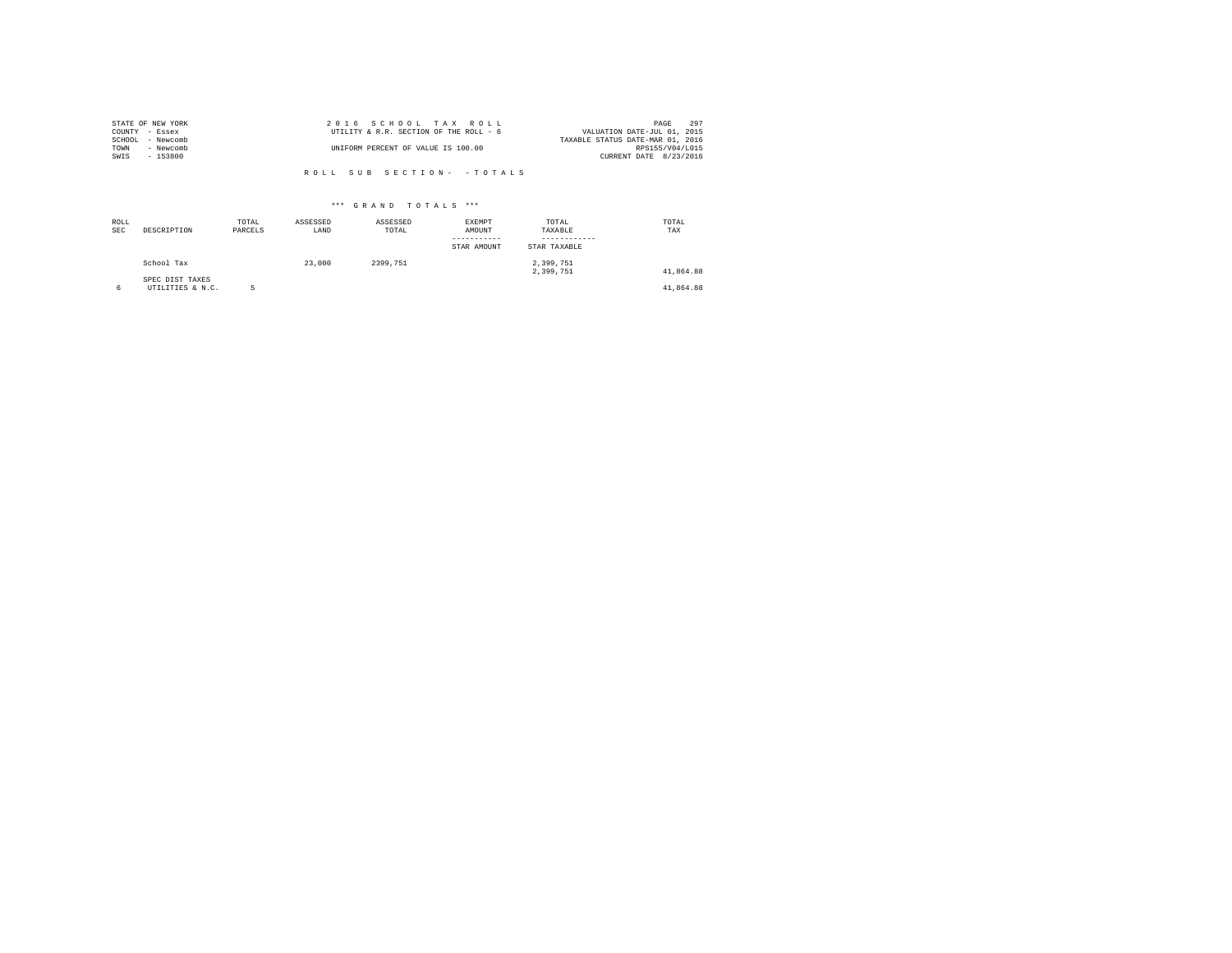|                | STATE OF NEW YORK | 2016 SCHOOL TAX ROLL                   | 297<br>PAGE                      |  |
|----------------|-------------------|----------------------------------------|----------------------------------|--|
| COUNTY - Essex |                   | UTILITY & R.R. SECTION OF THE ROLL - 6 | VALUATION DATE-JUL 01, 2015      |  |
| SCHOOL         | - Newcomb         |                                        | TAXABLE STATUS DATE-MAR 01, 2016 |  |
| TOWN           | - Newcomb         | UNIFORM PERCENT OF VALUE IS 100.00     | RPS155/V04/L015                  |  |
| SWIS           | $-153800$         |                                        | CURRENT DATE 8/23/2016           |  |
|                |                   |                                        |                                  |  |

| ROLL<br><b>SEC</b> | DESCRIPTION                         | TOTAL<br>PARCELS | ASSESSED<br>LAND | ASSESSED<br>TOTAL | <b>EXEMPT</b><br>AMOUNT<br>STAR AMOUNT | TOTAL<br>TAXABLE<br>STAR TAXABLE | TOTAL<br>TAX |
|--------------------|-------------------------------------|------------------|------------------|-------------------|----------------------------------------|----------------------------------|--------------|
|                    | School Tax                          |                  | 23,000           | 2399.751          |                                        | 2,399,751<br>2.399.751           | 41.864.88    |
| 6                  | SPEC DIST TAXES<br>UTILITIES & N.C. |                  |                  |                   |                                        |                                  | 41.864.88    |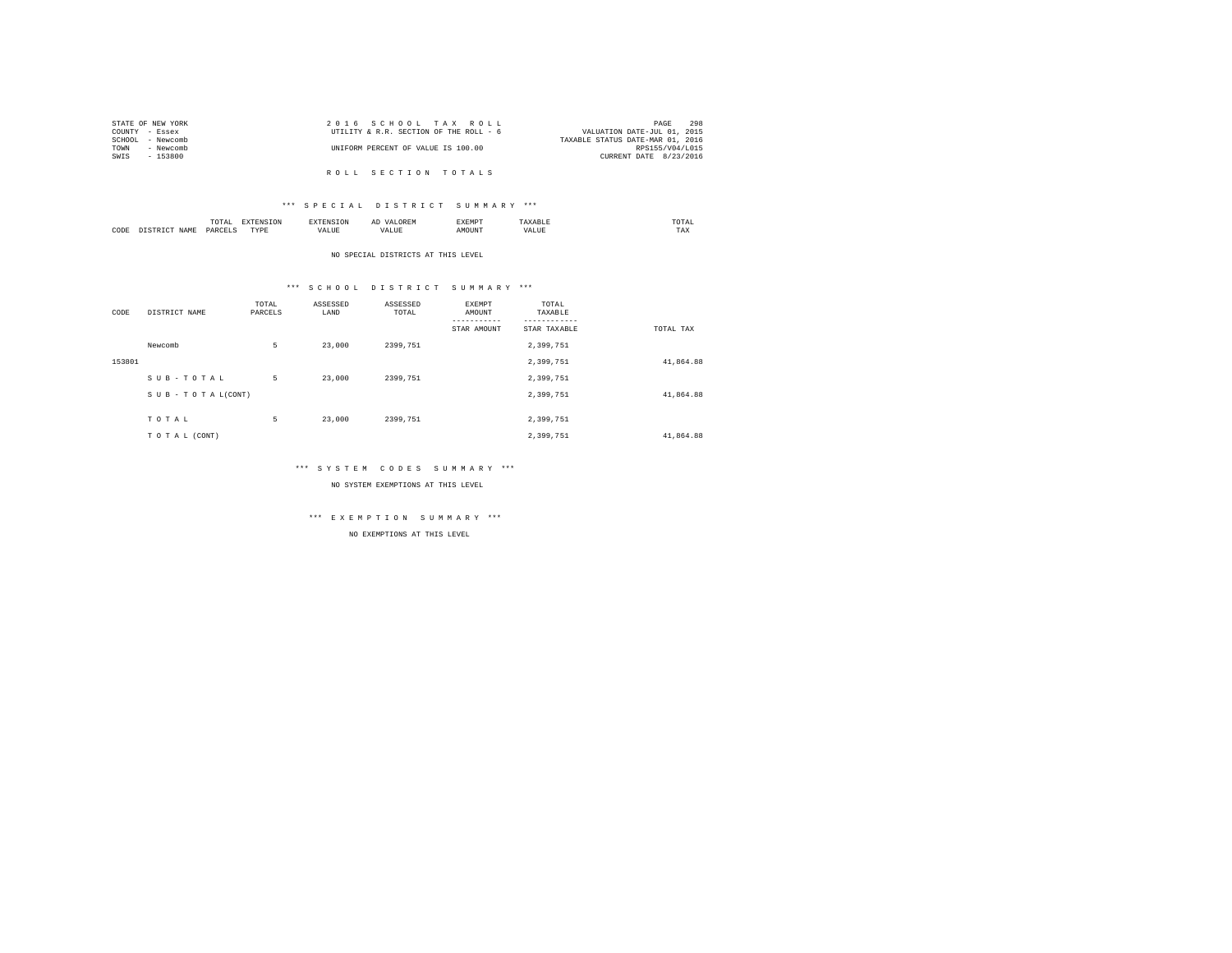| STATE OF NEW YORK | 2016 SCHOOL TAX ROLL                   | 298<br>PAGE                      |
|-------------------|----------------------------------------|----------------------------------|
| COUNTY - Essex    | UTILITY & R.R. SECTION OF THE ROLL - 6 | VALUATION DATE-JUL 01, 2015      |
| SCHOOL - Newcomb  |                                        | TAXABLE STATUS DATE-MAR 01, 2016 |
| TOWN<br>- Newcomb | UNIFORM PERCENT OF VALUE IS 100.00     | RPS155/V04/L015                  |
| SWIS<br>- 153800  |                                        | CURRENT DATE 8/23/2016           |
|                   |                                        |                                  |
|                   | ROLL SECTION TOTALS                    |                                  |

## \*\*\* S P E C I A L D I S T R I C T S U M M A R Y \*\*\*

|      | ----<br>TUTAI<br>the contract of the contract of the contract of | the contract of the contract of the contract of the contract of the contract of |      | ΑΙ | ∠M*<br>. | momn'<br>the contract of the contract of the contract of |  |
|------|------------------------------------------------------------------|---------------------------------------------------------------------------------|------|----|----------|----------------------------------------------------------|--|
| CODE | DAD/<br>.                                                        | $- - - -$<br>$\cdots$<br>.                                                      | 1741 |    |          | 1 A.A                                                    |  |

NO SPECIAL DISTRICTS AT THIS LEVEL

## \*\*\* S C H O O L D I S T R I C T S U M M A R Y \*\*\*

| CODE   | DISTRICT NAME   | TOTAL<br>PARCELS | ASSESSED<br>LAND | ASSESSED<br>TOTAL | EXEMPT<br>AMOUNT | TOTAL<br>TAXABLE |           |
|--------|-----------------|------------------|------------------|-------------------|------------------|------------------|-----------|
|        |                 |                  |                  |                   | STAR AMOUNT      | STAR TAXABLE     | TOTAL TAX |
|        | Newcomb         | 5                | 23,000           | 2399.751          |                  | 2,399,751        |           |
| 153801 |                 |                  |                  |                   |                  | 2,399,751        | 41,864.88 |
|        | SUB-TOTAL       | 5                | 23,000           | 2399.751          |                  | 2,399,751        |           |
|        | SUB-TOTAL(CONT) |                  |                  |                   |                  | 2,399,751        | 41,864.88 |
|        | TOTAL           | 5                | 23,000           | 2399,751          |                  | 2,399,751        |           |
|        | TO TAL (CONT)   |                  |                  |                   |                  | 2.399.751        | 41.864.88 |

## \*\*\* S Y S T E M C O D E S S U M M A R Y \*\*\*

NO SYSTEM EXEMPTIONS AT THIS LEVEL

## \*\*\* E X E M P T I O N S U M M A R Y \*\*\*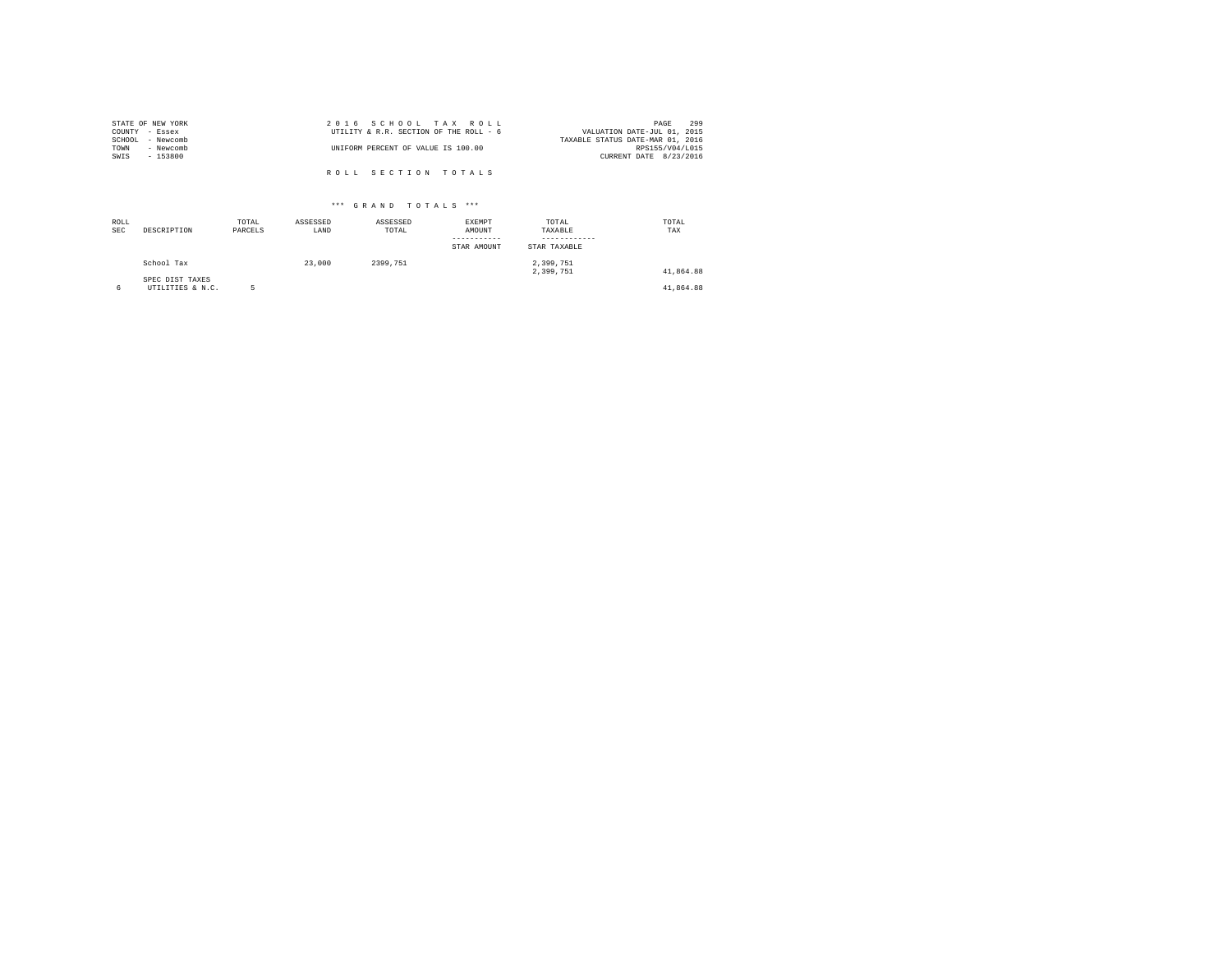| STATE OF NEW YORK | 2016 SCHOOL TAX ROLL                   | 299<br>PAGE                      |
|-------------------|----------------------------------------|----------------------------------|
| COUNTY - Essex    | UTILITY & R.R. SECTION OF THE ROLL - 6 | VALUATION DATE-JUL 01, 2015      |
| SCHOOL - Newcomb  |                                        | TAXABLE STATUS DATE-MAR 01, 2016 |
| TOWN<br>- Newcomb | UNIFORM PERCENT OF VALUE IS 100.00     | RPS155/V04/L015                  |
| SWIS<br>$-153800$ |                                        | CURRENT DATE 8/23/2016           |
|                   |                                        |                                  |
|                   | ROLL SECTION TOTALS                    |                                  |

| ROLL<br><b>SEC</b> | DESCRIPTION                         | TOTAL<br>PARCELS | ASSESSED<br>LAND | ASSESSED<br>TOTAL | <b>EXEMPT</b><br>AMOUNT<br>-----------<br>STAR AMOUNT | TOTAL<br>TAXABLE<br>STAR TAXABLE | TOTAL<br>TAX |
|--------------------|-------------------------------------|------------------|------------------|-------------------|-------------------------------------------------------|----------------------------------|--------------|
|                    | School Tax                          |                  | 23,000           | 2399.751          |                                                       | 2,399,751<br>2,399,751           | 41,864.88    |
| 6                  | SPEC DIST TAXES<br>UTILITIES & N.C. |                  |                  |                   |                                                       |                                  | 41,864.88    |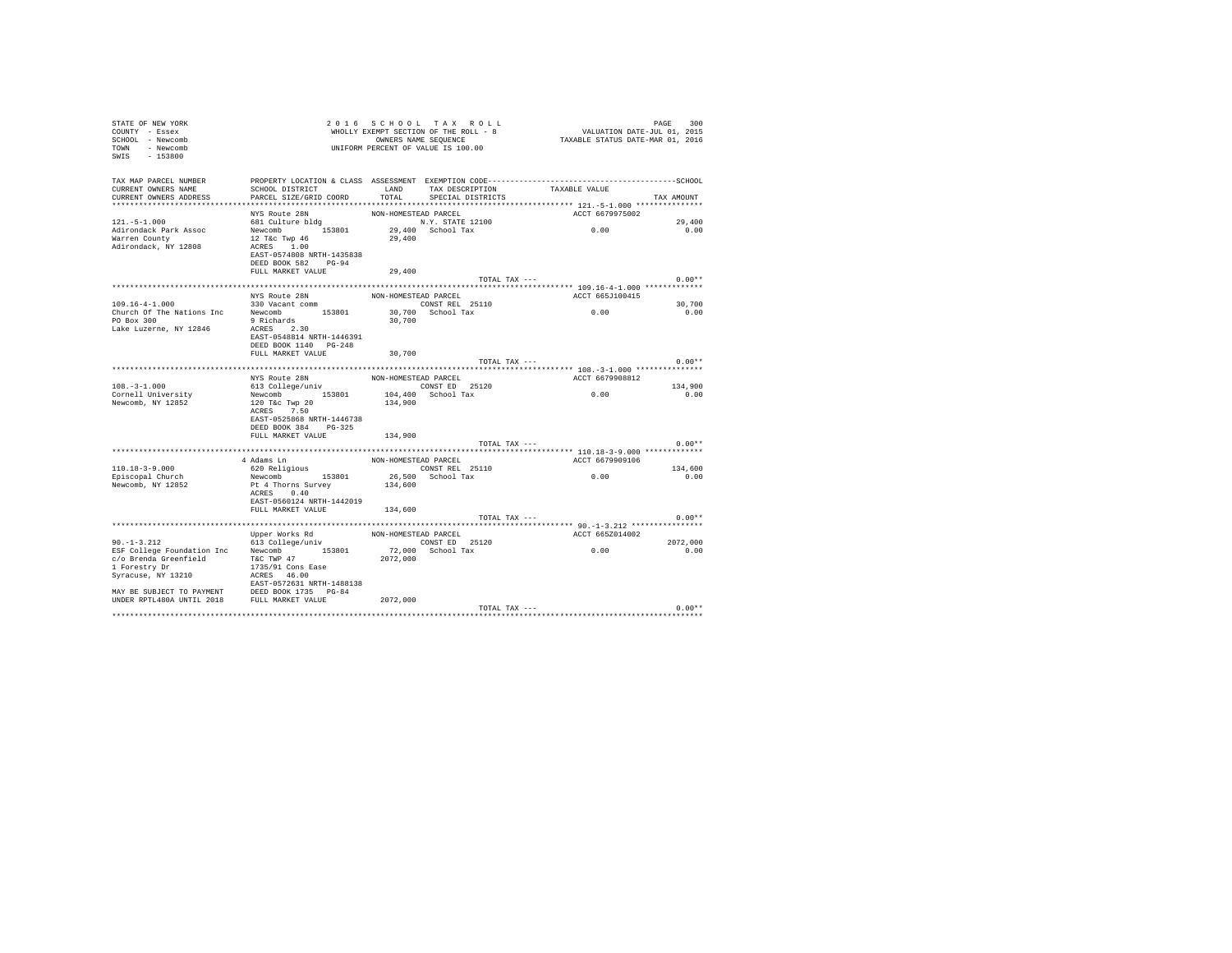| STATE OF NEW YORK<br>COUNTY - Essex<br>SCHOOL - Newcomb<br>TOWN - Newcomb<br>SWIS - 153800    |                                                                                                       |                      | 2016 SCHOOL TAX ROLL<br>UNIFORM PERCENT OF VALUE IS 100.00 |                                                                      | PAGE<br>300 |
|-----------------------------------------------------------------------------------------------|-------------------------------------------------------------------------------------------------------|----------------------|------------------------------------------------------------|----------------------------------------------------------------------|-------------|
| TAX MAP PARCEL NUMBER<br>CURRENT OWNERS NAME<br>CURRENT OWNERS ADDRESS PARCEL SIZE/GRID COORD | SCHOOL DISTRICT $\hfill\textsc{LAND}$ TAX DESCRIPTION TAXABLE VALUE                                   |                      | TOTAL SPECIAL DISTRICTS                                    |                                                                      | TAX AMOUNT  |
|                                                                                               | NYS Route 28N                                                                                         | NON-HOMESTEAD PARCEL |                                                            | ACCT 6679975002                                                      |             |
| $121. -5 - 1.000$                                                                             | wis Route 20N<br>681 Culture bldg                                                                     |                      |                                                            |                                                                      | 29,400      |
| Adirondack Park Assoc<br>Warren County<br>Adirondack, NY 12808                                | Newcomb 153801<br>$12$ T&C Twp $46$<br>ACRES 1.00<br>EAST-0574808 NRTH-1435838<br>DEED BOOK 582 PG-94 |                      |                                                            | N.Y. STATE 12100<br>29,400 School Tax 0.00<br>29,400 School Tax 0.00 | 0.00        |
|                                                                                               | FULL MARKET VALUE                                                                                     | 29,400               |                                                            |                                                                      |             |
|                                                                                               |                                                                                                       |                      | TOTAL TAX ---                                              |                                                                      | $0.00**$    |
|                                                                                               |                                                                                                       |                      |                                                            |                                                                      |             |
|                                                                                               | NYS Route 28N<br>NYS ROUTE Z8N<br>330 Vacant comm                                                     |                      | NON-HOMESTEAD PARCEL                                       | ACCT 665J100415                                                      |             |
| $109.16 - 4 - 1.000$                                                                          |                                                                                                       |                      | CONST REL 25110                                            | 0.00                                                                 | 30,700      |
|                                                                                               |                                                                                                       |                      | 30,700 School Tax                                          |                                                                      | 0.00        |
| Lake Luzerne, NY 12846                                                                        | ACRES 2.30<br>EAST-0548814 NRTH-1446391                                                               | 30,700               |                                                            |                                                                      |             |
|                                                                                               | DEED BOOK 1140 PG-248                                                                                 |                      |                                                            |                                                                      |             |
|                                                                                               | FULL MARKET VALUE                                                                                     | 30,700               |                                                            |                                                                      |             |
|                                                                                               |                                                                                                       |                      | TOTAL TAX ---                                              |                                                                      | $0.00**$    |
|                                                                                               |                                                                                                       |                      |                                                            | ACCT 6679908812                                                      |             |
| $108. - 3 - 1.000$                                                                            |                                                                                                       |                      |                                                            |                                                                      | 134,900     |
| Cornell University                                                                            |                                                                                                       |                      |                                                            | 0.00                                                                 | 0.00        |
| Newcomb, NY 12852                                                                             |                                                                                                       |                      |                                                            |                                                                      |             |
|                                                                                               |                                                                                                       |                      |                                                            |                                                                      |             |
|                                                                                               | EAST-0525868 NRTH-1446738                                                                             |                      |                                                            |                                                                      |             |
|                                                                                               | DEED BOOK 384 PG-325                                                                                  |                      |                                                            |                                                                      |             |
|                                                                                               | FULL MARKET VALUE                                                                                     | 134,900              |                                                            |                                                                      |             |
|                                                                                               |                                                                                                       |                      | TOTAL TAX ---                                              |                                                                      | $0.00**$    |
|                                                                                               |                                                                                                       |                      |                                                            |                                                                      |             |
|                                                                                               | 4 Adams Ln<br>620 Religious                                                                           |                      | NON-HOMESTEAD PARCEL                                       | ACCT 6679909106                                                      |             |
| $110.18 - 3 - 9.000$                                                                          |                                                                                                       |                      | CONST REL 25110<br>26,500 School Tax                       | 0.00                                                                 | 134,600     |
| Episcopal Church                                                                              | Newcomb 153801                                                                                        |                      |                                                            |                                                                      | 0.00        |
| Newcomb, NY 12852                                                                             | Pt 4 Thorns Survey                                                                                    | 134,600              |                                                            |                                                                      |             |
|                                                                                               | ACRES 0.40<br>EAST-0560124 NRTH-1442019                                                               |                      |                                                            |                                                                      |             |
|                                                                                               | FULL MARKET VALUE 134,600                                                                             |                      |                                                            |                                                                      |             |
|                                                                                               |                                                                                                       |                      | TOTAL TAX ---                                              |                                                                      | $0.00**$    |
|                                                                                               |                                                                                                       |                      |                                                            |                                                                      |             |
|                                                                                               | Upper Works Rd                                                                                        | NON-HOMESTEAD PARCEL |                                                            | ACCT 665Z014002                                                      |             |
| $90. - 1 - 3.212$                                                                             | 613 College/univ                                                                                      |                      |                                                            |                                                                      | 2072,000    |
| ESF College Foundation Inc Newcomb 153801                                                     |                                                                                                       |                      | CONST ED 25120<br>72,000 School Tax                        | 0.00                                                                 | 0.00        |
| c/o Brenda Greenfield                                                                         | T&C TWP 47                                                                                            | 2072,000             |                                                            |                                                                      |             |
| 1 Forestry Dr                                                                                 | 1735/91 Cons Ease                                                                                     |                      |                                                            |                                                                      |             |
| Syracuse, NY 13210                                                                            | ACRES 46.00                                                                                           |                      |                                                            |                                                                      |             |
|                                                                                               | EAST-0572631 NRTH-1488138                                                                             |                      |                                                            |                                                                      |             |
|                                                                                               |                                                                                                       |                      |                                                            |                                                                      |             |
|                                                                                               |                                                                                                       | 2072.000             |                                                            |                                                                      | $0.00**$    |
|                                                                                               |                                                                                                       |                      | TOTAL TAX ---                                              |                                                                      |             |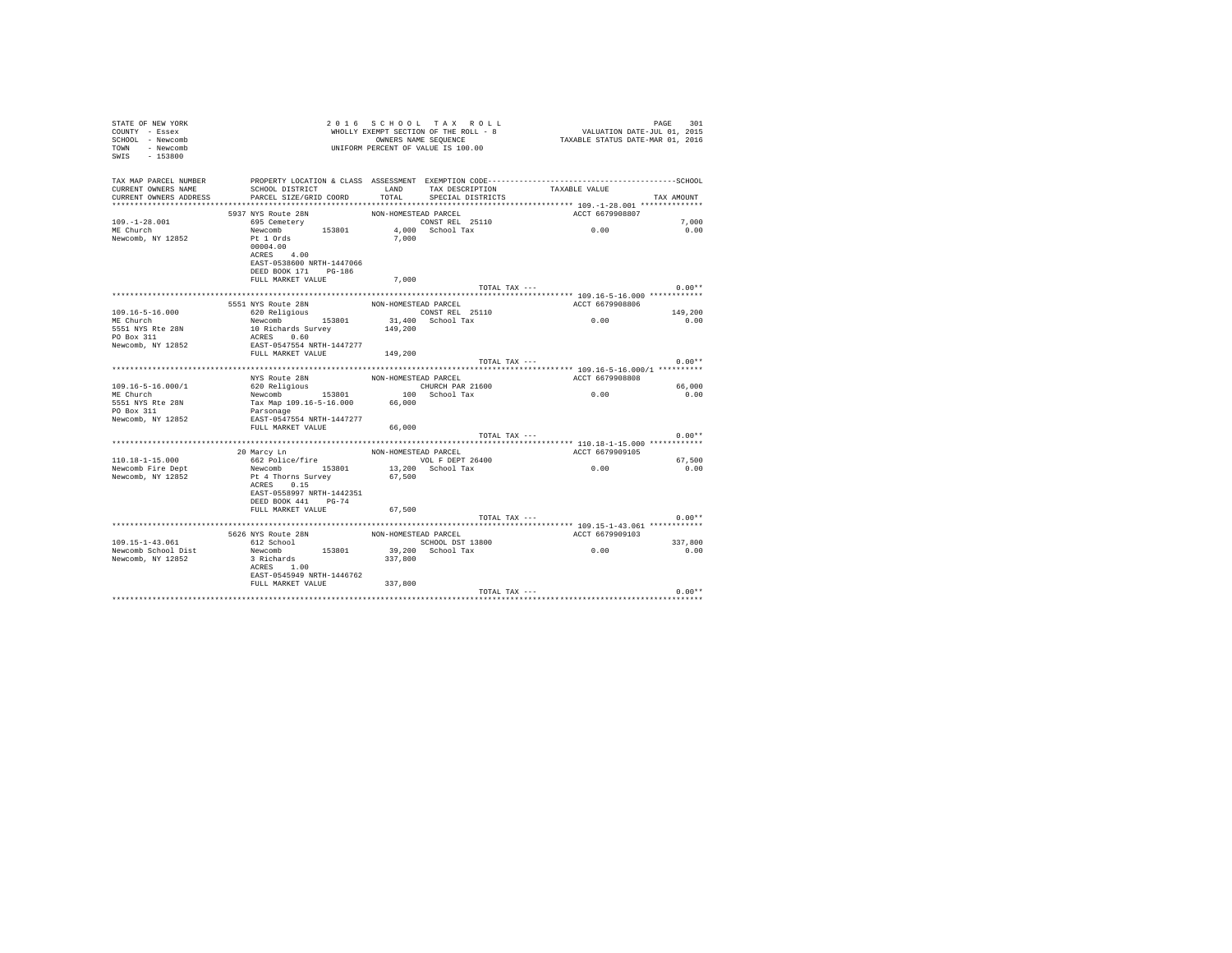| STATE OF NEW YORK<br>COUNTY - Essex<br>SCHOOL - Newcomb<br>TOWN - Newcomb<br>SWIS<br>$-153800$ |                                                                                                                 |                      | 2016 SCHOOL TAX ROLL<br>WHOLLY EXEMPT SECTION OF THE ROLL - 8<br>OWNERS NAME SEQUENCE<br>UNIFORM PERCENT OF VALUE IS 100.00 | VALUATION DATE-JUL 01, 2015<br>TAXABLE STATUS DATE-MAR 01, 2016 | 301<br>PAGE |
|------------------------------------------------------------------------------------------------|-----------------------------------------------------------------------------------------------------------------|----------------------|-----------------------------------------------------------------------------------------------------------------------------|-----------------------------------------------------------------|-------------|
| TAX MAP PARCEL NUMBER<br>CURRENT OWNERS NAME                                                   | PROPERTY LOCATION & CLASS ASSESSMENT EXEMPTION CODE-----------------------------------SCHOOL<br>SCHOOL DISTRICT | T.AND                | TAX DESCRIPTION TAXABLE VALUE                                                                                               |                                                                 |             |
| CURRENT OWNERS ADDRESS                                                                         | PARCEL SIZE/GRID COORD                                                                                          | TOTAL                | SPECIAL DISTRICTS                                                                                                           |                                                                 | TAX AMOUNT  |
|                                                                                                |                                                                                                                 |                      |                                                                                                                             |                                                                 |             |
|                                                                                                | 5937 NYS Route 28N                                                                                              | NON-HOMESTEAD PARCEL |                                                                                                                             | ACCT 6679908807                                                 |             |
| $109. - 1 - 28.001$                                                                            | 695 Cemetery                                                                                                    |                      | CONST REL 25110                                                                                                             |                                                                 | 7,000       |
| ME Church                                                                                      | Newcomb 153801                                                                                                  |                      | 4.000 School Tax                                                                                                            | 0.00                                                            | 0.00        |
| Newcomb, NY 12852                                                                              | Pt 1 Ords<br>00004.00                                                                                           | 7,000                |                                                                                                                             |                                                                 |             |
|                                                                                                | ACRES 4.00                                                                                                      |                      |                                                                                                                             |                                                                 |             |
|                                                                                                | EAST-0538600 NRTH-1447066                                                                                       |                      |                                                                                                                             |                                                                 |             |
|                                                                                                | DEED BOOK 171 PG-186                                                                                            |                      |                                                                                                                             |                                                                 |             |
|                                                                                                | FULL MARKET VALUE                                                                                               | 7,000                |                                                                                                                             |                                                                 |             |
|                                                                                                |                                                                                                                 |                      | TOTAL TAX ---                                                                                                               |                                                                 | $0.00**$    |
|                                                                                                |                                                                                                                 |                      |                                                                                                                             |                                                                 |             |
|                                                                                                | 5551 NYS Route 28N                                                                                              | NON-HOMESTEAD PARCEL |                                                                                                                             | ACCT 6679908806                                                 |             |
| $109.16 - 5 - 16.000$                                                                          | 620 Religious                                                                                                   |                      | CONST REL 25110                                                                                                             | 0.00                                                            | 149,200     |
| ME Church<br>5551 NYS Rte 28N                                                                  | Newcomb 153801                                                                                                  | 149,200              | 31,400 School Tax                                                                                                           |                                                                 | 0.00        |
| PO Box 311                                                                                     | 10 Richards Survey<br>ACRES 0.60                                                                                |                      |                                                                                                                             |                                                                 |             |
| Newcomb, NY 12852                                                                              | EAST-0547554 NRTH-1447277                                                                                       |                      |                                                                                                                             |                                                                 |             |
|                                                                                                | FULL MARKET VALUE 149.200                                                                                       |                      |                                                                                                                             |                                                                 |             |
|                                                                                                |                                                                                                                 |                      | TOTAL TAX ---                                                                                                               |                                                                 | $0.00**$    |
|                                                                                                |                                                                                                                 |                      |                                                                                                                             |                                                                 |             |
|                                                                                                | NYS Route 28N                                                                                                   | NON-HOMESTEAD PARCEL |                                                                                                                             | ACCT 6679908808                                                 |             |
| $109.16 - 5 - 16.000 / 1$                                                                      | 620 Religious                                                                                                   |                      | CHURCH PAR 21600                                                                                                            |                                                                 | 66,000      |
| ME Church                                                                                      | Newcomb 153801                                                                                                  |                      | 100 School Tax                                                                                                              | 0.00                                                            | 0.00        |
| 5551 NYS Rte 28N                                                                               | Tax Map 109.16-5-16.000 66,000                                                                                  |                      |                                                                                                                             |                                                                 |             |
| PO Box 311                                                                                     | Parsonage                                                                                                       |                      |                                                                                                                             |                                                                 |             |
| Newcomb, NY 12852                                                                              | EAST-0547554 NRTH-1447277                                                                                       |                      |                                                                                                                             |                                                                 |             |
|                                                                                                | FULL MARKET VALUE                                                                                               | 66,000               |                                                                                                                             |                                                                 |             |
|                                                                                                |                                                                                                                 |                      | TOTAL TAX ---                                                                                                               |                                                                 | $0.00**$    |
|                                                                                                |                                                                                                                 |                      |                                                                                                                             |                                                                 |             |
|                                                                                                | 20 Marcy Ln                                                                                                     | NON-HOMESTEAD PARCEL |                                                                                                                             | ACCT 6679909105                                                 |             |
| $110.18 - 1 - 15.000$                                                                          | 662 Police/fire                                                                                                 |                      | VOL F DEPT 26400                                                                                                            |                                                                 | 67.500      |
| Newcomb Fire Dept                                                                              | Newcomb 153801                                                                                                  |                      | 13,200 School Tax                                                                                                           | 0.00                                                            | 0.00        |
| Newcomb, NY 12852                                                                              | Pt 4 Thorns Survey<br>ACRES 0.15                                                                                | 67.500               |                                                                                                                             |                                                                 |             |
|                                                                                                | EAST-0558997 NRTH-1442351                                                                                       |                      |                                                                                                                             |                                                                 |             |
|                                                                                                | DEED BOOK 441 PG-74                                                                                             |                      |                                                                                                                             |                                                                 |             |
|                                                                                                | FULL MARKET VALUE                                                                                               | 67,500               |                                                                                                                             |                                                                 |             |
|                                                                                                |                                                                                                                 |                      | TOTAL TAX ---                                                                                                               |                                                                 | $0.00**$    |
|                                                                                                |                                                                                                                 |                      |                                                                                                                             |                                                                 |             |
|                                                                                                | 5626 NYS Route 28N                                                                                              | NON-HOMESTEAD PARCEL |                                                                                                                             | ACCT 6679909103                                                 |             |
| 109.15-1-43.061                                                                                | 612 School                                                                                                      |                      | SCHOOL DST 13800                                                                                                            |                                                                 | 337,800     |
| Newcomb School Dist                                                                            | Newcomb 153801                                                                                                  |                      | 39,200 School Tax                                                                                                           | 0.00                                                            | 0.00        |
| Newcomb, NY 12852                                                                              | 3 Richards                                                                                                      | 337,800              |                                                                                                                             |                                                                 |             |
|                                                                                                | ACRES 1.00                                                                                                      |                      |                                                                                                                             |                                                                 |             |
|                                                                                                | EAST-0545949 NRTH-1446762                                                                                       |                      |                                                                                                                             |                                                                 |             |
|                                                                                                | FULL MARKET VALUE                                                                                               | 337,800              |                                                                                                                             |                                                                 |             |
|                                                                                                |                                                                                                                 |                      | TOTAL TAX ---                                                                                                               |                                                                 | $0.00**$    |
|                                                                                                |                                                                                                                 |                      |                                                                                                                             |                                                                 |             |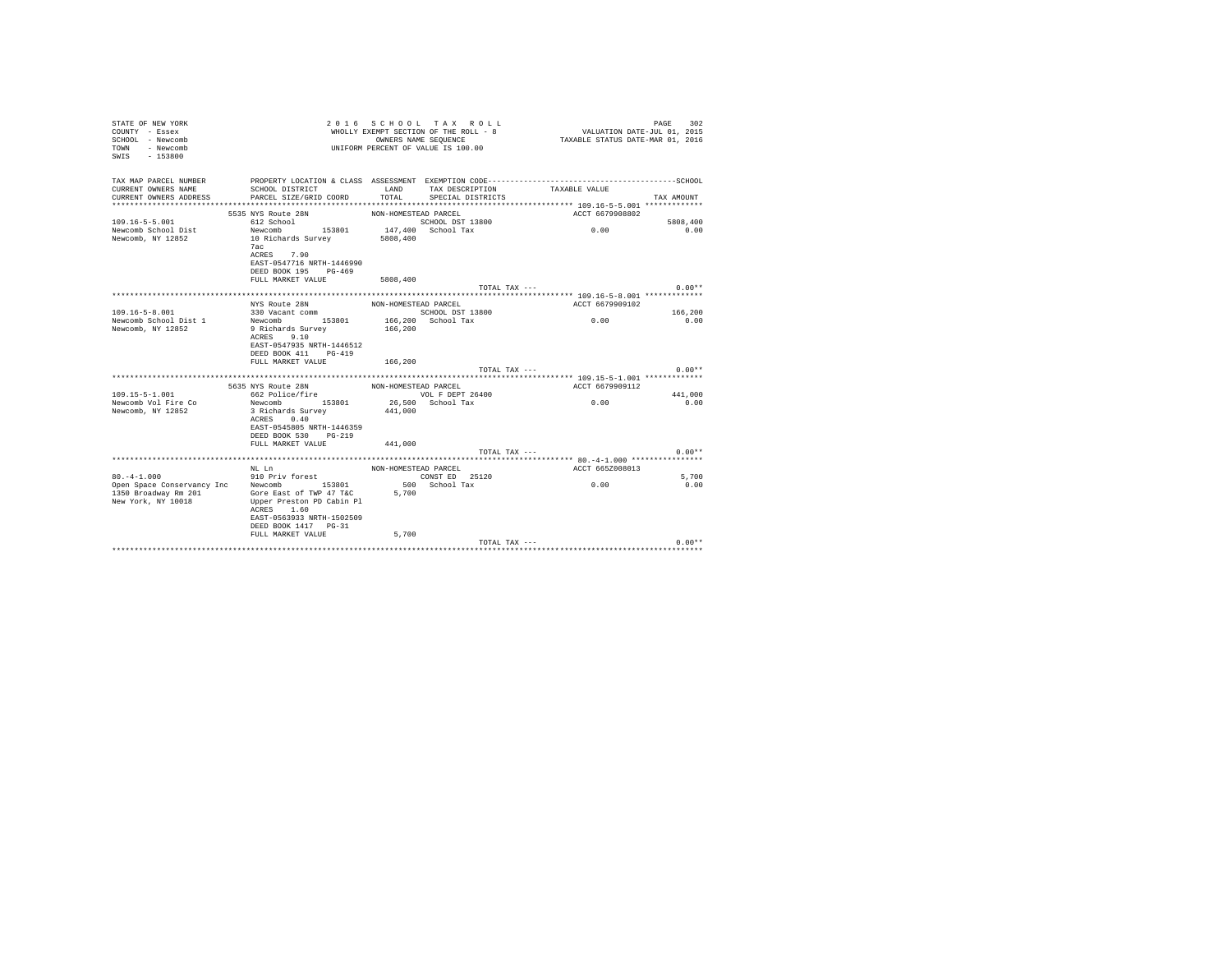| STATE OF NEW YORK<br>COUNTY - Essex<br>SCHOOL - Newcomb<br>TOWN<br>- Newcomb<br>$-153800$<br>SWTS | 2 0 1 6                                           |                      | SCHOOL TAX ROLL<br>WHOLLY EXEMPT SECTION OF THE ROLL - 8<br>OWNERS NAME SEQUENCE<br>UNIFORM PERCENT OF VALUE IS 100.00 | VALUATION DATE-JUL 01, 2015<br>TAXABLE STATUS DATE-MAR 01, 2016 | 302<br>PAGE     |
|---------------------------------------------------------------------------------------------------|---------------------------------------------------|----------------------|------------------------------------------------------------------------------------------------------------------------|-----------------------------------------------------------------|-----------------|
| TAX MAP PARCEL NUMBER                                                                             |                                                   |                      |                                                                                                                        |                                                                 |                 |
| CURRENT OWNERS NAME<br>CURRENT OWNERS ADDRESS                                                     | SCHOOL DISTRICT<br>PARCEL SIZE/GRID COORD         | LAND<br>TOTAL        | TAX DESCRIPTION<br>SPECIAL DISTRICTS                                                                                   | TAXABLE VALUE                                                   | TAX AMOUNT      |
|                                                                                                   |                                                   |                      |                                                                                                                        |                                                                 |                 |
|                                                                                                   | 5535 NYS Route 28N                                | NON-HOMESTEAD PARCEL |                                                                                                                        | ACCT 6679908802                                                 |                 |
| $109.16 - 5 - 5.001$                                                                              | 612 School                                        |                      | SCHOOL DST 13800                                                                                                       |                                                                 | 5808,400        |
| Newcomb School Dist                                                                               | Newcomb 153801                                    |                      | 147,400 School Tax                                                                                                     | 0.00                                                            | 0.00            |
| Newcomb, NY 12852                                                                                 | 10 Richards Survey                                | 5808,400             |                                                                                                                        |                                                                 |                 |
|                                                                                                   | 7ac<br>ACRES 7.90                                 |                      |                                                                                                                        |                                                                 |                 |
|                                                                                                   | EAST-0547716 NRTH-1446990                         |                      |                                                                                                                        |                                                                 |                 |
|                                                                                                   | DEED BOOK 195 PG-469                              |                      |                                                                                                                        |                                                                 |                 |
|                                                                                                   | FULL MARKET VALUE                                 | 5808,400             |                                                                                                                        |                                                                 |                 |
|                                                                                                   |                                                   |                      | TOTAL TAX ---                                                                                                          |                                                                 | $0.00**$        |
|                                                                                                   | NYS Route 28N                                     | NON-HOMESTEAD PARCEL |                                                                                                                        | ACCT 6679909102                                                 |                 |
| $109.16 - 5 - 8.001$                                                                              | 330 Vacant comm                                   |                      | SCHOOL DST 13800                                                                                                       |                                                                 | 166,200         |
| Newcomb School Dist 1                                                                             | Newcomb 153801                                    |                      | 166,200 School Tax                                                                                                     | 0.00                                                            | 0.00            |
| Newcomb, NY 12852                                                                                 | 9 Richards Survey                                 | 166,200              |                                                                                                                        |                                                                 |                 |
|                                                                                                   | 9.10<br>ACRES                                     |                      |                                                                                                                        |                                                                 |                 |
|                                                                                                   | EAST-0547935 NRTH-1446512<br>DEED BOOK 411 PG-419 |                      |                                                                                                                        |                                                                 |                 |
|                                                                                                   | FULL MARKET VALUE                                 | 166,200              |                                                                                                                        |                                                                 |                 |
|                                                                                                   |                                                   |                      | TOTAL TAX ---                                                                                                          |                                                                 | $0.00**$        |
|                                                                                                   |                                                   |                      |                                                                                                                        |                                                                 |                 |
|                                                                                                   | 5635 NYS Route 28N                                | NON-HOMESTEAD PARCEL |                                                                                                                        | ACCT 6679909112                                                 |                 |
| $109.15 - 5 - 1.001$<br>Newcomb Vol Fire Co                                                       | 662 Police/fire<br>153801                         |                      | VOL F DEPT 26400                                                                                                       | 0.00                                                            | 441,000<br>0.00 |
| Newcomb, NY 12852                                                                                 | Newcomb<br>3 Richards Survey                      | 441,000              | 26,500 School Tax                                                                                                      |                                                                 |                 |
|                                                                                                   | 0.40<br>ACRES                                     |                      |                                                                                                                        |                                                                 |                 |
|                                                                                                   | EAST-0545805 NRTH-1446359                         |                      |                                                                                                                        |                                                                 |                 |
|                                                                                                   | DEED BOOK 530 PG-219                              |                      |                                                                                                                        |                                                                 |                 |
|                                                                                                   | FULL MARKET VALUE                                 | 441,000              |                                                                                                                        |                                                                 |                 |
|                                                                                                   |                                                   |                      | TOTAL TAX ---                                                                                                          |                                                                 | $0.00**$        |
|                                                                                                   | NL Ln                                             | NON-HOMESTEAD PARCEL |                                                                                                                        | ACCT 665Z008013                                                 |                 |
| $80. -4 - 1.000$                                                                                  | 910 Priv forest                                   |                      | CONST ED 25120                                                                                                         |                                                                 | 5,700           |
| Open Space Conservancy Inc                                                                        | Newcomb 153801                                    |                      | 500 School Tax                                                                                                         | 0.00                                                            | 0.00            |
| 1350 Broadway Rm 201                                                                              | Gore East of TWP 47 T&C 5,700                     |                      |                                                                                                                        |                                                                 |                 |
| New York, NY 10018                                                                                | Upper Preston PD Cabin Pl<br>ACRES 1.60           |                      |                                                                                                                        |                                                                 |                 |
|                                                                                                   | EAST-0563933 NRTH-1502509                         |                      |                                                                                                                        |                                                                 |                 |
|                                                                                                   | DEED BOOK 1417 PG-31                              |                      |                                                                                                                        |                                                                 |                 |
|                                                                                                   | FULL MARKET VALUE                                 | 5,700                |                                                                                                                        |                                                                 |                 |
|                                                                                                   |                                                   |                      | TOTAL TAX ---                                                                                                          |                                                                 | $0.00**$        |
|                                                                                                   |                                                   |                      |                                                                                                                        |                                                                 |                 |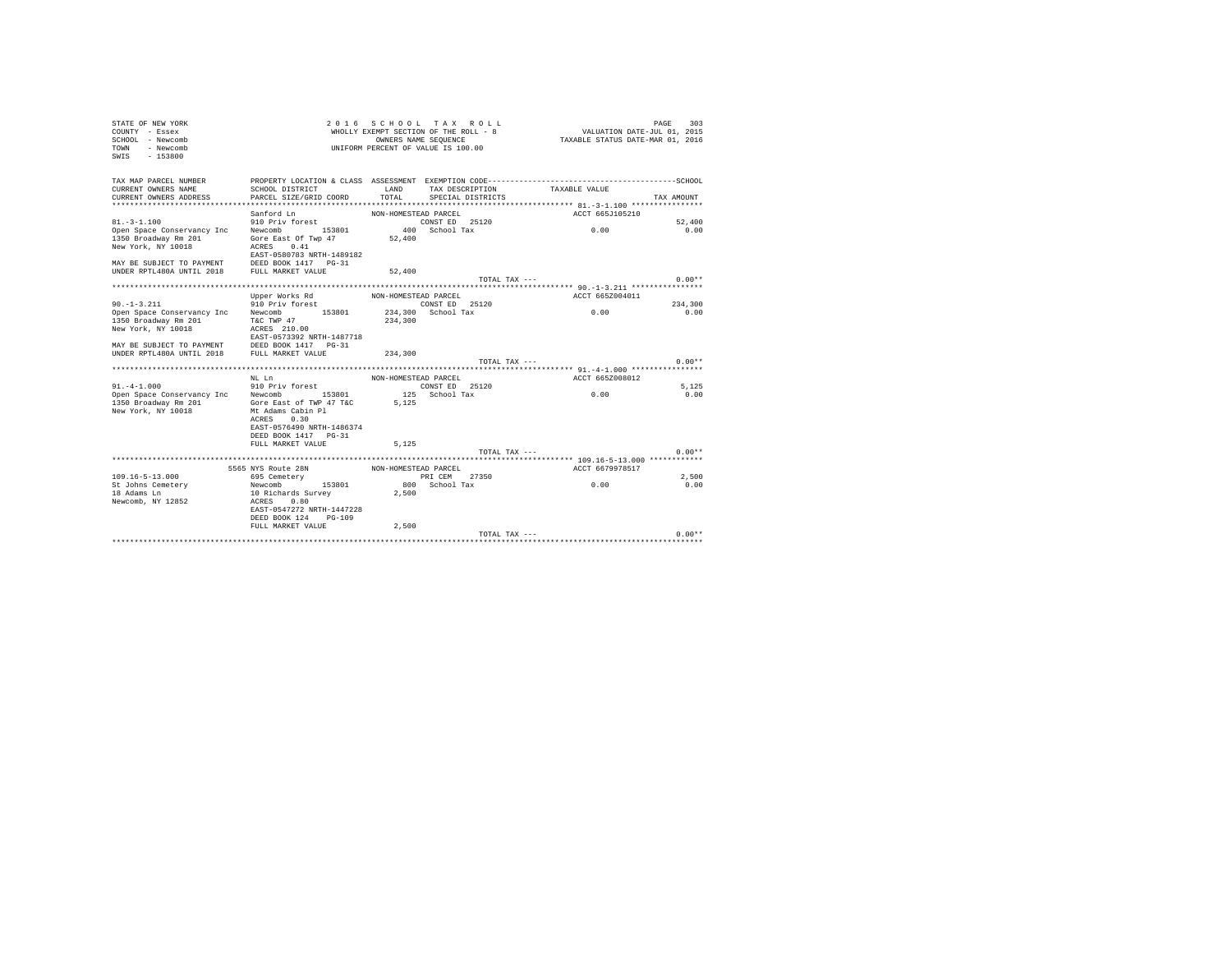| STATE OF NEW YORK<br>COUNTY - Essex<br>SCHOOL - Newcomb<br>TOWN - Newcomb<br>SWIS - 153800                                 |                                                                                              |                      | 2016 SCHOOL TAX ROLL<br>UNIFORM PERCENT OF VALUE IS 100.00 | $\begin{array}{ccccccccc} \textit{A} & \textit{B} & \textit{C} & \textit{C} & \textit{C} & \textit{C} & \textit{C} & \textit{C} \\ \textit{M}\text{H}\text{G}\text{L}\text{L}\text{K} & \textit{D}\text{K}\text{L} & \textit{D}\text{K}\text{L} & \textit{D}\text{K} & \textit{D}\text{K} & \textit{D}\text{K} & \textit{D}\text{K} & \textit{D}\text{K} \\ \textit{M}\text{H}\text{G}\text{L}\text{L}\text{K}\text{K}\text{R}\text{N}\text{R}\text$ | PAGE<br>303 |
|----------------------------------------------------------------------------------------------------------------------------|----------------------------------------------------------------------------------------------|----------------------|------------------------------------------------------------|------------------------------------------------------------------------------------------------------------------------------------------------------------------------------------------------------------------------------------------------------------------------------------------------------------------------------------------------------------------------------------------------------------------------------------------------------|-------------|
| TAX MAP PARCEL NUMBER                                                                                                      | PROPERTY LOCATION & CLASS ASSESSMENT EXEMPTION CODE-----------------------------------SCHOOL |                      |                                                            |                                                                                                                                                                                                                                                                                                                                                                                                                                                      |             |
| CURRENT OWNERS NAME<br>CURRENT OWNERS ADDRESS                                                                              | SCHOOL DISTRICT<br>PARCEL SIZE/GRID COORD                                                    | LAND<br>TOTAL        | TAX DESCRIPTION<br>SPECIAL DISTRICTS                       | TAXABLE VALUE                                                                                                                                                                                                                                                                                                                                                                                                                                        | TAX AMOUNT  |
|                                                                                                                            |                                                                                              |                      |                                                            |                                                                                                                                                                                                                                                                                                                                                                                                                                                      |             |
|                                                                                                                            |                                                                                              |                      |                                                            | ACCT 665J105210                                                                                                                                                                                                                                                                                                                                                                                                                                      |             |
|                                                                                                                            |                                                                                              |                      |                                                            |                                                                                                                                                                                                                                                                                                                                                                                                                                                      | 52,400      |
| Sanford Ln MON-HOMESTEAD PARCEL<br>91.-3-1.100 910 Priv forest<br>Open Space Conservancy Inc Newcomb 153801 400 School Tax |                                                                                              |                      |                                                            | 0.00                                                                                                                                                                                                                                                                                                                                                                                                                                                 | 0.00        |
| 1350 Broadway Rm 201                                                                                                       | Gore East Of Twp 47                                                                          | 52,400               |                                                            |                                                                                                                                                                                                                                                                                                                                                                                                                                                      |             |
| New York, NY 10018                                                                                                         | ACRES 0.41                                                                                   |                      |                                                            |                                                                                                                                                                                                                                                                                                                                                                                                                                                      |             |
|                                                                                                                            | EAST-0580783 NRTH-1489182                                                                    |                      |                                                            |                                                                                                                                                                                                                                                                                                                                                                                                                                                      |             |
|                                                                                                                            |                                                                                              | 52,400               |                                                            |                                                                                                                                                                                                                                                                                                                                                                                                                                                      |             |
|                                                                                                                            |                                                                                              |                      | TOTAL TAX ---                                              |                                                                                                                                                                                                                                                                                                                                                                                                                                                      | $0.00**$    |
|                                                                                                                            |                                                                                              |                      |                                                            |                                                                                                                                                                                                                                                                                                                                                                                                                                                      |             |
|                                                                                                                            | Upper Works Rd MON-HOMESTEAD PARCEL                                                          |                      |                                                            | ACCT 665Z004011                                                                                                                                                                                                                                                                                                                                                                                                                                      |             |
| $90. -1 - 3.211$                                                                                                           | 910 Priv forest                                                                              |                      | CONST ED 25120                                             |                                                                                                                                                                                                                                                                                                                                                                                                                                                      | 234,300     |
| Open Space Conservancy Inc Newcomb 153801 234,300 School Tax                                                               |                                                                                              |                      |                                                            | 0.00                                                                                                                                                                                                                                                                                                                                                                                                                                                 | 0.00        |
| 1350 Broadway Rm 201                                                                                                       | T&C TWP 47                                                                                   | 234,300              |                                                            |                                                                                                                                                                                                                                                                                                                                                                                                                                                      |             |
| New York, NY 10018                                                                                                         | ACRES 210.00                                                                                 |                      |                                                            |                                                                                                                                                                                                                                                                                                                                                                                                                                                      |             |
| MAY BE SUBJECT TO PAYMENT DEED BOOK 1417 PG-31                                                                             | EAST-0573392 NRTH-1487718                                                                    |                      |                                                            |                                                                                                                                                                                                                                                                                                                                                                                                                                                      |             |
| UNDER RPTL480A UNTIL 2018 FULL MARKET VALUE                                                                                |                                                                                              | 234,300              |                                                            |                                                                                                                                                                                                                                                                                                                                                                                                                                                      |             |
|                                                                                                                            |                                                                                              |                      | TOTAL TAX ---                                              |                                                                                                                                                                                                                                                                                                                                                                                                                                                      | $0.00**$    |
|                                                                                                                            |                                                                                              |                      |                                                            |                                                                                                                                                                                                                                                                                                                                                                                                                                                      |             |
|                                                                                                                            | NT. T.n                                                                                      | NON-HOMESTEAD PARCEL |                                                            | ACCT 665Z008012                                                                                                                                                                                                                                                                                                                                                                                                                                      |             |
| 91.-4-1.000 910 Priv forest<br>Open Space Conservancy Inc Newcomb 153801 125 School Tax                                    |                                                                                              |                      |                                                            |                                                                                                                                                                                                                                                                                                                                                                                                                                                      | 5.125       |
|                                                                                                                            |                                                                                              |                      |                                                            | 0.00                                                                                                                                                                                                                                                                                                                                                                                                                                                 | 0.00        |
| 1350 Broadway Rm 201<br>New York, NY 10018                                                                                 | Gore East of TWP 47 T&C<br>Mt Adams Cabin Pl                                                 | 5.125                |                                                            |                                                                                                                                                                                                                                                                                                                                                                                                                                                      |             |
|                                                                                                                            | ACRES 0.30                                                                                   |                      |                                                            |                                                                                                                                                                                                                                                                                                                                                                                                                                                      |             |
|                                                                                                                            | EAST-0576490 NRTH-1486374                                                                    |                      |                                                            |                                                                                                                                                                                                                                                                                                                                                                                                                                                      |             |
|                                                                                                                            | DEED BOOK 1417 PG-31                                                                         |                      |                                                            |                                                                                                                                                                                                                                                                                                                                                                                                                                                      |             |
|                                                                                                                            | FULL MARKET VALUE                                                                            | 5.125                |                                                            |                                                                                                                                                                                                                                                                                                                                                                                                                                                      |             |
|                                                                                                                            |                                                                                              |                      | TOTAL TAX ---                                              |                                                                                                                                                                                                                                                                                                                                                                                                                                                      | $0.00**$    |
|                                                                                                                            |                                                                                              |                      |                                                            |                                                                                                                                                                                                                                                                                                                                                                                                                                                      |             |
|                                                                                                                            | 5565 NYS Route 28N NON-HOMESTEAD PARCEL                                                      |                      |                                                            | ACCT 6679978517                                                                                                                                                                                                                                                                                                                                                                                                                                      |             |
| $109.16 - 5 - 13.000$                                                                                                      | 695 Cemetery                                                                                 |                      | PRI CEM 27350                                              |                                                                                                                                                                                                                                                                                                                                                                                                                                                      | 2,500       |
| St Johns Cemetery                                                                                                          | Newcomb 153801                                                                               |                      | 800 School Tax                                             | 0.00                                                                                                                                                                                                                                                                                                                                                                                                                                                 | 0.00        |
| 18 Adams Ln<br>Newcomb, NY 12852                                                                                           | 10 Richards Survey<br>ACRES 0.80                                                             | 2,500                |                                                            |                                                                                                                                                                                                                                                                                                                                                                                                                                                      |             |
|                                                                                                                            | EAST-0547272 NRTH-1447228                                                                    |                      |                                                            |                                                                                                                                                                                                                                                                                                                                                                                                                                                      |             |
|                                                                                                                            | DEED BOOK 124 PG-109                                                                         |                      |                                                            |                                                                                                                                                                                                                                                                                                                                                                                                                                                      |             |
|                                                                                                                            | FULL MARKET VALUE                                                                            | 2,500                |                                                            |                                                                                                                                                                                                                                                                                                                                                                                                                                                      |             |
|                                                                                                                            |                                                                                              |                      | TOTAL TAX ---                                              |                                                                                                                                                                                                                                                                                                                                                                                                                                                      | $0.00**$    |
|                                                                                                                            |                                                                                              |                      |                                                            |                                                                                                                                                                                                                                                                                                                                                                                                                                                      |             |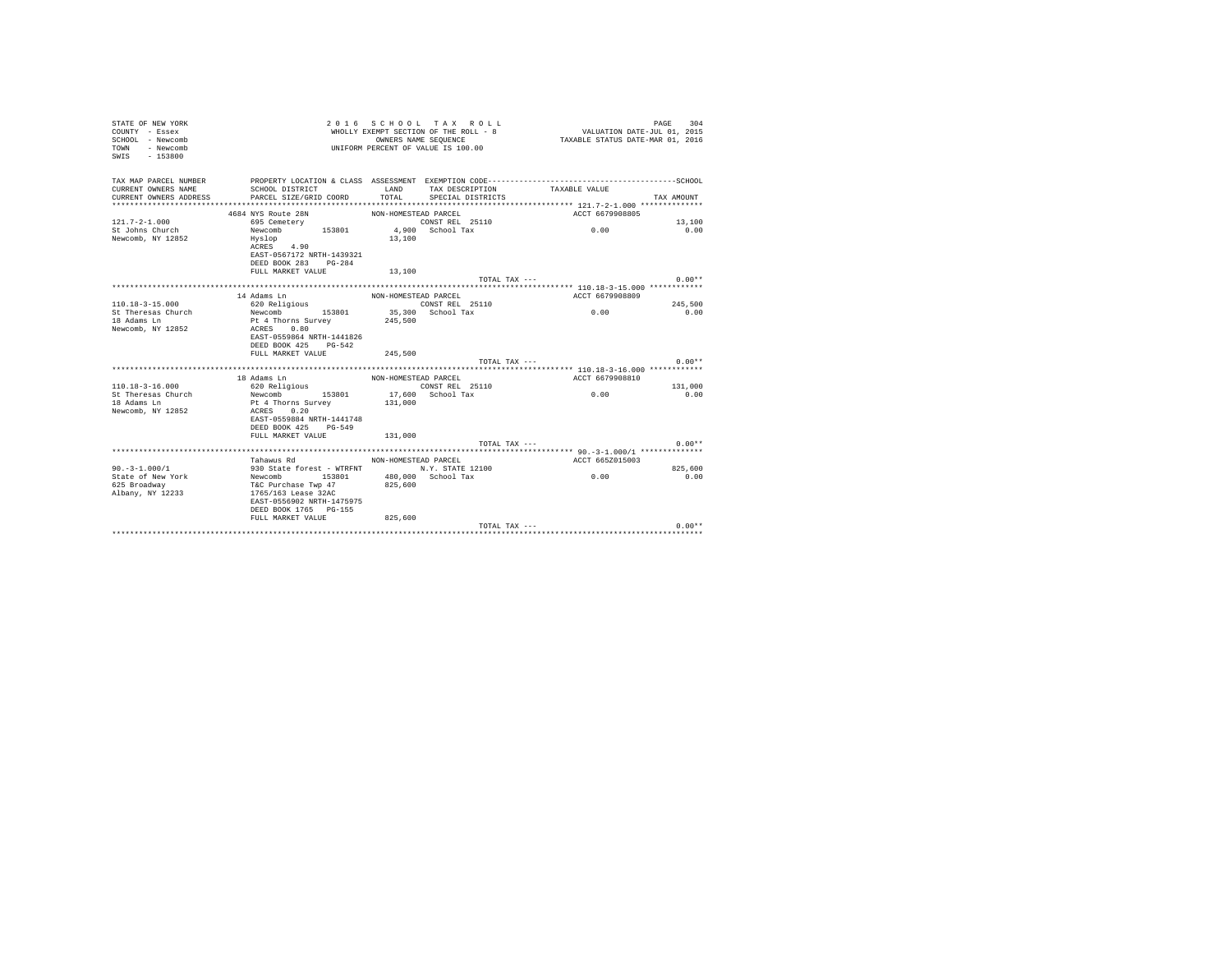| STATE OF NEW YORK<br>COUNTY - Essex<br>SCHOOL - Newcomb<br>TOWN<br>- Newcomb<br>$-153800$<br>SWIS |                                         |                      | 2016 SCHOOL TAX ROLL<br>WHOLLY EXEMPT SECTION OF THE ROLL - 8<br>OWNERS NAME SEQUENCE<br>UNIFORM PERCENT OF VALUE IS 100.00 | VALUATION DATE-JUL 01, 2015<br>TAXABLE STATUS DATE-MAR 01, 2016 | PAGE<br>304 |
|---------------------------------------------------------------------------------------------------|-----------------------------------------|----------------------|-----------------------------------------------------------------------------------------------------------------------------|-----------------------------------------------------------------|-------------|
| TAX MAP PARCEL NUMBER                                                                             |                                         |                      |                                                                                                                             |                                                                 |             |
| CURRENT OWNERS NAME                                                                               | SCHOOL DISTRICT                         | LAND                 | TAX DESCRIPTION                                                                                                             | TAXABLE VALUE                                                   |             |
| CURRENT OWNERS ADDRESS                                                                            | PARCEL SIZE/GRID COORD                  | TOTAL                | SPECIAL DISTRICTS                                                                                                           |                                                                 | TAX AMOUNT  |
|                                                                                                   |                                         |                      |                                                                                                                             |                                                                 |             |
|                                                                                                   | 4684 NYS Route 28N                      | NON-HOMESTEAD PARCEL |                                                                                                                             | ACCT 6679908805                                                 |             |
| $121.7 - 2 - 1.000$                                                                               | 695 Cemetery                            |                      | CONST REL 25110                                                                                                             |                                                                 | 13,100      |
| St Johns Church                                                                                   | 153801<br>Newcomb                       |                      | 4,900 School Tax                                                                                                            | 0.00                                                            | 0.00        |
| Newcomb, NY 12852                                                                                 | Hyslop                                  | 13,100               |                                                                                                                             |                                                                 |             |
|                                                                                                   | ACRES 4.90                              |                      |                                                                                                                             |                                                                 |             |
|                                                                                                   | EAST-0567172 NRTH-1439321               |                      |                                                                                                                             |                                                                 |             |
|                                                                                                   | DEED BOOK 283 PG-284                    |                      |                                                                                                                             |                                                                 |             |
|                                                                                                   | FULL MARKET VALUE                       | 13,100               |                                                                                                                             |                                                                 |             |
|                                                                                                   |                                         |                      | TOTAL TAX ---                                                                                                               |                                                                 | $0.00**$    |
|                                                                                                   |                                         |                      |                                                                                                                             |                                                                 |             |
|                                                                                                   | 14 Adams Ln                             | NON-HOMESTEAD PARCEL |                                                                                                                             | ACCT 6679908809                                                 |             |
| $110.18 - 3 - 15.000$                                                                             | 620 Religious                           |                      | CONST REL 25110                                                                                                             |                                                                 | 245,500     |
| St Theresas Church                                                                                | Newcomb 153801                          |                      | 35,300 School Tax                                                                                                           | 0.00                                                            | 0.00        |
| 18 Adams Ln                                                                                       | Pt 4 Thorns Survey                      | 245,500              |                                                                                                                             |                                                                 |             |
| Newcomb, NY 12852                                                                                 | ACRES 0.80<br>EAST-0559864 NRTH-1441826 |                      |                                                                                                                             |                                                                 |             |
|                                                                                                   | DEED BOOK 425 PG-542                    |                      |                                                                                                                             |                                                                 |             |
|                                                                                                   | FULL MARKET VALUE                       | 245,500              |                                                                                                                             |                                                                 |             |
|                                                                                                   |                                         |                      | TOTAL TAX ---                                                                                                               |                                                                 | $0.00**$    |
|                                                                                                   |                                         |                      |                                                                                                                             |                                                                 |             |
|                                                                                                   | 18 Adams Ln                             | NON-HOMESTEAD PARCEL |                                                                                                                             | ACCT 6679908810                                                 |             |
| $110.18 - 3 - 16.000$                                                                             | 620 Religious                           |                      | CONST REL 25110                                                                                                             |                                                                 | 131,000     |
| St Theresas Church                                                                                | Newcomb 153801                          |                      | 17,600 School Tax                                                                                                           | 0.00                                                            | 0.00        |
| 18 Adams Ln                                                                                       | Pt 4 Thorns Survey                      | 131,000              |                                                                                                                             |                                                                 |             |
| Newcomb, NY 12852                                                                                 | ACRES 0.20                              |                      |                                                                                                                             |                                                                 |             |
|                                                                                                   | EAST-0559884 NRTH-1441748               |                      |                                                                                                                             |                                                                 |             |
|                                                                                                   | DEED BOOK 425 PG-549                    |                      |                                                                                                                             |                                                                 |             |
|                                                                                                   | FULL MARKET VALUE                       | 131,000              |                                                                                                                             |                                                                 |             |
|                                                                                                   |                                         |                      | TOTAL TAX ---                                                                                                               |                                                                 | $0.00**$    |
|                                                                                                   |                                         |                      |                                                                                                                             |                                                                 |             |
|                                                                                                   | Tahawus Rd                              | NON-HOMESTEAD PARCEL |                                                                                                                             | ACCT 665Z015003                                                 |             |
| $90. -3 - 1.000/1$                                                                                | 930 State forest - WTRFNT               |                      | N.Y. STATE 12100                                                                                                            |                                                                 | 825,600     |
| State of New York                                                                                 | Newcomb 153801                          |                      | 480.000 School Tax                                                                                                          | 0.00                                                            | 0.00        |
| 625 Broadway                                                                                      | T&C Purchase Twp 47                     | 825,600              |                                                                                                                             |                                                                 |             |
| Albany, NY 12233                                                                                  | 1765/163 Lease 32AC                     |                      |                                                                                                                             |                                                                 |             |
|                                                                                                   | EAST-0556902 NRTH-1475975               |                      |                                                                                                                             |                                                                 |             |
|                                                                                                   | DEED BOOK 1765 PG-155                   |                      |                                                                                                                             |                                                                 |             |
|                                                                                                   | FULL MARKET VALUE                       | 825,600              |                                                                                                                             |                                                                 |             |
|                                                                                                   |                                         |                      | $TOTAI. TAX - - -$                                                                                                          |                                                                 | $0.00**$    |
|                                                                                                   |                                         |                      |                                                                                                                             |                                                                 |             |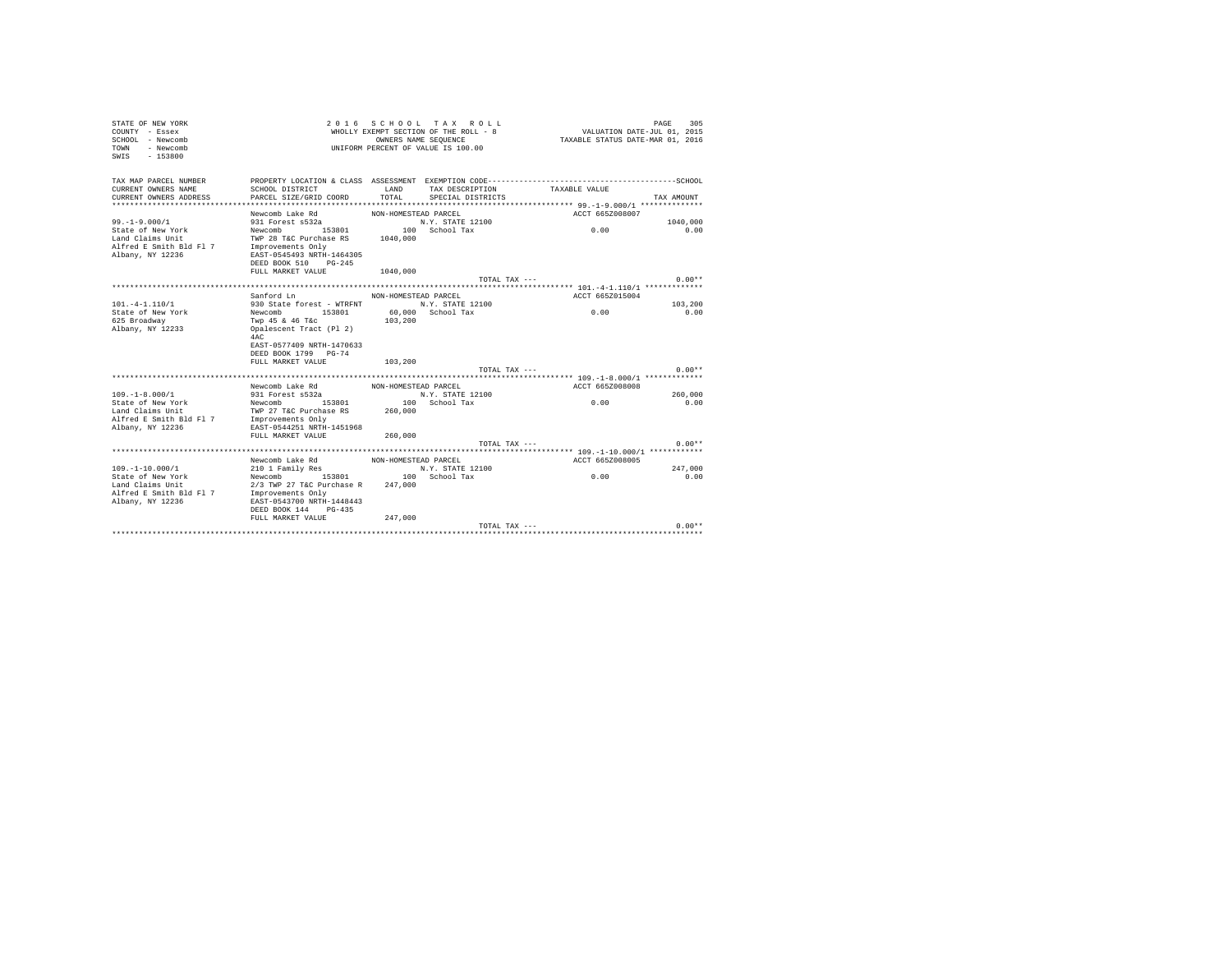| STATE OF NEW YORK<br>COUNTY - Essex<br>SCHOOL - Newcomb<br>TOWN<br>- Newcomb<br>$-153800$<br>SWIS |                                                   |                      | 2016 SCHOOL TAX ROLL<br>WHOLLY EXEMPT SECTION OF THE ROLL - 8<br>OWNERS NAME SEQUENCE<br>UNIFORM PERCENT OF VALUE IS 100.00 | VALUATION DATE-JUL 01, 2015<br>TAXABLE STATUS DATE-MAR 01, 2016 | 305<br>PAGE     |
|---------------------------------------------------------------------------------------------------|---------------------------------------------------|----------------------|-----------------------------------------------------------------------------------------------------------------------------|-----------------------------------------------------------------|-----------------|
| TAX MAP PARCEL NUMBER                                                                             |                                                   |                      |                                                                                                                             |                                                                 |                 |
| CURRENT OWNERS NAME                                                                               | SCHOOL DISTRICT                                   | LAND                 | TAX DESCRIPTION                                                                                                             | TAXABLE VALUE                                                   |                 |
| CURRENT OWNERS ADDRESS                                                                            | PARCEL SIZE/GRID COORD                            | TOTAL                | SPECIAL DISTRICTS                                                                                                           |                                                                 | TAX AMOUNT      |
|                                                                                                   |                                                   |                      |                                                                                                                             |                                                                 |                 |
| $99. -1 - 9.000 / 1$                                                                              | Newcomb Lake Rd<br>931 Forest s532a               | NON-HOMESTEAD PARCEL | N.Y. STATE 12100                                                                                                            | ACCT 665Z008007                                                 | 1040,000        |
| State of New York                                                                                 | 153801<br>Newcomb                                 |                      | 100 School Tax                                                                                                              | 0.00                                                            | 0.00            |
| Land Claims Unit                                                                                  | TWP 28 T&C Purchase RS                            | 1040,000             |                                                                                                                             |                                                                 |                 |
| Alfred E Smith Bld Fl 7                                                                           | Improvements Only                                 |                      |                                                                                                                             |                                                                 |                 |
| Albany, NY 12236                                                                                  | EAST-0545493 NRTH-1464305                         |                      |                                                                                                                             |                                                                 |                 |
|                                                                                                   | DEED BOOK 510 PG-245                              |                      |                                                                                                                             |                                                                 |                 |
|                                                                                                   | FULL MARKET VALUE                                 | 1040,000             |                                                                                                                             |                                                                 |                 |
|                                                                                                   |                                                   |                      | TOTAL TAX ---                                                                                                               |                                                                 | $0.00**$        |
|                                                                                                   |                                                   |                      |                                                                                                                             |                                                                 |                 |
|                                                                                                   | Sanford Ln<br>930 State forest - WTRFNT           | NON-HOMESTEAD PARCEL |                                                                                                                             | ACCT 665Z015004                                                 |                 |
| $101. -4 - 1.110/1$<br>State of New York                                                          | Newcomb 153801                                    |                      | N.Y. STATE 12100<br>60.000 School Tax                                                                                       | 0.00                                                            | 103,200<br>0.00 |
| 625 Broadway                                                                                      | Twp 45 & 46 T&c                                   | 103,200              |                                                                                                                             |                                                                 |                 |
| Albany, NY 12233                                                                                  | Opalescent Tract (Pl 2)<br>4AC                    |                      |                                                                                                                             |                                                                 |                 |
|                                                                                                   | EAST-0577409 NRTH-1470633<br>DEED BOOK 1799 PG-74 |                      |                                                                                                                             |                                                                 |                 |
|                                                                                                   | FULL MARKET VALUE                                 | 103,200              |                                                                                                                             |                                                                 |                 |
|                                                                                                   |                                                   |                      | TOTAL TAX ---                                                                                                               |                                                                 | $0.00**$        |
|                                                                                                   |                                                   |                      |                                                                                                                             |                                                                 |                 |
| $109. - 1 - 8.000 / 1$                                                                            | Newcomb Lake Rd<br>931 Forest s532a               | NON-HOMESTEAD PARCEL | N.Y. STATE 12100                                                                                                            | ACCT 665Z008008                                                 | 260,000         |
| State of New York                                                                                 | Newcomb 153801                                    |                      | 100 School Tax                                                                                                              | 0.00                                                            | 0.00            |
| Land Claims Unit                                                                                  | TWP 27 T&C Purchase RS                            | 260,000              |                                                                                                                             |                                                                 |                 |
| Alfred E Smith Bld Fl 7                                                                           | Improvements Only                                 |                      |                                                                                                                             |                                                                 |                 |
| Albany, NY 12236                                                                                  | EAST-0544251 NRTH-1451968                         |                      |                                                                                                                             |                                                                 |                 |
|                                                                                                   | FULL MARKET VALUE                                 | 260,000              |                                                                                                                             |                                                                 |                 |
|                                                                                                   |                                                   |                      | TOTAL TAX ---                                                                                                               |                                                                 | $0.00**$        |
|                                                                                                   |                                                   |                      |                                                                                                                             |                                                                 |                 |
|                                                                                                   | Newcomb Lake Rd                                   | NON-HOMESTEAD PARCEL |                                                                                                                             | ACCT 665Z008005                                                 |                 |
| $109. - 1 - 10.000 / 1$                                                                           | 210 1 Family Res                                  |                      | N.Y. STATE 12100                                                                                                            |                                                                 | 247.000         |
| State of New York                                                                                 | Newcomb 153801                                    |                      | 100 School Tax                                                                                                              | 0.00                                                            | 0.00            |
| Land Claims Unit<br>Alfred E Smith Bld Fl 7                                                       | 2/3 TWP 27 T&C Purchase R<br>Improvements Only    | 247,000              |                                                                                                                             |                                                                 |                 |
| Albany, NY 12236                                                                                  | EAST-0543700 NRTH-1448443                         |                      |                                                                                                                             |                                                                 |                 |
|                                                                                                   | DEED BOOK 144 PG-435                              |                      |                                                                                                                             |                                                                 |                 |
|                                                                                                   | FULL MARKET VALUE                                 | 247,000              |                                                                                                                             |                                                                 |                 |
|                                                                                                   |                                                   |                      | TOTAL TAX ---                                                                                                               |                                                                 | $0.00**$        |
|                                                                                                   |                                                   |                      |                                                                                                                             |                                                                 |                 |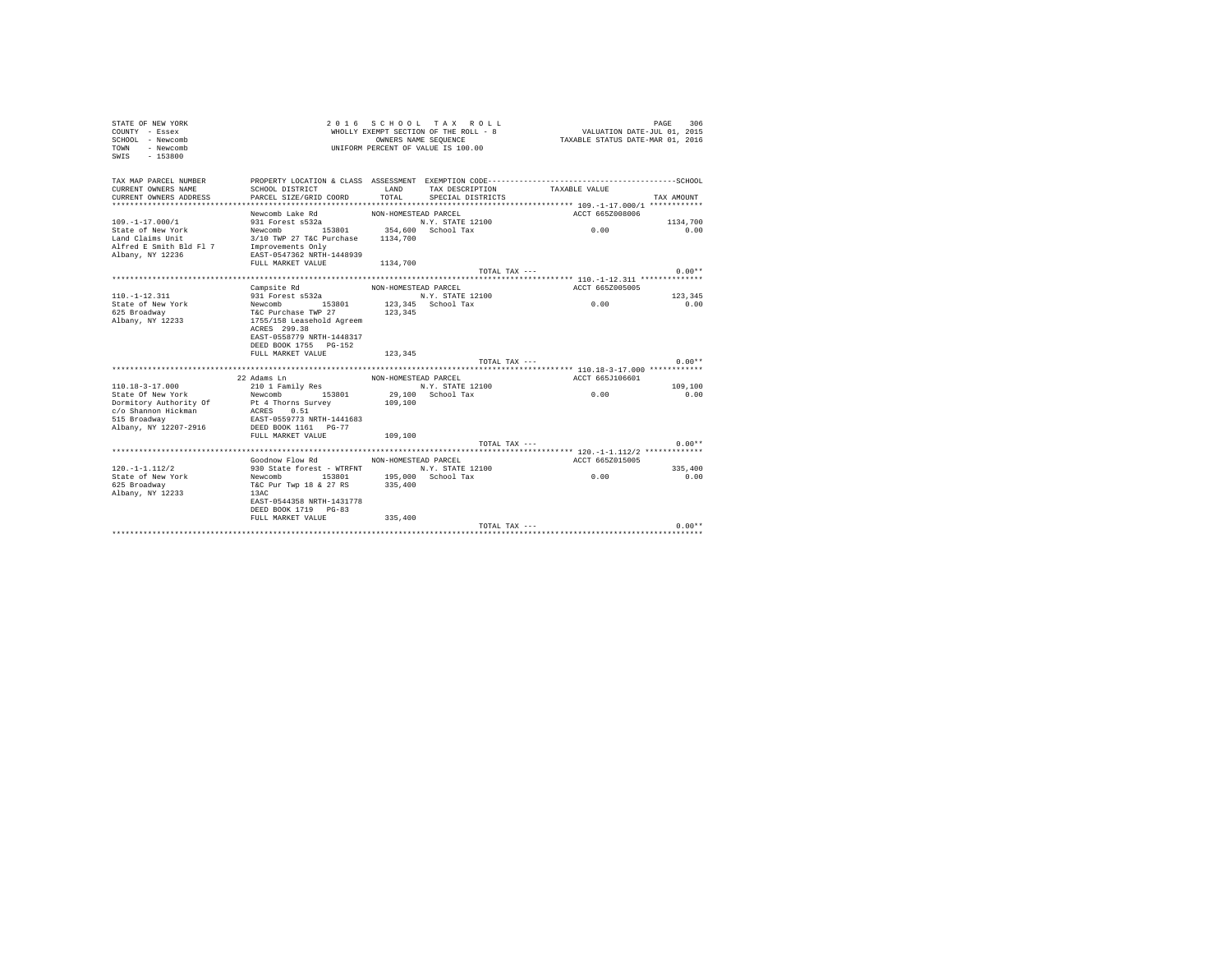| TAX MAP PARCEL NUMBER<br>CURRENT OWNERS NAME<br>SCHOOL DISTRICT<br>LAND<br>TAX DESCRIPTION<br>TAXABLE VALUE<br>CURRENT OWNERS ADDRESS<br>PARCEL SIZE/GRID COORD<br>TOTAL<br>SPECIAL DISTRICTS<br>TAX AMOUNT<br>Newcomb Lake Rd<br>NON-HOMESTEAD PARCEL<br>ACCT 665Z008006<br>$109. -1 - 17.000/1$<br>1134,700<br>0.00<br>State of New York<br>0.00<br>3/10 TWP 27 T&C Purchase 1134,700<br>Land Claims Unit<br>Improvements Only<br>Alfred E Smith Bld Fl 7<br>EAST-0547362 NRTH-1448939<br>Albany, NY 12236<br>FULL MARKET VALUE<br>1134,700<br>$0.00**$<br>TOTAL TAX ---<br>ACCT 665Z005005<br>Campsite Rd<br>NON-HOMESTEAD PARCEL<br>123,345<br>$110. - 1 - 12.311$<br>931 Forest s532a<br>N.Y. STATE 12100<br>0.00<br>Newcomb 153801<br>State of New York<br>123,345 School Tax<br>0.00<br>625 Broadway<br>T&C Purchase TWP 27<br>123,345<br>Albany, NY 12233<br>1755/158 Leasehold Agreem<br>ACRES 299.38<br>EAST-0558779 NRTH-1448317<br>DEED BOOK 1755 PG-152<br>FULL MARKET VALUE<br>123,345<br>$0.00**$<br>TOTAL TAX ---<br>22 Adams Ln<br>ACCT 665J106601<br>NON-HOMESTEAD PARCEL<br>$110.18 - 3 - 17.000$<br>109,100<br>210 1 Family Res<br>N.Y. STATE 12100<br>0.00<br>29,100 School Tax<br>State Of New York<br>Newcomb 153801<br>0.00<br>Dormitory Authority Of<br>109,100<br>Pt 4 Thorns Survey<br>ACRES 0.51<br>c/o Shannon Hickman<br>515 Broadway<br>EAST-0559773 NRTH-1441683<br>Albany, NY 12207-2916<br>DEED BOOK 1161 PG-77<br>FULL MARKET VALUE<br>109,100<br>$0.00**$<br>TOTAL TAX ---<br>Goodnow Flow Rd MON-HOMESTEAD PARCEL<br>ACCT 665Z015005<br>930 State forest - WTRFNT N.Y. STATE 12100<br>$120. -1 - 1.112/2$<br>335,400<br>195,000 School Tax<br>0.00<br>State of New York<br>Newcomb 153801<br>0.00<br>T&C Pur Twp 18 & 27 RS 335,400<br>625 Broadway<br>Albany, NY 12233<br>13AC<br>EAST-0544358 NRTH-1431778<br>DEED BOOK 1719 PG-83<br>FULL MARKET VALUE<br>335,400<br>$0.00**$<br>TOTAL TAX --- | STATE OF NEW YORK<br>COUNTY - Essex<br>SCHOOL - Newcomb<br><b>TOWN</b><br>- Newcomb<br>$-153800$<br>SWIS |  | 2016 SCHOOL TAX ROLL<br>WHOLLY EXEMPT SECTION OF THE ROLL - 8<br>OWNERS NAME SEQUENCE<br>UNIFORM PERCENT OF VALUE IS 100.00 | VALUATION DATE-JUL 01, 2015<br>TAXABLE STATUS DATE-MAR 01, 2016 | PAGE<br>306 |
|----------------------------------------------------------------------------------------------------------------------------------------------------------------------------------------------------------------------------------------------------------------------------------------------------------------------------------------------------------------------------------------------------------------------------------------------------------------------------------------------------------------------------------------------------------------------------------------------------------------------------------------------------------------------------------------------------------------------------------------------------------------------------------------------------------------------------------------------------------------------------------------------------------------------------------------------------------------------------------------------------------------------------------------------------------------------------------------------------------------------------------------------------------------------------------------------------------------------------------------------------------------------------------------------------------------------------------------------------------------------------------------------------------------------------------------------------------------------------------------------------------------------------------------------------------------------------------------------------------------------------------------------------------------------------------------------------------------------------------------------------------------------------------------------------------------------------------------------------------------------------------------------------------------------------------------|----------------------------------------------------------------------------------------------------------|--|-----------------------------------------------------------------------------------------------------------------------------|-----------------------------------------------------------------|-------------|
|                                                                                                                                                                                                                                                                                                                                                                                                                                                                                                                                                                                                                                                                                                                                                                                                                                                                                                                                                                                                                                                                                                                                                                                                                                                                                                                                                                                                                                                                                                                                                                                                                                                                                                                                                                                                                                                                                                                                        |                                                                                                          |  |                                                                                                                             |                                                                 |             |
|                                                                                                                                                                                                                                                                                                                                                                                                                                                                                                                                                                                                                                                                                                                                                                                                                                                                                                                                                                                                                                                                                                                                                                                                                                                                                                                                                                                                                                                                                                                                                                                                                                                                                                                                                                                                                                                                                                                                        |                                                                                                          |  |                                                                                                                             |                                                                 |             |
|                                                                                                                                                                                                                                                                                                                                                                                                                                                                                                                                                                                                                                                                                                                                                                                                                                                                                                                                                                                                                                                                                                                                                                                                                                                                                                                                                                                                                                                                                                                                                                                                                                                                                                                                                                                                                                                                                                                                        |                                                                                                          |  |                                                                                                                             |                                                                 |             |
|                                                                                                                                                                                                                                                                                                                                                                                                                                                                                                                                                                                                                                                                                                                                                                                                                                                                                                                                                                                                                                                                                                                                                                                                                                                                                                                                                                                                                                                                                                                                                                                                                                                                                                                                                                                                                                                                                                                                        |                                                                                                          |  |                                                                                                                             |                                                                 |             |
|                                                                                                                                                                                                                                                                                                                                                                                                                                                                                                                                                                                                                                                                                                                                                                                                                                                                                                                                                                                                                                                                                                                                                                                                                                                                                                                                                                                                                                                                                                                                                                                                                                                                                                                                                                                                                                                                                                                                        |                                                                                                          |  |                                                                                                                             |                                                                 |             |
|                                                                                                                                                                                                                                                                                                                                                                                                                                                                                                                                                                                                                                                                                                                                                                                                                                                                                                                                                                                                                                                                                                                                                                                                                                                                                                                                                                                                                                                                                                                                                                                                                                                                                                                                                                                                                                                                                                                                        |                                                                                                          |  |                                                                                                                             |                                                                 |             |
|                                                                                                                                                                                                                                                                                                                                                                                                                                                                                                                                                                                                                                                                                                                                                                                                                                                                                                                                                                                                                                                                                                                                                                                                                                                                                                                                                                                                                                                                                                                                                                                                                                                                                                                                                                                                                                                                                                                                        |                                                                                                          |  |                                                                                                                             |                                                                 |             |
|                                                                                                                                                                                                                                                                                                                                                                                                                                                                                                                                                                                                                                                                                                                                                                                                                                                                                                                                                                                                                                                                                                                                                                                                                                                                                                                                                                                                                                                                                                                                                                                                                                                                                                                                                                                                                                                                                                                                        |                                                                                                          |  |                                                                                                                             |                                                                 |             |
|                                                                                                                                                                                                                                                                                                                                                                                                                                                                                                                                                                                                                                                                                                                                                                                                                                                                                                                                                                                                                                                                                                                                                                                                                                                                                                                                                                                                                                                                                                                                                                                                                                                                                                                                                                                                                                                                                                                                        |                                                                                                          |  |                                                                                                                             |                                                                 |             |
|                                                                                                                                                                                                                                                                                                                                                                                                                                                                                                                                                                                                                                                                                                                                                                                                                                                                                                                                                                                                                                                                                                                                                                                                                                                                                                                                                                                                                                                                                                                                                                                                                                                                                                                                                                                                                                                                                                                                        |                                                                                                          |  |                                                                                                                             |                                                                 |             |
|                                                                                                                                                                                                                                                                                                                                                                                                                                                                                                                                                                                                                                                                                                                                                                                                                                                                                                                                                                                                                                                                                                                                                                                                                                                                                                                                                                                                                                                                                                                                                                                                                                                                                                                                                                                                                                                                                                                                        |                                                                                                          |  |                                                                                                                             |                                                                 |             |
|                                                                                                                                                                                                                                                                                                                                                                                                                                                                                                                                                                                                                                                                                                                                                                                                                                                                                                                                                                                                                                                                                                                                                                                                                                                                                                                                                                                                                                                                                                                                                                                                                                                                                                                                                                                                                                                                                                                                        |                                                                                                          |  |                                                                                                                             |                                                                 |             |
|                                                                                                                                                                                                                                                                                                                                                                                                                                                                                                                                                                                                                                                                                                                                                                                                                                                                                                                                                                                                                                                                                                                                                                                                                                                                                                                                                                                                                                                                                                                                                                                                                                                                                                                                                                                                                                                                                                                                        |                                                                                                          |  |                                                                                                                             |                                                                 |             |
|                                                                                                                                                                                                                                                                                                                                                                                                                                                                                                                                                                                                                                                                                                                                                                                                                                                                                                                                                                                                                                                                                                                                                                                                                                                                                                                                                                                                                                                                                                                                                                                                                                                                                                                                                                                                                                                                                                                                        |                                                                                                          |  |                                                                                                                             |                                                                 |             |
|                                                                                                                                                                                                                                                                                                                                                                                                                                                                                                                                                                                                                                                                                                                                                                                                                                                                                                                                                                                                                                                                                                                                                                                                                                                                                                                                                                                                                                                                                                                                                                                                                                                                                                                                                                                                                                                                                                                                        |                                                                                                          |  |                                                                                                                             |                                                                 |             |
|                                                                                                                                                                                                                                                                                                                                                                                                                                                                                                                                                                                                                                                                                                                                                                                                                                                                                                                                                                                                                                                                                                                                                                                                                                                                                                                                                                                                                                                                                                                                                                                                                                                                                                                                                                                                                                                                                                                                        |                                                                                                          |  |                                                                                                                             |                                                                 |             |
|                                                                                                                                                                                                                                                                                                                                                                                                                                                                                                                                                                                                                                                                                                                                                                                                                                                                                                                                                                                                                                                                                                                                                                                                                                                                                                                                                                                                                                                                                                                                                                                                                                                                                                                                                                                                                                                                                                                                        |                                                                                                          |  |                                                                                                                             |                                                                 |             |
|                                                                                                                                                                                                                                                                                                                                                                                                                                                                                                                                                                                                                                                                                                                                                                                                                                                                                                                                                                                                                                                                                                                                                                                                                                                                                                                                                                                                                                                                                                                                                                                                                                                                                                                                                                                                                                                                                                                                        |                                                                                                          |  |                                                                                                                             |                                                                 |             |
|                                                                                                                                                                                                                                                                                                                                                                                                                                                                                                                                                                                                                                                                                                                                                                                                                                                                                                                                                                                                                                                                                                                                                                                                                                                                                                                                                                                                                                                                                                                                                                                                                                                                                                                                                                                                                                                                                                                                        |                                                                                                          |  |                                                                                                                             |                                                                 |             |
|                                                                                                                                                                                                                                                                                                                                                                                                                                                                                                                                                                                                                                                                                                                                                                                                                                                                                                                                                                                                                                                                                                                                                                                                                                                                                                                                                                                                                                                                                                                                                                                                                                                                                                                                                                                                                                                                                                                                        |                                                                                                          |  |                                                                                                                             |                                                                 |             |
|                                                                                                                                                                                                                                                                                                                                                                                                                                                                                                                                                                                                                                                                                                                                                                                                                                                                                                                                                                                                                                                                                                                                                                                                                                                                                                                                                                                                                                                                                                                                                                                                                                                                                                                                                                                                                                                                                                                                        |                                                                                                          |  |                                                                                                                             |                                                                 |             |
|                                                                                                                                                                                                                                                                                                                                                                                                                                                                                                                                                                                                                                                                                                                                                                                                                                                                                                                                                                                                                                                                                                                                                                                                                                                                                                                                                                                                                                                                                                                                                                                                                                                                                                                                                                                                                                                                                                                                        |                                                                                                          |  |                                                                                                                             |                                                                 |             |
|                                                                                                                                                                                                                                                                                                                                                                                                                                                                                                                                                                                                                                                                                                                                                                                                                                                                                                                                                                                                                                                                                                                                                                                                                                                                                                                                                                                                                                                                                                                                                                                                                                                                                                                                                                                                                                                                                                                                        |                                                                                                          |  |                                                                                                                             |                                                                 |             |
|                                                                                                                                                                                                                                                                                                                                                                                                                                                                                                                                                                                                                                                                                                                                                                                                                                                                                                                                                                                                                                                                                                                                                                                                                                                                                                                                                                                                                                                                                                                                                                                                                                                                                                                                                                                                                                                                                                                                        |                                                                                                          |  |                                                                                                                             |                                                                 |             |
|                                                                                                                                                                                                                                                                                                                                                                                                                                                                                                                                                                                                                                                                                                                                                                                                                                                                                                                                                                                                                                                                                                                                                                                                                                                                                                                                                                                                                                                                                                                                                                                                                                                                                                                                                                                                                                                                                                                                        |                                                                                                          |  |                                                                                                                             |                                                                 |             |
|                                                                                                                                                                                                                                                                                                                                                                                                                                                                                                                                                                                                                                                                                                                                                                                                                                                                                                                                                                                                                                                                                                                                                                                                                                                                                                                                                                                                                                                                                                                                                                                                                                                                                                                                                                                                                                                                                                                                        |                                                                                                          |  |                                                                                                                             |                                                                 |             |
|                                                                                                                                                                                                                                                                                                                                                                                                                                                                                                                                                                                                                                                                                                                                                                                                                                                                                                                                                                                                                                                                                                                                                                                                                                                                                                                                                                                                                                                                                                                                                                                                                                                                                                                                                                                                                                                                                                                                        |                                                                                                          |  |                                                                                                                             |                                                                 |             |
|                                                                                                                                                                                                                                                                                                                                                                                                                                                                                                                                                                                                                                                                                                                                                                                                                                                                                                                                                                                                                                                                                                                                                                                                                                                                                                                                                                                                                                                                                                                                                                                                                                                                                                                                                                                                                                                                                                                                        |                                                                                                          |  |                                                                                                                             |                                                                 |             |
|                                                                                                                                                                                                                                                                                                                                                                                                                                                                                                                                                                                                                                                                                                                                                                                                                                                                                                                                                                                                                                                                                                                                                                                                                                                                                                                                                                                                                                                                                                                                                                                                                                                                                                                                                                                                                                                                                                                                        |                                                                                                          |  |                                                                                                                             |                                                                 |             |
|                                                                                                                                                                                                                                                                                                                                                                                                                                                                                                                                                                                                                                                                                                                                                                                                                                                                                                                                                                                                                                                                                                                                                                                                                                                                                                                                                                                                                                                                                                                                                                                                                                                                                                                                                                                                                                                                                                                                        |                                                                                                          |  |                                                                                                                             |                                                                 |             |
|                                                                                                                                                                                                                                                                                                                                                                                                                                                                                                                                                                                                                                                                                                                                                                                                                                                                                                                                                                                                                                                                                                                                                                                                                                                                                                                                                                                                                                                                                                                                                                                                                                                                                                                                                                                                                                                                                                                                        |                                                                                                          |  |                                                                                                                             |                                                                 |             |
|                                                                                                                                                                                                                                                                                                                                                                                                                                                                                                                                                                                                                                                                                                                                                                                                                                                                                                                                                                                                                                                                                                                                                                                                                                                                                                                                                                                                                                                                                                                                                                                                                                                                                                                                                                                                                                                                                                                                        |                                                                                                          |  |                                                                                                                             |                                                                 |             |
|                                                                                                                                                                                                                                                                                                                                                                                                                                                                                                                                                                                                                                                                                                                                                                                                                                                                                                                                                                                                                                                                                                                                                                                                                                                                                                                                                                                                                                                                                                                                                                                                                                                                                                                                                                                                                                                                                                                                        |                                                                                                          |  |                                                                                                                             |                                                                 |             |
|                                                                                                                                                                                                                                                                                                                                                                                                                                                                                                                                                                                                                                                                                                                                                                                                                                                                                                                                                                                                                                                                                                                                                                                                                                                                                                                                                                                                                                                                                                                                                                                                                                                                                                                                                                                                                                                                                                                                        |                                                                                                          |  |                                                                                                                             |                                                                 |             |
|                                                                                                                                                                                                                                                                                                                                                                                                                                                                                                                                                                                                                                                                                                                                                                                                                                                                                                                                                                                                                                                                                                                                                                                                                                                                                                                                                                                                                                                                                                                                                                                                                                                                                                                                                                                                                                                                                                                                        |                                                                                                          |  |                                                                                                                             |                                                                 |             |
|                                                                                                                                                                                                                                                                                                                                                                                                                                                                                                                                                                                                                                                                                                                                                                                                                                                                                                                                                                                                                                                                                                                                                                                                                                                                                                                                                                                                                                                                                                                                                                                                                                                                                                                                                                                                                                                                                                                                        |                                                                                                          |  |                                                                                                                             |                                                                 |             |
|                                                                                                                                                                                                                                                                                                                                                                                                                                                                                                                                                                                                                                                                                                                                                                                                                                                                                                                                                                                                                                                                                                                                                                                                                                                                                                                                                                                                                                                                                                                                                                                                                                                                                                                                                                                                                                                                                                                                        |                                                                                                          |  |                                                                                                                             |                                                                 |             |
|                                                                                                                                                                                                                                                                                                                                                                                                                                                                                                                                                                                                                                                                                                                                                                                                                                                                                                                                                                                                                                                                                                                                                                                                                                                                                                                                                                                                                                                                                                                                                                                                                                                                                                                                                                                                                                                                                                                                        |                                                                                                          |  |                                                                                                                             |                                                                 |             |
|                                                                                                                                                                                                                                                                                                                                                                                                                                                                                                                                                                                                                                                                                                                                                                                                                                                                                                                                                                                                                                                                                                                                                                                                                                                                                                                                                                                                                                                                                                                                                                                                                                                                                                                                                                                                                                                                                                                                        |                                                                                                          |  |                                                                                                                             |                                                                 |             |
|                                                                                                                                                                                                                                                                                                                                                                                                                                                                                                                                                                                                                                                                                                                                                                                                                                                                                                                                                                                                                                                                                                                                                                                                                                                                                                                                                                                                                                                                                                                                                                                                                                                                                                                                                                                                                                                                                                                                        |                                                                                                          |  |                                                                                                                             |                                                                 |             |
|                                                                                                                                                                                                                                                                                                                                                                                                                                                                                                                                                                                                                                                                                                                                                                                                                                                                                                                                                                                                                                                                                                                                                                                                                                                                                                                                                                                                                                                                                                                                                                                                                                                                                                                                                                                                                                                                                                                                        |                                                                                                          |  |                                                                                                                             |                                                                 |             |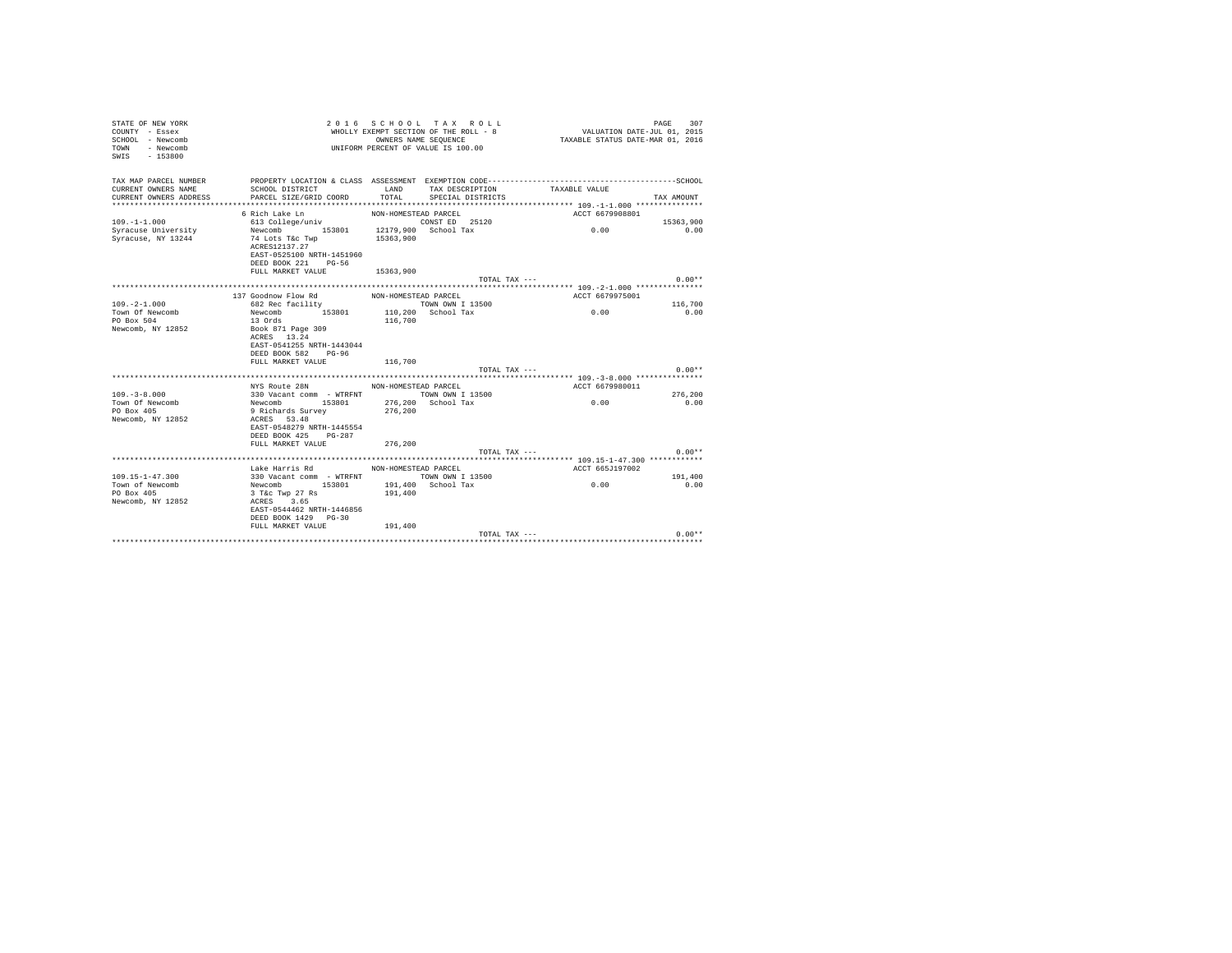| STATE OF NEW YORK<br>COUNTY - Essex<br>SCHOOL - Newcomb<br>- Newcomb<br>TOWN<br>$-153800$<br>SWIS |                                                                                              |                      | 2016 SCHOOL TAX ROLL<br>WHOLLY EXEMPT SECTION OF THE ROLL - 8<br>OWNERS NAME SEQUENCE<br>UNIFORM PERCENT OF VALUE IS 100.00 | VALUATION DATE-JUL 01, 2015<br>TAXABLE STATUS DATE-MAR 01, 2016 | PAGE<br>307 |
|---------------------------------------------------------------------------------------------------|----------------------------------------------------------------------------------------------|----------------------|-----------------------------------------------------------------------------------------------------------------------------|-----------------------------------------------------------------|-------------|
| TAX MAP PARCEL NUMBER                                                                             | PROPERTY LOCATION & CLASS ASSESSMENT EXEMPTION CODE-----------------------------------SCHOOL |                      |                                                                                                                             |                                                                 |             |
| CURRENT OWNERS NAME                                                                               | SCHOOL DISTRICT                                                                              | LAND                 | TAX DESCRIPTION                                                                                                             | TAXABLE VALUE                                                   |             |
| CURRENT OWNERS ADDRESS                                                                            | PARCEL SIZE/GRID COORD                                                                       | TOTAL.               | SPECIAL DISTRICTS                                                                                                           |                                                                 | TAX AMOUNT  |
|                                                                                                   |                                                                                              |                      |                                                                                                                             |                                                                 |             |
|                                                                                                   | 6 Rich Lake Ln                                                                               | NON-HOMESTEAD PARCEL |                                                                                                                             | ACCT 6679908801                                                 |             |
| $109. - 1 - 1.000$                                                                                | 613 College/univ                                                                             |                      | CONST ED 25120                                                                                                              |                                                                 | 15363,900   |
| Syracuse University                                                                               | 153801 12179,900 School Tax<br>Newcomb                                                       |                      |                                                                                                                             | 0.00                                                            | 0.00        |
| Syracuse, NY 13244                                                                                | 74 Lots T&c Twp<br>ACRES12137.27                                                             | 15363,900            |                                                                                                                             |                                                                 |             |
|                                                                                                   | EAST-0525100 NRTH-1451960                                                                    |                      |                                                                                                                             |                                                                 |             |
|                                                                                                   | DEED BOOK 221 PG-56                                                                          |                      |                                                                                                                             |                                                                 |             |
|                                                                                                   | FULL MARKET VALUE                                                                            | 15363,900            |                                                                                                                             |                                                                 |             |
|                                                                                                   |                                                                                              |                      | TOTAL TAX ---                                                                                                               |                                                                 | $0.00**$    |
|                                                                                                   |                                                                                              |                      |                                                                                                                             |                                                                 |             |
|                                                                                                   | 137 Goodnow Flow Rd                                                                          | NON-HOMESTEAD PARCEL |                                                                                                                             | ACCT 6679975001                                                 |             |
| $109. -2 - 1.000$                                                                                 | 682 Rec facility                                                                             |                      | TOWN OWN I 13500                                                                                                            |                                                                 | 116,700     |
| Town Of Newcomb                                                                                   | Newcomb<br>153801                                                                            |                      | 110,200 School Tax                                                                                                          | 0.00                                                            | 0.00        |
| PO Box 504                                                                                        | 13 Ords                                                                                      | 116,700              |                                                                                                                             |                                                                 |             |
| Newcomb, NY 12852                                                                                 | Book 871 Page 309                                                                            |                      |                                                                                                                             |                                                                 |             |
|                                                                                                   | ACRES 13.24                                                                                  |                      |                                                                                                                             |                                                                 |             |
|                                                                                                   | EAST-0541255 NRTH-1443044                                                                    |                      |                                                                                                                             |                                                                 |             |
|                                                                                                   | DEED BOOK 582 PG-96                                                                          |                      |                                                                                                                             |                                                                 |             |
|                                                                                                   | FULL MARKET VALUE                                                                            | 116,700              |                                                                                                                             |                                                                 | $0.00**$    |
|                                                                                                   |                                                                                              |                      | TOTAL TAX ---                                                                                                               |                                                                 |             |
|                                                                                                   | NYS Route 28N                                                                                | NON-HOMESTEAD PARCEL |                                                                                                                             | ACCT 6679980011                                                 |             |
| $109. - 3 - 8.000$                                                                                | 330 Vacant comm - WTRFNT                                                                     |                      | TOWN OWN I 13500                                                                                                            |                                                                 | 276,200     |
| Town Of Newcomb                                                                                   | Newcomb 153801                                                                               |                      | 276.200 School Tax                                                                                                          | 0.00                                                            | 0.00        |
| PO Box 405                                                                                        | 9 Richards Survey                                                                            | 276,200              |                                                                                                                             |                                                                 |             |
| Newcomb, NY 12852                                                                                 | ACRES 53.48                                                                                  |                      |                                                                                                                             |                                                                 |             |
|                                                                                                   | EAST-0548279 NRTH-1445554                                                                    |                      |                                                                                                                             |                                                                 |             |
|                                                                                                   | DEED BOOK 425 PG-287                                                                         |                      |                                                                                                                             |                                                                 |             |
|                                                                                                   | FULL MARKET VALUE                                                                            | 276,200              |                                                                                                                             |                                                                 |             |
|                                                                                                   |                                                                                              |                      | TOTAL TAX ---                                                                                                               |                                                                 | $0.00**$    |
|                                                                                                   |                                                                                              |                      |                                                                                                                             |                                                                 |             |
|                                                                                                   | Lake Harris Rd                                                                               | NON-HOMESTEAD PARCEL |                                                                                                                             | ACCT 665J197002                                                 |             |
| $109.15 - 1 - 47.300$                                                                             | 330 Vacant comm - WTRFNT TOWN OWN I 13500                                                    |                      |                                                                                                                             |                                                                 | 191,400     |
| Town of Newcomb<br>PO Box 405                                                                     | Newcomb 153801                                                                               | 191,400              | 191,400 School Tax                                                                                                          | 0.00                                                            | 0.00        |
| Newcomb, NY 12852                                                                                 | 3 T&c Twp 27 Rs<br>ACRES 3.65                                                                |                      |                                                                                                                             |                                                                 |             |
|                                                                                                   | EAST-0544462 NRTH-1446856                                                                    |                      |                                                                                                                             |                                                                 |             |
|                                                                                                   | DEED BOOK 1429 PG-30                                                                         |                      |                                                                                                                             |                                                                 |             |
|                                                                                                   | FULL MARKET VALUE                                                                            | 191,400              |                                                                                                                             |                                                                 |             |
|                                                                                                   |                                                                                              |                      | TOTAL TAX ---                                                                                                               |                                                                 | $0.00**$    |
|                                                                                                   |                                                                                              |                      |                                                                                                                             |                                                                 |             |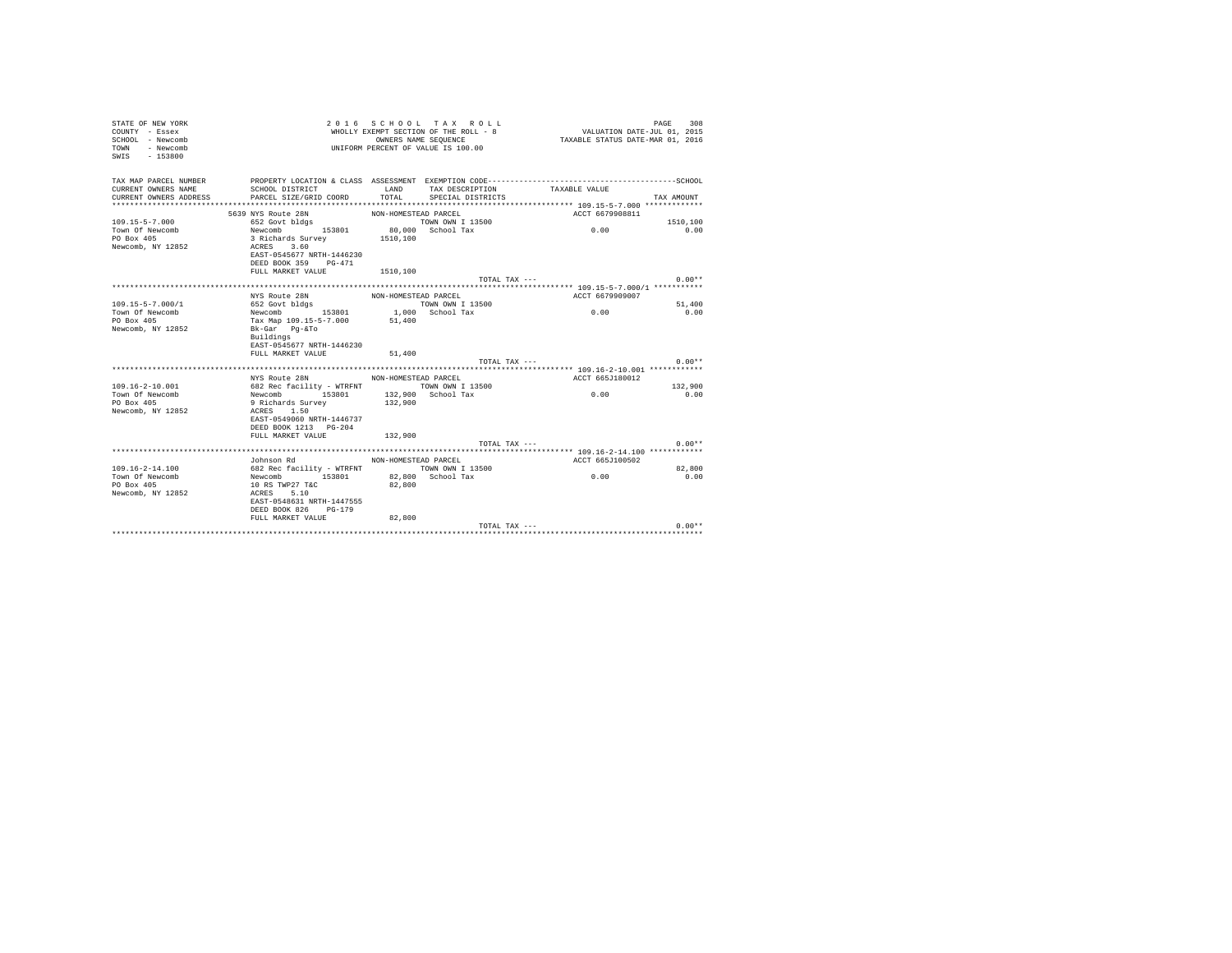| STATE OF NEW YORK<br>COUNTY - Essex<br>SCHOOL - Newcomb<br><b>TOWN</b><br>- Newcomb<br>SWIS - 153800 |                                                    |                      | 2016 SCHOOL TAX ROLL<br>WHOLLY EXEMPT SECTION OF THE ROLL - 8<br>OWNERS NAME SEQUENCE<br>UNIFORM PERCENT OF VALUE IS 100.00 | VALUATION DATE-JUL 01, 2015<br>TAXABLE STATUS DATE-MAR 01, 2016 | 308<br>PAGE |
|------------------------------------------------------------------------------------------------------|----------------------------------------------------|----------------------|-----------------------------------------------------------------------------------------------------------------------------|-----------------------------------------------------------------|-------------|
| TAX MAP PARCEL NUMBER                                                                                |                                                    |                      |                                                                                                                             |                                                                 |             |
| CURRENT OWNERS NAME                                                                                  | SCHOOL DISTRICT                                    | LAND                 | TAX DESCRIPTION                                                                                                             | TAXABLE VALUE                                                   |             |
| CURRENT OWNERS ADDRESS                                                                               | PARCEL SIZE/GRID COORD                             | TOTAL                | SPECIAL DISTRICTS                                                                                                           |                                                                 | TAX AMOUNT  |
|                                                                                                      |                                                    |                      |                                                                                                                             |                                                                 |             |
|                                                                                                      | 5639 NYS Route 28N                                 | NON-HOMESTEAD PARCEL |                                                                                                                             | ACCT 6679908811                                                 |             |
| $109.15 - 5 - 7.000$                                                                                 |                                                    |                      | TOWN OWN I 13500                                                                                                            | 0.00                                                            | 1510,100    |
| Town Of Newcomb<br>PO Box 405                                                                        | 3 Richards Survey                                  | 1510,100             |                                                                                                                             |                                                                 | 0.00        |
| Newcomb, NY 12852                                                                                    | ACRES 3.60                                         |                      |                                                                                                                             |                                                                 |             |
|                                                                                                      | EAST-0545677 NRTH-1446230                          |                      |                                                                                                                             |                                                                 |             |
|                                                                                                      | DEED BOOK 359 PG-471                               |                      |                                                                                                                             |                                                                 |             |
|                                                                                                      | FULL MARKET VALUE 1510.100                         |                      |                                                                                                                             |                                                                 |             |
|                                                                                                      |                                                    |                      | TOTAL TAX ---                                                                                                               |                                                                 | $0.00**$    |
|                                                                                                      |                                                    |                      |                                                                                                                             |                                                                 |             |
|                                                                                                      | NYS Route 28N                                      | NON-HOMESTEAD PARCEL |                                                                                                                             | ACCT 6679909007                                                 |             |
| $109.15 - 5 - 7.000 / 1$                                                                             | 652 Govt bldgs                                     |                      | TOWN OWN I 13500                                                                                                            |                                                                 | 51,400      |
| Town Of Newcomb                                                                                      | Newcomb 153801                                     |                      | 1,000 School Tax                                                                                                            | 0.00                                                            | 0.00        |
| PO Box 405                                                                                           | Tax Map 109.15-5-7.000                             | 51,400               |                                                                                                                             |                                                                 |             |
| Newcomb, NY 12852                                                                                    | Bk-Gar Pg-&To<br>Buildings                         |                      |                                                                                                                             |                                                                 |             |
|                                                                                                      | EAST-0545677 NRTH-1446230                          |                      |                                                                                                                             |                                                                 |             |
|                                                                                                      | FULL MARKET VALUE                                  | 51,400               |                                                                                                                             |                                                                 |             |
|                                                                                                      |                                                    |                      | TOTAL TAX ---                                                                                                               |                                                                 | $0.00**$    |
|                                                                                                      |                                                    |                      |                                                                                                                             |                                                                 |             |
|                                                                                                      | NYS Route 28N NON-HOMESTEAD PARCEL                 |                      |                                                                                                                             | ACCT 665J180012                                                 |             |
| 109.16-2-10.001                                                                                      | 682 Rec facility - WTRFNT TOWN OWN I 13500         |                      |                                                                                                                             | 0.00                                                            | 132,900     |
| Town Of Newcomb                                                                                      | Newcomb 153801 132,900 School Tax                  |                      |                                                                                                                             |                                                                 | 0.00        |
| PO Box 405                                                                                           | 9 Richards Survey                                  | 132,900              |                                                                                                                             |                                                                 |             |
| Newcomb, NY 12852                                                                                    | ACRES 1.50                                         |                      |                                                                                                                             |                                                                 |             |
|                                                                                                      | EAST-0549060 NRTH-1446737<br>DEED BOOK 1213 PG-204 |                      |                                                                                                                             |                                                                 |             |
|                                                                                                      | FULL MARKET VALUE                                  | 132,900              |                                                                                                                             |                                                                 |             |
|                                                                                                      |                                                    |                      | TOTAL TAX ---                                                                                                               |                                                                 | $0.00**$    |
|                                                                                                      |                                                    |                      |                                                                                                                             |                                                                 |             |
|                                                                                                      | Johnson Rd                                         | NON-HOMESTEAD PARCEL |                                                                                                                             | ACCT 665J100502                                                 |             |
| $109.16 - 2 - 14.100$                                                                                | 682 Rec facility - WTRFNT TOWN OWN I 13500         |                      |                                                                                                                             |                                                                 | 82,800      |
| Town Of Newcomb                                                                                      | Newcomb 153801                                     |                      | 82,800 School Tax                                                                                                           | 0.00                                                            | 0.00        |
| PO Box 405                                                                                           | 10 RS TWP27 T&C                                    | 82,800               |                                                                                                                             |                                                                 |             |
| Newcomb, NY 12852                                                                                    | ACRES 5.10                                         |                      |                                                                                                                             |                                                                 |             |
|                                                                                                      | EAST-0548631 NRTH-1447555                          |                      |                                                                                                                             |                                                                 |             |
|                                                                                                      | DEED BOOK 826 PG-179                               |                      |                                                                                                                             |                                                                 |             |
|                                                                                                      | FULL MARKET VALUE                                  | 82,800               |                                                                                                                             |                                                                 | $0.00**$    |
|                                                                                                      |                                                    |                      | TOTAL TAX ---                                                                                                               |                                                                 |             |
|                                                                                                      |                                                    |                      |                                                                                                                             |                                                                 |             |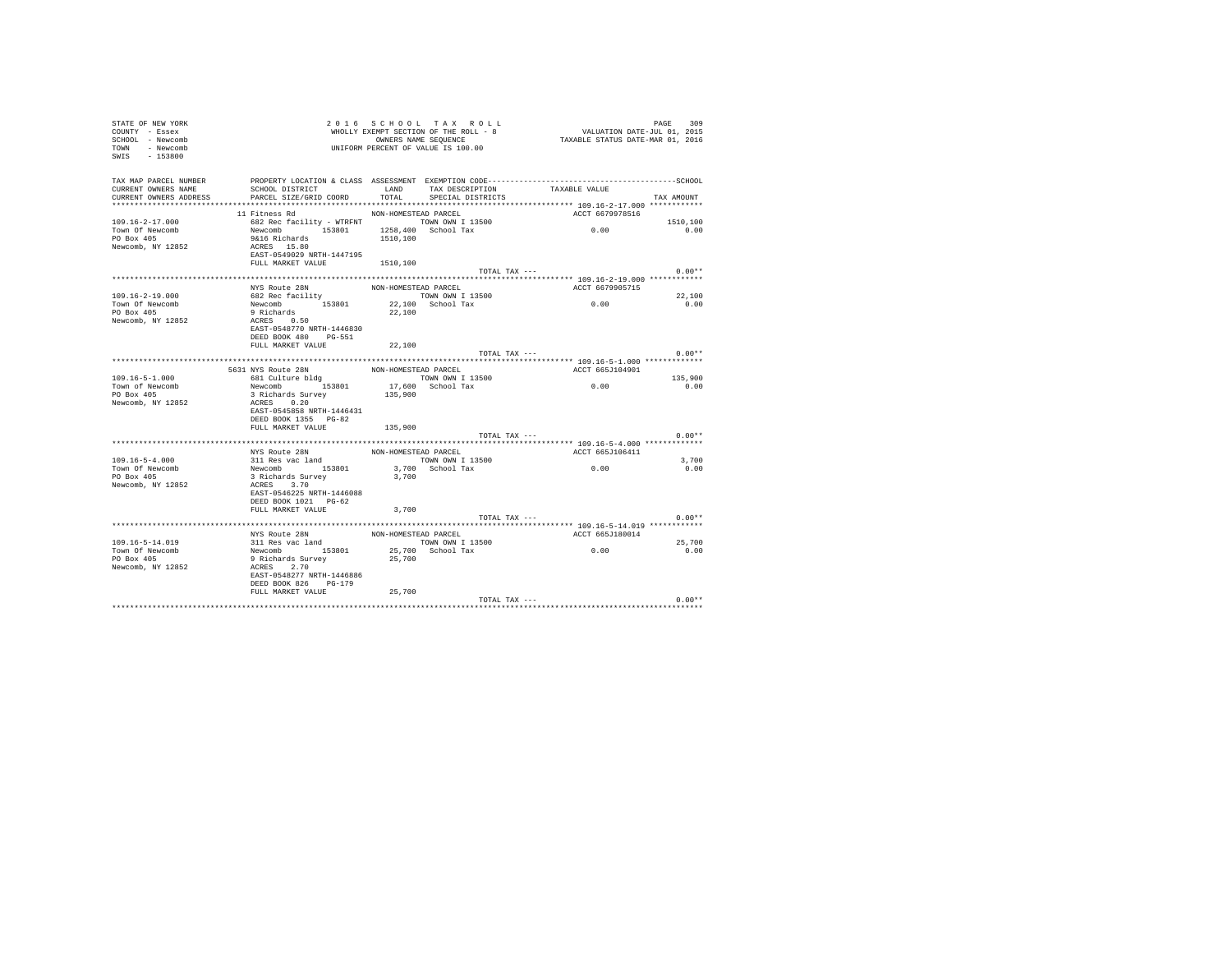| STATE OF NEW YORK<br>COUNTY - Essex<br>SCHOOL - Newcomb<br>TOWN - Newcomb<br>SWIS - 153800 |                                                                                        |                      | 2016 SCHOOL TAX ROLL<br>WHOLLY EXEMPT SECTION OF THE ROLL - 8<br>OWNERS NAME SEQUENCE<br>UNIFORM PERCENT OF VALUE IS 100.00 | ددد - معجم<br>VALUATION DATE-JUL 01, 2015<br>TAXABLE STATUS DATE-MAR 01, 2016 | PAGE<br>309    |
|--------------------------------------------------------------------------------------------|----------------------------------------------------------------------------------------|----------------------|-----------------------------------------------------------------------------------------------------------------------------|-------------------------------------------------------------------------------|----------------|
| TAX MAP PARCEL NUMBER<br>CURRENT OWNERS NAME<br>CURRENT OWNERS ADDRESS                     | SCHOOL DISTRICT TAND TAX DESCRIPTION<br>PARCEL SIZE/GRID COORD TOTAL SPECIAL DISTRICTS |                      |                                                                                                                             | TAXABLE VALUE                                                                 | TAX AMOUNT     |
|                                                                                            | 11 Fitness Rd                                                                          | NON-HOMESTEAD PARCEL |                                                                                                                             | ACCT 6679978516                                                               |                |
| $109.16 - 2 - 17.000$                                                                      | 682 Rec facility - WTRFNT TOWN OWN I 13500<br>Newcomb 153801 1258,400 School Tax       |                      |                                                                                                                             | 0.00                                                                          | 1510,100       |
| Town Of Newcomb                                                                            |                                                                                        |                      |                                                                                                                             |                                                                               | 0.00           |
| PO Box 405<br>Newcomb, NY 12852                                                            | 9&16 Richards<br>ACRES 15.80                                                           | 1510,100             |                                                                                                                             |                                                                               |                |
|                                                                                            | EAST-0549029 NRTH-1447195                                                              |                      |                                                                                                                             |                                                                               |                |
|                                                                                            | FULL MARKET VALUE 1510,100                                                             |                      |                                                                                                                             |                                                                               |                |
|                                                                                            |                                                                                        |                      | TOTAL TAX ---                                                                                                               |                                                                               | $0.00**$       |
|                                                                                            |                                                                                        |                      |                                                                                                                             |                                                                               |                |
|                                                                                            | NYS Route 28N                                                                          | NON-HOMESTEAD PARCEL |                                                                                                                             | ACCT 6679905715                                                               |                |
| $109.16 - 2 - 19.000$<br>Town Of Newcomb                                                   |                                                                                        |                      |                                                                                                                             | 0.00                                                                          | 22,100<br>0.00 |
| PO Box 405                                                                                 |                                                                                        |                      |                                                                                                                             |                                                                               |                |
| Newcomb, NY 12852                                                                          |                                                                                        |                      |                                                                                                                             |                                                                               |                |
|                                                                                            | EAST-0548770 NRTH-1446830                                                              |                      |                                                                                                                             |                                                                               |                |
|                                                                                            | DEED BOOK 480 PG-551                                                                   |                      |                                                                                                                             |                                                                               |                |
|                                                                                            | FULL MARKET VALUE                                                                      | 22,100               |                                                                                                                             |                                                                               |                |
|                                                                                            |                                                                                        |                      | TOTAL TAX ---                                                                                                               |                                                                               | $0.00**$       |
|                                                                                            | 5631 NYS Route 28N                                                                     | NON-HOMESTEAD PARCEL |                                                                                                                             | ACCT 665J104901                                                               |                |
| $109.16 - 5 - 1.000$                                                                       | 681 Culture bldg                                                                       |                      | TOWN OWN I 13500                                                                                                            |                                                                               | 135,900        |
| Town of Newcomb                                                                            |                                                                                        |                      |                                                                                                                             | 0.00                                                                          | 0.00           |
| PO Box 405                                                                                 | Newcomb 153801<br>3 Richards Survey                                                    |                      | 17,600 School Tax<br>135,900                                                                                                |                                                                               |                |
| Newcomb, NY 12852                                                                          | ACRES 0.20                                                                             |                      |                                                                                                                             |                                                                               |                |
|                                                                                            | EAST-0545858 NRTH-1446431                                                              |                      |                                                                                                                             |                                                                               |                |
|                                                                                            | DEED BOOK 1355 PG-82                                                                   | 135,900              |                                                                                                                             |                                                                               |                |
|                                                                                            | FULL MARKET VALUE                                                                      |                      | TOTAL TAX ---                                                                                                               |                                                                               | $0.00**$       |
|                                                                                            |                                                                                        |                      |                                                                                                                             |                                                                               |                |
|                                                                                            |                                                                                        | NON-HOMESTEAD PARCEL |                                                                                                                             | ACCT 665J106411                                                               |                |
| $109.16 - 5 - 4.000$                                                                       | NYS Route 28N<br>311 Res vac land<br>Newcomb 153801                                    |                      | TOWN OWN I 13500                                                                                                            | 0.00                                                                          | 3,700          |
| Town Of Newcomb                                                                            |                                                                                        |                      | 3,700 School Tax<br>3,700                                                                                                   |                                                                               | 0.00           |
| PO Box 405<br>Newcomb, NY 12852                                                            | 3 Richards Survey<br>ACRES 3.70                                                        |                      |                                                                                                                             |                                                                               |                |
|                                                                                            | EAST-0546225 NRTH-1446088                                                              |                      |                                                                                                                             |                                                                               |                |
|                                                                                            | DEED BOOK 1021 PG-62                                                                   |                      |                                                                                                                             |                                                                               |                |
|                                                                                            | FULL MARKET VALUE                                                                      | 3,700                |                                                                                                                             |                                                                               |                |
|                                                                                            |                                                                                        |                      | TOTAL TAX ---                                                                                                               |                                                                               | $0.00**$       |
|                                                                                            |                                                                                        |                      |                                                                                                                             |                                                                               |                |
| 109.16-5-14.019                                                                            | NYS Route 28N                                                                          | NON-HOMESTEAD PARCEL |                                                                                                                             | ACCT 665J180014                                                               | 25,700         |
| Town Of Newcomb                                                                            | All Res vac land<br>Newcomb 153801<br>9 Richards Survey<br>ACRES 2.70                  |                      | TOWN OWN I 13500<br>25,700 School Tax                                                                                       | 0.00                                                                          | 0.00           |
| PO Box 405                                                                                 |                                                                                        | 25,700               |                                                                                                                             |                                                                               |                |
| Newcomb, NY 12852                                                                          |                                                                                        |                      |                                                                                                                             |                                                                               |                |
|                                                                                            | EAST-0548277 NRTH-1446886                                                              |                      |                                                                                                                             |                                                                               |                |
|                                                                                            | DEED BOOK 826 PG-179                                                                   |                      |                                                                                                                             |                                                                               |                |
|                                                                                            | FULL MARKET VALUE                                                                      | 25,700               |                                                                                                                             | TOTAL TAX ---                                                                 | $0.00**$       |
|                                                                                            |                                                                                        |                      |                                                                                                                             |                                                                               |                |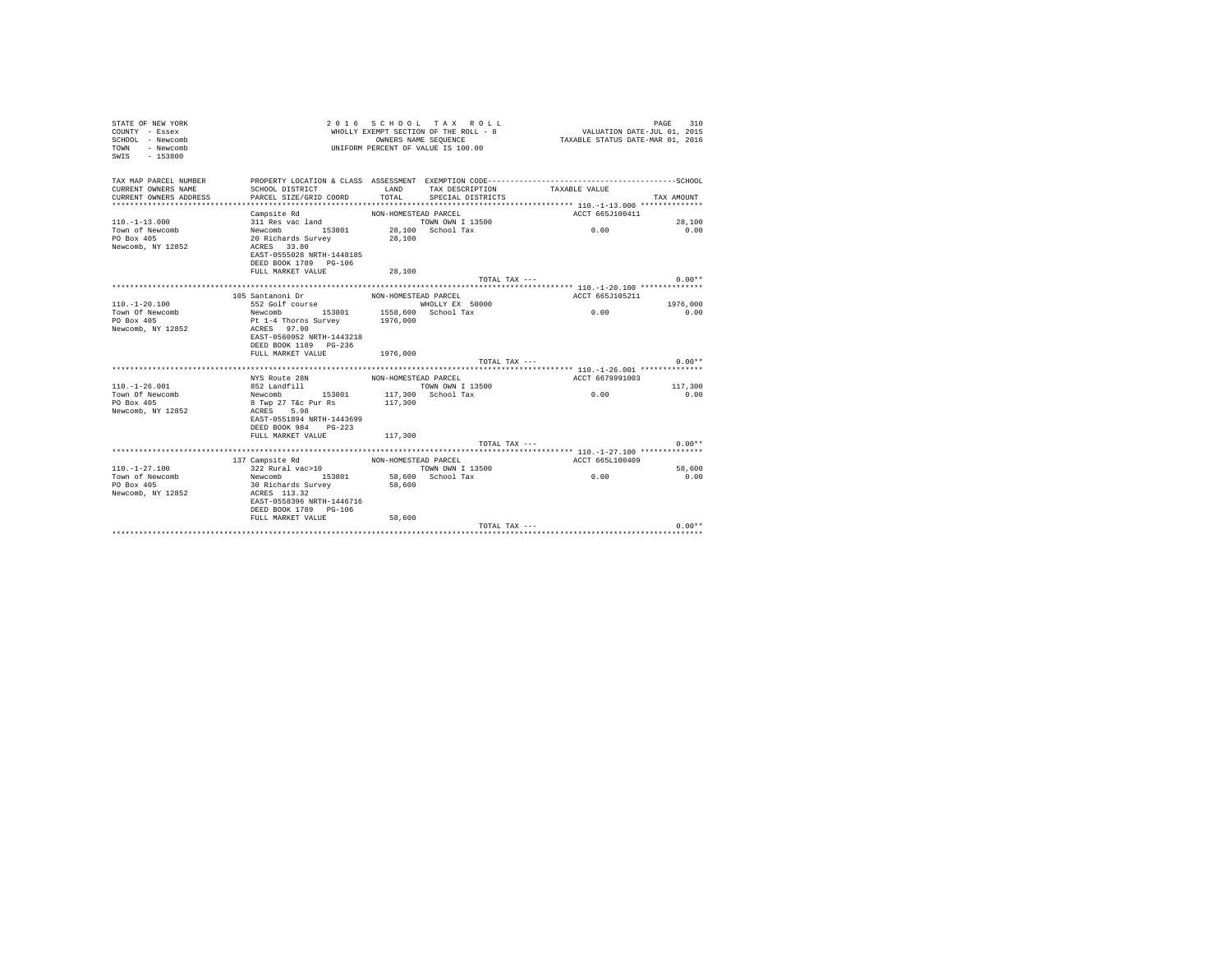| STATE OF NEW YORK<br>COUNTY - Essex<br>SCHOOL - Newcomb<br>- Newcomb<br>TOWN<br>$-153800$<br>SWIS |                                                                                                                 | OWNERS NAME SEQUENCE | 2016 SCHOOL TAX ROLL<br>WHOLLY EXEMPT SECTION OF THE ROLL - 8<br>UNIFORM PERCENT OF VALUE IS 100.00 | VALUATION DATE-JUL 01, 2015<br>TAXABLE STATUS DATE-MAR 01, 2016 | PAGE<br>310    |
|---------------------------------------------------------------------------------------------------|-----------------------------------------------------------------------------------------------------------------|----------------------|-----------------------------------------------------------------------------------------------------|-----------------------------------------------------------------|----------------|
| TAX MAP PARCEL NUMBER<br>CURRENT OWNERS NAME                                                      | PROPERTY LOCATION & CLASS ASSESSMENT EXEMPTION CODE-----------------------------------SCHOOL<br>SCHOOL DISTRICT | LAND                 | TAX DESCRIPTION                                                                                     | TAXABLE VALUE                                                   |                |
| CURRENT OWNERS ADDRESS                                                                            | PARCEL SIZE/GRID COORD                                                                                          | TOTAL                | SPECIAL DISTRICTS                                                                                   |                                                                 | TAX AMOUNT     |
|                                                                                                   |                                                                                                                 |                      |                                                                                                     |                                                                 |                |
|                                                                                                   | Campsite Rd                                                                                                     | NON-HOMESTEAD PARCEL |                                                                                                     | ACCT 665J100411                                                 |                |
| $110. -1 - 13.000$                                                                                | 311 Res vac land                                                                                                |                      | TOWN OWN I 13500                                                                                    |                                                                 | 28,100         |
| Town of Newcomb                                                                                   | Newcomb<br>153801                                                                                               |                      | 28,100 School Tax                                                                                   | 0.00                                                            | 0.00           |
| PO Box 405                                                                                        | 20 Richards Survey                                                                                              | 28,100               |                                                                                                     |                                                                 |                |
| Newcomb, NY 12852                                                                                 | ACRES 33.80                                                                                                     |                      |                                                                                                     |                                                                 |                |
|                                                                                                   | EAST-0555028 NRTH-1448185                                                                                       |                      |                                                                                                     |                                                                 |                |
|                                                                                                   | DEED BOOK 1789 PG-106                                                                                           |                      |                                                                                                     |                                                                 |                |
|                                                                                                   | FULL MARKET VALUE                                                                                               | 28,100               |                                                                                                     |                                                                 |                |
|                                                                                                   |                                                                                                                 |                      | TOTAL TAX ---                                                                                       |                                                                 | $0.00**$       |
|                                                                                                   |                                                                                                                 |                      |                                                                                                     |                                                                 |                |
| $110. - 1 - 20.100$                                                                               | 105 Santanoni Dr<br>552 Golf course                                                                             | NON-HOMESTEAD PARCEL |                                                                                                     | ACCT 665J105211                                                 | 1976,000       |
| Town Of Newcomb                                                                                   | Newcomb 153801                                                                                                  |                      | WHOLLY EX 50000<br>1558,600 School Tax                                                              | 0.00                                                            | 0.00           |
| PO Box 405                                                                                        | Pt 1-4 Thorns Survey                                                                                            | 1976,000             |                                                                                                     |                                                                 |                |
| Newcomb, NY 12852                                                                                 | ACRES 97.90                                                                                                     |                      |                                                                                                     |                                                                 |                |
|                                                                                                   | EAST-0560952 NRTH-1443218                                                                                       |                      |                                                                                                     |                                                                 |                |
|                                                                                                   | DEED BOOK 1189 PG-236                                                                                           |                      |                                                                                                     |                                                                 |                |
|                                                                                                   | FULL MARKET VALUE                                                                                               | 1976,000             |                                                                                                     |                                                                 |                |
|                                                                                                   |                                                                                                                 |                      | TOTAL TAX ---                                                                                       |                                                                 | $0.00**$       |
|                                                                                                   |                                                                                                                 |                      |                                                                                                     |                                                                 |                |
|                                                                                                   | NYS Route 28N                                                                                                   | NON-HOMESTEAD PARCEL |                                                                                                     | ACCT 6679991003                                                 |                |
| $110. - 1 - 26.001$                                                                               | 852 Landfill                                                                                                    |                      | TOWN OWN I 13500                                                                                    |                                                                 | 117,300        |
| Town Of Newcomb                                                                                   | 153801<br>Newcomb                                                                                               |                      | 117,300 School Tax                                                                                  | 0.00                                                            | 0.00           |
| PO Box 405                                                                                        | 8 Twp 27 T&c Pur Rs                                                                                             | 117,300              |                                                                                                     |                                                                 |                |
| Newcomb, NY 12852                                                                                 | 5.98<br>ACRES                                                                                                   |                      |                                                                                                     |                                                                 |                |
|                                                                                                   | EAST-0551894 NRTH-1443699                                                                                       |                      |                                                                                                     |                                                                 |                |
|                                                                                                   | DEED BOOK 984 PG-223                                                                                            |                      |                                                                                                     |                                                                 |                |
|                                                                                                   | FULL MARKET VALUE                                                                                               | 117,300              |                                                                                                     |                                                                 |                |
|                                                                                                   |                                                                                                                 |                      | TOTAL TAX $---$                                                                                     |                                                                 | $0.00**$       |
|                                                                                                   |                                                                                                                 |                      |                                                                                                     |                                                                 |                |
|                                                                                                   | 137 Campsite Rd<br>$322 \text{ Rural vac}>10$                                                                   | NON-HOMESTEAD PARCEL |                                                                                                     | ACCT 665L100409                                                 |                |
| $110. - 1 - 27.100$<br>Town of Newcomb                                                            | Newcomb 153801                                                                                                  |                      | TOWN OWN I 13500<br>58,600 School Tax                                                               | 0.00                                                            | 58,600<br>0.00 |
| PO Box 405                                                                                        | 30 Richards Survey                                                                                              | 58,600               |                                                                                                     |                                                                 |                |
| Newcomb, NY 12852                                                                                 | ACRES 113.32                                                                                                    |                      |                                                                                                     |                                                                 |                |
|                                                                                                   | EAST-0558396 NRTH-1446716                                                                                       |                      |                                                                                                     |                                                                 |                |
|                                                                                                   | DEED BOOK 1789 PG-106                                                                                           |                      |                                                                                                     |                                                                 |                |
|                                                                                                   | FULL MARKET VALUE                                                                                               | 58,600               |                                                                                                     |                                                                 |                |
|                                                                                                   |                                                                                                                 |                      | TOTAL TAX ---                                                                                       |                                                                 | $0.00**$       |
|                                                                                                   |                                                                                                                 |                      |                                                                                                     |                                                                 |                |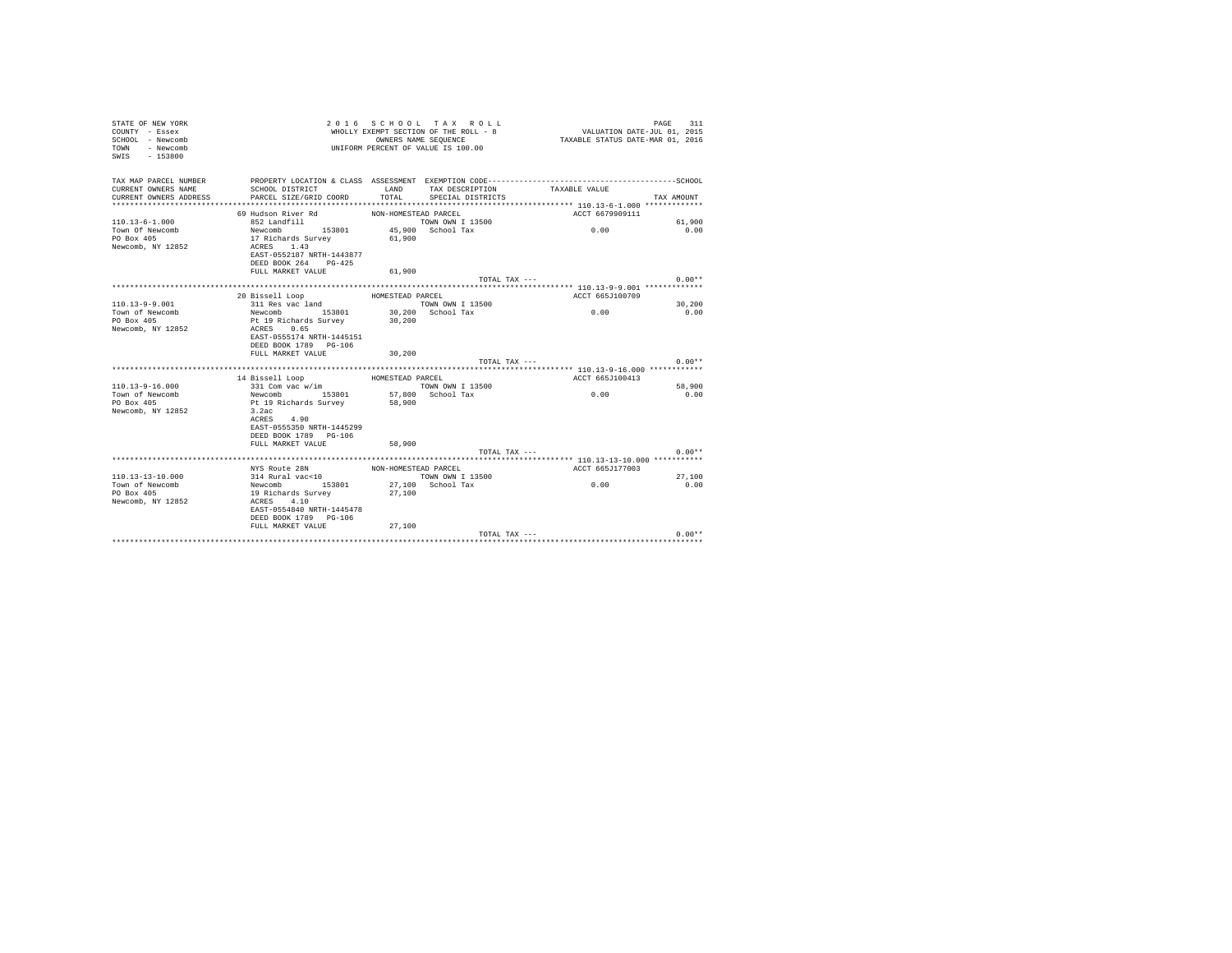| STATE OF NEW YORK<br>COUNTY - Essex<br>SCHOOL - Newcomb<br>- Newcomb<br>TOWN<br>$SWTS = 153800$ |                                         | 2016 SCHOOL TAX ROLL<br>WHOLLY EXEMPT SECTION OF THE ROLL - 8<br>UNIFORM PERCENT OF VALUE IS 100.00 | OWNERS NAME SEQUENCE | VALUATION DATE-JUL 01, 2015<br>TAXABLE STATUS DATE-MAR 01, 2016 | 311<br>PAGE    |
|-------------------------------------------------------------------------------------------------|-----------------------------------------|-----------------------------------------------------------------------------------------------------|----------------------|-----------------------------------------------------------------|----------------|
| TAX MAP PARCEL NUMBER                                                                           |                                         |                                                                                                     |                      |                                                                 |                |
| CURRENT OWNERS NAME                                                                             | SCHOOL DISTRICT                         | LAND                                                                                                | TAX DESCRIPTION      | TAXABLE VALUE                                                   |                |
| CURRENT OWNERS ADDRESS<br>***************************                                           | PARCEL SIZE/GRID COORD                  | TOTAL                                                                                               | SPECIAL DISTRICTS    |                                                                 | TAX AMOUNT     |
|                                                                                                 |                                         |                                                                                                     |                      |                                                                 |                |
| $110.13 - 6 - 1.000$                                                                            | 69 Hudson River Rd<br>852 Landfill      | NON-HOMESTEAD PARCEL<br>TOWN OWN I 13500                                                            |                      | ACCT 6679909111                                                 |                |
| Town Of Newcomb                                                                                 | Newcomb 153801                          | 45,900 School Tax                                                                                   |                      | 0.00                                                            | 61,900<br>0.00 |
| PO Box 405                                                                                      | 17 Richards Survey                      | 61,900                                                                                              |                      |                                                                 |                |
| Newcomb, NY 12852                                                                               | ACRES 1.43                              |                                                                                                     |                      |                                                                 |                |
|                                                                                                 | EAST-0552187 NRTH-1443877               |                                                                                                     |                      |                                                                 |                |
|                                                                                                 | DEED BOOK 264 PG-425                    |                                                                                                     |                      |                                                                 |                |
|                                                                                                 | FULL MARKET VALUE                       | 61,900                                                                                              |                      |                                                                 |                |
|                                                                                                 |                                         |                                                                                                     | TOTAL TAX ---        |                                                                 | $0.00**$       |
|                                                                                                 |                                         |                                                                                                     |                      |                                                                 |                |
|                                                                                                 | 20 Bissell Loop                         | HOMESTEAD PARCEL                                                                                    |                      | ACCT 665J100709                                                 |                |
| $110.13 - 9 - 9.001$                                                                            | 311 Res vac land                        | TOWN OWN I 13500                                                                                    |                      |                                                                 | 30,200         |
| Town of Newcomb                                                                                 | Newcomb 153801                          | 30,200 School Tax                                                                                   |                      | 0.00                                                            | 0.00           |
| PO Box 405                                                                                      | Pt 19 Richards Survey                   | 30,200                                                                                              |                      |                                                                 |                |
| Newcomb, NY 12852                                                                               | ACRES 0.65<br>EAST-0555174 NRTH-1445151 |                                                                                                     |                      |                                                                 |                |
|                                                                                                 | DEED BOOK 1789 PG-106                   |                                                                                                     |                      |                                                                 |                |
|                                                                                                 | FULL MARKET VALUE                       | 30,200                                                                                              |                      |                                                                 |                |
|                                                                                                 |                                         |                                                                                                     | TOTAL TAX ---        |                                                                 | $0.00**$       |
|                                                                                                 |                                         |                                                                                                     |                      | ******************** 110.13-9-16.000 ***********                |                |
|                                                                                                 | 14 Bissell Loop                         | HOMESTEAD PARCEL                                                                                    |                      | ACCT 665J100413                                                 |                |
| $110.13 - 9 - 16.000$                                                                           | 331 Com vac w/im                        | TOWN OWN I 13500                                                                                    |                      |                                                                 | 58,900         |
| Town of Newcomb                                                                                 | Newcomb 153801 57,800 School Tax        |                                                                                                     |                      | 0.00                                                            | 0.00           |
| PO Box 405                                                                                      | Pt 19 Richards Survey                   | 58,900                                                                                              |                      |                                                                 |                |
| Newcomb, NY 12852                                                                               | 3.2ac                                   |                                                                                                     |                      |                                                                 |                |
|                                                                                                 | ACRES 4.90                              |                                                                                                     |                      |                                                                 |                |
|                                                                                                 | EAST-0555350 NRTH-1445299               |                                                                                                     |                      |                                                                 |                |
|                                                                                                 | DEED BOOK 1789 PG-106                   |                                                                                                     |                      |                                                                 |                |
|                                                                                                 | FULL MARKET VALUE                       | 58,900                                                                                              |                      | TOTAL TAX ---                                                   | $0.00**$       |
|                                                                                                 |                                         |                                                                                                     |                      |                                                                 |                |
|                                                                                                 | NYS Route 28N                           | NON-HOMESTEAD PARCEL                                                                                |                      | ACCT 665J177003                                                 |                |
| $110.13 - 13 - 10.000$                                                                          | 314 Rural vac<10                        | TOWN OWN I 13500                                                                                    |                      |                                                                 | 27,100         |
| Town of Newcomb                                                                                 | Newcomb 153801                          | 27,100 School Tax                                                                                   |                      | 0.00                                                            | 0.00           |
| PO Box 405                                                                                      | 19 Richards Survey                      | 27,100                                                                                              |                      |                                                                 |                |
| Newcomb, NY 12852                                                                               | ACRES 4.10                              |                                                                                                     |                      |                                                                 |                |
|                                                                                                 | EAST-0554840 NRTH-1445478               |                                                                                                     |                      |                                                                 |                |
|                                                                                                 | DEED BOOK 1789 PG-106                   |                                                                                                     |                      |                                                                 |                |
|                                                                                                 | FULL MARKET VALUE                       | 27,100                                                                                              |                      |                                                                 |                |
|                                                                                                 |                                         |                                                                                                     | TOTAL TAX ---        |                                                                 | $0.00**$       |
|                                                                                                 |                                         |                                                                                                     |                      |                                                                 |                |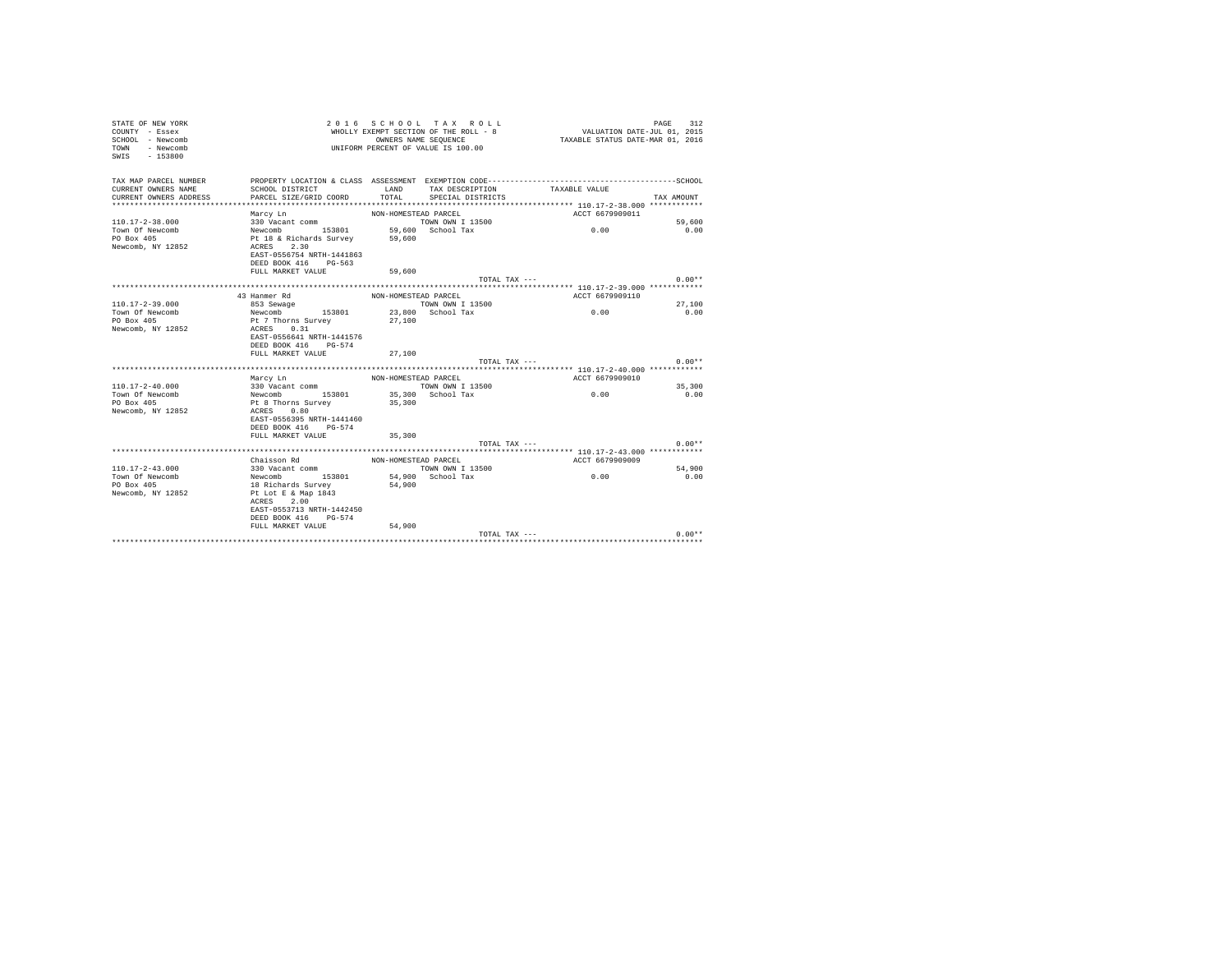| STATE OF NEW YORK<br>COUNTY - Essex<br>SCHOOL - Newcomb<br>- Newcomb<br>TOWN<br>$SWTS = 153800$ |                                                          |                      | 2016 SCHOOL TAX ROLL<br>WHOLLY EXEMPT SECTION OF THE ROLL - 8<br>OWNERS NAME SEQUENCE<br>UNIFORM PERCENT OF VALUE IS 100.00 | VALUATION DATE-JUL 01, 2015<br>TAXABLE STATUS DATE-MAR 01, 2016 | 312<br>PAGE    |
|-------------------------------------------------------------------------------------------------|----------------------------------------------------------|----------------------|-----------------------------------------------------------------------------------------------------------------------------|-----------------------------------------------------------------|----------------|
| TAX MAP PARCEL NUMBER                                                                           |                                                          |                      |                                                                                                                             |                                                                 |                |
| CURRENT OWNERS NAME                                                                             | SCHOOL DISTRICT                                          | LAND                 | TAX DESCRIPTION                                                                                                             | TAXABLE VALUE                                                   |                |
| CURRENT OWNERS ADDRESS<br>************************                                              | PARCEL SIZE/GRID COORD<br>****************************** | TOTAL                | SPECIAL DISTRICTS                                                                                                           |                                                                 | TAX AMOUNT     |
|                                                                                                 |                                                          |                      |                                                                                                                             | ACCT 6679909011                                                 |                |
| $110.17 - 2 - 38.000$                                                                           | Marcy Ln<br>330 Vacant comm                              | NON-HOMESTEAD PARCEL | TOWN OWN T 13500                                                                                                            |                                                                 | 59,600         |
| Town Of Newcomb                                                                                 |                                                          |                      | 59.600 School Tax                                                                                                           | 0.00                                                            | 0.00           |
| PO Box 405                                                                                      | Newcomb 153801 59,600<br>Pt 18 & Richards Survey 59,600  |                      |                                                                                                                             |                                                                 |                |
| Newcomb, NY 12852                                                                               | ACRES 2.30                                               |                      |                                                                                                                             |                                                                 |                |
|                                                                                                 | EAST-0556754 NRTH-1441863                                |                      |                                                                                                                             |                                                                 |                |
|                                                                                                 | DEED BOOK 416 PG-563                                     |                      |                                                                                                                             |                                                                 |                |
|                                                                                                 | FULL MARKET VALUE                                        | 59,600               |                                                                                                                             |                                                                 |                |
|                                                                                                 |                                                          |                      | TOTAL TAX ---                                                                                                               |                                                                 | $0.00**$       |
|                                                                                                 |                                                          |                      |                                                                                                                             |                                                                 |                |
|                                                                                                 | 43 Hanmer Rd                                             | NON-HOMESTEAD PARCEL |                                                                                                                             | ACCT 6679909110                                                 |                |
| $110.17 - 2 - 39.000$<br>Town Of Newcomb                                                        | 853 Sewage<br>Newcomb 153801                             |                      | TOWN OWN I 13500<br>23,800 School Tax                                                                                       | 0.00                                                            | 27,100<br>0.00 |
| PO Box 405                                                                                      | Pt 7 Thorns Survey                                       | 27,100               |                                                                                                                             |                                                                 |                |
| Newcomb, NY 12852                                                                               | ACRES 0.31                                               |                      |                                                                                                                             |                                                                 |                |
|                                                                                                 | EAST-0556641 NRTH-1441576                                |                      |                                                                                                                             |                                                                 |                |
|                                                                                                 | DEED BOOK 416 PG-574                                     |                      |                                                                                                                             |                                                                 |                |
|                                                                                                 | FULL MARKET VALUE                                        | 27,100               |                                                                                                                             |                                                                 |                |
|                                                                                                 |                                                          |                      | TOTAL TAX ---                                                                                                               |                                                                 | $0.00**$       |
|                                                                                                 |                                                          |                      |                                                                                                                             | ********************* 110.17-2-40.000 ************              |                |
|                                                                                                 | Marcy Ln                                                 | NON-HOMESTEAD PARCEL |                                                                                                                             | ACCT 6679909010                                                 |                |
| $110.17 - 2 - 40.000$                                                                           | 330 Vacant comm                                          |                      | TOWN OWN I 13500                                                                                                            |                                                                 | 35,300         |
| Town Of Newcomb<br>PO Box 405                                                                   | Newcomb 153801<br>Pt 8 Thorns Survey                     | 35,300               | 35,300 School Tax                                                                                                           | 0.00                                                            | 0.00           |
| Newcomb, NY 12852                                                                               | ACRES 0.80                                               |                      |                                                                                                                             |                                                                 |                |
|                                                                                                 | EAST-0556395 NRTH-1441460                                |                      |                                                                                                                             |                                                                 |                |
|                                                                                                 | DEED BOOK 416 PG-574                                     |                      |                                                                                                                             |                                                                 |                |
|                                                                                                 | FULL MARKET VALUE                                        | 35,300               |                                                                                                                             |                                                                 |                |
|                                                                                                 |                                                          |                      | TOTAL TAX ---                                                                                                               |                                                                 | $0.00**$       |
|                                                                                                 |                                                          |                      |                                                                                                                             |                                                                 |                |
|                                                                                                 | Chaisson Rd                                              | NON-HOMESTEAD PARCEL |                                                                                                                             | ACCT 6679909009                                                 |                |
| $110.17 - 2 - 43.000$                                                                           | 330 Vacant comm                                          |                      | TOWN OWN I 13500                                                                                                            |                                                                 | 54,900         |
| Town Of Newcomb                                                                                 | Newcomb 153801                                           |                      | 54.900 School Tax                                                                                                           | 0.00                                                            | 0.00           |
| PO Box 405                                                                                      | 18 Richards Survey                                       | 54,900               |                                                                                                                             |                                                                 |                |
| Newcomb, NY 12852                                                                               | Pt Lot E & Map 1843<br>ACRES 2.00                        |                      |                                                                                                                             |                                                                 |                |
|                                                                                                 | EAST-0553713 NRTH-1442450                                |                      |                                                                                                                             |                                                                 |                |
|                                                                                                 | DEED BOOK 416 PG-574                                     |                      |                                                                                                                             |                                                                 |                |
|                                                                                                 | FULL MARKET VALUE                                        | 54,900               |                                                                                                                             |                                                                 |                |
|                                                                                                 |                                                          |                      | TOTAL TAX ---                                                                                                               |                                                                 | $0.00**$       |
|                                                                                                 |                                                          |                      |                                                                                                                             |                                                                 |                |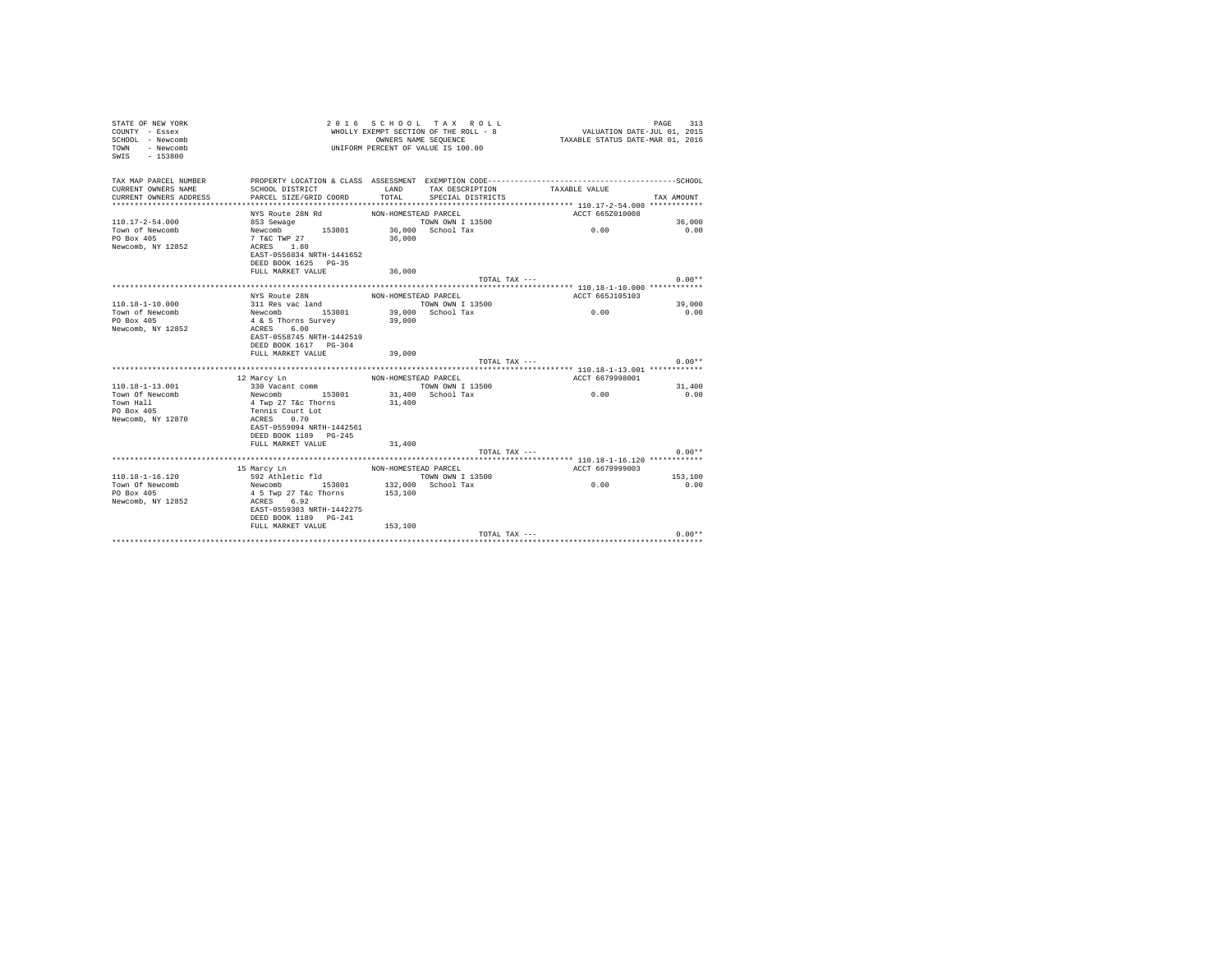| STATE OF NEW YORK<br>COUNTY - Essex<br>SCHOOL - Newcomb<br>- Newcomb<br>TOWN<br>SWTS<br>$-153800$ |                                         |                      | 2016 SCHOOL TAX ROLL<br>WHOLLY EXEMPT SECTION OF THE ROLL - 8<br>OWNERS NAME SEQUENCE<br>UNIFORM PERCENT OF VALUE IS 100.00 | VALUATION DATE-JUL 01, 2015<br>TAXABLE STATUS DATE-MAR 01, 2016 | 313<br>PAGE    |
|---------------------------------------------------------------------------------------------------|-----------------------------------------|----------------------|-----------------------------------------------------------------------------------------------------------------------------|-----------------------------------------------------------------|----------------|
| TAX MAP PARCEL NUMBER                                                                             |                                         |                      |                                                                                                                             |                                                                 |                |
| CURRENT OWNERS NAME                                                                               | SCHOOL DISTRICT                         | LAND                 | TAX DESCRIPTION                                                                                                             | TAXABLE VALUE                                                   |                |
| CURRENT OWNERS ADDRESS<br>************************                                                | PARCEL SIZE/GRID COORD                  | TOTAL                | SPECIAL DISTRICTS                                                                                                           |                                                                 | TAX AMOUNT     |
|                                                                                                   |                                         | NON-HOMESTEAD PARCEL |                                                                                                                             | ACCT 665Z010008                                                 |                |
| $110.17 - 2 - 54.000$                                                                             | NYS Route 28N Rd<br>853 Sewage          |                      | TOWN OWN I 13500                                                                                                            |                                                                 | 36,000         |
| Town of Newcomb                                                                                   | Newcomb 153801                          |                      | 36,000 School Tax                                                                                                           | 0.00                                                            | 0.00           |
| PO Box 405                                                                                        | 7 T&C TWP 27                            | 36,000               |                                                                                                                             |                                                                 |                |
| Newcomb, NY 12852                                                                                 | ACRES 1.80                              |                      |                                                                                                                             |                                                                 |                |
|                                                                                                   | EAST-0556834 NRTH-1441652               |                      |                                                                                                                             |                                                                 |                |
|                                                                                                   | DEED BOOK 1625 PG-35                    |                      |                                                                                                                             |                                                                 |                |
|                                                                                                   | FULL MARKET VALUE                       | 36,000               |                                                                                                                             |                                                                 |                |
|                                                                                                   |                                         |                      | TOTAL TAX ---                                                                                                               |                                                                 | $0.00**$       |
|                                                                                                   |                                         |                      |                                                                                                                             |                                                                 |                |
|                                                                                                   | NYS Route 28N                           | NON-HOMESTEAD PARCEL |                                                                                                                             | ACCT 665J105103                                                 |                |
| $110.18 - 1 - 10.000$<br>Town of Newcomb                                                          | 311 Res vac land                        |                      | TOWN OWN I 13500<br>39,000 School Tax                                                                                       | 0.00                                                            | 39,000<br>0.00 |
| PO Box 405                                                                                        | Newcomb 153801<br>4 & 5 Thorns Survey   | 39,000               |                                                                                                                             |                                                                 |                |
| Newcomb, NY 12852                                                                                 | ACRES 6.00                              |                      |                                                                                                                             |                                                                 |                |
|                                                                                                   | EAST-0558745 NRTH-1442519               |                      |                                                                                                                             |                                                                 |                |
|                                                                                                   | DEED BOOK 1617 PG-304                   |                      |                                                                                                                             |                                                                 |                |
|                                                                                                   | FULL MARKET VALUE                       | 39,000               |                                                                                                                             |                                                                 |                |
|                                                                                                   |                                         |                      | TOTAL TAX ---                                                                                                               |                                                                 | $0.00**$       |
|                                                                                                   |                                         |                      |                                                                                                                             | ******************** 110.18-1-13.001 ***********                |                |
|                                                                                                   | 12 Marcy Ln                             | NON-HOMESTEAD PARCEL |                                                                                                                             | ACCT 6679998001                                                 |                |
| $110.18 - 1 - 13.001$                                                                             | 330 Vacant comm<br>Newcomb 153801       |                      | TOWN OWN I 13500<br>31,400 School Tax                                                                                       |                                                                 | 31,400         |
| Town Of Newcomb<br>Town Hall                                                                      | 4 Twp 27 T&c Thorns                     | 31,400               |                                                                                                                             | 0.00                                                            | 0.00           |
| PO Box 405                                                                                        | Tennis Court Lot                        |                      |                                                                                                                             |                                                                 |                |
| Newcomb, NY 12870                                                                                 | ACRES 0.70                              |                      |                                                                                                                             |                                                                 |                |
|                                                                                                   | EAST-0559094 NRTH-1442561               |                      |                                                                                                                             |                                                                 |                |
|                                                                                                   | DEED BOOK 1189 PG-245                   |                      |                                                                                                                             |                                                                 |                |
|                                                                                                   | FULL MARKET VALUE                       | 31,400               |                                                                                                                             |                                                                 |                |
|                                                                                                   |                                         |                      | TOTAL TAX ---                                                                                                               |                                                                 | $0.00**$       |
|                                                                                                   |                                         |                      |                                                                                                                             |                                                                 |                |
|                                                                                                   | 15 Marcy Ln                             | NON-HOMESTEAD PARCEL |                                                                                                                             | ACCT 6679999003                                                 |                |
| $110.18 - 1 - 16.120$                                                                             | 592 Athletic fld                        |                      | TOWN OWN I 13500                                                                                                            |                                                                 | 153,100        |
| Town Of Newcomb<br>PO Box 405                                                                     | Newcomb 153801<br>4 5 Twp 27 T&c Thorns | 153,100              | $132,000$ School Tax                                                                                                        | 0.00                                                            | 0.00           |
| Newcomb, NY 12852                                                                                 | ACRES 6.92                              |                      |                                                                                                                             |                                                                 |                |
|                                                                                                   | EAST-0559303 NRTH-1442275               |                      |                                                                                                                             |                                                                 |                |
|                                                                                                   | DEED BOOK 1189 PG-241                   |                      |                                                                                                                             |                                                                 |                |
|                                                                                                   | FULL MARKET VALUE                       | 153,100              |                                                                                                                             |                                                                 |                |
|                                                                                                   |                                         |                      | TOTAL TAX ---                                                                                                               |                                                                 | $0.00**$       |
|                                                                                                   |                                         |                      |                                                                                                                             |                                                                 |                |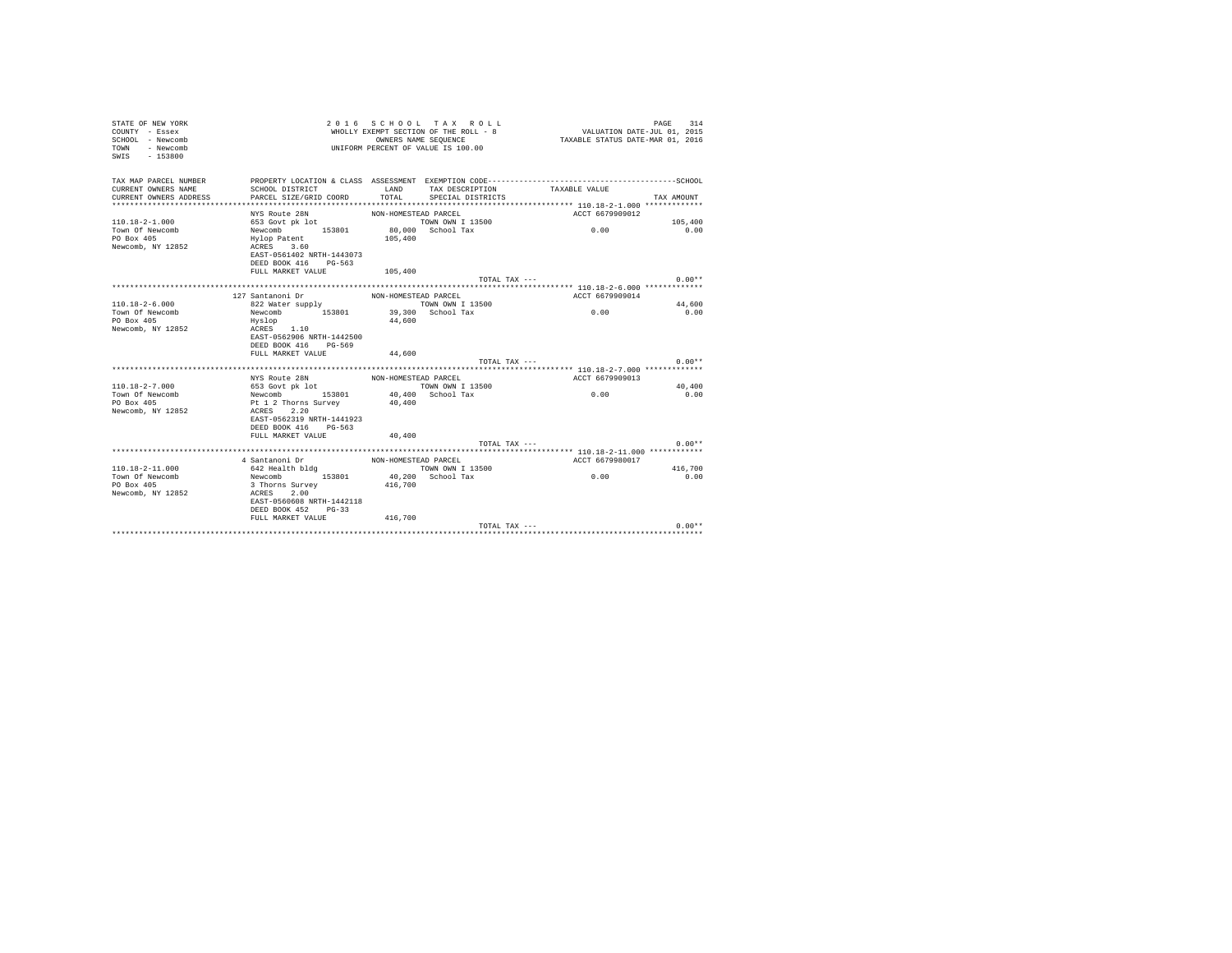| STATE OF NEW YORK<br>COUNTY - Essex<br>SCHOOL - Newcomb<br>- Newcomb<br>TOWN<br>$-153800$<br>SWIS |                                                                                              |                      | 2016 SCHOOL TAX ROLL<br>WHOLLY EXEMPT SECTION OF THE ROLL - 8<br>OWNERS NAME SEQUENCE<br>UNIFORM PERCENT OF VALUE IS 100.00 | VALUATION DATE-JUL 01, 2015<br>TAXABLE STATUS DATE-MAR 01, 2016 | 314<br>PAGE |
|---------------------------------------------------------------------------------------------------|----------------------------------------------------------------------------------------------|----------------------|-----------------------------------------------------------------------------------------------------------------------------|-----------------------------------------------------------------|-------------|
| TAX MAP PARCEL NUMBER                                                                             | PROPERTY LOCATION & CLASS ASSESSMENT EXEMPTION CODE-----------------------------------SCHOOL |                      |                                                                                                                             |                                                                 |             |
| CURRENT OWNERS NAME                                                                               | SCHOOL DISTRICT                                                                              | LAND<br>TOTAL        | TAX DESCRIPTION                                                                                                             | TAXABLE VALUE                                                   |             |
| CURRENT OWNERS ADDRESS                                                                            | PARCEL SIZE/GRID COORD                                                                       |                      | SPECIAL DISTRICTS                                                                                                           |                                                                 | TAX AMOUNT  |
|                                                                                                   | NYS Route 28N                                                                                | NON-HOMESTEAD PARCEL |                                                                                                                             | ACCT 6679909012                                                 |             |
| $110.18 - 2 - 1.000$                                                                              | 653 Govt pk lot                                                                              |                      | TOWN OWN I 13500                                                                                                            |                                                                 | 105,400     |
| Town Of Newcomb                                                                                   | Newcomb<br>153801                                                                            |                      | 80,000 School Tax                                                                                                           | 0.00                                                            | 0.00        |
| PO Box 405                                                                                        | Hylop Patent                                                                                 | 105,400              |                                                                                                                             |                                                                 |             |
| Newcomb, NY 12852                                                                                 | ACRES 3.60                                                                                   |                      |                                                                                                                             |                                                                 |             |
|                                                                                                   | EAST-0561402 NRTH-1443073                                                                    |                      |                                                                                                                             |                                                                 |             |
|                                                                                                   | DEED BOOK 416 PG-563                                                                         |                      |                                                                                                                             |                                                                 |             |
|                                                                                                   | FULL MARKET VALUE                                                                            | 105,400              |                                                                                                                             |                                                                 |             |
|                                                                                                   |                                                                                              |                      | TOTAL TAX ---                                                                                                               |                                                                 | $0.00**$    |
|                                                                                                   | 127 Santanoni Dr                                                                             | NON-HOMESTEAD PARCEL |                                                                                                                             | ACCT 6679909014                                                 |             |
| $110.18 - 2 - 6.000$                                                                              | 822 Water supply                                                                             |                      | TOWN OWN I 13500                                                                                                            |                                                                 | 44,600      |
| Town Of Newcomb                                                                                   | Newcomb 153801                                                                               |                      | 39,300 School Tax                                                                                                           | 0.00                                                            | 0.00        |
| PO Box 405                                                                                        | Hyslop                                                                                       | 44,600               |                                                                                                                             |                                                                 |             |
| Newcomb, NY 12852                                                                                 | ACRES 1.10                                                                                   |                      |                                                                                                                             |                                                                 |             |
|                                                                                                   | EAST-0562906 NRTH-1442500                                                                    |                      |                                                                                                                             |                                                                 |             |
|                                                                                                   | DEED BOOK 416 PG-569                                                                         |                      |                                                                                                                             |                                                                 |             |
|                                                                                                   | FULL MARKET VALUE                                                                            | 44,600               |                                                                                                                             |                                                                 |             |
|                                                                                                   |                                                                                              |                      | TOTAL TAX ---                                                                                                               |                                                                 | $0.00**$    |
|                                                                                                   | NYS Route 28N                                                                                | NON-HOMESTEAD PARCEL |                                                                                                                             | ACCT 6679909013                                                 |             |
| $110.18 - 2 - 7.000$                                                                              | 653 Govt pk lot                                                                              |                      | TOWN OWN I 13500                                                                                                            |                                                                 | 40,400      |
| Town Of Newcomb                                                                                   | Newcomb 153801                                                                               |                      | 40.400 School Tax                                                                                                           | 0.00                                                            | 0.00        |
| PO Box 405                                                                                        | Pt 1 2 Thorns Survey                                                                         | 40,400               |                                                                                                                             |                                                                 |             |
| Newcomb, NY 12852                                                                                 | 2.20<br>ACRES                                                                                |                      |                                                                                                                             |                                                                 |             |
|                                                                                                   | EAST-0562319 NRTH-1441923                                                                    |                      |                                                                                                                             |                                                                 |             |
|                                                                                                   | DEED BOOK 416 PG-563                                                                         |                      |                                                                                                                             |                                                                 |             |
|                                                                                                   | FULL MARKET VALUE                                                                            | 40,400               |                                                                                                                             |                                                                 |             |
|                                                                                                   |                                                                                              |                      | TOTAL TAX $---$                                                                                                             |                                                                 | $0.00**$    |
|                                                                                                   |                                                                                              |                      |                                                                                                                             |                                                                 |             |
| $110.18 - 2 - 11.000$                                                                             | 4 Santanoni Dr<br>642 Health bldg                                                            | NON-HOMESTEAD PARCEL | TOWN OWN I 13500                                                                                                            | ACCT 6679980017                                                 | 416,700     |
| Town Of Newcomb                                                                                   | Newcomb 153801                                                                               |                      | 40.200 School Tax                                                                                                           | 0.00                                                            | 0.00        |
| PO Box 405                                                                                        | 3 Thorns Survey                                                                              | 416,700              |                                                                                                                             |                                                                 |             |
| Newcomb, NY 12852                                                                                 | 2.00<br>ACRES                                                                                |                      |                                                                                                                             |                                                                 |             |
|                                                                                                   | EAST-0560608 NRTH-1442118                                                                    |                      |                                                                                                                             |                                                                 |             |
|                                                                                                   | DEED BOOK 452 PG-33                                                                          |                      |                                                                                                                             |                                                                 |             |
|                                                                                                   | FULL MARKET VALUE                                                                            | 416,700              |                                                                                                                             |                                                                 |             |
|                                                                                                   |                                                                                              |                      | TOTAL TAX ---                                                                                                               |                                                                 | $0.00**$    |
|                                                                                                   |                                                                                              |                      |                                                                                                                             |                                                                 |             |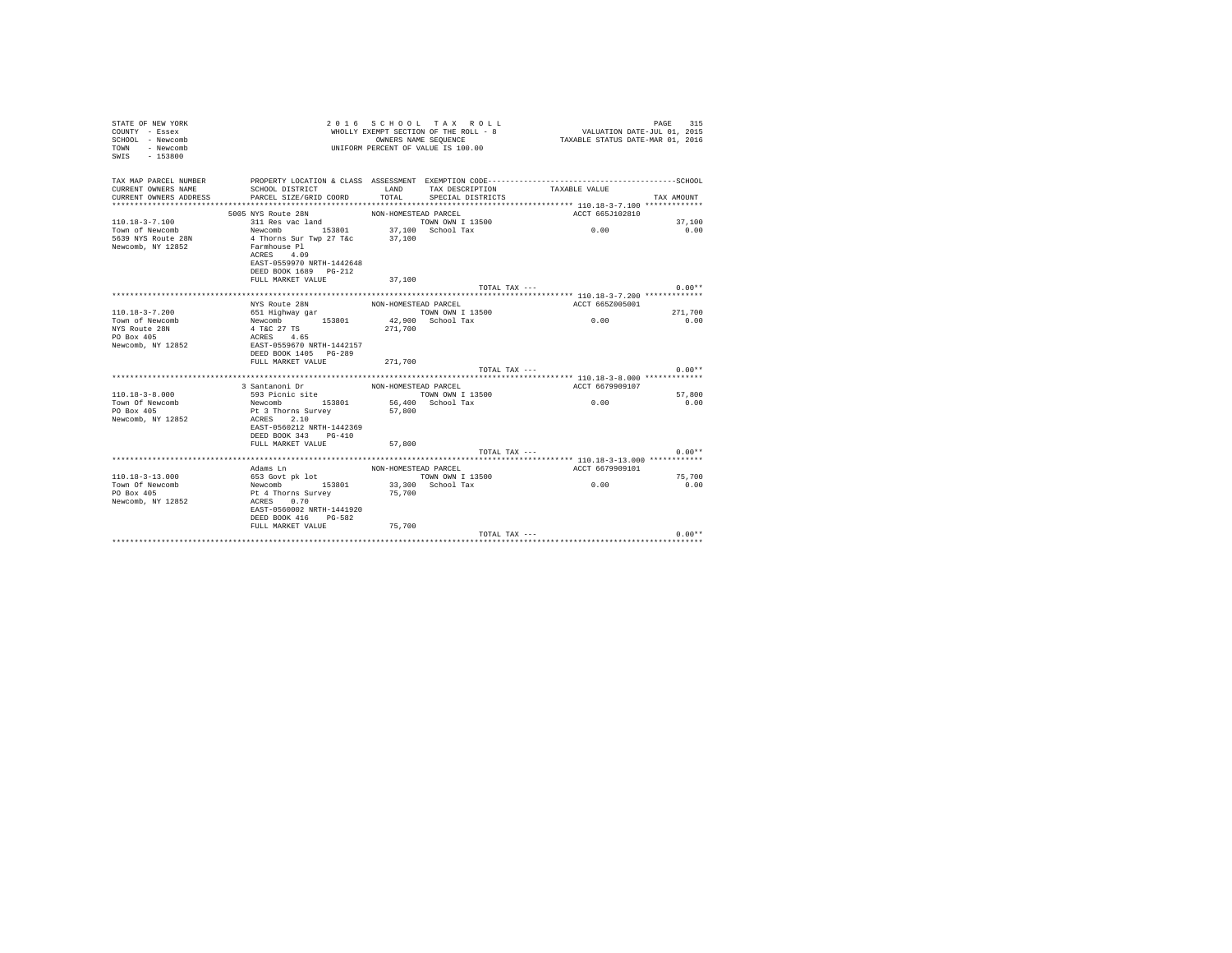| STATE OF NEW YORK<br>COUNTY - Essex<br>SCHOOL - Newcomb<br>- Newcomb<br>TOWN<br>SWIS<br>$-153800$ | 2 0 1 6                                                                                                     |                      | SCHOOL TAX ROLL<br>WHOLLY EXEMPT SECTION OF THE ROLL - 8<br>OWNERS NAME SEQUENCE<br>UNIFORM PERCENT OF VALUE IS 100.00 | VALUATION DATE-JUL 01, 2015<br>TAXABLE STATUS DATE-MAR 01, 2016 | 315<br>PAGE |
|---------------------------------------------------------------------------------------------------|-------------------------------------------------------------------------------------------------------------|----------------------|------------------------------------------------------------------------------------------------------------------------|-----------------------------------------------------------------|-------------|
| TAX MAP PARCEL NUMBER                                                                             |                                                                                                             |                      |                                                                                                                        |                                                                 |             |
| CURRENT OWNERS NAME<br>CURRENT OWNERS ADDRESS                                                     | SCHOOL DISTRICT<br>PARCEL SIZE/GRID COORD                                                                   | LAND<br>TOTAL        | TAX DESCRIPTION<br>SPECIAL DISTRICTS                                                                                   | TAXABLE VALUE                                                   | TAX AMOUNT  |
|                                                                                                   |                                                                                                             |                      |                                                                                                                        |                                                                 |             |
|                                                                                                   | 5005 NYS Route 28N                                                                                          | NON-HOMESTEAD PARCEL |                                                                                                                        | ACCT 665J102810                                                 |             |
| $110.18 - 3 - 7.100$                                                                              | 311 Res vac land                                                                                            |                      | TOWN OWN I 13500                                                                                                       |                                                                 | 37,100      |
| Town of Newcomb                                                                                   | Newcomb 153801 37,100 School Tax                                                                            |                      |                                                                                                                        | 0.00                                                            | 0.00        |
| 5639 NYS Route 28N<br>Newcomb, NY 12852                                                           | 4 Thorns Sur Twp 27 T&c<br>Farmhouse Pl<br>ACRES 4.09<br>EAST-0559970 NRTH-1442648<br>DEED BOOK 1689 PG-212 | 37,100               |                                                                                                                        |                                                                 |             |
|                                                                                                   | FULL MARKET VALUE                                                                                           | 37,100               |                                                                                                                        |                                                                 |             |
|                                                                                                   |                                                                                                             |                      | TOTAL TAX ---                                                                                                          |                                                                 | $0.00**$    |
|                                                                                                   | NYS Route 28N                                                                                               | NON-HOMESTEAD PARCEL |                                                                                                                        | ACCT 665Z005001                                                 |             |
| $110.18 - 3 - 7.200$                                                                              | 651 Highway gar                                                                                             |                      | TOWN OWN I 13500                                                                                                       |                                                                 | 271,700     |
| Town of Newcomb                                                                                   | Newcomb 153801                                                                                              |                      | 42,900 School Tax                                                                                                      | 0.00                                                            | 0.00        |
| NYS Route 28N<br>PO Box 405<br>Newcomb, NY 12852                                                  | 4 T&C 27 TS<br>ACRES 4.65<br>EAST-0559670 NRTH-1442157<br>DEED BOOK 1405 PG-289<br>FULL MARKET VALUE        | 271,700              |                                                                                                                        |                                                                 |             |
|                                                                                                   |                                                                                                             | 271,700              | TOTAL TAX ---                                                                                                          |                                                                 | $0.00**$    |
|                                                                                                   |                                                                                                             |                      |                                                                                                                        |                                                                 |             |
|                                                                                                   | 3 Santanoni Dr                                                                                              | NON-HOMESTEAD PARCEL |                                                                                                                        | ACCT 6679909107                                                 |             |
| $110.18 - 3 - 8.000$                                                                              | 593 Picnic site                                                                                             |                      | TOWN OWN I 13500                                                                                                       |                                                                 | 57,800      |
| Town Of Newcomb                                                                                   | Newcomb 153801                                                                                              |                      | 56,400 School Tax                                                                                                      | 0.00                                                            | 0.00        |
| PO Box 405<br>Newcomb, NY 12852                                                                   | Pt 3 Thorns Survey<br>ACRES 2.10<br>EAST-0560212 NRTH-1442369<br>DEED BOOK 343 PG-410<br>FULL MARKET VALUE  | 57,800<br>57,800     |                                                                                                                        |                                                                 |             |
|                                                                                                   |                                                                                                             |                      | TOTAL TAX ---                                                                                                          |                                                                 | $0.00**$    |
|                                                                                                   |                                                                                                             |                      |                                                                                                                        |                                                                 |             |
| 110.18-3-13.000                                                                                   | Adams Ln<br>653 Govt pk lot                                                                                 | NON-HOMESTEAD PARCEL | TOWN OWN I 13500                                                                                                       | ACCT 6679909101                                                 | 75,700      |
| Town Of Newcomb                                                                                   | Newcomb 153801                                                                                              |                      | 33,300 School Tax                                                                                                      | 0.00                                                            | 0.00        |
| PO Box 405<br>Newcomb, NY 12852                                                                   | Pt 4 Thorns Survey<br>ACRES 0.70<br>EAST-0560002 NRTH-1441920<br>DEED BOOK 416 PG-582                       | 75,700               |                                                                                                                        |                                                                 |             |
|                                                                                                   | FULL MARKET VALUE 75,700                                                                                    |                      |                                                                                                                        |                                                                 |             |
|                                                                                                   |                                                                                                             |                      | TOTAL TAX ---                                                                                                          |                                                                 | $0.00**$    |
|                                                                                                   |                                                                                                             |                      |                                                                                                                        |                                                                 |             |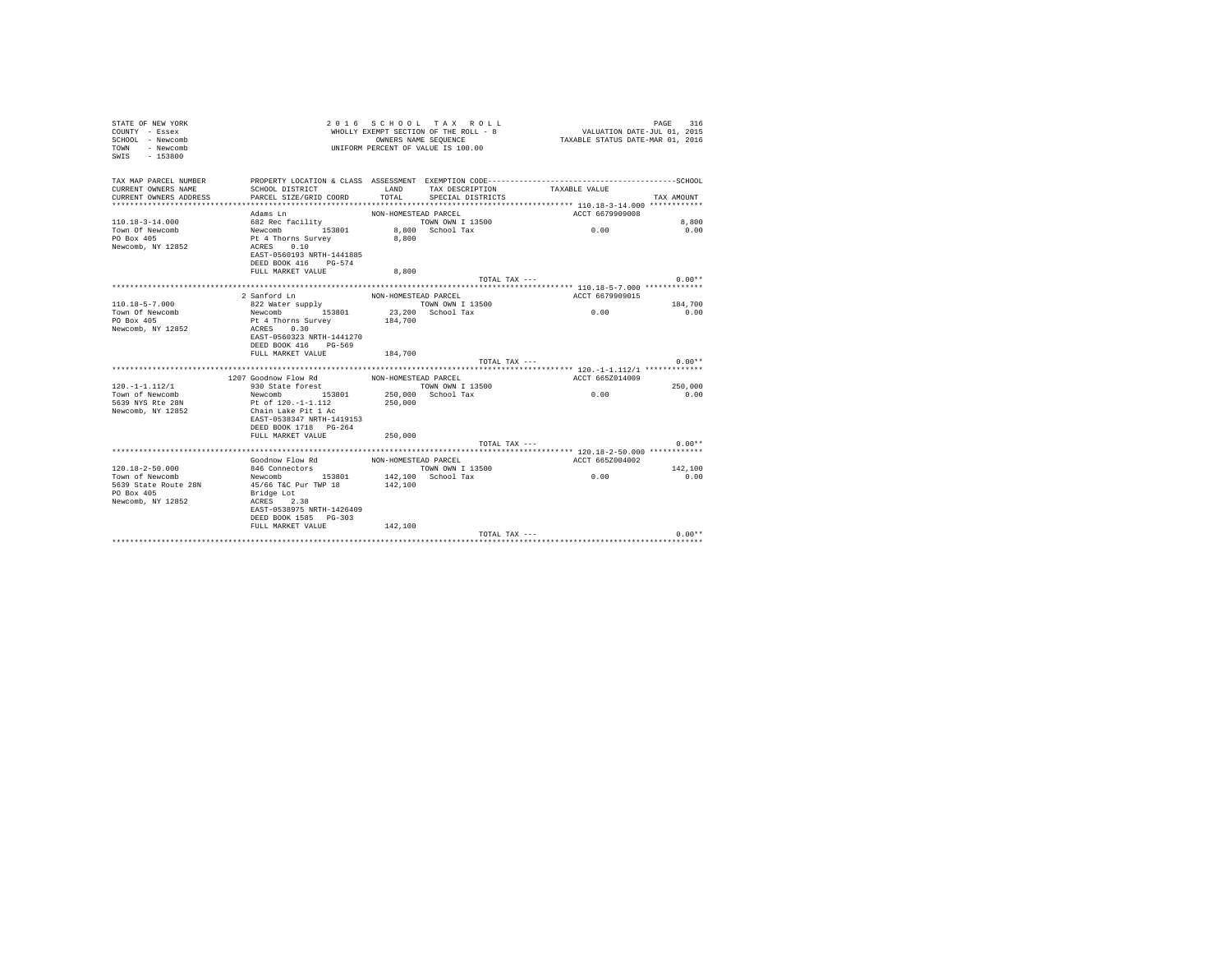| STATE OF NEW YORK<br>COUNTY - Essex<br>SCHOOL - Newcomb<br>- Newcomb<br>TOWN<br>SWIS - 153800 | 2016 SCHOOL TAX ROLL<br>PAGE<br>VALUATION DATE-JUL 01, 2015<br>WHOLLY EXEMPT SECTION OF THE ROLL - 8<br>TAXABLE STATUS DATE-MAR 01, 2016<br>OWNERS NAME SEQUENCE<br>UNIFORM PERCENT OF VALUE IS 100.00 |                      |                   |                                                   |            |
|-----------------------------------------------------------------------------------------------|--------------------------------------------------------------------------------------------------------------------------------------------------------------------------------------------------------|----------------------|-------------------|---------------------------------------------------|------------|
| TAX MAP PARCEL NUMBER                                                                         |                                                                                                                                                                                                        |                      |                   |                                                   |            |
| CURRENT OWNERS NAME                                                                           | SCHOOL DISTRICT                                                                                                                                                                                        | LAND                 | TAX DESCRIPTION   | TAXABLE VALUE                                     |            |
| CURRENT OWNERS ADDRESS<br>*************************                                           | PARCEL SIZE/GRID COORD                                                                                                                                                                                 | TOTAL                | SPECIAL DISTRICTS |                                                   | TAX AMOUNT |
|                                                                                               | Adams In                                                                                                                                                                                               | NON-HOMESTEAD PARCEL |                   | ACCT 6679909008                                   |            |
| $110.18 - 3 - 14.000$                                                                         | 682 Rec facility                                                                                                                                                                                       |                      | TOWN OWN I 13500  |                                                   | 8,800      |
| Town Of Newcomb                                                                               |                                                                                                                                                                                                        |                      | 8,800 School Tax  | 0.00                                              | 0.00       |
| PO Box 405                                                                                    | Newcomb 153801<br>Pt 4 Thorns Survey                                                                                                                                                                   | 8,800                |                   |                                                   |            |
| Newcomb, NY 12852                                                                             | ACRES 0.10                                                                                                                                                                                             |                      |                   |                                                   |            |
|                                                                                               | EAST-0560193 NRTH-1441885                                                                                                                                                                              |                      |                   |                                                   |            |
|                                                                                               | DEED BOOK 416 PG-574                                                                                                                                                                                   |                      |                   |                                                   |            |
|                                                                                               | FULL MARKET VALUE                                                                                                                                                                                      | 8,800                |                   |                                                   |            |
|                                                                                               |                                                                                                                                                                                                        |                      | TOTAL TAX ---     |                                                   | $0.00**$   |
|                                                                                               |                                                                                                                                                                                                        |                      |                   |                                                   |            |
|                                                                                               | 2 Sanford Ln                                                                                                                                                                                           | NON-HOMESTEAD PARCEL |                   | ACCT 6679909015                                   |            |
| $110.18 - 5 - 7.000$                                                                          | 822 Water supply                                                                                                                                                                                       |                      | TOWN OWN I 13500  |                                                   | 184,700    |
| Town Of Newcomb                                                                               | Newcomb 153801                                                                                                                                                                                         |                      | 23.200 School Tax | 0.00                                              | 0.00       |
| PO Box 405<br>Newcomb, NY 12852                                                               | Pt 4 Thorns Survey<br>ACRES 0.30                                                                                                                                                                       | 184,700              |                   |                                                   |            |
|                                                                                               | EAST-0560323 NRTH-1441270                                                                                                                                                                              |                      |                   |                                                   |            |
|                                                                                               | DEED BOOK 416 PG-569                                                                                                                                                                                   |                      |                   |                                                   |            |
|                                                                                               | FULL MARKET VALUE 184,700                                                                                                                                                                              |                      |                   |                                                   |            |
|                                                                                               |                                                                                                                                                                                                        |                      | TOTAL TAX ---     |                                                   | $0.00**$   |
|                                                                                               |                                                                                                                                                                                                        |                      |                   | ******************** 120.-1-1.112/1 ************* |            |
|                                                                                               | 1207 Goodnow Flow Rd                                                                                                                                                                                   | NON-HOMESTEAD PARCEL |                   | ACCT 665Z014009                                   |            |
| $120. -1 - 1.112/1$                                                                           | 930 State forest                                                                                                                                                                                       |                      | TOWN OWN I 13500  |                                                   | 250,000    |
| Town of Newcomb                                                                               | Newcomb 153801 250,000 School Tax                                                                                                                                                                      |                      |                   | 0.00                                              | 0.00       |
| 5639 NYS Rte 28N                                                                              | Pt of 120.-1-1.112                                                                                                                                                                                     | 250,000              |                   |                                                   |            |
| Newcomb, NY 12852                                                                             | Chain Lake Pit 1 Ac                                                                                                                                                                                    |                      |                   |                                                   |            |
|                                                                                               | EAST-0538347 NRTH-1419153                                                                                                                                                                              |                      |                   |                                                   |            |
|                                                                                               | DEED BOOK 1718 PG-264                                                                                                                                                                                  |                      |                   |                                                   |            |
|                                                                                               | FULL MARKET VALUE                                                                                                                                                                                      | 250,000              | TOTAL TAX ---     |                                                   | $0.00**$   |
|                                                                                               |                                                                                                                                                                                                        |                      |                   |                                                   |            |
|                                                                                               | Goodnow Flow Rd                                                                                                                                                                                        | NON-HOMESTEAD PARCEL |                   | ACCT 665Z004002                                   |            |
| $120.18 - 2 - 50.000$                                                                         | 846 Connectors                                                                                                                                                                                         |                      | TOWN OWN I 13500  |                                                   | 142,100    |
| Town of Newcomb                                                                               | Newcomb 153801 142,100 School Tax                                                                                                                                                                      |                      |                   | 0.00                                              | 0.00       |
| 5639 State Route 28N                                                                          | 45/66 T&C Pur TWP 18 142.100                                                                                                                                                                           |                      |                   |                                                   |            |
| PO Box 405                                                                                    | Bridge Lot                                                                                                                                                                                             |                      |                   |                                                   |            |
| Newcomb, NY 12852                                                                             | ACRES 2.38                                                                                                                                                                                             |                      |                   |                                                   |            |
|                                                                                               | EAST-0538975 NRTH-1426409                                                                                                                                                                              |                      |                   |                                                   |            |
|                                                                                               | DEED BOOK 1585 PG-303                                                                                                                                                                                  |                      |                   |                                                   |            |
|                                                                                               | FULL MARKET VALUE                                                                                                                                                                                      | 142,100              |                   |                                                   |            |
|                                                                                               |                                                                                                                                                                                                        |                      | TOTAL TAX ---     |                                                   | $0.00**$   |
|                                                                                               |                                                                                                                                                                                                        |                      |                   |                                                   |            |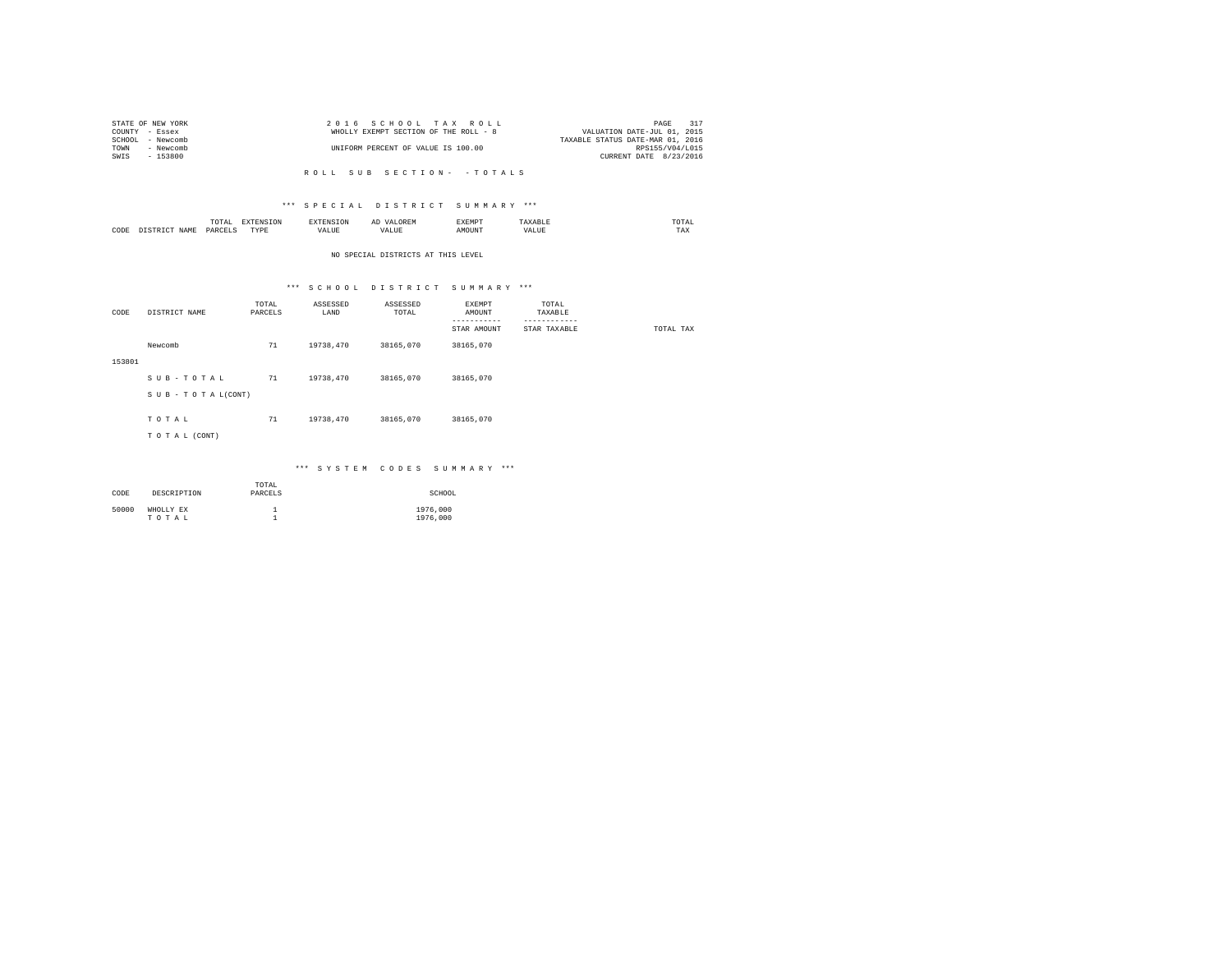|                | STATE OF NEW YORK | 2016 SCHOOL TAX ROLL                  | 317<br>PAGE                      |
|----------------|-------------------|---------------------------------------|----------------------------------|
| COUNTY - Essex |                   | WHOLLY EXEMPT SECTION OF THE ROLL - 8 | VALUATION DATE-JUL 01, 2015      |
|                | SCHOOL - Newcomb  |                                       | TAXABLE STATUS DATE-MAR 01, 2016 |
| TOWN           | - Newcomb         | UNIFORM PERCENT OF VALUE IS 100.00    | RPS155/V04/L015                  |
| SWIS           | - 153800          |                                       | CURRENT DATE 8/23/2016           |
|                |                   |                                       |                                  |

## \*\*\* S P E C I A L D I S T R I C T S U M M A R Y \*\*\*

|      |           | -------<br>TOTAL<br>the contract of the contract of the contract of | the contract of the contract of the contract of the contract of the contract of |        | ▵ |               |       | the contract of the contract of the contract of |
|------|-----------|---------------------------------------------------------------------|---------------------------------------------------------------------------------|--------|---|---------------|-------|-------------------------------------------------|
| CODE | <b>AM</b> | DARCELS<br>.                                                        | TVDL<br>.                                                                       | 'ALLIN |   | <b>IOTIN'</b> | $  -$ | $m + n$<br>1'A.X                                |

## NO SPECIAL DISTRICTS AT THIS LEVEL

## \*\*\* S C H O O L D I S T R I C T S U M M A R Y \*\*\*

| CODE   | DISTRICT NAME      | TOTAL<br>PARCELS | ASSESSED<br>LAND | ASSESSED<br>TOTAL | EXEMPT<br>AMOUNT<br>--------<br>STAR AMOUNT | TOTAL<br>TAXABLE<br>------------<br>STAR TAXABLE | TOTAL TAX |
|--------|--------------------|------------------|------------------|-------------------|---------------------------------------------|--------------------------------------------------|-----------|
|        | Newcomb            | 71               | 19738,470        | 38165,070         | 38165,070                                   |                                                  |           |
| 153801 |                    |                  |                  |                   |                                             |                                                  |           |
|        | SUB-TOTAL          | 71               | 19738,470        | 38165,070         | 38165,070                                   |                                                  |           |
|        | SUB - TO TAL(CONT) |                  |                  |                   |                                             |                                                  |           |
|        |                    |                  |                  |                   |                                             |                                                  |           |
|        | TOTAL              | 71               | 19738,470        | 38165,070         | 38165,070                                   |                                                  |           |
|        | TO TAL (CONT)      |                  |                  |                   |                                             |                                                  |           |
|        |                    |                  |                  |                   |                                             |                                                  |           |

## \*\*\* S Y S T E M C O D E S S U M M A R Y \*\*\*

| CODE  | DESCRIPTION        | TOTAL<br>PARCELS | SCHOOL               |
|-------|--------------------|------------------|----------------------|
| 50000 | WHOLLY EX<br>TOTAL |                  | 1976,000<br>1976,000 |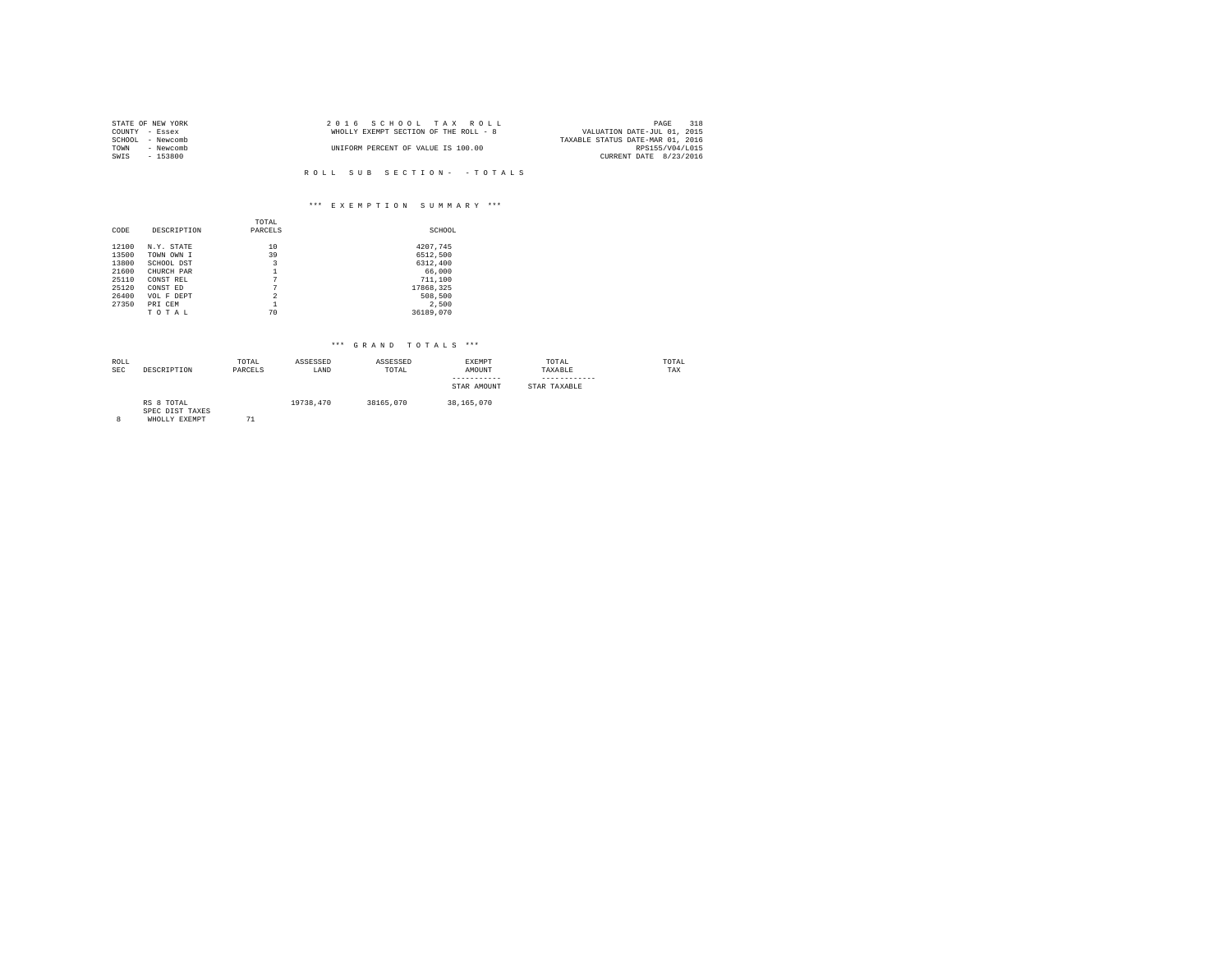| STATE OF NEW YORK |           | 2016 SCHOOL TAX ROLL |                                       |  |  |                                  | PAGE            | 318 |
|-------------------|-----------|----------------------|---------------------------------------|--|--|----------------------------------|-----------------|-----|
| COUNTY - Essex    |           |                      | WHOLLY EXEMPT SECTION OF THE ROLL - 8 |  |  | VALUATION DATE-JUL 01, 2015      |                 |     |
| SCHOOL            | - Newcomb |                      |                                       |  |  | TAXABLE STATUS DATE-MAR 01, 2016 |                 |     |
| TOWN              | - Newcomb |                      | UNIFORM PERCENT OF VALUE IS 100.00    |  |  |                                  | RPS155/V04/L015 |     |
| SWIS              | $-153800$ |                      |                                       |  |  | CURRENT DATE 8/23/2016           |                 |     |
|                   |           |                      |                                       |  |  |                                  |                 |     |

## \*\*\* E X E M P T I O N S U M M A R Y \*\*\*

|       |             | TOTAL          |           |
|-------|-------------|----------------|-----------|
| CODE  | DESCRIPTION | PARCELS        | SCHOOL    |
|       |             |                |           |
| 12100 | N.Y. STATE  | 10             | 4207.745  |
| 13500 | TOWN OWN I  | 39             | 6512,500  |
| 13800 | SCHOOL DST  | 3              | 6312,400  |
| 21600 | CHURCH PAR  |                | 66,000    |
| 25110 | CONST REL   | 7              | 711,100   |
| 25120 | CONST ED    | 7              | 17868,325 |
| 26400 | VOL F DEPT  | $\mathfrak{D}$ | 508,500   |
| 27350 | PRI CEM     | 1              | 2.500     |
|       | TOTAL       | 70             | 36189,070 |

| ROLL<br><b>SEC</b> | DESCRIPTION                                    | TOTAL<br>PARCELS | ASSESSED<br>LAND | ASSESSED<br>TOTAL | EXEMPT<br>AMOUNT<br>STAR AMOUNT | TOTAL<br>TAXABLE<br>STAR TAXABLE | TOTAL<br>TAX |
|--------------------|------------------------------------------------|------------------|------------------|-------------------|---------------------------------|----------------------------------|--------------|
| 8                  | RS 8 TOTAL<br>SPEC DIST TAXES<br>WHOLLY EXEMPT | 71               | 19738.470        | 38165,070         | 38,165,070                      |                                  |              |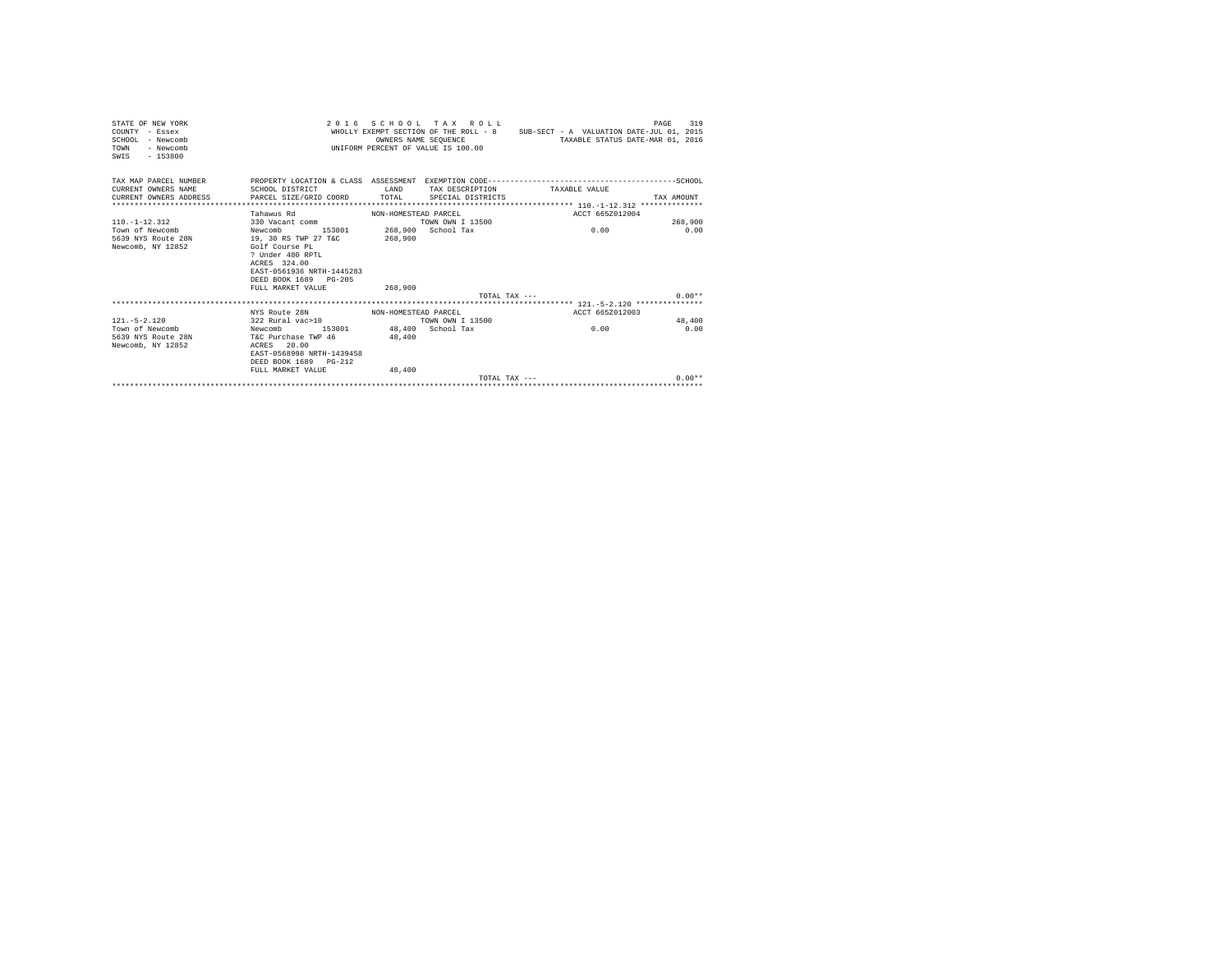| STATE OF NEW YORK<br>COUNTY - Essex<br>$SCHOM.$ - Newcomb<br>- Newcomb<br>TOWN<br>SWIS - 153800 |                                                                                                                                                                                               |                      | 2016 SCHOOL TAX ROLL<br>OWNERS NAME SEOUENCE<br>UNIFORM PERCENT OF VALUE IS 100.00 | WHOLLY EXEMPT SECTION OF THE ROLL - 8 SUB-SECT - A VALUATION DATE-JUL 01, 2015<br>TAXABLE STATUS DATE-MAR 01, 2016                                 | PAGE<br>319 |
|-------------------------------------------------------------------------------------------------|-----------------------------------------------------------------------------------------------------------------------------------------------------------------------------------------------|----------------------|------------------------------------------------------------------------------------|----------------------------------------------------------------------------------------------------------------------------------------------------|-------------|
| CURRENT OWNERS NAME<br>CURRENT OWNERS ADDRESS                                                   | SCHOOL DISTRICT<br>PARCEL SIZE/GRID COORD TOTAL                                                                                                                                               | <b>T.AND</b>         | SPECIAL DISTRICTS                                                                  | TAX MAP PARCEL NUMBER PROPERTY LOCATION & CLASS ASSESSMENT EXEMPTION CODE----------------------------------SCHOOL<br>TAX DESCRIPTION TAXABLE VALUE | TAX AMOUNT  |
|                                                                                                 |                                                                                                                                                                                               |                      |                                                                                    |                                                                                                                                                    |             |
|                                                                                                 | Tahawus Rd                                                                                                                                                                                    | NON-HOMESTEAD PARCEL |                                                                                    | ACCT 665Z012004                                                                                                                                    |             |
| $110 - 1 - 12 - 312$                                                                            | 330 Vacant comm                                                                                                                                                                               |                      | TOWN OWN T 13500                                                                   |                                                                                                                                                    | 268,900     |
| Town of Newcomb<br>5639 NYS Route 28N<br>Newcomb, NY 12852                                      | 153801 268,900 School Tax<br>Newcomb<br>19, 30 RS TWP 27 T&C<br>Golf Course PL<br>? Under 480 RPTL<br>ACRES 324.00<br>EAST-0561936 NRTH-1445283<br>DEED BOOK 1689 PG-205<br>FULL MARKET VALUE | 268,900<br>268,900   |                                                                                    | 0.00                                                                                                                                               | 0.00        |
|                                                                                                 |                                                                                                                                                                                               |                      |                                                                                    | TOTAL TAX ---                                                                                                                                      | $0.00**$    |
|                                                                                                 |                                                                                                                                                                                               |                      |                                                                                    |                                                                                                                                                    |             |
|                                                                                                 | NYS Route 28N                                                                                                                                                                                 | NON-HOMESTEAD PARCEL |                                                                                    | ACCT 665Z012003                                                                                                                                    |             |
| $121 - 5 - 2.120$                                                                               | 322 Rural vac>10                                                                                                                                                                              |                      | TOWN OWN I 13500                                                                   |                                                                                                                                                    | 48,400      |
| Town of Newcomb<br>5639 NYS Route 28N T&C Purchase TWP 46<br>Newcomb, NY 12852                  | Newcomb 153801 48,400 School Tax<br>ACRES 20.00<br>EAST-0568998 NRTH-1439458<br>DEED BOOK 1689 PG-212<br>FULL MARKET VALUE                                                                    | 48,400<br>48,400     |                                                                                    | 0.00                                                                                                                                               | 0.00        |
|                                                                                                 |                                                                                                                                                                                               |                      | $T$ $\cap$ $T\Delta T$ . $T\Delta Y$ $---$                                         |                                                                                                                                                    | $0.00**$    |
|                                                                                                 |                                                                                                                                                                                               |                      |                                                                                    |                                                                                                                                                    |             |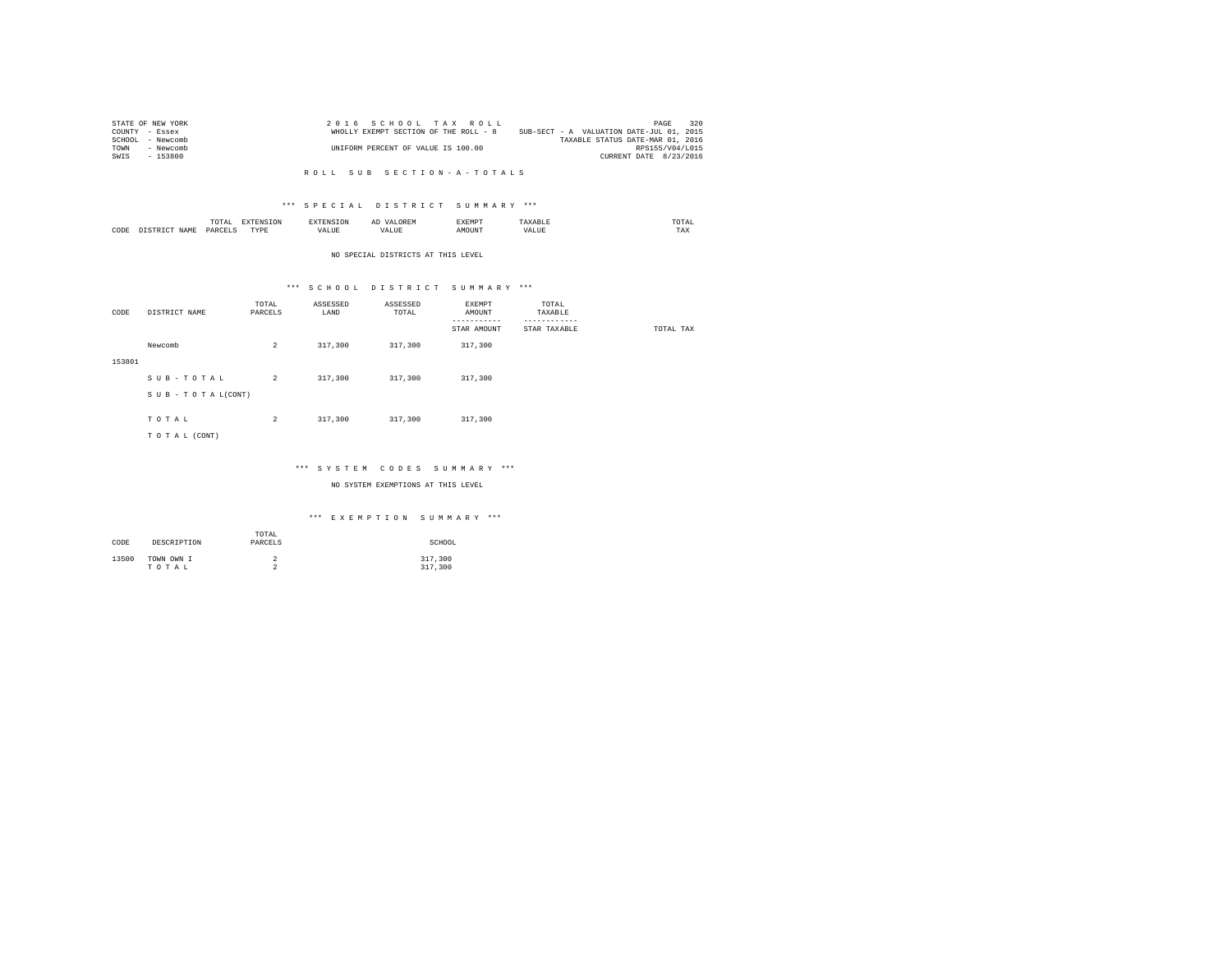| STATE OF NEW YORK   | 2016 SCHOOL TAX ROLL                  | 320<br>PAGE                              |
|---------------------|---------------------------------------|------------------------------------------|
| COUNTY - Essex      | WHOLLY EXEMPT SECTION OF THE ROLL - 8 | SUB-SECT - A VALUATION DATE-JUL 01, 2015 |
| SCHOOL<br>- Newcomb |                                       | TAXABLE STATUS DATE-MAR 01, 2016         |
| TOWN<br>- Newcomb   | UNIFORM PERCENT OF VALUE IS 100.00    | RPS155/V04/L015                          |
| $-153800$<br>SWIS   |                                       | CURRENT DATE 8/23/2016                   |

## \*\*\* S P E C I A L D I S T R I C T S U M M A R Y \*\*\*

|      | .UTAI     | $- - - -$           |           |   | "YEMP" |      | $m \wedge m \wedge n$<br>the contract of the contract of the contract of |
|------|-----------|---------------------|-----------|---|--------|------|--------------------------------------------------------------------------|
| CODE | DAR!<br>. | $- - - -$<br>v<br>. | - ---<br> | n |        | ∺⊥บอ | 1 A.A                                                                    |

#### NO SPECIAL DISTRICTS AT THIS LEVEL

## \*\*\* S C H O O L D I S T R I C T S U M M A R Y \*\*\*

| CODE   | DISTRICT NAME   | TOTAL<br>PARCELS | ASSESSED<br>LAND | ASSESSED<br>TOTAL | EXEMPT<br>AMOUNT<br>----------- | TOTAL<br>TAXABLE<br>---------- |           |
|--------|-----------------|------------------|------------------|-------------------|---------------------------------|--------------------------------|-----------|
|        |                 |                  |                  |                   | STAR AMOUNT                     | STAR TAXABLE                   | TOTAL TAX |
|        | Newcomb         | $\overline{2}$   | 317,300          | 317,300           | 317,300                         |                                |           |
| 153801 |                 |                  |                  |                   |                                 |                                |           |
|        | SUB-TOTAL       | $\overline{2}$   | 317,300          | 317,300           | 317,300                         |                                |           |
|        | SUB-TOTAL(CONT) |                  |                  |                   |                                 |                                |           |
|        |                 |                  |                  |                   |                                 |                                |           |
|        | TOTAL           | $\overline{2}$   | 317,300          | 317,300           | 317,300                         |                                |           |
|        | TO TAL (CONT)   |                  |                  |                   |                                 |                                |           |

## \*\*\* S Y S T E M C O D E S S U M M A R Y \*\*\*

NO SYSTEM EXEMPTIONS AT THIS LEVEL

## \*\*\* E X E M P T I O N S U M M A R Y \*\*\*

| CODE  | DESCRIPTION         | TOTAL<br>PARCELS | SCHOOL             |
|-------|---------------------|------------------|--------------------|
| 13500 | TOWN OWN I<br>TOTAL | ∠<br>$\sim$<br>∼ | 317,300<br>317,300 |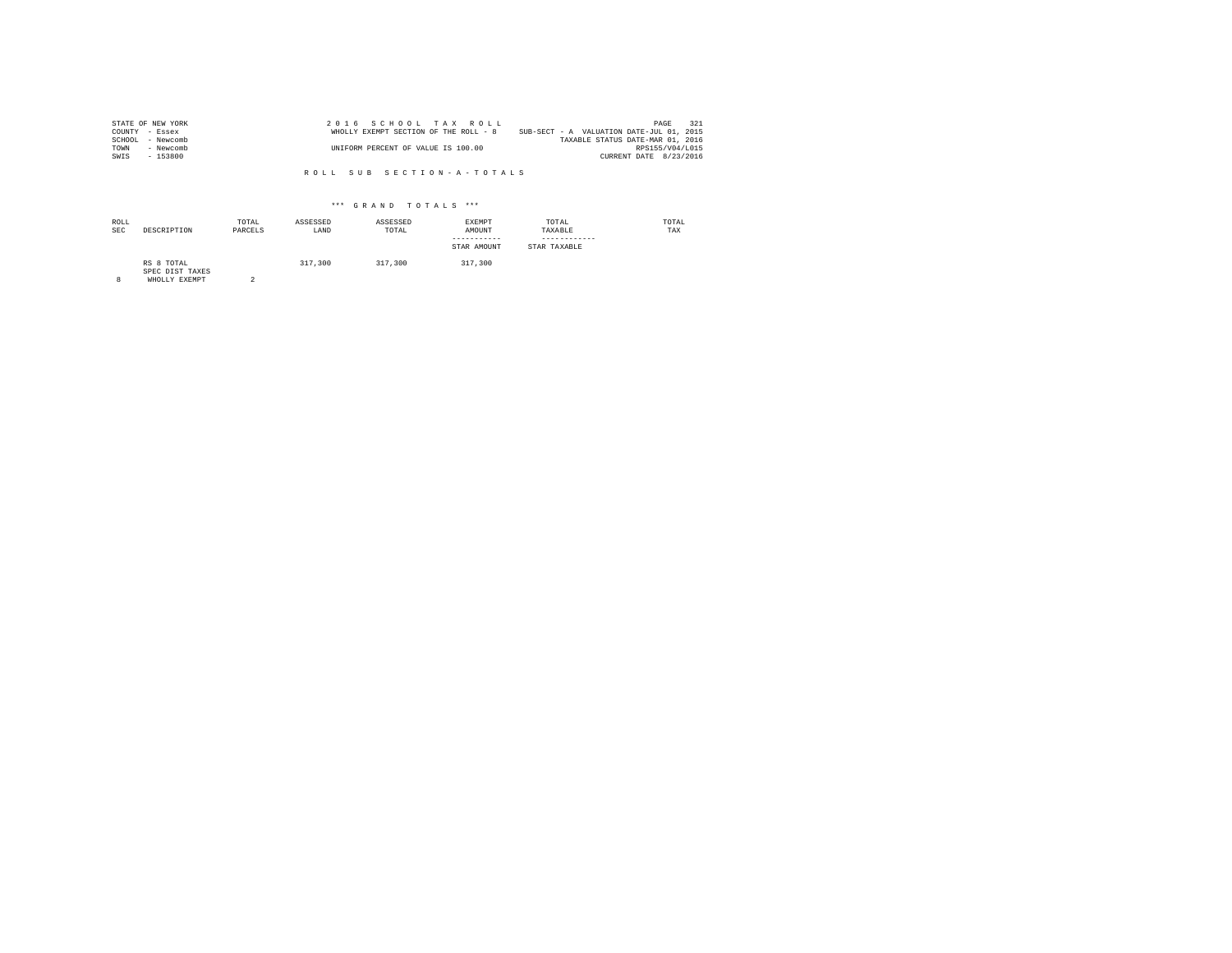| STATE OF NEW YORK   | 2016 SCHOOL TAX ROLL                  | 321<br>PAGE                              |
|---------------------|---------------------------------------|------------------------------------------|
| COUNTY - Essex      | WHOLLY EXEMPT SECTION OF THE ROLL - 8 | SUB-SECT - A VALUATION DATE-JUL 01, 2015 |
| SCHOOL<br>- Newcomb |                                       | TAXABLE STATUS DATE-MAR 01, 2016         |
| TOWN<br>- Newcomb   | UNIFORM PERCENT OF VALUE IS 100.00    | RPS155/V04/L015                          |
| SWIS<br>- 153800    |                                       | CURRENT DATE 8/23/2016                   |

| ROLL<br><b>SEC</b> | DESCRIPTION                                    | TOTAL<br>PARCELS | ASSESSED<br>LAND | ASSESSED<br>TOTAL | EXEMPT<br>AMOUNT<br>-----------<br>STAR AMOUNT | TOTAL<br>TAXABLE<br>------------<br>STAR TAXABLE | TOTAL<br>TAX |
|--------------------|------------------------------------------------|------------------|------------------|-------------------|------------------------------------------------|--------------------------------------------------|--------------|
| 8                  | RS 8 TOTAL<br>SPEC DIST TAXES<br>WHOLLY EXEMPT |                  | 317,300          | 317,300           | 317,300                                        |                                                  |              |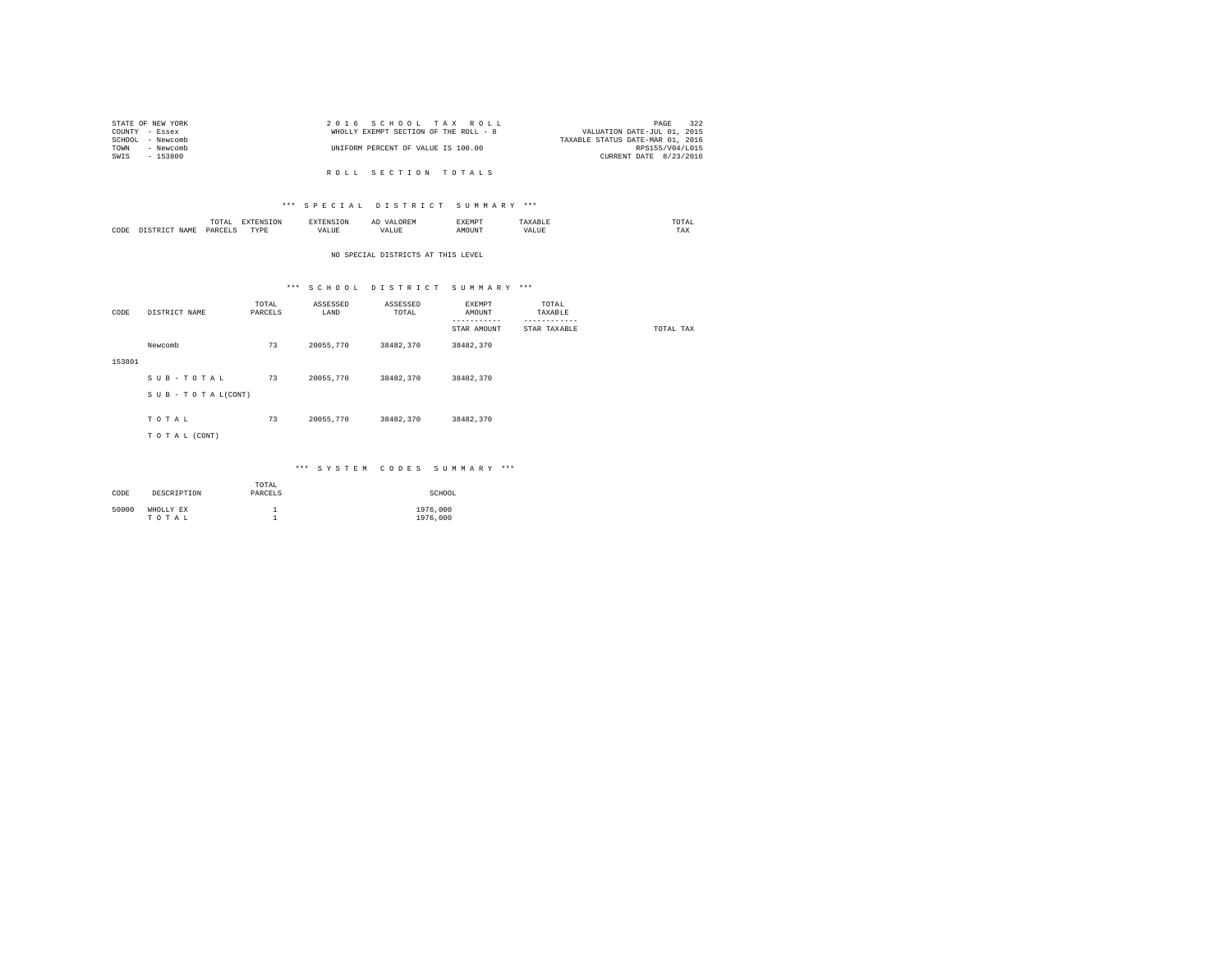|                | STATE OF NEW YORK |                                    |  |  | 2016 SCHOOL TAX ROLL                  | 322<br>PAGE                      |
|----------------|-------------------|------------------------------------|--|--|---------------------------------------|----------------------------------|
| COUNTY - Essex |                   |                                    |  |  | WHOLLY EXEMPT SECTION OF THE ROLL - 8 | VALUATION DATE-JUL 01, 2015      |
|                | SCHOOL - Newcomb  |                                    |  |  |                                       | TAXABLE STATUS DATE-MAR 01, 2016 |
| TOWN           | - Newcomb         | UNIFORM PERCENT OF VALUE IS 100.00 |  |  |                                       | RPS155/V04/L015                  |
| SWIS           | - 153800          |                                    |  |  |                                       | CURRENT DATE 8/23/2016           |
|                |                   |                                    |  |  |                                       |                                  |
|                |                   |                                    |  |  | ROLL SECTION TOTALS                   |                                  |

## \*\*\* S P E C I A L D I S T R I C T S U M M A R Y \*\*\*

|           | 10 I A<br>the contract of the contract of the contract of |             |             | $\sim$<br>      | "кМР™ |        | the contract of the contract of the contract of |
|-----------|-----------------------------------------------------------|-------------|-------------|-----------------|-------|--------|-------------------------------------------------|
| CODE<br>. |                                                           | <b>TVDL</b> | <b>ALUE</b> | $-$<br>$\cdots$ |       | $\sim$ | 1 M A                                           |

## NO SPECIAL DISTRICTS AT THIS LEVEL

## \*\*\* S C H O O L D I S T R I C T S U M M A R Y \*\*\*

| CODE   | DISTRICT NAME   | TOTAL<br>PARCELS | ASSESSED<br>LAND | ASSESSED<br>TOTAL | EXEMPT<br>AMOUNT         | TOTAL<br>TAXABLE             |           |
|--------|-----------------|------------------|------------------|-------------------|--------------------------|------------------------------|-----------|
|        |                 |                  |                  |                   | ---------<br>STAR AMOUNT | ------------<br>STAR TAXABLE | TOTAL TAX |
|        | Newcomb         | 73               | 20055,770        | 38482.370         | 38482,370                |                              |           |
| 153801 |                 |                  |                  |                   |                          |                              |           |
|        | SUB-TOTAL       | 73               | 20055,770        | 38482,370         | 38482,370                |                              |           |
|        | SUB-TOTAL(CONT) |                  |                  |                   |                          |                              |           |
|        |                 |                  |                  |                   |                          |                              |           |
|        | TOTAL           | 73               | 20055,770        | 38482,370         | 38482,370                |                              |           |
|        | TO TAL (CONT)   |                  |                  |                   |                          |                              |           |
|        |                 |                  |                  |                   |                          |                              |           |

## \*\*\* S Y S T E M C O D E S S U M M A R Y \*\*\*

| CODE  | DESCRIPTION        | TOTAL<br>PARCELS | SCHOOL               |
|-------|--------------------|------------------|----------------------|
| 50000 | WHOLLY EX<br>TOTAL |                  | 1976,000<br>1976,000 |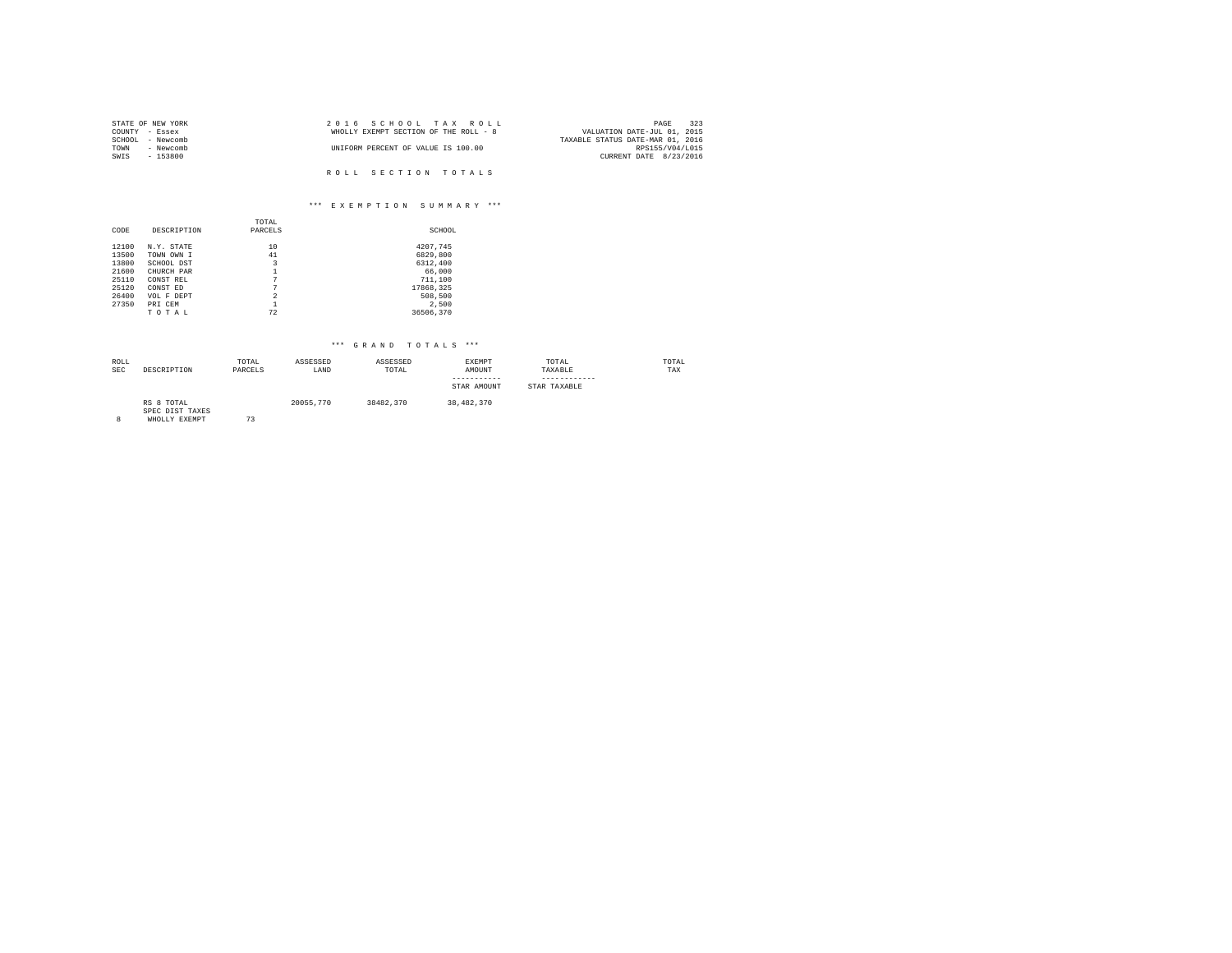| STATE OF NEW YORK | 2016 SCHOOL TAX ROLL                  | 323<br>PAGE                      |
|-------------------|---------------------------------------|----------------------------------|
| COUNTY - Essex    | WHOLLY EXEMPT SECTION OF THE ROLL - 8 | VALUATION DATE-JUL 01, 2015      |
| SCHOOL - Newcomb  |                                       | TAXABLE STATUS DATE-MAR 01, 2016 |
| - Newcomb<br>TOWN | UNIFORM PERCENT OF VALUE IS 100.00    | RPS155/V04/L015                  |
| SWIS<br>$-153800$ |                                       | CURRENT DATE 8/23/2016           |
|                   |                                       |                                  |
|                   | ROLL SECTION TOTALS                   |                                  |

## \*\*\* E X E M P T I O N S U M M A R Y \*\*\*

|       |             | TOTAL          |           |
|-------|-------------|----------------|-----------|
| CODE  | DESCRIPTION | PARCELS        | SCHOOL    |
|       |             |                |           |
| 12100 | N.Y. STATE  | 10             | 4207,745  |
| 13500 | TOWN OWN I  | 41             | 6829,800  |
| 13800 | SCHOOL DST  | 3              | 6312,400  |
| 21600 | CHURCH PAR  |                | 66,000    |
| 25110 | CONST REL   | 7              | 711,100   |
| 25120 | CONST ED    | 7              | 17868,325 |
| 26400 | VOL F DEPT  | $\overline{2}$ | 508,500   |
| 27350 | PRI CEM     |                | 2.500     |
|       | TOTAL       | 72             | 36506.370 |

| ROLL<br>SEC | DESCRIPTION                                    | TOTAL<br>PARCELS | ASSESSED<br>LAND | ASSESSED<br>TOTAL | EXEMPT<br>AMOUNT<br>-----------<br>STAR AMOUNT | TOTAL<br>TAXABLE<br>STAR TAXABLE | TOTAL<br>TAX |
|-------------|------------------------------------------------|------------------|------------------|-------------------|------------------------------------------------|----------------------------------|--------------|
| 8           | RS 8 TOTAL<br>SPEC DIST TAXES<br>WHOLLY EXEMPT | 73               | 20055,770        | 38482,370         | 38,482,370                                     |                                  |              |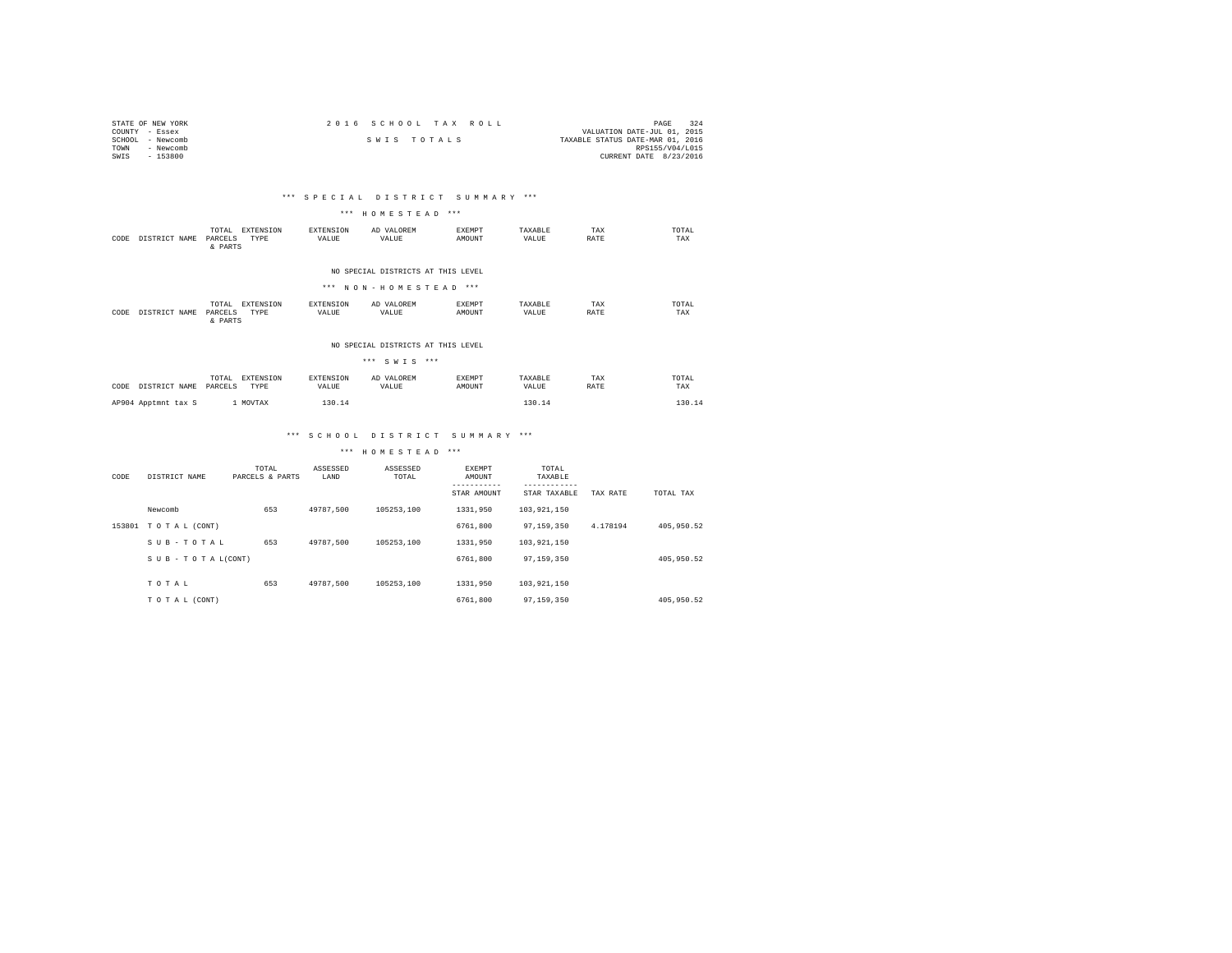| STATE OF NEW YORK | 2016 SCHOOL TAX ROLL | 324<br>PAGE                      |
|-------------------|----------------------|----------------------------------|
| COUNTY - Essex    |                      | VALUATION DATE-JUL 01, 2015      |
| SCHOOL - Newcomb  | SWIS TOTALS          | TAXABLE STATUS DATE-MAR 01, 2016 |
| TOWN<br>- Newcomb |                      | RPS155/V04/L015                  |
| SWIS<br>$-153800$ |                      | CURRENT DATE 8/23/2016           |

## \*\*\* S P E C I A L D I S T R I C T S U M M A R Y \*\*\*

## \*\*\* H O M E S T E A D \*\*\*

| CODE                                                        | DISTRICT NAME | EXTENSION<br>TOTAL<br>TYPE<br>PARCELS<br>& PARTS         | EXTENSION<br>VALUE | AD VALOREM<br>VALUE | <b>EXEMPT</b><br>AMOUNT | TAXARLE<br>VALUE | TAX<br>RATE | TOTAL<br>TAX  |  |
|-------------------------------------------------------------|---------------|----------------------------------------------------------|--------------------|---------------------|-------------------------|------------------|-------------|---------------|--|
| NO SPECIAL DISTRICTS AT THIS LEVEL<br>*** NON-HOMESTEAD *** |               |                                                          |                    |                     |                         |                  |             |               |  |
| CODE                                                        | DISTRICT NAME | <b>EXTENSION</b><br>TOTAL.<br>TYPE<br>PARCELS<br>& PARTS | EXTENSION<br>VALUE | AD VALOREM<br>VALUE | <b>EXEMPT</b><br>AMOUNT | TAXARLE<br>VALUE | TAX<br>RATE | TOTAL.<br>TAX |  |

#### NO SPECIAL DISTRICTS AT THIS LEVEL

| *** SWTS ***          |                                       |                    |                     |                         |                  |             |              |  |  |
|-----------------------|---------------------------------------|--------------------|---------------------|-------------------------|------------------|-------------|--------------|--|--|
| CODE<br>DISTRICT NAME | TOTAL<br>EXTENSION<br>PARCELS<br>TYPE | EXTENSION<br>VALUE | AD VALOREM<br>VALUE | <b>EXEMPT</b><br>AMOUNT | TAXABLE<br>VALUE | TAX<br>RATE | TOTAL<br>TAX |  |  |
| AP904 Apptmnt tax S   | 1 MOVTAX                              | 130.14             |                     |                         | 130.14           |             | 130.14       |  |  |

## \*\*\* S C H O O L D I S T R I C T S U M M A R Y \*\*\*

\*\*\* H O M E S T E A D \*\*\*

| CODE   | DISTRICT NAME             | TOTAL<br>PARCELS & PARTS | ASSESSED<br>LAND | ASSESSED<br>TOTAL | EXEMPT<br>AMOUNT<br>STAR AMOUNT | TOTAL<br>TAXABLE<br>STAR TAXABLE | TAX RATE | TOTAL TAX  |
|--------|---------------------------|--------------------------|------------------|-------------------|---------------------------------|----------------------------------|----------|------------|
|        | Newcomb                   | 653                      | 49787.500        | 105253.100        | 1331,950                        | 103,921,150                      |          |            |
| 153801 | TOTAL (CONT)              |                          |                  |                   | 6761,800                        | 97.159.350                       | 4.178194 | 405,950.52 |
|        | SUB-TOTAL                 | 653                      | 49787.500        | 105253.100        | 1331,950                        | 103,921,150                      |          |            |
|        | $S$ U B - T O T A L(CONT) |                          |                  |                   | 6761,800                        | 97.159.350                       |          | 405,950.52 |
|        | TOTAL                     | 653                      | 49787.500        | 105253.100        | 1331,950                        | 103,921,150                      |          |            |
|        | TO TAL (CONT)             |                          |                  |                   | 6761,800                        | 97.159.350                       |          | 405,950.52 |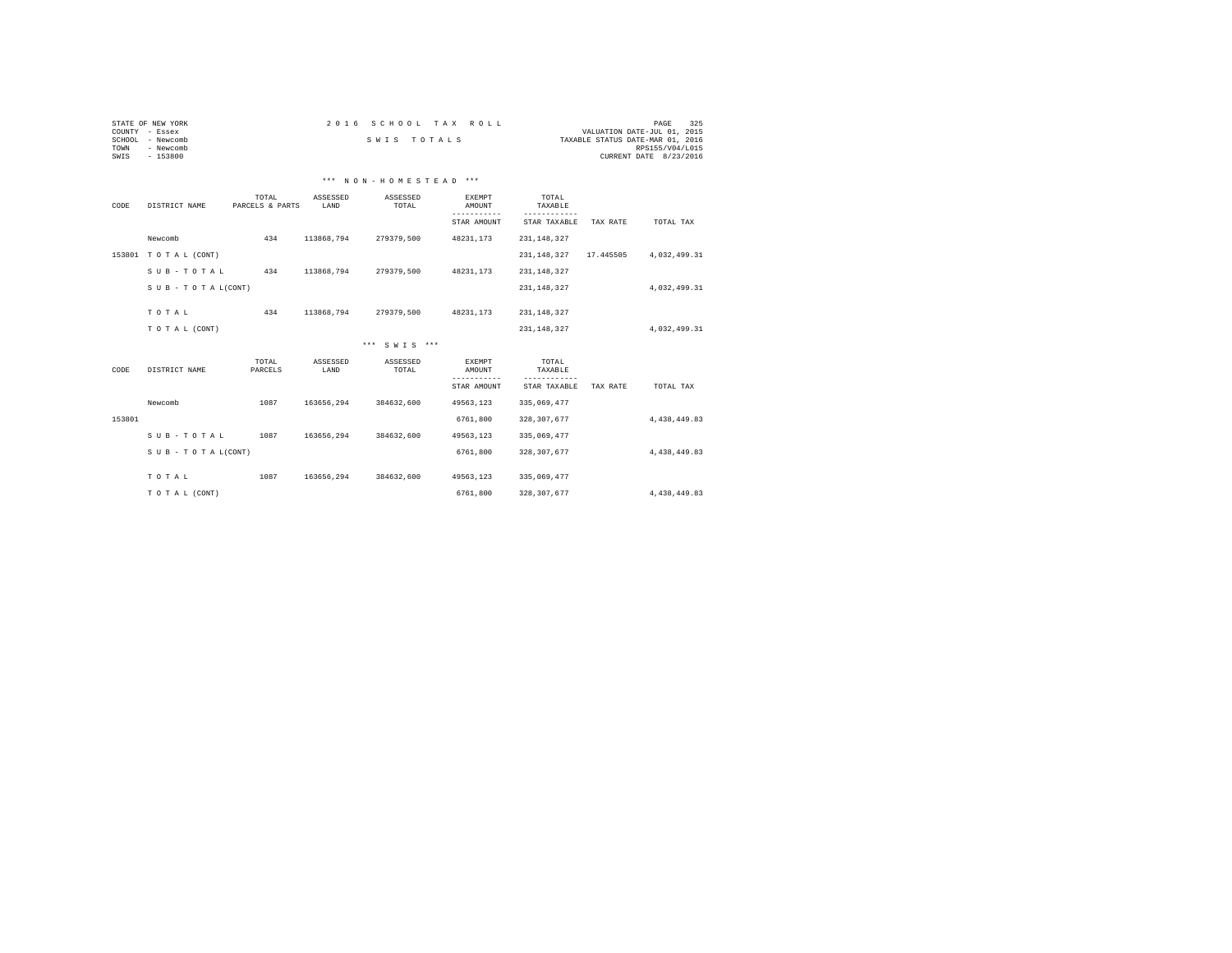| STATE OF NEW YORK | 2016 SCHOOL TAX ROLL | 325<br>PAGE                      |
|-------------------|----------------------|----------------------------------|
| COUNTY - Essex    |                      | VALUATION DATE-JUL 01, 2015      |
| SCHOOL - Newcomb  | SWIS TOTALS          | TAXABLE STATUS DATE-MAR 01, 2016 |
| TOWN<br>- Newcomb |                      | RPS155/V04/L015                  |
| $-153800$<br>SWIS |                      | CURRENT DATE 8/23/2016           |

## \*\*\* N O N - H O M E S T E A D \*\*\*

| CODE   | DISTRICT NAME      | TOTAL<br>PARCELS & PARTS | ASSESSED<br>LAND | ASSESSED<br>TOTAL | <b>EXEMPT</b><br>AMOUNT<br>-------- | TOTAL.<br>TAXABLE<br>------ |           |              |
|--------|--------------------|--------------------------|------------------|-------------------|-------------------------------------|-----------------------------|-----------|--------------|
|        |                    |                          |                  |                   | STAR AMOUNT                         | STAR TAXABLE                | TAX RATE  | TOTAL TAX    |
|        | Newcomb            | 434                      | 113868.794       | 279379.500        | 48231.173                           | 231, 148, 327               |           |              |
| 153801 | TOTAL (CONT)       |                          |                  |                   |                                     | 231, 148, 327               | 17.445505 | 4.032.499.31 |
|        | SUB-TOTAL          | 434                      | 113868,794       | 279379,500        | 48231,173                           | 231, 148, 327               |           |              |
|        | SUB - TO TAL(CONT) |                          |                  |                   |                                     | 231, 148, 327               |           | 4,032,499.31 |
|        | TOTAL              | 434                      | 113868.794       | 279379.500        | 48231.173                           |                             |           |              |
|        |                    |                          |                  |                   |                                     | 231, 148, 327               |           |              |
|        | TO TAL (CONT)      |                          |                  |                   |                                     | 231, 148, 327               |           | 4.032.499.31 |
|        |                    |                          |                  | *** SWTS ***      |                                     |                             |           |              |
| CODE   | DISTRICT NAME      | TOTAL<br>PARCELS         | ASSESSED<br>LAND | ASSESSED<br>TOTAL | <b>EXEMPT</b><br>AMOUNT             | TOTAL<br>TAXABLE            |           |              |
|        |                    |                          |                  |                   | -----------<br>STAR AMOUNT          | -------<br>STAR TAXABLE     | TAX RATE  | TOTAL TAX    |
|        | Newcomb            | 1087                     | 163656.294       | 384632.600        | 49563.123                           | 335,069,477                 |           |              |
| 153801 |                    |                          |                  |                   | 6761,800                            | 328, 307, 677               |           | 4,438,449.83 |
|        | SUB-TOTAL          | 1087                     | 163656,294       | 384632,600        | 49563,123                           | 335,069,477                 |           |              |
|        | SUB - TO TAL(CONT) |                          |                  |                   | 6761,800                            | 328, 307, 677               |           | 4,438,449.83 |
|        | TOTAL              | 1087                     | 163656.294       | 384632.600        | 49563.123                           | 335,069,477                 |           |              |
|        | TO TAL (CONT)      |                          |                  |                   | 6761,800                            | 328, 307, 677               |           | 4.438.449.83 |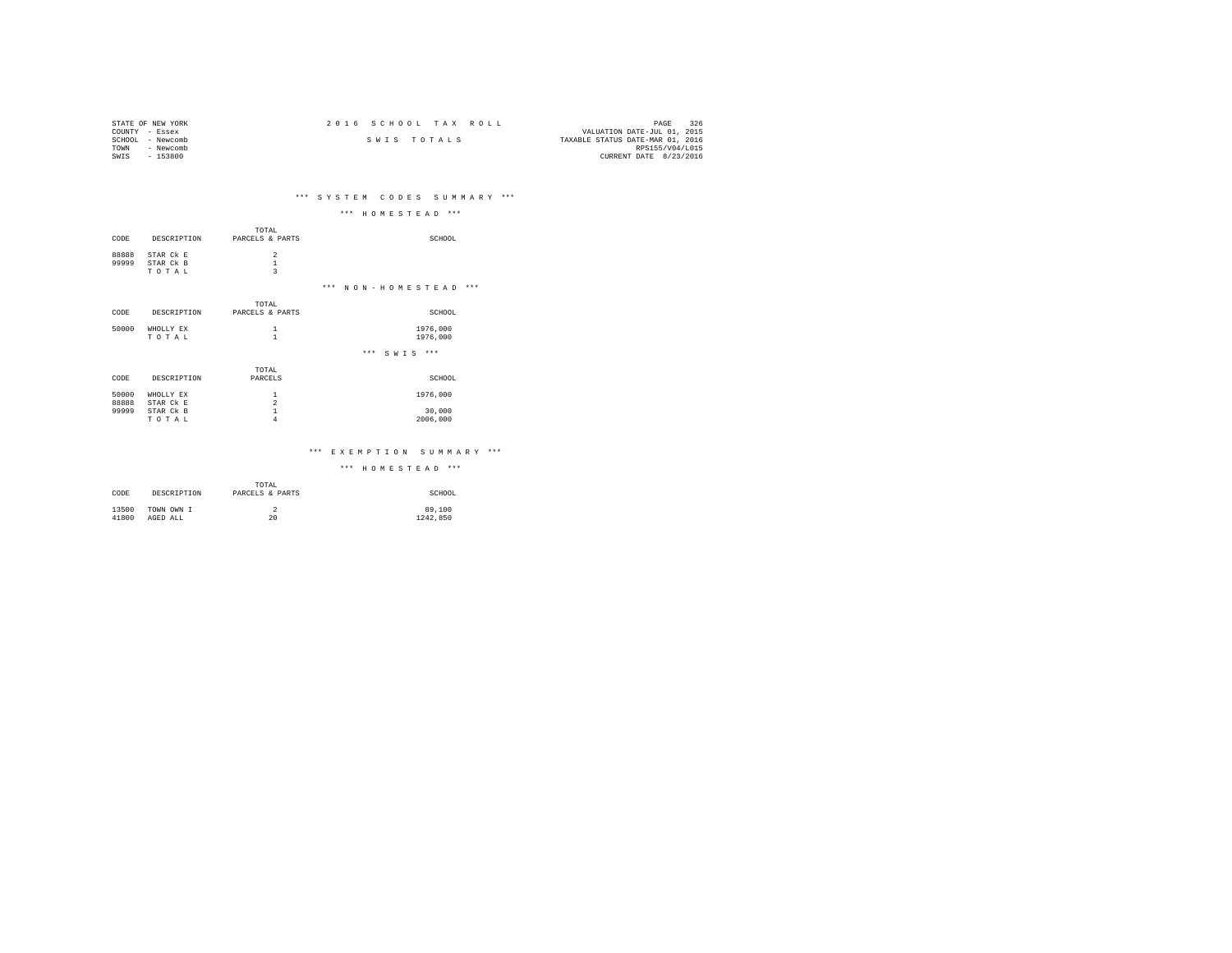| STATE OF NEW YORK   | 2016 SCHOOL TAX ROLL | 326<br>PAGE                      |
|---------------------|----------------------|----------------------------------|
| COUNTY - Essex      |                      | VALUATION DATE-JUL 01, 2015      |
| SCHOOL<br>- Newcomb | SWIS TOTALS          | TAXABLE STATUS DATE-MAR 01, 2016 |
| TOWN<br>- Newcomb   |                      | RPS155/V04/L015                  |
| $-153800$<br>SWIS   |                      | CURRENT DATE 8/23/2016           |

# \*\*\* S Y S T E M C O D E S S U M M A R Y \*\*\*

|       |             |                                            | $***$<br>$***$<br>HOMESTEAD     |
|-------|-------------|--------------------------------------------|---------------------------------|
|       |             | TOTAL                                      |                                 |
| CODE  | DESCRIPTION | PARCELS & PARTS                            | SCHOOL                          |
| 88888 | STAR Ck E   |                                            |                                 |
| 99999 | STAR Ck B   | $\begin{array}{c} 2 \\ 1 \\ 3 \end{array}$ |                                 |
|       | TOTAL       |                                            |                                 |
|       |             |                                            | $***$<br>$***$<br>NON-HOMESTEAD |
|       |             | TOTAL                                      |                                 |
| CODE  | DESCRIPTION | PARCELS & PARTS                            | SCHOOL                          |
| 50000 | WHOLLY EX   | 1                                          | 1976,000                        |
|       | TOTAL       | $\mathbf{1}$                               | 1976,000                        |
|       |             |                                            | $***$<br>$***$<br>SWTS          |
|       |             | TOTAL                                      |                                 |
| CODE  | DESCRIPTION | PARCELS                                    | SCHOOL                          |
| 50000 | WHOLLY EX   | $\mathbf{1}$                               | 1976,000                        |
| 88888 | STAR Ck E   | $\overline{a}$                             |                                 |
| 99999 | STAR Ck B   | $\mathbf{1}$                               | 30,000                          |
|       | TOTAL       | $\overline{4}$                             | 2006,000                        |

### \*\*\* E X E M P T I O N S U M M A R Y \*\*\*

\*\*\* H O M E S T E A D \*\*\*

| CODE  | DESCRIPTION | TOTAL<br>PARCELS & PARTS | SCHOOL   |
|-------|-------------|--------------------------|----------|
| 13500 | TOWN OWN I  | 20                       | 89,100   |
| 41800 | AGED ALL    |                          | 1242.850 |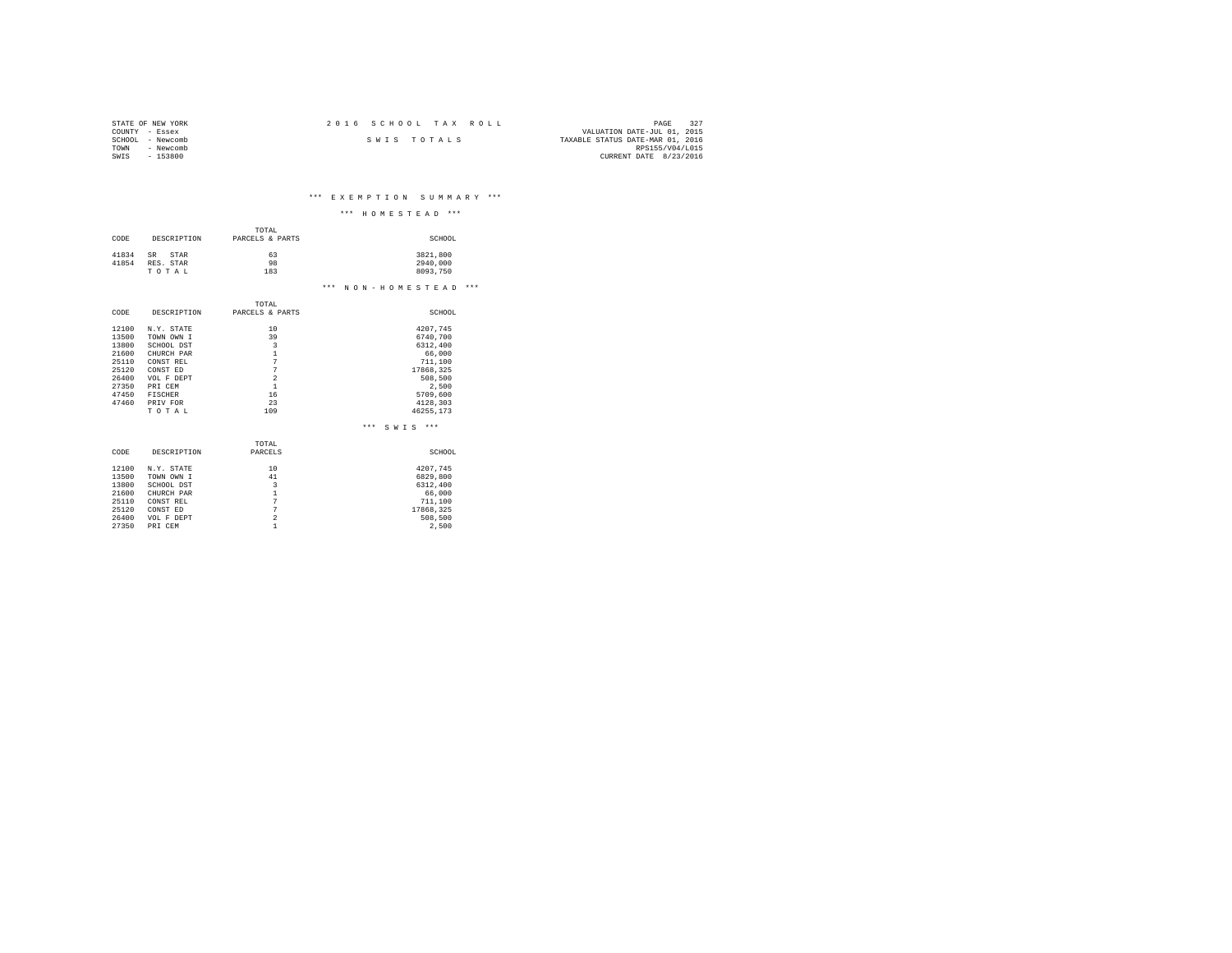| STATE OF NEW YORK | $2.016$ SCHOOL TAX ROLL | -327<br>PAGE                     |
|-------------------|-------------------------|----------------------------------|
| COUNTY - Essex    |                         | VALUATION DATE-JUL 01, 2015      |
| SCHOOL - Newcomb  | SWIS TOTALS             | TAXABLE STATUS DATE-MAR 01, 2016 |
| TOWN<br>- Newcomb |                         | RPS155/V04/L015                  |
| $-153800$<br>SWIS |                         | CURRENT DATE 8/23/2016           |

\*\*\* E X E M P T I O N S U M M A R Y \*\*\*

|                                                                                        |                                                                                                                                        |                                                                                                                                              | $***$<br>***<br>HOMESTEAD                                                                                                   |
|----------------------------------------------------------------------------------------|----------------------------------------------------------------------------------------------------------------------------------------|----------------------------------------------------------------------------------------------------------------------------------------------|-----------------------------------------------------------------------------------------------------------------------------|
| CODE                                                                                   | DESCRIPTION                                                                                                                            | TOTAL<br>PARCELS & PARTS                                                                                                                     | SCHOOL                                                                                                                      |
| 41834<br>41854                                                                         | SR.<br>STAR<br>RES. STAR<br>TOTAL                                                                                                      | 63<br>98<br>183                                                                                                                              | 3821,800<br>2940.000<br>8093.750                                                                                            |
|                                                                                        |                                                                                                                                        |                                                                                                                                              | $***$<br>$***$<br>NON-HOMESTEAD                                                                                             |
| CODE                                                                                   | DESCRIPTION                                                                                                                            | TOTAL<br>PARCELS & PARTS                                                                                                                     | SCHOOL                                                                                                                      |
| 12100<br>13500<br>13800<br>21600<br>25110<br>25120<br>26400<br>27350<br>47450<br>47460 | N.Y. STATE<br>TOWN OWN I<br>SCHOOL DST<br>CHURCH PAR<br>CONST REL<br>CONST ED<br>VOL F DEPT<br>PRI CEM<br>FISCHER<br>PRIV FOR<br>TOTAL | 10<br>39<br>$\overline{\mathbf{3}}$<br>$\mathbf{1}$<br>$\overline{7}$<br>$\overline{7}$<br>$\overline{a}$<br>$\mathbf{1}$<br>16<br>23<br>109 | 4207,745<br>6740.700<br>6312.400<br>66,000<br>711,100<br>17868.325<br>508,500<br>2.500<br>5709.600<br>4128,303<br>46255,173 |
|                                                                                        |                                                                                                                                        |                                                                                                                                              | $***$<br>$***$<br>SWIS                                                                                                      |
| CODE                                                                                   | DESCRIPTION                                                                                                                            | TOTAL<br>PARCELS                                                                                                                             | SCHOOL                                                                                                                      |

| 12100 | N.Y. STATE | 10 | 4207.745  |
|-------|------------|----|-----------|
| 13500 | TOWN OWN I | 41 | 6829,800  |
| 13800 | SCHOOL DST | 3  | 6312,400  |
| 21600 | CHURCH PAR |    | 66,000    |
| 25110 | CONST REL  |    | 711,100   |
| 25120 | CONST ED   | 7  | 17868.325 |
| 26400 | VOL F DEPT | 2  | 508,500   |
| 27350 | PRI CEM    |    | 2.500     |
|       |            |    |           |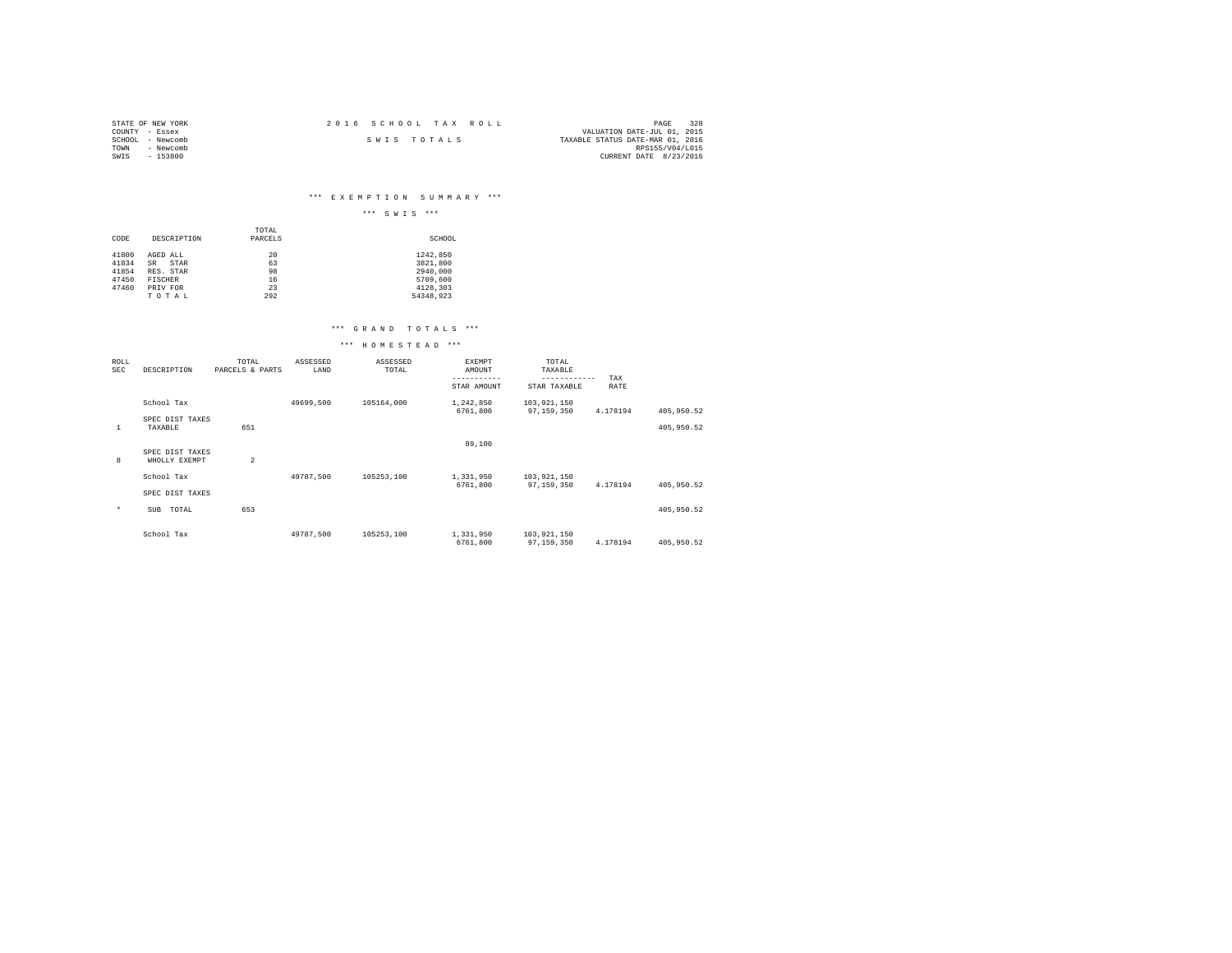| STATE OF NEW YORK | 2016 SCHOOL TAX ROLL | 328<br>PAGE                      |
|-------------------|----------------------|----------------------------------|
| COUNTY - Essex    |                      | VALUATION DATE-JUL 01, 2015      |
| SCHOOL - Newcomb  | SWIS TOTALS          | TAXABLE STATUS DATE-MAR 01, 2016 |
| TOWN<br>- Newcomb |                      | RPS155/V04/L015                  |
| - 153800<br>SWIS  |                      | CURRENT DATE 8/23/2016           |

# \*\*\* E X E M P T I O N S U M M A R Y \*\*\*

|                         |                                     |                  | $***$<br>$***$<br>SWIS            |
|-------------------------|-------------------------------------|------------------|-----------------------------------|
| CODE                    | DESCRIPTION                         | TOTAL<br>PARCELS | SCHOOL                            |
| 41800<br>41834<br>41854 | AGED ALL<br>SR<br>STAR<br>RES. STAR | 20<br>63<br>98   | 1242.850<br>3821,800<br>2940,000  |
| 47450<br>47460          | <b>FISCHER</b><br>PRIV FOR<br>TOTAL | 16<br>23<br>292  | 5709,600<br>4128,303<br>54348,923 |

### \*\*\* G R A N D T O T A L S \*\*\*

## \*\*\* H O M E S T E A D \*\*\*

| ROLL<br>SEC | DESCRIPTION                      | TOTAL<br>PARCELS & PARTS | ASSESSED<br>LAND | ASSESSED<br>TOTAL | <b>EXEMPT</b><br>AMOUNT<br>----------- | TOTAL<br>TAXABLE<br>------------ | TAX      |            |
|-------------|----------------------------------|--------------------------|------------------|-------------------|----------------------------------------|----------------------------------|----------|------------|
|             |                                  |                          |                  |                   | STAR AMOUNT                            | STAR TAXABLE                     | RATE     |            |
|             | School Tax                       |                          | 49699,500        | 105164,000        | 1,242,850<br>6761,800                  | 103,921,150<br>97,159,350        | 4.178194 | 405,950.52 |
| 1           | SPEC DIST TAXES<br>TAXABLE       | 651                      |                  |                   |                                        |                                  |          | 405,950.52 |
|             |                                  |                          |                  |                   | 89,100                                 |                                  |          |            |
| 8           | SPEC DIST TAXES<br>WHOLLY EXEMPT | $\overline{a}$           |                  |                   |                                        |                                  |          |            |
|             | School Tax                       |                          | 49787.500        | 105253.100        | 1,331,950                              | 103,921,150                      |          |            |
|             | SPEC DIST TAXES                  |                          |                  |                   | 6761,800                               | 97.159.350                       | 4.178194 | 405,950.52 |
| $\star$     | TOTAL<br>SUB                     | 653                      |                  |                   |                                        |                                  |          | 405,950.52 |
|             | School Tax                       |                          | 49787.500        | 105253.100        | 1,331,950<br>6761,800                  | 103,921,150<br>97,159,350        | 4.178194 | 405,950.52 |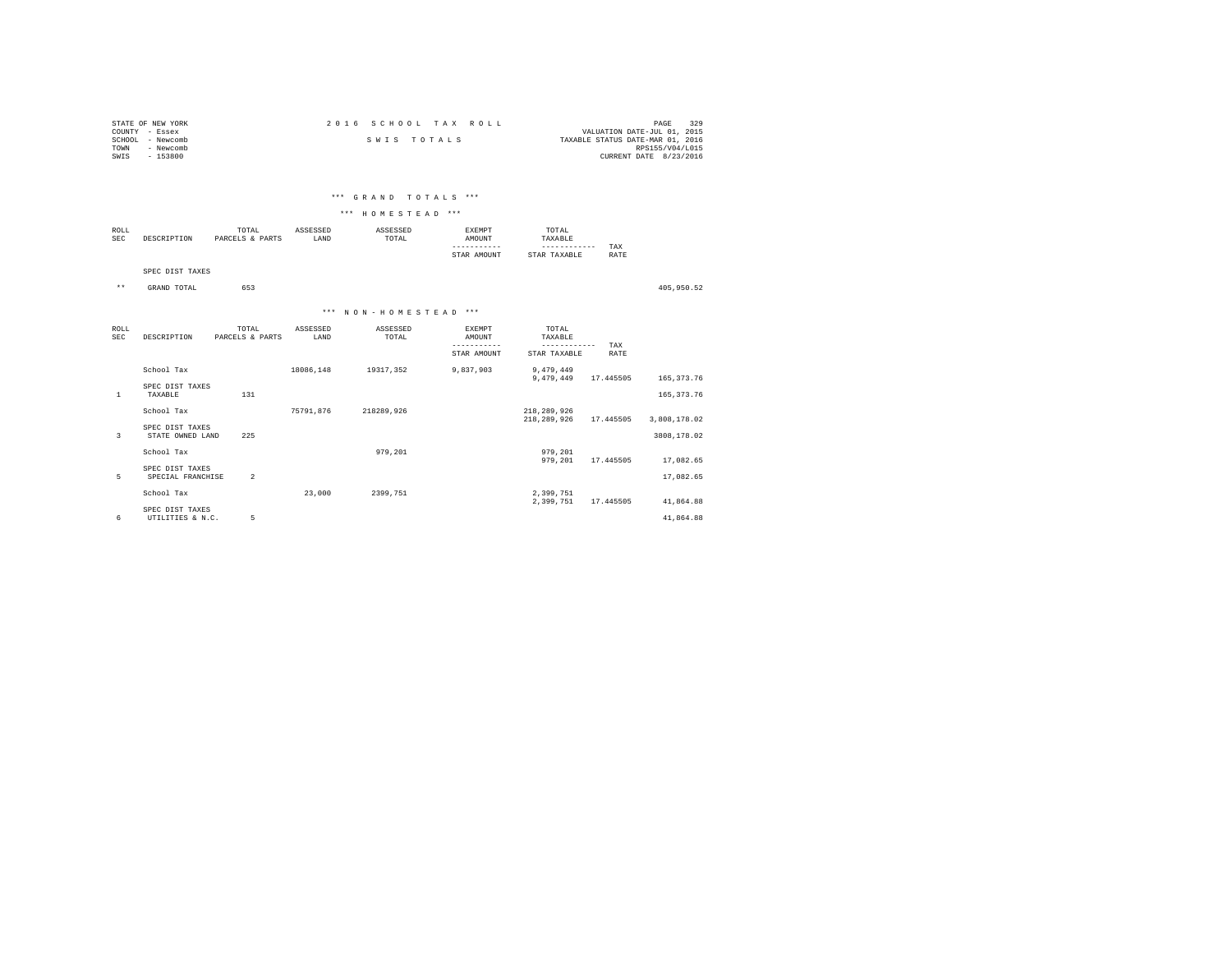| STATE OF NEW YORK   | 2016 SCHOOL TAX ROLL | 329<br>PAGE                      |
|---------------------|----------------------|----------------------------------|
| COUNTY - Essex      |                      | VALUATION DATE-JUL 01, 2015      |
| - Newcomb<br>SCHOOL | SWIS TOTALS          | TAXABLE STATUS DATE-MAR 01, 2016 |
| - Newcomb<br>TOWN   |                      | RPS155/V04/L015                  |
| $-153800$<br>SWIS   |                      | CURRENT DATE 8/23/2016           |
|                     |                      |                                  |

### \*\*\* G R A N D T O T A L S \*\*\*

#### \*\*\* H O M E S T E A D \*\*\*

| ROLL<br>SEC | CRIPTION | TOTAL<br>PARCELS & PARTS | ASSESSED<br>LAND | SSESSED<br>TOTAL<br>the contract of the contract of the | <b>EXEMPT</b><br><b>TUTTOMA</b> | TOTAL<br>TAXABLE              |      |
|-------------|----------|--------------------------|------------------|---------------------------------------------------------|---------------------------------|-------------------------------|------|
|             |          |                          |                  |                                                         |                                 | ------------                  | TAX  |
|             |          |                          |                  |                                                         | AMOUNT<br>STAR                  | <b><i>CAXABLE</i></b><br>STAR | RATE |

SPEC DIST TAXES

\*\* GRAND TOTAL 653 405,950.52

# \*\*\* N O N - H O M E S T E A D \*\*\*

| <b>ROLL</b><br>SEC | DESCRIPTION                         | TOTAL<br>PARCELS & PARTS | ASSESSED<br>LAND | ASSESSED<br>TOTAL | <b>EXEMPT</b><br>AMOUNT | TOTAL<br>TAXABLE          |             |              |  |
|--------------------|-------------------------------------|--------------------------|------------------|-------------------|-------------------------|---------------------------|-------------|--------------|--|
|                    |                                     |                          |                  |                   | STAR AMOUNT             | ---------<br>STAR TAXABLE | TAX<br>RATE |              |  |
|                    | School Tax                          |                          | 18086.148        | 19317,352         | 9,837,903               | 9,479,449<br>9,479,449    | 17.445505   | 165, 373. 76 |  |
|                    | SPEC DIST TAXES                     |                          |                  |                   |                         |                           |             |              |  |
| 1                  | TAXABLE                             | 131                      |                  |                   |                         |                           |             | 165, 373. 76 |  |
|                    | School Tax                          |                          | 75791,876        | 218289,926        |                         | 218,289,926               |             |              |  |
|                    |                                     |                          |                  |                   |                         | 218,289,926               | 17.445505   | 3,808,178.02 |  |
| 3                  | SPEC DIST TAXES<br>STATE OWNED LAND | 225                      |                  |                   |                         |                           |             | 3808,178.02  |  |
|                    | School Tax                          |                          |                  | 979,201           |                         | 979,201                   |             |              |  |
|                    |                                     |                          |                  |                   |                         | 979,201                   | 17.445505   | 17,082.65    |  |
|                    | SPEC DIST TAXES                     |                          |                  |                   |                         |                           |             |              |  |
| 5                  | SPECIAL FRANCHISE                   | $\overline{2}$           |                  |                   |                         |                           |             | 17,082.65    |  |
|                    | School Tax                          |                          | 23,000           | 2399.751          |                         | 2,399,751                 |             |              |  |
|                    |                                     |                          |                  |                   |                         | 2,399,751                 | 17.445505   | 41,864.88    |  |
|                    | SPEC DIST TAXES                     |                          |                  |                   |                         |                           |             |              |  |
| 6                  | UTILITIES & N.C.                    | 5                        |                  |                   |                         |                           |             | 41.864.88    |  |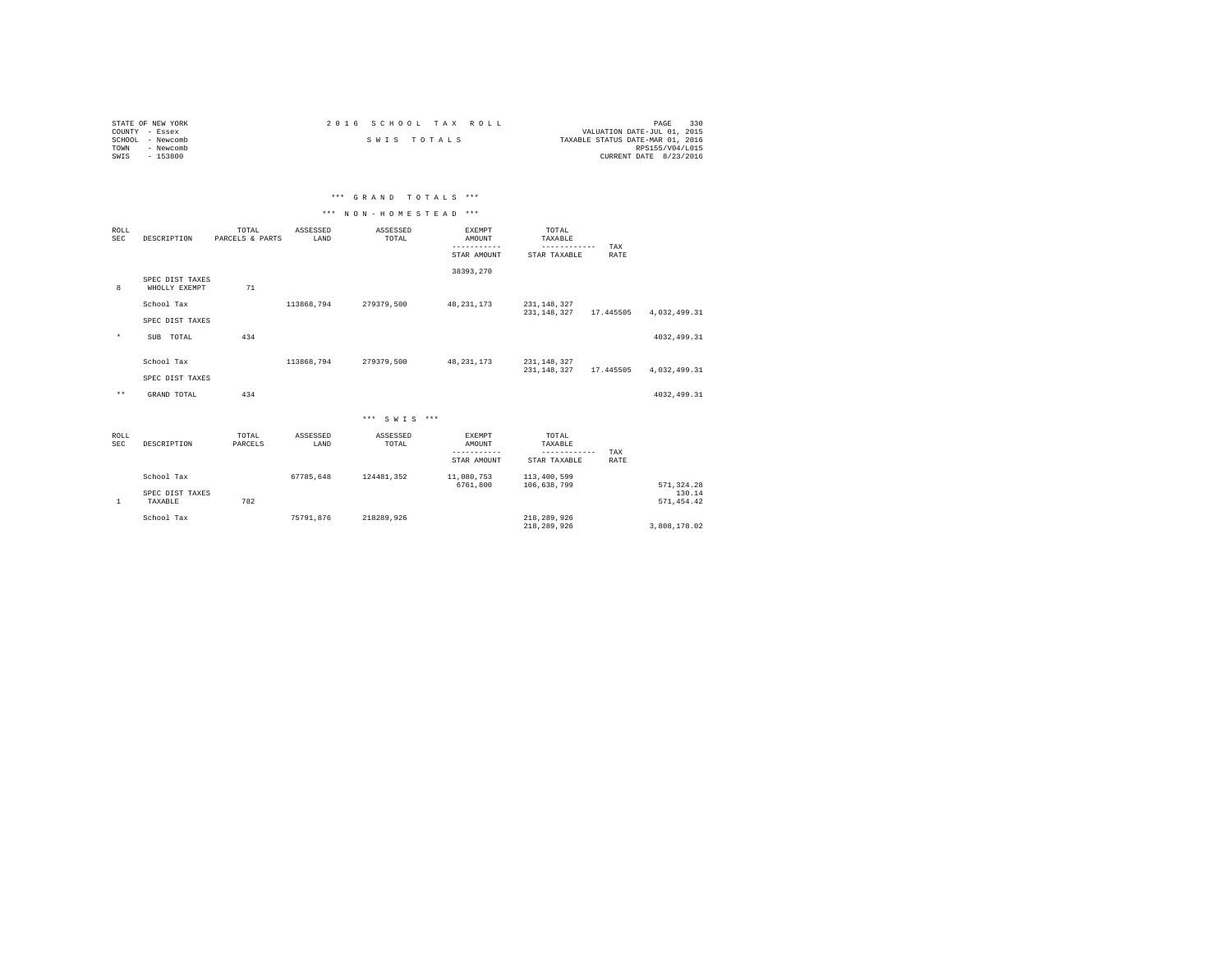| STATE OF NEW YORK | 2016 SCHOOL TAX ROLL |             |                                  | PAGE                   | 330 |
|-------------------|----------------------|-------------|----------------------------------|------------------------|-----|
| COUNTY - Essex    |                      |             | VALUATION DATE-JUL 01, 2015      |                        |     |
| SCHOOL - Newcomb  |                      | SWIS TOTALS | TAXABLE STATUS DATE-MAR 01, 2016 |                        |     |
| TOWN<br>- Newcomb |                      |             |                                  | RPS155/V04/L015        |     |
| SWIS<br>$-153800$ |                      |             |                                  | CURRENT DATE 8/23/2016 |     |

| *** GRAND TOTALS ***<br>the contract of the contract of the contract of the contract of the contract of the contract of |
|-------------------------------------------------------------------------------------------------------------------------|
|-------------------------------------------------------------------------------------------------------------------------|

# \*\*\* N O N - H O M E S T E A D \*\*\*

| <b>ROLL</b><br><b>SEC</b> | DESCRIPTION                      | TOTAL<br>PARCELS & PARTS | ASSESSED<br>LAND | ASSESSED<br>TOTAL | <b>EXEMPT</b><br>AMOUNT<br>-----------<br>STAR AMOUNT | TOTAL<br>TAXABLE<br>------------<br>STAR TAXABLE | TAX<br>RATE |                       |
|---------------------------|----------------------------------|--------------------------|------------------|-------------------|-------------------------------------------------------|--------------------------------------------------|-------------|-----------------------|
| 8                         | SPEC DIST TAXES<br>WHOLLY EXEMPT | 71                       |                  |                   | 38393.270                                             |                                                  |             |                       |
|                           | School Tax                       |                          | 113868,794       | 279379,500        | 48, 231, 173                                          | 231, 148, 327<br>231,148,327                     | 17.445505   | 4,032,499.31          |
| $\star$                   | SPEC DIST TAXES<br>SUB TOTAL     | 434                      |                  |                   |                                                       |                                                  |             | 4032, 499.31          |
|                           | School Tax                       |                          | 113868,794       | 279379,500        | 48, 231, 173                                          | 231, 148, 327<br>231,148,327                     | 17.445505   | 4,032,499.31          |
| $\star\star$              | SPEC DIST TAXES<br>GRAND TOTAL   | 434                      |                  |                   |                                                       |                                                  |             | 4032, 499.31          |
|                           |                                  |                          |                  | *** SWTS ***      |                                                       |                                                  |             |                       |
| ROLL<br>SEC               | DESCRIPTION                      | TOTAL<br>PARCELS         | ASSESSED<br>LAND | ASSESSED<br>TOTAL | EXEMPT<br>AMOUNT<br>-----------<br>STAR AMOUNT        | TOTAL<br>TAXABLE<br>------------<br>STAR TAXABLE | TAX<br>RATE |                       |
|                           | School Tax                       |                          | 67785.648        | 124481.352        | 11,080,753<br>6761,800                                | 113,400,599<br>106,638,799                       |             | 571, 324.28           |
| $\mathbf{1}$              | SPEC DIST TAXES<br>TAXABLE       | 782                      |                  |                   |                                                       |                                                  |             | 130.14<br>571, 454.42 |
|                           | School Tax                       |                          | 75791.876        | 218289,926        |                                                       | 218,289,926<br>218,289,926                       |             | 3,808,178.02          |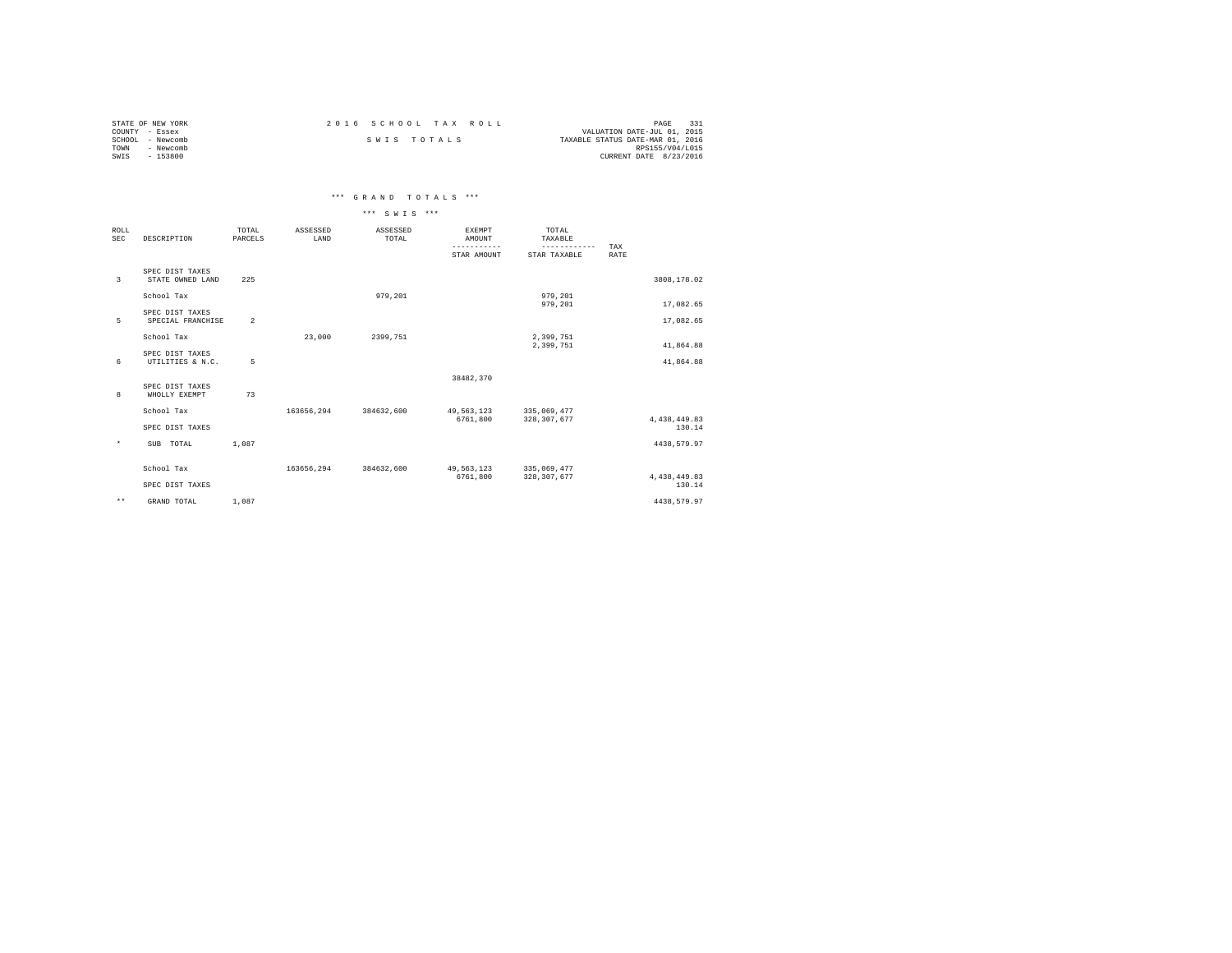| STATE OF NEW YORK | 2016 SCHOOL TAX ROLL | 331<br>PAGE                      |
|-------------------|----------------------|----------------------------------|
| COUNTY - Essex    |                      | VALUATION DATE-JUL 01, 2015      |
| SCHOOL - Newcomb  | SWIS TOTALS          | TAXABLE STATUS DATE-MAR 01, 2016 |
| TOWN<br>- Newcomb |                      | RPS155/V04/L015                  |
| SWIS<br>$-153800$ |                      | CURRENT DATE 8/23/2016           |

# \*\*\* G R A N D T O T A L S \*\*\*

|                           |                                      |                  |                  | *** SWTS ***      |                         |                              |             |                        |
|---------------------------|--------------------------------------|------------------|------------------|-------------------|-------------------------|------------------------------|-------------|------------------------|
| <b>ROLL</b><br><b>SEC</b> | DESCRIPTION                          | TOTAL<br>PARCELS | ASSESSED<br>LAND | ASSESSED<br>TOTAL | <b>EXEMPT</b><br>AMOUNT | TOTAL<br>TAXABLE             |             |                        |
|                           |                                      |                  |                  |                   | STAR AMOUNT             | ------------<br>STAR TAXABLE | TAX<br>RATE |                        |
| 3                         | SPEC DIST TAXES<br>STATE OWNED LAND  | 225              |                  |                   |                         |                              |             | 3808,178.02            |
|                           | School Tax                           |                  |                  | 979.201           |                         | 979,201<br>979,201           |             | 17,082.65              |
| 5                         | SPEC DIST TAXES<br>SPECIAL FRANCHISE | $\overline{2}$   |                  |                   |                         |                              |             | 17,082.65              |
|                           | School Tax                           |                  | 23,000           | 2399.751          |                         | 2,399,751<br>2,399,751       |             | 41,864.88              |
| 6                         | SPEC DIST TAXES<br>UTILITIES & N.C.  | 5                |                  |                   |                         |                              |             | 41.864.88              |
|                           | SPEC DIST TAXES                      |                  |                  |                   | 38482,370               |                              |             |                        |
| 8                         | WHOLLY EXEMPT                        | 73               |                  |                   |                         |                              |             |                        |
|                           | School Tax                           |                  | 163656,294       | 384632,600        | 49,563,123<br>6761.800  | 335,069,477<br>328, 307, 677 |             |                        |
|                           | SPEC DIST TAXES                      |                  |                  |                   |                         |                              |             | 4,438,449.83<br>130.14 |
| $\star$                   | SUB TOTAL                            | 1,087            |                  |                   |                         |                              |             | 4438,579.97            |
|                           | School Tax                           |                  | 163656.294       | 384632,600        | 49,563,123              | 335,069,477                  |             |                        |
|                           | SPEC DIST TAXES                      |                  |                  |                   | 6761.800                | 328, 307, 677                |             | 4,438,449.83<br>130.14 |
| $\star\star$              | GRAND TOTAL                          | 1,087            |                  |                   |                         |                              |             | 4438,579.97            |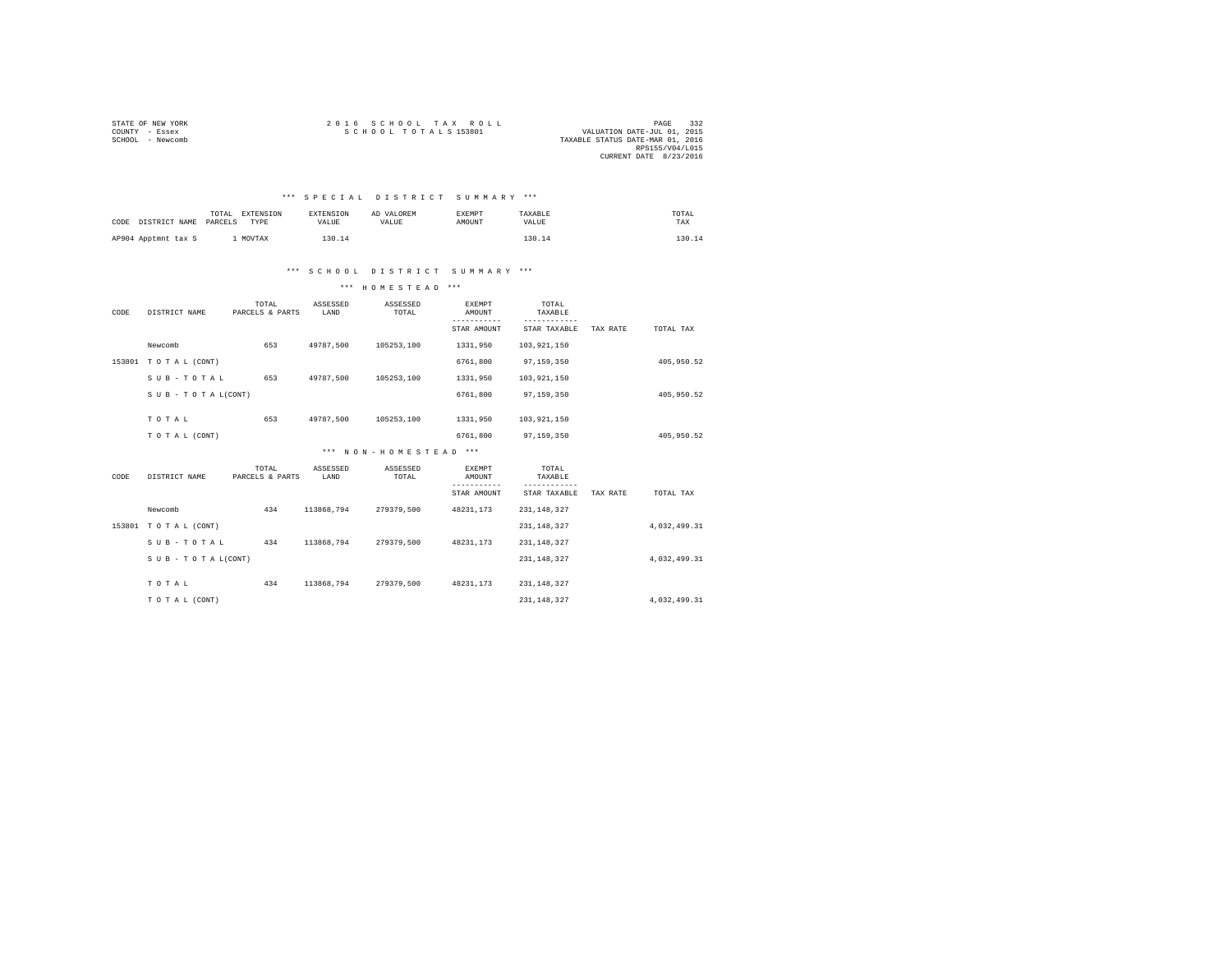| STATE OF NEW YORK | 2016 SCHOOL TAX ROLL | PAGE                             |
|-------------------|----------------------|----------------------------------|
| COUNTY - Essex    | SCHOOL TOTALS 153801 | VALUATION DATE-JUL 01, 2015      |
| SCHOOL - Newcomb  |                      | TAXABLE STATUS DATE-MAR 01, 2016 |
|                   |                      | RPS155/V04/L015                  |
|                   |                      | CURRENT DATE 8/23/2016           |

### \*\*\* S P E C I A L D I S T R I C T S U M M A R Y \*\*\*

| CODE DISTRICT NAME  | TOTAL<br>PARCELS | EXTENSION<br>TYPE | <b>EXTENSION</b><br>VALUE | AD VALOREM<br>VALUE | EXEMPT<br>AMOUNT | TAXABLE<br>VALUE | TOTAL<br>TAX |
|---------------------|------------------|-------------------|---------------------------|---------------------|------------------|------------------|--------------|
| AP904 Apptmnt tax S |                  | MOVTAX            | '30.14                    |                     |                  | 130.14           | 13 N         |

### \*\*\* S C H O O L D I S T R I C T S U M M A R Y \*\*\*

\*\*\* H O M E S T E A D \*\*\*

| CODE   | DISTRICT NAME       | TOTAL<br>PARCELS & PARTS | ASSESSED<br>LAND | ASSESSED<br>TOTAL     | <b>EXEMPT</b><br>AMOUNT | TOTAL<br>TAXABLE |          |              |
|--------|---------------------|--------------------------|------------------|-----------------------|-------------------------|------------------|----------|--------------|
|        |                     |                          |                  |                       | STAR AMOUNT             | STAR TAXABLE     | TAX RATE | TOTAL TAX    |
|        | Newcomb             | 653                      | 49787,500        | 105253,100            | 1331,950                | 103,921,150      |          |              |
| 153801 | TO TAL (CONT)       |                          |                  |                       | 6761,800                | 97,159,350       |          | 405,950.52   |
|        | SUB-TOTAL           | 653                      | 49787.500        | 105253,100            | 1331,950                | 103,921,150      |          |              |
|        | SUB - TO TAL(CONT)  |                          |                  |                       | 6761,800                | 97,159,350       |          | 405,950.52   |
|        | TOTAL               | 653                      | 49787,500        | 105253,100            | 1331,950                | 103,921,150      |          |              |
|        |                     |                          |                  |                       |                         |                  |          |              |
|        | TO TAL (CONT)       |                          |                  |                       | 6761,800                | 97,159,350       |          | 405,950.52   |
|        |                     |                          |                  | *** NON-HOMESTEAD *** |                         |                  |          |              |
| CODE   | DISTRICT NAME       | TOTAL<br>PARCELS & PARTS | ASSESSED<br>LAND | ASSESSED<br>TOTAL     | <b>EXEMPT</b><br>AMOUNT | TOTAL<br>TAXABLE |          |              |
|        |                     |                          |                  |                       | ---------               | $- - - - -$      |          |              |
|        |                     |                          |                  |                       | STAR AMOUNT             | STAR TAXABLE     | TAX RATE | TOTAL TAX    |
|        | Newcomb             | 434                      | 113868,794       | 279379,500            | 48231,173               | 231, 148, 327    |          |              |
|        | 153801 TOTAL (CONT) |                          |                  |                       |                         | 231, 148, 327    |          | 4.032.499.31 |
|        | SUB-TOTAL           | 434                      | 113868.794       | 279379.500            | 48231.173               | 231, 148, 327    |          |              |
|        | SUB - TO TAL(CONT)  |                          |                  |                       |                         | 231, 148, 327    |          | 4.032.499.31 |
|        |                     |                          |                  |                       |                         |                  |          |              |
|        | TOTAL               | 434                      | 113868.794       | 279379.500            | 48231.173               | 231, 148, 327    |          |              |
|        | TO TAL (CONT)       |                          |                  |                       |                         | 231, 148, 327    |          | 4.032.499.31 |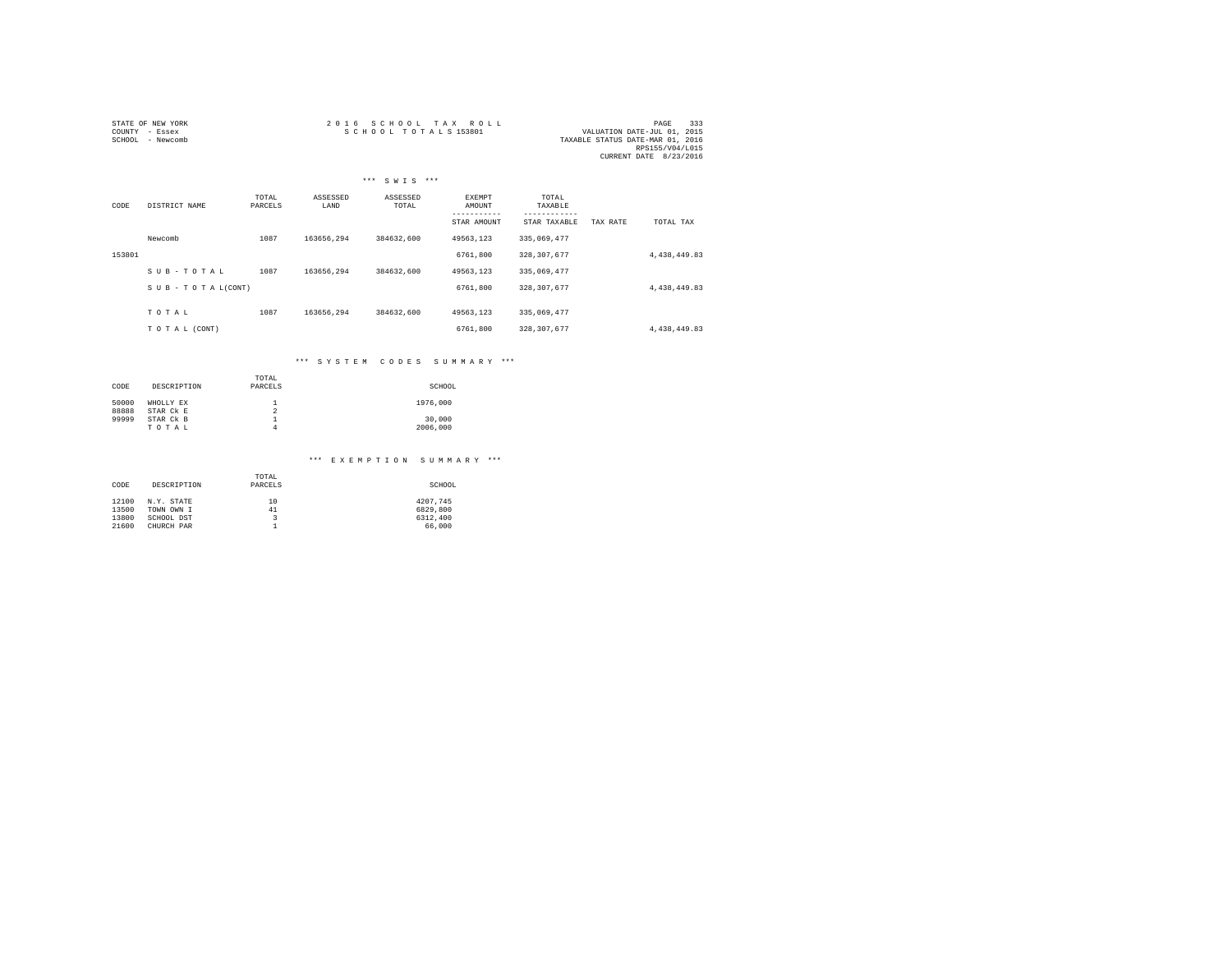| STATE OF NEW YORK | 2016 SCHOOL TAX ROLL | 333<br>PAGE                      |
|-------------------|----------------------|----------------------------------|
| COUNTY - Essex    | SCHOOL TOTALS 153801 | VALUATION DATE-JUL 01, 2015      |
| SCHOOL - Newcomb  |                      | TAXABLE STATUS DATE-MAR 01, 2016 |
|                   |                      | RPS155/V04/L015                  |
|                   |                      | CURRENT DATE 8/23/2016           |

|        |                    |                  |                  | *** SWIS ***      |                  |                  |          |              |
|--------|--------------------|------------------|------------------|-------------------|------------------|------------------|----------|--------------|
| CODE   | DISTRICT NAME      | TOTAL<br>PARCELS | ASSESSED<br>LAND | ASSESSED<br>TOTAL | EXEMPT<br>AMOUNT | TOTAL<br>TAXABLE |          |              |
|        |                    |                  |                  |                   | STAR AMOUNT      | STAR TAXABLE     | TAX RATE | TOTAL TAX    |
|        | Newcomb            | 1087             | 163656.294       | 384632,600        | 49563,123        | 335,069,477      |          |              |
| 153801 |                    |                  |                  |                   | 6761,800         | 328, 307, 677    |          | 4,438,449.83 |
|        | SUB-TOTAL          | 1087             | 163656.294       | 384632.600        | 49563.123        | 335,069,477      |          |              |
|        | SUB - TO TAL(CONT) |                  |                  |                   | 6761,800         | 328, 307, 677    |          | 4,438,449.83 |
|        |                    |                  |                  |                   |                  |                  |          |              |
|        | TOTAL              | 1087             | 163656.294       | 384632.600        | 49563.123        | 335,069,477      |          |              |
|        | TO TAL (CONT)      |                  |                  |                   | 6761,800         | 328, 307, 677    |          | 4,438,449.83 |

## \*\*\* S Y S T E M C O D E S S U M M A R Y \*\*\*

| CODE  | DESCRIPTION | TOTAL<br>PARCELS | SCHOOL   |
|-------|-------------|------------------|----------|
| 50000 | WHOLLY EX   | 1                | 1976,000 |
| 88888 | STAR CK E   | $\overline{2}$   |          |
| 99999 | STAR CK B   | 1                | 30,000   |
|       | TOTAL       | 4                | 2006,000 |

### \*\*\* E X E M P T I O N S U M M A R Y \*\*\*

| CODE  | DESCRIPTION | TOTAL<br>PARCELS | SCHOOL   |  |  |  |  |
|-------|-------------|------------------|----------|--|--|--|--|
| 12100 | N.Y. STATE  | 10               | 4207.745 |  |  |  |  |
| 13500 | TOWN OWN I  | 41               | 6829,800 |  |  |  |  |
| 13800 | SCHOOL DST  | 3                | 6312,400 |  |  |  |  |
| 21600 | CHURCH PAR  |                  | 66,000   |  |  |  |  |